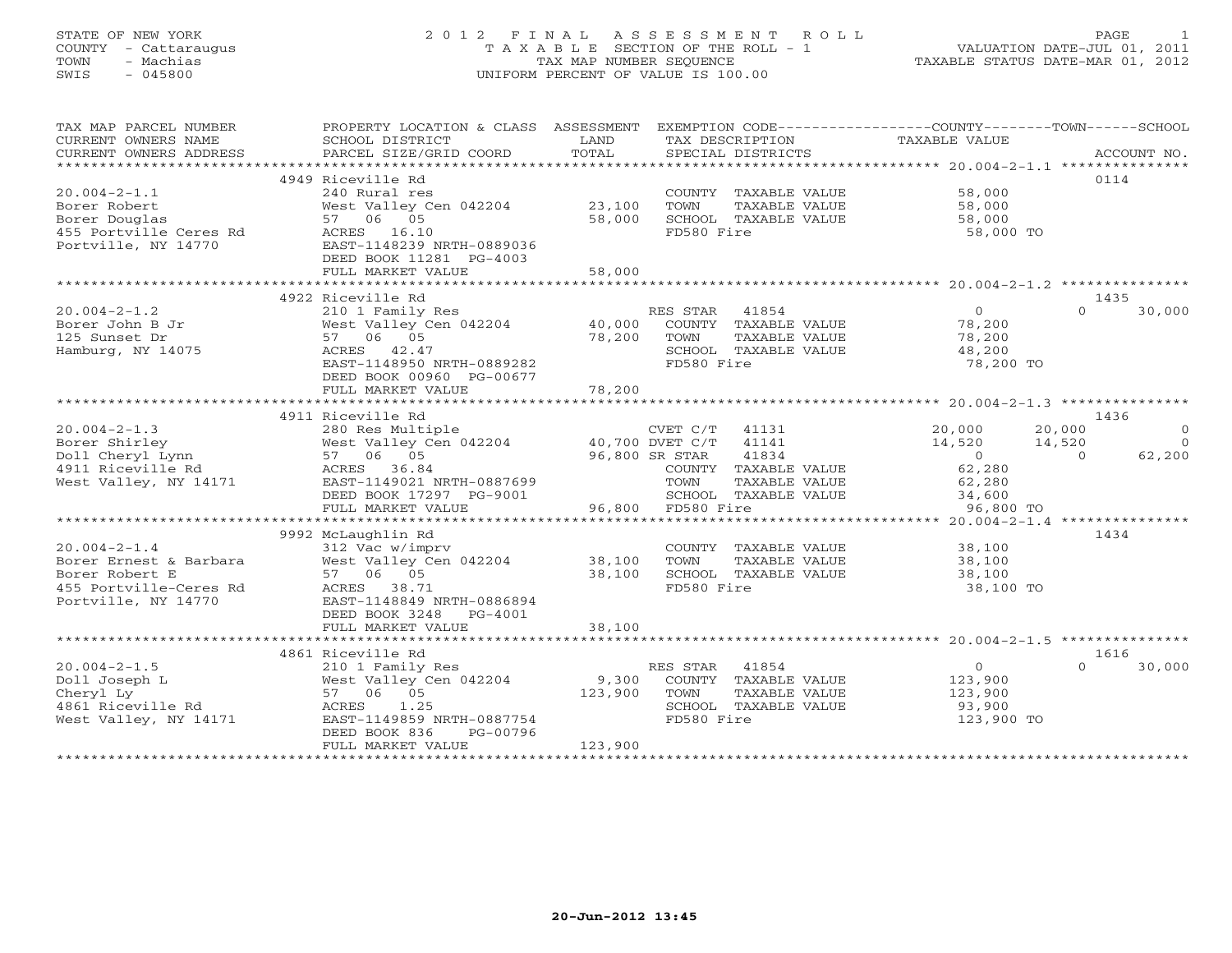### STATE OF NEW YORK 2 0 1 2 F I N A L A S S E S S M E N T R O L L PAGE 1 COUNTY - Cattaraugus T A X A B L E SECTION OF THE ROLL - 1 VALUATION DATE-JUL 01, 2011 TOWN - Machias TAX MAP NUMBER SEQUENCE TAXABLE STATUS DATE-MAR 01, 2012 SWIS - 045800 UNIFORM PERCENT OF VALUE IS 100.00UNIFORM PERCENT OF VALUE IS 100.00

| TAX MAP PARCEL NUMBER                                                                                                                                                                                                                                                                                                                                                                                                                                            |                                                                                                                 |                    |                                      | PROPERTY LOCATION & CLASS ASSESSMENT EXEMPTION CODE---------------COUNTY-------TOWN------SCHOOL                                                     |                    |
|------------------------------------------------------------------------------------------------------------------------------------------------------------------------------------------------------------------------------------------------------------------------------------------------------------------------------------------------------------------------------------------------------------------------------------------------------------------|-----------------------------------------------------------------------------------------------------------------|--------------------|--------------------------------------|-----------------------------------------------------------------------------------------------------------------------------------------------------|--------------------|
| $\begin{tabular}{lllllll} \multicolumn{2}{c}{\textbf{CURRENT}} & \multicolumn{2}{c}{\textbf{NMEN}} & \multicolumn{2}{c}{\textbf{NMEN}} & \multicolumn{2}{c}{\textbf{NMEN}} & \multicolumn{2}{c}{\textbf{NMEN}} & \multicolumn{2}{c}{\textbf{NMEN}} & \multicolumn{2}{c}{\textbf{NMEN}} & \multicolumn{2}{c}{\textbf{NMEN}} & \multicolumn{2}{c}{\textbf{NMEN}} & \multicolumn{2}{c}{\textbf{NMEN}} & \multicolumn{2}{c}{\textbf{NUCOUNT}} & \multicolumn{2}{c}{$ |                                                                                                                 |                    |                                      | TAXABLE VALUE                                                                                                                                       |                    |
|                                                                                                                                                                                                                                                                                                                                                                                                                                                                  |                                                                                                                 |                    |                                      |                                                                                                                                                     |                    |
|                                                                                                                                                                                                                                                                                                                                                                                                                                                                  |                                                                                                                 |                    |                                      |                                                                                                                                                     |                    |
|                                                                                                                                                                                                                                                                                                                                                                                                                                                                  | 4949 Riceville Rd                                                                                               |                    |                                      |                                                                                                                                                     | 0114               |
| $20.004 - 2 - 1.1$                                                                                                                                                                                                                                                                                                                                                                                                                                               | 240 Rural res                                                                                                   |                    | COUNTY TAXABLE VALUE 58,000          |                                                                                                                                                     |                    |
|                                                                                                                                                                                                                                                                                                                                                                                                                                                                  | West Valley Cen 042204 23,100                                                                                   |                    | TOWN<br>TAXABLE VALUE                | 58,000                                                                                                                                              |                    |
|                                                                                                                                                                                                                                                                                                                                                                                                                                                                  |                                                                                                                 | 58,000             | SCHOOL TAXABLE VALUE                 | 58,000                                                                                                                                              |                    |
| Borer Robert<br>Borer Douglas<br>455 Portville Ceres Rd<br>267 06 05<br>455 Portville, NY 14770<br>2689036<br>2681-1148239<br>27-1148239<br>27-1148239<br>27-1148239<br>27-1148239<br>2889036                                                                                                                                                                                                                                                                    |                                                                                                                 |                    | FD580 Fire                           | 58,000 TO                                                                                                                                           |                    |
|                                                                                                                                                                                                                                                                                                                                                                                                                                                                  |                                                                                                                 |                    |                                      |                                                                                                                                                     |                    |
|                                                                                                                                                                                                                                                                                                                                                                                                                                                                  | DEED BOOK 11281 PG-4003                                                                                         |                    |                                      |                                                                                                                                                     |                    |
|                                                                                                                                                                                                                                                                                                                                                                                                                                                                  | FULL MARKET VALUE                                                                                               | 58,000             |                                      |                                                                                                                                                     |                    |
|                                                                                                                                                                                                                                                                                                                                                                                                                                                                  |                                                                                                                 |                    |                                      |                                                                                                                                                     |                    |
|                                                                                                                                                                                                                                                                                                                                                                                                                                                                  | 4922 Riceville Rd                                                                                               |                    |                                      |                                                                                                                                                     | 1435               |
|                                                                                                                                                                                                                                                                                                                                                                                                                                                                  |                                                                                                                 |                    |                                      | $\overline{0}$<br>$\Omega$                                                                                                                          | 30,000             |
|                                                                                                                                                                                                                                                                                                                                                                                                                                                                  |                                                                                                                 |                    |                                      | 78,200                                                                                                                                              |                    |
|                                                                                                                                                                                                                                                                                                                                                                                                                                                                  |                                                                                                                 |                    |                                      | 78,200                                                                                                                                              |                    |
|                                                                                                                                                                                                                                                                                                                                                                                                                                                                  |                                                                                                                 |                    | SCHOOL TAXABLE VALUE                 | 48,200                                                                                                                                              |                    |
|                                                                                                                                                                                                                                                                                                                                                                                                                                                                  | EAST-1148950 NRTH-0889282                                                                                       |                    | FD580 Fire                           | 78,200 TO                                                                                                                                           |                    |
|                                                                                                                                                                                                                                                                                                                                                                                                                                                                  | DEED BOOK 00960 PG-00677                                                                                        |                    |                                      |                                                                                                                                                     |                    |
|                                                                                                                                                                                                                                                                                                                                                                                                                                                                  | FULL MARKET VALUE                                                                                               | 78,200             |                                      |                                                                                                                                                     |                    |
|                                                                                                                                                                                                                                                                                                                                                                                                                                                                  |                                                                                                                 |                    |                                      |                                                                                                                                                     |                    |
|                                                                                                                                                                                                                                                                                                                                                                                                                                                                  | 4911 Riceville Rd                                                                                               |                    |                                      |                                                                                                                                                     | 1436               |
| $20.004 - 2 - 1.3$                                                                                                                                                                                                                                                                                                                                                                                                                                               | 280 Res Multiple                                                                                                |                    | CVET C/T 41131                       | 20,000<br>20,000                                                                                                                                    | $\overline{0}$     |
|                                                                                                                                                                                                                                                                                                                                                                                                                                                                  |                                                                                                                 |                    |                                      |                                                                                                                                                     | $\overline{0}$     |
|                                                                                                                                                                                                                                                                                                                                                                                                                                                                  |                                                                                                                 |                    |                                      | $14,520$ $14,520$<br>$62,280$<br>$\overline{0}$                                                                                                     | 62,200             |
|                                                                                                                                                                                                                                                                                                                                                                                                                                                                  |                                                                                                                 |                    | COUNTY TAXABLE VALUE                 |                                                                                                                                                     |                    |
|                                                                                                                                                                                                                                                                                                                                                                                                                                                                  |                                                                                                                 |                    |                                      |                                                                                                                                                     |                    |
|                                                                                                                                                                                                                                                                                                                                                                                                                                                                  |                                                                                                                 |                    |                                      | $\begin{tabular}{llll} \texttt{TAXABLE} & \texttt{VALUE} & \texttt{62,280} \\ \texttt{TAXABLE} & \texttt{VALUE} & \texttt{34,600} \\ \end{tabular}$ |                    |
|                                                                                                                                                                                                                                                                                                                                                                                                                                                                  | EAST-1149021 NRTH-0887699 TOWN TAX<br>DEED BOOK 17297 PG-9001 SCHOOL TAX<br>FULL MARKET VALUE 96,800 FD580 Fire |                    | TOWN FRANCE-<br>SCHOOL TAXABLE VALUE | 96,800 TO                                                                                                                                           |                    |
|                                                                                                                                                                                                                                                                                                                                                                                                                                                                  |                                                                                                                 |                    |                                      |                                                                                                                                                     |                    |
|                                                                                                                                                                                                                                                                                                                                                                                                                                                                  | 9992 McLaughlin Rd                                                                                              |                    |                                      |                                                                                                                                                     | 1434               |
| $20.004 - 2 - 1.4$                                                                                                                                                                                                                                                                                                                                                                                                                                               | 312 Vac w/imprv                                                                                                 |                    | COUNTY TAXABLE VALUE 38,100          |                                                                                                                                                     |                    |
| Borer Ernest & Barbara                                                                                                                                                                                                                                                                                                                                                                                                                                           | 312 vac w/impiv<br>West Valley Cen 042204 38,100<br>57 06 05                                                    |                    | TAXABLE VALUE<br>TOWN                | 38,100                                                                                                                                              |                    |
| Borer Robert E                                                                                                                                                                                                                                                                                                                                                                                                                                                   |                                                                                                                 |                    | SCHOOL TAXABLE VALUE                 | 38,100                                                                                                                                              |                    |
| 455 Portville-Ceres Rd<br>Portville, NY 14770 BACRES 38.71<br>REAST-1148849.10                                                                                                                                                                                                                                                                                                                                                                                   |                                                                                                                 |                    | FD580 Fire                           | 38,100 TO                                                                                                                                           |                    |
|                                                                                                                                                                                                                                                                                                                                                                                                                                                                  | EAST-1148849 NRTH-0886894                                                                                       |                    |                                      |                                                                                                                                                     |                    |
|                                                                                                                                                                                                                                                                                                                                                                                                                                                                  | DEED BOOK 3248 PG-4001                                                                                          |                    |                                      |                                                                                                                                                     |                    |
|                                                                                                                                                                                                                                                                                                                                                                                                                                                                  |                                                                                                                 |                    |                                      |                                                                                                                                                     |                    |
|                                                                                                                                                                                                                                                                                                                                                                                                                                                                  |                                                                                                                 |                    |                                      |                                                                                                                                                     |                    |
|                                                                                                                                                                                                                                                                                                                                                                                                                                                                  | 4861 Riceville Rd                                                                                               |                    |                                      |                                                                                                                                                     | 1616               |
| $20.004 - 2 - 1.5$                                                                                                                                                                                                                                                                                                                                                                                                                                               | 210 1 Family Res                                                                                                |                    | RES STAR 41854                       | $\overline{0}$                                                                                                                                      | $\Omega$<br>30,000 |
|                                                                                                                                                                                                                                                                                                                                                                                                                                                                  |                                                                                                                 |                    | COUNTY TAXABLE VALUE                 |                                                                                                                                                     |                    |
|                                                                                                                                                                                                                                                                                                                                                                                                                                                                  |                                                                                                                 | $9,300$<br>123,900 | TOWN<br>TAXABLE VALUE                | 123,900<br>123,900                                                                                                                                  |                    |
|                                                                                                                                                                                                                                                                                                                                                                                                                                                                  |                                                                                                                 |                    | SCHOOL TAXABLE VALUE                 | 93,900                                                                                                                                              |                    |
|                                                                                                                                                                                                                                                                                                                                                                                                                                                                  |                                                                                                                 |                    | FD580 Fire                           | 123,900 TO                                                                                                                                          |                    |
|                                                                                                                                                                                                                                                                                                                                                                                                                                                                  | DEED BOOK 836<br>PG-00796                                                                                       |                    |                                      |                                                                                                                                                     |                    |
|                                                                                                                                                                                                                                                                                                                                                                                                                                                                  | FULL MARKET VALUE                                                                                               | 123,900            |                                      |                                                                                                                                                     |                    |
|                                                                                                                                                                                                                                                                                                                                                                                                                                                                  |                                                                                                                 |                    |                                      |                                                                                                                                                     |                    |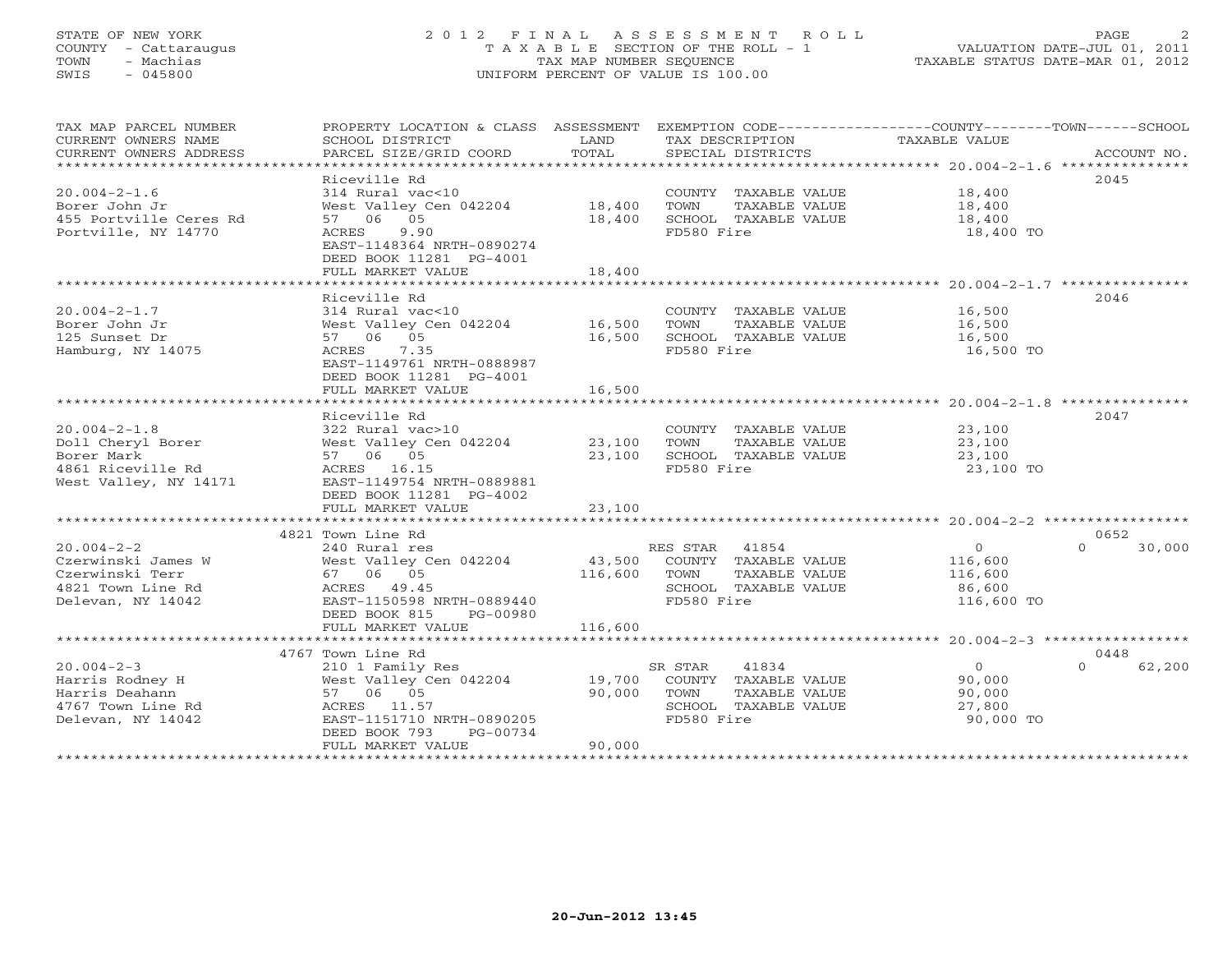# STATE OF NEW YORK 2 0 1 2 F I N A L A S S E S S M E N T R O L L PAGE 2 COUNTY - Cattaraugus T A X A B L E SECTION OF THE ROLL - 1 VALUATION DATE-JUL 01, 2011 TOWN - Machias TAX MAP NUMBER SEQUENCE TAXABLE STATUS DATE-MAR 01, 2012 SWIS - 045800 UNIFORM PERCENT OF VALUE IS 100.00

| TAX MAP PARCEL NUMBER<br>CURRENT OWNERS NAME<br>CURRENT OWNERS ADDRESS                              | SCHOOL DISTRICT<br>PARCEL SIZE/GRID COORD                                                                                                                                                        | LAND<br>TOTAL                               | TAX DESCRIPTION TAXABLE VALUE<br>SPECIAL DISTRICTS                                                           | PROPERTY LOCATION & CLASS ASSESSMENT EXEMPTION CODE---------------COUNTY-------TOWN------SCHOOL<br>ACCOUNT NO. |        |
|-----------------------------------------------------------------------------------------------------|--------------------------------------------------------------------------------------------------------------------------------------------------------------------------------------------------|---------------------------------------------|--------------------------------------------------------------------------------------------------------------|----------------------------------------------------------------------------------------------------------------|--------|
| $20.004 - 2 - 1.6$<br>Borer John Jr<br>455 Portville Ceres Rd<br>Portville, NY 14770                | Riceville Rd<br>314 Rural vac<10<br>West Valley Cen 042204<br>57 06 05<br>9.90<br>ACRES<br>EAST-1148364 NRTH-0890274<br>DEED BOOK 11281 PG-4001<br>FULL MARKET VALUE                             | 18,400<br>18,400<br>18,400                  | COUNTY TAXABLE VALUE<br>TOWN<br>TAXABLE VALUE<br>SCHOOL TAXABLE VALUE<br>FD580 Fire                          | 2045<br>18,400<br>18,400<br>18,400<br>18,400 TO                                                                |        |
| $20.004 - 2 - 1.7$<br>Borer John Jr<br>125 Sunset Dr<br>Hamburg, NY 14075                           | Riceville Rd<br>314 Rural vac<10<br>West Valley Cen 042204 16,500<br>57 06 05<br>7.35<br>ACRES<br>EAST-1149761 NRTH-0888987<br>DEED BOOK 11281 PG-4001<br>FULL MARKET VALUE                      | 16,500<br>16,500                            | COUNTY TAXABLE VALUE<br>TAXABLE VALUE<br>TOWN<br>SCHOOL TAXABLE VALUE<br>FD580 Fire                          | 2046<br>16,500<br>16,500<br>16,500<br>16,500 TO                                                                |        |
| $20.004 - 2 - 1.8$<br>Doll Cheryl Borer<br>Borer Mark<br>4861 Riceville Rd<br>West Valley, NY 14171 | Riceville Rd<br>322 Rural vac>10<br>West Valley Cen 042204<br>57 06 05<br>ACRES 16.15<br>EAST-1149754 NRTH-0889881<br>DEED BOOK 11281 PG-4002<br>FULL MARKET VALUE<br>************************** | 23,100<br>23,100<br>23,100<br>************* | COUNTY TAXABLE VALUE 23,100<br>TOWN<br>TAXABLE VALUE<br>SCHOOL TAXABLE VALUE<br>FD580 Fire                   | 2047<br>23,100<br>23,100<br>23,100<br>23,100 TO                                                                |        |
| $20.004 - 2 - 2$<br>Czerwinski James W<br>Czerwinski Terr<br>4821 Town Line Rd<br>Delevan, NY 14042 | 4821 Town Line Rd<br>240 Rural res<br>West Valley Cen 042204<br>67 06 05<br>ACRES 49.45<br>EAST-1150598 NRTH-0889440<br>DEED BOOK 815<br>PG-00980<br>FULL MARKET VALUE                           | 116,600<br>116,600                          | RES STAR 41854<br>43,500 COUNTY TAXABLE VALUE<br>TOWN<br>TAXABLE VALUE<br>SCHOOL TAXABLE VALUE<br>FD580 Fire | 0652<br>$\circ$<br>$\Omega$<br>116,600<br>116,600<br>86,600<br>116,600 TO                                      | 30,000 |
| $20.004 - 2 - 3$<br>Harris Rodney H<br>Harris Deahann<br>4767 Town Line Rd<br>Delevan, NY 14042     | 4767 Town Line Rd<br>210 1 Family Res<br>West Valley Cen 042204<br>57 06 05<br>ACRES 11.57<br>EAST-1151710 NRTH-0890205<br>PG-00734<br>DEED BOOK 793<br>FULL MARKET VALUE                        | 19,700<br>90,000<br>90,000                  | SR STAR<br>41834<br>COUNTY TAXABLE VALUE<br>TOWN<br>TAXABLE VALUE<br>SCHOOL TAXABLE VALUE<br>FD580 Fire      | 0448<br>$\overline{0}$<br>$\Omega$<br>90,000<br>90,000<br>27,800<br>90,000 TO                                  | 62,200 |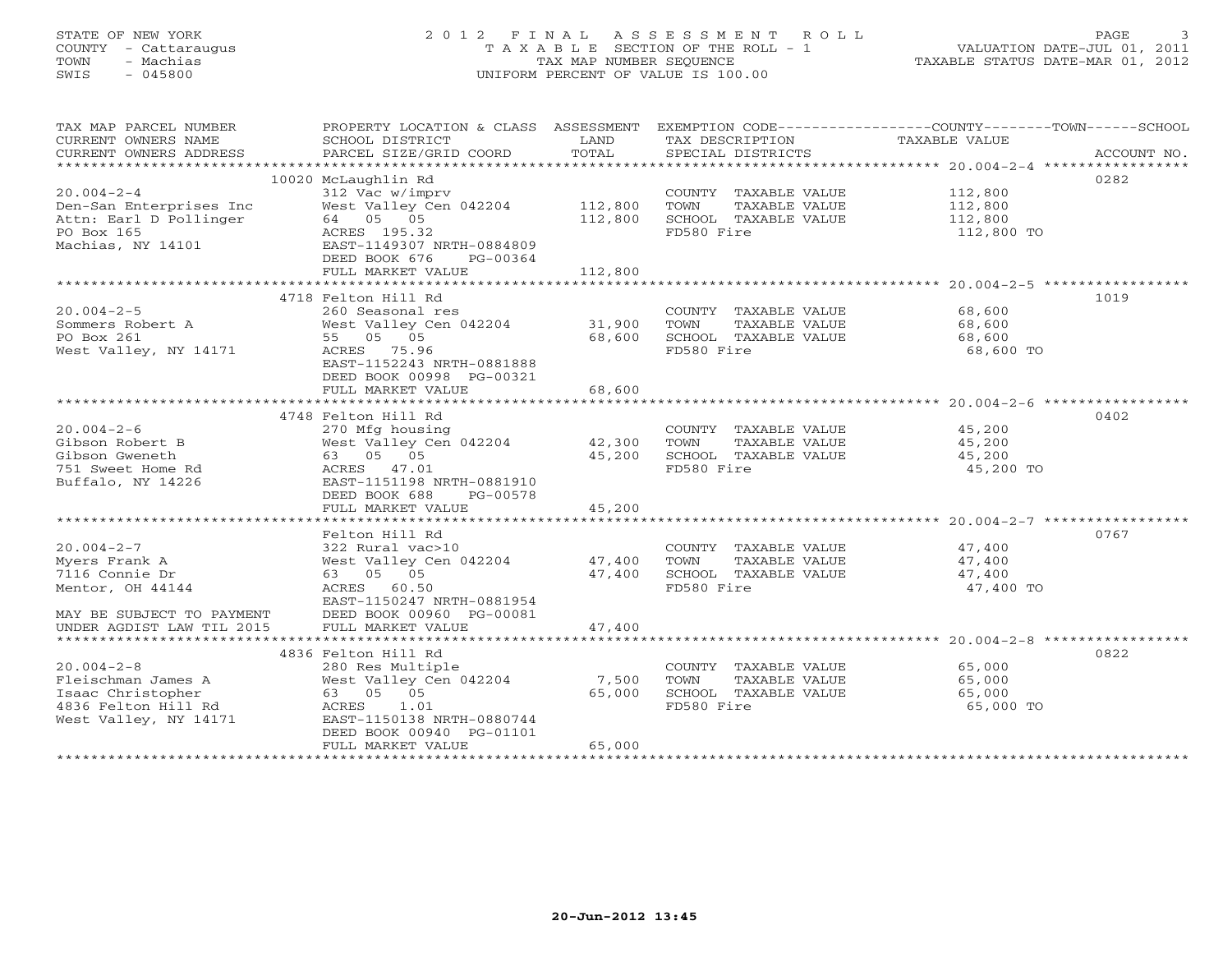# STATE OF NEW YORK 2 0 1 2 F I N A L A S S E S S M E N T R O L L PAGE 3 COUNTY - Cattaraugus T A X A B L E SECTION OF THE ROLL - 1 VALUATION DATE-JUL 01, 2011 TOWN - Machias TAX MAP NUMBER SEQUENCE TAXABLE STATUS DATE-MAR 01, 2012 SWIS - 045800 UNIFORM PERCENT OF VALUE IS 100.00

| TAX MAP PARCEL NUMBER<br>CURRENT OWNERS NAME<br>CURRENT OWNERS ADDRESS                                   | PROPERTY LOCATION & CLASS ASSESSMENT<br>SCHOOL DISTRICT<br>PARCEL SIZE/GRID COORD                                                                                           | LAND<br>TOTAL                 | TAX DESCRIPTION<br>SPECIAL DISTRICTS                                                | EXEMPTION CODE-----------------COUNTY-------TOWN------SCHOOL<br>TAXABLE VALUE<br>ACCOUNT NO. |
|----------------------------------------------------------------------------------------------------------|-----------------------------------------------------------------------------------------------------------------------------------------------------------------------------|-------------------------------|-------------------------------------------------------------------------------------|----------------------------------------------------------------------------------------------|
| $20.004 - 2 - 4$<br>Den-San Enterprises Inc<br>Attn: Earl D Pollinger<br>PO Box 165<br>Machias, NY 14101 | 10020 McLaughlin Rd<br>312 Vac w/imprv<br>West Valley Cen 042204<br>64 05 05<br>ACRES 195.32<br>EAST-1149307 NRTH-0884809<br>DEED BOOK 676<br>PG-00364<br>FULL MARKET VALUE | 112,800<br>112,800<br>112,800 | COUNTY TAXABLE VALUE<br>TOWN<br>TAXABLE VALUE<br>SCHOOL TAXABLE VALUE<br>FD580 Fire | 0282<br>112,800<br>112,800<br>112,800<br>112,800 TO                                          |
| $20.004 - 2 - 5$                                                                                         | 4718 Felton Hill Rd<br>260 Seasonal res                                                                                                                                     |                               | COUNTY TAXABLE VALUE                                                                | 1019<br>68,600                                                                               |
| Sommers Robert A<br>PO Box 261<br>West Valley, NY 14171                                                  | West Valley Cen 042204<br>55 05 05<br>ACRES 75.96<br>EAST-1152243 NRTH-0881888<br>DEED BOOK 00998 PG-00321                                                                  | 31,900<br>68,600              | TOWN<br>TAXABLE VALUE<br>SCHOOL TAXABLE VALUE<br>FD580 Fire                         | 68,600<br>68,600<br>68,600 TO                                                                |
|                                                                                                          | FULL MARKET VALUE                                                                                                                                                           | 68,600                        |                                                                                     |                                                                                              |
|                                                                                                          | 4748 Felton Hill Rd                                                                                                                                                         |                               |                                                                                     | 0402                                                                                         |
| $20.004 - 2 - 6$                                                                                         | 270 Mfg housing                                                                                                                                                             |                               | COUNTY TAXABLE VALUE                                                                | 45,200                                                                                       |
| Gibson Robert B                                                                                          | West Valley Cen 042204                                                                                                                                                      | 42,300                        | TOWN<br>TAXABLE VALUE                                                               | 45,200                                                                                       |
| Gibson Gweneth<br>751 Sweet Home Rd<br>Buffalo, NY 14226                                                 | 63 05 05<br>ACRES 47.01<br>EAST-1151198 NRTH-0881910<br>DEED BOOK 688<br>PG-00578                                                                                           | 45,200                        | SCHOOL TAXABLE VALUE<br>FD580 Fire                                                  | 45,200<br>45,200 TO                                                                          |
|                                                                                                          | FULL MARKET VALUE                                                                                                                                                           | 45,200                        |                                                                                     |                                                                                              |
|                                                                                                          | Felton Hill Rd                                                                                                                                                              |                               |                                                                                     | 0767                                                                                         |
| $20.004 - 2 - 7$                                                                                         | 322 Rural vac>10                                                                                                                                                            |                               | COUNTY TAXABLE VALUE                                                                | 47,400                                                                                       |
| Myers Frank A                                                                                            | West Valley Cen 042204                                                                                                                                                      | 47,400                        | TOWN<br>TAXABLE VALUE                                                               | 47,400                                                                                       |
| 7116 Connie Dr                                                                                           | 63 05 05                                                                                                                                                                    | 47,400                        | SCHOOL TAXABLE VALUE                                                                | 47,400                                                                                       |
| Mentor, OH 44144                                                                                         | ACRES 60.50<br>EAST-1150247 NRTH-0881954                                                                                                                                    |                               | FD580 Fire                                                                          | 47,400 TO                                                                                    |
| MAY BE SUBJECT TO PAYMENT<br>UNDER AGDIST LAW TIL 2015                                                   | DEED BOOK 00960 PG-00081<br>FULL MARKET VALUE                                                                                                                               | 47,400                        |                                                                                     |                                                                                              |
|                                                                                                          |                                                                                                                                                                             |                               |                                                                                     | 0822                                                                                         |
| $20.004 - 2 - 8$                                                                                         | 4836 Felton Hill Rd<br>280 Res Multiple                                                                                                                                     |                               | COUNTY TAXABLE VALUE                                                                | 65,000                                                                                       |
| Fleischman James A                                                                                       | West Valley Cen 042204                                                                                                                                                      | 7,500                         | TOWN<br>TAXABLE VALUE                                                               | 65,000                                                                                       |
| Isaac Christopher                                                                                        | 63 05 05                                                                                                                                                                    | 65,000                        | SCHOOL TAXABLE VALUE                                                                | 65,000                                                                                       |
| 4836 Felton Hill Rd                                                                                      | 1.01<br>ACRES                                                                                                                                                               |                               | FD580 Fire                                                                          | 65,000 TO                                                                                    |
| West Valley, NY 14171                                                                                    | EAST-1150138 NRTH-0880744                                                                                                                                                   |                               |                                                                                     |                                                                                              |
|                                                                                                          | DEED BOOK 00940 PG-01101                                                                                                                                                    |                               |                                                                                     |                                                                                              |
|                                                                                                          | FULL MARKET VALUE                                                                                                                                                           | 65,000                        |                                                                                     |                                                                                              |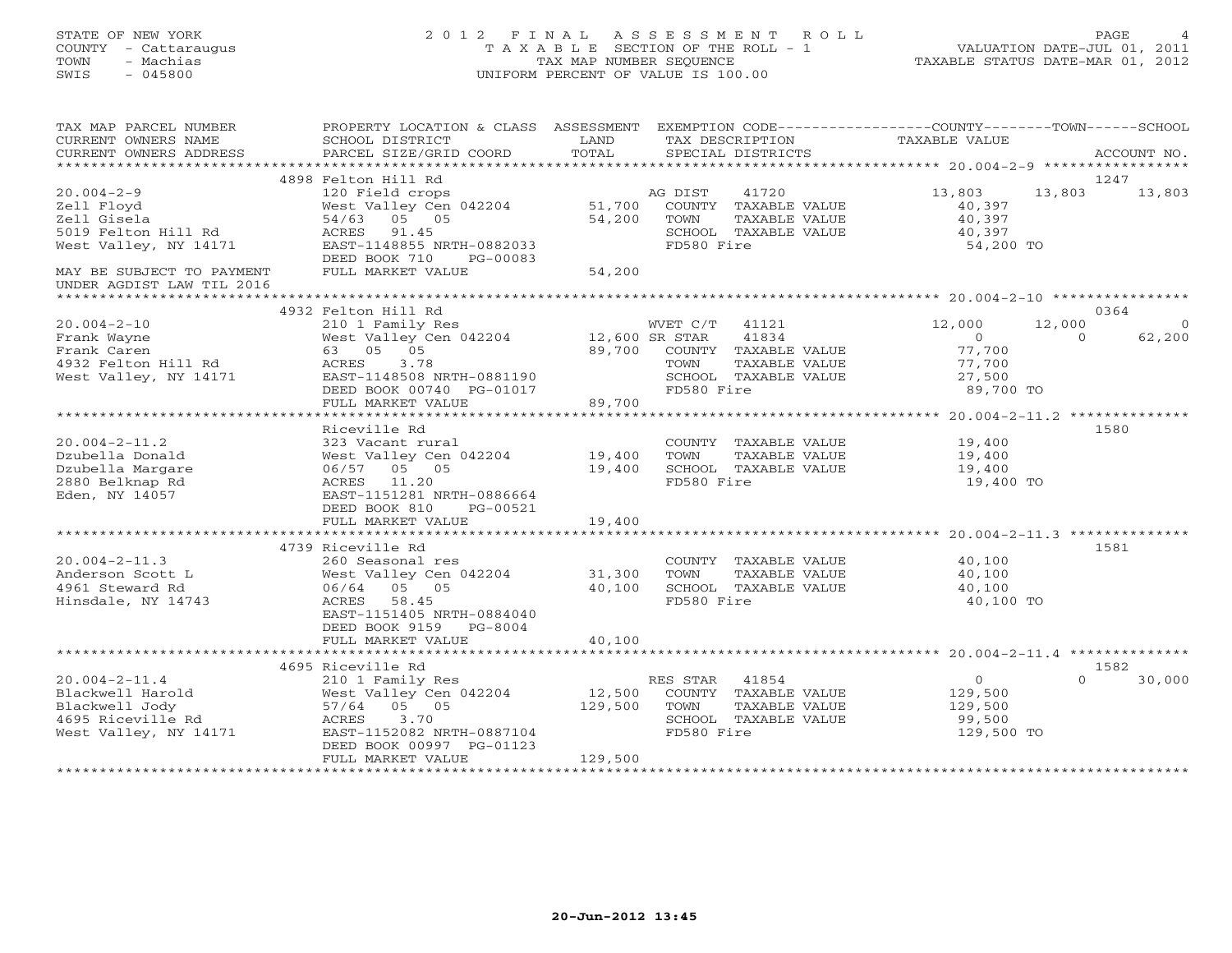STATE OF NEW YORK 2 0 1 2 F I N A L A S S E S S M E N T R O L L PAGE 4 COUNTY - Cattaraugus T A X A B L E SECTION OF THE ROLL - 1 VALUATION DATE-JUL 01, 2011 TOWN - Machias TAX MAP NUMBER SEQUENCE TAXABLE STATUS DATE-MAR 01, 2012 SWIS - 045800 UNIFORM PERCENT OF VALUE IS 100.00

| TAX MAP PARCEL NUMBER<br>CURRENT OWNERS NAME<br>CURRENT OWNERS ADDRESS                                                     | PROPERTY LOCATION & CLASS ASSESSMENT EXEMPTION CODE---------------COUNTY-------TOWN------SCHOOL<br>SCHOOL DISTRICT<br>PARCEL SIZE/GRID COORD                                                                               | LAND<br>TOTAL                |                                      | TAX DESCRIPTION<br>SPECIAL DISTRICTS                          | TAXABLE VALUE                                                 |                    | ACCOUNT NO.                |
|----------------------------------------------------------------------------------------------------------------------------|----------------------------------------------------------------------------------------------------------------------------------------------------------------------------------------------------------------------------|------------------------------|--------------------------------------|---------------------------------------------------------------|---------------------------------------------------------------|--------------------|----------------------------|
|                                                                                                                            |                                                                                                                                                                                                                            |                              |                                      |                                                               |                                                               |                    |                            |
| $20.004 - 2 - 9$<br>Zell Floyd<br>Zell Gisela<br>5019 Felton Hill Rd<br>West Valley, NY 14171<br>MAY BE SUBJECT TO PAYMENT | 4898 Felton Hill Rd<br>120 Field crops<br>West Valley Cen 042204 51,700 COUNTY TAXABLE VALUE<br>54/63 05 05<br>ACRES 91.45<br>EAST-1148855 NRTH-0882033<br>DEED BOOK 710<br>PG-00083<br>FULL MARKET VALUE                  | 54,200<br>54,200             | AG DIST<br>TOWN<br>FD580 Fire        | 41720<br>TAXABLE VALUE<br>SCHOOL TAXABLE VALUE                | 13,803<br>40,397<br>40,397<br>40,397<br>54,200 TO             | 13,803             | 1247<br>13,803             |
| UNDER AGDIST LAW TIL 2016                                                                                                  |                                                                                                                                                                                                                            |                              |                                      |                                                               |                                                               |                    |                            |
|                                                                                                                            |                                                                                                                                                                                                                            |                              |                                      |                                                               |                                                               |                    |                            |
| $20.004 - 2 - 10$<br>Frank Wayne<br>Frank Caren<br>4932 Felton Hill Rd<br>West Valley, NY 14171                            | 4932 Felton Hill Rd<br>210 1 Family Res<br>West Valley Cen 042204 12,600 SR STAR 41834<br>West Valley Cen 042204 89,700 COUNTY TAXABLE VALUE<br>EAST-1148508 NRTH-0881190<br>DEED BOOK 00740 PG-01017<br>FULL MARKET VALUE | 89,700                       | FD580 Fire                           | SCHOOL TAXABLE VALUE                                          | 12,000<br>$\Omega$<br>77,700<br>77,700<br>27,500<br>89,700 TO | 12,000<br>$\Omega$ | 0364<br>$\Omega$<br>62,200 |
|                                                                                                                            |                                                                                                                                                                                                                            |                              |                                      |                                                               |                                                               |                    |                            |
| $20.004 - 2 - 11.2$<br>Dzubella Donald<br>Dzubella Margare<br>2880 Belknap Rd<br>Eden, NY 14057                            | Riceville Rd<br>323 Vacant rural<br>West Valley Cen 042204 19,400<br>06/57 05 05<br>ACRES 11.20<br>EAST-1151281 NRTH-0886664<br>DEED BOOK 810<br>PG-00521                                                                  | 19,400                       | TOWN<br>FD580 Fire                   | COUNTY TAXABLE VALUE<br>TAXABLE VALUE<br>SCHOOL TAXABLE VALUE | 19,400<br>19,400<br>19,400<br>19,400 TO                       |                    | 1580                       |
|                                                                                                                            | FULL MARKET VALUE<br>*****************************                                                                                                                                                                         | 19,400<br>*************      |                                      |                                                               |                                                               |                    |                            |
| $20.004 - 2 - 11.3$<br>Anderson Scott L<br>4961 Steward Rd<br>Hinsdale, NY 14743                                           | 4739 Riceville Rd<br>260 Seasonal res<br>West Valley Cen 042204 31,300<br>06/64 05 05<br>ACRES 58.45<br>EAST-1151405 NRTH-0884040<br>DEED BOOK 9159 PG-8004<br>FULL MARKET VALUE                                           | 40,100<br>40,100             | TOWN<br>FD580 Fire                   | COUNTY TAXABLE VALUE<br>TAXABLE VALUE<br>SCHOOL TAXABLE VALUE | 40,100<br>40,100<br>40,100<br>40,100 TO                       |                    | 1581                       |
|                                                                                                                            | 4695 Riceville Rd                                                                                                                                                                                                          |                              |                                      |                                                               |                                                               |                    | 1582                       |
| $20.004 - 2 - 11.4$<br>Blackwell Harold<br>Blackwell Jody<br>4695 Riceville Rd<br>West Valley, NY 14171                    | 210 1 Family Res<br>West Valley Cen 042204<br>57/64 05 05<br>ACRES<br>3.70<br>EAST-1152082 NRTH-0887104<br>DEED BOOK 00997 PG-01123<br>FULL MARKET VALUE                                                                   | 12,500<br>129,500<br>129,500 | RES STAR 41854<br>TOWN<br>FD580 Fire | COUNTY TAXABLE VALUE<br>TAXABLE VALUE<br>SCHOOL TAXABLE VALUE | $\overline{0}$<br>129,500<br>129,500<br>99,500<br>129,500 TO  | $\Omega$           | 30,000                     |
|                                                                                                                            |                                                                                                                                                                                                                            |                              |                                      |                                                               |                                                               |                    |                            |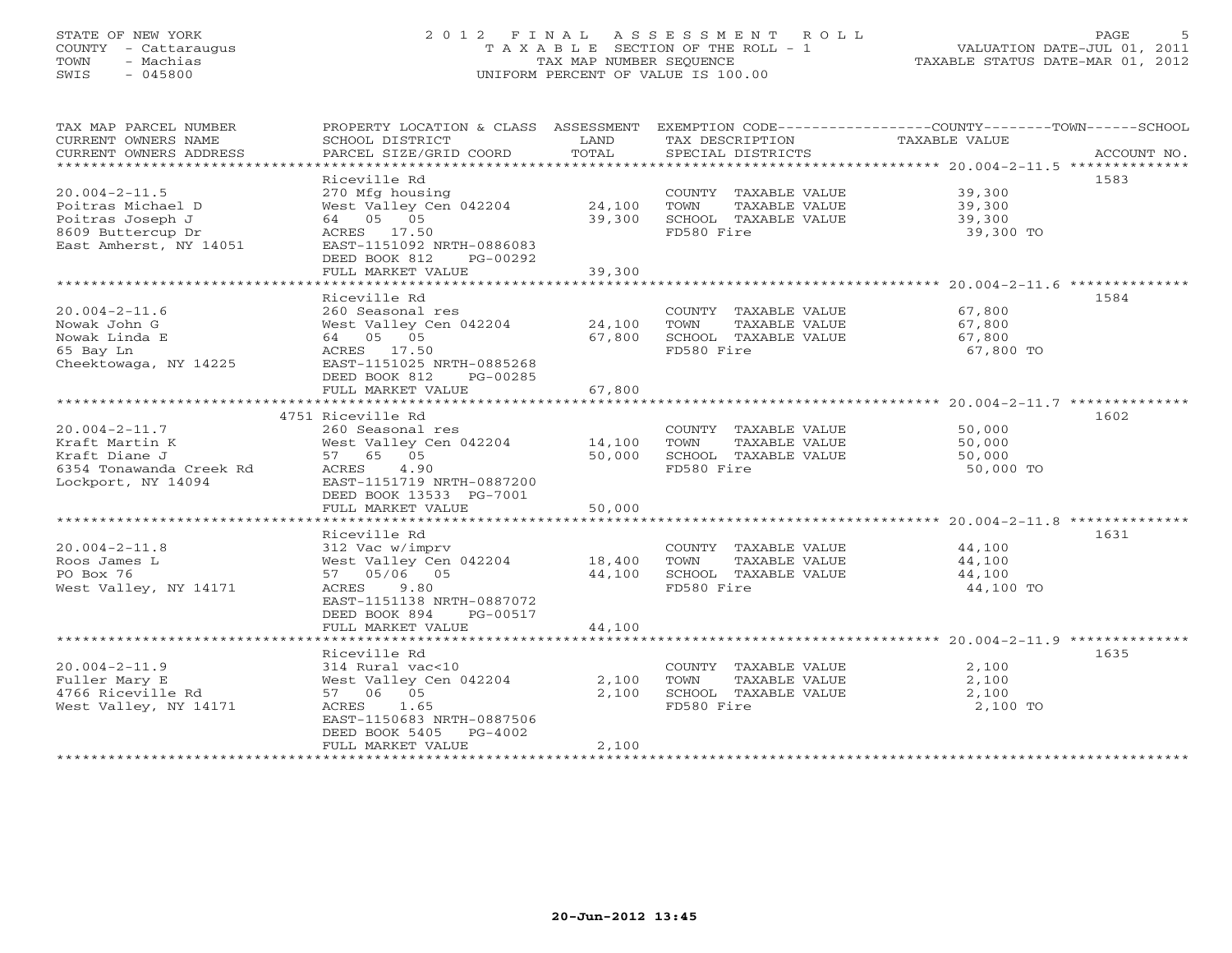# STATE OF NEW YORK 2 0 1 2 F I N A L A S S E S S M E N T R O L L PAGE 5 COUNTY - Cattaraugus T A X A B L E SECTION OF THE ROLL - 1 VALUATION DATE-JUL 01, 2011 TOWN - Machias TAX MAP NUMBER SEQUENCE TAXABLE STATUS DATE-MAR 01, 2012 SWIS - 045800 UNIFORM PERCENT OF VALUE IS 100.00

| SCHOOL DISTRICT<br>PARCEL SIZE/GRID COORD                                                                                                 | LAND<br>TOTAL                                                                                                                 | TAX DESCRIPTION<br>SPECIAL DISTRICTS                                                                                   | TAXABLE VALUE<br>ACCOUNT NO.                                                                    |
|-------------------------------------------------------------------------------------------------------------------------------------------|-------------------------------------------------------------------------------------------------------------------------------|------------------------------------------------------------------------------------------------------------------------|-------------------------------------------------------------------------------------------------|
| Riceville Rd<br>270 Mfg housing<br>64 05 05<br>ACRES 17.50<br>EAST-1151092 NRTH-0886083<br>DEED BOOK 812<br>PG-00292<br>FULL MARKET VALUE | 39,300<br>39,300                                                                                                              | COUNTY TAXABLE VALUE<br>TOWN<br>TAXABLE VALUE<br>SCHOOL TAXABLE VALUE<br>FD580 Fire                                    | 1583<br>39,300<br>39,300<br>39,300<br>39,300 TO                                                 |
|                                                                                                                                           |                                                                                                                               |                                                                                                                        | 1584                                                                                            |
| 260 Seasonal res<br>64 05 05<br>ACRES 17.50<br>EAST-1151025 NRTH-0885268<br>DEED BOOK 812<br>PG-00285                                     | 67,800                                                                                                                        | COUNTY TAXABLE VALUE<br>TOWN<br>TAXABLE VALUE<br>SCHOOL TAXABLE VALUE<br>FD580 Fire                                    | 67,800<br>67,800<br>67,800<br>67,800 TO                                                         |
|                                                                                                                                           |                                                                                                                               |                                                                                                                        |                                                                                                 |
| 4751 Riceville Rd                                                                                                                         |                                                                                                                               |                                                                                                                        | 1602                                                                                            |
| 260 Seasonal res<br>West Valley Cen 042204<br>57 65 05<br>4.90<br>ACRES<br>EAST-1151719 NRTH-0887200                                      | 14,100<br>50,000                                                                                                              | COUNTY TAXABLE VALUE<br>TOWN<br>TAXABLE VALUE<br>SCHOOL TAXABLE VALUE<br>FD580 Fire                                    | 50,000<br>50,000<br>50,000<br>50,000 TO                                                         |
| FULL MARKET VALUE                                                                                                                         | 50,000                                                                                                                        |                                                                                                                        |                                                                                                 |
|                                                                                                                                           |                                                                                                                               |                                                                                                                        |                                                                                                 |
| 312 Vac w/imprv<br>West Valley Cen 042204<br>57 05/06 05<br>9.80<br>ACRES<br>EAST-1151138 NRTH-0887072<br>DEED BOOK 894<br>PG-00517       | 44,100                                                                                                                        | COUNTY TAXABLE VALUE<br>TAXABLE VALUE<br>TOWN<br>SCHOOL TAXABLE VALUE<br>FD580 Fire                                    | 1631<br>44,100<br>44,100<br>44,100<br>44,100 TO                                                 |
|                                                                                                                                           |                                                                                                                               |                                                                                                                        |                                                                                                 |
| Riceville Rd<br>314 Rural vac<10<br>57 06 05<br>ACRES 1.65<br>EAST-1150683 NRTH-0887506<br>DEED BOOK 5405<br>PG-4002<br>FULL MARKET VALUE | 2,100<br>2,100<br>2,100                                                                                                       | COUNTY TAXABLE VALUE<br>TOWN<br>TAXABLE VALUE<br>SCHOOL TAXABLE VALUE<br>FD580 Fire                                    | 1635<br>2,100<br>2,100<br>2,100<br>2,100 TO                                                     |
|                                                                                                                                           | Riceville Rd<br>FULL MARKET VALUE<br>DEED BOOK 13533 PG-7001<br>Riceville Rd<br>FULL MARKET VALUE<br>************************ | West Valley Cen 042204 24,100<br>West Valley Cen 042204 24,100<br>67,800<br>18,400<br>44,100<br>West Valley Cen 042204 | PROPERTY LOCATION & CLASS ASSESSMENT EXEMPTION CODE---------------COUNTY-------TOWN------SCHOOL |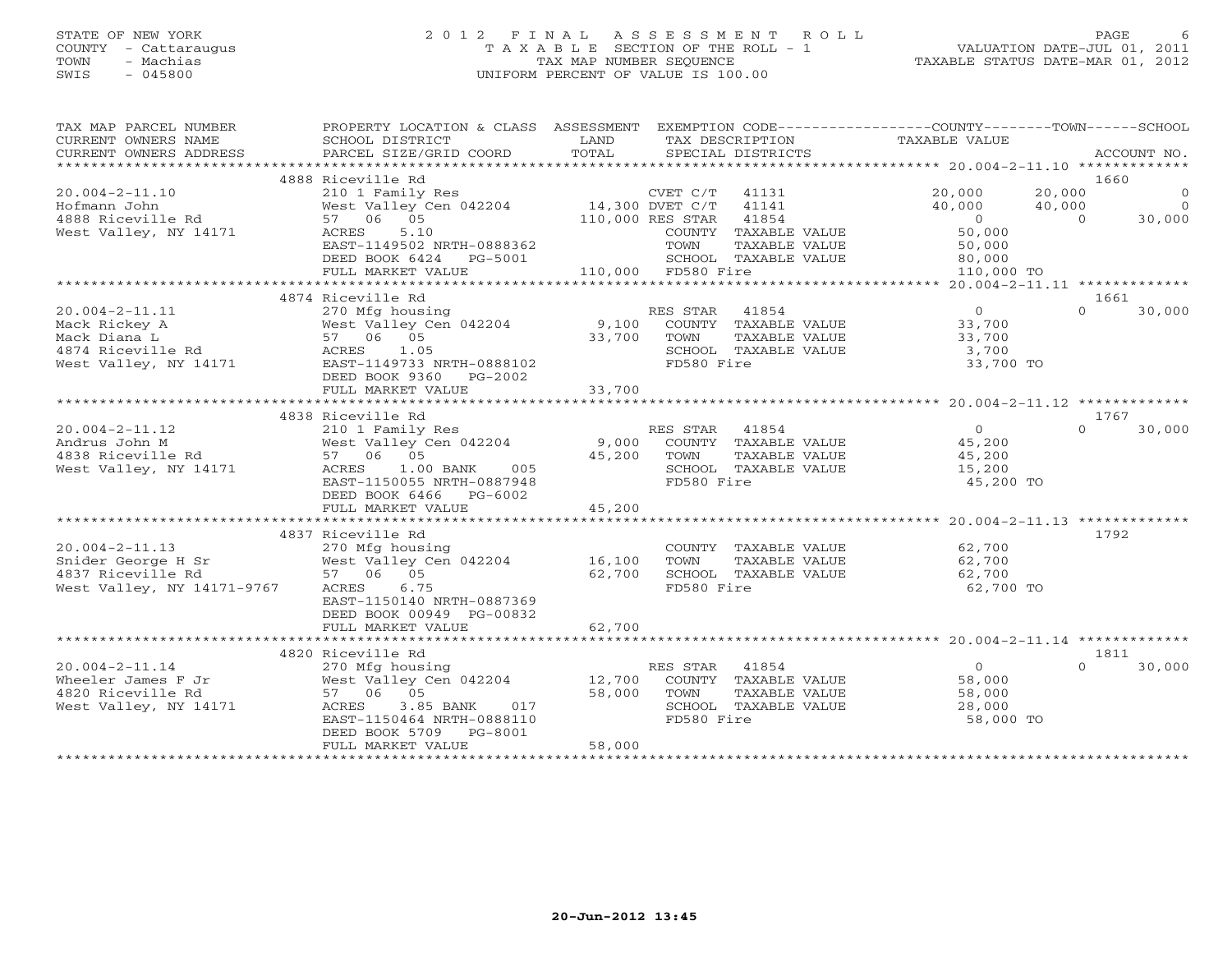# STATE OF NEW YORK 2 0 1 2 F I N A L A S S E S S M E N T R O L L PAGE 6 COUNTY - Cattaraugus T A X A B L E SECTION OF THE ROLL - 1 VALUATION DATE-JUL 01, 2011 TOWN - Machias TAX MAP NUMBER SEQUENCE TAXABLE STATUS DATE-MAR 01, 2012 SWIS - 045800 UNIFORM PERCENT OF VALUE IS 100.00

| TAX MAP PARCEL NUMBER<br>CURRENT OWNERS NAME<br>CURRENT OWNERS ADDRESS | PROPERTY LOCATION & CLASS ASSESSMENT<br>SCHOOL DISTRICT<br>PARCEL SIZE/GRID COORD | LAND<br>TOTAL   | TAX DESCRIPTION<br>SPECIAL DISTRICTS          | EXEMPTION CODE-----------------COUNTY-------TOWN------SCHOOL<br>TAXABLE VALUE |           | ACCOUNT NO.    |
|------------------------------------------------------------------------|-----------------------------------------------------------------------------------|-----------------|-----------------------------------------------|-------------------------------------------------------------------------------|-----------|----------------|
| *************************                                              |                                                                                   |                 |                                               |                                                                               |           |                |
|                                                                        | 4888 Riceville Rd                                                                 |                 |                                               |                                                                               | 1660      |                |
| $20.004 - 2 - 11.10$                                                   | 210 1 Family Res                                                                  |                 | CVET C/T<br>41131                             | 20,000                                                                        | 20,000    | $\Omega$       |
| Hofmann John                                                           | West Valley Cen 042204                                                            | 14,300 DVET C/T | 41141                                         | 40,000                                                                        | 40,000    | $\overline{0}$ |
| 4888 Riceville Rd                                                      | 57 06 05                                                                          |                 | 110,000 RES STAR<br>41854                     | $\Omega$                                                                      | $\bigcap$ | 30,000         |
| West Valley, NY 14171                                                  | ACRES<br>5.10                                                                     |                 | COUNTY TAXABLE VALUE                          | 50,000                                                                        |           |                |
|                                                                        | EAST-1149502 NRTH-0888362                                                         |                 | TOWN<br>TAXABLE VALUE                         | 50,000                                                                        |           |                |
|                                                                        | DEED BOOK 6424<br>PG-5001                                                         |                 | SCHOOL TAXABLE VALUE                          | 80,000                                                                        |           |                |
|                                                                        | FULL MARKET VALUE                                                                 |                 | 110,000 FD580 Fire                            | 110,000 TO                                                                    |           |                |
|                                                                        |                                                                                   |                 |                                               |                                                                               |           |                |
|                                                                        | 4874 Riceville Rd                                                                 |                 |                                               |                                                                               | 1661      |                |
| $20.004 - 2 - 11.11$                                                   | 270 Mfg housing                                                                   |                 | 41854<br>RES STAR                             | $\overline{0}$                                                                | $\Omega$  | 30,000         |
| Mack Rickey A                                                          | West Valley Cen 042204                                                            | 9,100           | COUNTY TAXABLE VALUE                          | 33,700                                                                        |           |                |
| Mack Diana L                                                           | 57 06 05                                                                          | 33,700          | TAXABLE VALUE<br>TOWN                         | 33,700                                                                        |           |                |
| 4874 Riceville Rd                                                      | ACRES<br>1.05                                                                     |                 | SCHOOL TAXABLE VALUE                          | 3,700                                                                         |           |                |
| West Valley, NY 14171                                                  | EAST-1149733 NRTH-0888102                                                         |                 | FD580 Fire                                    | 33,700 TO                                                                     |           |                |
|                                                                        | DEED BOOK 9360<br>PG-2002                                                         |                 |                                               |                                                                               |           |                |
|                                                                        | FULL MARKET VALUE                                                                 | 33,700          |                                               |                                                                               |           |                |
|                                                                        | 4838 Riceville Rd                                                                 |                 |                                               |                                                                               | 1767      |                |
| $20.004 - 2 - 11.12$                                                   |                                                                                   |                 | RES STAR<br>41854                             | $\overline{0}$                                                                | $\Omega$  | 30,000         |
|                                                                        | 210 1 Family Res                                                                  |                 |                                               |                                                                               |           |                |
| Andrus John M<br>4838 Riceville Rd                                     | West Valley Cen 042204<br>57 06 05                                                | 9,000<br>45,200 | COUNTY TAXABLE VALUE<br>TOWN<br>TAXABLE VALUE | 45,200<br>45,200                                                              |           |                |
|                                                                        | ACRES<br>005                                                                      |                 | SCHOOL TAXABLE VALUE                          |                                                                               |           |                |
| West Valley, NY 14171                                                  | $1.00$ BANK<br>EAST-1150055 NRTH-0887948                                          |                 | FD580 Fire                                    | 15,200<br>45,200 TO                                                           |           |                |
|                                                                        | DEED BOOK 6466 PG-6002                                                            |                 |                                               |                                                                               |           |                |
|                                                                        | FULL MARKET VALUE                                                                 | 45,200          |                                               |                                                                               |           |                |
|                                                                        |                                                                                   |                 |                                               |                                                                               |           |                |
|                                                                        | 4837 Riceville Rd                                                                 |                 |                                               |                                                                               | 1792      |                |
| $20.004 - 2 - 11.13$                                                   | 270 Mfg housing                                                                   |                 | COUNTY TAXABLE VALUE                          | 62,700                                                                        |           |                |
| Snider George H Sr                                                     | West Valley Cen 042204                                                            | 16,100          | TAXABLE VALUE<br>TOWN                         | 62,700                                                                        |           |                |
| 4837 Riceville Rd                                                      | 57 06 05                                                                          | 62,700          | SCHOOL TAXABLE VALUE                          | 62,700                                                                        |           |                |
| West Valley, NY 14171-9767                                             | ACRES<br>6.75                                                                     |                 | FD580 Fire                                    | 62,700 TO                                                                     |           |                |
|                                                                        | EAST-1150140 NRTH-0887369                                                         |                 |                                               |                                                                               |           |                |
|                                                                        | DEED BOOK 00949 PG-00832                                                          |                 |                                               |                                                                               |           |                |
|                                                                        | FULL MARKET VALUE                                                                 | 62,700          |                                               |                                                                               |           |                |
|                                                                        |                                                                                   |                 |                                               |                                                                               |           |                |
|                                                                        | 4820 Riceville Rd                                                                 |                 |                                               |                                                                               | 1811      |                |
| $20.004 - 2 - 11.14$                                                   | 270 Mfg housing                                                                   |                 | RES STAR<br>41854                             | $\overline{0}$                                                                | $\cap$    | 30,000         |
| Wheeler James F Jr                                                     | West Valley Cen 042204                                                            | 12,700          | COUNTY TAXABLE VALUE                          | 58,000                                                                        |           |                |
| 4820 Riceville Rd                                                      | 57 06 05                                                                          | 58,000          | TOWN<br>TAXABLE VALUE                         | 58,000                                                                        |           |                |
| West Valley, NY 14171                                                  | ACRES<br>3.85 BANK<br>017                                                         |                 | SCHOOL TAXABLE VALUE                          | 28,000                                                                        |           |                |
|                                                                        | EAST-1150464 NRTH-0888110                                                         |                 | FD580 Fire                                    | 58,000 TO                                                                     |           |                |
|                                                                        | DEED BOOK 5709<br>PG-8001                                                         |                 |                                               |                                                                               |           |                |
|                                                                        | FULL MARKET VALUE                                                                 | 58,000          |                                               |                                                                               |           |                |
|                                                                        |                                                                                   |                 |                                               |                                                                               |           |                |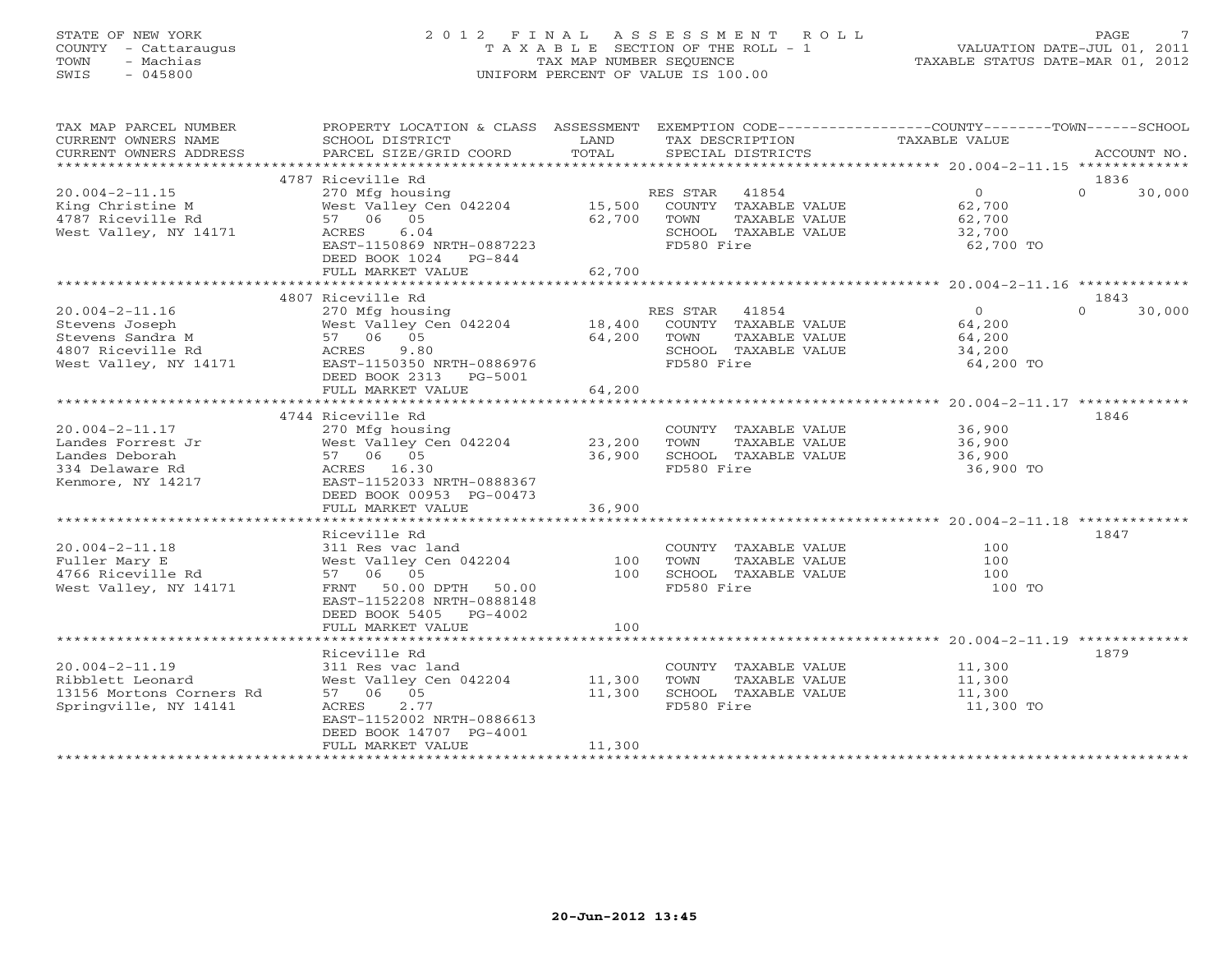# STATE OF NEW YORK 2 0 1 2 F I N A L A S S E S S M E N T R O L L PAGE 7 COUNTY - Cattaraugus T A X A B L E SECTION OF THE ROLL - 1 VALUATION DATE-JUL 01, 2011 TOWN - Machias TAX MAP NUMBER SEQUENCE TAXABLE STATUS DATE-MAR 01, 2012 SWIS - 045800 UNIFORM PERCENT OF VALUE IS 100.00

| TAX MAP PARCEL NUMBER<br>CURRENT OWNERS NAME<br>CURRENT OWNERS ADDRESS | PROPERTY LOCATION & CLASS ASSESSMENT EXEMPTION CODE---------------COUNTY-------TOWN------SCHOOL<br>SCHOOL DISTRICT<br>PARCEL SIZE/GRID COORD | LAND<br>TOTAL | TAX DESCRIPTION TAXABLE VALUE<br>SPECIAL DISTRICTS<br>SPECIAL DISTRICTS |                  | ACCOUNT NO.                |
|------------------------------------------------------------------------|----------------------------------------------------------------------------------------------------------------------------------------------|---------------|-------------------------------------------------------------------------|------------------|----------------------------|
|                                                                        |                                                                                                                                              |               |                                                                         |                  |                            |
| $20.004 - 2 - 11.15$                                                   | 4787 Riceville Rd<br>270 Mfg housing                                                                                                         |               | RES STAR 41854                                                          | $\overline{0}$   | 1836<br>$\Omega$<br>30,000 |
| King Christine M<br>4787 Riceville Rd                                  | West Valley Cen 042204 15,500<br>57 06 05                                                                                                    | 62,700        | COUNTY TAXABLE VALUE<br>TOWN<br>TAXABLE VALUE                           | 62,700<br>62,700 |                            |
| West Valley, NY 14171                                                  | ACRES<br>6.04                                                                                                                                |               | SCHOOL TAXABLE VALUE                                                    | 32,700           |                            |
|                                                                        | EAST-1150869 NRTH-0887223<br>DEED BOOK 1024 PG-844                                                                                           |               | FD580 Fire                                                              | 62,700 TO        |                            |
|                                                                        | FULL MARKET VALUE                                                                                                                            | 62,700        |                                                                         |                  |                            |
|                                                                        |                                                                                                                                              |               |                                                                         |                  |                            |
| $20.004 - 2 - 11.16$                                                   | 4807 Riceville Rd                                                                                                                            |               | RES STAR 41854                                                          | $\overline{0}$   | 1843<br>$\Omega$<br>30,000 |
| Stevens Joseph                                                         | 270 Mfg housing<br>West Valley Cen 042204 18,400                                                                                             |               | COUNTY TAXABLE VALUE                                                    | 64,200           |                            |
| Stevens Sandra M                                                       | 57 06 05                                                                                                                                     | 64,200        | TOWN<br>TAXABLE VALUE                                                   | 64,200           |                            |
| 4807 Riceville Rd                                                      | ACRES<br>9.80                                                                                                                                |               | SCHOOL TAXABLE VALUE                                                    | 34,200           |                            |
| West Valley, NY 14171                                                  | EAST-1150350 NRTH-0886976                                                                                                                    |               | FD580 Fire                                                              | 64,200 TO        |                            |
|                                                                        | DEED BOOK 2313 PG-5001                                                                                                                       |               |                                                                         |                  |                            |
|                                                                        | FULL MARKET VALUE                                                                                                                            | 64,200        |                                                                         |                  |                            |
|                                                                        |                                                                                                                                              |               |                                                                         |                  |                            |
|                                                                        | 4744 Riceville Rd                                                                                                                            |               |                                                                         |                  | 1846                       |
| $20.004 - 2 - 11.17$                                                   | 270 Mfg housing                                                                                                                              |               | COUNTY TAXABLE VALUE                                                    | 36,900           |                            |
| Landes Forrest Jr                                                      | West Valley Cen 042204 23,200                                                                                                                |               | TOWN<br>TAXABLE VALUE                                                   | 36,900           |                            |
| Landes Deborah                                                         | 57 06 05                                                                                                                                     | 36,900        | SCHOOL TAXABLE VALUE                                                    | 36,900           |                            |
| 334 Delaware Rd                                                        | ACRES 16.30                                                                                                                                  |               | FD580 Fire                                                              | 36,900 TO        |                            |
| Kenmore, NY 14217                                                      | EAST-1152033 NRTH-0888367                                                                                                                    |               |                                                                         |                  |                            |
|                                                                        | DEED BOOK 00953 PG-00473                                                                                                                     |               |                                                                         |                  |                            |
|                                                                        | FULL MARKET VALUE                                                                                                                            | 36,900        |                                                                         |                  |                            |
|                                                                        | Riceville Rd                                                                                                                                 |               |                                                                         |                  | 1847                       |
| $20.004 - 2 - 11.18$                                                   | 311 Res vac land                                                                                                                             |               | COUNTY TAXABLE VALUE                                                    | 100              |                            |
| Fuller Mary E                                                          | West Valley Cen 042204                                                                                                                       | 100           | TAXABLE VALUE<br>TOWN                                                   | 100              |                            |
| 4766 Riceville Rd                                                      | 57 06 05                                                                                                                                     | 100           | SCHOOL TAXABLE VALUE                                                    | 100              |                            |
| West Valley, NY 14171                                                  | FRNT 50.00 DPTH 50.00                                                                                                                        |               | FD580 Fire                                                              | 100 TO           |                            |
|                                                                        | EAST-1152208 NRTH-0888148                                                                                                                    |               |                                                                         |                  |                            |
|                                                                        | DEED BOOK 5405 PG-4002                                                                                                                       |               |                                                                         |                  |                            |
|                                                                        | FULL MARKET VALUE                                                                                                                            | 100           |                                                                         |                  |                            |
|                                                                        |                                                                                                                                              |               |                                                                         |                  |                            |
|                                                                        | Riceville Rd                                                                                                                                 |               |                                                                         |                  | 1879                       |
| $20.004 - 2 - 11.19$                                                   | 311 Res vac land                                                                                                                             |               | COUNTY TAXABLE VALUE                                                    | 11,300           |                            |
| Ribblett Leonard                                                       | West Valley Cen 042204                                                                                                                       | 11,300        | TOWN<br>TAXABLE VALUE                                                   | 11,300           |                            |
| 13156 Mortons Corners Rd                                               | 57 06 05                                                                                                                                     | 11,300        | SCHOOL TAXABLE VALUE                                                    | 11,300           |                            |
| Springville, NY 14141                                                  | 2.77<br>ACRES                                                                                                                                |               | FD580 Fire                                                              | 11,300 TO        |                            |
|                                                                        | EAST-1152002 NRTH-0886613                                                                                                                    |               |                                                                         |                  |                            |
|                                                                        | DEED BOOK 14707 PG-4001<br>FULL MARKET VALUE                                                                                                 | 11,300        |                                                                         |                  |                            |
|                                                                        | ************************                                                                                                                     |               |                                                                         |                  |                            |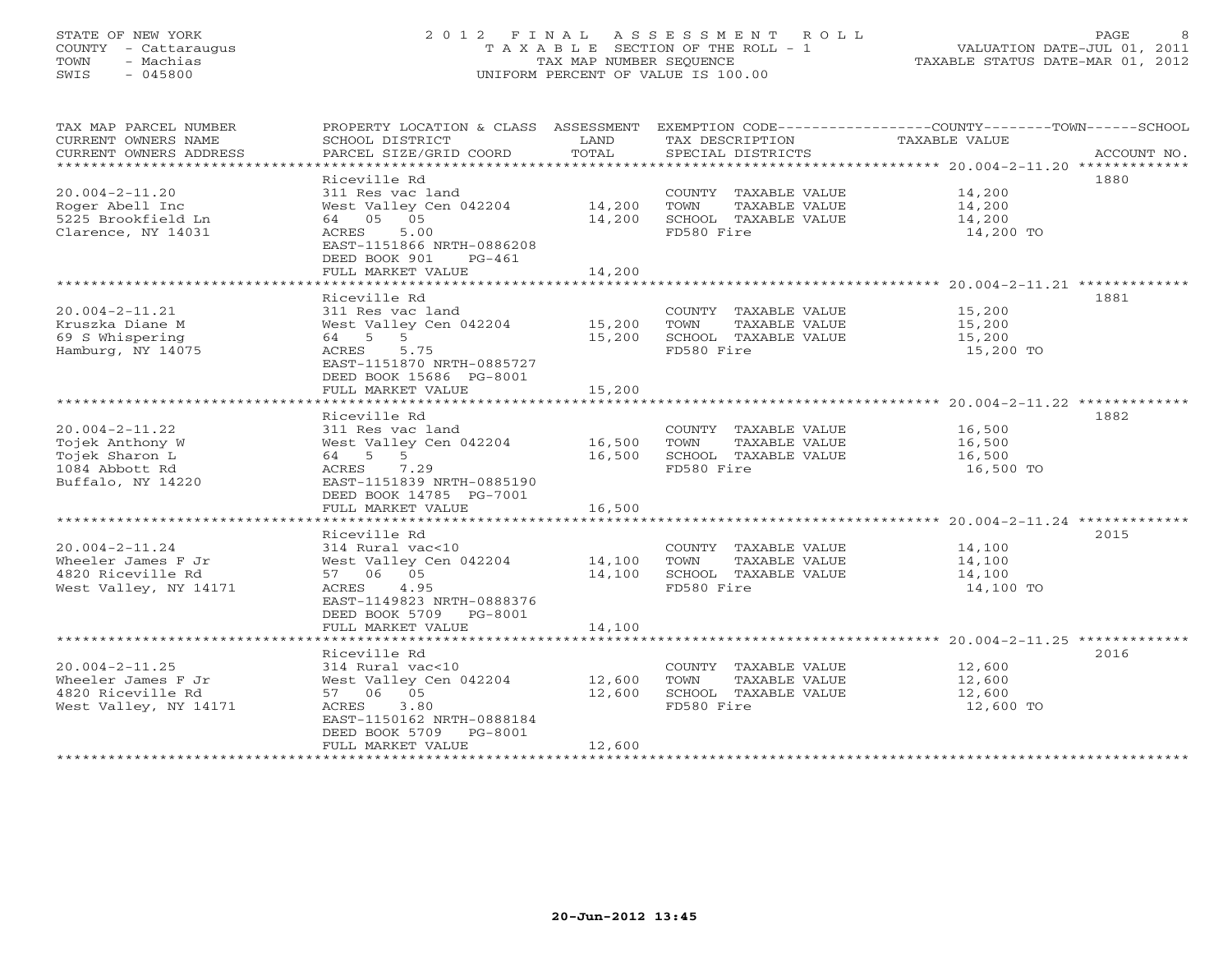# STATE OF NEW YORK 2 0 1 2 F I N A L A S S E S S M E N T R O L L PAGE 8 COUNTY - Cattaraugus T A X A B L E SECTION OF THE ROLL - 1 VALUATION DATE-JUL 01, 2011 TOWN - Machias TAX MAP NUMBER SEQUENCE TAXABLE STATUS DATE-MAR 01, 2012 SWIS - 045800 UNIFORM PERCENT OF VALUE IS 100.00

| TAX MAP PARCEL NUMBER<br>CURRENT OWNERS NAME<br>CURRENT OWNERS ADDRESS | PROPERTY LOCATION & CLASS ASSESSMENT<br>SCHOOL DISTRICT<br>PARCEL SIZE/GRID COORD   | LAND<br>TOTAL | TAX DESCRIPTION<br>SPECIAL DISTRICTS          | EXEMPTION CODE-----------------COUNTY-------TOWN------SCHOOL<br><b>TAXABLE VALUE</b><br>ACCOUNT NO. |
|------------------------------------------------------------------------|-------------------------------------------------------------------------------------|---------------|-----------------------------------------------|-----------------------------------------------------------------------------------------------------|
| $20.004 - 2 - 11.20$<br>Roger Abell Inc                                | Riceville Rd<br>311 Res vac land<br>West Valley Cen 042204                          | 14,200        | COUNTY TAXABLE VALUE<br>TAXABLE VALUE<br>TOWN | 1880<br>14,200<br>14,200                                                                            |
| 5225 Brookfield Ln<br>Clarence, NY 14031                               | 64 05 05<br>5.00<br>ACRES<br>EAST-1151866 NRTH-0886208<br>DEED BOOK 901<br>$PG-461$ | 14,200        | SCHOOL TAXABLE VALUE<br>FD580 Fire            | 14,200<br>14,200 TO                                                                                 |
|                                                                        | FULL MARKET VALUE                                                                   | 14,200        |                                               |                                                                                                     |
|                                                                        | Riceville Rd                                                                        |               |                                               | 1881                                                                                                |
| $20.004 - 2 - 11.21$                                                   | 311 Res vac land                                                                    |               | COUNTY TAXABLE VALUE                          | 15,200                                                                                              |
| Kruszka Diane M                                                        | West Valley Cen 042204                                                              | 15,200        | TOWN<br>TAXABLE VALUE                         | 15,200                                                                                              |
| 69 S Whispering                                                        | 64 5 5                                                                              | 15,200        | SCHOOL TAXABLE VALUE                          | 15,200                                                                                              |
| Hamburg, NY 14075                                                      | ACRES<br>5.75<br>EAST-1151870 NRTH-0885727<br>DEED BOOK 15686 PG-8001               |               | FD580 Fire                                    | 15,200 TO                                                                                           |
|                                                                        | FULL MARKET VALUE                                                                   | 15,200        |                                               |                                                                                                     |
|                                                                        |                                                                                     |               |                                               |                                                                                                     |
| $20.004 - 2 - 11.22$                                                   | Riceville Rd                                                                        |               | COUNTY TAXABLE VALUE                          | 1882<br>16,500                                                                                      |
| Tojek Anthony W                                                        | 311 Res vac land<br>West Valley Cen 042204                                          | 16,500        | TOWN<br>TAXABLE VALUE                         | 16,500                                                                                              |
| Tojek Sharon L                                                         | 64 5 5                                                                              | 16,500        | SCHOOL TAXABLE VALUE                          | 16,500                                                                                              |
| 1084 Abbott Rd                                                         | 7.29<br>ACRES                                                                       |               | FD580 Fire                                    | 16,500 TO                                                                                           |
| Buffalo, NY 14220                                                      | EAST-1151839 NRTH-0885190                                                           |               |                                               |                                                                                                     |
|                                                                        | DEED BOOK 14785 PG-7001                                                             |               |                                               |                                                                                                     |
|                                                                        | FULL MARKET VALUE                                                                   | 16,500        |                                               |                                                                                                     |
|                                                                        |                                                                                     |               |                                               |                                                                                                     |
|                                                                        | Riceville Rd                                                                        |               |                                               | 2015                                                                                                |
| $20.004 - 2 - 11.24$                                                   | 314 Rural vac<10                                                                    |               | COUNTY TAXABLE VALUE                          | 14,100                                                                                              |
| Wheeler James F Jr                                                     | West Valley Cen 042204                                                              | 14,100        | TOWN<br>TAXABLE VALUE                         | 14,100                                                                                              |
| 4820 Riceville Rd                                                      | 57 06 05                                                                            | 14,100        | SCHOOL TAXABLE VALUE                          | 14,100                                                                                              |
| West Valley, NY 14171                                                  | ACRES 4.95<br>EAST-1149823 NRTH-0888376<br>DEED BOOK 5709 PG-8001                   |               | FD580 Fire                                    | 14,100 TO                                                                                           |
|                                                                        | FULL MARKET VALUE                                                                   | 14,100        |                                               |                                                                                                     |
|                                                                        |                                                                                     |               |                                               |                                                                                                     |
|                                                                        | Riceville Rd                                                                        |               |                                               | 2016                                                                                                |
| $20.004 - 2 - 11.25$                                                   | 314 Rural vac<10                                                                    |               | COUNTY TAXABLE VALUE                          | 12,600                                                                                              |
| Wheeler James F Jr                                                     | West Valley Cen 042204                                                              | 12,600        | TOWN<br>TAXABLE VALUE                         | 12,600                                                                                              |
| 4820 Riceville Rd                                                      | 57 06 05                                                                            | 12,600        | SCHOOL TAXABLE VALUE                          | 12,600                                                                                              |
| West Valley, NY 14171                                                  | 3.80<br>ACRES                                                                       |               | FD580 Fire                                    | 12,600 TO                                                                                           |
|                                                                        | EAST-1150162 NRTH-0888184                                                           |               |                                               |                                                                                                     |
|                                                                        | DEED BOOK 5709<br>PG-8001                                                           |               |                                               |                                                                                                     |
| ***********************                                                | FULL MARKET VALUE                                                                   | 12,600        |                                               |                                                                                                     |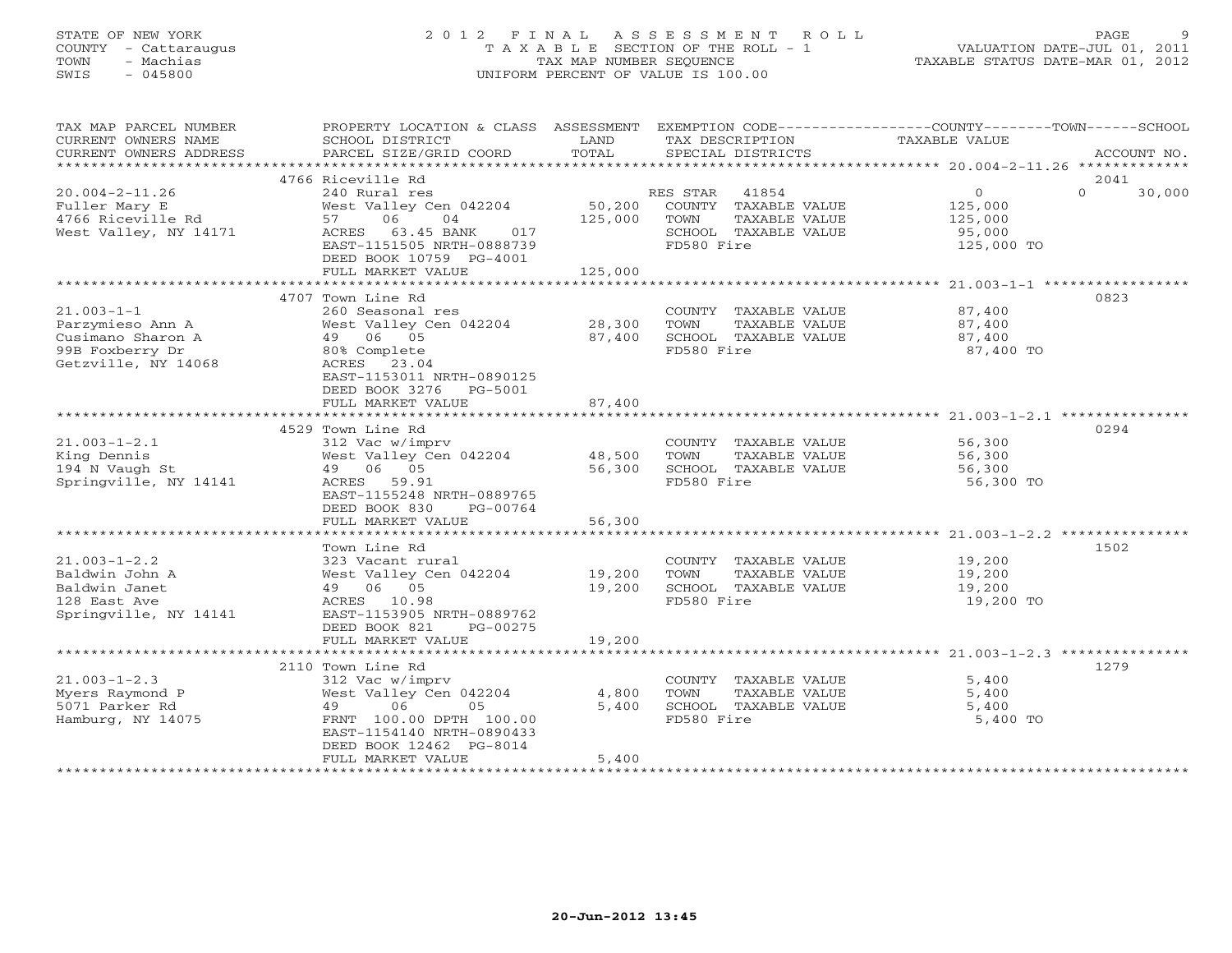# STATE OF NEW YORK 2 0 1 2 F I N A L A S S E S S M E N T R O L L PAGE 9 COUNTY - Cattaraugus T A X A B L E SECTION OF THE ROLL - 1 VALUATION DATE-JUL 01, 2011 TOWN - Machias TAX MAP NUMBER SEQUENCE TAXABLE STATUS DATE-MAR 01, 2012 SWIS - 045800 UNIFORM PERCENT OF VALUE IS 100.00

| TAX MAP PARCEL NUMBER<br>CURRENT OWNERS NAME<br>CURRENT OWNERS ADDRESS                              | PROPERTY LOCATION & CLASS ASSESSMENT<br>SCHOOL DISTRICT<br>PARCEL SIZE/GRID COORD                                                                                                                    | LAND<br>TOTAL                        | TAX DESCRIPTION<br>SPECIAL DISTRICTS                                                                  | EXEMPTION CODE-----------------COUNTY-------TOWN-----SCHOOL<br><b>TAXABLE VALUE</b>            | ACCOUNT NO.                |
|-----------------------------------------------------------------------------------------------------|------------------------------------------------------------------------------------------------------------------------------------------------------------------------------------------------------|--------------------------------------|-------------------------------------------------------------------------------------------------------|------------------------------------------------------------------------------------------------|----------------------------|
| ***********************                                                                             |                                                                                                                                                                                                      |                                      |                                                                                                       |                                                                                                |                            |
| $20.004 - 2 - 11.26$<br>Fuller Mary E<br>4766 Riceville Rd<br>West Valley, NY 14171                 | 4766 Riceville Rd<br>240 Rural res<br>West Valley Cen 042204<br>57<br>06<br>04<br>ACRES<br>63.45 BANK<br>017<br>EAST-1151505 NRTH-0888739<br>DEED BOOK 10759 PG-4001                                 | 50,200<br>125,000                    | RES STAR 41854<br>COUNTY TAXABLE VALUE<br>TOWN<br>TAXABLE VALUE<br>SCHOOL TAXABLE VALUE<br>FD580 Fire | $\overline{O}$<br>125,000<br>125,000<br>95,000<br>125,000 TO                                   | 2041<br>$\Omega$<br>30,000 |
|                                                                                                     | FULL MARKET VALUE                                                                                                                                                                                    | 125,000                              |                                                                                                       |                                                                                                |                            |
| $21.003 - 1 - 1$<br>Parzymieso Ann A<br>Cusimano Sharon A<br>99B Foxberry Dr<br>Getzville, NY 14068 | ****************************<br>4707 Town Line Rd<br>260 Seasonal res<br>West Valley Cen 042204<br>49 06 05<br>80% Complete<br>ACRES 23.04<br>EAST-1153011 NRTH-0890125<br>DEED BOOK 3276<br>PG-5001 | ****************<br>28,300<br>87,400 | COUNTY TAXABLE VALUE<br>TAXABLE VALUE<br>TOWN<br>SCHOOL TAXABLE VALUE<br>FD580 Fire                   | ********************* 21.003-1-1 ******************<br>87,400<br>87,400<br>87,400<br>87,400 TO | 0823                       |
|                                                                                                     | FULL MARKET VALUE                                                                                                                                                                                    | 87,400                               |                                                                                                       |                                                                                                |                            |
| $21.003 - 1 - 2.1$<br>King Dennis<br>194 N Vaugh St<br>Springville, NY 14141                        | 4529 Town Line Rd<br>312 Vac w/imprv<br>West Valley Cen 042204<br>49 06 05<br>ACRES 59.91<br>EAST-1155248 NRTH-0889765<br>DEED BOOK 830<br>PG-00764<br>FULL MARKET VALUE                             | 48,500<br>56,300<br>56,300           | COUNTY TAXABLE VALUE<br>TAXABLE VALUE<br>TOWN<br>SCHOOL TAXABLE VALUE<br>FD580 Fire                   | 56,300<br>56,300<br>56,300<br>56,300 TO                                                        | 0294                       |
|                                                                                                     |                                                                                                                                                                                                      |                                      |                                                                                                       |                                                                                                |                            |
| $21.003 - 1 - 2.2$<br>Baldwin John A<br>Baldwin Janet<br>128 East Ave<br>Springville, NY 14141      | Town Line Rd<br>323 Vacant rural<br>West Valley Cen 042204<br>49 06 05<br>ACRES 10.98<br>EAST-1153905 NRTH-0889762<br>DEED BOOK 821<br>PG-00275                                                      | 19,200<br>19,200                     | COUNTY TAXABLE VALUE<br>TOWN<br>TAXABLE VALUE<br>SCHOOL TAXABLE VALUE<br>FD580 Fire                   | 19,200<br>19,200<br>19,200<br>19,200 TO                                                        | 1502                       |
|                                                                                                     | FULL MARKET VALUE                                                                                                                                                                                    | 19,200                               |                                                                                                       |                                                                                                |                            |
|                                                                                                     | *************************<br>2110 Town Line Rd                                                                                                                                                       |                                      |                                                                                                       |                                                                                                | 1279                       |
| $21.003 - 1 - 2.3$<br>Myers Raymond P<br>5071 Parker Rd<br>Hamburg, NY 14075                        | 312 Vac w/imprv<br>West Valley Cen 042204<br>06<br>05<br>49<br>FRNT 100.00 DPTH 100.00<br>EAST-1154140 NRTH-0890433<br>DEED BOOK 12462 PG-8014<br>FULL MARKET VALUE                                  | 4,800<br>5,400<br>5,400              | COUNTY TAXABLE VALUE<br>TAXABLE VALUE<br>TOWN<br>SCHOOL TAXABLE VALUE<br>FD580 Fire                   | 5,400<br>5,400<br>5,400<br>5,400 TO                                                            |                            |
|                                                                                                     | ***********************                                                                                                                                                                              |                                      |                                                                                                       |                                                                                                |                            |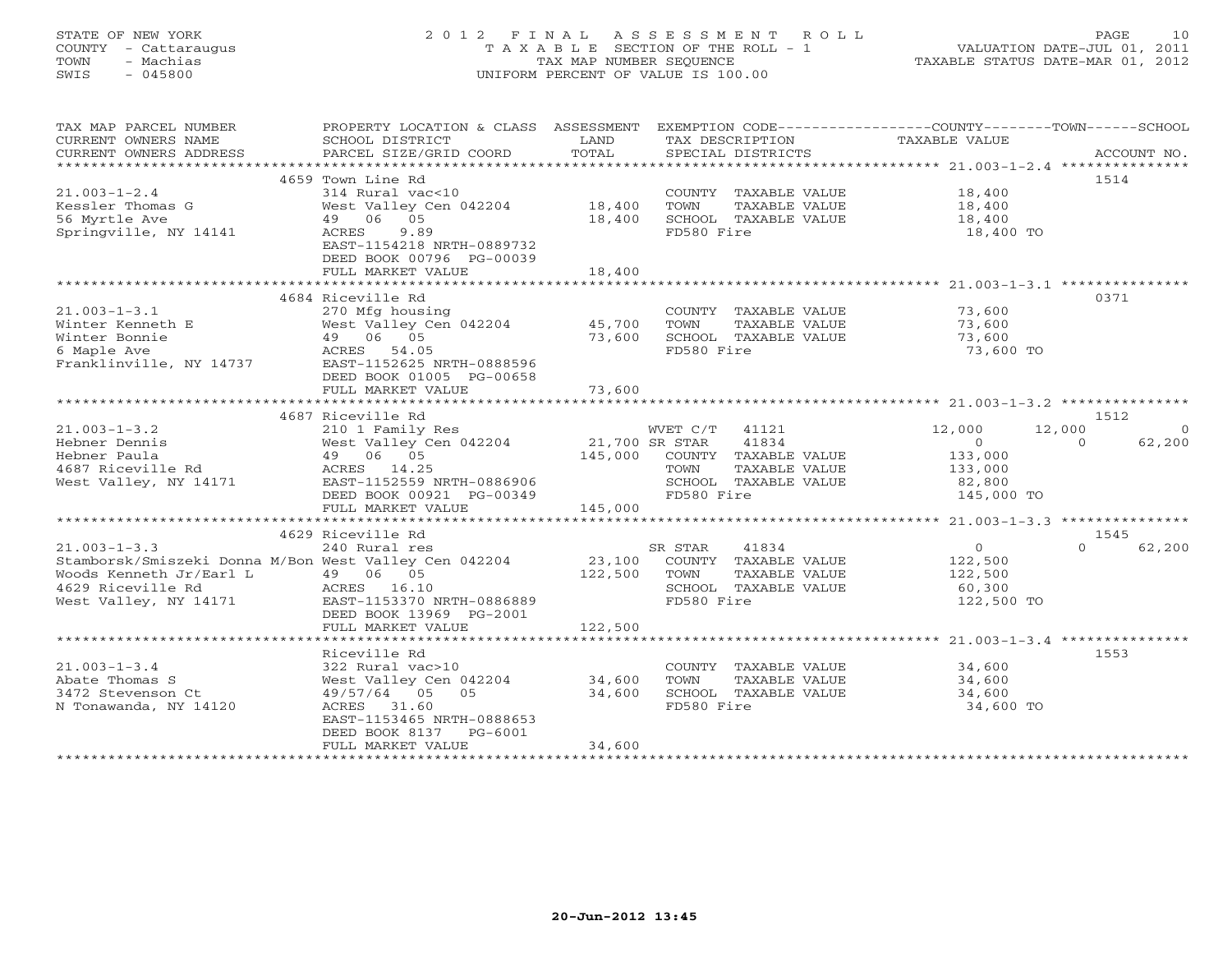### STATE OF NEW YORK 2 0 1 2 F I N A L A S S E S S M E N T R O L L PAGE 10 COUNTY - Cattaraugus T A X A B L E SECTION OF THE ROLL - 1 VALUATION DATE-JUL 01, 2011 TOWN - Machias TAX MAP NUMBER SEQUENCE TAXABLE STATUS DATE-MAR 01, 2012 SWIS - 045800 UNIFORM PERCENT OF VALUE IS 100.00UNIFORM PERCENT OF VALUE IS 100.00

| TAX MAP PARCEL NUMBER<br>CURRENT OWNERS NAME<br>CURRENT OWNERS ADDRESS           | PROPERTY LOCATION & CLASS ASSESSMENT<br>SCHOOL DISTRICT<br>PARCEL SIZE/GRID COORD                                         | LAND<br>TOTAL           | TAX DESCRIPTION<br>SPECIAL DISTRICTS                                                | EXEMPTION CODE-----------------COUNTY-------TOWN------SCHOOL<br>TAXABLE VALUE | ACCOUNT NO. |
|----------------------------------------------------------------------------------|---------------------------------------------------------------------------------------------------------------------------|-------------------------|-------------------------------------------------------------------------------------|-------------------------------------------------------------------------------|-------------|
|                                                                                  |                                                                                                                           |                         |                                                                                     |                                                                               |             |
| $21.003 - 1 - 2.4$<br>Kessler Thomas G<br>56 Myrtle Ave<br>Springville, NY 14141 | 4659 Town Line Rd<br>314 Rural vac<10<br>West Valley Cen 042204<br>49 06 05<br>9.89<br>ACRES<br>EAST-1154218 NRTH-0889732 | 18,400<br>18,400        | COUNTY TAXABLE VALUE<br>TOWN<br>TAXABLE VALUE<br>SCHOOL TAXABLE VALUE<br>FD580 Fire | 18,400<br>18,400<br>18,400<br>18,400 TO                                       | 1514        |
|                                                                                  | DEED BOOK 00796 PG-00039                                                                                                  |                         |                                                                                     |                                                                               |             |
|                                                                                  | FULL MARKET VALUE                                                                                                         | 18,400                  |                                                                                     |                                                                               |             |
|                                                                                  |                                                                                                                           |                         |                                                                                     |                                                                               |             |
|                                                                                  | 4684 Riceville Rd                                                                                                         |                         |                                                                                     |                                                                               | 0371        |
| $21.003 - 1 - 3.1$                                                               | 270 Mfg housing                                                                                                           |                         | COUNTY TAXABLE VALUE                                                                | 73,600                                                                        |             |
| Winter Kenneth E                                                                 | West Valley Cen 042204                                                                                                    | 45,700                  | TOWN<br>TAXABLE VALUE                                                               | 73,600<br>73,600                                                              |             |
| Winter Bonnie                                                                    | 49 06 05                                                                                                                  | 73,600                  | SCHOOL TAXABLE VALUE                                                                |                                                                               |             |
| 6 Maple Ave<br>Franklinville, NY 14737                                           | ACRES 54.05<br>EAST-1152625 NRTH-0888596<br>DEED BOOK 01005 PG-00658                                                      |                         | FD580 Fire                                                                          | 73,600 TO                                                                     |             |
|                                                                                  | FULL MARKET VALUE<br>****************************                                                                         | 73,600<br>************* |                                                                                     |                                                                               |             |
|                                                                                  |                                                                                                                           |                         |                                                                                     |                                                                               |             |
|                                                                                  | 4687 Riceville Rd                                                                                                         |                         |                                                                                     |                                                                               | 1512        |
| $21.003 - 1 - 3.2$                                                               | 210 1 Family Res                                                                                                          |                         | WVET C/T 41121                                                                      | 12,000<br>12,000                                                              | $\Omega$    |
| Hebner Dennis                                                                    | West Valley Cen 042204                                                                                                    | 21,700 SR STAR          | 41834                                                                               | $\Omega$<br>$\Omega$                                                          | 62,200      |
| Hebner Paula                                                                     | 49 06 05                                                                                                                  |                         | 145,000 COUNTY TAXABLE VALUE                                                        | 133,000                                                                       |             |
| 4687 Riceville Rd                                                                | ACRES 14.25                                                                                                               |                         | TOWN<br>TAXABLE VALUE                                                               | 133,000                                                                       |             |
| West Valley, NY 14171                                                            | EAST-1152559 NRTH-0886906                                                                                                 |                         | SCHOOL TAXABLE VALUE                                                                | 82,800                                                                        |             |
|                                                                                  | DEED BOOK 00921 PG-00349                                                                                                  |                         | FD580 Fire                                                                          | 145,000 TO                                                                    |             |
|                                                                                  | FULL MARKET VALUE                                                                                                         | 145,000                 |                                                                                     |                                                                               |             |
|                                                                                  |                                                                                                                           |                         |                                                                                     |                                                                               |             |
|                                                                                  | 4629 Riceville Rd                                                                                                         |                         |                                                                                     |                                                                               | 1545        |
| $21.003 - 1 - 3.3$                                                               | 240 Rural res                                                                                                             |                         | SR STAR<br>41834                                                                    | $\circ$<br>$\Omega$                                                           | 62,200      |
| Stamborsk/Smiszeki Donna M/Bon West Valley Cen 042204                            |                                                                                                                           | 23,100                  | COUNTY TAXABLE VALUE                                                                | 122,500                                                                       |             |
| Woods Kenneth Jr/Earl L                                                          | 49 06 05                                                                                                                  | 122,500                 | TAXABLE VALUE<br>TOWN                                                               | 122,500                                                                       |             |
| 4629 Riceville Rd                                                                | ACRES 16.10                                                                                                               |                         | SCHOOL TAXABLE VALUE                                                                | 60,300                                                                        |             |
| West Valley, NY 14171                                                            | EAST-1153370 NRTH-0886889                                                                                                 |                         | FD580 Fire                                                                          | 122,500 TO                                                                    |             |
|                                                                                  | DEED BOOK 13969 PG-2001                                                                                                   |                         |                                                                                     |                                                                               |             |
|                                                                                  | FULL MARKET VALUE                                                                                                         | 122,500                 |                                                                                     |                                                                               |             |
|                                                                                  |                                                                                                                           |                         |                                                                                     |                                                                               |             |
|                                                                                  | Riceville Rd                                                                                                              |                         |                                                                                     |                                                                               | 1553        |
| $21.003 - 1 - 3.4$                                                               | 322 Rural vac>10                                                                                                          |                         | COUNTY TAXABLE VALUE                                                                | 34,600                                                                        |             |
| Abate Thomas S                                                                   | West Valley Cen 042204                                                                                                    | 34,600                  | TOWN<br>TAXABLE VALUE                                                               | 34,600                                                                        |             |
| 3472 Stevenson Ct                                                                | 49/57/64 05 05                                                                                                            | 34,600                  | SCHOOL TAXABLE VALUE                                                                | 34,600                                                                        |             |
| N Tonawanda, NY 14120                                                            | ACRES 31.60                                                                                                               |                         | FD580 Fire                                                                          | 34,600 TO                                                                     |             |
|                                                                                  | EAST-1153465 NRTH-0888653                                                                                                 |                         |                                                                                     |                                                                               |             |
|                                                                                  | DEED BOOK 8137 PG-6001                                                                                                    |                         |                                                                                     |                                                                               |             |
|                                                                                  | FULL MARKET VALUE                                                                                                         | 34,600                  |                                                                                     |                                                                               |             |
|                                                                                  |                                                                                                                           |                         |                                                                                     |                                                                               |             |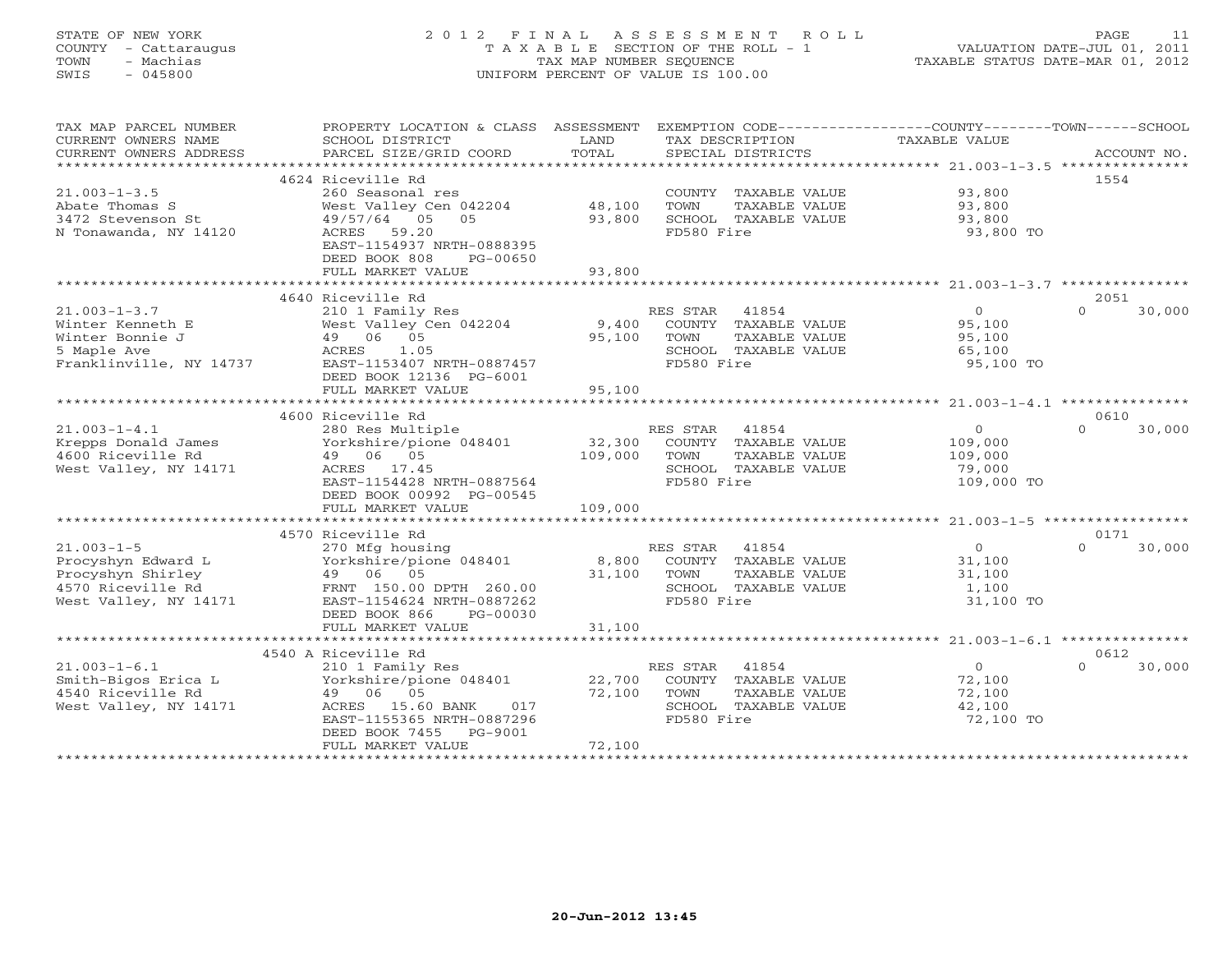## STATE OF NEW YORK 2 0 1 2 F I N A L A S S E S S M E N T R O L L PAGE 11 COUNTY - Cattaraugus T A X A B L E SECTION OF THE ROLL - 1 VALUATION DATE-JUL 01, 2011 TOWN - Machias TAX MAP NUMBER SEQUENCE TAXABLE STATUS DATE-MAR 01, 2012 SWIS - 045800 UNIFORM PERCENT OF VALUE IS 100.00UNIFORM PERCENT OF VALUE IS 100.00

| TAX MAP PARCEL NUMBER<br>CURRENT OWNERS NAME<br>CURRENT OWNERS ADDRESS | PROPERTY LOCATION & CLASS ASSESSMENT<br>SCHOOL DISTRICT<br>PARCEL SIZE/GRID COORD | LAND<br>TOTAL | EXEMPTION CODE-----------------COUNTY-------TOWN------SCHOOL<br>TAX DESCRIPTION<br>SPECIAL DISTRICTS | TAXABLE VALUE    | ACCOUNT NO.                |
|------------------------------------------------------------------------|-----------------------------------------------------------------------------------|---------------|------------------------------------------------------------------------------------------------------|------------------|----------------------------|
| *************************                                              |                                                                                   |               |                                                                                                      |                  |                            |
|                                                                        | 4624 Riceville Rd                                                                 |               |                                                                                                      |                  | 1554                       |
| $21.003 - 1 - 3.5$                                                     | 260 Seasonal res                                                                  |               | COUNTY TAXABLE VALUE                                                                                 | 93,800           |                            |
| Abate Thomas S                                                         | West Valley Cen 042204                                                            | 48,100        | TOWN<br>TAXABLE VALUE                                                                                | 93,800           |                            |
| 3472 Stevenson St                                                      | 49/57/64 05<br>05                                                                 | 93,800        | SCHOOL TAXABLE VALUE                                                                                 | 93,800           |                            |
| N Tonawanda, NY 14120                                                  | ACRES<br>59.20                                                                    |               | FD580 Fire                                                                                           | 93,800 TO        |                            |
|                                                                        | EAST-1154937 NRTH-0888395<br>DEED BOOK 808<br>PG-00650                            |               |                                                                                                      |                  |                            |
|                                                                        | FULL MARKET VALUE                                                                 | 93,800        |                                                                                                      |                  |                            |
|                                                                        |                                                                                   |               |                                                                                                      |                  |                            |
|                                                                        | 4640 Riceville Rd                                                                 |               |                                                                                                      |                  | 2051                       |
| $21.003 - 1 - 3.7$                                                     | 210 1 Family Res                                                                  |               | RES STAR<br>41854                                                                                    | $\overline{0}$   | 30,000<br>$\Omega$         |
| Winter Kenneth E                                                       | West Valley Cen 042204                                                            | 9,400         | COUNTY TAXABLE VALUE                                                                                 | 95,100           |                            |
| Winter Bonnie J                                                        | 49 06 05                                                                          | 95,100        | TAXABLE VALUE<br>TOWN                                                                                | 95,100           |                            |
| 5 Maple Ave                                                            | ACRES<br>1.05                                                                     |               | SCHOOL TAXABLE VALUE                                                                                 | 65,100           |                            |
| Franklinville, NY 14737                                                | EAST-1153407 NRTH-0887457                                                         |               | FD580 Fire                                                                                           | 95,100 TO        |                            |
|                                                                        | DEED BOOK 12136 PG-6001                                                           |               |                                                                                                      |                  |                            |
|                                                                        | FULL MARKET VALUE                                                                 | 95,100        |                                                                                                      |                  |                            |
|                                                                        |                                                                                   |               |                                                                                                      |                  |                            |
|                                                                        | 4600 Riceville Rd                                                                 |               |                                                                                                      |                  | 0610                       |
| $21.003 - 1 - 4.1$                                                     | 280 Res Multiple                                                                  |               | RES STAR<br>41854                                                                                    | $\mathbf{O}$     | $\Omega$<br>30,000         |
| Krepps Donald James                                                    | Yorkshire/pione 048401                                                            | 32,300        | COUNTY TAXABLE VALUE                                                                                 | 109,000          |                            |
| 4600 Riceville Rd                                                      | 49 06 05                                                                          | 109,000       | TOWN<br>TAXABLE VALUE                                                                                | 109,000          |                            |
| West Valley, NY 14171                                                  | ACRES 17.45                                                                       |               | SCHOOL TAXABLE VALUE                                                                                 | 79,000           |                            |
|                                                                        | EAST-1154428 NRTH-0887564                                                         |               | FD580 Fire                                                                                           | 109,000 TO       |                            |
|                                                                        | DEED BOOK 00992 PG-00545                                                          |               |                                                                                                      |                  |                            |
|                                                                        | FULL MARKET VALUE                                                                 | 109,000       |                                                                                                      |                  |                            |
|                                                                        |                                                                                   |               |                                                                                                      |                  |                            |
|                                                                        | 4570 Riceville Rd                                                                 |               |                                                                                                      |                  | 0171                       |
| $21.003 - 1 - 5$                                                       | 270 Mfg housing                                                                   |               | RES STAR 41854                                                                                       | $\circ$          | $\Omega$<br>30,000         |
| Procyshyn Edward L                                                     | Yorkshire/pione 048401                                                            | 8,800         | COUNTY TAXABLE VALUE                                                                                 | 31,100           |                            |
| Procyshyn Shirley                                                      | 49 06 05                                                                          | 31,100        | TOWN<br>TAXABLE VALUE                                                                                | 31,100           |                            |
| 4570 Riceville Rd                                                      | FRNT 150.00 DPTH 260.00                                                           |               | SCHOOL TAXABLE VALUE                                                                                 | 1,100            |                            |
| West Valley, NY 14171                                                  | EAST-1154624 NRTH-0887262                                                         |               | FD580 Fire                                                                                           | 31,100 TO        |                            |
|                                                                        | DEED BOOK 866<br>PG-00030                                                         |               |                                                                                                      |                  |                            |
|                                                                        | FULL MARKET VALUE                                                                 | 31,100        |                                                                                                      |                  |                            |
|                                                                        |                                                                                   |               |                                                                                                      |                  |                            |
| $21.003 - 1 - 6.1$                                                     | 4540 A Riceville Rd                                                               |               | RES STAR<br>41854                                                                                    | $\circ$          | 0612<br>30,000<br>$\Omega$ |
| Smith-Bigos Erica L                                                    | 210 1 Family Res<br>Yorkshire/pione 048401                                        | 22,700        | COUNTY TAXABLE VALUE                                                                                 |                  |                            |
| 4540 Riceville Rd                                                      | 49 06 05                                                                          | 72,100        | TOWN<br>TAXABLE VALUE                                                                                | 72,100<br>72,100 |                            |
| West Valley, NY 14171                                                  | ACRES 15.60 BANK<br>017                                                           |               | SCHOOL TAXABLE VALUE                                                                                 | 42,100           |                            |
|                                                                        | EAST-1155365 NRTH-0887296                                                         |               | FD580 Fire                                                                                           | 72,100 TO        |                            |
|                                                                        | DEED BOOK 7455<br>PG-9001                                                         |               |                                                                                                      |                  |                            |
|                                                                        | FULL MARKET VALUE                                                                 | 72,100        |                                                                                                      |                  |                            |
|                                                                        | ********************                                                              |               |                                                                                                      |                  |                            |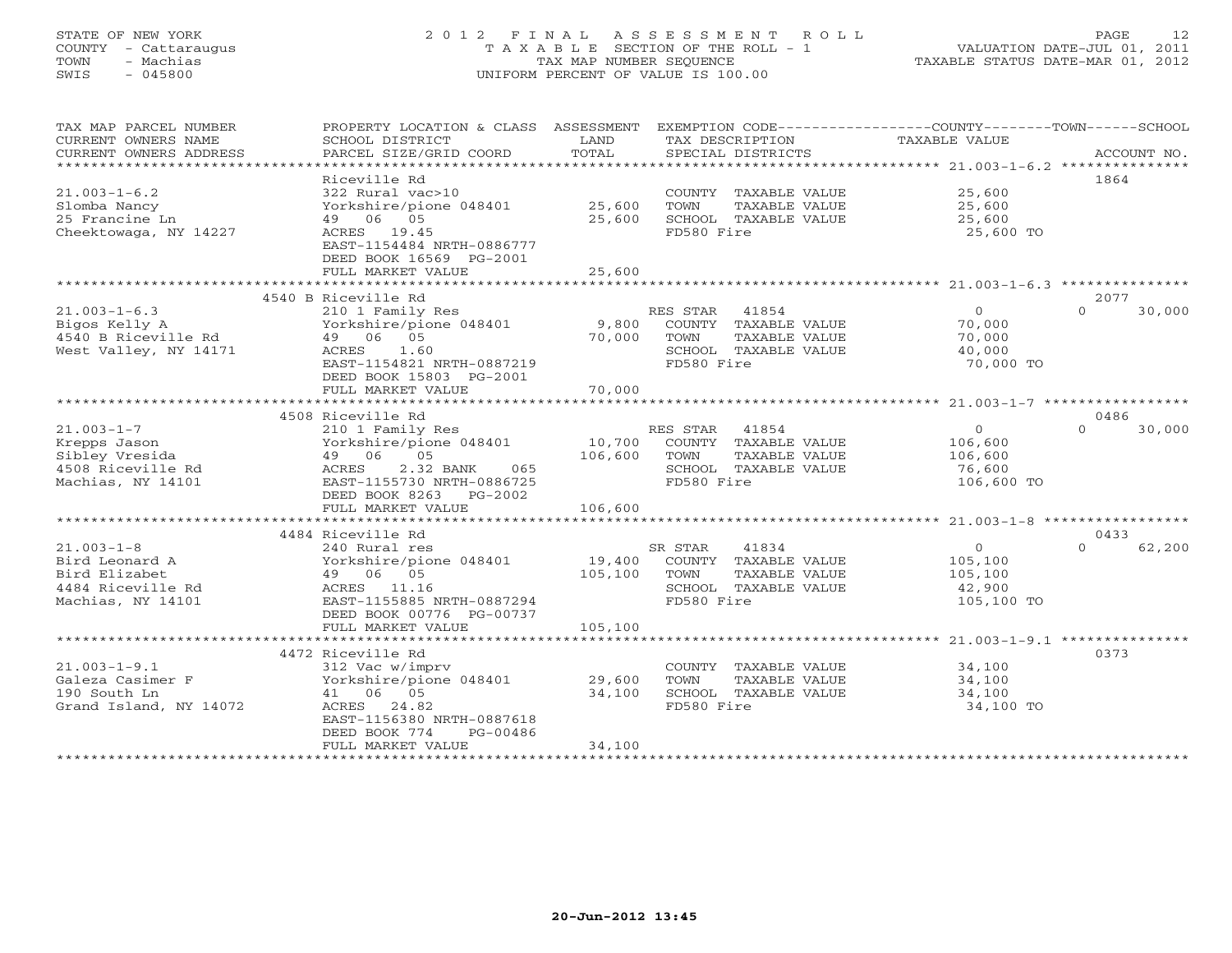### STATE OF NEW YORK 2 0 1 2 F I N A L A S S E S S M E N T R O L L PAGE 12 COUNTY - Cattaraugus T A X A B L E SECTION OF THE ROLL - 1 VALUATION DATE-JUL 01, 2011 TOWN - Machias TAX MAP NUMBER SEQUENCE TAXABLE STATUS DATE-MAR 01, 2012 SWIS - 045800 UNIFORM PERCENT OF VALUE IS 100.00UNIFORM PERCENT OF VALUE IS 100.00

| TAX MAP PARCEL NUMBER<br>CURRENT OWNERS NAME<br>CURRENT OWNERS ADDRESS                        | PROPERTY LOCATION & CLASS ASSESSMENT<br>SCHOOL DISTRICT<br>PARCEL SIZE/GRID COORD                                                                      | LAND<br>TOTAL             | EXEMPTION CODE-----------------COUNTY-------TOWN------SCHOOL<br>TAX DESCRIPTION<br>SPECIAL DISTRICTS     | TAXABLE VALUE                                             | ACCOUNT NO.        |
|-----------------------------------------------------------------------------------------------|--------------------------------------------------------------------------------------------------------------------------------------------------------|---------------------------|----------------------------------------------------------------------------------------------------------|-----------------------------------------------------------|--------------------|
|                                                                                               | Riceville Rd                                                                                                                                           |                           |                                                                                                          |                                                           | 1864               |
| $21.003 - 1 - 6.2$<br>Slomba Nancy<br>25 Francine Ln<br>Cheektowaga, NY 14227                 | 322 Rural vac>10<br>Yorkshire/pione 048401<br>49 06 05<br>ACRES 19.45<br>EAST-1154484 NRTH-0886777<br>DEED BOOK 16569 PG-2001                          | 25,600<br>25,600          | COUNTY TAXABLE VALUE<br>TOWN<br>TAXABLE VALUE<br>SCHOOL TAXABLE VALUE<br>FD580 Fire                      | 25,600<br>25,600<br>25,600<br>25,600 TO                   |                    |
|                                                                                               | FULL MARKET VALUE                                                                                                                                      | 25,600                    |                                                                                                          |                                                           |                    |
|                                                                                               | 4540 B Riceville Rd                                                                                                                                    |                           |                                                                                                          |                                                           | 2077               |
| $21.003 - 1 - 6.3$<br>Bigos Kelly A<br>4540 B Riceville Rd<br>West Valley, NY 14171           | 210 1 Family Res<br>Yorkshire/pione 048401<br>49 06 05<br>ACRES<br>1.60<br>EAST-1154821 NRTH-0887219<br>DEED BOOK 15803 PG-2001<br>FULL MARKET VALUE   | 9,800<br>70,000<br>70,000 | RES STAR<br>41854<br>COUNTY TAXABLE VALUE<br>TAXABLE VALUE<br>TOWN<br>SCHOOL TAXABLE VALUE<br>FD580 Fire | $\overline{0}$<br>70,000<br>70,000<br>40,000<br>70,000 TO | $\Omega$<br>30,000 |
|                                                                                               | 4508 Riceville Rd                                                                                                                                      |                           |                                                                                                          |                                                           | 0486               |
| $21.003 - 1 - 7$<br>Krepps Jason<br>Sibley Vresida<br>4508 Riceville Rd<br>Machias, NY 14101  | 210 1 Family Res<br>Yorkshire/pione 048401<br>05<br>49 06<br>2.32 BANK<br>ACRES<br>065<br>EAST-1155730 NRTH-0886725<br>DEED BOOK 8263<br>PG-2002       | 10,700<br>106,600         | RES STAR<br>41854<br>COUNTY TAXABLE VALUE<br>TAXABLE VALUE<br>TOWN<br>SCHOOL TAXABLE VALUE<br>FD580 Fire | $\circ$<br>106,600<br>106,600<br>76,600<br>106,600 TO     | $\Omega$<br>30,000 |
|                                                                                               | FULL MARKET VALUE                                                                                                                                      | 106,600                   |                                                                                                          |                                                           |                    |
|                                                                                               | 4484 Riceville Rd                                                                                                                                      |                           |                                                                                                          |                                                           | 0433               |
| $21.003 - 1 - 8$<br>Bird Leonard A<br>Bird Elizabet<br>4484 Riceville Rd<br>Machias, NY 14101 | 240 Rural res<br>Yorkshire/pione 048401<br>49 06 05<br>11.16<br>ACRES<br>EAST-1155885 NRTH-0887294<br>DEED BOOK 00776 PG-00737                         | 19,400<br>105,100         | SR STAR<br>41834<br>COUNTY TAXABLE VALUE<br>TOWN<br>TAXABLE VALUE<br>SCHOOL TAXABLE VALUE<br>FD580 Fire  | $\circ$<br>105,100<br>105,100<br>42,900<br>105,100 TO     | $\Omega$<br>62,200 |
|                                                                                               | FULL MARKET VALUE                                                                                                                                      | 105,100                   |                                                                                                          |                                                           |                    |
| $21.003 - 1 - 9.1$<br>Galeza Casimer F<br>190 South Ln<br>Grand Island, NY 14072              | 4472 Riceville Rd<br>312 Vac w/imprv<br>Yorkshire/pione 048401<br>41 06 05<br>ACRES<br>24.82<br>EAST-1156380 NRTH-0887618<br>DEED BOOK 774<br>PG-00486 | 29,600<br>34,100          | COUNTY<br>TAXABLE VALUE<br>TOWN<br>TAXABLE VALUE<br>SCHOOL TAXABLE VALUE<br>FD580 Fire                   | 34,100<br>34,100<br>34,100<br>34,100 TO                   | 0373               |
|                                                                                               | FULL MARKET VALUE                                                                                                                                      | 34,100                    |                                                                                                          |                                                           |                    |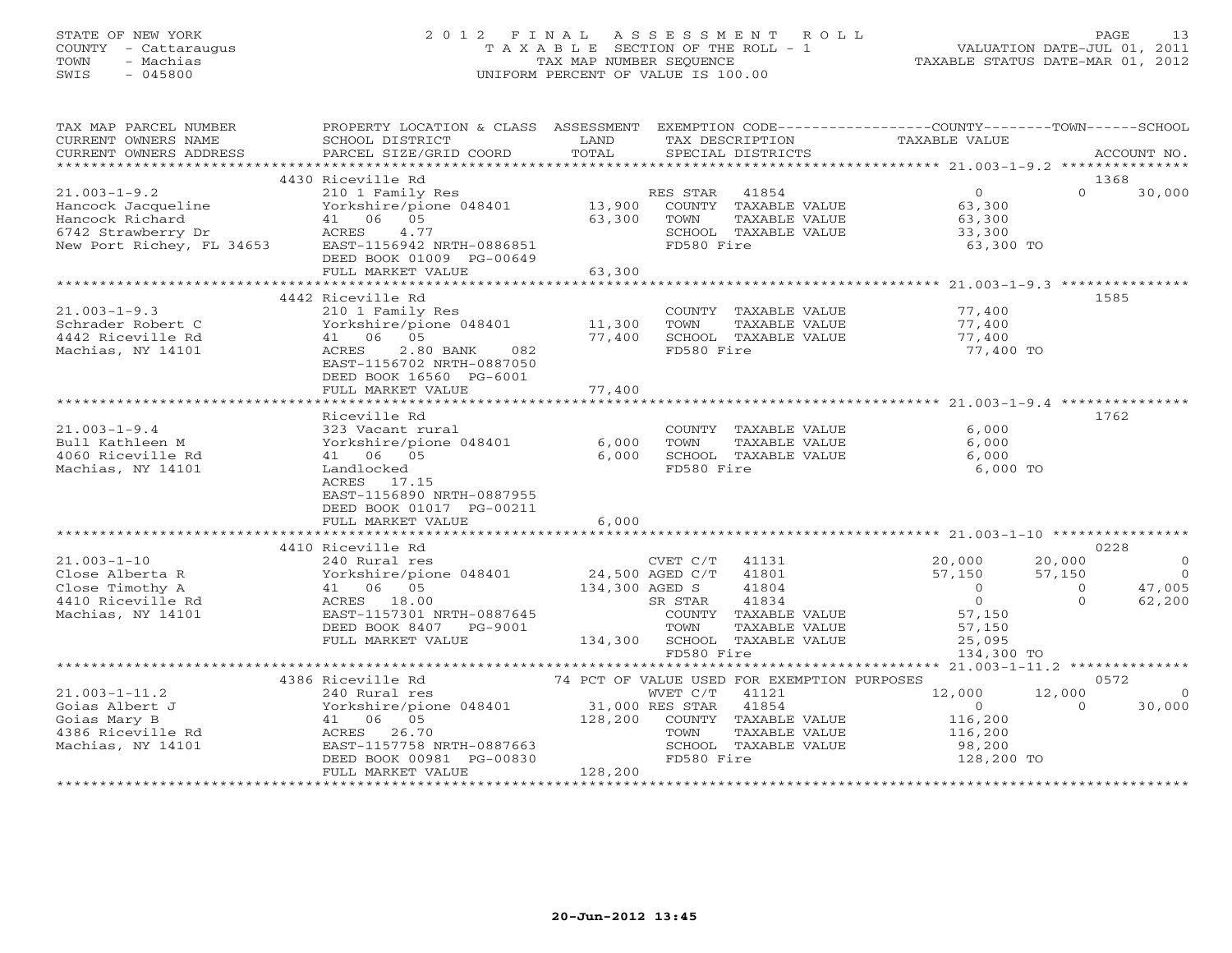### STATE OF NEW YORK 2 0 1 2 F I N A L A S S E S S M E N T R O L L PAGE 13 COUNTY - Cattaraugus T A X A B L E SECTION OF THE ROLL - 1 VALUATION DATE-JUL 01, 2011 TOWN - Machias TAX MAP NUMBER SEQUENCE TAXABLE STATUS DATE-MAR 01, 2012 SWIS - 045800 UNIFORM PERCENT OF VALUE IS 100.00UNIFORM PERCENT OF VALUE IS 100.00

| TAX MAP PARCEL NUMBER     | PROPERTY LOCATION & CLASS ASSESSMENT                                                                           |                   |                                             |               | EXEMPTION CODE----------------COUNTY-------TOWN------SCHOOL |                |                |
|---------------------------|----------------------------------------------------------------------------------------------------------------|-------------------|---------------------------------------------|---------------|-------------------------------------------------------------|----------------|----------------|
| CURRENT OWNERS NAME       | SCHOOL DISTRICT                                                                                                | LAND              | TAX DESCRIPTION                             |               | TAXABLE VALUE                                               |                |                |
| CURRENT OWNERS ADDRESS    | PARCEL SIZE/GRID COORD                                                                                         | TOTAL             | SPECIAL DISTRICTS                           |               |                                                             |                | ACCOUNT NO.    |
|                           |                                                                                                                |                   |                                             |               |                                                             |                |                |
|                           | 4430 Riceville Rd                                                                                              |                   |                                             |               |                                                             |                | 1368           |
| $21.003 - 1 - 9.2$        | 210 1 Family Res                                                                                               |                   | RES STAR<br>41854                           |               | $\overline{0}$                                              | $\Omega$       | 30,000         |
| Hancock Jacqueline        | Yorkshire/pione 048401                                                                                         | 13,900            | COUNTY TAXABLE VALUE                        |               | 63,300                                                      |                |                |
| Hancock Richard           | 41 06 05                                                                                                       | 63,300            | TOWN                                        | TAXABLE VALUE | 63,300<br>33,300                                            |                |                |
| 6742 Strawberry Dr        | 4.77<br>ACRES                                                                                                  |                   | SCHOOL TAXABLE VALUE                        |               |                                                             |                |                |
| New Port Richey, FL 34653 | EAST-1156942 NRTH-0886851                                                                                      |                   | FD580 Fire                                  |               | 63,300 TO                                                   |                |                |
|                           | DEED BOOK 01009 PG-00649                                                                                       |                   |                                             |               |                                                             |                |                |
|                           | FULL MARKET VALUE                                                                                              | 63,300            |                                             |               |                                                             |                |                |
|                           |                                                                                                                |                   |                                             |               |                                                             |                |                |
|                           | 4442 Riceville Rd                                                                                              |                   |                                             |               |                                                             |                | 1585           |
| $21.003 - 1 - 9.3$        | 210 1 Family Res                                                                                               |                   | COUNTY TAXABLE VALUE                        |               | 77,400                                                      |                |                |
| Schrader Robert C         | Yorkshire/pione 048401                                                                                         | 11,300            | TOWN                                        | TAXABLE VALUE | 77,400                                                      |                |                |
| 4442 Riceville Rd         | 41 06 05                                                                                                       | 77,400            | SCHOOL TAXABLE VALUE                        |               | 77,400                                                      |                |                |
| Machias, NY 14101         | 2.80 BANK<br>ACRES<br>082                                                                                      |                   | FD580 Fire                                  |               | 77,400 TO                                                   |                |                |
|                           | EAST-1156702 NRTH-0887050                                                                                      |                   |                                             |               |                                                             |                |                |
|                           | DEED BOOK 16560 PG-6001                                                                                        |                   |                                             |               |                                                             |                |                |
|                           | FULL MARKET VALUE                                                                                              | 77,400            |                                             |               |                                                             |                |                |
|                           |                                                                                                                |                   |                                             |               |                                                             |                |                |
|                           | Riceville Rd                                                                                                   |                   |                                             |               |                                                             |                | 1762           |
| $21.003 - 1 - 9.4$        | 323 Vacant rural                                                                                               |                   | COUNTY TAXABLE VALUE                        |               | 6,000                                                       |                |                |
| Bull Kathleen M           | Yorkshire/pione 048401                                                                                         | 6,000             | TOWN                                        | TAXABLE VALUE | 6,000                                                       |                |                |
| 4060 Riceville Rd         | 41 06 05                                                                                                       | 6,000             | SCHOOL TAXABLE VALUE                        |               | 6,000                                                       |                |                |
| Machias, NY 14101         | Landlocked<br>ACRES 17.15                                                                                      |                   | FD580 Fire                                  |               | 6,000 TO                                                    |                |                |
|                           | EAST-1156890 NRTH-0887955                                                                                      |                   |                                             |               |                                                             |                |                |
|                           | DEED BOOK 01017 PG-00211                                                                                       |                   |                                             |               |                                                             |                |                |
|                           | FULL MARKET VALUE                                                                                              | 6,000             |                                             |               |                                                             |                |                |
|                           |                                                                                                                |                   |                                             |               |                                                             |                |                |
|                           | 4410 Riceville Rd                                                                                              |                   |                                             |               |                                                             |                | 0228           |
| $21.003 - 1 - 10$         | 240 Rural res                                                                                                  |                   | CVET C/T<br>41131                           |               | 20,000                                                      | 20,000         | $\overline{0}$ |
| Close Alberta R           | Yorkshire/pione 048401                                                                                         |                   | 41801                                       |               | 57,150                                                      | 57,150         | $\overline{0}$ |
| Close Timothy A           | 41 06 05                                                                                                       | $24,500$ AGED C/T | 134,300 AGED S<br>41804                     |               | $\overline{0}$                                              | $\overline{0}$ | 47,005         |
| 4410 Riceville Rd         | ACRES 18.00                                                                                                    |                   | 41834<br>SR STAR                            |               | $\overline{0}$                                              | $\Omega$       | 62,200         |
| Machias, NY 14101         | EAST-1157301 NRTH-0887645                                                                                      |                   | COUNTY TAXABLE VALUE                        |               | 57,150                                                      |                |                |
|                           | DEED BOOK 8407 PG-9001                                                                                         |                   | TOWN                                        | TAXABLE VALUE | 57,150                                                      |                |                |
|                           | FULL MARKET VALUE                                                                                              |                   | 134,300 SCHOOL TAXABLE VALUE                |               | 25,095                                                      |                |                |
|                           |                                                                                                                |                   | FD580 Fire                                  |               | 134,300 TO                                                  |                |                |
|                           |                                                                                                                |                   |                                             |               |                                                             |                |                |
|                           | 4386 Riceville Rd                                                                                              |                   | 74 PCT OF VALUE USED FOR EXEMPTION PURPOSES |               |                                                             |                | 0572           |
| $21.003 - 1 - 11.2$       |                                                                                                                |                   |                                             |               | 12,000                                                      | 12,000         | $\Omega$       |
| Goias Albert J            | 240 Rural res<br>Yorkshire/pione 048401 WVET C/T 41121<br>41 06 05 128,200 COUNTY TAXABLE VALUE<br>ACPES 26 70 |                   |                                             |               | $\overline{0}$                                              | $\Omega$       | 30,000         |
| Goias Mary B              |                                                                                                                |                   |                                             |               | 116,200                                                     |                |                |
| 4386 Riceville Rd         | ACRES 26.70                                                                                                    |                   | TOWN                                        | TAXABLE VALUE | 116,200                                                     |                |                |
| Machias, NY 14101         | EAST-1157758 NRTH-0887663                                                                                      |                   | SCHOOL TAXABLE VALUE                        |               | 98,200                                                      |                |                |
|                           | DEED BOOK 00981 PG-00830                                                                                       |                   | FD580 Fire                                  |               | 128,200 TO                                                  |                |                |
|                           | FULL MARKET VALUE                                                                                              | 128,200           |                                             |               |                                                             |                |                |
|                           |                                                                                                                |                   |                                             |               |                                                             |                |                |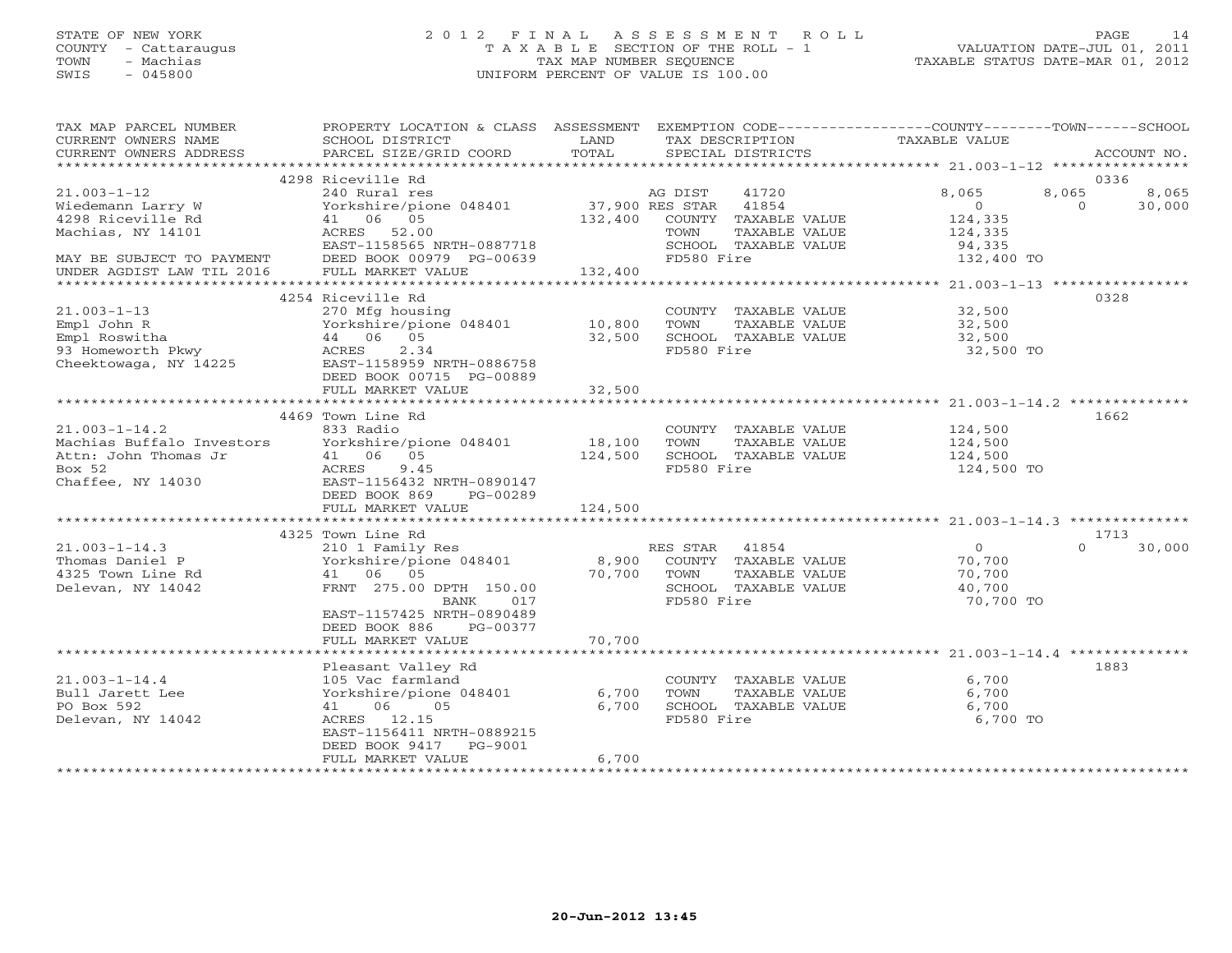# STATE OF NEW YORK 2 0 1 2 F I N A L A S S E S S M E N T R O L L PAGE 14 COUNTY - Cattaraugus T A X A B L E SECTION OF THE ROLL - 1 VALUATION DATE-JUL 01, 2011 TOWN - Machias TAX MAP NUMBER SEQUENCE TAXABLE STATUS DATE-MAR 01, 2012 SWIS - 045800 UNIFORM PERCENT OF VALUE IS 100.00

| TAX MAP PARCEL NUMBER<br>CURRENT OWNERS NAME<br>CURRENT OWNERS ADDRESS | PROPERTY LOCATION & CLASS ASSESSMENT<br>SCHOOL DISTRICT<br>PARCEL SIZE/GRID COORD | LAND<br>TOTAL           | EXEMPTION CODE-----------------COUNTY-------TOWN------SCHOOL<br>TAX DESCRIPTION<br>SPECIAL DISTRICTS | TAXABLE VALUE                                      | ACCOUNT NO.                |
|------------------------------------------------------------------------|-----------------------------------------------------------------------------------|-------------------------|------------------------------------------------------------------------------------------------------|----------------------------------------------------|----------------------------|
|                                                                        |                                                                                   |                         |                                                                                                      |                                                    |                            |
|                                                                        | 4298 Riceville Rd                                                                 |                         |                                                                                                      |                                                    | 0336                       |
| $21.003 - 1 - 12$                                                      | 240 Rural res                                                                     |                         | AG DIST<br>41720                                                                                     | 8,065                                              | 8,065<br>8,065             |
| Wiedemann Larry W                                                      | Yorkshire/pione 048401 37,900 RES STAR                                            |                         | 41854                                                                                                | $\overline{0}$                                     | $\Omega$<br>30,000         |
| 4298 Riceville Rd                                                      | 41 06 05                                                                          |                         | 132,400 COUNTY TAXABLE VALUE                                                                         | 124,335                                            |                            |
| Machias, NY 14101                                                      | ACRES 52.00                                                                       |                         | TOWN<br>TAXABLE VALUE                                                                                | 124,335                                            |                            |
|                                                                        | EAST-1158565 NRTH-0887718                                                         |                         | SCHOOL TAXABLE VALUE                                                                                 | 94,335                                             |                            |
| MAY BE SUBJECT TO PAYMENT                                              | DEED BOOK 00979 PG-00639                                                          |                         | FD580 Fire                                                                                           | 132,400 TO                                         |                            |
| UNDER AGDIST LAW TIL 2016                                              | FULL MARKET VALUE                                                                 | 132,400<br>************ |                                                                                                      | ********************* 21.003-1-13 **************** |                            |
|                                                                        |                                                                                   |                         |                                                                                                      |                                                    |                            |
|                                                                        | 4254 Riceville Rd                                                                 |                         |                                                                                                      |                                                    | 0328                       |
| $21.003 - 1 - 13$                                                      | 270 Mfg housing                                                                   |                         | COUNTY TAXABLE VALUE                                                                                 | 32,500                                             |                            |
| Empl John R                                                            | Yorkshire/pione 048401                                                            | 10,800                  | TOWN<br>TAXABLE VALUE                                                                                | 32,500                                             |                            |
| Empl Roswitha                                                          | 44 06 05                                                                          | 32,500                  | SCHOOL TAXABLE VALUE                                                                                 | 32,500                                             |                            |
| 93 Homeworth Pkwy                                                      | 2.34<br>ACRES                                                                     |                         | FD580 Fire                                                                                           | 32,500 TO                                          |                            |
| Cheektowaga, NY 14225                                                  | EAST-1158959 NRTH-0886758                                                         |                         |                                                                                                      |                                                    |                            |
|                                                                        | DEED BOOK 00715 PG-00889                                                          |                         |                                                                                                      |                                                    |                            |
|                                                                        | FULL MARKET VALUE<br>*************************                                    | 32,500                  |                                                                                                      |                                                    |                            |
|                                                                        |                                                                                   |                         |                                                                                                      |                                                    |                            |
|                                                                        | 4469 Town Line Rd                                                                 |                         |                                                                                                      |                                                    | 1662                       |
| $21.003 - 1 - 14.2$                                                    | 833 Radio                                                                         |                         | COUNTY TAXABLE VALUE                                                                                 | 124,500                                            |                            |
| Machias Buffalo Investors                                              | Yorkshire/pione 048401                                                            | 18,100                  | TOWN<br>TAXABLE VALUE                                                                                | 124,500                                            |                            |
| Attn: John Thomas Jr                                                   | 41 06 05                                                                          | 124,500                 | SCHOOL TAXABLE VALUE                                                                                 | 124,500                                            |                            |
| Box 52<br>Chaffee, NY 14030                                            | ACRES<br>9.45                                                                     |                         | FD580 Fire                                                                                           | 124,500 TO                                         |                            |
|                                                                        | EAST-1156432 NRTH-0890147                                                         |                         |                                                                                                      |                                                    |                            |
|                                                                        | DEED BOOK 869<br>PG-00289                                                         |                         |                                                                                                      |                                                    |                            |
|                                                                        | FULL MARKET VALUE                                                                 | 124,500                 |                                                                                                      |                                                    |                            |
|                                                                        |                                                                                   |                         |                                                                                                      |                                                    |                            |
| $21.003 - 1 - 14.3$                                                    | 4325 Town Line Rd                                                                 |                         | RES STAR<br>41854                                                                                    | $\overline{0}$                                     | 1713<br>$\Omega$<br>30,000 |
| Thomas Daniel P                                                        | 210 1 Family Res<br>Yorkshire/pione 048401                                        |                         |                                                                                                      |                                                    |                            |
|                                                                        |                                                                                   | 8,900<br>70,700         | COUNTY TAXABLE VALUE<br>TOWN                                                                         | 70,700                                             |                            |
| 4325 Town Line Rd                                                      | 41 06 05<br>FRNT 275.00 DPTH 150.00                                               |                         | TAXABLE VALUE                                                                                        | 70,700                                             |                            |
| Delevan, NY 14042                                                      | BANK<br>017                                                                       |                         | SCHOOL TAXABLE VALUE<br>FD580 Fire                                                                   | 40,700<br>70,700 TO                                |                            |
|                                                                        |                                                                                   |                         |                                                                                                      |                                                    |                            |
|                                                                        | EAST-1157425 NRTH-0890489<br>PG-00377                                             |                         |                                                                                                      |                                                    |                            |
|                                                                        | DEED BOOK 886                                                                     |                         |                                                                                                      |                                                    |                            |
|                                                                        | FULL MARKET VALUE                                                                 | 70,700                  |                                                                                                      |                                                    |                            |
|                                                                        |                                                                                   |                         |                                                                                                      |                                                    | 1883                       |
|                                                                        | Pleasant Valley Rd                                                                |                         |                                                                                                      | 6,700                                              |                            |
| $21.003 - 1 - 14.4$                                                    | 105 Vac farmland                                                                  | 6,700                   | COUNTY TAXABLE VALUE                                                                                 | 6,700                                              |                            |
| Bull Jarett Lee<br>PO Box 592                                          | Yorkshire/pione 048401<br>06 05                                                   | 6,700                   | TOWN<br>TAXABLE VALUE<br>SCHOOL TAXABLE VALUE                                                        | 6,700                                              |                            |
| Delevan, NY 14042                                                      | 41<br>ACRES 12.15                                                                 |                         | FD580 Fire                                                                                           | 6,700 TO                                           |                            |
|                                                                        | EAST-1156411 NRTH-0889215                                                         |                         |                                                                                                      |                                                    |                            |
|                                                                        | DEED BOOK 9417 PG-9001                                                            |                         |                                                                                                      |                                                    |                            |
|                                                                        | FULL MARKET VALUE                                                                 | 6,700                   |                                                                                                      |                                                    |                            |
|                                                                        |                                                                                   |                         |                                                                                                      |                                                    |                            |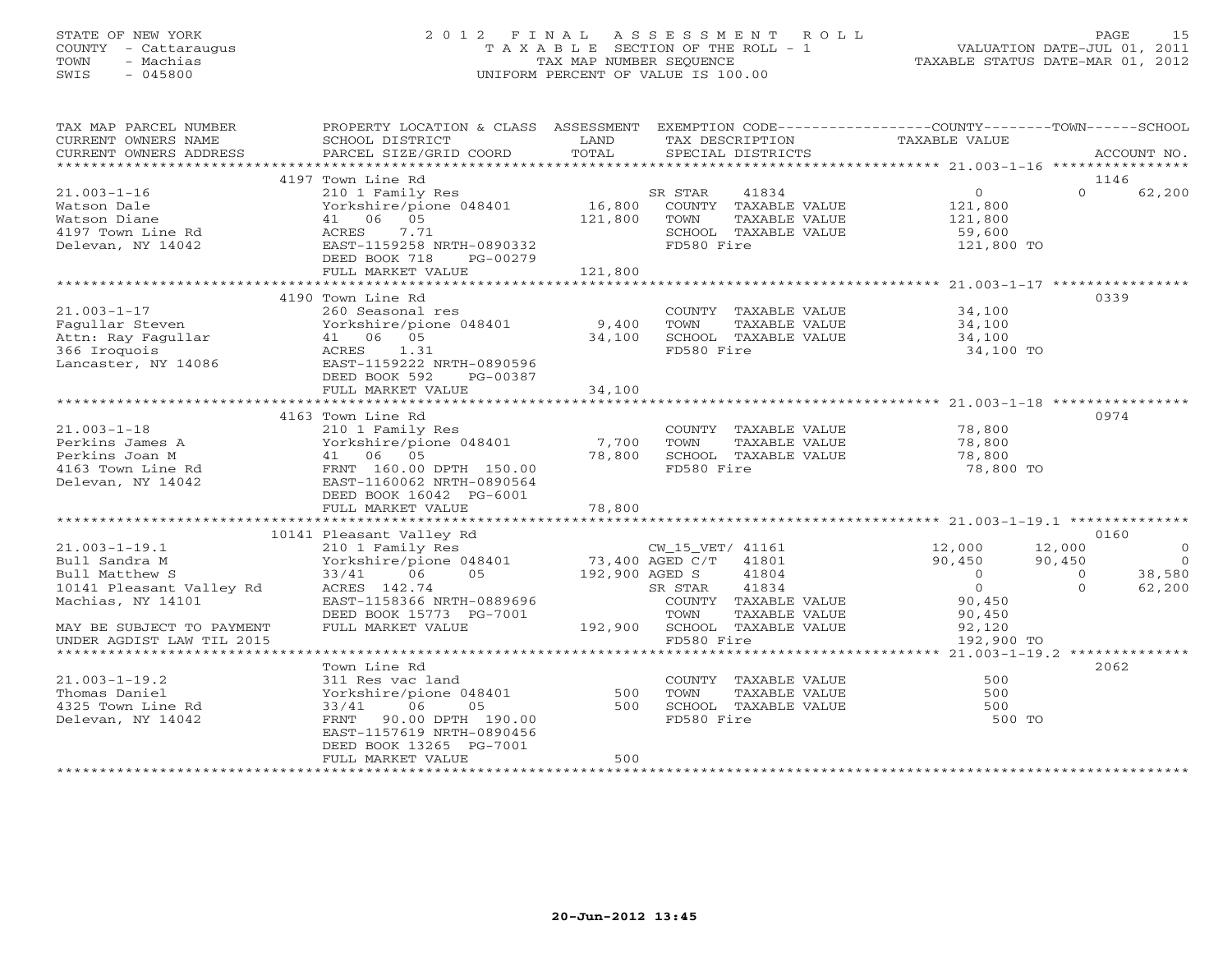### STATE OF NEW YORK 2 0 1 2 F I N A L A S S E S S M E N T R O L L PAGE 15 COUNTY - Cattaraugus T A X A B L E SECTION OF THE ROLL - 1 VALUATION DATE-JUL 01, 2011 TOWN - Machias TAX MAP NUMBER SEQUENCE TAXABLE STATUS DATE-MAR 01, 2012 SWIS - 045800 UNIFORM PERCENT OF VALUE IS 100.00UNIFORM PERCENT OF VALUE IS 100.00

| TAX MAP PARCEL NUMBER                         | PROPERTY LOCATION & CLASS ASSESSMENT           |               | EXEMPTION CODE----------------COUNTY-------TOWN------SCHOOL |                          |                   |                |
|-----------------------------------------------|------------------------------------------------|---------------|-------------------------------------------------------------|--------------------------|-------------------|----------------|
| CURRENT OWNERS NAME<br>CURRENT OWNERS ADDRESS | SCHOOL DISTRICT<br>PARCEL SIZE/GRID COORD      | LAND<br>TOTAL | TAX DESCRIPTION<br>SPECIAL DISTRICTS                        | TAXABLE VALUE            |                   | ACCOUNT NO.    |
|                                               |                                                |               |                                                             |                          |                   |                |
|                                               | 4197 Town Line Rd                              |               |                                                             |                          | 1146              |                |
| $21.003 - 1 - 16$                             | 210 1 Family Res                               |               | SR STAR<br>41834                                            | $\overline{O}$           | $\Omega$          | 62,200         |
| Watson Dale                                   | Yorkshire/pione 048401                         | 16,800        | COUNTY TAXABLE VALUE                                        | 121,800                  |                   |                |
| Watson Diane                                  | 41 06 05                                       | 121,800       | TAXABLE VALUE<br>TOWN                                       | 121,800                  |                   |                |
| 4197 Town Line Rd                             | 7.71<br>ACRES                                  |               | SCHOOL TAXABLE VALUE                                        | 59,600                   |                   |                |
| Delevan, NY 14042                             | EAST-1159258 NRTH-0890332                      |               | FD580 Fire                                                  | 121,800 TO               |                   |                |
|                                               | DEED BOOK 718<br>PG-00279<br>FULL MARKET VALUE | 121,800       |                                                             |                          |                   |                |
|                                               | *********************************              |               |                                                             |                          |                   |                |
|                                               | 4190 Town Line Rd                              |               |                                                             |                          | 0339              |                |
| $21.003 - 1 - 17$                             | 260 Seasonal res                               |               | COUNTY TAXABLE VALUE                                        | 34,100                   |                   |                |
| Fagullar Steven                               | Yorkshire/pione 048401                         | 9,400         | TOWN<br>TAXABLE VALUE                                       | 34,100                   |                   |                |
| Attn: Ray Fagullar                            | 41 06 05                                       | 34,100        | SCHOOL TAXABLE VALUE                                        | 34,100                   |                   |                |
| 366 Iroquois                                  | ACRES<br>1.31                                  |               | FD580 Fire                                                  | 34,100 TO                |                   |                |
| Lancaster, NY 14086                           | EAST-1159222 NRTH-0890596                      |               |                                                             |                          |                   |                |
|                                               | DEED BOOK 592<br>PG-00387                      |               |                                                             |                          |                   |                |
|                                               | FULL MARKET VALUE                              | 34,100        |                                                             |                          |                   |                |
|                                               |                                                |               |                                                             |                          |                   |                |
|                                               | 4163 Town Line Rd                              |               |                                                             |                          | 0974              |                |
| $21.003 - 1 - 18$                             | 210 1 Family Res                               |               | COUNTY TAXABLE VALUE                                        | 78,800                   |                   |                |
| Perkins James A                               | Yorkshire/pione 048401                         | 7,700         | TOWN<br>TAXABLE VALUE                                       | 78,800                   |                   |                |
| Perkins Joan M                                | 41 06 05                                       | 78,800        | SCHOOL TAXABLE VALUE                                        | 78,800                   |                   |                |
| 4163 Town Line Rd                             | FRNT 160.00 DPTH 150.00                        |               | FD580 Fire                                                  | 78,800 TO                |                   |                |
| Delevan, NY 14042                             | EAST-1160062 NRTH-0890564                      |               |                                                             |                          |                   |                |
|                                               | DEED BOOK 16042 PG-6001                        |               |                                                             |                          |                   |                |
|                                               | FULL MARKET VALUE                              | 78,800        |                                                             |                          |                   |                |
|                                               |                                                |               |                                                             |                          |                   |                |
|                                               | 10141 Pleasant Valley Rd                       |               |                                                             |                          | 0160              | $\circ$        |
| $21.003 - 1 - 19.1$                           | 210 1 Family Res<br>Yorkshire/pione 048401     |               | CW_15_VET/ 41161<br>73,400 AGED C/T<br>41801                | 12,000                   | 12,000            | $\overline{0}$ |
| Bull Sandra M<br>Bull Matthew S               | 33/41 06<br>05                                 |               | 192,900 AGED S<br>41804                                     | 90,450<br>$\overline{0}$ | 90,450<br>$\circ$ | 38,580         |
| 10141 Pleasant Valley Rd                      | ACRES 142.74                                   |               | 41834<br>SR STAR                                            | $\overline{0}$           | $\Omega$          | 62,200         |
| Machias, NY 14101                             | EAST-1158366 NRTH-0889696                      |               | COUNTY TAXABLE VALUE                                        | 90,450                   |                   |                |
|                                               | DEED BOOK 15773 PG-7001                        |               | TOWN<br>TAXABLE VALUE                                       | 90,450                   |                   |                |
| MAY BE SUBJECT TO PAYMENT                     | FULL MARKET VALUE                              |               | 192,900 SCHOOL TAXABLE VALUE                                | 92,120                   |                   |                |
| UNDER AGDIST LAW TIL 2015                     |                                                |               | FD580 Fire                                                  | 192,900 TO               |                   |                |
|                                               |                                                |               |                                                             |                          |                   |                |
|                                               | Town Line Rd                                   |               |                                                             |                          | 2062              |                |
| $21.003 - 1 - 19.2$                           | 311 Res vac land                               |               | COUNTY TAXABLE VALUE                                        | 500                      |                   |                |
| Thomas Daniel                                 | Yorkshire/pione 048401                         | 500           | TOWN<br>TAXABLE VALUE                                       | 500                      |                   |                |
| 4325 Town Line Rd                             | 06<br>33/41<br>05                              | 500           | SCHOOL TAXABLE VALUE                                        | 500                      |                   |                |
| Delevan, NY 14042                             | FRNT<br>90.00 DPTH 190.00                      |               | FD580 Fire                                                  | 500 TO                   |                   |                |
|                                               | EAST-1157619 NRTH-0890456                      |               |                                                             |                          |                   |                |
|                                               | DEED BOOK 13265 PG-7001                        |               |                                                             |                          |                   |                |
|                                               | FULL MARKET VALUE                              | 500           |                                                             |                          |                   |                |
|                                               |                                                |               |                                                             |                          |                   |                |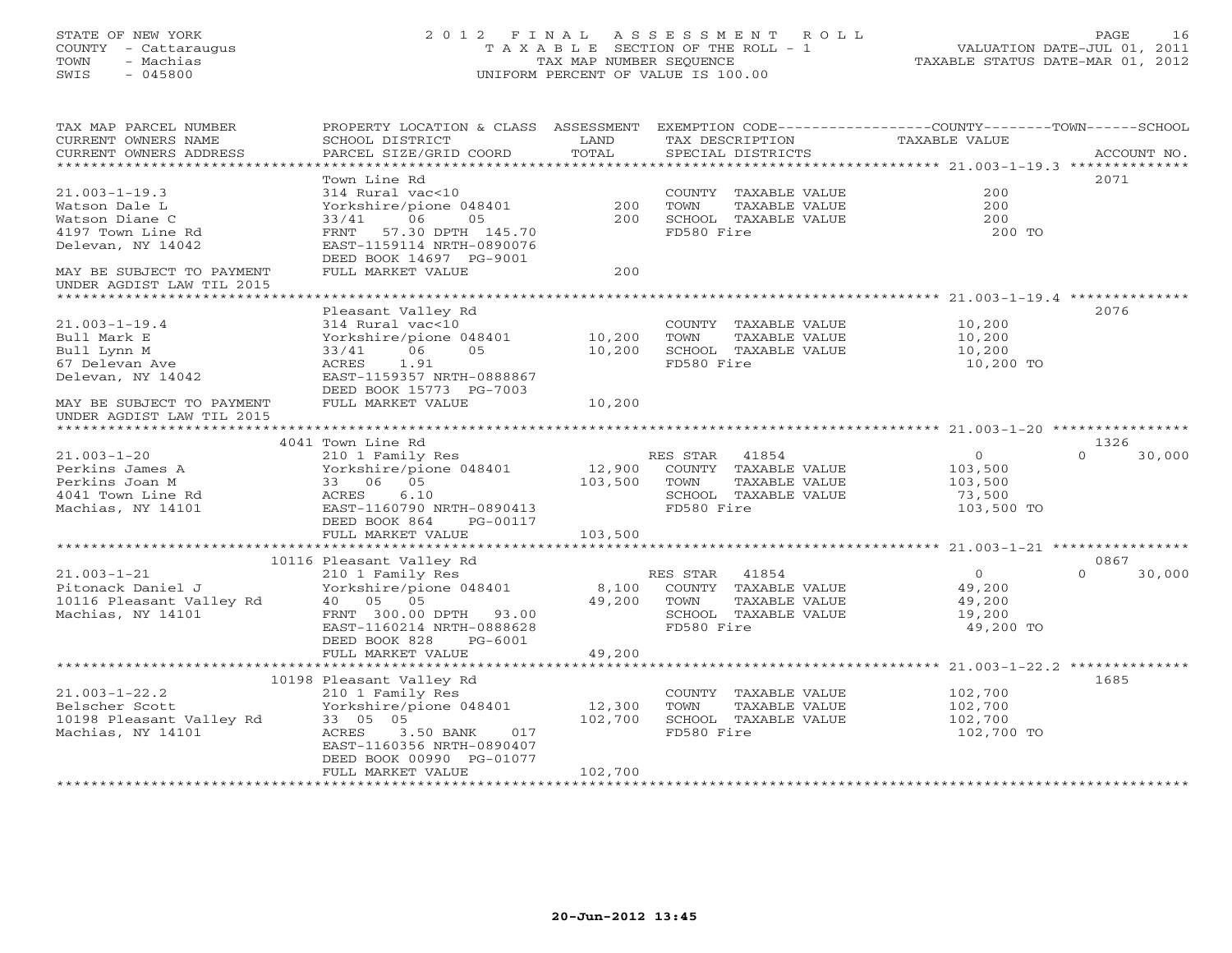## STATE OF NEW YORK 2 0 1 2 F I N A L A S S E S S M E N T R O L L PAGE 16 COUNTY - Cattaraugus T A X A B L E SECTION OF THE ROLL - 1 VALUATION DATE-JUL 01, 2011 TOWN - Machias TAX MAP NUMBER SEQUENCE TAXABLE STATUS DATE-MAR 01, 2012 SWIS - 045800 UNIFORM PERCENT OF VALUE IS 100.00UNIFORM PERCENT OF VALUE IS 100.00

| ACCOUNT NO.<br>******************************<br>2071<br>Town Line Rd<br>200<br>$21.003 - 1 - 19.3$<br>314 Rural vac<10<br>COUNTY TAXABLE VALUE<br>Yorkshire/pione 048401<br>200<br>TOWN<br>TAXABLE VALUE<br>200<br>Watson Dale L<br>06<br>200<br>Watson Diane C<br>05<br>200<br>SCHOOL TAXABLE VALUE<br>33/41<br>57.30 DPTH 145.70<br>FD580 Fire<br>4197 Town Line Rd<br>FRNT<br>200 TO<br>Delevan, NY 14042<br>EAST-1159114 NRTH-0890076<br>DEED BOOK 14697 PG-9001<br>FULL MARKET VALUE<br>200<br>MAY BE SUBJECT TO PAYMENT<br>UNDER AGDIST LAW TIL 2015<br>Pleasant Valley Rd<br>2076<br>$21.003 - 1 - 19.4$<br>314 Rural vac<10<br>COUNTY TAXABLE VALUE<br>10,200<br>Bull Mark E<br>Yorkshire/pione 048401<br>10,200<br>TOWN<br>TAXABLE VALUE<br>10,200<br>10,200<br>SCHOOL TAXABLE VALUE<br>33/41<br>06<br>05<br>10,200<br>Bull Lynn M<br>1.91<br>FD580 Fire<br>67 Delevan Ave<br>ACRES<br>10,200 TO<br>Delevan, NY 14042<br>EAST-1159357 NRTH-0888867<br>DEED BOOK 15773 PG-7003<br>FULL MARKET VALUE<br>10,200<br>MAY BE SUBJECT TO PAYMENT<br>UNDER AGDIST LAW TIL 2015<br>4041 Town Line Rd<br>1326<br>$21.003 - 1 - 20$<br>RES STAR 41854<br>$\circ$<br>$\Omega$<br>30,000<br>210 1 Family Res<br>12,900<br>Perkins James A<br>Yorkshire/pione 048401<br>COUNTY TAXABLE VALUE<br>103,500<br>Perkins Joan M<br>33 06 05<br>103,500<br>TOWN<br>TAXABLE VALUE<br>103,500<br>4041 Town Line Rd<br>ACRES<br>6.10<br>SCHOOL TAXABLE VALUE<br>73,500<br>Machias, NY 14101<br>FD580 Fire<br>EAST-1160790 NRTH-0890413<br>103,500 TO<br>DEED BOOK 864<br>PG-00117<br>103,500<br>FULL MARKET VALUE<br>10116 Pleasant Valley Rd<br>0867<br>$21.003 - 1 - 21$<br>210 1 Family Res<br>RES STAR<br>41854<br>$\overline{O}$<br>$\Omega$<br>30,000<br>Yorkshire/pione 048401<br>Pitonack Daniel J<br>8,100<br>COUNTY TAXABLE VALUE<br>49,200<br>10116 Pleasant Valley Rd<br>40 05 05<br>49,200<br>TOWN<br>TAXABLE VALUE<br>49,200<br>Machias, NY 14101<br>FRNT 300.00 DPTH 93.00<br>SCHOOL TAXABLE VALUE<br>19,200<br>FD580 Fire<br>EAST-1160214 NRTH-0888628<br>49,200 TO<br>DEED BOOK 828<br>PG-6001<br>49,200<br>FULL MARKET VALUE<br>1685<br>10198 Pleasant Valley Rd<br>$21.003 - 1 - 22.2$<br>210 1 Family Res<br>COUNTY TAXABLE VALUE<br>102,700<br>Yorkshire/pione 048401<br>12,300<br>TOWN<br>102,700<br>Belscher Scott<br>TAXABLE VALUE<br>10198 Pleasant Valley Rd<br>33 05 05<br>102,700<br>SCHOOL TAXABLE VALUE<br>102,700<br>FD580 Fire<br>Machias, NY 14101<br>ACRES<br>3.50 BANK<br>017<br>102,700 TO<br>EAST-1160356 NRTH-0890407<br>DEED BOOK 00990 PG-01077<br>FULL MARKET VALUE<br>102,700 | TAX MAP PARCEL NUMBER<br>CURRENT OWNERS NAME | PROPERTY LOCATION & CLASS ASSESSMENT<br>SCHOOL DISTRICT | LAND  | TAX DESCRIPTION   | EXEMPTION CODE-----------------COUNTY-------TOWN------SCHOOL<br>TAXABLE VALUE |
|-----------------------------------------------------------------------------------------------------------------------------------------------------------------------------------------------------------------------------------------------------------------------------------------------------------------------------------------------------------------------------------------------------------------------------------------------------------------------------------------------------------------------------------------------------------------------------------------------------------------------------------------------------------------------------------------------------------------------------------------------------------------------------------------------------------------------------------------------------------------------------------------------------------------------------------------------------------------------------------------------------------------------------------------------------------------------------------------------------------------------------------------------------------------------------------------------------------------------------------------------------------------------------------------------------------------------------------------------------------------------------------------------------------------------------------------------------------------------------------------------------------------------------------------------------------------------------------------------------------------------------------------------------------------------------------------------------------------------------------------------------------------------------------------------------------------------------------------------------------------------------------------------------------------------------------------------------------------------------------------------------------------------------------------------------------------------------------------------------------------------------------------------------------------------------------------------------------------------------------------------------------------------------------------------------------------------------------------------------------------------------------------------------------------------------------------------------------------------------------------------------------------------------------------------------------------------------------------------------------|----------------------------------------------|---------------------------------------------------------|-------|-------------------|-------------------------------------------------------------------------------|
|                                                                                                                                                                                                                                                                                                                                                                                                                                                                                                                                                                                                                                                                                                                                                                                                                                                                                                                                                                                                                                                                                                                                                                                                                                                                                                                                                                                                                                                                                                                                                                                                                                                                                                                                                                                                                                                                                                                                                                                                                                                                                                                                                                                                                                                                                                                                                                                                                                                                                                                                                                                                           | CURRENT OWNERS ADDRESS                       | PARCEL SIZE/GRID COORD                                  | TOTAL | SPECIAL DISTRICTS |                                                                               |
|                                                                                                                                                                                                                                                                                                                                                                                                                                                                                                                                                                                                                                                                                                                                                                                                                                                                                                                                                                                                                                                                                                                                                                                                                                                                                                                                                                                                                                                                                                                                                                                                                                                                                                                                                                                                                                                                                                                                                                                                                                                                                                                                                                                                                                                                                                                                                                                                                                                                                                                                                                                                           |                                              |                                                         |       |                   |                                                                               |
|                                                                                                                                                                                                                                                                                                                                                                                                                                                                                                                                                                                                                                                                                                                                                                                                                                                                                                                                                                                                                                                                                                                                                                                                                                                                                                                                                                                                                                                                                                                                                                                                                                                                                                                                                                                                                                                                                                                                                                                                                                                                                                                                                                                                                                                                                                                                                                                                                                                                                                                                                                                                           |                                              |                                                         |       |                   |                                                                               |
|                                                                                                                                                                                                                                                                                                                                                                                                                                                                                                                                                                                                                                                                                                                                                                                                                                                                                                                                                                                                                                                                                                                                                                                                                                                                                                                                                                                                                                                                                                                                                                                                                                                                                                                                                                                                                                                                                                                                                                                                                                                                                                                                                                                                                                                                                                                                                                                                                                                                                                                                                                                                           |                                              |                                                         |       |                   |                                                                               |
|                                                                                                                                                                                                                                                                                                                                                                                                                                                                                                                                                                                                                                                                                                                                                                                                                                                                                                                                                                                                                                                                                                                                                                                                                                                                                                                                                                                                                                                                                                                                                                                                                                                                                                                                                                                                                                                                                                                                                                                                                                                                                                                                                                                                                                                                                                                                                                                                                                                                                                                                                                                                           |                                              |                                                         |       |                   |                                                                               |
|                                                                                                                                                                                                                                                                                                                                                                                                                                                                                                                                                                                                                                                                                                                                                                                                                                                                                                                                                                                                                                                                                                                                                                                                                                                                                                                                                                                                                                                                                                                                                                                                                                                                                                                                                                                                                                                                                                                                                                                                                                                                                                                                                                                                                                                                                                                                                                                                                                                                                                                                                                                                           |                                              |                                                         |       |                   |                                                                               |
|                                                                                                                                                                                                                                                                                                                                                                                                                                                                                                                                                                                                                                                                                                                                                                                                                                                                                                                                                                                                                                                                                                                                                                                                                                                                                                                                                                                                                                                                                                                                                                                                                                                                                                                                                                                                                                                                                                                                                                                                                                                                                                                                                                                                                                                                                                                                                                                                                                                                                                                                                                                                           |                                              |                                                         |       |                   |                                                                               |
|                                                                                                                                                                                                                                                                                                                                                                                                                                                                                                                                                                                                                                                                                                                                                                                                                                                                                                                                                                                                                                                                                                                                                                                                                                                                                                                                                                                                                                                                                                                                                                                                                                                                                                                                                                                                                                                                                                                                                                                                                                                                                                                                                                                                                                                                                                                                                                                                                                                                                                                                                                                                           |                                              |                                                         |       |                   |                                                                               |
|                                                                                                                                                                                                                                                                                                                                                                                                                                                                                                                                                                                                                                                                                                                                                                                                                                                                                                                                                                                                                                                                                                                                                                                                                                                                                                                                                                                                                                                                                                                                                                                                                                                                                                                                                                                                                                                                                                                                                                                                                                                                                                                                                                                                                                                                                                                                                                                                                                                                                                                                                                                                           |                                              |                                                         |       |                   |                                                                               |
|                                                                                                                                                                                                                                                                                                                                                                                                                                                                                                                                                                                                                                                                                                                                                                                                                                                                                                                                                                                                                                                                                                                                                                                                                                                                                                                                                                                                                                                                                                                                                                                                                                                                                                                                                                                                                                                                                                                                                                                                                                                                                                                                                                                                                                                                                                                                                                                                                                                                                                                                                                                                           |                                              |                                                         |       |                   |                                                                               |
|                                                                                                                                                                                                                                                                                                                                                                                                                                                                                                                                                                                                                                                                                                                                                                                                                                                                                                                                                                                                                                                                                                                                                                                                                                                                                                                                                                                                                                                                                                                                                                                                                                                                                                                                                                                                                                                                                                                                                                                                                                                                                                                                                                                                                                                                                                                                                                                                                                                                                                                                                                                                           |                                              |                                                         |       |                   |                                                                               |
|                                                                                                                                                                                                                                                                                                                                                                                                                                                                                                                                                                                                                                                                                                                                                                                                                                                                                                                                                                                                                                                                                                                                                                                                                                                                                                                                                                                                                                                                                                                                                                                                                                                                                                                                                                                                                                                                                                                                                                                                                                                                                                                                                                                                                                                                                                                                                                                                                                                                                                                                                                                                           |                                              |                                                         |       |                   |                                                                               |
|                                                                                                                                                                                                                                                                                                                                                                                                                                                                                                                                                                                                                                                                                                                                                                                                                                                                                                                                                                                                                                                                                                                                                                                                                                                                                                                                                                                                                                                                                                                                                                                                                                                                                                                                                                                                                                                                                                                                                                                                                                                                                                                                                                                                                                                                                                                                                                                                                                                                                                                                                                                                           |                                              |                                                         |       |                   |                                                                               |
|                                                                                                                                                                                                                                                                                                                                                                                                                                                                                                                                                                                                                                                                                                                                                                                                                                                                                                                                                                                                                                                                                                                                                                                                                                                                                                                                                                                                                                                                                                                                                                                                                                                                                                                                                                                                                                                                                                                                                                                                                                                                                                                                                                                                                                                                                                                                                                                                                                                                                                                                                                                                           |                                              |                                                         |       |                   |                                                                               |
|                                                                                                                                                                                                                                                                                                                                                                                                                                                                                                                                                                                                                                                                                                                                                                                                                                                                                                                                                                                                                                                                                                                                                                                                                                                                                                                                                                                                                                                                                                                                                                                                                                                                                                                                                                                                                                                                                                                                                                                                                                                                                                                                                                                                                                                                                                                                                                                                                                                                                                                                                                                                           |                                              |                                                         |       |                   |                                                                               |
|                                                                                                                                                                                                                                                                                                                                                                                                                                                                                                                                                                                                                                                                                                                                                                                                                                                                                                                                                                                                                                                                                                                                                                                                                                                                                                                                                                                                                                                                                                                                                                                                                                                                                                                                                                                                                                                                                                                                                                                                                                                                                                                                                                                                                                                                                                                                                                                                                                                                                                                                                                                                           |                                              |                                                         |       |                   |                                                                               |
|                                                                                                                                                                                                                                                                                                                                                                                                                                                                                                                                                                                                                                                                                                                                                                                                                                                                                                                                                                                                                                                                                                                                                                                                                                                                                                                                                                                                                                                                                                                                                                                                                                                                                                                                                                                                                                                                                                                                                                                                                                                                                                                                                                                                                                                                                                                                                                                                                                                                                                                                                                                                           |                                              |                                                         |       |                   |                                                                               |
|                                                                                                                                                                                                                                                                                                                                                                                                                                                                                                                                                                                                                                                                                                                                                                                                                                                                                                                                                                                                                                                                                                                                                                                                                                                                                                                                                                                                                                                                                                                                                                                                                                                                                                                                                                                                                                                                                                                                                                                                                                                                                                                                                                                                                                                                                                                                                                                                                                                                                                                                                                                                           |                                              |                                                         |       |                   |                                                                               |
|                                                                                                                                                                                                                                                                                                                                                                                                                                                                                                                                                                                                                                                                                                                                                                                                                                                                                                                                                                                                                                                                                                                                                                                                                                                                                                                                                                                                                                                                                                                                                                                                                                                                                                                                                                                                                                                                                                                                                                                                                                                                                                                                                                                                                                                                                                                                                                                                                                                                                                                                                                                                           |                                              |                                                         |       |                   |                                                                               |
|                                                                                                                                                                                                                                                                                                                                                                                                                                                                                                                                                                                                                                                                                                                                                                                                                                                                                                                                                                                                                                                                                                                                                                                                                                                                                                                                                                                                                                                                                                                                                                                                                                                                                                                                                                                                                                                                                                                                                                                                                                                                                                                                                                                                                                                                                                                                                                                                                                                                                                                                                                                                           |                                              |                                                         |       |                   |                                                                               |
|                                                                                                                                                                                                                                                                                                                                                                                                                                                                                                                                                                                                                                                                                                                                                                                                                                                                                                                                                                                                                                                                                                                                                                                                                                                                                                                                                                                                                                                                                                                                                                                                                                                                                                                                                                                                                                                                                                                                                                                                                                                                                                                                                                                                                                                                                                                                                                                                                                                                                                                                                                                                           |                                              |                                                         |       |                   |                                                                               |
|                                                                                                                                                                                                                                                                                                                                                                                                                                                                                                                                                                                                                                                                                                                                                                                                                                                                                                                                                                                                                                                                                                                                                                                                                                                                                                                                                                                                                                                                                                                                                                                                                                                                                                                                                                                                                                                                                                                                                                                                                                                                                                                                                                                                                                                                                                                                                                                                                                                                                                                                                                                                           |                                              |                                                         |       |                   |                                                                               |
|                                                                                                                                                                                                                                                                                                                                                                                                                                                                                                                                                                                                                                                                                                                                                                                                                                                                                                                                                                                                                                                                                                                                                                                                                                                                                                                                                                                                                                                                                                                                                                                                                                                                                                                                                                                                                                                                                                                                                                                                                                                                                                                                                                                                                                                                                                                                                                                                                                                                                                                                                                                                           |                                              |                                                         |       |                   |                                                                               |
|                                                                                                                                                                                                                                                                                                                                                                                                                                                                                                                                                                                                                                                                                                                                                                                                                                                                                                                                                                                                                                                                                                                                                                                                                                                                                                                                                                                                                                                                                                                                                                                                                                                                                                                                                                                                                                                                                                                                                                                                                                                                                                                                                                                                                                                                                                                                                                                                                                                                                                                                                                                                           |                                              |                                                         |       |                   |                                                                               |
|                                                                                                                                                                                                                                                                                                                                                                                                                                                                                                                                                                                                                                                                                                                                                                                                                                                                                                                                                                                                                                                                                                                                                                                                                                                                                                                                                                                                                                                                                                                                                                                                                                                                                                                                                                                                                                                                                                                                                                                                                                                                                                                                                                                                                                                                                                                                                                                                                                                                                                                                                                                                           |                                              |                                                         |       |                   |                                                                               |
|                                                                                                                                                                                                                                                                                                                                                                                                                                                                                                                                                                                                                                                                                                                                                                                                                                                                                                                                                                                                                                                                                                                                                                                                                                                                                                                                                                                                                                                                                                                                                                                                                                                                                                                                                                                                                                                                                                                                                                                                                                                                                                                                                                                                                                                                                                                                                                                                                                                                                                                                                                                                           |                                              |                                                         |       |                   |                                                                               |
|                                                                                                                                                                                                                                                                                                                                                                                                                                                                                                                                                                                                                                                                                                                                                                                                                                                                                                                                                                                                                                                                                                                                                                                                                                                                                                                                                                                                                                                                                                                                                                                                                                                                                                                                                                                                                                                                                                                                                                                                                                                                                                                                                                                                                                                                                                                                                                                                                                                                                                                                                                                                           |                                              |                                                         |       |                   |                                                                               |
|                                                                                                                                                                                                                                                                                                                                                                                                                                                                                                                                                                                                                                                                                                                                                                                                                                                                                                                                                                                                                                                                                                                                                                                                                                                                                                                                                                                                                                                                                                                                                                                                                                                                                                                                                                                                                                                                                                                                                                                                                                                                                                                                                                                                                                                                                                                                                                                                                                                                                                                                                                                                           |                                              |                                                         |       |                   |                                                                               |
|                                                                                                                                                                                                                                                                                                                                                                                                                                                                                                                                                                                                                                                                                                                                                                                                                                                                                                                                                                                                                                                                                                                                                                                                                                                                                                                                                                                                                                                                                                                                                                                                                                                                                                                                                                                                                                                                                                                                                                                                                                                                                                                                                                                                                                                                                                                                                                                                                                                                                                                                                                                                           |                                              |                                                         |       |                   |                                                                               |
|                                                                                                                                                                                                                                                                                                                                                                                                                                                                                                                                                                                                                                                                                                                                                                                                                                                                                                                                                                                                                                                                                                                                                                                                                                                                                                                                                                                                                                                                                                                                                                                                                                                                                                                                                                                                                                                                                                                                                                                                                                                                                                                                                                                                                                                                                                                                                                                                                                                                                                                                                                                                           |                                              |                                                         |       |                   |                                                                               |
|                                                                                                                                                                                                                                                                                                                                                                                                                                                                                                                                                                                                                                                                                                                                                                                                                                                                                                                                                                                                                                                                                                                                                                                                                                                                                                                                                                                                                                                                                                                                                                                                                                                                                                                                                                                                                                                                                                                                                                                                                                                                                                                                                                                                                                                                                                                                                                                                                                                                                                                                                                                                           |                                              |                                                         |       |                   |                                                                               |
|                                                                                                                                                                                                                                                                                                                                                                                                                                                                                                                                                                                                                                                                                                                                                                                                                                                                                                                                                                                                                                                                                                                                                                                                                                                                                                                                                                                                                                                                                                                                                                                                                                                                                                                                                                                                                                                                                                                                                                                                                                                                                                                                                                                                                                                                                                                                                                                                                                                                                                                                                                                                           |                                              |                                                         |       |                   |                                                                               |
|                                                                                                                                                                                                                                                                                                                                                                                                                                                                                                                                                                                                                                                                                                                                                                                                                                                                                                                                                                                                                                                                                                                                                                                                                                                                                                                                                                                                                                                                                                                                                                                                                                                                                                                                                                                                                                                                                                                                                                                                                                                                                                                                                                                                                                                                                                                                                                                                                                                                                                                                                                                                           |                                              |                                                         |       |                   |                                                                               |
|                                                                                                                                                                                                                                                                                                                                                                                                                                                                                                                                                                                                                                                                                                                                                                                                                                                                                                                                                                                                                                                                                                                                                                                                                                                                                                                                                                                                                                                                                                                                                                                                                                                                                                                                                                                                                                                                                                                                                                                                                                                                                                                                                                                                                                                                                                                                                                                                                                                                                                                                                                                                           |                                              |                                                         |       |                   |                                                                               |
|                                                                                                                                                                                                                                                                                                                                                                                                                                                                                                                                                                                                                                                                                                                                                                                                                                                                                                                                                                                                                                                                                                                                                                                                                                                                                                                                                                                                                                                                                                                                                                                                                                                                                                                                                                                                                                                                                                                                                                                                                                                                                                                                                                                                                                                                                                                                                                                                                                                                                                                                                                                                           |                                              |                                                         |       |                   |                                                                               |
|                                                                                                                                                                                                                                                                                                                                                                                                                                                                                                                                                                                                                                                                                                                                                                                                                                                                                                                                                                                                                                                                                                                                                                                                                                                                                                                                                                                                                                                                                                                                                                                                                                                                                                                                                                                                                                                                                                                                                                                                                                                                                                                                                                                                                                                                                                                                                                                                                                                                                                                                                                                                           |                                              |                                                         |       |                   |                                                                               |
|                                                                                                                                                                                                                                                                                                                                                                                                                                                                                                                                                                                                                                                                                                                                                                                                                                                                                                                                                                                                                                                                                                                                                                                                                                                                                                                                                                                                                                                                                                                                                                                                                                                                                                                                                                                                                                                                                                                                                                                                                                                                                                                                                                                                                                                                                                                                                                                                                                                                                                                                                                                                           |                                              |                                                         |       |                   |                                                                               |
|                                                                                                                                                                                                                                                                                                                                                                                                                                                                                                                                                                                                                                                                                                                                                                                                                                                                                                                                                                                                                                                                                                                                                                                                                                                                                                                                                                                                                                                                                                                                                                                                                                                                                                                                                                                                                                                                                                                                                                                                                                                                                                                                                                                                                                                                                                                                                                                                                                                                                                                                                                                                           |                                              |                                                         |       |                   |                                                                               |
|                                                                                                                                                                                                                                                                                                                                                                                                                                                                                                                                                                                                                                                                                                                                                                                                                                                                                                                                                                                                                                                                                                                                                                                                                                                                                                                                                                                                                                                                                                                                                                                                                                                                                                                                                                                                                                                                                                                                                                                                                                                                                                                                                                                                                                                                                                                                                                                                                                                                                                                                                                                                           |                                              |                                                         |       |                   |                                                                               |
|                                                                                                                                                                                                                                                                                                                                                                                                                                                                                                                                                                                                                                                                                                                                                                                                                                                                                                                                                                                                                                                                                                                                                                                                                                                                                                                                                                                                                                                                                                                                                                                                                                                                                                                                                                                                                                                                                                                                                                                                                                                                                                                                                                                                                                                                                                                                                                                                                                                                                                                                                                                                           |                                              |                                                         |       |                   |                                                                               |
|                                                                                                                                                                                                                                                                                                                                                                                                                                                                                                                                                                                                                                                                                                                                                                                                                                                                                                                                                                                                                                                                                                                                                                                                                                                                                                                                                                                                                                                                                                                                                                                                                                                                                                                                                                                                                                                                                                                                                                                                                                                                                                                                                                                                                                                                                                                                                                                                                                                                                                                                                                                                           |                                              |                                                         |       |                   |                                                                               |
|                                                                                                                                                                                                                                                                                                                                                                                                                                                                                                                                                                                                                                                                                                                                                                                                                                                                                                                                                                                                                                                                                                                                                                                                                                                                                                                                                                                                                                                                                                                                                                                                                                                                                                                                                                                                                                                                                                                                                                                                                                                                                                                                                                                                                                                                                                                                                                                                                                                                                                                                                                                                           |                                              |                                                         |       |                   |                                                                               |
|                                                                                                                                                                                                                                                                                                                                                                                                                                                                                                                                                                                                                                                                                                                                                                                                                                                                                                                                                                                                                                                                                                                                                                                                                                                                                                                                                                                                                                                                                                                                                                                                                                                                                                                                                                                                                                                                                                                                                                                                                                                                                                                                                                                                                                                                                                                                                                                                                                                                                                                                                                                                           |                                              |                                                         |       |                   |                                                                               |
|                                                                                                                                                                                                                                                                                                                                                                                                                                                                                                                                                                                                                                                                                                                                                                                                                                                                                                                                                                                                                                                                                                                                                                                                                                                                                                                                                                                                                                                                                                                                                                                                                                                                                                                                                                                                                                                                                                                                                                                                                                                                                                                                                                                                                                                                                                                                                                                                                                                                                                                                                                                                           |                                              |                                                         |       |                   |                                                                               |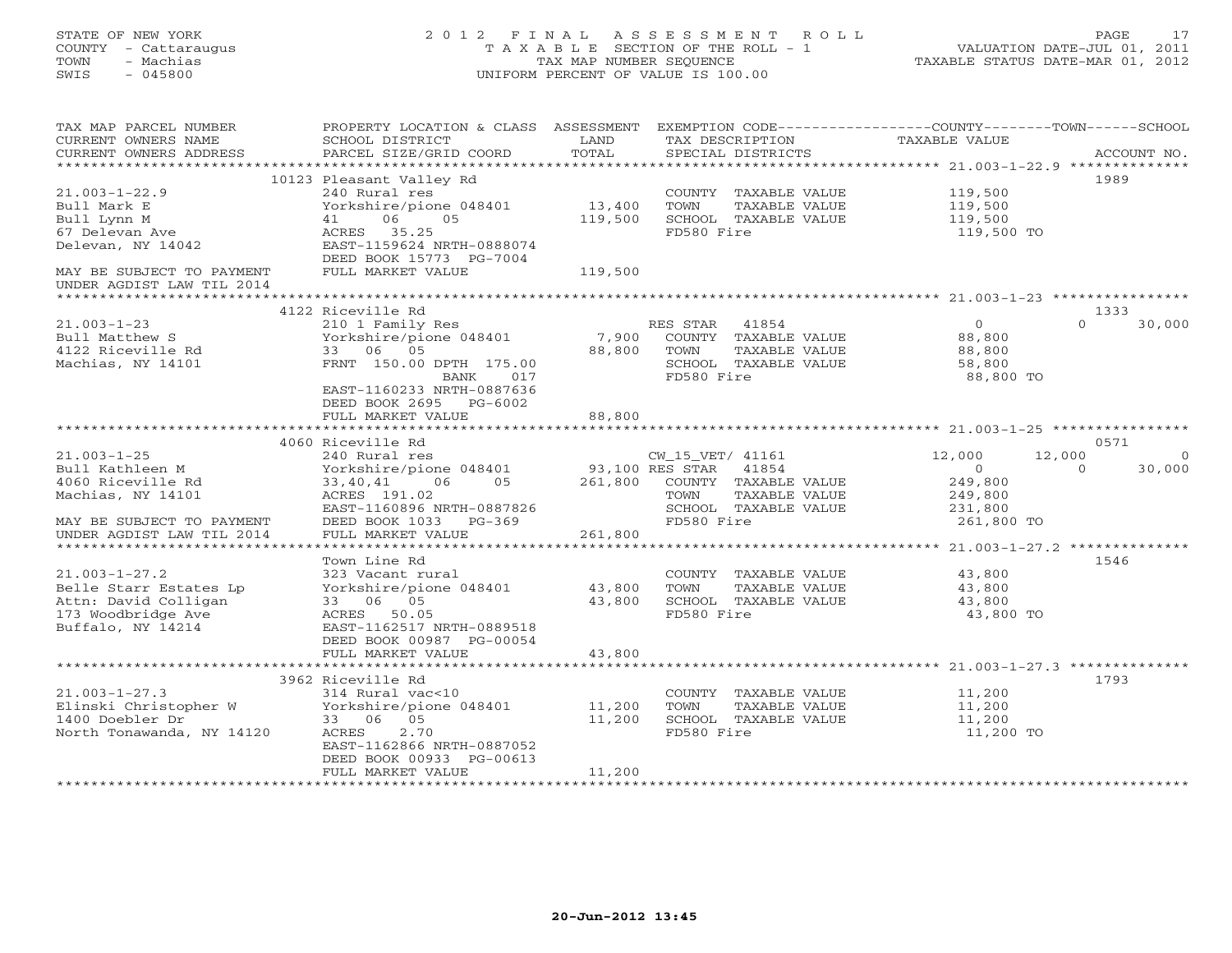## STATE OF NEW YORK 2 0 1 2 F I N A L A S S E S S M E N T R O L L PAGE 17 COUNTY - Cattaraugus T A X A B L E SECTION OF THE ROLL - 1 VALUATION DATE-JUL 01, 2011 TOWN - Machias TAX MAP NUMBER SEQUENCE TAXABLE STATUS DATE-MAR 01, 2012 SWIS - 045800 UNIFORM PERCENT OF VALUE IS 100.00UNIFORM PERCENT OF VALUE IS 100.00

| TAX MAP PARCEL NUMBER<br>CURRENT OWNERS NAME<br>CURRENT OWNERS ADDRESS | PROPERTY LOCATION & CLASS ASSESSMENT<br>SCHOOL DISTRICT<br>PARCEL SIZE/GRID COORD | LAND<br>TOTAL   | TAX DESCRIPTION<br>SPECIAL DISTRICTS | EXEMPTION CODE-----------------COUNTY-------TOWN------SCHOOL<br><b>TAXABLE VALUE</b> | ACCOUNT NO. |
|------------------------------------------------------------------------|-----------------------------------------------------------------------------------|-----------------|--------------------------------------|--------------------------------------------------------------------------------------|-------------|
| ********************                                                   |                                                                                   |                 |                                      |                                                                                      |             |
|                                                                        | 10123 Pleasant Valley Rd                                                          |                 |                                      |                                                                                      | 1989        |
| $21.003 - 1 - 22.9$                                                    | 240 Rural res                                                                     |                 | COUNTY TAXABLE VALUE                 | 119,500                                                                              |             |
| Bull Mark E                                                            | Yorkshire/pione 048401                                                            | 13,400          | TOWN<br>TAXABLE VALUE                | 119,500                                                                              |             |
| Bull Lynn M                                                            | 06<br>05<br>41                                                                    | 119,500         | SCHOOL TAXABLE VALUE                 | 119,500                                                                              |             |
| 67 Delevan Ave                                                         | ACRES 35.25                                                                       |                 | FD580 Fire                           | 119,500 TO                                                                           |             |
| Delevan, NY 14042                                                      | EAST-1159624 NRTH-0888074                                                         |                 |                                      |                                                                                      |             |
|                                                                        | DEED BOOK 15773 PG-7004                                                           |                 |                                      |                                                                                      |             |
| MAY BE SUBJECT TO PAYMENT                                              | FULL MARKET VALUE                                                                 | 119,500         |                                      |                                                                                      |             |
| UNDER AGDIST LAW TIL 2014                                              |                                                                                   |                 |                                      |                                                                                      |             |
|                                                                        |                                                                                   |                 |                                      |                                                                                      |             |
|                                                                        | 4122 Riceville Rd                                                                 |                 |                                      |                                                                                      | 1333        |
| $21.003 - 1 - 23$                                                      | 210 1 Family Res                                                                  |                 | RES STAR<br>41854                    | $\circ$<br>$\Omega$                                                                  | 30,000      |
| Bull Matthew S                                                         | Yorkshire/pione 048401                                                            | 7,900           | COUNTY TAXABLE VALUE                 | 88,800                                                                               |             |
| 4122 Riceville Rd                                                      | 33 06 05                                                                          | 88,800          | TOWN<br>TAXABLE VALUE                | 88,800                                                                               |             |
| Machias, NY 14101                                                      | FRNT 150.00 DPTH 175.00                                                           |                 | SCHOOL TAXABLE VALUE                 | 58,800                                                                               |             |
|                                                                        | BANK<br>017                                                                       |                 | FD580 Fire                           | 88,800 TO                                                                            |             |
|                                                                        | EAST-1160233 NRTH-0887636                                                         |                 |                                      |                                                                                      |             |
|                                                                        | DEED BOOK 2695<br>$PG-6002$                                                       |                 |                                      |                                                                                      |             |
|                                                                        | FULL MARKET VALUE                                                                 | 88,800          |                                      |                                                                                      |             |
|                                                                        |                                                                                   |                 |                                      |                                                                                      |             |
|                                                                        | 4060 Riceville Rd                                                                 |                 |                                      |                                                                                      | 0571        |
| $21.003 - 1 - 25$                                                      | 240 Rural res                                                                     |                 | CW_15_VET/ 41161                     | 12,000<br>12,000                                                                     | $\Omega$    |
| Bull Kathleen M                                                        | Yorkshire/pione 048401                                                            | 93,100 RES STAR | 41854                                | $\overline{0}$<br>$\Omega$                                                           | 30,000      |
| 4060 Riceville Rd                                                      | 06<br>05<br>33,40,41                                                              | 261,800         | COUNTY TAXABLE VALUE                 | 249,800                                                                              |             |
| Machias, NY 14101                                                      | ACRES 191.02                                                                      |                 | TOWN<br>TAXABLE VALUE                | 249,800                                                                              |             |
|                                                                        | EAST-1160896 NRTH-0887826                                                         |                 | SCHOOL TAXABLE VALUE                 | 231,800                                                                              |             |
| MAY BE SUBJECT TO PAYMENT                                              | DEED BOOK 1033<br>PG-369                                                          |                 | FD580 Fire                           | 261,800 TO                                                                           |             |
| UNDER AGDIST LAW TIL 2014                                              | FULL MARKET VALUE                                                                 | 261,800         |                                      |                                                                                      |             |
|                                                                        |                                                                                   |                 |                                      |                                                                                      |             |
|                                                                        | Town Line Rd                                                                      |                 |                                      |                                                                                      | 1546        |
| $21.003 - 1 - 27.2$                                                    | 323 Vacant rural                                                                  |                 | COUNTY TAXABLE VALUE                 | 43,800                                                                               |             |
| Belle Starr Estates Lp                                                 | Yorkshire/pione 048401                                                            | 43,800          | TAXABLE VALUE<br>TOWN                | 43,800                                                                               |             |
| Attn: David Colligan                                                   | 33 06 05                                                                          | 43,800          | SCHOOL TAXABLE VALUE                 | 43,800                                                                               |             |
| 173 Woodbridge Ave<br>Buffalo, NY 14214                                | ACRES 50.05<br>EAST-1162517 NRTH-0889518                                          |                 | FD580 Fire                           | 43,800 TO                                                                            |             |
|                                                                        |                                                                                   |                 |                                      |                                                                                      |             |
|                                                                        | DEED BOOK 00987 PG-00054<br>FULL MARKET VALUE                                     | 43,800          |                                      |                                                                                      |             |
|                                                                        |                                                                                   | **********      |                                      |                                                                                      |             |
|                                                                        | 3962 Riceville Rd                                                                 |                 |                                      |                                                                                      | 1793        |
| $21.003 - 1 - 27.3$                                                    | 314 Rural vac<10                                                                  |                 | COUNTY TAXABLE VALUE                 | 11,200                                                                               |             |
| Elinski Christopher W                                                  | Yorkshire/pione 048401                                                            | 11,200          | TOWN<br>TAXABLE VALUE                | 11,200                                                                               |             |
| 1400 Doebler Dr                                                        | 33 06 05                                                                          | 11,200          | SCHOOL TAXABLE VALUE                 | 11,200                                                                               |             |
| North Tonawanda, NY 14120                                              | 2.70<br>ACRES                                                                     |                 | FD580 Fire                           | 11,200 TO                                                                            |             |
|                                                                        | EAST-1162866 NRTH-0887052                                                         |                 |                                      |                                                                                      |             |
|                                                                        | DEED BOOK 00933 PG-00613                                                          |                 |                                      |                                                                                      |             |
|                                                                        | FULL MARKET VALUE                                                                 | 11,200          |                                      |                                                                                      |             |
|                                                                        |                                                                                   |                 |                                      |                                                                                      |             |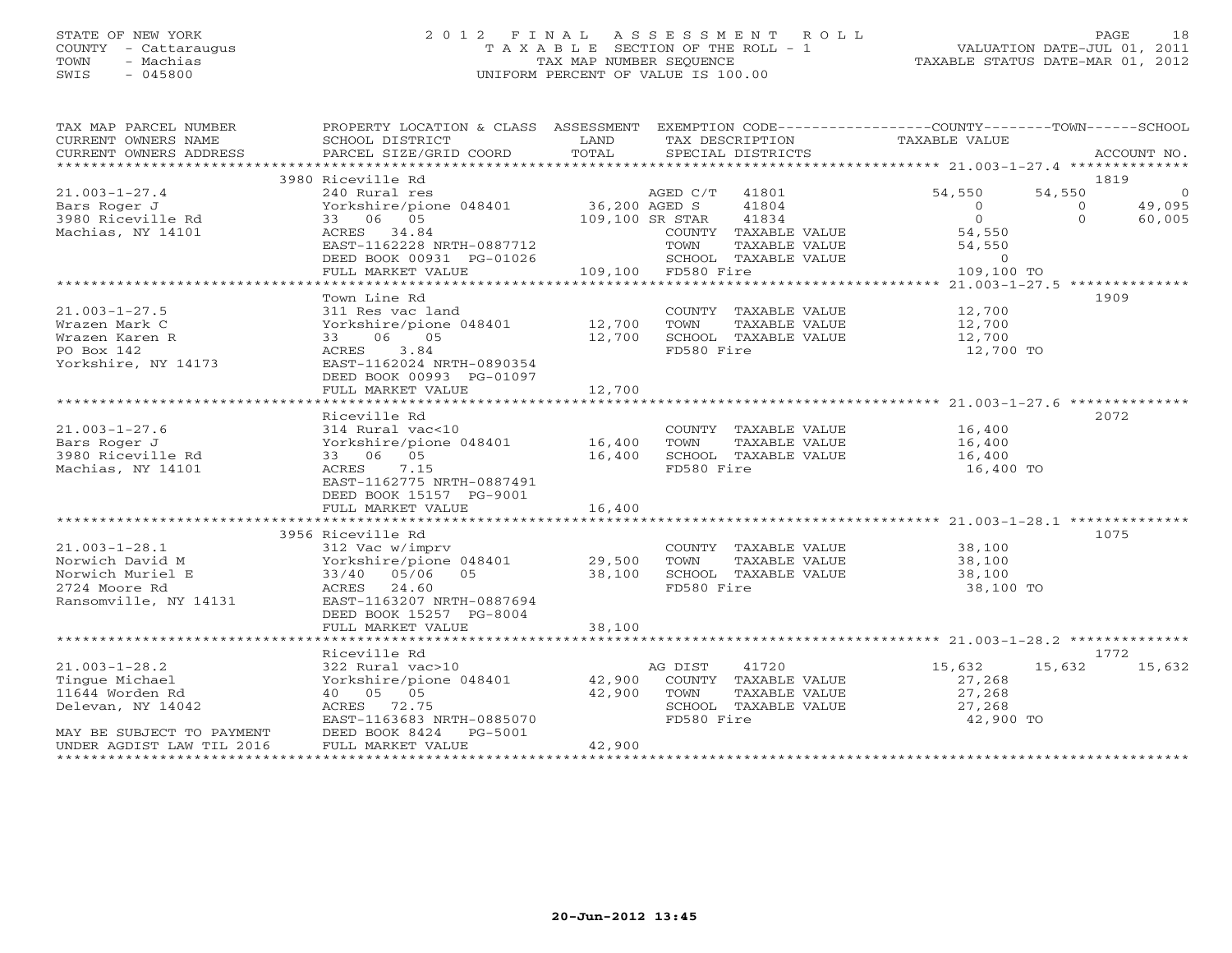### STATE OF NEW YORK 2 0 1 2 F I N A L A S S E S S M E N T R O L L PAGE 18 COUNTY - Cattaraugus T A X A B L E SECTION OF THE ROLL - 1 VALUATION DATE-JUL 01, 2011 TOWN - Machias TAX MAP NUMBER SEQUENCE TAXABLE STATUS DATE-MAR 01, 2012 SWIS - 045800 UNIFORM PERCENT OF VALUE IS 100.00UNIFORM PERCENT OF VALUE IS 100.00

| TAX MAP PARCEL NUMBER<br>CURRENT OWNERS NAME<br>CURRENT OWNERS ADDRESS | PROPERTY LOCATION & CLASS ASSESSMENT EXEMPTION CODE---------------COUNTY-------TOWN------SCHOOL<br>SCHOOL DISTRICT<br>PARCEL SIZE/GRID COORD | LAND<br>TOTAL   |                    | TAX DESCRIPTION<br>SPECIAL DISTRICTS | TAXABLE VALUE  |          | ACCOUNT NO.    |
|------------------------------------------------------------------------|----------------------------------------------------------------------------------------------------------------------------------------------|-----------------|--------------------|--------------------------------------|----------------|----------|----------------|
|                                                                        |                                                                                                                                              |                 |                    |                                      |                |          |                |
|                                                                        | 3980 Riceville Rd                                                                                                                            |                 |                    |                                      |                | 1819     |                |
| $21.003 - 1 - 27.4$                                                    | 240 Rural res                                                                                                                                |                 | AGED C/T           | 41801                                | 54,550         | 54,550   | $\overline{0}$ |
| Bars Roger J                                                           | Yorkshire/pione 048401                                                                                                                       | 36,200 AGED S   |                    | 41804                                | $\overline{0}$ | $\Omega$ | 49,095         |
| 3980 Riceville Rd                                                      | 33 06 05                                                                                                                                     | 109,100 SR STAR |                    | 41834                                | $\overline{0}$ | $\Omega$ | 60,005         |
| Machias, NY 14101                                                      | ACRES 34.84                                                                                                                                  |                 |                    | COUNTY TAXABLE VALUE                 | 54,550         |          |                |
|                                                                        | EAST-1162228 NRTH-0887712                                                                                                                    |                 | TOWN               | TAXABLE VALUE                        | 54,550         |          |                |
|                                                                        | DEED BOOK 00931 PG-01026                                                                                                                     |                 |                    | SCHOOL TAXABLE VALUE                 | $\circ$        |          |                |
|                                                                        | FULL MARKET VALUE                                                                                                                            |                 | 109,100 FD580 Fire |                                      | 109,100 TO     |          |                |
|                                                                        |                                                                                                                                              |                 |                    |                                      |                |          |                |
|                                                                        | Town Line Rd                                                                                                                                 |                 |                    |                                      |                | 1909     |                |
| $21.003 - 1 - 27.5$                                                    | 311 Res vac land                                                                                                                             |                 |                    | COUNTY TAXABLE VALUE                 | 12,700         |          |                |
| Wrazen Mark C                                                          | Yorkshire/pione 048401                                                                                                                       | 12,700          | TOWN               | TAXABLE VALUE                        | 12,700         |          |                |
| Wrazen Karen R                                                         | 06 05<br>33                                                                                                                                  | 12,700          |                    | SCHOOL TAXABLE VALUE                 | 12,700         |          |                |
| PO Box 142                                                             | 3.84<br>ACRES                                                                                                                                |                 | FD580 Fire         |                                      | 12,700 TO      |          |                |
| Yorkshire, NY 14173                                                    | EAST-1162024 NRTH-0890354                                                                                                                    |                 |                    |                                      |                |          |                |
|                                                                        | DEED BOOK 00993 PG-01097                                                                                                                     |                 |                    |                                      |                |          |                |
|                                                                        | FULL MARKET VALUE                                                                                                                            | 12,700          |                    |                                      |                |          |                |
|                                                                        |                                                                                                                                              |                 |                    |                                      |                |          |                |
|                                                                        | Riceville Rd                                                                                                                                 |                 |                    |                                      |                | 2072     |                |
| $21.003 - 1 - 27.6$                                                    | 314 Rural vac<10                                                                                                                             |                 |                    | COUNTY TAXABLE VALUE                 | 16,400         |          |                |
| Bars Roger J                                                           | Yorkshire/pione 048401                                                                                                                       | 16,400          | TOWN               | TAXABLE VALUE                        | 16,400         |          |                |
| 3980 Riceville Rd                                                      | 33 06 05                                                                                                                                     | 16,400          |                    | SCHOOL TAXABLE VALUE                 | 16,400         |          |                |
| Machias, NY 14101                                                      | 7.15<br>ACRES                                                                                                                                |                 | FD580 Fire         |                                      | 16,400 TO      |          |                |
|                                                                        | EAST-1162775 NRTH-0887491                                                                                                                    |                 |                    |                                      |                |          |                |
|                                                                        | DEED BOOK 15157 PG-9001                                                                                                                      |                 |                    |                                      |                |          |                |
|                                                                        | FULL MARKET VALUE                                                                                                                            | 16,400          |                    |                                      |                |          |                |
|                                                                        |                                                                                                                                              |                 |                    |                                      |                |          |                |
|                                                                        |                                                                                                                                              |                 |                    |                                      |                |          |                |
|                                                                        | 3956 Riceville Rd                                                                                                                            |                 |                    |                                      |                | 1075     |                |
| $21.003 - 1 - 28.1$                                                    | 312 Vac w/imprv                                                                                                                              |                 |                    | COUNTY TAXABLE VALUE                 | 38,100         |          |                |
| Norwich David M                                                        | Yorkshire/pione 048401                                                                                                                       | 29,500          | TOWN               | TAXABLE VALUE                        | 38,100         |          |                |
| Norwich Muriel E                                                       | 33/40 05/06<br>05                                                                                                                            | 38,100          |                    | SCHOOL TAXABLE VALUE                 | 38,100         |          |                |
| 2724 Moore Rd                                                          | 24.60<br>ACRES                                                                                                                               |                 | FD580 Fire         |                                      | 38,100 TO      |          |                |
| Ransomville, NY 14131                                                  | EAST-1163207 NRTH-0887694                                                                                                                    |                 |                    |                                      |                |          |                |
|                                                                        | DEED BOOK 15257 PG-8004                                                                                                                      |                 |                    |                                      |                |          |                |
|                                                                        | FULL MARKET VALUE                                                                                                                            | 38,100          |                    |                                      |                |          |                |
|                                                                        |                                                                                                                                              |                 |                    |                                      |                |          |                |
|                                                                        | Riceville Rd                                                                                                                                 |                 |                    |                                      |                | 1772     |                |
| $21.003 - 1 - 28.2$                                                    | 322 Rural vac>10                                                                                                                             |                 | AG DIST            | 41720                                | 15,632         | 15,632   | 15,632         |
| Tingue Michael                                                         | Yorkshire/pione 048401                                                                                                                       | 42,900          |                    | COUNTY TAXABLE VALUE                 | 27,268         |          |                |
| 11644 Worden Rd                                                        | 40  05  05                                                                                                                                   | 42,900          | TOWN               | TAXABLE VALUE                        | 27,268         |          |                |
| Delevan, NY 14042                                                      | ACRES<br>72.75                                                                                                                               |                 |                    | SCHOOL TAXABLE VALUE                 | 27,268         |          |                |
|                                                                        | EAST-1163683 NRTH-0885070                                                                                                                    |                 | FD580 Fire         |                                      | 42,900 TO      |          |                |
| MAY BE SUBJECT TO PAYMENT                                              | DEED BOOK 8424<br>PG-5001                                                                                                                    |                 |                    |                                      |                |          |                |
| UNDER AGDIST LAW TIL 2016                                              | FULL MARKET VALUE                                                                                                                            | 42,900          |                    |                                      |                |          |                |
|                                                                        |                                                                                                                                              |                 |                    |                                      |                |          |                |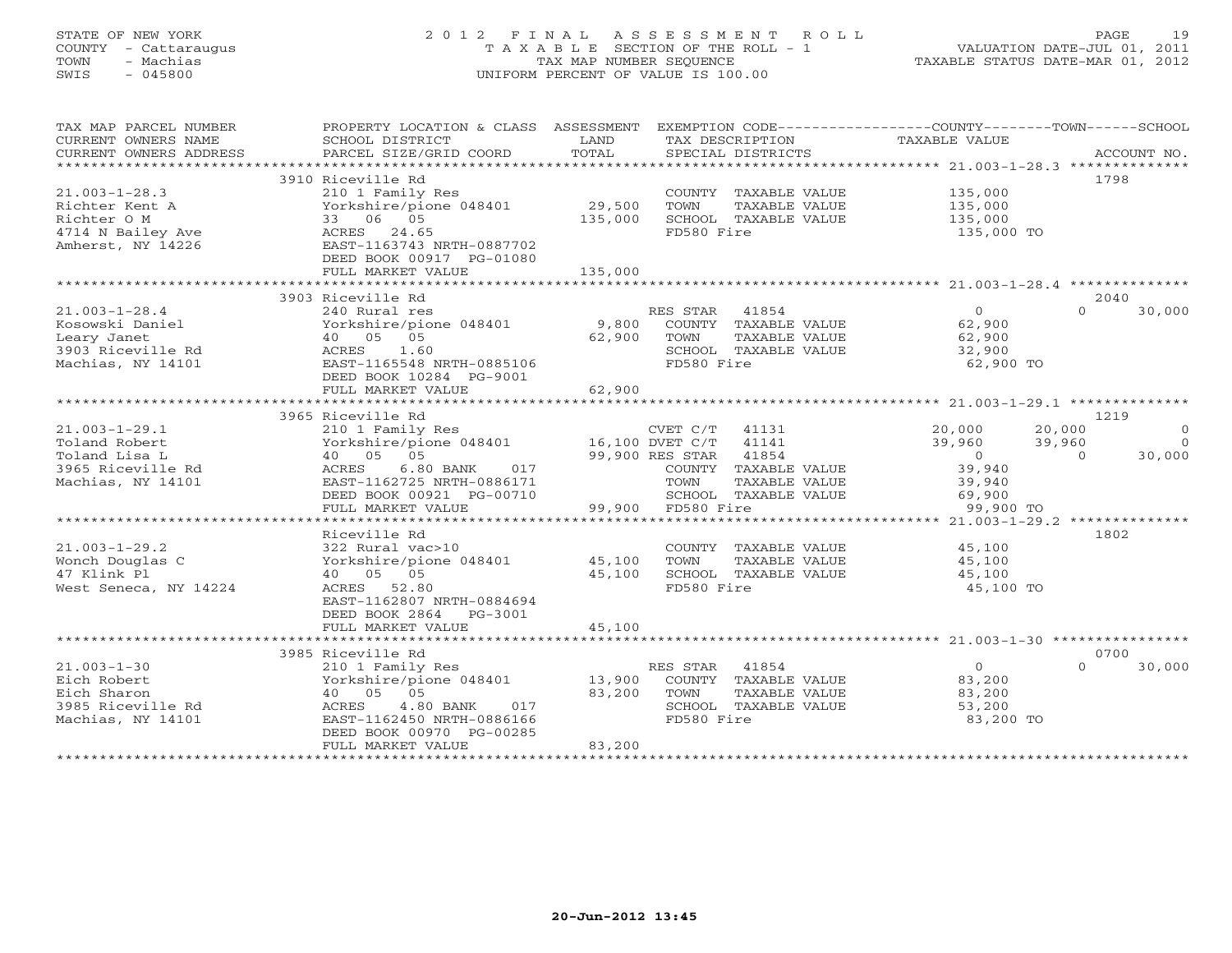### STATE OF NEW YORK 2 0 1 2 F I N A L A S S E S S M E N T R O L L PAGE 19 COUNTY - Cattaraugus T A X A B L E SECTION OF THE ROLL - 1 VALUATION DATE-JUL 01, 2011 TOWN - Machias TAX MAP NUMBER SEQUENCE TAXABLE STATUS DATE-MAR 01, 2012 SWIS - 045800 UNIFORM PERCENT OF VALUE IS 100.00UNIFORM PERCENT OF VALUE IS 100.00

| TAX MAP PARCEL NUMBER |                                                                                                                                                                                                                                                                                                                                                                                                                                                                                                                        |         |                                                                                                           | PROPERTY LOCATION & CLASS ASSESSMENT EXEMPTION CODE---------------COUNTY-------TOWN------SCHOOL |                    |
|-----------------------|------------------------------------------------------------------------------------------------------------------------------------------------------------------------------------------------------------------------------------------------------------------------------------------------------------------------------------------------------------------------------------------------------------------------------------------------------------------------------------------------------------------------|---------|-----------------------------------------------------------------------------------------------------------|-------------------------------------------------------------------------------------------------|--------------------|
| CURRENT OWNERS NAME   | SCHOOL DISTRICT                                                                                                                                                                                                                                                                                                                                                                                                                                                                                                        | LAND    | TAX DESCRIPTION                                                                                           | TAXABLE VALUE                                                                                   |                    |
|                       | $\begin{minipage}{.45\textwidth} \begin{minipage}{.45\textwidth} \begin{minipage}{.45\textwidth} \begin{minipage}{.45\textwidth} \begin{minipage}{.45\textwidth} \begin{minipage}{.45\textwidth} \begin{minipage}{.45\textwidth} \begin{minipage}{.45\textwidth} \begin{minipage}{.45\textwidth} \begin{minipage}{.45\textwidth} \begin{minipage}{.45\textwidth} \begin{minipage}{.45\textwidth} \begin{minipage}{.45\textwidth} \begin{minipage}{.45\textwidth} \begin{minipage}{.45\textwidth} \begin{minipage}{.45$ |         |                                                                                                           |                                                                                                 |                    |
|                       |                                                                                                                                                                                                                                                                                                                                                                                                                                                                                                                        |         |                                                                                                           |                                                                                                 |                    |
|                       | 3910 Riceville Rd                                                                                                                                                                                                                                                                                                                                                                                                                                                                                                      |         |                                                                                                           |                                                                                                 | 1798               |
| $21.003 - 1 - 28.3$   | 210 1 Family Res                                                                                                                                                                                                                                                                                                                                                                                                                                                                                                       |         | COUNTY TAXABLE VALUE                                                                                      | 135,000                                                                                         |                    |
|                       | Yorkshire/pione 048401 29,500                                                                                                                                                                                                                                                                                                                                                                                                                                                                                          |         | TOWN<br>TAXABLE VALUE                                                                                     | 135,000                                                                                         |                    |
|                       |                                                                                                                                                                                                                                                                                                                                                                                                                                                                                                                        | 135,000 | SCHOOL TAXABLE VALUE                                                                                      | 135,000                                                                                         |                    |
|                       |                                                                                                                                                                                                                                                                                                                                                                                                                                                                                                                        |         | FD580 Fire                                                                                                | 135,000 TO                                                                                      |                    |
|                       |                                                                                                                                                                                                                                                                                                                                                                                                                                                                                                                        |         |                                                                                                           |                                                                                                 |                    |
|                       | DEED BOOK 00917 PG-01080                                                                                                                                                                                                                                                                                                                                                                                                                                                                                               |         |                                                                                                           |                                                                                                 |                    |
|                       | FULL MARKET VALUE                                                                                                                                                                                                                                                                                                                                                                                                                                                                                                      | 135,000 |                                                                                                           |                                                                                                 |                    |
|                       |                                                                                                                                                                                                                                                                                                                                                                                                                                                                                                                        |         |                                                                                                           |                                                                                                 |                    |
|                       | 3903 Riceville Rd                                                                                                                                                                                                                                                                                                                                                                                                                                                                                                      |         |                                                                                                           |                                                                                                 | 2040               |
| $21.003 - 1 - 28.4$   | 240 Rural res                                                                                                                                                                                                                                                                                                                                                                                                                                                                                                          |         | RES STAR 41854                                                                                            | $\overline{0}$<br>$\Omega$                                                                      | 30,000             |
| Kosowski Daniel       | Yorkshire/pione 048401 9,800 COUNTY TAXABLE VALUE<br>40 05 05 62,900 TOWN TAXABLE VALUE<br>ACRES 1.60 SCHOOL TAXABLE VALUE                                                                                                                                                                                                                                                                                                                                                                                             |         |                                                                                                           | 62,900                                                                                          |                    |
| Leary Janet           |                                                                                                                                                                                                                                                                                                                                                                                                                                                                                                                        |         |                                                                                                           | 62,900                                                                                          |                    |
|                       |                                                                                                                                                                                                                                                                                                                                                                                                                                                                                                                        |         |                                                                                                           | 32,900                                                                                          |                    |
|                       | Beary Cancel<br>3903 Riceville Rd Machias, NY 14101 CHE MACRES MACRES COMENTER AND EAST-1165548 NRTH-0885106                                                                                                                                                                                                                                                                                                                                                                                                           |         | FD580 Fire                                                                                                | 62,900 TO                                                                                       |                    |
|                       | DEED BOOK 10284 PG-9001                                                                                                                                                                                                                                                                                                                                                                                                                                                                                                |         |                                                                                                           |                                                                                                 |                    |
|                       | FULL MARKET VALUE                                                                                                                                                                                                                                                                                                                                                                                                                                                                                                      | 62,900  |                                                                                                           |                                                                                                 |                    |
|                       |                                                                                                                                                                                                                                                                                                                                                                                                                                                                                                                        |         |                                                                                                           |                                                                                                 |                    |
|                       | 3965 Riceville Rd                                                                                                                                                                                                                                                                                                                                                                                                                                                                                                      |         |                                                                                                           |                                                                                                 | 1219               |
|                       |                                                                                                                                                                                                                                                                                                                                                                                                                                                                                                                        |         |                                                                                                           |                                                                                                 | $\overline{0}$     |
|                       |                                                                                                                                                                                                                                                                                                                                                                                                                                                                                                                        |         |                                                                                                           |                                                                                                 | $\bigcirc$         |
|                       |                                                                                                                                                                                                                                                                                                                                                                                                                                                                                                                        |         |                                                                                                           | $20,000$<br>$39,960$<br>$0$<br>$39,940$<br>$39,940$                                             | 30,000             |
|                       |                                                                                                                                                                                                                                                                                                                                                                                                                                                                                                                        |         | COUNTY TAXABLE VALUE                                                                                      |                                                                                                 |                    |
|                       |                                                                                                                                                                                                                                                                                                                                                                                                                                                                                                                        |         | TAXABLE VALUE                                                                                             | 39,940                                                                                          |                    |
|                       | DEED BOOK 00921 PG-00710                                                                                                                                                                                                                                                                                                                                                                                                                                                                                               |         |                                                                                                           |                                                                                                 |                    |
|                       | FULL MARKET VALUE                                                                                                                                                                                                                                                                                                                                                                                                                                                                                                      |         | 6171 TOWN TAX<br>0710 SCHOOL TAX<br>99,900 FD580 Fire<br>SCHOOL TAXABLE VALUE 69,900<br>FD580 Fire 99,900 | 99,900 TO                                                                                       |                    |
|                       |                                                                                                                                                                                                                                                                                                                                                                                                                                                                                                                        |         |                                                                                                           |                                                                                                 |                    |
|                       | Riceville Rd                                                                                                                                                                                                                                                                                                                                                                                                                                                                                                           |         |                                                                                                           |                                                                                                 | 1802               |
| $21.003 - 1 - 29.2$   | 322 Rural vac>10                                                                                                                                                                                                                                                                                                                                                                                                                                                                                                       |         | COUNTY TAXABLE VALUE                                                                                      | 45,100                                                                                          |                    |
| Wonch Douglas C       |                                                                                                                                                                                                                                                                                                                                                                                                                                                                                                                        |         | TAXABLE VALUE                                                                                             | 45,100                                                                                          |                    |
| 47 Klink Pl           | 40 05 05                                                                                                                                                                                                                                                                                                                                                                                                                                                                                                               | 45,100  | SCHOOL TAXABLE VALUE                                                                                      | 45,100                                                                                          |                    |
| West Seneca, NY 14224 | ACRES 52.80                                                                                                                                                                                                                                                                                                                                                                                                                                                                                                            |         | FD580 Fire                                                                                                | 45,100 TO                                                                                       |                    |
|                       | EAST-1162807 NRTH-0884694                                                                                                                                                                                                                                                                                                                                                                                                                                                                                              |         |                                                                                                           |                                                                                                 |                    |
|                       | DEED BOOK 2864 PG-3001                                                                                                                                                                                                                                                                                                                                                                                                                                                                                                 |         |                                                                                                           |                                                                                                 |                    |
|                       | FULL MARKET VALUE                                                                                                                                                                                                                                                                                                                                                                                                                                                                                                      | 45,100  |                                                                                                           |                                                                                                 |                    |
|                       |                                                                                                                                                                                                                                                                                                                                                                                                                                                                                                                        |         |                                                                                                           |                                                                                                 |                    |
|                       | 3985 Riceville Rd                                                                                                                                                                                                                                                                                                                                                                                                                                                                                                      |         |                                                                                                           |                                                                                                 | 0700               |
| $21.003 - 1 - 30$     | 210 1 Family Res                                                                                                                                                                                                                                                                                                                                                                                                                                                                                                       |         | RES STAR 41854                                                                                            | $\overline{0}$                                                                                  | $\Omega$<br>30,000 |
| Eich Robert           | Yorkshire/pione 048401 13,900                                                                                                                                                                                                                                                                                                                                                                                                                                                                                          |         | COUNTY TAXABLE VALUE                                                                                      | 83,200                                                                                          |                    |
| Eich Sharon           | 40 05 05                                                                                                                                                                                                                                                                                                                                                                                                                                                                                                               | 83,200  | TOWN<br>TAXABLE VALUE                                                                                     | 83,200                                                                                          |                    |
|                       | 017                                                                                                                                                                                                                                                                                                                                                                                                                                                                                                                    |         | SCHOOL TAXABLE VALUE                                                                                      | 53,200                                                                                          |                    |
|                       | EAST-1162450 NRTH-0886166                                                                                                                                                                                                                                                                                                                                                                                                                                                                                              |         | FD580 Fire                                                                                                | 83,200 TO                                                                                       |                    |
|                       | DEED BOOK 00970 PG-00285                                                                                                                                                                                                                                                                                                                                                                                                                                                                                               |         |                                                                                                           |                                                                                                 |                    |
|                       | FULL MARKET VALUE                                                                                                                                                                                                                                                                                                                                                                                                                                                                                                      | 83,200  |                                                                                                           |                                                                                                 |                    |
|                       |                                                                                                                                                                                                                                                                                                                                                                                                                                                                                                                        |         |                                                                                                           |                                                                                                 |                    |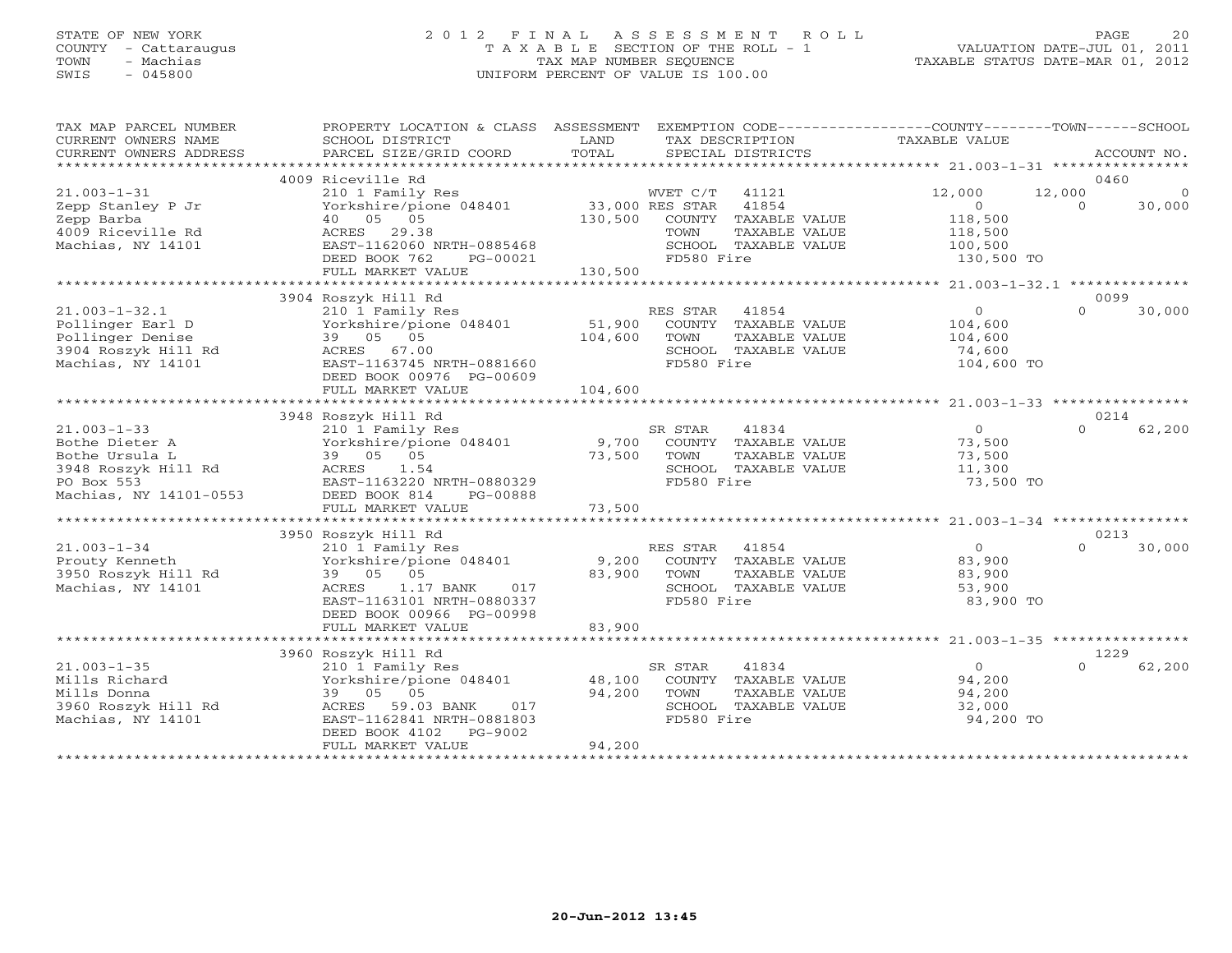## STATE OF NEW YORK 2 0 1 2 F I N A L A S S E S S M E N T R O L L PAGE 20 COUNTY - Cattaraugus T A X A B L E SECTION OF THE ROLL - 1 VALUATION DATE-JUL 01, 2011 TOWN - Machias TAX MAP NUMBER SEQUENCE TAXABLE STATUS DATE-MAR 01, 2012 SWIS - 045800 UNIFORM PERCENT OF VALUE IS 100.00UNIFORM PERCENT OF VALUE IS 100.00

| TAX MAP PARCEL NUMBER<br>CURRENT OWNERS NAME<br>CURRENT OWNERS ADDRESS                                               | PROPERTY LOCATION & CLASS ASSESSMENT<br>SCHOOL DISTRICT<br>PARCEL SIZE/GRID COORD                                                                                                                         | LAND<br>TOTAL                                | EXEMPTION CODE-----------------COUNTY-------TOWN------SCHOOL<br>TAX DESCRIPTION<br>SPECIAL DISTRICTS                                 | TAXABLE VALUE                                                     | ACCOUNT NO.                                            |
|----------------------------------------------------------------------------------------------------------------------|-----------------------------------------------------------------------------------------------------------------------------------------------------------------------------------------------------------|----------------------------------------------|--------------------------------------------------------------------------------------------------------------------------------------|-------------------------------------------------------------------|--------------------------------------------------------|
| *******************                                                                                                  |                                                                                                                                                                                                           |                                              |                                                                                                                                      |                                                                   |                                                        |
| $21.003 - 1 - 31$<br>Zepp Stanley P Jr<br>Zepp Barba<br>4009 Riceville Rd<br>Machias, NY 14101                       | 4009 Riceville Rd<br>210 1 Family Res<br>Yorkshire/pione 048401<br>40 05 05<br>29.38<br>ACRES<br>EAST-1162060 NRTH-0885468<br>DEED BOOK 762<br>PG-00021                                                   | 130,500                                      | WVET C/T<br>41121<br>33,000 RES STAR<br>41854<br>COUNTY TAXABLE VALUE<br>TAXABLE VALUE<br>TOWN<br>SCHOOL TAXABLE VALUE<br>FD580 Fire | 12,000<br>$\Omega$<br>118,500<br>118,500<br>100,500<br>130,500 TO | 0460<br>12,000<br>$\overline{0}$<br>30,000<br>$\Omega$ |
|                                                                                                                      | FULL MARKET VALUE                                                                                                                                                                                         | 130,500                                      |                                                                                                                                      |                                                                   |                                                        |
| $21.003 - 1 - 32.1$<br>Pollinger Earl D<br>Pollinger Denise<br>3904 Roszyk Hill Rd<br>Machias, NY 14101              | 3904 Roszyk Hill Rd<br>210 1 Family Res<br>Yorkshire/pione 048401<br>39 05 05<br>ACRES 67.00<br>EAST-1163745 NRTH-0881660<br>DEED BOOK 00976 PG-00609<br>FULL MARKET VALUE<br>*************************** | 51,900<br>104,600<br>104,600<br>************ | RES STAR<br>41854<br>COUNTY TAXABLE VALUE<br>TOWN<br>TAXABLE VALUE<br>SCHOOL TAXABLE VALUE<br>FD580 Fire                             | $\circ$<br>104,600<br>104,600<br>74,600<br>104,600 TO             | 0099<br>30,000<br>$\Omega$                             |
|                                                                                                                      | 3948 Roszyk Hill Rd                                                                                                                                                                                       |                                              |                                                                                                                                      |                                                                   | 0214                                                   |
| $21.003 - 1 - 33$<br>Bothe Dieter A<br>Bothe Ursula L<br>3948 Roszyk Hill Rd<br>PO Box 553<br>Machias, NY 14101-0553 | 210 1 Family Res<br>Yorkshire/pione 048401<br>39 05 05<br>ACRES<br>1.54<br>EAST-1163220 NRTH-0880329<br>DEED BOOK 814<br>PG-00888                                                                         | 9,700<br>73,500                              | SR STAR<br>41834<br>COUNTY TAXABLE VALUE<br>TOWN<br>TAXABLE VALUE<br>SCHOOL TAXABLE VALUE<br>FD580 Fire                              | $\circ$<br>73,500<br>73,500<br>11,300<br>73,500 TO                | $\Omega$<br>62,200                                     |
|                                                                                                                      | FULL MARKET VALUE                                                                                                                                                                                         | 73,500                                       |                                                                                                                                      |                                                                   |                                                        |
|                                                                                                                      |                                                                                                                                                                                                           |                                              |                                                                                                                                      |                                                                   | 0213                                                   |
| $21.003 - 1 - 34$<br>Prouty Kenneth<br>3950 Roszyk Hill Rd<br>Machias, NY 14101                                      | 3950 Roszyk Hill Rd<br>210 1 Family Res<br>Yorkshire/pione 048401<br>39 05 05<br><b>ACRES</b><br>1.17 BANK<br>017<br>EAST-1163101 NRTH-0880337<br>DEED BOOK 00966 PG-00998                                | 9,200<br>83,900                              | RES STAR<br>41854<br>COUNTY TAXABLE VALUE<br>TOWN<br>TAXABLE VALUE<br>SCHOOL TAXABLE VALUE<br>FD580 Fire                             | $\circ$<br>83,900<br>83,900<br>53,900<br>83,900 TO                | $\Omega$<br>30,000                                     |
|                                                                                                                      | FULL MARKET VALUE                                                                                                                                                                                         | 83,900                                       |                                                                                                                                      |                                                                   |                                                        |
| $21.003 - 1 - 35$<br>Mills Richard<br>Mills Donna<br>3960 Roszyk Hill Rd<br>Machias, NY 14101                        | 3960 Roszyk Hill Rd<br>210 1 Family Res<br>Yorkshire/pione 048401<br>39 05 05<br>ACRES<br>59.03 BANK<br>017<br>EAST-1162841 NRTH-0881803<br>DEED BOOK 4102<br>PG-9002<br>FULL MARKET VALUE                | 48,100<br>94,200<br>94,200                   | 41834<br>SR STAR<br>COUNTY TAXABLE VALUE<br>TOWN<br>TAXABLE VALUE<br>SCHOOL TAXABLE VALUE<br>FD580 Fire                              | $\circ$<br>94,200<br>94,200<br>32,000<br>94,200 TO                | 1229<br>$\Omega$<br>62,200                             |
|                                                                                                                      |                                                                                                                                                                                                           |                                              |                                                                                                                                      |                                                                   |                                                        |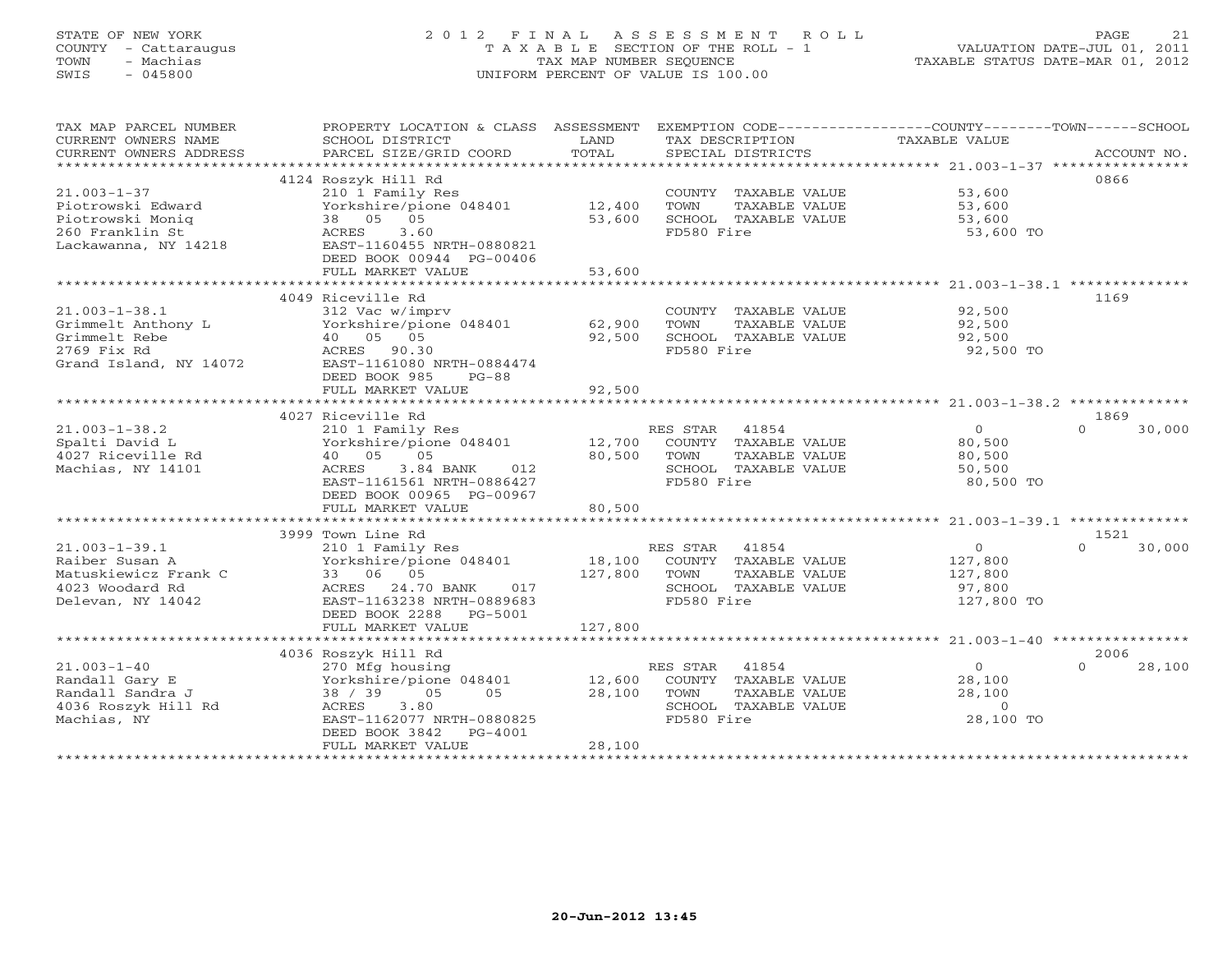### STATE OF NEW YORK 2 0 1 2 F I N A L A S S E S S M E N T R O L L PAGE 21 COUNTY - Cattaraugus T A X A B L E SECTION OF THE ROLL - 1 VALUATION DATE-JUL 01, 2011 TOWN - Machias TAX MAP NUMBER SEQUENCE TAXABLE STATUS DATE-MAR 01, 2012 SWIS - 045800 UNIFORM PERCENT OF VALUE IS 100.00UNIFORM PERCENT OF VALUE IS 100.00

| TAX MAP PARCEL NUMBER  | PROPERTY LOCATION & CLASS ASSESSMENT EXEMPTION CODE---------------COUNTY-------TOWN------SCHOOL |                     |                       |                  |                    |
|------------------------|-------------------------------------------------------------------------------------------------|---------------------|-----------------------|------------------|--------------------|
| CURRENT OWNERS NAME    | SCHOOL DISTRICT                                                                                 | LAND                | TAX DESCRIPTION       | TAXABLE VALUE    |                    |
|                        |                                                                                                 |                     |                       |                  |                    |
|                        |                                                                                                 |                     |                       |                  |                    |
|                        | 4124 Roszyk Hill Rd                                                                             |                     |                       |                  | 0866               |
| $21.003 - 1 - 37$      | 210 1 Family Res                                                                                |                     | COUNTY TAXABLE VALUE  | 53,600           |                    |
| Piotrowski Edward      | Yorkshire/pione 048401 12,400                                                                   |                     | TAXABLE VALUE<br>TOWN | 53,600<br>53,600 |                    |
| Piotrowski Monig       | 38 05 05                                                                                        | 53,600              | SCHOOL TAXABLE VALUE  |                  |                    |
| 260 Franklin St        | 3.60<br>ACRES                                                                                   |                     | FD580 Fire            | 53,600 TO        |                    |
| Lackawanna, NY 14218   | EAST-1160455 NRTH-0880821                                                                       |                     |                       |                  |                    |
|                        | DEED BOOK 00944 PG-00406                                                                        |                     |                       |                  |                    |
|                        | FULL MARKET VALUE                                                                               | 53,600              |                       |                  |                    |
|                        |                                                                                                 |                     |                       |                  |                    |
|                        | 4049 Riceville Rd                                                                               |                     |                       |                  | 1169               |
| $21.003 - 1 - 38.1$    | 312 Vac w/imprv                                                                                 |                     | COUNTY TAXABLE VALUE  | 92,500           |                    |
| Grimmelt Anthony L     | Yorkshire/pione 048401 62,900                                                                   |                     | TOWN<br>TAXABLE VALUE | 92,500           |                    |
| Grimmelt Rebe          | 40 05 05                                                                                        | 92,500              | SCHOOL TAXABLE VALUE  | 92,500           |                    |
| 2769 Fix Rd            | ACRES 90.30                                                                                     |                     | FD580 Fire            | 92,500 TO        |                    |
| Grand Island, NY 14072 | EAST-1161080 NRTH-0884474                                                                       |                     |                       |                  |                    |
|                        | DEED BOOK 985<br>$PG-88$                                                                        |                     |                       |                  |                    |
|                        | FULL MARKET VALUE                                                                               | 92,500              |                       |                  |                    |
|                        |                                                                                                 |                     |                       |                  |                    |
|                        | 4027 Riceville Rd                                                                               |                     |                       |                  | 1869               |
| $21.003 - 1 - 38.2$    | 210 1 Family Res                                                                                |                     | RES STAR 41854        | $\overline{O}$   | $\Omega$<br>30,000 |
| Spalti David L         | Yorkshire/pione 048401 12,700                                                                   |                     | COUNTY TAXABLE VALUE  | 80,500           |                    |
| 4027 Riceville Rd      | 40 05 05                                                                                        | 80,500              | TOWN<br>TAXABLE VALUE | 80,500           |                    |
| Machias, NY 14101      | ACRES<br>3.84 BANK 012                                                                          |                     | SCHOOL TAXABLE VALUE  | 50,500           |                    |
|                        | EAST-1161561 NRTH-0886427                                                                       |                     | FD580 Fire            | 80,500 TO        |                    |
|                        | DEED BOOK 00965 PG-00967                                                                        |                     |                       |                  |                    |
|                        | FULL MARKET VALUE                                                                               | 80,500              |                       |                  |                    |
|                        |                                                                                                 |                     |                       |                  |                    |
|                        | 3999 Town Line Rd                                                                               |                     |                       |                  | 1521               |
| $21.003 - 1 - 39.1$    | 210 1 Family Res                                                                                |                     | RES STAR 41854        | $\overline{0}$   | $\Omega$<br>30,000 |
| Raiber Susan A         | Yorkshire/pione 048401 18,100                                                                   |                     | COUNTY TAXABLE VALUE  | 127,800          |                    |
| Matuskiewicz Frank C   | 33 06 05                                                                                        | 127,800             | TOWN<br>TAXABLE VALUE | 127,800          |                    |
| 4023 Woodard Rd        | ACRES 24.70 BANK<br>017                                                                         |                     | SCHOOL TAXABLE VALUE  | 97,800           |                    |
| Delevan, NY 14042      | EAST-1163238 NRTH-0889683                                                                       |                     | FD580 Fire            | 127,800 TO       |                    |
|                        | DEED BOOK 2288 PG-5001                                                                          |                     |                       |                  |                    |
|                        | FULL MARKET VALUE                                                                               | 127,800             |                       |                  |                    |
|                        | 4036 Roszyk Hill Rd                                                                             |                     |                       |                  | 2006               |
| $21.003 - 1 - 40$      | 270 Mfg housing                                                                                 |                     | RES STAR 41854        | $\overline{0}$   | $\Omega$<br>28,100 |
| Randall Gary E         | Yorkshire/pione 048401                                                                          |                     | COUNTY TAXABLE VALUE  | 28,100           |                    |
| Randall Sandra J       | 38 / 39 05<br>05                                                                                | $\frac{12,600}{28}$ | TOWN<br>TAXABLE VALUE | 28,100           |                    |
| 4036 Roszyk Hill Rd    | 3.80<br>ACRES                                                                                   |                     | SCHOOL TAXABLE VALUE  | $\Omega$         |                    |
| Machias, NY            | EAST-1162077 NRTH-0880825                                                                       |                     | FD580 Fire            | 28,100 TO        |                    |
|                        | DEED BOOK 3842<br>PG-4001                                                                       |                     |                       |                  |                    |
|                        | FULL MARKET VALUE                                                                               | 28,100              |                       |                  |                    |
|                        |                                                                                                 |                     |                       |                  |                    |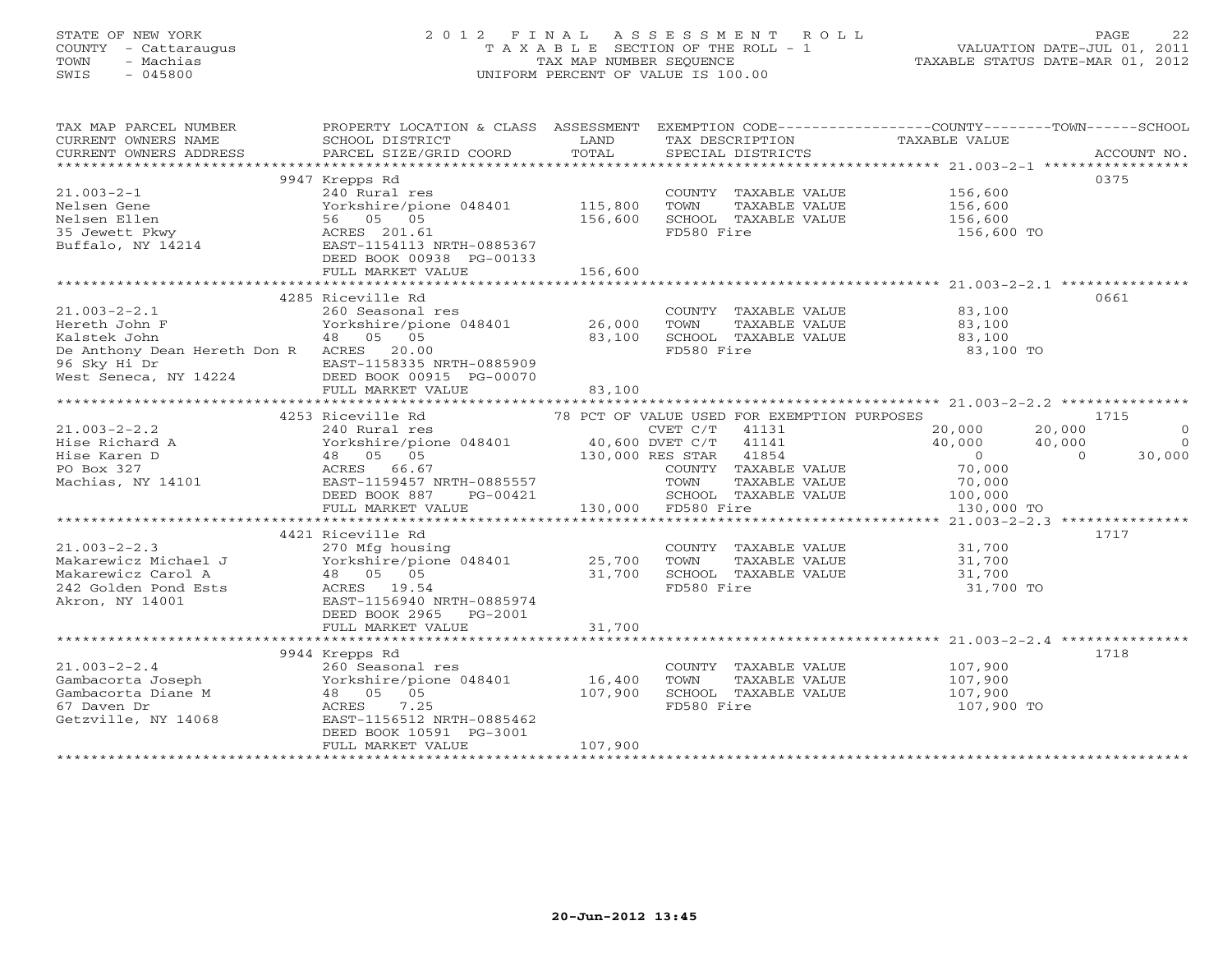## STATE OF NEW YORK 2 0 1 2 F I N A L A S S E S S M E N T R O L L PAGE 22 COUNTY - Cattaraugus T A X A B L E SECTION OF THE ROLL - 1 VALUATION DATE-JUL 01, 2011 TOWN - Machias TAX MAP NUMBER SEQUENCE TAXABLE STATUS DATE-MAR 01, 2012 SWIS - 045800 UNIFORM PERCENT OF VALUE IS 100.00UNIFORM PERCENT OF VALUE IS 100.00

| TAX MAP PARCEL NUMBER<br>CURRENT OWNERS NAME<br>CURRENT OWNERS ADDRESS                                      | PROPERTY LOCATION & CLASS ASSESSMENT<br>SCHOOL DISTRICT<br>PARCEL SIZE/GRID COORD                                                                                                                   | LAND<br>TOTAL                 | TAX DESCRIPTION TAXABLE VALUE<br>SPECIAL DISTRICTS                                                                                              | EXEMPTION CODE----------------COUNTY-------TOWN------SCHOOL                | ACCOUNT NO.                                            |
|-------------------------------------------------------------------------------------------------------------|-----------------------------------------------------------------------------------------------------------------------------------------------------------------------------------------------------|-------------------------------|-------------------------------------------------------------------------------------------------------------------------------------------------|----------------------------------------------------------------------------|--------------------------------------------------------|
| $21.003 - 2 - 1$<br>Nelsen Gene<br>Nelsen Ellen<br>35 Jewett Pkwy<br>Buffalo, NY 14214                      | 9947 Krepps Rd<br>240 Rural res<br>Yorkshire/pione 048401<br>56 05 05<br>ACRES 201.61<br>EAST-1154113 NRTH-0885367<br>DEED BOOK 00938 PG-00133<br>FULL MARKET VALUE                                 | 115,800<br>156,600<br>156,600 | COUNTY TAXABLE VALUE<br>TOWN<br>TAXABLE VALUE<br>SCHOOL TAXABLE VALUE<br>FD580 Fire                                                             | 156,600<br>156,600<br>156,600<br>156,600 TO                                | 0375                                                   |
| $21.003 - 2 - 2.1$<br>Hereth John F<br>Kalstek John                                                         | 4285 Riceville Rd<br>260 Seasonal res<br>Yorkshire/pione 048401 26,000                                                                                                                              |                               | COUNTY TAXABLE VALUE 83,100<br>TOWN<br>TAXABLE VALUE                                                                                            | 83,100                                                                     | 0661                                                   |
| De Anthony Dean Hereth Don R ACRES 20.00<br>96 Sky Hi Dr<br>West Seneca, NY 14224                           | 48 05 05<br>EAST-1158335 NRTH-0885909<br>DEED BOOK 00915 PG-00070<br>FULL MARKET VALUE                                                                                                              | 83,100<br>83,100              | SCHOOL TAXABLE VALUE<br>FD580 Fire                                                                                                              | 83,100<br>83,100 TO                                                        |                                                        |
|                                                                                                             |                                                                                                                                                                                                     |                               |                                                                                                                                                 |                                                                            |                                                        |
| $21.003 - 2 - 2.2$<br>Hise Richard A<br>Hise Karen D<br>PO Box 327<br>Machias, NY 14101                     | 4253 Riceville Rd<br>240 Rural res<br>Yorkshire/pione 048401 (1790 PC/T<br>40,600 DVET C/T<br>48 05 05 130,000 RES STAR<br>ACRES 66.67<br>ACRES 66.67<br>EAST-1159457 NRTH-0885557<br>DEED BOOK 887 |                               | 78 PCT OF VALUE USED FOR EXEMPTION PURPOSES<br>41131<br>41141<br>41854<br>COUNTY TAXABLE VALUE<br>TOWN<br>TAXABLE VALUE<br>SCHOOL TAXABLE VALUE | 20,000<br>20,000<br>40,000<br>40,000<br>$\overline{0}$<br>70,000<br>70,000 | 1715<br>$\overline{0}$<br>$\Omega$<br>30,000<br>$\cap$ |
|                                                                                                             | PG-00421<br>FULL MARKET VALUE                                                                                                                                                                       |                               | 130,000 FD580 Fire                                                                                                                              | 100,000<br>130,000 TO                                                      |                                                        |
|                                                                                                             |                                                                                                                                                                                                     |                               |                                                                                                                                                 |                                                                            |                                                        |
| $21.003 - 2 - 2.3$<br>Makarewicz Michael J<br>Makarewicz Carol A<br>242 Golden Pond Ests<br>Akron, NY 14001 | 4421 Riceville Rd<br>270 Mfg housing<br>Yorkshire/pione 048401 25,700<br>48 05 05<br>ACRES 19.54<br>EAST-1156940 NRTH-0885974<br>DEED BOOK 2965 PG-2001                                             | 31,700                        | COUNTY TAXABLE VALUE<br>TOWN<br>TAXABLE VALUE<br>SCHOOL TAXABLE VALUE<br>FD580 Fire                                                             | 31,700<br>31,700<br>31,700<br>31,700 TO                                    | 1717                                                   |
|                                                                                                             | FULL MARKET VALUE                                                                                                                                                                                   | 31,700                        |                                                                                                                                                 |                                                                            |                                                        |
| $21.003 - 2 - 2.4$<br>Gambacorta Joseph<br>Gambacorta Diane M<br>67 Daven Dr<br>Getzville, NY 14068         | 9944 Krepps Rd<br>260 Seasonal res<br>Yorkshire/pione 048401<br>48 05 05<br>7.25<br>ACRES<br>EAST-1156512 NRTH-0885462<br>DEED BOOK 10591 PG-3001                                                   | 16,400<br>107,900             | COUNTY TAXABLE VALUE<br>TOWN<br>TAXABLE VALUE<br>SCHOOL TAXABLE VALUE<br>FD580 Fire                                                             | 107,900<br>107,900<br>107,900<br>107,900 TO                                | 1718                                                   |
|                                                                                                             | FULL MARKET VALUE                                                                                                                                                                                   | 107,900                       |                                                                                                                                                 |                                                                            |                                                        |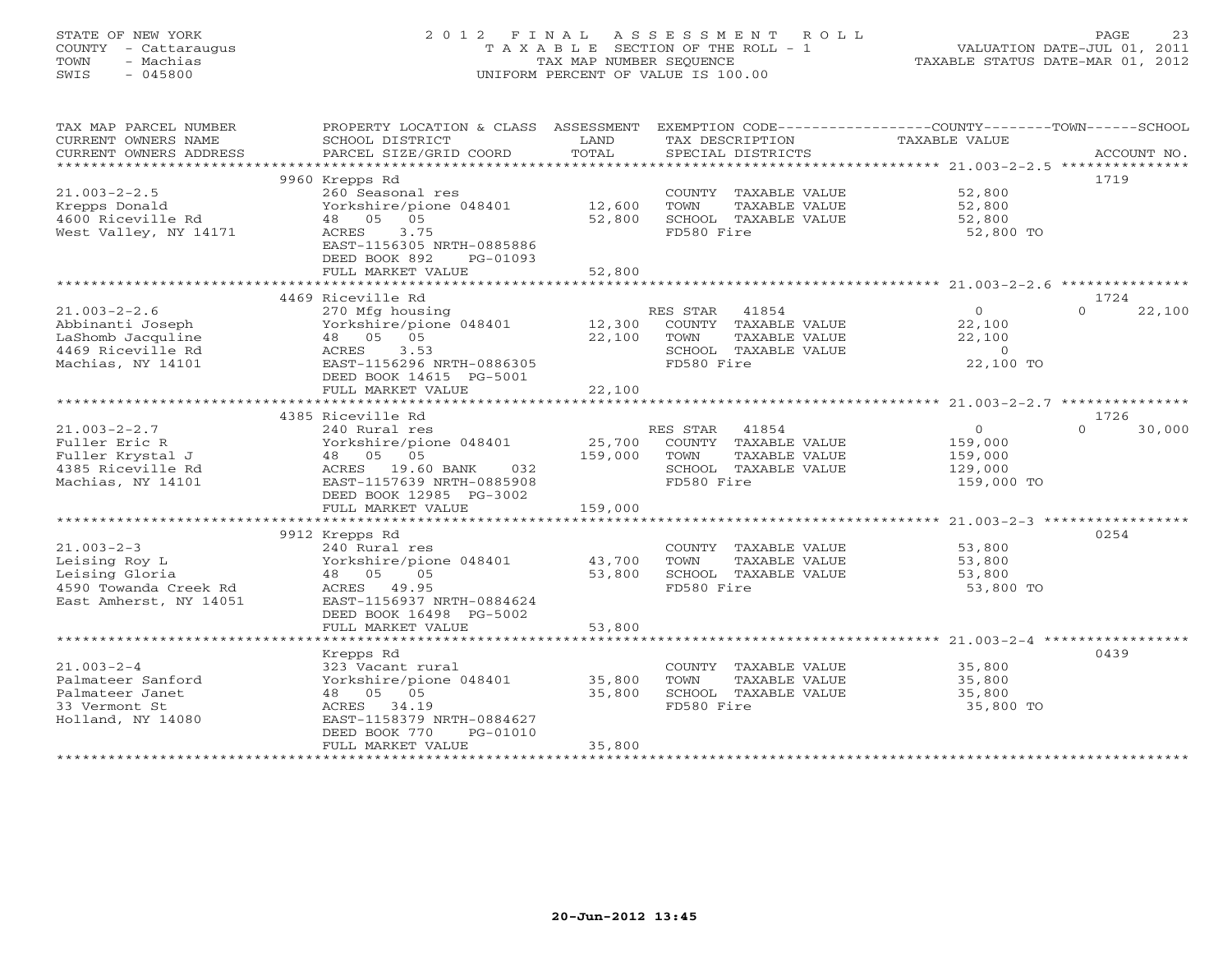## STATE OF NEW YORK 2 0 1 2 F I N A L A S S E S S M E N T R O L L PAGE 23 COUNTY - Cattaraugus T A X A B L E SECTION OF THE ROLL - 1 VALUATION DATE-JUL 01, 2011 TOWN - Machias TAX MAP NUMBER SEQUENCE TAXABLE STATUS DATE-MAR 01, 2012 SWIS - 045800 UNIFORM PERCENT OF VALUE IS 100.00UNIFORM PERCENT OF VALUE IS 100.00

| TAX MAP PARCEL NUMBER<br>CURRENT OWNERS NAME | PROPERTY LOCATION & CLASS ASSESSMENT<br>SCHOOL DISTRICT | LAND             | EXEMPTION CODE-----------------COUNTY-------TOWN------SCHOOL<br>TAX DESCRIPTION | TAXABLE VALUE    |                    |
|----------------------------------------------|---------------------------------------------------------|------------------|---------------------------------------------------------------------------------|------------------|--------------------|
| CURRENT OWNERS ADDRESS                       | PARCEL SIZE/GRID COORD                                  | TOTAL            | SPECIAL DISTRICTS                                                               |                  | ACCOUNT NO.        |
|                                              |                                                         |                  |                                                                                 |                  |                    |
|                                              | 9960 Krepps Rd                                          |                  |                                                                                 |                  | 1719               |
| $21.003 - 2 - 2.5$                           | 260 Seasonal res                                        |                  | COUNTY TAXABLE VALUE                                                            | 52,800           |                    |
| Krepps Donald                                | Yorkshire/pione 048401                                  | 12,600           | TOWN<br>TAXABLE VALUE                                                           | 52,800           |                    |
| 4600 Riceville Rd                            | 48 05 05                                                | 52,800           | SCHOOL TAXABLE VALUE                                                            | 52,800           |                    |
| West Valley, NY 14171                        | 3.75<br>ACRES                                           |                  | FD580 Fire                                                                      | 52,800 TO        |                    |
|                                              | EAST-1156305 NRTH-0885886                               |                  |                                                                                 |                  |                    |
|                                              | DEED BOOK 892<br>PG-01093                               |                  |                                                                                 |                  |                    |
|                                              | FULL MARKET VALUE                                       | 52,800           |                                                                                 |                  |                    |
|                                              |                                                         | ************     | ***********************************21.003-2-2.6 ****************                |                  |                    |
|                                              | 4469 Riceville Rd                                       |                  |                                                                                 |                  | 1724               |
| $21.003 - 2 - 2.6$                           | 270 Mfg housing                                         |                  | RES STAR<br>41854                                                               | $\overline{O}$   | $\Omega$<br>22,100 |
| Abbinanti Joseph<br>LaShomb Jacquline        | Yorkshire/pione 048401<br>48 05 05                      | 12,300<br>22,100 | COUNTY TAXABLE VALUE                                                            | 22,100<br>22,100 |                    |
| 4469 Riceville Rd                            | 3.53                                                    |                  | TOWN<br>TAXABLE VALUE<br>SCHOOL TAXABLE VALUE                                   | $\overline{0}$   |                    |
| Machias, NY 14101                            | ACRES<br>EAST-1156296 NRTH-0886305                      |                  | FD580 Fire                                                                      | 22,100 TO        |                    |
|                                              | DEED BOOK 14615 PG-5001                                 |                  |                                                                                 |                  |                    |
|                                              | FULL MARKET VALUE                                       | 22,100           |                                                                                 |                  |                    |
|                                              |                                                         |                  |                                                                                 |                  |                    |
|                                              | 4385 Riceville Rd                                       |                  |                                                                                 |                  | 1726               |
| $21.003 - 2 - 2.7$                           | 240 Rural res                                           |                  | 41854<br>RES STAR                                                               | $\overline{0}$   | 30,000<br>$\Omega$ |
| Fuller Eric R                                | Yorkshire/pione 048401                                  | 25,700           | COUNTY TAXABLE VALUE                                                            | 159,000          |                    |
| Fuller Krystal J                             | 48 05 05                                                | 159,000          | TOWN<br>TAXABLE VALUE                                                           | 159,000          |                    |
| 4385 Riceville Rd                            | ACRES 19.60 BANK<br>032                                 |                  | SCHOOL TAXABLE VALUE                                                            | 129,000          |                    |
| Machias, NY 14101                            | EAST-1157639 NRTH-0885908                               |                  | FD580 Fire                                                                      | 159,000 TO       |                    |
|                                              | DEED BOOK 12985 PG-3002                                 |                  |                                                                                 |                  |                    |
|                                              | FULL MARKET VALUE                                       | 159,000          |                                                                                 |                  |                    |
|                                              |                                                         |                  |                                                                                 |                  |                    |
|                                              | 9912 Krepps Rd                                          |                  |                                                                                 |                  | 0254               |
| $21.003 - 2 - 3$                             | 240 Rural res                                           |                  | COUNTY TAXABLE VALUE                                                            | 53,800           |                    |
| Leising Roy L                                | Yorkshire/pione 048401                                  | 43,700           | TOWN<br>TAXABLE VALUE                                                           | 53,800           |                    |
| Leising Gloria                               | 48 05 05                                                | 53,800           | SCHOOL TAXABLE VALUE                                                            | 53,800           |                    |
| 4590 Towanda Creek Rd                        | ACRES 49.95                                             |                  | FD580 Fire                                                                      | 53,800 TO        |                    |
| East Amherst, NY 14051                       | EAST-1156937 NRTH-0884624                               |                  |                                                                                 |                  |                    |
|                                              | DEED BOOK 16498 PG-5002<br>FULL MARKET VALUE            | 53,800           |                                                                                 |                  |                    |
|                                              |                                                         |                  |                                                                                 |                  |                    |
|                                              | Krepps Rd                                               |                  |                                                                                 |                  | 0439               |
| $21.003 - 2 - 4$                             | 323 Vacant rural                                        |                  | COUNTY TAXABLE VALUE                                                            | 35,800           |                    |
| Palmateer Sanford                            | Yorkshire/pione 048401                                  | 35,800           | TOWN<br>TAXABLE VALUE                                                           | 35,800           |                    |
| Palmateer Janet                              | 48 05 05                                                | 35,800           | SCHOOL TAXABLE VALUE                                                            | 35,800           |                    |
| 33 Vermont St                                | ACRES 34.19                                             |                  | FD580 Fire                                                                      | 35,800 TO        |                    |
| Holland, NY 14080                            | EAST-1158379 NRTH-0884627                               |                  |                                                                                 |                  |                    |
|                                              | DEED BOOK 770<br>PG-01010                               |                  |                                                                                 |                  |                    |
|                                              | FULL MARKET VALUE                                       | 35,800           |                                                                                 |                  |                    |
|                                              |                                                         |                  |                                                                                 |                  |                    |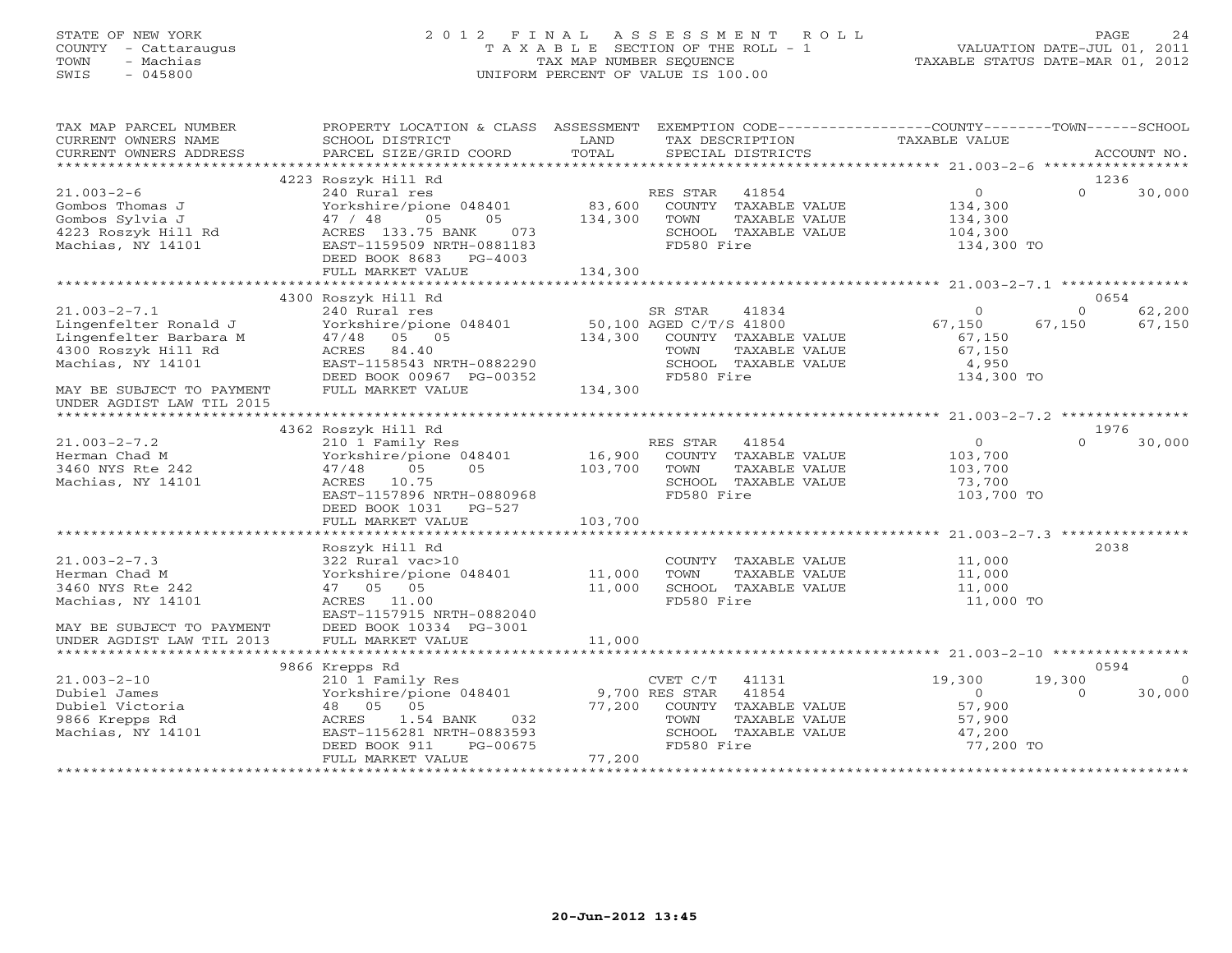### STATE OF NEW YORK 2 0 1 2 F I N A L A S S E S S M E N T R O L L PAGE 24 COUNTY - Cattaraugus T A X A B L E SECTION OF THE ROLL - 1 VALUATION DATE-JUL 01, 2011 TOWN - Machias TAX MAP NUMBER SEQUENCE TAXABLE STATUS DATE-MAR 01, 2012 SWIS - 045800 UNIFORM PERCENT OF VALUE IS 100.00UNIFORM PERCENT OF VALUE IS 100.00

| TAX MAP PARCEL NUMBER<br>CURRENT OWNERS NAME<br>CURRENT OWNERS ADDRESS                                            | PROPERTY LOCATION & CLASS ASSESSMENT EXEMPTION CODE----------------COUNTY-------TOWN------SCHOOL<br>SCHOOL DISTRICT<br>PARCEL SIZE/GRID COORD                                                 | LAND<br>TOTAL                      | TAX DESCRIPTION<br>SPECIAL DISTRICTS                                                                              | TAXABLE VALUE                                                     |                    | ACCOUNT NO.              |
|-------------------------------------------------------------------------------------------------------------------|-----------------------------------------------------------------------------------------------------------------------------------------------------------------------------------------------|------------------------------------|-------------------------------------------------------------------------------------------------------------------|-------------------------------------------------------------------|--------------------|--------------------------|
|                                                                                                                   |                                                                                                                                                                                               |                                    |                                                                                                                   |                                                                   |                    | 1236                     |
| $21.003 - 2 - 6$<br>Gombos Thomas J<br>Gombos Sylvia J<br>4223 Roszyk Hill Rd<br>Machias, NY 14101                | 4223 Roszyk Hill Rd<br>240 Rural res<br>Yorkshire/pione 048401<br>05<br>05<br>47 / 48<br>ACRES 133.75 BANK<br>073<br>EAST-1159509 NRTH-0881183<br>DEED BOOK 8683 PG-4003<br>FULL MARKET VALUE | 83,600<br>134,300<br>134,300       | RES STAR 41854<br>COUNTY TAXABLE VALUE<br>TOWN<br>TAXABLE VALUE<br>SCHOOL TAXABLE VALUE<br>FD580 Fire             | $\circ$<br>134,300<br>134,300<br>104,300<br>134,300 TO            | $\Omega$           | 30,000                   |
|                                                                                                                   |                                                                                                                                                                                               |                                    |                                                                                                                   |                                                                   |                    |                          |
| $21.003 - 2 - 7.1$<br>Lingenfelter Ronald J<br>Lingenfelter Barbara M<br>4300 Roszyk Hill Rd<br>Machias, NY 14101 | 4300 Roszyk Hill Rd<br>47/48 05 05<br>ACRES 84.40<br>EAST-1158543 NRTH-0882290<br>DEED BOOK 00967 PG-00352                                                                                    | 134,300                            | COUNTY TAXABLE VALUE<br>TOWN<br>TAXABLE VALUE<br>SCHOOL TAXABLE VALUE<br>FD580 Fire                               | $\mathbf{0}$<br>67,150<br>67,150<br>67,150<br>4,950<br>134,300 TO | $\Omega$<br>67,150 | 0654<br>62,200<br>67,150 |
| MAY BE SUBJECT TO PAYMENT                                                                                         | FULL MARKET VALUE                                                                                                                                                                             | 134,300                            |                                                                                                                   |                                                                   |                    |                          |
| UNDER AGDIST LAW TIL 2015                                                                                         |                                                                                                                                                                                               |                                    |                                                                                                                   |                                                                   |                    |                          |
|                                                                                                                   |                                                                                                                                                                                               |                                    |                                                                                                                   |                                                                   |                    | 1976                     |
| $21.003 - 2 - 7.2$<br>Herman Chad M<br>3460 NYS Rte 242<br>Machias, NY 14101                                      | 4362 Roszyk Hill Rd<br>210 1 Family Res<br>Yorkshire/pione 048401<br>47/48<br>05<br>0.5<br>ACRES 10.75<br>EAST-1157896 NRTH-0880968<br>DEED BOOK 1031 PG-527<br>FULL MARKET VALUE             | 16,900<br>103,700<br>103,700       | RES STAR<br>41854<br>COUNTY TAXABLE VALUE<br>TOWN<br>TAXABLE VALUE<br>SCHOOL TAXABLE VALUE<br>FD580 Fire          | $\overline{0}$<br>103,700<br>103,700<br>73,700<br>103,700 TO      | $\Omega$           | 30,000                   |
|                                                                                                                   |                                                                                                                                                                                               |                                    |                                                                                                                   |                                                                   |                    |                          |
| $21.003 - 2 - 7.3$<br>Herman Chad M<br>3460 NYS Rte 242<br>Machias, NY 14101<br>MAY BE SUBJECT TO PAYMENT         | Roszyk Hill Rd<br>322 Rural vac>10<br>Yorkshire/pione 048401<br>47 05 05<br>ACRES 11.00<br>EAST-1157915 NRTH-0882040<br>DEED BOOK 10334 PG-3001                                               | 11,000<br>11,000                   | COUNTY TAXABLE VALUE<br>TOWN<br>TAXABLE VALUE<br>SCHOOL TAXABLE VALUE<br>FD580 Fire                               | 11,000<br>11,000<br>11,000<br>11,000 TO                           |                    | 2038                     |
| UNDER AGDIST LAW TIL 2013                                                                                         | FULL MARKET VALUE                                                                                                                                                                             | 11,000                             |                                                                                                                   |                                                                   |                    |                          |
|                                                                                                                   |                                                                                                                                                                                               |                                    |                                                                                                                   |                                                                   |                    | 0594                     |
| $21.003 - 2 - 10$<br>Dubiel James<br>Dubiel Victoria<br>9866 Krepps Rd<br>Machias, NY 14101                       | 9866 Krepps Rd<br>210 1 Family Res<br>Yorkshire/pione 048401<br>48 05 05<br>1.54 BANK<br>032<br>ACRES<br>EAST-1156281 NRTH-0883593<br>DEED BOOK 911<br>PG-00675<br>FULL MARKET VALUE          | 9,700 RES STAR<br>77,200<br>77,200 | CVET C/T<br>41131<br>41854<br>COUNTY TAXABLE VALUE<br>TOWN<br>TAXABLE VALUE<br>SCHOOL TAXABLE VALUE<br>FD580 Fire | 19,300<br>$\circ$<br>57,900<br>57,900<br>47,200<br>77,200 TO      | 19,300<br>$\Omega$ | $\overline{0}$<br>30,000 |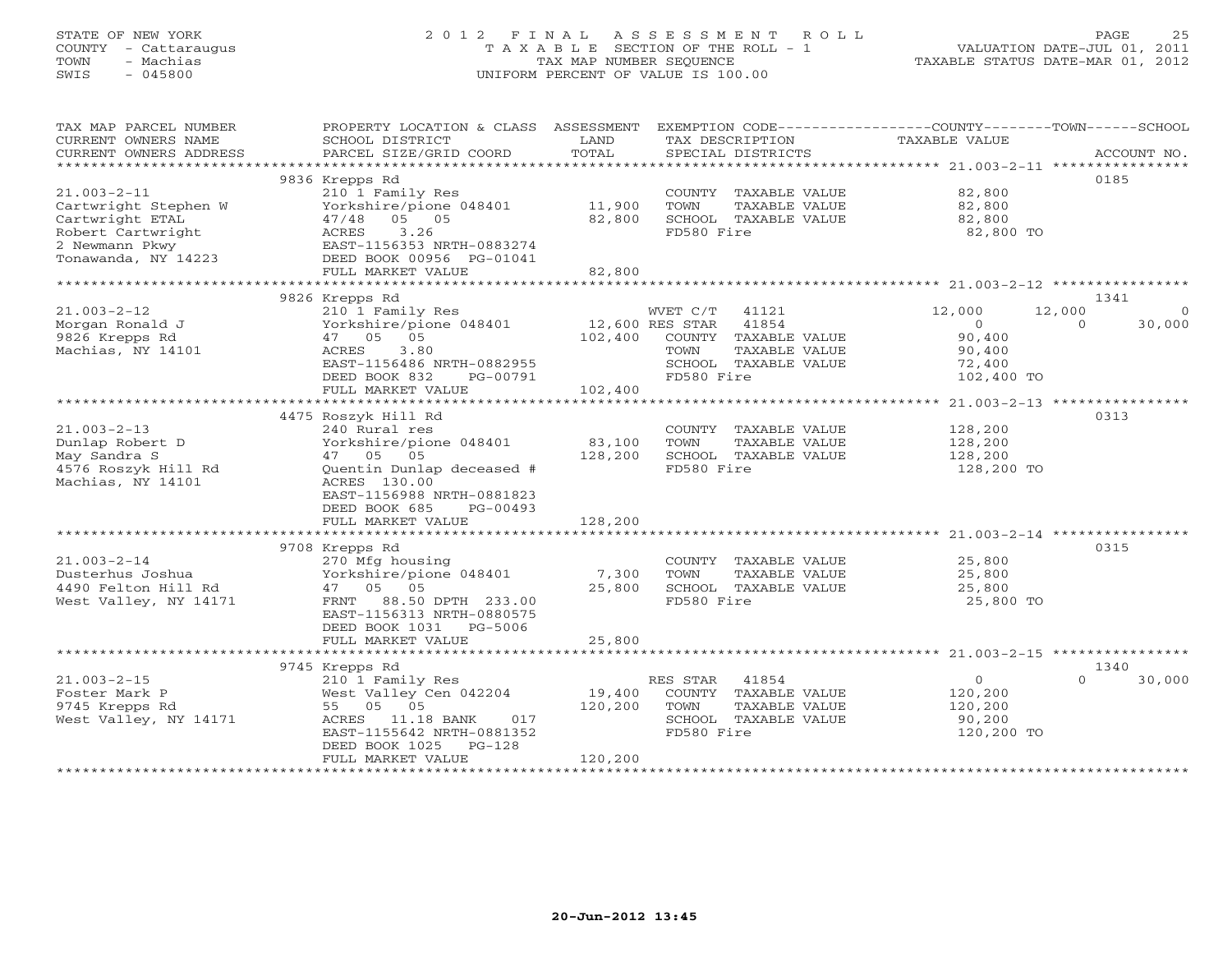#### STATE OF NEW YORK 2 0 1 2 F I N A L A S S E S S M E N T R O L L PAGE 25COUNTY - Cattaraugus T A X A B L E SECTION OF THE ROLL - 1 VALUATION DATE-JUL 01, 2011 TOWN - Machias TAX MAP NUMBER SEQUENCE TAX AND TAXABLE STATUS DATE-MAR 01, 2012<br>TRIS - 045800 SWIS - 045800 UNIFORM PERCENT OF VALUE IS 100.00

TAX MAP PARCEL NUMBER PROPERTY LOCATION & CLASS ASSESSMENT EXEMPTION CODE----------------COUNTY-------TOWN------SCHOOL

| CURRENT OWNERS NAME    | SCHOOL DISTRICT           | LAND         | TAX DESCRIPTION             | TAXABLE VALUE  |                    |
|------------------------|---------------------------|--------------|-----------------------------|----------------|--------------------|
| CURRENT OWNERS ADDRESS | PARCEL SIZE/GRID COORD    | TOTAL        | SPECIAL DISTRICTS           |                | ACCOUNT NO.        |
|                        |                           |              |                             |                |                    |
|                        | 9836 Krepps Rd            |              |                             |                | 0185               |
| $21.003 - 2 - 11$      | 210 1 Family Res          |              | COUNTY TAXABLE VALUE        | 82,800         |                    |
| Cartwright Stephen W   | Yorkshire/pione 048401    | 11,900       | TOWN<br>TAXABLE VALUE       | 82,800         |                    |
| Cartwright ETAL        | 47/48 05 05               | 82,800       | SCHOOL TAXABLE VALUE        | 82,800         |                    |
| Robert Cartwright      | ACRES 3.26                |              | FD580 Fire                  | 82,800 TO      |                    |
| 2 Newmann Pkwy         | EAST-1156353 NRTH-0883274 |              |                             |                |                    |
| Tonawanda, NY 14223    | DEED BOOK 00956 PG-01041  |              |                             |                |                    |
|                        | FULL MARKET VALUE         | 82,800       |                             |                |                    |
|                        |                           |              |                             |                |                    |
|                        | 9826 Krepps Rd            |              |                             |                | 1341               |
| $21.003 - 2 - 12$      | 210 1 Family Res          |              | WVET C/T<br>41121           | 12,000         | 12,000             |
| Morgan Ronald J        | Yorkshire/pione 048401    |              | 12,600 RES STAR 41854       | $\overline{0}$ | 30,000<br>$\Omega$ |
| 9826 Krepps Rd         | 05<br>47 05               | 102,400      | COUNTY TAXABLE VALUE        | 90,400         |                    |
| Machias, NY 14101      | ACRES<br>3.80             |              | TAXABLE VALUE<br>TOWN       | 90,400         |                    |
|                        | EAST-1156486 NRTH-0882955 |              | SCHOOL TAXABLE VALUE        | 72,400         |                    |
|                        | DEED BOOK 832<br>PG-00791 |              | FD580 Fire                  | 102,400 TO     |                    |
|                        | FULL MARKET VALUE         | 102,400      |                             |                |                    |
|                        |                           |              |                             |                |                    |
|                        | 4475 Roszyk Hill Rd       |              |                             |                | 0313               |
| $21.003 - 2 - 13$      | 240 Rural res             |              | COUNTY TAXABLE VALUE        | 128,200        |                    |
| Dunlap Robert D        | Yorkshire/pione 048401    | 83,100       | TOWN<br>TAXABLE VALUE       | 128,200        |                    |
| May Sandra S           | 47 05 05                  | 128,200      | SCHOOL TAXABLE VALUE        | 128,200        |                    |
| 4576 Roszyk Hill Rd    | Quentin Dunlap deceased # |              | FD580 Fire                  | 128,200 TO     |                    |
| Machias, NY 14101      | ACRES 130.00              |              |                             |                |                    |
|                        | EAST-1156988 NRTH-0881823 |              |                             |                |                    |
|                        | DEED BOOK 685<br>PG-00493 |              |                             |                |                    |
|                        | FULL MARKET VALUE         | 128,200      |                             |                |                    |
|                        |                           |              |                             |                |                    |
|                        | 9708 Krepps Rd            |              |                             |                | 0315               |
| $21.003 - 2 - 14$      | 270 Mfg housing           |              | COUNTY TAXABLE VALUE        | 25,800         |                    |
| Dusterhus Joshua       | Yorkshire/pione 048401    | 7,300        | TOWN<br>TAXABLE VALUE       | 25,800         |                    |
| 4490 Felton Hill Rd    | 47 05 05                  | 25,800       | SCHOOL TAXABLE VALUE        | 25,800         |                    |
| West Valley, NY 14171  | FRNT 88.50 DPTH 233.00    |              | FD580 Fire                  | 25,800 TO      |                    |
|                        | EAST-1156313 NRTH-0880575 |              |                             |                |                    |
|                        | DEED BOOK 1031 PG-5006    |              |                             |                |                    |
|                        | FULL MARKET VALUE         | 25,800       |                             |                |                    |
|                        |                           |              |                             |                |                    |
|                        | 9745 Krepps Rd            |              |                             |                | 1340               |
| $21.003 - 2 - 15$      | 210 1 Family Res          |              | RES STAR<br>41854           | $\overline{0}$ | 30,000<br>$\cap$   |
| Foster Mark P          | West Valley Cen 042204    |              | 19,400 COUNTY TAXABLE VALUE | 120,200        |                    |
| 9745 Krepps Rd         | 55 05 05                  | 120,200 TOWN | TAXABLE VALUE               | 120,200        |                    |
| West Valley, NY 14171  | ACRES 11.18 BANK 017      |              | SCHOOL TAXABLE VALUE        | 90,200         |                    |
|                        | EAST-1155642 NRTH-0881352 |              | FD580 Fire                  | 120,200 TO     |                    |
|                        | DEED BOOK 1025 PG-128     |              |                             |                |                    |
|                        | FULL MARKET VALUE         | 120,200      |                             |                |                    |
|                        |                           |              |                             |                |                    |
|                        |                           |              |                             |                |                    |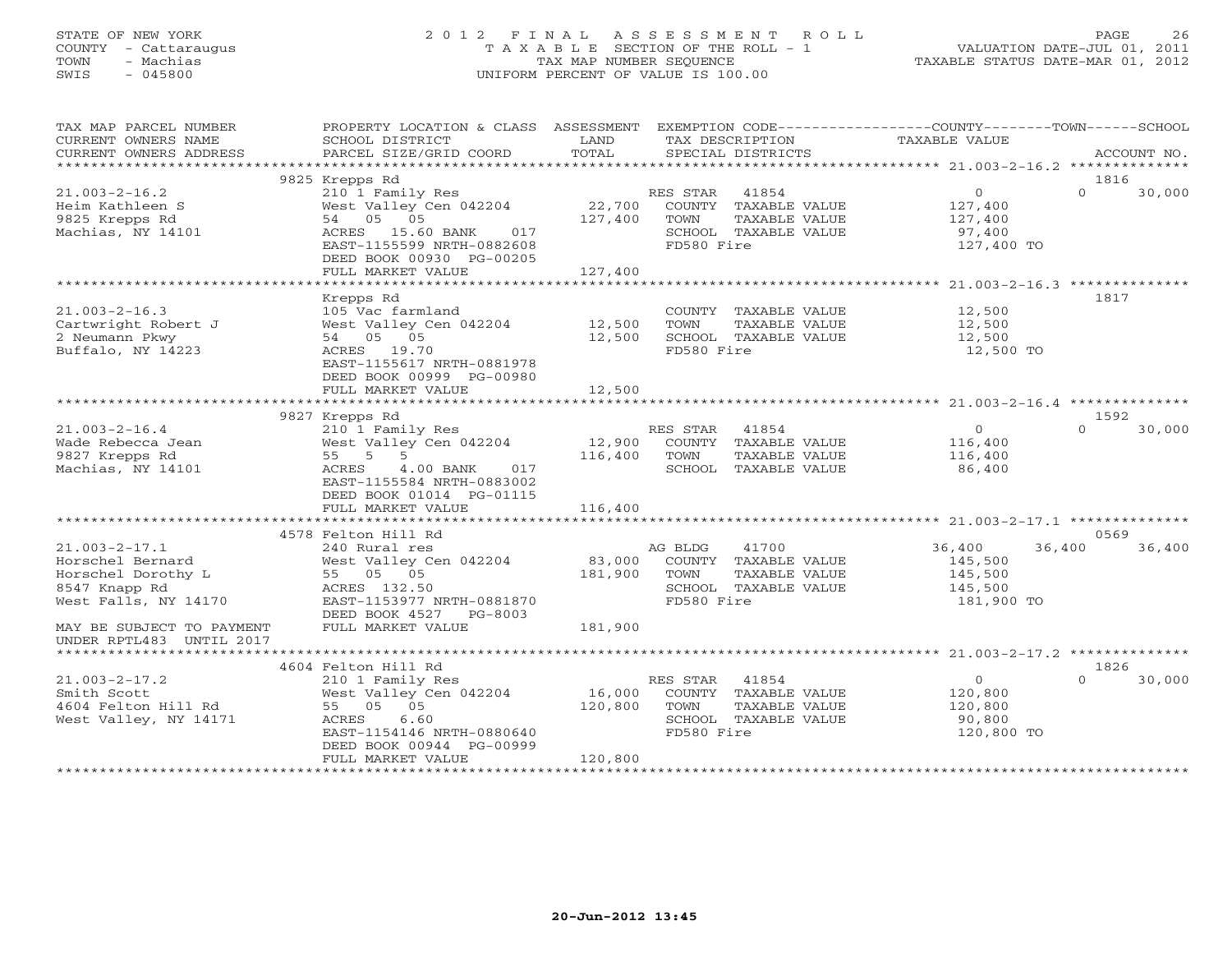### STATE OF NEW YORK 2 0 1 2 F I N A L A S S E S S M E N T R O L L PAGE 26 COUNTY - Cattaraugus T A X A B L E SECTION OF THE ROLL - 1 VALUATION DATE-JUL 01, 2011 TOWN - Machias TAX MAP NUMBER SEQUENCE TAXABLE STATUS DATE-MAR 01, 2012 SWIS - 045800 UNIFORM PERCENT OF VALUE IS 100.00UNIFORM PERCENT OF VALUE IS 100.00

| TAX MAP PARCEL NUMBER     | PROPERTY LOCATION & CLASS ASSESSMENT EXEMPTION CODE---------------COUNTY-------TOWN------SCHOOL |         |            |                      |                |          |             |
|---------------------------|-------------------------------------------------------------------------------------------------|---------|------------|----------------------|----------------|----------|-------------|
| CURRENT OWNERS NAME       | SCHOOL DISTRICT                                                                                 | LAND    |            | TAX DESCRIPTION      | TAXABLE VALUE  |          |             |
| CURRENT OWNERS ADDRESS    | PARCEL SIZE/GRID COORD                                                                          | TOTAL   |            | SPECIAL DISTRICTS    |                |          | ACCOUNT NO. |
|                           |                                                                                                 |         |            |                      |                |          |             |
|                           | 9825 Krepps Rd                                                                                  |         |            |                      |                | 1816     |             |
| $21.003 - 2 - 16.2$       | 210 1 Family Res                                                                                |         | RES STAR   | 41854                | $\overline{0}$ | $\Omega$ | 30,000      |
| Heim Kathleen S           | West Valley Cen 042204                                                                          | 22,700  |            | COUNTY TAXABLE VALUE | 127,400        |          |             |
| 9825 Krepps Rd            | 54 05 05                                                                                        | 127,400 | TOWN       | TAXABLE VALUE        | 127,400        |          |             |
| Machias, NY 14101         | ACRES 15.60 BANK<br>017                                                                         |         |            | SCHOOL TAXABLE VALUE | 97,400         |          |             |
|                           | EAST-1155599 NRTH-0882608                                                                       |         | FD580 Fire |                      | 127,400 TO     |          |             |
|                           | DEED BOOK 00930 PG-00205                                                                        | 127,400 |            |                      |                |          |             |
|                           | FULL MARKET VALUE                                                                               |         |            |                      |                |          |             |
|                           | Krepps Rd                                                                                       |         |            |                      |                | 1817     |             |
| $21.003 - 2 - 16.3$       | 105 Vac farmland                                                                                |         |            | COUNTY TAXABLE VALUE | 12,500         |          |             |
| Cartwright Robert J       | West Valley Cen 042204                                                                          | 12,500  | TOWN       | TAXABLE VALUE        | 12,500         |          |             |
| 2 Neumann Pkwy            | 54 05 05                                                                                        | 12,500  |            | SCHOOL TAXABLE VALUE | 12,500         |          |             |
| Buffalo, NY 14223         | ACRES 19.70                                                                                     |         | FD580 Fire |                      | 12,500 TO      |          |             |
|                           | EAST-1155617 NRTH-0881978                                                                       |         |            |                      |                |          |             |
|                           | DEED BOOK 00999 PG-00980                                                                        |         |            |                      |                |          |             |
|                           | FULL MARKET VALUE                                                                               | 12,500  |            |                      |                |          |             |
|                           |                                                                                                 |         |            |                      |                |          |             |
|                           | 9827 Krepps Rd                                                                                  |         |            |                      |                | 1592     |             |
| $21.003 - 2 - 16.4$       | 210 1 Family Res                                                                                |         | RES STAR   | 41854                | $\circ$        | $\Omega$ | 30,000      |
| Wade Rebecca Jean         | West Valley Cen 042204                                                                          | 12,900  |            | COUNTY TAXABLE VALUE | 116,400        |          |             |
| 9827 Krepps Rd            | 55 5 5                                                                                          | 116,400 | TOWN       | TAXABLE VALUE        | 116,400        |          |             |
| Machias, NY 14101         | ACRES<br>4.00 BANK<br>017                                                                       |         |            | SCHOOL TAXABLE VALUE | 86,400         |          |             |
|                           | EAST-1155584 NRTH-0883002                                                                       |         |            |                      |                |          |             |
|                           | DEED BOOK 01014 PG-01115                                                                        |         |            |                      |                |          |             |
|                           | FULL MARKET VALUE                                                                               | 116,400 |            |                      |                |          |             |
|                           |                                                                                                 |         |            |                      |                |          |             |
|                           | 4578 Felton Hill Rd                                                                             |         |            |                      |                | 0569     |             |
| $21.003 - 2 - 17.1$       | 240 Rural res                                                                                   |         | AG BLDG    | 41700                | 36,400         | 36,400   | 36,400      |
| Horschel Bernard          | West Valley Cen 042204                                                                          | 83,000  |            | COUNTY TAXABLE VALUE | 145,500        |          |             |
| Horschel Dorothy L        | 55 05 05                                                                                        | 181,900 | TOWN       | TAXABLE VALUE        | 145,500        |          |             |
| 8547 Knapp Rd             | ACRES 132.50                                                                                    |         |            | SCHOOL TAXABLE VALUE | 145,500        |          |             |
| West Falls, NY 14170      | EAST-1153977 NRTH-0881870                                                                       |         | FD580 Fire |                      | 181,900 TO     |          |             |
|                           | DEED BOOK 4527 PG-8003                                                                          |         |            |                      |                |          |             |
| MAY BE SUBJECT TO PAYMENT | FULL MARKET VALUE                                                                               | 181,900 |            |                      |                |          |             |
| UNDER RPTL483 UNTIL 2017  |                                                                                                 |         |            |                      |                |          |             |
|                           | 4604 Felton Hill Rd                                                                             |         |            |                      |                | 1826     |             |
| $21.003 - 2 - 17.2$       | 210 1 Family Res                                                                                |         | RES STAR   | 41854                | $\overline{0}$ | $\Omega$ | 30,000      |
| Smith Scott               | West Valley Cen 042204                                                                          | 16,000  |            | COUNTY TAXABLE VALUE | 120,800        |          |             |
| 4604 Felton Hill Rd       | 55 05 05                                                                                        | 120,800 | TOWN       | TAXABLE VALUE        | 120,800        |          |             |
| West Valley, NY 14171     | ACRES<br>6.60                                                                                   |         |            | SCHOOL TAXABLE VALUE | 90,800         |          |             |
|                           | EAST-1154146 NRTH-0880640                                                                       |         | FD580 Fire |                      | 120,800 TO     |          |             |
|                           | DEED BOOK 00944 PG-00999                                                                        |         |            |                      |                |          |             |
|                           | FULL MARKET VALUE                                                                               | 120,800 |            |                      |                |          |             |
|                           |                                                                                                 |         |            |                      |                |          |             |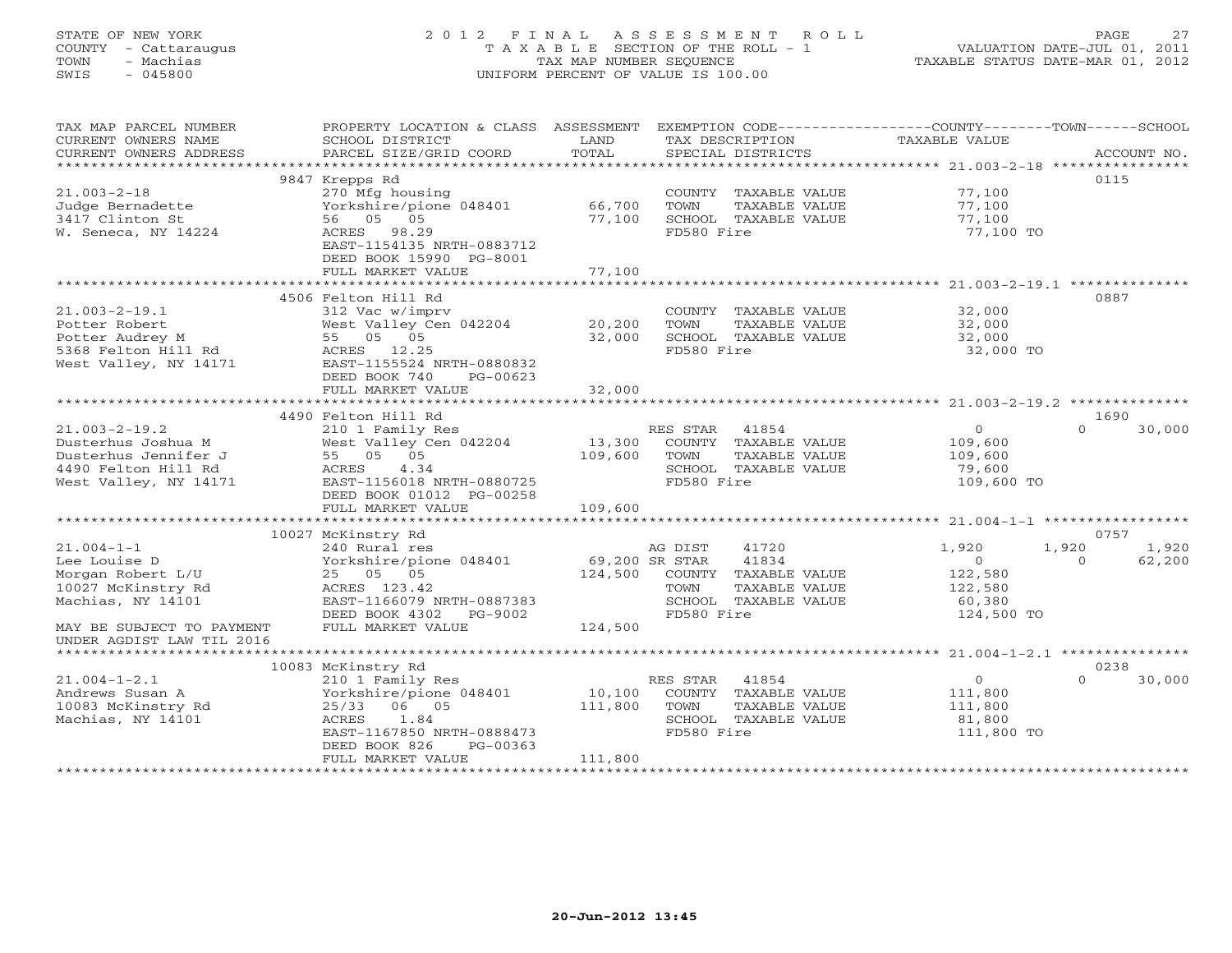## STATE OF NEW YORK 2 0 1 2 F I N A L A S S E S S M E N T R O L L PAGE 27 COUNTY - Cattaraugus T A X A B L E SECTION OF THE ROLL - 1 VALUATION DATE-JUL 01, 2011 TOWN - Machias TAX MAP NUMBER SEQUENCE TAXABLE STATUS DATE-MAR 01, 2012 SWIS - 045800 UNIFORM PERCENT OF VALUE IS 100.00UNIFORM PERCENT OF VALUE IS 100.00

| TAX MAP PARCEL NUMBER<br>CURRENT OWNERS NAME<br>CURRENT OWNERS ADDRESS                                            | PROPERTY LOCATION & CLASS ASSESSMENT<br>SCHOOL DISTRICT<br>PARCEL SIZE/GRID COORD                                                                     | LAND<br>TOTAL     | EXEMPTION CODE-----------------COUNTY-------TOWN------SCHOOL<br>TAX DESCRIPTION<br>SERCIAL DISTRICTS<br>SPECIAL DISTRICTS |                                                              | ACCOUNT NO.        |  |  |
|-------------------------------------------------------------------------------------------------------------------|-------------------------------------------------------------------------------------------------------------------------------------------------------|-------------------|---------------------------------------------------------------------------------------------------------------------------|--------------------------------------------------------------|--------------------|--|--|
|                                                                                                                   |                                                                                                                                                       |                   |                                                                                                                           |                                                              | 0115               |  |  |
| $21.003 - 2 - 18$<br>Judge Bernadette<br>3417 Clinton St<br>W. Seneca, NY 14224                                   | 9847 Krepps Rd<br>270 Mfg housing<br>Yorkshire/pione 048401<br>56 05 05<br>ACRES 98.29                                                                | 66,700<br>77,100  | COUNTY TAXABLE VALUE<br>TOWN<br>TAXABLE VALUE<br>SCHOOL TAXABLE VALUE<br>FD580 Fire                                       | 77,100<br>77,100<br>77,100<br>77,100 TO                      |                    |  |  |
|                                                                                                                   | EAST-1154135 NRTH-0883712<br>DEED BOOK 15990 PG-8001<br>FULL MARKET VALUE                                                                             | 77,100            |                                                                                                                           |                                                              |                    |  |  |
|                                                                                                                   |                                                                                                                                                       |                   |                                                                                                                           |                                                              |                    |  |  |
| $21.003 - 2 - 19.1$<br>Potter Robert<br>Potter Audrey M<br>5368 Felton Hill Rd<br>West Valley, NY 14171           | 4506 Felton Hill Rd<br>312 Vac w/imprv<br>West Valley Cen 042204<br>55 05 05<br>ACRES 12.25<br>EAST-1155524 NRTH-0880832<br>DEED BOOK 740<br>PG-00623 | 20,200<br>32,000  | COUNTY TAXABLE VALUE<br>TOWN<br>TAXABLE VALUE<br>SCHOOL TAXABLE VALUE<br>FD580 Fire                                       | 32,000<br>32,000<br>32,000<br>32,000 TO                      | 0887               |  |  |
|                                                                                                                   | FULL MARKET VALUE                                                                                                                                     | 32,000            |                                                                                                                           |                                                              |                    |  |  |
|                                                                                                                   |                                                                                                                                                       |                   |                                                                                                                           |                                                              |                    |  |  |
|                                                                                                                   | 4490 Felton Hill Rd                                                                                                                                   |                   |                                                                                                                           |                                                              | 1690               |  |  |
| $21.003 - 2 - 19.2$<br>Dusterhus Joshua M<br>Dusterhus Jennifer J<br>4490 Felton Hill Rd<br>West Valley, NY 14171 | 210 1 Family Res<br>West Valley Cen 042204<br>55 05 05<br>ACRES<br>4.34<br>EAST-1156018 NRTH-0880725<br>DEED BOOK 01012 PG-00258                      | 13,300<br>109,600 | RES STAR 41854<br>COUNTY TAXABLE VALUE<br>TOWN<br>TAXABLE VALUE<br>SCHOOL TAXABLE VALUE<br>FD580 Fire                     | $\circ$<br>109,600<br>109,600<br>79,600<br>109,600 TO        | $\Omega$<br>30,000 |  |  |
|                                                                                                                   |                                                                                                                                                       |                   |                                                                                                                           |                                                              |                    |  |  |
|                                                                                                                   | 10027 McKinstry Rd                                                                                                                                    |                   |                                                                                                                           |                                                              | 0757               |  |  |
| $21.004 - 1 - 1$                                                                                                  | 240 Rural res                                                                                                                                         |                   | 41720<br>AG DIST                                                                                                          | 1,920                                                        | 1,920<br>1,920     |  |  |
| Lee Louise D<br>Morgan Robert L/U<br>10027 McKinstry Rd<br>Machias, NY 14101                                      | Yorkshire/pione 048401<br>25 05 05<br>ACRES 123.42<br>EAST-1166079 NRTH-0887383<br>DEED BOOK 4302 PG-9002                                             | 69,200 SR STAR    | 41834<br>124,500 COUNTY TAXABLE VALUE<br>TOWN<br>TAXABLE VALUE<br>SCHOOL TAXABLE VALUE<br>FD580 Fire                      | $\overline{0}$<br>122,580<br>122,580<br>60,380<br>124,500 TO | 62,200<br>$\Omega$ |  |  |
| MAY BE SUBJECT TO PAYMENT                                                                                         | FULL MARKET VALUE                                                                                                                                     | 124,500           |                                                                                                                           |                                                              |                    |  |  |
| UNDER AGDIST LAW TIL 2016                                                                                         |                                                                                                                                                       |                   |                                                                                                                           |                                                              |                    |  |  |
|                                                                                                                   |                                                                                                                                                       |                   |                                                                                                                           |                                                              |                    |  |  |
|                                                                                                                   | 10083 McKinstry Rd                                                                                                                                    |                   |                                                                                                                           |                                                              | 0238               |  |  |
| $21.004 - 1 - 2.1$<br>Andrews Susan A<br>10083 McKinstry Rd<br>Machias, NY 14101                                  | 210 1 Family Res<br>Yorkshire/pione 048401<br>25/33 06 05<br>1.84<br>ACRES<br>EAST-1167850 NRTH-0888473<br>DEED BOOK 826<br>PG-00363                  | 10,100<br>111,800 | RES STAR<br>41854<br>COUNTY TAXABLE VALUE<br>TAXABLE VALUE<br>TOWN<br>SCHOOL TAXABLE VALUE<br>FD580 Fire                  | $\overline{0}$<br>111,800<br>111,800<br>81,800<br>111,800 TO | $\Omega$<br>30,000 |  |  |
|                                                                                                                   | FULL MARKET VALUE                                                                                                                                     | 111,800           |                                                                                                                           |                                                              |                    |  |  |
|                                                                                                                   |                                                                                                                                                       |                   |                                                                                                                           |                                                              |                    |  |  |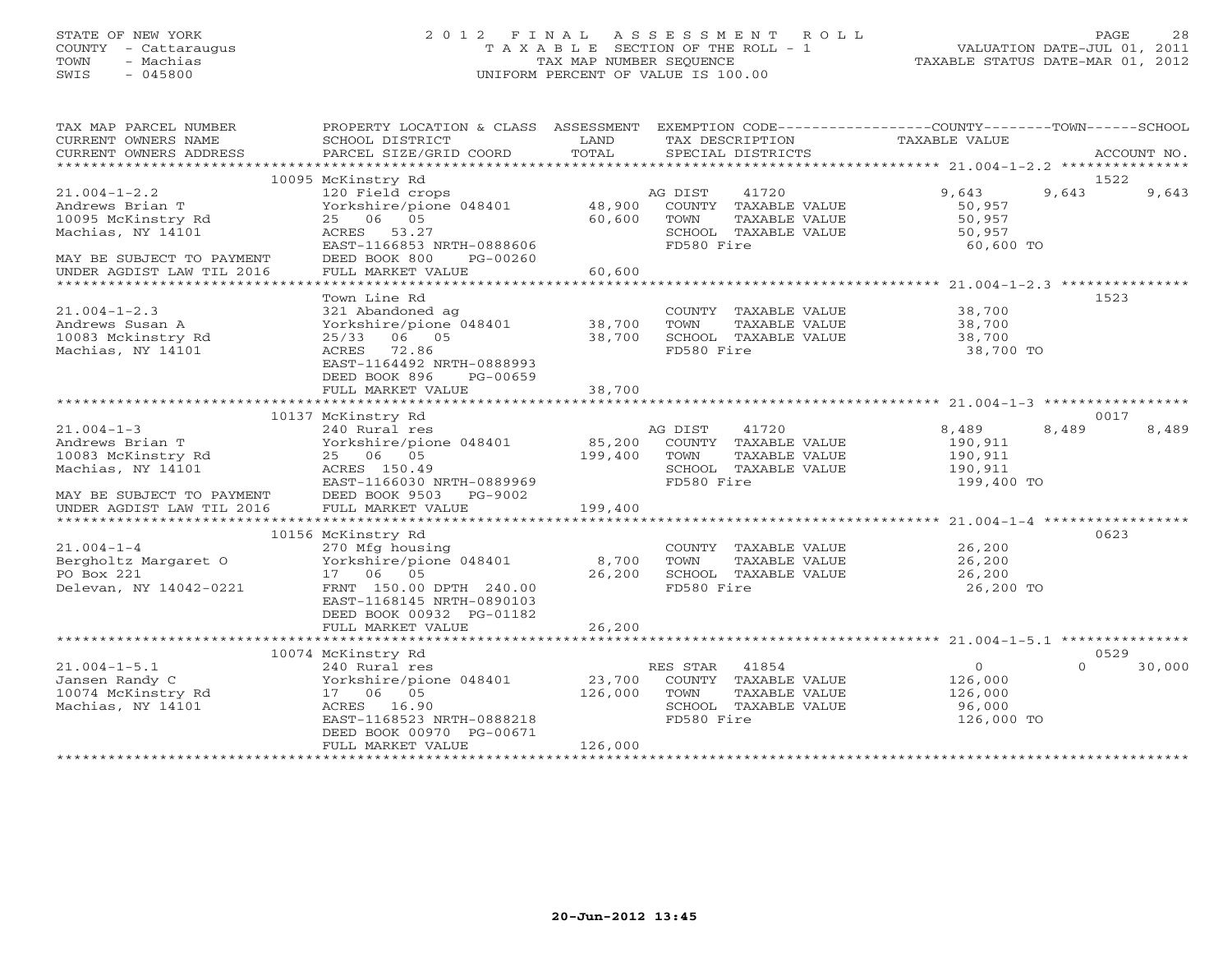### STATE OF NEW YORK 2 0 1 2 F I N A L A S S E S S M E N T R O L L PAGE 28 COUNTY - Cattaraugus T A X A B L E SECTION OF THE ROLL - 1 VALUATION DATE-JUL 01, 2011 TOWN - Machias TAX MAP NUMBER SEQUENCE TAXABLE STATUS DATE-MAR 01, 2012 SWIS - 045800 UNIFORM PERCENT OF VALUE IS 100.00UNIFORM PERCENT OF VALUE IS 100.00

| TAX DESCRIPTION<br>TOTAL<br>CURRENT OWNERS ADDRESS<br>SPECIAL DISTRICTS<br>PARCEL SIZE/GRID COORD<br>ACCOUNT NO.<br>10095 McKinstry Rd<br>1522<br>9,643<br>$21.004 - 1 - 2.2$<br>120 Field crops<br>AG DIST<br>41720<br>9,643<br>9,643<br>Yorkshire/pione 048401 48,900<br>Andrews Brian T<br>COUNTY TAXABLE VALUE<br>50,957<br>25 06 05<br>10095 McKinstry Rd<br>60,600<br>TOWN<br>TAXABLE VALUE<br>50,957<br>SCHOOL TAXABLE VALUE<br>Machias, NY 14101<br>ACRES 53.27<br>50,957<br>FD580 Fire<br>EAST-1166853 NRTH-0888606<br>60,600 TO<br>DEED BOOK 800<br>MAY BE SUBJECT TO PAYMENT<br>PG-00260<br>60,600<br>UNDER AGDIST LAW TIL 2016<br>FULL MARKET VALUE<br>1523<br>Town Line Rd<br>$21.004 - 1 - 2.3$<br>321 Abandoned ag<br>COUNTY TAXABLE VALUE 38,700<br>Yorkshire/pione 048401<br>38,700<br>Andrews Susan A<br>TOWN<br>TAXABLE VALUE<br>38,700<br>38,700<br>25/33 06 05<br>10083 Mckinstry Rd<br>38,700<br>SCHOOL TAXABLE VALUE<br>FD580 Fire<br>Machias, NY 14101<br>ACRES 72.86<br>38,700 TO<br>EAST-1164492 NRTH-0888993<br>DEED BOOK 896<br>PG-00659<br>FULL MARKET VALUE<br>38,700<br>**************<br>0017<br>10137 McKinstry Rd<br>$21.004 - 1 - 3$<br>240 Rural res<br>AG DIST<br>41720<br>8,489<br>8,489<br>8,489<br>Yorkshire/pione 048401 85,200 COUNTY TAXABLE VALUE<br>Andrews Brian T<br>190,911<br>10083 McKinstry Rd<br>25 06 05<br>199,400<br>190,911<br>TOWN<br>TAXABLE VALUE<br>ACRES 150.49<br>SCHOOL TAXABLE VALUE<br>190,911<br>Machias, NY 14101<br>MAY BE SUBJECT TO PAYMENT<br>UNDER AGDIST LAW TIL 2016<br>EAST-1166030 NRTH-0889969<br>FD580 Fire<br>199,400 TO<br>DEED BOOK 9503 PG-9002<br>FULL MARKET VALUE<br>199,400<br>0623<br>10156 McKinstry Rd<br>$21.004 - 1 - 4$<br>26,200<br>270 Mfg housing<br>COUNTY TAXABLE VALUE<br>Bergholtz Margaret 0 Yorkshire/pione 048401<br>8,700<br>26,200<br>TOWN<br>TAXABLE VALUE<br>PO Box 221<br>17 06 05<br>26,200<br>SCHOOL TAXABLE VALUE<br>26,200<br>Delevan, NY 14042-0221<br>FRNT 150.00 DPTH 240.00<br>FD580 Fire<br>26,200 TO<br>EAST-1168145 NRTH-0890103<br>DEED BOOK 00932 PG-01182<br>FULL MARKET VALUE<br>26,200<br>0529<br>10074 McKinstry Rd<br>$21.004 - 1 - 5.1$<br>$\Omega$<br>$\Omega$<br>240 Rural res<br>RES STAR 41854<br>30,000<br>23,700<br>Jansen Randy C<br>Yorkshire/pione 048401<br>COUNTY TAXABLE VALUE<br>126,000<br>Jansen Nemer<br>10074 McKinstry Rd<br>17 06 05<br>126,000<br>TOWN<br>TAXABLE VALUE<br>126,000<br>Machias, NY 14101<br>ACRES 16.90<br>SCHOOL TAXABLE VALUE<br>96,000<br>EAST-1168523 NRTH-0888218<br>FD580 Fire<br>126,000 TO | TAX MAP PARCEL NUMBER<br>CURRENT OWNERS NAME | PROPERTY LOCATION & CLASS ASSESSMENT EXEMPTION CODE---------------COUNTY-------TOWN------SCHOOL<br>SCHOOL DISTRICT | LAND |  |  | TAXABLE VALUE |  |  |
|---------------------------------------------------------------------------------------------------------------------------------------------------------------------------------------------------------------------------------------------------------------------------------------------------------------------------------------------------------------------------------------------------------------------------------------------------------------------------------------------------------------------------------------------------------------------------------------------------------------------------------------------------------------------------------------------------------------------------------------------------------------------------------------------------------------------------------------------------------------------------------------------------------------------------------------------------------------------------------------------------------------------------------------------------------------------------------------------------------------------------------------------------------------------------------------------------------------------------------------------------------------------------------------------------------------------------------------------------------------------------------------------------------------------------------------------------------------------------------------------------------------------------------------------------------------------------------------------------------------------------------------------------------------------------------------------------------------------------------------------------------------------------------------------------------------------------------------------------------------------------------------------------------------------------------------------------------------------------------------------------------------------------------------------------------------------------------------------------------------------------------------------------------------------------------------------------------------------------------------------------------------------------------------------------------------------------------------------------------------------------------------------------------------------------------------------------------------------------------------------------------------------------------------------------------------------|----------------------------------------------|--------------------------------------------------------------------------------------------------------------------|------|--|--|---------------|--|--|
|                                                                                                                                                                                                                                                                                                                                                                                                                                                                                                                                                                                                                                                                                                                                                                                                                                                                                                                                                                                                                                                                                                                                                                                                                                                                                                                                                                                                                                                                                                                                                                                                                                                                                                                                                                                                                                                                                                                                                                                                                                                                                                                                                                                                                                                                                                                                                                                                                                                                                                                                                                     |                                              |                                                                                                                    |      |  |  |               |  |  |
|                                                                                                                                                                                                                                                                                                                                                                                                                                                                                                                                                                                                                                                                                                                                                                                                                                                                                                                                                                                                                                                                                                                                                                                                                                                                                                                                                                                                                                                                                                                                                                                                                                                                                                                                                                                                                                                                                                                                                                                                                                                                                                                                                                                                                                                                                                                                                                                                                                                                                                                                                                     |                                              |                                                                                                                    |      |  |  |               |  |  |
|                                                                                                                                                                                                                                                                                                                                                                                                                                                                                                                                                                                                                                                                                                                                                                                                                                                                                                                                                                                                                                                                                                                                                                                                                                                                                                                                                                                                                                                                                                                                                                                                                                                                                                                                                                                                                                                                                                                                                                                                                                                                                                                                                                                                                                                                                                                                                                                                                                                                                                                                                                     |                                              |                                                                                                                    |      |  |  |               |  |  |
|                                                                                                                                                                                                                                                                                                                                                                                                                                                                                                                                                                                                                                                                                                                                                                                                                                                                                                                                                                                                                                                                                                                                                                                                                                                                                                                                                                                                                                                                                                                                                                                                                                                                                                                                                                                                                                                                                                                                                                                                                                                                                                                                                                                                                                                                                                                                                                                                                                                                                                                                                                     |                                              |                                                                                                                    |      |  |  |               |  |  |
|                                                                                                                                                                                                                                                                                                                                                                                                                                                                                                                                                                                                                                                                                                                                                                                                                                                                                                                                                                                                                                                                                                                                                                                                                                                                                                                                                                                                                                                                                                                                                                                                                                                                                                                                                                                                                                                                                                                                                                                                                                                                                                                                                                                                                                                                                                                                                                                                                                                                                                                                                                     |                                              |                                                                                                                    |      |  |  |               |  |  |
|                                                                                                                                                                                                                                                                                                                                                                                                                                                                                                                                                                                                                                                                                                                                                                                                                                                                                                                                                                                                                                                                                                                                                                                                                                                                                                                                                                                                                                                                                                                                                                                                                                                                                                                                                                                                                                                                                                                                                                                                                                                                                                                                                                                                                                                                                                                                                                                                                                                                                                                                                                     |                                              |                                                                                                                    |      |  |  |               |  |  |
|                                                                                                                                                                                                                                                                                                                                                                                                                                                                                                                                                                                                                                                                                                                                                                                                                                                                                                                                                                                                                                                                                                                                                                                                                                                                                                                                                                                                                                                                                                                                                                                                                                                                                                                                                                                                                                                                                                                                                                                                                                                                                                                                                                                                                                                                                                                                                                                                                                                                                                                                                                     |                                              |                                                                                                                    |      |  |  |               |  |  |
|                                                                                                                                                                                                                                                                                                                                                                                                                                                                                                                                                                                                                                                                                                                                                                                                                                                                                                                                                                                                                                                                                                                                                                                                                                                                                                                                                                                                                                                                                                                                                                                                                                                                                                                                                                                                                                                                                                                                                                                                                                                                                                                                                                                                                                                                                                                                                                                                                                                                                                                                                                     |                                              |                                                                                                                    |      |  |  |               |  |  |
|                                                                                                                                                                                                                                                                                                                                                                                                                                                                                                                                                                                                                                                                                                                                                                                                                                                                                                                                                                                                                                                                                                                                                                                                                                                                                                                                                                                                                                                                                                                                                                                                                                                                                                                                                                                                                                                                                                                                                                                                                                                                                                                                                                                                                                                                                                                                                                                                                                                                                                                                                                     |                                              |                                                                                                                    |      |  |  |               |  |  |
|                                                                                                                                                                                                                                                                                                                                                                                                                                                                                                                                                                                                                                                                                                                                                                                                                                                                                                                                                                                                                                                                                                                                                                                                                                                                                                                                                                                                                                                                                                                                                                                                                                                                                                                                                                                                                                                                                                                                                                                                                                                                                                                                                                                                                                                                                                                                                                                                                                                                                                                                                                     |                                              |                                                                                                                    |      |  |  |               |  |  |
|                                                                                                                                                                                                                                                                                                                                                                                                                                                                                                                                                                                                                                                                                                                                                                                                                                                                                                                                                                                                                                                                                                                                                                                                                                                                                                                                                                                                                                                                                                                                                                                                                                                                                                                                                                                                                                                                                                                                                                                                                                                                                                                                                                                                                                                                                                                                                                                                                                                                                                                                                                     |                                              |                                                                                                                    |      |  |  |               |  |  |
|                                                                                                                                                                                                                                                                                                                                                                                                                                                                                                                                                                                                                                                                                                                                                                                                                                                                                                                                                                                                                                                                                                                                                                                                                                                                                                                                                                                                                                                                                                                                                                                                                                                                                                                                                                                                                                                                                                                                                                                                                                                                                                                                                                                                                                                                                                                                                                                                                                                                                                                                                                     |                                              |                                                                                                                    |      |  |  |               |  |  |
|                                                                                                                                                                                                                                                                                                                                                                                                                                                                                                                                                                                                                                                                                                                                                                                                                                                                                                                                                                                                                                                                                                                                                                                                                                                                                                                                                                                                                                                                                                                                                                                                                                                                                                                                                                                                                                                                                                                                                                                                                                                                                                                                                                                                                                                                                                                                                                                                                                                                                                                                                                     |                                              |                                                                                                                    |      |  |  |               |  |  |
|                                                                                                                                                                                                                                                                                                                                                                                                                                                                                                                                                                                                                                                                                                                                                                                                                                                                                                                                                                                                                                                                                                                                                                                                                                                                                                                                                                                                                                                                                                                                                                                                                                                                                                                                                                                                                                                                                                                                                                                                                                                                                                                                                                                                                                                                                                                                                                                                                                                                                                                                                                     |                                              |                                                                                                                    |      |  |  |               |  |  |
|                                                                                                                                                                                                                                                                                                                                                                                                                                                                                                                                                                                                                                                                                                                                                                                                                                                                                                                                                                                                                                                                                                                                                                                                                                                                                                                                                                                                                                                                                                                                                                                                                                                                                                                                                                                                                                                                                                                                                                                                                                                                                                                                                                                                                                                                                                                                                                                                                                                                                                                                                                     |                                              |                                                                                                                    |      |  |  |               |  |  |
|                                                                                                                                                                                                                                                                                                                                                                                                                                                                                                                                                                                                                                                                                                                                                                                                                                                                                                                                                                                                                                                                                                                                                                                                                                                                                                                                                                                                                                                                                                                                                                                                                                                                                                                                                                                                                                                                                                                                                                                                                                                                                                                                                                                                                                                                                                                                                                                                                                                                                                                                                                     |                                              |                                                                                                                    |      |  |  |               |  |  |
|                                                                                                                                                                                                                                                                                                                                                                                                                                                                                                                                                                                                                                                                                                                                                                                                                                                                                                                                                                                                                                                                                                                                                                                                                                                                                                                                                                                                                                                                                                                                                                                                                                                                                                                                                                                                                                                                                                                                                                                                                                                                                                                                                                                                                                                                                                                                                                                                                                                                                                                                                                     |                                              |                                                                                                                    |      |  |  |               |  |  |
|                                                                                                                                                                                                                                                                                                                                                                                                                                                                                                                                                                                                                                                                                                                                                                                                                                                                                                                                                                                                                                                                                                                                                                                                                                                                                                                                                                                                                                                                                                                                                                                                                                                                                                                                                                                                                                                                                                                                                                                                                                                                                                                                                                                                                                                                                                                                                                                                                                                                                                                                                                     |                                              |                                                                                                                    |      |  |  |               |  |  |
|                                                                                                                                                                                                                                                                                                                                                                                                                                                                                                                                                                                                                                                                                                                                                                                                                                                                                                                                                                                                                                                                                                                                                                                                                                                                                                                                                                                                                                                                                                                                                                                                                                                                                                                                                                                                                                                                                                                                                                                                                                                                                                                                                                                                                                                                                                                                                                                                                                                                                                                                                                     |                                              |                                                                                                                    |      |  |  |               |  |  |
|                                                                                                                                                                                                                                                                                                                                                                                                                                                                                                                                                                                                                                                                                                                                                                                                                                                                                                                                                                                                                                                                                                                                                                                                                                                                                                                                                                                                                                                                                                                                                                                                                                                                                                                                                                                                                                                                                                                                                                                                                                                                                                                                                                                                                                                                                                                                                                                                                                                                                                                                                                     |                                              |                                                                                                                    |      |  |  |               |  |  |
|                                                                                                                                                                                                                                                                                                                                                                                                                                                                                                                                                                                                                                                                                                                                                                                                                                                                                                                                                                                                                                                                                                                                                                                                                                                                                                                                                                                                                                                                                                                                                                                                                                                                                                                                                                                                                                                                                                                                                                                                                                                                                                                                                                                                                                                                                                                                                                                                                                                                                                                                                                     |                                              |                                                                                                                    |      |  |  |               |  |  |
|                                                                                                                                                                                                                                                                                                                                                                                                                                                                                                                                                                                                                                                                                                                                                                                                                                                                                                                                                                                                                                                                                                                                                                                                                                                                                                                                                                                                                                                                                                                                                                                                                                                                                                                                                                                                                                                                                                                                                                                                                                                                                                                                                                                                                                                                                                                                                                                                                                                                                                                                                                     |                                              |                                                                                                                    |      |  |  |               |  |  |
|                                                                                                                                                                                                                                                                                                                                                                                                                                                                                                                                                                                                                                                                                                                                                                                                                                                                                                                                                                                                                                                                                                                                                                                                                                                                                                                                                                                                                                                                                                                                                                                                                                                                                                                                                                                                                                                                                                                                                                                                                                                                                                                                                                                                                                                                                                                                                                                                                                                                                                                                                                     |                                              |                                                                                                                    |      |  |  |               |  |  |
|                                                                                                                                                                                                                                                                                                                                                                                                                                                                                                                                                                                                                                                                                                                                                                                                                                                                                                                                                                                                                                                                                                                                                                                                                                                                                                                                                                                                                                                                                                                                                                                                                                                                                                                                                                                                                                                                                                                                                                                                                                                                                                                                                                                                                                                                                                                                                                                                                                                                                                                                                                     |                                              |                                                                                                                    |      |  |  |               |  |  |
|                                                                                                                                                                                                                                                                                                                                                                                                                                                                                                                                                                                                                                                                                                                                                                                                                                                                                                                                                                                                                                                                                                                                                                                                                                                                                                                                                                                                                                                                                                                                                                                                                                                                                                                                                                                                                                                                                                                                                                                                                                                                                                                                                                                                                                                                                                                                                                                                                                                                                                                                                                     |                                              |                                                                                                                    |      |  |  |               |  |  |
|                                                                                                                                                                                                                                                                                                                                                                                                                                                                                                                                                                                                                                                                                                                                                                                                                                                                                                                                                                                                                                                                                                                                                                                                                                                                                                                                                                                                                                                                                                                                                                                                                                                                                                                                                                                                                                                                                                                                                                                                                                                                                                                                                                                                                                                                                                                                                                                                                                                                                                                                                                     |                                              |                                                                                                                    |      |  |  |               |  |  |
|                                                                                                                                                                                                                                                                                                                                                                                                                                                                                                                                                                                                                                                                                                                                                                                                                                                                                                                                                                                                                                                                                                                                                                                                                                                                                                                                                                                                                                                                                                                                                                                                                                                                                                                                                                                                                                                                                                                                                                                                                                                                                                                                                                                                                                                                                                                                                                                                                                                                                                                                                                     |                                              |                                                                                                                    |      |  |  |               |  |  |
|                                                                                                                                                                                                                                                                                                                                                                                                                                                                                                                                                                                                                                                                                                                                                                                                                                                                                                                                                                                                                                                                                                                                                                                                                                                                                                                                                                                                                                                                                                                                                                                                                                                                                                                                                                                                                                                                                                                                                                                                                                                                                                                                                                                                                                                                                                                                                                                                                                                                                                                                                                     |                                              |                                                                                                                    |      |  |  |               |  |  |
|                                                                                                                                                                                                                                                                                                                                                                                                                                                                                                                                                                                                                                                                                                                                                                                                                                                                                                                                                                                                                                                                                                                                                                                                                                                                                                                                                                                                                                                                                                                                                                                                                                                                                                                                                                                                                                                                                                                                                                                                                                                                                                                                                                                                                                                                                                                                                                                                                                                                                                                                                                     |                                              |                                                                                                                    |      |  |  |               |  |  |
|                                                                                                                                                                                                                                                                                                                                                                                                                                                                                                                                                                                                                                                                                                                                                                                                                                                                                                                                                                                                                                                                                                                                                                                                                                                                                                                                                                                                                                                                                                                                                                                                                                                                                                                                                                                                                                                                                                                                                                                                                                                                                                                                                                                                                                                                                                                                                                                                                                                                                                                                                                     |                                              |                                                                                                                    |      |  |  |               |  |  |
|                                                                                                                                                                                                                                                                                                                                                                                                                                                                                                                                                                                                                                                                                                                                                                                                                                                                                                                                                                                                                                                                                                                                                                                                                                                                                                                                                                                                                                                                                                                                                                                                                                                                                                                                                                                                                                                                                                                                                                                                                                                                                                                                                                                                                                                                                                                                                                                                                                                                                                                                                                     |                                              |                                                                                                                    |      |  |  |               |  |  |
|                                                                                                                                                                                                                                                                                                                                                                                                                                                                                                                                                                                                                                                                                                                                                                                                                                                                                                                                                                                                                                                                                                                                                                                                                                                                                                                                                                                                                                                                                                                                                                                                                                                                                                                                                                                                                                                                                                                                                                                                                                                                                                                                                                                                                                                                                                                                                                                                                                                                                                                                                                     |                                              |                                                                                                                    |      |  |  |               |  |  |
|                                                                                                                                                                                                                                                                                                                                                                                                                                                                                                                                                                                                                                                                                                                                                                                                                                                                                                                                                                                                                                                                                                                                                                                                                                                                                                                                                                                                                                                                                                                                                                                                                                                                                                                                                                                                                                                                                                                                                                                                                                                                                                                                                                                                                                                                                                                                                                                                                                                                                                                                                                     |                                              |                                                                                                                    |      |  |  |               |  |  |
|                                                                                                                                                                                                                                                                                                                                                                                                                                                                                                                                                                                                                                                                                                                                                                                                                                                                                                                                                                                                                                                                                                                                                                                                                                                                                                                                                                                                                                                                                                                                                                                                                                                                                                                                                                                                                                                                                                                                                                                                                                                                                                                                                                                                                                                                                                                                                                                                                                                                                                                                                                     |                                              |                                                                                                                    |      |  |  |               |  |  |
|                                                                                                                                                                                                                                                                                                                                                                                                                                                                                                                                                                                                                                                                                                                                                                                                                                                                                                                                                                                                                                                                                                                                                                                                                                                                                                                                                                                                                                                                                                                                                                                                                                                                                                                                                                                                                                                                                                                                                                                                                                                                                                                                                                                                                                                                                                                                                                                                                                                                                                                                                                     |                                              |                                                                                                                    |      |  |  |               |  |  |
|                                                                                                                                                                                                                                                                                                                                                                                                                                                                                                                                                                                                                                                                                                                                                                                                                                                                                                                                                                                                                                                                                                                                                                                                                                                                                                                                                                                                                                                                                                                                                                                                                                                                                                                                                                                                                                                                                                                                                                                                                                                                                                                                                                                                                                                                                                                                                                                                                                                                                                                                                                     |                                              |                                                                                                                    |      |  |  |               |  |  |
|                                                                                                                                                                                                                                                                                                                                                                                                                                                                                                                                                                                                                                                                                                                                                                                                                                                                                                                                                                                                                                                                                                                                                                                                                                                                                                                                                                                                                                                                                                                                                                                                                                                                                                                                                                                                                                                                                                                                                                                                                                                                                                                                                                                                                                                                                                                                                                                                                                                                                                                                                                     |                                              |                                                                                                                    |      |  |  |               |  |  |
|                                                                                                                                                                                                                                                                                                                                                                                                                                                                                                                                                                                                                                                                                                                                                                                                                                                                                                                                                                                                                                                                                                                                                                                                                                                                                                                                                                                                                                                                                                                                                                                                                                                                                                                                                                                                                                                                                                                                                                                                                                                                                                                                                                                                                                                                                                                                                                                                                                                                                                                                                                     |                                              |                                                                                                                    |      |  |  |               |  |  |
|                                                                                                                                                                                                                                                                                                                                                                                                                                                                                                                                                                                                                                                                                                                                                                                                                                                                                                                                                                                                                                                                                                                                                                                                                                                                                                                                                                                                                                                                                                                                                                                                                                                                                                                                                                                                                                                                                                                                                                                                                                                                                                                                                                                                                                                                                                                                                                                                                                                                                                                                                                     |                                              |                                                                                                                    |      |  |  |               |  |  |
|                                                                                                                                                                                                                                                                                                                                                                                                                                                                                                                                                                                                                                                                                                                                                                                                                                                                                                                                                                                                                                                                                                                                                                                                                                                                                                                                                                                                                                                                                                                                                                                                                                                                                                                                                                                                                                                                                                                                                                                                                                                                                                                                                                                                                                                                                                                                                                                                                                                                                                                                                                     |                                              |                                                                                                                    |      |  |  |               |  |  |
|                                                                                                                                                                                                                                                                                                                                                                                                                                                                                                                                                                                                                                                                                                                                                                                                                                                                                                                                                                                                                                                                                                                                                                                                                                                                                                                                                                                                                                                                                                                                                                                                                                                                                                                                                                                                                                                                                                                                                                                                                                                                                                                                                                                                                                                                                                                                                                                                                                                                                                                                                                     |                                              |                                                                                                                    |      |  |  |               |  |  |
|                                                                                                                                                                                                                                                                                                                                                                                                                                                                                                                                                                                                                                                                                                                                                                                                                                                                                                                                                                                                                                                                                                                                                                                                                                                                                                                                                                                                                                                                                                                                                                                                                                                                                                                                                                                                                                                                                                                                                                                                                                                                                                                                                                                                                                                                                                                                                                                                                                                                                                                                                                     |                                              | DEED BOOK 00970 PG-00671                                                                                           |      |  |  |               |  |  |
| FULL MARKET VALUE<br>126,000                                                                                                                                                                                                                                                                                                                                                                                                                                                                                                                                                                                                                                                                                                                                                                                                                                                                                                                                                                                                                                                                                                                                                                                                                                                                                                                                                                                                                                                                                                                                                                                                                                                                                                                                                                                                                                                                                                                                                                                                                                                                                                                                                                                                                                                                                                                                                                                                                                                                                                                                        |                                              |                                                                                                                    |      |  |  |               |  |  |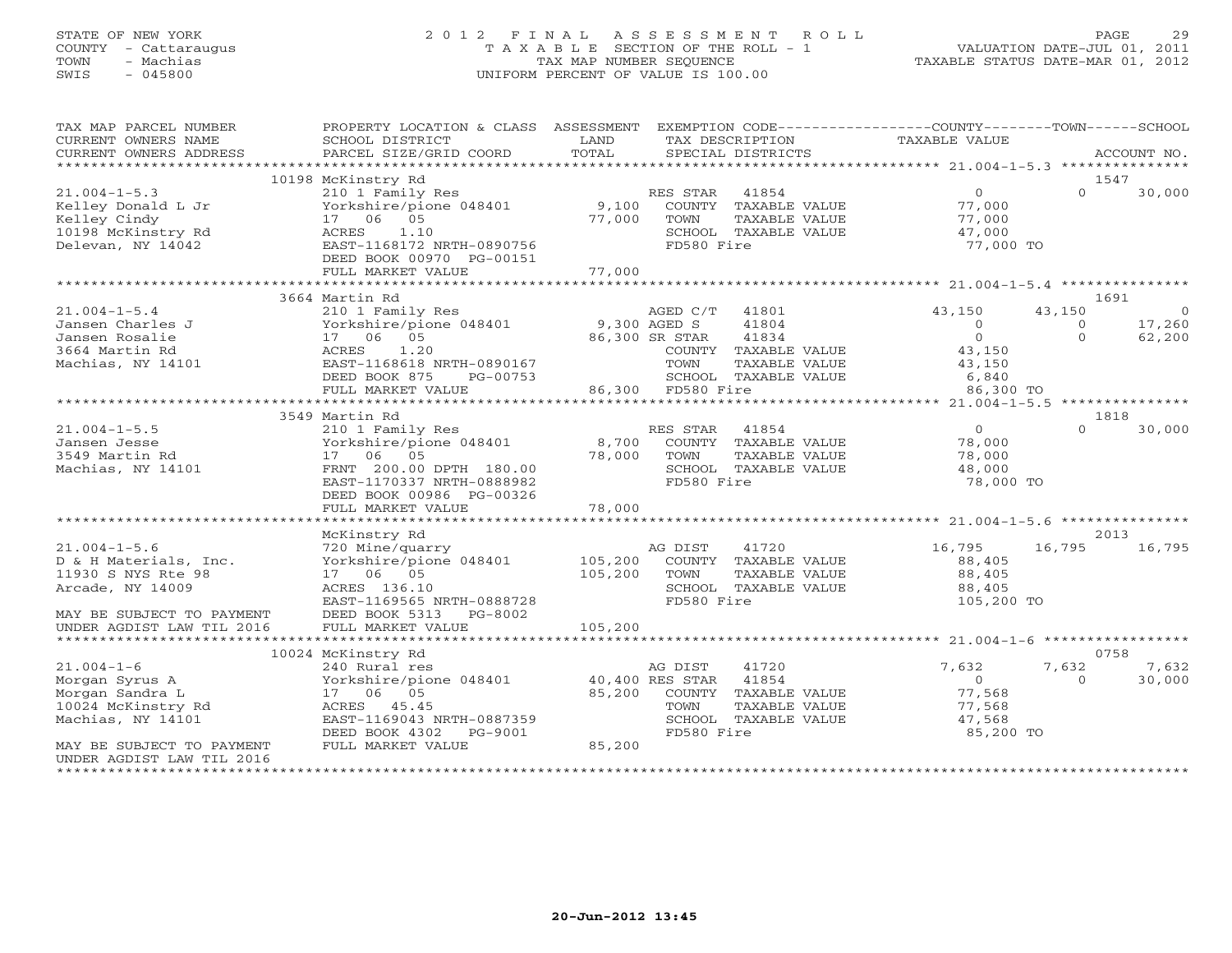# STATE OF NEW YORK 2 0 1 2 F I N A L A S S E S S M E N T R O L L PAGE 29 COUNTY - Cattaraugus T A X A B L E SECTION OF THE ROLL - 1 VALUATION DATE-JUL 01, 2011 TOWN - Machias TAX MAP NUMBER SEQUENCE TAXABLE STATUS DATE-MAR 01, 2012 SWIS - 045800 UNIFORM PERCENT OF VALUE IS 100.00

| TAX MAP PARCEL NUMBER              | PROPERTY LOCATION & CLASS ASSESSMENT                    |                   |                |                            | EXEMPTION CODE-----------------COUNTY-------TOWN------SCHOOL |                   |                       |
|------------------------------------|---------------------------------------------------------|-------------------|----------------|----------------------------|--------------------------------------------------------------|-------------------|-----------------------|
| CURRENT OWNERS NAME                | SCHOOL DISTRICT                                         | LAND<br>TOTAL     |                | TAX DESCRIPTION            | TAXABLE VALUE                                                |                   |                       |
| CURRENT OWNERS ADDRESS             | PARCEL SIZE/GRID COORD                                  |                   |                | SPECIAL DISTRICTS          |                                                              |                   | ACCOUNT NO.           |
|                                    | 10198 McKinstry Rd                                      |                   |                |                            |                                                              |                   | 1547                  |
| $21.004 - 1 - 5.3$                 | 210 1 Family Res                                        |                   | RES STAR 41854 |                            | $\overline{0}$                                               | $\Omega$          | 30,000                |
| Kelley Donald L Jr                 | Yorkshire/pione 048401                                  |                   |                | 9,100 COUNTY TAXABLE VALUE | 77,000                                                       |                   |                       |
| Kelley Cindy                       | 17 06 05                                                | 77,000            | TOWN           | TAXABLE VALUE              | 77,000                                                       |                   |                       |
| 10198 McKinstry Rd                 | 1.10<br>ACRES                                           |                   |                | SCHOOL TAXABLE VALUE       | 47,000                                                       |                   |                       |
| Delevan, NY 14042                  | EAST-1168172 NRTH-0890756                               |                   | FD580 Fire     |                            | 77,000 TO                                                    |                   |                       |
|                                    | DEED BOOK 00970 PG-00151<br>FULL MARKET VALUE           | 77,000            |                |                            |                                                              |                   |                       |
|                                    |                                                         |                   |                |                            |                                                              |                   |                       |
|                                    | 3664 Martin Rd                                          |                   |                |                            |                                                              |                   | 1691                  |
| $21.004 - 1 - 5.4$                 | 210 1 Family Res                                        |                   | AGED C/T 41801 |                            | 43,150                                                       | 43,150            | $\overline{0}$        |
| Jansen Charles J                   | Yorkshire/pione 048401                                  | 9,300 AGED S      |                | 41804                      | $\Omega$                                                     | $\overline{0}$    | 17,260                |
| Jansen Rosalie                     | 17 06 05                                                |                   | 86,300 SR STAR | 41834                      | $\overline{0}$                                               | $\overline{0}$    | 62,200                |
| 3664 Martin Rd                     | 1.20<br>ACRES                                           |                   |                | COUNTY TAXABLE VALUE       | 43,150                                                       |                   |                       |
| Machias, NY 14101                  | EAST-1168618 NRTH-0890167                               |                   | TOWN           | TAXABLE VALUE              | 43,150                                                       |                   |                       |
|                                    | DEED BOOK 875<br>PG-00753                               |                   |                | SCHOOL TAXABLE VALUE       | 6,840                                                        |                   |                       |
|                                    | FULL MARKET VALUE                                       | 86,300 FD580 Fire |                |                            | 86,300 TO                                                    |                   |                       |
|                                    | 3549 Martin Rd                                          |                   |                |                            |                                                              |                   | 1818                  |
| $21.004 - 1 - 5.5$                 | 210 1 Family Res                                        |                   | RES STAR       | 41854                      | $\overline{0}$                                               | $\Omega$          | 30,000                |
| Jansen Jesse                       | Yorkshire/pione 048401                                  | 8,700             |                | COUNTY TAXABLE VALUE       | 78,000                                                       |                   |                       |
| 3549 Martin Rd                     | 17 06 05                                                | 78,000            | TOWN           | TAXABLE VALUE              | 78,000                                                       |                   |                       |
| Machias, NY 14101                  | FRNT 200.00 DPTH 180.00                                 |                   |                | SCHOOL TAXABLE VALUE       | 48,000                                                       |                   |                       |
|                                    | EAST-1170337 NRTH-0888982                               |                   | FD580 Fire     |                            | 78,000 TO                                                    |                   |                       |
|                                    | DEED BOOK 00986 PG-00326                                |                   |                |                            |                                                              |                   |                       |
|                                    | FULL MARKET VALUE                                       | 78,000            |                |                            |                                                              |                   |                       |
|                                    |                                                         |                   |                |                            |                                                              |                   |                       |
| $21.004 - 1 - 5.6$                 | McKinstry Rd<br>720 Mine/quarry                         |                   | AG DIST        | 41720                      | 16,795                                                       |                   | 2013<br>16,795 16,795 |
| D & H Materials, Inc.              | Yorkshire/pione 048401                                  | 105,200           |                | COUNTY TAXABLE VALUE       | 88,405                                                       |                   |                       |
| 11930 S NYS Rte 98                 | 17 06 05                                                | 105,200           | TOWN           | TAXABLE VALUE              | 88,405                                                       |                   |                       |
| Arcade, NY 14009                   | ACRES 136.10                                            |                   |                | SCHOOL TAXABLE VALUE       | 88,405                                                       |                   |                       |
|                                    | EAST-1169565 NRTH-0888728                               |                   | FD580 Fire     |                            | 105,200 TO                                                   |                   |                       |
| MAY BE SUBJECT TO PAYMENT          | DEED BOOK 5313<br>PG-8002                               |                   |                |                            |                                                              |                   |                       |
| UNDER AGDIST LAW TIL 2016          | FULL MARKET VALUE                                       | 105,200           |                |                            |                                                              |                   |                       |
|                                    |                                                         |                   |                |                            |                                                              |                   |                       |
|                                    | 10024 McKinstry Rd                                      |                   |                |                            |                                                              |                   | 0758                  |
| $21.004 - 1 - 6$<br>Morgan Syrus A | 240 Rural res<br>Yorkshire/pione 048401 40,400 RES STAR |                   | AG DIST        | 41720<br>41854             | 7,632<br>$\overline{0}$                                      | 7,632<br>$\Omega$ | 7,632<br>30,000       |
| Morgan Sandra L                    | 17 06 05                                                | 85,200            |                | COUNTY TAXABLE VALUE       | 77,568                                                       |                   |                       |
| 10024 McKinstry Rd                 | ACRES 45.45                                             |                   | TOWN           | TAXABLE VALUE              | 77,568                                                       |                   |                       |
| Machias, NY 14101                  | EAST-1169043 NRTH-0887359                               |                   |                | SCHOOL TAXABLE VALUE       | 47,568                                                       |                   |                       |
|                                    | DEED BOOK 4302<br>PG-9001                               |                   | FD580 Fire     |                            | 85,200 TO                                                    |                   |                       |
| MAY BE SUBJECT TO PAYMENT          | FULL MARKET VALUE                                       | 85,200            |                |                            |                                                              |                   |                       |
| UNDER AGDIST LAW TIL 2016          |                                                         |                   |                |                            |                                                              |                   |                       |
|                                    |                                                         |                   |                |                            |                                                              |                   |                       |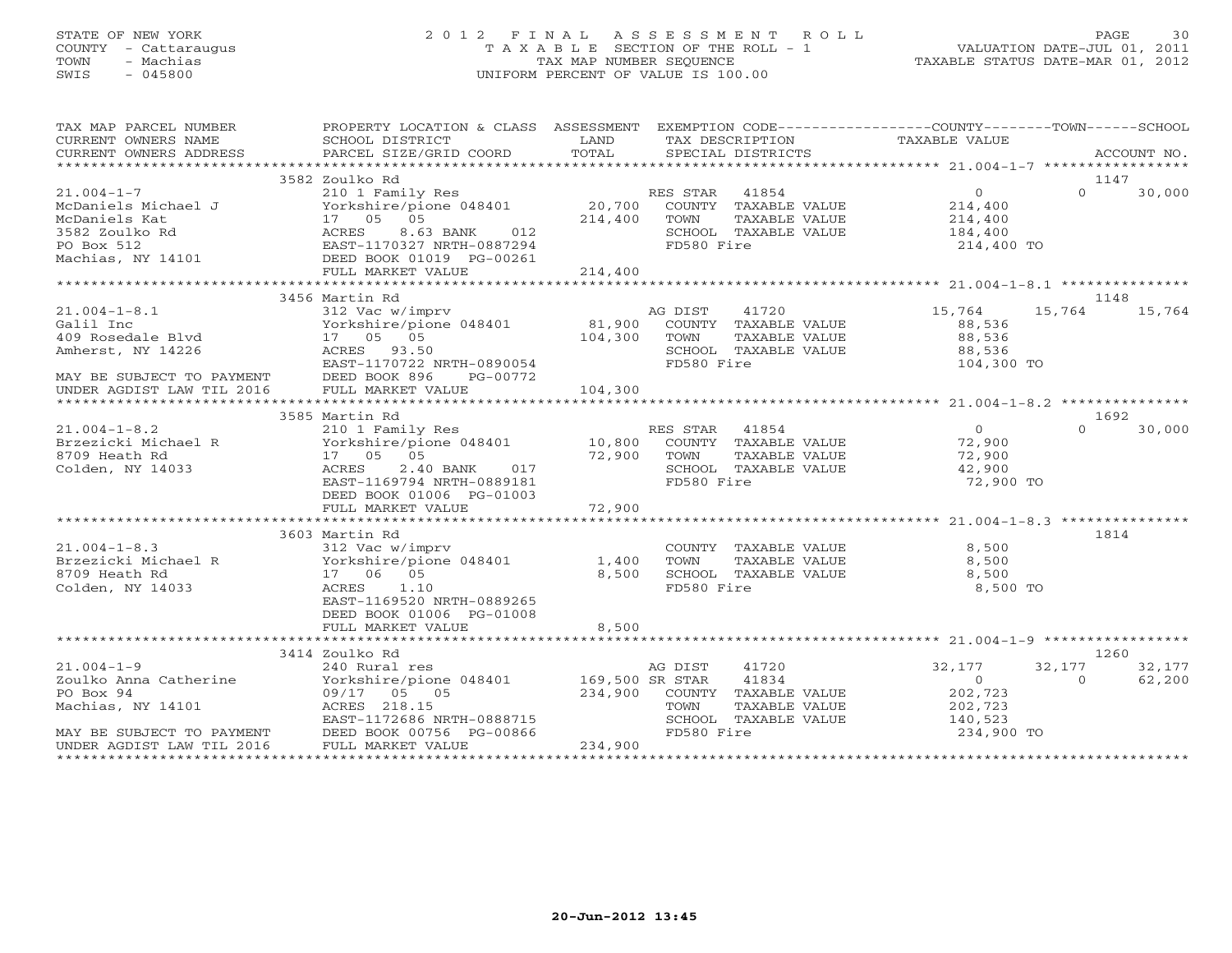## STATE OF NEW YORK 2 0 1 2 F I N A L A S S E S S M E N T R O L L PAGE 30 COUNTY - Cattaraugus T A X A B L E SECTION OF THE ROLL - 1 VALUATION DATE-JUL 01, 2011 TOWN - Machias TAX MAP NUMBER SEQUENCE TAXABLE STATUS DATE-MAR 01, 2012 SWIS - 045800 UNIFORM PERCENT OF VALUE IS 100.00UNIFORM PERCENT OF VALUE IS 100.00

| TAX MAP PARCEL NUMBER                                                       | PROPERTY LOCATION & CLASS ASSESSMENT EXEMPTION CODE---------------COUNTY-------TOWN------SCHOOL                                                                                                                                                           |             |                |                                       |                                   |          |                 |  |
|-----------------------------------------------------------------------------|-----------------------------------------------------------------------------------------------------------------------------------------------------------------------------------------------------------------------------------------------------------|-------------|----------------|---------------------------------------|-----------------------------------|----------|-----------------|--|
| CURRENT OWNERS NAME                                                         | SCHOOL DISTRICT                                                                                                                                                                                                                                           | <b>LAND</b> |                | TAX DESCRIPTION                       | TAXABLE VALUE                     |          |                 |  |
| CURRENT OWNERS ADDRESS                                                      |                                                                                                                                                                                                                                                           |             |                |                                       |                                   |          |                 |  |
|                                                                             | 3582 Zoulko Rd                                                                                                                                                                                                                                            |             |                |                                       |                                   |          | 1147            |  |
| $21.004 - 1 - 7$                                                            | 210 1 Family Res                                                                                                                                                                                                                                          |             | RES STAR 41854 |                                       | $\overline{0}$                    | $\Omega$ | 30,000          |  |
|                                                                             | $\frac{1}{20,700}$ COUNTY TAXABLE VALUE                                                                                                                                                                                                                   |             |                |                                       | 214,400                           |          |                 |  |
|                                                                             |                                                                                                                                                                                                                                                           | 214,400     | TOWN           | TAXABLE VALUE                         | 214,400                           |          |                 |  |
|                                                                             | 012                                                                                                                                                                                                                                                       |             |                | SCHOOL TAXABLE VALUE                  | 184,400                           |          |                 |  |
|                                                                             |                                                                                                                                                                                                                                                           |             | FD580 Fire     |                                       | 214,400 TO                        |          |                 |  |
|                                                                             | Example 15 Michael J<br>McDaniels Kat (17 05 05<br>3582 Zoulko Rd<br>PO Box 512<br>Machias, NY 14101<br>Machias, NY 14101<br>PO Box 612<br>Machias, NY 14101<br>PO BOX 01019<br>PO PO 261<br>PO PO PO 261<br>PO PO 261<br>PO PO 261<br>PO PO 261<br>PO PO |             |                |                                       |                                   |          |                 |  |
|                                                                             | FULL MARKET VALUE                                                                                                                                                                                                                                         | 214,400     |                |                                       |                                   |          |                 |  |
|                                                                             |                                                                                                                                                                                                                                                           |             |                |                                       |                                   |          |                 |  |
|                                                                             | 3456 Martin Rd                                                                                                                                                                                                                                            |             |                |                                       |                                   |          | 1148            |  |
| $21.004 - 1 - 8.1$                                                          | 312 Vac w/imprv<br>Yorkshire/pione 048401 and 047300<br>104,300 COUNTY TAXABLE VALUE<br>17 05 05 104,300 TOWN TAXABLE VALUE<br>ACRES 93.50 SCHOOL TAXABLE VALUE                                                                                           |             |                |                                       | 15,764                            | 15,764   | 15,764          |  |
|                                                                             |                                                                                                                                                                                                                                                           |             |                |                                       | 88,536                            |          |                 |  |
|                                                                             |                                                                                                                                                                                                                                                           |             |                |                                       | 88,536                            |          |                 |  |
|                                                                             |                                                                                                                                                                                                                                                           |             |                |                                       |                                   |          |                 |  |
|                                                                             |                                                                                                                                                                                                                                                           |             |                |                                       |                                   |          |                 |  |
|                                                                             |                                                                                                                                                                                                                                                           |             |                |                                       |                                   |          |                 |  |
|                                                                             |                                                                                                                                                                                                                                                           |             |                |                                       |                                   |          |                 |  |
|                                                                             | Amherst, NY 14226<br>MAY BE SUBJECT TO PAYMENT DEED BOOK 896 PG-00772<br>UNDER AGDIST LAW TIL 2016 FULL MARKET VALUE 104,300<br>WAY BE SUBJECT TO PAYMENT DEED BOOK 896 PG-00772<br>UNDER AGDIST LAW TIL 2016 FULL MARKET VALUE 104,30                    |             |                |                                       |                                   |          |                 |  |
|                                                                             | 3585 Martin Rd                                                                                                                                                                                                                                            |             |                |                                       |                                   |          | 1692            |  |
| <sup>*****</sup> ***<br>21.004-1-8.2<br>Brzezicki Michael R<br>III Heath Rd | 210 1 Family Res<br>Yorkshire/pione 048401 10,800 COUNTY TAXABLE VALUE                                                                                                                                                                                    |             |                |                                       | $\begin{matrix}0\\72\end{matrix}$ | $\Omega$ | 30,000          |  |
|                                                                             |                                                                                                                                                                                                                                                           |             |                |                                       | 72,900                            |          |                 |  |
|                                                                             | 05 72,900 TOWN<br>2.40 BANK 017 72,900 SCHOO<br>17  05  05                                                                                                                                                                                                |             |                | TAXABLE VALUE                         | 72,900                            |          |                 |  |
| Colden, NY 14033                                                            | ACRES                                                                                                                                                                                                                                                     |             |                | SCHOOL TAXABLE VALUE                  | 42,900                            |          |                 |  |
|                                                                             | EAST-1169794 NRTH-0889181                                                                                                                                                                                                                                 |             | FD580 Fire     |                                       | 72,900 TO                         |          |                 |  |
|                                                                             | DEED BOOK 01006 PG-01003                                                                                                                                                                                                                                  |             |                |                                       |                                   |          |                 |  |
|                                                                             | FULL MARKET VALUE                                                                                                                                                                                                                                         | 72,900      |                |                                       |                                   |          |                 |  |
|                                                                             |                                                                                                                                                                                                                                                           |             |                |                                       |                                   |          | 1814            |  |
|                                                                             | 3603 Martin Rd                                                                                                                                                                                                                                            |             |                |                                       | 8,500                             |          |                 |  |
|                                                                             |                                                                                                                                                                                                                                                           |             |                | COUNTY TAXABLE VALUE<br>TAXABLE VALUE | 8,500                             |          |                 |  |
| 8709 Heath Rd                                                               | 17 06 05                                                                                                                                                                                                                                                  | 8,500       |                | SCHOOL TAXABLE VALUE                  | 8,500                             |          |                 |  |
| Colden, NY 14033                                                            | ACRES 1.10                                                                                                                                                                                                                                                |             | FD580 Fire     |                                       | 8,500 TO                          |          |                 |  |
|                                                                             | EAST-1169520 NRTH-0889265                                                                                                                                                                                                                                 |             |                |                                       |                                   |          |                 |  |
|                                                                             | DEED BOOK 01006 PG-01008                                                                                                                                                                                                                                  |             |                |                                       |                                   |          |                 |  |
|                                                                             | FULL MARKET VALUE                                                                                                                                                                                                                                         | 8,500       |                |                                       |                                   |          |                 |  |
|                                                                             |                                                                                                                                                                                                                                                           |             |                |                                       |                                   |          |                 |  |
|                                                                             | 3414 Zoulko Rd                                                                                                                                                                                                                                            |             |                |                                       |                                   |          | 1260            |  |
|                                                                             |                                                                                                                                                                                                                                                           |             | AG DIST        | 41720                                 | 32,177                            |          | 32, 177 32, 177 |  |
|                                                                             | $21.004-1-9$<br>$Z40$ Kural res<br>$Z00$ Ro Boy 94<br>$09/17$ $05$ $05$<br>$05$<br>$05$<br>$04$<br>$09/17$ $05$<br>$05$<br>$05$<br>$04$<br>$05$<br>$000$<br>$000$<br>$000$<br>$000$<br>$000$<br>$000$                                                     |             |                | 41834                                 | $\sim$ 0                          | $\Omega$ | 62,200          |  |
|                                                                             |                                                                                                                                                                                                                                                           |             |                | 234,900 COUNTY TAXABLE VALUE          | 202,723                           |          |                 |  |
|                                                                             |                                                                                                                                                                                                                                                           |             | TOWN           | TAXABLE VALUE                         | 202,723                           |          |                 |  |
|                                                                             | EAST-1172686 NRTH-0888715                                                                                                                                                                                                                                 |             |                | SCHOOL TAXABLE VALUE                  | 140,523                           |          |                 |  |
|                                                                             | Machias, NY 14101<br>Machias, NY 14101<br>MAY BE SUBJECT TO PAYMENT<br>MAY BE SUBJECT TO PAYMENT<br>DEED BOOK 00756 PG-00866<br>UNDER AGDIST LAW TIL 2016<br>FULL MARKET VALUE                                                                            |             | FD580 Fire     |                                       | 234,900 TO                        |          |                 |  |
|                                                                             |                                                                                                                                                                                                                                                           | 234,900     |                |                                       |                                   |          |                 |  |
|                                                                             |                                                                                                                                                                                                                                                           |             |                |                                       |                                   |          |                 |  |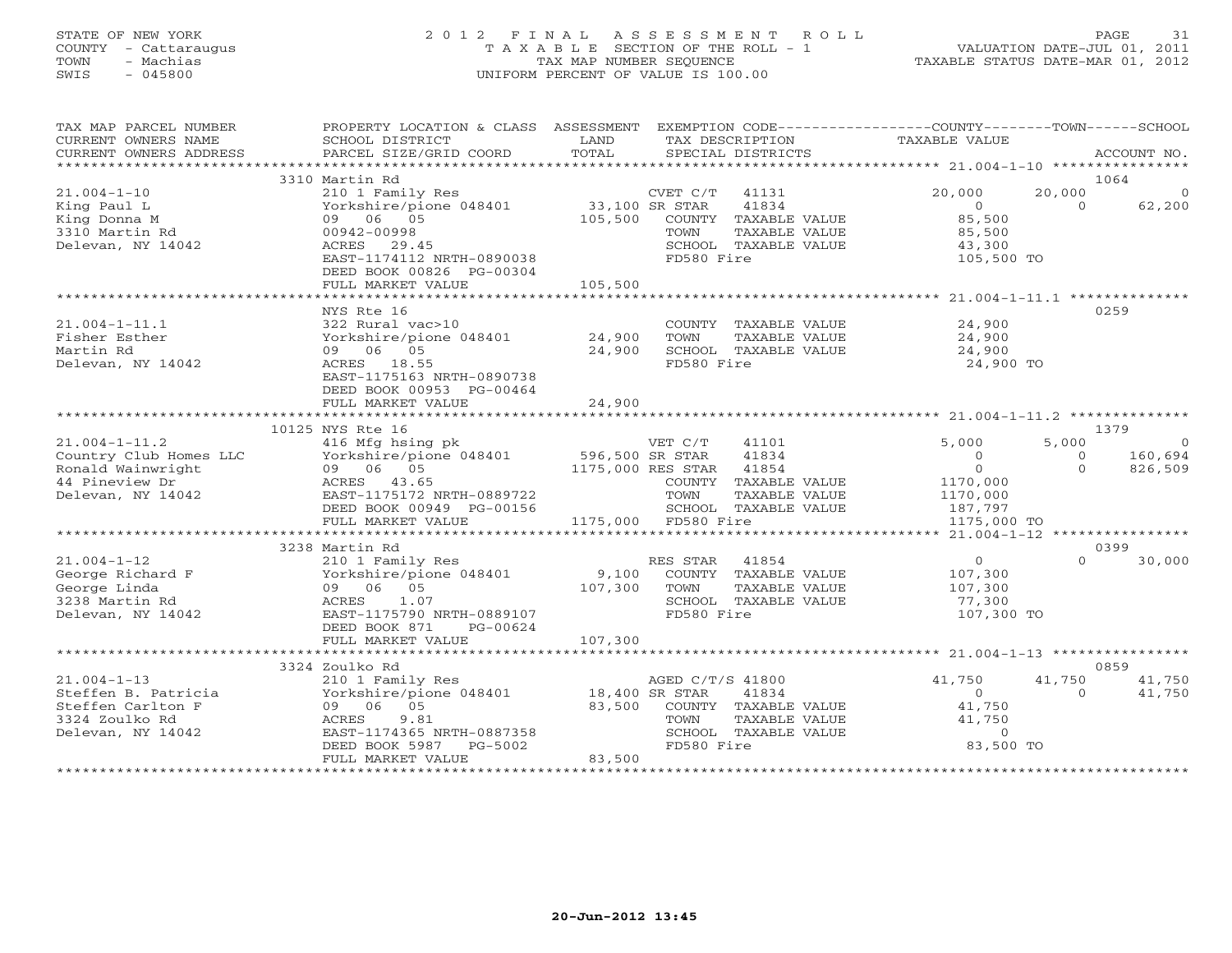### STATE OF NEW YORK 2 0 1 2 F I N A L A S S E S S M E N T R O L L PAGE 31 COUNTY - Cattaraugus T A X A B L E SECTION OF THE ROLL - 1 VALUATION DATE-JUL 01, 2011 TOWN - Machias TAX MAP NUMBER SEQUENCE TAXABLE STATUS DATE-MAR 01, 2012 SWIS - 045800 UNIFORM PERCENT OF VALUE IS 100.00UNIFORM PERCENT OF VALUE IS 100.00

| TAX MAP PARCEL NUMBER<br>CURRENT OWNERS NAME<br>CURRENT OWNERS ADDRESS | PROPERTY LOCATION & CLASS ASSESSMENT EXEMPTION CODE---------------COUNTY-------TOWN------SCHOOL<br>SCHOOL DISTRICT<br>PARCEL SIZE/GRID COORD | LAND<br>TOTAL     | TAX DESCRIPTION TAXABLE VALUE<br>SPECIAL DISTRICTS |                                      |              | ACCOUNT NO.     |
|------------------------------------------------------------------------|----------------------------------------------------------------------------------------------------------------------------------------------|-------------------|----------------------------------------------------|--------------------------------------|--------------|-----------------|
|                                                                        |                                                                                                                                              |                   |                                                    |                                      |              |                 |
| $21.004 - 1 - 10$                                                      | 3310 Martin Rd<br>210 1 Family Res                                                                                                           |                   | CVET C/T 41131                                     | 20,000                               | 20,000       | 1064<br>$\circ$ |
| King Paul L                                                            | Yorkshire/pione 048401 33,100 SR STAR                                                                                                        |                   | 41834                                              | $\Omega$                             | $\Omega$     | 62,200          |
| King Donna M                                                           | 09 06 05                                                                                                                                     | 105,500           | COUNTY TAXABLE VALUE                               | 85,500                               |              |                 |
| 3310 Martin Rd                                                         | 00942-00998                                                                                                                                  |                   | TAXABLE VALUE<br>TOWN                              | 85,500                               |              |                 |
| Delevan, NY 14042                                                      | ACRES 29.45                                                                                                                                  |                   | SCHOOL TAXABLE VALUE                               | 43,300                               |              |                 |
|                                                                        | EAST-1174112 NRTH-0890038<br>DEED BOOK 00826 PG-00304                                                                                        |                   | FD580 Fire                                         | 105,500 TO                           |              |                 |
|                                                                        | FULL MARKET VALUE                                                                                                                            | 105,500           |                                                    |                                      |              |                 |
|                                                                        | *******************************                                                                                                              |                   |                                                    |                                      |              |                 |
|                                                                        | NYS Rte 16                                                                                                                                   |                   |                                                    |                                      |              | 0259            |
| $21.004 - 1 - 11.1$                                                    | 322 Rural vac>10                                                                                                                             |                   | COUNTY TAXABLE VALUE                               | 24,900                               |              |                 |
| Fisher Esther                                                          | Yorkshire/pione 048401                                                                                                                       | 24,900            | TOWN<br>TAXABLE VALUE                              | 24,900                               |              |                 |
| Martin Rd                                                              | 09 06 05                                                                                                                                     | 24,900            | SCHOOL TAXABLE VALUE                               | 24,900                               |              |                 |
| Delevan, NY 14042                                                      | ACRES 18.55                                                                                                                                  |                   | FD580 Fire                                         | 24,900 TO                            |              |                 |
|                                                                        | EAST-1175163 NRTH-0890738                                                                                                                    |                   |                                                    |                                      |              |                 |
|                                                                        | DEED BOOK 00953 PG-00464                                                                                                                     |                   |                                                    |                                      |              |                 |
|                                                                        | FULL MARKET VALUE                                                                                                                            | 24,900            |                                                    |                                      |              |                 |
|                                                                        |                                                                                                                                              |                   |                                                    |                                      |              |                 |
|                                                                        | 10125 NYS Rte 16                                                                                                                             |                   |                                                    |                                      |              | 1379            |
| $21.004 - 1 - 11.2$                                                    | 416 Mfg hsing pk                                                                                                                             |                   | 41101<br>VET C/T                                   | 5,000                                | 5,000        | $\circ$         |
| Country Club Homes LLC                                                 | Yorkshire/pione 048401 596,500 SR STAR                                                                                                       |                   | 41834                                              | $\Omega$                             | $\mathbf{0}$ | 160,694         |
| Ronald Wainwright                                                      | 09 06 05                                                                                                                                     | 1175,000 RES STAR | 41854                                              | $\overline{0}$                       | $\Omega$     | 826,509         |
| 44 Pineview Dr                                                         | ACRES 43.65                                                                                                                                  |                   | COUNTY TAXABLE VALUE                               | 1170,000                             |              |                 |
| Delevan, NY 14042                                                      | EAST-1175172 NRTH-0889722                                                                                                                    |                   | TOWN<br>TAXABLE VALUE                              | 1170,000                             |              |                 |
|                                                                        | DEED BOOK 00949 PG-00156                                                                                                                     |                   | SCHOOL TAXABLE VALUE                               | 187,797                              |              |                 |
|                                                                        | FULL MARKET VALUE                                                                                                                            |                   | 1175,000 FD580 Fire                                | 1175,000 TO                          |              |                 |
|                                                                        |                                                                                                                                              |                   |                                                    |                                      |              |                 |
|                                                                        | 3238 Martin Rd                                                                                                                               |                   |                                                    |                                      |              | 0399            |
| $21.004 - 1 - 12$                                                      | 210 1 Family Res                                                                                                                             |                   | RES STAR<br>41854                                  | $\overline{0}$                       | $\Omega$     | 30,000          |
| George Richard F                                                       | Yorkshire/pione 048401                                                                                                                       | 9,100             | COUNTY TAXABLE VALUE                               | 107,300                              |              |                 |
| George Linda                                                           | 09 06 05                                                                                                                                     | 107,300           | TOWN<br>TAXABLE VALUE                              | 107,300                              |              |                 |
| 3238 Martin Rd                                                         | 1.07<br>ACRES                                                                                                                                |                   | SCHOOL TAXABLE VALUE                               | 77,300                               |              |                 |
| Delevan, NY 14042                                                      | EAST-1175790 NRTH-0889107                                                                                                                    |                   | FD580 Fire                                         | 107,300 TO                           |              |                 |
|                                                                        | DEED BOOK 871<br>PG-00624                                                                                                                    |                   |                                                    |                                      |              |                 |
|                                                                        | FULL MARKET VALUE                                                                                                                            | 107,300           |                                                    |                                      |              |                 |
|                                                                        |                                                                                                                                              |                   |                                                    |                                      |              |                 |
|                                                                        | 3324 Zoulko Rd                                                                                                                               |                   |                                                    |                                      |              | 0859            |
| $21.004 - 1 - 13$                                                      | 210 1 Family Res AGED C/T<br>Yorkshire/pione 048401 18,400 SR STAR                                                                           |                   | AGED C/T/S 41800                                   | 41,750                               | 41,750       | 41,750          |
| Steffen B. Patricia                                                    |                                                                                                                                              |                   | 41834                                              | $\overline{0}$                       | $\Omega$     | 41,750          |
| Steffen Carlton F                                                      | 09 06 05                                                                                                                                     | 83,500            | COUNTY TAXABLE VALUE                               | 41,750                               |              |                 |
| 3324 Zoulko Rd                                                         | 9.81<br>ACRES<br>EAST-1174365 NRTH-0887358                                                                                                   |                   | TAXABLE VALUE<br>TOWN<br>SCHOOL TAXABLE VALUE      | 41,750<br>$\Omega$                   |              |                 |
| Delevan, NY 14042                                                      |                                                                                                                                              |                   |                                                    | 83,500 TO                            |              |                 |
|                                                                        | DEED BOOK 5987 PG-5002                                                                                                                       | 83,500            | FD580 Fire                                         |                                      |              |                 |
|                                                                        | FULL MARKET VALUE                                                                                                                            |                   |                                                    | ************************************ |              |                 |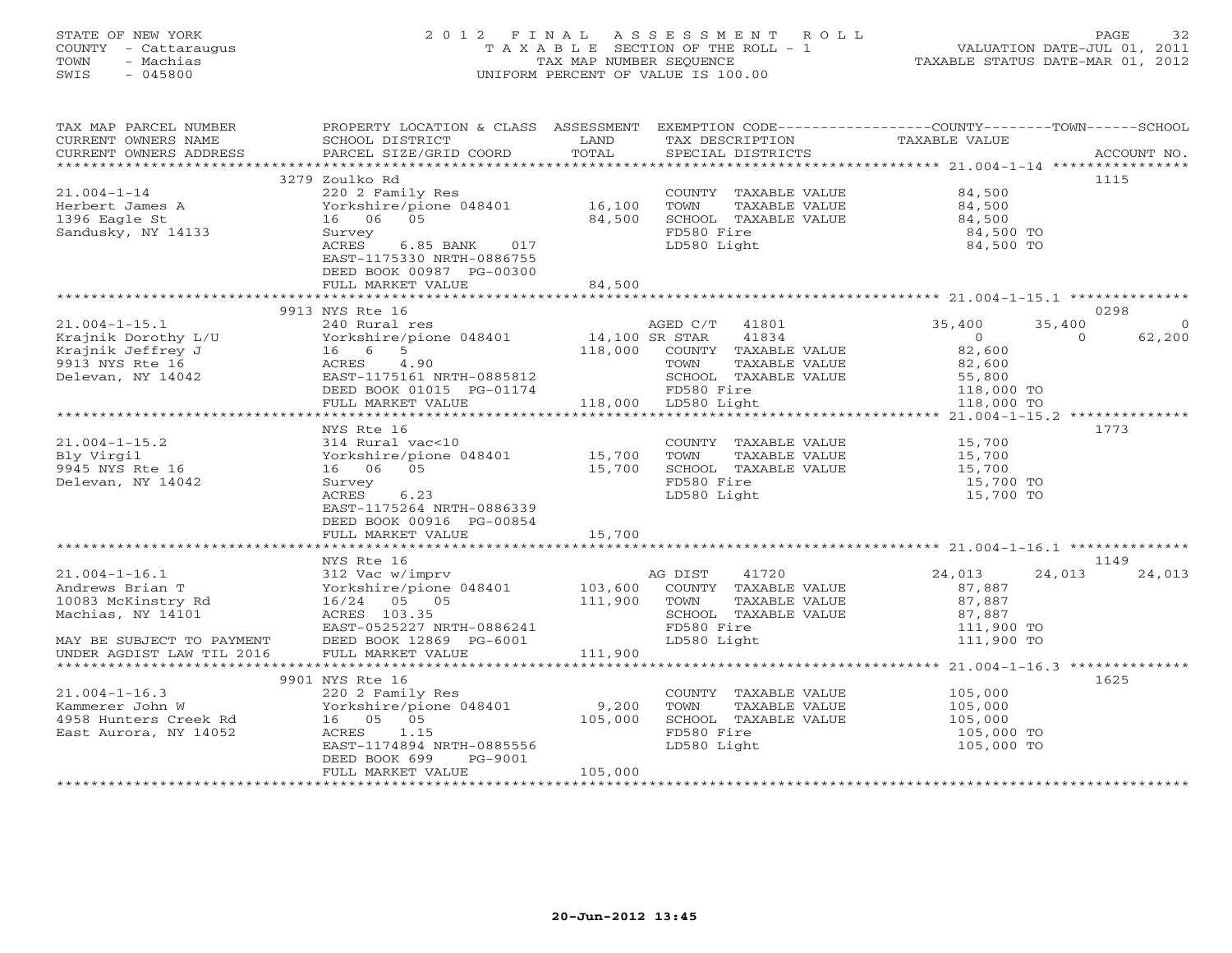### STATE OF NEW YORK 2 0 1 2 F I N A L A S S E S S M E N T R O L L PAGE 32 COUNTY - Cattaraugus T A X A B L E SECTION OF THE ROLL - 1 VALUATION DATE-JUL 01, 2011 TOWN - Machias TAX MAP NUMBER SEQUENCE TAXABLE STATUS DATE-MAR 01, 2012 SWIS - 045800 UNIFORM PERCENT OF VALUE IS 100.00UNIFORM PERCENT OF VALUE IS 100.00

| 3279 Zoulko Rd<br>1115<br>$21.004 - 1 - 14$<br>COUNTY TAXABLE VALUE<br>220 2 Family Res<br>84,500<br>16,100<br>Yorkshire/pione 048401<br>TOWN<br>TAXABLE VALUE<br>84,500<br>Herbert James A<br>84,500<br>1396 Eagle St<br>16 06 05<br>84,500<br>SCHOOL TAXABLE VALUE<br>FD580 Fire<br>Sandusky, NY 14133<br>84,500 TO<br>Survey<br>LD580 Light<br>84,500 TO<br>ACRES<br>6.85 BANK 017<br>EAST-1175330 NRTH-0886755<br>DEED BOOK 00987 PG-00300<br>FULL MARKET VALUE<br>84,500<br>************************<br>9913 NYS Rte 16<br>0298<br>$21.004 - 1 - 15.1$<br>240 Rural res<br>41801<br>35,400<br>35,400<br>AGED C/T<br>$\circ$<br>14,100 SR STAR<br>41834<br>Krajnik Dorothy L/U<br>Yorkshire/pione 048401<br>$\overline{0}$<br>62,200<br>$\Omega$<br>118,000<br>Krajnik Jeffrey J<br>16 6<br>5<br>COUNTY TAXABLE VALUE<br>82,600<br>9913 NYS Rte 16<br>ACRES<br>4.90<br>TOWN<br>TAXABLE VALUE<br>82,600<br>Delevan, NY 14042<br>EAST-1175161 NRTH-0885812<br>SCHOOL TAXABLE VALUE<br>55,800<br>DEED BOOK 01015 PG-01174<br>FD580 Fire<br>118,000 TO<br>FULL MARKET VALUE<br>118,000 LD580 Light<br>118,000 TO<br>1773<br>NYS Rte 16<br>$21.004 - 1 - 15.2$<br>15,700<br>314 Rural vac<10<br>COUNTY TAXABLE VALUE<br>Bly Virgil<br>15,700<br>TOWN<br>TAXABLE VALUE<br>15,700<br>Yorkshire/pione 048401<br>9945 NYS Rte 16<br>16 06 05<br>15,700<br>SCHOOL TAXABLE VALUE<br>15,700<br>Delevan, NY 14042<br>FD580 Fire<br>Survey<br>15,700 TO<br>ACRES<br>6.23<br>LD580 Light<br>15,700 TO<br>EAST-1175264 NRTH-0886339<br>DEED BOOK 00916 PG-00854<br>15,700<br>FULL MARKET VALUE<br>NYS Rte 16<br>1149<br>$21.004 - 1 - 16.1$<br>AG DIST<br>41720<br>24,013<br>24,013<br>312 Vac w/imprv<br>24,013<br>Andrews Brian T<br>Yorkshire/pione 048401<br>103,600<br>COUNTY TAXABLE VALUE<br>87,887<br>111,900<br>10083 McKinstry Rd<br>16/24 05 05<br>TOWN<br>TAXABLE VALUE<br>87,887<br>ACRES 103.35<br>SCHOOL TAXABLE VALUE<br>Machias, NY 14101<br>87,887<br>FD580 Fire<br>EAST-0525227 NRTH-0886241<br>111,900 TO<br>LD580 Light<br>MAY BE SUBJECT TO PAYMENT<br>DEED BOOK 12869 PG-6001<br>111,900 TO<br>FULL MARKET VALUE<br>111,900<br>UNDER AGDIST LAW TIL 2016<br>******************* 21.004-1-16.3 ***************<br>1625<br>9901 NYS Rte 16<br>$21.004 - 1 - 16.3$<br>COUNTY TAXABLE VALUE<br>105,000<br>220 2 Family Res<br>9,200<br>Kammerer John W<br>Yorkshire/pione 048401<br>TOWN<br>TAXABLE VALUE<br>105,000<br>16 05 05<br>105,000<br>SCHOOL TAXABLE VALUE<br>4958 Hunters Creek Rd<br>105,000<br>FD580 Fire<br>East Aurora, NY 14052<br>ACRES 1.15<br>105,000 TO<br>EAST-1174894 NRTH-0885556<br>LD580 Light<br>105,000 TO<br>DEED BOOK 699<br>PG-9001<br>105,000<br>FULL MARKET VALUE<br>************************* | TAX MAP PARCEL NUMBER<br>CURRENT OWNERS NAME<br>CURRENT OWNERS ADDRESS | PROPERTY LOCATION & CLASS ASSESSMENT<br>SCHOOL DISTRICT<br>PARCEL SIZE/GRID COORD | LAND<br>TOTAL | TAX DESCRIPTION<br>SPECIAL DISTRICTS | EXEMPTION CODE-----------------COUNTY-------TOWN------SCHOOL<br>TAXABLE VALUE | ACCOUNT NO. |
|--------------------------------------------------------------------------------------------------------------------------------------------------------------------------------------------------------------------------------------------------------------------------------------------------------------------------------------------------------------------------------------------------------------------------------------------------------------------------------------------------------------------------------------------------------------------------------------------------------------------------------------------------------------------------------------------------------------------------------------------------------------------------------------------------------------------------------------------------------------------------------------------------------------------------------------------------------------------------------------------------------------------------------------------------------------------------------------------------------------------------------------------------------------------------------------------------------------------------------------------------------------------------------------------------------------------------------------------------------------------------------------------------------------------------------------------------------------------------------------------------------------------------------------------------------------------------------------------------------------------------------------------------------------------------------------------------------------------------------------------------------------------------------------------------------------------------------------------------------------------------------------------------------------------------------------------------------------------------------------------------------------------------------------------------------------------------------------------------------------------------------------------------------------------------------------------------------------------------------------------------------------------------------------------------------------------------------------------------------------------------------------------------------------------------------------------------------------------------------------------------------------------------------------------------------------------------------------------------------------------------------------------------------------------------------------------------------------------------------------|------------------------------------------------------------------------|-----------------------------------------------------------------------------------|---------------|--------------------------------------|-------------------------------------------------------------------------------|-------------|
|                                                                                                                                                                                                                                                                                                                                                                                                                                                                                                                                                                                                                                                                                                                                                                                                                                                                                                                                                                                                                                                                                                                                                                                                                                                                                                                                                                                                                                                                                                                                                                                                                                                                                                                                                                                                                                                                                                                                                                                                                                                                                                                                                                                                                                                                                                                                                                                                                                                                                                                                                                                                                                                                                                                                      |                                                                        |                                                                                   |               |                                      |                                                                               |             |
|                                                                                                                                                                                                                                                                                                                                                                                                                                                                                                                                                                                                                                                                                                                                                                                                                                                                                                                                                                                                                                                                                                                                                                                                                                                                                                                                                                                                                                                                                                                                                                                                                                                                                                                                                                                                                                                                                                                                                                                                                                                                                                                                                                                                                                                                                                                                                                                                                                                                                                                                                                                                                                                                                                                                      |                                                                        |                                                                                   |               |                                      |                                                                               |             |
|                                                                                                                                                                                                                                                                                                                                                                                                                                                                                                                                                                                                                                                                                                                                                                                                                                                                                                                                                                                                                                                                                                                                                                                                                                                                                                                                                                                                                                                                                                                                                                                                                                                                                                                                                                                                                                                                                                                                                                                                                                                                                                                                                                                                                                                                                                                                                                                                                                                                                                                                                                                                                                                                                                                                      |                                                                        |                                                                                   |               |                                      |                                                                               |             |
|                                                                                                                                                                                                                                                                                                                                                                                                                                                                                                                                                                                                                                                                                                                                                                                                                                                                                                                                                                                                                                                                                                                                                                                                                                                                                                                                                                                                                                                                                                                                                                                                                                                                                                                                                                                                                                                                                                                                                                                                                                                                                                                                                                                                                                                                                                                                                                                                                                                                                                                                                                                                                                                                                                                                      |                                                                        |                                                                                   |               |                                      |                                                                               |             |
|                                                                                                                                                                                                                                                                                                                                                                                                                                                                                                                                                                                                                                                                                                                                                                                                                                                                                                                                                                                                                                                                                                                                                                                                                                                                                                                                                                                                                                                                                                                                                                                                                                                                                                                                                                                                                                                                                                                                                                                                                                                                                                                                                                                                                                                                                                                                                                                                                                                                                                                                                                                                                                                                                                                                      |                                                                        |                                                                                   |               |                                      |                                                                               |             |
|                                                                                                                                                                                                                                                                                                                                                                                                                                                                                                                                                                                                                                                                                                                                                                                                                                                                                                                                                                                                                                                                                                                                                                                                                                                                                                                                                                                                                                                                                                                                                                                                                                                                                                                                                                                                                                                                                                                                                                                                                                                                                                                                                                                                                                                                                                                                                                                                                                                                                                                                                                                                                                                                                                                                      |                                                                        |                                                                                   |               |                                      |                                                                               |             |
|                                                                                                                                                                                                                                                                                                                                                                                                                                                                                                                                                                                                                                                                                                                                                                                                                                                                                                                                                                                                                                                                                                                                                                                                                                                                                                                                                                                                                                                                                                                                                                                                                                                                                                                                                                                                                                                                                                                                                                                                                                                                                                                                                                                                                                                                                                                                                                                                                                                                                                                                                                                                                                                                                                                                      |                                                                        |                                                                                   |               |                                      |                                                                               |             |
|                                                                                                                                                                                                                                                                                                                                                                                                                                                                                                                                                                                                                                                                                                                                                                                                                                                                                                                                                                                                                                                                                                                                                                                                                                                                                                                                                                                                                                                                                                                                                                                                                                                                                                                                                                                                                                                                                                                                                                                                                                                                                                                                                                                                                                                                                                                                                                                                                                                                                                                                                                                                                                                                                                                                      |                                                                        |                                                                                   |               |                                      |                                                                               |             |
|                                                                                                                                                                                                                                                                                                                                                                                                                                                                                                                                                                                                                                                                                                                                                                                                                                                                                                                                                                                                                                                                                                                                                                                                                                                                                                                                                                                                                                                                                                                                                                                                                                                                                                                                                                                                                                                                                                                                                                                                                                                                                                                                                                                                                                                                                                                                                                                                                                                                                                                                                                                                                                                                                                                                      |                                                                        |                                                                                   |               |                                      |                                                                               |             |
|                                                                                                                                                                                                                                                                                                                                                                                                                                                                                                                                                                                                                                                                                                                                                                                                                                                                                                                                                                                                                                                                                                                                                                                                                                                                                                                                                                                                                                                                                                                                                                                                                                                                                                                                                                                                                                                                                                                                                                                                                                                                                                                                                                                                                                                                                                                                                                                                                                                                                                                                                                                                                                                                                                                                      |                                                                        |                                                                                   |               |                                      |                                                                               |             |
|                                                                                                                                                                                                                                                                                                                                                                                                                                                                                                                                                                                                                                                                                                                                                                                                                                                                                                                                                                                                                                                                                                                                                                                                                                                                                                                                                                                                                                                                                                                                                                                                                                                                                                                                                                                                                                                                                                                                                                                                                                                                                                                                                                                                                                                                                                                                                                                                                                                                                                                                                                                                                                                                                                                                      |                                                                        |                                                                                   |               |                                      |                                                                               |             |
|                                                                                                                                                                                                                                                                                                                                                                                                                                                                                                                                                                                                                                                                                                                                                                                                                                                                                                                                                                                                                                                                                                                                                                                                                                                                                                                                                                                                                                                                                                                                                                                                                                                                                                                                                                                                                                                                                                                                                                                                                                                                                                                                                                                                                                                                                                                                                                                                                                                                                                                                                                                                                                                                                                                                      |                                                                        |                                                                                   |               |                                      |                                                                               |             |
|                                                                                                                                                                                                                                                                                                                                                                                                                                                                                                                                                                                                                                                                                                                                                                                                                                                                                                                                                                                                                                                                                                                                                                                                                                                                                                                                                                                                                                                                                                                                                                                                                                                                                                                                                                                                                                                                                                                                                                                                                                                                                                                                                                                                                                                                                                                                                                                                                                                                                                                                                                                                                                                                                                                                      |                                                                        |                                                                                   |               |                                      |                                                                               |             |
|                                                                                                                                                                                                                                                                                                                                                                                                                                                                                                                                                                                                                                                                                                                                                                                                                                                                                                                                                                                                                                                                                                                                                                                                                                                                                                                                                                                                                                                                                                                                                                                                                                                                                                                                                                                                                                                                                                                                                                                                                                                                                                                                                                                                                                                                                                                                                                                                                                                                                                                                                                                                                                                                                                                                      |                                                                        |                                                                                   |               |                                      |                                                                               |             |
|                                                                                                                                                                                                                                                                                                                                                                                                                                                                                                                                                                                                                                                                                                                                                                                                                                                                                                                                                                                                                                                                                                                                                                                                                                                                                                                                                                                                                                                                                                                                                                                                                                                                                                                                                                                                                                                                                                                                                                                                                                                                                                                                                                                                                                                                                                                                                                                                                                                                                                                                                                                                                                                                                                                                      |                                                                        |                                                                                   |               |                                      |                                                                               |             |
|                                                                                                                                                                                                                                                                                                                                                                                                                                                                                                                                                                                                                                                                                                                                                                                                                                                                                                                                                                                                                                                                                                                                                                                                                                                                                                                                                                                                                                                                                                                                                                                                                                                                                                                                                                                                                                                                                                                                                                                                                                                                                                                                                                                                                                                                                                                                                                                                                                                                                                                                                                                                                                                                                                                                      |                                                                        |                                                                                   |               |                                      |                                                                               |             |
|                                                                                                                                                                                                                                                                                                                                                                                                                                                                                                                                                                                                                                                                                                                                                                                                                                                                                                                                                                                                                                                                                                                                                                                                                                                                                                                                                                                                                                                                                                                                                                                                                                                                                                                                                                                                                                                                                                                                                                                                                                                                                                                                                                                                                                                                                                                                                                                                                                                                                                                                                                                                                                                                                                                                      |                                                                        |                                                                                   |               |                                      |                                                                               |             |
|                                                                                                                                                                                                                                                                                                                                                                                                                                                                                                                                                                                                                                                                                                                                                                                                                                                                                                                                                                                                                                                                                                                                                                                                                                                                                                                                                                                                                                                                                                                                                                                                                                                                                                                                                                                                                                                                                                                                                                                                                                                                                                                                                                                                                                                                                                                                                                                                                                                                                                                                                                                                                                                                                                                                      |                                                                        |                                                                                   |               |                                      |                                                                               |             |
|                                                                                                                                                                                                                                                                                                                                                                                                                                                                                                                                                                                                                                                                                                                                                                                                                                                                                                                                                                                                                                                                                                                                                                                                                                                                                                                                                                                                                                                                                                                                                                                                                                                                                                                                                                                                                                                                                                                                                                                                                                                                                                                                                                                                                                                                                                                                                                                                                                                                                                                                                                                                                                                                                                                                      |                                                                        |                                                                                   |               |                                      |                                                                               |             |
|                                                                                                                                                                                                                                                                                                                                                                                                                                                                                                                                                                                                                                                                                                                                                                                                                                                                                                                                                                                                                                                                                                                                                                                                                                                                                                                                                                                                                                                                                                                                                                                                                                                                                                                                                                                                                                                                                                                                                                                                                                                                                                                                                                                                                                                                                                                                                                                                                                                                                                                                                                                                                                                                                                                                      |                                                                        |                                                                                   |               |                                      |                                                                               |             |
|                                                                                                                                                                                                                                                                                                                                                                                                                                                                                                                                                                                                                                                                                                                                                                                                                                                                                                                                                                                                                                                                                                                                                                                                                                                                                                                                                                                                                                                                                                                                                                                                                                                                                                                                                                                                                                                                                                                                                                                                                                                                                                                                                                                                                                                                                                                                                                                                                                                                                                                                                                                                                                                                                                                                      |                                                                        |                                                                                   |               |                                      |                                                                               |             |
|                                                                                                                                                                                                                                                                                                                                                                                                                                                                                                                                                                                                                                                                                                                                                                                                                                                                                                                                                                                                                                                                                                                                                                                                                                                                                                                                                                                                                                                                                                                                                                                                                                                                                                                                                                                                                                                                                                                                                                                                                                                                                                                                                                                                                                                                                                                                                                                                                                                                                                                                                                                                                                                                                                                                      |                                                                        |                                                                                   |               |                                      |                                                                               |             |
|                                                                                                                                                                                                                                                                                                                                                                                                                                                                                                                                                                                                                                                                                                                                                                                                                                                                                                                                                                                                                                                                                                                                                                                                                                                                                                                                                                                                                                                                                                                                                                                                                                                                                                                                                                                                                                                                                                                                                                                                                                                                                                                                                                                                                                                                                                                                                                                                                                                                                                                                                                                                                                                                                                                                      |                                                                        |                                                                                   |               |                                      |                                                                               |             |
|                                                                                                                                                                                                                                                                                                                                                                                                                                                                                                                                                                                                                                                                                                                                                                                                                                                                                                                                                                                                                                                                                                                                                                                                                                                                                                                                                                                                                                                                                                                                                                                                                                                                                                                                                                                                                                                                                                                                                                                                                                                                                                                                                                                                                                                                                                                                                                                                                                                                                                                                                                                                                                                                                                                                      |                                                                        |                                                                                   |               |                                      |                                                                               |             |
|                                                                                                                                                                                                                                                                                                                                                                                                                                                                                                                                                                                                                                                                                                                                                                                                                                                                                                                                                                                                                                                                                                                                                                                                                                                                                                                                                                                                                                                                                                                                                                                                                                                                                                                                                                                                                                                                                                                                                                                                                                                                                                                                                                                                                                                                                                                                                                                                                                                                                                                                                                                                                                                                                                                                      |                                                                        |                                                                                   |               |                                      |                                                                               |             |
|                                                                                                                                                                                                                                                                                                                                                                                                                                                                                                                                                                                                                                                                                                                                                                                                                                                                                                                                                                                                                                                                                                                                                                                                                                                                                                                                                                                                                                                                                                                                                                                                                                                                                                                                                                                                                                                                                                                                                                                                                                                                                                                                                                                                                                                                                                                                                                                                                                                                                                                                                                                                                                                                                                                                      |                                                                        |                                                                                   |               |                                      |                                                                               |             |
|                                                                                                                                                                                                                                                                                                                                                                                                                                                                                                                                                                                                                                                                                                                                                                                                                                                                                                                                                                                                                                                                                                                                                                                                                                                                                                                                                                                                                                                                                                                                                                                                                                                                                                                                                                                                                                                                                                                                                                                                                                                                                                                                                                                                                                                                                                                                                                                                                                                                                                                                                                                                                                                                                                                                      |                                                                        |                                                                                   |               |                                      |                                                                               |             |
|                                                                                                                                                                                                                                                                                                                                                                                                                                                                                                                                                                                                                                                                                                                                                                                                                                                                                                                                                                                                                                                                                                                                                                                                                                                                                                                                                                                                                                                                                                                                                                                                                                                                                                                                                                                                                                                                                                                                                                                                                                                                                                                                                                                                                                                                                                                                                                                                                                                                                                                                                                                                                                                                                                                                      |                                                                        |                                                                                   |               |                                      |                                                                               |             |
|                                                                                                                                                                                                                                                                                                                                                                                                                                                                                                                                                                                                                                                                                                                                                                                                                                                                                                                                                                                                                                                                                                                                                                                                                                                                                                                                                                                                                                                                                                                                                                                                                                                                                                                                                                                                                                                                                                                                                                                                                                                                                                                                                                                                                                                                                                                                                                                                                                                                                                                                                                                                                                                                                                                                      |                                                                        |                                                                                   |               |                                      |                                                                               |             |
|                                                                                                                                                                                                                                                                                                                                                                                                                                                                                                                                                                                                                                                                                                                                                                                                                                                                                                                                                                                                                                                                                                                                                                                                                                                                                                                                                                                                                                                                                                                                                                                                                                                                                                                                                                                                                                                                                                                                                                                                                                                                                                                                                                                                                                                                                                                                                                                                                                                                                                                                                                                                                                                                                                                                      |                                                                        |                                                                                   |               |                                      |                                                                               |             |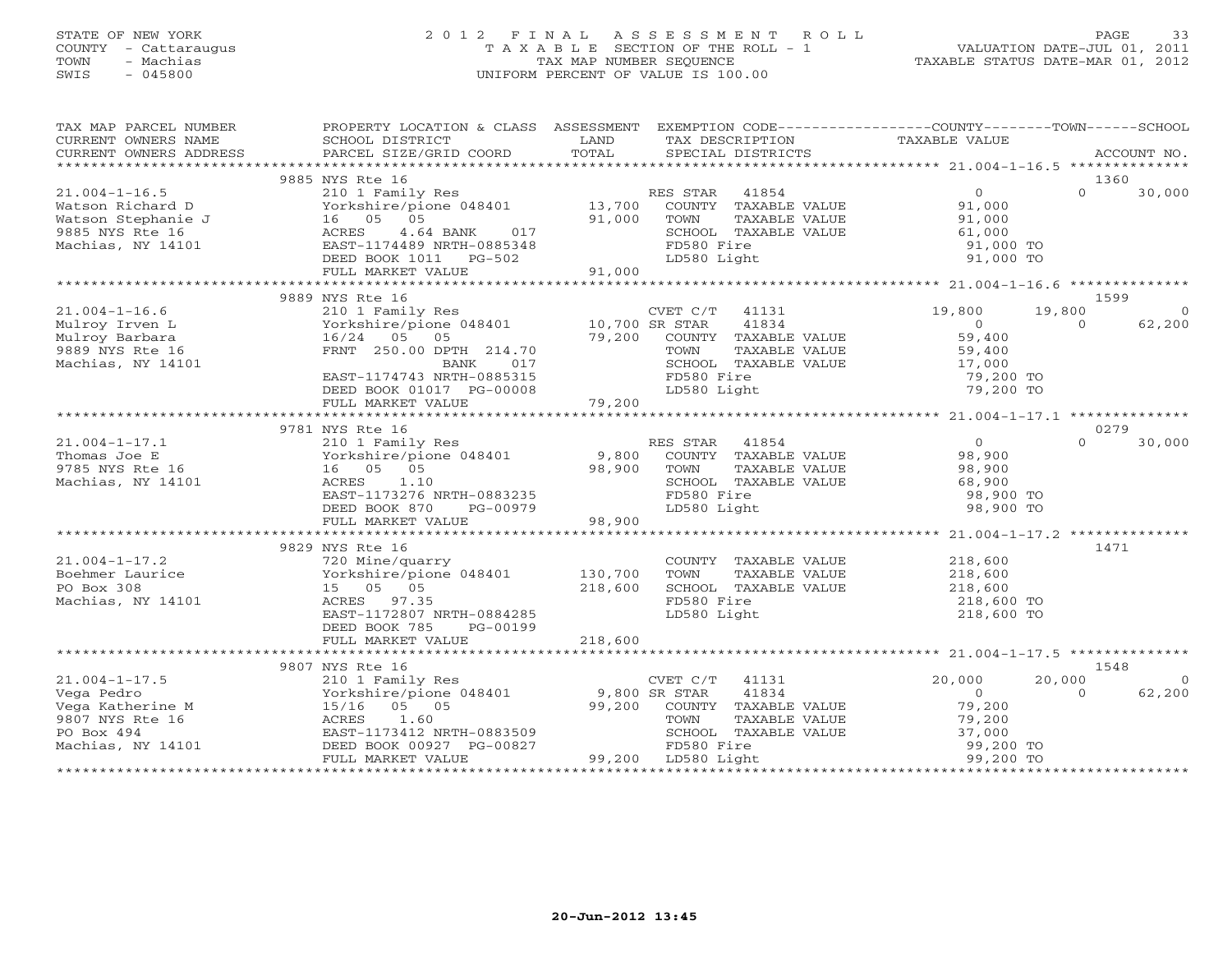### STATE OF NEW YORK 2 0 1 2 F I N A L A S S E S S M E N T R O L L PAGE 33 COUNTY - Cattaraugus T A X A B L E SECTION OF THE ROLL - 1 VALUATION DATE-JUL 01, 2011 TOWN - Machias TAX MAP NUMBER SEQUENCE TAXABLE STATUS DATE-MAR 01, 2012 SWIS - 045800 UNIFORM PERCENT OF VALUE IS 100.00UNIFORM PERCENT OF VALUE IS 100.00

| TAX MAP PARCEL NUMBER<br>CURRENT OWNERS NAME | PROPERTY LOCATION & CLASS ASSESSMENT EXEMPTION CODE---------------COUNTY-------TOWN------SCHOOL<br>SCHOOL DISTRICT | LAND        | TAX DESCRIPTION                      | TAXABLE VALUE            |                          |
|----------------------------------------------|--------------------------------------------------------------------------------------------------------------------|-------------|--------------------------------------|--------------------------|--------------------------|
|                                              |                                                                                                                    |             |                                      |                          |                          |
|                                              | 9885 NYS Rte 16                                                                                                    |             |                                      | $\overline{0}$           | 1360<br>$\cap$<br>30,000 |
| $21.004 - 1 - 16.5$<br>Watson Richard D      | 210 1 Family Res<br>Yorkshire/pione 048401 13,700 COUNTY TAXABLE VALUE                                             |             | RES STAR 41854                       | 91,000                   |                          |
| Watson Stephanie J                           | 16 05 05                                                                                                           | 91,000      | TOWN<br>TAXABLE VALUE                | 91,000                   |                          |
| 9885 NYS Rte 16                              | ACRES<br>4.64 BANK<br>017                                                                                          |             | SCHOOL TAXABLE VALUE                 |                          |                          |
| Machias, NY 14101                            | EAST-1174489 NRTH-0885348                                                                                          |             | FD580 Fire                           | 61,000<br>91,000 TO      |                          |
|                                              | DEED BOOK 1011 PG-502                                                                                              |             | LD580 Light                          | 91,000 TO                |                          |
|                                              | FULL MARKET VALUE                                                                                                  | 91,000      |                                      |                          |                          |
|                                              |                                                                                                                    |             |                                      |                          |                          |
|                                              | 9889 NYS Rte 16                                                                                                    |             |                                      |                          | 1599                     |
| $21.004 - 1 - 16.6$                          | 210 1 Family Res<br>Yorkshire/pione 048401 10,700 SR STAR                                                          |             | CVET C/T 41131                       | 19,800                   | 19,800<br>$\Omega$       |
| Mulroy Irven L<br>Mulroy Barbara             | 16/24 05<br>05                                                                                                     |             | 41834<br>79,200 COUNTY TAXABLE VALUE | $\overline{0}$<br>59,400 | $\Omega$<br>62,200       |
| 9889 NYS Rte 16                              | FRNT 250.00 DPTH 214.70                                                                                            |             | TOWN<br>TAXABLE VALUE                | 59,400                   |                          |
| Machias, NY 14101                            |                                                                                                                    |             | SCHOOL TAXABLE VALUE                 | 17,000                   |                          |
|                                              | BANK 017<br>EAST-1174743 NRTH-0885315                                                                              |             | FD580 Fire                           | 79,200 TO                |                          |
|                                              |                                                                                                                    |             |                                      |                          |                          |
|                                              |                                                                                                                    |             |                                      |                          |                          |
|                                              |                                                                                                                    |             |                                      |                          |                          |
|                                              | 9781 NYS Rte 16                                                                                                    |             |                                      |                          | 0279                     |
| $21.004 - 1 - 17.1$                          | 210 1 Family Res                                                                                                   |             | RES STAR<br>41854                    | $\overline{0}$           | $\Omega$<br>30,000       |
| Thomas Joe E                                 | Yorkshire/pione 048401 9,800                                                                                       |             | COUNTY TAXABLE VALUE                 | 98,900                   |                          |
| 9785 NYS Rte 16                              | 16  05  05<br>ACRES 1.10                                                                                           | 98,900 TOWN | TAXABLE VALUE                        | 98,900                   |                          |
| Machias, NY 14101                            | EAST-1173276 NRTH-0883235                                                                                          |             | SCHOOL TAXABLE VALUE<br>FD580 Fire   | 68,900<br>98,900 TO      |                          |
|                                              | DEED BOOK 870<br>PG-00979                                                                                          |             | LD580 Light                          | 98,900 TO                |                          |
|                                              | FULL MARKET VALUE                                                                                                  | 98,900      |                                      |                          |                          |
|                                              |                                                                                                                    |             |                                      |                          |                          |
|                                              | 9829 NYS Rte 16                                                                                                    |             |                                      |                          | 1471                     |
| $21.004 - 1 - 17.2$                          | 720 Mine/quarry                                                                                                    |             | COUNTY TAXABLE VALUE 218,600         |                          |                          |
| Boehmer Laurice                              | Yorkshire/pione 048401 130,700                                                                                     |             | TOWN<br>TAXABLE VALUE                | 218,600                  |                          |
| PO Box 308                                   | 15 05 05                                                                                                           | 218,600     | SCHOOL TAXABLE VALUE                 | 218,600                  |                          |
| Machias, NY 14101                            | ACRES 97.35                                                                                                        |             | FD580 Fire                           | 218,600 TO               |                          |
|                                              | EAST-1172807 NRTH-0884285<br>DEED BOOK 785<br>PG-00199                                                             |             | LD580 Light                          | 218,600 TO               |                          |
|                                              | FULL MARKET VALUE                                                                                                  | 218,600     |                                      |                          |                          |
|                                              |                                                                                                                    |             |                                      |                          |                          |
|                                              | 9807 NYS Rte 16                                                                                                    |             |                                      |                          | 1548                     |
| $21.004 - 1 - 17.5$                          | 210 1 Family Res<br>Yorkshire/pione 048401 9,800 SR STAR                                                           |             | CVET C/T<br>41131                    | 20,000                   | 20,000<br>$\Omega$       |
| Vega Pedro                                   |                                                                                                                    |             | 41834                                | $\overline{0}$           | 62,200<br>$\Omega$       |
| Vega Katherine M                             | 15/16 05 05                                                                                                        |             | 99,200 COUNTY TAXABLE VALUE          | 79,200                   |                          |
| 9807 NYS Rte 16                              | ACRES<br>1.60                                                                                                      |             | TOWN<br>TAXABLE VALUE                | 79,200                   |                          |
| PO Box 494<br>Machias, NY 14101              | EAST-1173412 NRTH-0883509                                                                                          |             | SCHOOL TAXABLE VALUE<br>FD580 Fire   | 37,000<br>99,200 TO      |                          |
|                                              | DEED BOOK 00927 PG-00827<br>FULL MARKET VALUE                                                                      |             | 99,200 LD580 Light                   | 99,200 TO                |                          |
|                                              |                                                                                                                    |             |                                      |                          |                          |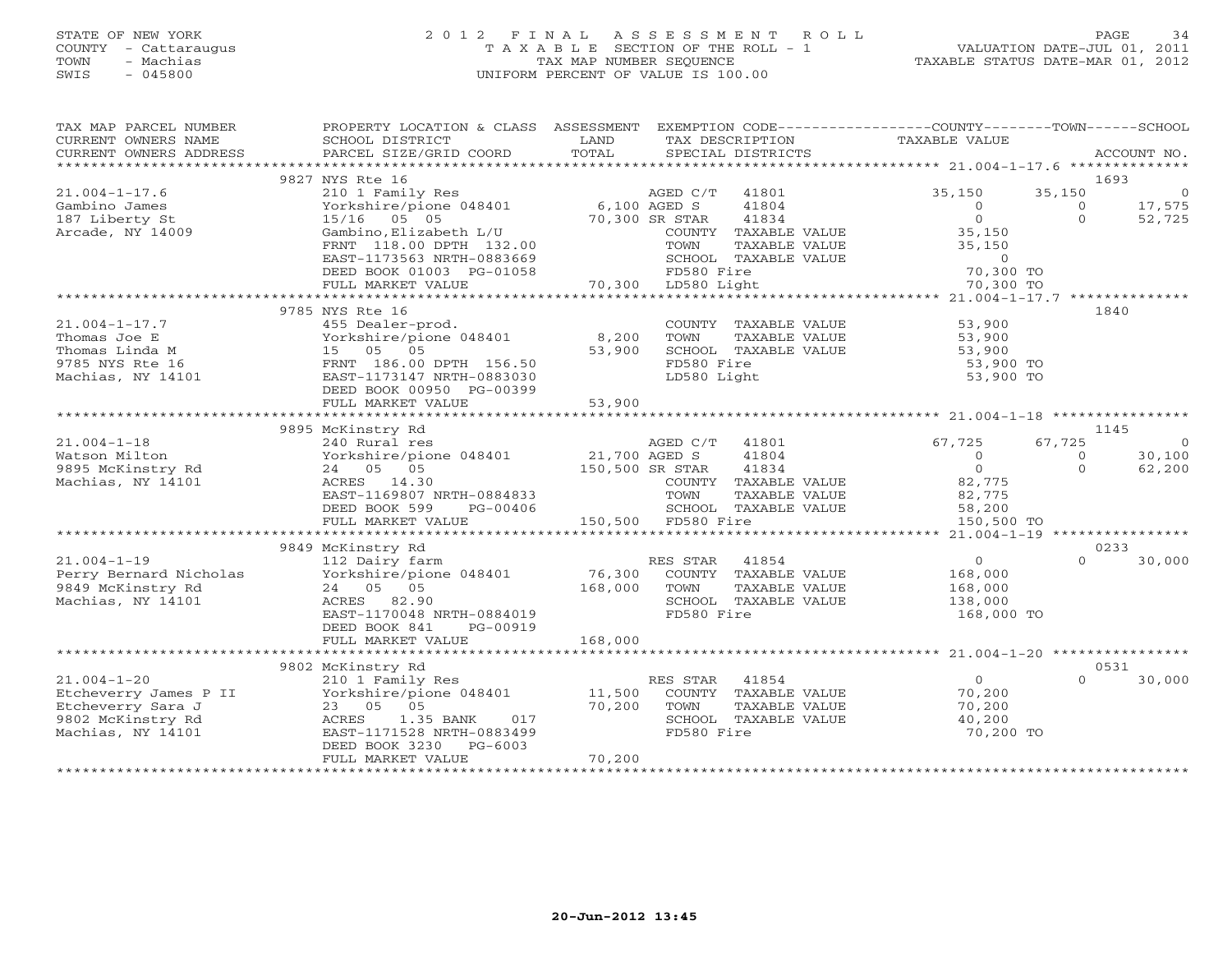# STATE OF NEW YORK 2 0 1 2 F I N A L A S S E S S M E N T R O L L PAGE 34 COUNTY - Cattaraugus T A X A B L E SECTION OF THE ROLL - 1 VALUATION DATE-JUL 01, 2011 TOWN - Machias TAX MAP NUMBER SEQUENCE TAXABLE STATUS DATE-MAR 01, 2012 SWIS - 045800 UNIFORM PERCENT OF VALUE IS 100.00

| TAX MAP PARCEL NUMBER<br>CURRENT OWNERS NAME<br>CURRENT OWNERS ADDRESS<br>***********************         | PROPERTY LOCATION & CLASS ASSESSMENT<br>SCHOOL DISTRICT<br>PARCEL SIZE/GRID COORD                                                                                    | LAND<br>TOTAL                    | EXEMPTION CODE-----------------COUNTY-------TOWN------SCHOOL<br>TAX DESCRIPTION<br>SPECIAL DISTRICTS     | TAXABLE VALUE                                                 | ACCOUNT NO.                                                   |
|-----------------------------------------------------------------------------------------------------------|----------------------------------------------------------------------------------------------------------------------------------------------------------------------|----------------------------------|----------------------------------------------------------------------------------------------------------|---------------------------------------------------------------|---------------------------------------------------------------|
|                                                                                                           |                                                                                                                                                                      |                                  |                                                                                                          |                                                               |                                                               |
| $21.004 - 1 - 17.6$<br>Gambino James                                                                      | 9827 NYS Rte 16<br>210 1 Family Res<br>Yorkshire/pione 048401                                                                                                        | 6,100 AGED S                     | AGED C/T<br>41801<br>41804                                                                               | 35,150<br>$\circ$                                             | 1693<br>35,150<br>$\overline{0}$<br>17,575<br>$\Omega$        |
| 187 Liberty St<br>Arcade, NY 14009                                                                        | 15/16 05 05<br>Gambino, Elizabeth L/U<br>FRNT 118.00 DPTH 132.00<br>EAST-1173563 NRTH-0883669                                                                        |                                  | 70,300 SR STAR<br>41834<br>COUNTY TAXABLE VALUE<br>TOWN<br>TAXABLE VALUE<br>SCHOOL TAXABLE VALUE         | $\Omega$<br>35,150<br>35,150<br>$\Omega$                      | $\Omega$<br>52,725                                            |
|                                                                                                           | DEED BOOK 01003 PG-01058<br>FULL MARKET VALUE                                                                                                                        |                                  | FD580 Fire<br>70,300 LD580 Light                                                                         | 70,300 TO<br>70,300 TO                                        |                                                               |
|                                                                                                           | *********************************                                                                                                                                    |                                  |                                                                                                          |                                                               |                                                               |
| $21.004 - 1 - 17.7$<br>Thomas Joe E<br>Thomas Linda M<br>9785 NYS Rte 16<br>Machias, NY 14101             | 9785 NYS Rte 16<br>455 Dealer-prod.<br>Yorkshire/pione 048401<br>15 05 05<br>FRNT 186.00 DPTH 156.50<br>EAST-1173147 NRTH-0883030<br>DEED BOOK 00950 PG-00399        | 8,200<br>53,900                  | COUNTY TAXABLE VALUE<br>TOWN<br>TAXABLE VALUE<br>SCHOOL TAXABLE VALUE<br>FD580 Fire<br>LD580 Light       | 53,900<br>53,900<br>53,900<br>53,900 TO<br>53,900 TO          | 1840                                                          |
|                                                                                                           | FULL MARKET VALUE                                                                                                                                                    | 53,900                           |                                                                                                          |                                                               |                                                               |
|                                                                                                           | ********************************                                                                                                                                     |                                  |                                                                                                          |                                                               |                                                               |
|                                                                                                           | 9895 McKinstry Rd                                                                                                                                                    |                                  |                                                                                                          |                                                               | 1145                                                          |
| $21.004 - 1 - 18$<br>Watson Milton<br>9895 McKinstry Rd<br>Machias, NY 14101                              | 240 Rural res<br>Yorkshire/pione 048401<br>24 05 05<br>ACRES 14.30<br>EAST-1169807 NRTH-0884833                                                                      | 21,700 AGED S<br>150,500 SR STAR | AGED C/T<br>41801<br>41804<br>41834<br>COUNTY TAXABLE VALUE<br>TOWN<br>TAXABLE VALUE                     | 67,725<br>$\Omega$<br>$\Omega$<br>82,775<br>82,775            | 67,725<br>$\Omega$<br>30,100<br>$\circ$<br>$\Omega$<br>62,200 |
|                                                                                                           | DEED BOOK 599<br>PG-00406                                                                                                                                            |                                  | SCHOOL TAXABLE VALUE<br>150,500 FD580 Fire                                                               | 58,200                                                        |                                                               |
|                                                                                                           | FULL MARKET VALUE                                                                                                                                                    |                                  |                                                                                                          | 150,500 TO<br>*********** 21.004-1-19 *****************       |                                                               |
|                                                                                                           | 9849 McKinstry Rd                                                                                                                                                    |                                  |                                                                                                          |                                                               | 0233                                                          |
| $21.004 - 1 - 19$<br>Perry Bernard Nicholas<br>9849 McKinstry Rd<br>Machias, NY 14101                     | 112 Dairy farm<br>Yorkshire/pione 048401<br>24 05 05<br>ACRES 82.90<br>EAST-1170048 NRTH-0884019<br>DEED BOOK 841<br>PG-00919                                        | 76,300<br>168,000                | RES STAR<br>41854<br>COUNTY TAXABLE VALUE<br>TOWN<br>TAXABLE VALUE<br>SCHOOL TAXABLE VALUE<br>FD580 Fire | $\overline{0}$<br>168,000<br>168,000<br>138,000<br>168,000 TO | $\Omega$<br>30,000                                            |
|                                                                                                           | FULL MARKET VALUE                                                                                                                                                    | 168,000                          |                                                                                                          |                                                               |                                                               |
|                                                                                                           | 9802 McKinstry Rd                                                                                                                                                    |                                  |                                                                                                          |                                                               | 0531                                                          |
| $21.004 - 1 - 20$<br>Etcheverry James P II<br>Etcheverry Sara J<br>9802 McKinstry Rd<br>Machias, NY 14101 | 210 1 Family Res<br>Yorkshire/pione 048401<br>23 05 05<br>ACRES<br>1.35 BANK<br>017<br>EAST-1171528 NRTH-0883499<br>$PG-6003$<br>DEED BOOK 3230<br>FULL MARKET VALUE | 11,500<br>70,200<br>70,200       | RES STAR<br>41854<br>COUNTY TAXABLE VALUE<br>TOWN<br>TAXABLE VALUE<br>SCHOOL TAXABLE VALUE<br>FD580 Fire | $\overline{0}$<br>70,200<br>70,200<br>40,200<br>70,200 TO     | 30,000<br>$\Omega$                                            |
|                                                                                                           |                                                                                                                                                                      |                                  |                                                                                                          |                                                               |                                                               |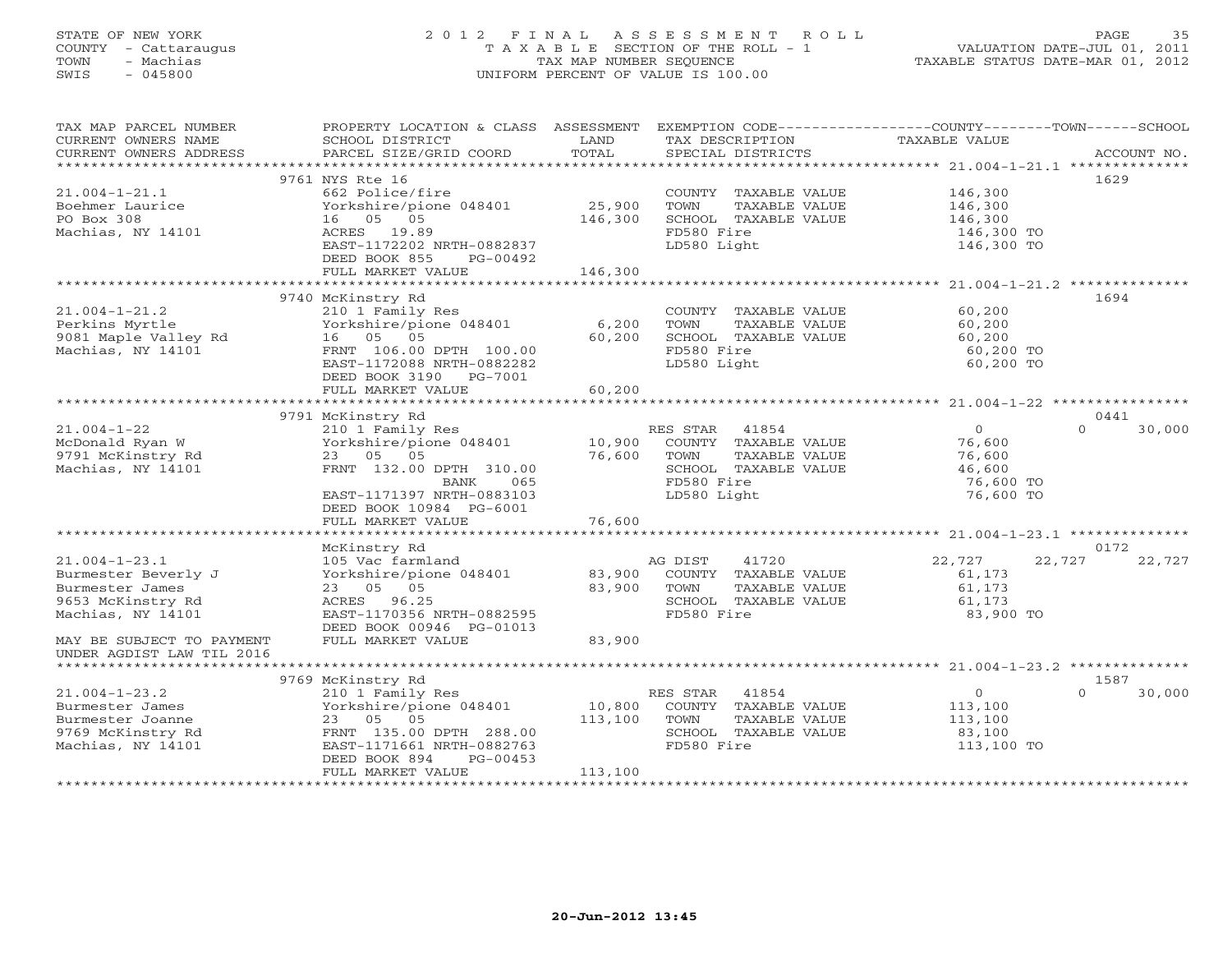### STATE OF NEW YORK 2 0 1 2 F I N A L A S S E S S M E N T R O L L PAGE 35 COUNTY - Cattaraugus T A X A B L E SECTION OF THE ROLL - 1 VALUATION DATE-JUL 01, 2011 TOWN - Machias TAX MAP NUMBER SEQUENCE TAXABLE STATUS DATE-MAR 01, 2012 SWIS - 045800 UNIFORM PERCENT OF VALUE IS 100.00UNIFORM PERCENT OF VALUE IS 100.00

| TAX MAP PARCEL NUMBER<br>CURRENT OWNERS NAME<br>CURRENT OWNERS ADDRESS | PROPERTY LOCATION & CLASS ASSESSMENT<br>SCHOOL DISTRICT<br>PARCEL SIZE/GRID COORD | LAND<br>TOTAL                                    | EXEMPTION CODE----------------COUNTY-------TOWN------SCHOOL<br>TAX DESCRIPTION TAXABLE VALUE<br>SPECIAL DISTRICTS<br>SPECIAL DISTRICTS |                          | ACCOUNT NO.                |
|------------------------------------------------------------------------|-----------------------------------------------------------------------------------|--------------------------------------------------|----------------------------------------------------------------------------------------------------------------------------------------|--------------------------|----------------------------|
|                                                                        |                                                                                   |                                                  |                                                                                                                                        |                          |                            |
|                                                                        | 9761 NYS Rte 16                                                                   |                                                  |                                                                                                                                        |                          | 1629                       |
| $21.004 - 1 - 21.1$                                                    | 662 Police/fire                                                                   | 25,900                                           | COUNTY TAXABLE VALUE 146,300                                                                                                           |                          |                            |
| Boehmer Laurice<br>PO Box 308                                          | Yorkshire/pione 048401<br>16 05 05                                                | 146,300                                          | TOWN<br>TAXABLE VALUE<br>SCHOOL TAXABLE VALUE                                                                                          | 146,300<br>146,300       |                            |
| Machias, NY 14101                                                      | ACRES 19.89                                                                       |                                                  | FD580 Fire                                                                                                                             |                          |                            |
|                                                                        | EAST-1172202 NRTH-0882837                                                         |                                                  | LD580 Light                                                                                                                            | 146,300 TO<br>146,300 TO |                            |
|                                                                        | DEED BOOK 855<br>PG-00492                                                         |                                                  |                                                                                                                                        |                          |                            |
|                                                                        | FULL MARKET VALUE                                                                 | 146,300                                          |                                                                                                                                        |                          |                            |
|                                                                        |                                                                                   |                                                  |                                                                                                                                        |                          |                            |
|                                                                        | 9740 McKinstry Rd                                                                 |                                                  |                                                                                                                                        |                          | 1694                       |
| $21.004 - 1 - 21.2$                                                    | 210 1 Family Res                                                                  |                                                  | COUNTY TAXABLE VALUE                                                                                                                   | 60,200                   |                            |
| Perkins Myrtle                                                         | Yorkshire/pione 048401                                                            | 6,200                                            | TOWN<br>TAXABLE VALUE                                                                                                                  | 60,200                   |                            |
| 9081 Maple Valley Rd                                                   | 16  05  05                                                                        | 60,200                                           | SCHOOL TAXABLE VALUE                                                                                                                   | 60,200                   |                            |
| Machias, NY 14101                                                      | FRNT 106.00 DPTH 100.00                                                           |                                                  | FD580 Fire                                                                                                                             | 60,200 TO                |                            |
|                                                                        | EAST-1172088 NRTH-0882282                                                         |                                                  | LD580 Light                                                                                                                            | 60,200 TO                |                            |
|                                                                        | DEED BOOK 3190 PG-7001                                                            |                                                  |                                                                                                                                        |                          |                            |
|                                                                        | FULL MARKET VALUE                                                                 | 60,200                                           |                                                                                                                                        |                          |                            |
|                                                                        |                                                                                   |                                                  |                                                                                                                                        |                          |                            |
|                                                                        | 9791 McKinstry Rd                                                                 |                                                  |                                                                                                                                        |                          | 0441                       |
| $21.004 - 1 - 22$                                                      | 210 1 Family Res                                                                  |                                                  | RES STAR 41854                                                                                                                         | $\Omega$                 | $\Omega$<br>30,000         |
| McDonald Ryan W                                                        | Yorkshire/pione 048401                                                            | 10,900                                           | COUNTY TAXABLE VALUE                                                                                                                   | 76,600                   |                            |
| 9791 McKinstry Rd<br>Machias NY 14101                                  | 23 05 05                                                                          | 76,600                                           | TAXABLE VALUE<br>TOWN                                                                                                                  | 76,600                   |                            |
| Machias, NY 14101                                                      | FRNT 132.00 DPTH 310.00                                                           |                                                  | SCHOOL TAXABLE VALUE                                                                                                                   | 46,600                   |                            |
|                                                                        | BANK<br>065                                                                       |                                                  | FD580 Fire                                                                                                                             | 76,600 TO                |                            |
|                                                                        | EAST-1171397 NRTH-0883103                                                         |                                                  | LD580 Light                                                                                                                            | 76,600 TO                |                            |
|                                                                        | DEED BOOK 10984 PG-6001                                                           |                                                  |                                                                                                                                        |                          |                            |
|                                                                        | FULL MARKET VALUE                                                                 | 76,600                                           |                                                                                                                                        |                          |                            |
|                                                                        |                                                                                   |                                                  |                                                                                                                                        |                          |                            |
|                                                                        | McKinstry Rd                                                                      |                                                  |                                                                                                                                        |                          | 0172                       |
| $21.004 - 1 - 23.1$                                                    | 105 Vac farmland                                                                  |                                                  | AG DIST<br>41720                                                                                                                       | 22,727                   | 22,727<br>22,727           |
| Burmester Beverly J                                                    | Yorkshire/pione 048401                                                            | 83,900                                           | COUNTY TAXABLE VALUE                                                                                                                   | 61,173                   |                            |
| Burmester James                                                        | 23 05 05                                                                          | 83,900                                           | TOWN<br>TAXABLE VALUE                                                                                                                  | 61,173                   |                            |
| 9653 McKinstry Rd                                                      | ACRES 96.25                                                                       |                                                  | SCHOOL TAXABLE VALUE                                                                                                                   | 61,173                   |                            |
| Machias, NY 14101                                                      | EAST-1170356 NRTH-0882595                                                         |                                                  | FD580 Fire                                                                                                                             | 83,900 TO                |                            |
|                                                                        | DEED BOOK 00946 PG-01013                                                          |                                                  |                                                                                                                                        |                          |                            |
| MAY BE SUBJECT TO PAYMENT                                              | FULL MARKET VALUE                                                                 | 83,900                                           |                                                                                                                                        |                          |                            |
| UNDER AGDIST LAW TIL 2016                                              |                                                                                   |                                                  |                                                                                                                                        |                          |                            |
|                                                                        |                                                                                   |                                                  |                                                                                                                                        |                          |                            |
|                                                                        | 9769 McKinstry Rd                                                                 |                                                  |                                                                                                                                        |                          | 1587<br>30,000<br>$\Omega$ |
| $21.004 - 1 - 23.2$<br>Burmester James                                 | 210 1 Family Res                                                                  | $\begin{array}{c} 10,800 \\ 110,800 \end{array}$ | RES STAR<br>41854                                                                                                                      | $\overline{0}$           |                            |
| Burmester Joanne                                                       | Yorkshire/pione 048401<br>23 05 05                                                | 113,100                                          | COUNTY TAXABLE VALUE<br>TOWN<br>TAXABLE VALUE                                                                                          | 113,100<br>113,100       |                            |
| 9769 McKinstry Rd                                                      | FRNT 135.00 DPTH 288.00                                                           |                                                  | SCHOOL TAXABLE VALUE                                                                                                                   | 83,100                   |                            |
| Machias, NY 14101                                                      | EAST-1171661 NRTH-0882763                                                         |                                                  | FD580 Fire                                                                                                                             | 113,100 TO               |                            |
|                                                                        | DEED BOOK 894<br>PG-00453                                                         |                                                  |                                                                                                                                        |                          |                            |
|                                                                        | FULL MARKET VALUE                                                                 | 113,100                                          |                                                                                                                                        |                          |                            |
|                                                                        |                                                                                   |                                                  |                                                                                                                                        |                          |                            |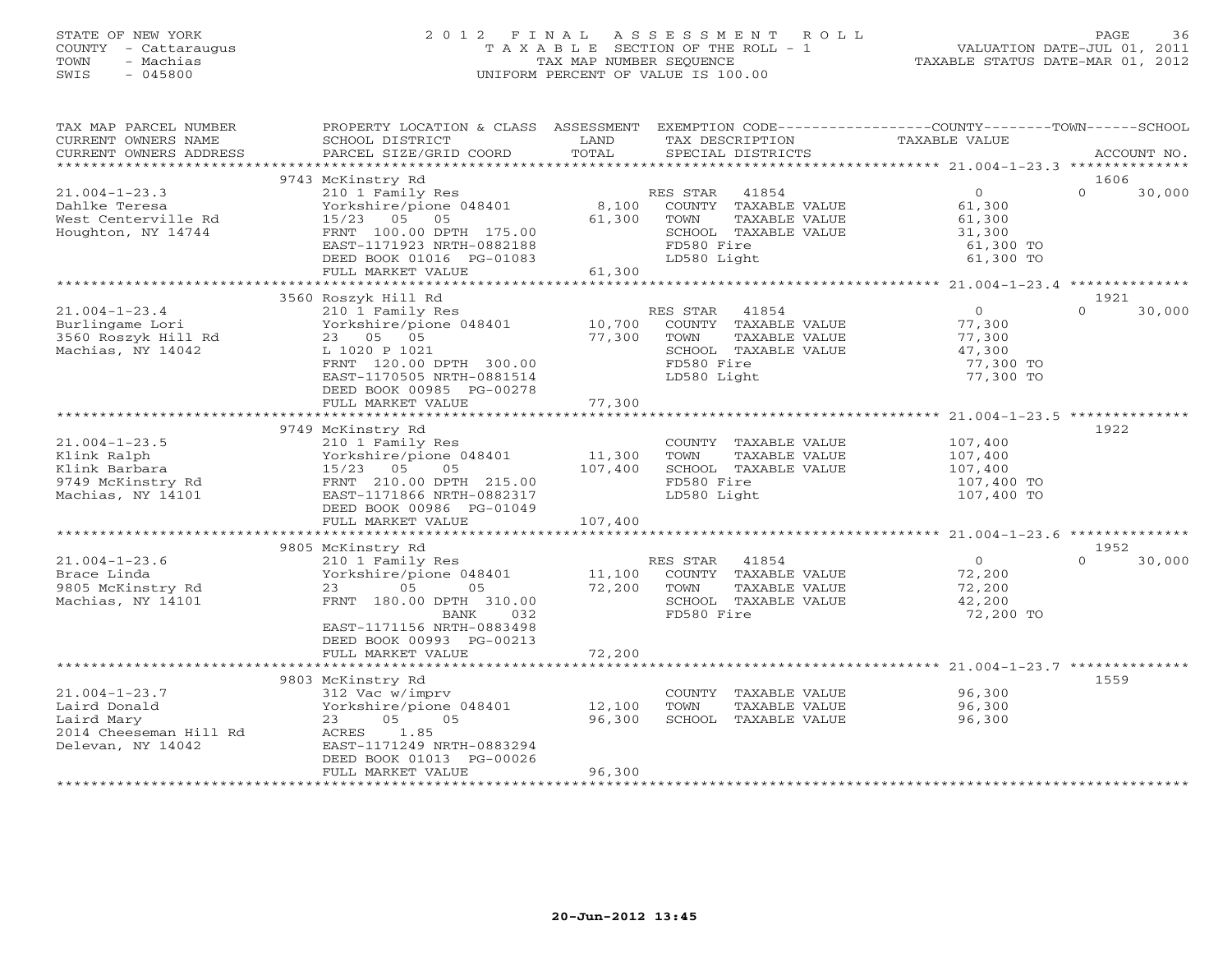### STATE OF NEW YORK 2 0 1 2 F I N A L A S S E S S M E N T R O L L PAGE 36 COUNTY - Cattaraugus T A X A B L E SECTION OF THE ROLL - 1 VALUATION DATE-JUL 01, 2011 TOWN - Machias TAX MAP NUMBER SEQUENCE TAXABLE STATUS DATE-MAR 01, 2012 SWIS - 045800 UNIFORM PERCENT OF VALUE IS 100.00UNIFORM PERCENT OF VALUE IS 100.00

| TAX MAP PARCEL NUMBER<br>CURRENT OWNERS NAME                                                     | PROPERTY LOCATION & CLASS ASSESSMENT<br>SCHOOL DISTRICT                                                                                                                                    | LAND                         | EXEMPTION CODE-----------------COUNTY-------TOWN------SCHOOL<br>TAX DESCRIPTION                                         | TAXABLE VALUE                                                          |                            |
|--------------------------------------------------------------------------------------------------|--------------------------------------------------------------------------------------------------------------------------------------------------------------------------------------------|------------------------------|-------------------------------------------------------------------------------------------------------------------------|------------------------------------------------------------------------|----------------------------|
| CURRENT OWNERS ADDRESS<br>***********************                                                | PARCEL SIZE/GRID COORD                                                                                                                                                                     | TOTAL                        | SPECIAL DISTRICTS                                                                                                       |                                                                        | ACCOUNT NO.                |
|                                                                                                  | 9743 McKinstry Rd                                                                                                                                                                          |                              |                                                                                                                         |                                                                        | 1606                       |
| $21.004 - 1 - 23.3$<br>Dahlke Teresa<br>West Centerville Rd<br>Houghton, NY 14744                | 210 1 Family Res<br>Yorkshire/pione 048401<br>15/23 05 05<br>FRNT 100.00 DPTH 175.00<br>EAST-1171923 NRTH-0882188<br>DEED BOOK 01016 PG-01083                                              | 8,100<br>61,300              | RES STAR<br>41854<br>COUNTY TAXABLE VALUE<br>TOWN<br>TAXABLE VALUE<br>SCHOOL TAXABLE VALUE<br>FD580 Fire<br>LD580 Light | $\overline{0}$<br>61,300<br>61,300<br>31,300<br>61,300 TO<br>61,300 TO | $\Omega$<br>30,000         |
|                                                                                                  | FULL MARKET VALUE                                                                                                                                                                          | 61,300                       |                                                                                                                         |                                                                        |                            |
|                                                                                                  | 3560 Roszyk Hill Rd                                                                                                                                                                        |                              |                                                                                                                         |                                                                        | 1921                       |
| $21.004 - 1 - 23.4$<br>Burlingame Lori<br>3560 Roszyk Hill Rd<br>Machias, NY 14042               | 210 1 Family Res<br>Yorkshire/pione 048401<br>23 05 05<br>L 1020 P 1021<br>FRNT 120.00 DPTH 300.00<br>EAST-1170505 NRTH-0881514<br>DEED BOOK 00985 PG-00278<br>FULL MARKET VALUE           | 10,700<br>77,300<br>77,300   | RES STAR<br>41854<br>COUNTY TAXABLE VALUE<br>TOWN<br>TAXABLE VALUE<br>SCHOOL TAXABLE VALUE<br>FD580 Fire<br>LD580 Light | $\Omega$<br>77,300<br>77,300<br>47,300<br>77,300 TO<br>77,300 TO       | $\Omega$<br>30,000         |
|                                                                                                  |                                                                                                                                                                                            | ************                 |                                                                                                                         | ******************* 21.004-1-23.5 ***************                      |                            |
| $21.004 - 1 - 23.5$<br>Klink Ralph<br>Klink Barbara<br>9749 McKinstry Rd<br>Machias, NY 14101    | 9749 McKinstry Rd<br>210 1 Family Res<br>Yorkshire/pione 048401<br>15/23 05<br>05<br>FRNT 210.00 DPTH 215.00<br>EAST-1171866 NRTH-0882317<br>DEED BOOK 00986 PG-01049<br>FULL MARKET VALUE | 11,300<br>107,400<br>107,400 | COUNTY TAXABLE VALUE<br>TOWN<br>TAXABLE VALUE<br>SCHOOL TAXABLE VALUE<br>FD580 Fire<br>LD580 Light                      | 107,400<br>107,400<br>107,400<br>107,400 TO<br>107,400 TO              | 1922                       |
|                                                                                                  |                                                                                                                                                                                            |                              |                                                                                                                         |                                                                        |                            |
| $21.004 - 1 - 23.6$<br>Brace Linda<br>9805 McKinstry Rd<br>Machias, NY 14101                     | 9805 McKinstry Rd<br>210 1 Family Res<br>Yorkshire/pione 048401<br>23<br>05<br>05<br>FRNT 180.00 DPTH 310.00<br>BANK<br>032<br>EAST-1171156 NRTH-0883498<br>DEED BOOK 00993 PG-00213       | 11,100<br>72,200             | RES STAR<br>41854<br>COUNTY TAXABLE VALUE<br>TOWN<br>TAXABLE VALUE<br>SCHOOL TAXABLE VALUE<br>FD580 Fire                | $\overline{0}$<br>72,200<br>72,200<br>42,200<br>72,200 TO              | 1952<br>$\Omega$<br>30,000 |
|                                                                                                  | FULL MARKET VALUE                                                                                                                                                                          | 72,200                       |                                                                                                                         |                                                                        |                            |
|                                                                                                  | 9803 McKinstry Rd                                                                                                                                                                          |                              |                                                                                                                         |                                                                        | 1559                       |
| $21.004 - 1 - 23.7$<br>Laird Donald<br>Laird Mary<br>2014 Cheeseman Hill Rd<br>Delevan, NY 14042 | 312 Vac w/imprv<br>Yorkshire/pione 048401<br>05<br>05<br>23<br>1.85<br>ACRES<br>EAST-1171249 NRTH-0883294<br>DEED BOOK 01013 PG-00026                                                      | 12,100<br>96,300             | COUNTY TAXABLE VALUE<br>TOWN<br>TAXABLE VALUE<br>SCHOOL TAXABLE VALUE                                                   | 96,300<br>96,300<br>96,300                                             |                            |
|                                                                                                  | FULL MARKET VALUE                                                                                                                                                                          | 96,300                       |                                                                                                                         |                                                                        |                            |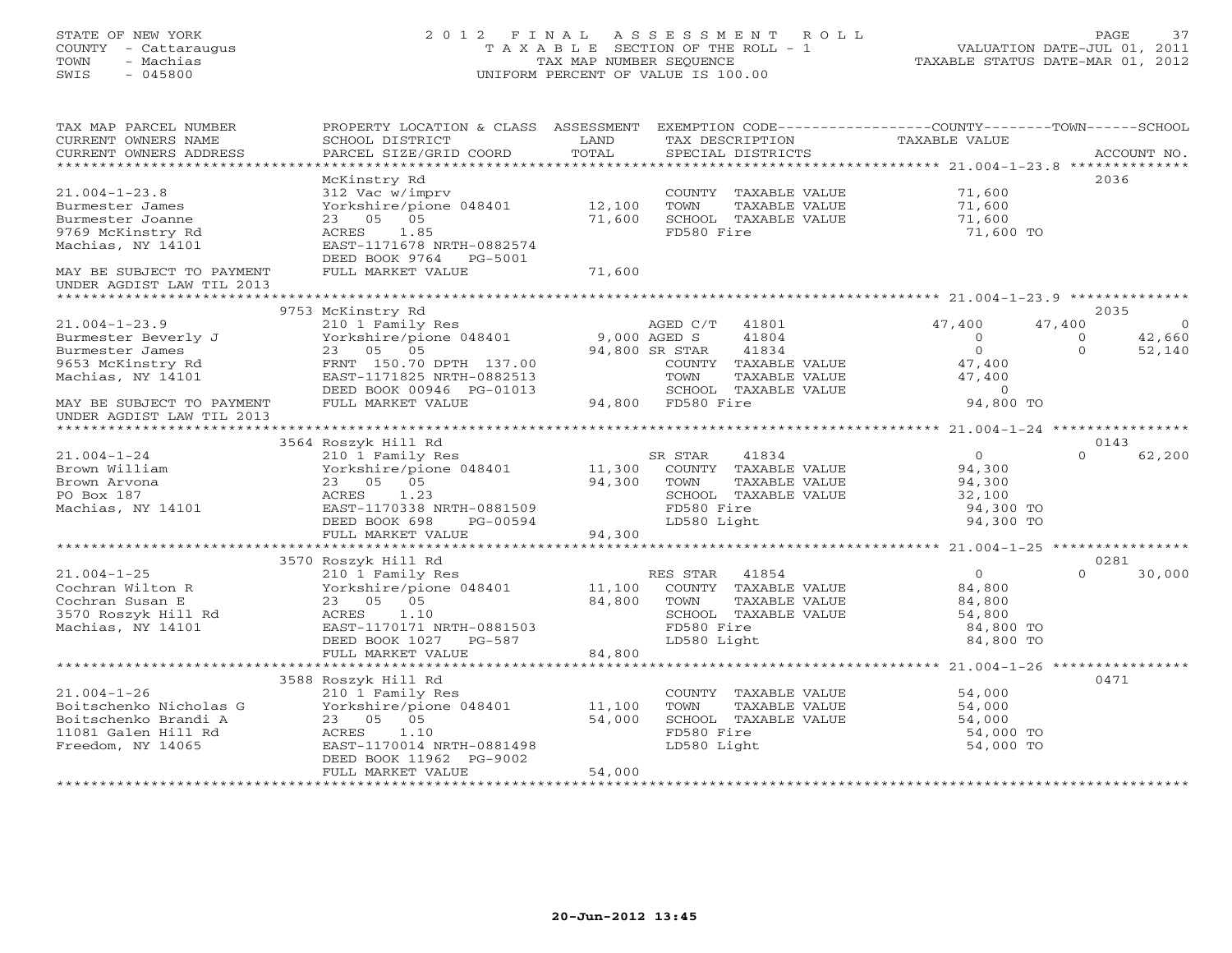# STATE OF NEW YORK 2 0 1 2 F I N A L A S S E S S M E N T R O L L PAGE 37 COUNTY - Cattaraugus T A X A B L E SECTION OF THE ROLL - 1 VALUATION DATE-JUL 01, 2011 TOWN - Machias TAX MAP NUMBER SEQUENCE TAXABLE STATUS DATE-MAR 01, 2012 SWIS - 045800 UNIFORM PERCENT OF VALUE IS 100.00UNIFORM PERCENT OF VALUE IS 100.00

| TAX MAP PARCEL NUMBER<br>CURRENT OWNERS NAME<br>CURRENT OWNERS ADDRESS<br>***********************               | PROPERTY LOCATION & CLASS ASSESSMENT<br>SCHOOL DISTRICT<br>PARCEL SIZE/GRID COORD                                                                      | LAND<br>TOTAL              | EXEMPTION CODE-----------------COUNTY-------TOWN-----SCHOOL<br>TAX DESCRIPTION<br>SPECIAL DISTRICTS                  | TAXABLE VALUE                                                    | ACCOUNT NO.                                                |
|-----------------------------------------------------------------------------------------------------------------|--------------------------------------------------------------------------------------------------------------------------------------------------------|----------------------------|----------------------------------------------------------------------------------------------------------------------|------------------------------------------------------------------|------------------------------------------------------------|
| $21.004 - 1 - 23.8$<br>Burmester James<br>Burmester Joanne<br>9769 McKinstry Rd<br>Machias, NY 14101            | McKinstry Rd<br>312 Vac w/imprv<br>Yorkshire/pione 048401<br>23 05 05<br>ACRES<br>1.85<br>EAST-1171678 NRTH-0882574<br>DEED BOOK 9764<br>PG-5001       | 12,100<br>71,600           | COUNTY TAXABLE VALUE<br>TOWN<br>TAXABLE VALUE<br>SCHOOL TAXABLE VALUE<br>FD580 Fire                                  | 71,600<br>71,600<br>71,600<br>71,600 TO                          | 2036                                                       |
| MAY BE SUBJECT TO PAYMENT<br>UNDER AGDIST LAW TIL 2013                                                          | FULL MARKET VALUE                                                                                                                                      | 71,600                     |                                                                                                                      |                                                                  |                                                            |
|                                                                                                                 | 9753 McKinstry Rd                                                                                                                                      |                            |                                                                                                                      |                                                                  | 2035                                                       |
| $21.004 - 1 - 23.9$<br>Burmester Beverly J<br>Burmester James<br>9653 McKinstry Rd<br>Machias, NY 14101         | 210 1 Family Res<br>Yorkshire/pione 048401<br>23 05 05<br>FRNT 150.70 DPTH 137.00<br>EAST-1171825 NRTH-0882513                                         | 9,000 AGED S               | 41801<br>AGED C/T<br>41804<br>94,800 SR STAR<br>41834<br>COUNTY TAXABLE VALUE<br>TOWN<br>TAXABLE VALUE               | 47,400<br>47,400<br>$\Omega$<br>$\Omega$<br>47,400<br>47,400     | $\overline{0}$<br>42,660<br>$\Omega$<br>$\Omega$<br>52,140 |
| MAY BE SUBJECT TO PAYMENT<br>UNDER AGDIST LAW TIL 2013                                                          | DEED BOOK 00946 PG-01013<br>FULL MARKET VALUE                                                                                                          |                            | SCHOOL TAXABLE VALUE<br>94,800 FD580 Fire                                                                            | $\circ$<br>94,800 TO                                             |                                                            |
|                                                                                                                 |                                                                                                                                                        |                            |                                                                                                                      |                                                                  |                                                            |
|                                                                                                                 | 3564 Roszyk Hill Rd                                                                                                                                    |                            |                                                                                                                      |                                                                  | 0143                                                       |
| $21.004 - 1 - 24$<br>Brown William<br>Brown Arvona<br>PO Box 187<br>Machias, NY 14101                           | 210 1 Family Res<br>Yorkshire/pione 048401<br>23 05 05<br>ACRES<br>1.23<br>EAST-1170338 NRTH-0881509                                                   | 11,300<br>94,300           | SR STAR<br>41834<br>COUNTY TAXABLE VALUE<br>TOWN<br>TAXABLE VALUE<br>SCHOOL TAXABLE VALUE<br>FD580 Fire              | $\circ$<br>94,300<br>94,300<br>32,100<br>94,300 TO               | $\cap$<br>62,200                                           |
|                                                                                                                 | DEED BOOK 698<br>PG-00594                                                                                                                              |                            | LD580 Light                                                                                                          | 94,300 TO                                                        |                                                            |
|                                                                                                                 | FULL MARKET VALUE                                                                                                                                      | 94,300                     |                                                                                                                      |                                                                  |                                                            |
|                                                                                                                 | 3570 Roszyk Hill Rd                                                                                                                                    |                            |                                                                                                                      |                                                                  | 0281                                                       |
| $21.004 - 1 - 25$<br>Cochran Wilton R<br>Cochran Susan E<br>3570 Roszyk Hill Rd<br>Machias, NY 14101            | 210 1 Family Res<br>Yorkshire/pione 048401<br>23 05 05<br>ACRES<br>1.10<br>EAST-1170171 NRTH-0881503<br>DEED BOOK 1027<br>PG-587<br>FULL MARKET VALUE  | 11,100<br>84,800<br>84,800 | RES STAR 41854<br>COUNTY TAXABLE VALUE<br>TOWN<br>TAXABLE VALUE<br>SCHOOL TAXABLE VALUE<br>FD580 Fire<br>LD580 Light | $\Omega$<br>84,800<br>84,800<br>54,800<br>84,800 TO<br>84,800 TO | $\Omega$<br>30,000                                         |
|                                                                                                                 |                                                                                                                                                        |                            |                                                                                                                      |                                                                  |                                                            |
| $21.004 - 1 - 26$<br>Boitschenko Nicholas G<br>Boitschenko Brandi A<br>11081 Galen Hill Rd<br>Freedom, NY 14065 | 3588 Roszyk Hill Rd<br>210 1 Family Res<br>Yorkshire/pione 048401<br>23 05 05<br>1.10<br>ACRES<br>EAST-1170014 NRTH-0881498<br>DEED BOOK 11962 PG-9002 | 11,100<br>54,000           | COUNTY TAXABLE VALUE<br>TOWN<br>TAXABLE VALUE<br>SCHOOL TAXABLE VALUE<br>FD580 Fire<br>LD580 Light                   | 54,000<br>54,000<br>54,000<br>54,000 TO<br>54,000 TO             | 0471                                                       |
|                                                                                                                 | FULL MARKET VALUE                                                                                                                                      | 54,000                     |                                                                                                                      |                                                                  |                                                            |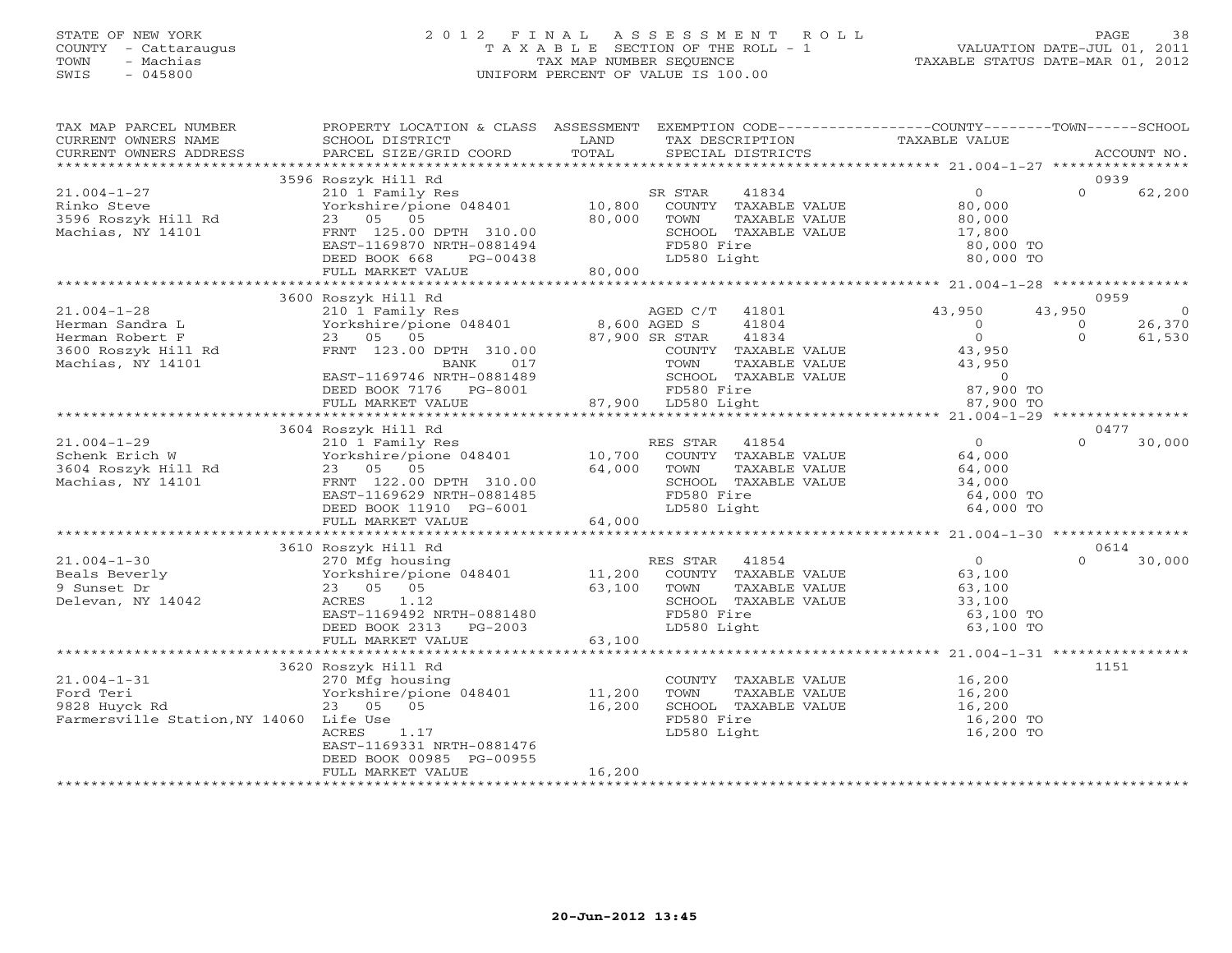### STATE OF NEW YORK 2 0 1 2 F I N A L A S S E S S M E N T R O L L PAGE 38 COUNTY - Cattaraugus T A X A B L E SECTION OF THE ROLL - 1 VALUATION DATE-JUL 01, 2011 TOWN - Machias TAX MAP NUMBER SEQUENCE TAXABLE STATUS DATE-MAR 01, 2012 SWIS - 045800 UNIFORM PERCENT OF VALUE IS 100.00UNIFORM PERCENT OF VALUE IS 100.00

| TAX MAP PARCEL NUMBER                   | PROPERTY LOCATION & CLASS ASSESSMENT EXEMPTION CODE----------------COUNTY-------TOWN------SCHOOL |              |                                               |                                     |                     |                |
|-----------------------------------------|--------------------------------------------------------------------------------------------------|--------------|-----------------------------------------------|-------------------------------------|---------------------|----------------|
| CURRENT OWNERS NAME                     | SCHOOL DISTRICT                                                                                  | LAND         | TAX DESCRIPTION                               | TAXABLE VALUE                       |                     |                |
| CURRENT OWNERS ADDRESS                  | PARCEL SIZE/GRID COORD                                                                           | TOTAL        | SPECIAL DISTRICTS                             |                                     |                     | ACCOUNT NO.    |
|                                         |                                                                                                  |              |                                               |                                     |                     |                |
|                                         | 3596 Roszyk Hill Rd                                                                              |              |                                               |                                     | 0939                |                |
| $21.004 - 1 - 27$                       | 210 1 Family Res                                                                                 |              | 41834<br>SR STAR                              | $\overline{0}$                      | $\Omega$            | 62,200         |
| Rinko Steve                             | Yorkshire/pione 048401                                                                           | 10,800       | COUNTY TAXABLE VALUE                          | 80,000                              |                     |                |
| 3596 Roszyk Hill Rd                     | 23 05 05                                                                                         | 80,000       | TOWN<br>TAXABLE VALUE                         | 80,000                              |                     |                |
| Machias, NY 14101                       | FRNT 125.00 DPTH 310.00                                                                          |              | SCHOOL TAXABLE VALUE                          | 17,800                              |                     |                |
|                                         | EAST-1169870 NRTH-0881494                                                                        |              | FD580 Fire                                    | 80,000 TO                           |                     |                |
|                                         | DEED BOOK 668<br>PG-00438                                                                        |              | LD580 Light                                   | 80,000 TO                           |                     |                |
|                                         | FULL MARKET VALUE                                                                                | 80,000       |                                               |                                     |                     |                |
|                                         |                                                                                                  |              |                                               |                                     |                     |                |
|                                         | 3600 Roszyk Hill Rd                                                                              |              |                                               |                                     | 0959                |                |
| $21.004 - 1 - 28$                       | 210 1 Family Res                                                                                 |              | AGED C/T 41801                                | 43,950                              | 43,950              | $\overline{0}$ |
| Herman Sandra L                         | Yorkshire/pione 048401                                                                           | 8,600 AGED S | 41804                                         | $\overline{0}$<br>$0 \qquad \qquad$ | $\circ$<br>$\Omega$ | 26,370         |
| Herman Robert F                         | 23 05 05                                                                                         |              | 87,900 SR STAR<br>41834                       |                                     |                     | 61,530         |
| 3600 Roszyk Hill Rd                     | FRNT 123.00 DPTH 310.00                                                                          |              | COUNTY TAXABLE VALUE                          | 43,950                              |                     |                |
| Machias, NY 14101                       | BANK<br>017<br>EAST-1169746 NRTH-0881489                                                         |              | TOWN<br>TAXABLE VALUE<br>SCHOOL TAXABLE VALUE | 43,950<br>$\overline{0}$            |                     |                |
|                                         | DEED BOOK 7176 PG-8001                                                                           |              | FD580 Fire                                    | 87,900 TO                           |                     |                |
|                                         | FULL MARKET VALUE                                                                                |              | 87,900 LD580 Light                            | 87,900 TO                           |                     |                |
|                                         |                                                                                                  |              |                                               |                                     |                     |                |
|                                         | 3604 Roszyk Hill Rd                                                                              |              |                                               |                                     | 0477                |                |
| $21.004 - 1 - 29$                       | 210 1 Family Res                                                                                 |              | RES STAR<br>41854                             | $\overline{0}$                      | $\Omega$            | 30,000         |
| Schenk Erich W                          | Yorkshire/pione 048401                                                                           | 10,700       | COUNTY TAXABLE VALUE                          | 64,000                              |                     |                |
| 3604 Roszyk Hill Rd                     | 23 05 05                                                                                         | 64,000       | TAXABLE VALUE<br>TOWN                         | 64,000                              |                     |                |
| Machias, NY 14101                       | FRNT 122.00 DPTH 310.00                                                                          |              | SCHOOL TAXABLE VALUE                          | 34,000                              |                     |                |
|                                         | EAST-1169629 NRTH-0881485                                                                        |              | FD580 Fire                                    | 64,000 TO                           |                     |                |
|                                         | DEED BOOK 11910 PG-6001                                                                          |              | LD580 Light                                   | 64,000 TO                           |                     |                |
|                                         | FULL MARKET VALUE                                                                                | 64,000       |                                               |                                     |                     |                |
|                                         |                                                                                                  |              |                                               |                                     |                     |                |
|                                         | 3610 Roszyk Hill Rd                                                                              |              |                                               |                                     | 0614                |                |
| $21.004 - 1 - 30$                       | 270 Mfg housing                                                                                  |              | RES STAR<br>41854                             | $\overline{0}$                      | $\Omega$            | 30,000         |
| Beals Beverly                           | Yorkshire/pione 048401 11,200                                                                    |              | COUNTY TAXABLE VALUE                          | 63,100                              |                     |                |
| 9 Sunset Dr                             | 23 05 05                                                                                         | 63,100       | TOWN<br>TAXABLE VALUE                         | 63,100                              |                     |                |
| Delevan, NY 14042                       | ACRES<br>1.12                                                                                    |              | SCHOOL TAXABLE VALUE                          | 33,100                              |                     |                |
|                                         | EAST-1169492 NRTH-0881480                                                                        |              | FD580 Fire                                    | 63,100 TO                           |                     |                |
|                                         | DEED BOOK 2313<br>PG-2003                                                                        |              | LD580 Light                                   | 63,100 TO                           |                     |                |
|                                         | FULL MARKET VALUE                                                                                | 63,100       |                                               |                                     |                     |                |
|                                         |                                                                                                  |              |                                               |                                     |                     |                |
|                                         | 3620 Roszyk Hill Rd                                                                              |              |                                               |                                     | 1151                |                |
| $21.004 - 1 - 31$                       | 270 Mfg housing                                                                                  |              | COUNTY TAXABLE VALUE                          | 16,200                              |                     |                |
| Ford Teri                               | Yorkshire/pione 048401                                                                           | 11,200       | TOWN<br>TAXABLE VALUE                         | 16,200                              |                     |                |
| 9828 Huyck Rd                           | 23 05 05                                                                                         | 16,200       | SCHOOL TAXABLE VALUE                          | 16, 200                             |                     |                |
| Farmersville Station, NY 14060 Life Use |                                                                                                  |              | FD580 Fire                                    | 16,200 TO                           |                     |                |
|                                         | ACRES<br>1.17                                                                                    |              | LD580 Light                                   | 16,200 TO                           |                     |                |
|                                         | EAST-1169331 NRTH-0881476                                                                        |              |                                               |                                     |                     |                |
|                                         | DEED BOOK 00985 PG-00955<br>FULL MARKET VALUE                                                    | 16,200       |                                               |                                     |                     |                |
|                                         |                                                                                                  |              |                                               |                                     |                     |                |
|                                         |                                                                                                  |              |                                               |                                     |                     |                |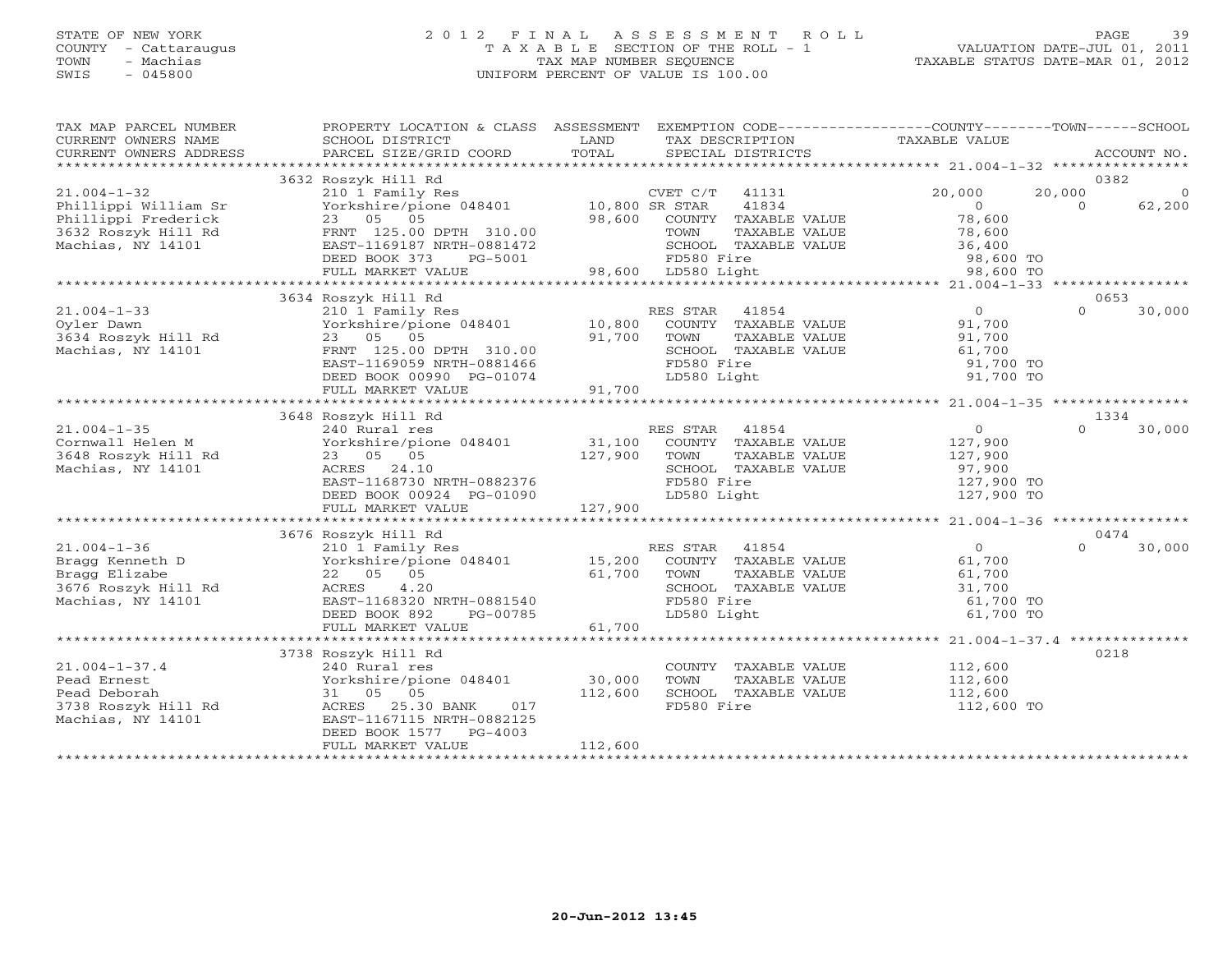# STATE OF NEW YORK 2 0 1 2 F I N A L A S S E S S M E N T R O L L PAGE 39 COUNTY - Cattaraugus T A X A B L E SECTION OF THE ROLL - 1 VALUATION DATE-JUL 01, 2011 TOWN - Machias TAX MAP NUMBER SEQUENCE TAXABLE STATUS DATE-MAR 01, 2012 SWIS - 045800 UNIFORM PERCENT OF VALUE IS 100.00UNIFORM PERCENT OF VALUE IS 100.00

| TAX MAP PARCEL NUMBER<br>CURRENT OWNERS NAME<br>CURRENT OWNERS ADDRESS | PROPERTY LOCATION & CLASS ASSESSMENT<br>SCHOOL DISTRICT<br>PARCEL SIZE/GRID COORD | LAND<br>TOTAL  | TAX DESCRIPTION<br>SPECIAL DISTRICTS | EXEMPTION CODE-----------------COUNTY-------TOWN------SCHOOL<br>TAXABLE VALUE | ACCOUNT NO.        |
|------------------------------------------------------------------------|-----------------------------------------------------------------------------------|----------------|--------------------------------------|-------------------------------------------------------------------------------|--------------------|
|                                                                        |                                                                                   |                |                                      |                                                                               |                    |
|                                                                        | 3632 Roszyk Hill Rd                                                               |                |                                      |                                                                               | 0382               |
| $21.004 - 1 - 32$                                                      | 210 1 Family Res                                                                  |                | CVET C/T<br>41131                    | 20,000                                                                        | 20,000<br>$\Omega$ |
| Phillippi William Sr                                                   | Yorkshire/pione 048401                                                            | 10,800 SR STAR | 41834                                | $\overline{0}$                                                                | 62,200<br>$\cap$   |
| Phillippi Frederick                                                    | 23 05 05                                                                          |                | 98,600 COUNTY TAXABLE VALUE          | 78,600                                                                        |                    |
| 3632 Roszyk Hill Rd                                                    | FRNT 125.00 DPTH 310.00                                                           |                | TAXABLE VALUE<br>TOWN                | 78,600                                                                        |                    |
| Machias, NY 14101                                                      | EAST-1169187 NRTH-0881472                                                         |                | SCHOOL TAXABLE VALUE                 | 36,400                                                                        |                    |
|                                                                        | DEED BOOK 373<br>PG-5001                                                          |                | FD580 Fire                           | 98,600 TO                                                                     |                    |
|                                                                        | FULL MARKET VALUE                                                                 |                | 98,600 LD580 Light                   | 98,600 TO                                                                     |                    |
|                                                                        |                                                                                   |                |                                      |                                                                               |                    |
|                                                                        | 3634 Roszyk Hill Rd                                                               |                |                                      |                                                                               | 0653               |
| $21.004 - 1 - 33$                                                      | 210 1 Family Res                                                                  |                | 41854<br>RES STAR                    | $\overline{0}$                                                                | $\Omega$<br>30,000 |
| Oyler Dawn                                                             | Yorkshire/pione 048401                                                            | 10,800         | COUNTY TAXABLE VALUE                 | 91,700                                                                        |                    |
| 3634 Roszyk Hill Rd                                                    | 23 05 05                                                                          | 91,700         | TOWN<br>TAXABLE VALUE                | 91,700                                                                        |                    |
| Machias, NY 14101                                                      | FRNT 125.00 DPTH 310.00                                                           |                | SCHOOL TAXABLE VALUE                 | 61,700                                                                        |                    |
|                                                                        | EAST-1169059 NRTH-0881466                                                         |                | FD580 Fire                           | 91,700 TO                                                                     |                    |
|                                                                        | DEED BOOK 00990 PG-01074                                                          |                | LD580 Light                          | 91,700 TO                                                                     |                    |
|                                                                        | FULL MARKET VALUE                                                                 | 91,700         |                                      |                                                                               |                    |
|                                                                        |                                                                                   |                |                                      |                                                                               |                    |
|                                                                        | 3648 Roszyk Hill Rd                                                               |                |                                      |                                                                               | 1334               |
| $21.004 - 1 - 35$                                                      | 240 Rural res                                                                     |                | 41854<br>RES STAR                    | $\overline{O}$                                                                | 30,000<br>$\Omega$ |
|                                                                        |                                                                                   |                |                                      |                                                                               |                    |
| Cornwall Helen M                                                       | Yorkshire/pione 048401                                                            | 31,100         | COUNTY TAXABLE VALUE                 | 127,900                                                                       |                    |
| 3648 Roszyk Hill Rd                                                    | 23 05 05                                                                          | 127,900        | TOWN<br>TAXABLE VALUE                | 127,900                                                                       |                    |
| Machias, NY 14101                                                      | ACRES 24.10                                                                       |                | SCHOOL TAXABLE VALUE                 | 97,900                                                                        |                    |
|                                                                        | EAST-1168730 NRTH-0882376                                                         |                | FD580 Fire                           | 127,900 TO                                                                    |                    |
|                                                                        | DEED BOOK 00924 PG-01090                                                          |                | LD580 Light                          | 127,900 TO                                                                    |                    |
|                                                                        | FULL MARKET VALUE                                                                 | 127,900        |                                      |                                                                               |                    |
|                                                                        |                                                                                   |                |                                      |                                                                               |                    |
|                                                                        | 3676 Roszyk Hill Rd                                                               |                |                                      |                                                                               | 0474               |
| $21.004 - 1 - 36$                                                      | 210 1 Family Res                                                                  |                | RES STAR<br>41854                    | $\overline{0}$                                                                | 30,000<br>$\Omega$ |
| Bragg Kenneth D                                                        | Yorkshire/pione 048401                                                            | 15,200         | COUNTY TAXABLE VALUE                 | 61,700                                                                        |                    |
| Bragg Elizabe                                                          | 22 05 05                                                                          | 61,700         | TOWN<br>TAXABLE VALUE                | 61,700                                                                        |                    |
| 3676 Roszyk Hill Rd                                                    | ACRES<br>4.20                                                                     |                | SCHOOL TAXABLE VALUE                 | 31,700                                                                        |                    |
| Machias, NY 14101                                                      | EAST-1168320 NRTH-0881540                                                         |                | FD580 Fire                           | 61,700 TO                                                                     |                    |
|                                                                        | DEED BOOK 892<br>PG-00785                                                         |                | LD580 Light                          | 61,700 TO                                                                     |                    |
|                                                                        | FULL MARKET VALUE                                                                 | 61,700         |                                      |                                                                               |                    |
|                                                                        |                                                                                   |                |                                      |                                                                               |                    |
|                                                                        | 3738 Roszyk Hill Rd                                                               |                |                                      |                                                                               | 0218               |
| $21.004 - 1 - 37.4$                                                    | 240 Rural res                                                                     |                | COUNTY TAXABLE VALUE                 | 112,600                                                                       |                    |
| Pead Ernest                                                            | Yorkshire/pione 048401                                                            | 30,000         | TOWN<br>TAXABLE VALUE                | 112,600                                                                       |                    |
| Pead Deborah                                                           | 31 05 05                                                                          | 112,600        | SCHOOL TAXABLE VALUE                 | 112,600                                                                       |                    |
| 3738 Roszyk Hill Rd                                                    | 25.30 BANK<br>ACRES<br>017                                                        |                | FD580 Fire                           | 112,600 TO                                                                    |                    |
| Machias, NY 14101                                                      | EAST-1167115 NRTH-0882125                                                         |                |                                      |                                                                               |                    |
|                                                                        | DEED BOOK 1577<br>$PG-4003$                                                       |                |                                      |                                                                               |                    |
|                                                                        | FULL MARKET VALUE                                                                 | 112,600        |                                      |                                                                               |                    |
|                                                                        |                                                                                   |                |                                      |                                                                               |                    |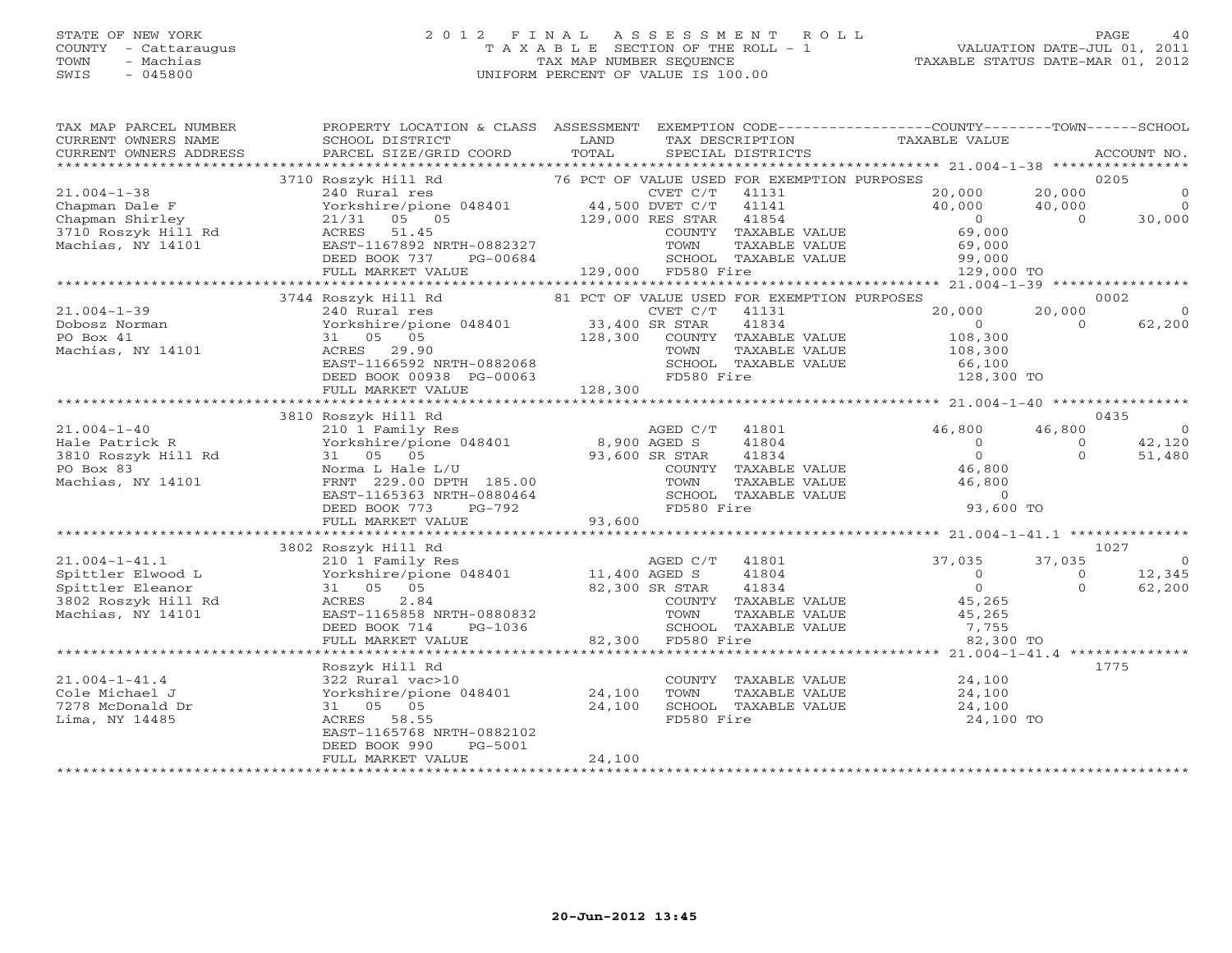# STATE OF NEW YORK 2 0 1 2 F I N A L A S S E S S M E N T R O L L PAGE 40 COUNTY - Cattaraugus T A X A B L E SECTION OF THE ROLL - 1 VALUATION DATE-JUL 01, 2011 TOWN - Machias TAX MAP NUMBER SEQUENCE TAXABLE STATUS DATE-MAR 01, 2012 SWIS - 045800 UNIFORM PERCENT OF VALUE IS 100.00

| TAX MAP PARCEL NUMBER<br>TA PIE TANDER NOTIFIES ACCOUNT NO.<br>CURRENT OWNERS NAME SCHOOL DISTRICT TRIN THE TAX DESCRIPTION TAXABLE VALUE<br>CURRENT OWNERS ADDRESS PARCEL SIZE/GRID COORD IN SPECIAL DISTRICTS ACCOUNT NO.<br>******************************                                                                                                      | PROPERTY LOCATION & CLASS ASSESSMENT EXEMPTION CODE---------------COUNTY-------TOWN------SCHOOL                                                                                         |        |                                                                                                                                        |                    |
|--------------------------------------------------------------------------------------------------------------------------------------------------------------------------------------------------------------------------------------------------------------------------------------------------------------------------------------------------------------------|-----------------------------------------------------------------------------------------------------------------------------------------------------------------------------------------|--------|----------------------------------------------------------------------------------------------------------------------------------------|--------------------|
|                                                                                                                                                                                                                                                                                                                                                                    |                                                                                                                                                                                         |        |                                                                                                                                        |                    |
|                                                                                                                                                                                                                                                                                                                                                                    | 3744 Roszyk Hill Rd <sup>81</sup> PCT OF VALUE USED FOR EXEMPTION PURPOSES 60002                                                                                                        |        |                                                                                                                                        |                    |
| $\begin{array}{cccccccc} 21.004-1-39 & 3/44 & 851 FCT & 0F & 0000 FCT & 0.0000 FCT & 0.0000 FCT & 0.0000 FCT & 0.0000 FCT & 0.0000 FCT & 0.0000 FCT & 0.0000 FCT & 0.0000 FCT & 0.0000 FCT & 0.0000 FCT & 0.0000 FCT & 0.0000 FCT & 0.0000 FCT & 0.0000 FCT & 0.0000 FCT & 0.0000 FCT & 0.0000 FCT & 0.0$                                                          |                                                                                                                                                                                         |        |                                                                                                                                        | 20,000 0<br>62,200 |
|                                                                                                                                                                                                                                                                                                                                                                    | 3810 Roszyk Hill Rd                                                                                                                                                                     |        |                                                                                                                                        | 0435               |
| $\begin{tabular}{lllllllllllllllllllllll} \hline & 3810~\text{RSLYK H11 Rd} & 3810~\text{RMS2YK H11 Rd} & 3810~\text{RMS2YK H11 Rd} & 3810~\text{RMS1YRd} & 3810~\text{RMS1YRd} & 3810~\text{RMS1YRd} & 3810~\text{RMS1YRd} & 3810~\text{RMS1YRd} & 3810~\text{RMS1YRd} & 3810~\text{RMS1YRd} & 3810~\text{RMS1YRd} &$                                             |                                                                                                                                                                                         |        |                                                                                                                                        | $\overline{0}$     |
|                                                                                                                                                                                                                                                                                                                                                                    |                                                                                                                                                                                         |        |                                                                                                                                        |                    |
|                                                                                                                                                                                                                                                                                                                                                                    | 3802 Roszyk Hill Rd                                                                                                                                                                     |        |                                                                                                                                        | 1027               |
| $\begin{tabular}{lllllllllllll} \textbf{21.004--1-41.1} & & & 3802\text{ Roszyk Hill Rd} & & & & & 102\text{ }\text{10.1} & & & 37,035 & 37,035 & 0 \\ & & 210\text{ I} & & 210\text{ I} & & 210\text{ I} & & 37,035 & 37,035 & 0 \\ \textbf{Spittler Elenor} & & 31 & 05 & 05 & 82,300\text{ SR STRAR} & 41804 & 0 & 0 & 12,345 \\ \textbf{Spittler Elenor} & & $ |                                                                                                                                                                                         |        |                                                                                                                                        |                    |
|                                                                                                                                                                                                                                                                                                                                                                    |                                                                                                                                                                                         |        |                                                                                                                                        | 1775               |
| $21.004 - 1 - 41.4$<br>Cole Michael J<br>7278 McDonald Dr<br>Lima, NY 14485<br>Lima, NY 14485                                                                                                                                                                                                                                                                      | Roszyk Hill Rd<br>322 Rural vac>10 COUNT<br>Yorkshire/pione 048401 24,100 TOWN<br>31 05 05<br>ACRES 58.55<br>EAST-1165768 NRTH-0882102<br>DEED BOOK 990<br>PG-5001<br>FULL MARKET VALUE | 24,100 | COUNTY TAXABLE VALUE 24,100<br>e 048401 24,100 TOWN TAXABLE VALUE 24,100<br>24,100 SCHOOL TAXABLE VALUE 24,100<br>FD580 Fire 24,100 TO |                    |
|                                                                                                                                                                                                                                                                                                                                                                    |                                                                                                                                                                                         |        |                                                                                                                                        |                    |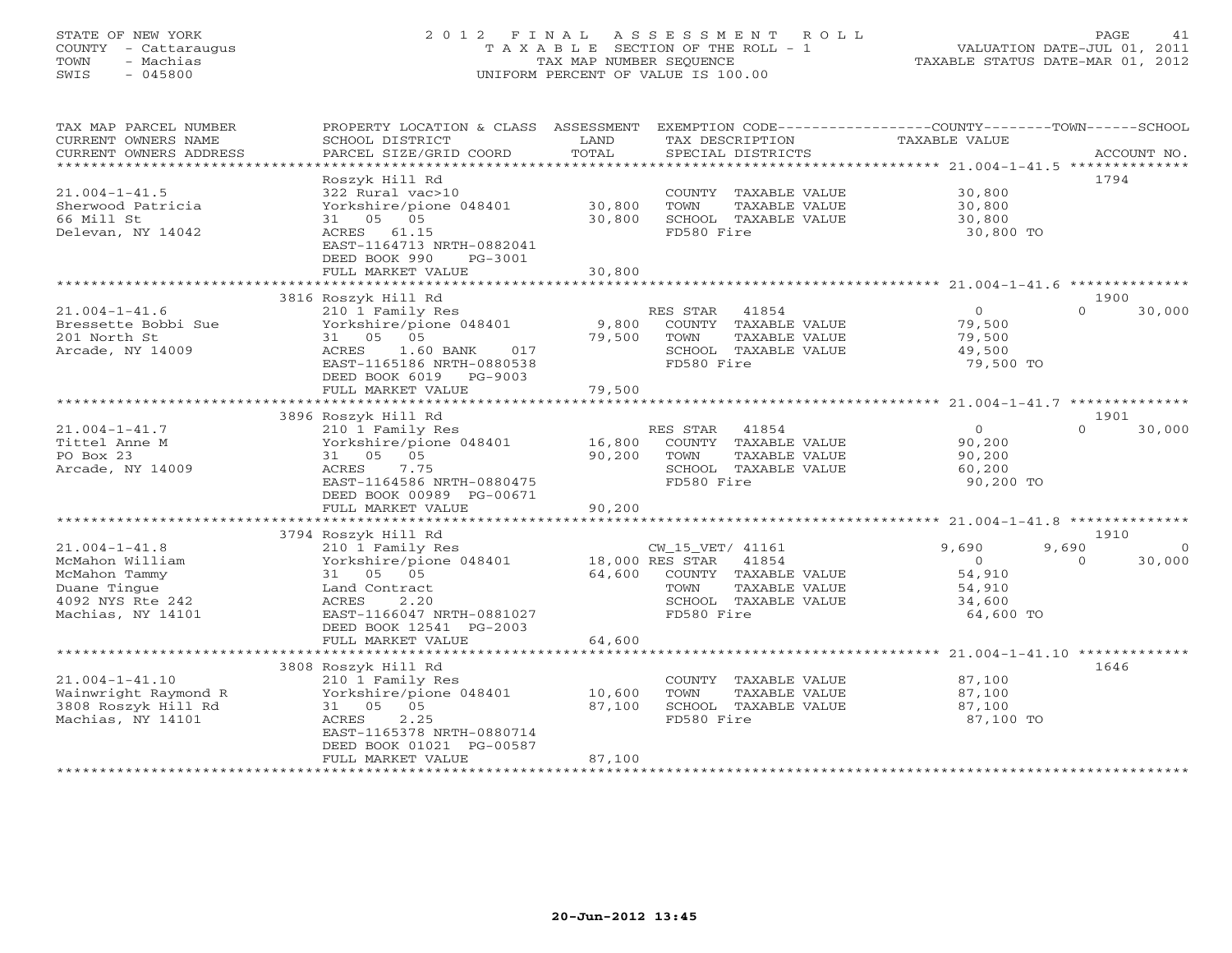# STATE OF NEW YORK 2 0 1 2 F I N A L A S S E S S M E N T R O L L PAGE 41 COUNTY - Cattaraugus T A X A B L E SECTION OF THE ROLL - 1 VALUATION DATE-JUL 01, 2011 TOWN - Machias TAX MAP NUMBER SEQUENCE TAXABLE STATUS DATE-MAR 01, 2012 SWIS - 045800 UNIFORM PERCENT OF VALUE IS 100.00UNIFORM PERCENT OF VALUE IS 100.00

| TAX MAP PARCEL NUMBER                        | PROPERTY LOCATION & CLASS                  | ASSESSMENT          | EXEMPTION CODE----- |                      | -------------COUNTY--------TOWN------SCHOOL       |          |                |
|----------------------------------------------|--------------------------------------------|---------------------|---------------------|----------------------|---------------------------------------------------|----------|----------------|
| CURRENT OWNERS NAME                          | SCHOOL DISTRICT                            | LAND                | TAX DESCRIPTION     |                      | TAXABLE VALUE                                     |          |                |
| CURRENT OWNERS ADDRESS                       | PARCEL SIZE/GRID COORD                     | TOTAL               | SPECIAL DISTRICTS   |                      |                                                   |          | ACCOUNT NO.    |
|                                              | * * * * * * * * * * * * * * * * * * *      | **********          |                     |                      | ******************** 21.004-1-41.5 ************** |          |                |
|                                              | Roszyk Hill Rd                             |                     |                     |                      |                                                   | 1794     |                |
| $21.004 - 1 - 41.5$                          | 322 Rural vac>10                           |                     |                     | COUNTY TAXABLE VALUE | 30,800                                            |          |                |
| Sherwood Patricia                            | Yorkshire/pione 048401                     | 30,800              | TOWN                | TAXABLE VALUE        | 30,800                                            |          |                |
| 66 Mill St                                   | 31 05<br>05                                | 30,800              |                     | SCHOOL TAXABLE VALUE | 30,800                                            |          |                |
| Delevan, NY 14042                            | ACRES 61.15                                |                     | FD580 Fire          |                      | 30,800 TO                                         |          |                |
|                                              | EAST-1164713 NRTH-0882041                  |                     |                     |                      |                                                   |          |                |
|                                              | DEED BOOK 990<br>PG-3001                   |                     |                     |                      |                                                   |          |                |
|                                              | FULL MARKET VALUE                          | 30,800              |                     |                      |                                                   |          |                |
|                                              |                                            |                     |                     |                      |                                                   |          |                |
|                                              | 3816 Roszyk Hill Rd                        |                     |                     |                      |                                                   | 1900     |                |
| $21.004 - 1 - 41.6$                          | 210 1 Family Res                           |                     | RES STAR            | 41854                | $\circ$                                           | $\Omega$ | 30,000         |
| Bressette Bobbi Sue                          | Yorkshire/pione 048401                     | 9,800               |                     | COUNTY TAXABLE VALUE | 79,500                                            |          |                |
| 201 North St                                 | 05<br>31 05                                | 79,500              | TOWN                | TAXABLE VALUE        | 79,500                                            |          |                |
| Arcade, NY 14009                             | ACRES<br>$1.60$ BANK<br>017                |                     |                     | SCHOOL TAXABLE VALUE | 49,500                                            |          |                |
|                                              | EAST-1165186 NRTH-0880538                  |                     | FD580 Fire          |                      | 79,500 TO                                         |          |                |
|                                              | DEED BOOK 6019<br>PG-9003                  |                     |                     |                      |                                                   |          |                |
|                                              | FULL MARKET VALUE                          | 79,500              |                     |                      |                                                   |          |                |
|                                              | * * * * * * * * * * * * * * * * * * * *    | ******************* |                     |                      |                                                   |          |                |
|                                              | 3896 Roszyk Hill Rd                        |                     |                     |                      |                                                   | 1901     |                |
| $21.004 - 1 - 41.7$                          | 210 1 Family Res                           |                     | RES STAR            | 41854                | $\overline{O}$                                    | $\Omega$ | 30,000         |
| Tittel Anne M                                | Yorkshire/pione 048401                     | 16,800              |                     | COUNTY TAXABLE VALUE | 90,200                                            |          |                |
| PO Box 23                                    | 31 05 05                                   | 90,200              | TOWN                | TAXABLE VALUE        | 90,200                                            |          |                |
| Arcade, NY 14009                             | 7.75<br>ACRES                              |                     |                     | SCHOOL TAXABLE VALUE | 60,200                                            |          |                |
|                                              | EAST-1164586 NRTH-0880475                  |                     | FD580 Fire          |                      | 90,200 TO                                         |          |                |
|                                              | DEED BOOK 00989 PG-00671                   |                     |                     |                      |                                                   |          |                |
|                                              | FULL MARKET VALUE<br>*****************     | 90,200              |                     |                      |                                                   |          |                |
|                                              |                                            |                     |                     |                      |                                                   |          |                |
|                                              | 3794 Roszyk Hill Rd                        |                     |                     |                      |                                                   | 1910     |                |
| $21.004 - 1 - 41.8$                          | 210 1 Family Res                           |                     | CW_15_VET/ 41161    |                      | 9,690                                             | 9,690    | $\overline{0}$ |
| McMahon William                              | Yorkshire/pione 048401                     | 18,000 RES STAR     |                     | 41854                | $\circ$                                           | $\Omega$ | 30,000         |
| McMahon Tammy                                | 31 05 05                                   | 64,600              |                     | COUNTY TAXABLE VALUE | 54,910                                            |          |                |
| Duane Tinque                                 | Land Contract                              |                     | TOWN                | TAXABLE VALUE        | 54,910                                            |          |                |
| 4092 NYS Rte 242                             | ACRES<br>2.20                              |                     |                     | SCHOOL TAXABLE VALUE | 34,600                                            |          |                |
| Machias, NY 14101                            | EAST-1166047 NRTH-0881027                  |                     | FD580 Fire          |                      | 64,600 TO                                         |          |                |
|                                              | DEED BOOK 12541 PG-2003                    |                     |                     |                      |                                                   |          |                |
|                                              | FULL MARKET VALUE                          | 64,600              |                     |                      |                                                   |          |                |
|                                              |                                            |                     |                     |                      |                                                   | 1646     |                |
|                                              | 3808 Roszyk Hill Rd                        |                     |                     | COUNTY TAXABLE VALUE |                                                   |          |                |
| $21.004 - 1 - 41.10$<br>Wainwright Raymond R | 210 1 Family Res<br>Yorkshire/pione 048401 | 10,600              | TOWN                | TAXABLE VALUE        | 87,100<br>87,100                                  |          |                |
|                                              |                                            |                     |                     |                      |                                                   |          |                |
| 3808 Roszyk Hill Rd<br>Machias, NY 14101     | 31 05 05<br>2.25<br>ACRES                  | 87,100              | FD580 Fire          | SCHOOL TAXABLE VALUE | 87,100<br>87,100 TO                               |          |                |
|                                              | EAST-1165378 NRTH-0880714                  |                     |                     |                      |                                                   |          |                |
|                                              | DEED BOOK 01021 PG-00587                   |                     |                     |                      |                                                   |          |                |
|                                              | FULL MARKET VALUE                          | 87,100              |                     |                      |                                                   |          |                |
|                                              |                                            |                     |                     |                      |                                                   |          |                |
|                                              |                                            |                     |                     |                      |                                                   |          |                |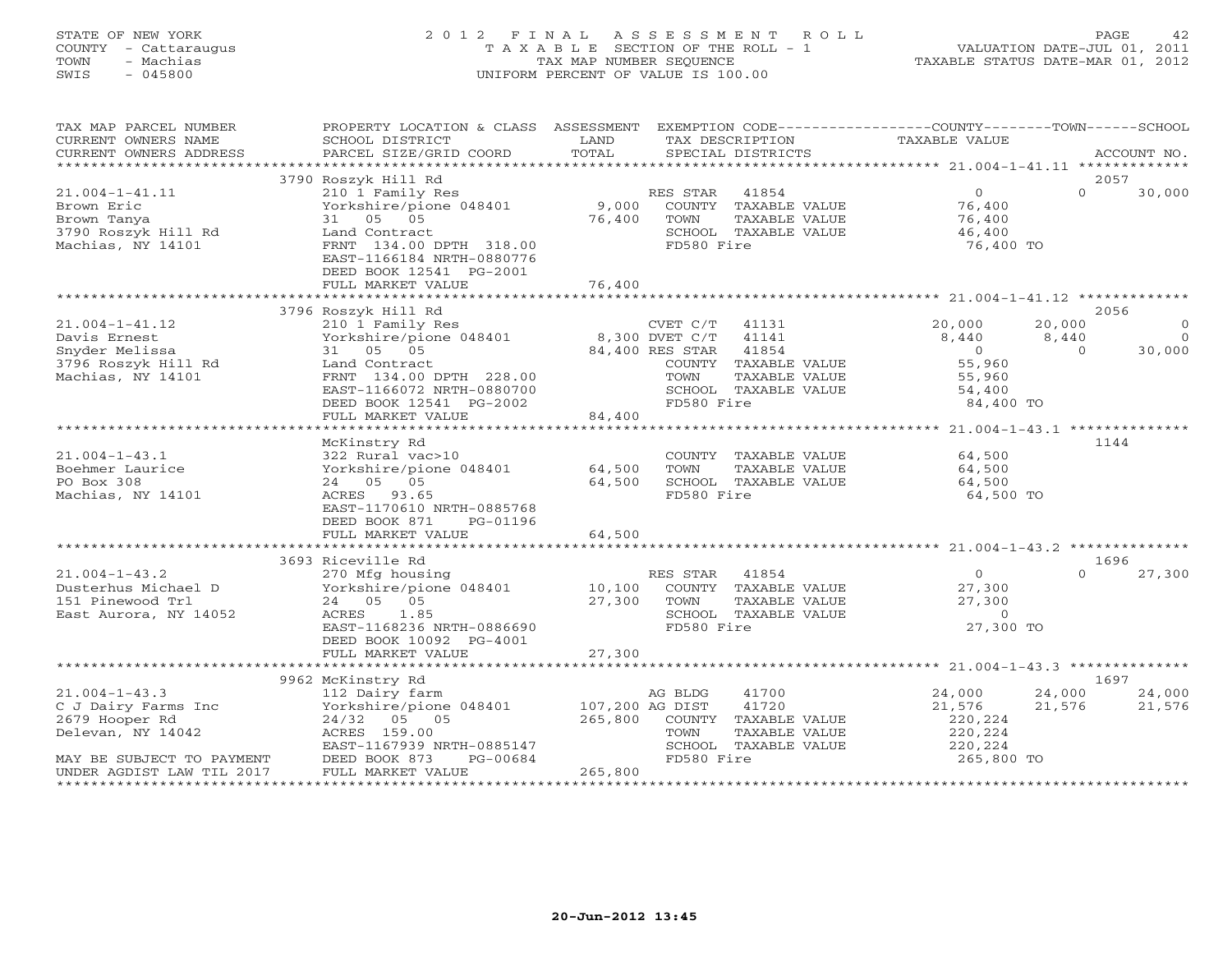# STATE OF NEW YORK 2 0 1 2 F I N A L A S S E S S M E N T R O L L PAGE 42 COUNTY - Cattaraugus T A X A B L E SECTION OF THE ROLL - 1 VALUATION DATE-JUL 01, 2011 TOWN - Machias TAX MAP NUMBER SEQUENCE TAXABLE STATUS DATE-MAR 01, 2012 SWIS - 045800 UNIFORM PERCENT OF VALUE IS 100.00

| TAX MAP PARCEL NUMBER     | PROPERTY LOCATION & CLASS ASSESSMENT EXEMPTION CODE---------------COUNTY-------TOWN------SCHOOL |                 |                       |                |                         |
|---------------------------|-------------------------------------------------------------------------------------------------|-----------------|-----------------------|----------------|-------------------------|
| CURRENT OWNERS NAME       | SCHOOL DISTRICT                                                                                 | LAND            | TAX DESCRIPTION       | TAXABLE VALUE  |                         |
| CURRENT OWNERS ADDRESS    | PARCEL SIZE/GRID COORD                                                                          | TOTAL           | SPECIAL DISTRICTS     |                | ACCOUNT NO.             |
|                           |                                                                                                 |                 |                       |                |                         |
|                           | 3790 Roszyk Hill Rd                                                                             |                 |                       |                | 2057                    |
| $21.004 - 1 - 41.11$      | 210 1 Family Res                                                                                |                 | RES STAR 41854        | $\Omega$       | $\Omega$<br>30,000      |
| Brown Eric                | Yorkshire/pione 048401                                                                          | 9,000           | COUNTY TAXABLE VALUE  | 76,400         |                         |
| Brown Tanya               | 31 05 05                                                                                        | 76,400          | TOWN<br>TAXABLE VALUE | 76,400         |                         |
| 3790 Roszyk Hill Rd       | Land Contract                                                                                   |                 | SCHOOL TAXABLE VALUE  | 46,400         |                         |
| Machias, NY 14101         | FRNT 134.00 DPTH 318.00                                                                         |                 | FD580 Fire            | 76,400 TO      |                         |
|                           | EAST-1166184 NRTH-0880776                                                                       |                 |                       |                |                         |
|                           | DEED BOOK 12541 PG-2001                                                                         |                 |                       |                |                         |
|                           | FULL MARKET VALUE                                                                               | 76,400          |                       |                |                         |
|                           |                                                                                                 |                 |                       |                |                         |
|                           | 3796 Roszyk Hill Rd                                                                             |                 |                       |                | 2056                    |
| $21.004 - 1 - 41.12$      | 210 1 Family Res                                                                                |                 | $CVET C/T$ 41131      | 20,000         | 20,000<br>$\Omega$      |
| Davis Ernest              | Yorkshire/pione 048401                                                                          |                 | 8,300 DVET C/T 41141  | 8,440          | $\overline{0}$<br>8,440 |
| Snyder Melissa            | 31 05 05                                                                                        |                 | 84,400 RES STAR 41854 | $\overline{0}$ | 30,000<br>$\Omega$      |
| 3796 Roszyk Hill Rd       | Land Contract                                                                                   |                 | COUNTY TAXABLE VALUE  | 55,960         |                         |
| Machias, NY 14101         | FRNT 134.00 DPTH 228.00                                                                         |                 | TOWN<br>TAXABLE VALUE | 55,960         |                         |
|                           | EAST-1166072 NRTH-0880700                                                                       |                 | SCHOOL TAXABLE VALUE  | 54,400         |                         |
|                           | DEED BOOK 12541 PG-2002                                                                         |                 | FD580 Fire            | 84,400 TO      |                         |
|                           | FULL MARKET VALUE                                                                               | 84,400          |                       |                |                         |
|                           |                                                                                                 |                 |                       |                |                         |
|                           | McKinstry Rd                                                                                    |                 |                       |                | 1144                    |
| $21.004 - 1 - 43.1$       | 322 Rural vac>10                                                                                |                 | COUNTY TAXABLE VALUE  | 64,500         |                         |
| Boehmer Laurice           | Yorkshire/pione 048401                                                                          | 64,500          | TOWN<br>TAXABLE VALUE | 64,500         |                         |
| PO Box 308                | 24 05 05                                                                                        | 64,500          | SCHOOL TAXABLE VALUE  | 64,500         |                         |
| Machias, NY 14101         | ACRES 93.65                                                                                     |                 | FD580 Fire            | 64,500 TO      |                         |
|                           | EAST-1170610 NRTH-0885768                                                                       |                 |                       |                |                         |
|                           | DEED BOOK 871<br>PG-01196                                                                       |                 |                       |                |                         |
|                           | FULL MARKET VALUE                                                                               | 64,500          |                       |                |                         |
|                           |                                                                                                 |                 |                       |                |                         |
|                           | 3693 Riceville Rd                                                                               |                 |                       |                | 1696                    |
| $21.004 - 1 - 43.2$       | 270 Mfg housing                                                                                 |                 | RES STAR 41854        | $\overline{0}$ | $\cap$<br>27,300        |
| Dusterhus Michael D       | Yorkshire/pione 048401                                                                          | 10,100          | COUNTY TAXABLE VALUE  | 27,300         |                         |
| 151 Pinewood Trl          | 24 05 05                                                                                        | 27,300          | TAXABLE VALUE<br>TOWN | 27,300         |                         |
| East Aurora, NY 14052     | ACRES 1.85                                                                                      |                 | SCHOOL TAXABLE VALUE  | $\Omega$       |                         |
|                           | EAST-1168236 NRTH-0886690                                                                       |                 | FD580 Fire            | 27,300 TO      |                         |
|                           | DEED BOOK 10092 PG-4001                                                                         |                 |                       |                |                         |
|                           | FULL MARKET VALUE                                                                               | 27,300          |                       |                |                         |
|                           |                                                                                                 |                 |                       |                |                         |
|                           | 9962 McKinstry Rd                                                                               |                 |                       |                | 1697                    |
| $21.004 - 1 - 43.3$       | 112 Dairy farm                                                                                  |                 | 41700<br>AG BLDG      | 24,000         | 24,000 24,000           |
| C J Dairy Farms Inc       | Yorkshire/pione 048401                                                                          | 107,200 AG DIST | 41720                 | 21,576         | 21,576<br>21,576        |
| 2679 Hooper Rd            | 24/32 05 05                                                                                     | 265,800         | COUNTY TAXABLE VALUE  | 220,224        |                         |
| Delevan, NY 14042         | ACRES 159.00                                                                                    |                 | TOWN<br>TAXABLE VALUE | 220,224        |                         |
|                           | EAST-1167939 NRTH-0885147                                                                       |                 | SCHOOL TAXABLE VALUE  | 220,224        |                         |
| MAY BE SUBJECT TO PAYMENT | PG-00684                                                                                        |                 | FD580 Fire            | 265,800 TO     |                         |
| UNDER AGDIST LAW TIL 2017 | DEED BOOK 873<br>FULL MARKET V<br>FULL MARKET VALUE                                             | 265,800         |                       |                |                         |
|                           |                                                                                                 |                 |                       |                |                         |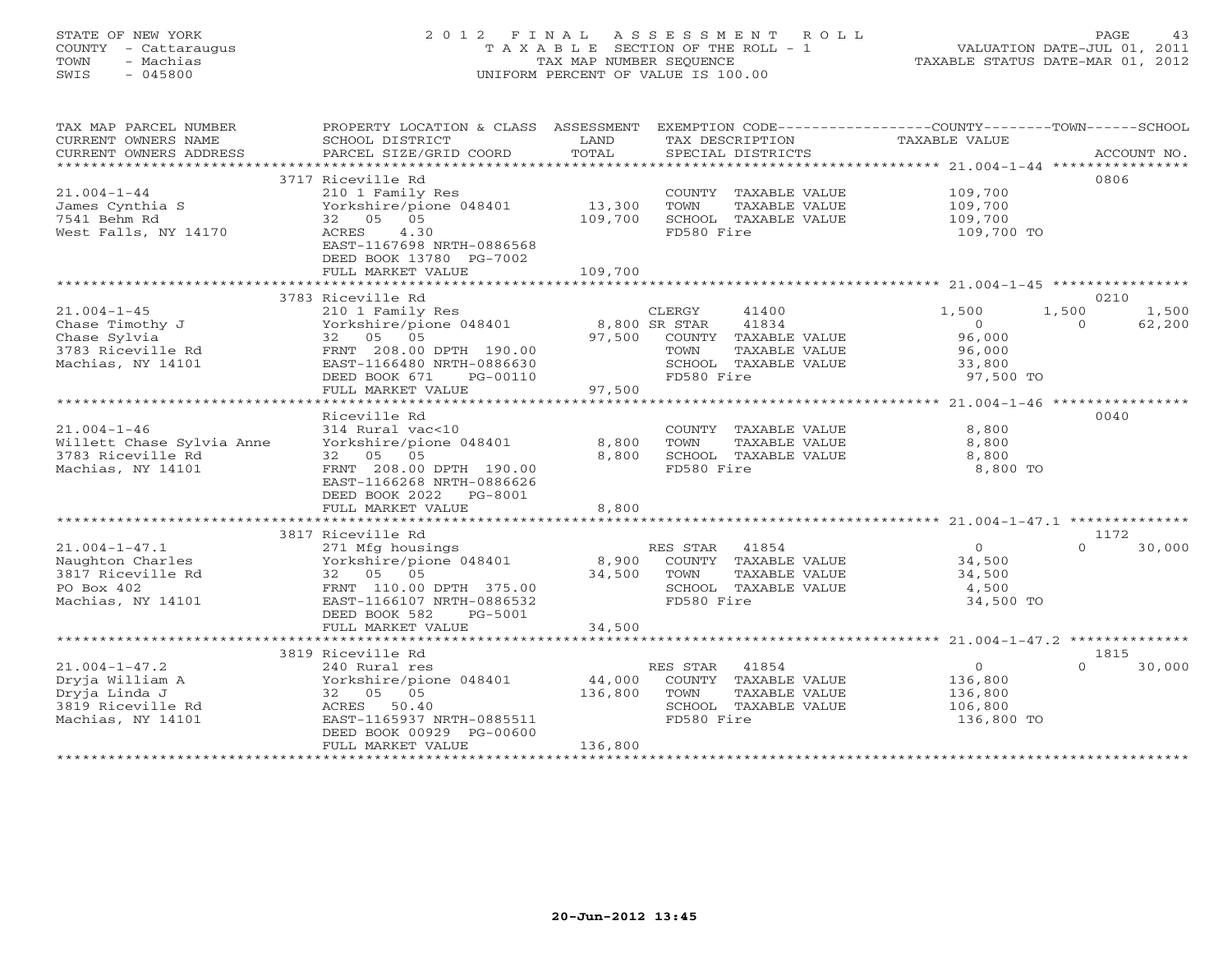# STATE OF NEW YORK 2 0 1 2 F I N A L A S S E S S M E N T R O L L PAGE 43 COUNTY - Cattaraugus T A X A B L E SECTION OF THE ROLL - 1 VALUATION DATE-JUL 01, 2011 TOWN - Machias TAX MAP NUMBER SEQUENCE TAXABLE STATUS DATE-MAR 01, 2012 SWIS - 045800 UNIFORM PERCENT OF VALUE IS 100.00

| TAX MAP PARCEL NUMBER<br>CURRENT OWNERS NAME<br>CURRENT OWNERS ADDRESS<br>*********************** | PROPERTY LOCATION & CLASS ASSESSMENT<br>SCHOOL DISTRICT<br>PARCEL SIZE/GRID COORD                                                                                | LAND<br>TOTAL                | EXEMPTION CODE----------------COUNTY-------TOWN------SCHOOL<br>TAX DESCRIPTION<br>SPECIAL DISTRICTS                    | TAXABLE VALUE                                                | ACCOUNT NO.                          |
|---------------------------------------------------------------------------------------------------|------------------------------------------------------------------------------------------------------------------------------------------------------------------|------------------------------|------------------------------------------------------------------------------------------------------------------------|--------------------------------------------------------------|--------------------------------------|
| $21.004 - 1 - 44$<br>James Cynthia S<br>7541 Behm Rd<br>West Falls, NY 14170                      | 3717 Riceville Rd<br>210 1 Family Res<br>Yorkshire/pione 048401<br>32 05 05<br>ACRES<br>4.30<br>EAST-1167698 NRTH-0886568<br>DEED BOOK 13780 PG-7002             | 13,300<br>109,700            | COUNTY TAXABLE VALUE<br>TOWN<br>TAXABLE VALUE<br>SCHOOL TAXABLE VALUE<br>FD580 Fire                                    | 109,700<br>109,700<br>109,700<br>109,700 TO                  | 0806                                 |
|                                                                                                   | FULL MARKET VALUE                                                                                                                                                | 109,700                      |                                                                                                                        |                                                              |                                      |
|                                                                                                   | 3783 Riceville Rd                                                                                                                                                |                              |                                                                                                                        |                                                              | 0210                                 |
| $21.004 - 1 - 45$<br>Chase Timothy J<br>Chase Sylvia<br>3783 Riceville Rd<br>Machias, NY 14101    | 210 1 Family Res<br>Yorkshire/pione 048401<br>32 05 05<br>FRNT 208.00 DPTH 190.00<br>EAST-1166480 NRTH-0886630<br>DEED BOOK 671<br>PG-00110<br>FULL MARKET VALUE | 8,800 SR STAR<br>97,500      | CLERGY<br>41400<br>41834<br>97,500 COUNTY TAXABLE VALUE<br>TAXABLE VALUE<br>TOWN<br>SCHOOL TAXABLE VALUE<br>FD580 Fire | 1,500<br>$\Omega$<br>96,000<br>96,000<br>33,800<br>97,500 TO | 1,500<br>1,500<br>$\Omega$<br>62,200 |
|                                                                                                   | Riceville Rd                                                                                                                                                     |                              |                                                                                                                        |                                                              | 0040                                 |
| $21.004 - 1 - 46$<br>Willett Chase Sylvia Anne<br>3783 Riceville Rd<br>Machias, NY 14101          | 314 Rural vac<10<br>Yorkshire/pione 048401<br>32 05 05<br>FRNT 208.00 DPTH 190.00<br>EAST-1166268 NRTH-0886626<br>DEED BOOK 2022 PG-8001                         | 8,800<br>8,800               | COUNTY TAXABLE VALUE<br>TOWN<br>TAXABLE VALUE<br>SCHOOL TAXABLE VALUE<br>FD580 Fire                                    | 8,800<br>8,800<br>8,800<br>8,800 TO                          |                                      |
|                                                                                                   | FULL MARKET VALUE                                                                                                                                                | 8,800                        |                                                                                                                        |                                                              |                                      |
|                                                                                                   | 3817 Riceville Rd                                                                                                                                                |                              |                                                                                                                        |                                                              | 1172                                 |
| $21.004 - 1 - 47.1$<br>Naughton Charles<br>3817 Riceville Rd<br>PO Box 402<br>Machias, NY 14101   | 271 Mfg housings<br>Yorkshire/pione 048401<br>32 05 05<br>FRNT 110.00 DPTH 375.00<br>EAST-1166107 NRTH-0886532<br>DEED BOOK 582<br>PG-5001                       | 8,900<br>34,500              | RES STAR 41854<br>COUNTY TAXABLE VALUE<br>TOWN<br>TAXABLE VALUE<br>SCHOOL TAXABLE VALUE<br>FD580 Fire                  | $\overline{O}$<br>34,500<br>34,500<br>4,500<br>34,500 TO     | $\cap$<br>30,000                     |
|                                                                                                   | FULL MARKET VALUE                                                                                                                                                | 34,500                       |                                                                                                                        |                                                              |                                      |
|                                                                                                   | 3819 Riceville Rd                                                                                                                                                |                              |                                                                                                                        |                                                              | 1815                                 |
| $21.004 - 1 - 47.2$<br>Dryja William A<br>Dryja Linda J<br>3819 Riceville Rd<br>Machias, NY 14101 | 240 Rural res<br>Yorkshire/pione 048401<br>32 05 05<br>ACRES 50.40<br>EAST-1165937 NRTH-0885511<br>DEED BOOK 00929 PG-00600<br>FULL MARKET VALUE                 | 44,000<br>136,800<br>136,800 | RES STAR 41854<br>COUNTY TAXABLE VALUE<br>TOWN<br>TAXABLE VALUE<br>SCHOOL TAXABLE VALUE<br>FD580 Fire                  | $\circ$<br>136,800<br>136,800<br>106,800<br>136,800 TO       | $\cap$<br>30,000                     |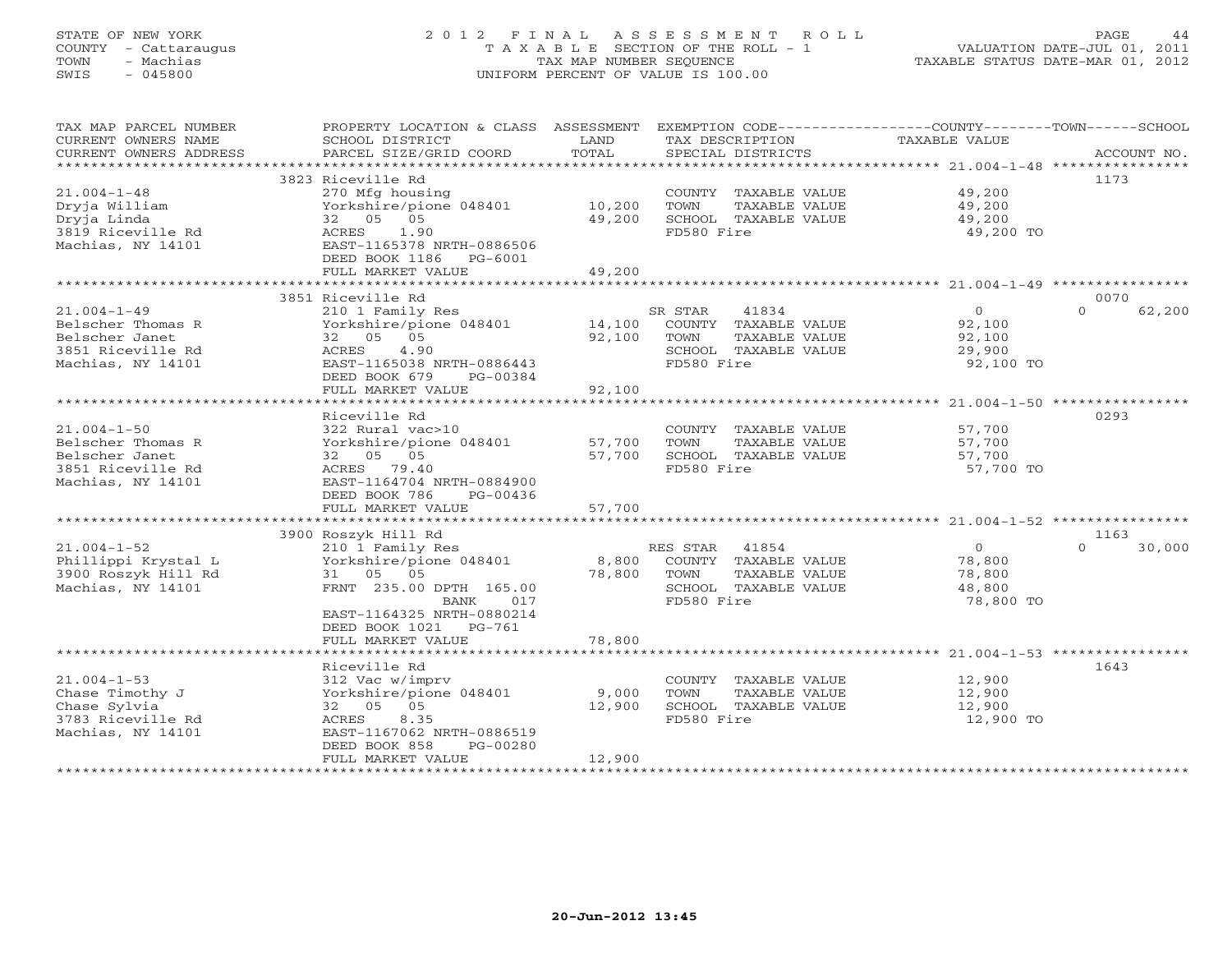# STATE OF NEW YORK 2 0 1 2 F I N A L A S S E S S M E N T R O L L PAGE 44 COUNTY - Cattaraugus T A X A B L E SECTION OF THE ROLL - 1 VALUATION DATE-JUL 01, 2011 TOWN - Machias TAX MAP NUMBER SEQUENCE TAXABLE STATUS DATE-MAR 01, 2012 SWIS - 045800 UNIFORM PERCENT OF VALUE IS 100.00UNIFORM PERCENT OF VALUE IS 100.00

| 3823 Riceville Rd<br>1173<br>$21.004 - 1 - 48$<br>270 Mfg housing<br>COUNTY TAXABLE VALUE<br>49,200<br>Yorkshire/pione 048401<br>Dryja William<br>10,200<br>TOWN<br>TAXABLE VALUE<br>49,200<br>32 05 05<br>49,200<br>49,200<br>Dryja Linda<br>SCHOOL TAXABLE VALUE<br>3819 Riceville Rd<br>FD580 Fire<br>ACRES<br>1.90<br>49,200 TO<br>EAST-1165378 NRTH-0886506<br>Machias, NY 14101<br>DEED BOOK 1186<br>PG-6001<br>49,200<br>FULL MARKET VALUE<br>0070<br>3851 Riceville Rd<br>$21.004 - 1 - 49$<br>$\Omega$<br>210 1 Family Res<br>SR STAR<br>41834<br>$\circ$<br>62,200<br>Belscher Thomas R<br>Yorkshire/pione 048401<br>14,100<br>COUNTY TAXABLE VALUE<br>92,100<br>32 05 05<br>92,100<br>Belscher Janet<br>TOWN<br>TAXABLE VALUE<br>92,100<br>4.90<br>3851 Riceville Rd<br>ACRES<br>SCHOOL TAXABLE VALUE<br>29,900<br>Machias, NY 14101<br>EAST-1165038 NRTH-0886443<br>FD580 Fire<br>92,100 TO<br>DEED BOOK 679<br>PG-00384<br>FULL MARKET VALUE<br>92,100<br>Riceville Rd<br>0293<br>$21.004 - 1 - 50$<br>322 Rural vac>10<br>57,700<br>COUNTY TAXABLE VALUE<br>Belscher Thomas R<br>Yorkshire/pione 048401<br>57,700<br>TOWN<br>TAXABLE VALUE<br>57,700<br>Belscher Janet<br>32 05 05<br>57,700<br>SCHOOL TAXABLE VALUE<br>57,700<br>3851 Riceville Rd<br>ACRES 79.40<br>FD580 Fire<br>57,700 TO<br>Machias, NY 14101<br>EAST-1164704 NRTH-0884900<br>DEED BOOK 786<br>PG-00436<br>57,700<br>FULL MARKET VALUE<br>3900 Roszyk Hill Rd<br>1163<br>$21.004 - 1 - 52$<br>41854<br>$\circ$<br>$\Omega$<br>210 1 Family Res<br>RES STAR<br>30,000<br>Phillippi Krystal L<br>Yorkshire/pione 048401<br>8,800<br>COUNTY TAXABLE VALUE<br>78,800<br>3900 Roszyk Hill Rd<br>31 05 05<br>78,800<br>TAXABLE VALUE<br>TOWN<br>78,800<br>Machias, NY 14101<br>FRNT 235.00 DPTH 165.00<br>SCHOOL TAXABLE VALUE<br>48,800<br>FD580 Fire<br>78,800 TO<br>BANK<br>017<br>EAST-1164325 NRTH-0880214<br>DEED BOOK 1021<br>PG-761<br>78,800<br>FULL MARKET VALUE<br>1643<br>Riceville Rd<br>$21.004 - 1 - 53$<br>12,900<br>312 Vac w/imprv<br>COUNTY TAXABLE VALUE<br>Chase Timothy J<br>Yorkshire/pione 048401<br>9,000<br>TOWN<br>TAXABLE VALUE<br>12,900<br>32 05 05<br>Chase Sylvia<br>12,900<br>SCHOOL TAXABLE VALUE<br>12,900<br>3783 Riceville Rd<br>8.35<br>FD580 Fire<br>12,900 TO<br>ACRES<br>Machias, NY 14101<br>EAST-1167062 NRTH-0886519<br>DEED BOOK 858<br>PG-00280<br>FULL MARKET VALUE<br>12,900 | TAX MAP PARCEL NUMBER<br>CURRENT OWNERS NAME<br>CURRENT OWNERS ADDRESS | PROPERTY LOCATION & CLASS ASSESSMENT<br>SCHOOL DISTRICT<br>PARCEL SIZE/GRID COORD | LAND<br>TOTAL | EXEMPTION CODE----------------COUNTY-------TOWN------SCHOOL<br>TAX DESCRIPTION<br>SPECIAL DISTRICTS | TAXABLE VALUE | ACCOUNT NO. |
|-----------------------------------------------------------------------------------------------------------------------------------------------------------------------------------------------------------------------------------------------------------------------------------------------------------------------------------------------------------------------------------------------------------------------------------------------------------------------------------------------------------------------------------------------------------------------------------------------------------------------------------------------------------------------------------------------------------------------------------------------------------------------------------------------------------------------------------------------------------------------------------------------------------------------------------------------------------------------------------------------------------------------------------------------------------------------------------------------------------------------------------------------------------------------------------------------------------------------------------------------------------------------------------------------------------------------------------------------------------------------------------------------------------------------------------------------------------------------------------------------------------------------------------------------------------------------------------------------------------------------------------------------------------------------------------------------------------------------------------------------------------------------------------------------------------------------------------------------------------------------------------------------------------------------------------------------------------------------------------------------------------------------------------------------------------------------------------------------------------------------------------------------------------------------------------------------------------------------------------------------------------------------------------------------------------------------------------------------------------------------------------------------------------|------------------------------------------------------------------------|-----------------------------------------------------------------------------------|---------------|-----------------------------------------------------------------------------------------------------|---------------|-------------|
|                                                                                                                                                                                                                                                                                                                                                                                                                                                                                                                                                                                                                                                                                                                                                                                                                                                                                                                                                                                                                                                                                                                                                                                                                                                                                                                                                                                                                                                                                                                                                                                                                                                                                                                                                                                                                                                                                                                                                                                                                                                                                                                                                                                                                                                                                                                                                                                                           | *************************                                              |                                                                                   |               |                                                                                                     |               |             |
|                                                                                                                                                                                                                                                                                                                                                                                                                                                                                                                                                                                                                                                                                                                                                                                                                                                                                                                                                                                                                                                                                                                                                                                                                                                                                                                                                                                                                                                                                                                                                                                                                                                                                                                                                                                                                                                                                                                                                                                                                                                                                                                                                                                                                                                                                                                                                                                                           |                                                                        |                                                                                   |               |                                                                                                     |               |             |
|                                                                                                                                                                                                                                                                                                                                                                                                                                                                                                                                                                                                                                                                                                                                                                                                                                                                                                                                                                                                                                                                                                                                                                                                                                                                                                                                                                                                                                                                                                                                                                                                                                                                                                                                                                                                                                                                                                                                                                                                                                                                                                                                                                                                                                                                                                                                                                                                           |                                                                        |                                                                                   |               |                                                                                                     |               |             |
|                                                                                                                                                                                                                                                                                                                                                                                                                                                                                                                                                                                                                                                                                                                                                                                                                                                                                                                                                                                                                                                                                                                                                                                                                                                                                                                                                                                                                                                                                                                                                                                                                                                                                                                                                                                                                                                                                                                                                                                                                                                                                                                                                                                                                                                                                                                                                                                                           |                                                                        |                                                                                   |               |                                                                                                     |               |             |
|                                                                                                                                                                                                                                                                                                                                                                                                                                                                                                                                                                                                                                                                                                                                                                                                                                                                                                                                                                                                                                                                                                                                                                                                                                                                                                                                                                                                                                                                                                                                                                                                                                                                                                                                                                                                                                                                                                                                                                                                                                                                                                                                                                                                                                                                                                                                                                                                           |                                                                        |                                                                                   |               |                                                                                                     |               |             |
|                                                                                                                                                                                                                                                                                                                                                                                                                                                                                                                                                                                                                                                                                                                                                                                                                                                                                                                                                                                                                                                                                                                                                                                                                                                                                                                                                                                                                                                                                                                                                                                                                                                                                                                                                                                                                                                                                                                                                                                                                                                                                                                                                                                                                                                                                                                                                                                                           |                                                                        |                                                                                   |               |                                                                                                     |               |             |
|                                                                                                                                                                                                                                                                                                                                                                                                                                                                                                                                                                                                                                                                                                                                                                                                                                                                                                                                                                                                                                                                                                                                                                                                                                                                                                                                                                                                                                                                                                                                                                                                                                                                                                                                                                                                                                                                                                                                                                                                                                                                                                                                                                                                                                                                                                                                                                                                           |                                                                        |                                                                                   |               |                                                                                                     |               |             |
|                                                                                                                                                                                                                                                                                                                                                                                                                                                                                                                                                                                                                                                                                                                                                                                                                                                                                                                                                                                                                                                                                                                                                                                                                                                                                                                                                                                                                                                                                                                                                                                                                                                                                                                                                                                                                                                                                                                                                                                                                                                                                                                                                                                                                                                                                                                                                                                                           |                                                                        |                                                                                   |               |                                                                                                     |               |             |
|                                                                                                                                                                                                                                                                                                                                                                                                                                                                                                                                                                                                                                                                                                                                                                                                                                                                                                                                                                                                                                                                                                                                                                                                                                                                                                                                                                                                                                                                                                                                                                                                                                                                                                                                                                                                                                                                                                                                                                                                                                                                                                                                                                                                                                                                                                                                                                                                           |                                                                        |                                                                                   |               |                                                                                                     |               |             |
|                                                                                                                                                                                                                                                                                                                                                                                                                                                                                                                                                                                                                                                                                                                                                                                                                                                                                                                                                                                                                                                                                                                                                                                                                                                                                                                                                                                                                                                                                                                                                                                                                                                                                                                                                                                                                                                                                                                                                                                                                                                                                                                                                                                                                                                                                                                                                                                                           |                                                                        |                                                                                   |               |                                                                                                     |               |             |
|                                                                                                                                                                                                                                                                                                                                                                                                                                                                                                                                                                                                                                                                                                                                                                                                                                                                                                                                                                                                                                                                                                                                                                                                                                                                                                                                                                                                                                                                                                                                                                                                                                                                                                                                                                                                                                                                                                                                                                                                                                                                                                                                                                                                                                                                                                                                                                                                           |                                                                        |                                                                                   |               |                                                                                                     |               |             |
|                                                                                                                                                                                                                                                                                                                                                                                                                                                                                                                                                                                                                                                                                                                                                                                                                                                                                                                                                                                                                                                                                                                                                                                                                                                                                                                                                                                                                                                                                                                                                                                                                                                                                                                                                                                                                                                                                                                                                                                                                                                                                                                                                                                                                                                                                                                                                                                                           |                                                                        |                                                                                   |               |                                                                                                     |               |             |
|                                                                                                                                                                                                                                                                                                                                                                                                                                                                                                                                                                                                                                                                                                                                                                                                                                                                                                                                                                                                                                                                                                                                                                                                                                                                                                                                                                                                                                                                                                                                                                                                                                                                                                                                                                                                                                                                                                                                                                                                                                                                                                                                                                                                                                                                                                                                                                                                           |                                                                        |                                                                                   |               |                                                                                                     |               |             |
|                                                                                                                                                                                                                                                                                                                                                                                                                                                                                                                                                                                                                                                                                                                                                                                                                                                                                                                                                                                                                                                                                                                                                                                                                                                                                                                                                                                                                                                                                                                                                                                                                                                                                                                                                                                                                                                                                                                                                                                                                                                                                                                                                                                                                                                                                                                                                                                                           |                                                                        |                                                                                   |               |                                                                                                     |               |             |
|                                                                                                                                                                                                                                                                                                                                                                                                                                                                                                                                                                                                                                                                                                                                                                                                                                                                                                                                                                                                                                                                                                                                                                                                                                                                                                                                                                                                                                                                                                                                                                                                                                                                                                                                                                                                                                                                                                                                                                                                                                                                                                                                                                                                                                                                                                                                                                                                           |                                                                        |                                                                                   |               |                                                                                                     |               |             |
|                                                                                                                                                                                                                                                                                                                                                                                                                                                                                                                                                                                                                                                                                                                                                                                                                                                                                                                                                                                                                                                                                                                                                                                                                                                                                                                                                                                                                                                                                                                                                                                                                                                                                                                                                                                                                                                                                                                                                                                                                                                                                                                                                                                                                                                                                                                                                                                                           |                                                                        |                                                                                   |               |                                                                                                     |               |             |
|                                                                                                                                                                                                                                                                                                                                                                                                                                                                                                                                                                                                                                                                                                                                                                                                                                                                                                                                                                                                                                                                                                                                                                                                                                                                                                                                                                                                                                                                                                                                                                                                                                                                                                                                                                                                                                                                                                                                                                                                                                                                                                                                                                                                                                                                                                                                                                                                           |                                                                        |                                                                                   |               |                                                                                                     |               |             |
|                                                                                                                                                                                                                                                                                                                                                                                                                                                                                                                                                                                                                                                                                                                                                                                                                                                                                                                                                                                                                                                                                                                                                                                                                                                                                                                                                                                                                                                                                                                                                                                                                                                                                                                                                                                                                                                                                                                                                                                                                                                                                                                                                                                                                                                                                                                                                                                                           |                                                                        |                                                                                   |               |                                                                                                     |               |             |
|                                                                                                                                                                                                                                                                                                                                                                                                                                                                                                                                                                                                                                                                                                                                                                                                                                                                                                                                                                                                                                                                                                                                                                                                                                                                                                                                                                                                                                                                                                                                                                                                                                                                                                                                                                                                                                                                                                                                                                                                                                                                                                                                                                                                                                                                                                                                                                                                           |                                                                        |                                                                                   |               |                                                                                                     |               |             |
|                                                                                                                                                                                                                                                                                                                                                                                                                                                                                                                                                                                                                                                                                                                                                                                                                                                                                                                                                                                                                                                                                                                                                                                                                                                                                                                                                                                                                                                                                                                                                                                                                                                                                                                                                                                                                                                                                                                                                                                                                                                                                                                                                                                                                                                                                                                                                                                                           |                                                                        |                                                                                   |               |                                                                                                     |               |             |
|                                                                                                                                                                                                                                                                                                                                                                                                                                                                                                                                                                                                                                                                                                                                                                                                                                                                                                                                                                                                                                                                                                                                                                                                                                                                                                                                                                                                                                                                                                                                                                                                                                                                                                                                                                                                                                                                                                                                                                                                                                                                                                                                                                                                                                                                                                                                                                                                           |                                                                        |                                                                                   |               |                                                                                                     |               |             |
|                                                                                                                                                                                                                                                                                                                                                                                                                                                                                                                                                                                                                                                                                                                                                                                                                                                                                                                                                                                                                                                                                                                                                                                                                                                                                                                                                                                                                                                                                                                                                                                                                                                                                                                                                                                                                                                                                                                                                                                                                                                                                                                                                                                                                                                                                                                                                                                                           |                                                                        |                                                                                   |               |                                                                                                     |               |             |
|                                                                                                                                                                                                                                                                                                                                                                                                                                                                                                                                                                                                                                                                                                                                                                                                                                                                                                                                                                                                                                                                                                                                                                                                                                                                                                                                                                                                                                                                                                                                                                                                                                                                                                                                                                                                                                                                                                                                                                                                                                                                                                                                                                                                                                                                                                                                                                                                           |                                                                        |                                                                                   |               |                                                                                                     |               |             |
|                                                                                                                                                                                                                                                                                                                                                                                                                                                                                                                                                                                                                                                                                                                                                                                                                                                                                                                                                                                                                                                                                                                                                                                                                                                                                                                                                                                                                                                                                                                                                                                                                                                                                                                                                                                                                                                                                                                                                                                                                                                                                                                                                                                                                                                                                                                                                                                                           |                                                                        |                                                                                   |               |                                                                                                     |               |             |
|                                                                                                                                                                                                                                                                                                                                                                                                                                                                                                                                                                                                                                                                                                                                                                                                                                                                                                                                                                                                                                                                                                                                                                                                                                                                                                                                                                                                                                                                                                                                                                                                                                                                                                                                                                                                                                                                                                                                                                                                                                                                                                                                                                                                                                                                                                                                                                                                           |                                                                        |                                                                                   |               |                                                                                                     |               |             |
|                                                                                                                                                                                                                                                                                                                                                                                                                                                                                                                                                                                                                                                                                                                                                                                                                                                                                                                                                                                                                                                                                                                                                                                                                                                                                                                                                                                                                                                                                                                                                                                                                                                                                                                                                                                                                                                                                                                                                                                                                                                                                                                                                                                                                                                                                                                                                                                                           |                                                                        |                                                                                   |               |                                                                                                     |               |             |
|                                                                                                                                                                                                                                                                                                                                                                                                                                                                                                                                                                                                                                                                                                                                                                                                                                                                                                                                                                                                                                                                                                                                                                                                                                                                                                                                                                                                                                                                                                                                                                                                                                                                                                                                                                                                                                                                                                                                                                                                                                                                                                                                                                                                                                                                                                                                                                                                           |                                                                        |                                                                                   |               |                                                                                                     |               |             |
|                                                                                                                                                                                                                                                                                                                                                                                                                                                                                                                                                                                                                                                                                                                                                                                                                                                                                                                                                                                                                                                                                                                                                                                                                                                                                                                                                                                                                                                                                                                                                                                                                                                                                                                                                                                                                                                                                                                                                                                                                                                                                                                                                                                                                                                                                                                                                                                                           |                                                                        |                                                                                   |               |                                                                                                     |               |             |
|                                                                                                                                                                                                                                                                                                                                                                                                                                                                                                                                                                                                                                                                                                                                                                                                                                                                                                                                                                                                                                                                                                                                                                                                                                                                                                                                                                                                                                                                                                                                                                                                                                                                                                                                                                                                                                                                                                                                                                                                                                                                                                                                                                                                                                                                                                                                                                                                           |                                                                        |                                                                                   |               |                                                                                                     |               |             |
|                                                                                                                                                                                                                                                                                                                                                                                                                                                                                                                                                                                                                                                                                                                                                                                                                                                                                                                                                                                                                                                                                                                                                                                                                                                                                                                                                                                                                                                                                                                                                                                                                                                                                                                                                                                                                                                                                                                                                                                                                                                                                                                                                                                                                                                                                                                                                                                                           |                                                                        |                                                                                   |               |                                                                                                     |               |             |
|                                                                                                                                                                                                                                                                                                                                                                                                                                                                                                                                                                                                                                                                                                                                                                                                                                                                                                                                                                                                                                                                                                                                                                                                                                                                                                                                                                                                                                                                                                                                                                                                                                                                                                                                                                                                                                                                                                                                                                                                                                                                                                                                                                                                                                                                                                                                                                                                           |                                                                        |                                                                                   |               |                                                                                                     |               |             |
|                                                                                                                                                                                                                                                                                                                                                                                                                                                                                                                                                                                                                                                                                                                                                                                                                                                                                                                                                                                                                                                                                                                                                                                                                                                                                                                                                                                                                                                                                                                                                                                                                                                                                                                                                                                                                                                                                                                                                                                                                                                                                                                                                                                                                                                                                                                                                                                                           |                                                                        |                                                                                   |               |                                                                                                     |               |             |
|                                                                                                                                                                                                                                                                                                                                                                                                                                                                                                                                                                                                                                                                                                                                                                                                                                                                                                                                                                                                                                                                                                                                                                                                                                                                                                                                                                                                                                                                                                                                                                                                                                                                                                                                                                                                                                                                                                                                                                                                                                                                                                                                                                                                                                                                                                                                                                                                           |                                                                        |                                                                                   |               |                                                                                                     |               |             |
|                                                                                                                                                                                                                                                                                                                                                                                                                                                                                                                                                                                                                                                                                                                                                                                                                                                                                                                                                                                                                                                                                                                                                                                                                                                                                                                                                                                                                                                                                                                                                                                                                                                                                                                                                                                                                                                                                                                                                                                                                                                                                                                                                                                                                                                                                                                                                                                                           |                                                                        |                                                                                   |               |                                                                                                     |               |             |
|                                                                                                                                                                                                                                                                                                                                                                                                                                                                                                                                                                                                                                                                                                                                                                                                                                                                                                                                                                                                                                                                                                                                                                                                                                                                                                                                                                                                                                                                                                                                                                                                                                                                                                                                                                                                                                                                                                                                                                                                                                                                                                                                                                                                                                                                                                                                                                                                           |                                                                        |                                                                                   |               |                                                                                                     |               |             |
|                                                                                                                                                                                                                                                                                                                                                                                                                                                                                                                                                                                                                                                                                                                                                                                                                                                                                                                                                                                                                                                                                                                                                                                                                                                                                                                                                                                                                                                                                                                                                                                                                                                                                                                                                                                                                                                                                                                                                                                                                                                                                                                                                                                                                                                                                                                                                                                                           |                                                                        |                                                                                   |               |                                                                                                     |               |             |
|                                                                                                                                                                                                                                                                                                                                                                                                                                                                                                                                                                                                                                                                                                                                                                                                                                                                                                                                                                                                                                                                                                                                                                                                                                                                                                                                                                                                                                                                                                                                                                                                                                                                                                                                                                                                                                                                                                                                                                                                                                                                                                                                                                                                                                                                                                                                                                                                           |                                                                        |                                                                                   |               |                                                                                                     |               |             |
|                                                                                                                                                                                                                                                                                                                                                                                                                                                                                                                                                                                                                                                                                                                                                                                                                                                                                                                                                                                                                                                                                                                                                                                                                                                                                                                                                                                                                                                                                                                                                                                                                                                                                                                                                                                                                                                                                                                                                                                                                                                                                                                                                                                                                                                                                                                                                                                                           |                                                                        |                                                                                   |               |                                                                                                     |               |             |
|                                                                                                                                                                                                                                                                                                                                                                                                                                                                                                                                                                                                                                                                                                                                                                                                                                                                                                                                                                                                                                                                                                                                                                                                                                                                                                                                                                                                                                                                                                                                                                                                                                                                                                                                                                                                                                                                                                                                                                                                                                                                                                                                                                                                                                                                                                                                                                                                           |                                                                        |                                                                                   |               |                                                                                                     |               |             |
|                                                                                                                                                                                                                                                                                                                                                                                                                                                                                                                                                                                                                                                                                                                                                                                                                                                                                                                                                                                                                                                                                                                                                                                                                                                                                                                                                                                                                                                                                                                                                                                                                                                                                                                                                                                                                                                                                                                                                                                                                                                                                                                                                                                                                                                                                                                                                                                                           |                                                                        |                                                                                   |               |                                                                                                     |               |             |
|                                                                                                                                                                                                                                                                                                                                                                                                                                                                                                                                                                                                                                                                                                                                                                                                                                                                                                                                                                                                                                                                                                                                                                                                                                                                                                                                                                                                                                                                                                                                                                                                                                                                                                                                                                                                                                                                                                                                                                                                                                                                                                                                                                                                                                                                                                                                                                                                           |                                                                        |                                                                                   |               |                                                                                                     |               |             |
|                                                                                                                                                                                                                                                                                                                                                                                                                                                                                                                                                                                                                                                                                                                                                                                                                                                                                                                                                                                                                                                                                                                                                                                                                                                                                                                                                                                                                                                                                                                                                                                                                                                                                                                                                                                                                                                                                                                                                                                                                                                                                                                                                                                                                                                                                                                                                                                                           |                                                                        |                                                                                   |               |                                                                                                     |               |             |
|                                                                                                                                                                                                                                                                                                                                                                                                                                                                                                                                                                                                                                                                                                                                                                                                                                                                                                                                                                                                                                                                                                                                                                                                                                                                                                                                                                                                                                                                                                                                                                                                                                                                                                                                                                                                                                                                                                                                                                                                                                                                                                                                                                                                                                                                                                                                                                                                           |                                                                        |                                                                                   |               |                                                                                                     |               |             |
|                                                                                                                                                                                                                                                                                                                                                                                                                                                                                                                                                                                                                                                                                                                                                                                                                                                                                                                                                                                                                                                                                                                                                                                                                                                                                                                                                                                                                                                                                                                                                                                                                                                                                                                                                                                                                                                                                                                                                                                                                                                                                                                                                                                                                                                                                                                                                                                                           |                                                                        |                                                                                   |               |                                                                                                     |               |             |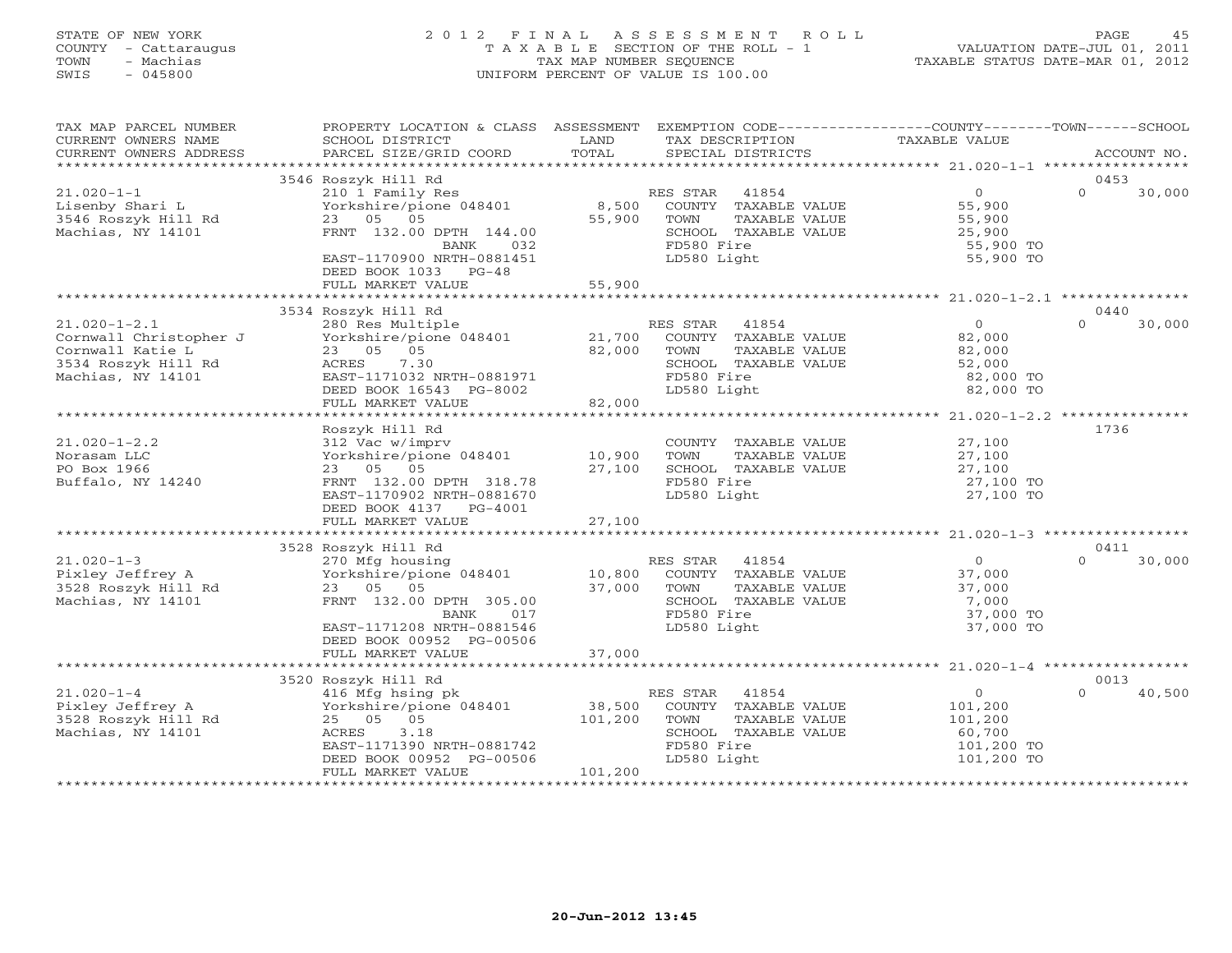# STATE OF NEW YORK 2 0 1 2 F I N A L A S S E S S M E N T R O L L PAGE 45 COUNTY - Cattaraugus T A X A B L E SECTION OF THE ROLL - 1 VALUATION DATE-JUL 01, 2011 TOWN - Machias TAX MAP NUMBER SEQUENCE TAXABLE STATUS DATE-MAR 01, 2012 SWIS - 045800 UNIFORM PERCENT OF VALUE IS 100.00UNIFORM PERCENT OF VALUE IS 100.00

| TAX MAP PARCEL NUMBER<br>CURRENT OWNERS NAME<br>CURRENT OWNERS ADDRESS                                              | PROPERTY LOCATION & CLASS ASSESSMENT EXEMPTION CODE---------------COUNTY-------TOWN------SCHOOL<br>SCHOOL DISTRICT<br>PARCEL SIZE/GRID COORD                                                                   | LAND<br>TOTAL | TAX DESCRIPTION<br>SPECIAL DISTRICTS                                                                                    | TAXABLE VALUE                                                                    | ACCOUNT NO.                |
|---------------------------------------------------------------------------------------------------------------------|----------------------------------------------------------------------------------------------------------------------------------------------------------------------------------------------------------------|---------------|-------------------------------------------------------------------------------------------------------------------------|----------------------------------------------------------------------------------|----------------------------|
|                                                                                                                     |                                                                                                                                                                                                                |               |                                                                                                                         |                                                                                  |                            |
| $21.020 - 1 - 1$                                                                                                    | 3546 Roszyk Hill Rd<br>210 1 Family Res                                                                                                                                                                        |               | RES STAR 41854                                                                                                          | $\overline{0}$                                                                   | 0453<br>$\Omega$<br>30,000 |
| Lisenby Shari L<br>$3546$ Roszyk Hill Rd<br>Machine Nur 1111<br>Machias, NY 14101                                   | Yorkshire/pione 048401<br>23 05 05<br>FRNT 132.00 DPTH 144.00                                                                                                                                                  | 55,900        | 8,500 COUNTY TAXABLE VALUE<br>TAXABLE VALUE<br>TOWN<br>SCHOOL TAXABLE VALUE                                             |                                                                                  |                            |
|                                                                                                                     | BANK<br>032<br>EAST-1170900 NRTH-0881451<br>DEED BOOK 1033 PG-48<br>FULL MARKET VALUE                                                                                                                          | 55,900        | FD580 Fire<br>LD580 Light                                                                                               | 55,900 TO<br>55,900 TO                                                           |                            |
|                                                                                                                     |                                                                                                                                                                                                                |               |                                                                                                                         |                                                                                  |                            |
|                                                                                                                     | 3534 Roszyk Hill Rd                                                                                                                                                                                            |               |                                                                                                                         |                                                                                  | 0440                       |
| $21.020 - 1 - 2.1$<br>222<br>Cornwall Christopher J<br>Cornwall Katie L<br>3534 Roszyk Hill Rd<br>Machias, NY 14101 | 280 Res Multiple<br>280 Res Multiple 21,700 COUNTY TAXABLE VALUE<br>21,700 COUNTY TAXABLE VALUE<br>23 05 05<br>82,000<br>ACRES 7.30<br>EAST-1171032 NRTH-0881971<br>DEED BOOK 16543 PG-8002                    |               | TOWN<br>TAXABLE VALUE<br>SCHOOL TAXABLE VALUE<br>FD580 Fire<br>LD580 Light                                              | $\overline{0}$<br>82,000<br>82,000<br>82,000<br>52,000<br>82,000 TO<br>82,000 TO | $\Omega$<br>30,000         |
|                                                                                                                     | FULL MARKET VALUE                                                                                                                                                                                              | 82,000        |                                                                                                                         |                                                                                  |                            |
|                                                                                                                     | Roszyk Hill Rd                                                                                                                                                                                                 |               |                                                                                                                         |                                                                                  | 1736                       |
| $21.020 - 1 - 2.2$<br>Norasam LLC<br>PO Box 1966<br>Buffalo, NY 14240                                               | 312 Vac w/imprv<br>Yorkshire/pione 048401 10,900<br>23 05 05<br>FRNT 132.00 DPTH 318.78<br>EAST-1170902 NRTH-0881670<br>DEED BOOK 4137 PG-4001                                                                 | 27,100        | COUNTY TAXABLE VALUE<br>TOWN<br>TAXABLE VALUE<br>SCHOOL TAXABLE VALUE<br>FD580 Fire<br>LD580 Light                      | 27,100<br>$27,100$<br>$27,100$<br>27,100 TO<br>27,100 TO                         |                            |
|                                                                                                                     |                                                                                                                                                                                                                |               |                                                                                                                         |                                                                                  |                            |
|                                                                                                                     | 3528 Roszyk Hill Rd                                                                                                                                                                                            |               |                                                                                                                         |                                                                                  | 0411                       |
| $21.020 - 1 - 3$<br>Pixley Jeffrey A<br>3528 Roszyk Hill Rd<br>Machias, NY 14101                                    | 270 Mfg housing<br>Prockshire/pione 048401 10,800<br>23 05 05 05 37,000<br>FRNT 132.00 DPTH 305.00<br>017<br>BANK<br>EAST-1171208 NRTH-0881546<br>DEED BOOK 00952 PG-00506                                     |               | RES STAR 41854<br>COUNTY TAXABLE VALUE<br>TOWN<br>TAXABLE VALUE<br>SCHOOL TAXABLE VALUE<br>FD580 Fire<br>LD580 Light    | $\overline{0}$<br>37,000<br>37,000<br>7,000<br>37,000 TO<br>37,000 TO            | $\cap$<br>30,000           |
|                                                                                                                     | FULL MARKET VALUE                                                                                                                                                                                              | 37,000        |                                                                                                                         |                                                                                  |                            |
|                                                                                                                     | 3520 Roszyk Hill Rd                                                                                                                                                                                            |               |                                                                                                                         |                                                                                  | 0013                       |
| $21.020 - 1 - 4$<br>Pixley Jeffrey A<br>3528 Roszyk Hill Rd<br>Machias, NY 14101                                    | Roszyk Hill Rd<br>416 Mfg hsing pk<br>Yorkshire/pione 048401 38,500<br>And the Contract of Terms of the 101,200<br>3.18<br>ACRES<br>EAST-1171390 NRTH-0881742<br>DEED BOOK 00952 PG-00506<br>FULL MARKET VALUE | 101,200       | RES STAR<br>41854<br>COUNTY TAXABLE VALUE<br>TOWN<br>TAXABLE VALUE<br>SCHOOL TAXABLE VALUE<br>FD580 Fire<br>LD580 Light | $\overline{O}$<br>101,200<br>101,200<br>60,700<br>101,200 TO<br>101,200 TO       | 40,500<br>$\cap$           |
|                                                                                                                     |                                                                                                                                                                                                                |               |                                                                                                                         |                                                                                  |                            |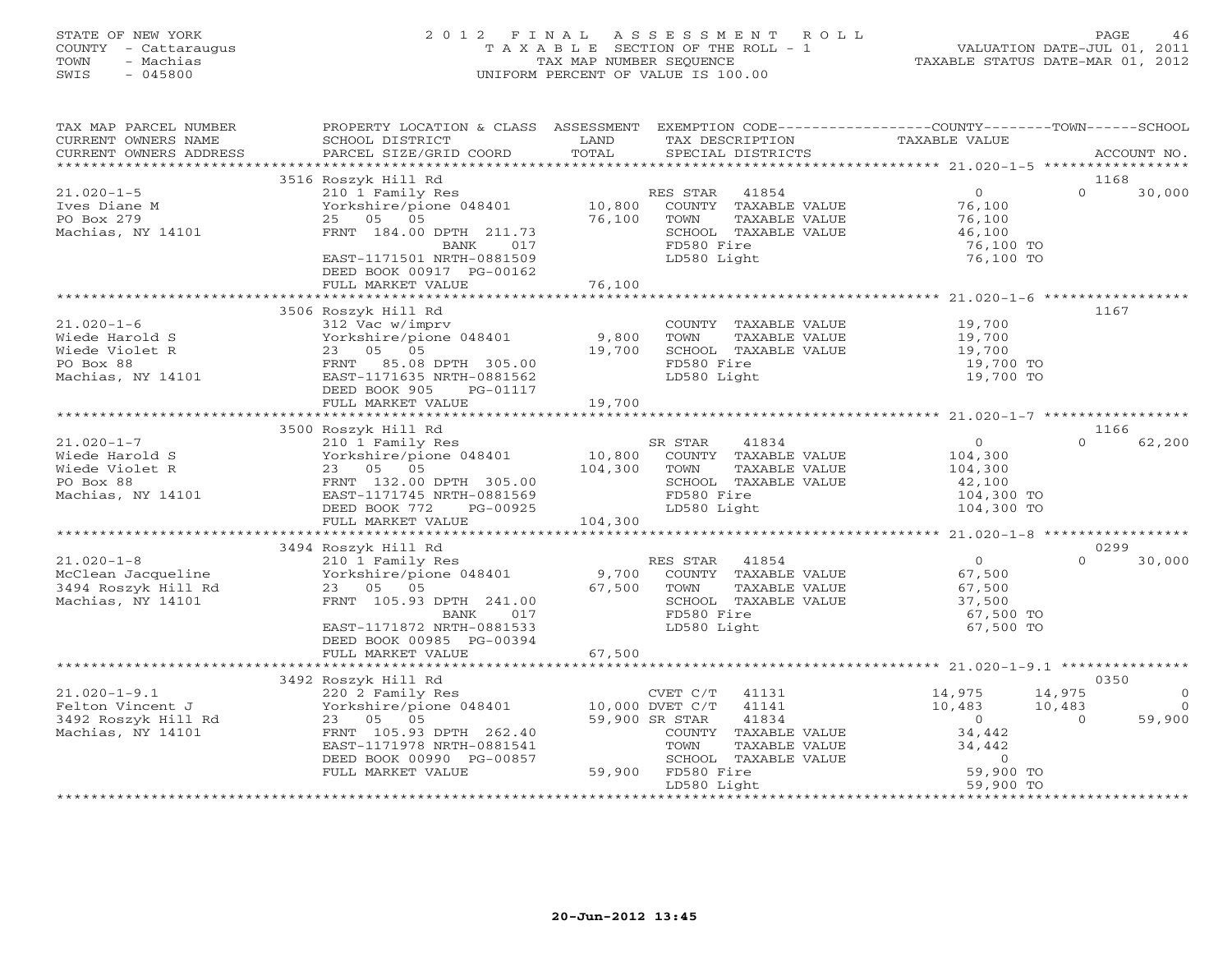# STATE OF NEW YORK 2 0 1 2 F I N A L A S S E S S M E N T R O L L PAGE 46 COUNTY - Cattaraugus T A X A B L E SECTION OF THE ROLL - 1 VALUATION DATE-JUL 01, 2011 TOWN - Machias TAX MAP NUMBER SEQUENCE TAXABLE STATUS DATE-MAR 01, 2012 SWIS - 045800 UNIFORM PERCENT OF VALUE IS 100.00UNIFORM PERCENT OF VALUE IS 100.00

| TAX MAP PARCEL NUMBER<br>CURRENT OWNERS NAME<br>CURRENT OWNERS ADDRESS                 | PROPERTY LOCATION & CLASS ASSESSMENT<br>SCHOOL DISTRICT<br>PARCEL SIZE/GRID COORD                                                                                                     | LAND<br>TOTAL                | EXEMPTION CODE-----------------COUNTY-------TOWN------SCHOOL<br>TAX DESCRIPTION<br>SPECIAL DISTRICTS                                                                   | TAXABLE VALUE                                                                  | ACCOUNT NO.                                                    |
|----------------------------------------------------------------------------------------|---------------------------------------------------------------------------------------------------------------------------------------------------------------------------------------|------------------------------|------------------------------------------------------------------------------------------------------------------------------------------------------------------------|--------------------------------------------------------------------------------|----------------------------------------------------------------|
|                                                                                        |                                                                                                                                                                                       |                              |                                                                                                                                                                        |                                                                                |                                                                |
| $21.020 - 1 - 5$<br>Ives Diane M<br>PO Box 279<br>Machias, NY 14101                    | 3516 Roszyk Hill Rd<br>210 1 Family Res<br>Yorkshire/pione 048401<br>25 05 05<br>FRNT 184.00 DPTH 211.73<br>017<br>BANK<br>EAST-1171501 NRTH-0881509<br>DEED BOOK 00917 PG-00162      | 10,800<br>76,100             | RES STAR<br>41854<br>COUNTY TAXABLE VALUE<br>TOWN<br>TAXABLE VALUE<br>SCHOOL TAXABLE VALUE<br>FD580 Fire<br>LD580 Light                                                | $\overline{0}$<br>76,100<br>76,100<br>46,100<br>76,100 TO<br>76,100 TO         | 1168<br>$\Omega$<br>30,000                                     |
|                                                                                        | FULL MARKET VALUE                                                                                                                                                                     | 76,100                       |                                                                                                                                                                        |                                                                                |                                                                |
| $21.020 - 1 - 6$<br>Wiede Harold S<br>Wiede Violet R<br>PO Box 88<br>Machias, NY 14101 | 3506 Roszyk Hill Rd<br>312 Vac w/imprv<br>Yorkshire/pione 048401<br>23 05 05<br>FRNT 85.08 DPTH 305.00<br>EAST-1171635 NRTH-0881562<br>DEED BOOK 905<br>PG-01117<br>FULL MARKET VALUE | 9,800<br>19,700<br>19,700    | COUNTY TAXABLE VALUE<br>TOWN<br>TAXABLE VALUE<br>SCHOOL TAXABLE VALUE<br>FD580 Fire<br>LD580 Light                                                                     | 19,700<br>19,700<br>19,700<br>19,700 TO<br>19,700 TO                           | 1167                                                           |
|                                                                                        | 3500 Roszyk Hill Rd                                                                                                                                                                   |                              |                                                                                                                                                                        |                                                                                | 1166                                                           |
| $21.020 - 1 - 7$<br>Wiede Harold S<br>Wiede Violet R<br>PO Box 88<br>Machias, NY 14101 | 210 1 Family Res<br>Yorkshire/pione 048401<br>23 05 05<br>FRNT 132.00 DPTH 305.00<br>EAST-1171745 NRTH-0881569<br>DEED BOOK 772<br>PG-00925<br>FULL MARKET VALUE                      | 10,800<br>104,300<br>104,300 | SR STAR<br>41834<br>COUNTY TAXABLE VALUE<br>TOWN<br>TAXABLE VALUE<br>SCHOOL TAXABLE VALUE<br>FD580 Fire<br>LD580 Light                                                 | $\circ$<br>104,300<br>104,300<br>42,100<br>104,300 TO<br>104,300 TO            | $\cap$<br>62,200                                               |
|                                                                                        |                                                                                                                                                                                       |                              |                                                                                                                                                                        |                                                                                |                                                                |
| $21.020 - 1 - 8$<br>McClean Jacqueline<br>3494 Roszyk Hill Rd<br>Machias, NY 14101     | 3494 Roszyk Hill Rd<br>210 1 Family Res<br>Yorkshire/pione 048401<br>23 05 05<br>FRNT 105.93 DPTH 241.00<br>BANK<br>017<br>EAST-1171872 NRTH-0881533<br>DEED BOOK 00985 PG-00394      | 9,700<br>67,500              | RES STAR<br>41854<br>COUNTY TAXABLE VALUE<br>TOWN<br>TAXABLE VALUE<br>SCHOOL TAXABLE VALUE<br>FD580 Fire<br>LD580 Light                                                | $\Omega$<br>67,500<br>67,500<br>37,500<br>67,500 TO<br>67,500 TO               | 0299<br>$\Omega$<br>30,000                                     |
|                                                                                        | FULL MARKET VALUE                                                                                                                                                                     | 67,500                       |                                                                                                                                                                        |                                                                                |                                                                |
|                                                                                        | 3492 Roszyk Hill Rd                                                                                                                                                                   |                              |                                                                                                                                                                        |                                                                                | 0350                                                           |
| $21.020 - 1 - 9.1$<br>Felton Vincent J<br>3492 Roszyk Hill Rd<br>Machias, NY 14101     | 220 2 Family Res<br>Yorkshire/pione 048401<br>23 05 05<br>FRNT 105.93 DPTH 262.40<br>EAST-1171978 NRTH-0881541<br>DEED BOOK 00990 PG-00857<br>FULL MARKET VALUE                       |                              | CVET C/T<br>41131<br>41141<br>10,000 DVET C/T<br>59,900 SR STAR<br>41834<br>COUNTY TAXABLE VALUE<br>TAXABLE VALUE<br>TOWN<br>SCHOOL TAXABLE VALUE<br>59,900 FD580 Fire | 14,975<br>10,483<br>$\overline{0}$<br>34,442<br>34,442<br>$\circ$<br>59,900 TO | 14,975<br>$\Omega$<br>10,483<br>$\Omega$<br>59,900<br>$\Omega$ |
|                                                                                        |                                                                                                                                                                                       |                              | LD580 Light                                                                                                                                                            | 59,900 TO                                                                      |                                                                |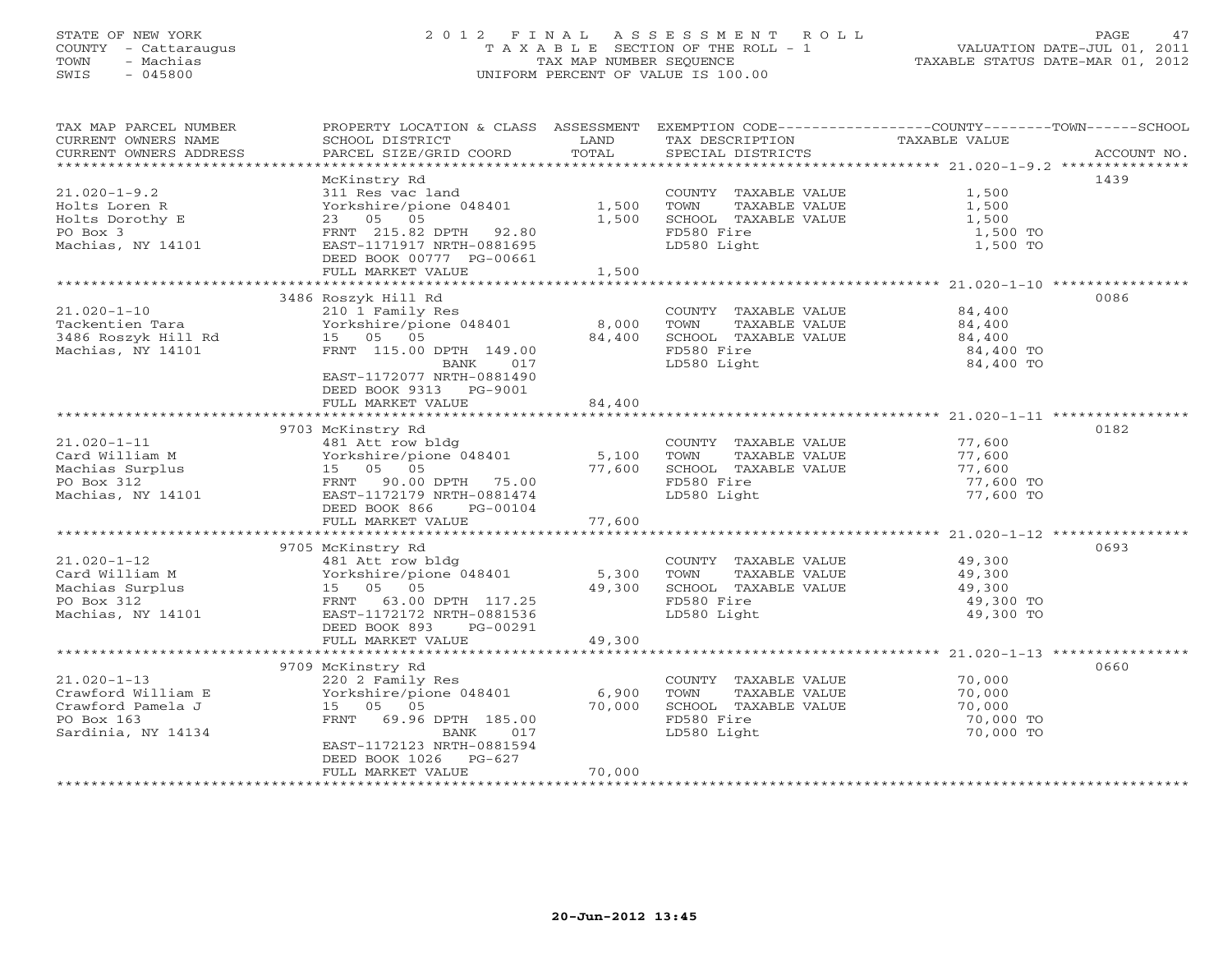# STATE OF NEW YORK 2 0 1 2 F I N A L A S S E S S M E N T R O L L PAGE 47 COUNTY - Cattaraugus T A X A B L E SECTION OF THE ROLL - 1 VALUATION DATE-JUL 01, 2011 TOWN - Machias TAX MAP NUMBER SEQUENCE TAXABLE STATUS DATE-MAR 01, 2012 SWIS - 045800 UNIFORM PERCENT OF VALUE IS 100.00UNIFORM PERCENT OF VALUE IS 100.00

| TAX MAP PARCEL NUMBER<br>CURRENT OWNERS NAME                                                     | PROPERTY LOCATION & CLASS ASSESSMENT<br>SCHOOL DISTRICT                                                                                                                                | LAND                      | TAX DESCRIPTION                                                                                    | EXEMPTION CODE-----------------COUNTY-------TOWN------SCHOOL<br>TAXABLE VALUE |
|--------------------------------------------------------------------------------------------------|----------------------------------------------------------------------------------------------------------------------------------------------------------------------------------------|---------------------------|----------------------------------------------------------------------------------------------------|-------------------------------------------------------------------------------|
| CURRENT OWNERS ADDRESS                                                                           | PARCEL SIZE/GRID COORD                                                                                                                                                                 | TOTAL                     | SPECIAL DISTRICTS                                                                                  | ACCOUNT NO.                                                                   |
|                                                                                                  | McKinstry Rd                                                                                                                                                                           |                           |                                                                                                    | 1439                                                                          |
| $21.020 - 1 - 9.2$<br>Holts Loren R<br>Holts Dorothy E<br>PO Box 3<br>Machias, NY 14101          | 311 Res vac land<br>Yorkshire/pione 048401<br>23 05 05<br>FRNT 215.82 DPTH 92.80<br>EAST-1171917 NRTH-0881695                                                                          | 1,500<br>1,500            | COUNTY TAXABLE VALUE<br>TOWN<br>TAXABLE VALUE<br>SCHOOL TAXABLE VALUE<br>FD580 Fire<br>LD580 Light | 1,500<br>1,500<br>1,500<br>1,500 TO<br>1,500 TO                               |
|                                                                                                  | DEED BOOK 00777 PG-00661                                                                                                                                                               |                           |                                                                                                    |                                                                               |
|                                                                                                  | FULL MARKET VALUE                                                                                                                                                                      | 1,500                     |                                                                                                    |                                                                               |
|                                                                                                  | 3486 Roszyk Hill Rd                                                                                                                                                                    |                           |                                                                                                    | 0086                                                                          |
| $21.020 - 1 - 10$<br>Tackentien Tara<br>3486 Roszyk Hill Rd<br>Machias, NY 14101                 | 210 1 Family Res<br>Yorkshire/pione 048401<br>15 05 05<br>FRNT 115.00 DPTH 149.00<br>BANK<br>017<br>EAST-1172077 NRTH-0881490<br>DEED BOOK 9313<br>PG-9001                             | 8,000<br>84,400           | COUNTY TAXABLE VALUE<br>TOWN<br>TAXABLE VALUE<br>SCHOOL TAXABLE VALUE<br>FD580 Fire<br>LD580 Light | 84,400<br>84,400<br>84,400<br>84,400 TO<br>84,400 TO                          |
|                                                                                                  | FULL MARKET VALUE                                                                                                                                                                      | 84,400                    |                                                                                                    |                                                                               |
|                                                                                                  |                                                                                                                                                                                        |                           |                                                                                                    |                                                                               |
| $21.020 - 1 - 11$<br>Card William M<br>Machias Surplus<br>PO Box 312<br>Machias, NY 14101        | 9703 McKinstry Rd<br>481 Att row bldg<br>Yorkshire/pione 048401<br>15 05 05<br>FRNT<br>90.00 DPTH 75.00<br>EAST-1172179 NRTH-0881474<br>DEED BOOK 866<br>PG-00104<br>FULL MARKET VALUE | 5,100<br>77,600<br>77,600 | COUNTY TAXABLE VALUE<br>TOWN<br>TAXABLE VALUE<br>SCHOOL TAXABLE VALUE<br>FD580 Fire<br>LD580 Light | 0182<br>77,600<br>77,600<br>77,600<br>77,600 TO<br>77,600 TO                  |
|                                                                                                  |                                                                                                                                                                                        |                           |                                                                                                    |                                                                               |
| $21.020 - 1 - 12$<br>Card William M<br>Machias Surplus<br>PO Box 312<br>Machias, NY 14101        | 9705 McKinstry Rd<br>481 Att row bldg<br>Yorkshire/pione 048401<br>15 05 05<br>FRNT 63.00 DPTH 117.25<br>EAST-1172172 NRTH-0881536<br>DEED BOOK 893<br>PG-00291                        | 5,300<br>49,300           | COUNTY TAXABLE VALUE<br>TAXABLE VALUE<br>TOWN<br>SCHOOL TAXABLE VALUE<br>FD580 Fire<br>LD580 Light | 0693<br>49,300<br>49,300<br>49,300<br>49,300 TO<br>49,300 TO                  |
|                                                                                                  | FULL MARKET VALUE                                                                                                                                                                      | 49,300                    |                                                                                                    |                                                                               |
|                                                                                                  | 9709 McKinstry Rd                                                                                                                                                                      |                           |                                                                                                    | **********<br>0660                                                            |
| $21.020 - 1 - 13$<br>Crawford William E<br>Crawford Pamela J<br>PO Box 163<br>Sardinia, NY 14134 | 220 2 Family Res<br>Yorkshire/pione 048401<br>15 05 05<br>FRNT<br>69.96 DPTH 185.00<br>017<br>BANK<br>EAST-1172123 NRTH-0881594<br>DEED BOOK 1026<br>$PG-627$                          | 6,900<br>70,000<br>70,000 | COUNTY TAXABLE VALUE<br>TOWN<br>TAXABLE VALUE<br>SCHOOL TAXABLE VALUE<br>FD580 Fire<br>LD580 Light | 70,000<br>70,000<br>70,000<br>70,000 TO<br>70,000 TO                          |
|                                                                                                  | FULL MARKET VALUE                                                                                                                                                                      |                           |                                                                                                    |                                                                               |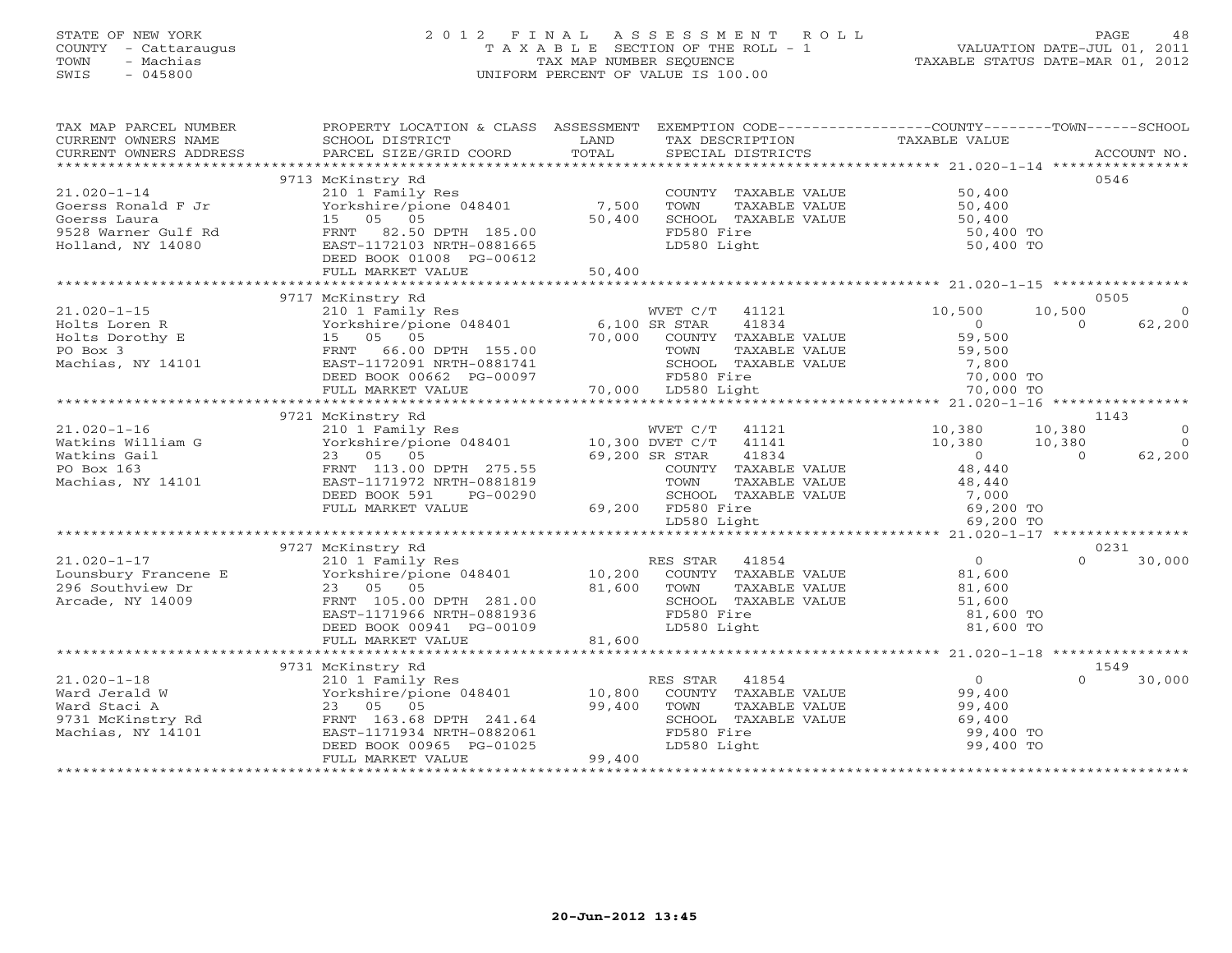# STATE OF NEW YORK 2 0 1 2 F I N A L A S S E S S M E N T R O L L PAGE 48 COUNTY - Cattaraugus T A X A B L E SECTION OF THE ROLL - 1 VALUATION DATE-JUL 01, 2011 TOWN - Machias TAX MAP NUMBER SEQUENCE TAXABLE STATUS DATE-MAR 01, 2012 SWIS - 045800 UNIFORM PERCENT OF VALUE IS 100.00

| TAX MAP PARCEL NUMBER              | PROPERTY LOCATION & CLASS ASSESSMENT EXEMPTION CODE----------------COUNTY-------TOWN------SCHOOL |                 |                                               |                        |                    |
|------------------------------------|--------------------------------------------------------------------------------------------------|-----------------|-----------------------------------------------|------------------------|--------------------|
| CURRENT OWNERS NAME                | SCHOOL DISTRICT                                                                                  | LAND            | TAX DESCRIPTION                               | TAXABLE VALUE          |                    |
| CURRENT OWNERS ADDRESS             | PARCEL SIZE/GRID COORD                                                                           | TOTAL           | SPECIAL DISTRICTS                             |                        | ACCOUNT NO.        |
|                                    |                                                                                                  |                 |                                               |                        |                    |
|                                    | 9713 McKinstry Rd                                                                                |                 |                                               |                        | 0546               |
| $21.020 - 1 - 14$                  | 210 1 Family Res<br>Yorkshire/pione 048401                                                       | 7,500           | COUNTY TAXABLE VALUE<br>TOWN<br>TAXABLE VALUE | 50,400                 |                    |
| Goerss Ronald F Jr<br>Goerss Laura | 15 05 05                                                                                         | 50,400          | SCHOOL TAXABLE VALUE                          | 50,400<br>50,400       |                    |
| 9528 Warner Gulf Rd                | FRNT<br>82.50 DPTH 185.00                                                                        |                 | FD580 Fire                                    | 50,400 TO              |                    |
| Holland, NY 14080                  | EAST-1172103 NRTH-0881665                                                                        |                 | LD580 Light                                   | 50,400 TO              |                    |
|                                    | DEED BOOK 01008 PG-00612                                                                         |                 |                                               |                        |                    |
|                                    | FULL MARKET VALUE                                                                                | 50,400          |                                               |                        |                    |
|                                    |                                                                                                  |                 |                                               |                        |                    |
|                                    | 9717 McKinstry Rd                                                                                |                 |                                               |                        | 0505               |
| $21.020 - 1 - 15$                  | 210 1 Family Res                                                                                 |                 | WVET C/T 41121                                | 10,500                 | 10,500<br>$\Omega$ |
| Holts Loren R                      | Yorkshire/pione 048401                                                                           | 6,100 SR STAR   | 41834                                         | $\Omega$               | $\Omega$<br>62,200 |
| Holts Dorothy E                    | 15 05 05                                                                                         | 70,000          | COUNTY TAXABLE VALUE                          | 59,500                 |                    |
| PO Box 3                           | 66.00 DPTH 155.00<br>FRNT                                                                        |                 | TOWN<br>TAXABLE VALUE                         | 59,500                 |                    |
| Machias, NY 14101                  | EAST-1172091 NRTH-0881741                                                                        |                 | SCHOOL TAXABLE VALUE                          | 7,800                  |                    |
|                                    | DEED BOOK 00662 PG-00097                                                                         |                 | FD580 Fire                                    | 70,000 TO              |                    |
|                                    | FULL MARKET VALUE                                                                                |                 | 70,000 LD580 Light                            | 70,000 TO              |                    |
|                                    |                                                                                                  |                 |                                               |                        |                    |
|                                    | 9721 McKinstry Rd                                                                                |                 |                                               |                        | 1143               |
| $21.020 - 1 - 16$                  | 210 1 Family Res                                                                                 |                 | WVET C/T 41121                                | 10,380                 | 10,380<br>$\Omega$ |
| Watkins William G                  | Yorkshire/pione 048401                                                                           | 10,300 DVET C/T | 41141                                         | 10,380                 | 10,380<br>$\Omega$ |
| Watkins Gail                       | 23 05 05                                                                                         |                 | 41834<br>69,200 SR STAR                       | $\Omega$               | 62,200<br>$\Omega$ |
| PO Box 163                         | FRNT 113.00 DPTH 275.55                                                                          |                 | COUNTY TAXABLE VALUE                          | 48,440                 |                    |
| Machias, NY 14101                  | EAST-1171972 NRTH-0881819                                                                        |                 | TOWN<br>TAXABLE VALUE                         | 48,440                 |                    |
|                                    | DEED BOOK 591<br>PG-00290<br>FULL MARKET VALUE                                                   |                 | SCHOOL TAXABLE VALUE<br>69,200 FD580 Fire     | 7,000<br>69,200 TO     |                    |
|                                    |                                                                                                  |                 | LD580 Light                                   | 69,200 TO              |                    |
|                                    |                                                                                                  |                 |                                               |                        |                    |
|                                    | 9727 McKinstry Rd                                                                                |                 |                                               |                        | 0231               |
| $21.020 - 1 - 17$                  | 210 1 Family Res                                                                                 |                 | 41854<br>RES STAR                             | $\overline{0}$         | 30,000<br>$\Omega$ |
| Lounsbury Francene E               | Yorkshire/pione 048401                                                                           | 10,200          | COUNTY TAXABLE VALUE                          | 81,600                 |                    |
| 296 Southview Dr                   | 23 05 05                                                                                         | 81,600          | TOWN<br>TAXABLE VALUE                         | 81,600                 |                    |
| Arcade, NY 14009                   | FRNT 105.00 DPTH 281.00                                                                          |                 | SCHOOL TAXABLE VALUE                          | 51,600                 |                    |
|                                    | EAST-1171966 NRTH-0881936                                                                        |                 | FD580 Fire                                    | 81,600 TO              |                    |
|                                    | DEED BOOK 00941 PG-00109                                                                         |                 | LD580 Light                                   | 81,600 TO              |                    |
|                                    | FULL MARKET VALUE                                                                                | 81,600          |                                               |                        |                    |
|                                    |                                                                                                  |                 |                                               |                        |                    |
|                                    | 9731 McKinstry Rd                                                                                |                 |                                               |                        | 1549               |
| $21.020 - 1 - 18$                  | 210 1 Family Res                                                                                 |                 | 41854<br>RES STAR                             | $\overline{0}$         | 30,000<br>$\Omega$ |
| Ward Jerald W                      | Yorkshire/pione 048401                                                                           | 10,800          | COUNTY TAXABLE VALUE                          | 99,400                 |                    |
| Ward Staci A                       | 23 05 05                                                                                         | 99,400          | TAXABLE VALUE<br>TOWN                         | 99,400                 |                    |
| 9731 McKinstry Rd                  | FRNT 163.68 DPTH 241.64                                                                          |                 | SCHOOL TAXABLE VALUE                          | 69,400                 |                    |
| Machias, NY 14101                  | EAST-1171934 NRTH-0882061<br>DEED BOOK 00965 PG-01025                                            |                 | FD580 Fire<br>LD580 Light                     | 99,400 TO<br>99,400 TO |                    |
|                                    | FULL MARKET VALUE                                                                                | 99,400          |                                               |                        |                    |
|                                    |                                                                                                  |                 |                                               |                        |                    |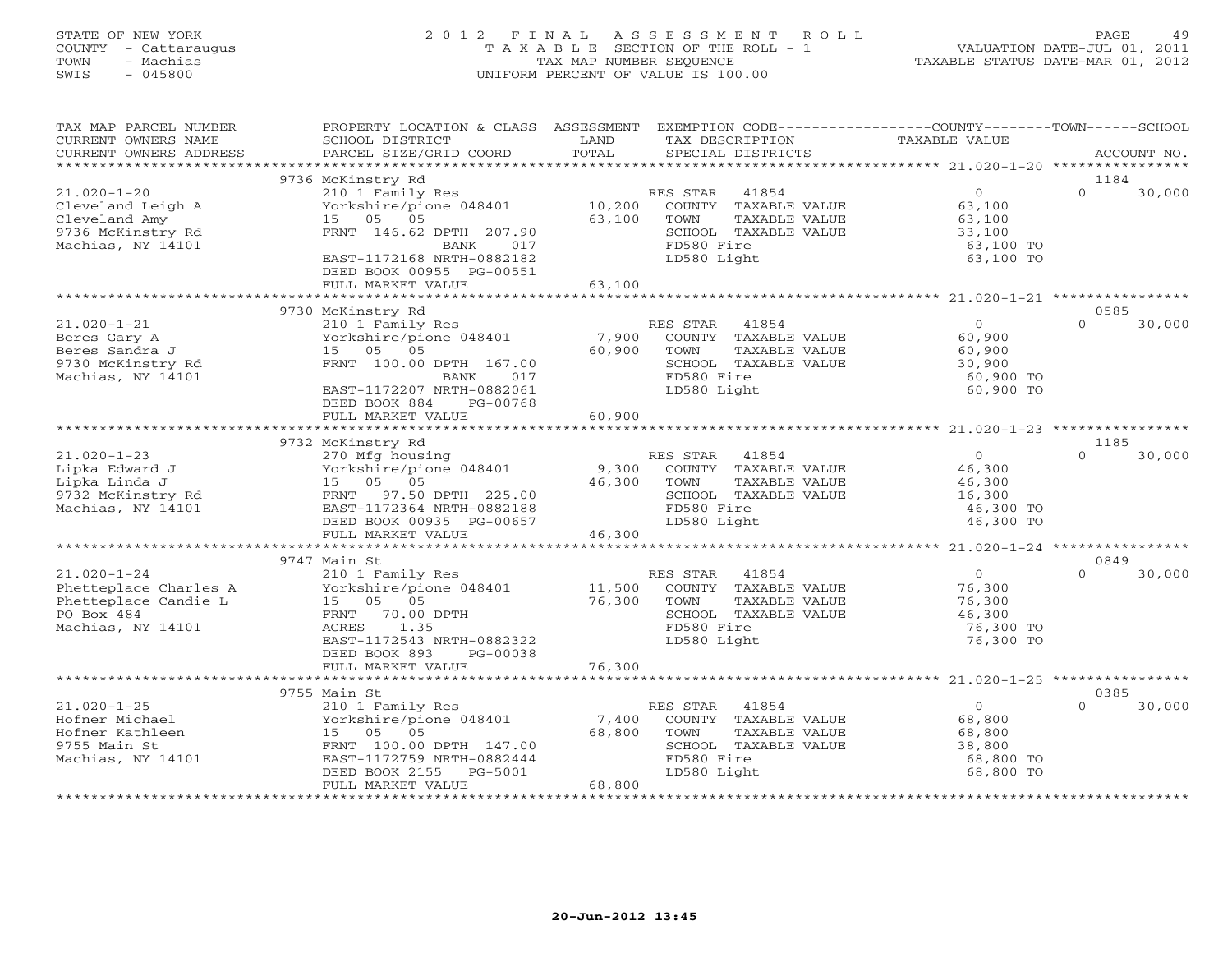# STATE OF NEW YORK 2 0 1 2 F I N A L A S S E S S M E N T R O L L PAGE 49 COUNTY - Cattaraugus T A X A B L E SECTION OF THE ROLL - 1 VALUATION DATE-JUL 01, 2011 TOWN - Machias TAX MAP NUMBER SEQUENCE TAXABLE STATUS DATE-MAR 01, 2012 SWIS - 045800 UNIFORM PERCENT OF VALUE IS 100.00

| TAX MAP PARCEL NUMBER<br>CURRENT OWNERS NAME<br>CURRENT OWNERS ADDRESS                                | PROPERTY LOCATION & CLASS ASSESSMENT<br>SCHOOL DISTRICT<br>PARCEL SIZE/GRID COORD                                                                                                                       | LAND<br>TOTAL                                    | TAX DESCRIPTION<br>SPECIAL DISTRICTS          |                                                                        | EXEMPTION CODE-----------------COUNTY-------TOWN------SCHOOL<br>TAXABLE VALUE |                  | ACCOUNT NO. |
|-------------------------------------------------------------------------------------------------------|---------------------------------------------------------------------------------------------------------------------------------------------------------------------------------------------------------|--------------------------------------------------|-----------------------------------------------|------------------------------------------------------------------------|-------------------------------------------------------------------------------|------------------|-------------|
|                                                                                                       |                                                                                                                                                                                                         |                                                  |                                               |                                                                        |                                                                               |                  |             |
| $21.020 - 1 - 20$<br>Cleveland Leigh A<br>Cleveland Amy<br>9736 McKinstry Rd<br>Machias, NY 14101     | 9736 McKinstry Rd<br>210 1 Family Res<br>Yorkshire/pione 048401<br>05 05<br>1.5<br>FRNT 146.62 DPTH 207.90<br>BANK<br>017<br>EAST-1172168 NRTH-0882182<br>DEED BOOK 00955 PG-00551<br>FULL MARKET VALUE | 10,200<br>63,100<br>63,100                       | RES STAR<br>TOWN<br>FD580 Fire<br>LD580 Light | 41854<br>COUNTY TAXABLE VALUE<br>TAXABLE VALUE<br>SCHOOL TAXABLE VALUE | $\overline{O}$<br>63,100<br>63,100<br>33,100<br>63,100 TO<br>63,100 TO        | 1184<br>$\Omega$ | 30,000      |
|                                                                                                       |                                                                                                                                                                                                         |                                                  |                                               |                                                                        |                                                                               |                  |             |
|                                                                                                       | 9730 McKinstry Rd                                                                                                                                                                                       |                                                  |                                               |                                                                        |                                                                               | 0585             |             |
| $21.020 - 1 - 21$<br>Beres Gary A<br>Beres Sandra J<br>9730 McKinstry Rd<br>Machias, NY 14101         | 210 1 Family Res<br>Yorkshire/pione 048401<br>05 05<br>15<br>FRNT 100.00 DPTH 167.00<br>017<br>BANK<br>EAST-1172207 NRTH-0882061<br>DEED BOOK 884<br>PG-00768                                           | 7,900<br>60,900                                  | RES STAR<br>TOWN<br>FD580 Fire<br>LD580 Light | 41854<br>COUNTY TAXABLE VALUE<br>TAXABLE VALUE<br>SCHOOL TAXABLE VALUE | $\Omega$<br>60,900<br>60,900<br>30,900<br>60,900 TO<br>60,900 TO              | $\Omega$         | 30,000      |
|                                                                                                       | FULL MARKET VALUE                                                                                                                                                                                       | 60,900                                           |                                               |                                                                        |                                                                               |                  |             |
|                                                                                                       |                                                                                                                                                                                                         |                                                  |                                               |                                                                        |                                                                               |                  |             |
| $21.020 - 1 - 23$<br>Lipka Edward J<br>Lipka Linda J<br>9732 McKinstry Rd<br>Machias, NY 14101        | 9732 McKinstry Rd<br>270 Mfg housing<br>Yorkshire/pione 048401<br>15 05 05<br>97.50 DPTH 225.00<br>FRNT<br>EAST-1172364 NRTH-0882188<br>DEED BOOK 00935 PG-00657                                        | 9,300<br>46,300                                  | RES STAR<br>TOWN<br>FD580 Fire<br>LD580 Light | 41854<br>COUNTY TAXABLE VALUE<br>TAXABLE VALUE<br>SCHOOL TAXABLE VALUE | $\Omega$<br>46,300<br>46,300<br>16,300<br>46,300 TO<br>46,300 TO              | 1185<br>$\Omega$ | 30,000      |
|                                                                                                       | FULL MARKET VALUE                                                                                                                                                                                       | 46,300                                           |                                               |                                                                        |                                                                               |                  |             |
| $21.020 - 1 - 24$<br>Phetteplace Charles A<br>Phetteplace Candie L<br>PO Box 484<br>Machias, NY 14101 | 9747 Main St<br>210 1 Family Res<br>Yorkshire/pione 048401<br>05 05<br>15<br>FRNT<br>70.00 DPTH<br>ACRES<br>1.35<br>EAST-1172543 NRTH-0882322<br>DEED BOOK 893<br>PG-00038<br>FULL MARKET VALUE         | 11,500<br>76,300<br>76,300                       | RES STAR<br>TOWN<br>FD580 Fire<br>LD580 Light | 41854<br>COUNTY TAXABLE VALUE<br>TAXABLE VALUE<br>SCHOOL TAXABLE VALUE | $\circ$<br>76,300<br>76,300<br>46,300<br>76,300 TO<br>76,300 TO               | 0849<br>$\Omega$ | 30,000      |
|                                                                                                       |                                                                                                                                                                                                         |                                                  |                                               |                                                                        |                                                                               |                  |             |
|                                                                                                       | 9755 Main St                                                                                                                                                                                            |                                                  |                                               |                                                                        |                                                                               | 0385             |             |
| $21.020 - 1 - 25$<br>Hofner Michael<br>Hofner Kathleen<br>9755 Main St<br>Machias, NY 14101           | 210 1 Family Res<br>Yorkshire/pione 048401<br>15<br>05<br>05<br>FRNT 100.00 DPTH 147.00<br>EAST-1172759 NRTH-0882444<br>DEED BOOK 2155<br>PG-5001<br>FULL MARKET VALUE                                  | 7,400<br>68,800<br>68,800<br>******************* | RES STAR<br>TOWN<br>FD580 Fire<br>LD580 Light | 41854<br>COUNTY TAXABLE VALUE<br>TAXABLE VALUE<br>SCHOOL TAXABLE VALUE | $\circ$<br>68,800<br>68,800<br>38,800<br>68,800 TO<br>68,800 TO               | $\Omega$         | 30,000      |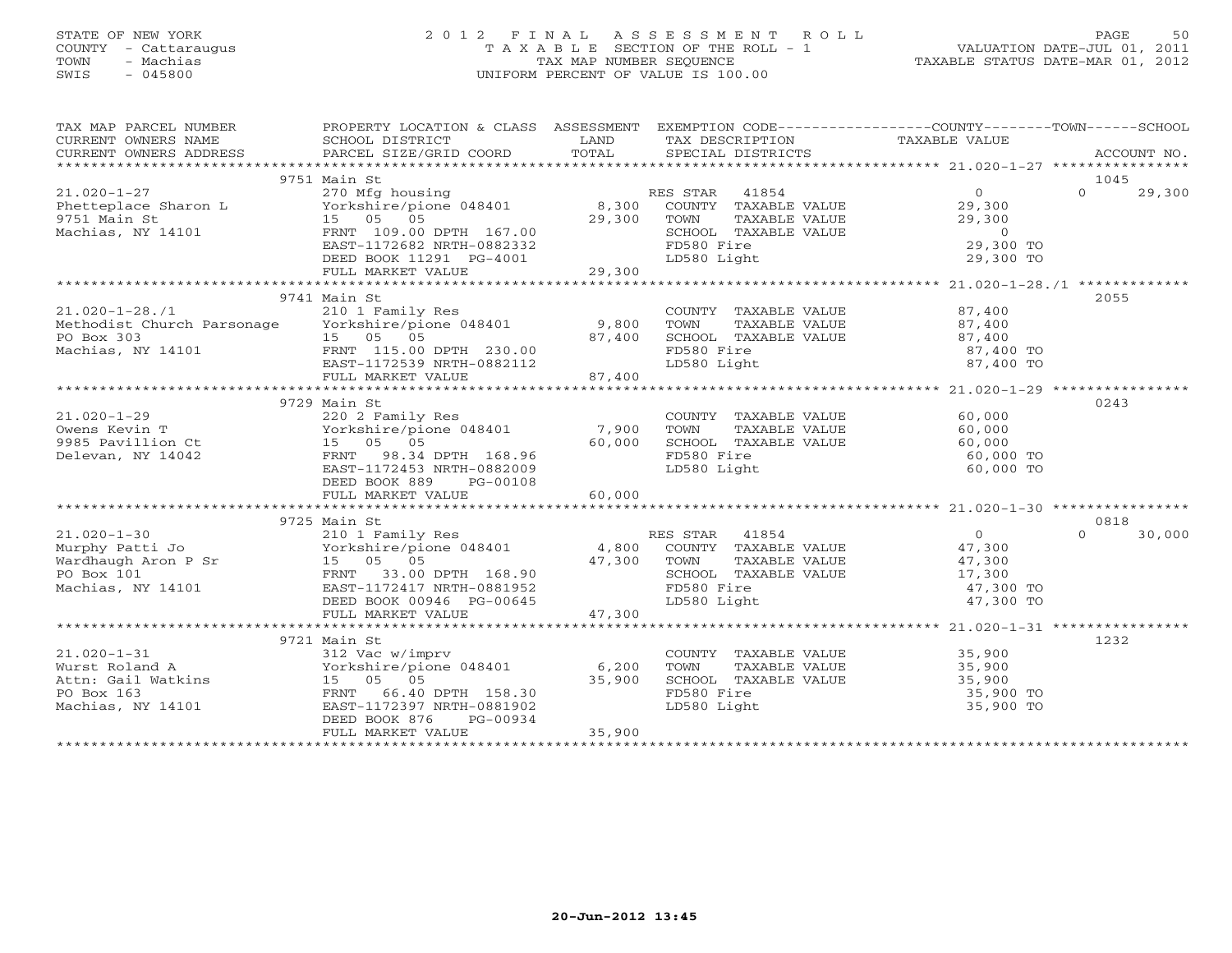# STATE OF NEW YORK 2 0 1 2 F I N A L A S S E S S M E N T R O L L PAGE 50 COUNTY - Cattaraugus T A X A B L E SECTION OF THE ROLL - 1 VALUATION DATE-JUL 01, 2011 TOWN - Machias TAX MAP NUMBER SEQUENCE TAXABLE STATUS DATE-MAR 01, 2012 SWIS - 045800 UNIFORM PERCENT OF VALUE IS 100.00UNIFORM PERCENT OF VALUE IS 100.00

| TAX MAP PARCEL NUMBER                                                                                                                                                                                                                                 | PROPERTY LOCATION & CLASS ASSESSMENT EXEMPTION CODE---------------COUNTY-------TOWN------SCHOOL |        |                                                                                                                                |                                     |                    |
|-------------------------------------------------------------------------------------------------------------------------------------------------------------------------------------------------------------------------------------------------------|-------------------------------------------------------------------------------------------------|--------|--------------------------------------------------------------------------------------------------------------------------------|-------------------------------------|--------------------|
|                                                                                                                                                                                                                                                       |                                                                                                 |        |                                                                                                                                |                                     |                    |
|                                                                                                                                                                                                                                                       |                                                                                                 |        |                                                                                                                                |                                     |                    |
|                                                                                                                                                                                                                                                       | 9751 Main St                                                                                    |        |                                                                                                                                |                                     | 1045               |
| 21.020-1-27<br>Phetteplace Sharon L<br>270 Mfg housing<br>29,300 COUNTY TAXABLE VALUE<br>29,300 TOWN TAXABLE VALUE<br>29,300 TOWN TAXABLE VALUE<br>29,300 TOWN TAXABLE VALUE<br>29,300 TOWN TAXABLE VALUE<br>29,300 TOWN TAXABLE VALUE                |                                                                                                 |        |                                                                                                                                | $\overline{0}$                      | $\Omega$<br>29,300 |
|                                                                                                                                                                                                                                                       |                                                                                                 |        |                                                                                                                                | 29,300                              |                    |
|                                                                                                                                                                                                                                                       |                                                                                                 |        |                                                                                                                                | 29,300                              |                    |
|                                                                                                                                                                                                                                                       |                                                                                                 |        |                                                                                                                                | $\overline{0}$                      |                    |
|                                                                                                                                                                                                                                                       |                                                                                                 |        | FD580 Fire                                                                                                                     | 29,300 TO                           |                    |
|                                                                                                                                                                                                                                                       | EAST-11/2682 NRTH-0882332<br>DEED BOOK 11291 PG-4001                                            |        | LD580 Light                                                                                                                    | 29,300 TO                           |                    |
|                                                                                                                                                                                                                                                       | FULL MARKET VALUE                                                                               | 29,300 |                                                                                                                                |                                     |                    |
|                                                                                                                                                                                                                                                       |                                                                                                 |        |                                                                                                                                |                                     |                    |
|                                                                                                                                                                                                                                                       | 9741 Main St                                                                                    |        |                                                                                                                                |                                     | 2055               |
|                                                                                                                                                                                                                                                       |                                                                                                 |        |                                                                                                                                |                                     |                    |
|                                                                                                                                                                                                                                                       |                                                                                                 |        |                                                                                                                                |                                     |                    |
| 21.020-1-28./1<br>Methodist Church Parsonage Vorkshire/pione 048401 9,800<br>PO Box 303 15 05 05 87,400<br>Machias, NY 14101 FRNT 115.00 DPTH 230.00<br>EAST-1172539 NRTH-0882112 97.400                                                              |                                                                                                 |        | COUNTY TAXABLE VALUE $87,400$<br>TOWN TAXABLE VALUE $87,400$<br>SCHOOL TAXABLE VALUE $87,400$<br>STROOL TAXABLE VALUE $87,400$ |                                     |                    |
|                                                                                                                                                                                                                                                       |                                                                                                 |        | FD580 Fire                                                                                                                     | 87,400 TO<br>87,400 TO<br>87,400 TO |                    |
|                                                                                                                                                                                                                                                       |                                                                                                 |        | LD580 Light                                                                                                                    |                                     |                    |
|                                                                                                                                                                                                                                                       | FULL MARKET VALUE                                                                               | 87,400 |                                                                                                                                |                                     |                    |
|                                                                                                                                                                                                                                                       |                                                                                                 |        |                                                                                                                                |                                     |                    |
|                                                                                                                                                                                                                                                       | 9729 Main St                                                                                    |        |                                                                                                                                |                                     | 0243               |
| $21.020 - 1 - 29$                                                                                                                                                                                                                                     | 220 2 Family Res                                                                                |        | COUNTY TAXABLE VALUE                                                                                                           | 60,000                              |                    |
|                                                                                                                                                                                                                                                       |                                                                                                 |        | TOWN<br>TAXABLE VALUE                                                                                                          | 60,000                              |                    |
|                                                                                                                                                                                                                                                       |                                                                                                 |        | TOWN 11MAD---<br>SCHOOL TAXABLE VALUE                                                                                          | 60,000                              |                    |
| Delevan, NY 14042                                                                                                                                                                                                                                     | FRNT 98.34 DPTH 168.96                                                                          |        | FD580 Fire                                                                                                                     | 60,000 TO                           |                    |
|                                                                                                                                                                                                                                                       | EAST-1172453 NRTH-0882009                                                                       |        | LD580 Light                                                                                                                    | 60,000 TO                           |                    |
|                                                                                                                                                                                                                                                       | DEED BOOK 889<br>PG-00108                                                                       |        |                                                                                                                                |                                     |                    |
|                                                                                                                                                                                                                                                       |                                                                                                 |        |                                                                                                                                |                                     |                    |
|                                                                                                                                                                                                                                                       |                                                                                                 |        |                                                                                                                                |                                     |                    |
| 21.020-1-30<br>Murphy Patti Jo<br>Wardhaugh Aron P Sr<br>PO Box 101<br>Wardhaugh Aron P Sr<br>PO Box 101<br>Wardhaugh Aron P Sr<br>PO Box 101<br>Wardhaugh Aron P Sr<br>PO Box 101<br>Wardhaugh Aron P Sr<br>TRNT 33.00 DPTH 168.90<br>EAST-1172417 N |                                                                                                 |        |                                                                                                                                |                                     | 0818               |
|                                                                                                                                                                                                                                                       | 210 1 Family Res<br>Yorkshire/pione 048401 1800 COUNTY TAXABLE VALUE 47,300                     |        |                                                                                                                                |                                     | $\Omega$<br>30,000 |
|                                                                                                                                                                                                                                                       |                                                                                                 |        |                                                                                                                                |                                     |                    |
|                                                                                                                                                                                                                                                       |                                                                                                 |        | TOWN                                                                                                                           |                                     |                    |
|                                                                                                                                                                                                                                                       |                                                                                                 |        | TOWN TAXABLE VALUE 47,300<br>SCHOOL TAXABLE VALUE 17,300                                                                       |                                     |                    |
|                                                                                                                                                                                                                                                       |                                                                                                 |        | FD580 Fire                                                                                                                     | 47,300 TO                           |                    |
|                                                                                                                                                                                                                                                       |                                                                                                 |        | LD580 Light                                                                                                                    | 47,300 TO                           |                    |
|                                                                                                                                                                                                                                                       | FULL MARKET VALUE                                                                               | 47,300 |                                                                                                                                |                                     |                    |
|                                                                                                                                                                                                                                                       | 9721 Main St                                                                                    |        |                                                                                                                                |                                     | 1232               |
|                                                                                                                                                                                                                                                       | 312 Vac w/imprv                                                                                 |        | COUNTY TAXABLE VALUE 35,900                                                                                                    |                                     |                    |
| 21.020-1-31<br>Wurst Roland A (Yorkshire/pic<br>Attn: Gail Watkins (15 05 05<br>PO BOX 163 FRNT 66.40<br>TRNT 66.40<br>TRNT 1172397                                                                                                                   | Yorkshire/pione 048401 6,200                                                                    |        | TOWN                                                                                                                           | TAXABLE VALUE 35,900                |                    |
|                                                                                                                                                                                                                                                       |                                                                                                 | 35,900 |                                                                                                                                |                                     |                    |
|                                                                                                                                                                                                                                                       | 66.40 DPTH 158.30                                                                               |        | SCHOOL TAXABLE VALUE<br>FD580 Fire                                                                                             | 35,900<br>35,900 TO                 |                    |
| Machias, NY 14101                                                                                                                                                                                                                                     | EAST-1172397 NRTH-0881902                                                                       |        | LD580 Light                                                                                                                    | 35,900 TO                           |                    |
|                                                                                                                                                                                                                                                       | DEED BOOK 876<br>PG-00934                                                                       |        |                                                                                                                                |                                     |                    |
|                                                                                                                                                                                                                                                       | FULL MARKET VALUE                                                                               | 35,900 |                                                                                                                                |                                     |                    |
|                                                                                                                                                                                                                                                       |                                                                                                 |        |                                                                                                                                |                                     |                    |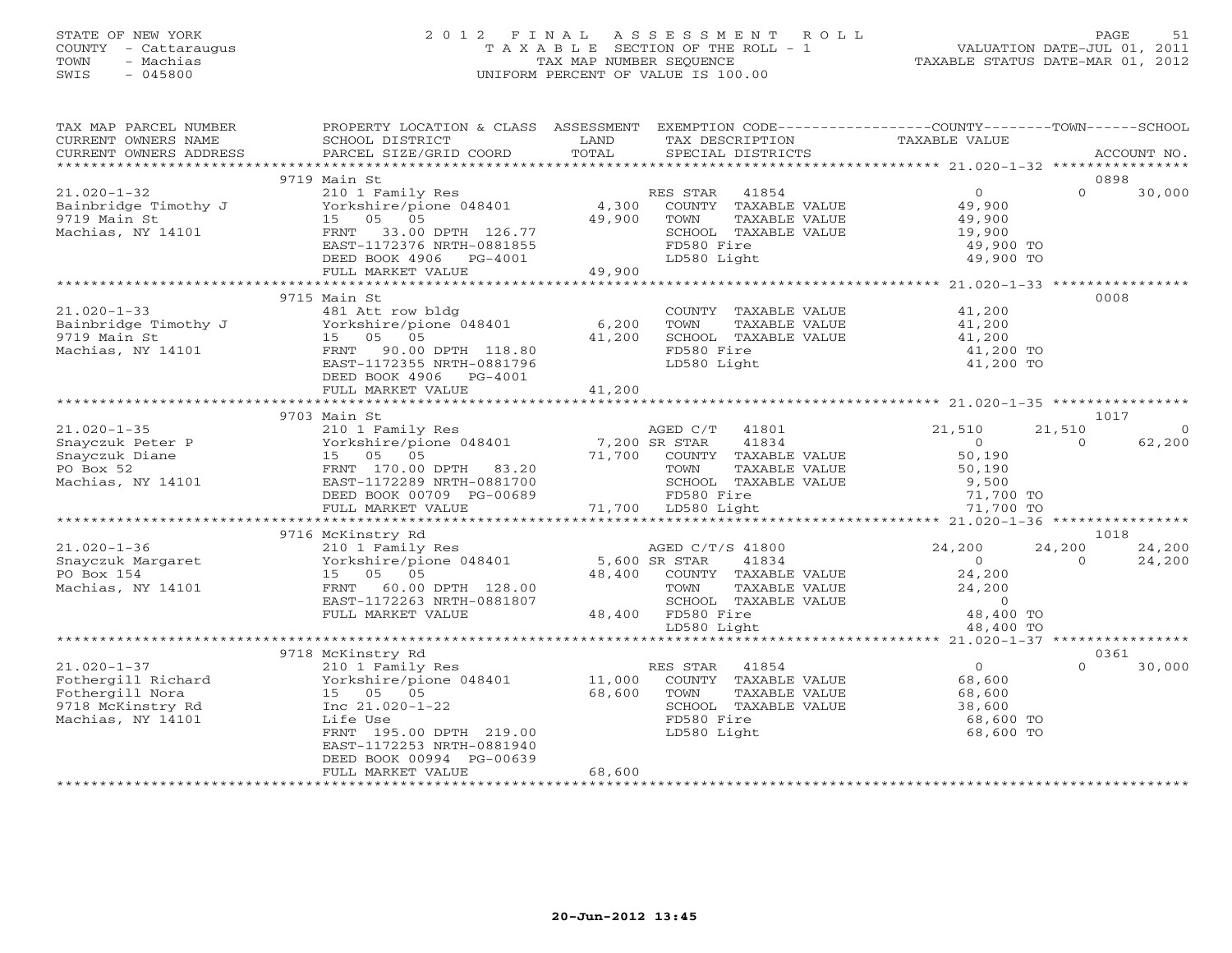# STATE OF NEW YORK 2 0 1 2 F I N A L A S S E S S M E N T R O L L PAGE 51 COUNTY - Cattaraugus T A X A B L E SECTION OF THE ROLL - 1 VALUATION DATE-JUL 01, 2011 TOWN - Machias TAX MAP NUMBER SEQUENCE TAXABLE STATUS DATE-MAR 01, 2012 SWIS - 045800 UNIFORM PERCENT OF VALUE IS 100.00UNIFORM PERCENT OF VALUE IS 100.00

| TAX MAP PARCEL NUMBER | PROPERTY LOCATION & CLASS ASSESSMENT EXEMPTION CODE----------------COUNTY-------TOWN------SCHOOL                |               |                                                                                                             |                            |                          |
|-----------------------|-----------------------------------------------------------------------------------------------------------------|---------------|-------------------------------------------------------------------------------------------------------------|----------------------------|--------------------------|
| CURRENT OWNERS NAME   | SCHOOL DISTRICT                                                                                                 | LAND          | TAX DESCRIPTION                                                                                             | TAXABLE VALUE              |                          |
|                       | .CURRENT OWNERS ADDRESS PARCEL SIZE/GRID COORD TOTAL SPECIAL DISTRICTS ACCOUNT NO ACCOUNT NO ACCOUNT NO ACCOUNT |               |                                                                                                             |                            |                          |
|                       |                                                                                                                 |               |                                                                                                             |                            |                          |
|                       | 9719 Main St                                                                                                    |               |                                                                                                             |                            | 0898                     |
| $21.020 - 1 - 32$     | 210 1 Family Res<br>X<br>Yorkshire/pione 048401 4,300                                                           |               | RES STAR<br>ES STAR 41854<br>COUNTY TAXABLE VALUE                                                           | $\Omega$                   | $\Omega$<br>30,000       |
| Bainbridge Timothy J  |                                                                                                                 |               |                                                                                                             | 49,900                     |                          |
| 9719 Main St          | 15 05 05                                                                                                        | 49,900        | TAXABLE VALUE<br>TOWN                                                                                       | 49,900<br>49,900<br>19,900 |                          |
| Machias, NY 14101     | FRNT 33.00 DPTH 126.77<br>EAST-1172376 NRTH-0881855                                                             |               | SCHOOL TAXABLE VALUE<br>FD580 Fire                                                                          | 49,900 TO                  |                          |
|                       | DEED BOOK 4906    PG-4001                                                                                       |               | LD580 Light                                                                                                 | 49,900 TO                  |                          |
|                       | FULL MARKET VALUE                                                                                               | 49,900        |                                                                                                             |                            |                          |
|                       |                                                                                                                 |               |                                                                                                             |                            |                          |
|                       | 9715 Main St                                                                                                    |               |                                                                                                             |                            | 0008                     |
| $21.020 - 1 - 33$     | 481 Att row bldg                                                                                                |               | COUNTY TAXABLE VALUE                                                                                        | 41,200                     |                          |
| Bainbridge Timothy J  | Yorkshire/pione 048401 6,200                                                                                    |               |                                                                                                             | 41,200                     |                          |
| 9719 Main St          | 15 05 05                                                                                                        | 41,200        | TOWN       TAXABLE  VALUE<br>SCHOOL    TAXABLE  VALUE                                                       | 41,200                     |                          |
| Machias, NY 14101     | FRNT 90.00 DPTH 118.80                                                                                          |               | FD580 Fire                                                                                                  | 41,200 TO                  |                          |
|                       | EAST-1172355 NRTH-0881796                                                                                       |               | LD580 Light                                                                                                 | 41,200 TO                  |                          |
|                       | DEED BOOK 4906 PG-4001                                                                                          |               |                                                                                                             |                            |                          |
|                       | FULL MARKET VALUE                                                                                               | 41,200        |                                                                                                             |                            |                          |
|                       |                                                                                                                 |               |                                                                                                             |                            |                          |
|                       | 9703 Main St                                                                                                    |               |                                                                                                             |                            | 1017                     |
| $21.020 - 1 - 35$     | 210 1 Family Res                                                                                                |               | AGED C/T 41801                                                                                              | 21,510                     | 21,510<br>$\overline{0}$ |
| Snayczuk Peter P      | Yorkshire/pione 048401                                                                                          | 7,200 SR STAR | 41834                                                                                                       | $\overline{0}$             | 62,200<br>$\Omega$       |
| Snayczuk Diane        | 15 05 05                                                                                                        |               | 71,700 COUNTY TAXABLE VALUE                                                                                 | 50,190                     |                          |
| PO Box 52             | FRNT 170.00 DPTH 83.20                                                                                          |               | TOWN<br>TAXABLE VALUE                                                                                       | 50,190                     |                          |
| Machias, NY 14101     | EAST-1172289 NRTH-0881700                                                                                       |               |                                                                                                             | 9,500                      |                          |
|                       | DEED BOOK 00709 PG-00689                                                                                        |               | TOWN TAXABLE VALUE<br>SCHOOL TAXABLE VALUE<br>FD580 Fire<br>LD580 Light                                     | 71,700 TO                  |                          |
|                       | FULL MARKET VALUE                                                                                               |               | 71,700 LD580 Light                                                                                          | 71,700 TO                  |                          |
|                       |                                                                                                                 |               |                                                                                                             |                            |                          |
|                       | 9716 McKinstry Rd                                                                                               |               |                                                                                                             |                            | 1018                     |
| $21.020 - 1 - 36$     | 210 1 Family Res                                                                                                |               | AGED C/T/S 41800                                                                                            | 24,200                     | 24,200<br>24,200         |
| Snayczuk Margaret     | Yorkshire/pione 048401 5,600 SR STAR                                                                            |               | 41834                                                                                                       | $\overline{0}$             | $\Omega$<br>24,200       |
| PO Box 154            | 15 05 05                                                                                                        |               | 48,400 COUNTY TAXABLE VALUE                                                                                 | 24,200                     |                          |
| Machias, NY 14101     | FRNT 60.00 DPTH 128.00                                                                                          |               | TOWN<br>TAXABLE VALUE                                                                                       | 24,200                     |                          |
|                       | EAST-1172263 NRTH-0881807                                                                                       |               |                                                                                                             |                            |                          |
|                       | FULL MARKET VALUE                                                                                               |               | SCHOOL TAXABLE VALUE 0<br>FD580 Fire 18,400 TO<br>LD580 Light 18,400 TO<br>48,400 FD580 Fire<br>LD580 Light | 48,400 TO                  |                          |
|                       |                                                                                                                 |               |                                                                                                             |                            |                          |
|                       | 9718 McKinstry Rd                                                                                               |               |                                                                                                             |                            | 0361                     |
| $21.020 - 1 - 37$     | 210 1 Family Res                                                                                                |               | RES STAR<br>41854                                                                                           | $\overline{0}$             | $\Omega$<br>30,000       |
| Fothergill Richard    | Yorkshire/pione 048401                                                                                          |               | 11,000 COUNTY TAXABLE VALUE                                                                                 | 68,600                     |                          |
| Fothergill Nora       | 15 05 05                                                                                                        | 68,600 TOWN   | TAXABLE VALUE                                                                                               |                            |                          |
| 9718 McKinstry Rd     | Inc 21.020-1-22                                                                                                 |               | SCHOOL TAXABLE VALUE                                                                                        | 68,600<br>38,600           |                          |
| Machias, NY 14101     | Life Use                                                                                                        |               | FD580 Fire                                                                                                  | 68,600 TO                  |                          |
|                       | FRNT 195.00 DPTH 219.00                                                                                         |               | LD580 Light                                                                                                 | 68,600 TO                  |                          |
|                       | EAST-1172253 NRTH-0881940                                                                                       |               |                                                                                                             |                            |                          |
|                       | DEED BOOK 00994 PG-00639                                                                                        |               |                                                                                                             |                            |                          |
|                       | FULL MARKET VALUE                                                                                               | 68,600        |                                                                                                             |                            |                          |
|                       |                                                                                                                 |               |                                                                                                             |                            |                          |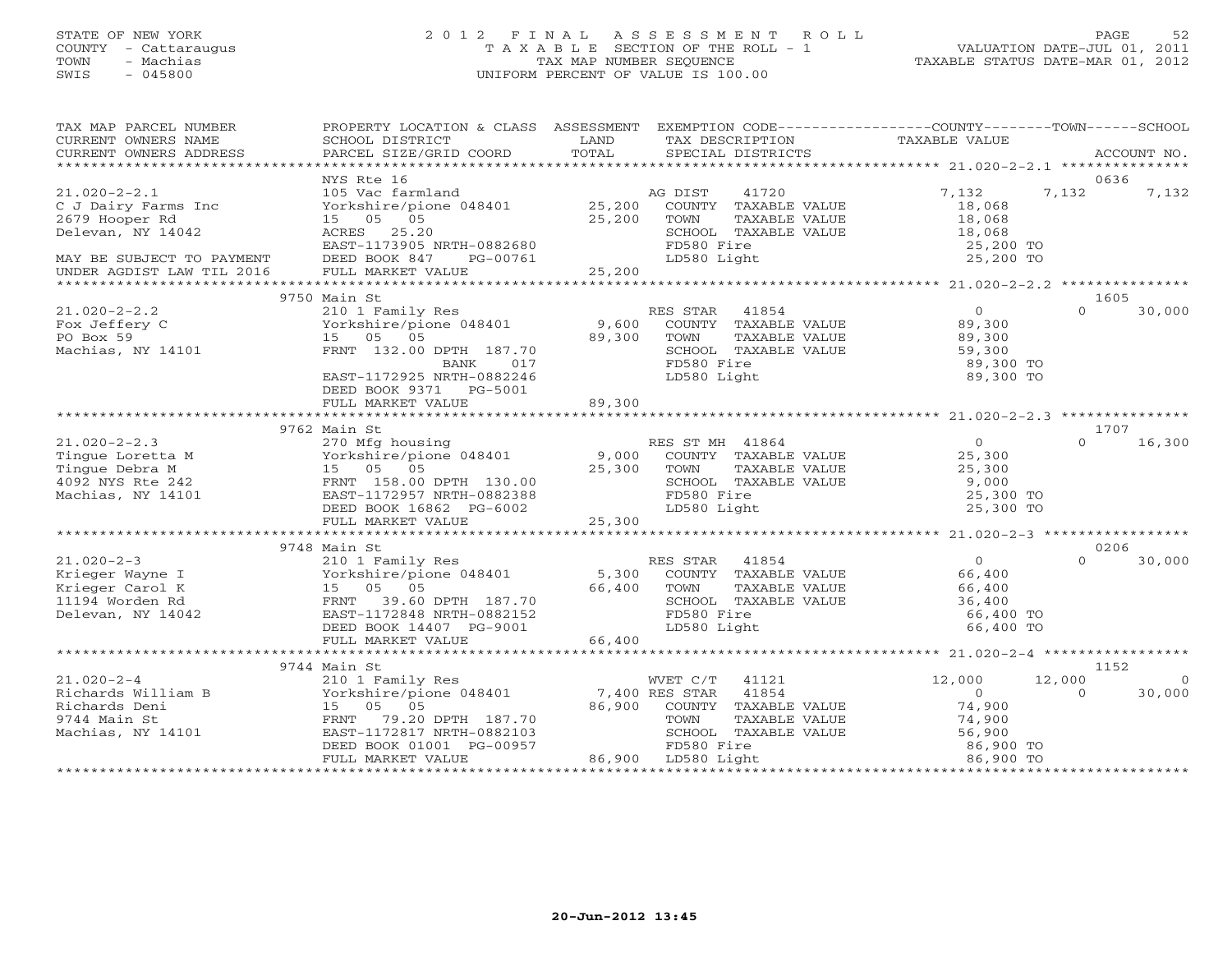# STATE OF NEW YORK 2 0 1 2 F I N A L A S S E S S M E N T R O L L PAGE 52 COUNTY - Cattaraugus T A X A B L E SECTION OF THE ROLL - 1 VALUATION DATE-JUL 01, 2011 TOWN - Machias TAX MAP NUMBER SEQUENCE TAXABLE STATUS DATE-MAR 01, 2012 SWIS - 045800 UNIFORM PERCENT OF VALUE IS 100.00UNIFORM PERCENT OF VALUE IS 100.00

| TAX MAP PARCEL NUMBER<br>CURRENT OWNERS NAME<br>CURRENT OWNERS ADDRESS                            | PROPERTY LOCATION & CLASS ASSESSMENT<br>SCHOOL DISTRICT<br>PARCEL SIZE/GRID COORD                                                                              | LAND<br>TAX DESCRIPTION<br>TOTAL<br>SPECIAL DISTRICTS                                                                                                                                  | EXEMPTION CODE-----------------COUNTY-------TOWN------SCHOOL<br>TAXABLE VALUE<br>ACCOUNT NO.                           |
|---------------------------------------------------------------------------------------------------|----------------------------------------------------------------------------------------------------------------------------------------------------------------|----------------------------------------------------------------------------------------------------------------------------------------------------------------------------------------|------------------------------------------------------------------------------------------------------------------------|
|                                                                                                   |                                                                                                                                                                |                                                                                                                                                                                        |                                                                                                                        |
|                                                                                                   | NYS Rte 16                                                                                                                                                     |                                                                                                                                                                                        | 0636                                                                                                                   |
| $21.020 - 2 - 2.1$<br>C J Dairy Farms Inc<br>2679 Hooper Rd<br>Delevan, NY 14042                  | 105 Vac farmland<br>Yorkshire/pione 048401<br>15 05 05<br>ACRES 25.20                                                                                          | AG DIST<br>41720<br>25,200<br>COUNTY TAXABLE VALUE<br>25,200<br>TOWN<br>TAXABLE VALUE<br>SCHOOL TAXABLE VALUE                                                                          | 7,132<br>7,132<br>7,132<br>18,068<br>18,068<br>18,068                                                                  |
|                                                                                                   | EAST-1173905 NRTH-0882680                                                                                                                                      | FD580 Fire                                                                                                                                                                             | 25,200 TO                                                                                                              |
| MAY BE SUBJECT TO PAYMENT<br>UNDER AGDIST LAW TIL 2016                                            | DEED BOOK 847<br>PG-00761<br>FULL MARKET VALUE                                                                                                                 | LD580 Light<br>25,200                                                                                                                                                                  | 25,200 TO                                                                                                              |
|                                                                                                   | 9750 Main St                                                                                                                                                   |                                                                                                                                                                                        | 1605                                                                                                                   |
| $21.020 - 2 - 2.2$<br>Fox Jeffery C<br>PO Box 59<br>Machias, NY 14101                             | 210 1 Family Res<br>Yorkshire/pione 048401<br>15 05 05<br>FRNT 132.00 DPTH 187.70<br>017<br>BANK<br>EAST-1172925 NRTH-0882246<br>DEED BOOK 9371 PG-5001        | RES STAR<br>41854<br>9,600<br>COUNTY TAXABLE VALUE<br>89,300<br>TOWN<br>TAXABLE VALUE<br>SCHOOL TAXABLE VALUE<br>FD580 Fire<br>LD580 Light                                             | $\circ$<br>30,000<br>$\Omega$<br>89,300<br>89,300<br>59,300<br>89,300 TO<br>89,300 TO                                  |
|                                                                                                   | FULL MARKET VALUE                                                                                                                                              | 89,300                                                                                                                                                                                 |                                                                                                                        |
|                                                                                                   |                                                                                                                                                                |                                                                                                                                                                                        |                                                                                                                        |
|                                                                                                   | 9762 Main St                                                                                                                                                   |                                                                                                                                                                                        | 1707                                                                                                                   |
| $21.020 - 2 - 2.3$<br>Tingue Loretta M<br>Tingue Debra M<br>4092 NYS Rte 242<br>Machias, NY 14101 | 270 Mfg housing<br>270 Mrg nousing<br>Yorkshire/pione 048401<br>15 05<br>05<br>FRNT 158.00 DPTH 130.00<br>EAST-1172957 NRTH-0882388<br>DEED BOOK 16862 PG-6002 | RES ST MH 41864<br>9,000<br>COUNTY TAXABLE VALUE<br>25,300<br>TOWN<br>TAXABLE VALUE<br>SCHOOL TAXABLE VALUE<br>FD580 Fire<br>LD580 Light                                               | 0<br>16,300<br>$\Omega$<br>25,300<br>25,300<br>9,000<br>25,300 TO<br>25,300 TO                                         |
|                                                                                                   | FULL MARKET VALUE                                                                                                                                              | 25,300                                                                                                                                                                                 |                                                                                                                        |
|                                                                                                   |                                                                                                                                                                |                                                                                                                                                                                        |                                                                                                                        |
| $21.020 - 2 - 3$                                                                                  | 9748 Main St<br>210 1 Family Res                                                                                                                               | RES STAR 41854                                                                                                                                                                         | 0206<br>$\Omega$<br>$\Omega$<br>30,000                                                                                 |
| Krieger Wayne I<br>Krieger Carol K<br>11194 Worden Rd<br>Delevan, NY 14042                        | Yorkshire/pione 048401<br>15 05 05<br>FRNT<br>39.60 DPTH 187.70<br>EAST-1172848 NRTH-0882152<br>DEED BOOK 14407 PG-9001<br>FULL MARKET VALUE                   | 5,300<br>COUNTY TAXABLE VALUE<br>66,400<br>TOWN<br>TAXABLE VALUE<br>SCHOOL TAXABLE VALUE<br>FD580 Fire<br>LD580 Light<br>66,400                                                        | 66,400<br>66,400<br>36,400<br>66,400 TO<br>66,400 TO                                                                   |
|                                                                                                   |                                                                                                                                                                |                                                                                                                                                                                        |                                                                                                                        |
|                                                                                                   | 9744 Main St                                                                                                                                                   |                                                                                                                                                                                        | 1152                                                                                                                   |
| $21.020 - 2 - 4$<br>Richards William B<br>Richards Deni<br>9744 Main St<br>Machias, NY 14101      | 15 05 05<br>FRNT 79.20 DPTH 187.70<br>EAST-1172817 NRTH-0882103<br>DEED BOOK 01001 PG-00957<br>FULL MARKET VALUE                                               | 210 1 Family Res<br>Yorkshire/pione 048401 7,400 RES STAR 41854<br>86,900<br>COUNTY TAXABLE VALUE<br>TOWN<br>TAXABLE VALUE<br>SCHOOL TAXABLE VALUE<br>FD580 Fire<br>86,900 LD580 Light | 12,000<br>12,000<br>$\Omega$<br>$\Omega$<br>30,000<br>$\Omega$<br>74,900<br>74,900<br>56,900<br>86,900 TO<br>86,900 TO |
|                                                                                                   |                                                                                                                                                                |                                                                                                                                                                                        |                                                                                                                        |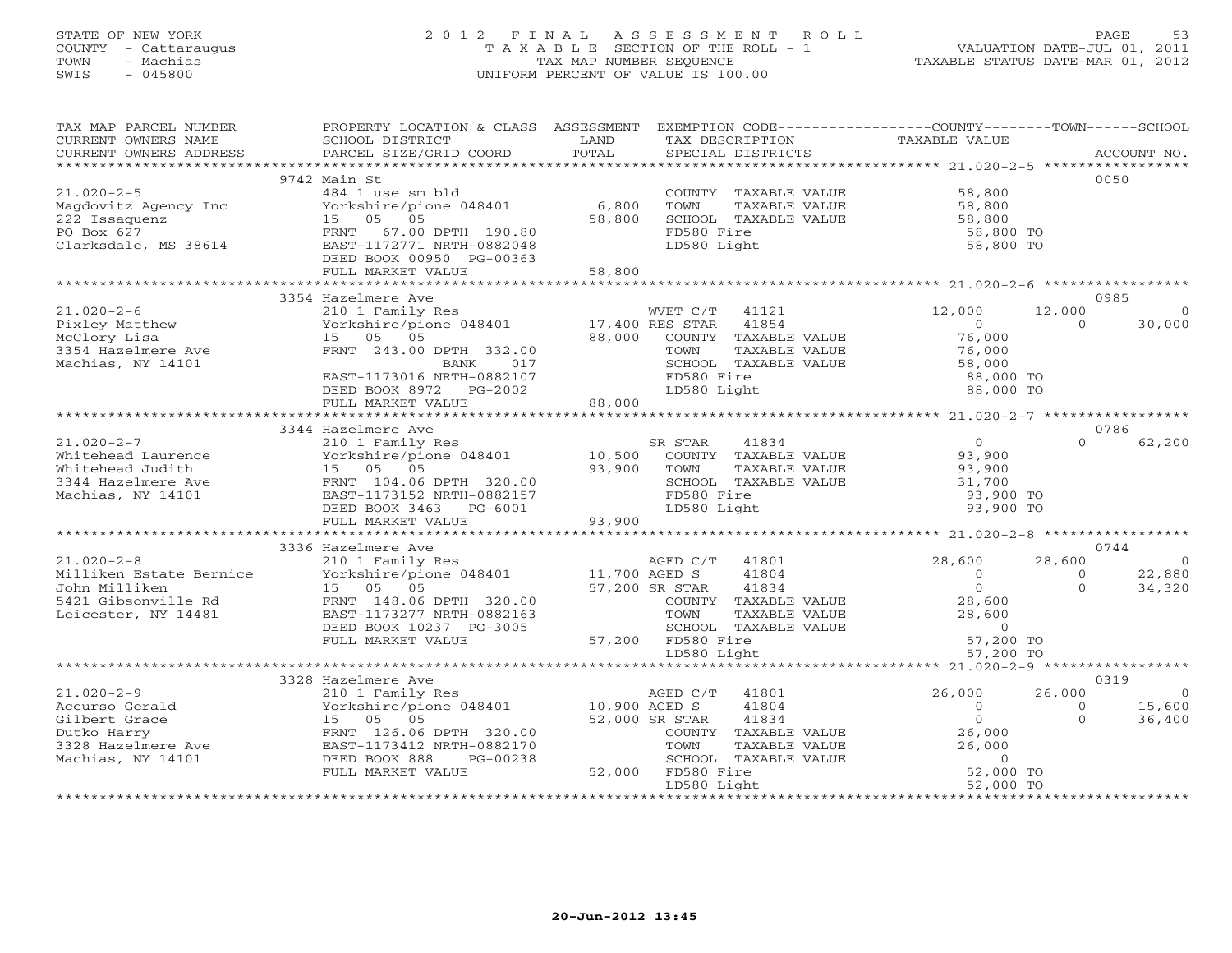# STATE OF NEW YORK 2 0 1 2 F I N A L A S S E S S M E N T R O L L PAGE 53 COUNTY - Cattaraugus T A X A B L E SECTION OF THE ROLL - 1 VALUATION DATE-JUL 01, 2011 TOWN - Machias TAX MAP NUMBER SEQUENCE TAXABLE STATUS DATE-MAR 01, 2012 SWIS - 045800 UNIFORM PERCENT OF VALUE IS 100.00UNIFORM PERCENT OF VALUE IS 100.00

| TAX MAP PARCEL NUMBER<br>CURRENT OWNERS NAME<br>CURRENT OWNERS ADDRESS                                        | PROPERTY LOCATION & CLASS ASSESSMENT<br>SCHOOL DISTRICT<br>PARCEL SIZE/GRID COORD                                                                                                    | LAND<br>TOTAL              | EXEMPTION CODE-----------------COUNTY-------TOWN------SCHOOL<br>TAX DESCRIPTION<br>SPECIAL DISTRICTS                                                            | TAXABLE VALUE                                                                                 |                                      | ACCOUNT NO.                                |
|---------------------------------------------------------------------------------------------------------------|--------------------------------------------------------------------------------------------------------------------------------------------------------------------------------------|----------------------------|-----------------------------------------------------------------------------------------------------------------------------------------------------------------|-----------------------------------------------------------------------------------------------|--------------------------------------|--------------------------------------------|
|                                                                                                               |                                                                                                                                                                                      |                            |                                                                                                                                                                 |                                                                                               |                                      |                                            |
| $21.020 - 2 - 5$<br>Magdovitz Agency Inc<br>222 Issaquenz<br>PO Box 627<br>Clarksdale, MS 38614               | 9742 Main St<br>484 1 use sm bld<br>Yorkshire/pione 048401<br>15 05 05<br>67.00 DPTH 190.80<br>FRNT<br>EAST-1172771 NRTH-0882048<br>DEED BOOK 00950 PG-00363<br>FULL MARKET VALUE    | 6,800<br>58,800<br>58,800  | COUNTY TAXABLE VALUE<br>TOWN<br>TAXABLE VALUE<br>SCHOOL TAXABLE VALUE<br>FD580 Fire<br>LD580 Light                                                              | 58,800<br>58,800<br>58,800<br>58,800 TO<br>58,800 TO                                          |                                      | 0050                                       |
|                                                                                                               |                                                                                                                                                                                      |                            |                                                                                                                                                                 |                                                                                               |                                      |                                            |
|                                                                                                               | 3354 Hazelmere Ave                                                                                                                                                                   |                            |                                                                                                                                                                 |                                                                                               |                                      | 0985                                       |
| $21.020 - 2 - 6$<br>Pixley Matthew<br>McClory Lisa<br>3354 Hazelmere Ave<br>Machias, NY 14101                 | 210 1 Family Res<br>Yorkshire/pione 048401<br>15 05 05<br>FRNT 243.00 DPTH 332.00<br>BANK<br>017<br>EAST-1173016 NRTH-0882107<br>DEED BOOK 8972 PG-2002                              | 17,400 RES STAR<br>88,000  | WVET C/T<br>41121<br>41854<br>COUNTY TAXABLE VALUE<br>TOWN<br>TAXABLE VALUE<br>SCHOOL TAXABLE VALUE<br>FD580 Fire<br>LD580 Light                                | 12,000<br>$\overline{0}$<br>76,000<br>76,000<br>58,000<br>88,000 TO<br>88,000 TO              | 12,000<br>$\Omega$                   | $\Omega$<br>30,000                         |
|                                                                                                               | FULL MARKET VALUE                                                                                                                                                                    | 88,000                     |                                                                                                                                                                 |                                                                                               |                                      |                                            |
|                                                                                                               | 3344 Hazelmere Ave                                                                                                                                                                   |                            |                                                                                                                                                                 |                                                                                               |                                      | 0786                                       |
| $21.020 - 2 - 7$<br>Whitehead Laurence<br>Whitehead Judith<br>3344 Hazelmere Ave<br>Machias, NY 14101         | 210 1 Family Res<br>Yorkshire/pione 048401<br>15 05 05<br>FRNT 104.06 DPTH 320.00<br>EAST-1173152 NRTH-0882157<br>DEED BOOK 3463 PG-6001<br>FULL MARKET VALUE                        | 10,500<br>93,900<br>93,900 | SR STAR<br>41834<br>COUNTY TAXABLE VALUE<br>TOWN<br>TAXABLE VALUE<br>SCHOOL TAXABLE VALUE<br>FD580 Fire<br>LD580 Light                                          | $\overline{0}$<br>93,900<br>93,900<br>31,700<br>93,900 TO<br>93,900 TO                        | $\Omega$                             | 62,200                                     |
|                                                                                                               |                                                                                                                                                                                      |                            |                                                                                                                                                                 |                                                                                               |                                      |                                            |
| $21.020 - 2 - 8$<br>Milliken Estate Bernice<br>John Milliken<br>5421 Gibsonville Rd<br>Leicester, NY 14481    | 3336 Hazelmere Ave<br>210 1 Family Res<br>Yorkshire/pione 048401<br>15 05 05<br>FRNT 148.06 DPTH 320.00<br>EAST-1173277 NRTH-0882163<br>DEED BOOK 10237 PG-3005<br>FULL MARKET VALUE | 11,700 AGED S              | AGED C/T 41801<br>41804<br>57,200 SR STAR<br>41834<br>COUNTY TAXABLE VALUE<br>TOWN<br>TAXABLE VALUE<br>SCHOOL TAXABLE VALUE<br>57,200 FD580 Fire<br>LD580 Light | 28,600<br>$\overline{0}$<br>$\Omega$<br>28,600<br>28,600<br>$\circ$<br>57,200 TO<br>57,200 TO | 28,600<br>$\overline{0}$<br>$\Omega$ | 0744<br>$\overline{0}$<br>22,880<br>34,320 |
|                                                                                                               | ************************************                                                                                                                                                 |                            |                                                                                                                                                                 | ******************** 21.020-2-9 ***************                                               |                                      |                                            |
| $21.020 - 2 - 9$<br>Accurso Gerald<br>Gilbert Grace<br>Dutko Harry<br>3328 Hazelmere Ave<br>Machias, NY 14101 | 3328 Hazelmere Ave<br>210 1 Family Res<br>Yorkshire/pione 048401<br>15 05 05<br>FRNT 126.06 DPTH 320.00<br>EAST-1173412 NRTH-0882170<br>DEED BOOK 888<br>PG-00238                    | 10,900 AGED S              | 41801<br>AGED C/T<br>41804<br>52,000 SR STAR<br>41834<br>COUNTY TAXABLE VALUE<br>TOWN<br>TAXABLE VALUE<br>SCHOOL TAXABLE VALUE                                  | 26,000<br>$\Omega$<br>$\overline{0}$<br>26,000<br>26,000<br>$\Omega$                          | 26,000<br>$\Omega$<br>$\Omega$       | 0319<br>$\Omega$<br>15,600<br>36,400       |
|                                                                                                               | FULL MARKET VALUE                                                                                                                                                                    |                            | 52,000 FD580 Fire<br>LD580 Light                                                                                                                                | 52,000 TO<br>52,000 TO                                                                        |                                      |                                            |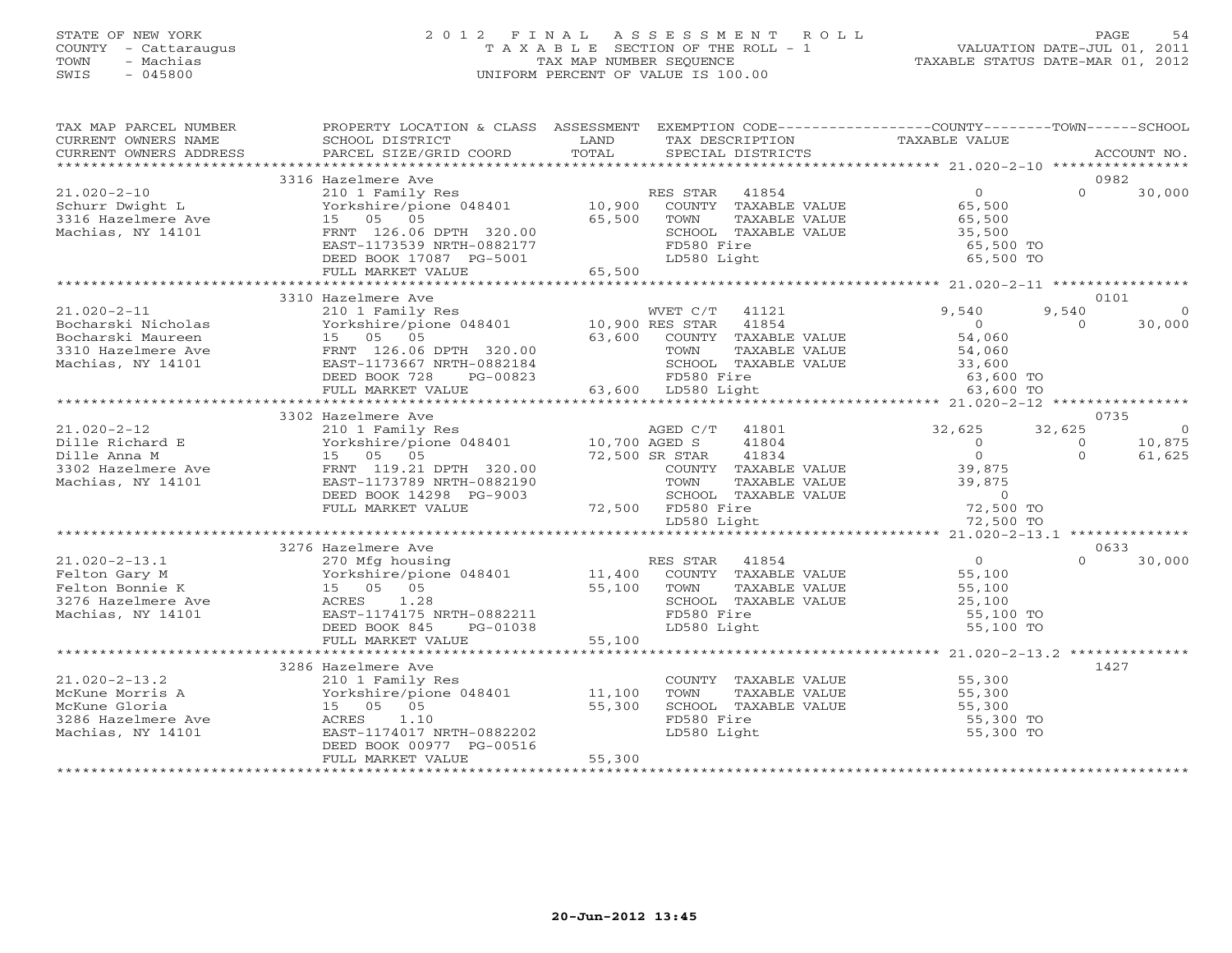# STATE OF NEW YORK 2 0 1 2 F I N A L A S S E S S M E N T R O L L PAGE 54 COUNTY - Cattaraugus T A X A B L E SECTION OF THE ROLL - 1 VALUATION DATE-JUL 01, 2011 TOWN - Machias TAX MAP NUMBER SEQUENCE TAXABLE STATUS DATE-MAR 01, 2012 SWIS - 045800 UNIFORM PERCENT OF VALUE IS 100.00

| TAX MAP PARCEL NUMBER<br>CURRENT OWNERS NAME<br>CURRENT OWNERS ADDRESS | PROPERTY LOCATION & CLASS ASSESSMENT<br>SCHOOL DISTRICT<br>PARCEL SIZE/GRID COORD | LAND<br>TOTAL           | EXEMPTION CODE-----------------COUNTY-------TOWN------SCHOOL<br>TAX DESCRIPTION<br>SPECIAL DISTRICTS | TAXABLE VALUE                                   |          | ACCOUNT NO.    |
|------------------------------------------------------------------------|-----------------------------------------------------------------------------------|-------------------------|------------------------------------------------------------------------------------------------------|-------------------------------------------------|----------|----------------|
| **********************                                                 |                                                                                   |                         |                                                                                                      |                                                 |          |                |
|                                                                        | 3316 Hazelmere Ave                                                                |                         |                                                                                                      |                                                 |          | 0982           |
| $21.020 - 2 - 10$                                                      | 210 1 Family Res                                                                  |                         | RES STAR<br>41854                                                                                    | $\circ$                                         | $\Omega$ | 30,000         |
| Schurr Dwight L                                                        | Yorkshire/pione 048401                                                            | 10,900                  | COUNTY TAXABLE VALUE                                                                                 | 65,500                                          |          |                |
| 3316 Hazelmere Ave                                                     | 15<br>05 05                                                                       | 65,500                  | TOWN<br>TAXABLE VALUE                                                                                | 65,500                                          |          |                |
| Machias, NY 14101                                                      | FRNT 126.06 DPTH 320.00<br>EAST-1173539 NRTH-0882177                              |                         | SCHOOL TAXABLE VALUE<br>FD580 Fire                                                                   | 35,500<br>65,500 TO                             |          |                |
|                                                                        | DEED BOOK 17087 PG-5001                                                           |                         | LD580 Light                                                                                          | 65,500 TO                                       |          |                |
|                                                                        | FULL MARKET VALUE                                                                 | 65,500                  |                                                                                                      |                                                 |          |                |
|                                                                        |                                                                                   | * * * * * * * * * * * * |                                                                                                      | ******************* 21.020-2-11 *************** |          |                |
|                                                                        | 3310 Hazelmere Ave                                                                |                         |                                                                                                      |                                                 |          | 0101           |
| $21.020 - 2 - 11$                                                      | 210 1 Family Res                                                                  |                         | WVET C/T<br>41121                                                                                    | 9,540                                           | 9,540    |                |
| Bocharski Nicholas                                                     | Yorkshire/pione 048401                                                            | 10,900 RES STAR         | 41854                                                                                                | $\Omega$                                        | $\Omega$ | 30,000         |
| Bocharski Maureen                                                      | 15 05 05                                                                          | 63,600                  | COUNTY TAXABLE VALUE                                                                                 | 54,060                                          |          |                |
| 3310 Hazelmere Ave                                                     | FRNT 126.06 DPTH 320.00                                                           |                         | TOWN<br>TAXABLE VALUE                                                                                | 54,060                                          |          |                |
| Machias, NY 14101                                                      | EAST-1173667 NRTH-0882184                                                         |                         | SCHOOL TAXABLE VALUE                                                                                 | 33,600                                          |          |                |
|                                                                        | DEED BOOK 728<br>PG-00823                                                         |                         | FD580 Fire                                                                                           | 63,600 TO                                       |          |                |
|                                                                        | FULL MARKET VALUE<br>**********************************                           |                         | 63,600 LD580 Light                                                                                   | 63,600 TO                                       |          |                |
|                                                                        | 3302 Hazelmere Ave                                                                |                         |                                                                                                      |                                                 |          | 0735           |
| $21.020 - 2 - 12$                                                      | 210 1 Family Res                                                                  |                         | AGED C/T<br>41801                                                                                    | 32,625                                          | 32,625   | $\overline{0}$ |
| Dille Richard E                                                        | Yorkshire/pione 048401                                                            | 10,700 AGED S           | 41804                                                                                                | $\circ$                                         | $\circ$  | 10,875         |
| Dille Anna M                                                           | 15 05 05                                                                          |                         | 72,500 SR STAR<br>41834                                                                              | $\Omega$                                        | $\Omega$ | 61,625         |
| 3302 Hazelmere Ave                                                     | FRNT 119.21 DPTH 320.00                                                           |                         | COUNTY TAXABLE VALUE                                                                                 | 39,875                                          |          |                |
| Machias, NY 14101                                                      | EAST-1173789 NRTH-0882190                                                         |                         | TOWN<br>TAXABLE VALUE                                                                                | 39,875                                          |          |                |
|                                                                        | DEED BOOK 14298 PG-9003                                                           |                         | SCHOOL TAXABLE VALUE                                                                                 | $\circ$                                         |          |                |
|                                                                        | FULL MARKET VALUE                                                                 |                         | 72,500 FD580 Fire                                                                                    | 72,500 TO                                       |          |                |
|                                                                        |                                                                                   |                         | LD580 Light                                                                                          | 72,500 TO                                       |          |                |
|                                                                        |                                                                                   |                         | *******************************                                                                      | ********** 21.020-2-13.1 **************         |          |                |
|                                                                        | 3276 Hazelmere Ave                                                                |                         |                                                                                                      |                                                 |          | 0633           |
| $21.020 - 2 - 13.1$                                                    | 270 Mfg housing                                                                   |                         | RES STAR 41854                                                                                       | $\overline{0}$                                  | $\Omega$ | 30,000         |
| Felton Gary M                                                          | Yorkshire/pione 048401                                                            | 11,400                  | COUNTY TAXABLE VALUE                                                                                 | 55,100                                          |          |                |
| Felton Bonnie K                                                        | 15 05 05                                                                          | 55,100                  | TOWN<br>TAXABLE VALUE                                                                                | 55,100                                          |          |                |
| 3276 Hazelmere Ave                                                     | 1.28<br>ACRES                                                                     |                         | SCHOOL TAXABLE VALUE                                                                                 | 25,100                                          |          |                |
| Machias, NY 14101                                                      | EAST-1174175 NRTH-0882211                                                         |                         | FD580 Fire                                                                                           | 55,100 TO                                       |          |                |
|                                                                        | DEED BOOK 845<br>PG-01038<br>FULL MARKET VALUE                                    | 55,100                  | LD580 Light                                                                                          | 55,100 TO                                       |          |                |
|                                                                        |                                                                                   |                         |                                                                                                      |                                                 |          |                |
|                                                                        | 3286 Hazelmere Ave                                                                |                         |                                                                                                      |                                                 |          | 1427           |
| $21.020 - 2 - 13.2$                                                    | 210 1 Family Res                                                                  |                         | COUNTY TAXABLE VALUE                                                                                 | 55,300                                          |          |                |
| McKune Morris A                                                        | Yorkshire/pione 048401                                                            | 11,100                  | TOWN<br>TAXABLE VALUE                                                                                | 55,300                                          |          |                |
| McKune Gloria                                                          | 15 05 05                                                                          | 55,300                  | SCHOOL TAXABLE VALUE                                                                                 | 55,300                                          |          |                |
| 3286 Hazelmere Ave                                                     | 1.10<br>ACRES                                                                     |                         | FD580 Fire                                                                                           | 55,300 TO                                       |          |                |
| Machias, NY 14101                                                      | EAST-1174017 NRTH-0882202                                                         |                         | LD580 Light                                                                                          | 55,300 TO                                       |          |                |
|                                                                        | DEED BOOK 00977 PG-00516                                                          |                         |                                                                                                      |                                                 |          |                |
|                                                                        | FULL MARKET VALUE                                                                 | 55,300                  |                                                                                                      |                                                 |          |                |
|                                                                        |                                                                                   |                         |                                                                                                      |                                                 |          |                |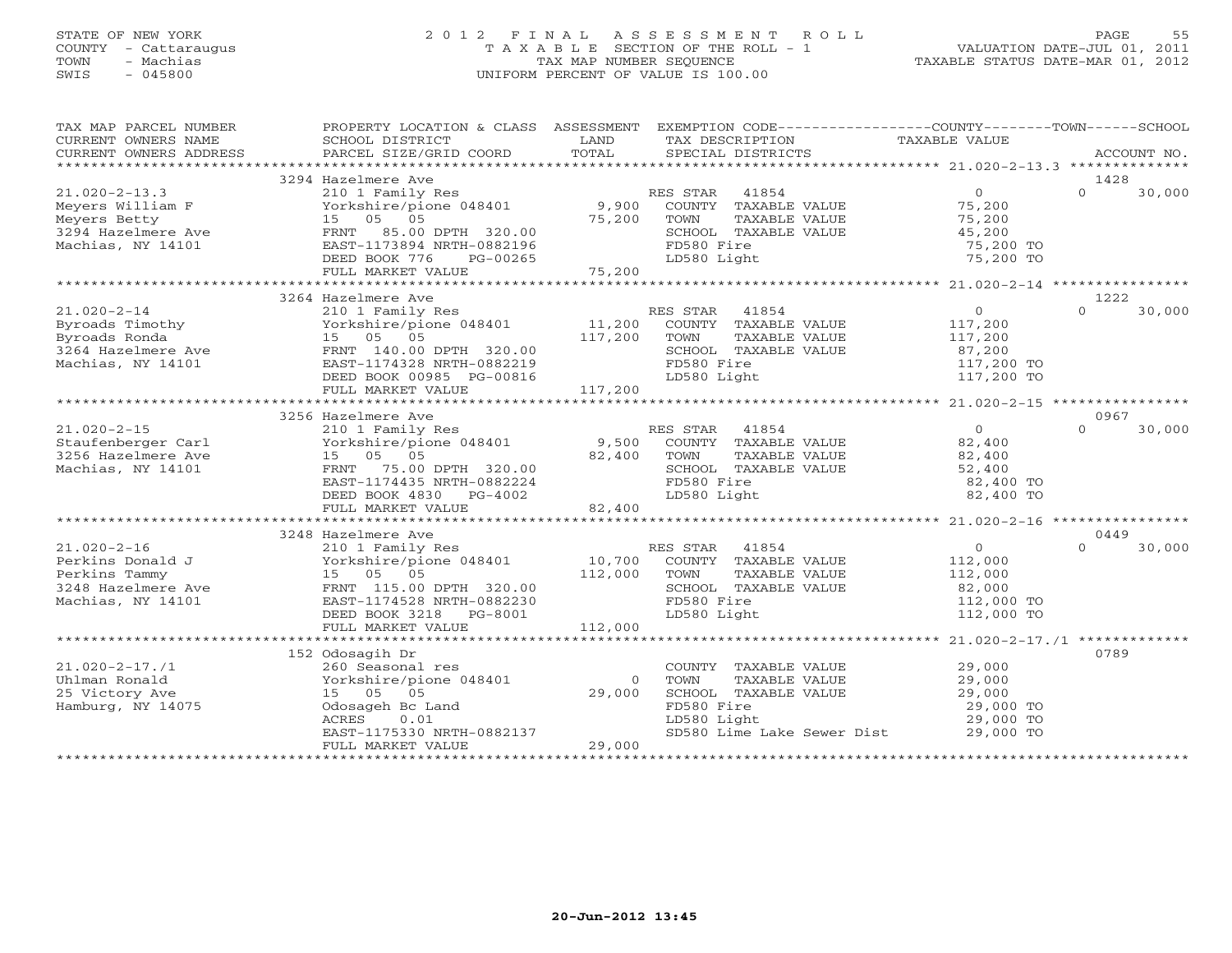### STATE OF NEW YORK 2 0 1 2 F I N A L A S S E S S M E N T R O L L PAGE 55 COUNTY - Cattaraugus T A X A B L E SECTION OF THE ROLL - 1 VALUATION DATE-JUL 01, 2011 TOWN - Machias TAX MAP NUMBER SEQUENCE TAXABLE STATUS DATE-MAR 01, 2012 SWIS - 045800 UNIFORM PERCENT OF VALUE IS 100.00UNIFORM PERCENT OF VALUE IS 100.00

| TAX MAP PARCEL NUMBER<br>CURRENT OWNERS NAME                   | PROPERTY LOCATION & CLASS ASSESSMENT EXEMPTION CODE----------------COUNTY-------TOWN------SCHOOL<br>SCHOOL DISTRICT | LAND              | TAX DESCRIPTION                                      | TAXABLE VALUE                          |                            |
|----------------------------------------------------------------|---------------------------------------------------------------------------------------------------------------------|-------------------|------------------------------------------------------|----------------------------------------|----------------------------|
|                                                                |                                                                                                                     |                   |                                                      |                                        |                            |
|                                                                | 3294 Hazelmere Ave                                                                                                  |                   |                                                      |                                        | 1428                       |
| $21.020 - 2 - 13.3$                                            | 210 1 Family Res                                                                                                    |                   | RES STAR 41854                                       | $\overline{0}$                         | $\Omega$<br>30,000         |
| Meyers William F                                               | Yorkshire/pione 048401 9,900                                                                                        |                   | COUNTY TAXABLE VALUE<br>TOWN TAXABLE VALUE           | 75,200                                 |                            |
| Meyers Betty                                                   | 15 05 05                                                                                                            | 75,200            | TOWN<br>TAXABLE VALUE                                | 75,200                                 |                            |
| no, and alleged and the same are made in the Machias, NY 14101 | FRNT 85.00 DPTH 320.00                                                                                              |                   | SCHOOL TAXABLE VALUE                                 | 45,200                                 |                            |
| Machias, NY 14101                                              | EAST-1173894 NRTH-0882196                                                                                           |                   | FD580 Fire                                           | 75,200 TO                              |                            |
|                                                                | DEED BOOK 776<br>PG-00265                                                                                           |                   | LD580 Light                                          | 75,200 TO                              |                            |
|                                                                | FULL MARKET VALUE                                                                                                   | 75,200            |                                                      |                                        |                            |
|                                                                |                                                                                                                     |                   |                                                      |                                        |                            |
|                                                                | 3264 Hazelmere Ave                                                                                                  |                   |                                                      |                                        | 1222                       |
| $21.020 - 2 - 14$                                              | 210 1 Family Res                                                                                                    |                   | RES STAR 41854                                       | $\overline{0}$                         | 30,000<br>$\Omega$         |
| Byroads Timothy                                                | Yorkshire/pione 048401                                                                                              | 11,200            | COUNTY TAXABLE VALUE<br>TOWN     TAXABLE VALUE       | 117,200<br>117,200                     |                            |
| Byroads Ronda<br>Byroads Roman<br>3264 Hazelmere Ave           | 15 05 05                                                                                                            | 117,200           |                                                      |                                        |                            |
|                                                                | FRNT 140.00 DPTH 320.00                                                                                             |                   | SCHOOL TAXABLE VALUE 87,200<br>FD580 Fire 117,200 TO |                                        |                            |
| Machias, NY 14101                                              | EAST-1174328 NRTH-0882219                                                                                           |                   |                                                      |                                        |                            |
|                                                                | DEED BOOK 00985 PG-00816                                                                                            |                   | LD580 Light                                          | 117,200 TO                             |                            |
|                                                                | FULL MARKET VALUE                                                                                                   | 117,200           |                                                      |                                        |                            |
|                                                                |                                                                                                                     |                   |                                                      |                                        |                            |
|                                                                | 3256 Hazelmere Ave                                                                                                  |                   |                                                      | $\begin{array}{c} 0 \\ 82 \end{array}$ | 0967                       |
| $21.020 - 2 - 15$                                              |                                                                                                                     |                   |                                                      |                                        | 30,000<br>$\cap$           |
| Staufenberger Carl<br>3256 Hazelmere Ave                       |                                                                                                                     |                   |                                                      | 82,400                                 |                            |
|                                                                | 15 05 05                                                                                                            | 82,400            | TOWN<br>TAXABLE VALUE                                | 82,400                                 |                            |
| Machias, NY 14101                                              | FRNT 75.00 DPTH 320.00                                                                                              |                   | SCHOOL TAXABLE VALUE                                 | 52,400                                 |                            |
|                                                                | EAST-1174435 NRTH-0882224                                                                                           |                   | FD580 Fire                                           | 82,400 TO                              |                            |
|                                                                | DEED BOOK 4830 PG-4002                                                                                              |                   | LD580 Light                                          | 82,400 TO                              |                            |
|                                                                | FULL MARKET VALUE                                                                                                   | 82,400            |                                                      |                                        |                            |
|                                                                |                                                                                                                     |                   |                                                      |                                        |                            |
| $21.020 - 2 - 16$                                              | 3248 Hazelmere Ave                                                                                                  |                   | RES STAR                                             | $\overline{0}$                         | 0449<br>$\Omega$<br>30,000 |
|                                                                | 210 1 Family Res<br>Yorkshire/pione 048401 10,700                                                                   |                   | ES STAR 41854<br>COUNTY TAXABLE VALUE                | 112,000                                |                            |
|                                                                |                                                                                                                     | 112,000           |                                                      |                                        |                            |
|                                                                |                                                                                                                     |                   | TOWN<br>TAXABLE VALUE                                | 112,000                                |                            |
|                                                                |                                                                                                                     |                   | SCHOOL TAXABLE VALUE                                 | 82,000                                 |                            |
|                                                                |                                                                                                                     |                   | FD580 Fire                                           | 112,000 TO                             |                            |
|                                                                | DEED BOOK 3218 PG-8001                                                                                              |                   | LD580 Light                                          | 112,000 TO                             |                            |
|                                                                | FULL MARKET VALUE                                                                                                   | 112,000           |                                                      |                                        |                            |
|                                                                | 152 Odosagih Dr                                                                                                     |                   |                                                      |                                        | 0789                       |
| $21.020 - 2 - 17.71$                                           | 260 Seasonal res                                                                                                    |                   |                                                      | 29,000                                 |                            |
|                                                                |                                                                                                                     |                   | COUNTY TAXABLE VALUE                                 |                                        |                            |
| Uhlman Ronald<br>25 Victory Ave                                | Yorkshire/pione 048401<br>15 05 05                                                                                  | $\circ$<br>29,000 | TAXABLE VALUE<br>TOWN<br>SCHOOL TAXABLE VALUE        | 29,000                                 |                            |
| Hamburg, NY 14075                                              |                                                                                                                     |                   | FD580 Fire                                           | 29,000<br>29,000 TO                    |                            |
|                                                                | Odosageh Bc Land<br>ACRES<br>0.01                                                                                   |                   | LD580 Light                                          | 29,000 TO                              |                            |
|                                                                |                                                                                                                     |                   | SD580 Lime Lake Sewer Dist 29,000 TO                 |                                        |                            |
|                                                                | EAST-1175330 NRTH-0882137<br>FULL MARKET VALUE                                                                      | 29,000            |                                                      |                                        |                            |
|                                                                |                                                                                                                     |                   |                                                      |                                        |                            |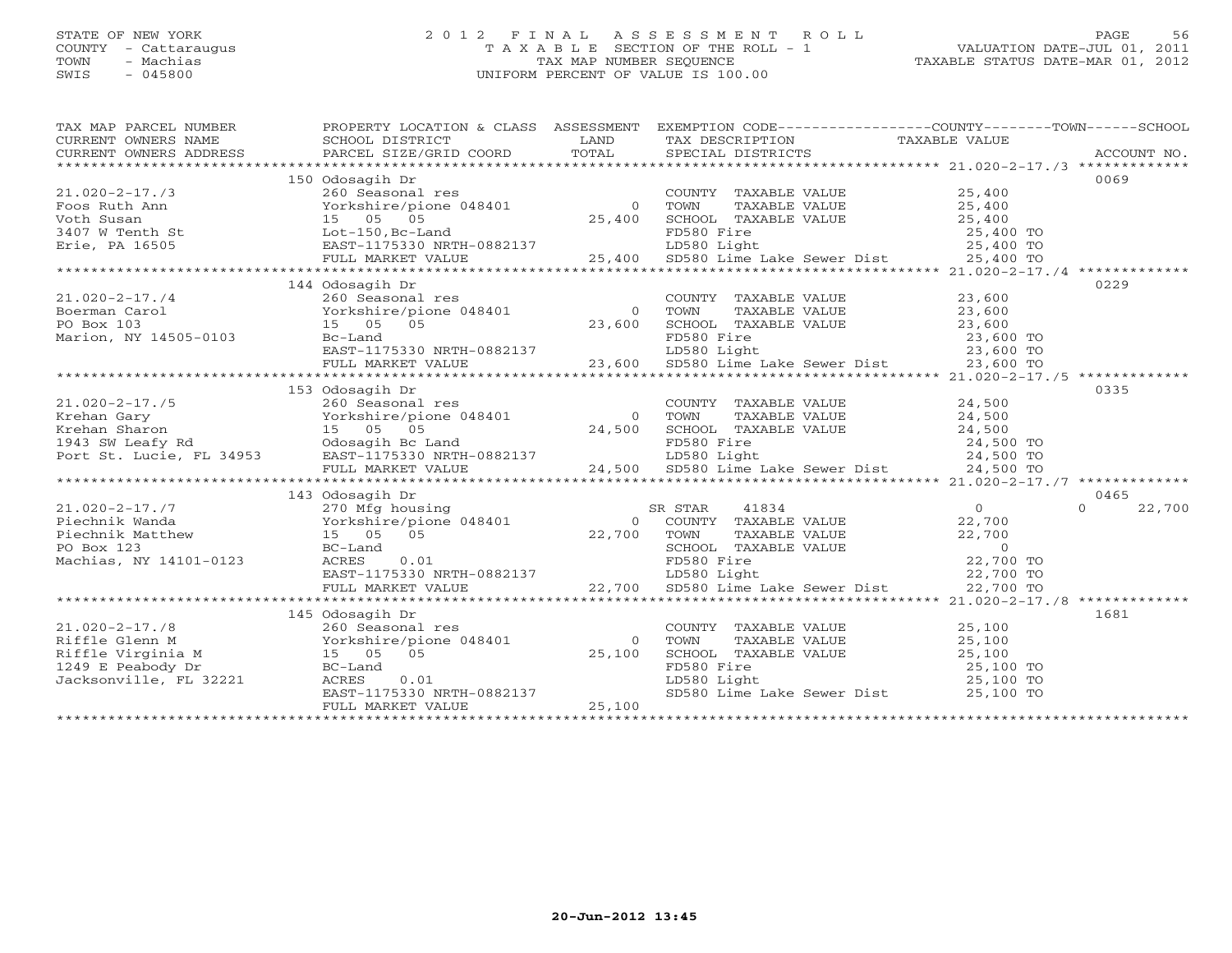# STATE OF NEW YORK 2 0 1 2 F I N A L A S S E S S M E N T R O L L PAGE 56 COUNTY - Cattaraugus T A X A B L E SECTION OF THE ROLL - 1 VALUATION DATE-JUL 01, 2011 TOWN - Machias TAX MAP NUMBER SEQUENCE TAXABLE STATUS DATE-MAR 01, 2012 SWIS - 045800 UNIFORM PERCENT OF VALUE IS 100.00UNIFORM PERCENT OF VALUE IS 100.00

| TAX MAP PARCEL NUMBER                                                                                                                                                                                                                            | PROPERTY LOCATIO<br>SCHOOL DISTRICT             |                                                                                                                                                                        | PROPERTY LOCATION & CLASS ASSESSMENT EXEMPTION CODE---------------COUNTY-------TOWN------SCHOOL                                                                                                                                                                                                                                  |  |
|--------------------------------------------------------------------------------------------------------------------------------------------------------------------------------------------------------------------------------------------------|-------------------------------------------------|------------------------------------------------------------------------------------------------------------------------------------------------------------------------|----------------------------------------------------------------------------------------------------------------------------------------------------------------------------------------------------------------------------------------------------------------------------------------------------------------------------------|--|
|                                                                                                                                                                                                                                                  |                                                 |                                                                                                                                                                        |                                                                                                                                                                                                                                                                                                                                  |  |
|                                                                                                                                                                                                                                                  |                                                 |                                                                                                                                                                        |                                                                                                                                                                                                                                                                                                                                  |  |
|                                                                                                                                                                                                                                                  | 150 Odosagih Dr                                 |                                                                                                                                                                        | 0069                                                                                                                                                                                                                                                                                                                             |  |
|                                                                                                                                                                                                                                                  |                                                 |                                                                                                                                                                        |                                                                                                                                                                                                                                                                                                                                  |  |
|                                                                                                                                                                                                                                                  |                                                 |                                                                                                                                                                        |                                                                                                                                                                                                                                                                                                                                  |  |
|                                                                                                                                                                                                                                                  |                                                 |                                                                                                                                                                        |                                                                                                                                                                                                                                                                                                                                  |  |
|                                                                                                                                                                                                                                                  |                                                 |                                                                                                                                                                        |                                                                                                                                                                                                                                                                                                                                  |  |
|                                                                                                                                                                                                                                                  |                                                 |                                                                                                                                                                        |                                                                                                                                                                                                                                                                                                                                  |  |
|                                                                                                                                                                                                                                                  |                                                 |                                                                                                                                                                        |                                                                                                                                                                                                                                                                                                                                  |  |
|                                                                                                                                                                                                                                                  |                                                 |                                                                                                                                                                        |                                                                                                                                                                                                                                                                                                                                  |  |
|                                                                                                                                                                                                                                                  | 144 Odosagih Dr                                 |                                                                                                                                                                        | 0229                                                                                                                                                                                                                                                                                                                             |  |
| $21.020-2-17.74$<br>$260$ Seasonal res<br>$260$ Seasonal res<br>$23,600$ Seasonal res<br>$23,600$ SCHOO<br>Marion, NY 14505-0103<br>$23,600$ SCHOO<br>$23,600$ SCHOO<br>$23,600$ SCHOO<br>$23,600$ SCHOO                                         |                                                 | COUNTY TAXABLE VALUE<br>TOWN TAXABLE VALUE 23,600                                                                                                                      |                                                                                                                                                                                                                                                                                                                                  |  |
|                                                                                                                                                                                                                                                  |                                                 |                                                                                                                                                                        |                                                                                                                                                                                                                                                                                                                                  |  |
|                                                                                                                                                                                                                                                  |                                                 | SCHOOL TAXABLE VALUE 23,600                                                                                                                                            |                                                                                                                                                                                                                                                                                                                                  |  |
|                                                                                                                                                                                                                                                  |                                                 |                                                                                                                                                                        |                                                                                                                                                                                                                                                                                                                                  |  |
| Marion, NY 14505-0103                                                                                                                                                                                                                            |                                                 |                                                                                                                                                                        |                                                                                                                                                                                                                                                                                                                                  |  |
|                                                                                                                                                                                                                                                  |                                                 |                                                                                                                                                                        |                                                                                                                                                                                                                                                                                                                                  |  |
|                                                                                                                                                                                                                                                  |                                                 |                                                                                                                                                                        |                                                                                                                                                                                                                                                                                                                                  |  |
|                                                                                                                                                                                                                                                  | 153 Odosagih Dr                                 |                                                                                                                                                                        | 0335                                                                                                                                                                                                                                                                                                                             |  |
|                                                                                                                                                                                                                                                  |                                                 |                                                                                                                                                                        |                                                                                                                                                                                                                                                                                                                                  |  |
|                                                                                                                                                                                                                                                  |                                                 |                                                                                                                                                                        |                                                                                                                                                                                                                                                                                                                                  |  |
|                                                                                                                                                                                                                                                  |                                                 |                                                                                                                                                                        |                                                                                                                                                                                                                                                                                                                                  |  |
|                                                                                                                                                                                                                                                  |                                                 |                                                                                                                                                                        |                                                                                                                                                                                                                                                                                                                                  |  |
|                                                                                                                                                                                                                                                  |                                                 |                                                                                                                                                                        |                                                                                                                                                                                                                                                                                                                                  |  |
|                                                                                                                                                                                                                                                  |                                                 |                                                                                                                                                                        |                                                                                                                                                                                                                                                                                                                                  |  |
|                                                                                                                                                                                                                                                  |                                                 |                                                                                                                                                                        | $\begin{tabular}{lllllllllllllllllllll} \hline 21.020-2-17./5 & 153 Odosagih Dr & 2008230 & 153 Odosagih Dr & 2008230 & 153 Odosagih Dr & 2008230 & 153 O dosagih Dr & 2008230 & 153 Oscas & 24500 & 153 Oscas & 24500 & 153 Oscas & 24500 & 153 Oscas & 24500 & 153 Oscas & 24500 & 153 Oscas & 24500 & 153 Oscas & 24500 & 15$ |  |
|                                                                                                                                                                                                                                                  | 143 Odosagih Dr                                 |                                                                                                                                                                        | 0465                                                                                                                                                                                                                                                                                                                             |  |
|                                                                                                                                                                                                                                                  |                                                 |                                                                                                                                                                        | 22,700<br>$\Omega$                                                                                                                                                                                                                                                                                                               |  |
|                                                                                                                                                                                                                                                  |                                                 |                                                                                                                                                                        |                                                                                                                                                                                                                                                                                                                                  |  |
|                                                                                                                                                                                                                                                  |                                                 |                                                                                                                                                                        |                                                                                                                                                                                                                                                                                                                                  |  |
| 21.020-2-17./7<br>Piechnik Wanda<br>Piechnik Matthew 15 05 05<br>Machias, NY 14101-0123<br>Machias, NY 14101-0123<br>Machias, NY 14101-0123<br>Piechnik Matthew 15 05 05<br>Machias, NY 14101-0123<br>Piechnik Matthew 15 05 05<br>Machias, NY 1 |                                                 |                                                                                                                                                                        |                                                                                                                                                                                                                                                                                                                                  |  |
|                                                                                                                                                                                                                                                  |                                                 |                                                                                                                                                                        |                                                                                                                                                                                                                                                                                                                                  |  |
|                                                                                                                                                                                                                                                  |                                                 |                                                                                                                                                                        |                                                                                                                                                                                                                                                                                                                                  |  |
|                                                                                                                                                                                                                                                  |                                                 |                                                                                                                                                                        |                                                                                                                                                                                                                                                                                                                                  |  |
|                                                                                                                                                                                                                                                  |                                                 |                                                                                                                                                                        |                                                                                                                                                                                                                                                                                                                                  |  |
|                                                                                                                                                                                                                                                  | 145 Odosagih Dr                                 |                                                                                                                                                                        | 1681                                                                                                                                                                                                                                                                                                                             |  |
| $21.020 - 2 - 17.78$                                                                                                                                                                                                                             | $260$ Seasonal res                              | COUNTY TAXABLE VALUE 25,100                                                                                                                                            |                                                                                                                                                                                                                                                                                                                                  |  |
|                                                                                                                                                                                                                                                  |                                                 | TOWN                                                                                                                                                                   | TAXABLE VALUE 25,100                                                                                                                                                                                                                                                                                                             |  |
| Eiffle Glenn M<br>Riffle Glenn M<br>Riffle Virginia M<br>15 05 05 25,100<br>1249 E Peabody Dr<br>Jacksonville, FL 32221 ACRES 0.01<br>NACRES 0.01<br>NACRES 0.01                                                                                 |                                                 |                                                                                                                                                                        |                                                                                                                                                                                                                                                                                                                                  |  |
|                                                                                                                                                                                                                                                  |                                                 |                                                                                                                                                                        |                                                                                                                                                                                                                                                                                                                                  |  |
|                                                                                                                                                                                                                                                  |                                                 |                                                                                                                                                                        |                                                                                                                                                                                                                                                                                                                                  |  |
|                                                                                                                                                                                                                                                  |                                                 | SCHOOL TAXABLE VALUE $25,100$<br>FD580 Fire $25,100$ TO<br>LD580 Light $25,100$ TO<br>SD580 Lime Lake Sewer Dist $25,100$ TO<br>SD580 Lime Lake Sewer Dist $25,100$ TO |                                                                                                                                                                                                                                                                                                                                  |  |
|                                                                                                                                                                                                                                                  | EAST-1175330 NRTH-0882137<br>FULL MARKET WALKED |                                                                                                                                                                        |                                                                                                                                                                                                                                                                                                                                  |  |
|                                                                                                                                                                                                                                                  |                                                 |                                                                                                                                                                        |                                                                                                                                                                                                                                                                                                                                  |  |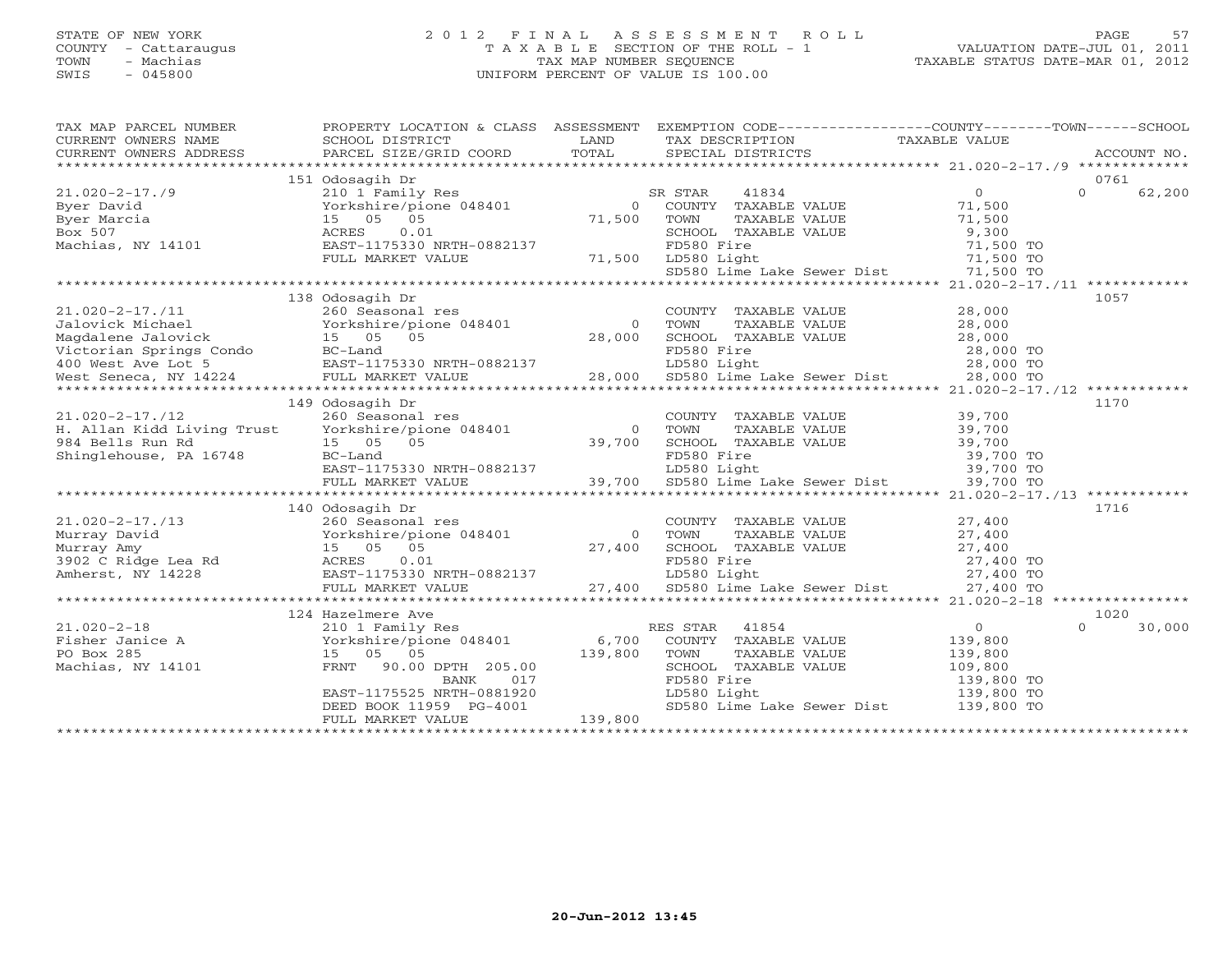### STATE OF NEW YORK 2 0 1 2 F I N A L A S S E S S M E N T R O L L PAGE 57 COUNTY - Cattaraugus T A X A B L E SECTION OF THE ROLL - 1 VALUATION DATE-JUL 01, 2011 TOWN - Machias TAX MAP NUMBER SEQUENCE TAXABLE STATUS DATE-MAR 01, 2012 SWIS - 045800 UNIFORM PERCENT OF VALUE IS 100.00UNIFORM PERCENT OF VALUE IS 100.00

| TAX MAP PARCEL NUMBER                                                                                                                                                                                                                                                                                                                            | PROPERTY LOCATION & CLASS ASSESSMENT EXEMPTION CODE----------------COUNTY-------TOWN------SCHOOL                                                                                                                                                  |                                    |                                                                                                                                                                                           |                          |                    |
|--------------------------------------------------------------------------------------------------------------------------------------------------------------------------------------------------------------------------------------------------------------------------------------------------------------------------------------------------|---------------------------------------------------------------------------------------------------------------------------------------------------------------------------------------------------------------------------------------------------|------------------------------------|-------------------------------------------------------------------------------------------------------------------------------------------------------------------------------------------|--------------------------|--------------------|
| CURRENT OWNERS NAME                                                                                                                                                                                                                                                                                                                              | SCHOOL DISTRICT                                                                                                                                                                                                                                   | <b>EXAMPLE STATE SERVICE STATE</b> | TAX DESCRIPTION                                                                                                                                                                           | TAXABLE VALUE            |                    |
| CURRENT OWNERS ADDRESS                                                                                                                                                                                                                                                                                                                           |                                                                                                                                                                                                                                                   |                                    |                                                                                                                                                                                           |                          |                    |
|                                                                                                                                                                                                                                                                                                                                                  |                                                                                                                                                                                                                                                   |                                    |                                                                                                                                                                                           |                          |                    |
|                                                                                                                                                                                                                                                                                                                                                  | 151 Odosagih Dr<br>CONSECT OF SERIE AND SERIES AND THE MANUE OF THE MANUE OF SERIE VALUE POSTAL CONSIDER SERIES AND MANUE OF THE MANUE CHOOSE OF THE SERIES AND SCHOOL TO THE MANUE OF THE SERIES And SCHOOL TO THE MANUE OF THE SERIES AND SERIE |                                    |                                                                                                                                                                                           |                          | 0761               |
| $21.020 - 2 - 17.79$                                                                                                                                                                                                                                                                                                                             |                                                                                                                                                                                                                                                   |                                    |                                                                                                                                                                                           |                          | $\Omega$<br>62,200 |
| Byer David                                                                                                                                                                                                                                                                                                                                       |                                                                                                                                                                                                                                                   |                                    |                                                                                                                                                                                           |                          |                    |
|                                                                                                                                                                                                                                                                                                                                                  |                                                                                                                                                                                                                                                   |                                    |                                                                                                                                                                                           | 71,500<br>9,300          |                    |
| Forkshire/pior<br>Yorkshire/pior<br>15 05 05<br>ACRES 0.01                                                                                                                                                                                                                                                                                       |                                                                                                                                                                                                                                                   |                                    |                                                                                                                                                                                           |                          |                    |
|                                                                                                                                                                                                                                                                                                                                                  |                                                                                                                                                                                                                                                   |                                    |                                                                                                                                                                                           |                          |                    |
|                                                                                                                                                                                                                                                                                                                                                  |                                                                                                                                                                                                                                                   |                                    |                                                                                                                                                                                           |                          |                    |
|                                                                                                                                                                                                                                                                                                                                                  |                                                                                                                                                                                                                                                   |                                    | TOWN TAXABLE VALUE 71,500<br>SCHOOL TAXABLE VALUE 71,500<br>FD580 Fire 71,500 TO<br>LD580 Light 71,500 TO<br>SD580 Lime Lake Sewer Dist 71,500 TO<br>SD580 Lime Lake Sewer Dist 71,500 TO |                          |                    |
|                                                                                                                                                                                                                                                                                                                                                  |                                                                                                                                                                                                                                                   |                                    |                                                                                                                                                                                           |                          |                    |
|                                                                                                                                                                                                                                                                                                                                                  | 138 Odosagih Dr                                                                                                                                                                                                                                   |                                    |                                                                                                                                                                                           |                          | 1057               |
|                                                                                                                                                                                                                                                                                                                                                  |                                                                                                                                                                                                                                                   |                                    |                                                                                                                                                                                           |                          |                    |
|                                                                                                                                                                                                                                                                                                                                                  |                                                                                                                                                                                                                                                   |                                    |                                                                                                                                                                                           |                          |                    |
|                                                                                                                                                                                                                                                                                                                                                  |                                                                                                                                                                                                                                                   |                                    | COUNTY TAXABLE VALUE 28,000<br>TOWN TAXABLE VALUE 28,000<br>SCHOOL TAXABLE VALUE 28,000<br>TEERO TAXABLE VALUE 28,000                                                                     |                          |                    |
|                                                                                                                                                                                                                                                                                                                                                  |                                                                                                                                                                                                                                                   |                                    |                                                                                                                                                                                           |                          |                    |
|                                                                                                                                                                                                                                                                                                                                                  |                                                                                                                                                                                                                                                   |                                    |                                                                                                                                                                                           |                          |                    |
|                                                                                                                                                                                                                                                                                                                                                  |                                                                                                                                                                                                                                                   |                                    |                                                                                                                                                                                           |                          |                    |
|                                                                                                                                                                                                                                                                                                                                                  |                                                                                                                                                                                                                                                   |                                    |                                                                                                                                                                                           |                          |                    |
|                                                                                                                                                                                                                                                                                                                                                  | 149 Odosagih Dr                                                                                                                                                                                                                                   |                                    |                                                                                                                                                                                           |                          | 1170               |
| 21.020-2-17./12<br>H. Allan Kidd Living Trust 260 Seasonal res count<br>984 Bells Run Rd 15 05 05 05 39,700 SCHOO<br>984 Bells Run Rd 15 05 05 39,700 SCHOO<br>984 Bells Run Rd 15 05 05 39,700 SCHOO<br>EAST-1175330 NRTH-0882137 LD58                                                                                                          |                                                                                                                                                                                                                                                   |                                    | COUNTY TAXABLE VALUE 39,700<br>TOWN TAXABLE VALUE 39,700                                                                                                                                  |                          |                    |
|                                                                                                                                                                                                                                                                                                                                                  |                                                                                                                                                                                                                                                   |                                    |                                                                                                                                                                                           |                          |                    |
|                                                                                                                                                                                                                                                                                                                                                  |                                                                                                                                                                                                                                                   |                                    |                                                                                                                                                                                           |                          |                    |
|                                                                                                                                                                                                                                                                                                                                                  |                                                                                                                                                                                                                                                   |                                    |                                                                                                                                                                                           |                          |                    |
|                                                                                                                                                                                                                                                                                                                                                  |                                                                                                                                                                                                                                                   |                                    |                                                                                                                                                                                           |                          |                    |
|                                                                                                                                                                                                                                                                                                                                                  |                                                                                                                                                                                                                                                   |                                    |                                                                                                                                                                                           |                          |                    |
|                                                                                                                                                                                                                                                                                                                                                  |                                                                                                                                                                                                                                                   |                                    |                                                                                                                                                                                           |                          |                    |
|                                                                                                                                                                                                                                                                                                                                                  | 140 Odosagih Dr                                                                                                                                                                                                                                   |                                    |                                                                                                                                                                                           |                          | 1716               |
| $21.020 - 2 - 17.713$                                                                                                                                                                                                                                                                                                                            | 260 Seasonal res                                                                                                                                                                                                                                  |                                    | COUNTY TAXABLE VALUE 27,400                                                                                                                                                               |                          |                    |
|                                                                                                                                                                                                                                                                                                                                                  |                                                                                                                                                                                                                                                   |                                    |                                                                                                                                                                                           |                          |                    |
|                                                                                                                                                                                                                                                                                                                                                  |                                                                                                                                                                                                                                                   |                                    |                                                                                                                                                                                           |                          |                    |
|                                                                                                                                                                                                                                                                                                                                                  |                                                                                                                                                                                                                                                   |                                    |                                                                                                                                                                                           |                          |                    |
|                                                                                                                                                                                                                                                                                                                                                  |                                                                                                                                                                                                                                                   |                                    |                                                                                                                                                                                           |                          |                    |
|                                                                                                                                                                                                                                                                                                                                                  |                                                                                                                                                                                                                                                   |                                    |                                                                                                                                                                                           |                          |                    |
|                                                                                                                                                                                                                                                                                                                                                  |                                                                                                                                                                                                                                                   |                                    |                                                                                                                                                                                           |                          |                    |
|                                                                                                                                                                                                                                                                                                                                                  | 124 Hazelmere Ave                                                                                                                                                                                                                                 |                                    |                                                                                                                                                                                           |                          | 1020               |
|                                                                                                                                                                                                                                                                                                                                                  |                                                                                                                                                                                                                                                   |                                    |                                                                                                                                                                                           | $\overline{0}$           | $\Omega$<br>30,000 |
|                                                                                                                                                                                                                                                                                                                                                  |                                                                                                                                                                                                                                                   |                                    |                                                                                                                                                                                           |                          |                    |
| $\begin{array}{ccccccccc}\n 21.020-2-18 & & & 210 & 1 & \text{Family Res} & & & \text{RES STAR} & 41854 \\  \text{Fisher Janice A} & & & & \text{Yorkshire/pione} & 048401 & & & 6,700 & \text{COUNTY} & \text{TAXABLE VALUE} \\  \text{PO Box } 285 & & & & 15 & 05 & 05 & & & & 139,800 & \text{TONIN} & \text{TAXABLE VALUE} \\  \end{array}$ |                                                                                                                                                                                                                                                   |                                    |                                                                                                                                                                                           | 139,800<br>139,800       |                    |
| Machias, NY 14101                                                                                                                                                                                                                                                                                                                                |                                                                                                                                                                                                                                                   |                                    | SCHOOL TAXABLE VALUE                                                                                                                                                                      | 109,800                  |                    |
|                                                                                                                                                                                                                                                                                                                                                  |                                                                                                                                                                                                                                                   |                                    | FD580 Fire                                                                                                                                                                                |                          |                    |
|                                                                                                                                                                                                                                                                                                                                                  |                                                                                                                                                                                                                                                   |                                    | LD580 Light                                                                                                                                                                               | 139,800 TO<br>139,800 TO |                    |
|                                                                                                                                                                                                                                                                                                                                                  |                                                                                                                                                                                                                                                   |                                    | SD580 Lime Lake Sewer Dist 139,800 TO                                                                                                                                                     |                          |                    |
|                                                                                                                                                                                                                                                                                                                                                  | FRNT 90.00 DPTH 205.00<br>BANK 017<br>EAST-1175525 NRTH-0881920<br>DEED BOOK 11959 PG-4001<br>DEED MANUE 139,800                                                                                                                                  |                                    |                                                                                                                                                                                           |                          |                    |
|                                                                                                                                                                                                                                                                                                                                                  |                                                                                                                                                                                                                                                   |                                    |                                                                                                                                                                                           |                          |                    |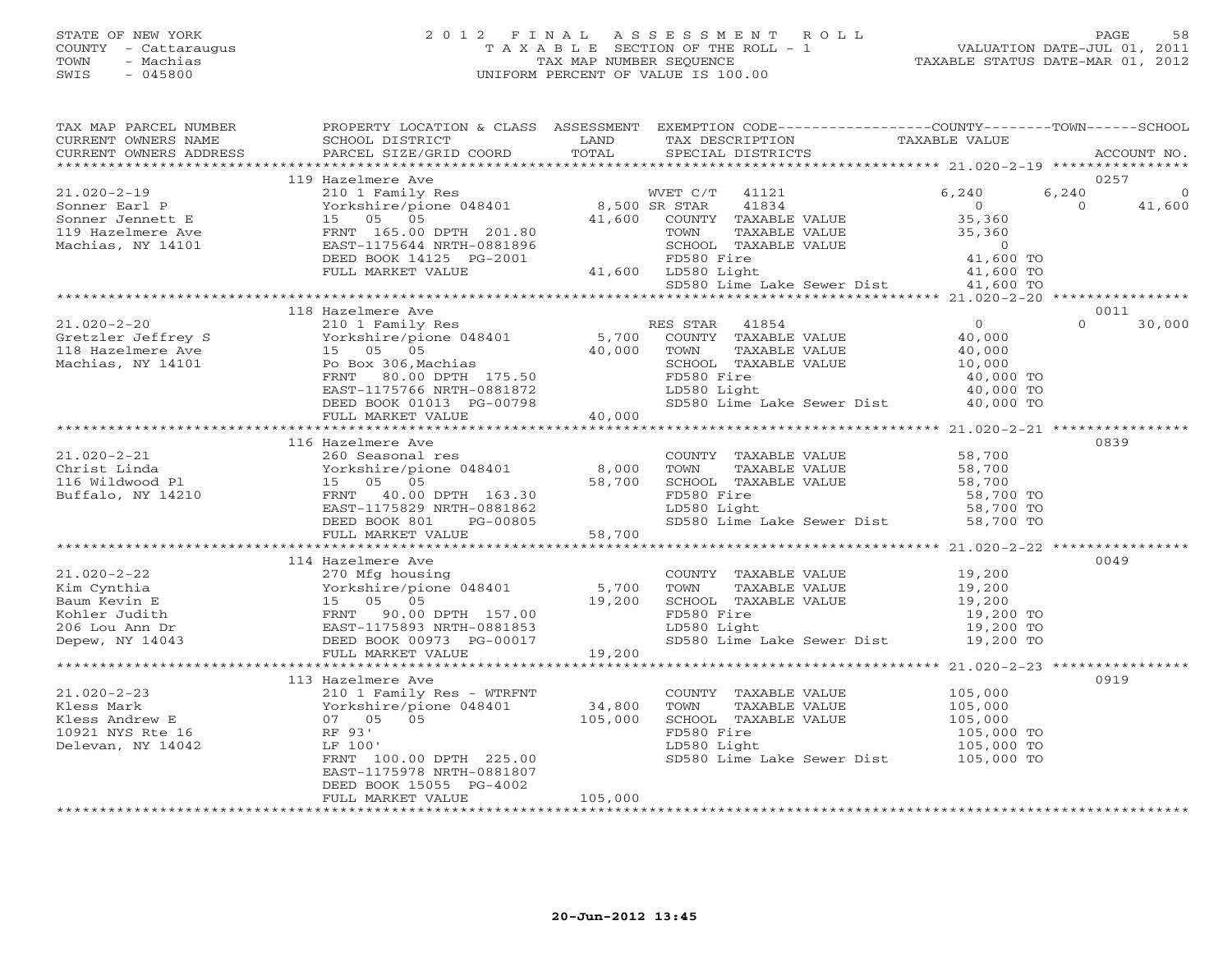# STATE OF NEW YORK 2 0 1 2 F I N A L A S S E S S M E N T R O L L PAGE 58 COUNTY - Cattaraugus T A X A B L E SECTION OF THE ROLL - 1 VALUATION DATE-JUL 01, 2011 TOWN - Machias TAX MAP NUMBER SEQUENCE TAXABLE STATUS DATE-MAR 01, 2012 SWIS - 045800 UNIFORM PERCENT OF VALUE IS 100.00UNIFORM PERCENT OF VALUE IS 100.00

| TAX MAP PARCEL NUMBER                                                                                                                                                                                                                                  | PROPERTY LOCATION & CLASS ASSESSMENT EXEMPTION CODE---------------COUNTY-------TOWN------SCHOOL                                                                                                       |                   |                              |               |                                                                                                 |          |             |
|--------------------------------------------------------------------------------------------------------------------------------------------------------------------------------------------------------------------------------------------------------|-------------------------------------------------------------------------------------------------------------------------------------------------------------------------------------------------------|-------------------|------------------------------|---------------|-------------------------------------------------------------------------------------------------|----------|-------------|
| CURRENT OWNERS NAME                                                                                                                                                                                                                                    | SCHOOL DISTRICT                                                                                                                                                                                       | LAND              | TAX DESCRIPTION              |               | TAXABLE VALUE                                                                                   |          |             |
|                                                                                                                                                                                                                                                        |                                                                                                                                                                                                       |                   |                              |               |                                                                                                 |          | ACCOUNT NO. |
|                                                                                                                                                                                                                                                        | 119 Hazelmere Ave                                                                                                                                                                                     |                   |                              |               |                                                                                                 |          | 0257        |
|                                                                                                                                                                                                                                                        |                                                                                                                                                                                                       |                   |                              |               |                                                                                                 | 6,240    | $\Omega$    |
| $21.020 - 2 - 19$                                                                                                                                                                                                                                      | 210 1 Family Res<br>Yorkshire/pione 048401 8,500 SR STAR 41834<br>15 05 05 41,600 COUNTY TAXABLE                                                                                                      |                   | WVET C/T 41121               |               | 6,240                                                                                           | $\Omega$ |             |
|                                                                                                                                                                                                                                                        |                                                                                                                                                                                                       |                   |                              |               |                                                                                                 |          | 41,600      |
|                                                                                                                                                                                                                                                        |                                                                                                                                                                                                       |                   |                              |               |                                                                                                 |          |             |
|                                                                                                                                                                                                                                                        |                                                                                                                                                                                                       |                   |                              | TAXABLE VALUE | $35,360$<br>$35,360$<br>$0$                                                                     |          |             |
|                                                                                                                                                                                                                                                        |                                                                                                                                                                                                       |                   |                              |               |                                                                                                 |          |             |
|                                                                                                                                                                                                                                                        |                                                                                                                                                                                                       |                   |                              |               |                                                                                                 |          |             |
|                                                                                                                                                                                                                                                        |                                                                                                                                                                                                       |                   |                              |               | BLE VALUE 0<br>41,600 TO<br>41,600 TO<br>ake Sever Dist<br>SD580 Lime Lake Sewer Dist 41,600 TO |          |             |
|                                                                                                                                                                                                                                                        |                                                                                                                                                                                                       |                   |                              |               |                                                                                                 |          |             |
|                                                                                                                                                                                                                                                        | 118 Hazelmere Ave                                                                                                                                                                                     |                   |                              |               |                                                                                                 |          | 0011        |
|                                                                                                                                                                                                                                                        |                                                                                                                                                                                                       |                   |                              |               |                                                                                                 | $\Omega$ |             |
| 21.020-2-20<br>Gretzler Jeffrey S<br>The Country Res RES STAR 41854<br>The Victor of Passing (10 1 Family Res RES STAR 41854<br>The Victor of COUNTY TAXABLE VALUE 40,000<br>TOWN TAXABLE VALUE 40,000<br>Machias, NY 14101 Po Box 306, Ma             |                                                                                                                                                                                                       |                   |                              |               |                                                                                                 |          | 30,000      |
|                                                                                                                                                                                                                                                        |                                                                                                                                                                                                       |                   |                              |               |                                                                                                 |          |             |
|                                                                                                                                                                                                                                                        |                                                                                                                                                                                                       |                   |                              |               |                                                                                                 |          |             |
|                                                                                                                                                                                                                                                        |                                                                                                                                                                                                       |                   |                              |               | 40,000 TO                                                                                       |          |             |
|                                                                                                                                                                                                                                                        |                                                                                                                                                                                                       |                   | LD580 Light                  |               |                                                                                                 |          |             |
|                                                                                                                                                                                                                                                        | EAST-1175766 NRTH-0881872<br>DEED BOOK 01013 PG-00798                                                                                                                                                 |                   |                              |               | LD580 Light 40,000 TO<br>SD580 Lime Lake Sewer Dist 40,000 TO                                   |          |             |
|                                                                                                                                                                                                                                                        |                                                                                                                                                                                                       | 40,000            |                              |               |                                                                                                 |          |             |
|                                                                                                                                                                                                                                                        | FULL MARKET VALUE                                                                                                                                                                                     |                   |                              |               |                                                                                                 |          |             |
|                                                                                                                                                                                                                                                        |                                                                                                                                                                                                       |                   |                              |               |                                                                                                 |          | 0839        |
|                                                                                                                                                                                                                                                        | 116 Hazelmere Ave                                                                                                                                                                                     |                   |                              |               |                                                                                                 |          |             |
|                                                                                                                                                                                                                                                        |                                                                                                                                                                                                       |                   |                              |               | COUNTY TAXABLE VALUE 58,700<br>TOWN TAXABLE VALUE 58,700                                        |          |             |
|                                                                                                                                                                                                                                                        |                                                                                                                                                                                                       |                   | SCHOOL TAXABLE VALUE         |               | 58,700<br>58,700 TO<br>58,700 TO                                                                |          |             |
|                                                                                                                                                                                                                                                        |                                                                                                                                                                                                       |                   | FD580 Fire                   |               |                                                                                                 |          |             |
|                                                                                                                                                                                                                                                        |                                                                                                                                                                                                       |                   |                              |               |                                                                                                 |          |             |
|                                                                                                                                                                                                                                                        |                                                                                                                                                                                                       |                   | LD580 Light                  |               | SD580 Lime Lake Sewer Dist 58,700 TO                                                            |          |             |
|                                                                                                                                                                                                                                                        |                                                                                                                                                                                                       |                   |                              |               |                                                                                                 |          |             |
| 21.020-2-21<br>Christ Linda<br>260 Seasonal res<br>260 Seasonal res<br>260 Seasonal res<br>260 Seasonal res<br>260 Seasonal res<br>260 Seasonal res<br>260 Seasonal res<br>260 Seasonal res<br>260 Seasonal res<br>260 Seasonal res<br>260 Seasonal r  |                                                                                                                                                                                                       |                   |                              |               |                                                                                                 |          |             |
|                                                                                                                                                                                                                                                        |                                                                                                                                                                                                       |                   |                              |               |                                                                                                 |          | 0049        |
|                                                                                                                                                                                                                                                        | 114 Hazelmere Ave                                                                                                                                                                                     |                   |                              |               |                                                                                                 |          |             |
| $21.020 - 2 - 22$<br>Kim Cynthia                                                                                                                                                                                                                       | 270 Mfg housing                                                                                                                                                                                       |                   | COUNTY TAXABLE VALUE<br>TOWN | TAXABLE VALUE |                                                                                                 |          |             |
| Baum Kevin E                                                                                                                                                                                                                                           |                                                                                                                                                                                                       |                   |                              |               | 19,200<br>19,200<br>19,200                                                                      |          |             |
| Kohler Judith                                                                                                                                                                                                                                          |                                                                                                                                                                                                       |                   |                              |               |                                                                                                 |          |             |
| 206 Lou Ann Dr                                                                                                                                                                                                                                         |                                                                                                                                                                                                       |                   |                              |               | SCHOOL TAXABLE VALUE $19,200$<br>FD580 Fire $19,200$ TO<br>LD580 Light $19,200$ TO              |          |             |
| Depew, NY 14043                                                                                                                                                                                                                                        |                                                                                                                                                                                                       |                   |                              |               | SD580 Lime Lake Sewer Dist 19,200 TO                                                            |          |             |
|                                                                                                                                                                                                                                                        | 270 Mfg housing<br>Yorkshire/pione 048401 5,700<br>19,200<br>19,200<br>PENT 90.00 DPTH 157.00<br>PENT 90.00 DPTH 157.00<br>EAST-1175893 NRTH-0881853<br>DEED BOOK 00973 PG-00017<br>FULL MARKET VALUE |                   |                              |               |                                                                                                 |          |             |
|                                                                                                                                                                                                                                                        |                                                                                                                                                                                                       |                   |                              |               |                                                                                                 |          |             |
|                                                                                                                                                                                                                                                        |                                                                                                                                                                                                       |                   |                              |               |                                                                                                 |          | 0919        |
|                                                                                                                                                                                                                                                        |                                                                                                                                                                                                       |                   |                              |               | COUNTY TAXABLE VALUE 105,000                                                                    |          |             |
|                                                                                                                                                                                                                                                        |                                                                                                                                                                                                       |                   | TOWN                         | TAXABLE VALUE |                                                                                                 |          |             |
| Aless Mark<br>Elevan, NY 14042<br>Elevan, NY 14042<br>Elevan, NY 14042<br>Elevan, NY 14042<br>Elevan, NY 14042<br>Elevan, NY 14042<br>Elevan, NY 14042<br>Elevan, NY 14042<br>Elevan, NY 14042<br>Elevan, NY 14042<br>Elevan, NY 14042<br>Elevan, NY 1 |                                                                                                                                                                                                       | 34,800<br>105,000 | SCHOOL TAXABLE VALUE         |               | $105,000$<br>$105,000$                                                                          |          |             |
|                                                                                                                                                                                                                                                        |                                                                                                                                                                                                       |                   |                              |               |                                                                                                 |          |             |
|                                                                                                                                                                                                                                                        |                                                                                                                                                                                                       |                   |                              |               | FD580 Fire 105,000 TO<br>LD580 Light 105,000 TO<br>SD580 Lime Lake Sewer Dist 105,000 TO        |          |             |
|                                                                                                                                                                                                                                                        | FRNT 100.00 DPTH 225.00                                                                                                                                                                               |                   |                              |               |                                                                                                 |          |             |
|                                                                                                                                                                                                                                                        | EAST-1175978 NRTH-0881807                                                                                                                                                                             |                   |                              |               |                                                                                                 |          |             |
|                                                                                                                                                                                                                                                        | DEED BOOK 15055 PG-4002                                                                                                                                                                               |                   |                              |               |                                                                                                 |          |             |
|                                                                                                                                                                                                                                                        | FULL MARKET VALUE                                                                                                                                                                                     | 105,000           |                              |               |                                                                                                 |          |             |
|                                                                                                                                                                                                                                                        |                                                                                                                                                                                                       |                   |                              |               |                                                                                                 |          |             |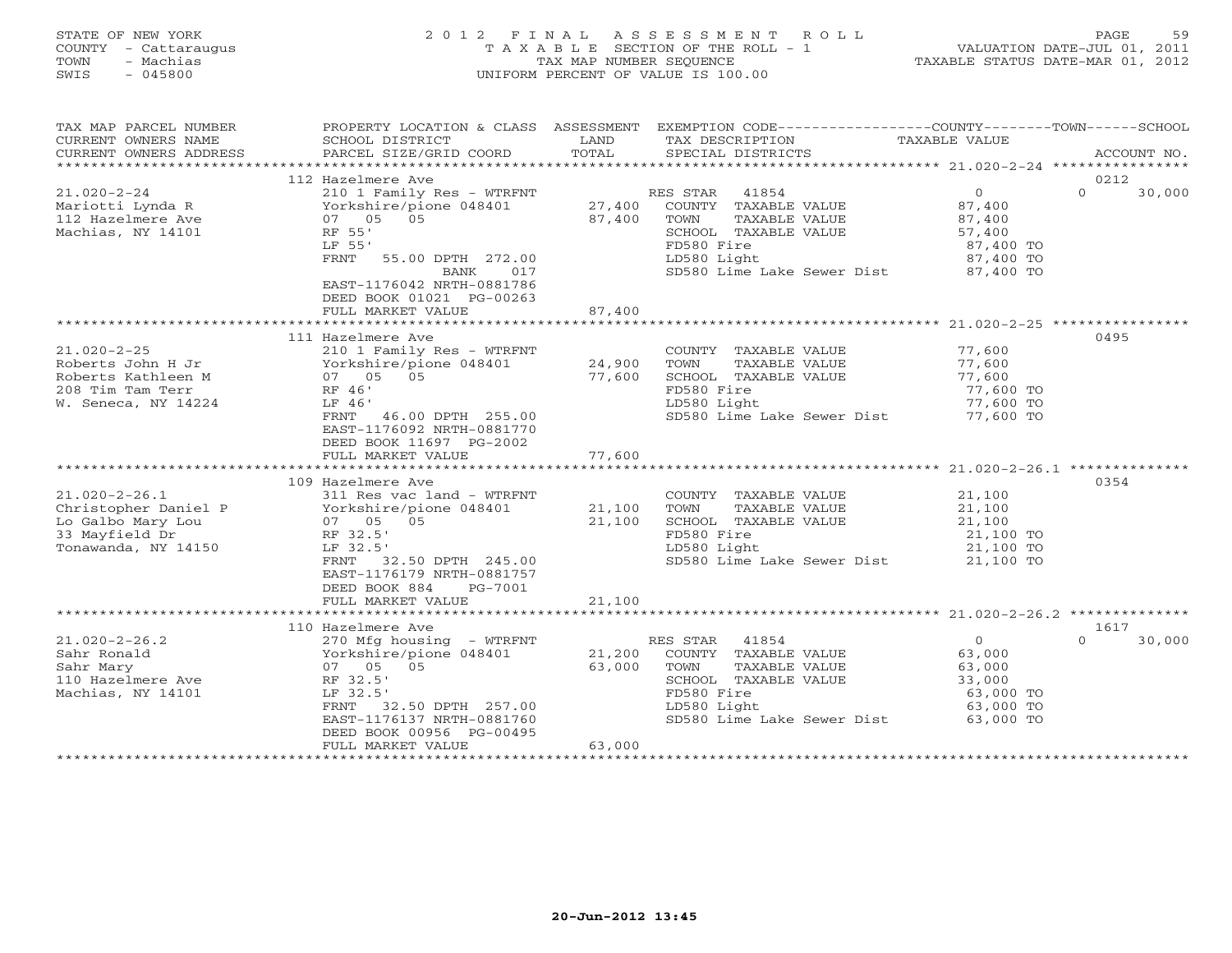| COUNTY<br>- Cattaraugus<br>TOWN<br>- Machias<br>$-045800$<br>SWIS                                                                                                                                                    |                                                                                                                                                                                                                                                                                                                                                                                                                                         | TAX MAP NUMBER SEQUENCE                                      | TAXABLE SECTION OF THE ROLL - 1<br>UNIFORM PERCENT OF VALUE IS 100.00                                                                                                                                                                                                | TAXABLE STATUS DATE-MAR 01, 2012                                                                                                       | VALUATION DATE-JUL 01, 2011 |
|----------------------------------------------------------------------------------------------------------------------------------------------------------------------------------------------------------------------|-----------------------------------------------------------------------------------------------------------------------------------------------------------------------------------------------------------------------------------------------------------------------------------------------------------------------------------------------------------------------------------------------------------------------------------------|--------------------------------------------------------------|----------------------------------------------------------------------------------------------------------------------------------------------------------------------------------------------------------------------------------------------------------------------|----------------------------------------------------------------------------------------------------------------------------------------|-----------------------------|
| TAX MAP PARCEL NUMBER<br>CURRENT OWNERS NAME                                                                                                                                                                         | PROPERTY LOCATION & CLASS ASSESSMENT<br>SCHOOL DISTRICT                                                                                                                                                                                                                                                                                                                                                                                 | LAND                                                         | EXEMPTION CODE-----------------COUNTY-------TOWN------SCHOOL<br>TAX DESCRIPTION                                                                                                                                                                                      | TAXABLE VALUE                                                                                                                          |                             |
| CURRENT OWNERS ADDRESS                                                                                                                                                                                               | PARCEL SIZE/GRID COORD                                                                                                                                                                                                                                                                                                                                                                                                                  | TOTAL                                                        | SPECIAL DISTRICTS                                                                                                                                                                                                                                                    |                                                                                                                                        | ACCOUNT NO.                 |
|                                                                                                                                                                                                                      | 112 Hazelmere Ave                                                                                                                                                                                                                                                                                                                                                                                                                       |                                                              |                                                                                                                                                                                                                                                                      |                                                                                                                                        | 0212                        |
| $21.020 - 2 - 24$                                                                                                                                                                                                    | 210 1 Family Res - WTRFNT                                                                                                                                                                                                                                                                                                                                                                                                               |                                                              | RES STAR<br>41854                                                                                                                                                                                                                                                    | $\Omega$                                                                                                                               | $\Omega$<br>30,000          |
| Mariotti Lynda R<br>112 Hazelmere Ave<br>Machias, NY 14101                                                                                                                                                           | Yorkshire/pione 048401<br>07 05 05<br>RF 55'<br>LF 55'                                                                                                                                                                                                                                                                                                                                                                                  | 27,400<br>87,400                                             | COUNTY TAXABLE VALUE<br>TOWN<br>TAXABLE VALUE<br>SCHOOL TAXABLE VALUE<br>FD580 Fire                                                                                                                                                                                  | 87,400<br>87,400<br>57,400<br>87,400 TO                                                                                                |                             |
|                                                                                                                                                                                                                      | FRNT<br>55.00 DPTH 272.00<br>017<br>BANK<br>EAST-1176042 NRTH-0881786<br>DEED BOOK 01021 PG-00263<br>FULL MARKET VALUE                                                                                                                                                                                                                                                                                                                  | 87,400                                                       | LD580 Light<br>SD580 Lime Lake Sewer Dist 87,400 TO                                                                                                                                                                                                                  | 87,400 TO                                                                                                                              |                             |
|                                                                                                                                                                                                                      |                                                                                                                                                                                                                                                                                                                                                                                                                                         |                                                              |                                                                                                                                                                                                                                                                      |                                                                                                                                        |                             |
| $21.020 - 2 - 25$<br>Roberts John H Jr<br>Roberts Kathleen M<br>208 Tim Tam Terr<br>W. Seneca, NY 14224<br>$21.020 - 2 - 26.1$<br>Christopher Daniel P<br>Lo Galbo Mary Lou<br>33 Mayfield Dr<br>Tonawanda, NY 14150 | 111 Hazelmere Ave<br>210 1 Family Res - WTRFNT<br>Yorkshire/pione 048401<br>07 05 05<br>RF 46'<br>LF 46'<br>46.00 DPTH 255.00<br>FRNT<br>EAST-1176092 NRTH-0881770<br>DEED BOOK 11697 PG-2002<br>FULL MARKET VALUE<br>* * * * * * * * * * * * * * * * * * * *<br>109 Hazelmere Ave<br>311 Res vac land - WTRFNT<br>Yorkshire/pione 048401<br>07 05 05<br>RF 32.5'<br>LF 32.5'<br>FRNT<br>32.50 DPTH 245.00<br>EAST-1176179 NRTH-0881757 | 24,900<br>77,600<br>77,600<br>**********<br>21,100<br>21,100 | COUNTY TAXABLE VALUE<br>TAXABLE VALUE<br>TOWN<br>SCHOOL TAXABLE VALUE<br>FD580 Fire<br>LD580 Light<br>SD580 Lime Lake Sewer Dist<br>COUNTY TAXABLE VALUE<br>TOWN<br>TAXABLE VALUE<br>SCHOOL TAXABLE VALUE<br>FD580 Fire<br>LD580 Light<br>SD580 Lime Lake Sewer Dist | 77,600<br>77,600<br>77,600<br>77,600 TO<br>77,600 TO<br>77,600 TO<br>21,100<br>21,100<br>21,100<br>21,100 TO<br>21,100 TO<br>21,100 TO | 0495<br>0354                |
|                                                                                                                                                                                                                      | DEED BOOK 884<br>PG-7001<br>FULL MARKET VALUE<br>************************                                                                                                                                                                                                                                                                                                                                                               | 21,100                                                       |                                                                                                                                                                                                                                                                      |                                                                                                                                        |                             |
|                                                                                                                                                                                                                      | 110 Hazelmere Ave                                                                                                                                                                                                                                                                                                                                                                                                                       |                                                              |                                                                                                                                                                                                                                                                      |                                                                                                                                        | 1617                        |
| $21.020 - 2 - 26.2$<br>Sahr Ronald<br>Sahr Mary<br>110 Hazelmere Ave<br>Machias, NY 14101                                                                                                                            | 270 Mfg housing - WTRFNT<br>Yorkshire/pione 048401<br>05<br>07 05<br>RF 32.5'<br>LF 32.5'<br>FRNT<br>32.50 DPTH 257.00<br>EAST-1176137 NRTH-0881760<br>DEED BOOK 00956 PG-00495<br>FULL MARKET VALUE                                                                                                                                                                                                                                    | 21,200<br>63,000<br>63,000                                   | RES STAR<br>41854<br>COUNTY TAXABLE VALUE<br>TOWN<br>TAXABLE VALUE<br>SCHOOL TAXABLE VALUE<br>FD580 Fire<br>LD580 Light<br>SD580 Lime Lake Sewer Dist                                                                                                                | $\overline{0}$<br>63,000<br>63,000<br>33,000<br>63,000 TO<br>63,000 TO<br>63,000 TO                                                    | $\Omega$<br>30,000          |

STATE OF NEW YORK 2 0 1 2 F I N A L A S S E S S M E N T R O L L PAGE 59

\*\*\*\*\*\*\*\*\*\*\*\*\*\*\*\*\*\*\*\*\*\*\*\*\*\*\*\*\*\*\*\*\*\*\*\*\*\*\*\*\*\*\*\*\*\*\*\*\*\*\*\*\*\*\*\*\*\*\*\*\*\*\*\*\*\*\*\*\*\*\*\*\*\*\*\*\*\*\*\*\*\*\*\*\*\*\*\*\*\*\*\*\*\*\*\*\*\*\*\*\*\*\*\*\*\*\*\*\*\*\*\*\*\*\*\*\*\*\*\*\*\*\*\*\*\*\*\*\*\*\*\*

FULL MARKET VALUE 63,000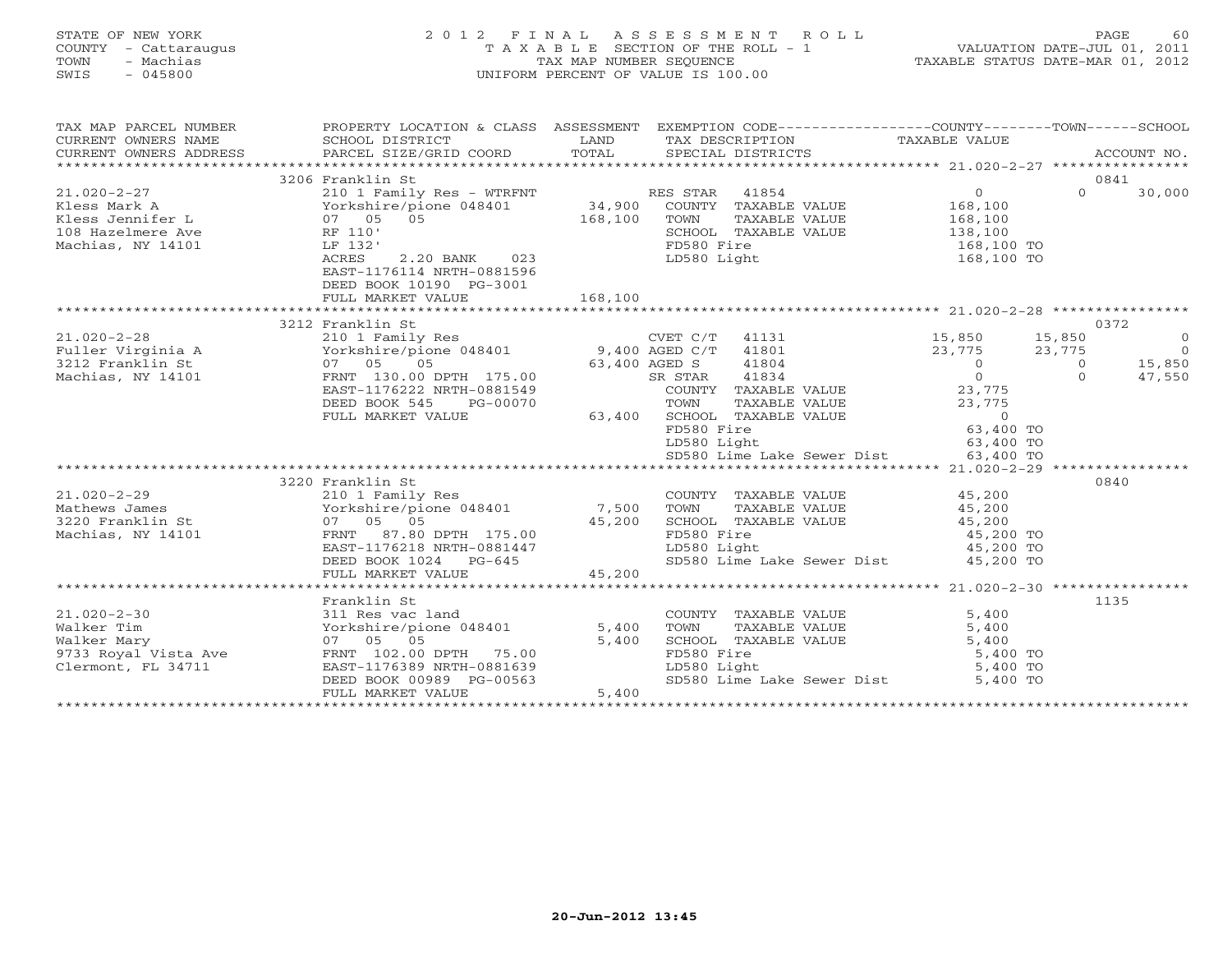| STATE OF NEW YORK<br>COUNTY - Cattaraugus<br>TOWN<br>- Machias<br>SWIS<br>$-045800$             | 2012 FINAL                                                                                                                                                                              | TAX MAP NUMBER SEQUENCE   | ASSESSMENT ROLL<br>T A X A B L E SECTION OF THE ROLL - 1<br>UNIFORM PERCENT OF VALUE IS 100.00                                                                                                   |                                                                                                          | PAGE 60<br>VALUATION DATE-JUL 01, 2011<br>TAXABLE STATUS DATE 115 (1)<br>TAXABLE STATUS DATE-MAR 01, 2012 |
|-------------------------------------------------------------------------------------------------|-----------------------------------------------------------------------------------------------------------------------------------------------------------------------------------------|---------------------------|--------------------------------------------------------------------------------------------------------------------------------------------------------------------------------------------------|----------------------------------------------------------------------------------------------------------|-----------------------------------------------------------------------------------------------------------|
| TAX MAP PARCEL NUMBER<br>CURRENT OWNERS NAME<br>CURRENT OWNERS ADDRESS                          | PROPERTY LOCATION & CLASS ASSESSMENT EXEMPTION CODE---------------COUNTY-------TOWN------SCHOOL<br>SCHOOL DISTRICT<br>PARCEL SIZE/GRID COORD                                            | LAND<br>TOTAL             | TAX DESCRIPTION<br>SPECIAL DISTRICTS                                                                                                                                                             | TAXABLE VALUE                                                                                            | ACCOUNT NO.                                                                                               |
|                                                                                                 |                                                                                                                                                                                         |                           |                                                                                                                                                                                                  |                                                                                                          |                                                                                                           |
|                                                                                                 | 3206 Franklin St                                                                                                                                                                        |                           |                                                                                                                                                                                                  |                                                                                                          | 0841<br>$\Omega$                                                                                          |
| $21.020 - 2 - 27$<br>Kless Mark A<br>Kless Jennifer L<br>108 Hazelmere Ave<br>Machias, NY 14101 | 210 1 Family Res - WTRFNT<br>Yorkshire/pione 048401<br>07 05<br>05<br>RF 110'<br>LF 132'<br>ACRES<br>2.20 BANK<br>023<br>EAST-1176114 NRTH-0881596                                      | 34,900<br>168,100         | RES STAR<br>41854<br>COUNTY TAXABLE VALUE<br>TAXABLE VALUE<br>TOWN<br>SCHOOL TAXABLE VALUE<br>FD580 Fire<br>LD580 Light                                                                          | $\overline{0}$<br>168,100<br>168,100<br>138,100<br>168,100 TO<br>168,100 TO                              | 30,000                                                                                                    |
|                                                                                                 | DEED BOOK 10190 PG-3001<br>FULL MARKET VALUE                                                                                                                                            | 168,100                   |                                                                                                                                                                                                  |                                                                                                          |                                                                                                           |
|                                                                                                 |                                                                                                                                                                                         |                           |                                                                                                                                                                                                  |                                                                                                          |                                                                                                           |
|                                                                                                 | 3212 Franklin St                                                                                                                                                                        |                           |                                                                                                                                                                                                  |                                                                                                          | 0372                                                                                                      |
| $21.020 - 2 - 28$<br>Fuller Virginia A<br>3212 Franklin St<br>Machias, NY 14101                 | 210 1 Family Res<br>ZIO I Family Res<br>Yorkshire/pione 048401<br>07 05<br>05<br>FRNT 130.00 DPTH 175.00<br>EAST-1176222 NRTH-0881549<br>DEED BOOK 545<br>PG-00070<br>FULL MARKET VALUE | 63,400                    | CVET C/T<br>41131<br>41801<br>9,400 AGED C/T<br>63,400 AGED S<br>41804<br>41834<br>SR STAR<br>COUNTY TAXABLE VALUE<br>TOWN<br>TAXABLE VALUE<br>SCHOOL TAXABLE VALUE<br>FD580 Fire<br>LD580 Light | 15,850<br>23,775<br>$\overline{O}$<br>$\Omega$<br>23,775<br>23,775<br>$\Omega$<br>63,400 TO<br>63,400 TO | 15,850<br>$\circ$<br>23,775<br>$\overline{0}$<br>15,850<br>$\overline{0}$<br>$\Omega$<br>47,550           |
|                                                                                                 |                                                                                                                                                                                         |                           | SD580 Lime Lake Sewer Dist                                                                                                                                                                       | 63,400 TO                                                                                                |                                                                                                           |
|                                                                                                 |                                                                                                                                                                                         |                           |                                                                                                                                                                                                  |                                                                                                          |                                                                                                           |
| $21.020 - 2 - 29$<br>Mathews James<br>3220 Franklin St<br>Machias, NY 14101                     | 3220 Franklin St<br>210 1 Family Res<br>Yorkshire/pione 048401<br>07 05 05<br>FRNT 87.80 DPTH 175.00<br>EAST-1176218 NRTH-0881447<br>DEED BOOK 1024 PG-645<br>FULL MARKET VALUE         | 7,500<br>45,200<br>45,200 | COUNTY TAXABLE VALUE<br>TOWN<br>TAXABLE VALUE<br>SCHOOL TAXABLE VALUE<br>FD580 Fire<br>LD580 Light<br>SD580 Lime Lake Sewer Dist                                                                 | 45,200<br>45,200<br>45,200<br>45,200 TO<br>45,200 TO<br>45,200 TO                                        | 0840                                                                                                      |
|                                                                                                 |                                                                                                                                                                                         |                           |                                                                                                                                                                                                  |                                                                                                          |                                                                                                           |
| $21.020 - 2 - 30$<br>Walker Tim<br>Walker Mary<br>9733 Royal Vista Ave<br>Clermont, FL 34711    | Franklin St<br>311 Res vac land<br>Yorkshire/pione 048401<br>07 05 05<br>FRNT 102.00 DPTH 75.00<br>EAST-1176389 NRTH-0881639<br>DEED BOOK 00989 PG-00563<br>FULL MARKET VALUE           | 5,400<br>5,400<br>5,400   | COUNTY TAXABLE VALUE<br>TOWN<br>TAXABLE VALUE<br>SCHOOL TAXABLE VALUE<br>FD580 Fire<br>LD580 Light                                                                                               | 5,400<br>5,400<br>5,400<br>5,400 TO<br>5,400 TO<br>SD580 Lime Lake Sewer Dist 5,400 TO                   | 1135                                                                                                      |
|                                                                                                 |                                                                                                                                                                                         | *******************       |                                                                                                                                                                                                  |                                                                                                          |                                                                                                           |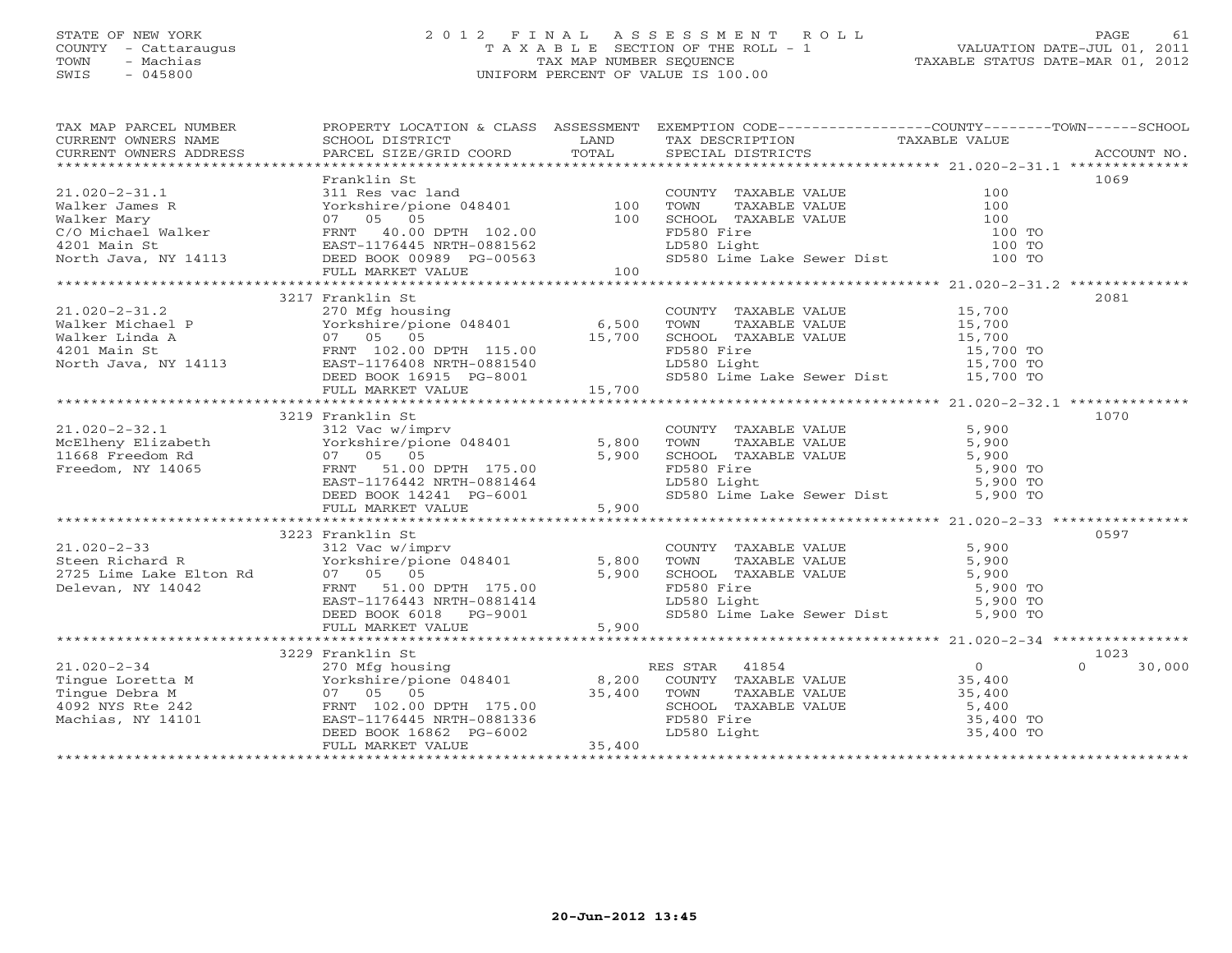# STATE OF NEW YORK 2 0 1 2 F I N A L A S S E S S M E N T R O L L PAGE 61 COUNTY - Cattaraugus T A X A B L E SECTION OF THE ROLL - 1 VALUATION DATE-JUL 01, 2011 TOWN - Machias TAX MAP NUMBER SEQUENCE TAXABLE STATUS DATE-MAR 01, 2012 SWIS - 045800 UNIFORM PERCENT OF VALUE IS 100.00UNIFORM PERCENT OF VALUE IS 100.00

| TAX MAP PARCEL NUMBER                                                                                                                                                                                                                                                                                                                                                                   |                  |  | PROPERTY LOCATION & CLASS ASSESSMENT EXEMPTION CODE----------------COUNTY-------TOWN------SCHOOL                                                                                                                                                                                                                                                                                                |               |
|-----------------------------------------------------------------------------------------------------------------------------------------------------------------------------------------------------------------------------------------------------------------------------------------------------------------------------------------------------------------------------------------|------------------|--|-------------------------------------------------------------------------------------------------------------------------------------------------------------------------------------------------------------------------------------------------------------------------------------------------------------------------------------------------------------------------------------------------|---------------|
|                                                                                                                                                                                                                                                                                                                                                                                         |                  |  |                                                                                                                                                                                                                                                                                                                                                                                                 |               |
|                                                                                                                                                                                                                                                                                                                                                                                         |                  |  |                                                                                                                                                                                                                                                                                                                                                                                                 |               |
|                                                                                                                                                                                                                                                                                                                                                                                         |                  |  |                                                                                                                                                                                                                                                                                                                                                                                                 |               |
|                                                                                                                                                                                                                                                                                                                                                                                         | Franklin St      |  | 1069                                                                                                                                                                                                                                                                                                                                                                                            |               |
|                                                                                                                                                                                                                                                                                                                                                                                         |                  |  |                                                                                                                                                                                                                                                                                                                                                                                                 |               |
|                                                                                                                                                                                                                                                                                                                                                                                         |                  |  |                                                                                                                                                                                                                                                                                                                                                                                                 |               |
|                                                                                                                                                                                                                                                                                                                                                                                         |                  |  |                                                                                                                                                                                                                                                                                                                                                                                                 |               |
|                                                                                                                                                                                                                                                                                                                                                                                         |                  |  |                                                                                                                                                                                                                                                                                                                                                                                                 |               |
|                                                                                                                                                                                                                                                                                                                                                                                         |                  |  |                                                                                                                                                                                                                                                                                                                                                                                                 |               |
|                                                                                                                                                                                                                                                                                                                                                                                         |                  |  |                                                                                                                                                                                                                                                                                                                                                                                                 |               |
|                                                                                                                                                                                                                                                                                                                                                                                         |                  |  |                                                                                                                                                                                                                                                                                                                                                                                                 |               |
|                                                                                                                                                                                                                                                                                                                                                                                         | 3217 Franklin St |  | 2081                                                                                                                                                                                                                                                                                                                                                                                            |               |
|                                                                                                                                                                                                                                                                                                                                                                                         |                  |  |                                                                                                                                                                                                                                                                                                                                                                                                 |               |
|                                                                                                                                                                                                                                                                                                                                                                                         |                  |  |                                                                                                                                                                                                                                                                                                                                                                                                 |               |
|                                                                                                                                                                                                                                                                                                                                                                                         |                  |  |                                                                                                                                                                                                                                                                                                                                                                                                 |               |
|                                                                                                                                                                                                                                                                                                                                                                                         |                  |  |                                                                                                                                                                                                                                                                                                                                                                                                 |               |
|                                                                                                                                                                                                                                                                                                                                                                                         |                  |  |                                                                                                                                                                                                                                                                                                                                                                                                 |               |
|                                                                                                                                                                                                                                                                                                                                                                                         |                  |  |                                                                                                                                                                                                                                                                                                                                                                                                 |               |
|                                                                                                                                                                                                                                                                                                                                                                                         |                  |  |                                                                                                                                                                                                                                                                                                                                                                                                 |               |
|                                                                                                                                                                                                                                                                                                                                                                                         |                  |  |                                                                                                                                                                                                                                                                                                                                                                                                 |               |
|                                                                                                                                                                                                                                                                                                                                                                                         | 3219 Franklin St |  | 1070                                                                                                                                                                                                                                                                                                                                                                                            |               |
|                                                                                                                                                                                                                                                                                                                                                                                         |                  |  |                                                                                                                                                                                                                                                                                                                                                                                                 |               |
|                                                                                                                                                                                                                                                                                                                                                                                         |                  |  |                                                                                                                                                                                                                                                                                                                                                                                                 |               |
|                                                                                                                                                                                                                                                                                                                                                                                         |                  |  |                                                                                                                                                                                                                                                                                                                                                                                                 |               |
|                                                                                                                                                                                                                                                                                                                                                                                         |                  |  |                                                                                                                                                                                                                                                                                                                                                                                                 |               |
|                                                                                                                                                                                                                                                                                                                                                                                         |                  |  |                                                                                                                                                                                                                                                                                                                                                                                                 |               |
|                                                                                                                                                                                                                                                                                                                                                                                         |                  |  |                                                                                                                                                                                                                                                                                                                                                                                                 |               |
|                                                                                                                                                                                                                                                                                                                                                                                         |                  |  |                                                                                                                                                                                                                                                                                                                                                                                                 |               |
|                                                                                                                                                                                                                                                                                                                                                                                         |                  |  |                                                                                                                                                                                                                                                                                                                                                                                                 |               |
|                                                                                                                                                                                                                                                                                                                                                                                         | 3223 Franklin St |  | 0597                                                                                                                                                                                                                                                                                                                                                                                            |               |
|                                                                                                                                                                                                                                                                                                                                                                                         |                  |  |                                                                                                                                                                                                                                                                                                                                                                                                 |               |
|                                                                                                                                                                                                                                                                                                                                                                                         |                  |  |                                                                                                                                                                                                                                                                                                                                                                                                 |               |
|                                                                                                                                                                                                                                                                                                                                                                                         |                  |  |                                                                                                                                                                                                                                                                                                                                                                                                 |               |
|                                                                                                                                                                                                                                                                                                                                                                                         |                  |  |                                                                                                                                                                                                                                                                                                                                                                                                 |               |
|                                                                                                                                                                                                                                                                                                                                                                                         |                  |  |                                                                                                                                                                                                                                                                                                                                                                                                 |               |
|                                                                                                                                                                                                                                                                                                                                                                                         |                  |  |                                                                                                                                                                                                                                                                                                                                                                                                 |               |
|                                                                                                                                                                                                                                                                                                                                                                                         |                  |  | $\begin{array}{cccccccc} 21.020-2-33 & 3223 & \text{Franklin St.} & 5,900 & 0.997 \\ \text{Steen Richard R} & 312 \text{ Vac w/imprv} & 5,800 & \text{TOWTY TAXABLE VALUE} & 5,900 & 5,900 \\ 2725 \text{ Line Lake Elton Rd} & 07 \text{ OS} & 05 & 0.90 & \text{FINR} & 5,900 \\ \text{Delevan, NY 14042} & 07 \text{ OS} & 0.997 & 0.997 & \text{MXABLE VALUE} & 5,900 \\ \text{Delevan, NY$ |               |
|                                                                                                                                                                                                                                                                                                                                                                                         |                  |  |                                                                                                                                                                                                                                                                                                                                                                                                 |               |
|                                                                                                                                                                                                                                                                                                                                                                                         | 3229 Franklin St |  | 1023                                                                                                                                                                                                                                                                                                                                                                                            |               |
|                                                                                                                                                                                                                                                                                                                                                                                         |                  |  |                                                                                                                                                                                                                                                                                                                                                                                                 | $0 \t 30,000$ |
|                                                                                                                                                                                                                                                                                                                                                                                         |                  |  |                                                                                                                                                                                                                                                                                                                                                                                                 |               |
|                                                                                                                                                                                                                                                                                                                                                                                         |                  |  |                                                                                                                                                                                                                                                                                                                                                                                                 |               |
|                                                                                                                                                                                                                                                                                                                                                                                         |                  |  |                                                                                                                                                                                                                                                                                                                                                                                                 |               |
|                                                                                                                                                                                                                                                                                                                                                                                         |                  |  |                                                                                                                                                                                                                                                                                                                                                                                                 |               |
| $\begin{tabular}{lllllllllllll} 21.020-2-34 & 3229\ \hline 10.020-2-34 & 270\ \hline \end{tabular} \begin{tabular}{lllllllll} 21.020-2-34 & 270\ \hline \end{tabular} \begin{tabular}{lllllllll} 21.020-2-34 & 270\ \hline \end{tabular} \begin{tabular}{lllllllll} 21.020-2-34 & 270\ \hline \end{tabular} \begin{tabular}{lllllllll} 21.020-2-34 & 0 \\ \hline \end{tabular} \begin{$ |                  |  |                                                                                                                                                                                                                                                                                                                                                                                                 |               |
|                                                                                                                                                                                                                                                                                                                                                                                         |                  |  |                                                                                                                                                                                                                                                                                                                                                                                                 |               |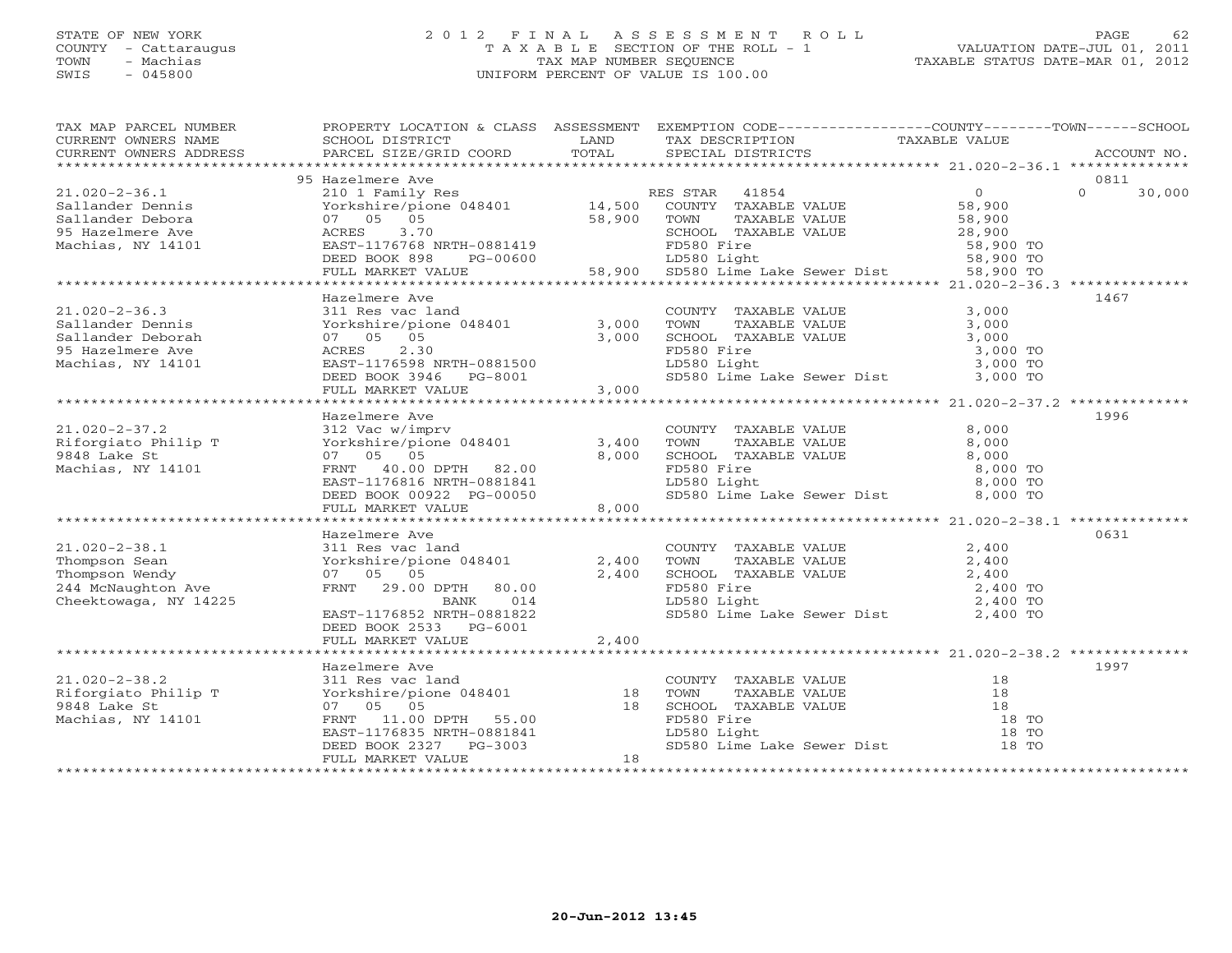### STATE OF NEW YORK 2 0 1 2 F I N A L A S S E S S M E N T R O L L PAGE 62 COUNTY - Cattaraugus T A X A B L E SECTION OF THE ROLL - 1 VALUATION DATE-JUL 01, 2011 TOWN - Machias TAX MAP NUMBER SEQUENCE TAXABLE STATUS DATE-MAR 01, 2012 SWIS - 045800 UNIFORM PERCENT OF VALUE IS 100.00UNIFORM PERCENT OF VALUE IS 100.00

| TAX MAP PARCEL NUMBER<br>TAXABLE NOWERS NOW TAXABLE NOW TAXABLE ON THE CONFIDENT OF THE CONFERNT OF THE CONFERNT OF THE CONFERNT OF THE CONFERNT OF THE CONFERNT OF THE CONFERNT OF THE CONFERNT OF THE CONFERNT OF THE CONFERNT OF THE CONFERNT OF THE<br>CURRENT OWNERS ADDRESS | PROPERTY LOCATION & CLASS ASSESSMENT EXEMPTION CODE----------------COUNTY-------TOWN------SCHOOL                                                                                                                                                                                                                                              |       |                                                                                                                                                                                                                                                                                                                                                                                                                                                                                 |       |               |
|-----------------------------------------------------------------------------------------------------------------------------------------------------------------------------------------------------------------------------------------------------------------------------------|-----------------------------------------------------------------------------------------------------------------------------------------------------------------------------------------------------------------------------------------------------------------------------------------------------------------------------------------------|-------|---------------------------------------------------------------------------------------------------------------------------------------------------------------------------------------------------------------------------------------------------------------------------------------------------------------------------------------------------------------------------------------------------------------------------------------------------------------------------------|-------|---------------|
|                                                                                                                                                                                                                                                                                   |                                                                                                                                                                                                                                                                                                                                               |       |                                                                                                                                                                                                                                                                                                                                                                                                                                                                                 |       |               |
|                                                                                                                                                                                                                                                                                   | 95 Hazelmere Ave                                                                                                                                                                                                                                                                                                                              |       |                                                                                                                                                                                                                                                                                                                                                                                                                                                                                 |       | 0811          |
|                                                                                                                                                                                                                                                                                   |                                                                                                                                                                                                                                                                                                                                               |       |                                                                                                                                                                                                                                                                                                                                                                                                                                                                                 |       | $0 \t 30,000$ |
|                                                                                                                                                                                                                                                                                   |                                                                                                                                                                                                                                                                                                                                               |       |                                                                                                                                                                                                                                                                                                                                                                                                                                                                                 |       |               |
|                                                                                                                                                                                                                                                                                   |                                                                                                                                                                                                                                                                                                                                               |       |                                                                                                                                                                                                                                                                                                                                                                                                                                                                                 |       |               |
|                                                                                                                                                                                                                                                                                   |                                                                                                                                                                                                                                                                                                                                               |       |                                                                                                                                                                                                                                                                                                                                                                                                                                                                                 |       |               |
|                                                                                                                                                                                                                                                                                   |                                                                                                                                                                                                                                                                                                                                               |       |                                                                                                                                                                                                                                                                                                                                                                                                                                                                                 |       |               |
|                                                                                                                                                                                                                                                                                   |                                                                                                                                                                                                                                                                                                                                               |       |                                                                                                                                                                                                                                                                                                                                                                                                                                                                                 |       |               |
|                                                                                                                                                                                                                                                                                   |                                                                                                                                                                                                                                                                                                                                               |       |                                                                                                                                                                                                                                                                                                                                                                                                                                                                                 |       |               |
|                                                                                                                                                                                                                                                                                   |                                                                                                                                                                                                                                                                                                                                               |       |                                                                                                                                                                                                                                                                                                                                                                                                                                                                                 |       |               |
|                                                                                                                                                                                                                                                                                   | Hazelmere Ave                                                                                                                                                                                                                                                                                                                                 |       |                                                                                                                                                                                                                                                                                                                                                                                                                                                                                 |       | 1467          |
| $21.020 - 2 - 36.3$                                                                                                                                                                                                                                                               |                                                                                                                                                                                                                                                                                                                                               |       |                                                                                                                                                                                                                                                                                                                                                                                                                                                                                 |       |               |
| Sallander Dennis                                                                                                                                                                                                                                                                  |                                                                                                                                                                                                                                                                                                                                               |       |                                                                                                                                                                                                                                                                                                                                                                                                                                                                                 |       |               |
| Sallander Deborah                                                                                                                                                                                                                                                                 |                                                                                                                                                                                                                                                                                                                                               |       |                                                                                                                                                                                                                                                                                                                                                                                                                                                                                 |       |               |
| 95 Hazelmere Ave                                                                                                                                                                                                                                                                  |                                                                                                                                                                                                                                                                                                                                               |       |                                                                                                                                                                                                                                                                                                                                                                                                                                                                                 |       |               |
| Machias, NY 14101                                                                                                                                                                                                                                                                 |                                                                                                                                                                                                                                                                                                                                               |       |                                                                                                                                                                                                                                                                                                                                                                                                                                                                                 |       |               |
|                                                                                                                                                                                                                                                                                   | ALLE WALLE AND HARABLE VALUE<br>3.000 TOWN TAXABLE VALUE<br>11 Res vac land 3,000 TOWN TAXABLE VALUE<br>3,000 TOWN TAXABLE VALUE<br>3,000 SCHOOL TAXABLE VALUE<br>3,000 TO<br>ACRES 2.30 FD580 Fire 3,000 TO<br>DEED BOOK 3D580 Light<br>DEED<br>ACRES 2.30<br>EAST-1176598 NRTH-0881500<br>DEED BOOK 3946 PG-8001<br>FULL MARKET VALUE 3,000 |       |                                                                                                                                                                                                                                                                                                                                                                                                                                                                                 |       |               |
|                                                                                                                                                                                                                                                                                   |                                                                                                                                                                                                                                                                                                                                               |       |                                                                                                                                                                                                                                                                                                                                                                                                                                                                                 |       |               |
|                                                                                                                                                                                                                                                                                   |                                                                                                                                                                                                                                                                                                                                               |       |                                                                                                                                                                                                                                                                                                                                                                                                                                                                                 |       |               |
| $21.020 - 2 - 37.2$                                                                                                                                                                                                                                                               | Hazelmere Ave                                                                                                                                                                                                                                                                                                                                 |       |                                                                                                                                                                                                                                                                                                                                                                                                                                                                                 |       | 1996          |
|                                                                                                                                                                                                                                                                                   |                                                                                                                                                                                                                                                                                                                                               |       | COUNTY TAXABLE VALUE                                                                                                                                                                                                                                                                                                                                                                                                                                                            | 8,000 |               |
|                                                                                                                                                                                                                                                                                   |                                                                                                                                                                                                                                                                                                                                               |       |                                                                                                                                                                                                                                                                                                                                                                                                                                                                                 |       |               |
| Example 1991 and the state of the state of the state of the state of the state of the state of the state of the state of the state of the state of the state of the state of the state of the state of the state of the state                                                     |                                                                                                                                                                                                                                                                                                                                               |       | <b>TOWN TAXABLE VALUE</b><br>TOWN TAXABLE VALUE<br>SCHOOL TAXABLE VALUE<br>B,000<br>FD580 Light<br>LD580 Light<br>8,000 TO<br>LD580 Light<br>8,000 TO                                                                                                                                                                                                                                                                                                                           |       |               |
| Machias, NY 14101                                                                                                                                                                                                                                                                 |                                                                                                                                                                                                                                                                                                                                               |       |                                                                                                                                                                                                                                                                                                                                                                                                                                                                                 |       |               |
|                                                                                                                                                                                                                                                                                   |                                                                                                                                                                                                                                                                                                                                               |       | SD580 Lime Lake Sewer Dist 8,000 TO                                                                                                                                                                                                                                                                                                                                                                                                                                             |       |               |
|                                                                                                                                                                                                                                                                                   | 07 05 05<br>FRNT 40.00 DPTH 82.00<br>EAST-1176816 NRTH-0881841<br>DEED BOOK 00922 PG-00050<br>FULL MARKET VALUE 8,000                                                                                                                                                                                                                         |       |                                                                                                                                                                                                                                                                                                                                                                                                                                                                                 |       |               |
|                                                                                                                                                                                                                                                                                   |                                                                                                                                                                                                                                                                                                                                               |       |                                                                                                                                                                                                                                                                                                                                                                                                                                                                                 |       |               |
|                                                                                                                                                                                                                                                                                   | Hazelmere Ave                                                                                                                                                                                                                                                                                                                                 |       |                                                                                                                                                                                                                                                                                                                                                                                                                                                                                 |       | 0631          |
|                                                                                                                                                                                                                                                                                   |                                                                                                                                                                                                                                                                                                                                               |       |                                                                                                                                                                                                                                                                                                                                                                                                                                                                                 |       |               |
|                                                                                                                                                                                                                                                                                   |                                                                                                                                                                                                                                                                                                                                               |       |                                                                                                                                                                                                                                                                                                                                                                                                                                                                                 |       |               |
| 21.020-2-38.1<br>Thompson Sean<br>Thompson Wendy<br>244 McNaughton Ave                                                                                                                                                                                                            |                                                                                                                                                                                                                                                                                                                                               |       |                                                                                                                                                                                                                                                                                                                                                                                                                                                                                 |       |               |
|                                                                                                                                                                                                                                                                                   |                                                                                                                                                                                                                                                                                                                                               |       |                                                                                                                                                                                                                                                                                                                                                                                                                                                                                 |       |               |
| Cheektowaga, NY 14225                                                                                                                                                                                                                                                             |                                                                                                                                                                                                                                                                                                                                               |       |                                                                                                                                                                                                                                                                                                                                                                                                                                                                                 |       |               |
|                                                                                                                                                                                                                                                                                   | Hazelmere Ave<br>311 Res vac land<br>Yorkshire/pione 048401 2,400<br>07 05 05 2,400<br>FRNT 29.00 DPTH 80.00<br>BANK 014<br>EAST-1176852 NRTH-0881822<br>FRNT 10081822                                                                                                                                                                        |       | $\begin{tabular}{lllllllllllll} \multicolumn{2}{c}{\text{\small\bf\color{blue}COMNY}} & \texttt{TAXABLE VALUE} & & \texttt{2,400} \\ \multicolumn{2}{c}{\text{\small\bf\color{blue}70WN}} & \texttt{TAXABLE VALUE} & & \texttt{2,400} \\ \multicolumn{2}{c}{\text{\small\bf 2,400}} & \texttt{SCHOOL} & \texttt{TAXABLE VALUE} & & \texttt{2,400} \\ \multicolumn{2}{c}{\text{\small\bf 2,400}} & \texttt{TO} & & \texttt{D580 Fire} & & \texttt{2,400 TO} \\ \multicolumn{2}{$ |       |               |
|                                                                                                                                                                                                                                                                                   | DEED BOOK 2533 PG-6001                                                                                                                                                                                                                                                                                                                        |       |                                                                                                                                                                                                                                                                                                                                                                                                                                                                                 |       |               |
|                                                                                                                                                                                                                                                                                   | FULL MARKET VALUE                                                                                                                                                                                                                                                                                                                             | 2,400 |                                                                                                                                                                                                                                                                                                                                                                                                                                                                                 |       |               |
|                                                                                                                                                                                                                                                                                   |                                                                                                                                                                                                                                                                                                                                               |       |                                                                                                                                                                                                                                                                                                                                                                                                                                                                                 |       |               |
|                                                                                                                                                                                                                                                                                   | Hazelmere Ave                                                                                                                                                                                                                                                                                                                                 |       |                                                                                                                                                                                                                                                                                                                                                                                                                                                                                 |       | 1997          |
|                                                                                                                                                                                                                                                                                   |                                                                                                                                                                                                                                                                                                                                               |       |                                                                                                                                                                                                                                                                                                                                                                                                                                                                                 |       |               |
|                                                                                                                                                                                                                                                                                   |                                                                                                                                                                                                                                                                                                                                               |       |                                                                                                                                                                                                                                                                                                                                                                                                                                                                                 |       |               |
|                                                                                                                                                                                                                                                                                   |                                                                                                                                                                                                                                                                                                                                               |       |                                                                                                                                                                                                                                                                                                                                                                                                                                                                                 |       |               |
|                                                                                                                                                                                                                                                                                   |                                                                                                                                                                                                                                                                                                                                               |       |                                                                                                                                                                                                                                                                                                                                                                                                                                                                                 |       |               |
|                                                                                                                                                                                                                                                                                   |                                                                                                                                                                                                                                                                                                                                               |       |                                                                                                                                                                                                                                                                                                                                                                                                                                                                                 |       |               |
|                                                                                                                                                                                                                                                                                   |                                                                                                                                                                                                                                                                                                                                               |       |                                                                                                                                                                                                                                                                                                                                                                                                                                                                                 |       |               |
|                                                                                                                                                                                                                                                                                   |                                                                                                                                                                                                                                                                                                                                               |       |                                                                                                                                                                                                                                                                                                                                                                                                                                                                                 |       |               |
|                                                                                                                                                                                                                                                                                   |                                                                                                                                                                                                                                                                                                                                               |       |                                                                                                                                                                                                                                                                                                                                                                                                                                                                                 |       |               |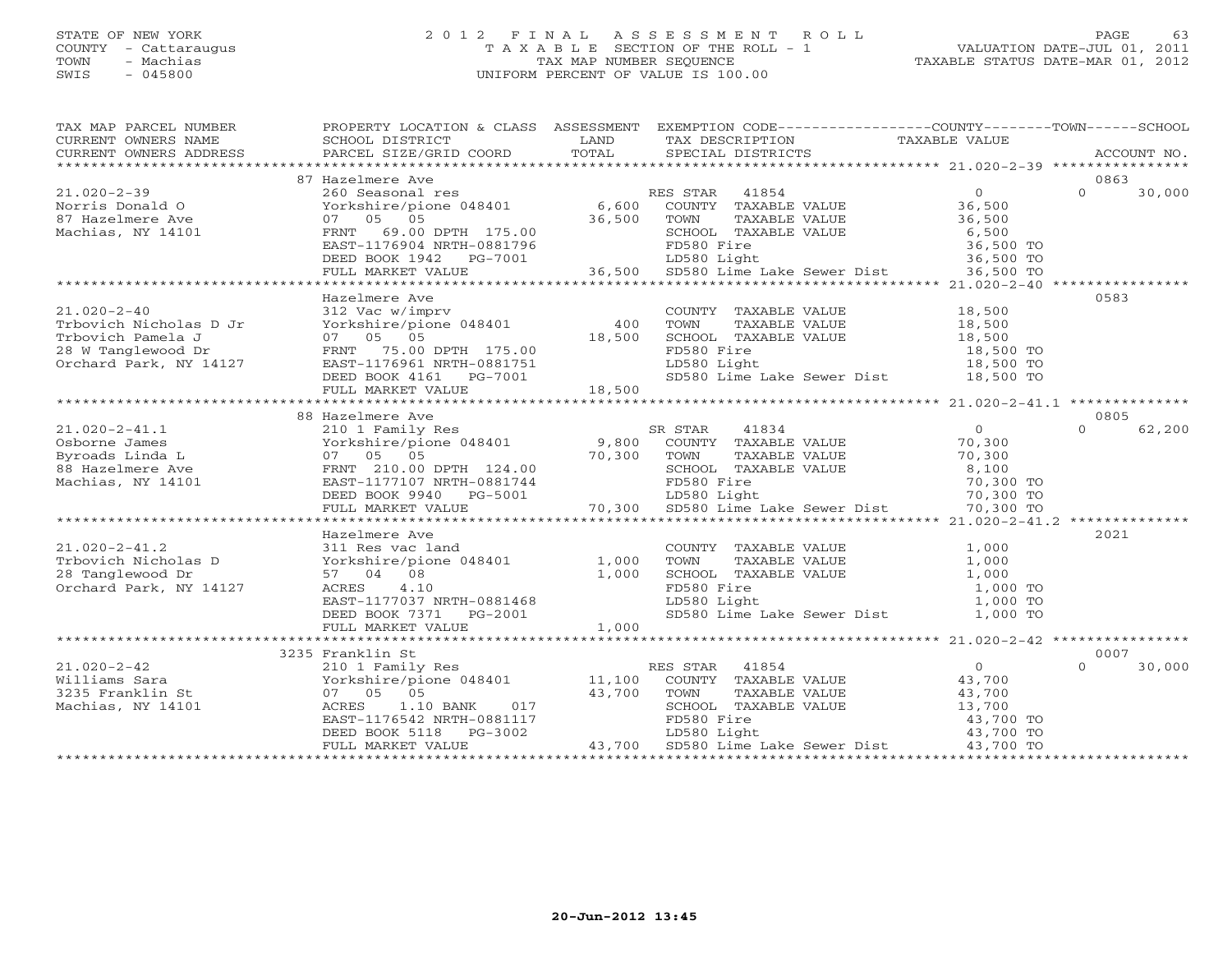# STATE OF NEW YORK 2 0 1 2 F I N A L A S S E S S M E N T R O L L PAGE 63 COUNTY - Cattaraugus T A X A B L E SECTION OF THE ROLL - 1 VALUATION DATE-JUL 01, 2011 TOWN - Machias TAX MAP NUMBER SEQUENCE TAXABLE STATUS DATE-MAR 01, 2012 SWIS - 045800 UNIFORM PERCENT OF VALUE IS 100.00

| TAX MAP PARCEL NUMBER<br>CURRENT OWNERS NAME<br>COKRENT OWNERS NAMEN SOLUTE BARCEL SIZE/GRID COORD FORMET SECTAL DISTRICTS FORMET OWNERS ADDRESS BARCEL SIZE/GRID COORD TOTAL SECTAL DISTRICTS FORMENT ON ACCOUNT NO. | PROPERTY LOCATION & CLASS ASSESSMENT EXEMPTION CODE---------------COUNTY-------TOWN-----SCHOOL<br><b>EXAMPLE SERVICE SERVICE SERVICE SERVICE SERVICE SERVICE SERVICE SERVICE SERVICE SERVICE SERVICE SERVICE SERVICE</b><br>SCHOOL DISTRICT |                                       | TAX DESCRIPTION                                                                                                         | TAXABLE VALUE                                            |                    |
|-----------------------------------------------------------------------------------------------------------------------------------------------------------------------------------------------------------------------|---------------------------------------------------------------------------------------------------------------------------------------------------------------------------------------------------------------------------------------------|---------------------------------------|-------------------------------------------------------------------------------------------------------------------------|----------------------------------------------------------|--------------------|
|                                                                                                                                                                                                                       |                                                                                                                                                                                                                                             |                                       |                                                                                                                         |                                                          |                    |
|                                                                                                                                                                                                                       | 87 Hazelmere Ave                                                                                                                                                                                                                            |                                       |                                                                                                                         |                                                          | 0863               |
| $21.020 - 2 - 39$<br>Norris Donald O<br>87 Hazelmere Ave<br>Machias, NY 14101                                                                                                                                         | 260 Seasonal res<br>Yorkshire/pione 048401 6,600 COUNTY TAXABLE VALUE<br>07 05 05<br>FRNT 69.00 DPTH 175.00<br>EAST-1176904 NRTH-0881796                                                                                                    | 36,500 TOWN<br>H 175.00 36,500 SCHOOI | RES STAR 41854<br>TAXABLE VALUE<br>SCHOOL TAXABLE VALUE<br>FD580 Fire                                                   | $\overline{0}$<br>36,500<br>36,500<br>6,500<br>36,500 TO | $\Omega$<br>30,000 |
|                                                                                                                                                                                                                       | DEED BOOK $1942$ PG-7001                                                                                                                                                                                                                    |                                       | LD580 Light                                                                                                             | 36,500 то<br>36,500 то                                   |                    |
|                                                                                                                                                                                                                       | FULL MARKET VALUE                                                                                                                                                                                                                           |                                       | 36,500 SD580 Lime Lake Sewer Dist                                                                                       | 36,500 TO                                                |                    |
|                                                                                                                                                                                                                       |                                                                                                                                                                                                                                             |                                       |                                                                                                                         |                                                          |                    |
|                                                                                                                                                                                                                       | Hazelmere Ave                                                                                                                                                                                                                               |                                       |                                                                                                                         |                                                          | 0583               |
| $21.020 - 2 - 40$                                                                                                                                                                                                     | Hazeimere Ave<br>312 Vac w/imprv<br>Yorkshire/pione 048401 400 TOWN                                                                                                                                                                         |                                       | COUNTY TAXABLE VALUE 18,500                                                                                             |                                                          |                    |
|                                                                                                                                                                                                                       |                                                                                                                                                                                                                                             |                                       |                                                                                                                         |                                                          |                    |
|                                                                                                                                                                                                                       |                                                                                                                                                                                                                                             | 18,500                                |                                                                                                                         |                                                          |                    |
| Tribovich Nicholas D Jr<br>Tribovich Pamela J 07 05 05<br>28 W Tanglewood Dr FRNT 75.00 DPTH 175.00<br>Orchard Park, NY 14127 EAST-1176961 NRTH-0881751<br>DEED BOOK 4161 PG-7001                                     |                                                                                                                                                                                                                                             |                                       | TOWN TAXABLE VALUE 18,500<br>SCHOOL TAXABLE VALUE 18,500<br>FD580 Fire 18,500<br>LD580 Light 18,500<br>18,500<br>18,500 | 18,500 TO<br>18,500 TO                                   |                    |
|                                                                                                                                                                                                                       |                                                                                                                                                                                                                                             |                                       | LD580 Light                                                                                                             |                                                          |                    |
|                                                                                                                                                                                                                       | DEED BOOK 4161 PG-7001                                                                                                                                                                                                                      | $-7001$ 18,500                        |                                                                                                                         | SD580 Lime Lake Sewer Dist 18,500 TO                     |                    |
|                                                                                                                                                                                                                       | FULL MARKET VALUE                                                                                                                                                                                                                           |                                       |                                                                                                                         |                                                          |                    |
|                                                                                                                                                                                                                       |                                                                                                                                                                                                                                             |                                       |                                                                                                                         |                                                          |                    |
|                                                                                                                                                                                                                       | 88 Hazelmere Ave                                                                                                                                                                                                                            |                                       |                                                                                                                         |                                                          | 0805               |
|                                                                                                                                                                                                                       |                                                                                                                                                                                                                                             |                                       |                                                                                                                         | $\overline{0}$                                           | 62,200<br>$\Omega$ |
|                                                                                                                                                                                                                       |                                                                                                                                                                                                                                             |                                       | TAXABLE VALUE                                                                                                           | 70,300<br>70,300                                         |                    |
|                                                                                                                                                                                                                       |                                                                                                                                                                                                                                             |                                       |                                                                                                                         |                                                          |                    |
|                                                                                                                                                                                                                       |                                                                                                                                                                                                                                             |                                       |                                                                                                                         | SCHOOL TAXABLE VALUE 8,100<br>FD580 Fire 70,300 TO       |                    |
|                                                                                                                                                                                                                       | DEED BOOK 9940 PG-5001                                                                                                                                                                                                                      |                                       | 1744 FD580 Fire 70,300 TO<br>001 LD580 Light 70,300 TO 70,300 SD580 Lime Lake Sewer Dist 70,300 TO                      |                                                          |                    |
|                                                                                                                                                                                                                       | FULL MARKET VALUE                                                                                                                                                                                                                           |                                       |                                                                                                                         |                                                          |                    |
|                                                                                                                                                                                                                       |                                                                                                                                                                                                                                             |                                       |                                                                                                                         |                                                          |                    |
|                                                                                                                                                                                                                       | Hazelmere Ave                                                                                                                                                                                                                               |                                       |                                                                                                                         |                                                          | 2021               |
| $21.020 - 2 - 41.2$                                                                                                                                                                                                   |                                                                                                                                                                                                                                             |                                       |                                                                                                                         | 1,000                                                    |                    |
| Trbovich Nicholas D                                                                                                                                                                                                   |                                                                                                                                                                                                                                             |                                       | COUNTY TAXABLE VALUE<br>TOWN<br>TAXABLE VALUE                                                                           | 1,000                                                    |                    |
| 28 Tanglewood Dr                                                                                                                                                                                                      | 311 Res vac land<br>D Yorkshire/pione 048401 1,000<br>57 04 08 1,000                                                                                                                                                                        |                                       | SCHOOL TAXABLE VALUE                                                                                                    | 1,000                                                    |                    |
| Orchard Park, NY 14127                                                                                                                                                                                                | ACRES 4.10                                                                                                                                                                                                                                  |                                       | FD580 Fire                                                                                                              | 1,000 TO                                                 |                    |
|                                                                                                                                                                                                                       |                                                                                                                                                                                                                                             |                                       | LD580 Light                                                                                                             | 1,000 TO                                                 |                    |
|                                                                                                                                                                                                                       | EAST-1177037 NRTH-0881468<br>DEED BOOK 7371 PG-2001<br>DEED BOOK 7371 PG-2001                                                                                                                                                               |                                       |                                                                                                                         | SD580 Lime Lake Sewer Dist 1,000 TO                      |                    |
|                                                                                                                                                                                                                       | FULL MARKET VALUE                                                                                                                                                                                                                           | 1,000                                 |                                                                                                                         |                                                          |                    |
|                                                                                                                                                                                                                       |                                                                                                                                                                                                                                             |                                       |                                                                                                                         |                                                          |                    |
|                                                                                                                                                                                                                       | 3235 Franklin St                                                                                                                                                                                                                            |                                       |                                                                                                                         |                                                          | 0007               |
|                                                                                                                                                                                                                       |                                                                                                                                                                                                                                             |                                       | ES STAR 41854<br>COUNTY TAXABLE VALUE<br>RES STAR 41854                                                                 | $\overline{0}$                                           | $\Omega$<br>30,000 |
|                                                                                                                                                                                                                       |                                                                                                                                                                                                                                             |                                       |                                                                                                                         | 43,700                                                   |                    |
|                                                                                                                                                                                                                       |                                                                                                                                                                                                                                             | 43,700 TOWN                           | TAXABLE VALUE                                                                                                           | 43,700                                                   |                    |
|                                                                                                                                                                                                                       |                                                                                                                                                                                                                                             |                                       |                                                                                                                         | 43,700<br>13,700                                         |                    |
|                                                                                                                                                                                                                       |                                                                                                                                                                                                                                             |                                       |                                                                                                                         | 43,700 TO                                                |                    |
|                                                                                                                                                                                                                       |                                                                                                                                                                                                                                             |                                       |                                                                                                                         | 43,700 TO                                                |                    |
|                                                                                                                                                                                                                       | ACRES 1.10 BANK 017<br>EAST-1176542 NRTH-0881117 FD580 Fire<br>DEED BOOK 5118 PG-3002 LD580 Light<br>FULL MARKET VALUE 43,700 SD580 Light<br>43,700 SD580 Light<br>ACRES 2010 LD581 LD581 Lime Lake Sewer Dist                              |                                       |                                                                                                                         | 43,700 TO                                                |                    |
|                                                                                                                                                                                                                       |                                                                                                                                                                                                                                             |                                       |                                                                                                                         |                                                          |                    |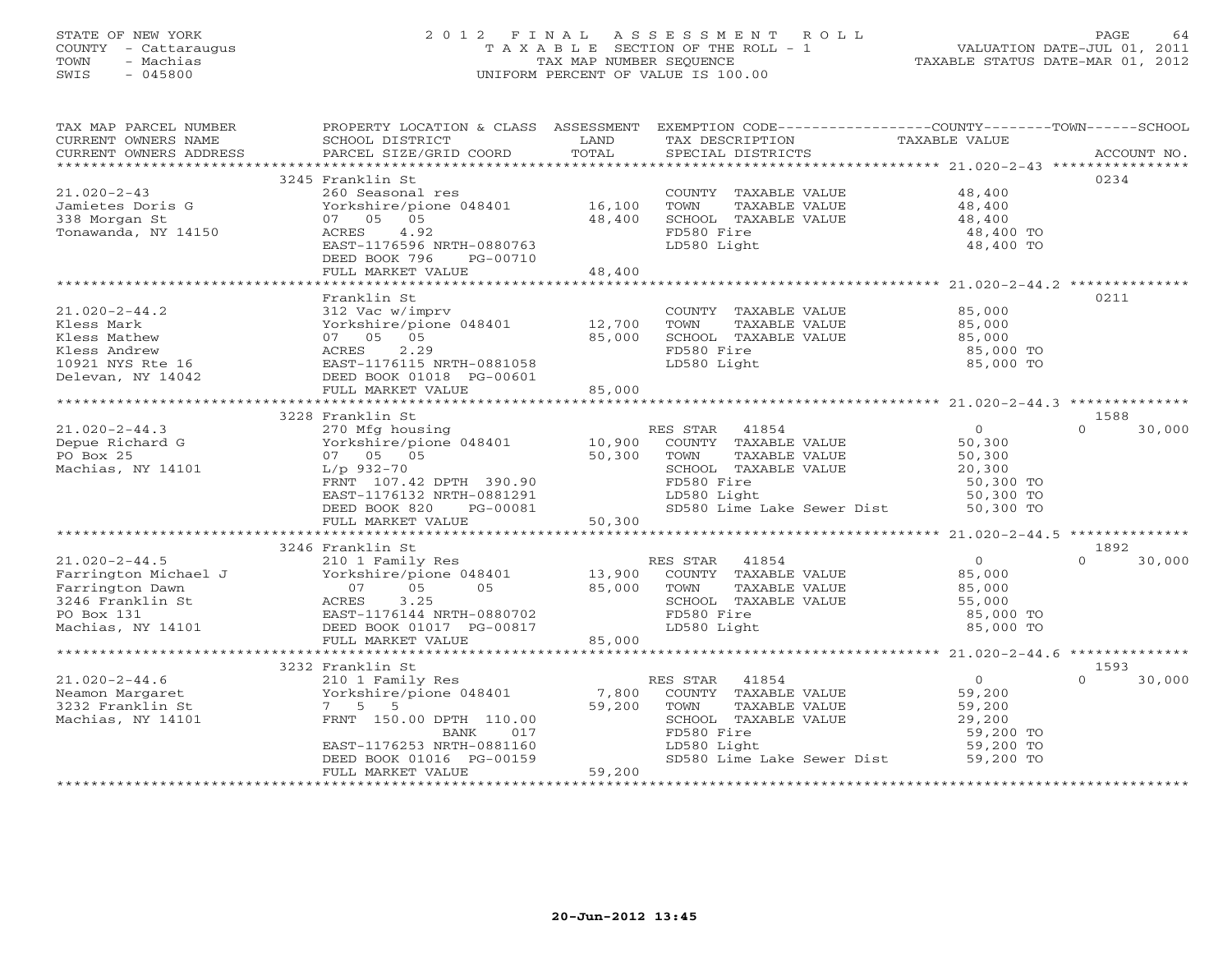# STATE OF NEW YORK 2 0 1 2 F I N A L A S S E S S M E N T R O L L PAGE 64 COUNTY - Cattaraugus T A X A B L E SECTION OF THE ROLL - 1 VALUATION DATE-JUL 01, 2011 TOWN - Machias TAX MAP NUMBER SEQUENCE TAXABLE STATUS DATE-MAR 01, 2012 SWIS - 045800 UNIFORM PERCENT OF VALUE IS 100.00

| 3245 Franklin St<br>0234<br>$21.020 - 2 - 43$<br>COUNTY TAXABLE VALUE 48,400<br>260 Seasonal res<br>Yorkshire/pione 048401 16,100<br>Jamietes Doris G<br>TOWN<br>TAXABLE VALUE<br>48,400<br>48,400<br>338 Morgan St<br>07 05<br>05<br>48,400<br>SCHOOL TAXABLE VALUE<br>Tonawanda, NY 14150<br>4.92<br>FD580 Fire<br>ACRES<br>48,400 TO<br>LD580 Light<br>48,400 TO<br>EAST-1176596 NRTH-0880763<br>DEED BOOK 796<br>PG-00710<br>FULL MARKET VALUE<br>48,400<br>Franklin St<br>0211<br>$21.020 - 2 - 44.2$<br>312 Vac w/imprv<br>COUNTY TAXABLE VALUE<br>85,000<br>Yorkshire/pione 048401 12,700<br>Kless Mark<br>TOWN<br>TAXABLE VALUE<br>85,000<br>07 05 05<br>85,000<br>Kless Mathew<br>SCHOOL TAXABLE VALUE<br>85,000<br>2.29<br>ACRES<br>FD580 Fire<br>Kless Andrew<br>85,000 TO<br>85,000 TO<br>10921 NYS Rte 16<br>EAST-1176115 NRTH-0881058<br>LD580 Light<br>DEED BOOK 01018 PG-00601<br>Delevan, NY 14042<br>85,000<br>FULL MARKET VALUE<br>3228 Franklin St<br>1588<br>$\overline{0}$<br>$\Omega$<br>$21.020 - 2 - 44.3$<br>RES STAR 41854<br>30,000<br>270 Mfg housing<br>Vorkshire/pione 048401 10,900 COUNT<br>07 05 05 50,300 TOWN<br>COUNTY TAXABLE VALUE<br>50,300<br>Depue Richard G<br>PO Box 25<br>TAXABLE VALUE<br>50,300<br>Machias, NY 14101<br>SCHOOL TAXABLE VALUE<br>L/p 932-70<br>20,300<br>FRNT 107.42 DPTH 390.90<br>FD580 Fire<br>50,300 TO<br>EAST-1176132 NRTH-0881291<br>LD580 Light<br>LD580 Light 50,300 TO<br>SD580 Lime Lake Sewer Dist 50,300 TO<br>PG-00081<br>DEED BOOK 820<br>50,300<br>FULL MARKET VALUE<br>3246 Franklin St<br>1892<br>$21.020 - 2 - 44.5$<br>210 1 Family Res<br>RES STAR 41854<br>$\overline{0}$<br>$\Omega$<br>30,000<br>13,900 COUNTY TAXABLE VALUE<br>85,000 TOWN TAXABLE VALUE<br>Farrington Michael J<br>el J<br>Yorkshire/pione 048401<br>07 05 05<br>ACRES 3.25<br>EAST-1176144 NRTH-0880702<br>DEED BOOK 01017 PG-00817<br>85,000<br>Farrington Dawn<br>85,000<br>SCHOOL TAXABLE VALUE<br>3246 Franklin St<br>55,000<br>FD580 Fire<br>PO Box 131<br>85,000 TO<br>LD580 Light<br>85,000 TO<br>Machias, NY 14101<br>FULL MARKET VALUE<br>85,000<br>3232 Franklin St<br>1593<br>rrankiin st<br>210 1 Family Res<br>Yorkshire/pione 048401<br>$21.020 - 2 - 44.6$<br>$\overline{0}$<br>$\Omega$<br>RES STAR 41854<br>30,000<br>$\frac{7}{5}$ , 800<br>COUNTY TAXABLE VALUE<br>59,200<br>Neamon Margaret<br>3232 Franklin St<br>7 5 5<br>59,200<br>TOWN<br>TAXABLE VALUE<br>59,200<br>Machias, NY 14101<br>FRNT 150.00 DPTH 110.00<br>SCHOOL TAXABLE VALUE<br>29,200<br>FD580 Fire<br>017<br>59,200 TO<br>BANK<br>EAST-1176253 NRTH-0881160<br>LD580 Light<br>59,200 TO<br>59,200 TO<br>DEED BOOK 01016 PG-00159<br>SD580 Lime Lake Sewer Dist<br>59,200<br>FULL MARKET VALUE | TAX MAP PARCEL NUMBER<br>CURRENT OWNERS NAME<br>CURRENT OWNERS ADDRESS | PROPERTY LOCATION & CLASS ASSESSMENT<br>SCHOOL DISTRICT<br>PARCEL SIZE/GRID COORD | LAND<br>TOTAL | EXEMPTION CODE----------------COUNTY-------TOWN------SCHOOL<br>TAX DESCRIPTION<br>SPECIAL DISTRICTS | TAXABLE VALUE | ACCOUNT NO. |
|-----------------------------------------------------------------------------------------------------------------------------------------------------------------------------------------------------------------------------------------------------------------------------------------------------------------------------------------------------------------------------------------------------------------------------------------------------------------------------------------------------------------------------------------------------------------------------------------------------------------------------------------------------------------------------------------------------------------------------------------------------------------------------------------------------------------------------------------------------------------------------------------------------------------------------------------------------------------------------------------------------------------------------------------------------------------------------------------------------------------------------------------------------------------------------------------------------------------------------------------------------------------------------------------------------------------------------------------------------------------------------------------------------------------------------------------------------------------------------------------------------------------------------------------------------------------------------------------------------------------------------------------------------------------------------------------------------------------------------------------------------------------------------------------------------------------------------------------------------------------------------------------------------------------------------------------------------------------------------------------------------------------------------------------------------------------------------------------------------------------------------------------------------------------------------------------------------------------------------------------------------------------------------------------------------------------------------------------------------------------------------------------------------------------------------------------------------------------------------------------------------------------------------------------------------------------------------------------------------------------------------------------------------------------------------------------------------------------------------------------------|------------------------------------------------------------------------|-----------------------------------------------------------------------------------|---------------|-----------------------------------------------------------------------------------------------------|---------------|-------------|
|                                                                                                                                                                                                                                                                                                                                                                                                                                                                                                                                                                                                                                                                                                                                                                                                                                                                                                                                                                                                                                                                                                                                                                                                                                                                                                                                                                                                                                                                                                                                                                                                                                                                                                                                                                                                                                                                                                                                                                                                                                                                                                                                                                                                                                                                                                                                                                                                                                                                                                                                                                                                                                                                                                                                               |                                                                        |                                                                                   |               |                                                                                                     |               |             |
|                                                                                                                                                                                                                                                                                                                                                                                                                                                                                                                                                                                                                                                                                                                                                                                                                                                                                                                                                                                                                                                                                                                                                                                                                                                                                                                                                                                                                                                                                                                                                                                                                                                                                                                                                                                                                                                                                                                                                                                                                                                                                                                                                                                                                                                                                                                                                                                                                                                                                                                                                                                                                                                                                                                                               |                                                                        |                                                                                   |               |                                                                                                     |               |             |
|                                                                                                                                                                                                                                                                                                                                                                                                                                                                                                                                                                                                                                                                                                                                                                                                                                                                                                                                                                                                                                                                                                                                                                                                                                                                                                                                                                                                                                                                                                                                                                                                                                                                                                                                                                                                                                                                                                                                                                                                                                                                                                                                                                                                                                                                                                                                                                                                                                                                                                                                                                                                                                                                                                                                               |                                                                        |                                                                                   |               |                                                                                                     |               |             |
|                                                                                                                                                                                                                                                                                                                                                                                                                                                                                                                                                                                                                                                                                                                                                                                                                                                                                                                                                                                                                                                                                                                                                                                                                                                                                                                                                                                                                                                                                                                                                                                                                                                                                                                                                                                                                                                                                                                                                                                                                                                                                                                                                                                                                                                                                                                                                                                                                                                                                                                                                                                                                                                                                                                                               |                                                                        |                                                                                   |               |                                                                                                     |               |             |
|                                                                                                                                                                                                                                                                                                                                                                                                                                                                                                                                                                                                                                                                                                                                                                                                                                                                                                                                                                                                                                                                                                                                                                                                                                                                                                                                                                                                                                                                                                                                                                                                                                                                                                                                                                                                                                                                                                                                                                                                                                                                                                                                                                                                                                                                                                                                                                                                                                                                                                                                                                                                                                                                                                                                               |                                                                        |                                                                                   |               |                                                                                                     |               |             |
|                                                                                                                                                                                                                                                                                                                                                                                                                                                                                                                                                                                                                                                                                                                                                                                                                                                                                                                                                                                                                                                                                                                                                                                                                                                                                                                                                                                                                                                                                                                                                                                                                                                                                                                                                                                                                                                                                                                                                                                                                                                                                                                                                                                                                                                                                                                                                                                                                                                                                                                                                                                                                                                                                                                                               |                                                                        |                                                                                   |               |                                                                                                     |               |             |
|                                                                                                                                                                                                                                                                                                                                                                                                                                                                                                                                                                                                                                                                                                                                                                                                                                                                                                                                                                                                                                                                                                                                                                                                                                                                                                                                                                                                                                                                                                                                                                                                                                                                                                                                                                                                                                                                                                                                                                                                                                                                                                                                                                                                                                                                                                                                                                                                                                                                                                                                                                                                                                                                                                                                               |                                                                        |                                                                                   |               |                                                                                                     |               |             |
|                                                                                                                                                                                                                                                                                                                                                                                                                                                                                                                                                                                                                                                                                                                                                                                                                                                                                                                                                                                                                                                                                                                                                                                                                                                                                                                                                                                                                                                                                                                                                                                                                                                                                                                                                                                                                                                                                                                                                                                                                                                                                                                                                                                                                                                                                                                                                                                                                                                                                                                                                                                                                                                                                                                                               |                                                                        |                                                                                   |               |                                                                                                     |               |             |
|                                                                                                                                                                                                                                                                                                                                                                                                                                                                                                                                                                                                                                                                                                                                                                                                                                                                                                                                                                                                                                                                                                                                                                                                                                                                                                                                                                                                                                                                                                                                                                                                                                                                                                                                                                                                                                                                                                                                                                                                                                                                                                                                                                                                                                                                                                                                                                                                                                                                                                                                                                                                                                                                                                                                               |                                                                        |                                                                                   |               |                                                                                                     |               |             |
|                                                                                                                                                                                                                                                                                                                                                                                                                                                                                                                                                                                                                                                                                                                                                                                                                                                                                                                                                                                                                                                                                                                                                                                                                                                                                                                                                                                                                                                                                                                                                                                                                                                                                                                                                                                                                                                                                                                                                                                                                                                                                                                                                                                                                                                                                                                                                                                                                                                                                                                                                                                                                                                                                                                                               |                                                                        |                                                                                   |               |                                                                                                     |               |             |
|                                                                                                                                                                                                                                                                                                                                                                                                                                                                                                                                                                                                                                                                                                                                                                                                                                                                                                                                                                                                                                                                                                                                                                                                                                                                                                                                                                                                                                                                                                                                                                                                                                                                                                                                                                                                                                                                                                                                                                                                                                                                                                                                                                                                                                                                                                                                                                                                                                                                                                                                                                                                                                                                                                                                               |                                                                        |                                                                                   |               |                                                                                                     |               |             |
|                                                                                                                                                                                                                                                                                                                                                                                                                                                                                                                                                                                                                                                                                                                                                                                                                                                                                                                                                                                                                                                                                                                                                                                                                                                                                                                                                                                                                                                                                                                                                                                                                                                                                                                                                                                                                                                                                                                                                                                                                                                                                                                                                                                                                                                                                                                                                                                                                                                                                                                                                                                                                                                                                                                                               |                                                                        |                                                                                   |               |                                                                                                     |               |             |
|                                                                                                                                                                                                                                                                                                                                                                                                                                                                                                                                                                                                                                                                                                                                                                                                                                                                                                                                                                                                                                                                                                                                                                                                                                                                                                                                                                                                                                                                                                                                                                                                                                                                                                                                                                                                                                                                                                                                                                                                                                                                                                                                                                                                                                                                                                                                                                                                                                                                                                                                                                                                                                                                                                                                               |                                                                        |                                                                                   |               |                                                                                                     |               |             |
|                                                                                                                                                                                                                                                                                                                                                                                                                                                                                                                                                                                                                                                                                                                                                                                                                                                                                                                                                                                                                                                                                                                                                                                                                                                                                                                                                                                                                                                                                                                                                                                                                                                                                                                                                                                                                                                                                                                                                                                                                                                                                                                                                                                                                                                                                                                                                                                                                                                                                                                                                                                                                                                                                                                                               |                                                                        |                                                                                   |               |                                                                                                     |               |             |
|                                                                                                                                                                                                                                                                                                                                                                                                                                                                                                                                                                                                                                                                                                                                                                                                                                                                                                                                                                                                                                                                                                                                                                                                                                                                                                                                                                                                                                                                                                                                                                                                                                                                                                                                                                                                                                                                                                                                                                                                                                                                                                                                                                                                                                                                                                                                                                                                                                                                                                                                                                                                                                                                                                                                               |                                                                        |                                                                                   |               |                                                                                                     |               |             |
|                                                                                                                                                                                                                                                                                                                                                                                                                                                                                                                                                                                                                                                                                                                                                                                                                                                                                                                                                                                                                                                                                                                                                                                                                                                                                                                                                                                                                                                                                                                                                                                                                                                                                                                                                                                                                                                                                                                                                                                                                                                                                                                                                                                                                                                                                                                                                                                                                                                                                                                                                                                                                                                                                                                                               |                                                                        |                                                                                   |               |                                                                                                     |               |             |
|                                                                                                                                                                                                                                                                                                                                                                                                                                                                                                                                                                                                                                                                                                                                                                                                                                                                                                                                                                                                                                                                                                                                                                                                                                                                                                                                                                                                                                                                                                                                                                                                                                                                                                                                                                                                                                                                                                                                                                                                                                                                                                                                                                                                                                                                                                                                                                                                                                                                                                                                                                                                                                                                                                                                               |                                                                        |                                                                                   |               |                                                                                                     |               |             |
|                                                                                                                                                                                                                                                                                                                                                                                                                                                                                                                                                                                                                                                                                                                                                                                                                                                                                                                                                                                                                                                                                                                                                                                                                                                                                                                                                                                                                                                                                                                                                                                                                                                                                                                                                                                                                                                                                                                                                                                                                                                                                                                                                                                                                                                                                                                                                                                                                                                                                                                                                                                                                                                                                                                                               |                                                                        |                                                                                   |               |                                                                                                     |               |             |
|                                                                                                                                                                                                                                                                                                                                                                                                                                                                                                                                                                                                                                                                                                                                                                                                                                                                                                                                                                                                                                                                                                                                                                                                                                                                                                                                                                                                                                                                                                                                                                                                                                                                                                                                                                                                                                                                                                                                                                                                                                                                                                                                                                                                                                                                                                                                                                                                                                                                                                                                                                                                                                                                                                                                               |                                                                        |                                                                                   |               |                                                                                                     |               |             |
|                                                                                                                                                                                                                                                                                                                                                                                                                                                                                                                                                                                                                                                                                                                                                                                                                                                                                                                                                                                                                                                                                                                                                                                                                                                                                                                                                                                                                                                                                                                                                                                                                                                                                                                                                                                                                                                                                                                                                                                                                                                                                                                                                                                                                                                                                                                                                                                                                                                                                                                                                                                                                                                                                                                                               |                                                                        |                                                                                   |               |                                                                                                     |               |             |
|                                                                                                                                                                                                                                                                                                                                                                                                                                                                                                                                                                                                                                                                                                                                                                                                                                                                                                                                                                                                                                                                                                                                                                                                                                                                                                                                                                                                                                                                                                                                                                                                                                                                                                                                                                                                                                                                                                                                                                                                                                                                                                                                                                                                                                                                                                                                                                                                                                                                                                                                                                                                                                                                                                                                               |                                                                        |                                                                                   |               |                                                                                                     |               |             |
|                                                                                                                                                                                                                                                                                                                                                                                                                                                                                                                                                                                                                                                                                                                                                                                                                                                                                                                                                                                                                                                                                                                                                                                                                                                                                                                                                                                                                                                                                                                                                                                                                                                                                                                                                                                                                                                                                                                                                                                                                                                                                                                                                                                                                                                                                                                                                                                                                                                                                                                                                                                                                                                                                                                                               |                                                                        |                                                                                   |               |                                                                                                     |               |             |
|                                                                                                                                                                                                                                                                                                                                                                                                                                                                                                                                                                                                                                                                                                                                                                                                                                                                                                                                                                                                                                                                                                                                                                                                                                                                                                                                                                                                                                                                                                                                                                                                                                                                                                                                                                                                                                                                                                                                                                                                                                                                                                                                                                                                                                                                                                                                                                                                                                                                                                                                                                                                                                                                                                                                               |                                                                        |                                                                                   |               |                                                                                                     |               |             |
|                                                                                                                                                                                                                                                                                                                                                                                                                                                                                                                                                                                                                                                                                                                                                                                                                                                                                                                                                                                                                                                                                                                                                                                                                                                                                                                                                                                                                                                                                                                                                                                                                                                                                                                                                                                                                                                                                                                                                                                                                                                                                                                                                                                                                                                                                                                                                                                                                                                                                                                                                                                                                                                                                                                                               |                                                                        |                                                                                   |               |                                                                                                     |               |             |
|                                                                                                                                                                                                                                                                                                                                                                                                                                                                                                                                                                                                                                                                                                                                                                                                                                                                                                                                                                                                                                                                                                                                                                                                                                                                                                                                                                                                                                                                                                                                                                                                                                                                                                                                                                                                                                                                                                                                                                                                                                                                                                                                                                                                                                                                                                                                                                                                                                                                                                                                                                                                                                                                                                                                               |                                                                        |                                                                                   |               |                                                                                                     |               |             |
|                                                                                                                                                                                                                                                                                                                                                                                                                                                                                                                                                                                                                                                                                                                                                                                                                                                                                                                                                                                                                                                                                                                                                                                                                                                                                                                                                                                                                                                                                                                                                                                                                                                                                                                                                                                                                                                                                                                                                                                                                                                                                                                                                                                                                                                                                                                                                                                                                                                                                                                                                                                                                                                                                                                                               |                                                                        |                                                                                   |               |                                                                                                     |               |             |
|                                                                                                                                                                                                                                                                                                                                                                                                                                                                                                                                                                                                                                                                                                                                                                                                                                                                                                                                                                                                                                                                                                                                                                                                                                                                                                                                                                                                                                                                                                                                                                                                                                                                                                                                                                                                                                                                                                                                                                                                                                                                                                                                                                                                                                                                                                                                                                                                                                                                                                                                                                                                                                                                                                                                               |                                                                        |                                                                                   |               |                                                                                                     |               |             |
|                                                                                                                                                                                                                                                                                                                                                                                                                                                                                                                                                                                                                                                                                                                                                                                                                                                                                                                                                                                                                                                                                                                                                                                                                                                                                                                                                                                                                                                                                                                                                                                                                                                                                                                                                                                                                                                                                                                                                                                                                                                                                                                                                                                                                                                                                                                                                                                                                                                                                                                                                                                                                                                                                                                                               |                                                                        |                                                                                   |               |                                                                                                     |               |             |
|                                                                                                                                                                                                                                                                                                                                                                                                                                                                                                                                                                                                                                                                                                                                                                                                                                                                                                                                                                                                                                                                                                                                                                                                                                                                                                                                                                                                                                                                                                                                                                                                                                                                                                                                                                                                                                                                                                                                                                                                                                                                                                                                                                                                                                                                                                                                                                                                                                                                                                                                                                                                                                                                                                                                               |                                                                        |                                                                                   |               |                                                                                                     |               |             |
|                                                                                                                                                                                                                                                                                                                                                                                                                                                                                                                                                                                                                                                                                                                                                                                                                                                                                                                                                                                                                                                                                                                                                                                                                                                                                                                                                                                                                                                                                                                                                                                                                                                                                                                                                                                                                                                                                                                                                                                                                                                                                                                                                                                                                                                                                                                                                                                                                                                                                                                                                                                                                                                                                                                                               |                                                                        |                                                                                   |               |                                                                                                     |               |             |
|                                                                                                                                                                                                                                                                                                                                                                                                                                                                                                                                                                                                                                                                                                                                                                                                                                                                                                                                                                                                                                                                                                                                                                                                                                                                                                                                                                                                                                                                                                                                                                                                                                                                                                                                                                                                                                                                                                                                                                                                                                                                                                                                                                                                                                                                                                                                                                                                                                                                                                                                                                                                                                                                                                                                               |                                                                        |                                                                                   |               |                                                                                                     |               |             |
|                                                                                                                                                                                                                                                                                                                                                                                                                                                                                                                                                                                                                                                                                                                                                                                                                                                                                                                                                                                                                                                                                                                                                                                                                                                                                                                                                                                                                                                                                                                                                                                                                                                                                                                                                                                                                                                                                                                                                                                                                                                                                                                                                                                                                                                                                                                                                                                                                                                                                                                                                                                                                                                                                                                                               |                                                                        |                                                                                   |               |                                                                                                     |               |             |
|                                                                                                                                                                                                                                                                                                                                                                                                                                                                                                                                                                                                                                                                                                                                                                                                                                                                                                                                                                                                                                                                                                                                                                                                                                                                                                                                                                                                                                                                                                                                                                                                                                                                                                                                                                                                                                                                                                                                                                                                                                                                                                                                                                                                                                                                                                                                                                                                                                                                                                                                                                                                                                                                                                                                               |                                                                        |                                                                                   |               |                                                                                                     |               |             |
|                                                                                                                                                                                                                                                                                                                                                                                                                                                                                                                                                                                                                                                                                                                                                                                                                                                                                                                                                                                                                                                                                                                                                                                                                                                                                                                                                                                                                                                                                                                                                                                                                                                                                                                                                                                                                                                                                                                                                                                                                                                                                                                                                                                                                                                                                                                                                                                                                                                                                                                                                                                                                                                                                                                                               |                                                                        |                                                                                   |               |                                                                                                     |               |             |
|                                                                                                                                                                                                                                                                                                                                                                                                                                                                                                                                                                                                                                                                                                                                                                                                                                                                                                                                                                                                                                                                                                                                                                                                                                                                                                                                                                                                                                                                                                                                                                                                                                                                                                                                                                                                                                                                                                                                                                                                                                                                                                                                                                                                                                                                                                                                                                                                                                                                                                                                                                                                                                                                                                                                               |                                                                        |                                                                                   |               |                                                                                                     |               |             |
|                                                                                                                                                                                                                                                                                                                                                                                                                                                                                                                                                                                                                                                                                                                                                                                                                                                                                                                                                                                                                                                                                                                                                                                                                                                                                                                                                                                                                                                                                                                                                                                                                                                                                                                                                                                                                                                                                                                                                                                                                                                                                                                                                                                                                                                                                                                                                                                                                                                                                                                                                                                                                                                                                                                                               |                                                                        |                                                                                   |               |                                                                                                     |               |             |
|                                                                                                                                                                                                                                                                                                                                                                                                                                                                                                                                                                                                                                                                                                                                                                                                                                                                                                                                                                                                                                                                                                                                                                                                                                                                                                                                                                                                                                                                                                                                                                                                                                                                                                                                                                                                                                                                                                                                                                                                                                                                                                                                                                                                                                                                                                                                                                                                                                                                                                                                                                                                                                                                                                                                               |                                                                        |                                                                                   |               |                                                                                                     |               |             |
|                                                                                                                                                                                                                                                                                                                                                                                                                                                                                                                                                                                                                                                                                                                                                                                                                                                                                                                                                                                                                                                                                                                                                                                                                                                                                                                                                                                                                                                                                                                                                                                                                                                                                                                                                                                                                                                                                                                                                                                                                                                                                                                                                                                                                                                                                                                                                                                                                                                                                                                                                                                                                                                                                                                                               |                                                                        |                                                                                   |               |                                                                                                     |               |             |
|                                                                                                                                                                                                                                                                                                                                                                                                                                                                                                                                                                                                                                                                                                                                                                                                                                                                                                                                                                                                                                                                                                                                                                                                                                                                                                                                                                                                                                                                                                                                                                                                                                                                                                                                                                                                                                                                                                                                                                                                                                                                                                                                                                                                                                                                                                                                                                                                                                                                                                                                                                                                                                                                                                                                               |                                                                        |                                                                                   |               |                                                                                                     |               |             |
|                                                                                                                                                                                                                                                                                                                                                                                                                                                                                                                                                                                                                                                                                                                                                                                                                                                                                                                                                                                                                                                                                                                                                                                                                                                                                                                                                                                                                                                                                                                                                                                                                                                                                                                                                                                                                                                                                                                                                                                                                                                                                                                                                                                                                                                                                                                                                                                                                                                                                                                                                                                                                                                                                                                                               |                                                                        |                                                                                   |               |                                                                                                     |               |             |
|                                                                                                                                                                                                                                                                                                                                                                                                                                                                                                                                                                                                                                                                                                                                                                                                                                                                                                                                                                                                                                                                                                                                                                                                                                                                                                                                                                                                                                                                                                                                                                                                                                                                                                                                                                                                                                                                                                                                                                                                                                                                                                                                                                                                                                                                                                                                                                                                                                                                                                                                                                                                                                                                                                                                               |                                                                        |                                                                                   |               |                                                                                                     |               |             |
|                                                                                                                                                                                                                                                                                                                                                                                                                                                                                                                                                                                                                                                                                                                                                                                                                                                                                                                                                                                                                                                                                                                                                                                                                                                                                                                                                                                                                                                                                                                                                                                                                                                                                                                                                                                                                                                                                                                                                                                                                                                                                                                                                                                                                                                                                                                                                                                                                                                                                                                                                                                                                                                                                                                                               |                                                                        |                                                                                   |               |                                                                                                     |               |             |
|                                                                                                                                                                                                                                                                                                                                                                                                                                                                                                                                                                                                                                                                                                                                                                                                                                                                                                                                                                                                                                                                                                                                                                                                                                                                                                                                                                                                                                                                                                                                                                                                                                                                                                                                                                                                                                                                                                                                                                                                                                                                                                                                                                                                                                                                                                                                                                                                                                                                                                                                                                                                                                                                                                                                               |                                                                        |                                                                                   |               |                                                                                                     |               |             |
|                                                                                                                                                                                                                                                                                                                                                                                                                                                                                                                                                                                                                                                                                                                                                                                                                                                                                                                                                                                                                                                                                                                                                                                                                                                                                                                                                                                                                                                                                                                                                                                                                                                                                                                                                                                                                                                                                                                                                                                                                                                                                                                                                                                                                                                                                                                                                                                                                                                                                                                                                                                                                                                                                                                                               |                                                                        |                                                                                   |               |                                                                                                     |               |             |
|                                                                                                                                                                                                                                                                                                                                                                                                                                                                                                                                                                                                                                                                                                                                                                                                                                                                                                                                                                                                                                                                                                                                                                                                                                                                                                                                                                                                                                                                                                                                                                                                                                                                                                                                                                                                                                                                                                                                                                                                                                                                                                                                                                                                                                                                                                                                                                                                                                                                                                                                                                                                                                                                                                                                               |                                                                        |                                                                                   |               |                                                                                                     |               |             |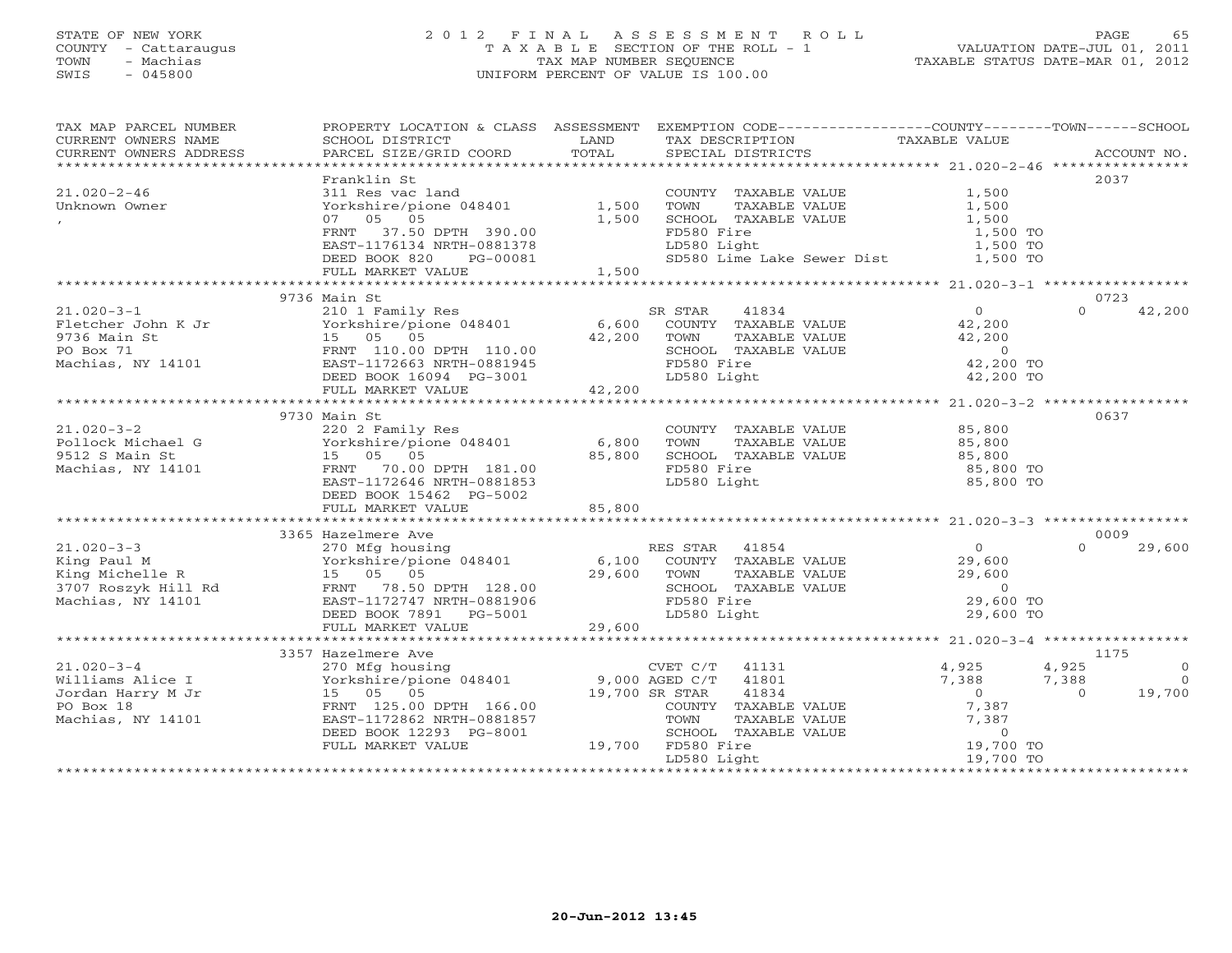#### STATE OF NEW YORK 2 0 1 2 F I N A L A S S E S S M E N T R O L L PAGE 65COUNTY - Cattaraugus T A X A B L E SECTION OF THE ROLL - 1 VALUATION DATE-JUL 01, 2011 TOWN - Machias TAX MAP NUMBER SEQUENCE TAX AND TAXABLE STATUS DATE-MAR 01, 2012<br>TRIS - 045800 SWIS - 045800 UNIFORM PERCENT OF VALUE IS 100.00

| TAX MAP PARCEL NUMBER                                                                                                  | PROPERTY LOCATION & CLASS ASSESSMENT EXEMPTION CODE----------------COUNTY-------TOWN------SCHOOL |                      |                                    |               |                                                    |          |             |
|------------------------------------------------------------------------------------------------------------------------|--------------------------------------------------------------------------------------------------|----------------------|------------------------------------|---------------|----------------------------------------------------|----------|-------------|
| CURRENT OWNERS NAME                                                                                                    | SCHOOL DISTRICT                                                                                  | LAND                 | TAX DESCRIPTION                    |               | TAXABLE VALUE                                      |          |             |
| CURRENT OWNERS ADDRESS                                                                                                 | PARCEL SIZE/GRID COORD                                                                           | TOTAL                | SPECIAL DISTRICTS                  |               |                                                    |          | ACCOUNT NO. |
| *************************                                                                                              |                                                                                                  |                      |                                    |               |                                                    |          |             |
|                                                                                                                        | Franklin St                                                                                      |                      |                                    |               |                                                    | 2037     |             |
| $21.020 - 2 - 46$                                                                                                      | 311 Res vac land                                                                                 |                      | COUNTY TAXABLE VALUE               |               | 1,500                                              |          |             |
| Unknown Owner                                                                                                          | Yorkshire/pione 048401                                                                           | 1,500                | TOWN                               | TAXABLE VALUE | 1,500                                              |          |             |
|                                                                                                                        | 07 05 05                                                                                         | 1,500                | SCHOOL TAXABLE VALUE               |               | 1,500                                              |          |             |
|                                                                                                                        | FRNT 37.50 DPTH 390.00                                                                           |                      | FD580 Fire                         |               | 1,500 TO                                           |          |             |
|                                                                                                                        | EAST-1176134 NRTH-0881378                                                                        |                      | LD580 Light                        |               | 1,500 TO                                           |          |             |
|                                                                                                                        | DEED BOOK 820<br>PG-00081                                                                        |                      |                                    |               | SD580 Lime Lake Sewer Dist 1,500 TO                |          |             |
|                                                                                                                        | FULL MARKET VALUE                                                                                | 1,500                |                                    |               |                                                    |          |             |
|                                                                                                                        |                                                                                                  |                      |                                    |               |                                                    | 0723     |             |
| $21.020 - 3 - 1$                                                                                                       | 9736 Main St<br>210 1 Family Res                                                                 |                      | 41834<br>SR STAR                   |               | $\overline{0}$                                     | $\Omega$ | 42,200      |
|                                                                                                                        |                                                                                                  |                      |                                    |               | 42,200                                             |          |             |
| Fletcher John K Jr<br>9/36 Main St<br>PO Box 71 FRNT 110.00 DPTH 110.00<br>Machias, NY 14101 EAST-1172663 NRTH-0881945 | Yorkshire/pione 048401 6,600                                                                     | 42,200               | COUNTY TAXABLE VALUE<br>TOWN       |               |                                                    |          |             |
|                                                                                                                        |                                                                                                  |                      |                                    | TAXABLE VALUE | 42,200<br>$\overline{0}$                           |          |             |
|                                                                                                                        | EAST-1172663 NRTH-0881945                                                                        |                      | SCHOOL TAXABLE VALUE<br>FD580 Fire |               | 42,200 TO                                          |          |             |
|                                                                                                                        |                                                                                                  |                      | LD580 Light                        |               | 42,200 TO                                          |          |             |
|                                                                                                                        | DEED BOOK 16094 PG-3001<br>FULL MARKET VALUE 42,200                                              |                      |                                    |               |                                                    |          |             |
|                                                                                                                        |                                                                                                  |                      |                                    |               |                                                    |          |             |
|                                                                                                                        | 9730 Main St                                                                                     |                      |                                    |               |                                                    | 0637     |             |
| $21.020 - 3 - 2$                                                                                                       | 220 2 Family Res                                                                                 |                      | COUNTY TAXABLE VALUE               |               | 85,800                                             |          |             |
| Pollock Michael G                                                                                                      | Yorkshire/pione 048401                                                                           | 6,800                | TOWN                               | TAXABLE VALUE | 85,800                                             |          |             |
| 9512 S Main St                                                                                                         | Yorkshire/pion<br>15 05 05                                                                       | 85,800               | SCHOOL TAXABLE VALUE               |               | 85,800                                             |          |             |
| Machias, NY 14101                                                                                                      | FRNT 70.00 DPTH 181.00                                                                           |                      | FD580 Fire                         |               | 85,800 TO                                          |          |             |
|                                                                                                                        | EAST-1172646 NRTH-0881853                                                                        |                      | LD580 Light                        |               | 85,800 TO                                          |          |             |
|                                                                                                                        | DEED BOOK 15462 PG-5002                                                                          |                      |                                    |               |                                                    |          |             |
|                                                                                                                        | FULL MARKET VALUE                                                                                | 85,800               |                                    |               |                                                    |          |             |
|                                                                                                                        |                                                                                                  |                      |                                    |               |                                                    |          |             |
|                                                                                                                        | 3365 Hazelmere Ave                                                                               |                      |                                    |               |                                                    | 0009     |             |
| $21.020 - 3 - 3$                                                                                                       | 270 Mfg housing                                                                                  |                      | RES STAR 41854                     |               | $\Omega$                                           | $\Omega$ | 29,600      |
| King Paul M                                                                                                            | E Morkshire/pione 048401 6,100<br>R 15 05 05 29,600                                              |                      | COUNTY TAXABLE VALUE               |               | 29,600                                             |          |             |
| King Michelle R                                                                                                        |                                                                                                  |                      | TOWN                               | TAXABLE VALUE | 29,600                                             |          |             |
| 3707 Roszyk Hill Rd FRNT 78.50 DPTH 128.00                                                                             |                                                                                                  |                      | SCHOOL TAXABLE VALUE               |               | $\overline{0}$                                     |          |             |
| Machias, NY 14101                                                                                                      | EAST-1172747 NRTH-0881906                                                                        |                      | FD580 Fire                         |               | 29,600 TO                                          |          |             |
|                                                                                                                        | DEED BOOK 7891 PG-5001                                                                           |                      | LD580 Light                        |               | 29,600 TO                                          |          |             |
|                                                                                                                        | FULL MARKET VALUE                                                                                | 29,600               |                                    |               |                                                    |          |             |
|                                                                                                                        | *****************************                                                                    | ******************** |                                    |               | ******************** 21.020-3-4 ****************** |          |             |
|                                                                                                                        | 3357 Hazelmere Ave                                                                               |                      |                                    |               |                                                    | 1175     |             |
| $21.020 - 3 - 4$                                                                                                       | 270 Mfg housing CVET C/T<br>Yorkshire/pione 048401 9,000 AGED C/T                                |                      | 41131                              |               | 4,925                                              | 4,925    | $\circ$     |
| Williams Alice I                                                                                                       |                                                                                                  |                      | 41801                              |               | 7,388                                              | 7,388    | $\Omega$    |
| Jordan Harry M Jr                                                                                                      | Yorkshire/pioners<br>15 05 05<br>EDNE 135 00                                                     | 19,700 SR STAR       | 41834                              |               | $\begin{array}{c} 0 \\ 7,387 \end{array}$          | $\Omega$ | 19,700      |
| PO Box 18                                                                                                              | FRNT 125.00 DPTH 166.00                                                                          |                      | COUNTY TAXABLE VALUE               |               |                                                    |          |             |
| Machias, NY 14101                                                                                                      | EAST-1172862 NRTH-0881857                                                                        |                      | TOWN                               | TAXABLE VALUE | 7,387                                              |          |             |
|                                                                                                                        | DEED BOOK 12293 PG-8001                                                                          |                      | SCHOOL TAXABLE VALUE               |               | $\circ$                                            |          |             |
|                                                                                                                        | FULL MARKET VALUE                                                                                |                      | 19,700 FD580 Fire                  |               | 19,700 TO                                          |          |             |
|                                                                                                                        |                                                                                                  |                      | LD580 Light                        |               | 19,700 TO                                          |          |             |
|                                                                                                                        |                                                                                                  |                      |                                    |               |                                                    |          |             |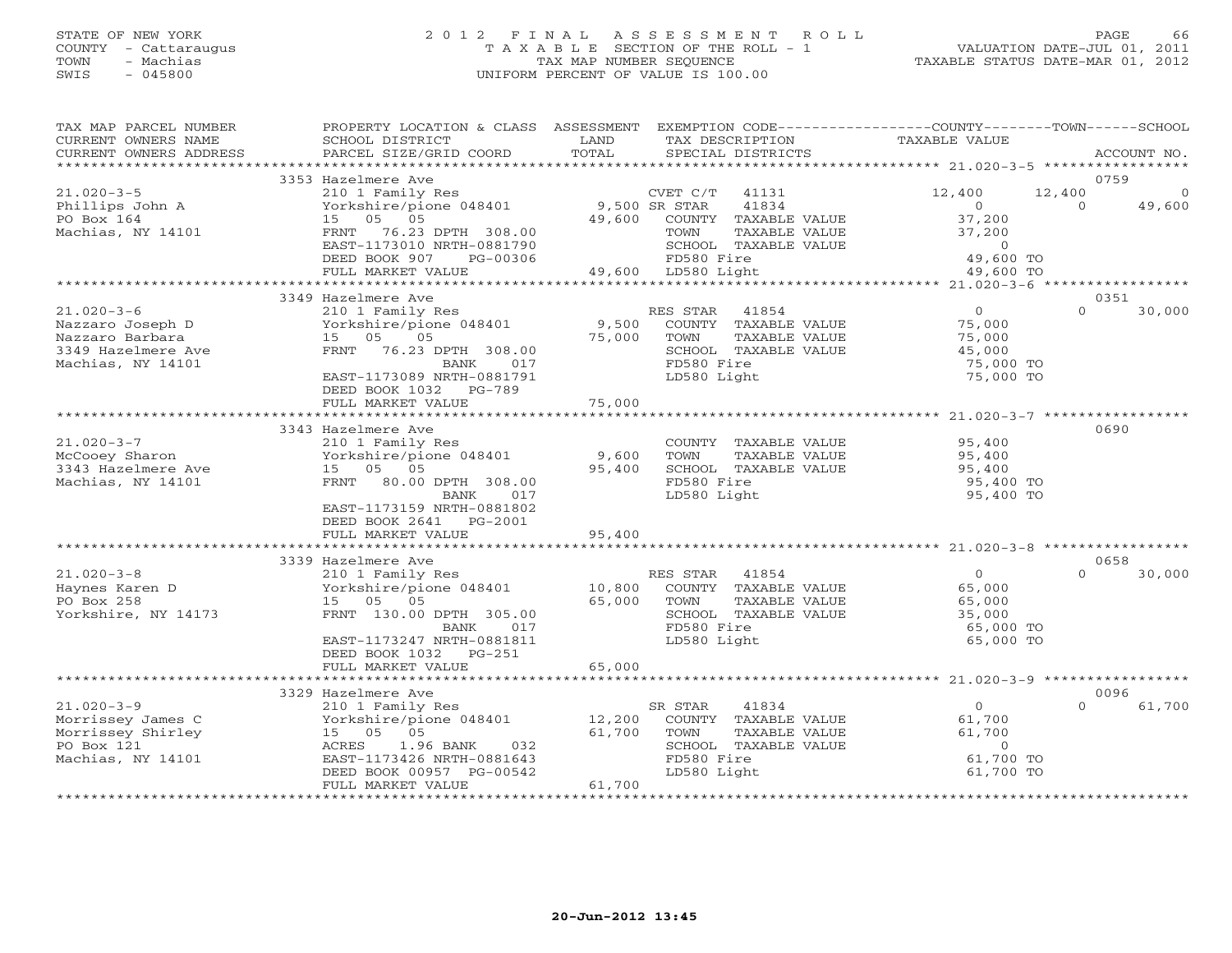# STATE OF NEW YORK 2 0 1 2 F I N A L A S S E S S M E N T R O L L PAGE 66 COUNTY - Cattaraugus T A X A B L E SECTION OF THE ROLL - 1 VALUATION DATE-JUL 01, 2011 TOWN - Machias TAX MAP NUMBER SEQUENCE TAXABLE STATUS DATE-MAR 01, 2012 SWIS - 045800 UNIFORM PERCENT OF VALUE IS 100.00

| TAX MAP PARCEL NUMBER<br>CURRENT OWNERS NAME<br>CURRENT OWNERS ADDRESS | PROPERTY LOCATION & CLASS ASSESSMENT<br>SCHOOL DISTRICT<br>PARCEL SIZE/GRID COORD | LAND<br>TOTAL          | EXEMPTION CODE-----------------COUNTY-------TOWN------SCHOOL<br>TAX DESCRIPTION<br>SPECIAL DISTRICTS | TAXABLE VALUE  |          | ACCOUNT NO. |
|------------------------------------------------------------------------|-----------------------------------------------------------------------------------|------------------------|------------------------------------------------------------------------------------------------------|----------------|----------|-------------|
|                                                                        |                                                                                   |                        |                                                                                                      |                |          |             |
|                                                                        | 3353 Hazelmere Ave                                                                |                        |                                                                                                      |                |          | 0759        |
| $21.020 - 3 - 5$                                                       | 210 1 Family Res                                                                  |                        | $CVET C/T$ 41131                                                                                     | 12,400         | 12,400   | $\Omega$    |
| Phillips John A                                                        | Yorkshire/pione 048401                                                            | 9,500 SR STAR          | 41834                                                                                                | $\Omega$       | $\Omega$ | 49,600      |
| PO Box 164                                                             | 15 05 05                                                                          | 49,600                 | COUNTY TAXABLE VALUE                                                                                 | 37,200         |          |             |
| Machias, NY 14101                                                      | FRNT 76.23 DPTH 308.00                                                            |                        | TOWN<br>TAXABLE VALUE                                                                                | 37,200         |          |             |
|                                                                        | EAST-1173010 NRTH-0881790                                                         |                        | SCHOOL TAXABLE VALUE                                                                                 | $\circ$        |          |             |
|                                                                        | DEED BOOK 907<br>PG-00306                                                         |                        | FD580 Fire                                                                                           | 49,600 TO      |          |             |
|                                                                        | FULL MARKET VALUE                                                                 |                        | 49,600 LD580 Light                                                                                   | 49,600 TO      |          |             |
|                                                                        | 3349 Hazelmere Ave                                                                |                        |                                                                                                      |                |          | 0351        |
| $21.020 - 3 - 6$                                                       | 210 1 Family Res                                                                  |                        | RES STAR<br>41854                                                                                    | $\overline{0}$ | $\Omega$ | 30,000      |
| Nazzaro Joseph D                                                       | Yorkshire/pione 048401                                                            | 9,500                  | COUNTY TAXABLE VALUE                                                                                 | 75,000         |          |             |
| Nazzaro Barbara                                                        | 15 05<br>05                                                                       | 75,000                 | TOWN<br>TAXABLE VALUE                                                                                | 75,000         |          |             |
| 3349 Hazelmere Ave                                                     | FRNT 76.23 DPTH 308.00                                                            |                        | SCHOOL TAXABLE VALUE                                                                                 | 45,000         |          |             |
| Machias, NY 14101                                                      | BANK<br>017                                                                       |                        | FD580 Fire                                                                                           | 75,000 TO      |          |             |
|                                                                        | EAST-1173089 NRTH-0881791                                                         |                        | LD580 Light                                                                                          | 75,000 TO      |          |             |
|                                                                        | DEED BOOK 1032 PG-789                                                             |                        |                                                                                                      |                |          |             |
|                                                                        | FULL MARKET VALUE                                                                 | 75,000                 |                                                                                                      |                |          |             |
|                                                                        |                                                                                   |                        |                                                                                                      |                |          |             |
|                                                                        | 3343 Hazelmere Ave                                                                |                        |                                                                                                      |                |          | 0690        |
| $21.020 - 3 - 7$                                                       | 210 1 Family Res                                                                  |                        | COUNTY TAXABLE VALUE                                                                                 | 95,400         |          |             |
| McCooey Sharon                                                         | Yorkshire/pione 048401                                                            | 9,600                  | TOWN<br>TAXABLE VALUE                                                                                | 95,400         |          |             |
| 3343 Hazelmere Ave                                                     | 15 05 05                                                                          | 95,400                 | SCHOOL TAXABLE VALUE                                                                                 | 95,400         |          |             |
| Machias, NY 14101                                                      | FRNT 80.00 DPTH 308.00                                                            |                        | FD580 Fire                                                                                           | 95,400 TO      |          |             |
|                                                                        | BANK<br>017                                                                       |                        | LD580 Light                                                                                          | 95,400 TO      |          |             |
|                                                                        | EAST-1173159 NRTH-0881802                                                         |                        |                                                                                                      |                |          |             |
|                                                                        | DEED BOOK 2641 PG-2001                                                            |                        |                                                                                                      |                |          |             |
|                                                                        | FULL MARKET VALUE<br>**************************                                   | 95,400<br>************ |                                                                                                      |                |          |             |
|                                                                        | 3339 Hazelmere Ave                                                                |                        |                                                                                                      |                |          | 0658        |
| $21.020 - 3 - 8$                                                       | 210 1 Family Res                                                                  |                        | RES STAR<br>41854                                                                                    | $\Omega$       | $\Omega$ | 30,000      |
| Haynes Karen D                                                         | Yorkshire/pione 048401                                                            | 10,800                 | COUNTY TAXABLE VALUE                                                                                 | 65,000         |          |             |
| PO Box 258                                                             | 15 05 05                                                                          | 65,000                 | TOWN<br>TAXABLE VALUE                                                                                | 65,000         |          |             |
| Yorkshire, NY 14173                                                    | FRNT 130.00 DPTH 305.00                                                           |                        | SCHOOL TAXABLE VALUE                                                                                 | 35,000         |          |             |
|                                                                        | BANK<br>017                                                                       |                        | FD580 Fire                                                                                           | 65,000 TO      |          |             |
|                                                                        | EAST-1173247 NRTH-0881811                                                         |                        | LD580 Light                                                                                          | 65,000 TO      |          |             |
|                                                                        | DEED BOOK 1032 PG-251                                                             |                        |                                                                                                      |                |          |             |
|                                                                        | FULL MARKET VALUE                                                                 | 65,000                 |                                                                                                      |                |          |             |
|                                                                        |                                                                                   |                        |                                                                                                      |                |          |             |
|                                                                        | 3329 Hazelmere Ave                                                                |                        |                                                                                                      |                |          | 0096        |
| $21.020 - 3 - 9$                                                       | 210 1 Family Res                                                                  |                        | 41834<br>SR STAR                                                                                     | $\Omega$       | $\Omega$ | 61,700      |
| Morrissey James C                                                      | Yorkshire/pione 048401                                                            | 12,200                 | COUNTY TAXABLE VALUE                                                                                 | 61,700         |          |             |
| Morrissey Shirley                                                      | 05<br>15 05                                                                       | 61,700                 | TAXABLE VALUE<br>TOWN                                                                                | 61,700         |          |             |
| PO Box 121                                                             | 1.96 BANK<br>ACRES<br>032                                                         |                        | SCHOOL TAXABLE VALUE                                                                                 | $\overline{0}$ |          |             |
| Machias, NY 14101                                                      | EAST-1173426 NRTH-0881643                                                         |                        | FD580 Fire                                                                                           | 61,700 TO      |          |             |
|                                                                        | DEED BOOK 00957 PG-00542                                                          |                        | LD580 Light                                                                                          | 61,700 TO      |          |             |
|                                                                        | FULL MARKET VALUE                                                                 | 61,700                 |                                                                                                      |                |          |             |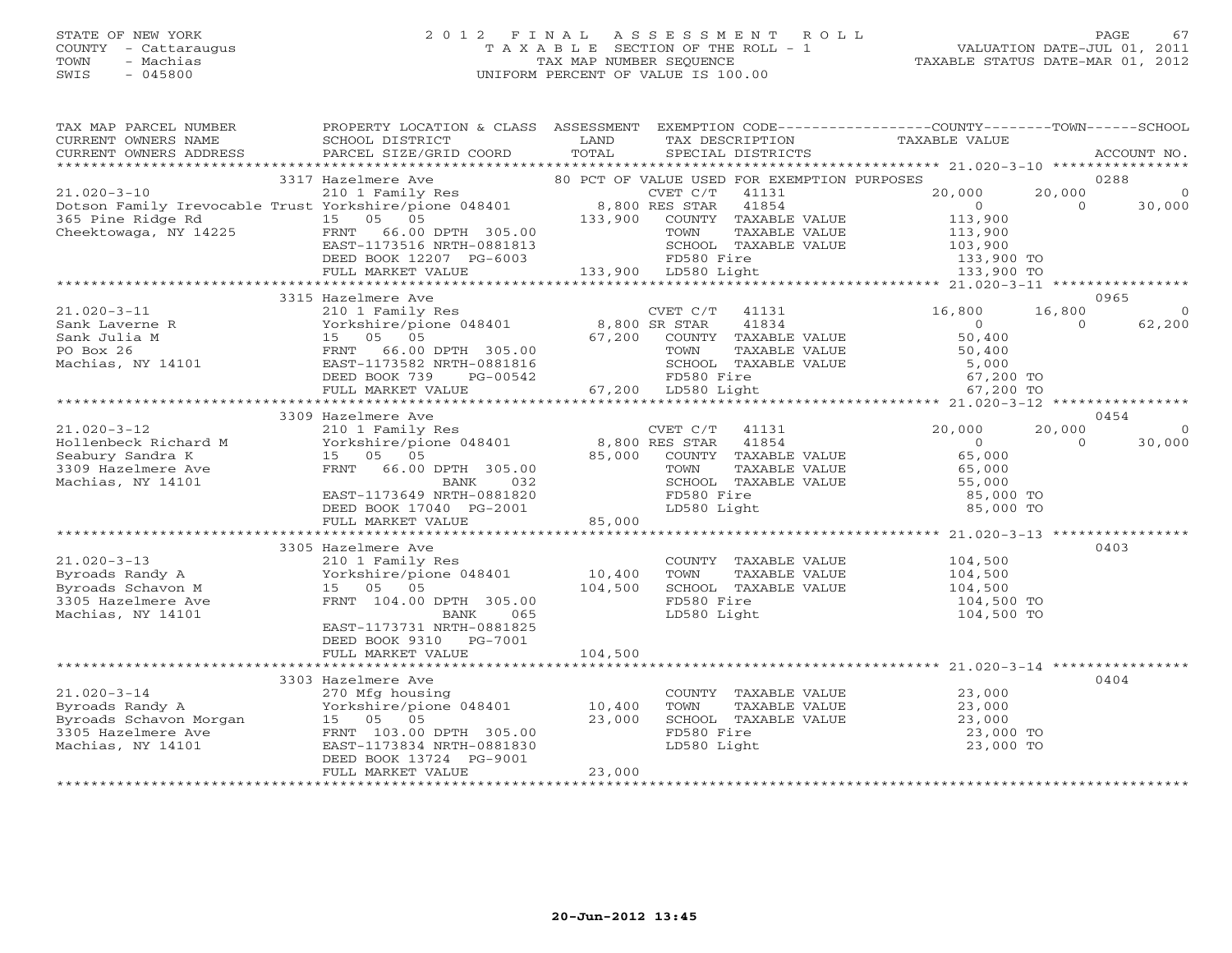# STATE OF NEW YORK 2 0 1 2 F I N A L A S S E S S M E N T R O L L PAGE 67 COUNTY - Cattaraugus T A X A B L E SECTION OF THE ROLL - 1 VALUATION DATE-JUL 01, 2011 TOWN - Machias TAX MAP NUMBER SEQUENCE TAXABLE STATUS DATE-MAR 01, 2012 SWIS - 045800 UNIFORM PERCENT OF VALUE IS 100.00UNIFORM PERCENT OF VALUE IS 100.00

| TAX MAP PARCEL NUMBER<br>CURRENT OWNERS NAME<br>CURRENT OWNERS ADDRESS | PROPERTY LOCATION & CLASS ASSESSMENT<br>SCHOOL DISTRICT<br>PARCEL SIZE/GRID COORD | LAND<br>TOTAL  | SPECIAL DISTRICTS                             | EXEMPTION CODE-----------------COUNTY-------TOWN------SCHOOL<br>TAX DESCRIPTION TAXABLE VALUE |          | ACCOUNT NO. |
|------------------------------------------------------------------------|-----------------------------------------------------------------------------------|----------------|-----------------------------------------------|-----------------------------------------------------------------------------------------------|----------|-------------|
|                                                                        |                                                                                   |                |                                               |                                                                                               |          |             |
|                                                                        | 3317 Hazelmere Ave                                                                |                | 80 PCT OF VALUE USED FOR EXEMPTION PURPOSES   |                                                                                               |          | 0288        |
| $21.020 - 3 - 10$                                                      | 210 1 Family Res                                                                  |                | CVET C/T<br>41131                             | 20,000                                                                                        | 20,000   | $\circ$     |
| Dotson Family Irevocable Trust Yorkshire/pione 048401                  |                                                                                   | 8,800 RES STAR | 41854                                         | $\overline{0}$                                                                                | $\Omega$ | 30,000      |
| 365 Pine Ridge Rd                                                      | 15 05 05                                                                          | 133,900        | COUNTY TAXABLE VALUE                          | 113,900                                                                                       |          |             |
| Cheektowaga, NY 14225 FRNT                                             | 66.00 DPTH 305.00                                                                 |                | TAXABLE VALUE<br>TOWN                         | 113,900                                                                                       |          |             |
|                                                                        | EAST-1173516 NRTH-0881813                                                         |                | SCHOOL TAXABLE VALUE                          | 103,900                                                                                       |          |             |
|                                                                        | DEED BOOK 12207 PG-6003                                                           |                | FD580 Fire                                    | $133,900$ TO                                                                                  |          |             |
|                                                                        | FULL MARKET VALUE                                                                 |                | 133,900 LD580 Light                           |                                                                                               |          |             |
|                                                                        | 3315 Hazelmere Ave                                                                |                |                                               |                                                                                               |          | 0965        |
| $21.020 - 3 - 11$                                                      | 210 1 Family Res                                                                  |                | CVET C/T<br>41131                             | 16,800                                                                                        | 16,800   | $\circ$     |
| Sank Laverne R                                                         | Yorkshire/pione 048401 8,800 SR STAR                                              |                | 41834                                         | $\circ$                                                                                       | $\Omega$ | 62,200      |
|                                                                        | 15 05 05                                                                          | 67,200         | COUNTY TAXABLE VALUE                          | 50,400                                                                                        |          |             |
|                                                                        | FRNT<br>66.00 DPTH 305.00                                                         |                | TOWN<br>TAXABLE VALUE                         | 50,400                                                                                        |          |             |
|                                                                        | EAST-1173582 NRTH-0881816                                                         |                | SCHOOL TAXABLE VALUE                          | 5,000                                                                                         |          |             |
| Sank Julia M<br>PO Box 26<br>Machias, NY 14101                         | DEED BOOK 739<br>PG-00542                                                         |                | FD580 Fire                                    | 67,200 TO                                                                                     |          |             |
|                                                                        | FULL MARKET VALUE                                                                 |                | 67,200 LD580 Light                            | 67,200 TO                                                                                     |          |             |
|                                                                        |                                                                                   |                |                                               |                                                                                               |          |             |
|                                                                        | 3309 Hazelmere Ave                                                                |                |                                               |                                                                                               |          | 0454        |
| $21.020 - 3 - 12$                                                      | 210 1 Family Res                                                                  |                | CVET C/T<br>41131                             | 20,000                                                                                        | 20,000   | $\Omega$    |
| Hollenbeck Richard M                                                   | Yorkshire/pione 048401                                                            |                | 8,800 RES STAR<br>41854                       | $\Omega$                                                                                      | $\Omega$ | 30,000      |
| Seabury Sandra K                                                       | 15 05 05                                                                          | 85,000         | COUNTY TAXABLE VALUE                          | 65,000                                                                                        |          |             |
| 3309 Hazelmere Ave<br>Machias, NY 14101                                | FRNT 66.00 DPTH 305.00<br>BANK<br>032                                             |                | TAXABLE VALUE<br>TOWN<br>SCHOOL TAXABLE VALUE | 65,000<br>55,000                                                                              |          |             |
|                                                                        | EAST-1173649 NRTH-0881820                                                         |                | FD580 Fire                                    | 85,000 TO                                                                                     |          |             |
|                                                                        | DEED BOOK 17040 PG-2001                                                           |                | LD580 Light                                   | 85,000 TO                                                                                     |          |             |
|                                                                        | FULL MARKET VALUE                                                                 | 85,000         |                                               |                                                                                               |          |             |
|                                                                        |                                                                                   |                |                                               |                                                                                               |          |             |
|                                                                        | 3305 Hazelmere Ave                                                                |                |                                               |                                                                                               |          | 0403        |
| $21.020 - 3 - 13$                                                      | 210 1 Family Res                                                                  |                | COUNTY TAXABLE VALUE                          | 104,500                                                                                       |          |             |
| Byroads Randy A                                                        | Yorkshire/pione 048401                                                            | 10,400         | TOWN<br>TAXABLE VALUE                         | 104,500                                                                                       |          |             |
| Byroads Schavon M                                                      | 15 05 05                                                                          | 104,500        | SCHOOL TAXABLE VALUE                          | 104,500                                                                                       |          |             |
| 3305 Hazelmere Ave                                                     | FRNT 104.00 DPTH 305.00                                                           |                | FD580 Fire                                    | 104,500 TO                                                                                    |          |             |
| Machias, NY 14101                                                      | BANK<br>065                                                                       |                | LD580 Light                                   | 104,500 TO                                                                                    |          |             |
|                                                                        | EAST-1173731 NRTH-0881825                                                         |                |                                               |                                                                                               |          |             |
|                                                                        | DEED BOOK 9310 PG-7001<br>FULL MARKET VALUE                                       | 104,500        |                                               |                                                                                               |          |             |
|                                                                        |                                                                                   |                |                                               |                                                                                               |          |             |
|                                                                        | 3303 Hazelmere Ave                                                                |                |                                               |                                                                                               |          | 0404        |
| $21.020 - 3 - 14$                                                      | 270 Mfg housing                                                                   |                | COUNTY TAXABLE VALUE                          | 23,000                                                                                        |          |             |
| Byroads Randy A                                                        | Yorkshire/pione 048401 10,400                                                     |                | TOWN<br>TAXABLE VALUE                         | 23,000                                                                                        |          |             |
| Byroads Schavon Morgan                                                 | 15 05 05                                                                          | 23,000         | SCHOOL TAXABLE VALUE                          | 23,000                                                                                        |          |             |
| 3305 Hazelmere Ave                                                     | FRNT 103.00 DPTH 305.00                                                           |                | FD580 Fire                                    | 23,000 TO                                                                                     |          |             |
| Machias, NY 14101                                                      | EAST-1173834 NRTH-0881830                                                         |                | LD580 Light                                   | 23,000 TO                                                                                     |          |             |
|                                                                        | DEED BOOK 13724 PG-9001                                                           |                |                                               |                                                                                               |          |             |
|                                                                        | FULL MARKET VALUE                                                                 | 23,000         |                                               |                                                                                               |          |             |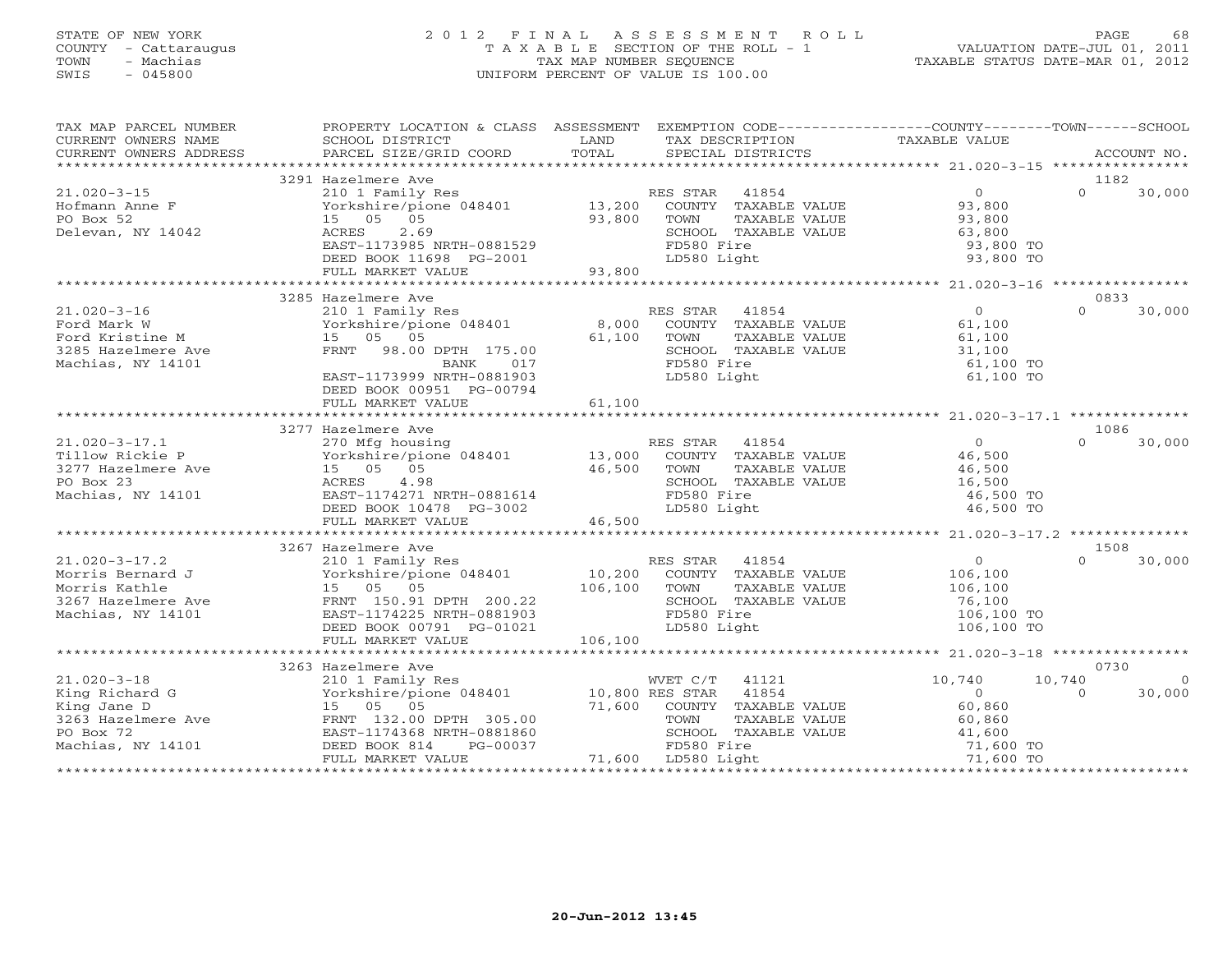### STATE OF NEW YORK 2 0 1 2 F I N A L A S S E S S M E N T R O L L PAGE 68 COUNTY - Cattaraugus T A X A B L E SECTION OF THE ROLL - 1 VALUATION DATE-JUL 01, 2011 TOWN - Machias TAX MAP NUMBER SEQUENCE TAXABLE STATUS DATE-MAR 01, 2012 SWIS - 045800 UNIFORM PERCENT OF VALUE IS 100.00UNIFORM PERCENT OF VALUE IS 100.00

| TAX MAP PARCEL NUMBER | PROPERTY LOCATION & CLASS ASSESSMENT EXEMPTION CODE---------------COUNTY-------TOWN------SCHOOL                                                                                                                                                                                                                                                                                                                                                                                                                        |         |                             |                      |          |          |
|-----------------------|------------------------------------------------------------------------------------------------------------------------------------------------------------------------------------------------------------------------------------------------------------------------------------------------------------------------------------------------------------------------------------------------------------------------------------------------------------------------------------------------------------------------|---------|-----------------------------|----------------------|----------|----------|
| CURRENT OWNERS NAME   | SCHOOL DISTRICT                                                                                                                                                                                                                                                                                                                                                                                                                                                                                                        | LAND    | TAX DESCRIPTION             | <b>TAXABLE VALUE</b> |          |          |
|                       | $\begin{minipage}{.45\textwidth} \begin{minipage}{.45\textwidth} \begin{minipage}{.45\textwidth} \begin{minipage}{.45\textwidth} \begin{minipage}{.45\textwidth} \begin{minipage}{.45\textwidth} \begin{minipage}{.45\textwidth} \begin{minipage}{.45\textwidth} \begin{minipage}{.45\textwidth} \begin{minipage}{.45\textwidth} \begin{minipage}{.45\textwidth} \begin{minipage}{.45\textwidth} \begin{minipage}{.45\textwidth} \begin{minipage}{.45\textwidth} \begin{minipage}{.45\textwidth} \begin{minipage}{.45$ | TOTAL   |                             |                      |          |          |
|                       |                                                                                                                                                                                                                                                                                                                                                                                                                                                                                                                        |         |                             |                      |          |          |
|                       | 3291 Hazelmere Ave                                                                                                                                                                                                                                                                                                                                                                                                                                                                                                     |         |                             |                      | 1182     |          |
| $21.020 - 3 - 15$     | 210 1 Family Res                                                                                                                                                                                                                                                                                                                                                                                                                                                                                                       |         | RES STAR<br>41854           | $\overline{O}$       | $\Omega$ | 30,000   |
| Hofmann Anne F        | Yorkshire/pione 048401 13,200 COUNTY TAXABLE VALUE                                                                                                                                                                                                                                                                                                                                                                                                                                                                     |         |                             | 93,800               |          |          |
| PO Box 52             | 15 05 05                                                                                                                                                                                                                                                                                                                                                                                                                                                                                                               | 93,800  | TOWN<br>TAXABLE VALUE       | 93,800               |          |          |
| Delevan, NY 14042     | 2.69<br>ACRES                                                                                                                                                                                                                                                                                                                                                                                                                                                                                                          |         | SCHOOL TAXABLE VALUE        | 63,800               |          |          |
|                       | EAST-1173985 NRTH-0881529                                                                                                                                                                                                                                                                                                                                                                                                                                                                                              |         | FD580 Fire                  | 93,800 TO            |          |          |
|                       | DEED BOOK 11698 PG-2001                                                                                                                                                                                                                                                                                                                                                                                                                                                                                                |         | LD580 Light                 | 93,800 TO            |          |          |
|                       | FULL MARKET VALUE                                                                                                                                                                                                                                                                                                                                                                                                                                                                                                      | 93,800  |                             |                      |          |          |
|                       |                                                                                                                                                                                                                                                                                                                                                                                                                                                                                                                        |         |                             |                      |          |          |
|                       | 3285 Hazelmere Ave                                                                                                                                                                                                                                                                                                                                                                                                                                                                                                     |         |                             |                      | 0833     |          |
| $21.020 - 3 - 16$     | 210 1 Family Res                                                                                                                                                                                                                                                                                                                                                                                                                                                                                                       |         | RES STAR 41854              | $\overline{0}$       | $\Omega$ | 30,000   |
| Ford Mark W           | Yorkshire/pione 048401                                                                                                                                                                                                                                                                                                                                                                                                                                                                                                 | 8,000   | COUNTY TAXABLE VALUE        | 61,100               |          |          |
| Ford Kristine M       | 15 05 05                                                                                                                                                                                                                                                                                                                                                                                                                                                                                                               | 61,100  | TOWN<br>TAXABLE VALUE       | 61,100               |          |          |
| 3285 Hazelmere Ave    | FRNT 98.00 DPTH 175.00                                                                                                                                                                                                                                                                                                                                                                                                                                                                                                 |         | SCHOOL TAXABLE VALUE        | 31,100               |          |          |
| Machias, NY 14101     | BANK<br>017                                                                                                                                                                                                                                                                                                                                                                                                                                                                                                            |         | FD580 Fire                  | 61,100 TO            |          |          |
|                       | EAST-1173999 NRTH-0881903                                                                                                                                                                                                                                                                                                                                                                                                                                                                                              |         | LD580 Light                 | 61,100 TO            |          |          |
|                       | DEED BOOK 00951 PG-00794                                                                                                                                                                                                                                                                                                                                                                                                                                                                                               |         |                             |                      |          |          |
|                       | FULL MARKET VALUE                                                                                                                                                                                                                                                                                                                                                                                                                                                                                                      | 61,100  |                             |                      |          |          |
|                       |                                                                                                                                                                                                                                                                                                                                                                                                                                                                                                                        |         |                             |                      | 1086     |          |
| $21.020 - 3 - 17.1$   | 3277 Hazelmere Ave                                                                                                                                                                                                                                                                                                                                                                                                                                                                                                     |         | RES STAR<br>41854           | $\Omega$             | $\Omega$ |          |
| Tillow Rickie P       | 270 Mfg housing<br>Yorkshire/pione 048401 13,000                                                                                                                                                                                                                                                                                                                                                                                                                                                                       |         | COUNTY TAXABLE VALUE        | 46,500               |          | 30,000   |
| 3277 Hazelmere Ave    | 15 05 05                                                                                                                                                                                                                                                                                                                                                                                                                                                                                                               | 46,500  | TOWN<br>TAXABLE VALUE       | 46,500               |          |          |
| PO Box 23             | ACRES<br>4.98                                                                                                                                                                                                                                                                                                                                                                                                                                                                                                          |         | SCHOOL TAXABLE VALUE        | $40,300$<br>$16,500$ |          |          |
| Machias, NY 14101     | EAST-1174271 NRTH-0881614                                                                                                                                                                                                                                                                                                                                                                                                                                                                                              |         | FD580 Fire                  | 46,500 TO            |          |          |
|                       | DEED BOOK 10478 PG-3002                                                                                                                                                                                                                                                                                                                                                                                                                                                                                                |         | LD580 Light                 | 46,500 TO            |          |          |
|                       | FULL MARKET VALUE                                                                                                                                                                                                                                                                                                                                                                                                                                                                                                      | 46,500  |                             |                      |          |          |
|                       |                                                                                                                                                                                                                                                                                                                                                                                                                                                                                                                        |         |                             |                      |          |          |
|                       | 3267 Hazelmere Ave                                                                                                                                                                                                                                                                                                                                                                                                                                                                                                     |         |                             |                      | 1508     |          |
| $21.020 - 3 - 17.2$   | 210 1 Family Res                                                                                                                                                                                                                                                                                                                                                                                                                                                                                                       |         | RES STAR 41854              | $\overline{0}$       | $\Omega$ | 30,000   |
| Morris Bernard J      | Yorkshire/pione 048401                                                                                                                                                                                                                                                                                                                                                                                                                                                                                                 |         | 10,200 COUNTY TAXABLE VALUE | 106,100              |          |          |
| Morris Kathle         | 15 05 05                                                                                                                                                                                                                                                                                                                                                                                                                                                                                                               | 106,100 | TOWN<br>TAXABLE VALUE       | 106,100              |          |          |
| 3267 Hazelmere Ave    | FRNT 150.91 DPTH 200.22                                                                                                                                                                                                                                                                                                                                                                                                                                                                                                |         | SCHOOL TAXABLE VALUE        | 76,100               |          |          |
| Machias, NY 14101     | EAST-1174225 NRTH-0881903                                                                                                                                                                                                                                                                                                                                                                                                                                                                                              |         | FD580 Fire                  | 106,100 TO           |          |          |
|                       | DEED BOOK 00791 PG-01021                                                                                                                                                                                                                                                                                                                                                                                                                                                                                               |         | LD580 Light                 | 106,100 TO           |          |          |
|                       | FULL MARKET VALUE                                                                                                                                                                                                                                                                                                                                                                                                                                                                                                      | 106,100 |                             |                      |          |          |
|                       | *******************************                                                                                                                                                                                                                                                                                                                                                                                                                                                                                        |         |                             |                      |          |          |
|                       | 3263 Hazelmere Ave                                                                                                                                                                                                                                                                                                                                                                                                                                                                                                     |         |                             |                      | 0730     |          |
| $21.020 - 3 - 18$     |                                                                                                                                                                                                                                                                                                                                                                                                                                                                                                                        |         |                             | 10,740               | 10,740   | $\Omega$ |
| King Richard G        |                                                                                                                                                                                                                                                                                                                                                                                                                                                                                                                        |         |                             | $\circ$              | $\Omega$ | 30,000   |
| King Jane D           | 15 05 05                                                                                                                                                                                                                                                                                                                                                                                                                                                                                                               |         | 71,600 COUNTY TAXABLE VALUE | 60,860               |          |          |
| 3263 Hazelmere Ave    | FRNT 132.00 DPTH 305.00                                                                                                                                                                                                                                                                                                                                                                                                                                                                                                |         | TOWN<br>TAXABLE VALUE       | 60,860               |          |          |
| PO Box 72             | EAST-1174368 NRTH-0881860                                                                                                                                                                                                                                                                                                                                                                                                                                                                                              |         | SCHOOL TAXABLE VALUE        | 41,600               |          |          |
| Machias, NY 14101     | DEED BOOK 814<br>PG-00037                                                                                                                                                                                                                                                                                                                                                                                                                                                                                              |         | FD580 Fire                  | 71,600 TO            |          |          |
|                       | FULL MARKET VALUE                                                                                                                                                                                                                                                                                                                                                                                                                                                                                                      |         | 71,600 LD580 Light          | 71,600 TO            |          |          |
|                       |                                                                                                                                                                                                                                                                                                                                                                                                                                                                                                                        |         |                             |                      |          |          |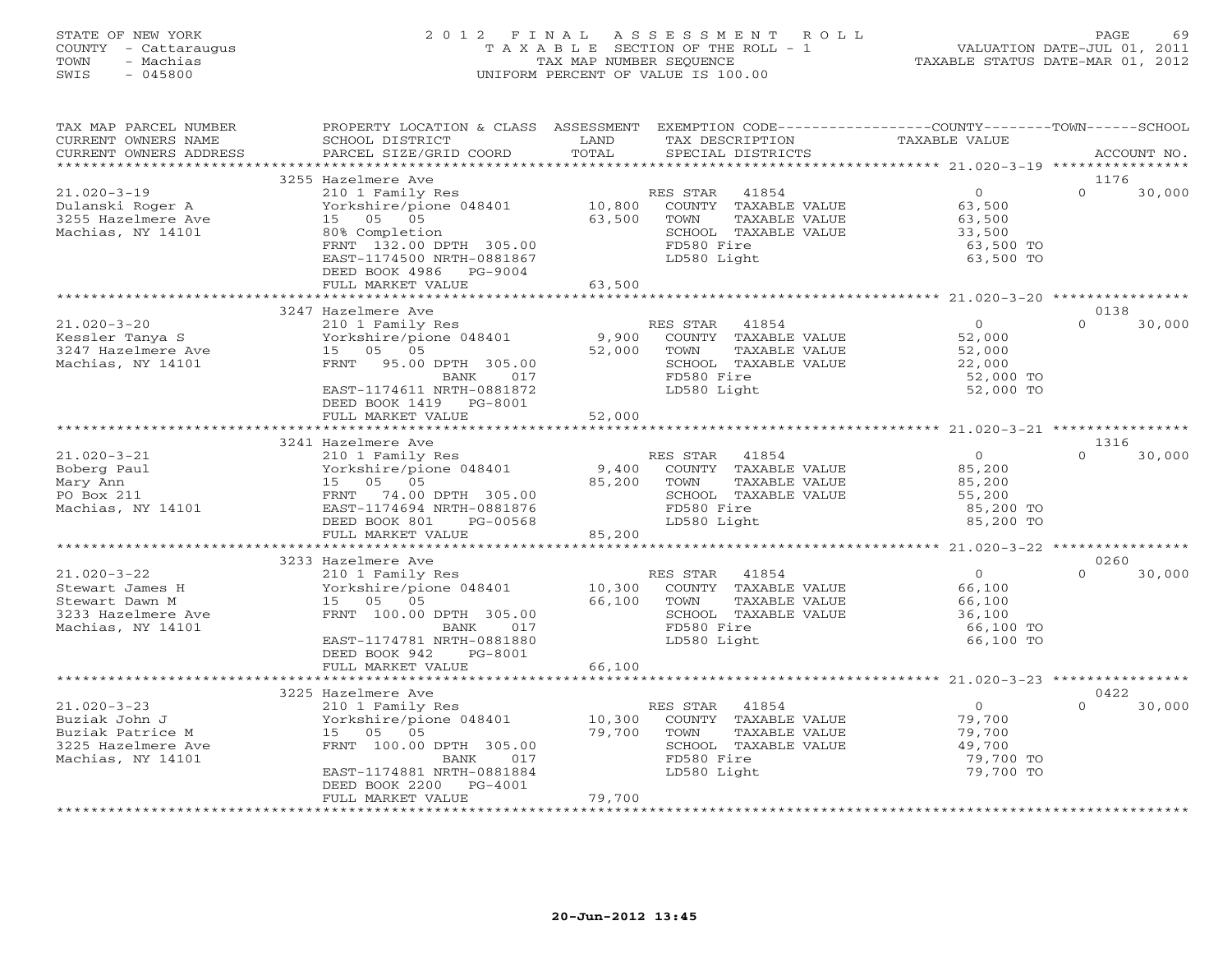# STATE OF NEW YORK 2 0 1 2 F I N A L A S S E S S M E N T R O L L PAGE 69 COUNTY - Cattaraugus T A X A B L E SECTION OF THE ROLL - 1 VALUATION DATE-JUL 01, 2011 TOWN - Machias TAX MAP NUMBER SEQUENCE TAXABLE STATUS DATE-MAR 01, 2012 SWIS - 045800 UNIFORM PERCENT OF VALUE IS 100.00UNIFORM PERCENT OF VALUE IS 100.00

| TAX MAP PARCEL NUMBER<br>CURRENT OWNERS NAME<br>CURRENT OWNERS ADDRESS<br>**********************  | PROPERTY LOCATION & CLASS<br>SCHOOL DISTRICT<br>PARCEL SIZE/GRID COORD<br>***************************                                                                                    | ASSESSMENT<br>LAND<br>TOTAL | EXEMPTION CODE-----------------COUNTY-------TOWN------SCHOOL<br>TAX DESCRIPTION<br>SPECIAL DISTRICTS                    | TAXABLE VALUE                                                          |                  | ACCOUNT NO. |
|---------------------------------------------------------------------------------------------------|------------------------------------------------------------------------------------------------------------------------------------------------------------------------------------------|-----------------------------|-------------------------------------------------------------------------------------------------------------------------|------------------------------------------------------------------------|------------------|-------------|
|                                                                                                   |                                                                                                                                                                                          |                             |                                                                                                                         |                                                                        |                  |             |
| $21.020 - 3 - 19$<br>Dulanski Roger A<br>3255 Hazelmere Ave<br>Machias, NY 14101                  | 3255 Hazelmere Ave<br>210 1 Family Res<br>Yorkshire/pione 048401<br>05 05<br>15<br>80% Completion<br>FRNT 132.00 DPTH 305.00<br>EAST-1174500 NRTH-0881867<br>DEED BOOK 4986<br>PG-9004   | 10,800<br>63,500            | RES STAR<br>41854<br>COUNTY TAXABLE VALUE<br>TOWN<br>TAXABLE VALUE<br>SCHOOL TAXABLE VALUE<br>FD580 Fire<br>LD580 Light | $\circ$<br>63,500<br>63,500<br>33,500<br>63,500 TO<br>63,500 TO        | 1176<br>$\Omega$ | 30,000      |
|                                                                                                   | FULL MARKET VALUE                                                                                                                                                                        | 63,500                      |                                                                                                                         |                                                                        |                  |             |
|                                                                                                   |                                                                                                                                                                                          |                             |                                                                                                                         |                                                                        |                  |             |
| $21.020 - 3 - 20$<br>Kessler Tanya S<br>3247 Hazelmere Ave<br>Machias, NY 14101                   | 3247 Hazelmere Ave<br>210 1 Family Res<br>Yorkshire/pione 048401<br>05<br>05<br>15<br>95.00 DPTH 305.00<br>FRNT<br>BANK<br>017<br>EAST-1174611 NRTH-0881872<br>DEED BOOK 1419<br>PG-8001 | 9,900<br>52,000             | RES STAR<br>41854<br>COUNTY TAXABLE VALUE<br>TAXABLE VALUE<br>TOWN<br>SCHOOL TAXABLE VALUE<br>FD580 Fire<br>LD580 Light | $\overline{0}$<br>52,000<br>52,000<br>22,000<br>52,000 TO<br>52,000 TO | 0138<br>$\Omega$ | 30,000      |
|                                                                                                   | FULL MARKET VALUE                                                                                                                                                                        | 52,000                      |                                                                                                                         |                                                                        |                  |             |
|                                                                                                   |                                                                                                                                                                                          |                             |                                                                                                                         | ********************* 21.020-3-21 ************                         |                  |             |
|                                                                                                   | 3241 Hazelmere Ave                                                                                                                                                                       |                             |                                                                                                                         |                                                                        | 1316             |             |
| $21.020 - 3 - 21$<br>Boberg Paul<br>Mary Ann<br>PO Box 211<br>Machias, NY 14101                   | 210 1 Family Res<br>Yorkshire/pione 048401<br>05 05<br>15<br>74.00 DPTH 305.00<br>FRNT<br>EAST-1174694 NRTH-0881876<br>DEED BOOK 801<br>PG-00568<br>FULL MARKET VALUE                    | 9,400<br>85,200<br>85,200   | 41854<br>RES STAR<br>COUNTY TAXABLE VALUE<br>TAXABLE VALUE<br>TOWN<br>SCHOOL TAXABLE VALUE<br>FD580 Fire<br>LD580 Light | $\overline{0}$<br>85,200<br>85,200<br>55,200<br>85,200 TO<br>85,200 TO | $\Omega$         | 30,000      |
|                                                                                                   |                                                                                                                                                                                          |                             |                                                                                                                         |                                                                        |                  |             |
|                                                                                                   | 3233 Hazelmere Ave                                                                                                                                                                       |                             |                                                                                                                         |                                                                        | 0260             |             |
| $21.020 - 3 - 22$<br>Stewart James H<br>Stewart Dawn M<br>3233 Hazelmere Ave<br>Machias, NY 14101 | 210 1 Family Res<br>Yorkshire/pione 048401<br>15 05<br>05<br>FRNT 100.00 DPTH 305.00<br>BANK<br>017<br>EAST-1174781 NRTH-0881880<br>DEED BOOK 942<br>PG-8001                             | 10,300<br>66,100            | RES STAR<br>41854<br>COUNTY TAXABLE VALUE<br>TOWN<br>TAXABLE VALUE<br>SCHOOL TAXABLE VALUE<br>FD580 Fire<br>LD580 Light | $\circ$<br>66,100<br>66,100<br>36,100<br>66,100 TO<br>66,100 TO        | $\Omega$         | 30,000      |
|                                                                                                   | FULL MARKET VALUE                                                                                                                                                                        | 66,100                      |                                                                                                                         |                                                                        |                  |             |
|                                                                                                   |                                                                                                                                                                                          |                             | ******************************* 21.020-3-23 ****************                                                            |                                                                        |                  |             |
|                                                                                                   | 3225 Hazelmere Ave                                                                                                                                                                       |                             |                                                                                                                         |                                                                        | 0422             |             |
| $21.020 - 3 - 23$<br>Buziak John J<br>Buziak Patrice M<br>3225 Hazelmere Ave<br>Machias, NY 14101 | 210 1 Family Res<br>Yorkshire/pione 048401<br>15 05<br>05<br>FRNT 100.00 DPTH 305.00<br>017<br>BANK<br>EAST-1174881 NRTH-0881884<br>DEED BOOK 2200<br>$PG-4001$                          | 10,300<br>79,700            | RES STAR<br>41854<br>COUNTY TAXABLE VALUE<br>TOWN<br>TAXABLE VALUE<br>SCHOOL TAXABLE VALUE<br>FD580 Fire<br>LD580 Light | $\Omega$<br>79,700<br>79,700<br>49,700<br>79,700 TO<br>79,700 TO       | $\Omega$         | 30,000      |
|                                                                                                   | FULL MARKET VALUE                                                                                                                                                                        | 79,700                      |                                                                                                                         |                                                                        |                  |             |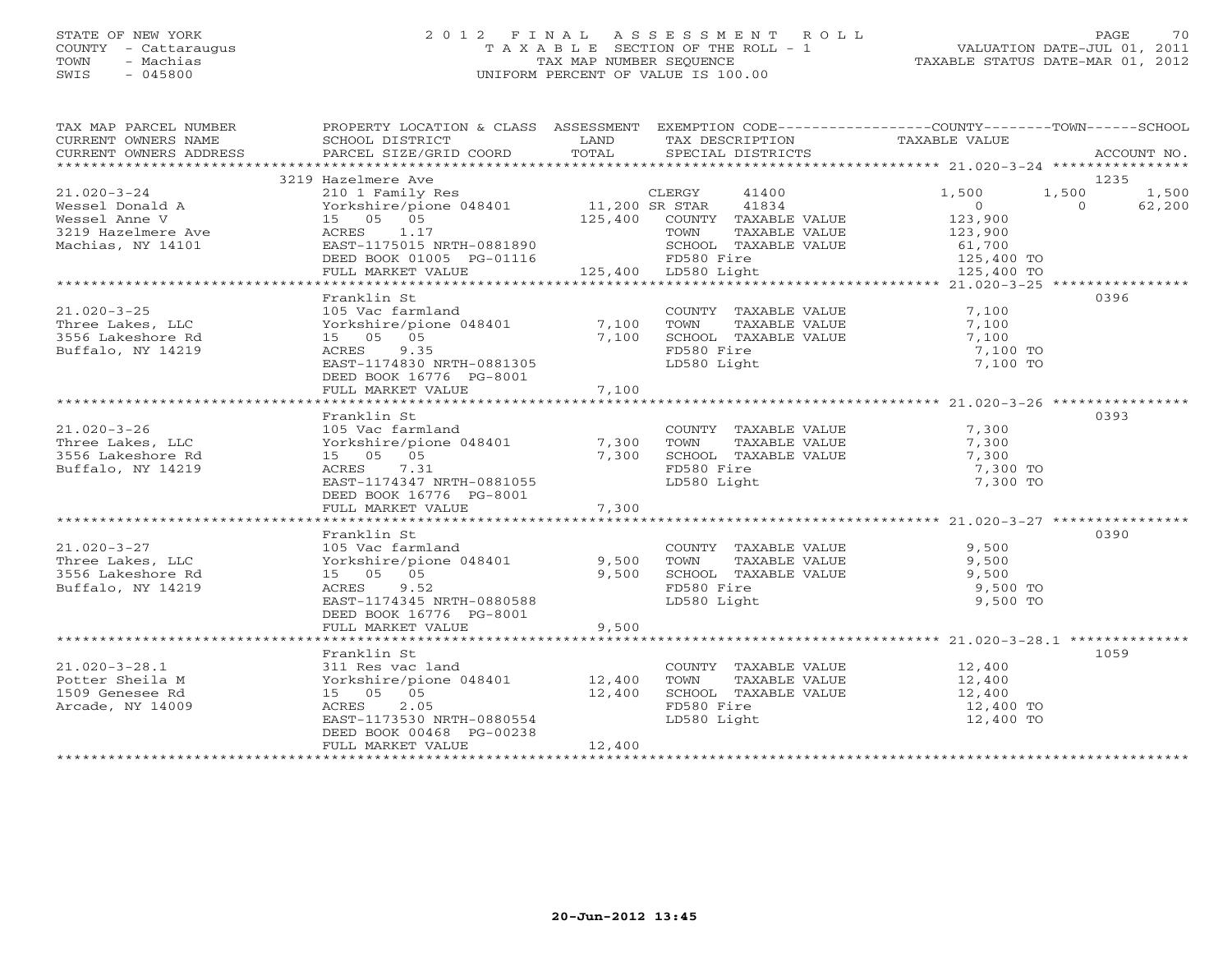# STATE OF NEW YORK 2 0 1 2 F I N A L A S S E S S M E N T R O L L PAGE 70 COUNTY - Cattaraugus T A X A B L E SECTION OF THE ROLL - 1 VALUATION DATE-JUL 01, 2011 TOWN - Machias TAX MAP NUMBER SEQUENCE TAXABLE STATUS DATE-MAR 01, 2012 SWIS - 045800 UNIFORM PERCENT OF VALUE IS 100.00

| TAX MAP PARCEL NUMBER<br>CURRENT OWNERS NAME<br>CURRENT OWNERS ADDRESS | PROPERTY LOCATION & CLASS ASSESSMENT EXEMPTION CODE----------------COUNTY-------TOWN------SCHOOL<br>SCHOOL DISTRICT<br>PARCEL SIZE/GRID COORD | LAND<br>TOTAL | TAX DESCRIPTION TAXABLE VALUE<br>SPECIAL DISTRICTS |                   | ACCOUNT NO.            |
|------------------------------------------------------------------------|-----------------------------------------------------------------------------------------------------------------------------------------------|---------------|----------------------------------------------------|-------------------|------------------------|
|                                                                        |                                                                                                                                               |               |                                                    |                   |                        |
| $21.020 - 3 - 24$                                                      | 3219 Hazelmere Ave<br>210 1 Family Res                                                                                                        |               | CLERGY<br>41400                                    | 1,500             | 1235<br>1,500<br>1,500 |
| Wessel Donald A                                                        | Yorkshire/pione 048401 11,200 SR STAR                                                                                                         |               | 41834                                              | $\overline{0}$    | $\Omega$<br>62,200     |
| Wessel Anne V                                                          | 15 05 05                                                                                                                                      |               | 125,400 COUNTY TAXABLE VALUE                       | 123,900           |                        |
| 3219 Hazelmere Ave                                                     | ACRES 1.17                                                                                                                                    |               | TOWN                                               |                   |                        |
| Machias, NY 14101                                                      | EAST-1175015 NRTH-0881890                                                                                                                     |               | TAXABLE VALUE<br>SCHOOL TAXABLE VALUE              | 123,900<br>61,700 |                        |
|                                                                        | DEED BOOK 01005 PG-01116                                                                                                                      |               | FD580 Fire                                         | 125,400 TO        |                        |
|                                                                        |                                                                                                                                               |               | 125,400 LD580 Light                                |                   |                        |
|                                                                        | FULL MARKET VALUE                                                                                                                             |               |                                                    | 125,400 TO        |                        |
|                                                                        | Franklin St                                                                                                                                   |               |                                                    |                   | 0396                   |
| $21.020 - 3 - 25$                                                      | 105 Vac farmland                                                                                                                              |               | COUNTY TAXABLE VALUE 7,100                         |                   |                        |
| Three Lakes, LLC                                                       | Yorkshire/pione 048401                                                                                                                        | 7,100         | TAXABLE VALUE<br>TOWN                              | 7,100             |                        |
| 3556 Lakeshore Rd                                                      | 15 05 05                                                                                                                                      | 7,100         | SCHOOL TAXABLE VALUE                               | 7,100             |                        |
| Buffalo, NY 14219                                                      | ACRES<br>9.35                                                                                                                                 |               | FD580 Fire                                         | 7,100 TO          |                        |
|                                                                        | EAST-1174830 NRTH-0881305                                                                                                                     |               | LD580 Light                                        | 7,100 TO          |                        |
|                                                                        | DEED BOOK 16776 PG-8001                                                                                                                       |               |                                                    |                   |                        |
|                                                                        | FULL MARKET VALUE                                                                                                                             | 7,100         |                                                    |                   |                        |
|                                                                        |                                                                                                                                               |               |                                                    |                   |                        |
|                                                                        | Franklin St                                                                                                                                   |               |                                                    |                   | 0393                   |
|                                                                        |                                                                                                                                               |               |                                                    |                   |                        |
| $21.020 - 3 - 26$                                                      | 105 Vac farmland                                                                                                                              |               | COUNTY TAXABLE VALUE                               | 7,300             |                        |
| Three Lakes, LLC                                                       | Yorkshire/pione 048401                                                                                                                        | 7,300         | TOWN TAXABLE VALUE                                 | 7,300             |                        |
| 3556 Lakeshore Rd                                                      | 15 05 05                                                                                                                                      | 7,300         | SCHOOL TAXABLE VALUE                               | 7,300             |                        |
| Buffalo, NY 14219                                                      | ACRES<br>7.31                                                                                                                                 |               | FD580 Fire                                         | 7,300 TO          |                        |
|                                                                        | EAST-1174347 NRTH-0881055                                                                                                                     |               | LD580 Light                                        | 7,300 TO          |                        |
|                                                                        | DEED BOOK 16776 PG-8001                                                                                                                       |               |                                                    |                   |                        |
|                                                                        | FULL MARKET VALUE                                                                                                                             | 7,300         |                                                    |                   |                        |
|                                                                        |                                                                                                                                               |               |                                                    |                   |                        |
|                                                                        | Franklin St                                                                                                                                   |               |                                                    |                   | 0390                   |
| $21.020 - 3 - 27$                                                      | 105 Vac farmland                                                                                                                              |               | COUNTY TAXABLE VALUE                               | 9,500             |                        |
| Three Lakes, LLC                                                       | Yorkshire/pione 048401                                                                                                                        | 9,500         | TOWN TAXABLE VALUE                                 | 9,500             |                        |
| 3556 Lakeshore Rd                                                      | 15 05 05                                                                                                                                      | 9,500         | SCHOOL TAXABLE VALUE                               | 9,500             |                        |
| Buffalo, NY 14219                                                      | ACRES 9.52                                                                                                                                    |               | FD580 Fire                                         | 9,500 TO          |                        |
|                                                                        | EAST-1174345 NRTH-0880588                                                                                                                     |               | LD580 Light                                        | 9,500 TO          |                        |
|                                                                        | DEED BOOK 16776 PG-8001                                                                                                                       |               |                                                    |                   |                        |
|                                                                        | FULL MARKET VALUE                                                                                                                             | 9,500         |                                                    |                   |                        |
|                                                                        |                                                                                                                                               |               |                                                    |                   |                        |
|                                                                        | Franklin St                                                                                                                                   |               |                                                    |                   | 1059                   |
| $21.020 - 3 - 28.1$                                                    | 311 Res vac land                                                                                                                              |               | COUNTY TAXABLE VALUE                               | 12,400<br>12,400  |                        |
| Potter Sheila M                                                        | Yorkshire/pione 048401 12,400                                                                                                                 |               | TOWN<br>TAXABLE VALUE                              |                   |                        |
| 1509 Genesee Rd                                                        | 15 05 05                                                                                                                                      | 12,400        | SCHOOL TAXABLE VALUE                               | 12,400            |                        |
| Arcade, NY 14009                                                       | 2.05<br>ACRES                                                                                                                                 |               | FD580 Fire                                         | 12,400 TO         |                        |
|                                                                        | EAST-1173530 NRTH-0880554                                                                                                                     |               | LD580 Light                                        | 12,400 TO         |                        |
|                                                                        | DEED BOOK 00468 PG-00238                                                                                                                      |               |                                                    |                   |                        |
|                                                                        | FULL MARKET VALUE                                                                                                                             | 12,400        |                                                    |                   |                        |
|                                                                        |                                                                                                                                               |               |                                                    |                   |                        |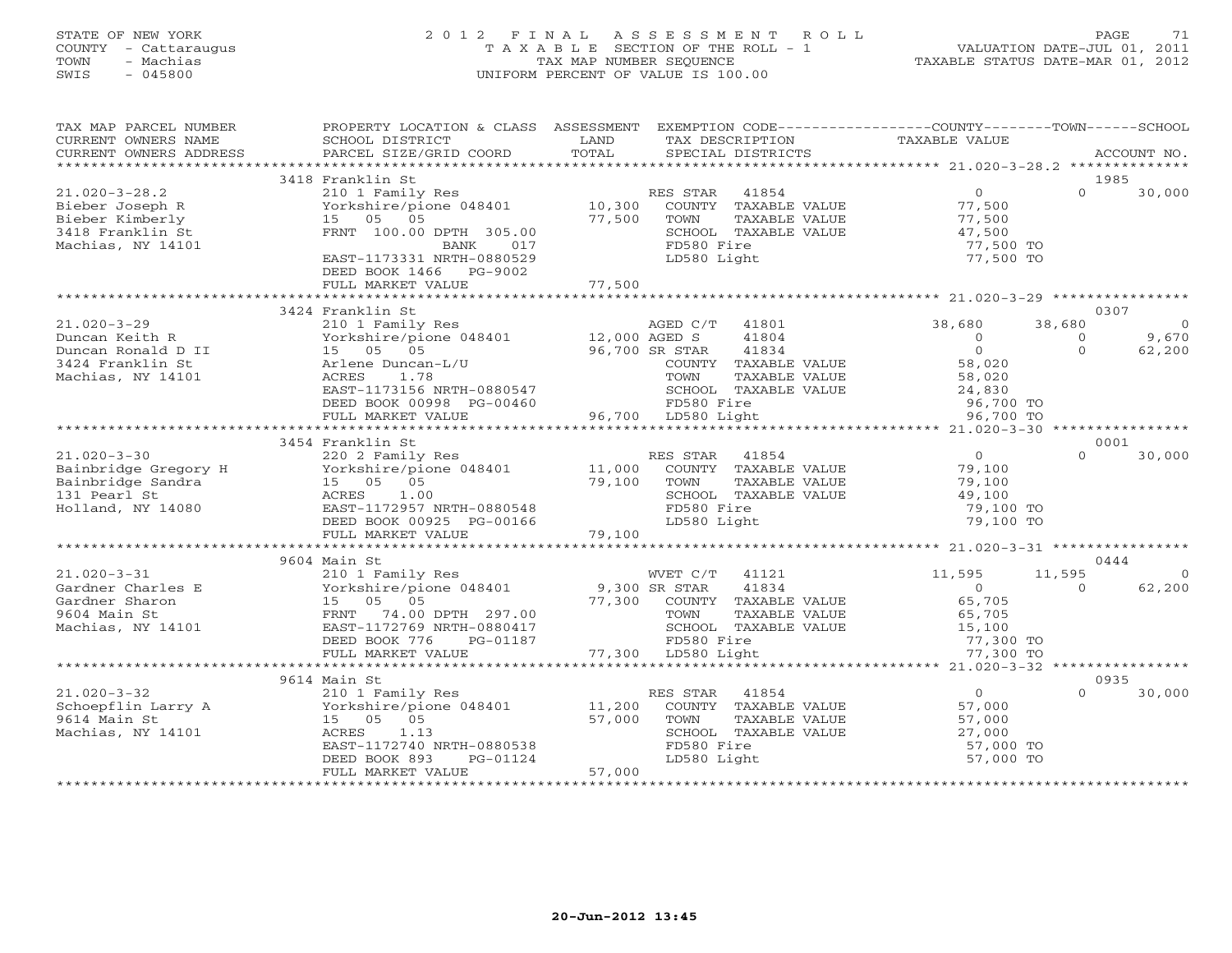# STATE OF NEW YORK 2 0 1 2 F I N A L A S S E S S M E N T R O L L PAGE 71 COUNTY - Cattaraugus T A X A B L E SECTION OF THE ROLL - 1 VALUATION DATE-JUL 01, 2011 TOWN - Machias TAX MAP NUMBER SEQUENCE TAXABLE STATUS DATE-MAR 01, 2012 SWIS - 045800 UNIFORM PERCENT OF VALUE IS 100.00UNIFORM PERCENT OF VALUE IS 100.00

| TAX MAP PARCEL NUMBER<br>CURRENT OWNERS NAME<br>CURRENT OWNERS ADDRESS   | PROPERTY LOCATION & CLASS ASSESSMENT EXEMPTION CODE----------------COUNTY-------TOWN------SCHOOL<br>SCHOOL DISTRICT<br>PARCEL SIZE/GRID COORD | LAND<br>TOTAL  | TAX DESCRIPTION<br>SPECIAL DISTRICTS | TAXABLE VALUE                                  |          | ACCOUNT NO. |
|--------------------------------------------------------------------------|-----------------------------------------------------------------------------------------------------------------------------------------------|----------------|--------------------------------------|------------------------------------------------|----------|-------------|
| ***********************                                                  |                                                                                                                                               |                |                                      |                                                |          |             |
|                                                                          | 3418 Franklin St                                                                                                                              |                |                                      |                                                |          | 1985        |
| $21.020 - 3 - 28.2$                                                      | 210 1 Family Res                                                                                                                              |                | RES STAR 41854                       | $\overline{0}$                                 | $\Omega$ | 30,000      |
| Bieber Joseph R                                                          | Yorkshire/pione 048401                                                                                                                        | 10,300         | COUNTY TAXABLE VALUE                 | 77,500                                         |          |             |
| Bieber Kimberly                                                          | 15 05 05                                                                                                                                      | 77,500         | TOWN<br>TAXABLE VALUE                | 77,500                                         |          |             |
| 3418 Franklin St                                                         | FRNT 100.00 DPTH 305.00                                                                                                                       |                | SCHOOL TAXABLE VALUE                 | 47,500                                         |          |             |
| Machias, NY 14101                                                        | BANK<br>017                                                                                                                                   |                | FD580 Fire                           | 77,500 TO                                      |          |             |
|                                                                          | EAST-1173331 NRTH-0880529                                                                                                                     |                | LD580 Light                          | 77,500 TO                                      |          |             |
|                                                                          | DEED BOOK 1466 PG-9002                                                                                                                        |                |                                      |                                                |          |             |
|                                                                          |                                                                                                                                               |                |                                      |                                                |          |             |
|                                                                          |                                                                                                                                               |                |                                      |                                                |          |             |
|                                                                          | 3424 Franklin St                                                                                                                              |                |                                      |                                                |          | 0307        |
| $21.020 - 3 - 29$                                                        | 210 1 Family Res                                                                                                                              |                | AGED C/T<br>41801                    | 38,680                                         | 38,680   | $\Omega$    |
| Duncan Keith R                                                           | Yorkshire/pione 048401                                                                                                                        | 12,000 AGED S  | 41804                                | $\circ$                                        | $\circ$  | 9,670       |
| Duncan Ronald D II                                                       | 15 05 05                                                                                                                                      | 96,700 SR STAR | 41834                                | $\Omega$                                       | $\Omega$ | 62,200      |
| 3424 Franklin St                                                         | Arlene Duncan-L/U                                                                                                                             |                | COUNTY TAXABLE VALUE                 | 58,020                                         |          |             |
| Machias, NY 14101                                                        | ACRES<br>1.78                                                                                                                                 |                | TOWN<br>TAXABLE VALUE                | 58,020                                         |          |             |
|                                                                          | EAST-1173156 NRTH-0880547                                                                                                                     |                | SCHOOL TAXABLE VALUE                 | 58,020<br>24,830                               |          |             |
|                                                                          | DEED BOOK 00998 PG-00460                                                                                                                      |                | FD580 Fire                           | 96,700 TO                                      |          |             |
|                                                                          | FULL MARKET VALUE                                                                                                                             |                | 96,700 LD580 Light                   | 96,700 TO                                      |          |             |
|                                                                          |                                                                                                                                               |                |                                      |                                                |          |             |
|                                                                          | 3454 Franklin St                                                                                                                              |                |                                      |                                                |          | 0001        |
| 21.020-3-30<br>Bainbridge Gregory H<br>Bainbridge Sandra<br>131 Pearl St | 220 2 Family Res                                                                                                                              |                | RES STAR 41854                       | $\overline{0}$                                 | $\Omega$ | 30,000      |
|                                                                          | Yorkshire/pione 048401                                                                                                                        | 11,000         | COUNTY TAXABLE VALUE                 | 79,100                                         |          |             |
|                                                                          | 15 05 05                                                                                                                                      | 79,100         | TOWN<br>TAXABLE VALUE                | 79,100                                         |          |             |
|                                                                          | 1.00<br>ACRES                                                                                                                                 |                | SCHOOL TAXABLE VALUE                 | 49,100                                         |          |             |
| Holland, NY 14080                                                        | EAST-1172957 NRTH-0880548                                                                                                                     |                | FD580 Fire                           | 79,100 TO                                      |          |             |
|                                                                          | DEED BOOK 00925 PG-00166                                                                                                                      |                | LD580 Light                          | 79,100 TO                                      |          |             |
|                                                                          | FULL MARKET VALUE                                                                                                                             | 79,100         |                                      |                                                |          |             |
|                                                                          | ************************                                                                                                                      |                |                                      |                                                |          |             |
|                                                                          | 9604 Main St                                                                                                                                  |                |                                      |                                                |          | 0444        |
| $21.020 - 3 - 31$                                                        | 210 1 Family Res                                                                                                                              |                | WVET C/T<br>41121                    | 11,595                                         | 11,595   | $\Omega$    |
| Gardner Charles E                                                        | Yorkshire/pione 048401                                                                                                                        | 9,300 SR STAR  | 41834                                | $\Omega$                                       | $\cap$   | 62,200      |
| Gardner Sharon                                                           | 15 05 05                                                                                                                                      |                | 77,300 COUNTY TAXABLE VALUE          | 65,705                                         |          |             |
| 9604 Main St                                                             | FRNT 74.00 DPTH 297.00                                                                                                                        |                | TOWN<br>TAXABLE VALUE                | 65,705                                         |          |             |
| Machias, NY 14101                                                        | EAST-1172769 NRTH-0880417                                                                                                                     |                | SCHOOL TAXABLE VALUE                 | 15,100                                         |          |             |
|                                                                          | DEED BOOK 776<br>PG-01187                                                                                                                     |                | FD580 Fire                           | 77,300 TO                                      |          |             |
|                                                                          | FULL MARKET VALUE<br>****************************                                                                                             |                | 77,300 LD580 Light                   | 77,300 TO                                      |          |             |
|                                                                          |                                                                                                                                               |                |                                      | ***************** 21.020-3-32 **************** |          |             |
|                                                                          | 9614 Main St                                                                                                                                  |                |                                      |                                                |          | 0935        |
| $21.020 - 3 - 32$                                                        | 210 1 Family Res                                                                                                                              |                | RES STAR<br>41854                    | $\overline{0}$                                 | $\Omega$ | 30,000      |
| Schoepflin Larry A                                                       | Yorkshire/pione 048401                                                                                                                        | 11,200         | COUNTY TAXABLE VALUE                 | 57,000                                         |          |             |
| 9614 Main St                                                             | 15 05 05                                                                                                                                      | 57,000         | TOWN<br>TAXABLE VALUE                | 57,000                                         |          |             |
| Machias, NY 14101                                                        | 1.13<br>ACRES                                                                                                                                 |                | SCHOOL TAXABLE VALUE                 | 27,000                                         |          |             |
|                                                                          | EAST-1172740 NRTH-0880538                                                                                                                     |                | FD580 Fire                           | 57,000 TO                                      |          |             |
|                                                                          | DEED BOOK 893<br>PG-01124                                                                                                                     |                | LD580 Light                          | 57,000 TO                                      |          |             |
|                                                                          | FULL MARKET VALUE                                                                                                                             | 57,000         |                                      |                                                |          |             |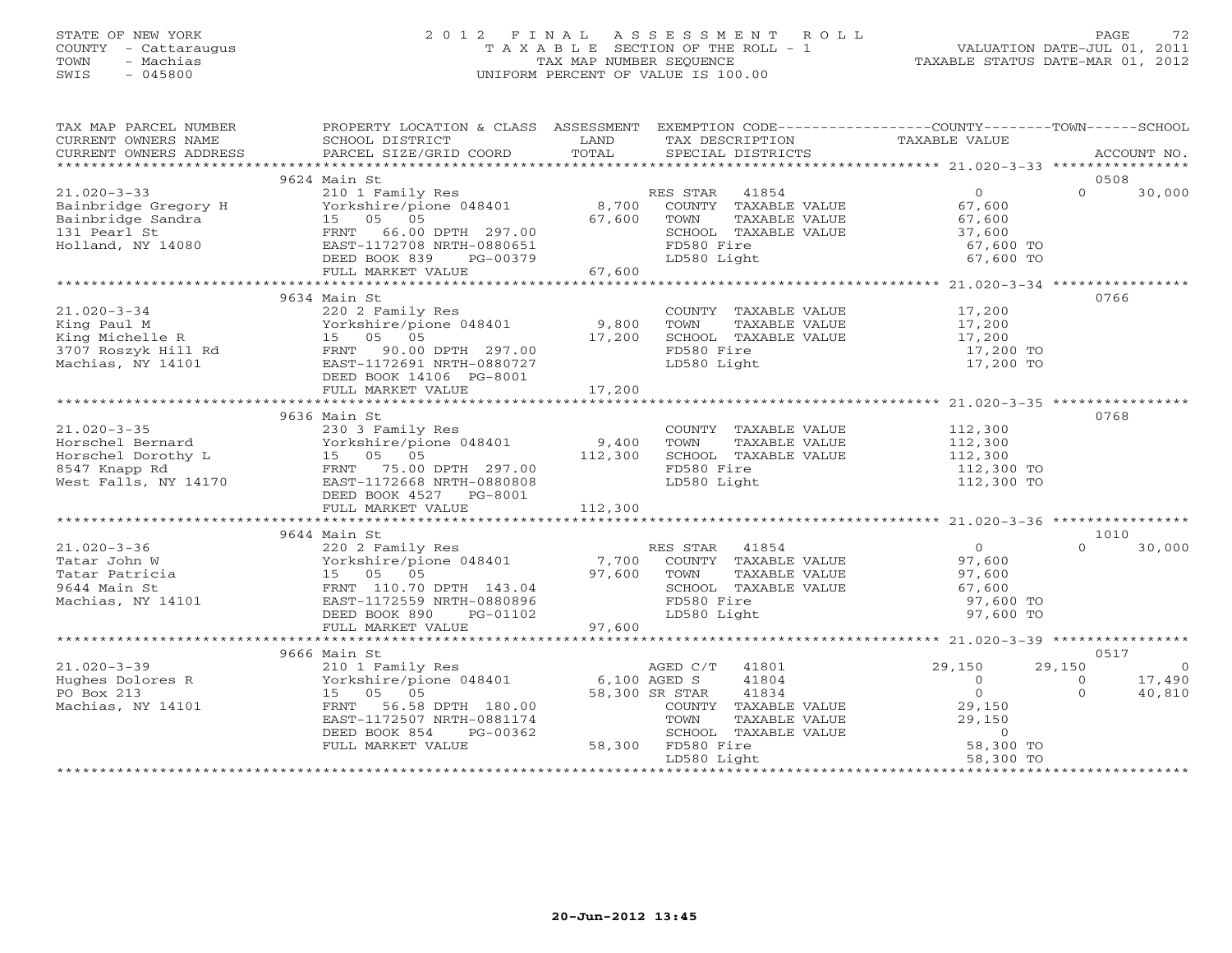# STATE OF NEW YORK 2 0 1 2 F I N A L A S S E S S M E N T R O L L PAGE 72 COUNTY - Cattaraugus T A X A B L E SECTION OF THE ROLL - 1 VALUATION DATE-JUL 01, 2011 TOWN - Machias TAX MAP NUMBER SEQUENCE TAXABLE STATUS DATE-MAR 01, 2012 SWIS - 045800 UNIFORM PERCENT OF VALUE IS 100.00

| TAX MAP PARCEL NUMBER                                                                                                                                                                                                                                                                                                                                                                                                                                                                | PROPERTY LOCATION & CLASS ASSESSMENT EXEMPTION CODE----------------COUNTY-------TOWN------SCHOOL |                  |                                                                                                                                                                           |                                                                                |                                      |
|--------------------------------------------------------------------------------------------------------------------------------------------------------------------------------------------------------------------------------------------------------------------------------------------------------------------------------------------------------------------------------------------------------------------------------------------------------------------------------------|--------------------------------------------------------------------------------------------------|------------------|---------------------------------------------------------------------------------------------------------------------------------------------------------------------------|--------------------------------------------------------------------------------|--------------------------------------|
| $\begin{tabular}{lllllll} \multicolumn{2}{c}{\textbf{CURRENT}} & \multicolumn{2}{c}{\textbf{WWERS}} & \multicolumn{2}{c}{\textbf{NAME}} & \multicolumn{2}{c}{\textbf{SCH1D}} & \multicolumn{2}{c}{\textbf{LAND}} & \multicolumn{2}{c}{\textbf{TAX} \textbf{DESCRIPTION}} & \multicolumn{2}{c}{\textbf{TAXABLE} \textbf{ VALUE}} & \multicolumn{2}{c}{\textbf{ACCOUNT NO}} \\ & \multicolumn{2}{c}{\textbf{CURRENT}} & \multicolumn{2}{c}{\textbf{WMERS}} & \multicolumn{2}{c}{\text$ |                                                                                                  |                  |                                                                                                                                                                           |                                                                                |                                      |
|                                                                                                                                                                                                                                                                                                                                                                                                                                                                                      |                                                                                                  |                  |                                                                                                                                                                           |                                                                                | ACCOUNT NO.                          |
|                                                                                                                                                                                                                                                                                                                                                                                                                                                                                      |                                                                                                  |                  |                                                                                                                                                                           |                                                                                |                                      |
|                                                                                                                                                                                                                                                                                                                                                                                                                                                                                      | 9624 Main St                                                                                     |                  |                                                                                                                                                                           |                                                                                | 0508                                 |
|                                                                                                                                                                                                                                                                                                                                                                                                                                                                                      |                                                                                                  |                  | RES STAR 41854<br>ES STAR - 41854<br>COUNTY - TAXABLE VALUE                                                                                                               | $\overline{0}$                                                                 | $\Omega$<br>30,000                   |
|                                                                                                                                                                                                                                                                                                                                                                                                                                                                                      |                                                                                                  |                  |                                                                                                                                                                           | $\begin{array}{c} 0 \\ 67,600 \end{array}$                                     |                                      |
|                                                                                                                                                                                                                                                                                                                                                                                                                                                                                      |                                                                                                  |                  | TOWN                                                                                                                                                                      | TAXABLE VALUE 67,600                                                           |                                      |
|                                                                                                                                                                                                                                                                                                                                                                                                                                                                                      |                                                                                                  |                  |                                                                                                                                                                           | 37,600                                                                         |                                      |
|                                                                                                                                                                                                                                                                                                                                                                                                                                                                                      |                                                                                                  |                  |                                                                                                                                                                           | 67,600 TO                                                                      |                                      |
|                                                                                                                                                                                                                                                                                                                                                                                                                                                                                      |                                                                                                  |                  | SCHOOL TAXABLE VALUE<br>FD580 Fire<br>LD580 Light                                                                                                                         | 67,600 TO                                                                      |                                      |
| 21.020-3-33 210 1 Family Res<br>Bainbridge Gregory H Yorkshire/pione 048401 8,700<br>Bainbridge Sandra 15 05 05 67,600<br>131 Pearl St FRNT 66.00 DPTH 297.00<br>Holland, NY 14080 EAST-1172708 NRTH-0880651<br>DEED BOOK 839 PG-00379<br>                                                                                                                                                                                                                                           |                                                                                                  |                  |                                                                                                                                                                           |                                                                                |                                      |
|                                                                                                                                                                                                                                                                                                                                                                                                                                                                                      |                                                                                                  |                  |                                                                                                                                                                           |                                                                                |                                      |
|                                                                                                                                                                                                                                                                                                                                                                                                                                                                                      | 9634 Main St                                                                                     |                  |                                                                                                                                                                           |                                                                                | 0766                                 |
|                                                                                                                                                                                                                                                                                                                                                                                                                                                                                      |                                                                                                  |                  | COUNTY TAXABLE VALUE 17,200                                                                                                                                               |                                                                                |                                      |
|                                                                                                                                                                                                                                                                                                                                                                                                                                                                                      | Yorkshire/pione 048401 9,800                                                                     |                  | TOWN                                                                                                                                                                      | TAXABLE VALUE<br>TAXABLE VALUE 17,200<br>TAXABLE VALUE 17,200<br>ire 17,200 TO |                                      |
|                                                                                                                                                                                                                                                                                                                                                                                                                                                                                      |                                                                                                  | 17,200           | SCHOOL TAXABLE VALUE                                                                                                                                                      |                                                                                |                                      |
|                                                                                                                                                                                                                                                                                                                                                                                                                                                                                      |                                                                                                  |                  | FD580 Fire                                                                                                                                                                |                                                                                |                                      |
|                                                                                                                                                                                                                                                                                                                                                                                                                                                                                      |                                                                                                  |                  | LD580 Light                                                                                                                                                               | 17,200 TO                                                                      |                                      |
|                                                                                                                                                                                                                                                                                                                                                                                                                                                                                      |                                                                                                  |                  |                                                                                                                                                                           |                                                                                |                                      |
|                                                                                                                                                                                                                                                                                                                                                                                                                                                                                      |                                                                                                  |                  |                                                                                                                                                                           |                                                                                |                                      |
|                                                                                                                                                                                                                                                                                                                                                                                                                                                                                      |                                                                                                  |                  |                                                                                                                                                                           |                                                                                |                                      |
|                                                                                                                                                                                                                                                                                                                                                                                                                                                                                      | 9636 Main St                                                                                     |                  |                                                                                                                                                                           |                                                                                | 0768                                 |
| $21.020 - 3 - 35$                                                                                                                                                                                                                                                                                                                                                                                                                                                                    | 230 3 Family Res                                                                                 |                  | COUNTY TAXABLE VALUE 112,300                                                                                                                                              |                                                                                |                                      |
| 21.020-3-35 230 3 Family Res<br>Horschel Bernard Vorkshire/pione 048401<br>Horschel Dorothy L 15 05 05<br>8547 Knapp Rd FRNT 75.00 DPTH 297.00<br>West Falls, NY 14170 EAST-1172668 NRTH-0880808                                                                                                                                                                                                                                                                                     |                                                                                                  | 9,400<br>112,300 | TAXABLE VALUE<br>TOWN                                                                                                                                                     | 112,300<br>112,300                                                             |                                      |
|                                                                                                                                                                                                                                                                                                                                                                                                                                                                                      |                                                                                                  |                  | SCHOOL TAXABLE VALUE                                                                                                                                                      |                                                                                |                                      |
|                                                                                                                                                                                                                                                                                                                                                                                                                                                                                      |                                                                                                  |                  | FD580 Fire                                                                                                                                                                | 112,300 TO                                                                     |                                      |
|                                                                                                                                                                                                                                                                                                                                                                                                                                                                                      |                                                                                                  |                  | LD580 Light                                                                                                                                                               | $112,300$ TO                                                                   |                                      |
|                                                                                                                                                                                                                                                                                                                                                                                                                                                                                      | DEED BOOK 4527 PG-8001                                                                           |                  |                                                                                                                                                                           |                                                                                |                                      |
|                                                                                                                                                                                                                                                                                                                                                                                                                                                                                      |                                                                                                  |                  |                                                                                                                                                                           |                                                                                |                                      |
|                                                                                                                                                                                                                                                                                                                                                                                                                                                                                      |                                                                                                  |                  |                                                                                                                                                                           |                                                                                |                                      |
| $\begin{array}{cccccc} 21.020-3-36 & 9644 \text{ Main St} & \text{RES STAR} & 41854 & 0 \\ 220 2 \text{ Family Res} & 7,700 & \text{COUNTY} & \text{TXABLE VALUE} & 97,600 \\ \text{Tatar John W} & \text{Yorkshire/pione 048401} & 7,700 & \text{COUNTY} & \text{TXABLE VALUE} & 97,600 \\ \text{Tatar Patricia} & 15 & 05 & 05 & 97,600 & \text{TOWN} & \text{TXABLE VALUE} & 97,600 \\ \text{Machias, NY 14101} & \text{E$                                                        |                                                                                                  |                  |                                                                                                                                                                           |                                                                                | 1010                                 |
|                                                                                                                                                                                                                                                                                                                                                                                                                                                                                      |                                                                                                  |                  |                                                                                                                                                                           |                                                                                | $\Omega$<br>30,000                   |
|                                                                                                                                                                                                                                                                                                                                                                                                                                                                                      |                                                                                                  |                  |                                                                                                                                                                           |                                                                                |                                      |
|                                                                                                                                                                                                                                                                                                                                                                                                                                                                                      |                                                                                                  |                  |                                                                                                                                                                           |                                                                                |                                      |
|                                                                                                                                                                                                                                                                                                                                                                                                                                                                                      |                                                                                                  |                  |                                                                                                                                                                           |                                                                                |                                      |
|                                                                                                                                                                                                                                                                                                                                                                                                                                                                                      |                                                                                                  |                  |                                                                                                                                                                           | 97,600 TO                                                                      |                                      |
|                                                                                                                                                                                                                                                                                                                                                                                                                                                                                      |                                                                                                  |                  |                                                                                                                                                                           | 97,600 TO                                                                      |                                      |
|                                                                                                                                                                                                                                                                                                                                                                                                                                                                                      | FULL MARKET VALUE 97,600                                                                         |                  |                                                                                                                                                                           |                                                                                |                                      |
|                                                                                                                                                                                                                                                                                                                                                                                                                                                                                      |                                                                                                  |                  |                                                                                                                                                                           |                                                                                |                                      |
|                                                                                                                                                                                                                                                                                                                                                                                                                                                                                      | 9666 Main St                                                                                     |                  | AGED C/T 41801                                                                                                                                                            |                                                                                | 0517                                 |
| $21.020 - 3 - 39$                                                                                                                                                                                                                                                                                                                                                                                                                                                                    | 210 1 Family Res                                                                                 |                  |                                                                                                                                                                           | 29,150                                                                         | 29,150<br>$\overline{0}$             |
| Hughes Dolores R                                                                                                                                                                                                                                                                                                                                                                                                                                                                     | Yorkshire/pione 048401                                                                           | 6,100 AGED S     | 41804                                                                                                                                                                     | $\begin{matrix} 0 \\ 0 \end{matrix}$                                           | 17,490<br>$\overline{0}$<br>$\Omega$ |
| PO Box 213                                                                                                                                                                                                                                                                                                                                                                                                                                                                           | 15 05 05                                                                                         | 58,300 SR STAR   | 41834<br>R STAR 41034<br>COUNTY TAXABLE VALUE 29,150<br>TOWN TAXABLE VALUE 29,150<br>SCHOOL TAXABLE VALUE 0<br>FD580 Fire 58,300 TO<br>Th580 Light 58,300 TO<br>58,300 TO |                                                                                | 40,810                               |
| Machias, NY 14101                                                                                                                                                                                                                                                                                                                                                                                                                                                                    | 56.58 DPTH 180.00<br>FRNT<br>EAST-1172507 NRTH-0881174                                           |                  |                                                                                                                                                                           |                                                                                |                                      |
|                                                                                                                                                                                                                                                                                                                                                                                                                                                                                      |                                                                                                  |                  |                                                                                                                                                                           |                                                                                |                                      |
|                                                                                                                                                                                                                                                                                                                                                                                                                                                                                      | DEED BOOK 854<br>PG-00362<br>FULL MARKET VALUE                                                   |                  | 58,300 FD580 Fire                                                                                                                                                         |                                                                                |                                      |
|                                                                                                                                                                                                                                                                                                                                                                                                                                                                                      |                                                                                                  |                  |                                                                                                                                                                           |                                                                                |                                      |
|                                                                                                                                                                                                                                                                                                                                                                                                                                                                                      |                                                                                                  |                  |                                                                                                                                                                           |                                                                                |                                      |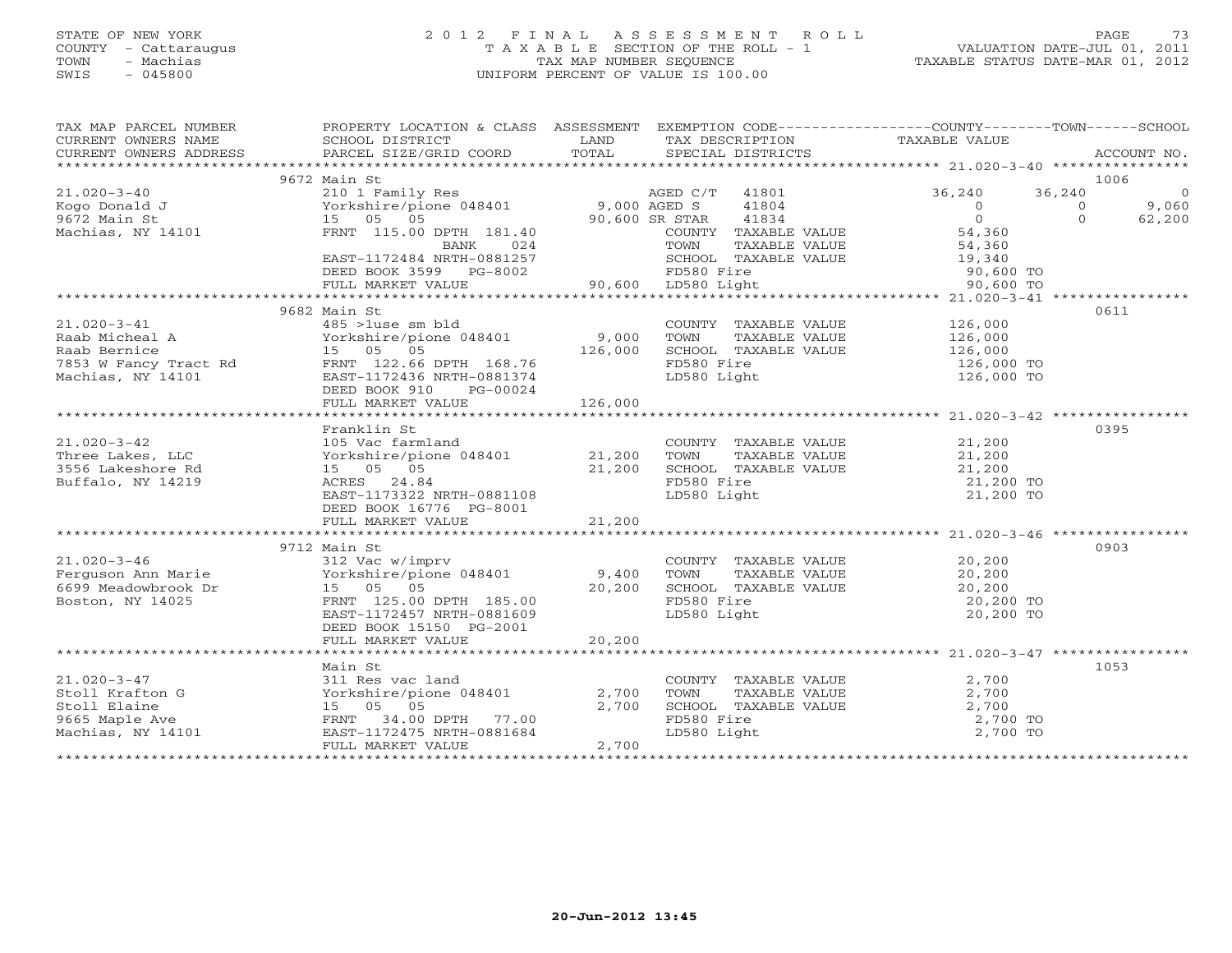## STATE OF NEW YORK 2 0 1 2 F I N A L A S S E S S M E N T R O L L PAGE 73 COUNTY - Cattaraugus T A X A B L E SECTION OF THE ROLL - 1 VALUATION DATE-JUL 01, 2011 TOWN - Machias TAX MAP NUMBER SEQUENCE TAXABLE STATUS DATE-MAR 01, 2012 SWIS - 045800 UNIFORM PERCENT OF VALUE IS 100.00

| 9672 Main St<br>1006<br>210 1 Family Res AGED C/T<br>Yorkshire/pione 048401 9,000 AGED S<br>$\overline{0}$<br>$21.020 - 3 - 40$<br>AGED C/T 41801<br>36,240<br>36,240<br>Kogo Donald J<br>9672 Main St<br>Machias, NY 14101<br>41804<br>$\overline{0}$<br>9,060<br>$\Omega$<br>90,600 SR STAR<br>COUNTY TOWN T<br>TOWN T<br>$\overline{0}$<br>15 05 05<br>41834<br>$\Omega$<br>62,200<br>COUNTY TAXABLE VALUE<br>54,360<br>FRNT 115.00 DPTH 181.40<br>54,360<br>19,340<br>BANK<br>024<br>TAXABLE VALUE<br>EAST-1172484 NRTH-0881257<br>SCHOOL TAXABLE VALUE<br>FD580 Fire<br>FD580 Fire<br>90,600 LD580 Light<br>DEED BOOK 3599 PG-8002<br>90,600 TO<br>90,600 TO<br>FULL MARKET VALUE<br>0611<br>9682 Main St<br>485 >1use sm bld<br>Yorkshire/pione 048401 9,000<br>15 05 05 page 126,000<br>Paym 122 26 page 126 126,000<br>$21.020 - 3 - 41$<br>COUNTY TAXABLE VALUE 126,000<br>Raab Micheal A (15 - 168401)<br>Raab Bernice 15 - 15 - 168.76<br>7853 W Fancy Tract Rd (168.76 - 1722.66 DPTH 168.76 Machias, NY 14101 - 168.77 - 168.74 - 168.74 - 169.74 - 1<br>TOWN TAXABLE VALUE<br>126,000<br>SCHOOL TAXABLE VALUE 126,000<br>FD580 Fire<br>126,000 TO<br>126,000 TO<br>LD580 Light<br>DEED BOOK 910 PG-00024<br>FULL MARKET VALUE<br>126,000<br>Franklin St<br>0395<br>105 Vac farmland<br>Yorkshire/pione 048401 21,200<br>$21.020 - 3 - 42$<br>COUNTY TAXABLE VALUE<br>TOWN      TAXABLE VALUE<br>21,200<br>21,200<br>Three Lakes, LLC<br>3556 Lakeshore Rd<br>15 05 05<br>21,200<br>ACRES 24.84<br>EAST-1173322 NRTH-0881108<br>LD580 Light<br>21,200 TO<br>DEED BOOK 16776 PG-8001<br>9712 Main St<br>0903<br>COUNTY TAXABLE VALUE<br>$21.020 - 3 - 46$<br>20,200<br>312 Vac w/imprv<br>Yorkshire/pione 048401 9,400<br>zı.020-3-46<br>Ferguson Ann Marie<br>6699 Meadowbrook Dr<br>Boston, NY 14025<br>TAXABLE VALUE 20,200<br>TOWN<br>15 05 05<br>20,200<br>SCHOOL TAXABLE VALUE<br>FD580 Fire<br>20,200<br>20,200 TO<br>FRNT 125.00 DPTH 185.00<br>20,200 TO<br>EAST-1172457 NRTH-0881609<br>LD580 Light<br>DEED BOOK 15150 PG-2001<br>20,200<br>FULL MARKET VALUE<br>1053<br>Main St<br>$21.020 - 3 - 47$<br>2,700<br>311 Res vac land<br>COUNTY TAXABLE VALUE<br>TOWN TAXABLE VALUE<br>SCHOOL TAXABLE VALUE<br>FD580 Fire<br>LD580 Light<br>Yorkshire/pione 048401<br>2,700<br>2,700<br>Stoll Krafton G<br>Stoll Elaine<br>15 05 05<br>2,700<br>2,700<br>2,700 TO<br>FRNT 34.00 DPTH 77.00<br>9665 Maple Ave<br>2,700 TO<br>Machias, NY 14101<br>EAST-1172475 NRTH-0881684<br>2,700<br>FULL MARKET VALUE | TAX MAP PARCEL NUMBER<br>CURRENT OWNERS NAME<br>CURRENT OWNERS ADDRESS | PROPERTY LOCATION & CLASS ASSESSMENT<br>SCHOOL DISTRICT<br><b>Example 12</b> LAND<br>PARCEL SIZE/GRID COORD | TOTAL | EXEMPTION CODE-----------------COUNTY-------TOWN------SCHOOL<br>TAX DESCRIPTION TAXABLE VALUE<br>SPECIAL DISTRICTS | ACCOUNT NO. |
|-----------------------------------------------------------------------------------------------------------------------------------------------------------------------------------------------------------------------------------------------------------------------------------------------------------------------------------------------------------------------------------------------------------------------------------------------------------------------------------------------------------------------------------------------------------------------------------------------------------------------------------------------------------------------------------------------------------------------------------------------------------------------------------------------------------------------------------------------------------------------------------------------------------------------------------------------------------------------------------------------------------------------------------------------------------------------------------------------------------------------------------------------------------------------------------------------------------------------------------------------------------------------------------------------------------------------------------------------------------------------------------------------------------------------------------------------------------------------------------------------------------------------------------------------------------------------------------------------------------------------------------------------------------------------------------------------------------------------------------------------------------------------------------------------------------------------------------------------------------------------------------------------------------------------------------------------------------------------------------------------------------------------------------------------------------------------------------------------------------------------------------------------------------------------------------------------------------------------------------------------------------------------------------------------------------------------------------------------------------------------------------------------------------------------------------------------------------------------------------------------------------------------------|------------------------------------------------------------------------|-------------------------------------------------------------------------------------------------------------|-------|--------------------------------------------------------------------------------------------------------------------|-------------|
|                                                                                                                                                                                                                                                                                                                                                                                                                                                                                                                                                                                                                                                                                                                                                                                                                                                                                                                                                                                                                                                                                                                                                                                                                                                                                                                                                                                                                                                                                                                                                                                                                                                                                                                                                                                                                                                                                                                                                                                                                                                                                                                                                                                                                                                                                                                                                                                                                                                                                                                             |                                                                        |                                                                                                             |       |                                                                                                                    |             |
|                                                                                                                                                                                                                                                                                                                                                                                                                                                                                                                                                                                                                                                                                                                                                                                                                                                                                                                                                                                                                                                                                                                                                                                                                                                                                                                                                                                                                                                                                                                                                                                                                                                                                                                                                                                                                                                                                                                                                                                                                                                                                                                                                                                                                                                                                                                                                                                                                                                                                                                             |                                                                        |                                                                                                             |       |                                                                                                                    |             |
|                                                                                                                                                                                                                                                                                                                                                                                                                                                                                                                                                                                                                                                                                                                                                                                                                                                                                                                                                                                                                                                                                                                                                                                                                                                                                                                                                                                                                                                                                                                                                                                                                                                                                                                                                                                                                                                                                                                                                                                                                                                                                                                                                                                                                                                                                                                                                                                                                                                                                                                             |                                                                        |                                                                                                             |       |                                                                                                                    |             |
|                                                                                                                                                                                                                                                                                                                                                                                                                                                                                                                                                                                                                                                                                                                                                                                                                                                                                                                                                                                                                                                                                                                                                                                                                                                                                                                                                                                                                                                                                                                                                                                                                                                                                                                                                                                                                                                                                                                                                                                                                                                                                                                                                                                                                                                                                                                                                                                                                                                                                                                             |                                                                        |                                                                                                             |       |                                                                                                                    |             |
|                                                                                                                                                                                                                                                                                                                                                                                                                                                                                                                                                                                                                                                                                                                                                                                                                                                                                                                                                                                                                                                                                                                                                                                                                                                                                                                                                                                                                                                                                                                                                                                                                                                                                                                                                                                                                                                                                                                                                                                                                                                                                                                                                                                                                                                                                                                                                                                                                                                                                                                             |                                                                        |                                                                                                             |       |                                                                                                                    |             |
|                                                                                                                                                                                                                                                                                                                                                                                                                                                                                                                                                                                                                                                                                                                                                                                                                                                                                                                                                                                                                                                                                                                                                                                                                                                                                                                                                                                                                                                                                                                                                                                                                                                                                                                                                                                                                                                                                                                                                                                                                                                                                                                                                                                                                                                                                                                                                                                                                                                                                                                             |                                                                        |                                                                                                             |       |                                                                                                                    |             |
|                                                                                                                                                                                                                                                                                                                                                                                                                                                                                                                                                                                                                                                                                                                                                                                                                                                                                                                                                                                                                                                                                                                                                                                                                                                                                                                                                                                                                                                                                                                                                                                                                                                                                                                                                                                                                                                                                                                                                                                                                                                                                                                                                                                                                                                                                                                                                                                                                                                                                                                             |                                                                        |                                                                                                             |       |                                                                                                                    |             |
|                                                                                                                                                                                                                                                                                                                                                                                                                                                                                                                                                                                                                                                                                                                                                                                                                                                                                                                                                                                                                                                                                                                                                                                                                                                                                                                                                                                                                                                                                                                                                                                                                                                                                                                                                                                                                                                                                                                                                                                                                                                                                                                                                                                                                                                                                                                                                                                                                                                                                                                             |                                                                        |                                                                                                             |       |                                                                                                                    |             |
|                                                                                                                                                                                                                                                                                                                                                                                                                                                                                                                                                                                                                                                                                                                                                                                                                                                                                                                                                                                                                                                                                                                                                                                                                                                                                                                                                                                                                                                                                                                                                                                                                                                                                                                                                                                                                                                                                                                                                                                                                                                                                                                                                                                                                                                                                                                                                                                                                                                                                                                             |                                                                        |                                                                                                             |       |                                                                                                                    |             |
|                                                                                                                                                                                                                                                                                                                                                                                                                                                                                                                                                                                                                                                                                                                                                                                                                                                                                                                                                                                                                                                                                                                                                                                                                                                                                                                                                                                                                                                                                                                                                                                                                                                                                                                                                                                                                                                                                                                                                                                                                                                                                                                                                                                                                                                                                                                                                                                                                                                                                                                             |                                                                        |                                                                                                             |       |                                                                                                                    |             |
|                                                                                                                                                                                                                                                                                                                                                                                                                                                                                                                                                                                                                                                                                                                                                                                                                                                                                                                                                                                                                                                                                                                                                                                                                                                                                                                                                                                                                                                                                                                                                                                                                                                                                                                                                                                                                                                                                                                                                                                                                                                                                                                                                                                                                                                                                                                                                                                                                                                                                                                             |                                                                        |                                                                                                             |       |                                                                                                                    |             |
|                                                                                                                                                                                                                                                                                                                                                                                                                                                                                                                                                                                                                                                                                                                                                                                                                                                                                                                                                                                                                                                                                                                                                                                                                                                                                                                                                                                                                                                                                                                                                                                                                                                                                                                                                                                                                                                                                                                                                                                                                                                                                                                                                                                                                                                                                                                                                                                                                                                                                                                             |                                                                        |                                                                                                             |       |                                                                                                                    |             |
|                                                                                                                                                                                                                                                                                                                                                                                                                                                                                                                                                                                                                                                                                                                                                                                                                                                                                                                                                                                                                                                                                                                                                                                                                                                                                                                                                                                                                                                                                                                                                                                                                                                                                                                                                                                                                                                                                                                                                                                                                                                                                                                                                                                                                                                                                                                                                                                                                                                                                                                             |                                                                        |                                                                                                             |       |                                                                                                                    |             |
|                                                                                                                                                                                                                                                                                                                                                                                                                                                                                                                                                                                                                                                                                                                                                                                                                                                                                                                                                                                                                                                                                                                                                                                                                                                                                                                                                                                                                                                                                                                                                                                                                                                                                                                                                                                                                                                                                                                                                                                                                                                                                                                                                                                                                                                                                                                                                                                                                                                                                                                             |                                                                        |                                                                                                             |       |                                                                                                                    |             |
|                                                                                                                                                                                                                                                                                                                                                                                                                                                                                                                                                                                                                                                                                                                                                                                                                                                                                                                                                                                                                                                                                                                                                                                                                                                                                                                                                                                                                                                                                                                                                                                                                                                                                                                                                                                                                                                                                                                                                                                                                                                                                                                                                                                                                                                                                                                                                                                                                                                                                                                             |                                                                        |                                                                                                             |       |                                                                                                                    |             |
|                                                                                                                                                                                                                                                                                                                                                                                                                                                                                                                                                                                                                                                                                                                                                                                                                                                                                                                                                                                                                                                                                                                                                                                                                                                                                                                                                                                                                                                                                                                                                                                                                                                                                                                                                                                                                                                                                                                                                                                                                                                                                                                                                                                                                                                                                                                                                                                                                                                                                                                             |                                                                        |                                                                                                             |       |                                                                                                                    |             |
|                                                                                                                                                                                                                                                                                                                                                                                                                                                                                                                                                                                                                                                                                                                                                                                                                                                                                                                                                                                                                                                                                                                                                                                                                                                                                                                                                                                                                                                                                                                                                                                                                                                                                                                                                                                                                                                                                                                                                                                                                                                                                                                                                                                                                                                                                                                                                                                                                                                                                                                             |                                                                        |                                                                                                             |       |                                                                                                                    |             |
|                                                                                                                                                                                                                                                                                                                                                                                                                                                                                                                                                                                                                                                                                                                                                                                                                                                                                                                                                                                                                                                                                                                                                                                                                                                                                                                                                                                                                                                                                                                                                                                                                                                                                                                                                                                                                                                                                                                                                                                                                                                                                                                                                                                                                                                                                                                                                                                                                                                                                                                             |                                                                        |                                                                                                             |       |                                                                                                                    |             |
|                                                                                                                                                                                                                                                                                                                                                                                                                                                                                                                                                                                                                                                                                                                                                                                                                                                                                                                                                                                                                                                                                                                                                                                                                                                                                                                                                                                                                                                                                                                                                                                                                                                                                                                                                                                                                                                                                                                                                                                                                                                                                                                                                                                                                                                                                                                                                                                                                                                                                                                             |                                                                        |                                                                                                             |       |                                                                                                                    |             |
|                                                                                                                                                                                                                                                                                                                                                                                                                                                                                                                                                                                                                                                                                                                                                                                                                                                                                                                                                                                                                                                                                                                                                                                                                                                                                                                                                                                                                                                                                                                                                                                                                                                                                                                                                                                                                                                                                                                                                                                                                                                                                                                                                                                                                                                                                                                                                                                                                                                                                                                             |                                                                        |                                                                                                             |       |                                                                                                                    |             |
|                                                                                                                                                                                                                                                                                                                                                                                                                                                                                                                                                                                                                                                                                                                                                                                                                                                                                                                                                                                                                                                                                                                                                                                                                                                                                                                                                                                                                                                                                                                                                                                                                                                                                                                                                                                                                                                                                                                                                                                                                                                                                                                                                                                                                                                                                                                                                                                                                                                                                                                             |                                                                        |                                                                                                             |       |                                                                                                                    |             |
|                                                                                                                                                                                                                                                                                                                                                                                                                                                                                                                                                                                                                                                                                                                                                                                                                                                                                                                                                                                                                                                                                                                                                                                                                                                                                                                                                                                                                                                                                                                                                                                                                                                                                                                                                                                                                                                                                                                                                                                                                                                                                                                                                                                                                                                                                                                                                                                                                                                                                                                             |                                                                        |                                                                                                             |       |                                                                                                                    |             |
|                                                                                                                                                                                                                                                                                                                                                                                                                                                                                                                                                                                                                                                                                                                                                                                                                                                                                                                                                                                                                                                                                                                                                                                                                                                                                                                                                                                                                                                                                                                                                                                                                                                                                                                                                                                                                                                                                                                                                                                                                                                                                                                                                                                                                                                                                                                                                                                                                                                                                                                             |                                                                        |                                                                                                             |       |                                                                                                                    |             |
|                                                                                                                                                                                                                                                                                                                                                                                                                                                                                                                                                                                                                                                                                                                                                                                                                                                                                                                                                                                                                                                                                                                                                                                                                                                                                                                                                                                                                                                                                                                                                                                                                                                                                                                                                                                                                                                                                                                                                                                                                                                                                                                                                                                                                                                                                                                                                                                                                                                                                                                             |                                                                        |                                                                                                             |       |                                                                                                                    |             |
|                                                                                                                                                                                                                                                                                                                                                                                                                                                                                                                                                                                                                                                                                                                                                                                                                                                                                                                                                                                                                                                                                                                                                                                                                                                                                                                                                                                                                                                                                                                                                                                                                                                                                                                                                                                                                                                                                                                                                                                                                                                                                                                                                                                                                                                                                                                                                                                                                                                                                                                             |                                                                        |                                                                                                             |       |                                                                                                                    |             |
|                                                                                                                                                                                                                                                                                                                                                                                                                                                                                                                                                                                                                                                                                                                                                                                                                                                                                                                                                                                                                                                                                                                                                                                                                                                                                                                                                                                                                                                                                                                                                                                                                                                                                                                                                                                                                                                                                                                                                                                                                                                                                                                                                                                                                                                                                                                                                                                                                                                                                                                             | Buffalo, NY 14219                                                      |                                                                                                             |       |                                                                                                                    |             |
|                                                                                                                                                                                                                                                                                                                                                                                                                                                                                                                                                                                                                                                                                                                                                                                                                                                                                                                                                                                                                                                                                                                                                                                                                                                                                                                                                                                                                                                                                                                                                                                                                                                                                                                                                                                                                                                                                                                                                                                                                                                                                                                                                                                                                                                                                                                                                                                                                                                                                                                             |                                                                        |                                                                                                             |       |                                                                                                                    |             |
|                                                                                                                                                                                                                                                                                                                                                                                                                                                                                                                                                                                                                                                                                                                                                                                                                                                                                                                                                                                                                                                                                                                                                                                                                                                                                                                                                                                                                                                                                                                                                                                                                                                                                                                                                                                                                                                                                                                                                                                                                                                                                                                                                                                                                                                                                                                                                                                                                                                                                                                             |                                                                        |                                                                                                             |       |                                                                                                                    |             |
|                                                                                                                                                                                                                                                                                                                                                                                                                                                                                                                                                                                                                                                                                                                                                                                                                                                                                                                                                                                                                                                                                                                                                                                                                                                                                                                                                                                                                                                                                                                                                                                                                                                                                                                                                                                                                                                                                                                                                                                                                                                                                                                                                                                                                                                                                                                                                                                                                                                                                                                             |                                                                        |                                                                                                             |       |                                                                                                                    |             |
|                                                                                                                                                                                                                                                                                                                                                                                                                                                                                                                                                                                                                                                                                                                                                                                                                                                                                                                                                                                                                                                                                                                                                                                                                                                                                                                                                                                                                                                                                                                                                                                                                                                                                                                                                                                                                                                                                                                                                                                                                                                                                                                                                                                                                                                                                                                                                                                                                                                                                                                             |                                                                        |                                                                                                             |       |                                                                                                                    |             |
|                                                                                                                                                                                                                                                                                                                                                                                                                                                                                                                                                                                                                                                                                                                                                                                                                                                                                                                                                                                                                                                                                                                                                                                                                                                                                                                                                                                                                                                                                                                                                                                                                                                                                                                                                                                                                                                                                                                                                                                                                                                                                                                                                                                                                                                                                                                                                                                                                                                                                                                             |                                                                        |                                                                                                             |       |                                                                                                                    |             |
|                                                                                                                                                                                                                                                                                                                                                                                                                                                                                                                                                                                                                                                                                                                                                                                                                                                                                                                                                                                                                                                                                                                                                                                                                                                                                                                                                                                                                                                                                                                                                                                                                                                                                                                                                                                                                                                                                                                                                                                                                                                                                                                                                                                                                                                                                                                                                                                                                                                                                                                             |                                                                        |                                                                                                             |       |                                                                                                                    |             |
|                                                                                                                                                                                                                                                                                                                                                                                                                                                                                                                                                                                                                                                                                                                                                                                                                                                                                                                                                                                                                                                                                                                                                                                                                                                                                                                                                                                                                                                                                                                                                                                                                                                                                                                                                                                                                                                                                                                                                                                                                                                                                                                                                                                                                                                                                                                                                                                                                                                                                                                             |                                                                        |                                                                                                             |       |                                                                                                                    |             |
|                                                                                                                                                                                                                                                                                                                                                                                                                                                                                                                                                                                                                                                                                                                                                                                                                                                                                                                                                                                                                                                                                                                                                                                                                                                                                                                                                                                                                                                                                                                                                                                                                                                                                                                                                                                                                                                                                                                                                                                                                                                                                                                                                                                                                                                                                                                                                                                                                                                                                                                             |                                                                        |                                                                                                             |       |                                                                                                                    |             |
|                                                                                                                                                                                                                                                                                                                                                                                                                                                                                                                                                                                                                                                                                                                                                                                                                                                                                                                                                                                                                                                                                                                                                                                                                                                                                                                                                                                                                                                                                                                                                                                                                                                                                                                                                                                                                                                                                                                                                                                                                                                                                                                                                                                                                                                                                                                                                                                                                                                                                                                             |                                                                        |                                                                                                             |       |                                                                                                                    |             |
|                                                                                                                                                                                                                                                                                                                                                                                                                                                                                                                                                                                                                                                                                                                                                                                                                                                                                                                                                                                                                                                                                                                                                                                                                                                                                                                                                                                                                                                                                                                                                                                                                                                                                                                                                                                                                                                                                                                                                                                                                                                                                                                                                                                                                                                                                                                                                                                                                                                                                                                             |                                                                        |                                                                                                             |       |                                                                                                                    |             |
|                                                                                                                                                                                                                                                                                                                                                                                                                                                                                                                                                                                                                                                                                                                                                                                                                                                                                                                                                                                                                                                                                                                                                                                                                                                                                                                                                                                                                                                                                                                                                                                                                                                                                                                                                                                                                                                                                                                                                                                                                                                                                                                                                                                                                                                                                                                                                                                                                                                                                                                             |                                                                        |                                                                                                             |       |                                                                                                                    |             |
|                                                                                                                                                                                                                                                                                                                                                                                                                                                                                                                                                                                                                                                                                                                                                                                                                                                                                                                                                                                                                                                                                                                                                                                                                                                                                                                                                                                                                                                                                                                                                                                                                                                                                                                                                                                                                                                                                                                                                                                                                                                                                                                                                                                                                                                                                                                                                                                                                                                                                                                             |                                                                        |                                                                                                             |       |                                                                                                                    |             |
|                                                                                                                                                                                                                                                                                                                                                                                                                                                                                                                                                                                                                                                                                                                                                                                                                                                                                                                                                                                                                                                                                                                                                                                                                                                                                                                                                                                                                                                                                                                                                                                                                                                                                                                                                                                                                                                                                                                                                                                                                                                                                                                                                                                                                                                                                                                                                                                                                                                                                                                             |                                                                        |                                                                                                             |       |                                                                                                                    |             |
|                                                                                                                                                                                                                                                                                                                                                                                                                                                                                                                                                                                                                                                                                                                                                                                                                                                                                                                                                                                                                                                                                                                                                                                                                                                                                                                                                                                                                                                                                                                                                                                                                                                                                                                                                                                                                                                                                                                                                                                                                                                                                                                                                                                                                                                                                                                                                                                                                                                                                                                             |                                                                        |                                                                                                             |       |                                                                                                                    |             |
|                                                                                                                                                                                                                                                                                                                                                                                                                                                                                                                                                                                                                                                                                                                                                                                                                                                                                                                                                                                                                                                                                                                                                                                                                                                                                                                                                                                                                                                                                                                                                                                                                                                                                                                                                                                                                                                                                                                                                                                                                                                                                                                                                                                                                                                                                                                                                                                                                                                                                                                             |                                                                        |                                                                                                             |       |                                                                                                                    |             |
|                                                                                                                                                                                                                                                                                                                                                                                                                                                                                                                                                                                                                                                                                                                                                                                                                                                                                                                                                                                                                                                                                                                                                                                                                                                                                                                                                                                                                                                                                                                                                                                                                                                                                                                                                                                                                                                                                                                                                                                                                                                                                                                                                                                                                                                                                                                                                                                                                                                                                                                             |                                                                        |                                                                                                             |       |                                                                                                                    |             |
|                                                                                                                                                                                                                                                                                                                                                                                                                                                                                                                                                                                                                                                                                                                                                                                                                                                                                                                                                                                                                                                                                                                                                                                                                                                                                                                                                                                                                                                                                                                                                                                                                                                                                                                                                                                                                                                                                                                                                                                                                                                                                                                                                                                                                                                                                                                                                                                                                                                                                                                             |                                                                        |                                                                                                             |       |                                                                                                                    |             |
|                                                                                                                                                                                                                                                                                                                                                                                                                                                                                                                                                                                                                                                                                                                                                                                                                                                                                                                                                                                                                                                                                                                                                                                                                                                                                                                                                                                                                                                                                                                                                                                                                                                                                                                                                                                                                                                                                                                                                                                                                                                                                                                                                                                                                                                                                                                                                                                                                                                                                                                             |                                                                        |                                                                                                             |       |                                                                                                                    |             |
|                                                                                                                                                                                                                                                                                                                                                                                                                                                                                                                                                                                                                                                                                                                                                                                                                                                                                                                                                                                                                                                                                                                                                                                                                                                                                                                                                                                                                                                                                                                                                                                                                                                                                                                                                                                                                                                                                                                                                                                                                                                                                                                                                                                                                                                                                                                                                                                                                                                                                                                             |                                                                        |                                                                                                             |       |                                                                                                                    |             |
|                                                                                                                                                                                                                                                                                                                                                                                                                                                                                                                                                                                                                                                                                                                                                                                                                                                                                                                                                                                                                                                                                                                                                                                                                                                                                                                                                                                                                                                                                                                                                                                                                                                                                                                                                                                                                                                                                                                                                                                                                                                                                                                                                                                                                                                                                                                                                                                                                                                                                                                             |                                                                        |                                                                                                             |       |                                                                                                                    |             |
|                                                                                                                                                                                                                                                                                                                                                                                                                                                                                                                                                                                                                                                                                                                                                                                                                                                                                                                                                                                                                                                                                                                                                                                                                                                                                                                                                                                                                                                                                                                                                                                                                                                                                                                                                                                                                                                                                                                                                                                                                                                                                                                                                                                                                                                                                                                                                                                                                                                                                                                             |                                                                        |                                                                                                             |       |                                                                                                                    |             |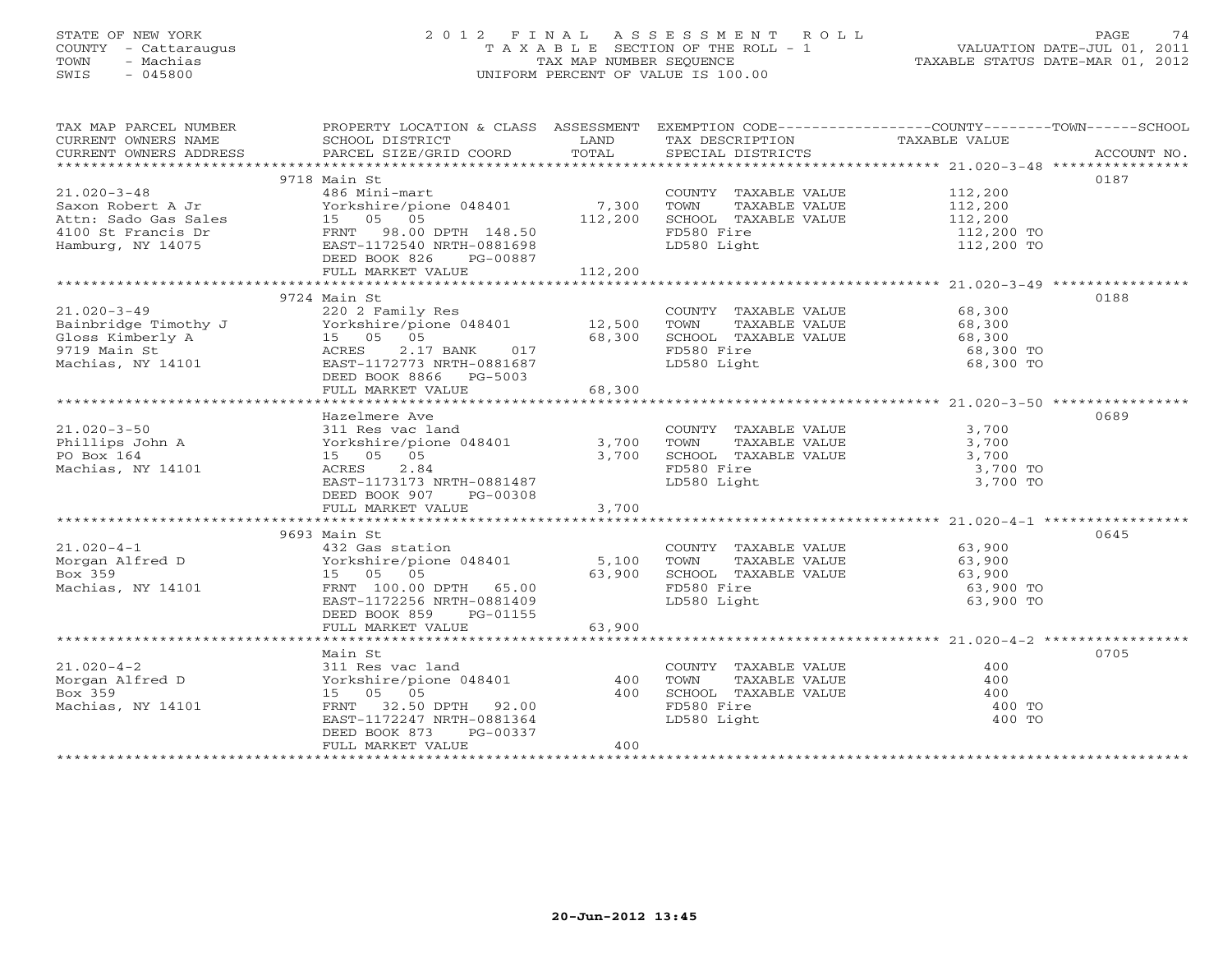#### STATE OF NEW YORK 2 0 1 2 F I N A L A S S E S S M E N T R O L L PAGE 74COUNTY - Cattaraugus T A X A B L E SECTION OF THE ROLL - 1 VALUATION DATE-JUL 01, 2011 TOWN - Machias TAX MAP NUMBER SEQUENCE TAX AND TAXABLE STATUS DATE-MAR 01, 2012<br>TRIS - 045800 SWIS - 045800 UNIFORM PERCENT OF VALUE IS 100.00

| TAX MAP PARCEL NUMBER<br>CURRENT OWNERS NAME<br>CURRENT OWNERS ADDRESS                                                        | SCHOOL DISTRICT<br><b>EXAMPLE SERVICE SERVICE SERVICE SERVICE SERVICE SERVICE SERVICE SERVICE SERVICE SERVICE SERVICE SERVICE SERVICE</b><br>PARCEL SIZE/GRID COORD                 | TOTAL                   | TAX DESCRIPTION TAXABLE VALUE<br>SPECIAL DISTRICTS<br>SPECIAL DISTRICTS                                   | PROPERTY LOCATION & CLASS ASSESSMENT EXEMPTION CODE----------------COUNTY-------TOWN------SCHOOL<br>ACCOUNT NO. |
|-------------------------------------------------------------------------------------------------------------------------------|-------------------------------------------------------------------------------------------------------------------------------------------------------------------------------------|-------------------------|-----------------------------------------------------------------------------------------------------------|-----------------------------------------------------------------------------------------------------------------|
| $21.020 - 3 - 48$<br>Saxon Robert A Jr                                                                                        | 9718 Main St<br>486 Mini-mart<br>Yorkshire/pione 048401 7,300<br>DEED BOOK 826<br>PG-00887<br>FULL MARKET VALUE                                                                     | 112,200<br>112,200      | COUNTY TAXABLE VALUE<br>TAXABLE VALUE<br>TOWN<br>SCHOOL TAXABLE VALUE<br>FD580 Fire<br>LD580 Light        | 0187<br>112,200<br>112,200<br>112,200<br>112,200 TO<br>112,200 TO                                               |
| $21.020 - 3 - 49$<br>zi<br>Bainbridge Timothy J<br>Gloss Kimberly A<br>9719 Main St<br>Machias. NY 14101<br>Machias, NY 14101 | 9724 Main St<br>220 2 Family Res<br>Yorkshire/pione 048401 12,500<br>15 05 05<br>ACRES<br>2.17 BANK 017<br>EAST-1172773 NRTH-0881687<br>DEED BOOK 8866 PG-5003<br>FULL MARKET VALUE | 68,300<br>68,300        | COUNTY TAXABLE VALUE 68,300<br>TOWN<br>TAXABLE VALUE<br>SCHOOL TAXABLE VALUE<br>FD580 Fire<br>LD580 Light | 0188<br>68,300<br>68,300<br>68,300 TO<br>68,300 TO                                                              |
| $21.020 - 3 - 50$<br>Phillips John A<br>PO Box 164<br>Machias, NY 14101                                                       | Hazelmere Ave<br>311 Res vac land<br>Yorkshire/pione 048401<br>15 05 05<br>2.84<br>ACRES<br>EAST-1173173 NRTH-0881487<br>DEED BOOK 907 PG-00308<br>FULL MARKET VALUE                | 3,700<br>3,700<br>3,700 | COUNTY TAXABLE VALUE<br>TOWN<br>TAXABLE VALUE<br>SCHOOL TAXABLE VALUE<br>FD580 Fire<br>LD580 Light        | 0689<br>3,700<br>3,700<br>3,700<br>3,700 TO<br>3,700 TO                                                         |
| $21.020 - 4 - 1$<br>Morgan Alfred D<br>Box 359<br>Machias, NY 14101                                                           | 9693 Main St<br>432 Gas station<br>Yorkshire/pione 048401 5,100<br>15 05 05<br>FRNT 100.00 DPTH 65.00<br>EAST-1172256 NRTH-0881409<br>DEED BOOK 859 PG-01155<br>FULL MARKET VALUE   | 63,900<br>63,900        | COUNTY TAXABLE VALUE<br>TAXABLE VALUE<br>TOWN<br>SCHOOL TAXABLE VALUE<br>FD580 Fire<br>LD580 Light        | 0645<br>63,900<br>63,900<br>63,900<br>63,900 TO<br>63,900 TO                                                    |
| $21.020 - 4 - 2$<br>Morgan Alfred D<br>Box 359<br>Machias, NY 14101                                                           | Main St<br>311 Res vac land<br>Yorkshire/pione 048401<br>15 05 05<br>FRNT 32.50 DPTH 92.00<br>EAST-1172247 NRTH-0881364<br>DEED BOOK 873<br>PG-00337<br>FULL MARKET VALUE           | 400<br>400<br>400       | COUNTY TAXABLE VALUE<br>TOWN<br>TAXABLE VALUE<br>SCHOOL TAXABLE VALUE<br>FD580 Fire<br>LD580 Light        | 0705<br>400<br>400<br>400<br>400 TO<br>400 TO                                                                   |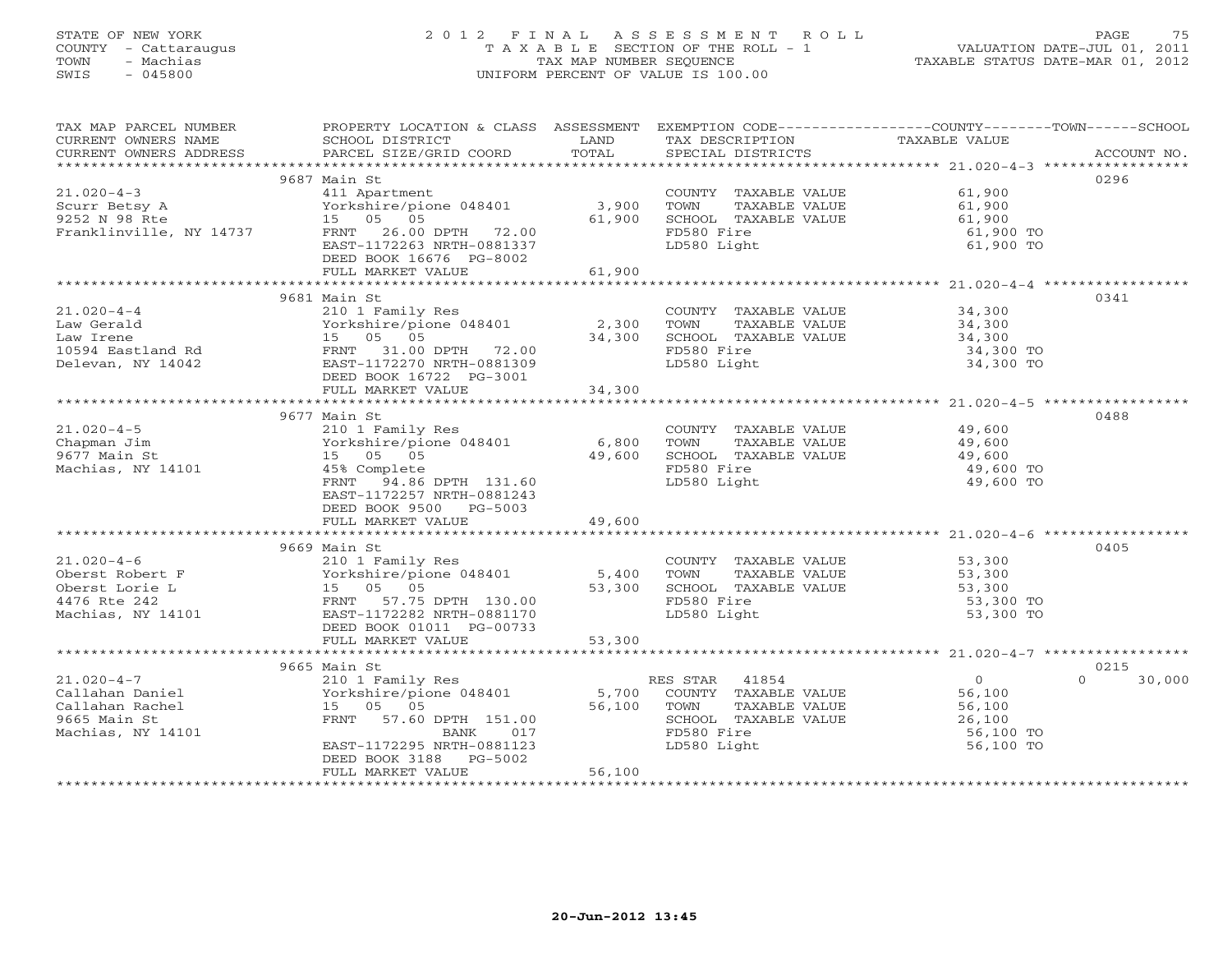## STATE OF NEW YORK 2 0 1 2 F I N A L A S S E S S M E N T R O L L PAGE 75 COUNTY - Cattaraugus T A X A B L E SECTION OF THE ROLL - 1 VALUATION DATE-JUL 01, 2011 TOWN - Machias TAX MAP NUMBER SEQUENCE TAXABLE STATUS DATE-MAR 01, 2012 SWIS - 045800 UNIFORM PERCENT OF VALUE IS 100.00UNIFORM PERCENT OF VALUE IS 100.00

| TAX MAP PARCEL NUMBER                                                                                                                                                                                                                                                                                       | PROPERTY LOCATION & CLASS ASSESSMENT EXEMPTION CODE----------------COUNTY-------TOWN------SCHOOL                                                                                                                                                           |      |                                                                              |                        |                    |
|-------------------------------------------------------------------------------------------------------------------------------------------------------------------------------------------------------------------------------------------------------------------------------------------------------------|------------------------------------------------------------------------------------------------------------------------------------------------------------------------------------------------------------------------------------------------------------|------|------------------------------------------------------------------------------|------------------------|--------------------|
| CURRENT OWNERS NAME                                                                                                                                                                                                                                                                                         | SCHOOL DISTRICT                                                                                                                                                                                                                                            | LAND | TAX DESCRIPTION                                                              | TAXABLE VALUE          |                    |
|                                                                                                                                                                                                                                                                                                             |                                                                                                                                                                                                                                                            |      |                                                                              |                        |                    |
|                                                                                                                                                                                                                                                                                                             |                                                                                                                                                                                                                                                            |      |                                                                              |                        |                    |
|                                                                                                                                                                                                                                                                                                             | 9687 Main St                                                                                                                                                                                                                                               |      |                                                                              |                        | 0296               |
| $21.020 - 4 - 3$                                                                                                                                                                                                                                                                                            | 411 Apartment                                                                                                                                                                                                                                              |      |                                                                              | 61,900                 |                    |
| 21.020-4-3<br>Scurr Betsy A<br>9252 N 98 Rte<br>Franklinville, NY 14737<br>Franklinville, NY 14737<br>$\begin{array}{ccc}\n & 411 \text{ Apartment} \\  \text{Yorkshire/pione} & 048401 \\  & 15 & 05 & 05 \\  \text{Franklinville, NY} & 14737 \\  & 26.00 \text{ DPTH} & 72.00 \\  & 22.00\n \end{array}$ |                                                                                                                                                                                                                                                            |      | COUNTY TAXABLE VALUE 61,900<br>TOWN TAXABLE VALUE 61,900                     |                        |                    |
|                                                                                                                                                                                                                                                                                                             |                                                                                                                                                                                                                                                            |      |                                                                              |                        |                    |
|                                                                                                                                                                                                                                                                                                             |                                                                                                                                                                                                                                                            |      | SCHOOL TAXABLE VALUE 61,900<br>FD580 Fire 61,900 TO<br>LD580 Light 61,900 TO |                        |                    |
|                                                                                                                                                                                                                                                                                                             |                                                                                                                                                                                                                                                            |      |                                                                              |                        |                    |
|                                                                                                                                                                                                                                                                                                             | EAST-1172263 NRTH-0881337                                                                                                                                                                                                                                  |      | LD580 Light                                                                  |                        |                    |
|                                                                                                                                                                                                                                                                                                             | DEED BOOK 16676 PG-8002                                                                                                                                                                                                                                    |      |                                                                              |                        |                    |
|                                                                                                                                                                                                                                                                                                             |                                                                                                                                                                                                                                                            |      |                                                                              |                        |                    |
|                                                                                                                                                                                                                                                                                                             |                                                                                                                                                                                                                                                            |      |                                                                              |                        |                    |
|                                                                                                                                                                                                                                                                                                             |                                                                                                                                                                                                                                                            |      |                                                                              |                        | 0341               |
|                                                                                                                                                                                                                                                                                                             |                                                                                                                                                                                                                                                            |      |                                                                              |                        |                    |
|                                                                                                                                                                                                                                                                                                             |                                                                                                                                                                                                                                                            |      |                                                                              |                        |                    |
|                                                                                                                                                                                                                                                                                                             |                                                                                                                                                                                                                                                            |      |                                                                              |                        |                    |
|                                                                                                                                                                                                                                                                                                             |                                                                                                                                                                                                                                                            |      |                                                                              |                        |                    |
|                                                                                                                                                                                                                                                                                                             |                                                                                                                                                                                                                                                            |      |                                                                              |                        |                    |
|                                                                                                                                                                                                                                                                                                             |                                                                                                                                                                                                                                                            |      |                                                                              |                        |                    |
|                                                                                                                                                                                                                                                                                                             |                                                                                                                                                                                                                                                            |      |                                                                              |                        |                    |
|                                                                                                                                                                                                                                                                                                             |                                                                                                                                                                                                                                                            |      |                                                                              |                        |                    |
|                                                                                                                                                                                                                                                                                                             | 9677 Main St                                                                                                                                                                                                                                               |      |                                                                              |                        | 0488               |
| $21.020 - 4 - 5$                                                                                                                                                                                                                                                                                            |                                                                                                                                                                                                                                                            |      |                                                                              |                        |                    |
| Chapman Jim                                                                                                                                                                                                                                                                                                 |                                                                                                                                                                                                                                                            |      |                                                                              |                        |                    |
| 9677 Main St                                                                                                                                                                                                                                                                                                | 210 1 Family Res<br>Yorkshire/pione 048401 6,800 TOWN TAXABLE VALUE 49,600<br>15 05 05 49,600 SCHOOL TAXABLE VALUE 49,600<br>49,600 SCHOOL TAXABLE VALUE 49,600 TOWN FD580 Fire 49,600 TO                                                                  |      |                                                                              |                        |                    |
| Machias, NY 14101                                                                                                                                                                                                                                                                                           |                                                                                                                                                                                                                                                            |      |                                                                              |                        |                    |
|                                                                                                                                                                                                                                                                                                             | FRNT 94.86 DPTH 131.60                                                                                                                                                                                                                                     |      | FD580 Fire<br>LD580 Light                                                    | 49,600 TO              |                    |
|                                                                                                                                                                                                                                                                                                             |                                                                                                                                                                                                                                                            |      |                                                                              |                        |                    |
|                                                                                                                                                                                                                                                                                                             | EAST-1172257 NRTH-0881243                                                                                                                                                                                                                                  |      |                                                                              |                        |                    |
|                                                                                                                                                                                                                                                                                                             | DEED BOOK 9500 PG-5003<br>FULL MARKET VALUE 49,600                                                                                                                                                                                                         |      |                                                                              |                        |                    |
|                                                                                                                                                                                                                                                                                                             |                                                                                                                                                                                                                                                            |      |                                                                              |                        |                    |
|                                                                                                                                                                                                                                                                                                             |                                                                                                                                                                                                                                                            |      |                                                                              |                        |                    |
|                                                                                                                                                                                                                                                                                                             |                                                                                                                                                                                                                                                            |      |                                                                              |                        | 0405               |
|                                                                                                                                                                                                                                                                                                             |                                                                                                                                                                                                                                                            |      |                                                                              |                        |                    |
|                                                                                                                                                                                                                                                                                                             |                                                                                                                                                                                                                                                            |      |                                                                              |                        |                    |
|                                                                                                                                                                                                                                                                                                             |                                                                                                                                                                                                                                                            |      |                                                                              |                        |                    |
|                                                                                                                                                                                                                                                                                                             |                                                                                                                                                                                                                                                            |      |                                                                              | 53,300 TO              |                    |
|                                                                                                                                                                                                                                                                                                             |                                                                                                                                                                                                                                                            |      |                                                                              | 53,300 TO              |                    |
|                                                                                                                                                                                                                                                                                                             |                                                                                                                                                                                                                                                            |      |                                                                              |                        |                    |
|                                                                                                                                                                                                                                                                                                             |                                                                                                                                                                                                                                                            |      |                                                                              |                        |                    |
|                                                                                                                                                                                                                                                                                                             |                                                                                                                                                                                                                                                            |      |                                                                              |                        |                    |
|                                                                                                                                                                                                                                                                                                             | 9665 Main St                                                                                                                                                                                                                                               |      |                                                                              |                        | 0215               |
| $21.020 - 4 - 7$                                                                                                                                                                                                                                                                                            |                                                                                                                                                                                                                                                            |      |                                                                              |                        | $\Omega$<br>30,000 |
| Callahan Daniel                                                                                                                                                                                                                                                                                             |                                                                                                                                                                                                                                                            |      |                                                                              |                        |                    |
| Callahan Rachel                                                                                                                                                                                                                                                                                             | 9000 Main Strainly Res<br>210 1 Family Res<br>210 1 Family Res<br>210 1 Family Res<br>215 05 05 56,100<br>26,100<br>FRNT 57.60 DPTH 151.00<br>BANK 017 57580 Fire<br>26,100<br>EAST-1172295 NRTH-0881123<br>26,100<br>26,100<br>26,100<br>26,100<br>26,100 |      |                                                                              |                        |                    |
| 9665 Main St                                                                                                                                                                                                                                                                                                |                                                                                                                                                                                                                                                            |      |                                                                              |                        |                    |
| Machias, NY 14101                                                                                                                                                                                                                                                                                           |                                                                                                                                                                                                                                                            |      |                                                                              |                        |                    |
|                                                                                                                                                                                                                                                                                                             |                                                                                                                                                                                                                                                            |      |                                                                              | 56,100 TO<br>56,100 TO |                    |
|                                                                                                                                                                                                                                                                                                             | DEED BOOK 3188 PG-5002                                                                                                                                                                                                                                     |      |                                                                              |                        |                    |
|                                                                                                                                                                                                                                                                                                             | FULL MARKET VALUE                                                                                                                                                                                                                                          |      |                                                                              |                        |                    |
|                                                                                                                                                                                                                                                                                                             |                                                                                                                                                                                                                                                            |      |                                                                              |                        |                    |
|                                                                                                                                                                                                                                                                                                             |                                                                                                                                                                                                                                                            |      |                                                                              |                        |                    |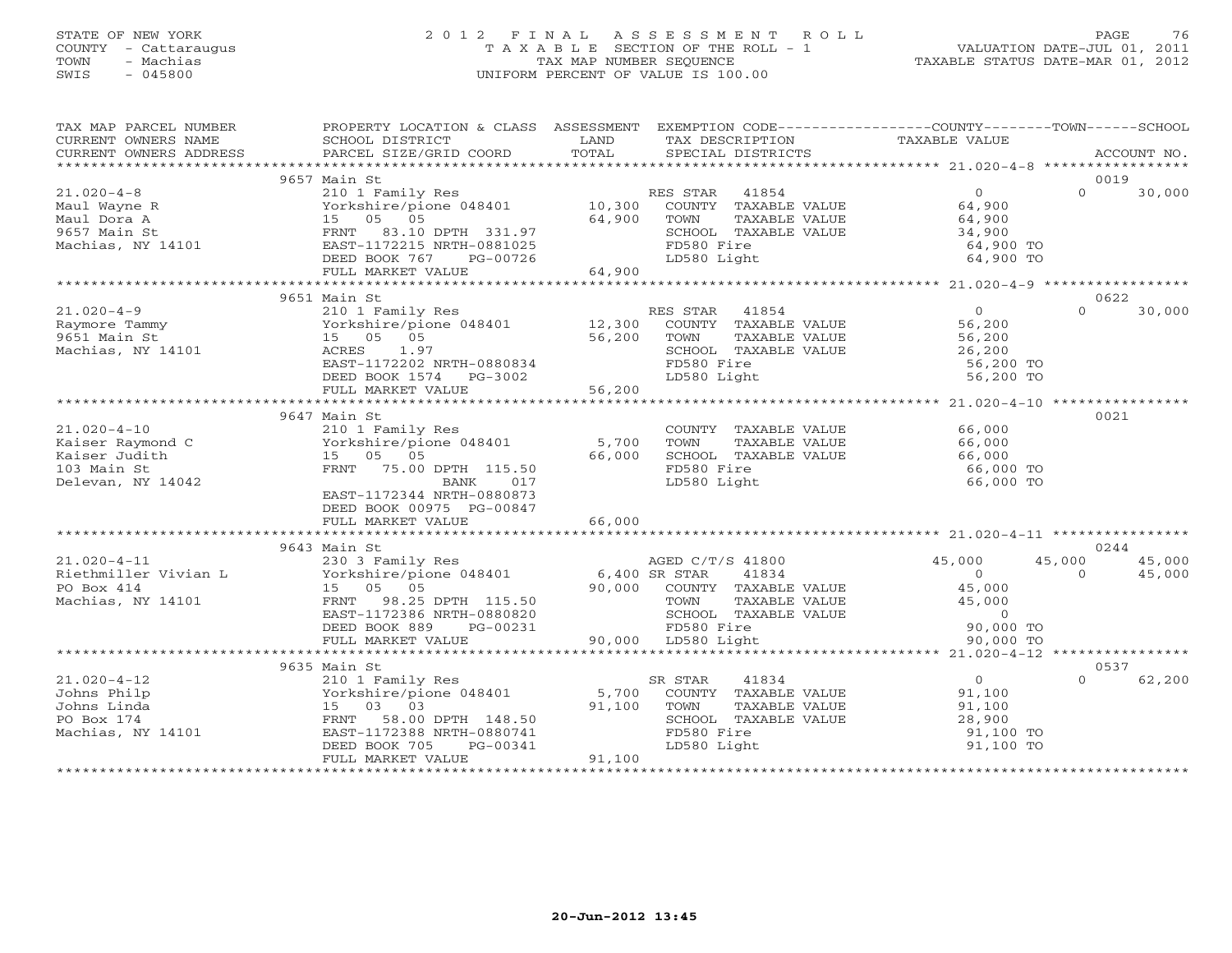## STATE OF NEW YORK 2 0 1 2 F I N A L A S S E S S M E N T R O L L PAGE 76 COUNTY - Cattaraugus T A X A B L E SECTION OF THE ROLL - 1 VALUATION DATE-JUL 01, 2011 TOWN - Machias TAX MAP NUMBER SEQUENCE TAXABLE STATUS DATE-MAR 01, 2012 SWIS - 045800 UNIFORM PERCENT OF VALUE IS 100.00UNIFORM PERCENT OF VALUE IS 100.00

| TAXABLE VALUE<br>CURRENT OWNERS NAME<br>SCHOOL DISTRICT<br>LAND<br>TAX DESCRIPTION<br>TOTAL<br>CURRENT OWNERS ADDRESS<br>PARCEL SIZE/GRID COORD<br>SPECIAL DISTRICTS<br>ACCOUNT NO.<br>9657 Main St<br>0019<br>$21.020 - 4 - 8$<br>$\overline{0}$<br>$\Omega$<br>30,000<br>210 1 Family Res<br>RES STAR 41854<br>Yorkshire/pione 048401 10,300 COUNTY TAXABLE VALUE<br>15 05 05 05 64,900 TOWN TAXABLE VALUE<br>64,900<br>Maul Wayne R<br>15 05 05<br>64,900<br>Maul Dora A<br>TOWN<br>TAXABLE VALUE<br>64,900<br>9657 Main St<br>Machias, NY 14101<br>FRNT 83.10 DPTH 331.97<br>SCHOOL TAXABLE VALUE<br>34,900<br>EAST-1172215 NRTH-0881025<br>FD580 Fire<br>64,900 TO<br>LD580 Light<br>DEED BOOK 767<br>PG-00726<br>64,900 TO<br>64,900<br>FULL MARKET VALUE<br>9651 Main St<br>0622<br>$21.020 - 4 - 9$<br>210 1 Family Res<br>$\overline{0}$<br>$\Omega$<br>30,000<br>RES STAR 41854<br>ES STAR 41854<br>COUNTY TAXABLE VALUE<br>210 1 Family Res<br>Yorkshire/pione 048401 12,300<br>56,200<br>Raymore Tammy<br>9651 Main St<br>15 05 05<br>56,200<br>TAXABLE VALUE<br>TOWN<br>56,200<br>56,200<br>26,200<br>Machias, NY 14101<br>ACRES<br>1.97<br>SCHOOL TAXABLE VALUE<br>FD580 Fire<br>EAST-1172202 NRTH-0880834<br>56,200 TO<br>DEED BOOK 1574 $PG-3002$<br>LD580 Light<br>56,200 TO<br>56,200<br>FULL MARKET VALUE<br>9647 Main St<br>0021<br>$21.020 - 4 - 10$<br>COUNTY TAXABLE VALUE<br>210 1 Family Res<br>66,000<br>Yorkshire/pione 048401<br>5,700<br>TAXABLE VALUE<br>Kaiser Raymond C<br>TOWN<br>66,000<br>66,000<br>15 05 05<br>66,000<br>Kaiser Judith<br>SCHOOL TAXABLE VALUE<br>FRNT 75.00 DPTH 115.50<br>FD580 Fire<br>103 Main St<br>66,000 TO<br>LD580 Light<br>66,000 TO<br>017<br>Delevan, NY 14042<br>BANK<br>EAST-1172344 NRTH-0880873<br>DEED BOOK 00975 PG-00847<br>66,000<br>FULL MARKET VALUE<br>9643 Main St<br>0244<br>45,000<br>$21.020 - 4 - 11$<br>45,000<br>230 3 Family Res<br>AGED C/T/S 41800<br>45,000<br>Yorkshire/pione 048401<br>Riethmiller Vivian L<br>$0$<br>45.000<br>45,000<br>6,400 SR STAR<br>41834<br>$\overline{0}$<br>PO Box 414<br>15 05 05<br>90,000 COUNTY TAXABLE VALUE<br>45,000<br>Machias, NY 14101<br>98.25 DPTH 115.50<br>TAXABLE VALUE<br>45,000<br>FRNT<br>TOWN<br>SCHOOL TAXABLE VALUE<br>$\overline{0}$<br>EAST-1172386 NRTH-0880820<br>FD580 Fire<br>90,000 LD580 Light<br>DEED BOOK 889<br>PG-00231<br>90,000 TO<br>90,000 TO<br>FULL MARKET VALUE<br>**********************************<br>0537<br>9635 Main St<br>210 1 Family Res<br>Yorkshire/pione 048401<br>$21.020 - 4 - 12$<br>41834<br>$\overline{0}$<br>62,200<br>SR STAR<br>$\Omega$<br>Johns Philp<br>5,700 COUNTY TAXABLE VALUE<br>91,100<br>Johns Linda<br>15 03 03<br>91,100<br>TAXABLE VALUE<br>TOWN<br>91,100<br>28,900<br>PO Box 174<br>58.00 DPTH 148.50<br>SCHOOL TAXABLE VALUE<br>FRNT<br>Machias, NY 14101<br>EAST-1172388 NRTH-0880741<br>FD580 Fire<br>91,100 TO<br>DEED BOOK 705<br>PG-00341<br>LD580 Light<br>91,100 TO<br>FULL MARKET VALUE<br>91,100 | TAX MAP PARCEL NUMBER | PROPERTY LOCATION & CLASS ASSESSMENT EXEMPTION CODE---------------COUNTY-------TOWN------SCHOOL |  |  |  |
|---------------------------------------------------------------------------------------------------------------------------------------------------------------------------------------------------------------------------------------------------------------------------------------------------------------------------------------------------------------------------------------------------------------------------------------------------------------------------------------------------------------------------------------------------------------------------------------------------------------------------------------------------------------------------------------------------------------------------------------------------------------------------------------------------------------------------------------------------------------------------------------------------------------------------------------------------------------------------------------------------------------------------------------------------------------------------------------------------------------------------------------------------------------------------------------------------------------------------------------------------------------------------------------------------------------------------------------------------------------------------------------------------------------------------------------------------------------------------------------------------------------------------------------------------------------------------------------------------------------------------------------------------------------------------------------------------------------------------------------------------------------------------------------------------------------------------------------------------------------------------------------------------------------------------------------------------------------------------------------------------------------------------------------------------------------------------------------------------------------------------------------------------------------------------------------------------------------------------------------------------------------------------------------------------------------------------------------------------------------------------------------------------------------------------------------------------------------------------------------------------------------------------------------------------------------------------------------------------------------------------------------------------------------------------------------------------------------------------------------------------------------------------------------------------------------------------------------------------------------------------------------------------------------------------------------------------------------------------------------------------------|-----------------------|-------------------------------------------------------------------------------------------------|--|--|--|
|                                                                                                                                                                                                                                                                                                                                                                                                                                                                                                                                                                                                                                                                                                                                                                                                                                                                                                                                                                                                                                                                                                                                                                                                                                                                                                                                                                                                                                                                                                                                                                                                                                                                                                                                                                                                                                                                                                                                                                                                                                                                                                                                                                                                                                                                                                                                                                                                                                                                                                                                                                                                                                                                                                                                                                                                                                                                                                                                                                                                         |                       |                                                                                                 |  |  |  |
|                                                                                                                                                                                                                                                                                                                                                                                                                                                                                                                                                                                                                                                                                                                                                                                                                                                                                                                                                                                                                                                                                                                                                                                                                                                                                                                                                                                                                                                                                                                                                                                                                                                                                                                                                                                                                                                                                                                                                                                                                                                                                                                                                                                                                                                                                                                                                                                                                                                                                                                                                                                                                                                                                                                                                                                                                                                                                                                                                                                                         |                       |                                                                                                 |  |  |  |
|                                                                                                                                                                                                                                                                                                                                                                                                                                                                                                                                                                                                                                                                                                                                                                                                                                                                                                                                                                                                                                                                                                                                                                                                                                                                                                                                                                                                                                                                                                                                                                                                                                                                                                                                                                                                                                                                                                                                                                                                                                                                                                                                                                                                                                                                                                                                                                                                                                                                                                                                                                                                                                                                                                                                                                                                                                                                                                                                                                                                         |                       |                                                                                                 |  |  |  |
|                                                                                                                                                                                                                                                                                                                                                                                                                                                                                                                                                                                                                                                                                                                                                                                                                                                                                                                                                                                                                                                                                                                                                                                                                                                                                                                                                                                                                                                                                                                                                                                                                                                                                                                                                                                                                                                                                                                                                                                                                                                                                                                                                                                                                                                                                                                                                                                                                                                                                                                                                                                                                                                                                                                                                                                                                                                                                                                                                                                                         |                       |                                                                                                 |  |  |  |
|                                                                                                                                                                                                                                                                                                                                                                                                                                                                                                                                                                                                                                                                                                                                                                                                                                                                                                                                                                                                                                                                                                                                                                                                                                                                                                                                                                                                                                                                                                                                                                                                                                                                                                                                                                                                                                                                                                                                                                                                                                                                                                                                                                                                                                                                                                                                                                                                                                                                                                                                                                                                                                                                                                                                                                                                                                                                                                                                                                                                         |                       |                                                                                                 |  |  |  |
|                                                                                                                                                                                                                                                                                                                                                                                                                                                                                                                                                                                                                                                                                                                                                                                                                                                                                                                                                                                                                                                                                                                                                                                                                                                                                                                                                                                                                                                                                                                                                                                                                                                                                                                                                                                                                                                                                                                                                                                                                                                                                                                                                                                                                                                                                                                                                                                                                                                                                                                                                                                                                                                                                                                                                                                                                                                                                                                                                                                                         |                       |                                                                                                 |  |  |  |
|                                                                                                                                                                                                                                                                                                                                                                                                                                                                                                                                                                                                                                                                                                                                                                                                                                                                                                                                                                                                                                                                                                                                                                                                                                                                                                                                                                                                                                                                                                                                                                                                                                                                                                                                                                                                                                                                                                                                                                                                                                                                                                                                                                                                                                                                                                                                                                                                                                                                                                                                                                                                                                                                                                                                                                                                                                                                                                                                                                                                         |                       |                                                                                                 |  |  |  |
|                                                                                                                                                                                                                                                                                                                                                                                                                                                                                                                                                                                                                                                                                                                                                                                                                                                                                                                                                                                                                                                                                                                                                                                                                                                                                                                                                                                                                                                                                                                                                                                                                                                                                                                                                                                                                                                                                                                                                                                                                                                                                                                                                                                                                                                                                                                                                                                                                                                                                                                                                                                                                                                                                                                                                                                                                                                                                                                                                                                                         |                       |                                                                                                 |  |  |  |
|                                                                                                                                                                                                                                                                                                                                                                                                                                                                                                                                                                                                                                                                                                                                                                                                                                                                                                                                                                                                                                                                                                                                                                                                                                                                                                                                                                                                                                                                                                                                                                                                                                                                                                                                                                                                                                                                                                                                                                                                                                                                                                                                                                                                                                                                                                                                                                                                                                                                                                                                                                                                                                                                                                                                                                                                                                                                                                                                                                                                         |                       |                                                                                                 |  |  |  |
|                                                                                                                                                                                                                                                                                                                                                                                                                                                                                                                                                                                                                                                                                                                                                                                                                                                                                                                                                                                                                                                                                                                                                                                                                                                                                                                                                                                                                                                                                                                                                                                                                                                                                                                                                                                                                                                                                                                                                                                                                                                                                                                                                                                                                                                                                                                                                                                                                                                                                                                                                                                                                                                                                                                                                                                                                                                                                                                                                                                                         |                       |                                                                                                 |  |  |  |
|                                                                                                                                                                                                                                                                                                                                                                                                                                                                                                                                                                                                                                                                                                                                                                                                                                                                                                                                                                                                                                                                                                                                                                                                                                                                                                                                                                                                                                                                                                                                                                                                                                                                                                                                                                                                                                                                                                                                                                                                                                                                                                                                                                                                                                                                                                                                                                                                                                                                                                                                                                                                                                                                                                                                                                                                                                                                                                                                                                                                         |                       |                                                                                                 |  |  |  |
|                                                                                                                                                                                                                                                                                                                                                                                                                                                                                                                                                                                                                                                                                                                                                                                                                                                                                                                                                                                                                                                                                                                                                                                                                                                                                                                                                                                                                                                                                                                                                                                                                                                                                                                                                                                                                                                                                                                                                                                                                                                                                                                                                                                                                                                                                                                                                                                                                                                                                                                                                                                                                                                                                                                                                                                                                                                                                                                                                                                                         |                       |                                                                                                 |  |  |  |
|                                                                                                                                                                                                                                                                                                                                                                                                                                                                                                                                                                                                                                                                                                                                                                                                                                                                                                                                                                                                                                                                                                                                                                                                                                                                                                                                                                                                                                                                                                                                                                                                                                                                                                                                                                                                                                                                                                                                                                                                                                                                                                                                                                                                                                                                                                                                                                                                                                                                                                                                                                                                                                                                                                                                                                                                                                                                                                                                                                                                         |                       |                                                                                                 |  |  |  |
|                                                                                                                                                                                                                                                                                                                                                                                                                                                                                                                                                                                                                                                                                                                                                                                                                                                                                                                                                                                                                                                                                                                                                                                                                                                                                                                                                                                                                                                                                                                                                                                                                                                                                                                                                                                                                                                                                                                                                                                                                                                                                                                                                                                                                                                                                                                                                                                                                                                                                                                                                                                                                                                                                                                                                                                                                                                                                                                                                                                                         |                       |                                                                                                 |  |  |  |
|                                                                                                                                                                                                                                                                                                                                                                                                                                                                                                                                                                                                                                                                                                                                                                                                                                                                                                                                                                                                                                                                                                                                                                                                                                                                                                                                                                                                                                                                                                                                                                                                                                                                                                                                                                                                                                                                                                                                                                                                                                                                                                                                                                                                                                                                                                                                                                                                                                                                                                                                                                                                                                                                                                                                                                                                                                                                                                                                                                                                         |                       |                                                                                                 |  |  |  |
|                                                                                                                                                                                                                                                                                                                                                                                                                                                                                                                                                                                                                                                                                                                                                                                                                                                                                                                                                                                                                                                                                                                                                                                                                                                                                                                                                                                                                                                                                                                                                                                                                                                                                                                                                                                                                                                                                                                                                                                                                                                                                                                                                                                                                                                                                                                                                                                                                                                                                                                                                                                                                                                                                                                                                                                                                                                                                                                                                                                                         |                       |                                                                                                 |  |  |  |
|                                                                                                                                                                                                                                                                                                                                                                                                                                                                                                                                                                                                                                                                                                                                                                                                                                                                                                                                                                                                                                                                                                                                                                                                                                                                                                                                                                                                                                                                                                                                                                                                                                                                                                                                                                                                                                                                                                                                                                                                                                                                                                                                                                                                                                                                                                                                                                                                                                                                                                                                                                                                                                                                                                                                                                                                                                                                                                                                                                                                         |                       |                                                                                                 |  |  |  |
|                                                                                                                                                                                                                                                                                                                                                                                                                                                                                                                                                                                                                                                                                                                                                                                                                                                                                                                                                                                                                                                                                                                                                                                                                                                                                                                                                                                                                                                                                                                                                                                                                                                                                                                                                                                                                                                                                                                                                                                                                                                                                                                                                                                                                                                                                                                                                                                                                                                                                                                                                                                                                                                                                                                                                                                                                                                                                                                                                                                                         |                       |                                                                                                 |  |  |  |
|                                                                                                                                                                                                                                                                                                                                                                                                                                                                                                                                                                                                                                                                                                                                                                                                                                                                                                                                                                                                                                                                                                                                                                                                                                                                                                                                                                                                                                                                                                                                                                                                                                                                                                                                                                                                                                                                                                                                                                                                                                                                                                                                                                                                                                                                                                                                                                                                                                                                                                                                                                                                                                                                                                                                                                                                                                                                                                                                                                                                         |                       |                                                                                                 |  |  |  |
|                                                                                                                                                                                                                                                                                                                                                                                                                                                                                                                                                                                                                                                                                                                                                                                                                                                                                                                                                                                                                                                                                                                                                                                                                                                                                                                                                                                                                                                                                                                                                                                                                                                                                                                                                                                                                                                                                                                                                                                                                                                                                                                                                                                                                                                                                                                                                                                                                                                                                                                                                                                                                                                                                                                                                                                                                                                                                                                                                                                                         |                       |                                                                                                 |  |  |  |
|                                                                                                                                                                                                                                                                                                                                                                                                                                                                                                                                                                                                                                                                                                                                                                                                                                                                                                                                                                                                                                                                                                                                                                                                                                                                                                                                                                                                                                                                                                                                                                                                                                                                                                                                                                                                                                                                                                                                                                                                                                                                                                                                                                                                                                                                                                                                                                                                                                                                                                                                                                                                                                                                                                                                                                                                                                                                                                                                                                                                         |                       |                                                                                                 |  |  |  |
|                                                                                                                                                                                                                                                                                                                                                                                                                                                                                                                                                                                                                                                                                                                                                                                                                                                                                                                                                                                                                                                                                                                                                                                                                                                                                                                                                                                                                                                                                                                                                                                                                                                                                                                                                                                                                                                                                                                                                                                                                                                                                                                                                                                                                                                                                                                                                                                                                                                                                                                                                                                                                                                                                                                                                                                                                                                                                                                                                                                                         |                       |                                                                                                 |  |  |  |
|                                                                                                                                                                                                                                                                                                                                                                                                                                                                                                                                                                                                                                                                                                                                                                                                                                                                                                                                                                                                                                                                                                                                                                                                                                                                                                                                                                                                                                                                                                                                                                                                                                                                                                                                                                                                                                                                                                                                                                                                                                                                                                                                                                                                                                                                                                                                                                                                                                                                                                                                                                                                                                                                                                                                                                                                                                                                                                                                                                                                         |                       |                                                                                                 |  |  |  |
|                                                                                                                                                                                                                                                                                                                                                                                                                                                                                                                                                                                                                                                                                                                                                                                                                                                                                                                                                                                                                                                                                                                                                                                                                                                                                                                                                                                                                                                                                                                                                                                                                                                                                                                                                                                                                                                                                                                                                                                                                                                                                                                                                                                                                                                                                                                                                                                                                                                                                                                                                                                                                                                                                                                                                                                                                                                                                                                                                                                                         |                       |                                                                                                 |  |  |  |
|                                                                                                                                                                                                                                                                                                                                                                                                                                                                                                                                                                                                                                                                                                                                                                                                                                                                                                                                                                                                                                                                                                                                                                                                                                                                                                                                                                                                                                                                                                                                                                                                                                                                                                                                                                                                                                                                                                                                                                                                                                                                                                                                                                                                                                                                                                                                                                                                                                                                                                                                                                                                                                                                                                                                                                                                                                                                                                                                                                                                         |                       |                                                                                                 |  |  |  |
|                                                                                                                                                                                                                                                                                                                                                                                                                                                                                                                                                                                                                                                                                                                                                                                                                                                                                                                                                                                                                                                                                                                                                                                                                                                                                                                                                                                                                                                                                                                                                                                                                                                                                                                                                                                                                                                                                                                                                                                                                                                                                                                                                                                                                                                                                                                                                                                                                                                                                                                                                                                                                                                                                                                                                                                                                                                                                                                                                                                                         |                       |                                                                                                 |  |  |  |
|                                                                                                                                                                                                                                                                                                                                                                                                                                                                                                                                                                                                                                                                                                                                                                                                                                                                                                                                                                                                                                                                                                                                                                                                                                                                                                                                                                                                                                                                                                                                                                                                                                                                                                                                                                                                                                                                                                                                                                                                                                                                                                                                                                                                                                                                                                                                                                                                                                                                                                                                                                                                                                                                                                                                                                                                                                                                                                                                                                                                         |                       |                                                                                                 |  |  |  |
|                                                                                                                                                                                                                                                                                                                                                                                                                                                                                                                                                                                                                                                                                                                                                                                                                                                                                                                                                                                                                                                                                                                                                                                                                                                                                                                                                                                                                                                                                                                                                                                                                                                                                                                                                                                                                                                                                                                                                                                                                                                                                                                                                                                                                                                                                                                                                                                                                                                                                                                                                                                                                                                                                                                                                                                                                                                                                                                                                                                                         |                       |                                                                                                 |  |  |  |
|                                                                                                                                                                                                                                                                                                                                                                                                                                                                                                                                                                                                                                                                                                                                                                                                                                                                                                                                                                                                                                                                                                                                                                                                                                                                                                                                                                                                                                                                                                                                                                                                                                                                                                                                                                                                                                                                                                                                                                                                                                                                                                                                                                                                                                                                                                                                                                                                                                                                                                                                                                                                                                                                                                                                                                                                                                                                                                                                                                                                         |                       |                                                                                                 |  |  |  |
|                                                                                                                                                                                                                                                                                                                                                                                                                                                                                                                                                                                                                                                                                                                                                                                                                                                                                                                                                                                                                                                                                                                                                                                                                                                                                                                                                                                                                                                                                                                                                                                                                                                                                                                                                                                                                                                                                                                                                                                                                                                                                                                                                                                                                                                                                                                                                                                                                                                                                                                                                                                                                                                                                                                                                                                                                                                                                                                                                                                                         |                       |                                                                                                 |  |  |  |
|                                                                                                                                                                                                                                                                                                                                                                                                                                                                                                                                                                                                                                                                                                                                                                                                                                                                                                                                                                                                                                                                                                                                                                                                                                                                                                                                                                                                                                                                                                                                                                                                                                                                                                                                                                                                                                                                                                                                                                                                                                                                                                                                                                                                                                                                                                                                                                                                                                                                                                                                                                                                                                                                                                                                                                                                                                                                                                                                                                                                         |                       |                                                                                                 |  |  |  |
|                                                                                                                                                                                                                                                                                                                                                                                                                                                                                                                                                                                                                                                                                                                                                                                                                                                                                                                                                                                                                                                                                                                                                                                                                                                                                                                                                                                                                                                                                                                                                                                                                                                                                                                                                                                                                                                                                                                                                                                                                                                                                                                                                                                                                                                                                                                                                                                                                                                                                                                                                                                                                                                                                                                                                                                                                                                                                                                                                                                                         |                       |                                                                                                 |  |  |  |
|                                                                                                                                                                                                                                                                                                                                                                                                                                                                                                                                                                                                                                                                                                                                                                                                                                                                                                                                                                                                                                                                                                                                                                                                                                                                                                                                                                                                                                                                                                                                                                                                                                                                                                                                                                                                                                                                                                                                                                                                                                                                                                                                                                                                                                                                                                                                                                                                                                                                                                                                                                                                                                                                                                                                                                                                                                                                                                                                                                                                         |                       |                                                                                                 |  |  |  |
|                                                                                                                                                                                                                                                                                                                                                                                                                                                                                                                                                                                                                                                                                                                                                                                                                                                                                                                                                                                                                                                                                                                                                                                                                                                                                                                                                                                                                                                                                                                                                                                                                                                                                                                                                                                                                                                                                                                                                                                                                                                                                                                                                                                                                                                                                                                                                                                                                                                                                                                                                                                                                                                                                                                                                                                                                                                                                                                                                                                                         |                       |                                                                                                 |  |  |  |
|                                                                                                                                                                                                                                                                                                                                                                                                                                                                                                                                                                                                                                                                                                                                                                                                                                                                                                                                                                                                                                                                                                                                                                                                                                                                                                                                                                                                                                                                                                                                                                                                                                                                                                                                                                                                                                                                                                                                                                                                                                                                                                                                                                                                                                                                                                                                                                                                                                                                                                                                                                                                                                                                                                                                                                                                                                                                                                                                                                                                         |                       |                                                                                                 |  |  |  |
|                                                                                                                                                                                                                                                                                                                                                                                                                                                                                                                                                                                                                                                                                                                                                                                                                                                                                                                                                                                                                                                                                                                                                                                                                                                                                                                                                                                                                                                                                                                                                                                                                                                                                                                                                                                                                                                                                                                                                                                                                                                                                                                                                                                                                                                                                                                                                                                                                                                                                                                                                                                                                                                                                                                                                                                                                                                                                                                                                                                                         |                       |                                                                                                 |  |  |  |
|                                                                                                                                                                                                                                                                                                                                                                                                                                                                                                                                                                                                                                                                                                                                                                                                                                                                                                                                                                                                                                                                                                                                                                                                                                                                                                                                                                                                                                                                                                                                                                                                                                                                                                                                                                                                                                                                                                                                                                                                                                                                                                                                                                                                                                                                                                                                                                                                                                                                                                                                                                                                                                                                                                                                                                                                                                                                                                                                                                                                         |                       |                                                                                                 |  |  |  |
|                                                                                                                                                                                                                                                                                                                                                                                                                                                                                                                                                                                                                                                                                                                                                                                                                                                                                                                                                                                                                                                                                                                                                                                                                                                                                                                                                                                                                                                                                                                                                                                                                                                                                                                                                                                                                                                                                                                                                                                                                                                                                                                                                                                                                                                                                                                                                                                                                                                                                                                                                                                                                                                                                                                                                                                                                                                                                                                                                                                                         |                       |                                                                                                 |  |  |  |
|                                                                                                                                                                                                                                                                                                                                                                                                                                                                                                                                                                                                                                                                                                                                                                                                                                                                                                                                                                                                                                                                                                                                                                                                                                                                                                                                                                                                                                                                                                                                                                                                                                                                                                                                                                                                                                                                                                                                                                                                                                                                                                                                                                                                                                                                                                                                                                                                                                                                                                                                                                                                                                                                                                                                                                                                                                                                                                                                                                                                         |                       |                                                                                                 |  |  |  |
|                                                                                                                                                                                                                                                                                                                                                                                                                                                                                                                                                                                                                                                                                                                                                                                                                                                                                                                                                                                                                                                                                                                                                                                                                                                                                                                                                                                                                                                                                                                                                                                                                                                                                                                                                                                                                                                                                                                                                                                                                                                                                                                                                                                                                                                                                                                                                                                                                                                                                                                                                                                                                                                                                                                                                                                                                                                                                                                                                                                                         |                       |                                                                                                 |  |  |  |
|                                                                                                                                                                                                                                                                                                                                                                                                                                                                                                                                                                                                                                                                                                                                                                                                                                                                                                                                                                                                                                                                                                                                                                                                                                                                                                                                                                                                                                                                                                                                                                                                                                                                                                                                                                                                                                                                                                                                                                                                                                                                                                                                                                                                                                                                                                                                                                                                                                                                                                                                                                                                                                                                                                                                                                                                                                                                                                                                                                                                         |                       |                                                                                                 |  |  |  |
|                                                                                                                                                                                                                                                                                                                                                                                                                                                                                                                                                                                                                                                                                                                                                                                                                                                                                                                                                                                                                                                                                                                                                                                                                                                                                                                                                                                                                                                                                                                                                                                                                                                                                                                                                                                                                                                                                                                                                                                                                                                                                                                                                                                                                                                                                                                                                                                                                                                                                                                                                                                                                                                                                                                                                                                                                                                                                                                                                                                                         |                       |                                                                                                 |  |  |  |
|                                                                                                                                                                                                                                                                                                                                                                                                                                                                                                                                                                                                                                                                                                                                                                                                                                                                                                                                                                                                                                                                                                                                                                                                                                                                                                                                                                                                                                                                                                                                                                                                                                                                                                                                                                                                                                                                                                                                                                                                                                                                                                                                                                                                                                                                                                                                                                                                                                                                                                                                                                                                                                                                                                                                                                                                                                                                                                                                                                                                         |                       |                                                                                                 |  |  |  |
|                                                                                                                                                                                                                                                                                                                                                                                                                                                                                                                                                                                                                                                                                                                                                                                                                                                                                                                                                                                                                                                                                                                                                                                                                                                                                                                                                                                                                                                                                                                                                                                                                                                                                                                                                                                                                                                                                                                                                                                                                                                                                                                                                                                                                                                                                                                                                                                                                                                                                                                                                                                                                                                                                                                                                                                                                                                                                                                                                                                                         |                       |                                                                                                 |  |  |  |
|                                                                                                                                                                                                                                                                                                                                                                                                                                                                                                                                                                                                                                                                                                                                                                                                                                                                                                                                                                                                                                                                                                                                                                                                                                                                                                                                                                                                                                                                                                                                                                                                                                                                                                                                                                                                                                                                                                                                                                                                                                                                                                                                                                                                                                                                                                                                                                                                                                                                                                                                                                                                                                                                                                                                                                                                                                                                                                                                                                                                         |                       |                                                                                                 |  |  |  |
|                                                                                                                                                                                                                                                                                                                                                                                                                                                                                                                                                                                                                                                                                                                                                                                                                                                                                                                                                                                                                                                                                                                                                                                                                                                                                                                                                                                                                                                                                                                                                                                                                                                                                                                                                                                                                                                                                                                                                                                                                                                                                                                                                                                                                                                                                                                                                                                                                                                                                                                                                                                                                                                                                                                                                                                                                                                                                                                                                                                                         |                       |                                                                                                 |  |  |  |
|                                                                                                                                                                                                                                                                                                                                                                                                                                                                                                                                                                                                                                                                                                                                                                                                                                                                                                                                                                                                                                                                                                                                                                                                                                                                                                                                                                                                                                                                                                                                                                                                                                                                                                                                                                                                                                                                                                                                                                                                                                                                                                                                                                                                                                                                                                                                                                                                                                                                                                                                                                                                                                                                                                                                                                                                                                                                                                                                                                                                         |                       |                                                                                                 |  |  |  |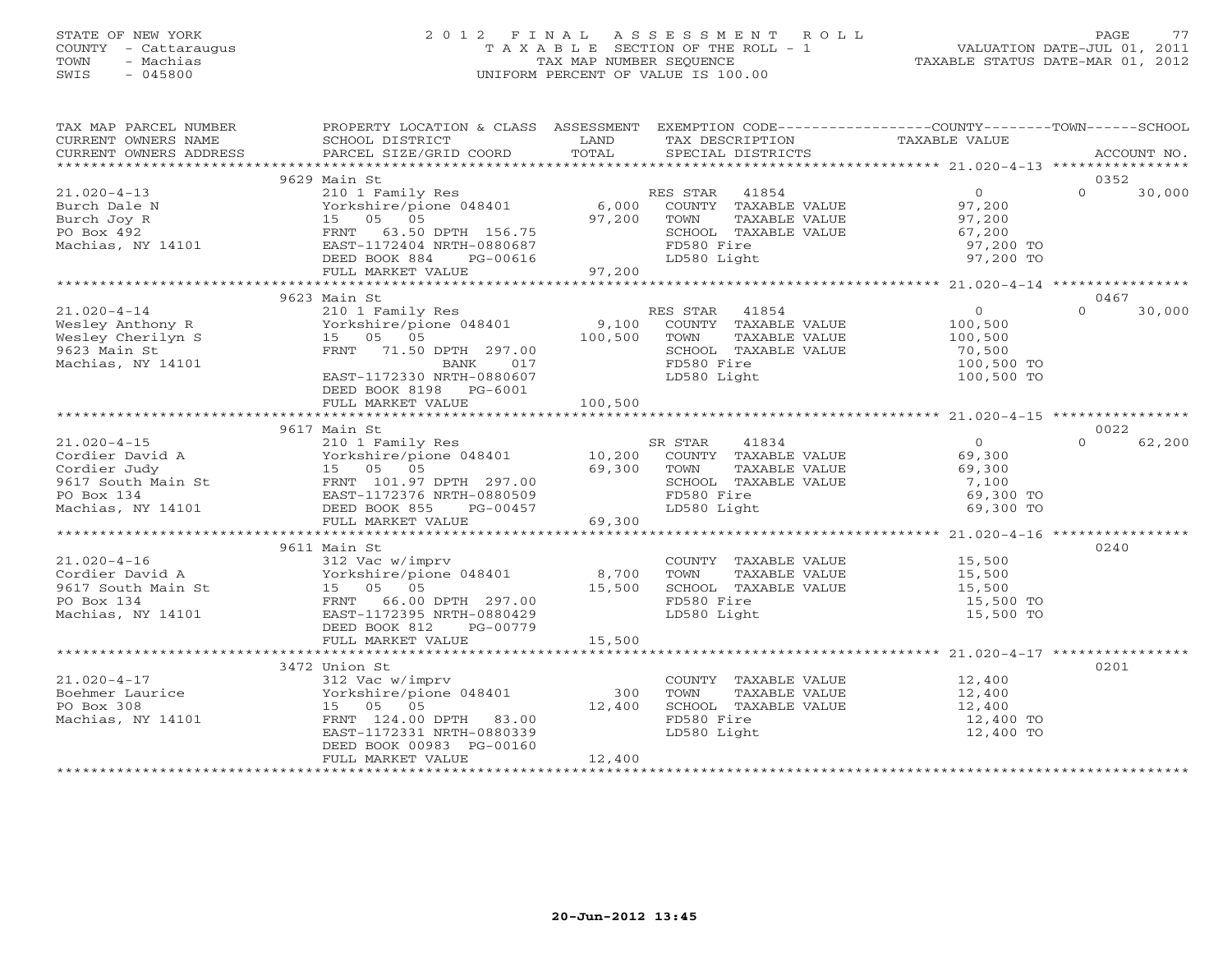## STATE OF NEW YORK 2 0 1 2 F I N A L A S S E S S M E N T R O L L PAGE 77 COUNTY - Cattaraugus T A X A B L E SECTION OF THE ROLL - 1 VALUATION DATE-JUL 01, 2011 TOWN - Machias TAX MAP NUMBER SEQUENCE TAXABLE STATUS DATE-MAR 01, 2012 SWIS - 045800 UNIFORM PERCENT OF VALUE IS 100.00UNIFORM PERCENT OF VALUE IS 100.00

| TAX MAP PARCEL NUMBER<br>CURRENT OWNERS NAME<br>CURRENT OWNERS ADDRESS                                                                                                                                              | PROPERTY LOCATION & CLASS ASSESSMENT<br>SCHOOL DISTRICT<br>PARCEL SIZE/GRID COORD                                | LAND<br>TOTAL   | EXEMPTION CODE-----------------COUNTY-------TOWN------SCHOOL<br>TAX DESCRIPTION<br>SPECIAL DISTRICTS  | TAXABLE VALUE                                                       | ACCOUNT NO.                |
|---------------------------------------------------------------------------------------------------------------------------------------------------------------------------------------------------------------------|------------------------------------------------------------------------------------------------------------------|-----------------|-------------------------------------------------------------------------------------------------------|---------------------------------------------------------------------|----------------------------|
|                                                                                                                                                                                                                     |                                                                                                                  |                 |                                                                                                       |                                                                     |                            |
|                                                                                                                                                                                                                     | 9629 Main St                                                                                                     |                 |                                                                                                       |                                                                     | 0352                       |
| $21.020 - 4 - 13$<br>Burch Dale N<br>Burch Joy R<br>PO Box 492<br>Machias, NY 14101                                                                                                                                 | 210 1 Family Res<br>Yorkshire/pione 048401<br>15 05 05<br>FRNT<br>63.50 DPTH 156.75<br>EAST-1172404 NRTH-0880687 | 6,000<br>97,200 | RES STAR 41854<br>COUNTY TAXABLE VALUE<br>TOWN<br>TAXABLE VALUE<br>SCHOOL TAXABLE VALUE<br>FD580 Fire | $\overline{0}$<br>97,200<br>97.200<br>97,200<br>67,200<br>97,200 TO | $\Omega$<br>30,000         |
|                                                                                                                                                                                                                     | DEED BOOK 884<br>PG-00616                                                                                        |                 | LD580 Light                                                                                           | 97,200 TO                                                           |                            |
|                                                                                                                                                                                                                     | FULL MARKET VALUE                                                                                                | 97,200          |                                                                                                       |                                                                     |                            |
|                                                                                                                                                                                                                     | 9623 Main St                                                                                                     |                 |                                                                                                       |                                                                     | 0467                       |
| $21.020 - 4 - 14$                                                                                                                                                                                                   | 210 1 Family Res                                                                                                 |                 | RES STAR<br>41854                                                                                     | $\overline{0}$                                                      | $\Omega$<br>30,000         |
| Wesley Anthony R                                                                                                                                                                                                    | ZIO I Family Res<br>Yorkshire/pione 048401                                                                       | 9,100           | COUNTY TAXABLE VALUE                                                                                  | 100,500                                                             |                            |
| Wesley Cherilyn S                                                                                                                                                                                                   | 15 05 05                                                                                                         | 100,500         | TOWN<br>TAXABLE VALUE                                                                                 | 100,500                                                             |                            |
| 9623 Main St                                                                                                                                                                                                        | FRNT 71.50 DPTH 297.00                                                                                           |                 | SCHOOL TAXABLE VALUE                                                                                  | 70,500                                                              |                            |
| Machias, NY 14101                                                                                                                                                                                                   | BANK 017                                                                                                         |                 | FD580 Fire                                                                                            | 100,500 TO                                                          |                            |
|                                                                                                                                                                                                                     | EAST-1172330 NRTH-0880607                                                                                        |                 | LD580 Light                                                                                           | 100,500 TO                                                          |                            |
|                                                                                                                                                                                                                     | DEED BOOK 8198 PG-6001                                                                                           |                 |                                                                                                       |                                                                     |                            |
|                                                                                                                                                                                                                     | FULL MARKET VALUE                                                                                                | 100,500         |                                                                                                       |                                                                     |                            |
|                                                                                                                                                                                                                     |                                                                                                                  |                 |                                                                                                       |                                                                     |                            |
| $21.020 - 4 - 15$                                                                                                                                                                                                   | 9617 Main St                                                                                                     |                 | SR STAR<br>41834                                                                                      | $\Omega$                                                            | 0022<br>62,200<br>$\Omega$ |
|                                                                                                                                                                                                                     | 210 1 Family Res<br>Yorkshire/pione 048401 10,200                                                                |                 | COUNTY TAXABLE VALUE                                                                                  | 69,300                                                              |                            |
|                                                                                                                                                                                                                     |                                                                                                                  | 69,300 TOWN     | TAXABLE VALUE                                                                                         | 69,300                                                              |                            |
|                                                                                                                                                                                                                     |                                                                                                                  |                 | SCHOOL TAXABLE VALUE                                                                                  | 7,100                                                               |                            |
|                                                                                                                                                                                                                     |                                                                                                                  |                 | FD580 Fire                                                                                            | 69,300 TO                                                           |                            |
| Cordier David A<br>Cordier Judy<br>Cordier Judy<br>9617 South Main St<br>PO Box 134<br>Machias, NY 14101<br>PO Box 134<br>PO Box 134<br>BAST-1172376 NRTH-0880509<br>Machias, NY 14101<br>DEED BOOK 855<br>PG-00457 |                                                                                                                  |                 | LD580 Light                                                                                           | 69,300 TO                                                           |                            |
|                                                                                                                                                                                                                     | FULL MARKET VALUE                                                                                                | 69,300          |                                                                                                       |                                                                     |                            |
|                                                                                                                                                                                                                     |                                                                                                                  |                 |                                                                                                       |                                                                     |                            |
|                                                                                                                                                                                                                     | 9611 Main St                                                                                                     |                 |                                                                                                       |                                                                     | 0240                       |
| $21.020 - 4 - 16$                                                                                                                                                                                                   | 312 Vac w/imprv                                                                                                  |                 | COUNTY TAXABLE VALUE 15,500                                                                           |                                                                     |                            |
| Cordier David A                                                                                                                                                                                                     | Yorkshire/pione 048401<br>Yorkshire/pic<br>3t 15 05 05<br>EPNT 66.00                                             | 8,700           | TOWN<br>TAXABLE VALUE<br>SCHOOL TAXABLE VALUE                                                         | 15,500<br>15,500                                                    |                            |
| 9617 South Main St<br>PO Box 134                                                                                                                                                                                    | FRNT 66.00 DPTH 297.00                                                                                           | 15,500          | FD580 Fire                                                                                            | 15,500 TO                                                           |                            |
| Machias, NY 14101                                                                                                                                                                                                   | EAST-1172395 NRTH-0880429                                                                                        |                 | LD580 Light                                                                                           | 15,500 TO                                                           |                            |
|                                                                                                                                                                                                                     | DEED BOOK 812<br>PG-00779                                                                                        |                 |                                                                                                       |                                                                     |                            |
|                                                                                                                                                                                                                     | FULL MARKET VALUE                                                                                                | 15,500          |                                                                                                       |                                                                     |                            |
|                                                                                                                                                                                                                     |                                                                                                                  |                 |                                                                                                       |                                                                     |                            |
|                                                                                                                                                                                                                     | 3472 Union St                                                                                                    |                 |                                                                                                       |                                                                     | 0201                       |
| $21.020 - 4 - 17$                                                                                                                                                                                                   | 312 Vac w/imprv<br>Yorkshire/pione 048401                                                                        |                 | COUNTY TAXABLE VALUE                                                                                  | 12,400<br>12,400                                                    |                            |
| Boehmer Laurice                                                                                                                                                                                                     |                                                                                                                  | 300             | TOWN<br>TAXABLE VALUE                                                                                 |                                                                     |                            |
| PO Box 308                                                                                                                                                                                                          | 15 05 05                                                                                                         | 12,400          | SCHOOL TAXABLE VALUE                                                                                  | 12,400<br>12,400 TO                                                 |                            |
| Machias, NY 14101                                                                                                                                                                                                   | FRNT 124.00 DPTH 83.00<br>EAST-1172331 NRTH-0880339                                                              |                 | FD580 Fire<br>LD580 Light                                                                             | 12,400 TO                                                           |                            |
|                                                                                                                                                                                                                     | DEED BOOK 00983 PG-00160                                                                                         |                 |                                                                                                       |                                                                     |                            |
|                                                                                                                                                                                                                     | FULL MARKET VALUE                                                                                                | 12,400          |                                                                                                       |                                                                     |                            |
|                                                                                                                                                                                                                     |                                                                                                                  |                 |                                                                                                       |                                                                     |                            |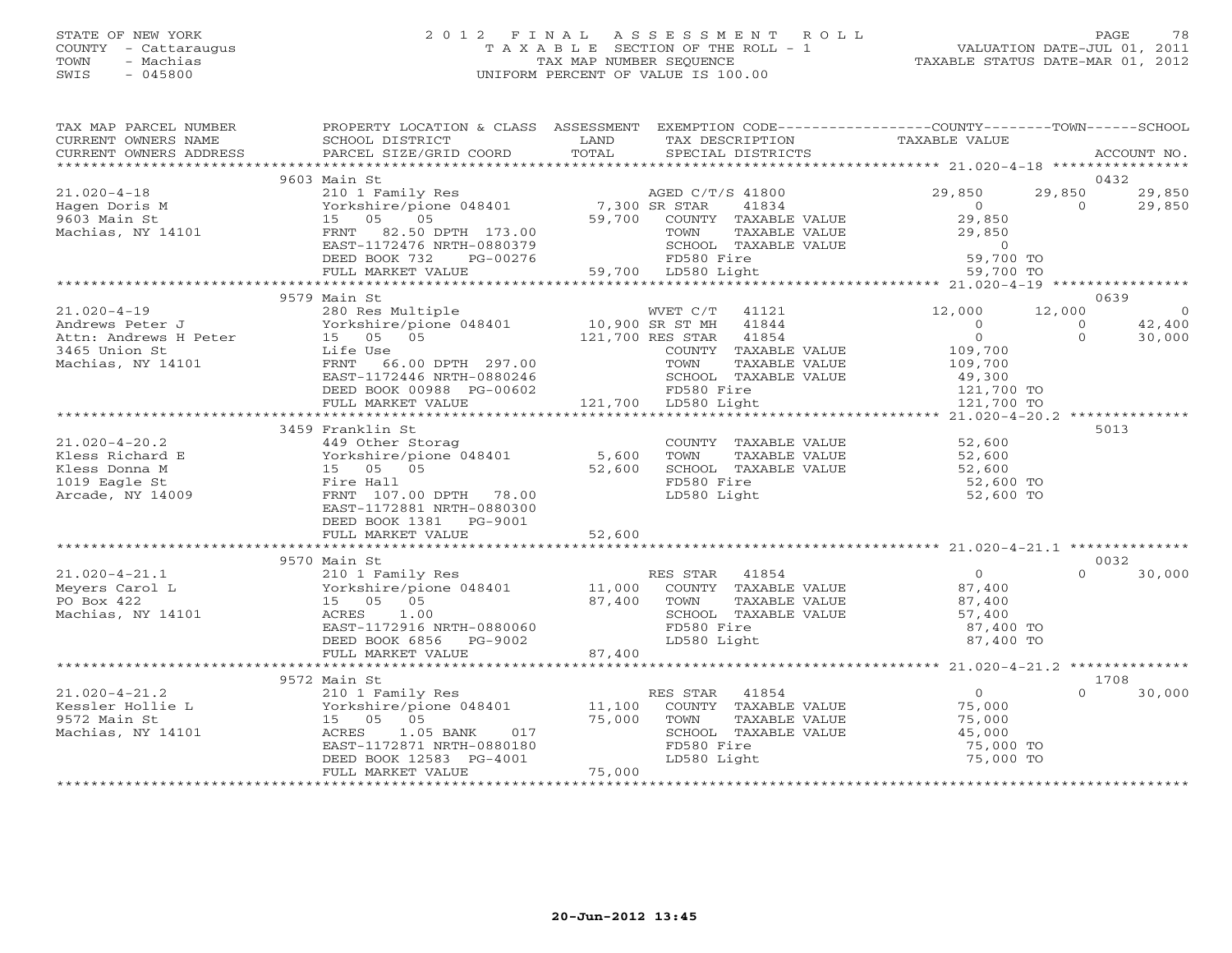# STATE OF NEW YORK 2 0 1 2 F I N A L A S S E S S M E N T R O L L PAGE 78 COUNTY - Cattaraugus T A X A B L E SECTION OF THE ROLL - 1 VALUATION DATE-JUL 01, 2011 TOWN - Machias TAX MAP NUMBER SEQUENCE TAXABLE STATUS DATE-MAR 01, 2012 SWIS - 045800 UNIFORM PERCENT OF VALUE IS 100.00

| TAX MAP PARCEL NUMBER<br>CURRENT OWNERS NAME | PROPERTY LOCATION & CLASS ASSESSMENT<br>SCHOOL DISTRICT        | LAND<br>TOTAL | TAX DESCRIPTION                               | EXEMPTION CODE-----------------COUNTY-------TOWN------SCHOOL<br>TAXABLE VALUE |                                         |
|----------------------------------------------|----------------------------------------------------------------|---------------|-----------------------------------------------|-------------------------------------------------------------------------------|-----------------------------------------|
| CURRENT OWNERS ADDRESS                       | PARCEL SIZE/GRID COORD                                         |               | SPECIAL DISTRICTS                             |                                                                               | ACCOUNT NO.                             |
|                                              | 9603 Main St                                                   |               |                                               |                                                                               | 0432                                    |
| $21.020 - 4 - 18$                            | 210 1 Family Res                                               |               | AGED C/T/S 41800                              | 29,850                                                                        | 29,850<br>29,850                        |
| Hagen Doris M                                | Yorkshire/pione 048401 7,300 SR STAR<br>15 05 05 59.700 COUNTY |               | 41834                                         | $\overline{0}$                                                                | $\Omega$<br>29,850                      |
| 9603 Main St                                 |                                                                | 59,700        | COUNTY TAXABLE VALUE                          | 29,850                                                                        |                                         |
| Machias, NY 14101                            | FRNT 82.50 DPTH 173.00                                         |               | TOWN<br>TAXABLE VALUE                         | 29,850                                                                        |                                         |
|                                              | EAST-1172476 NRTH-0880379                                      |               | SCHOOL TAXABLE VALUE                          | $\overline{0}$                                                                |                                         |
|                                              | DEED BOOK 732<br>PG-00276                                      |               |                                               | 59,700 TO                                                                     |                                         |
|                                              | FULL MARKET VALUE                                              |               |                                               | 59,700 TO                                                                     |                                         |
|                                              |                                                                |               |                                               |                                                                               |                                         |
|                                              | 9579 Main St                                                   |               |                                               |                                                                               | 0639                                    |
| $21.020 - 4 - 19$                            | 280 Res Multiple                                               |               | WVET C/T 41121<br>WVET C/T<br>10,900 SR ST MH | 12,000                                                                        | 12,000<br>$\overline{0}$                |
| Andrews Peter J<br>Attn: Andrews H Peter     | Yorkshire/pione 048401<br>15 05 05                             |               | 41844<br>121,700 RES STAR 41854               | $\circ$<br>$\overline{0}$                                                     | 42,400<br>$\circ$<br>$\Omega$<br>30,000 |
| 3465 Union St                                | Life Use                                                       |               | COUNTY TAXABLE VALUE                          | 109,700                                                                       |                                         |
| Machias, NY 14101                            | FRNT<br>66.00 DPTH 297.00                                      |               | TOWN<br>TAXABLE VALUE                         | 109,700                                                                       |                                         |
|                                              | EAST-1172446 NRTH-0880246                                      |               | SCHOOL TAXABLE VALUE                          | 49,300                                                                        |                                         |
|                                              | DEED BOOK 00988 PG-00602                                       |               | FD580 Fire                                    | $121,700$ TO                                                                  |                                         |
|                                              | FULL MARKET VALUE                                              |               | 121,700 LD580 Light                           | 121,700 TO                                                                    |                                         |
|                                              |                                                                |               |                                               |                                                                               |                                         |
|                                              | 3459 Franklin St                                               |               |                                               |                                                                               | 5013                                    |
| $21.020 - 4 - 20.2$                          |                                                                |               | COUNTY TAXABLE VALUE                          | 52,600                                                                        |                                         |
| Kless Richard E                              | 449 Other Storag<br>Yorkshire/pione 048401 5,600               |               | TOWN<br>TAXABLE VALUE                         | 52,600                                                                        |                                         |
| Kless Donna M                                | 15 05 05                                                       | 52,600        | SCHOOL TAXABLE VALUE                          | 52,600                                                                        |                                         |
| 1019 Eagle St                                | Fire Hall                                                      |               | FD580 Fire                                    | 52,600 TO                                                                     |                                         |
| Arcade, NY 14009                             | FRNT 107.00 DPTH 78.00                                         |               | LD580 Light                                   | 52,600 TO                                                                     |                                         |
|                                              | EAST-1172881 NRTH-0880300                                      |               |                                               |                                                                               |                                         |
|                                              | DEED BOOK 1381 PG-9001                                         |               |                                               |                                                                               |                                         |
|                                              |                                                                |               |                                               |                                                                               |                                         |
|                                              |                                                                |               |                                               |                                                                               |                                         |
|                                              | 9570 Main St                                                   |               |                                               |                                                                               | 0032                                    |
| $21.020 - 4 - 21.1$                          | 210 1 Family Res                                               |               | RES STAR 41854                                | 0                                                                             | 30,000<br>$\Omega$                      |
| Meyers Carol L                               | Yorkshire/pione 048401 11,000                                  |               | COUNTY TAXABLE VALUE                          | 87,400                                                                        |                                         |
| PO Box 422                                   | 15 05 05                                                       |               | 87,400 TOWN<br>TAXABLE VALUE                  | 87,400<br>57,400                                                              |                                         |
| Machias, NY 14101                            | ACRES<br>1.00<br>EAST-1172916 NRTH-0880060                     |               | SCHOOL TAXABLE VALUE<br>FD580 Fire            |                                                                               |                                         |
|                                              | DEED BOOK 6856 PG-9002                                         |               | LD580 Light                                   | 87,400 TO<br>87,400 TO                                                        |                                         |
|                                              | FULL MARKET VALUE                                              | 87,400        |                                               |                                                                               |                                         |
|                                              |                                                                |               |                                               |                                                                               |                                         |
|                                              | 9572 Main St                                                   |               |                                               |                                                                               | 1708                                    |
| $21.020 - 4 - 21.2$                          |                                                                |               | RES STAR<br>41854                             | $\overline{0}$                                                                | 30,000<br>$\Omega$                      |
| Kessler Hollie L                             | 210 1 Family Res<br>Yorkshire/pione 048401 11,100              |               | COUNTY TAXABLE VALUE                          | 75,000                                                                        |                                         |
| 9572 Main St                                 | 15 05 05                                                       | 75,000        | TOWN<br>TAXABLE VALUE                         | 75,000                                                                        |                                         |
| Machias, NY 14101                            | ACRES<br>1.05 BANK<br>017                                      |               | SCHOOL TAXABLE VALUE                          | 45,000                                                                        |                                         |
|                                              | EAST-1172871 NRTH-0880180                                      |               | FD580 Fire                                    | 75,000 TO                                                                     |                                         |
|                                              | DEED BOOK 12583 PG-4001                                        |               | LD580 Light                                   | 75,000 TO                                                                     |                                         |
|                                              | FULL MARKET VALUE                                              | 75,000        |                                               |                                                                               |                                         |
|                                              |                                                                |               |                                               |                                                                               |                                         |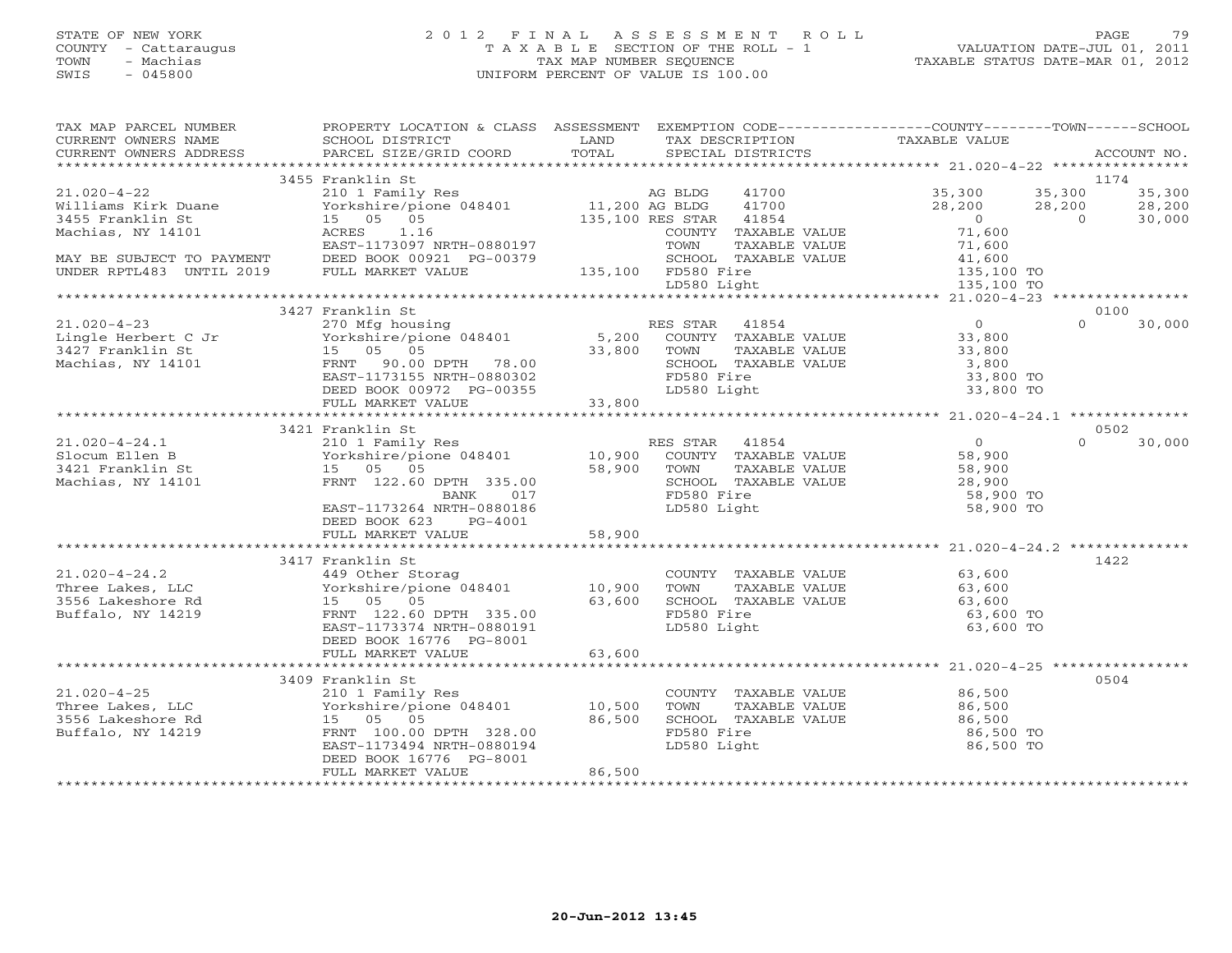## STATE OF NEW YORK 2 0 1 2 F I N A L A S S E S S M E N T R O L L PAGE 79 COUNTY - Cattaraugus T A X A B L E SECTION OF THE ROLL - 1 VALUATION DATE-JUL 01, 2011 TOWN - Machias TAX MAP NUMBER SEQUENCE TAXABLE STATUS DATE-MAR 01, 2012 SWIS - 045800 UNIFORM PERCENT OF VALUE IS 100.00UNIFORM PERCENT OF VALUE IS 100.00

| TAX MAP PARCEL NUMBER<br>CURRENT OWNERS NAME<br>CURRENT OWNERS ADDRESS                                                                                                                                                                                                                                                                                                                         | PROPERTY LOCATION & CLASS ASSESSMENT EXEMPTION CODE---------------COUNTY-------TOWN------SCHOOL<br>SCHOOL DISTRICT<br><b>EXAMPLE DESCRIPTION OF STREET AND STREET AND STREET AND STREET AND STREET AND STREET AND STREET AND STREET AND</b><br>PARCEL SIZE/GRID COORD | TOTAL  | TAX DESCRIPTION<br>SPECIAL DISTRICTS | TAXABLE VALUE                                                                                                                                       | ACCOUNT NO.        |
|------------------------------------------------------------------------------------------------------------------------------------------------------------------------------------------------------------------------------------------------------------------------------------------------------------------------------------------------------------------------------------------------|-----------------------------------------------------------------------------------------------------------------------------------------------------------------------------------------------------------------------------------------------------------------------|--------|--------------------------------------|-----------------------------------------------------------------------------------------------------------------------------------------------------|--------------------|
|                                                                                                                                                                                                                                                                                                                                                                                                |                                                                                                                                                                                                                                                                       |        |                                      |                                                                                                                                                     |                    |
| $\begin{array}{cccccccc} 21.020-4-22 & 3455 \text{ Franklin St} & \text{11/4} & 11.200 \text{ A} & \text{BLDG} & 41700 & 35,300 & 35,300 & 35,300 & 35,300 & 35,300 & 35,300 & 35,300 & 35,300 & 35,300 & 35,300 & 35,300 & 35,300 & 35,300 & 35,300 & 35,300 & 35,300 & 35,300 & 35,300 & 35,30$                                                                                              | 3455 Franklin St                                                                                                                                                                                                                                                      |        |                                      |                                                                                                                                                     | 1174               |
|                                                                                                                                                                                                                                                                                                                                                                                                |                                                                                                                                                                                                                                                                       |        |                                      |                                                                                                                                                     |                    |
|                                                                                                                                                                                                                                                                                                                                                                                                |                                                                                                                                                                                                                                                                       |        |                                      |                                                                                                                                                     |                    |
|                                                                                                                                                                                                                                                                                                                                                                                                |                                                                                                                                                                                                                                                                       |        |                                      |                                                                                                                                                     |                    |
|                                                                                                                                                                                                                                                                                                                                                                                                |                                                                                                                                                                                                                                                                       |        |                                      |                                                                                                                                                     |                    |
|                                                                                                                                                                                                                                                                                                                                                                                                |                                                                                                                                                                                                                                                                       |        |                                      |                                                                                                                                                     |                    |
|                                                                                                                                                                                                                                                                                                                                                                                                |                                                                                                                                                                                                                                                                       |        |                                      |                                                                                                                                                     |                    |
|                                                                                                                                                                                                                                                                                                                                                                                                |                                                                                                                                                                                                                                                                       |        |                                      |                                                                                                                                                     |                    |
|                                                                                                                                                                                                                                                                                                                                                                                                |                                                                                                                                                                                                                                                                       |        |                                      |                                                                                                                                                     |                    |
| $[1.020-4-23$ 21.020-4-23<br>Lingle Herbert C Jr 270 Mfg housing<br>3427 Franklin St 15 05 05<br>Machias, NY 14101 FRNT 90.00 DPTH 78.00<br>EED BOOK 00972 PG-00355<br>FULL MARKET VALUE<br>23,800<br>FULL MARKET VALUE<br>23,800<br>FULL MARKE                                                                                                                                                | 3427 Franklin St                                                                                                                                                                                                                                                      |        |                                      |                                                                                                                                                     | 0100               |
|                                                                                                                                                                                                                                                                                                                                                                                                |                                                                                                                                                                                                                                                                       |        |                                      |                                                                                                                                                     | $\Omega$<br>30,000 |
|                                                                                                                                                                                                                                                                                                                                                                                                |                                                                                                                                                                                                                                                                       |        |                                      |                                                                                                                                                     |                    |
|                                                                                                                                                                                                                                                                                                                                                                                                |                                                                                                                                                                                                                                                                       |        |                                      |                                                                                                                                                     |                    |
|                                                                                                                                                                                                                                                                                                                                                                                                |                                                                                                                                                                                                                                                                       |        |                                      |                                                                                                                                                     |                    |
|                                                                                                                                                                                                                                                                                                                                                                                                |                                                                                                                                                                                                                                                                       |        |                                      | 33,800 TO<br>33,800 TO<br>33,800 TO                                                                                                                 |                    |
|                                                                                                                                                                                                                                                                                                                                                                                                |                                                                                                                                                                                                                                                                       |        |                                      |                                                                                                                                                     |                    |
|                                                                                                                                                                                                                                                                                                                                                                                                |                                                                                                                                                                                                                                                                       |        |                                      |                                                                                                                                                     |                    |
|                                                                                                                                                                                                                                                                                                                                                                                                | 3421 Franklin St                                                                                                                                                                                                                                                      |        |                                      |                                                                                                                                                     | 0502               |
|                                                                                                                                                                                                                                                                                                                                                                                                |                                                                                                                                                                                                                                                                       |        |                                      |                                                                                                                                                     | $\Omega$<br>30,000 |
|                                                                                                                                                                                                                                                                                                                                                                                                |                                                                                                                                                                                                                                                                       |        |                                      |                                                                                                                                                     |                    |
|                                                                                                                                                                                                                                                                                                                                                                                                |                                                                                                                                                                                                                                                                       |        |                                      |                                                                                                                                                     |                    |
|                                                                                                                                                                                                                                                                                                                                                                                                |                                                                                                                                                                                                                                                                       |        |                                      |                                                                                                                                                     |                    |
|                                                                                                                                                                                                                                                                                                                                                                                                |                                                                                                                                                                                                                                                                       |        |                                      | COMMITTAXABLE VALUE<br>TOWN TAXABLE VALUE 58,900<br>SCHOOL TAXABLE VALUE 28,900<br>FD580 Fire 58,900 TO<br>LD580 Light 58,900 TO                    |                    |
| $\begin{array}{cccccc} 21.020-4-24.1 & & & & 3421\text{ Franklin St} & & & & & & 210\text{ I Family Res} & & & & & & & & 10,900\text{ COUNTY} &\text{TAXABLE VALUE} & & & & & & 58,900\text{ 58,900} & & & & & & & & 10,900\text{ COUNTY} &\text{TAXABLE VALUE} & & & & & & 58,900\text{ 58,900} & & & & & & & 10,900\text{ NUNTY} &\text{TAXABLE VALUE} & & & & & & 58,900\text{ 58,900} & &$ |                                                                                                                                                                                                                                                                       |        |                                      |                                                                                                                                                     |                    |
|                                                                                                                                                                                                                                                                                                                                                                                                | DEED BOOK 623 PG-4001                                                                                                                                                                                                                                                 |        |                                      |                                                                                                                                                     |                    |
|                                                                                                                                                                                                                                                                                                                                                                                                |                                                                                                                                                                                                                                                                       |        |                                      |                                                                                                                                                     |                    |
|                                                                                                                                                                                                                                                                                                                                                                                                |                                                                                                                                                                                                                                                                       |        |                                      |                                                                                                                                                     | 1422               |
|                                                                                                                                                                                                                                                                                                                                                                                                |                                                                                                                                                                                                                                                                       |        |                                      |                                                                                                                                                     |                    |
|                                                                                                                                                                                                                                                                                                                                                                                                |                                                                                                                                                                                                                                                                       |        |                                      |                                                                                                                                                     |                    |
|                                                                                                                                                                                                                                                                                                                                                                                                |                                                                                                                                                                                                                                                                       |        |                                      |                                                                                                                                                     |                    |
| 21.020-4-24.2<br>Three Lakes, LLC and the Storag country TAXABLE VALUE<br>Three Lakes, LLC Sockshire/pione 048401<br>3556 Lakeshore Rd 15 05 05 63,600 SCHOOL TAXABLE VALUE<br>Buffalo, NY 14219 FRAT 122.60 PPTH 335.00 FRAT 122.00                                                                                                                                                           |                                                                                                                                                                                                                                                                       |        |                                      | COUNTY TAXABLE VALUE 63,600<br>TOWN TAXABLE VALUE 63,600<br>SCHOOL TAXABLE VALUE 63,600<br>FD580 Fire 63,600<br>T.D580 Fight 63,600<br>T.D580 Fight |                    |
|                                                                                                                                                                                                                                                                                                                                                                                                | EAST-1173374 NRTH-0880191                                                                                                                                                                                                                                             |        | LD580 Light                          | 63,600 TO                                                                                                                                           |                    |
|                                                                                                                                                                                                                                                                                                                                                                                                | DEED BOOK 16776 PG-8001                                                                                                                                                                                                                                               |        |                                      |                                                                                                                                                     |                    |
|                                                                                                                                                                                                                                                                                                                                                                                                |                                                                                                                                                                                                                                                                       |        |                                      |                                                                                                                                                     |                    |
|                                                                                                                                                                                                                                                                                                                                                                                                |                                                                                                                                                                                                                                                                       |        |                                      |                                                                                                                                                     |                    |
|                                                                                                                                                                                                                                                                                                                                                                                                | 3409 Franklin St                                                                                                                                                                                                                                                      |        |                                      |                                                                                                                                                     | 0504               |
|                                                                                                                                                                                                                                                                                                                                                                                                |                                                                                                                                                                                                                                                                       |        |                                      |                                                                                                                                                     |                    |
|                                                                                                                                                                                                                                                                                                                                                                                                |                                                                                                                                                                                                                                                                       |        |                                      | COUNTY TAXABLE VALUE $86,500$<br>TOWN TAXABLE VALUE $86,500$<br>SCHOOL TAXABLE VALUE $86,500$<br>FD580 Fire $86,500$ TO                             |                    |
|                                                                                                                                                                                                                                                                                                                                                                                                |                                                                                                                                                                                                                                                                       |        |                                      |                                                                                                                                                     |                    |
| 21.020-4-25<br>Three Lakes, LLC<br>3556 Lakeshore Rd<br>Buffalo, NY 14219<br>Buffalo, NY 14219<br>Buffalo, NY 14219<br>CREAGE THEOS0194<br>REAGE THEOS0194<br>REAGE THEOS0194<br>REAGE THEOS0194<br>REAGE THEOS0194<br>REAGE THEOS0194<br>REAGE THEOS0                                                                                                                                         |                                                                                                                                                                                                                                                                       |        | LD580 Light                          | 86,500 TO                                                                                                                                           |                    |
|                                                                                                                                                                                                                                                                                                                                                                                                | DEED BOOK 16776 PG-8001                                                                                                                                                                                                                                               |        |                                      |                                                                                                                                                     |                    |
|                                                                                                                                                                                                                                                                                                                                                                                                | FULL MARKET VALUE                                                                                                                                                                                                                                                     | 86,500 |                                      |                                                                                                                                                     |                    |
|                                                                                                                                                                                                                                                                                                                                                                                                |                                                                                                                                                                                                                                                                       |        |                                      |                                                                                                                                                     |                    |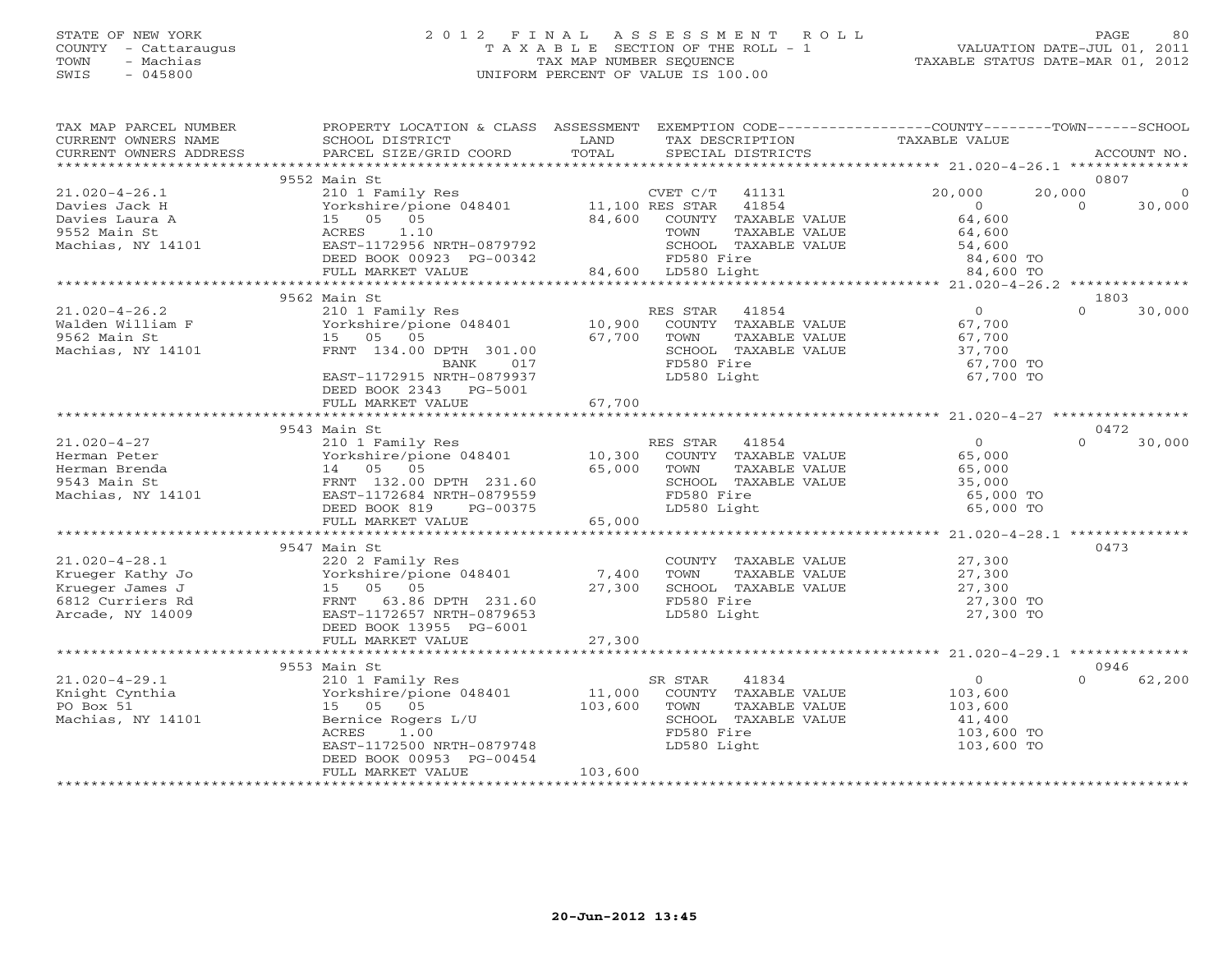### STATE OF NEW YORK 2 0 1 2 F I N A L A S S E S S M E N T R O L L PAGE 80 COUNTY - Cattaraugus T A X A B L E SECTION OF THE ROLL - 1 VALUATION DATE-JUL 01, 2011 TOWN - Machias TAX MAP NUMBER SEQUENCE TAXABLE STATUS DATE-MAR 01, 2012 SWIS - 045800 UNIFORM PERCENT OF VALUE IS 100.00UNIFORM PERCENT OF VALUE IS 100.00

| TAX MAP PARCEL NUMBER<br>CURRENT OWNERS NAME | PROPERTY LOCATION & CLASS ASSESSMENT<br>SCHOOL DISTRICT | LAND    | EXEMPTION CODE-----------------COUNTY-------TOWN------SCHOOL<br>TAX DESCRIPTION | TAXABLE VALUE          |                    |
|----------------------------------------------|---------------------------------------------------------|---------|---------------------------------------------------------------------------------|------------------------|--------------------|
| CURRENT OWNERS ADDRESS                       | PARCEL SIZE/GRID COORD                                  | TOTAL   | SPECIAL DISTRICTS                                                               |                        | ACCOUNT NO.        |
|                                              | 9552 Main St                                            |         |                                                                                 |                        | 0807               |
| $21.020 - 4 - 26.1$                          | 210 1 Family Res                                        |         | CVET C/T<br>41131                                                               | 20,000<br>20,000       | $\overline{0}$     |
| Davies Jack H                                | Yorkshire/pione 048401 11,100 RES STAR                  |         | 41854                                                                           | $\circ$                | $\Omega$<br>30,000 |
| Davies Laura A                               | 15 05 05                                                | 84,600  | COUNTY TAXABLE VALUE                                                            | 64,600                 |                    |
| 9552 Main St                                 | 1.10<br>ACRES                                           |         | TOWN<br>TAXABLE VALUE                                                           | 64,600                 |                    |
| Machias, NY 14101                            | EAST-1172956 NRTH-0879792                               |         | SCHOOL TAXABLE VALUE                                                            | 54,600                 |                    |
|                                              | DEED BOOK 00923 PG-00342                                |         | FD580 Fire                                                                      | 84,600 TO              |                    |
|                                              | FULL MARKET VALUE                                       |         | 84,600 LD580 Light                                                              | 84,600 TO              |                    |
|                                              |                                                         |         |                                                                                 |                        |                    |
|                                              | 9562 Main St                                            |         |                                                                                 |                        | 1803               |
| $21.020 - 4 - 26.2$                          | 210 1 Family Res                                        |         | RES STAR 41854                                                                  | $\overline{O}$         | $\Omega$<br>30,000 |
| Walden William F                             | Yorkshire/pione 048401 10,900                           |         | COUNTY TAXABLE VALUE                                                            | 67,700                 |                    |
| 9562 Main St                                 | 15 05 05                                                | 67,700  | TOWN<br>TAXABLE VALUE                                                           | 67,700                 |                    |
| Machias, NY 14101                            | FRNT 134.00 DPTH 301.00                                 |         | SCHOOL TAXABLE VALUE                                                            | 37,700                 |                    |
|                                              | BANK<br>017                                             |         | FD580 Fire                                                                      | 67,700 TO              |                    |
|                                              | EAST-1172915 NRTH-0879937<br>DEED BOOK 2343 PG-5001     |         | LD580 Light                                                                     | 67,700 TO              |                    |
|                                              | FULL MARKET VALUE                                       | 67,700  |                                                                                 |                        |                    |
|                                              |                                                         |         |                                                                                 |                        |                    |
|                                              | 9543 Main St                                            |         |                                                                                 |                        | 0472               |
| $21.020 - 4 - 27$                            | 210 1 Family Res<br>Yorkshire/pione 048401 10,300       |         | RES STAR<br>41854                                                               | $\overline{0}$         | 30,000<br>$\Omega$ |
| Herman Peter                                 |                                                         |         | COUNTY TAXABLE VALUE                                                            | 65,000                 |                    |
| Herman Brenda<br>9543 Main St                | 14 05 05                                                | 65,000  | TAXABLE VALUE<br>TOWN                                                           | 65,000<br>35,000       |                    |
|                                              | FRNT 132.00 DPTH 231.60<br>EAST-1172684 NRTH-0879559    |         | SCHOOL TAXABLE VALUE<br>FD580 Fire                                              |                        |                    |
| Machias, NY 14101                            | DEED BOOK 819<br>PG-00375                               |         | LD580 Light                                                                     | 65,000 TO<br>65,000 TO |                    |
|                                              | FULL MARKET VALUE                                       | 65,000  |                                                                                 |                        |                    |
|                                              |                                                         |         |                                                                                 |                        |                    |
|                                              | 9547 Main St                                            |         |                                                                                 |                        | 0473               |
| $21.020 - 4 - 28.1$                          | 220 2 Family Res                                        |         | COUNTY TAXABLE VALUE                                                            | 27,300                 |                    |
| Krueger Kathy Jo                             | Yorkshire/pione 048401                                  | 7,400   | TAXABLE VALUE<br>TOWN                                                           | 27,300                 |                    |
| Krueger James J                              | 15 05 05                                                | 27,300  | SCHOOL TAXABLE VALUE                                                            | 27,300<br>27,300       |                    |
| 6812 Curriers Rd                             | FRNT 63.86 DPTH 231.60                                  |         | FD580 Fire                                                                      | 27,300 TO              |                    |
| Arcade, NY 14009                             | EAST-1172657 NRTH-0879653                               |         | LD580 Light                                                                     | 27,300 TO              |                    |
|                                              | DEED BOOK 13955 PG-6001                                 |         |                                                                                 |                        |                    |
|                                              | FULL MARKET VALUE                                       | 27,300  |                                                                                 |                        |                    |
|                                              |                                                         |         |                                                                                 |                        |                    |
|                                              | 9553 Main St                                            |         |                                                                                 |                        | 0946               |
| $21.020 - 4 - 29.1$                          | 210 1 Family Res                                        |         | SR STAR<br>41834                                                                | $\circ$                | $\cap$<br>62,200   |
| Knight Cynthia                               | Yorkshire/pione 048401                                  | 11,000  | COUNTY TAXABLE VALUE                                                            | 103,600                |                    |
| PO Box 51                                    | 15 05 05                                                | 103,600 | TOWN<br>TAXABLE VALUE                                                           | 103,600                |                    |
| Machias, NY 14101                            | Bernice Rogers L/U                                      |         | SCHOOL TAXABLE VALUE                                                            | 41,400                 |                    |
|                                              | 1.00<br>ACRES                                           |         | FD580 Fire                                                                      | 103,600 TO             |                    |
|                                              | EAST-1172500 NRTH-0879748                               |         | LD580 Light                                                                     | 103,600 TO             |                    |
|                                              | DEED BOOK 00953 PG-00454                                |         |                                                                                 |                        |                    |
|                                              | FULL MARKET VALUE                                       | 103,600 |                                                                                 |                        |                    |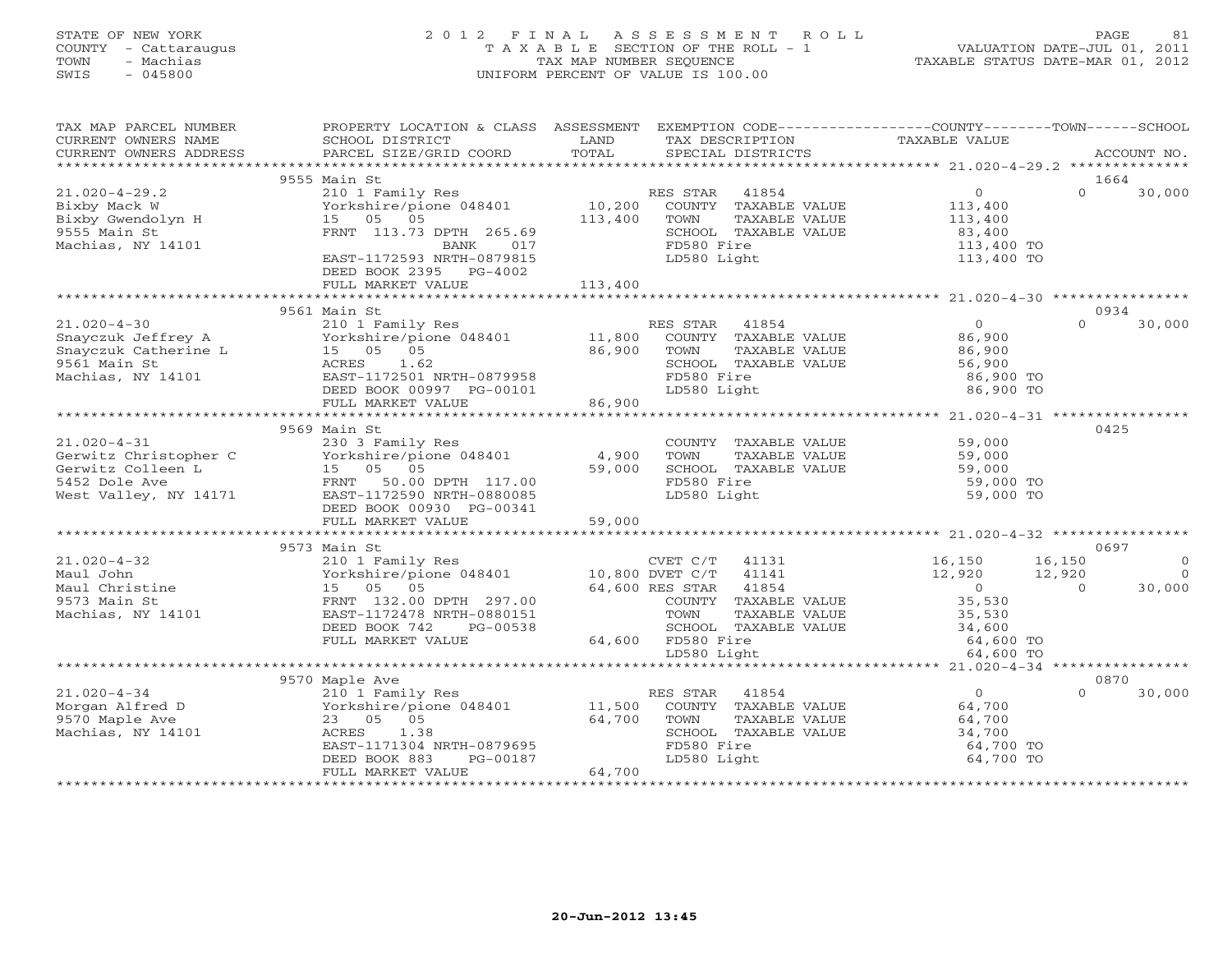## STATE OF NEW YORK 2 0 1 2 F I N A L A S S E S S M E N T R O L L PAGE 81 COUNTY - Cattaraugus T A X A B L E SECTION OF THE ROLL - 1 VALUATION DATE-JUL 01, 2011 TOWN - Machias TAX MAP NUMBER SEQUENCE TAXABLE STATUS DATE-MAR 01, 2012 SWIS - 045800 UNIFORM PERCENT OF VALUE IS 100.00UNIFORM PERCENT OF VALUE IS 100.00

| TAX MAP PARCEL NUMBER                                                                         | PROPERTY LOCATION & CLASS ASSESSMENT                                                                                                                                                                                                                                                                                                                                                   |                   |                                                                                                                         | EXEMPTION CODE-----------------COUNTY-------TOWN------SCHOOL     |                            |
|-----------------------------------------------------------------------------------------------|----------------------------------------------------------------------------------------------------------------------------------------------------------------------------------------------------------------------------------------------------------------------------------------------------------------------------------------------------------------------------------------|-------------------|-------------------------------------------------------------------------------------------------------------------------|------------------------------------------------------------------|----------------------------|
|                                                                                               |                                                                                                                                                                                                                                                                                                                                                                                        |                   |                                                                                                                         |                                                                  |                            |
|                                                                                               | 9555 Main St                                                                                                                                                                                                                                                                                                                                                                           |                   |                                                                                                                         |                                                                  | 1664                       |
| $21.020 - 4 - 29.2$<br>Bixby Mack W<br>Bixby Gwendolyn H<br>9555 Main St<br>Machias, NY 14101 | 210 1 Family Res<br>Yorkshire/pione 048401<br>15 05 05<br>FRNT 113.73 DPTH 265.69<br>BANK 017                                                                                                                                                                                                                                                                                          | 10,200<br>113,400 | RES STAR 41854<br>COUNTY TAXABLE VALUE<br>TOWN<br>TAXABLE VALUE<br>SCHOOL TAXABLE VALUE<br>FD580 Fire                   | $\overline{O}$<br>113,400<br>113,400<br>83,400<br>113,400 TO     | $\Omega$<br>30,000         |
|                                                                                               | EAST-1172593 NRTH-0879815<br>DEED BOOK 2395 PG-4002<br>FULL MARKET VALUE                                                                                                                                                                                                                                                                                                               | 113,400           | LD580 Light                                                                                                             | 113,400 TO                                                       |                            |
|                                                                                               |                                                                                                                                                                                                                                                                                                                                                                                        |                   |                                                                                                                         |                                                                  |                            |
|                                                                                               | 9561 Main St                                                                                                                                                                                                                                                                                                                                                                           |                   |                                                                                                                         |                                                                  | 0934                       |
| $21.020-4-30$<br>Snayczuk Jeffrey A<br>Truk Catherine L<br>Machias, NY 14101                  | 210 1 Family Res<br>$Y \sim 1.5$ $\mu$ $\mu$ $\sim 0.5$ $\mu$ $\sim 0.5$ $\mu$ $\sim 0.5$ $\mu$ $\sim 0.5$ $\mu$ $\sim 0.5$ $\mu$ $\sim 0.5$ $\mu$ $\sim 0.5$ $\mu$ $\sim 0.5$ $\mu$ $\sim 0.5$ $\mu$ $\sim 0.5$ $\mu$ $\sim 0.5$ $\mu$ $\sim 0.5$ $\mu$ $\sim 0.5$ $\mu$ $\sim 0.5$ $\mu$ $\sim 0$<br>15 05 05<br>ACRES 1.62<br>EAST-1172501 NRTH-0879958<br>DEED BOOK 00997 PG-00101 | 86,900            | RES STAR<br>41854<br>COUNTY TAXABLE VALUE<br>TAXABLE VALUE<br>TOWN<br>SCHOOL TAXABLE VALUE<br>FD580 Fire<br>LD580 Light | $\Omega$<br>86,900<br>86,900<br>56,900<br>86,900 TO<br>86,900 TO | $\Omega$<br>30,000         |
|                                                                                               | FULL MARKET VALUE                                                                                                                                                                                                                                                                                                                                                                      | 86,900            |                                                                                                                         |                                                                  |                            |
|                                                                                               |                                                                                                                                                                                                                                                                                                                                                                                        |                   |                                                                                                                         |                                                                  |                            |
|                                                                                               | 9569 Main St                                                                                                                                                                                                                                                                                                                                                                           |                   |                                                                                                                         |                                                                  | 0425                       |
| $21.020 - 4 - 31$                                                                             | 230 3 Family Res                                                                                                                                                                                                                                                                                                                                                                       |                   | COUNTY TAXABLE VALUE                                                                                                    | 59,000                                                           |                            |
| Gerwitz Christopher C<br>Gerwitz Colleen L<br>5452 Dole Ave<br>West Valley, NY 14171          | Yorkshire/pione 048401                                                                                                                                                                                                                                                                                                                                                                 | 4,900             | TOWN<br>TAXABLE VALUE                                                                                                   | 59,000<br>59,000                                                 |                            |
|                                                                                               | 15 05 05                                                                                                                                                                                                                                                                                                                                                                               | 59,000            | SCHOOL TAXABLE VALUE                                                                                                    |                                                                  |                            |
|                                                                                               | FRNT 50.00 DPTH 117.00                                                                                                                                                                                                                                                                                                                                                                 |                   | FD580 Fire                                                                                                              | 59,000 TO                                                        |                            |
|                                                                                               | EAST-1172590 NRTH-0880085                                                                                                                                                                                                                                                                                                                                                              |                   | LD580 Light                                                                                                             | 59,000 TO                                                        |                            |
|                                                                                               | DEED BOOK 00930 PG-00341                                                                                                                                                                                                                                                                                                                                                               |                   |                                                                                                                         |                                                                  |                            |
|                                                                                               | FULL MARKET VALUE                                                                                                                                                                                                                                                                                                                                                                      | 59,000            |                                                                                                                         |                                                                  |                            |
|                                                                                               |                                                                                                                                                                                                                                                                                                                                                                                        |                   |                                                                                                                         |                                                                  |                            |
| $21.020 - 4 - 32$                                                                             | 9573 Main St                                                                                                                                                                                                                                                                                                                                                                           |                   | CVET C/T 41131                                                                                                          | 16,150                                                           | 0697<br>16,150<br>$\Omega$ |
|                                                                                               | 210 1 Family Res<br>Yorkshire/pione 048401 10,800 DVET C/T 41141                                                                                                                                                                                                                                                                                                                       |                   |                                                                                                                         | 12,920                                                           | $\Omega$<br>12,920         |
| Maul John<br>Maul Christine<br>Christin St.                                                   | 15 05 05                                                                                                                                                                                                                                                                                                                                                                               |                   | 64,600 RES STAR 41854                                                                                                   | $\overline{0}$                                                   | $\Omega$<br>30,000         |
|                                                                                               | FRNT 132.00 DPTH 297.00                                                                                                                                                                                                                                                                                                                                                                |                   | COUNTY TAXABLE VALUE                                                                                                    | 35,530                                                           |                            |
| Machias, NY 14101                                                                             | EAST-1172478 NRTH-0880151                                                                                                                                                                                                                                                                                                                                                              |                   | TOWN<br>TAXABLE VALUE                                                                                                   | 35,530                                                           |                            |
|                                                                                               | DEED BOOK 742<br>PG-00538                                                                                                                                                                                                                                                                                                                                                              |                   | SCHOOL TAXABLE VALUE                                                                                                    |                                                                  |                            |
|                                                                                               | FULL MARKET VALUE                                                                                                                                                                                                                                                                                                                                                                      |                   | 64,600 FD580 Fire                                                                                                       | 34,600<br>64,600 TO                                              |                            |
|                                                                                               |                                                                                                                                                                                                                                                                                                                                                                                        |                   | LD580 Light                                                                                                             | 64,600 TO                                                        |                            |
|                                                                                               |                                                                                                                                                                                                                                                                                                                                                                                        |                   |                                                                                                                         |                                                                  |                            |
|                                                                                               | 9570 Maple Ave                                                                                                                                                                                                                                                                                                                                                                         |                   |                                                                                                                         |                                                                  | 0870                       |
| $21.020 - 4 - 34$                                                                             | 210 1 Family Res                                                                                                                                                                                                                                                                                                                                                                       |                   | RES STAR<br>41854                                                                                                       | $\overline{0}$                                                   | 30,000<br>$\Omega$         |
| Morgan Alfred D                                                                               | Yorkshire/pione 048401 11,500                                                                                                                                                                                                                                                                                                                                                          |                   | COUNTY TAXABLE VALUE                                                                                                    | 64,700                                                           |                            |
| 9570 Maple Ave                                                                                | 23 05 05                                                                                                                                                                                                                                                                                                                                                                               | 64,700            | TOWN<br>TAXABLE VALUE                                                                                                   | 64,700                                                           |                            |
| Machias, NY 14101                                                                             | 1.38<br>ACRES                                                                                                                                                                                                                                                                                                                                                                          |                   | SCHOOL TAXABLE VALUE                                                                                                    | 34,700                                                           |                            |
|                                                                                               | EAST-1171304 NRTH-0879695                                                                                                                                                                                                                                                                                                                                                              |                   | FD580 Fire                                                                                                              | 64,700 TO                                                        |                            |
|                                                                                               | PG-00187<br>DEED BOOK 883                                                                                                                                                                                                                                                                                                                                                              |                   | LD580 Light                                                                                                             | 64,700 TO                                                        |                            |
|                                                                                               | FULL MARKET VALUE                                                                                                                                                                                                                                                                                                                                                                      | 64,700            |                                                                                                                         |                                                                  |                            |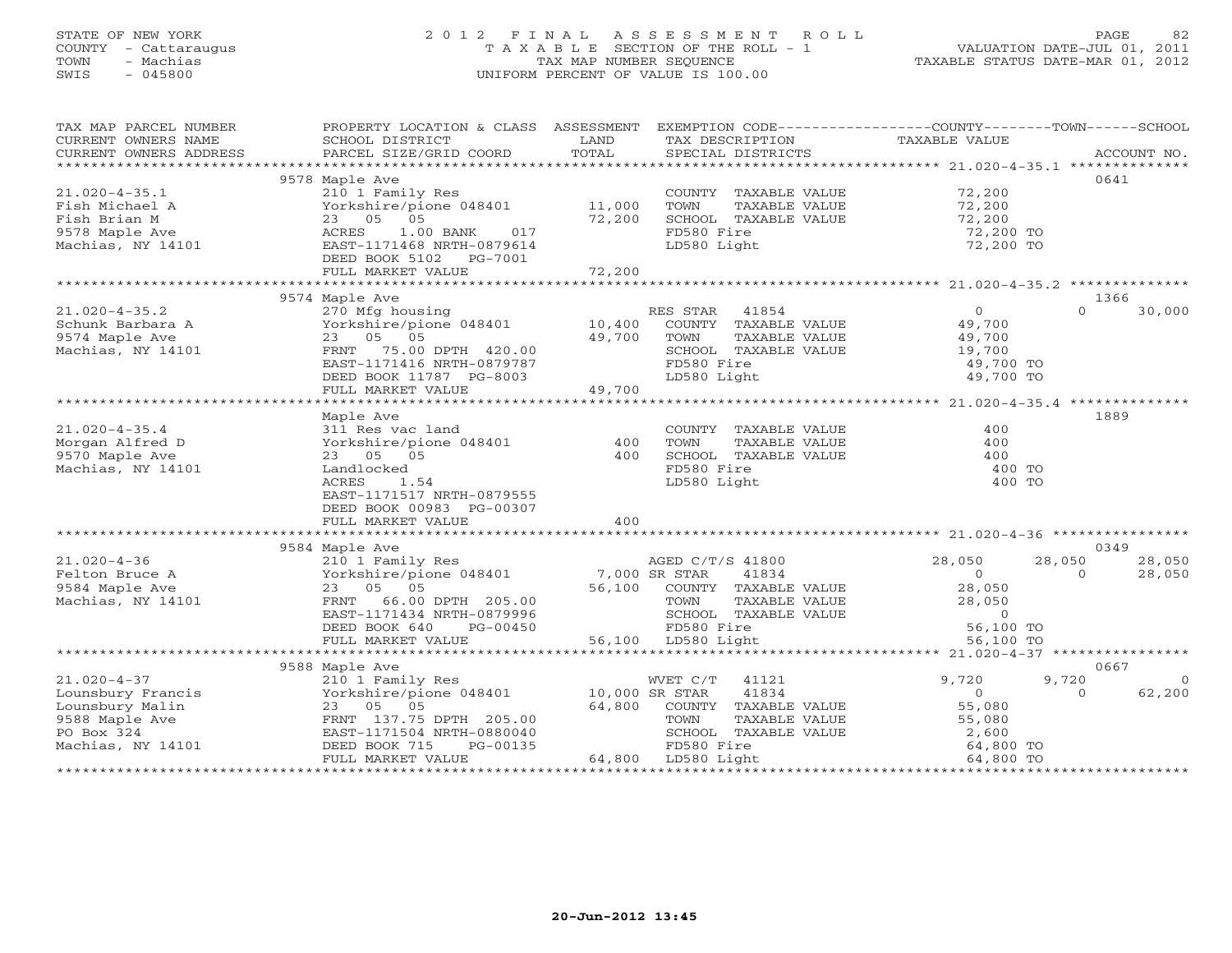## STATE OF NEW YORK 2 0 1 2 F I N A L A S S E S S M E N T R O L L PAGE 82 COUNTY - Cattaraugus T A X A B L E SECTION OF THE ROLL - 1 VALUATION DATE-JUL 01, 2011 TOWN - Machias TAX MAP NUMBER SEQUENCE TAXABLE STATUS DATE-MAR 01, 2012 SWIS - 045800 UNIFORM PERCENT OF VALUE IS 100.00UNIFORM PERCENT OF VALUE IS 100.00

| TAX MAP PARCEL NUMBER                                                                                                                                                                                                              | PROPERTY LOCATION & CLASS ASSESSMENT EXEMPTION CODE----------------COUNTY-------TOWN------SCHOOL                                                                                                                                                                                                 |                                      |                |                                                                           |                                                                                                        |                |                |
|------------------------------------------------------------------------------------------------------------------------------------------------------------------------------------------------------------------------------------|--------------------------------------------------------------------------------------------------------------------------------------------------------------------------------------------------------------------------------------------------------------------------------------------------|--------------------------------------|----------------|---------------------------------------------------------------------------|--------------------------------------------------------------------------------------------------------|----------------|----------------|
| CURRENT OWNERS NAME                                                                                                                                                                                                                | SCHOOL DISTRICT                                                                                                                                                                                                                                                                                  | LAND                                 |                |                                                                           | TAX DESCRIPTION TAXABLE VALUE                                                                          |                |                |
|                                                                                                                                                                                                                                    | SCHOOL DISTRICT<br>PARCEL SIZE/GRID COORD                                                                                                                                                                                                                                                        |                                      |                |                                                                           |                                                                                                        |                |                |
|                                                                                                                                                                                                                                    |                                                                                                                                                                                                                                                                                                  |                                      |                |                                                                           |                                                                                                        |                |                |
|                                                                                                                                                                                                                                    | 9578 Maple Ave                                                                                                                                                                                                                                                                                   |                                      |                |                                                                           |                                                                                                        |                | 0641           |
| $21.020 - 4 - 35.1$                                                                                                                                                                                                                | 210 1 Family Res                                                                                                                                                                                                                                                                                 |                                      |                | COUNTY TAXABLE VALUE                                                      | 72,200<br>72,200                                                                                       |                |                |
| Fish Michael A                                                                                                                                                                                                                     | 210 1 Family Res<br>Yorkshire/pione 048401 11,000                                                                                                                                                                                                                                                |                                      | TOWN           | TAXABLE VALUE                                                             |                                                                                                        |                |                |
| Fish Brian M                                                                                                                                                                                                                       | 23 05 05                                                                                                                                                                                                                                                                                         | 72,200                               |                | SCHOOL TAXABLE VALUE                                                      | 72,200                                                                                                 |                |                |
| 9578 Maple Ave                                                                                                                                                                                                                     | 1.00 BANK 017<br>ACRES                                                                                                                                                                                                                                                                           |                                      | FD580 Fire     |                                                                           | 72,200 TO                                                                                              |                |                |
| Machias, NY 14101                                                                                                                                                                                                                  | EAST-1171468 NRTH-0879614                                                                                                                                                                                                                                                                        |                                      | LD580 Light    |                                                                           | 72,200 TO                                                                                              |                |                |
|                                                                                                                                                                                                                                    | DEED BOOK 5102 PG-7001                                                                                                                                                                                                                                                                           |                                      |                |                                                                           |                                                                                                        |                |                |
|                                                                                                                                                                                                                                    | FULL MARKET VALUE                                                                                                                                                                                                                                                                                | 72,200                               |                |                                                                           |                                                                                                        |                |                |
|                                                                                                                                                                                                                                    |                                                                                                                                                                                                                                                                                                  |                                      |                |                                                                           |                                                                                                        |                |                |
|                                                                                                                                                                                                                                    | 9574 Maple Ave                                                                                                                                                                                                                                                                                   |                                      |                |                                                                           |                                                                                                        |                | 1366           |
| $21.020 - 4 - 35.2$                                                                                                                                                                                                                | 270 Mfg housing                                                                                                                                                                                                                                                                                  |                                      | RES STAR 41854 |                                                                           | $\overline{0}$                                                                                         | $\Omega$       | 30,000         |
| Schunk Barbara A                                                                                                                                                                                                                   | Yorkshire/pione 048401 10,400                                                                                                                                                                                                                                                                    |                                      |                |                                                                           |                                                                                                        |                |                |
| 9574 Maple Ave                                                                                                                                                                                                                     | 23 05 05                                                                                                                                                                                                                                                                                         | 49,700                               |                |                                                                           | COUNTY TAXABLE VALUE 49,700<br>TOWN TAXABLE VALUE 49,700                                               |                |                |
| Machias, NY 14101                                                                                                                                                                                                                  | FRNT 75.00 DPTH 420.00                                                                                                                                                                                                                                                                           |                                      |                | SCHOOL TAXABLE VALUE                                                      | 19,700                                                                                                 |                |                |
|                                                                                                                                                                                                                                    | EAST-1171416 NRTH-0879787                                                                                                                                                                                                                                                                        |                                      | FD580 Fire     |                                                                           | 49,700 TO                                                                                              |                |                |
|                                                                                                                                                                                                                                    | DEED BOOK 11787 PG-8003                                                                                                                                                                                                                                                                          |                                      | LD580 Light    |                                                                           | $49,700$ TO                                                                                            |                |                |
|                                                                                                                                                                                                                                    | FULL MARKET VALUE                                                                                                                                                                                                                                                                                | $3-8003$<br>49,700                   |                |                                                                           |                                                                                                        |                |                |
|                                                                                                                                                                                                                                    |                                                                                                                                                                                                                                                                                                  |                                      |                |                                                                           |                                                                                                        |                |                |
|                                                                                                                                                                                                                                    | Maple Ave                                                                                                                                                                                                                                                                                        |                                      |                |                                                                           |                                                                                                        |                | 1889           |
| $21.020 - 4 - 35.4$                                                                                                                                                                                                                | 311 Res vac land                                                                                                                                                                                                                                                                                 |                                      |                | COUNTY TAXABLE VALUE                                                      | 400                                                                                                    |                |                |
| Morgan Alfred D                                                                                                                                                                                                                    | Yorkshire/pione 048401                                                                                                                                                                                                                                                                           | 400                                  | TOWN           | TAXABLE VALUE                                                             | 400                                                                                                    |                |                |
|                                                                                                                                                                                                                                    |                                                                                                                                                                                                                                                                                                  | 400                                  |                | SCHOOL TAXABLE VALUE                                                      | 400                                                                                                    |                |                |
| 9570 Maple Ave                                                                                                                                                                                                                     | 23 05 05<br>Landlocked                                                                                                                                                                                                                                                                           |                                      | FD580 Fire     |                                                                           | 400 TO                                                                                                 |                |                |
| Machias, NY 14101                                                                                                                                                                                                                  |                                                                                                                                                                                                                                                                                                  |                                      |                |                                                                           |                                                                                                        |                |                |
|                                                                                                                                                                                                                                    | ACRES<br>1.54                                                                                                                                                                                                                                                                                    |                                      | LD580 Light    |                                                                           | 400 TO                                                                                                 |                |                |
|                                                                                                                                                                                                                                    | EAST-1171517 NRTH-0879555                                                                                                                                                                                                                                                                        |                                      |                |                                                                           |                                                                                                        |                |                |
|                                                                                                                                                                                                                                    | DEED BOOK 00983 PG-00307                                                                                                                                                                                                                                                                         |                                      |                |                                                                           |                                                                                                        |                |                |
|                                                                                                                                                                                                                                    | FULL MARKET VALUE                                                                                                                                                                                                                                                                                | 400                                  |                |                                                                           |                                                                                                        |                |                |
|                                                                                                                                                                                                                                    |                                                                                                                                                                                                                                                                                                  |                                      |                |                                                                           |                                                                                                        |                |                |
|                                                                                                                                                                                                                                    | 9584 Maple Ave<br>AGED C/T/S 41800<br>Yorkshire/pione 048401<br>28,050<br>28,050<br>28,050<br>28,050<br>28,050<br>28,050<br>28,050<br>28,050<br>28,050<br>28,050<br>28,050<br>28,050<br>28,050<br>28,050<br>28,050<br>28,050<br>28,050<br>28,050<br>28,050<br>28,050<br>28,050<br>28,050<br>28,0 |                                      |                |                                                                           |                                                                                                        |                | 0349           |
| $21.020 - 4 - 36$                                                                                                                                                                                                                  |                                                                                                                                                                                                                                                                                                  |                                      |                |                                                                           | 28,050                                                                                                 | 28,050         | 28,050         |
| Felton Bruce A                                                                                                                                                                                                                     |                                                                                                                                                                                                                                                                                                  |                                      |                |                                                                           |                                                                                                        | $\overline{0}$ | 28,050         |
| 9584 Maple Ave                                                                                                                                                                                                                     |                                                                                                                                                                                                                                                                                                  |                                      |                |                                                                           |                                                                                                        |                |                |
| Machias, NY 14101                                                                                                                                                                                                                  |                                                                                                                                                                                                                                                                                                  |                                      |                |                                                                           |                                                                                                        |                |                |
|                                                                                                                                                                                                                                    |                                                                                                                                                                                                                                                                                                  |                                      |                |                                                                           |                                                                                                        |                |                |
|                                                                                                                                                                                                                                    |                                                                                                                                                                                                                                                                                                  |                                      |                |                                                                           |                                                                                                        |                |                |
|                                                                                                                                                                                                                                    | FULL MARKET VALUE                                                                                                                                                                                                                                                                                | 56,100 LD580 Light                   |                |                                                                           | TOWN TAXABLE VALUE $28,050$<br>SCHOOL TAXABLE VALUE 0<br>FD580 Fire 56,100 TO<br>LD580 Light 56,100 TO |                |                |
|                                                                                                                                                                                                                                    |                                                                                                                                                                                                                                                                                                  |                                      |                |                                                                           |                                                                                                        |                |                |
|                                                                                                                                                                                                                                    | 9588 Maple Ave                                                                                                                                                                                                                                                                                   |                                      |                |                                                                           |                                                                                                        |                | 0667           |
| $21.020 - 4 - 37$                                                                                                                                                                                                                  | 210 1 Family Res                                                                                                                                                                                                                                                                                 |                                      | WVET C/T 41121 |                                                                           | 9,720                                                                                                  | 9,720          | $\overline{0}$ |
|                                                                                                                                                                                                                                    | Yorkshire/pione 048401 10,000 SR STAR                                                                                                                                                                                                                                                            |                                      |                | 41834                                                                     |                                                                                                        | $\Omega$       | 62,200         |
|                                                                                                                                                                                                                                    |                                                                                                                                                                                                                                                                                                  |                                      |                | 64,800 COUNTY TAXABLE VALUE<br>TOWN TAXABLE VALUE<br>SCHOOL TAXABLE VALUE | $0$ 55,080                                                                                             |                |                |
|                                                                                                                                                                                                                                    |                                                                                                                                                                                                                                                                                                  |                                      |                |                                                                           | 55,080                                                                                                 |                |                |
|                                                                                                                                                                                                                                    |                                                                                                                                                                                                                                                                                                  |                                      |                |                                                                           |                                                                                                        |                |                |
|                                                                                                                                                                                                                                    |                                                                                                                                                                                                                                                                                                  |                                      |                |                                                                           |                                                                                                        |                |                |
| Exercise of the Machine (1990)<br>Lounsbury Francis<br>Lounsbury Malin 23 05 05<br>9588 Maple Ave FRNT 137.75 DPTH 205.00<br>PO Box 324 EAST-1171504 NRTH-0880040<br>Machias, NY 14101 DEED BOOK 715 PG-00135<br>FULL MARKET VALUE |                                                                                                                                                                                                                                                                                                  | 135 FD580 Fire<br>64,800 LD580 Light |                |                                                                           | SCHOOL TAXABLE VALUE $2,600$<br>FD580 Fire 64,800 TO<br>LD580 Light 64,800 TO                          |                |                |
|                                                                                                                                                                                                                                    |                                                                                                                                                                                                                                                                                                  |                                      |                |                                                                           |                                                                                                        |                |                |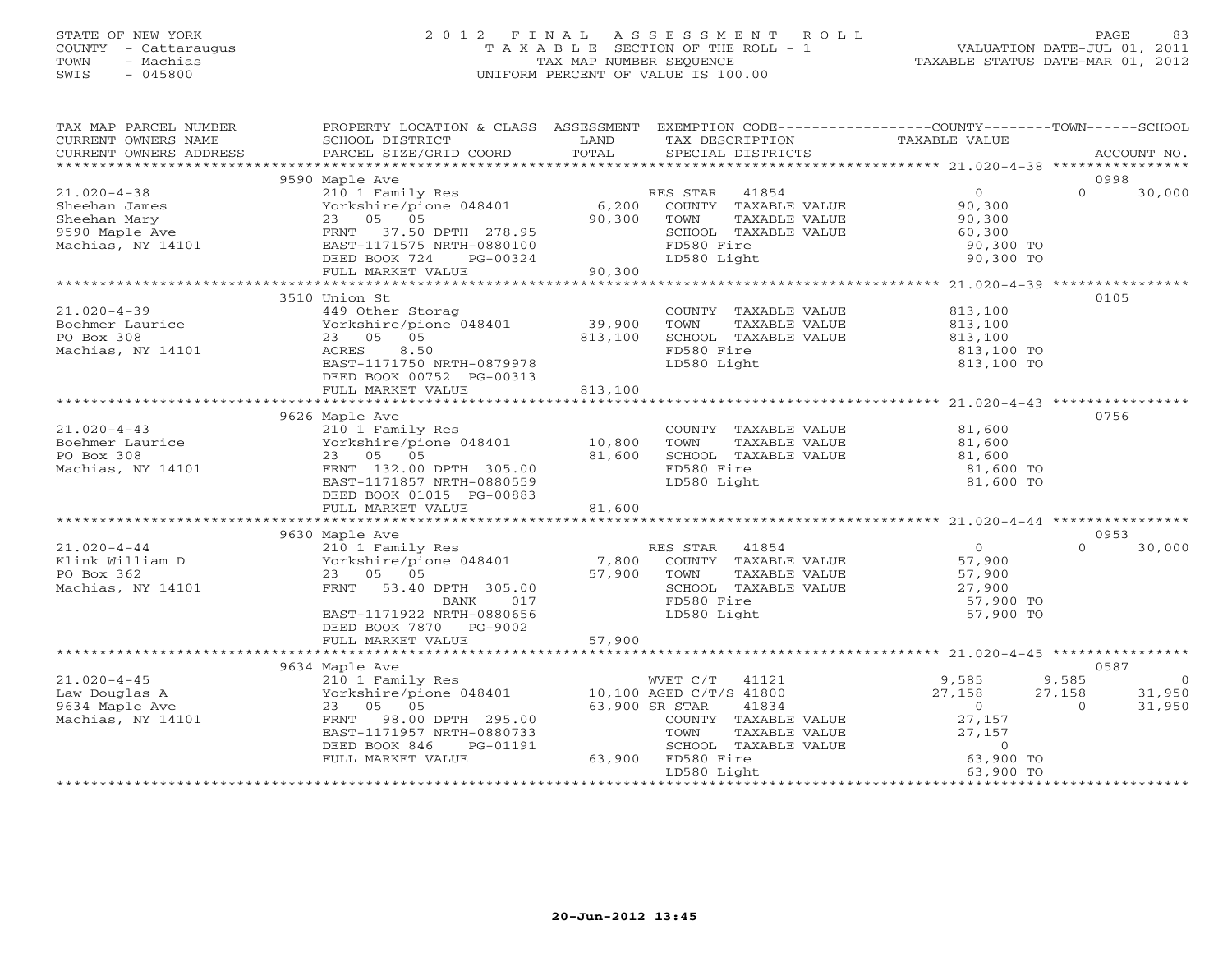### STATE OF NEW YORK 2 0 1 2 F I N A L A S S E S S M E N T R O L L PAGE 83 COUNTY - Cattaraugus T A X A B L E SECTION OF THE ROLL - 1 VALUATION DATE-JUL 01, 2011 TOWN - Machias TAX MAP NUMBER SEQUENCE TAXABLE STATUS DATE-MAR 01, 2012 SWIS - 045800 UNIFORM PERCENT OF VALUE IS 100.00UNIFORM PERCENT OF VALUE IS 100.00

| $\begin{minipage}{.45\textwidth} \begin{minipage}{.45\textwidth} \begin{minipage}{.45\textwidth} \begin{minipage}{.45\textwidth} \begin{minipage}{.45\textwidth} \begin{minipage}{.45\textwidth} \begin{minipage}{.45\textwidth} \begin{minipage}{.45\textwidth} \begin{minipage}{.45\textwidth} \begin{minipage}{.45\textwidth} \begin{minipage}{.45\textwidth} \begin{minipage}{.45\textwidth} \begin{minipage}{.45\textwidth} \begin{minipage}{.45\textwidth} \begin{minipage}{.45\textwidth} \begin{minipage}{.45$<br>9590 Maple Ave<br>0998<br>mappi not be a set of the set of the set of the set of the set of the set of the set of the set of the set of t<br>Yorkshire/pione 048401 6,200 COUNTY TAXABLE VALUE<br>23 05 05 05 90,300 TOWN TAXABLE VALUE<br>$21.020 - 4 - 38$<br>$\frac{0}{90}$<br>$\Omega$<br>30,000<br>-sulan Mary<br>9590 Maple Ave<br>Machias, NY 14101<br>Machias, NY 14101<br>$90, 300$<br>60,300<br>23 05 05<br>90,300 TOWN<br>TAXABLE VALUE<br>23 05 05<br>FRNT 37.50 DPTH 278.95<br>EAST-1171575 NRTH-0880100<br>DEED BOOK 724 PG-00324<br>FULL MARKET VALUE 90,300<br>SCHOOL TAXABLE VALUE<br>FD580 Fire<br>90,300 TO<br>LD580 Light<br>90,300 TO<br>3510 Union St<br>0105<br>COUNTY TAXABLE VALUE 813,100<br>$21.020 - 4 - 39$<br>449 Other Storag<br>Vorkshire/pione 048401 39,900<br>23 05 05 813,100<br>Boehmer Laurice<br>TOWN      TAXABLE VALUE<br>SCHOOL   TAXABLE VALUE<br>813,100<br>813,100<br>PO Box 308<br>23 05 05<br>813,100<br>Machias, NY 14101<br>8.50<br>FD580 Fire<br>ACRES<br>813,100 TO<br>813,100 TO<br>EAST-1171750 NRTH-0879978<br>LD580 Light<br>DEED BOOK 00752 PG-00313<br>813,100<br>FULL MARKET VALUE<br>0756<br>9626 Maple Ave<br>napic nic<br>210 1 Family Res<br>Yorkshire/pione 048401 10,800<br>COUNTY TAXABLE VALUE 81,600<br>$21.020 - 4 - 43$<br>$81,600$<br>$81,600$<br>Boehmer Laurice<br>PO Box 308<br>TOWN<br>TAXABLE VALUE<br>81,600<br>23 05 05<br>SCHOOL TAXABLE VALUE<br>Machias, NY 14101<br>FD580 Fire<br>FRNT 132.00 DPTH 305.00<br>81,600 TO<br>EAST-1171857 NRTH-0880559<br>LD580 Light<br>81,600 TO<br>DEED BOOK 01015 PG-00883<br>0953<br>210 1 Family Res RES STAR 41854<br>Klink William D Yorkshire/pione 048401 7,800 COUNTY TAXABLE VALUE<br>PO Box 362 23 05 05 57,900 TOWN TAXABLE VALUE<br>Machias, NY 14101 FRNT 53.40 DETRIT 305<br>$\overline{0}$<br>30,000<br>$\Omega$<br>57,900<br>Yorkshire/pione $046401$<br>23 05 05<br>FRNT 53.40 DPTH 305.00<br>57,900 SCHOC<br>57,900 SCHOC<br>57,900 SCHOC<br>57,900<br>27,900<br>FD580 Fire<br>LD580 Light<br>57,900 TO<br>EAST-1171922 NRTH-0880656<br>LD580 Light<br>57,900 TO<br>DEED BOOK 7870 PG-9002<br>0587<br>9,585<br>9,585<br>$\overline{0}$<br>27,158 31,950<br>27,158<br>31,950<br>$\overline{0}$<br>$\Omega$<br>27,157<br>EAST-1171957 NRTH-0880733<br>TOWN<br>$\begin{tabular}{lllllllllll} TAXABLE & \ensuremath{\mathsf{VALUE}} & & & & & & \\ \text{TAXABLE VALUE} & & & & & & \\ \text{TAXABLE VALUE} & & & & & 0 \\ \text{TAXABLE VALUE} & & & & & 0 \\ \end{tabular}$<br>SCHOOL TAX<br>SCHOOL TAX<br>63,900 FD580 Fire<br>DEED BOOK 846<br>PG-01191<br>SCHOOL TAXABLE VALUE<br>FULL MARKET VALUE<br>LD580 Light<br>63,900 TO | TAX MAP PARCEL NUMBER<br>CURRENT OWNERS NAME | PROPERTY LOCATION & CLASS ASSESSMENT EXEMPTION CODE---------------COUNTY-------TOWN------SCHOOL<br><b>Example 12 The LAND</b><br>SCHOOL DISTRICT | TAX DESCRIPTION | TAXABLE VALUE |  |
|-----------------------------------------------------------------------------------------------------------------------------------------------------------------------------------------------------------------------------------------------------------------------------------------------------------------------------------------------------------------------------------------------------------------------------------------------------------------------------------------------------------------------------------------------------------------------------------------------------------------------------------------------------------------------------------------------------------------------------------------------------------------------------------------------------------------------------------------------------------------------------------------------------------------------------------------------------------------------------------------------------------------------------------------------------------------------------------------------------------------------------------------------------------------------------------------------------------------------------------------------------------------------------------------------------------------------------------------------------------------------------------------------------------------------------------------------------------------------------------------------------------------------------------------------------------------------------------------------------------------------------------------------------------------------------------------------------------------------------------------------------------------------------------------------------------------------------------------------------------------------------------------------------------------------------------------------------------------------------------------------------------------------------------------------------------------------------------------------------------------------------------------------------------------------------------------------------------------------------------------------------------------------------------------------------------------------------------------------------------------------------------------------------------------------------------------------------------------------------------------------------------------------------------------------------------------------------------------------------------------------------------------------------------------------------------------------------------------------------------------------------------------------------------------------------------------------------------------------------------------------------------------------------------------------------------------------------------------------------------------------------------------------------------------------------------------------------------------------------------------------------------------------------------------------------------------------|----------------------------------------------|--------------------------------------------------------------------------------------------------------------------------------------------------|-----------------|---------------|--|
|                                                                                                                                                                                                                                                                                                                                                                                                                                                                                                                                                                                                                                                                                                                                                                                                                                                                                                                                                                                                                                                                                                                                                                                                                                                                                                                                                                                                                                                                                                                                                                                                                                                                                                                                                                                                                                                                                                                                                                                                                                                                                                                                                                                                                                                                                                                                                                                                                                                                                                                                                                                                                                                                                                                                                                                                                                                                                                                                                                                                                                                                                                                                                                                               |                                              |                                                                                                                                                  |                 |               |  |
|                                                                                                                                                                                                                                                                                                                                                                                                                                                                                                                                                                                                                                                                                                                                                                                                                                                                                                                                                                                                                                                                                                                                                                                                                                                                                                                                                                                                                                                                                                                                                                                                                                                                                                                                                                                                                                                                                                                                                                                                                                                                                                                                                                                                                                                                                                                                                                                                                                                                                                                                                                                                                                                                                                                                                                                                                                                                                                                                                                                                                                                                                                                                                                                               |                                              |                                                                                                                                                  |                 |               |  |
|                                                                                                                                                                                                                                                                                                                                                                                                                                                                                                                                                                                                                                                                                                                                                                                                                                                                                                                                                                                                                                                                                                                                                                                                                                                                                                                                                                                                                                                                                                                                                                                                                                                                                                                                                                                                                                                                                                                                                                                                                                                                                                                                                                                                                                                                                                                                                                                                                                                                                                                                                                                                                                                                                                                                                                                                                                                                                                                                                                                                                                                                                                                                                                                               |                                              |                                                                                                                                                  |                 |               |  |
|                                                                                                                                                                                                                                                                                                                                                                                                                                                                                                                                                                                                                                                                                                                                                                                                                                                                                                                                                                                                                                                                                                                                                                                                                                                                                                                                                                                                                                                                                                                                                                                                                                                                                                                                                                                                                                                                                                                                                                                                                                                                                                                                                                                                                                                                                                                                                                                                                                                                                                                                                                                                                                                                                                                                                                                                                                                                                                                                                                                                                                                                                                                                                                                               |                                              |                                                                                                                                                  |                 |               |  |
|                                                                                                                                                                                                                                                                                                                                                                                                                                                                                                                                                                                                                                                                                                                                                                                                                                                                                                                                                                                                                                                                                                                                                                                                                                                                                                                                                                                                                                                                                                                                                                                                                                                                                                                                                                                                                                                                                                                                                                                                                                                                                                                                                                                                                                                                                                                                                                                                                                                                                                                                                                                                                                                                                                                                                                                                                                                                                                                                                                                                                                                                                                                                                                                               |                                              |                                                                                                                                                  |                 |               |  |
|                                                                                                                                                                                                                                                                                                                                                                                                                                                                                                                                                                                                                                                                                                                                                                                                                                                                                                                                                                                                                                                                                                                                                                                                                                                                                                                                                                                                                                                                                                                                                                                                                                                                                                                                                                                                                                                                                                                                                                                                                                                                                                                                                                                                                                                                                                                                                                                                                                                                                                                                                                                                                                                                                                                                                                                                                                                                                                                                                                                                                                                                                                                                                                                               |                                              |                                                                                                                                                  |                 |               |  |
|                                                                                                                                                                                                                                                                                                                                                                                                                                                                                                                                                                                                                                                                                                                                                                                                                                                                                                                                                                                                                                                                                                                                                                                                                                                                                                                                                                                                                                                                                                                                                                                                                                                                                                                                                                                                                                                                                                                                                                                                                                                                                                                                                                                                                                                                                                                                                                                                                                                                                                                                                                                                                                                                                                                                                                                                                                                                                                                                                                                                                                                                                                                                                                                               |                                              |                                                                                                                                                  |                 |               |  |
|                                                                                                                                                                                                                                                                                                                                                                                                                                                                                                                                                                                                                                                                                                                                                                                                                                                                                                                                                                                                                                                                                                                                                                                                                                                                                                                                                                                                                                                                                                                                                                                                                                                                                                                                                                                                                                                                                                                                                                                                                                                                                                                                                                                                                                                                                                                                                                                                                                                                                                                                                                                                                                                                                                                                                                                                                                                                                                                                                                                                                                                                                                                                                                                               |                                              |                                                                                                                                                  |                 |               |  |
|                                                                                                                                                                                                                                                                                                                                                                                                                                                                                                                                                                                                                                                                                                                                                                                                                                                                                                                                                                                                                                                                                                                                                                                                                                                                                                                                                                                                                                                                                                                                                                                                                                                                                                                                                                                                                                                                                                                                                                                                                                                                                                                                                                                                                                                                                                                                                                                                                                                                                                                                                                                                                                                                                                                                                                                                                                                                                                                                                                                                                                                                                                                                                                                               |                                              |                                                                                                                                                  |                 |               |  |
|                                                                                                                                                                                                                                                                                                                                                                                                                                                                                                                                                                                                                                                                                                                                                                                                                                                                                                                                                                                                                                                                                                                                                                                                                                                                                                                                                                                                                                                                                                                                                                                                                                                                                                                                                                                                                                                                                                                                                                                                                                                                                                                                                                                                                                                                                                                                                                                                                                                                                                                                                                                                                                                                                                                                                                                                                                                                                                                                                                                                                                                                                                                                                                                               |                                              |                                                                                                                                                  |                 |               |  |
|                                                                                                                                                                                                                                                                                                                                                                                                                                                                                                                                                                                                                                                                                                                                                                                                                                                                                                                                                                                                                                                                                                                                                                                                                                                                                                                                                                                                                                                                                                                                                                                                                                                                                                                                                                                                                                                                                                                                                                                                                                                                                                                                                                                                                                                                                                                                                                                                                                                                                                                                                                                                                                                                                                                                                                                                                                                                                                                                                                                                                                                                                                                                                                                               |                                              |                                                                                                                                                  |                 |               |  |
|                                                                                                                                                                                                                                                                                                                                                                                                                                                                                                                                                                                                                                                                                                                                                                                                                                                                                                                                                                                                                                                                                                                                                                                                                                                                                                                                                                                                                                                                                                                                                                                                                                                                                                                                                                                                                                                                                                                                                                                                                                                                                                                                                                                                                                                                                                                                                                                                                                                                                                                                                                                                                                                                                                                                                                                                                                                                                                                                                                                                                                                                                                                                                                                               |                                              |                                                                                                                                                  |                 |               |  |
|                                                                                                                                                                                                                                                                                                                                                                                                                                                                                                                                                                                                                                                                                                                                                                                                                                                                                                                                                                                                                                                                                                                                                                                                                                                                                                                                                                                                                                                                                                                                                                                                                                                                                                                                                                                                                                                                                                                                                                                                                                                                                                                                                                                                                                                                                                                                                                                                                                                                                                                                                                                                                                                                                                                                                                                                                                                                                                                                                                                                                                                                                                                                                                                               |                                              |                                                                                                                                                  |                 |               |  |
|                                                                                                                                                                                                                                                                                                                                                                                                                                                                                                                                                                                                                                                                                                                                                                                                                                                                                                                                                                                                                                                                                                                                                                                                                                                                                                                                                                                                                                                                                                                                                                                                                                                                                                                                                                                                                                                                                                                                                                                                                                                                                                                                                                                                                                                                                                                                                                                                                                                                                                                                                                                                                                                                                                                                                                                                                                                                                                                                                                                                                                                                                                                                                                                               |                                              |                                                                                                                                                  |                 |               |  |
|                                                                                                                                                                                                                                                                                                                                                                                                                                                                                                                                                                                                                                                                                                                                                                                                                                                                                                                                                                                                                                                                                                                                                                                                                                                                                                                                                                                                                                                                                                                                                                                                                                                                                                                                                                                                                                                                                                                                                                                                                                                                                                                                                                                                                                                                                                                                                                                                                                                                                                                                                                                                                                                                                                                                                                                                                                                                                                                                                                                                                                                                                                                                                                                               |                                              |                                                                                                                                                  |                 |               |  |
|                                                                                                                                                                                                                                                                                                                                                                                                                                                                                                                                                                                                                                                                                                                                                                                                                                                                                                                                                                                                                                                                                                                                                                                                                                                                                                                                                                                                                                                                                                                                                                                                                                                                                                                                                                                                                                                                                                                                                                                                                                                                                                                                                                                                                                                                                                                                                                                                                                                                                                                                                                                                                                                                                                                                                                                                                                                                                                                                                                                                                                                                                                                                                                                               |                                              |                                                                                                                                                  |                 |               |  |
|                                                                                                                                                                                                                                                                                                                                                                                                                                                                                                                                                                                                                                                                                                                                                                                                                                                                                                                                                                                                                                                                                                                                                                                                                                                                                                                                                                                                                                                                                                                                                                                                                                                                                                                                                                                                                                                                                                                                                                                                                                                                                                                                                                                                                                                                                                                                                                                                                                                                                                                                                                                                                                                                                                                                                                                                                                                                                                                                                                                                                                                                                                                                                                                               |                                              |                                                                                                                                                  |                 |               |  |
|                                                                                                                                                                                                                                                                                                                                                                                                                                                                                                                                                                                                                                                                                                                                                                                                                                                                                                                                                                                                                                                                                                                                                                                                                                                                                                                                                                                                                                                                                                                                                                                                                                                                                                                                                                                                                                                                                                                                                                                                                                                                                                                                                                                                                                                                                                                                                                                                                                                                                                                                                                                                                                                                                                                                                                                                                                                                                                                                                                                                                                                                                                                                                                                               |                                              |                                                                                                                                                  |                 |               |  |
|                                                                                                                                                                                                                                                                                                                                                                                                                                                                                                                                                                                                                                                                                                                                                                                                                                                                                                                                                                                                                                                                                                                                                                                                                                                                                                                                                                                                                                                                                                                                                                                                                                                                                                                                                                                                                                                                                                                                                                                                                                                                                                                                                                                                                                                                                                                                                                                                                                                                                                                                                                                                                                                                                                                                                                                                                                                                                                                                                                                                                                                                                                                                                                                               |                                              |                                                                                                                                                  |                 |               |  |
|                                                                                                                                                                                                                                                                                                                                                                                                                                                                                                                                                                                                                                                                                                                                                                                                                                                                                                                                                                                                                                                                                                                                                                                                                                                                                                                                                                                                                                                                                                                                                                                                                                                                                                                                                                                                                                                                                                                                                                                                                                                                                                                                                                                                                                                                                                                                                                                                                                                                                                                                                                                                                                                                                                                                                                                                                                                                                                                                                                                                                                                                                                                                                                                               |                                              |                                                                                                                                                  |                 |               |  |
|                                                                                                                                                                                                                                                                                                                                                                                                                                                                                                                                                                                                                                                                                                                                                                                                                                                                                                                                                                                                                                                                                                                                                                                                                                                                                                                                                                                                                                                                                                                                                                                                                                                                                                                                                                                                                                                                                                                                                                                                                                                                                                                                                                                                                                                                                                                                                                                                                                                                                                                                                                                                                                                                                                                                                                                                                                                                                                                                                                                                                                                                                                                                                                                               |                                              |                                                                                                                                                  |                 |               |  |
|                                                                                                                                                                                                                                                                                                                                                                                                                                                                                                                                                                                                                                                                                                                                                                                                                                                                                                                                                                                                                                                                                                                                                                                                                                                                                                                                                                                                                                                                                                                                                                                                                                                                                                                                                                                                                                                                                                                                                                                                                                                                                                                                                                                                                                                                                                                                                                                                                                                                                                                                                                                                                                                                                                                                                                                                                                                                                                                                                                                                                                                                                                                                                                                               |                                              |                                                                                                                                                  |                 |               |  |
|                                                                                                                                                                                                                                                                                                                                                                                                                                                                                                                                                                                                                                                                                                                                                                                                                                                                                                                                                                                                                                                                                                                                                                                                                                                                                                                                                                                                                                                                                                                                                                                                                                                                                                                                                                                                                                                                                                                                                                                                                                                                                                                                                                                                                                                                                                                                                                                                                                                                                                                                                                                                                                                                                                                                                                                                                                                                                                                                                                                                                                                                                                                                                                                               |                                              |                                                                                                                                                  |                 |               |  |
|                                                                                                                                                                                                                                                                                                                                                                                                                                                                                                                                                                                                                                                                                                                                                                                                                                                                                                                                                                                                                                                                                                                                                                                                                                                                                                                                                                                                                                                                                                                                                                                                                                                                                                                                                                                                                                                                                                                                                                                                                                                                                                                                                                                                                                                                                                                                                                                                                                                                                                                                                                                                                                                                                                                                                                                                                                                                                                                                                                                                                                                                                                                                                                                               |                                              |                                                                                                                                                  |                 |               |  |
|                                                                                                                                                                                                                                                                                                                                                                                                                                                                                                                                                                                                                                                                                                                                                                                                                                                                                                                                                                                                                                                                                                                                                                                                                                                                                                                                                                                                                                                                                                                                                                                                                                                                                                                                                                                                                                                                                                                                                                                                                                                                                                                                                                                                                                                                                                                                                                                                                                                                                                                                                                                                                                                                                                                                                                                                                                                                                                                                                                                                                                                                                                                                                                                               |                                              |                                                                                                                                                  |                 |               |  |
|                                                                                                                                                                                                                                                                                                                                                                                                                                                                                                                                                                                                                                                                                                                                                                                                                                                                                                                                                                                                                                                                                                                                                                                                                                                                                                                                                                                                                                                                                                                                                                                                                                                                                                                                                                                                                                                                                                                                                                                                                                                                                                                                                                                                                                                                                                                                                                                                                                                                                                                                                                                                                                                                                                                                                                                                                                                                                                                                                                                                                                                                                                                                                                                               |                                              |                                                                                                                                                  |                 |               |  |
|                                                                                                                                                                                                                                                                                                                                                                                                                                                                                                                                                                                                                                                                                                                                                                                                                                                                                                                                                                                                                                                                                                                                                                                                                                                                                                                                                                                                                                                                                                                                                                                                                                                                                                                                                                                                                                                                                                                                                                                                                                                                                                                                                                                                                                                                                                                                                                                                                                                                                                                                                                                                                                                                                                                                                                                                                                                                                                                                                                                                                                                                                                                                                                                               |                                              |                                                                                                                                                  |                 |               |  |
|                                                                                                                                                                                                                                                                                                                                                                                                                                                                                                                                                                                                                                                                                                                                                                                                                                                                                                                                                                                                                                                                                                                                                                                                                                                                                                                                                                                                                                                                                                                                                                                                                                                                                                                                                                                                                                                                                                                                                                                                                                                                                                                                                                                                                                                                                                                                                                                                                                                                                                                                                                                                                                                                                                                                                                                                                                                                                                                                                                                                                                                                                                                                                                                               |                                              |                                                                                                                                                  |                 |               |  |
|                                                                                                                                                                                                                                                                                                                                                                                                                                                                                                                                                                                                                                                                                                                                                                                                                                                                                                                                                                                                                                                                                                                                                                                                                                                                                                                                                                                                                                                                                                                                                                                                                                                                                                                                                                                                                                                                                                                                                                                                                                                                                                                                                                                                                                                                                                                                                                                                                                                                                                                                                                                                                                                                                                                                                                                                                                                                                                                                                                                                                                                                                                                                                                                               |                                              |                                                                                                                                                  |                 |               |  |
|                                                                                                                                                                                                                                                                                                                                                                                                                                                                                                                                                                                                                                                                                                                                                                                                                                                                                                                                                                                                                                                                                                                                                                                                                                                                                                                                                                                                                                                                                                                                                                                                                                                                                                                                                                                                                                                                                                                                                                                                                                                                                                                                                                                                                                                                                                                                                                                                                                                                                                                                                                                                                                                                                                                                                                                                                                                                                                                                                                                                                                                                                                                                                                                               |                                              |                                                                                                                                                  |                 |               |  |
|                                                                                                                                                                                                                                                                                                                                                                                                                                                                                                                                                                                                                                                                                                                                                                                                                                                                                                                                                                                                                                                                                                                                                                                                                                                                                                                                                                                                                                                                                                                                                                                                                                                                                                                                                                                                                                                                                                                                                                                                                                                                                                                                                                                                                                                                                                                                                                                                                                                                                                                                                                                                                                                                                                                                                                                                                                                                                                                                                                                                                                                                                                                                                                                               |                                              |                                                                                                                                                  |                 |               |  |
|                                                                                                                                                                                                                                                                                                                                                                                                                                                                                                                                                                                                                                                                                                                                                                                                                                                                                                                                                                                                                                                                                                                                                                                                                                                                                                                                                                                                                                                                                                                                                                                                                                                                                                                                                                                                                                                                                                                                                                                                                                                                                                                                                                                                                                                                                                                                                                                                                                                                                                                                                                                                                                                                                                                                                                                                                                                                                                                                                                                                                                                                                                                                                                                               |                                              |                                                                                                                                                  |                 |               |  |
|                                                                                                                                                                                                                                                                                                                                                                                                                                                                                                                                                                                                                                                                                                                                                                                                                                                                                                                                                                                                                                                                                                                                                                                                                                                                                                                                                                                                                                                                                                                                                                                                                                                                                                                                                                                                                                                                                                                                                                                                                                                                                                                                                                                                                                                                                                                                                                                                                                                                                                                                                                                                                                                                                                                                                                                                                                                                                                                                                                                                                                                                                                                                                                                               |                                              |                                                                                                                                                  |                 |               |  |
|                                                                                                                                                                                                                                                                                                                                                                                                                                                                                                                                                                                                                                                                                                                                                                                                                                                                                                                                                                                                                                                                                                                                                                                                                                                                                                                                                                                                                                                                                                                                                                                                                                                                                                                                                                                                                                                                                                                                                                                                                                                                                                                                                                                                                                                                                                                                                                                                                                                                                                                                                                                                                                                                                                                                                                                                                                                                                                                                                                                                                                                                                                                                                                                               |                                              |                                                                                                                                                  |                 |               |  |
|                                                                                                                                                                                                                                                                                                                                                                                                                                                                                                                                                                                                                                                                                                                                                                                                                                                                                                                                                                                                                                                                                                                                                                                                                                                                                                                                                                                                                                                                                                                                                                                                                                                                                                                                                                                                                                                                                                                                                                                                                                                                                                                                                                                                                                                                                                                                                                                                                                                                                                                                                                                                                                                                                                                                                                                                                                                                                                                                                                                                                                                                                                                                                                                               |                                              |                                                                                                                                                  |                 |               |  |
|                                                                                                                                                                                                                                                                                                                                                                                                                                                                                                                                                                                                                                                                                                                                                                                                                                                                                                                                                                                                                                                                                                                                                                                                                                                                                                                                                                                                                                                                                                                                                                                                                                                                                                                                                                                                                                                                                                                                                                                                                                                                                                                                                                                                                                                                                                                                                                                                                                                                                                                                                                                                                                                                                                                                                                                                                                                                                                                                                                                                                                                                                                                                                                                               |                                              |                                                                                                                                                  |                 |               |  |
|                                                                                                                                                                                                                                                                                                                                                                                                                                                                                                                                                                                                                                                                                                                                                                                                                                                                                                                                                                                                                                                                                                                                                                                                                                                                                                                                                                                                                                                                                                                                                                                                                                                                                                                                                                                                                                                                                                                                                                                                                                                                                                                                                                                                                                                                                                                                                                                                                                                                                                                                                                                                                                                                                                                                                                                                                                                                                                                                                                                                                                                                                                                                                                                               |                                              |                                                                                                                                                  |                 |               |  |
|                                                                                                                                                                                                                                                                                                                                                                                                                                                                                                                                                                                                                                                                                                                                                                                                                                                                                                                                                                                                                                                                                                                                                                                                                                                                                                                                                                                                                                                                                                                                                                                                                                                                                                                                                                                                                                                                                                                                                                                                                                                                                                                                                                                                                                                                                                                                                                                                                                                                                                                                                                                                                                                                                                                                                                                                                                                                                                                                                                                                                                                                                                                                                                                               |                                              |                                                                                                                                                  |                 |               |  |
|                                                                                                                                                                                                                                                                                                                                                                                                                                                                                                                                                                                                                                                                                                                                                                                                                                                                                                                                                                                                                                                                                                                                                                                                                                                                                                                                                                                                                                                                                                                                                                                                                                                                                                                                                                                                                                                                                                                                                                                                                                                                                                                                                                                                                                                                                                                                                                                                                                                                                                                                                                                                                                                                                                                                                                                                                                                                                                                                                                                                                                                                                                                                                                                               |                                              |                                                                                                                                                  |                 |               |  |
|                                                                                                                                                                                                                                                                                                                                                                                                                                                                                                                                                                                                                                                                                                                                                                                                                                                                                                                                                                                                                                                                                                                                                                                                                                                                                                                                                                                                                                                                                                                                                                                                                                                                                                                                                                                                                                                                                                                                                                                                                                                                                                                                                                                                                                                                                                                                                                                                                                                                                                                                                                                                                                                                                                                                                                                                                                                                                                                                                                                                                                                                                                                                                                                               |                                              |                                                                                                                                                  |                 |               |  |
|                                                                                                                                                                                                                                                                                                                                                                                                                                                                                                                                                                                                                                                                                                                                                                                                                                                                                                                                                                                                                                                                                                                                                                                                                                                                                                                                                                                                                                                                                                                                                                                                                                                                                                                                                                                                                                                                                                                                                                                                                                                                                                                                                                                                                                                                                                                                                                                                                                                                                                                                                                                                                                                                                                                                                                                                                                                                                                                                                                                                                                                                                                                                                                                               |                                              |                                                                                                                                                  |                 |               |  |
|                                                                                                                                                                                                                                                                                                                                                                                                                                                                                                                                                                                                                                                                                                                                                                                                                                                                                                                                                                                                                                                                                                                                                                                                                                                                                                                                                                                                                                                                                                                                                                                                                                                                                                                                                                                                                                                                                                                                                                                                                                                                                                                                                                                                                                                                                                                                                                                                                                                                                                                                                                                                                                                                                                                                                                                                                                                                                                                                                                                                                                                                                                                                                                                               |                                              |                                                                                                                                                  |                 |               |  |
|                                                                                                                                                                                                                                                                                                                                                                                                                                                                                                                                                                                                                                                                                                                                                                                                                                                                                                                                                                                                                                                                                                                                                                                                                                                                                                                                                                                                                                                                                                                                                                                                                                                                                                                                                                                                                                                                                                                                                                                                                                                                                                                                                                                                                                                                                                                                                                                                                                                                                                                                                                                                                                                                                                                                                                                                                                                                                                                                                                                                                                                                                                                                                                                               |                                              |                                                                                                                                                  |                 |               |  |
|                                                                                                                                                                                                                                                                                                                                                                                                                                                                                                                                                                                                                                                                                                                                                                                                                                                                                                                                                                                                                                                                                                                                                                                                                                                                                                                                                                                                                                                                                                                                                                                                                                                                                                                                                                                                                                                                                                                                                                                                                                                                                                                                                                                                                                                                                                                                                                                                                                                                                                                                                                                                                                                                                                                                                                                                                                                                                                                                                                                                                                                                                                                                                                                               |                                              |                                                                                                                                                  |                 |               |  |
|                                                                                                                                                                                                                                                                                                                                                                                                                                                                                                                                                                                                                                                                                                                                                                                                                                                                                                                                                                                                                                                                                                                                                                                                                                                                                                                                                                                                                                                                                                                                                                                                                                                                                                                                                                                                                                                                                                                                                                                                                                                                                                                                                                                                                                                                                                                                                                                                                                                                                                                                                                                                                                                                                                                                                                                                                                                                                                                                                                                                                                                                                                                                                                                               |                                              |                                                                                                                                                  |                 |               |  |
|                                                                                                                                                                                                                                                                                                                                                                                                                                                                                                                                                                                                                                                                                                                                                                                                                                                                                                                                                                                                                                                                                                                                                                                                                                                                                                                                                                                                                                                                                                                                                                                                                                                                                                                                                                                                                                                                                                                                                                                                                                                                                                                                                                                                                                                                                                                                                                                                                                                                                                                                                                                                                                                                                                                                                                                                                                                                                                                                                                                                                                                                                                                                                                                               |                                              |                                                                                                                                                  |                 |               |  |
|                                                                                                                                                                                                                                                                                                                                                                                                                                                                                                                                                                                                                                                                                                                                                                                                                                                                                                                                                                                                                                                                                                                                                                                                                                                                                                                                                                                                                                                                                                                                                                                                                                                                                                                                                                                                                                                                                                                                                                                                                                                                                                                                                                                                                                                                                                                                                                                                                                                                                                                                                                                                                                                                                                                                                                                                                                                                                                                                                                                                                                                                                                                                                                                               |                                              |                                                                                                                                                  |                 |               |  |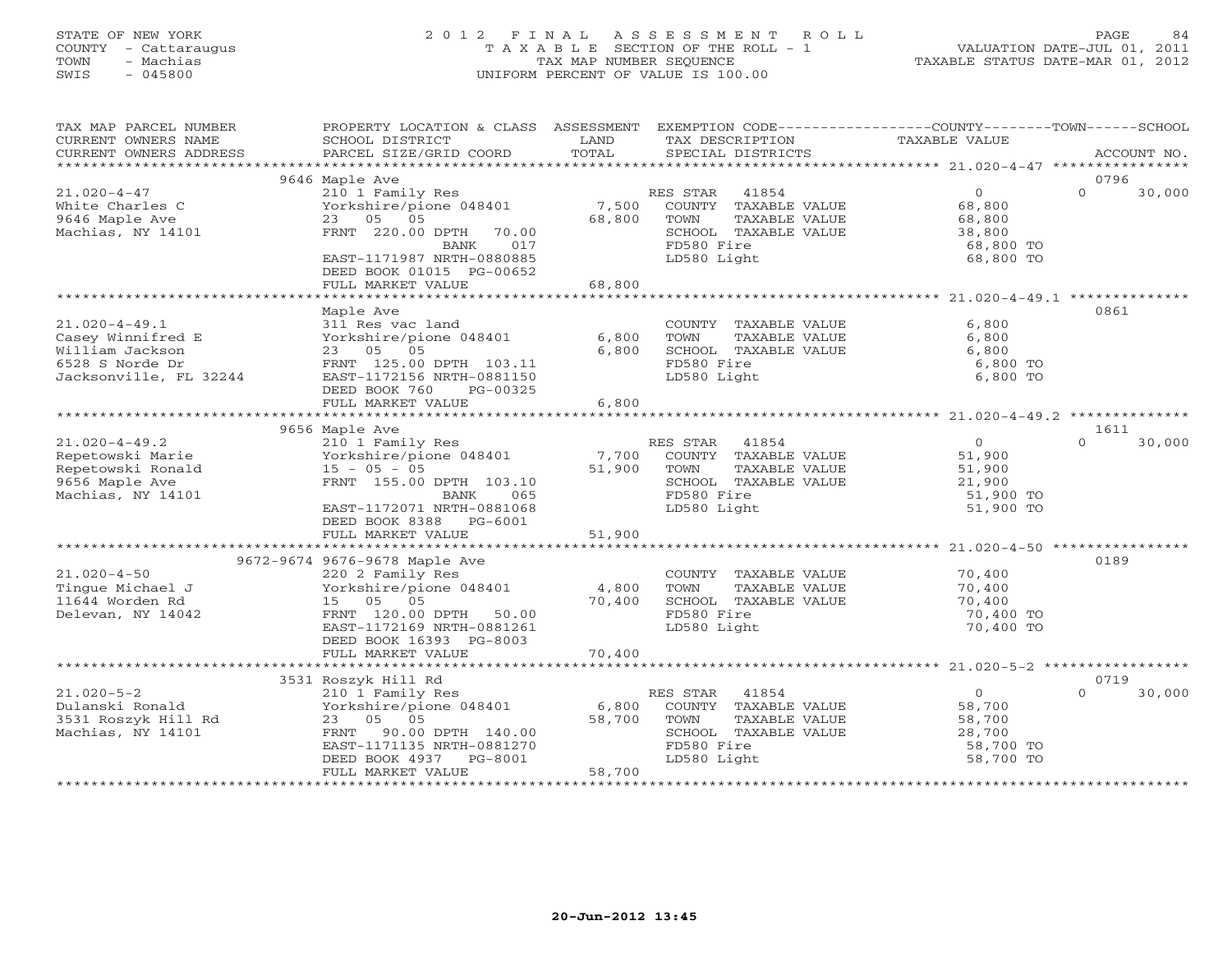# STATE OF NEW YORK 2 0 1 2 F I N A L A S S E S S M E N T R O L L PAGE 84 COUNTY - Cattaraugus T A X A B L E SECTION OF THE ROLL - 1 VALUATION DATE-JUL 01, 2011 TOWN - Machias TAX MAP NUMBER SEQUENCE TAXABLE STATUS DATE-MAR 01, 2012 SWIS - 045800 UNIFORM PERCENT OF VALUE IS 100.00

| 9646 Maple Ave<br>0796<br>30,000<br>$21.020 - 4 - 47$<br>210 1 Family Res<br>RES STAR<br>41854<br>$\circ$<br>$\Omega$<br>7,500<br>68,800<br>White Charles C<br>Yorkshire/pione 048401<br>COUNTY TAXABLE VALUE<br>9646 Maple Ave<br>23<br>05 05<br>68,800<br>TOWN<br>TAXABLE VALUE<br>68,800<br>Machias, NY 14101<br>SCHOOL TAXABLE VALUE<br>FRNT 220.00 DPTH<br>38,800<br>70.00<br>FD580 Fire<br>017<br>68,800 TO<br>BANK<br>EAST-1171987 NRTH-0880885<br>LD580 Light<br>68,800 TO<br>DEED BOOK 01015 PG-00652<br>FULL MARKET VALUE<br>68,800<br>****************************** 21.020-4-49.1<br>* * * * * * * * * * * * * * * * * * *<br>0861<br>Maple Ave<br>$21.020 - 4 - 49.1$<br>311 Res vac land<br>6,800<br>COUNTY TAXABLE VALUE<br>Casey Winnifred E<br>Yorkshire/pione 048401<br>6,800<br>TAXABLE VALUE<br>6,800<br>TOWN<br>William Jackson<br>23 05 05<br>6,800<br>SCHOOL TAXABLE VALUE<br>6,800<br>FD580 Fire<br>6528 S Norde Dr<br>FRNT 125.00 DPTH 103.11<br>6,800 TO<br>EAST-1172156 NRTH-0881150<br>LD580 Light<br>Jacksonville, FL 32244<br>6,800 TO<br>DEED BOOK 760<br>PG-00325<br>FULL MARKET VALUE<br>6,800<br>*******************************<br>9656 Maple Ave<br>1611<br>$21.020 - 4 - 49.2$<br>41854<br>$\overline{0}$<br>30,000<br>210 1 Family Res<br>RES STAR<br>$\cap$<br>7,700<br>COUNTY TAXABLE VALUE<br>51,900<br>Repetowski Marie<br>Yorkshire/pione 048401<br>Repetowski Ronald<br>$15 - 05 - 05$<br>51,900<br>TOWN<br>TAXABLE VALUE<br>51,900<br>9656 Maple Ave<br>FRNT 155.00 DPTH 103.10<br>SCHOOL TAXABLE VALUE<br>21,900<br>FD580 Fire<br>Machias, NY 14101<br>51,900 TO<br>BANK<br>065<br>EAST-1172071 NRTH-0881068<br>LD580 Light<br>51,900 TO<br>DEED BOOK 8388 PG-6001<br>51,900<br>FULL MARKET VALUE<br>9672-9674 9676-9678 Maple Ave<br>0189<br>$21.020 - 4 - 50$<br>220 2 Family Res<br>COUNTY TAXABLE VALUE<br>70,400<br>Tinque Michael J<br>Yorkshire/pione 048401<br>TAXABLE VALUE<br>4,800<br>TOWN<br>70,400<br>15 05 05<br>70,400<br>SCHOOL TAXABLE VALUE<br>11644 Worden Rd<br>70,400<br>FD580 Fire<br>FRNT 120.00 DPTH<br>70,400 TO<br>Delevan, NY 14042<br>50.00<br>EAST-1172169 NRTH-0881261<br>LD580 Light<br>70,400 TO<br>DEED BOOK 16393 PG-8003<br>70,400<br>FULL MARKET VALUE<br>0719<br>3531 Roszyk Hill Rd<br>$21.020 - 5 - 2$<br>$\circ$<br>210 1 Family Res<br>RES STAR<br>41854<br>30,000<br>$\Omega$<br>6,800<br>COUNTY TAXABLE VALUE<br>Dulanski Ronald<br>Yorkshire/pione 048401<br>58,700<br>58,700<br>3531 Roszyk Hill Rd<br>23 05 05<br>TOWN<br>TAXABLE VALUE<br>58,700<br>Machias, NY 14101<br>90.00 DPTH 140.00<br>SCHOOL TAXABLE VALUE<br>28,700<br>FRNT<br>FD580 Fire<br>EAST-1171135 NRTH-0881270<br>58,700 TO<br>LD580 Light<br>58,700 TO<br>DEED BOOK 4937<br>PG-8001<br>58,700<br>FULL MARKET VALUE | TAX MAP PARCEL NUMBER<br>CURRENT OWNERS NAME<br>CURRENT OWNERS ADDRESS | PROPERTY LOCATION & CLASS ASSESSMENT<br>SCHOOL DISTRICT<br>PARCEL SIZE/GRID COORD | LAND<br>TOTAL | EXEMPTION CODE-----------------COUNTY-------TOWN------SCHOOL<br>TAX DESCRIPTION<br>SPECIAL DISTRICTS | TAXABLE VALUE | ACCOUNT NO. |
|-----------------------------------------------------------------------------------------------------------------------------------------------------------------------------------------------------------------------------------------------------------------------------------------------------------------------------------------------------------------------------------------------------------------------------------------------------------------------------------------------------------------------------------------------------------------------------------------------------------------------------------------------------------------------------------------------------------------------------------------------------------------------------------------------------------------------------------------------------------------------------------------------------------------------------------------------------------------------------------------------------------------------------------------------------------------------------------------------------------------------------------------------------------------------------------------------------------------------------------------------------------------------------------------------------------------------------------------------------------------------------------------------------------------------------------------------------------------------------------------------------------------------------------------------------------------------------------------------------------------------------------------------------------------------------------------------------------------------------------------------------------------------------------------------------------------------------------------------------------------------------------------------------------------------------------------------------------------------------------------------------------------------------------------------------------------------------------------------------------------------------------------------------------------------------------------------------------------------------------------------------------------------------------------------------------------------------------------------------------------------------------------------------------------------------------------------------------------------------------------------------------------------------------------------------------------------------------------------------------------------------------------------------------------------------------------------------------------------------------------------------------------------------------|------------------------------------------------------------------------|-----------------------------------------------------------------------------------|---------------|------------------------------------------------------------------------------------------------------|---------------|-------------|
|                                                                                                                                                                                                                                                                                                                                                                                                                                                                                                                                                                                                                                                                                                                                                                                                                                                                                                                                                                                                                                                                                                                                                                                                                                                                                                                                                                                                                                                                                                                                                                                                                                                                                                                                                                                                                                                                                                                                                                                                                                                                                                                                                                                                                                                                                                                                                                                                                                                                                                                                                                                                                                                                                                                                                                                   | *************************                                              |                                                                                   |               |                                                                                                      |               |             |
|                                                                                                                                                                                                                                                                                                                                                                                                                                                                                                                                                                                                                                                                                                                                                                                                                                                                                                                                                                                                                                                                                                                                                                                                                                                                                                                                                                                                                                                                                                                                                                                                                                                                                                                                                                                                                                                                                                                                                                                                                                                                                                                                                                                                                                                                                                                                                                                                                                                                                                                                                                                                                                                                                                                                                                                   |                                                                        |                                                                                   |               |                                                                                                      |               |             |
|                                                                                                                                                                                                                                                                                                                                                                                                                                                                                                                                                                                                                                                                                                                                                                                                                                                                                                                                                                                                                                                                                                                                                                                                                                                                                                                                                                                                                                                                                                                                                                                                                                                                                                                                                                                                                                                                                                                                                                                                                                                                                                                                                                                                                                                                                                                                                                                                                                                                                                                                                                                                                                                                                                                                                                                   |                                                                        |                                                                                   |               |                                                                                                      |               |             |
|                                                                                                                                                                                                                                                                                                                                                                                                                                                                                                                                                                                                                                                                                                                                                                                                                                                                                                                                                                                                                                                                                                                                                                                                                                                                                                                                                                                                                                                                                                                                                                                                                                                                                                                                                                                                                                                                                                                                                                                                                                                                                                                                                                                                                                                                                                                                                                                                                                                                                                                                                                                                                                                                                                                                                                                   |                                                                        |                                                                                   |               |                                                                                                      |               |             |
|                                                                                                                                                                                                                                                                                                                                                                                                                                                                                                                                                                                                                                                                                                                                                                                                                                                                                                                                                                                                                                                                                                                                                                                                                                                                                                                                                                                                                                                                                                                                                                                                                                                                                                                                                                                                                                                                                                                                                                                                                                                                                                                                                                                                                                                                                                                                                                                                                                                                                                                                                                                                                                                                                                                                                                                   |                                                                        |                                                                                   |               |                                                                                                      |               |             |
|                                                                                                                                                                                                                                                                                                                                                                                                                                                                                                                                                                                                                                                                                                                                                                                                                                                                                                                                                                                                                                                                                                                                                                                                                                                                                                                                                                                                                                                                                                                                                                                                                                                                                                                                                                                                                                                                                                                                                                                                                                                                                                                                                                                                                                                                                                                                                                                                                                                                                                                                                                                                                                                                                                                                                                                   |                                                                        |                                                                                   |               |                                                                                                      |               |             |
|                                                                                                                                                                                                                                                                                                                                                                                                                                                                                                                                                                                                                                                                                                                                                                                                                                                                                                                                                                                                                                                                                                                                                                                                                                                                                                                                                                                                                                                                                                                                                                                                                                                                                                                                                                                                                                                                                                                                                                                                                                                                                                                                                                                                                                                                                                                                                                                                                                                                                                                                                                                                                                                                                                                                                                                   |                                                                        |                                                                                   |               |                                                                                                      |               |             |
|                                                                                                                                                                                                                                                                                                                                                                                                                                                                                                                                                                                                                                                                                                                                                                                                                                                                                                                                                                                                                                                                                                                                                                                                                                                                                                                                                                                                                                                                                                                                                                                                                                                                                                                                                                                                                                                                                                                                                                                                                                                                                                                                                                                                                                                                                                                                                                                                                                                                                                                                                                                                                                                                                                                                                                                   |                                                                        |                                                                                   |               |                                                                                                      |               |             |
|                                                                                                                                                                                                                                                                                                                                                                                                                                                                                                                                                                                                                                                                                                                                                                                                                                                                                                                                                                                                                                                                                                                                                                                                                                                                                                                                                                                                                                                                                                                                                                                                                                                                                                                                                                                                                                                                                                                                                                                                                                                                                                                                                                                                                                                                                                                                                                                                                                                                                                                                                                                                                                                                                                                                                                                   |                                                                        |                                                                                   |               |                                                                                                      |               |             |
|                                                                                                                                                                                                                                                                                                                                                                                                                                                                                                                                                                                                                                                                                                                                                                                                                                                                                                                                                                                                                                                                                                                                                                                                                                                                                                                                                                                                                                                                                                                                                                                                                                                                                                                                                                                                                                                                                                                                                                                                                                                                                                                                                                                                                                                                                                                                                                                                                                                                                                                                                                                                                                                                                                                                                                                   |                                                                        |                                                                                   |               |                                                                                                      |               |             |
|                                                                                                                                                                                                                                                                                                                                                                                                                                                                                                                                                                                                                                                                                                                                                                                                                                                                                                                                                                                                                                                                                                                                                                                                                                                                                                                                                                                                                                                                                                                                                                                                                                                                                                                                                                                                                                                                                                                                                                                                                                                                                                                                                                                                                                                                                                                                                                                                                                                                                                                                                                                                                                                                                                                                                                                   |                                                                        |                                                                                   |               |                                                                                                      |               |             |
|                                                                                                                                                                                                                                                                                                                                                                                                                                                                                                                                                                                                                                                                                                                                                                                                                                                                                                                                                                                                                                                                                                                                                                                                                                                                                                                                                                                                                                                                                                                                                                                                                                                                                                                                                                                                                                                                                                                                                                                                                                                                                                                                                                                                                                                                                                                                                                                                                                                                                                                                                                                                                                                                                                                                                                                   |                                                                        |                                                                                   |               |                                                                                                      |               |             |
|                                                                                                                                                                                                                                                                                                                                                                                                                                                                                                                                                                                                                                                                                                                                                                                                                                                                                                                                                                                                                                                                                                                                                                                                                                                                                                                                                                                                                                                                                                                                                                                                                                                                                                                                                                                                                                                                                                                                                                                                                                                                                                                                                                                                                                                                                                                                                                                                                                                                                                                                                                                                                                                                                                                                                                                   |                                                                        |                                                                                   |               |                                                                                                      |               |             |
|                                                                                                                                                                                                                                                                                                                                                                                                                                                                                                                                                                                                                                                                                                                                                                                                                                                                                                                                                                                                                                                                                                                                                                                                                                                                                                                                                                                                                                                                                                                                                                                                                                                                                                                                                                                                                                                                                                                                                                                                                                                                                                                                                                                                                                                                                                                                                                                                                                                                                                                                                                                                                                                                                                                                                                                   |                                                                        |                                                                                   |               |                                                                                                      |               |             |
|                                                                                                                                                                                                                                                                                                                                                                                                                                                                                                                                                                                                                                                                                                                                                                                                                                                                                                                                                                                                                                                                                                                                                                                                                                                                                                                                                                                                                                                                                                                                                                                                                                                                                                                                                                                                                                                                                                                                                                                                                                                                                                                                                                                                                                                                                                                                                                                                                                                                                                                                                                                                                                                                                                                                                                                   |                                                                        |                                                                                   |               |                                                                                                      |               |             |
|                                                                                                                                                                                                                                                                                                                                                                                                                                                                                                                                                                                                                                                                                                                                                                                                                                                                                                                                                                                                                                                                                                                                                                                                                                                                                                                                                                                                                                                                                                                                                                                                                                                                                                                                                                                                                                                                                                                                                                                                                                                                                                                                                                                                                                                                                                                                                                                                                                                                                                                                                                                                                                                                                                                                                                                   |                                                                        |                                                                                   |               |                                                                                                      |               |             |
|                                                                                                                                                                                                                                                                                                                                                                                                                                                                                                                                                                                                                                                                                                                                                                                                                                                                                                                                                                                                                                                                                                                                                                                                                                                                                                                                                                                                                                                                                                                                                                                                                                                                                                                                                                                                                                                                                                                                                                                                                                                                                                                                                                                                                                                                                                                                                                                                                                                                                                                                                                                                                                                                                                                                                                                   |                                                                        |                                                                                   |               |                                                                                                      |               |             |
|                                                                                                                                                                                                                                                                                                                                                                                                                                                                                                                                                                                                                                                                                                                                                                                                                                                                                                                                                                                                                                                                                                                                                                                                                                                                                                                                                                                                                                                                                                                                                                                                                                                                                                                                                                                                                                                                                                                                                                                                                                                                                                                                                                                                                                                                                                                                                                                                                                                                                                                                                                                                                                                                                                                                                                                   |                                                                        |                                                                                   |               |                                                                                                      |               |             |
|                                                                                                                                                                                                                                                                                                                                                                                                                                                                                                                                                                                                                                                                                                                                                                                                                                                                                                                                                                                                                                                                                                                                                                                                                                                                                                                                                                                                                                                                                                                                                                                                                                                                                                                                                                                                                                                                                                                                                                                                                                                                                                                                                                                                                                                                                                                                                                                                                                                                                                                                                                                                                                                                                                                                                                                   |                                                                        |                                                                                   |               |                                                                                                      |               |             |
|                                                                                                                                                                                                                                                                                                                                                                                                                                                                                                                                                                                                                                                                                                                                                                                                                                                                                                                                                                                                                                                                                                                                                                                                                                                                                                                                                                                                                                                                                                                                                                                                                                                                                                                                                                                                                                                                                                                                                                                                                                                                                                                                                                                                                                                                                                                                                                                                                                                                                                                                                                                                                                                                                                                                                                                   |                                                                        |                                                                                   |               |                                                                                                      |               |             |
|                                                                                                                                                                                                                                                                                                                                                                                                                                                                                                                                                                                                                                                                                                                                                                                                                                                                                                                                                                                                                                                                                                                                                                                                                                                                                                                                                                                                                                                                                                                                                                                                                                                                                                                                                                                                                                                                                                                                                                                                                                                                                                                                                                                                                                                                                                                                                                                                                                                                                                                                                                                                                                                                                                                                                                                   |                                                                        |                                                                                   |               |                                                                                                      |               |             |
|                                                                                                                                                                                                                                                                                                                                                                                                                                                                                                                                                                                                                                                                                                                                                                                                                                                                                                                                                                                                                                                                                                                                                                                                                                                                                                                                                                                                                                                                                                                                                                                                                                                                                                                                                                                                                                                                                                                                                                                                                                                                                                                                                                                                                                                                                                                                                                                                                                                                                                                                                                                                                                                                                                                                                                                   |                                                                        |                                                                                   |               |                                                                                                      |               |             |
|                                                                                                                                                                                                                                                                                                                                                                                                                                                                                                                                                                                                                                                                                                                                                                                                                                                                                                                                                                                                                                                                                                                                                                                                                                                                                                                                                                                                                                                                                                                                                                                                                                                                                                                                                                                                                                                                                                                                                                                                                                                                                                                                                                                                                                                                                                                                                                                                                                                                                                                                                                                                                                                                                                                                                                                   |                                                                        |                                                                                   |               |                                                                                                      |               |             |
|                                                                                                                                                                                                                                                                                                                                                                                                                                                                                                                                                                                                                                                                                                                                                                                                                                                                                                                                                                                                                                                                                                                                                                                                                                                                                                                                                                                                                                                                                                                                                                                                                                                                                                                                                                                                                                                                                                                                                                                                                                                                                                                                                                                                                                                                                                                                                                                                                                                                                                                                                                                                                                                                                                                                                                                   |                                                                        |                                                                                   |               |                                                                                                      |               |             |
|                                                                                                                                                                                                                                                                                                                                                                                                                                                                                                                                                                                                                                                                                                                                                                                                                                                                                                                                                                                                                                                                                                                                                                                                                                                                                                                                                                                                                                                                                                                                                                                                                                                                                                                                                                                                                                                                                                                                                                                                                                                                                                                                                                                                                                                                                                                                                                                                                                                                                                                                                                                                                                                                                                                                                                                   |                                                                        |                                                                                   |               |                                                                                                      |               |             |
|                                                                                                                                                                                                                                                                                                                                                                                                                                                                                                                                                                                                                                                                                                                                                                                                                                                                                                                                                                                                                                                                                                                                                                                                                                                                                                                                                                                                                                                                                                                                                                                                                                                                                                                                                                                                                                                                                                                                                                                                                                                                                                                                                                                                                                                                                                                                                                                                                                                                                                                                                                                                                                                                                                                                                                                   |                                                                        |                                                                                   |               |                                                                                                      |               |             |
|                                                                                                                                                                                                                                                                                                                                                                                                                                                                                                                                                                                                                                                                                                                                                                                                                                                                                                                                                                                                                                                                                                                                                                                                                                                                                                                                                                                                                                                                                                                                                                                                                                                                                                                                                                                                                                                                                                                                                                                                                                                                                                                                                                                                                                                                                                                                                                                                                                                                                                                                                                                                                                                                                                                                                                                   |                                                                        |                                                                                   |               |                                                                                                      |               |             |
|                                                                                                                                                                                                                                                                                                                                                                                                                                                                                                                                                                                                                                                                                                                                                                                                                                                                                                                                                                                                                                                                                                                                                                                                                                                                                                                                                                                                                                                                                                                                                                                                                                                                                                                                                                                                                                                                                                                                                                                                                                                                                                                                                                                                                                                                                                                                                                                                                                                                                                                                                                                                                                                                                                                                                                                   |                                                                        |                                                                                   |               |                                                                                                      |               |             |
|                                                                                                                                                                                                                                                                                                                                                                                                                                                                                                                                                                                                                                                                                                                                                                                                                                                                                                                                                                                                                                                                                                                                                                                                                                                                                                                                                                                                                                                                                                                                                                                                                                                                                                                                                                                                                                                                                                                                                                                                                                                                                                                                                                                                                                                                                                                                                                                                                                                                                                                                                                                                                                                                                                                                                                                   |                                                                        |                                                                                   |               |                                                                                                      |               |             |
|                                                                                                                                                                                                                                                                                                                                                                                                                                                                                                                                                                                                                                                                                                                                                                                                                                                                                                                                                                                                                                                                                                                                                                                                                                                                                                                                                                                                                                                                                                                                                                                                                                                                                                                                                                                                                                                                                                                                                                                                                                                                                                                                                                                                                                                                                                                                                                                                                                                                                                                                                                                                                                                                                                                                                                                   |                                                                        |                                                                                   |               |                                                                                                      |               |             |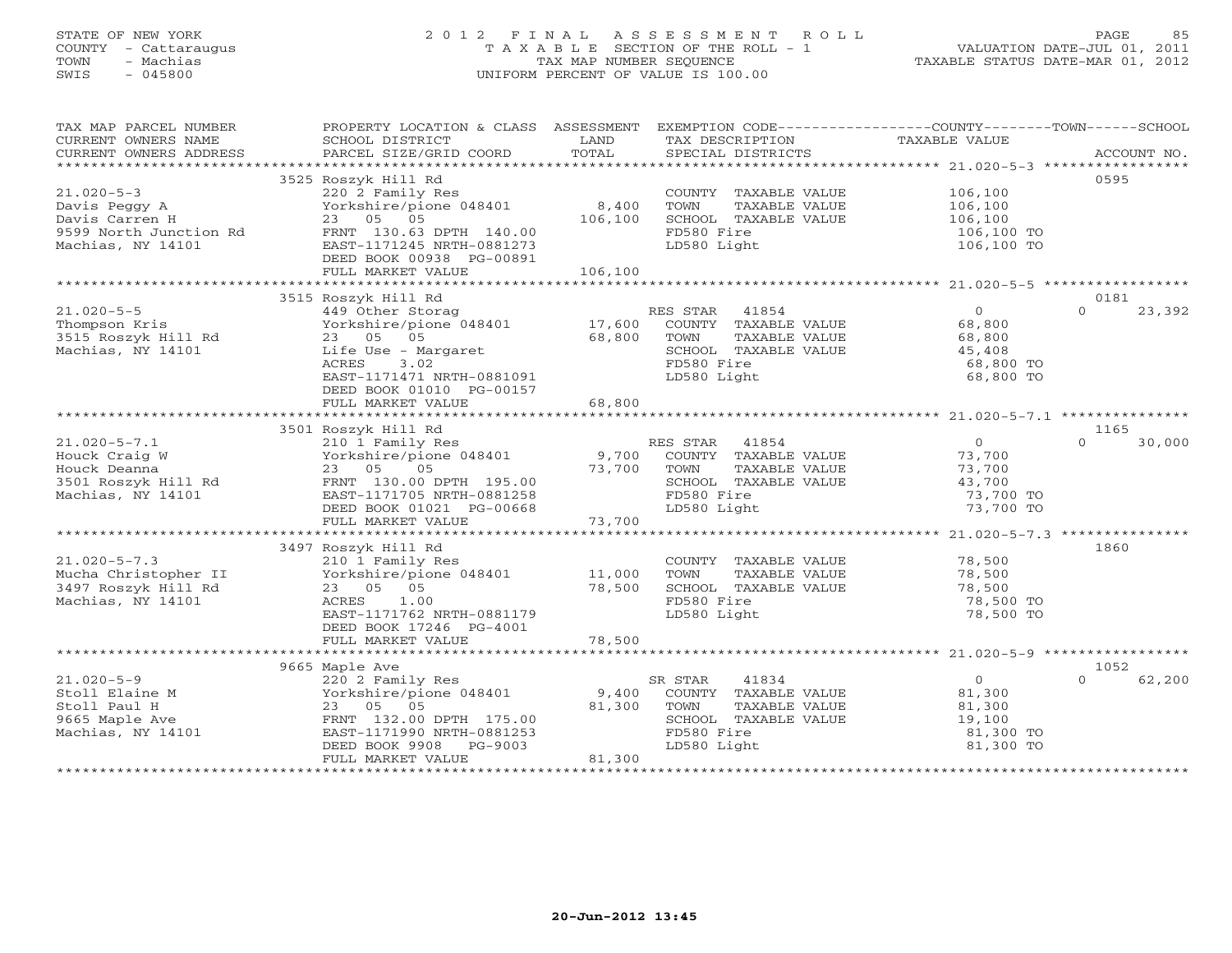#### STATE OF NEW YORK 2 0 1 2 F I N A L A S S E S S M E N T R O L L PAGE 85COUNTY - Cattaraugus T A X A B L E SECTION OF THE ROLL - 1 VALUATION DATE-JUL 01, 2011 TOWN - Machias TAX MAP NUMBER SEQUENCE TAX AND TAXABLE STATUS DATE-MAR 01, 2012<br>TRIS - 045800 SWIS - 045800 UNIFORM PERCENT OF VALUE IS 100.00

| TAX MAP PARCEL NUMBER                                         | PROPERTY LOCATION & CLASS ASSESSMENT                                                                            |             | EXEMPTION CODE-----------------COUNTY-------TOWN------SCHOOL                                         |                       |                    |
|---------------------------------------------------------------|-----------------------------------------------------------------------------------------------------------------|-------------|------------------------------------------------------------------------------------------------------|-----------------------|--------------------|
| CURRENT OWNERS NAME                                           | SCHOOL DISTRICT                                                                                                 | LAND        | TAX DESCRIPTION                                                                                      | TAXABLE VALUE         |                    |
| CURRENT OWNERS ADDRESS                                        |                                                                                                                 |             |                                                                                                      |                       |                    |
|                                                               |                                                                                                                 |             |                                                                                                      |                       |                    |
|                                                               | 3525 Roszyk Hill Rd                                                                                             |             |                                                                                                      |                       | 0595               |
| $21.020 - 5 - 3$                                              | 220 2 Family Res                                                                                                |             | COUNTY TAXABLE VALUE                                                                                 | 106,100               |                    |
| Davis Peggy A                                                 | Yorkshire/pione 048401 8,400                                                                                    |             | TOWN<br>TAXABLE VALUE                                                                                | 106,100               |                    |
| Davis Carren H                                                | 23 05 05                                                                                                        | 106,100     | SCHOOL TAXABLE VALUE                                                                                 | 106,100               |                    |
| 9599 North Junction Rd                                        | FRNT 130.63 DPTH 140.00                                                                                         |             | FD580 Fire                                                                                           | 106,100 TO            |                    |
| Machias, NY 14101                                             | EAST-1171245 NRTH-0881273                                                                                       |             | LD580 Light                                                                                          | 106,100 TO            |                    |
|                                                               | DEED BOOK 00938 PG-00891                                                                                        |             |                                                                                                      |                       |                    |
|                                                               |                                                                                                                 |             |                                                                                                      |                       |                    |
|                                                               |                                                                                                                 |             |                                                                                                      |                       |                    |
|                                                               | 3515 Roszyk Hill Rd                                                                                             |             |                                                                                                      |                       | 0181               |
| $21.020 - 5 - 5$                                              | 449 Other Storag                                                                                                |             | RES STAR 41854                                                                                       | $\Omega$              | 23,392<br>$\cap$   |
| Thompson Kris                                                 | Yorkshire/pione 048401 17,600                                                                                   |             | COUNTY TAXABLE VALUE                                                                                 | 68,800                |                    |
| 3515 Roszyk Hill Rd                                           | 23 05 05                                                                                                        | 68,800      | TOWN<br>TAXABLE VALUE                                                                                | 68,800                |                    |
| Machias, NY 14101                                             |                                                                                                                 |             | SCHOOL TAXABLE VALUE                                                                                 | 45,408                |                    |
|                                                               | Life Use - Margaret<br>ACRES<br>3.02                                                                            |             | FD580 Fire                                                                                           | 68,800 TO             |                    |
|                                                               | EAST-1171471 NRTH-0881091                                                                                       |             | LD580 Light                                                                                          | 68,800 TO             |                    |
|                                                               | DEED BOOK 01010 PG-00157                                                                                        |             |                                                                                                      |                       |                    |
|                                                               | FULL MARKET VALUE                                                                                               | 68,800      |                                                                                                      |                       |                    |
|                                                               |                                                                                                                 |             |                                                                                                      |                       |                    |
|                                                               | 3501 Roszyk Hill Rd                                                                                             |             |                                                                                                      |                       | 1165               |
| $21.020 - 5 - 7.1$                                            |                                                                                                                 |             |                                                                                                      | $\overline{0}$        | $\Omega$<br>30,000 |
| Houck Craig W                                                 | 210 1 Family Res<br>Yorkshire/pione 048401 19,700 COUNTY TAXABLE VALUE<br>23 05 05 05 73,700 TOWN TAXABLE VALUE |             |                                                                                                      | 73,700                |                    |
| Houck Deanna                                                  |                                                                                                                 |             | TAXABLE VALUE                                                                                        | 73,700                |                    |
|                                                               |                                                                                                                 |             | SCHOOL TAXABLE VALUE                                                                                 | 43,700                |                    |
| 3501 Roszyk Hill Rd<br>Machias. NY 14101<br>Machias, NY 14101 |                                                                                                                 |             | FD580 Fire                                                                                           | 73,700 TO             |                    |
|                                                               | DEED BOOK 01021 PG-00668                                                                                        |             | LD580 Light                                                                                          | 73,700 TO             |                    |
|                                                               | FULL MARKET VALUE                                                                                               | 73,700      |                                                                                                      |                       |                    |
|                                                               |                                                                                                                 |             |                                                                                                      |                       |                    |
|                                                               | 3497 Roszyk Hill Rd                                                                                             |             |                                                                                                      |                       | 1860               |
|                                                               |                                                                                                                 |             |                                                                                                      |                       |                    |
| $21.020 - 5 - 7.3$                                            | 210 1 Family Res<br>Yorkshire/pione 048401 11,000                                                               |             | COUNTY TAXABLE VALUE<br>TAXABLE VALUE<br>TOWN                                                        | 78,500<br>78,500      |                    |
| Mucha Christopher II<br>3497 Roszyk Hill Rd                   |                                                                                                                 | 78,500      |                                                                                                      | 78,500                |                    |
|                                                               | 23 05 05                                                                                                        |             | IOWIN 11991-11991-11991-11991-11992-11992-11992-11992-11992-11992-11992-11992-11992-11992-11992-1199 |                       |                    |
| Machias, NY 14101                                             | ACRES<br>1.00                                                                                                   |             | FD580 Fire                                                                                           | 78,500 TO             |                    |
|                                                               | EAST-1171762 NRTH-0881179                                                                                       |             | LD580 Light                                                                                          | 78,500 TO             |                    |
|                                                               | DEED BOOK 17246 PG-4001                                                                                         |             |                                                                                                      |                       |                    |
|                                                               |                                                                                                                 |             |                                                                                                      |                       |                    |
|                                                               |                                                                                                                 |             |                                                                                                      |                       |                    |
|                                                               | 9665 Maple Ave                                                                                                  |             |                                                                                                      | $\overline{O}$        | 1052<br>$\Omega$   |
| 21.020-5-9                                                    | 220 2 Family Res<br>Vorkshire/pione 048401 9,400 COUNTY TAXABLE VALUE                                           |             | 41834<br>SR STAR                                                                                     | 81,300                | 62,200             |
| Stoll Elaine M                                                |                                                                                                                 |             |                                                                                                      |                       |                    |
| Stoll Paul H                                                  | 23 05 05                                                                                                        | 81,300 TOWN | TAXABLE VALUE                                                                                        | $81, 20$<br>$19, 100$ |                    |
| 9665 Maple Ave                                                | FRNT 132.00 DPTH 175.00                                                                                         |             | SCHOOL TAXABLE VALUE                                                                                 |                       |                    |
| Machias, NY 14101                                             | EAST-1171990 NRTH-0881253                                                                                       |             | FD580 Fire                                                                                           | 81,300 TO             |                    |
|                                                               | DEED BOOK 9908 PG-9003                                                                                          |             | LD580 Light                                                                                          | 81,300 TO             |                    |
|                                                               | FULL MARKET VALUE                                                                                               | 81,300      |                                                                                                      |                       |                    |
|                                                               |                                                                                                                 |             |                                                                                                      |                       |                    |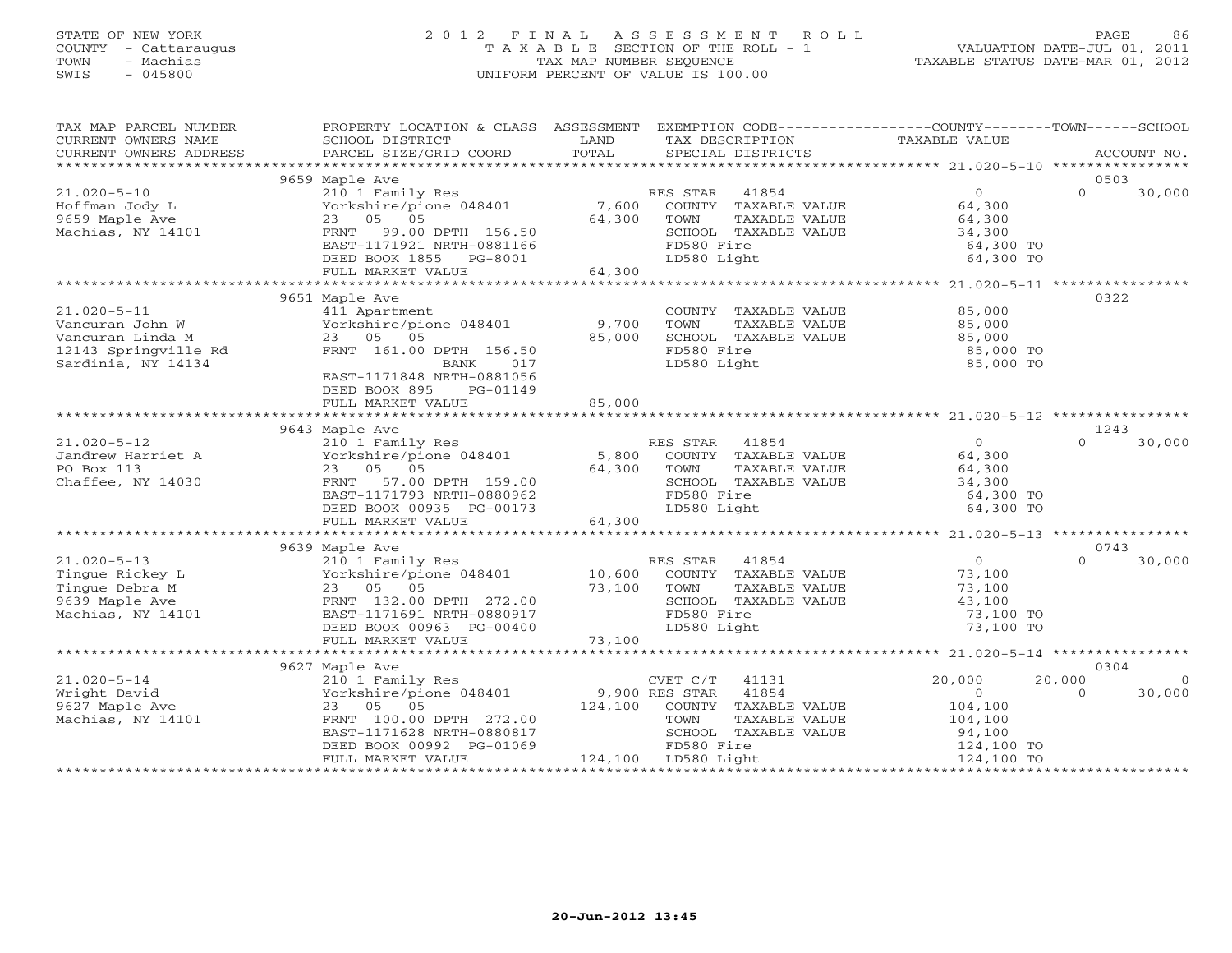#### STATE OF NEW YORK 2 0 1 2 F I N A L A S S E S S M E N T R O L L PAGE 86 COUNTY - Cattaraugus T A X A B L E SECTION OF THE ROLL - 1 VALUATION DATE-JUL 01, 2011 TOWN - Machias TAX MAP NUMBER SEQUENCE TAXABLE STATUS DATE-MAR 01, 2012 SWIS - 045800 UNIFORM PERCENT OF VALUE IS 100.00UNIFORM PERCENT OF VALUE IS 100.00

| TAX MAP PARCEL NUMBER  | PROPERTY LOCATION & CLASS ASSESSMENT EXEMPTION CODE----------------COUNTY-------TOWN------SCHOOL |        |                              |                      |          |                |
|------------------------|--------------------------------------------------------------------------------------------------|--------|------------------------------|----------------------|----------|----------------|
| CURRENT OWNERS NAME    | SCHOOL DISTRICT                                                                                  | LAND   | TAX DESCRIPTION              | TAXABLE VALUE        |          |                |
| CURRENT OWNERS ADDRESS | PARCEL SIZE/GRID COORD                                                                           | TOTAL  | SPECIAL DISTRICTS            |                      |          | ACCOUNT NO.    |
|                        |                                                                                                  |        |                              |                      |          |                |
|                        | 9659 Maple Ave                                                                                   |        |                              |                      | 0503     |                |
| $21.020 - 5 - 10$      | 210 1 Family Res                                                                                 |        | 41854<br>RES STAR            | $\overline{0}$       | $\Omega$ | 30,000         |
| Hoffman Jody L         | Yorkshire/pione 048401                                                                           | 7,600  | COUNTY TAXABLE VALUE         | 64,300               |          |                |
| 9659 Maple Ave         | 23 05 05                                                                                         | 64,300 | TOWN<br>TAXABLE VALUE        | 64,300               |          |                |
| Machias, NY 14101      | FRNT 99.00 DPTH 156.50                                                                           |        | SCHOOL TAXABLE VALUE         | 34,300               |          |                |
|                        | EAST-1171921 NRTH-0881166                                                                        |        | FD580 Fire                   | 64,300 TO            |          |                |
|                        | DEED BOOK 1855 PG-8001                                                                           |        | LD580 Light                  | 64,300 TO            |          |                |
|                        | FULL MARKET VALUE                                                                                | 64,300 |                              |                      |          |                |
|                        |                                                                                                  |        |                              |                      |          |                |
|                        | 9651 Maple Ave                                                                                   |        |                              |                      | 0322     |                |
| $21.020 - 5 - 11$      | 411 Apartment                                                                                    |        | COUNTY TAXABLE VALUE         | 85,000               |          |                |
| Vancuran John W        | Yorkshire/pione 048401 9,700                                                                     |        | TOWN<br>TAXABLE VALUE        | 85,000               |          |                |
| Vancuran Linda M       | 23 05 05                                                                                         | 85,000 | SCHOOL TAXABLE VALUE         | 85,000               |          |                |
| 12143 Springville Rd   | FRNT 161.00 DPTH 156.50                                                                          |        | FD580 Fire                   | 85,000 TO            |          |                |
| Sardinia, NY 14134     | BANK<br>017                                                                                      |        | LD580 Light                  | 85,000 TO            |          |                |
|                        | EAST-1171848 NRTH-0881056                                                                        |        |                              |                      |          |                |
|                        | DEED BOOK 895<br>PG-01149                                                                        |        |                              |                      |          |                |
|                        | FULL MARKET VALUE                                                                                | 85,000 |                              |                      |          |                |
|                        |                                                                                                  |        |                              |                      |          |                |
|                        | 9643 Maple Ave                                                                                   |        |                              |                      | 1243     |                |
| $21.020 - 5 - 12$      | 210 1 Family Res                                                                                 |        | RES STAR 41854               | $\Omega$             | $\Omega$ | 30,000         |
| Jandrew Harriet A      | Forthcommunity 1992<br>Yorkshire/pione 048401 5,800                                              |        | COUNTY TAXABLE VALUE         | 64,300               |          |                |
| PO Box 113             | 23 05 05                                                                                         | 64,300 | TOWN<br>TAXABLE VALUE        | 64,300               |          |                |
| Chaffee, NY 14030      | FRNT 57.00 DPTH 159.00                                                                           |        | SCHOOL TAXABLE VALUE         | 34,300               |          |                |
|                        | EAST-1171793 NRTH-0880962                                                                        |        | FD580 Fire                   | 64,300 TO            |          |                |
|                        | DEED BOOK 00935 PG-00173                                                                         |        | LD580 Light                  | 64,300 TO            |          |                |
|                        | FULL MARKET VALUE                                                                                | 64,300 |                              |                      |          |                |
|                        |                                                                                                  |        |                              |                      |          |                |
|                        | 9639 Maple Ave                                                                                   |        |                              |                      | 0743     |                |
| $21.020 - 5 - 13$      | 210 1 Family Res                                                                                 |        | RES STAR 41854               | $\overline{0}$       | $\Omega$ | 30,000         |
| Tingue Rickey L        | Yorkshire/pione 048401                                                                           |        | 10,600 COUNTY TAXABLE VALUE  |                      |          |                |
| Tinque Debra M         | 23 05 05                                                                                         | 73,100 | TAXABLE VALUE<br>TOWN        | 73,100<br>73,100     |          |                |
| 9639 Maple Ave         | FRNT 132.00 DPTH 272.00                                                                          |        | SCHOOL TAXABLE VALUE         | 43,100               |          |                |
| Machias, NY 14101      | EAST-1171691 NRTH-0880917                                                                        |        | FD580 Fire                   | 73,100 TO            |          |                |
|                        | DEED BOOK 00963 PG-00400                                                                         |        | LD580 Light                  | 73,100 TO            |          |                |
|                        | FULL MARKET VALUE                                                                                | 73,100 |                              |                      |          |                |
|                        |                                                                                                  |        |                              |                      |          |                |
|                        | 9627 Maple Ave                                                                                   |        |                              |                      | 0304     |                |
| $21.020 - 5 - 14$      | 210 1 Family Res                                                                                 |        | $CVET C/T$ 41131             | 20,000               | 20,000   | $\overline{0}$ |
| Wright David           | Yorkshire/pione 048401 9,900 RES STAR 41854                                                      |        |                              | $\overline{0}$       | $\Omega$ | 30,000         |
| 9627 Maple Ave         | 23 05 05                                                                                         |        | 124,100 COUNTY TAXABLE VALUE |                      |          |                |
| Machias, NY 14101      | FRNT 100.00 DPTH 272.00                                                                          |        | TOWN<br>TAXABLE VALUE        | 104,100<br>104,100   |          |                |
|                        | EAST-1171628 NRTH-0880817                                                                        |        | SCHOOL TAXABLE VALUE         |                      |          |                |
|                        | DEED BOOK 00992 PG-01069                                                                         |        | FD580 Fire                   | 94,100<br>124,100 TO |          |                |
|                        | FULL MARKET VALUE                                                                                |        | 124,100 LD580 Light          | 124,100 TO           |          |                |
|                        |                                                                                                  |        |                              |                      |          |                |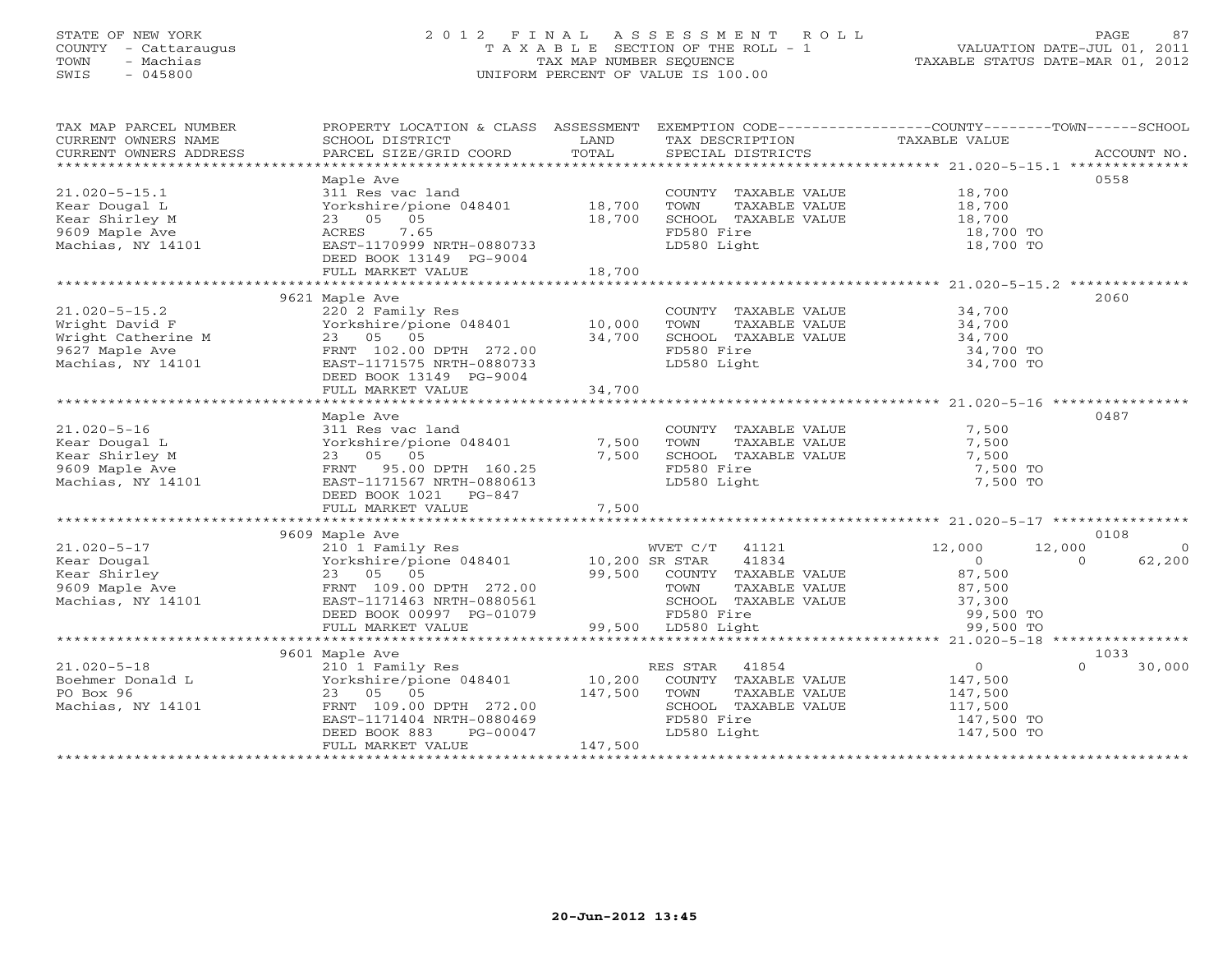#### STATE OF NEW YORK 2 0 1 2 F I N A L A S S E S S M E N T R O L L PAGE 87COUNTY - Cattaraugus T A X A B L E SECTION OF THE ROLL - 1 VALUATION DATE-JUL 01, 2011 TOWN - Machias TAX MAP NUMBER SEQUENCE TAX AND TAXABLE STATUS DATE-MAR 01, 2012<br>TRIS - 045800 SWIS - 045800 UNIFORM PERCENT OF VALUE IS 100.00

| TAX MAP PARCEL NUMBER                         | PROPERTY LOCATION & CLASS ASSESSMENT      |                | EXEMPTION CODE-----------------COUNTY-------TOWN------SCHOOL |                        |                    |
|-----------------------------------------------|-------------------------------------------|----------------|--------------------------------------------------------------|------------------------|--------------------|
| CURRENT OWNERS NAME<br>CURRENT OWNERS ADDRESS | SCHOOL DISTRICT<br>PARCEL SIZE/GRID COORD | LAND<br>TOTAL  | TAX DESCRIPTION<br>SPECIAL DISTRICTS                         | TAXABLE VALUE          | ACCOUNT NO.        |
|                                               |                                           |                |                                                              |                        |                    |
|                                               | Maple Ave                                 |                |                                                              |                        | 0558               |
| $21.020 - 5 - 15.1$                           | 311 Res vac land                          |                | COUNTY TAXABLE VALUE                                         | 18,700                 |                    |
| Kear Dougal L                                 | Yorkshire/pione 048401                    | 18,700         | TOWN<br>TAXABLE VALUE                                        |                        |                    |
| Kear Shirley M                                | 23 05 05                                  | 18,700         | SCHOOL TAXABLE VALUE                                         | $10, 700$<br>$18, 700$ |                    |
| 9609 Maple Ave                                | ACRES<br>7.65                             |                | FD580 Fire                                                   | 18,700 TO              |                    |
| Machias, NY 14101                             | EAST-1170999 NRTH-0880733                 |                | LD580 Light                                                  | 18,700 TO              |                    |
|                                               |                                           |                |                                                              |                        |                    |
|                                               | DEED BOOK 13149 PG-9004                   | 18,700         |                                                              |                        |                    |
|                                               | FULL MARKET VALUE                         |                |                                                              |                        |                    |
|                                               | 9621 Maple Ave                            |                |                                                              |                        | 2060               |
|                                               |                                           |                |                                                              | 34,700                 |                    |
| $21.020 - 5 - 15.2$                           | 220 2 Family Res                          |                | COUNTY TAXABLE VALUE                                         |                        |                    |
| Wright David F                                | Yorkshire/pione 048401                    | 10,000         | TOWN<br>TAXABLE VALUE                                        | 34,700                 |                    |
| Wright Catherine M                            | 23 05 05                                  | 34,700         | SCHOOL TAXABLE VALUE                                         | 34,700                 |                    |
| 9627 Maple Ave                                | FRNT 102.00 DPTH 272.00                   |                | FD580 Fire                                                   | 34,700 TO              |                    |
| Machias, NY 14101                             | EAST-1171575 NRTH-0880733                 |                | LD580 Light                                                  | 34,700 TO              |                    |
|                                               | DEED BOOK 13149 PG-9004                   |                |                                                              |                        |                    |
|                                               | FULL MARKET VALUE                         | 34,700         |                                                              |                        |                    |
|                                               |                                           |                |                                                              |                        |                    |
|                                               | Maple Ave                                 |                |                                                              |                        | 0487               |
| $21.020 - 5 - 16$                             | 311 Res vac land                          |                | COUNTY TAXABLE VALUE                                         | 7,500                  |                    |
| Kear Dougal L                                 | Yorkshire/pione 048401                    | 7,500          | TOWN<br>TAXABLE VALUE                                        | 7,500                  |                    |
| Kear Shirley M                                | 23 05 05                                  | 7,500          | SCHOOL TAXABLE VALUE                                         | 7,500                  |                    |
| 9609 Maple Ave                                | FRNT 95.00 DPTH 160.25                    |                | FD580 Fire                                                   | 7,500 TO               |                    |
| Machias, NY 14101                             | EAST-1171567 NRTH-0880613                 |                | LD580 Light                                                  | 7,500 TO               |                    |
|                                               | DEED BOOK 1021    PG-847                  |                |                                                              |                        |                    |
|                                               | FULL MARKET VALUE                         | 7,500          |                                                              |                        |                    |
|                                               |                                           |                |                                                              |                        |                    |
|                                               | 9609 Maple Ave                            |                |                                                              |                        | 0108               |
| $21.020 - 5 - 17$                             | 210 1 Family Res                          |                | WVET C/T 41121                                               | 12,000<br>12,000       | $\Omega$           |
| Kear Dougal                                   | Yorkshire/pione 048401                    | 10,200 SR STAR | 41834                                                        | $\overline{0}$         | 62,200<br>$\Omega$ |
| Kear Shirley                                  | 23 05 05                                  | 99,500         | COUNTY TAXABLE VALUE                                         | 87,500                 |                    |
| 9609 Maple Ave                                | FRNT 109.00 DPTH 272.00                   |                | TOWN<br>TAXABLE VALUE                                        | 87,500                 |                    |
| Machias, NY 14101                             | EAST-1171463 NRTH-0880561                 |                | SCHOOL TAXABLE VALUE                                         | 37,300                 |                    |
|                                               | DEED BOOK 00997 PG-01079                  |                | FD580 Fire                                                   | 99,500 TO              |                    |
|                                               | FULL MARKET VALUE                         |                | 99,500 LD580 Light                                           | 99,500 TO              |                    |
|                                               |                                           |                |                                                              |                        |                    |
|                                               | 9601 Maple Ave                            |                |                                                              |                        | 1033               |
| $21.020 - 5 - 18$                             | 210 1 Family Res                          |                | RES STAR<br>41854                                            | $\overline{0}$         | 30,000<br>$\Omega$ |
| Boehmer Donald L                              | Yorkshire/pione 048401                    | 10,200         | COUNTY TAXABLE VALUE                                         | 147,500                |                    |
| PO Box 96                                     | 23 05 05                                  | 147,500        | TOWN<br>TAXABLE VALUE                                        | 147,500                |                    |
| Machias, NY 14101                             | FRNT 109.00 DPTH 272.00                   |                | SCHOOL TAXABLE VALUE                                         | 117,500                |                    |
|                                               | EAST-1171404 NRTH-0880469                 |                | FD580 Fire                                                   | 147,500 TO             |                    |
|                                               | DEED BOOK 883<br>PG-00047                 |                | LD580 Light                                                  | 147,500 TO             |                    |
|                                               | FULL MARKET VALUE                         | 147,500        |                                                              |                        |                    |
|                                               |                                           |                |                                                              |                        |                    |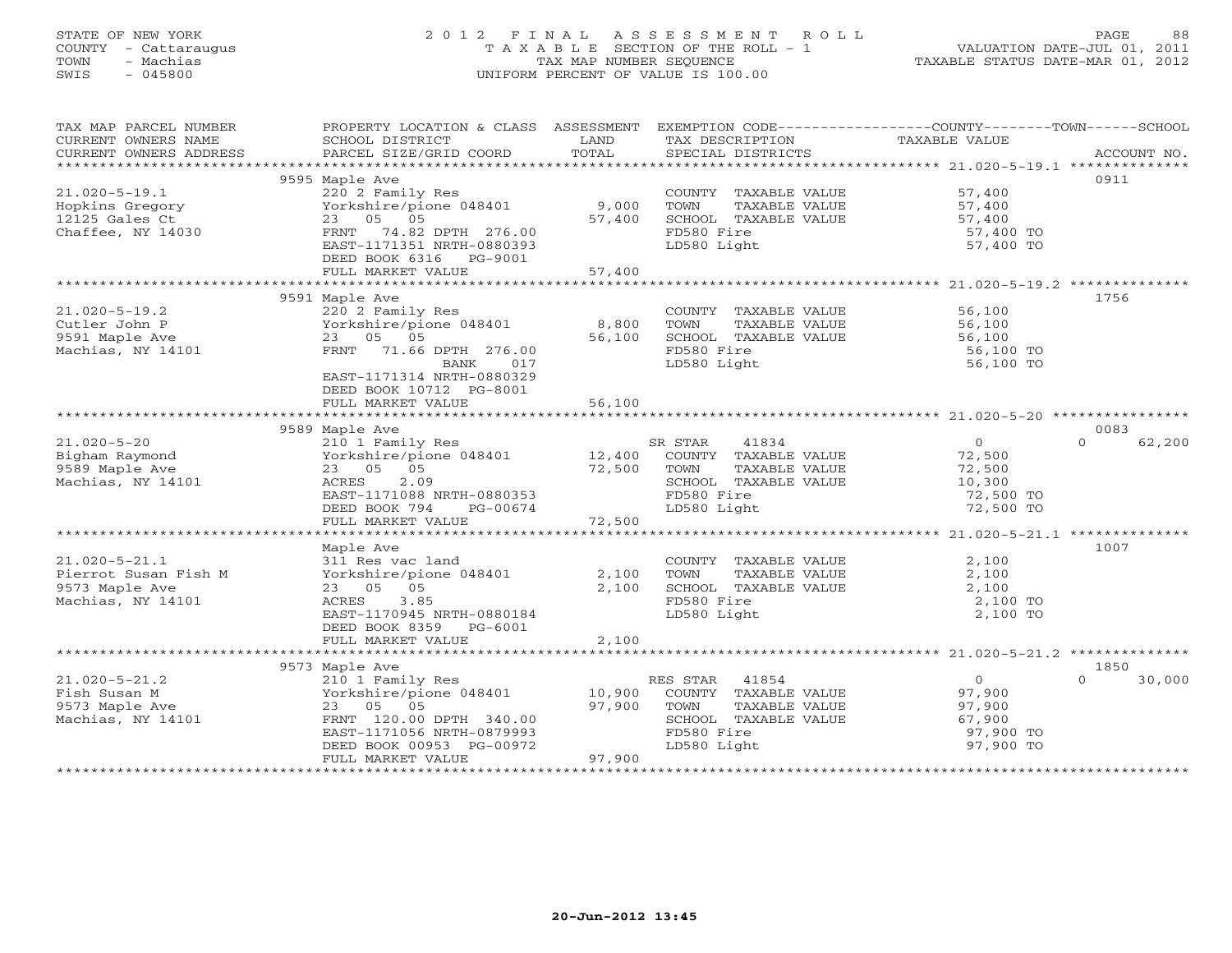## STATE OF NEW YORK 2 0 1 2 F I N A L A S S E S S M E N T R O L L PAGE 88 COUNTY - Cattaraugus T A X A B L E SECTION OF THE ROLL - 1 VALUATION DATE-JUL 01, 2011 TOWN - Machias TAX MAP NUMBER SEQUENCE TAXABLE STATUS DATE-MAR 01, 2012 SWIS - 045800 UNIFORM PERCENT OF VALUE IS 100.00UNIFORM PERCENT OF VALUE IS 100.00

| TAX MAP PARCEL NUMBER<br>CURRENT OWNERS NAME<br>CURRENT OWNERS ADDRESS | PROPERTY LOCATION & CLASS ASSESSMENT<br>SCHOOL DISTRICT<br>PARCEL SIZE/GRID COORD | LAND<br>TOTAL | TAX DESCRIPTION<br>SPECIAL DISTRICTS | EXEMPTION CODE-----------------COUNTY-------TOWN------SCHOOL<br>TAXABLE VALUE | ACCOUNT NO.        |
|------------------------------------------------------------------------|-----------------------------------------------------------------------------------|---------------|--------------------------------------|-------------------------------------------------------------------------------|--------------------|
|                                                                        |                                                                                   |               |                                      |                                                                               |                    |
|                                                                        | 9595 Maple Ave                                                                    |               |                                      |                                                                               | 0911               |
| $21.020 - 5 - 19.1$                                                    | 220 2 Family Res                                                                  |               | COUNTY TAXABLE VALUE 57,400          |                                                                               |                    |
| Hopkins Gregory                                                        | Yorkshire/pione 048401                                                            | 9,000         | TOWN<br>TAXABLE VALUE                | 57,400<br>57,400                                                              |                    |
| 12125 Gales Ct                                                         | 23 05 05                                                                          | 57,400        | SCHOOL TAXABLE VALUE                 |                                                                               |                    |
| Chaffee, NY 14030                                                      | FRNT 74.82 DPTH 276.00                                                            |               | FD580 Fire                           | 57,400 TO                                                                     |                    |
|                                                                        | EAST-1171351 NRTH-0880393                                                         |               | LD580 Light                          | 57,400 TO                                                                     |                    |
|                                                                        | DEED BOOK 6316 PG-9001<br>FULL MARKET VALUE                                       | 57,400        |                                      |                                                                               |                    |
|                                                                        |                                                                                   |               |                                      |                                                                               |                    |
|                                                                        | 9591 Maple Ave                                                                    |               |                                      |                                                                               | 1756               |
| $21.020 - 5 - 19.2$                                                    | 220 2 Family Res                                                                  |               | COUNTY TAXABLE VALUE                 | 56,100                                                                        |                    |
| Cutler John P                                                          | Yorkshire/pione 048401                                                            | 8,800         | TOWN<br>TAXABLE VALUE                | 56,100                                                                        |                    |
| 9591 Maple Ave                                                         | 23 05 05                                                                          | 56,100        | SCHOOL TAXABLE VALUE                 | 56,100                                                                        |                    |
| Machias, NY 14101                                                      | FRNT 71.66 DPTH 276.00                                                            |               | FD580 Fire                           | 56,100 TO                                                                     |                    |
|                                                                        | BANK 017                                                                          |               | LD580 Light                          | 56,100 TO                                                                     |                    |
|                                                                        | EAST-1171314 NRTH-0880329                                                         |               |                                      |                                                                               |                    |
|                                                                        | DEED BOOK 10712 PG-8001                                                           |               |                                      |                                                                               |                    |
|                                                                        | FULL MARKET VALUE                                                                 | 56,100        |                                      |                                                                               |                    |
|                                                                        | 9589 Maple Ave                                                                    |               |                                      |                                                                               | 0083               |
| $21.020 - 5 - 20$                                                      | 210 1 Family Res                                                                  |               | 41834<br>SR STAR                     | $\Omega$                                                                      | $\Omega$<br>62,200 |
| Bigham Raymond                                                         | Yorkshire/pione 048401 12,400 COUNTY TAXABLE VALUE                                |               |                                      | 72,500                                                                        |                    |
| 9589 Maple Ave                                                         | 23 05 05                                                                          | 72,500 TOWN   | TAXABLE VALUE                        | 72,500                                                                        |                    |
| Machias, NY 14101                                                      | 2.09<br>ACRES                                                                     |               | SCHOOL TAXABLE VALUE                 | 10,300                                                                        |                    |
|                                                                        | EAST-1171088 NRTH-0880353                                                         |               | FD580 Fire                           | 72,500 TO                                                                     |                    |
|                                                                        | DEED BOOK 794<br>PG-00674                                                         |               | LD580 Light                          | 72,500 TO                                                                     |                    |
|                                                                        | FULL MARKET VALUE                                                                 | 72,500        |                                      |                                                                               |                    |
|                                                                        |                                                                                   |               |                                      |                                                                               |                    |
|                                                                        | Maple Ave                                                                         |               |                                      |                                                                               | 1007               |
| $21.020 - 5 - 21.1$                                                    | 311 Res vac land                                                                  |               | COUNTY TAXABLE VALUE                 | 2,100                                                                         |                    |
| Pierrot Susan Fish M<br>9573 Maple Ave                                 | Yorkshire/pione 048401<br>23 05 05                                                | 2,100         | TOWN<br>TAXABLE VALUE                | 2,100                                                                         |                    |
| Machias, NY 14101                                                      | ACRES<br>3.85                                                                     | 2,100         | SCHOOL TAXABLE VALUE<br>FD580 Fire   | 2,100<br>2,100 TO                                                             |                    |
|                                                                        | EAST-1170945 NRTH-0880184                                                         |               | LD580 Light                          | 2,100 TO                                                                      |                    |
|                                                                        | DEED BOOK 8359 PG-6001                                                            |               |                                      |                                                                               |                    |
|                                                                        | FULL MARKET VALUE                                                                 | 2,100         |                                      |                                                                               |                    |
|                                                                        |                                                                                   |               |                                      |                                                                               |                    |
|                                                                        | 9573 Maple Ave                                                                    |               |                                      |                                                                               | 1850               |
| $21.020 - 5 - 21.2$                                                    | 210 1 Family Res                                                                  |               | RES STAR<br>41854                    | $\Omega$                                                                      | $\cap$<br>30,000   |
| Fish Susan M                                                           | Yorkshire/pione 048401 10,900                                                     |               | COUNTY TAXABLE VALUE                 | 97,900                                                                        |                    |
| 9573 Maple Ave                                                         | 23 05 05                                                                          | 97,900        | TOWN<br>TAXABLE VALUE                | 97,900                                                                        |                    |
| Machias, NY 14101                                                      | FRNT 120.00 DPTH 340.00                                                           |               | SCHOOL TAXABLE VALUE                 | 67,900                                                                        |                    |
|                                                                        | EAST-1171056 NRTH-0879993                                                         |               | FD580 Fire                           | 97,900 TO                                                                     |                    |
|                                                                        | DEED BOOK 00953 PG-00972<br>FULL MARKET VALUE                                     | 97,900        | LD580 Light                          | 97,900 TO                                                                     |                    |
|                                                                        |                                                                                   |               |                                      |                                                                               |                    |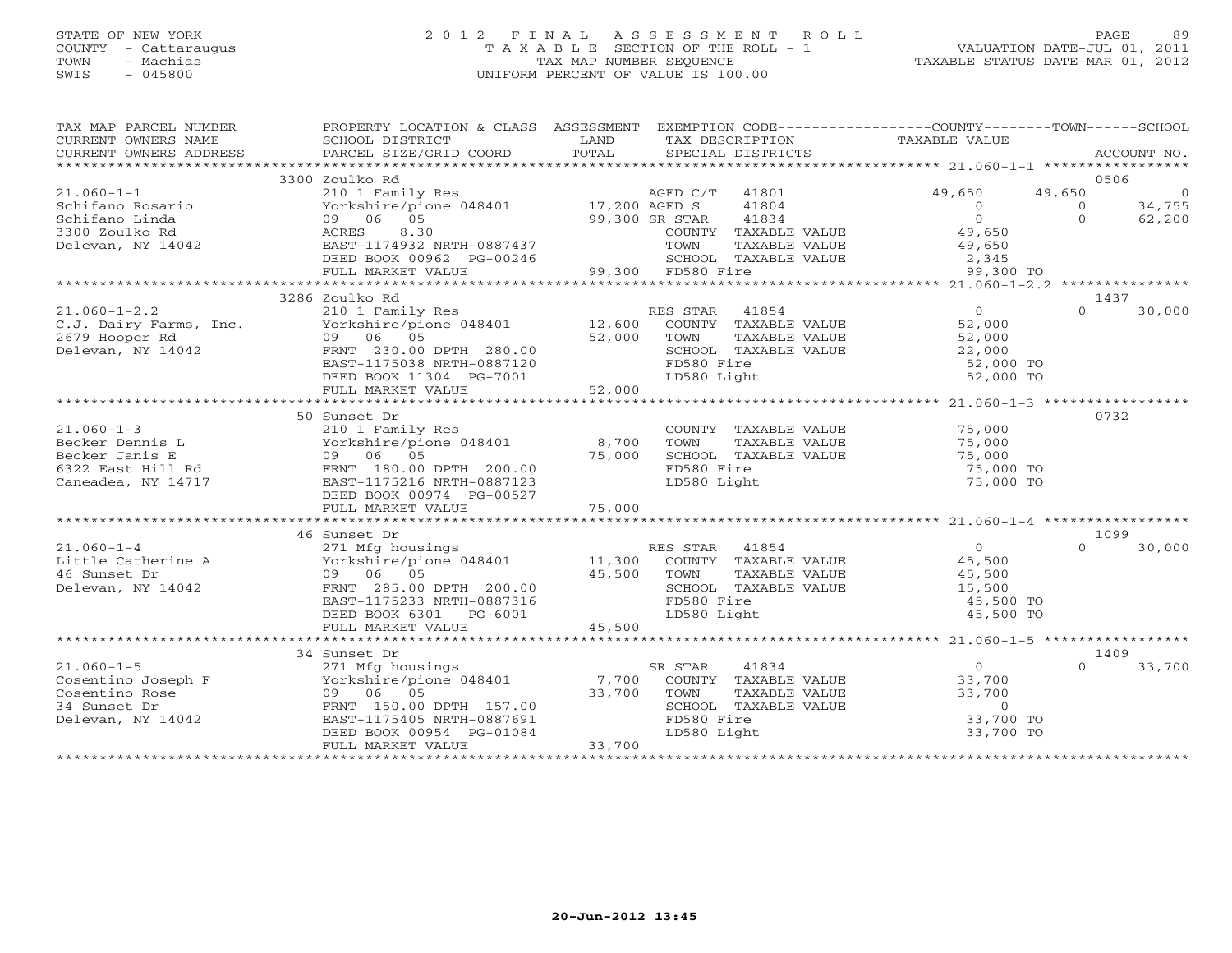## STATE OF NEW YORK 2 0 1 2 F I N A L A S S E S S M E N T R O L L PAGE 89 COUNTY - Cattaraugus T A X A B L E SECTION OF THE ROLL - 1 VALUATION DATE-JUL 01, 2011 TOWN - Machias TAX MAP NUMBER SEQUENCE TAXABLE STATUS DATE-MAR 01, 2012 SWIS - 045800 UNIFORM PERCENT OF VALUE IS 100.00UNIFORM PERCENT OF VALUE IS 100.00

| TAX MAP PARCEL NUMBER<br>CURRENT OWNERS NAME<br>CURRENT OWNERS ADDRESS | PROPERTY LOCATION & CLASS ASSESSMENT EXEMPTION CODE---------------COUNTY-------TOWN------SCHOOL<br>SCHOOL DISTRICT<br>PARCEL SIZE/GRID COORD | LAND<br>TOTAL  |                   | SPECIAL DISTRICTS    | TAX DESCRIPTION TAXABLE VALUE |          | ACCOUNT NO.    |
|------------------------------------------------------------------------|----------------------------------------------------------------------------------------------------------------------------------------------|----------------|-------------------|----------------------|-------------------------------|----------|----------------|
|                                                                        |                                                                                                                                              |                |                   |                      |                               |          |                |
|                                                                        | 3300 Zoulko Rd                                                                                                                               |                |                   |                      |                               |          | 0506           |
| $21.060 - 1 - 1$                                                       | 210 1 Family Res                                                                                                                             |                | AGED C/T          | 41801                | 49,650                        | 49,650   | $\overline{0}$ |
| Schifano Rosario                                                       | Yorkshire/pione 048401 17,200 AGED S                                                                                                         |                |                   | 41804                | $\circ$                       | $\Omega$ | 34,755         |
| Schifano Linda                                                         | 09 06 05                                                                                                                                     | 99,300 SR STAR |                   | 41834                | $\overline{0}$                | $\Omega$ | 62,200         |
| 3300 Zoulko Rd                                                         | 8.30<br>ACRES                                                                                                                                |                |                   | COUNTY TAXABLE VALUE | 49,650                        |          |                |
| Delevan, NY 14042                                                      | EAST-1174932 NRTH-0887437                                                                                                                    |                | TOWN              | TAXABLE VALUE        | 49,650                        |          |                |
|                                                                        | DEED BOOK 00962 PG-00246                                                                                                                     |                |                   | SCHOOL TAXABLE VALUE | 2,345                         |          |                |
|                                                                        | FULL MARKET VALUE                                                                                                                            |                | 99,300 FD580 Fire |                      | 99,300 TO                     |          |                |
|                                                                        |                                                                                                                                              |                |                   |                      |                               |          |                |
|                                                                        | 3286 Zoulko Rd                                                                                                                               |                |                   |                      |                               |          | 1437           |
| $21.060 - 1 - 2.2$                                                     | 210 1 Family Res                                                                                                                             |                | RES STAR 41854    |                      | $\overline{0}$                | $\Omega$ | 30,000         |
| C.J. Dairy Farms, Inc.                                                 | Yorkshire/pione 048401 12,600                                                                                                                |                |                   | COUNTY TAXABLE VALUE | 52,000                        |          |                |
| 2679 Hooper Rd                                                         | 09 06 05                                                                                                                                     | 52,000         | TOWN              | TAXABLE VALUE        | 52,000                        |          |                |
| Delevan, NY 14042                                                      | FRNT 230.00 DPTH 280.00                                                                                                                      |                |                   | SCHOOL TAXABLE VALUE | 22,000                        |          |                |
|                                                                        | EAST-1175038 NRTH-0887120                                                                                                                    |                | FD580 Fire        |                      | 52,000 TO                     |          |                |
|                                                                        | DEED BOOK 11304 PG-7001                                                                                                                      |                | LD580 Light       |                      | 52,000 TO                     |          |                |
|                                                                        | FULL MARKET VALUE                                                                                                                            | 52,000         |                   |                      |                               |          |                |
|                                                                        |                                                                                                                                              |                |                   |                      |                               |          |                |
|                                                                        | 50 Sunset Dr                                                                                                                                 |                |                   |                      |                               | 0732     |                |
| $21.060 - 1 - 3$                                                       | 210 1 Family Res                                                                                                                             |                |                   | COUNTY TAXABLE VALUE | 75,000                        |          |                |
| Becker Dennis L                                                        | Yorkshire/pione 048401                                                                                                                       | 8,700          | TOWN              | TAXABLE VALUE        | 75,000                        |          |                |
| Becker Janis E                                                         | 09 06 05                                                                                                                                     | 75,000         |                   | SCHOOL TAXABLE VALUE | 75,000                        |          |                |
| 6322 East Hill Rd<br>Caneadea. NY 14717                                | FRNT 180.00 DPTH 200.00                                                                                                                      |                | FD580 Fire        |                      | 75,000 TO                     |          |                |
|                                                                        | EAST-1175216 NRTH-0887123                                                                                                                    |                | LD580 Light       |                      | 75,000 TO                     |          |                |
|                                                                        | DEED BOOK 00974 PG-00527                                                                                                                     |                |                   |                      |                               |          |                |
|                                                                        | FULL MARKET VALUE                                                                                                                            | 75,000         |                   |                      |                               |          |                |
|                                                                        |                                                                                                                                              |                |                   |                      |                               |          |                |
|                                                                        | 46 Sunset Dr                                                                                                                                 |                |                   |                      |                               |          | 1099           |
| $21.060 - 1 - 4$                                                       |                                                                                                                                              |                |                   |                      | $\overline{0}$                |          | 30,000         |
| Little Catherine A                                                     | 271 Mfg housings                                 RES STAR     41854<br>Yorkshire/pione 048401             11,300   COUNTY   TAXABLE VALUE    |                |                   |                      | 45,500                        |          |                |
| 46 Sunset Dr                                                           | 09 06 05                                                                                                                                     | 45,500         | TOWN              | TAXABLE VALUE        | 45,500                        |          |                |
| Delevan, NY 14042                                                      | FRNT 285.00 DPTH 200.00                                                                                                                      |                |                   | SCHOOL TAXABLE VALUE | 15,500                        |          |                |
|                                                                        | EAST-1175233 NRTH-0887316                                                                                                                    |                | FD580 Fire        |                      | 45,500 TO                     |          |                |
|                                                                        | DEED BOOK 6301 PG-6001                                                                                                                       |                | LD580 Light       |                      | 45,500 TO                     |          |                |
|                                                                        | FULL MARKET VALUE                                                                                                                            | 45,500         |                   |                      |                               |          |                |
|                                                                        |                                                                                                                                              |                |                   |                      |                               |          |                |
|                                                                        | 34 Sunset Dr                                                                                                                                 |                |                   |                      |                               | 1409     |                |
| $21.060 - 1 - 5$                                                       |                                                                                                                                              |                | SR STAR           | 41834                | $\overline{0}$                | $\Omega$ | 33,700         |
| Cosentino Joseph F                                                     | % 271 Mfg housings<br>Yorkshire/pione 048401 7,700                                                                                           |                |                   | COUNTY TAXABLE VALUE | 33,700                        |          |                |
| Cosentino Rose                                                         | 09 06 05                                                                                                                                     | 33,700         | TOWN              | TAXABLE VALUE        | 33,700                        |          |                |
| 34 Sunset Dr                                                           | FRNT 150.00 DPTH 157.00                                                                                                                      |                |                   | SCHOOL TAXABLE VALUE | $\overline{O}$                |          |                |
| Delevan, NY 14042                                                      | EAST-1175405 NRTH-0887691                                                                                                                    |                | FD580 Fire        |                      | 33,700 TO                     |          |                |
|                                                                        | DEED BOOK 00954 PG-01084                                                                                                                     |                | LD580 Light       |                      | 33,700 TO                     |          |                |
|                                                                        | FULL MARKET VALUE                                                                                                                            | 33,700         |                   |                      |                               |          |                |
|                                                                        |                                                                                                                                              |                |                   |                      |                               |          |                |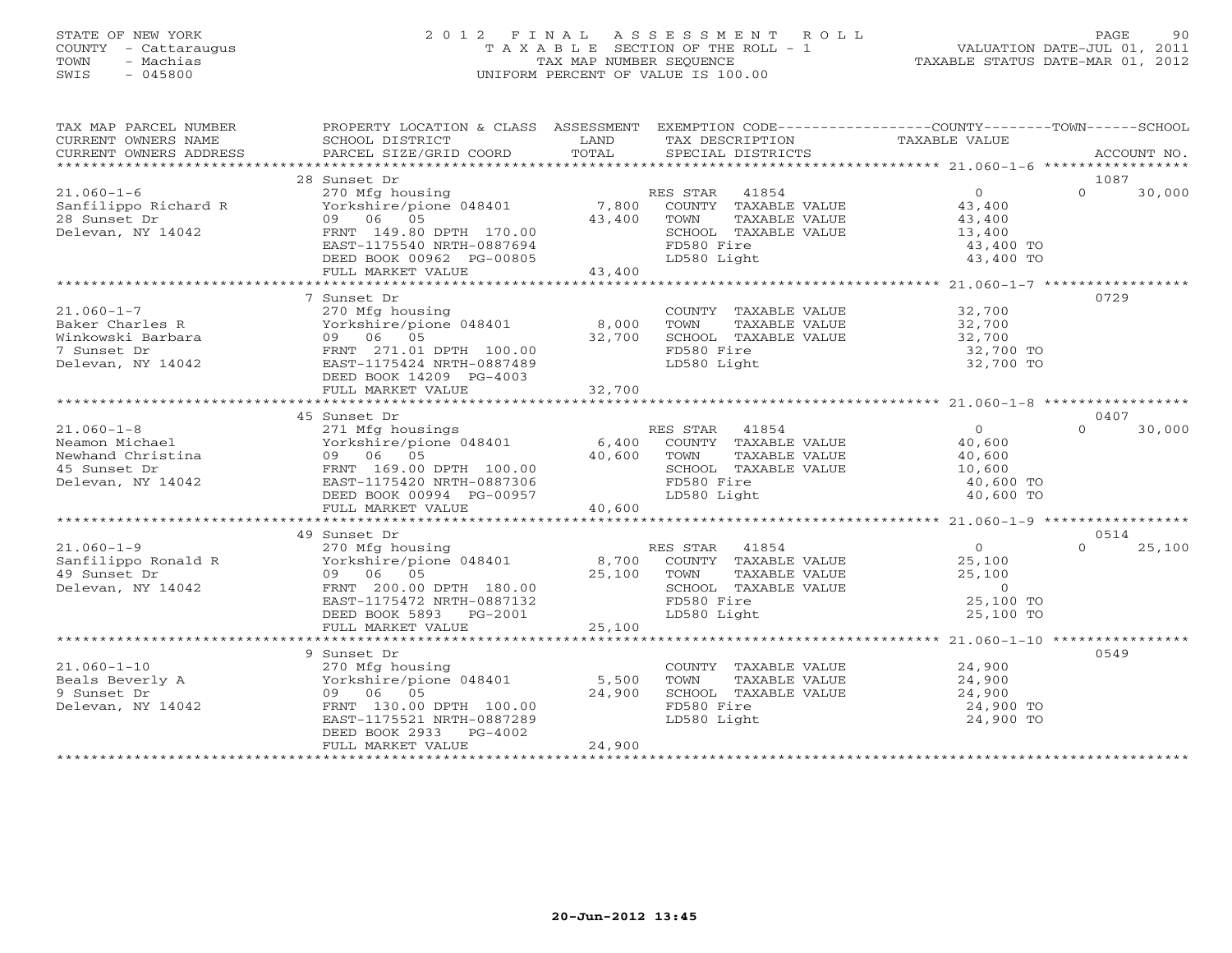## STATE OF NEW YORK 2 0 1 2 F I N A L A S S E S S M E N T R O L L PAGE 90 COUNTY - Cattaraugus T A X A B L E SECTION OF THE ROLL - 1 VALUATION DATE-JUL 01, 2011 TOWN - Machias TAX MAP NUMBER SEQUENCE TAXABLE STATUS DATE-MAR 01, 2012 SWIS - 045800 UNIFORM PERCENT OF VALUE IS 100.00UNIFORM PERCENT OF VALUE IS 100.00

| TAX MAP PARCEL NUMBER<br>CURRENT OWNERS NAME<br>CURRENT OWNERS ADDRESS                       | PROPERTY LOCATION & CLASS ASSESSMENT<br>SCHOOL DISTRICT<br>PARCEL SIZE/GRID COORD                                                                                                      | LAND<br>TOTAL             | EXEMPTION CODE----------------COUNTY-------TOWN------SCHOOL<br>TAX DESCRIPTION<br>SPECIAL DISTRICTS                  | TAXABLE VALUE                                                                  | ACCOUNT NO.                |
|----------------------------------------------------------------------------------------------|----------------------------------------------------------------------------------------------------------------------------------------------------------------------------------------|---------------------------|----------------------------------------------------------------------------------------------------------------------|--------------------------------------------------------------------------------|----------------------------|
|                                                                                              |                                                                                                                                                                                        |                           |                                                                                                                      |                                                                                |                            |
| $21.060 - 1 - 6$<br>Sanfilippo Richard R<br>28 Sunset Dr<br>Delevan, NY 14042                | 28 Sunset Dr<br>270 Mfg housing<br>Yorkshire/pione 048401 7,800<br>09 06 05<br>FRNT 149.80 DPTH 170.00<br>EAST-1175540 NRTH-0887694<br>DEED BOOK 00962 PG-00805<br>FULL MARKET VALUE   | 43,400<br>43,400          | RES STAR 41854<br>COUNTY TAXABLE VALUE<br>TOWN<br>TAXABLE VALUE<br>SCHOOL TAXABLE VALUE<br>FD580 Fire<br>LD580 Light | $\overline{0}$<br>43,400<br>43,400<br>13,400<br>43,400 TO<br>43,400 TO         | 1087<br>$\Omega$<br>30,000 |
|                                                                                              |                                                                                                                                                                                        |                           |                                                                                                                      |                                                                                |                            |
| $21.060 - 1 - 7$<br>Baker Charles R<br>Winkowski Barbara<br>7 Sunset Dr<br>Delevan, NY 14042 | 7 Sunset Dr<br>270 Mfg housing<br>Yorkshire/pione 048401<br>09 06 05<br>FRNT 271.01 DPTH 100.00<br>EAST-1175424 NRTH-0887489<br>DEED BOOK 14209 PG-4003<br>FULL MARKET VALUE           | 8,000<br>32,700<br>32,700 | COUNTY TAXABLE VALUE 32,700<br>TOWN<br>TAXABLE VALUE<br>SCHOOL TAXABLE VALUE<br>FD580 Fire<br>LD580 Light            | 32,700<br>32,700<br>32,700 TO<br>32,700 TO                                     | 0729                       |
|                                                                                              | *******************************                                                                                                                                                        | ******************        |                                                                                                                      |                                                                                |                            |
|                                                                                              | 45 Sunset Dr                                                                                                                                                                           |                           |                                                                                                                      |                                                                                | 0407                       |
| $21.060 - 1 - 8$<br>Neamon Michael<br>Newhand Christina<br>45 Sunset Dr<br>Delevan, NY 14042 | 271 Mfg housings Ri<br>Yorkshire/pione 048401 6,400<br>09 06 05<br>FRNT 169.00 DPTH 100.00<br>EAST-1175420 NRTH-0887306<br>DEED BOOK 00994 PG-00957                                    | 40,600                    | RES STAR 41854<br>COUNTY TAXABLE VALUE<br>TOWN<br>TAXABLE VALUE<br>SCHOOL TAXABLE VALUE<br>FD580 Fire<br>LD580 Light | $\overline{0}$<br>40,600<br>40,600<br>10,600<br>40,600 TO<br>40,600 TO         | 30,000<br>$\Omega$         |
|                                                                                              | FULL MARKET VALUE                                                                                                                                                                      | 40,600                    |                                                                                                                      |                                                                                |                            |
|                                                                                              |                                                                                                                                                                                        |                           |                                                                                                                      |                                                                                |                            |
| $21.060 - 1 - 9$<br>Sanfilippo Ronald R<br>49 Sunset Dr<br>Delevan, NY 14042                 | 49 Sunset Dr<br>270 Mfg housing<br>09 06 05<br>FRNT 200.00 DPTH 180.00<br>EAST-1175472 NRTH-0887132<br>DEED BOOK 5893 PG-2001                                                          | 25,100                    | RES STAR 41854<br>COUNTY TAXABLE VALUE<br>TOWN<br>TAXABLE VALUE<br>SCHOOL TAXABLE VALUE<br>FD580 Fire<br>LD580 Light | $\overline{0}$<br>25,100<br>25,100<br>$\overline{0}$<br>25,100 TO<br>25,100 TO | 0514<br>$\Omega$<br>25,100 |
|                                                                                              | FULL MARKET VALUE                                                                                                                                                                      | 25,100                    |                                                                                                                      |                                                                                |                            |
| $21.060 - 1 - 10$<br>Beals Beverly A<br>9 Sunset Dr<br>Delevan, NY 14042                     | 9 Sunset Dr<br>270 Mfg housing<br>Yorkshire/pione 048401 5,500<br>09 06 05<br>FRNT 130.00 DPTH 100.00<br>EAST-1175521 NRTH-0887289<br>DEED BOOK 2933<br>$PG-4002$<br>FULL MARKET VALUE | 24,900<br>24,900          | COUNTY TAXABLE VALUE<br>TOWN<br>TAXABLE VALUE<br>SCHOOL TAXABLE VALUE<br>FD580 Fire<br>LD580 Light                   | 24,900<br>24,900<br>24,900<br>24,900 TO<br>24,900 TO                           | 0549                       |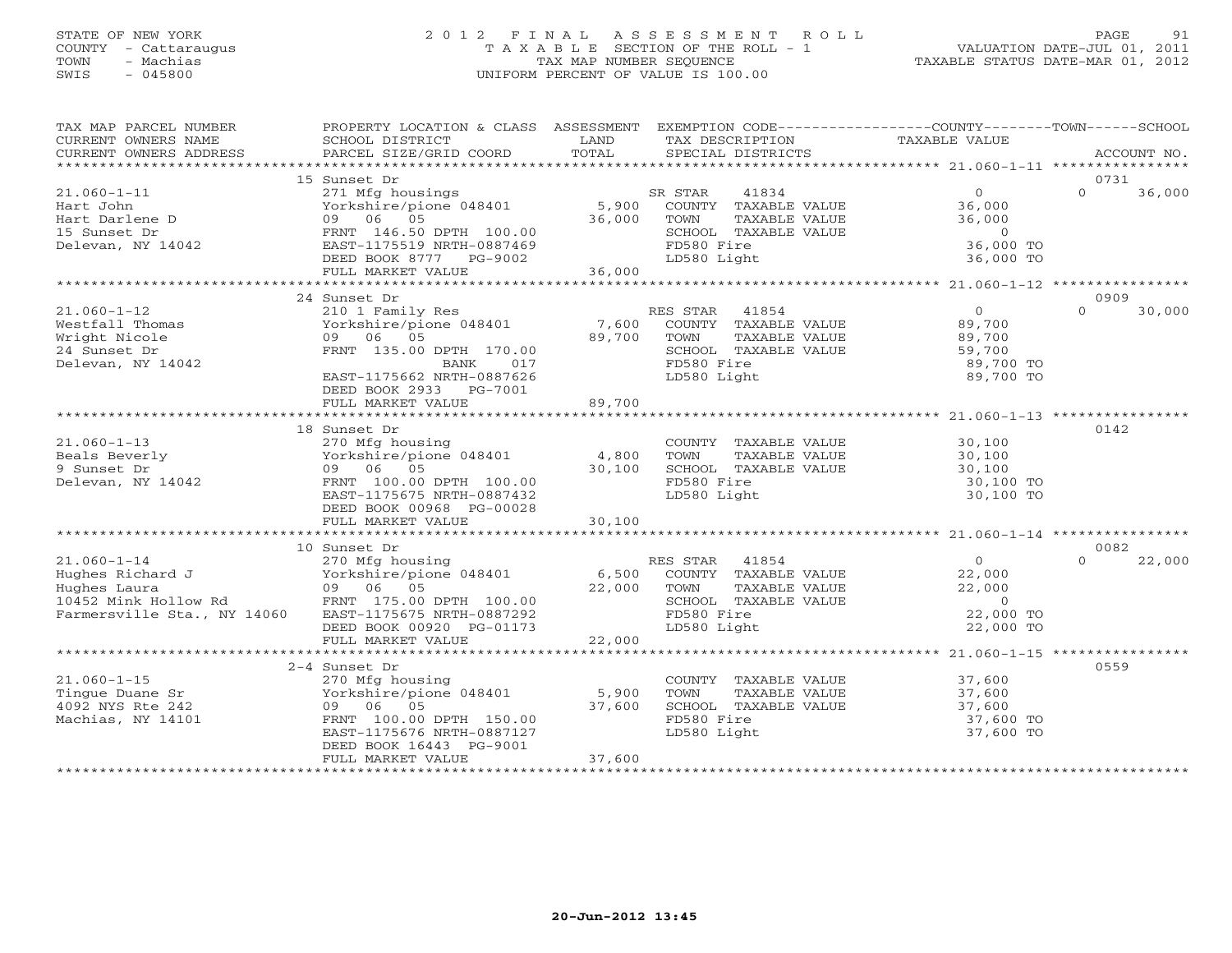#### STATE OF NEW YORK 2 0 1 2 F I N A L A S S E S S M E N T R O L L PAGE 91 COUNTY - Cattaraugus T A X A B L E SECTION OF THE ROLL - 1 VALUATION DATE-JUL 01, 2011 TOWN - Machias TAX MAP NUMBER SEQUENCE TAXABLE STATUS DATE-MAR 01, 2012 SWIS - 045800 UNIFORM PERCENT OF VALUE IS 100.00UNIFORM PERCENT OF VALUE IS 100.00

| TAX MAP PARCEL NUMBER<br>CURRENT OWNERS NAME<br>CURRENT OWNERS ADDRESS | PROPERTY LOCATION & CLASS ASSESSMENT<br>SCHOOL DISTRICT | LAND                  | EXEMPTION CODE----------------COUNTY-------TOWN------SCHOOL<br>TAX DESCRIPTION | TAXABLE VALUE                                      |                    |
|------------------------------------------------------------------------|---------------------------------------------------------|-----------------------|--------------------------------------------------------------------------------|----------------------------------------------------|--------------------|
| ************************                                               |                                                         |                       |                                                                                |                                                    |                    |
|                                                                        | 15 Sunset Dr                                            |                       |                                                                                |                                                    | 0731               |
| $21.060 - 1 - 11$                                                      | 271 Mfg housings                                        |                       | 41834<br>SR STAR                                                               | $\overline{0}$                                     | $\Omega$<br>36,000 |
| Hart John<br>Hart Darlene D                                            | Yorkshire/pione 048401<br>09 06 05                      | 5,900<br>36,000       | COUNTY TAXABLE VALUE<br>TOWN<br>TAXABLE VALUE                                  | 36,000<br>36,000                                   |                    |
| 15 Sunset Dr                                                           | FRNT 146.50 DPTH 100.00                                 |                       | SCHOOL TAXABLE VALUE                                                           | $\circ$                                            |                    |
| Delevan, NY 14042                                                      | EAST-1175519 NRTH-0887469                               |                       | FD580 Fire                                                                     | 36,000 TO                                          |                    |
|                                                                        | DEED BOOK 8777 PG-9002                                  |                       | LD580 Light                                                                    | 36,000 TO                                          |                    |
|                                                                        | FULL MARKET VALUE                                       | 36,000                |                                                                                |                                                    |                    |
|                                                                        | ****************************                            | ********************* |                                                                                | ********************* 21.060-1-12 **************** |                    |
|                                                                        | 24 Sunset Dr                                            |                       |                                                                                |                                                    | 0909               |
| $21.060 - 1 - 12$                                                      | 210 1 Family Res                                        |                       | RES STAR<br>41854                                                              | $\overline{0}$                                     | $\Omega$<br>30,000 |
| Westfall Thomas                                                        | Yorkshire/pione 048401                                  | 7,600<br>89,700       | COUNTY TAXABLE VALUE                                                           | 89,700                                             |                    |
| Wright Nicole<br>24 Sunset Dr                                          | 09 06 05<br>FRNT 135.00 DPTH 170.00                     |                       | TOWN<br>TAXABLE VALUE<br>SCHOOL TAXABLE VALUE                                  | 89,700<br>59,700                                   |                    |
| Delevan, NY 14042                                                      | 017<br>BANK                                             |                       | FD580 Fire                                                                     | 89,700 TO                                          |                    |
|                                                                        | EAST-1175662 NRTH-0887626                               |                       | LD580 Light                                                                    | 89,700 TO                                          |                    |
|                                                                        | DEED BOOK 2933 PG-7001                                  |                       |                                                                                |                                                    |                    |
|                                                                        | FULL MARKET VALUE                                       | 89,700                |                                                                                |                                                    |                    |
|                                                                        |                                                         |                       |                                                                                |                                                    |                    |
|                                                                        | 18 Sunset Dr                                            |                       |                                                                                |                                                    | 0142               |
| $21.060 - 1 - 13$                                                      | 270 Mfg housing                                         |                       | COUNTY TAXABLE VALUE                                                           | 30,100                                             |                    |
| Beals Beverly                                                          | Yorkshire/pione 048401                                  | 4,800                 | TOWN<br>TAXABLE VALUE                                                          | 30,100                                             |                    |
| 9 Sunset Dr<br>Delevan, NY 14042                                       | 09 06 05<br>FRNT 100.00 DPTH 100.00                     | 30,100                | SCHOOL TAXABLE VALUE<br>FD580 Fire                                             | 30,100<br>30,100 TO                                |                    |
|                                                                        | EAST-1175675 NRTH-0887432                               |                       | LD580 Light                                                                    | 30,100 TO                                          |                    |
|                                                                        | DEED BOOK 00968 PG-00028                                |                       |                                                                                |                                                    |                    |
|                                                                        | FULL MARKET VALUE                                       | 30,100                |                                                                                |                                                    |                    |
|                                                                        |                                                         |                       |                                                                                |                                                    |                    |
|                                                                        | 10 Sunset Dr                                            |                       |                                                                                |                                                    | 0082               |
| $21.060 - 1 - 14$                                                      | 270 Mfg housing                                         |                       | RES STAR 41854                                                                 | $\Omega$                                           | $\Omega$<br>22,000 |
| Hughes Richard J                                                       | Yorkshire/pione 048401                                  | 6,500                 | COUNTY TAXABLE VALUE                                                           | 22,000                                             |                    |
| Hughes Laura<br>10452 Mink Hollow Rd                                   | 09 06 05<br>FRNT 175.00 DPTH 100.00                     | 22,000                | TOWN<br>TAXABLE VALUE<br>SCHOOL TAXABLE VALUE                                  | 22,000<br>$\overline{0}$                           |                    |
| Farmersville Sta., NY 14060                                            | EAST-1175675 NRTH-0887292                               |                       | FD580 Fire                                                                     | 22,000 TO                                          |                    |
|                                                                        | DEED BOOK 00920 PG-01173                                |                       | LD580 Light                                                                    | 22,000 TO                                          |                    |
|                                                                        | FULL MARKET VALUE                                       | 22,000                |                                                                                |                                                    |                    |
|                                                                        |                                                         |                       |                                                                                |                                                    |                    |
|                                                                        | 2-4 Sunset Dr                                           |                       |                                                                                |                                                    | 0559               |
| $21.060 - 1 - 15$                                                      | 270 Mfg housing                                         |                       | COUNTY TAXABLE VALUE                                                           | 37,600<br>37,600                                   |                    |
| Tingue Duane Sr                                                        | Yorkshire/pione 048401                                  | 5,900                 | TOWN<br>TAXABLE VALUE                                                          |                                                    |                    |
| 4092 NYS Rte 242<br>Machias, NY 14101                                  | 09 06 05<br>FRNT 100.00 DPTH 150.00                     | 37,600                | SCHOOL TAXABLE VALUE<br>FD580 Fire                                             | 37,600<br>37,600 TO                                |                    |
|                                                                        | EAST-1175676 NRTH-0887127                               |                       | LD580 Light                                                                    | 37,600 TO                                          |                    |
|                                                                        | DEED BOOK 16443 PG-9001                                 |                       |                                                                                |                                                    |                    |
|                                                                        | FULL MARKET VALUE                                       | 37,600                |                                                                                |                                                    |                    |
|                                                                        |                                                         |                       |                                                                                |                                                    |                    |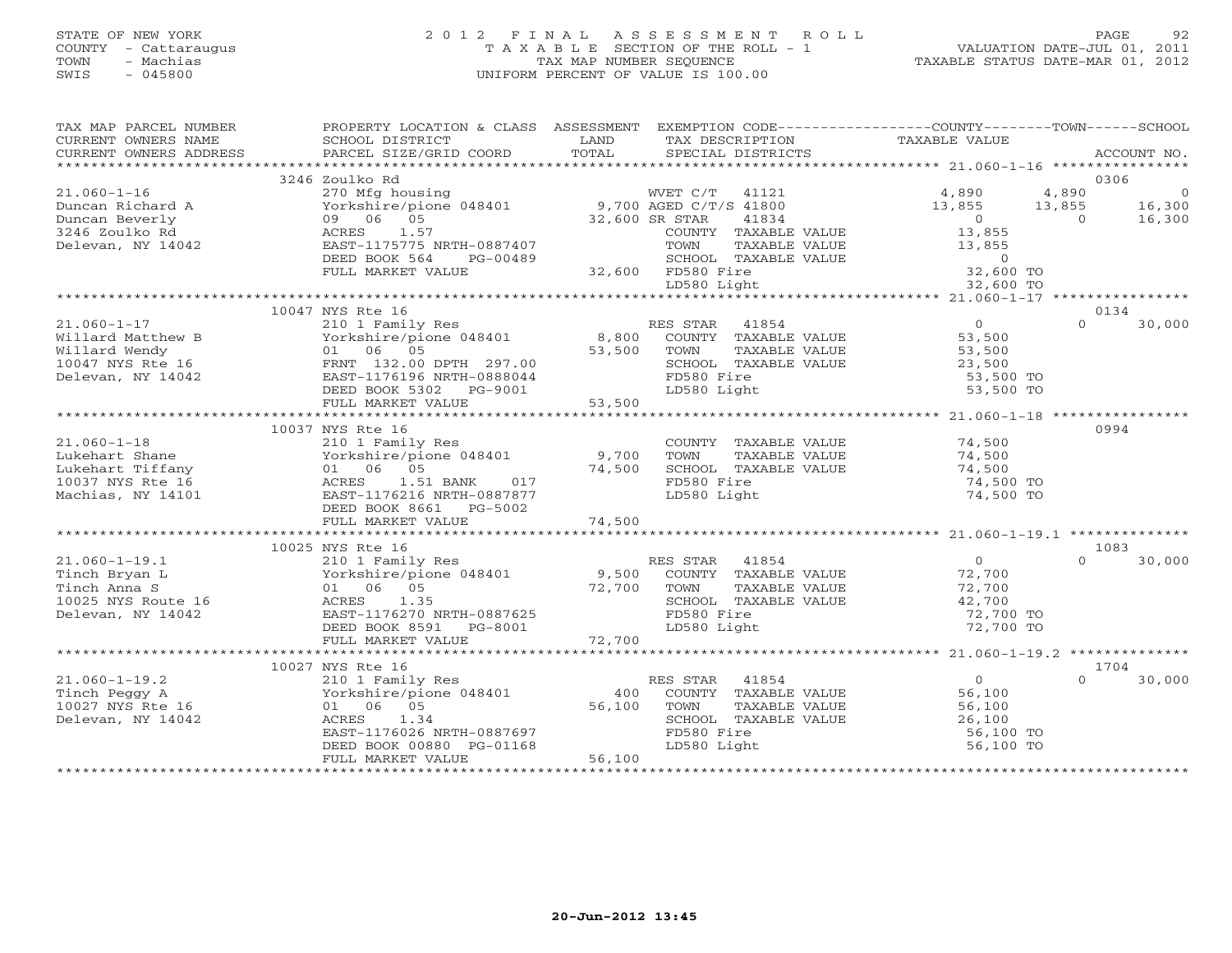## STATE OF NEW YORK 2 0 1 2 F I N A L A S S E S S M E N T R O L L PAGE 92 COUNTY - Cattaraugus T A X A B L E SECTION OF THE ROLL - 1 VALUATION DATE-JUL 01, 2011 TOWN - Machias TAX MAP NUMBER SEQUENCE TAXABLE STATUS DATE-MAR 01, 2012 SWIS - 045800 UNIFORM PERCENT OF VALUE IS 100.00UNIFORM PERCENT OF VALUE IS 100.00

| TAX MAP PARCEL NUMBER<br>CURRENT OWNERS NAME<br>CURRENT OWNERS ADDRESS                                                                                                                                 | SCHOOL DISTRICT<br>PARCEL SIZE/GRID COORD             | LAND<br>TAX DESCRIPTION<br>TOTAL<br>SPECIAL DISTRICTS                                                                                                                                                                                                                     | PROPERTY LOCATION & CLASS ASSESSMENT EXEMPTION CODE----------------COUNTY-------TOWN------SCHOOL<br>TAXABLE VALUE<br>ACCOUNT NO. |
|--------------------------------------------------------------------------------------------------------------------------------------------------------------------------------------------------------|-------------------------------------------------------|---------------------------------------------------------------------------------------------------------------------------------------------------------------------------------------------------------------------------------------------------------------------------|----------------------------------------------------------------------------------------------------------------------------------|
|                                                                                                                                                                                                        |                                                       |                                                                                                                                                                                                                                                                           |                                                                                                                                  |
|                                                                                                                                                                                                        | 3246 Zoulko Rd                                        |                                                                                                                                                                                                                                                                           | 0306                                                                                                                             |
| $21.060 - 1 - 16$                                                                                                                                                                                      |                                                       | 270 Mfg housing<br>Yorkshire/pione 048401 9,700 AGED C/T/S 41800<br>09 06 05 05 06 05                                                                                                                                                                                     | $4,890$ 0<br>4,890<br>$\begin{array}{ccc} 4,636 \\ 13,855 \\ 0 \end{array}$ 16,300                                               |
| Duncan Richard A<br>Duncan Beverly                                                                                                                                                                     | 09 06 05                                              | 41834<br>32,600 SR STAR                                                                                                                                                                                                                                                   | 13,855<br>$\overline{0}$                                                                                                         |
| 3246 Zoulko Rd                                                                                                                                                                                         | 1.57<br>ACRES                                         | COUNTY TAXABLE VALUE                                                                                                                                                                                                                                                      |                                                                                                                                  |
| Delevan, NY 14042                                                                                                                                                                                      | EAST-1175775 NRTH-0887407                             |                                                                                                                                                                                                                                                                           | 13,855<br>13,855                                                                                                                 |
|                                                                                                                                                                                                        | DEED BOOK 564<br>PG-00489                             |                                                                                                                                                                                                                                                                           |                                                                                                                                  |
|                                                                                                                                                                                                        | FULL MARKET VALUE                                     | SCHOOL TAX<br>32,600 FD580 Fire                                                                                                                                                                                                                                           |                                                                                                                                  |
|                                                                                                                                                                                                        |                                                       | TOWN TAXABLE VALUE 13,855<br>SCHOOL TAXABLE VALUE 0<br>FD580 Fire 32,600 TO<br>LD580 Light 32,600 TO<br>LD580 Light                                                                                                                                                       |                                                                                                                                  |
|                                                                                                                                                                                                        |                                                       |                                                                                                                                                                                                                                                                           |                                                                                                                                  |
|                                                                                                                                                                                                        | 10047 NYS Rte 16                                      |                                                                                                                                                                                                                                                                           | 0134                                                                                                                             |
|                                                                                                                                                                                                        |                                                       | 21.060-1-17<br>21.060-1-17<br>21.060-1-17<br>21.060-1-17<br>21.060-1-17<br>21.060-1-17<br>21.060-1-17<br>21.060-1-17<br>23.500<br>23.500<br>23.500<br>23.500<br>23.500<br>23.500<br>23.500<br>23.500<br>23.500<br>23.500<br>23.500<br>23.500<br>23.500<br>23.500<br>23.50 | $\Omega$<br>30,000                                                                                                               |
|                                                                                                                                                                                                        |                                                       |                                                                                                                                                                                                                                                                           |                                                                                                                                  |
|                                                                                                                                                                                                        |                                                       |                                                                                                                                                                                                                                                                           |                                                                                                                                  |
|                                                                                                                                                                                                        |                                                       |                                                                                                                                                                                                                                                                           |                                                                                                                                  |
|                                                                                                                                                                                                        |                                                       |                                                                                                                                                                                                                                                                           | 53,500 TO<br>53,500 TO                                                                                                           |
|                                                                                                                                                                                                        | DEED BOOK 5302 PG-9001                                | $PG-9001$ 53,500<br>LD580 Light                                                                                                                                                                                                                                           |                                                                                                                                  |
|                                                                                                                                                                                                        | FULL MARKET VALUE                                     |                                                                                                                                                                                                                                                                           |                                                                                                                                  |
|                                                                                                                                                                                                        |                                                       |                                                                                                                                                                                                                                                                           |                                                                                                                                  |
|                                                                                                                                                                                                        | 10037 NYS Rte 16                                      |                                                                                                                                                                                                                                                                           | 0994                                                                                                                             |
| $21.060 - 1 - 18$                                                                                                                                                                                      | 210 1 Family Res                                      | COUNTY TAXABLE VALUE<br>TOWN      TAXABLE VALUE                                                                                                                                                                                                                           | 74,500<br>74,500                                                                                                                 |
| 21.060-1-18 210 1 Family Res<br>Lukehart Shane Yorkshire/pione 048401 9,700<br>Lukehart Tiffany 01 06 05 74,500<br>10037 NYS Rte 16 ACRES 1.51 BANK 017<br>Machias, NY 14101 EAST-1176216 NRTH-0887877 |                                                       |                                                                                                                                                                                                                                                                           |                                                                                                                                  |
|                                                                                                                                                                                                        |                                                       | SCHOOL TAXABLE VALUE                                                                                                                                                                                                                                                      | 74,500                                                                                                                           |
|                                                                                                                                                                                                        |                                                       | FD580 Fire                                                                                                                                                                                                                                                                | 74,500 TO                                                                                                                        |
|                                                                                                                                                                                                        |                                                       | LD580 Light                                                                                                                                                                                                                                                               | 74,500 TO                                                                                                                        |
|                                                                                                                                                                                                        | DEED BOOK 8661 PG-5002                                |                                                                                                                                                                                                                                                                           |                                                                                                                                  |
|                                                                                                                                                                                                        |                                                       |                                                                                                                                                                                                                                                                           |                                                                                                                                  |
|                                                                                                                                                                                                        | 10025 NYS Rte 16                                      |                                                                                                                                                                                                                                                                           | 1083                                                                                                                             |
|                                                                                                                                                                                                        | 210 1 Family Res                                      | RES STAR 41854                                                                                                                                                                                                                                                            | $\overline{0}$<br>$\cap$<br>30,000                                                                                               |
|                                                                                                                                                                                                        |                                                       |                                                                                                                                                                                                                                                                           |                                                                                                                                  |
|                                                                                                                                                                                                        | 01 06 05                                              |                                                                                                                                                                                                                                                                           | $72,700$<br>$72,700$<br>72,700                                                                                                   |
| 21.060-1-19.1<br>Tinch Bryan L<br>Tinch Anna S<br>10025 NYS Route 16<br>- 3.155 NYS Route 16                                                                                                           | ACRES 1.35                                            | $210$ $1$ $1$ $210$ $1$ $1$ $210$ $1$ $1$ $210$ $1$ $1$ $210$ $1$ $1$ $210$ $1$ $1$ $210$ $1$ $1$ $210$ $1$ $1$ $210$ $1$ $1$ $210$ $1$ $1$ $210$ $1$ $1$ $210$ $1$ $210$ $1$ $210$ $1$ $210$ $1$ $210$ $210$ $210$ $210$ $21$<br>SCHOOL TAXABLE VALUE                    |                                                                                                                                  |
|                                                                                                                                                                                                        | EAST-1176270 NRTH-0887625                             | FD580 Fire                                                                                                                                                                                                                                                                | 42,700<br>72,700 TO                                                                                                              |
|                                                                                                                                                                                                        | DEED BOOK 8591 PG-8001                                | $\overline{a}$<br>LD580 Light                                                                                                                                                                                                                                             | 72,700 TO                                                                                                                        |
|                                                                                                                                                                                                        | FULL MARKET VALUE                                     | 72,700                                                                                                                                                                                                                                                                    |                                                                                                                                  |
|                                                                                                                                                                                                        |                                                       |                                                                                                                                                                                                                                                                           |                                                                                                                                  |
|                                                                                                                                                                                                        | 10027 NYS Rte 16                                      |                                                                                                                                                                                                                                                                           | 1704                                                                                                                             |
| $21.060 - 1 - 19.2$                                                                                                                                                                                    | 210 1 Family Res<br>Yorkshire/pione 048401            | ES STAR - 41854<br>COUNTY - TAXABLE VALUE<br>RES STAR 41854                                                                                                                                                                                                               | $\overline{0}$<br>30,000                                                                                                         |
|                                                                                                                                                                                                        |                                                       | 400                                                                                                                                                                                                                                                                       | 56,100                                                                                                                           |
| Tinch Peggy A<br>10027 NYS Rte 16                                                                                                                                                                      | 01 06 05                                              | 56,100<br>TAXABLE VALUE<br>TOWN                                                                                                                                                                                                                                           | 56,100<br>26,100                                                                                                                 |
| Delevan, NY 14042                                                                                                                                                                                      | 1.34<br>ACRES                                         | SCHOOL TAXABLE VALUE                                                                                                                                                                                                                                                      |                                                                                                                                  |
|                                                                                                                                                                                                        | EAST-1176026 NRTH-0887697<br>DEED BOOK 00880 PG-01168 |                                                                                                                                                                                                                                                                           | 56,100 TO                                                                                                                        |
|                                                                                                                                                                                                        |                                                       | FD580 Fire<br>LD580 Light                                                                                                                                                                                                                                                 | 56,100 TO                                                                                                                        |
|                                                                                                                                                                                                        | FULL MARKET VALUE                                     | 56,100                                                                                                                                                                                                                                                                    |                                                                                                                                  |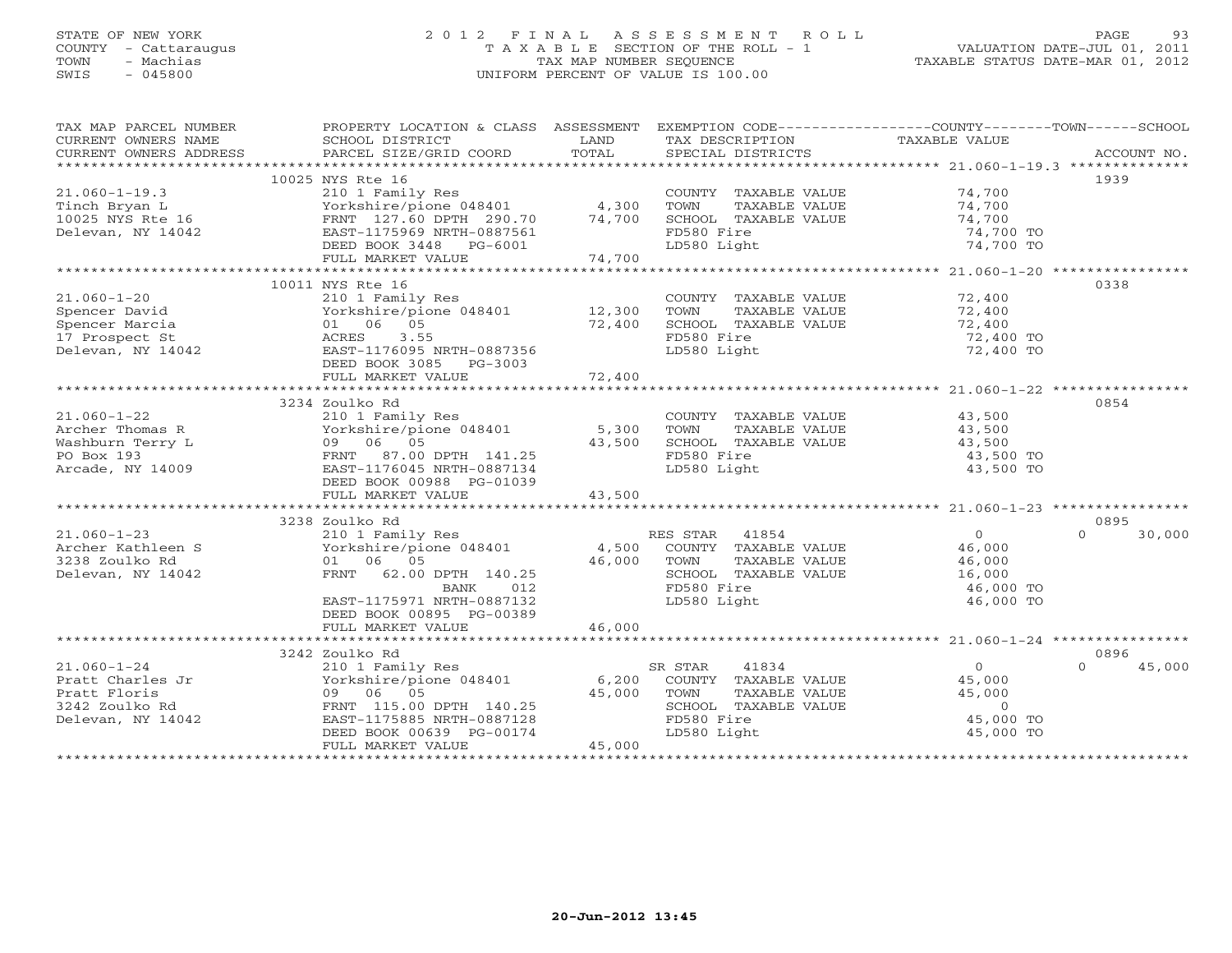## STATE OF NEW YORK 2 0 1 2 F I N A L A S S E S S M E N T R O L L PAGE 93COUNTY - Cattaraugus T A X A B L E SECTION OF THE ROLL - 1<br>
TOWN - Machias TAX MAP NUMBER SEQUENCE<br>
SWIS - 045800 SWIS - 045800 UNIFORM PERCENT OF VALUE IS 100.00

| TAX MAP PARCEL NUMBER<br>CURRENT OWNERS NAME<br>CURRENT OWNERS ADDRESS | PROPERTY LOCATION & CLASS ASSESSMENT<br>SCHOOL DISTRICT<br>PARCEL SIZE/GRID COORD | LAND<br>TOTAL | EXEMPTION CODE-----------------COUNTY-------TOWN------SCHOOL<br>TAX DESCRIPTION TAXABLE VALUE<br>SPECIAL DISTRICTS<br>SPECIAL DISTRICTS |                                                            | ACCOUNT NO.        |
|------------------------------------------------------------------------|-----------------------------------------------------------------------------------|---------------|-----------------------------------------------------------------------------------------------------------------------------------------|------------------------------------------------------------|--------------------|
|                                                                        |                                                                                   |               |                                                                                                                                         |                                                            |                    |
|                                                                        | 10025 NYS Rte 16                                                                  |               |                                                                                                                                         |                                                            | 1939               |
| $21.060 - 1 - 19.3$                                                    | 210 1 Family Res<br>Yorkshire/pione 048401 4,300                                  |               | COUNTY TAXABLE VALUE 74,700                                                                                                             |                                                            |                    |
| Tinch Bryan L<br>10025 NYS Rte 16<br>Delevan, NY 14042                 |                                                                                   |               | TOWN<br>TAXABLE VALUE                                                                                                                   | 74,700                                                     |                    |
|                                                                        | FRNT 127.60 DPTH 290.70 74,700                                                    |               | SCHOOL TAXABLE VALUE                                                                                                                    | 74,700                                                     |                    |
|                                                                        | EAST-1175969 NRTH-0887561                                                         |               | FD580 Fire                                                                                                                              | 74,700 TO                                                  |                    |
|                                                                        | DEED BOOK 3448 PG-6001                                                            |               | LD580 Light                                                                                                                             | 74,700 TO                                                  |                    |
|                                                                        | FULL MARKET VALUE                                                                 | 74,700        |                                                                                                                                         |                                                            |                    |
|                                                                        |                                                                                   |               |                                                                                                                                         |                                                            |                    |
|                                                                        | 10011 NYS Rte 16                                                                  |               |                                                                                                                                         |                                                            | 0338               |
| $21.060 - 1 - 20$                                                      | 210 1 Family Res<br>Yorkshire/pione 048401 12,300                                 |               | COUNTY TAXABLE VALUE<br>TOWN     TAXABLE VALUE                                                                                          | 72,400<br>72,400                                           |                    |
| Spencer David                                                          |                                                                                   |               |                                                                                                                                         |                                                            |                    |
| Spencer Marcia                                                         | 01 06 05                                                                          | 72,400        | SCHOOL TAXABLE VALUE                                                                                                                    | 72,400                                                     |                    |
| 17 Prospect St                                                         | ACRES 3.55                                                                        |               | FD580 Fire                                                                                                                              | 72,400 TO                                                  |                    |
| Delevan, NY 14042                                                      | EAST-1176095 NRTH-0887356                                                         |               | LD580 Light                                                                                                                             | 72,400 TO                                                  |                    |
|                                                                        | DEED BOOK 3085 PG-3003                                                            |               |                                                                                                                                         |                                                            |                    |
|                                                                        | FULL MARKET VALUE                                                                 | 72,400        |                                                                                                                                         |                                                            |                    |
|                                                                        |                                                                                   |               |                                                                                                                                         |                                                            |                    |
|                                                                        | 3234 Zoulko Rd                                                                    |               |                                                                                                                                         |                                                            | 0854               |
| $21.060 - 1 - 22$                                                      | 210 1 Family Res                                                                  |               | COUNTY TAXABLE VALUE 43,500                                                                                                             |                                                            |                    |
| Archer Thomas R                                                        | Yorkshire/pione 048401 5,300                                                      |               | TOWN<br>TAXABLE VALUE                                                                                                                   | 43,500                                                     |                    |
| Washburn Terry L                                                       | 09 06 05                                                                          | 43,500        | SCHOOL TAXABLE VALUE                                                                                                                    | 43,500                                                     |                    |
| PO Box 193                                                             | FRNT 87.00 DPTH 141.25                                                            |               | FD580 Fire                                                                                                                              | 43,500 TO                                                  |                    |
| Arcade, NY 14009                                                       | EAST-1176045 NRTH-0887134                                                         |               | LD580 Light                                                                                                                             | 43,500 TO                                                  |                    |
|                                                                        | DEED BOOK 00988 PG-01039                                                          |               |                                                                                                                                         |                                                            |                    |
|                                                                        | FULL MARKET VALUE                                                                 | 43,500        |                                                                                                                                         |                                                            |                    |
|                                                                        |                                                                                   |               |                                                                                                                                         |                                                            |                    |
|                                                                        | 3238 Zoulko Rd                                                                    |               |                                                                                                                                         |                                                            | 0895               |
| $21.060 - 1 - 23$                                                      | 210 1 Family Res                                                                  |               | RES STAR 41854                                                                                                                          | $\overline{0}$                                             | $\Omega$<br>30,000 |
| Archer Kathleen S                                                      | Yorkshire/pione 048401                                                            |               | 4,500 COUNTY TAXABLE VALUE                                                                                                              |                                                            |                    |
| 3238 Zoulko Rd                                                         | 01 06 05                                                                          | 46,000        | TOWN<br>TAXABLE VALUE                                                                                                                   |                                                            |                    |
| Delevan, NY 14042                                                      | FRNT 62.00 DPTH 140.25                                                            |               | SCHOOL TAXABLE VALUE                                                                                                                    | $46, 00$<br>$46, 000$<br>$25, 000$<br>$16,000$<br>$16,000$ |                    |
|                                                                        | BANK<br>012                                                                       |               | FD580 Fire                                                                                                                              | 46,000 TO                                                  |                    |
|                                                                        | EAST-1175971 NRTH-0887132                                                         |               | LD580 Light                                                                                                                             | 46,000 TO                                                  |                    |
|                                                                        | DEED BOOK 00895 PG-00389                                                          |               |                                                                                                                                         |                                                            |                    |
|                                                                        | FULL MARKET VALUE                                                                 | 46,000        |                                                                                                                                         |                                                            |                    |
|                                                                        |                                                                                   |               |                                                                                                                                         |                                                            |                    |
|                                                                        | 3242 Zoulko Rd                                                                    |               |                                                                                                                                         |                                                            | 0896               |
| $21.060 - 1 - 24$                                                      | 210 1 Family Res<br>Yorkshire/pione 048401 6,200                                  |               | 41834<br>SR STAR                                                                                                                        | $\overline{0}$                                             | $\Omega$<br>45,000 |
| Pratt Charles Jr                                                       |                                                                                   |               | COUNTY TAXABLE VALUE                                                                                                                    | 45,000                                                     |                    |
| Pratt Floris                                                           | 09 06 05                                                                          | 45,000        | TAXABLE VALUE<br>TOWN                                                                                                                   | 45,000                                                     |                    |
| 3242 Zoulko Rd                                                         | FRNT 115.00 DPTH 140.25                                                           |               | SCHOOL TAXABLE VALUE                                                                                                                    | $\overline{0}$                                             |                    |
| Delevan, NY 14042                                                      | EAST-1175885 NRTH-0887128                                                         |               |                                                                                                                                         | 45,000 TO                                                  |                    |
|                                                                        | DEED BOOK 00639 PG-00174                                                          |               | FD580 Fire<br>LD580 Light                                                                                                               | 45,000 TO                                                  |                    |
|                                                                        | FULL MARKET VALUE                                                                 | 45,000        |                                                                                                                                         |                                                            |                    |
|                                                                        |                                                                                   |               |                                                                                                                                         |                                                            |                    |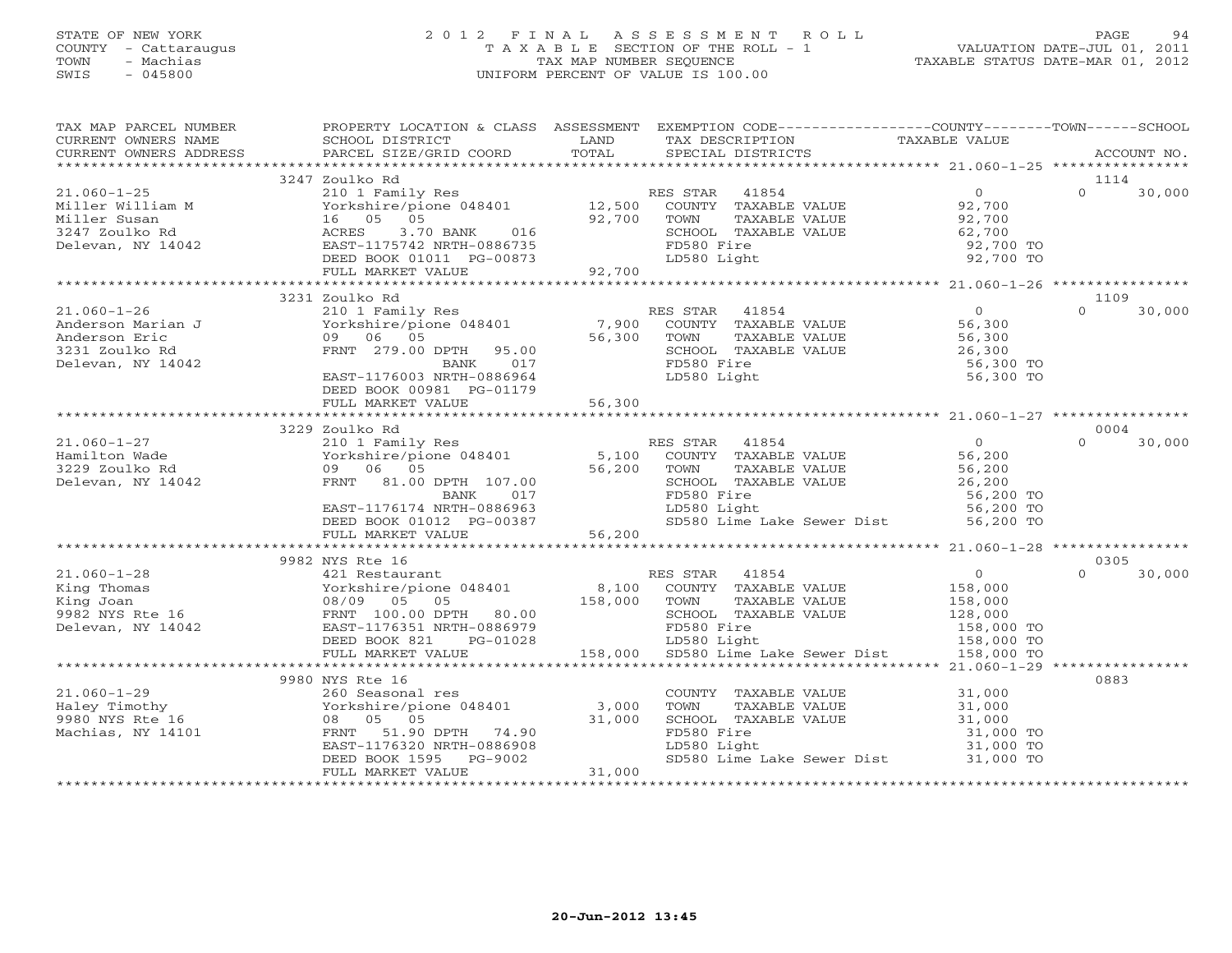## STATE OF NEW YORK 2 0 1 2 F I N A L A S S E S S M E N T R O L L PAGE 94 COUNTY - Cattaraugus T A X A B L E SECTION OF THE ROLL - 1 VALUATION DATE-JUL 01, 2011 TOWN - Machias TAX MAP NUMBER SEQUENCE TAXABLE STATUS DATE-MAR 01, 2012 SWIS - 045800 UNIFORM PERCENT OF VALUE IS 100.00

| TAX MAP PARCEL NUMBER<br>CURRENT OWNERS NAME                                                                                                                                                                                          | PROPERTY LOCATION & CLASS ASSESSMENT EXEMPTION CODE---------------COUNTY-------TOWN------SCHOOL<br>SCHOOL DISTRICT LAND                                                                                                                                    |        | TAX DESCRIPTION TAXABLE VALUE                                                                                                                                                                                                                                                                                                                                                                                                                                                           |                                         |                    |
|---------------------------------------------------------------------------------------------------------------------------------------------------------------------------------------------------------------------------------------|------------------------------------------------------------------------------------------------------------------------------------------------------------------------------------------------------------------------------------------------------------|--------|-----------------------------------------------------------------------------------------------------------------------------------------------------------------------------------------------------------------------------------------------------------------------------------------------------------------------------------------------------------------------------------------------------------------------------------------------------------------------------------------|-----------------------------------------|--------------------|
| . CURRENT OWNERS ADDRESS PARCEL SIZE/GRID COORD TOTAL SPECIAL DISTRICTS ACCOUNT NO ACCOUNT NO ACCOUNT NO ARCEL SERVERS PARCEL SIZE/GRID COORD TOTAL SPECIAL DISTRICTS                                                                 |                                                                                                                                                                                                                                                            |        |                                                                                                                                                                                                                                                                                                                                                                                                                                                                                         |                                         |                    |
|                                                                                                                                                                                                                                       |                                                                                                                                                                                                                                                            |        |                                                                                                                                                                                                                                                                                                                                                                                                                                                                                         |                                         |                    |
|                                                                                                                                                                                                                                       | 3247 Zoulko Rd                                                                                                                                                                                                                                             |        |                                                                                                                                                                                                                                                                                                                                                                                                                                                                                         |                                         | 1114               |
| 21.060-1-25<br>Miller William M 3247 Zoulko Rd<br>Miller Susan 16 05 05 92,700 2000 2000 2000 2000 2000 3247 Zoulko Rd<br>Miller Susan 16 05 92,700 5<br>Delevan, NY 14042 EAST-1175742 NRTH-0886735 Delevan, NY 14042 Delevan, NY 14 |                                                                                                                                                                                                                                                            |        |                                                                                                                                                                                                                                                                                                                                                                                                                                                                                         |                                         | $\Omega$<br>30,000 |
|                                                                                                                                                                                                                                       |                                                                                                                                                                                                                                                            |        |                                                                                                                                                                                                                                                                                                                                                                                                                                                                                         |                                         |                    |
|                                                                                                                                                                                                                                       |                                                                                                                                                                                                                                                            |        |                                                                                                                                                                                                                                                                                                                                                                                                                                                                                         |                                         |                    |
|                                                                                                                                                                                                                                       |                                                                                                                                                                                                                                                            |        |                                                                                                                                                                                                                                                                                                                                                                                                                                                                                         |                                         |                    |
|                                                                                                                                                                                                                                       |                                                                                                                                                                                                                                                            |        | SCHOOL TAXABLE VALUE 62,700<br>FD580 Fire 92,700 TO<br>LD580 Light 92,700 TO                                                                                                                                                                                                                                                                                                                                                                                                            |                                         |                    |
|                                                                                                                                                                                                                                       |                                                                                                                                                                                                                                                            |        |                                                                                                                                                                                                                                                                                                                                                                                                                                                                                         |                                         |                    |
|                                                                                                                                                                                                                                       |                                                                                                                                                                                                                                                            |        |                                                                                                                                                                                                                                                                                                                                                                                                                                                                                         |                                         |                    |
|                                                                                                                                                                                                                                       |                                                                                                                                                                                                                                                            |        |                                                                                                                                                                                                                                                                                                                                                                                                                                                                                         |                                         |                    |
|                                                                                                                                                                                                                                       | 3231 Zoulko Rd                                                                                                                                                                                                                                             |        |                                                                                                                                                                                                                                                                                                                                                                                                                                                                                         |                                         | 1109<br>$\Omega$   |
| $21.060 - 1 - 26$                                                                                                                                                                                                                     |                                                                                                                                                                                                                                                            |        |                                                                                                                                                                                                                                                                                                                                                                                                                                                                                         |                                         | 30,000             |
|                                                                                                                                                                                                                                       |                                                                                                                                                                                                                                                            |        |                                                                                                                                                                                                                                                                                                                                                                                                                                                                                         |                                         |                    |
| Anderson Marian J<br>Anderson Eric (1990)<br>2331 Zoulko Rd (1990)<br>279.00<br>Delevan, NY 14042                                                                                                                                     |                                                                                                                                                                                                                                                            |        |                                                                                                                                                                                                                                                                                                                                                                                                                                                                                         |                                         |                    |
|                                                                                                                                                                                                                                       |                                                                                                                                                                                                                                                            |        |                                                                                                                                                                                                                                                                                                                                                                                                                                                                                         |                                         |                    |
|                                                                                                                                                                                                                                       |                                                                                                                                                                                                                                                            |        |                                                                                                                                                                                                                                                                                                                                                                                                                                                                                         | 56,300 TO                               |                    |
|                                                                                                                                                                                                                                       | EAST-1176003 NRTH-0886964                                                                                                                                                                                                                                  |        | LD580 Light                                                                                                                                                                                                                                                                                                                                                                                                                                                                             | 56,300 TO                               |                    |
|                                                                                                                                                                                                                                       | DEED BOOK 00981 PG-01179                                                                                                                                                                                                                                   |        |                                                                                                                                                                                                                                                                                                                                                                                                                                                                                         |                                         |                    |
|                                                                                                                                                                                                                                       | FULL MARKET VALUE                                                                                                                                                                                                                                          | 56,300 |                                                                                                                                                                                                                                                                                                                                                                                                                                                                                         |                                         |                    |
|                                                                                                                                                                                                                                       |                                                                                                                                                                                                                                                            |        |                                                                                                                                                                                                                                                                                                                                                                                                                                                                                         |                                         | 0004               |
| $21.060 - 1 - 27$                                                                                                                                                                                                                     | 3229 Zoulko Rd                                                                                                                                                                                                                                             |        |                                                                                                                                                                                                                                                                                                                                                                                                                                                                                         |                                         | $\Omega$           |
| Hamilton Wade<br>3229 Zoulko Rd<br>Delevan, NY 14042                                                                                                                                                                                  | 210 1 Family Res<br>Yorkshire/pione 048401 5,100 COUNTY TAXABLE VALUE 56,200<br>09 06 05 56,200 TOWN TAXABLE VALUE 56,200<br>FRNT 81.00 DPTH 107.00 56,200 SCHOOL TAXABLE VALUE 56,200<br>BANK 017 FD580 Light 56,200 56,200<br>EAST-117                   |        |                                                                                                                                                                                                                                                                                                                                                                                                                                                                                         |                                         | 30,000             |
|                                                                                                                                                                                                                                       |                                                                                                                                                                                                                                                            |        |                                                                                                                                                                                                                                                                                                                                                                                                                                                                                         |                                         |                    |
|                                                                                                                                                                                                                                       |                                                                                                                                                                                                                                                            |        |                                                                                                                                                                                                                                                                                                                                                                                                                                                                                         |                                         |                    |
|                                                                                                                                                                                                                                       |                                                                                                                                                                                                                                                            |        |                                                                                                                                                                                                                                                                                                                                                                                                                                                                                         |                                         |                    |
|                                                                                                                                                                                                                                       |                                                                                                                                                                                                                                                            |        |                                                                                                                                                                                                                                                                                                                                                                                                                                                                                         |                                         |                    |
|                                                                                                                                                                                                                                       |                                                                                                                                                                                                                                                            |        | SD580 Lime Lake Sewer Dist 56,200 TO                                                                                                                                                                                                                                                                                                                                                                                                                                                    |                                         |                    |
|                                                                                                                                                                                                                                       |                                                                                                                                                                                                                                                            |        |                                                                                                                                                                                                                                                                                                                                                                                                                                                                                         |                                         |                    |
|                                                                                                                                                                                                                                       |                                                                                                                                                                                                                                                            |        |                                                                                                                                                                                                                                                                                                                                                                                                                                                                                         |                                         |                    |
|                                                                                                                                                                                                                                       | 9982 NYS Rte 16<br>NYS Rte 16<br>421 Restaurant RES STAR 41854<br>Yorkshire/pione 048401 8,100 COUNTY TAXABLE VALUE 158,000<br>08/09 05 05 158,000 158,000 SCHOOL TAXABLE VALUE 128,000<br>158,000 SCHOOL TAXABLE VALUE 128,000<br>158,000 128,000 128,000 |        |                                                                                                                                                                                                                                                                                                                                                                                                                                                                                         |                                         | 0305               |
| $21.060 - 1 - 28$                                                                                                                                                                                                                     |                                                                                                                                                                                                                                                            |        |                                                                                                                                                                                                                                                                                                                                                                                                                                                                                         |                                         | $0 \t 30,000$      |
| X1.060-1-28<br>Xing Thomas<br>Xing Joan (16 108/09 05 05<br>2982 NYS Rte 16 108/09 05 05<br>2982 NYS Rte 16 108/09 05 108/09 05<br>2010 28 2011 176351 NRTH-0886979<br>2010 28 221 25-01028                                           |                                                                                                                                                                                                                                                            |        |                                                                                                                                                                                                                                                                                                                                                                                                                                                                                         |                                         |                    |
|                                                                                                                                                                                                                                       |                                                                                                                                                                                                                                                            |        |                                                                                                                                                                                                                                                                                                                                                                                                                                                                                         |                                         |                    |
|                                                                                                                                                                                                                                       |                                                                                                                                                                                                                                                            |        | TOWN TAXABLE VALUE<br>SCHOOL TAXABLE VALUE 128,000<br>TESS Eiro Eiro 158,000 TO                                                                                                                                                                                                                                                                                                                                                                                                         |                                         |                    |
|                                                                                                                                                                                                                                       |                                                                                                                                                                                                                                                            |        |                                                                                                                                                                                                                                                                                                                                                                                                                                                                                         |                                         |                    |
|                                                                                                                                                                                                                                       |                                                                                                                                                                                                                                                            |        | 886979 FD580 Fire 158,000 TO<br>01028 LD580 Light 158,000 TO 158,000 TO 158,000 SD580 Lime Lake Sewer Dist 158,000 TO                                                                                                                                                                                                                                                                                                                                                                   |                                         |                    |
|                                                                                                                                                                                                                                       | FULL MARKET VALUE                                                                                                                                                                                                                                          |        |                                                                                                                                                                                                                                                                                                                                                                                                                                                                                         |                                         |                    |
|                                                                                                                                                                                                                                       |                                                                                                                                                                                                                                                            |        |                                                                                                                                                                                                                                                                                                                                                                                                                                                                                         |                                         |                    |
|                                                                                                                                                                                                                                       |                                                                                                                                                                                                                                                            |        |                                                                                                                                                                                                                                                                                                                                                                                                                                                                                         |                                         | 0883               |
| $21.060 - 1 - 29$                                                                                                                                                                                                                     |                                                                                                                                                                                                                                                            |        |                                                                                                                                                                                                                                                                                                                                                                                                                                                                                         |                                         |                    |
| Haley Timothy                                                                                                                                                                                                                         |                                                                                                                                                                                                                                                            |        | $\begin{tabular}{llllll} \multicolumn{2}{l}{{\small\texttt{COUNTY}}} & \multicolumn{2}{l}{\small\texttt{TAXABLE VALUE}} & & & 31,000\\ \multicolumn{2}{l}{\small\texttt{TOWN}} & \multicolumn{2}{l}{\small\texttt{TAXABLE VALUE}} & & 31,000\\ \multicolumn{2}{l}{\small\texttt{TOWN}} & \multicolumn{2}{l}{\small\texttt{TAXABLE VALUE}} & & & 31,000\\ \multicolumn{2}{l}{\small\texttt{TOWN}} & \multicolumn{2}{l}{\small\texttt{TAXABLE VALUE}} & & & 31,000\\ \multicolumn{2}{l}{$ |                                         |                    |
| 9980 NYS Rte 16                                                                                                                                                                                                                       |                                                                                                                                                                                                                                                            |        | SCHOOL TAXABLE VALUE                                                                                                                                                                                                                                                                                                                                                                                                                                                                    |                                         |                    |
| Machias, NY 14101                                                                                                                                                                                                                     |                                                                                                                                                                                                                                                            |        | FD580 Fire                                                                                                                                                                                                                                                                                                                                                                                                                                                                              |                                         |                    |
|                                                                                                                                                                                                                                       |                                                                                                                                                                                                                                                            |        | LD580 Light                                                                                                                                                                                                                                                                                                                                                                                                                                                                             | $\frac{31,000}{31,000}$ TO<br>31,000 TO |                    |
|                                                                                                                                                                                                                                       | 9980 NYS Rte 16<br>260 Seasonal res<br>Yorkshire/pione 048401 3,000<br>08 05 05 31,000<br>ERNT 51.90 DPTH 74.90<br>EAST-1176320 NRTH-0886908<br>DEED BOOK 1595 PG-9002<br>FIII. MARKET VALUE<br>21,000                                                     |        | SD580 Lime Lake Sewer Dist 31,000 TO                                                                                                                                                                                                                                                                                                                                                                                                                                                    |                                         |                    |
|                                                                                                                                                                                                                                       |                                                                                                                                                                                                                                                            |        |                                                                                                                                                                                                                                                                                                                                                                                                                                                                                         |                                         |                    |
|                                                                                                                                                                                                                                       |                                                                                                                                                                                                                                                            |        |                                                                                                                                                                                                                                                                                                                                                                                                                                                                                         |                                         |                    |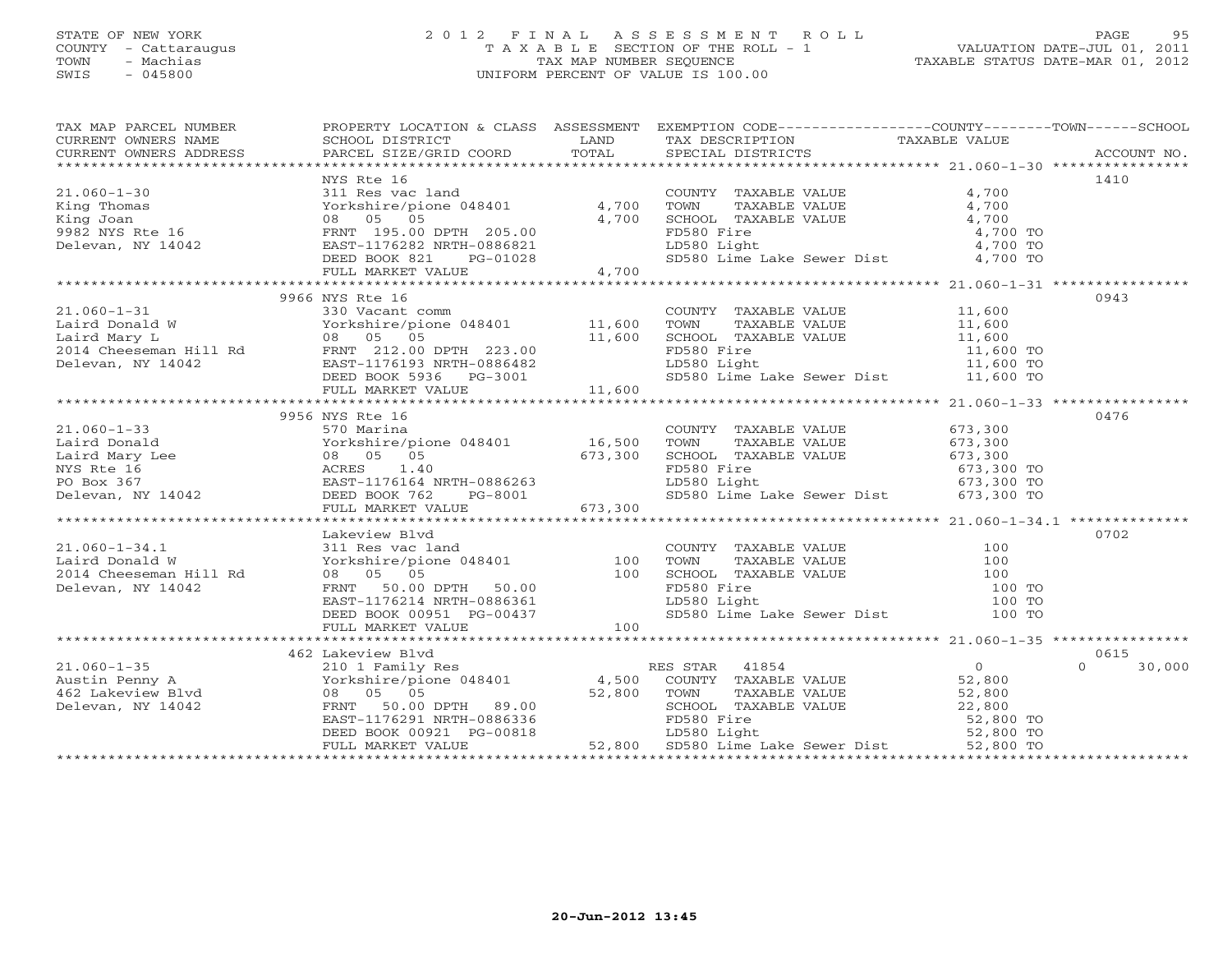### STATE OF NEW YORK 2 0 1 2 F I N A L A S S E S S M E N T R O L L PAGE 95 COUNTY - Cattaraugus T A X A B L E SECTION OF THE ROLL - 1 VALUATION DATE-JUL 01, 2011 TOWN - Machias TAX MAP NUMBER SEQUENCE TAXABLE STATUS DATE-MAR 01, 2012 SWIS - 045800 UNIFORM PERCENT OF VALUE IS 100.00UNIFORM PERCENT OF VALUE IS 100.00

| TAX MAP PARCEL NUMBER                                                                                                                                                                                                                                                                                                                                                | PROPERTY LOCATION & CLASS ASSESSMENT EXEMPTION CODE----------------COUNTY-------TOWN------SCHOOL |                                       |                          |                |
|----------------------------------------------------------------------------------------------------------------------------------------------------------------------------------------------------------------------------------------------------------------------------------------------------------------------------------------------------------------------|--------------------------------------------------------------------------------------------------|---------------------------------------|--------------------------|----------------|
| CURRENT OWNERS NAME SCHOOL DISTRICT A CLIENT LIBRORIZE TAX DESCRIPTION TAXABLE VALUE CURRENT OWNERS ADDRESS PARCEL SIZE/GRID COORD TOTAL SPECIAL DISTRICTS TAXABLE VALUE                                                                                                                                                                                             |                                                                                                  |                                       |                          |                |
|                                                                                                                                                                                                                                                                                                                                                                      |                                                                                                  |                                       |                          |                |
|                                                                                                                                                                                                                                                                                                                                                                      | NYS Rte 16                                                                                       |                                       |                          | 1410           |
|                                                                                                                                                                                                                                                                                                                                                                      |                                                                                                  |                                       |                          |                |
|                                                                                                                                                                                                                                                                                                                                                                      |                                                                                                  |                                       |                          |                |
|                                                                                                                                                                                                                                                                                                                                                                      |                                                                                                  |                                       |                          |                |
|                                                                                                                                                                                                                                                                                                                                                                      |                                                                                                  |                                       |                          |                |
|                                                                                                                                                                                                                                                                                                                                                                      |                                                                                                  |                                       |                          |                |
|                                                                                                                                                                                                                                                                                                                                                                      |                                                                                                  |                                       |                          |                |
|                                                                                                                                                                                                                                                                                                                                                                      |                                                                                                  |                                       |                          |                |
|                                                                                                                                                                                                                                                                                                                                                                      |                                                                                                  |                                       |                          |                |
|                                                                                                                                                                                                                                                                                                                                                                      | 9966 NYS Rte 16                                                                                  |                                       |                          | 0943           |
|                                                                                                                                                                                                                                                                                                                                                                      |                                                                                                  |                                       |                          |                |
|                                                                                                                                                                                                                                                                                                                                                                      |                                                                                                  |                                       |                          |                |
|                                                                                                                                                                                                                                                                                                                                                                      |                                                                                                  |                                       |                          |                |
|                                                                                                                                                                                                                                                                                                                                                                      |                                                                                                  |                                       |                          |                |
|                                                                                                                                                                                                                                                                                                                                                                      |                                                                                                  |                                       |                          |                |
|                                                                                                                                                                                                                                                                                                                                                                      |                                                                                                  |                                       |                          |                |
|                                                                                                                                                                                                                                                                                                                                                                      |                                                                                                  |                                       |                          |                |
|                                                                                                                                                                                                                                                                                                                                                                      |                                                                                                  |                                       |                          |                |
|                                                                                                                                                                                                                                                                                                                                                                      | 9956 NYS Rte 16                                                                                  |                                       |                          | 0476           |
|                                                                                                                                                                                                                                                                                                                                                                      |                                                                                                  |                                       |                          |                |
|                                                                                                                                                                                                                                                                                                                                                                      |                                                                                                  |                                       |                          |                |
|                                                                                                                                                                                                                                                                                                                                                                      |                                                                                                  |                                       |                          |                |
|                                                                                                                                                                                                                                                                                                                                                                      |                                                                                                  |                                       | 673,300 TO<br>673,300 TO |                |
|                                                                                                                                                                                                                                                                                                                                                                      |                                                                                                  |                                       |                          |                |
|                                                                                                                                                                                                                                                                                                                                                                      |                                                                                                  | SD580 Lime Lake Sewer Dist 673,300 TO |                          |                |
| $\begin{tabular}{lllllllllllllllllll} \hline 21.060-1-33 & 9956 NYS Rte 16 & 570 Marina & 570 Marina & 570 Marina & 570 Marina & 570 Marina & 570 Marina & 570 Marina & 570 Marina & 570 Marina & 570 Marina & 570 Marina & 571,300\nLaird Mary Lee & 08 05 05 & 5 & 673,300 SCHOOL TAXABLE VALUE & 673,300\nNYS Rte 16 & 08 CRES & 1.40 & 50580 Fire & 673,300\nPO$ |                                                                                                  |                                       |                          |                |
|                                                                                                                                                                                                                                                                                                                                                                      |                                                                                                  |                                       |                          |                |
|                                                                                                                                                                                                                                                                                                                                                                      | Lakeview Blvd                                                                                    |                                       |                          | 0702           |
|                                                                                                                                                                                                                                                                                                                                                                      |                                                                                                  |                                       |                          |                |
|                                                                                                                                                                                                                                                                                                                                                                      |                                                                                                  |                                       |                          |                |
|                                                                                                                                                                                                                                                                                                                                                                      |                                                                                                  |                                       |                          |                |
|                                                                                                                                                                                                                                                                                                                                                                      |                                                                                                  |                                       |                          |                |
|                                                                                                                                                                                                                                                                                                                                                                      |                                                                                                  |                                       |                          |                |
|                                                                                                                                                                                                                                                                                                                                                                      |                                                                                                  |                                       |                          |                |
|                                                                                                                                                                                                                                                                                                                                                                      |                                                                                                  |                                       |                          |                |
|                                                                                                                                                                                                                                                                                                                                                                      |                                                                                                  |                                       |                          |                |
|                                                                                                                                                                                                                                                                                                                                                                      | 462 Lakeview Blvd                                                                                |                                       |                          | 0615<br>$\cap$ |
|                                                                                                                                                                                                                                                                                                                                                                      |                                                                                                  |                                       |                          | 30,000         |
|                                                                                                                                                                                                                                                                                                                                                                      |                                                                                                  |                                       |                          |                |
|                                                                                                                                                                                                                                                                                                                                                                      |                                                                                                  |                                       |                          |                |
|                                                                                                                                                                                                                                                                                                                                                                      |                                                                                                  |                                       |                          |                |
|                                                                                                                                                                                                                                                                                                                                                                      |                                                                                                  |                                       |                          |                |
|                                                                                                                                                                                                                                                                                                                                                                      |                                                                                                  |                                       |                          |                |
|                                                                                                                                                                                                                                                                                                                                                                      |                                                                                                  |                                       |                          |                |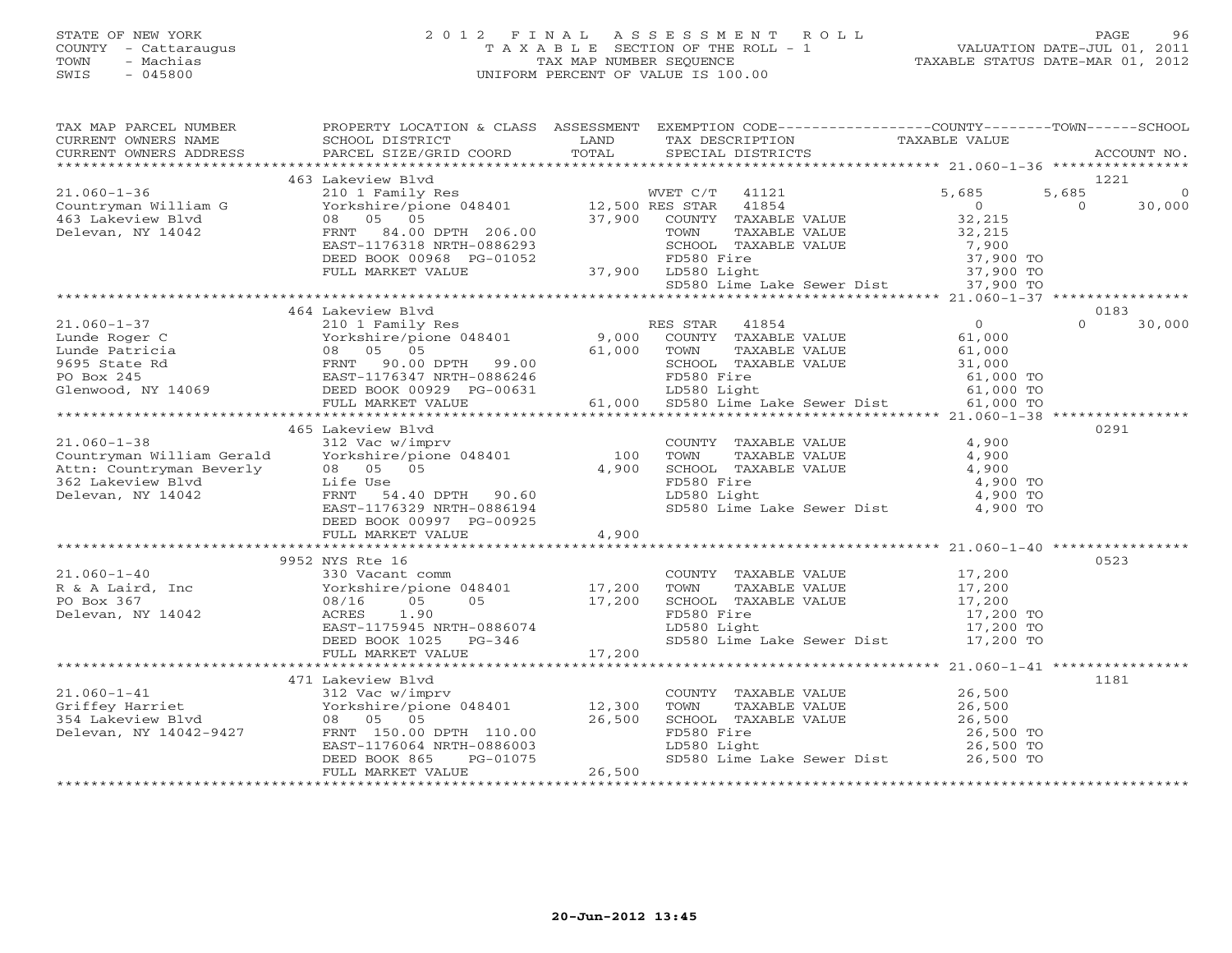## STATE OF NEW YORK 2 0 1 2 F I N A L A S S E S S M E N T R O L L PAGE 96 COUNTY - Cattaraugus T A X A B L E SECTION OF THE ROLL - 1 VALUATION DATE-JUL 01, 2011 TOWN - Machias TAX MAP NUMBER SEQUENCE TAXABLE STATUS DATE-MAR 01, 2012 SWIS - 045800 UNIFORM PERCENT OF VALUE IS 100.00UNIFORM PERCENT OF VALUE IS 100.00

| TAX MAP PARCEL NUMBER | PROPERTY LOCATION & CLASS ASSESSMENT EXEMPTION CODE----------------COUNTY-------TOWN------SCHOOL                                                                                                                                                      |                        |                                                                                                                                                                            |                      |                    |
|-----------------------|-------------------------------------------------------------------------------------------------------------------------------------------------------------------------------------------------------------------------------------------------------|------------------------|----------------------------------------------------------------------------------------------------------------------------------------------------------------------------|----------------------|--------------------|
|                       |                                                                                                                                                                                                                                                       |                        |                                                                                                                                                                            |                      |                    |
|                       |                                                                                                                                                                                                                                                       |                        |                                                                                                                                                                            |                      |                    |
|                       |                                                                                                                                                                                                                                                       |                        |                                                                                                                                                                            |                      |                    |
|                       | 463 Lakeview Blvd                                                                                                                                                                                                                                     |                        |                                                                                                                                                                            |                      | 1221               |
|                       |                                                                                                                                                                                                                                                       |                        |                                                                                                                                                                            | 5,685                | 5,685<br>$\Omega$  |
|                       |                                                                                                                                                                                                                                                       |                        |                                                                                                                                                                            | $\overline{0}$       | $\Omega$<br>30,000 |
|                       |                                                                                                                                                                                                                                                       |                        |                                                                                                                                                                            |                      |                    |
|                       |                                                                                                                                                                                                                                                       |                        |                                                                                                                                                                            | $32,215$<br>$32,215$ |                    |
|                       |                                                                                                                                                                                                                                                       |                        |                                                                                                                                                                            |                      |                    |
|                       |                                                                                                                                                                                                                                                       |                        |                                                                                                                                                                            |                      |                    |
|                       |                                                                                                                                                                                                                                                       |                        |                                                                                                                                                                            |                      |                    |
|                       |                                                                                                                                                                                                                                                       |                        | SCHOOL TAXABLE VALUE<br>FD580 Fire 37,900 TO<br>LD580 Light 37,900 TO<br>SD580 Lime Lake Sewer Dist 37,900 TO<br>SD580 Lime Lake Sewer Dist 37,900 TO                      |                      |                    |
|                       | EAST-1176318 NRTH-0886293 SCHOOL TAXABLE VALUE (1990 TO<br>DEED BOOK 00968 PG-01052 FD580 Fire 37,900 TO<br>FULL MARKET VALUE 37,900 LD580 Light 37,900 TO<br>SD580 Lime Lake Sewer Dist 37,900 TO<br>SD580 Lime Lake Sewer Dist 37,900 TO            |                        |                                                                                                                                                                            |                      |                    |
|                       |                                                                                                                                                                                                                                                       |                        |                                                                                                                                                                            |                      |                    |
|                       | 464 Lakeview Blvd<br>A A A A A A RES STAR 41854<br>210 1 Family Res RES STAR 41854 (210 1 Family Res RES STAR 41854 (210 1 Family Res RES STAR 41854 (210 1 Family Res RES STAR 41854 (210 1 Family Res Res Res STAR 41854 (200 1 A A A A A A A A A A |                        |                                                                                                                                                                            |                      | 0183               |
| $21.060 - 1 - 37$     |                                                                                                                                                                                                                                                       |                        |                                                                                                                                                                            |                      | $\Omega$<br>30,000 |
|                       |                                                                                                                                                                                                                                                       |                        |                                                                                                                                                                            |                      |                    |
|                       |                                                                                                                                                                                                                                                       |                        |                                                                                                                                                                            |                      |                    |
|                       |                                                                                                                                                                                                                                                       |                        |                                                                                                                                                                            |                      |                    |
|                       |                                                                                                                                                                                                                                                       |                        |                                                                                                                                                                            |                      |                    |
|                       |                                                                                                                                                                                                                                                       |                        |                                                                                                                                                                            |                      |                    |
|                       |                                                                                                                                                                                                                                                       |                        |                                                                                                                                                                            |                      |                    |
|                       |                                                                                                                                                                                                                                                       |                        |                                                                                                                                                                            |                      |                    |
|                       | 465 Lakeview Blvd                                                                                                                                                                                                                                     |                        |                                                                                                                                                                            |                      | 0291               |
|                       | COUNT Countryman William Gerald (100 Vorkshire/pione 048401 100 TOWN)<br>Attn: Countryman Beverly 08 05 05 4,900 SCHOO.<br>362 Lakeview Blvd Life Use FD580 FRNT 54.40 DPTH 90 60 2010                                                                |                        |                                                                                                                                                                            | 4,900                |                    |
|                       |                                                                                                                                                                                                                                                       |                        | COUNTY TAXABLE VALUE<br>TOWN TAXABLE VALUE                                                                                                                                 | 4,900                |                    |
|                       |                                                                                                                                                                                                                                                       |                        |                                                                                                                                                                            |                      |                    |
|                       |                                                                                                                                                                                                                                                       |                        | SCHOOL TAXABLE VALUE 4,900<br>FD580 Fire 4,900 TO                                                                                                                          |                      |                    |
|                       |                                                                                                                                                                                                                                                       |                        | LD580 Light                                                                                                                                                                | 4,900 TO             |                    |
|                       | LILE USE<br>FRNT 54.40 DPTH 90.60<br>EAST-1176329 NRTH-0886194                                                                                                                                                                                        |                        | SD580 Lime Lake Sewer Dist 4,900 TO                                                                                                                                        |                      |                    |
|                       |                                                                                                                                                                                                                                                       |                        |                                                                                                                                                                            |                      |                    |
|                       | DEED BOOK 00997 PG-00925                                                                                                                                                                                                                              | 4,900                  |                                                                                                                                                                            |                      |                    |
|                       | FULL MARKET VALUE                                                                                                                                                                                                                                     |                        |                                                                                                                                                                            |                      |                    |
|                       |                                                                                                                                                                                                                                                       |                        |                                                                                                                                                                            |                      |                    |
|                       | 9952 NYS Rte 16                                                                                                                                                                                                                                       |                        |                                                                                                                                                                            |                      | 0523               |
| $21.060 - 1 - 40$     | 330 Vacant comm                                                                                                                                                                                                                                       |                        | COUNTY TAXABLE VALUE 17,200                                                                                                                                                |                      |                    |
|                       |                                                                                                                                                                                                                                                       |                        |                                                                                                                                                                            |                      |                    |
|                       | R & A Laird, Inc<br>PO Box 367<br>Delevan. NY 14042<br>Delevan. NY 14042<br>ACRES<br>$C = 1.90$<br>Relevan. NY 14042<br>Relevan. NY 14042                                                                                                             |                        |                                                                                                                                                                            |                      |                    |
| Delevan, NY 14042     | ACRES<br>1.90                                                                                                                                                                                                                                         |                        |                                                                                                                                                                            |                      |                    |
|                       |                                                                                                                                                                                                                                                       |                        | TOWN TAXABLE VALUE 17,200<br>SCHOOL TAXABLE VALUE 17,200<br>FD580 Fire 17,200 TO 17,200<br>LD580 Light 17,200 TO 17,200 TO                                                 |                      |                    |
|                       |                                                                                                                                                                                                                                                       |                        | SD580 Lime Lake Sewer Dist 17,200 TO                                                                                                                                       |                      |                    |
|                       | ACRES 1.90<br>EAST-1175945 NRTH-0886074<br>DEED BOOK 1025 PG-346<br>FULL MARKET VALUE 17,200                                                                                                                                                          |                        |                                                                                                                                                                            |                      |                    |
|                       |                                                                                                                                                                                                                                                       |                        |                                                                                                                                                                            |                      |                    |
|                       | 471 Lakeview Blyd                                                                                                                                                                                                                                     |                        |                                                                                                                                                                            |                      | 1181               |
|                       |                                                                                                                                                                                                                                                       |                        |                                                                                                                                                                            |                      |                    |
|                       |                                                                                                                                                                                                                                                       |                        |                                                                                                                                                                            |                      |                    |
|                       |                                                                                                                                                                                                                                                       |                        |                                                                                                                                                                            |                      |                    |
|                       | 21.060-1-41<br>Griffey Harriet 312 Vac w/imprv<br>354 Lakeview Blvd 08 05 05 26,500<br>Delevan, NY 14042-9427 FRNT 150.00 DPTH 110.00<br>EAST-11664 NRTH-08866003<br>REST-1176064 NRTH-08866003                                                       |                        | COUNTY TAXABLE VALUE<br>TOWN TAXABLE VALUE<br>SCHOOL TAXABLE VALUE<br>SCHOOL TAXABLE VALUE<br>TD580 Fire<br>LD580 Light<br>LD580 Light<br>TRES0 Light<br>COLORED 26,500 TO |                      |                    |
|                       |                                                                                                                                                                                                                                                       |                        |                                                                                                                                                                            |                      |                    |
|                       | DEED BOOK 865                                                                                                                                                                                                                                         |                        | SD580 Lime Lake Sewer Dist 26,500 TO                                                                                                                                       |                      |                    |
|                       | FULL MARKET VALUE                                                                                                                                                                                                                                     | $PG-01075$<br>E 26,500 |                                                                                                                                                                            |                      |                    |
|                       |                                                                                                                                                                                                                                                       |                        |                                                                                                                                                                            |                      |                    |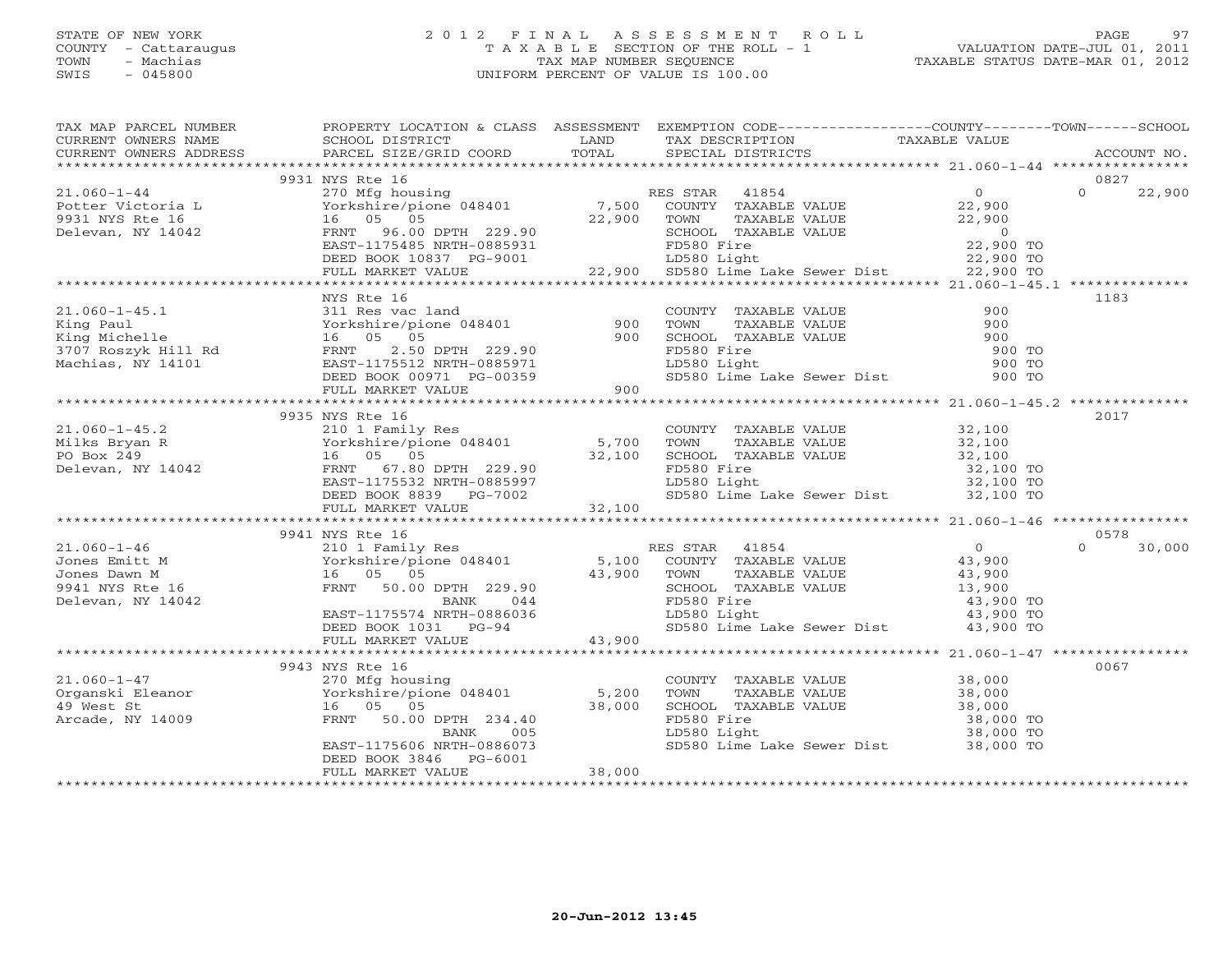#### STATE OF NEW YORK 2 0 1 2 F I N A L A S S E S S M E N T R O L L PAGE 97 COUNTY - Cattaraugus T A X A B L E SECTION OF THE ROLL - 1 VALUATION DATE-JUL 01, 2011 TOWN - Machias TAX MAP NUMBER SEQUENCE TAXABLE STATUS DATE-MAR 01, 2012 SWIS - 045800 UNIFORM PERCENT OF VALUE IS 100.00UNIFORM PERCENT OF VALUE IS 100.00

| TAX MAP PARCEL NUMBER                                                                                                                                                                                                                                 | PROPERTY LOCATION & CLASS ASSESSMENT EXEMPTION CODE----------------COUNTY-------TOWN------SCHOOL |  |                    |
|-------------------------------------------------------------------------------------------------------------------------------------------------------------------------------------------------------------------------------------------------------|--------------------------------------------------------------------------------------------------|--|--------------------|
|                                                                                                                                                                                                                                                       |                                                                                                  |  |                    |
|                                                                                                                                                                                                                                                       |                                                                                                  |  |                    |
|                                                                                                                                                                                                                                                       |                                                                                                  |  |                    |
|                                                                                                                                                                                                                                                       | 9931 NYS Rte 16                                                                                  |  | 0827               |
|                                                                                                                                                                                                                                                       |                                                                                                  |  | 22,900             |
|                                                                                                                                                                                                                                                       |                                                                                                  |  |                    |
|                                                                                                                                                                                                                                                       |                                                                                                  |  |                    |
|                                                                                                                                                                                                                                                       |                                                                                                  |  |                    |
|                                                                                                                                                                                                                                                       |                                                                                                  |  |                    |
|                                                                                                                                                                                                                                                       |                                                                                                  |  |                    |
| 31.060-1-44<br>270 Mfg housing<br>Potter Victoria L 270 Mfg housing<br>270 Mfg housing<br>270 Mfg housing<br>270 Mfg housing<br>270 Mfg housing<br>270 Mfg housing<br>270 Mfg housing<br>276 Mfg housing<br>276 Mfg housing<br>276 Mfg housing<br>276 |                                                                                                  |  |                    |
|                                                                                                                                                                                                                                                       | NYS Rte 16                                                                                       |  | 1183               |
|                                                                                                                                                                                                                                                       |                                                                                                  |  |                    |
|                                                                                                                                                                                                                                                       |                                                                                                  |  |                    |
|                                                                                                                                                                                                                                                       |                                                                                                  |  |                    |
|                                                                                                                                                                                                                                                       |                                                                                                  |  |                    |
|                                                                                                                                                                                                                                                       |                                                                                                  |  |                    |
|                                                                                                                                                                                                                                                       |                                                                                                  |  |                    |
|                                                                                                                                                                                                                                                       |                                                                                                  |  |                    |
|                                                                                                                                                                                                                                                       |                                                                                                  |  |                    |
|                                                                                                                                                                                                                                                       | 9935 NYS Rte 16                                                                                  |  | 2017               |
|                                                                                                                                                                                                                                                       |                                                                                                  |  |                    |
|                                                                                                                                                                                                                                                       |                                                                                                  |  |                    |
|                                                                                                                                                                                                                                                       |                                                                                                  |  |                    |
|                                                                                                                                                                                                                                                       |                                                                                                  |  |                    |
|                                                                                                                                                                                                                                                       |                                                                                                  |  |                    |
|                                                                                                                                                                                                                                                       |                                                                                                  |  |                    |
| 21.060-1-45.2<br>Milks Bryan R 32,100<br>Milks Bryan R 70XABLE VALUE<br>210 1 Family Res COUNTY TAXABLE VALUE<br>210 1 Family Res 5,700 TOWN TAXABLE VALUE<br>5,700 TOWN TAXABLE VALUE<br>5,700 TOWN TAXABLE VALUE<br>22,100<br>22,100<br>22,10       |                                                                                                  |  |                    |
|                                                                                                                                                                                                                                                       |                                                                                                  |  |                    |
|                                                                                                                                                                                                                                                       | 9941 NYS Rte 16                                                                                  |  | 0578               |
|                                                                                                                                                                                                                                                       |                                                                                                  |  | $\Omega$<br>30,000 |
|                                                                                                                                                                                                                                                       |                                                                                                  |  |                    |
|                                                                                                                                                                                                                                                       |                                                                                                  |  |                    |
|                                                                                                                                                                                                                                                       |                                                                                                  |  |                    |
|                                                                                                                                                                                                                                                       |                                                                                                  |  |                    |
|                                                                                                                                                                                                                                                       |                                                                                                  |  |                    |
|                                                                                                                                                                                                                                                       | EAST-1175574 NRTH-0886036<br>DEED BOOK 1031 PG-94 43,900<br>FULL MARKET VALUE 43,900             |  |                    |
|                                                                                                                                                                                                                                                       |                                                                                                  |  |                    |
|                                                                                                                                                                                                                                                       | 9943 NYS Rte 16                                                                                  |  | 0067               |
|                                                                                                                                                                                                                                                       |                                                                                                  |  |                    |
|                                                                                                                                                                                                                                                       |                                                                                                  |  |                    |
|                                                                                                                                                                                                                                                       |                                                                                                  |  |                    |
|                                                                                                                                                                                                                                                       |                                                                                                  |  |                    |
|                                                                                                                                                                                                                                                       |                                                                                                  |  |                    |
|                                                                                                                                                                                                                                                       |                                                                                                  |  |                    |
|                                                                                                                                                                                                                                                       |                                                                                                  |  |                    |
|                                                                                                                                                                                                                                                       |                                                                                                  |  |                    |
|                                                                                                                                                                                                                                                       |                                                                                                  |  |                    |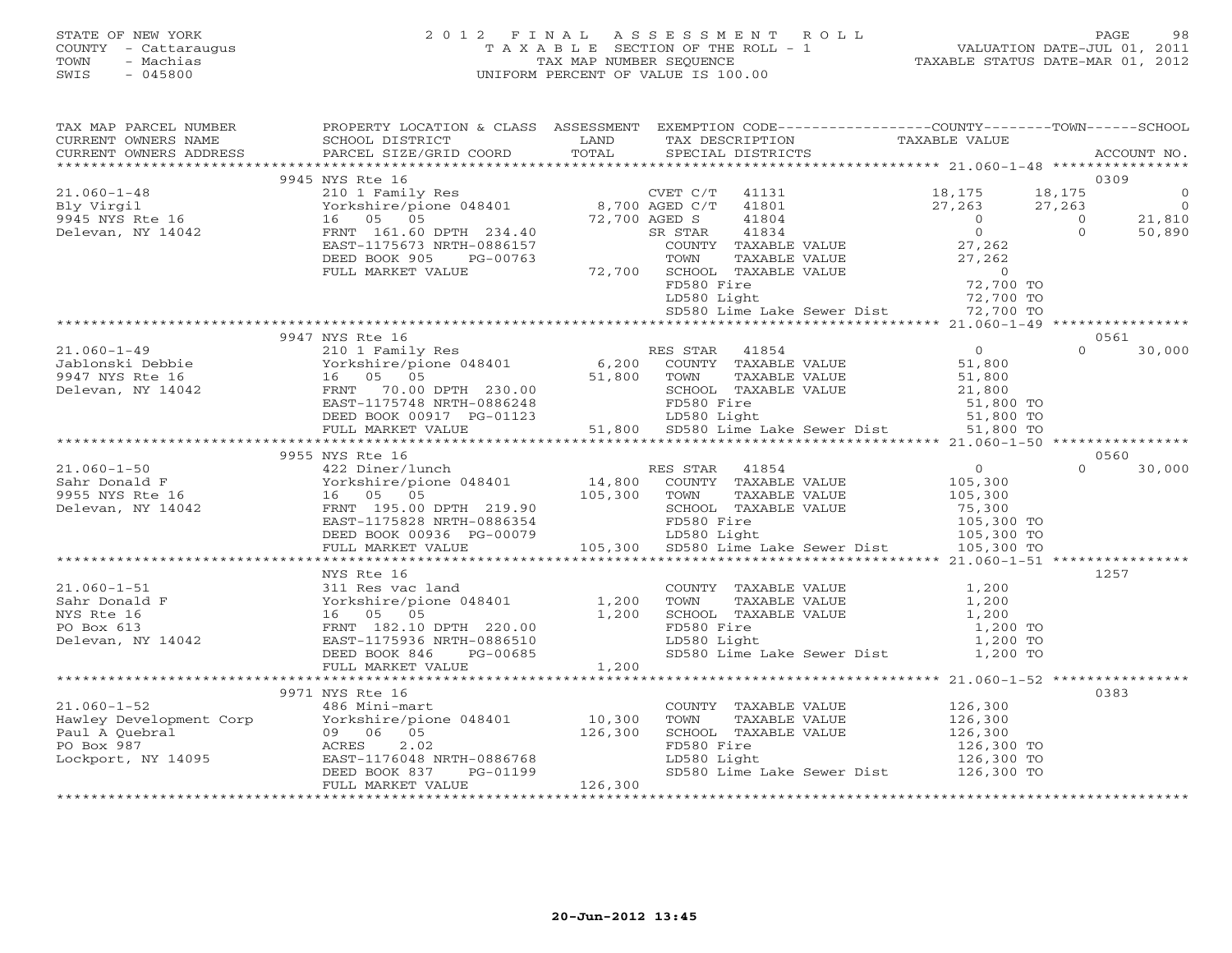## STATE OF NEW YORK 2 0 1 2 F I N A L A S S E S S M E N T R O L L PAGE 98 COUNTY - Cattaraugus T A X A B L E SECTION OF THE ROLL - 1 VALUATION DATE-JUL 01, 2011 TOWN - Machias TAX MAP NUMBER SEQUENCE TAXABLE STATUS DATE-MAR 01, 2012 SWIS - 045800 UNIFORM PERCENT OF VALUE IS 100.00UNIFORM PERCENT OF VALUE IS 100.00

| TAX MAP PARCEL NUMBER                                                                                                                                                                                                                                                                                                                                                                 | PROPERTY LOCATION & CLASS ASSESSMENT EXEMPTION CODE----------------COUNTY-------TOWN------SCHOOL |                                                             |          |      |  |
|---------------------------------------------------------------------------------------------------------------------------------------------------------------------------------------------------------------------------------------------------------------------------------------------------------------------------------------------------------------------------------------|--------------------------------------------------------------------------------------------------|-------------------------------------------------------------|----------|------|--|
| TAX MAP PARCEL NOTICES TO PROBLEM TO THE THE CONDUCTER THE CONDUCTER THE CONDUCTER CONDUCTER THE CONDUCTER THAN THE CONDUCTER THAT THE CONDUCTER THAT THE CONDUCTER THAT THE CONDUCTER THAT THE CONDUCTER THAN THE CONDUCTER T                                                                                                                                                        |                                                                                                  |                                                             |          |      |  |
|                                                                                                                                                                                                                                                                                                                                                                                       |                                                                                                  |                                                             |          |      |  |
|                                                                                                                                                                                                                                                                                                                                                                                       |                                                                                                  |                                                             |          | 0309 |  |
|                                                                                                                                                                                                                                                                                                                                                                                       | 9945 NYS Rte 16                                                                                  |                                                             |          |      |  |
|                                                                                                                                                                                                                                                                                                                                                                                       |                                                                                                  |                                                             |          |      |  |
|                                                                                                                                                                                                                                                                                                                                                                                       |                                                                                                  |                                                             |          |      |  |
|                                                                                                                                                                                                                                                                                                                                                                                       |                                                                                                  |                                                             |          |      |  |
|                                                                                                                                                                                                                                                                                                                                                                                       |                                                                                                  |                                                             |          |      |  |
|                                                                                                                                                                                                                                                                                                                                                                                       |                                                                                                  |                                                             |          |      |  |
|                                                                                                                                                                                                                                                                                                                                                                                       |                                                                                                  |                                                             |          |      |  |
|                                                                                                                                                                                                                                                                                                                                                                                       |                                                                                                  |                                                             |          |      |  |
|                                                                                                                                                                                                                                                                                                                                                                                       |                                                                                                  |                                                             |          |      |  |
|                                                                                                                                                                                                                                                                                                                                                                                       |                                                                                                  |                                                             |          |      |  |
|                                                                                                                                                                                                                                                                                                                                                                                       |                                                                                                  | SD580 Lime Lake Sewer Dist 72,700 TO                        |          |      |  |
|                                                                                                                                                                                                                                                                                                                                                                                       |                                                                                                  |                                                             |          |      |  |
|                                                                                                                                                                                                                                                                                                                                                                                       | 9947 NYS Rte 16                                                                                  |                                                             |          | 0561 |  |
|                                                                                                                                                                                                                                                                                                                                                                                       |                                                                                                  |                                                             |          |      |  |
|                                                                                                                                                                                                                                                                                                                                                                                       |                                                                                                  |                                                             |          |      |  |
|                                                                                                                                                                                                                                                                                                                                                                                       |                                                                                                  |                                                             |          |      |  |
|                                                                                                                                                                                                                                                                                                                                                                                       |                                                                                                  |                                                             |          |      |  |
|                                                                                                                                                                                                                                                                                                                                                                                       |                                                                                                  |                                                             |          |      |  |
|                                                                                                                                                                                                                                                                                                                                                                                       |                                                                                                  |                                                             |          |      |  |
|                                                                                                                                                                                                                                                                                                                                                                                       |                                                                                                  |                                                             |          |      |  |
|                                                                                                                                                                                                                                                                                                                                                                                       | 9955 NYS Rte 16                                                                                  |                                                             |          | 0560 |  |
|                                                                                                                                                                                                                                                                                                                                                                                       |                                                                                                  |                                                             |          |      |  |
|                                                                                                                                                                                                                                                                                                                                                                                       |                                                                                                  |                                                             |          |      |  |
|                                                                                                                                                                                                                                                                                                                                                                                       |                                                                                                  |                                                             |          |      |  |
|                                                                                                                                                                                                                                                                                                                                                                                       |                                                                                                  |                                                             |          |      |  |
|                                                                                                                                                                                                                                                                                                                                                                                       |                                                                                                  |                                                             |          |      |  |
|                                                                                                                                                                                                                                                                                                                                                                                       |                                                                                                  |                                                             |          |      |  |
|                                                                                                                                                                                                                                                                                                                                                                                       |                                                                                                  |                                                             |          |      |  |
|                                                                                                                                                                                                                                                                                                                                                                                       |                                                                                                  |                                                             |          |      |  |
|                                                                                                                                                                                                                                                                                                                                                                                       | NYS Rte 16                                                                                       |                                                             |          | 1257 |  |
|                                                                                                                                                                                                                                                                                                                                                                                       |                                                                                                  |                                                             |          |      |  |
|                                                                                                                                                                                                                                                                                                                                                                                       |                                                                                                  |                                                             |          |      |  |
|                                                                                                                                                                                                                                                                                                                                                                                       |                                                                                                  |                                                             |          |      |  |
|                                                                                                                                                                                                                                                                                                                                                                                       |                                                                                                  |                                                             | 1,200 TO |      |  |
|                                                                                                                                                                                                                                                                                                                                                                                       |                                                                                                  |                                                             |          |      |  |
|                                                                                                                                                                                                                                                                                                                                                                                       |                                                                                                  | LD580 Light 1,200 TO<br>SD580 Lime Lake Sewer Dist 1,200 TO |          |      |  |
|                                                                                                                                                                                                                                                                                                                                                                                       |                                                                                                  |                                                             |          |      |  |
|                                                                                                                                                                                                                                                                                                                                                                                       |                                                                                                  |                                                             |          |      |  |
|                                                                                                                                                                                                                                                                                                                                                                                       | 9971 NYS Rte 16                                                                                  |                                                             |          | 0383 |  |
|                                                                                                                                                                                                                                                                                                                                                                                       |                                                                                                  |                                                             |          |      |  |
| $[10,300] \begin{tabular}{lcccccc} 21.060-1-52 & 9971 NYS Rte 16 & 200 NTYY TAXABLE VALUE & 126,300 \\ \hline \text{Hawley Development Corp} & \text{Yorkshire/pione 048401} & 10,300 & TOMN & TAXABLE VALUE & 126,300 \\ \text{Paul A Quebral} & 09 06 & 5 & 126,300 & 126,300 \\ \text{PO Box 987} & \text{ACRES} & 2.02 & 126,300 \\ \text{DCKport, NY 14095} & \text{EAST-117604$ |                                                                                                  |                                                             |          |      |  |
|                                                                                                                                                                                                                                                                                                                                                                                       |                                                                                                  |                                                             |          |      |  |
|                                                                                                                                                                                                                                                                                                                                                                                       |                                                                                                  |                                                             |          |      |  |
|                                                                                                                                                                                                                                                                                                                                                                                       |                                                                                                  |                                                             |          |      |  |
|                                                                                                                                                                                                                                                                                                                                                                                       |                                                                                                  |                                                             |          |      |  |
|                                                                                                                                                                                                                                                                                                                                                                                       |                                                                                                  |                                                             |          |      |  |
|                                                                                                                                                                                                                                                                                                                                                                                       |                                                                                                  |                                                             |          |      |  |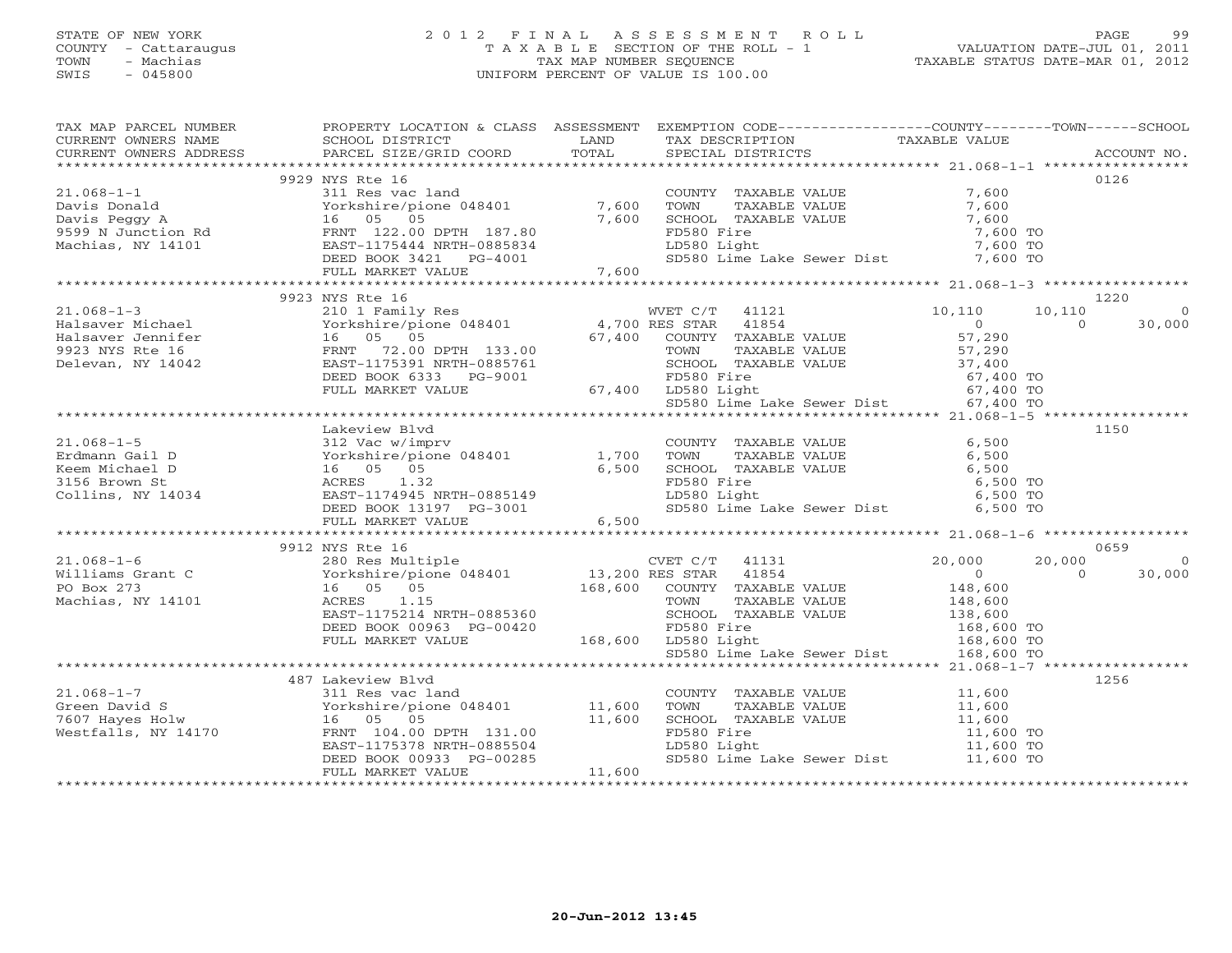#### STATE OF NEW YORK 2 0 1 2 F I N A L A S S E S S M E N T R O L L PAGE 99 COUNTY - Cattaraugus T A X A B L E SECTION OF THE ROLL - 1 VALUATION DATE-JUL 01, 2011 TOWN - Machias TAX MAP NUMBER SEQUENCE TAXABLE STATUS DATE-MAR 01, 2012 SWIS - 045800 UNIFORM PERCENT OF VALUE IS 100.00UNIFORM PERCENT OF VALUE IS 100.00

| TAX MAP PARCEL NUMBER<br>TAX PARCES NOTICELL AND TRANSPORTED TRANSPORTED TRANSPORT TRANSPORT TRANSPORT OWNERS NAME SCHOOL DISTRICT TRANSPORT TRANSPORT TRANSPORT TRANSPORT TRANSPORT TRANSPORT TRANSPORT TRANSPORT TRANSPORT TRANSPORT TRANSPORT TRANSP           | PROPERTY LOCATION & CLASS ASSESSMENT EXEMPTION CODE---------------COUNTY-------TOWN------SCHOOL |        |  |                                                                             |                |                |
|-------------------------------------------------------------------------------------------------------------------------------------------------------------------------------------------------------------------------------------------------------------------|-------------------------------------------------------------------------------------------------|--------|--|-----------------------------------------------------------------------------|----------------|----------------|
|                                                                                                                                                                                                                                                                   |                                                                                                 |        |  |                                                                             |                |                |
|                                                                                                                                                                                                                                                                   | 9929 NYS Rte 16                                                                                 |        |  |                                                                             |                | 0126           |
| 21.068-1-1<br>21.068-1-1<br>Davis Donald<br>Davis Peggy A<br>Sil Res vac land<br>21.068-1-1<br>21.068-1-1<br>21.068-1-1<br>21.068-1-1<br>21.068-1-1<br>21.068-1-1<br>21.068-1-1<br>21.069<br>21.068-1-1<br>21.069<br>21.068-1-1<br>21.069<br>21.068-1-2<br>21.069 |                                                                                                 |        |  |                                                                             |                |                |
|                                                                                                                                                                                                                                                                   |                                                                                                 |        |  |                                                                             |                |                |
|                                                                                                                                                                                                                                                                   |                                                                                                 |        |  |                                                                             |                |                |
|                                                                                                                                                                                                                                                                   |                                                                                                 |        |  |                                                                             |                |                |
|                                                                                                                                                                                                                                                                   |                                                                                                 |        |  |                                                                             |                |                |
|                                                                                                                                                                                                                                                                   |                                                                                                 |        |  |                                                                             |                |                |
|                                                                                                                                                                                                                                                                   |                                                                                                 |        |  |                                                                             |                |                |
|                                                                                                                                                                                                                                                                   |                                                                                                 |        |  |                                                                             |                |                |
|                                                                                                                                                                                                                                                                   | 9923 NYS Rte 16                                                                                 |        |  |                                                                             |                | 1220           |
| $[21.068-1-3$ $[21.068-1-3$ $[21.068-1-3$ $[21.068-1-3$ $[21.068-1-3$ $[21.068-1-3$ $[21.068-1-3$ $[21.068-1-3$ $[21.068-1-3$ $[21.068-1-3$ $[21.068-1-3$ $[21.068-1-3$ $[21.068-1-3$ $[21.068-1-3$ $[21.068-1-3$ $[21.068-1-$                                    |                                                                                                 |        |  |                                                                             |                | $\overline{0}$ |
|                                                                                                                                                                                                                                                                   |                                                                                                 |        |  |                                                                             |                | 30,000         |
|                                                                                                                                                                                                                                                                   |                                                                                                 |        |  |                                                                             |                |                |
|                                                                                                                                                                                                                                                                   |                                                                                                 |        |  |                                                                             |                |                |
|                                                                                                                                                                                                                                                                   |                                                                                                 |        |  |                                                                             |                |                |
|                                                                                                                                                                                                                                                                   |                                                                                                 |        |  |                                                                             |                |                |
|                                                                                                                                                                                                                                                                   |                                                                                                 |        |  | FD580 Fire<br>LD580 Light 67,400 TO<br>SD580 Lime Lake Sewer Dist 67,400 TO |                |                |
|                                                                                                                                                                                                                                                                   |                                                                                                 |        |  |                                                                             |                |                |
|                                                                                                                                                                                                                                                                   | Lakeview Blyd                                                                                   |        |  |                                                                             |                | 1150           |
|                                                                                                                                                                                                                                                                   |                                                                                                 |        |  |                                                                             |                |                |
|                                                                                                                                                                                                                                                                   |                                                                                                 |        |  |                                                                             |                |                |
|                                                                                                                                                                                                                                                                   |                                                                                                 |        |  |                                                                             |                |                |
|                                                                                                                                                                                                                                                                   |                                                                                                 |        |  |                                                                             |                |                |
|                                                                                                                                                                                                                                                                   |                                                                                                 |        |  |                                                                             |                |                |
|                                                                                                                                                                                                                                                                   |                                                                                                 |        |  |                                                                             |                |                |
|                                                                                                                                                                                                                                                                   |                                                                                                 |        |  |                                                                             |                |                |
|                                                                                                                                                                                                                                                                   |                                                                                                 |        |  |                                                                             |                |                |
|                                                                                                                                                                                                                                                                   |                                                                                                 |        |  |                                                                             |                | 0659           |
|                                                                                                                                                                                                                                                                   |                                                                                                 |        |  |                                                                             | 20,000         | $\overline{0}$ |
|                                                                                                                                                                                                                                                                   |                                                                                                 |        |  |                                                                             | $\overline{0}$ | 30,000         |
|                                                                                                                                                                                                                                                                   |                                                                                                 |        |  |                                                                             |                |                |
|                                                                                                                                                                                                                                                                   |                                                                                                 |        |  |                                                                             |                |                |
|                                                                                                                                                                                                                                                                   |                                                                                                 |        |  |                                                                             |                |                |
|                                                                                                                                                                                                                                                                   |                                                                                                 |        |  |                                                                             |                |                |
|                                                                                                                                                                                                                                                                   |                                                                                                 |        |  |                                                                             |                |                |
|                                                                                                                                                                                                                                                                   |                                                                                                 |        |  |                                                                             |                |                |
|                                                                                                                                                                                                                                                                   |                                                                                                 |        |  |                                                                             |                |                |
|                                                                                                                                                                                                                                                                   |                                                                                                 |        |  |                                                                             |                | 1256           |
|                                                                                                                                                                                                                                                                   |                                                                                                 |        |  |                                                                             |                |                |
| 21.068-1-7<br>Green David S<br>Green David S<br>The vestfalls, NY 14170<br>Westfalls, NY 14170<br>COUNTY TAXABLE VALUE<br>COUNTY TAXABLE VALUE<br>COUNTY TAXABLE VALUE<br>COUNTY TAXABLE VALUE<br>COUNTY TAXABLE VALUE<br>COUNTY TAXABLE VALUE<br>C               |                                                                                                 |        |  |                                                                             |                |                |
|                                                                                                                                                                                                                                                                   |                                                                                                 |        |  |                                                                             |                |                |
|                                                                                                                                                                                                                                                                   |                                                                                                 |        |  |                                                                             |                |                |
|                                                                                                                                                                                                                                                                   |                                                                                                 |        |  |                                                                             |                |                |
|                                                                                                                                                                                                                                                                   | FULL MARKET VALUE                                                                               | 11,600 |  |                                                                             |                |                |
|                                                                                                                                                                                                                                                                   |                                                                                                 |        |  |                                                                             |                |                |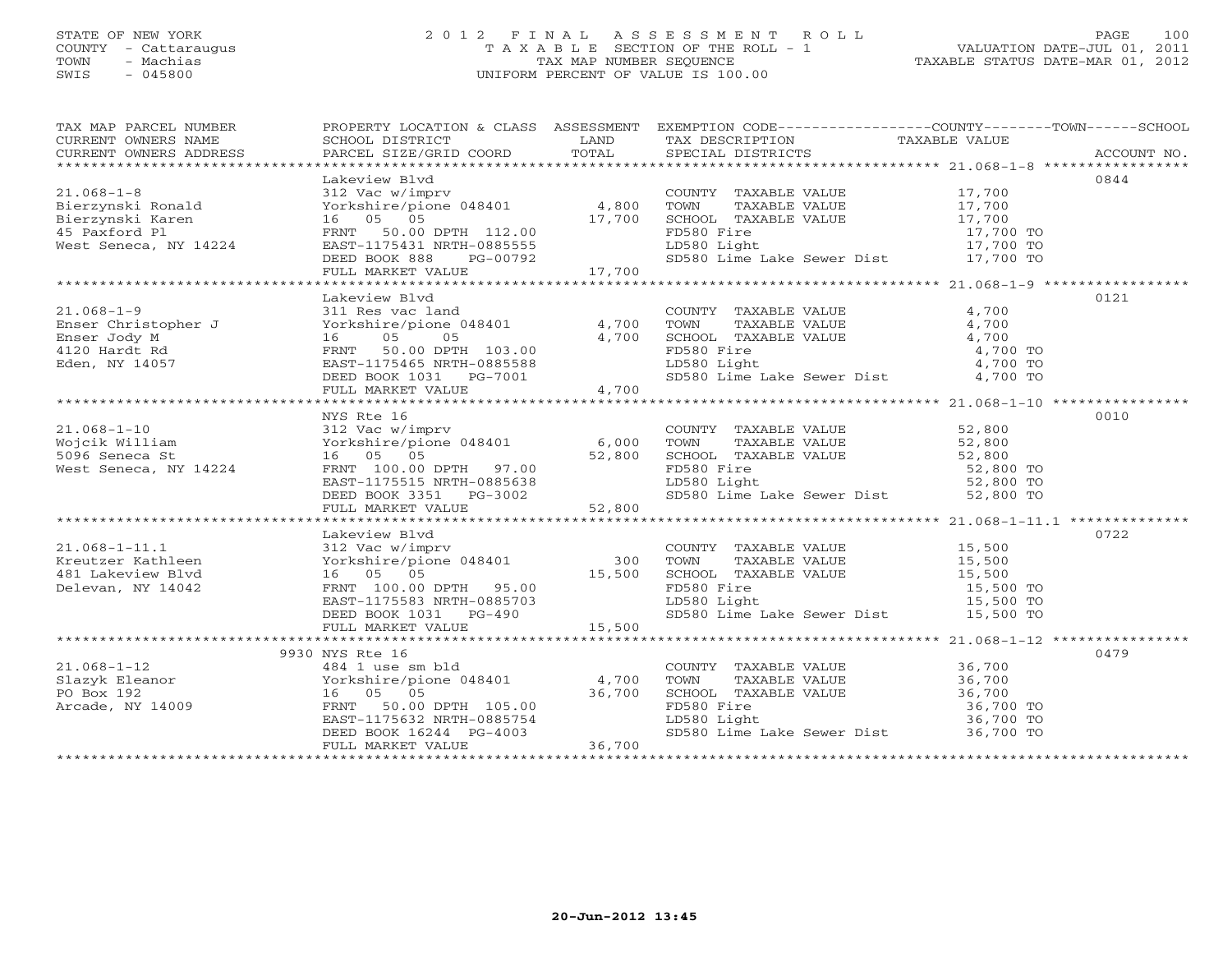#### STATE OF NEW YORK 2 0 1 2 F I N A L A S S E S S M E N T R O L L PAGE 100 COUNTY - Cattaraugus T A X A B L E SECTION OF THE ROLL - 1 VALUATION DATE-JUL 01, 2011 TOWN - Machias TAX MAP NUMBER SEQUENCE TAXABLE STATUS DATE-MAR 01, 2012 SWIS - 045800 UNIFORM PERCENT OF VALUE IS 100.00UNIFORM PERCENT OF VALUE IS 100.00

| TAX MAP PARCEL NUMBER<br>CURRENT OWNERS ADDRESS                                                                                                                                                                                                                                                                                                                                                                          | PROPERTY LOCATION & CLASS ASSESSMENT EXEMPTION CODE---------------COUNTY-------TOWN------SCHOOL                                                                                                                                      |                                                                                                                                                                                                                                        |       |      |
|--------------------------------------------------------------------------------------------------------------------------------------------------------------------------------------------------------------------------------------------------------------------------------------------------------------------------------------------------------------------------------------------------------------------------|--------------------------------------------------------------------------------------------------------------------------------------------------------------------------------------------------------------------------------------|----------------------------------------------------------------------------------------------------------------------------------------------------------------------------------------------------------------------------------------|-------|------|
|                                                                                                                                                                                                                                                                                                                                                                                                                          |                                                                                                                                                                                                                                      |                                                                                                                                                                                                                                        |       |      |
|                                                                                                                                                                                                                                                                                                                                                                                                                          | Lakeview Blvd                                                                                                                                                                                                                        |                                                                                                                                                                                                                                        |       | 0844 |
| $\begin{tabular}{lllllllllll} 21.068-1-8 & \multicolumn{3}{l}{{\small\bf{Lakeview\; Blvd}\;{\small\bf{Vdc}}} & \multicolumn{3}{l}{{\small\bf{Lakeview\; Blvd}\;{\small\bf{Vdc}}} & \multicolumn{3}{l}{{\small\bf{C}\rm{}\rm{}\rm{}\rm{}\rm{}\rm{}\rm{}}}}{\small\bf{21.068-1-8} & \multicolumn{3}{l}{{\small\bf{C}\rm{}\rm{}\rm{}\rm{}\rm{}\rm{}}}} & \multicolumn{3}{l}{{\small\bf{C}\rm{}\rm{}\rm{}\rm{}\rm{}\rm{}}}}$ |                                                                                                                                                                                                                                      | COUNTY TAXABLE VALUE $17,700$<br>TOWN TAXABLE VALUE $17,700$<br>SCHOOL TAXABLE VALUE $17,700$<br>FD580 Fire $17,700$ TO<br>LD580 Light $17,700$ TO<br>SD580 Lime Lake Sewer Dist $17,700$ TO<br>SD580 Lime Lake Sewer Dist $17,700$ TO |       |      |
|                                                                                                                                                                                                                                                                                                                                                                                                                          |                                                                                                                                                                                                                                      |                                                                                                                                                                                                                                        |       |      |
|                                                                                                                                                                                                                                                                                                                                                                                                                          |                                                                                                                                                                                                                                      |                                                                                                                                                                                                                                        |       |      |
|                                                                                                                                                                                                                                                                                                                                                                                                                          |                                                                                                                                                                                                                                      |                                                                                                                                                                                                                                        |       |      |
|                                                                                                                                                                                                                                                                                                                                                                                                                          |                                                                                                                                                                                                                                      |                                                                                                                                                                                                                                        |       |      |
|                                                                                                                                                                                                                                                                                                                                                                                                                          |                                                                                                                                                                                                                                      |                                                                                                                                                                                                                                        |       |      |
|                                                                                                                                                                                                                                                                                                                                                                                                                          |                                                                                                                                                                                                                                      |                                                                                                                                                                                                                                        |       |      |
|                                                                                                                                                                                                                                                                                                                                                                                                                          |                                                                                                                                                                                                                                      |                                                                                                                                                                                                                                        |       |      |
|                                                                                                                                                                                                                                                                                                                                                                                                                          |                                                                                                                                                                                                                                      |                                                                                                                                                                                                                                        |       | 0121 |
|                                                                                                                                                                                                                                                                                                                                                                                                                          |                                                                                                                                                                                                                                      | COUNTY TAXABLE VALUE                                                                                                                                                                                                                   | 4,700 |      |
|                                                                                                                                                                                                                                                                                                                                                                                                                          |                                                                                                                                                                                                                                      |                                                                                                                                                                                                                                        |       |      |
|                                                                                                                                                                                                                                                                                                                                                                                                                          |                                                                                                                                                                                                                                      |                                                                                                                                                                                                                                        |       |      |
|                                                                                                                                                                                                                                                                                                                                                                                                                          |                                                                                                                                                                                                                                      |                                                                                                                                                                                                                                        |       |      |
|                                                                                                                                                                                                                                                                                                                                                                                                                          |                                                                                                                                                                                                                                      |                                                                                                                                                                                                                                        |       |      |
|                                                                                                                                                                                                                                                                                                                                                                                                                          |                                                                                                                                                                                                                                      | COUNTY TAXABLE VALUE<br>TOWN TAXABLE VALUE 4,700<br>CHOOL TAXABLE VALUE 4,700<br>FD580 Fire 4,700<br>LD580 Light 4,700 TO<br>SD580 Lime Lake Sewer Dist 4,700 TO<br>SD580 Lime Lake Sewer Dist 4,700 TO                                |       |      |
|                                                                                                                                                                                                                                                                                                                                                                                                                          |                                                                                                                                                                                                                                      |                                                                                                                                                                                                                                        |       |      |
|                                                                                                                                                                                                                                                                                                                                                                                                                          |                                                                                                                                                                                                                                      |                                                                                                                                                                                                                                        |       |      |
|                                                                                                                                                                                                                                                                                                                                                                                                                          |                                                                                                                                                                                                                                      |                                                                                                                                                                                                                                        |       |      |
|                                                                                                                                                                                                                                                                                                                                                                                                                          | NYS Rte 16                                                                                                                                                                                                                           |                                                                                                                                                                                                                                        |       | 0010 |
|                                                                                                                                                                                                                                                                                                                                                                                                                          |                                                                                                                                                                                                                                      |                                                                                                                                                                                                                                        |       |      |
|                                                                                                                                                                                                                                                                                                                                                                                                                          |                                                                                                                                                                                                                                      |                                                                                                                                                                                                                                        |       |      |
|                                                                                                                                                                                                                                                                                                                                                                                                                          |                                                                                                                                                                                                                                      |                                                                                                                                                                                                                                        |       |      |
|                                                                                                                                                                                                                                                                                                                                                                                                                          |                                                                                                                                                                                                                                      |                                                                                                                                                                                                                                        |       |      |
|                                                                                                                                                                                                                                                                                                                                                                                                                          |                                                                                                                                                                                                                                      |                                                                                                                                                                                                                                        |       |      |
|                                                                                                                                                                                                                                                                                                                                                                                                                          |                                                                                                                                                                                                                                      |                                                                                                                                                                                                                                        |       |      |
|                                                                                                                                                                                                                                                                                                                                                                                                                          |                                                                                                                                                                                                                                      |                                                                                                                                                                                                                                        |       |      |
|                                                                                                                                                                                                                                                                                                                                                                                                                          |                                                                                                                                                                                                                                      |                                                                                                                                                                                                                                        |       |      |
|                                                                                                                                                                                                                                                                                                                                                                                                                          | Lakeview Blvd                                                                                                                                                                                                                        |                                                                                                                                                                                                                                        |       | 0722 |
|                                                                                                                                                                                                                                                                                                                                                                                                                          |                                                                                                                                                                                                                                      |                                                                                                                                                                                                                                        |       |      |
| 21.068-1-11.1<br>Kreutzer Kathleen<br>481 Lakeview Blvd                                                                                                                                                                                                                                                                                                                                                                  |                                                                                                                                                                                                                                      |                                                                                                                                                                                                                                        |       |      |
|                                                                                                                                                                                                                                                                                                                                                                                                                          |                                                                                                                                                                                                                                      |                                                                                                                                                                                                                                        |       |      |
| Delevan, NY 14042                                                                                                                                                                                                                                                                                                                                                                                                        |                                                                                                                                                                                                                                      |                                                                                                                                                                                                                                        |       |      |
|                                                                                                                                                                                                                                                                                                                                                                                                                          | Lakeview Blvd<br>312 Vac w/imprv<br>Yorkshire/pione 048401 300 TOWN<br>16 05 05 15,500 SCHOOL<br>FRNT 100.00 DPTH 95.00 15,500 FD580 F:<br>EAST-1175583 NRTH-0885703 LD580 L:<br>DEED BOOK 1031 PG-490 5D580 L:<br>FULL MARKET VALUE | COUNTY TAXABLE VALUE 15,500<br>TOWN TAXABLE VALUE 15,500<br>SCHOOL TAXABLE VALUE 15,500<br>FD580 Fire 15,500 TO<br>LD580 Light 15,500 TO<br>15,500 TO<br>15,500 TO<br>15,500 TO                                                        |       |      |
|                                                                                                                                                                                                                                                                                                                                                                                                                          |                                                                                                                                                                                                                                      | SD580 Lime Lake Sewer Dist 15,500 TO                                                                                                                                                                                                   |       |      |
|                                                                                                                                                                                                                                                                                                                                                                                                                          |                                                                                                                                                                                                                                      |                                                                                                                                                                                                                                        |       |      |
|                                                                                                                                                                                                                                                                                                                                                                                                                          |                                                                                                                                                                                                                                      |                                                                                                                                                                                                                                        |       |      |
|                                                                                                                                                                                                                                                                                                                                                                                                                          | 9930 NYS Rte 16                                                                                                                                                                                                                      |                                                                                                                                                                                                                                        |       | 0479 |
|                                                                                                                                                                                                                                                                                                                                                                                                                          |                                                                                                                                                                                                                                      |                                                                                                                                                                                                                                        |       |      |
|                                                                                                                                                                                                                                                                                                                                                                                                                          |                                                                                                                                                                                                                                      |                                                                                                                                                                                                                                        |       |      |
| 21.068-1-12<br>Slazyk Eleanor (18930 NYS Rte 16<br>201.068-1-12<br>Slazyk Eleanor (1894 1 use sm bld<br>202.16 (5 05 05 36,700<br>202.16 05 05 36,700<br>ERST-1175632 NRTH-0885754<br>DEED BOOK 16244 PG-4003<br>202.1175632 NRTH-0885754<br>DE                                                                                                                                                                          |                                                                                                                                                                                                                                      | COUNTY TAXABLE VALUE 36,700<br>TOWN TAXABLE VALUE 36,700<br>SCHOOL TAXABLE VALUE 36,700<br>FD580 Fire 36,700<br>LD580 Light 36,700 TO<br>SD580 Lime Lake Sewer Dist 36,700 TO<br>SD580 Lime Lake Sewer Dist 36,700 TO                  |       |      |
|                                                                                                                                                                                                                                                                                                                                                                                                                          |                                                                                                                                                                                                                                      |                                                                                                                                                                                                                                        |       |      |
|                                                                                                                                                                                                                                                                                                                                                                                                                          |                                                                                                                                                                                                                                      |                                                                                                                                                                                                                                        |       |      |
|                                                                                                                                                                                                                                                                                                                                                                                                                          |                                                                                                                                                                                                                                      |                                                                                                                                                                                                                                        |       |      |
|                                                                                                                                                                                                                                                                                                                                                                                                                          |                                                                                                                                                                                                                                      |                                                                                                                                                                                                                                        |       |      |
|                                                                                                                                                                                                                                                                                                                                                                                                                          |                                                                                                                                                                                                                                      |                                                                                                                                                                                                                                        |       |      |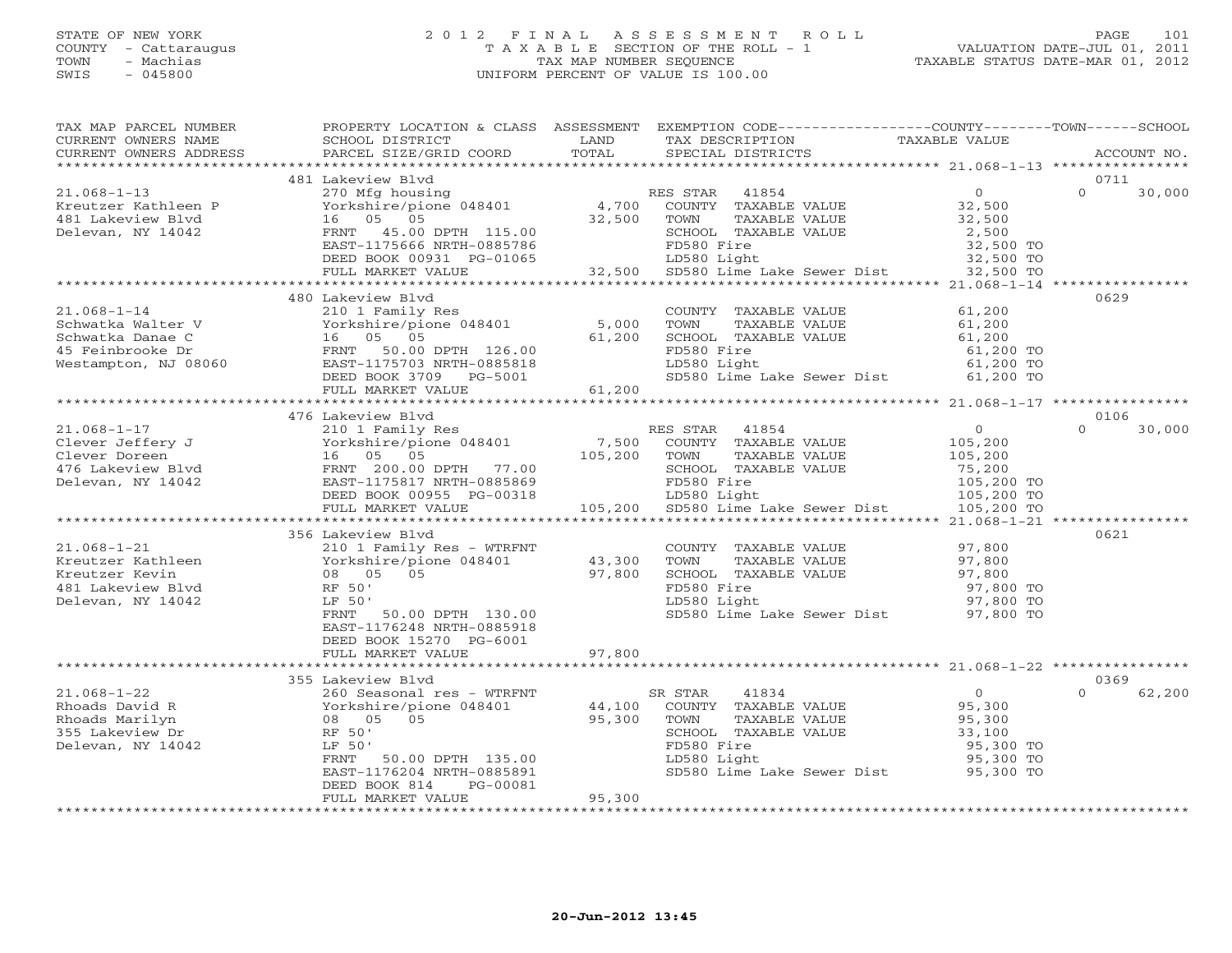#### STATE OF NEW YORK 2 0 1 2 F I N A L A S S E S S M E N T R O L L PAGE 101 COUNTY - Cattaraugus T A X A B L E SECTION OF THE ROLL - 1 VALUATION DATE-JUL 01, 2011 TOWN - Machias TAX MAP NUMBER SEQUENCE TAXABLE STATUS DATE-MAR 01, 2012 SWIS - 045800 UNIFORM PERCENT OF VALUE IS 100.00UNIFORM PERCENT OF VALUE IS 100.00

| TAX MAP PARCEL NUMBER                                                                                                                                                                                                                                                                                                      | PROPERTY LOCATION & CLASS ASSESSMENT EXEMPTION CODE---------------COUNTY-------TOWN------SCHOOL                                                                                                                                                    |        |                                                                                                                                           |                                      |                    |
|----------------------------------------------------------------------------------------------------------------------------------------------------------------------------------------------------------------------------------------------------------------------------------------------------------------------------|----------------------------------------------------------------------------------------------------------------------------------------------------------------------------------------------------------------------------------------------------|--------|-------------------------------------------------------------------------------------------------------------------------------------------|--------------------------------------|--------------------|
| CURRENT OWNERS NAME                                                                                                                                                                                                                                                                                                        |                                                                                                                                                                                                                                                    |        | TAX DESCRIPTION TAXABLE VALUE<br>SPECIAL DISTRICTS                                                                                        |                                      |                    |
| CURRENT OWNERS ADDRESS                                                                                                                                                                                                                                                                                                     |                                                                                                                                                                                                                                                    |        | SPECIAL DISTRICTS                                                                                                                         |                                      | ACCOUNT NO.        |
|                                                                                                                                                                                                                                                                                                                            | 481 Lakeview Blvd                                                                                                                                                                                                                                  |        |                                                                                                                                           |                                      | 0711               |
| $21.068 - 1 - 13$                                                                                                                                                                                                                                                                                                          | 481 Lakeview Blvd<br>270 Mfg housing<br>P 32,500<br>16 05 05 32,500<br>EAST-1175666 NRTH-0885786<br>DEED BOOK 00931 PG-01065<br>PEED BOOK 00931 PG-01065<br>PEED BOOK 00931 PG-01065<br>PEED BOOK 00931 PG-01065<br>PEED BOOK 00931 PG-01065<br>PE |        |                                                                                                                                           |                                      | $\Omega$<br>30,000 |
| Kreutzer Kathleen P                                                                                                                                                                                                                                                                                                        |                                                                                                                                                                                                                                                    |        |                                                                                                                                           |                                      |                    |
| 481 Lakeview Blvd                                                                                                                                                                                                                                                                                                          |                                                                                                                                                                                                                                                    |        |                                                                                                                                           |                                      |                    |
| Delevan, NY 14042                                                                                                                                                                                                                                                                                                          |                                                                                                                                                                                                                                                    |        |                                                                                                                                           |                                      |                    |
|                                                                                                                                                                                                                                                                                                                            |                                                                                                                                                                                                                                                    |        |                                                                                                                                           |                                      |                    |
|                                                                                                                                                                                                                                                                                                                            |                                                                                                                                                                                                                                                    |        |                                                                                                                                           |                                      |                    |
|                                                                                                                                                                                                                                                                                                                            |                                                                                                                                                                                                                                                    |        |                                                                                                                                           |                                      |                    |
|                                                                                                                                                                                                                                                                                                                            |                                                                                                                                                                                                                                                    |        |                                                                                                                                           |                                      |                    |
|                                                                                                                                                                                                                                                                                                                            | 480 Lakeview Blvd                                                                                                                                                                                                                                  |        |                                                                                                                                           |                                      | 0629               |
|                                                                                                                                                                                                                                                                                                                            |                                                                                                                                                                                                                                                    |        |                                                                                                                                           |                                      |                    |
|                                                                                                                                                                                                                                                                                                                            |                                                                                                                                                                                                                                                    |        |                                                                                                                                           |                                      |                    |
|                                                                                                                                                                                                                                                                                                                            |                                                                                                                                                                                                                                                    |        |                                                                                                                                           |                                      |                    |
|                                                                                                                                                                                                                                                                                                                            |                                                                                                                                                                                                                                                    |        |                                                                                                                                           |                                      |                    |
|                                                                                                                                                                                                                                                                                                                            |                                                                                                                                                                                                                                                    |        |                                                                                                                                           |                                      |                    |
|                                                                                                                                                                                                                                                                                                                            |                                                                                                                                                                                                                                                    |        | FD580 Fire 61,200 TO<br>LD580 Light 61,200 TO<br>SD580 Lime Lake Sewer Dist 61,200 TO                                                     |                                      |                    |
|                                                                                                                                                                                                                                                                                                                            |                                                                                                                                                                                                                                                    |        |                                                                                                                                           |                                      |                    |
|                                                                                                                                                                                                                                                                                                                            |                                                                                                                                                                                                                                                    |        |                                                                                                                                           |                                      |                    |
| $\begin{tabular}{c c c c c} \multicolumn{1}{c c c} {\bf 21.068-1-17}& {\bf 4/6 & \bf 2101 & \bf 2101 & \bf 2101 & \bf 2101 & \bf 2101 & \bf 2101 & \bf 2101 & \bf 2101 & \bf 2101 & \bf 2101 & \bf 2101 & \bf 2101 & \bf 2101 & \bf 2101 & \bf 2101 & \bf 2101 & \bf 2101 & \bf 2101 & \bf 2101 & \bf 2101 & \bf 2101 & \$ | 476 Lakeview Blvd                                                                                                                                                                                                                                  |        |                                                                                                                                           |                                      | 0106               |
|                                                                                                                                                                                                                                                                                                                            |                                                                                                                                                                                                                                                    |        |                                                                                                                                           |                                      | $\Omega$<br>30,000 |
|                                                                                                                                                                                                                                                                                                                            |                                                                                                                                                                                                                                                    |        |                                                                                                                                           |                                      |                    |
|                                                                                                                                                                                                                                                                                                                            |                                                                                                                                                                                                                                                    |        |                                                                                                                                           |                                      |                    |
|                                                                                                                                                                                                                                                                                                                            |                                                                                                                                                                                                                                                    |        |                                                                                                                                           |                                      |                    |
|                                                                                                                                                                                                                                                                                                                            |                                                                                                                                                                                                                                                    |        |                                                                                                                                           |                                      |                    |
|                                                                                                                                                                                                                                                                                                                            |                                                                                                                                                                                                                                                    |        |                                                                                                                                           |                                      |                    |
|                                                                                                                                                                                                                                                                                                                            |                                                                                                                                                                                                                                                    |        |                                                                                                                                           |                                      |                    |
|                                                                                                                                                                                                                                                                                                                            | 356 Lakeview Blvd                                                                                                                                                                                                                                  |        |                                                                                                                                           |                                      | 0621               |
|                                                                                                                                                                                                                                                                                                                            |                                                                                                                                                                                                                                                    |        | COUNTY TAXABLE VALUE<br>TOWN TAXABLE VALUE<br>SCHOOL TAXABLE VALUE<br>FD580 Fire 97,800<br>FD580 Light 97,800 TO<br>LD580 Light 97,800 TO |                                      |                    |
|                                                                                                                                                                                                                                                                                                                            |                                                                                                                                                                                                                                                    |        |                                                                                                                                           |                                      |                    |
|                                                                                                                                                                                                                                                                                                                            |                                                                                                                                                                                                                                                    |        |                                                                                                                                           |                                      |                    |
|                                                                                                                                                                                                                                                                                                                            |                                                                                                                                                                                                                                                    |        |                                                                                                                                           |                                      |                    |
| Delevan, NY 14042                                                                                                                                                                                                                                                                                                          | LF 50'                                                                                                                                                                                                                                             |        |                                                                                                                                           |                                      |                    |
|                                                                                                                                                                                                                                                                                                                            | RF 50'<br>LF 50'<br>FRNT 50.00 DPTH 130.00                                                                                                                                                                                                         |        |                                                                                                                                           | SD580 Lime Lake Sewer Dist 97,800 TO |                    |
|                                                                                                                                                                                                                                                                                                                            | EAST-1176248 NRTH-0885918                                                                                                                                                                                                                          |        |                                                                                                                                           |                                      |                    |
|                                                                                                                                                                                                                                                                                                                            | DEED BOOK 15270 PG-6001                                                                                                                                                                                                                            |        |                                                                                                                                           |                                      |                    |
|                                                                                                                                                                                                                                                                                                                            | FULL MARKET VALUE                                                                                                                                                                                                                                  | 97,800 |                                                                                                                                           |                                      |                    |
|                                                                                                                                                                                                                                                                                                                            |                                                                                                                                                                                                                                                    |        |                                                                                                                                           |                                      |                    |
|                                                                                                                                                                                                                                                                                                                            | 355 Lakeview Blvd                                                                                                                                                                                                                                  |        |                                                                                                                                           |                                      | 0369<br>$\Omega$   |
| $21.068 - 1 - 22$                                                                                                                                                                                                                                                                                                          |                                                                                                                                                                                                                                                    |        |                                                                                                                                           |                                      | 62,200             |
| Rhoads David R                                                                                                                                                                                                                                                                                                             |                                                                                                                                                                                                                                                    |        |                                                                                                                                           |                                      |                    |
| Rhoads Marilyn<br>355 Lakeview Dr                                                                                                                                                                                                                                                                                          | 300 Seasonal res - WTRFNT<br>260 Seasonal res - WTRFNT<br>Yorkshire/pione 048401<br>08 05 05 05 95,300 TOWN TAXABLE VALUE<br>RF 50' 95,300 SCHOOL TAXABLE VALUE<br>RF 50' SCHOOL TAXABLE VALUE<br>ELD SO OPTH 135.00<br>ELD SO OPTH 135.00<br>     |        |                                                                                                                                           |                                      |                    |
| Delevan, NY 14042                                                                                                                                                                                                                                                                                                          |                                                                                                                                                                                                                                                    |        |                                                                                                                                           |                                      |                    |
|                                                                                                                                                                                                                                                                                                                            |                                                                                                                                                                                                                                                    |        |                                                                                                                                           |                                      |                    |
|                                                                                                                                                                                                                                                                                                                            |                                                                                                                                                                                                                                                    |        |                                                                                                                                           |                                      |                    |
|                                                                                                                                                                                                                                                                                                                            | DEED BOOK 814<br>PG-00081                                                                                                                                                                                                                          |        |                                                                                                                                           |                                      |                    |
|                                                                                                                                                                                                                                                                                                                            | FULL MARKET VALUE                                                                                                                                                                                                                                  | 95,300 |                                                                                                                                           |                                      |                    |
|                                                                                                                                                                                                                                                                                                                            | *************************                                                                                                                                                                                                                          |        |                                                                                                                                           |                                      |                    |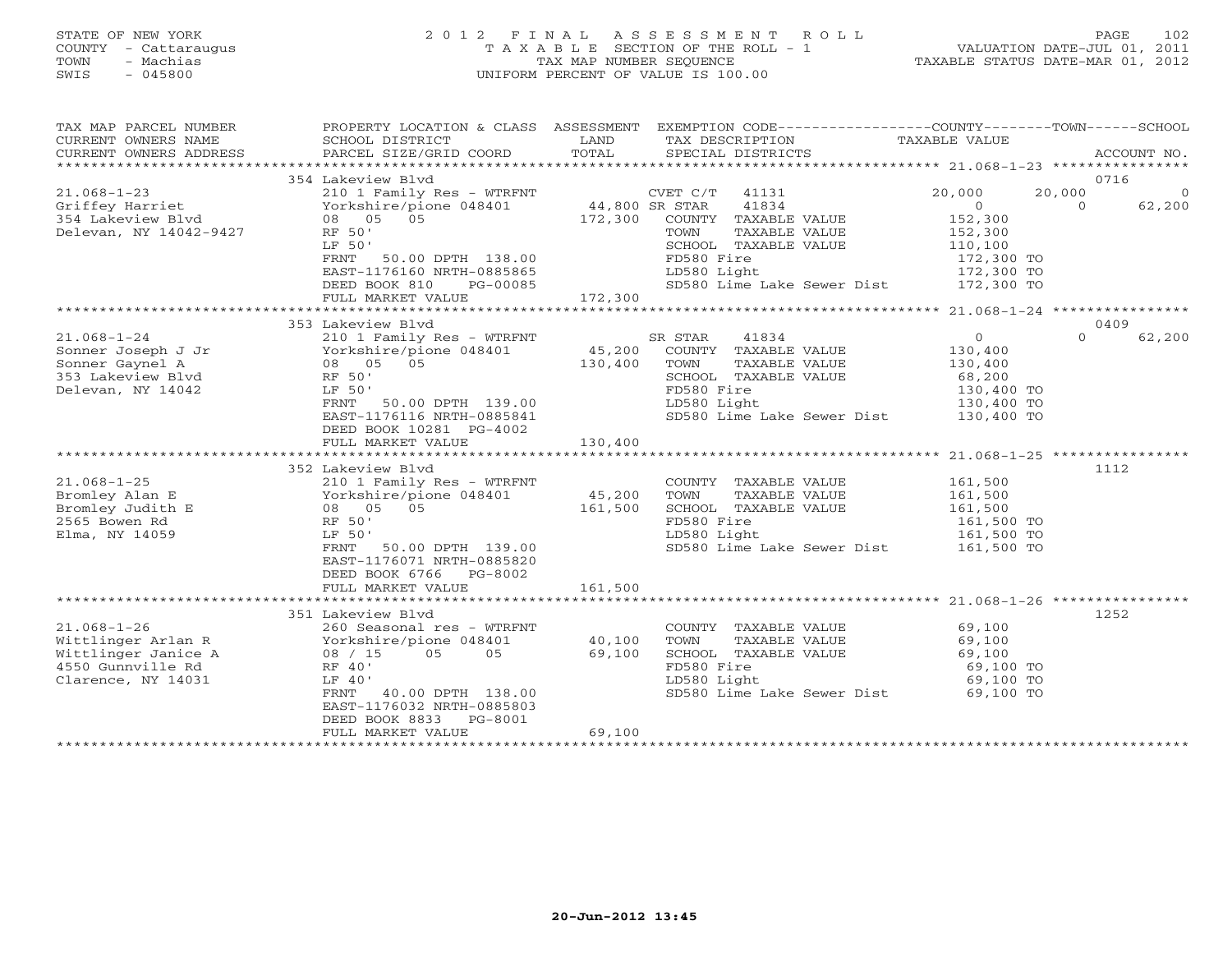#### STATE OF NEW YORK 2 0 1 2 F I N A L A S S E S S M E N T R O L L PAGE 102 COUNTY - Cattaraugus T A X A B L E SECTION OF THE ROLL - 1 VALUATION DATE-JUL 01, 2011 TOWN - Machias TAX MAP NUMBER SEQUENCE TAXABLE STATUS DATE-MAR 01, 2012 SWIS - 045800 UNIFORM PERCENT OF VALUE IS 100.00UNIFORM PERCENT OF VALUE IS 100.00

| TAX MAP PARCEL NUMBER<br>CURRENT OWNERS NAME<br>CURRENT OWNERS ADDRESS | SCHOOL DISTRICT<br>PARCEL SIZE/GRID COORD | LAND<br>TOTAL              | PROPERTY LOCATION & CLASS ASSESSMENT EXEMPTION CODE---------------COUNTY-------TOWN------SCHOOL<br>TAX DESCRIPTION TAXABLE VALUE<br>SPECIAL DISTRICTS |                                                    | ACCOUNT NO.        |
|------------------------------------------------------------------------|-------------------------------------------|----------------------------|-------------------------------------------------------------------------------------------------------------------------------------------------------|----------------------------------------------------|--------------------|
|                                                                        |                                           |                            |                                                                                                                                                       |                                                    |                    |
|                                                                        | 354 Lakeview Blvd                         |                            |                                                                                                                                                       |                                                    | 0716               |
| $21.068 - 1 - 23$                                                      | 210 1 Family Res - WTRFNT                 |                            | CVET C/T<br>41131                                                                                                                                     | 20,000                                             | 20,000<br>$\Omega$ |
| Griffey Harriet                                                        | Yorkshire/pione 048401                    | CVET C/1<br>44,800 SR STAR | 41834                                                                                                                                                 | $\Omega$                                           | $\Omega$<br>62,200 |
| 354 Lakeview Blvd                                                      | 08 05<br>0.5                              | 172,300                    | COUNTY TAXABLE VALUE                                                                                                                                  | 152,300                                            |                    |
| Delevan, NY 14042-9427                                                 | RF 50'                                    |                            | TOWN<br>TAXABLE VALUE                                                                                                                                 | 152,300                                            |                    |
|                                                                        | LF 50'                                    |                            | SCHOOL TAXABLE VALUE                                                                                                                                  | 110,100                                            |                    |
|                                                                        |                                           |                            |                                                                                                                                                       |                                                    |                    |
|                                                                        | 50.00 DPTH 138.00<br>FRNT                 |                            | FD580 Fire                                                                                                                                            | 172,300 TO                                         |                    |
|                                                                        | EAST-1176160 NRTH-0885865                 |                            | LD580 Light                                                                                                                                           | 172,300 TO                                         |                    |
|                                                                        | DEED BOOK 810<br>PG-00085                 |                            | SD580 Lime Lake Sewer Dist 172,300 TO                                                                                                                 |                                                    |                    |
|                                                                        | FULL MARKET VALUE                         | 172,300                    |                                                                                                                                                       |                                                    |                    |
|                                                                        |                                           |                            | ************************                                                                                                                              | ********************* 21.068-1-24 **************** |                    |
|                                                                        | 353 Lakeview Blvd                         |                            |                                                                                                                                                       |                                                    | 0409               |
| $21.068 - 1 - 24$                                                      | 210 1 Family Res - WTRFNT                 |                            | SR STAR<br>41834                                                                                                                                      | $\circ$                                            | $\Omega$<br>62,200 |
| Sonner Joseph J Jr                                                     | Yorkshire/pione 048401                    | 45,200                     | COUNTY TAXABLE VALUE                                                                                                                                  | 130,400                                            |                    |
| Sonner Gaynel A                                                        | 08 05<br>05                               | 130,400                    | TAXABLE VALUE<br>TOWN                                                                                                                                 | 130,400                                            |                    |
| 353 Lakeview Blvd                                                      | RF 50'                                    |                            | SCHOOL TAXABLE VALUE                                                                                                                                  | 68,200                                             |                    |
| Delevan, NY 14042                                                      | LF 50'                                    |                            | FD580 Fire                                                                                                                                            | 130,400 TO                                         |                    |
|                                                                        | 50.00 DPTH 139.00<br>FRNT                 |                            | LD580 Light                                                                                                                                           | 130,400 TO                                         |                    |
|                                                                        | EAST-1176116 NRTH-0885841                 |                            | SD580 Lime Lake Sewer Dist                                                                                                                            | 130,400 TO<br>130,400 TO                           |                    |
|                                                                        | DEED BOOK 10281 PG-4002                   |                            |                                                                                                                                                       |                                                    |                    |
|                                                                        | FULL MARKET VALUE                         | 130,400                    |                                                                                                                                                       |                                                    |                    |
|                                                                        |                                           |                            |                                                                                                                                                       |                                                    |                    |
|                                                                        | 352 Lakeview Blvd                         |                            |                                                                                                                                                       |                                                    | 1112               |
| $21.068 - 1 - 25$                                                      | 210 1 Family Res - WTRFNT                 |                            | COUNTY TAXABLE VALUE                                                                                                                                  | 161,500                                            |                    |
| Bromley Alan E                                                         | Yorkshire/pione 048401                    | 45,200                     | TAXABLE VALUE<br>TOWN                                                                                                                                 | 161,500                                            |                    |
| Bromley Judith E                                                       | 08 05 05                                  | 161,500                    | SCHOOL TAXABLE VALUE                                                                                                                                  | 161,500                                            |                    |
| 2565 Bowen Rd                                                          | RF 50'                                    |                            | FD580 Fire                                                                                                                                            | 161,500 TO                                         |                    |
| Elma, NY 14059                                                         | LF 50'                                    |                            | LD580 Light                                                                                                                                           | 161,500 TO                                         |                    |
|                                                                        | 50.00 DPTH 139.00<br>FRNT                 |                            | SD580 Lime Lake Sewer Dist                                                                                                                            | 161,500 TO                                         |                    |
|                                                                        | EAST-1176071 NRTH-0885820                 |                            |                                                                                                                                                       |                                                    |                    |
|                                                                        |                                           |                            |                                                                                                                                                       |                                                    |                    |
|                                                                        | DEED BOOK 6766 PG-8002                    |                            |                                                                                                                                                       |                                                    |                    |
|                                                                        | FULL MARKET VALUE                         | 161,500                    |                                                                                                                                                       |                                                    |                    |
|                                                                        |                                           |                            |                                                                                                                                                       |                                                    |                    |
|                                                                        | 351 Lakeview Blvd                         |                            |                                                                                                                                                       |                                                    | 1252               |
| $21.068 - 1 - 26$                                                      | 260 Seasonal res - WTRFNT                 |                            | COUNTY TAXABLE VALUE                                                                                                                                  | 69,100                                             |                    |
| Wittlinger Arlan R                                                     | Yorkshire/pione 048401                    | 40,100                     | TOWN<br>TAXABLE VALUE                                                                                                                                 | 69,100                                             |                    |
| Wittlinger Janice A                                                    | 05<br>05<br>08 / 15                       | 69,100                     | SCHOOL TAXABLE VALUE                                                                                                                                  | 69,100                                             |                    |
| 4550 Gunnville Rd                                                      | RF 40'                                    |                            | FD580 Fire                                                                                                                                            | 69,100 TO                                          |                    |
| Clarence, NY 14031                                                     | LF 40'                                    |                            | LD580 Light                                                                                                                                           | 69,100 TO                                          |                    |
|                                                                        | FRNT<br>40.00 DPTH 138.00                 |                            | SD580 Lime Lake Sewer Dist 69,100 TO                                                                                                                  |                                                    |                    |
|                                                                        | EAST-1176032 NRTH-0885803                 |                            |                                                                                                                                                       |                                                    |                    |
|                                                                        | DEED BOOK 8833<br>PG-8001                 |                            |                                                                                                                                                       |                                                    |                    |
|                                                                        | FULL MARKET VALUE                         | 69,100                     |                                                                                                                                                       |                                                    |                    |
|                                                                        |                                           |                            |                                                                                                                                                       |                                                    |                    |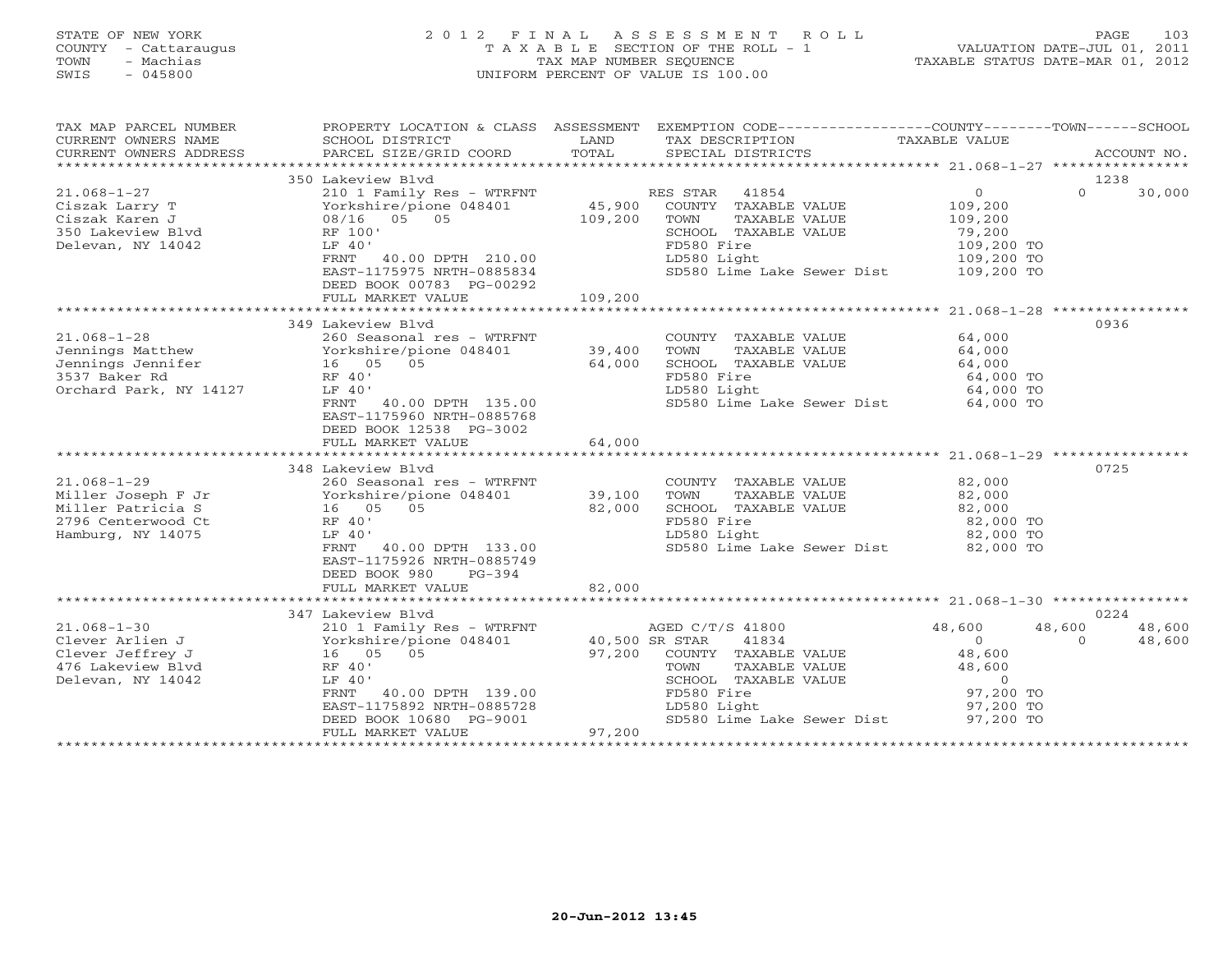#### STATE OF NEW YORK 2 0 1 2 F I N A L A S S E S S M E N T R O L L PAGE 103 COUNTY - Cattaraugus T A X A B L E SECTION OF THE ROLL - 1 VALUATION DATE-JUL 01, 2011 TOWN - Machias TAX MAP NUMBER SEQUENCE TAXABLE STATUS DATE-MAR 01, 2012 SWIS - 045800 UNIFORM PERCENT OF VALUE IS 100.00UNIFORM PERCENT OF VALUE IS 100.00

| TAX MAP PARCEL NUMBER                                                                                                            |                                                                                |                  | PROPERTY LOCATION & CLASS ASSESSMENT EXEMPTION CODE---------------COUNTY-------TOWN------SCHOOL |                                       |                    |
|----------------------------------------------------------------------------------------------------------------------------------|--------------------------------------------------------------------------------|------------------|-------------------------------------------------------------------------------------------------|---------------------------------------|--------------------|
|                                                                                                                                  |                                                                                |                  |                                                                                                 |                                       | 1238               |
|                                                                                                                                  |                                                                                |                  |                                                                                                 | $\overline{0}$                        | $\Omega$<br>30,000 |
|                                                                                                                                  |                                                                                |                  |                                                                                                 | 109,200                               |                    |
|                                                                                                                                  |                                                                                |                  |                                                                                                 | 109,200                               |                    |
|                                                                                                                                  |                                                                                |                  |                                                                                                 | 79,200                                |                    |
| Delevan, NY 14042                                                                                                                | LF 40'                                                                         |                  | FD580 Fire                                                                                      |                                       |                    |
|                                                                                                                                  | FRNT 40.00 DPTH 210.00                                                         |                  | LD580 Light                                                                                     | 109,200 TO<br>109,200 TO              |                    |
|                                                                                                                                  | EAST-1175975 NRTH-0885834                                                      |                  | SD580 Lime Lake Sewer Dist 109,200 TO                                                           |                                       |                    |
|                                                                                                                                  | DEED BOOK 00783 PG-00292                                                       |                  |                                                                                                 |                                       |                    |
|                                                                                                                                  |                                                                                |                  |                                                                                                 |                                       |                    |
|                                                                                                                                  | FULL MARKET VALUE                                                              | 109,200          |                                                                                                 |                                       |                    |
|                                                                                                                                  |                                                                                |                  |                                                                                                 |                                       |                    |
|                                                                                                                                  | 349 Lakeview Blyd                                                              |                  |                                                                                                 |                                       | 0936               |
| Jennings Matthew 260 Seasonal res - WTRFNT<br>Jennings Matthew Yorkshire/pione 048401 39,400<br>3537 Baker Pd 16 05 05 05 64.000 |                                                                                |                  | COUNTY TAXABLE VALUE                                                                            | 64,000                                |                    |
|                                                                                                                                  |                                                                                |                  | TOWN<br>TAXABLE VALUE                                                                           | 64,000                                |                    |
|                                                                                                                                  |                                                                                |                  | SCHOOL TAXABLE VALUE                                                                            | 64,000                                |                    |
| 3537 Baker Rd                                                                                                                    | RF 40'                                                                         |                  | FD580 Fire                                                                                      | 64,000 TO                             |                    |
| Orchard Park, NY 14127                                                                                                           | LF 40'                                                                         |                  | LD580 Light                                                                                     | 64,000 TO                             |                    |
|                                                                                                                                  | FRNT 40.00 DPTH 135.00                                                         |                  | SD580 Lime Lake Sewer Dist 64,000 TO                                                            |                                       |                    |
|                                                                                                                                  | EAST-1175960 NRTH-0885768                                                      |                  |                                                                                                 |                                       |                    |
|                                                                                                                                  | DEED BOOK 12538 PG-3002                                                        |                  |                                                                                                 |                                       |                    |
|                                                                                                                                  | FULL MARKET VALUE                                                              | 64,000           |                                                                                                 |                                       |                    |
|                                                                                                                                  |                                                                                |                  |                                                                                                 |                                       |                    |
|                                                                                                                                  | 348 Lakeview Blvd                                                              |                  |                                                                                                 |                                       | 0725               |
| $21.068 - 1 - 29$                                                                                                                | 260 Seasonal res - WTRFNT                                                      |                  | COUNTY TAXABLE VALUE 82,000                                                                     |                                       |                    |
|                                                                                                                                  | Yorkshire/pione 048401                                                         | 39,100<br>82.000 | TAXABLE VALUE<br>TAXABLE VALUE<br>TILE<br>TOWN                                                  | 82,000                                |                    |
|                                                                                                                                  |                                                                                | 82,000           | SCHOOL TAXABLE VALUE                                                                            | 82,000<br>82,000                      |                    |
| 2796 Centerwood Ct                                                                                                               | RF 40'                                                                         |                  | FD580 Fire                                                                                      | 82,000 TO<br>82,000 TO                |                    |
| Hamburg, NY 14075                                                                                                                | LF 40'                                                                         |                  | LD580 Light                                                                                     |                                       |                    |
|                                                                                                                                  | FRNT 40.00 DPTH 133.00                                                         |                  | SD580 Lime Lake Sewer Dist 82,000 TO                                                            |                                       |                    |
|                                                                                                                                  | EAST-1175926 NRTH-0885749                                                      |                  |                                                                                                 |                                       |                    |
|                                                                                                                                  | DEED BOOK 980<br>$PG-394$                                                      |                  |                                                                                                 |                                       |                    |
|                                                                                                                                  | FULL MARKET VALUE                                                              | 82,000           |                                                                                                 |                                       |                    |
|                                                                                                                                  |                                                                                |                  |                                                                                                 |                                       |                    |
|                                                                                                                                  | 347 Lakeview Blvd                                                              |                  |                                                                                                 |                                       | 0224               |
| $21.068 - 1 - 30$                                                                                                                | 210 1 Family Res - WTRFNT AGED C/T/S 41800                                     |                  |                                                                                                 | 48,600                                | 48,600<br>48,600   |
| Clever Arlien J                                                                                                                  | vorkshire/pic<br>Yorkshire/pic<br>16 05 05<br>RF 40'<br>Yorkshire/pione 048401 | 40,500 SR STAR   | 41834                                                                                           | $\begin{array}{c} 0 \\ 0 \end{array}$ | $\Omega$<br>48,600 |
| Clever Jeffrey J                                                                                                                 |                                                                                |                  | 97,200 COUNTY TAXABLE VALUE                                                                     | 48,600                                |                    |
| 476 Lakeview Blvd                                                                                                                |                                                                                |                  | TOWN<br>TAXABLE VALUE                                                                           | 48,600                                |                    |
| Delevan, NY 14042                                                                                                                | LF 40'                                                                         |                  | SCHOOL TAXABLE VALUE                                                                            | $\overline{0}$                        |                    |
|                                                                                                                                  | FRNT 40.00 DPTH 139.00                                                         |                  | $\frac{1}{2}$<br>FD580 Fire                                                                     | 97,200 TO                             |                    |
|                                                                                                                                  |                                                                                |                  | LD580 Light                                                                                     | 97,200 TO                             |                    |
|                                                                                                                                  | EAST-1175892 NRTH-0885728<br>DEED BOOK 10680 PG-9001                           |                  | SD580 Lime Lake Sewer Dist                                                                      | 97,200 TO                             |                    |
|                                                                                                                                  | FULL MARKET VALUE                                                              | 97,200           |                                                                                                 |                                       |                    |
|                                                                                                                                  |                                                                                |                  |                                                                                                 |                                       |                    |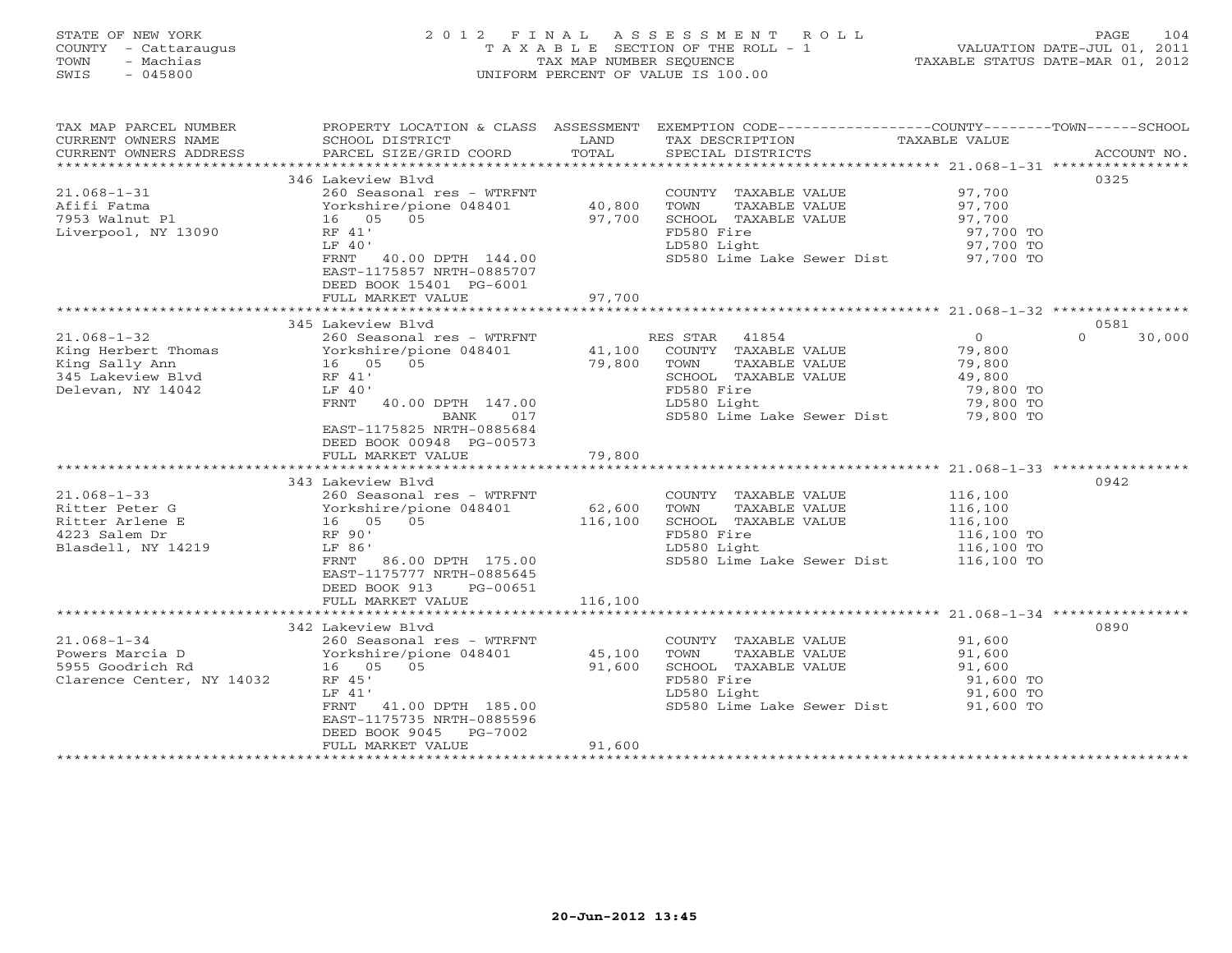#### STATE OF NEW YORK 2 0 1 2 F I N A L A S S E S S M E N T R O L L PAGE 104 COUNTY - Cattaraugus T A X A B L E SECTION OF THE ROLL - 1 VALUATION DATE-JUL 01, 2011 TOWN - Machias TAX MAP NUMBER SEQUENCE TAXABLE STATUS DATE-MAR 01, 2012 SWIS - 045800 UNIFORM PERCENT OF VALUE IS 100.00UNIFORM PERCENT OF VALUE IS 100.00

| TAX MAP PARCEL NUMBER<br>CURRENT OWNERS NAME                                                         | PROPERTY LOCATION & CLASS ASSESSMENT<br>SCHOOL DISTRICT                                                                                                                                                            | LAND                       | EXEMPTION CODE-----------------COUNTY-------TOWN------SCHOOL<br>TAX DESCRIPTION                                                                                     | TAXABLE VALUE                                                           |                            |
|------------------------------------------------------------------------------------------------------|--------------------------------------------------------------------------------------------------------------------------------------------------------------------------------------------------------------------|----------------------------|---------------------------------------------------------------------------------------------------------------------------------------------------------------------|-------------------------------------------------------------------------|----------------------------|
| CURRENT OWNERS ADDRESS                                                                               | PARCEL SIZE/GRID COORD                                                                                                                                                                                             | TOTAL                      | SPECIAL DISTRICTS                                                                                                                                                   |                                                                         | ACCOUNT NO.                |
|                                                                                                      |                                                                                                                                                                                                                    |                            |                                                                                                                                                                     |                                                                         |                            |
| $21.068 - 1 - 31$<br>Afifi Fatma<br>7953 Walnut Pl<br>Liverpool, NY 13090                            | 346 Lakeview Blyd<br>260 Seasonal res - WTRFNT<br>Yorkshire/pione 048401<br>16 05 05<br>RF 41'<br>LF 40'<br>FRNT<br>40.00 DPTH 144.00<br>EAST-1175857 NRTH-0885707<br>DEED BOOK 15401 PG-6001<br>FULL MARKET VALUE | 40,800<br>97,700<br>97,700 | COUNTY TAXABLE VALUE 97,700<br>TOWN<br>TAXABLE VALUE<br>SCHOOL TAXABLE VALUE<br>FD580 Fire<br>LD580 Light<br>SD580 Lime Lake Sewer Dist 97,700 TO                   | 97,700<br>97,700<br>97,700 TO<br>97,700 TO                              | 0325                       |
|                                                                                                      |                                                                                                                                                                                                                    |                            |                                                                                                                                                                     |                                                                         |                            |
| $21.068 - 1 - 32$<br>King Herbert Thomas<br>King Sally Ann<br>345 Lakeview Blvd<br>Delevan, NY 14042 | 345 Lakeview Blvd<br>260 Seasonal res - WTRFNT<br>Yorkshire/pione 048401<br>16 05 05<br>RF 41'<br>LF 40'<br>FRNT 40.00 DPTH 147.00<br>BANK<br>017<br>EAST-1175825 NRTH-0885684<br>DEED BOOK 00948 PG-00573         | 79,800                     | RES STAR 41854<br>41,100 COUNTY TAXABLE VALUE<br>TOWN<br>TAXABLE VALUE<br>SCHOOL TAXABLE VALUE<br>FD580 Fire<br>LD580 Light<br>SD580 Lime Lake Sewer Dist 79,800 TO | $\overline{0}$<br>79,800<br>79,800<br>49,800<br>79,800 TO<br>79,800 TO  | 0581<br>$\Omega$<br>30,000 |
|                                                                                                      | FULL MARKET VALUE                                                                                                                                                                                                  | 79,800                     |                                                                                                                                                                     |                                                                         |                            |
| $21.068 - 1 - 33$<br>Ritter Peter G<br>Ritter Arlene E<br>4223 Salem Dr<br>Blasdell, NY 14219        | 343 Lakeview Blyd<br>260 Seasonal res - WTRFNT<br>Yorkshire/pione 048401<br>16 05 05<br>RF 90'<br>LF 86'<br>FRNT<br>86.00 DPTH 175.00<br>EAST-1175777 NRTH-0885645<br>DEED BOOK 913<br>PG-00651                    | 62,600<br>116,100          | COUNTY TAXABLE VALUE<br>TOWN<br>TAXABLE VALUE<br>SCHOOL TAXABLE VALUE<br>FD580 Fire<br>LD580 Light<br>SD580 Lime Lake Sewer Dist                                    | 116,100<br>116,100<br>116,100<br>116,100 TO<br>116,100 TO<br>116,100 TO | 0942                       |
|                                                                                                      | FULL MARKET VALUE                                                                                                                                                                                                  | 116,100                    |                                                                                                                                                                     |                                                                         |                            |
| $21.068 - 1 - 34$<br>Powers Marcia D<br>5955 Goodrich Rd<br>Clarence Center, NY 14032                | 342 Lakeview Blvd<br>260 Seasonal res - WTRFNT<br>Yorkshire/pione 048401<br>16 05 05<br>RF 45'<br>LF 41'<br>FRNT 41.00 DPTH 185.00<br>EAST-1175735 NRTH-0885596<br>DEED BOOK 9045 PG-7002<br>FULL MARKET VALUE     | 45,100<br>91,600<br>91,600 | COUNTY TAXABLE VALUE<br>TOWN<br>TAXABLE VALUE<br>SCHOOL TAXABLE VALUE<br>FD580 Fire<br>LD580 Light<br>SD580 Lime Lake Sewer Dist 91,600 TO                          | 91,600<br>91,600<br>91,600<br>91,600 TO<br>91,600 TO                    | 0890                       |
|                                                                                                      |                                                                                                                                                                                                                    |                            |                                                                                                                                                                     |                                                                         |                            |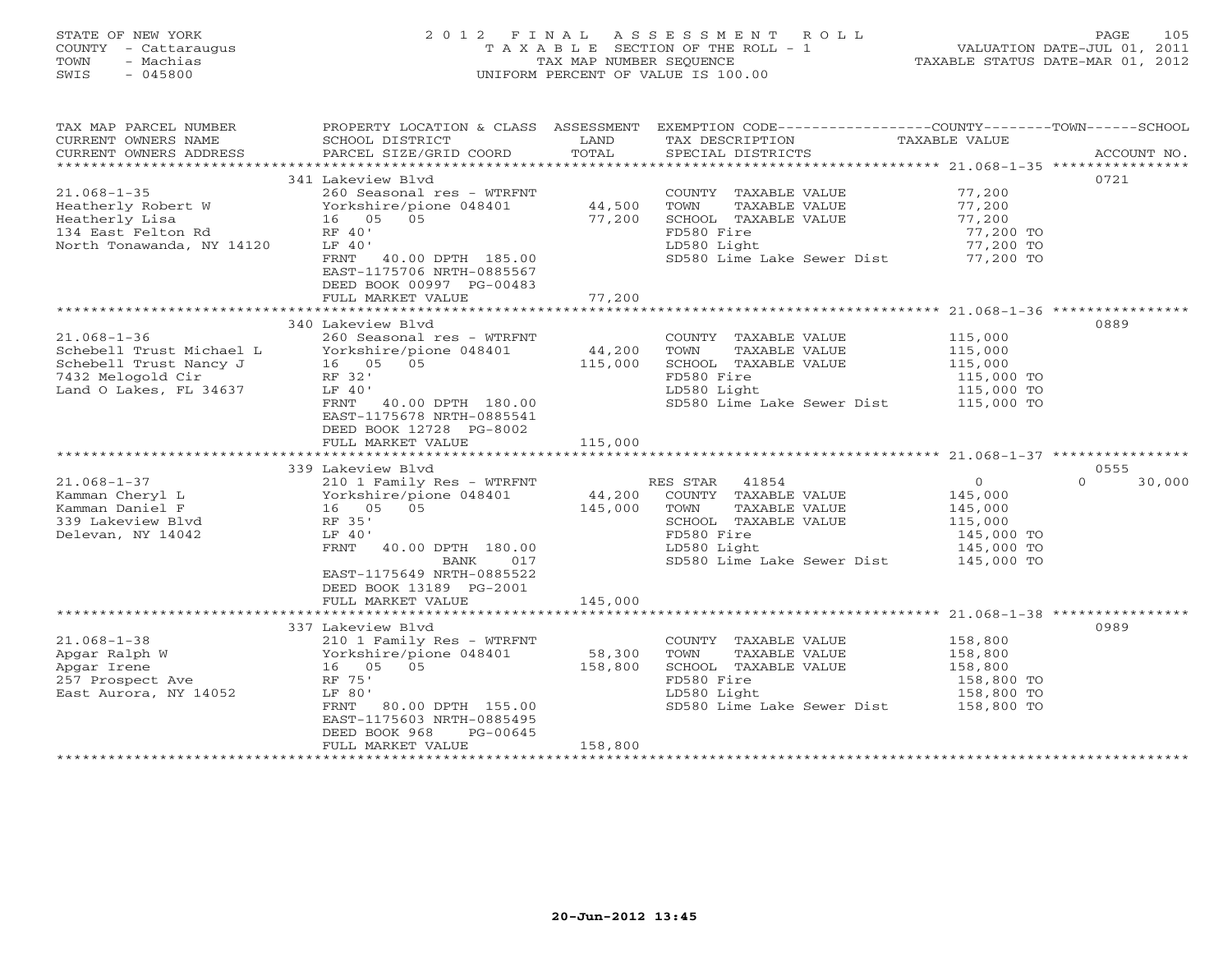### STATE OF NEW YORK 2 0 1 2 F I N A L A S S E S S M E N T R O L L PAGE 105 COUNTY - Cattaraugus T A X A B L E SECTION OF THE ROLL - 1 VALUATION DATE-JUL 01, 2011 TOWN - Machias TAX MAP NUMBER SEQUENCE TAXABLE STATUS DATE-MAR 01, 2012 SWIS - 045800 UNIFORM PERCENT OF VALUE IS 100.00UNIFORM PERCENT OF VALUE IS 100.00

| TAX MAP PARCEL NUMBER                         | PROPERTY LOCATION & CLASS ASSESSMENT EXEMPTION CODE---------------COUNTY-------TOWN------SCHOOL |                   |                                               |                          |                    |
|-----------------------------------------------|-------------------------------------------------------------------------------------------------|-------------------|-----------------------------------------------|--------------------------|--------------------|
| CURRENT OWNERS NAME<br>CURRENT OWNERS ADDRESS | SCHOOL DISTRICT<br>PARCEL SIZE/GRID COORD                                                       | LAND<br>TOTAL     | TAX DESCRIPTION<br>SPECIAL DISTRICTS          | TAXABLE VALUE            | ACCOUNT NO.        |
|                                               |                                                                                                 |                   |                                               |                          |                    |
|                                               | 341 Lakeview Blyd                                                                               |                   |                                               |                          | 0721               |
| $21.068 - 1 - 35$                             | 260 Seasonal res - WTRFNT                                                                       |                   | COUNTY TAXABLE VALUE 77,200                   |                          |                    |
| Heatherly Robert W                            | Yorkshire/pione 048401<br>16 05 05                                                              | 44,500<br>77,200  | TOWN<br>TAXABLE VALUE                         | 77,200<br>77,200         |                    |
| Heatherly Lisa<br>134 East Felton Rd          | RF 40'                                                                                          |                   | SCHOOL TAXABLE VALUE<br>FD580 Fire            |                          |                    |
| North Tonawanda, NY 14120                     | LF 40'                                                                                          |                   | LD580 Light                                   | $77,200$ TO<br>77,200 TO |                    |
|                                               | FRNT<br>40.00 DPTH 185.00                                                                       |                   | SD580 Lime Lake Sewer Dist 77,200 TO          |                          |                    |
|                                               | EAST-1175706 NRTH-0885567                                                                       |                   |                                               |                          |                    |
|                                               | DEED BOOK 00997 PG-00483                                                                        |                   |                                               |                          |                    |
|                                               | FULL MARKET VALUE                                                                               | 77,200            |                                               |                          |                    |
|                                               |                                                                                                 |                   |                                               |                          |                    |
|                                               | 340 Lakeview Blvd                                                                               |                   |                                               |                          | 0889               |
| $21.068 - 1 - 36$                             | 260 Seasonal res - WTRFNT                                                                       |                   | COUNTY TAXABLE VALUE                          | 115,000                  |                    |
| Schebell Trust Michael L                      | Yorkshire/pione 048401<br>Yorksnire <sub>/P+</sub>                                              | 44,200            | TAXABLE VALUE<br>TOWN                         | 115,000                  |                    |
| Schebell Trust Nancy J<br>7432 Melogold Cir   | RF 32'                                                                                          | 115,000           | SCHOOL TAXABLE VALUE<br>FD580 Fire            | 115,000                  |                    |
| Land O Lakes, FL 34637                        | LF 40'                                                                                          |                   | LD580 Light                                   | 115,000 TO<br>115,000 TO |                    |
|                                               | FRNT 40.00 DPTH 180.00                                                                          |                   | SD580 Lime Lake Sewer Dist 115,000 TO         |                          |                    |
|                                               | EAST-1175678 NRTH-0885541                                                                       |                   |                                               |                          |                    |
|                                               | DEED BOOK 12728 PG-8002                                                                         |                   |                                               |                          |                    |
|                                               | FULL MARKET VALUE                                                                               | 115,000           |                                               |                          |                    |
|                                               |                                                                                                 |                   |                                               |                          |                    |
|                                               | 339 Lakeview Blyd                                                                               |                   |                                               |                          | 0555               |
| $21.068 - 1 - 37$                             | 210 1 Family Res - WTRFNT RES STAR 41854<br>Yorkshire/pione 048401 44,200 COUNTY TAXABLE VALUE  |                   |                                               | $\circ$                  | $\Omega$<br>30,000 |
| Kamman Cheryl L                               |                                                                                                 |                   |                                               | 145,000                  |                    |
| Kamman Daniel F<br>339 Lakeview Blvd          | 16  05  05<br>RF 35'                                                                            | 145,000           | TOWN<br>TAXABLE VALUE<br>SCHOOL TAXABLE VALUE | 145,000<br>115,000       |                    |
| Delevan, NY 14042                             | LF 40'                                                                                          |                   | FD580 Fire                                    | 145,000 TO               |                    |
|                                               | 40.00 DPTH 180.00<br>FRNT                                                                       |                   | LD580 Light                                   | 145,000 TO               |                    |
|                                               | BANK<br>017                                                                                     |                   | SD580 Lime Lake Sewer Dist                    | 145,000 TO               |                    |
|                                               | EAST-1175649 NRTH-0885522                                                                       |                   |                                               |                          |                    |
|                                               | DEED BOOK 13189 PG-2001                                                                         |                   |                                               |                          |                    |
|                                               | FULL MARKET VALUE                                                                               | 145,000           |                                               |                          |                    |
|                                               |                                                                                                 |                   |                                               |                          |                    |
|                                               | 337 Lakeview Blvd                                                                               |                   |                                               |                          | 0989               |
| $21.068 - 1 - 38$                             | 210 1 Family Res - WTRFNT                                                                       |                   | COUNTY TAXABLE VALUE                          | 158,800                  |                    |
| Apgar Ralph W                                 | Yorkshire/pione 048401<br>16 05 05                                                              | 58,300<br>158,800 | TOWN<br>TAXABLE VALUE                         | 158,800<br>158,800       |                    |
| Apgar Irene<br>257 Prospect Ave               | RF 75'                                                                                          |                   | SCHOOL TAXABLE VALUE<br>FD580 Fire            | 158,800 TO               |                    |
| East Aurora, NY 14052                         | LF 80'                                                                                          |                   | LD580 Light                                   | 158,800 TO               |                    |
|                                               | 80.00 DPTH 155.00<br>FRNT                                                                       |                   | SD580 Lime Lake Sewer Dist 158,800 TO         |                          |                    |
|                                               | EAST-1175603 NRTH-0885495                                                                       |                   |                                               |                          |                    |
|                                               | DEED BOOK 968<br>PG-00645                                                                       |                   |                                               |                          |                    |
|                                               | FULL MARKET VALUE                                                                               | 158,800           |                                               |                          |                    |
|                                               |                                                                                                 |                   |                                               |                          |                    |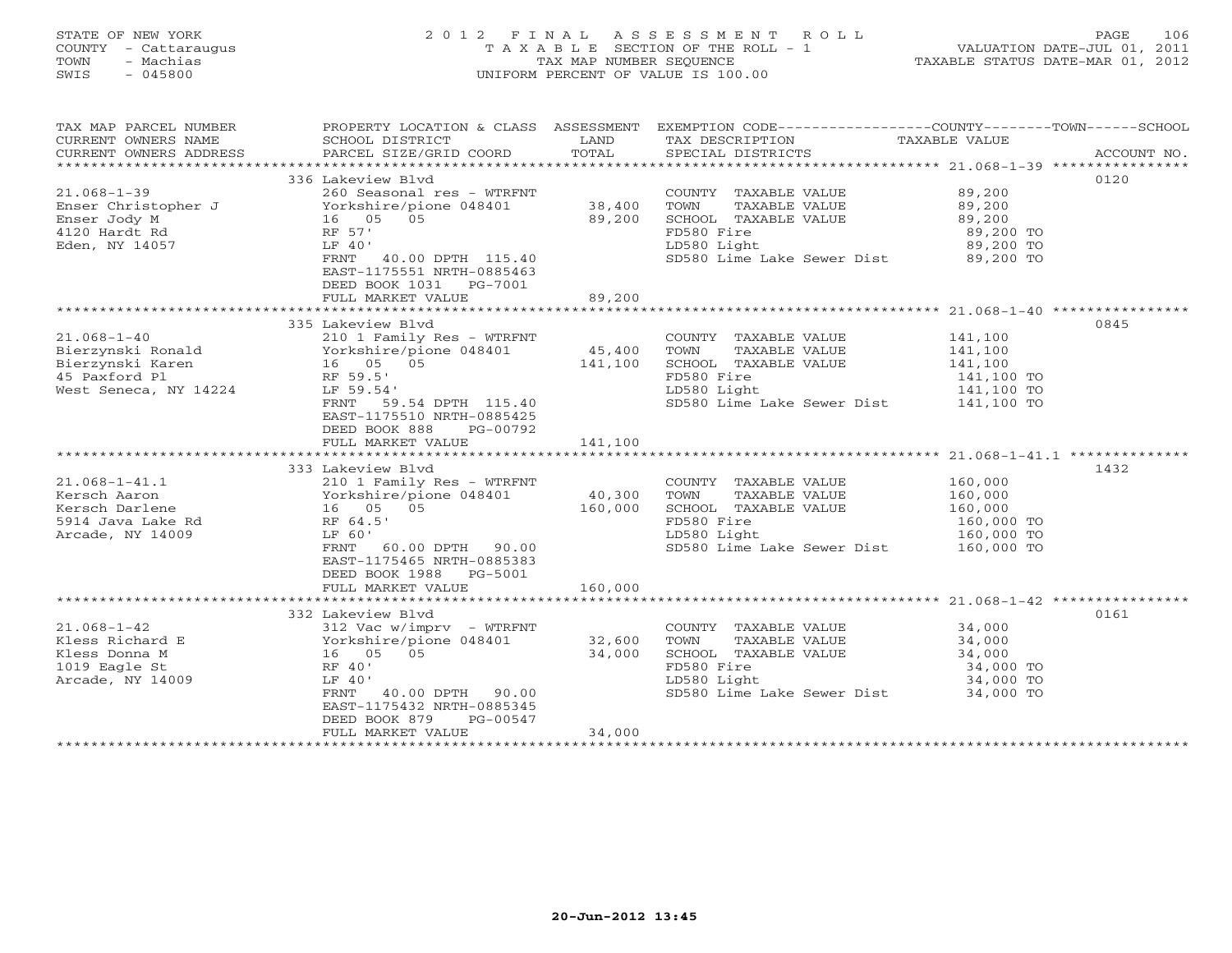#### STATE OF NEW YORK 2 0 1 2 F I N A L A S S E S S M E N T R O L L PAGE 106COUNTY - Cattaraugus T A X A B L E SECTION OF THE ROLL - 1 VALUATION DATE-JUL 01, 2011 TOWN - Machias TAX MAP NUMBER SEQUENCE TAX AND TAXABLE STATUS DATE-MAR 01, 2012<br>TRIS - 045800 SWIS - 045800 UNIFORM PERCENT OF VALUE IS 100.00

TAX MAP PARCEL NUMBER PROPERTY LOCATION & CLASS ASSESSMENT EXEMPTION CODE----------------COUNTY-------TOWN------SCHOOL

| CURRENT OWNERS NAME<br>CURRENT OWNERS ADDRESS | SCHOOL DISTRICT<br>PARCEL SIZE/GRID COORD                                                             | LAND<br>TOTAL | TAX DESCRIPTION<br>SPECIAL DISTRICTS                            | TAXABLE VALUE | ACCOUNT NO. |
|-----------------------------------------------|-------------------------------------------------------------------------------------------------------|---------------|-----------------------------------------------------------------|---------------|-------------|
|                                               |                                                                                                       |               |                                                                 |               |             |
|                                               | 336 Lakeview Blvd                                                                                     |               |                                                                 |               | 0120        |
| 21.068-1-39                                   | 260 Seasonal res - WTRFNT                                                                             |               | COUNTY TAXABLE VALUE                                            | 89,200        |             |
|                                               |                                                                                                       | 38,400        | TOWN<br>TAXABLE VALUE                                           | 89,200        |             |
|                                               |                                                                                                       | 89,200        | SCHOOL TAXABLE VALUE                                            | 89,200        |             |
|                                               |                                                                                                       |               | FD580 Fire                                                      | 89,200 TO     |             |
| Eden, NY 14057                                | LF 40'                                                                                                |               | LD580 Light                                                     | 89,200 TO     |             |
|                                               | FRNT 40.00 DPTH 115.40<br>EAST-1175551 NRTH-0885463<br>DEED BOOK 1031    PG-7001<br>FULL MARKET VALUE | 89,200        | SD580 Lime Lake Sewer Dist 89,200 TO                            |               |             |
|                                               |                                                                                                       |               |                                                                 |               |             |
|                                               | 335 Lakeview Blyd                                                                                     |               |                                                                 |               | 0845        |
| 21.068-1-40                                   | 210 1 Family Res - WTRFNT                                                                             |               | COUNTY TAXABLE VALUE                                            | 141,100       |             |
| Bierzynski Ronald                             | Yorkshire/pione 048401                                                                                | 45,400        | TOWN<br>TAXABLE VALUE                                           | 141,100       |             |
| Bierzynski Karen                              | 16 05 05                                                                                              | 141,100       | SCHOOL TAXABLE VALUE                                            | 141,100       |             |
| 45 Paxford Pl                                 | RF 59.5'                                                                                              |               | FD580 Fire                                                      | 141,100 TO    |             |
| West Seneca, NY 14224                         | LF 59.54'                                                                                             |               | LD580 Light                                                     | 141,100 TO    |             |
|                                               | FRNT 59.54 DPTH 115.40                                                                                |               | SD580 Lime Lake Sewer Dist 141,100 TO                           |               |             |
|                                               | EAST-1175510 NRTH-0885425<br>DEED BOOK 888<br>PG-00792                                                |               |                                                                 |               |             |
|                                               | FULL MARKET VALUE                                                                                     | 141,100       |                                                                 |               |             |
|                                               |                                                                                                       |               |                                                                 |               |             |
|                                               | 333 Lakeview Blvd                                                                                     |               |                                                                 |               | 1432        |
| 21.068–1–41.1                                 | 210 1 Family Res - WTRFNT                                                                             |               | COUNTY TAXABLE VALUE                                            | 160,000       |             |
| Kersch Aaron                                  | Yorkshire/pione 048401<br>16 05 05<br>RF 64.5'                                                        | 40,300        | TOWN<br>TAXABLE VALUE                                           | 160,000       |             |
| Kersch Darlene<br>5914 Java Lake Rd           |                                                                                                       | 160,000       | SCHOOL TAXABLE VALUE                                            | 160,000       |             |
|                                               |                                                                                                       |               | FD580 Fire                                                      | 160,000 TO    |             |
| Arcade, NY 14009                              | LF 60'                                                                                                |               | LD580 Light 160,000 TO<br>SD580 Lime Lake Sewer Dist 160,000 TO |               |             |
|                                               | FRNT 60.00 DPTH 90.00                                                                                 |               |                                                                 |               |             |
|                                               | EAST-1175465 NRTH-0885383<br>DEED BOOK 1988 PG-5001                                                   |               |                                                                 |               |             |
|                                               | FULL MARKET VALUE                                                                                     | 160,000       |                                                                 |               |             |
|                                               |                                                                                                       |               |                                                                 |               |             |
|                                               | 332 Lakeview Blvd                                                                                     |               |                                                                 |               | 0161        |
| 21.068-1-42                                   | 312 Vac w/imprv - WTRFNT                                                                              |               | COUNTY TAXABLE VALUE                                            | 34,000        |             |
| Kless Richard E                               | 312 vac w/inpix<br>Yorkshire/pione 048401<br>16 05 05<br>RF 40'                                       | 32,600        | TOWN<br>TAXABLE VALUE                                           | 34,000        |             |
| Kless Donna M                                 |                                                                                                       | 34,000        | SCHOOL TAXABLE VALUE                                            | 34,000        |             |
| 1019 Eagle St                                 |                                                                                                       |               | FD580 Fire                                                      | 34,000 TO     |             |
| Arcade, NY 14009                              | LF 40'                                                                                                |               | LD580 Light                                                     | 34,000 TO     |             |
|                                               | FRNT 40.00 DPTH 90.00                                                                                 |               | SD580 Lime Lake Sewer Dist 34,000 TO                            |               |             |
|                                               | EAST-1175432 NRTH-0885345                                                                             |               |                                                                 |               |             |
|                                               | DEED BOOK 879<br>PG-00547                                                                             |               |                                                                 |               |             |
|                                               | FULL MARKET VALUE                                                                                     | 34,000        |                                                                 |               |             |
|                                               | ***************************                                                                           |               |                                                                 |               |             |
|                                               |                                                                                                       |               |                                                                 |               |             |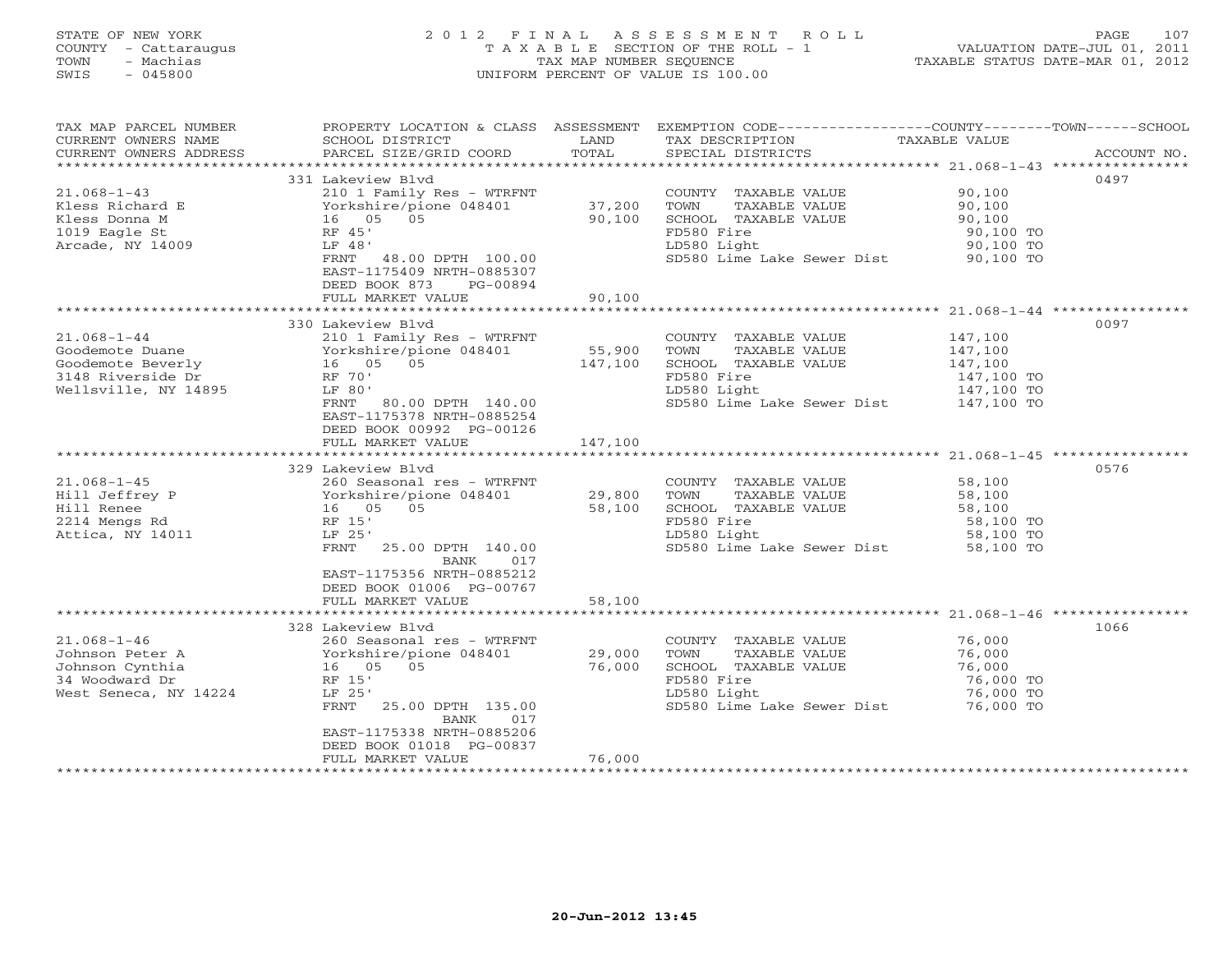### STATE OF NEW YORK 2 0 1 2 F I N A L A S S E S S M E N T R O L L PAGE 107 COUNTY - Cattaraugus T A X A B L E SECTION OF THE ROLL - 1 VALUATION DATE-JUL 01, 2011 TOWN - Machias TAX MAP NUMBER SEQUENCE TAXABLE STATUS DATE-MAR 01, 2012 SWIS - 045800 UNIFORM PERCENT OF VALUE IS 100.00UNIFORM PERCENT OF VALUE IS 100.00

| TAX MAP PARCEL NUMBER<br>CURRENT OWNERS NAME<br>CURRENT OWNERS ADDRESS | PROPERTY LOCATION & CLASS ASSESSMENT EXEMPTION CODE---------------COUNTY-------TOWN------SCHOOL<br>SCHOOL DISTRICT<br>PARCEL SIZE/GRID COORD | LAND<br>TOTAL    | TAX DESCRIPTION<br>SPECIAL DISTRICTS  | TAXABLE VALUE          | ACCOUNT NO. |
|------------------------------------------------------------------------|----------------------------------------------------------------------------------------------------------------------------------------------|------------------|---------------------------------------|------------------------|-------------|
|                                                                        |                                                                                                                                              |                  |                                       |                        |             |
|                                                                        | 331 Lakeview Blvd                                                                                                                            |                  |                                       |                        | 0497        |
| $21.068 - 1 - 43$                                                      | 210 1 Family Res - WTRFNT                                                                                                                    |                  | COUNTY TAXABLE VALUE 90,100           |                        |             |
| Kless Richard E                                                        | Yorkshire/pione 048401                                                                                                                       | 37,200           | TOWN<br>TAXABLE VALUE                 | 90,100<br>90,100       |             |
| Kless Donna M                                                          | 16 05 05                                                                                                                                     | 90,100           | SCHOOL TAXABLE VALUE                  |                        |             |
| 1019 Eagle St                                                          | RF 45'                                                                                                                                       |                  | FD580 Fire                            | 90,100 TO<br>90,100 TO |             |
| Arcade, NY 14009                                                       | LF 48'                                                                                                                                       |                  | LD580 Light                           |                        |             |
|                                                                        | FRNT 48.00 DPTH 100.00<br>EAST-1175409 NRTH-0885307                                                                                          |                  | SD580 Lime Lake Sewer Dist 90,100 TO  |                        |             |
|                                                                        | DEED BOOK 873<br>PG-00894                                                                                                                    |                  |                                       |                        |             |
|                                                                        | FULL MARKET VALUE                                                                                                                            | 90,100           |                                       |                        |             |
|                                                                        |                                                                                                                                              |                  |                                       |                        |             |
|                                                                        | 330 Lakeview Blvd                                                                                                                            |                  |                                       |                        | 0097        |
| $21.068 - 1 - 44$                                                      | 210 1 Family Res - WTRFNT                                                                                                                    |                  | COUNTY TAXABLE VALUE                  | 147,100<br>147,100     |             |
| Goodemote Duane                                                        | Yorkshire/pione 048401<br>16 05 05                                                                                                           | 55,900           | TAXABLE VALUE<br>TOWN                 |                        |             |
| Goodemote Beverly<br>3148 Riverside Dr                                 |                                                                                                                                              | 147,100          | SCHOOL TAXABLE VALUE                  | 147,100                |             |
|                                                                        | RF 70'                                                                                                                                       |                  | FD580 Fire                            | 147,100 TO             |             |
| Wellsville, NY 14895                                                   | LF 80'                                                                                                                                       |                  | LD580 Light                           | 147,100 TO             |             |
|                                                                        | FRNT 80.00 DPTH 140.00                                                                                                                       |                  | SD580 Lime Lake Sewer Dist 147,100 TO |                        |             |
|                                                                        | EAST-1175378 NRTH-0885254                                                                                                                    |                  |                                       |                        |             |
|                                                                        | DEED BOOK 00992 PG-00126                                                                                                                     |                  |                                       |                        |             |
|                                                                        | FULL MARKET VALUE                                                                                                                            | 147,100          |                                       |                        |             |
|                                                                        |                                                                                                                                              |                  |                                       |                        |             |
|                                                                        | 329 Lakeview Blyd                                                                                                                            |                  |                                       |                        | 0576        |
| $21.068 - 1 - 45$                                                      | 260 Seasonal res - WTRFNT                                                                                                                    |                  | COUNTY TAXABLE VALUE                  | 58,100                 |             |
| Hill Jeffrey P                                                         | Yorkshire/pione 048401                                                                                                                       | 29,800<br>58,100 | TOWN<br>TAXABLE VALUE                 | 58,100                 |             |
| Hill Renee                                                             | 16 05 05                                                                                                                                     | 58,100           | SCHOOL TAXABLE VALUE                  | 58,100<br>58,100       |             |
| 2214 Mengs Rd                                                          | RF 15'                                                                                                                                       |                  | FD580 Fire                            | 58,100 TO<br>58,100 TO |             |
| Attica, NY 14011                                                       | LF 25'                                                                                                                                       |                  | LD580 Light                           |                        |             |
|                                                                        | FRNT<br>25.00 DPTH 140.00<br>BANK<br>017                                                                                                     |                  | SD580 Lime Lake Sewer Dist 58,100 TO  |                        |             |
|                                                                        | EAST-1175356 NRTH-0885212                                                                                                                    |                  |                                       |                        |             |
|                                                                        | DEED BOOK 01006 PG-00767                                                                                                                     |                  |                                       |                        |             |
|                                                                        | FULL MARKET VALUE                                                                                                                            | 58,100           |                                       |                        |             |
|                                                                        |                                                                                                                                              |                  |                                       |                        |             |
|                                                                        | 328 Lakeview Blvd                                                                                                                            |                  |                                       |                        | 1066        |
| $21.068 - 1 - 46$                                                      | 260 Seasonal res - WTRFNT                                                                                                                    |                  | COUNTY TAXABLE VALUE 76,000           |                        |             |
| Johnson Peter A                                                        | Yorkshire/pione 048401                                                                                                                       | 29,000           | TAXABLE VALUE<br>TOWN                 | 76,000                 |             |
| Johnson Cynthia                                                        | 16 05 05                                                                                                                                     | 76,000           | SCHOOL TAXABLE VALUE                  | 76,000                 |             |
| 34 Woodward Dr                                                         | RF 15'                                                                                                                                       |                  | FD580 Fire                            | 76,000 TO              |             |
| West Seneca, NY 14224                                                  | LF 25'                                                                                                                                       |                  | LD580 Light                           | 76,000 TO              |             |
|                                                                        | 25.00 DPTH 135.00<br>FRNT<br>BANK<br>017                                                                                                     |                  | SD580 Lime Lake Sewer Dist 76,000 TO  |                        |             |
|                                                                        | EAST-1175338 NRTH-0885206                                                                                                                    |                  |                                       |                        |             |
|                                                                        | DEED BOOK 01018 PG-00837                                                                                                                     |                  |                                       |                        |             |
|                                                                        | FULL MARKET VALUE                                                                                                                            | 76,000           |                                       |                        |             |
|                                                                        |                                                                                                                                              |                  |                                       |                        |             |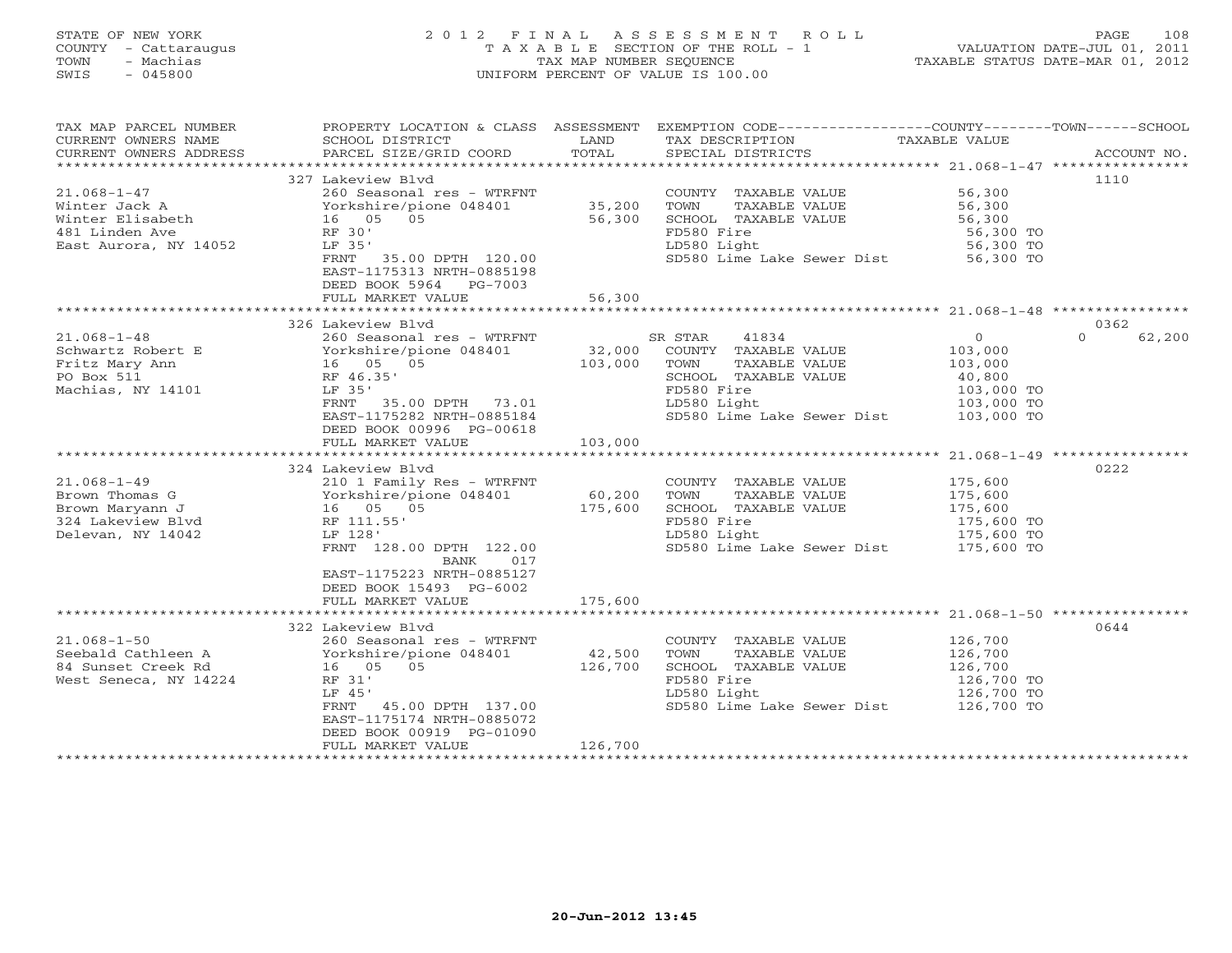#### STATE OF NEW YORK 2 0 1 2 F I N A L A S S E S S M E N T R O L L PAGE 108 COUNTY - Cattaraugus T A X A B L E SECTION OF THE ROLL - 1 VALUATION DATE-JUL 01, 2011 TOWN - Machias TAX MAP NUMBER SEQUENCE TAXABLE STATUS DATE-MAR 01, 2012 SWIS - 045800 UNIFORM PERCENT OF VALUE IS 100.00UNIFORM PERCENT OF VALUE IS 100.00

| TAX MAP PARCEL NUMBER              |                                                    |                   | PROPERTY LOCATION & CLASS ASSESSMENT EXEMPTION CODE---------------COUNTY-------TOWN------SCHOOL |                          |                    |
|------------------------------------|----------------------------------------------------|-------------------|-------------------------------------------------------------------------------------------------|--------------------------|--------------------|
| CURRENT OWNERS NAME                | SCHOOL DISTRICT                                    | LAND              | TAX DESCRIPTION                                                                                 | TAXABLE VALUE            |                    |
| CURRENT OWNERS ADDRESS             | PARCEL SIZE/GRID COORD                             | TOTAL             | SPECIAL DISTRICTS                                                                               |                          | ACCOUNT NO.        |
|                                    |                                                    |                   |                                                                                                 |                          |                    |
|                                    | 327 Lakeview Blvd                                  |                   |                                                                                                 |                          | 1110               |
| $21.068 - 1 - 47$                  | 260 Seasonal res - WTRFNT                          |                   | COUNTY TAXABLE VALUE 56,300                                                                     |                          |                    |
| Winter Jack A                      | Yorkshire/pione 048401                             | 35,200<br>56,300  | TOWN<br>TAXABLE VALUE                                                                           | 56,300                   |                    |
| Winter Elisabeth                   | $16$ 05 05                                         |                   | SCHOOL TAXABLE VALUE                                                                            | 56,300                   |                    |
| 481 Linden Ave                     | RF 30'                                             |                   | FD580 Fire                                                                                      | 56,300 TO<br>56,300 TO   |                    |
| East Aurora, NY 14052              | LF 35'                                             |                   | LD580 Light                                                                                     |                          |                    |
|                                    | FRNT 35.00 DPTH 120.00                             |                   | SD580 Lime Lake Sewer Dist 56,300 TO                                                            |                          |                    |
|                                    | EAST-1175313 NRTH-0885198                          |                   |                                                                                                 |                          |                    |
|                                    | DEED BOOK 5964 PG-7003                             |                   |                                                                                                 |                          |                    |
|                                    | FULL MARKET VALUE                                  | 56,300            |                                                                                                 |                          |                    |
|                                    |                                                    |                   |                                                                                                 |                          |                    |
|                                    | 326 Lakeview Blvd                                  |                   |                                                                                                 |                          | 0362               |
| $21.068 - 1 - 48$                  |                                                    |                   |                                                                                                 | $\overline{0}$           | $\Omega$<br>62,200 |
| Schwartz Robert E<br>Tite Mary Ann |                                                    |                   |                                                                                                 | 103,000                  |                    |
|                                    | 16 05 05                                           |                   |                                                                                                 | 103,000                  |                    |
| PO Box 511<br>Machias, NY 14101    | RF 46.35'                                          |                   | SCHOOL TAXABLE VALUE<br>FD580 Fire                                                              | 40,800<br>103,000 TO     |                    |
|                                    | LF 35'<br>FRNT 35.00 DPTH 73.01                    |                   | LD580 Light                                                                                     | 103,000 TO               |                    |
|                                    | EAST-1175282 NRTH-0885184                          |                   | SD580 Lime Lake Sewer Dist 103,000 TO                                                           |                          |                    |
|                                    | DEED BOOK 00996 PG-00618                           |                   |                                                                                                 |                          |                    |
|                                    | FULL MARKET VALUE                                  | 103,000           |                                                                                                 |                          |                    |
|                                    |                                                    |                   |                                                                                                 |                          |                    |
|                                    | 324 Lakeview Blvd                                  |                   |                                                                                                 |                          | 0222               |
| $21.068 - 1 - 49$                  | 210 1 Family Res - WTRFNT                          |                   | COUNTY TAXABLE VALUE                                                                            |                          |                    |
| Brown Thomas G                     | Yorkshire/pione 048401 60,200                      |                   | TOWN<br>TAXABLE VALUE                                                                           | 175,600<br>175,600       |                    |
| Brown Maryann J                    | YOLA.<br>16 05<br>RF 111.55'<br>F 128'<br>16 05 05 | 175,600           | SCHOOL TAXABLE VALUE                                                                            | 175,600                  |                    |
| 324 Lakeview Blvd                  |                                                    |                   | FD580 Fire                                                                                      | 175,600 TO               |                    |
| Delevan, NY 14042                  |                                                    |                   |                                                                                                 |                          |                    |
|                                    | FRNT 128.00 DPTH 122.00                            |                   | LD580 Light 175,600 TO<br>SD580 Lime Lake Sewer Dist 175,600 TO                                 |                          |                    |
|                                    | BANK<br>017                                        |                   |                                                                                                 |                          |                    |
|                                    | EAST-1175223 NRTH-0885127                          |                   |                                                                                                 |                          |                    |
|                                    | DEED BOOK 15493 PG-6002                            |                   |                                                                                                 |                          |                    |
|                                    | FULL MARKET VALUE                                  | 175,600           |                                                                                                 |                          |                    |
|                                    |                                                    |                   |                                                                                                 |                          |                    |
|                                    | 322 Lakeview Blvd                                  |                   |                                                                                                 |                          | 0644               |
| $21.068 - 1 - 50$                  | 260 Seasonal res - WTRFNT                          |                   | COUNTY TAXABLE VALUE 126,700                                                                    |                          |                    |
| Seebald Cathleen A                 | Yorkshire/pione 048401                             | 42,500<br>126,700 | TAXABLE VALUE<br>TOWN                                                                           | 126,700<br>126,700       |                    |
| 84 Sunset Creek Rd                 | 16  05  05                                         |                   | SCHOOL TAXABLE VALUE                                                                            |                          |                    |
| West Seneca, NY 14224              | RF 31'                                             |                   | FD580 Fire                                                                                      | 126,700 TO<br>126,700 TO |                    |
|                                    | LF 45'                                             |                   | LD580 Light                                                                                     |                          |                    |
|                                    | FRNT 45.00 DPTH 137.00                             |                   | SD580 Lime Lake Sewer Dist 126,700 TO                                                           |                          |                    |
|                                    | EAST-1175174 NRTH-0885072                          |                   |                                                                                                 |                          |                    |
|                                    | DEED BOOK 00919 PG-01090                           |                   |                                                                                                 |                          |                    |
|                                    | FULL MARKET VALUE                                  | 126,700           |                                                                                                 |                          |                    |
|                                    |                                                    |                   |                                                                                                 |                          |                    |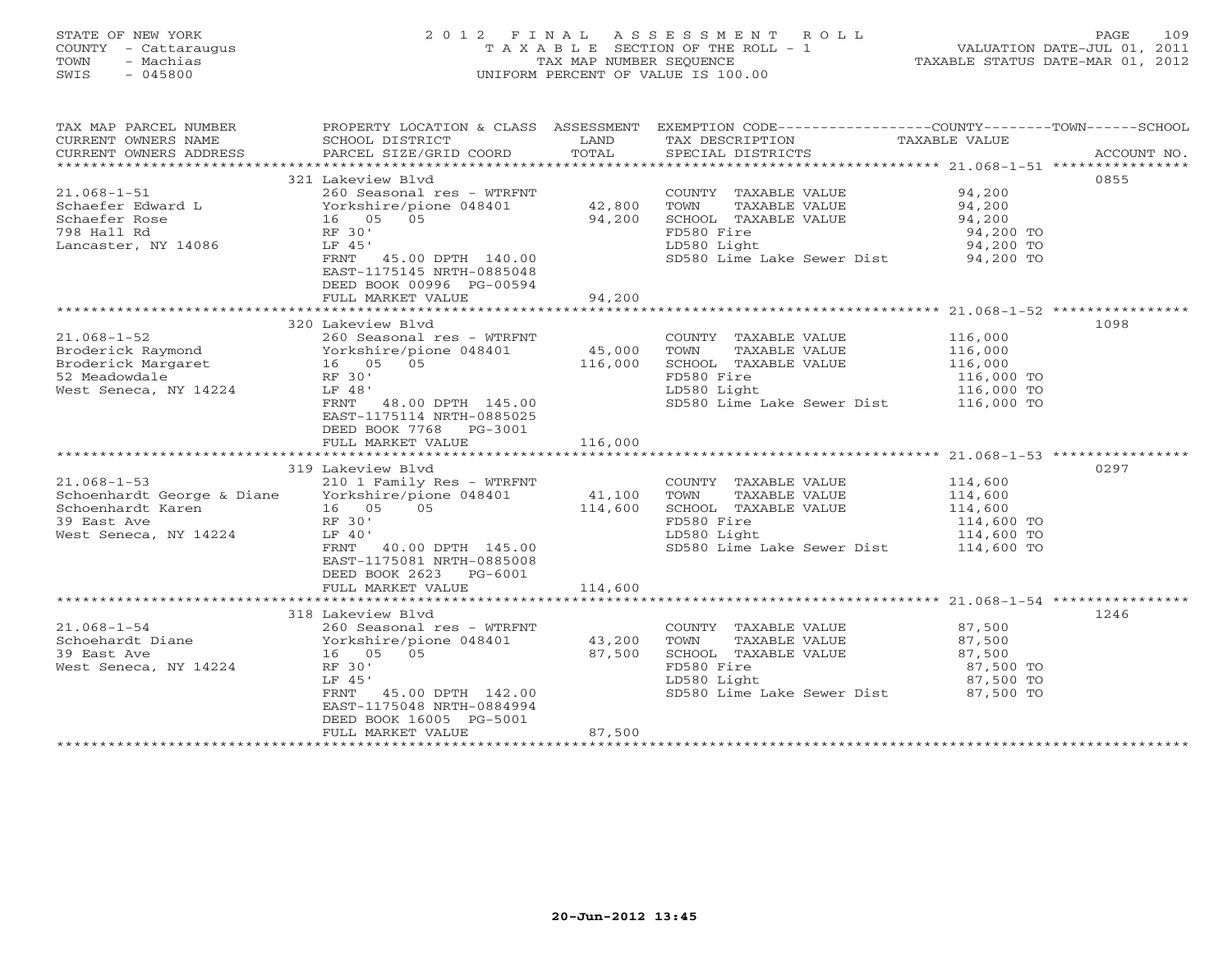# STATE OF NEW YORK 2 0 1 2 F I N A L A S S E S S M E N T R O L L PAGE 109 COUNTY - Cattaraugus T A X A B L E SECTION OF THE ROLL - 1 VALUATION DATE-JUL 01, 2011 TOWN - Machias TAX MAP NUMBER SEQUENCE TAXABLE STATUS DATE-MAR 01, 2012 SWIS - 045800 UNIFORM PERCENT OF VALUE IS 100.00UNIFORM PERCENT OF VALUE IS 100.00

| TAX MAP PARCEL NUMBER<br>CURRENT OWNERS NAME<br>CURRENT OWNERS ADDRESS                                                                                                                                                                                                                                                                                                                                                                               | PROPERTY LOCATION & CLASS ASSESSMENT<br>SCHOOL DISTRICT<br><b>Example 12 TEAND</b><br>PARCEL SIZE/GRID COORD                                                                                                                                                                                                                                                                       | TOTAL            | EXEMPTION CODE-----------------COUNTY-------TOWN------SCHOOL<br>TAX DESCRIPTION<br>SPECIAL DISTRICTS                                                                                                                             | TAXABLE VALUE                          | ACCOUNT NO. |
|------------------------------------------------------------------------------------------------------------------------------------------------------------------------------------------------------------------------------------------------------------------------------------------------------------------------------------------------------------------------------------------------------------------------------------------------------|------------------------------------------------------------------------------------------------------------------------------------------------------------------------------------------------------------------------------------------------------------------------------------------------------------------------------------------------------------------------------------|------------------|----------------------------------------------------------------------------------------------------------------------------------------------------------------------------------------------------------------------------------|----------------------------------------|-------------|
| $21.068 - 1 - 51$<br>Lancaster, NY 14086                                                                                                                                                                                                                                                                                                                                                                                                             | 321 Lakeview Blyd<br>260 Seasonal res - WTRFNT<br>LF 45'<br>FRNT 45.00 DPTH 140.00<br>EAST-1175145 NRTH-0885048<br>DEED BOOK 00996 PG-00594<br>FULL MARKET VALUE                                                                                                                                                                                                                   | 94,200           | COUNTY TAXABLE VALUE 94,200<br>TOWN TAXABLE VALUE 94,200<br>SCHOOL TAXABLE VALUE<br>SCHOOL TAXABLE VALUE 54,200<br>FD580 Fire 94,200 TO<br>FD580 Fire 94,200 TO<br>LD580 Light 94,200 TO<br>SD580 Lime Lake Sewer Dist 94,200 TO |                                        | 0855        |
| $\begin{array}{cccc} \texttt{21.068-1-52} & \texttt{260 Seasonal res - WTRENT} & \texttt{COUNTY TAXABLE VALUE} & \texttt{116,000} \\ \texttt{broderick Raymond} & \texttt{Yorkshire/pione 048401} & \texttt{45,000} & \texttt{TOWN} & \texttt{TAXABLE VALUE} & \texttt{116,000} \\ \texttt{Broderick Margaret} & \texttt{16,000} & \texttt{16} & \texttt{05} & \texttt{05} & \texttt{116,000} \\ \texttt{52 Meadowdale} & \texttt{RF 30'} & \texttt$ | 320 Lakeview Blvd<br>$FRNT$ 48.00 DPTH 145.00<br>EAST-1175114 NRTH-0885025<br>DEED BOOK 7768 PG-3001<br>FULL MARKET VALUE 116,000                                                                                                                                                                                                                                                  |                  | FD580 Fire 116,000 TO<br>LD580 Light 116,000 TO<br>SD580 Lime Lake Sewer Dist 116,000 TO                                                                                                                                         |                                        | 1098        |
| West Seneca, NY 14224                                                                                                                                                                                                                                                                                                                                                                                                                                | 319 Lakeview Blvd<br>LF 40'<br>$FRTT = 40.00 DPTH = 145.00$<br>EAST-1175081 NRTH-0885008<br>DEED BOOK 2623 PG-6001<br>FULL MARKET VALUE                                                                                                                                                                                                                                            | 114,600          | LD580 Light<br>SD580 Lime Lake Sewer Dist 114,600 TO                                                                                                                                                                             | 114,600 TO<br>114,600 TO<br>114,600 TO | 0297        |
| West Seneca, NY 14224                                                                                                                                                                                                                                                                                                                                                                                                                                | 318 Lakeview Blvd<br>21.068-1-54 21.068-1-54 21.068-1-54 221.068-1-54 221.068-1-54 221.068-1-54 221.068-1-54 221.068-1-54 221.068-1<br>2000 Schoehardt Diane Yorkshire/pione 048401 43,200 TOWN TAXABLE VALUE 27,500<br>39 East Ave 16 05 05 27.500 8CH<br>RF 30'<br>LF 45'<br>FRNT 45.00 DPTH 142.00<br>EAST-1175048 NRTH-0884994<br>DEED BOOK 16005 PG-5001<br>FULL MARKET VALUE | 87,500<br>87,500 | FD580 Fire<br>LD580 Light<br>SD580 Lime Lake Sewer Dist 87,500 TO                                                                                                                                                                | 87,500 TO<br>87,500 TO                 | 1246        |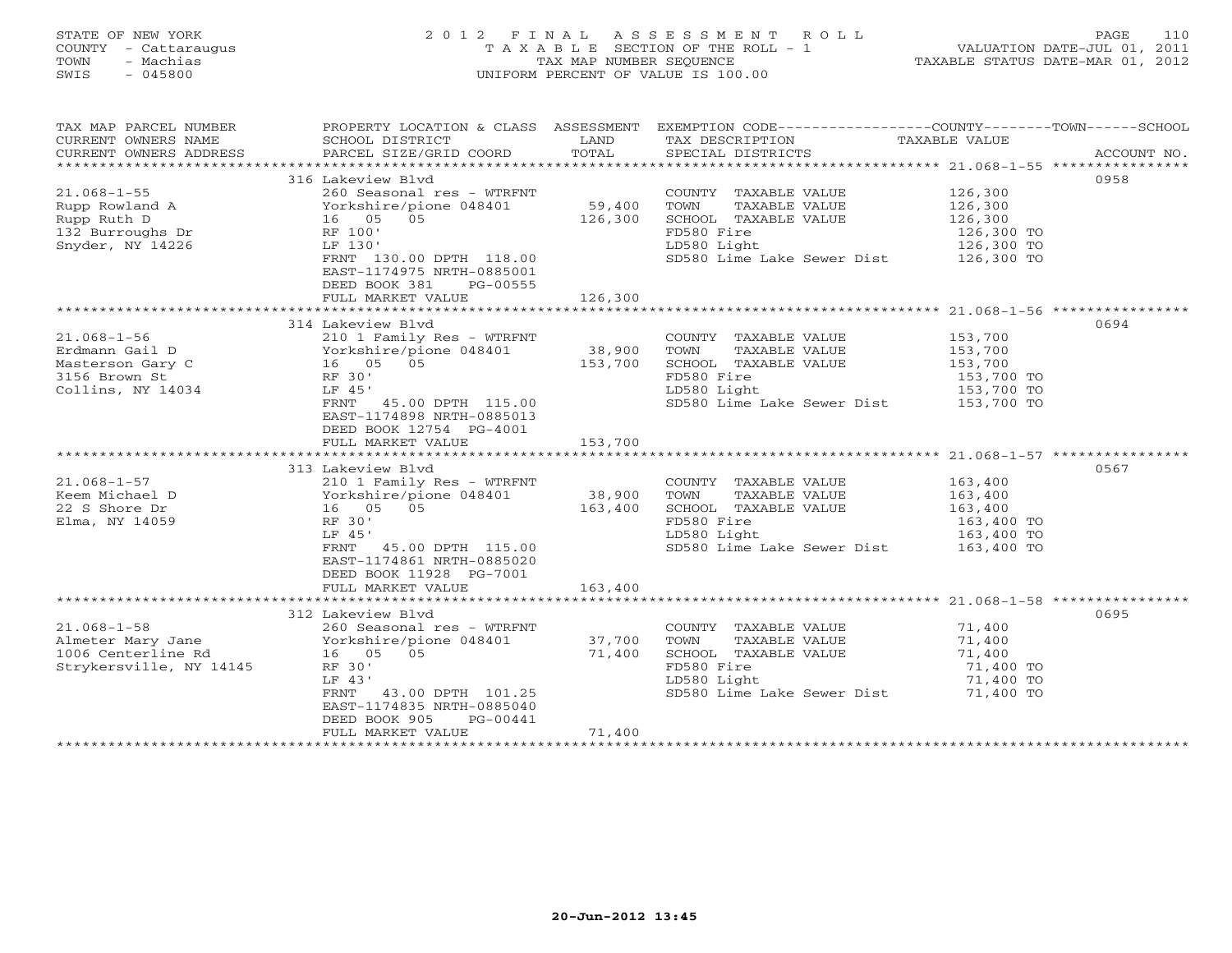#### STATE OF NEW YORK 2 0 1 2 F I N A L A S S E S S M E N T R O L L PAGE 110COUNTY - Cattaraugus T A X A B L E SECTION OF THE ROLL - 1 VALUATION DATE-JUL 01, 2011 TOWN - Machias TAX MAP NUMBER SEQUENCE TAX AND TAXABLE STATUS DATE-MAR 01, 2012<br>TRIS - 045800 SWIS - 045800 UNIFORM PERCENT OF VALUE IS 100.00

| TAX MAP PARCEL NUMBER<br>CURRENT OWNERS NAME<br>CURRENT OWNERS ADDRESS                        | SCHOOL DISTRICT<br>PARCEL SIZE/GRID COORD                                                                                                                                                                                                                                                                         | LAND<br>TOTAL                | PROPERTY LOCATION & CLASS ASSESSMENT EXEMPTION CODE----------------COUNTY-------TOWN------SCHOOL<br>TAX DESCRIPTION<br>SPECIAL DISTRICTS    | TAXABLE VALUE                                             | ACCOUNT NO. |
|-----------------------------------------------------------------------------------------------|-------------------------------------------------------------------------------------------------------------------------------------------------------------------------------------------------------------------------------------------------------------------------------------------------------------------|------------------------------|---------------------------------------------------------------------------------------------------------------------------------------------|-----------------------------------------------------------|-------------|
|                                                                                               | 316 Lakeview Blvd<br>260 Seasonal res - WTRFNT<br>FRNT 130.00 DPTH 118.00<br>EAST-1174975 NRTH-0885001<br>DEED BOOK 381<br>PG-00555<br>FULL MARKET VALUE                                                                                                                                                          | 59,400<br>126,300<br>126,300 | COUNTY TAXABLE VALUE<br>TOWN<br>TAXABLE VALUE<br>SCHOOL TAXABLE VALUE<br>FD580 Fire<br>LD580 Light<br>SD580 Lime Lake Sewer Dist 126,300 TO | 126,300<br>126,300<br>126,300<br>126,300 TO<br>126,300 TO | 0958        |
|                                                                                               |                                                                                                                                                                                                                                                                                                                   |                              |                                                                                                                                             |                                                           |             |
| $21.068 - 1 - 56$<br>Erdmann Gail D<br>Masterson Gary C<br>3156 Brown St<br>Collins, NY 14034 | 314 Lakeview Blvd<br>210 1 Family Res - WTRFNT<br>LF 45'<br>FRNT 45.00 DPTH 115.00<br>EAST-1174898 NRTH-0885013<br>DEED BOOK 12754 PG-4001<br>FULL MARKET VALUE                                                                                                                                                   | 153,700                      | COUNTY TAXABLE VALUE<br>TOWN<br>TAXABLE VALUE<br>SCHOOL TAXABLE VALUE<br>FD580 Fire<br>LD580 Light<br>SD580 Lime Lake Sewer Dist 153,700 TO | 153,700<br>153,700<br>153,700<br>153,700 TO<br>153,700 TO | 0694        |
|                                                                                               |                                                                                                                                                                                                                                                                                                                   |                              |                                                                                                                                             |                                                           |             |
| $21.068 - 1 - 57$<br>Keem Michael D<br>22 S Shore Dr<br>Elma, NY 14059                        | 313 Lakeview Blvd<br>210 1 Family Res - WTRFNT<br>210 1 Family Res - WTRF<br>Yorkshire/pione 048401<br>16 05 05<br>RF 30'<br>LF 45'<br>FRNT 45.00 DPTH 115.00<br>EAST-1174861 NRTH-0885020<br>DEED BOOK 11928 PG-7001<br>FULL MARKET VALUE                                                                        | 38,900<br>163,400<br>163,400 | COUNTY TAXABLE VALUE<br>TOWN<br>TAXABLE VALUE<br>SCHOOL TAXABLE VALUE<br>FD580 Fire<br>LD580 Light<br>SD580 Lime Lake Sewer Dist 163,400 TO | 163,400<br>163,400<br>163,400<br>163,400 TO<br>163,400 TO | 0567        |
|                                                                                               |                                                                                                                                                                                                                                                                                                                   |                              |                                                                                                                                             |                                                           |             |
| Strykersville, NY 14145                                                                       | 312 Lakeview Blvd<br>21.068-1-58<br>Almeter Mary Jane<br>260 Seasonal res - WTRFNT<br>260 Seasonal res - WTRFNT<br>260 Seasonal res - WTRFNT<br>27,700<br>27,700<br>27,400<br>27,400<br>RF 30'<br>LF 43'<br>FRNT 43.00 DPTH 101.25<br>EAST-1174835 NRTH-0885040<br>DEED BOOK 905<br>PG-00441<br>FULL MARKET VALUE | 71,400                       | COUNTY TAXABLE VALUE<br>TOWN<br>TAXABLE VALUE<br>SCHOOL TAXABLE VALUE<br>FD580 Fire<br>LD580 Light<br>SD580 Lime Lake Sewer Dist 71,400 TO  | 71,400<br>71,400<br>71,400<br>71,400 TO<br>71,400 TO      | 0695        |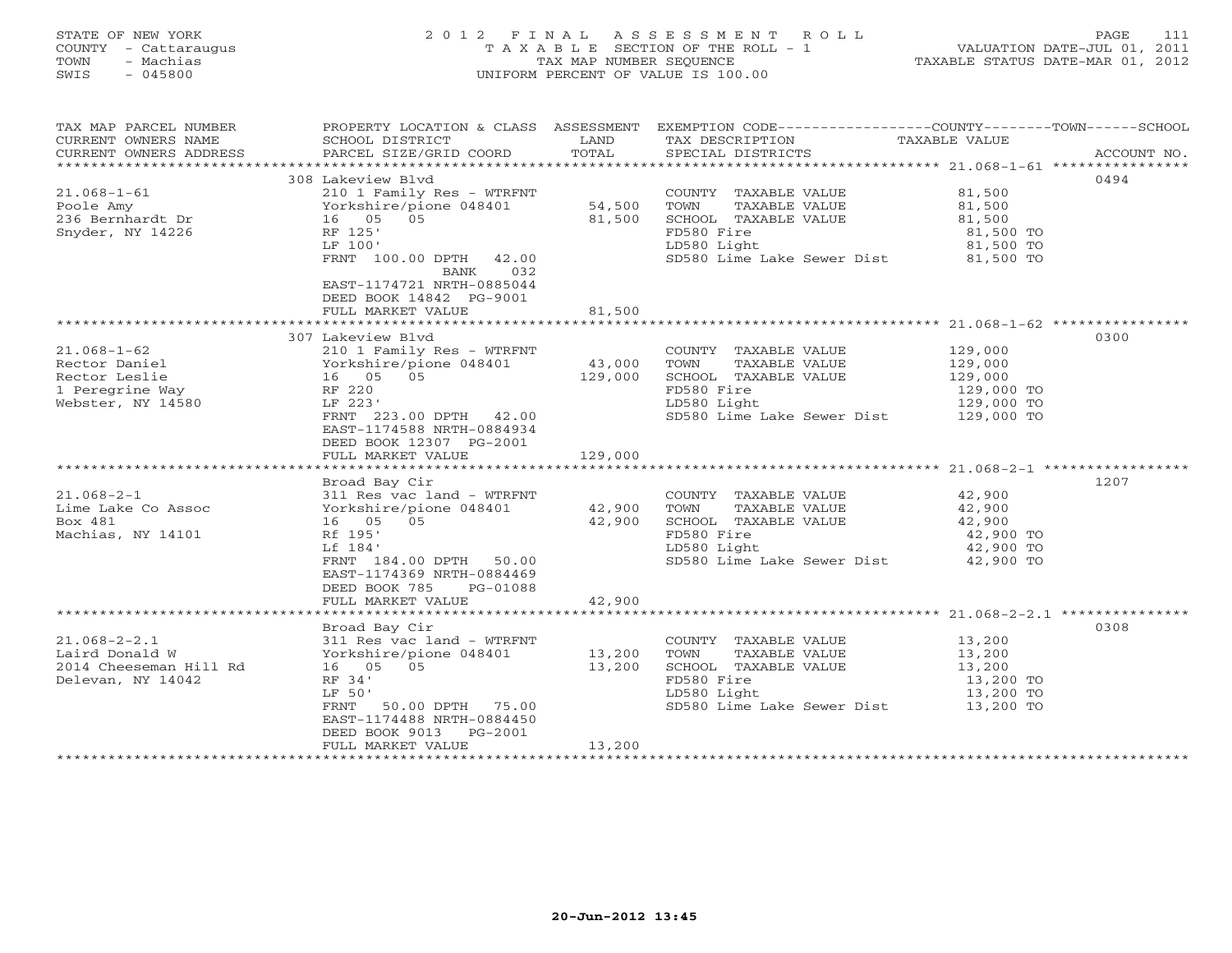# STATE OF NEW YORK 2 0 1 2 F I N A L A S S E S S M E N T R O L L PAGE 111 COUNTY - Cattaraugus T A X A B L E SECTION OF THE ROLL - 1 VALUATION DATE-JUL 01, 2011 TOWN - Machias TAX MAP NUMBER SEQUENCE TAXABLE STATUS DATE-MAR 01, 2012 SWIS - 045800 UNIFORM PERCENT OF VALUE IS 100.00UNIFORM PERCENT OF VALUE IS 100.00

| TAX MAP PARCEL NUMBER<br>CURRENT OWNERS NAME<br>CURRENT OWNERS ADDRESS                                                                                                                      | PROPERTY LOCATION & CLASS ASSESSMENT EXEMPTION CODE---------------COUNTY-------TOWN-----SCHOOL<br>SCHOOL DISTRICT<br>PARCEL SIZE/GRID COORD                                                                                                                                                                  | LAND<br>TOTAL                                    | TAX DESCRIPTION<br>SPECIAL DISTRICTS                                                                                                                                                                                                                                                      | TAXABLE VALUE                                                                                                     | ACCOUNT NO. |
|---------------------------------------------------------------------------------------------------------------------------------------------------------------------------------------------|--------------------------------------------------------------------------------------------------------------------------------------------------------------------------------------------------------------------------------------------------------------------------------------------------------------|--------------------------------------------------|-------------------------------------------------------------------------------------------------------------------------------------------------------------------------------------------------------------------------------------------------------------------------------------------|-------------------------------------------------------------------------------------------------------------------|-------------|
|                                                                                                                                                                                             |                                                                                                                                                                                                                                                                                                              |                                                  |                                                                                                                                                                                                                                                                                           |                                                                                                                   |             |
| $21.068 - 1 - 61$<br>Poole Amy<br>236 Bernhardt Dr<br>Snyder, NY 14226                                                                                                                      | 308 Lakeview Blvd<br>210 1 Family Res - WTRFNT<br>Yorkshire/pione 048401<br>16 05 05<br>RF 125'                                                                                                                                                                                                              | 54,500<br>81,500                                 | COUNTY TAXABLE VALUE<br>TOWN<br>TAXABLE VALUE<br>SCHOOL TAXABLE VALUE<br>FD580 Fire                                                                                                                                                                                                       | 81,500<br>81,500<br>81,500<br>81,500 TO                                                                           | 0494        |
|                                                                                                                                                                                             | LF 100'<br>FRNT 100.00 DPTH 42.00<br>032<br>BANK<br>EAST-1174721 NRTH-0885044<br>DEED BOOK 14842 PG-9001<br>FULL MARKET VALUE                                                                                                                                                                                | 81,500                                           | LD580 Light<br>$SD580$ Lime Lake Sewer Dist $81,500$ TO                                                                                                                                                                                                                                   | 81,500 TO                                                                                                         |             |
|                                                                                                                                                                                             |                                                                                                                                                                                                                                                                                                              |                                                  |                                                                                                                                                                                                                                                                                           |                                                                                                                   |             |
|                                                                                                                                                                                             | 307 Lakeview Blvd                                                                                                                                                                                                                                                                                            |                                                  |                                                                                                                                                                                                                                                                                           |                                                                                                                   | 0300        |
| $21.068 - 1 - 62$<br>Rector Daniel<br>16 05 05<br>RF 220<br>Rector Leslie<br>1 Peregrine Way<br>Webster, NY 14580<br>$21.068 - 2 - 1$<br>Lime Lake Co Assoc<br>Box 481<br>Machias, NY 14101 | 210 1 Family Res - WTRFNT<br>Yorkshire/pione 048401<br>LF 223'<br>FRNT 223.00 DPTH 42.00<br>EAST-1174588 NRTH-0884934<br>DEED BOOK 12307 PG-2001<br>FULL MARKET VALUE<br>Broad Bay Cir<br>311 Res vac land - WTRFNT<br>311 Res vac land – WTRFNT<br>Yorkshire/pione 048401<br>16 05 05<br>Rf 195'<br>Lf 184' | 43,000<br>129,000<br>129,000<br>42,900<br>42,900 | COUNTY TAXABLE VALUE<br>TOWN<br>TAXABLE VALUE<br>SCHOOL TAXABLE VALUE<br>FD580 Fire<br>LD580 Light<br>SD580 Lime Lake Sewer Dist 129,000 TO<br>COUNTY TAXABLE VALUE<br>TOWN<br>TAXABLE VALUE<br>SCHOOL TAXABLE VALUE<br>FD580 Fire<br>LD580 Light<br>SD580 Lime Lake Sewer Dist 42,900 TO | 129,000<br>129,000<br>129,000<br>129,000 TO<br>129,000 TO<br>42,900<br>42,900<br>42,900<br>42,900 TO<br>42,900 TO | 1207        |
|                                                                                                                                                                                             | FRNT 184.00 DPTH 50.00<br>EAST-1174369 NRTH-0884469<br>DEED BOOK 785<br>PG-01088<br>FULL MARKET VALUE                                                                                                                                                                                                        | 42,900                                           |                                                                                                                                                                                                                                                                                           |                                                                                                                   |             |
|                                                                                                                                                                                             |                                                                                                                                                                                                                                                                                                              |                                                  |                                                                                                                                                                                                                                                                                           |                                                                                                                   |             |
| $21.068 - 2 - 2.1$<br>Laird Donald W<br>2014 Cheeseman Hill Rd<br>Delevan, NY 14042                                                                                                         | Broad Bay Cir<br>311 Res vac land - WTRFNT<br>Yorkshire/pione 048401<br>16 05 05<br>RF 34'<br>LF 50'<br>50.00 DPTH 75.00<br>FRNT<br>EAST-1174488 NRTH-0884450<br>DEED BOOK 9013 PG-2001                                                                                                                      | 13,200<br>13,200                                 | COUNTY TAXABLE VALUE<br>TOWN<br>TAXABLE VALUE<br>SCHOOL TAXABLE VALUE<br>FD580 Fire<br>LD580 Light<br>SD580 Lime Lake Sewer Dist 13,200 TO                                                                                                                                                | 13,200<br>13,200<br>13,200<br>$13,200$ TO<br>13,200 TO                                                            | 0308        |
|                                                                                                                                                                                             | FULL MARKET VALUE                                                                                                                                                                                                                                                                                            | 13,200                                           |                                                                                                                                                                                                                                                                                           |                                                                                                                   |             |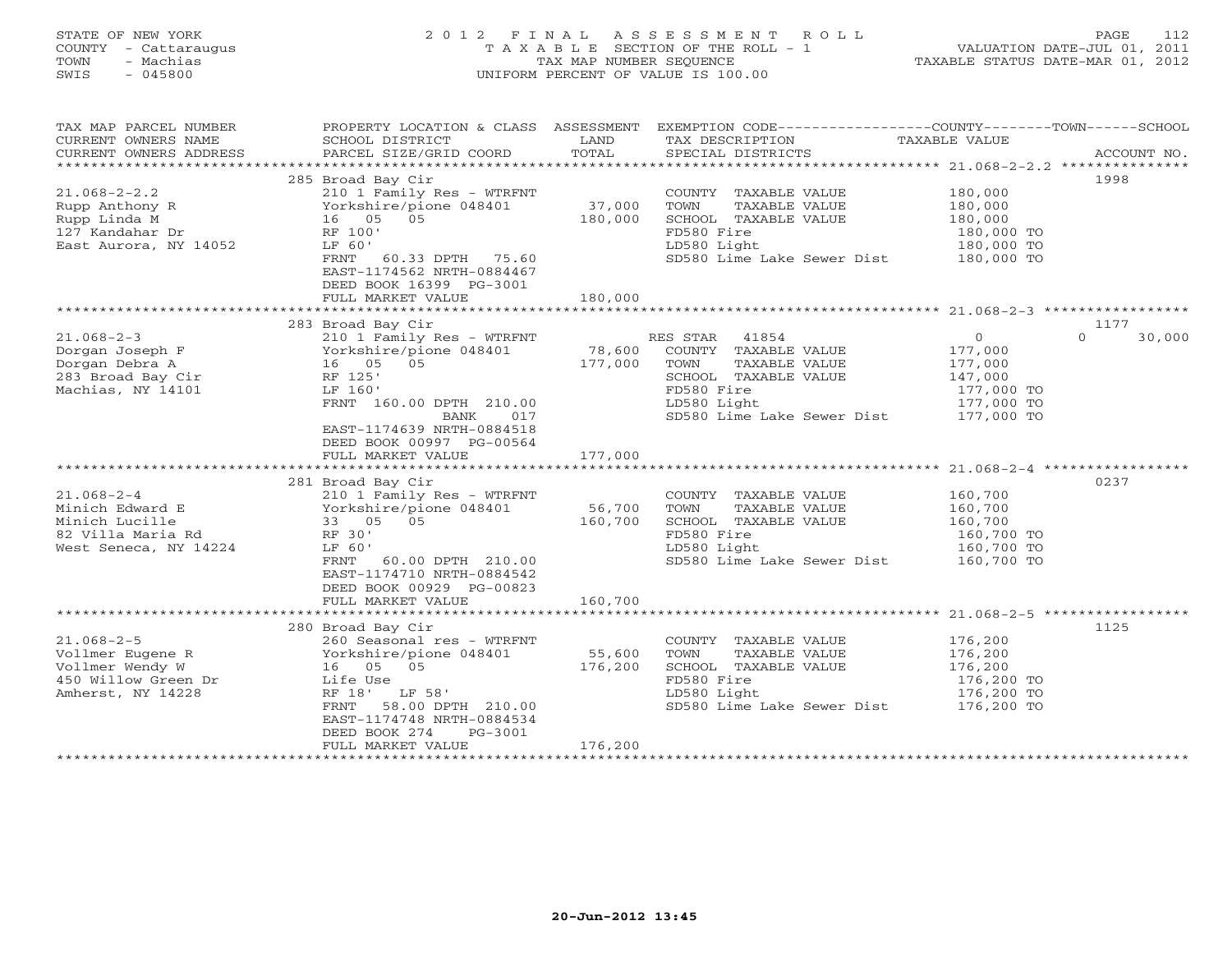STATE OF NEW YORK 2 0 1 2 F I N A L A S S E S S M E N T R O L L PAGE 112 COUNTY - Cattaraugus T A X A B L E SECTION OF THE ROLL - 1 VALUATION DATE-JUL 01, 2011 TOWN - Machias TAX MAP NUMBER SEQUENCE TAXABLE STATUS DATE-MAR 01, 2012 SWIS - 045800 UNIFORM PERCENT OF VALUE IS 100.00UNIFORM PERCENT OF VALUE IS 100.00

| TAX MAP PARCEL NUMBER<br>CURRENT OWNERS NAME<br>CURRENT OWNERS ADDRESS | PROPERTY LOCATION & CLASS ASSESSMENT<br>SCHOOL DISTRICT<br>PARCEL SIZE/GRID COORD | LAND<br>TOTAL     | EXEMPTION CODE----------------COUNTY-------TOWN------SCHOOL<br>TAX DESCRIPTION<br>SPECIAL DISTRICTS | TAXABLE VALUE                      | ACCOUNT NO. |
|------------------------------------------------------------------------|-----------------------------------------------------------------------------------|-------------------|-----------------------------------------------------------------------------------------------------|------------------------------------|-------------|
|                                                                        |                                                                                   |                   |                                                                                                     |                                    |             |
|                                                                        | 285 Broad Bay Cir                                                                 |                   |                                                                                                     | 1998                               |             |
| $21.068 - 2 - 2.2$                                                     | 210 1 Family Res - WTRFNT                                                         |                   | COUNTY TAXABLE VALUE                                                                                | 180,000                            |             |
| Rupp Anthony R                                                         | Yorkshire/pione 048401                                                            | 37,000            | TOWN<br>TAXABLE VALUE                                                                               | 180,000                            |             |
| Rupp Linda M                                                           | 16 05 05                                                                          | 180,000           | SCHOOL TAXABLE VALUE                                                                                | 180,000                            |             |
| 127 Kandahar Dr                                                        | RF 100'                                                                           |                   | FD580 Fire                                                                                          | 180,000 TO                         |             |
| East Aurora, NY 14052                                                  | LF 60'                                                                            |                   | LD580 Light                                                                                         | 180,000 TO                         |             |
|                                                                        | FRNT 60.33 DPTH 75.60<br>EAST-1174562 NRTH-0884467                                |                   | SD580 Lime Lake Sewer Dist 180,000 TO                                                               |                                    |             |
|                                                                        | DEED BOOK 16399 PG-3001                                                           |                   |                                                                                                     |                                    |             |
|                                                                        | FULL MARKET VALUE                                                                 | 180,000           |                                                                                                     |                                    |             |
|                                                                        |                                                                                   |                   |                                                                                                     |                                    |             |
| $21.068 - 2 - 3$                                                       | 283 Broad Bay Cir                                                                 |                   | RES STAR 41854                                                                                      | 1177<br>$\overline{0}$<br>$\Omega$ | 30,000      |
| Dorgan Joseph F                                                        | 210 1 Family Res - WTRFNT<br>Yorkshire/pione 048401                               |                   | COUNTY TAXABLE VALUE                                                                                |                                    |             |
| Dorgan Debra A                                                         | 16 05 05                                                                          | 78,600<br>177,000 | TAXABLE VALUE<br>TOWN                                                                               | 177,000<br>177,000                 |             |
| 283 Broad Bay Cir                                                      | RF 125'                                                                           |                   | SCHOOL TAXABLE VALUE                                                                                | 147,000                            |             |
| Machias, NY 14101                                                      | LF 160'                                                                           |                   | FD580 Fire                                                                                          | 177,000 TO                         |             |
|                                                                        | FRNT 160.00 DPTH 210.00                                                           |                   | LD580 Light                                                                                         |                                    |             |
|                                                                        | BANK<br>017                                                                       |                   | LD580 Light 177,000 TO<br>SD580 Lime Lake Sewer Dist 177,000 TO                                     |                                    |             |
|                                                                        | EAST-1174639 NRTH-0884518                                                         |                   |                                                                                                     |                                    |             |
|                                                                        | DEED BOOK 00997 PG-00564                                                          |                   |                                                                                                     |                                    |             |
|                                                                        | FULL MARKET VALUE                                                                 | 177,000           |                                                                                                     |                                    |             |
|                                                                        |                                                                                   |                   |                                                                                                     |                                    |             |
|                                                                        | 281 Broad Bay Cir                                                                 |                   |                                                                                                     | 0237                               |             |
| $21.068 - 2 - 4$                                                       | 210 1 Family Res - WTRFNT                                                         | 56,700            | COUNTY TAXABLE VALUE                                                                                | 160,700                            |             |
| Minich Edward E<br>Minich Lucille                                      | Yorkshire/pione 048401<br>33 05 05                                                | 160,700           | TOWN<br>TAXABLE VALUE<br>SCHOOL TAXABLE VALUE                                                       | 160,700                            |             |
| 82 Villa Maria Rd                                                      | RF 30'                                                                            |                   | FD580 Fire                                                                                          | 160,700<br>160,700 TO              |             |
| West Seneca, NY 14224                                                  | LF 60'                                                                            |                   | LD580 Light                                                                                         | 160,700 TO                         |             |
|                                                                        | FRNT 60.00 DPTH 210.00                                                            |                   | SD580 Lime Lake Sewer Dist 160,700 TO                                                               |                                    |             |
|                                                                        | EAST-1174710 NRTH-0884542                                                         |                   |                                                                                                     |                                    |             |
|                                                                        | DEED BOOK 00929 PG-00823                                                          |                   |                                                                                                     |                                    |             |
|                                                                        | FULL MARKET VALUE                                                                 | 160,700           |                                                                                                     |                                    |             |
|                                                                        |                                                                                   |                   |                                                                                                     |                                    |             |
|                                                                        | 280 Broad Bay Cir                                                                 |                   |                                                                                                     | 1125                               |             |
| $21.068 - 2 - 5$                                                       | 260 Seasonal res - WTRFNT                                                         |                   | COUNTY TAXABLE VALUE                                                                                | 176,200                            |             |
| Vollmer Eugene R                                                       | Yorkshire/pione 048401                                                            | 55,600<br>176,200 | TOWN<br>TAXABLE VALUE                                                                               | 176,200<br>176,200                 |             |
| Vollmer Wendy W                                                        | 16 05 05                                                                          |                   | SCHOOL TAXABLE VALUE<br>FD580 Fire<br>LD580 Light                                                   |                                    |             |
| 450 Willow Green Dr                                                    | Life Use<br>RF 18' LF 58'                                                         |                   |                                                                                                     | 176,200 TO                         |             |
| Amherst, NY 14228                                                      | 58.00 DPTH 210.00<br>FRNT                                                         |                   | LD580 Light<br>SD580 Lime Lake Sewer Dist 176,200 TO                                                | 176,200 TO                         |             |
|                                                                        | EAST-1174748 NRTH-0884534                                                         |                   |                                                                                                     |                                    |             |
|                                                                        | DEED BOOK 274<br>PG-3001                                                          |                   |                                                                                                     |                                    |             |
|                                                                        | FULL MARKET VALUE                                                                 | 176,200           |                                                                                                     |                                    |             |
|                                                                        |                                                                                   |                   |                                                                                                     |                                    |             |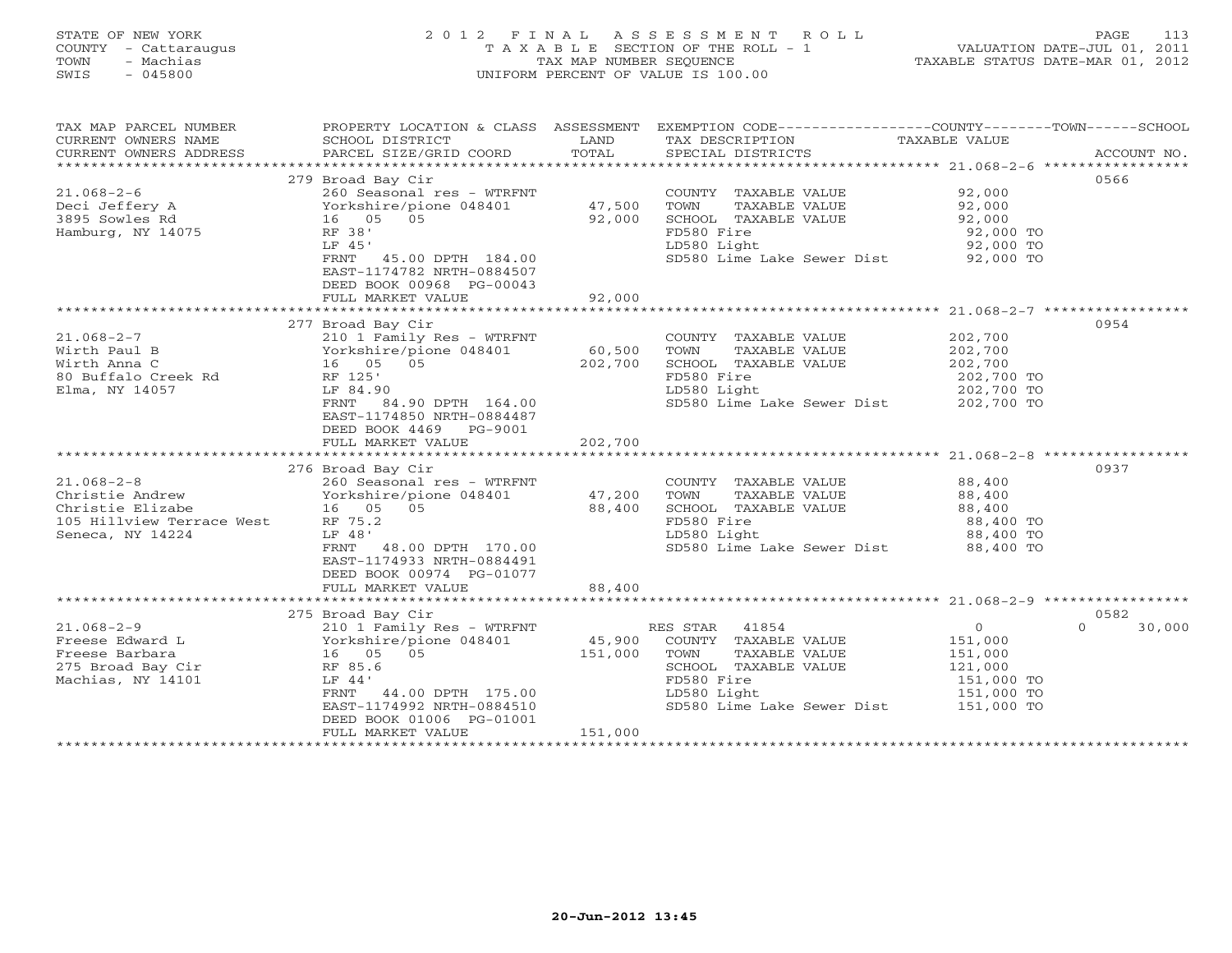# STATE OF NEW YORK 2 0 1 2 F I N A L A S S E S S M E N T R O L L PAGE 113 COUNTY - Cattaraugus T A X A B L E SECTION OF THE ROLL - 1 VALUATION DATE-JUL 01, 2011 TOWN - Machias TAX MAP NUMBER SEQUENCE TAXABLE STATUS DATE-MAR 01, 2012 SWIS - 045800 UNIFORM PERCENT OF VALUE IS 100.00UNIFORM PERCENT OF VALUE IS 100.00

| TAX MAP PARCEL NUMBER<br>CURRENT OWNERS NAME<br>CURRENT OWNERS ADDRESS | PROPERTY LOCATION & CLASS ASSESSMENT<br>SCHOOL DISTRICT<br>PARCEL SIZE/GRID COORD | LAND<br>TOTAL | EXEMPTION CODE-----------------COUNTY-------TOWN------SCHOOL<br>TAX DESCRIPTION<br>SPECIAL DISTRICTS | TAXABLE VALUE | ACCOUNT NO.        |
|------------------------------------------------------------------------|-----------------------------------------------------------------------------------|---------------|------------------------------------------------------------------------------------------------------|---------------|--------------------|
|                                                                        |                                                                                   |               |                                                                                                      |               |                    |
|                                                                        | 279 Broad Bay Cir                                                                 |               |                                                                                                      |               | 0566               |
| $21.068 - 2 - 6$                                                       | 260 Seasonal res - WTRFNT                                                         |               | COUNTY TAXABLE VALUE                                                                                 | 92,000        |                    |
| Deci Jeffery A                                                         | Yorkshire/pione 048401                                                            | 47,500        | TAXABLE VALUE<br>TOWN                                                                                | 92,000        |                    |
| 3895 Sowles Rd                                                         | 16 05 05                                                                          | 92,000        | SCHOOL TAXABLE VALUE                                                                                 | 92,000        |                    |
| Hamburg, NY 14075                                                      | RF 38'                                                                            |               | FD580 Fire                                                                                           | 92,000 TO     |                    |
|                                                                        | LF 45'                                                                            |               | LD580 Light                                                                                          | 92,000 TO     |                    |
|                                                                        | FRNT 45.00 DPTH 184.00                                                            |               | SD580 Lime Lake Sewer Dist 92,000 TO                                                                 |               |                    |
|                                                                        | EAST-1174782 NRTH-0884507                                                         |               |                                                                                                      |               |                    |
|                                                                        |                                                                                   |               |                                                                                                      |               |                    |
|                                                                        | DEED BOOK 00968 PG-00043                                                          |               |                                                                                                      |               |                    |
|                                                                        | FULL MARKET VALUE                                                                 | 92,000        |                                                                                                      |               |                    |
|                                                                        |                                                                                   |               |                                                                                                      |               |                    |
|                                                                        | 277 Broad Bay Cir                                                                 |               |                                                                                                      |               | 0954               |
| $21.068 - 2 - 7$                                                       | 210 1 Family Res - WTRFNT                                                         |               | COUNTY TAXABLE VALUE                                                                                 | 202,700       |                    |
| Wirth Paul B                                                           | Yorkshire/pione 048401                                                            | 60,500        | TOWN<br>TAXABLE VALUE                                                                                | 202,700       |                    |
| Wirth Anna C                                                           | 16 05 05                                                                          | 202,700       | SCHOOL TAXABLE VALUE                                                                                 | 202,700       |                    |
| 80 Buffalo Creek Rd                                                    | RF 125'                                                                           |               | FD580 Fire                                                                                           | 202,700 TO    |                    |
| Elma, NY 14057                                                         | LF 84.90                                                                          |               | LD580 Light                                                                                          | 202,700 TO    |                    |
|                                                                        | FRNT 84.90 DPTH 164.00                                                            |               | SD580 Lime Lake Sewer Dist 202,700 TO                                                                |               |                    |
|                                                                        | EAST-1174850 NRTH-0884487                                                         |               |                                                                                                      |               |                    |
|                                                                        | DEED BOOK 4469 PG-9001                                                            |               |                                                                                                      |               |                    |
|                                                                        | FULL MARKET VALUE                                                                 | 202,700       |                                                                                                      |               |                    |
|                                                                        |                                                                                   |               |                                                                                                      |               |                    |
|                                                                        | 276 Broad Bay Cir                                                                 |               |                                                                                                      |               | 0937               |
| $21.068 - 2 - 8$                                                       | 260 Seasonal res - WTRFNT                                                         |               | COUNTY TAXABLE VALUE                                                                                 | 88,400        |                    |
| Christie Andrew                                                        | Yorkshire/pione 048401                                                            | 47,200        | TAXABLE VALUE<br>TOWN                                                                                | 88,400        |                    |
|                                                                        |                                                                                   | 88,400        |                                                                                                      |               |                    |
| Christie Elizabe                                                       | 16  05  05                                                                        |               | SCHOOL TAXABLE VALUE                                                                                 | 88,400        |                    |
| 105 Hillview Terrace West                                              | RF 75.2                                                                           |               | FD580 Fire                                                                                           | 88,400 TO     |                    |
| Seneca, NY 14224                                                       | LF 48'                                                                            |               | LD580 Light                                                                                          | 88,400 TO     |                    |
|                                                                        | FRNT 48.00 DPTH 170.00                                                            |               | SD580 Lime Lake Sewer Dist 88,400 TO                                                                 |               |                    |
|                                                                        | EAST-1174933 NRTH-0884491                                                         |               |                                                                                                      |               |                    |
|                                                                        | DEED BOOK 00974 PG-01077                                                          |               |                                                                                                      |               |                    |
|                                                                        | FULL MARKET VALUE                                                                 | 88,400        |                                                                                                      |               |                    |
|                                                                        |                                                                                   |               |                                                                                                      |               |                    |
|                                                                        | 275 Broad Bay Cir                                                                 |               |                                                                                                      |               | 0582               |
| $21.068 - 2 - 9$                                                       | 210 1 Family Res - WTRFNT                                                         |               | RES STAR<br>41854                                                                                    | $\circ$       | 30,000<br>$\Omega$ |
| Freese Edward L                                                        | Yorkshire/pione 048401                                                            | 45,900        | COUNTY TAXABLE VALUE                                                                                 | 151,000       |                    |
| Freese Barbara                                                         | 16 05<br>05                                                                       | 151,000       | TAXABLE VALUE<br>TOWN                                                                                | 151,000       |                    |
| 275 Broad Bay Cir                                                      | RF 85.6                                                                           |               | SCHOOL TAXABLE VALUE                                                                                 | 121,000       |                    |
| Machias, NY 14101                                                      | LF 44'                                                                            |               | FD580 Fire                                                                                           | 151,000 TO    |                    |
|                                                                        | FRNT<br>44.00 DPTH 175.00                                                         |               | LD580 Light                                                                                          | 151,000 TO    |                    |
|                                                                        | EAST-1174992 NRTH-0884510                                                         |               | SD580 Lime Lake Sewer Dist                                                                           | 151,000 TO    |                    |
|                                                                        | DEED BOOK 01006 PG-01001                                                          |               |                                                                                                      |               |                    |
|                                                                        | FULL MARKET VALUE                                                                 | 151,000       |                                                                                                      |               |                    |
|                                                                        |                                                                                   |               |                                                                                                      |               |                    |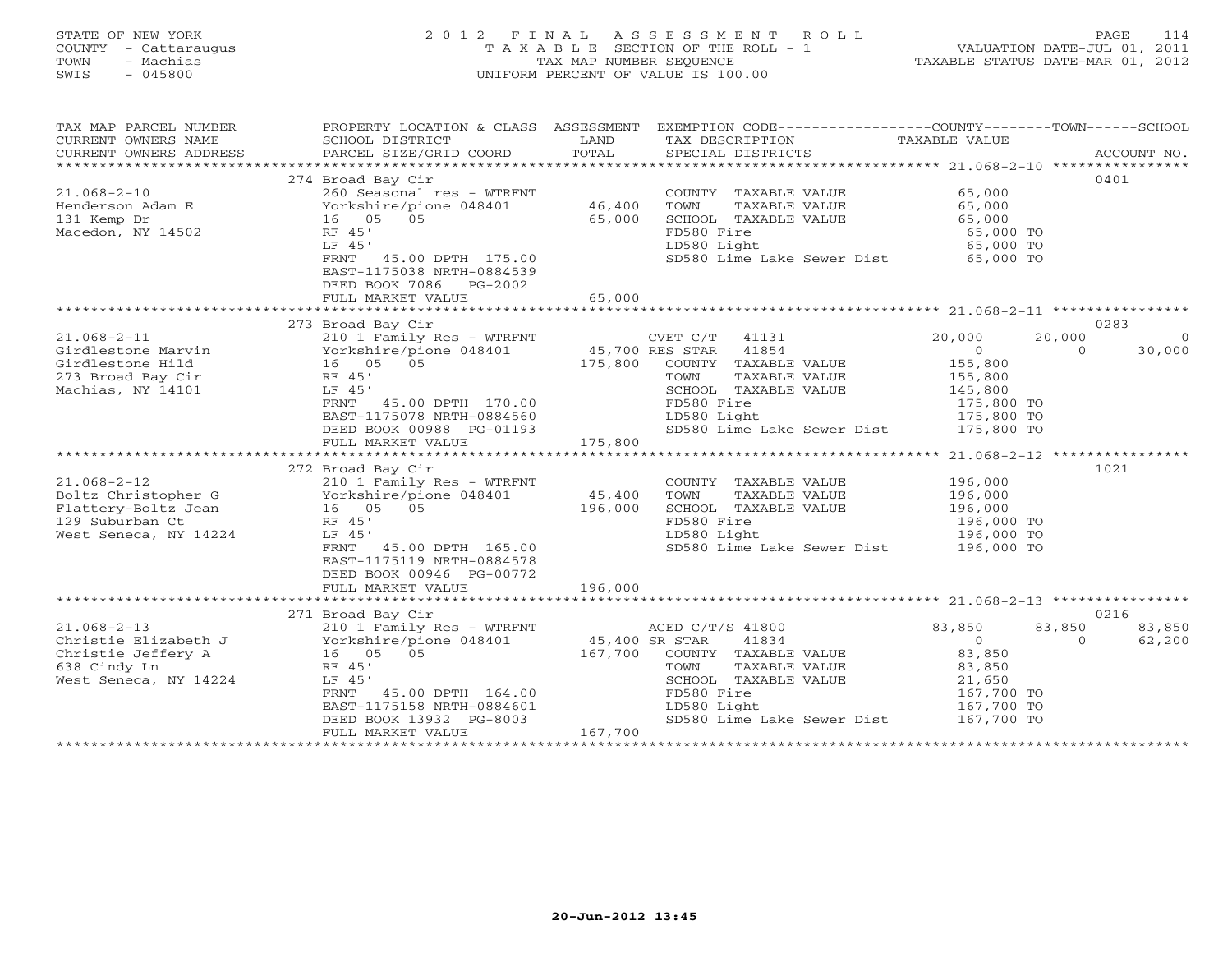# STATE OF NEW YORK 2 0 1 2 F I N A L A S S E S S M E N T R O L L PAGE 114 COUNTY - Cattaraugus T A X A B L E SECTION OF THE ROLL - 1 VALUATION DATE-JUL 01, 2011 TOWN - Machias TAX MAP NUMBER SEQUENCE TAXABLE STATUS DATE-MAR 01, 2012 SWIS - 045800 UNIFORM PERCENT OF VALUE IS 100.00UNIFORM PERCENT OF VALUE IS 100.00

| TAX MAP PARCEL NUMBER<br>CURRENT OWNERS NAME<br>CURRENT OWNERS ADDRESS                                                                                                                                               | PROPERTY LOCATION & CLASS ASSESSMENT<br>SCHOOL DISTRICT<br>PARCEL SIZE/GRID COORD                                                                                                                                                                                                                                                                                                                                  | LAND<br>TOTAL                           | EXEMPTION CODE-----------------COUNTY-------TOWN------SCHOOL<br>TAX DESCRIPTION<br>SPECIAL DISTRICTS                                                                                                                                                                                                                              | TAXABLE VALUE                                                                                                                                                            | ACCOUNT NO.                                             |
|----------------------------------------------------------------------------------------------------------------------------------------------------------------------------------------------------------------------|--------------------------------------------------------------------------------------------------------------------------------------------------------------------------------------------------------------------------------------------------------------------------------------------------------------------------------------------------------------------------------------------------------------------|-----------------------------------------|-----------------------------------------------------------------------------------------------------------------------------------------------------------------------------------------------------------------------------------------------------------------------------------------------------------------------------------|--------------------------------------------------------------------------------------------------------------------------------------------------------------------------|---------------------------------------------------------|
| $21.068 - 2 - 10$<br>Henderson Adam E<br>131 Kemp Dr<br>Macedon, NY 14502                                                                                                                                            | 274 Broad Bay Cir<br>260 Seasonal res - WTRFNT<br>Yorkshire/pione 048401<br>16 05 05<br>RF 45'<br>LF 45'<br>FRNT 45.00 DPTH 175.00                                                                                                                                                                                                                                                                                 | 46,400<br>65,000                        | COUNTY TAXABLE VALUE<br>TAXABLE VALUE<br>TOWN<br>SCHOOL TAXABLE VALUE<br>FD580 Fire<br>LD580 Light<br>SD580 Lime Lake Sewer Dist 65,000 TO                                                                                                                                                                                        | 65,000<br>65,000<br>65,000<br>65,000 TO<br>65,000 TO                                                                                                                     | 0401                                                    |
|                                                                                                                                                                                                                      | EAST-1175038 NRTH-0884539<br>DEED BOOK 7086 PG-2002<br>FULL MARKET VALUE                                                                                                                                                                                                                                                                                                                                           | 65,000                                  |                                                                                                                                                                                                                                                                                                                                   |                                                                                                                                                                          |                                                         |
|                                                                                                                                                                                                                      |                                                                                                                                                                                                                                                                                                                                                                                                                    |                                         |                                                                                                                                                                                                                                                                                                                                   |                                                                                                                                                                          |                                                         |
| $21.068 - 2 - 11$<br>Girdlestone Marvin<br>Girdlestone Hild<br>273 Broad Bay Cir<br>Machias, NY 14101<br>$21.068 - 2 - 12$<br>Boltz Christopher G<br>Flattery-Boltz Jean<br>129 Suburban Ct<br>West Seneca, NY 14224 | 273 Broad Bay Cir<br>210 1 Family Res - WTRFNT<br>Yorkshire/pione 048401<br>16 05 05<br>RF 45'<br>LF 45'<br>FRNT 45.00 DPTH 170.00<br>EAST-1175078 NRTH-0884560<br>DEED BOOK 00988 PG-01193<br>FULL MARKET VALUE<br>272 Broad Bay Cir<br>210 1 Family Res - WTRFNT<br>Yorkshire/pione 048401<br>16 05 05<br>RF 45'<br>LF 45'<br>FRNT<br>45.00 DPTH 165.00<br>EAST-1175119 NRTH-0884578<br>DEED BOOK 00946 PG-00772 | 175,800<br>175,800<br>45,400<br>196,000 | CVET C/T 41131<br>45,700 RES STAR 41854<br>CVET C/T 41131<br>COUNTY TAXABLE VALUE<br>TAXABLE VALUE<br>TOWN<br>SCHOOL TAXABLE VALUE<br>FD580 Fire<br>LD580 Light<br>SD580 Lime Lake Sewer Dist<br>COUNTY TAXABLE VALUE<br>TAXABLE VALUE<br>TOWN<br>SCHOOL TAXABLE VALUE<br>FD580 Fire<br>LD580 Light<br>SD580 Lime Lake Sewer Dist | 20,000<br>$\Omega$<br>155,800<br>155,800<br>145,800<br>175,800 TO<br>175,800 TO<br>175,800 TO<br>196,000<br>196,000<br>196,000<br>196,000 TO<br>196,000 TO<br>196,000 TO | 0283<br>20,000<br>$\circ$<br>$\Omega$<br>30,000<br>1021 |
|                                                                                                                                                                                                                      | FULL MARKET VALUE                                                                                                                                                                                                                                                                                                                                                                                                  | 196,000                                 |                                                                                                                                                                                                                                                                                                                                   |                                                                                                                                                                          |                                                         |
|                                                                                                                                                                                                                      |                                                                                                                                                                                                                                                                                                                                                                                                                    |                                         |                                                                                                                                                                                                                                                                                                                                   |                                                                                                                                                                          |                                                         |
| $21.068 - 2 - 13$<br>Christie Elizabeth J<br>Christie Jeffery A<br>638 Cindy Ln<br>West Seneca, NY 14224                                                                                                             | 271 Broad Bay Cir<br>210 1 Family Res - WTRFNT<br>Yorkshire/pione 048401<br>16 05 05<br>RF 45'<br>LF 45'<br>45.00 DPTH 164.00<br>FRNT<br>EAST-1175158 NRTH-0884601<br>DEED BOOK 13932 PG-8003<br>FULL MARKET VALUE                                                                                                                                                                                                 | 45,400 SR STAR<br>167,700<br>167,700    | AGED C/T/S 41800<br>41834<br>COUNTY TAXABLE VALUE<br>TOWN<br>TAXABLE VALUE<br>SCHOOL TAXABLE VALUE<br>FD580 Fire<br>LD580 Light<br>SD580 Lime Lake Sewer Dist                                                                                                                                                                     | 83,850<br>$\Omega$<br>83,850<br>83,850<br>21,650<br>167,700 TO<br>167,700 TO<br>167,700 TO                                                                               | 0216<br>83,850<br>83,850<br>62,200<br>$\Omega$          |
|                                                                                                                                                                                                                      |                                                                                                                                                                                                                                                                                                                                                                                                                    |                                         |                                                                                                                                                                                                                                                                                                                                   |                                                                                                                                                                          |                                                         |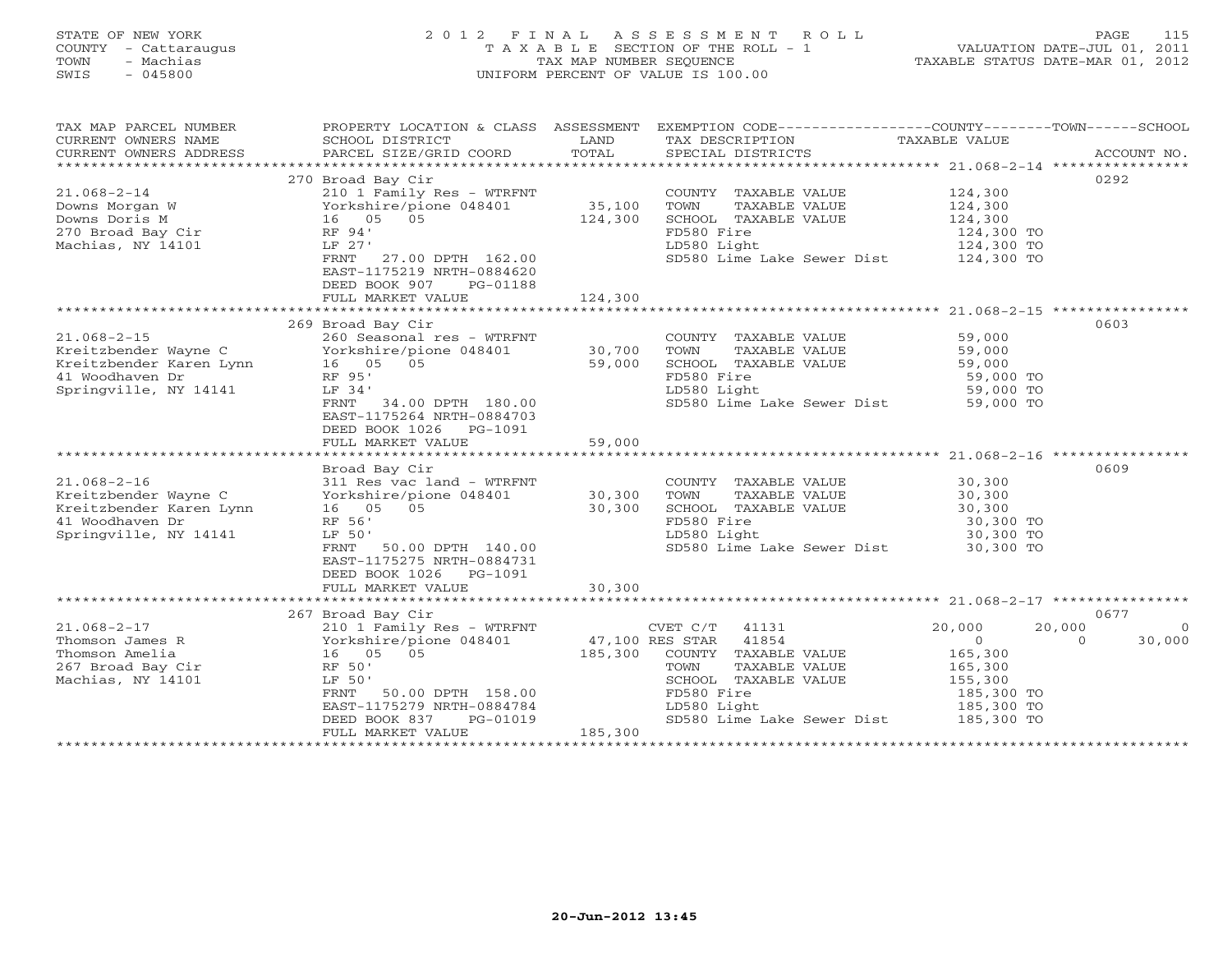# STATE OF NEW YORK 2 0 1 2 F I N A L A S S E S S M E N T R O L L PAGE 115 COUNTY - Cattaraugus T A X A B L E SECTION OF THE ROLL - 1 VALUATION DATE-JUL 01, 2011 TOWN - Machias TAX MAP NUMBER SEQUENCE TAXABLE STATUS DATE-MAR 01, 2012 SWIS - 045800 UNIFORM PERCENT OF VALUE IS 100.00UNIFORM PERCENT OF VALUE IS 100.00

| TAX MAP PARCEL NUMBER<br>CURRENT OWNERS NAME<br>CURRENT OWNERS ADDRESS                                           | SCHOOL DISTRICT<br>PARCEL SIZE/GRID COORD                                                                                                                                                                                                                                                                                                                                                                              | LAND<br>TOTAL                                | PROPERTY LOCATION & CLASS ASSESSMENT EXEMPTION CODE---------------COUNTY-------TOWN------SCHOOL<br>TAX DESCRIPTION TAXABLE VALUE SPECIAL DISTRICTS            |                                                                                                      | ACCOUNT NO.                                      |
|------------------------------------------------------------------------------------------------------------------|------------------------------------------------------------------------------------------------------------------------------------------------------------------------------------------------------------------------------------------------------------------------------------------------------------------------------------------------------------------------------------------------------------------------|----------------------------------------------|---------------------------------------------------------------------------------------------------------------------------------------------------------------|------------------------------------------------------------------------------------------------------|--------------------------------------------------|
| $21.068 - 2 - 14$<br>Machias, NY 14101                                                                           | 270 Broad Bay Cir<br>210 1 Family Res - WTRFNT<br>Downs Morgan W<br>Downs Doris M<br>270 Broad Bay Cir<br>270 Broad Bay Cir<br>270 Broad Bay Cir<br>270 Broad Bay Cir<br>270 Broad Bay Cir<br>270 Broad Bay Cir<br>271 Broad Bay Cir<br>271 Broad Bay Cir<br>272 Broad Bay Cir<br>273 Broad Bay Cir<br>LF 27'<br>FRNT 27.00 DPTH 162.00<br>EAST-1175219 NRTH-0884620<br>DEED BOOK 907<br>PG-01188<br>FULL MARKET VALUE | 35,100<br>124,300<br>124,300                 | COUNTY TAXABLE VALUE<br>TOWN<br>TAXABLE VALUE<br>SCHOOL TAXABLE VALUE<br>FD580 Fire<br>LD580 Light<br>SD580 Lime Lake Sewer Dist 124,300 TO                   | 124,300<br>124,300<br>124,300<br>124,300 TO<br>124,300 TO                                            | 0292                                             |
|                                                                                                                  |                                                                                                                                                                                                                                                                                                                                                                                                                        |                                              |                                                                                                                                                               |                                                                                                      |                                                  |
| 41 Woodhaven Dr<br>Springville, NY 14141                                                                         | 269 Broad Bay Cir<br>$x_1.008 - Z - 15$<br>Kreitzbender Wayne C<br>Kreitzbender Karen Lynn (16 05 05 59,000<br>41 Woodhaven Dr (16 05 05 59,000<br>RF 95'<br>LF 34'<br>FRNT 34.00 DPTH 180.00<br>EAST-1175264 NRTH-0884703<br>DEED BOOK 1026 PG-1091<br>FULL MARKET VALUE                                                                                                                                              | 59,000                                       | COUNTY TAXABLE VALUE<br>TOWN<br>TAXABLE VALUE<br>SCHOOL TAXABLE VALUE<br>FD580 Fire<br>LD580 Light<br>SD580 Lime Lake Sewer Dist 59,000 TO                    | 59,000<br>59,000<br>59,000<br>59,000 TO<br>59,000 TO                                                 | 0603                                             |
|                                                                                                                  |                                                                                                                                                                                                                                                                                                                                                                                                                        |                                              |                                                                                                                                                               |                                                                                                      | 0609                                             |
| $21.068 - 2 - 16$<br>Kreitzbender Wayne C<br>Kreitzbender Karen Lynn<br>41 Woodhaven Dr<br>Springville, NY 14141 | Broad Bay Cir<br>311 Res vac land - WTRFNT<br>Yorkshire/pione 048401<br>16 05 05<br>RF 56'<br>LF 50'<br>FRNT 50.00 DPTH 140.00<br>EAST-1175275 NRTH-0884731<br>DEED BOOK 1026 PG-1091                                                                                                                                                                                                                                  | 30,300<br>30,300                             | COUNTY TAXABLE VALUE<br>TOWN<br>TAXABLE VALUE<br>SCHOOL TAXABLE VALUE<br>FD580 Fire<br>LD580 Light<br>SD580 Lime Lake Sewer Dist 30,300 TO                    | 30,300<br>30,300<br>30,300<br>30,300 TO<br>30,300 TO                                                 |                                                  |
|                                                                                                                  | FULL MARKET VALUE                                                                                                                                                                                                                                                                                                                                                                                                      | 30,300                                       |                                                                                                                                                               |                                                                                                      |                                                  |
| $21.068 - 2 - 17$<br>Thomson James R<br>Thomson Amelia<br>267 Broad Bay Cir<br>Machias, NY 14101                 | 267 Broad Bay Cir<br>210 1 Family Res - WTRFNT<br>Yorkshire/pione 048401<br>16 05 05<br>RF 50'<br>LF 50'<br>FRNT<br>50.00 DPTH 158.00<br>EAST-1175279 NRTH-0884784<br>DEED BOOK 837<br>PG-01019<br>FULL MARKET VALUE                                                                                                                                                                                                   | 47,100 RES STAR<br>185,300 COUNTY<br>185,300 | $CVET C/T$ 41131<br>41854<br>COUNTY TAXABLE VALUE<br>TAXABLE VALUE<br>TOWN<br>SCHOOL TAXABLE VALUE<br>FD580 Fire<br>LD580 Light<br>SD580 Lime Lake Sewer Dist | 20,000<br>$\overline{0}$<br>165,300<br>165,300<br>155, 300<br>185,300 TO<br>185,300 TO<br>185,300 TO | 0677<br>20,000<br>$\Omega$<br>30,000<br>$\Omega$ |
|                                                                                                                  |                                                                                                                                                                                                                                                                                                                                                                                                                        |                                              |                                                                                                                                                               | ******************************                                                                       |                                                  |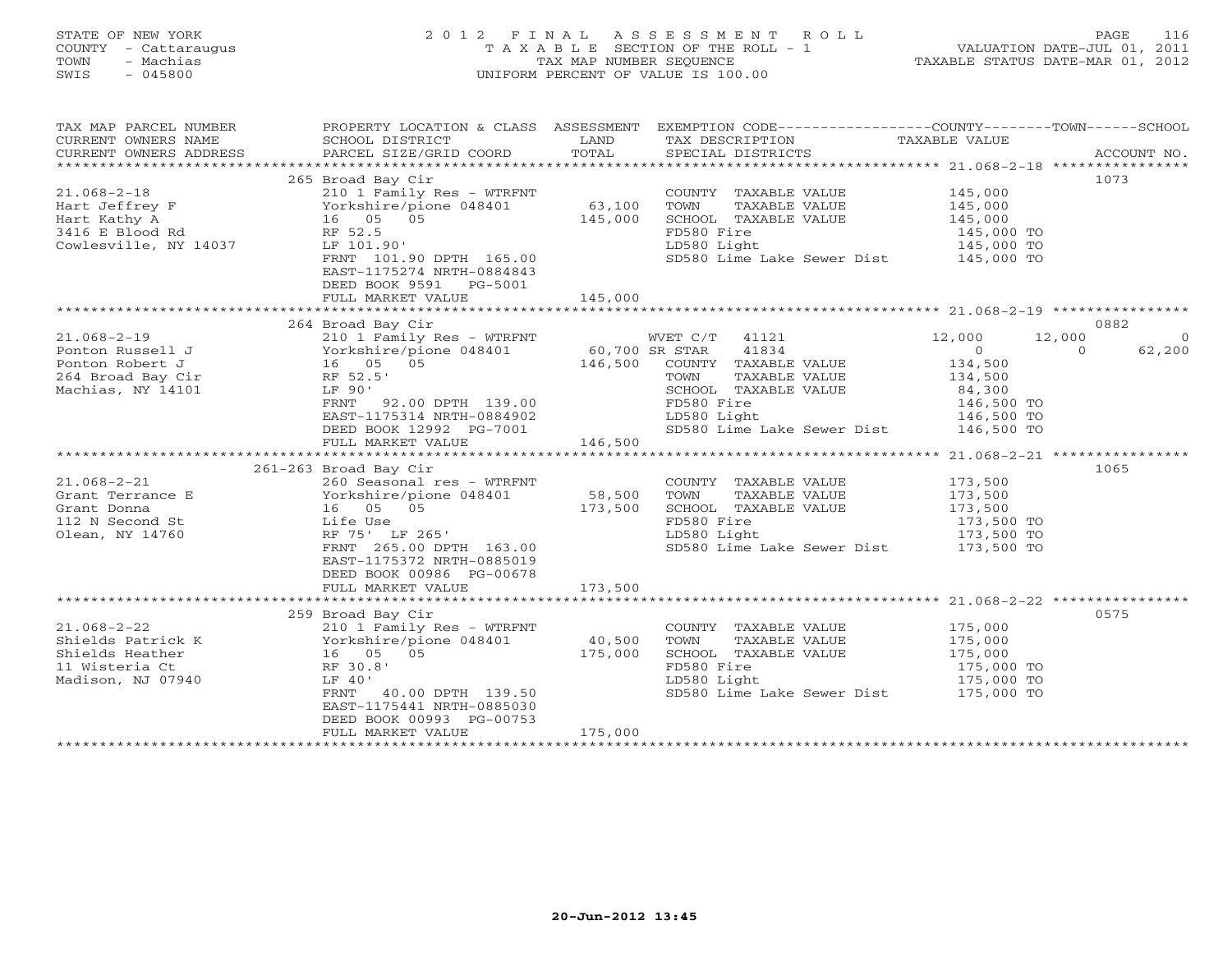# STATE OF NEW YORK 2 0 1 2 F I N A L A S S E S S M E N T R O L L PAGE 116 COUNTY - Cattaraugus T A X A B L E SECTION OF THE ROLL - 1 VALUATION DATE-JUL 01, 2011 TOWN - Machias TAX MAP NUMBER SEQUENCE TAXABLE STATUS DATE-MAR 01, 2012 SWIS - 045800 UNIFORM PERCENT OF VALUE IS 100.00UNIFORM PERCENT OF VALUE IS 100.00

| TAX MAP PARCEL NUMBER<br>CURRENT OWNERS NAME<br>CURRENT OWNERS ADDRESS                                                                                             | SCHOOL DISTRICT<br>PARCEL SIZE/GRID COORD                                                                                                                                                                                         | LAND<br>TOTAL                | TAX DESCRIPTION<br>SPECIAL DISTRICTS                                                                                                                           | PROPERTY LOCATION & CLASS ASSESSMENT EXEMPTION CODE---------------COUNTY-------TOWN------SCHOOL<br>TAXABLE VALUE<br>ACCOUNT NO.          |
|--------------------------------------------------------------------------------------------------------------------------------------------------------------------|-----------------------------------------------------------------------------------------------------------------------------------------------------------------------------------------------------------------------------------|------------------------------|----------------------------------------------------------------------------------------------------------------------------------------------------------------|------------------------------------------------------------------------------------------------------------------------------------------|
| $21.068 - 2 - 18$<br>Hart Jeffrey F<br>Hart Kathy A<br>3416 E Blood Rd 16 Norkshire/pione 048401<br>3416 E Blood Rd 16 RF 52.5<br>Cowlesville, NY 14037 LF 101.90' | 265 Broad Bay Cir<br>210 1 Family Res - WTRFNT<br>FRNT 101.90 DPTH 165.00                                                                                                                                                         | 63,100<br>145,000            | COUNTY TAXABLE VALUE<br>TOWN<br>TAXABLE VALUE<br>SCHOOL TAXABLE VALUE<br>FD580 Fire<br>LD580 Light<br>SD580 Lime Lake Sewer Dist 145,000 TO                    | 1073<br>145,000<br>145,000<br>145,000<br>145,000 TO<br>145,000 TO                                                                        |
|                                                                                                                                                                    | EAST-1175274 NRTH-0884843<br>DEED BOOK 9591 PG-5001<br>FULL MARKET VALUE                                                                                                                                                          | 145,000                      |                                                                                                                                                                |                                                                                                                                          |
| $21.068 - 2 - 19$<br>Ponton Russell J<br>Ponton Robert J<br>264 Broad Bay Cir<br>Machias, NY 14101                                                                 | -- Ludd Bay Cir<br>210 1 Family Res - WTRFNT<br>Yorkshire/pione 048401 60,700 SR STAR<br>16 05 05 146,500 COUNTY<br>LE 90'<br>FRNT 92.00 DPTH 139.00<br>EAST-1175314 NRTH-0884902<br>DEED BOOK 12992 PG-7001<br>FULL MARKET VALUE | -0884902<br>PG-7001 146,500  | WVET C/T 41121<br>41834<br>COUNTY TAXABLE VALUE<br>TAXABLE VALUE<br>SCHOOL TAXABLE VALUE<br>FD580 Fire<br>LD580 Light<br>SD580 Lime Lake Sewer Dist 146,500 TO | 0882<br>12,000<br>12,000<br>$\Omega$<br>$\overline{0}$<br>$\Omega$<br>62,200<br>134,500<br>134,500<br>84,300<br>146,500 TO<br>146,500 TO |
| $21.068 - 2 - 21$<br>Grant Terrance E<br>Grant Donna<br>112 N Second St<br>Olean, NY 14760                                                                         | 261-263 Broad Bay Cir<br>260 Seasonal res - WTRFNT<br>Yorkshire/pione 048401<br>16 05 05<br>Life Use<br>RF 75' LF 265'<br>FRNT 265.00 DPTH 163.00<br>EAST-1175372 NRTH-0885019<br>DEED BOOK 00986 PG-00678<br>FULL MARKET VALUE   | 58,500<br>173,500<br>173,500 | COUNTY TAXABLE VALUE<br>TOWN<br>TAXABLE VALUE<br>SCHOOL TAXABLE VALUE<br>FD580 Fire<br>LD580 Light<br>SD580 Lime Lake Sewer Dist 173,500 TO                    | 1065<br>173,500<br>173,500<br>173,500<br>173,500 TO<br>173,500 TO                                                                        |
| $21.068 - 2 - 22$<br>Shields Patrick K<br>Thields Pather 16 (15) 05<br>Thields Heather 16 (16) 05<br>11 Wisteria Ct<br>Madison, NJ 07940                           | 259 Broad Bay Cir<br>210 1 Family Res - WTRFNT<br>Yorkshire/pione 048401<br>RF 30.8'<br>LF 40'<br>40.00 DPTH 139.50<br>FRNT<br>EAST-1175441 NRTH-0885030<br>DEED BOOK 00993 PG-00753<br>FULL MARKET VALUE                         | 40,500<br>175,000<br>175,000 | COUNTY TAXABLE VALUE<br>TOWN<br>TAXABLE VALUE<br>SCHOOL TAXABLE VALUE<br>FD580 Fire<br>LD580 Light<br>SD580 Lime Lake Sewer Dist 175,000 TO                    | 0575<br>175,000<br>175,000<br>175,000<br>175,000 TO<br>175,000 TO                                                                        |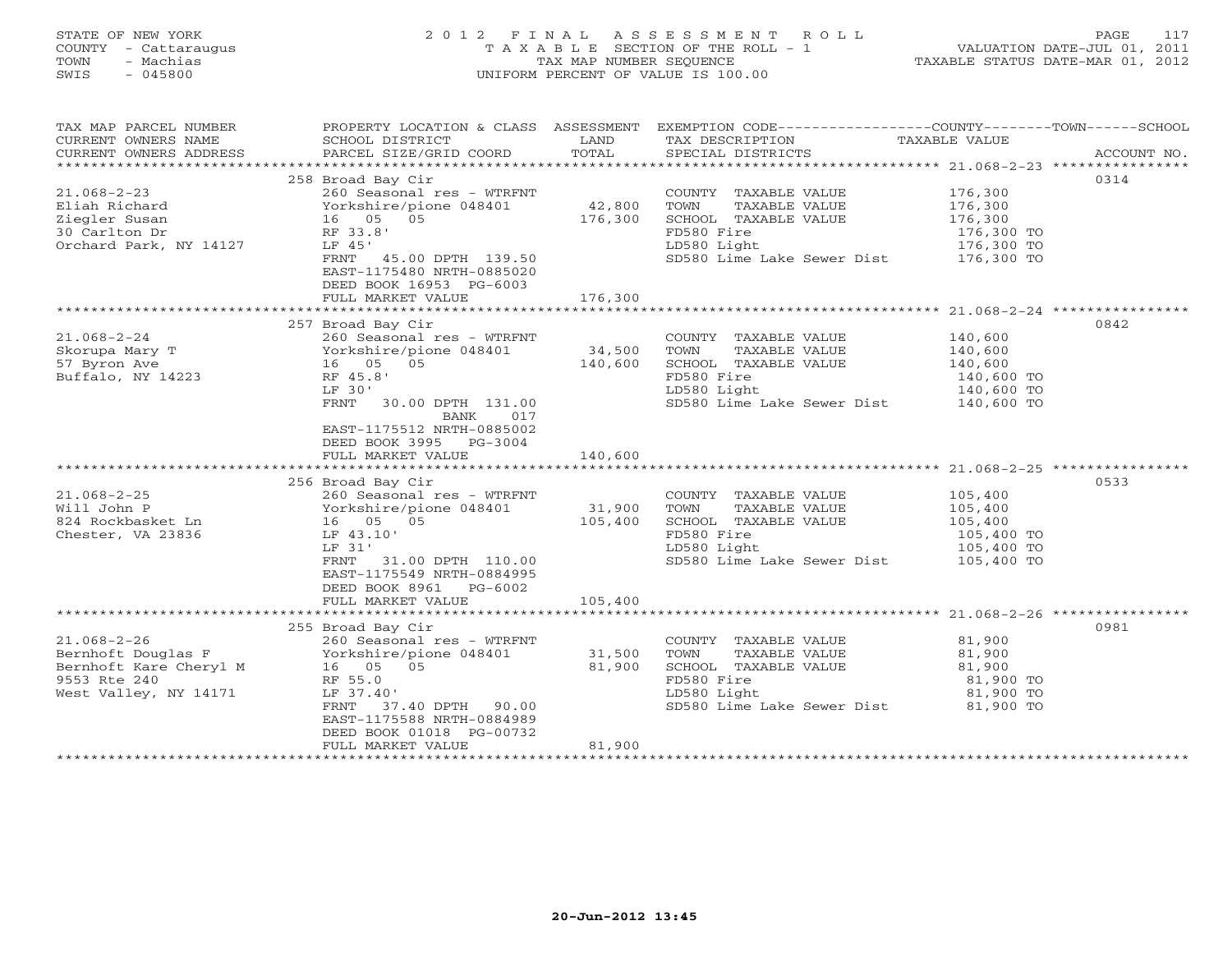| STATE OF NEW YORK<br>COUNTY<br>- Cattaraugus<br>- Machias<br>TOWN<br>$-045800$<br>SWIS |                                      | TAX MAP NUMBER SEQUENCE | 2012 FINAL ASSESSMENT ROLL<br>UNIFORM PERCENT OF VALUE IS 100.00 | 117<br>PAGE<br>T A X A B L E SECTION OF THE ROLL - 1 VALUATION DATE-JUL 01, 2011<br>TAXABLE STATUS DATE-MAR 01, 2012 |
|----------------------------------------------------------------------------------------|--------------------------------------|-------------------------|------------------------------------------------------------------|----------------------------------------------------------------------------------------------------------------------|
| TAX MAP PARCEL NUMBER                                                                  | PROPERTY LOCATION & CLASS ASSESSMENT |                         |                                                                  | EXEMPTION CODE-----------------COUNTY-------TOWN------SCHOOL                                                         |
| CURRENT OWNERS NAME                                                                    | SCHOOL DISTRICT                      | LAND                    | TAX DESCRIPTION                                                  | TAXABLE VALUE                                                                                                        |
| CURRENT OWNERS ADDRESS                                                                 | PARCEL SIZE/GRID COORD TOTAL         |                         | SPECIAL DISTRICTS                                                | ACCOUNT NO.                                                                                                          |
|                                                                                        |                                      |                         |                                                                  |                                                                                                                      |
|                                                                                        | 258 Broad Bay Cir                    |                         |                                                                  | 0314                                                                                                                 |
| $21.068 - 2 - 23$                                                                      | 260 Seasonal res - WTRFNT            |                         | COUNTY<br>TAXABLE VALUE                                          | 176,300                                                                                                              |
| Eliah Richard                                                                          | Yorkshire/pione 048401 42,800        |                         | TOWN<br>TAXABLE VALUE                                            | 176,300                                                                                                              |
| Ziegler Susan                                                                          | $16$ 05 05                           | 176,300                 | SCHOOL TAXABLE VALUE                                             | 176,300                                                                                                              |
| 30 Carlton Dr                                                                          | RF 33.8'                             |                         | FD580 Fire                                                       | 176,300 TO                                                                                                           |
| Orchard Park, NY 14127                                                                 | LF 45'                               |                         | LD580 Light                                                      | 176,300 TO                                                                                                           |
|                                                                                        | FRNT<br>45.00 DPTH 139.50            |                         | SD580 Lime Lake Sewer Dist                                       | 176,300 TO                                                                                                           |
|                                                                                        | EAST-1175480 NRTH-0885020            |                         |                                                                  |                                                                                                                      |
|                                                                                        | DEED BOOK 16953 PG-6003              |                         |                                                                  |                                                                                                                      |
|                                                                                        | FULL MARKET VALUE                    | 176,300                 |                                                                  |                                                                                                                      |
|                                                                                        |                                      |                         |                                                                  |                                                                                                                      |
|                                                                                        | 257 Broad Bay Cir                    |                         |                                                                  | 0842                                                                                                                 |

\*\*\*\*\*\*\*\*\*\*\*\*\*\*\*\*\*\*\*\*\*\*\*\*\*\*\*\*\*\*\*\*\*\*\*\*\*\*\*\*\*\*\*\*\*\*\*\*\*\*\*\*\*\*\*\*\*\*\*\*\*\*\*\*\*\*\*\*\*\*\*\*\*\*\*\*\*\*\*\*\*\*\*\*\*\*\*\*\*\*\*\*\*\*\*\*\*\*\*\*\*\*\* 21.068-2-25 \*\*\*\*\*\*\*\*\*\*\*\*\*\*\*\*

21.068-2-24 260 Seasonal res - WTRFNT COUNTY TAXABLE VALUE 140,600 Skorupa Mary T Yorkshire/pione 048401 34,500 TOWN TAXABLE VALUE 140,600 57 Byron Ave 16 05 05 140,600 SCHOOL TAXABLE VALUE 140,600 Buffalo, NY 14223 RF 45.8' FD580 Fire 140,600 TO LF 30' LD580 Light 140,600 TO FRNT 30.00 DPTH 131.00 SD580 Lime Lake Sewer Dist 140,600 TO BANK 017

21.068-2-25 260 Seasonal res - WTRFNT COUNTY TAXABLE VALUE 105,400 Will John P Yorkshire/pione 048401 31,900 TOWN TAXABLE VALUE 105,400 824 Rockbasket Ln 16 05 05 105,400 SCHOOL TAXABLE VALUE 105,400 Chester, VA 23836 LF 43.10' FD580 Fire 105,400 TO LF 31' LD580 Light 105,400 TO FRNT 31.00 DPTH 110.00 SD580 Lime Lake Sewer Dist 105,400 TO

21.068-2-26 260 Seasonal res - WTRFNT COUNTY TAXABLE VALUE 81,900 Bernhoft Douglas F Yorkshire/pione 048401 31,500 TOWN TAXABLE VALUE 81,900 Bernhoft Kare Cheryl M 16 05 05 81,900 SCHOOL TAXABLE VALUE 81,900 9553 Rte 240 RF 55.0 FD580 Fire 81,900 TO West Valley, NY 14171 LF 37.40' LD580 Light 81,900 TO FRNT 37.40 DPTH 90.00 SD580 Lime Lake Sewer Dist 81,900 TO

EAST-1175549 NRTH-0884995

EAST-1175588 NRTH-0884989

256 Broad Bay Cir 0533

\*\*\*\*\*\*\*\*\*\*\*\*\*\*\*\*\*\*\*\*\*\*\*\*\*\*\*\*\*\*\*\*\*\*\*\*\*\*\*\*\*\*\*\*\*\*\*\*\*\*\*\*\*\*\*\*\*\*\*\*\*\*\*\*\*\*\*\*\*\*\*\*\*\*\*\*\*\*\*\*\*\*\*\*\*\*\*\*\*\*\*\*\*\*\*\*\*\*\*\*\*\*\* 21.068-2-26 \*\*\*\*\*\*\*\*\*\*\*\*\*\*\*\*255 Broad Bay Cir 0981

\*\*\*\*\*\*\*\*\*\*\*\*\*\*\*\*\*\*\*\*\*\*\*\*\*\*\*\*\*\*\*\*\*\*\*\*\*\*\*\*\*\*\*\*\*\*\*\*\*\*\*\*\*\*\*\*\*\*\*\*\*\*\*\*\*\*\*\*\*\*\*\*\*\*\*\*\*\*\*\*\*\*\*\*\*\*\*\*\*\*\*\*\*\*\*\*\*\*\*\*\*\*\*\*\*\*\*\*\*\*\*\*\*\*\*\*\*\*\*\*\*\*\*\*\*\*\*\*\*\*\*\*

 EAST-1175512 NRTH-0885002 DEED BOOK 3995 PG-3004

DEED BOOK 01018 PG-00732

FULL MARKET VALUE 140,600

DEED BOOK 8961 PG-6002 FULL MARKET VALUE 105,400

FULL MARKET VALUE 81,900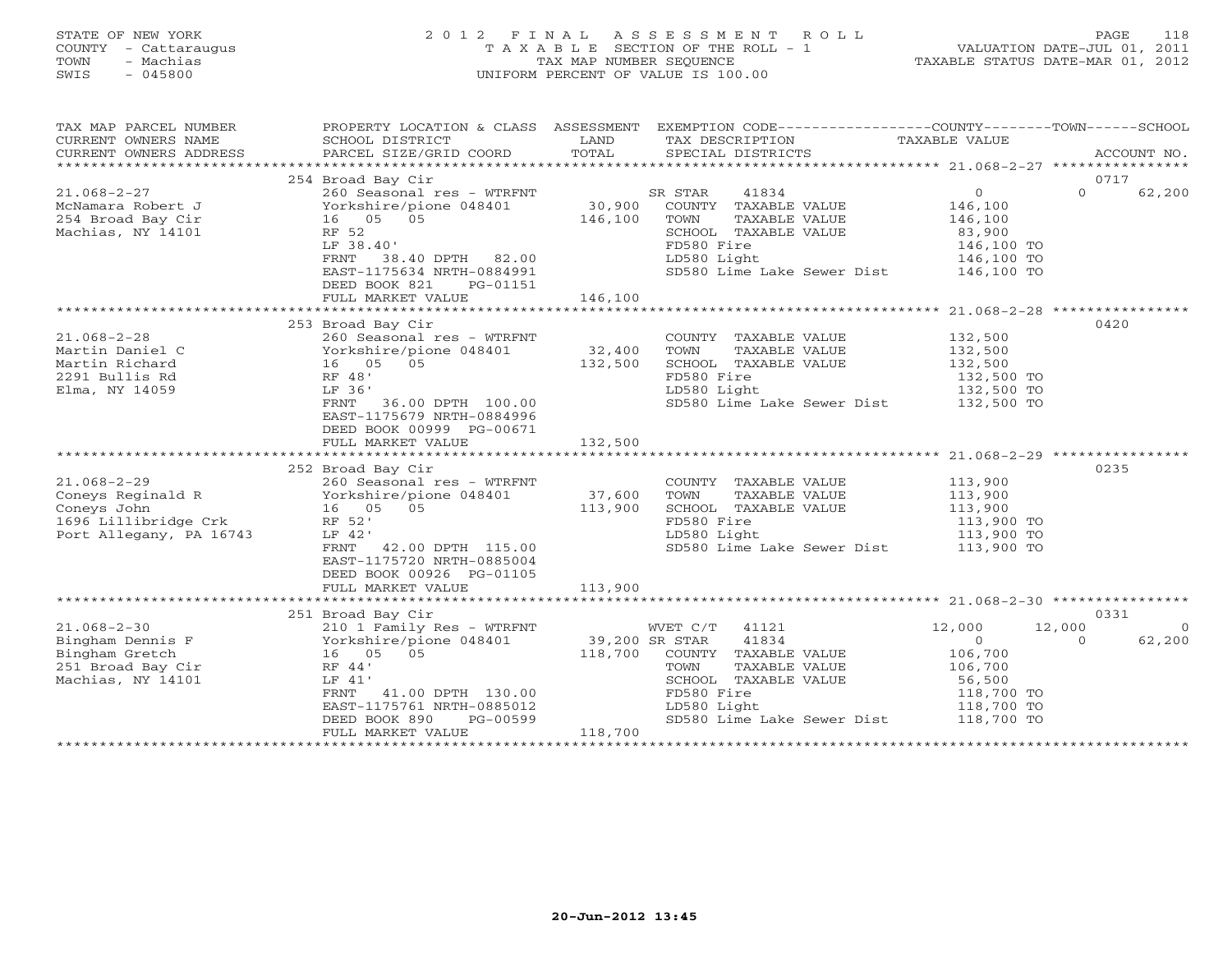# STATE OF NEW YORK 2 0 1 2 F I N A L A S S E S S M E N T R O L L PAGE 118 COUNTY - Cattaraugus T A X A B L E SECTION OF THE ROLL - 1 VALUATION DATE-JUL 01, 2011 TOWN - Machias TAX MAP NUMBER SEQUENCE TAXABLE STATUS DATE-MAR 01, 2012 SWIS - 045800 UNIFORM PERCENT OF VALUE IS 100.00UNIFORM PERCENT OF VALUE IS 100.00

| TAX MAP PARCEL NUMBER<br>CURRENT OWNERS NAME<br>CURRENT OWNERS ADDRESS                                                                                                                                                                                | PROPERTY LOCATION & CLASS ASSESSMENT<br>SCHOOL DISTRICT                                                                                                                                                                                                                        | LAND                    | EXEMPTION CODE-----------------COUNTY-------TOWN------SCHOOL<br>TAX DESCRIPTION                                                                                                                                                                                                                                        | TAXABLE VALUE                                                   |                                  |
|-------------------------------------------------------------------------------------------------------------------------------------------------------------------------------------------------------------------------------------------------------|--------------------------------------------------------------------------------------------------------------------------------------------------------------------------------------------------------------------------------------------------------------------------------|-------------------------|------------------------------------------------------------------------------------------------------------------------------------------------------------------------------------------------------------------------------------------------------------------------------------------------------------------------|-----------------------------------------------------------------|----------------------------------|
|                                                                                                                                                                                                                                                       |                                                                                                                                                                                                                                                                                |                         |                                                                                                                                                                                                                                                                                                                        |                                                                 |                                  |
| $21.068 - 2 - 27$<br>McNamara Robert J<br>254 Broad Bay Cir<br>Machias, NY 14101                                                                                                                                                                      | 254 Broad Bay Cir<br>260 Seasonal res - WTRFNT SR STAR<br>16 05 05<br>RF 52<br>LF 38.40'<br>FRNT 38.40 DPTH 82.00<br>EAST-1175634 NRTH-0884991<br>DEED BOOK 821 DO 01151<br>DEED BOOK 821<br>PG-01151<br>FULL MARKET VALUE                                                     | 146,100 TOWN<br>146,100 | 41834<br>Yorkshire/pione 048401 30,900 COUNTY TAXABLE VALUE 146,100<br>TOWN      TAXABLE VALUE<br>SCHOOL   TAXABLE VALUE<br>FD580 Fire<br>LD580 Light<br>SD580 Lime Lake Sewer Dist 146,100 TO                                                                                                                         | $\overline{0}$<br>146,100<br>83,900<br>146,100 TO<br>146,100 TO | 0717<br>$\Omega$<br>62,200       |
|                                                                                                                                                                                                                                                       |                                                                                                                                                                                                                                                                                |                         |                                                                                                                                                                                                                                                                                                                        |                                                                 |                                  |
| $21.068 - 2 - 28$<br>Martin Daniel C<br>Martin Richard<br>2291 Bullis Rd<br>Elma, NY 14059                                                                                                                                                            | 253 Broad Bay Cir<br>260 Seasonal res - WTRFNT<br>200 Seasonal IES - WIRENT<br>Yorkshire/pione 048401 32,400<br>16 05 05 132,500<br>RF 48'<br>LF 36'<br>FRNT 36.00 DPTH 100.00<br>LF 36'<br>EAST-1175679 NRTH-0884996<br>DEED BOOK 00999 PG-00671<br>FULL MARKET VALUE 132,500 |                         | COUNTY TAXABLE VALUE 132,500<br>TOWN TAXABLE VALUE 132,500<br>TOWN<br>LD580 Light<br>SD580 Lime Lake Sewer Dist 132,500 TO                                                                                                                                                                                             | 132, 500 TO<br>132, 500 TO<br>122, 500 TO                       | 0420                             |
|                                                                                                                                                                                                                                                       |                                                                                                                                                                                                                                                                                |                         |                                                                                                                                                                                                                                                                                                                        |                                                                 |                                  |
| $21.068 - 2 - 29$<br>Port Allegany, PA 16743                                                                                                                                                                                                          | 252 Broad Bay Cir<br>260 Seasonal res - WTRFNT<br>LF 42'<br>FRNT 42.00 DPTH 115.00<br>EAST-1175720 NRTH-0885004<br>DEED BOOK 00926 PG-01105                                                                                                                                    |                         | COUNTY TAXABLE VALUE 113,900<br>TOWN TAXABLE VALUE 113,900<br>SCHOOL TAXABLE VALUE<br>FD580 Fire<br>LD580 Light<br>SD580 Lime Lake Sewer Dist 113,900 TO                                                                                                                                                               | 113,900<br>113,900 TO<br>113,900 TO                             | 0235                             |
|                                                                                                                                                                                                                                                       | FULL MARKET VALUE                                                                                                                                                                                                                                                              | 113,900                 |                                                                                                                                                                                                                                                                                                                        |                                                                 |                                  |
| $21.068 - 2 - 30$                                                                                                                                                                                                                                     | 251 Broad Bay Cir                                                                                                                                                                                                                                                              |                         | WVET C/T 41121 12,000                                                                                                                                                                                                                                                                                                  |                                                                 | 0331<br>12,000<br>$\overline{0}$ |
| Bingham Dennis F<br>Bingham Gretch<br>251 Broad Bay Cir<br>251 Broad Bay Cir<br>251 Broad Bay Cir<br>251 Broad Bay Cir<br>251 Broad Bay Cir<br>26 Broad Bay Cir<br>26 Broad Bay Cir<br>26 Broad Bay Cir<br>26 Broad Bay Cir<br>26 Broad Bay Cir<br>26 | FRNT 41.00 DPTH 130.00<br>EAST-1175761 NRTH-0885012<br>DEED BOOK 890                                                                                                                                                                                                           | PG-00599                | 210 1 Family Res - WTRFNT WVET C/T 41121<br>Yorkshire/pione 048401 39,200 SR STAR 41834<br>16 05 05 118,700 COUNTY TAXABLE VALUE<br>TOWN TAXABLE VALUE 106,700<br>SCHOOL TAXABLE VALUE 56,500<br>FD580 Fire 118,700 TO<br>LD580 Light 118,700 TO<br>118,700 TO<br>LD580 Light<br>SD580 Lime Lake Sewer Dist 118,700 TO | $\overline{0}$<br>106,700                                       | 62,200<br>$\Omega$               |
|                                                                                                                                                                                                                                                       | FULL MARKET VALUE                                                                                                                                                                                                                                                              | 118,700                 |                                                                                                                                                                                                                                                                                                                        |                                                                 |                                  |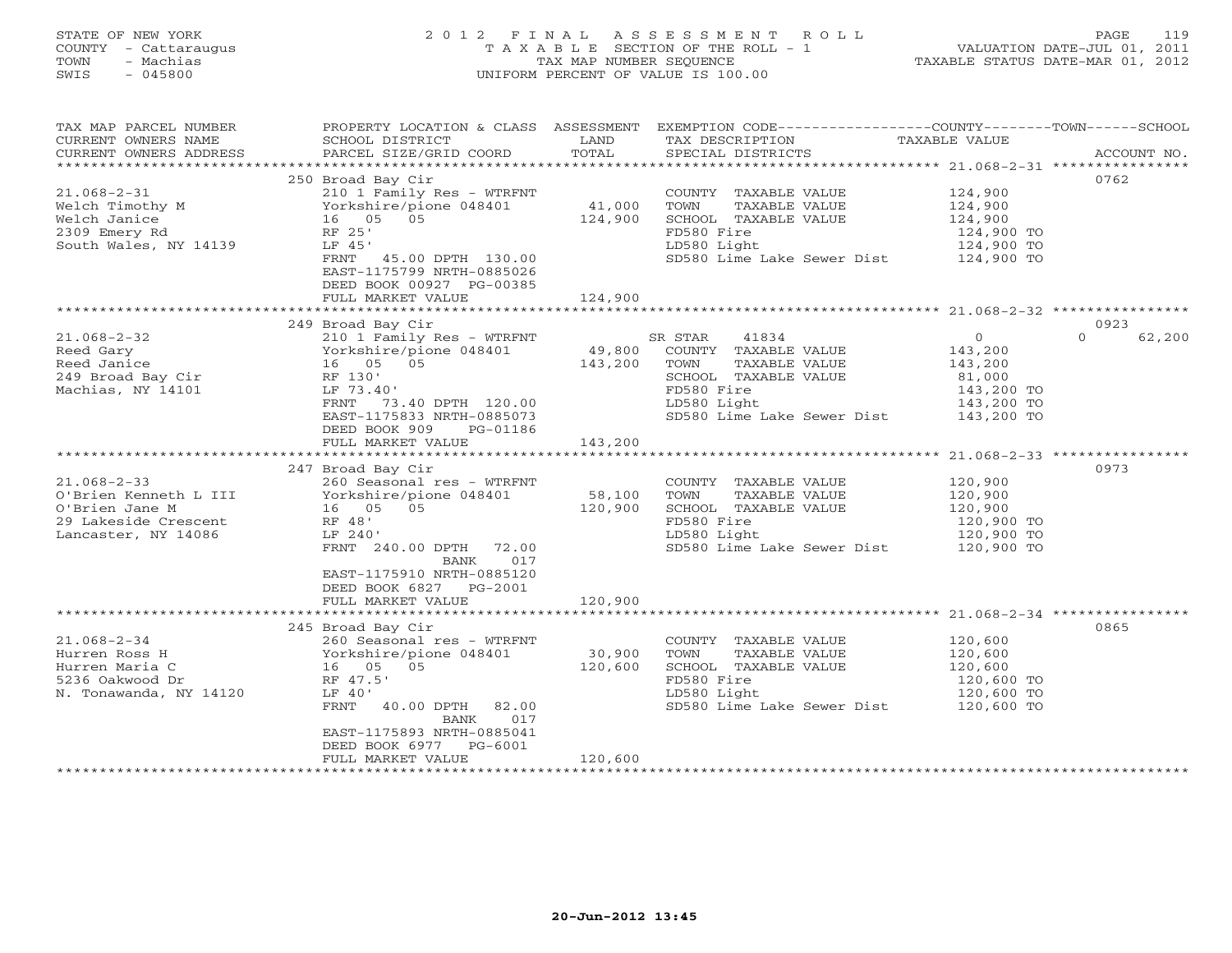# STATE OF NEW YORK 2 0 1 2 F I N A L A S S E S S M E N T R O L L PAGE 119 COUNTY - Cattaraugus T A X A B L E SECTION OF THE ROLL - 1 VALUATION DATE-JUL 01, 2011 TOWN - Machias TAX MAP NUMBER SEQUENCE TAXABLE STATUS DATE-MAR 01, 2012 SWIS - 045800 UNIFORM PERCENT OF VALUE IS 100.00UNIFORM PERCENT OF VALUE IS 100.00

| TAX MAP PARCEL NUMBER<br>CURRENT OWNERS NAME<br>CURRENT OWNERS ADDRESS                                      | SCHOOL DISTRICT<br>PARCEL SIZE/GRID COORD                                                                                                                                                                    | LAND<br>TOTAL     | PROPERTY LOCATION & CLASS ASSESSMENT EXEMPTION CODE----------------COUNTY-------TOWN------SCHOOL<br>TAX DESCRIPTION TAXABLE VALUE SPECIAL DISTRICTS |                                                           | ACCOUNT NO.                |
|-------------------------------------------------------------------------------------------------------------|--------------------------------------------------------------------------------------------------------------------------------------------------------------------------------------------------------------|-------------------|-----------------------------------------------------------------------------------------------------------------------------------------------------|-----------------------------------------------------------|----------------------------|
| $21.068 - 2 - 31$<br>Welch Timothy M<br>Welch Janice<br>2309 Emery Rd<br>South Wales, NY 14139              | 250 Broad Bay Cir<br>210 1 Family Res - WTRFNT<br>Yorkshire/pione 048401 41,000<br>16 05 05<br>RF 25'<br>LF 45'<br>FRNT 45.00 DPTH 130.00<br>EAST-1175799 NRTH-0885026<br>DEED BOOK 00927 PG-00385           | 124,900           | COUNTY TAXABLE VALUE<br>TOWN<br>TAXABLE VALUE<br>SCHOOL TAXABLE VALUE<br>FD580 Fire<br>LD580 Light<br>SD580 Lime Lake Sewer Dist 124,900 TO         | 124,900<br>124,900<br>124,900<br>124,900 TO<br>124,900 TO | 0762                       |
|                                                                                                             | FULL MARKET VALUE                                                                                                                                                                                            | 124,900           |                                                                                                                                                     |                                                           |                            |
| $21.068 - 2 - 32$<br>Reed Gary                                                                              | 249 Broad Bay Cir<br>210 1 Family Res - WTRFNT<br>Yorkshire/pione 048401<br>16  05  05                                                                                                                       | 49,800<br>143,200 | SR STAR<br>41834<br>COUNTY TAXABLE VALUE<br>TOWN<br>TAXABLE VALUE                                                                                   | $\overline{0}$<br>143,200<br>143,200                      | 0923<br>$\Omega$<br>62,200 |
| Reed Gary<br>Reed Janice 16 05<br>249 Broad Bay Cir 16 05<br>Machias, NY 14101 11 LF 73.40                  | LF 73.40'<br>73.40 DPTH 120.00<br>FRNT<br>EAST-1175833 NRTH-0885073<br>DEED BOOK 909<br>PG-01186                                                                                                             |                   | SCHOOL TAXABLE VALUE<br>FD580 Fire<br>LD580 Light<br>SD580 Lime Lake Sewer Dist 143,200 TO                                                          | 81,000<br>143,200 TO<br>143,200 TO                        |                            |
|                                                                                                             | FULL MARKET VALUE 143,200                                                                                                                                                                                    |                   |                                                                                                                                                     |                                                           |                            |
| $21.068 - 2 - 33$<br>O'Brien Kenneth L III<br>O'Brien Jane M<br>29 Lakeside Crescent<br>Lancaster, NY 14086 | 247 Broad Bay Cir<br>260 Seasonal res - WTRFNT<br>Yorkshire/pione 048401<br>16  05  05<br>RF 48'<br>LF 240'<br>FRNT 240.00 DPTH 72.00<br>017<br>BANK<br>EAST-1175910 NRTH-0885120                            | 58,100<br>120,900 | COUNTY TAXABLE VALUE<br>TOWN<br>TAXABLE VALUE<br>SCHOOL TAXABLE VALUE<br>FD580 Fire<br>LD580 Light<br>SD580 Lime Lake Sewer Dist 120,900 TO         | 120,900<br>120,900<br>120,900<br>120,900 TO<br>120,900 TO | 0973                       |
|                                                                                                             | DEED BOOK 6827 PG-2001<br>FULL MARKET VALUE                                                                                                                                                                  | 120,900           |                                                                                                                                                     |                                                           |                            |
|                                                                                                             |                                                                                                                                                                                                              |                   |                                                                                                                                                     |                                                           |                            |
| $21.068 - 2 - 34$<br>Hurren Ross H<br>Hurren Maria C<br>5236 Oakwood Dr<br>N. Tonawanda, NY 14120           | 245 Broad Bay Cir<br>260 Seasonal res - WTRFNT<br>Yorkshire/pione 048401<br>16 05 05<br>RF 47.5'<br>LF 40'<br>40.00 DPTH 82.00<br>FRNT<br>017<br>BANK<br>EAST-1175893 NRTH-0885041<br>DEED BOOK 6977 PG-6001 | 30,900<br>120,600 | COUNTY TAXABLE VALUE<br>TOWN<br>TAXABLE VALUE<br>SCHOOL TAXABLE VALUE<br>FD580 Fire<br>LD580 Light<br>sp580 Lime Lake Sewer Dist 120,600 TO         | 120,600<br>120,600<br>120,600<br>120,600 TO<br>120,600 TO | 0865                       |
|                                                                                                             | FULL MARKET VALUE                                                                                                                                                                                            | 120,600           |                                                                                                                                                     |                                                           |                            |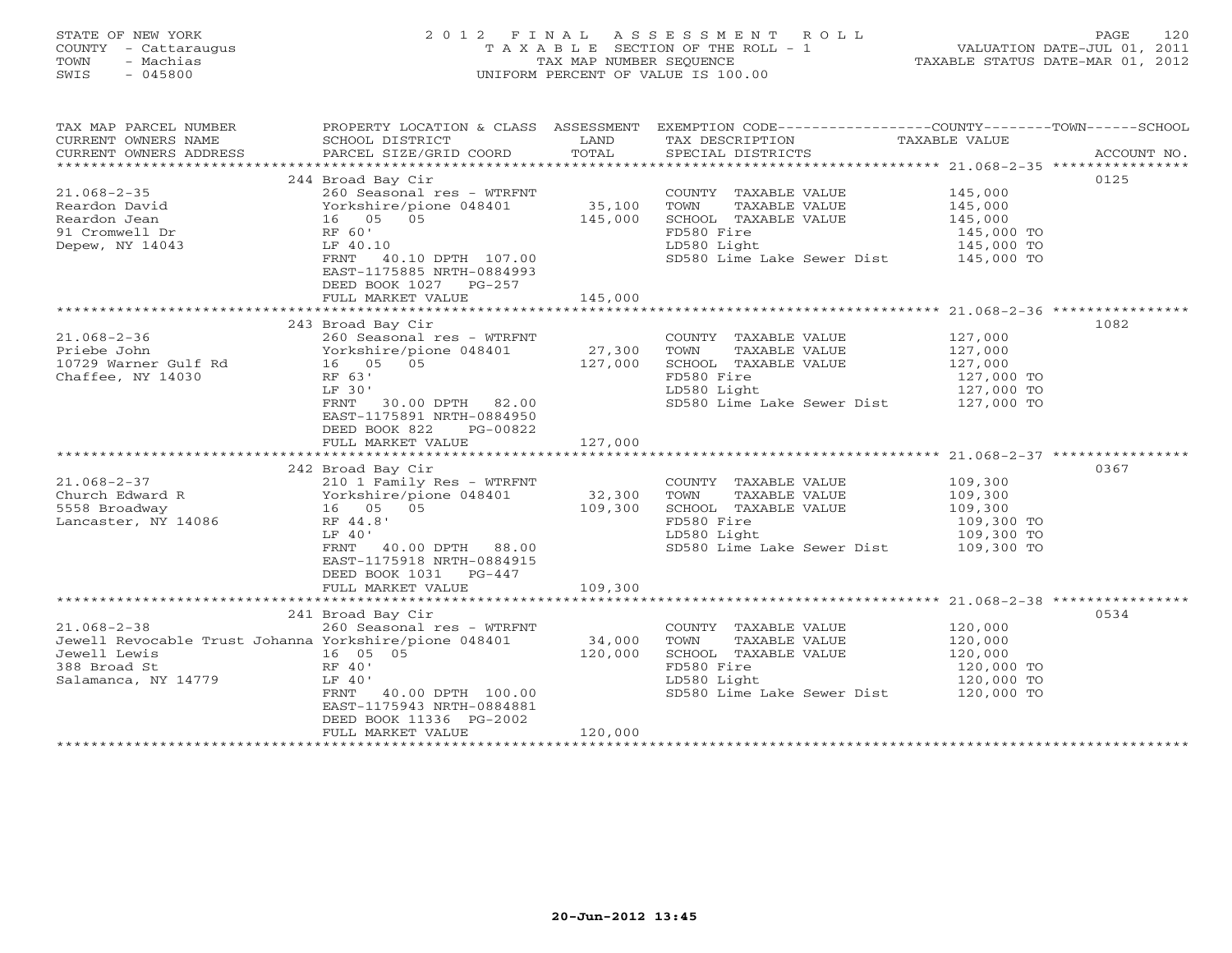# STATE OF NEW YORK 2 0 1 2 F I N A L A S S E S S M E N T R O L L PAGE 120 COUNTY - Cattaraugus T A X A B L E SECTION OF THE ROLL - 1 VALUATION DATE-JUL 01, 2011 TOWN - Machias TAX MAP NUMBER SEQUENCE TAXABLE STATUS DATE-MAR 01, 2012 SWIS - 045800 UNIFORM PERCENT OF VALUE IS 100.00UNIFORM PERCENT OF VALUE IS 100.00

| 0125<br>244 Broad Bay Cir<br>COUNTY TAXABLE VALUE 145,000<br>TOWN TAXABLE VALUE 145,000<br>SCHOOL TAXABLE VALUE 145,000<br>TALO 145,000<br>260 Seasonal res - WTRFNT<br>$21.068 - 2 - 35$<br>21.068-2-35<br>Reardon Dean<br>Reardon Jean<br>200 Seasonal Tes - WIKENI<br>200 Seasonal Tes - WIKENI<br>200 Seasonal Tes - WIKENI<br>200 Seasonal Tes - WIKENI<br>25,100 TOWN<br>35,100 TOWN<br>35,100 TOWN<br>35,100 TOWN<br>25,000 SCHOO<br>21 Crom<br>FD580 Fire<br>145,000 TO<br>LD580 Light<br>SD580 Lime Lake Sewer Dist 145,000 TO<br>SD580 Lime Lake Sewer Dist 145,000 TO<br>LD580 Light<br>FRNT 40.10 DPTH 107.00<br>EAST-1175885 NRTH-0884993<br>DEED BOOK 1027 PG-257<br>145,000<br>FULL MARKET VALUE<br>1082<br>243 Broad Bay Cir<br>127,000<br>127,000<br>COUNTY TAXABLE VALUE<br>CHOOL TAXABLE VALUE 127,000<br>FD580 Fire 127,000 TD580 Light 127,000 TO<br>LD580 Light 127,000 TO<br>Chaffee, NY 14030<br>RF 63'<br>LF 30'<br>SD580 Lime Lake Sewer Dist 127,000 TO<br>FRNT 30.00 DPTH 82.00<br>EAST-1175891 NRTH-0884950<br>DEED BOOK 822<br>PG-00822<br>FULL MARKET VALUE 127,000<br>0367<br>242 Broad Bay Cir<br>COUNTY TAXABLE VALUE 109,300<br>TOWN TAXABLE VALUE 109,300<br>SCHOOL TAXABLE VALUE 109,300<br>Lancaster, NY 14086<br>RF 44.8'<br>FD580 Fire<br>109,300 TO<br>109,300 TO<br>LF 40'<br>LD580 Light<br>FRNT 40.00 DPTH 88.00<br>SD580 Lime Lake Sewer Dist 109,300 TO<br>EAST-1175918 NRTH-0884915<br>DEED BOOK 1031 PG-447<br>109,300<br>FULL MARKET VALUE<br>0534<br>241 Broad Bay Cir<br>COUNTY TAXABLE VALUE 120,000<br>$21.068 - 2 - 38$<br>260 Seasonal res - WTRFNT<br>34,000<br>120,000<br>Jewell Revocable Trust Johanna Yorkshire/pione 048401<br>TOWN TAXABLE VALUE<br>120,000<br>120,000<br>16 05 05<br>Jewell Lewis<br>SCHOOL TAXABLE VALUE<br>RF 40'<br>388 Broad St<br>FD580 Fire<br>120,000 TO<br>120,000 TO<br>Salamanca, NY 14779<br>LF 40'<br>LD580 Light<br>SD580 Lime Lake Sewer Dist 120,000 TO<br>FRNT 40.00 DPTH 100.00<br>EAST-1175943 NRTH-0884881<br>DEED BOOK 11336 PG-2002<br>120,000<br>FULL MARKET VALUE | TAX MAP PARCEL NUMBER |  | PROPERTY LOCATION & CLASS ASSESSMENT EXEMPTION CODE---------------COUNTY-------TOWN------SCHOOL |  |
|-------------------------------------------------------------------------------------------------------------------------------------------------------------------------------------------------------------------------------------------------------------------------------------------------------------------------------------------------------------------------------------------------------------------------------------------------------------------------------------------------------------------------------------------------------------------------------------------------------------------------------------------------------------------------------------------------------------------------------------------------------------------------------------------------------------------------------------------------------------------------------------------------------------------------------------------------------------------------------------------------------------------------------------------------------------------------------------------------------------------------------------------------------------------------------------------------------------------------------------------------------------------------------------------------------------------------------------------------------------------------------------------------------------------------------------------------------------------------------------------------------------------------------------------------------------------------------------------------------------------------------------------------------------------------------------------------------------------------------------------------------------------------------------------------------------------------------------------------------------------------------------------------------------------------------------------------------------------------------------------------------------------------------------------------------------------------|-----------------------|--|-------------------------------------------------------------------------------------------------|--|
|                                                                                                                                                                                                                                                                                                                                                                                                                                                                                                                                                                                                                                                                                                                                                                                                                                                                                                                                                                                                                                                                                                                                                                                                                                                                                                                                                                                                                                                                                                                                                                                                                                                                                                                                                                                                                                                                                                                                                                                                                                                                         |                       |  |                                                                                                 |  |
|                                                                                                                                                                                                                                                                                                                                                                                                                                                                                                                                                                                                                                                                                                                                                                                                                                                                                                                                                                                                                                                                                                                                                                                                                                                                                                                                                                                                                                                                                                                                                                                                                                                                                                                                                                                                                                                                                                                                                                                                                                                                         |                       |  |                                                                                                 |  |
|                                                                                                                                                                                                                                                                                                                                                                                                                                                                                                                                                                                                                                                                                                                                                                                                                                                                                                                                                                                                                                                                                                                                                                                                                                                                                                                                                                                                                                                                                                                                                                                                                                                                                                                                                                                                                                                                                                                                                                                                                                                                         |                       |  |                                                                                                 |  |
|                                                                                                                                                                                                                                                                                                                                                                                                                                                                                                                                                                                                                                                                                                                                                                                                                                                                                                                                                                                                                                                                                                                                                                                                                                                                                                                                                                                                                                                                                                                                                                                                                                                                                                                                                                                                                                                                                                                                                                                                                                                                         |                       |  |                                                                                                 |  |
|                                                                                                                                                                                                                                                                                                                                                                                                                                                                                                                                                                                                                                                                                                                                                                                                                                                                                                                                                                                                                                                                                                                                                                                                                                                                                                                                                                                                                                                                                                                                                                                                                                                                                                                                                                                                                                                                                                                                                                                                                                                                         |                       |  |                                                                                                 |  |
|                                                                                                                                                                                                                                                                                                                                                                                                                                                                                                                                                                                                                                                                                                                                                                                                                                                                                                                                                                                                                                                                                                                                                                                                                                                                                                                                                                                                                                                                                                                                                                                                                                                                                                                                                                                                                                                                                                                                                                                                                                                                         |                       |  |                                                                                                 |  |
|                                                                                                                                                                                                                                                                                                                                                                                                                                                                                                                                                                                                                                                                                                                                                                                                                                                                                                                                                                                                                                                                                                                                                                                                                                                                                                                                                                                                                                                                                                                                                                                                                                                                                                                                                                                                                                                                                                                                                                                                                                                                         |                       |  |                                                                                                 |  |
|                                                                                                                                                                                                                                                                                                                                                                                                                                                                                                                                                                                                                                                                                                                                                                                                                                                                                                                                                                                                                                                                                                                                                                                                                                                                                                                                                                                                                                                                                                                                                                                                                                                                                                                                                                                                                                                                                                                                                                                                                                                                         |                       |  |                                                                                                 |  |
|                                                                                                                                                                                                                                                                                                                                                                                                                                                                                                                                                                                                                                                                                                                                                                                                                                                                                                                                                                                                                                                                                                                                                                                                                                                                                                                                                                                                                                                                                                                                                                                                                                                                                                                                                                                                                                                                                                                                                                                                                                                                         |                       |  |                                                                                                 |  |
|                                                                                                                                                                                                                                                                                                                                                                                                                                                                                                                                                                                                                                                                                                                                                                                                                                                                                                                                                                                                                                                                                                                                                                                                                                                                                                                                                                                                                                                                                                                                                                                                                                                                                                                                                                                                                                                                                                                                                                                                                                                                         |                       |  |                                                                                                 |  |
|                                                                                                                                                                                                                                                                                                                                                                                                                                                                                                                                                                                                                                                                                                                                                                                                                                                                                                                                                                                                                                                                                                                                                                                                                                                                                                                                                                                                                                                                                                                                                                                                                                                                                                                                                                                                                                                                                                                                                                                                                                                                         |                       |  |                                                                                                 |  |
|                                                                                                                                                                                                                                                                                                                                                                                                                                                                                                                                                                                                                                                                                                                                                                                                                                                                                                                                                                                                                                                                                                                                                                                                                                                                                                                                                                                                                                                                                                                                                                                                                                                                                                                                                                                                                                                                                                                                                                                                                                                                         |                       |  |                                                                                                 |  |
|                                                                                                                                                                                                                                                                                                                                                                                                                                                                                                                                                                                                                                                                                                                                                                                                                                                                                                                                                                                                                                                                                                                                                                                                                                                                                                                                                                                                                                                                                                                                                                                                                                                                                                                                                                                                                                                                                                                                                                                                                                                                         |                       |  |                                                                                                 |  |
|                                                                                                                                                                                                                                                                                                                                                                                                                                                                                                                                                                                                                                                                                                                                                                                                                                                                                                                                                                                                                                                                                                                                                                                                                                                                                                                                                                                                                                                                                                                                                                                                                                                                                                                                                                                                                                                                                                                                                                                                                                                                         |                       |  |                                                                                                 |  |
|                                                                                                                                                                                                                                                                                                                                                                                                                                                                                                                                                                                                                                                                                                                                                                                                                                                                                                                                                                                                                                                                                                                                                                                                                                                                                                                                                                                                                                                                                                                                                                                                                                                                                                                                                                                                                                                                                                                                                                                                                                                                         |                       |  |                                                                                                 |  |
|                                                                                                                                                                                                                                                                                                                                                                                                                                                                                                                                                                                                                                                                                                                                                                                                                                                                                                                                                                                                                                                                                                                                                                                                                                                                                                                                                                                                                                                                                                                                                                                                                                                                                                                                                                                                                                                                                                                                                                                                                                                                         |                       |  |                                                                                                 |  |
|                                                                                                                                                                                                                                                                                                                                                                                                                                                                                                                                                                                                                                                                                                                                                                                                                                                                                                                                                                                                                                                                                                                                                                                                                                                                                                                                                                                                                                                                                                                                                                                                                                                                                                                                                                                                                                                                                                                                                                                                                                                                         |                       |  |                                                                                                 |  |
|                                                                                                                                                                                                                                                                                                                                                                                                                                                                                                                                                                                                                                                                                                                                                                                                                                                                                                                                                                                                                                                                                                                                                                                                                                                                                                                                                                                                                                                                                                                                                                                                                                                                                                                                                                                                                                                                                                                                                                                                                                                                         |                       |  |                                                                                                 |  |
|                                                                                                                                                                                                                                                                                                                                                                                                                                                                                                                                                                                                                                                                                                                                                                                                                                                                                                                                                                                                                                                                                                                                                                                                                                                                                                                                                                                                                                                                                                                                                                                                                                                                                                                                                                                                                                                                                                                                                                                                                                                                         |                       |  |                                                                                                 |  |
|                                                                                                                                                                                                                                                                                                                                                                                                                                                                                                                                                                                                                                                                                                                                                                                                                                                                                                                                                                                                                                                                                                                                                                                                                                                                                                                                                                                                                                                                                                                                                                                                                                                                                                                                                                                                                                                                                                                                                                                                                                                                         |                       |  |                                                                                                 |  |
|                                                                                                                                                                                                                                                                                                                                                                                                                                                                                                                                                                                                                                                                                                                                                                                                                                                                                                                                                                                                                                                                                                                                                                                                                                                                                                                                                                                                                                                                                                                                                                                                                                                                                                                                                                                                                                                                                                                                                                                                                                                                         |                       |  |                                                                                                 |  |
|                                                                                                                                                                                                                                                                                                                                                                                                                                                                                                                                                                                                                                                                                                                                                                                                                                                                                                                                                                                                                                                                                                                                                                                                                                                                                                                                                                                                                                                                                                                                                                                                                                                                                                                                                                                                                                                                                                                                                                                                                                                                         |                       |  |                                                                                                 |  |
|                                                                                                                                                                                                                                                                                                                                                                                                                                                                                                                                                                                                                                                                                                                                                                                                                                                                                                                                                                                                                                                                                                                                                                                                                                                                                                                                                                                                                                                                                                                                                                                                                                                                                                                                                                                                                                                                                                                                                                                                                                                                         |                       |  |                                                                                                 |  |
|                                                                                                                                                                                                                                                                                                                                                                                                                                                                                                                                                                                                                                                                                                                                                                                                                                                                                                                                                                                                                                                                                                                                                                                                                                                                                                                                                                                                                                                                                                                                                                                                                                                                                                                                                                                                                                                                                                                                                                                                                                                                         |                       |  |                                                                                                 |  |
|                                                                                                                                                                                                                                                                                                                                                                                                                                                                                                                                                                                                                                                                                                                                                                                                                                                                                                                                                                                                                                                                                                                                                                                                                                                                                                                                                                                                                                                                                                                                                                                                                                                                                                                                                                                                                                                                                                                                                                                                                                                                         |                       |  |                                                                                                 |  |
|                                                                                                                                                                                                                                                                                                                                                                                                                                                                                                                                                                                                                                                                                                                                                                                                                                                                                                                                                                                                                                                                                                                                                                                                                                                                                                                                                                                                                                                                                                                                                                                                                                                                                                                                                                                                                                                                                                                                                                                                                                                                         |                       |  |                                                                                                 |  |
|                                                                                                                                                                                                                                                                                                                                                                                                                                                                                                                                                                                                                                                                                                                                                                                                                                                                                                                                                                                                                                                                                                                                                                                                                                                                                                                                                                                                                                                                                                                                                                                                                                                                                                                                                                                                                                                                                                                                                                                                                                                                         |                       |  |                                                                                                 |  |
|                                                                                                                                                                                                                                                                                                                                                                                                                                                                                                                                                                                                                                                                                                                                                                                                                                                                                                                                                                                                                                                                                                                                                                                                                                                                                                                                                                                                                                                                                                                                                                                                                                                                                                                                                                                                                                                                                                                                                                                                                                                                         |                       |  |                                                                                                 |  |
|                                                                                                                                                                                                                                                                                                                                                                                                                                                                                                                                                                                                                                                                                                                                                                                                                                                                                                                                                                                                                                                                                                                                                                                                                                                                                                                                                                                                                                                                                                                                                                                                                                                                                                                                                                                                                                                                                                                                                                                                                                                                         |                       |  |                                                                                                 |  |
|                                                                                                                                                                                                                                                                                                                                                                                                                                                                                                                                                                                                                                                                                                                                                                                                                                                                                                                                                                                                                                                                                                                                                                                                                                                                                                                                                                                                                                                                                                                                                                                                                                                                                                                                                                                                                                                                                                                                                                                                                                                                         |                       |  |                                                                                                 |  |
|                                                                                                                                                                                                                                                                                                                                                                                                                                                                                                                                                                                                                                                                                                                                                                                                                                                                                                                                                                                                                                                                                                                                                                                                                                                                                                                                                                                                                                                                                                                                                                                                                                                                                                                                                                                                                                                                                                                                                                                                                                                                         |                       |  |                                                                                                 |  |
|                                                                                                                                                                                                                                                                                                                                                                                                                                                                                                                                                                                                                                                                                                                                                                                                                                                                                                                                                                                                                                                                                                                                                                                                                                                                                                                                                                                                                                                                                                                                                                                                                                                                                                                                                                                                                                                                                                                                                                                                                                                                         |                       |  |                                                                                                 |  |
|                                                                                                                                                                                                                                                                                                                                                                                                                                                                                                                                                                                                                                                                                                                                                                                                                                                                                                                                                                                                                                                                                                                                                                                                                                                                                                                                                                                                                                                                                                                                                                                                                                                                                                                                                                                                                                                                                                                                                                                                                                                                         |                       |  |                                                                                                 |  |
|                                                                                                                                                                                                                                                                                                                                                                                                                                                                                                                                                                                                                                                                                                                                                                                                                                                                                                                                                                                                                                                                                                                                                                                                                                                                                                                                                                                                                                                                                                                                                                                                                                                                                                                                                                                                                                                                                                                                                                                                                                                                         |                       |  |                                                                                                 |  |
|                                                                                                                                                                                                                                                                                                                                                                                                                                                                                                                                                                                                                                                                                                                                                                                                                                                                                                                                                                                                                                                                                                                                                                                                                                                                                                                                                                                                                                                                                                                                                                                                                                                                                                                                                                                                                                                                                                                                                                                                                                                                         |                       |  |                                                                                                 |  |
|                                                                                                                                                                                                                                                                                                                                                                                                                                                                                                                                                                                                                                                                                                                                                                                                                                                                                                                                                                                                                                                                                                                                                                                                                                                                                                                                                                                                                                                                                                                                                                                                                                                                                                                                                                                                                                                                                                                                                                                                                                                                         |                       |  |                                                                                                 |  |
|                                                                                                                                                                                                                                                                                                                                                                                                                                                                                                                                                                                                                                                                                                                                                                                                                                                                                                                                                                                                                                                                                                                                                                                                                                                                                                                                                                                                                                                                                                                                                                                                                                                                                                                                                                                                                                                                                                                                                                                                                                                                         |                       |  |                                                                                                 |  |
|                                                                                                                                                                                                                                                                                                                                                                                                                                                                                                                                                                                                                                                                                                                                                                                                                                                                                                                                                                                                                                                                                                                                                                                                                                                                                                                                                                                                                                                                                                                                                                                                                                                                                                                                                                                                                                                                                                                                                                                                                                                                         |                       |  |                                                                                                 |  |
|                                                                                                                                                                                                                                                                                                                                                                                                                                                                                                                                                                                                                                                                                                                                                                                                                                                                                                                                                                                                                                                                                                                                                                                                                                                                                                                                                                                                                                                                                                                                                                                                                                                                                                                                                                                                                                                                                                                                                                                                                                                                         |                       |  |                                                                                                 |  |
|                                                                                                                                                                                                                                                                                                                                                                                                                                                                                                                                                                                                                                                                                                                                                                                                                                                                                                                                                                                                                                                                                                                                                                                                                                                                                                                                                                                                                                                                                                                                                                                                                                                                                                                                                                                                                                                                                                                                                                                                                                                                         |                       |  |                                                                                                 |  |
|                                                                                                                                                                                                                                                                                                                                                                                                                                                                                                                                                                                                                                                                                                                                                                                                                                                                                                                                                                                                                                                                                                                                                                                                                                                                                                                                                                                                                                                                                                                                                                                                                                                                                                                                                                                                                                                                                                                                                                                                                                                                         |                       |  |                                                                                                 |  |
|                                                                                                                                                                                                                                                                                                                                                                                                                                                                                                                                                                                                                                                                                                                                                                                                                                                                                                                                                                                                                                                                                                                                                                                                                                                                                                                                                                                                                                                                                                                                                                                                                                                                                                                                                                                                                                                                                                                                                                                                                                                                         |                       |  |                                                                                                 |  |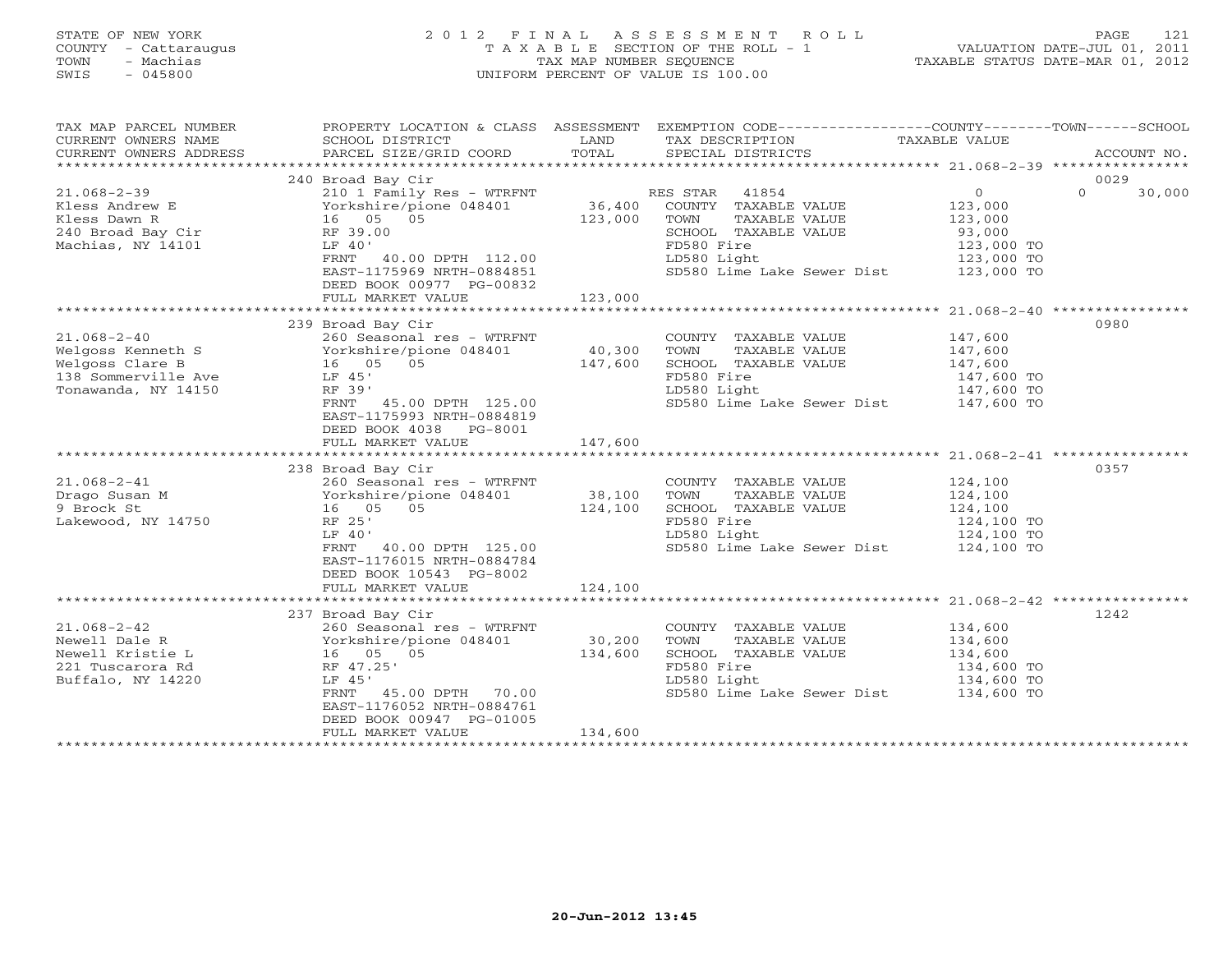# STATE OF NEW YORK 2 0 1 2 F I N A L A S S E S S M E N T R O L L PAGE 121 COUNTY - Cattaraugus T A X A B L E SECTION OF THE ROLL - 1 VALUATION DATE-JUL 01, 2011 TOWN - Machias TAX MAP NUMBER SEQUENCE TAXABLE STATUS DATE-MAR 01, 2012 SWIS - 045800 UNIFORM PERCENT OF VALUE IS 100.00UNIFORM PERCENT OF VALUE IS 100.00

| TAX MAP PARCEL NUMBER<br>CURRENT OWNERS NAME<br>CURRENT OWNERS ADDRESS                                  | PROPERTY LOCATION & CLASS ASSESSMENT EXEMPTION CODE----------------COUNTY-------TOWN------SCHOOL<br>SCHOOL DISTRICT<br>PARCEL SIZE/GRID COORD                                                                  | LAND<br>TOTAL                | TAX DESCRIPTION<br>SPECIAL DISTRICTS                                                                                                                          | TAXABLE VALUE                                                              | ACCOUNT NO.       |
|---------------------------------------------------------------------------------------------------------|----------------------------------------------------------------------------------------------------------------------------------------------------------------------------------------------------------------|------------------------------|---------------------------------------------------------------------------------------------------------------------------------------------------------------|----------------------------------------------------------------------------|-------------------|
|                                                                                                         |                                                                                                                                                                                                                |                              |                                                                                                                                                               |                                                                            |                   |
|                                                                                                         | 240 Broad Bay Cir                                                                                                                                                                                              |                              |                                                                                                                                                               |                                                                            | 0029              |
| $21.068 - 2 - 39$<br>Kless Andrew E<br>Kless Dawn R<br>240 Broad Bay Cir<br>Machias, NY 14101           | 210 1 Family Res - WTRFNT<br>Yorkshire/pione 048401<br>16 05 05<br>RF 39.00<br>LF 40'<br>FRNT 40.00 DPTH 112.00<br>EAST-1175969 NRTH-0884851<br>DEED BOOK 00977 PG-00832<br>FULL MARKET VALUE                  | 36,400<br>123,000<br>123,000 | RES STAR 41854<br>COUNTY TAXABLE VALUE<br>TOWN<br>TAXABLE VALUE<br>SCHOOL TAXABLE VALUE<br>FD580 Fire<br>LD580 Light<br>SD580 Lime Lake Sewer Dist 123,000 TO | $\overline{0}$<br>123,000<br>123,000<br>93,000<br>123,000 TO<br>123,000 TO | $\circ$<br>30,000 |
|                                                                                                         |                                                                                                                                                                                                                |                              |                                                                                                                                                               |                                                                            |                   |
| $21.068 - 2 - 40$<br>Welgoss Kenneth S<br>Welgoss Clare B<br>138 Sommerville Ave<br>Tonawanda, NY 14150 | 239 Broad Bay Cir<br>260 Seasonal res - WTRFNT<br>Yorkshire/pione 048401<br>16 05 05<br>LF 45'<br>RF 39'<br>FRNT 45.00 DPTH 125.00<br>EAST-1175993 NRTH-0884819<br>DEED BOOK 4038 PG-8001<br>FULL MARKET VALUE | 40,300<br>147,600<br>147,600 | COUNTY TAXABLE VALUE<br>TOWN<br>TAXABLE VALUE<br>SCHOOL TAXABLE VALUE<br>FD580 Fire<br>LD580 Light<br>SD580 Lime Lake Sewer Dist 147,600 TO                   | 147,600<br>147,600<br>147,600<br>147,600 TO<br>147,600 TO                  | 0980              |
|                                                                                                         |                                                                                                                                                                                                                |                              |                                                                                                                                                               |                                                                            |                   |
| $21.068 - 2 - 41$<br>Drago Susan M<br>9 Brock St<br>Lakewood, NY 14750                                  | 238 Broad Bay Cir<br>260 Seasonal res - WTRFNT<br>Yorkshire/pione 048401<br>16 05 05<br>RF 25'<br>LF 40'<br>FRNT<br>40.00 DPTH 125.00<br>EAST-1176015 NRTH-0884784<br>DEED BOOK 10543 PG-8002                  | 38,100<br>124,100            | COUNTY TAXABLE VALUE<br>TOWN<br>TAXABLE VALUE<br>SCHOOL TAXABLE VALUE<br>FD580 Fire<br>LD580 Light<br>SD580 Lime Lake Sewer Dist 124,100 TO                   | 124,100<br>124,100<br>124,100<br>124,100 TO<br>124,100 TO                  | 0357              |
|                                                                                                         | FULL MARKET VALUE                                                                                                                                                                                              | 124,100                      |                                                                                                                                                               |                                                                            |                   |
|                                                                                                         | 237 Broad Bay Cir                                                                                                                                                                                              |                              |                                                                                                                                                               |                                                                            | 1242              |
| $21.068 - 2 - 42$<br>Newell Dale R<br>Newell Kristie L<br>221 Tuscarora Rd<br>Buffalo, NY 14220         | 260 Seasonal res - WTRFNT<br>Yorkshire/pione 048401<br>16 05 05<br>RF 47.25'<br>LF 45'<br>FRNT<br>45.00 DPTH 70.00<br>EAST-1176052 NRTH-0884761<br>DEED BOOK 00947 PG-01005                                    | 30,200<br>134,600            | COUNTY TAXABLE VALUE<br>TOWN<br>TAXABLE VALUE<br>SCHOOL TAXABLE VALUE<br>FD580 Fire<br>LD580 Light<br>SD580 Lime Lake Sewer Dist 134,600 TO                   | 134,600<br>134,600<br>134,600<br>134,600 TO<br>134,600 TO                  |                   |
|                                                                                                         | FULL MARKET VALUE                                                                                                                                                                                              | 134,600                      |                                                                                                                                                               |                                                                            |                   |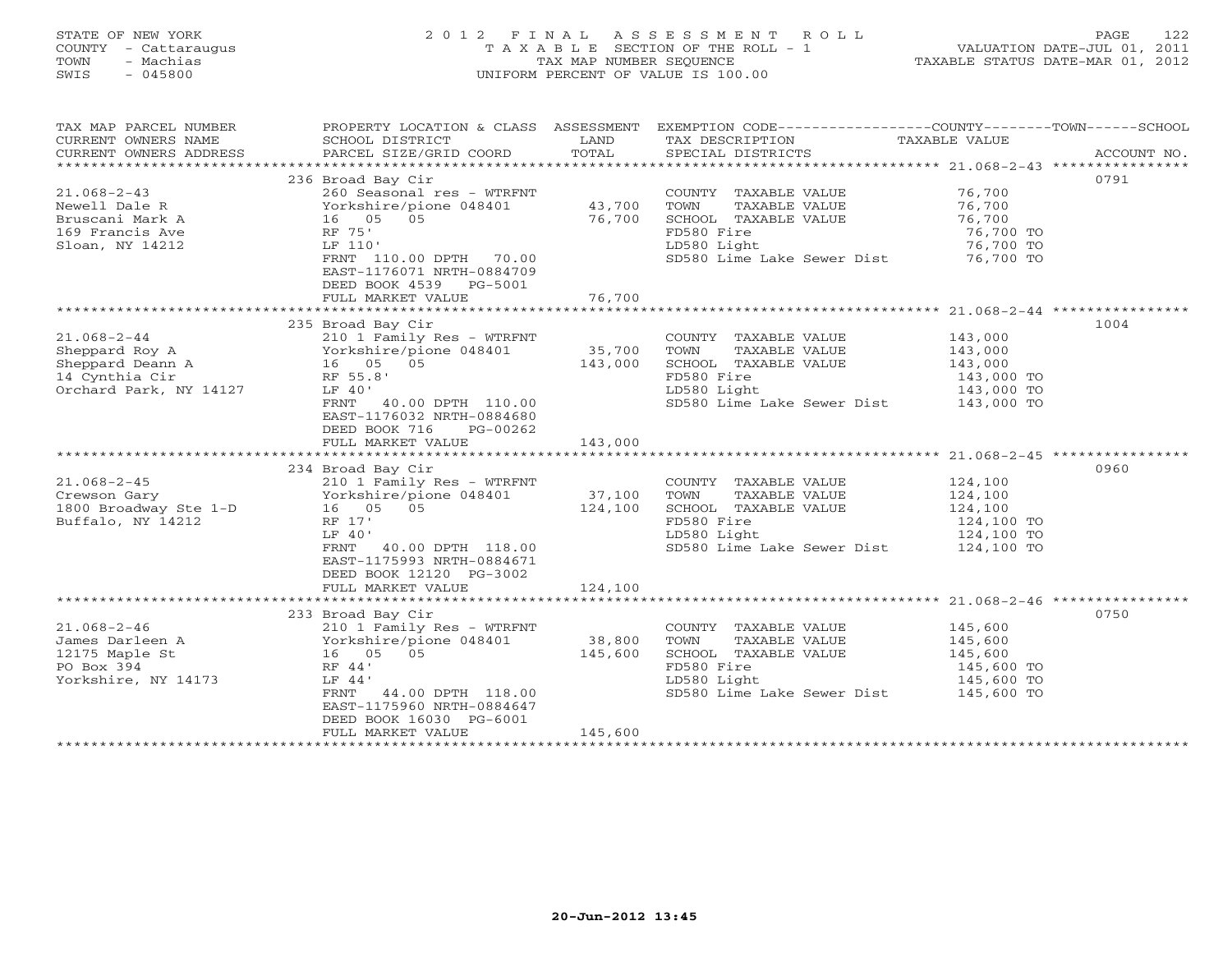# STATE OF NEW YORK 2 0 1 2 F I N A L A S S E S S M E N T R O L L PAGE 122 COUNTY - Cattaraugus T A X A B L E SECTION OF THE ROLL - 1 VALUATION DATE-JUL 01, 2011 TOWN - Machias TAX MAP NUMBER SEQUENCE TAXABLE STATUS DATE-MAR 01, 2012 SWIS - 045800 UNIFORM PERCENT OF VALUE IS 100.00UNIFORM PERCENT OF VALUE IS 100.00

| TAX MAP PARCEL NUMBER<br>CURRENT OWNERS NAME<br>CURRENT OWNERS ADDRESS                      | PROPERTY LOCATION & CLASS ASSESSMENT<br>SCHOOL DISTRICT<br>PARCEL SIZE/GRID COORD                                                                                                                                                                                         | LAND<br>TOTAL                | EXEMPTION CODE-----------------COUNTY-------TOWN------SCHOOL<br>TAX DESCRIPTION<br>SPECIAL DISTRICTS                                        | TAXABLE VALUE                                             | ACCOUNT NO. |
|---------------------------------------------------------------------------------------------|---------------------------------------------------------------------------------------------------------------------------------------------------------------------------------------------------------------------------------------------------------------------------|------------------------------|---------------------------------------------------------------------------------------------------------------------------------------------|-----------------------------------------------------------|-------------|
| $21.068 - 2 - 43$<br>Newell Dale R<br>Bruscani Mark A<br>169 Francis Ave<br>Sloan, NY 14212 | 236 Broad Bay Cir<br>260 Seasonal res - WTRFNT<br>Yorkshire/pione 048401<br>16 05 05<br>RF 75'<br>LF 110'<br>FRNT 110.00 DPTH 70.00<br>EAST-1176071 NRTH-0884709<br>DEED BOOK 4539 PG-5001<br>FULL MARKET VALUE                                                           | 43,700<br>76,700<br>76,700   | COUNTY TAXABLE VALUE<br>TAXABLE VALUE<br>TOWN<br>SCHOOL TAXABLE VALUE<br>FD580 Fire<br>LD580 Light<br>SD580 Lime Lake Sewer Dist 76,700 TO  | 76,700<br>76,700<br>76,700<br>76,700 TO<br>76,700 TO      | 0791        |
|                                                                                             |                                                                                                                                                                                                                                                                           |                              |                                                                                                                                             |                                                           |             |
|                                                                                             | Sheppard Roy A<br>Sheppard Roy A<br>Sheppard Deann A<br>16 05 05<br>Orchard Park, NV 14107<br>Sheppard Park, NV 14107<br>Sheppard Park, NV 14107<br>The RF 55 8'<br>FRNT 40.00 DPTH 110.00<br>EAST-1176032 NRTH-0884680<br>DEED BOOK 716<br>PG-00262<br>FULL MARKET VALUE | 143,000                      | COUNTY TAXABLE VALUE<br>TOWN<br>TAXABLE VALUE<br>SCHOOL TAXABLE VALUE<br>FD580 Fire<br>LD580 Light<br>SD580 Lime Lake Sewer Dist 143,000 TO | 143,000<br>143,000<br>143,000<br>143,000 TO<br>143,000 TO | 1004        |
|                                                                                             |                                                                                                                                                                                                                                                                           |                              |                                                                                                                                             |                                                           |             |
| $21.068 - 2 - 45$<br>Crewson Gary<br>1800 Broadway Ste 1-D 16 05 05<br>Buffalo, NY 14212    | 234 Broad Bay Cir<br>210 1 Family Res - WTRFNT<br>Yorkshire/pione 048401<br>RF 17'<br>LF 40'<br>40.00 DPTH 118.00<br>FRNT<br>EAST-1175993 NRTH-0884671<br>DEED BOOK 12120 PG-3002                                                                                         | 37,100<br>124,100            | COUNTY TAXABLE VALUE<br>TOWN<br>TAXABLE VALUE<br>SCHOOL TAXABLE VALUE<br>FD580 Fire<br>LD580 Light<br>SD580 Lime Lake Sewer Dist 124,100 TO | 124,100<br>124,100<br>124,100<br>124,100 TO<br>124,100 TO | 0960        |
|                                                                                             | FULL MARKET VALUE                                                                                                                                                                                                                                                         | 124,100                      | **************************************68-2-46 ***************                                                                               |                                                           |             |
| $21.068 - 2 - 46$<br>James Darleen A<br>12175 Maple St<br>PO Box 394<br>Yorkshire, NY 14173 | 233 Broad Bay Cir<br>210 1 Family Res - WTRFNT<br>Yorkshire/pione 048401<br>16 05<br>05<br>RF 44'<br>LF 44'<br>44.00 DPTH 118.00<br>FRNT<br>EAST-1175960 NRTH-0884647<br>DEED BOOK 16030 PG-6001<br>FULL MARKET VALUE                                                     | 38,800<br>145,600<br>145,600 | COUNTY TAXABLE VALUE<br>TOWN<br>TAXABLE VALUE<br>SCHOOL TAXABLE VALUE<br>FD580 Fire<br>LD580 Light<br>SD580 Lime Lake Sewer Dist 145,600 TO | 145,600<br>145,600<br>145,600<br>145,600 TO<br>145,600 TO | 0750        |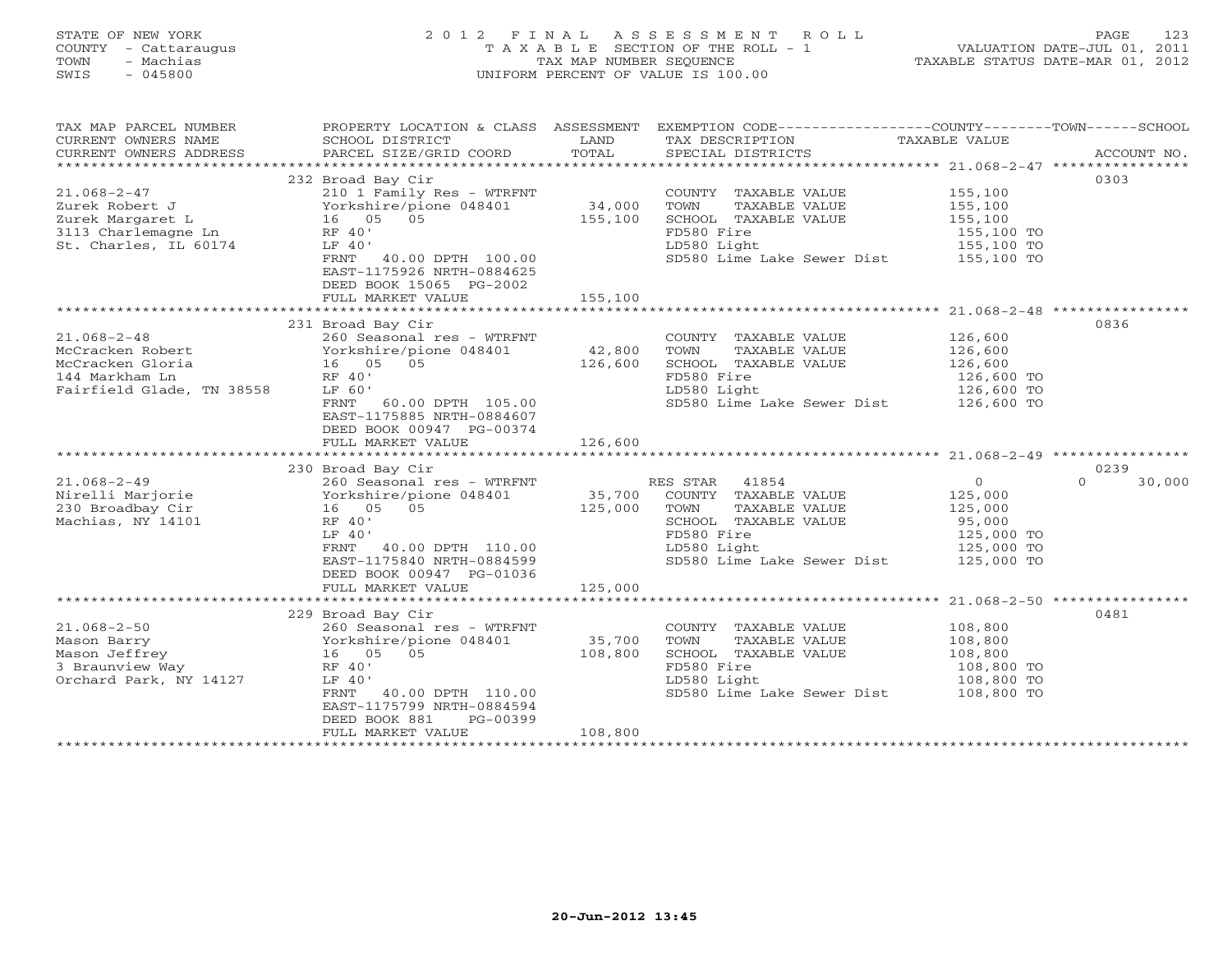# STATE OF NEW YORK 2 0 1 2 F I N A L A S S E S S M E N T R O L L PAGE 123 COUNTY - Cattaraugus T A X A B L E SECTION OF THE ROLL - 1 VALUATION DATE-JUL 01, 2011 TOWN - Machias TAX MAP NUMBER SEQUENCE TAXABLE STATUS DATE-MAR 01, 2012 SWIS - 045800 UNIFORM PERCENT OF VALUE IS 100.00UNIFORM PERCENT OF VALUE IS 100.00

| TAX MAP PARCEL NUMBER                        |                                                                                                |         | PROPERTY LOCATION & CLASS ASSESSMENT EXEMPTION CODE----------------COUNTY-------TOWN------SCHOOL |                          |                    |
|----------------------------------------------|------------------------------------------------------------------------------------------------|---------|--------------------------------------------------------------------------------------------------|--------------------------|--------------------|
| CURRENT OWNERS NAME                          | SCHOOL DISTRICT                                                                                | LAND    | TAX DESCRIPTION                                                                                  | TAXABLE VALUE            |                    |
| CURRENT OWNERS ADDRESS                       | PARCEL SIZE/GRID COORD                                                                         | TOTAL   | SPECIAL DISTRICTS                                                                                |                          | ACCOUNT NO.        |
|                                              |                                                                                                |         |                                                                                                  |                          |                    |
|                                              | 232 Broad Bay Cir                                                                              |         |                                                                                                  |                          | 0303               |
| $21.068 - 2 - 47$                            | 210 1 Family Res - WTRFNT COUNT<br>Yorkshire/pione 048401 34,000 TOWN<br>16 05 05 155.100 STEP |         | COUNTY TAXABLE VALUE                                                                             | 155,100                  |                    |
| Zurek Robert J                               |                                                                                                |         | TAXABLE VALUE                                                                                    | 155,100                  |                    |
| Zurek Margaret L                             |                                                                                                |         | SCHOOL TAXABLE VALUE 155,100                                                                     |                          |                    |
|                                              | RF 40'                                                                                         |         | FD580 Fire                                                                                       | 155,100 TO               |                    |
| 3113 Charlemagne Ln<br>St. Charles, IL 60174 | LF 40'                                                                                         |         | LD580 Light                                                                                      | 155,100 TO               |                    |
|                                              | FRNT 40.00 DPTH 100.00                                                                         |         | SD580 Lime Lake Sewer Dist 155,100 TO                                                            |                          |                    |
|                                              | EAST-1175926 NRTH-0884625                                                                      |         |                                                                                                  |                          |                    |
|                                              | DEED BOOK 15065 PG-2002                                                                        |         |                                                                                                  |                          |                    |
|                                              |                                                                                                |         |                                                                                                  |                          |                    |
|                                              |                                                                                                |         |                                                                                                  |                          |                    |
|                                              |                                                                                                |         |                                                                                                  |                          |                    |
|                                              | 231 Broad Bay Cir                                                                              |         |                                                                                                  |                          | 0836               |
| $21.068 - 2 - 48$                            | 260 Seasonal res - WTRFNT                                                                      |         | COUNTY TAXABLE VALUE                                                                             | 126,600                  |                    |
|                                              |                                                                                                | 42,800  | TOWN<br>TAXABLE VALUE                                                                            | 126,600                  |                    |
|                                              |                                                                                                | 126,600 | SCHOOL TAXABLE VALUE                                                                             | 126,600                  |                    |
| 144 Markham Ln                               | RF 40'                                                                                         |         | FD580 Fire                                                                                       | 126,600 TO<br>126,600 TO |                    |
| Fairfield Glade, TN 38558                    | LF 60'                                                                                         |         | LD580 Light                                                                                      |                          |                    |
|                                              | FRNT<br>60.00 DPTH 105.00                                                                      |         | SD580 Lime Lake Sewer Dist 126,600 TO                                                            |                          |                    |
|                                              | EAST-1175885 NRTH-0884607                                                                      |         |                                                                                                  |                          |                    |
|                                              | DEED BOOK 00947 PG-00374                                                                       |         |                                                                                                  |                          |                    |
|                                              | FULL MARKET VALUE                                                                              | 126,600 |                                                                                                  |                          |                    |
|                                              |                                                                                                |         |                                                                                                  |                          |                    |
|                                              | 230 Broad Bay Cir                                                                              |         |                                                                                                  |                          | 0239               |
| $21.068 - 2 - 49$                            | 260 Seasonal res - WTRFNT                                                                      |         | RES STAR 41854                                                                                   | $\overline{0}$           | $\Omega$<br>30,000 |
|                                              |                                                                                                |         | COUNTY TAXABLE VALUE                                                                             | 125,000                  |                    |
| 230 Broadbay Cir<br>Machias, NY 14101        |                                                                                                |         | TOWN<br>TAXABLE VALUE                                                                            | 125,000                  |                    |
|                                              | RF 40'                                                                                         |         | SCHOOL TAXABLE VALUE                                                                             | 95,000                   |                    |
|                                              | LF 40'                                                                                         |         | FD580 Fire                                                                                       |                          |                    |
|                                              | 40.00 DPTH 110.00<br>FRNT                                                                      |         | LD580 Light                                                                                      | 125,000 TO<br>125,000 TO |                    |
|                                              | EAST-1175840 NRTH-0884599                                                                      |         | SD580 Lime Lake Sewer Dist 125,000 TO                                                            |                          |                    |
|                                              | DEED BOOK 00947 PG-01036                                                                       |         |                                                                                                  |                          |                    |
|                                              | FULL MARKET VALUE                                                                              | 125,000 |                                                                                                  |                          |                    |
|                                              |                                                                                                |         |                                                                                                  |                          |                    |
|                                              | 229 Broad Bay Cir                                                                              |         |                                                                                                  |                          | 0481               |
| $21.068 - 2 - 50$                            |                                                                                                |         | COUNTY TAXABLE VALUE                                                                             | 108,800                  |                    |
| Mason Barry                                  | 260 Seasonal res - WIRFNI<br>Yorkshire/pione 048401 35,700<br>16 05 05 108,800<br>RF 40'       |         | TOWN<br>TAXABLE VALUE                                                                            | 108,800                  |                    |
| Mason Jeffrey                                |                                                                                                |         | SCHOOL TAXABLE VALUE                                                                             |                          |                    |
| 3 Braunview Way                              |                                                                                                |         | FD580 Fire                                                                                       | 108,800<br>108,800 TO    |                    |
| Orchard Park, NY 14127                       | LF 40'                                                                                         |         | LD580 Light                                                                                      | 108,800 TO               |                    |
|                                              | FRNT 40.00 DPTH 110.00                                                                         |         | SD580 Lime Lake Sewer Dist 108,800 TO                                                            |                          |                    |
|                                              | EAST-1175799 NRTH-0884594                                                                      |         |                                                                                                  |                          |                    |
|                                              | DEED BOOK 881<br>PG-00399                                                                      |         |                                                                                                  |                          |                    |
|                                              | FULL MARKET VALUE                                                                              | 108,800 |                                                                                                  |                          |                    |
|                                              |                                                                                                |         |                                                                                                  |                          |                    |
|                                              |                                                                                                |         |                                                                                                  |                          |                    |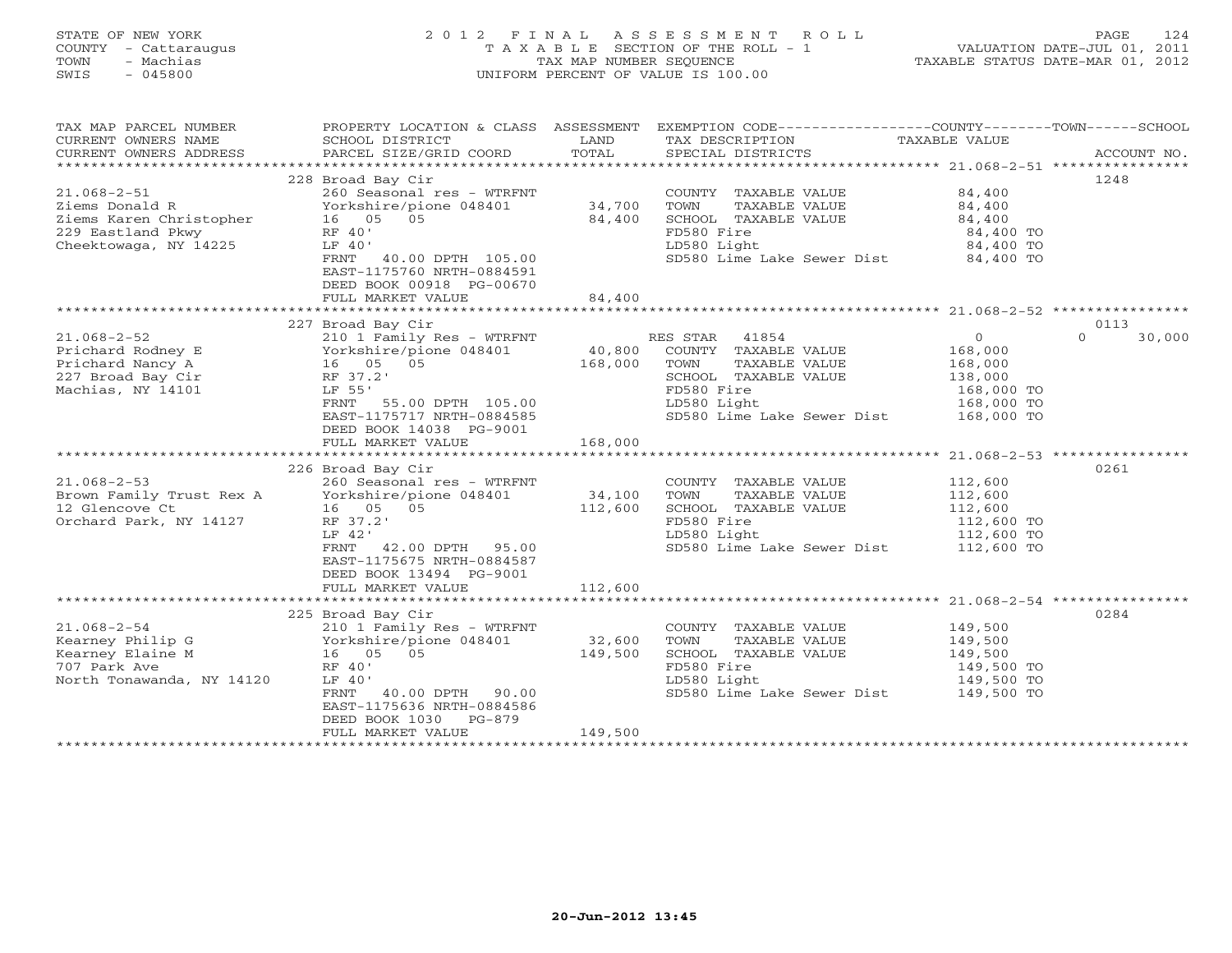# STATE OF NEW YORK 2 0 1 2 F I N A L A S S E S S M E N T R O L L PAGE 124 COUNTY - Cattaraugus T A X A B L E SECTION OF THE ROLL - 1 VALUATION DATE-JUL 01, 2011 TOWN - Machias TAX MAP NUMBER SEQUENCE TAXABLE STATUS DATE-MAR 01, 2012 SWIS - 045800 UNIFORM PERCENT OF VALUE IS 100.00UNIFORM PERCENT OF VALUE IS 100.00

| TAX MAP PARCEL NUMBER<br>PROPERTY LOCATION & CLASS ASSESSMENT<br>CURRENT OWNERS NAME<br>SCHOOL DISTRICT<br>LAND<br>TAX DESCRIPTION<br>TOTAL<br>PARCEL SIZE/GRID COORD<br>CURRENT OWNERS ADDRESS<br>SPECIAL DISTRICTS                                                                                                               | EXEMPTION CODE----------------COUNTY-------TOWN------SCHOOL<br>TAXABLE VALUE<br>ACCOUNT NO. |
|------------------------------------------------------------------------------------------------------------------------------------------------------------------------------------------------------------------------------------------------------------------------------------------------------------------------------------|---------------------------------------------------------------------------------------------|
|                                                                                                                                                                                                                                                                                                                                    |                                                                                             |
| 228 Broad Bay Cir<br>$21.068 - 2 - 51$<br>260 Seasonal res - WTRFNT<br>COUNTY TAXABLE VALUE                                                                                                                                                                                                                                        | 1248<br>84,400                                                                              |
| 34,700<br>Ziems Donald R<br>Yorkshire/pione 048401<br>TOWN<br>TAXABLE VALUE<br>16  05  05<br>Ziems Karen Christopher<br>84,400<br>SCHOOL TAXABLE VALUE<br>229 Eastland Pkwy<br>RF 40'<br>FD580 Fire                                                                                                                                | 84,400<br>84,400<br>84,400 TO                                                               |
| Cheektowaga, NY 14225<br>LD580 Light<br>LF 40'<br>FRNT 40.00 DPTH 105.00<br>EAST-1175760 NRTH-0884591<br>DEED BOOK 00918 PG-00670                                                                                                                                                                                                  | 84,400 TO<br>SD580 Lime Lake Sewer Dist 84,400 TO                                           |
| FULL MARKET VALUE<br>84,400                                                                                                                                                                                                                                                                                                        |                                                                                             |
| 227 Broad Bay Cir                                                                                                                                                                                                                                                                                                                  | 0113                                                                                        |
| $21.068 - 2 - 52$<br>210 1 Family Res - WTRFNT<br>RES STAR 41854<br>40,800<br>Yorkshire/pione 048401<br>COUNTY TAXABLE VALUE<br>Prichard Rodney E<br>Yorkshire/pio<br>16      05       05<br>————————————————————<br>168,000<br>Prichard Nancy A<br>TOWN<br>TAXABLE VALUE<br>227 Broad Bay Cir<br>RF 37.2'<br>SCHOOL TAXABLE VALUE | $\overline{O}$<br>$\Omega$<br>30,000<br>168,000<br>168,000<br>138,000                       |
| Machias, NY 14101<br>LF 55'<br>FD580 Fire<br>LD580 Light<br>FRNT 55.00 DPTH 105.00<br>EAST-1175717 NRTH-0884585<br>SD580 Lime Lake Sewer Dist                                                                                                                                                                                      | 168,000 TO<br>168,000 TO<br>168,000 TO                                                      |
| DEED BOOK 14038 PG-9001<br>168,000<br>FULL MARKET VALUE                                                                                                                                                                                                                                                                            |                                                                                             |
|                                                                                                                                                                                                                                                                                                                                    |                                                                                             |
| 226 Broad Bay Cir<br>$21.068 - 2 - 53$<br>260 Seasonal res - WTRFNT<br>COUNTY TAXABLE VALUE<br>34,100<br>Brown Family Trust Rex A<br>12 Clongove Ct<br>Yorkshire/pione 048401<br>TOWN<br>TAXABLE VALUE                                                                                                                             | 0261<br>112,600<br>112,600                                                                  |
| 12 Glencove Ct<br>112,600<br>SCHOOL TAXABLE VALUE<br>16 05 05<br>Orchard Park, NY 14127<br>FD580 Fire<br>RF 37.2'<br>LF 42'<br>LD580 Light                                                                                                                                                                                         | 112,600<br>112,600 TO<br>112,600 TO                                                         |
| FRNT<br>42.00 DPTH 95.00<br>EAST-1175675 NRTH-0884587<br>DEED BOOK 13494 PG-9001                                                                                                                                                                                                                                                   | SD580 Lime Lake Sewer Dist 112,600 TO                                                       |
| FULL MARKET VALUE<br>112,600                                                                                                                                                                                                                                                                                                       |                                                                                             |
| 225 Broad Bay Cir                                                                                                                                                                                                                                                                                                                  | 0284                                                                                        |
| $21.068 - 2 - 54$<br>210 1 Family Res - WTRFNT<br>COUNTY TAXABLE VALUE                                                                                                                                                                                                                                                             | 149,500                                                                                     |
| Kearney Philip G<br>Yorkshire/pione 048401<br>16   05   05<br>32,600<br>TOWN<br>TAXABLE VALUE<br>Kearney Elaine M<br>149,500<br>SCHOOL TAXABLE VALUE                                                                                                                                                                               | 149,500<br>149,500                                                                          |
| 707 Park Ave<br>RF 40'<br>FD580 Fire                                                                                                                                                                                                                                                                                               | 149,500 TO                                                                                  |
| North Tonawanda, NY 14120<br>LF 40'<br>LD580 Light                                                                                                                                                                                                                                                                                 | 149,500 TO                                                                                  |
| FRNT<br>40.00 DPTH 90.00<br>EAST-1175636 NRTH-0884586<br>DEED BOOK 1030<br>$PG-879$                                                                                                                                                                                                                                                | SD580 Lime Lake Sewer Dist 149,500 TO                                                       |
| 149,500<br>FULL MARKET VALUE                                                                                                                                                                                                                                                                                                       |                                                                                             |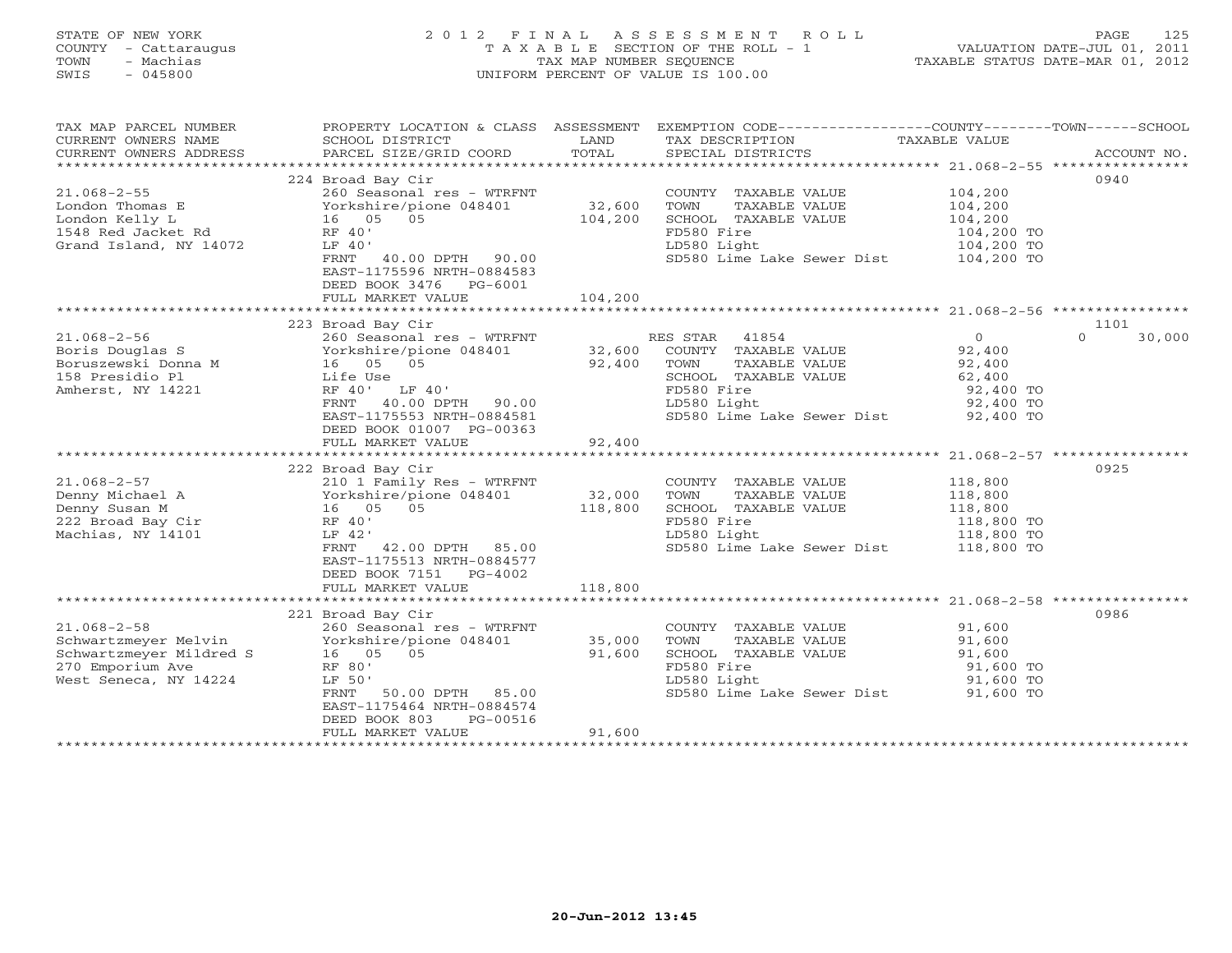# STATE OF NEW YORK 2 0 1 2 F I N A L A S S E S S M E N T R O L L PAGE 125 COUNTY - Cattaraugus T A X A B L E SECTION OF THE ROLL - 1 VALUATION DATE-JUL 01, 2011 TOWN - Machias TAX MAP NUMBER SEQUENCE TAXABLE STATUS DATE-MAR 01, 2012 SWIS - 045800 UNIFORM PERCENT OF VALUE IS 100.00UNIFORM PERCENT OF VALUE IS 100.00

| TAX MAP PARCEL NUMBER<br>CURRENT OWNERS NAME<br>CURRENT OWNERS ADDRESS                                            | PROPERTY LOCATION & CLASS ASSESSMENT<br>SCHOOL DISTRICT<br>PARCEL SIZE/GRID COORD                                                                                                                                           | LAND<br>TOTAL                | EXEMPTION CODE-----------------COUNTY-------TOWN------SCHOOL<br>TAX DESCRIPTION<br>SPECIAL DISTRICTS                                                            | TAXABLE VALUE                                                                                                | ACCOUNT NO.                |
|-------------------------------------------------------------------------------------------------------------------|-----------------------------------------------------------------------------------------------------------------------------------------------------------------------------------------------------------------------------|------------------------------|-----------------------------------------------------------------------------------------------------------------------------------------------------------------|--------------------------------------------------------------------------------------------------------------|----------------------------|
| $21.068 - 2 - 55$<br>London Thomas E<br>London Kelly L<br>1548 Red Jacket Rd<br>Grand Island, NY 14072            | 224 Broad Bay Cir<br>260 Seasonal res - WTRFNT<br>Yorkshire/pione 048401<br>16  05  05<br>RF 40'<br>LF 40'<br>FRNT 40.00 DPTH 90.00<br>EAST-1175596 NRTH-0884583<br>DEED BOOK 3476 PG-6001<br>FULL MARKET VALUE             | 32,600<br>104,200<br>104,200 | COUNTY TAXABLE VALUE<br>TOWN<br>TAXABLE VALUE<br>SCHOOL TAXABLE VALUE<br>FD580 Fire<br>LD580 Light<br>SD580 Lime Lake Sewer Dist 104,200 TO                     | 104,200<br>104,200<br>104,200<br>104,200 TO<br>104,200 TO                                                    | 0940                       |
|                                                                                                                   |                                                                                                                                                                                                                             |                              |                                                                                                                                                                 |                                                                                                              |                            |
| $21.068 - 2 - 56$<br>Boris Douglas S<br>Boruszewski Donna M<br>158 Presidio Pl<br>Amherst, NY 14221               | 223 Broad Bay Cir<br>260 Seasonal res - WTRFNT<br>Yorkshire/pione 048401<br>16 05 05<br>Life Use<br>RF 40' LF 40'<br>FRNT<br>40.00 DPTH 90.00<br>EAST-1175553 NRTH-0884581<br>DEED BOOK 01007 PG-00363<br>FULL MARKET VALUE | 32,600<br>92,400<br>92,400   | RES STAR<br>41854<br>COUNTY TAXABLE VALUE<br>TOWN<br>TAXABLE VALUE<br>SCHOOL TAXABLE VALUE<br>FD580 Fire<br>LD580 Light<br>SD580 Lime Lake Sewer Dist 92,400 TO | $\circ$<br>92,400<br>92,400<br>62,400<br>92,400 TO<br>92,400 TO                                              | 1101<br>30,000<br>$\Omega$ |
| $21.068 - 2 - 57$<br>Denny Michael A<br>Denny Susan M<br>222 Broad Bay Cir<br>Machias, NY 14101                   | 222 Broad Bay Cir<br>210 1 Family Res - WTRFNT<br>Yorkshire/pione 048401<br>16 05<br>05<br>RF 40'<br>LF 42'<br>42.00 DPTH 85.00<br>FRNT<br>EAST-1175513 NRTH-0884577<br>DEED BOOK 7151 PG-4002<br>FULL MARKET VALUE         | 32,000<br>118,800<br>118,800 | COUNTY TAXABLE VALUE<br>TOWN<br>TAXABLE VALUE<br>SCHOOL TAXABLE VALUE<br>FD580 Fire<br>LD580 Light<br>SD580 Lime Lake Sewer Dist 118,800 TO                     | 118,800<br>118,800<br>118,800<br>118,800 TO<br>118,800 TO                                                    | 0925                       |
| $21.068 - 2 - 58$<br>Schwartzmeyer Melvin<br>Schwartzmeyer Mildred S<br>270 Emporium Ave<br>West Seneca, NY 14224 | 221 Broad Bay Cir<br>260 Seasonal res - WTRFNT<br>Yorkshire/pione 048401<br>05<br>16 05<br>RF 80'<br>LF 50'<br>50.00 DPTH 85.00<br>FRNT<br>EAST-1175464 NRTH-0884574<br>DEED BOOK 803<br>PG-00516<br>FULL MARKET VALUE      | 35,000<br>91,600<br>91,600   | COUNTY TAXABLE VALUE<br>TOWN<br>TAXABLE VALUE<br>SCHOOL TAXABLE VALUE<br>FD580 Fire<br>LD580 Light<br>SD580 Lime Lake Sewer Dist 91,600 TO                      | ************************ 21.068-2-58 ***************<br>91,600<br>91,600<br>91,600<br>91,600 TO<br>91,600 TO | 0986                       |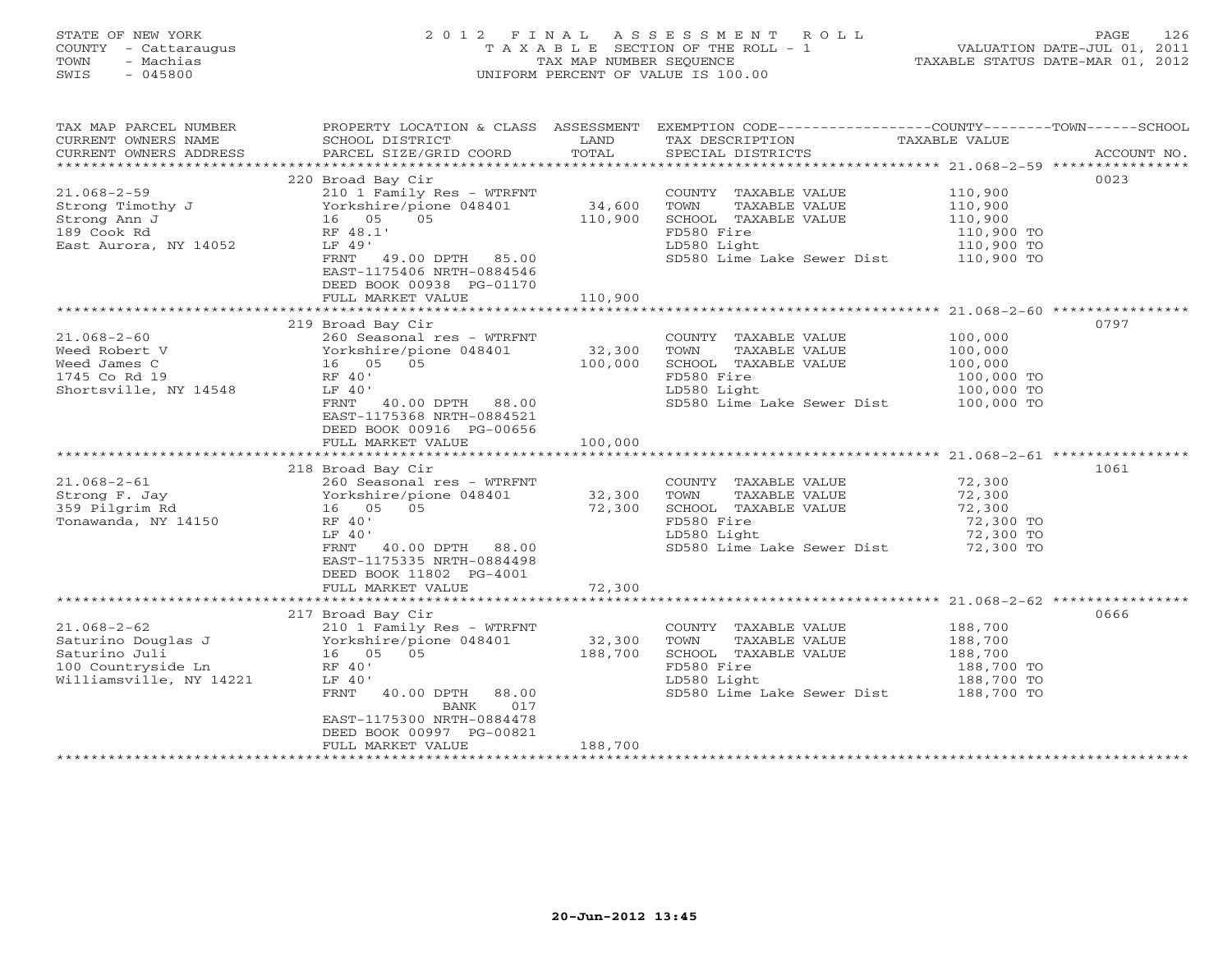# STATE OF NEW YORK 2 0 1 2 F I N A L A S S E S S M E N T R O L L PAGE 126 COUNTY - Cattaraugus T A X A B L E SECTION OF THE ROLL - 1 VALUATION DATE-JUL 01, 2011 TOWN - Machias TAX MAP NUMBER SEQUENCE TAXABLE STATUS DATE-MAR 01, 2012 SWIS - 045800 UNIFORM PERCENT OF VALUE IS 100.00UNIFORM PERCENT OF VALUE IS 100.00

| TAX MAP PARCEL NUMBER<br>CURRENT OWNERS NAME<br>CURRENT OWNERS ADDRESS                                    | PROPERTY LOCATION & CLASS ASSESSMENT<br>SCHOOL DISTRICT<br>PARCEL SIZE/GRID COORD                                                                                                                                    | LAND<br>TOTAL                | EXEMPTION CODE-----------------COUNTY-------TOWN------SCHOOL<br>TAX DESCRIPTION TAXABLE VALUE<br>SPECIAL DISTRICTS                          |                                                           | ACCOUNT NO. |
|-----------------------------------------------------------------------------------------------------------|----------------------------------------------------------------------------------------------------------------------------------------------------------------------------------------------------------------------|------------------------------|---------------------------------------------------------------------------------------------------------------------------------------------|-----------------------------------------------------------|-------------|
| $21.068 - 2 - 59$<br>Strong Timothy J<br>Strong Ann J<br>189 Cook Rd<br>East Aurora, NY 14052             | 220 Broad Bay Cir<br>210 1 Family Res - WTRFNT<br>Yorkshire/pione 048401<br>16 05<br>05<br>RF 48.1'<br>LF 49'<br>FRNT 49.00 DPTH 85.00<br>EAST-1175406 NRTH-0884546<br>DEED BOOK 00938 PG-01170<br>FULL MARKET VALUE | 34,600<br>110,900<br>110,900 | COUNTY TAXABLE VALUE<br>TOWN<br>TAXABLE VALUE<br>SCHOOL TAXABLE VALUE<br>FD580 Fire<br>LD580 Light<br>SD580 Lime Lake Sewer Dist 110,900 TO | 110,900<br>110,900<br>110,900<br>110,900 TO<br>110,900 TO | 0023        |
|                                                                                                           | 219 Broad Bay Cir                                                                                                                                                                                                    |                              |                                                                                                                                             |                                                           | 0797        |
| $21.068 - 2 - 60$<br>Weed Robert V<br>Weed James C<br>1745 Co Rd 19<br>Shortsville, NY 14548              | 260 Seasonal res - WTRFNT<br>Yorkshire/pione 048401<br>16 05 05<br>RF 40'<br>LF 40'<br>FRNT 40.00 DPTH 88.00<br>EAST-1175368 NRTH-0884521<br>DEED BOOK 00916 PG-00656<br>FULL MARKET VALUE                           | 32,300<br>100,000<br>100,000 | COUNTY TAXABLE VALUE<br>TOWN<br>TAXABLE VALUE<br>SCHOOL TAXABLE VALUE<br>FD580 Fire<br>LD580 Light<br>SD580 Lime Lake Sewer Dist 100,000 TO | 100,000<br>100,000<br>100,000<br>100,000 TO<br>100,000 TO |             |
|                                                                                                           |                                                                                                                                                                                                                      |                              |                                                                                                                                             |                                                           |             |
| $21.068 - 2 - 61$<br>Strong F. Jay<br>359 Pilgrim Rd<br>Tonawanda, NY 14150                               | 218 Broad Bay Cir<br>260 Seasonal res - WTRFNT<br>Yorkshire/pione 048401<br>16 05<br>05<br>RF 40'<br>LF 40'<br>40.00 DPTH 88.00<br>FRNT<br>EAST-1175335 NRTH-0884498<br>DEED BOOK 11802 PG-4001                      | 32,300<br>72,300             | COUNTY TAXABLE VALUE<br>TOWN<br>TAXABLE VALUE<br>SCHOOL TAXABLE VALUE<br>FD580 Fire<br>LD580 Light<br>SD580 Lime Lake Sewer Dist 72,300 TO  | 72,300<br>72,300<br>72,300<br>72,300 TO<br>72,300 TO      | 1061        |
|                                                                                                           | FULL MARKET VALUE                                                                                                                                                                                                    | 72,300                       |                                                                                                                                             |                                                           |             |
| $21.068 - 2 - 62$<br>Saturino Douglas J<br>Saturino Juli<br>100 Countryside Ln<br>Williamsville, NY 14221 | 217 Broad Bay Cir<br>210 1 Family Res - WTRFNT<br>Yorkshire/pione 048401<br>16 05 05<br>RF 40'<br>LF 40'<br>40.00 DPTH 88.00<br>FRNT<br>BANK<br>017<br>EAST-1175300 NRTH-0884478<br>DEED BOOK 00997 PG-00821         | 32,300<br>188,700            | COUNTY TAXABLE VALUE<br>TOWN<br>TAXABLE VALUE<br>SCHOOL TAXABLE VALUE<br>FD580 Fire<br>LD580 Light<br>SD580 Lime Lake Sewer Dist 188,700 TO | 188,700<br>188,700<br>188,700<br>188,700 TO<br>188,700 TO | 0666        |
|                                                                                                           | FULL MARKET VALUE                                                                                                                                                                                                    | 188,700                      |                                                                                                                                             |                                                           |             |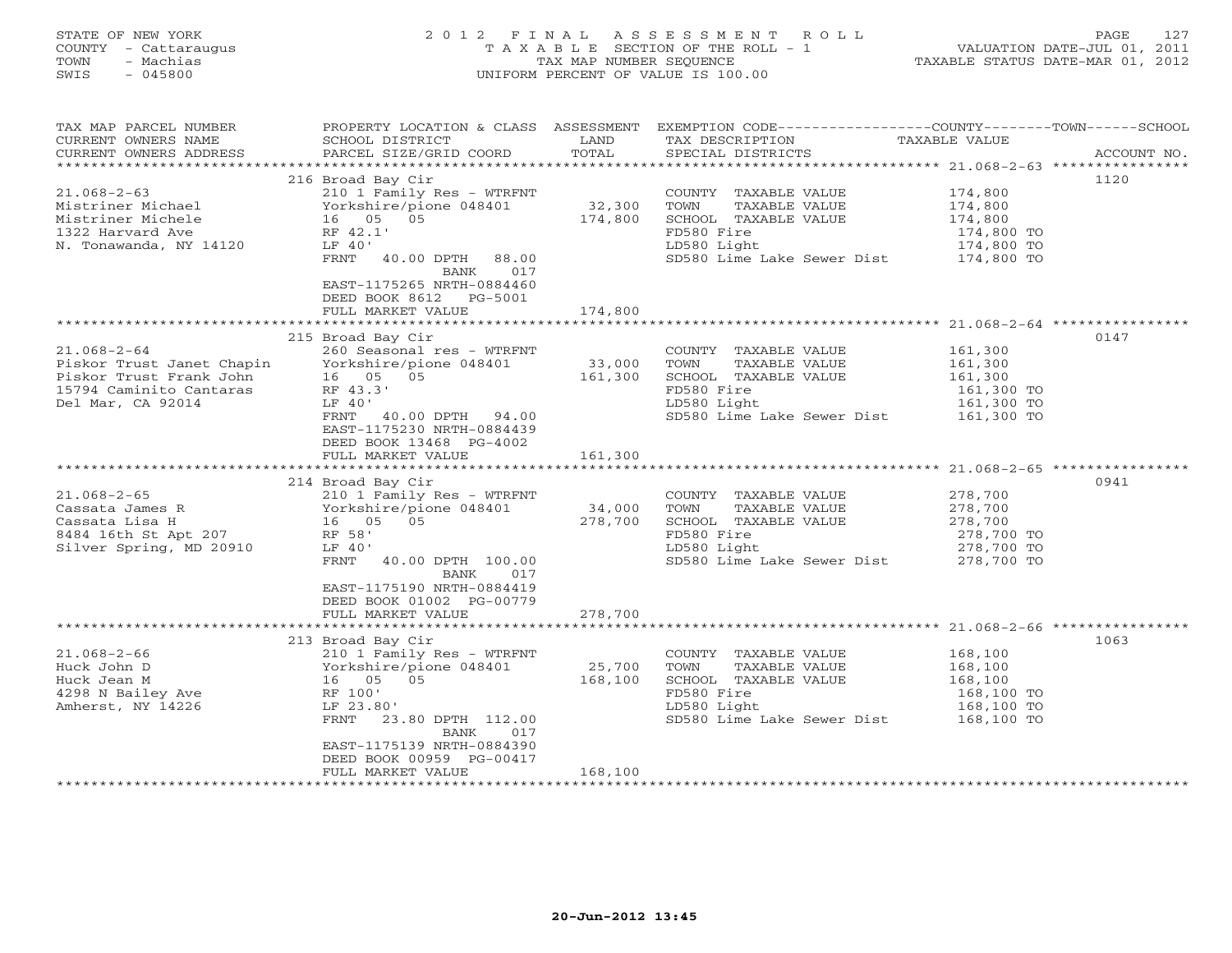# STATE OF NEW YORK 2 0 1 2 F I N A L A S S E S S M E N T R O L L PAGE 127 COUNTY - Cattaraugus T A X A B L E SECTION OF THE ROLL - 1 VALUATION DATE-JUL 01, 2011 TOWN - Machias TAX MAP NUMBER SEQUENCE TAXABLE STATUS DATE-MAR 01, 2012 SWIS - 045800 UNIFORM PERCENT OF VALUE IS 100.00UNIFORM PERCENT OF VALUE IS 100.00

| TAX MAP PARCEL NUMBER<br>CURRENT OWNERS NAME<br>CURRENT OWNERS ADDRESS                                                    | SCHOOL DISTRICT<br>PARCEL SIZE/GRID COORD                                                                                                                                                                         | LAND<br>TOTAL     | PROPERTY LOCATION & CLASS ASSESSMENT EXEMPTION CODE---------------COUNTY-------TOWN------SCHOOL<br>TAX DESCRIPTION<br>SPECIAL DISTRICTS | TAXABLE VALUE                                                           | ACCOUNT NO. |
|---------------------------------------------------------------------------------------------------------------------------|-------------------------------------------------------------------------------------------------------------------------------------------------------------------------------------------------------------------|-------------------|-----------------------------------------------------------------------------------------------------------------------------------------|-------------------------------------------------------------------------|-------------|
|                                                                                                                           |                                                                                                                                                                                                                   |                   |                                                                                                                                         |                                                                         |             |
| $21.068 - 2 - 63$<br>Mistriner Michael<br>Mistriner Michele<br>1322 Harvard Ave<br>N. Tonawanda, NY 14120                 | 216 Broad Bay Cir<br>210 1 Family Res - WTRFNT<br>Yorkshire/pione 048401<br>16  05  05<br>RF 42.1'<br>LF 40'<br>FRNT 40.00 DPTH 88.00<br>017<br>BANK<br>EAST-1175265 NRTH-0884460<br>DEED BOOK 8612 PG-5001       | 32,300<br>174,800 | COUNTY TAXABLE VALUE<br>TOWN<br>TAXABLE VALUE<br>SCHOOL TAXABLE VALUE<br>FD580 Fire<br>LD580 Light<br>SD580 Lime Lake Sewer Dist        | 174,800<br>174,800<br>174,800<br>174,800 TO<br>174,800 TO<br>174,800 TO | 1120        |
|                                                                                                                           | FULL MARKET VALUE                                                                                                                                                                                                 | 174,800           |                                                                                                                                         |                                                                         |             |
|                                                                                                                           |                                                                                                                                                                                                                   |                   |                                                                                                                                         |                                                                         |             |
| $21.068 - 2 - 64$<br>Piskor Trust Janet Chapin<br>Piskor Trust Frank John<br>15794 Caminito Cantaras<br>Del Mar, CA 92014 | 215 Broad Bay Cir<br>260 Seasonal res - WTRFNT<br>Yorkshire/pione 048401<br>16 05 05<br>RF 43.3'<br>LF 40'<br>FRNT 40.00 DPTH 94.00<br>EAST-1175230 NRTH-0884439<br>DEED BOOK 13468 PG-4002                       | 33,000<br>161,300 | COUNTY TAXABLE VALUE<br>TOWN<br>TAXABLE VALUE<br>SCHOOL TAXABLE VALUE<br>FD580 Fire<br>LD580 Light<br>SD580 Lime Lake Sewer Dist        | 161,300<br>161,300<br>161,300<br>161,300 TO<br>161,300 TO<br>161,300 TO | 0147        |
|                                                                                                                           | FULL MARKET VALUE                                                                                                                                                                                                 | 161,300           |                                                                                                                                         |                                                                         |             |
|                                                                                                                           |                                                                                                                                                                                                                   |                   |                                                                                                                                         |                                                                         |             |
| $21.068 - 2 - 65$<br>Cassata James R<br>Cassata Lisa H<br>8484 16th St Apt 207<br>Silver Spring, MD 20910                 | 214 Broad Bay Cir<br>210 1 Family Res - WTRFNT<br>Yorkshire/pione 048401<br>16 05 05<br>RF 58'<br>LF 40'<br>FRNT<br>40.00 DPTH 100.00<br>BANK<br>017<br>EAST-1175190 NRTH-0884419                                 | 34,000<br>278,700 | COUNTY TAXABLE VALUE<br>TOWN<br>TAXABLE VALUE<br>SCHOOL TAXABLE VALUE<br>FD580 Fire<br>LD580 Light<br>SD580 Lime Lake Sewer Dist        | 278,700<br>278,700<br>278,700<br>278,700 TO<br>278,700 TO<br>278,700 TO | 0941        |
|                                                                                                                           | DEED BOOK 01002 PG-00779                                                                                                                                                                                          |                   |                                                                                                                                         |                                                                         |             |
|                                                                                                                           | FULL MARKET VALUE                                                                                                                                                                                                 | 278,700           |                                                                                                                                         |                                                                         |             |
|                                                                                                                           |                                                                                                                                                                                                                   |                   |                                                                                                                                         |                                                                         |             |
| $21.068 - 2 - 66$<br>Huck John D<br>Huck Jean M<br>4298 N Bailey Ave<br>Amherst, NY 14226                                 | 213 Broad Bay Cir<br>210 1 Family Res - WTRFNT<br>Yorkshire/pione 048401<br>16 05 05<br>RF 100'<br>LF 23.80'<br>FRNT<br>23.80 DPTH 112.00<br>BANK<br>017<br>EAST-1175139 NRTH-0884390<br>DEED BOOK 00959 PG-00417 | 25,700<br>168,100 | COUNTY TAXABLE VALUE<br>TAXABLE VALUE<br>TOWN<br>SCHOOL TAXABLE VALUE<br>FD580 Fire<br>LD580 Light<br>SD580 Lime Lake Sewer Dist        | 168,100<br>168,100<br>168,100<br>168,100 TO<br>168,100 TO<br>168,100 TO | 1063        |
|                                                                                                                           | FULL MARKET VALUE                                                                                                                                                                                                 | 168,100           |                                                                                                                                         |                                                                         |             |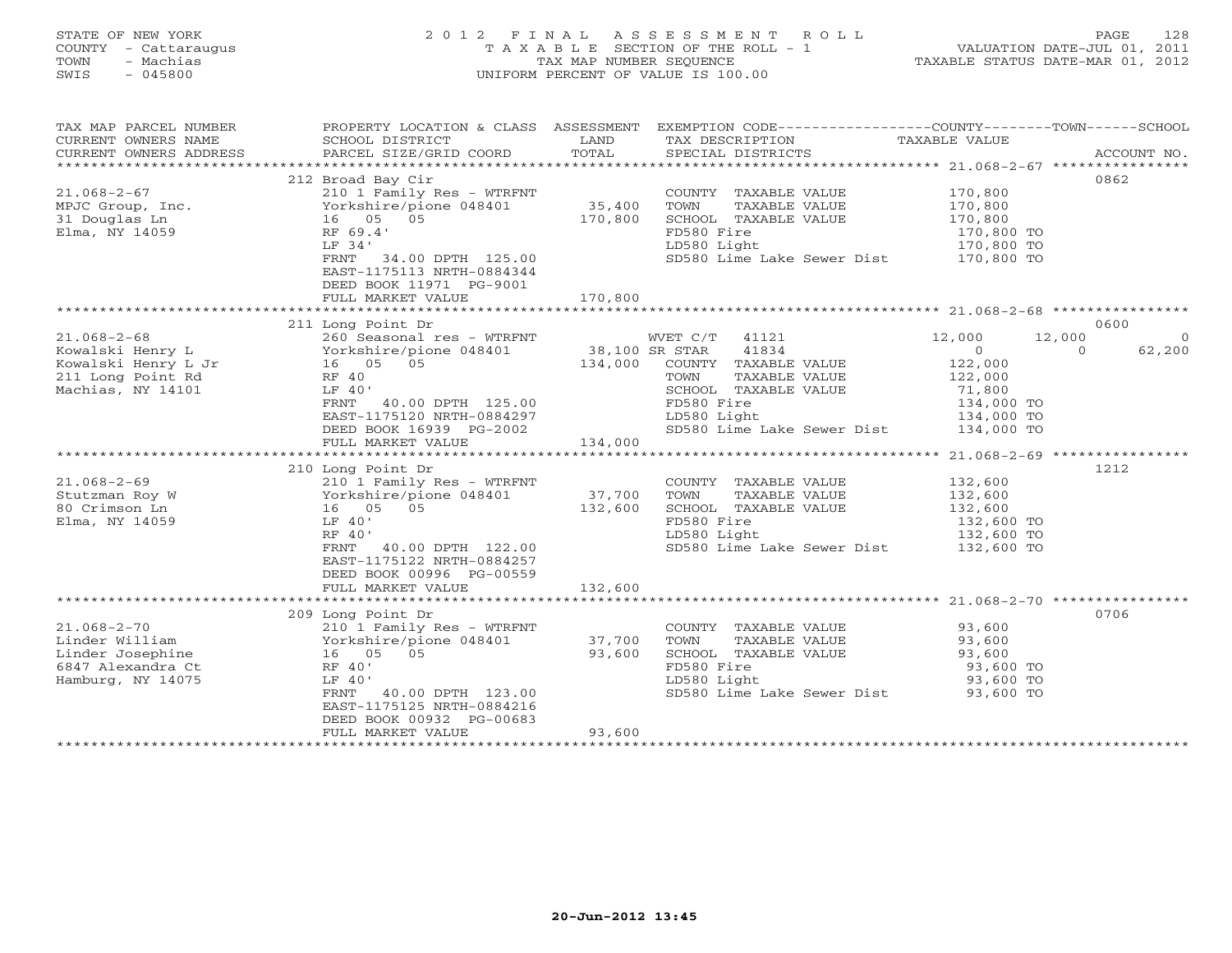# STATE OF NEW YORK 2 0 1 2 F I N A L A S S E S S M E N T R O L L PAGE 128 COUNTY - Cattaraugus T A X A B L E SECTION OF THE ROLL - 1 VALUATION DATE-JUL 01, 2011 TOWN - Machias TAX MAP NUMBER SEQUENCE TAXABLE STATUS DATE-MAR 01, 2012 SWIS - 045800 UNIFORM PERCENT OF VALUE IS 100.00UNIFORM PERCENT OF VALUE IS 100.00

| TAX MAP PARCEL NUMBER<br>CURRENT OWNERS NAME<br>CURRENT OWNERS ADDRESS                                 | SCHOOL DISTRICT<br>PARCEL SIZE/GRID COORD                                                                                                                                                                                         | LAND<br>TOTAL                | PROPERTY LOCATION & CLASS ASSESSMENT EXEMPTION CODE---------------COUNTY-------TOWN------SCHOOL<br>TAX DESCRIPTION TAXABLE VALUE<br>SPECIAL DISTRICTS                  |                                                                                                     | ACCOUNT NO.                |
|--------------------------------------------------------------------------------------------------------|-----------------------------------------------------------------------------------------------------------------------------------------------------------------------------------------------------------------------------------|------------------------------|------------------------------------------------------------------------------------------------------------------------------------------------------------------------|-----------------------------------------------------------------------------------------------------|----------------------------|
| $21.068 - 2 - 67$<br>MPJC Group, Inc.<br>31 Douglas Ln<br>Elma, NY 14059                               | 212 Broad Bay Cir<br>210 1 Family Res - WTRFNT<br>Yorkshire/pione 048401<br>$16$ 05 05<br>RF 69.4'<br>LF 34'<br>FRNT 34.00 DPTH 125.00<br>EAST-1175113 NRTH-0884344<br>DEED BOOK 11971 PG-9001<br>FULL MARKET VALUE               | 35,400<br>170,800<br>170,800 | COUNTY TAXABLE VALUE<br>TOWN<br>TAXABLE VALUE<br>SCHOOL TAXABLE VALUE<br>FD580 Fire<br>LD580 Light<br>SD580 Lime Lake Sewer Dist 170,800 TO                            | 170,800<br>170,800<br>170,800<br>170,800 TO<br>170,800 TO                                           | 0862                       |
| $21.068 - 2 - 68$<br>Kowalski Henry L<br>Kowalski Henry L Jr<br>211 Long Point Rd<br>Machias, NY 14101 | 211 Long Point Dr<br>r<br>16 05 05<br>RF 40<br>LF 40'<br>FRNT 40.00 DPTH 125.00<br>EAST-1175120 NRTH-0884297<br>DEED BOOK 16939 PG-2002<br>FULL MARKET VALUE                                                                      | 134,000<br>134,000           | WVET C/T 41121<br>41834<br>COUNTY TAXABLE VALUE<br>TOWN<br>TAXABLE VALUE<br>SCHOOL TAXABLE VALUE<br>FD580 Fire<br>LD580 Light<br>SD580 Lime Lake Sewer Dist 134,000 TO | 12,000<br>12,000<br>$\circ$<br>$\Omega$<br>122,000<br>122,000<br>71,800<br>134,000 TO<br>134,000 TO | 0600<br>$\Omega$<br>62,200 |
| $21.068 - 2 - 69$<br>Stutzman Roy W<br>80 Crimson Ln<br>Elma, NY 14059                                 | 210 Long Point Dr<br>210 1 Family Res - WTRFNT<br>210 1 - 11<br>Yorkshire/pione 048401<br>16 05 05<br>LF 40'<br>RF 40'<br>FRNT<br>40.00 DPTH 122.00<br>EAST-1175122 NRTH-0884257<br>DEED BOOK 00996 PG-00559<br>FULL MARKET VALUE | 37,700<br>132,600<br>132,600 | COUNTY TAXABLE VALUE<br>TOWN<br>TAXABLE VALUE<br>SCHOOL TAXABLE VALUE<br>FD580 Fire<br>LD580 Light<br>SD580 Lime Lake Sewer Dist 132,600 TO                            | 132,600<br>132,600<br>132,600<br>132,600 TO<br>132,600 TO                                           | 1212                       |
| $21.068 - 2 - 70$<br>Linder William<br>Linder Josephine<br>6847 Alexandra Ct<br>Hamburg, NY 14075      | 209 Long Point Dr<br>210 1 Family Res - WTRFNT<br>Yorkshire/pione 048401<br>16   05   05<br>RF 40'<br>LF 40'<br>40.00 DPTH 123.00<br>FRNT<br>EAST-1175125 NRTH-0884216<br>DEED BOOK 00932 PG-00683<br>FULL MARKET VALUE           | 37,700<br>93,600<br>93,600   | COUNTY TAXABLE VALUE<br>TOWN<br>TAXABLE VALUE<br>SCHOOL TAXABLE VALUE<br>FD580 Fire<br>LD580 Light<br>SD580 Lime Lake Sewer Dist 93,600 TO                             | 93,600<br>93,600<br>93,600<br>93,600 TO<br>93,600 TO                                                | 0706                       |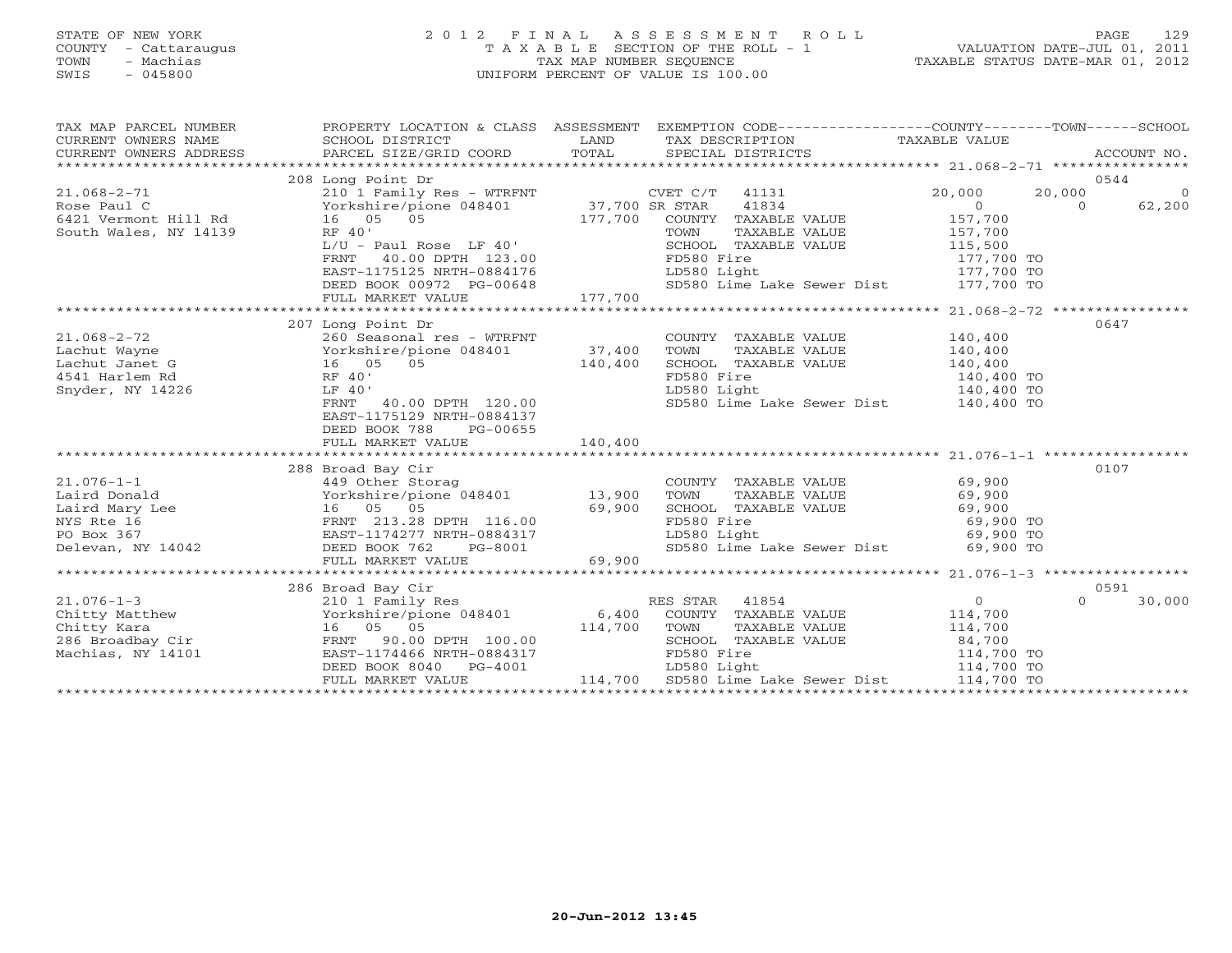# STATE OF NEW YORK 2 0 1 2 F I N A L A S S E S S M E N T R O L L PAGE 129 COUNTY - Cattaraugus T A X A B L E SECTION OF THE ROLL - 1 VALUATION DATE-JUL 01, 2011 TOWN - Machias TAX MAP NUMBER SEQUENCE TAXABLE STATUS DATE-MAR 01, 2012 SWIS - 045800 UNIFORM PERCENT OF VALUE IS 100.00UNIFORM PERCENT OF VALUE IS 100.00

| TAX MAP PARCEL NUMBER<br>$\begin{tabular}{lllllll} \multicolumn{2}{c}{\textbf{CURRENT}} & \multicolumn{2}{c}{\textbf{WMERS}} & \multicolumn{2}{c}{\textbf{NAME}} & \multicolumn{2}{c}{\textbf{SCHOOL}} & \multicolumn{2}{c}{\textbf{ISTRICT}} & \multicolumn{2}{c}{\textbf{LAND}} & \multicolumn{2}{c}{\textbf{TAX} BESCRIPITION} & \multicolumn{2}{c}{\textbf{TAX} ABLE} & \multicolumn{2}{c}{\textbf{VALUE}} & \multicolumn{2}{c}{\textbf{ACCOUNT NO.}} \\ & & & & & & & & \\ \multicolumn{2}{c$<br>CURRENT OWNERS ADDRESS |                                                  | PROPERTY LOCATION & CLASS ASSESSMENT EXEMPTION CODE----------------COUNTY-------TOWN------SCHOOL                                                                                      |                |                          |
|------------------------------------------------------------------------------------------------------------------------------------------------------------------------------------------------------------------------------------------------------------------------------------------------------------------------------------------------------------------------------------------------------------------------------------------------------------------------------------------------------------------------------|--------------------------------------------------|---------------------------------------------------------------------------------------------------------------------------------------------------------------------------------------|----------------|--------------------------|
|                                                                                                                                                                                                                                                                                                                                                                                                                                                                                                                              |                                                  |                                                                                                                                                                                       |                |                          |
| $\begin{tabular}{lllllllllll} $\text{} & \text{} & \text{} & \text{} & \text{} & \text{} & \text{} & \text{} & \text{} & \text{} & \text{} & \text{} & \text{} & \text{} & \text{} & \text{} & \text{} & \text{} & \text{} & \text{} & \text{} & \text{} & \text{} & \text{} & \text{} & \text{} & \text{} & \text{} & \text{} & \text{} & \text{} & \text{} & \text{} & \text{} & \text{$                                                                                                                                   |                                                  |                                                                                                                                                                                       |                | 0544                     |
|                                                                                                                                                                                                                                                                                                                                                                                                                                                                                                                              |                                                  |                                                                                                                                                                                       | 20,000         | $\overline{0}$<br>20,000 |
|                                                                                                                                                                                                                                                                                                                                                                                                                                                                                                                              |                                                  |                                                                                                                                                                                       | $\overline{0}$ | $\Omega$<br>62,200       |
|                                                                                                                                                                                                                                                                                                                                                                                                                                                                                                                              |                                                  | 177,700 COUNTY TAXABLE VALUE<br>COUNTY TAXABLE VALUE $157,700$<br>TOWN TAXABLE VALUE $157,700$<br>SCHOOL TAXABLE VALUE $115,500$                                                      |                |                          |
|                                                                                                                                                                                                                                                                                                                                                                                                                                                                                                                              |                                                  |                                                                                                                                                                                       |                |                          |
|                                                                                                                                                                                                                                                                                                                                                                                                                                                                                                                              |                                                  |                                                                                                                                                                                       |                |                          |
|                                                                                                                                                                                                                                                                                                                                                                                                                                                                                                                              |                                                  |                                                                                                                                                                                       |                |                          |
|                                                                                                                                                                                                                                                                                                                                                                                                                                                                                                                              |                                                  |                                                                                                                                                                                       |                |                          |
|                                                                                                                                                                                                                                                                                                                                                                                                                                                                                                                              |                                                  |                                                                                                                                                                                       |                |                          |
| 31 Vermont Miles, NY 14139<br>Suth Wales, NY 14139<br>$\begin{array}{ccc}\n & & & & \text{INR 40'} \\  & & & & \text{INR 500} \\  & & & & \text{INR 600L} \\  & & & & \text{INR 600L} \\  & & & & \text{INR 600L} \\  & & & & \text{INR 600L} \\  & & & & \text{INR 600L} \\  & & & & \text{INR 600L} \\  & & & & \text{INR 600L} \\  & & & & \text{INR 600L} \\  & & & & \text$                                                                                                                                             |                                                  |                                                                                                                                                                                       |                |                          |
|                                                                                                                                                                                                                                                                                                                                                                                                                                                                                                                              |                                                  |                                                                                                                                                                                       |                | 0647                     |
| $21.068 - 2 - 72$                                                                                                                                                                                                                                                                                                                                                                                                                                                                                                            | 207 Long Point Dr<br>260 Seasonal res - WTRFNT   | COUNTY TAXABLE VALUE 140,400                                                                                                                                                          |                |                          |
|                                                                                                                                                                                                                                                                                                                                                                                                                                                                                                                              |                                                  | TOWN                                                                                                                                                                                  |                |                          |
|                                                                                                                                                                                                                                                                                                                                                                                                                                                                                                                              |                                                  |                                                                                                                                                                                       |                |                          |
| Lachut Wayne<br>Lachut Janet G 16 05 05 140,400<br>4541 Harlem Rd RF 40'<br>Snyder, NY 14226 LF 40'                                                                                                                                                                                                                                                                                                                                                                                                                          |                                                  | TAXABLE VALUE 140,400<br>L TAXABLE VALUE 140,400<br>Fire 140,400 TO<br>TOWN IMANDEL VALUE<br>SCHOOL TAXABLE VALUE 140,400<br>FD580 Fire 140,400 TO<br>LD580 Light 140,400 TO          |                |                          |
|                                                                                                                                                                                                                                                                                                                                                                                                                                                                                                                              |                                                  |                                                                                                                                                                                       |                |                          |
|                                                                                                                                                                                                                                                                                                                                                                                                                                                                                                                              | RF 40<br>LF 40'<br>FRNT 40.00 DPTH 120.00        | SD580 Lime Lake Sewer Dist $140,400$ TO                                                                                                                                               |                |                          |
|                                                                                                                                                                                                                                                                                                                                                                                                                                                                                                                              | EAST-1175129 NRTH-0884137                        |                                                                                                                                                                                       |                |                          |
|                                                                                                                                                                                                                                                                                                                                                                                                                                                                                                                              | DEED BOOK 788<br>PG-00655                        |                                                                                                                                                                                       |                |                          |
|                                                                                                                                                                                                                                                                                                                                                                                                                                                                                                                              |                                                  |                                                                                                                                                                                       |                |                          |
|                                                                                                                                                                                                                                                                                                                                                                                                                                                                                                                              |                                                  |                                                                                                                                                                                       |                |                          |
|                                                                                                                                                                                                                                                                                                                                                                                                                                                                                                                              |                                                  |                                                                                                                                                                                       |                | 0107                     |
|                                                                                                                                                                                                                                                                                                                                                                                                                                                                                                                              |                                                  | COUNTY TAXABLE VALUE $69,900$                                                                                                                                                         |                |                          |
|                                                                                                                                                                                                                                                                                                                                                                                                                                                                                                                              |                                                  | TOWN TAXABLE VALUE<br>SCHOOL TAXABLE VALUE<br>SCHOOL TAXABLE VALUE<br>FD580 Fire<br>LD580 Light<br>SD580 Lime Lake Sewer Dist<br>SP,900 TO<br>SD580 Lime Lake Sewer Dist<br>69,900 TO |                |                          |
|                                                                                                                                                                                                                                                                                                                                                                                                                                                                                                                              |                                                  |                                                                                                                                                                                       |                |                          |
|                                                                                                                                                                                                                                                                                                                                                                                                                                                                                                                              |                                                  |                                                                                                                                                                                       |                |                          |
|                                                                                                                                                                                                                                                                                                                                                                                                                                                                                                                              |                                                  |                                                                                                                                                                                       |                |                          |
|                                                                                                                                                                                                                                                                                                                                                                                                                                                                                                                              |                                                  |                                                                                                                                                                                       |                |                          |
|                                                                                                                                                                                                                                                                                                                                                                                                                                                                                                                              |                                                  |                                                                                                                                                                                       |                |                          |
|                                                                                                                                                                                                                                                                                                                                                                                                                                                                                                                              |                                                  |                                                                                                                                                                                       |                |                          |
|                                                                                                                                                                                                                                                                                                                                                                                                                                                                                                                              | 286 Broad Bay Cir                                |                                                                                                                                                                                       |                | 0591<br>$\Omega$         |
| $21.076 - 1 - 3$                                                                                                                                                                                                                                                                                                                                                                                                                                                                                                             | 210 1 Family Res<br>Yorkshire/pione 048401 6,400 | RES STAR 41854                                                                                                                                                                        | $\overline{0}$ | 30,000                   |
|                                                                                                                                                                                                                                                                                                                                                                                                                                                                                                                              |                                                  | COUNTY TAXABLE VALUE 114,700                                                                                                                                                          |                |                          |
| Chitty Matthew Corkshire/pione 048401 6,400 COUNTY<br>Chitty Kara 16 05 05 114,700 TOWN<br>286 Broadbay Cir FRNT 90.00 DPTH 100.00 SCHOOL<br>Machias, NY 14101 EAST-1174466 NRTH-0884317 FD580 F                                                                                                                                                                                                                                                                                                                             |                                                  |                                                                                                                                                                                       |                |                          |
|                                                                                                                                                                                                                                                                                                                                                                                                                                                                                                                              |                                                  |                                                                                                                                                                                       |                |                          |
|                                                                                                                                                                                                                                                                                                                                                                                                                                                                                                                              |                                                  |                                                                                                                                                                                       |                |                          |
|                                                                                                                                                                                                                                                                                                                                                                                                                                                                                                                              |                                                  |                                                                                                                                                                                       |                |                          |
|                                                                                                                                                                                                                                                                                                                                                                                                                                                                                                                              |                                                  |                                                                                                                                                                                       |                |                          |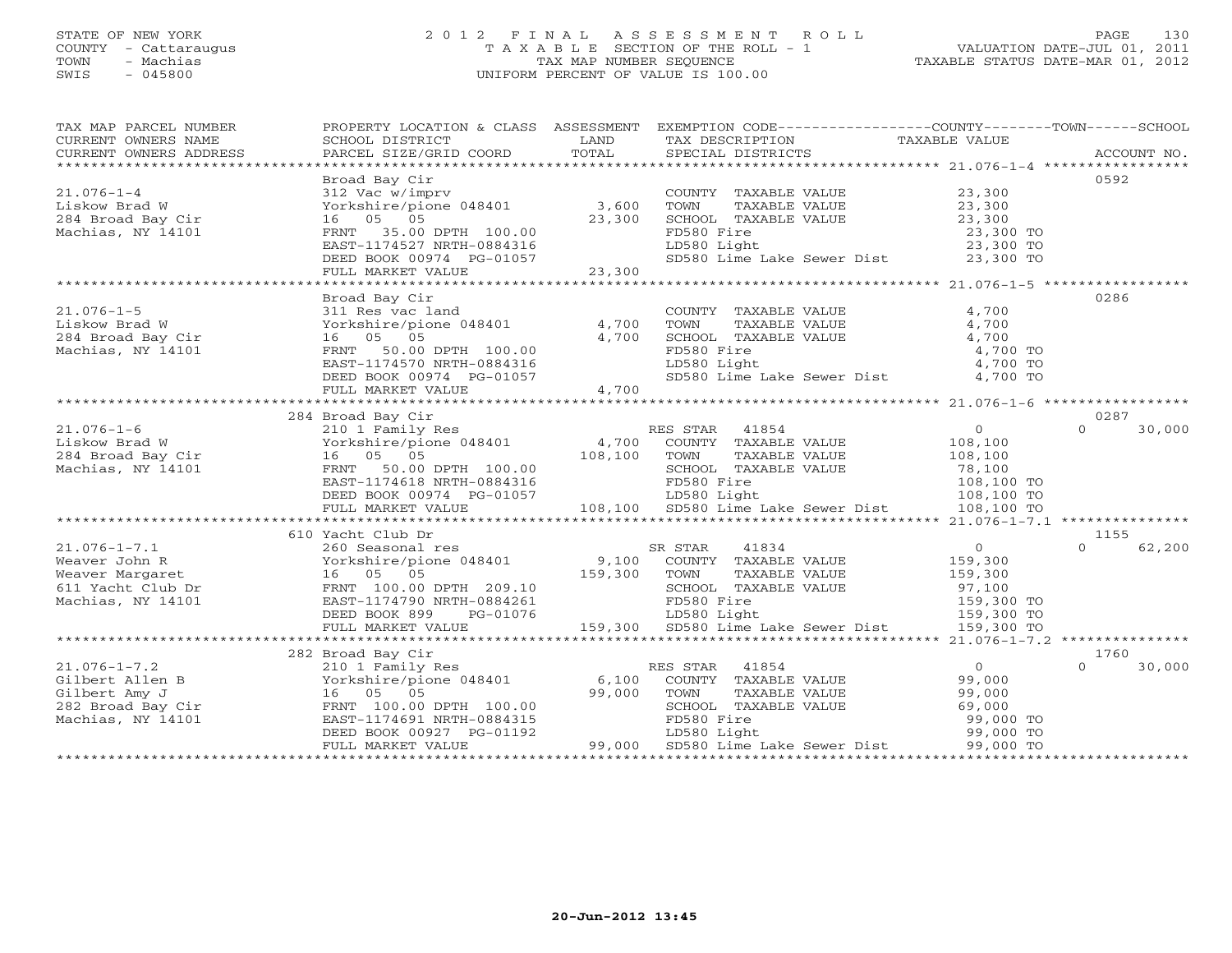# STATE OF NEW YORK 2 0 1 2 F I N A L A S S E S S M E N T R O L L PAGE 130 COUNTY - Cattaraugus T A X A B L E SECTION OF THE ROLL - 1 VALUATION DATE-JUL 01, 2011 TOWN - Machias TAX MAP NUMBER SEQUENCE TAXABLE STATUS DATE-MAR 01, 2012 SWIS - 045800 UNIFORM PERCENT OF VALUE IS 100.00UNIFORM PERCENT OF VALUE IS 100.00

| TAX MAP PARCEL NUMBER<br>CURRENT OWNERS NAME<br>$\begin{minipage}{.45\textwidth} \begin{minipage}{.45\textwidth} \begin{minipage}{.45\textwidth} \begin{minipage}{.45\textwidth} \begin{minipage}{.45\textwidth} \begin{minipage}{.45\textwidth} \begin{minipage}{.45\textwidth} \begin{minipage}{.45\textwidth} \begin{minipage}{.45\textwidth} \begin{minipage}{.45\textwidth} \begin{minipage}{.45\textwidth} \begin{minipage}{.45\textwidth} \begin{minipage}{.45\textwidth} \begin{minipage}{.45\textwidth} \begin{minipage}{.45\textwidth} \begin{minipage}{.45$ | SCHOOL DISTRICT                                                                 | LAND   | PROPERTY LOCATION & CLASS ASSESSMENT EXEMPTION CODE----------------COUNTY-------TOWN------SCHOOL<br>TAX DESCRIPTION                                                                                                        | TAXABLE VALUE                                              |                    |
|------------------------------------------------------------------------------------------------------------------------------------------------------------------------------------------------------------------------------------------------------------------------------------------------------------------------------------------------------------------------------------------------------------------------------------------------------------------------------------------------------------------------------------------------------------------------|---------------------------------------------------------------------------------|--------|----------------------------------------------------------------------------------------------------------------------------------------------------------------------------------------------------------------------------|------------------------------------------------------------|--------------------|
|                                                                                                                                                                                                                                                                                                                                                                                                                                                                                                                                                                        |                                                                                 |        |                                                                                                                                                                                                                            |                                                            |                    |
|                                                                                                                                                                                                                                                                                                                                                                                                                                                                                                                                                                        | Broad Bay Cir                                                                   |        |                                                                                                                                                                                                                            |                                                            | 0592               |
| $21.076 - 1 - 4$                                                                                                                                                                                                                                                                                                                                                                                                                                                                                                                                                       | 312 Vac w/imprv                                                                 |        | COUNTY TAXABLE VALUE 23,300                                                                                                                                                                                                |                                                            |                    |
| Liskow Brad W                                                                                                                                                                                                                                                                                                                                                                                                                                                                                                                                                          | Yorkshire/pione 048401 3,600                                                    |        | TOWN<br>TAXABLE VALUE                                                                                                                                                                                                      | 23,300<br>23,300                                           |                    |
| 284 Broad Bay Cir                                                                                                                                                                                                                                                                                                                                                                                                                                                                                                                                                      | 16 05 05                                                                        | 23,300 |                                                                                                                                                                                                                            |                                                            |                    |
| Machias, NY 14101                                                                                                                                                                                                                                                                                                                                                                                                                                                                                                                                                      | FRNT 35.00 DPTH 100.00                                                          |        |                                                                                                                                                                                                                            | 23,300 TO<br>23,300 TO                                     |                    |
|                                                                                                                                                                                                                                                                                                                                                                                                                                                                                                                                                                        | EAST-1174527 NRTH-0884316                                                       |        | -CANN - ANNABLE VALUE<br>FD580 Fire<br>LD580 Light                                                                                                                                                                         |                                                            |                    |
|                                                                                                                                                                                                                                                                                                                                                                                                                                                                                                                                                                        | DEED BOOK 00974 PG-01057                                                        |        | SD580 Lime Lake Sewer Dist 23,300 TO                                                                                                                                                                                       |                                                            |                    |
|                                                                                                                                                                                                                                                                                                                                                                                                                                                                                                                                                                        | FULL MARKET VALUE                                                               | 23,300 |                                                                                                                                                                                                                            |                                                            |                    |
|                                                                                                                                                                                                                                                                                                                                                                                                                                                                                                                                                                        |                                                                                 |        |                                                                                                                                                                                                                            |                                                            |                    |
|                                                                                                                                                                                                                                                                                                                                                                                                                                                                                                                                                                        | Broad Bay Cir                                                                   |        |                                                                                                                                                                                                                            |                                                            | 0286               |
| $21.076 - 1 - 5$                                                                                                                                                                                                                                                                                                                                                                                                                                                                                                                                                       | 311 Res vac land                                                                |        | COUNTY TAXABLE VALUE 4,700                                                                                                                                                                                                 |                                                            |                    |
| Liskow Brad W<br>Liskow Brad W<br>284 Broad Bay Cir                                                                                                                                                                                                                                                                                                                                                                                                                                                                                                                    | $Yorkshire/pione 048401$ 4,700                                                  |        | TOWN TAXABLE VALUE 4,700<br>SCHOOL TAXABLE VALUE 4,700                                                                                                                                                                     |                                                            |                    |
|                                                                                                                                                                                                                                                                                                                                                                                                                                                                                                                                                                        | 16 05 05                                                                        | 4,700  |                                                                                                                                                                                                                            |                                                            |                    |
| Machias, NY 14101                                                                                                                                                                                                                                                                                                                                                                                                                                                                                                                                                      | FRNT 50.00 DPTH 100.00                                                          |        | FD580 Fire                                                                                                                                                                                                                 | 4,700 TO                                                   |                    |
|                                                                                                                                                                                                                                                                                                                                                                                                                                                                                                                                                                        | EAST-1174570 NRTH-0884316                                                       |        | LD580 Light                                                                                                                                                                                                                | 4,700 TO<br>4,700 TO                                       |                    |
|                                                                                                                                                                                                                                                                                                                                                                                                                                                                                                                                                                        | DEED BOOK 00974 PG-01057<br>FULL MARKET VALUE 4,700                             |        | SD580 Lime Lake Sewer Dist 4,700 TO                                                                                                                                                                                        |                                                            |                    |
|                                                                                                                                                                                                                                                                                                                                                                                                                                                                                                                                                                        |                                                                                 |        |                                                                                                                                                                                                                            |                                                            |                    |
|                                                                                                                                                                                                                                                                                                                                                                                                                                                                                                                                                                        |                                                                                 |        |                                                                                                                                                                                                                            |                                                            |                    |
|                                                                                                                                                                                                                                                                                                                                                                                                                                                                                                                                                                        | 284 Broad Bay Cir                                                               |        |                                                                                                                                                                                                                            |                                                            | 0287               |
| $21.076 - 1 - 6$<br>210 1 Family<br>284 Broad Bay Cir (284 Broad Bay Cir (284 Broad Bay Cir (284 Broad Bay Cir (285 April 2013)<br>284 Broad Bay Cir (286 April 2013)<br>284 Broad Bay Cir (286 Broad Broad Broad Broad Broad Broad Broad Broad Broad Broad                                                                                                                                                                                                                                                                                                            | 210 1 Family Res<br>Yorkshire/pione 048401 4,700<br>16 05 05 108,100<br>108,100 |        | RES STAR 41854                                                                                                                                                                                                             | $\overline{0}$                                             | $\Omega$<br>30,000 |
|                                                                                                                                                                                                                                                                                                                                                                                                                                                                                                                                                                        |                                                                                 |        | COUNTY TAXABLE VALUE                                                                                                                                                                                                       | 108,100                                                    |                    |
|                                                                                                                                                                                                                                                                                                                                                                                                                                                                                                                                                                        |                                                                                 |        | TOWN<br>TAXABLE VALUE                                                                                                                                                                                                      | 108,100                                                    |                    |
|                                                                                                                                                                                                                                                                                                                                                                                                                                                                                                                                                                        | FRNT 50.00 DPTH 100.00                                                          |        | SCHOOL TAXABLE VALUE                                                                                                                                                                                                       |                                                            |                    |
|                                                                                                                                                                                                                                                                                                                                                                                                                                                                                                                                                                        | EAST-1174618 NRTH-0884316                                                       |        |                                                                                                                                                                                                                            |                                                            |                    |
|                                                                                                                                                                                                                                                                                                                                                                                                                                                                                                                                                                        | DEED BOOK 00974 PG-01057                                                        |        | 108,100 TD580 Fire<br>-01057 LD580 Light<br>-01057 108,100 SD580 Lime Lake Sewer Dist 108,100 TO                                                                                                                           | BLE VALUE 78,100<br>108,100 TO<br>108,100 TO<br>108,100 TO |                    |
|                                                                                                                                                                                                                                                                                                                                                                                                                                                                                                                                                                        | FULL MARKET VALUE                                                               |        |                                                                                                                                                                                                                            |                                                            |                    |
|                                                                                                                                                                                                                                                                                                                                                                                                                                                                                                                                                                        |                                                                                 |        |                                                                                                                                                                                                                            |                                                            |                    |
|                                                                                                                                                                                                                                                                                                                                                                                                                                                                                                                                                                        | 610 Yacht Club Dr                                                               |        |                                                                                                                                                                                                                            |                                                            | 1155               |
|                                                                                                                                                                                                                                                                                                                                                                                                                                                                                                                                                                        |                                                                                 |        | SR STAR<br>41834                                                                                                                                                                                                           | $0 \qquad \qquad$                                          | 62,200<br>$\Omega$ |
|                                                                                                                                                                                                                                                                                                                                                                                                                                                                                                                                                                        |                                                                                 |        | COUNTY TAXABLE VALUE                                                                                                                                                                                                       | 159,300                                                    |                    |
|                                                                                                                                                                                                                                                                                                                                                                                                                                                                                                                                                                        |                                                                                 |        | TAXABLE VALUE<br>TOWN                                                                                                                                                                                                      | 159,300                                                    |                    |
| 21.076-1-7.1<br>Weaver John R (Northelm Province 048401)<br>Weaver Margaret 16 05 05 159,300<br>611 Yacht Club Dr FRNT 100.00 DPTH 209.10<br>Machias, NY 14101 EAST-1174790 NRTH-0884261<br>FRNT 100.00 DPTH 209.10<br>FRNT 100.00 DPTH 2                                                                                                                                                                                                                                                                                                                              |                                                                                 |        | FRNT 100.00 DPTH 209.10 SCHOOL TAXABLE VALUE 97,100<br>EAST-1174790 NRTH-0884261 FD580 Fire 159,300 TO<br>DEED BOOK 899 PG-01076 LD580 Light 159,300 TO<br>FULL MARKET VALUE 159,300 SD580 Lime Lake Sewer Dist 159,300 TO | ABLE VALUE<br>159,100<br>159,300 TO<br>159,300 TO          |                    |
|                                                                                                                                                                                                                                                                                                                                                                                                                                                                                                                                                                        |                                                                                 |        |                                                                                                                                                                                                                            |                                                            |                    |
|                                                                                                                                                                                                                                                                                                                                                                                                                                                                                                                                                                        |                                                                                 |        |                                                                                                                                                                                                                            |                                                            |                    |
|                                                                                                                                                                                                                                                                                                                                                                                                                                                                                                                                                                        |                                                                                 |        |                                                                                                                                                                                                                            |                                                            |                    |
|                                                                                                                                                                                                                                                                                                                                                                                                                                                                                                                                                                        |                                                                                 |        |                                                                                                                                                                                                                            |                                                            |                    |
|                                                                                                                                                                                                                                                                                                                                                                                                                                                                                                                                                                        | 282 Broad Bay Cir                                                               |        |                                                                                                                                                                                                                            |                                                            | 1760               |
| $21.076 - 1 - 7.2$                                                                                                                                                                                                                                                                                                                                                                                                                                                                                                                                                     | 210 1 Family Res                                                                |        | RES STAR 41854                                                                                                                                                                                                             | $\overline{0}$                                             | $\Omega$<br>30,000 |
| Gilbert Allen B $Xorkshire/p\overline{1}$ one 048401 $6,100$<br>Gilbert Amy J $16$ 05 05 99,000                                                                                                                                                                                                                                                                                                                                                                                                                                                                        |                                                                                 |        | COUNTY TAXABLE VALUE                                                                                                                                                                                                       |                                                            |                    |
|                                                                                                                                                                                                                                                                                                                                                                                                                                                                                                                                                                        |                                                                                 |        | TOWN<br>TAXABLE VALUE                                                                                                                                                                                                      | 99,000<br>99,000                                           |                    |
|                                                                                                                                                                                                                                                                                                                                                                                                                                                                                                                                                                        |                                                                                 |        | SCHOOL TAXABLE VALUE                                                                                                                                                                                                       | 69,000                                                     |                    |
|                                                                                                                                                                                                                                                                                                                                                                                                                                                                                                                                                                        |                                                                                 |        | FD580 Fire                                                                                                                                                                                                                 | 99,000 TO                                                  |                    |
| 282 Broad Bay Cir<br>Machias, NY 14101 <b>EAST-1174691 NRTH-0884315</b><br>DEED BOOK 00927 PG-01192                                                                                                                                                                                                                                                                                                                                                                                                                                                                    |                                                                                 |        |                                                                                                                                                                                                                            |                                                            |                    |
|                                                                                                                                                                                                                                                                                                                                                                                                                                                                                                                                                                        | FULL MARKET VALUE                                                               |        |                                                                                                                                                                                                                            |                                                            |                    |
|                                                                                                                                                                                                                                                                                                                                                                                                                                                                                                                                                                        |                                                                                 |        |                                                                                                                                                                                                                            |                                                            |                    |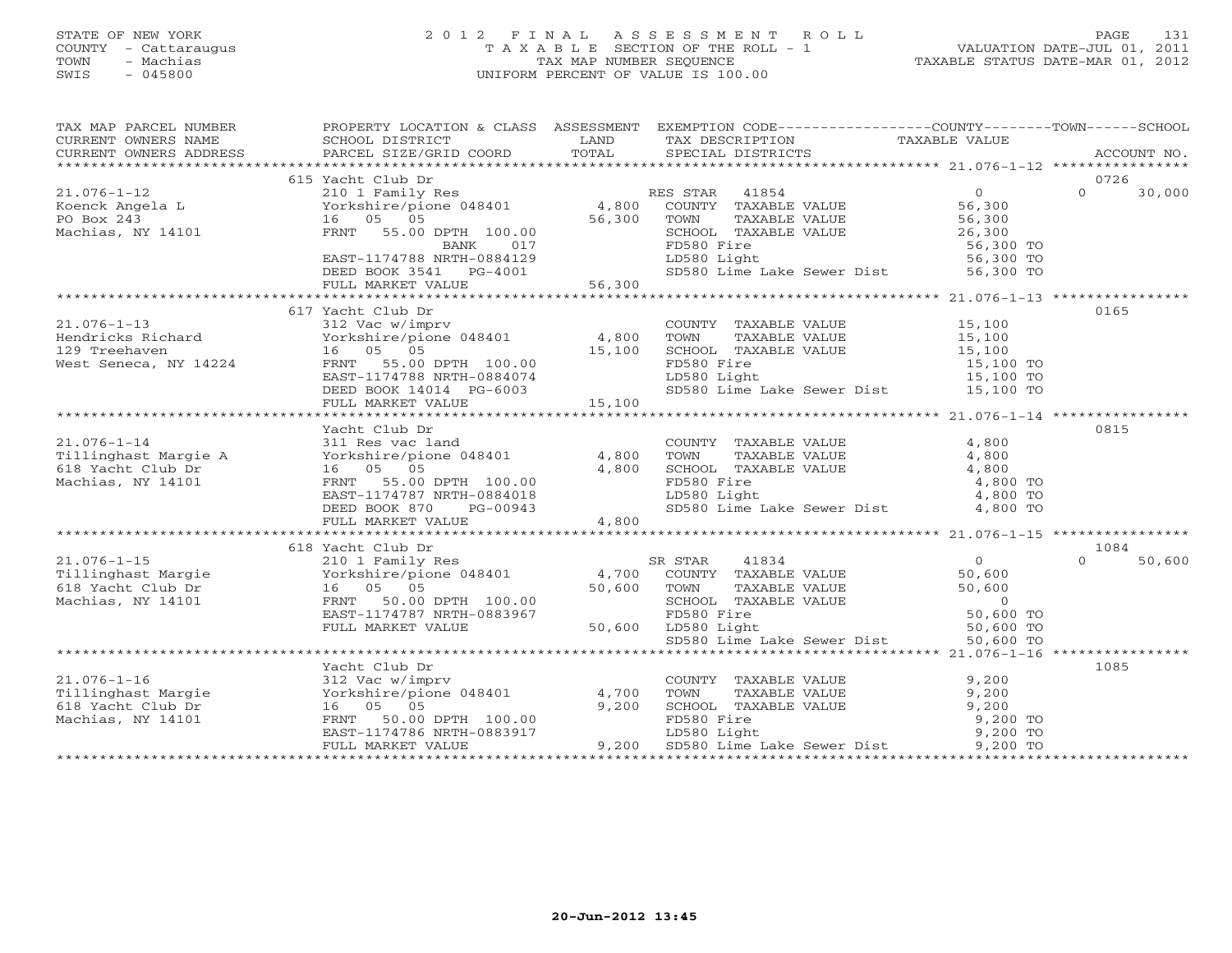#### STATE OF NEW YORK 2 0 1 2 F I N A L A S S E S S M E N T R O L L PAGE 131COUNTY - Cattaraugus T A X A B L E SECTION OF THE ROLL - 1 VALUATION DATE-JUL 01, 2011 TOWN - Machias TAX MAP NUMBER SEQUENCE TAXABLE STATUS DATE-MAR 01, 2012<br>TAXABLE STATUS DATE-MAR 01, 2012 SWIS - 045800 UNIFORM PERCENT OF VALUE IS 100.00

TAX MAP PARCEL NUMBER PROPERTY LOCATION & CLASS ASSESSMENT EXEMPTION CODE----------------COUNTY-------TOWN------SCHOOL

VALUATION DATE-JUL 01, 2011

| CURRENT OWNERS NAME SCHOOL DISTRICT | <b>EXAMPLE EXAMPLE EXAMPLE EXAMPLE EXAMPLE EXAMPLE EXAMPLE EXAMPLE EXAMPLE EXAMPLE EXAMPLE EXAMPLE EXAMPLE EXAMPLE E</b>                                                                                                                       |        | TAX DESCRIPTION                                                                            | TAXABLE VALUE    |                    |
|-------------------------------------|------------------------------------------------------------------------------------------------------------------------------------------------------------------------------------------------------------------------------------------------|--------|--------------------------------------------------------------------------------------------|------------------|--------------------|
|                                     | CURRENT OWNERS ADDRESS FARCEL SIZE/GRID COORD                                                                                                                                                                                                  | TOTAL  | SPECIAL DISTRICTS                                                                          |                  | ACCOUNT NO.        |
|                                     |                                                                                                                                                                                                                                                |        |                                                                                            |                  |                    |
|                                     | 615 Yacht Club Dr                                                                                                                                                                                                                              |        |                                                                                            |                  | 0726<br>$\Omega$   |
|                                     | Example 1854<br>Example 1854<br>EXAMPLE VALUE Mortography 16 (1891)<br>Po Box 243<br>Machias, NY 14101 (1891)<br>FRNT 55.00 DPTH 100.00 (1873)<br>FRNT 55.00 DPTH 100.00 (1873)<br>FRNT 55.00 DPTH 100.00 (1886)<br>FRNT 55.00 DPTH 100.00 (18 |        |                                                                                            | $\overline{0}$   | 30,000             |
|                                     |                                                                                                                                                                                                                                                |        |                                                                                            | 56,300           |                    |
|                                     |                                                                                                                                                                                                                                                |        |                                                                                            | 56,300           |                    |
|                                     |                                                                                                                                                                                                                                                |        |                                                                                            | 26,300           |                    |
|                                     | BANK 017                                                                                                                                                                                                                                       |        | FD580 Fire                                                                                 | 56,300 TO        |                    |
|                                     | EAST-1174788 NRTH-0884129<br>DEED BOOK 3541 PG-4001                                                                                                                                                                                            |        | LD580 Light<br>SD580 Lime Lake Sewer Dist 56,300 TO                                        | 56,300 TO        |                    |
|                                     | FULL MARKET VALUE                                                                                                                                                                                                                              | 56,300 |                                                                                            |                  |                    |
|                                     |                                                                                                                                                                                                                                                |        |                                                                                            |                  |                    |
|                                     | 617 Yacht Club Dr                                                                                                                                                                                                                              |        |                                                                                            |                  | 0165               |
|                                     |                                                                                                                                                                                                                                                |        |                                                                                            |                  |                    |
|                                     |                                                                                                                                                                                                                                                |        | COUNTY TAXABLE VALUE<br>TOWN      TAXABLE VALUE                                            | 15,100<br>15,100 |                    |
|                                     |                                                                                                                                                                                                                                                |        |                                                                                            |                  |                    |
|                                     |                                                                                                                                                                                                                                                |        | SCHOOL TAXABLE VALUE $15,100$<br>FD580 Fire                                                | 15,100 TO        |                    |
|                                     | EAST-1174788 NRTH-0884074                                                                                                                                                                                                                      |        | LD580 Light                                                                                | 15,100 TO        |                    |
|                                     | DEED BOOK 14014 PG-6003                                                                                                                                                                                                                        |        | SD580 Lime Lake Sewer Dist 15,100 TO                                                       |                  |                    |
|                                     | FULL MARKET VALUE                                                                                                                                                                                                                              | 15,100 |                                                                                            |                  |                    |
|                                     |                                                                                                                                                                                                                                                |        |                                                                                            |                  |                    |
|                                     | Yacht Club Dr                                                                                                                                                                                                                                  |        |                                                                                            |                  | 0815               |
|                                     |                                                                                                                                                                                                                                                |        |                                                                                            | 4,800            |                    |
|                                     |                                                                                                                                                                                                                                                |        | COUNTY TAXABLE VALUE<br>TOWN      TAXABLE VALUE                                            | 4,800            |                    |
|                                     |                                                                                                                                                                                                                                                |        | SCHOOL TAXABLE VALUE 4,800                                                                 |                  |                    |
|                                     |                                                                                                                                                                                                                                                |        | FD580 Fire                                                                                 | 4,800 TO         |                    |
|                                     | EAST-1174787 NRTH-0884018                                                                                                                                                                                                                      |        | LD580 Light                                                                                | 4,800 TO         |                    |
|                                     | DEED BOOK 870<br>PG-00943                                                                                                                                                                                                                      |        | SD580 Lime Lake Sewer Dist 4,800 TO                                                        |                  |                    |
|                                     | FULL MARKET VALUE                                                                                                                                                                                                                              | 4,800  |                                                                                            |                  |                    |
|                                     |                                                                                                                                                                                                                                                |        |                                                                                            |                  |                    |
|                                     | 618 Yacht Club Dr                                                                                                                                                                                                                              |        |                                                                                            |                  | 1084               |
|                                     |                                                                                                                                                                                                                                                |        |                                                                                            | $\overline{0}$   | $\Omega$<br>50,600 |
|                                     |                                                                                                                                                                                                                                                |        |                                                                                            | 50,600           |                    |
|                                     |                                                                                                                                                                                                                                                |        |                                                                                            | 50,600           |                    |
|                                     | 21.076-1-15<br>21.076-1-15 210 1 Family Res<br>210 1 Family Res<br>210 1 Family Res<br>210 1 Family Res<br>210 2001 2007 2008 2007 2007 2008 2010 2011<br>216 05 05 50,600 70WN 7AXABLE VALUE<br>216 05 05 50,600 70WN 7AXABLE VALUE<br>216 05 |        | TAXABLE VALUE<br>TAXABLE VALUE                                                             | $\overline{0}$   |                    |
|                                     | EAST-1174787 NRTH-0883967                                                                                                                                                                                                                      |        |                                                                                            | 50,600 TO        |                    |
|                                     | FULL MARKET VALUE                                                                                                                                                                                                                              |        | SCHOOL TAXABLE VALUE<br>FD580 Fire<br>LD580 Light<br>50,600 LD580 Light                    | 50,600 TO        |                    |
|                                     |                                                                                                                                                                                                                                                |        | SD580 Lime Lake Sewer Dist                                                                 | 50,600 TO        |                    |
|                                     |                                                                                                                                                                                                                                                |        |                                                                                            |                  |                    |
|                                     | Yacht Club Dr                                                                                                                                                                                                                                  |        |                                                                                            |                  | 1085               |
|                                     |                                                                                                                                                                                                                                                |        |                                                                                            |                  |                    |
|                                     |                                                                                                                                                                                                                                                | 4,700  |                                                                                            |                  |                    |
|                                     |                                                                                                                                                                                                                                                | 9,200  | COUNTY TAXABLE VALUE $9,200$<br>TOWN TAXABLE VALUE $9,200$<br>SCHOOL TAXABLE VALUE $9,200$ |                  |                    |
|                                     |                                                                                                                                                                                                                                                |        | FD580 Fire                                                                                 | 9,200 TO         |                    |
|                                     |                                                                                                                                                                                                                                                |        | LD580 Light                                                                                | 9,200 TO         |                    |
|                                     |                                                                                                                                                                                                                                                | 9,200  |                                                                                            |                  |                    |
|                                     |                                                                                                                                                                                                                                                |        |                                                                                            |                  |                    |
|                                     | 21.076-1-16<br>Tillinghast Margie<br>Fillinghast Margie<br>618 Yacht Club Dr<br>Machias, NY 14101<br>Machias, NY 14101<br>FRNT 50.00 DPTH 100.00<br>EAST-1174786 NRTH-0883917<br>FULL MARKET VALUE                                             |        | SD580 Lime Lake Sewer Dist 9,200 TO                                                        |                  |                    |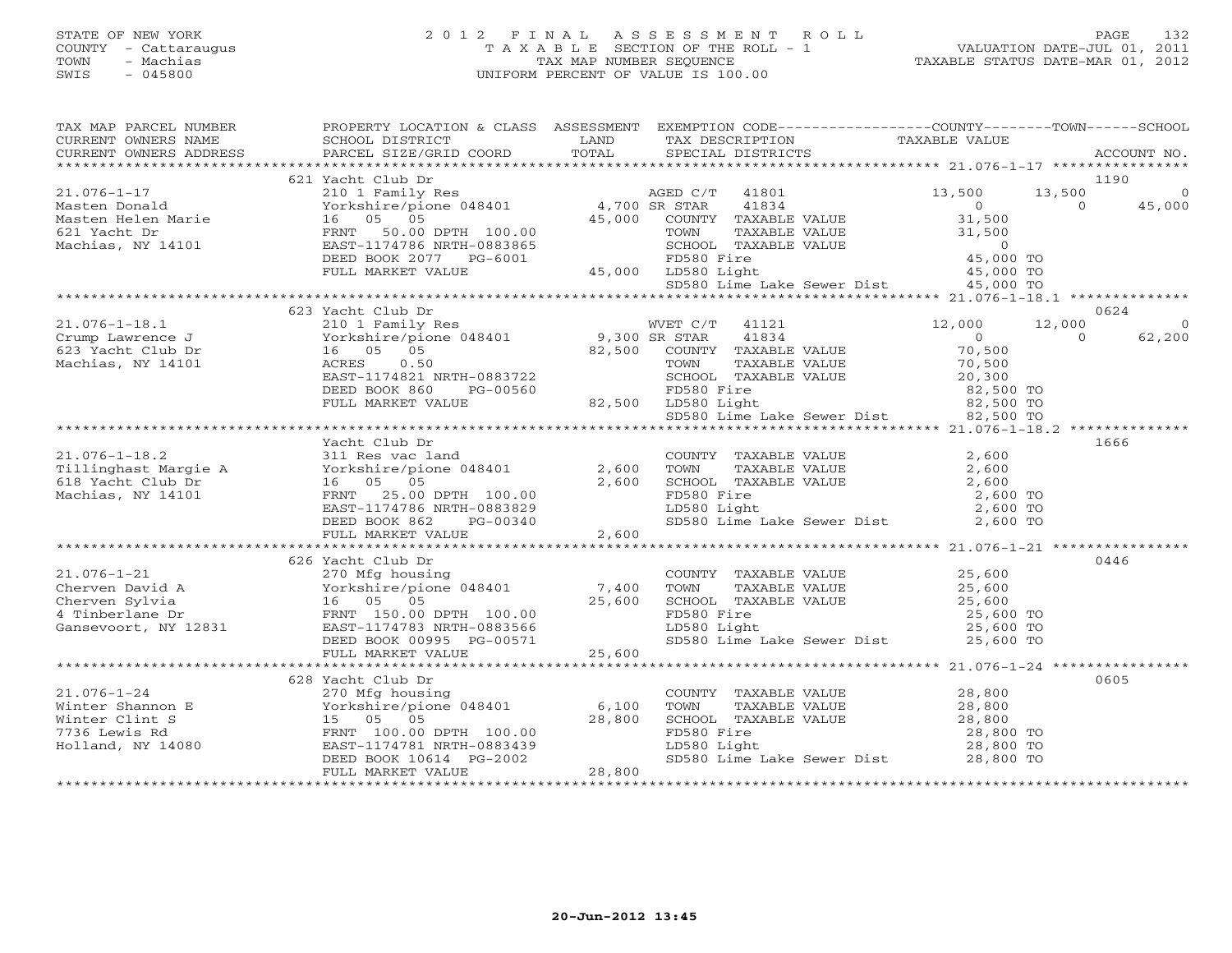# STATE OF NEW YORK 2 0 1 2 F I N A L A S S E S S M E N T R O L L PAGE 132 COUNTY - Cattaraugus T A X A B L E SECTION OF THE ROLL - 1 VALUATION DATE-JUL 01, 2011 TOWN - Machias TAX MAP NUMBER SEQUENCE TAXABLE STATUS DATE-MAR 01, 2012 SWIS - 045800 UNIFORM PERCENT OF VALUE IS 100.00UNIFORM PERCENT OF VALUE IS 100.00

| TAX MAP PARCEL NUMBER<br>CURRENT OWNERS NAME<br>CURRENT OWNERS ADDRESS                                                                                                                                                                                   | PROPERTY LOCATION & CLASS ASSESSMENT EXEMPTION CODE----------------COUNTY-------TOWN------SCHOOL<br>SCHOOL DISTRICT<br>PARCEL SIZE/GRID COORD | <b>EXAMPLE SERVICE SERVICE SERVICE SERVICE SERVICE SERVICE SERVICE SERVICE SERVICE SERVICE SERVICE SERVICE SERVICE</b><br>TOTAL | TAX DESCRIPTION TAXABLE VALUE<br>SPECIAL DISTRICTS                                                                                                                           |        | ACCOUNT NO.                              |
|----------------------------------------------------------------------------------------------------------------------------------------------------------------------------------------------------------------------------------------------------------|-----------------------------------------------------------------------------------------------------------------------------------------------|---------------------------------------------------------------------------------------------------------------------------------|------------------------------------------------------------------------------------------------------------------------------------------------------------------------------|--------|------------------------------------------|
|                                                                                                                                                                                                                                                          |                                                                                                                                               |                                                                                                                                 |                                                                                                                                                                              |        |                                          |
|                                                                                                                                                                                                                                                          | 621 Yacht Club Dr                                                                                                                             |                                                                                                                                 |                                                                                                                                                                              |        | 1190                                     |
| $21.076 - 1 - 17$                                                                                                                                                                                                                                        | 210 1 Family Res<br>210 1 Family Res<br>Yorkshire/pione 048401 4,700 SR STAR 41834                                                            |                                                                                                                                 |                                                                                                                                                                              | 13,500 | 13,500<br>$\overline{0}$                 |
|                                                                                                                                                                                                                                                          |                                                                                                                                               |                                                                                                                                 |                                                                                                                                                                              |        |                                          |
|                                                                                                                                                                                                                                                          |                                                                                                                                               |                                                                                                                                 |                                                                                                                                                                              |        |                                          |
|                                                                                                                                                                                                                                                          |                                                                                                                                               |                                                                                                                                 |                                                                                                                                                                              |        |                                          |
|                                                                                                                                                                                                                                                          |                                                                                                                                               |                                                                                                                                 |                                                                                                                                                                              |        |                                          |
|                                                                                                                                                                                                                                                          |                                                                                                                                               |                                                                                                                                 |                                                                                                                                                                              |        |                                          |
|                                                                                                                                                                                                                                                          |                                                                                                                                               |                                                                                                                                 |                                                                                                                                                                              |        |                                          |
|                                                                                                                                                                                                                                                          |                                                                                                                                               |                                                                                                                                 |                                                                                                                                                                              |        |                                          |
|                                                                                                                                                                                                                                                          | 623 Yacht Club Dr                                                                                                                             |                                                                                                                                 |                                                                                                                                                                              |        | 0624                                     |
|                                                                                                                                                                                                                                                          |                                                                                                                                               |                                                                                                                                 |                                                                                                                                                                              |        | 12,000<br>$\Omega$<br>$\Omega$<br>62,200 |
|                                                                                                                                                                                                                                                          |                                                                                                                                               |                                                                                                                                 |                                                                                                                                                                              |        |                                          |
|                                                                                                                                                                                                                                                          |                                                                                                                                               |                                                                                                                                 |                                                                                                                                                                              |        |                                          |
|                                                                                                                                                                                                                                                          |                                                                                                                                               |                                                                                                                                 |                                                                                                                                                                              |        |                                          |
|                                                                                                                                                                                                                                                          |                                                                                                                                               |                                                                                                                                 |                                                                                                                                                                              |        |                                          |
| 21.076-1-18.1<br>Crump Lawrence J<br>Crump Lawrence J<br>623 Yacht Club Dr<br>Machias, NY 14101<br>Machias, NY 14101<br>Machias, NY 14101<br>CRES 30.500<br>Machias, NY 14101<br>CRES 20.500<br>DEED BOOK 860 PG-00560<br>FULL MARKET VALUE<br>          |                                                                                                                                               |                                                                                                                                 | CHOOL TAXABLE VALUE<br>SCHOOL TAXABLE VALUE<br>FD580 Fire 82,500 TO<br>LD580 Light 82,500 TO<br>SD580 Lime Lake Sewer Dist 82,500 TO                                         |        |                                          |
|                                                                                                                                                                                                                                                          |                                                                                                                                               |                                                                                                                                 |                                                                                                                                                                              |        |                                          |
|                                                                                                                                                                                                                                                          |                                                                                                                                               |                                                                                                                                 |                                                                                                                                                                              |        |                                          |
|                                                                                                                                                                                                                                                          | Yacht Club Dr                                                                                                                                 |                                                                                                                                 |                                                                                                                                                                              |        | 1666                                     |
|                                                                                                                                                                                                                                                          |                                                                                                                                               |                                                                                                                                 |                                                                                                                                                                              |        |                                          |
| 21.076-1-18.2<br>Tillinghast Margie A 311 Res vac land<br>Tillinghast Margie A Yorkshire/pione 048401 2,600<br>618 Yacht Club Dr 16 05 05 2,600<br>Machias, NY 14101 FRNT 25.00 DPTH 100.00<br>EAST-1174786 NRTH-0883829                                 |                                                                                                                                               |                                                                                                                                 | COUNTY TAXABLE VALUE<br>TOWN TAXABLE VALUE 2,600<br>SCHOOL TAXABLE VALUE 2,600<br>FD580 Fire 2,600 TO<br>LD580 Light 2,600 TO<br>CLD580 Light 2,600 TO                       |        |                                          |
|                                                                                                                                                                                                                                                          |                                                                                                                                               |                                                                                                                                 |                                                                                                                                                                              |        |                                          |
|                                                                                                                                                                                                                                                          |                                                                                                                                               |                                                                                                                                 |                                                                                                                                                                              |        |                                          |
|                                                                                                                                                                                                                                                          |                                                                                                                                               |                                                                                                                                 |                                                                                                                                                                              |        |                                          |
| <u>0, 000 DAST-11</u> /4/80 NKIN-0003023<br>DEED BOOK 862 PG-00340<br>EULL MARKET VALUE 2,600 2,600 Lime Lake Sewer Dist 2,600 TO FOLL MARKET VALUE 2,600 PO 2,600 TO                                                                                    |                                                                                                                                               |                                                                                                                                 |                                                                                                                                                                              |        |                                          |
|                                                                                                                                                                                                                                                          |                                                                                                                                               |                                                                                                                                 |                                                                                                                                                                              |        |                                          |
|                                                                                                                                                                                                                                                          |                                                                                                                                               |                                                                                                                                 |                                                                                                                                                                              |        | 0446                                     |
|                                                                                                                                                                                                                                                          |                                                                                                                                               |                                                                                                                                 |                                                                                                                                                                              |        |                                          |
|                                                                                                                                                                                                                                                          |                                                                                                                                               |                                                                                                                                 |                                                                                                                                                                              |        |                                          |
|                                                                                                                                                                                                                                                          |                                                                                                                                               |                                                                                                                                 | COUNTY TAXABLE VALUE $25,600$<br>TOWN TAXABLE VALUE $25,600$<br>SCHOOL TAXABLE VALUE $25,600$<br>FD580 Fire $25,600$ TO<br>LD580 Light $25,600$ TO<br>25,600 TO<br>25,600 TO |        |                                          |
|                                                                                                                                                                                                                                                          |                                                                                                                                               |                                                                                                                                 |                                                                                                                                                                              |        |                                          |
|                                                                                                                                                                                                                                                          |                                                                                                                                               |                                                                                                                                 | SD580 Lime Lake Sewer Dist 25,600 TO                                                                                                                                         |        |                                          |
|                                                                                                                                                                                                                                                          | FULL MARKET VALUE                                                                                                                             | 25,600                                                                                                                          |                                                                                                                                                                              |        |                                          |
|                                                                                                                                                                                                                                                          |                                                                                                                                               |                                                                                                                                 |                                                                                                                                                                              |        |                                          |
|                                                                                                                                                                                                                                                          | 628 Yacht Club Dr                                                                                                                             |                                                                                                                                 |                                                                                                                                                                              |        | 0605                                     |
|                                                                                                                                                                                                                                                          |                                                                                                                                               |                                                                                                                                 | COUNTY TAXABLE VALUE 28,800<br>TOWN     TAXABLE VALUE 28,800                                                                                                                 |        |                                          |
|                                                                                                                                                                                                                                                          |                                                                                                                                               |                                                                                                                                 |                                                                                                                                                                              |        |                                          |
|                                                                                                                                                                                                                                                          |                                                                                                                                               |                                                                                                                                 |                                                                                                                                                                              |        |                                          |
|                                                                                                                                                                                                                                                          |                                                                                                                                               |                                                                                                                                 |                                                                                                                                                                              |        |                                          |
| 21.076-1-24<br>Winter Shannon E<br>Winter Clint S<br>T736 Lewis Rd<br>Holland, NY 14080<br>Holland, NY 14080<br>PEED BOOK 10614<br>PEED BOOK 10614<br>PEED BOOK 10614<br>PEED BOOK 10614<br>PEED BOOK 10614<br>PEED BOOK 10614<br>PEED BOOK 10614<br>PEE |                                                                                                                                               |                                                                                                                                 | CHON TAXABLE VALUE<br>SCHOOL TAXABLE VALUE<br>TD580 Fire 28,800 TO<br>LD580 Light 28,800 TO<br>SD580 Lime Lake Sewer Dist 28,800 TO                                          |        |                                          |
|                                                                                                                                                                                                                                                          | FULL MARKET VALUE                                                                                                                             | 28,800                                                                                                                          |                                                                                                                                                                              |        |                                          |
|                                                                                                                                                                                                                                                          |                                                                                                                                               |                                                                                                                                 |                                                                                                                                                                              |        |                                          |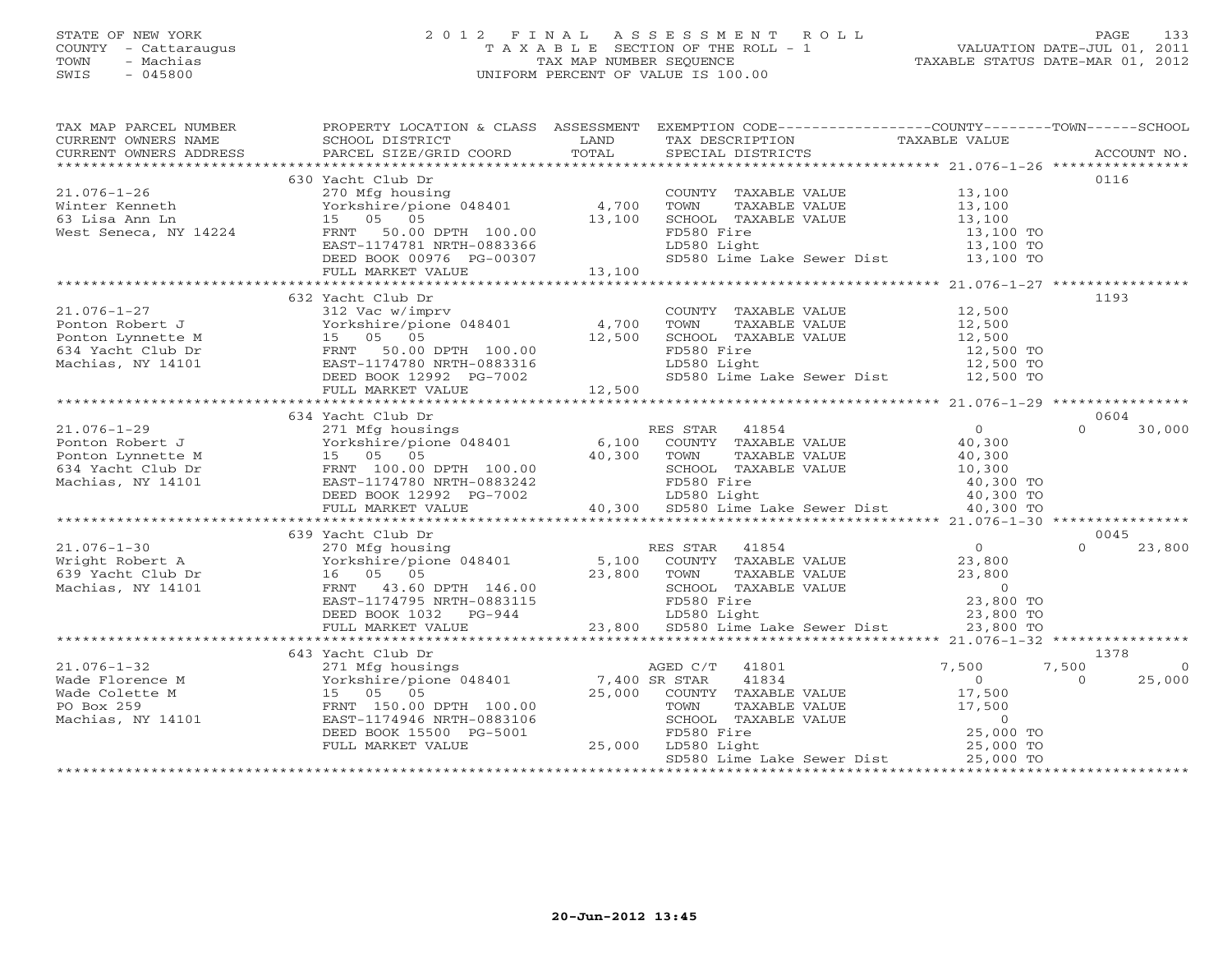# STATE OF NEW YORK 2 0 1 2 F I N A L A S S E S S M E N T R O L L PAGE 133 COUNTY - Cattaraugus T A X A B L E SECTION OF THE ROLL - 1 VALUATION DATE-JUL 01, 2011 TOWN - Machias TAX MAP NUMBER SEQUENCE TAXABLE STATUS DATE-MAR 01, 2012 SWIS - 045800 UNIFORM PERCENT OF VALUE IS 100.00UNIFORM PERCENT OF VALUE IS 100.00

| TAX MAP PARCEL NUMBER<br>CURRENT OWNERS NAME<br>CURRENT OWNERS ADDRESS                                                                                                                                                                                      | PROPERTY LOCATION & CLASS ASSESSMENT EXEMPTION CODE---------------COUNTY-------TOWN------SCHOOL<br>SCHOOL DISTRICT<br>PARCEL SIZE/GRID COORD                                                               | LAND<br>TOTAL | TAX DESCRIPTION<br>SPECIAL DISTRICTS                                                  | TAXABLE VALUE          | ACCOUNT NO.        |
|-------------------------------------------------------------------------------------------------------------------------------------------------------------------------------------------------------------------------------------------------------------|------------------------------------------------------------------------------------------------------------------------------------------------------------------------------------------------------------|---------------|---------------------------------------------------------------------------------------|------------------------|--------------------|
|                                                                                                                                                                                                                                                             |                                                                                                                                                                                                            |               |                                                                                       |                        |                    |
|                                                                                                                                                                                                                                                             | 630 Yacht Club Dr                                                                                                                                                                                          |               |                                                                                       |                        | 0116               |
| $21.076 - 1 - 26$                                                                                                                                                                                                                                           | 270 Mfg housing                                                                                                                                                                                            |               | COUNTY TAXABLE VALUE 13,100                                                           |                        |                    |
| Winter Kenneth                                                                                                                                                                                                                                              | Yorkshire/pione 048401 4,700                                                                                                                                                                               |               | TOWN<br>TAXABLE VALUE                                                                 | 13,100<br>13,100       |                    |
| 63 Lisa Ann Ln                                                                                                                                                                                                                                              | 15 05 05                                                                                                                                                                                                   | 13,100        | SCHOOL TAXABLE VALUE                                                                  |                        |                    |
| West Seneca, NY 14224                                                                                                                                                                                                                                       | FRNT 50.00 DPTH 100.00                                                                                                                                                                                     |               | FD580 Fire                                                                            | 13,100 TO              |                    |
|                                                                                                                                                                                                                                                             | EAST-1174781 NRTH-0883366                                                                                                                                                                                  |               | LD580 Light                                                                           | $13,100$ TO            |                    |
|                                                                                                                                                                                                                                                             | DEED BOOK 00976 PG-00307                                                                                                                                                                                   | 13,100        | SD580 Lime Lake Sewer Dist 13,100 TO                                                  |                        |                    |
|                                                                                                                                                                                                                                                             | FULL MARKET VALUE                                                                                                                                                                                          |               |                                                                                       |                        |                    |
|                                                                                                                                                                                                                                                             | 632 Yacht Club Dr                                                                                                                                                                                          |               |                                                                                       |                        | 1193               |
| $21.076 - 1 - 27$                                                                                                                                                                                                                                           | 312 Vac w/imprv                                                                                                                                                                                            |               |                                                                                       |                        |                    |
| Ponton Robert J                                                                                                                                                                                                                                             | 312 vac w/imprv<br>Yorkshire/pione 048401 4,700                                                                                                                                                            |               | COUNTY TAXABLE VALUE<br>TOWN     TAXABLE VALUE                                        | 12,500<br>12,500       |                    |
| Ponton Lynnette M                                                                                                                                                                                                                                           |                                                                                                                                                                                                            | 12,500        | SCHOOL TAXABLE VALUE                                                                  |                        |                    |
| 634 Yacht Club Dr                                                                                                                                                                                                                                           |                                                                                                                                                                                                            |               | FD580 Fire                                                                            | 12,500<br>12,500 TO    |                    |
| Machias, NY 14101                                                                                                                                                                                                                                           | 101KSnire/pione 048401<br>15 05 05<br>FRNT 50.00 DPTH 100.00<br>EAST-1174780 NRTH-0883316                                                                                                                  |               | LD580 Light                                                                           |                        |                    |
|                                                                                                                                                                                                                                                             |                                                                                                                                                                                                            |               | FD580 Fire 12,500 TO<br>LD580 Light 12,500 TO<br>SD580 Lime Lake Sewer Dist 12,500 TO |                        |                    |
|                                                                                                                                                                                                                                                             | EAST-1174780 NRTH-0883316<br>EAST-1174780 NRTH-0883316<br>DEED BOOK 12992 PG-7002<br>FULL MARKET VALUE<br>FULL MARKET VALUE                                                                                | 12,500        |                                                                                       |                        |                    |
|                                                                                                                                                                                                                                                             |                                                                                                                                                                                                            |               |                                                                                       |                        |                    |
|                                                                                                                                                                                                                                                             | 634 Yacht Club Dr                                                                                                                                                                                          |               |                                                                                       |                        | 0604               |
| $21.076 - 1 - 29$                                                                                                                                                                                                                                           | 271 Mfg housings                                                                                                                                                                                           |               | RES STAR 41854                                                                        | $\Omega$               | $\Omega$<br>30,000 |
| Ponton Robert J                                                                                                                                                                                                                                             |                                                                                                                                                                                                            |               |                                                                                       | 40,300<br>40,300       |                    |
| Ponton Lynnette M                                                                                                                                                                                                                                           | Yorkshire/pione 048401 6,100 COUNTY TAXABLE VALUE<br>15 05 05 100 40,300 TOWN TAXABLE VALUE<br>Yorkshire/pio<br>15    05    05                                                                             |               |                                                                                       |                        |                    |
|                                                                                                                                                                                                                                                             |                                                                                                                                                                                                            |               |                                                                                       |                        |                    |
|                                                                                                                                                                                                                                                             |                                                                                                                                                                                                            |               |                                                                                       |                        |                    |
| FRIT 100.00 DPTH 100.00<br>Machias, NY 14101<br>Machias, NY 14101<br>Machias, NY 14101<br>Machias, NY 14101<br>MARKET VALUE<br>FULL MARKET VALUE<br>FULL MARKET VALUE<br>FULL MARKET VALUE<br>FULL MARKET VALUE<br>20,300<br>20,300<br>20,300<br>20,300<br> |                                                                                                                                                                                                            |               |                                                                                       |                        |                    |
|                                                                                                                                                                                                                                                             |                                                                                                                                                                                                            |               |                                                                                       |                        |                    |
|                                                                                                                                                                                                                                                             | Yachur (1ub Dr<br>270 Mfg housing RES STAR 41854<br>Yorkshire/pione 048401 5,100 COUNTY TAXABLE VALUE<br>16 05 05 23,800 TOWN TAXABLE VALUE<br>------ 43 60 DPTH 146.00 SCHOOL TAXABLE VALUE<br>FD580 Fire |               |                                                                                       |                        | 0045               |
| $21.076 - 1 - 30$                                                                                                                                                                                                                                           | 639 Yacht Club Dr                                                                                                                                                                                          |               |                                                                                       | $\overline{0}$         | $\Omega$<br>23,800 |
|                                                                                                                                                                                                                                                             |                                                                                                                                                                                                            |               |                                                                                       | 23,800                 |                    |
| Fright Robert A<br>639 Yacht Club Dr<br>Machias. NY 14101                                                                                                                                                                                                   |                                                                                                                                                                                                            |               | TAXABLE VALUE<br>TAXABLE VALUE                                                        | 23,800                 |                    |
| Machias, NY 14101                                                                                                                                                                                                                                           |                                                                                                                                                                                                            |               |                                                                                       | $\overline{0}$         |                    |
|                                                                                                                                                                                                                                                             |                                                                                                                                                                                                            |               |                                                                                       |                        |                    |
|                                                                                                                                                                                                                                                             | EAST-1174795 NRTH-0883115<br>DEED BOOK 1032 PG-944                                                                                                                                                         |               | LD580 Light                                                                           | 23,800 TO<br>23,800 TO |                    |
|                                                                                                                                                                                                                                                             | FULL MARKET VALUE                                                                                                                                                                                          |               | 23,800 SD580 Lime Lake Sewer Dist                                                     | 23,800 TO              |                    |
|                                                                                                                                                                                                                                                             |                                                                                                                                                                                                            |               |                                                                                       |                        |                    |
|                                                                                                                                                                                                                                                             | 643 Yacht Club Dr                                                                                                                                                                                          |               |                                                                                       |                        | 1378               |
| $21.076 - 1 - 32$                                                                                                                                                                                                                                           | 271 Mfg housings                                                                                                                                                                                           |               | AGED C/T<br>41801                                                                     | 7,500                  | 7,500<br>- 0       |
| Wade Florence M                                                                                                                                                                                                                                             | Yorkshire/pione 048401 7,400 SR STAR                                                                                                                                                                       |               | 41834                                                                                 | $\Omega$               | 25,000<br>$\Omega$ |
| Wade Colette M                                                                                                                                                                                                                                              | 15 05 05                                                                                                                                                                                                   |               | 25,000 COUNTY TAXABLE VALUE                                                           | 17,500                 |                    |
| PO Box 259                                                                                                                                                                                                                                                  | FRNT 150.00 DPTH 100.00                                                                                                                                                                                    |               | TAXABLE VALUE<br>TOWN                                                                 | 17,500                 |                    |
| Machias, NY 14101                                                                                                                                                                                                                                           | EAST-1174946 NRTH-0883106                                                                                                                                                                                  |               | SCHOOL TAXABLE VALUE                                                                  | $\overline{0}$         |                    |
|                                                                                                                                                                                                                                                             | DEED BOOK 15500 PG-5001                                                                                                                                                                                    |               | FD580 Fire<br>25,000 LD580 Light                                                      | 25,000 TO              |                    |
|                                                                                                                                                                                                                                                             | FULL MARKET VALUE                                                                                                                                                                                          |               | SD580 Lime Lake Sewer Dist                                                            | 25,000 TO<br>25,000 TO |                    |
|                                                                                                                                                                                                                                                             |                                                                                                                                                                                                            |               |                                                                                       |                        |                    |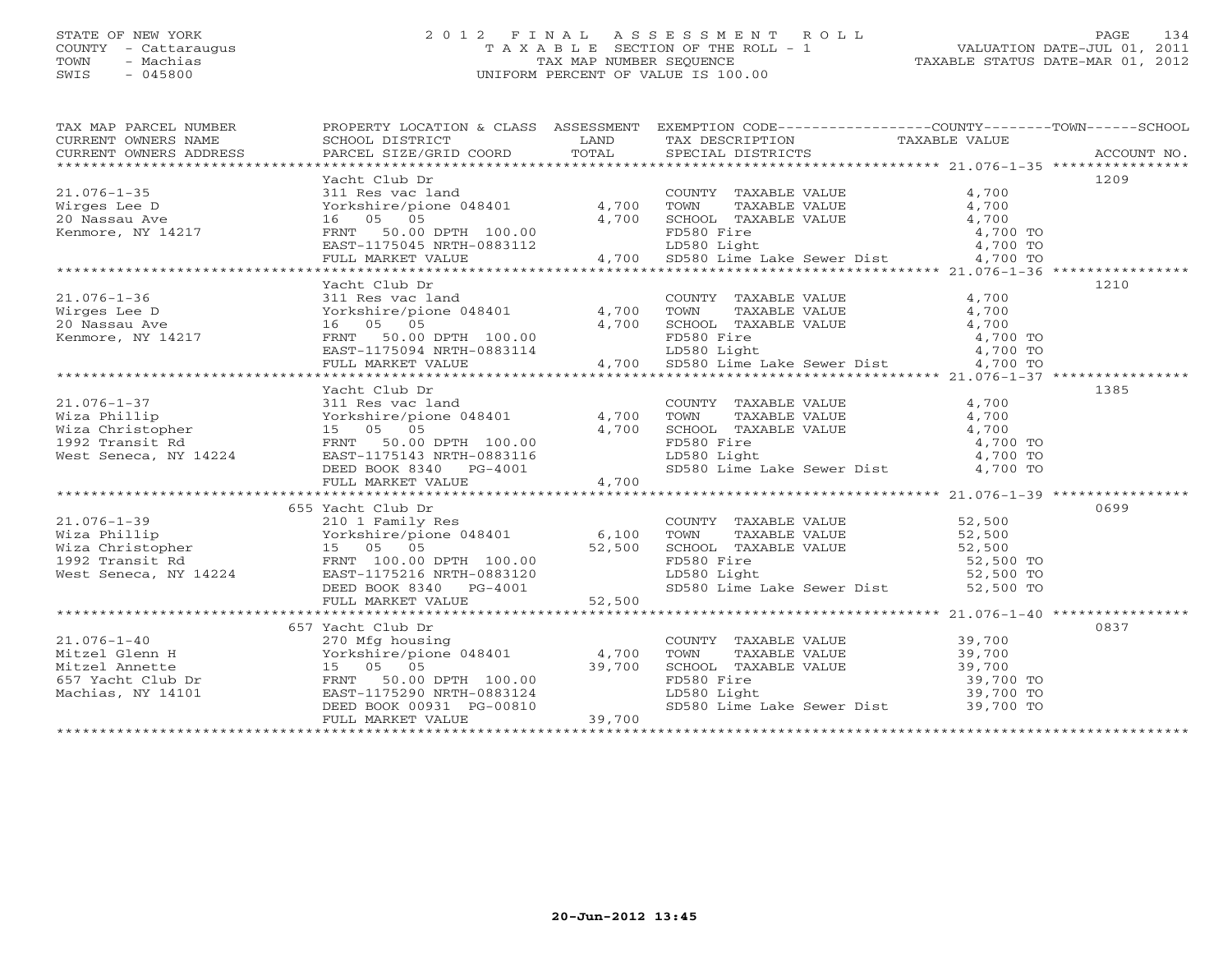# STATE OF NEW YORK 2 0 1 2 F I N A L A S S E S S M E N T R O L L PAGE 134 COUNTY - Cattaraugus T A X A B L E SECTION OF THE ROLL - 1 VALUATION DATE-JUL 01, 2011 TOWN - Machias TAX MAP NUMBER SEQUENCE TAXABLE STATUS DATE-MAR 01, 2012 SWIS - 045800 UNIFORM PERCENT OF VALUE IS 100.00UNIFORM PERCENT OF VALUE IS 100.00

| TAX MAP PARCEL NUMBER<br>CURRENT OWNERS NAME<br>CURRENT OWNERS ADDRESS                                                                                                                                                                                                                                                                                                                                                                          |               |  | PROPERTY LOCATION & CLASS ASSESSMENT EXEMPTION CODE----------------COUNTY-------TOWN------SCHOOL                                                                                                                  |      |
|-------------------------------------------------------------------------------------------------------------------------------------------------------------------------------------------------------------------------------------------------------------------------------------------------------------------------------------------------------------------------------------------------------------------------------------------------|---------------|--|-------------------------------------------------------------------------------------------------------------------------------------------------------------------------------------------------------------------|------|
|                                                                                                                                                                                                                                                                                                                                                                                                                                                 | Yacht Club Dr |  |                                                                                                                                                                                                                   | 1209 |
|                                                                                                                                                                                                                                                                                                                                                                                                                                                 |               |  |                                                                                                                                                                                                                   |      |
| $\begin{tabular}{lllllllllllll} \multicolumn{3}{c}{\text{\small{21.076--1-35}} & \multicolumn{3}{c}{\text{\small{21.076--1-35}} & \multicolumn{3}{c}{\text{\small{21.076--1-35}} & \multicolumn{3}{c}{\text{\small{21.076--1-35}} & \multicolumn{3}{c}{\text{\small{22.0 Nassau Ave}} & \multicolumn{3}{c}{\text{\small{4,700}} & \multicolumn{3}{c}{\text{\small{4,700}} & \multicolumn{3}{c}{\text{\small{4,700}} & \multicolumn{3}{c}{\text$ |               |  |                                                                                                                                                                                                                   |      |
|                                                                                                                                                                                                                                                                                                                                                                                                                                                 |               |  |                                                                                                                                                                                                                   |      |
|                                                                                                                                                                                                                                                                                                                                                                                                                                                 | Yacht Club Dr |  |                                                                                                                                                                                                                   | 1210 |
|                                                                                                                                                                                                                                                                                                                                                                                                                                                 |               |  |                                                                                                                                                                                                                   |      |
|                                                                                                                                                                                                                                                                                                                                                                                                                                                 |               |  |                                                                                                                                                                                                                   |      |
|                                                                                                                                                                                                                                                                                                                                                                                                                                                 |               |  |                                                                                                                                                                                                                   |      |
|                                                                                                                                                                                                                                                                                                                                                                                                                                                 |               |  |                                                                                                                                                                                                                   |      |
|                                                                                                                                                                                                                                                                                                                                                                                                                                                 |               |  |                                                                                                                                                                                                                   |      |
|                                                                                                                                                                                                                                                                                                                                                                                                                                                 |               |  |                                                                                                                                                                                                                   |      |
|                                                                                                                                                                                                                                                                                                                                                                                                                                                 |               |  |                                                                                                                                                                                                                   |      |
|                                                                                                                                                                                                                                                                                                                                                                                                                                                 | Yacht Club Dr |  |                                                                                                                                                                                                                   | 1385 |
|                                                                                                                                                                                                                                                                                                                                                                                                                                                 |               |  |                                                                                                                                                                                                                   |      |
|                                                                                                                                                                                                                                                                                                                                                                                                                                                 |               |  |                                                                                                                                                                                                                   |      |
|                                                                                                                                                                                                                                                                                                                                                                                                                                                 |               |  |                                                                                                                                                                                                                   |      |
|                                                                                                                                                                                                                                                                                                                                                                                                                                                 |               |  |                                                                                                                                                                                                                   |      |
|                                                                                                                                                                                                                                                                                                                                                                                                                                                 |               |  |                                                                                                                                                                                                                   |      |
|                                                                                                                                                                                                                                                                                                                                                                                                                                                 |               |  |                                                                                                                                                                                                                   |      |
|                                                                                                                                                                                                                                                                                                                                                                                                                                                 |               |  |                                                                                                                                                                                                                   |      |
|                                                                                                                                                                                                                                                                                                                                                                                                                                                 |               |  |                                                                                                                                                                                                                   |      |
|                                                                                                                                                                                                                                                                                                                                                                                                                                                 |               |  |                                                                                                                                                                                                                   |      |
|                                                                                                                                                                                                                                                                                                                                                                                                                                                 |               |  |                                                                                                                                                                                                                   |      |
|                                                                                                                                                                                                                                                                                                                                                                                                                                                 |               |  |                                                                                                                                                                                                                   |      |
|                                                                                                                                                                                                                                                                                                                                                                                                                                                 |               |  |                                                                                                                                                                                                                   |      |
|                                                                                                                                                                                                                                                                                                                                                                                                                                                 |               |  |                                                                                                                                                                                                                   |      |
|                                                                                                                                                                                                                                                                                                                                                                                                                                                 |               |  |                                                                                                                                                                                                                   |      |
|                                                                                                                                                                                                                                                                                                                                                                                                                                                 |               |  |                                                                                                                                                                                                                   |      |
| $\begin{tabular}{lllllllllllll} \multicolumn{3}{c c c c c c} \multicolumn{3}{c c c c} \multicolumn{3}{c c c c} \multicolumn{3}{c c c c} \multicolumn{3}{c c c c} \multicolumn{3}{c c c c} \multicolumn{3}{c c c c} \multicolumn{3}{c c c c} \multicolumn{3}{c c c c} \multicolumn{3}{c c c c} \multicolumn{3}{c c c c} \multicolumn{3}{c c c c} \multicolumn{3}{c c c c} \multicolumn{3}{$                                                      |               |  |                                                                                                                                                                                                                   |      |
|                                                                                                                                                                                                                                                                                                                                                                                                                                                 |               |  |                                                                                                                                                                                                                   | 0837 |
|                                                                                                                                                                                                                                                                                                                                                                                                                                                 |               |  | COUNTY TAXABLE VALUE 39,700                                                                                                                                                                                       |      |
|                                                                                                                                                                                                                                                                                                                                                                                                                                                 |               |  |                                                                                                                                                                                                                   |      |
|                                                                                                                                                                                                                                                                                                                                                                                                                                                 |               |  |                                                                                                                                                                                                                   |      |
|                                                                                                                                                                                                                                                                                                                                                                                                                                                 |               |  | TOWN TAXABLE VALUE<br>TOWN TAXABLE VALUE<br>SCHOOL TAXABLE VALUE<br>TD580 Fire<br>LD580 Light<br>SD580 Lime Lake Sewer Dist<br>SP580 Lime Lake Sewer Dist<br>39,700 TO<br>SD580 Lime Lake Sewer Dist<br>39,700 TO |      |
|                                                                                                                                                                                                                                                                                                                                                                                                                                                 |               |  |                                                                                                                                                                                                                   |      |
|                                                                                                                                                                                                                                                                                                                                                                                                                                                 |               |  |                                                                                                                                                                                                                   |      |
|                                                                                                                                                                                                                                                                                                                                                                                                                                                 |               |  |                                                                                                                                                                                                                   |      |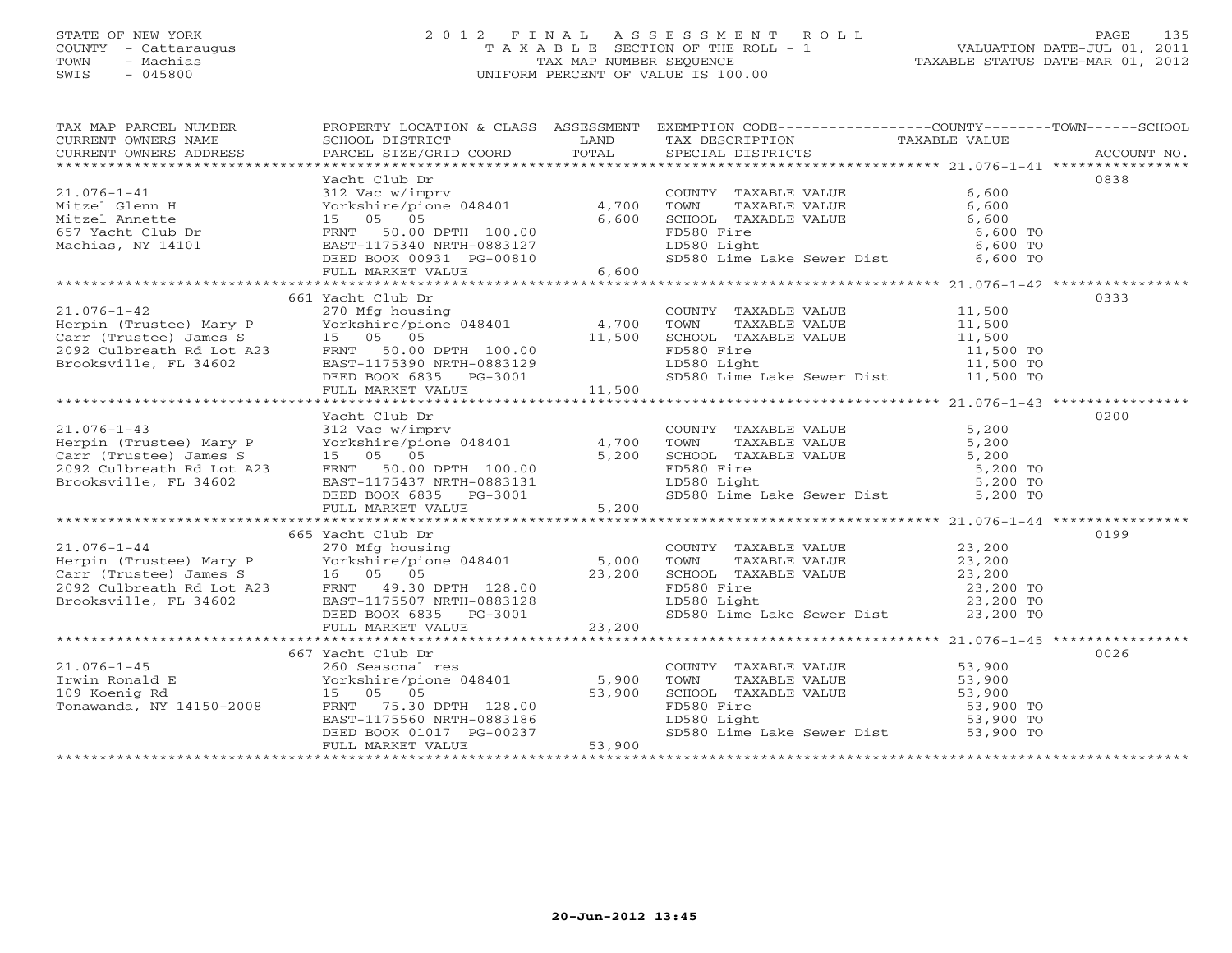# STATE OF NEW YORK 2 0 1 2 F I N A L A S S E S S M E N T R O L L PAGE 135 COUNTY - Cattaraugus T A X A B L E SECTION OF THE ROLL - 1 VALUATION DATE-JUL 01, 2011 TOWN - Machias TAX MAP NUMBER SEQUENCE TAXABLE STATUS DATE-MAR 01, 2012 SWIS - 045800 UNIFORM PERCENT OF VALUE IS 100.00UNIFORM PERCENT OF VALUE IS 100.00

| TAX MAP PARCEL NUMBER<br>CURRENT OWNERS NAME<br>CURRENT OWNERS ADDRESS                                                                                                                                                                                       | PROPERTY LOCATION & CLASS ASSESSMENT EXEMPTION CODE----------------COUNTY-------TOWN------SCHOOL |                                                                                                                                                                                                             |                                                                                                                                                                                                                          |      |
|--------------------------------------------------------------------------------------------------------------------------------------------------------------------------------------------------------------------------------------------------------------|--------------------------------------------------------------------------------------------------|-------------------------------------------------------------------------------------------------------------------------------------------------------------------------------------------------------------|--------------------------------------------------------------------------------------------------------------------------------------------------------------------------------------------------------------------------|------|
|                                                                                                                                                                                                                                                              |                                                                                                  |                                                                                                                                                                                                             |                                                                                                                                                                                                                          |      |
| 21.076-1-41<br>21.076-1-41<br>21.076-1-41<br>21.076-1-41<br>21.076-1-41<br>21.076-1-41<br>21.076-1-41<br>21.076-1-41<br>21.076-1-41<br>21.076-1-41<br>21.076-1-41<br>21.076-1-41<br>21.076-1-41<br>21.0280 Machine/pione 048401<br>21.076-1-41<br>21.0280 Ma |                                                                                                  |                                                                                                                                                                                                             |                                                                                                                                                                                                                          | 0838 |
|                                                                                                                                                                                                                                                              |                                                                                                  |                                                                                                                                                                                                             |                                                                                                                                                                                                                          |      |
|                                                                                                                                                                                                                                                              |                                                                                                  |                                                                                                                                                                                                             |                                                                                                                                                                                                                          |      |
|                                                                                                                                                                                                                                                              |                                                                                                  |                                                                                                                                                                                                             |                                                                                                                                                                                                                          |      |
|                                                                                                                                                                                                                                                              |                                                                                                  |                                                                                                                                                                                                             |                                                                                                                                                                                                                          |      |
|                                                                                                                                                                                                                                                              |                                                                                                  |                                                                                                                                                                                                             |                                                                                                                                                                                                                          |      |
|                                                                                                                                                                                                                                                              |                                                                                                  | COUNTY TAXABLE VALUE<br>TOWN TAXABLE VALUE<br>SCHOOL TAXABLE VALUE<br>SCHOOL TAXABLE VALUE<br>FD580 Fire<br>LD580 Light<br>SD580 Lime Lake Sewer Dist<br>6,600 TO<br>SD580 Lime Lake Sewer Dist<br>6,600 TO |                                                                                                                                                                                                                          |      |
|                                                                                                                                                                                                                                                              |                                                                                                  |                                                                                                                                                                                                             |                                                                                                                                                                                                                          |      |
|                                                                                                                                                                                                                                                              |                                                                                                  |                                                                                                                                                                                                             |                                                                                                                                                                                                                          |      |
|                                                                                                                                                                                                                                                              | 661 Yacht Club Dr                                                                                |                                                                                                                                                                                                             |                                                                                                                                                                                                                          | 0333 |
|                                                                                                                                                                                                                                                              |                                                                                                  |                                                                                                                                                                                                             |                                                                                                                                                                                                                          |      |
|                                                                                                                                                                                                                                                              |                                                                                                  |                                                                                                                                                                                                             |                                                                                                                                                                                                                          |      |
|                                                                                                                                                                                                                                                              |                                                                                                  |                                                                                                                                                                                                             |                                                                                                                                                                                                                          |      |
|                                                                                                                                                                                                                                                              |                                                                                                  |                                                                                                                                                                                                             |                                                                                                                                                                                                                          |      |
|                                                                                                                                                                                                                                                              |                                                                                                  |                                                                                                                                                                                                             |                                                                                                                                                                                                                          |      |
|                                                                                                                                                                                                                                                              |                                                                                                  |                                                                                                                                                                                                             |                                                                                                                                                                                                                          |      |
|                                                                                                                                                                                                                                                              |                                                                                                  |                                                                                                                                                                                                             |                                                                                                                                                                                                                          |      |
|                                                                                                                                                                                                                                                              |                                                                                                  |                                                                                                                                                                                                             |                                                                                                                                                                                                                          |      |
|                                                                                                                                                                                                                                                              | Yacht Club Dr                                                                                    |                                                                                                                                                                                                             |                                                                                                                                                                                                                          | 0200 |
|                                                                                                                                                                                                                                                              |                                                                                                  |                                                                                                                                                                                                             |                                                                                                                                                                                                                          |      |
|                                                                                                                                                                                                                                                              |                                                                                                  |                                                                                                                                                                                                             |                                                                                                                                                                                                                          |      |
|                                                                                                                                                                                                                                                              |                                                                                                  |                                                                                                                                                                                                             |                                                                                                                                                                                                                          |      |
|                                                                                                                                                                                                                                                              |                                                                                                  |                                                                                                                                                                                                             |                                                                                                                                                                                                                          |      |
|                                                                                                                                                                                                                                                              |                                                                                                  |                                                                                                                                                                                                             |                                                                                                                                                                                                                          |      |
|                                                                                                                                                                                                                                                              |                                                                                                  |                                                                                                                                                                                                             | COUNTY TAXABLE VALUE 5,200<br>TOWN TAXABLE VALUE 5,200<br>SCHOOL TAXABLE VALUE 5,200<br>FD580 Fire 5,200<br>LD580 Light 5,200<br>SD580 Lime Lake Sewer Dist 5,200 TO<br>SD580 Lime Lake Sewer Dist 5,200 TO              |      |
|                                                                                                                                                                                                                                                              |                                                                                                  |                                                                                                                                                                                                             |                                                                                                                                                                                                                          |      |
|                                                                                                                                                                                                                                                              |                                                                                                  |                                                                                                                                                                                                             |                                                                                                                                                                                                                          |      |
|                                                                                                                                                                                                                                                              | 665 Yacht Club Dr                                                                                |                                                                                                                                                                                                             |                                                                                                                                                                                                                          | 0199 |
|                                                                                                                                                                                                                                                              |                                                                                                  |                                                                                                                                                                                                             |                                                                                                                                                                                                                          |      |
|                                                                                                                                                                                                                                                              |                                                                                                  |                                                                                                                                                                                                             |                                                                                                                                                                                                                          |      |
|                                                                                                                                                                                                                                                              |                                                                                                  |                                                                                                                                                                                                             |                                                                                                                                                                                                                          |      |
|                                                                                                                                                                                                                                                              |                                                                                                  |                                                                                                                                                                                                             |                                                                                                                                                                                                                          |      |
|                                                                                                                                                                                                                                                              |                                                                                                  |                                                                                                                                                                                                             |                                                                                                                                                                                                                          |      |
|                                                                                                                                                                                                                                                              |                                                                                                  |                                                                                                                                                                                                             |                                                                                                                                                                                                                          |      |
|                                                                                                                                                                                                                                                              |                                                                                                  |                                                                                                                                                                                                             |                                                                                                                                                                                                                          |      |
|                                                                                                                                                                                                                                                              |                                                                                                  |                                                                                                                                                                                                             |                                                                                                                                                                                                                          |      |
|                                                                                                                                                                                                                                                              | 667 Yacht Club Dr                                                                                |                                                                                                                                                                                                             |                                                                                                                                                                                                                          | 0026 |
|                                                                                                                                                                                                                                                              |                                                                                                  |                                                                                                                                                                                                             | COUNTY TAXABLE VALUE 53,900<br>TOWN TAXABLE VALUE 53,900<br>SCHOOL TAXABLE VALUE 53,900<br>FD580 Fire 53,900 TO<br>LD580 Light 53,900 TO<br>SD580 Lime Lake Sewer Dist 53,900 TO<br>SD580 Lime Lake Sewer Dist 53,900 TO |      |
|                                                                                                                                                                                                                                                              |                                                                                                  |                                                                                                                                                                                                             |                                                                                                                                                                                                                          |      |
|                                                                                                                                                                                                                                                              |                                                                                                  |                                                                                                                                                                                                             |                                                                                                                                                                                                                          |      |
|                                                                                                                                                                                                                                                              |                                                                                                  |                                                                                                                                                                                                             |                                                                                                                                                                                                                          |      |
|                                                                                                                                                                                                                                                              |                                                                                                  |                                                                                                                                                                                                             |                                                                                                                                                                                                                          |      |
|                                                                                                                                                                                                                                                              |                                                                                                  |                                                                                                                                                                                                             |                                                                                                                                                                                                                          |      |
| 21.076-1-45<br>Irwin Ronald E<br>109 Koenig Rd<br>Tonawanda, NY 14150-2008<br>Tonawanda, NY 14150-2008<br>Tonawanda, NY 14150-2008<br>Tonawanda, NY 14150-2008<br>TEUL MARKET VALUE<br>FRIME TO SAMPLE DRIVE<br>TEUL MARKET VALUE<br>TEUL MARKET V           |                                                                                                  |                                                                                                                                                                                                             |                                                                                                                                                                                                                          |      |
|                                                                                                                                                                                                                                                              |                                                                                                  |                                                                                                                                                                                                             |                                                                                                                                                                                                                          |      |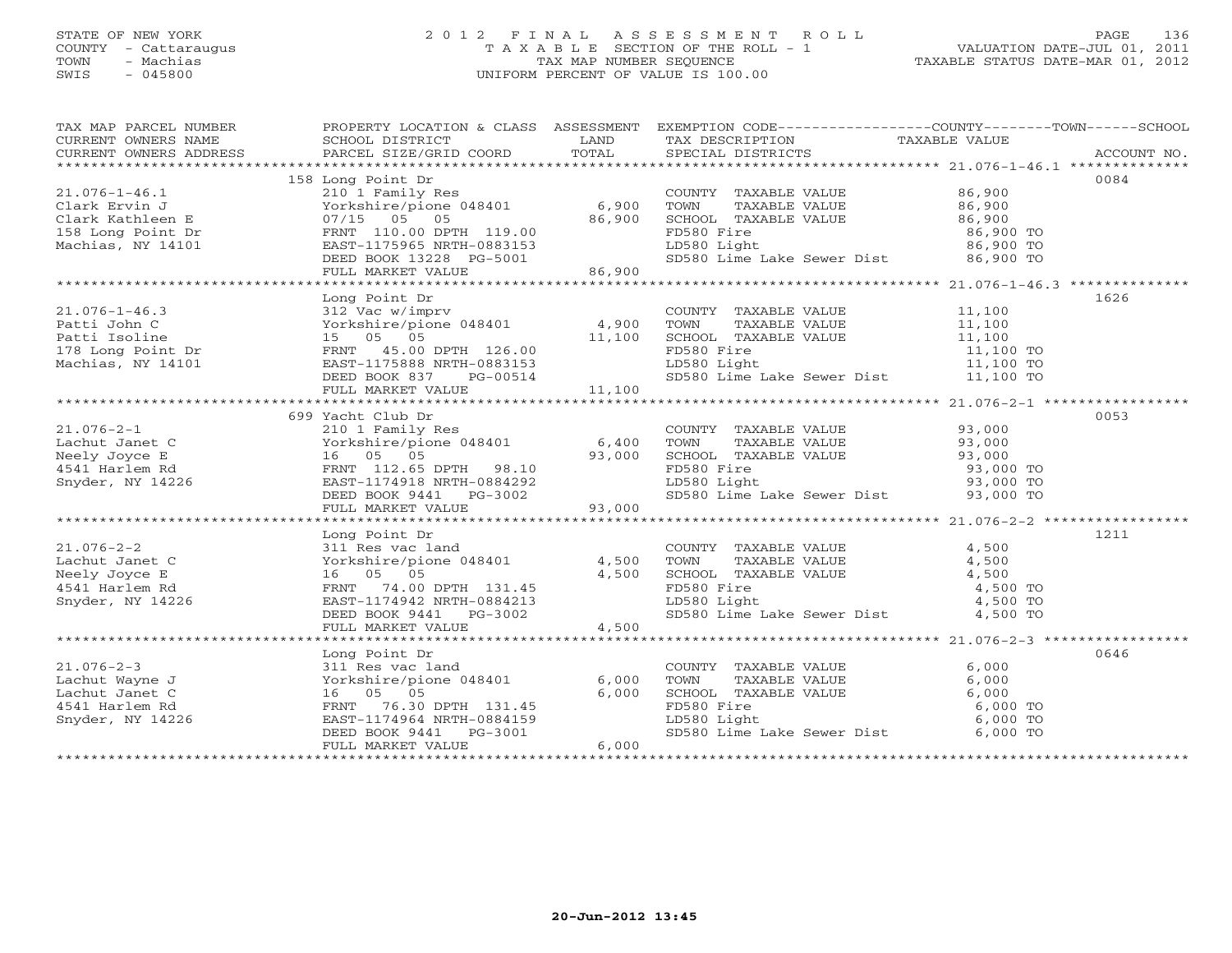# STATE OF NEW YORK 2 0 1 2 F I N A L A S S E S S M E N T R O L L PAGE 136 COUNTY - Cattaraugus T A X A B L E SECTION OF THE ROLL - 1 VALUATION DATE-JUL 01, 2011 TOWN - Machias TAX MAP NUMBER SEQUENCE TAXABLE STATUS DATE-MAR 01, 2012 SWIS - 045800 UNIFORM PERCENT OF VALUE IS 100.00

|                                                                                                                                                                                                                                                           |                   |       |                                                                                                                                                                                                                    | $\begin{tabular}{lllllllllll} \textsc{rank} & & & & & & & & \textsc{PROPERTY LOCATION & & & & & & \textsc{SSESSMENT} & & & & \textsc{EXEMPTION COD} & & & & \textsc{COMPT------COUNTY------COWN------SCHOOL} \\ \textsc{CURRENT OWNERS NAME} & & & & & & & & \textsc{SCHOOL DISTRICT} & & & & \textsc{LAND} & & \textsc{TSCRIPTION} & & & \textsc{TAXABLE VALUE} & & & \textsc{ACCOUNT NO} \\ & & & & & & & & \textsc{DDFESS} & & & \textsc{PARGEL SIZE/GRID COORD} & & & \textsc{TO$ |
|-----------------------------------------------------------------------------------------------------------------------------------------------------------------------------------------------------------------------------------------------------------|-------------------|-------|--------------------------------------------------------------------------------------------------------------------------------------------------------------------------------------------------------------------|---------------------------------------------------------------------------------------------------------------------------------------------------------------------------------------------------------------------------------------------------------------------------------------------------------------------------------------------------------------------------------------------------------------------------------------------------------------------------------------|
|                                                                                                                                                                                                                                                           |                   |       |                                                                                                                                                                                                                    |                                                                                                                                                                                                                                                                                                                                                                                                                                                                                       |
|                                                                                                                                                                                                                                                           | 158 Long Point Dr |       |                                                                                                                                                                                                                    | 0084                                                                                                                                                                                                                                                                                                                                                                                                                                                                                  |
|                                                                                                                                                                                                                                                           |                   |       |                                                                                                                                                                                                                    |                                                                                                                                                                                                                                                                                                                                                                                                                                                                                       |
|                                                                                                                                                                                                                                                           |                   |       |                                                                                                                                                                                                                    |                                                                                                                                                                                                                                                                                                                                                                                                                                                                                       |
|                                                                                                                                                                                                                                                           |                   |       |                                                                                                                                                                                                                    |                                                                                                                                                                                                                                                                                                                                                                                                                                                                                       |
|                                                                                                                                                                                                                                                           |                   |       |                                                                                                                                                                                                                    |                                                                                                                                                                                                                                                                                                                                                                                                                                                                                       |
|                                                                                                                                                                                                                                                           |                   |       |                                                                                                                                                                                                                    |                                                                                                                                                                                                                                                                                                                                                                                                                                                                                       |
|                                                                                                                                                                                                                                                           |                   |       |                                                                                                                                                                                                                    |                                                                                                                                                                                                                                                                                                                                                                                                                                                                                       |
| 21.076-1-46.1<br>Clark Ervin J<br>Clark Ervin J<br>Clark Kathleen E<br>Torkshire/pione 048401<br>Clark Kathleen E<br>Torkshire/pione 048401<br>Torkshire/pione 048401<br>S6,900<br>Clark Kathleen E<br>Tory/15 05 05<br>2011<br>Tory/15 05 05<br>2011<br> |                   |       |                                                                                                                                                                                                                    |                                                                                                                                                                                                                                                                                                                                                                                                                                                                                       |
|                                                                                                                                                                                                                                                           |                   |       |                                                                                                                                                                                                                    |                                                                                                                                                                                                                                                                                                                                                                                                                                                                                       |
|                                                                                                                                                                                                                                                           | Long Point Dr     |       |                                                                                                                                                                                                                    | 1626                                                                                                                                                                                                                                                                                                                                                                                                                                                                                  |
|                                                                                                                                                                                                                                                           |                   |       |                                                                                                                                                                                                                    |                                                                                                                                                                                                                                                                                                                                                                                                                                                                                       |
|                                                                                                                                                                                                                                                           |                   |       |                                                                                                                                                                                                                    |                                                                                                                                                                                                                                                                                                                                                                                                                                                                                       |
|                                                                                                                                                                                                                                                           |                   |       |                                                                                                                                                                                                                    |                                                                                                                                                                                                                                                                                                                                                                                                                                                                                       |
|                                                                                                                                                                                                                                                           |                   |       |                                                                                                                                                                                                                    |                                                                                                                                                                                                                                                                                                                                                                                                                                                                                       |
|                                                                                                                                                                                                                                                           |                   |       |                                                                                                                                                                                                                    |                                                                                                                                                                                                                                                                                                                                                                                                                                                                                       |
|                                                                                                                                                                                                                                                           |                   |       |                                                                                                                                                                                                                    |                                                                                                                                                                                                                                                                                                                                                                                                                                                                                       |
|                                                                                                                                                                                                                                                           |                   |       |                                                                                                                                                                                                                    |                                                                                                                                                                                                                                                                                                                                                                                                                                                                                       |
|                                                                                                                                                                                                                                                           |                   |       |                                                                                                                                                                                                                    |                                                                                                                                                                                                                                                                                                                                                                                                                                                                                       |
|                                                                                                                                                                                                                                                           | 699 Yacht Club Dr |       |                                                                                                                                                                                                                    | 0053                                                                                                                                                                                                                                                                                                                                                                                                                                                                                  |
|                                                                                                                                                                                                                                                           |                   |       |                                                                                                                                                                                                                    |                                                                                                                                                                                                                                                                                                                                                                                                                                                                                       |
|                                                                                                                                                                                                                                                           |                   |       |                                                                                                                                                                                                                    |                                                                                                                                                                                                                                                                                                                                                                                                                                                                                       |
|                                                                                                                                                                                                                                                           |                   |       |                                                                                                                                                                                                                    |                                                                                                                                                                                                                                                                                                                                                                                                                                                                                       |
|                                                                                                                                                                                                                                                           |                   |       |                                                                                                                                                                                                                    |                                                                                                                                                                                                                                                                                                                                                                                                                                                                                       |
|                                                                                                                                                                                                                                                           |                   |       |                                                                                                                                                                                                                    |                                                                                                                                                                                                                                                                                                                                                                                                                                                                                       |
|                                                                                                                                                                                                                                                           |                   |       |                                                                                                                                                                                                                    |                                                                                                                                                                                                                                                                                                                                                                                                                                                                                       |
| 21.076-2-1<br>21.076-2-1<br>Lachut Janet C<br>Meely Joyce E<br>Meely Joyce E<br>Shyder, NY 14226<br>Shyder, NY 14226<br>21.01011 Family Res<br>21.01011 Family Res<br>21.01011 Family Res<br>21.01011 Family Res<br>21.01011 Family Res<br>23,000<br>23   |                   |       |                                                                                                                                                                                                                    |                                                                                                                                                                                                                                                                                                                                                                                                                                                                                       |
|                                                                                                                                                                                                                                                           |                   |       |                                                                                                                                                                                                                    |                                                                                                                                                                                                                                                                                                                                                                                                                                                                                       |
|                                                                                                                                                                                                                                                           | Long Point Dr     |       |                                                                                                                                                                                                                    | 1211                                                                                                                                                                                                                                                                                                                                                                                                                                                                                  |
|                                                                                                                                                                                                                                                           |                   |       |                                                                                                                                                                                                                    |                                                                                                                                                                                                                                                                                                                                                                                                                                                                                       |
|                                                                                                                                                                                                                                                           |                   |       |                                                                                                                                                                                                                    |                                                                                                                                                                                                                                                                                                                                                                                                                                                                                       |
|                                                                                                                                                                                                                                                           |                   |       |                                                                                                                                                                                                                    |                                                                                                                                                                                                                                                                                                                                                                                                                                                                                       |
|                                                                                                                                                                                                                                                           |                   |       |                                                                                                                                                                                                                    |                                                                                                                                                                                                                                                                                                                                                                                                                                                                                       |
|                                                                                                                                                                                                                                                           |                   |       |                                                                                                                                                                                                                    |                                                                                                                                                                                                                                                                                                                                                                                                                                                                                       |
|                                                                                                                                                                                                                                                           |                   |       |                                                                                                                                                                                                                    |                                                                                                                                                                                                                                                                                                                                                                                                                                                                                       |
|                                                                                                                                                                                                                                                           |                   |       |                                                                                                                                                                                                                    |                                                                                                                                                                                                                                                                                                                                                                                                                                                                                       |
|                                                                                                                                                                                                                                                           |                   |       |                                                                                                                                                                                                                    |                                                                                                                                                                                                                                                                                                                                                                                                                                                                                       |
|                                                                                                                                                                                                                                                           | Long Point Dr     |       |                                                                                                                                                                                                                    | 0646                                                                                                                                                                                                                                                                                                                                                                                                                                                                                  |
|                                                                                                                                                                                                                                                           |                   |       | COUNTY TAXABLE VALUE                                                                                                                                                                                               | 6,000                                                                                                                                                                                                                                                                                                                                                                                                                                                                                 |
|                                                                                                                                                                                                                                                           |                   |       |                                                                                                                                                                                                                    |                                                                                                                                                                                                                                                                                                                                                                                                                                                                                       |
|                                                                                                                                                                                                                                                           |                   |       |                                                                                                                                                                                                                    |                                                                                                                                                                                                                                                                                                                                                                                                                                                                                       |
|                                                                                                                                                                                                                                                           |                   |       |                                                                                                                                                                                                                    |                                                                                                                                                                                                                                                                                                                                                                                                                                                                                       |
|                                                                                                                                                                                                                                                           |                   |       | COONTI TAXABLE VALUE<br>TOWN TAXABLE VALUE<br>SCHOOL TAXABLE VALUE<br>FD580 Fire<br>LD580 Light<br>SD580 Lime Lake Sewer Dist<br>SPD580 Lime Lake Sewer Dist<br>6,000 TO<br>SD580 Lime Lake Sewer Dist<br>6,000 TO |                                                                                                                                                                                                                                                                                                                                                                                                                                                                                       |
| 21.076-2-3<br>Lachut Wayne J<br>Lachut Janet C<br>Lachut Janet C<br>4541 Harlem Rd<br>Snyder, NY 14226<br>PERNT 76.30 DPTH 131.45<br>EAST-1174964 NRTH-0884159<br>DEED BOOK 9441<br>PERNT 76.30 DPTH 131.45<br>DEED BOOK 9441<br>PERNT PE-3001<br>PERN    |                   |       |                                                                                                                                                                                                                    |                                                                                                                                                                                                                                                                                                                                                                                                                                                                                       |
|                                                                                                                                                                                                                                                           | FULL MARKET VALUE | 6,000 |                                                                                                                                                                                                                    |                                                                                                                                                                                                                                                                                                                                                                                                                                                                                       |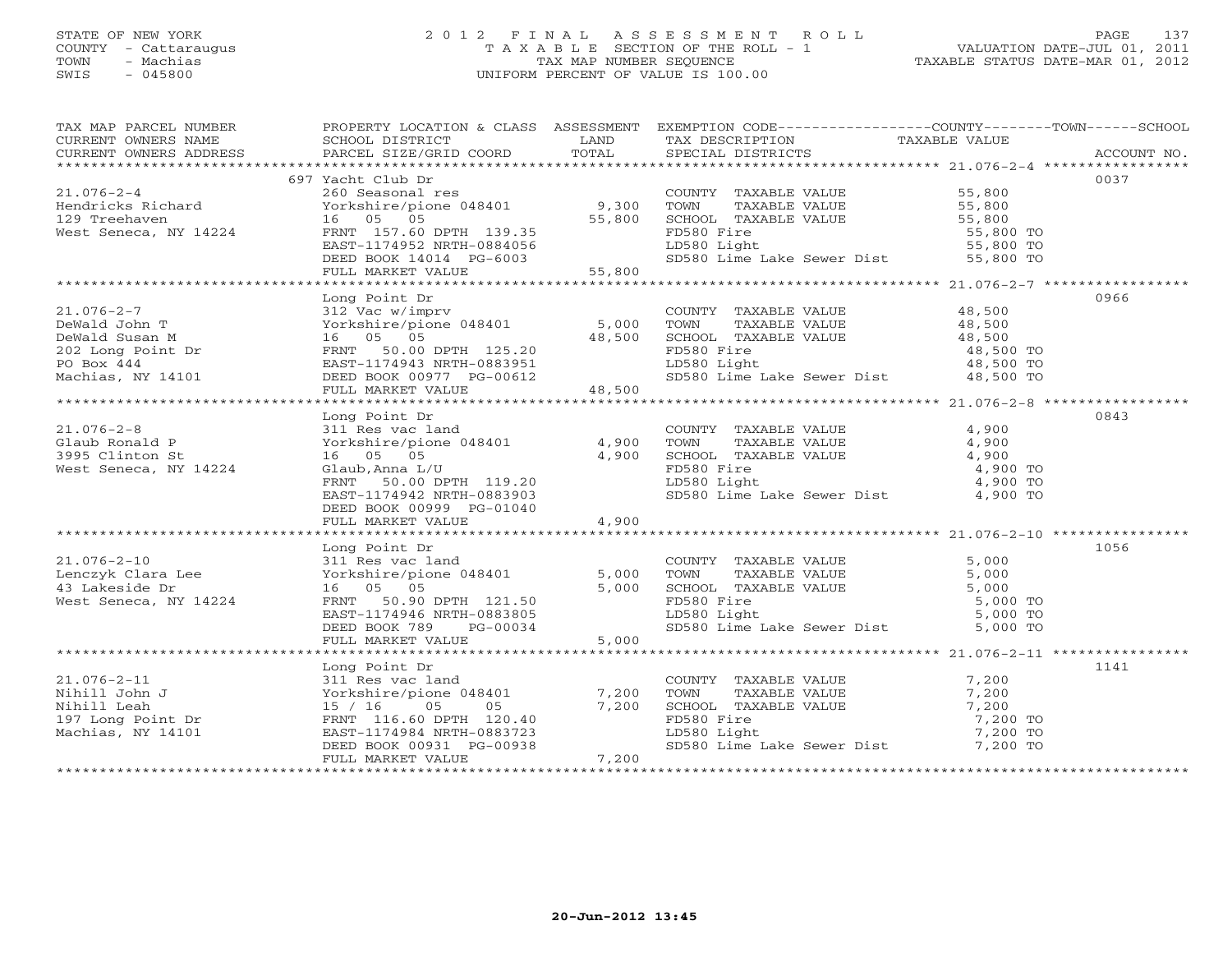# STATE OF NEW YORK 2 0 1 2 F I N A L A S S E S S M E N T R O L L PAGE 137 COUNTY - Cattaraugus T A X A B L E SECTION OF THE ROLL - 1 VALUATION DATE-JUL 01, 2011 TOWN - Machias TAX MAP NUMBER SEQUENCE TAXABLE STATUS DATE-MAR 01, 2012 SWIS - 045800 UNIFORM PERCENT OF VALUE IS 100.00UNIFORM PERCENT OF VALUE IS 100.00

| TAX MAP PARCEL NUMBER                                                                                                                                                                                                                   |                           |       |                                                                                                    | PROPERTY LOCATION & CLASS ASSESSMENT EXEMPTION CODE----------------COUNTY-------TOWN------SCHOOL |      |
|-----------------------------------------------------------------------------------------------------------------------------------------------------------------------------------------------------------------------------------------|---------------------------|-------|----------------------------------------------------------------------------------------------------|--------------------------------------------------------------------------------------------------|------|
|                                                                                                                                                                                                                                         |                           |       |                                                                                                    |                                                                                                  |      |
|                                                                                                                                                                                                                                         | 697 Yacht Club Dr         |       |                                                                                                    |                                                                                                  | 0037 |
| 21.076-2-4<br>Hendricks Richard 260 Seasonal res<br>Hendricks Richard Yorkshire/pione 048401<br>129 Treehaven 16 05 05<br>West Seneca, NY 14224 FRNT 157.60 DPTH 139.35<br>EXST-1174952 NRTH-0884056 55,800 ED580 Lime Lake Sewer Dist  |                           |       |                                                                                                    |                                                                                                  |      |
|                                                                                                                                                                                                                                         |                           |       |                                                                                                    |                                                                                                  |      |
|                                                                                                                                                                                                                                         |                           |       |                                                                                                    |                                                                                                  |      |
|                                                                                                                                                                                                                                         |                           |       |                                                                                                    |                                                                                                  |      |
|                                                                                                                                                                                                                                         |                           |       |                                                                                                    |                                                                                                  |      |
|                                                                                                                                                                                                                                         |                           |       |                                                                                                    |                                                                                                  |      |
|                                                                                                                                                                                                                                         |                           |       |                                                                                                    |                                                                                                  |      |
|                                                                                                                                                                                                                                         |                           |       |                                                                                                    |                                                                                                  | 0966 |
|                                                                                                                                                                                                                                         | Long Point Dr             |       |                                                                                                    |                                                                                                  |      |
|                                                                                                                                                                                                                                         |                           |       |                                                                                                    |                                                                                                  |      |
|                                                                                                                                                                                                                                         |                           |       |                                                                                                    |                                                                                                  |      |
|                                                                                                                                                                                                                                         |                           |       |                                                                                                    |                                                                                                  |      |
|                                                                                                                                                                                                                                         |                           |       |                                                                                                    |                                                                                                  |      |
|                                                                                                                                                                                                                                         |                           |       |                                                                                                    |                                                                                                  |      |
|                                                                                                                                                                                                                                         |                           |       |                                                                                                    |                                                                                                  |      |
|                                                                                                                                                                                                                                         |                           |       |                                                                                                    |                                                                                                  |      |
|                                                                                                                                                                                                                                         | Long Point Dr             |       |                                                                                                    |                                                                                                  | 0843 |
|                                                                                                                                                                                                                                         |                           |       | COUNTY TAXABLE VALUE                                                                               | 4,900                                                                                            |      |
|                                                                                                                                                                                                                                         |                           |       | TOWN TAXABLE VALUE<br>SCHOOL TAXABLE VALUE<br>FD580 Fire<br>LD580 Light<br>4,900<br>4,900<br>4,900 |                                                                                                  |      |
|                                                                                                                                                                                                                                         |                           |       |                                                                                                    |                                                                                                  |      |
|                                                                                                                                                                                                                                         |                           |       |                                                                                                    | 4,900 TO<br>4,900 TO                                                                             |      |
|                                                                                                                                                                                                                                         |                           |       |                                                                                                    |                                                                                                  |      |
|                                                                                                                                                                                                                                         | EAST-1174942 NRTH-0883903 |       | SD580 Lime Lake Sewer Dist 4,900 TO                                                                |                                                                                                  |      |
|                                                                                                                                                                                                                                         | DEED BOOK 00999 PG-01040  | 4,900 |                                                                                                    |                                                                                                  |      |
|                                                                                                                                                                                                                                         | FULL MARKET VALUE         |       |                                                                                                    |                                                                                                  |      |
|                                                                                                                                                                                                                                         | Long Point Dr             |       |                                                                                                    |                                                                                                  | 1056 |
|                                                                                                                                                                                                                                         |                           |       |                                                                                                    |                                                                                                  |      |
|                                                                                                                                                                                                                                         |                           |       |                                                                                                    |                                                                                                  |      |
|                                                                                                                                                                                                                                         |                           |       |                                                                                                    |                                                                                                  |      |
|                                                                                                                                                                                                                                         |                           |       |                                                                                                    |                                                                                                  |      |
|                                                                                                                                                                                                                                         |                           |       |                                                                                                    |                                                                                                  |      |
|                                                                                                                                                                                                                                         |                           |       |                                                                                                    |                                                                                                  |      |
| 1.076-2-10<br>Lenczyk Clara Lee 311 Res vac land<br>16 05 05 DPTH 121.50<br>West Seneca, NY 14224 FRNT 50.90 DPTH 121.50<br>DEED BOOK 789 PG-00034 5,000 Lipb 1580 Lipb Lipb 1580 Lipb 1580 Lipp 1580 Lipp 1580 Lipp 1580 Lipp 15,000   |                           |       |                                                                                                    |                                                                                                  |      |
|                                                                                                                                                                                                                                         |                           |       |                                                                                                    |                                                                                                  |      |
|                                                                                                                                                                                                                                         | Long Point Dr             |       |                                                                                                    |                                                                                                  | 1141 |
|                                                                                                                                                                                                                                         |                           |       |                                                                                                    |                                                                                                  |      |
| 1.076-2-11<br>Nihill John J<br>Nihill Leah Minil Leah 15 / 16 05 05 197 Long Point Dr<br>Nachias, NY 14101 20.40 EAST-1174984 NRTH-0883723<br>Machias, NY 14101 20.40 EAST-1174984 NRTH-0883723<br>Hachias, NY 14101 20.40 EAST-1174984 |                           |       |                                                                                                    |                                                                                                  |      |
|                                                                                                                                                                                                                                         |                           |       |                                                                                                    |                                                                                                  |      |
|                                                                                                                                                                                                                                         |                           |       |                                                                                                    |                                                                                                  |      |
|                                                                                                                                                                                                                                         |                           |       |                                                                                                    |                                                                                                  |      |
|                                                                                                                                                                                                                                         | FULL MARKET VALUE         | 7,200 |                                                                                                    |                                                                                                  |      |
|                                                                                                                                                                                                                                         |                           |       |                                                                                                    |                                                                                                  |      |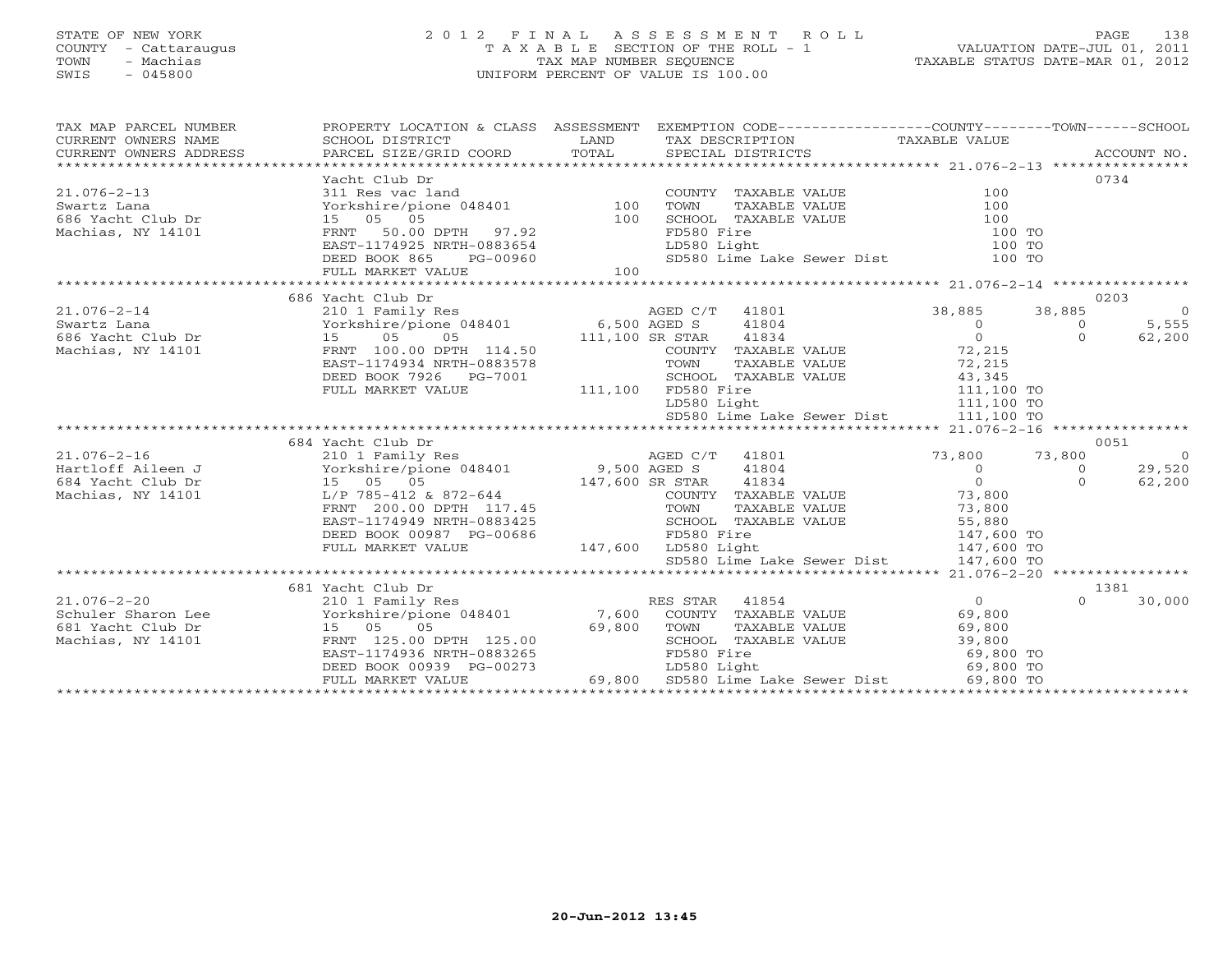# STATE OF NEW YORK 2 0 1 2 F I N A L A S S E S S M E N T R O L L PAGE 138 COUNTY - Cattaraugus T A X A B L E SECTION OF THE ROLL - 1 VALUATION DATE-JUL 01, 2011 TOWN - Machias TAX MAP NUMBER SEQUENCE TAXABLE STATUS DATE-MAR 01, 2012 SWIS - 045800 UNIFORM PERCENT OF VALUE IS 100.00UNIFORM PERCENT OF VALUE IS 100.00

| TAX MAP PARCEL NUMBER<br>$\begin{tabular}{lllllll} \multicolumn{2}{c}{\textbf{CURRENT}} & \multicolumn{2}{c}{\textbf{WNERS}} & \multicolumn{2}{c}{\textbf{NAME}} & \multicolumn{2}{c}{\textbf{SCHODL}} & \multicolumn{2}{c}{\textbf{TAX} BESCRIPTION} & \multicolumn{2}{c}{\textbf{TAX} BESCRIPTION} & \multicolumn{2}{c}{\textbf{TAX} BLE} & \multicolumn{2}{c}{\textbf{NALUE}} & \multicolumn{2}{c}{\textbf{CURRENT}} & \multicolumn{2}{c}{\textbf{NACCOUNT NO.}} \\ & & & & & & & & \\$ | PROPERTY LOCATION & CLASS ASSESSMENT EXEMPTION CODE---------------COUNTY-------TOWN------SCHOOL                                                                                                        |                |             |                      |                                                                                                                                                      |                |                |
|--------------------------------------------------------------------------------------------------------------------------------------------------------------------------------------------------------------------------------------------------------------------------------------------------------------------------------------------------------------------------------------------------------------------------------------------------------------------------------------------|--------------------------------------------------------------------------------------------------------------------------------------------------------------------------------------------------------|----------------|-------------|----------------------|------------------------------------------------------------------------------------------------------------------------------------------------------|----------------|----------------|
|                                                                                                                                                                                                                                                                                                                                                                                                                                                                                            | Yacht Club Dr                                                                                                                                                                                          |                |             |                      |                                                                                                                                                      |                | 0734           |
| $21.076 - 2 - 13$                                                                                                                                                                                                                                                                                                                                                                                                                                                                          |                                                                                                                                                                                                        |                |             | COUNTY TAXABLE VALUE | 100                                                                                                                                                  |                |                |
| Swartz Lana                                                                                                                                                                                                                                                                                                                                                                                                                                                                                | Yacht Club Dr<br>311 Res vac land<br>Yorkshire/pione 048401<br>15 05 05 100 SCHOC<br>FRNT 50.00 DPTH 97.92<br>EAST-1174925 NRTH-0883654 LD580<br>DEED BOOK 865 PG-00960 5D580<br>100 SCED              |                |             |                      | TAXABLE VALUE 100                                                                                                                                    |                |                |
| 686 Yacht Club Dr                                                                                                                                                                                                                                                                                                                                                                                                                                                                          |                                                                                                                                                                                                        |                |             | SCHOOL TAXABLE VALUE | 100                                                                                                                                                  |                |                |
| Machias, NY 14101                                                                                                                                                                                                                                                                                                                                                                                                                                                                          |                                                                                                                                                                                                        |                | FD580 Fire  |                      | 100 TO                                                                                                                                               |                |                |
|                                                                                                                                                                                                                                                                                                                                                                                                                                                                                            |                                                                                                                                                                                                        |                | LD580 Light |                      | 100 TO                                                                                                                                               |                |                |
|                                                                                                                                                                                                                                                                                                                                                                                                                                                                                            |                                                                                                                                                                                                        |                |             |                      | SD580 Lime Lake Sewer Dist 100 TO                                                                                                                    |                |                |
|                                                                                                                                                                                                                                                                                                                                                                                                                                                                                            | FULL MARKET VALUE                                                                                                                                                                                      | 100            |             |                      |                                                                                                                                                      |                |                |
|                                                                                                                                                                                                                                                                                                                                                                                                                                                                                            |                                                                                                                                                                                                        |                |             |                      |                                                                                                                                                      |                |                |
|                                                                                                                                                                                                                                                                                                                                                                                                                                                                                            | 686 Yacht Club Dr                                                                                                                                                                                      |                |             |                      |                                                                                                                                                      |                | 0203           |
| $21.076 - 2 - 14$                                                                                                                                                                                                                                                                                                                                                                                                                                                                          | Wacht Club Dr<br>210 1 Family Res<br>Yorkshire/pione 048401 6,500 AGED S 41804<br>15 05 05 111,100 SR STAR 41834<br>FRNT 100.00 DPTH 114.50 COUNTY TAXABLE<br>TAGENT 1174934 NRTH-0883578 TOWN TAXABLE |                |             |                      | 38,885 38,885                                                                                                                                        |                | $\overline{0}$ |
|                                                                                                                                                                                                                                                                                                                                                                                                                                                                                            |                                                                                                                                                                                                        |                |             | $41804$<br>$41834$   | $\begin{matrix} 0 \\ 0 \end{matrix}$                                                                                                                 | $\circ$        | 5,555          |
|                                                                                                                                                                                                                                                                                                                                                                                                                                                                                            |                                                                                                                                                                                                        |                |             |                      |                                                                                                                                                      | $\Omega$       | 62,200         |
| Machias, NY 14101 FRNT 100.00 DPTH 114.50                                                                                                                                                                                                                                                                                                                                                                                                                                                  |                                                                                                                                                                                                        |                |             |                      | COUNTY TAXABLE VALUE 72,215                                                                                                                          |                |                |
|                                                                                                                                                                                                                                                                                                                                                                                                                                                                                            |                                                                                                                                                                                                        |                |             |                      |                                                                                                                                                      |                |                |
|                                                                                                                                                                                                                                                                                                                                                                                                                                                                                            |                                                                                                                                                                                                        |                |             |                      |                                                                                                                                                      |                |                |
|                                                                                                                                                                                                                                                                                                                                                                                                                                                                                            | DEED BOOK 7926 PG-7001 SCHOOL TAX<br>FULL MARKET VALUE 111,100 FD580 Fire                                                                                                                              |                |             |                      |                                                                                                                                                      |                |                |
|                                                                                                                                                                                                                                                                                                                                                                                                                                                                                            |                                                                                                                                                                                                        |                |             |                      |                                                                                                                                                      |                |                |
|                                                                                                                                                                                                                                                                                                                                                                                                                                                                                            |                                                                                                                                                                                                        |                |             |                      | TOWN TAXABLE VALUE 72,215<br>SCHOOL TAXABLE VALUE 72,215<br>FD580 Fire 111,100 TO<br>LD580 Light 111,100 TO<br>SD580 Lime Lake Sewer Dist 111,100 TO |                |                |
|                                                                                                                                                                                                                                                                                                                                                                                                                                                                                            |                                                                                                                                                                                                        |                |             |                      |                                                                                                                                                      |                |                |
|                                                                                                                                                                                                                                                                                                                                                                                                                                                                                            | 684 Yacht Club Dr                                                                                                                                                                                      |                |             |                      | $73,800$<br>$41804$<br>$0$<br>$73,800$<br>$0$<br>$0$<br>$0$                                                                                          |                | 0051           |
|                                                                                                                                                                                                                                                                                                                                                                                                                                                                                            |                                                                                                                                                                                                        |                |             |                      |                                                                                                                                                      | 73,800         | $\overline{0}$ |
|                                                                                                                                                                                                                                                                                                                                                                                                                                                                                            |                                                                                                                                                                                                        |                |             |                      |                                                                                                                                                      | $\overline{0}$ | 29,520         |
|                                                                                                                                                                                                                                                                                                                                                                                                                                                                                            | 15 05 05 147,600 SR STAR<br>L/P 785-412 & 872-644 COUNTY T<br>FRNT 200.00 DPTH 117.45 TOWN T                                                                                                           |                |             |                      |                                                                                                                                                      | $\Omega$       | 62,200         |
| Machias, NY 14101                                                                                                                                                                                                                                                                                                                                                                                                                                                                          |                                                                                                                                                                                                        |                |             |                      | COUNTY TAXABLE VALUE 73,800<br>TOWN TAXABLE VALUE 73,800<br>SCHOOL TAXABLE VALUE 55,880                                                              |                |                |
|                                                                                                                                                                                                                                                                                                                                                                                                                                                                                            |                                                                                                                                                                                                        |                |             |                      |                                                                                                                                                      |                |                |
|                                                                                                                                                                                                                                                                                                                                                                                                                                                                                            | EAST-1174949 NRTH-0883425                                                                                                                                                                              |                |             | SCHOOL TAXABLE VALUE |                                                                                                                                                      |                |                |
|                                                                                                                                                                                                                                                                                                                                                                                                                                                                                            | DEED BOOK 00987 PG-00686 FD580 Fire<br>FULL MARKET VALUE 147,600 LD580 Light                                                                                                                           |                |             |                      | FD580 Fire 147,600 TO<br>LD580 Light 147,600 TO<br>SD580 Lime Lake Sewer Dist 147,600 TO                                                             |                |                |
|                                                                                                                                                                                                                                                                                                                                                                                                                                                                                            |                                                                                                                                                                                                        |                |             |                      |                                                                                                                                                      |                |                |
|                                                                                                                                                                                                                                                                                                                                                                                                                                                                                            |                                                                                                                                                                                                        |                |             |                      |                                                                                                                                                      |                |                |
|                                                                                                                                                                                                                                                                                                                                                                                                                                                                                            | 681 Yacht Club Dr                                                                                                                                                                                      |                |             |                      |                                                                                                                                                      |                | 1381           |
| $21.076 - 2 - 20$                                                                                                                                                                                                                                                                                                                                                                                                                                                                          | 210 1 Family Res                                                                                                                                                                                       | RES STAR 41854 |             |                      | $\overline{0}$                                                                                                                                       | $\Omega$       | 30,000         |
|                                                                                                                                                                                                                                                                                                                                                                                                                                                                                            |                                                                                                                                                                                                        |                |             |                      |                                                                                                                                                      |                |                |
|                                                                                                                                                                                                                                                                                                                                                                                                                                                                                            |                                                                                                                                                                                                        |                |             |                      |                                                                                                                                                      |                |                |
| 21.076-2-20<br>Schuler Sharon Lee The Yorkshire/pione 048401<br>69,800<br>Machias, NY 14101 FRNT 125.00 DPTH 125.00<br>Machias, NY 14101 FRNT 125.00 DPTH 125.00<br>EAST-1174936 NRTH-0883265<br>DEED BOOK 00939 PG-00273<br>PG-00273<br>PG-00                                                                                                                                                                                                                                             |                                                                                                                                                                                                        |                |             |                      |                                                                                                                                                      |                |                |
|                                                                                                                                                                                                                                                                                                                                                                                                                                                                                            |                                                                                                                                                                                                        |                |             |                      |                                                                                                                                                      |                |                |
|                                                                                                                                                                                                                                                                                                                                                                                                                                                                                            |                                                                                                                                                                                                        |                |             |                      |                                                                                                                                                      |                |                |
|                                                                                                                                                                                                                                                                                                                                                                                                                                                                                            | DEED BOOK 00939 PG-00273 LD580 Light Loss between Dist 69,800 TO<br>FULL MARKET VALUE 69,800 SD580 Lime Lake Sewer Dist 69,800 TO                                                                      |                |             |                      |                                                                                                                                                      |                |                |
|                                                                                                                                                                                                                                                                                                                                                                                                                                                                                            |                                                                                                                                                                                                        |                |             |                      |                                                                                                                                                      |                |                |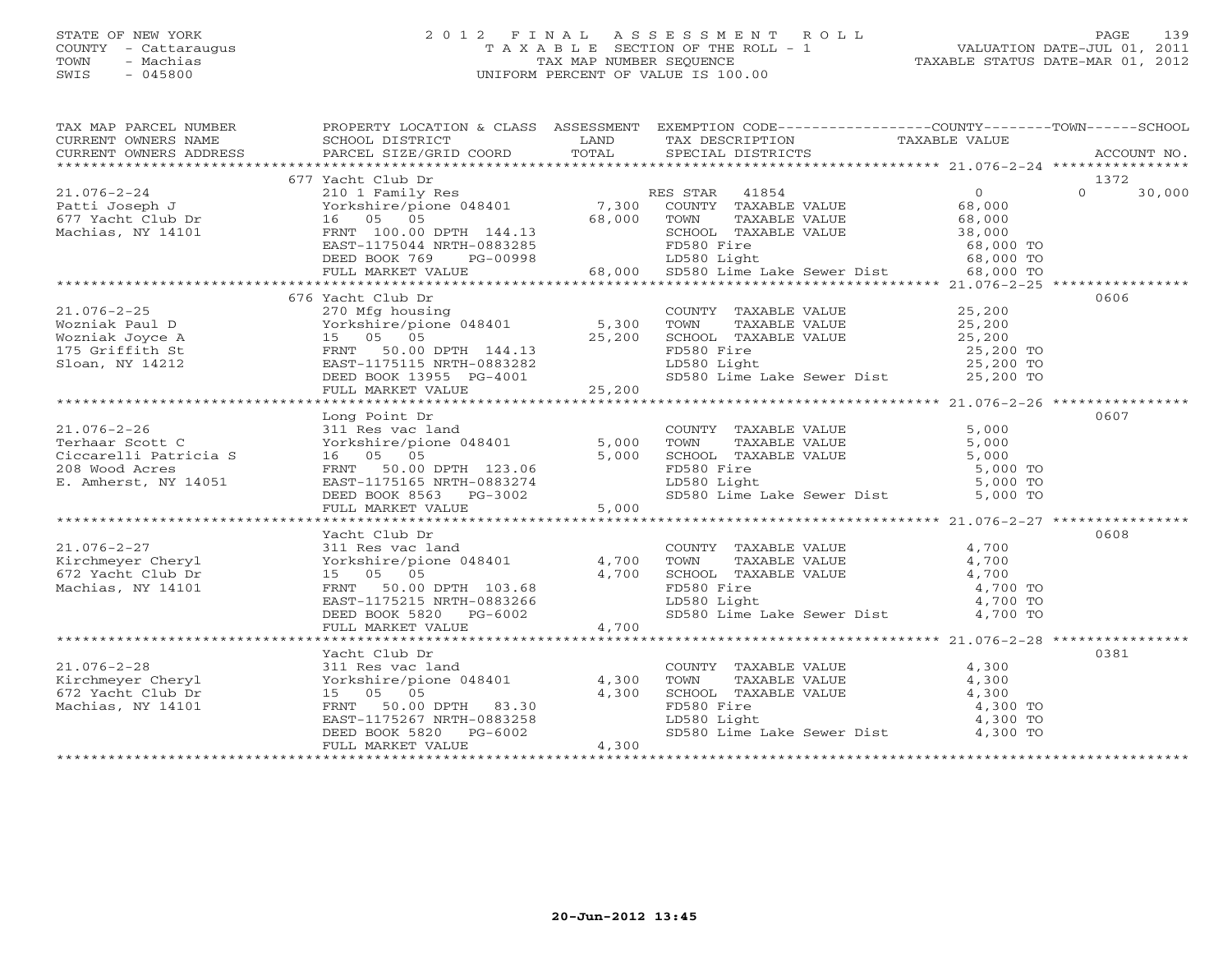# STATE OF NEW YORK 2 0 1 2 F I N A L A S S E S S M E N T R O L L PAGE 139 COUNTY - Cattaraugus T A X A B L E SECTION OF THE ROLL - 1 VALUATION DATE-JUL 01, 2011 TOWN - Machias TAX MAP NUMBER SEQUENCE TAXABLE STATUS DATE-MAR 01, 2012 SWIS - 045800 UNIFORM PERCENT OF VALUE IS 100.00UNIFORM PERCENT OF VALUE IS 100.00

| TAX MAP PARCEL NUMBER                                                                                                                                                                                                        | PROPERTY LOCATION & CLASS ASSESSMENT EXEMPTION CODE----------------COUNTY-------TOWN------SCHOOL                     |       |                                                                                                                                                                                                              |       |                    |
|------------------------------------------------------------------------------------------------------------------------------------------------------------------------------------------------------------------------------|----------------------------------------------------------------------------------------------------------------------|-------|--------------------------------------------------------------------------------------------------------------------------------------------------------------------------------------------------------------|-------|--------------------|
|                                                                                                                                                                                                                              |                                                                                                                      |       |                                                                                                                                                                                                              |       |                    |
|                                                                                                                                                                                                                              |                                                                                                                      |       |                                                                                                                                                                                                              |       |                    |
|                                                                                                                                                                                                                              |                                                                                                                      |       |                                                                                                                                                                                                              |       |                    |
|                                                                                                                                                                                                                              | 677 Yacht Club Dr                                                                                                    |       |                                                                                                                                                                                                              |       | 1372               |
| $21.076 - 2 - 24$                                                                                                                                                                                                            |                                                                                                                      |       |                                                                                                                                                                                                              |       | $\Omega$<br>30,000 |
|                                                                                                                                                                                                                              |                                                                                                                      |       |                                                                                                                                                                                                              |       |                    |
|                                                                                                                                                                                                                              |                                                                                                                      |       |                                                                                                                                                                                                              |       |                    |
|                                                                                                                                                                                                                              |                                                                                                                      |       |                                                                                                                                                                                                              |       |                    |
|                                                                                                                                                                                                                              |                                                                                                                      |       |                                                                                                                                                                                                              |       |                    |
|                                                                                                                                                                                                                              |                                                                                                                      |       |                                                                                                                                                                                                              |       |                    |
|                                                                                                                                                                                                                              |                                                                                                                      |       |                                                                                                                                                                                                              |       |                    |
| EAST-1175044 NRTH-0883285 FOS8 Pire 68,000 TO<br>DEED BOOK 769 PG-00998 68,000 SD580 Light<br>FULL MARKET VALUE 68,000 SD580 Lime Lake Sewer Dist 68,000 TO<br>FULL MARKET VALUE 68,000 SD580 Lime Lake Sewer Dist 68,000 TO |                                                                                                                      |       |                                                                                                                                                                                                              |       |                    |
|                                                                                                                                                                                                                              | 676 Yacht Club Dr                                                                                                    |       |                                                                                                                                                                                                              |       | 0606               |
|                                                                                                                                                                                                                              |                                                                                                                      |       |                                                                                                                                                                                                              |       |                    |
|                                                                                                                                                                                                                              |                                                                                                                      |       |                                                                                                                                                                                                              |       |                    |
|                                                                                                                                                                                                                              |                                                                                                                      |       |                                                                                                                                                                                                              |       |                    |
|                                                                                                                                                                                                                              |                                                                                                                      |       |                                                                                                                                                                                                              |       |                    |
|                                                                                                                                                                                                                              |                                                                                                                      |       |                                                                                                                                                                                                              |       |                    |
|                                                                                                                                                                                                                              |                                                                                                                      |       |                                                                                                                                                                                                              |       |                    |
|                                                                                                                                                                                                                              |                                                                                                                      |       |                                                                                                                                                                                                              |       |                    |
|                                                                                                                                                                                                                              |                                                                                                                      |       |                                                                                                                                                                                                              |       |                    |
|                                                                                                                                                                                                                              | Long Point Dr                                                                                                        |       |                                                                                                                                                                                                              |       | 0607               |
|                                                                                                                                                                                                                              |                                                                                                                      |       |                                                                                                                                                                                                              |       |                    |
|                                                                                                                                                                                                                              |                                                                                                                      |       |                                                                                                                                                                                                              |       |                    |
|                                                                                                                                                                                                                              | 311 Res vac land COUNTY<br>Yorkshire/pione 048401 5,000 TOWN<br>16 05 05 5,000 SCHOOT.                               |       |                                                                                                                                                                                                              |       |                    |
|                                                                                                                                                                                                                              |                                                                                                                      |       |                                                                                                                                                                                                              |       |                    |
|                                                                                                                                                                                                                              |                                                                                                                      |       |                                                                                                                                                                                                              |       |                    |
|                                                                                                                                                                                                                              |                                                                                                                      |       |                                                                                                                                                                                                              |       |                    |
|                                                                                                                                                                                                                              |                                                                                                                      |       |                                                                                                                                                                                                              |       |                    |
|                                                                                                                                                                                                                              |                                                                                                                      |       |                                                                                                                                                                                                              |       |                    |
|                                                                                                                                                                                                                              |                                                                                                                      |       |                                                                                                                                                                                                              |       |                    |
|                                                                                                                                                                                                                              | Yacht Club Dr<br>311 Res vac land<br>Yorkshire/pione 048401 4,700<br>15 05 05 1 1000                                 |       |                                                                                                                                                                                                              |       | 0608               |
|                                                                                                                                                                                                                              |                                                                                                                      |       | $\begin{tabular}{lllllllll} \multicolumn{2}{c}{\textbf{COUNTY}} & \textbf{TAXABLE VALUE} & & & & 4 \, ,700 \\ \multicolumn{2}{c}{\textbf{TOWN}} & \textbf{TAXABLE VALUE} & & & & 4 \, ,700 \\ \end{tabular}$ |       |                    |
|                                                                                                                                                                                                                              |                                                                                                                      |       |                                                                                                                                                                                                              |       |                    |
|                                                                                                                                                                                                                              |                                                                                                                      |       |                                                                                                                                                                                                              |       |                    |
| 21.076-2-27<br>Kirchmeyer Cheryl<br>672 Yacht Club Dr<br>Machias, NY 14101                                                                                                                                                   | COMPTED 103.68<br>FRNT 50.00 DPTH 103.68<br>EAST-1175215 NRTH-0883266<br>DEED BOOK 5820 PG-6002<br>FULL MARKET VALUE |       | CHOOL TAXABLE VALUE<br>SCHOOL TAXABLE VALUE<br>FD580 Fire 4,700 TO<br>LD580 Light 4,700 TO<br>SD580 Lime Lake Sewer Dist 4,700 TO                                                                            |       |                    |
|                                                                                                                                                                                                                              |                                                                                                                      |       |                                                                                                                                                                                                              |       |                    |
|                                                                                                                                                                                                                              |                                                                                                                      |       |                                                                                                                                                                                                              |       |                    |
|                                                                                                                                                                                                                              |                                                                                                                      |       |                                                                                                                                                                                                              |       |                    |
|                                                                                                                                                                                                                              |                                                                                                                      |       |                                                                                                                                                                                                              |       |                    |
|                                                                                                                                                                                                                              | Yacht Club Dr                                                                                                        |       |                                                                                                                                                                                                              |       | 0381               |
|                                                                                                                                                                                                                              |                                                                                                                      |       | COUNTY TAXABLE VALUE                                                                                                                                                                                         | 4,300 |                    |
| 21.076-2-28<br>Kirchmeyer Cheryl<br>672 Yacht Club Dr<br>Machias, NY 14101<br>FRNT 50.00                                                                                                                                     | 311 Res vac land<br>Yorkshire/pione 048401 4,300                                                                     |       | TAXABLE VALUE 4,300<br>TOWN                                                                                                                                                                                  |       |                    |
|                                                                                                                                                                                                                              |                                                                                                                      | 4,300 |                                                                                                                                                                                                              |       |                    |
|                                                                                                                                                                                                                              |                                                                                                                      |       |                                                                                                                                                                                                              |       |                    |
|                                                                                                                                                                                                                              | FRNT 50.00 DPTH 83.30 4,300<br>EAST-1175267 NRTH-0883258<br>DEED BOOK 5000 - 0883258                                 |       |                                                                                                                                                                                                              |       |                    |
|                                                                                                                                                                                                                              | DEED BOOK 5820 PG-6002                                                                                               |       | SCHOOL TAXABLE VALUE $4,300$<br>FD580 Fire $4,300$ TO<br>LD580 Light $4,300$ TO<br>SD580 Lime Lake Sewer Dist $4,300$ TO                                                                                     |       |                    |
|                                                                                                                                                                                                                              | FULL MARKET VALUE                                                                                                    | 4,300 |                                                                                                                                                                                                              |       |                    |
|                                                                                                                                                                                                                              |                                                                                                                      |       |                                                                                                                                                                                                              |       |                    |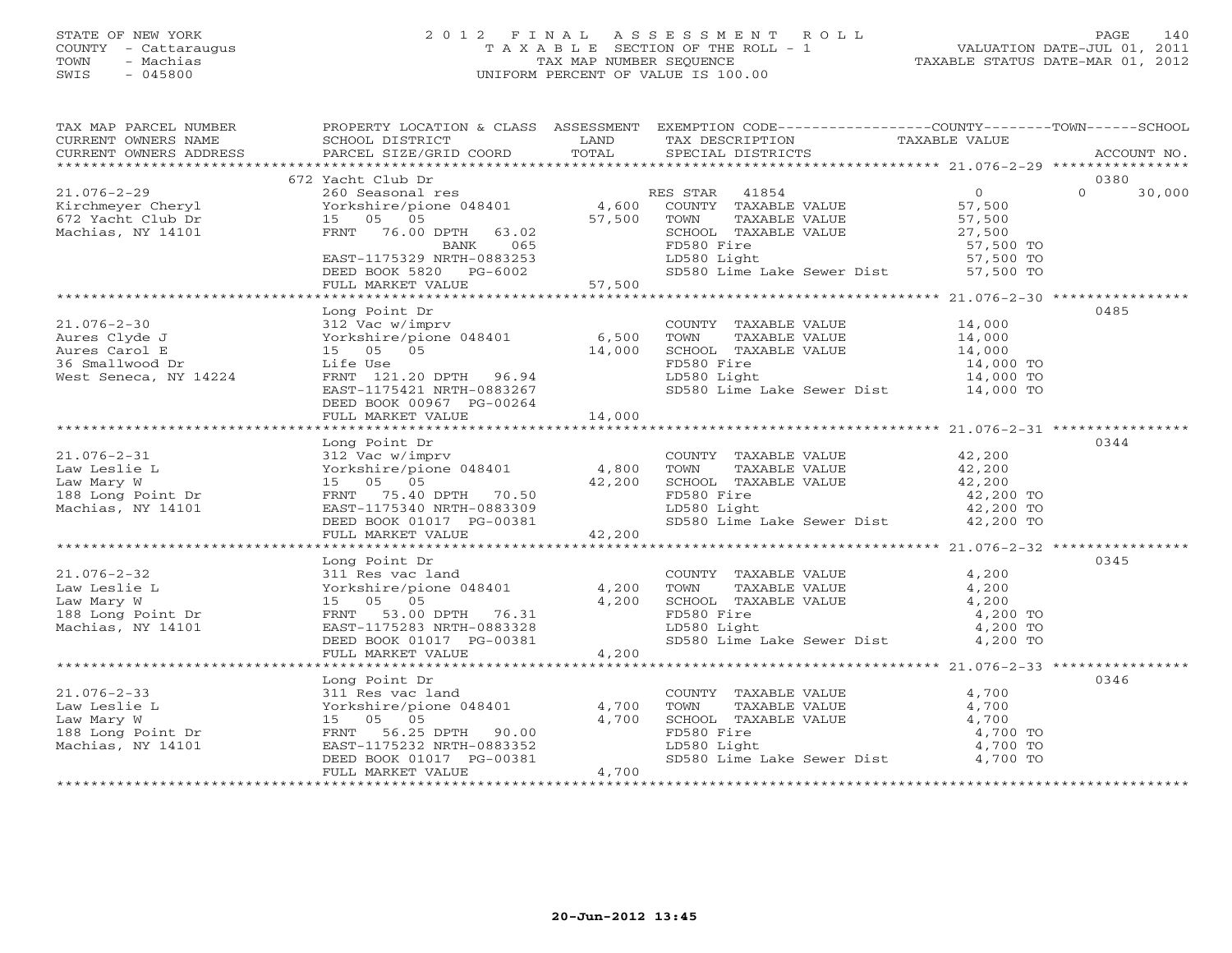# STATE OF NEW YORK 2 0 1 2 F I N A L A S S E S S M E N T R O L L PAGE 140 COUNTY - Cattaraugus T A X A B L E SECTION OF THE ROLL - 1 VALUATION DATE-JUL 01, 2011 TOWN - Machias TAX MAP NUMBER SEQUENCE TAXABLE STATUS DATE-MAR 01, 2012 SWIS - 045800 UNIFORM PERCENT OF VALUE IS 100.00UNIFORM PERCENT OF VALUE IS 100.00

| $\begin{tabular}{lllllllll} \textsc{rank} & \textsc{p-1} & \textsc{p-2} & \textsc{p-1} & \textsc{p-2} & \textsc{p-1} & \textsc{p-2} & \textsc{p-1} & \textsc{p-2} & \textsc{p-1} & \textsc{p-2} & \textsc{p-1} & \textsc{p-1} & \textsc{p-1} & \textsc{p-1} & \textsc{p-1} & \textsc{p-1} & \textsc{p-1} & \textsc{p-1} & \textsc{p-1} & \textsc{p-1} & \textsc{p-1} & \textsc{p-1} & \textsc$                                                                                                                 |                                           |        |  |      |
|----------------------------------------------------------------------------------------------------------------------------------------------------------------------------------------------------------------------------------------------------------------------------------------------------------------------------------------------------------------------------------------------------------------------------------------------------------------------------------------------------------------|-------------------------------------------|--------|--|------|
|                                                                                                                                                                                                                                                                                                                                                                                                                                                                                                                |                                           |        |  |      |
|                                                                                                                                                                                                                                                                                                                                                                                                                                                                                                                | 672 Yacht Club Dr                         |        |  | 0380 |
| $\begin{array}{cccccccc} 21.076-2-29 & 672 & \text{Xacht Club Dr} & 0 & 0380 \\ 21.076-2-29 & 260 & \text{Seasona1 res} & 0 & 0 & 30,000 \\ \text{Kirchmeyer Cheryl} & 260 & \text{Seasona1 res} & 4,600 & \text{COUNTY TAXABLE VALUE} & 57,500 \\ 672 & \text{Yacht Club Dr} & 15 & 05 & 05 \\ \text{Machias, NY 14101} & 76.00 & \text{EANT} & 76.00 & \text{BANK} & 065 \\ \text{EAST-$                                                                                                                     |                                           |        |  |      |
|                                                                                                                                                                                                                                                                                                                                                                                                                                                                                                                |                                           |        |  |      |
|                                                                                                                                                                                                                                                                                                                                                                                                                                                                                                                |                                           |        |  |      |
|                                                                                                                                                                                                                                                                                                                                                                                                                                                                                                                | Long Point Dr<br>DEED BOOK 00967 PG-00264 |        |  | 0485 |
|                                                                                                                                                                                                                                                                                                                                                                                                                                                                                                                | FULL MARKET VALUE                         | 14,000 |  |      |
|                                                                                                                                                                                                                                                                                                                                                                                                                                                                                                                |                                           |        |  |      |
|                                                                                                                                                                                                                                                                                                                                                                                                                                                                                                                | Long Point Dr                             |        |  | 0344 |
|                                                                                                                                                                                                                                                                                                                                                                                                                                                                                                                |                                           |        |  |      |
|                                                                                                                                                                                                                                                                                                                                                                                                                                                                                                                |                                           |        |  |      |
|                                                                                                                                                                                                                                                                                                                                                                                                                                                                                                                |                                           |        |  |      |
| $\begin{tabular}{lllllllllllll} \multicolumn{3}{c}{\begin{tabular}{l} \multicolumn{3}{c}{\begin{tabular}{l} \multicolumn{3}{c}{\begin{tabular}{l} \multicolumn{3}{c}{\begin{tabular}{l} \multicolumn{3}{c}{\begin{tabular}{l} \multicolumn{3}{c}{\begin{tabular}{l} \multicolumn{3}{c}{\begin{tabular}{l} \multicolumn{3}{c}{\begin{tabular}{l} \multicolumn{3}{c}{\begin{tabular}{c} \multicolumn{3}{c}{\begin{tabular}{c} \multicolumn{3}{c}{\begin{tabular}{c} \multicolumn{3}{c}{\begin{tabular}{c} \mult$ |                                           |        |  | 0346 |
|                                                                                                                                                                                                                                                                                                                                                                                                                                                                                                                |                                           |        |  |      |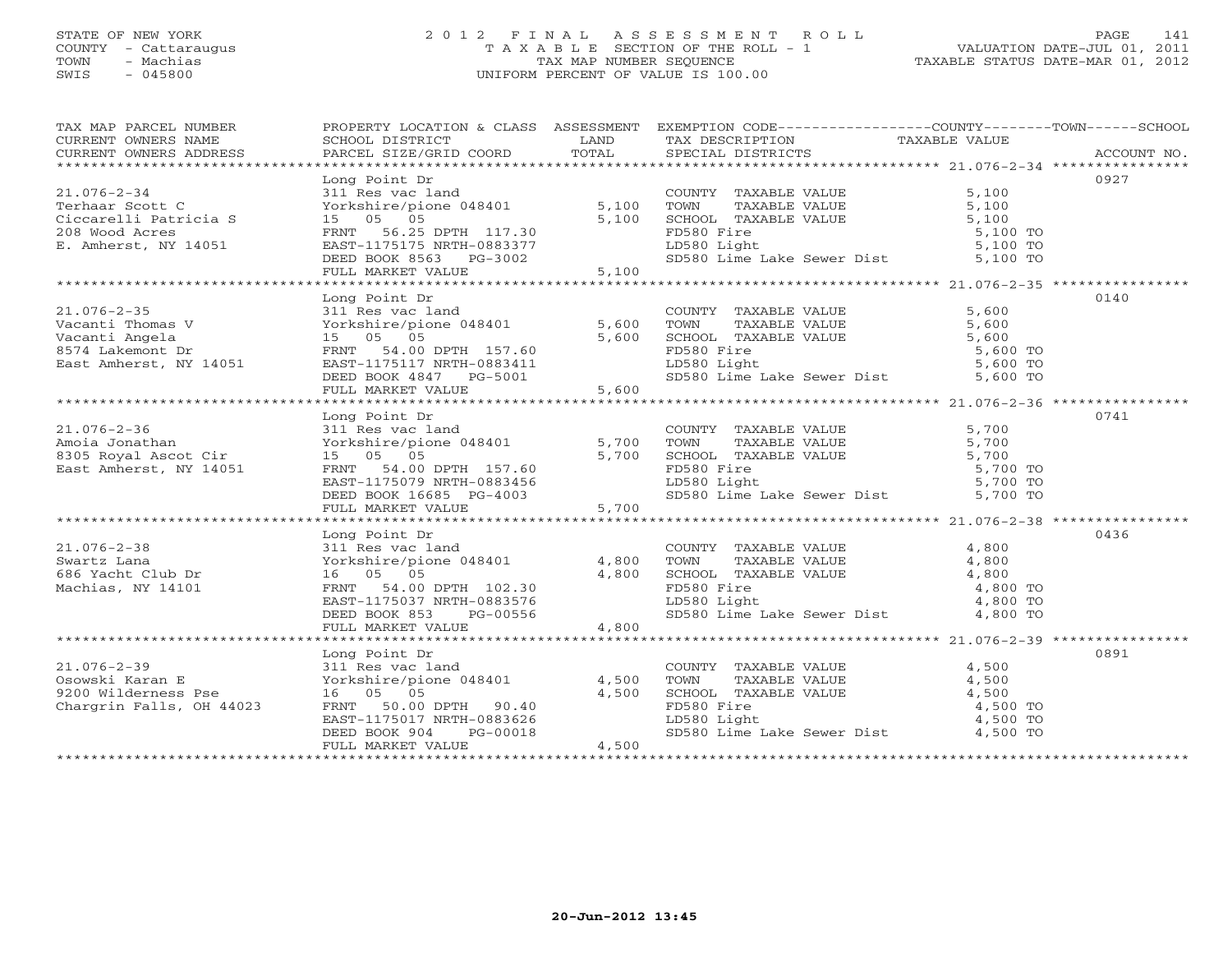# STATE OF NEW YORK 2 0 1 2 F I N A L A S S E S S M E N T R O L L PAGE 141 COUNTY - Cattaraugus T A X A B L E SECTION OF THE ROLL - 1 VALUATION DATE-JUL 01, 2011 TOWN - Machias TAX MAP NUMBER SEQUENCE TAXABLE STATUS DATE-MAR 01, 2012 SWIS - 045800 UNIFORM PERCENT OF VALUE IS 100.00UNIFORM PERCENT OF VALUE IS 100.00

| TAX MAP PARCEL NUMBER<br>TAX MAP PARCED NOWBER TRUCKLESS ADDRESS FROM THE SERIES TO THE TAXABLE VALUE CONTRESS SCHOOL DISTRICTS CONNERS<br>CURRENT OWNERS ADDRESS BORGOL DISTRICTS TO TAXABLE VALUE TRANSFORMENT OWNERS ADDRESS PARCEL SIZE/GRID COORD TOT<br>CURRENT OWNERS ADDRESS | PROPERTY LOCATION & CLASS ASSESSMENT EXEMPTION CODE----------------COUNTY-------TOWN------SCHOOL                                                                                                                                                          |       |                                     |      |
|--------------------------------------------------------------------------------------------------------------------------------------------------------------------------------------------------------------------------------------------------------------------------------------|-----------------------------------------------------------------------------------------------------------------------------------------------------------------------------------------------------------------------------------------------------------|-------|-------------------------------------|------|
|                                                                                                                                                                                                                                                                                      |                                                                                                                                                                                                                                                           |       |                                     | 0927 |
| $21.076 - 2 - 34$<br>21.076-2-34<br>Terhaar Scott C<br>Ciccarelli Patricia S<br>208 Wood Acres                                                                                                                                                                                       |                                                                                                                                                                                                                                                           |       |                                     |      |
| E. Amherst, NY 14051                                                                                                                                                                                                                                                                 | EAST-1175175 NRTH-0883377<br>DEED BOOK 8563 PG-3002<br>FULL MARKET VALUE 5,100                                                                                                                                                                            |       |                                     |      |
|                                                                                                                                                                                                                                                                                      |                                                                                                                                                                                                                                                           |       |                                     |      |
|                                                                                                                                                                                                                                                                                      |                                                                                                                                                                                                                                                           |       |                                     | 0140 |
|                                                                                                                                                                                                                                                                                      |                                                                                                                                                                                                                                                           |       |                                     |      |
|                                                                                                                                                                                                                                                                                      |                                                                                                                                                                                                                                                           |       |                                     |      |
|                                                                                                                                                                                                                                                                                      |                                                                                                                                                                                                                                                           |       |                                     |      |
|                                                                                                                                                                                                                                                                                      |                                                                                                                                                                                                                                                           |       |                                     |      |
|                                                                                                                                                                                                                                                                                      |                                                                                                                                                                                                                                                           |       |                                     |      |
|                                                                                                                                                                                                                                                                                      |                                                                                                                                                                                                                                                           |       |                                     |      |
|                                                                                                                                                                                                                                                                                      | Long Point Dr                                                                                                                                                                                                                                             |       |                                     | 0741 |
|                                                                                                                                                                                                                                                                                      |                                                                                                                                                                                                                                                           |       |                                     |      |
|                                                                                                                                                                                                                                                                                      |                                                                                                                                                                                                                                                           |       |                                     |      |
|                                                                                                                                                                                                                                                                                      |                                                                                                                                                                                                                                                           |       |                                     |      |
|                                                                                                                                                                                                                                                                                      |                                                                                                                                                                                                                                                           |       |                                     |      |
|                                                                                                                                                                                                                                                                                      |                                                                                                                                                                                                                                                           |       |                                     |      |
|                                                                                                                                                                                                                                                                                      |                                                                                                                                                                                                                                                           |       |                                     |      |
|                                                                                                                                                                                                                                                                                      |                                                                                                                                                                                                                                                           |       |                                     |      |
| $21.076 - 2 - 38$                                                                                                                                                                                                                                                                    | Long Point Dr<br>Long Point Dr<br>311 Res vac land<br>Yorkshire/pione 048401 4,800 TOWN TAXABLE VALUE 4,800<br>16 05 05 4,800 SCHOOL TAXABLE VALUE 4,800<br>FRNT 54.00 DPTH 102.30 FD580 Light 4,800 TO<br>EAST-1175037 NRTH-0883576 LD580 Light 4,800 TO |       |                                     | 0436 |
|                                                                                                                                                                                                                                                                                      |                                                                                                                                                                                                                                                           |       |                                     |      |
| 21.076-2-38<br>Swartz Lana<br>686 Yacht Club Dr                                                                                                                                                                                                                                      |                                                                                                                                                                                                                                                           |       |                                     |      |
| Machias, NY 14101                                                                                                                                                                                                                                                                    |                                                                                                                                                                                                                                                           |       |                                     |      |
|                                                                                                                                                                                                                                                                                      |                                                                                                                                                                                                                                                           |       |                                     |      |
|                                                                                                                                                                                                                                                                                      |                                                                                                                                                                                                                                                           |       | SD580 Lime Lake Sewer Dist 4,800 TO |      |
|                                                                                                                                                                                                                                                                                      |                                                                                                                                                                                                                                                           |       |                                     |      |
|                                                                                                                                                                                                                                                                                      | Long Point Dr                                                                                                                                                                                                                                             |       |                                     | 0891 |
|                                                                                                                                                                                                                                                                                      |                                                                                                                                                                                                                                                           |       |                                     |      |
|                                                                                                                                                                                                                                                                                      |                                                                                                                                                                                                                                                           |       |                                     |      |
|                                                                                                                                                                                                                                                                                      |                                                                                                                                                                                                                                                           |       |                                     |      |
|                                                                                                                                                                                                                                                                                      |                                                                                                                                                                                                                                                           |       |                                     |      |
|                                                                                                                                                                                                                                                                                      |                                                                                                                                                                                                                                                           |       |                                     |      |
| 1.076-2-39<br>0.076-2-39<br>0.08 EXERC 200 Wilderness Pse 16 05 05<br>Chargrin Falls, OH 44023 FRNT 50.00 DPTH 90.40<br>200 Wilderness Pse 16 05 05<br>Chargrin Falls, OH 44023 FRNT 50.00 DPTH 90.40<br>EXERC 2.1175017 NRTH-0883626<br>DEE                                         | EAST-1175017 NRTH-0883626<br>DEED BOOK 904 PG-00018<br>FULL MARKET VALUE<br>FULL MARKET VALUE                                                                                                                                                             | 4,500 |                                     |      |
|                                                                                                                                                                                                                                                                                      |                                                                                                                                                                                                                                                           |       |                                     |      |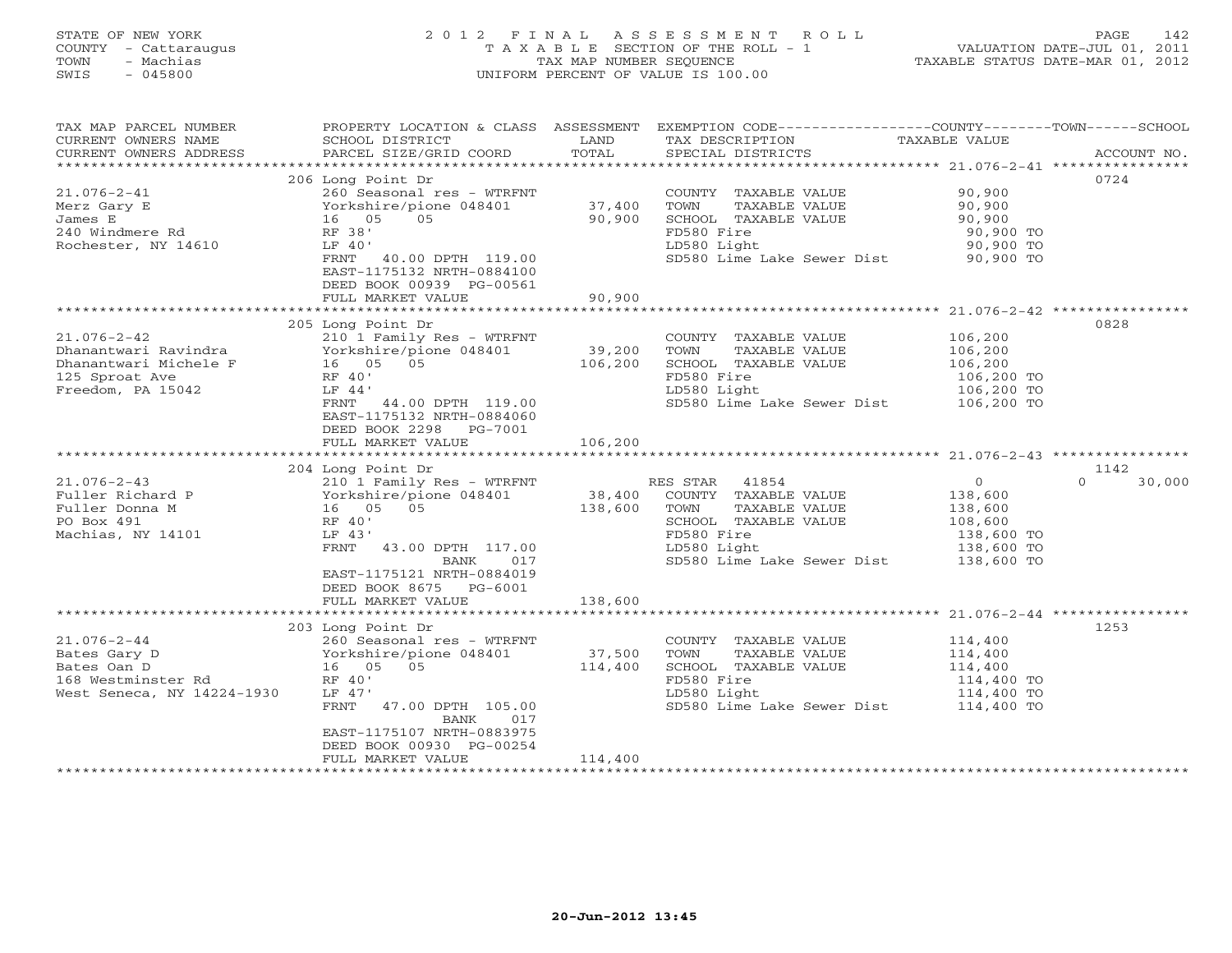# STATE OF NEW YORK 2 0 1 2 F I N A L A S S E S S M E N T R O L L PAGE 142 COUNTY - Cattaraugus T A X A B L E SECTION OF THE ROLL - 1 VALUATION DATE-JUL 01, 2011 TOWN - Machias TAX MAP NUMBER SEQUENCE TAXABLE STATUS DATE-MAR 01, 2012 SWIS - 045800 UNIFORM PERCENT OF VALUE IS 100.00UNIFORM PERCENT OF VALUE IS 100.00

| TAX MAP PARCEL NUMBER<br>CURRENT OWNERS NAME<br>CURRENT OWNERS ADDRESS | PROPERTY LOCATION & CLASS ASSESSMENT<br>SCHOOL DISTRICT<br>PARCEL SIZE/GRID COORD | LAND<br>TOTAL | EXEMPTION CODE-----------------COUNTY-------TOWN------SCHOOL<br>TAX DESCRIPTION<br>SPECIAL DISTRICTS | TAXABLE VALUE  | ACCOUNT NO.        |
|------------------------------------------------------------------------|-----------------------------------------------------------------------------------|---------------|------------------------------------------------------------------------------------------------------|----------------|--------------------|
|                                                                        |                                                                                   |               |                                                                                                      |                |                    |
|                                                                        | 206 Long Point Dr                                                                 |               |                                                                                                      |                | 0724               |
| $21.076 - 2 - 41$                                                      | 260 Seasonal res - WTRFNT                                                         |               | COUNTY TAXABLE VALUE                                                                                 | 90,900         |                    |
| Merz Gary E                                                            | Yorkshire/pione 048401                                                            | 37,400        | TOWN<br>TAXABLE VALUE                                                                                | 90,900         |                    |
| James E                                                                | 05<br>16 05                                                                       | 90,900        | SCHOOL TAXABLE VALUE                                                                                 | 90,900         |                    |
| 240 Windmere Rd                                                        | RF 38'                                                                            |               | FD580 Fire                                                                                           | 90,900 TO      |                    |
| Rochester, NY 14610                                                    | LF 40'                                                                            |               | LD580 Light                                                                                          | 90,900 TO      |                    |
|                                                                        | FRNT 40.00 DPTH 119.00                                                            |               | SD580 Lime Lake Sewer Dist 90,900 TO                                                                 |                |                    |
|                                                                        | EAST-1175132 NRTH-0884100                                                         |               |                                                                                                      |                |                    |
|                                                                        | DEED BOOK 00939 PG-00561<br>FULL MARKET VALUE                                     | 90,900        |                                                                                                      |                |                    |
|                                                                        |                                                                                   |               |                                                                                                      |                |                    |
|                                                                        | 205 Long Point Dr                                                                 |               |                                                                                                      |                | 0828               |
| $21.076 - 2 - 42$                                                      | 210 1 Family Res - WTRFNT                                                         |               | COUNTY TAXABLE VALUE                                                                                 | 106,200        |                    |
| Dhanantwari Ravindra                                                   | Yorkshire/pione 048401                                                            | 39,200        | TOWN                                                                                                 | 106,200        |                    |
| Dhanantwari Michele F                                                  | 16 05 05                                                                          | 106,200       | TAXABLE VALUE<br>SCHOOL TAXABLE VALUE                                                                | 106,200        |                    |
| 125 Sproat Ave                                                         | RF 40'                                                                            |               | FD580 Fire                                                                                           | 106,200 TO     |                    |
| Freedom, PA 15042                                                      | LF 44'                                                                            |               | LD580 Light                                                                                          | 106,200 TO     |                    |
|                                                                        | FRNT 44.00 DPTH 119.00                                                            |               | SD580 Lime Lake Sewer Dist 106,200 TO                                                                |                |                    |
|                                                                        | EAST-1175132 NRTH-0884060                                                         |               |                                                                                                      |                |                    |
|                                                                        | DEED BOOK 2298 PG-7001                                                            |               |                                                                                                      |                |                    |
|                                                                        | FULL MARKET VALUE                                                                 | 106,200       |                                                                                                      |                |                    |
|                                                                        |                                                                                   |               |                                                                                                      |                |                    |
|                                                                        | 204 Long Point Dr                                                                 |               |                                                                                                      |                | 1142               |
| $21.076 - 2 - 43$                                                      | 210 1 Family Res - WTRFNT                                                         |               | RES STAR<br>41854                                                                                    | $\overline{0}$ | $\Omega$<br>30,000 |
|                                                                        |                                                                                   | 38,400        | COUNTY TAXABLE VALUE                                                                                 | 138,600        |                    |
|                                                                        |                                                                                   | 138,600       | TOWN<br>TAXABLE VALUE                                                                                | 138,600        |                    |
| PO Box 491                                                             | RF 40'                                                                            |               | SCHOOL TAXABLE VALUE                                                                                 | 108,600        |                    |
| Machias, NY 14101                                                      | LF 43'                                                                            |               | FD580 Fire                                                                                           | 138,600 TO     |                    |
|                                                                        | FRNT<br>43.00 DPTH 117.00                                                         |               | LD580 Light                                                                                          | 138,600 TO     |                    |
|                                                                        | 017<br>BANK                                                                       |               | SD580 Lime Lake Sewer Dist 138,600 TO                                                                |                |                    |
|                                                                        | EAST-1175121 NRTH-0884019                                                         |               |                                                                                                      |                |                    |
|                                                                        | DEED BOOK 8675 PG-6001                                                            |               |                                                                                                      |                |                    |
|                                                                        | FULL MARKET VALUE                                                                 | 138,600       |                                                                                                      |                |                    |
|                                                                        |                                                                                   |               |                                                                                                      |                |                    |
|                                                                        | 203 Long Point Dr                                                                 |               |                                                                                                      |                | 1253               |
| $21.076 - 2 - 44$                                                      | 260 Seasonal res - WTRFNT                                                         |               | COUNTY TAXABLE VALUE                                                                                 | 114,400        |                    |
| Bates Gary D                                                           | Yorkshire/pione 048401                                                            | 37,500        | TOWN<br>TAXABLE VALUE                                                                                | 114,400        |                    |
| Bates Oan D                                                            | 16  05  05                                                                        | 114,400       | SCHOOL TAXABLE VALUE                                                                                 | 114,400        |                    |
| 168 Westminster Rd                                                     | RF 40'                                                                            |               | FD580 Fire                                                                                           | 114,400 TO     |                    |
| West Seneca, NY 14224-1930                                             | LF 47'                                                                            |               | LD580 Light                                                                                          | 114,400 TO     |                    |
|                                                                        | FRNT<br>47.00 DPTH 105.00<br>BANK<br>017                                          |               | SD580 Lime Lake Sewer Dist                                                                           | 114,400 TO     |                    |
|                                                                        | EAST-1175107 NRTH-0883975                                                         |               |                                                                                                      |                |                    |
|                                                                        | DEED BOOK 00930 PG-00254                                                          |               |                                                                                                      |                |                    |
|                                                                        | FULL MARKET VALUE                                                                 | 114,400       |                                                                                                      |                |                    |
|                                                                        |                                                                                   |               |                                                                                                      |                |                    |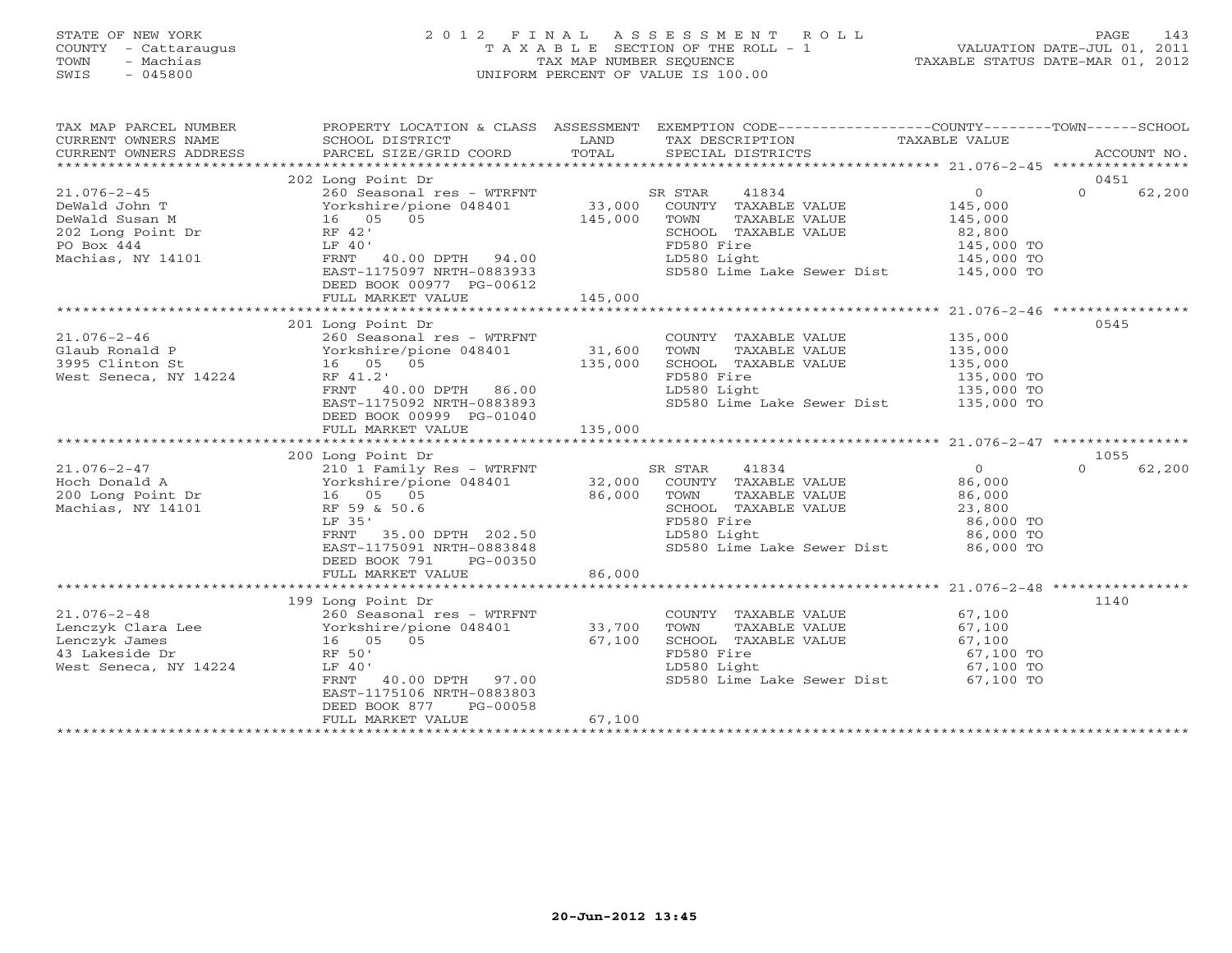# STATE OF NEW YORK 2 0 1 2 F I N A L A S S E S S M E N T R O L L PAGE 143 COUNTY - Cattaraugus T A X A B L E SECTION OF THE ROLL - 1 VALUATION DATE-JUL 01, 2011 TOWN - Machias TAX MAP NUMBER SEQUENCE TAXABLE STATUS DATE-MAR 01, 2012 SWIS - 045800 UNIFORM PERCENT OF VALUE IS 100.00UNIFORM PERCENT OF VALUE IS 100.00

| TAX MAP PARCEL NUMBER<br>CURRENT OWNERS NAME<br>CURRENT OWNERS ADDRESS                                                                                                                                                                                                                                                                                                                                                                     | PROPERTY LOCATION & CLASS ASSESSMENT EXEMPTION CODE----------------COUNTY-------TOWN------SCHOOL<br>SCHOOL DISTRICT<br>PARCEL SIZE/GRID COORD TOTAL |         | LAND TAX DESCRIPTION<br>SPECIAL DISTRICTS                                        | TAXABLE VALUE                       | ACCOUNT NO.        |
|--------------------------------------------------------------------------------------------------------------------------------------------------------------------------------------------------------------------------------------------------------------------------------------------------------------------------------------------------------------------------------------------------------------------------------------------|-----------------------------------------------------------------------------------------------------------------------------------------------------|---------|----------------------------------------------------------------------------------|-------------------------------------|--------------------|
|                                                                                                                                                                                                                                                                                                                                                                                                                                            |                                                                                                                                                     |         |                                                                                  |                                     |                    |
|                                                                                                                                                                                                                                                                                                                                                                                                                                            | 202 Long Point Dr                                                                                                                                   |         |                                                                                  |                                     | 0451               |
|                                                                                                                                                                                                                                                                                                                                                                                                                                            |                                                                                                                                                     |         |                                                                                  | $\overline{0}$                      | $\Omega$<br>62,200 |
|                                                                                                                                                                                                                                                                                                                                                                                                                                            |                                                                                                                                                     |         |                                                                                  | 145,000                             |                    |
|                                                                                                                                                                                                                                                                                                                                                                                                                                            |                                                                                                                                                     |         | TAXABLE VALUE 145,000<br>TAXABLE VALUE 82,800                                    |                                     |                    |
|                                                                                                                                                                                                                                                                                                                                                                                                                                            |                                                                                                                                                     |         | SCHOOL TAXABLE VALUE $82,800$<br>FD580 Fire 145,000 TO<br>LD580 Light 145,000 TO |                                     |                    |
|                                                                                                                                                                                                                                                                                                                                                                                                                                            |                                                                                                                                                     |         |                                                                                  |                                     |                    |
|                                                                                                                                                                                                                                                                                                                                                                                                                                            |                                                                                                                                                     |         | LD580 Light 145,000 TO<br>SD580 Lime Lake Sewer Dist 145,000 TO                  |                                     |                    |
|                                                                                                                                                                                                                                                                                                                                                                                                                                            |                                                                                                                                                     |         |                                                                                  |                                     |                    |
|                                                                                                                                                                                                                                                                                                                                                                                                                                            | DEED BOOK 00977 PG-00612                                                                                                                            |         |                                                                                  |                                     |                    |
|                                                                                                                                                                                                                                                                                                                                                                                                                                            | FULL MARKET VALUE                                                                                                                                   | 145,000 |                                                                                  |                                     |                    |
|                                                                                                                                                                                                                                                                                                                                                                                                                                            |                                                                                                                                                     |         |                                                                                  |                                     |                    |
|                                                                                                                                                                                                                                                                                                                                                                                                                                            | 201 Long Point Dr                                                                                                                                   |         |                                                                                  |                                     | 0545               |
| $21.076 - 2 - 46$                                                                                                                                                                                                                                                                                                                                                                                                                          | 260 Seasonal res - WTRFNT                                                                                                                           |         | COUNTY TAXABLE VALUE 135,000                                                     |                                     |                    |
|                                                                                                                                                                                                                                                                                                                                                                                                                                            |                                                                                                                                                     |         | TAXABLE VALUE 135,000<br>TAXABLE VALUE 135,000<br>TOWN                           |                                     |                    |
|                                                                                                                                                                                                                                                                                                                                                                                                                                            |                                                                                                                                                     |         |                                                                                  |                                     |                    |
| Glaub Ronald P<br>3995 Clinton St<br>3995 Clinton St<br>31,600<br>135,000<br>135,000<br>135,000<br>RF 41.2'                                                                                                                                                                                                                                                                                                                                |                                                                                                                                                     |         |                                                                                  |                                     |                    |
|                                                                                                                                                                                                                                                                                                                                                                                                                                            | RF 41.2'<br>FRNT - 40.00 DPTH - 86.00<br>EAST-1175092 NRTH-0883893                                                                                  |         | SCHOOL TAXABLE VALUE 135,000<br>FD580 Fire 135,000 TO<br>LD580 Light 135,000 TO  |                                     |                    |
|                                                                                                                                                                                                                                                                                                                                                                                                                                            |                                                                                                                                                     |         | SD580 Lime Lake Sewer Dist 135,000 TO                                            |                                     |                    |
|                                                                                                                                                                                                                                                                                                                                                                                                                                            | DEED BOOK 00999 PG-01040                                                                                                                            |         |                                                                                  |                                     |                    |
|                                                                                                                                                                                                                                                                                                                                                                                                                                            | FULL MARKET VALUE                                                                                                                                   | 135,000 |                                                                                  |                                     |                    |
|                                                                                                                                                                                                                                                                                                                                                                                                                                            |                                                                                                                                                     |         |                                                                                  |                                     |                    |
| $\begin{array}{lllllllllllllll} \text{21.076-2-47} & \text{210} & \text{1 Family Res - WTRFNT} & \text{SR STAR} & \text{41834} & \text{0} \\ \text{Hoch Donald A} & \text{Yorkshire/pione 048401} & \text{32,000} & \text{COUNTY} & \text{TAXABLE VALUE} & \text{86,000} \\ \text{200 Long Point Dr} & \text{16} & \text{05} & \text{05} & \text{86,000} & \text{TOWN} & \text{TAXABLE VALUE} & \text{86,000} \\ \text{Machias, NY 14101}$ | 200 Long Point Dr                                                                                                                                   |         |                                                                                  |                                     | 1055               |
|                                                                                                                                                                                                                                                                                                                                                                                                                                            |                                                                                                                                                     |         |                                                                                  |                                     | 62,200<br>$\Omega$ |
|                                                                                                                                                                                                                                                                                                                                                                                                                                            |                                                                                                                                                     |         |                                                                                  |                                     |                    |
|                                                                                                                                                                                                                                                                                                                                                                                                                                            |                                                                                                                                                     |         |                                                                                  |                                     |                    |
|                                                                                                                                                                                                                                                                                                                                                                                                                                            |                                                                                                                                                     |         |                                                                                  |                                     |                    |
|                                                                                                                                                                                                                                                                                                                                                                                                                                            | LF 35'                                                                                                                                              |         | FD580 Fire                                                                       | 86,000 TO<br>86,000 TO<br>86,000 TO |                    |
|                                                                                                                                                                                                                                                                                                                                                                                                                                            |                                                                                                                                                     |         |                                                                                  |                                     |                    |
|                                                                                                                                                                                                                                                                                                                                                                                                                                            | FRNT 35.00 DPTH 202.50<br>EAST-1175091 NRTH-0883848<br>EAST-1175091 NRTH-0883848<br>SD580 Lime I                                                    |         | SD580 Lime Lake Sewer Dist 86,000 TO                                             |                                     |                    |
|                                                                                                                                                                                                                                                                                                                                                                                                                                            | DEED BOOK 791<br>PG-00350                                                                                                                           |         |                                                                                  |                                     |                    |
|                                                                                                                                                                                                                                                                                                                                                                                                                                            | FULL MARKET VALUE                                                                                                                                   | 86,000  |                                                                                  |                                     |                    |
|                                                                                                                                                                                                                                                                                                                                                                                                                                            |                                                                                                                                                     |         |                                                                                  |                                     |                    |
|                                                                                                                                                                                                                                                                                                                                                                                                                                            | 199 Long Point Dr                                                                                                                                   |         |                                                                                  |                                     | 1140               |
|                                                                                                                                                                                                                                                                                                                                                                                                                                            |                                                                                                                                                     |         | COUNTY TAXABLE VALUE 67,100<br>TOWN TAXABLE VALUE 67,100                         |                                     |                    |
| 21.076-2-48<br>Lenczyk Clara Lee $\begin{array}{ccc} 260 \overline{\smash{\big)}\ \text{S}}\text{easonal} \text{res - WTRFNT} \end{array}$ COUNTY<br>Lenczyk James 16 05 05 67,100 SCHOOL<br>43 Lakeside Dr                                                                                                                                                                                                                                |                                                                                                                                                     |         |                                                                                  |                                     |                    |
|                                                                                                                                                                                                                                                                                                                                                                                                                                            |                                                                                                                                                     |         | SCHOOL TAXABLE VALUE 67,100                                                      |                                     |                    |
| 43 Lakeside Dr                                                                                                                                                                                                                                                                                                                                                                                                                             | RF 50'                                                                                                                                              |         | FD580 Fire                                                                       | 67,100 TO<br>67,100 TO<br>67,100 TO |                    |
| West Seneca, NY 14224                                                                                                                                                                                                                                                                                                                                                                                                                      | LF 40'                                                                                                                                              |         | LD580 Light                                                                      |                                     |                    |
|                                                                                                                                                                                                                                                                                                                                                                                                                                            | FRNT 40.00 DPTH 97.00                                                                                                                               |         | SD580 Lime Lake Sewer Dist 67,100 TO                                             |                                     |                    |
|                                                                                                                                                                                                                                                                                                                                                                                                                                            | EAST-1175106 NRTH-0883803                                                                                                                           |         |                                                                                  |                                     |                    |
|                                                                                                                                                                                                                                                                                                                                                                                                                                            | DEED BOOK 877<br>PG-00058                                                                                                                           |         |                                                                                  |                                     |                    |
|                                                                                                                                                                                                                                                                                                                                                                                                                                            | FULL MARKET VALUE                                                                                                                                   | 67,100  |                                                                                  |                                     |                    |
|                                                                                                                                                                                                                                                                                                                                                                                                                                            |                                                                                                                                                     |         |                                                                                  |                                     |                    |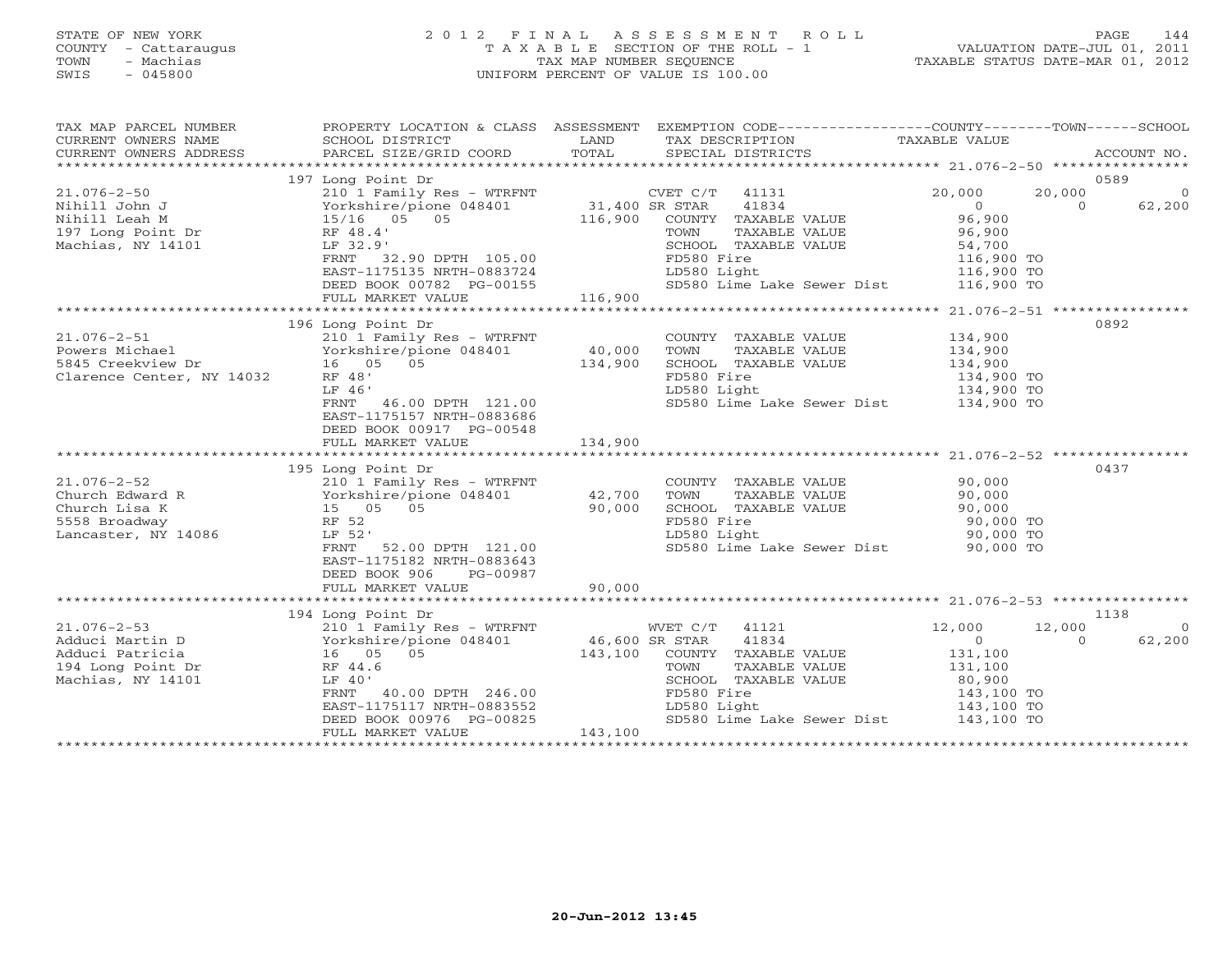# STATE OF NEW YORK 2 0 1 2 F I N A L A S S E S S M E N T R O L L PAGE 144 COUNTY - Cattaraugus T A X A B L E SECTION OF THE ROLL - 1 VALUATION DATE-JUL 01, 2011 TOWN - Machias TAX MAP NUMBER SEQUENCE TAXABLE STATUS DATE-MAR 01, 2012 SWIS - 045800 UNIFORM PERCENT OF VALUE IS 100.00UNIFORM PERCENT OF VALUE IS 100.00

| TAX MAP PARCEL NUMBER<br>CURRENT OWNERS NAME | SCHOOL DISTRICT                                                                                                                                                     | LAND                                            | PROPERTY LOCATION & CLASS ASSESSMENT EXEMPTION CODE---------------COUNTY-------TOWN------SCHOOL<br>TAX DESCRIPTION TAXABLE VALUE |                          |                    |
|----------------------------------------------|---------------------------------------------------------------------------------------------------------------------------------------------------------------------|-------------------------------------------------|----------------------------------------------------------------------------------------------------------------------------------|--------------------------|--------------------|
| CURRENT OWNERS ADDRESS                       | PARCEL SIZE/GRID COORD                                                                                                                                              | TOTAL                                           | SPECIAL DISTRICTS                                                                                                                |                          | ACCOUNT NO.        |
|                                              |                                                                                                                                                                     |                                                 |                                                                                                                                  |                          |                    |
|                                              | 197 Long Point Dr                                                                                                                                                   |                                                 |                                                                                                                                  |                          | 0589               |
| $21.076 - 2 - 50$                            | 210 1 Family Res - WTRFNT                                                                                                                                           | NT CVET C/T<br>31,400 SR STAR<br>116,900 COUNTY | CVET C/T<br>41131                                                                                                                | 20,000<br>20,000         | $\circ$            |
| Nihill John J                                |                                                                                                                                                                     |                                                 | 41834                                                                                                                            | $\Omega$                 | 62,200<br>$\Omega$ |
| Nihill Leah M                                |                                                                                                                                                                     |                                                 | COUNTY TAXABLE VALUE                                                                                                             | 96,900                   |                    |
|                                              | 210 1 Female 2 100<br>Yorkshire/pione 048401<br>15/16 05 05<br>Dr RF 48.4'                                                                                          |                                                 | TOWN<br>TAXABLE VALUE                                                                                                            | 96,900                   |                    |
| 197 Long Point Dr<br>Machias, NY 14101       | LF 32.9'                                                                                                                                                            |                                                 | SCHOOL TAXABLE VALUE                                                                                                             | 54,700                   |                    |
|                                              |                                                                                                                                                                     |                                                 | FD580 Fire                                                                                                                       |                          |                    |
|                                              | FRNT 32.90 DPTH 105.00<br>EAST-1175135 NRTH-0883724                                                                                                                 |                                                 |                                                                                                                                  | 116,900 TO<br>116,900 TO |                    |
|                                              |                                                                                                                                                                     |                                                 | LD580 Light                                                                                                                      |                          |                    |
|                                              | DEED BOOK 00782 PG-00155                                                                                                                                            | $\frac{1}{2}$ 116,900                           | SD580 Lime Lake Sewer Dist 116,900 TO                                                                                            |                          |                    |
|                                              | FULL MARKET VALUE                                                                                                                                                   |                                                 |                                                                                                                                  |                          |                    |
|                                              |                                                                                                                                                                     |                                                 |                                                                                                                                  |                          |                    |
|                                              | 196 Long Point Dr                                                                                                                                                   |                                                 |                                                                                                                                  |                          | 0892               |
| $21.076 - 2 - 51$                            | 210 1 Family Res - WTRFNT                                                                                                                                           |                                                 | COUNTY TAXABLE VALUE                                                                                                             | 134,900                  |                    |
| Powers Michael                               | Yorkshire/pione 048401<br>16 05 05                                                                                                                                  | 40,000<br>134,900                               | TOWN<br>TAXABLE VALUE                                                                                                            | 134,900                  |                    |
| 5845 Creekview Dr                            |                                                                                                                                                                     |                                                 | SCHOOL TAXABLE VALUE                                                                                                             | 134,900                  |                    |
| Clarence Center, NY 14032                    | RF 48'                                                                                                                                                              |                                                 | FD580 Fire                                                                                                                       |                          |                    |
|                                              | LF 46'                                                                                                                                                              |                                                 | LD580 Light                                                                                                                      | 134,900 TO<br>134,900 TO |                    |
|                                              | FRNT<br>46.00 DPTH 121.00                                                                                                                                           |                                                 | SD580 Lime Lake Sewer Dist 134,900 TO                                                                                            |                          |                    |
|                                              | EAST-1175157 NRTH-0883686                                                                                                                                           |                                                 |                                                                                                                                  |                          |                    |
|                                              | DEED BOOK 00917 PG-00548                                                                                                                                            |                                                 |                                                                                                                                  |                          |                    |
|                                              |                                                                                                                                                                     |                                                 |                                                                                                                                  |                          |                    |
|                                              | FULL MARKET VALUE                                                                                                                                                   | 134,900                                         |                                                                                                                                  |                          |                    |
|                                              |                                                                                                                                                                     |                                                 |                                                                                                                                  |                          |                    |
|                                              | 195 Long Point Dr<br>$21.076-2-52$<br>Church Edward R<br>$210 1$ Family Kes - wind<br>Yorkshire/pione 048401<br>$210 1$ Family Kes - wind<br>Yorkshire/pione 048401 |                                                 |                                                                                                                                  |                          | 0437               |
|                                              | 210 1 Family Res - WTRFNT                                                                                                                                           |                                                 | COUNTY TAXABLE VALUE                                                                                                             | 90,000                   |                    |
|                                              |                                                                                                                                                                     | 42,700                                          | TOWN<br>TAXABLE VALUE                                                                                                            | 90,000<br>90,000         |                    |
|                                              |                                                                                                                                                                     | 90,000                                          | SCHOOL TAXABLE VALUE                                                                                                             |                          |                    |
| 5558 Broadway                                | RF 52                                                                                                                                                               |                                                 | FD580 Fire                                                                                                                       | 90,000 TO<br>90,000 TO   |                    |
| Lancaster, NY 14086                          | LF 52'                                                                                                                                                              |                                                 | LD580 Light                                                                                                                      |                          |                    |
|                                              | FRNT<br>52.00 DPTH 121.00                                                                                                                                           |                                                 | SD580 Lime Lake Sewer Dist 90,000 TO                                                                                             |                          |                    |
|                                              | EAST-1175182 NRTH-0883643                                                                                                                                           |                                                 |                                                                                                                                  |                          |                    |
|                                              | DEED BOOK 906<br>PG-00987                                                                                                                                           |                                                 |                                                                                                                                  |                          |                    |
|                                              | FULL MARKET VALUE                                                                                                                                                   | 90,000                                          |                                                                                                                                  |                          |                    |
|                                              |                                                                                                                                                                     |                                                 |                                                                                                                                  |                          |                    |
|                                              | 194 Long Point Dr                                                                                                                                                   |                                                 |                                                                                                                                  |                          | 1138               |
| $21.076 - 2 - 53$                            | 210 1 Family Res - WTRFNT                                                                                                                                           |                                                 | WVET C/T 41121                                                                                                                   | 12,000<br>12,000         | - 0                |
| Adduci Martin D                              | Yorkshire/pione 048401                                                                                                                                              | 46,600 SR STAR                                  | 41834                                                                                                                            | $\overline{0}$           | 62,200<br>$\Omega$ |
|                                              |                                                                                                                                                                     |                                                 |                                                                                                                                  |                          |                    |
| Adduci Patricia                              | 210 1 Family<br>Yorkshire/pic<br>16 05 05<br>RF 44.6                                                                                                                | 143,100                                         | COUNTY TAXABLE VALUE                                                                                                             | 131,100                  |                    |
| 194 Long Point Dr                            |                                                                                                                                                                     |                                                 | TOWN<br>TAXABLE VALUE                                                                                                            | 131,100                  |                    |
| Machias, NY 14101                            | LF 40'                                                                                                                                                              |                                                 | SCHOOL TAXABLE VALUE                                                                                                             | 80,900<br>143,100 TO     |                    |
|                                              | FRNT 40.00 DPTH 246.00                                                                                                                                              |                                                 | FD580 Fire                                                                                                                       |                          |                    |
|                                              | EAST-1175117 NRTH-0883552                                                                                                                                           |                                                 | LD580 Light<br>LD580 Light 143,100 TO<br>SD580 Lime Lake Sewer Dist 143,100 TO                                                   |                          |                    |
|                                              | DEED BOOK 00976 PG-00825                                                                                                                                            |                                                 |                                                                                                                                  |                          |                    |
|                                              | FULL MARKET VALUE                                                                                                                                                   | 143,100                                         |                                                                                                                                  |                          |                    |
|                                              |                                                                                                                                                                     |                                                 |                                                                                                                                  |                          |                    |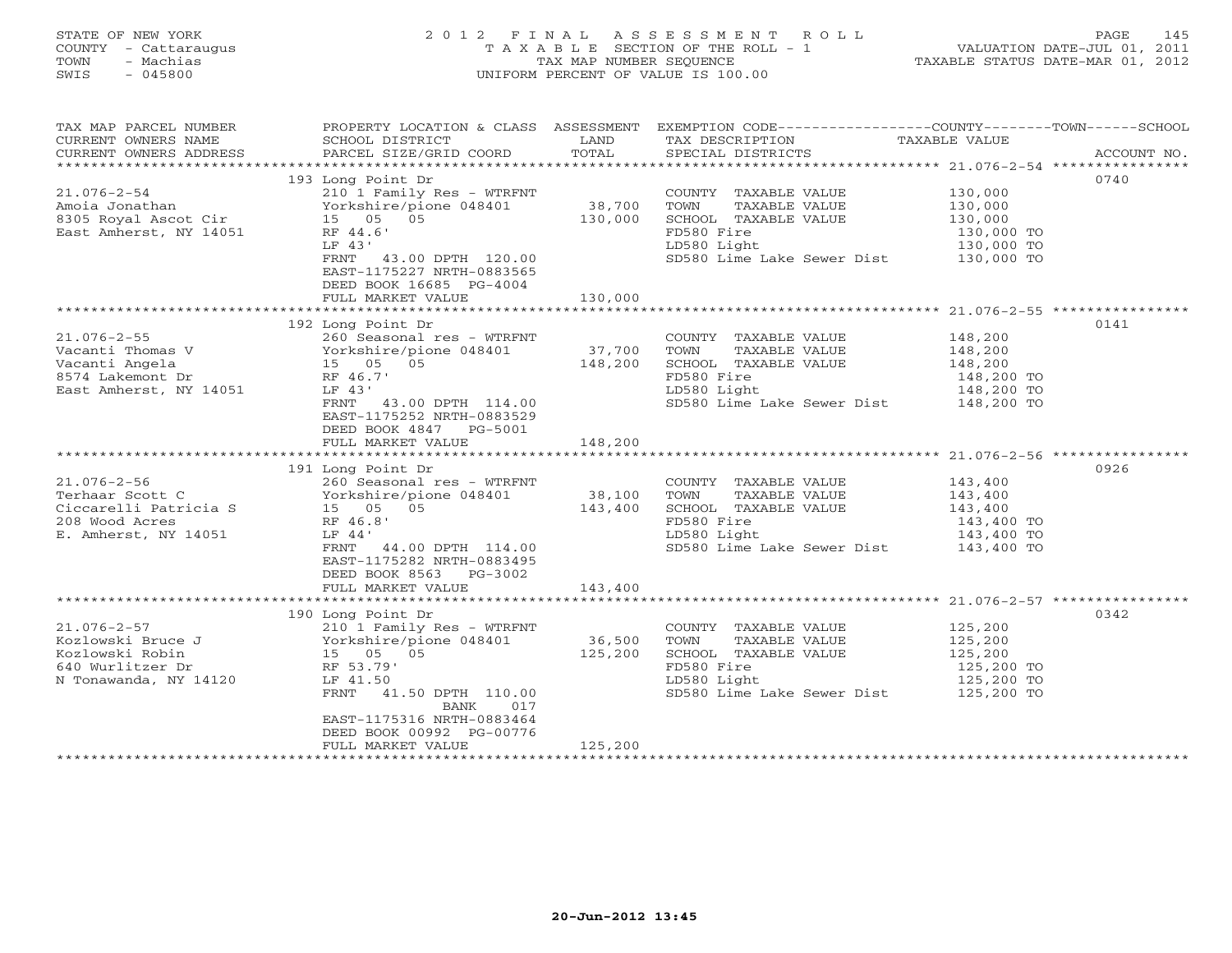## STATE OF NEW YORK 2 0 1 2 F I N A L A S S E S S M E N T R O L L PAGE 145 COUNTY - Cattaraugus T A X A B L E SECTION OF THE ROLL - 1 VALUATION DATE-JUL 01, 2011 TOWN - Machias TAX MAP NUMBER SEQUENCE TAXABLE STATUS DATE-MAR 01, 2012 SWIS - 045800 UNIFORM PERCENT OF VALUE IS 100.00UNIFORM PERCENT OF VALUE IS 100.00

| TAX MAP PARCEL NUMBER<br>CURRENT OWNERS NAME | PROPERTY LOCATION & CLASS ASSESSMENT<br>SCHOOL DISTRICT             | LAND    | EXEMPTION CODE-----------------COUNTY-------TOWN------SCHOOL<br>TAX DESCRIPTION | TAXABLE VALUE            |             |
|----------------------------------------------|---------------------------------------------------------------------|---------|---------------------------------------------------------------------------------|--------------------------|-------------|
| CURRENT OWNERS ADDRESS                       | PARCEL SIZE/GRID COORD                                              | TOTAL   | SPECIAL DISTRICTS                                                               |                          | ACCOUNT NO. |
|                                              | 193 Long Point Dr                                                   |         |                                                                                 |                          | 0740        |
| 21.076-2-54                                  | 210 1 Family Res - WTRFNT                                           |         | COUNTY TAXABLE VALUE                                                            | 130,000                  |             |
| Amoia Jonathan                               | Yorkshire/pione 048401                                              | 38,700  | TOWN<br>TAXABLE VALUE                                                           | 130,000                  |             |
| 8305 Royal Ascot Cir                         | 15 05 05                                                            | 130,000 | SCHOOL TAXABLE VALUE                                                            | 130,000                  |             |
| East Amherst, NY 14051                       | RF 44.6'                                                            |         | FD580 Fire                                                                      | 130,000 TO               |             |
|                                              | LF 43'                                                              |         | LD580 Light                                                                     | 130,000 TO               |             |
|                                              | FRNT 43.00 DPTH 120.00<br>EAST-1175227 NRTH-0883565                 |         | SD580 Lime Lake Sewer Dist 130,000 TO                                           |                          |             |
|                                              | DEED BOOK 16685 PG-4004                                             |         |                                                                                 |                          |             |
|                                              | FULL MARKET VALUE                                                   | 130,000 |                                                                                 |                          |             |
|                                              |                                                                     |         |                                                                                 |                          |             |
|                                              | 192 Long Point Dr                                                   |         |                                                                                 |                          | 0141        |
| $21.076 - 2 - 55$                            | 260 Seasonal res - WTRFNT                                           | 37,700  | COUNTY TAXABLE VALUE 148,200                                                    |                          |             |
| Vacanti Thomas V                             | Yorkshire, $\frac{15}{15}$ 05<br>15 05 05<br>Yorkshire/pione 048401 |         | TAXABLE VALUE<br>TOWN                                                           | 148,200                  |             |
| Vacanti Angela                               |                                                                     |         | SCHOOL TAXABLE VALUE                                                            | 148,200                  |             |
| 8574 Lakemont Dr                             | RF 46.7'                                                            |         | FD580 Fire                                                                      | 148,200 TO<br>148,200 TO |             |
| East Amherst, NY 14051                       | LF 43'                                                              |         | LD580 Light                                                                     |                          |             |
|                                              | FRNT 43.00 DPTH 114.00<br>EAST-1175252 NRTH-0883529                 |         | SD580 Lime Lake Sewer Dist 148,200 TO                                           |                          |             |
|                                              | DEED BOOK 4847 PG-5001                                              |         |                                                                                 |                          |             |
|                                              | FULL MARKET VALUE                                                   | 148,200 |                                                                                 |                          |             |
|                                              |                                                                     |         |                                                                                 |                          |             |
|                                              | 191 Long Point Dr                                                   |         |                                                                                 |                          | 0926        |
| $21.076 - 2 - 56$                            | 260 Seasonal res - WTRFNT                                           |         | COUNTY TAXABLE VALUE                                                            | 143,400                  |             |
| Terhaar Scott C                              | Yorkshire/pione 048401 38,100                                       |         | TOWN<br>TAXABLE VALUE                                                           | 143,400                  |             |
| Ciccarelli Patricia S                        | 15 05 05                                                            | 143,400 | SCHOOL TAXABLE VALUE                                                            | 143,400                  |             |
| 208 Wood Acres                               | RF 46.8'                                                            |         | FD580 Fire                                                                      | 143,400 TO               |             |
| E. Amherst, NY 14051                         | LF 44'                                                              |         | LD580 Light                                                                     | 143,400 TO               |             |
|                                              | FRNT 44.00 DPTH 114.00                                              |         | SD580 Lime Lake Sewer Dist 143,400 TO                                           |                          |             |
|                                              | EAST-1175282 NRTH-0883495<br>DEED BOOK 8563 PG-3002                 |         |                                                                                 |                          |             |
|                                              | FULL MARKET VALUE                                                   | 143,400 |                                                                                 |                          |             |
|                                              |                                                                     |         |                                                                                 |                          |             |
|                                              | 190 Long Point Dr                                                   |         |                                                                                 |                          | 0342        |
| $21.076 - 2 - 57$                            | 210 1 Family Res - WTRFNT                                           |         | COUNTY TAXABLE VALUE                                                            | 125,200                  |             |
| Kozlowski Bruce J Yorkshire/pione 048401     |                                                                     | 36,500  | TOWN<br>TAXABLE VALUE                                                           | 125,200                  |             |
| Kozlowski Robin                              | 15 05 05<br>RF 53.79'                                               | 125,200 | SCHOOL TAXABLE VALUE                                                            | 125,200                  |             |
| 640 Wurlitzer Dr                             |                                                                     |         | FD580 Fire                                                                      | 125,200 TO               |             |
| N Tonawanda, NY 14120                        | LF 41.50                                                            |         | LD580 Light<br>SD580 Lime Lake Sewer Dist 125,200 TO                            | 125,200 TO               |             |
|                                              | FRNT<br>41.50 DPTH 110.00<br>017                                    |         |                                                                                 |                          |             |
|                                              | BANK<br>EAST-1175316 NRTH-0883464                                   |         |                                                                                 |                          |             |
|                                              | DEED BOOK 00992 PG-00776                                            |         |                                                                                 |                          |             |
|                                              | FULL MARKET VALUE                                                   | 125,200 |                                                                                 |                          |             |
|                                              |                                                                     |         |                                                                                 |                          |             |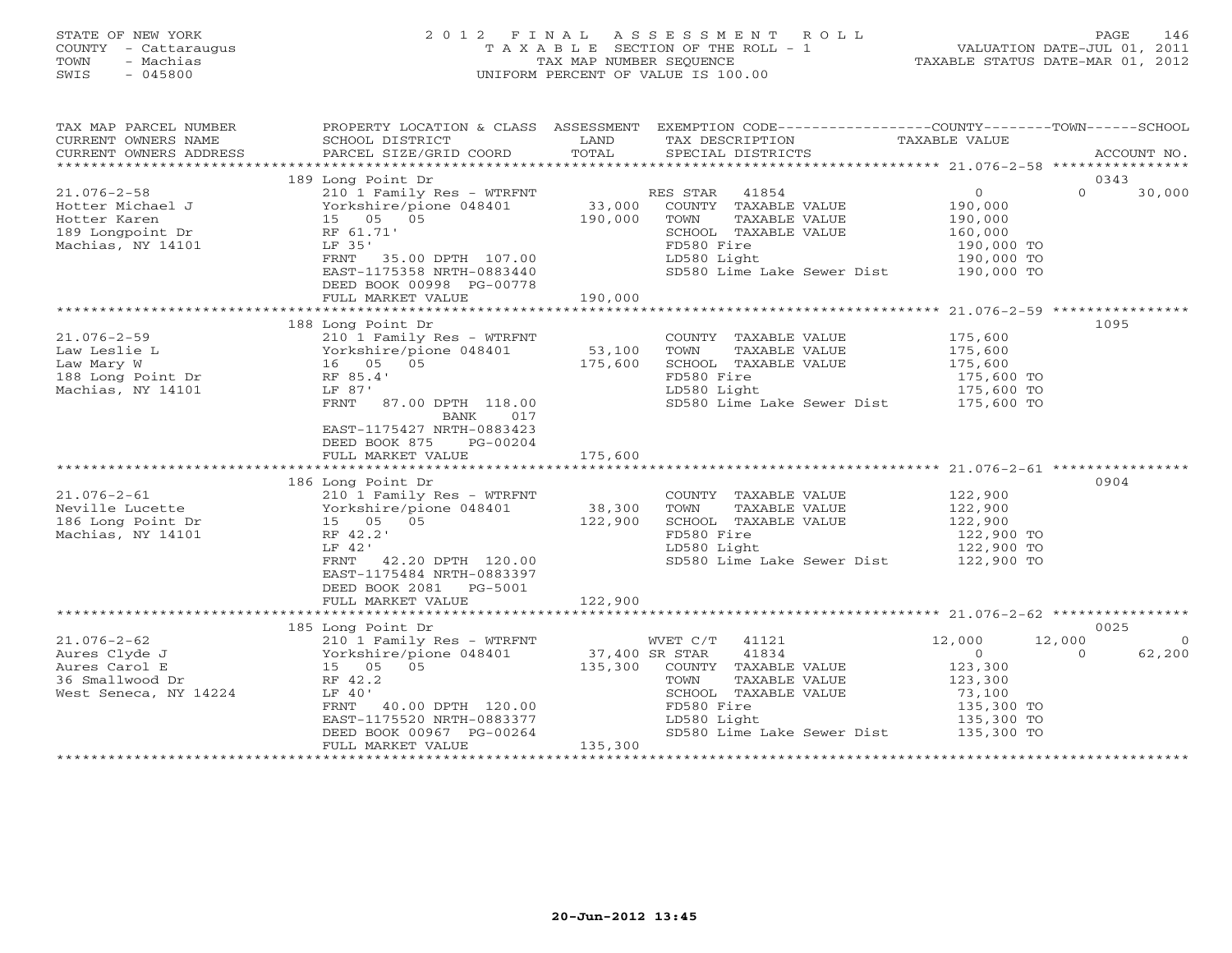| STATE OF NEW YORK<br>COUNTY<br>- Cattaraugus<br>- Machias<br>TOWN<br>$-045800$<br>SWIS | 2 0 1 2<br>TAXABLE                                                     | FINAL<br>TAX MAP NUMBER SEOUENCE<br>UNIFORM PERCENT OF VALUE IS 100.00 | ASSESSMENT       | R O L L<br>SECTION OF THE ROLL - 1   | VALUATION DATE-JUL 01, 2011<br>TAXABLE STATUS DATE-MAR 01, 2012 | PAGE             | 146                    |
|----------------------------------------------------------------------------------------|------------------------------------------------------------------------|------------------------------------------------------------------------|------------------|--------------------------------------|-----------------------------------------------------------------|------------------|------------------------|
| TAX MAP PARCEL NUMBER<br>CURRENT OWNERS NAME<br>CURRENT OWNERS ADDRESS                 | PROPERTY LOCATION & CLASS<br>SCHOOL DISTRICT<br>PARCEL SIZE/GRID COORD | ASSESSMENT<br>LAND<br>TOTAL                                            | EXEMPTION CODE-- | TAX DESCRIPTION<br>SPECIAL DISTRICTS | ---------COUNTY-------TOWN-----<br>TAXABLE VALUE                | **************** | -SCHOOL<br>ACCOUNT NO. |
|                                                                                        | 189 Long Point Dr                                                      |                                                                        |                  |                                      |                                                                 | 0343             |                        |
| $21.076 - 2 - 58$                                                                      | 210 1 Family Res - WTRFNT                                              |                                                                        | RES STAR         | 41854                                |                                                                 | $\Omega$         | 30,000                 |
| Hotter Michael J                                                                       | Yorkshire/pione 048401                                                 | 33,000                                                                 | COUNTY           | TAXABLE VALUE                        | 190,000                                                         |                  |                        |
| Hotter Karen                                                                           | 15 05<br>05                                                            | 190,000                                                                | TOWN             | TAXABLE VALUE                        | 190,000                                                         |                  |                        |
| 189 Longpoint Dr                                                                       | RF 61.71'                                                              |                                                                        | SCHOOL           | TAXABLE VALUE                        | 160,000                                                         |                  |                        |
| Machias, NY 14101                                                                      | LF 35'                                                                 |                                                                        | FD580 Fire       |                                      | 190,000 TO                                                      |                  |                        |
|                                                                                        | 35.00 DPTH<br>107.00<br>FRNT                                           |                                                                        | LD580 Light      |                                      | 190,000 TO                                                      |                  |                        |

|                       | EAST-1175358 NRTH-0883440<br>DEED BOOK 00998 PG-00778                                                                            |         | SD580 Lime Lake Sewer Dist 190,000 TO |            |          |                |
|-----------------------|----------------------------------------------------------------------------------------------------------------------------------|---------|---------------------------------------|------------|----------|----------------|
|                       | FULL MARKET VALUE 190,000                                                                                                        |         |                                       |            |          |                |
|                       | 188 Long Point Dr                                                                                                                |         |                                       |            | 1095     |                |
| 21.076-2-59           | 210 1 Family Res - WTRFNT                                                                                                        |         | COUNTY TAXABLE VALUE                  | 175,600    |          |                |
|                       |                                                                                                                                  | 53,100  | TOWN<br>TAXABLE VALUE                 | 175,600    |          |                |
|                       |                                                                                                                                  | 175,600 | SCHOOL TAXABLE VALUE                  | 175,600    |          |                |
|                       |                                                                                                                                  |         | FD580 Fire                            | 175,600 TO |          |                |
|                       |                                                                                                                                  |         | LD580 Light                           | 175,600 TO |          |                |
|                       | 87.00 DPTH 118.00<br>FRNT<br>017<br>BANK                                                                                         |         | SD580 Lime Lake Sewer Dist 175,600 TO |            |          |                |
|                       | EAST-1175427 NRTH-0883423                                                                                                        |         |                                       |            |          |                |
|                       | DEED BOOK 875 PG-00204                                                                                                           |         |                                       |            |          |                |
|                       | FULL MARKET VALUE 175,600                                                                                                        |         |                                       |            |          |                |
|                       |                                                                                                                                  |         |                                       |            |          |                |
|                       | 186 Long Point Dr                                                                                                                |         |                                       |            | 0904     |                |
|                       | 210 1 Family Res - WTRFNT                                                                                                        |         | COUNTY TAXABLE VALUE                  | 122,900    |          |                |
|                       |                                                                                                                                  | 38,300  | TOWN<br>TAXABLE VALUE                 | 122,900    |          |                |
|                       |                                                                                                                                  | 122,900 | SCHOOL TAXABLE VALUE                  | 122,900    |          |                |
|                       |                                                                                                                                  |         | FD580 Fire                            | 122,900 TO |          |                |
|                       | LF 42'                                                                                                                           |         | LD580 Light                           | 122,900 TO |          |                |
|                       | 42.20 DPTH 120.00<br>FRNT<br>EAST-1175484 NRTH-0883397<br>DEED BOOK 2081    PG-5001                                              |         | SD580 Lime Lake Sewer Dist 122,900 TO |            |          |                |
|                       | 122,900<br>FULL MARKET VALUE                                                                                                     |         |                                       |            |          |                |
|                       |                                                                                                                                  |         |                                       |            |          |                |
|                       | 185 Long Point Dr                                                                                                                |         |                                       |            | 0025     |                |
| 21.076-2-62           | 210 1 Family Res - WTRFNT                                                                                                        |         | WVET C/T 41121                        | 12,000     | 12,000   | $\overline{0}$ |
| Aures Clyde J         | 210 Teaming Ness = winth:<br>Yorkshire/pione 048401 37,400 SR STAR 41834<br>15 05 135,300 COUNTY TAXABLE<br>Nr 42.2 TOWN TAXABLE |         |                                       | $\Omega$   | $\Omega$ | 62,200         |
| Aures Carol E         |                                                                                                                                  |         | COUNTY TAXABLE VALUE                  | 123,300    |          |                |
| 36 Smallwood Dr       |                                                                                                                                  |         | TAXABLE VALUE                         | 123,300    |          |                |
| West Seneca, NY 14224 | LF 40'                                                                                                                           |         | SCHOOL TAXABLE VALUE                  | 73,100     |          |                |
|                       | 40.00 DPTH 120.00<br>FRNT                                                                                                        |         | FD580 Fire                            | 135,300 TO |          |                |
|                       | EAST-1175520 NRTH-0883377                                                                                                        |         | LD580 Light                           | 135,300 TO |          |                |
|                       | DEED BOOK 00967 PG-00264<br>FULL MARKET VALUE                                                                                    | 135,300 | SD580 Lime Lake Sewer Dist 135,300 TO |            |          |                |
|                       |                                                                                                                                  |         |                                       |            |          |                |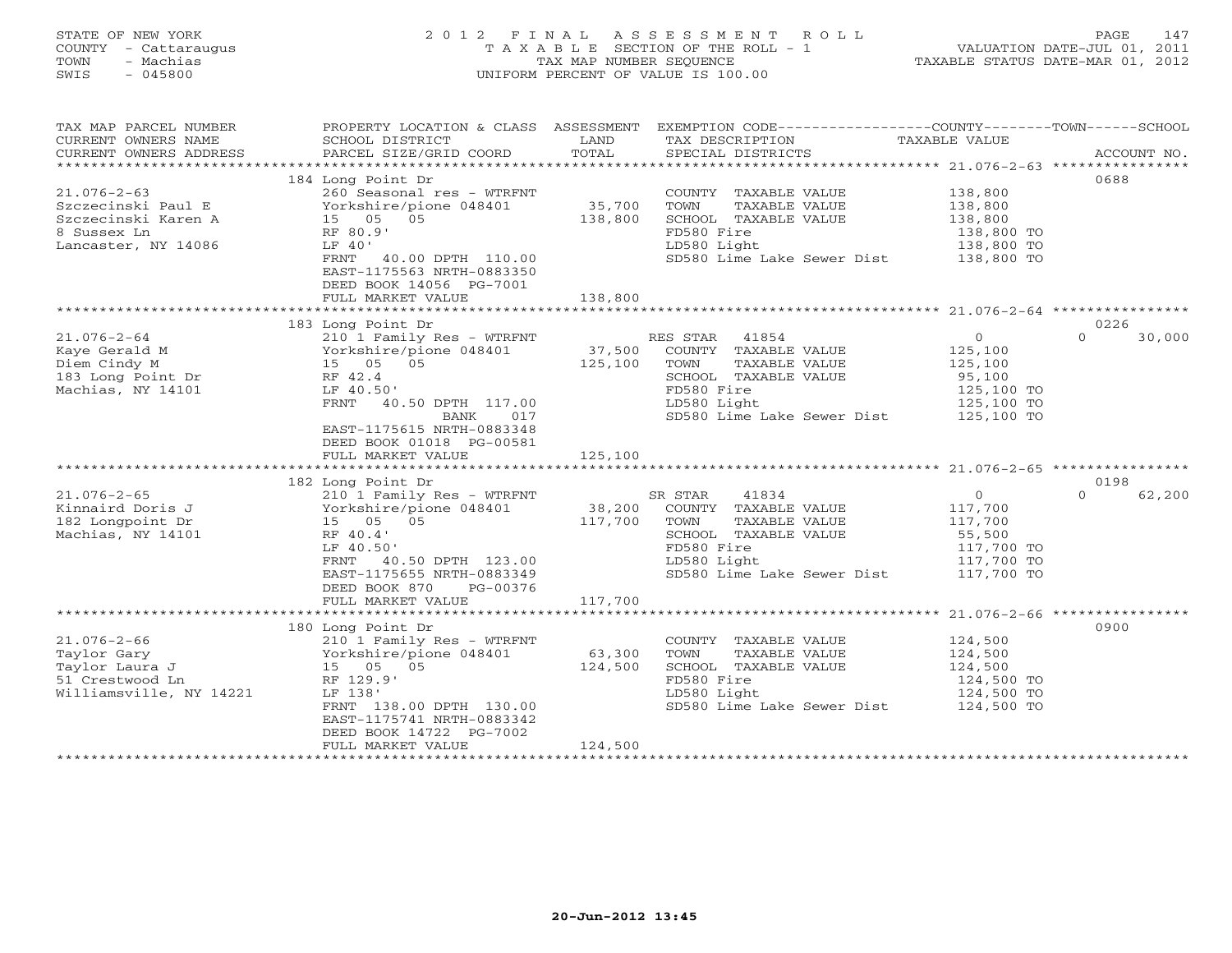## STATE OF NEW YORK 2 0 1 2 F I N A L A S S E S S M E N T R O L L PAGE 147 COUNTY - Cattaraugus T A X A B L E SECTION OF THE ROLL - 1 VALUATION DATE-JUL 01, 2011 TOWN - Machias TAX MAP NUMBER SEQUENCE TAXABLE STATUS DATE-MAR 01, 2012 SWIS - 045800 UNIFORM PERCENT OF VALUE IS 100.00UNIFORM PERCENT OF VALUE IS 100.00

| TAX MAP PARCEL NUMBER<br>CURRENT OWNERS NAME<br>CURRENT OWNERS ADDRESS | PROPERTY LOCATION & CLASS ASSESSMENT<br>SCHOOL DISTRICT<br>PARCEL SIZE/GRID COORD | LAND<br>TOTAL     | EXEMPTION CODE-----------------COUNTY-------TOWN------SCHOOL<br>TAX DESCRIPTION<br>SPECIAL DISTRICTS | TAXABLE VALUE        | ACCOUNT NO.        |
|------------------------------------------------------------------------|-----------------------------------------------------------------------------------|-------------------|------------------------------------------------------------------------------------------------------|----------------------|--------------------|
|                                                                        |                                                                                   |                   |                                                                                                      |                      |                    |
| $21.076 - 2 - 63$                                                      | 184 Long Point Dr                                                                 |                   |                                                                                                      |                      | 0688               |
| Szczecinski Paul E                                                     | 260 Seasonal res - WTRFNT<br>Yorkshire/pione 048401                               | 35,700            | COUNTY TAXABLE VALUE<br>TOWN<br>TAXABLE VALUE                                                        | 138,800<br>138,800   |                    |
| Szczecinski Karen A                                                    | 15 05 05                                                                          | 138,800           | SCHOOL TAXABLE VALUE                                                                                 | 138,800              |                    |
| 8 Sussex Ln                                                            | RF 80.9'                                                                          |                   | FD580 Fire                                                                                           | 138,800 TO           |                    |
| Lancaster, NY 14086                                                    | LF 40'                                                                            |                   | LD580 Light                                                                                          | 138,800 TO           |                    |
|                                                                        | FRNT 40.00 DPTH 110.00                                                            |                   | SD580 Lime Lake Sewer Dist 138,800 TO                                                                |                      |                    |
|                                                                        | EAST-1175563 NRTH-0883350                                                         |                   |                                                                                                      |                      |                    |
|                                                                        | DEED BOOK 14056 PG-7001                                                           |                   |                                                                                                      |                      |                    |
|                                                                        | FULL MARKET VALUE                                                                 | 138,800           |                                                                                                      |                      |                    |
|                                                                        |                                                                                   |                   |                                                                                                      |                      |                    |
|                                                                        | 183 Long Point Dr                                                                 |                   |                                                                                                      |                      | 0226               |
| $21.076 - 2 - 64$                                                      | 210 1 Family Res - WTRFNT                                                         |                   | RES STAR<br>41854                                                                                    | $\overline{0}$       | $\Omega$<br>30,000 |
| Kaye Gerald M<br>Diem Cindy M                                          | Yorkshire/pione 048401<br>Yorkshire/pic<br>15 05 05                               | 37,500<br>125,100 | COUNTY TAXABLE VALUE                                                                                 | 125,100              |                    |
|                                                                        | RF 42.4                                                                           |                   | TOWN<br>TAXABLE VALUE<br>SCHOOL TAXABLE VALUE                                                        | 125,100<br>95,100    |                    |
| 183 Long Point Dr<br>Maching NY 14101<br>Machias, NY 14101             | LF 40.50'                                                                         |                   | FD580 Fire                                                                                           | 125,100 TO           |                    |
|                                                                        | FRNT 40.50 DPTH 117.00                                                            |                   | LD580 Light                                                                                          | 125,100 TO           |                    |
|                                                                        | BANK<br>017                                                                       |                   | SD580 Lime Lake Sewer Dist 125,100 TO                                                                |                      |                    |
|                                                                        | EAST-1175615 NRTH-0883348                                                         |                   |                                                                                                      |                      |                    |
|                                                                        | DEED BOOK 01018 PG-00581                                                          |                   |                                                                                                      |                      |                    |
|                                                                        | FULL MARKET VALUE                                                                 | 125,100           |                                                                                                      |                      |                    |
|                                                                        |                                                                                   |                   |                                                                                                      |                      |                    |
|                                                                        | 182 Long Point Dr                                                                 |                   |                                                                                                      |                      | 0198               |
| $21.076 - 2 - 65$                                                      | 210 1 Family Res - WTRFNT                                                         |                   | SR STAR<br>41834                                                                                     | $\overline{0}$       | $\Omega$<br>62,200 |
| Kinnaird Doris J                                                       | Yorkshire/pione 048401                                                            | 38,200            | COUNTY TAXABLE VALUE                                                                                 | 117,700              |                    |
| 182 Longpoint Dr                                                       | 15 05 05                                                                          | 117,700           | TOWN<br>TAXABLE VALUE                                                                                | 117,700              |                    |
| Machias, NY 14101                                                      | RF 40.4'<br>LF 40.50'                                                             |                   | SCHOOL TAXABLE VALUE<br>FD580 Fire                                                                   | 55,500<br>117,700 TO |                    |
|                                                                        | 40.50 DPTH 123.00<br>FRNT                                                         |                   | LD580 Light                                                                                          | 117,700 TO           |                    |
|                                                                        | EAST-1175655 NRTH-0883349                                                         |                   | SD580 Lime Lake Sewer Dist                                                                           | 117,700 TO           |                    |
|                                                                        | DEED BOOK 870<br>PG-00376                                                         |                   |                                                                                                      |                      |                    |
|                                                                        | FULL MARKET VALUE                                                                 | 117,700           |                                                                                                      |                      |                    |
|                                                                        |                                                                                   |                   |                                                                                                      |                      |                    |
|                                                                        | 180 Long Point Dr                                                                 |                   |                                                                                                      |                      | 0900               |
| $21.076 - 2 - 66$                                                      | 210 1 Family Res - WTRFNT                                                         |                   | COUNTY TAXABLE VALUE                                                                                 | 124,500              |                    |
| Taylor Gary                                                            | Yorkshire/pione 048401                                                            | 63,300            | TOWN<br>TAXABLE VALUE                                                                                | 124,500              |                    |
| Taylor Laura J                                                         | $\frac{1}{15}$ 05 05                                                              | 124,500           | SCHOOL TAXABLE VALUE                                                                                 | 124,500              |                    |
| 51 Crestwood Ln                                                        | RF 129.9'                                                                         |                   | FD580 Fire                                                                                           | 124,500 TO           |                    |
| Williamsville, NY 14221                                                | LF 138'                                                                           |                   | LD580 Light                                                                                          | $124,500$ TO         |                    |
|                                                                        | FRNT 138.00 DPTH 130.00<br>EAST-1175741 NRTH-0883342                              |                   | SD580 Lime Lake Sewer Dist 124,500 TO                                                                |                      |                    |
|                                                                        | DEED BOOK 14722 PG-7002                                                           |                   |                                                                                                      |                      |                    |
|                                                                        | FULL MARKET VALUE                                                                 | 124,500           |                                                                                                      |                      |                    |
|                                                                        |                                                                                   |                   |                                                                                                      |                      |                    |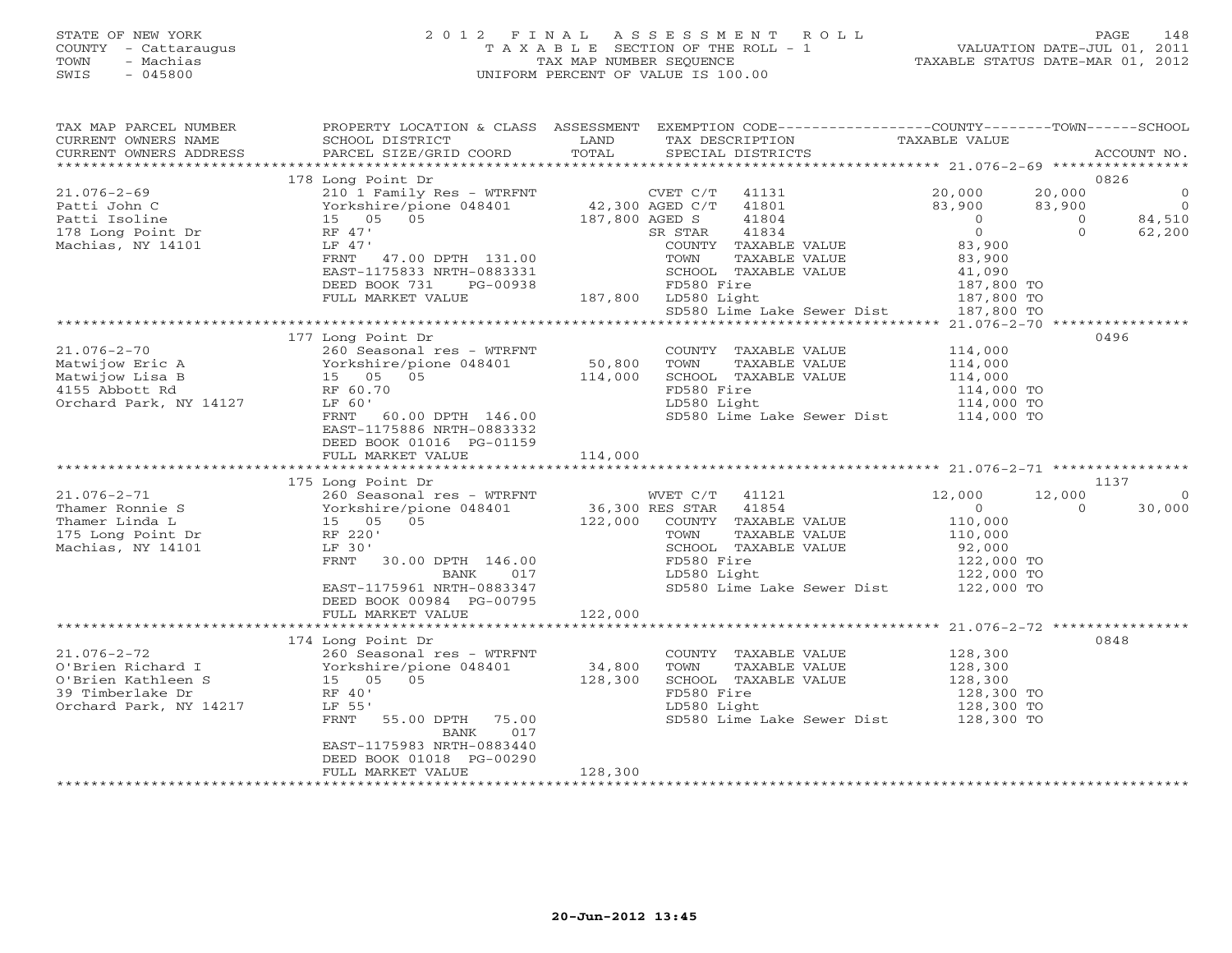## STATE OF NEW YORK 2 0 1 2 F I N A L A S S E S S M E N T R O L L PAGE 148 COUNTY - Cattaraugus T A X A B L E SECTION OF THE ROLL - 1 VALUATION DATE-JUL 01, 2011 TOWN - Machias TAX MAP NUMBER SEQUENCE TAXABLE STATUS DATE-MAR 01, 2012 SWIS - 045800 UNIFORM PERCENT OF VALUE IS 100.00UNIFORM PERCENT OF VALUE IS 100.00

| TAX MAP PARCEL NUMBER<br>CURRENT OWNERS NAME<br>CURRENT OWNERS ADDRESS                                                                                                                                                                                                                           | SCHOOL DISTRICT<br>PARCEL SIZE/GRID COORD                                                        | LAND<br>TOTAL | PROPERTY LOCATION & CLASS ASSESSMENT EXEMPTION CODE----------------COUNTY-------TOWN------SCHOOL<br>TAX DESCRIPTION<br>SPECIAL DISTRICTS                                                                                   | TAXABLE VALUE                       | ACCOUNT NO.                      |
|--------------------------------------------------------------------------------------------------------------------------------------------------------------------------------------------------------------------------------------------------------------------------------------------------|--------------------------------------------------------------------------------------------------|---------------|----------------------------------------------------------------------------------------------------------------------------------------------------------------------------------------------------------------------------|-------------------------------------|----------------------------------|
|                                                                                                                                                                                                                                                                                                  |                                                                                                  |               |                                                                                                                                                                                                                            |                                     |                                  |
|                                                                                                                                                                                                                                                                                                  | 178 Long Point Dr                                                                                |               |                                                                                                                                                                                                                            |                                     | 0826                             |
| $21.076 - 2 - 69$                                                                                                                                                                                                                                                                                |                                                                                                  |               | 210 1 Family Res - WTRFNT CVET C/T 41131 20,000<br>Yorkshire/pione 048401 42,300 AGED C/T 41801 83,900<br>15 05 05 187,800 AGED S 41804 0                                                                                  | 20,000                              | $\begin{matrix}0\\0\end{matrix}$ |
| Patti John C                                                                                                                                                                                                                                                                                     |                                                                                                  |               |                                                                                                                                                                                                                            | 83,900                              |                                  |
| Patti Isoline                                                                                                                                                                                                                                                                                    |                                                                                                  |               |                                                                                                                                                                                                                            | $\overline{0}$<br>$\Omega$          | 84,510                           |
| 178 Long Point Dr                                                                                                                                                                                                                                                                                | RF 47'                                                                                           |               | 41834<br>SR STAR                                                                                                                                                                                                           | $\overline{0}$<br>$\circ$           | 62,200                           |
| Machias, NY 14101                                                                                                                                                                                                                                                                                | LF 47'                                                                                           |               | COUNTY TAXABLE VALUE                                                                                                                                                                                                       | 83,900                              |                                  |
|                                                                                                                                                                                                                                                                                                  | FRNT 47.00 DPTH 131.00                                                                           |               | TAXABLE VALUE                                                                                                                                                                                                              | 83,900                              |                                  |
|                                                                                                                                                                                                                                                                                                  | EAST-1175833 NRTH-0883331                                                                        |               | COWN<br>TOWN TAXA<br>SCHOOL TAXA<br>FD580 Fire<br>187,800 LD580 Light<br>SCHOOL TAXABLE VALUE<br>SCHOOL TAXABLE VALUE $41,090$<br>FD580 Fire 187,800 TO<br>LD580 Light 187,800 TO<br>SD580 Lime Lake Sewer Dist 187,800 TO |                                     |                                  |
|                                                                                                                                                                                                                                                                                                  | DEED BOOK 731 PG-00938                                                                           |               |                                                                                                                                                                                                                            |                                     |                                  |
|                                                                                                                                                                                                                                                                                                  | FULL MARKET VALUE                                                                                |               |                                                                                                                                                                                                                            |                                     |                                  |
|                                                                                                                                                                                                                                                                                                  |                                                                                                  |               |                                                                                                                                                                                                                            |                                     |                                  |
|                                                                                                                                                                                                                                                                                                  |                                                                                                  |               |                                                                                                                                                                                                                            |                                     |                                  |
|                                                                                                                                                                                                                                                                                                  | 260 Seasonal res - WTRFNT<br>Yorkshire/pione 048401 50,800<br>15 05 05 114 000<br>RES 05 114 000 |               |                                                                                                                                                                                                                            |                                     | 0496                             |
| $21.076 - 2 - 70$                                                                                                                                                                                                                                                                                |                                                                                                  |               | COUNTY TAXABLE VALUE                                                                                                                                                                                                       | 114,000                             |                                  |
| Matwijow Eric A                                                                                                                                                                                                                                                                                  |                                                                                                  |               | TOWN<br>TAXABLE VALUE                                                                                                                                                                                                      | 114,000                             |                                  |
| Matwijow Lisa B                                                                                                                                                                                                                                                                                  |                                                                                                  |               | SCHOOL TAXABLE VALUE                                                                                                                                                                                                       |                                     |                                  |
| 4155 Abbott Rd                                                                                                                                                                                                                                                                                   | RF 60.70                                                                                         |               | FD580 Fire                                                                                                                                                                                                                 | 114,000<br>114,000 TO<br>114,000 TO |                                  |
| Orchard Park, NY 14127                                                                                                                                                                                                                                                                           | LF 60'                                                                                           |               | LD580 Light                                                                                                                                                                                                                |                                     |                                  |
|                                                                                                                                                                                                                                                                                                  | FRNT 60.00 DPTH 146.00                                                                           |               | SD580 Lime Lake Sewer Dist 114,000 TO                                                                                                                                                                                      |                                     |                                  |
|                                                                                                                                                                                                                                                                                                  | EAST-1175886 NRTH-0883332                                                                        |               |                                                                                                                                                                                                                            |                                     |                                  |
|                                                                                                                                                                                                                                                                                                  | DEED BOOK 01016 PG-01159                                                                         |               |                                                                                                                                                                                                                            |                                     |                                  |
|                                                                                                                                                                                                                                                                                                  |                                                                                                  |               |                                                                                                                                                                                                                            |                                     |                                  |
|                                                                                                                                                                                                                                                                                                  | FULL MARKET VALUE                                                                                | 114,000       |                                                                                                                                                                                                                            |                                     |                                  |
|                                                                                                                                                                                                                                                                                                  |                                                                                                  |               |                                                                                                                                                                                                                            |                                     |                                  |
|                                                                                                                                                                                                                                                                                                  | 175 Long Point Dr                                                                                |               |                                                                                                                                                                                                                            |                                     | 1137                             |
|                                                                                                                                                                                                                                                                                                  |                                                                                                  |               | WVET C/T 41121                                                                                                                                                                                                             | 12,000<br>12,000                    | $\overline{0}$                   |
|                                                                                                                                                                                                                                                                                                  |                                                                                                  |               |                                                                                                                                                                                                                            | $\overline{0}$<br>$\Omega$          | 30,000                           |
|                                                                                                                                                                                                                                                                                                  |                                                                                                  |               | 122,000 COUNTY TAXABLE VALUE                                                                                                                                                                                               |                                     |                                  |
|                                                                                                                                                                                                                                                                                                  |                                                                                                  |               | TAXABLE VALUE                                                                                                                                                                                                              | $110,000$<br>$110,000$              |                                  |
| Machias, NY 14101                                                                                                                                                                                                                                                                                | LF 30'                                                                                           |               | SCHOOL TAXABLE VALUE                                                                                                                                                                                                       | 92,000                              |                                  |
|                                                                                                                                                                                                                                                                                                  | FRNT 30.00 DPTH 146.00                                                                           |               | FD580 Fire                                                                                                                                                                                                                 |                                     |                                  |
|                                                                                                                                                                                                                                                                                                  | BANK<br>017                                                                                      |               | LD580 Light                                                                                                                                                                                                                | 122,000 TO<br>122,000 TO            |                                  |
|                                                                                                                                                                                                                                                                                                  | EAST-1175961 NRTH-0883347                                                                        |               | SD580 Lime Lake Sewer Dist 122,000 TO                                                                                                                                                                                      |                                     |                                  |
|                                                                                                                                                                                                                                                                                                  | DEED BOOK 00984 PG-00795                                                                         |               |                                                                                                                                                                                                                            |                                     |                                  |
|                                                                                                                                                                                                                                                                                                  | FULL MARKET VALUE                                                                                | 122,000       |                                                                                                                                                                                                                            |                                     |                                  |
|                                                                                                                                                                                                                                                                                                  |                                                                                                  |               |                                                                                                                                                                                                                            |                                     |                                  |
|                                                                                                                                                                                                                                                                                                  |                                                                                                  |               |                                                                                                                                                                                                                            |                                     | 0848                             |
|                                                                                                                                                                                                                                                                                                  | 260 Seasonal res - WTRFNT                                                                        |               | COUNTY TAXABLE VALUE                                                                                                                                                                                                       |                                     |                                  |
|                                                                                                                                                                                                                                                                                                  |                                                                                                  | 34,800        | TOWN<br>TAXABLE VALUE                                                                                                                                                                                                      | 128,300<br>128,300                  |                                  |
|                                                                                                                                                                                                                                                                                                  |                                                                                                  | 128,300       | SCHOOL TAXABLE VALUE                                                                                                                                                                                                       | 128,300                             |                                  |
|                                                                                                                                                                                                                                                                                                  |                                                                                                  |               | FD580 Fire                                                                                                                                                                                                                 | 128,300 TO                          |                                  |
| $\begin{tabular}{lllllllll} 21.076-2-72 & 260 \text{ Seasonal res } - \text{ winn} \\ \text{O}'\text{Brien Richard I} & Yorkshire/pione 048401 \\ \text{O}'\text{Brien Kathleen S} & 15 & 05 & 05 \\ \text{C'--} & -\text{Warnhe Dr} & \text{RF 40'} \\ \end{tabular}$<br>Orchard Park, NY 14217 | LF 55'                                                                                           |               |                                                                                                                                                                                                                            |                                     |                                  |
|                                                                                                                                                                                                                                                                                                  | FRNT 55.00 DPTH 75.00<br>BANK<br>017                                                             |               | LD580 Light 128,300 TO<br>SD580 Lime Lake Sewer Dist 128,300 TO                                                                                                                                                            |                                     |                                  |
|                                                                                                                                                                                                                                                                                                  | EAST-1175983 NRTH-0883440                                                                        |               |                                                                                                                                                                                                                            |                                     |                                  |
|                                                                                                                                                                                                                                                                                                  | DEED BOOK 01018 PG-00290                                                                         |               |                                                                                                                                                                                                                            |                                     |                                  |
|                                                                                                                                                                                                                                                                                                  | FULL MARKET VALUE                                                                                | 128,300       |                                                                                                                                                                                                                            |                                     |                                  |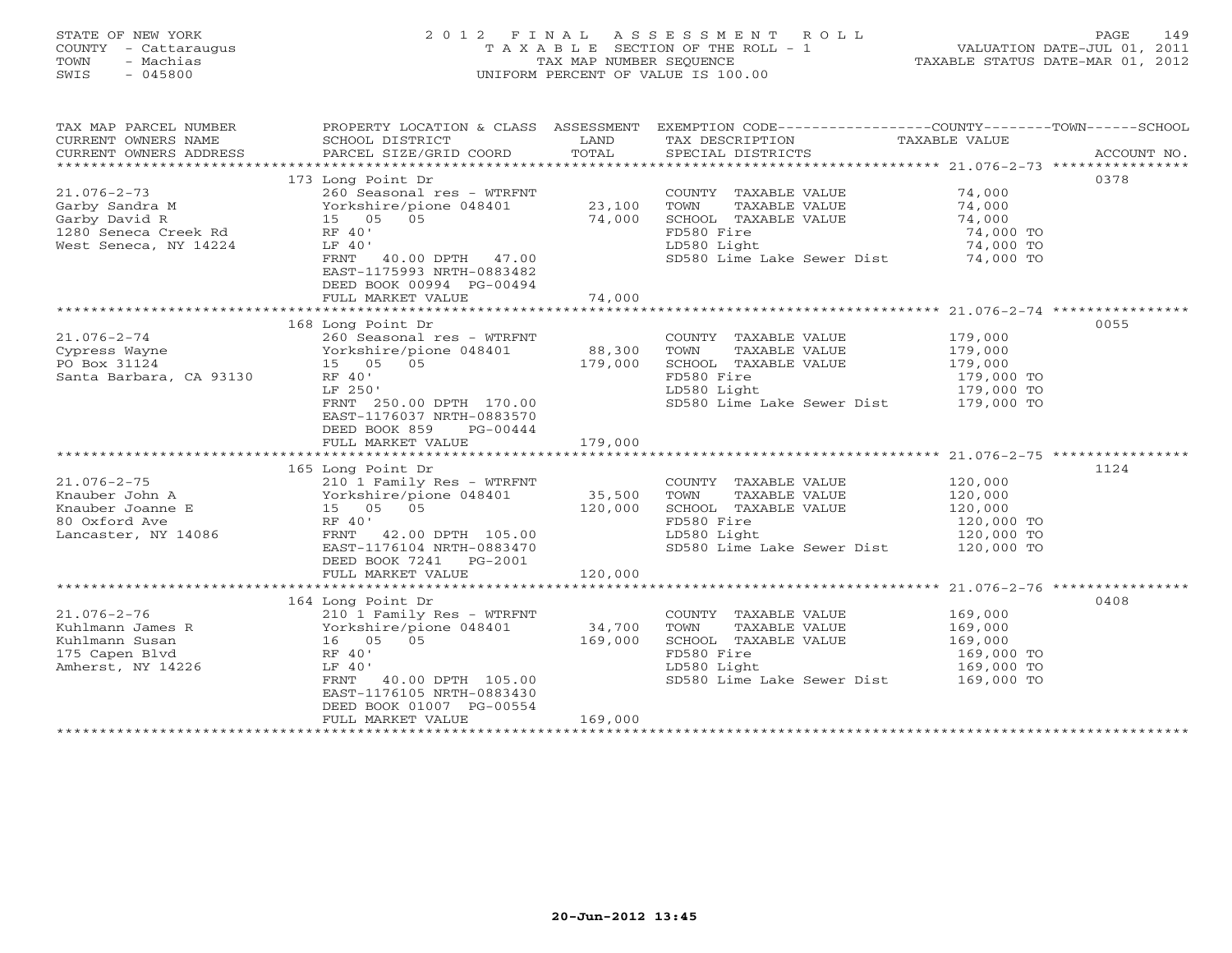## STATE OF NEW YORK 2 0 1 2 F I N A L A S S E S S M E N T R O L L PAGE 149 COUNTY - Cattaraugus T A X A B L E SECTION OF THE ROLL - 1 VALUATION DATE-JUL 01, 2011 TOWN - Machias TAX MAP NUMBER SEQUENCE TAXABLE STATUS DATE-MAR 01, 2012 SWIS - 045800 UNIFORM PERCENT OF VALUE IS 100.00UNIFORM PERCENT OF VALUE IS 100.00

| TAX MAP PARCEL NUMBER<br>CURRENT OWNERS NAME<br>CURRENT OWNERS ADDRESS | PROPERTY LOCATION & CLASS ASSESSMENT EXEMPTION CODE----------------COUNTY-------TOWN-----SCHOOL<br>SCHOOL DISTRICT<br>PARCEL SIZE/GRID COORD                       | LAND<br>TOTAL     | TAX DESCRIPTION<br>SPECIAL DISTRICTS              | TAXABLE VALUE         | ACCOUNT NO. |
|------------------------------------------------------------------------|--------------------------------------------------------------------------------------------------------------------------------------------------------------------|-------------------|---------------------------------------------------|-----------------------|-------------|
|                                                                        |                                                                                                                                                                    |                   |                                                   |                       |             |
|                                                                        | 173 Long Point Dr                                                                                                                                                  |                   |                                                   |                       | 0378        |
| $21.076 - 2 - 73$                                                      | 260 Seasonal res - WTRFNT                                                                                                                                          |                   | COUNTY TAXABLE VALUE 74,000                       |                       |             |
|                                                                        |                                                                                                                                                                    | 23,100            | TAXABLE VALUE<br>TOWN                             | 74,000                |             |
|                                                                        |                                                                                                                                                                    | 74,000            | SCHOOL TAXABLE VALUE                              | 74,000                |             |
|                                                                        | 21.070-2-75<br>Garby Sandra M<br>Garby David R<br>1280 Seneca Creek Rd<br>1280 Seneca Creek Rd<br>RF 40'                                                           |                   | FD580 Fire                                        | 74,000 TO             |             |
| West Seneca, NY 14224                                                  | LF 40'                                                                                                                                                             |                   | LD580 Light                                       | 74,000 TO             |             |
|                                                                        | FRNT 40.00 DPTH 47.00<br>EAST-1175993 NRTH-0883482<br>DEED BOOK 00994 PG-00494<br>FULL MARKET VALUE                                                                | 74,000            | SD580 Lime Lake Sewer Dist 74,000 TO              |                       |             |
|                                                                        |                                                                                                                                                                    |                   |                                                   |                       |             |
|                                                                        | 168 Long Point Dr                                                                                                                                                  |                   |                                                   |                       | 0055        |
| $21.076 - 2 - 74$                                                      | 260 Seasonal res - WTRFNT                                                                                                                                          |                   | COUNTY TAXABLE VALUE 179,000                      |                       |             |
| Cypress Wayne                                                          |                                                                                                                                                                    |                   | TOWN<br>TAXABLE VALUE                             |                       |             |
| PO Box 31124                                                           | Yorkshire/pione 048401<br>15 05 05                                                                                                                                 | 88,300<br>179,000 |                                                   | 179,000<br>179,000    |             |
| Santa Barbara, CA 93130                                                | RF 40'                                                                                                                                                             |                   | SCHOOL TAXABLE VALUE<br>FD580 Fire<br>LD580 Light | 179,000 TO            |             |
|                                                                        | LF 250'                                                                                                                                                            |                   | LD580 Light                                       | 179,000 TO            |             |
|                                                                        | FRNT 250.00 DPTH 170.00<br>EAST-1176037 NRTH-0883570<br>DEED BOOK 859<br>PG-00444                                                                                  |                   | SD580 Lime Lake Sewer Dist 179,000 TO             |                       |             |
|                                                                        | FULL MARKET VALUE                                                                                                                                                  | 179,000           |                                                   |                       |             |
|                                                                        |                                                                                                                                                                    |                   |                                                   |                       |             |
|                                                                        | 165 Long Point Dr                                                                                                                                                  |                   |                                                   |                       | 1124        |
|                                                                        | 21.076-2-75<br>Knauber John A (210 1 Family Res - WTRFNT)<br>Knauber Joanne E (210 1 Family Res - WTRFNT)<br>Yorkshire/pione 048401 (35,500 120,000 120,000 RF 40' |                   | COUNTY TAXABLE VALUE                              |                       |             |
|                                                                        |                                                                                                                                                                    |                   | TOWN<br>TAXABLE VALUE                             | 120,000<br>120,000    |             |
|                                                                        |                                                                                                                                                                    |                   | SCHOOL TAXABLE VALUE                              | 120,000<br>120,000 TO |             |
|                                                                        |                                                                                                                                                                    |                   | FD580 Fire                                        |                       |             |
| Lancaster, NY 14086                                                    | FRNT 42.00 DPTH 105.00                                                                                                                                             |                   | LD580 Light                                       | 120,000 TO            |             |
|                                                                        | EAST-1176104 NRTH-0883470<br>DEED BOOK 7241 PG-2001                                                                                                                | 120,000           | SD580 Lime Lake Sewer Dist 120,000 TO             |                       |             |
|                                                                        | FULL MARKET VALUE                                                                                                                                                  |                   |                                                   |                       |             |
|                                                                        | 164 Long Point Dr                                                                                                                                                  |                   |                                                   |                       | 0408        |
| $21.076 - 2 - 76$                                                      | 210 1 Family Res - WTRFNT                                                                                                                                          |                   | COUNTY TAXABLE VALUE                              | 169,000               |             |
|                                                                        |                                                                                                                                                                    |                   | TOWN<br>TAXABLE VALUE                             | 169,000               |             |
|                                                                        |                                                                                                                                                                    |                   | SCHOOL TAXABLE VALUE                              |                       |             |
|                                                                        |                                                                                                                                                                    |                   | FD580 Fire                                        | 169,000<br>169,000 TO |             |
| Amherst, NY 14226                                                      | LF 40'                                                                                                                                                             |                   | LD580 Light                                       | 169,000 TO            |             |
|                                                                        | FRNT 40.00 DPTH 105.00<br>EAST-1176105 NRTH-0883430<br>DEED BOOK 01007 PG-00554                                                                                    |                   | SD580 Lime Lake Sewer Dist 169,000 TO             |                       |             |
|                                                                        | FULL MARKET VALUE                                                                                                                                                  | 169,000           |                                                   |                       |             |
|                                                                        |                                                                                                                                                                    |                   |                                                   |                       |             |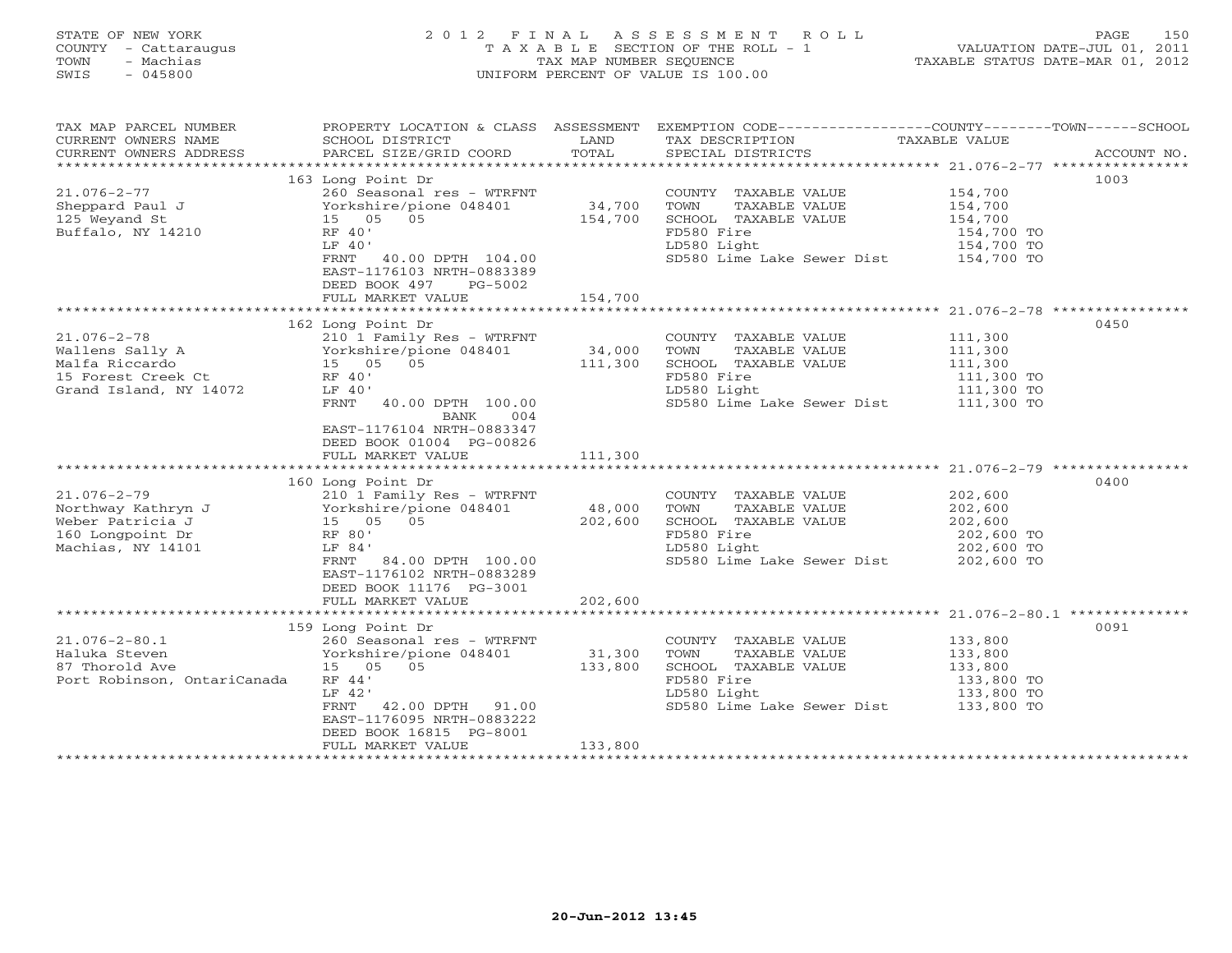| STATE OF NEW YORK<br>COUNTY - Cattaraugus<br>- Machias<br>TOWN<br>$-045800$<br>SWIS                    | 2012 FINAL ASSESSMENT ROLL<br>T A X A B L E SECTION OF THE ROLL - 1<br>TAX MAP NUMBER SEOUENCE<br>UNIFORM PERCENT OF VALUE IS 100.00                                                                               |                              |                                                                                                                                             |                                                                         | 150<br>PAGE<br>VALUATION DATE-JUL 01, 2011<br>TAXABLE STATUS DATE-MAR 01, 2012 |  |  |
|--------------------------------------------------------------------------------------------------------|--------------------------------------------------------------------------------------------------------------------------------------------------------------------------------------------------------------------|------------------------------|---------------------------------------------------------------------------------------------------------------------------------------------|-------------------------------------------------------------------------|--------------------------------------------------------------------------------|--|--|
| TAX MAP PARCEL NUMBER<br>CURRENT OWNERS NAME                                                           | PROPERTY LOCATION & CLASS ASSESSMENT EXEMPTION CODE---------------COUNTY-------TOWN------SCHOOL<br>SCHOOL DISTRICT                                                                                                 | LAND                         | TAX DESCRIPTION                                                                                                                             | TAXABLE VALUE                                                           |                                                                                |  |  |
| CURRENT OWNERS ADDRESS                                                                                 | PARCEL SIZE/GRID COORD                                                                                                                                                                                             | TOTAL                        | SPECIAL DISTRICTS                                                                                                                           |                                                                         | ACCOUNT NO.                                                                    |  |  |
| $21.076 - 2 - 77$<br>Sheppard Paul J<br>125 Weyand St<br>Buffalo, NY 14210                             | 163 Long Point Dr<br>260 Seasonal res - WTRFNT<br>Yorkshire/pione 048401<br>15 05 05<br>RF 40'<br>LF 40'<br>FRNT<br>40.00 DPTH 104.00<br>EAST-1176103 NRTH-0883389<br>DEED BOOK 497 PG-5002<br>FULL MARKET VALUE   | 34,700<br>154,700<br>154,700 | COUNTY TAXABLE VALUE<br>TOWN<br>TAXABLE VALUE<br>SCHOOL TAXABLE VALUE<br>FD580 Fire<br>LD580 Light<br>SD580 Lime Lake Sewer Dist 154,700 TO | 154,700<br>154,700<br>154,700<br>154,700 TO<br>154,700 TO               | 1003                                                                           |  |  |
|                                                                                                        |                                                                                                                                                                                                                    |                              |                                                                                                                                             |                                                                         |                                                                                |  |  |
| $21.076 - 2 - 78$<br>Wallens Sally A<br>Malfa Riccardo<br>15 Forest Creek Ct<br>Grand Island, NY 14072 | 162 Long Point Dr<br>210 1 Family Res - WTRFNT<br>Yorkshire/pione 048401<br>15 05 05<br>RF 40'<br>LF 40'<br>FRNT<br>40.00 DPTH 100.00<br>BANK<br>004<br>EAST-1176104 NRTH-0883347<br>DEED BOOK 01004 PG-00826      | 34,000<br>111,300            | COUNTY TAXABLE VALUE<br>TAXABLE VALUE<br>TOWN<br>SCHOOL TAXABLE VALUE<br>FD580 Fire<br>LD580 Light<br>SD580 Lime Lake Sewer Dist 111,300 TO | 111,300<br>111,300<br>111,300<br>111,300 TO<br>111,300 TO               | 0450                                                                           |  |  |
|                                                                                                        | FULL MARKET VALUE                                                                                                                                                                                                  | 111,300                      |                                                                                                                                             |                                                                         |                                                                                |  |  |
| $21.076 - 2 - 79$<br>Northway Kathryn J<br>Weber Patricia J<br>160 Longpoint Dr<br>Machias, NY 14101   | 160 Long Point Dr<br>210 1 Family Res - WTRFNT<br>Yorkshire/pione 048401<br>15 05 05<br>RF 80'<br>LF 84'<br>FRNT<br>84.00 DPTH 100.00<br>EAST-1176102 NRTH-0883289<br>DEED BOOK 11176 PG-3001<br>FULL MARKET VALUE | 48,000<br>202,600<br>202,600 | COUNTY TAXABLE VALUE<br>TOWN<br>TAXABLE VALUE<br>SCHOOL TAXABLE VALUE<br>FD580 Fire<br>LD580 Light<br>SD580 Lime Lake Sewer Dist            | 202,600<br>202,600<br>202,600<br>202,600 TO<br>202,600 TO<br>202,600 TO | 0400                                                                           |  |  |
|                                                                                                        | $150$ Long Doint Dr                                                                                                                                                                                                |                              |                                                                                                                                             |                                                                         | 0001                                                                           |  |  |

 159 Long Point Dr 0091 21.076-2-80.1 260 Seasonal res - WTRFNT COUNTY TAXABLE VALUE 133,800 31,300 TOWN TAXABLE VALUE 101 NATURA SUULU 101 NATURA 101 NATURA 1999 NATURA 100 NATURA 1100 NATURA 133,800<br>87 Thorold Ave 15 05 05 05 133,800 SCHOOL TAXABLE VALUE 133,800 Port Robinson, OntariCanada RF 44' LD580 Fire 133,800 TO Extra 133,800 TO LE 42' LF 42' LD580 Light 133,800 TO FRNT 42.00 DPTH 91.00 SD580 Lime Lake Sewer Dist 133,800 TO EAST-1176095 NRTH-0883222 DEED BOOK 16815 PG-8001 FULL MARKET VALUE 133,800 \*\*\*\*\*\*\*\*\*\*\*\*\*\*\*\*\*\*\*\*\*\*\*\*\*\*\*\*\*\*\*\*\*\*\*\*\*\*\*\*\*\*\*\*\*\*\*\*\*\*\*\*\*\*\*\*\*\*\*\*\*\*\*\*\*\*\*\*\*\*\*\*\*\*\*\*\*\*\*\*\*\*\*\*\*\*\*\*\*\*\*\*\*\*\*\*\*\*\*\*\*\*\*\*\*\*\*\*\*\*\*\*\*\*\*\*\*\*\*\*\*\*\*\*\*\*\*\*\*\*\*\*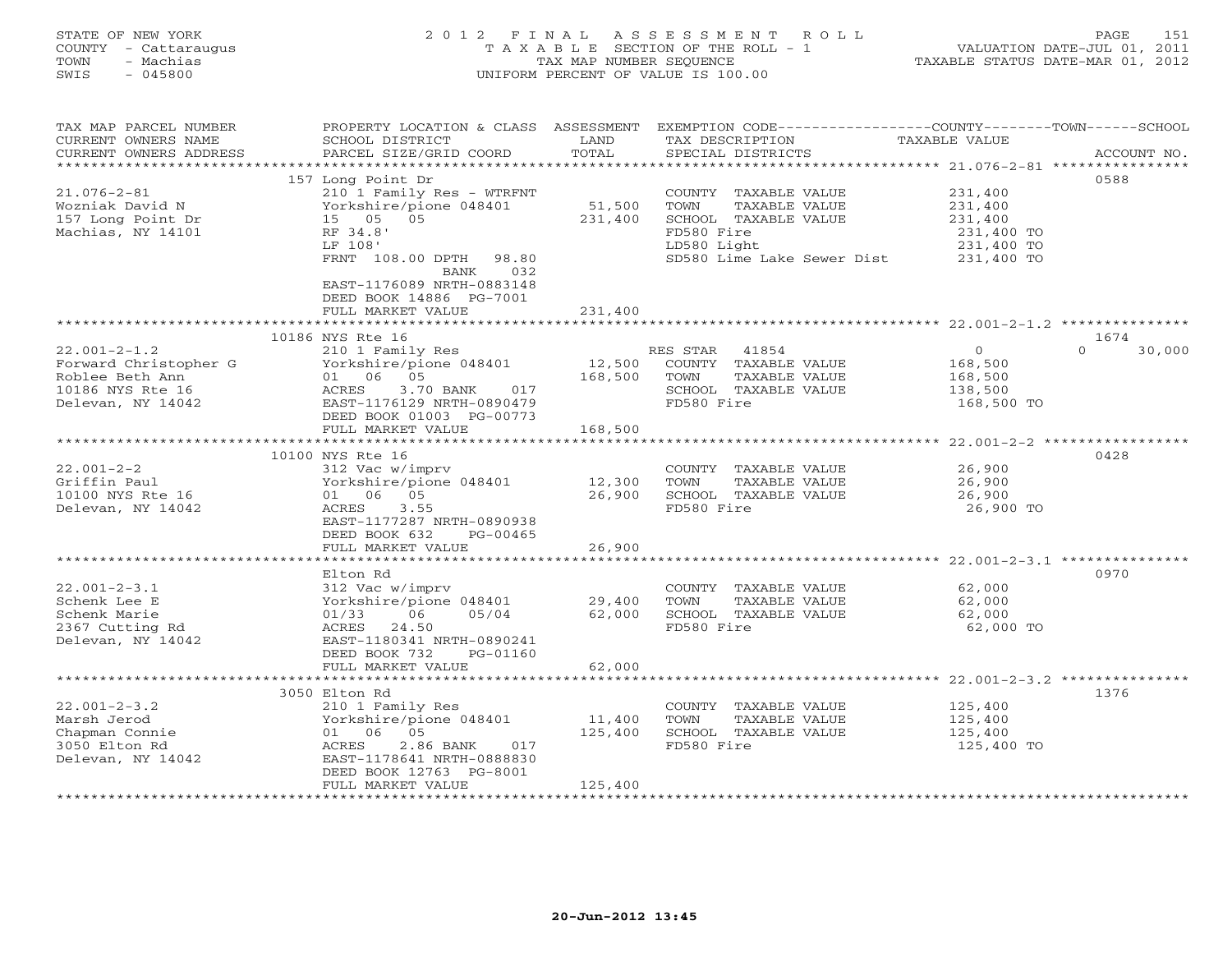## STATE OF NEW YORK 2 0 1 2 F I N A L A S S E S S M E N T R O L L PAGE 151 COUNTY - Cattaraugus T A X A B L E SECTION OF THE ROLL - 1 VALUATION DATE-JUL 01, 2011 TOWN - Machias TAX MAP NUMBER SEQUENCE TAXABLE STATUS DATE-MAR 01, 2012 SWIS - 045800 UNIFORM PERCENT OF VALUE IS 100.00UNIFORM PERCENT OF VALUE IS 100.00

| TAX MAP PARCEL NUMBER                         | PROPERTY LOCATION & CLASS ASSESSMENT EXEMPTION CODE----------------COUNTY-------TOWN------SCHOOL |                   |                                       |                    |                    |
|-----------------------------------------------|--------------------------------------------------------------------------------------------------|-------------------|---------------------------------------|--------------------|--------------------|
| CURRENT OWNERS NAME<br>CURRENT OWNERS ADDRESS | SCHOOL DISTRICT<br>PARCEL SIZE/GRID COORD                                                        | LAND<br>TOTAL     | TAX DESCRIPTION<br>SPECIAL DISTRICTS  | TAXABLE VALUE      | ACCOUNT NO.        |
| **********************                        |                                                                                                  |                   |                                       |                    |                    |
|                                               | 157 Long Point Dr                                                                                |                   |                                       |                    | 0588               |
| $21.076 - 2 - 81$                             | 210 1 Family Res - WTRFNT                                                                        |                   | COUNTY TAXABLE VALUE                  | 231,400            |                    |
| Wozniak David N                               | Yorkshire/pione 048401                                                                           | 51,500            | TOWN<br>TAXABLE VALUE                 | 231,400            |                    |
| 157 Long Point Dr                             | 15 05 05                                                                                         | 231,400           | SCHOOL TAXABLE VALUE                  | 231,400            |                    |
| Machias, NY 14101                             | RF 34.8'                                                                                         |                   | FD580 Fire                            | 231,400 TO         |                    |
|                                               | LF 108'                                                                                          |                   | LD580 Light                           | 231,400 TO         |                    |
|                                               | FRNT 108.00 DPTH 98.80                                                                           |                   | SD580 Lime Lake Sewer Dist            | 231,400 TO         |                    |
|                                               | BANK<br>032                                                                                      |                   |                                       |                    |                    |
|                                               | EAST-1176089 NRTH-0883148                                                                        |                   |                                       |                    |                    |
|                                               | DEED BOOK 14886 PG-7001                                                                          |                   |                                       |                    |                    |
|                                               | FULL MARKET VALUE                                                                                | 231,400           |                                       |                    |                    |
|                                               |                                                                                                  |                   |                                       |                    |                    |
|                                               | 10186 NYS Rte 16                                                                                 |                   |                                       |                    | 1674               |
| $22.001 - 2 - 1.2$                            | 210 1 Family Res                                                                                 |                   | RES STAR<br>41854                     | $\overline{0}$     | 30,000<br>$\Omega$ |
| Forward Christopher G                         | Yorkshire/pione 048401                                                                           | 12,500            | COUNTY TAXABLE VALUE                  | 168,500            |                    |
| Roblee Beth Ann                               | 01 06 05                                                                                         | 168,500           | TOWN<br>TAXABLE VALUE                 | 168,500            |                    |
| 10186 NYS Rte 16                              | ACRES<br>3.70 BANK<br>017                                                                        |                   | SCHOOL TAXABLE VALUE                  | 138,500            |                    |
| Delevan, NY 14042                             | EAST-1176129 NRTH-0890479                                                                        |                   | FD580 Fire                            | 168,500 TO         |                    |
|                                               | DEED BOOK 01003 PG-00773                                                                         |                   |                                       |                    |                    |
|                                               | FULL MARKET VALUE                                                                                | 168,500           |                                       |                    |                    |
|                                               | 10100 NYS Rte 16                                                                                 |                   |                                       |                    | 0428               |
| $22.001 - 2 - 2$                              | 312 Vac w/imprv                                                                                  |                   | COUNTY TAXABLE VALUE                  | 26,900             |                    |
| Griffin Paul                                  | Yorkshire/pione 048401                                                                           | 12,300            | TOWN<br>TAXABLE VALUE                 | 26,900             |                    |
| 10100 NYS Rte 16                              | 01 06 05                                                                                         | 26,900            | SCHOOL TAXABLE VALUE                  | 26,900             |                    |
| Delevan, NY 14042                             | 3.55<br>ACRES                                                                                    |                   | FD580 Fire                            | 26,900 TO          |                    |
|                                               | EAST-1177287 NRTH-0890938                                                                        |                   |                                       |                    |                    |
|                                               | DEED BOOK 632<br>PG-00465                                                                        |                   |                                       |                    |                    |
|                                               | FULL MARKET VALUE                                                                                | 26,900            |                                       |                    |                    |
|                                               |                                                                                                  |                   |                                       |                    |                    |
|                                               | Elton Rd                                                                                         |                   |                                       |                    | 0970               |
| $22.001 - 2 - 3.1$                            | 312 Vac w/imprv                                                                                  |                   | COUNTY TAXABLE VALUE                  | 62,000             |                    |
| Schenk Lee E                                  | Yorkshire/pione 048401                                                                           | 29,400            | TOWN<br>TAXABLE VALUE                 | 62,000             |                    |
| Schenk Marie                                  | 01/33<br>06<br>05/04                                                                             | 62,000            | SCHOOL TAXABLE VALUE                  | 62,000             |                    |
| 2367 Cutting Rd                               | 24.50<br>ACRES                                                                                   |                   | FD580 Fire                            | 62,000 TO          |                    |
| Delevan, NY 14042                             | EAST-1180341 NRTH-0890241                                                                        |                   |                                       |                    |                    |
|                                               | DEED BOOK 732<br>PG-01160                                                                        |                   |                                       |                    |                    |
|                                               | FULL MARKET VALUE                                                                                | 62,000            |                                       |                    |                    |
|                                               |                                                                                                  |                   |                                       |                    |                    |
|                                               | 3050 Elton Rd                                                                                    |                   |                                       |                    | 1376               |
| $22.001 - 2 - 3.2$<br>Marsh Jerod             | 210 1 Family Res                                                                                 |                   | COUNTY TAXABLE VALUE<br>TOWN          | 125,400            |                    |
| Chapman Connie                                | Yorkshire/pione 048401<br>01 06 05                                                               | 11,400<br>125,400 | TAXABLE VALUE<br>SCHOOL TAXABLE VALUE | 125,400<br>125,400 |                    |
| 3050 Elton Rd                                 | 2.86 BANK<br>ACRES<br>017                                                                        |                   | FD580 Fire                            | 125,400 TO         |                    |
| Delevan, NY 14042                             | EAST-1178641 NRTH-0888830                                                                        |                   |                                       |                    |                    |
|                                               | DEED BOOK 12763 PG-8001                                                                          |                   |                                       |                    |                    |
|                                               | FULL MARKET VALUE                                                                                | 125,400           |                                       |                    |                    |
|                                               | *******************                                                                              |                   |                                       |                    |                    |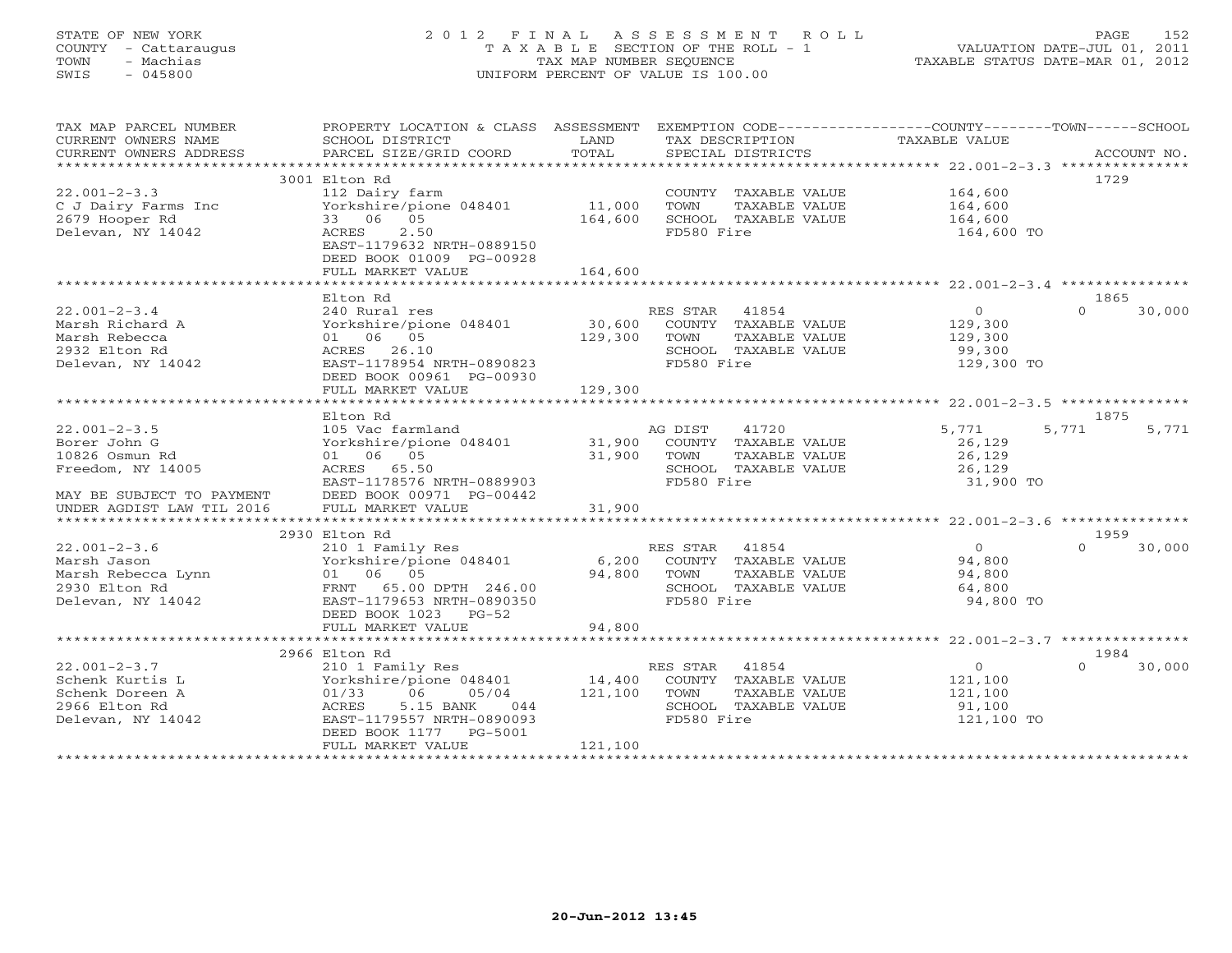## STATE OF NEW YORK 2 0 1 2 F I N A L A S S E S S M E N T R O L L PAGE 152 COUNTY - Cattaraugus T A X A B L E SECTION OF THE ROLL - 1 VALUATION DATE-JUL 01, 2011 TOWN - Machias TAX MAP NUMBER SEQUENCE TAXABLE STATUS DATE-MAR 01, 2012 SWIS - 045800 UNIFORM PERCENT OF VALUE IS 100.00UNIFORM PERCENT OF VALUE IS 100.00

| TAX MAP PARCEL NUMBER<br>CURRENT OWNERS NAME<br>CURRENT OWNERS ADDRESS | PROPERTY LOCATION & CLASS ASSESSMENT<br>SCHOOL DISTRICT<br>PARCEL SIZE/GRID COORD | LAND<br>TOTAL |                | TAX DESCRIPTION<br>SPECIAL DISTRICTS | EXEMPTION CODE-----------------COUNTY-------TOWN------SCHOOL<br>TAXABLE VALUE |          | ACCOUNT NO. |
|------------------------------------------------------------------------|-----------------------------------------------------------------------------------|---------------|----------------|--------------------------------------|-------------------------------------------------------------------------------|----------|-------------|
|                                                                        |                                                                                   |               |                |                                      |                                                                               |          |             |
|                                                                        | 3001 Elton Rd                                                                     |               |                |                                      |                                                                               |          | 1729        |
| $22.001 - 2 - 3.3$                                                     | 112 Dairy farm                                                                    |               |                | COUNTY TAXABLE VALUE                 | 164,600                                                                       |          |             |
| C J Dairy Farms Inc                                                    | Yorkshire/pione 048401                                                            | 11,000        | TOWN           | TAXABLE VALUE                        | 164,600                                                                       |          |             |
| 2679 Hooper Rd                                                         | 33 06 05                                                                          | 164,600       |                | SCHOOL TAXABLE VALUE                 | 164,600                                                                       |          |             |
| Delevan, NY 14042                                                      | 2.50<br>ACRES                                                                     |               | FD580 Fire     |                                      | 164,600 TO                                                                    |          |             |
|                                                                        | EAST-1179632 NRTH-0889150                                                         |               |                |                                      |                                                                               |          |             |
|                                                                        | DEED BOOK 01009 PG-00928                                                          |               |                |                                      |                                                                               |          |             |
|                                                                        | FULL MARKET VALUE                                                                 | 164,600       |                |                                      |                                                                               |          |             |
|                                                                        |                                                                                   |               |                |                                      |                                                                               |          |             |
|                                                                        | Elton Rd                                                                          |               |                |                                      |                                                                               |          | 1865        |
| $22.001 - 2 - 3.4$                                                     | 240 Rural res                                                                     |               | RES STAR 41854 |                                      | $\overline{O}$                                                                | $\Omega$ | 30,000      |
| Marsh Richard A                                                        | Yorkshire/pione 048401                                                            | 30,600        |                | COUNTY TAXABLE VALUE                 | 129,300                                                                       |          |             |
| Marsh Rebecca                                                          | 01 06 05                                                                          | 129,300       | TOWN           | TAXABLE VALUE                        | 129,300                                                                       |          |             |
| 2932 Elton Rd                                                          | ACRES 26.10                                                                       |               |                | SCHOOL TAXABLE VALUE                 | 99,300                                                                        |          |             |
|                                                                        |                                                                                   |               |                |                                      |                                                                               |          |             |
| Delevan, NY 14042                                                      | EAST-1178954 NRTH-0890823                                                         |               | FD580 Fire     |                                      | 129,300 TO                                                                    |          |             |
|                                                                        | DEED BOOK 00961 PG-00930                                                          |               |                |                                      |                                                                               |          |             |
|                                                                        | FULL MARKET VALUE                                                                 | 129,300       |                |                                      |                                                                               |          |             |
|                                                                        |                                                                                   |               |                |                                      |                                                                               |          |             |
|                                                                        | Elton Rd                                                                          |               |                |                                      |                                                                               |          | 1875        |
| $22.001 - 2 - 3.5$                                                     | 105 Vac farmland                                                                  |               | AG DIST        | 41720                                | 5,771                                                                         | 5,771    | 5,771       |
| Borer John G                                                           | Yorkshire/pione 048401                                                            | 31,900        |                | COUNTY TAXABLE VALUE                 | 26,129                                                                        |          |             |
| 10826 Osmun Rd                                                         | 01 06 05                                                                          | 31,900        | TOWN           | TAXABLE VALUE                        | 26,129                                                                        |          |             |
| Freedom, NY 14005                                                      | ACRES 65.50                                                                       |               |                | SCHOOL TAXABLE VALUE                 | 26,129                                                                        |          |             |
|                                                                        | EAST-1178576 NRTH-0889903                                                         |               | FD580 Fire     |                                      | 31,900 TO                                                                     |          |             |
| MAY BE SUBJECT TO PAYMENT                                              | DEED BOOK 00971 PG-00442                                                          |               |                |                                      |                                                                               |          |             |
| UNDER AGDIST LAW TIL 2016                                              | FULL MARKET VALUE                                                                 | 31,900        |                |                                      |                                                                               |          |             |
|                                                                        |                                                                                   |               |                |                                      |                                                                               |          |             |
|                                                                        | 2930 Elton Rd                                                                     |               |                |                                      |                                                                               |          | 1959        |
| $22.001 - 2 - 3.6$                                                     | 210 1 Family Res                                                                  |               | RES STAR       | 41854                                | $\overline{0}$                                                                | $\Omega$ | 30,000      |
| Marsh Jason                                                            | Yorkshire/pione 048401                                                            | 6,200         |                | COUNTY TAXABLE VALUE                 | 94,800                                                                        |          |             |
| Marsh Rebecca Lynn                                                     | 01 06 05                                                                          | 94,800        | TOWN           | TAXABLE VALUE                        | 94,800                                                                        |          |             |
| 2930 Elton Rd                                                          | FRNT 65.00 DPTH 246.00                                                            |               |                | SCHOOL TAXABLE VALUE                 | 64,800                                                                        |          |             |
| Delevan, NY 14042                                                      | EAST-1179653 NRTH-0890350                                                         |               | FD580 Fire     |                                      | 94,800 TO                                                                     |          |             |
|                                                                        | DEED BOOK 1023<br>$PG-52$                                                         |               |                |                                      |                                                                               |          |             |
|                                                                        | FULL MARKET VALUE                                                                 | 94,800        |                |                                      |                                                                               |          |             |
|                                                                        |                                                                                   |               |                |                                      |                                                                               |          |             |
|                                                                        |                                                                                   |               |                |                                      |                                                                               |          |             |
|                                                                        | 2966 Elton Rd                                                                     |               |                |                                      |                                                                               |          | 1984        |
| $22.001 - 2 - 3.7$                                                     | 210 1 Family Res                                                                  |               | RES STAR 41854 |                                      | $\overline{0}$                                                                | $\Omega$ | 30,000      |
| Schenk Kurtis L                                                        | Yorkshire/pione 048401                                                            | 14,400        |                | COUNTY TAXABLE VALUE                 | 121,100                                                                       |          |             |
| Schenk Doreen A                                                        | 01/33<br>06<br>05/04                                                              | 121,100       | TOWN           | TAXABLE VALUE                        | 121,100                                                                       |          |             |
| 2966 Elton Rd                                                          | ACRES<br>5.15 BANK<br>044                                                         |               |                | SCHOOL TAXABLE VALUE                 | 91,100                                                                        |          |             |
| Delevan, NY 14042                                                      | EAST-1179557 NRTH-0890093                                                         |               | FD580 Fire     |                                      | 121,100 TO                                                                    |          |             |
|                                                                        | DEED BOOK 1177 PG-5001                                                            |               |                |                                      |                                                                               |          |             |
|                                                                        | FULL MARKET VALUE                                                                 | 121,100       |                |                                      |                                                                               |          |             |
|                                                                        |                                                                                   |               |                |                                      |                                                                               |          |             |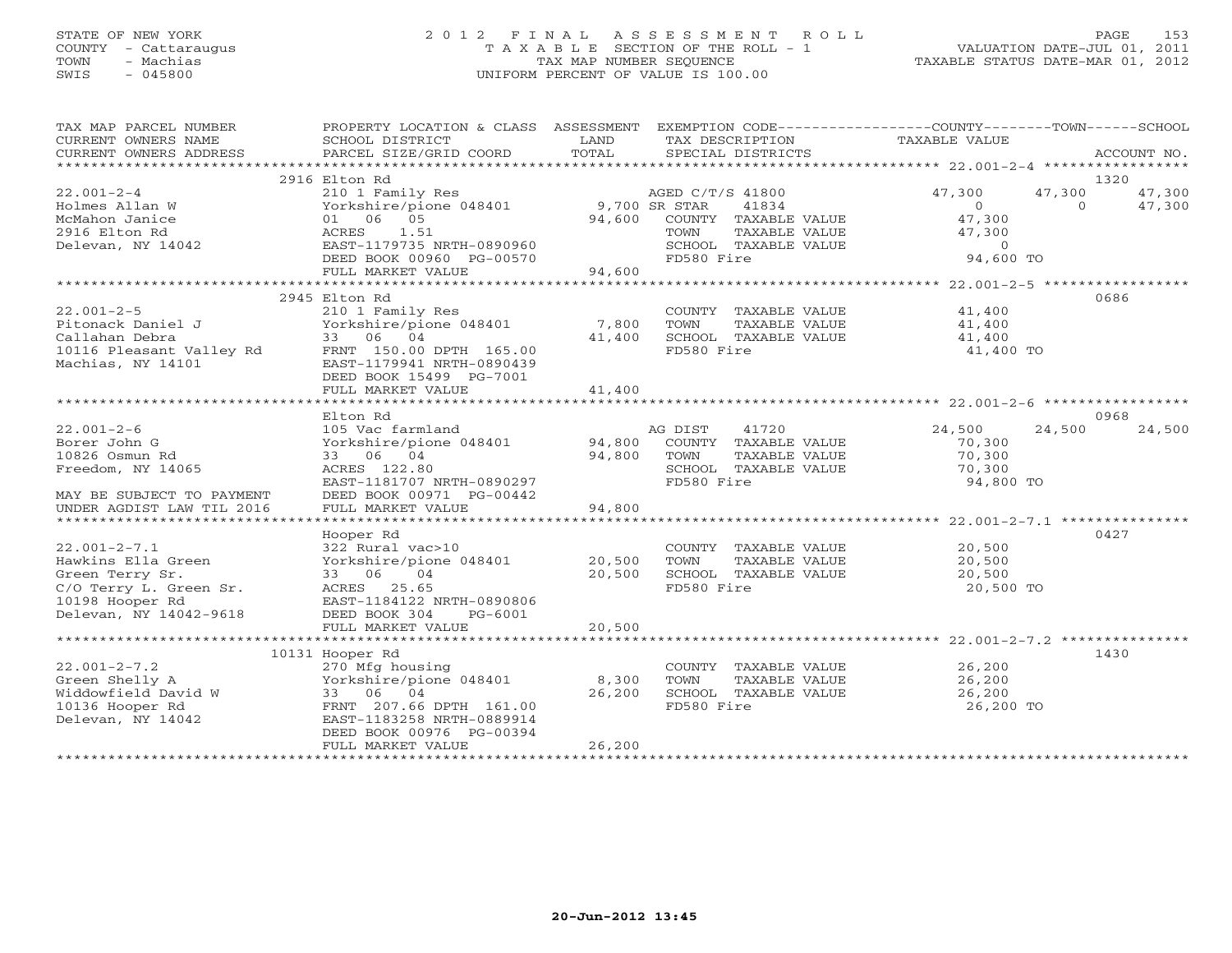## STATE OF NEW YORK 2 0 1 2 F I N A L A S S E S S M E N T R O L L PAGE 153 COUNTY - Cattaraugus T A X A B L E SECTION OF THE ROLL - 1 VALUATION DATE-JUL 01, 2011 TOWN - Machias TAX MAP NUMBER SEQUENCE TAXABLE STATUS DATE-MAR 01, 2012 SWIS - 045800 UNIFORM PERCENT OF VALUE IS 100.00

| TAX MAP PARCEL NUMBER<br>CURRENT OWNERS NAME<br>CURRENT OWNERS ADDRESS                                                             | PROPERTY LOCATION & CLASS ASSESSMENT EXEMPTION CODE---------------COUNTY-------TOWN------SCHOOL<br>SCHOOL DISTRICT<br>PARCEL SIZE/GRID COORD                    | LAND<br>TOTAL              | TAX DESCRIPTION TAXABLE VALUE<br>SPECIAL DISTRICTS                                                                      |                                                                       | ACCOUNT NO.                                    |
|------------------------------------------------------------------------------------------------------------------------------------|-----------------------------------------------------------------------------------------------------------------------------------------------------------------|----------------------------|-------------------------------------------------------------------------------------------------------------------------|-----------------------------------------------------------------------|------------------------------------------------|
|                                                                                                                                    |                                                                                                                                                                 |                            |                                                                                                                         |                                                                       |                                                |
| $22.001 - 2 - 4$<br>Holmes Allan W<br>McMahon Janice<br>2916 Elton Rd<br>Delevan, NY 14042                                         | 2916 Elton Rd<br>210 1 Family Res<br>Yorkshire/pione 048401 9,700 SR STAR<br>01 06 05<br>1.51<br>ACRES<br>EAST-1179735 NRTH-0890960<br>DEED BOOK 00960 PG-00570 |                            | AGED C/T/S 41800<br>41834<br>94,600 COUNTY TAXABLE VALUE<br>TAXABLE VALUE<br>TOWN<br>SCHOOL TAXABLE VALUE<br>FD580 Fire | 47,300<br>$\Omega$<br>47,300<br>47,300<br>$\overline{0}$<br>94,600 TO | 1320<br>47,300<br>47,300<br>47,300<br>$\Omega$ |
|                                                                                                                                    | FULL MARKET VALUE                                                                                                                                               | 94,600                     |                                                                                                                         |                                                                       |                                                |
| $22.001 - 2 - 5$<br>Pitonack Daniel J<br>Callahan Debra<br>10116 Pleasant Valley Rd<br>Machias, NY 14101                           | 2945 Elton Rd<br>210 1 Family Res<br>Yorkshire/pione 048401<br>33 06 04<br>FRNT 150.00 DPTH 165.00<br>EAST-1179941 NRTH-0890439<br>DEED BOOK 15499 PG-7001      | 7,800<br>41,400            | COUNTY TAXABLE VALUE<br>TOWN<br>TAXABLE VALUE<br>SCHOOL TAXABLE VALUE<br>FD580 Fire                                     | 41,400<br>41,400<br>41,400<br>41,400 TO                               | 0686                                           |
|                                                                                                                                    | FULL MARKET VALUE                                                                                                                                               | 41,400                     |                                                                                                                         |                                                                       |                                                |
|                                                                                                                                    |                                                                                                                                                                 |                            |                                                                                                                         |                                                                       |                                                |
|                                                                                                                                    | Elton Rd                                                                                                                                                        |                            |                                                                                                                         |                                                                       | 0968                                           |
| $22.001 - 2 - 6$<br>Borer John G<br>10826 Osmun Rd<br>Freedom, NY 14065<br>MAY BE SUBJECT TO PAYMENT                               | 105 Vac farmland<br>Yorkshire/pione 048401<br>33 06 04<br>ACRES 122.80<br>EAST-1181707 NRTH-0890297<br>DEED BOOK 00971 PG-00442                                 | 94,800<br>94,800           | AG DIST<br>41720<br>COUNTY TAXABLE VALUE<br>TOWN<br>TAXABLE VALUE<br>SCHOOL TAXABLE VALUE<br>FD580 Fire                 | 24,500<br>70,300<br>70,300<br>70,300<br>94,800 TO                     | 24,500<br>24,500                               |
| UNDER AGDIST LAW TIL 2016                                                                                                          | FULL MARKET VALUE                                                                                                                                               | 94,800                     |                                                                                                                         |                                                                       |                                                |
|                                                                                                                                    | Hooper Rd                                                                                                                                                       |                            |                                                                                                                         |                                                                       | 0427                                           |
| $22.001 - 2 - 7.1$<br>Hawkins Ella Green<br>Green Terry Sr.<br>C/O Terry L. Green Sr.<br>10198 Hooper Rd<br>Delevan, NY 14042-9618 | 322 Rural vac>10<br>Yorkshire/pione 048401<br>33 06<br>04<br>ACRES 25.65<br>EAST-1184122 NRTH-0890806<br>DEED BOOK 304<br>PG-6001<br>FULL MARKET VALUE          | 20,500<br>20,500<br>20,500 | COUNTY TAXABLE VALUE<br>TOWN<br>TAXABLE VALUE<br>SCHOOL TAXABLE VALUE<br>FD580 Fire                                     | 20,500<br>20,500<br>20,500<br>20,500 TO                               |                                                |
|                                                                                                                                    |                                                                                                                                                                 |                            |                                                                                                                         |                                                                       |                                                |
| $22.001 - 2 - 7.2$                                                                                                                 | 10131 Hooper Rd<br>270 Mfg housing                                                                                                                              |                            | COUNTY TAXABLE VALUE                                                                                                    | 26,200                                                                | 1430                                           |
| Green Shelly A<br>Widdowfield David W<br>10136 Hooper Rd<br>Delevan, NY 14042                                                      | Yorkshire/pione 048401<br>33 06 04<br>FRNT 207.66 DPTH 161.00<br>EAST-1183258 NRTH-0889914<br>DEED BOOK 00976 PG-00394<br>FULL MARKET VALUE                     | 8,300<br>26,200<br>26,200  | TOWN<br>TAXABLE VALUE<br>SCHOOL TAXABLE VALUE<br>FD580 Fire                                                             | 26,200<br>26,200<br>26,200 TO                                         |                                                |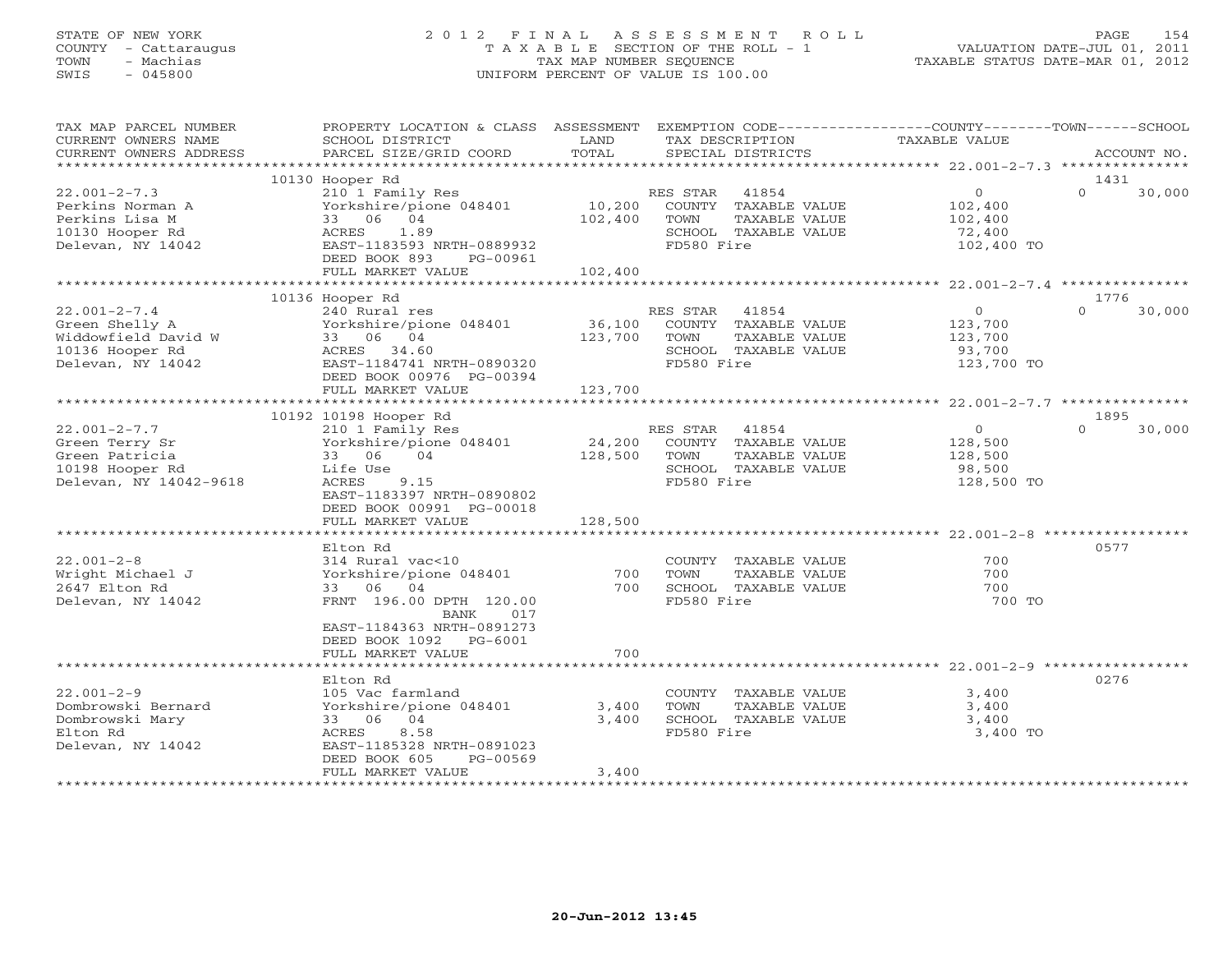## STATE OF NEW YORK 2 0 1 2 F I N A L A S S E S S M E N T R O L L PAGE 154 COUNTY - Cattaraugus T A X A B L E SECTION OF THE ROLL - 1 VALUATION DATE-JUL 01, 2011 TOWN - Machias TAX MAP NUMBER SEQUENCE TAXABLE STATUS DATE-MAR 01, 2012 SWIS - 045800 UNIFORM PERCENT OF VALUE IS 100.00UNIFORM PERCENT OF VALUE IS 100.00

| TAX MAP PARCEL NUMBER<br>CURRENT OWNERS NAME<br>CURRENT OWNERS ADDRESS                              | PROPERTY LOCATION & CLASS ASSESSMENT EXEMPTION CODE---------------COUNTY-------TOWN------SCHOOL<br>SCHOOL DISTRICT<br>PARCEL SIZE/GRID COORD                                              | LAND<br>TOTAL      | TAX DESCRIPTION<br>SPECIAL DISTRICTS                                                                         | TAXABLE VALUE                                                | ACCOUNT NO.                |
|-----------------------------------------------------------------------------------------------------|-------------------------------------------------------------------------------------------------------------------------------------------------------------------------------------------|--------------------|--------------------------------------------------------------------------------------------------------------|--------------------------------------------------------------|----------------------------|
|                                                                                                     |                                                                                                                                                                                           |                    |                                                                                                              |                                                              |                            |
| $22.001 - 2 - 7.3$<br>Perkins Norman A<br>Perkins Lisa M<br>10130 Hooper Rd<br>Delevan, NY 14042    | 10130 Hooper Rd<br>210 1 Family Res<br>Yorkshire/pione 048401<br>33 06 04<br>ACRES<br>1.89<br>EAST-1183593 NRTH-0889932<br>DEED BOOK 893<br>PG-00961                                      | 102,400            | RES STAR 41854<br>10,200 COUNTY TAXABLE VALUE<br>TOWN<br>TAXABLE VALUE<br>SCHOOL TAXABLE VALUE<br>FD580 Fire | $\overline{0}$<br>102,400<br>102,400<br>72,400<br>102,400 TO | 1431<br>$\Omega$<br>30,000 |
|                                                                                                     | FULL MARKET VALUE                                                                                                                                                                         | 102,400            |                                                                                                              |                                                              |                            |
|                                                                                                     | 10136 Hooper Rd                                                                                                                                                                           |                    |                                                                                                              |                                                              | 1776                       |
| $22.001 - 2 - 7.4$<br>Green Shelly A<br>Widdowfield David W<br>10136 Hooper Rd<br>Delevan, NY 14042 | 240 Rural res<br>Yorkshire/pic<br>d W 33 06 04<br>ACRES 34.60<br>2 EAST-1184741<br>Yorkshire/pione 048401<br>ACRES 34.60<br>EAST-1184741 NRTH-0890320<br>DEED BOOK 00976 PG-00394         | 36,100<br>123,700  | RES STAR 41854<br>COUNTY TAXABLE VALUE<br>TOWN<br>TAXABLE VALUE<br>SCHOOL TAXABLE VALUE<br>FD580 Fire        | $\overline{0}$<br>123,700<br>123,700<br>93,700<br>123,700 TO | $\Omega$<br>30,000         |
|                                                                                                     | FULL MARKET VALUE                                                                                                                                                                         | 123,700            |                                                                                                              |                                                              |                            |
|                                                                                                     |                                                                                                                                                                                           |                    |                                                                                                              |                                                              |                            |
| $22.001 - 2 - 7.7$<br>Green Terry Sr<br>Green Patricia<br>10198 Hooper Rd<br>Delevan, NY 14042-9618 | 10192 10198 Hooper Rd<br>210 1 Family Res<br>Yorkshire/pione 048401 24,200 COUNTY TAXABLE VALUE<br>33 06 04<br>EAST-1183397 NRTH-0890802<br>DEED BOOK 00991 PG-00018<br>FULL MARKET VALUE | 128,500<br>128,500 | RES STAR 41854<br>TOWN<br>TAXABLE VALUE<br>SCHOOL TAXABLE VALUE<br>FD580 Fire                                | $\Omega$<br>128,500<br>128,500<br>98,500<br>128,500 TO       | 1895<br>$\Omega$<br>30,000 |
|                                                                                                     |                                                                                                                                                                                           |                    |                                                                                                              |                                                              |                            |
| $22.001 - 2 - 8$<br>Wright Michael J<br>2647 Elton Rd<br>Delevan, NY 14042                          | Elton Rd<br>314 Rural vac<10<br>Yorkshire/pione 048401<br>33 06 04<br>FRNT 196.00 DPTH 120.00<br>BANK<br>017<br>EAST-1184363 NRTH-0891273<br>DEED BOOK 1092 PG-6001                       | 700<br>700         | COUNTY TAXABLE VALUE<br>TAXABLE VALUE<br>TOWN<br>SCHOOL TAXABLE VALUE<br>FD580 Fire                          | 700<br>700<br>700<br>700 TO                                  | 0577                       |
|                                                                                                     | FULL MARKET VALUE                                                                                                                                                                         | 700                |                                                                                                              |                                                              |                            |
|                                                                                                     | Elton Rd                                                                                                                                                                                  |                    |                                                                                                              |                                                              | 0276                       |
| $22.001 - 2 - 9$<br>Dombrowski Bernard<br>Dombrowski Mary<br>Elton Rd<br>Delevan, NY 14042          | 105 Vac farmland<br>Yorkshire/pione 048401<br>33 06 04<br>ACRES<br>8.58<br>EAST-1185328 NRTH-0891023<br>DEED BOOK 605<br>PG-00569                                                         | 3,400<br>3,400     | COUNTY TAXABLE VALUE<br>TAXABLE VALUE<br>TOWN<br>SCHOOL TAXABLE VALUE<br>FD580 Fire                          | 3,400<br>3,400<br>3,400<br>3,400 TO                          |                            |
|                                                                                                     | FULL MARKET VALUE                                                                                                                                                                         | 3,400              |                                                                                                              |                                                              |                            |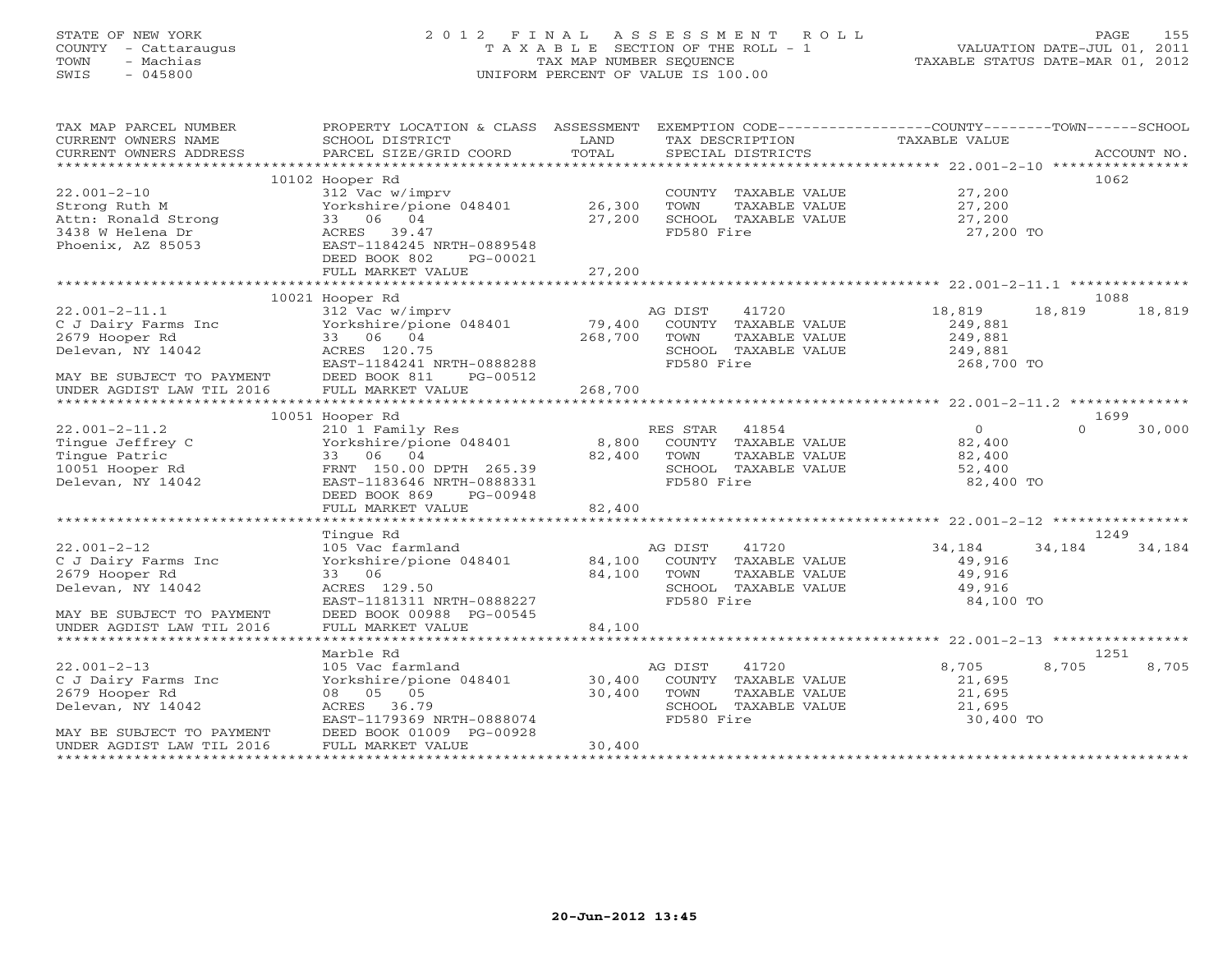# STATE OF NEW YORK 2 0 1 2 F I N A L A S S E S S M E N T R O L L PAGE 155COUNTY - Cattaraugus T A X A B L E SECTION OF THE ROLL - 1<br>
TOWN - Machias TAX MAP NUMBER SEQUENCE<br>
SWIS - 045800 SWIS - 045800 UNIFORM PERCENT OF VALUE IS 100.00

TAXABLE STATUS DATE-MAR 01, 2012

| TAX MAP PARCEL NUMBER                                  | PROPERTY LOCATION & CLASS ASSESSMENT EXEMPTION CODE---------------COUNTY-------TOWN------SCHOOL |               |                   |                      |                |        |             |
|--------------------------------------------------------|-------------------------------------------------------------------------------------------------|---------------|-------------------|----------------------|----------------|--------|-------------|
| CURRENT OWNERS NAME                                    | SCHOOL DISTRICT                                                                                 | LAND<br>TOTAL | TAX DESCRIPTION   |                      | TAXABLE VALUE  |        | ACCOUNT NO. |
| CURRENT OWNERS ADDRESS                                 | PARCEL SIZE/GRID COORD                                                                          |               | SPECIAL DISTRICTS |                      |                |        |             |
|                                                        | 10102 Hooper Rd                                                                                 |               |                   |                      |                |        | 1062        |
| $22.001 - 2 - 10$                                      | 312 Vac w/imprv                                                                                 |               |                   | COUNTY TAXABLE VALUE | 27,200         |        |             |
| Strong Ruth M                                          | Yorkshire/pione 048401 26,300                                                                   |               | TOWN              | TAXABLE VALUE        | 27,200         |        |             |
| Attn: Ronald Strong                                    | 33 06 04                                                                                        | 27,200        |                   | SCHOOL TAXABLE VALUE | 27,200         |        |             |
| 3438 W Helena Dr                                       | ACRES 39.47                                                                                     |               | FD580 Fire        |                      | 27,200 TO      |        |             |
| Phoenix, AZ 85053                                      | EAST-1184245 NRTH-0889548                                                                       |               |                   |                      |                |        |             |
|                                                        | DEED BOOK 802<br>PG-00021                                                                       |               |                   |                      |                |        |             |
|                                                        | FULL MARKET VALUE                                                                               | 27,200        |                   |                      |                |        |             |
|                                                        |                                                                                                 |               |                   |                      |                |        | 1088        |
| $22.001 - 2 - 11.1$                                    | 10021 Hooper Rd<br>312 Vac w/imprv                                                              |               | AG DIST           | 41720                | 18,819         | 18,819 | 18,819      |
| C J Dairy Farms Inc                                    | Yorkshire/pione 048401                                                                          | 79,400        |                   | COUNTY TAXABLE VALUE | 249,881        |        |             |
| 2679 Hooper Rd                                         | 33 06 04                                                                                        | 268,700       | TOWN              | TAXABLE VALUE        | 249,881        |        |             |
| Delevan, NY 14042                                      | ACRES 120.75                                                                                    |               |                   | SCHOOL TAXABLE VALUE | 249,881        |        |             |
|                                                        | EAST-1184241 NRTH-0888288                                                                       |               | FD580 Fire        |                      | 268,700 TO     |        |             |
|                                                        | DEED BOOK 811<br>PG-00512                                                                       |               |                   |                      |                |        |             |
| MAY BE SUBJECT TO PAYMENT<br>UNDER AGDIST LAW TIL 2016 | FULL MARKET VALUE                                                                               | 268,700       |                   |                      |                |        |             |
|                                                        |                                                                                                 |               |                   |                      |                |        |             |
|                                                        | 10051 Hooper Rd                                                                                 |               |                   |                      |                |        | 1699        |
| $22.001 - 2 - 11.2$                                    | 210 1 Family Res                                                                                |               | RES STAR          | 41854                | $\overline{0}$ | $\cap$ | 30,000      |
| Tingue Jeffrey C                                       | Yorkshire/pione 048401                                                                          | 8,800         |                   | COUNTY TAXABLE VALUE | 82,400         |        |             |
| Tingue Patric                                          | 33 06 04                                                                                        | 82,400        | TOWN              | TAXABLE VALUE        | 82,400         |        |             |
| 10051 Hooper Rd                                        | FRNT 150.00 DPTH 265.39                                                                         |               | FD580 Fire        | SCHOOL TAXABLE VALUE | 52,400         |        |             |
| Delevan, NY 14042                                      | EAST-1183646 NRTH-0888331<br>DEED BOOK 869<br>PG-00948                                          |               |                   |                      | 82,400 TO      |        |             |
|                                                        | FULL MARKET VALUE                                                                               | 82,400        |                   |                      |                |        |             |
|                                                        |                                                                                                 |               |                   |                      |                |        |             |
|                                                        | Tingue Rd                                                                                       |               |                   |                      |                |        | 1249        |
| $22.001 - 2 - 12$                                      | 105 Vac farmland                                                                                |               | AG DIST           | 41720                | 34,184         | 34,184 | 34,184      |
| C J Dairy Farms Inc                                    | Yorkshire/pione 048401                                                                          | 84,100        |                   | COUNTY TAXABLE VALUE | 49,916         |        |             |
| 2679 Hooper Rd                                         | 33 06                                                                                           | 84,100        | TOWN              | TAXABLE VALUE        | 49,916         |        |             |
| Delevan, NY 14042                                      | ACRES 129.50                                                                                    |               |                   | SCHOOL TAXABLE VALUE | 49,916         |        |             |
|                                                        | EAST-1181311 NRTH-0888227                                                                       |               | FD580 Fire        |                      | 84,100 TO      |        |             |
| MAY BE SUBJECT TO PAYMENT                              | DEED BOOK 00988 PG-00545                                                                        |               |                   |                      |                |        |             |
| UNDER AGDIST LAW TIL 2016                              | FULL MARKET VALUE                                                                               | 84,100        |                   |                      |                |        |             |
|                                                        |                                                                                                 |               |                   |                      |                |        | 1251        |
| $22.001 - 2 - 13$                                      | Marble Rd<br>105 Vac farmland                                                                   |               | AG DIST           | 41720                | 8,705          | 8,705  | 8,705       |
| C J Dairy Farms Inc                                    | Yorkshire/pione 048401                                                                          | 30,400        |                   | COUNTY TAXABLE VALUE | 21,695         |        |             |
| 2679 Hooper Rd                                         | 08 05 05                                                                                        | 30,400        | TOWN              | TAXABLE VALUE        | 21,695         |        |             |
| Delevan, NY 14042                                      | ACRES 36.79                                                                                     |               |                   | SCHOOL TAXABLE VALUE | 21,695         |        |             |
|                                                        | EAST-1179369 NRTH-0888074                                                                       |               | FD580 Fire        |                      | 30,400 TO      |        |             |
| MAY BE SUBJECT TO PAYMENT                              | DEED BOOK 01009 PG-00928                                                                        |               |                   |                      |                |        |             |
| UNDER AGDIST LAW TIL 2016                              | FULL MARKET VALUE                                                                               | 30,400        |                   |                      |                |        |             |
|                                                        |                                                                                                 |               |                   |                      |                |        |             |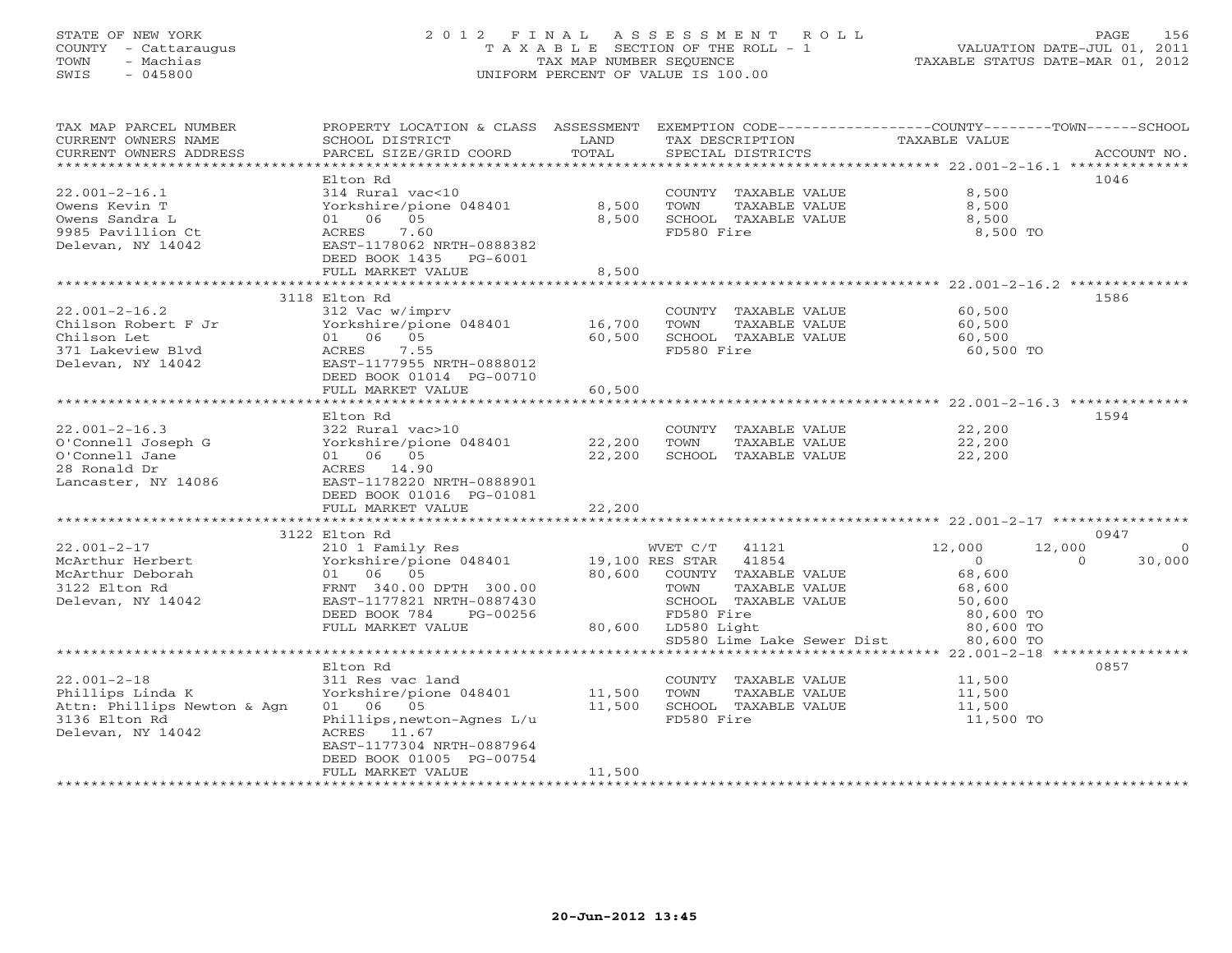## STATE OF NEW YORK 2 0 1 2 F I N A L A S S E S S M E N T R O L L PAGE 156 COUNTY - Cattaraugus T A X A B L E SECTION OF THE ROLL - 1 VALUATION DATE-JUL 01, 2011 TOWN - Machias TAX MAP NUMBER SEQUENCE TAXABLE STATUS DATE-MAR 01, 2012 SWIS - 045800 UNIFORM PERCENT OF VALUE IS 100.00

TAX MAP PARCEL NUMBER PROPERTY LOCATION & CLASS ASSESSMENT EXEMPTION CODE------------------COUNTY--------TOWN------SCHOOL

| CURRENT OWNERS NAME         | SCHOOL DISTRICT            | LAND   | TAX DESCRIPTION            | TAXABLE VALUE                    |                    |
|-----------------------------|----------------------------|--------|----------------------------|----------------------------------|--------------------|
| CURRENT OWNERS ADDRESS      | PARCEL SIZE/GRID COORD     | TOTAL  | SPECIAL DISTRICTS          |                                  | ACCOUNT NO.        |
|                             | Elton Rd                   |        |                            | ********* 22.001-2-16.1 ******** | 1046               |
| $22.001 - 2 - 16.1$         | 314 Rural vac<10           |        | TAXABLE VALUE<br>COUNTY    | 8,500                            |                    |
|                             |                            |        |                            |                                  |                    |
| Owens Kevin T               | Yorkshire/pione 048401     | 8,500  | TAXABLE VALUE<br>TOWN      | 8,500                            |                    |
| Owens Sandra L              | 06<br>05<br>01             | 8,500  | SCHOOL TAXABLE VALUE       | 8,500                            |                    |
| 9985 Pavillion Ct           | 7.60<br>ACRES              |        | FD580 Fire                 | 8,500 TO                         |                    |
| Delevan, NY 14042           | EAST-1178062 NRTH-0888382  |        |                            |                                  |                    |
|                             | DEED BOOK 1435<br>PG-6001  |        |                            |                                  |                    |
|                             | FULL MARKET VALUE          | 8,500  |                            |                                  |                    |
|                             |                            |        |                            | *********** 22.001-2-16.2 **     |                    |
|                             | 3118 Elton Rd              |        |                            |                                  | 1586               |
| $22.001 - 2 - 16.2$         | 312 Vac w/imprv            |        | COUNTY TAXABLE VALUE       | 60,500                           |                    |
| Chilson Robert F Jr         | Yorkshire/pione 048401     | 16,700 | TOWN<br>TAXABLE VALUE      | 60,500                           |                    |
| Chilson Let                 | 05<br>01 06                | 60,500 | SCHOOL TAXABLE VALUE       | 60,500                           |                    |
| 371 Lakeview Blvd           | 7.55<br>ACRES              |        | FD580 Fire                 | 60,500 TO                        |                    |
| Delevan, NY 14042           | EAST-1177955 NRTH-0888012  |        |                            |                                  |                    |
|                             | DEED BOOK 01014 PG-00710   |        |                            |                                  |                    |
|                             | FULL MARKET VALUE          | 60,500 |                            |                                  |                    |
|                             |                            |        |                            | ********** 22.001-2-16.3 **      |                    |
|                             | Elton Rd                   |        |                            |                                  | 1594               |
| $22.001 - 2 - 16.3$         | 322 Rural vac>10           |        | COUNTY TAXABLE VALUE       | 22,200                           |                    |
| O'Connell Joseph G          | Yorkshire/pione 048401     | 22,200 | TOWN<br>TAXABLE VALUE      | 22,200                           |                    |
| O'Connell Jane              | 06 05<br>01                | 22,200 | SCHOOL TAXABLE VALUE       | 22,200                           |                    |
| 28 Ronald Dr                | ACRES 14.90                |        |                            |                                  |                    |
| Lancaster, NY 14086         | EAST-1178220 NRTH-0888901  |        |                            |                                  |                    |
|                             | DEED BOOK 01016 PG-01081   |        |                            |                                  |                    |
|                             | FULL MARKET VALUE          | 22,200 |                            |                                  |                    |
|                             |                            |        |                            |                                  |                    |
|                             | 3122 Elton Rd              |        |                            |                                  | 0947               |
| $22.001 - 2 - 17$           | 210 1 Family Res           |        | WVET C/T<br>41121          | 12,000<br>12,000                 |                    |
| McArthur Herbert            | Yorkshire/pione 048401     |        | 19,100 RES STAR<br>41854   | $\circ$                          | 30,000<br>$\Omega$ |
| McArthur Deborah            | 06 05<br>01                | 80,600 | COUNTY TAXABLE VALUE       | 68,600                           |                    |
| 3122 Elton Rd               | FRNT 340.00 DPTH 300.00    |        | TOWN<br>TAXABLE VALUE      | 68,600                           |                    |
| Delevan, NY 14042           | EAST-1177821 NRTH-0887430  |        | SCHOOL TAXABLE VALUE       | 50,600                           |                    |
|                             | DEED BOOK 784<br>PG-00256  |        | FD580 Fire                 | 80,600 TO                        |                    |
|                             | FULL MARKET VALUE          | 80,600 | LD580 Light                | 80,600 TO                        |                    |
|                             |                            |        | SD580 Lime Lake Sewer Dist | 80,600 TO                        |                    |
|                             |                            |        |                            | $22.001 - 2 - 18$ *              |                    |
|                             | Elton Rd                   |        |                            |                                  | 0857               |
| $22.001 - 2 - 18$           | 311 Res vac land           |        | COUNTY TAXABLE VALUE       | 11,500                           |                    |
| Phillips Linda K            | Yorkshire/pione 048401     | 11,500 | TOWN<br>TAXABLE VALUE      | 11,500                           |                    |
| Attn: Phillips Newton & Agn | 06 05<br>01                | 11,500 | SCHOOL TAXABLE VALUE       | 11,500                           |                    |
|                             |                            |        | FD580 Fire                 |                                  |                    |
| 3136 Elton Rd               | Phillips, newton-Agnes L/u |        |                            | 11,500 TO                        |                    |
| Delevan, NY 14042           | ACRES<br>11.67             |        |                            |                                  |                    |
|                             | EAST-1177304 NRTH-0887964  |        |                            |                                  |                    |
|                             | DEED BOOK 01005 PG-00754   |        |                            |                                  |                    |
|                             | FULL MARKET VALUE          | 11,500 |                            |                                  |                    |
|                             |                            |        |                            |                                  |                    |
|                             |                            |        |                            |                                  |                    |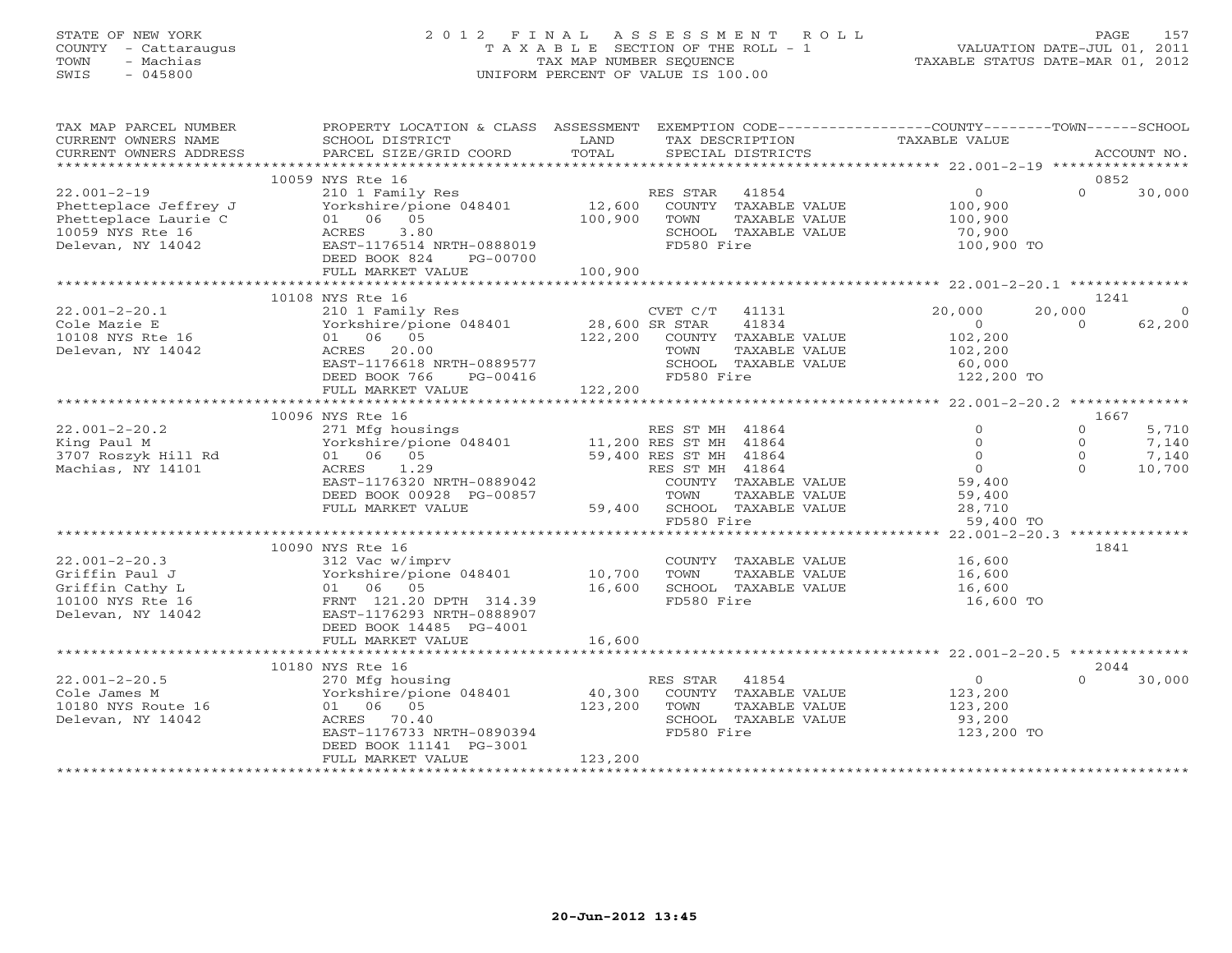## STATE OF NEW YORK 2 0 1 2 F I N A L A S S E S S M E N T R O L L PAGE 157 COUNTY - Cattaraugus T A X A B L E SECTION OF THE ROLL - 1 VALUATION DATE-JUL 01, 2011 TOWN - Machias TAX MAP NUMBER SEQUENCE TAXABLE STATUS DATE-MAR 01, 2012 SWIS - 045800 UNIFORM PERCENT OF VALUE IS 100.00UNIFORM PERCENT OF VALUE IS 100.00

| TAX MAP PARCEL NUMBER<br>CURRENT OWNERS NAME                                                                                     | PROPERTY LOCATION & CLASS ASSESSMENT EXEMPTION CODE---------------COUNTY-------TOWN------SCHOOL<br>SCHOOL DISTRICT                                                                                  | LAND                         | TAX DESCRIPTION                                                                                                        | TAXABLE VALUE                                                                               |                                              |                                   |
|----------------------------------------------------------------------------------------------------------------------------------|-----------------------------------------------------------------------------------------------------------------------------------------------------------------------------------------------------|------------------------------|------------------------------------------------------------------------------------------------------------------------|---------------------------------------------------------------------------------------------|----------------------------------------------|-----------------------------------|
| CURRENT OWNERS ADDRESS                                                                                                           | PARCEL SIZE/GRID COORD                                                                                                                                                                              | TOTAL                        | SPECIAL DISTRICTS                                                                                                      |                                                                                             |                                              | ACCOUNT NO.                       |
|                                                                                                                                  | 10059 NYS Rte 16                                                                                                                                                                                    |                              |                                                                                                                        |                                                                                             | 0852                                         |                                   |
| $22.001 - 2 - 19$<br>Phetteplace Jeffrey J<br>Phetteplace Laurie C<br>10059 NYS Rte 16<br>Delevan, NY 14042<br>Delevan, NY 14042 | 210 1 Family Res<br>Yorkshire/pione 048401<br>01 06 05<br>3.80<br>ACRES<br>EAST-1176514 NRTH-0888019<br>DEED BOOK 824<br>PG-00700                                                                   | 100,900                      | RES STAR 41854<br>12,600 COUNTY TAXABLE VALUE<br>TAXABLE VALUE<br>TOWN<br>SCHOOL TAXABLE VALUE<br>FD580 Fire           | $\overline{0}$<br>100,900<br>100,900<br>70,900<br>100,900 TO                                | $\Omega$                                     | 30,000                            |
|                                                                                                                                  | FULL MARKET VALUE                                                                                                                                                                                   | 100,900                      |                                                                                                                        |                                                                                             |                                              |                                   |
|                                                                                                                                  |                                                                                                                                                                                                     |                              |                                                                                                                        |                                                                                             |                                              |                                   |
| $22.001 - 2 - 20.1$<br>Cole Mazie E<br>10108 NYS Rte 16<br>Delevan, NY 14042                                                     | 10108 NYS Rte 16<br>210 1 Family Res<br>Yorkshire/pione 048401 28,600 SR STAR<br>01 06 05<br>ACRES 20.00<br>EAST-1176618 NRTH-0889577<br>DEED BOOK 766<br>PG-00416                                  |                              | CVET C/T 41131<br>41834<br>122,200 COUNTY TAXABLE VALUE<br>TOWN<br>TAXABLE VALUE<br>SCHOOL TAXABLE VALUE<br>FD580 Fire | 20,000<br>$\Omega$<br>102,200<br>102,200<br>60,000<br>122,200 TO                            | 1241<br>20,000<br>$\Omega$                   | $\overline{0}$<br>62,200          |
|                                                                                                                                  | FULL MARKET VALUE                                                                                                                                                                                   | 122,200                      |                                                                                                                        |                                                                                             |                                              |                                   |
|                                                                                                                                  | 10096 NYS Rte 16                                                                                                                                                                                    |                              |                                                                                                                        |                                                                                             | 1667                                         |                                   |
| $22.001 - 2 - 20.2$<br>King Paul M<br>3707 Roszyk Hill Rd<br>Machias, NY 14101                                                   | 271 Mfg housings<br>Yorkshire/pione 048401 11,200 RES ST MH 41864<br>01 06 05 59,400 RES ST MH 41864<br>1.29<br>ACRES<br>EAST-1176320 NRTH-0889042<br>DEED BOOK 00928 PG-00857<br>FULL MARKET VALUE |                              | RES ST MH 41864<br>RES ST MH 41864<br>COUNTY TAXABLE VALUE<br>TAXABLE VALUE<br>TOWN<br>59,400 SCHOOL TAXABLE VALUE     | $\circ$<br>$\overline{0}$<br>$\overline{0}$<br>$\overline{0}$<br>59,400<br>59,400<br>28,710 | $\Omega$<br>$\Omega$<br>$\Omega$<br>$\Omega$ | 5,710<br>7,140<br>7,140<br>10,700 |
|                                                                                                                                  |                                                                                                                                                                                                     |                              | FD580 Fire                                                                                                             | 59,400 TO                                                                                   |                                              |                                   |
| $22.001 - 2 - 20.3$<br>Griffin Paul J<br>Griffin Cathy L<br>10100 NYS Rte 16<br>Delevan, NY 14042                                | 10090 NYS Rte 16<br>312 Vac w/imprv<br>Yorkshire/pione 048401<br>01 06 05<br>FRNT 121.20 DPTH 314.39<br>EAST-1176293 NRTH-0888907<br>DEED BOOK 14485 PG-4001<br>FULL MARKET VALUE                   | 10,700<br>16,600<br>16,600   | COUNTY TAXABLE VALUE 16,600<br>TOWN<br>TAXABLE VALUE<br>SCHOOL TAXABLE VALUE<br>FD580 Fire                             | 16,600<br>16,600<br>16,600 TO                                                               | 1841                                         |                                   |
|                                                                                                                                  |                                                                                                                                                                                                     |                              |                                                                                                                        |                                                                                             |                                              |                                   |
|                                                                                                                                  | 10180 NYS Rte 16                                                                                                                                                                                    |                              |                                                                                                                        |                                                                                             | 2044                                         |                                   |
| $22.001 - 2 - 20.5$<br>Cole James M<br>10180 NYS Route 16<br>Delevan, NY 14042                                                   | 270 Mfg housing<br>Yorkshire/pione 048401<br>01 06 05<br>ACRES 70.40<br>EAST-1176733 NRTH-0890394<br>DEED BOOK 11141 PG-3001<br>FULL MARKET VALUE                                                   | 40,300<br>123,200<br>123,200 | RES STAR<br>41854<br>COUNTY TAXABLE VALUE<br>TOWN<br>TAXABLE VALUE<br>SCHOOL TAXABLE VALUE<br>FD580 Fire               | $\Omega$<br>123,200<br>123,200<br>93,200<br>123,200 TO                                      | $\Omega$                                     | 30,000                            |
|                                                                                                                                  |                                                                                                                                                                                                     |                              |                                                                                                                        |                                                                                             |                                              |                                   |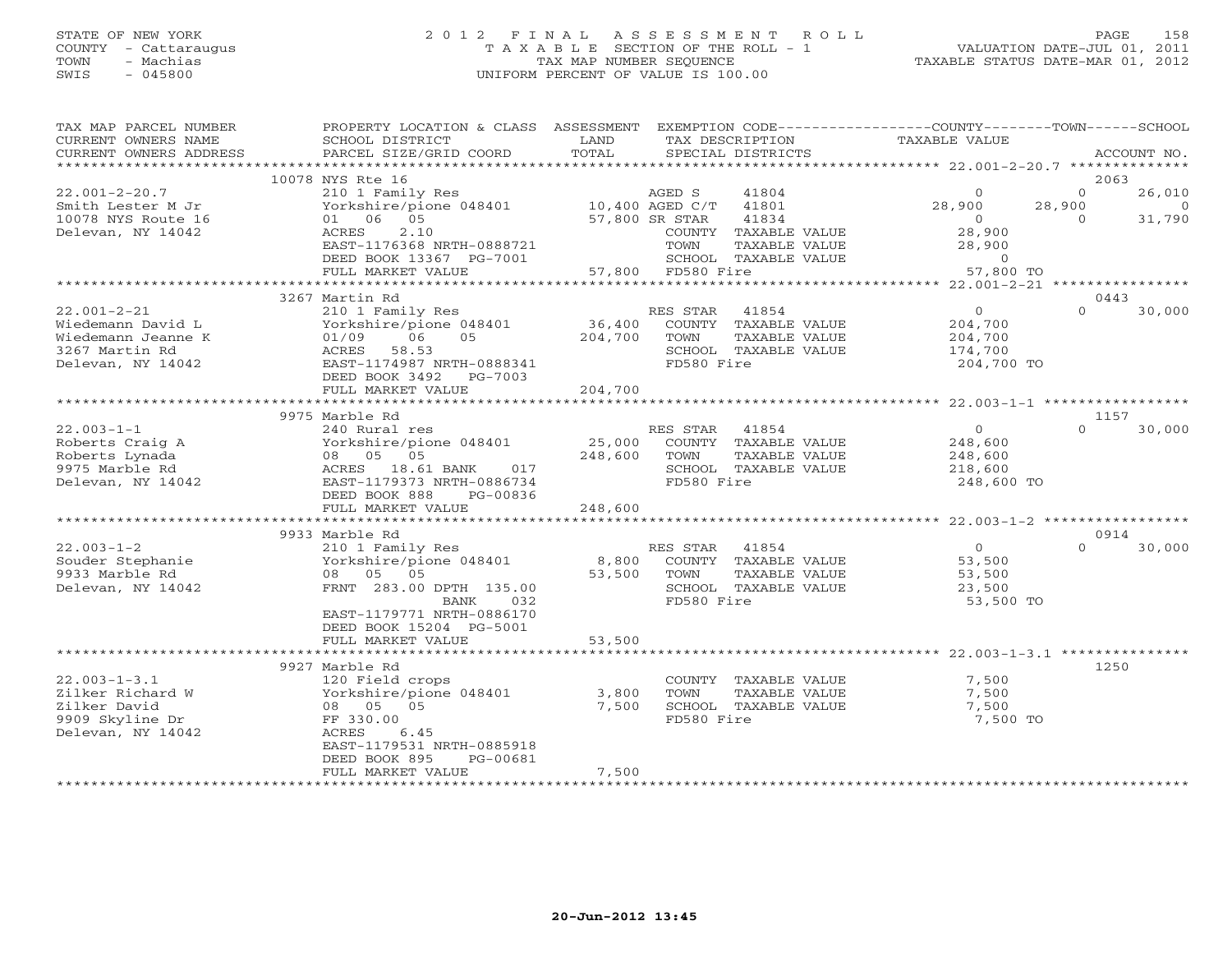## STATE OF NEW YORK 2 0 1 2 F I N A L A S S E S S M E N T R O L L PAGE 158 COUNTY - Cattaraugus T A X A B L E SECTION OF THE ROLL - 1 VALUATION DATE-JUL 01, 2011 TOWN - Machias TAX MAP NUMBER SEQUENCE TAXABLE STATUS DATE-MAR 01, 2012 SWIS - 045800 UNIFORM PERCENT OF VALUE IS 100.00UNIFORM PERCENT OF VALUE IS 100.00

| TAX MAP PARCEL NUMBER<br>CURRENT OWNERS NAME<br>CURRENT OWNERS ADDRESS | PROPERTY LOCATION & CLASS ASSESSMENT<br>SCHOOL DISTRICT<br>PARCEL SIZE/GRID COORD     | LAND<br>TOTAL         |                   | TAX DESCRIPTION<br>SPECIAL DISTRICTS | EXEMPTION CODE-----------------COUNTY-------TOWN------SCHOOL<br>TAXABLE VALUE |          | ACCOUNT NO.    |
|------------------------------------------------------------------------|---------------------------------------------------------------------------------------|-----------------------|-------------------|--------------------------------------|-------------------------------------------------------------------------------|----------|----------------|
|                                                                        |                                                                                       |                       |                   |                                      |                                                                               |          |                |
| $22.001 - 2 - 20.7$                                                    | 10078 NYS Rte 16<br>210 1 Family Res                                                  |                       | AGED S            | 41804                                | $\circ$                                                                       | $\Omega$ | 2063<br>26,010 |
| Smith Lester M Jr                                                      |                                                                                       |                       |                   | 41801                                | 28,900                                                                        | 28,900   | $\overline{0}$ |
| 10078 NYS Route 16                                                     | 210 1 Family Res<br>Yorkshire/pione 048401 10,400 AGED C/T<br>01 06 05 57,800 SR STAR |                       |                   | 41834                                | $\overline{0}$                                                                | $\Omega$ | 31,790         |
| Delevan, NY 14042                                                      | ACRES<br>2.10                                                                         |                       |                   | COUNTY TAXABLE VALUE                 | 28,900                                                                        |          |                |
|                                                                        | EAST-1176368 NRTH-0888721                                                             |                       | TOWN              | TAXABLE VALUE                        | 28,900                                                                        |          |                |
|                                                                        | DEED BOOK 13367 PG-7001                                                               |                       |                   | SCHOOL TAXABLE VALUE                 | $\circ$                                                                       |          |                |
|                                                                        | FULL MARKET VALUE                                                                     |                       | 57,800 FD580 Fire |                                      | 57,800 TO                                                                     |          |                |
|                                                                        | 3267 Martin Rd                                                                        |                       |                   |                                      |                                                                               |          | 0443           |
| $22.001 - 2 - 21$                                                      | 210 1 Family Res                                                                      |                       | RES STAR 41854    |                                      | $\circ$                                                                       | $\Omega$ | 30,000         |
| Wiedemann David L                                                      | Yorkshire/pione 048401                                                                | $36,400$ <sup>1</sup> |                   | COUNTY TAXABLE VALUE                 | 204,700                                                                       |          |                |
| Wiedemann Jeanne K                                                     | 01/09<br>06<br>05                                                                     | 204,700               | TOWN              | TAXABLE VALUE                        | 204,700                                                                       |          |                |
| 3267 Martin Rd                                                         | ACRES<br>58.53                                                                        |                       |                   | SCHOOL TAXABLE VALUE                 | 174,700                                                                       |          |                |
| Delevan, NY 14042                                                      | EAST-1174987 NRTH-0888341                                                             |                       | FD580 Fire        |                                      | 204,700 TO                                                                    |          |                |
|                                                                        | DEED BOOK 3492 PG-7003<br>FULL MARKET VALUE                                           | 204,700               |                   |                                      |                                                                               |          |                |
|                                                                        |                                                                                       |                       |                   |                                      |                                                                               |          |                |
|                                                                        | 9975 Marble Rd                                                                        |                       |                   |                                      |                                                                               |          | 1157           |
| $22.003 - 1 - 1$                                                       | 240 Rural res                                                                         |                       | RES STAR 41854    |                                      | $\overline{0}$                                                                | $\Omega$ | 30,000         |
| Roberts Craig A                                                        | Yorkshire/pione 048401                                                                | 25,000                |                   | COUNTY TAXABLE VALUE                 | 248,600                                                                       |          |                |
| Roberts Lynada                                                         | 08 05 05                                                                              | 248,600 TOWN          |                   | TAXABLE VALUE                        | 248,600                                                                       |          |                |
| 9975 Marble Rd                                                         | ACRES 18.61 BANK<br>017                                                               |                       |                   | SCHOOL TAXABLE VALUE                 | 218,600                                                                       |          |                |
| Delevan, NY 14042                                                      | EAST-1179373 NRTH-0886734                                                             |                       | FD580 Fire        |                                      | 248,600 TO                                                                    |          |                |
|                                                                        | DEED BOOK 888<br>PG-00836<br>FULL MARKET VALUE                                        | 248,600               |                   |                                      |                                                                               |          |                |
|                                                                        |                                                                                       |                       |                   |                                      |                                                                               |          |                |
|                                                                        | 9933 Marble Rd                                                                        |                       |                   |                                      |                                                                               |          | 0914           |
| $22.003 - 1 - 2$                                                       | 210 1 Family Res<br>Yorkshire/pione 048401                                            | 8,800                 | RES STAR          | 41854                                | $\overline{0}$                                                                | $\Omega$ | 30,000         |
| Souder Stephanie                                                       |                                                                                       |                       |                   | COUNTY TAXABLE VALUE                 | 53,500                                                                        |          |                |
| 9933 Marble Rd                                                         | 08 05 05                                                                              | 53,500                | TOWN              | TAXABLE VALUE                        | 53,500                                                                        |          |                |
| Delevan, NY 14042                                                      | FRNT 283.00 DPTH 135.00                                                               |                       |                   | SCHOOL TAXABLE VALUE                 | 23,500                                                                        |          |                |
|                                                                        | BANK<br>032<br>EAST-1179771 NRTH-0886170                                              |                       | FD580 Fire        |                                      | 53,500 TO                                                                     |          |                |
|                                                                        | DEED BOOK 15204 PG-5001                                                               |                       |                   |                                      |                                                                               |          |                |
|                                                                        | FULL MARKET VALUE                                                                     | 53,500                |                   |                                      |                                                                               |          |                |
|                                                                        |                                                                                       |                       |                   |                                      |                                                                               |          |                |
|                                                                        | 9927 Marble Rd                                                                        |                       |                   |                                      |                                                                               |          | 1250           |
| $22.003 - 1 - 3.1$                                                     | 120 Field crops                                                                       |                       |                   | COUNTY TAXABLE VALUE                 | 7,500                                                                         |          |                |
| Zilker Richard W                                                       | Yorkshire/pione 048401                                                                | 3,800                 | TOWN              | TAXABLE VALUE                        | 7,500                                                                         |          |                |
| Zilker David<br>9909 Skyline Dr                                        | 08 05 05<br>FF 330.00                                                                 | 7,500                 | FD580 Fire        | SCHOOL TAXABLE VALUE                 | 7,500<br>7,500 TO                                                             |          |                |
| Delevan, NY 14042                                                      | ACRES<br>6.45                                                                         |                       |                   |                                      |                                                                               |          |                |
|                                                                        | EAST-1179531 NRTH-0885918                                                             |                       |                   |                                      |                                                                               |          |                |
|                                                                        | DEED BOOK 895<br>PG-00681                                                             |                       |                   |                                      |                                                                               |          |                |
|                                                                        | FULL MARKET VALUE                                                                     | 7,500                 |                   |                                      |                                                                               |          |                |
|                                                                        |                                                                                       |                       |                   |                                      |                                                                               |          |                |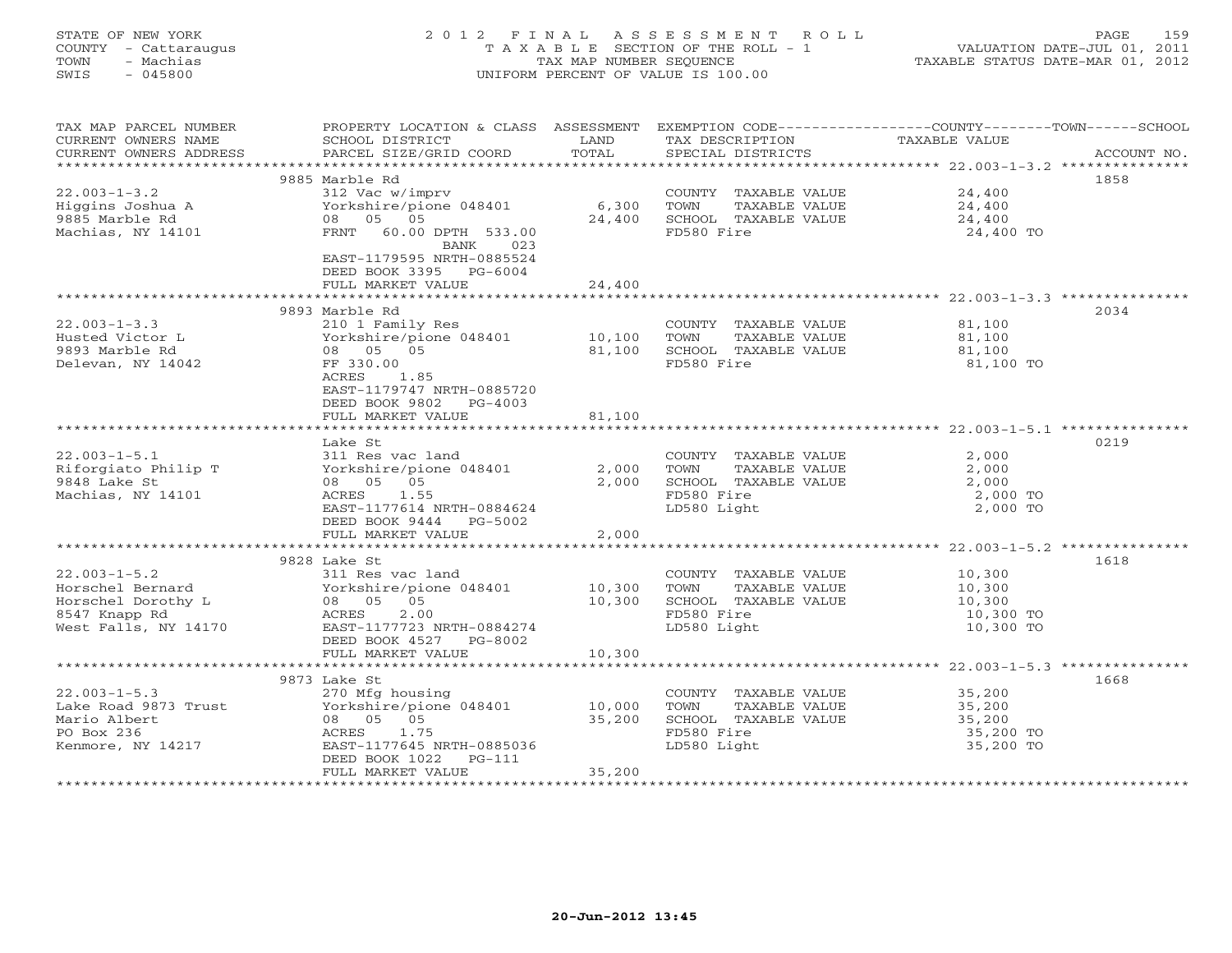## STATE OF NEW YORK 2 0 1 2 F I N A L A S S E S S M E N T R O L L PAGE 159 COUNTY - Cattaraugus T A X A B L E SECTION OF THE ROLL - 1 VALUATION DATE-JUL 01, 2011 TOWN - Machias TAX MAP NUMBER SEQUENCE TAXABLE STATUS DATE-MAR 01, 2012 SWIS - 045800 UNIFORM PERCENT OF VALUE IS 100.00UNIFORM PERCENT OF VALUE IS 100.00

| TAX MAP PARCEL NUMBER                          | PROPERTY LOCATION & CLASS ASSESSMENT                           |        | EXEMPTION CODE-----------------COUNTY-------TOWN------SCHOOL |                  |             |
|------------------------------------------------|----------------------------------------------------------------|--------|--------------------------------------------------------------|------------------|-------------|
| CURRENT OWNERS NAME                            | SCHOOL DISTRICT                                                | LAND   | TAX DESCRIPTION                                              | TAXABLE VALUE    |             |
| CURRENT OWNERS ADDRESS                         | PARCEL SIZE/GRID COORD                                         | TOTAL  | SPECIAL DISTRICTS                                            |                  | ACCOUNT NO. |
|                                                |                                                                |        |                                                              |                  |             |
|                                                | 9885 Marble Rd                                                 |        |                                                              |                  | 1858        |
|                                                | 312 Vac w/imprv                                                |        | COUNTY TAXABLE VALUE                                         | 24,400           |             |
| $22.003 - 1 - 3.2$<br>Higgins Joshua A         |                                                                |        |                                                              |                  |             |
|                                                | Yorkshire/pione 048401 6,300                                   |        | TOWN<br>TAXABLE VALUE                                        | 24,400           |             |
|                                                | 08 05 05                                                       | 24,400 | SCHOOL TAXABLE VALUE                                         | 24,400           |             |
| Machias, NY 14101                              | FRNT 60.00 DPTH 533.00                                         |        | FD580 Fire                                                   | 24,400 TO        |             |
|                                                | BANK 023                                                       |        |                                                              |                  |             |
|                                                | EAST-1179595 NRTH-0885524                                      |        |                                                              |                  |             |
|                                                | DEED BOOK 3395 PG-6004                                         |        |                                                              |                  |             |
|                                                | FULL MARKET VALUE                                              | 24,400 |                                                              |                  |             |
|                                                |                                                                |        |                                                              |                  |             |
|                                                | 9893 Marble Rd                                                 |        |                                                              |                  | 2034        |
| $22.003 - 1 - 3.3$                             | 210 1 Family Res                                               |        | COUNTY TAXABLE VALUE 81,100                                  |                  |             |
| Husted Victor L                                |                                                                |        | TOWN TAXABLE VALUE                                           | 81,100           |             |
|                                                | Yorkshire/pione 048401 10,100                                  |        |                                                              |                  |             |
| 9893 Marble Rd                                 | 08 05 05                                                       | 81,100 | SCHOOL TAXABLE VALUE                                         | 81,100           |             |
| Delevan, NY 14042                              | FF 330.00                                                      |        | FD580 Fire                                                   | 81,100 TO        |             |
|                                                | ACRES<br>1.85                                                  |        |                                                              |                  |             |
|                                                | EAST-1179747 NRTH-0885720                                      |        |                                                              |                  |             |
|                                                | DEED BOOK 9802 PG-4003                                         |        |                                                              |                  |             |
|                                                | FULL MARKET VALUE                                              | 81,100 |                                                              |                  |             |
|                                                |                                                                |        |                                                              |                  |             |
|                                                | Lake St                                                        |        |                                                              |                  | 0219        |
| $22.003 - 1 - 5.1$                             | 311 Res vac land                                               |        | COUNTY TAXABLE VALUE                                         | 2,000            |             |
| Riforgiato Philip T                            | Yorkshire/pione 048401                                         | 2,000  | TOWN<br>TAXABLE VALUE                                        | 2,000            |             |
|                                                |                                                                |        |                                                              |                  |             |
| 9848 Lake St                                   | 08 05 05                                                       | 2,000  | SCHOOL TAXABLE VALUE                                         | 2,000            |             |
| Machias, NY 14101                              | ACRES 1.55                                                     |        | FD580 Fire                                                   | 2,000 TO         |             |
|                                                | EAST-1177614 NRTH-0884624                                      |        | LD580 Light                                                  | 2,000 TO         |             |
|                                                | DEED BOOK 9444 PG-5002                                         |        |                                                              |                  |             |
|                                                | FULL MARKET VALUE                                              | 2,000  |                                                              |                  |             |
|                                                |                                                                |        |                                                              |                  |             |
|                                                | 9828 Lake St                                                   |        |                                                              |                  | 1618        |
| $22.003 - 1 - 5.2$                             | 311 Res vac land                                               |        | COUNTY TAXABLE VALUE 10,300                                  |                  |             |
| Horschel Bernard                               |                                                                |        | TOWN<br>TAXABLE VALUE                                        | 10,300           |             |
| Horschel Dorothy L                             |                                                                |        | SCHOOL TAXABLE VALUE                                         | 10, 300          |             |
| 8547 Knapp Rd                                  | Yorkshire/pione 048401 10,300<br>08 05 05 10,300<br>ACRES 2.00 |        | FD580 Fire                                                   | 10,300 TO        |             |
| West Falls, NY 14170 EAST-1177723 NRTH-0884274 |                                                                |        |                                                              |                  |             |
|                                                |                                                                |        | LD580 Light                                                  | 10,300 TO        |             |
|                                                | DEED BOOK 4527 PG-8002                                         |        |                                                              |                  |             |
|                                                | FULL MARKET VALUE                                              | 10,300 |                                                              |                  |             |
|                                                |                                                                |        |                                                              |                  |             |
|                                                | 9873 Lake St                                                   |        |                                                              |                  | 1668        |
| $22.003 - 1 - 5.3$                             | 270 Mfg housing                                                |        | COUNTY TAXABLE VALUE                                         | 35,200           |             |
| Lake Road 9873 Trust                           | Yorkshire/pione 048401                                         | 10,000 | TOWN<br>TAXABLE VALUE                                        |                  |             |
| Mario Albert                                   | 08 05 05                                                       | 35,200 | SCHOOL TAXABLE VALUE                                         | 35,200<br>35,200 |             |
| PO Box 236                                     | ACRES 1.75                                                     |        | FD580 Fire                                                   | 35,200 TO        |             |
| Kenmore, NY 14217                              | EAST-1177645 NRTH-0885036                                      |        | LD580 Light                                                  | 35,200 TO        |             |
|                                                |                                                                |        |                                                              |                  |             |
|                                                | DEED BOOK 1022<br>$PG-111$                                     |        |                                                              |                  |             |
|                                                | FULL MARKET VALUE                                              | 35,200 |                                                              |                  |             |
|                                                |                                                                |        |                                                              |                  |             |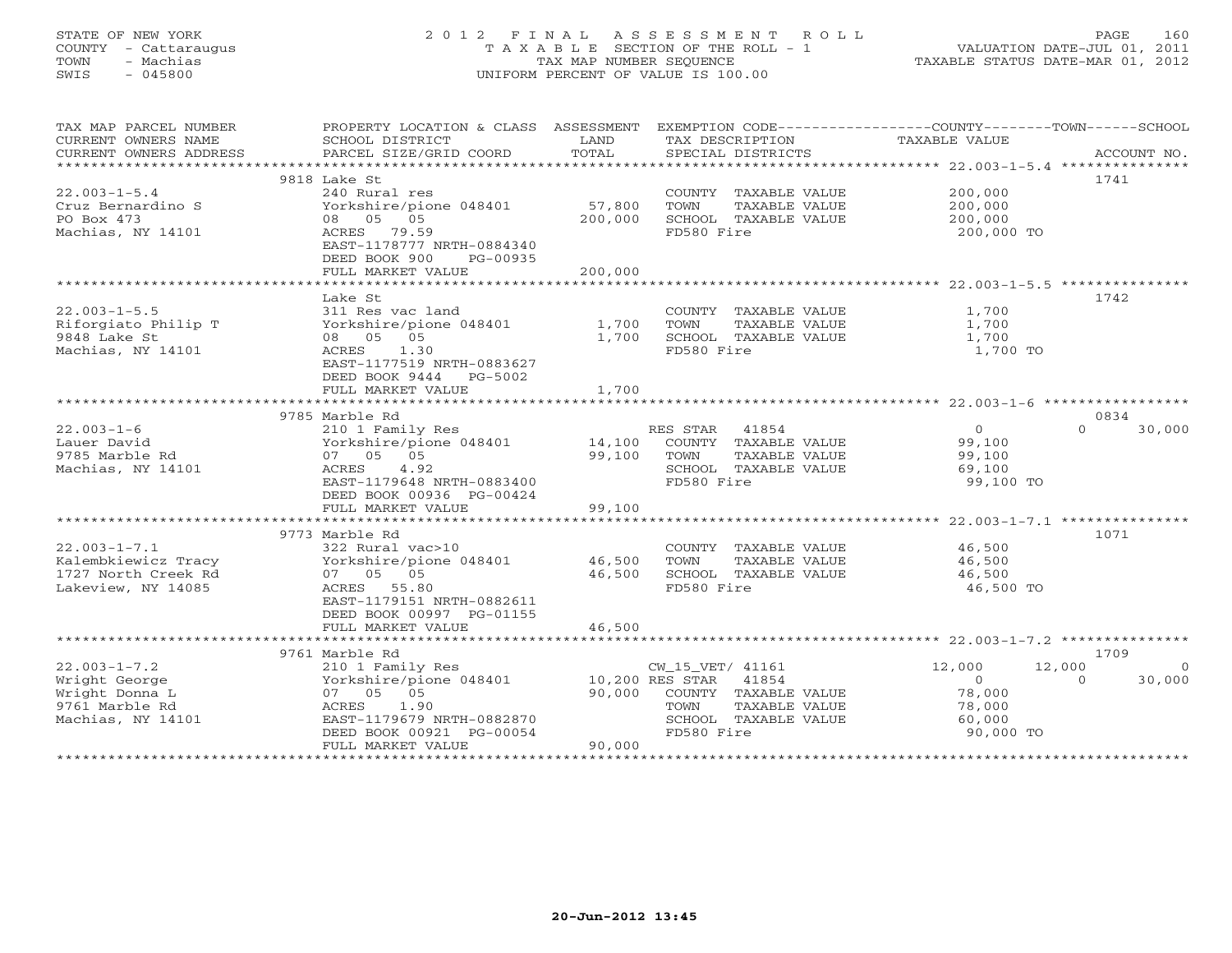## STATE OF NEW YORK 2 0 1 2 F I N A L A S S E S S M E N T R O L L PAGE 160 COUNTY - Cattaraugus T A X A B L E SECTION OF THE ROLL - 1 VALUATION DATE-JUL 01, 2011 TOWN - Machias TAX MAP NUMBER SEQUENCE TAXABLE STATUS DATE-MAR 01, 2012 SWIS - 045800 UNIFORM PERCENT OF VALUE IS 100.00UNIFORM PERCENT OF VALUE IS 100.00

| TAX MAP PARCEL NUMBER<br>CURRENT OWNERS NAME<br>CURRENT OWNERS ADDRESS | PROPERTY LOCATION & CLASS ASSESSMENT<br>SCHOOL DISTRICT<br>PARCEL SIZE/GRID COORD | LAND<br>TOTAL | EXEMPTION CODE-----------------COUNTY-------TOWN------SCHOOL<br>TAX DESCRIPTION<br>SPECIAL DISTRICTS | TAXABLE VALUE    | ACCOUNT NO.        |
|------------------------------------------------------------------------|-----------------------------------------------------------------------------------|---------------|------------------------------------------------------------------------------------------------------|------------------|--------------------|
|                                                                        |                                                                                   |               |                                                                                                      |                  |                    |
|                                                                        | 9818 Lake St                                                                      |               |                                                                                                      |                  | 1741               |
| $22.003 - 1 - 5.4$                                                     | 240 Rural res                                                                     |               | COUNTY TAXABLE VALUE                                                                                 | 200,000          |                    |
| Cruz Bernardino S                                                      | Yorkshire/pione 048401                                                            | 57,800        | TOWN<br>TAXABLE VALUE                                                                                | 200,000          |                    |
| PO Box 473                                                             | 08 05 05                                                                          | 200,000       | SCHOOL TAXABLE VALUE                                                                                 | 200,000          |                    |
| Machias, NY 14101                                                      | ACRES 79.59                                                                       |               | FD580 Fire                                                                                           | 200,000 TO       |                    |
|                                                                        | EAST-1178777 NRTH-0884340                                                         |               |                                                                                                      |                  |                    |
|                                                                        | DEED BOOK 900<br>PG-00935                                                         |               |                                                                                                      |                  |                    |
|                                                                        | FULL MARKET VALUE                                                                 | 200,000       |                                                                                                      |                  |                    |
|                                                                        |                                                                                   |               |                                                                                                      |                  |                    |
|                                                                        | Lake St                                                                           |               |                                                                                                      |                  | 1742               |
| $22.003 - 1 - 5.5$                                                     | 311 Res vac land                                                                  |               | COUNTY TAXABLE VALUE                                                                                 | 1,700            |                    |
| Riforgiato Philip T                                                    | Yorkshire/pione 048401                                                            | 1,700         | TOWN<br>TAXABLE VALUE                                                                                | 1,700            |                    |
| 9848 Lake St                                                           | 08 05 05                                                                          | 1,700         | SCHOOL TAXABLE VALUE                                                                                 | 1,700            |                    |
| Machias, NY 14101                                                      | ACRES<br>1.30                                                                     |               | FD580 Fire                                                                                           | 1,700 TO         |                    |
|                                                                        | EAST-1177519 NRTH-0883627                                                         |               |                                                                                                      |                  |                    |
|                                                                        | DEED BOOK 9444 PG-5002                                                            |               |                                                                                                      |                  |                    |
|                                                                        | FULL MARKET VALUE                                                                 | 1,700         |                                                                                                      |                  |                    |
|                                                                        |                                                                                   |               |                                                                                                      |                  |                    |
|                                                                        | 9785 Marble Rd                                                                    |               |                                                                                                      |                  | 0834               |
| $22.003 - 1 - 6$                                                       | 210 1 Family Res                                                                  |               | RES STAR 41854                                                                                       | $\overline{O}$   | 30,000<br>$\Omega$ |
| Lauer David                                                            | Yorkshire/pione 048401                                                            | 14,100        | COUNTY TAXABLE VALUE                                                                                 | 99,100           |                    |
| 9785 Marble Rd                                                         | 07 05 05                                                                          | 99,100        | TAXABLE VALUE<br>TOWN                                                                                | 99,100           |                    |
| Machias, NY 14101                                                      | ACRES<br>4.92                                                                     |               | SCHOOL TAXABLE VALUE                                                                                 | 69,100           |                    |
|                                                                        | EAST-1179648 NRTH-0883400                                                         |               | FD580 Fire                                                                                           | 99,100 TO        |                    |
|                                                                        | DEED BOOK 00936 PG-00424                                                          |               |                                                                                                      |                  |                    |
|                                                                        | FULL MARKET VALUE                                                                 | 99,100        |                                                                                                      |                  |                    |
|                                                                        |                                                                                   |               |                                                                                                      |                  |                    |
|                                                                        | 9773 Marble Rd                                                                    |               |                                                                                                      |                  | 1071               |
| $22.003 - 1 - 7.1$                                                     | 322 Rural vac>10                                                                  |               | COUNTY TAXABLE VALUE                                                                                 | 46,500           |                    |
| Kalembkiewicz Tracy                                                    | Yorkshire/pione 048401                                                            | 46,500        | TOWN<br>TAXABLE VALUE                                                                                | 46,500           |                    |
| 1727 North Creek Rd                                                    | 07 05 05                                                                          | 46,500        | SCHOOL TAXABLE VALUE                                                                                 | 46,500           |                    |
| Lakeview, NY 14085                                                     | ACRES 55.80                                                                       |               | FD580 Fire                                                                                           | 46,500 TO        |                    |
|                                                                        | EAST-1179151 NRTH-0882611                                                         |               |                                                                                                      |                  |                    |
|                                                                        | DEED BOOK 00997 PG-01155                                                          |               |                                                                                                      |                  |                    |
|                                                                        | FULL MARKET VALUE                                                                 | 46,500        |                                                                                                      |                  |                    |
|                                                                        |                                                                                   |               |                                                                                                      |                  |                    |
|                                                                        | 9761 Marble Rd                                                                    |               |                                                                                                      |                  | 1709               |
| $22.003 - 1 - 7.2$                                                     | 210 1 Family Res                                                                  |               | CW_15_VET/ 41161                                                                                     | 12,000<br>12,000 | $\circ$            |
| Wright George                                                          | Yorkshire/pione 048401                                                            |               | 10,200 RES STAR 41854                                                                                | $\overline{0}$   | 30,000<br>$\Omega$ |
| Wright Donna L                                                         | 07 05 05                                                                          | 90,000        | COUNTY TAXABLE VALUE                                                                                 | 78,000           |                    |
| 9761 Marble Rd                                                         | ACRES<br>1.90                                                                     |               | TOWN<br>TAXABLE VALUE                                                                                | 78,000           |                    |
| Machias, NY 14101                                                      | EAST-1179679 NRTH-0882870                                                         |               | SCHOOL TAXABLE VALUE                                                                                 | 60,000           |                    |
|                                                                        | DEED BOOK 00921 PG-00054                                                          |               | FD580 Fire                                                                                           | 90,000 TO        |                    |
|                                                                        | FULL MARKET VALUE                                                                 | 90,000        |                                                                                                      |                  |                    |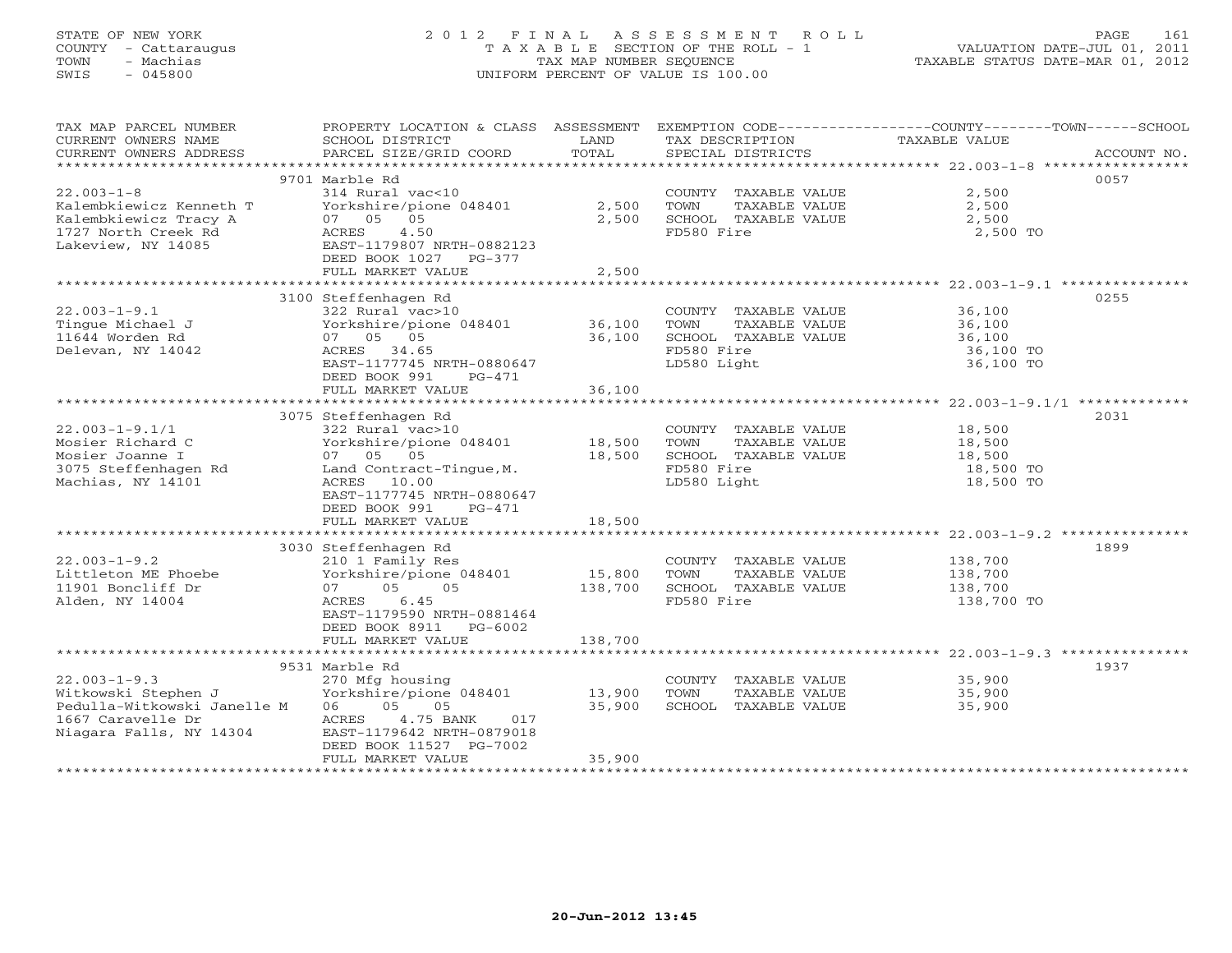## STATE OF NEW YORK 2 0 1 2 F I N A L A S S E S S M E N T R O L L PAGE 161 COUNTY - Cattaraugus T A X A B L E SECTION OF THE ROLL - 1 VALUATION DATE-JUL 01, 2011 TOWN - Machias TAX MAP NUMBER SEQUENCE TAXABLE STATUS DATE-MAR 01, 2012 SWIS - 045800 UNIFORM PERCENT OF VALUE IS 100.00UNIFORM PERCENT OF VALUE IS 100.00

| TAX MAP PARCEL NUMBER<br>CURRENT OWNERS NAME<br>CURRENT OWNERS ADDRESS | PROPERTY LOCATION & CLASS ASSESSMENT<br>SCHOOL DISTRICT<br>PARCEL SIZE/GRID COORD | LAND<br>TOTAL  | TAX DESCRIPTION<br>SPECIAL DISTRICTS                                  | EXEMPTION CODE-----------------COUNTY-------TOWN------SCHOOL<br><b>TAXABLE VALUE</b><br>ACCOUNT NO. |
|------------------------------------------------------------------------|-----------------------------------------------------------------------------------|----------------|-----------------------------------------------------------------------|-----------------------------------------------------------------------------------------------------|
|                                                                        |                                                                                   |                |                                                                       |                                                                                                     |
|                                                                        | 9701 Marble Rd                                                                    |                |                                                                       | 0057                                                                                                |
| $22.003 - 1 - 8$<br>Kalembkiewicz Kenneth T<br>Kalembkiewicz Tracy A   | 314 Rural vac<10<br>Yorkshire/pione 048401<br>05<br>07 05                         | 2,500<br>2,500 | COUNTY TAXABLE VALUE<br>TOWN<br>TAXABLE VALUE<br>SCHOOL TAXABLE VALUE | 2,500<br>2,500<br>2,500                                                                             |
| 1727 North Creek Rd<br>Lakeview, NY 14085                              | 4.50<br>ACRES<br>EAST-1179807 NRTH-0882123<br>DEED BOOK 1027 PG-377               |                | FD580 Fire                                                            | 2,500 TO                                                                                            |
|                                                                        | FULL MARKET VALUE                                                                 | 2,500          |                                                                       |                                                                                                     |
|                                                                        | 3100 Steffenhagen Rd                                                              |                |                                                                       | 0255                                                                                                |
| $22.003 - 1 - 9.1$                                                     | 322 Rural vac>10                                                                  |                | COUNTY TAXABLE VALUE                                                  | 36,100                                                                                              |
| Tinque Michael J                                                       | Yorkshire/pione 048401                                                            | 36,100         | TOWN<br>TAXABLE VALUE                                                 | 36,100                                                                                              |
| 11644 Worden Rd                                                        | 07 05 05                                                                          | 36,100         | SCHOOL TAXABLE VALUE                                                  | 36,100                                                                                              |
| Delevan, NY 14042                                                      | ACRES 34.65                                                                       |                | FD580 Fire                                                            | 36,100 TO                                                                                           |
|                                                                        | EAST-1177745 NRTH-0880647                                                         |                | LD580 Light                                                           | 36,100 TO                                                                                           |
|                                                                        | DEED BOOK 991<br>PG-471                                                           |                |                                                                       |                                                                                                     |
|                                                                        | FULL MARKET VALUE                                                                 | 36,100         |                                                                       |                                                                                                     |
|                                                                        |                                                                                   |                |                                                                       |                                                                                                     |
|                                                                        | 3075 Steffenhagen Rd                                                              |                |                                                                       | 2031                                                                                                |
| $22.003 - 1 - 9.1/1$                                                   | 322 Rural vac>10                                                                  |                | COUNTY TAXABLE VALUE                                                  | 18,500                                                                                              |
| Mosier Richard C                                                       | Yorkshire/pione 048401                                                            | 18,500         | TOWN<br>TAXABLE VALUE                                                 | 18,500                                                                                              |
| Mosier Joanne I                                                        | 07 05 05                                                                          | 18,500         | SCHOOL TAXABLE VALUE                                                  | 18,500                                                                                              |
| 3075 Steffenhagen Rd                                                   | Land Contract-Tinque, M.                                                          |                | FD580 Fire                                                            | 18,500 TO                                                                                           |
| Machias, NY 14101                                                      | ACRES 10.00                                                                       |                | LD580 Light                                                           | 18,500 TO                                                                                           |
|                                                                        | EAST-1177745 NRTH-0880647<br>DEED BOOK 991<br>$PG-471$                            |                |                                                                       |                                                                                                     |
|                                                                        | FULL MARKET VALUE                                                                 | 18,500         |                                                                       |                                                                                                     |
|                                                                        |                                                                                   |                |                                                                       |                                                                                                     |
|                                                                        | 3030 Steffenhagen Rd                                                              |                |                                                                       | 1899                                                                                                |
| $22.003 - 1 - 9.2$                                                     | 210 1 Family Res                                                                  |                | COUNTY TAXABLE VALUE                                                  | 138,700                                                                                             |
| Littleton ME Phoebe                                                    | Yorkshire/pione 048401                                                            | 15,800         | TOWN<br>TAXABLE VALUE                                                 | 138,700                                                                                             |
| 11901 Boncliff Dr                                                      | 05<br>0.5<br>07                                                                   | 138,700        | SCHOOL TAXABLE VALUE                                                  | 138,700                                                                                             |
| Alden, NY 14004                                                        | 6.45<br>ACRES                                                                     |                | FD580 Fire                                                            | 138,700 TO                                                                                          |
|                                                                        | EAST-1179590 NRTH-0881464                                                         |                |                                                                       |                                                                                                     |
|                                                                        | DEED BOOK 8911 PG-6002                                                            |                |                                                                       |                                                                                                     |
|                                                                        | FULL MARKET VALUE                                                                 | 138,700        |                                                                       |                                                                                                     |
|                                                                        |                                                                                   |                |                                                                       |                                                                                                     |
|                                                                        | 9531 Marble Rd                                                                    |                |                                                                       | 1937                                                                                                |
| $22.003 - 1 - 9.3$                                                     | 270 Mfg housing                                                                   |                | COUNTY TAXABLE VALUE                                                  | 35,900                                                                                              |
| Witkowski Stephen J                                                    | Yorkshire/pione 048401                                                            | 13,900         | TOWN<br>TAXABLE VALUE                                                 | 35,900                                                                                              |
| Pedulla-Witkowski Janelle M<br>1667 Caravelle Dr                       | 05<br>06<br>05<br>4.75 BANK<br>017                                                | 35,900         | SCHOOL TAXABLE VALUE                                                  | 35,900                                                                                              |
|                                                                        | ACRES<br>EAST-1179642 NRTH-0879018                                                |                |                                                                       |                                                                                                     |
| Niagara Falls, NY 14304                                                | DEED BOOK 11527 PG-7002                                                           |                |                                                                       |                                                                                                     |
|                                                                        | FULL MARKET VALUE                                                                 | 35,900         |                                                                       |                                                                                                     |
|                                                                        |                                                                                   |                |                                                                       |                                                                                                     |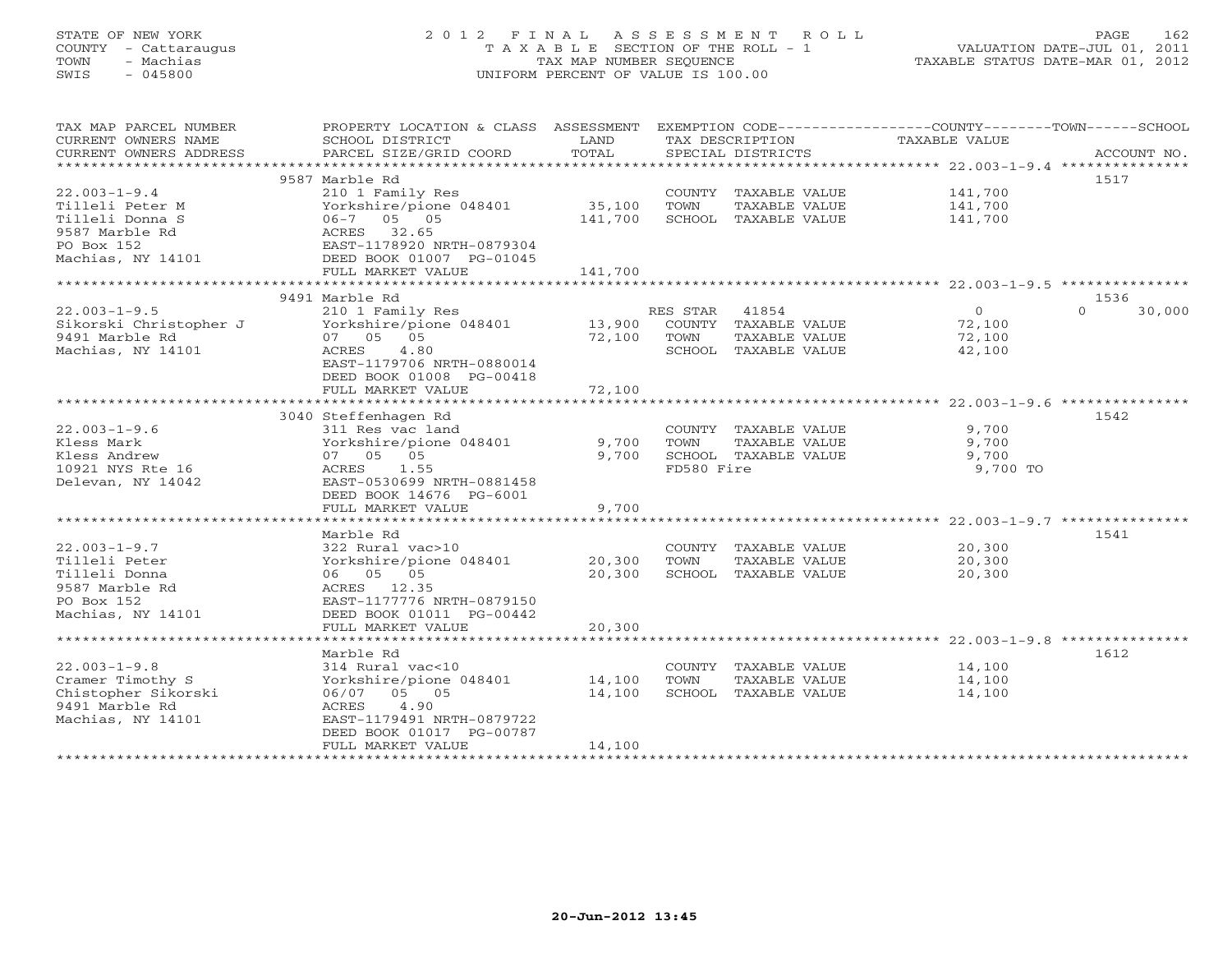## STATE OF NEW YORK 2 0 1 2 F I N A L A S S E S S M E N T R O L L PAGE 162 COUNTY - Cattaraugus T A X A B L E SECTION OF THE ROLL - 1 VALUATION DATE-JUL 01, 2011 TOWN - Machias TAX MAP NUMBER SEQUENCE TAXABLE STATUS DATE-MAR 01, 2012 SWIS - 045800 UNIFORM PERCENT OF VALUE IS 100.00UNIFORM PERCENT OF VALUE IS 100.00

| TAX MAP PARCEL NUMBER<br>CURRENT OWNERS NAME<br>CURRENT OWNERS ADDRESS | PROPERTY LOCATION & CLASS ASSESSMENT<br>SCHOOL DISTRICT<br>PARCEL SIZE/GRID COORD | LAND<br>TOTAL |            | TAX DESCRIPTION<br>SPECIAL DISTRICTS | EXEMPTION CODE-----------------COUNTY-------TOWN------SCHOOL<br>TAXABLE VALUE | ACCOUNT NO.        |
|------------------------------------------------------------------------|-----------------------------------------------------------------------------------|---------------|------------|--------------------------------------|-------------------------------------------------------------------------------|--------------------|
| ***********************                                                |                                                                                   |               |            |                                      |                                                                               |                    |
|                                                                        | 9587 Marble Rd                                                                    |               |            |                                      |                                                                               | 1517               |
| $22.003 - 1 - 9.4$                                                     | 210 1 Family Res                                                                  |               |            | COUNTY TAXABLE VALUE                 | 141,700                                                                       |                    |
| Tilleli Peter M                                                        | Yorkshire/pione 048401                                                            | 35,100        | TOWN       | TAXABLE VALUE                        | 141,700                                                                       |                    |
| Tilleli Donna S                                                        | $06 - 7$ 05 05                                                                    | 141,700       |            | SCHOOL TAXABLE VALUE                 | 141,700                                                                       |                    |
| 9587 Marble Rd                                                         | ACRES 32.65                                                                       |               |            |                                      |                                                                               |                    |
| PO Box 152                                                             | EAST-1178920 NRTH-0879304                                                         |               |            |                                      |                                                                               |                    |
| Machias, NY 14101                                                      | DEED BOOK 01007 PG-01045                                                          |               |            |                                      |                                                                               |                    |
|                                                                        | FULL MARKET VALUE                                                                 | 141,700       |            |                                      |                                                                               |                    |
|                                                                        |                                                                                   |               |            |                                      |                                                                               |                    |
|                                                                        | 9491 Marble Rd                                                                    |               |            |                                      |                                                                               | 1536               |
| $22.003 - 1 - 9.5$                                                     | 210 1 Family Res                                                                  |               | RES STAR   | 41854                                | $\overline{O}$                                                                | $\Omega$<br>30,000 |
| Sikorski Christopher J                                                 | Yorkshire/pione 048401                                                            | 13,900        |            | COUNTY TAXABLE VALUE                 | 72,100                                                                        |                    |
| 9491 Marble Rd                                                         | 07 05 05                                                                          | 72,100        | TOWN       | TAXABLE VALUE                        | 72,100                                                                        |                    |
| Machias, NY 14101                                                      | 4.80<br>ACRES                                                                     |               |            | SCHOOL TAXABLE VALUE                 | 42,100                                                                        |                    |
|                                                                        | EAST-1179706 NRTH-0880014                                                         |               |            |                                      |                                                                               |                    |
|                                                                        | DEED BOOK 01008 PG-00418                                                          |               |            |                                      |                                                                               |                    |
|                                                                        | FULL MARKET VALUE                                                                 | 72,100        |            |                                      |                                                                               |                    |
|                                                                        | ************************                                                          | ************  |            |                                      |                                                                               |                    |
|                                                                        | 3040 Steffenhagen Rd                                                              |               |            |                                      |                                                                               | 1542               |
| $22.003 - 1 - 9.6$                                                     | 311 Res vac land                                                                  |               |            | COUNTY TAXABLE VALUE                 | 9,700                                                                         |                    |
| Kless Mark                                                             | Yorkshire/pione 048401                                                            | 9,700         | TOWN       | TAXABLE VALUE                        | 9,700                                                                         |                    |
| Kless Andrew                                                           | 07 05 05                                                                          | 9,700         |            | SCHOOL TAXABLE VALUE                 | 9,700                                                                         |                    |
| 10921 NYS Rte 16                                                       | 1.55<br>ACRES                                                                     |               | FD580 Fire |                                      | 9,700 TO                                                                      |                    |
| Delevan, NY 14042                                                      | EAST-0530699 NRTH-0881458                                                         |               |            |                                      |                                                                               |                    |
|                                                                        | DEED BOOK 14676 PG-6001                                                           |               |            |                                      |                                                                               |                    |
|                                                                        | FULL MARKET VALUE                                                                 | 9,700         |            |                                      |                                                                               |                    |
|                                                                        | **************************                                                        |               |            |                                      |                                                                               |                    |
|                                                                        | Marble Rd                                                                         |               |            |                                      |                                                                               | 1541               |
| $22.003 - 1 - 9.7$                                                     | 322 Rural vac>10                                                                  |               |            | COUNTY TAXABLE VALUE                 | 20,300                                                                        |                    |
| Tilleli Peter                                                          | Yorkshire/pione 048401                                                            | 20,300        | TOWN       | TAXABLE VALUE                        | 20,300                                                                        |                    |
| Tilleli Donna                                                          | 06 05 05                                                                          | 20,300        |            | SCHOOL TAXABLE VALUE                 | 20,300                                                                        |                    |
| 9587 Marble Rd                                                         | ACRES 12.35                                                                       |               |            |                                      |                                                                               |                    |
| PO Box 152                                                             | EAST-1177776 NRTH-0879150                                                         |               |            |                                      |                                                                               |                    |
| Machias, NY 14101                                                      | DEED BOOK 01011 PG-00442                                                          |               |            |                                      |                                                                               |                    |
|                                                                        | FULL MARKET VALUE                                                                 | 20,300        |            |                                      |                                                                               |                    |
|                                                                        | *************************                                                         |               |            |                                      |                                                                               |                    |
|                                                                        | Marble Rd                                                                         |               |            |                                      |                                                                               | 1612               |
| $22.003 - 1 - 9.8$                                                     | 314 Rural vac<10                                                                  |               |            | COUNTY TAXABLE VALUE                 | 14,100                                                                        |                    |
| Cramer Timothy S                                                       | Yorkshire/pione 048401                                                            | 14,100        | TOWN       | TAXABLE VALUE                        | 14,100                                                                        |                    |
| Chistopher Sikorski                                                    | 06/07 05 05                                                                       | 14,100        |            | SCHOOL TAXABLE VALUE                 | 14,100                                                                        |                    |
| 9491 Marble Rd                                                         | 4.90<br>ACRES                                                                     |               |            |                                      |                                                                               |                    |
| Machias, NY 14101                                                      | EAST-1179491 NRTH-0879722                                                         |               |            |                                      |                                                                               |                    |
|                                                                        | DEED BOOK 01017 PG-00787                                                          |               |            |                                      |                                                                               |                    |
|                                                                        | FULL MARKET VALUE                                                                 | 14,100        |            |                                      |                                                                               |                    |
|                                                                        |                                                                                   |               |            |                                      |                                                                               |                    |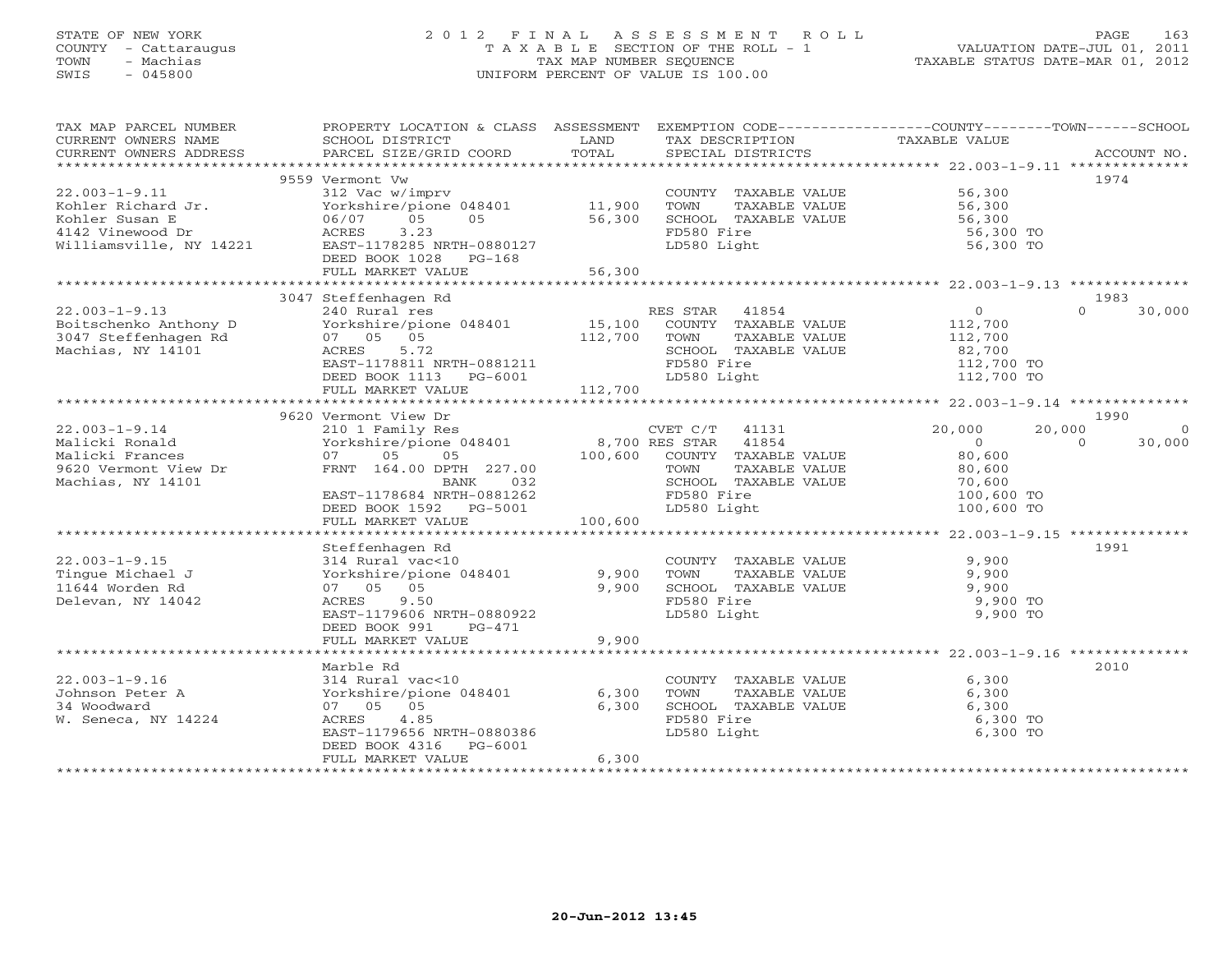## STATE OF NEW YORK 2 0 1 2 F I N A L A S S E S S M E N T R O L L PAGE 163 COUNTY - Cattaraugus T A X A B L E SECTION OF THE ROLL - 1 VALUATION DATE-JUL 01, 2011 TOWN - Machias TAX MAP NUMBER SEQUENCE TAXABLE STATUS DATE-MAR 01, 2012 SWIS - 045800 UNIFORM PERCENT OF VALUE IS 100.00UNIFORM PERCENT OF VALUE IS 100.00

| TAX MAP PARCEL NUMBER                         | PROPERTY LOCATION & CLASS ASSESSMENT EXEMPTION CODE---------------COUNTY-------TOWN------SCHOOL |               |                             |                  |                    |
|-----------------------------------------------|-------------------------------------------------------------------------------------------------|---------------|-----------------------------|------------------|--------------------|
| CURRENT OWNERS NAME<br>CURRENT OWNERS ADDRESS | SCHOOL DISTRICT                                                                                 | LAND<br>TOTAL | TAX DESCRIPTION             | TAXABLE VALUE    | ACCOUNT NO.        |
|                                               | PARCEL SIZE/GRID COORD                                                                          |               | SPECIAL DISTRICTS           |                  |                    |
|                                               | 9559 Vermont Vw                                                                                 |               |                             |                  | 1974               |
| $22.003 - 1 - 9.11$                           | 312 Vac w/imprv                                                                                 |               | COUNTY TAXABLE VALUE 56,300 |                  |                    |
| Kohler Richard Jr.                            |                                                                                                 |               | TOWN<br>TAXABLE VALUE       | 56,300           |                    |
| Kohler Susan E                                | Yorkshire/pione 048401 11,900<br>06/07 05 05 56,300                                             |               | SCHOOL TAXABLE VALUE        | 56,300<br>56,300 |                    |
| 4142 Vinewood Dr                              | ACRES<br>3.23                                                                                   |               | FD580 Fire                  | 56,300 TO        |                    |
| Williamsville, NY 14221                       | EAST-1178285 NRTH-0880127                                                                       |               | LD580 Light                 | 56,300 TO        |                    |
|                                               | DEED BOOK 1028 PG-168                                                                           |               |                             |                  |                    |
|                                               | FULL MARKET VALUE                                                                               | 56,300        |                             |                  |                    |
|                                               |                                                                                                 |               |                             |                  |                    |
|                                               | 3047 Steffenhagen Rd                                                                            |               |                             |                  | 1983               |
| $22.003 - 1 - 9.13$                           | 240 Rural res                                                                                   |               | RES STAR 41854              | $\overline{0}$   | $\Omega$<br>30,000 |
| Boitschenko Anthony D                         | Yorkshire/pione 048401                                                                          | 15,100        | COUNTY TAXABLE VALUE        | 112,700          |                    |
| 3047 Steffenhagen Rd                          | 07 05 05                                                                                        | 112,700       | TOWN<br>TAXABLE VALUE       | 112,700          |                    |
| Machias, NY 14101                             | 5.72<br>ACRES                                                                                   |               | SCHOOL TAXABLE VALUE        | 82,700           |                    |
|                                               | EAST-1178811 NRTH-0881211                                                                       |               | FD580 Fire                  | 112,700 TO       |                    |
|                                               | DEED BOOK 1113 PG-6001                                                                          |               | LD580 Light                 | 112,700 TO       |                    |
|                                               | FULL MARKET VALUE                                                                               | 112,700       |                             |                  |                    |
|                                               |                                                                                                 |               |                             |                  |                    |
|                                               | 9620 Vermont View Dr                                                                            |               |                             |                  | 1990               |
| $22.003 - 1 - 9.14$                           | 210 1 Family Res                                                                                |               | CVET C/T 41131              | 20,000<br>20,000 | $\Omega$           |
| Malicki Ronald                                | Yorkshire/pione 048401 8,700 RES STAR 41854<br>07 05 05 100,600 COUNTY TAXABLE                  |               |                             | $\overline{0}$   | $\Omega$<br>30,000 |
| Malicki Frances                               |                                                                                                 |               | COUNTY TAXABLE VALUE        | 80,600           |                    |
| 9620 Vermont View Dr                          | FRNT 164.00 DPTH 227.00                                                                         |               | TOWN<br>TAXABLE VALUE       | 80,600           |                    |
| Machias, NY 14101                             | BANK<br>032                                                                                     |               | SCHOOL TAXABLE VALUE        | 70,600           |                    |
|                                               | EAST-1178684 NRTH-0881262                                                                       |               | FD580 Fire                  | 100,600 TO       |                    |
|                                               | DEED BOOK 1592 PG-5001                                                                          |               | LD580 Light                 | 100,600 TO       |                    |
|                                               | FULL MARKET VALUE                                                                               | 100,600       |                             |                  |                    |
|                                               |                                                                                                 |               |                             |                  |                    |
|                                               | Steffenhagen Rd                                                                                 |               |                             |                  | 1991               |
| $22.003 - 1 - 9.15$                           | 314 Rural vac<10                                                                                |               | COUNTY TAXABLE VALUE        | 9,900            |                    |
| Tinque Michael J                              | Yorkshire/pione 048401                                                                          | 9,900         | TAXABLE VALUE<br>TOWN       | 9,900            |                    |
| 11644 Worden Rd                               | 07 05 05                                                                                        | 9,900         | SCHOOL TAXABLE VALUE        | 9,900            |                    |
| Delevan, NY 14042                             | 9.50<br>ACRES                                                                                   |               | FD580 Fire                  | 9,900 TO         |                    |
|                                               | EAST-1179606 NRTH-0880922                                                                       |               | LD580 Light                 | 9,900 TO         |                    |
|                                               | DEED BOOK 991<br>PG-471<br>FULL MARKET VALUE                                                    | 9,900         |                             |                  |                    |
|                                               |                                                                                                 |               |                             |                  |                    |
|                                               | Marble Rd                                                                                       |               |                             |                  | 2010               |
| $22.003 - 1 - 9.16$                           | 314 Rural vac<10                                                                                |               | COUNTY TAXABLE VALUE        | 6,300            |                    |
| Johnson Peter A                               | Yorkshire/pione 048401                                                                          | 6,300         | TAXABLE VALUE<br>TOWN       | 6,300            |                    |
| 34 Woodward                                   | 07 05 05                                                                                        | 6,300         | SCHOOL TAXABLE VALUE        | 6,300            |                    |
| W. Seneca, NY 14224                           | 4.85<br>ACRES                                                                                   |               | FD580 Fire                  | 6,300 TO         |                    |
|                                               | EAST-1179656 NRTH-0880386                                                                       |               | LD580 Light                 | 6,300 TO         |                    |
|                                               | DEED BOOK 4316<br>PG-6001                                                                       |               |                             |                  |                    |
|                                               | FULL MARKET VALUE                                                                               | 6,300         |                             |                  |                    |
|                                               |                                                                                                 |               |                             |                  |                    |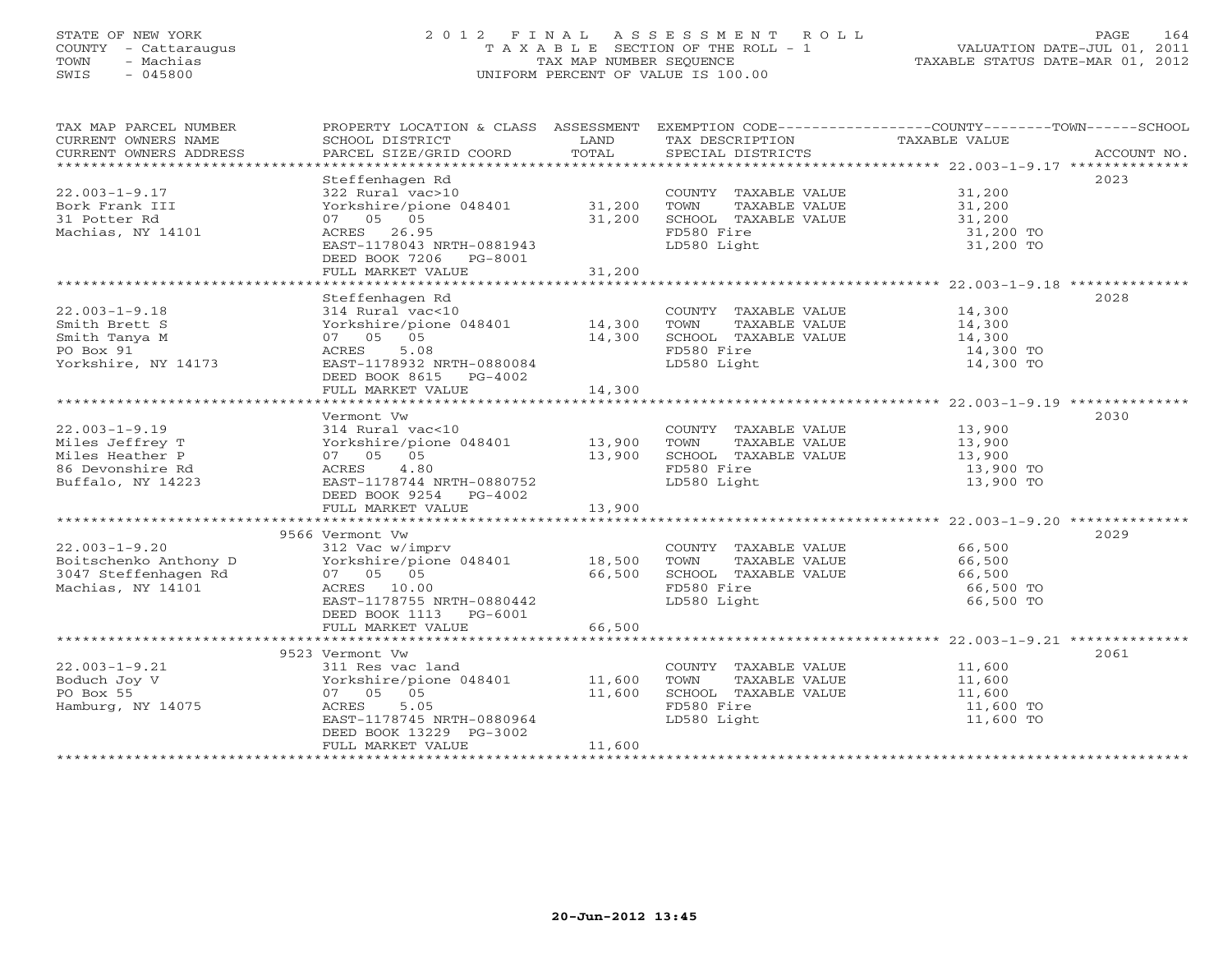## STATE OF NEW YORK 2 0 1 2 F I N A L A S S E S S M E N T R O L L PAGE 164 COUNTY - Cattaraugus T A X A B L E SECTION OF THE ROLL - 1 VALUATION DATE-JUL 01, 2011 TOWN - Machias TAX MAP NUMBER SEQUENCE TAXABLE STATUS DATE-MAR 01, 2012 SWIS - 045800 UNIFORM PERCENT OF VALUE IS 100.00UNIFORM PERCENT OF VALUE IS 100.00

| TAX MAP PARCEL NUMBER                         |                                                                     |               |                             | PROPERTY LOCATION & CLASS ASSESSMENT EXEMPTION CODE----------------COUNTY-------TOWN------SCHOOL |
|-----------------------------------------------|---------------------------------------------------------------------|---------------|-----------------------------|--------------------------------------------------------------------------------------------------|
| CURRENT OWNERS NAME<br>CURRENT OWNERS ADDRESS | SCHOOL DISTRICT                                                     | LAND<br>TOTAL | TAX DESCRIPTION             | TAXABLE VALUE                                                                                    |
|                                               |                                                                     |               |                             |                                                                                                  |
|                                               | Steffenhagen Rd                                                     |               |                             | 2023                                                                                             |
| $22.003 - 1 - 9.17$                           | 322 Rural vac>10                                                    |               | COUNTY TAXABLE VALUE 31,200 |                                                                                                  |
| Bork Frank III                                | Yorkshire/pione 048401 31,200                                       |               | TOWN<br>TAXABLE VALUE       |                                                                                                  |
| 31 Potter Rd                                  | 07 05 05                                                            | 31,200        | SCHOOL TAXABLE VALUE        | 31,200<br>31,200                                                                                 |
| Machias, NY 14101                             | ACRES 26.95                                                         |               | FD580 Fire                  | 31,200 TO                                                                                        |
|                                               | EAST-1178043 NRTH-0881943                                           |               | LD580 Light                 | 31,200 TO                                                                                        |
|                                               | DEED BOOK 7206 PG-8001                                              |               |                             |                                                                                                  |
|                                               | FULL MARKET VALUE                                                   | 31,200        |                             |                                                                                                  |
|                                               |                                                                     |               |                             |                                                                                                  |
|                                               | Steffenhagen Rd                                                     |               |                             | 2028                                                                                             |
| $22.003 - 1 - 9.18$                           | 314 Rural vac<10                                                    |               | COUNTY TAXABLE VALUE 14,300 |                                                                                                  |
| Smith Brett S                                 | Yorkshire/pione 048401 14,300                                       |               | TOWN<br>TAXABLE VALUE       | 14,300                                                                                           |
| Smith Tanya M                                 | 07 05 05                                                            | 14,300        | SCHOOL TAXABLE VALUE        | $\frac{11}{14}$ , 300                                                                            |
| PO Box 91                                     | 5.08<br>ACRES                                                       |               | FD580 Fire                  | 14,300 TO                                                                                        |
| Yorkshire, NY 14173                           | EAST-1178932 NRTH-0880084                                           |               | LD580 Light                 | 14,300 TO                                                                                        |
|                                               | DEED BOOK 8615 PG-4002                                              |               |                             |                                                                                                  |
|                                               | FULL MARKET VALUE                                                   | 14,300        |                             |                                                                                                  |
|                                               | Vermont Vw                                                          |               |                             | 2030                                                                                             |
| $22.003 - 1 - 9.19$                           | 314 Rural vac<10                                                    |               | COUNTY TAXABLE VALUE        |                                                                                                  |
| Miles Jeffrey T                               | Yorkshire/pione 048401 13,900                                       |               | TOWN<br>TAXABLE VALUE       | 13,900<br>13,900                                                                                 |
| Miles Heather P                               | 07 05 05                                                            | 13,900        | SCHOOL TAXABLE VALUE        | 13,900                                                                                           |
| 86 Devonshire Rd                              | ACRES 4.80                                                          |               | FD580 Fire                  | 13,900 TO                                                                                        |
| Buffalo, NY 14223                             | EAST-1178744 NRTH-0880752                                           |               | LD580 Light                 | 13,900 TO                                                                                        |
|                                               | DEED BOOK 9254 PG-4002                                              |               |                             |                                                                                                  |
|                                               | FULL MARKET VALUE                                                   | 13,900        |                             |                                                                                                  |
|                                               |                                                                     |               |                             |                                                                                                  |
|                                               | 9566 Vermont Vw                                                     |               |                             | 2029                                                                                             |
| $22.003 - 1 - 9.20$                           | 312 Vac w/imprv                                                     |               | COUNTY TAXABLE VALUE 66,500 |                                                                                                  |
| Boitschenko Anthony D                         |                                                                     |               | TOWN<br>TAXABLE VALUE       | 66,500                                                                                           |
| 3047 Steffenhagen Rd                          | 322 vorkshire/pione 048401 18,500<br>07 05 05 66,500<br>ACRES 10.00 |               | SCHOOL TAXABLE VALUE        | 66,500                                                                                           |
| Machias, NY 14101                             |                                                                     |               | FD580 Fire                  | 66,500 TO                                                                                        |
|                                               | EAST-1178755 NRTH-0880442                                           |               | LD580 Light                 | 66,500 TO                                                                                        |
|                                               | DEED BOOK 1113 PG-6001                                              |               |                             |                                                                                                  |
|                                               | FULL MARKET VALUE                                                   | 66,500        |                             |                                                                                                  |
|                                               |                                                                     |               |                             |                                                                                                  |
| $22.003 - 1 - 9.21$                           | 9523 Vermont Vw<br>311 Res vac land                                 |               | COUNTY TAXABLE VALUE 11,600 | 2061                                                                                             |
| Boduch Joy V                                  | Yorkshire/pione 048401 11,600                                       |               | TOWN<br>TAXABLE VALUE       | 11,600                                                                                           |
| PO Box 55                                     | 07 05 05                                                            | 11,600        | SCHOOL TAXABLE VALUE        | 11,600                                                                                           |
| Hamburg, NY 14075                             | ACRES<br>5.05                                                       |               | FD580 Fire                  | 11,600 TO                                                                                        |
|                                               | EAST-1178745 NRTH-0880964                                           |               | LD580 Light                 | 11,600 TO                                                                                        |
|                                               | DEED BOOK 13229 PG-3002                                             |               |                             |                                                                                                  |
|                                               | FULL MARKET VALUE                                                   | 11,600        |                             |                                                                                                  |
|                                               |                                                                     |               |                             |                                                                                                  |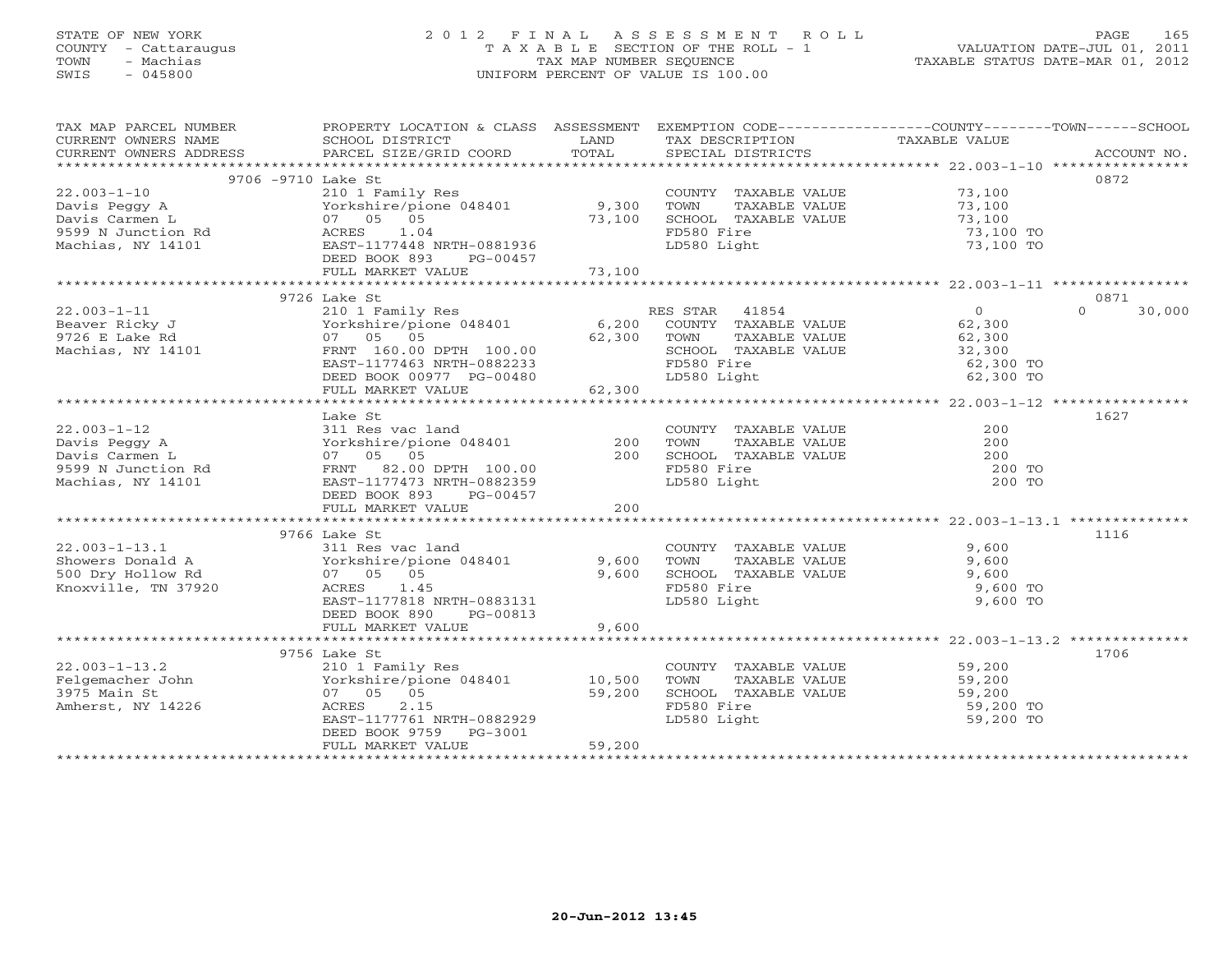## STATE OF NEW YORK 2 0 1 2 F I N A L A S S E S S M E N T R O L L PAGE 165 COUNTY - Cattaraugus T A X A B L E SECTION OF THE ROLL - 1 VALUATION DATE-JUL 01, 2011 TOWN - Machias TAX MAP NUMBER SEQUENCE TAXABLE STATUS DATE-MAR 01, 2012 SWIS - 045800 UNIFORM PERCENT OF VALUE IS 100.00UNIFORM PERCENT OF VALUE IS 100.00

| 9706 -9710 Lake St<br>0872<br>COUNTY TAXABLE VALUE 73,100<br>$22.003 - 1 - 10$<br>210 1 Family Res<br>2101 Pays Begy<br>Davis Pegy A<br>Davis Carmen L<br>9599 N Junction Rd<br>Machias, NY 14101 Pays BAST-1177448 NRTH-0881936<br>EAST-1177448 NRTH-0881936<br>DEED BOOK 893<br>PG-00457<br>PELL MACHIAS<br>Yorkshire/pione 048401 9,300<br>TAXABLE VALUE<br>TAXABLE VALUE 73,100<br>TAXABLE VALUE 73,100<br>TOWN<br>73,100<br>SCHOOL TAXABLE VALUE<br>FESSO Fire<br>73,100 TO<br>FD580 Fire<br>LD580 Light<br>73,100 TO<br>0871<br>9726 Lake St<br>Lake St<br>210 1 Family Res<br>Yorkshire/pione 048401 6,200 COUNTY TAXABLE VALUE<br>62,300 TOWN TAXABLE VALUE<br>$\overline{0}$<br>$22.003 - 1 - 11$<br>$\Omega$<br>30,000<br>Beaver Ricky J<br>62,300<br>62,300<br>9726 E Lake Rd<br>$07$ 05 05<br>FRNT 160.00 DPTH 100.00<br>Machias, NY 14101<br>EAST-1177463 NRTH-0882233<br>FD580 Fire<br>62,300 TO<br>$-00480$<br>62,300<br>DEED BOOK 00977 PG-00480<br>LD580 Light<br>FULL MARKET VALUE<br>1627<br>Lake St<br>200 COUNTY TAXABLE VALUE<br>311 Res vac land<br>100 Yorkshire/pione 048401 200 TOWN TAXABLE VALUE<br>200 SCHOOL TAXABLE VALUE<br>200 SCHOOL TAXABLE VALUE<br>200 200<br>$22.003 - 1 - 12$<br>Davis Peggy A<br>Davis Carmen L<br>9599 N Junction Rd<br>Machias, NY 14101<br>FRNT 82.00 DPTH 100.00<br>EAST-1177473 NRTH-0882359<br>FD580 Fire<br>200 TO<br>LD580 Light<br>200 TO<br>DEED BOOK 893<br>PG-00457<br>200<br>FULL MARKET VALUE<br>1116<br>9766 Lake St<br>22.003-1-13.1 311 Res vac land<br>Showers Donald A Yorkshire/pione 048401 9,600<br>500 Dry Hollow Rd 07 05 05 9,600<br>Knoxville, TN 37920 ACRES 1.45<br>COUNTY TAXABLE VALUE<br>TOWN TAXABLE VALUE 9,600<br>SCHOOL TAXABLE VALUE 9,600<br>9,600 TO<br>LD580 Light<br>9,600 TO<br>EAST-1177818 NRTH-0883131<br>DEED BOOK 890 PG-00813<br>9,600<br>FULL MARKET VALUE<br>9756 Lake St<br>1706<br>COUNTY TAXABLE VALUE 59,200<br>TOWN TAXABLE VALUE 59,200<br>SCHOOL TAXABLE VALUE 59,200<br>FD580 Fire 59,200 TO<br>LD580 Light 59,200 TO<br>59,200<br>Amherst, NY 14226<br>2.15<br>ACRES<br>EAST-1177761 NRTH-0882929 | TAX MAP PARCEL NUMBER<br>CURRENT OWNERS NAME<br>CURRENT OWNERS ADDRESS | PROPERTY LOCATION & CLASS ASSESSMENT EXEMPTION CODE---------------COUNTY-------TOWN------SCHOOL<br>SCHOOL DISTRICT | <b>EXAMPLE SERVICE SERVICE SERVICE SERVICE SERVICE SERVICE SERVICE SERVICE SERVICE SERVICE SERVICE SERVICE SERVICE</b> | TAX DESCRIPTION | TAXABLE VALUE |  |
|---------------------------------------------------------------------------------------------------------------------------------------------------------------------------------------------------------------------------------------------------------------------------------------------------------------------------------------------------------------------------------------------------------------------------------------------------------------------------------------------------------------------------------------------------------------------------------------------------------------------------------------------------------------------------------------------------------------------------------------------------------------------------------------------------------------------------------------------------------------------------------------------------------------------------------------------------------------------------------------------------------------------------------------------------------------------------------------------------------------------------------------------------------------------------------------------------------------------------------------------------------------------------------------------------------------------------------------------------------------------------------------------------------------------------------------------------------------------------------------------------------------------------------------------------------------------------------------------------------------------------------------------------------------------------------------------------------------------------------------------------------------------------------------------------------------------------------------------------------------------------------------------------------------------------------------------------------------------------------------------------------------------------------------------------------------------------------------------------------------------|------------------------------------------------------------------------|--------------------------------------------------------------------------------------------------------------------|------------------------------------------------------------------------------------------------------------------------|-----------------|---------------|--|
|                                                                                                                                                                                                                                                                                                                                                                                                                                                                                                                                                                                                                                                                                                                                                                                                                                                                                                                                                                                                                                                                                                                                                                                                                                                                                                                                                                                                                                                                                                                                                                                                                                                                                                                                                                                                                                                                                                                                                                                                                                                                                                                     |                                                                        |                                                                                                                    |                                                                                                                        |                 |               |  |
|                                                                                                                                                                                                                                                                                                                                                                                                                                                                                                                                                                                                                                                                                                                                                                                                                                                                                                                                                                                                                                                                                                                                                                                                                                                                                                                                                                                                                                                                                                                                                                                                                                                                                                                                                                                                                                                                                                                                                                                                                                                                                                                     |                                                                        |                                                                                                                    |                                                                                                                        |                 |               |  |
|                                                                                                                                                                                                                                                                                                                                                                                                                                                                                                                                                                                                                                                                                                                                                                                                                                                                                                                                                                                                                                                                                                                                                                                                                                                                                                                                                                                                                                                                                                                                                                                                                                                                                                                                                                                                                                                                                                                                                                                                                                                                                                                     |                                                                        |                                                                                                                    |                                                                                                                        |                 |               |  |
|                                                                                                                                                                                                                                                                                                                                                                                                                                                                                                                                                                                                                                                                                                                                                                                                                                                                                                                                                                                                                                                                                                                                                                                                                                                                                                                                                                                                                                                                                                                                                                                                                                                                                                                                                                                                                                                                                                                                                                                                                                                                                                                     |                                                                        |                                                                                                                    |                                                                                                                        |                 |               |  |
|                                                                                                                                                                                                                                                                                                                                                                                                                                                                                                                                                                                                                                                                                                                                                                                                                                                                                                                                                                                                                                                                                                                                                                                                                                                                                                                                                                                                                                                                                                                                                                                                                                                                                                                                                                                                                                                                                                                                                                                                                                                                                                                     |                                                                        |                                                                                                                    |                                                                                                                        |                 |               |  |
|                                                                                                                                                                                                                                                                                                                                                                                                                                                                                                                                                                                                                                                                                                                                                                                                                                                                                                                                                                                                                                                                                                                                                                                                                                                                                                                                                                                                                                                                                                                                                                                                                                                                                                                                                                                                                                                                                                                                                                                                                                                                                                                     |                                                                        |                                                                                                                    |                                                                                                                        |                 |               |  |
|                                                                                                                                                                                                                                                                                                                                                                                                                                                                                                                                                                                                                                                                                                                                                                                                                                                                                                                                                                                                                                                                                                                                                                                                                                                                                                                                                                                                                                                                                                                                                                                                                                                                                                                                                                                                                                                                                                                                                                                                                                                                                                                     |                                                                        |                                                                                                                    |                                                                                                                        |                 |               |  |
|                                                                                                                                                                                                                                                                                                                                                                                                                                                                                                                                                                                                                                                                                                                                                                                                                                                                                                                                                                                                                                                                                                                                                                                                                                                                                                                                                                                                                                                                                                                                                                                                                                                                                                                                                                                                                                                                                                                                                                                                                                                                                                                     |                                                                        |                                                                                                                    |                                                                                                                        |                 |               |  |
|                                                                                                                                                                                                                                                                                                                                                                                                                                                                                                                                                                                                                                                                                                                                                                                                                                                                                                                                                                                                                                                                                                                                                                                                                                                                                                                                                                                                                                                                                                                                                                                                                                                                                                                                                                                                                                                                                                                                                                                                                                                                                                                     |                                                                        |                                                                                                                    |                                                                                                                        |                 |               |  |
|                                                                                                                                                                                                                                                                                                                                                                                                                                                                                                                                                                                                                                                                                                                                                                                                                                                                                                                                                                                                                                                                                                                                                                                                                                                                                                                                                                                                                                                                                                                                                                                                                                                                                                                                                                                                                                                                                                                                                                                                                                                                                                                     |                                                                        |                                                                                                                    |                                                                                                                        |                 |               |  |
|                                                                                                                                                                                                                                                                                                                                                                                                                                                                                                                                                                                                                                                                                                                                                                                                                                                                                                                                                                                                                                                                                                                                                                                                                                                                                                                                                                                                                                                                                                                                                                                                                                                                                                                                                                                                                                                                                                                                                                                                                                                                                                                     |                                                                        |                                                                                                                    |                                                                                                                        |                 |               |  |
|                                                                                                                                                                                                                                                                                                                                                                                                                                                                                                                                                                                                                                                                                                                                                                                                                                                                                                                                                                                                                                                                                                                                                                                                                                                                                                                                                                                                                                                                                                                                                                                                                                                                                                                                                                                                                                                                                                                                                                                                                                                                                                                     |                                                                        |                                                                                                                    |                                                                                                                        |                 |               |  |
|                                                                                                                                                                                                                                                                                                                                                                                                                                                                                                                                                                                                                                                                                                                                                                                                                                                                                                                                                                                                                                                                                                                                                                                                                                                                                                                                                                                                                                                                                                                                                                                                                                                                                                                                                                                                                                                                                                                                                                                                                                                                                                                     |                                                                        |                                                                                                                    |                                                                                                                        |                 |               |  |
|                                                                                                                                                                                                                                                                                                                                                                                                                                                                                                                                                                                                                                                                                                                                                                                                                                                                                                                                                                                                                                                                                                                                                                                                                                                                                                                                                                                                                                                                                                                                                                                                                                                                                                                                                                                                                                                                                                                                                                                                                                                                                                                     |                                                                        |                                                                                                                    |                                                                                                                        |                 |               |  |
|                                                                                                                                                                                                                                                                                                                                                                                                                                                                                                                                                                                                                                                                                                                                                                                                                                                                                                                                                                                                                                                                                                                                                                                                                                                                                                                                                                                                                                                                                                                                                                                                                                                                                                                                                                                                                                                                                                                                                                                                                                                                                                                     |                                                                        |                                                                                                                    |                                                                                                                        |                 |               |  |
|                                                                                                                                                                                                                                                                                                                                                                                                                                                                                                                                                                                                                                                                                                                                                                                                                                                                                                                                                                                                                                                                                                                                                                                                                                                                                                                                                                                                                                                                                                                                                                                                                                                                                                                                                                                                                                                                                                                                                                                                                                                                                                                     |                                                                        |                                                                                                                    |                                                                                                                        |                 |               |  |
|                                                                                                                                                                                                                                                                                                                                                                                                                                                                                                                                                                                                                                                                                                                                                                                                                                                                                                                                                                                                                                                                                                                                                                                                                                                                                                                                                                                                                                                                                                                                                                                                                                                                                                                                                                                                                                                                                                                                                                                                                                                                                                                     |                                                                        |                                                                                                                    |                                                                                                                        |                 |               |  |
|                                                                                                                                                                                                                                                                                                                                                                                                                                                                                                                                                                                                                                                                                                                                                                                                                                                                                                                                                                                                                                                                                                                                                                                                                                                                                                                                                                                                                                                                                                                                                                                                                                                                                                                                                                                                                                                                                                                                                                                                                                                                                                                     |                                                                        |                                                                                                                    |                                                                                                                        |                 |               |  |
|                                                                                                                                                                                                                                                                                                                                                                                                                                                                                                                                                                                                                                                                                                                                                                                                                                                                                                                                                                                                                                                                                                                                                                                                                                                                                                                                                                                                                                                                                                                                                                                                                                                                                                                                                                                                                                                                                                                                                                                                                                                                                                                     |                                                                        |                                                                                                                    |                                                                                                                        |                 |               |  |
|                                                                                                                                                                                                                                                                                                                                                                                                                                                                                                                                                                                                                                                                                                                                                                                                                                                                                                                                                                                                                                                                                                                                                                                                                                                                                                                                                                                                                                                                                                                                                                                                                                                                                                                                                                                                                                                                                                                                                                                                                                                                                                                     |                                                                        |                                                                                                                    |                                                                                                                        |                 |               |  |
|                                                                                                                                                                                                                                                                                                                                                                                                                                                                                                                                                                                                                                                                                                                                                                                                                                                                                                                                                                                                                                                                                                                                                                                                                                                                                                                                                                                                                                                                                                                                                                                                                                                                                                                                                                                                                                                                                                                                                                                                                                                                                                                     |                                                                        |                                                                                                                    |                                                                                                                        |                 |               |  |
|                                                                                                                                                                                                                                                                                                                                                                                                                                                                                                                                                                                                                                                                                                                                                                                                                                                                                                                                                                                                                                                                                                                                                                                                                                                                                                                                                                                                                                                                                                                                                                                                                                                                                                                                                                                                                                                                                                                                                                                                                                                                                                                     |                                                                        |                                                                                                                    |                                                                                                                        |                 |               |  |
|                                                                                                                                                                                                                                                                                                                                                                                                                                                                                                                                                                                                                                                                                                                                                                                                                                                                                                                                                                                                                                                                                                                                                                                                                                                                                                                                                                                                                                                                                                                                                                                                                                                                                                                                                                                                                                                                                                                                                                                                                                                                                                                     |                                                                        |                                                                                                                    |                                                                                                                        |                 |               |  |
|                                                                                                                                                                                                                                                                                                                                                                                                                                                                                                                                                                                                                                                                                                                                                                                                                                                                                                                                                                                                                                                                                                                                                                                                                                                                                                                                                                                                                                                                                                                                                                                                                                                                                                                                                                                                                                                                                                                                                                                                                                                                                                                     |                                                                        |                                                                                                                    |                                                                                                                        |                 |               |  |
|                                                                                                                                                                                                                                                                                                                                                                                                                                                                                                                                                                                                                                                                                                                                                                                                                                                                                                                                                                                                                                                                                                                                                                                                                                                                                                                                                                                                                                                                                                                                                                                                                                                                                                                                                                                                                                                                                                                                                                                                                                                                                                                     |                                                                        |                                                                                                                    |                                                                                                                        |                 |               |  |
|                                                                                                                                                                                                                                                                                                                                                                                                                                                                                                                                                                                                                                                                                                                                                                                                                                                                                                                                                                                                                                                                                                                                                                                                                                                                                                                                                                                                                                                                                                                                                                                                                                                                                                                                                                                                                                                                                                                                                                                                                                                                                                                     |                                                                        |                                                                                                                    |                                                                                                                        |                 |               |  |
|                                                                                                                                                                                                                                                                                                                                                                                                                                                                                                                                                                                                                                                                                                                                                                                                                                                                                                                                                                                                                                                                                                                                                                                                                                                                                                                                                                                                                                                                                                                                                                                                                                                                                                                                                                                                                                                                                                                                                                                                                                                                                                                     |                                                                        |                                                                                                                    |                                                                                                                        |                 |               |  |
|                                                                                                                                                                                                                                                                                                                                                                                                                                                                                                                                                                                                                                                                                                                                                                                                                                                                                                                                                                                                                                                                                                                                                                                                                                                                                                                                                                                                                                                                                                                                                                                                                                                                                                                                                                                                                                                                                                                                                                                                                                                                                                                     |                                                                        |                                                                                                                    |                                                                                                                        |                 |               |  |
|                                                                                                                                                                                                                                                                                                                                                                                                                                                                                                                                                                                                                                                                                                                                                                                                                                                                                                                                                                                                                                                                                                                                                                                                                                                                                                                                                                                                                                                                                                                                                                                                                                                                                                                                                                                                                                                                                                                                                                                                                                                                                                                     |                                                                        |                                                                                                                    |                                                                                                                        |                 |               |  |
|                                                                                                                                                                                                                                                                                                                                                                                                                                                                                                                                                                                                                                                                                                                                                                                                                                                                                                                                                                                                                                                                                                                                                                                                                                                                                                                                                                                                                                                                                                                                                                                                                                                                                                                                                                                                                                                                                                                                                                                                                                                                                                                     |                                                                        |                                                                                                                    |                                                                                                                        |                 |               |  |
|                                                                                                                                                                                                                                                                                                                                                                                                                                                                                                                                                                                                                                                                                                                                                                                                                                                                                                                                                                                                                                                                                                                                                                                                                                                                                                                                                                                                                                                                                                                                                                                                                                                                                                                                                                                                                                                                                                                                                                                                                                                                                                                     |                                                                        |                                                                                                                    |                                                                                                                        |                 |               |  |
|                                                                                                                                                                                                                                                                                                                                                                                                                                                                                                                                                                                                                                                                                                                                                                                                                                                                                                                                                                                                                                                                                                                                                                                                                                                                                                                                                                                                                                                                                                                                                                                                                                                                                                                                                                                                                                                                                                                                                                                                                                                                                                                     |                                                                        |                                                                                                                    |                                                                                                                        |                 |               |  |
|                                                                                                                                                                                                                                                                                                                                                                                                                                                                                                                                                                                                                                                                                                                                                                                                                                                                                                                                                                                                                                                                                                                                                                                                                                                                                                                                                                                                                                                                                                                                                                                                                                                                                                                                                                                                                                                                                                                                                                                                                                                                                                                     |                                                                        |                                                                                                                    |                                                                                                                        |                 |               |  |
|                                                                                                                                                                                                                                                                                                                                                                                                                                                                                                                                                                                                                                                                                                                                                                                                                                                                                                                                                                                                                                                                                                                                                                                                                                                                                                                                                                                                                                                                                                                                                                                                                                                                                                                                                                                                                                                                                                                                                                                                                                                                                                                     |                                                                        |                                                                                                                    |                                                                                                                        |                 |               |  |
|                                                                                                                                                                                                                                                                                                                                                                                                                                                                                                                                                                                                                                                                                                                                                                                                                                                                                                                                                                                                                                                                                                                                                                                                                                                                                                                                                                                                                                                                                                                                                                                                                                                                                                                                                                                                                                                                                                                                                                                                                                                                                                                     |                                                                        |                                                                                                                    |                                                                                                                        |                 |               |  |
|                                                                                                                                                                                                                                                                                                                                                                                                                                                                                                                                                                                                                                                                                                                                                                                                                                                                                                                                                                                                                                                                                                                                                                                                                                                                                                                                                                                                                                                                                                                                                                                                                                                                                                                                                                                                                                                                                                                                                                                                                                                                                                                     |                                                                        |                                                                                                                    |                                                                                                                        |                 |               |  |
|                                                                                                                                                                                                                                                                                                                                                                                                                                                                                                                                                                                                                                                                                                                                                                                                                                                                                                                                                                                                                                                                                                                                                                                                                                                                                                                                                                                                                                                                                                                                                                                                                                                                                                                                                                                                                                                                                                                                                                                                                                                                                                                     |                                                                        |                                                                                                                    |                                                                                                                        |                 |               |  |
|                                                                                                                                                                                                                                                                                                                                                                                                                                                                                                                                                                                                                                                                                                                                                                                                                                                                                                                                                                                                                                                                                                                                                                                                                                                                                                                                                                                                                                                                                                                                                                                                                                                                                                                                                                                                                                                                                                                                                                                                                                                                                                                     |                                                                        |                                                                                                                    |                                                                                                                        |                 |               |  |
|                                                                                                                                                                                                                                                                                                                                                                                                                                                                                                                                                                                                                                                                                                                                                                                                                                                                                                                                                                                                                                                                                                                                                                                                                                                                                                                                                                                                                                                                                                                                                                                                                                                                                                                                                                                                                                                                                                                                                                                                                                                                                                                     |                                                                        |                                                                                                                    |                                                                                                                        |                 |               |  |
|                                                                                                                                                                                                                                                                                                                                                                                                                                                                                                                                                                                                                                                                                                                                                                                                                                                                                                                                                                                                                                                                                                                                                                                                                                                                                                                                                                                                                                                                                                                                                                                                                                                                                                                                                                                                                                                                                                                                                                                                                                                                                                                     |                                                                        |                                                                                                                    |                                                                                                                        |                 |               |  |
|                                                                                                                                                                                                                                                                                                                                                                                                                                                                                                                                                                                                                                                                                                                                                                                                                                                                                                                                                                                                                                                                                                                                                                                                                                                                                                                                                                                                                                                                                                                                                                                                                                                                                                                                                                                                                                                                                                                                                                                                                                                                                                                     |                                                                        |                                                                                                                    |                                                                                                                        |                 |               |  |
|                                                                                                                                                                                                                                                                                                                                                                                                                                                                                                                                                                                                                                                                                                                                                                                                                                                                                                                                                                                                                                                                                                                                                                                                                                                                                                                                                                                                                                                                                                                                                                                                                                                                                                                                                                                                                                                                                                                                                                                                                                                                                                                     |                                                                        |                                                                                                                    |                                                                                                                        |                 |               |  |
|                                                                                                                                                                                                                                                                                                                                                                                                                                                                                                                                                                                                                                                                                                                                                                                                                                                                                                                                                                                                                                                                                                                                                                                                                                                                                                                                                                                                                                                                                                                                                                                                                                                                                                                                                                                                                                                                                                                                                                                                                                                                                                                     |                                                                        |                                                                                                                    |                                                                                                                        |                 |               |  |
| DEED BOOK 9759 PG-3001                                                                                                                                                                                                                                                                                                                                                                                                                                                                                                                                                                                                                                                                                                                                                                                                                                                                                                                                                                                                                                                                                                                                                                                                                                                                                                                                                                                                                                                                                                                                                                                                                                                                                                                                                                                                                                                                                                                                                                                                                                                                                              |                                                                        |                                                                                                                    |                                                                                                                        |                 |               |  |
| 59,200<br>FULL MARKET VALUE                                                                                                                                                                                                                                                                                                                                                                                                                                                                                                                                                                                                                                                                                                                                                                                                                                                                                                                                                                                                                                                                                                                                                                                                                                                                                                                                                                                                                                                                                                                                                                                                                                                                                                                                                                                                                                                                                                                                                                                                                                                                                         |                                                                        |                                                                                                                    |                                                                                                                        |                 |               |  |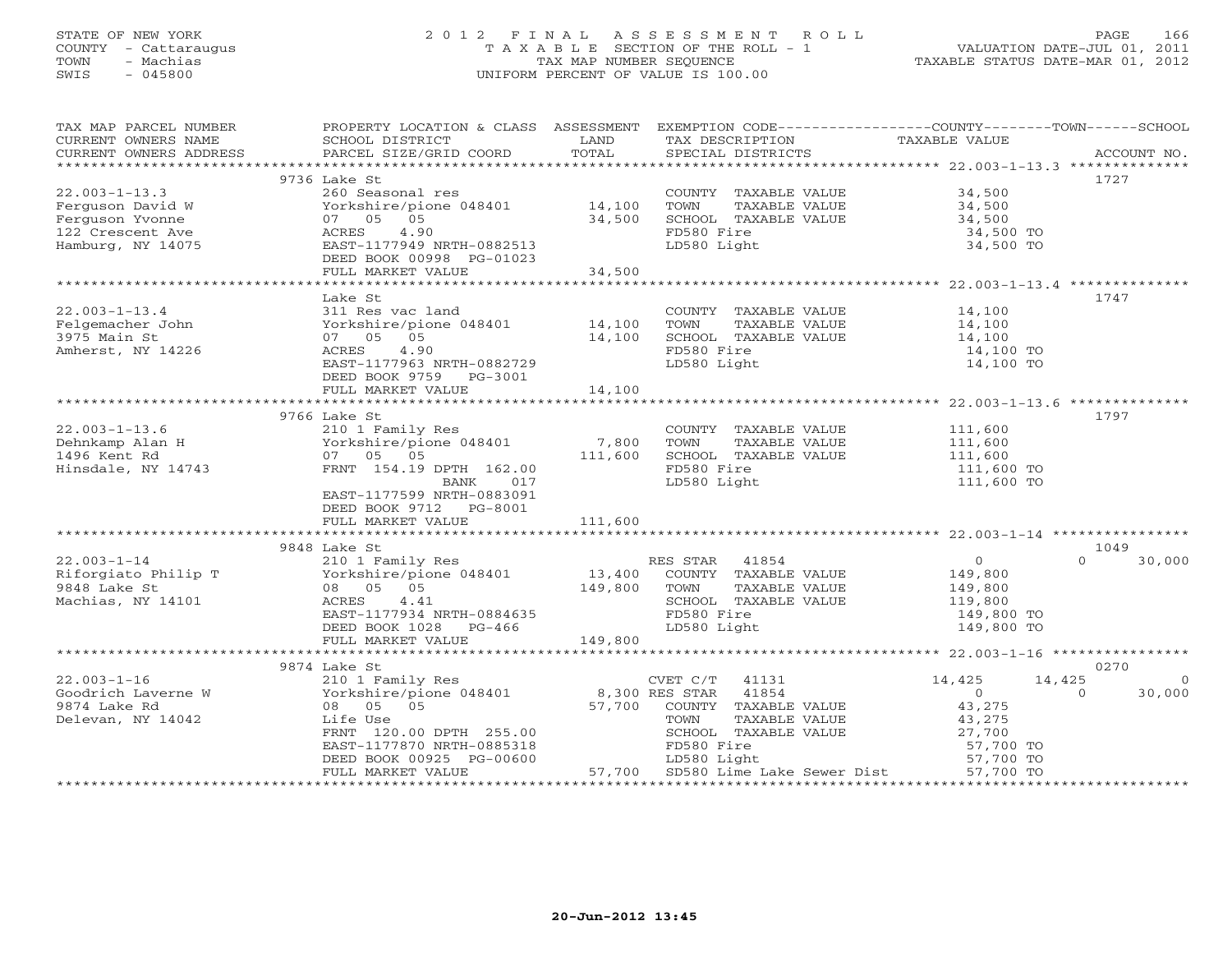## STATE OF NEW YORK 2 0 1 2 F I N A L A S S E S S M E N T R O L L PAGE 166 COUNTY - Cattaraugus T A X A B L E SECTION OF THE ROLL - 1 VALUATION DATE-JUL 01, 2011 TOWN - Machias TAX MAP NUMBER SEQUENCE TAXABLE STATUS DATE-MAR 01, 2012 SWIS - 045800 UNIFORM PERCENT OF VALUE IS 100.00UNIFORM PERCENT OF VALUE IS 100.00

| TAX MAP PARCEL NUMBER<br>CURRENT OWNERS NAME                                                                                                                                                                                                                                                                                                                                                                                                                                                                           | PROPERTY LOCATION & CLASS ASSESSMENT EXEMPTION CODE----------------COUNTY-------TOWN------SCHOOL<br>SCHOOL DISTRICT                                                                                                                                        | <b>EXAMPLE SETTING STATE</b> | TAX DESCRIPTION                                | TAXABLE VALUE                                                       |                    |
|------------------------------------------------------------------------------------------------------------------------------------------------------------------------------------------------------------------------------------------------------------------------------------------------------------------------------------------------------------------------------------------------------------------------------------------------------------------------------------------------------------------------|------------------------------------------------------------------------------------------------------------------------------------------------------------------------------------------------------------------------------------------------------------|------------------------------|------------------------------------------------|---------------------------------------------------------------------|--------------------|
| $\begin{minipage}{.45\textwidth} \begin{minipage}{.45\textwidth} \begin{minipage}{.45\textwidth} \begin{minipage}{.45\textwidth} \begin{minipage}{.45\textwidth} \begin{minipage}{.45\textwidth} \begin{minipage}{.45\textwidth} \begin{minipage}{.45\textwidth} \begin{minipage}{.45\textwidth} \begin{minipage}{.45\textwidth} \begin{minipage}{.45\textwidth} \begin{minipage}{.45\textwidth} \begin{minipage}{.45\textwidth} \begin{minipage}{.45\textwidth} \begin{minipage}{.45\textwidth} \begin{minipage}{.45$ |                                                                                                                                                                                                                                                            |                              |                                                |                                                                     |                    |
|                                                                                                                                                                                                                                                                                                                                                                                                                                                                                                                        |                                                                                                                                                                                                                                                            |                              |                                                |                                                                     |                    |
|                                                                                                                                                                                                                                                                                                                                                                                                                                                                                                                        | 9736 Lake St                                                                                                                                                                                                                                               |                              |                                                |                                                                     | 1727               |
| $22.003 - 1 - 13.3$                                                                                                                                                                                                                                                                                                                                                                                                                                                                                                    | 260 Seasonal res<br>Yorkshire/pione 048401 14,100                                                                                                                                                                                                          |                              | COUNTY TAXABLE VALUE 34,500                    |                                                                     |                    |
| Ferguson David W                                                                                                                                                                                                                                                                                                                                                                                                                                                                                                       |                                                                                                                                                                                                                                                            |                              | TOWN TAXABLE VALUE                             | 34,500                                                              |                    |
| Ferguson Yvonne                                                                                                                                                                                                                                                                                                                                                                                                                                                                                                        | 07 05 05                                                                                                                                                                                                                                                   | 34,500                       | SCHOOL TAXABLE VALUE                           | 34,500                                                              |                    |
| 122 Crescent Ave                                                                                                                                                                                                                                                                                                                                                                                                                                                                                                       | ACRES 4.90                                                                                                                                                                                                                                                 |                              | FD580 Fire<br>LD580 Light                      | 34,500 TO                                                           |                    |
| Hamburg, NY 14075                                                                                                                                                                                                                                                                                                                                                                                                                                                                                                      | EAST-1177949 NRTH-0882513                                                                                                                                                                                                                                  |                              |                                                | 34,500 TO                                                           |                    |
|                                                                                                                                                                                                                                                                                                                                                                                                                                                                                                                        | DEED BOOK 00998 PG-01023                                                                                                                                                                                                                                   |                              |                                                |                                                                     |                    |
|                                                                                                                                                                                                                                                                                                                                                                                                                                                                                                                        | FULL MARKET VALUE                                                                                                                                                                                                                                          | 34,500                       |                                                |                                                                     |                    |
|                                                                                                                                                                                                                                                                                                                                                                                                                                                                                                                        |                                                                                                                                                                                                                                                            |                              |                                                |                                                                     |                    |
|                                                                                                                                                                                                                                                                                                                                                                                                                                                                                                                        | Lake St                                                                                                                                                                                                                                                    |                              |                                                |                                                                     | 1747               |
| $22.003 - 1 - 13.4$                                                                                                                                                                                                                                                                                                                                                                                                                                                                                                    | 311 Res vac land                                                                                                                                                                                                                                           |                              | COUNTY TAXABLE VALUE 14,100                    |                                                                     |                    |
| Felgemacher John                                                                                                                                                                                                                                                                                                                                                                                                                                                                                                       |                                                                                                                                                                                                                                                            |                              | ----<br>TAXABLE VALUE<br>TAXABLE VALUE<br>TOWN |                                                                     |                    |
| 3975 Main St                                                                                                                                                                                                                                                                                                                                                                                                                                                                                                           | Yorkshire/pione 048401 14,100<br>07 05 05 14,100                                                                                                                                                                                                           |                              | SCHOOL TAXABLE VALUE                           | 14,100<br>14,100                                                    |                    |
| Amherst, NY 14226                                                                                                                                                                                                                                                                                                                                                                                                                                                                                                      | ACRES 4.90<br>ACRES 4.90<br>EAST-1177963 NRTH-0882729                                                                                                                                                                                                      |                              | FD580 Fire                                     | 14,100 TO                                                           |                    |
|                                                                                                                                                                                                                                                                                                                                                                                                                                                                                                                        |                                                                                                                                                                                                                                                            |                              | LD580 Light                                    | 14,100 TO                                                           |                    |
|                                                                                                                                                                                                                                                                                                                                                                                                                                                                                                                        | DEED BOOK 9759 PG-3001                                                                                                                                                                                                                                     |                              |                                                |                                                                     |                    |
|                                                                                                                                                                                                                                                                                                                                                                                                                                                                                                                        | FULL MARKET VALUE 14,100                                                                                                                                                                                                                                   |                              |                                                |                                                                     |                    |
|                                                                                                                                                                                                                                                                                                                                                                                                                                                                                                                        |                                                                                                                                                                                                                                                            |                              |                                                |                                                                     |                    |
|                                                                                                                                                                                                                                                                                                                                                                                                                                                                                                                        | 9766 Lake St<br>Lake St<br>210 1 Family Res<br>Yorkshire/pione 048401 7,800<br>-- 05 05 111,600                                                                                                                                                            |                              |                                                |                                                                     | 1797               |
| $22.003 - 1 - 13.6$                                                                                                                                                                                                                                                                                                                                                                                                                                                                                                    |                                                                                                                                                                                                                                                            |                              | COUNTY TAXABLE VALUE 111,600                   |                                                                     |                    |
| Dehnkamp Alan H                                                                                                                                                                                                                                                                                                                                                                                                                                                                                                        |                                                                                                                                                                                                                                                            |                              | TOWN<br>TAXABLE VALUE                          | 111,600<br>111,600                                                  |                    |
| 1496 Kent Rd                                                                                                                                                                                                                                                                                                                                                                                                                                                                                                           | 07 05 05                                                                                                                                                                                                                                                   |                              | SCHOOL TAXABLE VALUE                           |                                                                     |                    |
| Hinsdale, NY 14743                                                                                                                                                                                                                                                                                                                                                                                                                                                                                                     | FRNT 154.19 DPTH 162.00                                                                                                                                                                                                                                    |                              | FD580 Fire                                     | 111,600 TO                                                          |                    |
|                                                                                                                                                                                                                                                                                                                                                                                                                                                                                                                        | BANK 017                                                                                                                                                                                                                                                   |                              | LD580 Light                                    | 111,600 TO                                                          |                    |
|                                                                                                                                                                                                                                                                                                                                                                                                                                                                                                                        | EAST-1177599 NRTH-0883091                                                                                                                                                                                                                                  |                              |                                                |                                                                     |                    |
|                                                                                                                                                                                                                                                                                                                                                                                                                                                                                                                        | DEED BOOK 9712 PG-8001                                                                                                                                                                                                                                     |                              |                                                |                                                                     |                    |
|                                                                                                                                                                                                                                                                                                                                                                                                                                                                                                                        |                                                                                                                                                                                                                                                            |                              |                                                |                                                                     |                    |
|                                                                                                                                                                                                                                                                                                                                                                                                                                                                                                                        |                                                                                                                                                                                                                                                            |                              |                                                |                                                                     |                    |
|                                                                                                                                                                                                                                                                                                                                                                                                                                                                                                                        | 9848 Lake St                                                                                                                                                                                                                                               |                              |                                                |                                                                     | 1049               |
| $22.003 - 1 - 14$                                                                                                                                                                                                                                                                                                                                                                                                                                                                                                      |                                                                                                                                                                                                                                                            |                              |                                                | $\begin{array}{c} 0 \\ 149,800 \end{array}$                         | $\Omega$<br>30,000 |
| Riforgiato Philip T                                                                                                                                                                                                                                                                                                                                                                                                                                                                                                    |                                                                                                                                                                                                                                                            |                              |                                                |                                                                     |                    |
| 9848 Lake St                                                                                                                                                                                                                                                                                                                                                                                                                                                                                                           |                                                                                                                                                                                                                                                            |                              |                                                | $149,800$<br>$119,800$                                              |                    |
| Machias, NY 14101                                                                                                                                                                                                                                                                                                                                                                                                                                                                                                      |                                                                                                                                                                                                                                                            |                              | SCHOOL TAXABLE VALUE                           |                                                                     |                    |
|                                                                                                                                                                                                                                                                                                                                                                                                                                                                                                                        |                                                                                                                                                                                                                                                            |                              |                                                | 149,800 TO                                                          |                    |
|                                                                                                                                                                                                                                                                                                                                                                                                                                                                                                                        | ES STAR 41854<br>210 1 Family Res<br>Yorkshire/pione 048401<br>08 05 05<br>ACRES 4.41<br>EAST-1177934 NRTH-0884635<br>DEED DROX 1028<br>NRTH-0884635<br>PED580 Fire<br>DEED DROX 1028<br>NRTH-0884635<br>PED580 Fire<br>DEED BOOK 1028<br>PED580 Fire<br>L |                              |                                                | 149,800 TO                                                          |                    |
|                                                                                                                                                                                                                                                                                                                                                                                                                                                                                                                        | FULL MARKET VALUE 149,800                                                                                                                                                                                                                                  |                              |                                                |                                                                     |                    |
|                                                                                                                                                                                                                                                                                                                                                                                                                                                                                                                        |                                                                                                                                                                                                                                                            |                              |                                                |                                                                     |                    |
|                                                                                                                                                                                                                                                                                                                                                                                                                                                                                                                        | 9874 Lake St                                                                                                                                                                                                                                               |                              |                                                |                                                                     | 0270               |
| $22.003 - 1 - 16$                                                                                                                                                                                                                                                                                                                                                                                                                                                                                                      |                                                                                                                                                                                                                                                            |                              | CVET $C/T$ 41131                               | 14,425<br>14,425                                                    | $\Omega$           |
| Goodrich Laverne W                                                                                                                                                                                                                                                                                                                                                                                                                                                                                                     |                                                                                                                                                                                                                                                            |                              |                                                |                                                                     | $\Omega$<br>30,000 |
| 9874 Lake Rd                                                                                                                                                                                                                                                                                                                                                                                                                                                                                                           | EXAMPLE POSTAGE SURFACT STAR 4131<br>Yorkshire/pione 048401 8,300 RES STAR 41854<br>08 05 05 05 57,700 COUNTY TAXABLE VALUE<br>1980 156 USA                                                                                                                |                              |                                                | $\begin{array}{c} 0 \\ 43,275 \end{array}$                          |                    |
| Delevan, NY 14042                                                                                                                                                                                                                                                                                                                                                                                                                                                                                                      | Life Use                                                                                                                                                                                                                                                   |                              | TAXABLE VALUE<br>TOWN                          | 43,275                                                              |                    |
|                                                                                                                                                                                                                                                                                                                                                                                                                                                                                                                        | FRNT 120.00 DPTH 255.00                                                                                                                                                                                                                                    |                              | SCHOOL TAXABLE VALUE                           |                                                                     |                    |
|                                                                                                                                                                                                                                                                                                                                                                                                                                                                                                                        | EAST-1177870 NRTH-0885318                                                                                                                                                                                                                                  |                              | FD580 Fire                                     |                                                                     |                    |
|                                                                                                                                                                                                                                                                                                                                                                                                                                                                                                                        |                                                                                                                                                                                                                                                            |                              |                                                | ABLE VALUE 43,275<br>ABLE VALUE 27,700 TO<br>57,700 TO<br>57,700 TO |                    |
|                                                                                                                                                                                                                                                                                                                                                                                                                                                                                                                        |                                                                                                                                                                                                                                                            |                              |                                                |                                                                     |                    |
|                                                                                                                                                                                                                                                                                                                                                                                                                                                                                                                        |                                                                                                                                                                                                                                                            |                              |                                                |                                                                     |                    |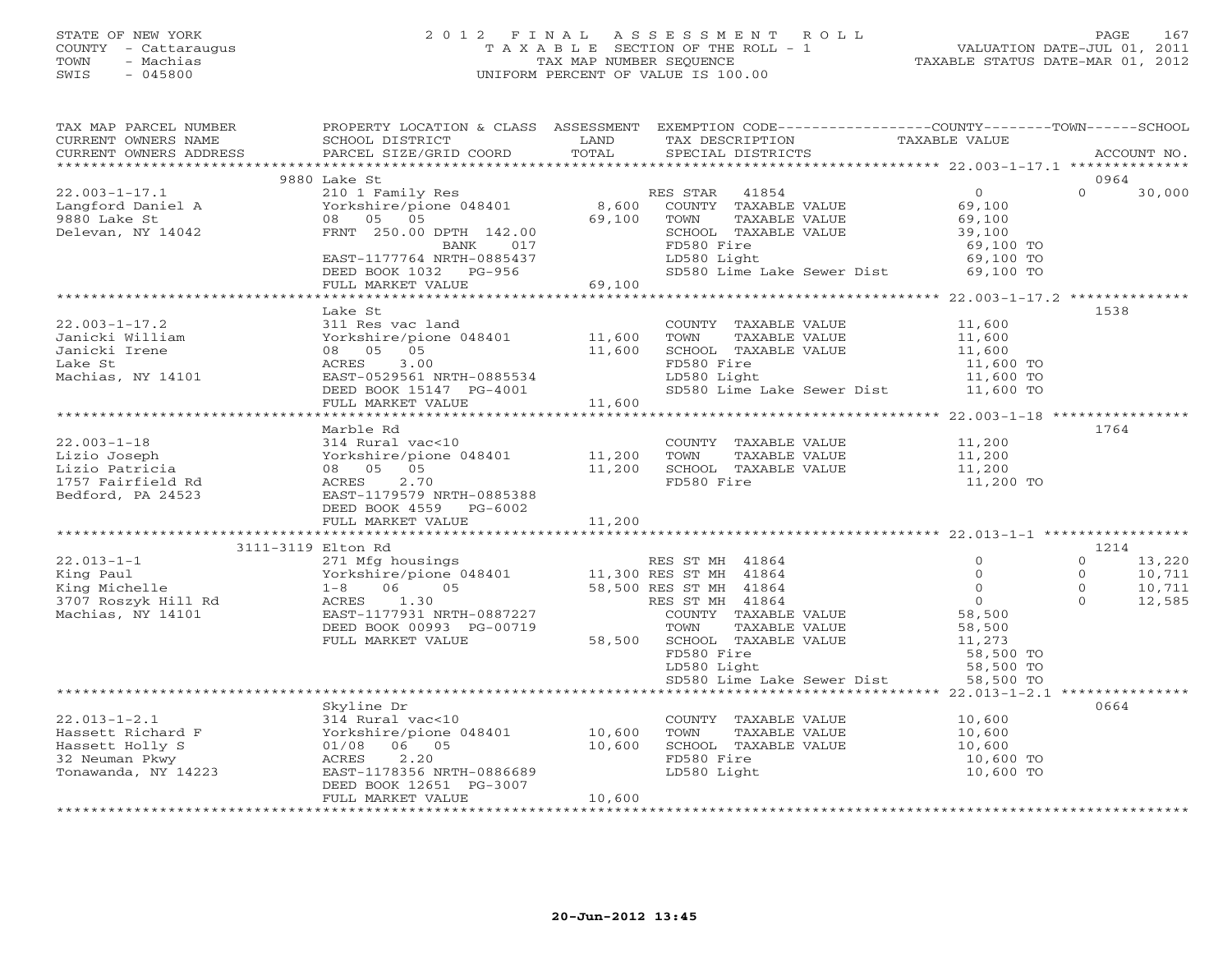## STATE OF NEW YORK 2 0 1 2 F I N A L A S S E S S M E N T R O L L PAGE 167 COUNTY - Cattaraugus T A X A B L E SECTION OF THE ROLL - 1 VALUATION DATE-JUL 01, 2011 TOWN - Machias TAX MAP NUMBER SEQUENCE TAXABLE STATUS DATE-MAR 01, 2012 SWIS - 045800 UNIFORM PERCENT OF VALUE IS 100.00UNIFORM PERCENT OF VALUE IS 100.00

| TAX MAP PARCEL NUMBER                                                                                                                                                                                                                                                                                                                                                                                                    | PROPERTY LOCATION & CLASS ASSESSMENT EXEMPTION CODE---------------COUNTY-------TOWN------SCHOOL            |        |             |                                                          |           |                   |                            |
|--------------------------------------------------------------------------------------------------------------------------------------------------------------------------------------------------------------------------------------------------------------------------------------------------------------------------------------------------------------------------------------------------------------------------|------------------------------------------------------------------------------------------------------------|--------|-------------|----------------------------------------------------------|-----------|-------------------|----------------------------|
|                                                                                                                                                                                                                                                                                                                                                                                                                          | SCHOOL DISTRICT LAND                                                                                       |        |             |                                                          |           |                   |                            |
|                                                                                                                                                                                                                                                                                                                                                                                                                          |                                                                                                            |        |             |                                                          |           |                   |                            |
|                                                                                                                                                                                                                                                                                                                                                                                                                          |                                                                                                            |        |             |                                                          |           |                   |                            |
|                                                                                                                                                                                                                                                                                                                                                                                                                          | 9880 Lake St                                                                                               |        |             |                                                          |           | 0964<br>$\Omega$  |                            |
| $\footnotesize \begin{array}{ccccccc} 22.003-1-17.1 & 5000~\text{Lam} & 210~1~\text{Family Res} & & & & \text{RES STAR} & 41854 & & & 0 \\ \text{Langford Daniel A} & & & & Yorkshire/pione 048401 & & 8,600 & \text{COUNTY} & \text{TAXABLE VALUE} & 69,100 \\ 9880~\text{Lake St} & & & & 08 & 05 & 05 & & 69,100 & & \text{TCHOL} & \text{TAXABLE VALUE} & 69,100 \\ \text{Delevant, NY 14042} & & & & & \text{FR$    |                                                                                                            |        |             |                                                          |           |                   | 30,000                     |
|                                                                                                                                                                                                                                                                                                                                                                                                                          |                                                                                                            |        |             |                                                          |           |                   |                            |
|                                                                                                                                                                                                                                                                                                                                                                                                                          |                                                                                                            |        |             |                                                          |           |                   |                            |
|                                                                                                                                                                                                                                                                                                                                                                                                                          |                                                                                                            |        |             |                                                          |           |                   |                            |
|                                                                                                                                                                                                                                                                                                                                                                                                                          |                                                                                                            |        |             |                                                          |           |                   |                            |
|                                                                                                                                                                                                                                                                                                                                                                                                                          |                                                                                                            |        |             |                                                          |           |                   |                            |
|                                                                                                                                                                                                                                                                                                                                                                                                                          |                                                                                                            |        |             |                                                          |           |                   |                            |
|                                                                                                                                                                                                                                                                                                                                                                                                                          |                                                                                                            |        |             |                                                          |           |                   |                            |
|                                                                                                                                                                                                                                                                                                                                                                                                                          | Lake St                                                                                                    |        |             |                                                          |           | 1538              |                            |
| 31 1,600<br>311 312.003-1-17.2<br>311 312.003-1-17.2<br>311 312.003-1-17.2<br>311 312.003-1-17.2<br>312.003-1-17.2<br>313.00<br>311,600<br>32.003-1-17.2<br>31,600<br>32.003-1-17.2<br>32.003-1-17.2<br>32.00<br>32.003-1-17.2<br>32.00<br>32.003-1-17.2<br>32                                                                                                                                                           |                                                                                                            |        |             |                                                          |           |                   |                            |
|                                                                                                                                                                                                                                                                                                                                                                                                                          |                                                                                                            |        |             |                                                          |           |                   |                            |
|                                                                                                                                                                                                                                                                                                                                                                                                                          |                                                                                                            |        |             |                                                          |           |                   |                            |
|                                                                                                                                                                                                                                                                                                                                                                                                                          |                                                                                                            |        |             |                                                          |           |                   |                            |
|                                                                                                                                                                                                                                                                                                                                                                                                                          |                                                                                                            |        |             |                                                          |           |                   |                            |
|                                                                                                                                                                                                                                                                                                                                                                                                                          |                                                                                                            |        |             |                                                          |           |                   |                            |
|                                                                                                                                                                                                                                                                                                                                                                                                                          | 08 05 05<br>ACRES 3.00<br>EAST-0529561 NRTH-0885534<br>DEED BOOK 15147 PG-4001<br>FULL MARKET VALUE 11,600 |        |             |                                                          |           |                   |                            |
|                                                                                                                                                                                                                                                                                                                                                                                                                          |                                                                                                            |        |             |                                                          |           |                   |                            |
|                                                                                                                                                                                                                                                                                                                                                                                                                          | Marble Rd                                                                                                  |        |             |                                                          |           | 1764              |                            |
|                                                                                                                                                                                                                                                                                                                                                                                                                          |                                                                                                            |        |             |                                                          |           |                   |                            |
|                                                                                                                                                                                                                                                                                                                                                                                                                          |                                                                                                            |        |             |                                                          |           |                   |                            |
|                                                                                                                                                                                                                                                                                                                                                                                                                          |                                                                                                            |        |             |                                                          |           |                   |                            |
|                                                                                                                                                                                                                                                                                                                                                                                                                          |                                                                                                            |        |             |                                                          |           |                   |                            |
|                                                                                                                                                                                                                                                                                                                                                                                                                          |                                                                                                            |        |             |                                                          |           |                   |                            |
|                                                                                                                                                                                                                                                                                                                                                                                                                          | DEED BOOK 4559 PG-6002                                                                                     |        |             |                                                          |           |                   |                            |
|                                                                                                                                                                                                                                                                                                                                                                                                                          |                                                                                                            |        |             |                                                          |           |                   |                            |
|                                                                                                                                                                                                                                                                                                                                                                                                                          |                                                                                                            |        |             |                                                          |           |                   |                            |
|                                                                                                                                                                                                                                                                                                                                                                                                                          |                                                                                                            |        |             |                                                          |           | 1214              |                            |
|                                                                                                                                                                                                                                                                                                                                                                                                                          |                                                                                                            |        |             |                                                          |           | $0 \qquad \qquad$ | 13,220                     |
|                                                                                                                                                                                                                                                                                                                                                                                                                          |                                                                                                            |        |             |                                                          |           | $\overline{0}$    |                            |
|                                                                                                                                                                                                                                                                                                                                                                                                                          |                                                                                                            |        |             |                                                          |           | $\overline{0}$    | 10,711<br>10,711<br>12,585 |
|                                                                                                                                                                                                                                                                                                                                                                                                                          |                                                                                                            |        |             |                                                          |           | $\overline{O}$    |                            |
|                                                                                                                                                                                                                                                                                                                                                                                                                          |                                                                                                            |        |             |                                                          |           |                   |                            |
|                                                                                                                                                                                                                                                                                                                                                                                                                          |                                                                                                            |        |             |                                                          |           |                   |                            |
|                                                                                                                                                                                                                                                                                                                                                                                                                          |                                                                                                            |        |             |                                                          |           |                   |                            |
|                                                                                                                                                                                                                                                                                                                                                                                                                          |                                                                                                            |        |             |                                                          |           |                   |                            |
|                                                                                                                                                                                                                                                                                                                                                                                                                          |                                                                                                            |        |             |                                                          |           |                   |                            |
|                                                                                                                                                                                                                                                                                                                                                                                                                          |                                                                                                            |        |             |                                                          |           |                   |                            |
|                                                                                                                                                                                                                                                                                                                                                                                                                          |                                                                                                            |        |             |                                                          |           |                   |                            |
| $\begin{tabular}{l c c c c c} \multicolumn{4}{c}{\textbf{0.13--1}} & \multicolumn{4}{c}{\textbf{FULL RAKN}} & \multicolumn{4}{c}{\textbf{FULL RAKN}} & \multicolumn{4}{c}{\textbf{RES ST MI} & $\mathbf{41864}$ & $\mathbf{0}$ \\ \hline 22.013-1-1 & 3111-3119 \text{ Lton Rd} & 271 \text{ Mfg housing} & $\mathbf{0.84011}$ & $\mathbf{11,300} \text{ RES ST MH} & $\mathbf{41864}$ & $\mathbf{0}$ \\ \hline \textbf$ |                                                                                                            |        |             |                                                          |           | 0664              |                            |
|                                                                                                                                                                                                                                                                                                                                                                                                                          | $314$ Rural vac<10                                                                                         |        |             | COUNTY TAXABLE VALUE                                     | 10,600    |                   |                            |
|                                                                                                                                                                                                                                                                                                                                                                                                                          |                                                                                                            |        |             | TOWN TAXABLE VALUE 10,600<br>SCHOOL TAXABLE VALUE 10,600 |           |                   |                            |
|                                                                                                                                                                                                                                                                                                                                                                                                                          |                                                                                                            |        |             |                                                          |           |                   |                            |
|                                                                                                                                                                                                                                                                                                                                                                                                                          |                                                                                                            |        | FD580 Fire  |                                                          | 10,600 TO |                   |                            |
| 22.013-1-2.1<br>Hassett Richard F (10,600)<br>Hassett Holly S (1/08 06 05 10,600)<br>32 Neuman Pkwy (1/08 06 05 10,600)<br>Tonawanda, NY 14223 EAST-1178356 NRTH-0886689                                                                                                                                                                                                                                                 |                                                                                                            |        | LD580 Light |                                                          | 10,600 TO |                   |                            |
|                                                                                                                                                                                                                                                                                                                                                                                                                          | DEED BOOK 12651 PG-3007                                                                                    |        |             |                                                          |           |                   |                            |
|                                                                                                                                                                                                                                                                                                                                                                                                                          | FULL MARKET VALUE                                                                                          | 10,600 |             |                                                          |           |                   |                            |
|                                                                                                                                                                                                                                                                                                                                                                                                                          |                                                                                                            |        |             |                                                          |           |                   |                            |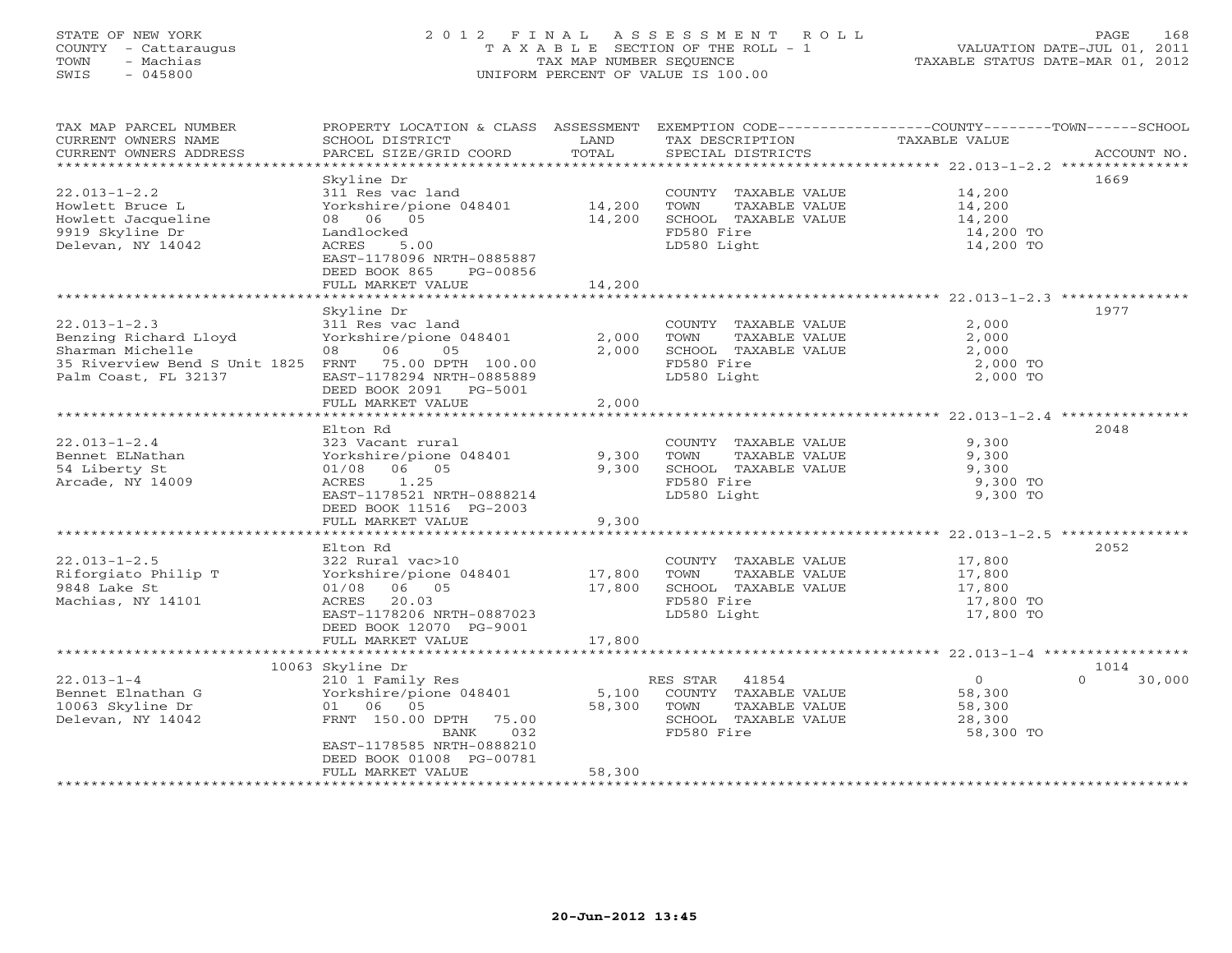## STATE OF NEW YORK 2 0 1 2 F I N A L A S S E S S M E N T R O L L PAGE 168 COUNTY - Cattaraugus T A X A B L E SECTION OF THE ROLL - 1 VALUATION DATE-JUL 01, 2011 TOWN - Machias TAX MAP NUMBER SEQUENCE TAXABLE STATUS DATE-MAR 01, 2012 SWIS - 045800 UNIFORM PERCENT OF VALUE IS 100.00UNIFORM PERCENT OF VALUE IS 100.00

| TAX MAP PARCEL NUMBER<br>CURRENT OWNERS NAME<br>CURRENT OWNERS ADDRESS                                                                          | SCHOOL DISTRICT<br>PARCEL SIZE/GRID COORD                                                                                                                                       | LAND<br>TOTAL       | TAX DESCRIPTION<br>SPECIAL DISTRICTS                                                                  | PROPERTY LOCATION & CLASS ASSESSMENT EXEMPTION CODE----------------COUNTY-------TOWN------SCHOOL<br>TAXABLE VALUE | ACCOUNT NO.    |
|-------------------------------------------------------------------------------------------------------------------------------------------------|---------------------------------------------------------------------------------------------------------------------------------------------------------------------------------|---------------------|-------------------------------------------------------------------------------------------------------|-------------------------------------------------------------------------------------------------------------------|----------------|
| $22.013 - 1 - 2.2$                                                                                                                              | Skyline Dr<br>311 Res vac land                                                                                                                                                  |                     | COUNTY TAXABLE VALUE                                                                                  | 14,200                                                                                                            | 1669           |
| Howlett Bruce L<br>Howlett Jacqueline<br>9919 Skyline Dr<br>Delevan, NY 14042                                                                   | Yorkshire/pione 048401<br>08 06 05<br>Landlocked<br>ACRES<br>5.00<br>EAST-1178096 NRTH-0885887<br>DEED BOOK 865<br>PG-00856                                                     | 14,200<br>14,200    | TOWN<br>TAXABLE VALUE<br>SCHOOL TAXABLE VALUE<br>FD580 Fire<br>LD580 Light                            | 14,200<br>14,200<br>14,200 TO<br>14,200 TO                                                                        |                |
|                                                                                                                                                 | FULL MARKET VALUE                                                                                                                                                               | 14,200              |                                                                                                       |                                                                                                                   |                |
|                                                                                                                                                 |                                                                                                                                                                                 | ******************* |                                                                                                       |                                                                                                                   |                |
| $22.013 - 1 - 2.3$<br>Benzing Richard Lloyd<br>Sharman Michelle<br>35 Riverview Bend S Unit 1825 FRNT 75.00 DPTH 100.00<br>Palm Coast, FL 32137 | Skyline Dr<br>311 Res vac land<br>Yorkshire/pione 048401<br>08<br>06<br>05<br>EAST-1178294 NRTH-0885889<br>DEED BOOK 2091 PG-5001                                               | 2,000<br>2,000      | COUNTY TAXABLE VALUE<br>TOWN<br>TAXABLE VALUE<br>SCHOOL TAXABLE VALUE<br>FD580 Fire<br>LD580 Light    | 2,000<br>2,000<br>2,000<br>2,000 TO<br>2,000 TO                                                                   | 1977           |
|                                                                                                                                                 | FULL MARKET VALUE                                                                                                                                                               | 2,000               |                                                                                                       |                                                                                                                   |                |
|                                                                                                                                                 | Elton Rd                                                                                                                                                                        |                     |                                                                                                       |                                                                                                                   | 2048           |
| $22.013 - 1 - 2.4$<br>Bennet ELNathan<br>54 Liberty St<br>Arcade, NY 14009                                                                      | 323 Vacant rural<br>Yorkshire/pione 048401<br>01/08 06 05<br>1.25<br>ACRES<br>EAST-1178521 NRTH-0888214<br>DEED BOOK 11516 PG-2003                                              | 9,300<br>9,300      | COUNTY TAXABLE VALUE<br>TOWN<br>TAXABLE VALUE<br>SCHOOL TAXABLE VALUE<br>FD580 Fire<br>LD580 Light    | 9,300<br>9,300<br>9,300<br>9,300 TO<br>9,300 TO                                                                   |                |
|                                                                                                                                                 | FULL MARKET VALUE                                                                                                                                                               | 9,300               |                                                                                                       |                                                                                                                   |                |
|                                                                                                                                                 | Elton Rd                                                                                                                                                                        |                     |                                                                                                       |                                                                                                                   | 2052           |
| $22.013 - 1 - 2.5$<br>Riforgiato Philip T<br>9848 Lake St<br>Machias, NY 14101                                                                  | 322 Rural vac>10<br>Yorkshire/pione 048401<br>01/08 06 05<br>ACRES 20.03<br>EAST-1178206 NRTH-0887023<br>DEED BOOK 12070 PG-9001                                                | 17,800<br>17,800    | COUNTY TAXABLE VALUE<br>TOWN<br>TAXABLE VALUE<br>SCHOOL TAXABLE VALUE<br>FD580 Fire<br>LD580 Light    | 17,800<br>17,800<br>17,800<br>17,800 TO<br>17,800 TO                                                              |                |
|                                                                                                                                                 | FULL MARKET VALUE                                                                                                                                                               | 17,800              |                                                                                                       |                                                                                                                   |                |
|                                                                                                                                                 |                                                                                                                                                                                 |                     |                                                                                                       |                                                                                                                   |                |
| $22.013 - 1 - 4$<br>Bennet Elnathan G<br>10063 Skyline Dr<br>Delevan, NY 14042                                                                  | 10063 Skyline Dr<br>210 1 Family Res<br>Yorkshire/pione 048401<br>01 06 05<br>FRNT 150.00 DPTH<br>75.00<br>032<br>BANK<br>EAST-1178585 NRTH-0888210<br>DEED BOOK 01008 PG-00781 | 5,100<br>58,300     | RES STAR 41854<br>COUNTY TAXABLE VALUE<br>TOWN<br>TAXABLE VALUE<br>SCHOOL TAXABLE VALUE<br>FD580 Fire | $\overline{O}$<br>$\Omega$<br>58,300<br>58,300<br>28,300<br>58,300 TO                                             | 1014<br>30,000 |
|                                                                                                                                                 | FULL MARKET VALUE                                                                                                                                                               | 58,300              |                                                                                                       |                                                                                                                   |                |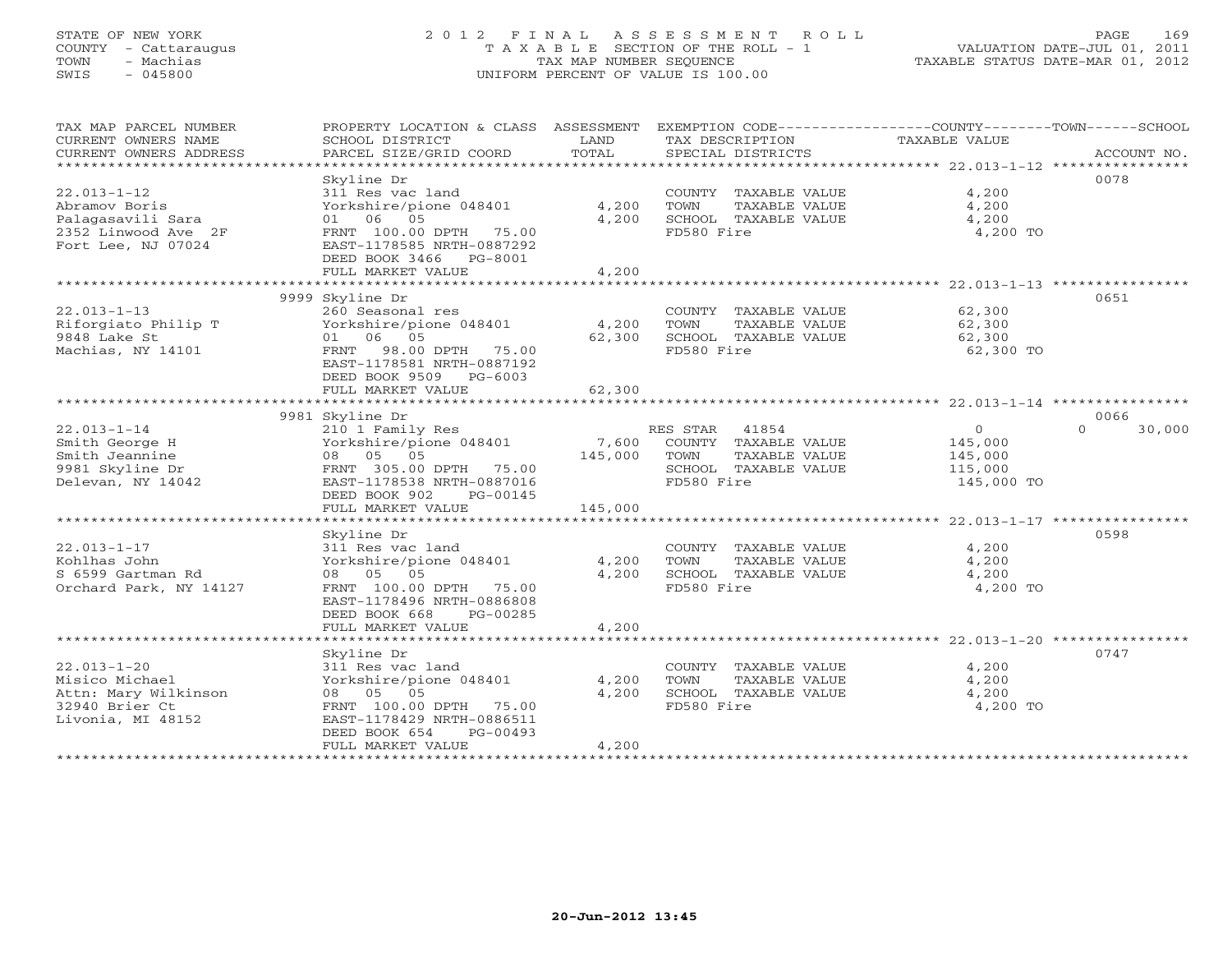## STATE OF NEW YORK 2 0 1 2 F I N A L A S S E S S M E N T R O L L PAGE 169 COUNTY - Cattaraugus T A X A B L E SECTION OF THE ROLL - 1 VALUATION DATE-JUL 01, 2011 TOWN - Machias TAX MAP NUMBER SEQUENCE TAXABLE STATUS DATE-MAR 01, 2012 SWIS - 045800 UNIFORM PERCENT OF VALUE IS 100.00UNIFORM PERCENT OF VALUE IS 100.00

| TAX MAP PARCEL NUMBER  | PROPERTY LOCATION & CLASS ASSESSMENT EXEMPTION CODE----------------COUNTY-------TOWN------SCHOOL |         |                       |                |                    |
|------------------------|--------------------------------------------------------------------------------------------------|---------|-----------------------|----------------|--------------------|
| CURRENT OWNERS NAME    | SCHOOL DISTRICT                                                                                  | LAND    | TAX DESCRIPTION       | TAXABLE VALUE  |                    |
| CURRENT OWNERS ADDRESS | PARCEL SIZE/GRID COORD                                                                           | TOTAL   | SPECIAL DISTRICTS     |                | ACCOUNT NO.        |
| ****************       |                                                                                                  |         |                       |                |                    |
|                        | Skyline Dr                                                                                       |         |                       |                | 0078               |
| $22.013 - 1 - 12$      | 311 Res vac land                                                                                 |         | COUNTY TAXABLE VALUE  | 4,200          |                    |
| Abramov Boris          | Yorkshire/pione 048401                                                                           | 4,200   | TOWN<br>TAXABLE VALUE | 4,200          |                    |
| Palagasavili Sara      | 01 06 05                                                                                         | 4,200   | SCHOOL TAXABLE VALUE  | 4,200          |                    |
| 2352 Linwood Ave 2F    | FRNT 100.00 DPTH 75.00                                                                           |         | FD580 Fire            | 4,200 TO       |                    |
| Fort Lee, NJ 07024     | EAST-1178585 NRTH-0887292                                                                        |         |                       |                |                    |
|                        | DEED BOOK 3466 PG-8001                                                                           |         |                       |                |                    |
|                        | FULL MARKET VALUE                                                                                | 4,200   |                       |                |                    |
|                        |                                                                                                  |         |                       |                |                    |
|                        | 9999 Skyline Dr                                                                                  |         |                       |                | 0651               |
|                        |                                                                                                  |         |                       |                |                    |
| $22.013 - 1 - 13$      | 260 Seasonal res                                                                                 |         | COUNTY TAXABLE VALUE  | 62,300         |                    |
| Riforgiato Philip T    | Yorkshire/pione 048401                                                                           | 4,200   | TAXABLE VALUE<br>TOWN | 62,300         |                    |
| 9848 Lake St           | 01 06 05                                                                                         | 62,300  | SCHOOL TAXABLE VALUE  | 62,300         |                    |
| Machias, NY 14101      | FRNT 98.00 DPTH 75.00                                                                            |         | FD580 Fire            | 62,300 TO      |                    |
|                        | EAST-1178581 NRTH-0887192                                                                        |         |                       |                |                    |
|                        | DEED BOOK 9509 PG-6003                                                                           |         |                       |                |                    |
|                        | FULL MARKET VALUE                                                                                | 62,300  |                       |                |                    |
|                        |                                                                                                  |         |                       |                |                    |
|                        | 9981 Skyline Dr                                                                                  |         |                       |                | 0066               |
| $22.013 - 1 - 14$      | 210 1 Family Res                                                                                 |         | RES STAR 41854        | $\overline{0}$ | $\Omega$<br>30,000 |
| Smith George H         | Yorkshire/pione 048401                                                                           | 7,600   | COUNTY TAXABLE VALUE  | 145,000        |                    |
| Smith Jeannine         | 08 05 05                                                                                         | 145,000 | TOWN<br>TAXABLE VALUE | 145,000        |                    |
| 9981 Skyline Dr        | FRNT 305.00 DPTH 75.00                                                                           |         | SCHOOL TAXABLE VALUE  | 115,000        |                    |
| Delevan, NY 14042      | EAST-1178538 NRTH-0887016                                                                        |         | FD580 Fire            | 145,000 TO     |                    |
|                        | DEED BOOK 902<br>PG-00145                                                                        |         |                       |                |                    |
|                        | FULL MARKET VALUE                                                                                | 145,000 |                       |                |                    |
|                        |                                                                                                  |         |                       |                |                    |
|                        | Skyline Dr                                                                                       |         |                       |                | 0598               |
| $22.013 - 1 - 17$      | 311 Res vac land                                                                                 |         | COUNTY TAXABLE VALUE  | 4,200          |                    |
| Kohlhas John           | Yorkshire/pione 048401                                                                           | 4,200   | TOWN<br>TAXABLE VALUE | 4,200          |                    |
| S 6599 Gartman Rd      | 08 05 05                                                                                         | 4,200   | SCHOOL TAXABLE VALUE  | 4,200          |                    |
| Orchard Park, NY 14127 | FRNT 100.00 DPTH 75.00                                                                           |         | FD580 Fire            | 4,200 TO       |                    |
|                        | EAST-1178496 NRTH-0886808                                                                        |         |                       |                |                    |
|                        | DEED BOOK 668<br>PG-00285                                                                        |         |                       |                |                    |
|                        | FULL MARKET VALUE                                                                                | 4,200   |                       |                |                    |
|                        |                                                                                                  |         |                       |                |                    |
|                        | Skyline Dr                                                                                       |         |                       |                | 0747               |
| $22.013 - 1 - 20$      | 311 Res vac land                                                                                 |         | COUNTY TAXABLE VALUE  | 4,200          |                    |
| Misico Michael         | Yorkshire/pione 048401                                                                           | 4,200   | TOWN<br>TAXABLE VALUE | 4,200          |                    |
| Attn: Mary Wilkinson   | 08 05 05                                                                                         | 4,200   | SCHOOL TAXABLE VALUE  | 4,200          |                    |
| 32940 Brier Ct         | FRNT 100.00 DPTH 75.00                                                                           |         | FD580 Fire            | 4,200 TO       |                    |
| Livonia, MI 48152      | EAST-1178429 NRTH-0886511                                                                        |         |                       |                |                    |
|                        | DEED BOOK 654<br>$PG-00493$                                                                      |         |                       |                |                    |
|                        | FULL MARKET VALUE                                                                                | 4,200   |                       |                |                    |
|                        |                                                                                                  |         |                       |                |                    |
|                        |                                                                                                  |         |                       |                |                    |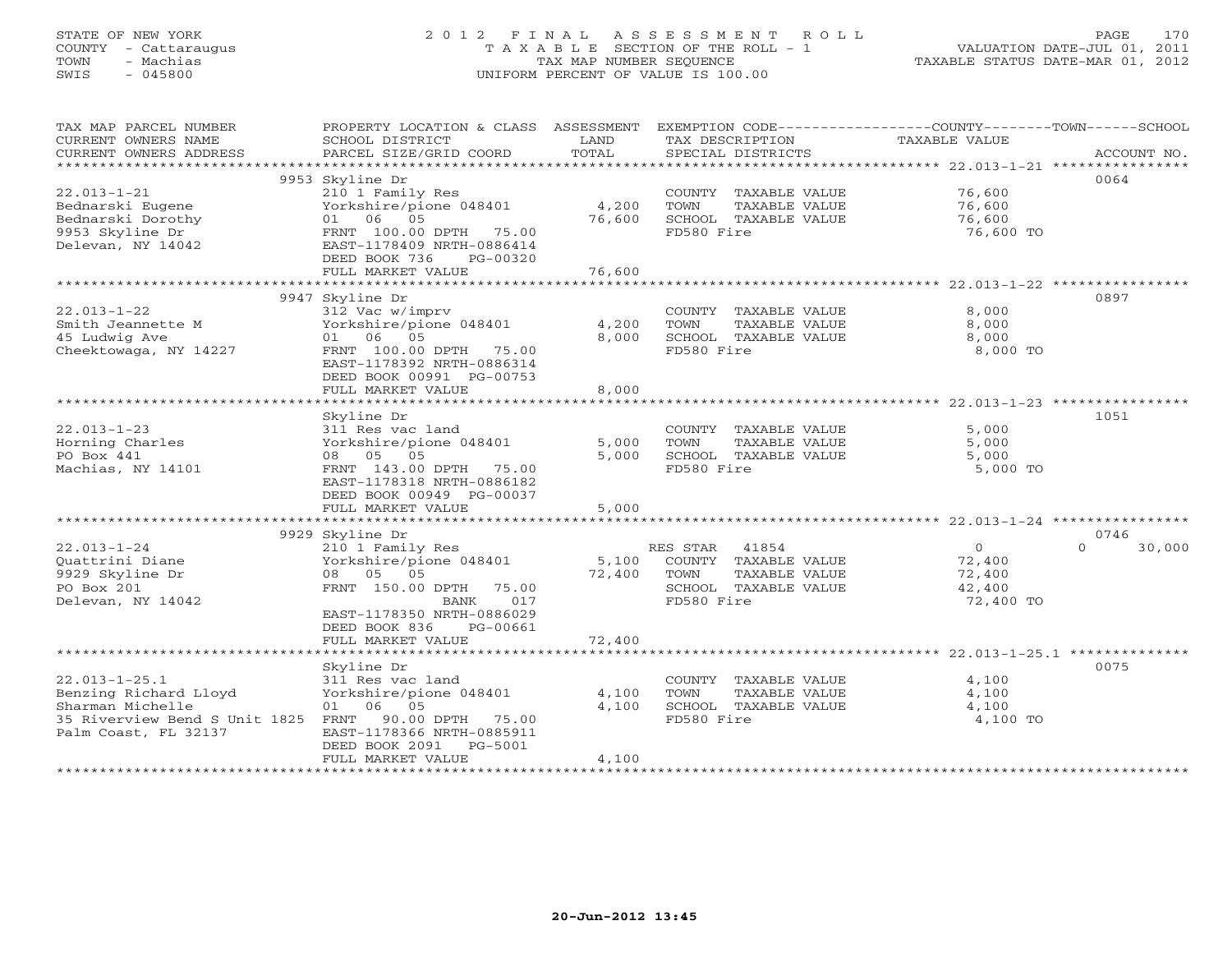## STATE OF NEW YORK 2 0 1 2 F I N A L A S S E S S M E N T R O L L PAGE 170 COUNTY - Cattaraugus T A X A B L E SECTION OF THE ROLL - 1 VALUATION DATE-JUL 01, 2011 TOWN - Machias TAX MAP NUMBER SEQUENCE TAXABLE STATUS DATE-MAR 01, 2012 SWIS - 045800 UNIFORM PERCENT OF VALUE IS 100.00UNIFORM PERCENT OF VALUE IS 100.00

| TAX MAP PARCEL NUMBER              | PROPERTY LOCATION & CLASS ASSESSMENT |        | EXEMPTION CODE----------------COUNTY-------TOWN------SCHOOL |                |                    |
|------------------------------------|--------------------------------------|--------|-------------------------------------------------------------|----------------|--------------------|
| CURRENT OWNERS NAME                | SCHOOL DISTRICT                      | LAND   | TAX DESCRIPTION                                             | TAXABLE VALUE  |                    |
| CURRENT OWNERS ADDRESS             | PARCEL SIZE/GRID COORD               | TOTAL  | SPECIAL DISTRICTS                                           |                | ACCOUNT NO.        |
| *******************                |                                      |        |                                                             |                |                    |
|                                    | 9953 Skyline Dr                      |        |                                                             |                | 0064               |
| $22.013 - 1 - 21$                  | 210 1 Family Res                     |        | COUNTY TAXABLE VALUE                                        | 76,600         |                    |
| Bednarski Eugene                   | Yorkshire/pione 048401               | 4,200  | TOWN<br>TAXABLE VALUE                                       | 76,600         |                    |
| Bednarski Dorothy                  | 01 06 05                             | 76,600 | SCHOOL TAXABLE VALUE                                        | 76,600         |                    |
| 9953 Skyline Dr                    | FRNT 100.00 DPTH 75.00               |        | FD580 Fire                                                  | 76,600 TO      |                    |
| Delevan, NY 14042                  | EAST-1178409 NRTH-0886414            |        |                                                             |                |                    |
|                                    | DEED BOOK 736<br>PG-00320            |        |                                                             |                |                    |
|                                    | FULL MARKET VALUE                    | 76,600 |                                                             |                |                    |
|                                    |                                      |        |                                                             |                |                    |
|                                    | 9947 Skyline Dr                      |        |                                                             |                | 0897               |
| $22.013 - 1 - 22$                  | 312 Vac w/imprv                      |        | COUNTY TAXABLE VALUE                                        | 8,000          |                    |
| Smith Jeannette M                  | Yorkshire/pione 048401               | 4,200  | TOWN<br>TAXABLE VALUE                                       | 8,000          |                    |
| 45 Ludwig Ave                      | 01 06 05                             | 8,000  | SCHOOL TAXABLE VALUE                                        | 8,000          |                    |
| Cheektowaga, NY 14227              | FRNT 100.00 DPTH 75.00               |        | FD580 Fire                                                  | 8,000 TO       |                    |
|                                    | EAST-1178392 NRTH-0886314            |        |                                                             |                |                    |
|                                    | DEED BOOK 00991 PG-00753             |        |                                                             |                |                    |
|                                    | FULL MARKET VALUE                    | 8,000  |                                                             |                |                    |
|                                    |                                      |        |                                                             |                |                    |
|                                    | Skyline Dr                           |        |                                                             |                | 1051               |
| $22.013 - 1 - 23$                  | 311 Res vac land                     |        | COUNTY TAXABLE VALUE                                        | 5,000          |                    |
| Horning Charles                    | Yorkshire/pione 048401               | 5,000  | TOWN<br>TAXABLE VALUE                                       | 5,000          |                    |
| PO Box 441                         | 08 05 05                             | 5,000  | SCHOOL TAXABLE VALUE                                        | 5,000          |                    |
| Machias, NY 14101                  | FRNT 143.00 DPTH 75.00               |        | FD580 Fire                                                  | 5,000 TO       |                    |
|                                    | EAST-1178318 NRTH-0886182            |        |                                                             |                |                    |
|                                    | DEED BOOK 00949 PG-00037             |        |                                                             |                |                    |
|                                    | FULL MARKET VALUE                    | 5,000  |                                                             |                |                    |
|                                    |                                      |        |                                                             |                |                    |
|                                    | 9929 Skyline Dr                      |        |                                                             |                | 0746               |
| $22.013 - 1 - 24$                  | 210 1 Family Res                     |        | RES STAR 41854                                              | $\overline{0}$ | $\Omega$<br>30,000 |
| Quattrini Diane                    | Yorkshire/pione 048401               | 5,100  | COUNTY TAXABLE VALUE                                        | 72,400         |                    |
| 9929 Skyline Dr                    | 08 05 05                             | 72,400 | TOWN<br>TAXABLE VALUE                                       | 72,400         |                    |
| PO Box 201                         | FRNT 150.00 DPTH 75.00               |        | SCHOOL TAXABLE VALUE                                        | 42,400         |                    |
| Delevan, NY 14042                  | BANK<br>017                          |        | FD580 Fire                                                  | 72,400 TO      |                    |
|                                    | EAST-1178350 NRTH-0886029            |        |                                                             |                |                    |
|                                    | DEED BOOK 836<br>PG-00661            |        |                                                             |                |                    |
|                                    | FULL MARKET VALUE                    | 72,400 |                                                             |                |                    |
|                                    |                                      |        |                                                             |                |                    |
|                                    | Skyline Dr                           |        |                                                             |                | 0075               |
| $22.013 - 1 - 25.1$                | 311 Res vac land                     |        | COUNTY TAXABLE VALUE                                        | 4,100          |                    |
| Benzing Richard Lloyd              | Yorkshire/pione 048401               | 4,100  | TOWN<br>TAXABLE VALUE                                       | 4,100          |                    |
| Sharman Michelle                   | 01 06 05                             | 4,100  | SCHOOL TAXABLE VALUE                                        | 4,100          |                    |
| 35 Riverview Bend S Unit 1825 FRNT | 90.00 DPTH 75.00                     |        | FD580 Fire                                                  | 4,100 TO       |                    |
| Palm Coast, FL 32137               | EAST-1178366 NRTH-0885911            |        |                                                             |                |                    |
|                                    | DEED BOOK 2091<br>PG-5001            |        |                                                             |                |                    |
|                                    | FULL MARKET VALUE                    | 4,100  |                                                             |                |                    |
|                                    |                                      |        |                                                             |                |                    |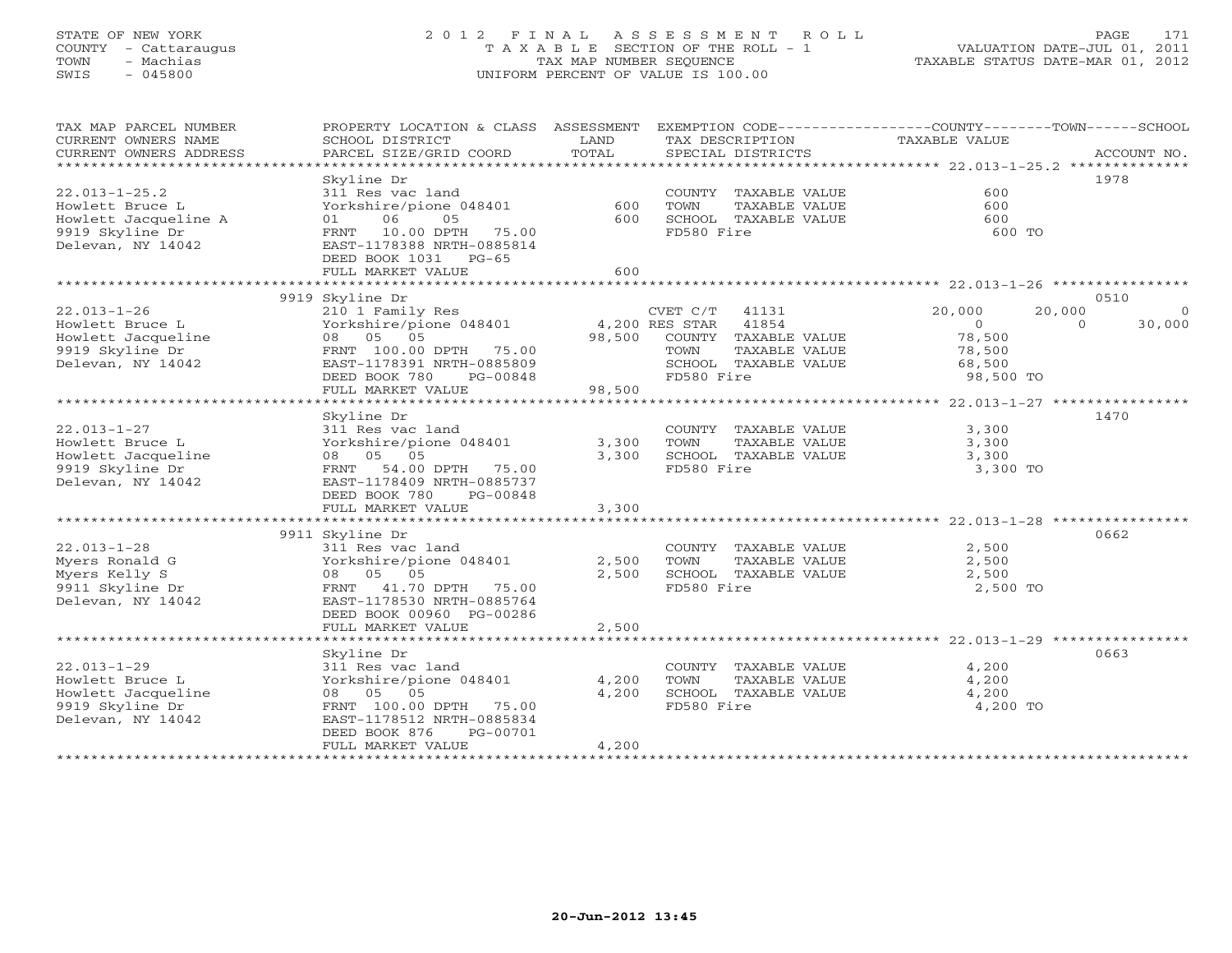## STATE OF NEW YORK 2 0 1 2 F I N A L A S S E S S M E N T R O L L PAGE 171COUNTY - Cattaraugus T A X A B L E SECTION OF THE ROLL - 1<br>
TOWN - Machias TAX MAP NUMBER SEQUENCE<br>
SWIS - 045800 SWIS - 045800 UNIFORM PERCENT OF VALUE IS 100.00

| TAX MAP PARCEL NUMBER<br>CURRENT OWNERS NAME<br>CURRENT OWNERS ADDRESS | PROPERTY LOCATION & CLASS ASSESSMENT<br>SCHOOL DISTRICT<br>PARCEL SIZE/GRID COORD | LAND<br>TOTAL |                | TAX DESCRIPTION<br>SPECIAL DISTRICTS | EXEMPTION CODE-----------------COUNTY-------TOWN------SCHOOL<br>TAXABLE VALUE |          | ACCOUNT NO. |
|------------------------------------------------------------------------|-----------------------------------------------------------------------------------|---------------|----------------|--------------------------------------|-------------------------------------------------------------------------------|----------|-------------|
| ***************************                                            |                                                                                   |               |                |                                      |                                                                               |          |             |
|                                                                        | Skyline Dr                                                                        |               |                |                                      |                                                                               |          | 1978        |
| $22.013 - 1 - 25.2$                                                    | 311 Res vac land                                                                  |               |                | COUNTY TAXABLE VALUE                 | 600                                                                           |          |             |
| Howlett Bruce L                                                        | Yorkshire/pione 048401                                                            | 600           | TOWN           | TAXABLE VALUE                        | 600                                                                           |          |             |
| Howlett Jacqueline A                                                   | 06<br>05<br>01                                                                    | 600           |                | SCHOOL TAXABLE VALUE                 | 600                                                                           |          |             |
| 9919 Skyline Dr                                                        | 10.00 DPTH 75.00<br>FRNT                                                          |               | FD580 Fire     |                                      | 600 TO                                                                        |          |             |
| Delevan, NY 14042                                                      | EAST-1178388 NRTH-0885814                                                         |               |                |                                      |                                                                               |          |             |
|                                                                        | DEED BOOK 1031 PG-65                                                              |               |                |                                      |                                                                               |          |             |
|                                                                        | FULL MARKET VALUE                                                                 | 600           |                |                                      |                                                                               |          |             |
|                                                                        |                                                                                   |               |                |                                      |                                                                               |          |             |
|                                                                        | 9919 Skyline Dr                                                                   |               |                |                                      |                                                                               |          | 0510        |
|                                                                        |                                                                                   |               |                |                                      |                                                                               |          |             |
| $22.013 - 1 - 26$                                                      | 210 1 Family Res                                                                  |               | CVET C/T 41131 |                                      | 20,000                                                                        | 20,000   | $\Omega$    |
| Howlett Bruce L                                                        | Yorkshire/pione 048401 4,200 RES STAR                                             |               |                | 41854                                | $\overline{0}$                                                                | $\Omega$ | 30,000      |
| Howlett Jacqueline                                                     | 08 05 05                                                                          |               |                | 98,500 COUNTY TAXABLE VALUE          | 78,500                                                                        |          |             |
| 9919 Skyline Dr                                                        | FRNT 100.00 DPTH 75.00                                                            |               | TOWN           | TAXABLE VALUE                        | 78,500                                                                        |          |             |
| Delevan, NY 14042                                                      | EAST-1178391 NRTH-0885809                                                         |               |                | SCHOOL TAXABLE VALUE                 | 68,500                                                                        |          |             |
|                                                                        | DEED BOOK 780<br>PG-00848                                                         |               | FD580 Fire     |                                      | 98,500 TO                                                                     |          |             |
|                                                                        | FULL MARKET VALUE                                                                 | 98,500        |                |                                      |                                                                               |          |             |
|                                                                        | ***************************                                                       |               |                |                                      |                                                                               |          |             |
|                                                                        | Skyline Dr                                                                        |               |                |                                      |                                                                               |          | 1470        |
| $22.013 - 1 - 27$                                                      | 311 Res vac land                                                                  |               |                | COUNTY TAXABLE VALUE                 | 3,300                                                                         |          |             |
| Howlett Bruce L                                                        | Yorkshire/pione 048401                                                            | 3,300         | TOWN           | TAXABLE VALUE                        | 3,300                                                                         |          |             |
| Howlett Jacqueline                                                     | 08 05 05                                                                          | 3,300         |                | SCHOOL TAXABLE VALUE                 | 3,300                                                                         |          |             |
| 9919 Skyline Dr                                                        | FRNT<br>54.00 DPTH 75.00                                                          |               | FD580 Fire     |                                      | 3,300 TO                                                                      |          |             |
| Delevan, NY 14042                                                      | EAST-1178409 NRTH-0885737                                                         |               |                |                                      |                                                                               |          |             |
|                                                                        | DEED BOOK 780<br>PG-00848                                                         |               |                |                                      |                                                                               |          |             |
|                                                                        | FULL MARKET VALUE                                                                 | 3,300         |                |                                      |                                                                               |          |             |
|                                                                        |                                                                                   |               |                |                                      |                                                                               |          |             |
|                                                                        | 9911 Skyline Dr                                                                   |               |                |                                      |                                                                               |          | 0662        |
| $22.013 - 1 - 28$                                                      | 311 Res vac land                                                                  |               |                | COUNTY TAXABLE VALUE                 | 2,500                                                                         |          |             |
| Myers Ronald G                                                         | Yorkshire/pione 048401                                                            | 2,500         | TOWN           | TAXABLE VALUE                        | 2,500                                                                         |          |             |
| Myers Kelly S                                                          | 08 05 05                                                                          | 2,500         |                | SCHOOL TAXABLE VALUE                 | 2,500                                                                         |          |             |
| 9911 Skyline Dr                                                        | FRNT 41.70 DPTH 75.00                                                             |               | FD580 Fire     |                                      | 2,500 TO                                                                      |          |             |
| Delevan, NY 14042                                                      | EAST-1178530 NRTH-0885764                                                         |               |                |                                      |                                                                               |          |             |
|                                                                        | DEED BOOK 00960 PG-00286                                                          |               |                |                                      |                                                                               |          |             |
|                                                                        | FULL MARKET VALUE                                                                 | 2,500         |                |                                      |                                                                               |          |             |
|                                                                        |                                                                                   |               |                |                                      |                                                                               |          |             |
|                                                                        | Skyline Dr                                                                        |               |                |                                      |                                                                               |          | 0663        |
| $22.013 - 1 - 29$                                                      | 311 Res vac land                                                                  |               |                | COUNTY TAXABLE VALUE                 | 4,200                                                                         |          |             |
| Howlett Bruce L                                                        | Yorkshire/pione 048401                                                            | 4,200         | TOWN           | TAXABLE VALUE                        | 4,200                                                                         |          |             |
| Howlett Jacqueline                                                     | 08 05 05                                                                          | 4,200         |                | SCHOOL TAXABLE VALUE                 | 4,200                                                                         |          |             |
| 9919 Skyline Dr                                                        | FRNT 100.00 DPTH 75.00                                                            |               | FD580 Fire     |                                      | 4,200 TO                                                                      |          |             |
| Delevan, NY 14042                                                      | EAST-1178512 NRTH-0885834                                                         |               |                |                                      |                                                                               |          |             |
|                                                                        | DEED BOOK 876<br>PG-00701                                                         |               |                |                                      |                                                                               |          |             |
|                                                                        | FULL MARKET VALUE                                                                 | 4,200         |                |                                      |                                                                               |          |             |
|                                                                        |                                                                                   |               |                |                                      |                                                                               |          |             |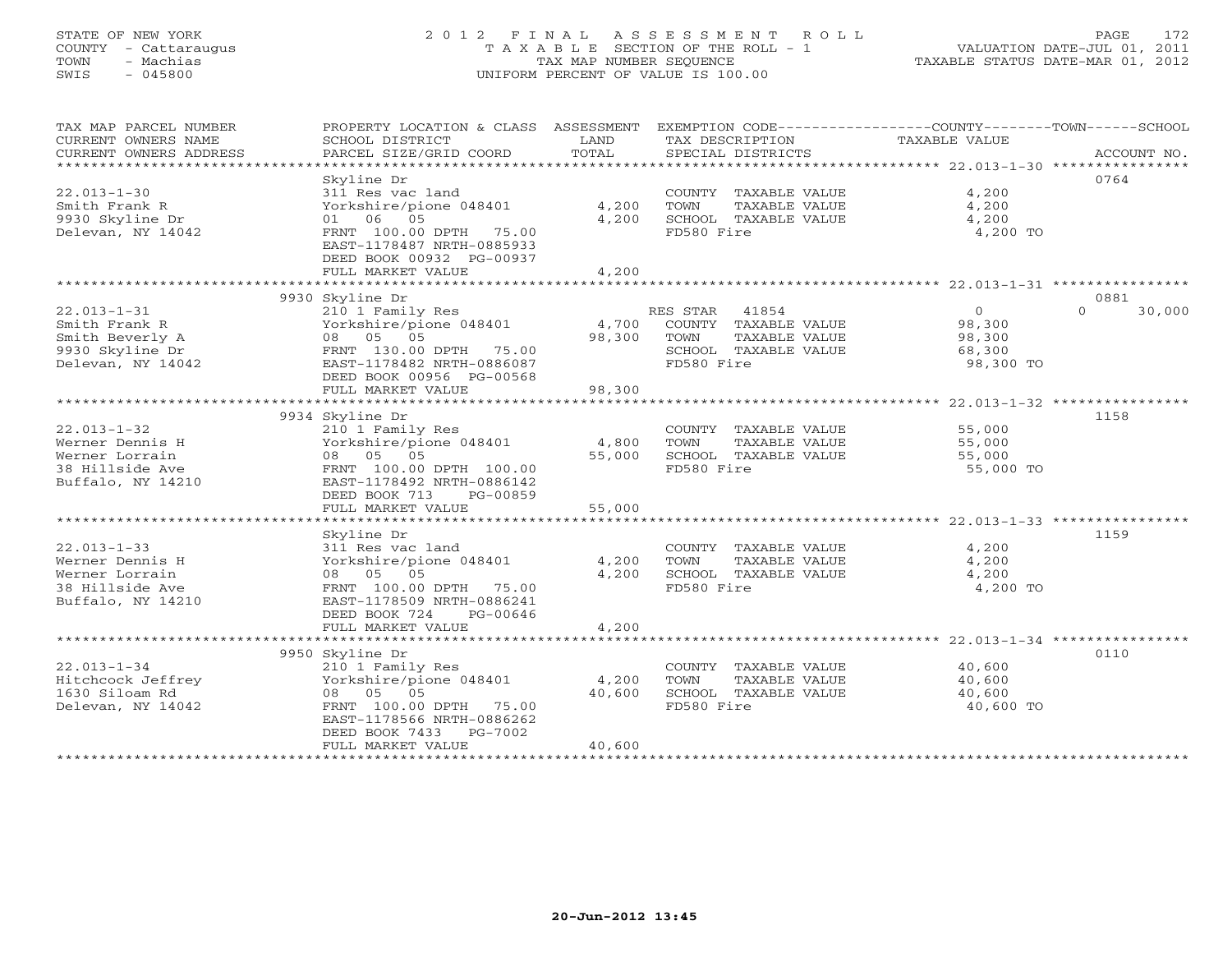## STATE OF NEW YORK 2 0 1 2 F I N A L A S S E S S M E N T R O L L PAGE 172 COUNTY - Cattaraugus T A X A B L E SECTION OF THE ROLL - 1 VALUATION DATE-JUL 01, 2011 TOWN - Machias TAX MAP NUMBER SEQUENCE TAXABLE STATUS DATE-MAR 01, 2012 SWIS - 045800 UNIFORM PERCENT OF VALUE IS 100.00UNIFORM PERCENT OF VALUE IS 100.00

| TAX MAP PARCEL NUMBER<br>CURRENT OWNERS NAME<br>CURRENT OWNERS ADDRESS<br>************************* | PROPERTY LOCATION & CLASS ASSESSMENT<br>SCHOOL DISTRICT<br>PARCEL SIZE/GRID COORD | LAND<br>TOTAL  | EXEMPTION CODE-----------------COUNTY-------TOWN------SCHOOL<br>TAX DESCRIPTION<br>SPECIAL DISTRICTS | TAXABLE VALUE  | ACCOUNT NO.        |
|-----------------------------------------------------------------------------------------------------|-----------------------------------------------------------------------------------|----------------|------------------------------------------------------------------------------------------------------|----------------|--------------------|
|                                                                                                     |                                                                                   |                |                                                                                                      |                | 0764               |
|                                                                                                     | Skyline Dr                                                                        |                |                                                                                                      |                |                    |
| $22.013 - 1 - 30$                                                                                   | 311 Res vac land                                                                  |                | COUNTY TAXABLE VALUE                                                                                 | 4,200          |                    |
| Smith Frank R                                                                                       | Yorkshire/pione 048401<br>01 06 05                                                | 4,200<br>4,200 | TOWN<br>TAXABLE VALUE                                                                                | 4,200          |                    |
| 9930 Skyline Dr                                                                                     |                                                                                   |                | SCHOOL TAXABLE VALUE                                                                                 | 4,200          |                    |
| Delevan, NY 14042                                                                                   | FRNT 100.00 DPTH 75.00                                                            |                | FD580 Fire                                                                                           | 4,200 TO       |                    |
|                                                                                                     | EAST-1178487 NRTH-0885933                                                         |                |                                                                                                      |                |                    |
|                                                                                                     | DEED BOOK 00932 PG-00937<br>FULL MARKET VALUE                                     | 4,200          |                                                                                                      |                |                    |
|                                                                                                     |                                                                                   |                |                                                                                                      |                |                    |
|                                                                                                     | 9930 Skyline Dr                                                                   |                |                                                                                                      |                | 0881               |
| $22.013 - 1 - 31$                                                                                   | 210 1 Family Res                                                                  |                | RES STAR 41854                                                                                       | $\overline{O}$ | $\Omega$<br>30,000 |
| Smith Frank R                                                                                       | Yorkshire/pione 048401                                                            | 4,700          | COUNTY TAXABLE VALUE                                                                                 | 98,300         |                    |
| Smith Beverly A                                                                                     | 08 05 05                                                                          | 98,300         | TOWN<br>TAXABLE VALUE                                                                                | 98,300         |                    |
| 9930 Skyline Dr                                                                                     | FRNT 130.00 DPTH 75.00                                                            |                | SCHOOL TAXABLE VALUE                                                                                 | 68,300         |                    |
| Delevan, NY 14042                                                                                   | EAST-1178482 NRTH-0886087                                                         |                | FD580 Fire                                                                                           | 98,300 TO      |                    |
|                                                                                                     | DEED BOOK 00956 PG-00568                                                          |                |                                                                                                      |                |                    |
|                                                                                                     | FULL MARKET VALUE                                                                 | 98,300         |                                                                                                      |                |                    |
|                                                                                                     |                                                                                   |                |                                                                                                      |                |                    |
|                                                                                                     | 9934 Skyline Dr                                                                   |                |                                                                                                      |                | 1158               |
| $22.013 - 1 - 32$                                                                                   | 210 1 Family Res                                                                  |                | COUNTY TAXABLE VALUE                                                                                 | 55,000         |                    |
| Werner Dennis H                                                                                     | Yorkshire/pione 048401                                                            | 4,800          | TOWN<br>TAXABLE VALUE                                                                                | 55,000         |                    |
| Werner Lorrain                                                                                      | 08 05 05                                                                          | 55,000         | SCHOOL TAXABLE VALUE                                                                                 | 55,000         |                    |
| 38 Hillside Ave                                                                                     | FRNT 100.00 DPTH 100.00                                                           |                | FD580 Fire                                                                                           | 55,000 TO      |                    |
| Buffalo, NY 14210                                                                                   | EAST-1178492 NRTH-0886142                                                         |                |                                                                                                      |                |                    |
|                                                                                                     | DEED BOOK 713<br>PG-00859                                                         |                |                                                                                                      |                |                    |
|                                                                                                     | FULL MARKET VALUE                                                                 | 55,000         |                                                                                                      |                |                    |
|                                                                                                     |                                                                                   |                |                                                                                                      |                |                    |
|                                                                                                     | Skyline Dr                                                                        |                |                                                                                                      |                | 1159               |
| $22.013 - 1 - 33$                                                                                   | 311 Res vac land                                                                  |                | COUNTY TAXABLE VALUE                                                                                 | 4,200          |                    |
| Werner Dennis H                                                                                     | Yorkshire/pione 048401                                                            | 4,200          | TOWN<br>TAXABLE VALUE                                                                                | 4,200          |                    |
| Werner Lorrain                                                                                      | 08 05 05                                                                          | 4,200          | SCHOOL TAXABLE VALUE                                                                                 | 4,200          |                    |
| 38 Hillside Ave                                                                                     | FRNT 100.00 DPTH 75.00                                                            |                | FD580 Fire                                                                                           | 4,200 TO       |                    |
| Buffalo, NY 14210                                                                                   | EAST-1178509 NRTH-0886241                                                         |                |                                                                                                      |                |                    |
|                                                                                                     | DEED BOOK 724<br>PG-00646                                                         |                |                                                                                                      |                |                    |
|                                                                                                     | FULL MARKET VALUE                                                                 | 4,200          |                                                                                                      |                |                    |
|                                                                                                     |                                                                                   |                |                                                                                                      |                |                    |
|                                                                                                     | 9950 Skyline Dr                                                                   |                |                                                                                                      |                | 0110               |
| $22.013 - 1 - 34$                                                                                   | 210 1 Family Res                                                                  |                | COUNTY TAXABLE VALUE                                                                                 | 40,600         |                    |
| Hitchcock Jeffrey                                                                                   | Yorkshire/pione 048401                                                            | 4,200          | TOWN<br>TAXABLE VALUE                                                                                | 40,600         |                    |
| 1630 Siloam Rd                                                                                      | 08 05 05                                                                          | 40,600         | SCHOOL TAXABLE VALUE                                                                                 | 40,600         |                    |
| Delevan, NY 14042                                                                                   | FRNT 100.00 DPTH 75.00                                                            |                | FD580 Fire                                                                                           | 40,600 TO      |                    |
|                                                                                                     | EAST-1178566 NRTH-0886262                                                         |                |                                                                                                      |                |                    |
|                                                                                                     | PG-7002<br>DEED BOOK 7433                                                         |                |                                                                                                      |                |                    |
|                                                                                                     | FULL MARKET VALUE                                                                 | 40,600         |                                                                                                      |                |                    |
|                                                                                                     |                                                                                   |                |                                                                                                      |                |                    |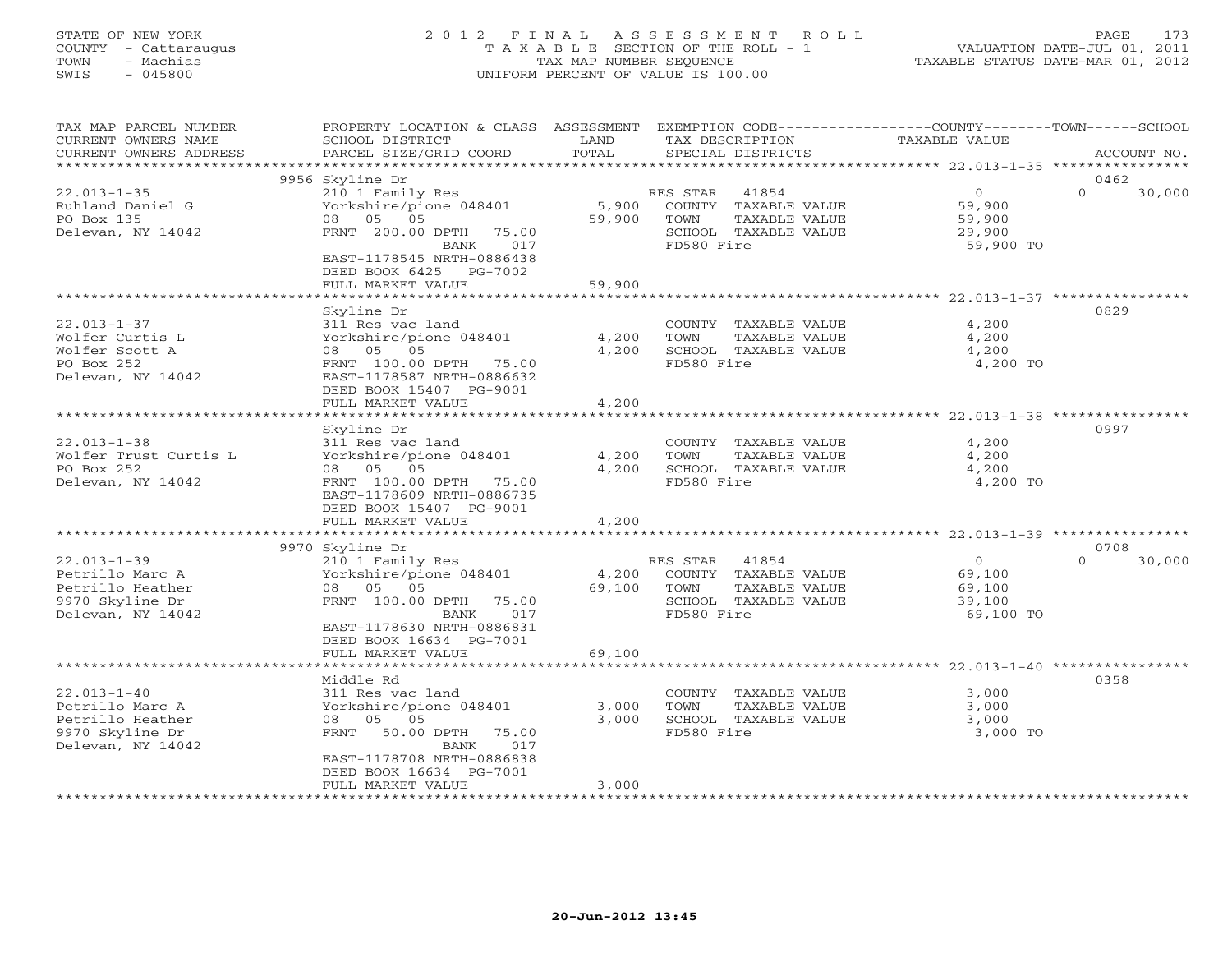## STATE OF NEW YORK 2 0 1 2 F I N A L A S S E S S M E N T R O L L PAGE 173 COUNTY - Cattaraugus T A X A B L E SECTION OF THE ROLL - 1 VALUATION DATE-JUL 01, 2011 TOWN - Machias TAX MAP NUMBER SEQUENCE TAXABLE STATUS DATE-MAR 01, 2012 SWIS - 045800 UNIFORM PERCENT OF VALUE IS 100.00UNIFORM PERCENT OF VALUE IS 100.00

| $\overline{0}$                                            | 0462                       |
|-----------------------------------------------------------|----------------------------|
|                                                           |                            |
| 59,900<br>29,900<br>59,900 TO                             | $\Omega$<br>30,000         |
|                                                           |                            |
| 4,200<br>4,200<br>4,200<br>4,200 TO                       | 0829                       |
|                                                           |                            |
| 4,200<br>4,200<br>4,200<br>4,200 TO                       | 0997                       |
|                                                           |                            |
| $\overline{O}$<br>69,100<br>69,100<br>39,100<br>69,100 TO | 0708<br>$\Omega$<br>30,000 |
|                                                           |                            |
|                                                           | 0358                       |
| 3,000<br>3,000<br>3,000<br>3,000 TO                       |                            |
|                                                           | 59,900                     |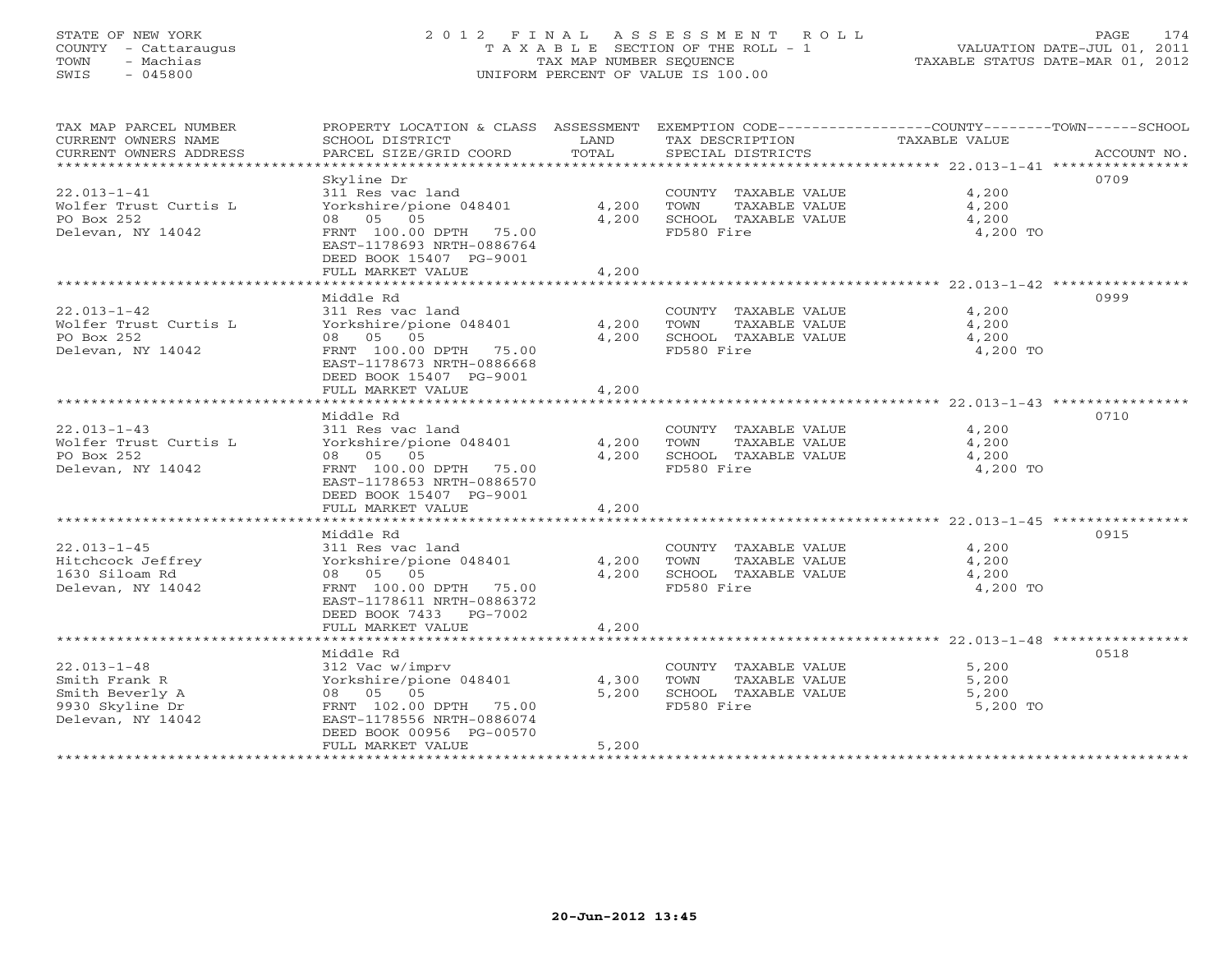## STATE OF NEW YORK 2 0 1 2 F I N A L A S S E S S M E N T R O L L PAGE 174 COUNTY - Cattaraugus T A X A B L E SECTION OF THE ROLL - 1 VALUATION DATE-JUL 01, 2011 TOWN - Machias TAX MAP NUMBER SEQUENCE TAXABLE STATUS DATE-MAR 01, 2012 SWIS - 045800 UNIFORM PERCENT OF VALUE IS 100.00UNIFORM PERCENT OF VALUE IS 100.00

| TOTAL<br>SPECIAL DISTRICTS<br>CURRENT OWNERS ADDRESS<br>PARCEL SIZE/GRID COORD<br>ACCOUNT NO.<br>0709<br>Skyline Dr<br>311 Res vac land<br>4,200<br>COUNTY TAXABLE VALUE<br>Yorkshire/pione 048401<br>4,200<br>TAXABLE VALUE<br>TOWN<br>4,200<br>08 05 05<br>4,200<br>SCHOOL TAXABLE VALUE<br>4,200<br>FRNT 100.00 DPTH 75.00<br>FD580 Fire<br>4,200 TO<br>EAST-1178693 NRTH-0886764<br>DEED BOOK 15407 PG-9001<br>4,200<br>FULL MARKET VALUE<br>Middle Rd<br>0999<br>$22.013 - 1 - 42$<br>4,200<br>311 Res vac land<br>COUNTY TAXABLE VALUE<br>4,200<br>Wolfer Trust Curtis L<br>Yorkshire/pione 048401<br>TOWN<br>TAXABLE VALUE<br>4,200<br>PO Box 252<br>08 05 05<br>4,200<br>SCHOOL TAXABLE VALUE<br>4,200<br>FRNT 100.00 DPTH 75.00<br>4,200 TO<br>Delevan, NY 14042<br>FD580 Fire<br>EAST-1178673 NRTH-0886668<br>DEED BOOK 15407 PG-9001<br>FULL MARKET VALUE<br>4,200<br>Middle Rd<br>0710<br>$22.013 - 1 - 43$<br>4,200<br>311 Res vac land<br>COUNTY TAXABLE VALUE<br>Wolfer Trust Curtis L<br>4,200<br>4,200<br>Yorkshire/pione 048401<br>TOWN<br>TAXABLE VALUE<br>PO Box 252<br>08 05 05<br>4,200<br>SCHOOL TAXABLE VALUE<br>4,200<br>Delevan, NY 14042<br>FD580 Fire<br>FRNT 100.00 DPTH 75.00<br>4,200 TO<br>EAST-1178653 NRTH-0886570<br>DEED BOOK 15407 PG-9001<br>FULL MARKET VALUE<br>4,200<br>0915<br>Middle Rd<br>$22.013 - 1 - 45$<br>4,200<br>311 Res vac land<br>COUNTY TAXABLE VALUE<br>Hitchcock Jeffrey<br>Yorkshire/pione 048401<br>4,200<br>TOWN<br>TAXABLE VALUE<br>4,200<br>1630 Siloam Rd<br>08 05 05<br>4,200<br>SCHOOL TAXABLE VALUE<br>4,200<br>FD580 Fire<br>FRNT 100.00 DPTH 75.00<br>4,200 TO<br>EAST-1178611 NRTH-0886372<br>DEED BOOK 7433 PG-7002<br>4,200<br>FULL MARKET VALUE<br>0518<br>Middle Rd<br>COUNTY TAXABLE VALUE<br>5,200<br>312 Vac w/imprv<br>Yorkshire/pione 048401<br>4,300<br>TOWN<br>TAXABLE VALUE<br>5,200<br>08 05 05<br>5,200<br>SCHOOL TAXABLE VALUE<br>5,200<br>FRNT 102.00 DPTH 75.00<br>FD580 Fire<br>5,200 TO<br>EAST-1178556 NRTH-0886074<br>DEED BOOK 00956 PG-00570<br>5,200<br>FULL MARKET VALUE | TAX MAP PARCEL NUMBER |                 |      |                 | PROPERTY LOCATION & CLASS ASSESSMENT EXEMPTION CODE----------------COUNTY-------TOWN------SCHOOL |  |
|------------------------------------------------------------------------------------------------------------------------------------------------------------------------------------------------------------------------------------------------------------------------------------------------------------------------------------------------------------------------------------------------------------------------------------------------------------------------------------------------------------------------------------------------------------------------------------------------------------------------------------------------------------------------------------------------------------------------------------------------------------------------------------------------------------------------------------------------------------------------------------------------------------------------------------------------------------------------------------------------------------------------------------------------------------------------------------------------------------------------------------------------------------------------------------------------------------------------------------------------------------------------------------------------------------------------------------------------------------------------------------------------------------------------------------------------------------------------------------------------------------------------------------------------------------------------------------------------------------------------------------------------------------------------------------------------------------------------------------------------------------------------------------------------------------------------------------------------------------------------------------------------------------------------------------------------------------------------------------------------------------------------------------------------------------------------|-----------------------|-----------------|------|-----------------|--------------------------------------------------------------------------------------------------|--|
|                                                                                                                                                                                                                                                                                                                                                                                                                                                                                                                                                                                                                                                                                                                                                                                                                                                                                                                                                                                                                                                                                                                                                                                                                                                                                                                                                                                                                                                                                                                                                                                                                                                                                                                                                                                                                                                                                                                                                                                                                                                                        | CURRENT OWNERS NAME   | SCHOOL DISTRICT | LAND | TAX DESCRIPTION | TAXABLE VALUE                                                                                    |  |
|                                                                                                                                                                                                                                                                                                                                                                                                                                                                                                                                                                                                                                                                                                                                                                                                                                                                                                                                                                                                                                                                                                                                                                                                                                                                                                                                                                                                                                                                                                                                                                                                                                                                                                                                                                                                                                                                                                                                                                                                                                                                        |                       |                 |      |                 |                                                                                                  |  |
|                                                                                                                                                                                                                                                                                                                                                                                                                                                                                                                                                                                                                                                                                                                                                                                                                                                                                                                                                                                                                                                                                                                                                                                                                                                                                                                                                                                                                                                                                                                                                                                                                                                                                                                                                                                                                                                                                                                                                                                                                                                                        |                       |                 |      |                 |                                                                                                  |  |
|                                                                                                                                                                                                                                                                                                                                                                                                                                                                                                                                                                                                                                                                                                                                                                                                                                                                                                                                                                                                                                                                                                                                                                                                                                                                                                                                                                                                                                                                                                                                                                                                                                                                                                                                                                                                                                                                                                                                                                                                                                                                        |                       |                 |      |                 |                                                                                                  |  |
|                                                                                                                                                                                                                                                                                                                                                                                                                                                                                                                                                                                                                                                                                                                                                                                                                                                                                                                                                                                                                                                                                                                                                                                                                                                                                                                                                                                                                                                                                                                                                                                                                                                                                                                                                                                                                                                                                                                                                                                                                                                                        | $22.013 - 1 - 41$     |                 |      |                 |                                                                                                  |  |
|                                                                                                                                                                                                                                                                                                                                                                                                                                                                                                                                                                                                                                                                                                                                                                                                                                                                                                                                                                                                                                                                                                                                                                                                                                                                                                                                                                                                                                                                                                                                                                                                                                                                                                                                                                                                                                                                                                                                                                                                                                                                        | Wolfer Trust Curtis L |                 |      |                 |                                                                                                  |  |
|                                                                                                                                                                                                                                                                                                                                                                                                                                                                                                                                                                                                                                                                                                                                                                                                                                                                                                                                                                                                                                                                                                                                                                                                                                                                                                                                                                                                                                                                                                                                                                                                                                                                                                                                                                                                                                                                                                                                                                                                                                                                        | PO Box 252            |                 |      |                 |                                                                                                  |  |
|                                                                                                                                                                                                                                                                                                                                                                                                                                                                                                                                                                                                                                                                                                                                                                                                                                                                                                                                                                                                                                                                                                                                                                                                                                                                                                                                                                                                                                                                                                                                                                                                                                                                                                                                                                                                                                                                                                                                                                                                                                                                        | Delevan, NY 14042     |                 |      |                 |                                                                                                  |  |
|                                                                                                                                                                                                                                                                                                                                                                                                                                                                                                                                                                                                                                                                                                                                                                                                                                                                                                                                                                                                                                                                                                                                                                                                                                                                                                                                                                                                                                                                                                                                                                                                                                                                                                                                                                                                                                                                                                                                                                                                                                                                        |                       |                 |      |                 |                                                                                                  |  |
|                                                                                                                                                                                                                                                                                                                                                                                                                                                                                                                                                                                                                                                                                                                                                                                                                                                                                                                                                                                                                                                                                                                                                                                                                                                                                                                                                                                                                                                                                                                                                                                                                                                                                                                                                                                                                                                                                                                                                                                                                                                                        |                       |                 |      |                 |                                                                                                  |  |
|                                                                                                                                                                                                                                                                                                                                                                                                                                                                                                                                                                                                                                                                                                                                                                                                                                                                                                                                                                                                                                                                                                                                                                                                                                                                                                                                                                                                                                                                                                                                                                                                                                                                                                                                                                                                                                                                                                                                                                                                                                                                        |                       |                 |      |                 |                                                                                                  |  |
|                                                                                                                                                                                                                                                                                                                                                                                                                                                                                                                                                                                                                                                                                                                                                                                                                                                                                                                                                                                                                                                                                                                                                                                                                                                                                                                                                                                                                                                                                                                                                                                                                                                                                                                                                                                                                                                                                                                                                                                                                                                                        |                       |                 |      |                 |                                                                                                  |  |
|                                                                                                                                                                                                                                                                                                                                                                                                                                                                                                                                                                                                                                                                                                                                                                                                                                                                                                                                                                                                                                                                                                                                                                                                                                                                                                                                                                                                                                                                                                                                                                                                                                                                                                                                                                                                                                                                                                                                                                                                                                                                        |                       |                 |      |                 |                                                                                                  |  |
|                                                                                                                                                                                                                                                                                                                                                                                                                                                                                                                                                                                                                                                                                                                                                                                                                                                                                                                                                                                                                                                                                                                                                                                                                                                                                                                                                                                                                                                                                                                                                                                                                                                                                                                                                                                                                                                                                                                                                                                                                                                                        |                       |                 |      |                 |                                                                                                  |  |
|                                                                                                                                                                                                                                                                                                                                                                                                                                                                                                                                                                                                                                                                                                                                                                                                                                                                                                                                                                                                                                                                                                                                                                                                                                                                                                                                                                                                                                                                                                                                                                                                                                                                                                                                                                                                                                                                                                                                                                                                                                                                        |                       |                 |      |                 |                                                                                                  |  |
|                                                                                                                                                                                                                                                                                                                                                                                                                                                                                                                                                                                                                                                                                                                                                                                                                                                                                                                                                                                                                                                                                                                                                                                                                                                                                                                                                                                                                                                                                                                                                                                                                                                                                                                                                                                                                                                                                                                                                                                                                                                                        |                       |                 |      |                 |                                                                                                  |  |
|                                                                                                                                                                                                                                                                                                                                                                                                                                                                                                                                                                                                                                                                                                                                                                                                                                                                                                                                                                                                                                                                                                                                                                                                                                                                                                                                                                                                                                                                                                                                                                                                                                                                                                                                                                                                                                                                                                                                                                                                                                                                        |                       |                 |      |                 |                                                                                                  |  |
|                                                                                                                                                                                                                                                                                                                                                                                                                                                                                                                                                                                                                                                                                                                                                                                                                                                                                                                                                                                                                                                                                                                                                                                                                                                                                                                                                                                                                                                                                                                                                                                                                                                                                                                                                                                                                                                                                                                                                                                                                                                                        |                       |                 |      |                 |                                                                                                  |  |
|                                                                                                                                                                                                                                                                                                                                                                                                                                                                                                                                                                                                                                                                                                                                                                                                                                                                                                                                                                                                                                                                                                                                                                                                                                                                                                                                                                                                                                                                                                                                                                                                                                                                                                                                                                                                                                                                                                                                                                                                                                                                        |                       |                 |      |                 |                                                                                                  |  |
|                                                                                                                                                                                                                                                                                                                                                                                                                                                                                                                                                                                                                                                                                                                                                                                                                                                                                                                                                                                                                                                                                                                                                                                                                                                                                                                                                                                                                                                                                                                                                                                                                                                                                                                                                                                                                                                                                                                                                                                                                                                                        |                       |                 |      |                 |                                                                                                  |  |
|                                                                                                                                                                                                                                                                                                                                                                                                                                                                                                                                                                                                                                                                                                                                                                                                                                                                                                                                                                                                                                                                                                                                                                                                                                                                                                                                                                                                                                                                                                                                                                                                                                                                                                                                                                                                                                                                                                                                                                                                                                                                        |                       |                 |      |                 |                                                                                                  |  |
|                                                                                                                                                                                                                                                                                                                                                                                                                                                                                                                                                                                                                                                                                                                                                                                                                                                                                                                                                                                                                                                                                                                                                                                                                                                                                                                                                                                                                                                                                                                                                                                                                                                                                                                                                                                                                                                                                                                                                                                                                                                                        |                       |                 |      |                 |                                                                                                  |  |
|                                                                                                                                                                                                                                                                                                                                                                                                                                                                                                                                                                                                                                                                                                                                                                                                                                                                                                                                                                                                                                                                                                                                                                                                                                                                                                                                                                                                                                                                                                                                                                                                                                                                                                                                                                                                                                                                                                                                                                                                                                                                        |                       |                 |      |                 |                                                                                                  |  |
|                                                                                                                                                                                                                                                                                                                                                                                                                                                                                                                                                                                                                                                                                                                                                                                                                                                                                                                                                                                                                                                                                                                                                                                                                                                                                                                                                                                                                                                                                                                                                                                                                                                                                                                                                                                                                                                                                                                                                                                                                                                                        |                       |                 |      |                 |                                                                                                  |  |
|                                                                                                                                                                                                                                                                                                                                                                                                                                                                                                                                                                                                                                                                                                                                                                                                                                                                                                                                                                                                                                                                                                                                                                                                                                                                                                                                                                                                                                                                                                                                                                                                                                                                                                                                                                                                                                                                                                                                                                                                                                                                        |                       |                 |      |                 |                                                                                                  |  |
|                                                                                                                                                                                                                                                                                                                                                                                                                                                                                                                                                                                                                                                                                                                                                                                                                                                                                                                                                                                                                                                                                                                                                                                                                                                                                                                                                                                                                                                                                                                                                                                                                                                                                                                                                                                                                                                                                                                                                                                                                                                                        |                       |                 |      |                 |                                                                                                  |  |
|                                                                                                                                                                                                                                                                                                                                                                                                                                                                                                                                                                                                                                                                                                                                                                                                                                                                                                                                                                                                                                                                                                                                                                                                                                                                                                                                                                                                                                                                                                                                                                                                                                                                                                                                                                                                                                                                                                                                                                                                                                                                        |                       |                 |      |                 |                                                                                                  |  |
|                                                                                                                                                                                                                                                                                                                                                                                                                                                                                                                                                                                                                                                                                                                                                                                                                                                                                                                                                                                                                                                                                                                                                                                                                                                                                                                                                                                                                                                                                                                                                                                                                                                                                                                                                                                                                                                                                                                                                                                                                                                                        |                       |                 |      |                 |                                                                                                  |  |
|                                                                                                                                                                                                                                                                                                                                                                                                                                                                                                                                                                                                                                                                                                                                                                                                                                                                                                                                                                                                                                                                                                                                                                                                                                                                                                                                                                                                                                                                                                                                                                                                                                                                                                                                                                                                                                                                                                                                                                                                                                                                        |                       |                 |      |                 |                                                                                                  |  |
|                                                                                                                                                                                                                                                                                                                                                                                                                                                                                                                                                                                                                                                                                                                                                                                                                                                                                                                                                                                                                                                                                                                                                                                                                                                                                                                                                                                                                                                                                                                                                                                                                                                                                                                                                                                                                                                                                                                                                                                                                                                                        |                       |                 |      |                 |                                                                                                  |  |
|                                                                                                                                                                                                                                                                                                                                                                                                                                                                                                                                                                                                                                                                                                                                                                                                                                                                                                                                                                                                                                                                                                                                                                                                                                                                                                                                                                                                                                                                                                                                                                                                                                                                                                                                                                                                                                                                                                                                                                                                                                                                        |                       |                 |      |                 |                                                                                                  |  |
|                                                                                                                                                                                                                                                                                                                                                                                                                                                                                                                                                                                                                                                                                                                                                                                                                                                                                                                                                                                                                                                                                                                                                                                                                                                                                                                                                                                                                                                                                                                                                                                                                                                                                                                                                                                                                                                                                                                                                                                                                                                                        |                       |                 |      |                 |                                                                                                  |  |
|                                                                                                                                                                                                                                                                                                                                                                                                                                                                                                                                                                                                                                                                                                                                                                                                                                                                                                                                                                                                                                                                                                                                                                                                                                                                                                                                                                                                                                                                                                                                                                                                                                                                                                                                                                                                                                                                                                                                                                                                                                                                        |                       |                 |      |                 |                                                                                                  |  |
|                                                                                                                                                                                                                                                                                                                                                                                                                                                                                                                                                                                                                                                                                                                                                                                                                                                                                                                                                                                                                                                                                                                                                                                                                                                                                                                                                                                                                                                                                                                                                                                                                                                                                                                                                                                                                                                                                                                                                                                                                                                                        |                       |                 |      |                 |                                                                                                  |  |
|                                                                                                                                                                                                                                                                                                                                                                                                                                                                                                                                                                                                                                                                                                                                                                                                                                                                                                                                                                                                                                                                                                                                                                                                                                                                                                                                                                                                                                                                                                                                                                                                                                                                                                                                                                                                                                                                                                                                                                                                                                                                        |                       |                 |      |                 |                                                                                                  |  |
|                                                                                                                                                                                                                                                                                                                                                                                                                                                                                                                                                                                                                                                                                                                                                                                                                                                                                                                                                                                                                                                                                                                                                                                                                                                                                                                                                                                                                                                                                                                                                                                                                                                                                                                                                                                                                                                                                                                                                                                                                                                                        | Delevan, NY 14042     |                 |      |                 |                                                                                                  |  |
|                                                                                                                                                                                                                                                                                                                                                                                                                                                                                                                                                                                                                                                                                                                                                                                                                                                                                                                                                                                                                                                                                                                                                                                                                                                                                                                                                                                                                                                                                                                                                                                                                                                                                                                                                                                                                                                                                                                                                                                                                                                                        |                       |                 |      |                 |                                                                                                  |  |
|                                                                                                                                                                                                                                                                                                                                                                                                                                                                                                                                                                                                                                                                                                                                                                                                                                                                                                                                                                                                                                                                                                                                                                                                                                                                                                                                                                                                                                                                                                                                                                                                                                                                                                                                                                                                                                                                                                                                                                                                                                                                        |                       |                 |      |                 |                                                                                                  |  |
|                                                                                                                                                                                                                                                                                                                                                                                                                                                                                                                                                                                                                                                                                                                                                                                                                                                                                                                                                                                                                                                                                                                                                                                                                                                                                                                                                                                                                                                                                                                                                                                                                                                                                                                                                                                                                                                                                                                                                                                                                                                                        |                       |                 |      |                 |                                                                                                  |  |
|                                                                                                                                                                                                                                                                                                                                                                                                                                                                                                                                                                                                                                                                                                                                                                                                                                                                                                                                                                                                                                                                                                                                                                                                                                                                                                                                                                                                                                                                                                                                                                                                                                                                                                                                                                                                                                                                                                                                                                                                                                                                        |                       |                 |      |                 |                                                                                                  |  |
|                                                                                                                                                                                                                                                                                                                                                                                                                                                                                                                                                                                                                                                                                                                                                                                                                                                                                                                                                                                                                                                                                                                                                                                                                                                                                                                                                                                                                                                                                                                                                                                                                                                                                                                                                                                                                                                                                                                                                                                                                                                                        |                       |                 |      |                 |                                                                                                  |  |
|                                                                                                                                                                                                                                                                                                                                                                                                                                                                                                                                                                                                                                                                                                                                                                                                                                                                                                                                                                                                                                                                                                                                                                                                                                                                                                                                                                                                                                                                                                                                                                                                                                                                                                                                                                                                                                                                                                                                                                                                                                                                        | $22.013 - 1 - 48$     |                 |      |                 |                                                                                                  |  |
|                                                                                                                                                                                                                                                                                                                                                                                                                                                                                                                                                                                                                                                                                                                                                                                                                                                                                                                                                                                                                                                                                                                                                                                                                                                                                                                                                                                                                                                                                                                                                                                                                                                                                                                                                                                                                                                                                                                                                                                                                                                                        | Smith Frank R         |                 |      |                 |                                                                                                  |  |
|                                                                                                                                                                                                                                                                                                                                                                                                                                                                                                                                                                                                                                                                                                                                                                                                                                                                                                                                                                                                                                                                                                                                                                                                                                                                                                                                                                                                                                                                                                                                                                                                                                                                                                                                                                                                                                                                                                                                                                                                                                                                        | Smith Beverly A       |                 |      |                 |                                                                                                  |  |
|                                                                                                                                                                                                                                                                                                                                                                                                                                                                                                                                                                                                                                                                                                                                                                                                                                                                                                                                                                                                                                                                                                                                                                                                                                                                                                                                                                                                                                                                                                                                                                                                                                                                                                                                                                                                                                                                                                                                                                                                                                                                        | 9930 Skyline Dr       |                 |      |                 |                                                                                                  |  |
|                                                                                                                                                                                                                                                                                                                                                                                                                                                                                                                                                                                                                                                                                                                                                                                                                                                                                                                                                                                                                                                                                                                                                                                                                                                                                                                                                                                                                                                                                                                                                                                                                                                                                                                                                                                                                                                                                                                                                                                                                                                                        | Delevan, NY 14042     |                 |      |                 |                                                                                                  |  |
|                                                                                                                                                                                                                                                                                                                                                                                                                                                                                                                                                                                                                                                                                                                                                                                                                                                                                                                                                                                                                                                                                                                                                                                                                                                                                                                                                                                                                                                                                                                                                                                                                                                                                                                                                                                                                                                                                                                                                                                                                                                                        |                       |                 |      |                 |                                                                                                  |  |
|                                                                                                                                                                                                                                                                                                                                                                                                                                                                                                                                                                                                                                                                                                                                                                                                                                                                                                                                                                                                                                                                                                                                                                                                                                                                                                                                                                                                                                                                                                                                                                                                                                                                                                                                                                                                                                                                                                                                                                                                                                                                        |                       |                 |      |                 |                                                                                                  |  |
|                                                                                                                                                                                                                                                                                                                                                                                                                                                                                                                                                                                                                                                                                                                                                                                                                                                                                                                                                                                                                                                                                                                                                                                                                                                                                                                                                                                                                                                                                                                                                                                                                                                                                                                                                                                                                                                                                                                                                                                                                                                                        |                       |                 |      |                 |                                                                                                  |  |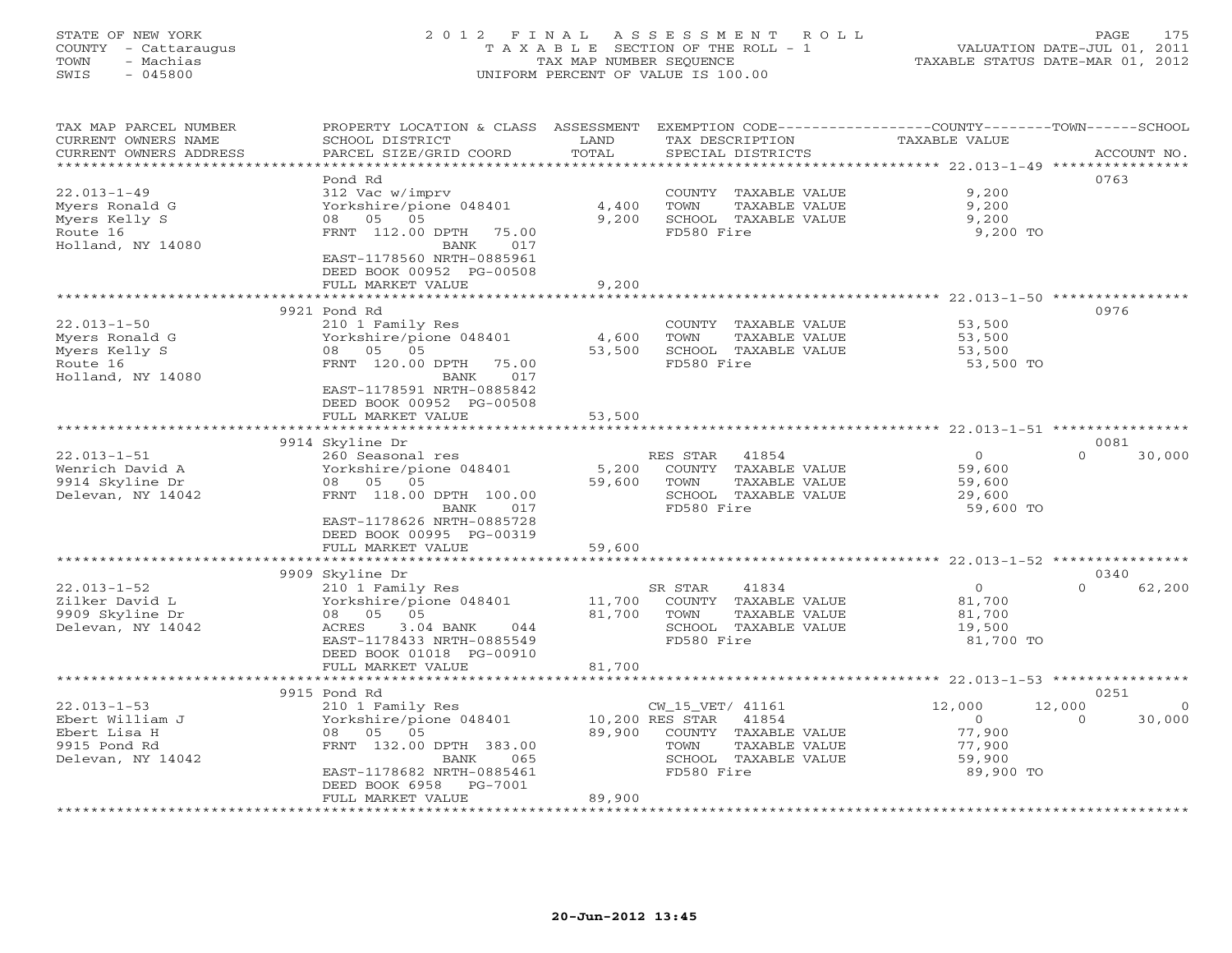## STATE OF NEW YORK 2 0 1 2 F I N A L A S S E S S M E N T R O L L PAGE 175 COUNTY - Cattaraugus T A X A B L E SECTION OF THE ROLL - 1 VALUATION DATE-JUL 01, 2011 TOWN - Machias TAX MAP NUMBER SEQUENCE TAXABLE STATUS DATE-MAR 01, 2012 SWIS - 045800 UNIFORM PERCENT OF VALUE IS 100.00UNIFORM PERCENT OF VALUE IS 100.00

| TAX MAP PARCEL NUMBER<br>CURRENT OWNERS NAME<br>CURRENT OWNERS ADDRESS<br>********************* | PROPERTY LOCATION & CLASS ASSESSMENT<br>SCHOOL DISTRICT<br>PARCEL SIZE/GRID COORD                                                                                                                         | LAND<br>TOTAL             | EXEMPTION CODE-----------------COUNTY-------TOWN------SCHOOL<br>TAX DESCRIPTION<br>SPECIAL DISTRICTS                                       | TAXABLE VALUE                                                | ACCOUNT NO.                                      |
|-------------------------------------------------------------------------------------------------|-----------------------------------------------------------------------------------------------------------------------------------------------------------------------------------------------------------|---------------------------|--------------------------------------------------------------------------------------------------------------------------------------------|--------------------------------------------------------------|--------------------------------------------------|
| $22.013 - 1 - 49$<br>Myers Ronald G<br>Myers Kelly S<br>Route 16<br>Holland, NY 14080           | Pond Rd<br>312 Vac w/imprv<br>Yorkshire/pione 048401<br>05<br>05<br>08<br>FRNT 112.00 DPTH<br>75.00<br>017<br>BANK<br>EAST-1178560 NRTH-0885961<br>DEED BOOK 00952 PG-00508<br>FULL MARKET VALUE          | 4,400<br>9,200<br>9,200   | COUNTY TAXABLE VALUE<br>TOWN<br>TAXABLE VALUE<br>SCHOOL TAXABLE VALUE<br>FD580 Fire                                                        | 9,200<br>9,200<br>9,200<br>9,200 TO                          | 0763                                             |
| $22.013 - 1 - 50$<br>Myers Ronald G<br>Myers Kelly S<br>Route 16<br>Holland, NY 14080           | ***********************<br>9921 Pond Rd<br>210 1 Family Res<br>Yorkshire/pione 048401<br>05 05<br>08<br>FRNT 120.00 DPTH<br>75.00<br>017<br>BANK<br>EAST-1178591 NRTH-0885842<br>DEED BOOK 00952 PG-00508 | 4,600<br>53,500           | COUNTY TAXABLE VALUE<br>TOWN<br>TAXABLE VALUE<br>SCHOOL TAXABLE VALUE<br>FD580 Fire                                                        | 53,500<br>53,500<br>53,500<br>53,500 TO                      | 0976                                             |
|                                                                                                 | FULL MARKET VALUE                                                                                                                                                                                         | 53,500                    |                                                                                                                                            | *** 22.013-1-51 ****                                         |                                                  |
| $22.013 - 1 - 51$<br>Wenrich David A<br>9914 Skyline Dr<br>Delevan, NY 14042                    | 9914 Skyline Dr<br>260 Seasonal res<br>Yorkshire/pione 048401<br>05 05<br>08<br>FRNT 118.00 DPTH 100.00<br>BANK<br>017<br>EAST-1178626 NRTH-0885728<br>DEED BOOK 00995 PG-00319<br>FULL MARKET VALUE      | 5,200<br>59,600<br>59,600 | 41854<br>RES STAR<br>COUNTY TAXABLE VALUE<br>TOWN<br>TAXABLE VALUE<br>SCHOOL TAXABLE VALUE<br>FD580 Fire                                   | $\circ$<br>59,600<br>59,600<br>29,600<br>59,600 TO           | 0081<br>$\Omega$<br>30,000                       |
|                                                                                                 | ***************************<br>9909 Skyline Dr                                                                                                                                                            |                           |                                                                                                                                            |                                                              | 0340                                             |
| $22.013 - 1 - 52$<br>Zilker David L<br>9909 Skyline Dr<br>Delevan, NY 14042                     | 210 1 Family Res<br>Yorkshire/pione 048401<br>05<br>05<br>08<br>ACRES<br>$3.04$ BANK<br>044<br>EAST-1178433 NRTH-0885549<br>DEED BOOK 01018 PG-00910                                                      | 11,700<br>81,700          | 41834<br>SR STAR<br>COUNTY TAXABLE VALUE<br>TOWN<br>TAXABLE VALUE<br>SCHOOL TAXABLE VALUE<br>FD580 Fire                                    | $\circ$<br>81,700<br>81,700<br>19,500<br>81,700 TO           | $\Omega$<br>62,200                               |
|                                                                                                 | FULL MARKET VALUE                                                                                                                                                                                         | 81,700                    |                                                                                                                                            |                                                              |                                                  |
| $22.013 - 1 - 53$<br>Ebert William J<br>Ebert Lisa H<br>9915 Pond Rd<br>Delevan, NY 14042       | 9915 Pond Rd<br>210 1 Family Res<br>Yorkshire/pione 048401<br>08 05<br>05<br>FRNT 132.00 DPTH 383.00<br>BANK<br>065<br>EAST-1178682 NRTH-0885461<br>DEED BOOK 6958<br>PG-7001<br>FULL MARKET VALUE        | 89,900<br>89,900          | CW_15_VET/ 41161<br>10,200 RES STAR<br>41854<br>COUNTY TAXABLE VALUE<br>TOWN<br><b>TAXABLE VALUE</b><br>SCHOOL TAXABLE VALUE<br>FD580 Fire | 12,000<br>$\circ$<br>77,900<br>77,900<br>59,900<br>89,900 TO | 0251<br>12,000<br>$\Omega$<br>30,000<br>$\Omega$ |
|                                                                                                 |                                                                                                                                                                                                           |                           |                                                                                                                                            |                                                              |                                                  |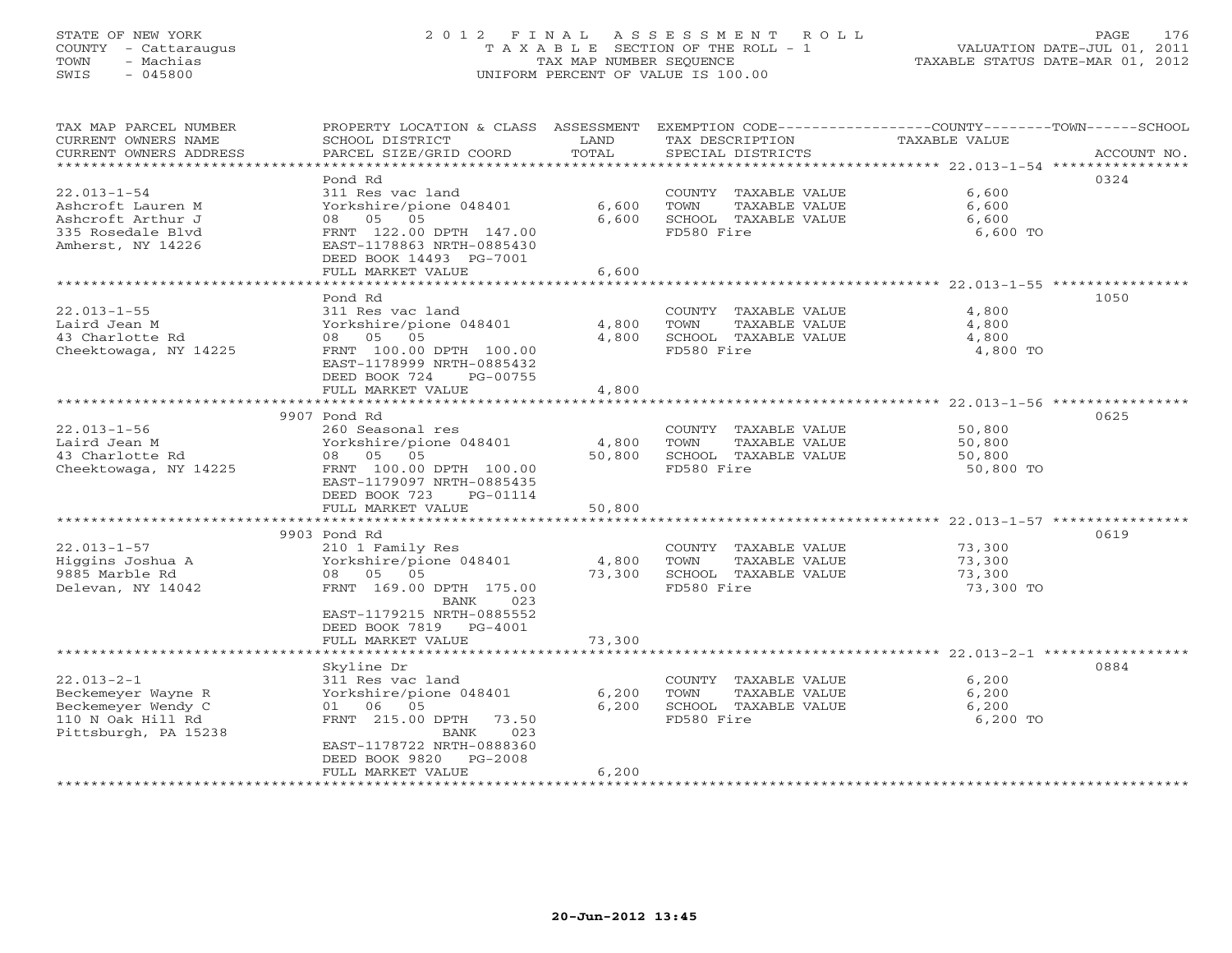## STATE OF NEW YORK 2 0 1 2 F I N A L A S S E S S M E N T R O L L PAGE 176 COUNTY - Cattaraugus T A X A B L E SECTION OF THE ROLL - 1 VALUATION DATE-JUL 01, 2011 TOWN - Machias TAX MAP NUMBER SEQUENCE TAXABLE STATUS DATE-MAR 01, 2012 SWIS - 045800 UNIFORM PERCENT OF VALUE IS 100.00UNIFORM PERCENT OF VALUE IS 100.00

| TAX MAP PARCEL NUMBER<br>CURRENT OWNERS NAME<br>CURRENT OWNERS ADDRESS | PROPERTY LOCATION & CLASS ASSESSMENT<br>SCHOOL DISTRICT<br>PARCEL SIZE/GRID COORD | LAND<br>TOTAL | EXEMPTION CODE-----------------COUNTY-------TOWN------SCHOOL<br>TAX DESCRIPTION<br>SPECIAL DISTRICTS | TAXABLE VALUE       | ACCOUNT NO. |
|------------------------------------------------------------------------|-----------------------------------------------------------------------------------|---------------|------------------------------------------------------------------------------------------------------|---------------------|-------------|
| *********************                                                  |                                                                                   |               |                                                                                                      |                     |             |
|                                                                        | Pond Rd                                                                           |               |                                                                                                      |                     | 0324        |
| $22.013 - 1 - 54$                                                      | 311 Res vac land                                                                  |               | COUNTY TAXABLE VALUE                                                                                 | 6,600               |             |
| Ashcroft Lauren M                                                      | Yorkshire/pione 048401                                                            | 6,600         | TOWN<br>TAXABLE VALUE                                                                                | 6,600               |             |
| Ashcroft Arthur J                                                      | 08 05<br>05                                                                       | 6,600         | SCHOOL TAXABLE VALUE                                                                                 | 6,600               |             |
| 335 Rosedale Blvd                                                      | FRNT 122.00 DPTH 147.00                                                           |               | FD580 Fire                                                                                           | 6,600 TO            |             |
| Amherst, NY 14226                                                      | EAST-1178863 NRTH-0885430                                                         |               |                                                                                                      |                     |             |
|                                                                        | DEED BOOK 14493 PG-7001                                                           |               |                                                                                                      |                     |             |
|                                                                        | FULL MARKET VALUE                                                                 | 6,600         |                                                                                                      |                     |             |
|                                                                        | Pond Rd                                                                           |               |                                                                                                      |                     | 1050        |
| $22.013 - 1 - 55$                                                      | 311 Res vac land                                                                  |               | COUNTY TAXABLE VALUE                                                                                 | 4,800               |             |
| Laird Jean M                                                           | Yorkshire/pione 048401                                                            | 4,800         | TOWN<br>TAXABLE VALUE                                                                                | 4,800               |             |
| 43 Charlotte Rd                                                        | 08 05 05                                                                          | 4,800         | SCHOOL TAXABLE VALUE                                                                                 | 4,800               |             |
| Cheektowaga, NY 14225                                                  | FRNT 100.00 DPTH 100.00                                                           |               | FD580 Fire                                                                                           | 4,800 TO            |             |
|                                                                        | EAST-1178999 NRTH-0885432                                                         |               |                                                                                                      |                     |             |
|                                                                        | DEED BOOK 724<br>PG-00755                                                         |               |                                                                                                      |                     |             |
|                                                                        | FULL MARKET VALUE                                                                 | 4,800         |                                                                                                      |                     |             |
|                                                                        |                                                                                   |               |                                                                                                      |                     |             |
|                                                                        | 9907 Pond Rd                                                                      |               |                                                                                                      |                     | 0625        |
| $22.013 - 1 - 56$                                                      | 260 Seasonal res                                                                  |               | COUNTY TAXABLE VALUE                                                                                 | 50,800              |             |
| Laird Jean M                                                           | Yorkshire/pione 048401                                                            | 4,800         | TOWN<br>TAXABLE VALUE                                                                                | 50,800              |             |
| 43 Charlotte Rd                                                        | 08 05 05<br>FRNT 100.00 DPTH 100.00                                               | 50,800        | SCHOOL TAXABLE VALUE<br>FD580 Fire                                                                   | 50,800<br>50,800 TO |             |
| Cheektowaga, NY 14225                                                  | EAST-1179097 NRTH-0885435                                                         |               |                                                                                                      |                     |             |
|                                                                        | DEED BOOK 723<br>PG-01114                                                         |               |                                                                                                      |                     |             |
|                                                                        | FULL MARKET VALUE                                                                 | 50,800        |                                                                                                      |                     |             |
|                                                                        |                                                                                   |               |                                                                                                      |                     |             |
|                                                                        | 9903 Pond Rd                                                                      |               |                                                                                                      |                     | 0619        |
| $22.013 - 1 - 57$                                                      | 210 1 Family Res                                                                  |               | COUNTY TAXABLE VALUE                                                                                 | 73,300              |             |
| Higgins Joshua A                                                       | Yorkshire/pione 048401                                                            | 4,800         | TOWN<br>TAXABLE VALUE                                                                                | 73,300              |             |
| 9885 Marble Rd                                                         | 08 05 05                                                                          | 73,300        | SCHOOL TAXABLE VALUE                                                                                 | 73,300              |             |
| Delevan, NY 14042                                                      | FRNT 169.00 DPTH 175.00                                                           |               | FD580 Fire                                                                                           | 73,300 TO           |             |
|                                                                        | 023<br>BANK                                                                       |               |                                                                                                      |                     |             |
|                                                                        | EAST-1179215 NRTH-0885552<br>DEED BOOK 7819 PG-4001                               |               |                                                                                                      |                     |             |
|                                                                        | FULL MARKET VALUE                                                                 | 73,300        |                                                                                                      |                     |             |
|                                                                        |                                                                                   |               |                                                                                                      |                     |             |
|                                                                        | Skyline Dr                                                                        |               |                                                                                                      |                     | 0884        |
| $22.013 - 2 - 1$                                                       | 311 Res vac land                                                                  |               | COUNTY TAXABLE VALUE                                                                                 | 6,200               |             |
| Beckemeyer Wayne R                                                     | Yorkshire/pione 048401                                                            | 6,200         | TOWN<br>TAXABLE VALUE                                                                                | 6,200               |             |
| Beckemeyer Wendy C                                                     | 01 06<br>05                                                                       | 6,200         | SCHOOL TAXABLE VALUE                                                                                 | 6,200               |             |
| 110 N Oak Hill Rd                                                      | FRNT 215.00 DPTH 73.50                                                            |               | FD580 Fire                                                                                           | 6,200 TO            |             |
| Pittsburgh, PA 15238                                                   | 023<br>BANK                                                                       |               |                                                                                                      |                     |             |
|                                                                        | EAST-1178722 NRTH-0888360                                                         |               |                                                                                                      |                     |             |
|                                                                        | DEED BOOK 9820 PG-2008                                                            | 6,200         |                                                                                                      |                     |             |
|                                                                        | FULL MARKET VALUE                                                                 |               |                                                                                                      |                     |             |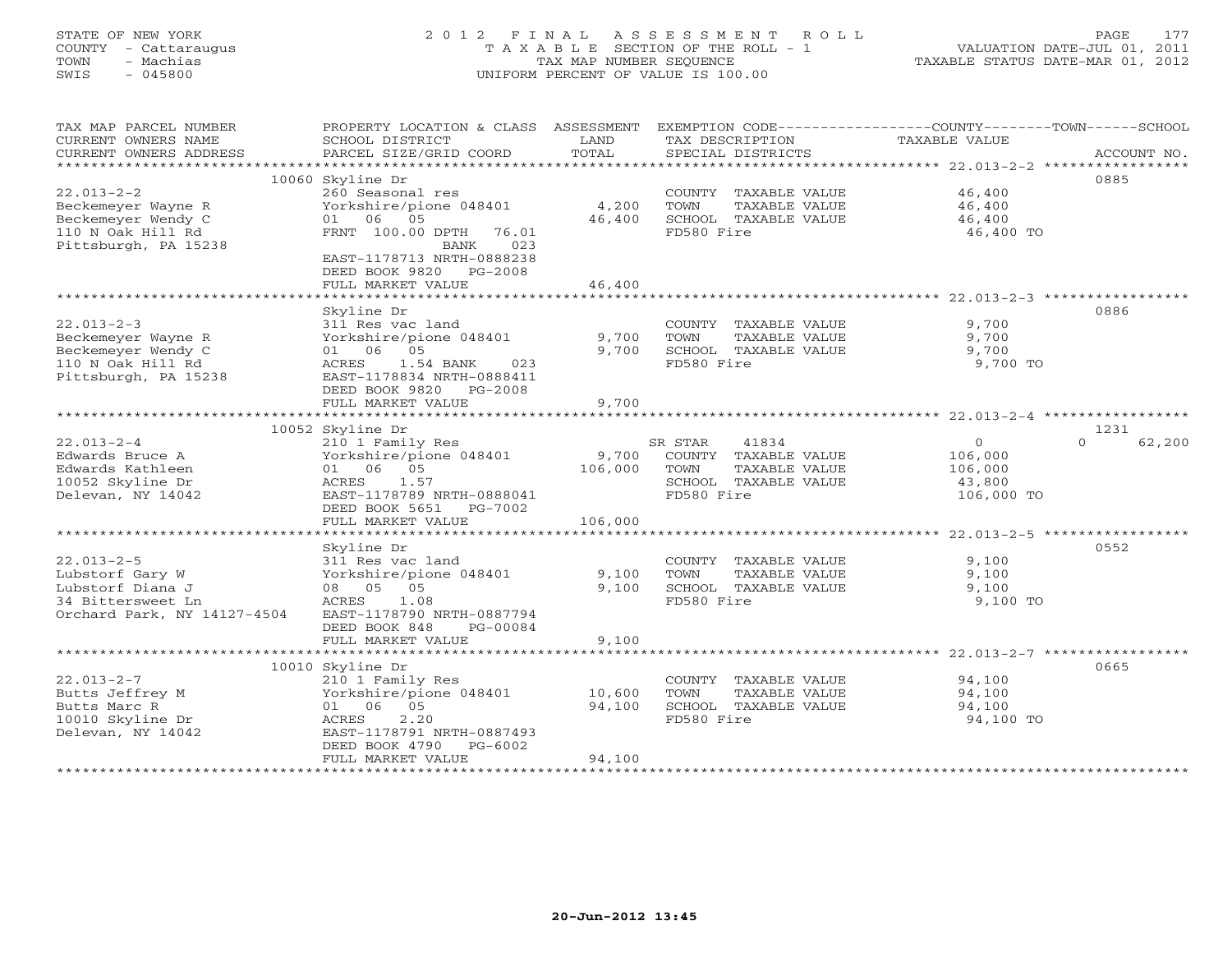## STATE OF NEW YORK 2 0 1 2 F I N A L A S S E S S M E N T R O L L PAGE 177 COUNTY - Cattaraugus T A X A B L E SECTION OF THE ROLL - 1 VALUATION DATE-JUL 01, 2011 TOWN - Machias TAX MAP NUMBER SEQUENCE TAXABLE STATUS DATE-MAR 01, 2012 SWIS - 045800 UNIFORM PERCENT OF VALUE IS 100.00UNIFORM PERCENT OF VALUE IS 100.00

| TAX MAP PARCEL NUMBER<br>CURRENT OWNERS NAME<br>CURRENT OWNERS ADDRESS | PROPERTY LOCATION & CLASS ASSESSMENT<br>SCHOOL DISTRICT<br>PARCEL SIZE/GRID COORD | LAND<br>TOTAL  | TAX DESCRIPTION<br>SPECIAL DISTRICTS | EXEMPTION CODE-----------------COUNTY-------TOWN------SCHOOL<br>TAXABLE VALUE<br>ACCOUNT NO. |
|------------------------------------------------------------------------|-----------------------------------------------------------------------------------|----------------|--------------------------------------|----------------------------------------------------------------------------------------------|
|                                                                        |                                                                                   |                |                                      |                                                                                              |
|                                                                        | 10060 Skyline Dr                                                                  |                |                                      | 0885                                                                                         |
| $22.013 - 2 - 2$                                                       | 260 Seasonal res                                                                  |                | COUNTY TAXABLE VALUE                 | 46,400                                                                                       |
| Beckemeyer Wayne R                                                     | Yorkshire/pione 048401                                                            | 4,200          | TOWN<br>TAXABLE VALUE                | 46,400                                                                                       |
| Beckemeyer Wendy C                                                     | 01 06 05                                                                          | 46,400         | SCHOOL TAXABLE VALUE                 | 46,400                                                                                       |
| 110 N Oak Hill Rd<br>Pittsburgh, PA 15238                              | FRNT 100.00 DPTH<br>76.01<br>023<br>BANK                                          |                | FD580 Fire                           | 46,400 TO                                                                                    |
|                                                                        | EAST-1178713 NRTH-0888238<br>DEED BOOK 9820 PG-2008                               |                |                                      |                                                                                              |
|                                                                        | FULL MARKET VALUE                                                                 | 46,400         |                                      |                                                                                              |
|                                                                        |                                                                                   |                |                                      |                                                                                              |
|                                                                        | Skyline Dr                                                                        |                |                                      | 0886                                                                                         |
| $22.013 - 2 - 3$                                                       | 311 Res vac land                                                                  |                | COUNTY TAXABLE VALUE                 | 9,700                                                                                        |
| Beckemeyer Wayne R                                                     | Yorkshire/pione 048401                                                            | 9,700          | TOWN<br>TAXABLE VALUE                | 9,700                                                                                        |
| Beckemeyer Wendy C                                                     | 01 06 05                                                                          | 9,700          | SCHOOL TAXABLE VALUE                 | 9,700                                                                                        |
| 110 N Oak Hill Rd                                                      | ACRES<br>1.54 BANK<br>023                                                         |                | FD580 Fire                           | 9,700 TO                                                                                     |
| Pittsburgh, PA 15238                                                   | EAST-1178834 NRTH-0888411                                                         |                |                                      |                                                                                              |
|                                                                        | DEED BOOK 9820 PG-2008<br>FULL MARKET VALUE                                       | 9,700          |                                      |                                                                                              |
|                                                                        |                                                                                   |                |                                      |                                                                                              |
|                                                                        | 10052 Skyline Dr                                                                  |                |                                      | 1231                                                                                         |
| $22.013 - 2 - 4$                                                       | 210 1 Family Res                                                                  |                | SR STAR<br>41834                     | $\overline{0}$<br>62,200<br>$\Omega$                                                         |
| Edwards Bruce A                                                        | Yorkshire/pione 048401                                                            | 9,700          | COUNTY TAXABLE VALUE                 | 106,000                                                                                      |
| Edwards Kathleen                                                       | 01 06 05                                                                          | 106,000        | TOWN<br>TAXABLE VALUE                | 106,000                                                                                      |
| 10052 Skyline Dr                                                       | 1.57<br>ACRES                                                                     |                | SCHOOL TAXABLE VALUE                 | 43,800                                                                                       |
| Delevan, NY 14042                                                      | EAST-1178789 NRTH-0888041                                                         |                | FD580 Fire                           | 106,000 TO                                                                                   |
|                                                                        | DEED BOOK 5651 PG-7002                                                            |                |                                      |                                                                                              |
|                                                                        | FULL MARKET VALUE                                                                 | 106,000        |                                      |                                                                                              |
|                                                                        |                                                                                   |                |                                      |                                                                                              |
|                                                                        | Skyline Dr                                                                        |                |                                      | 0552                                                                                         |
| $22.013 - 2 - 5$                                                       | 311 Res vac land                                                                  |                | COUNTY TAXABLE VALUE                 | 9,100                                                                                        |
| Lubstorf Gary W                                                        | Yorkshire/pione 048401                                                            | 9,100          | TOWN<br>TAXABLE VALUE                | 9,100                                                                                        |
| Lubstorf Diana J                                                       | 08 05 05                                                                          | 9.100          | SCHOOL TAXABLE VALUE                 | 9,100                                                                                        |
| 34 Bittersweet Ln                                                      | 1.08<br>ACRES                                                                     |                | FD580 Fire                           | 9,100 TO                                                                                     |
| Orchard Park, NY 14127-4504                                            | EAST-1178790 NRTH-0887794                                                         |                |                                      |                                                                                              |
|                                                                        | DEED BOOK 848<br>PG-00084                                                         |                |                                      |                                                                                              |
|                                                                        | FULL MARKET VALUE                                                                 | 9,100          |                                      |                                                                                              |
| ***********************                                                |                                                                                   | ************** |                                      |                                                                                              |
|                                                                        | 10010 Skyline Dr                                                                  |                |                                      | 0665                                                                                         |
| $22.013 - 2 - 7$                                                       | 210 1 Family Res                                                                  |                | COUNTY TAXABLE VALUE                 | 94,100                                                                                       |
| Butts Jeffrey M                                                        | Yorkshire/pione 048401<br>01 06 05                                                | 10,600         | TOWN<br>TAXABLE VALUE                | 94,100                                                                                       |
| Butts Marc R<br>10010 Skyline Dr                                       | 2.20<br>ACRES                                                                     | 94,100         | SCHOOL TAXABLE VALUE<br>FD580 Fire   | 94,100<br>94,100 TO                                                                          |
| Delevan, NY 14042                                                      | EAST-1178791 NRTH-0887493                                                         |                |                                      |                                                                                              |
|                                                                        | DEED BOOK 4790 PG-6002                                                            |                |                                      |                                                                                              |
|                                                                        | FULL MARKET VALUE                                                                 | 94,100         |                                      |                                                                                              |
|                                                                        |                                                                                   |                |                                      |                                                                                              |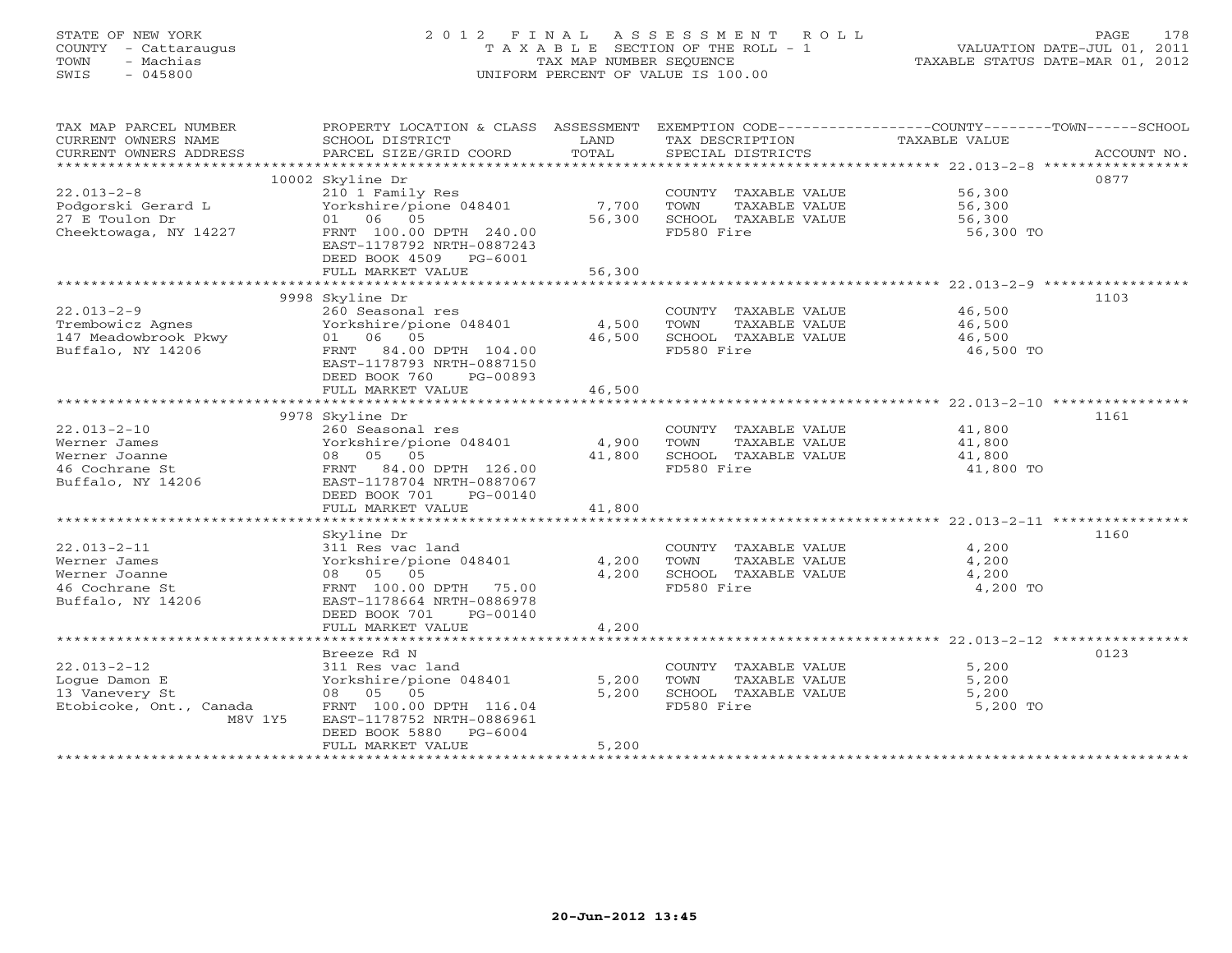## STATE OF NEW YORK 2 0 1 2 F I N A L A S S E S S M E N T R O L L PAGE 178 COUNTY - Cattaraugus T A X A B L E SECTION OF THE ROLL - 1 VALUATION DATE-JUL 01, 2011 TOWN - Machias TAX MAP NUMBER SEQUENCE TAXABLE STATUS DATE-MAR 01, 2012 SWIS - 045800 UNIFORM PERCENT OF VALUE IS 100.00UNIFORM PERCENT OF VALUE IS 100.00

| TAX MAP PARCEL NUMBER<br>CURRENT OWNERS NAME<br>CURRENT OWNERS ADDRESS | PROPERTY LOCATION & CLASS ASSESSMENT<br>SCHOOL DISTRICT<br>PARCEL SIZE/GRID COORD | LAND<br>TOTAL | TAX DESCRIPTION<br>SPECIAL DISTRICTS | EXEMPTION CODE-----------------COUNTY-------TOWN------SCHOOL<br>TAXABLE VALUE<br>ACCOUNT NO. |
|------------------------------------------------------------------------|-----------------------------------------------------------------------------------|---------------|--------------------------------------|----------------------------------------------------------------------------------------------|
|                                                                        |                                                                                   |               |                                      |                                                                                              |
|                                                                        | 10002 Skyline Dr                                                                  |               |                                      | 0877                                                                                         |
| $22.013 - 2 - 8$                                                       | 210 1 Family Res                                                                  |               | COUNTY TAXABLE VALUE                 | 56,300                                                                                       |
| Podgorski Gerard L                                                     | Yorkshire/pione 048401                                                            | 7,700         | TAXABLE VALUE<br>TOWN                | 56,300                                                                                       |
| 27 E Toulon Dr                                                         | 01 06 05                                                                          | 56,300        | SCHOOL TAXABLE VALUE                 | 56,300                                                                                       |
| Cheektowaga, NY 14227                                                  | FRNT 100.00 DPTH 240.00                                                           |               | FD580 Fire                           | 56,300 TO                                                                                    |
|                                                                        | EAST-1178792 NRTH-0887243                                                         |               |                                      |                                                                                              |
|                                                                        | DEED BOOK 4509 PG-6001                                                            |               |                                      |                                                                                              |
|                                                                        | FULL MARKET VALUE                                                                 | 56,300        |                                      |                                                                                              |
|                                                                        |                                                                                   |               |                                      |                                                                                              |
|                                                                        | 9998 Skyline Dr                                                                   |               |                                      | 1103                                                                                         |
| $22.013 - 2 - 9$                                                       | 260 Seasonal res                                                                  |               | COUNTY TAXABLE VALUE                 | 46,500                                                                                       |
| Trembowicz Agnes                                                       | Yorkshire/pione 048401                                                            | 4,500         | TOWN<br>TAXABLE VALUE                | 46,500                                                                                       |
| 147 Meadowbrook Pkwy                                                   | 01 06 05                                                                          | 46,500        | SCHOOL TAXABLE VALUE                 | 46,500                                                                                       |
| Buffalo, NY 14206                                                      | FRNT 84.00 DPTH 104.00                                                            |               | FD580 Fire                           | 46,500 TO                                                                                    |
|                                                                        | EAST-1178793 NRTH-0887150                                                         |               |                                      |                                                                                              |
|                                                                        | DEED BOOK 760<br>PG-00893                                                         |               |                                      |                                                                                              |
|                                                                        | FULL MARKET VALUE                                                                 | 46,500        |                                      |                                                                                              |
|                                                                        | ****************************                                                      |               |                                      |                                                                                              |
|                                                                        | 9978 Skyline Dr                                                                   |               |                                      | 1161                                                                                         |
| $22.013 - 2 - 10$                                                      | 260 Seasonal res                                                                  |               | COUNTY TAXABLE VALUE                 | 41,800                                                                                       |
| Werner James                                                           | Yorkshire/pione 048401                                                            | 4,900         | TOWN<br>TAXABLE VALUE                | 41,800                                                                                       |
| Werner Joanne                                                          | 08 05 05                                                                          | 41,800        | SCHOOL TAXABLE VALUE                 | 41,800                                                                                       |
| 46 Cochrane St                                                         | FRNT 84.00 DPTH 126.00                                                            |               | FD580 Fire                           | 41,800 TO                                                                                    |
| Buffalo, NY 14206                                                      | EAST-1178704 NRTH-0887067                                                         |               |                                      |                                                                                              |
|                                                                        | DEED BOOK 701<br>PG-00140                                                         |               |                                      |                                                                                              |
|                                                                        | FULL MARKET VALUE                                                                 | 41,800        |                                      |                                                                                              |
|                                                                        |                                                                                   |               |                                      |                                                                                              |
|                                                                        | Skyline Dr                                                                        |               |                                      | 1160                                                                                         |
| $22.013 - 2 - 11$                                                      | 311 Res vac land                                                                  |               | COUNTY TAXABLE VALUE                 | 4,200                                                                                        |
| Werner James                                                           | Yorkshire/pione 048401                                                            | 4,200         | TAXABLE VALUE<br>TOWN                | 4,200                                                                                        |
| Werner Joanne                                                          | 08 05 05                                                                          | 4,200         | SCHOOL TAXABLE VALUE                 | 4,200                                                                                        |
| 46 Cochrane St                                                         | FRNT 100.00 DPTH 75.00                                                            |               | FD580 Fire                           | 4,200 TO                                                                                     |
| Buffalo, NY 14206                                                      | EAST-1178664 NRTH-0886978                                                         |               |                                      |                                                                                              |
|                                                                        | PG-00140<br>DEED BOOK 701                                                         |               |                                      |                                                                                              |
|                                                                        | FULL MARKET VALUE                                                                 | 4,200         |                                      |                                                                                              |
|                                                                        |                                                                                   |               |                                      |                                                                                              |
|                                                                        | Breeze Rd N                                                                       |               |                                      | 0123                                                                                         |
| $22.013 - 2 - 12$                                                      | 311 Res vac land                                                                  |               | COUNTY TAXABLE VALUE                 | 5,200                                                                                        |
| Loque Damon E                                                          | Yorkshire/pione 048401                                                            | 5,200         | TOWN<br>TAXABLE VALUE                | 5,200                                                                                        |
| 13 Vanevery St                                                         | 08 05 05                                                                          | 5,200         | SCHOOL TAXABLE VALUE                 | 5,200                                                                                        |
| Etobicoke, Ont., Canada                                                | FRNT 100.00 DPTH 116.04                                                           |               | FD580 Fire                           | 5,200 TO                                                                                     |
| M8V 1Y5                                                                | EAST-1178752 NRTH-0886961                                                         |               |                                      |                                                                                              |
|                                                                        | DEED BOOK 5880 PG-6004                                                            |               |                                      |                                                                                              |
|                                                                        | FULL MARKET VALUE                                                                 | 5,200         |                                      |                                                                                              |
|                                                                        |                                                                                   |               |                                      |                                                                                              |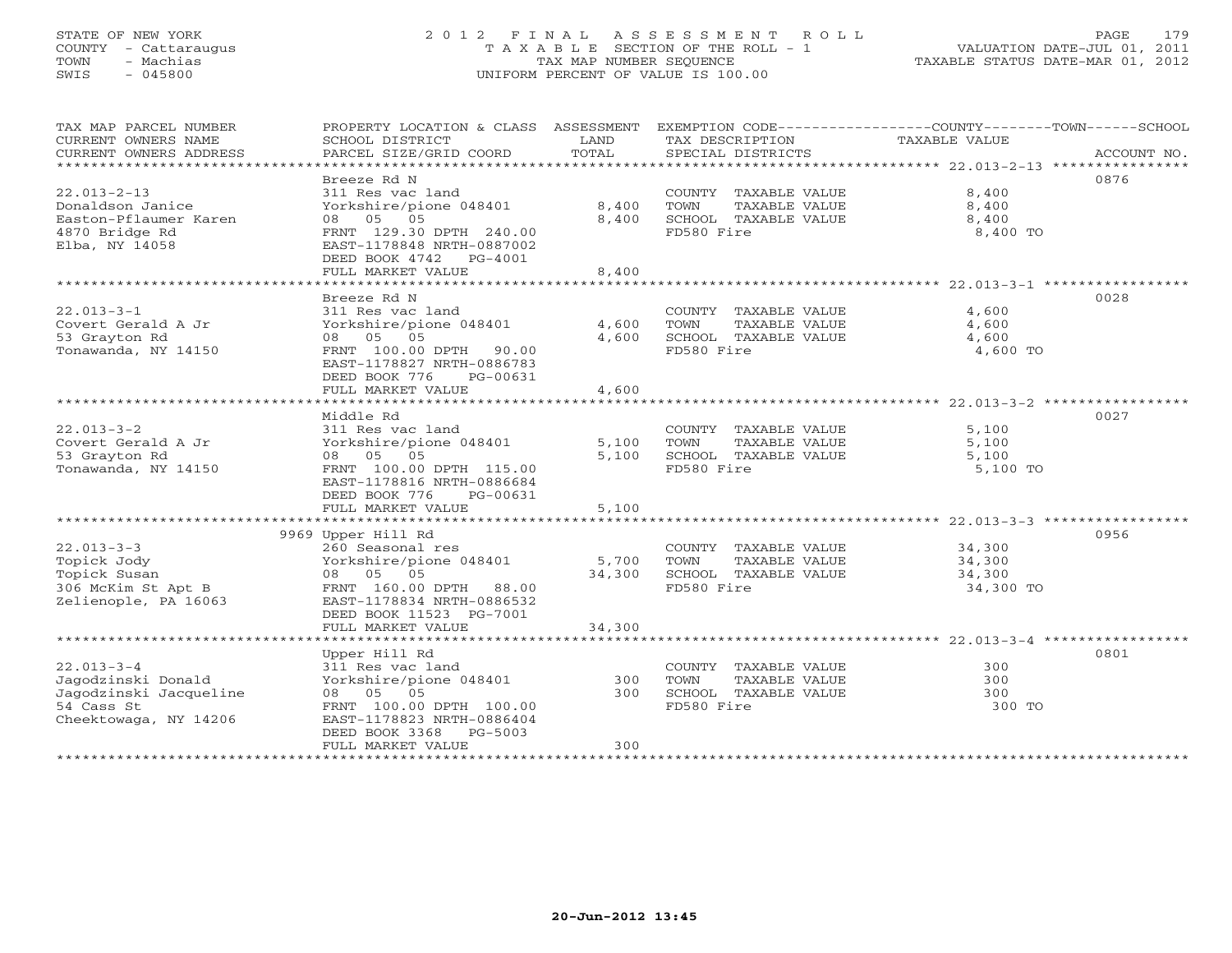## STATE OF NEW YORK 2 0 1 2 F I N A L A S S E S S M E N T R O L L PAGE 179 COUNTY - Cattaraugus T A X A B L E SECTION OF THE ROLL - 1 VALUATION DATE-JUL 01, 2011 TOWN - Machias TAX MAP NUMBER SEQUENCE TAXABLE STATUS DATE-MAR 01, 2012 SWIS - 045800 UNIFORM PERCENT OF VALUE IS 100.00UNIFORM PERCENT OF VALUE IS 100.00

| TAX MAP PARCEL NUMBER<br>CURRENT OWNERS NAME<br>CURRENT OWNERS ADDRESS                                  | PROPERTY LOCATION & CLASS ASSESSMENT<br>SCHOOL DISTRICT<br>PARCEL SIZE/GRID COORD                                                                                                   | LAND<br>TOTAL           | TAX DESCRIPTION<br>SPECIAL DISTRICTS                                                | EXEMPTION CODE-----------------COUNTY-------TOWN------SCHOOL<br>TAXABLE VALUE<br>ACCOUNT NO. |
|---------------------------------------------------------------------------------------------------------|-------------------------------------------------------------------------------------------------------------------------------------------------------------------------------------|-------------------------|-------------------------------------------------------------------------------------|----------------------------------------------------------------------------------------------|
| $22.013 - 2 - 13$<br>Donaldson Janice<br>Easton-Pflaumer Karen<br>4870 Bridge Rd<br>Elba, NY 14058      | Breeze Rd N<br>311 Res vac land<br>Yorkshire/pione 048401<br>08 05 05<br>FRNT 129.30 DPTH 240.00<br>EAST-1178848 NRTH-0887002<br>DEED BOOK 4742 PG-4001<br>FULL MARKET VALUE        | 8,400<br>8,400<br>8,400 | COUNTY TAXABLE VALUE<br>TOWN<br>TAXABLE VALUE<br>SCHOOL TAXABLE VALUE<br>FD580 Fire | 0876<br>8,400<br>8,400<br>8,400<br>8,400 TO                                                  |
|                                                                                                         |                                                                                                                                                                                     |                         |                                                                                     |                                                                                              |
| $22.013 - 3 - 1$<br>Covert Gerald A Jr<br>53 Grayton Rd<br>Tonawanda, NY 14150                          | Breeze Rd N<br>311 Res vac land<br>Yorkshire/pione 048401<br>08 05 05<br>FRNT 100.00 DPTH<br>90.00<br>EAST-1178827 NRTH-0886783<br>DEED BOOK 776<br>PG-00631                        | 4,600<br>4,600          | COUNTY TAXABLE VALUE<br>TOWN<br>TAXABLE VALUE<br>SCHOOL TAXABLE VALUE<br>FD580 Fire | 0028<br>4,600<br>4,600<br>4,600<br>4,600 TO                                                  |
|                                                                                                         | FULL MARKET VALUE                                                                                                                                                                   | 4,600                   |                                                                                     |                                                                                              |
| $22.013 - 3 - 2$<br>Covert Gerald A Jr<br>53 Grayton Rd<br>Tonawanda, NY 14150                          | Middle Rd<br>311 Res vac land<br>Yorkshire/pione 048401<br>08 05 05<br>FRNT 100.00 DPTH 115.00<br>EAST-1178816 NRTH-0886684<br>DEED BOOK 776<br>PG-00631                            | 5,100<br>5,100          | COUNTY TAXABLE VALUE<br>TAXABLE VALUE<br>TOWN<br>SCHOOL TAXABLE VALUE<br>FD580 Fire | 0027<br>5,100<br>5,100<br>5,100<br>5,100 TO                                                  |
|                                                                                                         | FULL MARKET VALUE                                                                                                                                                                   | 5,100                   |                                                                                     |                                                                                              |
|                                                                                                         |                                                                                                                                                                                     |                         |                                                                                     |                                                                                              |
| $22.013 - 3 - 3$<br>Topick Jody<br>Topick Susan<br>306 McKim St Apt B<br>Zelienople, PA 16063           | 9969 Upper Hill Rd<br>260 Seasonal res<br>Yorkshire/pione 048401<br>08 05 05<br>FRNT 160.00 DPTH 88.00<br>EAST-1178834 NRTH-0886532<br>DEED BOOK 11523 PG-7001                      | 5,700<br>34,300         | COUNTY TAXABLE VALUE<br>TOWN<br>TAXABLE VALUE<br>SCHOOL TAXABLE VALUE<br>FD580 Fire | 0956<br>34,300<br>34,300<br>34,300<br>34,300 TO                                              |
|                                                                                                         | FULL MARKET VALUE                                                                                                                                                                   | 34,300                  |                                                                                     |                                                                                              |
| $22.013 - 3 - 4$<br>Jagodzinski Donald<br>Jagodzinski Jacqueline<br>54 Cass St<br>Cheektowaga, NY 14206 | Upper Hill Rd<br>311 Res vac land<br>Yorkshire/pione 048401<br>08 05 05<br>FRNT 100.00 DPTH 100.00<br>EAST-1178823 NRTH-0886404<br>DEED BOOK 3368<br>$PG-5003$<br>FULL MARKET VALUE | 300<br>300<br>300       | COUNTY TAXABLE VALUE<br>TOWN<br>TAXABLE VALUE<br>SCHOOL TAXABLE VALUE<br>FD580 Fire | 0801<br>300<br>300<br>300<br>300 TO                                                          |
|                                                                                                         |                                                                                                                                                                                     |                         |                                                                                     |                                                                                              |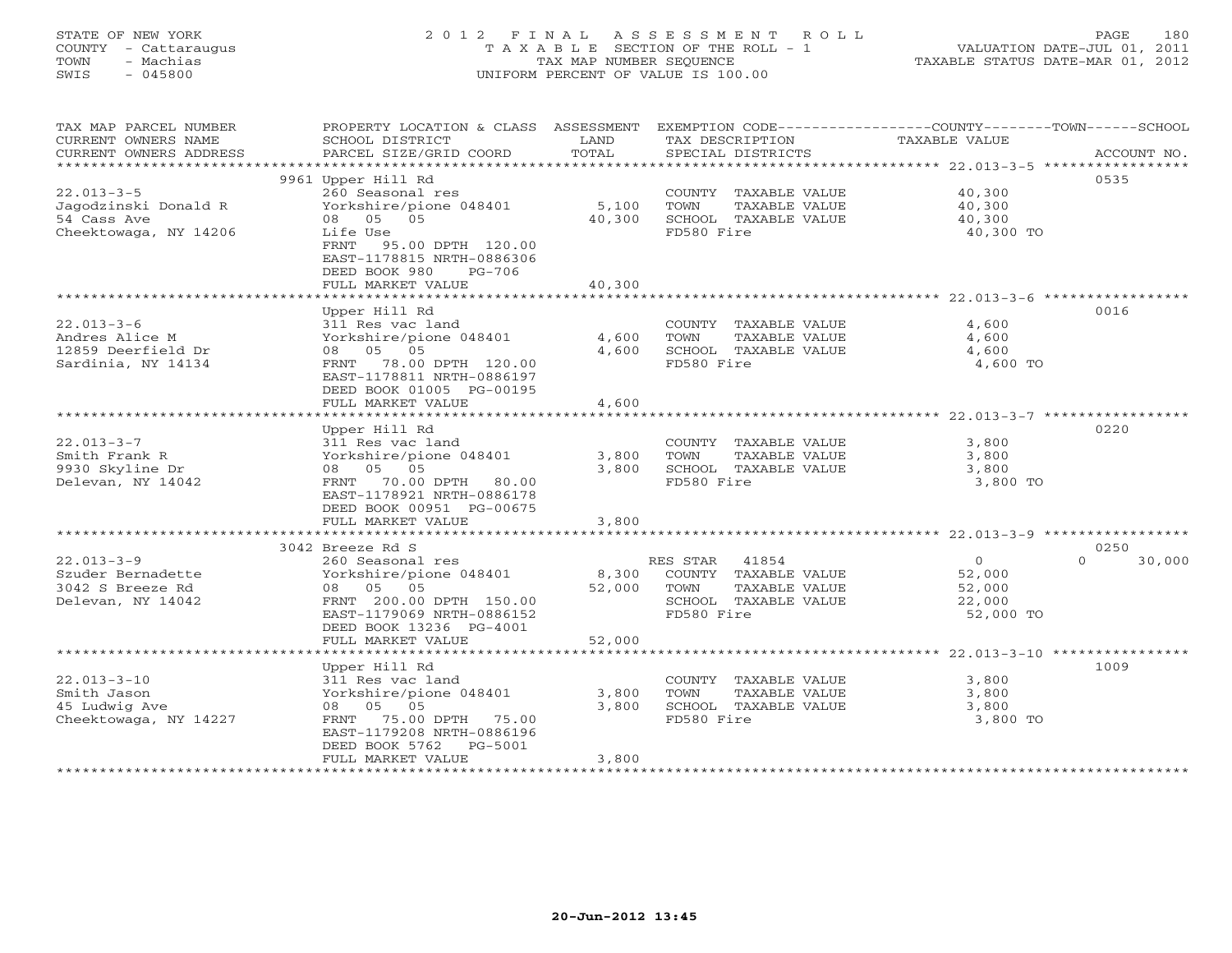## STATE OF NEW YORK 2 0 1 2 F I N A L A S S E S S M E N T R O L L PAGE 180 COUNTY - Cattaraugus T A X A B L E SECTION OF THE ROLL - 1 VALUATION DATE-JUL 01, 2011 TOWN - Machias TAX MAP NUMBER SEQUENCE TAXABLE STATUS DATE-MAR 01, 2012 SWIS - 045800 UNIFORM PERCENT OF VALUE IS 100.00UNIFORM PERCENT OF VALUE IS 100.00

| TAX MAP PARCEL NUMBER<br>CURRENT OWNERS NAME<br>CURRENT OWNERS ADDRESS | PROPERTY LOCATION & CLASS ASSESSMENT<br>SCHOOL DISTRICT<br>PARCEL SIZE/GRID COORD | LAND<br>TOTAL | TAX DESCRIPTION<br>SPECIAL DISTRICTS | EXEMPTION CODE----------------COUNTY-------TOWN-----SCHOOL<br>TAXABLE VALUE | ACCOUNT NO.    |
|------------------------------------------------------------------------|-----------------------------------------------------------------------------------|---------------|--------------------------------------|-----------------------------------------------------------------------------|----------------|
| *************************                                              |                                                                                   |               |                                      |                                                                             |                |
|                                                                        | 9961 Upper Hill Rd                                                                |               |                                      |                                                                             | 0535           |
| $22.013 - 3 - 5$                                                       | 260 Seasonal res                                                                  |               | COUNTY TAXABLE VALUE                 | 40,300                                                                      |                |
| Jagodzinski Donald R                                                   | Yorkshire/pione 048401                                                            | 5,100         | TOWN<br>TAXABLE VALUE                | 40,300                                                                      |                |
| 54 Cass Ave                                                            | 08 05 05                                                                          | 40,300        | SCHOOL TAXABLE VALUE                 | 40,300                                                                      |                |
| Cheektowaga, NY 14206                                                  | Life Use                                                                          |               | FD580 Fire                           | 40,300 TO                                                                   |                |
|                                                                        | FRNT<br>95.00 DPTH 120.00                                                         |               |                                      |                                                                             |                |
|                                                                        | EAST-1178815 NRTH-0886306                                                         |               |                                      |                                                                             |                |
|                                                                        | DEED BOOK 980<br>PG-706                                                           |               |                                      |                                                                             |                |
|                                                                        | FULL MARKET VALUE                                                                 | 40,300        |                                      |                                                                             |                |
|                                                                        |                                                                                   |               |                                      |                                                                             |                |
|                                                                        | Upper Hill Rd                                                                     |               |                                      |                                                                             | 0016           |
| $22.013 - 3 - 6$                                                       | 311 Res vac land                                                                  |               | COUNTY TAXABLE VALUE                 | 4,600                                                                       |                |
| Andres Alice M                                                         | Yorkshire/pione 048401                                                            | 4,600         | TAXABLE VALUE<br>TOWN                | 4,600                                                                       |                |
| 12859 Deerfield Dr                                                     | 08 05 05                                                                          | 4,600         | SCHOOL TAXABLE VALUE                 | 4,600                                                                       |                |
| Sardinia, NY 14134                                                     | FRNT 78.00 DPTH 120.00                                                            |               | FD580 Fire                           | 4,600 TO                                                                    |                |
|                                                                        | EAST-1178811 NRTH-0886197                                                         |               |                                      |                                                                             |                |
|                                                                        | DEED BOOK 01005 PG-00195                                                          |               |                                      |                                                                             |                |
|                                                                        | FULL MARKET VALUE                                                                 | 4,600         |                                      |                                                                             |                |
|                                                                        |                                                                                   |               |                                      |                                                                             |                |
|                                                                        | Upper Hill Rd                                                                     |               |                                      |                                                                             | 0220           |
| $22.013 - 3 - 7$                                                       | 311 Res vac land                                                                  |               | COUNTY TAXABLE VALUE                 | 3,800                                                                       |                |
| Smith Frank R                                                          | Yorkshire/pione 048401                                                            | 3,800         | TOWN<br>TAXABLE VALUE                | 3,800                                                                       |                |
| 9930 Skyline Dr                                                        | 08 05 05                                                                          | 3,800         | SCHOOL TAXABLE VALUE                 | 3,800                                                                       |                |
| Delevan, NY 14042                                                      | FRNT 70.00 DPTH 80.00                                                             |               | FD580 Fire                           | 3,800 TO                                                                    |                |
|                                                                        | EAST-1178921 NRTH-0886178                                                         |               |                                      |                                                                             |                |
|                                                                        | DEED BOOK 00951 PG-00675                                                          |               |                                      |                                                                             |                |
|                                                                        | FULL MARKET VALUE                                                                 | 3,800         |                                      |                                                                             |                |
| 3042 Breeze Rd S                                                       |                                                                                   |               |                                      |                                                                             |                |
| $22.013 - 3 - 9$                                                       |                                                                                   |               | RES STAR<br>41854                    | $\overline{0}$<br>$\Omega$                                                  | 0250<br>30,000 |
| Szuder Bernadette                                                      | 260 Seasonal res<br>Yorkshire/pione 048401                                        | 8,300         | COUNTY TAXABLE VALUE                 | 52,000                                                                      |                |
| 3042 S Breeze Rd                                                       | 08 05 05                                                                          | 52,000        | TAXABLE VALUE<br>TOWN                | 52,000                                                                      |                |
| Delevan, NY 14042                                                      | FRNT 200.00 DPTH 150.00                                                           |               | SCHOOL TAXABLE VALUE                 | 22,000                                                                      |                |
|                                                                        | EAST-1179069 NRTH-0886152                                                         |               | FD580 Fire                           | 52,000 TO                                                                   |                |
|                                                                        | DEED BOOK 13236 PG-4001                                                           |               |                                      |                                                                             |                |
|                                                                        | FULL MARKET VALUE                                                                 | 52,000        |                                      |                                                                             |                |
|                                                                        |                                                                                   |               |                                      |                                                                             |                |
|                                                                        | Upper Hill Rd                                                                     |               |                                      |                                                                             | 1009           |
| $22.013 - 3 - 10$                                                      | 311 Res vac land                                                                  |               | COUNTY TAXABLE VALUE                 | 3,800                                                                       |                |
| Smith Jason                                                            | Yorkshire/pione 048401                                                            | 3,800         | TOWN<br>TAXABLE VALUE                | 3,800                                                                       |                |
| 45 Ludwig Ave                                                          | 08 05 05                                                                          | 3,800         | SCHOOL TAXABLE VALUE                 | 3,800                                                                       |                |
| Cheektowaga, NY 14227                                                  | FRNT 75.00 DPTH 75.00                                                             |               | FD580 Fire                           | 3,800 TO                                                                    |                |
|                                                                        | EAST-1179208 NRTH-0886196                                                         |               |                                      |                                                                             |                |
|                                                                        | DEED BOOK 5762<br>PG-5001                                                         |               |                                      |                                                                             |                |
|                                                                        | FULL MARKET VALUE                                                                 | 3,800         |                                      |                                                                             |                |
|                                                                        |                                                                                   |               |                                      |                                                                             |                |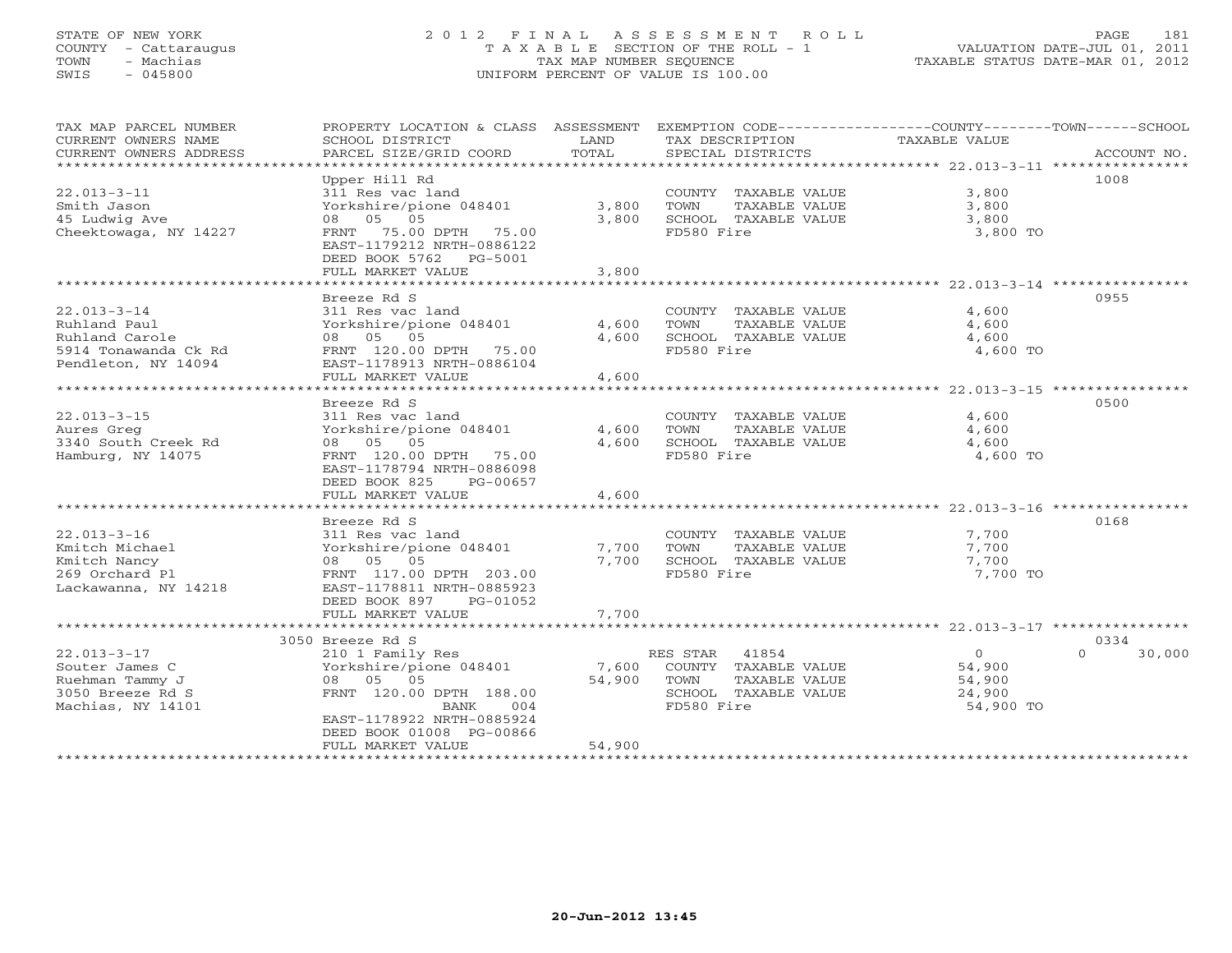# STATE OF NEW YORK 2 0 1 2 F I N A L A S S E S S M E N T R O L L PAGE 181 COUNTY - Cattaraugus T A X A B L E SECTION OF THE ROLL - 1 VALUATION DATE-JUL 01, 2011 TOWN - Machias TAX MAP NUMBER SEQUENCE TAXABLE STATUS DATE-MAR 01, 2012 SWIS - 045800 UNIFORM PERCENT OF VALUE IS 100.00UNIFORM PERCENT OF VALUE IS 100.00

| TAX MAP PARCEL NUMBER<br>CURRENT OWNERS NAME<br>CURRENT OWNERS ADDRESS                                                                                                       | PROPERTY LOCATION & CLASS ASSESSMENT<br>SCHOOL DISTRICT<br>PARCEL SIZE/GRID COORD                                                                                                                                                                                                                                                              | LAND<br>TOTAL                                            | EXEMPTION CODE-----------------COUNTY-------TOWN------SCHOOL<br>TAX DESCRIPTION<br>SPECIAL DISTRICTS                                                                       | <b>TAXABLE VALUE</b>                                                                                                              | ACCOUNT NO.                |
|------------------------------------------------------------------------------------------------------------------------------------------------------------------------------|------------------------------------------------------------------------------------------------------------------------------------------------------------------------------------------------------------------------------------------------------------------------------------------------------------------------------------------------|----------------------------------------------------------|----------------------------------------------------------------------------------------------------------------------------------------------------------------------------|-----------------------------------------------------------------------------------------------------------------------------------|----------------------------|
|                                                                                                                                                                              |                                                                                                                                                                                                                                                                                                                                                |                                                          |                                                                                                                                                                            |                                                                                                                                   |                            |
| $22.013 - 3 - 11$<br>Smith Jason<br>45 Ludwig Ave<br>Cheektowaga, NY 14227                                                                                                   | Upper Hill Rd<br>311 Res vac land<br>Yorkshire/pione 048401<br>08 05 05<br>FRNT 75.00 DPTH<br>75.00<br>EAST-1179212 NRTH-0886122<br>DEED BOOK 5762<br>PG-5001<br>FULL MARKET VALUE                                                                                                                                                             | 3,800<br>3,800<br>3,800                                  | COUNTY TAXABLE VALUE<br>TOWN<br>TAXABLE VALUE<br>SCHOOL TAXABLE VALUE<br>FD580 Fire                                                                                        | 3,800<br>3,800<br>3,800<br>3,800 TO                                                                                               | 1008                       |
|                                                                                                                                                                              | ***************                                                                                                                                                                                                                                                                                                                                | ***********                                              |                                                                                                                                                                            | ******************** 22.013-3-14 *****************                                                                                |                            |
| $22.013 - 3 - 14$<br>Ruhland Paul<br>Ruhland Carole<br>5914 Tonawanda Ck Rd<br>Pendleton, NY 14094                                                                           | Breeze Rd S<br>311 Res vac land<br>Yorkshire/pione 048401<br>08 05 05<br>FRNT 120.00 DPTH 75.00<br>EAST-1178913 NRTH-0886104                                                                                                                                                                                                                   | 4,600<br>4,600                                           | COUNTY TAXABLE VALUE<br>TOWN<br>TAXABLE VALUE<br>SCHOOL TAXABLE VALUE<br>FD580 Fire                                                                                        | 4,600<br>4,600<br>4,600<br>4,600 TO                                                                                               | 0955                       |
|                                                                                                                                                                              | FULL MARKET VALUE                                                                                                                                                                                                                                                                                                                              | 4,600                                                    |                                                                                                                                                                            |                                                                                                                                   |                            |
|                                                                                                                                                                              |                                                                                                                                                                                                                                                                                                                                                |                                                          |                                                                                                                                                                            |                                                                                                                                   |                            |
| $22.013 - 3 - 15$<br>Aures Greg<br>3340 South Creek Rd<br>Hamburg, NY 14075<br>$22.013 - 3 - 16$<br>Kmitch Michael<br>Kmitch Nancy<br>269 Orchard Pl<br>Lackawanna, NY 14218 | Breeze Rd S<br>311 Res vac land<br>Yorkshire/pione 048401<br>08 05 05<br>FRNT 120.00 DPTH<br>75.00<br>EAST-1178794 NRTH-0886098<br>DEED BOOK 825<br>PG-00657<br>FULL MARKET VALUE<br>************************<br>Breeze Rd S<br>311 Res vac land<br>Yorkshire/pione 048401<br>08 05 05<br>FRNT 117.00 DPTH 203.00<br>EAST-1178811 NRTH-0885923 | 4,600<br>4,600<br>4,600<br>***********<br>7,700<br>7,700 | COUNTY TAXABLE VALUE<br>TAXABLE VALUE<br>TOWN<br>SCHOOL TAXABLE VALUE<br>FD580 Fire<br>COUNTY TAXABLE VALUE<br>TOWN<br>TAXABLE VALUE<br>SCHOOL TAXABLE VALUE<br>FD580 Fire | 4,600<br>4,600<br>4,600<br>4,600 TO<br>********************* 22.013-3-16 *****************<br>7,700<br>7,700<br>7,700<br>7,700 TO | 0500<br>0168               |
|                                                                                                                                                                              | DEED BOOK 897<br>PG-01052<br>FULL MARKET VALUE                                                                                                                                                                                                                                                                                                 | 7,700                                                    |                                                                                                                                                                            |                                                                                                                                   |                            |
|                                                                                                                                                                              | ************************                                                                                                                                                                                                                                                                                                                       | ***********                                              |                                                                                                                                                                            | ***************************** 22.013-3-17 ****************                                                                        |                            |
| $22.013 - 3 - 17$<br>Souter James C<br>Ruehman Tammy J<br>3050 Breeze Rd S<br>Machias, NY 14101                                                                              | 3050 Breeze Rd S<br>210 1 Family Res<br>Yorkshire/pione 048401<br>08<br>05<br>05<br>FRNT 120.00 DPTH 188.00<br><b>BANK</b><br>004<br>EAST-1178922 NRTH-0885924<br>DEED BOOK 01008 PG-00866<br>FULL MARKET VALUE                                                                                                                                | 7,600<br>54,900<br>54,900                                | RES STAR<br>41854<br>COUNTY TAXABLE VALUE<br>TOWN<br>TAXABLE VALUE<br>SCHOOL TAXABLE VALUE<br>FD580 Fire                                                                   | $\circ$<br>54,900<br>54,900<br>24,900<br>54,900 TO                                                                                | 0334<br>30,000<br>$\Omega$ |
|                                                                                                                                                                              | * * * * * * * * * * * * * * * * * * * *                                                                                                                                                                                                                                                                                                        |                                                          |                                                                                                                                                                            |                                                                                                                                   |                            |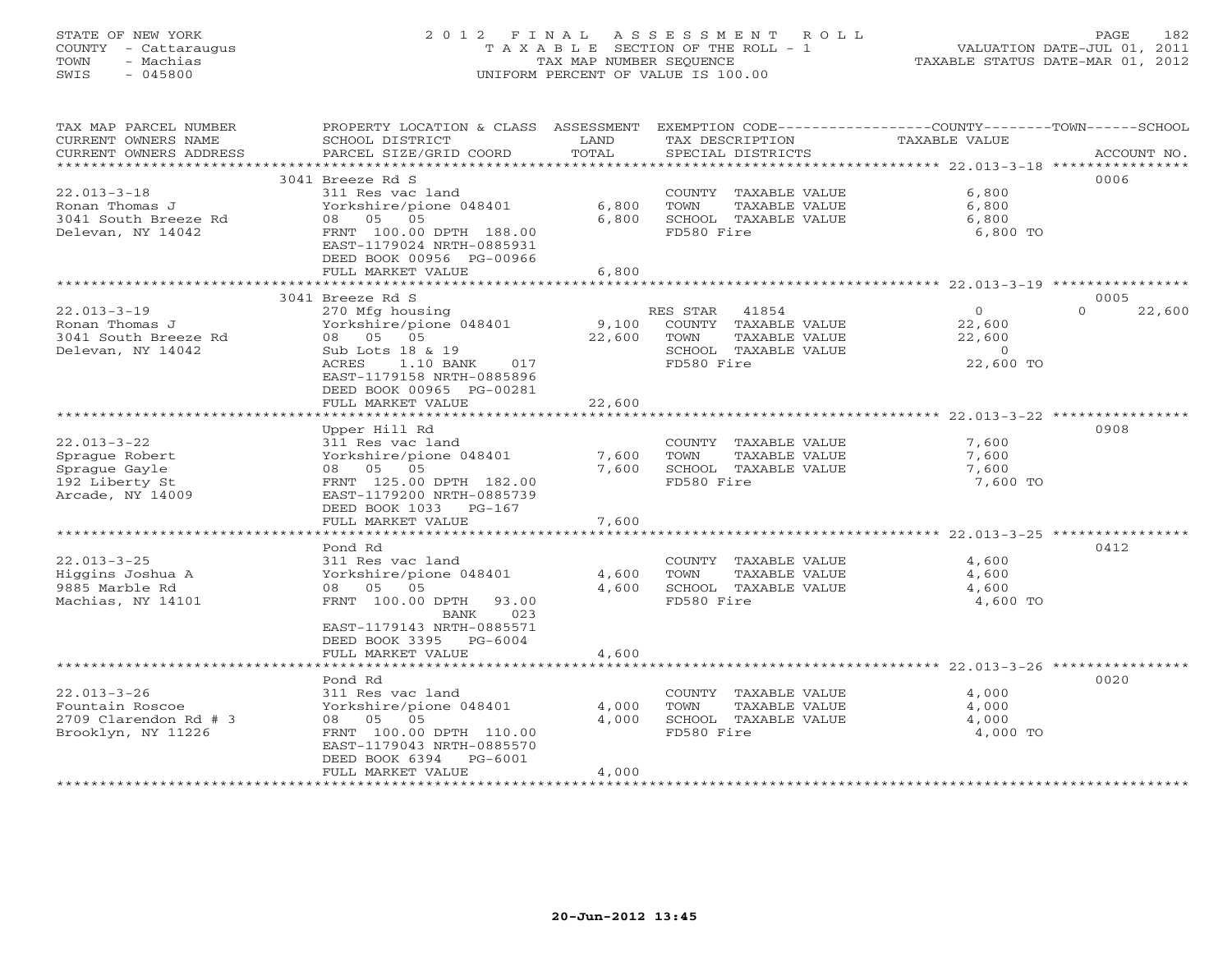# STATE OF NEW YORK 2 0 1 2 F I N A L A S S E S S M E N T R O L L PAGE 182 COUNTY - Cattaraugus T A X A B L E SECTION OF THE ROLL - 1 VALUATION DATE-JUL 01, 2011 TOWN - Machias TAX MAP NUMBER SEQUENCE TAXABLE STATUS DATE-MAR 01, 2012 SWIS - 045800 UNIFORM PERCENT OF VALUE IS 100.00UNIFORM PERCENT OF VALUE IS 100.00

| TAX MAP PARCEL NUMBER                                             | PROPERTY LOCATION & CLASS ASSESSMENT     |        | EXEMPTION CODE-----------------COUNTY-------TOWN------SCHOOL |                      |                    |
|-------------------------------------------------------------------|------------------------------------------|--------|--------------------------------------------------------------|----------------------|--------------------|
| CURRENT OWNERS NAME                                               | SCHOOL DISTRICT                          | LAND   | TAX DESCRIPTION                                              | <b>TAXABLE VALUE</b> |                    |
| CURRENT OWNERS ADDRESS<br>* * * * * * * * * * * * * * * * * * * * | PARCEL SIZE/GRID COORD                   | TOTAL  | SPECIAL DISTRICTS                                            |                      | ACCOUNT NO.        |
|                                                                   | 3041 Breeze Rd S                         |        |                                                              |                      | 0006               |
| $22.013 - 3 - 18$                                                 | 311 Res vac land                         |        | COUNTY TAXABLE VALUE                                         | 6,800                |                    |
| Ronan Thomas J                                                    | Yorkshire/pione 048401                   | 6,800  | TOWN<br>TAXABLE VALUE                                        | 6,800                |                    |
| 3041 South Breeze Rd                                              | 08 05 05                                 | 6,800  | SCHOOL TAXABLE VALUE                                         | 6,800                |                    |
| Delevan, NY 14042                                                 | FRNT 100.00 DPTH 188.00                  |        | FD580 Fire                                                   | 6,800 TO             |                    |
|                                                                   | EAST-1179024 NRTH-0885931                |        |                                                              |                      |                    |
|                                                                   | DEED BOOK 00956 PG-00966                 |        |                                                              |                      |                    |
|                                                                   | FULL MARKET VALUE                        | 6,800  |                                                              |                      |                    |
|                                                                   |                                          |        |                                                              |                      |                    |
|                                                                   | 3041 Breeze Rd S                         |        |                                                              |                      | 0005               |
| $22.013 - 3 - 19$                                                 | 270 Mfg housing                          |        | 41854<br>RES STAR                                            | $\circ$              | $\Omega$<br>22,600 |
| Ronan Thomas J                                                    | Yorkshire/pione 048401                   | 9,100  | COUNTY TAXABLE VALUE                                         | 22,600               |                    |
| 3041 South Breeze Rd                                              | 08 05 05                                 | 22,600 | TOWN<br>TAXABLE VALUE                                        | 22,600               |                    |
| Delevan, NY 14042                                                 | Sub Lots 18 & 19                         |        | SCHOOL TAXABLE VALUE                                         | $\circ$              |                    |
|                                                                   | ACRES<br>$1.10$ BANK<br>017              |        | FD580 Fire                                                   | 22,600 TO            |                    |
|                                                                   | EAST-1179158 NRTH-0885896                |        |                                                              |                      |                    |
|                                                                   | DEED BOOK 00965 PG-00281                 |        |                                                              |                      |                    |
|                                                                   | FULL MARKET VALUE<br>******************* | 22,600 |                                                              |                      |                    |
|                                                                   | Upper Hill Rd                            |        |                                                              |                      | 0908               |
| $22.013 - 3 - 22$                                                 | 311 Res vac land                         |        | COUNTY TAXABLE VALUE                                         | 7,600                |                    |
| Sprague Robert                                                    | Yorkshire/pione 048401                   | 7,600  | TOWN<br>TAXABLE VALUE                                        | 7,600                |                    |
| Sprague Gayle                                                     | 08 05 05                                 | 7,600  | SCHOOL TAXABLE VALUE                                         | 7,600                |                    |
| 192 Liberty St                                                    | FRNT 125.00 DPTH 182.00                  |        | FD580 Fire                                                   | 7,600 TO             |                    |
| Arcade, NY 14009                                                  | EAST-1179200 NRTH-0885739                |        |                                                              |                      |                    |
|                                                                   | DEED BOOK 1033 PG-167                    |        |                                                              |                      |                    |
|                                                                   | FULL MARKET VALUE                        | 7,600  |                                                              |                      |                    |
|                                                                   |                                          |        |                                                              |                      |                    |
|                                                                   | Pond Rd                                  |        |                                                              |                      | 0412               |
| $22.013 - 3 - 25$                                                 | 311 Res vac land                         |        | COUNTY TAXABLE VALUE                                         | 4,600                |                    |
| Higgins Joshua A                                                  | Yorkshire/pione 048401                   | 4,600  | TOWN<br>TAXABLE VALUE                                        | 4,600                |                    |
| 9885 Marble Rd                                                    | 08 05 05                                 | 4,600  | SCHOOL TAXABLE VALUE                                         | 4,600                |                    |
| Machias, NY 14101                                                 | FRNT 100.00 DPTH<br>93.00                |        | FD580 Fire                                                   | 4,600 TO             |                    |
|                                                                   | 023<br>BANK<br>EAST-1179143 NRTH-0885571 |        |                                                              |                      |                    |
|                                                                   | DEED BOOK 3395 PG-6004                   |        |                                                              |                      |                    |
|                                                                   | FULL MARKET VALUE                        | 4,600  |                                                              |                      |                    |
|                                                                   |                                          |        |                                                              |                      |                    |
|                                                                   | Pond Rd                                  |        |                                                              |                      | 0020               |
| $22.013 - 3 - 26$                                                 | 311 Res vac land                         |        | COUNTY TAXABLE VALUE                                         | 4,000                |                    |
| Fountain Roscoe                                                   | Yorkshire/pione 048401                   | 4,000  | TOWN<br>TAXABLE VALUE                                        | 4,000                |                    |
| 2709 Clarendon Rd # 3                                             | 08 05 05                                 | 4,000  | SCHOOL TAXABLE VALUE                                         | 4,000                |                    |
| Brooklyn, NY 11226                                                | FRNT 100.00 DPTH 110.00                  |        | FD580 Fire                                                   | 4,000 TO             |                    |
|                                                                   | EAST-1179043 NRTH-0885570                |        |                                                              |                      |                    |
|                                                                   | DEED BOOK 6394<br>PG-6001                |        |                                                              |                      |                    |
|                                                                   | FULL MARKET VALUE                        | 4,000  |                                                              |                      |                    |
|                                                                   |                                          |        |                                                              |                      |                    |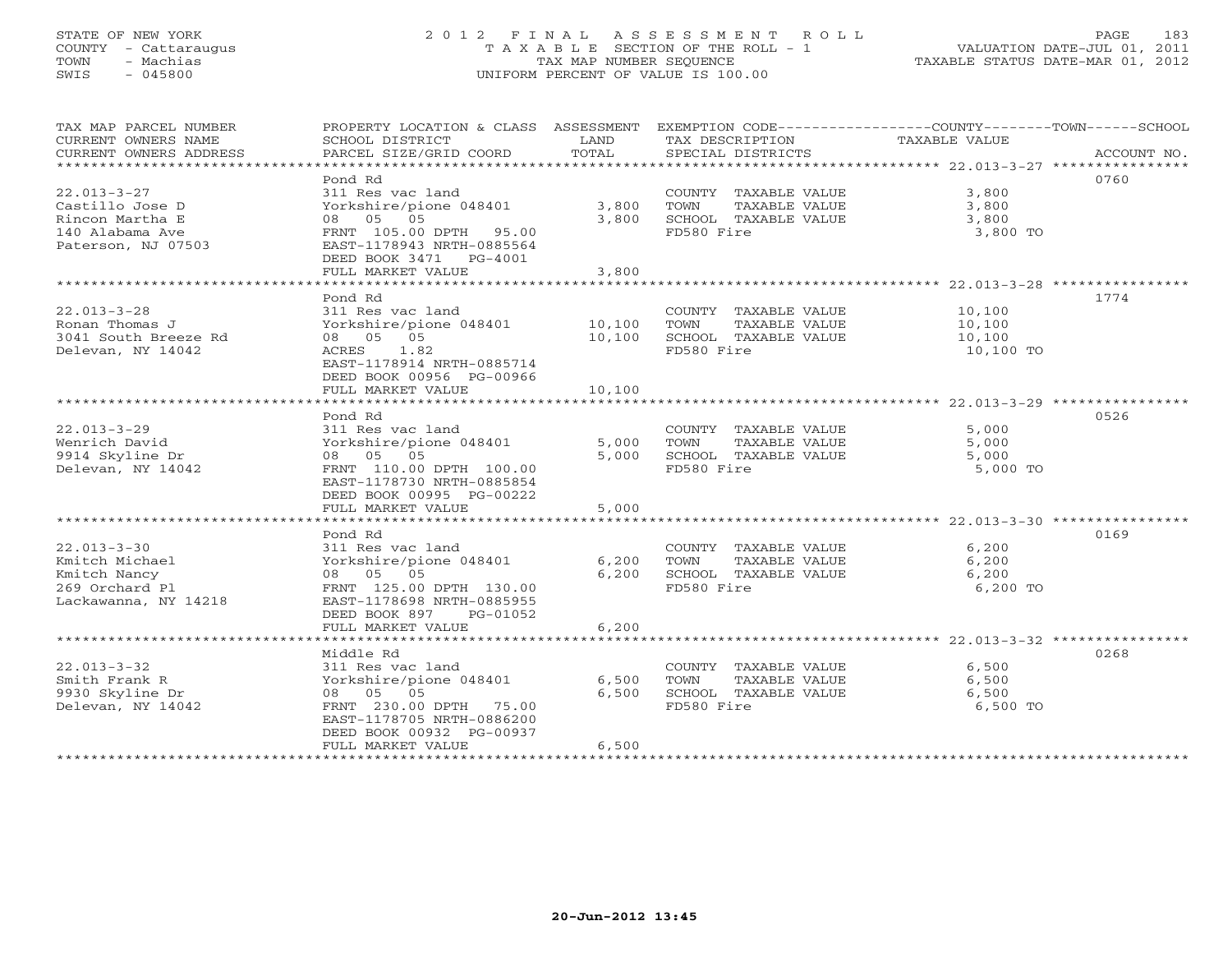# STATE OF NEW YORK 2 0 1 2 F I N A L A S S E S S M E N T R O L L PAGE 183 COUNTY - Cattaraugus T A X A B L E SECTION OF THE ROLL - 1 VALUATION DATE-JUL 01, 2011 TOWN - Machias TAX MAP NUMBER SEQUENCE TAXABLE STATUS DATE-MAR 01, 2012 SWIS - 045800 UNIFORM PERCENT OF VALUE IS 100.00UNIFORM PERCENT OF VALUE IS 100.00

| TAX MAP PARCEL NUMBER<br>CURRENT OWNERS NAME<br>CURRENT OWNERS ADDRESS<br>************************* | PROPERTY LOCATION & CLASS ASSESSMENT<br>SCHOOL DISTRICT<br>PARCEL SIZE/GRID COORD                                                                                                                       | LAND<br>TOTAL                                    | EXEMPTION CODE-----------------COUNTY-------TOWN------SCHOOL<br>TAX DESCRIPTION<br>SPECIAL DISTRICTS | <b>TAXABLE VALUE</b>                                                                           | ACCOUNT NO. |
|-----------------------------------------------------------------------------------------------------|---------------------------------------------------------------------------------------------------------------------------------------------------------------------------------------------------------|--------------------------------------------------|------------------------------------------------------------------------------------------------------|------------------------------------------------------------------------------------------------|-------------|
| $22.013 - 3 - 27$<br>Castillo Jose D<br>Rincon Martha E<br>140 Alabama Ave<br>Paterson, NJ 07503    | Pond Rd<br>311 Res vac land<br>Yorkshire/pione 048401<br>08 05 05<br>FRNT 105.00 DPTH<br>95.00<br>EAST-1178943 NRTH-0885564<br>DEED BOOK 3471 PG-4001<br>FULL MARKET VALUE<br>************************* | 3,800<br>3,800<br>3,800<br>********************* | COUNTY TAXABLE VALUE<br>TAXABLE VALUE<br>TOWN<br>SCHOOL TAXABLE VALUE<br>FD580 Fire                  | 3,800<br>3,800<br>3,800<br>3,800 TO                                                            | 0760        |
| $22.013 - 3 - 28$<br>Ronan Thomas J<br>3041 South Breeze Rd<br>Delevan, NY 14042                    | Pond Rd<br>311 Res vac land<br>Yorkshire/pione 048401<br>08 05 05<br>1.82<br>ACRES<br>EAST-1178914 NRTH-0885714<br>DEED BOOK 00956 PG-00966<br>FULL MARKET VALUE                                        | 10,100<br>10,100<br>10,100<br>********           | COUNTY TAXABLE VALUE<br>TOWN<br>TAXABLE VALUE<br>SCHOOL TAXABLE VALUE<br>FD580 Fire                  | ********************* 22.013-3-28 *****************<br>10,100<br>10,100<br>10,100<br>10,100 TO | 1774        |
| $22.013 - 3 - 29$<br>Wenrich David<br>9914 Skyline Dr<br>Delevan, NY 14042                          | *****************<br>Pond Rd<br>311 Res vac land<br>Yorkshire/pione 048401<br>08 05 05<br>FRNT 110.00 DPTH 100.00<br>EAST-1178730 NRTH-0885854<br>DEED BOOK 00995 PG-00222                              | 5,000<br>5,000                                   | COUNTY TAXABLE VALUE<br>TOWN<br>TAXABLE VALUE<br>SCHOOL TAXABLE VALUE<br>FD580 Fire                  | ********************* 22.013-3-29 ************<br>5,000<br>5,000<br>5,000<br>5,000 TO          | 0526        |
|                                                                                                     | FULL MARKET VALUE                                                                                                                                                                                       | 5,000                                            |                                                                                                      |                                                                                                |             |
| $22.013 - 3 - 30$<br>Kmitch Michael<br>Kmitch Nancy<br>269 Orchard Pl<br>Lackawanna, NY 14218       | Pond Rd<br>311 Res vac land<br>Yorkshire/pione 048401<br>08 05 05<br>FRNT 125.00 DPTH 130.00<br>EAST-1178698 NRTH-0885955<br>DEED BOOK 897<br>PG-01052<br>FULL MARKET VALUE                             | 6,200<br>6,200<br>6,200                          | COUNTY TAXABLE VALUE<br>TOWN<br>TAXABLE VALUE<br>SCHOOL TAXABLE VALUE<br>FD580 Fire                  | 6,200<br>6,200<br>6,200<br>6,200 TO                                                            | 0169        |
|                                                                                                     | Middle Rd                                                                                                                                                                                               |                                                  |                                                                                                      |                                                                                                | 0268        |
| $22.013 - 3 - 32$<br>Smith Frank R<br>9930 Skyline Dr<br>Delevan, NY 14042                          | 311 Res vac land<br>Yorkshire/pione 048401<br>08 05 05<br>FRNT 230.00 DPTH 75.00<br>EAST-1178705 NRTH-0886200<br>DEED BOOK 00932 PG-00937<br>FULL MARKET VALUE<br>**********************                | 6,500<br>6,500<br>6,500                          | COUNTY TAXABLE VALUE<br>TOWN<br>TAXABLE VALUE<br>SCHOOL TAXABLE VALUE<br>FD580 Fire                  | 6,500<br>6,500<br>6,500<br>6,500 TO                                                            |             |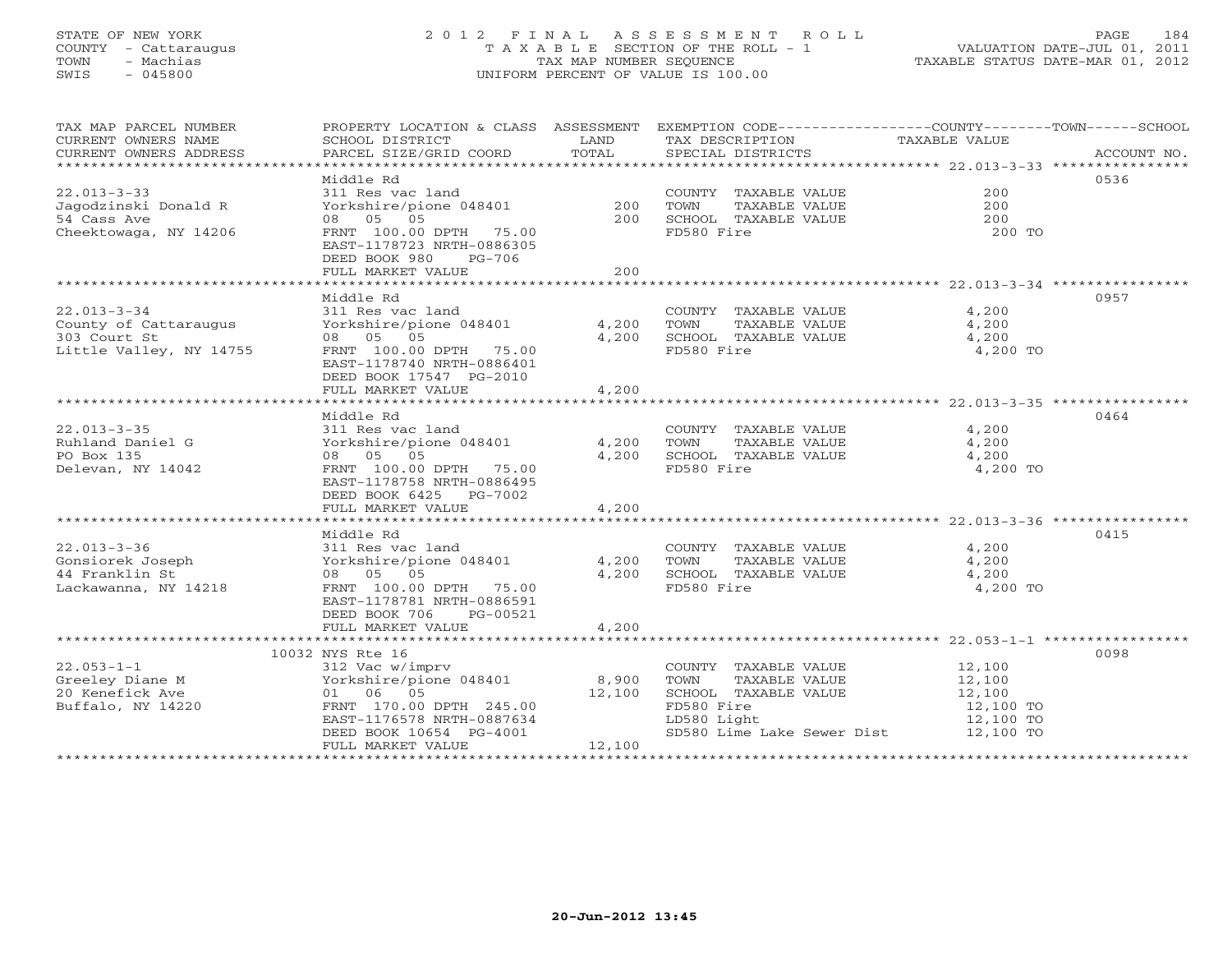# STATE OF NEW YORK 2 0 1 2 F I N A L A S S E S S M E N T R O L L PAGE 184 COUNTY - Cattaraugus T A X A B L E SECTION OF THE ROLL - 1 VALUATION DATE-JUL 01, 2011 TOWN - Machias TAX MAP NUMBER SEQUENCE TAXABLE STATUS DATE-MAR 01, 2012 SWIS - 045800 UNIFORM PERCENT OF VALUE IS 100.00UNIFORM PERCENT OF VALUE IS 100.00

| TAX MAP PARCEL NUMBER<br>CURRENT OWNERS NAME<br>CURRENT OWNERS ADDRESS                | PROPERTY LOCATION & CLASS ASSESSMENT<br>SCHOOL DISTRICT<br>PARCEL SIZE/GRID COORD                                                                                                  | LAND<br>TOTAL                   | EXEMPTION CODE-----------------COUNTY-------TOWN------SCHOOL<br>TAX DESCRIPTION<br>SPECIAL DISTRICTS                             | TAXABLE VALUE                                                                                        | ACCOUNT NO. |
|---------------------------------------------------------------------------------------|------------------------------------------------------------------------------------------------------------------------------------------------------------------------------------|---------------------------------|----------------------------------------------------------------------------------------------------------------------------------|------------------------------------------------------------------------------------------------------|-------------|
| $22.013 - 3 - 33$<br>Jagodzinski Donald R<br>54 Cass Ave<br>Cheektowaga, NY 14206     | Middle Rd<br>311 Res vac land<br>Yorkshire/pione 048401<br>08 05 05<br>FRNT 100.00 DPTH 75.00<br>EAST-1178723 NRTH-0886305<br>DEED BOOK 980<br>$PG-706$<br>FULL MARKET VALUE       | 200<br>200<br>2.00              | COUNTY TAXABLE VALUE<br>TOWN<br>TAXABLE VALUE<br>SCHOOL TAXABLE VALUE<br>FD580 Fire                                              | 200<br>200<br>200<br>200 TO                                                                          | 0536        |
|                                                                                       | Middle Rd                                                                                                                                                                          |                                 |                                                                                                                                  |                                                                                                      | 0957        |
| $22.013 - 3 - 34$<br>County of Cattaraugus<br>303 Court St<br>Little Valley, NY 14755 | 311 Res vac land<br>Yorkshire/pione 048401<br>08 05 05<br>FRNT 100.00 DPTH 75.00<br>EAST-1178740 NRTH-0886401<br>DEED BOOK 17547 PG-2010                                           | 4,200<br>4,200                  | COUNTY TAXABLE VALUE<br>TOWN<br>TAXABLE VALUE<br>SCHOOL TAXABLE VALUE<br>FD580 Fire                                              | 4,200<br>4,200<br>4,200<br>4,200 TO                                                                  |             |
|                                                                                       | FULL MARKET VALUE                                                                                                                                                                  | 4,200                           |                                                                                                                                  | ******************************* 22.013-3-35 ****************                                         |             |
| $22.013 - 3 - 35$<br>Ruhland Daniel G<br>PO Box 135<br>Delevan, NY 14042              | Middle Rd<br>311 Res vac land<br>Yorkshire/pione 048401<br>08 05 05<br>FRNT 100.00 DPTH 75.00<br>EAST-1178758 NRTH-0886495<br>DEED BOOK 6425 PG-7002                               | 4,200<br>4,200                  | COUNTY TAXABLE VALUE<br>TOWN<br>TAXABLE VALUE<br>SCHOOL TAXABLE VALUE<br>FD580 Fire                                              | 4,200<br>4,200<br>4,200<br>4,200 TO                                                                  | 0464        |
|                                                                                       | FULL MARKET VALUE                                                                                                                                                                  | 4,200                           |                                                                                                                                  |                                                                                                      |             |
| $22.013 - 3 - 36$<br>Gonsiorek Joseph<br>44 Franklin St<br>Lackawanna, NY 14218       | ***********************<br>Middle Rd<br>311 Res vac land<br>Yorkshire/pione 048401<br>08 05 05<br>FRNT 100.00 DPTH 75.00<br>EAST-1178781 NRTH-0886591<br>DEED BOOK 706<br>PG-00521 | *************<br>4,200<br>4,200 | COUNTY TAXABLE VALUE<br>TOWN<br>TAXABLE VALUE<br>SCHOOL TAXABLE VALUE<br>FD580 Fire                                              | ******************************* 22.013-3-36 *****************<br>4,200<br>4,200<br>4,200<br>4,200 TO | 0415        |
|                                                                                       | FULL MARKET VALUE                                                                                                                                                                  | 4,200                           |                                                                                                                                  |                                                                                                      |             |
|                                                                                       | **********************************<br>10032 NYS Rte 16                                                                                                                             |                                 |                                                                                                                                  |                                                                                                      | 0098        |
| $22.053 - 1 - 1$<br>Greeley Diane M<br>20 Kenefick Ave<br>Buffalo, NY 14220           | 312 Vac w/imprv<br>Yorkshire/pione 048401<br>01 06 05<br>FRNT 170.00 DPTH 245.00<br>EAST-1176578 NRTH-0887634<br>DEED BOOK 10654 PG-4001<br>FULL MARKET VALUE                      | 8,900<br>12,100<br>12,100       | COUNTY TAXABLE VALUE<br>TOWN<br>TAXABLE VALUE<br>SCHOOL TAXABLE VALUE<br>FD580 Fire<br>LD580 Light<br>SD580 Lime Lake Sewer Dist | 12,100<br>12,100<br>12,100<br>12,100 TO<br>12,100 TO<br>12,100 TO                                    |             |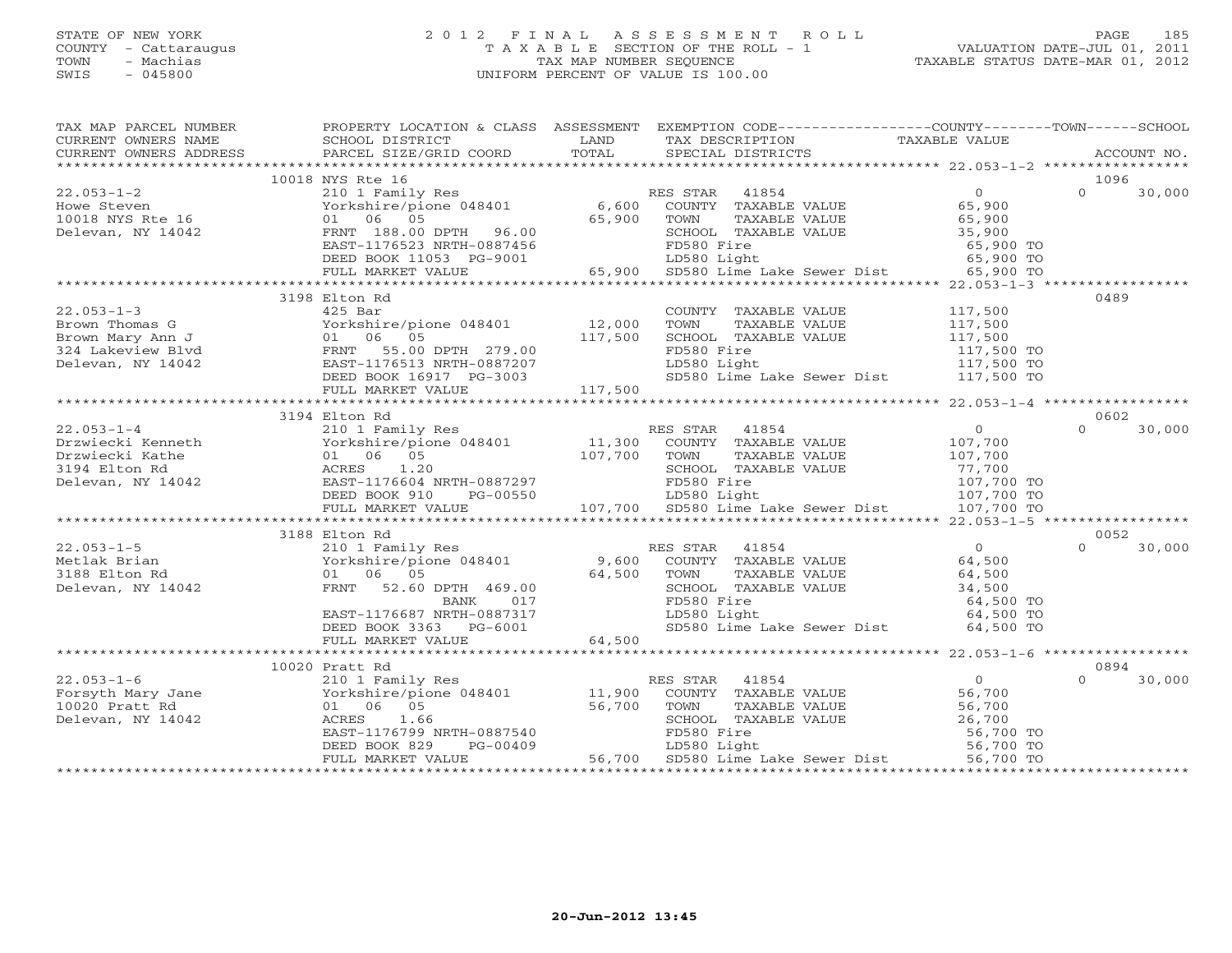# STATE OF NEW YORK 2 0 1 2 F I N A L A S S E S S M E N T R O L L PAGE 185 COUNTY - Cattaraugus T A X A B L E SECTION OF THE ROLL - 1 VALUATION DATE-JUL 01, 2011 TOWN - Machias TAX MAP NUMBER SEQUENCE TAXABLE STATUS DATE-MAR 01, 2012 SWIS - 045800 UNIFORM PERCENT OF VALUE IS 100.00UNIFORM PERCENT OF VALUE IS 100.00

| TAX MAP PARCEL NUMBER                                                                                                                                                                                                                                                                                                                                                                                                                           | PROPERTY LOCATION & CLASS ASSESSMENT EXEMPTION CODE----------------COUNTY-------TOWN------SCHOOL                                                                                                                                           |        |                                                                                                                                                                                                                                                          |                    |
|-------------------------------------------------------------------------------------------------------------------------------------------------------------------------------------------------------------------------------------------------------------------------------------------------------------------------------------------------------------------------------------------------------------------------------------------------|--------------------------------------------------------------------------------------------------------------------------------------------------------------------------------------------------------------------------------------------|--------|----------------------------------------------------------------------------------------------------------------------------------------------------------------------------------------------------------------------------------------------------------|--------------------|
|                                                                                                                                                                                                                                                                                                                                                                                                                                                 |                                                                                                                                                                                                                                            |        |                                                                                                                                                                                                                                                          |                    |
|                                                                                                                                                                                                                                                                                                                                                                                                                                                 | 10018 NYS Rte 16                                                                                                                                                                                                                           |        |                                                                                                                                                                                                                                                          | 1096               |
| $22.053 - 1 - 2$<br>22.053-1-2<br>Howe Steven<br>10018 NYS Rte 16<br>Delevan, NY 14042<br>Howe Steven<br>COUNTY<br>10018 NYS Rte 16<br>2010 106<br>FRNT 188.00 DPTH 96.00<br>FRNT 188.00 DPTH 96.00<br>FRNT 188.00 DPTH 96.00<br>FRNT 188.00 DPTH 96.00<br>FD580 F                                                                                                                                                                              |                                                                                                                                                                                                                                            |        |                                                                                                                                                                                                                                                          | $\Omega$<br>30,000 |
|                                                                                                                                                                                                                                                                                                                                                                                                                                                 |                                                                                                                                                                                                                                            |        |                                                                                                                                                                                                                                                          |                    |
|                                                                                                                                                                                                                                                                                                                                                                                                                                                 |                                                                                                                                                                                                                                            |        |                                                                                                                                                                                                                                                          |                    |
|                                                                                                                                                                                                                                                                                                                                                                                                                                                 |                                                                                                                                                                                                                                            |        | TOWN TAXABLE VALUE<br>SCHOOL TAXABLE VALUE 35,900 TO<br>65,900 TO                                                                                                                                                                                        |                    |
|                                                                                                                                                                                                                                                                                                                                                                                                                                                 | EAST-1176523 NRTH-0887456 FD580 Fire 65,900 TO<br>DEED BOOK 11053 PG-9001 LD580 Light 65,900 TO<br>FULL MARKET VALUE 65,900 SD580 Lime Lake Sewer Dist 65,900 TO                                                                           |        |                                                                                                                                                                                                                                                          |                    |
|                                                                                                                                                                                                                                                                                                                                                                                                                                                 |                                                                                                                                                                                                                                            |        |                                                                                                                                                                                                                                                          |                    |
|                                                                                                                                                                                                                                                                                                                                                                                                                                                 |                                                                                                                                                                                                                                            |        |                                                                                                                                                                                                                                                          |                    |
|                                                                                                                                                                                                                                                                                                                                                                                                                                                 |                                                                                                                                                                                                                                            |        |                                                                                                                                                                                                                                                          |                    |
| $22.053 - 1 - 3$                                                                                                                                                                                                                                                                                                                                                                                                                                | 3198 Elton Rd<br>$425$ Bar                                                                                                                                                                                                                 |        |                                                                                                                                                                                                                                                          | 0489               |
|                                                                                                                                                                                                                                                                                                                                                                                                                                                 |                                                                                                                                                                                                                                            |        | COUNTY TAXABLE VALUE 117,500<br>TOWN TAXABLE VALUE 117,500                                                                                                                                                                                               |                    |
|                                                                                                                                                                                                                                                                                                                                                                                                                                                 |                                                                                                                                                                                                                                            |        |                                                                                                                                                                                                                                                          |                    |
|                                                                                                                                                                                                                                                                                                                                                                                                                                                 |                                                                                                                                                                                                                                            |        |                                                                                                                                                                                                                                                          |                    |
|                                                                                                                                                                                                                                                                                                                                                                                                                                                 |                                                                                                                                                                                                                                            |        |                                                                                                                                                                                                                                                          |                    |
|                                                                                                                                                                                                                                                                                                                                                                                                                                                 |                                                                                                                                                                                                                                            |        |                                                                                                                                                                                                                                                          |                    |
|                                                                                                                                                                                                                                                                                                                                                                                                                                                 |                                                                                                                                                                                                                                            |        |                                                                                                                                                                                                                                                          |                    |
|                                                                                                                                                                                                                                                                                                                                                                                                                                                 |                                                                                                                                                                                                                                            |        |                                                                                                                                                                                                                                                          |                    |
|                                                                                                                                                                                                                                                                                                                                                                                                                                                 | 3194 Elton Rd                                                                                                                                                                                                                              |        |                                                                                                                                                                                                                                                          | 0602               |
|                                                                                                                                                                                                                                                                                                                                                                                                                                                 |                                                                                                                                                                                                                                            |        |                                                                                                                                                                                                                                                          | $\Omega$<br>30,000 |
|                                                                                                                                                                                                                                                                                                                                                                                                                                                 |                                                                                                                                                                                                                                            |        |                                                                                                                                                                                                                                                          |                    |
|                                                                                                                                                                                                                                                                                                                                                                                                                                                 |                                                                                                                                                                                                                                            |        |                                                                                                                                                                                                                                                          |                    |
|                                                                                                                                                                                                                                                                                                                                                                                                                                                 |                                                                                                                                                                                                                                            |        |                                                                                                                                                                                                                                                          |                    |
|                                                                                                                                                                                                                                                                                                                                                                                                                                                 |                                                                                                                                                                                                                                            |        |                                                                                                                                                                                                                                                          |                    |
|                                                                                                                                                                                                                                                                                                                                                                                                                                                 |                                                                                                                                                                                                                                            |        |                                                                                                                                                                                                                                                          |                    |
|                                                                                                                                                                                                                                                                                                                                                                                                                                                 |                                                                                                                                                                                                                                            |        |                                                                                                                                                                                                                                                          |                    |
| 107,700<br>107,700 TOXIMITES UNLE NAME VALUE<br>2019 ELECT DE BOOK 910 PG-00550<br>2020 ELECT DE BOOK ANGERS 1.20<br>2020 EAST-1176604 NRTH-0887297<br>2020 ELECT DOOK 910 PG-00550 107,700 SD580 Lime Lake Sewer Dist 107,700 TO<br>2020                                                                                                                                                                                                       |                                                                                                                                                                                                                                            |        |                                                                                                                                                                                                                                                          |                    |
|                                                                                                                                                                                                                                                                                                                                                                                                                                                 | 3188 Elton Rd                                                                                                                                                                                                                              |        |                                                                                                                                                                                                                                                          | 0052               |
| $\begin{tabular}{llllll} 22.053-1-5 & 210 1 Family \\ \texttt{Metlak Brian} & Yorkshire/pio \\ 3188 Elton Rd & 01 & 06 & 05 \\ \texttt{Delevan, NY} & 14042 & \texttt{FRNT} & 52.60 \\ \end{tabular}$                                                                                                                                                                                                                                           | 8 Elton Rd<br>210 1 Family Res<br>Yorkshire/pione 048401 9,600 COUNTY TAXABLE VALUE 64,500<br>01 06 05 64,500 TOWN TAXABLE VALUE 64,500<br>FRNT 52.60 DPTH 469.00 SCHOOL TAXABLE VALUE 34,500<br>BANK 017 FD580 Fire 64,500 TO<br>EAST-117 |        |                                                                                                                                                                                                                                                          | 30,000<br>$\cap$   |
|                                                                                                                                                                                                                                                                                                                                                                                                                                                 |                                                                                                                                                                                                                                            |        |                                                                                                                                                                                                                                                          |                    |
|                                                                                                                                                                                                                                                                                                                                                                                                                                                 |                                                                                                                                                                                                                                            |        |                                                                                                                                                                                                                                                          |                    |
|                                                                                                                                                                                                                                                                                                                                                                                                                                                 |                                                                                                                                                                                                                                            |        |                                                                                                                                                                                                                                                          |                    |
|                                                                                                                                                                                                                                                                                                                                                                                                                                                 |                                                                                                                                                                                                                                            |        |                                                                                                                                                                                                                                                          |                    |
|                                                                                                                                                                                                                                                                                                                                                                                                                                                 | EAST-1176687 NRTH-0887317<br>DEED BOOK 3363 PG-6001                                                                                                                                                                                        |        |                                                                                                                                                                                                                                                          |                    |
|                                                                                                                                                                                                                                                                                                                                                                                                                                                 |                                                                                                                                                                                                                                            |        | SD580 Lime Lake Sewer Dist 64,500 TO                                                                                                                                                                                                                     |                    |
|                                                                                                                                                                                                                                                                                                                                                                                                                                                 | FULL MARKET VALUE                                                                                                                                                                                                                          | 64,500 |                                                                                                                                                                                                                                                          |                    |
|                                                                                                                                                                                                                                                                                                                                                                                                                                                 |                                                                                                                                                                                                                                            |        |                                                                                                                                                                                                                                                          |                    |
|                                                                                                                                                                                                                                                                                                                                                                                                                                                 |                                                                                                                                                                                                                                            |        |                                                                                                                                                                                                                                                          | 0894               |
|                                                                                                                                                                                                                                                                                                                                                                                                                                                 |                                                                                                                                                                                                                                            |        |                                                                                                                                                                                                                                                          | 30,000<br>$\Omega$ |
| $\begin{tabular}{lllllllllllllllllll} \multicolumn{3}{c l}{} & & & & & & & & & & & & \multicolumn{3}{c l}{} \\ \hline 22.053-1-6 & & & & & & & & & & & \multicolumn{3}{c l}{} \\ \hline \multicolumn{3}{c l}{} & & & & & & & & \multicolumn{3}{c l}{} \\ \multicolumn{3}{c l}{} & & & & & & & \multicolumn{3}{c l}{} \\ \multicolumn{3}{c l}{} & & & & & & & \multicolumn{3}{c l}{} \\ 1020~{\texttt{Pratt Rd}} & & & & & & & & \multicolumn{3$ |                                                                                                                                                                                                                                            |        |                                                                                                                                                                                                                                                          |                    |
|                                                                                                                                                                                                                                                                                                                                                                                                                                                 |                                                                                                                                                                                                                                            |        |                                                                                                                                                                                                                                                          |                    |
|                                                                                                                                                                                                                                                                                                                                                                                                                                                 |                                                                                                                                                                                                                                            |        |                                                                                                                                                                                                                                                          |                    |
|                                                                                                                                                                                                                                                                                                                                                                                                                                                 |                                                                                                                                                                                                                                            |        |                                                                                                                                                                                                                                                          |                    |
|                                                                                                                                                                                                                                                                                                                                                                                                                                                 | ACRES 1.66 SCHOOL TAXABLE VALUE 26,700<br>EAST-1176799 NRTH-0887540 FD580 Fire 56,700 FD580 Fire 56,700 TO<br>DEED BOOK 829 PG-00409 56,700 SD580 Light 56,700 TO<br>FULL MARKET VALUE 56,700 SD580 Lime Lake Sewer Dist 56,700 TO         |        | ES STAR 41854<br>COUNTY TAXABLE VALUE 56,700<br>TOWN TAXABLE VALUE 56,700<br>SCHOOL TAXABLE VALUE 56,700<br>FD580 Light 56,700<br>LD580 Light 56,700<br>TO 56,700<br>TO 56,700<br>TO 56,700<br>TO 56,700<br>TO 56,700<br>TO 56,700<br>TO 56,700<br>TO 56 |                    |
|                                                                                                                                                                                                                                                                                                                                                                                                                                                 |                                                                                                                                                                                                                                            |        |                                                                                                                                                                                                                                                          |                    |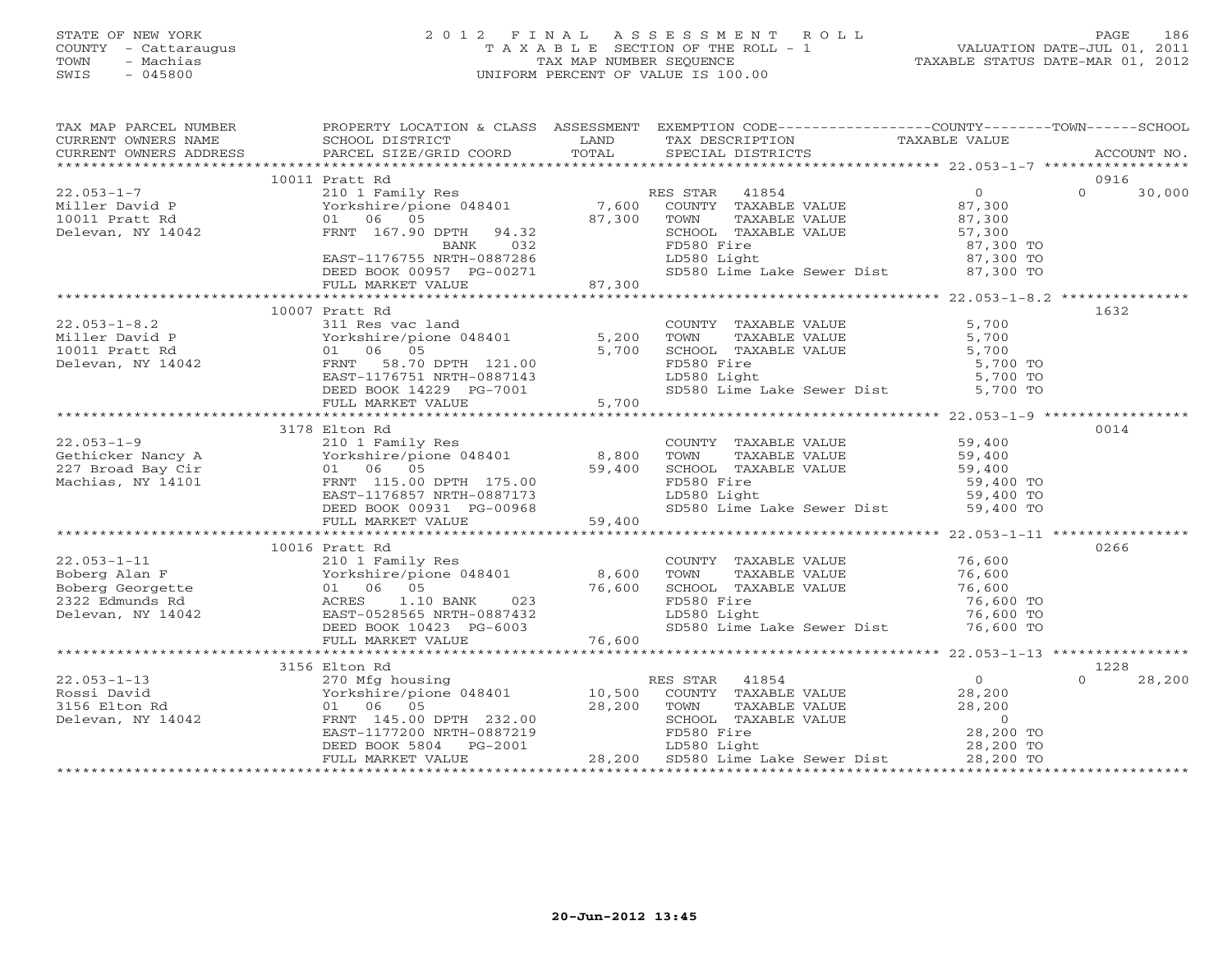# STATE OF NEW YORK 2 0 1 2 F I N A L A S S E S S M E N T R O L L PAGE 186 COUNTY - Cattaraugus T A X A B L E SECTION OF THE ROLL - 1 VALUATION DATE-JUL 01, 2011 TOWN - Machias TAX MAP NUMBER SEQUENCE TAXABLE STATUS DATE-MAR 01, 2012 SWIS - 045800 UNIFORM PERCENT OF VALUE IS 100.00UNIFORM PERCENT OF VALUE IS 100.00

| TAX MAP PARCEL NUMBER                                                                                                                                                                                                                                                                                                                                                                                         |                                                                                                                                                                                  | PROPERTY LOCATION & CLASS ASSESSMENT EXEMPTION CODE---------------COUNTY-------TOWN------SCHOOL                                                                                                                                          |           |                    |
|---------------------------------------------------------------------------------------------------------------------------------------------------------------------------------------------------------------------------------------------------------------------------------------------------------------------------------------------------------------------------------------------------------------|----------------------------------------------------------------------------------------------------------------------------------------------------------------------------------|------------------------------------------------------------------------------------------------------------------------------------------------------------------------------------------------------------------------------------------|-----------|--------------------|
| CURRENT OWNERS NAME SCHOOL DISTRICT THE LAND<br>CURRENT OWNERS ADDRESS                                                                                                                                                                                                                                                                                                                                        |                                                                                                                                                                                  | TAX DESCRIPTION TAXABLE VALUE                                                                                                                                                                                                            |           |                    |
|                                                                                                                                                                                                                                                                                                                                                                                                               |                                                                                                                                                                                  |                                                                                                                                                                                                                                          |           |                    |
|                                                                                                                                                                                                                                                                                                                                                                                                               | 10011 Pratt Rd                                                                                                                                                                   |                                                                                                                                                                                                                                          |           | 0916               |
| $22.053 - 1 - 7$                                                                                                                                                                                                                                                                                                                                                                                              |                                                                                                                                                                                  | Pratt Rd<br>210 1 Family Res RES STAR 41854 0<br>Yorkshire/pione 048401 7,600 COUNTY TAXABLE VALUE 87,300<br>01 06 05 87,300 TOWN TAXABLE VALUE 87,300<br>FRNT 167.90 DPTH 94.32 SCHOOL TAXABLE VALUE 57,300<br>BANK 032 FD580 Fire 87,3 |           | $\Omega$<br>30,000 |
| Miller David P<br>10011 Pratt Rd<br>Delevan, NY 14042                                                                                                                                                                                                                                                                                                                                                         |                                                                                                                                                                                  |                                                                                                                                                                                                                                          |           |                    |
|                                                                                                                                                                                                                                                                                                                                                                                                               |                                                                                                                                                                                  |                                                                                                                                                                                                                                          |           |                    |
|                                                                                                                                                                                                                                                                                                                                                                                                               |                                                                                                                                                                                  | CHOOL TAXABLE VALUE<br>FD580 Fire<br>LD580 Light<br>ST,300 TO<br>SD580 Lime Lake Sewer Dist<br>ST,300 TO<br>SD580 Lime Lake Sewer Dist<br>87,300 TO                                                                                      |           |                    |
|                                                                                                                                                                                                                                                                                                                                                                                                               |                                                                                                                                                                                  |                                                                                                                                                                                                                                          |           |                    |
|                                                                                                                                                                                                                                                                                                                                                                                                               |                                                                                                                                                                                  |                                                                                                                                                                                                                                          |           |                    |
|                                                                                                                                                                                                                                                                                                                                                                                                               |                                                                                                                                                                                  |                                                                                                                                                                                                                                          |           |                    |
|                                                                                                                                                                                                                                                                                                                                                                                                               | EAST-1176755 NRTH-0887286 I<br>DEED BOOK 00957 PG-00271 S<br>FULL MARKET VALUE 87,300                                                                                            |                                                                                                                                                                                                                                          |           |                    |
|                                                                                                                                                                                                                                                                                                                                                                                                               |                                                                                                                                                                                  |                                                                                                                                                                                                                                          |           |                    |
|                                                                                                                                                                                                                                                                                                                                                                                                               | 10007 Pratt Rd                                                                                                                                                                   |                                                                                                                                                                                                                                          |           | 1632               |
| $22.053 - 1 - 8.2$                                                                                                                                                                                                                                                                                                                                                                                            | 311 Res vac land                                                                                                                                                                 |                                                                                                                                                                                                                                          |           |                    |
|                                                                                                                                                                                                                                                                                                                                                                                                               |                                                                                                                                                                                  |                                                                                                                                                                                                                                          |           |                    |
| Miller David P<br>10011 Pratt Rd<br>Delevan, NY 14042 FRNT 58.70                                                                                                                                                                                                                                                                                                                                              |                                                                                                                                                                                  | COUNTY TAXABLE VALUE 5,700<br>TOWN TAXABLE VALUE 5,700<br>SCHOOL TAXABLE VALUE 5,700<br>FD580 Fire 5,700 TO<br>LD580 Light 5,700 TO                                                                                                      |           |                    |
|                                                                                                                                                                                                                                                                                                                                                                                                               |                                                                                                                                                                                  |                                                                                                                                                                                                                                          |           |                    |
|                                                                                                                                                                                                                                                                                                                                                                                                               |                                                                                                                                                                                  | SD580 Lime Lake Sewer Dist 5,700 TO                                                                                                                                                                                                      |           |                    |
|                                                                                                                                                                                                                                                                                                                                                                                                               | 311 Res vac 1 and<br>Yorkshire/pione 048401 5,200<br>01 06 05 5,700<br>FRNT 58.70 DPTH 121.00<br>EAST-1176751 NRTH-0887143<br>DEED BOOK 14229 PG-7001 5,700<br>FULL MARKET VALUE |                                                                                                                                                                                                                                          |           |                    |
|                                                                                                                                                                                                                                                                                                                                                                                                               |                                                                                                                                                                                  |                                                                                                                                                                                                                                          |           |                    |
|                                                                                                                                                                                                                                                                                                                                                                                                               | 3178 Elton Rd                                                                                                                                                                    |                                                                                                                                                                                                                                          |           | 0014               |
|                                                                                                                                                                                                                                                                                                                                                                                                               |                                                                                                                                                                                  |                                                                                                                                                                                                                                          |           |                    |
|                                                                                                                                                                                                                                                                                                                                                                                                               |                                                                                                                                                                                  |                                                                                                                                                                                                                                          |           |                    |
|                                                                                                                                                                                                                                                                                                                                                                                                               |                                                                                                                                                                                  |                                                                                                                                                                                                                                          |           |                    |
|                                                                                                                                                                                                                                                                                                                                                                                                               |                                                                                                                                                                                  |                                                                                                                                                                                                                                          |           |                    |
|                                                                                                                                                                                                                                                                                                                                                                                                               |                                                                                                                                                                                  |                                                                                                                                                                                                                                          |           |                    |
|                                                                                                                                                                                                                                                                                                                                                                                                               |                                                                                                                                                                                  |                                                                                                                                                                                                                                          |           |                    |
|                                                                                                                                                                                                                                                                                                                                                                                                               |                                                                                                                                                                                  |                                                                                                                                                                                                                                          |           |                    |
| $\begin{array}{cccccccc} 22.053-1-9 & & 31/6 \; \text{L} & 10 & \text{Family Res} \\ \text{Gethicker Nancy A} & & 210 & \text{Family Res} \\ \text{Cethicker Nancy A} & & 210 & \text{Family Res} \\ 227 & \text{Broad Bay Cir} & & 01 & 06 & 05 \\ \text{Machias, NY 14101} & & 01 & 06 & 05 \\ \text{Machias, NY 14101} & & 01 & 06 & 05 \\ \text{Machias, NY 14102} & & 01 & 06 \\ \text{Machias, NY 1410$ |                                                                                                                                                                                  |                                                                                                                                                                                                                                          |           |                    |
|                                                                                                                                                                                                                                                                                                                                                                                                               | 10016 Pratt Rd                                                                                                                                                                   |                                                                                                                                                                                                                                          |           | 0266               |
|                                                                                                                                                                                                                                                                                                                                                                                                               |                                                                                                                                                                                  |                                                                                                                                                                                                                                          |           |                    |
|                                                                                                                                                                                                                                                                                                                                                                                                               |                                                                                                                                                                                  |                                                                                                                                                                                                                                          |           |                    |
|                                                                                                                                                                                                                                                                                                                                                                                                               |                                                                                                                                                                                  |                                                                                                                                                                                                                                          |           |                    |
|                                                                                                                                                                                                                                                                                                                                                                                                               |                                                                                                                                                                                  |                                                                                                                                                                                                                                          |           |                    |
|                                                                                                                                                                                                                                                                                                                                                                                                               |                                                                                                                                                                                  |                                                                                                                                                                                                                                          |           |                    |
|                                                                                                                                                                                                                                                                                                                                                                                                               |                                                                                                                                                                                  |                                                                                                                                                                                                                                          |           |                    |
|                                                                                                                                                                                                                                                                                                                                                                                                               |                                                                                                                                                                                  |                                                                                                                                                                                                                                          |           |                    |
|                                                                                                                                                                                                                                                                                                                                                                                                               | 3156 Elton Rd                                                                                                                                                                    |                                                                                                                                                                                                                                          |           | 1228               |
|                                                                                                                                                                                                                                                                                                                                                                                                               |                                                                                                                                                                                  |                                                                                                                                                                                                                                          |           | 28,200             |
|                                                                                                                                                                                                                                                                                                                                                                                                               |                                                                                                                                                                                  |                                                                                                                                                                                                                                          |           |                    |
|                                                                                                                                                                                                                                                                                                                                                                                                               |                                                                                                                                                                                  |                                                                                                                                                                                                                                          |           |                    |
|                                                                                                                                                                                                                                                                                                                                                                                                               |                                                                                                                                                                                  |                                                                                                                                                                                                                                          |           |                    |
|                                                                                                                                                                                                                                                                                                                                                                                                               |                                                                                                                                                                                  |                                                                                                                                                                                                                                          |           |                    |
|                                                                                                                                                                                                                                                                                                                                                                                                               |                                                                                                                                                                                  | TOWN TAXABLE VALUE<br>SCHOOL TAXABLE VALUE<br>FD580 Fire<br>LD580 Light<br>28,200 TO<br>28,200 TO<br>28,200 TO<br>28,200 TO                                                                                                              |           |                    |
| $\begin{tabular}{lllllllllllllllllllll} \hline & & & 3156 \text{ E1C0n Rd & & & 3156 \text{ E1C0n Rd & & & 3156 \text{ E1C0n Rd & & & 3156 \text{ E1C0n Rd & & 3156 \text{ E1C0n Rd & & 3156 \text{ E1C0n Rd & & 3156 \text{ E1C0n Rd & & 3166 \text{ E1C0n Rd & & 3166 \text{ E1C0n Rd & & 3166 \text{ E1C0n Rd & & 3166 \text{ E1C0n Rd & & 3166 \$                                                         |                                                                                                                                                                                  |                                                                                                                                                                                                                                          | 28,200 TO |                    |
|                                                                                                                                                                                                                                                                                                                                                                                                               |                                                                                                                                                                                  |                                                                                                                                                                                                                                          |           |                    |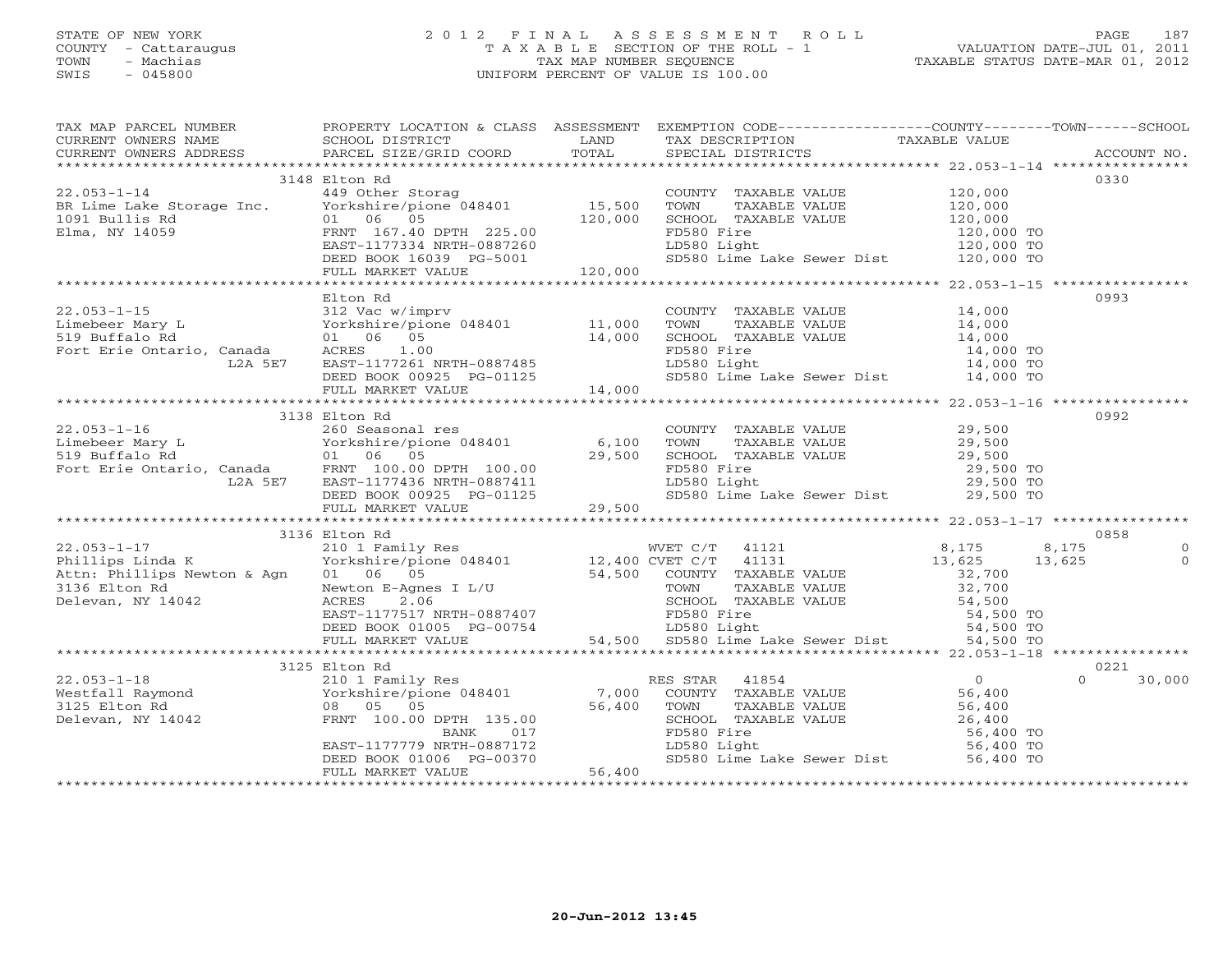# STATE OF NEW YORK 2 0 1 2 F I N A L A S S E S S M E N T R O L L PAGE 187 COUNTY - Cattaraugus T A X A B L E SECTION OF THE ROLL - 1 VALUATION DATE-JUL 01, 2011 TOWN - Machias TAX MAP NUMBER SEQUENCE TAXABLE STATUS DATE-MAR 01, 2012 SWIS - 045800 UNIFORM PERCENT OF VALUE IS 100.00UNIFORM PERCENT OF VALUE IS 100.00

| TAX MAP PARCEL NUMBER                                                                                                                                                                                                                                                                                                                                                                                    |                                                                                                                                                                                                                                          |                              |                                                                                                                               | PROPERTY LOCATION & CLASS ASSESSMENT EXEMPTION CODE----------------COUNTY-------TOWN------SCHOOL |          |
|----------------------------------------------------------------------------------------------------------------------------------------------------------------------------------------------------------------------------------------------------------------------------------------------------------------------------------------------------------------------------------------------------------|------------------------------------------------------------------------------------------------------------------------------------------------------------------------------------------------------------------------------------------|------------------------------|-------------------------------------------------------------------------------------------------------------------------------|--------------------------------------------------------------------------------------------------|----------|
|                                                                                                                                                                                                                                                                                                                                                                                                          |                                                                                                                                                                                                                                          |                              |                                                                                                                               |                                                                                                  |          |
|                                                                                                                                                                                                                                                                                                                                                                                                          |                                                                                                                                                                                                                                          |                              |                                                                                                                               |                                                                                                  |          |
|                                                                                                                                                                                                                                                                                                                                                                                                          | 3148 Elton Rd                                                                                                                                                                                                                            |                              |                                                                                                                               | 0330                                                                                             |          |
|                                                                                                                                                                                                                                                                                                                                                                                                          |                                                                                                                                                                                                                                          |                              |                                                                                                                               |                                                                                                  |          |
|                                                                                                                                                                                                                                                                                                                                                                                                          |                                                                                                                                                                                                                                          |                              |                                                                                                                               |                                                                                                  |          |
|                                                                                                                                                                                                                                                                                                                                                                                                          |                                                                                                                                                                                                                                          |                              |                                                                                                                               |                                                                                                  |          |
|                                                                                                                                                                                                                                                                                                                                                                                                          |                                                                                                                                                                                                                                          |                              |                                                                                                                               |                                                                                                  |          |
|                                                                                                                                                                                                                                                                                                                                                                                                          |                                                                                                                                                                                                                                          |                              |                                                                                                                               |                                                                                                  |          |
|                                                                                                                                                                                                                                                                                                                                                                                                          |                                                                                                                                                                                                                                          |                              |                                                                                                                               |                                                                                                  |          |
|                                                                                                                                                                                                                                                                                                                                                                                                          |                                                                                                                                                                                                                                          |                              |                                                                                                                               |                                                                                                  |          |
|                                                                                                                                                                                                                                                                                                                                                                                                          |                                                                                                                                                                                                                                          |                              |                                                                                                                               |                                                                                                  |          |
|                                                                                                                                                                                                                                                                                                                                                                                                          | Elton Rd                                                                                                                                                                                                                                 |                              |                                                                                                                               | 0993                                                                                             |          |
| 22.053-1-15<br>Limebeer Mary L<br>519 Buffalo Rd<br>Fort Erie Ontario, Canada<br>528 Buffalo Rd<br>528 Buffalo Canada<br>528 Buffalo Canada<br>528 Buffalo ACRES<br>528 Buffalo ACRES<br>528 Buffalo ACRES<br>528 Buffalo ACRES<br>528 Buffalo RTH-                                                                                                                                                      |                                                                                                                                                                                                                                          |                              | COUNTY TAXABLE VALUE 14,000                                                                                                   |                                                                                                  |          |
|                                                                                                                                                                                                                                                                                                                                                                                                          |                                                                                                                                                                                                                                          |                              | TOWN TAXABLE VALUE $14,000$<br>SCHOOL TAXABLE VALUE $14,000$<br>FD580 Fire $14,000$<br>LD580 Light $14,000$                   |                                                                                                  |          |
|                                                                                                                                                                                                                                                                                                                                                                                                          |                                                                                                                                                                                                                                          |                              |                                                                                                                               |                                                                                                  |          |
|                                                                                                                                                                                                                                                                                                                                                                                                          |                                                                                                                                                                                                                                          |                              |                                                                                                                               | 14,000 TO                                                                                        |          |
|                                                                                                                                                                                                                                                                                                                                                                                                          |                                                                                                                                                                                                                                          |                              | LD580 Light<br>SD580 Lime Lake Sewer Dist 14,000 TO<br>14,000 TO                                                              |                                                                                                  |          |
|                                                                                                                                                                                                                                                                                                                                                                                                          |                                                                                                                                                                                                                                          | 14,000                       |                                                                                                                               |                                                                                                  |          |
|                                                                                                                                                                                                                                                                                                                                                                                                          | FULL MARKET VALUE                                                                                                                                                                                                                        |                              |                                                                                                                               |                                                                                                  |          |
|                                                                                                                                                                                                                                                                                                                                                                                                          | 3138 Elton Rd                                                                                                                                                                                                                            |                              |                                                                                                                               | 0992                                                                                             |          |
| $22.053 - 1 - 16$                                                                                                                                                                                                                                                                                                                                                                                        | 260 Seasonal res                                                                                                                                                                                                                         |                              | COUNTY TAXABLE VALUE 29,500                                                                                                   |                                                                                                  |          |
|                                                                                                                                                                                                                                                                                                                                                                                                          |                                                                                                                                                                                                                                          |                              |                                                                                                                               |                                                                                                  |          |
|                                                                                                                                                                                                                                                                                                                                                                                                          |                                                                                                                                                                                                                                          |                              | TOWN TAXABLE VALUE<br>SCHOOL TAXABLE VALUE<br>FD580 Fire<br>LD580 Light<br>LD580 Light<br>29,500 TO<br>29,500 TO<br>29,500 TO |                                                                                                  |          |
|                                                                                                                                                                                                                                                                                                                                                                                                          |                                                                                                                                                                                                                                          |                              |                                                                                                                               |                                                                                                  |          |
|                                                                                                                                                                                                                                                                                                                                                                                                          |                                                                                                                                                                                                                                          |                              |                                                                                                                               |                                                                                                  |          |
|                                                                                                                                                                                                                                                                                                                                                                                                          |                                                                                                                                                                                                                                          |                              | SD580 Lime Lake Sewer Dist 29,500 TO                                                                                          |                                                                                                  |          |
| $\begin{array}{lllllllllllll} \text{Z2.035--1--10} & \text{Z00} & \text{Seasolial} & \text{Les} & \text{6,100} \\ \text{Limeber Mary L} & \text{Yorkshire/pione 048401} & \text{6,100} \\ \text{519 Bufhalo Rd} & \text{01} & \text{06} & \text{05} & \text{29,500} \\ \text{Fort Eric Ontario, Canada} & \text{FRNT 100.00 DPTH 100.00} & \text{L2A 5E7} & \text{EAST-1177436 NRTH-0887411} & \text{DE$ |                                                                                                                                                                                                                                          |                              |                                                                                                                               |                                                                                                  |          |
|                                                                                                                                                                                                                                                                                                                                                                                                          |                                                                                                                                                                                                                                          |                              |                                                                                                                               |                                                                                                  |          |
|                                                                                                                                                                                                                                                                                                                                                                                                          | 3136 Elton Rd                                                                                                                                                                                                                            |                              |                                                                                                                               | 0858                                                                                             |          |
| $22.053 - 1 - 17$                                                                                                                                                                                                                                                                                                                                                                                        | 210 1 Family Res                                                                                                                                                                                                                         |                              | WVET C/T 41121                                                                                                                | 8,175 8,175                                                                                      | $\Omega$ |
| $22.053-1-17$ and $K$ 210 1 Family Res and $21.21$ WVET C/T 41121<br>Phillips Linda K (Porkshire/pione 048401 ) 2,400 CVET C/T 41131                                                                                                                                                                                                                                                                     |                                                                                                                                                                                                                                          |                              |                                                                                                                               | $13,625$<br>32,700<br>13,625                                                                     | $\Omega$ |
| Attn: Phillips Newton & Agn 01 06 05                                                                                                                                                                                                                                                                                                                                                                     |                                                                                                                                                                                                                                          |                              |                                                                                                                               |                                                                                                  |          |
| 3136 Elton Rd                                                                                                                                                                                                                                                                                                                                                                                            |                                                                                                                                                                                                                                          |                              |                                                                                                                               |                                                                                                  |          |
| Delevan, NY 14042                                                                                                                                                                                                                                                                                                                                                                                        |                                                                                                                                                                                                                                          |                              |                                                                                                                               |                                                                                                  |          |
|                                                                                                                                                                                                                                                                                                                                                                                                          |                                                                                                                                                                                                                                          |                              |                                                                                                                               |                                                                                                  |          |
|                                                                                                                                                                                                                                                                                                                                                                                                          |                                                                                                                                                                                                                                          |                              |                                                                                                                               |                                                                                                  |          |
|                                                                                                                                                                                                                                                                                                                                                                                                          |                                                                                                                                                                                                                                          |                              |                                                                                                                               |                                                                                                  |          |
|                                                                                                                                                                                                                                                                                                                                                                                                          |                                                                                                                                                                                                                                          |                              |                                                                                                                               |                                                                                                  |          |
|                                                                                                                                                                                                                                                                                                                                                                                                          | 3125 Elton Rd                                                                                                                                                                                                                            |                              |                                                                                                                               | 0221                                                                                             |          |
| $22.053 - 1 - 18$                                                                                                                                                                                                                                                                                                                                                                                        |                                                                                                                                                                                                                                          |                              |                                                                                                                               | 30,000<br>$\Omega$                                                                               |          |
|                                                                                                                                                                                                                                                                                                                                                                                                          |                                                                                                                                                                                                                                          |                              |                                                                                                                               |                                                                                                  |          |
| Westfall Raymond<br>3125 Elton Rd<br>Delevan. NY 14040                                                                                                                                                                                                                                                                                                                                                   | 9 ELEON NO COUNTY TAXABLE VALUE<br>Yorkshire/pione 048401 7,000 COUNTY TAXABLE VALUE 56,400<br>08 05 05 56,400 TOWN TAXABLE VALUE 56,400<br>FRNT 100.00 DPTH 135.00 56,400 SCHOOL TAXABLE VALUE 26,400<br>BANK 017 FD580 Fire 56,400<br> |                              |                                                                                                                               |                                                                                                  |          |
| Delevan, NY 14042                                                                                                                                                                                                                                                                                                                                                                                        |                                                                                                                                                                                                                                          |                              |                                                                                                                               |                                                                                                  |          |
|                                                                                                                                                                                                                                                                                                                                                                                                          |                                                                                                                                                                                                                                          |                              |                                                                                                                               |                                                                                                  |          |
|                                                                                                                                                                                                                                                                                                                                                                                                          |                                                                                                                                                                                                                                          |                              |                                                                                                                               |                                                                                                  |          |
|                                                                                                                                                                                                                                                                                                                                                                                                          | DEED BOOK 01006 PG-00370                                                                                                                                                                                                                 | $\frac{1}{2}$<br>0370 56,400 |                                                                                                                               |                                                                                                  |          |
|                                                                                                                                                                                                                                                                                                                                                                                                          | FULL MARKET VALUE                                                                                                                                                                                                                        |                              |                                                                                                                               |                                                                                                  |          |
|                                                                                                                                                                                                                                                                                                                                                                                                          |                                                                                                                                                                                                                                          |                              |                                                                                                                               |                                                                                                  |          |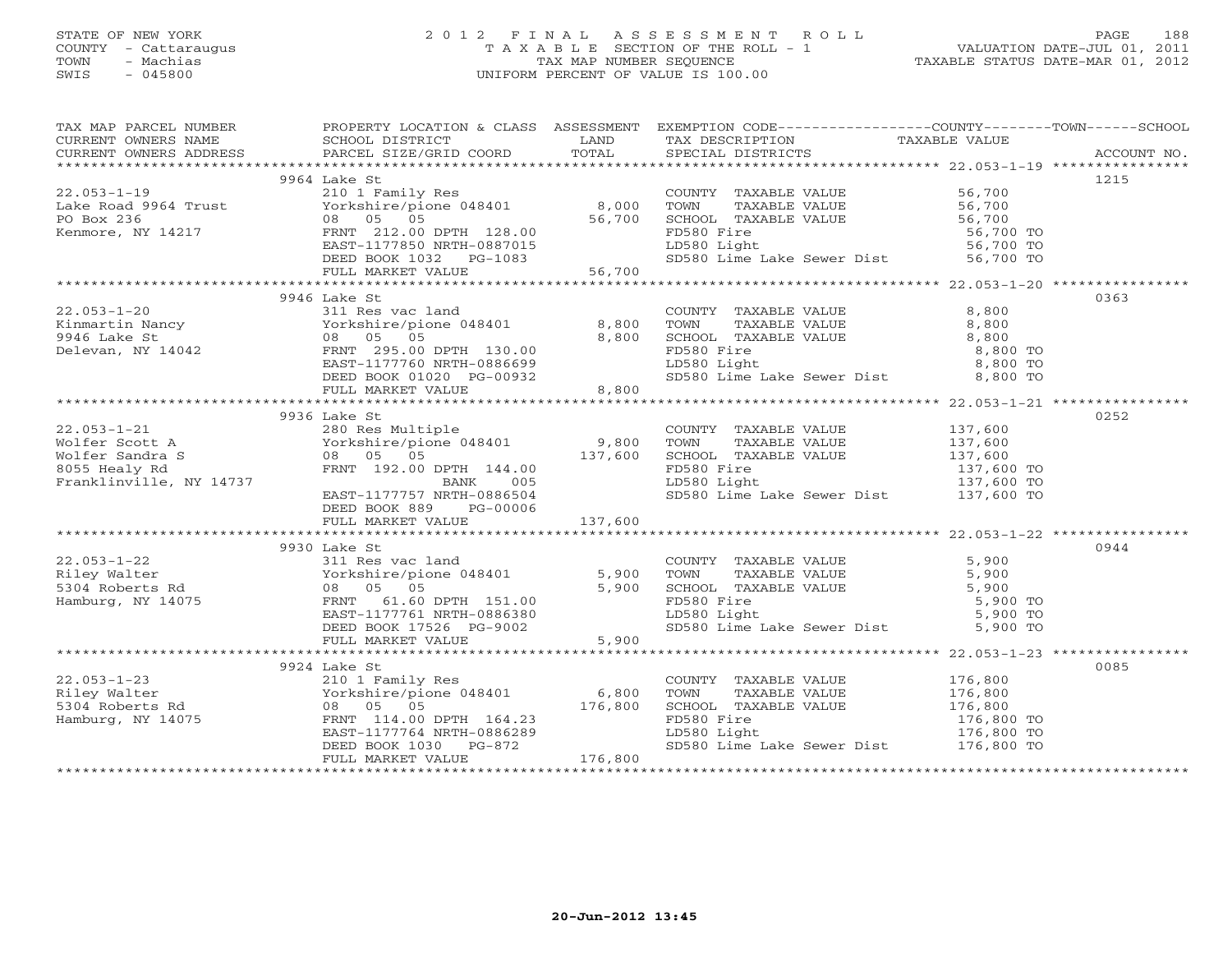# STATE OF NEW YORK 2 0 1 2 F I N A L A S S E S S M E N T R O L L PAGE 188 COUNTY - Cattaraugus T A X A B L E SECTION OF THE ROLL - 1 VALUATION DATE-JUL 01, 2011 TOWN - Machias TAX MAP NUMBER SEQUENCE TAXABLE STATUS DATE-MAR 01, 2012 SWIS - 045800 UNIFORM PERCENT OF VALUE IS 100.00UNIFORM PERCENT OF VALUE IS 100.00

| TAX MAP PARCEL NUMBER FROPERTY LOCATION & CLASS ASSESSMENT EXEMPTION CODE--------------COUNTY-------TOWN------SCHOOL                                                                                                                                                                                    |                           |         |                                                                                                                                                                                                                              |      |
|---------------------------------------------------------------------------------------------------------------------------------------------------------------------------------------------------------------------------------------------------------------------------------------------------------|---------------------------|---------|------------------------------------------------------------------------------------------------------------------------------------------------------------------------------------------------------------------------------|------|
|                                                                                                                                                                                                                                                                                                         |                           |         |                                                                                                                                                                                                                              |      |
|                                                                                                                                                                                                                                                                                                         |                           |         |                                                                                                                                                                                                                              |      |
|                                                                                                                                                                                                                                                                                                         |                           |         |                                                                                                                                                                                                                              |      |
| $\begin{tabular}{lllllllllllllllllll} \hline & 9964 & Late & 8,000 & TOWTY & TAXABLE VALUE & 56,700 & 1215 & 1215 & 1215 & 1215 & 1215 & 1215 & 1215 & 1215 & 1215 & 1215 & 1215 & 1215 & 1215 & 1215 & 1215 & 1215 & 1215 & 1215 & 1215 & 1215 & 1215 & 1215 & 1215 & 1215 & 1215 & 1215 & 1215 & 121$ | 9964 Lake St              |         |                                                                                                                                                                                                                              | 1215 |
|                                                                                                                                                                                                                                                                                                         |                           |         |                                                                                                                                                                                                                              |      |
|                                                                                                                                                                                                                                                                                                         |                           |         |                                                                                                                                                                                                                              |      |
|                                                                                                                                                                                                                                                                                                         |                           |         |                                                                                                                                                                                                                              |      |
|                                                                                                                                                                                                                                                                                                         |                           |         |                                                                                                                                                                                                                              |      |
|                                                                                                                                                                                                                                                                                                         |                           |         |                                                                                                                                                                                                                              |      |
|                                                                                                                                                                                                                                                                                                         |                           |         |                                                                                                                                                                                                                              |      |
|                                                                                                                                                                                                                                                                                                         |                           |         |                                                                                                                                                                                                                              |      |
|                                                                                                                                                                                                                                                                                                         | 9946 Lake St              |         |                                                                                                                                                                                                                              | 0363 |
|                                                                                                                                                                                                                                                                                                         |                           |         |                                                                                                                                                                                                                              |      |
|                                                                                                                                                                                                                                                                                                         |                           |         |                                                                                                                                                                                                                              |      |
|                                                                                                                                                                                                                                                                                                         |                           |         |                                                                                                                                                                                                                              |      |
|                                                                                                                                                                                                                                                                                                         |                           |         |                                                                                                                                                                                                                              |      |
|                                                                                                                                                                                                                                                                                                         |                           |         |                                                                                                                                                                                                                              |      |
|                                                                                                                                                                                                                                                                                                         |                           |         |                                                                                                                                                                                                                              |      |
|                                                                                                                                                                                                                                                                                                         |                           |         |                                                                                                                                                                                                                              |      |
|                                                                                                                                                                                                                                                                                                         |                           |         |                                                                                                                                                                                                                              |      |
|                                                                                                                                                                                                                                                                                                         | 9936 Lake St              |         |                                                                                                                                                                                                                              | 0252 |
|                                                                                                                                                                                                                                                                                                         |                           |         |                                                                                                                                                                                                                              |      |
|                                                                                                                                                                                                                                                                                                         |                           |         |                                                                                                                                                                                                                              |      |
|                                                                                                                                                                                                                                                                                                         |                           |         |                                                                                                                                                                                                                              |      |
|                                                                                                                                                                                                                                                                                                         |                           |         |                                                                                                                                                                                                                              |      |
|                                                                                                                                                                                                                                                                                                         |                           |         |                                                                                                                                                                                                                              |      |
|                                                                                                                                                                                                                                                                                                         | EAST-1177757 NRTH-0886504 |         | SD580 Lime Lake Sewer Dist 137,600 TO                                                                                                                                                                                        |      |
|                                                                                                                                                                                                                                                                                                         | DEED BOOK 889 PG-00006    |         |                                                                                                                                                                                                                              |      |
|                                                                                                                                                                                                                                                                                                         |                           |         |                                                                                                                                                                                                                              |      |
|                                                                                                                                                                                                                                                                                                         |                           |         |                                                                                                                                                                                                                              |      |
|                                                                                                                                                                                                                                                                                                         | 9930 Lake St              |         |                                                                                                                                                                                                                              | 0944 |
|                                                                                                                                                                                                                                                                                                         |                           |         |                                                                                                                                                                                                                              |      |
|                                                                                                                                                                                                                                                                                                         |                           |         |                                                                                                                                                                                                                              |      |
|                                                                                                                                                                                                                                                                                                         |                           |         |                                                                                                                                                                                                                              |      |
| 31 1-22 9930 Lake St<br>Riley Walter and The Value of State of State of State of State of State of State of State of State of State of<br>S304 Roberts Rd and S.900 TOWN TAXABLE VALUE 5,900<br>Hamburg, NY 14075 FRNT 61.60 DPTH 15                                                                    |                           |         |                                                                                                                                                                                                                              |      |
|                                                                                                                                                                                                                                                                                                         |                           |         |                                                                                                                                                                                                                              |      |
|                                                                                                                                                                                                                                                                                                         |                           |         |                                                                                                                                                                                                                              |      |
|                                                                                                                                                                                                                                                                                                         |                           |         |                                                                                                                                                                                                                              |      |
|                                                                                                                                                                                                                                                                                                         |                           |         |                                                                                                                                                                                                                              | 0085 |
|                                                                                                                                                                                                                                                                                                         | 9924 Lake St              |         |                                                                                                                                                                                                                              |      |
|                                                                                                                                                                                                                                                                                                         |                           |         | COUNTY TAXABLE VALUE 176,800<br>TOWN TAXABLE VALUE 176,800<br>SCHOOL TAXABLE VALUE 176,800<br>FD580 Fire 176,800<br>LD580 Light 176,800 TO<br>SD580 Lime Lake Sewer Dist 176,800 TO<br>SD580 Lime Lake Sewer Dist 176,800 TO |      |
|                                                                                                                                                                                                                                                                                                         |                           |         |                                                                                                                                                                                                                              |      |
|                                                                                                                                                                                                                                                                                                         |                           |         |                                                                                                                                                                                                                              |      |
|                                                                                                                                                                                                                                                                                                         |                           |         |                                                                                                                                                                                                                              |      |
|                                                                                                                                                                                                                                                                                                         |                           |         |                                                                                                                                                                                                                              |      |
|                                                                                                                                                                                                                                                                                                         | FULL MARKET VALUE         | 176,800 |                                                                                                                                                                                                                              |      |
|                                                                                                                                                                                                                                                                                                         |                           |         |                                                                                                                                                                                                                              |      |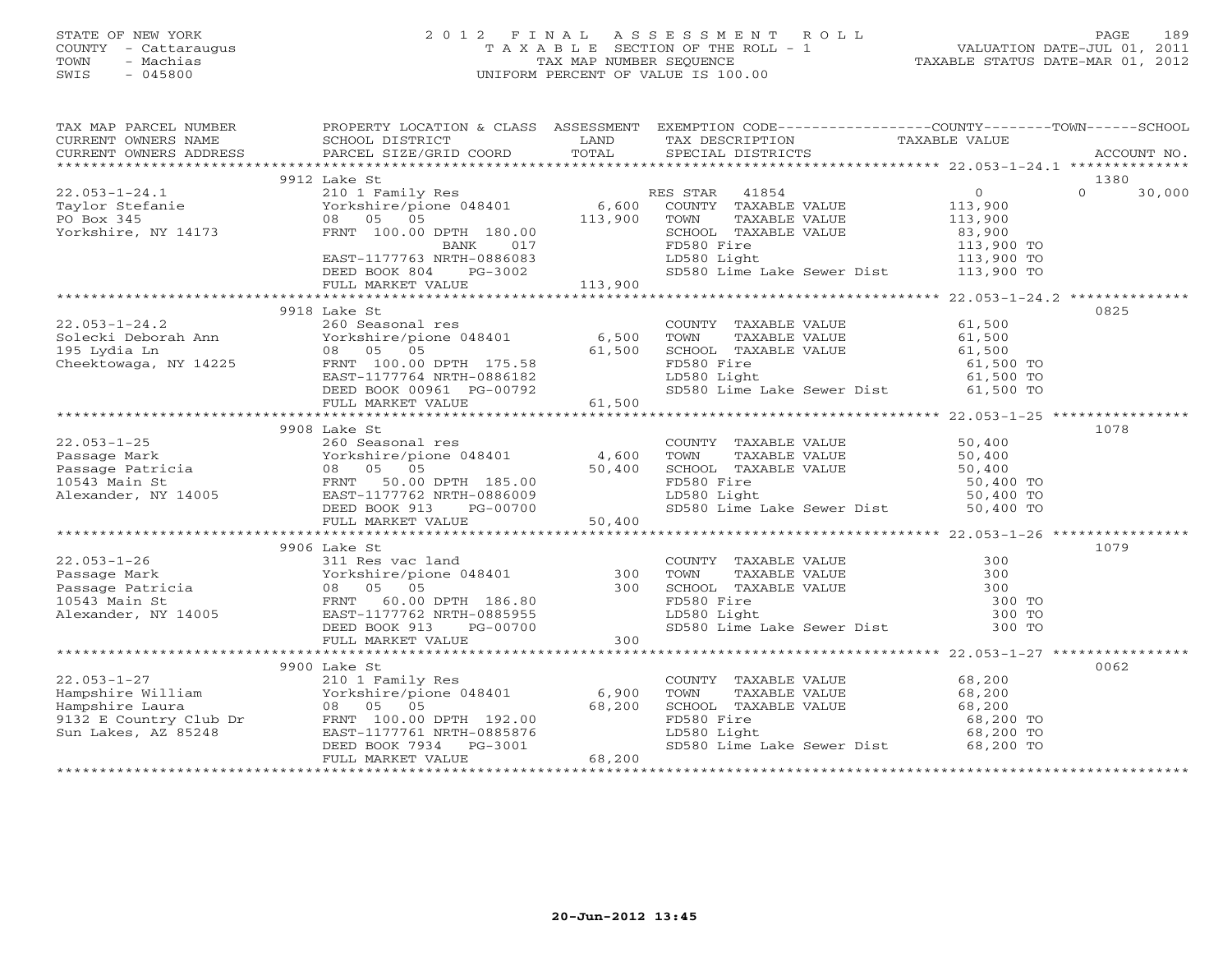# STATE OF NEW YORK 2 0 1 2 F I N A L A S S E S S M E N T R O L L PAGE 189 COUNTY - Cattaraugus T A X A B L E SECTION OF THE ROLL - 1 VALUATION DATE-JUL 01, 2011 TOWN - Machias TAX MAP NUMBER SEQUENCE TAXABLE STATUS DATE-MAR 01, 2012 SWIS - 045800 UNIFORM PERCENT OF VALUE IS 100.00UNIFORM PERCENT OF VALUE IS 100.00

| TAX MAP PARCEL NUMBER                                                                                                                                                                                                                                                                                                                                                | PROPERTY LOCATION & CLASS ASSESSMENT EXEMPTION CODE----------------COUNTY-------TOWN------SCHOOL |                                                                                                                                        |                                               |                    |
|----------------------------------------------------------------------------------------------------------------------------------------------------------------------------------------------------------------------------------------------------------------------------------------------------------------------------------------------------------------------|--------------------------------------------------------------------------------------------------|----------------------------------------------------------------------------------------------------------------------------------------|-----------------------------------------------|--------------------|
|                                                                                                                                                                                                                                                                                                                                                                      |                                                                                                  | TAX DESCRIPTION TAXABLE VALUE SPECIAL DISTRICTS                                                                                        |                                               |                    |
|                                                                                                                                                                                                                                                                                                                                                                      |                                                                                                  |                                                                                                                                        |                                               |                    |
| 22.003-1-24.1<br>Taylor Stefanie<br>Taylor Stefanie<br>PO Box 345<br>Yorkshire, NY 14173<br>Taylor Stefanie<br>210 1 Family Res<br>Yorkshire, NY 14173<br>200 05<br>200 05<br>200 05<br>200 05<br>200 070MY TAXABLE VALUE<br>200 070MY TAXABLE VALUE<br>20                                                                                                           |                                                                                                  |                                                                                                                                        |                                               |                    |
|                                                                                                                                                                                                                                                                                                                                                                      |                                                                                                  |                                                                                                                                        |                                               | 1380               |
|                                                                                                                                                                                                                                                                                                                                                                      |                                                                                                  |                                                                                                                                        | $\begin{array}{c} 0 \\ 113,900 \end{array}$   | $\Omega$<br>30,000 |
|                                                                                                                                                                                                                                                                                                                                                                      |                                                                                                  |                                                                                                                                        |                                               |                    |
|                                                                                                                                                                                                                                                                                                                                                                      |                                                                                                  |                                                                                                                                        |                                               |                    |
|                                                                                                                                                                                                                                                                                                                                                                      |                                                                                                  |                                                                                                                                        | TAXABLE VALUE 113,900<br>TAXABLE VALUE 33,900 |                    |
|                                                                                                                                                                                                                                                                                                                                                                      |                                                                                                  |                                                                                                                                        |                                               |                    |
|                                                                                                                                                                                                                                                                                                                                                                      | FRNT 100.00 DPTH 180.00<br>BANK 017<br>EAST-1177763 NRTH-0886083                                 | SCHOOL TAXABLE VALUE 83,900<br>FD580 Fire 113,900 TO<br>LD580 Light 113,900 TO<br>SD580 Lime Lake Sewer Dist 113,900 TO<br>LD580 Light |                                               |                    |
|                                                                                                                                                                                                                                                                                                                                                                      |                                                                                                  |                                                                                                                                        |                                               |                    |
|                                                                                                                                                                                                                                                                                                                                                                      |                                                                                                  |                                                                                                                                        |                                               |                    |
|                                                                                                                                                                                                                                                                                                                                                                      |                                                                                                  |                                                                                                                                        |                                               |                    |
|                                                                                                                                                                                                                                                                                                                                                                      | 9918 Lake St                                                                                     |                                                                                                                                        |                                               | 0825               |
|                                                                                                                                                                                                                                                                                                                                                                      |                                                                                                  | COUNTY TAXABLE VALUE 61,500<br>TOWN TAXABLE VALUE 61,500                                                                               |                                               |                    |
|                                                                                                                                                                                                                                                                                                                                                                      |                                                                                                  |                                                                                                                                        |                                               |                    |
| 22.053-1-24.2<br>Solecki Deborah Ann Morkshire/pione 048401 6,500<br>195 Lydia Ln 08 05 05 61,500<br>Cheektowaga, NY 14225 FRNT 100.00 DPTH 175.58<br>EAST-117764 NRTH-0886182<br>DEED BOOK 00961 PG-00792<br>---------------------------                                                                                                                            |                                                                                                  | COUNTY TAAADDE VILLE<br>TOWN TAXABLE VALUE 61,500<br>SCHOOL TAXABLE VALUE 61,500 TO                                                    |                                               |                    |
|                                                                                                                                                                                                                                                                                                                                                                      |                                                                                                  |                                                                                                                                        |                                               |                    |
|                                                                                                                                                                                                                                                                                                                                                                      |                                                                                                  | LD580 Light 61,500 TO<br>SD580 Lime Lake Sewer Dist 61,500 TO                                                                          |                                               |                    |
|                                                                                                                                                                                                                                                                                                                                                                      |                                                                                                  |                                                                                                                                        |                                               |                    |
|                                                                                                                                                                                                                                                                                                                                                                      | FULL MARKET VALUE 61,500                                                                         |                                                                                                                                        |                                               |                    |
|                                                                                                                                                                                                                                                                                                                                                                      |                                                                                                  |                                                                                                                                        |                                               |                    |
|                                                                                                                                                                                                                                                                                                                                                                      | 9908 Lake St                                                                                     |                                                                                                                                        |                                               | 1078               |
| $22.053 - 1 - 25$                                                                                                                                                                                                                                                                                                                                                    | 260 Seasonal res                                                                                 | COUNTY TAXABLE VALUE 50,400                                                                                                            |                                               |                    |
|                                                                                                                                                                                                                                                                                                                                                                      |                                                                                                  |                                                                                                                                        |                                               |                    |
|                                                                                                                                                                                                                                                                                                                                                                      |                                                                                                  |                                                                                                                                        |                                               |                    |
|                                                                                                                                                                                                                                                                                                                                                                      |                                                                                                  |                                                                                                                                        |                                               |                    |
|                                                                                                                                                                                                                                                                                                                                                                      |                                                                                                  |                                                                                                                                        |                                               |                    |
|                                                                                                                                                                                                                                                                                                                                                                      |                                                                                                  |                                                                                                                                        |                                               |                    |
| $\begin{tabular}{lllllllllllll} \multicolumn{3}{c}{22.053-1-25} & \multicolumn{3}{c}{20.053-1-25} & \multicolumn{3}{c}{20.053-1-25} & \multicolumn{3}{c}{20.053-1-25} & \multicolumn{3}{c}{20.053-1-25} & \multicolumn{3}{c}{20.053-1-25} & \multicolumn{3}{c}{20.053-1-25} & \multicolumn{3}{c}{20.053-1-25} & \multicolumn{3}{c}{20.053-1-25} & \multicolumn{3}{c$ |                                                                                                  |                                                                                                                                        |                                               |                    |
|                                                                                                                                                                                                                                                                                                                                                                      | 9906 Lake St                                                                                     |                                                                                                                                        |                                               | 1079               |
|                                                                                                                                                                                                                                                                                                                                                                      |                                                                                                  |                                                                                                                                        |                                               |                    |
|                                                                                                                                                                                                                                                                                                                                                                      |                                                                                                  | TOWN                                                                                                                                   |                                               |                    |
|                                                                                                                                                                                                                                                                                                                                                                      |                                                                                                  |                                                                                                                                        |                                               |                    |
|                                                                                                                                                                                                                                                                                                                                                                      |                                                                                                  |                                                                                                                                        |                                               |                    |
|                                                                                                                                                                                                                                                                                                                                                                      |                                                                                                  | TOWN TAXABLE VALUE<br>SONOOL TAXABLE VALUE 300<br>FD580 Fire 300 TO<br>LD580 Light 300 TO<br>SD580 Lime Lake Sewer Dist 300 TO         |                                               |                    |
|                                                                                                                                                                                                                                                                                                                                                                      |                                                                                                  |                                                                                                                                        |                                               |                    |
|                                                                                                                                                                                                                                                                                                                                                                      |                                                                                                  |                                                                                                                                        |                                               |                    |
|                                                                                                                                                                                                                                                                                                                                                                      |                                                                                                  |                                                                                                                                        |                                               |                    |
|                                                                                                                                                                                                                                                                                                                                                                      | 9900 Lake St                                                                                     |                                                                                                                                        |                                               | 0062               |
|                                                                                                                                                                                                                                                                                                                                                                      |                                                                                                  | COUNTY TAXABLE VALUE 68,200                                                                                                            |                                               |                    |
|                                                                                                                                                                                                                                                                                                                                                                      |                                                                                                  | TOWN TAXABLE VALUE<br>SCHOOL TAXABLE VALUE<br>68,200<br>FD580 Fire<br>68,200<br>LD580 Light<br>68,200<br>68,200                        |                                               |                    |
|                                                                                                                                                                                                                                                                                                                                                                      |                                                                                                  |                                                                                                                                        |                                               |                    |
|                                                                                                                                                                                                                                                                                                                                                                      |                                                                                                  |                                                                                                                                        |                                               |                    |
|                                                                                                                                                                                                                                                                                                                                                                      |                                                                                                  |                                                                                                                                        | 68,200 TO<br>68,200 TO                        |                    |
|                                                                                                                                                                                                                                                                                                                                                                      |                                                                                                  | SD580 Lime Lake Sewer Dist 68,200 TO                                                                                                   |                                               |                    |
| 22.053-1-27<br>Hampshire William<br>Hampshire Laura<br>9132 E Country Club Dr<br>Sun Lakes, AZ 85248<br>FRNT 100.00 DPTH 192.00<br>EED BOOK 7934 PG-3001<br>FULL MARKET VALUE<br>FULL MARKET VALUE<br>FULL MARKET VALUE<br>FULL MARKET VALUE                                                                                                                         |                                                                                                  |                                                                                                                                        |                                               |                    |
|                                                                                                                                                                                                                                                                                                                                                                      |                                                                                                  |                                                                                                                                        |                                               |                    |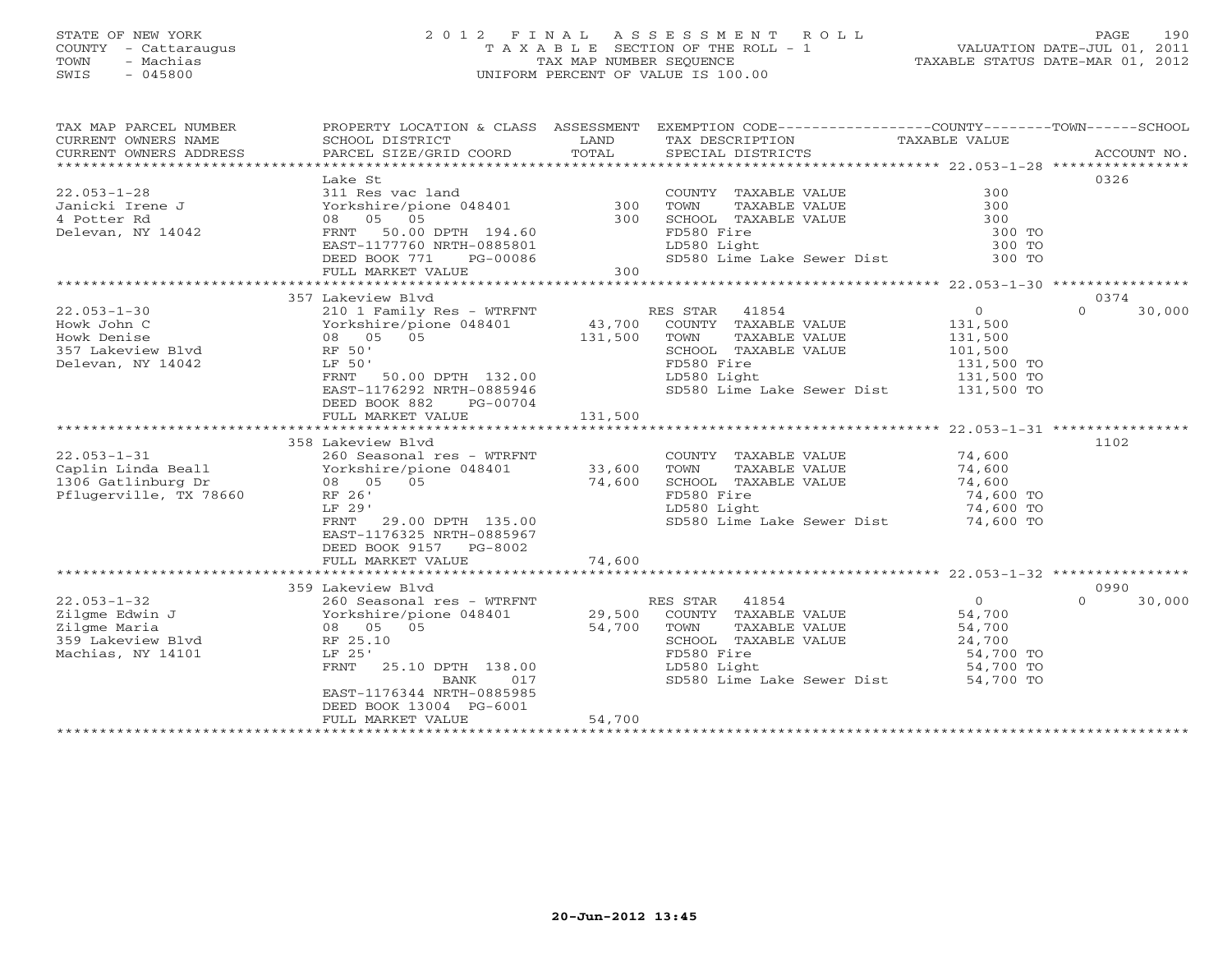# STATE OF NEW YORK 2 0 1 2 F I N A L A S S E S S M E N T R O L L PAGE 190 COUNTY - Cattaraugus T A X A B L E SECTION OF THE ROLL - 1 VALUATION DATE-JUL 01, 2011 TOWN - Machias TAX MAP NUMBER SEQUENCE TAXABLE STATUS DATE-MAR 01, 2012 SWIS - 045800 UNIFORM PERCENT OF VALUE IS 100.00UNIFORM PERCENT OF VALUE IS 100.00

| TAX MAP PARCEL NUMBER                     | PROPERTY LOCATION & CLASS ASSESSMENT |            | EXEMPTION CODE-----------------COUNTY-------TOWN------SCHOOL          |                |                    |
|-------------------------------------------|--------------------------------------|------------|-----------------------------------------------------------------------|----------------|--------------------|
| CURRENT OWNERS NAME                       | SCHOOL DISTRICT                      | LAND       | TAX DESCRIPTION                                                       | TAXABLE VALUE  |                    |
| CURRENT OWNERS ADDRESS                    | PARCEL SIZE/GRID COORD               | TOTAL      | SPECIAL DISTRICTS                                                     |                | ACCOUNT NO.        |
|                                           |                                      |            |                                                                       |                |                    |
|                                           | Lake St                              |            |                                                                       |                | 0326               |
| $22.053 - 1 - 28$                         | 311 Res vac land                     |            | COUNTY TAXABLE VALUE                                                  | 300            |                    |
| Janicki Irene J                           | Yorkshire/pione 048401               | $300$ TOWN | TAXABLE VALUE                                                         | 300            |                    |
| 4 Potter Rd                               | 08 05 05                             | 300        | SCHOOL TAXABLE VALUE                                                  | 300            |                    |
| Delevan, NY 14042                         | FRNT 50.00 DPTH 194.60               |            | FD580 Fire                                                            | 300 TO         |                    |
|                                           | EAST-1177760 NRTH-0885801            |            | LD580 Light                                                           | 300 TO         |                    |
|                                           | DEED BOOK 771 PG-00086               |            | SD580 Lime Lake Sewer Dist                                            | 300 TO         |                    |
|                                           | FULL MARKET VALUE                    | $0086$ 300 |                                                                       |                |                    |
|                                           |                                      |            |                                                                       |                |                    |
|                                           | 357 Lakeview Blvd                    |            |                                                                       |                | 0374               |
| $22.053 - 1 - 30$                         | 210 1 Family Res - WTRFNT            |            | RES STAR 41854                                                        | $\overline{0}$ | $\Omega$<br>30,000 |
| Howk John C                               | Yorkshire/pione 048401               |            | 43,700 COUNTY TAXABLE VALUE                                           | 131,500        |                    |
| Howk Denise                               | 08 05 05                             | 131,500    | TOWN<br>TAXABLE VALUE                                                 | 131,500        |                    |
| 357 Lakeview Blvd                         | RF 50'                               |            | SCHOOL TAXABLE VALUE                                                  | 101,500        |                    |
| Delevan, NY 14042                         | LF 50'                               |            | FD580 Fire                                                            | 131,500 TO     |                    |
|                                           | FRNT 50.00 DPTH 132.00               |            | LD580 Light                                                           | 131,500 TO     |                    |
|                                           | EAST-1176292 NRTH-0885946            |            | SD580 Lime Lake Sewer Dist 131,500 TO                                 |                |                    |
|                                           | DEED BOOK 882<br>PG-00704            |            |                                                                       |                |                    |
|                                           | FULL MARKET VALUE                    | 131,500    |                                                                       |                |                    |
|                                           |                                      |            |                                                                       |                |                    |
|                                           | 358 Lakeview Blyd                    |            |                                                                       |                | 1102               |
| $22.053 - 1 - 31$                         | 260 Seasonal res - WTRFNT            |            | COUNTY TAXABLE VALUE 74,600                                           |                |                    |
| Caplin Linda Beall Yorkshire/pione 048401 |                                      | 33,600     | TOWN<br>TAXABLE VALUE                                                 | 74,600         |                    |
| 1306 Gatlinburg Dr                        | 08 05 05                             | 74,600     | SCHOOL TAXABLE VALUE                                                  | 74,600         |                    |
| Pflugerville, TX 78660                    | RF 26'                               |            | FD580 Fire                                                            | 74,600 TO      |                    |
|                                           | LF 29'                               |            | LD580 Light                                                           | 74,600 TO      |                    |
|                                           | FRNT 29.00 DPTH 135.00               |            | 4,600 TO 4,600 TO SD580 Light<br>SD580 Lime Lake Sewer Dist 74,600 TO |                |                    |
|                                           | EAST-1176325 NRTH-0885967            |            |                                                                       |                |                    |
|                                           | DEED BOOK 9157 PG-8002               |            |                                                                       |                |                    |
|                                           | FULL MARKET VALUE                    | 74,600     |                                                                       |                |                    |
|                                           |                                      |            |                                                                       |                |                    |
|                                           | 359 Lakeview Blvd                    |            |                                                                       |                | 0990               |
| $22.053 - 1 - 32$                         | 260 Seasonal res - WTRFNT            |            | RES STAR 41854                                                        | $\overline{0}$ | $\Omega$<br>30,000 |
|                                           |                                      |            |                                                                       | 54,700         |                    |
|                                           |                                      |            |                                                                       | 54,700         |                    |
| 359 Lakeview Blvd                         | RF 25.10                             |            | SCHOOL TAXABLE VALUE                                                  | 24,700         |                    |
| Machias, NY 14101                         | LF 25'                               |            | FD580 Fire                                                            | 54,700 TO      |                    |
|                                           | 25.10 DPTH 138.00<br><b>FRNT</b>     |            | LD580 Light                                                           | 54,700 TO      |                    |
|                                           | 017<br>BANK                          |            | SD580 Lime Lake Sewer Dist                                            | 54,700 TO      |                    |
|                                           | EAST-1176344 NRTH-0885985            |            |                                                                       |                |                    |
|                                           | DEED BOOK 13004 PG-6001              |            |                                                                       |                |                    |
|                                           | FULL MARKET VALUE                    | 54,700     |                                                                       |                |                    |
|                                           |                                      |            |                                                                       |                |                    |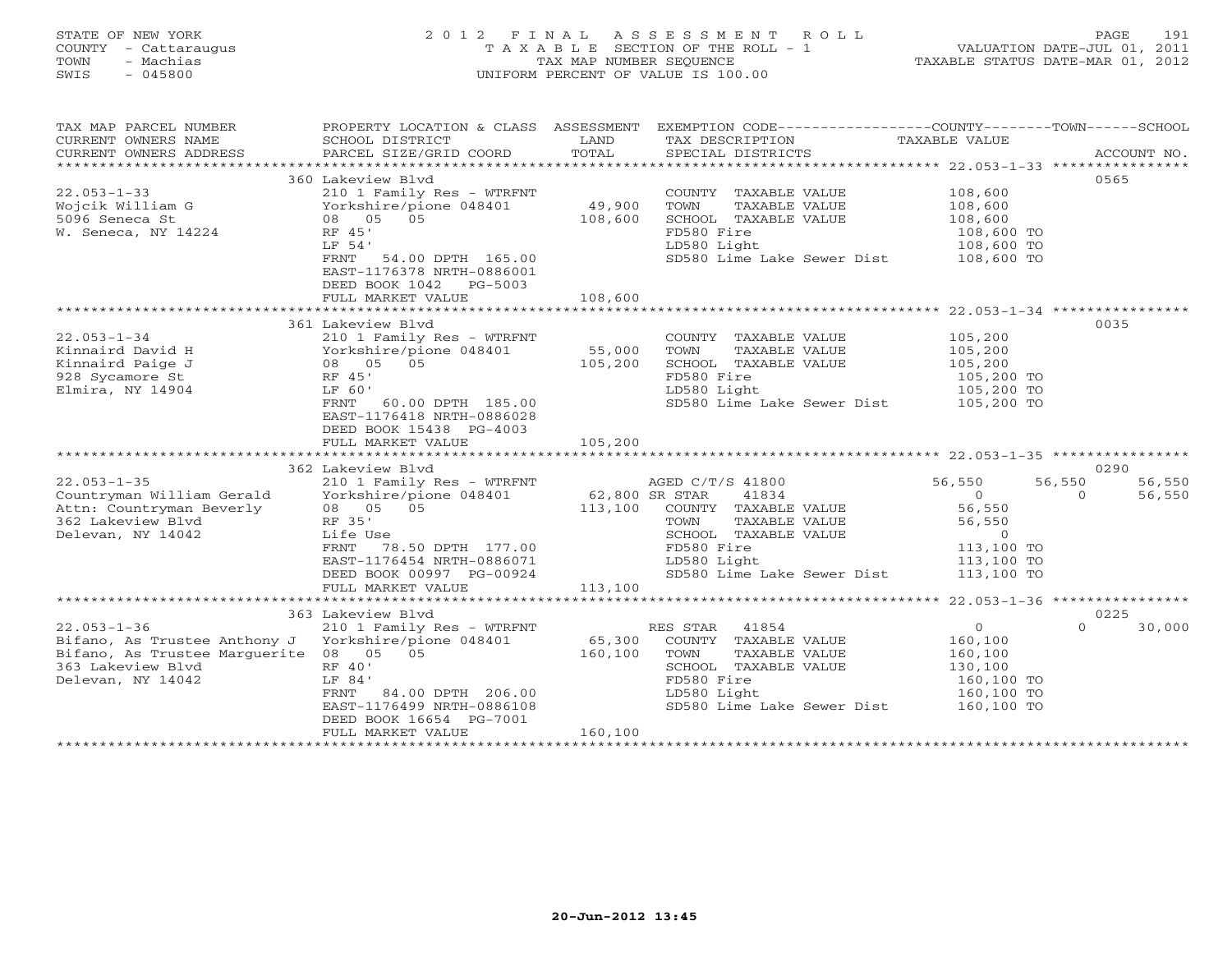# STATE OF NEW YORK 2 0 1 2 F I N A L A S S E S S M E N T R O L L PAGE 191 COUNTY - Cattaraugus T A X A B L E SECTION OF THE ROLL - 1 VALUATION DATE-JUL 01, 2011 TOWN - Machias TAX MAP NUMBER SEQUENCE TAXABLE STATUS DATE-MAR 01, 2012 SWIS - 045800 UNIFORM PERCENT OF VALUE IS 100.00UNIFORM PERCENT OF VALUE IS 100.00

| TAX MAP PARCEL NUMBER                                                                                                                                                                                                                                                                                                                                                                                                                                                                                                  |                                                                                                                                                                                                                                                                                                                     |         | PROPERTY LOCATION & CLASS ASSESSMENT EXEMPTION CODE----------------COUNTY-------TOWN------SCHOOL |                                  |                    |
|------------------------------------------------------------------------------------------------------------------------------------------------------------------------------------------------------------------------------------------------------------------------------------------------------------------------------------------------------------------------------------------------------------------------------------------------------------------------------------------------------------------------|---------------------------------------------------------------------------------------------------------------------------------------------------------------------------------------------------------------------------------------------------------------------------------------------------------------------|---------|--------------------------------------------------------------------------------------------------|----------------------------------|--------------------|
| CURRENT OWNERS NAME                                                                                                                                                                                                                                                                                                                                                                                                                                                                                                    | SCHOOL DISTRICT                                                                                                                                                                                                                                                                                                     | LAND    | TAX DESCRIPTION                                                                                  | TAXABLE VALUE                    |                    |
| $\begin{minipage}{.45\textwidth} \begin{minipage}{.45\textwidth} \begin{minipage}{.45\textwidth} \begin{minipage}{.45\textwidth} \begin{minipage}{.45\textwidth} \begin{minipage}{.45\textwidth} \begin{minipage}{.45\textwidth} \begin{minipage}{.45\textwidth} \begin{minipage}{.45\textwidth} \begin{minipage}{.45\textwidth} \begin{minipage}{.45\textwidth} \begin{minipage}{.45\textwidth} \begin{minipage}{.45\textwidth} \begin{minipage}{.45\textwidth} \begin{minipage}{.45\textwidth} \begin{minipage}{.45$ |                                                                                                                                                                                                                                                                                                                     |         |                                                                                                  |                                  |                    |
|                                                                                                                                                                                                                                                                                                                                                                                                                                                                                                                        | 360 Lakeview Blvd                                                                                                                                                                                                                                                                                                   |         |                                                                                                  |                                  | 0565               |
| $22.053 - 1 - 33$                                                                                                                                                                                                                                                                                                                                                                                                                                                                                                      | 210 1 Family Res - WTRFNT                                                                                                                                                                                                                                                                                           |         | COUNTY TAXABLE VALUE 108,600                                                                     |                                  |                    |
| Wojcik William G                                                                                                                                                                                                                                                                                                                                                                                                                                                                                                       | Yorkshire/pione 048401                                                                                                                                                                                                                                                                                              | 49,900  | TOWN<br>TAXABLE VALUE                                                                            |                                  |                    |
| 5096 Seneca St                                                                                                                                                                                                                                                                                                                                                                                                                                                                                                         | 08 05 05                                                                                                                                                                                                                                                                                                            | 108,600 | SCHOOL TAXABLE VALUE                                                                             |                                  |                    |
| W. Seneca, NY 14224                                                                                                                                                                                                                                                                                                                                                                                                                                                                                                    | RF 45'                                                                                                                                                                                                                                                                                                              |         | FD580 Fire                                                                                       | 108,600<br>108,600<br>108,600 TO |                    |
|                                                                                                                                                                                                                                                                                                                                                                                                                                                                                                                        | LF 54'                                                                                                                                                                                                                                                                                                              |         | LD580 Light                                                                                      | 108,600 TO                       |                    |
|                                                                                                                                                                                                                                                                                                                                                                                                                                                                                                                        | FRNT 54.00 DPTH 165.00                                                                                                                                                                                                                                                                                              |         | SD580 Lime Lake Sewer Dist 108,600 TO                                                            |                                  |                    |
|                                                                                                                                                                                                                                                                                                                                                                                                                                                                                                                        | EAST-1176378 NRTH-0886001                                                                                                                                                                                                                                                                                           |         |                                                                                                  |                                  |                    |
|                                                                                                                                                                                                                                                                                                                                                                                                                                                                                                                        | DEED BOOK 1042 PG-5003                                                                                                                                                                                                                                                                                              |         |                                                                                                  |                                  |                    |
|                                                                                                                                                                                                                                                                                                                                                                                                                                                                                                                        | FULL MARKET VALUE                                                                                                                                                                                                                                                                                                   | 108,600 |                                                                                                  |                                  |                    |
|                                                                                                                                                                                                                                                                                                                                                                                                                                                                                                                        | 210 1 Family Res - WTRFNT<br>Yorkshire/pione 048401 55,000<br>08 05 05 105 105 000<br>EF 45'                                                                                                                                                                                                                        |         |                                                                                                  |                                  |                    |
| $22.053 - 1 - 34$                                                                                                                                                                                                                                                                                                                                                                                                                                                                                                      |                                                                                                                                                                                                                                                                                                                     |         | COUNTY TAXABLE VALUE                                                                             | 105,200                          | 0035               |
| Kinnaird David H                                                                                                                                                                                                                                                                                                                                                                                                                                                                                                       |                                                                                                                                                                                                                                                                                                                     |         | TOWN<br>TAXABLE VALUE                                                                            | 105, 200                         |                    |
| Kinnaird Paige J                                                                                                                                                                                                                                                                                                                                                                                                                                                                                                       |                                                                                                                                                                                                                                                                                                                     |         | SCHOOL TAXABLE VALUE                                                                             |                                  |                    |
| 928 Sycamore St                                                                                                                                                                                                                                                                                                                                                                                                                                                                                                        |                                                                                                                                                                                                                                                                                                                     |         | FD580 Fire                                                                                       | 105,200<br>105,200 TO            |                    |
| Elmira, NY 14904                                                                                                                                                                                                                                                                                                                                                                                                                                                                                                       |                                                                                                                                                                                                                                                                                                                     |         | LD580 Light                                                                                      | 105,200 TO                       |                    |
|                                                                                                                                                                                                                                                                                                                                                                                                                                                                                                                        | FRNT 60.00 DPTH 185.00                                                                                                                                                                                                                                                                                              |         | SD580 Lime Lake Sewer Dist 105,200 TO                                                            |                                  |                    |
|                                                                                                                                                                                                                                                                                                                                                                                                                                                                                                                        | EAST-1176418 NRTH-0886028                                                                                                                                                                                                                                                                                           |         |                                                                                                  |                                  |                    |
|                                                                                                                                                                                                                                                                                                                                                                                                                                                                                                                        | DEED BOOK 15438 PG-4003                                                                                                                                                                                                                                                                                             |         |                                                                                                  |                                  |                    |
|                                                                                                                                                                                                                                                                                                                                                                                                                                                                                                                        | FULL MARKET VALUE                                                                                                                                                                                                                                                                                                   | 105,200 |                                                                                                  |                                  |                    |
|                                                                                                                                                                                                                                                                                                                                                                                                                                                                                                                        |                                                                                                                                                                                                                                                                                                                     |         |                                                                                                  |                                  |                    |
|                                                                                                                                                                                                                                                                                                                                                                                                                                                                                                                        | 362 Lakeview Blvd                                                                                                                                                                                                                                                                                                   |         |                                                                                                  |                                  | 0290               |
| $22.053 - 1 - 35$                                                                                                                                                                                                                                                                                                                                                                                                                                                                                                      | 210 1 Family Res - WTRFNT MGED C/T/S 41800<br>Yorkshire/pione 048401 62,800 SR STAR 41834<br>08 05 05 113,100 COUNTY TAXABLE VALUE                                                                                                                                                                                  |         |                                                                                                  | 56,550                           | 56,550<br>56,550   |
| Countryman William Gerald                                                                                                                                                                                                                                                                                                                                                                                                                                                                                              | $\frac{1}{2}$ $\frac{1}{2}$ $\frac{1}{2}$ $\frac{1}{2}$ $\frac{1}{2}$ $\frac{1}{2}$ $\frac{1}{2}$ $\frac{1}{2}$ $\frac{1}{2}$ $\frac{1}{2}$ $\frac{1}{2}$ $\frac{1}{2}$ $\frac{1}{2}$ $\frac{1}{2}$ $\frac{1}{2}$ $\frac{1}{2}$ $\frac{1}{2}$ $\frac{1}{2}$ $\frac{1}{2}$ $\frac{1}{2}$ $\frac{1}{2}$ $\frac{1}{2}$ |         |                                                                                                  | $\overline{O}$                   | 56,550<br>$\Omega$ |
| Attn: Countryman Beverly                                                                                                                                                                                                                                                                                                                                                                                                                                                                                               |                                                                                                                                                                                                                                                                                                                     |         |                                                                                                  | 56,550                           |                    |
| 362 Lakeview Blvd                                                                                                                                                                                                                                                                                                                                                                                                                                                                                                      | RF 35'                                                                                                                                                                                                                                                                                                              |         | TOWN<br>TAXABLE VALUE                                                                            | 56,550                           |                    |
| Delevan, NY 14042                                                                                                                                                                                                                                                                                                                                                                                                                                                                                                      | Life Use                                                                                                                                                                                                                                                                                                            |         | SCHOOL TAXABLE VALUE<br>FD580 Fire<br>LD580 Light                                                | $\overline{O}$                   |                    |
|                                                                                                                                                                                                                                                                                                                                                                                                                                                                                                                        | FRNT 78.50 DPTH 177.00<br>EAST-1176454 NRTH-0886071                                                                                                                                                                                                                                                                 |         | LD580 Light                                                                                      | $113,100$ TO<br>113,100 TO       |                    |
|                                                                                                                                                                                                                                                                                                                                                                                                                                                                                                                        | DEED BOOK 00997 PG-00924                                                                                                                                                                                                                                                                                            |         | SD580 Lime Lake Sewer Dist 113,100 TO                                                            |                                  |                    |
|                                                                                                                                                                                                                                                                                                                                                                                                                                                                                                                        | FULL MARKET VALUE                                                                                                                                                                                                                                                                                                   | 113,100 |                                                                                                  |                                  |                    |
|                                                                                                                                                                                                                                                                                                                                                                                                                                                                                                                        |                                                                                                                                                                                                                                                                                                                     |         |                                                                                                  |                                  |                    |
|                                                                                                                                                                                                                                                                                                                                                                                                                                                                                                                        | 363 Lakeview Blyd                                                                                                                                                                                                                                                                                                   |         |                                                                                                  |                                  | 0225               |
| $22.053 - 1 - 36$                                                                                                                                                                                                                                                                                                                                                                                                                                                                                                      | 210 1 Family Res - WTRFNT                                                                                                                                                                                                                                                                                           |         | RES STAR 41854                                                                                   | $\overline{0}$                   | $\Omega$<br>30,000 |
| Bifano, As Trustee Anthony J Yorkshire/pione 048401                                                                                                                                                                                                                                                                                                                                                                                                                                                                    |                                                                                                                                                                                                                                                                                                                     |         | 65,300 COUNTY TAXABLE VALUE                                                                      | 160,100                          |                    |
| Bifano, As Trustee Marguerite 08 05 05                                                                                                                                                                                                                                                                                                                                                                                                                                                                                 |                                                                                                                                                                                                                                                                                                                     | 160,100 | TOWN<br>TAXABLE VALUE                                                                            | 160,100                          |                    |
| 363 Lakeview Blvd                                                                                                                                                                                                                                                                                                                                                                                                                                                                                                      | RF 40'                                                                                                                                                                                                                                                                                                              |         | SCHOOL TAXABLE VALUE                                                                             | 130,100                          |                    |
| Delevan, NY 14042                                                                                                                                                                                                                                                                                                                                                                                                                                                                                                      | LF 84'                                                                                                                                                                                                                                                                                                              |         | FD580 Fire                                                                                       | 160,100 TO<br>160,100 TO         |                    |
|                                                                                                                                                                                                                                                                                                                                                                                                                                                                                                                        | FRNT 84.00 DPTH 206.00                                                                                                                                                                                                                                                                                              |         | LD580 Light                                                                                      |                                  |                    |
|                                                                                                                                                                                                                                                                                                                                                                                                                                                                                                                        | EAST-1176499 NRTH-0886108                                                                                                                                                                                                                                                                                           |         | SD580 Lime Lake Sewer Dist 160,100 TO                                                            |                                  |                    |
|                                                                                                                                                                                                                                                                                                                                                                                                                                                                                                                        | DEED BOOK 16654 PG-7001                                                                                                                                                                                                                                                                                             |         |                                                                                                  |                                  |                    |
|                                                                                                                                                                                                                                                                                                                                                                                                                                                                                                                        | FULL MARKET VALUE                                                                                                                                                                                                                                                                                                   | 160,100 |                                                                                                  |                                  |                    |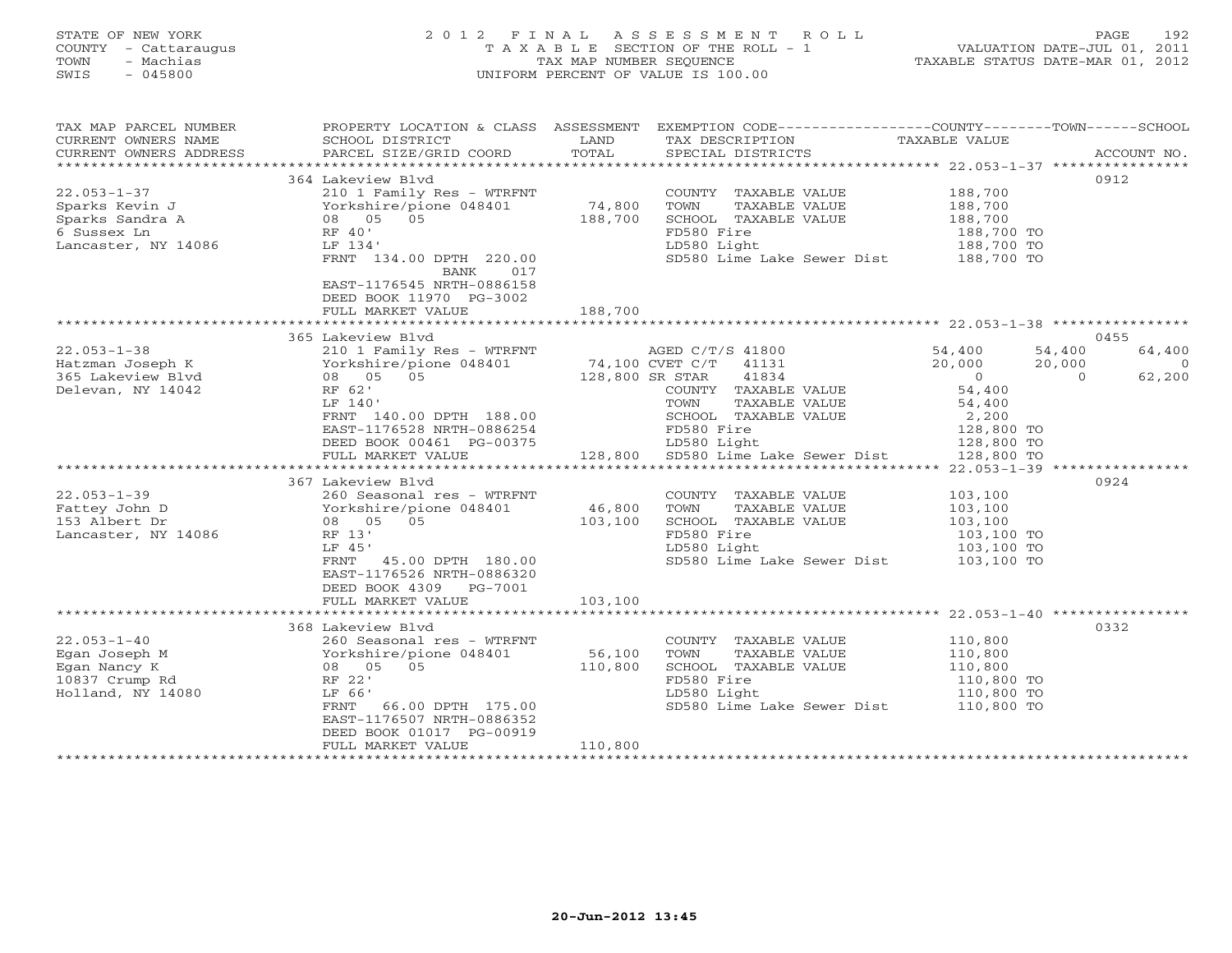# STATE OF NEW YORK 2 0 1 2 F I N A L A S S E S S M E N T R O L L PAGE 192 COUNTY - Cattaraugus T A X A B L E SECTION OF THE ROLL - 1 VALUATION DATE-JUL 01, 2011 TOWN - Machias TAX MAP NUMBER SEQUENCE TAXABLE STATUS DATE-MAR 01, 2012 SWIS - 045800 UNIFORM PERCENT OF VALUE IS 100.00UNIFORM PERCENT OF VALUE IS 100.00

| TAX MAP PARCEL NUMBER<br>CURRENT OWNERS NAME | PROPERTY LOCATION & CLASS ASSESSMENT<br>SCHOOL DISTRICT                       | LAND            | EXEMPTION CODE-----------------COUNTY-------TOWN------SCHOOL<br>TAX DESCRIPTION | TAXABLE VALUE              |                          |
|----------------------------------------------|-------------------------------------------------------------------------------|-----------------|---------------------------------------------------------------------------------|----------------------------|--------------------------|
| CURRENT OWNERS ADDRESS                       | PARCEL SIZE/GRID COORD                                                        | TOTAL           | SPECIAL DISTRICTS                                                               |                            | ACCOUNT NO.              |
|                                              | 364 Lakeview Blvd                                                             |                 |                                                                                 |                            | 0912                     |
| $22.053 - 1 - 37$                            | 210 1 Family Res - WTRFNT                                                     |                 | COUNTY TAXABLE VALUE 188,700                                                    |                            |                          |
| Sparks Kevin J                               | Yorkshire/pione 048401                                                        | 74,800          | TOWN<br>TAXABLE VALUE                                                           | 188,700                    |                          |
| Sparks Sandra A                              | 08 05 05                                                                      | 188,700         | SCHOOL TAXABLE VALUE                                                            | 188,700                    |                          |
| 6 Sussex Ln                                  | RF 40'                                                                        |                 | FD580 Fire                                                                      | 188,700 TO                 |                          |
| Lancaster, NY 14086                          | LF 134'                                                                       |                 | LD580 Light                                                                     | 188,700 TO                 |                          |
|                                              | FRNT 134.00 DPTH 220.00<br>BANK 017                                           |                 | SD580 Lime Lake Sewer Dist 188,700 TO                                           |                            |                          |
|                                              | EAST-1176545 NRTH-0886158<br>DEED BOOK 11970 PG-3002                          |                 |                                                                                 |                            |                          |
|                                              | FULL MARKET VALUE                                                             | 188,700         |                                                                                 |                            |                          |
|                                              | 365 Lakeview Blyd                                                             |                 |                                                                                 |                            | 0455                     |
| $22.053 - 1 - 38$                            | 210 1 Family Res - WTRFNT                                                     |                 | AGED C/T/S 41800                                                                |                            | 54,400<br>64,400         |
| Hatzman Joseph K                             | Yorkshire/pione 048401 74,100 CVET C/T 41131                                  |                 |                                                                                 | 54,400<br>20,000<br>20,000 | 20,000<br>$\overline{0}$ |
| 365 Lakeview Blvd                            | 08 05 05                                                                      | 128,800 SR STAR | 41834                                                                           | $\overline{0}$             | 62,200<br>$\overline{0}$ |
| Delevan, NY 14042                            | RF 62'                                                                        |                 | COUNTY TAXABLE VALUE                                                            | 54,400                     |                          |
|                                              | LF 140'                                                                       |                 | TOWN<br>TAXABLE VALUE                                                           |                            |                          |
|                                              | FRNT 140.00 DPTH 188.00                                                       |                 | SCHOOL TAXABLE VALUE                                                            | 54,400<br>2,200            |                          |
|                                              | EAST-1176528 NRTH-0886254                                                     |                 | FD580 Fire                                                                      | 128,800 TO                 |                          |
|                                              | DEED BOOK 00461 PG-00375                                                      |                 |                                                                                 | 128,800 TO                 |                          |
|                                              | FULL MARKET VALUE                                                             |                 |                                                                                 | 128,800 TO                 |                          |
|                                              |                                                                               |                 |                                                                                 |                            |                          |
|                                              | 367 Lakeview Blvd                                                             |                 |                                                                                 |                            | 0924                     |
| $22.053 - 1 - 39$                            | 260 Seasonal res - WTRFNT                                                     |                 | COUNTY TAXABLE VALUE                                                            | 103,100                    |                          |
| Fattey John D                                | Yorkshire/pione 048401                                                        | 46,800          | TOWN<br>TAXABLE VALUE                                                           | 103,100                    |                          |
| 153 Albert Dr                                | 08 05 05                                                                      | 103,100         | SCHOOL TAXABLE VALUE                                                            | 103,100                    |                          |
| Lancaster, NY 14086                          | RF 13'                                                                        |                 | FD580 Fire                                                                      | 103,100 TO                 |                          |
|                                              | LF 45'                                                                        |                 | LD580 Light                                                                     | 103,100 TO                 |                          |
|                                              | FRNT 45.00 DPTH 180.00<br>EAST-1176526 NRTH-0886320<br>DEED BOOK 4309 PG-7001 |                 | SD580 Lime Lake Sewer Dist                                                      | 103,100 TO                 |                          |
|                                              | FULL MARKET VALUE                                                             | 103,100         |                                                                                 |                            |                          |
|                                              |                                                                               |                 |                                                                                 |                            |                          |
|                                              | 368 Lakeview Blvd                                                             |                 |                                                                                 |                            | 0332                     |
| $22.053 - 1 - 40$                            | 260 Seasonal res - WTRFNT                                                     |                 | COUNTY TAXABLE VALUE                                                            | 110,800                    |                          |
| Egan Joseph M                                | Yorkshire/pione 048401                                                        | 56,100          | TOWN<br>TAXABLE VALUE                                                           | 110,800                    |                          |
| Egan Nancy K                                 | 08 05 05                                                                      | 110,800         | SCHOOL TAXABLE VALUE                                                            | 110,800                    |                          |
| 10837 Crump Rd                               | RF 22'                                                                        |                 | FD580 Fire                                                                      | 110,800 TO<br>110,800 TO   |                          |
| Holland, NY 14080                            | LF 66'                                                                        |                 | LD580 Light                                                                     |                            |                          |
|                                              | 66.00 DPTH 175.00<br>FRNT<br>EAST-1176507 NRTH-0886352                        |                 | SD580 Lime Lake Sewer Dist 110,800 TO                                           |                            |                          |
|                                              | DEED BOOK 01017 PG-00919                                                      |                 |                                                                                 |                            |                          |
|                                              | FULL MARKET VALUE                                                             | 110,800         |                                                                                 |                            |                          |
|                                              |                                                                               |                 |                                                                                 |                            |                          |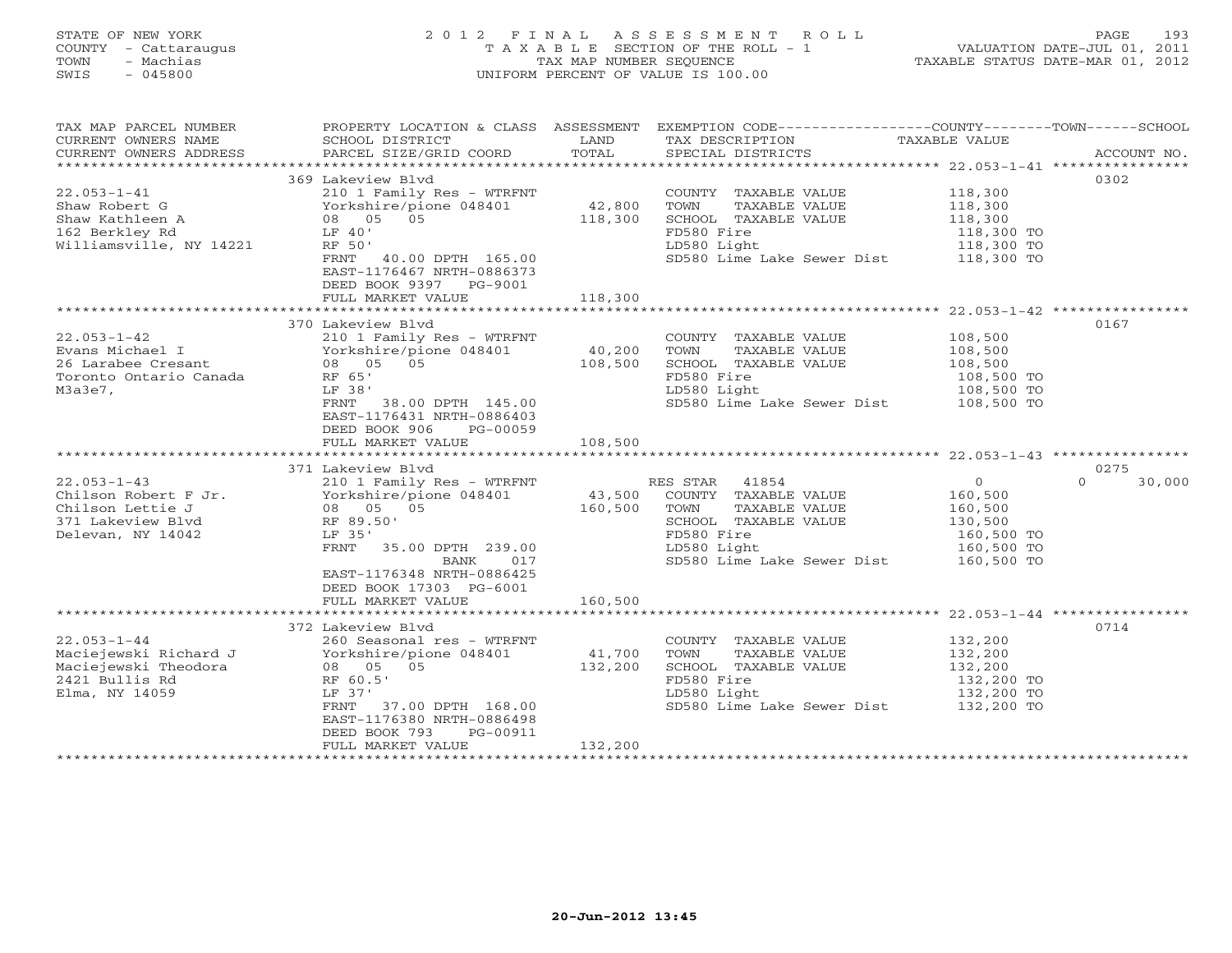# STATE OF NEW YORK 2 0 1 2 F I N A L A S S E S S M E N T R O L L PAGE 193 COUNTY - Cattaraugus T A X A B L E SECTION OF THE ROLL - 1 VALUATION DATE-JUL 01, 2011 TOWN - Machias TAX MAP NUMBER SEQUENCE TAXABLE STATUS DATE-MAR 01, 2012 SWIS - 045800 UNIFORM PERCENT OF VALUE IS 100.00UNIFORM PERCENT OF VALUE IS 100.00

| TAX MAP PARCEL NUMBER<br>CURRENT OWNERS NAME<br>CURRENT OWNERS ADDRESS                                  | PROPERTY LOCATION & CLASS ASSESSMENT EXEMPTION CODE---------------COUNTY-------TOWN------SCHOOL<br>SCHOOL DISTRICT<br>PARCEL SIZE/GRID COORD                                                                         | LAND<br>TOTAL                | TAX DESCRIPTION<br>SPECIAL DISTRICTS                                                                                                                  | TAXABLE VALUE                                                                      | ACCOUNT NO.        |
|---------------------------------------------------------------------------------------------------------|----------------------------------------------------------------------------------------------------------------------------------------------------------------------------------------------------------------------|------------------------------|-------------------------------------------------------------------------------------------------------------------------------------------------------|------------------------------------------------------------------------------------|--------------------|
| $22.053 - 1 - 41$<br>Shaw Robert G<br>Shaw Kathleen A<br>162 Berkley Rd<br>Williamsville, NY 14221      | 369 Lakeview Blvd<br>210 1 Family Res - WTRFNT<br>Yorkshire/pione 048401<br>08 05 05<br>LF 40'<br>RF 50'<br>40.00 DPTH 165.00<br>FRNT<br>EAST-1176467 NRTH-0886373<br>DEED BOOK 9397 PG-9001<br>FULL MARKET VALUE    | 42,800<br>118,300<br>118,300 | COUNTY TAXABLE VALUE<br>TOWN<br>TAXABLE VALUE<br>SCHOOL TAXABLE VALUE<br>FD580 Fire<br>LD580 Light<br>SD580 Lime Lake Sewer Dist 118,300 TO           | 118,300<br>118,300<br>118,300<br>118,300 TO<br>118,300 TO                          | 0302               |
|                                                                                                         |                                                                                                                                                                                                                      |                              |                                                                                                                                                       |                                                                                    |                    |
| $22.053 - 1 - 42$<br>Evans Michael I<br>26 Larabee Cresant<br>Toronto Ontario Canada<br>M3a3e7,         | 370 Lakeview Blvd<br>210 1 Family Res - WTRFNT<br>Yorkshire/pione 048401<br>08 05 05<br>RF 65'<br>LF 38'<br>FRNT<br>38.00 DPTH 145.00<br>EAST-1176431 NRTH-0886403<br>DEED BOOK 906<br>PG-00059<br>FULL MARKET VALUE | 40,200<br>108,500<br>108,500 | COUNTY TAXABLE VALUE<br>TOWN<br>TAXABLE VALUE<br>SCHOOL TAXABLE VALUE<br>FD580 Fire<br>LD580 Light<br>SD580 Lime Lake Sewer Dist                      | 108,500<br>108,500<br>108,500<br>108,500 TO<br>108,500 TO<br>108,500 TO            | 0167               |
|                                                                                                         | ************************                                                                                                                                                                                             | ***********                  |                                                                                                                                                       |                                                                                    |                    |
|                                                                                                         | 371 Lakeview Blvd                                                                                                                                                                                                    |                              |                                                                                                                                                       |                                                                                    | 0275               |
| $22.053 - 1 - 43$<br>Chilson Robert F Jr.<br>Chilson Lettie J<br>371 Lakeview Blvd<br>Delevan, NY 14042 | 210 1 Family Res - WTRFNT<br>Yorkshire/pione 048401<br>08 05 05<br>RF 89.50'<br>LF 35'<br>FRNT<br>35.00 DPTH 239.00<br>017<br>BANK<br>EAST-1176348 NRTH-0886425<br>DEED BOOK 17303 PG-6001                           | 43,500<br>160,500            | 41854<br>RES STAR<br>COUNTY TAXABLE VALUE<br>TOWN<br>TAXABLE VALUE<br>SCHOOL TAXABLE VALUE<br>FD580 Fire<br>LD580 Light<br>SD580 Lime Lake Sewer Dist | $\circ$<br>160,500<br>160,500<br>130,500<br>160,500 TO<br>160,500 TO<br>160,500 TO | $\Omega$<br>30,000 |
|                                                                                                         | FULL MARKET VALUE                                                                                                                                                                                                    | 160,500                      |                                                                                                                                                       |                                                                                    |                    |
| $22.053 - 1 - 44$<br>Maciejewski Richard J<br>Maciejewski Theodora<br>2421 Bullis Rd<br>Elma, NY 14059  | 372 Lakeview Blvd<br>260 Seasonal res - WTRFNT<br>Yorkshire/pione 048401<br>05<br>08 05<br>RF 60.5'<br>LF 37'<br>37.00 DPTH 168.00<br>FRNT<br>EAST-1176380 NRTH-0886498<br>DEED BOOK 793<br>PG-00911                 | 41,700<br>132,200            | COUNTY TAXABLE VALUE<br>TOWN<br>TAXABLE VALUE<br>SCHOOL TAXABLE VALUE<br>FD580 Fire<br>LD580 Light<br>SD580 Lime Lake Sewer Dist 132,200 TO           | 132,200<br>132,200<br>132,200<br>132,200 TO<br>132,200 TO                          | 0714               |
|                                                                                                         | FULL MARKET VALUE                                                                                                                                                                                                    | 132,200                      |                                                                                                                                                       |                                                                                    |                    |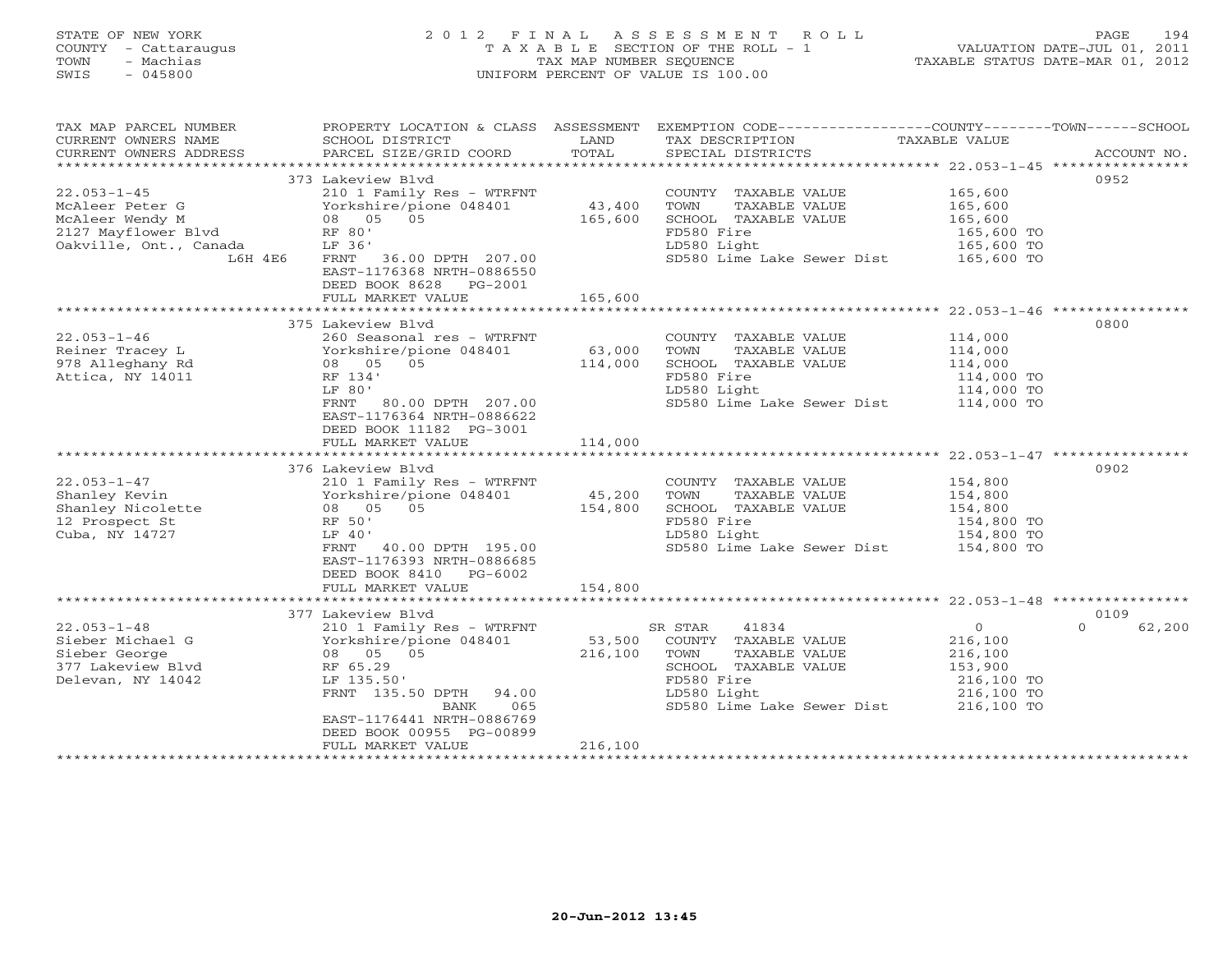#### STATE OF NEW YORK 2 0 1 2 F I N A L A S S E S S M E N T R O L L PAGE 194 COUNTY - Cattaraugus T A X A B L E SECTION OF THE ROLL - 1 VALUATION DATE-JUL 01, 2011 TOWN - Machias TAX MAP NUMBER SEQUENCE TAXABLE STATUS DATE-MAR 01, 2012 SWIS - 045800 UNIFORM PERCENT OF VALUE IS 100.00UNIFORM PERCENT OF VALUE IS 100.00

| TAX MAP PARCEL NUMBER<br>CURRENT OWNERS NAME<br>CURRENT OWNERS ADDRESS | PROPERTY LOCATION & CLASS ASSESSMENT<br>SCHOOL DISTRICT<br>PARCEL SIZE/GRID COORD | LAND<br>TOTAL     | EXEMPTION CODE-----------------COUNTY-------TOWN------SCHOOL<br>TAX DESCRIPTION<br>SPECIAL DISTRICTS | TAXABLE VALUE            | ACCOUNT NO.        |
|------------------------------------------------------------------------|-----------------------------------------------------------------------------------|-------------------|------------------------------------------------------------------------------------------------------|--------------------------|--------------------|
|                                                                        |                                                                                   |                   |                                                                                                      |                          |                    |
| $22.053 - 1 - 45$                                                      | 373 Lakeview Blvd<br>210 1 Family Res - WTRFNT                                    |                   | COUNTY TAXABLE VALUE                                                                                 | 165,600                  | 0952               |
| McAleer Peter G                                                        | Yorkshire/pione 048401                                                            | 43,400            | TOWN<br>TAXABLE VALUE                                                                                | 165,600                  |                    |
| McAleer Wendy M                                                        | 08 05 05                                                                          | 165,600           | SCHOOL TAXABLE VALUE                                                                                 | 165,600                  |                    |
| 2127 Mayflower Blvd                                                    | RF 80'                                                                            |                   | FD580 Fire                                                                                           | 165,600 TO               |                    |
| Oakville, Ont., Canada                                                 | LF 36'                                                                            |                   | LD580 Light                                                                                          | 165,600 TO               |                    |
| L6H 4E6                                                                | FRNT 36.00 DPTH 207.00<br>EAST-1176368 NRTH-0886550<br>DEED BOOK 8628 PG-2001     |                   | SD580 Lime Lake Sewer Dist 165,600 TO                                                                |                          |                    |
|                                                                        | FULL MARKET VALUE                                                                 | 165,600           |                                                                                                      |                          |                    |
|                                                                        |                                                                                   |                   |                                                                                                      |                          |                    |
|                                                                        | 375 Lakeview Blvd                                                                 |                   |                                                                                                      |                          | 0800               |
| $22.053 - 1 - 46$                                                      | 260 Seasonal res - WTRFNT                                                         |                   | COUNTY TAXABLE VALUE                                                                                 | 114,000                  |                    |
| Reiner Tracey L<br>978 Alleghany Rd                                    | Yorkshire/pione 048401<br>08 05 05                                                | 63,000<br>114,000 | TOWN<br>TAXABLE VALUE<br>SCHOOL TAXABLE VALUE                                                        | 114,000<br>114,000       |                    |
| Attica, NY 14011                                                       | RF 134'                                                                           |                   | FD580 Fire                                                                                           | 114,000 TO               |                    |
|                                                                        | LF 80'                                                                            |                   | LD580 Light                                                                                          | 114,000 TO               |                    |
|                                                                        | FRNT<br>80.00 DPTH 207.00                                                         |                   | SD580 Lime Lake Sewer Dist                                                                           | 114,000 TO               |                    |
|                                                                        | EAST-1176364 NRTH-0886622<br>DEED BOOK 11182 PG-3001                              |                   |                                                                                                      |                          |                    |
|                                                                        | FULL MARKET VALUE                                                                 | 114,000           |                                                                                                      |                          |                    |
|                                                                        |                                                                                   |                   |                                                                                                      |                          |                    |
|                                                                        | 376 Lakeview Blvd                                                                 |                   |                                                                                                      |                          | 0902               |
| $22.053 - 1 - 47$                                                      | 210 1 Family Res - WTRFNT                                                         |                   | COUNTY TAXABLE VALUE                                                                                 | 154,800                  |                    |
| Shanley Kevin                                                          | Yorkshire/pione 048401                                                            | 45,200            | TOWN<br>TAXABLE VALUE                                                                                | 154,800                  |                    |
| Shanley Nicolette                                                      | 05<br>08 05                                                                       | 154,800           | SCHOOL TAXABLE VALUE                                                                                 | 154,800                  |                    |
| 12 Prospect St                                                         | RF 50'                                                                            |                   | FD580 Fire                                                                                           | 154,800 TO               |                    |
| Cuba, NY 14727                                                         | LF 40'                                                                            |                   | LD580 Light                                                                                          | 154,800 TO               |                    |
|                                                                        | FRNT 40.00 DPTH 195.00<br>EAST-1176393 NRTH-0886685                               |                   | SD580 Lime Lake Sewer Dist                                                                           | 154,800 TO               |                    |
|                                                                        | DEED BOOK 8410 PG-6002                                                            |                   |                                                                                                      |                          |                    |
|                                                                        | FULL MARKET VALUE                                                                 | 154,800           |                                                                                                      |                          |                    |
|                                                                        |                                                                                   |                   |                                                                                                      |                          |                    |
|                                                                        | 377 Lakeview Blvd                                                                 |                   |                                                                                                      |                          | 0109               |
| $22.053 - 1 - 48$                                                      | 210 1 Family Res - WTRFNT                                                         |                   | 41834<br>SR STAR                                                                                     | $\overline{0}$           | $\Omega$<br>62,200 |
| Sieber Michael G                                                       | Yorkshire/pione 048401                                                            | 53,500            | COUNTY TAXABLE VALUE                                                                                 | 216,100                  |                    |
| Sieber George                                                          | 08 05 05                                                                          | 216,100           | TOWN<br>TAXABLE VALUE                                                                                | 216,100                  |                    |
| 377 Lakeview Blyd                                                      | RF 65.29                                                                          |                   | SCHOOL TAXABLE VALUE<br>FD580 Fire                                                                   | 153,900                  |                    |
| Delevan, NY 14042                                                      | LF 135.50'<br>FRNT 135.50 DPTH 94.00                                              |                   | LD580 Light                                                                                          | 216,100 TO<br>216,100 TO |                    |
|                                                                        | 065<br>BANK                                                                       |                   | SD580 Lime Lake Sewer Dist 216,100 TO                                                                |                          |                    |
|                                                                        | EAST-1176441 NRTH-0886769                                                         |                   |                                                                                                      |                          |                    |
|                                                                        | DEED BOOK 00955 PG-00899                                                          |                   |                                                                                                      |                          |                    |
|                                                                        | FULL MARKET VALUE                                                                 | 216,100           |                                                                                                      |                          |                    |
|                                                                        |                                                                                   |                   |                                                                                                      |                          |                    |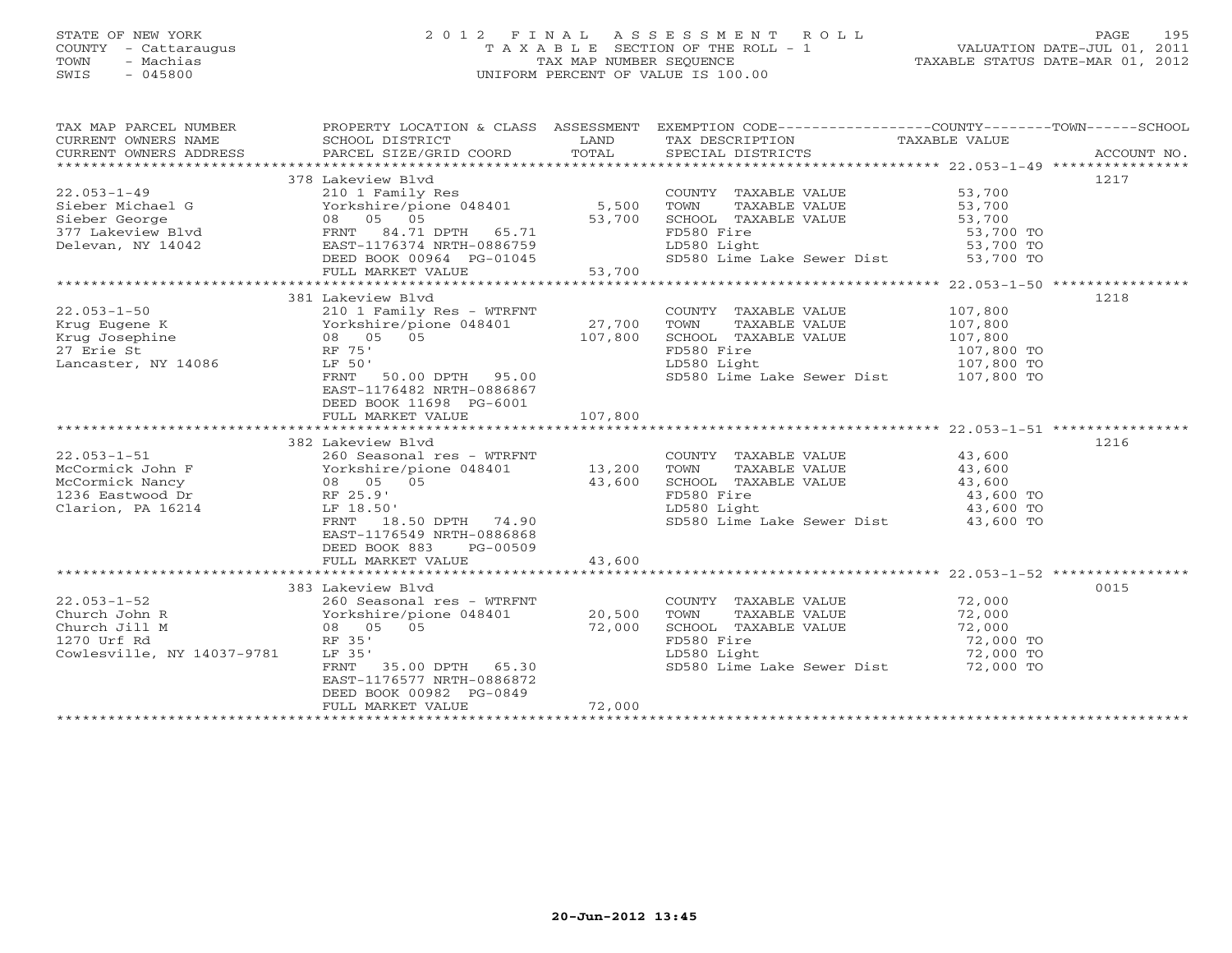### STATE OF NEW YORK 2 0 1 2 F I N A L A S S E S S M E N T R O L L PAGE 195 COUNTY - Cattaraugus T A X A B L E SECTION OF THE ROLL - 1 VALUATION DATE-JUL 01, 2011 TOWN - Machias TAX MAP NUMBER SEQUENCE TAXABLE STATUS DATE-MAR 01, 2012 SWIS - 045800 UNIFORM PERCENT OF VALUE IS 100.00UNIFORM PERCENT OF VALUE IS 100.00

| TAX MAP PARCEL NUMBER        | PROPERTY LOCATION & CLASS ASSESSMENT EXEMPTION CODE---------------COUNTY-------TOWN------SCHOOL |                   |                                                                                                                        |                          |      |
|------------------------------|-------------------------------------------------------------------------------------------------|-------------------|------------------------------------------------------------------------------------------------------------------------|--------------------------|------|
| CURRENT OWNERS NAME          | SCHOOL DISTRICT                                                                                 | LAND              | TAX DESCRIPTION TAXABLE VALUE                                                                                          |                          |      |
|                              |                                                                                                 |                   |                                                                                                                        |                          |      |
|                              |                                                                                                 |                   |                                                                                                                        |                          |      |
|                              | 378 Lakeview Blyd                                                                               |                   |                                                                                                                        |                          | 1217 |
| $22.053 - 1 - 49$            | 210 1 Family Res                                                                                |                   | COUNTY TAXABLE VALUE 53,700                                                                                            |                          |      |
| Sieber Michael G             | Yorkshire/pione 048401 5,500                                                                    |                   |                                                                                                                        |                          |      |
|                              |                                                                                                 | 53,700            |                                                                                                                        |                          |      |
|                              |                                                                                                 |                   | COUNTY TAXABLE VALUE<br>TOWN TAXABLE VALUE 53,700<br>SCHOOL TAXABLE VALUE 53,700<br>TILOR TERRA TERRA 53,700 TO        |                          |      |
| Delevan, NY 14042            |                                                                                                 |                   | LD580 Light                                                                                                            | — 53,700 то<br>53,700 то |      |
|                              | EAST-1176374 NRTH-0886759<br>DEED BOOK 00964 PG-01045<br>FULL MARKET VALUE 53,700               |                   | SD580 Lime Lake Sewer Dist 53,700 TO                                                                                   |                          |      |
|                              |                                                                                                 |                   |                                                                                                                        |                          |      |
|                              |                                                                                                 |                   |                                                                                                                        |                          |      |
|                              | 381 Lakeview Blvd                                                                               |                   |                                                                                                                        |                          | 1218 |
|                              |                                                                                                 |                   |                                                                                                                        |                          |      |
| $22.053 - 1 - 50$            | 210 1 Family Res - WTRFNT                                                                       |                   | COUNTY TAXABLE VALUE 107,800                                                                                           |                          |      |
| Krug Eugene K                |                                                                                                 | 27,700<br>107,800 | TOWN<br>TAXABLE VALUE                                                                                                  | 107,800<br>107,800       |      |
| Krug Josephine               |                                                                                                 |                   | SCHOOL TAXABLE VALUE<br>EDE90 Fire                                                                                     |                          |      |
| 27 Erie St                   |                                                                                                 |                   | FD580 Fire                                                                                                             | 107,800 TO               |      |
| Lancaster, NY 14086          | LF 50'                                                                                          |                   | LD580 Light                                                                                                            | 107,800 TO               |      |
|                              | 50.00 DPTH 95.00<br>FRNT                                                                        |                   | SD580 Lime Lake Sewer Dist 107,800 TO                                                                                  |                          |      |
|                              | EAST-1176482 NRTH-0886867                                                                       |                   |                                                                                                                        |                          |      |
|                              | DEED BOOK 11698 PG-6001                                                                         |                   |                                                                                                                        |                          |      |
|                              | FULL MARKET VALUE                                                                               | 107,800           |                                                                                                                        |                          |      |
|                              |                                                                                                 |                   |                                                                                                                        |                          |      |
|                              | 382 Lakeview Blvd                                                                               |                   |                                                                                                                        |                          | 1216 |
| $22.053 - 1 - 51$            | 260 Seasonal res - WTRFNT                                                                       |                   | COUNTY TAXABLE VALUE 43,600                                                                                            |                          |      |
| McCormick John F             |                                                                                                 | 13,200            |                                                                                                                        |                          |      |
| McCormick Nancy              | Yorkshire/pione 048401<br>08 05 05                                                              | 43,600            | TOWN TAXABLE VALUE<br>SCHOOL TAXABLE VALUE<br>FD580 Fire                                                               | 43,600<br>43,600         |      |
| RF 25.9'<br>1236 Eastwood Dr |                                                                                                 |                   | FD580 Fire                                                                                                             | 43,600 TO                |      |
| Clarion, PA 16214            | LF 18.50'                                                                                       |                   | LD580 Light                                                                                                            | 43,600 TO                |      |
|                              | LF 18.50'<br>FRNT 18.50 DPTH 74.90                                                              |                   | sp580 Lime Lake Sewer Dist 43,600 TO                                                                                   |                          |      |
|                              | EAST-1176549 NRTH-0886868                                                                       |                   |                                                                                                                        |                          |      |
|                              | DEED BOOK 883<br>PG-00509                                                                       |                   |                                                                                                                        |                          |      |
|                              | FULL MARKET VALUE                                                                               | 43,600            |                                                                                                                        |                          |      |
|                              |                                                                                                 |                   |                                                                                                                        |                          |      |
|                              | 383 Lakeview Blvd                                                                               |                   |                                                                                                                        |                          | 0015 |
| $22.053 - 1 - 52$            | 260 Seasonal res - WTRFNT                                                                       |                   | COUNTY TAXABLE VALUE 72,000                                                                                            |                          |      |
| Church John R                |                                                                                                 |                   |                                                                                                                        |                          |      |
| Church Jill M                | Yorkshire/pione 048401<br>08 05 05                                                              | 20,500<br>72,000  |                                                                                                                        |                          |      |
|                              | RF 35'                                                                                          |                   | TOWN TAXABLE VALUE 72,000<br>SCHOOL TAXABLE VALUE 72,000<br>FD580 Fire 72,000 TO<br>LD580 Light 72,000 TO<br>72,000 TO |                          |      |
| 1270 Urf Rd                  |                                                                                                 |                   |                                                                                                                        |                          |      |
| Cowlesville, NY 14037-9781   | LF 35'<br>35.00 DPTH 65.30                                                                      |                   | SD580 Lime Lake Sewer Dist 72,000 TO                                                                                   |                          |      |
|                              | FRNT                                                                                            |                   |                                                                                                                        |                          |      |
|                              | EAST-1176577 NRTH-0886872                                                                       |                   |                                                                                                                        |                          |      |
|                              | DEED BOOK 00982 PG-0849                                                                         |                   |                                                                                                                        |                          |      |
|                              | FULL MARKET VALUE                                                                               | 72,000            |                                                                                                                        |                          |      |
|                              |                                                                                                 |                   |                                                                                                                        |                          |      |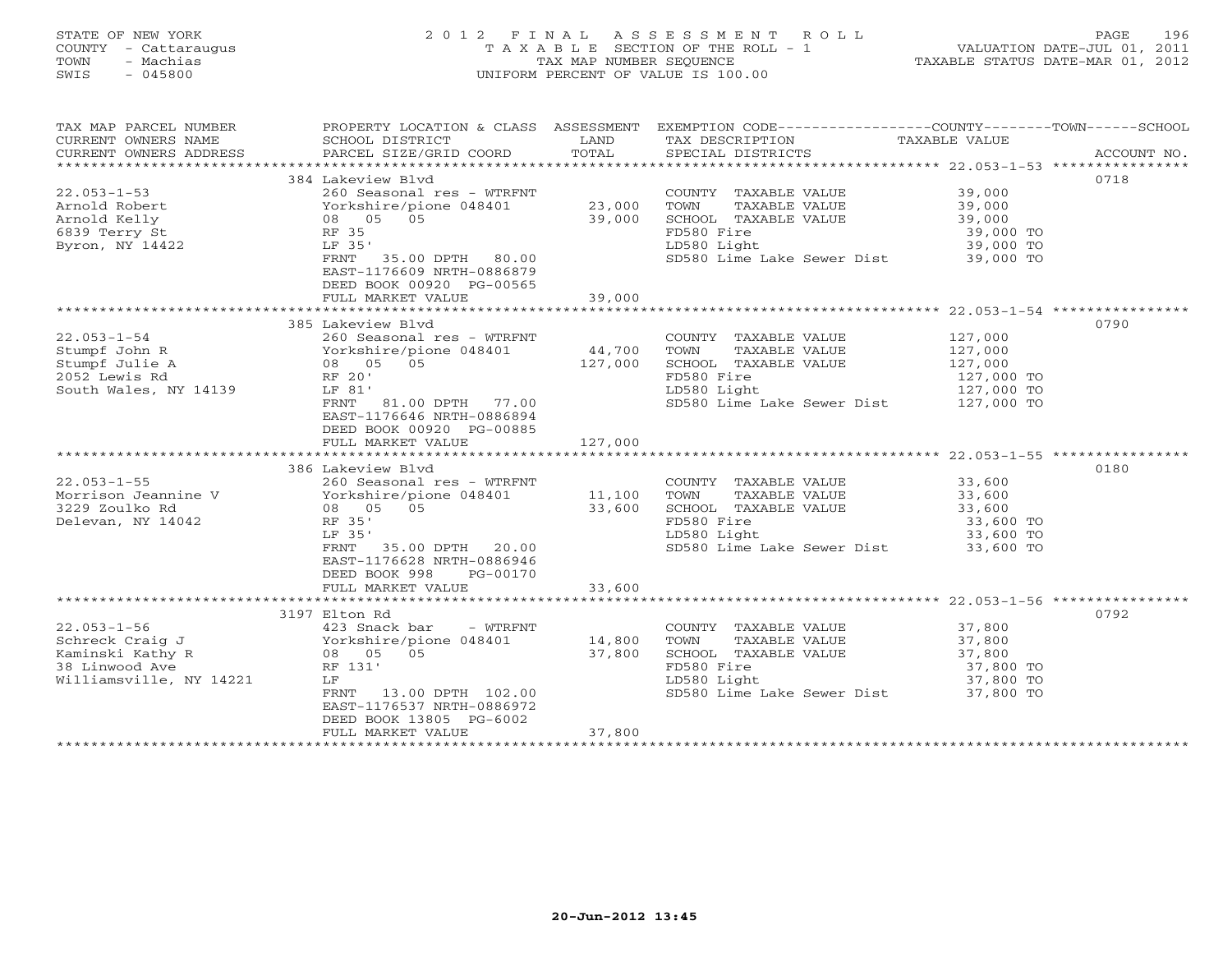# STATE OF NEW YORK 2 0 1 2 F I N A L A S S E S S M E N T R O L L PAGE 196 COUNTY - Cattaraugus T A X A B L E SECTION OF THE ROLL - 1 VALUATION DATE-JUL 01, 2011 TOWN - Machias TAX MAP NUMBER SEQUENCE TAXABLE STATUS DATE-MAR 01, 2012 SWIS - 045800 UNIFORM PERCENT OF VALUE IS 100.00UNIFORM PERCENT OF VALUE IS 100.00

| TAX MAP PARCEL NUMBER<br>CURRENT OWNERS NAME<br>CURRENT OWNERS ADDRESS                                | SCHOOL DISTRICT<br>PARCEL SIZE/GRID COORD                                                                                                                                                                       | LAND<br>TOTAL              | PROPERTY LOCATION & CLASS ASSESSMENT EXEMPTION CODE---------------COUNTY-------TOWN-----SCHOOL<br>TAX DESCRIPTION TAXABLE VALUE SPECIAL DISTRICTS |                                                           | ACCOUNT NO. |
|-------------------------------------------------------------------------------------------------------|-----------------------------------------------------------------------------------------------------------------------------------------------------------------------------------------------------------------|----------------------------|---------------------------------------------------------------------------------------------------------------------------------------------------|-----------------------------------------------------------|-------------|
| $22.053 - 1 - 53$<br>Arnold Robert<br>Arnold Kelly<br>6839 Terry St<br>Byron, NY 14422                | 384 Lakeview Blyd<br>260 Seasonal res - WTRFNT<br>Yorkshire/pione 048401<br>08 05 05<br>RF 35<br>LF 35'<br>FRNT 35.00 DPTH 80.00<br>EAST-1176609 NRTH-0886879<br>DEED BOOK 00920 PG-00565<br>FULL MARKET VALUE  | 23,000<br>39,000<br>39,000 | COUNTY TAXABLE VALUE<br>TAXABLE VALUE<br>TOWN<br>SCHOOL TAXABLE VALUE<br>FD580 Fire<br>LD580 Light<br>SD580 Lime Lake Sewer Dist 39,000 TO        | 39,000<br>39,000<br>39,000<br>39,000 TO<br>39,000 TO      | 0718        |
|                                                                                                       |                                                                                                                                                                                                                 |                            |                                                                                                                                                   |                                                           |             |
| $22.053 - 1 - 54$<br>Stumpf John R<br>Stumpf Julie A<br>2052 Lewis Rd<br>South Wales, NY 14139        | 260 Seasonal res - WTRFNT<br>Yorkshire/pione 048401 44,700<br>08 05 05<br>PEROCI<br>LF 81'<br>FRNT<br>81.00 DPTH 77.00<br>EAST-1176646 NRTH-0886894<br>DEED BOOK 00920 PG-00885<br>FULL MARKET VALUE            | 127,000                    | COUNTY TAXABLE VALUE<br>TOWN<br>TAXABLE VALUE<br>SCHOOL TAXABLE VALUE<br>FD580 Fire<br>LD580 Light<br>SD580 Lime Lake Sewer Dist 127,000 TO       | 127,000<br>127,000<br>127,000<br>127,000 TO<br>127,000 TO | 0790        |
|                                                                                                       |                                                                                                                                                                                                                 |                            |                                                                                                                                                   |                                                           |             |
| $22.053 - 1 - 55$<br>Morrison Jeannine V<br>3229 Zoulko Rd<br>Delevan, NY 14042                       | 386 Lakeview Blvd<br>260 Seasonal res - WTRFNT<br>Yorkshire/pione 048401<br>08 05 05<br>RF 35'<br>LF 35'<br>FRNT 35.00 DPTH 20.00<br>EAST-1176628 NRTH-0886946<br>DEED BOOK 998<br>PG-00170                     | 11,100<br>33,600           | COUNTY TAXABLE VALUE<br>TAXABLE VALUE<br>TOWN<br>SCHOOL TAXABLE VALUE<br>FD580 Fire<br>LD580 Light<br>SD580 Lime Lake Sewer Dist 33,600 TO        | 33,600<br>33,600<br>33,600<br>33,600 TO<br>33,600 TO      | 0180        |
|                                                                                                       | FULL MARKET VALUE<br>*******************************                                                                                                                                                            | 33,600<br>***********      | **************************************53-1-56 *****************                                                                                   |                                                           |             |
| $22.053 - 1 - 56$<br>Schreck Craig J<br>Kaminski Kathy R<br>38 Linwood Ave<br>Williamsville, NY 14221 | 3197 Elton Rd<br>- WTRFNT<br>423 Snack bar<br>Yorkshire/pione 048401<br>08   05   05<br>RF 131'<br>LF<br>13.00 DPTH 102.00<br>FRNT<br>EAST-1176537 NRTH-0886972<br>DEED BOOK 13805 PG-6002<br>FULL MARKET VALUE | 14,800<br>37,800<br>37,800 | COUNTY TAXABLE VALUE<br>TOWN<br>TAXABLE VALUE<br>SCHOOL TAXABLE VALUE<br>FD580 Fire<br>LD580 Light<br>SD580 Lime Lake Sewer Dist 37,800 TO        | 37,800<br>37,800<br>37,800<br>$37,800$ TO<br>37,800 TO    | 0792        |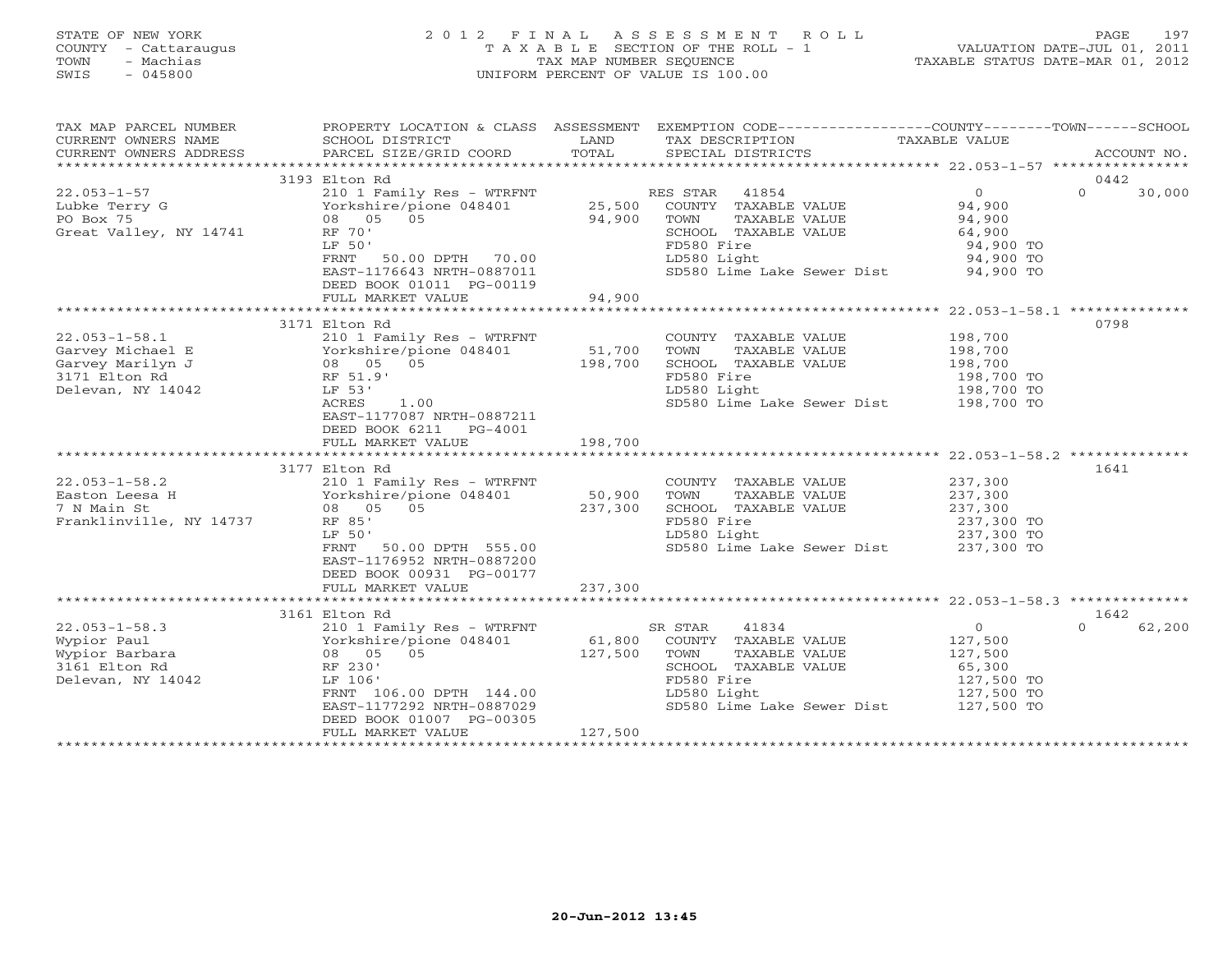# STATE OF NEW YORK 2 0 1 2 F I N A L A S S E S S M E N T R O L L PAGE 197 COUNTY - Cattaraugus T A X A B L E SECTION OF THE ROLL - 1 VALUATION DATE-JUL 01, 2011 TOWN - Machias TAX MAP NUMBER SEQUENCE TAXABLE STATUS DATE-MAR 01, 2012 SWIS - 045800 UNIFORM PERCENT OF VALUE IS 100.00UNIFORM PERCENT OF VALUE IS 100.00

| TAX MAP PARCEL NUMBER   | PROPERTY LOCATION & CLASS ASSESSMENT                           |            | EXEMPTION CODE-----------------COUNTY-------TOWN------SCHOOL |                  |                    |
|-------------------------|----------------------------------------------------------------|------------|--------------------------------------------------------------|------------------|--------------------|
| CURRENT OWNERS NAME     | SCHOOL DISTRICT                                                | LAND       | TAX DESCRIPTION                                              | TAXABLE VALUE    |                    |
| CURRENT OWNERS ADDRESS  | PARCEL SIZE/GRID COORD                                         | TOTAL      | SPECIAL DISTRICTS                                            |                  | ACCOUNT NO.        |
|                         |                                                                |            |                                                              |                  |                    |
|                         | 3193 Elton Rd                                                  |            |                                                              |                  | 0442               |
| $22.053 - 1 - 57$       | 210 1 Family Res - WTRFNT                                      |            | RES STAR 41854                                               | $\overline{0}$   | $\Omega$<br>30,000 |
| Lubke Terry G           | Yorkshire/pione 048401                                         | 25,500     | COUNTY TAXABLE VALUE                                         | 94,900<br>94,900 |                    |
| PO Box 75               | 08 05 05                                                       | 94,900     | TOWN<br>TAXABLE VALUE                                        |                  |                    |
| Great Valley, NY 14741  | RF 70'                                                         |            | SCHOOL TAXABLE VALUE                                         | 64,900           |                    |
|                         | LF 50'                                                         |            | FD580 Fire                                                   | 94,900 TO        |                    |
|                         | FRNT<br>50.00 DPTH 70.00                                       |            | LD580 Light                                                  | 94,900 TO        |                    |
|                         | EAST-1176643 NRTH-0887011                                      |            | SD580 Lime Lake Sewer Dist 94,900 TO                         |                  |                    |
|                         | DEED BOOK 01011 PG-00119                                       |            |                                                              |                  |                    |
|                         | FULL MARKET VALUE                                              | 94,900     |                                                              |                  |                    |
|                         |                                                                |            |                                                              |                  |                    |
|                         | 3171 Elton Rd<br>York.<br>08 05<br>RF 51.9'<br>T.F 53'         |            |                                                              |                  | 0798               |
| $22.053 - 1 - 58.1$     | 210 1 Family Res - WTRFNT                                      |            | COUNTY TAXABLE VALUE                                         | 198,700          |                    |
| Garvey Michael E        | Yorkshire/pione 048401                                         | 51,700     | TOWN<br>TAXABLE VALUE                                        | 198,700          |                    |
| Garvey Marilyn J        | 08 05 05                                                       | 198,700    | SCHOOL TAXABLE VALUE                                         | 198,700          |                    |
| 3171 Elton Rd           |                                                                |            | FD580 Fire                                                   | 198,700 TO       |                    |
| Delevan, NY 14042       |                                                                |            | LD580 Light                                                  | 198,700 TO       |                    |
|                         | ACRES<br>1.00                                                  |            | SD580 Lime Lake Sewer Dist 198,700 TO                        |                  |                    |
|                         | EAST-1177087 NRTH-0887211                                      |            |                                                              |                  |                    |
|                         | DEED BOOK 6211 PG-4001                                         |            |                                                              |                  |                    |
|                         | FULL MARKET VALUE                                              | 198,700    |                                                              |                  |                    |
|                         |                                                                |            |                                                              |                  |                    |
|                         | 3177 Elton Rd                                                  |            |                                                              |                  | 1641               |
| $22.053 - 1 - 58.2$     | 210 1 Family Res - WTRFNT                                      |            | COUNTY TAXABLE VALUE                                         | 237,300          |                    |
| Easton Leesa H          | 210 1 Family Res - WTRF.<br>Yorkshire/pione 048401<br>08 05 05 | 50,900     | TAXABLE VALUE<br>TOWN                                        | 237,300          |                    |
| 7 N Main St             |                                                                | 237,300    | SCHOOL TAXABLE VALUE                                         | 237,300          |                    |
| Franklinville, NY 14737 | RF 85'                                                         |            | FD580 Fire                                                   | 237,300 TO       |                    |
|                         | LF 50'                                                         |            | LD580 Light                                                  | 237,300 TO       |                    |
|                         | FRNT 50.00 DPTH 555.00                                         |            | SD580 Lime Lake Sewer Dist 237,300 TO                        |                  |                    |
|                         | EAST-1176952 NRTH-0887200                                      |            |                                                              |                  |                    |
|                         | DEED BOOK 00931 PG-00177                                       |            |                                                              |                  |                    |
|                         | FULL MARKET VALUE                                              | 237,300    |                                                              |                  |                    |
|                         |                                                                |            |                                                              |                  |                    |
|                         | 3161 Elton Rd                                                  |            |                                                              |                  | 1642               |
| $22.053 - 1 - 58.3$     | 210 1 Family Res - WTRFNT                                      | $61,800$ S | 41834<br>SR STAR                                             | $\circ$          | 62,200             |
| Wypior Paul             | Yorkshire/pione 048401<br>08 05 05                             |            | COUNTY TAXABLE VALUE                                         | 127,500          |                    |
| Wypior Barbara          |                                                                | 127,500    | TOWN<br>TAXABLE VALUE                                        | 127,500          |                    |
| 3161 Elton Rd           | RF 230'                                                        |            | SCHOOL TAXABLE VALUE                                         | 65,300           |                    |
| Delevan, NY 14042       | LF 106'                                                        |            | FD580 Fire                                                   | 127,500 TO       |                    |
|                         | FRNT 106.00 DPTH 144.00                                        |            | LD580 Light                                                  | 127,500 TO       |                    |
|                         | EAST-1177292 NRTH-0887029                                      |            | SD580 Lime Lake Sewer Dist 127,500 TO                        |                  |                    |
|                         | DEED BOOK 01007 PG-00305                                       |            |                                                              |                  |                    |
|                         | FULL MARKET VALUE                                              | 127,500    |                                                              |                  |                    |
|                         |                                                                |            |                                                              |                  |                    |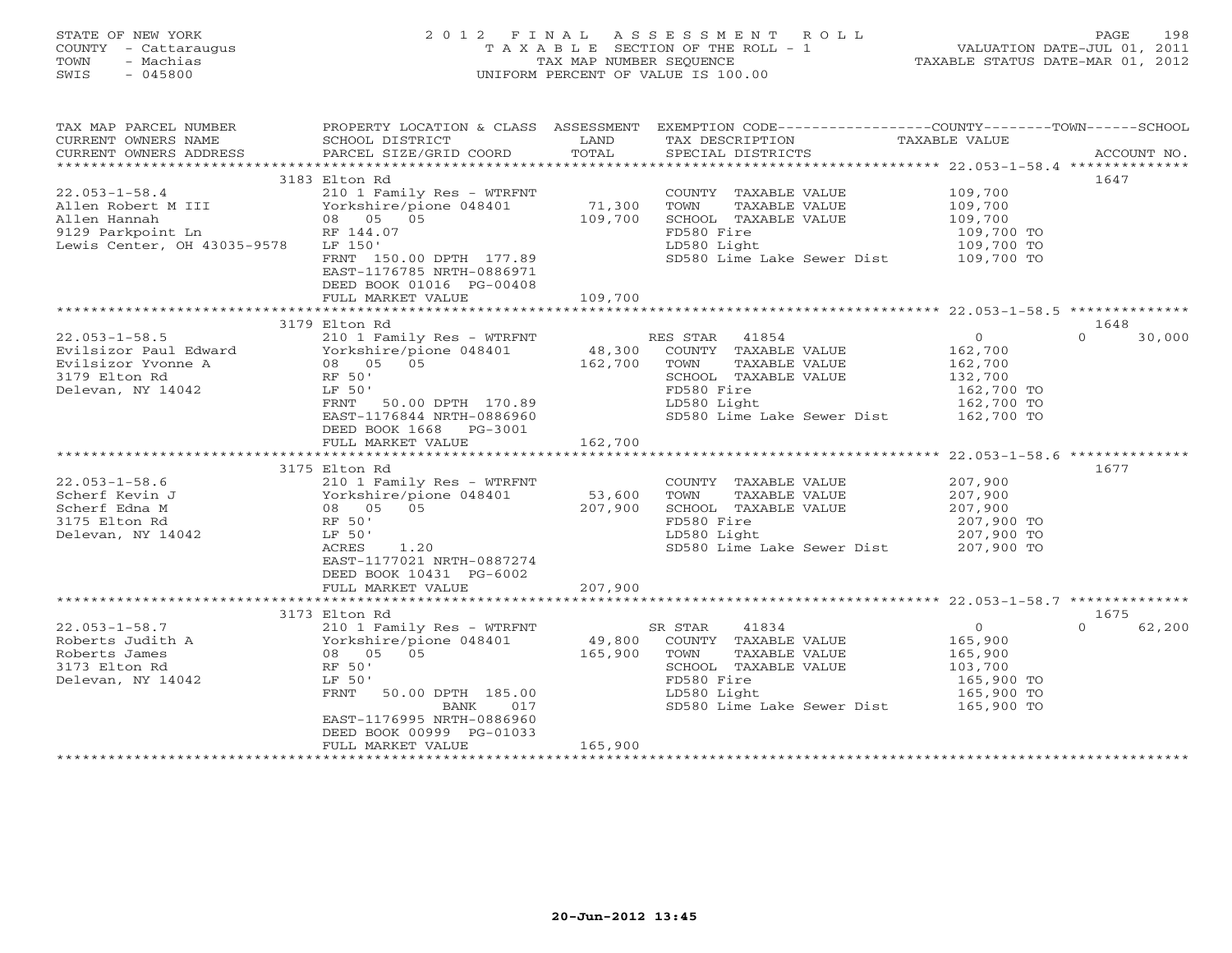| TOWN<br>SWIS | STATE OF NEW YORK<br>COUNTY - Cattaraugus<br>- Machias<br>- 045800 |                                                         |              | 2012 FINAL ASSESSMENT ROLL<br>TAXABLE SECTION OF THE ROLL - 1<br>TAX MAP NUMBER SEOUENCE<br>UNIFORM PERCENT OF VALUE IS 100.00 | VALUATION DATE-JUL 01, 2011<br>TAXABLE STATUS DATE-MAR 01, 2012 | PAGE | 198      |
|--------------|--------------------------------------------------------------------|---------------------------------------------------------|--------------|--------------------------------------------------------------------------------------------------------------------------------|-----------------------------------------------------------------|------|----------|
|              | TAX MAP PARCEL NUMBER<br>$C$ ים את הזה מספח המות המות המות         | PROPERTY LOCATION & CLASS ASSESSMENT<br>COUOOI DICTOTOT | <b>TANTO</b> | EXEMPTION CODE-----------------COUNTY-------TOWN----<br>ENV DECOPTORION                                                        | סוו זגזו סופג עת                                                |      | - SCHOOL |

| CORRENI OWNERS NAME<br>CURRENT OWNERS ADDRESS | POUND DIPINTOI<br>PARCEL SIZE/GRID COORD | <b>LAIV</b><br>TOTAL | TWV DEPOLITIOM<br>SPECIAL DISTRICTS | TAVADIE AURE | ACCOUNT NO.        |
|-----------------------------------------------|------------------------------------------|----------------------|-------------------------------------|--------------|--------------------|
|                                               |                                          |                      |                                     |              |                    |
|                                               |                                          |                      |                                     |              |                    |
|                                               | 3183 Elton Rd                            |                      |                                     |              | 1647               |
| $22.053 - 1 - 58.4$                           | 210 1 Family Res - WTRFNT                |                      | COUNTY TAXABLE VALUE                | 109,700      |                    |
| Allen Robert M III                            | Yorkshire/pione 048401                   | 71,300               | TOWN<br>TAXABLE VALUE               | 109,700      |                    |
| Allen Hannah                                  | 08 05 05                                 | 109,700              | SCHOOL TAXABLE VALUE                | 109,700      |                    |
| 9129 Parkpoint Ln                             | RF 144.07                                |                      | FD580 Fire                          | 109,700 TO   |                    |
| Lewis Center, OH 43035-9578                   | LF 150'                                  |                      | LD580 Light                         | 109,700 TO   |                    |
|                                               | FRNT 150.00 DPTH 177.89                  |                      | SD580 Lime Lake Sewer Dist          | 109,700 TO   |                    |
|                                               | EAST-1176785 NRTH-0886971                |                      |                                     |              |                    |
|                                               | DEED BOOK 01016 PG-00408                 |                      |                                     |              |                    |
|                                               | FULL MARKET VALUE                        | 109,700              |                                     |              |                    |
|                                               |                                          |                      |                                     |              |                    |
|                                               | 3179 Elton Rd                            |                      |                                     |              | 1648               |
| $22.053 - 1 - 58.5$                           | 210 1 Family Res - WTRFNT                |                      | RES STAR 41854                      | $\circ$      | $\Omega$<br>30,000 |
| Evilsizor Paul Edward                         | Yorkshire/pione 048401                   | 48,300               | COUNTY TAXABLE VALUE                | 162,700      |                    |
| Evilsizor Yvonne A                            | 08 05 05                                 | 162,700              | TOWN<br>TAXABLE VALUE               | 162,700      |                    |
| 3179 Elton Rd                                 | RF 50'                                   |                      | SCHOOL TAXABLE VALUE                | 132,700      |                    |
| Delevan, NY 14042                             | LF 50'                                   |                      | FD580 Fire                          | 162,700 TO   |                    |
|                                               | 50.00 DPTH 170.89<br>FRNT                |                      | LD580 Light                         | 162,700 TO   |                    |
|                                               |                                          |                      |                                     |              |                    |
|                                               | EAST-1176844 NRTH-0886960                |                      | SD580 Lime Lake Sewer Dist          | 162,700 TO   |                    |
|                                               | DEED BOOK 1668 PG-3001                   |                      |                                     |              |                    |
|                                               | FULL MARKET VALUE                        | 162,700              |                                     |              |                    |
|                                               |                                          |                      |                                     |              |                    |
|                                               | 3175 Elton Rd                            |                      |                                     |              | 1677               |
| $22.053 - 1 - 58.6$                           | 210 1 Family Res - WTRFNT                |                      | COUNTY TAXABLE VALUE                | 207,900      |                    |
| Scherf Kevin J                                | Yorkshire/pione 048401                   | 53,600               | TOWN<br>TAXABLE VALUE               | 207,900      |                    |
| Scherf Edna M                                 | 08 05 05                                 | 207,900              | SCHOOL TAXABLE VALUE                | 207,900      |                    |
| 3175 Elton Rd                                 | RF 50'                                   |                      | FD580 Fire                          | 207,900 TO   |                    |
| Delevan, NY 14042                             | LF 50'                                   |                      | LD580 Light                         | 207,900 TO   |                    |
|                                               | 1.20<br>ACRES                            |                      | SD580 Lime Lake Sewer Dist          | 207,900 TO   |                    |
|                                               | EAST-1177021 NRTH-0887274                |                      |                                     |              |                    |
|                                               | DEED BOOK 10431 PG-6002                  |                      |                                     |              |                    |
|                                               | FULL MARKET VALUE                        | 207,900              |                                     |              |                    |
|                                               |                                          |                      |                                     |              |                    |
|                                               | 3173 Elton Rd                            |                      |                                     |              | 1675               |
| $22.053 - 1 - 58.7$                           | 210 1 Family Res - WTRFNT                |                      | 41834<br>SR STAR                    | $\circ$      | $\Omega$<br>62,200 |
| Roberts Judith A                              | Yorkshire/pione 048401                   | 49,800               | COUNTY TAXABLE VALUE                | 165,900      |                    |
| Roberts James                                 | 0.5<br>08 05                             | 165,900              | TOWN<br>TAXABLE VALUE               | 165,900      |                    |
| 3173 Elton Rd                                 | RF 50'                                   |                      | SCHOOL TAXABLE VALUE                | 103,700      |                    |
| Delevan, NY 14042                             | LF 50'                                   |                      | FD580 Fire                          | 165,900 TO   |                    |
|                                               | FRNT<br>50.00 DPTH 185.00                |                      | LD580 Light                         | 165,900 TO   |                    |
|                                               |                                          |                      |                                     |              |                    |
|                                               | BANK<br>017                              |                      | SD580 Lime Lake Sewer Dist          | 165,900 TO   |                    |
|                                               | EAST-1176995 NRTH-0886960                |                      |                                     |              |                    |
|                                               | DEED BOOK 00999 PG-01033                 |                      |                                     |              |                    |
|                                               | FULL MARKET VALUE                        | 165,900              |                                     |              |                    |
|                                               |                                          |                      |                                     |              |                    |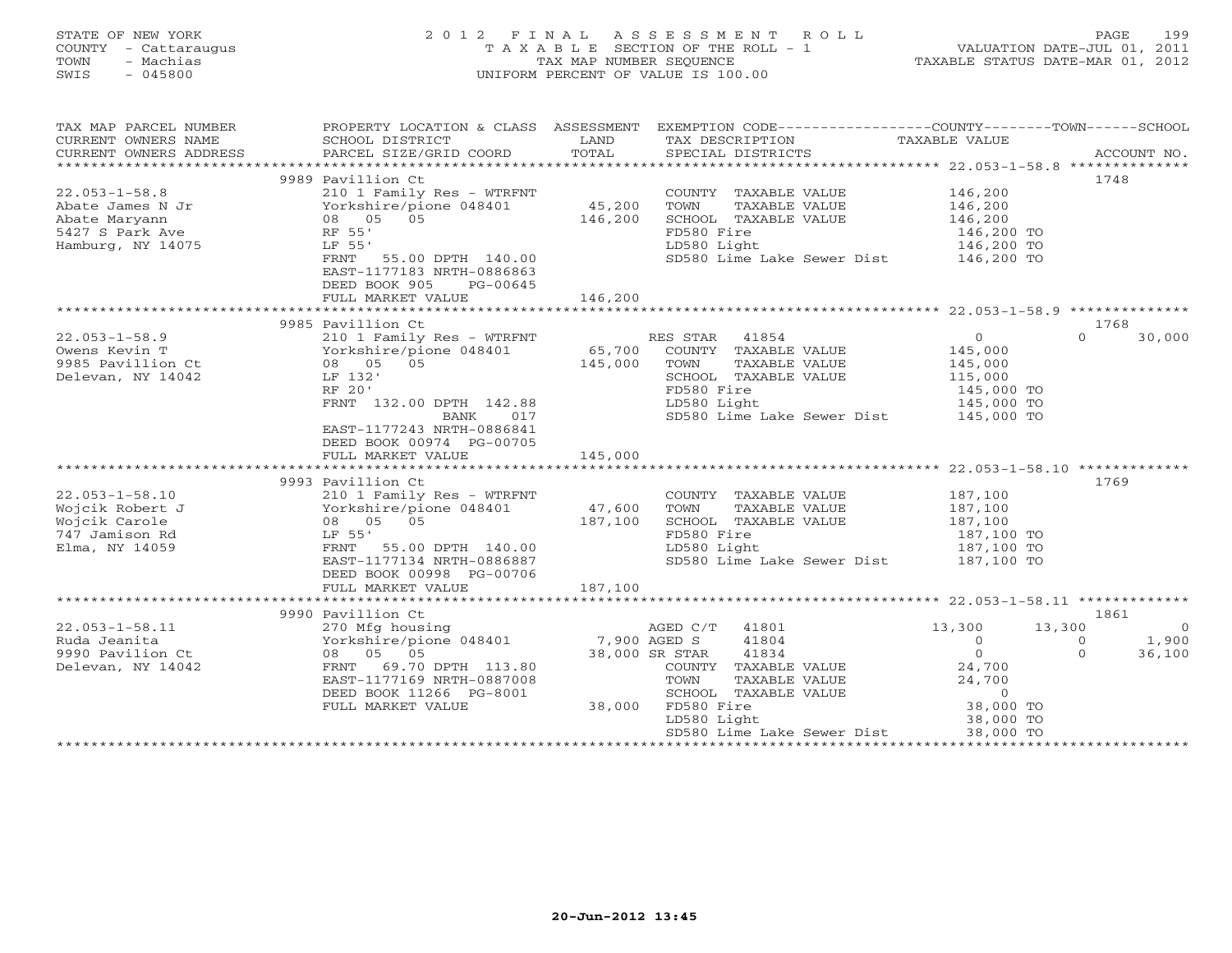| STATE OF NEW YORK<br>COUNTY - Cattaraugus<br>- Machias<br>TOWN<br>SWIS<br>$-045800$              | 2012 FINAL                                                                                                                                                                                                           | TAX MAP NUMBER SEOUENCE      | A S S E S S M E N T<br>R O L L<br>T A X A B L E SECTION OF THE ROLL - 1<br>UNIFORM PERCENT OF VALUE IS 100.00                                               | VALUATION DATE-JUL 01, 2011<br>TAXABLE STATUS DATE-MAR 01, 2012                              | PAGE                          | 199                               |
|--------------------------------------------------------------------------------------------------|----------------------------------------------------------------------------------------------------------------------------------------------------------------------------------------------------------------------|------------------------------|-------------------------------------------------------------------------------------------------------------------------------------------------------------|----------------------------------------------------------------------------------------------|-------------------------------|-----------------------------------|
| TAX MAP PARCEL NUMBER<br>CURRENT OWNERS NAME<br>CURRENT OWNERS ADDRESS                           | SCHOOL DISTRICT<br>PARCEL SIZE/GRID COORD                                                                                                                                                                            | LAND<br>TOTAL                | PROPERTY LOCATION & CLASS ASSESSMENT EXEMPTION CODE---------------COUNTY-------TOWN-----SCHOOL<br>TAX DESCRIPTION<br>SPECIAL DISTRICTS                      | TAXABLE VALUE                                                                                |                               | ACCOUNT NO.                       |
| ***********************                                                                          |                                                                                                                                                                                                                      |                              |                                                                                                                                                             |                                                                                              |                               |                                   |
| $22.053 - 1 - 58.8$<br>Abate James N Jr<br>Abate Maryann<br>5427 S Park Ave<br>Hamburg, NY 14075 | 9989 Pavillion Ct<br>210 1 Family Res - WTRFNT<br>Yorkshire/pione 048401<br>08 05 05<br>RF 55'<br>LF 55'<br>FRNT<br>55.00 DPTH 140.00<br>EAST-1177183 NRTH-0886863<br>DEED BOOK 905<br>PG-00645<br>FULL MARKET VALUE | 45,200<br>146,200<br>146,200 | COUNTY TAXABLE VALUE<br>TOWN<br>TAXABLE VALUE<br>SCHOOL TAXABLE VALUE<br>FD580 Fire<br>LD580 Light<br>SD580 Lime Lake Sewer Dist 146,200 TO                 | 146,200<br>146,200<br>146,200<br>146,200 TO<br>146,200 TO                                    | 1748                          |                                   |
|                                                                                                  | *************************                                                                                                                                                                                            |                              |                                                                                                                                                             |                                                                                              |                               |                                   |
|                                                                                                  | 9985 Pavillion Ct                                                                                                                                                                                                    |                              |                                                                                                                                                             |                                                                                              | 1768                          |                                   |
| $22.053 - 1 - 58.9$<br>Owens Kevin T<br>9985 Pavillion Ct<br>Delevan, NY 14042                   | 210 1 Family Res - WTRFNT<br>Yorkshire/pione 048401<br>08 05 05<br>LF 132'<br>RF 20'<br>FRNT 132.00 DPTH 142.88<br>BANK<br>017<br>EAST-1177243 NRTH-0886841<br>DEED BOOK 00974 PG-00705                              | 65,700<br>145,000            | RES STAR<br>41854<br>COUNTY TAXABLE VALUE<br>TOWN<br>TAXABLE VALUE<br>SCHOOL TAXABLE VALUE<br>FD580 Fire<br>LD580 Light<br>SD580 Lime Lake Sewer Dist       | $\overline{0}$<br>145,000<br>145,000<br>115,000<br>145,000 TO<br>145,000 TO<br>145,000 TO    | $\Omega$                      | 30,000                            |
|                                                                                                  | FULL MARKET VALUE                                                                                                                                                                                                    | 145,000                      |                                                                                                                                                             |                                                                                              |                               |                                   |
| $22.053 - 1 - 58.10$<br>Wojcik Robert J<br>Wojcik Carole<br>747 Jamison Rd<br>Elma, NY 14059     | 9993 Pavillion Ct<br>210 1 Family Res - WTRFNT<br>Yorkshire/pione 048401<br>08 05 05<br>LF 55'<br>FRNT 55.00 DPTH 140.00<br>EAST-1177134 NRTH-0886887<br>DEED BOOK 00998 PG-00706                                    | 47,600<br>187,100            | COUNTY TAXABLE VALUE<br>TOWN<br>TAXABLE VALUE<br>SCHOOL TAXABLE VALUE<br>FD580 Fire<br>LD580 Light<br>SD580 Lime Lake Sewer Dist                            | 187,100<br>187,100<br>187,100<br>187,100 TO<br>187,100 TO<br>187,100 TO                      | 1769                          |                                   |
|                                                                                                  | FULL MARKET VALUE<br>************************                                                                                                                                                                        | 187,100                      |                                                                                                                                                             |                                                                                              |                               |                                   |
|                                                                                                  | 9990 Pavillion Ct                                                                                                                                                                                                    |                              |                                                                                                                                                             |                                                                                              | 1861                          |                                   |
| $22.053 - 1 - 58.11$<br>Ruda Jeanita<br>9990 Pavilion Ct<br>Delevan, NY 14042                    | 270 Mfg housing<br>Yorkshire/pione 048401<br>08 05 05<br>69.70 DPTH 113.80<br>FRNT<br>EAST-1177169 NRTH-0887008<br>DEED BOOK 11266 PG-8001<br>FULL MARKET VALUE                                                      | 7,900 AGED S<br>38,000       | 41801<br>AGED C/T<br>41804<br>38,000 SR STAR<br>41834<br>COUNTY TAXABLE VALUE<br>TOWN<br>TAXABLE VALUE<br>SCHOOL TAXABLE VALUE<br>FD580 Fire<br>LD580 Light | 13,300<br>$\circ$<br>$\overline{0}$<br>24,700<br>24,700<br>$\circ$<br>38,000 TO<br>38,000 TO | 13,300<br>$\circ$<br>$\Omega$ | $\overline{0}$<br>1,900<br>36,100 |

\*\*\*\*\*\*\*\*\*\*\*\*\*\*\*\*\*\*\*\*\*\*\*\*\*\*\*\*\*\*\*\*\*\*\*\*\*\*\*\*\*\*\*\*\*\*\*\*\*\*\*\*\*\*\*\*\*\*\*\*\*\*\*\*\*\*\*\*\*\*\*\*\*\*\*\*\*\*\*\*\*\*\*\*\*\*\*\*\*\*\*\*\*\*\*\*\*\*\*\*\*\*\*\*\*\*\*\*\*\*\*\*\*\*\*\*\*\*\*\*\*\*\*\*\*\*\*\*\*\*\*\*

SD580 Lime Lake Sewer Dist 38,000 TO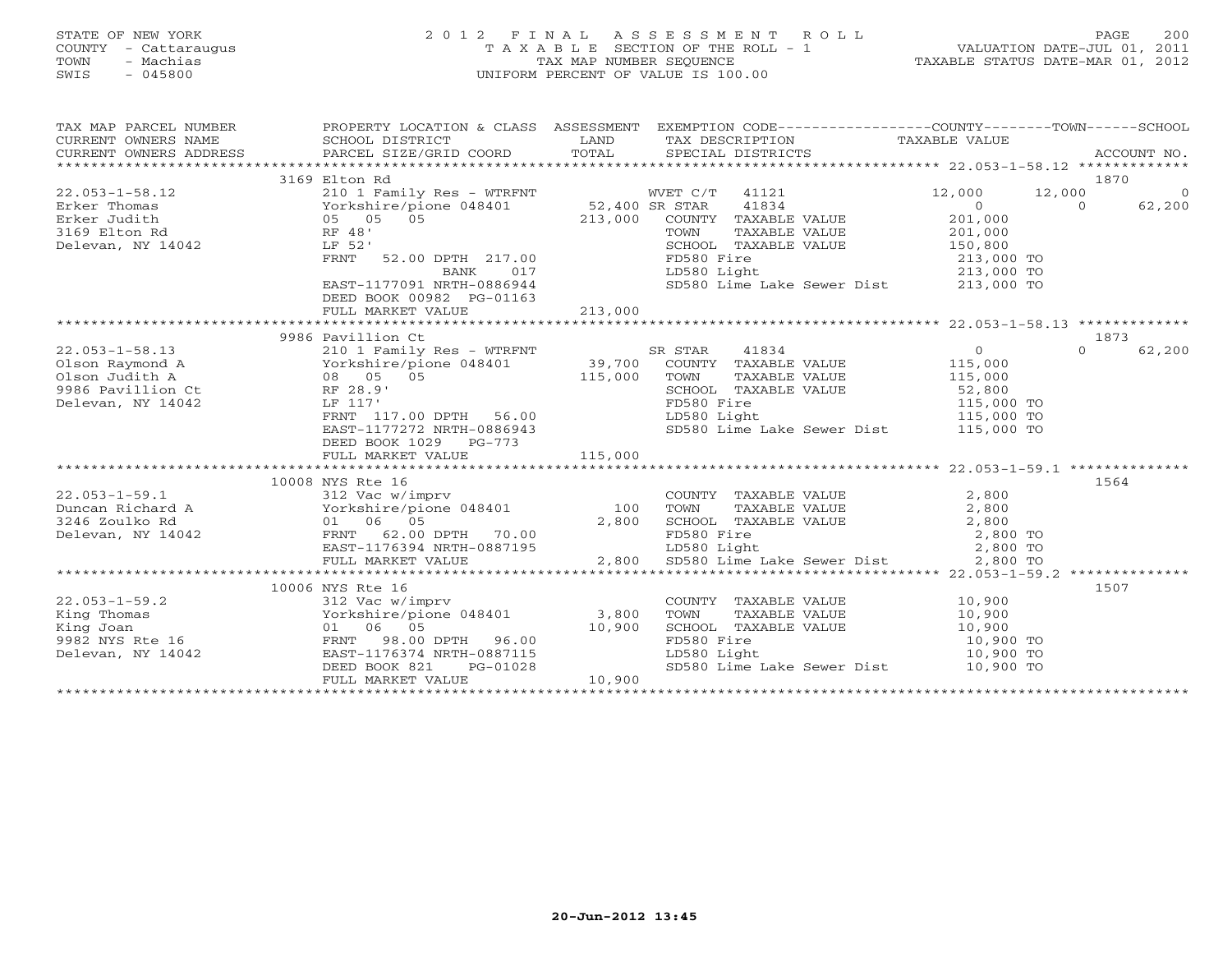# STATE OF NEW YORK 2 0 1 2 F I N A L A S S E S S M E N T R O L L PAGE 200 COUNTY - Cattaraugus T A X A B L E SECTION OF THE ROLL - 1 VALUATION DATE-JUL 01, 2011 TOWN - Machias TAX MAP NUMBER SEQUENCE TAXABLE STATUS DATE-MAR 01, 2012 SWIS - 045800 UNIFORM PERCENT OF VALUE IS 100.00UNIFORM PERCENT OF VALUE IS 100.00

| $\begin{tabular}{lllllllll} \texttt{TAX} \texttt{MAP} \texttt{PARGEL} \texttt{ NUMBER} & \texttt{PROPERT} \texttt{LOCATION} \texttt{C} \texttt{C} \texttt{LASS} & \texttt{ASSESSMENT} & \texttt{EXEMPTION} \texttt{CODE-----------------COUNTY------TOWN----SCHOOL} \\ \texttt{CURRENT} \texttt{OWNERS} \texttt{NAME} & \texttt{SCHOOL} \texttt{DISTRICT} & \texttt{LAND} & \texttt{TAX} \texttt{DESCRIPTION} & \texttt{TAXABLE VALUE} \\ \texttt{CURRENT} \texttt{OWNERS} \texttt{ADDRESS} &$<br>1870<br>3169 Elton Rd<br>12,000<br>12,000<br>$\overline{0}$<br>$\overline{0}$<br>$\Omega$<br>62,200<br>201,000<br>COUNTY TAXABLE VALUE<br>COUNT TAXABLE VALUE<br>TOWN TAXABLE VALUE 201,000<br>SCHOOL TAXABLE VALUE 150,800<br>FD580 Fire 213,000 TO<br>LD580 Light 213,000 TO<br>SD580 Lime Lake Sewer Dist 213,000 TO<br>52.00 DPTH 217.00<br>FRNT<br>BANK 017<br>EAST-1177091 NRTH-0886944<br>DEED BOOK 00982 PG-01163 |
|-----------------------------------------------------------------------------------------------------------------------------------------------------------------------------------------------------------------------------------------------------------------------------------------------------------------------------------------------------------------------------------------------------------------------------------------------------------------------------------------------------------------------------------------------------------------------------------------------------------------------------------------------------------------------------------------------------------------------------------------------------------------------------------------------------------------------------------------------------------------------------------------------------------------------------|
|                                                                                                                                                                                                                                                                                                                                                                                                                                                                                                                                                                                                                                                                                                                                                                                                                                                                                                                             |
|                                                                                                                                                                                                                                                                                                                                                                                                                                                                                                                                                                                                                                                                                                                                                                                                                                                                                                                             |
|                                                                                                                                                                                                                                                                                                                                                                                                                                                                                                                                                                                                                                                                                                                                                                                                                                                                                                                             |
|                                                                                                                                                                                                                                                                                                                                                                                                                                                                                                                                                                                                                                                                                                                                                                                                                                                                                                                             |
|                                                                                                                                                                                                                                                                                                                                                                                                                                                                                                                                                                                                                                                                                                                                                                                                                                                                                                                             |
|                                                                                                                                                                                                                                                                                                                                                                                                                                                                                                                                                                                                                                                                                                                                                                                                                                                                                                                             |
|                                                                                                                                                                                                                                                                                                                                                                                                                                                                                                                                                                                                                                                                                                                                                                                                                                                                                                                             |
|                                                                                                                                                                                                                                                                                                                                                                                                                                                                                                                                                                                                                                                                                                                                                                                                                                                                                                                             |
|                                                                                                                                                                                                                                                                                                                                                                                                                                                                                                                                                                                                                                                                                                                                                                                                                                                                                                                             |
|                                                                                                                                                                                                                                                                                                                                                                                                                                                                                                                                                                                                                                                                                                                                                                                                                                                                                                                             |
|                                                                                                                                                                                                                                                                                                                                                                                                                                                                                                                                                                                                                                                                                                                                                                                                                                                                                                                             |
|                                                                                                                                                                                                                                                                                                                                                                                                                                                                                                                                                                                                                                                                                                                                                                                                                                                                                                                             |
|                                                                                                                                                                                                                                                                                                                                                                                                                                                                                                                                                                                                                                                                                                                                                                                                                                                                                                                             |
| 9986 Pavillion Ct<br>1873                                                                                                                                                                                                                                                                                                                                                                                                                                                                                                                                                                                                                                                                                                                                                                                                                                                                                                   |
| $\Omega$<br>62,200                                                                                                                                                                                                                                                                                                                                                                                                                                                                                                                                                                                                                                                                                                                                                                                                                                                                                                          |
|                                                                                                                                                                                                                                                                                                                                                                                                                                                                                                                                                                                                                                                                                                                                                                                                                                                                                                                             |
|                                                                                                                                                                                                                                                                                                                                                                                                                                                                                                                                                                                                                                                                                                                                                                                                                                                                                                                             |
|                                                                                                                                                                                                                                                                                                                                                                                                                                                                                                                                                                                                                                                                                                                                                                                                                                                                                                                             |
|                                                                                                                                                                                                                                                                                                                                                                                                                                                                                                                                                                                                                                                                                                                                                                                                                                                                                                                             |
|                                                                                                                                                                                                                                                                                                                                                                                                                                                                                                                                                                                                                                                                                                                                                                                                                                                                                                                             |
|                                                                                                                                                                                                                                                                                                                                                                                                                                                                                                                                                                                                                                                                                                                                                                                                                                                                                                                             |
| DEED BOOK 1029 PG-773                                                                                                                                                                                                                                                                                                                                                                                                                                                                                                                                                                                                                                                                                                                                                                                                                                                                                                       |
|                                                                                                                                                                                                                                                                                                                                                                                                                                                                                                                                                                                                                                                                                                                                                                                                                                                                                                                             |
|                                                                                                                                                                                                                                                                                                                                                                                                                                                                                                                                                                                                                                                                                                                                                                                                                                                                                                                             |
|                                                                                                                                                                                                                                                                                                                                                                                                                                                                                                                                                                                                                                                                                                                                                                                                                                                                                                                             |
|                                                                                                                                                                                                                                                                                                                                                                                                                                                                                                                                                                                                                                                                                                                                                                                                                                                                                                                             |
|                                                                                                                                                                                                                                                                                                                                                                                                                                                                                                                                                                                                                                                                                                                                                                                                                                                                                                                             |
|                                                                                                                                                                                                                                                                                                                                                                                                                                                                                                                                                                                                                                                                                                                                                                                                                                                                                                                             |
|                                                                                                                                                                                                                                                                                                                                                                                                                                                                                                                                                                                                                                                                                                                                                                                                                                                                                                                             |
|                                                                                                                                                                                                                                                                                                                                                                                                                                                                                                                                                                                                                                                                                                                                                                                                                                                                                                                             |
|                                                                                                                                                                                                                                                                                                                                                                                                                                                                                                                                                                                                                                                                                                                                                                                                                                                                                                                             |
|                                                                                                                                                                                                                                                                                                                                                                                                                                                                                                                                                                                                                                                                                                                                                                                                                                                                                                                             |
| 1507<br>10006 NYS Rte 16                                                                                                                                                                                                                                                                                                                                                                                                                                                                                                                                                                                                                                                                                                                                                                                                                                                                                                    |
| COUNTY TAXABLE VALUE 10,900                                                                                                                                                                                                                                                                                                                                                                                                                                                                                                                                                                                                                                                                                                                                                                                                                                                                                                 |
| TAXABLE VALUE 10,900<br>TOWN                                                                                                                                                                                                                                                                                                                                                                                                                                                                                                                                                                                                                                                                                                                                                                                                                                                                                                |
| $\begin{array}{lllllllllllllll} \text{22.053--1-59.2} & \text{312 Vec} & \text{W/imprv} \ \text{King Thomas} & \text{Yorkshire/pione 048401} & \text{3,800} \ \text{King Joan} & \text{01} & \text{06} & \text{05} & \text{10,900} \ \text{9982 NYS Rte 16} & \text{FRNT} & \text{98.00 DPTH} & \text{96.00} \ \text{Delevan, NY 14042} & \text{EAST-1176374 NRTH-0887115} & \text{DEED BOOK$<br>SCHOOL TAXABLE VALUE<br>FD580 Fire<br>LD580 Light 10,900 TO<br>LD580 Light 10,900 TO                                                                                                                                                                                                                                                                                                                                                                                                                                       |
|                                                                                                                                                                                                                                                                                                                                                                                                                                                                                                                                                                                                                                                                                                                                                                                                                                                                                                                             |
|                                                                                                                                                                                                                                                                                                                                                                                                                                                                                                                                                                                                                                                                                                                                                                                                                                                                                                                             |
| SD580 Lime Lake Sewer Dist 10,900 TO                                                                                                                                                                                                                                                                                                                                                                                                                                                                                                                                                                                                                                                                                                                                                                                                                                                                                        |
| 10,900<br>FULL MARKET VALUE                                                                                                                                                                                                                                                                                                                                                                                                                                                                                                                                                                                                                                                                                                                                                                                                                                                                                                 |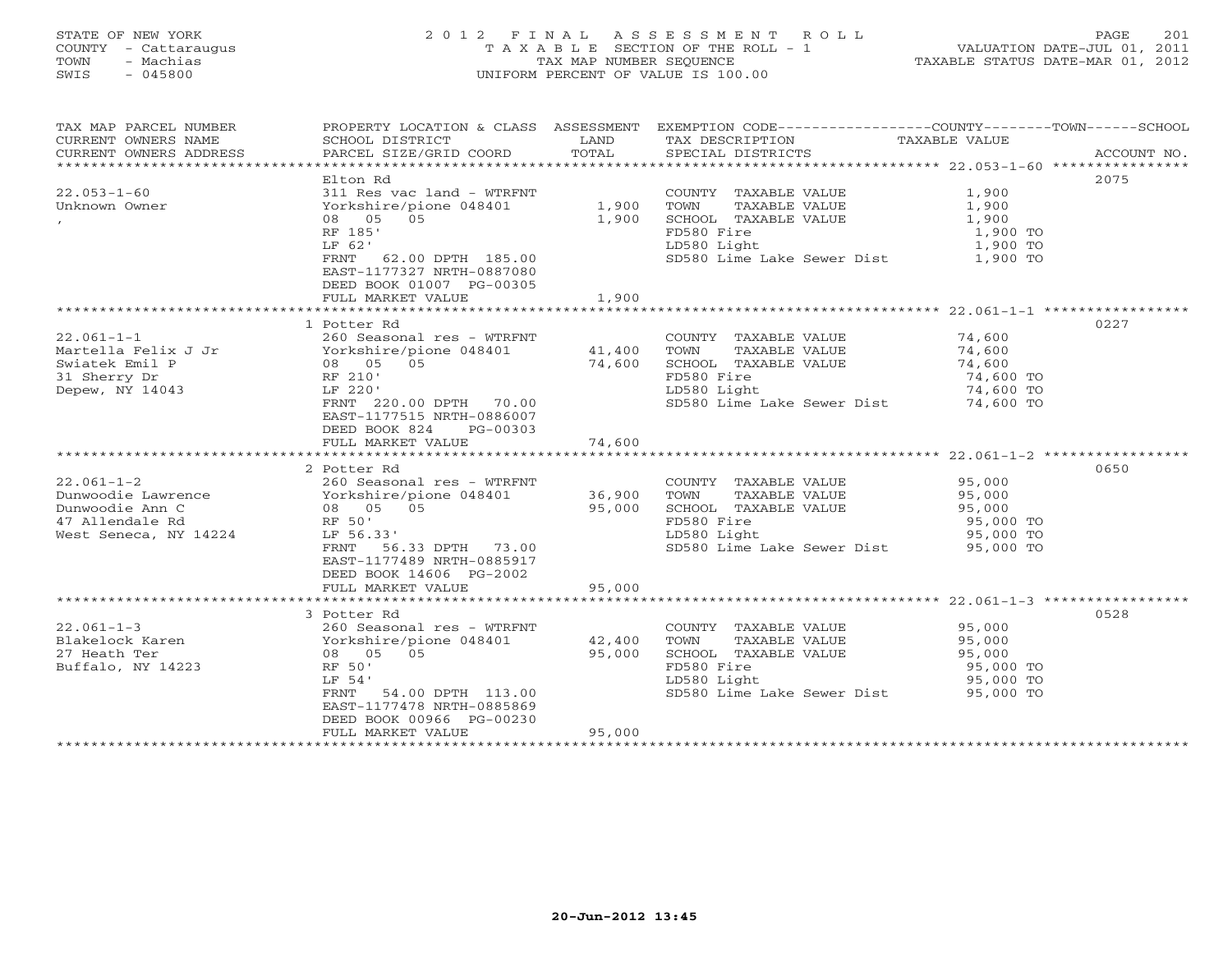# STATE OF NEW YORK 2 0 1 2 F I N A L A S S E S S M E N T R O L L PAGE 201 COUNTY - Cattaraugus T A X A B L E SECTION OF THE ROLL - 1 VALUATION DATE-JUL 01, 2011 TOWN - Machias TAX MAP NUMBER SEQUENCE TAXABLE STATUS DATE-MAR 01, 2012 SWIS - 045800 UNIFORM PERCENT OF VALUE IS 100.00UNIFORM PERCENT OF VALUE IS 100.00

| TAX MAP PARCEL NUMBER<br>CURRENT OWNERS NAME<br>CURRENT OWNERS ADDRESS                                | PROPERTY LOCATION & CLASS ASSESSMENT<br>SCHOOL DISTRICT<br>PARCEL SIZE/GRID COORD                                                                                                                                                                                      | LAND<br>TOTAL                                | EXEMPTION $CODE-----------COUNTY------TOWN-----SCHOOL$<br>TAX DESCRIPTION<br>SPECIAL DISTRICTS                                             | <b>TAXABLE VALUE</b>                                 | ACCOUNT NO. |
|-------------------------------------------------------------------------------------------------------|------------------------------------------------------------------------------------------------------------------------------------------------------------------------------------------------------------------------------------------------------------------------|----------------------------------------------|--------------------------------------------------------------------------------------------------------------------------------------------|------------------------------------------------------|-------------|
| $22.053 - 1 - 60$<br>Unknown Owner<br>$\mathbf{r}$                                                    | Elton Rd<br>311 Res vac land - WTRFNT<br>Yorkshire/pione 048401<br>08 05 05<br>RF 185'<br>LF 62'<br>FRNT 62.00 DPTH 185.00<br>EAST-1177327 NRTH-0887080<br>DEED BOOK 01007 PG-00305<br>FULL MARKET VALUE                                                               | 1,900<br>1,900<br>1,900                      | COUNTY TAXABLE VALUE<br>TOWN<br>TAXABLE VALUE<br>SCHOOL TAXABLE VALUE<br>FD580 Fire<br>LD580 Light<br>SD580 Lime Lake Sewer Dist 1,900 TO  | 1,900<br>1,900<br>1,900<br>1,900 TO<br>1,900 TO      | 2075        |
| $22.061 - 1 - 1$<br>Zz -<br>Martella Felix J Jr<br>Swiatek Emil P<br>31 Sherry Dr<br>Depew, NY 14043  | 1 Potter Rd<br>260 Seasonal res - WTRFNT<br>Yorkshire/pione 048401 41,400<br>08<br>RF 210'<br>-- 220'<br>08 05 05<br>LF 220'<br>FRNT 220.00 DPTH 70.00<br>EAST-1177515 NRTH-0886007<br>DEED BOOK 824<br>PG-00303<br>FULL MARKET VALUE                                  | 74,600<br>74,600                             | COUNTY TAXABLE VALUE<br>TOWN<br>TAXABLE VALUE<br>SCHOOL TAXABLE VALUE<br>FD580 Fire<br>LD580 Light<br>SD580 Lime Lake Sewer Dist 74,600 TO | 74,600<br>74,600<br>74,600<br>74,600 TO<br>74,600 TO | 0227        |
| $22.061 - 1 - 2$<br>Dunwoodie Lawrence<br>Dunwoodie Ann C<br>47 Allendale Rd<br>West Seneca, NY 14224 | 2 Potter Rd<br>260 Seasonal res - WTRFNT<br>260 Seasonal res - WTRF<br>Yorkshire/pione 048401<br>08   05   05<br>RF 50'<br>LF 56.33'<br>FRNT 56.33 DPTH 73.00<br>EAST-1177489 NRTH-0885917<br>DEED BOOK 14606 PG-2002<br>FULL MARKET VALUE<br>************************ | 36,900<br>95,000<br>95,000<br>************** | COUNTY TAXABLE VALUE<br>TOWN<br>TAXABLE VALUE<br>SCHOOL TAXABLE VALUE<br>FD580 Fire<br>LD580 Light<br>SD580 Lime Lake Sewer Dist 95,000 TO | 95,000<br>95,000<br>95,000<br>95,000 TO<br>95,000 TO | 0650        |
| $22.061 - 1 - 3$<br>Blakelock Karen<br>27 Heath Ter<br>Buffalo, NY 14223                              | 3 Potter Rd<br>260 Seasonal res - WTRFNT<br>Yorkshire/pione 048401<br>05<br>08 05<br>RF 50'<br>LF 54'<br>FRNT<br>54.00 DPTH 113.00<br>EAST-1177478 NRTH-0885869<br>DEED BOOK 00966 PG-00230<br>FULL MARKET VALUE                                                       | 42,400<br>95,000<br>95,000                   | COUNTY TAXABLE VALUE<br>TOWN<br>TAXABLE VALUE<br>SCHOOL TAXABLE VALUE<br>FD580 Fire<br>LD580 Light<br>SD580 Lime Lake Sewer Dist 95,000 TO | 95,000<br>95,000<br>95,000<br>95,000 TO<br>95,000 TO | 0528        |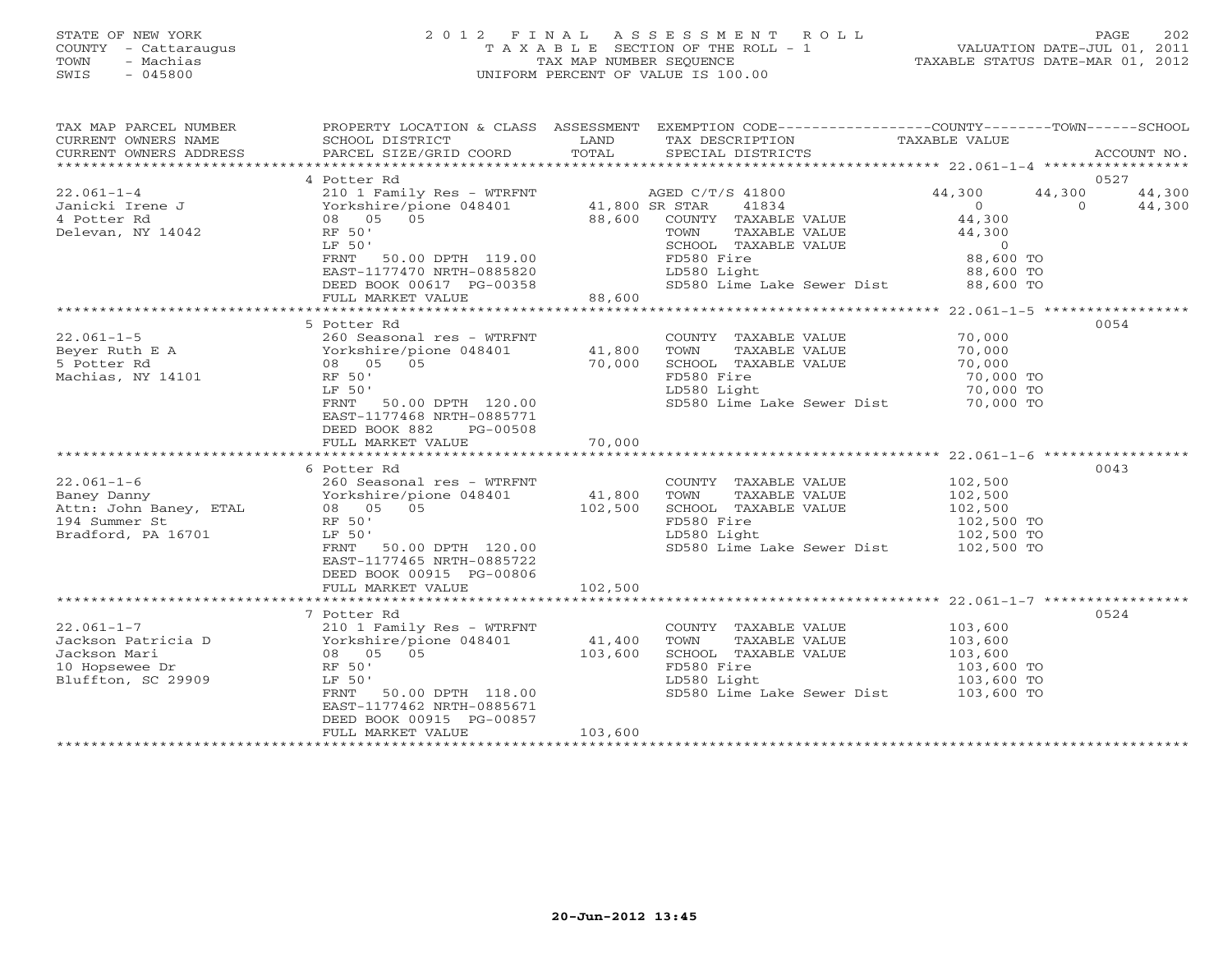#### STATE OF NEW YORK 2 0 1 2 F I N A L A S S E S S M E N T R O L L PAGE 202 COUNTY - Cattaraugus T A X A B L E SECTION OF THE ROLL - 1 VALUATION DATE-JUL 01, 2011 TOWN - Machias TAX MAP NUMBER SEQUENCE TAXABLE STATUS DATE-MAR 01, 2012 SWIS - 045800 UNIFORM PERCENT OF VALUE IS 100.00UNIFORM PERCENT OF VALUE IS 100.00

| TAX MAP PARCEL NUMBER<br>CURRENT OWNERS NAME<br>CURRENT OWNERS ADDRESS                                                                                                                                                                                       | SCHOOL DISTRICT<br>PARCEL SIZE/GRID COORD TOTAL                                                                                                                                                   | LAND                                      | PROPERTY LOCATION & CLASS ASSESSMENT EXEMPTION CODE---------------COUNTY-------TOWN------SCHOOL<br>TAX DESCRIPTION<br>SPECIAL DISTRICTS                              | TAXABLE VALUE                                                                       | ACCOUNT NO.                            |
|--------------------------------------------------------------------------------------------------------------------------------------------------------------------------------------------------------------------------------------------------------------|---------------------------------------------------------------------------------------------------------------------------------------------------------------------------------------------------|-------------------------------------------|----------------------------------------------------------------------------------------------------------------------------------------------------------------------|-------------------------------------------------------------------------------------|----------------------------------------|
|                                                                                                                                                                                                                                                              | 4 Potter Rd                                                                                                                                                                                       |                                           |                                                                                                                                                                      |                                                                                     | 0527                                   |
| $22.061 - 1 - 4$<br>Janicki Irene J<br>4 Potter Rd<br>Delevan, NY 14042                                                                                                                                                                                      | 210 1 Family Res - WTRFNT<br>Yorkshire/pione 048401<br>08 05 05<br>RF 50'<br>LF 50'<br>FRNT 50.00 DPTH 119.00<br>EAST-1177470 NRTH-0885820<br>DEED BOOK 00617 PG-00358<br>FULL MARKET VALUE       | 1.1 1.525 07.<br>41,800 SR STAR<br>88,600 | AGED C/T/S 41800<br>41834<br>88,600 COUNTY TAXABLE VALUE<br>TOWN<br>TAXABLE VALUE<br>SCHOOL TAXABLE VALUE<br>FD580 Fire<br>LD580 Light<br>SD580 Lime Lake Sewer Dist | 44,300<br>$\overline{0}$<br>44,300<br>44,300<br>88,600 TO<br>88,600 TO<br>88,600 TO | 44,300<br>44,300<br>44,300<br>$\Omega$ |
|                                                                                                                                                                                                                                                              |                                                                                                                                                                                                   |                                           |                                                                                                                                                                      | ********************* 22.061-1-5 ******************                                 |                                        |
|                                                                                                                                                                                                                                                              | LF 50'<br>50.00 DPTH 120.00<br>FRNT<br>EAST-1177468 NRTH-0885771<br>DEED BOOK 882<br>PG-00508<br>FULL MARKET VALUE 70,000                                                                         |                                           | COUNTY TAXABLE VALUE<br>TOWN<br>TAXABLE VALUE<br>SCHOOL TAXABLE VALUE<br>FD580 Fire<br>LD580 Light<br>SD580 Lime Lake Sewer Dist 70,000 TO                           | 70,000<br>70,000<br>70,000<br>70,000 TO<br>70,000 TO                                | 0054                                   |
|                                                                                                                                                                                                                                                              |                                                                                                                                                                                                   |                                           |                                                                                                                                                                      |                                                                                     |                                        |
| $22.061-1-6$<br>$260$ Seasonal $1e$ $e$ $ $<br>Attn: John Baney, ETAL<br>$260$ Seasonal $1e$ $ $<br>$260$ Seasonal $1e$ $ $<br>$260$ Seasonal $1e$ $ $<br>$260$ Seasonal $1e$ $ $<br>$260$ Seasonal $1e$ $ $<br>$260$<br>194 Summer St<br>Bradford, PA 16701 | 6 Potter Rd<br>260 Seasonal res - WTRFNT<br>LF 50'<br>FRNT<br>50.00 DPTH 120.00<br>EAST-1177465 NRTH-0885722<br>DEED BOOK 00915 PG-00806<br>FULL MARKET VALUE                                     | 41,800<br>102,500<br>102,500              | COUNTY TAXABLE VALUE<br>TOWN<br>TAXABLE VALUE<br>SCHOOL TAXABLE VALUE<br>FD580 Fire<br>LD580 Light<br>SD580 Lime Lake Sewer Dist 102,500 TO                          | 102,500<br>102,500<br>102,500<br>102,500 TO<br>102,500 TO                           | 0043                                   |
|                                                                                                                                                                                                                                                              |                                                                                                                                                                                                   |                                           |                                                                                                                                                                      |                                                                                     |                                        |
| $22.061 - 1 - 7$<br>Jackson Patricia D<br>Jackson Mari<br>10 Hopsewee Dr<br>Bluffton, SC 29909                                                                                                                                                               | 7 Potter Rd<br>210 1 Family Res - WTRFNT<br>Yorkshire/pione 048401<br>RF 50'<br>LF 50'<br>50.00 DPTH 118.00<br>FRNT<br>EAST-1177462 NRTH-0885671<br>DEED BOOK 00915 PG-00857<br>FULL MARKET VALUE | 41,400<br>103,600<br>103,600              | COUNTY TAXABLE VALUE<br>TOWN<br>TAXABLE VALUE<br>SCHOOL TAXABLE VALUE<br>FD580 Fire<br>LD580 Light<br>SD580 Lime Lake Sewer Dist 103,600 TO                          | 103,600<br>103,600<br>103,600<br>103,600 TO<br>103,600 TO                           | 0524                                   |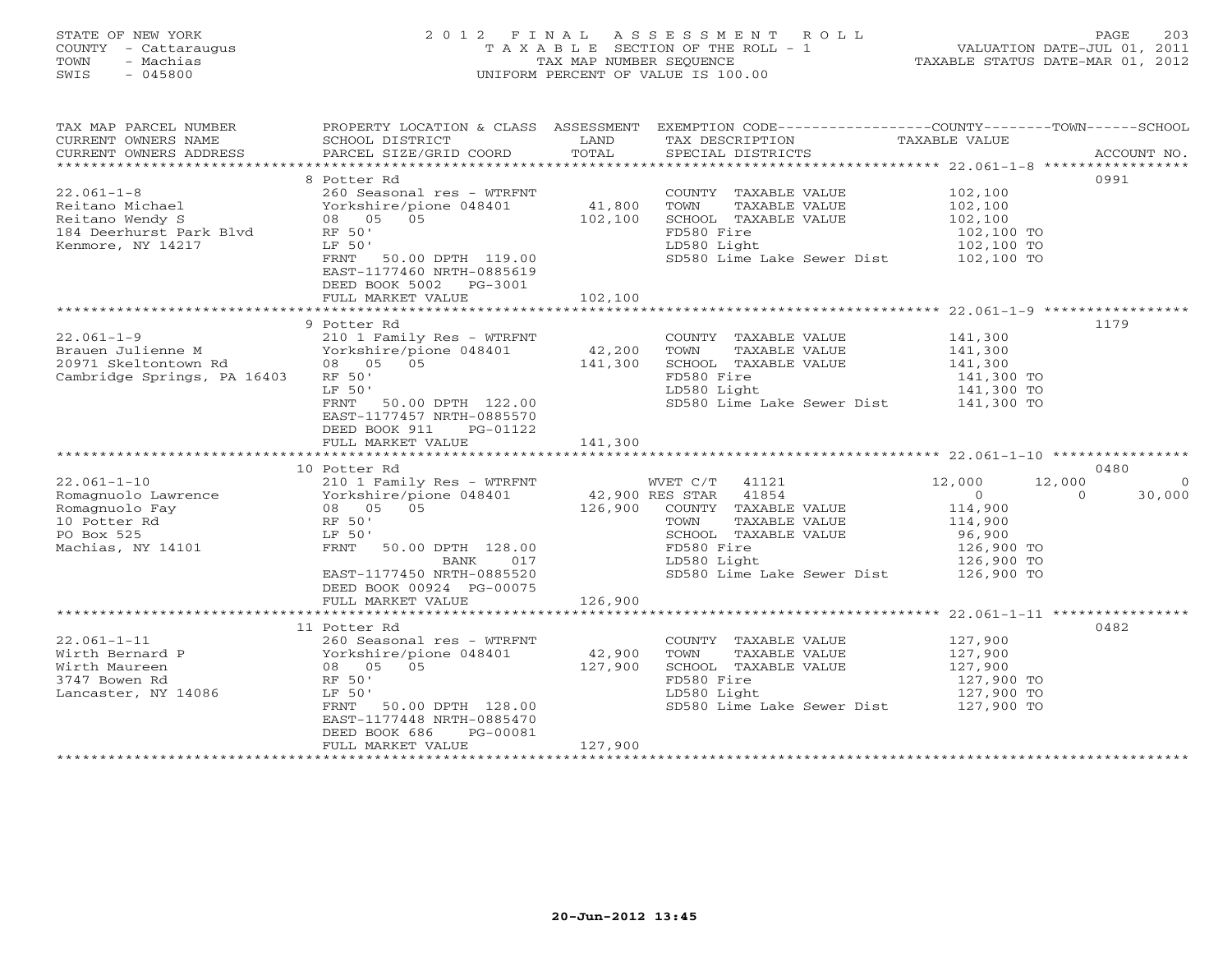# STATE OF NEW YORK 2 0 1 2 F I N A L A S S E S S M E N T R O L L PAGE 203 COUNTY - Cattaraugus T A X A B L E SECTION OF THE ROLL - 1 VALUATION DATE-JUL 01, 2011 TOWN - Machias TAX MAP NUMBER SEQUENCE TAXABLE STATUS DATE-MAR 01, 2012 SWIS - 045800 UNIFORM PERCENT OF VALUE IS 100.00UNIFORM PERCENT OF VALUE IS 100.00

| CURRENT OWNERS NAME                                                                                                                                                                                                                                                                                                                                                                                                                                                                                                    |                                               |                       | PROPERTY LOCATION & CLASS ASSESSMENT EXEMPTION CODE----------------COUNTY-------TOWN------SCHOOL |                            |                |
|------------------------------------------------------------------------------------------------------------------------------------------------------------------------------------------------------------------------------------------------------------------------------------------------------------------------------------------------------------------------------------------------------------------------------------------------------------------------------------------------------------------------|-----------------------------------------------|-----------------------|--------------------------------------------------------------------------------------------------|----------------------------|----------------|
|                                                                                                                                                                                                                                                                                                                                                                                                                                                                                                                        | SCHOOL DISTRICT                               | LAND                  | TAX DESCRIPTION                                                                                  | TAXABLE VALUE              |                |
|                                                                                                                                                                                                                                                                                                                                                                                                                                                                                                                        |                                               |                       |                                                                                                  |                            |                |
| $\begin{minipage}{.45\textwidth} \begin{minipage}{.45\textwidth} \begin{minipage}{.45\textwidth} \begin{minipage}{.45\textwidth} \begin{minipage}{.45\textwidth} \begin{minipage}{.45\textwidth} \begin{minipage}{.45\textwidth} \begin{minipage}{.45\textwidth} \begin{minipage}{.45\textwidth} \begin{minipage}{.45\textwidth} \begin{minipage}{.45\textwidth} \begin{minipage}{.45\textwidth} \begin{minipage}{.45\textwidth} \begin{minipage}{.45\textwidth} \begin{minipage}{.45\textwidth} \begin{minipage}{.45$ |                                               |                       |                                                                                                  |                            |                |
|                                                                                                                                                                                                                                                                                                                                                                                                                                                                                                                        | 8 Potter Rd                                   |                       |                                                                                                  |                            | 0991           |
| $22.061 - 1 - 8$                                                                                                                                                                                                                                                                                                                                                                                                                                                                                                       | 260 Seasonal res - WTRFNT                     |                       | COUNTY TAXABLE VALUE                                                                             | 102,100                    |                |
| Reitano Michael                                                                                                                                                                                                                                                                                                                                                                                                                                                                                                        | Yorkshire/pione 048401                        |                       | TOWN<br>TAXABLE VALUE                                                                            | 102,100                    |                |
| Reitano Wendy S                                                                                                                                                                                                                                                                                                                                                                                                                                                                                                        | 08 05 05                                      | $41,800$<br>$102,100$ | SCHOOL TAXABLE VALUE                                                                             | 102,100                    |                |
| 184 Deerhurst Park Blvd                                                                                                                                                                                                                                                                                                                                                                                                                                                                                                | RF 50'                                        |                       | FD580 Fire                                                                                       | 102,100 TO                 |                |
| Kenmore, NY 14217                                                                                                                                                                                                                                                                                                                                                                                                                                                                                                      | LF 50'                                        |                       | LD580 Light                                                                                      | 102,100 TO                 |                |
|                                                                                                                                                                                                                                                                                                                                                                                                                                                                                                                        | FRNT 50.00 DPTH 119.00                        |                       | SD580 Lime Lake Sewer Dist 102,100 TO                                                            |                            |                |
|                                                                                                                                                                                                                                                                                                                                                                                                                                                                                                                        | EAST-1177460 NRTH-0885619                     |                       |                                                                                                  |                            |                |
|                                                                                                                                                                                                                                                                                                                                                                                                                                                                                                                        | DEED BOOK 5002 PG-3001                        |                       |                                                                                                  |                            |                |
|                                                                                                                                                                                                                                                                                                                                                                                                                                                                                                                        | FULL MARKET VALUE                             | 102,100               |                                                                                                  |                            |                |
|                                                                                                                                                                                                                                                                                                                                                                                                                                                                                                                        |                                               |                       |                                                                                                  |                            |                |
|                                                                                                                                                                                                                                                                                                                                                                                                                                                                                                                        | 9 Potter Rd                                   |                       |                                                                                                  |                            | 1179           |
| $22.061 - 1 - 9$                                                                                                                                                                                                                                                                                                                                                                                                                                                                                                       | 210 1 Family Res - WTRFNT                     |                       | COUNTY TAXABLE VALUE                                                                             | 141,300                    |                |
| Brauen Julienne M                                                                                                                                                                                                                                                                                                                                                                                                                                                                                                      | Yorkshire/pione 048401                        | 42,200                | TAXABLE VALUE<br>TOWN                                                                            | 141,300                    |                |
| 20971 Skeltontown Rd                                                                                                                                                                                                                                                                                                                                                                                                                                                                                                   | $08 \qquad 05 \qquad 05$                      | 141,300               | SCHOOL TAXABLE VALUE                                                                             | 141,300                    |                |
| Cambridge Springs, PA 16403                                                                                                                                                                                                                                                                                                                                                                                                                                                                                            | RF 50'                                        |                       | FD580 Fire                                                                                       | 141,300 TO                 |                |
|                                                                                                                                                                                                                                                                                                                                                                                                                                                                                                                        | LF 50'                                        |                       |                                                                                                  |                            |                |
|                                                                                                                                                                                                                                                                                                                                                                                                                                                                                                                        | FRNT 50.00 DPTH 122.00                        |                       | LD580 Light 141,300 TO<br>SD580 Lime Lake Sewer Dist 141,300 TO                                  |                            |                |
|                                                                                                                                                                                                                                                                                                                                                                                                                                                                                                                        | EAST-1177457 NRTH-0885570                     |                       |                                                                                                  |                            |                |
|                                                                                                                                                                                                                                                                                                                                                                                                                                                                                                                        | DEED BOOK 911<br>PG-01122                     |                       |                                                                                                  |                            |                |
|                                                                                                                                                                                                                                                                                                                                                                                                                                                                                                                        | FULL MARKET VALUE                             | 141,300               |                                                                                                  |                            |                |
|                                                                                                                                                                                                                                                                                                                                                                                                                                                                                                                        |                                               |                       |                                                                                                  |                            |                |
|                                                                                                                                                                                                                                                                                                                                                                                                                                                                                                                        | 10 Potter Rd                                  |                       |                                                                                                  |                            | 0480           |
|                                                                                                                                                                                                                                                                                                                                                                                                                                                                                                                        |                                               |                       |                                                                                                  |                            |                |
| $22.061 - 1 - 10$                                                                                                                                                                                                                                                                                                                                                                                                                                                                                                      |                                               |                       | WVET $C/T$ 41121                                                                                 | 12,000<br>12,000           | $\overline{0}$ |
|                                                                                                                                                                                                                                                                                                                                                                                                                                                                                                                        | 210 1 Family Res - WTRFNT                     |                       |                                                                                                  | $\overline{0}$<br>$\Omega$ | 30,000         |
|                                                                                                                                                                                                                                                                                                                                                                                                                                                                                                                        |                                               |                       | COUNTY TAXABLE VALUE                                                                             | 114,900                    |                |
|                                                                                                                                                                                                                                                                                                                                                                                                                                                                                                                        |                                               |                       | TAXABLE VALUE                                                                                    | 114,900                    |                |
|                                                                                                                                                                                                                                                                                                                                                                                                                                                                                                                        |                                               |                       | SCHOOL TAXABLE VALUE                                                                             |                            |                |
|                                                                                                                                                                                                                                                                                                                                                                                                                                                                                                                        |                                               |                       |                                                                                                  |                            |                |
|                                                                                                                                                                                                                                                                                                                                                                                                                                                                                                                        | BANK<br>017                                   |                       | LD580 Light                                                                                      | 96,900<br>126,900 TO       |                |
|                                                                                                                                                                                                                                                                                                                                                                                                                                                                                                                        | EAST-1177450 NRTH-0885520                     |                       |                                                                                                  | 126,900 TO                 |                |
|                                                                                                                                                                                                                                                                                                                                                                                                                                                                                                                        |                                               |                       | SD580 Lime Lake Sewer Dist 126,900 TO                                                            |                            |                |
|                                                                                                                                                                                                                                                                                                                                                                                                                                                                                                                        | DEED BOOK 00924 PG-00075<br>FULL MARKET VALUE |                       |                                                                                                  |                            |                |
|                                                                                                                                                                                                                                                                                                                                                                                                                                                                                                                        |                                               | 126,900               |                                                                                                  |                            |                |
|                                                                                                                                                                                                                                                                                                                                                                                                                                                                                                                        | 11 Potter Rd                                  |                       |                                                                                                  |                            | 0482           |
| $22.061 - 1 - 11$                                                                                                                                                                                                                                                                                                                                                                                                                                                                                                      | 260 Seasonal res - WTRFNT                     |                       | COUNTY TAXABLE VALUE                                                                             | 127,900                    |                |
| Wirth Bernard P                                                                                                                                                                                                                                                                                                                                                                                                                                                                                                        |                                               |                       | TOWN<br>TAXABLE VALUE                                                                            | 127,900                    |                |
| Wirth Maureen                                                                                                                                                                                                                                                                                                                                                                                                                                                                                                          |                                               |                       | SCHOOL TAXABLE VALUE                                                                             |                            |                |
| 3747 Bowen Rd                                                                                                                                                                                                                                                                                                                                                                                                                                                                                                          | RF 50'                                        |                       | FD580 Fire                                                                                       | 127,900<br>127,900 TO      |                |
| Lancaster, NY 14086                                                                                                                                                                                                                                                                                                                                                                                                                                                                                                    | LF 50'                                        |                       | LD580 Light                                                                                      |                            |                |
|                                                                                                                                                                                                                                                                                                                                                                                                                                                                                                                        | FRNT 50.00 DPTH 128.00                        |                       | SD580 Lime Lake Sewer Dist                                                                       | 127,900 TO<br>127,900 TO   |                |
|                                                                                                                                                                                                                                                                                                                                                                                                                                                                                                                        | EAST-1177448 NRTH-0885470                     |                       |                                                                                                  |                            |                |
|                                                                                                                                                                                                                                                                                                                                                                                                                                                                                                                        | DEED BOOK 686<br>PG-00081                     |                       |                                                                                                  |                            |                |
|                                                                                                                                                                                                                                                                                                                                                                                                                                                                                                                        | FULL MARKET VALUE                             | 127,900               |                                                                                                  |                            |                |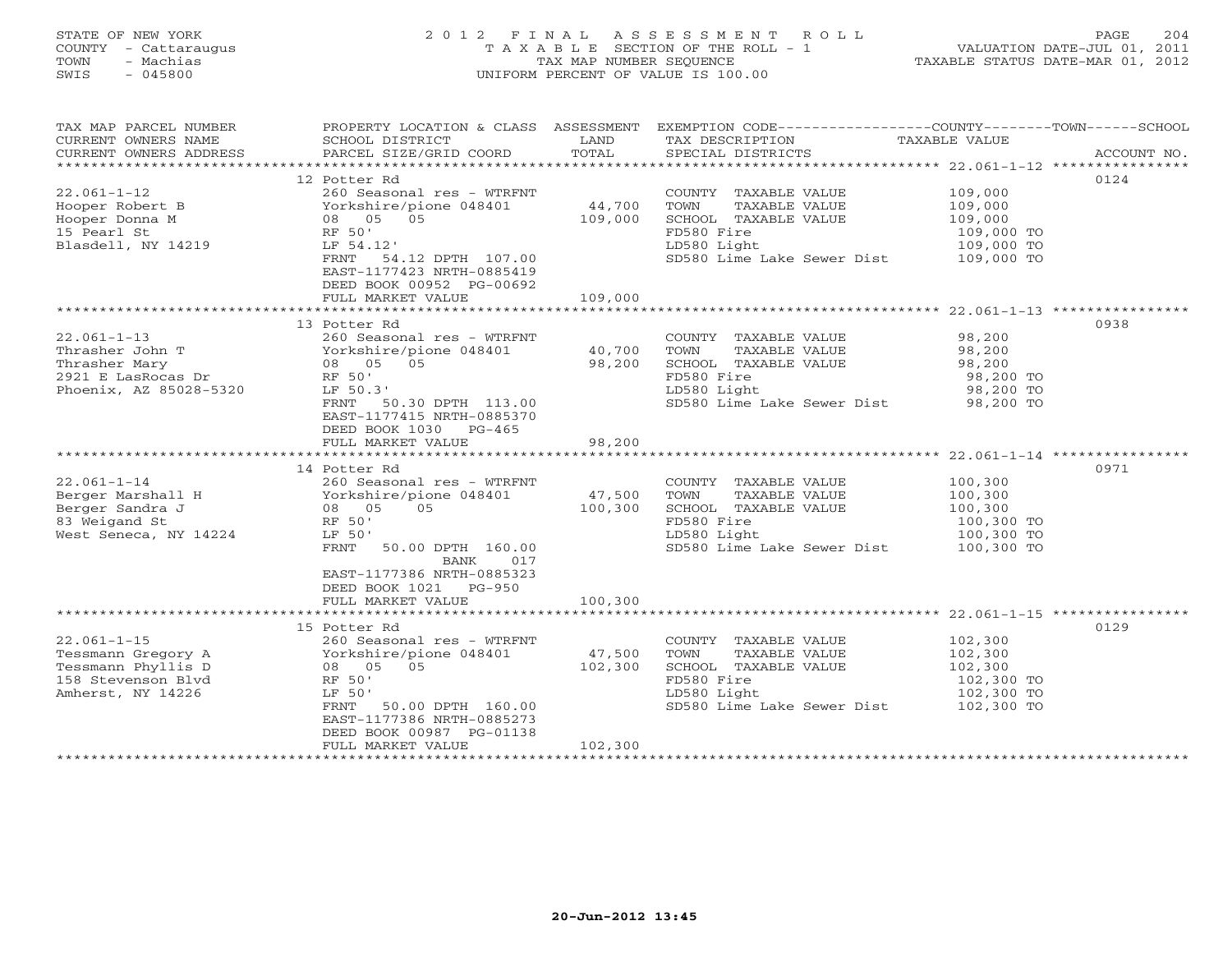# STATE OF NEW YORK 2 0 1 2 F I N A L A S S E S S M E N T R O L L PAGE 204 COUNTY - Cattaraugus T A X A B L E SECTION OF THE ROLL - 1 VALUATION DATE-JUL 01, 2011 TOWN - Machias TAX MAP NUMBER SEQUENCE TAXABLE STATUS DATE-MAR 01, 2012 SWIS - 045800 UNIFORM PERCENT OF VALUE IS 100.00UNIFORM PERCENT OF VALUE IS 100.00

| TAX MAP PARCEL NUMBER                               |                                                                                                                                           |         | PROPERTY LOCATION & CLASS ASSESSMENT EXEMPTION CODE----------------COUNTY-------TOWN------SCHOOL |                       |             |
|-----------------------------------------------------|-------------------------------------------------------------------------------------------------------------------------------------------|---------|--------------------------------------------------------------------------------------------------|-----------------------|-------------|
| CURRENT OWNERS NAME                                 | SCHOOL DISTRICT                                                                                                                           | LAND    | TAX DESCRIPTION                                                                                  | TAXABLE VALUE         |             |
| CURRENT OWNERS ADDRESS                              | PARCEL SIZE/GRID COORD                                                                                                                    | TOTAL   | SPECIAL DISTRICTS                                                                                |                       | ACCOUNT NO. |
|                                                     |                                                                                                                                           |         |                                                                                                  |                       |             |
|                                                     | 12 Potter Rd                                                                                                                              |         |                                                                                                  |                       | 0124        |
| $22.061 - 1 - 12$                                   |                                                                                                                                           |         | COUNTY TAXABLE VALUE                                                                             | 109,000               |             |
| Hooper Robert B                                     |                                                                                                                                           |         | TOWN<br>TAXABLE VALUE                                                                            | 109,000               |             |
| Hooper Donna M                                      |                                                                                                                                           |         | SCHOOL TAXABLE VALUE                                                                             |                       |             |
| 15 Pearl St                                         | 260 Seasonal res - WTRFNT<br>Yorkshire/pione 048401 44,700<br>08 05 05 05 109,000<br>RF 50'                                               |         | FD580 Fire                                                                                       | 109,000<br>109,000 TO |             |
| Blasdell, NY 14219                                  | LF 54.12'                                                                                                                                 |         | LD580 Light                                                                                      | 109,000 TO            |             |
|                                                     | FRNT 54.12 DPTH 107.00                                                                                                                    |         | SD580 Lime Lake Sewer Dist 109,000 TO                                                            |                       |             |
|                                                     | EAST-1177423 NRTH-0885419                                                                                                                 |         |                                                                                                  |                       |             |
|                                                     | DEED BOOK 00952 PG-00692                                                                                                                  |         |                                                                                                  |                       |             |
|                                                     | FULL MARKET VALUE                                                                                                                         | 109,000 |                                                                                                  |                       |             |
|                                                     |                                                                                                                                           |         |                                                                                                  |                       |             |
|                                                     | 13 Potter Rd                                                                                                                              |         |                                                                                                  |                       | 0938        |
| $22.061 - 1 - 13$                                   | 260 Seasonal res - WTRFNT                                                                                                                 |         | COUNTY TAXABLE VALUE                                                                             | 98,200<br>98,200      |             |
|                                                     | $22.001-1-13$<br>Thrasher John T<br>Thrasher Mary<br>2921 E LasRocas Dr<br>2921 E LasRocas Dr<br>2921 E LasRocas Dr<br>2921 E LasRocas Dr | 40,700  | TOWN<br>TAXABLE VALUE                                                                            |                       |             |
|                                                     |                                                                                                                                           | 98,200  | SCHOOL TAXABLE VALUE                                                                             | 98,200                |             |
|                                                     |                                                                                                                                           |         | FD580 Fire                                                                                       | 98,200 TO             |             |
| Phoenix, AZ 85028-5320 LF 50.3'                     |                                                                                                                                           |         | LD580 Light                                                                                      | 98,200 TO             |             |
|                                                     | FRNT 50.30 DPTH 113.00                                                                                                                    |         | $SD580$ Lime Lake Sewer Dist 98,200 TO                                                           |                       |             |
|                                                     | EAST-1177415 NRTH-0885370                                                                                                                 |         |                                                                                                  |                       |             |
|                                                     | DEED BOOK 1030 PG-465                                                                                                                     |         |                                                                                                  |                       |             |
|                                                     | FULL MARKET VALUE                                                                                                                         | 98,200  |                                                                                                  |                       |             |
|                                                     |                                                                                                                                           |         |                                                                                                  |                       |             |
|                                                     |                                                                                                                                           |         |                                                                                                  |                       | 0971        |
|                                                     |                                                                                                                                           |         | COUNTY TAXABLE VALUE                                                                             | 100,300               |             |
|                                                     |                                                                                                                                           |         | TOWN<br>TAXABLE VALUE                                                                            | 100,300               |             |
|                                                     |                                                                                                                                           |         | SCHOOL TAXABLE VALUE                                                                             | 100,300<br>100,300 TO |             |
|                                                     |                                                                                                                                           |         | FD580 Fire                                                                                       |                       |             |
| West Seneca, NY 14224                               | LF 50'                                                                                                                                    |         | LD580 Light                                                                                      | 100,300 TO            |             |
|                                                     | FRNT<br>50.00 DPTH 160.00                                                                                                                 |         | SD580 Lime Lake Sewer Dist 100,300 TO                                                            |                       |             |
|                                                     | BANK<br>017                                                                                                                               |         |                                                                                                  |                       |             |
|                                                     | EAST-1177386 NRTH-0885323                                                                                                                 |         |                                                                                                  |                       |             |
|                                                     | DEED BOOK 1021 PG-950                                                                                                                     |         |                                                                                                  |                       |             |
|                                                     | FULL MARKET VALUE                                                                                                                         | 100,300 |                                                                                                  |                       |             |
|                                                     |                                                                                                                                           |         |                                                                                                  |                       |             |
|                                                     | 15 Potter Rd                                                                                                                              |         |                                                                                                  |                       | 0129        |
| $22.061 - 1 - 15$                                   | 260 Seasonal res - WTRFNT                                                                                                                 |         | COUNTY TAXABLE VALUE                                                                             | 102,300               |             |
|                                                     |                                                                                                                                           | 47,500  | TOWN<br>TAXABLE VALUE                                                                            | 102,300               |             |
|                                                     |                                                                                                                                           | 102,300 | SCHOOL TAXABLE VALUE                                                                             | 102,300               |             |
| 158 Stevenson Blvd<br><sup>Amh</sup> erst, NY 14226 | RF 50'                                                                                                                                    |         | FD580 Fire                                                                                       | 102,300 TO            |             |
| Amherst, NY 14226                                   | LF 50'                                                                                                                                    |         | LD580 Light                                                                                      | 102,300 TO            |             |
|                                                     | FRNT<br>50.00 DPTH 160.00                                                                                                                 |         | SD580 Lime Lake Sewer Dist 102,300 TO                                                            |                       |             |
|                                                     | EAST-1177386 NRTH-0885273                                                                                                                 |         |                                                                                                  |                       |             |
|                                                     | DEED BOOK 00987 PG-01138                                                                                                                  |         |                                                                                                  |                       |             |
|                                                     | FULL MARKET VALUE                                                                                                                         | 102,300 |                                                                                                  |                       |             |
|                                                     |                                                                                                                                           |         |                                                                                                  |                       |             |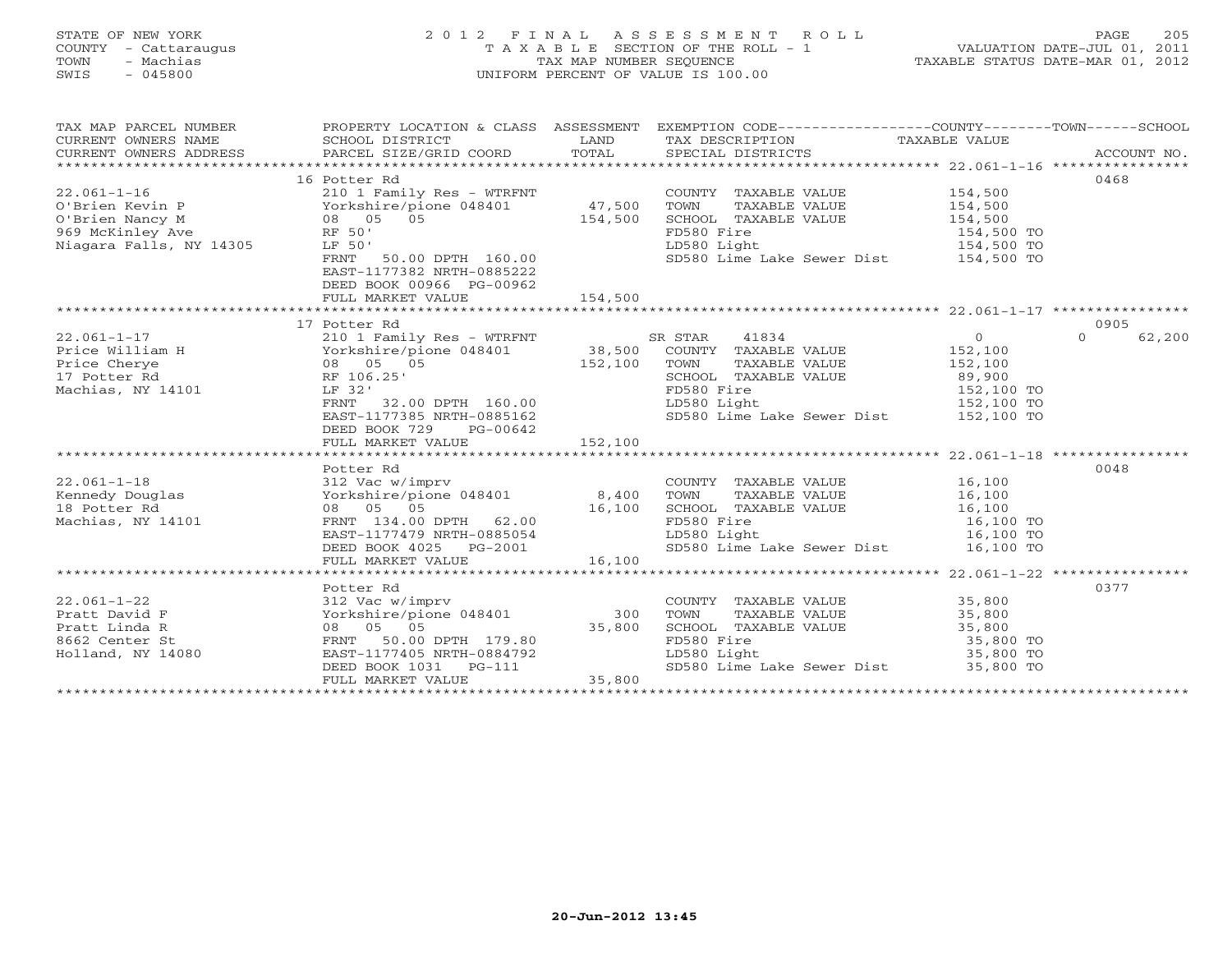# STATE OF NEW YORK 2 0 1 2 F I N A L A S S E S S M E N T R O L L PAGE 205 COUNTY - Cattaraugus T A X A B L E SECTION OF THE ROLL - 1 VALUATION DATE-JUL 01, 2011 TOWN - Machias TAX MAP NUMBER SEQUENCE TAXABLE STATUS DATE-MAR 01, 2012 SWIS - 045800 UNIFORM PERCENT OF VALUE IS 100.00UNIFORM PERCENT OF VALUE IS 100.00

| TAX MAP PARCEL NUMBER                                                                                                                                                                                                 |                                                     |         | PROPERTY LOCATION & CLASS ASSESSMENT EXEMPTION CODE---------------COUNTY-------TOWN------SCHOOL                                                                                                 |                    |
|-----------------------------------------------------------------------------------------------------------------------------------------------------------------------------------------------------------------------|-----------------------------------------------------|---------|-------------------------------------------------------------------------------------------------------------------------------------------------------------------------------------------------|--------------------|
|                                                                                                                                                                                                                       | 16 Potter Rd                                        |         |                                                                                                                                                                                                 | 0468               |
|                                                                                                                                                                                                                       |                                                     |         | COUNTY TAXABLE VALUE 154,500                                                                                                                                                                    |                    |
| 22.061-1-16<br>0'Brien Kevin P<br>0'Brien Nancy M<br>0'Brien Nancy M<br>08 05 05 05 154,500 SCHOO:<br>969 McKinley Ave RF 50' Riagara Falls, NY 14305 LF 50' LD580                                                    |                                                     |         | TAXABLE VALUE 154,500                                                                                                                                                                           |                    |
|                                                                                                                                                                                                                       |                                                     |         |                                                                                                                                                                                                 |                    |
|                                                                                                                                                                                                                       |                                                     |         | SCHOOL TAXABLE VALUE $154,500$<br>FD580 Fire $154,500$ TO<br>LD580 Light $154,500$ TO                                                                                                           |                    |
|                                                                                                                                                                                                                       |                                                     |         |                                                                                                                                                                                                 |                    |
|                                                                                                                                                                                                                       | RF 50'<br>LF 50'<br>FRNT 50.00 DPTH 160.00          |         | SD580 Lime Lake Sewer Dist 154,500 TO                                                                                                                                                           |                    |
|                                                                                                                                                                                                                       | EAST-1177382 NRTH-0885222                           |         |                                                                                                                                                                                                 |                    |
|                                                                                                                                                                                                                       | DEED BOOK 00966 PG-00962                            |         |                                                                                                                                                                                                 |                    |
|                                                                                                                                                                                                                       | FULL MARKET VALUE                                   | 154,500 |                                                                                                                                                                                                 |                    |
|                                                                                                                                                                                                                       |                                                     |         |                                                                                                                                                                                                 |                    |
|                                                                                                                                                                                                                       | 17 Potter Rd                                        |         |                                                                                                                                                                                                 | 0905               |
|                                                                                                                                                                                                                       |                                                     |         |                                                                                                                                                                                                 | 62,200<br>$\Omega$ |
|                                                                                                                                                                                                                       |                                                     |         |                                                                                                                                                                                                 |                    |
|                                                                                                                                                                                                                       |                                                     |         |                                                                                                                                                                                                 |                    |
|                                                                                                                                                                                                                       |                                                     |         |                                                                                                                                                                                                 |                    |
|                                                                                                                                                                                                                       |                                                     |         |                                                                                                                                                                                                 |                    |
|                                                                                                                                                                                                                       |                                                     |         |                                                                                                                                                                                                 |                    |
|                                                                                                                                                                                                                       |                                                     |         |                                                                                                                                                                                                 |                    |
|                                                                                                                                                                                                                       | DEED BOOK 729 PG-00642                              |         |                                                                                                                                                                                                 |                    |
|                                                                                                                                                                                                                       |                                                     |         |                                                                                                                                                                                                 |                    |
|                                                                                                                                                                                                                       |                                                     |         |                                                                                                                                                                                                 |                    |
|                                                                                                                                                                                                                       | Potter Rd                                           |         |                                                                                                                                                                                                 | 0048               |
|                                                                                                                                                                                                                       |                                                     |         | COUNTY TAXABLE VALUE 16,100                                                                                                                                                                     |                    |
| 22.061-1-18<br>Examedy Douglas 312 Vac w/imprv<br>Examedy Douglas 18 Potter Rd 08 05 05 05 16,100 SCHOO<br>Machias, NY 14101 PRNT 134.00 DPTH 62.00 PD580<br>Machias, NY 14101 PRNT 134.00 DPTH 62.00 PD580           |                                                     |         | TOWN TAXABLE VALUE<br>SCHOOL TAXABLE VALUE<br>SCHOOL TAXABLE VALUE<br>I6,100<br>FD580 Fire<br>LD580 Light<br>SD580 Lime Lake Sewer Dist<br>16,100 TO<br>SD580 Lime Lake Sewer Dist<br>16,100 TO |                    |
|                                                                                                                                                                                                                       |                                                     |         |                                                                                                                                                                                                 |                    |
|                                                                                                                                                                                                                       |                                                     |         |                                                                                                                                                                                                 |                    |
|                                                                                                                                                                                                                       |                                                     |         |                                                                                                                                                                                                 |                    |
|                                                                                                                                                                                                                       | EAST-1177479 NRTH-0885054<br>DEED BOOK 4025 PG-2001 |         |                                                                                                                                                                                                 |                    |
|                                                                                                                                                                                                                       | FULL MARKET VALUE                                   | 16,100  |                                                                                                                                                                                                 |                    |
|                                                                                                                                                                                                                       |                                                     |         |                                                                                                                                                                                                 |                    |
|                                                                                                                                                                                                                       | Potter Rd                                           |         |                                                                                                                                                                                                 | 0377               |
| $22.061 - 1 - 22$                                                                                                                                                                                                     | 312 Vac w/imprv                                     |         | COUNTY TAXABLE VALUE 35,800                                                                                                                                                                     |                    |
|                                                                                                                                                                                                                       |                                                     |         | TAXABLE VALUE 35,800                                                                                                                                                                            |                    |
|                                                                                                                                                                                                                       |                                                     |         |                                                                                                                                                                                                 |                    |
|                                                                                                                                                                                                                       |                                                     |         | SCHOOL TAXABLE VALUE $35,800$<br>FD580 Fire $35,800$ TO<br>LD580 Light $35,800$ TO                                                                                                              |                    |
|                                                                                                                                                                                                                       |                                                     |         |                                                                                                                                                                                                 |                    |
|                                                                                                                                                                                                                       |                                                     |         |                                                                                                                                                                                                 |                    |
| FAST-1177405 INTH-0884792<br>Holland, NY 14080 EAST-1177405 INTH-0884792<br>DEED BOOK 1031 PG-111 35,800 Lime Lake Sewer Dist 55,800 TO<br>FULL MARKET VALUE 35,800 35,800 Eight 5D580 Lime Lake Sewer Dist 55,800 TO |                                                     |         |                                                                                                                                                                                                 |                    |
|                                                                                                                                                                                                                       |                                                     |         |                                                                                                                                                                                                 |                    |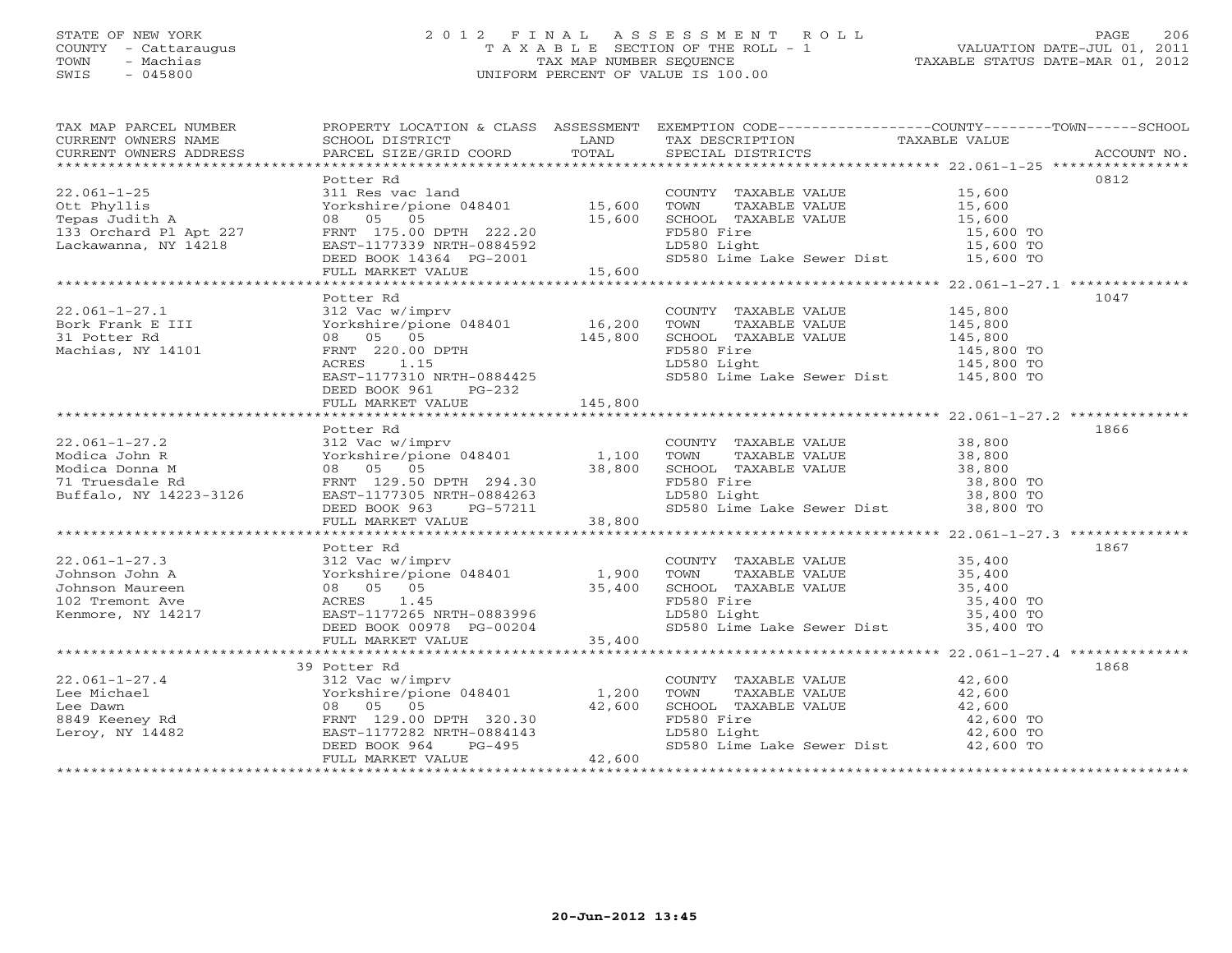# STATE OF NEW YORK 2 0 1 2 F I N A L A S S E S S M E N T R O L L PAGE 206 COUNTY - Cattaraugus T A X A B L E SECTION OF THE ROLL - 1 VALUATION DATE-JUL 01, 2011 TOWN - Machias TAX MAP NUMBER SEQUENCE TAXABLE STATUS DATE-MAR 01, 2012 SWIS - 045800 UNIFORM PERCENT OF VALUE IS 100.00UNIFORM PERCENT OF VALUE IS 100.00

| TAX MAP PARCEL NUMBER                                                                                                                                                                                                                                                     | PROPERTY LOCATION & CLASS ASSESSMENT EXEMPTION CODE----------------COUNTY-------TOWN------SCHOOL |                                                                                                                                                                                                                                            |      |
|---------------------------------------------------------------------------------------------------------------------------------------------------------------------------------------------------------------------------------------------------------------------------|--------------------------------------------------------------------------------------------------|--------------------------------------------------------------------------------------------------------------------------------------------------------------------------------------------------------------------------------------------|------|
|                                                                                                                                                                                                                                                                           |                                                                                                  |                                                                                                                                                                                                                                            |      |
|                                                                                                                                                                                                                                                                           |                                                                                                  |                                                                                                                                                                                                                                            |      |
|                                                                                                                                                                                                                                                                           |                                                                                                  |                                                                                                                                                                                                                                            |      |
|                                                                                                                                                                                                                                                                           | Potter Rd                                                                                        |                                                                                                                                                                                                                                            | 0812 |
|                                                                                                                                                                                                                                                                           |                                                                                                  |                                                                                                                                                                                                                                            |      |
|                                                                                                                                                                                                                                                                           |                                                                                                  |                                                                                                                                                                                                                                            |      |
|                                                                                                                                                                                                                                                                           |                                                                                                  |                                                                                                                                                                                                                                            |      |
|                                                                                                                                                                                                                                                                           |                                                                                                  |                                                                                                                                                                                                                                            |      |
|                                                                                                                                                                                                                                                                           |                                                                                                  |                                                                                                                                                                                                                                            |      |
|                                                                                                                                                                                                                                                                           |                                                                                                  |                                                                                                                                                                                                                                            |      |
| 22.061-1-25<br>22.061-1-25<br>22.061-1-25<br>23.061-1-25<br>23.061-1-25<br>23.061-1-25<br>23.061-1-25<br>23.061-1-25<br>23.061-1-25<br>23.060<br>23.060<br>23.060<br>23.060<br>23.060<br>23.060<br>23.060<br>23.060<br>23.060<br>23.060<br>23.060<br>23.060<br>25,600<br> |                                                                                                  |                                                                                                                                                                                                                                            |      |
|                                                                                                                                                                                                                                                                           |                                                                                                  |                                                                                                                                                                                                                                            |      |
|                                                                                                                                                                                                                                                                           | Potter Rd                                                                                        |                                                                                                                                                                                                                                            | 1047 |
| 22.061-1-27.1 312 Vac w/imprv<br>Bork Frank E III Yorkshire/pione 048401 16,200<br>31 Potter Rd 08 05 05 145,800<br>Machias, NY 14101 RRNT 220.00 DPTH<br>ACRES 1.15<br>EAST-117310 NRTH-0884425<br>EAST-117310 NRTH-0884425                                              |                                                                                                  | COUNTY TAXABLE VALUE $145,800$<br>TOWN TAXABLE VALUE $145,800$<br>SCHOOL TAXABLE VALUE $145,800$<br>FD580 Fire $145,800$<br>LD580 Light $145,800$ TO<br>SD580 Lime Lake Sewer Dist $145,800$ TO<br>SD580 Lime Lake Sewer Dist $145,800$ TO |      |
|                                                                                                                                                                                                                                                                           |                                                                                                  |                                                                                                                                                                                                                                            |      |
|                                                                                                                                                                                                                                                                           |                                                                                                  |                                                                                                                                                                                                                                            |      |
|                                                                                                                                                                                                                                                                           |                                                                                                  |                                                                                                                                                                                                                                            |      |
|                                                                                                                                                                                                                                                                           |                                                                                                  |                                                                                                                                                                                                                                            |      |
|                                                                                                                                                                                                                                                                           |                                                                                                  |                                                                                                                                                                                                                                            |      |
|                                                                                                                                                                                                                                                                           | DEED BOOK 961 PG-232                                                                             |                                                                                                                                                                                                                                            |      |
|                                                                                                                                                                                                                                                                           | FULL MARKET VALUE 145,800                                                                        |                                                                                                                                                                                                                                            |      |
|                                                                                                                                                                                                                                                                           |                                                                                                  |                                                                                                                                                                                                                                            |      |
|                                                                                                                                                                                                                                                                           | Potter Rd                                                                                        |                                                                                                                                                                                                                                            | 1866 |
|                                                                                                                                                                                                                                                                           |                                                                                                  |                                                                                                                                                                                                                                            |      |
|                                                                                                                                                                                                                                                                           |                                                                                                  |                                                                                                                                                                                                                                            |      |
|                                                                                                                                                                                                                                                                           |                                                                                                  |                                                                                                                                                                                                                                            |      |
|                                                                                                                                                                                                                                                                           |                                                                                                  |                                                                                                                                                                                                                                            |      |
|                                                                                                                                                                                                                                                                           |                                                                                                  |                                                                                                                                                                                                                                            |      |
|                                                                                                                                                                                                                                                                           |                                                                                                  |                                                                                                                                                                                                                                            |      |
|                                                                                                                                                                                                                                                                           |                                                                                                  |                                                                                                                                                                                                                                            |      |
|                                                                                                                                                                                                                                                                           |                                                                                                  |                                                                                                                                                                                                                                            |      |
|                                                                                                                                                                                                                                                                           | Potter Rd                                                                                        |                                                                                                                                                                                                                                            | 1867 |
|                                                                                                                                                                                                                                                                           |                                                                                                  |                                                                                                                                                                                                                                            |      |
|                                                                                                                                                                                                                                                                           |                                                                                                  |                                                                                                                                                                                                                                            |      |
|                                                                                                                                                                                                                                                                           |                                                                                                  |                                                                                                                                                                                                                                            |      |
|                                                                                                                                                                                                                                                                           |                                                                                                  |                                                                                                                                                                                                                                            |      |
|                                                                                                                                                                                                                                                                           |                                                                                                  |                                                                                                                                                                                                                                            |      |
|                                                                                                                                                                                                                                                                           |                                                                                                  |                                                                                                                                                                                                                                            |      |
|                                                                                                                                                                                                                                                                           |                                                                                                  |                                                                                                                                                                                                                                            |      |
|                                                                                                                                                                                                                                                                           |                                                                                                  |                                                                                                                                                                                                                                            |      |
|                                                                                                                                                                                                                                                                           | 39 Potter Rd                                                                                     |                                                                                                                                                                                                                                            | 1868 |
|                                                                                                                                                                                                                                                                           |                                                                                                  | $\begin{tabular}{lllllll} \multicolumn{2}{c}{\textbf{COUNTY}} & \textbf{TAXABLE VALUE} & & & & 42,600 \\ \multicolumn{2}{c}{\textbf{TOWN}} & \textbf{TAXABLE VALUE} & & & 42,600 \end{tabular}$                                            |      |
|                                                                                                                                                                                                                                                                           |                                                                                                  |                                                                                                                                                                                                                                            |      |
|                                                                                                                                                                                                                                                                           |                                                                                                  | SCHOOL TAXABLE VALUE<br>FD580 Fire 42,600 TO<br>LD580 Light 42,600 TO<br>SD580 Lime Lake Sewer Dist 42,600 TO<br>SD580 Lime Lake Sewer Dist 42,600 TO                                                                                      |      |
|                                                                                                                                                                                                                                                                           |                                                                                                  |                                                                                                                                                                                                                                            |      |
|                                                                                                                                                                                                                                                                           |                                                                                                  |                                                                                                                                                                                                                                            |      |
|                                                                                                                                                                                                                                                                           |                                                                                                  |                                                                                                                                                                                                                                            |      |
|                                                                                                                                                                                                                                                                           |                                                                                                  |                                                                                                                                                                                                                                            |      |
|                                                                                                                                                                                                                                                                           |                                                                                                  |                                                                                                                                                                                                                                            |      |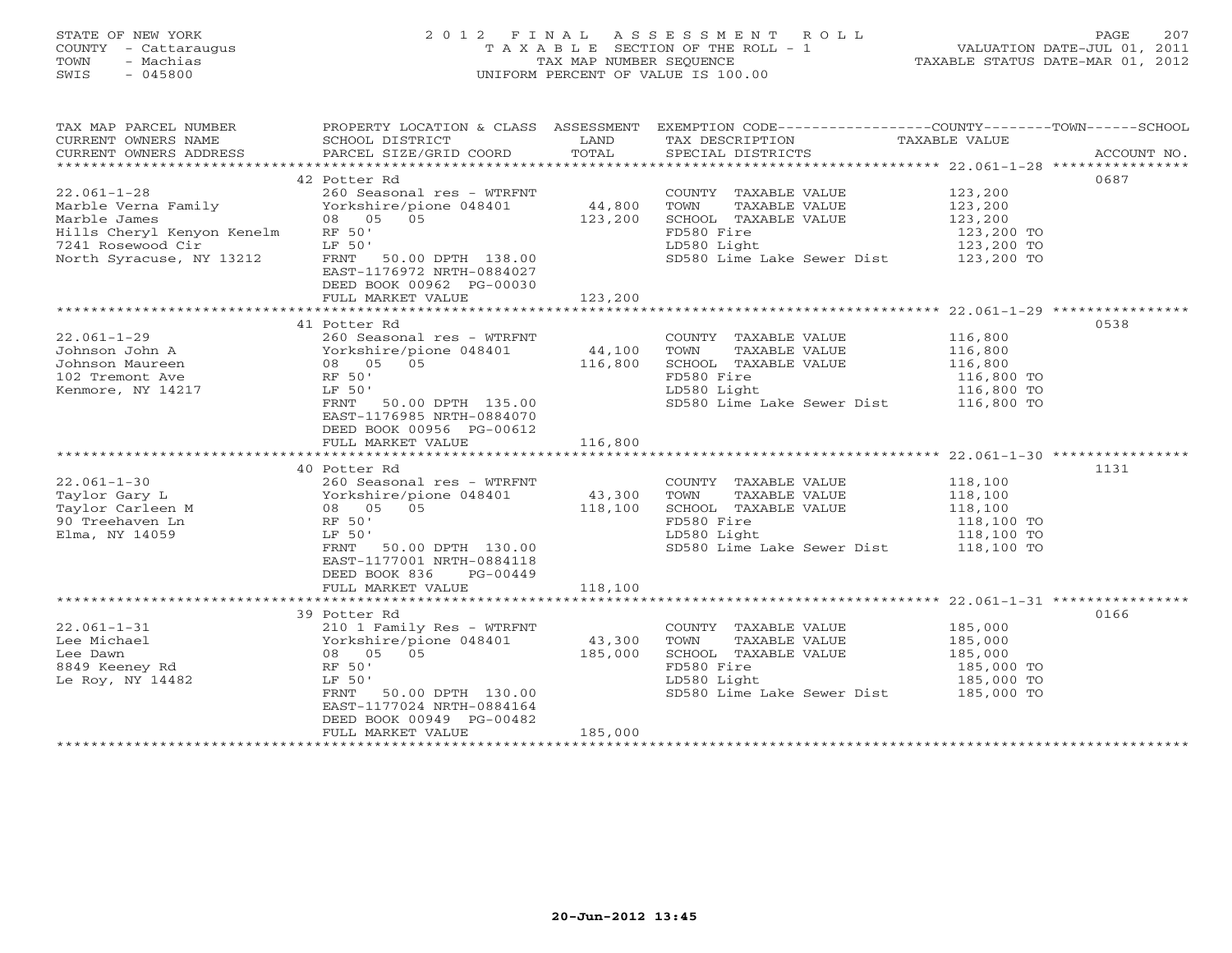# STATE OF NEW YORK 2 0 1 2 F I N A L A S S E S S M E N T R O L L PAGE 207 COUNTY - Cattaraugus T A X A B L E SECTION OF THE ROLL - 1 VALUATION DATE-JUL 01, 2011 TOWN - Machias TAX MAP NUMBER SEQUENCE TAXABLE STATUS DATE-MAR 01, 2012 SWIS - 045800 UNIFORM PERCENT OF VALUE IS 100.00UNIFORM PERCENT OF VALUE IS 100.00

| TAX MAP PARCEL NUMBER<br>CURRENT OWNERS NAME<br>CURRENT OWNERS ADDRESS | SCHOOL DISTRICT<br>PARCEL SIZE/GRID COORD                                                                | <b>EXAMPLE SERVICE SERVICE SERVICE SERVICE SERVICE SERVICE SERVICE SERVICE SERVICE SERVICE SERVICE SERVICE SERVICE</b><br>TOTAL | TAX DESCRIPTION TAXABLE VALUE SPECIAL DISTRICTS<br>SPECIAL DISTRICTS  | PROPERTY LOCATION & CLASS ASSESSMENT EXEMPTION CODE----------------COUNTY-------TOWN------SCHOOL<br>ACCOUNT NO. |
|------------------------------------------------------------------------|----------------------------------------------------------------------------------------------------------|---------------------------------------------------------------------------------------------------------------------------------|-----------------------------------------------------------------------|-----------------------------------------------------------------------------------------------------------------|
|                                                                        |                                                                                                          |                                                                                                                                 |                                                                       |                                                                                                                 |
|                                                                        | 42 Potter Rd                                                                                             |                                                                                                                                 |                                                                       | 0687                                                                                                            |
| $22.061 - 1 - 28$                                                      |                                                                                                          |                                                                                                                                 | COUNTY TAXABLE VALUE                                                  | 123,200<br>123,200                                                                                              |
|                                                                        |                                                                                                          |                                                                                                                                 | TAXABLE VALUE                                                         |                                                                                                                 |
| Marbie Games<br>Hills Cheryl Kenyon Kenelm      RF 50'                 |                                                                                                          | 123,200                                                                                                                         | SCHOOL TAXABLE VALUE                                                  | 123, 200                                                                                                        |
|                                                                        |                                                                                                          |                                                                                                                                 | FD580 Fire                                                            | 123,200 TO                                                                                                      |
| 7241 Rosewood Cir<br>North Syracuse, NY 13212                          | LF 50'                                                                                                   |                                                                                                                                 | EDS00 Fire<br>LD580 Light<br>SD580 Lime Lake Sewer Dist<br>123,200 TO |                                                                                                                 |
|                                                                        | FRNT 50.00 DPTH 138.00<br>EAST-1176972 NRTH-0884027<br>DEED BOOK 00962 PG-00030                          |                                                                                                                                 |                                                                       |                                                                                                                 |
|                                                                        | FULL MARKET VALUE                                                                                        | 123,200                                                                                                                         |                                                                       |                                                                                                                 |
|                                                                        |                                                                                                          |                                                                                                                                 |                                                                       |                                                                                                                 |
|                                                                        | 41 Potter Rd<br>260 Seasonal res - WTRFNT<br>Yorkshire/pione 048401 44,100<br>08 05 05 116,800<br>RF 50' |                                                                                                                                 |                                                                       | 0538                                                                                                            |
| $22.061 - 1 - 29$                                                      |                                                                                                          |                                                                                                                                 | COUNTY TAXABLE VALUE                                                  | 116,800<br>116,800                                                                                              |
| Johnson John A<br>Johnson Maureen                                      |                                                                                                          |                                                                                                                                 | TOWN<br>TAXABLE VALUE<br>SCHOOL TAXABLE VALUE                         |                                                                                                                 |
| 102 Tremont Ave                                                        |                                                                                                          |                                                                                                                                 | FD580 Fire                                                            | 116,800<br>116,800 TO                                                                                           |
| Kenmore, NY 14217                                                      | LF 50'                                                                                                   |                                                                                                                                 | LD580 Light                                                           | 116,800 TO<br>116,800 TO                                                                                        |
|                                                                        | FRNT 50.00 DPTH 135.00                                                                                   |                                                                                                                                 | SD580 Lime Lake Sewer Dist 116,800 TO                                 |                                                                                                                 |
|                                                                        | EAST-1176985 NRTH-0884070                                                                                |                                                                                                                                 |                                                                       |                                                                                                                 |
|                                                                        | DEED BOOK 00956 PG-00612                                                                                 |                                                                                                                                 |                                                                       |                                                                                                                 |
|                                                                        | FULL MARKET VALUE 116,800                                                                                |                                                                                                                                 |                                                                       |                                                                                                                 |
|                                                                        |                                                                                                          |                                                                                                                                 |                                                                       |                                                                                                                 |
|                                                                        | 40 Potter Rd                                                                                             |                                                                                                                                 |                                                                       | 1131                                                                                                            |
| $22.061 - 1 - 30$                                                      | 260 Seasonal res - WTRFNT                                                                                |                                                                                                                                 |                                                                       |                                                                                                                 |
| Taylor Gary L                                                          | 260 Seasonal res - WTRFNT<br>Yorkshire/pione 048401     43,300<br>08   05   05         118,100           |                                                                                                                                 | COUNTY TAXABLE VALUE 118,100<br>TOWN TAXABLE VALUE 118,100            |                                                                                                                 |
|                                                                        |                                                                                                          |                                                                                                                                 | SCHOOL TAXABLE VALUE                                                  | 118, 100                                                                                                        |
| 90 Treehaven Ln                                                        | RF 50'                                                                                                   |                                                                                                                                 | FD580 Fire                                                            |                                                                                                                 |
| Elma, NY 14059                                                         | LF 50'                                                                                                   |                                                                                                                                 | LD580 Light                                                           | 118,100 TO<br>118,100 TO                                                                                        |
|                                                                        | FRNT 50.00 DPTH 130.00                                                                                   |                                                                                                                                 | SD580 Lime Lake Sewer Dist 118,100 TO                                 |                                                                                                                 |
|                                                                        | EAST-1177001 NRTH-0884118                                                                                |                                                                                                                                 |                                                                       |                                                                                                                 |
|                                                                        | DEED BOOK 836 PG-00449                                                                                   |                                                                                                                                 |                                                                       |                                                                                                                 |
|                                                                        | FULL MARKET VALUE                                                                                        | 118,100                                                                                                                         |                                                                       |                                                                                                                 |
|                                                                        |                                                                                                          |                                                                                                                                 |                                                                       |                                                                                                                 |
|                                                                        | 39 Potter Rd                                                                                             |                                                                                                                                 |                                                                       | 0166                                                                                                            |
| $22.061 - 1 - 31$                                                      |                                                                                                          |                                                                                                                                 | COUNTY TAXABLE VALUE                                                  | 185,000                                                                                                         |
| Lee Michael                                                            | 210 1 Family Res - WTRFNT<br>Yorkshire/pione 048401 43,300                                               |                                                                                                                                 | TOWN<br>TAXABLE VALUE                                                 | 185,000                                                                                                         |
| Lee Dawn                                                               | 08 05 05                                                                                                 | 185,000                                                                                                                         | SCHOOL TAXABLE VALUE                                                  | 185,000                                                                                                         |
| 8849 Keeney Rd                                                         | RF 50'                                                                                                   |                                                                                                                                 | FD580 Fire                                                            | 185,000 TO                                                                                                      |
| Le Roy, NY 14482                                                       | LF 50'                                                                                                   |                                                                                                                                 | LD580 Light                                                           | 185,000 TO                                                                                                      |
|                                                                        | FRNT 50.00 DPTH 130.00                                                                                   |                                                                                                                                 | SD580 Lime Lake Sewer Dist 185,000 TO                                 |                                                                                                                 |
|                                                                        | EAST-1177024 NRTH-0884164                                                                                |                                                                                                                                 |                                                                       |                                                                                                                 |
|                                                                        | DEED BOOK 00949 PG-00482                                                                                 |                                                                                                                                 |                                                                       |                                                                                                                 |
|                                                                        | FULL MARKET VALUE                                                                                        | 185,000                                                                                                                         |                                                                       |                                                                                                                 |
|                                                                        |                                                                                                          |                                                                                                                                 |                                                                       |                                                                                                                 |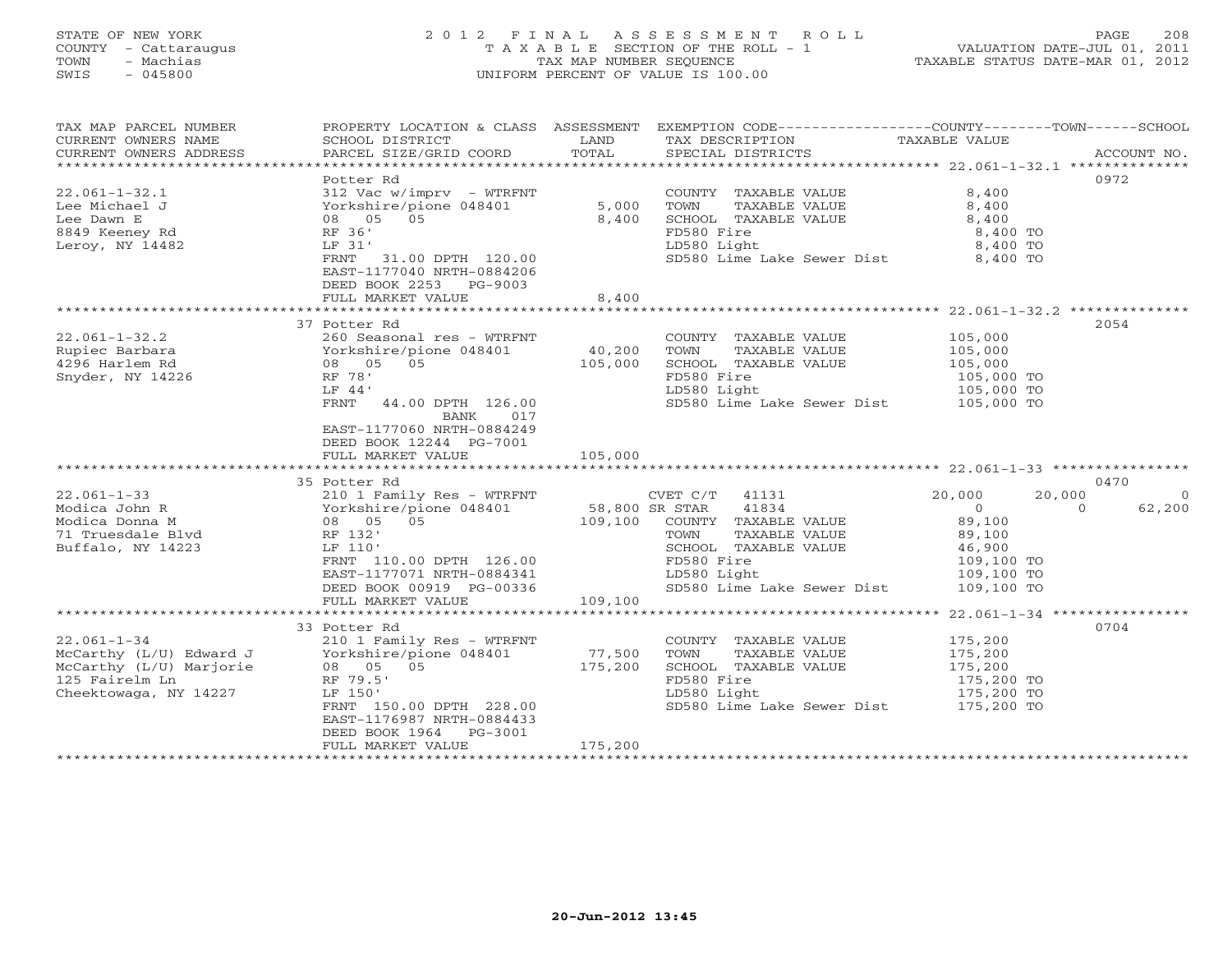# STATE OF NEW YORK 2 0 1 2 F I N A L A S S E S S M E N T R O L L PAGE 208 COUNTY - Cattaraugus T A X A B L E SECTION OF THE ROLL - 1 VALUATION DATE-JUL 01, 2011 TOWN - Machias TAX MAP NUMBER SEQUENCE TAXABLE STATUS DATE-MAR 01, 2012 SWIS - 045800 UNIFORM PERCENT OF VALUE IS 100.00UNIFORM PERCENT OF VALUE IS 100.00

| TAX MAP PARCEL NUMBER<br>CURRENT OWNERS NAME<br>CURRENT OWNERS ADDRESS                                             | SCHOOL DISTRICT<br>PARCEL SIZE/GRID COORD                                                                                                                                                                                                       | LAND<br>TOTAL     | PROPERTY LOCATION & CLASS ASSESSMENT EXEMPTION CODE---------------COUNTY-------TOWN-----SCHOOL<br>TAX DESCRIPTION TAXABLE VALUE SPECIAL DISTRICTS                     |                                                                                                                  | ACCOUNT NO.              |
|--------------------------------------------------------------------------------------------------------------------|-------------------------------------------------------------------------------------------------------------------------------------------------------------------------------------------------------------------------------------------------|-------------------|-----------------------------------------------------------------------------------------------------------------------------------------------------------------------|------------------------------------------------------------------------------------------------------------------|--------------------------|
|                                                                                                                    | Potter Rd                                                                                                                                                                                                                                       |                   |                                                                                                                                                                       |                                                                                                                  | 0972                     |
| $22.061 - 1 - 32.1$<br>Lee Michael J<br>Lee Dawn E<br>8849 Keeney Rd<br>Leroy, NY 14482                            | 312 Vac w/imprv - WTRFNT<br>Yorkshire/pione 048401<br>08 05 05<br>RF 36'<br>LF 31'                                                                                                                                                              | 5,000<br>8,400    | COUNTY TAXABLE VALUE<br>TAXABLE VALUE<br>TOWN<br>SCHOOL TAXABLE VALUE<br>FD580 Fire<br>LD580 Light                                                                    | 8,400<br>8,400<br>8,400<br>8,400 TO<br>8,400 TO                                                                  |                          |
|                                                                                                                    | FRNT 31.00 DPTH 120.00<br>EAST-1177040 NRTH-0884206<br>DEED BOOK 2253 PG-9003<br>FULL MARKET VALUE                                                                                                                                              | 8,400             | SD580 Lime Lake Sewer Dist 8,400 TO                                                                                                                                   |                                                                                                                  |                          |
|                                                                                                                    |                                                                                                                                                                                                                                                 |                   |                                                                                                                                                                       |                                                                                                                  |                          |
| $22.061 - 1 - 32.2$<br>Rupiec Barbara<br><sup>1006</sup> Harlam Rd<br>4296 Harlem Rd<br>Snyder, NY 14226           | 37 Potter Rd<br>260 Seasonal res - WTRFNT<br>Yorkshire/pione 048401<br>08 05 05<br>RF 78'<br>LF 44'<br>FRNT<br>44.00 DPTH 126.00<br>BANK<br>017<br>EAST-1177060 NRTH-0884249<br>DEED BOOK 12244 PG-7001                                         | 40,200<br>105,000 | COUNTY TAXABLE VALUE<br>TOWN<br>TAXABLE VALUE<br>SCHOOL TAXABLE VALUE<br>FD580 Fire<br>LD580 Light<br>SD580 Lime Lake Sewer Dist 105,000 TO                           | 105,000<br>105,000<br>105,000<br>105,000 TO<br>105,000 TO                                                        | 2054                     |
|                                                                                                                    | FULL MARKET VALUE                                                                                                                                                                                                                               | 105,000           |                                                                                                                                                                       |                                                                                                                  |                          |
|                                                                                                                    |                                                                                                                                                                                                                                                 |                   |                                                                                                                                                                       |                                                                                                                  |                          |
|                                                                                                                    | 35 Potter Rd                                                                                                                                                                                                                                    |                   |                                                                                                                                                                       |                                                                                                                  | 0470                     |
| $22.061 - 1 - 33$<br>Modica John R<br>Modica Donna M<br>71 Truesdale Blvd<br>Buffalo, NY 14223                     | 210 1 Family Res - WTRFNT<br>210 Traming Nes - WINTNI<br>Yorkshire/pione 048401 58,800 SR STAR<br>08 05 05 109,100 COUNTY<br>08 05 05<br>RF 132'<br>LF 110'<br>FRNT 110.00 DPTH 126.00<br>EAST-1177071 NRTH-0884341<br>DEED BOOK 00919 PG-00336 |                   | CVET $C/T$ 41131<br>41834<br>109,100 COUNTY TAXABLE VALUE<br>TAXABLE VALUE<br>TOWN<br>SCHOOL TAXABLE VALUE<br>FD580 Fire<br>LD580 Light<br>SD580 Lime Lake Sewer Dist | 20,000<br>20,000<br>$\sim$ 0<br>$\Omega$<br>89,100<br>89,100<br>46,900<br>109,100 TO<br>109,100 TO<br>109,100 TO | $\overline{0}$<br>62,200 |
|                                                                                                                    | FULL MARKET VALUE                                                                                                                                                                                                                               | 109,100           |                                                                                                                                                                       |                                                                                                                  |                          |
|                                                                                                                    | 33 Potter Rd                                                                                                                                                                                                                                    |                   |                                                                                                                                                                       |                                                                                                                  | 0704                     |
| $22.061 - 1 - 34$<br>McCarthy (L/U) Edward J<br>McCarthy (L/U) Marjorie<br>125 Fairelm Ln<br>Cheektowaga, NY 14227 | 210 1 Family Res - WTRFNT<br>Yorkshire/pione 048401<br>08 05 05<br>RF 79.5'<br>LF 150'<br>FRNT 150.00 DPTH 228.00<br>EAST-1176987 NRTH-0884433<br>DEED BOOK 1964<br>PG-3001                                                                     | 77,500<br>175,200 | COUNTY TAXABLE VALUE<br>TOWN<br>TAXABLE VALUE<br>SCHOOL TAXABLE VALUE<br>FD580 Fire<br>LD580 Light<br>SD580 Lime Lake Sewer Dist 175,200 TO                           | 175,200<br>175,200<br>175,200<br>175,200 TO<br>175,200 TO                                                        |                          |
|                                                                                                                    | FULL MARKET VALUE                                                                                                                                                                                                                               | 175,200           |                                                                                                                                                                       |                                                                                                                  |                          |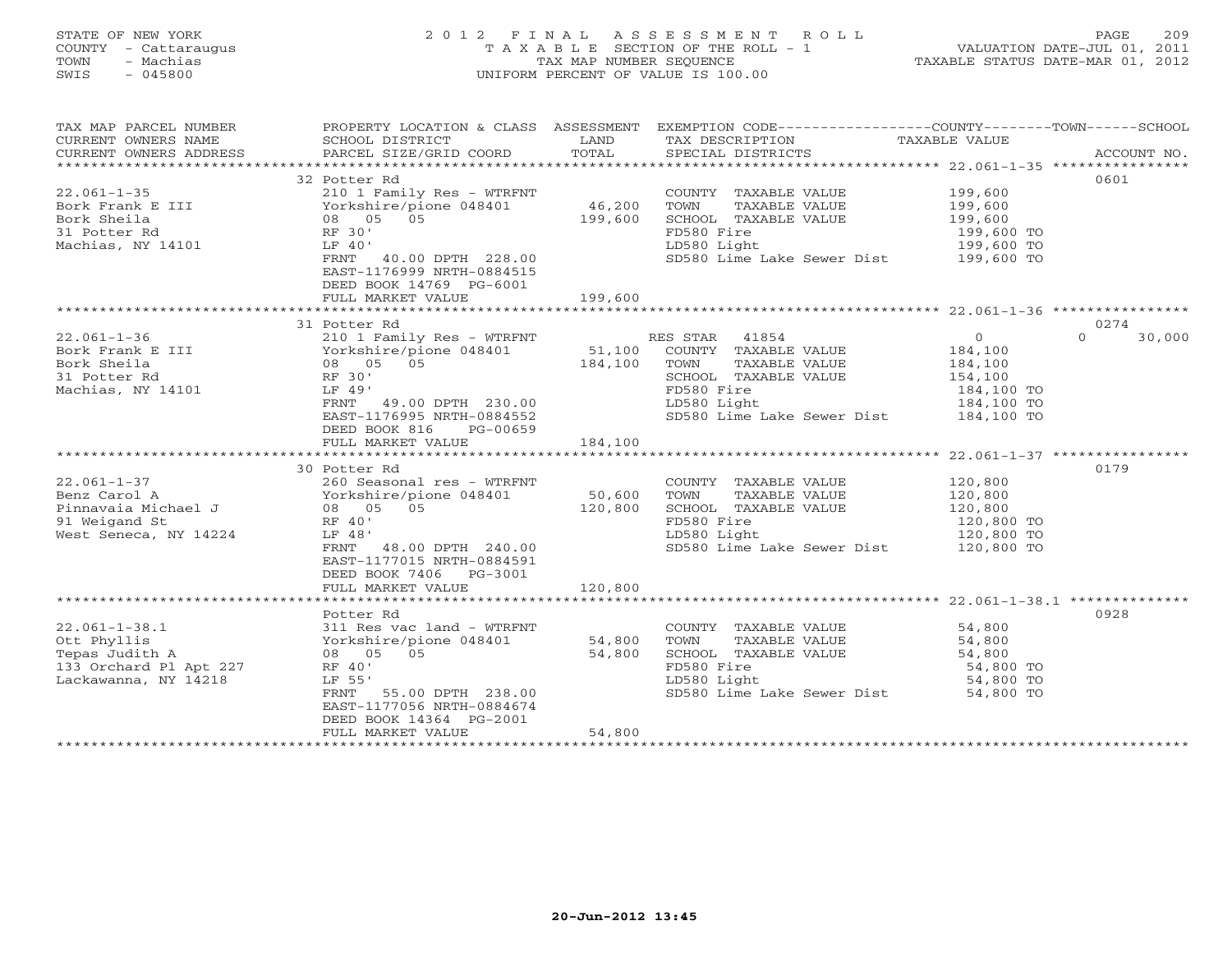#### STATE OF NEW YORK 20 2 0 1 2 F I N A L A S S E S S M E N T R O L L PAGE 209 COUNTY - Cattaraugus T A X A B L E SECTION OF THE ROLL - 1 VALUATION DATE-JUL 01, 2011 TOWN - Machias TAX MAP NUMBER SEQUENCE TAX AND TAXABLE STATUS DATE-MAR 01, 2012<br>TRIS - 045800 SWIS - 045800 UNIFORM PERCENT OF VALUE IS 100.00

| TAX MAP PARCEL NUMBER<br>CURRENT OWNERS NAME<br>CURRENT OWNERS ADDRESS                                                   | SCHOOL DISTRICT<br>PARCEL SIZE/GRID COORD                                                                                                                                                                          | LAND<br>TOTAL                | PROPERTY LOCATION & CLASS ASSESSMENT EXEMPTION CODE----------------COUNTY-------TOWN------SCHOOL<br>TAX DESCRIPTION<br>SPECIAL DISTRICTS                      | TAXABLE VALUE                                                        | ACCOUNT NO.                |
|--------------------------------------------------------------------------------------------------------------------------|--------------------------------------------------------------------------------------------------------------------------------------------------------------------------------------------------------------------|------------------------------|---------------------------------------------------------------------------------------------------------------------------------------------------------------|----------------------------------------------------------------------|----------------------------|
| $22.061 - 1 - 35$<br>Bork Frank E III<br>Bork Frank E III<br>Bork Sheila<br>31 Potter Rd<br>Machias, NY 14101            | 32 Potter Rd<br>210 1 Family Res - WTRFNT<br>Yorkshire/pione 048401<br>08 05 05<br>RF 30'<br>LF 40'<br>FRNT 40.00 DPTH 228.00<br>EAST-1176999 NRTH-0884515<br>DEED BOOK 14769 PG-6001<br>FULL MARKET VALUE         | 46,200<br>199,600<br>199,600 | COUNTY TAXABLE VALUE<br>TAXABLE VALUE<br>TOWN<br>SCHOOL TAXABLE VALUE<br>FD580 Fire<br>LD580 Light<br>SD580 Lime Lake Sewer Dist 199,600 TO                   | 199,600<br>199,600<br>199,600<br>199,600 TO<br>199,600 TO            | 0601                       |
|                                                                                                                          |                                                                                                                                                                                                                    |                              |                                                                                                                                                               |                                                                      |                            |
| 22.061-1-36<br>Bork Frank E III<br>Bork Sheila<br>31 Potter Rd RF 30'<br>RF 30'<br>RF 30'<br>RF 30'<br>Machias, NY 14101 | 31 Potter Rd<br>LF 49'<br>FRNT 49.00 DPTH 230.00<br>IST 1175005 NRTH-0884552<br>DEED BOOK 816<br>PG-00659<br>FULL MARKET VALUE 184,100                                                                             |                              | RES STAR 41854<br>COUNTY TAXABLE VALUE<br>TOWN<br>TAXABLE VALUE<br>SCHOOL TAXABLE VALUE<br>FD580 Fire<br>LD580 Light<br>SD580 Lime Lake Sewer Dist 184,100 TO | $\circ$<br>184,100<br>184,100<br>154,100<br>184,100 TO<br>184,100 TO | 0274<br>30,000<br>$\Omega$ |
|                                                                                                                          |                                                                                                                                                                                                                    |                              |                                                                                                                                                               |                                                                      |                            |
| West Seneca, NY 14224                                                                                                    | 30 Potter Rd<br>260 Seasonal res - WTRFNT<br>LF 48'<br>FRNT 48.00 DPTH 240.00<br>EAST-1177015 NRTH-0884591<br>DEED BOOK 7406 PG-3001<br>FULL MARKET VALUE                                                          | 50,600<br>120,800<br>120,800 | COUNTY TAXABLE VALUE<br>TOWN<br>TAXABLE VALUE<br>SCHOOL TAXABLE VALUE<br>FD580 Fire<br>LD580 Light<br>SD580 Lime Lake Sewer Dist 120,800 TO                   | 120,800<br>120,800<br>120,800<br>120,800 TO<br>120,800 TO            | 0179                       |
|                                                                                                                          |                                                                                                                                                                                                                    |                              |                                                                                                                                                               |                                                                      |                            |
| $22.061 - 1 - 38.1$<br>Ott Phyllis<br>Tepas Judith A<br>133 Orchard Pl Apt 227<br>Lackawanna, NY 14218                   | Potter Rd<br>311 Res vac land - WTRFNT<br>Yorkshire/pione 048401 54,800<br>08 05<br>0.5<br>RF 40'<br>LF 55'<br>FRNT 55.00 DPTH 238.00<br>EAST-1177056 NRTH-0884674<br>DEED BOOK 14364 PG-2001<br>FULL MARKET VALUE | 54,800<br>54,800             | COUNTY TAXABLE VALUE<br>TOWN<br>TAXABLE VALUE<br>SCHOOL TAXABLE VALUE<br>FD580 Fire<br>LD580 Light<br>SD580 Lime Lake Sewer Dist 54,800 TO                    | 54,800<br>54,800<br>54,800<br>54,800 TO<br>54,800 TO                 | 0928                       |
|                                                                                                                          |                                                                                                                                                                                                                    |                              |                                                                                                                                                               |                                                                      |                            |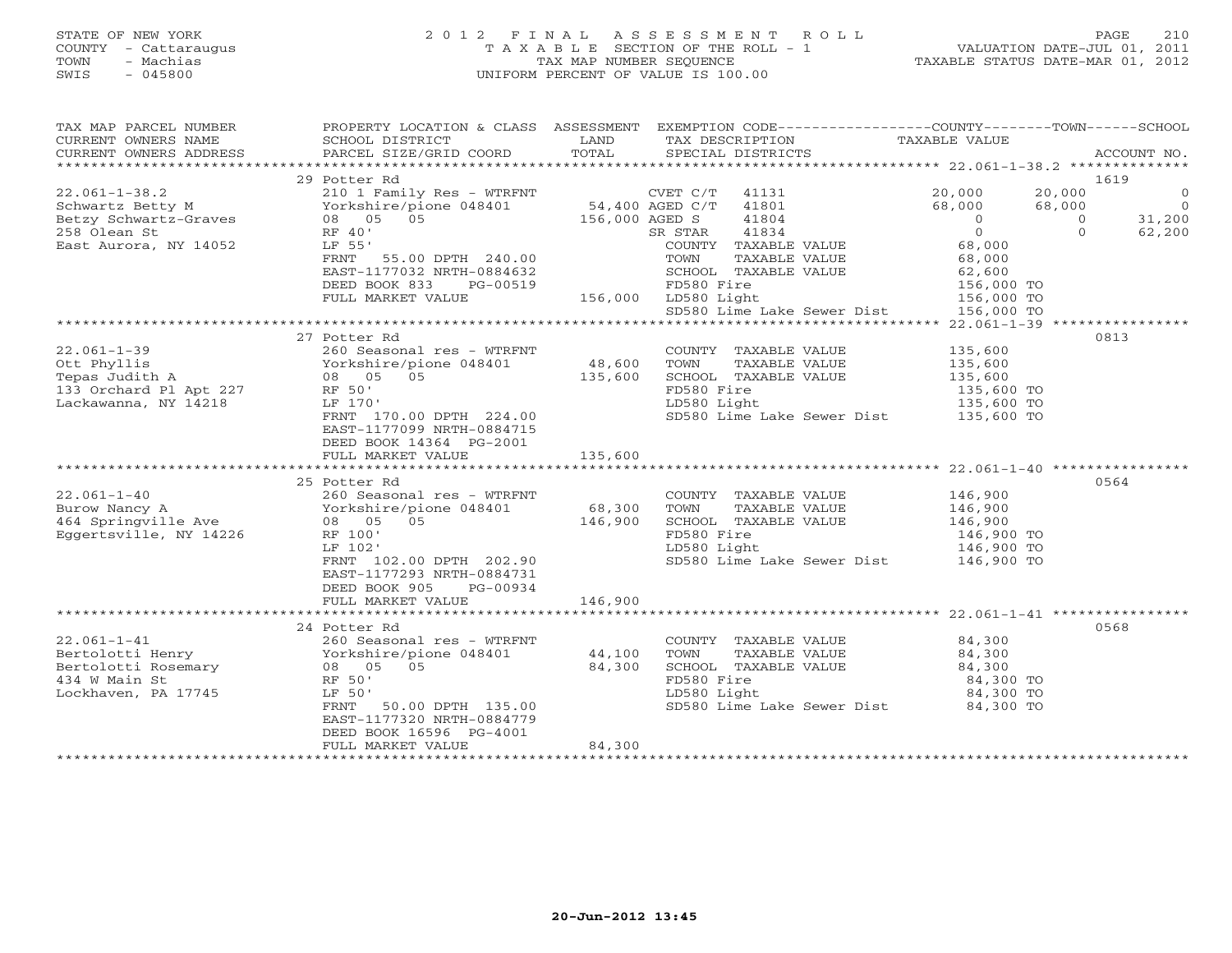### STATE OF NEW YORK 2 0 1 2 F I N A L A S S E S S M E N T R O L L PAGE 210 COUNTY - Cattaraugus T A X A B L E SECTION OF THE ROLL - 1 VALUATION DATE-JUL 01, 2011 TOWN - Machias TAX MAP NUMBER SEQUENCE TAXABLE STATUS DATE-MAR 01, 2012 SWIS - 045800 UNIFORM PERCENT OF VALUE IS 100.00UNIFORM PERCENT OF VALUE IS 100.00

| TAX MAP PARCEL NUMBER<br>$\begin{array}{c cccccc} \text{CURRENT} & \text{WUPBEN} & \text{NUPBEN} & \text{NUPBEN} & \text{NUPBIN} & \text{NUPBIN} & \text{NUPBIN} & \text{NUPBIN} & \text{NUPBIN} & \text{NUPBIN} & \text{NUPBIN} & \text{NUPBIN} & \text{NUPBIN} & \text{NUPBIN} & \text{NUPBIN} & \text{NUPBIN} & \text{NUPBIN} & \text{NUPBIN} & \text{NUPBIN} & \text{NUPBIN} & \text{NUPBIN} & \text{NUPBIN} & \text{NUPBIN} & \text{$ | PROPERTY LOCATION & CLASS ASSESSMENT EXEMPTION CODE----------------COUNTY-------TOWN------SCHOOL |        |                                                                                                                                                                                                                                                                              |                                                                                   |
|--------------------------------------------------------------------------------------------------------------------------------------------------------------------------------------------------------------------------------------------------------------------------------------------------------------------------------------------------------------------------------------------------------------------------------------------|--------------------------------------------------------------------------------------------------|--------|------------------------------------------------------------------------------------------------------------------------------------------------------------------------------------------------------------------------------------------------------------------------------|-----------------------------------------------------------------------------------|
|                                                                                                                                                                                                                                                                                                                                                                                                                                            |                                                                                                  |        |                                                                                                                                                                                                                                                                              |                                                                                   |
|                                                                                                                                                                                                                                                                                                                                                                                                                                            | 29 Potter Rd                                                                                     |        |                                                                                                                                                                                                                                                                              | 1619                                                                              |
|                                                                                                                                                                                                                                                                                                                                                                                                                                            |                                                                                                  |        |                                                                                                                                                                                                                                                                              | $\overline{0}$<br>$\begin{array}{c}\n 0 \\  0 \\  31,200 \\  62,200\n\end{array}$ |
|                                                                                                                                                                                                                                                                                                                                                                                                                                            |                                                                                                  |        |                                                                                                                                                                                                                                                                              |                                                                                   |
|                                                                                                                                                                                                                                                                                                                                                                                                                                            |                                                                                                  |        |                                                                                                                                                                                                                                                                              |                                                                                   |
|                                                                                                                                                                                                                                                                                                                                                                                                                                            |                                                                                                  |        |                                                                                                                                                                                                                                                                              |                                                                                   |
|                                                                                                                                                                                                                                                                                                                                                                                                                                            |                                                                                                  |        |                                                                                                                                                                                                                                                                              |                                                                                   |
|                                                                                                                                                                                                                                                                                                                                                                                                                                            |                                                                                                  |        |                                                                                                                                                                                                                                                                              |                                                                                   |
|                                                                                                                                                                                                                                                                                                                                                                                                                                            |                                                                                                  |        |                                                                                                                                                                                                                                                                              |                                                                                   |
|                                                                                                                                                                                                                                                                                                                                                                                                                                            |                                                                                                  |        |                                                                                                                                                                                                                                                                              |                                                                                   |
|                                                                                                                                                                                                                                                                                                                                                                                                                                            |                                                                                                  |        |                                                                                                                                                                                                                                                                              |                                                                                   |
|                                                                                                                                                                                                                                                                                                                                                                                                                                            | 27 Potter Rd                                                                                     |        |                                                                                                                                                                                                                                                                              | 0813                                                                              |
|                                                                                                                                                                                                                                                                                                                                                                                                                                            |                                                                                                  |        |                                                                                                                                                                                                                                                                              |                                                                                   |
|                                                                                                                                                                                                                                                                                                                                                                                                                                            |                                                                                                  |        | COUNTY TAXABLE VALUE $135,600$<br>TOWN TAXABLE VALUE $135,600$<br>SCHOOL TAXABLE VALUE $135,600$<br>FD580 Fire $135,600$ TO                                                                                                                                                  |                                                                                   |
|                                                                                                                                                                                                                                                                                                                                                                                                                                            |                                                                                                  |        |                                                                                                                                                                                                                                                                              |                                                                                   |
|                                                                                                                                                                                                                                                                                                                                                                                                                                            |                                                                                                  |        |                                                                                                                                                                                                                                                                              |                                                                                   |
|                                                                                                                                                                                                                                                                                                                                                                                                                                            | RF 50'<br>LF 170'<br>FRNT 170.00 DPTH 224.00                                                     |        | FD580 Fire 135,600 TO<br>LD580 Light 135,600 TO<br>SD580 Lime Lake Sewer Dist 135,600 TO                                                                                                                                                                                     |                                                                                   |
|                                                                                                                                                                                                                                                                                                                                                                                                                                            |                                                                                                  |        |                                                                                                                                                                                                                                                                              |                                                                                   |
|                                                                                                                                                                                                                                                                                                                                                                                                                                            | EAST-1177099 NRTH-0884715<br>DEED BOOK 14364 PG-2001                                             |        |                                                                                                                                                                                                                                                                              |                                                                                   |
|                                                                                                                                                                                                                                                                                                                                                                                                                                            |                                                                                                  |        |                                                                                                                                                                                                                                                                              |                                                                                   |
|                                                                                                                                                                                                                                                                                                                                                                                                                                            |                                                                                                  |        |                                                                                                                                                                                                                                                                              |                                                                                   |
|                                                                                                                                                                                                                                                                                                                                                                                                                                            | 25 Potter Rd                                                                                     |        |                                                                                                                                                                                                                                                                              | 0564                                                                              |
|                                                                                                                                                                                                                                                                                                                                                                                                                                            | 260 Seasonal res - WTRFNT                                                                        |        | COUNTY TAXABLE VALUE 146,900<br>TOWN TAXABLE VALUE 146,900<br>SCHOOL TAXABLE VALUE 146,900<br>FD580 Fire 146,900 TO<br>LD580 Light 146,900 TO<br>SD580 Lime Lake Sewer Dist 146,900 TO<br>SD580 Lime Lake Sewer Dist 146,900 TO                                              |                                                                                   |
| $\begin{array}{lllllllllll} 22.061\hbox{--}1\hbox{--}40 & 260\hbox{ Seasonal res}\,-\hbox{WTRFNT} \\ \text{Burow Nancy A} & Yorkshire/pione 048401 & 68,300 \\ 464\hbox{Springville Ave} & 08 & 05 & 05 & 146,900 \\ \text{Eggertsville, NY 14226} & \hbox{RF 100'} & & & & & \end{array}$                                                                                                                                                 |                                                                                                  |        |                                                                                                                                                                                                                                                                              |                                                                                   |
|                                                                                                                                                                                                                                                                                                                                                                                                                                            |                                                                                                  |        |                                                                                                                                                                                                                                                                              |                                                                                   |
|                                                                                                                                                                                                                                                                                                                                                                                                                                            |                                                                                                  |        |                                                                                                                                                                                                                                                                              |                                                                                   |
|                                                                                                                                                                                                                                                                                                                                                                                                                                            |                                                                                                  |        |                                                                                                                                                                                                                                                                              |                                                                                   |
|                                                                                                                                                                                                                                                                                                                                                                                                                                            | KF 100<br>LF 102<br>FRNT 102.00 DPTH 202.90                                                      |        |                                                                                                                                                                                                                                                                              |                                                                                   |
|                                                                                                                                                                                                                                                                                                                                                                                                                                            | EAST-1177293 NRTH-0884731                                                                        |        |                                                                                                                                                                                                                                                                              |                                                                                   |
|                                                                                                                                                                                                                                                                                                                                                                                                                                            | DEED BOOK 905 PG-00934                                                                           |        |                                                                                                                                                                                                                                                                              |                                                                                   |
|                                                                                                                                                                                                                                                                                                                                                                                                                                            | FULL MARKET VALUE 146,900                                                                        |        |                                                                                                                                                                                                                                                                              |                                                                                   |
|                                                                                                                                                                                                                                                                                                                                                                                                                                            |                                                                                                  |        |                                                                                                                                                                                                                                                                              |                                                                                   |
|                                                                                                                                                                                                                                                                                                                                                                                                                                            | 24 Potter Rd                                                                                     |        |                                                                                                                                                                                                                                                                              | 0568                                                                              |
| $22.061 - 1 - 41$                                                                                                                                                                                                                                                                                                                                                                                                                          | 260 Seasonal res - WTRFNT                                                                        |        | COUNTY TAXABLE VALUE 84,300                                                                                                                                                                                                                                                  |                                                                                   |
|                                                                                                                                                                                                                                                                                                                                                                                                                                            |                                                                                                  |        |                                                                                                                                                                                                                                                                              |                                                                                   |
|                                                                                                                                                                                                                                                                                                                                                                                                                                            |                                                                                                  |        |                                                                                                                                                                                                                                                                              |                                                                                   |
| 22.061-1-41<br>$260$ Seasonal res - WTRFNT<br>Bertolotti Henry Yorkshire/pione 048401<br>$44,100$<br>Bertolotti Rosemary 08 05 05 84,300<br>434 W Main St<br>Le 50<br>Lockhaven, PA 17745<br>Le 50<br>FRNT 50.00 DPTH 135.00                                                                                                                                                                                                               |                                                                                                  |        | COUNTY TAABLE VALUE<br>TOWN TAXABLE VALUE<br>SCHOOL TAXABLE VALUE<br>FD580 Fire<br>LD580 Light<br>LD580 Light<br>CALUE<br>CALUE<br>CALUE<br>CALUE<br>CALUE<br>CALUE<br>CALUE<br>CALUE<br>CALUE<br>CALUE<br>CALUE<br>CALUE<br>CALUE<br>CALUE<br>CALUE<br>CALUE<br>CALUE<br>CA |                                                                                   |
|                                                                                                                                                                                                                                                                                                                                                                                                                                            |                                                                                                  |        |                                                                                                                                                                                                                                                                              |                                                                                   |
|                                                                                                                                                                                                                                                                                                                                                                                                                                            | 50.00 DPTH 135.00<br>FRNT                                                                        |        | SD580 Lime Lake Sewer Dist 84,300 TO                                                                                                                                                                                                                                         |                                                                                   |
|                                                                                                                                                                                                                                                                                                                                                                                                                                            | EAST-1177320 NRTH-0884779                                                                        |        |                                                                                                                                                                                                                                                                              |                                                                                   |
|                                                                                                                                                                                                                                                                                                                                                                                                                                            | DEED BOOK 16596 PG-4001                                                                          |        |                                                                                                                                                                                                                                                                              |                                                                                   |
|                                                                                                                                                                                                                                                                                                                                                                                                                                            | FULL MARKET VALUE                                                                                | 84,300 |                                                                                                                                                                                                                                                                              |                                                                                   |
|                                                                                                                                                                                                                                                                                                                                                                                                                                            |                                                                                                  |        |                                                                                                                                                                                                                                                                              |                                                                                   |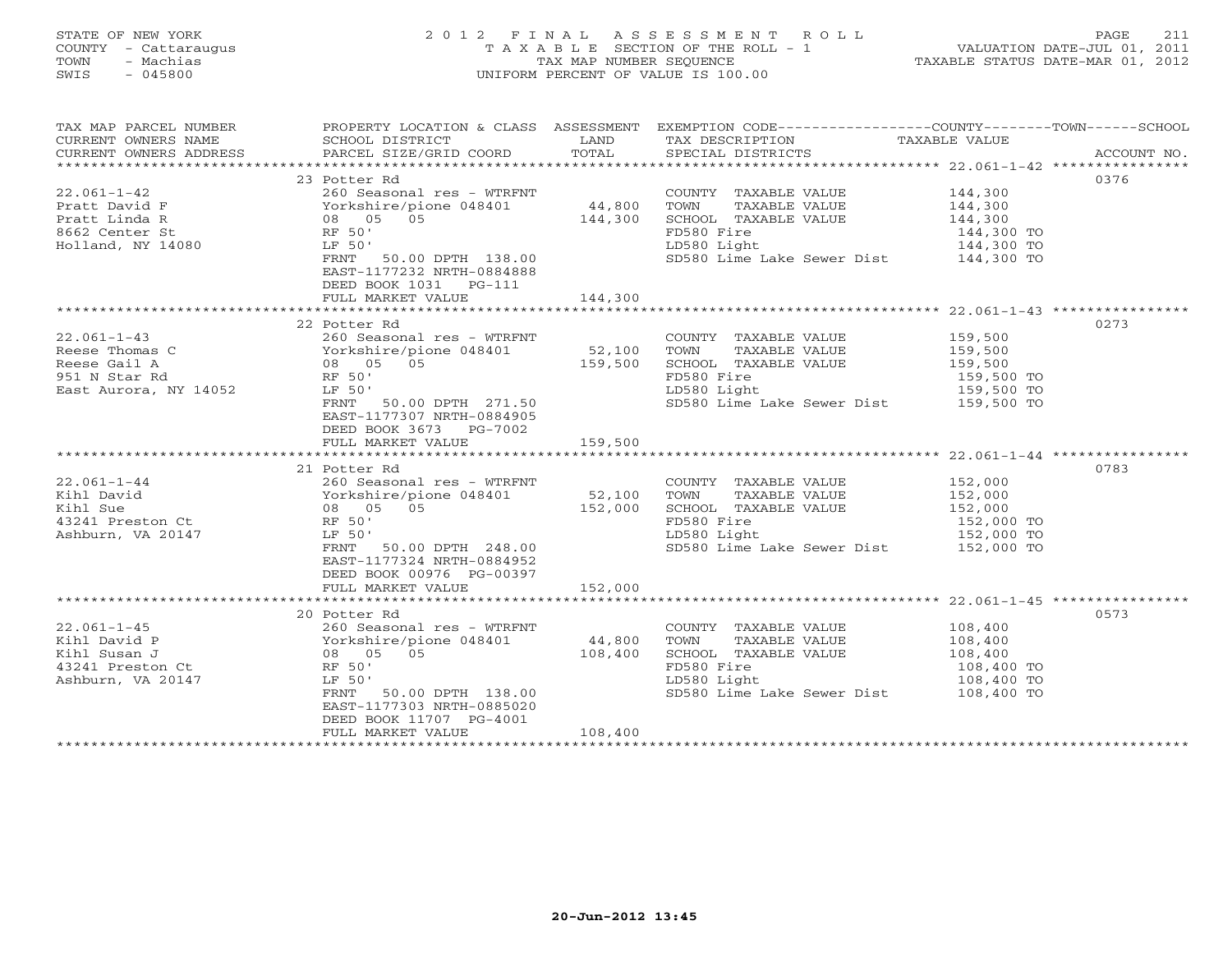# STATE OF NEW YORK 2 0 1 2 F I N A L A S S E S S M E N T R O L L PAGE 211 COUNTY - Cattaraugus T A X A B L E SECTION OF THE ROLL - 1 VALUATION DATE-JUL 01, 2011 TOWN - Machias TAX MAP NUMBER SEQUENCE TAXABLE STATUS DATE-MAR 01, 2012 SWIS - 045800 UNIFORM PERCENT OF VALUE IS 100.00UNIFORM PERCENT OF VALUE IS 100.00

| TAX MAP PARCEL NUMBER                                                                                                                                                                                              | PROPERTY LOCATION & CLASS ASSESSMENT EXEMPTION CODE---------------COUNTY-------TOWN------SCHOOL |                   |                                                                 |                          |      |
|--------------------------------------------------------------------------------------------------------------------------------------------------------------------------------------------------------------------|-------------------------------------------------------------------------------------------------|-------------------|-----------------------------------------------------------------|--------------------------|------|
| CURRENT OWNERS NAME                                                                                                                                                                                                | SCHOOL DISTRICT                                                                                 | LAND              | TAX DESCRIPTION                                                 | TAXABLE VALUE            |      |
|                                                                                                                                                                                                                    |                                                                                                 |                   |                                                                 |                          |      |
| - CURRENT OWNERS ADDRESS - PARCEL SIZE/GRID COORD - TOTAL - SPECIAL DISTRICTS - ACCOUNT NO.<br>- ARCEL SIZE/GRID COORD - TOTAL - SPECIAL DISTRICTS - AND ARCOUNT NO ACCOUNT NO ARCHA                               |                                                                                                 |                   |                                                                 |                          |      |
|                                                                                                                                                                                                                    | 23 Potter Rd                                                                                    |                   |                                                                 |                          | 0376 |
| $22.061 - 1 - 42$                                                                                                                                                                                                  | 260 Seasonal res - WTRFNT                                                                       |                   | COUNTY TAXABLE VALUE 144,300                                    |                          |      |
| Pratt David F                                                                                                                                                                                                      |                                                                                                 |                   | TOWN<br>TAXABLE VALUE                                           | 144,300                  |      |
| Pratt Linda R                                                                                                                                                                                                      | Yorkshire/pione 048401<br>08 05 05                                                              | 44,800<br>144,300 | SCHOOL TAXABLE VALUE                                            | 144,300                  |      |
|                                                                                                                                                                                                                    | RF 50'                                                                                          |                   | FD580 Fire                                                      |                          |      |
| 8662 Center St<br>Holland, NY 14080                                                                                                                                                                                | LF 50'                                                                                          |                   | LD580 Light                                                     | 144,300 TO<br>144,300 TO |      |
|                                                                                                                                                                                                                    | FRNT 50.00 DPTH 138.00                                                                          |                   | SD580 Lime Lake Sewer Dist 144,300 TO                           |                          |      |
|                                                                                                                                                                                                                    | EAST-1177232 NRTH-0884888                                                                       |                   |                                                                 |                          |      |
|                                                                                                                                                                                                                    | DEED BOOK 1031 PG-111                                                                           |                   |                                                                 |                          |      |
|                                                                                                                                                                                                                    |                                                                                                 |                   |                                                                 |                          |      |
|                                                                                                                                                                                                                    |                                                                                                 |                   |                                                                 |                          |      |
|                                                                                                                                                                                                                    | 22 Potter Rd                                                                                    |                   |                                                                 |                          | 0273 |
| $22.061 - 1 - 43$                                                                                                                                                                                                  | 260 Seasonal res - WTRFNT                                                                       |                   | COUNTY TAXABLE VALUE 159,500                                    |                          |      |
|                                                                                                                                                                                                                    |                                                                                                 | 52,100            | TAXABLE VALUE<br>TOWN                                           |                          |      |
|                                                                                                                                                                                                                    |                                                                                                 | 159,500           | SCHOOL TAXABLE VALUE                                            | 159,500<br>159,500       |      |
| 951 N Star Rd                                                                                                                                                                                                      | RF 50'                                                                                          |                   | FD580 Fire                                                      |                          |      |
| East Aurora, NY 14052                                                                                                                                                                                              | LF 50'                                                                                          |                   | LD580 Light                                                     | 159,500 TO<br>159,500 TO |      |
|                                                                                                                                                                                                                    |                                                                                                 |                   | SD580 Lime Lake Sewer Dist 159,500 TO                           |                          |      |
|                                                                                                                                                                                                                    | FRNT 50.00 DPTH 271.50                                                                          |                   |                                                                 |                          |      |
|                                                                                                                                                                                                                    | EAST-1177307 NRTH-0884905                                                                       |                   |                                                                 |                          |      |
|                                                                                                                                                                                                                    | DEED BOOK 3673 PG-7002                                                                          |                   |                                                                 |                          |      |
|                                                                                                                                                                                                                    | FULL MARKET VALUE                                                                               | 159,500           |                                                                 |                          |      |
|                                                                                                                                                                                                                    |                                                                                                 |                   |                                                                 |                          |      |
|                                                                                                                                                                                                                    | 21 Potter Rd                                                                                    |                   |                                                                 |                          | 0783 |
| $22.061 - 1 - 44$                                                                                                                                                                                                  | 260 Seasonal res - WTRFNT                                                                       |                   | COUNTY TAXABLE VALUE                                            | 152,000                  |      |
| xibil David<br>xibil David<br>xibil David<br>xibil David<br>xibil David<br>xibil David<br>xibil David<br>Xibil David<br>Xibil David<br>200 Xibil Preston Ct<br>RF 50'<br>RF 50'<br>RF 50'<br>200 05<br>200 152,000 |                                                                                                 |                   | TAXABLE VALUE<br>TOWN                                           | 152,000                  |      |
|                                                                                                                                                                                                                    |                                                                                                 |                   | SCHOOL TAXABLE VALUE                                            | 152,000<br>152,000 TO    |      |
|                                                                                                                                                                                                                    |                                                                                                 |                   | FD580 Fire                                                      |                          |      |
| Ashburn, VA 20147                                                                                                                                                                                                  | LF 50'                                                                                          |                   | LD580 Light 152,000 TO<br>SD580 Lime Lake Sewer Dist 152,000 TO |                          |      |
|                                                                                                                                                                                                                    | FRNT 50.00 DPTH 248.00                                                                          |                   |                                                                 |                          |      |
|                                                                                                                                                                                                                    | EAST-1177324 NRTH-0884952                                                                       |                   |                                                                 |                          |      |
|                                                                                                                                                                                                                    | DEED BOOK 00976 PG-00397                                                                        |                   |                                                                 |                          |      |
|                                                                                                                                                                                                                    | FULL MARKET VALUE                                                                               | 152,000           |                                                                 |                          |      |
|                                                                                                                                                                                                                    |                                                                                                 |                   |                                                                 |                          |      |
|                                                                                                                                                                                                                    | 20 Potter Rd                                                                                    |                   |                                                                 |                          | 0573 |
| $22.061 - 1 - 45$                                                                                                                                                                                                  |                                                                                                 |                   | COUNTY TAXABLE VALUE                                            | 108,400<br>108,400       |      |
| Kihl David P                                                                                                                                                                                                       | 260 Seasonal res - WTRFNT<br>Yorkshire/pione 048401 44,800<br>08 05 05 108,400<br>RF 50'        |                   | TOWN<br>TAXABLE VALUE                                           |                          |      |
| Kihl Susan J<br>43241 Preston Ct                                                                                                                                                                                   |                                                                                                 |                   | SCHOOL TAXABLE VALUE                                            | 108,400                  |      |
|                                                                                                                                                                                                                    |                                                                                                 |                   | FD580 Fire                                                      | 108,400 TO               |      |
| Ashburn, VA 20147                                                                                                                                                                                                  | LF 50'                                                                                          |                   | LD580 Light                                                     | 108,400 TO               |      |
|                                                                                                                                                                                                                    | FRNT 50.00 DPTH 138.00                                                                          |                   | SD580 Lime Lake Sewer Dist 108,400 TO                           |                          |      |
|                                                                                                                                                                                                                    | EAST-1177303 NRTH-0885020                                                                       |                   |                                                                 |                          |      |
|                                                                                                                                                                                                                    | DEED BOOK 11707 PG-4001                                                                         |                   |                                                                 |                          |      |
|                                                                                                                                                                                                                    | FULL MARKET VALUE                                                                               | 108,400           |                                                                 |                          |      |
|                                                                                                                                                                                                                    |                                                                                                 |                   |                                                                 |                          |      |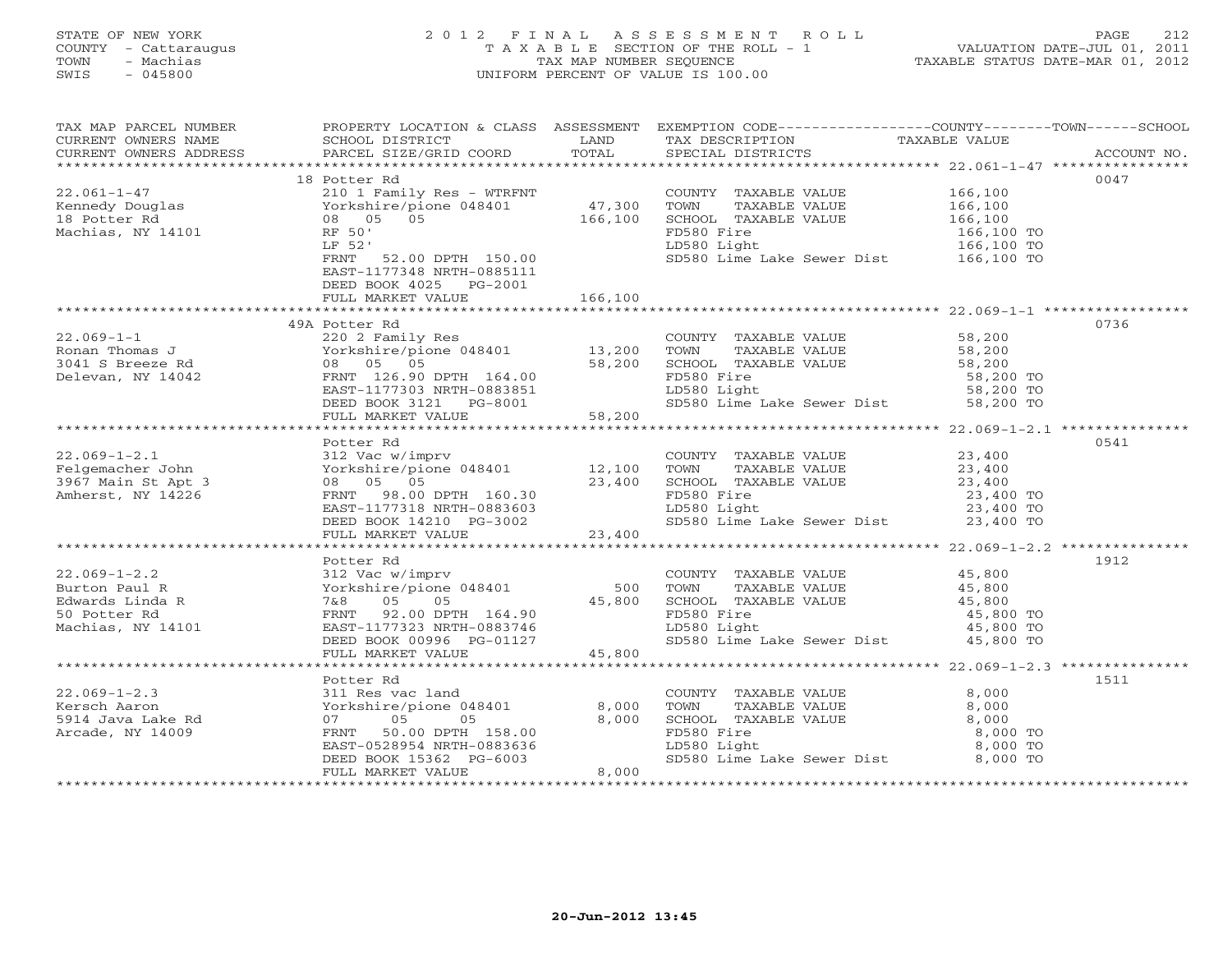# STATE OF NEW YORK 2 0 1 2 F I N A L A S S E S S M E N T R O L L PAGE 212 COUNTY - Cattaraugus T A X A B L E SECTION OF THE ROLL - 1 VALUATION DATE-JUL 01, 2011 TOWN - Machias TAX MAP NUMBER SEQUENCE TAXABLE STATUS DATE-MAR 01, 2012 SWIS - 045800 UNIFORM PERCENT OF VALUE IS 100.00UNIFORM PERCENT OF VALUE IS 100.00

| TAX MAP PARCEL NUMBER<br>CURRENT OWNERS NAME<br>CURRENT OWNERS ADDRESS | SCHOOL DISTRICT<br>PARCEL SIZE/GRID COORD                                                                                        | LAND<br>TOTAL | TAX DESCRIPTION<br>SPECIAL DISTRICTS                                               | PROPERTY LOCATION & CLASS ASSESSMENT EXEMPTION CODE---------------COUNTY-------TOWN------SCHOOL<br>TAXABLE VALUE<br>ACCOUNT NO. |
|------------------------------------------------------------------------|----------------------------------------------------------------------------------------------------------------------------------|---------------|------------------------------------------------------------------------------------|---------------------------------------------------------------------------------------------------------------------------------|
|                                                                        |                                                                                                                                  |               |                                                                                    |                                                                                                                                 |
|                                                                        | 18 Potter Rd                                                                                                                     |               |                                                                                    | 0047                                                                                                                            |
| $22.061 - 1 - 47$                                                      | 210 1 Family Res - WTRFNT<br>Yorkshire/pione 048401 47,300<br>08 05 05 166,100                                                   |               | COUNTY TAXABLE VALUE                                                               | 166,100                                                                                                                         |
| Kennedy Douglas<br>18 Potter Rd                                        |                                                                                                                                  |               | TOWN<br>TAXABLE VALUE                                                              | 166,100                                                                                                                         |
|                                                                        |                                                                                                                                  |               | SCHOOL TAXABLE VALUE 166,100                                                       |                                                                                                                                 |
| Machias, NY 14101                                                      | RF 50'                                                                                                                           |               | FD580 Fire                                                                         | 166,100 TO                                                                                                                      |
|                                                                        | LF 52'                                                                                                                           |               | LD580 Light                                                                        | 166,100 TO                                                                                                                      |
|                                                                        | 52.00 DPTH 150.00<br>FRNT<br>EAST-1177348 NRTH-0885111                                                                           |               | SD580 Lime Lake Sewer Dist 166,100 TO                                              |                                                                                                                                 |
|                                                                        | DEED BOOK 4025 PG-2001                                                                                                           |               |                                                                                    |                                                                                                                                 |
|                                                                        | FULL MARKET VALUE                                                                                                                | 166,100       |                                                                                    |                                                                                                                                 |
|                                                                        |                                                                                                                                  |               |                                                                                    |                                                                                                                                 |
|                                                                        | 49A Potter Rd                                                                                                                    |               |                                                                                    | 0736                                                                                                                            |
| $22.069 - 1 - 1$                                                       | 220 2 Family Res                                                                                                                 |               | COUNTY TAXABLE VALUE 58,200                                                        |                                                                                                                                 |
| Ronan Thomas J                                                         |                                                                                                                                  |               |                                                                                    |                                                                                                                                 |
| 3041 S Breeze Rd                                                       |                                                                                                                                  |               |                                                                                    |                                                                                                                                 |
| Delevan, NY 14042                                                      |                                                                                                                                  |               | FD580 Fire                                                                         | 58,200 TO<br>58,200 TO                                                                                                          |
|                                                                        |                                                                                                                                  |               | LD580 Light                                                                        |                                                                                                                                 |
|                                                                        | FRNT 126.90 DPTH 164.00<br>EAST-1177303 NRTH-0883851<br>DEED BOOK 3121 PG-8001<br>FULL MARKET VALUE 58,200                       |               | SD580 Lime Lake Sewer Dist 58,200 TO                                               |                                                                                                                                 |
|                                                                        |                                                                                                                                  |               |                                                                                    |                                                                                                                                 |
|                                                                        |                                                                                                                                  |               |                                                                                    | 0541                                                                                                                            |
|                                                                        |                                                                                                                                  |               | COUNTY TAXABLE VALUE 23,400                                                        |                                                                                                                                 |
|                                                                        |                                                                                                                                  |               | TAXABLE VALUE 23,400<br>TOWN                                                       |                                                                                                                                 |
|                                                                        |                                                                                                                                  |               | SCHOOL TAXABLE VALUE                                                               | 23,400                                                                                                                          |
|                                                                        |                                                                                                                                  |               | BLE VALUE<br>FD580 Fire                                                            |                                                                                                                                 |
|                                                                        |                                                                                                                                  |               | LD580 Light                                                                        | 23,400 TO<br>23,400 TO                                                                                                          |
|                                                                        |                                                                                                                                  |               | SD580 Lime Lake Sewer Dist 23,400 TO                                               |                                                                                                                                 |
|                                                                        | 08 05 05 05 23,400<br>FRNT 98.00 DPTH 160.30<br>EAST-1177318 NRTH-0883603<br>DEED BOOK 14210 PG-3002<br>FULL MARKET VALUE 23,400 |               |                                                                                    |                                                                                                                                 |
|                                                                        |                                                                                                                                  |               |                                                                                    |                                                                                                                                 |
|                                                                        | Potter Rd                                                                                                                        |               |                                                                                    | 1912                                                                                                                            |
| $22.069 - 1 - 2.2$                                                     | 312 Vac w/imprv                                                                                                                  |               | COUNTY TAXABLE VALUE 45,800                                                        |                                                                                                                                 |
| Burton Paul R                                                          | Yorkshire/pione 048401 500                                                                                                       |               | TOWN<br>TAXABLE VALUE                                                              | $\frac{15}{15}$ , 800                                                                                                           |
| 312 Vao<br>Yorksh:<br>7&8<br>FRNT<br>Edwards Linda R                   | 05 05                                                                                                                            | 45,800        | SCHOOL TAXABLE VALUE $45,800$<br>FD580 Fire $45,800$ TO<br>LD580 Light $45,800$ TO |                                                                                                                                 |
| 50 Potter Rd                                                           | FRNT 92.00 DPTH 164.90                                                                                                           |               |                                                                                    |                                                                                                                                 |
| Machias, NY 14101                                                      | EAST-1177323 NRTH-0883746                                                                                                        |               |                                                                                    |                                                                                                                                 |
|                                                                        | DEED BOOK 00996 PG-01127                                                                                                         |               | SD580 Lime Lake Sewer Dist 45,800 TO                                               |                                                                                                                                 |
|                                                                        | FULL MARKET VALUE                                                                                                                | 45,800        |                                                                                    |                                                                                                                                 |
|                                                                        | Potter Rd                                                                                                                        |               |                                                                                    | 1511                                                                                                                            |
| $22.069 - 1 - 2.3$                                                     |                                                                                                                                  |               |                                                                                    | 8,000                                                                                                                           |
| Kersch Aaron                                                           |                                                                                                                                  |               | TOWN<br>TAXABLE VALUE                                                              | 8,000                                                                                                                           |
| 5914 Java Lake Rd                                                      | 311 Res vac land<br>Yorkshire/pione 048401 8,000<br>07 05 05 8,000                                                               |               | SCHOOL TAXABLE VALUE                                                               | 8,000                                                                                                                           |
| Arcade, NY 14009                                                       | FRNT 50.00 DPTH 158.00                                                                                                           |               | FD580 Fire                                                                         | 8,000 TO                                                                                                                        |
|                                                                        | EAST-0528954 NRTH-0883636                                                                                                        |               | LD580 Light                                                                        | 8,000 TO                                                                                                                        |
|                                                                        | DEED BOOK 15362 PG-6003                                                                                                          |               | sp580 Lime Lake Sewer Dist 8,000 TO                                                |                                                                                                                                 |
|                                                                        | FULL MARKET VALUE                                                                                                                | 8,000         |                                                                                    |                                                                                                                                 |
|                                                                        |                                                                                                                                  |               |                                                                                    | ******************************                                                                                                  |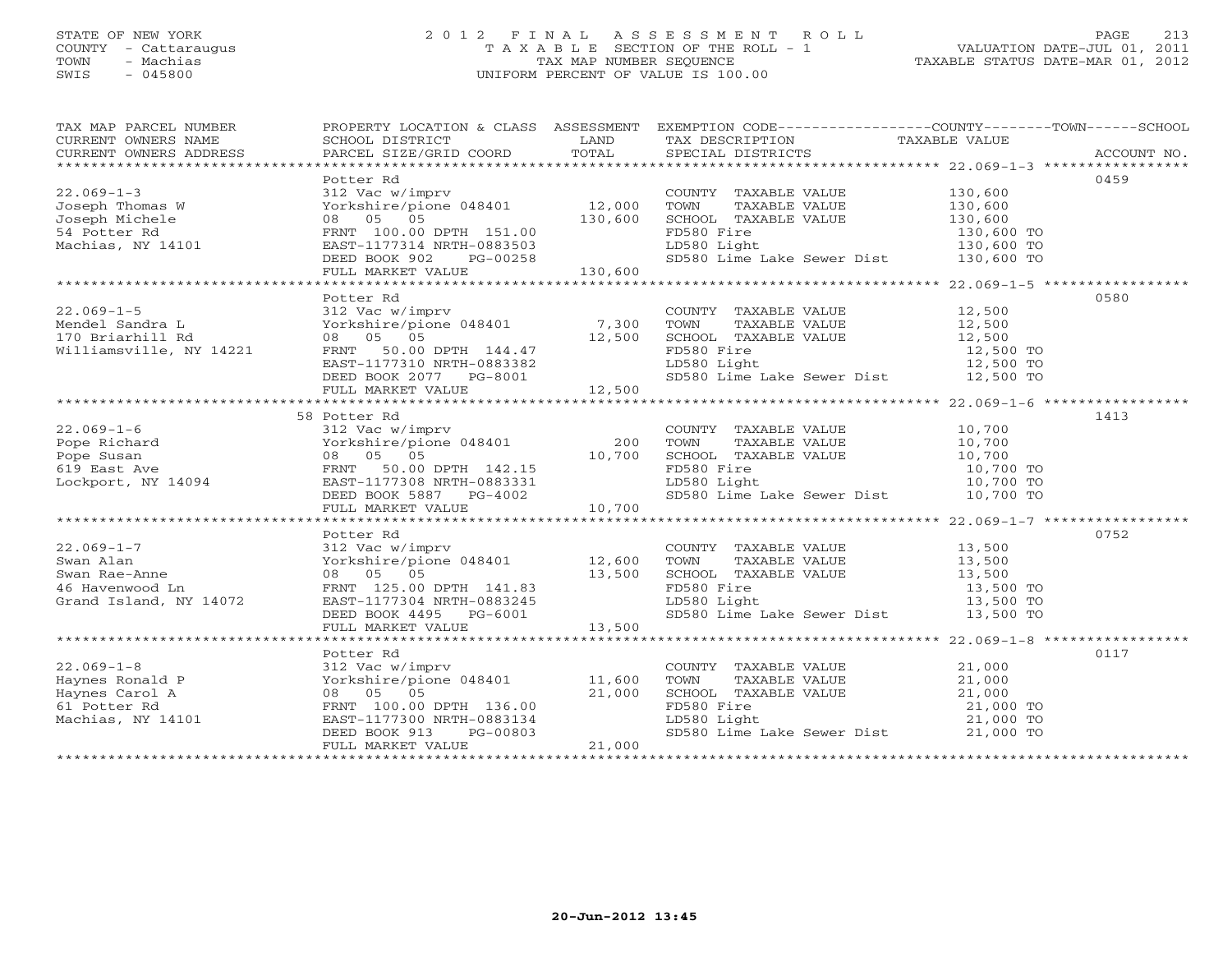# STATE OF NEW YORK 2 0 1 2 F I N A L A S S E S S M E N T R O L L PAGE 213 COUNTY - Cattaraugus T A X A B L E SECTION OF THE ROLL - 1 VALUATION DATE-JUL 01, 2011 TOWN - Machias TAX MAP NUMBER SEQUENCE TAXABLE STATUS DATE-MAR 01, 2012 SWIS - 045800 UNIFORM PERCENT OF VALUE IS 100.00

| TAX MAP PARCEL NUMBER<br>CURRENT OWNERS ADDRESS                                                                                                                                                                                                                |                                                                                               |        |                                                    | PROPERTY LOCATION & CLASS ASSESSMENT EXEMPTION CODE---------------COUNTY-------TOWN------SCHOOL<br>TAXABLE NUMBER NUMBER SCHOOL DUCATION & CHAD ADDEDING THE LOST TERRENT OWNERS NAME TO THE SCHOOL DISTRICT TO THE THE TRANSFORT OF THE TRANSFORM CONNEXABLE VALUE<br>CURRENT OWNERS ADDRESS PARCEL SIZE/GRID COORD TOTAL SPECIAL D                                                                                |
|----------------------------------------------------------------------------------------------------------------------------------------------------------------------------------------------------------------------------------------------------------------|-----------------------------------------------------------------------------------------------|--------|----------------------------------------------------|---------------------------------------------------------------------------------------------------------------------------------------------------------------------------------------------------------------------------------------------------------------------------------------------------------------------------------------------------------------------------------------------------------------------|
| 22.069-1-3<br>Joseph Thomas W $S_{12 \text{ vac}}$<br>Joseph Michele $130$<br>Seph Michele $08$ 05 05<br>FRNT 100.00 DPTH 151.00<br>EAST-1177314 NRTH-0883503<br>PG-00258<br>13                                                                                | 130,600                                                                                       |        |                                                    | 0459<br>COUNTY TAXABLE VALUE 130,600<br>TOWN TAXABLE VALUE 130,600<br>SCHOOL TAXABLE VALUE 130,600<br>FD580 Fire 130,600 TO<br>FD580 Fire 130,600 TO<br>LD580 Light 130,600 TO<br>SD580 Lime Lake Sewer Dist 130,600 TO<br>1994 1999<br>Machias, NY 14101 1997 117314 NRTH-0883503 130,600 EXST-117314 NRTH-0883503<br>DEED BOOK 902 PG-00258 130,600 EVILL MARKET VALUE 130,600 10<br>FULL MARKET VALUE 130,600 10 |
| 22.069-1-5<br>Mendel Sandra L<br>170 Briarhill Rd<br>Williamsville, NY 14221<br>Williamsville, NY 14221<br>EAST-1177310 NRTH-0883382<br>Williamsville, NY 14221<br>EAST-1177310 NRTH-0883382                                                                   | Potter Rd                                                                                     |        | COUNTY TAXABLE VALUE 12,500                        | 0580<br>FOWN TAXABLE VALUE<br>SCHOOL TAXABLE VALUE<br>SCHOOL TAXABLE VALUE<br>TD580 Fire<br>12,500 TO<br>LD580 Light<br>12,500 TO<br>12,500 TO<br>12,500 TO                                                                                                                                                                                                                                                         |
| $22.069 - 1 - 6$<br>Prope Richard<br>Prope Susan (200 Morkshire/pione 048401 200<br>Prope Susan 08 05 05 10,700<br>619 East Ave FRNT 50.00 DPTH 142.15<br>Lockport, NY 14094 EAST-1177308 NRTH-0883331                                                         | 58 Potter Rd<br>Potter Rd<br>312 Vac w/imprv<br>Yorkshire/pione 048401 200<br>00 05 05 10,700 |        | COUNTY TAXABLE VALUE 10,700<br>TOWN<br>LD580 Light | 1413<br>TOWN TAXABLE VALUE 10,700<br>SCHOOL TAXABLE VALUE 10,700<br>FD580 Fire 10,700 TO<br>LD580 Light 10,700 TO<br>10,700 TO                                                                                                                                                                                                                                                                                      |
| $22.069 - 1 - 7$<br>22.069-1-7<br>Swan Alan<br>Swan Rae-Anne<br>46 Havenwood Ln<br>Grand Island, NY 14072                                                                                                                                                      | Potter Rd<br>312 Vac w/imprv<br>Yorkshire/pione 048401 12,600<br>08 05 05 13,500              |        | COUNTY TAXABLE VALUE 13,500                        | 0752<br>TOWN TAXABLE VALUE 13,500<br>SCHOOL TAXABLE VALUE 13,500<br>FD580 Fire 13,500 TO<br>LD580 Light 13,500 TO<br>13,500 TO<br>Swan Alan<br>Swan Rae-Anne (1910 - 01 - 12,000 - 13,500 - 13,500 - 13,500 - 13,500 - 13,500 - 13,500 - 13,500 - 13,500 - 13,500 - 13,500 - 13,500 - 13,500 - 13,500 - 13,500 - 13,500 - 13,500 - 13,500 - 13,500 - 13,500 - 13,5                                                  |
| 22.069-1-8<br>Haynes Ronald P<br>Haynes Carol A<br>61 Potter Rd<br>Machias, NY 14101<br>Machias, NY 14101<br>Potter Rd<br>Machias, NY 14101<br>Potter Rd<br>Potter Rd<br>Potter Rd<br>Potter Rd<br>Potter Rd<br>Potter Rd<br>Potter Rd<br>Potter Potter Rd<br> | Potter Rd<br>FULL MARKET VALUE                                                                | 21,000 | LD580 Light                                        | 0117<br>COUNTY TAXABLE VALUE $21,000$<br>TOWN TAXABLE VALUE $21,000$<br>SCHOOL TAXABLE VALUE $21,000$<br>FD580 Fire $21,000$ TO<br>FD580 Fire 21,000 TO<br>LD580 Light 21,000 TO<br>SD580 Lime Lake Sewer Dist 21,000 TO                                                                                                                                                                                            |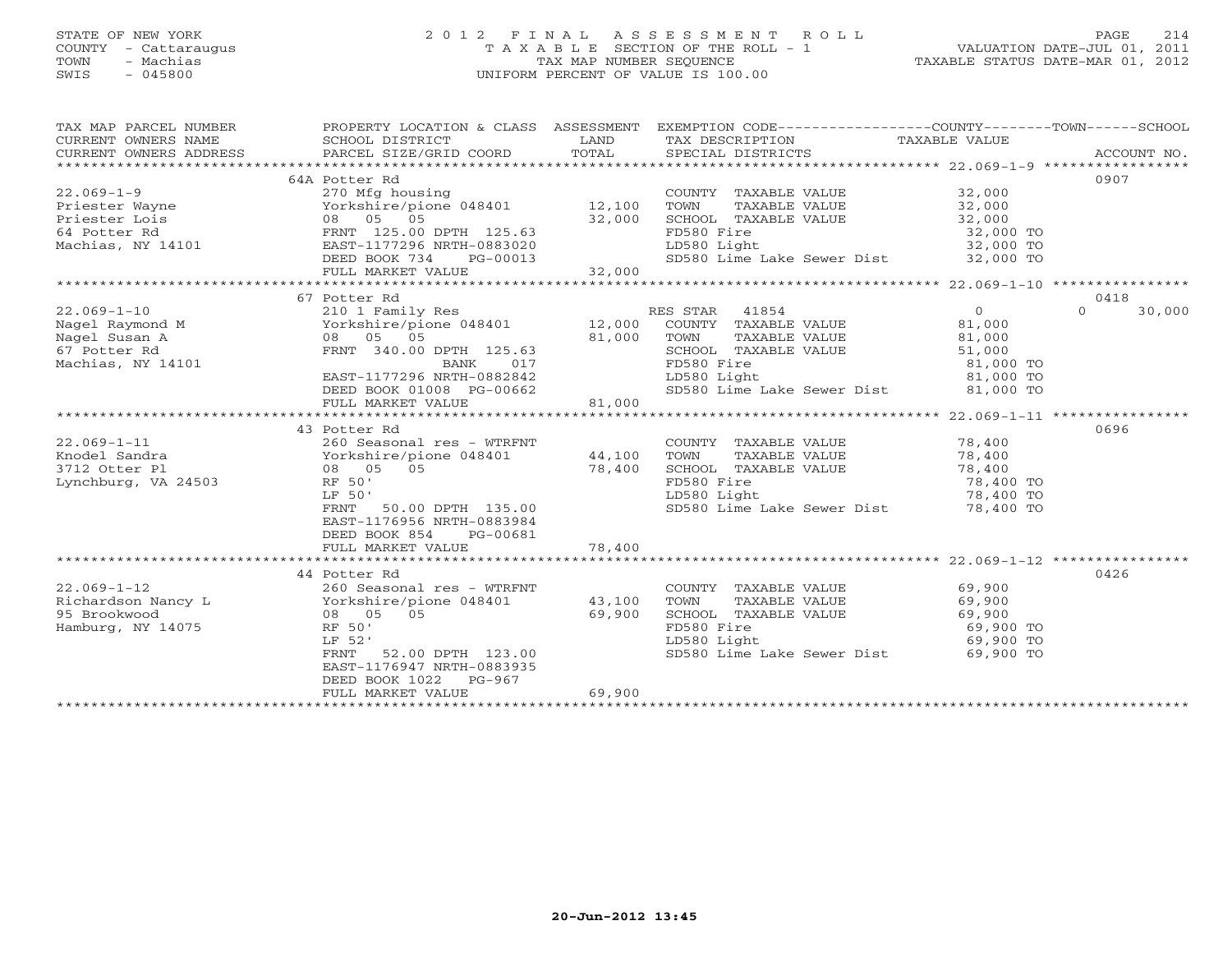# STATE OF NEW YORK 2 0 1 2 F I N A L A S S E S S M E N T R O L L PAGE 214 COUNTY - Cattaraugus T A X A B L E SECTION OF THE ROLL - 1 VALUATION DATE-JUL 01, 2011 TOWN - Machias TAX MAP NUMBER SEQUENCE TAXABLE STATUS DATE-MAR 01, 2012 SWIS - 045800 UNIFORM PERCENT OF VALUE IS 100.00UNIFORM PERCENT OF VALUE IS 100.00

| TAX MAP PARCEL NUMBER<br>CURRENT OWNERS NAME<br>CURRENT OWNERS NAME SCHOOL DISTRICT – ------ ------- TAND TAX DESCRIPTION TAXABLE VALUE<br>CURRENT OWNERS ADDRESS PARCEL SIZE/GRID COORD TOTAL SPECIAL DISTRICTS ACCOUNT NO.<br>***************************** | PROPERTY LOCATION & CLASS ASSESSMENT EXEMPTION CODE---------------COUNTY-------TOWN------SCHOOL |        |                                                      |                        |                    |
|---------------------------------------------------------------------------------------------------------------------------------------------------------------------------------------------------------------------------------------------------------------|-------------------------------------------------------------------------------------------------|--------|------------------------------------------------------|------------------------|--------------------|
| CURRENT OWNERS ADDRESS                                                                                                                                                                                                                                        |                                                                                                 |        |                                                      |                        |                    |
|                                                                                                                                                                                                                                                               |                                                                                                 |        |                                                      |                        |                    |
|                                                                                                                                                                                                                                                               | 64A Potter Rd                                                                                   |        |                                                      |                        | 0907               |
| $22.069 - 1 - 9$                                                                                                                                                                                                                                              | 270 Mfg housing                                                                                 |        | COUNTY TAXABLE VALUE 32,000                          |                        |                    |
|                                                                                                                                                                                                                                                               |                                                                                                 |        | TOWN<br>TAXABLE VALUE                                | 32,000<br>32,000       |                    |
| Priester Wayne<br>Priester Lois<br>64 Potter Rd<br>Machias, NY 14101<br>Machias, NY 14101<br>PRIEST-1177296 NRTH-0883020                                                                                                                                      |                                                                                                 |        | SCHOOL TAXABLE VALUE                                 |                        |                    |
|                                                                                                                                                                                                                                                               |                                                                                                 |        | FD580 Fire                                           | 32,000 TO              |                    |
|                                                                                                                                                                                                                                                               | EAST-1177296 NRTH-0883020<br>DEED BOOK 734 PG-00013                                             |        | LD580 Light                                          | 32,000 TO              |                    |
|                                                                                                                                                                                                                                                               |                                                                                                 | 32,000 | SD580 Lime Lake Sewer Dist 32,000 TO                 |                        |                    |
|                                                                                                                                                                                                                                                               | FULL MARKET VALUE                                                                               |        |                                                      |                        |                    |
|                                                                                                                                                                                                                                                               |                                                                                                 |        |                                                      |                        |                    |
|                                                                                                                                                                                                                                                               | 67 Potter Rd                                                                                    |        |                                                      |                        | 0418               |
| $22.069 - 1 - 10$                                                                                                                                                                                                                                             | 210 1 Family Res                                                                                |        | RES STAR 41854                                       | $\overline{0}$         | 30,000<br>$\Omega$ |
| Nagel Raymond M<br>Nagel Susan A<br>67 Potter Rd                                                                                                                                                                                                              | Yorkshire/pione 048401 12,000 COUNTY TAXABLE VALUE                                              |        |                                                      | 81,000<br>81,000       |                    |
|                                                                                                                                                                                                                                                               | 08 05 05                                                                                        | 81,000 | TOWN<br>TAXABLE VALUE<br>SCHOOL TAXABLE VALUE 51,000 |                        |                    |
|                                                                                                                                                                                                                                                               | FRNT 340.00 DPTH 125.63<br>BANK 017<br>EAST-1177296 NRTH-0882842<br>DEED BOOK 01008 PG-00662    |        | FD580 Fire                                           |                        |                    |
| Machias, NY 14101                                                                                                                                                                                                                                             |                                                                                                 |        |                                                      | 81,000 TO<br>81,000 TO |                    |
|                                                                                                                                                                                                                                                               |                                                                                                 |        | LD580 Light                                          |                        |                    |
|                                                                                                                                                                                                                                                               |                                                                                                 |        | SD580 Lime Lake Sewer Dist 81,000 TO                 |                        |                    |
|                                                                                                                                                                                                                                                               | FULL MARKET VALUE                                                                               | 81,000 |                                                      |                        |                    |
|                                                                                                                                                                                                                                                               | 43 Potter Rd                                                                                    |        |                                                      |                        | 0696               |
| $22.069 - 1 - 11$                                                                                                                                                                                                                                             | 260 Seasonal res - WTRFNT                                                                       |        | COUNTY TAXABLE VALUE                                 |                        |                    |
| Knodel Sandra                                                                                                                                                                                                                                                 |                                                                                                 | 44,100 | TOWN<br>TAXABLE VALUE                                | 78,400<br>78,400       |                    |
| 3712 Otter Pl                                                                                                                                                                                                                                                 |                                                                                                 | 78,400 | SCHOOL TAXABLE VALUE                                 | 78,400                 |                    |
| Lynchburg, VA 24503                                                                                                                                                                                                                                           | 260 Seasonur ---<br>Yorkshire/pione 048401<br>08 05 05<br>RF 50'                                |        | FD580 Fire                                           |                        |                    |
|                                                                                                                                                                                                                                                               | LF 50'                                                                                          |        | LD580 Light                                          | 78,400 TO<br>78,400 TO |                    |
|                                                                                                                                                                                                                                                               | 50.00 DPTH 135.00<br>FRNT                                                                       |        | SD580 Lime Lake Sewer Dist 78,400 TO                 |                        |                    |
|                                                                                                                                                                                                                                                               | EAST-1176956 NRTH-0883984                                                                       |        |                                                      |                        |                    |
|                                                                                                                                                                                                                                                               | DEED BOOK 854<br>PG-00681                                                                       |        |                                                      |                        |                    |
|                                                                                                                                                                                                                                                               | FULL MARKET VALUE                                                                               | 78,400 |                                                      |                        |                    |
|                                                                                                                                                                                                                                                               |                                                                                                 |        |                                                      |                        |                    |
|                                                                                                                                                                                                                                                               | 44 Potter Rd                                                                                    |        |                                                      |                        | 0426               |
| $22.069 - 1 - 12$                                                                                                                                                                                                                                             | 260 Seasonal res - WTRFNT                                                                       |        | COUNTY TAXABLE VALUE                                 | 69,900                 |                    |
|                                                                                                                                                                                                                                                               |                                                                                                 | 43,100 | TOWN<br>TAXABLE VALUE                                | 69,900                 |                    |
| 95 Brookwood                                                                                                                                                                                                                                                  | 08 05 05                                                                                        | 69,900 | SCHOOL TAXABLE VALUE                                 | 69,900                 |                    |
| Hamburg, NY 14075                                                                                                                                                                                                                                             | RF 50'                                                                                          |        | FD580 Fire                                           | 69,900 TO              |                    |
|                                                                                                                                                                                                                                                               | LF 52'                                                                                          |        | LD580 Light                                          | 69,900 TO              |                    |
|                                                                                                                                                                                                                                                               | 52.00 DPTH 123.00<br>FRNT                                                                       |        | SD580 Lime Lake Sewer Dist                           | 69,900 TO              |                    |
|                                                                                                                                                                                                                                                               | EAST-1176947 NRTH-0883935                                                                       |        |                                                      |                        |                    |
|                                                                                                                                                                                                                                                               | DEED BOOK 1022 PG-967                                                                           |        |                                                      |                        |                    |
|                                                                                                                                                                                                                                                               | FULL MARKET VALUE                                                                               | 69,900 |                                                      |                        |                    |
|                                                                                                                                                                                                                                                               |                                                                                                 |        |                                                      |                        |                    |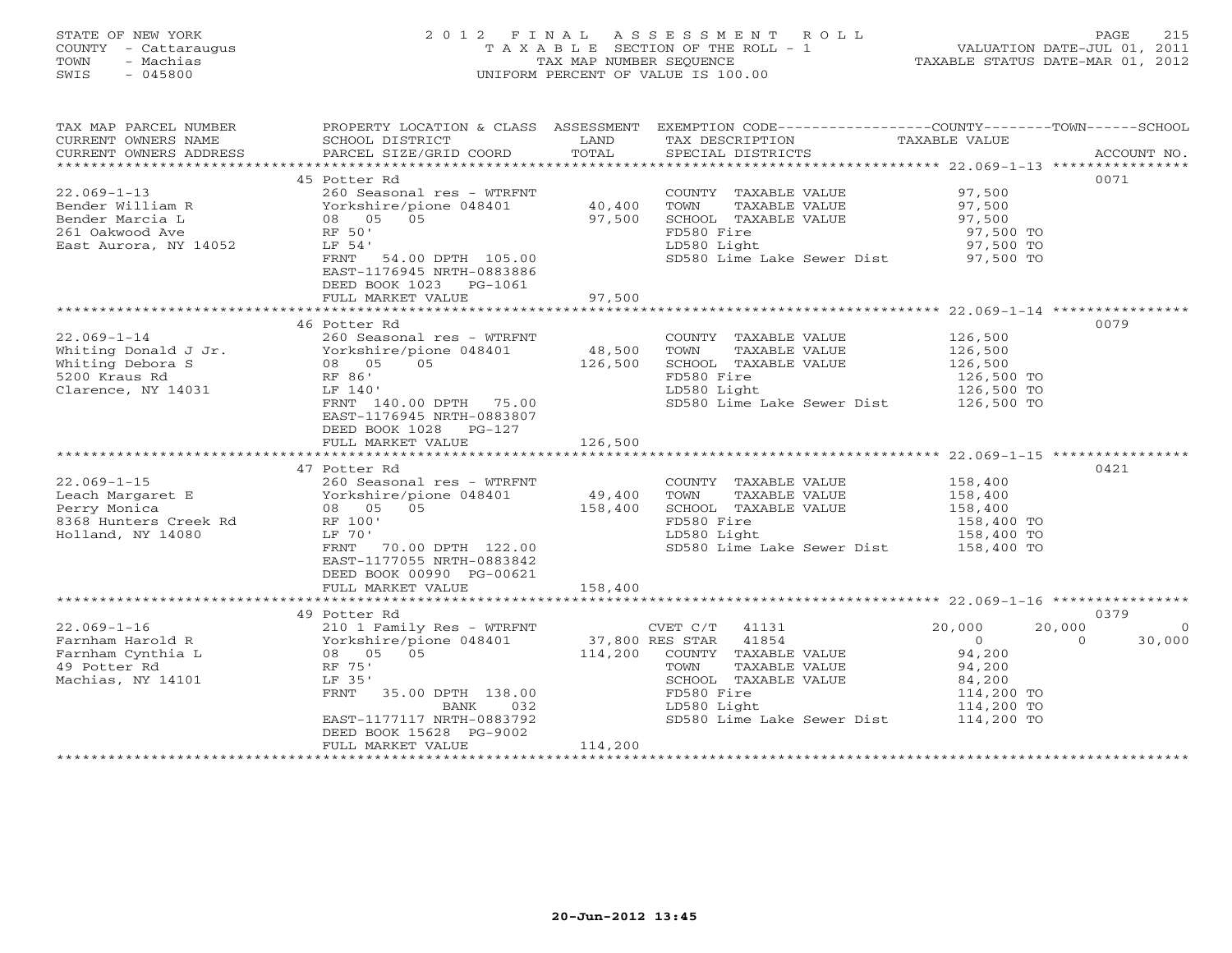# STATE OF NEW YORK 2 0 1 2 F I N A L A S S E S S M E N T R O L L PAGE 215 COUNTY - Cattaraugus T A X A B L E SECTION OF THE ROLL - 1 VALUATION DATE-JUL 01, 2011 TOWN - Machias TAX MAP NUMBER SEQUENCE TAXABLE STATUS DATE-MAR 01, 2012 SWIS - 045800 UNIFORM PERCENT OF VALUE IS 100.00UNIFORM PERCENT OF VALUE IS 100.00

| TAX MAP PARCEL NUMBER<br>CURRENT OWNERS NAME<br>CURRENT OWNERS ADDRESS | PROPERTY LOCATION & CLASS ASSESSMENT<br>SCHOOL DISTRICT<br>PARCEL SIZE/GRID COORD | LAND<br>TOTAL   | EXEMPTION CODE-----------------COUNTY-------TOWN------SCHOOL<br>TAX DESCRIPTION<br>SPECIAL DISTRICTS | TAXABLE VALUE          | ACCOUNT NO.        |
|------------------------------------------------------------------------|-----------------------------------------------------------------------------------|-----------------|------------------------------------------------------------------------------------------------------|------------------------|--------------------|
|                                                                        |                                                                                   |                 |                                                                                                      |                        |                    |
|                                                                        | 45 Potter Rd                                                                      |                 |                                                                                                      |                        | 0071               |
| $22.069 - 1 - 13$                                                      | 260 Seasonal res - WTRFNT                                                         |                 | COUNTY TAXABLE VALUE                                                                                 | 97,500                 |                    |
| Bender William R                                                       | Yorkshire/pione 048401                                                            | 40,400          | TOWN<br>TAXABLE VALUE                                                                                | 97,500                 |                    |
| Bender Marcia L                                                        | 08 05<br>05                                                                       | 97,500          | SCHOOL TAXABLE VALUE                                                                                 | 97,500                 |                    |
| 261 Oakwood Ave                                                        | RF 50'                                                                            |                 | FD580 Fire<br>LD580 Light                                                                            | 97,500 TO<br>97,500 TO |                    |
| East Aurora, NY 14052                                                  | LF 54'<br>54.00 DPTH 105.00<br>FRNT                                               |                 | SD580 Lime Lake Sewer Dist 97,500 TO                                                                 |                        |                    |
|                                                                        | EAST-1176945 NRTH-0883886                                                         |                 |                                                                                                      |                        |                    |
|                                                                        | DEED BOOK 1023 PG-1061                                                            |                 |                                                                                                      |                        |                    |
|                                                                        | FULL MARKET VALUE                                                                 | 97,500          |                                                                                                      |                        |                    |
|                                                                        |                                                                                   |                 |                                                                                                      |                        |                    |
|                                                                        | 46 Potter Rd                                                                      |                 |                                                                                                      |                        | 0079               |
| $22.069 - 1 - 14$                                                      | 260 Seasonal res - WTRFNT                                                         |                 | COUNTY TAXABLE VALUE                                                                                 | 126,500                |                    |
| Whiting Donald J Jr.                                                   | Yorkshire/pione 048401                                                            | 48,500          | TOWN<br>TAXABLE VALUE                                                                                | 126,500                |                    |
| Whiting Debora S                                                       | 08 05<br>05                                                                       | 126,500         | SCHOOL TAXABLE VALUE                                                                                 | 126,500                |                    |
| 5200 Kraus Rd                                                          | RF 86'                                                                            |                 | FD580 Fire                                                                                           | 126,500 TO             |                    |
| Clarence, NY 14031                                                     | LF 140'                                                                           |                 | LD580 Light                                                                                          | 126,500 TO             |                    |
|                                                                        | FRNT 140.00 DPTH 75.00<br>EAST-1176945 NRTH-0883807                               |                 | SD580 Lime Lake Sewer Dist                                                                           | 126,500 TO             |                    |
|                                                                        | DEED BOOK 1028<br>PG-127                                                          |                 |                                                                                                      |                        |                    |
|                                                                        | FULL MARKET VALUE                                                                 | 126,500         |                                                                                                      |                        |                    |
|                                                                        |                                                                                   |                 |                                                                                                      |                        |                    |
|                                                                        | 47 Potter Rd                                                                      |                 |                                                                                                      |                        | 0421               |
| $22.069 - 1 - 15$                                                      | 260 Seasonal res - WTRFNT                                                         |                 | COUNTY TAXABLE VALUE                                                                                 | 158,400                |                    |
| Leach Margaret E                                                       | Yorkshire/pione 048401                                                            | 49,400          | TOWN<br>TAXABLE VALUE                                                                                | 158,400                |                    |
| Perry Monica                                                           | 08 05<br>05                                                                       | 158,400         | SCHOOL TAXABLE VALUE                                                                                 | 158,400                |                    |
| 8368 Hunters Creek Rd                                                  | RF 100'                                                                           |                 | FD580 Fire                                                                                           | 158,400 TO             |                    |
| Holland, NY 14080                                                      | LF 70'                                                                            |                 | LD580 Light                                                                                          | 158,400 TO             |                    |
|                                                                        | FRNT 70.00 DPTH 122.00                                                            |                 | SD580 Lime Lake Sewer Dist 158,400 TO                                                                |                        |                    |
|                                                                        | EAST-1177055 NRTH-0883842                                                         |                 |                                                                                                      |                        |                    |
|                                                                        | DEED BOOK 00990 PG-00621<br>FULL MARKET VALUE                                     | 158,400         |                                                                                                      |                        |                    |
|                                                                        |                                                                                   |                 |                                                                                                      |                        |                    |
|                                                                        | 49 Potter Rd                                                                      |                 |                                                                                                      |                        | 0379               |
| $22.069 - 1 - 16$                                                      | 210 1 Family Res - WTRFNT                                                         |                 | CVET C/T<br>41131                                                                                    | 20,000                 | 20,000<br>$\Omega$ |
| Farnham Harold R                                                       | Yorkshire/pione 048401                                                            | 37,800 RES STAR | 41854                                                                                                | $\overline{0}$         | 30,000<br>$\Omega$ |
| Farnham Cynthia L                                                      | 08 05 05                                                                          | 114,200         | COUNTY TAXABLE VALUE                                                                                 | 94,200                 |                    |
| 49 Potter Rd                                                           | RF 75'                                                                            |                 | TOWN<br>TAXABLE VALUE                                                                                | 94,200                 |                    |
| Machias, NY 14101                                                      | LF 35'                                                                            |                 | SCHOOL TAXABLE VALUE                                                                                 | 84,200                 |                    |
|                                                                        | FRNT<br>35.00 DPTH 138.00                                                         |                 | FD580 Fire                                                                                           | 114,200 TO             |                    |
|                                                                        | 032<br>BANK                                                                       |                 | LD580 Light                                                                                          | 114,200 TO             |                    |
|                                                                        | EAST-1177117 NRTH-0883792                                                         |                 | SD580 Lime Lake Sewer Dist                                                                           | 114,200 TO             |                    |
|                                                                        | DEED BOOK 15628 PG-9002<br>FULL MARKET VALUE                                      | 114,200         |                                                                                                      |                        |                    |
|                                                                        | **************************                                                        |                 |                                                                                                      |                        |                    |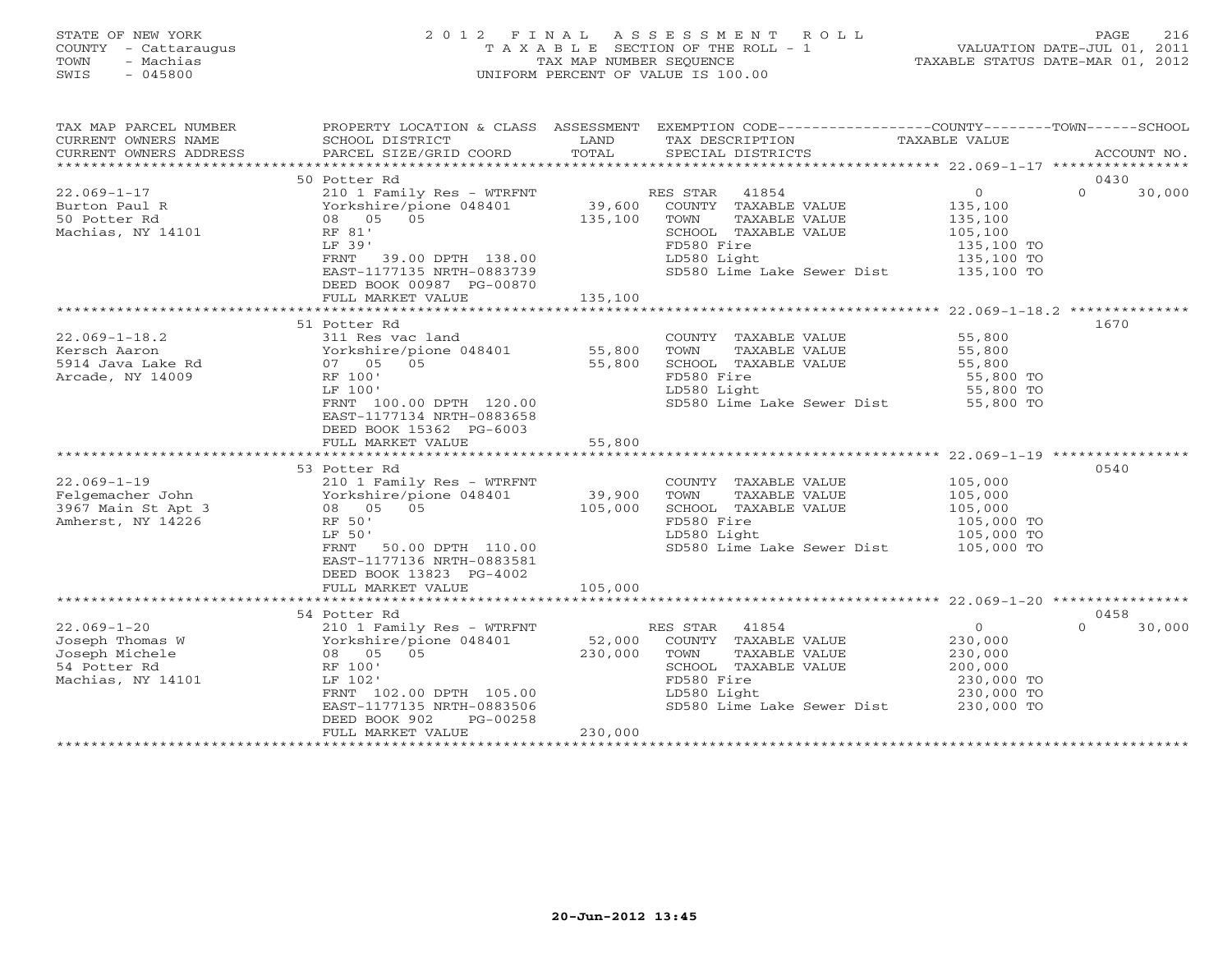#### STATE OF NEW YORK 2 0 1 2 F I N A L A S S E S S M E N T R O L L PAGE 216 COUNTY - Cattaraugus T A X A B L E SECTION OF THE ROLL - 1 VALUATION DATE-JUL 01, 2011 TOWN - Machias TAX MAP NUMBER SEQUENCE TAXABLE STATUS DATE-MAR 01, 2012 SWIS - 045800 UNIFORM PERCENT OF VALUE IS 100.00UNIFORM PERCENT OF VALUE IS 100.00

| TAX MAP PARCEL NUMBER<br>CURRENT OWNERS NAME<br>CURRENT OWNERS ADDRESS                                                                                                                                                                                     | SCHOOL DISTRICT<br>PARCEL SIZE/GRID COORD TOTAL                                                                                                                                                                                                                     | LAND                                  | PROPERTY LOCATION & CLASS ASSESSMENT EXEMPTION CODE---------------COUNTY-------TOWN------SCHOOL<br>TAX DESCRIPTION<br>SPECIAL DISTRICTS                                                                                                                                                                  | TAXABLE VALUE                                                                                | ACCOUNT NO.                |
|------------------------------------------------------------------------------------------------------------------------------------------------------------------------------------------------------------------------------------------------------------|---------------------------------------------------------------------------------------------------------------------------------------------------------------------------------------------------------------------------------------------------------------------|---------------------------------------|----------------------------------------------------------------------------------------------------------------------------------------------------------------------------------------------------------------------------------------------------------------------------------------------------------|----------------------------------------------------------------------------------------------|----------------------------|
|                                                                                                                                                                                                                                                            |                                                                                                                                                                                                                                                                     |                                       |                                                                                                                                                                                                                                                                                                          |                                                                                              |                            |
| $22.069 - 1 - 17$<br>Burton Paul R                                                                                                                                                                                                                         | 50 Potter Rd<br>210 1 Family Res - WTRFNT<br>2001 - 2010 11:00 11:00<br>139,600 139,600 139,600 135,100 135,100                                                                                                                                                     |                                       | RES STAR 41854<br>COUNTY TAXABLE VALUE                                                                                                                                                                                                                                                                   | $\overline{0}$<br>135,100                                                                    | 0430<br>$\Omega$<br>30,000 |
| 50 Potter Rd<br>Machias, NY 14101                                                                                                                                                                                                                          | 08 05 05<br>RF 81'<br>LF 39'<br>FRNT 39.00 DPTH 138.00<br>EAST-1177135 NRTH-0883739<br>DEED BOOK 00987 PG-00870                                                                                                                                                     | 135,100                               | TAXABLE VALUE<br>TOWN<br>SCHOOL TAXABLE VALUE<br>FD580 Fire<br>LD580 Light<br>SD580 Lime Lake Sewer Dist 135,100 TO                                                                                                                                                                                      | 135,100<br>105, 100<br>135,100 TO<br>135,100 TO                                              |                            |
|                                                                                                                                                                                                                                                            | FULL MARKET VALUE                                                                                                                                                                                                                                                   | 135,100                               |                                                                                                                                                                                                                                                                                                          |                                                                                              |                            |
|                                                                                                                                                                                                                                                            |                                                                                                                                                                                                                                                                     |                                       |                                                                                                                                                                                                                                                                                                          |                                                                                              |                            |
|                                                                                                                                                                                                                                                            | 51 Potter Rd                                                                                                                                                                                                                                                        |                                       |                                                                                                                                                                                                                                                                                                          |                                                                                              | 1670                       |
| $22.069 - 1 - 18.2$<br>Arcade, NY 14009<br>$22.069-1-19$<br>$210$ 1 Family Res - WTRFNT<br>Felgemacher John                                Yorkshire/pione 048401<br>3967 Main St Apt 3                               08    05     05<br>Amherst, NY 14226 | 311 Res vac land<br>Yorkshire/pione 048401             55,800<br>0.5<br>RF 100'<br>LF 100'<br>FRNT 100.00 DPTH 120.00<br>EAST-1177134 NRTH-0883658<br>DEED BOOK 15362 PG-6003<br>FULL MARKET VALUE<br>53 Potter Rd<br>RF 50'<br>LF 50'<br>FRNT<br>50.00 DPTH 110.00 | 55,800<br>55,800<br>39,900<br>105,000 | COUNTY TAXABLE VALUE<br>TAXABLE VALUE<br>TOWN<br>SCHOOL TAXABLE VALUE 55,800<br>FD580 Fire<br>LD580 Light<br>SD580 Lime Lake Sewer Dist 55,800 TO<br>COUNTY TAXABLE VALUE 105,000<br>TAXABLE VALUE<br>TOWN<br>SCHOOL TAXABLE VALUE<br>FD580 Fire<br>LD580 Light<br>SD580 Lime Lake Sewer Dist 105,000 TO | 55,800<br>55,800<br>55,800 TO<br>55,800 TO<br>105,000<br>105,000<br>105,000 TO<br>105,000 TO | 0540                       |
|                                                                                                                                                                                                                                                            | EAST-1177136 NRTH-0883581                                                                                                                                                                                                                                           |                                       |                                                                                                                                                                                                                                                                                                          |                                                                                              |                            |
|                                                                                                                                                                                                                                                            | DEED BOOK 13823 PG-4002<br>FULL MARKET VALUE                                                                                                                                                                                                                        | 105,000                               |                                                                                                                                                                                                                                                                                                          |                                                                                              |                            |
|                                                                                                                                                                                                                                                            |                                                                                                                                                                                                                                                                     |                                       |                                                                                                                                                                                                                                                                                                          |                                                                                              |                            |
|                                                                                                                                                                                                                                                            | 54 Potter Rd                                                                                                                                                                                                                                                        |                                       |                                                                                                                                                                                                                                                                                                          |                                                                                              | 0458                       |
| $22.069 - 1 - 20$<br>Joseph Thomas W<br>Joseph Michele<br>54 Potter Rd<br>Machias, NY 14101                                                                                                                                                                | 210 1 Family Res - WTRFNT<br>210 1 Family Res - WTRFNT<br>Yorkshire/pione 048401<br>08 05 05<br>RF 100'<br>LF 102'<br>FRNT 102.00 DPTH 105.00<br>EAST-1177135 NRTH-0883506<br>DEED BOOK 902<br>PG-00258                                                             | 52,000<br>230,000                     | RES STAR 41854<br>COUNTY TAXABLE VALUE<br>TOWN<br>TAXABLE VALUE<br>SCHOOL TAXABLE VALUE<br>FD580 Fire<br>LD580 Light<br>SD580 Lime Lake Sewer Dist 230,000 TO                                                                                                                                            | $\overline{0}$<br>230,000<br>230,000<br>200,000<br>230,000 TO<br>230,000 TO                  | $\Omega$<br>30,000         |
|                                                                                                                                                                                                                                                            | FULL MARKET VALUE                                                                                                                                                                                                                                                   | 230,000                               |                                                                                                                                                                                                                                                                                                          |                                                                                              |                            |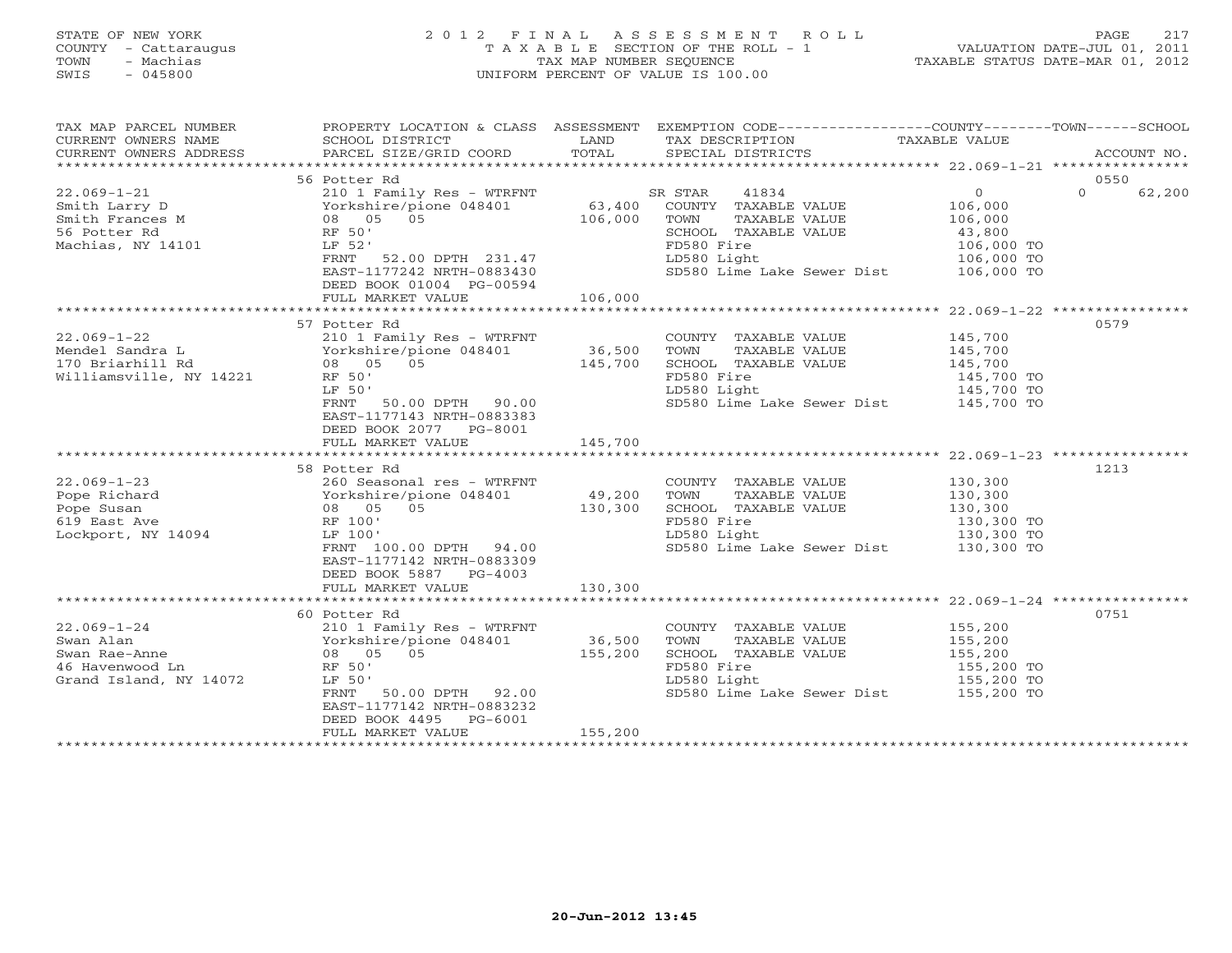# STATE OF NEW YORK 2 0 1 2 F I N A L A S S E S S M E N T R O L L PAGE 217 COUNTY - Cattaraugus T A X A B L E SECTION OF THE ROLL - 1 VALUATION DATE-JUL 01, 2011 TOWN - Machias TAX MAP NUMBER SEQUENCE TAXABLE STATUS DATE-MAR 01, 2012 SWIS - 045800 UNIFORM PERCENT OF VALUE IS 100.00UNIFORM PERCENT OF VALUE IS 100.00

| PROPERTY LOCATION & CLASS ASSESSMENT EXEMPTION CODE----------------COUNTY-------TOWN------SCHOOL<br>TAX MAP PARCEL NUMBER<br>CURRENT OWNERS ADDRESS                                                                                                                                                                                                       |                            |
|-----------------------------------------------------------------------------------------------------------------------------------------------------------------------------------------------------------------------------------------------------------------------------------------------------------------------------------------------------------|----------------------------|
|                                                                                                                                                                                                                                                                                                                                                           |                            |
| 56 Potter Rd<br>$\begin{array}{ccccccc}\n 22.069-1-21 & & & & 210 & 1 & & & & \\  23.069-1-21 & & & & 210 & 1 & & & \\  5.069-1-21 & & & & 210 & 1 & & \\  5.069-1-21 & & & & 210 & 1 & & \\  5.069-1-21 & & & & 210 & 1 & & \\  5.069-1-21 & & & & 210 & 1 & \\  5.069-1-21 & & & & 210 & 1 & \\  5.069-1-21 & & & & 210 & 1 & \\  5.069-1-$<br>$\sim$ 0 | 0550<br>$\Omega$<br>62,200 |
| 106,000                                                                                                                                                                                                                                                                                                                                                   |                            |
| 106,000                                                                                                                                                                                                                                                                                                                                                   |                            |
| 43,800                                                                                                                                                                                                                                                                                                                                                    |                            |
|                                                                                                                                                                                                                                                                                                                                                           |                            |
| SCHOOL TAXABLE VALUE<br>FD580 Fire<br>LD580 Light<br>FRNT 52.00 DPTH 231.47                                                                                                                                                                                                                                                                               |                            |
| FD580 Fire 106,000 TO<br>LD580 Light 106,000 TO<br>SD580 Lime Lake Sewer Dist 106,000 TO<br>EAST-1177242 NRTH-0883430                                                                                                                                                                                                                                     |                            |
| DEED BOOK 01004 PG-00594                                                                                                                                                                                                                                                                                                                                  |                            |
| 106,000<br>FULL MARKET VALUE                                                                                                                                                                                                                                                                                                                              |                            |
|                                                                                                                                                                                                                                                                                                                                                           |                            |
| 57 Potter Rd                                                                                                                                                                                                                                                                                                                                              | 0579                       |
| COUNTY TAXABLE VALUE 145,700                                                                                                                                                                                                                                                                                                                              |                            |
| 22.069-1-22<br>Mendel Sandra L<br>170 Briarhill Rd<br>170 Briarhill Rd<br>170 Briarhill Rd<br>1880 - 05<br>200 05<br>200 05<br>200 05<br>201 05<br>201 05<br>201 05<br>201 145,700<br>145,700<br>TOWN<br>TAXABLE VALUE                                                                                                                                    |                            |
| SCHOOL TAXABLE VALUE 145,700                                                                                                                                                                                                                                                                                                                              |                            |
| Williamsville, NY 14221 RF 50'<br>FD580 Fire                                                                                                                                                                                                                                                                                                              |                            |
| 145,700 TO<br>145,700 TO<br>LF 50'<br>LD580 Light                                                                                                                                                                                                                                                                                                         |                            |
| SD580 Lime Lake Sewer Dist 145,700 TO<br>50.00 DPTH 90.00<br>FRNT                                                                                                                                                                                                                                                                                         |                            |
| EAST-1177143 NRTH-0883383                                                                                                                                                                                                                                                                                                                                 |                            |
| DEED BOOK 2077 PG-8001                                                                                                                                                                                                                                                                                                                                    |                            |
|                                                                                                                                                                                                                                                                                                                                                           |                            |
|                                                                                                                                                                                                                                                                                                                                                           |                            |
| 58 Potter Rd                                                                                                                                                                                                                                                                                                                                              | 1213                       |
| 260 Seasonal res - WTRFNT                                                                                                                                                                                                                                                                                                                                 |                            |
|                                                                                                                                                                                                                                                                                                                                                           |                            |
| COUNTY TAXABLE VALUE 130,300<br>TOWN TAXABLE VALUE 130,300<br>SCHOOL TAXABLE VALUE 130,300<br>49,200<br>130,300                                                                                                                                                                                                                                           |                            |
| FD580 Fire                                                                                                                                                                                                                                                                                                                                                |                            |
| 130,300 TO<br>130,300 TO                                                                                                                                                                                                                                                                                                                                  |                            |
| LD580 Light<br>SD580 Lime Lake Sewer Dist 130,300 TO<br>FRNT 100.00 DPTH 94.00                                                                                                                                                                                                                                                                            |                            |
|                                                                                                                                                                                                                                                                                                                                                           |                            |
| EAST-1177142 NRTH-0883309<br>DEED BOOK 5887 PG-4003                                                                                                                                                                                                                                                                                                       |                            |
|                                                                                                                                                                                                                                                                                                                                                           |                            |
| 130,300<br>FULL MARKET VALUE                                                                                                                                                                                                                                                                                                                              |                            |
|                                                                                                                                                                                                                                                                                                                                                           |                            |
| 60 Potter Rd                                                                                                                                                                                                                                                                                                                                              | 0751                       |
| COUNTY TAXABLE VALUE 155,200<br>$22.069 - 1 - 24$<br>$210$ 1 $F \text{am} \perp 1$ $N \sim 1$<br>Yorkshire/pione 048401<br>08 05 05                                                                                                                                                                                                                       |                            |
| 36,500<br>155,200<br>Swan Alan<br>TAXABLE VALUE 155,200<br>DL TAXABLE VALUE 155,200<br>Pire 155,200 TO<br>TOWN                                                                                                                                                                                                                                            |                            |
| Swan Rae-Anne<br>-CONN - TAXABLE VALUE<br>FD580 Fire<br>TD580 Eire                                                                                                                                                                                                                                                                                        |                            |
| 46 Havenwood Ln<br>RF 50'                                                                                                                                                                                                                                                                                                                                 |                            |
| 155,200 TO<br>Grand Island, NY 14072<br>LF 50'                                                                                                                                                                                                                                                                                                            |                            |
| SD580 Lime Lake Sewer Dist 155,200 TO<br>50.00 DPTH 92.00<br>FRNT                                                                                                                                                                                                                                                                                         |                            |
| EAST-1177142 NRTH-0883232                                                                                                                                                                                                                                                                                                                                 |                            |
| DEED BOOK 4495 PG-6001                                                                                                                                                                                                                                                                                                                                    |                            |
| 155,200<br>FULL MARKET VALUE                                                                                                                                                                                                                                                                                                                              |                            |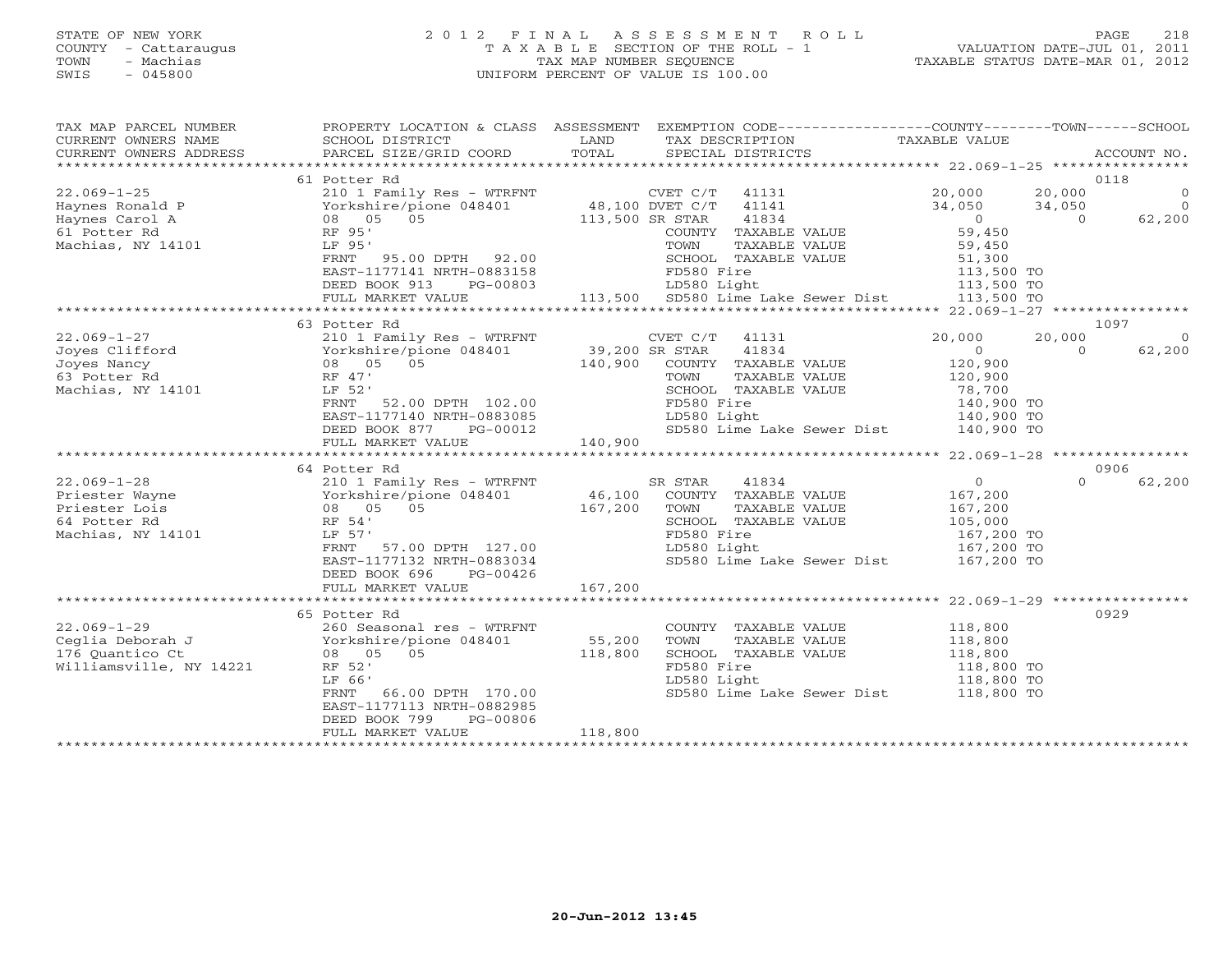## STATE OF NEW YORK 2 0 1 2 F I N A L A S S E S S M E N T R O L L PAGE 218 COUNTY - Cattaraugus T A X A B L E SECTION OF THE ROLL - 1 VALUATION DATE-JUL 01, 2011 TOWN - Machias TAX MAP NUMBER SEQUENCE TAXABLE STATUS DATE-MAR 01, 2012 SWIS - 045800 UNIFORM PERCENT OF VALUE IS 100.00UNIFORM PERCENT OF VALUE IS 100.00

| TAX MAP PARCEL NUMBER<br>CURRENT OWNERS NAME<br>CURRENT OWNERS ADDRESS              | SCHOOL DISTRICT<br>PARCEL SIZE/GRID COORD TOTAL                                                                                                                                                                                                                                                                                                                                                                                                                                                                                                                                              | <b>EXAMPLE SERVICE SERVICE SERVICE SERVICE SERVICE SERVICE SERVICE SERVICE SERVICE SERVICE SERVICE SERVICE SERVICE</b> | TAX DESCRIPTION TAXABLE VALUE SPECIAL DISTRICTS                       | PROPERTY LOCATION & CLASS ASSESSMENT EXEMPTION CODE----------------COUNTY-------TOWN------SCHOOL                                                                           | ACCOUNT NO.                                            |
|-------------------------------------------------------------------------------------|----------------------------------------------------------------------------------------------------------------------------------------------------------------------------------------------------------------------------------------------------------------------------------------------------------------------------------------------------------------------------------------------------------------------------------------------------------------------------------------------------------------------------------------------------------------------------------------------|------------------------------------------------------------------------------------------------------------------------|-----------------------------------------------------------------------|----------------------------------------------------------------------------------------------------------------------------------------------------------------------------|--------------------------------------------------------|
| Machias, NY 14101 LF 95'                                                            | 61 Potter Rd<br>RF 95'<br>LF 95'<br>FRNT 95.00 DPTH 92.00<br>EAST-1177141 NRTH-083158<br>EAST-1177141 NRTH-083158<br>DEED BOOK 913 PG-00803<br>FD580 Light<br>LD580 Light<br>LD580 Light<br>EAST-1177141 NRTH-083158<br>213,500 TO<br>213,500 TO<br>213,500 TO<br>213,500 TO<br>213,500 TO                                                                                                                                                                                                                                                                                                   |                                                                                                                        | COUNTY TAXABLE VALUE<br>TOWN<br>TAXABLE VALUE<br>SCHOOL TAXABLE VALUE | 20,000 20,000<br>34,050 34,050<br>$\begin{matrix} 0 \\ 0 \end{matrix}$<br>$\overline{0}$<br>BLE VALUE 59,450<br>BLE VALUE 51,300<br>113,500 TO<br>113,500 TO<br>113,500 TO | 0118<br>$\begin{matrix} 0 \\ 0 \end{matrix}$<br>62,200 |
|                                                                                     |                                                                                                                                                                                                                                                                                                                                                                                                                                                                                                                                                                                              |                                                                                                                        |                                                                       |                                                                                                                                                                            |                                                        |
| Machias, NY 14101                                                                   | 63 Potter Rd<br>$\begin{array}{ccccccccc} 22.069-1-27 & & & 210 & 1 & \text{Family Res} & - & \text{WTRENT} & & & \text{CVET C/T} & 41131 \\ \text{Joyes Clifford} & & & & \text{Yorkshire/pione 048401} & & 39,200 & \text{SR STAR} & 41834 \\ \text{Joyes Nancy} & & & & 08 & 05 & 05 & & 140,900 & \text{COUNTY} & \text{TAXABLE VALUE} \\ \text{63 Potcer Nd} & & & & \text{RF 47'} & & & \text{TOWN} & \text{TAXABLE VALUE} \\ \end{array}$<br><br>52.00 DPTH 102.00<br>77140 NRTH-093305<br>LF 52'<br>FRNT<br>EAST-1177140 NRTH-0883085<br>DEED BOOK 877 PG-00012<br>FULL MARKET VALUE | 140,900                                                                                                                | SCHOOL TAXABLE VALUE<br>FD580 Fire<br>LD580 Light                     | 20,000<br>20,000<br>$\sim$ 0<br>$\Omega$<br>120,900<br>120,900<br>78,700<br>140,900 TO<br>140,900 TO<br>SD580 Lime Lake Sewer Dist 140,900 TO                              | 1097<br>$\overline{0}$<br>62,200                       |
|                                                                                     |                                                                                                                                                                                                                                                                                                                                                                                                                                                                                                                                                                                              |                                                                                                                        |                                                                       |                                                                                                                                                                            | 0906                                                   |
|                                                                                     | 64 Potter Rd<br>FRNT 57.00 DPTH 127.00<br>EAST-1177132 NRTH-0883034<br>DEED BOOK 696<br>PG-00426<br>FULL MARKET VALUE                                                                                                                                                                                                                                                                                                                                                                                                                                                                        | 167,200                                                                                                                | SCHOOL TAXABLE VALUE<br>FD580 Fire<br>LD580 Light<br>LD580 Light      | $\overline{0}$<br>167,200<br>167,200<br>105,000<br>167,200 TO<br>167,200 TO<br>SD580 Lime Lake Sewer Dist 167,200 TO                                                       | $\Omega$<br>62,200                                     |
|                                                                                     |                                                                                                                                                                                                                                                                                                                                                                                                                                                                                                                                                                                              |                                                                                                                        |                                                                       |                                                                                                                                                                            |                                                        |
| $22.069 - 1 - 29$<br>Ceglia Deborah J<br>176 Quantico Ct<br>Williamsville, NY 14221 | 65 Potter Rd<br>RF 52'<br>LF 66'<br>FRNT 66.00 DPTH 170.00<br>EAST-1177113 NRTH-0882985<br>DEED BOOK 799<br>PG-00806<br>FULL MARKET VALUE                                                                                                                                                                                                                                                                                                                                                                                                                                                    | 118,800                                                                                                                | COUNTY TAXABLE VALUE<br>LD580 Light                                   | 118,800<br>118,800<br>TOWN TAXABLE VALUE<br>SCHOOL TAXABLE VALUE 118,800 TO<br>118,800 TO 118,800 TO<br>118,800 TO<br>118,800 TO<br>SD580 Lime Lake Sewer Dist 118,800 TO  | 0929                                                   |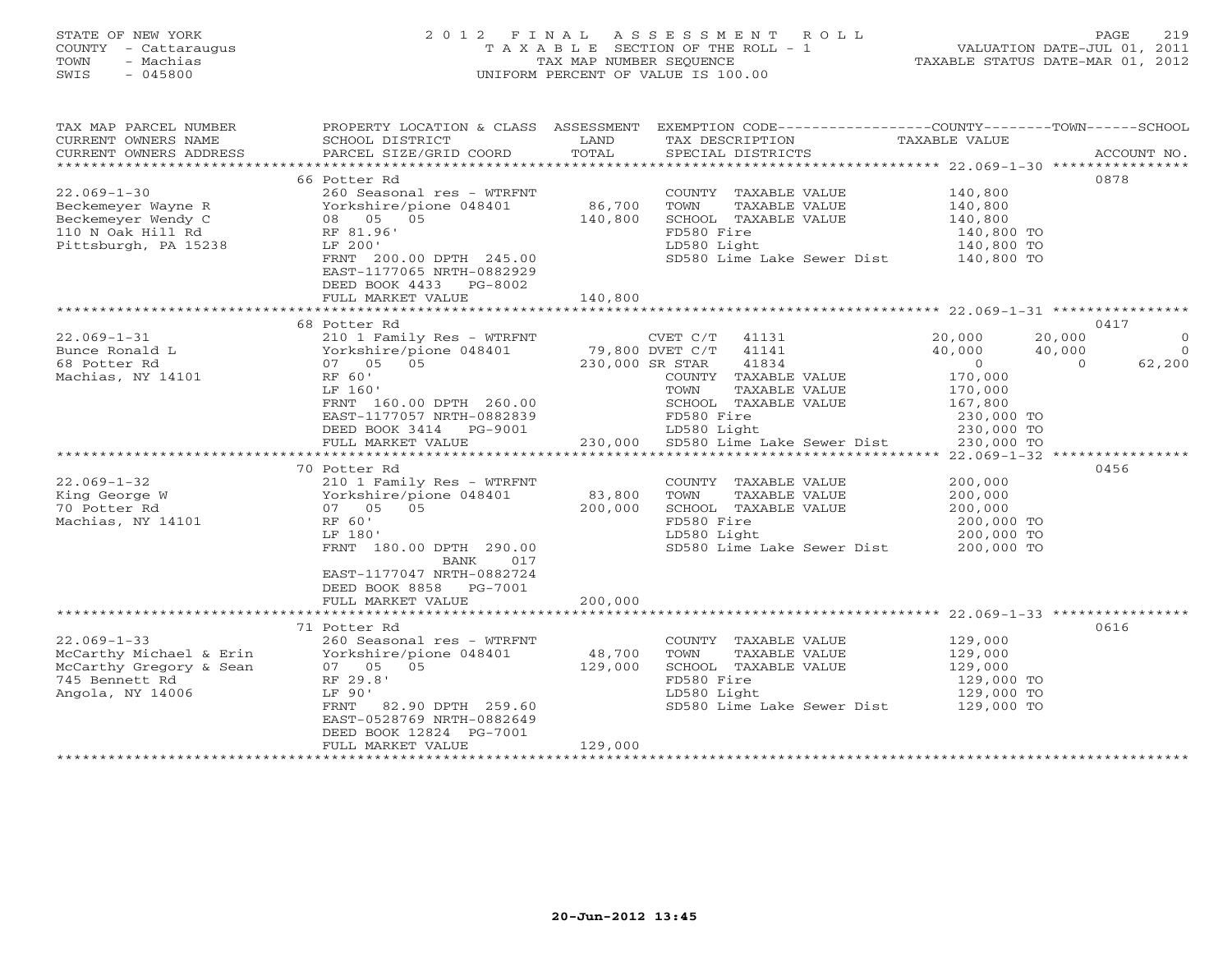# STATE OF NEW YORK 2 0 1 2 F I N A L A S S E S S M E N T R O L L PAGE 219 COUNTY - Cattaraugus T A X A B L E SECTION OF THE ROLL - 1 VALUATION DATE-JUL 01, 2011 TOWN - Machias TAX MAP NUMBER SEQUENCE TAXABLE STATUS DATE-MAR 01, 2012 SWIS - 045800 UNIFORM PERCENT OF VALUE IS 100.00UNIFORM PERCENT OF VALUE IS 100.00

| TAX MAP PARCEL NUMBER<br>CURRENT OWNERS NAME<br>CURRENT OWNERS ADDRESS | PROPERTY LOCATION & CLASS ASSESSMENT<br>SCHOOL DISTRICT<br>PARCEL SIZE/GRID COORD | LAND<br>TOTAL | TAX DESCRIPTION<br>SPECIAL DISTRICTS  | EXEMPTION CODE-----------------COUNTY-------TOWN------SCHOOL<br>TAXABLE VALUE | ACCOUNT NO.    |
|------------------------------------------------------------------------|-----------------------------------------------------------------------------------|---------------|---------------------------------------|-------------------------------------------------------------------------------|----------------|
|                                                                        |                                                                                   |               |                                       |                                                                               |                |
|                                                                        | 66 Potter Rd                                                                      |               |                                       |                                                                               | 0878           |
| $22.069 - 1 - 30$                                                      | 260 Seasonal res - WTRFNT                                                         |               | COUNTY TAXABLE VALUE                  | 140,800                                                                       |                |
| Beckemeyer Wayne R                                                     | Yorkshire/pione 048401                                                            | 86,700        | TOWN<br>TAXABLE VALUE                 | 140,800                                                                       |                |
| Beckemeyer Wendy C                                                     | 08 05 05                                                                          | 140,800       | SCHOOL TAXABLE VALUE                  | 140,800                                                                       |                |
| 110 N Oak Hill Rd                                                      | RF 81.96'                                                                         |               | FD580 Fire                            | 140,800 TO                                                                    |                |
| Pittsburgh, PA 15238                                                   | LF 200'                                                                           |               | LD580 Light                           | 140,800 TO                                                                    |                |
|                                                                        | FRNT 200.00 DPTH 245.00<br>EAST-1177065 NRTH-0882929                              |               | SD580 Lime Lake Sewer Dist 140,800 TO |                                                                               |                |
|                                                                        | DEED BOOK 4433 PG-8002                                                            |               |                                       |                                                                               |                |
|                                                                        | FULL MARKET VALUE                                                                 | 140,800       |                                       |                                                                               |                |
|                                                                        |                                                                                   |               |                                       |                                                                               |                |
|                                                                        | 68 Potter Rd                                                                      |               |                                       |                                                                               | 0417           |
| $22.069 - 1 - 31$                                                      | 210 1 Family Res - WTRFNT                                                         |               | CVET C/T<br>41131                     | 20,000<br>20,000                                                              | $\circ$        |
| Bunce Ronald L                                                         | Yorkshire/pione 048401                                                            |               | 79,800 DVET C/T 41141                 | 40,000<br>40,000                                                              | $\overline{0}$ |
| 68 Potter Rd                                                           | 07 05 05                                                                          |               | 230,000 SR STAR<br>41834              | $\overline{0}$<br>$\Omega$                                                    | 62,200         |
| Machias, NY 14101                                                      | RF 60'                                                                            |               | COUNTY TAXABLE VALUE                  | 170,000                                                                       |                |
|                                                                        | LF 160'                                                                           |               | TOWN<br>TAXABLE VALUE                 | 170,000                                                                       |                |
|                                                                        | FRNT 160.00 DPTH 260.00                                                           |               | SCHOOL TAXABLE VALUE                  | 167,800                                                                       |                |
|                                                                        | EAST-1177057 NRTH-0882839                                                         |               | FD580 Fire                            | 230,000 TO                                                                    |                |
|                                                                        | DEED BOOK 3414 PG-9001                                                            |               | LD580 Light                           | 230,000 TO                                                                    |                |
|                                                                        | FULL MARKET VALUE                                                                 |               | 230,000 SD580 Lime Lake Sewer Dist    | 230,000 TO                                                                    |                |
|                                                                        | *****************************                                                     |               |                                       |                                                                               |                |
|                                                                        | 70 Potter Rd                                                                      |               |                                       |                                                                               | 0456           |
| $22.069 - 1 - 32$                                                      | 210 1 Family Res - WTRFNT                                                         |               | COUNTY TAXABLE VALUE                  | 200,000                                                                       |                |
| King George W                                                          | Yorkshire/pione 048401                                                            | 83,800        | TOWN<br>TAXABLE VALUE                 | 200,000                                                                       |                |
| 70 Potter Rd                                                           | 07 05 05                                                                          | 200,000       | SCHOOL TAXABLE VALUE                  | 200,000                                                                       |                |
| Machias, NY 14101                                                      | RF 60'                                                                            |               | FD580 Fire                            | 200,000 TO                                                                    |                |
|                                                                        | LF 180'                                                                           |               | LD580 Light                           | 200,000 TO                                                                    |                |
|                                                                        | FRNT 180.00 DPTH 290.00                                                           |               | SD580 Lime Lake Sewer Dist            | 200,000 TO                                                                    |                |
|                                                                        | 017<br>BANK                                                                       |               |                                       |                                                                               |                |
|                                                                        | EAST-1177047 NRTH-0882724<br>DEED BOOK 8858 PG-7001                               |               |                                       |                                                                               |                |
|                                                                        | FULL MARKET VALUE                                                                 | 200,000       |                                       |                                                                               |                |
|                                                                        |                                                                                   |               |                                       |                                                                               |                |
|                                                                        | 71 Potter Rd                                                                      |               |                                       |                                                                               | 0616           |
| $22.069 - 1 - 33$                                                      | 260 Seasonal res - WTRFNT                                                         |               | COUNTY TAXABLE VALUE                  | 129,000                                                                       |                |
| McCarthy Michael & Erin                                                | Yorkshire/pione 048401                                                            | 48,700        | TOWN<br>TAXABLE VALUE                 | 129,000                                                                       |                |
| McCarthy Gregory & Sean                                                | 07 05 05                                                                          | 129,000       | SCHOOL TAXABLE VALUE                  | 129,000                                                                       |                |
| 745 Bennett Rd                                                         | RF 29.8'                                                                          |               | FD580 Fire                            | 129,000 TO                                                                    |                |
| Angola, NY 14006                                                       | LF 90'                                                                            |               | LD580 Light                           | 129,000 TO                                                                    |                |
|                                                                        | FRNT<br>82.90 DPTH 259.60                                                         |               | SD580 Lime Lake Sewer Dist            | 129,000 TO                                                                    |                |
|                                                                        | EAST-0528769 NRTH-0882649                                                         |               |                                       |                                                                               |                |
|                                                                        | DEED BOOK 12824 PG-7001                                                           |               |                                       |                                                                               |                |
|                                                                        | FULL MARKET VALUE                                                                 | 129,000       |                                       |                                                                               |                |
|                                                                        |                                                                                   |               |                                       |                                                                               |                |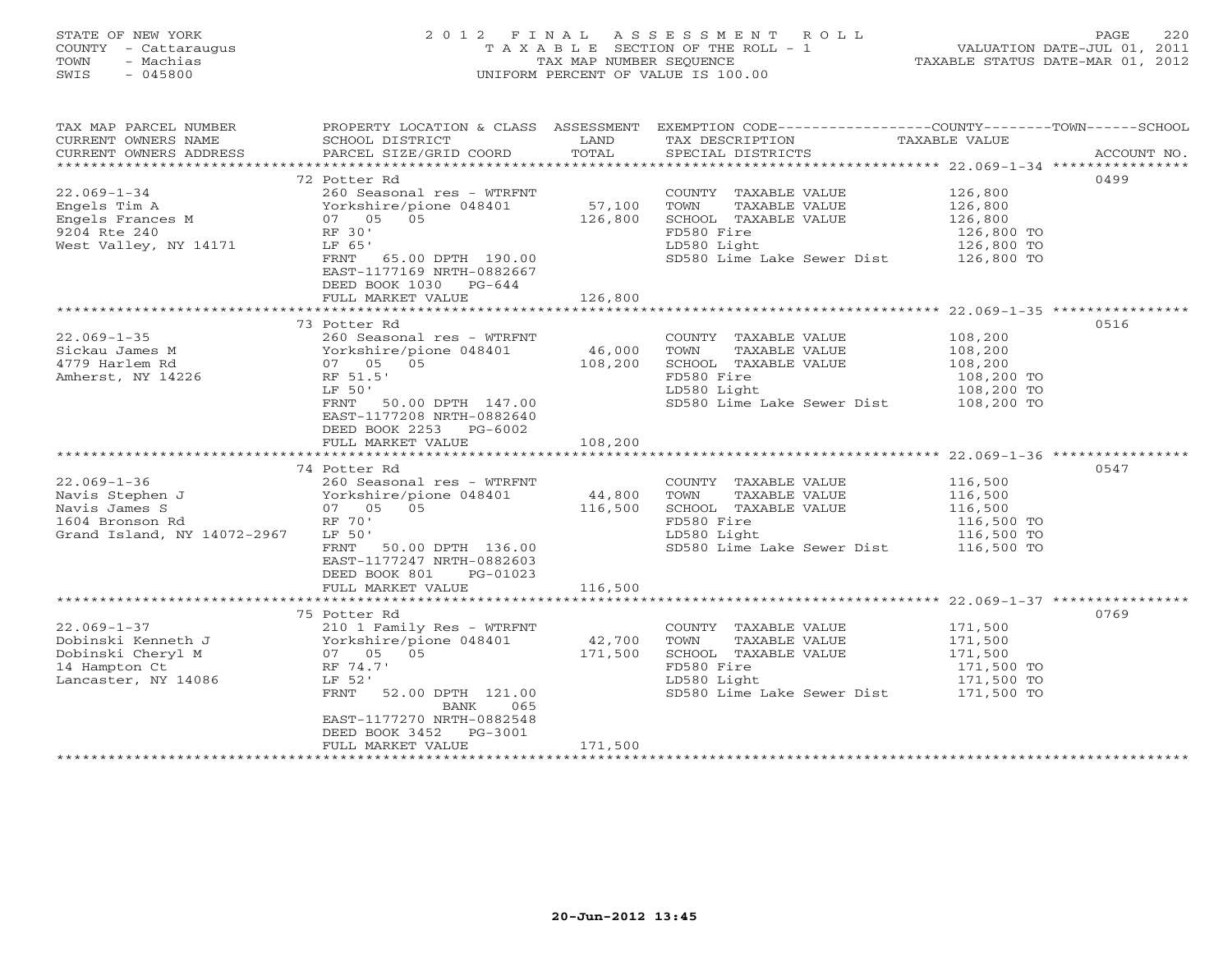## STATE OF NEW YORK 2 0 1 2 F I N A L A S S E S S M E N T R O L L PAGE 220 COUNTY - Cattaraugus T A X A B L E SECTION OF THE ROLL - 1 VALUATION DATE-JUL 01, 2011 TOWN - Machias TAX MAP NUMBER SEQUENCE TAXABLE STATUS DATE-MAR 01, 2012 SWIS - 045800 UNIFORM PERCENT OF VALUE IS 100.00UNIFORM PERCENT OF VALUE IS 100.00

| TAX MAP PARCEL NUMBER                                                            | PROPERTY LOCATION & CLASS ASSESSMENT EXEMPTION CODE----------------COUNTY-------TOWN------SCHOOL |                   |                                                                                                                     |                          |      |
|----------------------------------------------------------------------------------|--------------------------------------------------------------------------------------------------|-------------------|---------------------------------------------------------------------------------------------------------------------|--------------------------|------|
| CURRENT OWNERS NAME                                                              | SCHOOL DISTRICT                                                                                  | LAND              | TAX DESCRIPTION                                                                                                     | TAXABLE VALUE            |      |
|                                                                                  |                                                                                                  |                   |                                                                                                                     |                          |      |
|                                                                                  | 72 Potter Rd                                                                                     |                   |                                                                                                                     |                          | 0499 |
| $22.069 - 1 - 34$                                                                | 260 Seasonal res - WTRFNT                                                                        |                   | COUNTY TAXABLE VALUE 126,800                                                                                        |                          |      |
|                                                                                  |                                                                                                  |                   | TOWN<br>TAXABLE VALUE                                                                                               |                          |      |
|                                                                                  |                                                                                                  | 57,100<br>126,800 | SCHOOL TAXABLE VALUE                                                                                                | 126,800<br>126,800       |      |
| Engels Tim A<br>Engels Frances M<br>9204 Rte 240<br>9204 Rte 240<br>Press RF 30' |                                                                                                  |                   | FD580 Fire                                                                                                          |                          |      |
| West Valley, NY 14171                                                            | LF 65'                                                                                           |                   | LD580 Light                                                                                                         | 126,800 TO<br>126,800 TO |      |
|                                                                                  | FRNT 65.00 DPTH 190.00                                                                           |                   | SD580 Lime Lake Sewer Dist 126,800 TO                                                                               |                          |      |
|                                                                                  | EAST-1177169 NRTH-0882667                                                                        |                   |                                                                                                                     |                          |      |
|                                                                                  | DEED BOOK 1030 PG-644                                                                            |                   |                                                                                                                     |                          |      |
|                                                                                  | FULL MARKET VALUE                                                                                | 126,800           |                                                                                                                     |                          |      |
|                                                                                  |                                                                                                  |                   |                                                                                                                     |                          |      |
|                                                                                  | 73 Potter Rd                                                                                     |                   |                                                                                                                     |                          | 0516 |
| $22.069 - 1 - 35$                                                                | 260 Seasonal res - WTRFNT                                                                        | NT<br>46,000      | COUNTY TAXABLE VALUE 108,200<br>TOWN TAXABLE VALUE 108,200                                                          |                          |      |
|                                                                                  |                                                                                                  |                   |                                                                                                                     |                          |      |
|                                                                                  |                                                                                                  | 108,200           | SCHOOL TAXABLE VALUE                                                                                                | 108,200                  |      |
| Amherst, NY 14226                                                                | RF 51.5'                                                                                         |                   | FD580 Fire                                                                                                          | 108,200 TO               |      |
|                                                                                  | LF 50'                                                                                           |                   | LD580 Light                                                                                                         | 108,200 TO               |      |
|                                                                                  | FRNT 50.00 DPTH 147.00                                                                           |                   | SD580 Lime Lake Sewer Dist 108,200 TO                                                                               |                          |      |
|                                                                                  | EAST-1177208 NRTH-0882640                                                                        |                   |                                                                                                                     |                          |      |
|                                                                                  | DEED BOOK 2253 PG-6002                                                                           |                   |                                                                                                                     |                          |      |
|                                                                                  | FULL MARKET VALUE                                                                                | 108,200           |                                                                                                                     |                          |      |
|                                                                                  | 74 Potter Rd                                                                                     |                   |                                                                                                                     |                          | 0547 |
|                                                                                  | 260 Seasonal res - WTRFNT                                                                        |                   |                                                                                                                     |                          |      |
|                                                                                  |                                                                                                  |                   | TOWN                                                                                                                |                          |      |
|                                                                                  |                                                                                                  |                   | COUNTY TAXABLE VALUE 116,500<br>TOWN TAXABLE VALUE 116,500<br>SCHOOL TAXABLE VALUE 116,500<br>FD580 Fire 116,500 TO |                          |      |
|                                                                                  |                                                                                                  |                   |                                                                                                                     |                          |      |
| Grand Island, NY 14072-2967                                                      | LF 50'                                                                                           |                   | FD580 Fire 116,500 TO<br>LD580 Light 116,500 TO<br>SD580 Lime Lake Sewer Dist 116,500 TO                            |                          |      |
|                                                                                  | FRNT 50.00 DPTH 136.00                                                                           |                   |                                                                                                                     |                          |      |
|                                                                                  | EAST-1177247 NRTH-0882603                                                                        |                   |                                                                                                                     |                          |      |
|                                                                                  | DEED BOOK 801 PG-01023                                                                           |                   |                                                                                                                     |                          |      |
|                                                                                  | FULL MARKET VALUE                                                                                | 116,500           |                                                                                                                     |                          |      |
|                                                                                  |                                                                                                  |                   |                                                                                                                     |                          |      |
|                                                                                  | 75 Potter Rd                                                                                     |                   |                                                                                                                     |                          | 0769 |
| $22.069 - 1 - 37$                                                                | 210 1 Family Res - WTRFNT                                                                        |                   | COUNTY TAXABLE VALUE                                                                                                | 171,500                  |      |
|                                                                                  |                                                                                                  |                   | TOWN<br>TAXABLE VALUE                                                                                               | 171,500                  |      |
|                                                                                  |                                                                                                  |                   | SCHOOL TAXABLE VALUE                                                                                                | 171,500<br>171,500 TO    |      |
|                                                                                  |                                                                                                  |                   | FD580 Fire                                                                                                          |                          |      |
| Lancaster, NY 14086                                                              | LF 52'                                                                                           |                   | LD580 Light<br>SD580 Lime Lake Sewer Dist 171,500 TO                                                                | 171,500 TO               |      |
|                                                                                  | FRNT 52.00 DPTH 121.00<br>065<br>BANK                                                            |                   |                                                                                                                     |                          |      |
|                                                                                  | EAST-1177270 NRTH-0882548                                                                        |                   |                                                                                                                     |                          |      |
|                                                                                  | DEED BOOK 3452 PG-3001                                                                           |                   |                                                                                                                     |                          |      |
|                                                                                  | FULL MARKET VALUE                                                                                | 171,500           |                                                                                                                     |                          |      |
|                                                                                  |                                                                                                  |                   |                                                                                                                     |                          |      |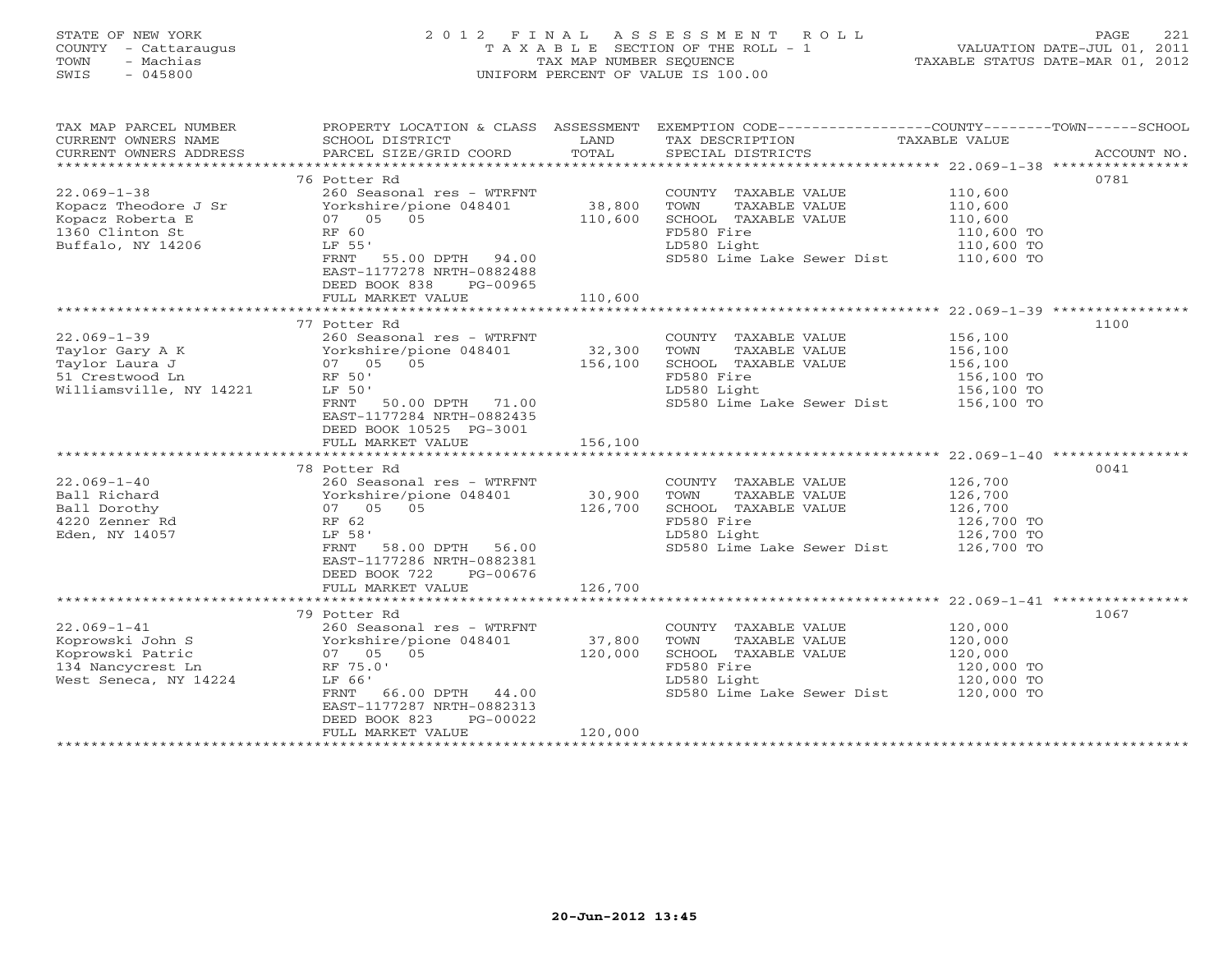# STATE OF NEW YORK 2 0 1 2 F I N A L A S S E S S M E N T R O L L PAGE 221 COUNTY - Cattaraugus T A X A B L E SECTION OF THE ROLL - 1 VALUATION DATE-JUL 01, 2011 TOWN - Machias TAX MAP NUMBER SEQUENCE TAXABLE STATUS DATE-MAR 01, 2012 SWIS - 045800 UNIFORM PERCENT OF VALUE IS 100.00UNIFORM PERCENT OF VALUE IS 100.00

| TAX MAP PARCEL NUMBER<br>CURRENT OWNERS NAME                                                                                                                                                                                         | PROPERTY LOCATION & CLASS ASSESSMENT EXEMPTION CODE---------------COUNTY-------TOWN------SCHOOL<br><b>EXAMPLE SERVICE SERVICE SERVICE SERVICE SERVICE SERVICE SERVICE SERVICE SERVICE SERVICE SERVICE SERVICE SERVICE</b><br>SCHOOL DISTRICT |          | TAX DESCRIPTION                                                                                                             | TAXABLE VALUE |      |
|--------------------------------------------------------------------------------------------------------------------------------------------------------------------------------------------------------------------------------------|----------------------------------------------------------------------------------------------------------------------------------------------------------------------------------------------------------------------------------------------|----------|-----------------------------------------------------------------------------------------------------------------------------|---------------|------|
|                                                                                                                                                                                                                                      |                                                                                                                                                                                                                                              |          |                                                                                                                             |               |      |
|                                                                                                                                                                                                                                      | 76 Potter Rd                                                                                                                                                                                                                                 |          |                                                                                                                             |               | 0781 |
| $22.069 - 1 - 38$                                                                                                                                                                                                                    | 260 Seasonal res - WTRFNT                                                                                                                                                                                                                    |          |                                                                                                                             |               |      |
|                                                                                                                                                                                                                                      |                                                                                                                                                                                                                                              |          |                                                                                                                             |               |      |
|                                                                                                                                                                                                                                      |                                                                                                                                                                                                                                              |          |                                                                                                                             |               |      |
|                                                                                                                                                                                                                                      |                                                                                                                                                                                                                                              |          | COUNTY TAXABLE VALUE $110,600$<br>TOWN TAXABLE VALUE $110,600$<br>SCHOOL TAXABLE VALUE $110,600$<br>FD580 Fire $110,600$ TO |               |      |
| xopacz Theodore J Sr<br>Xopacz Roberta E (10.600)<br>Xopacz Roberta E (10.700)<br>110,600<br>1360 Clinton St<br>Buffalo, NY 14206 LF 55'<br>Buffalo, NY 14206                                                                        | LF 55'                                                                                                                                                                                                                                       |          | LD580 Light                                                                                                                 | 110,600 TO    |      |
|                                                                                                                                                                                                                                      | FRNT 55.00 DPTH 94.00                                                                                                                                                                                                                        |          | SD580 Lime Lake Sewer Dist 110,600 TO                                                                                       |               |      |
|                                                                                                                                                                                                                                      | EAST-1177278 NRTH-0882488                                                                                                                                                                                                                    |          |                                                                                                                             |               |      |
|                                                                                                                                                                                                                                      | DEED BOOK 838 PG-00965                                                                                                                                                                                                                       |          |                                                                                                                             |               |      |
|                                                                                                                                                                                                                                      |                                                                                                                                                                                                                                              |          |                                                                                                                             |               |      |
|                                                                                                                                                                                                                                      |                                                                                                                                                                                                                                              |          |                                                                                                                             |               |      |
|                                                                                                                                                                                                                                      | 77 Potter Rd                                                                                                                                                                                                                                 |          |                                                                                                                             |               | 1100 |
| $22.069 - 1 - 39$                                                                                                                                                                                                                    | 260 Seasonal res - WTRFNT                                                                                                                                                                                                                    |          | COUNTY TAXABLE VALUE 156,100                                                                                                |               |      |
| 22.069-1-39 260 Seasonal res - WTRFNT COUNTY TAXABLE VALUE 156,100<br>Taylor Gary A K Yorkshire/pione 048401 32,300 TOWN TAXABLE VALUE 156,100<br>Taylor Laura J 07 05 05 156,100 50 216,100 ECHOOL TAXABLE VALUE 156,100<br>51 Cres |                                                                                                                                                                                                                                              |          |                                                                                                                             |               |      |
|                                                                                                                                                                                                                                      |                                                                                                                                                                                                                                              |          |                                                                                                                             |               |      |
|                                                                                                                                                                                                                                      |                                                                                                                                                                                                                                              |          |                                                                                                                             |               |      |
|                                                                                                                                                                                                                                      |                                                                                                                                                                                                                                              |          |                                                                                                                             |               |      |
|                                                                                                                                                                                                                                      | 50.00 DPTH 71.00<br>FRNT                                                                                                                                                                                                                     |          | FD580 Fire 156,100 TO<br>LD580 Light 156,100 TO<br>SD580 Lime Lake Sewer Dist 156,100 TO                                    |               |      |
|                                                                                                                                                                                                                                      | EAST-1177284 NRTH-0882435                                                                                                                                                                                                                    |          |                                                                                                                             |               |      |
|                                                                                                                                                                                                                                      | DEED BOOK 10525 PG-3001                                                                                                                                                                                                                      |          |                                                                                                                             |               |      |
|                                                                                                                                                                                                                                      | FULL MARKET VALUE                                                                                                                                                                                                                            | 156, 100 |                                                                                                                             |               |      |
|                                                                                                                                                                                                                                      |                                                                                                                                                                                                                                              |          |                                                                                                                             |               |      |
|                                                                                                                                                                                                                                      | 78 Potter Rd                                                                                                                                                                                                                                 |          |                                                                                                                             |               | 0041 |
| $22.069 - 1 - 40$                                                                                                                                                                                                                    | 260 Seasonal res - WTRFNT                                                                                                                                                                                                                    |          |                                                                                                                             |               |      |
| Ball Richard                                                                                                                                                                                                                         |                                                                                                                                                                                                                                              |          |                                                                                                                             |               |      |
| Ball Dorothy                                                                                                                                                                                                                         |                                                                                                                                                                                                                                              |          | SCHOOL TAXABLE VALUE                                                                                                        |               |      |
| 4220 Zenner Rd                                                                                                                                                                                                                       | 200 Seasonal 1ES - WINTH1<br>Yorkshire/pione 048401 30,900 TOWN<br>07 05 05 126,700 SCHOOL<br>RF 62 FD580 Fi<br>LF 58' LD580 Li                                                                                                              |          | COUNTY TAXABLE VALUE $126,700$<br>TOWN TAXABLE VALUE $126,700$<br>SCHOOL TAXABLE VALUE $126,700$<br>FD580 Fire $126,700$ TO |               |      |
| Eden, NY 14057                                                                                                                                                                                                                       |                                                                                                                                                                                                                                              |          |                                                                                                                             |               |      |
|                                                                                                                                                                                                                                      | 58.00 DPTH 56.00<br>FRNT                                                                                                                                                                                                                     |          | FD580 Fire 126,700 TO<br>LD580 Light 126,700 TO<br>SD580 Lime Lake Sewer Dist 126,700 TO                                    |               |      |
|                                                                                                                                                                                                                                      | EAST-1177286 NRTH-0882381                                                                                                                                                                                                                    |          |                                                                                                                             |               |      |
|                                                                                                                                                                                                                                      | DEED BOOK 722 PG-00676                                                                                                                                                                                                                       |          |                                                                                                                             |               |      |
|                                                                                                                                                                                                                                      | FULL MARKET VALUE                                                                                                                                                                                                                            | 126,700  |                                                                                                                             |               |      |
|                                                                                                                                                                                                                                      |                                                                                                                                                                                                                                              |          |                                                                                                                             |               |      |
|                                                                                                                                                                                                                                      | 79 Potter Rd                                                                                                                                                                                                                                 |          |                                                                                                                             |               | 1067 |
|                                                                                                                                                                                                                                      |                                                                                                                                                                                                                                              |          | COUNTY TAXABLE VALUE 120,000<br>TOWN TAXABLE VALUE 120,000                                                                  |               |      |
|                                                                                                                                                                                                                                      |                                                                                                                                                                                                                                              |          |                                                                                                                             |               |      |
|                                                                                                                                                                                                                                      |                                                                                                                                                                                                                                              |          |                                                                                                                             |               |      |
|                                                                                                                                                                                                                                      |                                                                                                                                                                                                                                              |          | TOWN TAGNOM VIDEO<br>SCHOOL TAXABLE VALUE 120,000<br>FD580 Fire 120,000 TO                                                  |               |      |
| West Seneca, NY 14224                                                                                                                                                                                                                | RF 75.0'<br>LF 66'<br>FRNT 66.00 DPTH 44.00                                                                                                                                                                                                  |          | FD580 Fire 120,000 TO<br>LD580 Light 120,000 TO<br>SD580 Lime Lake Sewer Dist 120,000 TO                                    |               |      |
|                                                                                                                                                                                                                                      |                                                                                                                                                                                                                                              |          |                                                                                                                             |               |      |
|                                                                                                                                                                                                                                      | EAST-1177287 NRTH-0882313                                                                                                                                                                                                                    |          |                                                                                                                             |               |      |
|                                                                                                                                                                                                                                      | DEED BOOK 823<br>PG-00022                                                                                                                                                                                                                    |          |                                                                                                                             |               |      |
|                                                                                                                                                                                                                                      | FULL MARKET VALUE                                                                                                                                                                                                                            | 120,000  |                                                                                                                             |               |      |
|                                                                                                                                                                                                                                      |                                                                                                                                                                                                                                              |          |                                                                                                                             |               |      |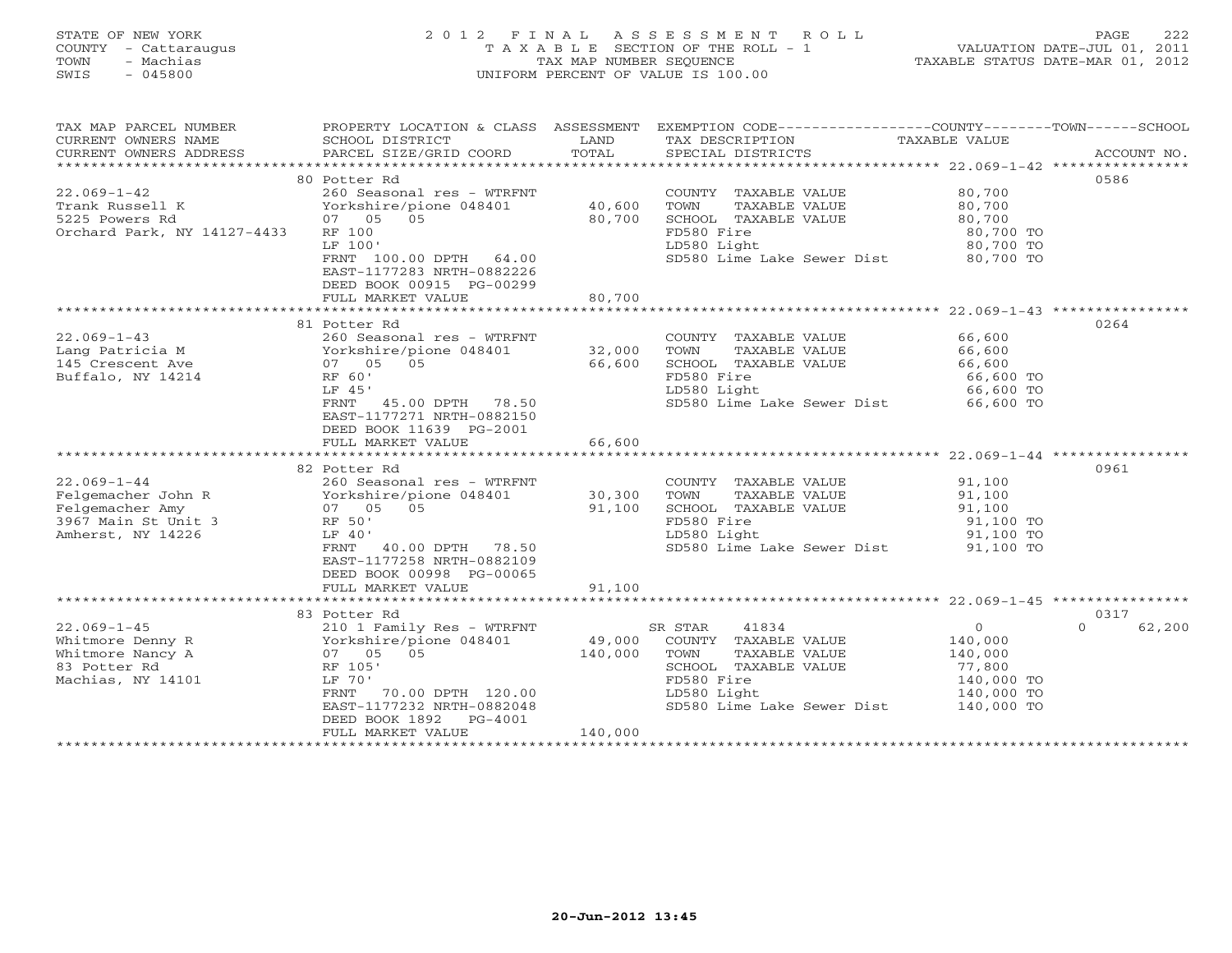# STATE OF NEW YORK 2 0 1 2 F I N A L A S S E S S M E N T R O L L PAGE 222 COUNTY - Cattaraugus T A X A B L E SECTION OF THE ROLL - 1 VALUATION DATE-JUL 01, 2011 TOWN - Machias TAX MAP NUMBER SEQUENCE TAXABLE STATUS DATE-MAR 01, 2012 SWIS - 045800 UNIFORM PERCENT OF VALUE IS 100.00UNIFORM PERCENT OF VALUE IS 100.00

| TAX MAP PARCEL NUMBER<br>CURRENT OWNERS NAME<br>CURRENT OWNERS ADDRESS | PROPERTY LOCATION & CLASS ASSESSMENT<br>SCHOOL DISTRICT<br>PARCEL SIZE/GRID COORD | LAND<br>TOTAL | EXEMPTION CODE-----------------COUNTY-------TOWN------SCHOOL<br>TAX DESCRIPTION<br>SPECIAL DISTRICTS | TAXABLE VALUE  | ACCOUNT NO.        |
|------------------------------------------------------------------------|-----------------------------------------------------------------------------------|---------------|------------------------------------------------------------------------------------------------------|----------------|--------------------|
|                                                                        |                                                                                   |               |                                                                                                      |                |                    |
|                                                                        | 80 Potter Rd                                                                      |               |                                                                                                      |                | 0586               |
| $22.069 - 1 - 42$                                                      | 260 Seasonal res - WTRFNT                                                         |               | COUNTY TAXABLE VALUE                                                                                 | 80,700         |                    |
| Trank Russell K                                                        | Yorkshire/pione 048401                                                            | 40,600        | TOWN<br>TAXABLE VALUE                                                                                | 80,700         |                    |
| 5225 Powers Rd                                                         | 07 05 05                                                                          | 80,700        | SCHOOL TAXABLE VALUE                                                                                 | 80,700         |                    |
| Orchard Park, NY 14127-4433                                            | RF 100                                                                            |               | FD580 Fire                                                                                           | 80,700 TO      |                    |
|                                                                        | LF 100'                                                                           |               | LD580 Light                                                                                          | 80,700 TO      |                    |
|                                                                        |                                                                                   |               |                                                                                                      |                |                    |
|                                                                        | FRNT 100.00 DPTH 64.00                                                            |               | SD580 Lime Lake Sewer Dist 80,700 TO                                                                 |                |                    |
|                                                                        | EAST-1177283 NRTH-0882226                                                         |               |                                                                                                      |                |                    |
|                                                                        | DEED BOOK 00915 PG-00299                                                          |               |                                                                                                      |                |                    |
|                                                                        | FULL MARKET VALUE                                                                 | 80,700        |                                                                                                      |                |                    |
|                                                                        |                                                                                   |               |                                                                                                      |                |                    |
|                                                                        | 81 Potter Rd                                                                      |               |                                                                                                      |                | 0264               |
| $22.069 - 1 - 43$                                                      | 260 Seasonal res - WTRFNT                                                         |               | COUNTY TAXABLE VALUE                                                                                 | 66,600         |                    |
| 22.069-1-4.<br>Lang Patricia M<br>Ave                                  |                                                                                   | 32,000        | TOWN<br>TAXABLE VALUE                                                                                | 66,600         |                    |
|                                                                        | 07 05 05                                                                          | 66,600        | SCHOOL TAXABLE VALUE                                                                                 | 66,600         |                    |
| Buffalo, NY 14214                                                      | RF 60'                                                                            |               | FD580 Fire                                                                                           | 66,600 TO      |                    |
|                                                                        |                                                                                   |               | LD580 Light                                                                                          |                |                    |
|                                                                        | LF 45'                                                                            |               |                                                                                                      | 66,600 TO      |                    |
|                                                                        | FRNT 45.00 DPTH 78.50                                                             |               | SD580 Lime Lake Sewer Dist 66,600 TO                                                                 |                |                    |
|                                                                        | EAST-1177271 NRTH-0882150                                                         |               |                                                                                                      |                |                    |
|                                                                        | DEED BOOK 11639 PG-2001                                                           |               |                                                                                                      |                |                    |
|                                                                        | FULL MARKET VALUE                                                                 | 66,600        |                                                                                                      |                |                    |
|                                                                        |                                                                                   |               |                                                                                                      |                |                    |
|                                                                        | 82 Potter Rd                                                                      |               |                                                                                                      |                | 0961               |
| $22.069 - 1 - 44$                                                      | 260 Seasonal res - WTRFNT                                                         |               | COUNTY TAXABLE VALUE                                                                                 | 91,100         |                    |
|                                                                        | Yorkshire/pione 048401                                                            | 30,300        | TAXABLE VALUE<br>TOWN                                                                                | 91,100         |                    |
| Felgemacher John R<br>Felgemacher Amy<br>Felgemacher Amy               | 07 05 05                                                                          | 91,100        | SCHOOL TAXABLE VALUE                                                                                 | 91,100         |                    |
| 3967 Main St Unit 3                                                    | RF 50'                                                                            |               | FD580 Fire                                                                                           | 91,100 TO      |                    |
|                                                                        |                                                                                   |               |                                                                                                      |                |                    |
| Amherst, NY 14226                                                      | LF 40'                                                                            |               | LD580 Light                                                                                          | 91,100 TO      |                    |
|                                                                        | 40.00 DPTH 78.50<br>FRNT                                                          |               | SD580 Lime Lake Sewer Dist 91,100 TO                                                                 |                |                    |
|                                                                        | EAST-1177258 NRTH-0882109                                                         |               |                                                                                                      |                |                    |
|                                                                        | DEED BOOK 00998 PG-00065                                                          |               |                                                                                                      |                |                    |
|                                                                        | FULL MARKET VALUE                                                                 | 91,100        |                                                                                                      |                |                    |
|                                                                        | *******************************                                                   | ************  |                                                                                                      |                |                    |
|                                                                        | 83 Potter Rd                                                                      |               |                                                                                                      |                | 0317               |
| $22.069 - 1 - 45$                                                      | 210 1 Family Res - WTRFNT                                                         |               | 41834<br>SR STAR                                                                                     | $\overline{0}$ | 62,200<br>$\Omega$ |
| Whitmore Denny R                                                       | Yorkshire/pione 048401                                                            | 49,000        | COUNTY TAXABLE VALUE                                                                                 | 140,000        |                    |
| Whitmore Nancy A                                                       | 05<br>07 05                                                                       | 140,000       | TOWN<br>TAXABLE VALUE                                                                                | 140,000        |                    |
| 83 Potter Rd                                                           | RF 105'                                                                           |               | SCHOOL TAXABLE VALUE                                                                                 | 77,800         |                    |
|                                                                        | LF 70'                                                                            |               |                                                                                                      |                |                    |
| Machias, NY 14101                                                      |                                                                                   |               | FD580 Fire                                                                                           | 140,000 TO     |                    |
|                                                                        | FRNT<br>70.00 DPTH 120.00                                                         |               | LD580 Light                                                                                          | 140,000 TO     |                    |
|                                                                        | EAST-1177232 NRTH-0882048                                                         |               | SD580 Lime Lake Sewer Dist                                                                           | 140,000 TO     |                    |
|                                                                        | DEED BOOK 1892<br>PG-4001                                                         |               |                                                                                                      |                |                    |
|                                                                        | FULL MARKET VALUE                                                                 | 140,000       |                                                                                                      |                |                    |
|                                                                        |                                                                                   |               |                                                                                                      |                |                    |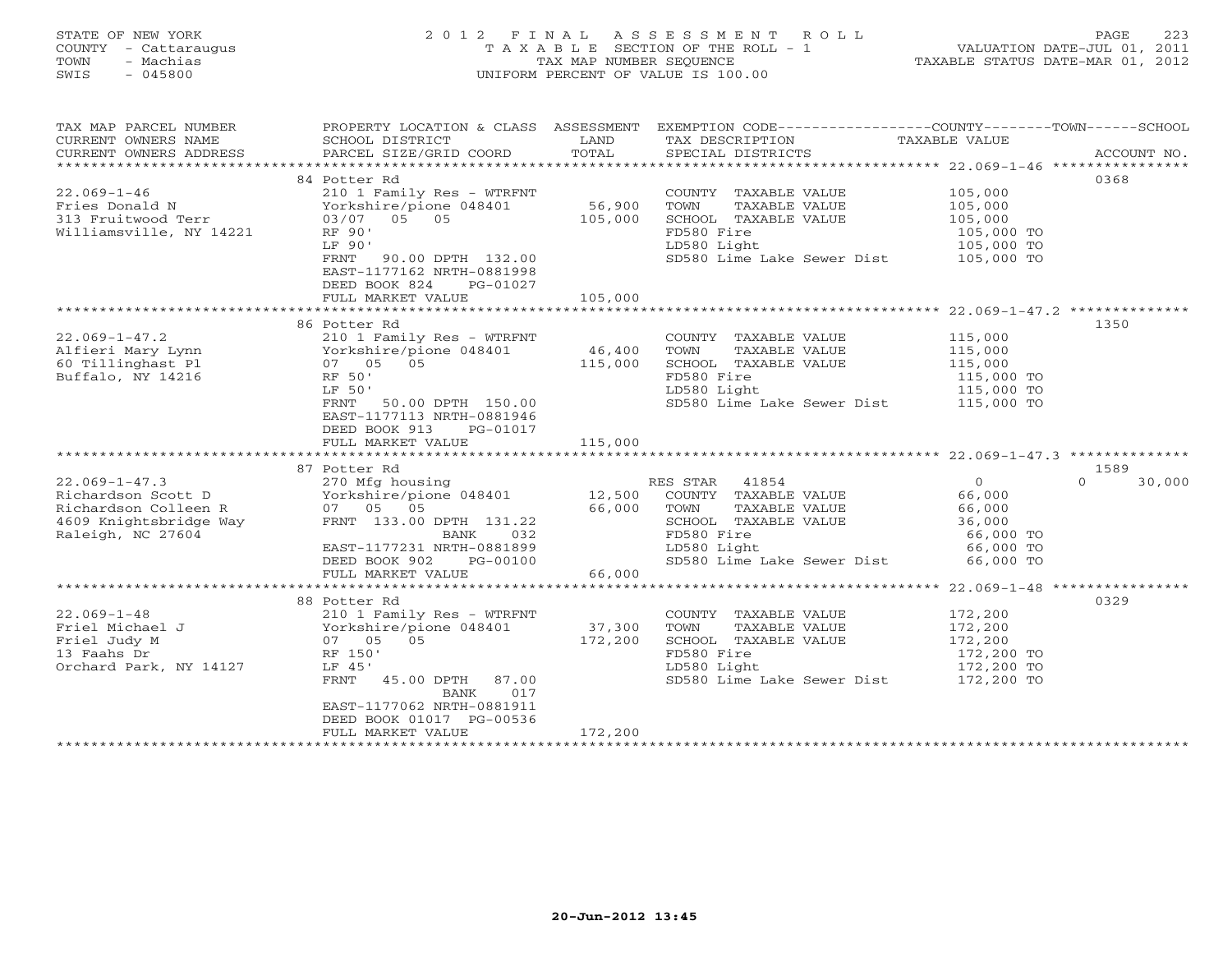# STATE OF NEW YORK 2 0 1 2 F I N A L A S S E S S M E N T R O L L PAGE 223 COUNTY - Cattaraugus T A X A B L E SECTION OF THE ROLL - 1 VALUATION DATE-JUL 01, 2011 TOWN - Machias TAX MAP NUMBER SEQUENCE TAXABLE STATUS DATE-MAR 01, 2012 SWIS - 045800 UNIFORM PERCENT OF VALUE IS 100.00UNIFORM PERCENT OF VALUE IS 100.00

| TAX MAP PARCEL NUMBER                | PROPERTY LOCATION & CLASS ASSESSMENT                                                                                                                                                                                                                                                                                                                                                                                                                                                                                   |                   | EXEMPTION CODE-----------------COUNTY-------TOWN------SCHOOL |                  |                    |
|--------------------------------------|------------------------------------------------------------------------------------------------------------------------------------------------------------------------------------------------------------------------------------------------------------------------------------------------------------------------------------------------------------------------------------------------------------------------------------------------------------------------------------------------------------------------|-------------------|--------------------------------------------------------------|------------------|--------------------|
| CURRENT OWNERS NAME                  | SCHOOL DISTRICT                                                                                                                                                                                                                                                                                                                                                                                                                                                                                                        | LAND              | TAX DESCRIPTION                                              | TAXABLE VALUE    |                    |
|                                      | $\begin{minipage}{.45\textwidth} \begin{minipage}{.45\textwidth} \begin{minipage}{.45\textwidth} \begin{minipage}{.45\textwidth} \begin{minipage}{.45\textwidth} \begin{minipage}{.45\textwidth} \begin{minipage}{.45\textwidth} \begin{minipage}{.45\textwidth} \begin{minipage}{.45\textwidth} \begin{minipage}{.45\textwidth} \begin{minipage}{.45\textwidth} \begin{minipage}{.45\textwidth} \begin{minipage}{.45\textwidth} \begin{minipage}{.45\textwidth} \begin{minipage}{.45\textwidth} \begin{minipage}{.45$ |                   |                                                              |                  |                    |
|                                      |                                                                                                                                                                                                                                                                                                                                                                                                                                                                                                                        |                   |                                                              |                  |                    |
|                                      | 84 Potter Rd                                                                                                                                                                                                                                                                                                                                                                                                                                                                                                           |                   |                                                              |                  | 0368               |
| $22.069 - 1 - 46$                    | 210 1 Family Res - WTRFNT                                                                                                                                                                                                                                                                                                                                                                                                                                                                                              |                   | COUNTY TAXABLE VALUE                                         | 105,000          |                    |
| Fries Donald N                       | Yorkshire/pione 048401                                                                                                                                                                                                                                                                                                                                                                                                                                                                                                 | 56,900<br>105,000 | TOWN<br>TAXABLE VALUE                                        | 105,000          |                    |
| Fries Donald N<br>313 Fruitwood Terr | 03/07 05 05                                                                                                                                                                                                                                                                                                                                                                                                                                                                                                            |                   | SCHOOL TAXABLE VALUE                                         | 105,000          |                    |
| Williamsville, NY 14221              | RF 90'                                                                                                                                                                                                                                                                                                                                                                                                                                                                                                                 |                   | FD580 Fire                                                   | 105,000 TO       |                    |
|                                      | LF 90'                                                                                                                                                                                                                                                                                                                                                                                                                                                                                                                 |                   | LD580 Light                                                  | 105,000 TO       |                    |
|                                      | FRNT<br>90.00 DPTH 132.00                                                                                                                                                                                                                                                                                                                                                                                                                                                                                              |                   | SD580 Lime Lake Sewer Dist 105,000 TO                        |                  |                    |
|                                      | EAST-1177162 NRTH-0881998                                                                                                                                                                                                                                                                                                                                                                                                                                                                                              |                   |                                                              |                  |                    |
|                                      | DEED BOOK 824<br>PG-01027                                                                                                                                                                                                                                                                                                                                                                                                                                                                                              |                   |                                                              |                  |                    |
|                                      | FULL MARKET VALUE                                                                                                                                                                                                                                                                                                                                                                                                                                                                                                      | 105,000           |                                                              |                  |                    |
|                                      |                                                                                                                                                                                                                                                                                                                                                                                                                                                                                                                        |                   |                                                              |                  |                    |
|                                      | 86 Potter Rd                                                                                                                                                                                                                                                                                                                                                                                                                                                                                                           |                   |                                                              |                  | 1350               |
| $22.069 - 1 - 47.2$                  | 210 1 Family Res - WTRFNT                                                                                                                                                                                                                                                                                                                                                                                                                                                                                              |                   | COUNTY TAXABLE VALUE                                         | 115,000          |                    |
| Alfieri Mary Lynn                    | Yorkshire/pione 048401                                                                                                                                                                                                                                                                                                                                                                                                                                                                                                 | 46,400            | TOWN<br>TAXABLE VALUE                                        | 115,000          |                    |
| 60 Tillinghast Pl                    | 07 05 05                                                                                                                                                                                                                                                                                                                                                                                                                                                                                                               | 115,000           | SCHOOL TAXABLE VALUE                                         | 115,000          |                    |
| Buffalo, NY 14216                    | RF 50'                                                                                                                                                                                                                                                                                                                                                                                                                                                                                                                 |                   | FD580 Fire                                                   | $115,000$ TO     |                    |
|                                      | LF 50'                                                                                                                                                                                                                                                                                                                                                                                                                                                                                                                 |                   | LD580 Light<br>sp580 Lime Lake Sewer Dist 115,000 TO         | 115,000 TO       |                    |
|                                      | 50.00 DPTH 150.00<br>FRNT                                                                                                                                                                                                                                                                                                                                                                                                                                                                                              |                   |                                                              |                  |                    |
|                                      | EAST-1177113 NRTH-0881946                                                                                                                                                                                                                                                                                                                                                                                                                                                                                              |                   |                                                              |                  |                    |
|                                      | DEED BOOK 913<br>PG-01017                                                                                                                                                                                                                                                                                                                                                                                                                                                                                              |                   |                                                              |                  |                    |
|                                      | FULL MARKET VALUE                                                                                                                                                                                                                                                                                                                                                                                                                                                                                                      | 115,000           |                                                              |                  |                    |
|                                      | 87 Potter Rd                                                                                                                                                                                                                                                                                                                                                                                                                                                                                                           |                   |                                                              |                  | 1589               |
| $22.069 - 1 - 47.3$                  | 270 Mfg housing                                                                                                                                                                                                                                                                                                                                                                                                                                                                                                        |                   | RES STAR 41854                                               | $\overline{0}$   | $\Omega$<br>30,000 |
| Richardson Scott D                   | Yorkshire/pione 048401 12,500                                                                                                                                                                                                                                                                                                                                                                                                                                                                                          |                   | COUNTY TAXABLE VALUE                                         | 66,000           |                    |
| Richardson Colleen R                 | 07 05 05                                                                                                                                                                                                                                                                                                                                                                                                                                                                                                               | 66,000            | TOWN<br>TAXABLE VALUE                                        |                  |                    |
| 4609 Knightsbridge Way               | FRNT 133.00 DPTH 131.22                                                                                                                                                                                                                                                                                                                                                                                                                                                                                                |                   | SCHOOL TAXABLE VALUE                                         | 66,000<br>36,000 |                    |
| Raleigh, NC 27604                    | BANK<br>032                                                                                                                                                                                                                                                                                                                                                                                                                                                                                                            |                   | FD580 Fire                                                   | 66,000 TO        |                    |
|                                      | EAST-1177231 NRTH-0881899                                                                                                                                                                                                                                                                                                                                                                                                                                                                                              |                   | LD580 Light                                                  | 66,000 TO        |                    |
|                                      | PG-00100<br>DEED BOOK 902                                                                                                                                                                                                                                                                                                                                                                                                                                                                                              |                   | SD580 Lime Lake Sewer Dist                                   | 66,000 TO        |                    |
|                                      | FULL MARKET VALUE                                                                                                                                                                                                                                                                                                                                                                                                                                                                                                      | 66,000            |                                                              |                  |                    |
|                                      |                                                                                                                                                                                                                                                                                                                                                                                                                                                                                                                        |                   |                                                              |                  |                    |
|                                      | 88 Potter Rd                                                                                                                                                                                                                                                                                                                                                                                                                                                                                                           |                   |                                                              |                  | 0329               |
| $22.069 - 1 - 48$                    | 210 1 Family Res - WTRFNT                                                                                                                                                                                                                                                                                                                                                                                                                                                                                              |                   | COUNTY TAXABLE VALUE                                         | 172,200          |                    |
| Friel Michael J                      | Yorkshire/pione 048401                                                                                                                                                                                                                                                                                                                                                                                                                                                                                                 | 37,300            | TOWN<br>TAXABLE VALUE                                        | 172,200          |                    |
| Friel Judy M                         | 05<br>07 05                                                                                                                                                                                                                                                                                                                                                                                                                                                                                                            | 172,200           | SCHOOL TAXABLE VALUE                                         | 172,200          |                    |
| 13 Faahs Dr                          | RF 150'                                                                                                                                                                                                                                                                                                                                                                                                                                                                                                                |                   | FD580 Fire                                                   | 172,200 TO       |                    |
| Orchard Park, NY 14127               | LF 45'                                                                                                                                                                                                                                                                                                                                                                                                                                                                                                                 |                   | LD580 Light                                                  | 172,200 TO       |                    |
|                                      | FRNT<br>45.00 DPTH 87.00                                                                                                                                                                                                                                                                                                                                                                                                                                                                                               |                   | SD580 Lime Lake Sewer Dist 172,200 TO                        |                  |                    |
|                                      | 017<br>BANK                                                                                                                                                                                                                                                                                                                                                                                                                                                                                                            |                   |                                                              |                  |                    |
|                                      | EAST-1177062 NRTH-0881911                                                                                                                                                                                                                                                                                                                                                                                                                                                                                              |                   |                                                              |                  |                    |
|                                      | DEED BOOK 01017 PG-00536                                                                                                                                                                                                                                                                                                                                                                                                                                                                                               |                   |                                                              |                  |                    |
|                                      | FULL MARKET VALUE                                                                                                                                                                                                                                                                                                                                                                                                                                                                                                      | 172,200           |                                                              |                  |                    |
|                                      |                                                                                                                                                                                                                                                                                                                                                                                                                                                                                                                        |                   |                                                              |                  |                    |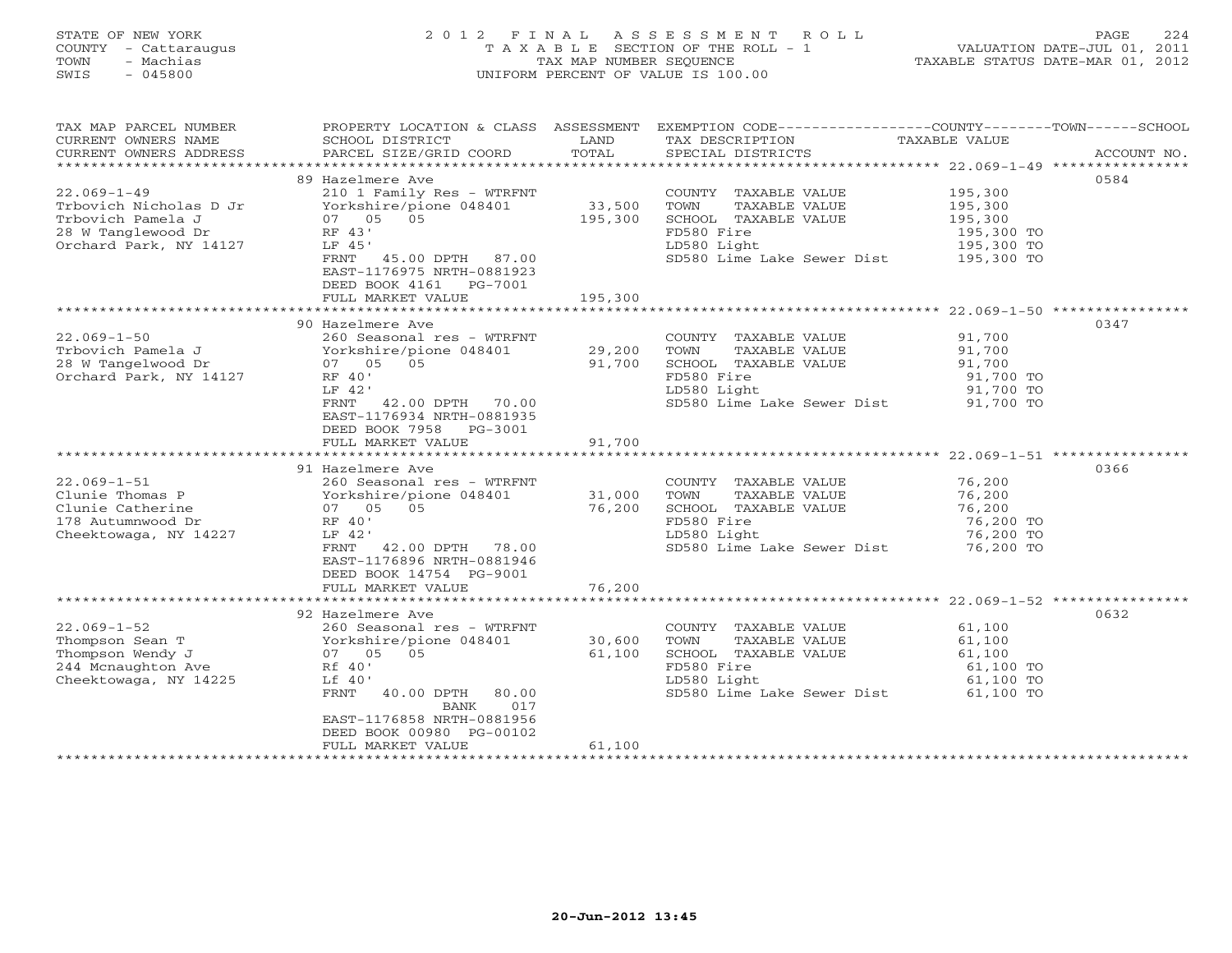# STATE OF NEW YORK 2 0 1 2 F I N A L A S S E S S M E N T R O L L PAGE 224 COUNTY - Cattaraugus T A X A B L E SECTION OF THE ROLL - 1 VALUATION DATE-JUL 01, 2011 TOWN - Machias TAX MAP NUMBER SEQUENCE TAXABLE STATUS DATE-MAR 01, 2012 SWIS - 045800 UNIFORM PERCENT OF VALUE IS 100.00UNIFORM PERCENT OF VALUE IS 100.00

| TAX MAP PARCEL NUMBER<br>CURRENT OWNERS NAME | PROPERTY LOCATION & CLASS ASSESSMENT<br>SCHOOL DISTRICT | LAND<br>TOTAL    | EXEMPTION CODE-----------------COUNTY-------TOWN------SCHOOL<br>TAX DESCRIPTION | TAXABLE VALUE          |             |
|----------------------------------------------|---------------------------------------------------------|------------------|---------------------------------------------------------------------------------|------------------------|-------------|
| CURRENT OWNERS ADDRESS                       | PARCEL SIZE/GRID COORD                                  |                  | SPECIAL DISTRICTS                                                               |                        | ACCOUNT NO. |
|                                              | 89 Hazelmere Ave                                        |                  |                                                                                 |                        | 0584        |
| $22.069 - 1 - 49$                            | 210 1 Family Res - WTRFNT                               |                  | COUNTY TAXABLE VALUE                                                            | 195,300                |             |
| Trbovich Nicholas D Jr                       | Yorkshire/pione 048401                                  | 33,500           | TOWN<br>TAXABLE VALUE                                                           | 195,300                |             |
| Trbovich Pamela J                            | 07 05 05                                                | 195,300          | SCHOOL TAXABLE VALUE                                                            | 195,300                |             |
| 28 W Tanglewood Dr                           | RF 43'                                                  |                  | FD580 Fire                                                                      | 195,300 TO             |             |
| Orchard Park, NY 14127                       | LF 45'                                                  |                  | LD580 Light<br>SD580 Lime Lake Sewer Dist 195,300 TO                            | 195,300 TO             |             |
|                                              | FRNT<br>45.00 DPTH 87.00<br>EAST-1176975 NRTH-0881923   |                  |                                                                                 |                        |             |
|                                              | DEED BOOK 4161 PG-7001                                  |                  |                                                                                 |                        |             |
|                                              | FULL MARKET VALUE                                       | 195,300          |                                                                                 |                        |             |
|                                              |                                                         |                  |                                                                                 |                        |             |
|                                              | 90 Hazelmere Ave                                        |                  |                                                                                 |                        | 0347        |
| $22.069 - 1 - 50$                            | 260 Seasonal res - WTRFNT                               |                  | COUNTY TAXABLE VALUE                                                            | 91,700                 |             |
| Trbovich Pamela J                            | Yorkshire/pione 048401                                  | 29,200           | TAXABLE VALUE<br>TOWN                                                           | 91,700                 |             |
| 28 W Tangelwood Dr                           | 07 05 05<br>RF 40'                                      | 91,700           | SCHOOL TAXABLE VALUE                                                            | 91,700                 |             |
| Orchard Park, NY 14127                       | LF 42'                                                  |                  | FD580 Fire<br>LD580 Light                                                       | 91,700 TO<br>91,700 TO |             |
|                                              | FRNT<br>42.00 DPTH 70.00                                |                  | SD580 Lime Lake Sewer Dist 91,700 TO                                            |                        |             |
|                                              | EAST-1176934 NRTH-0881935                               |                  |                                                                                 |                        |             |
|                                              | DEED BOOK 7958 PG-3001                                  |                  |                                                                                 |                        |             |
|                                              | FULL MARKET VALUE                                       | 91,700           |                                                                                 |                        |             |
|                                              |                                                         |                  |                                                                                 |                        |             |
|                                              | 91 Hazelmere Ave                                        |                  |                                                                                 |                        | 0366        |
| $22.069 - 1 - 51$                            | 260 Seasonal res - WTRFNT                               |                  | COUNTY TAXABLE VALUE                                                            | 76,200                 |             |
| Clunie Thomas P<br>Clunie Catherine          | Yorkshire/pione 048401<br>07 05 05                      | 31,000<br>76,200 | TOWN<br>TAXABLE VALUE<br>SCHOOL TAXABLE VALUE                                   | 76,200<br>76,200       |             |
| 178 Autumnwood Dr                            | RF 40'                                                  |                  | FD580 Fire                                                                      | 76,200 TO              |             |
| Cheektowaga, NY 14227                        | LF 42'                                                  |                  | LD580 Light                                                                     | 76,200 TO              |             |
|                                              | FRNT 42.00 DPTH 78.00                                   |                  | SD580 Lime Lake Sewer Dist                                                      | 76,200 TO              |             |
|                                              | EAST-1176896 NRTH-0881946                               |                  |                                                                                 |                        |             |
|                                              | DEED BOOK 14754 PG-9001                                 |                  |                                                                                 |                        |             |
|                                              | FULL MARKET VALUE                                       | 76,200           |                                                                                 |                        |             |
|                                              |                                                         |                  |                                                                                 |                        |             |
|                                              | 92 Hazelmere Ave                                        |                  |                                                                                 |                        | 0632        |
| $22.069 - 1 - 52$<br>Thompson Sean T         | 260 Seasonal res - WTRFNT<br>Yorkshire/pione 048401     | 30,600           | COUNTY TAXABLE VALUE<br>TAXABLE VALUE<br>TOWN                                   | 61,100<br>61,100       |             |
| Thompson Wendy J                             | 07 05 05                                                | 61,100           | SCHOOL TAXABLE VALUE                                                            | 61,100                 |             |
| 244 Mcnaughton Ave                           | Rf 40'                                                  |                  | FD580 Fire                                                                      | 61,100 TO              |             |
| Cheektowaga, NY 14225                        | Lf 40'                                                  |                  | LD580 Light                                                                     | 61,100 TO              |             |
|                                              | FRNT<br>40.00 DPTH 80.00                                |                  | SD580 Lime Lake Sewer Dist                                                      | 61,100 TO              |             |
|                                              | 017<br>BANK                                             |                  |                                                                                 |                        |             |
|                                              | EAST-1176858 NRTH-0881956                               |                  |                                                                                 |                        |             |
|                                              | DEED BOOK 00980 PG-00102<br>FULL MARKET VALUE           | 61,100           |                                                                                 |                        |             |
|                                              | ********************                                    |                  |                                                                                 |                        |             |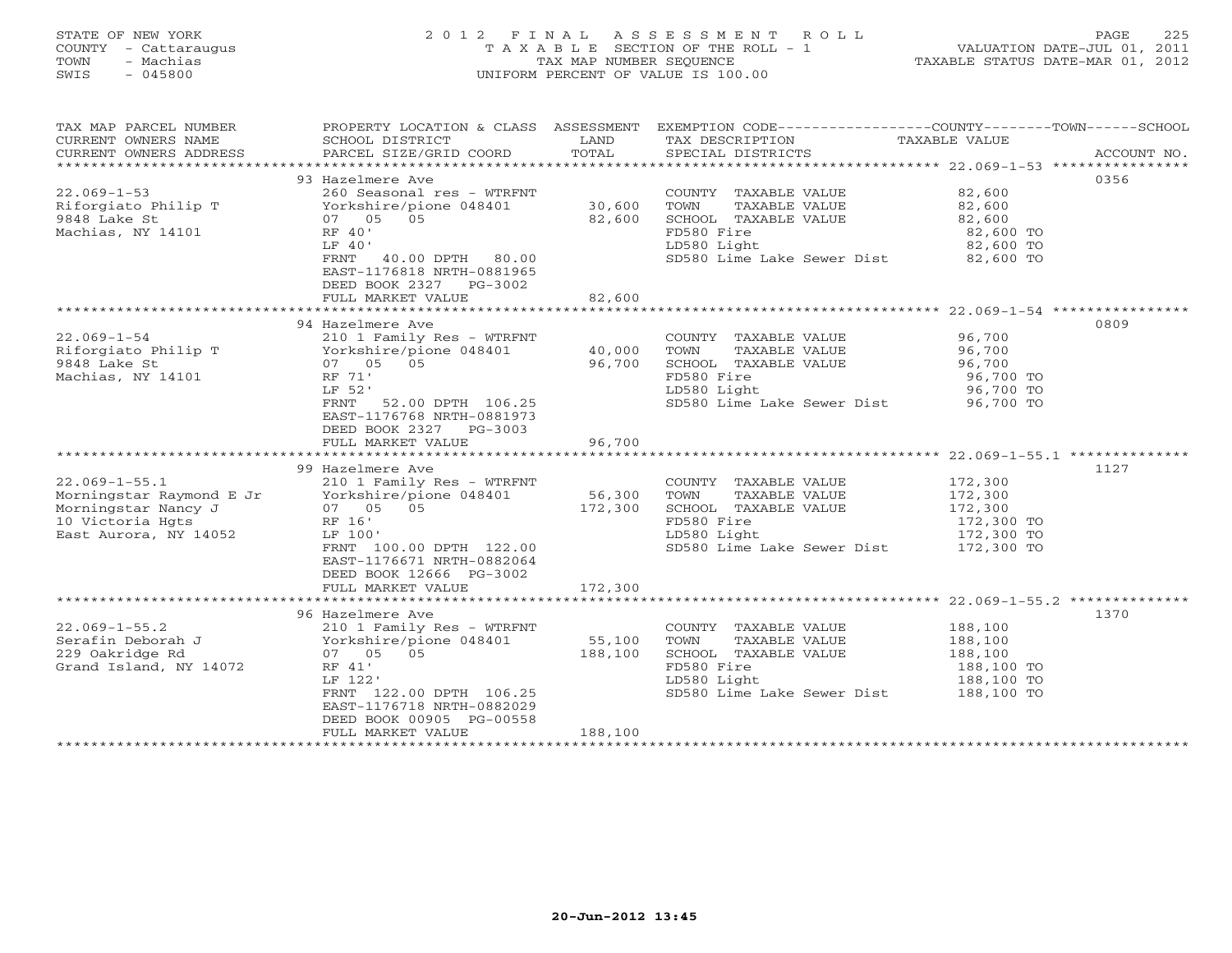# STATE OF NEW YORK 2 0 1 2 F I N A L A S S E S S M E N T R O L L PAGE 225 COUNTY - Cattaraugus T A X A B L E SECTION OF THE ROLL - 1 VALUATION DATE-JUL 01, 2011 TOWN - Machias TAX MAP NUMBER SEQUENCE TAXABLE STATUS DATE-MAR 01, 2012 SWIS - 045800 UNIFORM PERCENT OF VALUE IS 100.00UNIFORM PERCENT OF VALUE IS 100.00

| TAX MAP PARCEL NUMBER<br>CURRENT OWNERS NAME<br>CURRENT OWNERS ADDRESS                                              | SCHOOL DISTRICT<br>PARCEL SIZE/GRID COORD                                                                                                                                                                                              | LAND<br>TOTAL                | PROPERTY LOCATION & CLASS ASSESSMENT EXEMPTION CODE---------------COUNTY-------TOWN------SCHOOL<br>TAX DESCRIPTION<br>SPECIAL DISTRICTS                                                                    | TAXABLE VALUE                                             | ACCOUNT NO. |
|---------------------------------------------------------------------------------------------------------------------|----------------------------------------------------------------------------------------------------------------------------------------------------------------------------------------------------------------------------------------|------------------------------|------------------------------------------------------------------------------------------------------------------------------------------------------------------------------------------------------------|-----------------------------------------------------------|-------------|
| $22.069 - 1 - 53$<br>Riforgiato Philip T<br>9848 Lake St<br>Machias, NY 14101                                       | 93 Hazelmere Ave<br>260 Seasonal res - WTRFNT<br>Yorkshire/pione 048401<br>07 05 05<br>RF 40'<br>LF 40'<br>FRNT 40.00 DPTH 80.00<br>EAST-1176818 NRTH-0881965<br>DEED BOOK 2327 PG-3002<br>FULL MARKET VALUE                           | 30,600<br>82,600<br>82,600   | COUNTY TAXABLE VALUE<br>TOWN<br>TAXABLE VALUE<br>SCHOOL TAXABLE VALUE<br>FD580 Fire<br>LD580 Light<br>SD580 Lime Lake Sewer Dist 82,600 TO                                                                 | 82,600<br>82,600<br>82,600<br>82,600 TO<br>82,600 TO      | 0356        |
|                                                                                                                     |                                                                                                                                                                                                                                        |                              |                                                                                                                                                                                                            |                                                           |             |
| $22.069 - 1 - 54$<br>Riforgiato Philip T<br>9848 Lake St<br>Machias, NY 14101                                       | 94 Hazelmere Ave<br>210 1 Family Res - WTRFNT<br>Yorkshire/pione 048401<br>07  05  05<br>07 05 05<br>RF 71'<br>LF 52'<br>FRNT 52.00 DPTH 106.25<br>EAST-1176768 NRTH-0881973<br>DEED BOOK 2327 PG-3003<br>FULL MARKET VALUE            | 40,000<br>96,700<br>96,700   | COUNTY TAXABLE VALUE<br>TOWN<br>TAXABLE VALUE<br>SCHOOL TAXABLE VALUE<br>FD580 Fire<br>LD580 Light<br>SD580 Lime Lake Sewer Dist 96,700 TO                                                                 | 96,700<br>96,700<br>96,700<br>96,700 TO<br>96,700 TO      | 0809        |
|                                                                                                                     |                                                                                                                                                                                                                                        |                              |                                                                                                                                                                                                            |                                                           |             |
| $22.069 - 1 - 55.1$<br>Morningstar Raymond E Jr<br>Morningstar Nancy J<br>10 Victoria Hgts<br>East Aurora, NY 14052 | 99 Hazelmere Ave<br>210 1 Family Res - WTRFNT<br>210 1 Family Res - WiRr<br>Yorkshire/pione 048401<br>07   05   05<br>07 05 05<br>RF 16'<br>LF 100'<br>FRNT 100.00 DPTH 122.00<br>EAST-1176671 NRTH-0882064<br>DEED BOOK 12666 PG-3002 | 56,300<br>172,300            | COUNTY TAXABLE VALUE<br>TOWN<br>TAXABLE VALUE<br>SCHOOL TAXABLE VALUE<br>FD580 Fire<br>LD580 Light<br>SD580 Lime Lake Sewer Dist 172,300 TO                                                                | 172,300<br>172,300<br>172,300<br>172,300 TO<br>172,300 TO | 1127        |
|                                                                                                                     | FULL MARKET VALUE                                                                                                                                                                                                                      | 172,300                      |                                                                                                                                                                                                            |                                                           |             |
| $22.069 - 1 - 55.2$<br>Serafin Deborah J<br>229 Oakridge Rd<br>Grand Island, NY 14072                               | 96 Hazelmere Ave<br>210 1 Family Res - WTRFNT<br>Yorkshire/pione 048401<br>07 05 05<br>RF 41'<br>LF 122'<br>FRNT 122.00 DPTH 106.25<br>EAST-1176718 NRTH-0882029<br>DEED BOOK 00905 PG-00558<br>FULL MARKET VALUE                      | 55,100<br>188,100<br>188,100 | ****************************** 22.069-1-55.2 **************<br>COUNTY TAXABLE VALUE<br>TOWN<br>TAXABLE VALUE<br>SCHOOL TAXABLE VALUE<br>FD580 Fire<br>LD580 Light<br>SD580 Lime Lake Sewer Dist 188,100 TO | 188,100<br>188,100<br>188,100<br>188,100 TO<br>188,100 TO | 1370        |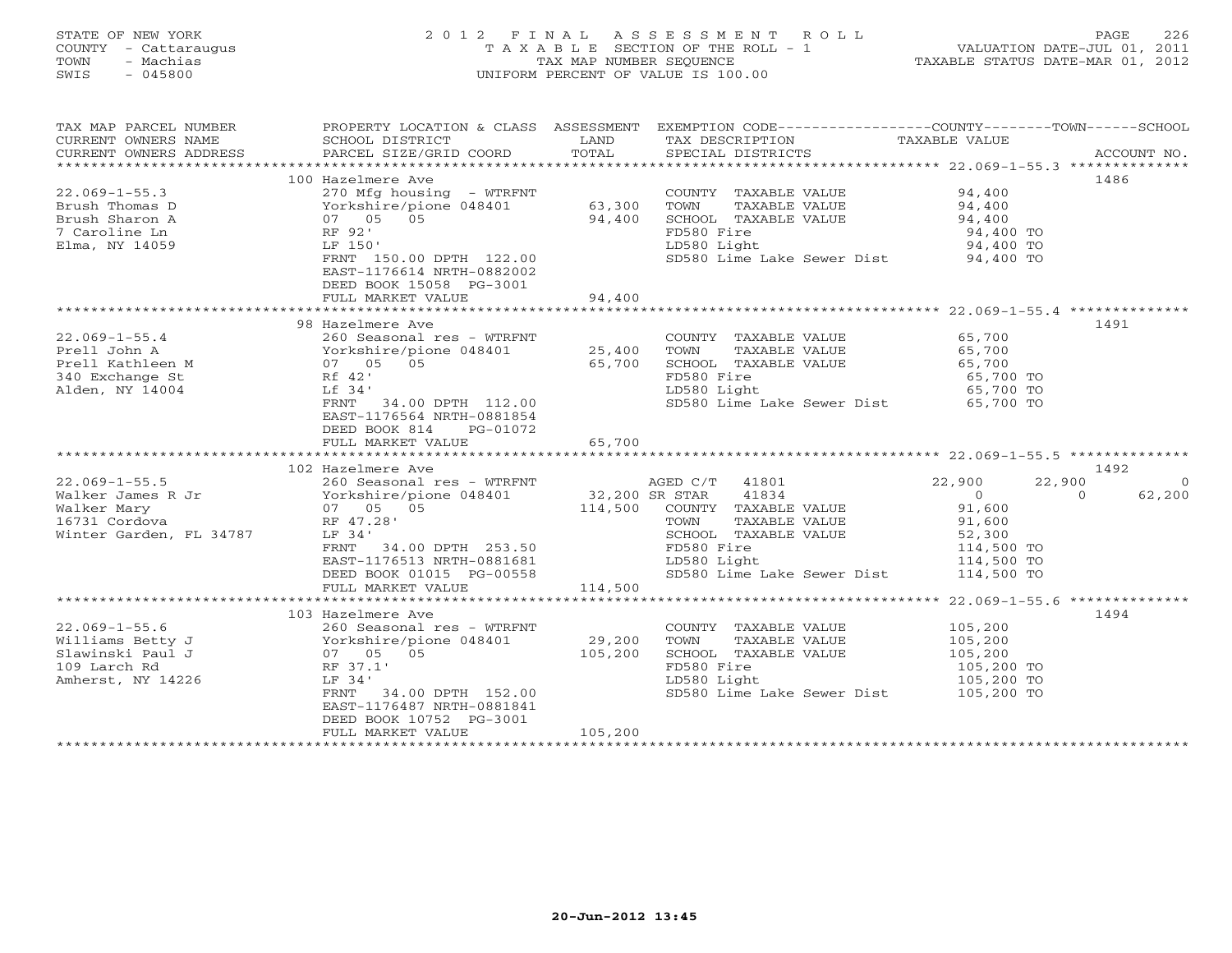# STATE OF NEW YORK 2 0 1 2 F I N A L A S S E S S M E N T R O L L PAGE 226 COUNTY - Cattaraugus T A X A B L E SECTION OF THE ROLL - 1 VALUATION DATE-JUL 01, 2011 TOWN - Machias TAX MAP NUMBER SEQUENCE TAXABLE STATUS DATE-MAR 01, 2012 SWIS - 045800 UNIFORM PERCENT OF VALUE IS 100.00UNIFORM PERCENT OF VALUE IS 100.00

| TAX MAP PARCEL NUMBER<br>CURRENT OWNERS NAME<br>CURRENT OWNERS ADDRESS                              | SCHOOL DISTRICT<br>PARCEL SIZE/GRID COORD                                                                                                                                                                         | LAND<br>TOTAL                                    | PROPERTY LOCATION & CLASS ASSESSMENT EXEMPTION CODE---------------COUNTY-------TOWN------SCHOOL<br>TAX DESCRIPTION<br>SPECIAL DISTRICTS                                   | TAXABLE VALUE                                                                                | ACCOUNT NO.                   |
|-----------------------------------------------------------------------------------------------------|-------------------------------------------------------------------------------------------------------------------------------------------------------------------------------------------------------------------|--------------------------------------------------|---------------------------------------------------------------------------------------------------------------------------------------------------------------------------|----------------------------------------------------------------------------------------------|-------------------------------|
| $22.069 - 1 - 55.3$<br>Brush Thomas D<br>Brush Sharon A<br>7 Caroline Ln<br>Elma, NY 14059          | 100 Hazelmere Ave<br>270 Mfg housing - WTRFNT<br>Yorkshire/pione 048401<br>07 05 05<br>RF 92'<br>LF 150'<br>FRNT 150.00 DPTH 122.00<br>EAST-1176614 NRTH-0882002<br>DEED BOOK 15058 PG-3001<br>FULL MARKET VALUE  | 63,300<br>94,400<br>94,400                       | COUNTY TAXABLE VALUE<br>TOWN<br>TAXABLE VALUE<br>SCHOOL TAXABLE VALUE<br>FD580 Fire<br>LD580 Light<br>SD580 Lime Lake Sewer Dist 94,400 TO                                | 94,400<br>94,400<br>94,400<br>94,400 TO<br>94,400 TO                                         | 1486                          |
|                                                                                                     |                                                                                                                                                                                                                   |                                                  |                                                                                                                                                                           |                                                                                              |                               |
| $22.069 - 1 - 55.4$<br>Prell John A<br>Prell Kathleen M<br>340 Exchange St<br>Alden, NY 14004       | 98 Hazelmere Ave<br>260 Seasonal res - WTRFNT<br>Yorkshire/pione 048401<br>07 05 05<br>Rf 42'<br>Lf 34'<br>FRNT 34.00 DPTH 112.00<br>EAST-1176564 NRTH-0881854<br>DEED BOOK 814<br>PG-01072<br>FULL MARKET VALUE  | 25,400<br>65,700<br>65,700                       | COUNTY TAXABLE VALUE<br>TOWN<br>TAXABLE VALUE<br>SCHOOL TAXABLE VALUE<br>FD580 Fire<br>LD580 Light<br>SD580 Lime Lake Sewer Dist 65,700 TO                                | 65,700<br>65,700<br>65,700<br>65,700 TO<br>65,700 TO                                         | 1491                          |
|                                                                                                     |                                                                                                                                                                                                                   |                                                  |                                                                                                                                                                           |                                                                                              |                               |
|                                                                                                     | 102 Hazelmere Ave                                                                                                                                                                                                 |                                                  |                                                                                                                                                                           |                                                                                              | 1492                          |
| $22.069 - 1 - 55.5$<br>Walker James R Jr<br>Walker Mary<br>16731 Cordova<br>Winter Garden, FL 34787 | 260 Seasonal res - WTRFNT<br>Yorkshire/pione 048401<br>07 05 05<br>RF 47.28'<br>LF 34'<br>FRNT 34.00 DPTH 253.50<br>EAST-1176513 NRTH-0881681<br>DEED BOOK 01015 PG-00558<br>FULL MARKET VALUE                    | AGED C/T<br>32,200 SR STAR<br>114,500<br>114,500 | AGED C/T<br>41801<br>41834<br>COUNTY TAXABLE VALUE<br>TOWN<br>TAXABLE VALUE<br>SCHOOL TAXABLE VALUE<br>FD580 Fire<br>LD580 Light<br>SD580 Lime Lake Sewer Dist 114,500 TO | 22,900<br>22,900<br>$\overline{0}$<br>91,600<br>91,600<br>52,300<br>114,500 TO<br>114,500 TO | $\circ$<br>62,200<br>$\Omega$ |
|                                                                                                     |                                                                                                                                                                                                                   |                                                  |                                                                                                                                                                           |                                                                                              |                               |
| $22.069 - 1 - 55.6$<br>Williams Betty J<br>Slawinski Paul J<br>109 Larch Rd<br>Amherst, NY 14226    | 103 Hazelmere Ave<br>260 Seasonal res - WTRFNT<br>Yorkshire/pione 048401<br>07 05 05<br>RF 37.1'<br>LF 34'<br>FRNT 34.00 DPTH 152.00<br>EAST-1176487 NRTH-0881841<br>DEED BOOK 10752 PG-3001<br>FULL MARKET VALUE | 29,200<br>105,200<br>105,200                     | COUNTY TAXABLE VALUE<br>TOWN<br>TAXABLE VALUE<br>SCHOOL TAXABLE VALUE<br>FD580 Fire<br>LD580 Light<br>SD580 Lime Lake Sewer Dist 105,200 TO                               | 105,200<br>105,200<br>105,200<br>105,200 TO<br>105,200 TO                                    | 1494                          |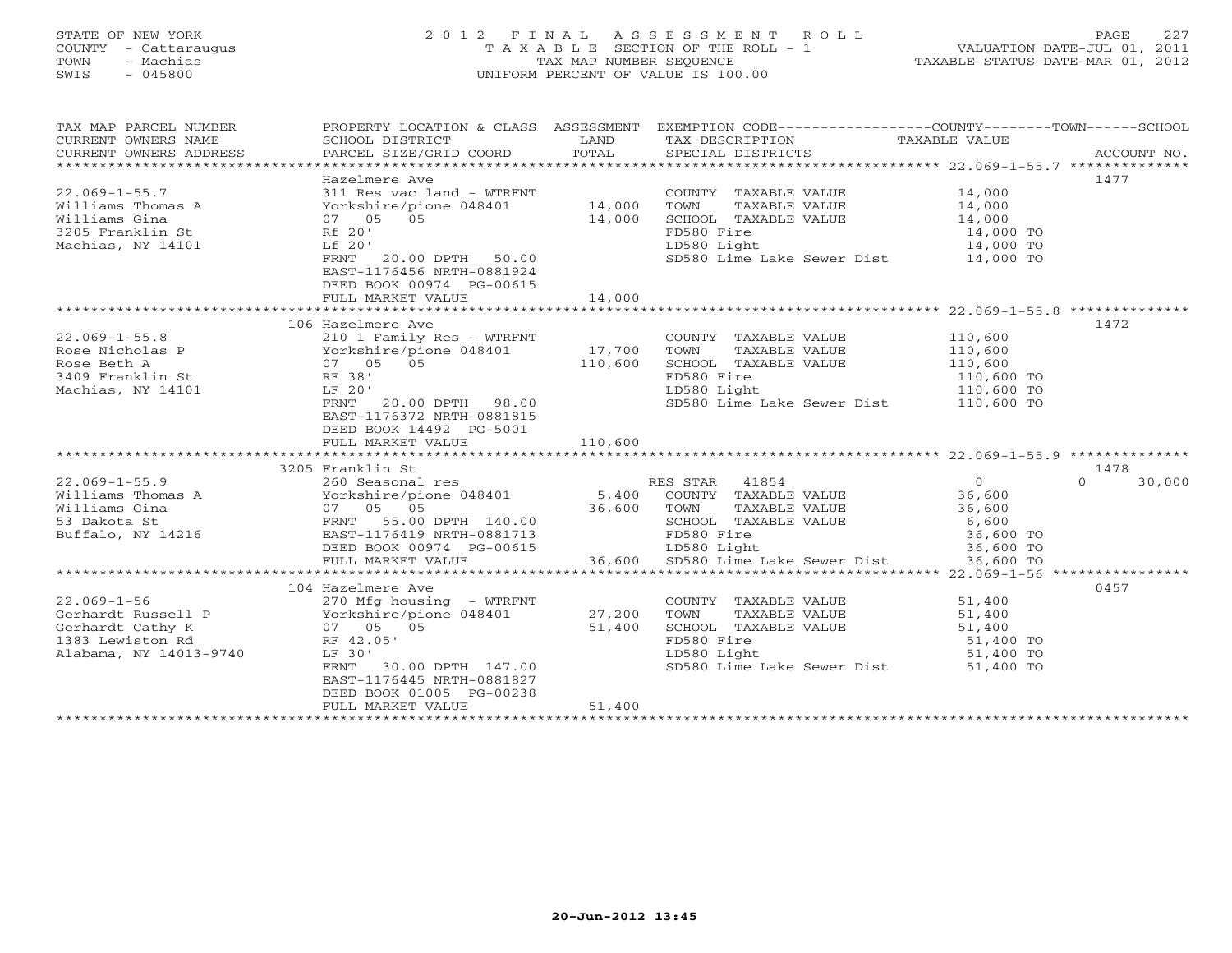# STATE OF NEW YORK 2 0 1 2 F I N A L A S S E S S M E N T R O L L PAGE 227 COUNTY - Cattaraugus T A X A B L E SECTION OF THE ROLL - 1 VALUATION DATE-JUL 01, 2011 TOWN - Machias TAX MAP NUMBER SEQUENCE TAXABLE STATUS DATE-MAR 01, 2012 SWIS - 045800 UNIFORM PERCENT OF VALUE IS 100.00UNIFORM PERCENT OF VALUE IS 100.00

| TAX MAP PARCEL NUMBER<br>CURRENT OWNERS NAME<br>CURRENT OWNERS ADDRESS                                                                                                                                                                                                                                                                                                                                                 | PROPERTY LOCATION & CLASS ASSESSMENT EXEMPTION CODE---------------COUNTY-------TOWN------SCHOOL<br>SCHOOL DISTRICT<br>PARCEL SIZE/GRID COORD TOTAL | LAND    | TAX DESCRIPTION TAXABLE VALUE<br>SPECIAL DISTRICTS<br>SPECIAL DISTRICTS               |                                                 | ACCOUNT NO.        |
|------------------------------------------------------------------------------------------------------------------------------------------------------------------------------------------------------------------------------------------------------------------------------------------------------------------------------------------------------------------------------------------------------------------------|----------------------------------------------------------------------------------------------------------------------------------------------------|---------|---------------------------------------------------------------------------------------|-------------------------------------------------|--------------------|
|                                                                                                                                                                                                                                                                                                                                                                                                                        |                                                                                                                                                    |         |                                                                                       |                                                 |                    |
|                                                                                                                                                                                                                                                                                                                                                                                                                        | Hazelmere Ave                                                                                                                                      |         |                                                                                       |                                                 | 1477               |
| $22.069 - 1 - 55.7$                                                                                                                                                                                                                                                                                                                                                                                                    | 311 Res vac land - WTRFNT                                                                                                                          |         | COUNTY TAXABLE VALUE 14,000                                                           |                                                 |                    |
| Williams Thomas A                         Yorkshire/pione 048401<br>Williams Gina                            07    05    05                                                                                                                                                                                                                                                                                            |                                                                                                                                                    | 14,000  | TOWN<br>TAXABLE VALUE                                                                 | 14,000                                          |                    |
|                                                                                                                                                                                                                                                                                                                                                                                                                        | 07 05 05                                                                                                                                           | 14,000  | SCHOOL TAXABLE VALUE                                                                  | 14,000<br>14,000 TO                             |                    |
| $Rf$ 20'<br>3205 Franklin St                                                                                                                                                                                                                                                                                                                                                                                           |                                                                                                                                                    |         |                                                                                       |                                                 |                    |
| Machias, NY 14101                                                                                                                                                                                                                                                                                                                                                                                                      | 20.00 DPTH 50.00<br>Lf 20'                                                                                                                         |         | LD580 Light                                                                           |                                                 |                    |
|                                                                                                                                                                                                                                                                                                                                                                                                                        | FRNT<br>EAST-1176456 NRTH-0881924                                                                                                                  |         | FD580 Fire 14,000 TO<br>LD580 Light 14,000 TO<br>SD580 Lime Lake Sewer Dist 14,000 TO |                                                 |                    |
|                                                                                                                                                                                                                                                                                                                                                                                                                        | DEED BOOK 00974 PG-00615                                                                                                                           |         |                                                                                       |                                                 |                    |
|                                                                                                                                                                                                                                                                                                                                                                                                                        | FULL MARKET VALUE                                                                                                                                  | 14,000  |                                                                                       |                                                 |                    |
|                                                                                                                                                                                                                                                                                                                                                                                                                        |                                                                                                                                                    |         |                                                                                       |                                                 |                    |
|                                                                                                                                                                                                                                                                                                                                                                                                                        | 106 Hazelmere Ave                                                                                                                                  |         |                                                                                       |                                                 | 1472               |
| 22.069-1-55.8<br>Rose Nicholas P<br>Rose Nicholas P<br>Rose Beth A<br>3409 Franklin St<br>3409 Franklin St<br>210 1 Family Res - WTRFNT<br>210 1 Family Res - WTRFNT<br>210 1 Family Res - WTRFNT<br>210 16401<br>210 12,700<br>210,600<br>210,600                                                                                                                                                                     |                                                                                                                                                    |         | COUNTY TAXABLE VALUE                                                                  | 110,600                                         |                    |
|                                                                                                                                                                                                                                                                                                                                                                                                                        |                                                                                                                                                    |         | TOWN<br>TAXABLE VALUE                                                                 | 110,600<br>110,600                              |                    |
|                                                                                                                                                                                                                                                                                                                                                                                                                        |                                                                                                                                                    |         | SCHOOL TAXABLE VALUE                                                                  |                                                 |                    |
|                                                                                                                                                                                                                                                                                                                                                                                                                        |                                                                                                                                                    |         | FD580 Fire                                                                            | $110,600$ TO                                    |                    |
| Machias, NY 14101                                                                                                                                                                                                                                                                                                                                                                                                      | ,<br>20.00 DPTH 98.00<br>LF 20'                                                                                                                    |         | LD580 Light                                                                           | 110,600 TO                                      |                    |
|                                                                                                                                                                                                                                                                                                                                                                                                                        | FRNT<br>EAST-1176372 NRTH-0881815<br>DEED BOOK 14492 PG-5001                                                                                       |         | SD580 Lime Lake Sewer Dist 110,600 TO                                                 |                                                 |                    |
|                                                                                                                                                                                                                                                                                                                                                                                                                        | FULL MARKET VALUE                                                                                                                                  | 110,600 |                                                                                       |                                                 |                    |
|                                                                                                                                                                                                                                                                                                                                                                                                                        |                                                                                                                                                    |         |                                                                                       |                                                 |                    |
|                                                                                                                                                                                                                                                                                                                                                                                                                        | 3205 Franklin St                                                                                                                                   |         |                                                                                       |                                                 | 1478               |
| $\begin{array}{cccccccc} 22.069-1-55.9 & & & 223 & 1.0048401 & & & 260 & \text{Seassonal res} & & & & 260 & \text{Seassonal res} & & & & 5,400 & \text{COUNTY} & \text{TXABLE VALUE} \\ \text{Williams Gina} & & & & & & & & & 07 & 05 & 05 & & & 36,600 & \text{TOWN} & \text{TXABLE VALUE} \\ \text{Buffalo, NY 14216} & & & & & & & \text{RENNT} & 55.00 DPTH 140.00 & & & & & \text{SCHOOL TAXABLE VALUE} & & & &$ |                                                                                                                                                    |         |                                                                                       | 0<br>36,600<br>36,600                           | $\Omega$<br>30,000 |
|                                                                                                                                                                                                                                                                                                                                                                                                                        |                                                                                                                                                    |         |                                                                                       |                                                 |                    |
|                                                                                                                                                                                                                                                                                                                                                                                                                        |                                                                                                                                                    |         |                                                                                       |                                                 |                    |
|                                                                                                                                                                                                                                                                                                                                                                                                                        |                                                                                                                                                    |         |                                                                                       |                                                 |                    |
|                                                                                                                                                                                                                                                                                                                                                                                                                        |                                                                                                                                                    |         |                                                                                       |                                                 |                    |
|                                                                                                                                                                                                                                                                                                                                                                                                                        | DEED BOOK 00974 PG-00615 LD580 Light                                                                                                               |         |                                                                                       | LE VALUE<br>19,600 10<br>36,600 TO<br>36,600 TO |                    |
|                                                                                                                                                                                                                                                                                                                                                                                                                        | FULL MARKET VALUE                                                                                                                                  |         | 36,600 SD580 Lime Lake Sewer Dist                                                     | 36,600 TO                                       |                    |
|                                                                                                                                                                                                                                                                                                                                                                                                                        |                                                                                                                                                    |         |                                                                                       |                                                 |                    |
|                                                                                                                                                                                                                                                                                                                                                                                                                        | 104 Hazelmere Ave                                                                                                                                  |         |                                                                                       |                                                 | 0457               |
|                                                                                                                                                                                                                                                                                                                                                                                                                        |                                                                                                                                                    |         |                                                                                       | 51,400                                          |                    |
| $22.069-1-56$<br>Gerhardt Russell P<br>Gerhardt Cathy K<br>1383 Lewiston Rd 1383 Lewiston Rd 1383 Lewiston Rd 1383 Lewiston Rd 1383 Lewiston Rd 1383 Lewiston Rd 1383 Lewiston Rd 1383 Lewiston Rd 1383 Lewiston Rd 1383 Lewiston R                                                                                                                                                                                    |                                                                                                                                                    |         | COUNTY TAXABLE VALUE 51,400<br>TOWN TAXABLE VALUE 51,400                              |                                                 |                    |
|                                                                                                                                                                                                                                                                                                                                                                                                                        |                                                                                                                                                    |         | SCHOOL TAXABLE VALUE                                                                  | 51,400                                          |                    |
|                                                                                                                                                                                                                                                                                                                                                                                                                        |                                                                                                                                                    |         | FD580 Fire                                                                            | 51,400 TO                                       |                    |
| Alabama, NY 14013-9740                                                                                                                                                                                                                                                                                                                                                                                                 | LF 30'                                                                                                                                             |         | LD580 Light                                                                           | 51,400 TO                                       |                    |
|                                                                                                                                                                                                                                                                                                                                                                                                                        | 30.00 DPTH 147.00<br>FRNT                                                                                                                          |         | SD580 Lime Lake Sewer Dist 51,400 TO                                                  |                                                 |                    |
|                                                                                                                                                                                                                                                                                                                                                                                                                        | EAST-1176445 NRTH-0881827                                                                                                                          |         |                                                                                       |                                                 |                    |
|                                                                                                                                                                                                                                                                                                                                                                                                                        | DEED BOOK 01005 PG-00238                                                                                                                           |         |                                                                                       |                                                 |                    |
|                                                                                                                                                                                                                                                                                                                                                                                                                        | FULL MARKET VALUE                                                                                                                                  | 51,400  |                                                                                       |                                                 |                    |
|                                                                                                                                                                                                                                                                                                                                                                                                                        |                                                                                                                                                    |         |                                                                                       |                                                 |                    |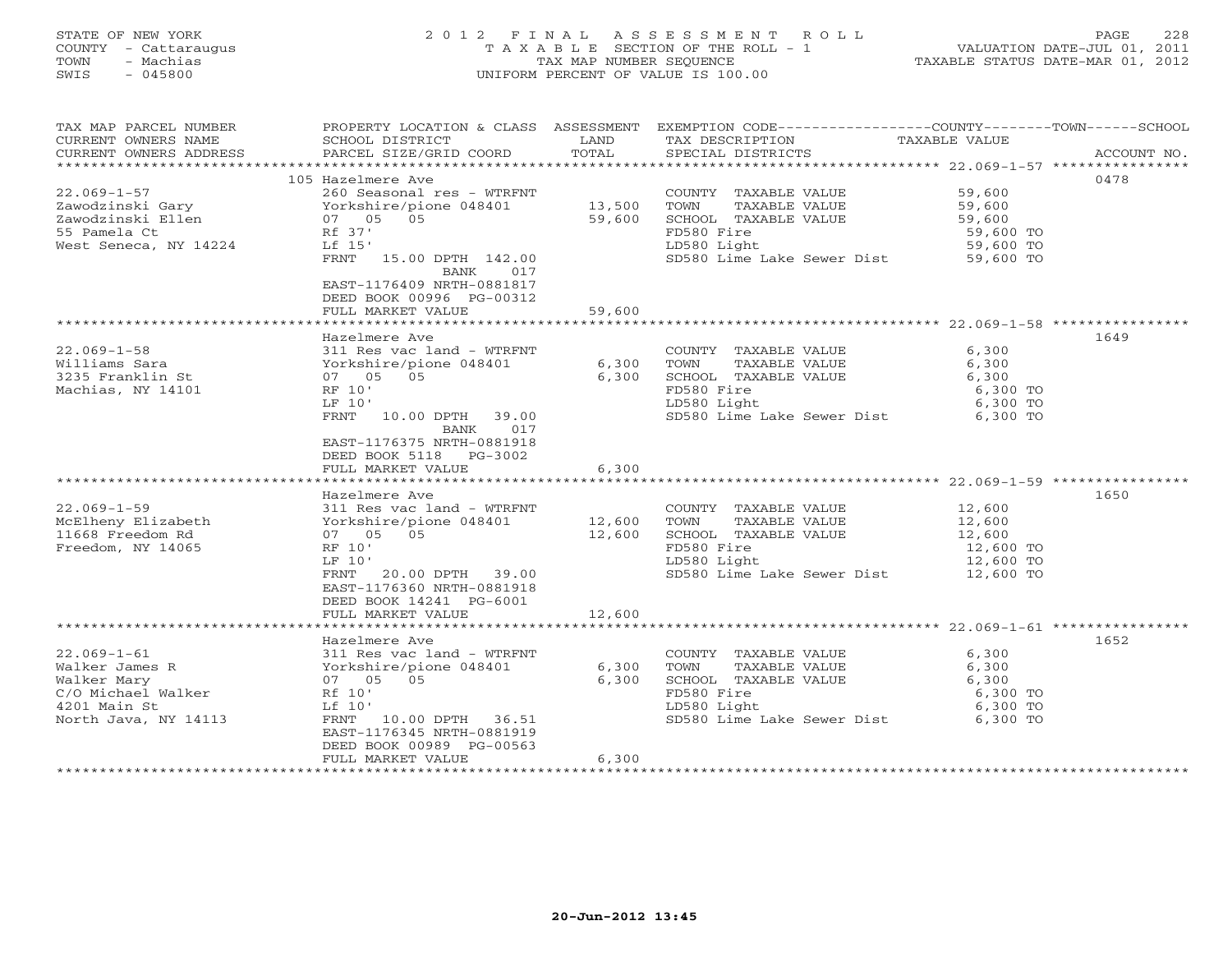# STATE OF NEW YORK 2 0 1 2 F I N A L A S S E S S M E N T R O L L PAGE 228 COUNTY - Cattaraugus T A X A B L E SECTION OF THE ROLL - 1 VALUATION DATE-JUL 01, 2011 TOWN - Machias TAX MAP NUMBER SEQUENCE TAXABLE STATUS DATE-MAR 01, 2012 SWIS - 045800 UNIFORM PERCENT OF VALUE IS 100.00UNIFORM PERCENT OF VALUE IS 100.00

| TAX MAP PARCEL NUMBER<br>CURRENT OWNERS NAME<br>CURRENT OWNERS ADDRESS | SCHOOL DISTRICT<br>PARCEL SIZE/GRID COORD | LAND<br>TOTAL | PROPERTY LOCATION & CLASS ASSESSMENT EXEMPTION CODE---------------COUNTY-------TOWN------SCHOOL<br>TAX DESCRIPTION TAXABLE VALUE<br>SPECIAL DISTRICTS<br>SPECIAL DISTRICTS |                       | ACCOUNT NO. |
|------------------------------------------------------------------------|-------------------------------------------|---------------|----------------------------------------------------------------------------------------------------------------------------------------------------------------------------|-----------------------|-------------|
|                                                                        |                                           |               |                                                                                                                                                                            |                       |             |
|                                                                        | 105 Hazelmere Ave                         |               |                                                                                                                                                                            |                       | 0478        |
| $22.069 - 1 - 57$                                                      | 260 Seasonal res - WTRFNT                 |               | COUNTY TAXABLE VALUE 59,600                                                                                                                                                |                       |             |
| Zawodzinski Gary                                                       | Yorkshire/pione 048401 13,500             |               | TOWN<br>TAXABLE VALUE                                                                                                                                                      | 59,600                |             |
| Zawodzinski Ellen                                                      | 07 05 05                                  | 59,600        | SCHOOL TAXABLE VALUE                                                                                                                                                       | 59,600                |             |
| 55 Pamela Ct                                                           | Rf 37'                                    |               | FD580 Fire                                                                                                                                                                 | 59,600 TO             |             |
| West Seneca, NY 14224                                                  | Lf 15'                                    |               | LD580 Light                                                                                                                                                                | 59,600 TO             |             |
|                                                                        | FRNT<br>15.00 DPTH 142.00<br>BANK<br>017  |               | SD580 Lime Lake Sewer Dist 59,600 TO                                                                                                                                       |                       |             |
|                                                                        | EAST-1176409 NRTH-0881817                 |               |                                                                                                                                                                            |                       |             |
|                                                                        | DEED BOOK 00996 PG-00312                  |               |                                                                                                                                                                            |                       |             |
|                                                                        | FULL MARKET VALUE                         | 59,600        |                                                                                                                                                                            |                       |             |
|                                                                        |                                           |               |                                                                                                                                                                            |                       |             |
|                                                                        | Hazelmere Ave                             |               |                                                                                                                                                                            |                       | 1649        |
| $22.069 - 1 - 58$                                                      | 311 Res vac land - WTRFNT                 |               | COUNTY TAXABLE VALUE                                                                                                                                                       | 6,300                 |             |
| Williams Sara                                                          |                                           | 6,300         | TOWN<br>TAXABLE VALUE                                                                                                                                                      | 6,300                 |             |
| 3235 Franklin St                                                       |                                           | 6,300         | SCHOOL TAXABLE VALUE                                                                                                                                                       | 6,300                 |             |
| Machias, NY 14101                                                      | RF 10'                                    |               | FD580 Fire                                                                                                                                                                 | 6,300 TO              |             |
|                                                                        | LF 10'                                    |               | LD580 Light                                                                                                                                                                | 6,300 TO              |             |
|                                                                        | FRNT<br>10.00 DPTH 39.00                  |               | SD580 Lime Lake Sewer Dist 6,300 TO                                                                                                                                        |                       |             |
|                                                                        | BANK<br>017                               |               |                                                                                                                                                                            |                       |             |
|                                                                        | EAST-1176375 NRTH-0881918                 |               |                                                                                                                                                                            |                       |             |
|                                                                        | DEED BOOK 5118 PG-3002                    | 6,300         |                                                                                                                                                                            |                       |             |
|                                                                        | FULL MARKET VALUE                         |               |                                                                                                                                                                            |                       |             |
|                                                                        | Hazelmere Ave                             |               |                                                                                                                                                                            |                       | 1650        |
| $22.069 - 1 - 59$                                                      | 311 Res vac land - WTRFNT                 |               | COUNTY TAXABLE VALUE 12,600                                                                                                                                                |                       |             |
| McElheny Elizabeth                                                     | Yorkshire/pione 048401                    | 12,600        | TOWN<br>TAXABLE VALUE                                                                                                                                                      | 12,600                |             |
| 11668 Freedom Rd                                                       | 07 05 05                                  | 12,600        | SCHOOL TAXABLE VALUE                                                                                                                                                       | $\frac{12}{12}$ , 600 |             |
| Freedom, NY 14065                                                      | RF 10'                                    |               | FD580 Fire                                                                                                                                                                 | 12,600 TO             |             |
|                                                                        | LF 10'                                    |               | LD580 Light                                                                                                                                                                | 12,600 TO             |             |
|                                                                        | FRNT 20.00 DPTH 39.00                     |               | SD580 Lime Lake Sewer Dist 12,600 TO                                                                                                                                       |                       |             |
|                                                                        | EAST-1176360 NRTH-0881918                 |               |                                                                                                                                                                            |                       |             |
|                                                                        | DEED BOOK 14241 PG-6001                   |               |                                                                                                                                                                            |                       |             |
|                                                                        | FULL MARKET VALUE                         | 12,600        |                                                                                                                                                                            |                       |             |
|                                                                        |                                           |               |                                                                                                                                                                            |                       |             |
|                                                                        | Hazelmere Ave                             |               |                                                                                                                                                                            |                       | 1652        |
| $22.069 - 1 - 61$                                                      | 311 Res vac land - WTRFNT                 |               | COUNTY TAXABLE VALUE                                                                                                                                                       | 6,300                 |             |
| Walker James R                                                         | Yorkshire/pione 048401                    | 6,300         | TAXABLE VALUE<br>TOWN                                                                                                                                                      | 6,300                 |             |
| Walker Mary                                                            | 07 05 05                                  | 6,300         | SCHOOL TAXABLE VALUE                                                                                                                                                       | 6,300                 |             |
| Walker Mary<br>C/O Michael Walker                                      | Rf 10'                                    |               | FD580 Fire                                                                                                                                                                 | 6,300 TO              |             |
| 4201 Main St                                                           | Lf 10'                                    |               | LD580 Light                                                                                                                                                                | 6,300 TO              |             |
| North Java, NY 14113                                                   | FRNT 10.00 DPTH 36.51                     |               | SD580 Lime Lake Sewer Dist 6,300 TO                                                                                                                                        |                       |             |
|                                                                        | EAST-1176345 NRTH-0881919                 |               |                                                                                                                                                                            |                       |             |
|                                                                        | DEED BOOK 00989 PG-00563                  |               |                                                                                                                                                                            |                       |             |
|                                                                        | FULL MARKET VALUE                         | 6,300         |                                                                                                                                                                            |                       |             |
|                                                                        |                                           |               |                                                                                                                                                                            |                       |             |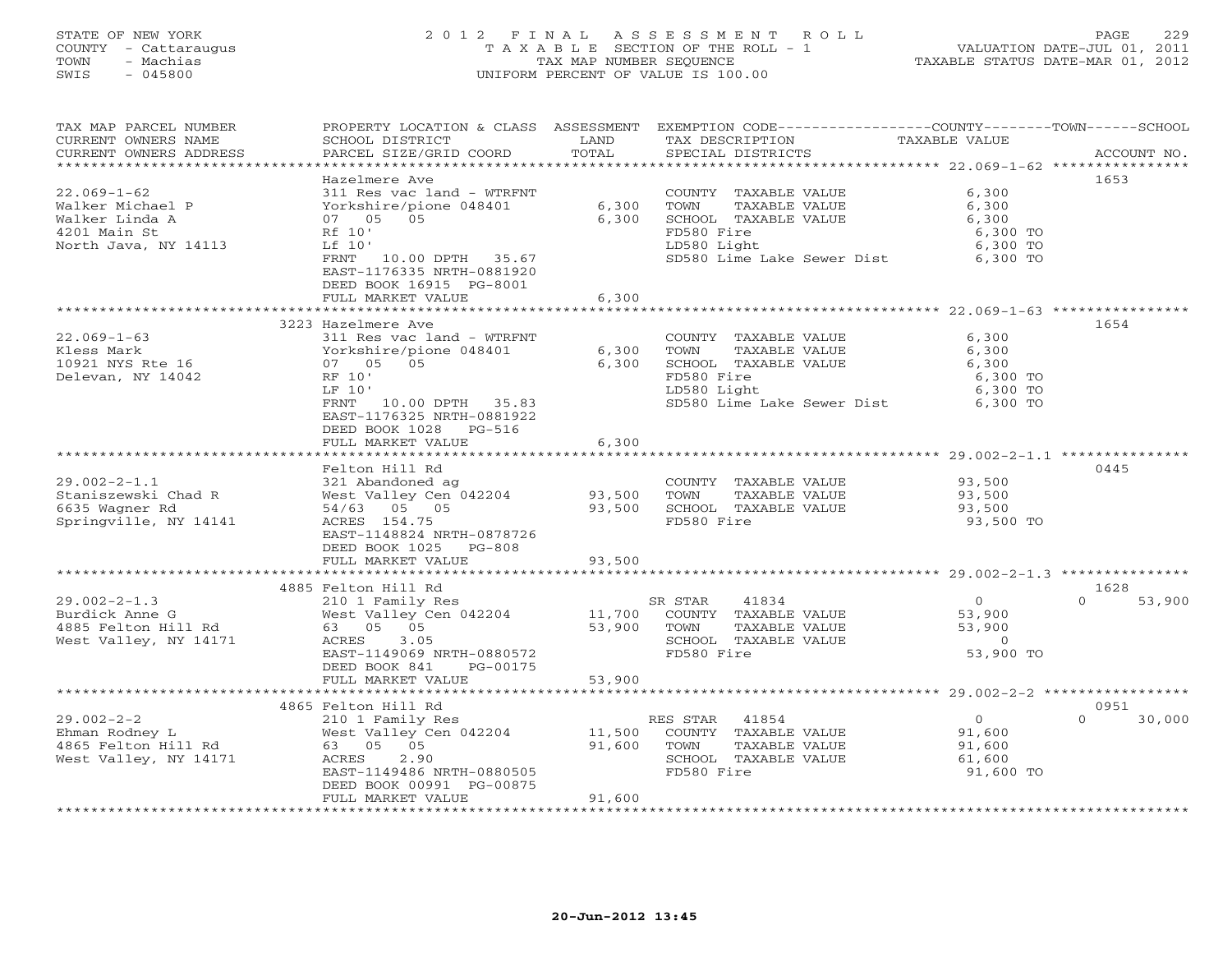## STATE OF NEW YORK 2 0 1 2 F I N A L A S S E S S M E N T R O L L PAGE 229 COUNTY - Cattaraugus T A X A B L E SECTION OF THE ROLL - 1 VALUATION DATE-JUL 01, 2011 TOWN - Machias TAX MAP NUMBER SEQUENCE TAXABLE STATUS DATE-MAR 01, 2012 SWIS - 045800 UNIFORM PERCENT OF VALUE IS 100.00UNIFORM PERCENT OF VALUE IS 100.00

| TAX MAP PARCEL NUMBER<br>CURRENT OWNERS NAME                                                    | PROPERTY LOCATION & CLASS ASSESSMENT EXEMPTION CODE----------------COUNTY-------TOWN------SCHOOL<br>SCHOOL DISTRICT                                                           | LAND                       | TAX DESCRIPTION                                                                                                                           | TAXABLE VALUE                                                     |                            |
|-------------------------------------------------------------------------------------------------|-------------------------------------------------------------------------------------------------------------------------------------------------------------------------------|----------------------------|-------------------------------------------------------------------------------------------------------------------------------------------|-------------------------------------------------------------------|----------------------------|
| CURRENT OWNERS ADDRESS                                                                          | PARCEL SIZE/GRID COORD                                                                                                                                                        | TOTAL                      | SPECIAL DISTRICTS                                                                                                                         |                                                                   | ACCOUNT NO.                |
|                                                                                                 | Hazelmere Ave                                                                                                                                                                 |                            |                                                                                                                                           |                                                                   | 1653                       |
| $22.069 - 1 - 62$<br>Walker Michael P<br>Walker Linda A<br>4201 Main St<br>North Java, NY 14113 | 311 Res vac land - WTRFNT<br>Yorkshire/pione 048401<br>07 05 05<br>Rf 10'<br>Lf 10'<br>FRNT<br>10.00 DPTH 35.67<br>EAST-1176335 NRTH-0881920                                  | 6,300<br>6,300             | COUNTY TAXABLE VALUE<br>TOWN<br>TAXABLE VALUE<br>SCHOOL TAXABLE VALUE<br>FD580 Fire<br>LD580 Light<br>SD580 Lime Lake Sewer Dist 6,300 TO | 6,300<br>6,300<br>6,300<br>6,300 TO<br>6,300 TO                   |                            |
|                                                                                                 | DEED BOOK 16915 PG-8001                                                                                                                                                       |                            |                                                                                                                                           |                                                                   |                            |
|                                                                                                 | FULL MARKET VALUE                                                                                                                                                             | 6,300                      |                                                                                                                                           |                                                                   |                            |
|                                                                                                 | 3223 Hazelmere Ave                                                                                                                                                            |                            |                                                                                                                                           |                                                                   | 1654                       |
| $22.069 - 1 - 63$<br>Kless Mark<br>10921 NYS Rte 16<br>Delevan, NY 14042                        | 311 Res vac land - WTRFNT<br>Yorkshire/pione 048401<br>07 05 05<br>RF 10'<br>LF 10'<br>FRNT 10.00 DPTH 35.83<br>EAST-1176325 NRTH-0881922<br>DEED BOOK 1028 PG-516            | 6,300<br>6,300             | COUNTY TAXABLE VALUE<br>TOWN<br>TAXABLE VALUE<br>SCHOOL TAXABLE VALUE<br>FD580 Fire<br>LD580 Light<br>SD580 Lime Lake Sewer Dist 6,300 TO | 6,300<br>6,300<br>6,300<br>6,300 TO<br>6,300 TO                   |                            |
|                                                                                                 | FULL MARKET VALUE                                                                                                                                                             | 6,300                      |                                                                                                                                           |                                                                   |                            |
|                                                                                                 |                                                                                                                                                                               |                            |                                                                                                                                           |                                                                   |                            |
| $29.002 - 2 - 1.1$<br>Staniszewski Chad R<br>6635 Wagner Rd<br>Springville, NY 14141            | Felton Hill Rd<br>321 Abandoned ag<br>West Valley Cen 042204<br>54/63 05 05<br>ACRES 154.75<br>EAST-1148824 NRTH-0878726<br>DEED BOOK 1025<br>$PG-808$                        | 93,500<br>93,500           | COUNTY TAXABLE VALUE<br>TAXABLE VALUE<br>TOWN<br>SCHOOL TAXABLE VALUE<br>FD580 Fire                                                       | 93,500<br>93,500<br>93,500<br>93,500 TO                           | 0445                       |
|                                                                                                 | FULL MARKET VALUE                                                                                                                                                             | 93,500                     |                                                                                                                                           |                                                                   |                            |
|                                                                                                 |                                                                                                                                                                               | ************               | ************************************ 29.002-2-1.3 ***************                                                                         |                                                                   |                            |
| $29.002 - 2 - 1.3$<br>Burdick Anne G<br>4885 Felton Hill Rd<br>West Valley, NY 14171            | 4885 Felton Hill Rd<br>210 1 Family Res<br>West Valley Cen 042204<br>63 05 05<br>3.05<br>ACRES<br>EAST-1149069 NRTH-0880572<br>DEED BOOK 841<br>PG-00175<br>FULL MARKET VALUE | 11,700<br>53,900<br>53,900 | 41834<br>SR STAR<br>COUNTY TAXABLE VALUE<br>TAXABLE VALUE<br>TOWN<br>SCHOOL TAXABLE VALUE<br>FD580 Fire                                   | $\overline{0}$<br>53,900<br>53,900<br>$\overline{0}$<br>53,900 TO | 1628<br>53,900<br>$\Omega$ |
|                                                                                                 |                                                                                                                                                                               |                            |                                                                                                                                           |                                                                   |                            |
|                                                                                                 | 4865 Felton Hill Rd                                                                                                                                                           |                            |                                                                                                                                           |                                                                   | 0951                       |
| $29.002 - 2 - 2$<br>Ehman Rodney L<br>4865 Felton Hill Rd<br>West Valley, NY 14171              | 210 1 Family Res<br>West Valley Cen 042204<br>63 05 05<br>ACRES<br>2.90<br>EAST-1149486 NRTH-0880505<br>DEED BOOK 00991 PG-00875<br>FULL MARKET VALUE                         | 11,500<br>91,600<br>91,600 | RES STAR 41854<br>COUNTY TAXABLE VALUE<br>TOWN<br>TAXABLE VALUE<br>SCHOOL TAXABLE VALUE<br>FD580 Fire                                     | $\overline{0}$<br>91,600<br>91,600<br>61,600<br>91,600 TO         | $\Omega$<br>30,000         |
|                                                                                                 |                                                                                                                                                                               |                            |                                                                                                                                           |                                                                   |                            |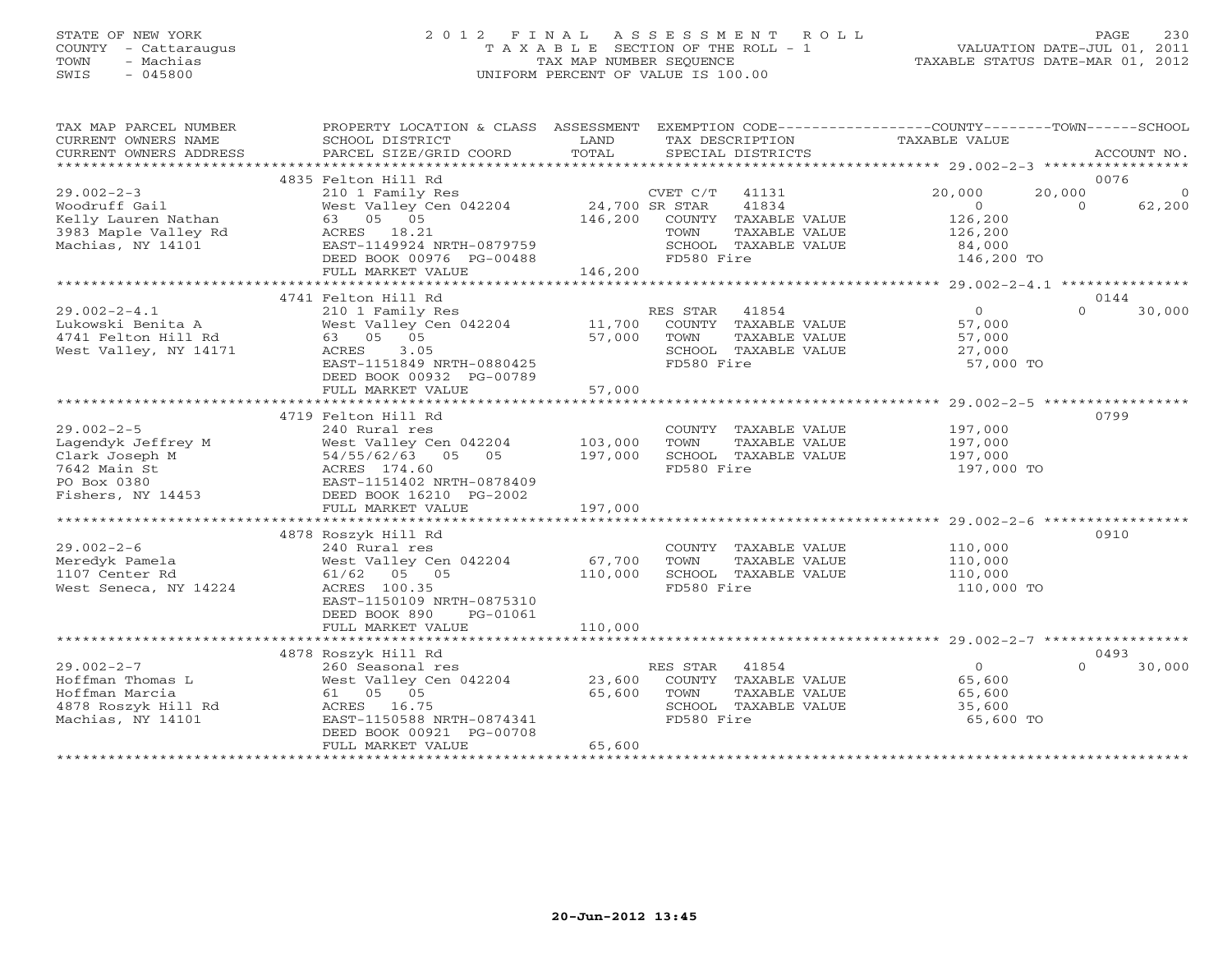# STATE OF NEW YORK 2 0 1 2 F I N A L A S S E S S M E N T R O L L PAGE 230 COUNTY - Cattaraugus T A X A B L E SECTION OF THE ROLL - 1 VALUATION DATE-JUL 01, 2011 TOWN - Machias TAX MAP NUMBER SEQUENCE TAXABLE STATUS DATE-MAR 01, 2012 SWIS - 045800 UNIFORM PERCENT OF VALUE IS 100.00UNIFORM PERCENT OF VALUE IS 100.00

| TAX MAP PARCEL NUMBER<br>CURRENT OWNERS NAME<br>CURRENT OWNERS ADDRESS | PROPERTY LOCATION & CLASS ASSESSMENT<br>SCHOOL DISTRICT<br>PARCEL SIZE/GRID COORD | LAND<br>TOTAL  |                | TAX DESCRIPTION<br>SPECIAL DISTRICTS | EXEMPTION CODE-----------------COUNTY-------TOWN------SCHOOL<br>TAXABLE VALUE |          | ACCOUNT NO. |
|------------------------------------------------------------------------|-----------------------------------------------------------------------------------|----------------|----------------|--------------------------------------|-------------------------------------------------------------------------------|----------|-------------|
|                                                                        |                                                                                   |                |                |                                      |                                                                               |          |             |
|                                                                        | 4835 Felton Hill Rd                                                               |                |                |                                      |                                                                               |          | 0076        |
| $29.002 - 2 - 3$                                                       | 210 1 Family Res                                                                  |                | CVET C/T       | 41131                                | 20,000                                                                        | 20,000   | $\circ$     |
| Woodruff Gail                                                          | West Valley Cen 042204                                                            | 24,700 SR STAR |                | 41834                                | $\overline{0}$                                                                | $\Omega$ | 62,200      |
| Kelly Lauren Nathan                                                    | 63 05 05                                                                          | 146,200        |                | COUNTY TAXABLE VALUE                 | 126,200                                                                       |          |             |
| 3983 Maple Valley Rd                                                   | ACRES 18.21                                                                       |                | TOWN           | TAXABLE VALUE                        | 126,200                                                                       |          |             |
| Machias, NY 14101                                                      | EAST-1149924 NRTH-0879759                                                         |                |                | SCHOOL TAXABLE VALUE                 | 84,000                                                                        |          |             |
|                                                                        | DEED BOOK 00976 PG-00488                                                          |                | FD580 Fire     |                                      | 146,200 TO                                                                    |          |             |
|                                                                        | FULL MARKET VALUE                                                                 | 146,200        |                |                                      |                                                                               |          |             |
|                                                                        |                                                                                   |                |                |                                      |                                                                               |          |             |
|                                                                        | 4741 Felton Hill Rd                                                               |                |                |                                      |                                                                               |          | 0144        |
| $29.002 - 2 - 4.1$                                                     | 210 1 Family Res                                                                  |                | RES STAR 41854 |                                      | $\Omega$                                                                      | $\Omega$ | 30,000      |
| Lukowski Benita A                                                      | West Valley Cen 042204                                                            | 11,700         |                | COUNTY TAXABLE VALUE                 | 57,000                                                                        |          |             |
| 4741 Felton Hill Rd                                                    | 63 05 05                                                                          | 57,000         | TOWN           | TAXABLE VALUE                        | 57,000                                                                        |          |             |
| West Valley, NY 14171                                                  | 3.05<br>ACRES                                                                     |                |                | SCHOOL TAXABLE VALUE                 | 27,000                                                                        |          |             |
|                                                                        | EAST-1151849 NRTH-0880425                                                         |                | FD580 Fire     |                                      | 57,000 TO                                                                     |          |             |
|                                                                        | DEED BOOK 00932 PG-00789                                                          |                |                |                                      |                                                                               |          |             |
|                                                                        | FULL MARKET VALUE                                                                 | 57,000         |                |                                      |                                                                               |          |             |
|                                                                        |                                                                                   |                |                |                                      |                                                                               |          |             |
|                                                                        | 4719 Felton Hill Rd                                                               |                |                |                                      |                                                                               |          | 0799        |
|                                                                        |                                                                                   |                |                |                                      |                                                                               |          |             |
| $29.002 - 2 - 5$                                                       | 240 Rural res                                                                     |                |                | COUNTY TAXABLE VALUE                 | 197,000                                                                       |          |             |
| Lagendyk Jeffrey M                                                     | West Valley Cen 042204                                                            | 103,000        | TOWN           | TAXABLE VALUE                        | 197,000                                                                       |          |             |
| Clark Joseph M                                                         | 54/55/62/63 05 05                                                                 | 197,000        |                | SCHOOL TAXABLE VALUE                 | 197,000                                                                       |          |             |
| 7642 Main St                                                           | ACRES 174.60                                                                      |                | FD580 Fire     |                                      | 197,000 TO                                                                    |          |             |
| PO Box 0380                                                            | EAST-1151402 NRTH-0878409                                                         |                |                |                                      |                                                                               |          |             |
| Fishers, NY 14453                                                      | DEED BOOK 16210 PG-2002                                                           |                |                |                                      |                                                                               |          |             |
|                                                                        | FULL MARKET VALUE                                                                 | 197,000        |                |                                      |                                                                               |          |             |
|                                                                        |                                                                                   |                |                |                                      |                                                                               |          |             |
|                                                                        | 4878 Roszyk Hill Rd                                                               |                |                |                                      |                                                                               |          | 0910        |
| $29.002 - 2 - 6$                                                       | 240 Rural res                                                                     |                |                | COUNTY TAXABLE VALUE                 | 110,000                                                                       |          |             |
| Meredyk Pamela                                                         | West Valley Cen 042204                                                            | 67,700         | TOWN           | TAXABLE VALUE                        | 110,000                                                                       |          |             |
| 1107 Center Rd                                                         | 61/62 05 05                                                                       | 110,000        |                | SCHOOL TAXABLE VALUE                 | 110,000                                                                       |          |             |
| West Seneca, NY 14224                                                  | ACRES 100.35                                                                      |                | FD580 Fire     |                                      | 110,000 TO                                                                    |          |             |
|                                                                        | EAST-1150109 NRTH-0875310                                                         |                |                |                                      |                                                                               |          |             |
|                                                                        | DEED BOOK 890<br>PG-01061                                                         |                |                |                                      |                                                                               |          |             |
|                                                                        | FULL MARKET VALUE                                                                 | 110,000        |                |                                      |                                                                               |          |             |
|                                                                        |                                                                                   |                |                |                                      |                                                                               |          |             |
|                                                                        | 4878 Roszyk Hill Rd                                                               |                |                |                                      |                                                                               |          | 0493        |
| $29.002 - 2 - 7$                                                       | 260 Seasonal res                                                                  |                | RES STAR       | 41854                                | $\overline{0}$                                                                | $\Omega$ | 30,000      |
| Hoffman Thomas L                                                       | West Valley Cen 042204                                                            | 23,600         |                | COUNTY TAXABLE VALUE                 | 65,600                                                                        |          |             |
| Hoffman Marcia                                                         | 61 05 05                                                                          | 65,600         | TOWN           | TAXABLE VALUE                        | 65,600                                                                        |          |             |
| 4878 Roszyk Hill Rd                                                    | ACRES 16.75                                                                       |                |                | SCHOOL TAXABLE VALUE                 | 35,600                                                                        |          |             |
| Machias, NY 14101                                                      | EAST-1150588 NRTH-0874341                                                         |                | FD580 Fire     |                                      | 65,600 TO                                                                     |          |             |
|                                                                        |                                                                                   |                |                |                                      |                                                                               |          |             |
|                                                                        | DEED BOOK 00921 PG-00708                                                          |                |                |                                      |                                                                               |          |             |
|                                                                        | FULL MARKET VALUE                                                                 | 65,600         |                |                                      |                                                                               |          |             |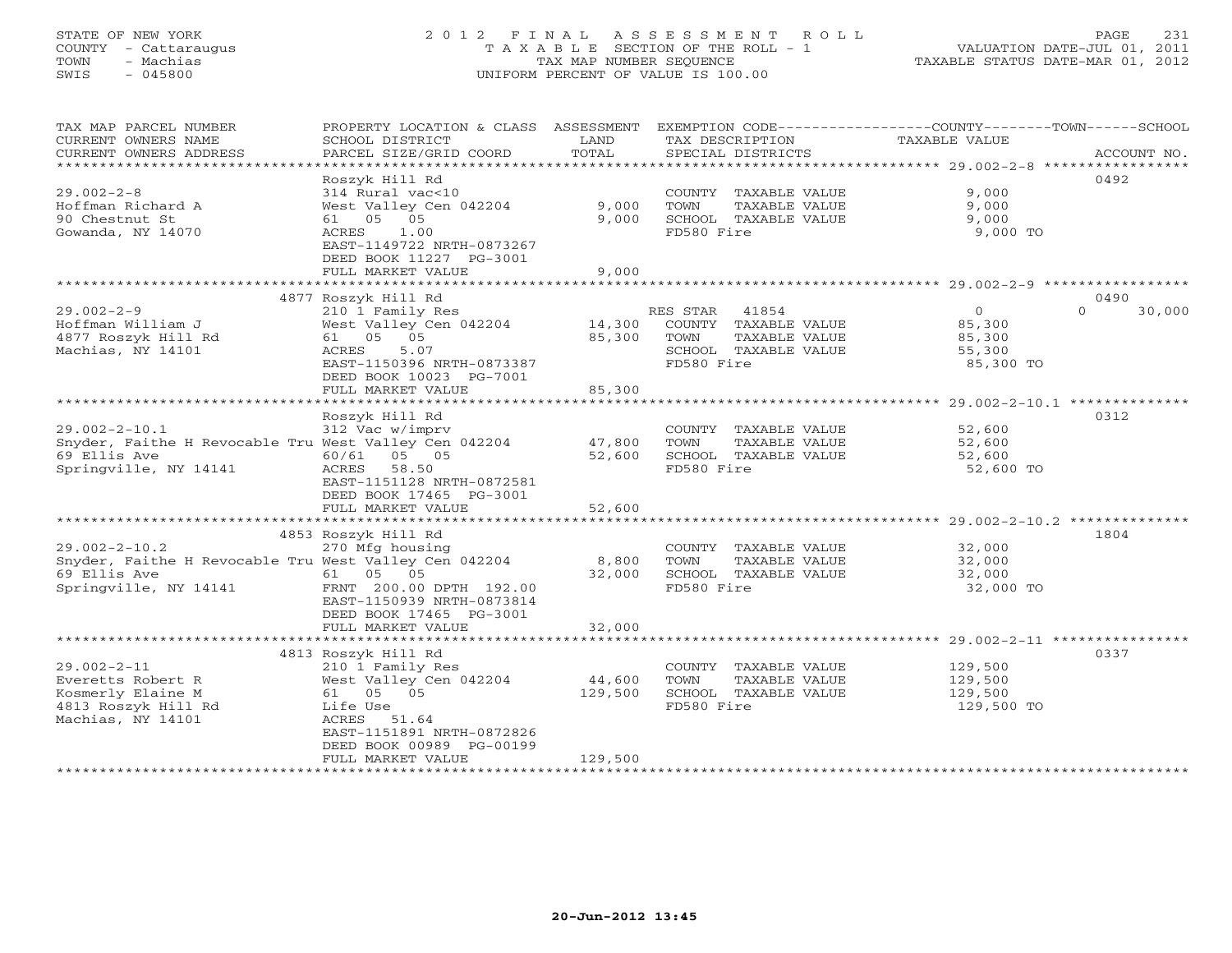# STATE OF NEW YORK 2 0 1 2 F I N A L A S S E S S M E N T R O L L PAGE 231 COUNTY - Cattaraugus T A X A B L E SECTION OF THE ROLL - 1 VALUATION DATE-JUL 01, 2011 TOWN - Machias TAX MAP NUMBER SEQUENCE TAXABLE STATUS DATE-MAR 01, 2012 SWIS - 045800 UNIFORM PERCENT OF VALUE IS 100.00UNIFORM PERCENT OF VALUE IS 100.00

| TAX MAP PARCEL NUMBER<br>CURRENT OWNERS NAME          | PROPERTY LOCATION & CLASS ASSESSMENT<br>SCHOOL DISTRICT | LAND    | TAX DESCRIPTION                               | EXEMPTION CODE----------------COUNTY-------TOWN------SCHOOL<br>TAXABLE VALUE |             |
|-------------------------------------------------------|---------------------------------------------------------|---------|-----------------------------------------------|------------------------------------------------------------------------------|-------------|
| CURRENT OWNERS ADDRESS<br>***********************     | PARCEL SIZE/GRID COORD                                  | TOTAL   | SPECIAL DISTRICTS                             |                                                                              | ACCOUNT NO. |
|                                                       | Roszyk Hill Rd                                          |         |                                               |                                                                              | 0492        |
| $29.002 - 2 - 8$                                      | 314 Rural vac<10                                        |         | COUNTY TAXABLE VALUE                          | 9,000                                                                        |             |
| Hoffman Richard A                                     | West Valley Cen 042204                                  | 9,000   | TOWN<br>TAXABLE VALUE                         | 9,000                                                                        |             |
| 90 Chestnut St                                        | 61 05 05                                                | 9,000   | SCHOOL TAXABLE VALUE                          | 9,000                                                                        |             |
| Gowanda, NY 14070                                     | 1.00<br>ACRES                                           |         | FD580 Fire                                    | 9,000 TO                                                                     |             |
|                                                       | EAST-1149722 NRTH-0873267                               |         |                                               |                                                                              |             |
|                                                       | DEED BOOK 11227 PG-3001                                 |         |                                               |                                                                              |             |
|                                                       | FULL MARKET VALUE                                       | 9,000   |                                               |                                                                              |             |
|                                                       | 4877 Roszyk Hill Rd                                     |         |                                               |                                                                              | 0490        |
| $29.002 - 2 - 9$                                      | 210 1 Family Res                                        |         | RES STAR 41854                                | $\circ$<br>$\Omega$                                                          | 30,000      |
| Hoffman William J                                     | West Valley Cen 042204                                  | 14,300  | COUNTY TAXABLE VALUE                          | 85,300                                                                       |             |
| 4877 Roszyk Hill Rd                                   | 61 05 05                                                | 85,300  | TOWN<br>TAXABLE VALUE                         | 85,300                                                                       |             |
| Machias, NY 14101                                     | ACRES<br>5.07                                           |         | SCHOOL TAXABLE VALUE                          | 55,300                                                                       |             |
|                                                       | EAST-1150396 NRTH-0873387                               |         | FD580 Fire                                    | 85,300 TO                                                                    |             |
|                                                       | DEED BOOK 10023 PG-7001                                 |         |                                               |                                                                              |             |
|                                                       | FULL MARKET VALUE                                       | 85,300  |                                               |                                                                              |             |
|                                                       |                                                         |         |                                               |                                                                              |             |
| $29.002 - 2 - 10.1$                                   | Roszyk Hill Rd<br>312 Vac w/imprv                       |         | COUNTY TAXABLE VALUE                          | 52,600                                                                       | 0312        |
| Snyder, Faithe H Revocable Tru West Valley Cen 042204 |                                                         | 47,800  | TOWN<br>TAXABLE VALUE                         | 52,600                                                                       |             |
| 69 Ellis Ave                                          | 60/61 05 05                                             | 52,600  | SCHOOL TAXABLE VALUE                          | 52,600                                                                       |             |
| Springville, NY 14141                                 | ACRES<br>58.50                                          |         | FD580 Fire                                    | 52,600 TO                                                                    |             |
|                                                       | EAST-1151128 NRTH-0872581                               |         |                                               |                                                                              |             |
|                                                       | DEED BOOK 17465 PG-3001                                 |         |                                               |                                                                              |             |
|                                                       | FULL MARKET VALUE                                       | 52,600  |                                               |                                                                              |             |
|                                                       |                                                         |         |                                               |                                                                              |             |
| $29.002 - 2 - 10.2$                                   | 4853 Roszyk Hill Rd                                     |         |                                               |                                                                              | 1804        |
| Snyder, Faithe H Revocable Tru West Valley Cen 042204 | 270 Mfg housing                                         | 8,800   | COUNTY TAXABLE VALUE<br>TOWN<br>TAXABLE VALUE | 32,000<br>32,000                                                             |             |
| 69 Ellis Ave                                          | 61 05 05                                                | 32,000  | SCHOOL TAXABLE VALUE                          | 32,000                                                                       |             |
| Springville, NY 14141                                 | FRNT 200.00 DPTH 192.00                                 |         | FD580 Fire                                    | 32,000 TO                                                                    |             |
|                                                       | EAST-1150939 NRTH-0873814                               |         |                                               |                                                                              |             |
|                                                       | DEED BOOK 17465 PG-3001                                 |         |                                               |                                                                              |             |
|                                                       | FULL MARKET VALUE                                       | 32,000  |                                               |                                                                              |             |
|                                                       |                                                         |         |                                               |                                                                              |             |
| $29.002 - 2 - 11$                                     | 4813 Roszyk Hill Rd                                     |         |                                               |                                                                              | 0337        |
| Everetts Robert R                                     | 210 1 Family Res<br>West Valley Cen 042204              | 44,600  | COUNTY TAXABLE VALUE<br>TOWN<br>TAXABLE VALUE | 129,500<br>129,500                                                           |             |
| Kosmerly Elaine M                                     | 61 05 05                                                | 129,500 | SCHOOL TAXABLE VALUE                          | 129,500                                                                      |             |
| 4813 Roszyk Hill Rd                                   | Life Use                                                |         | FD580 Fire                                    | 129,500 TO                                                                   |             |
| Machias, NY 14101                                     | ACRES 51.64                                             |         |                                               |                                                                              |             |
|                                                       | EAST-1151891 NRTH-0872826                               |         |                                               |                                                                              |             |
|                                                       | DEED BOOK 00989 PG-00199                                |         |                                               |                                                                              |             |
|                                                       | FULL MARKET VALUE                                       | 129,500 |                                               |                                                                              |             |
|                                                       |                                                         |         |                                               |                                                                              |             |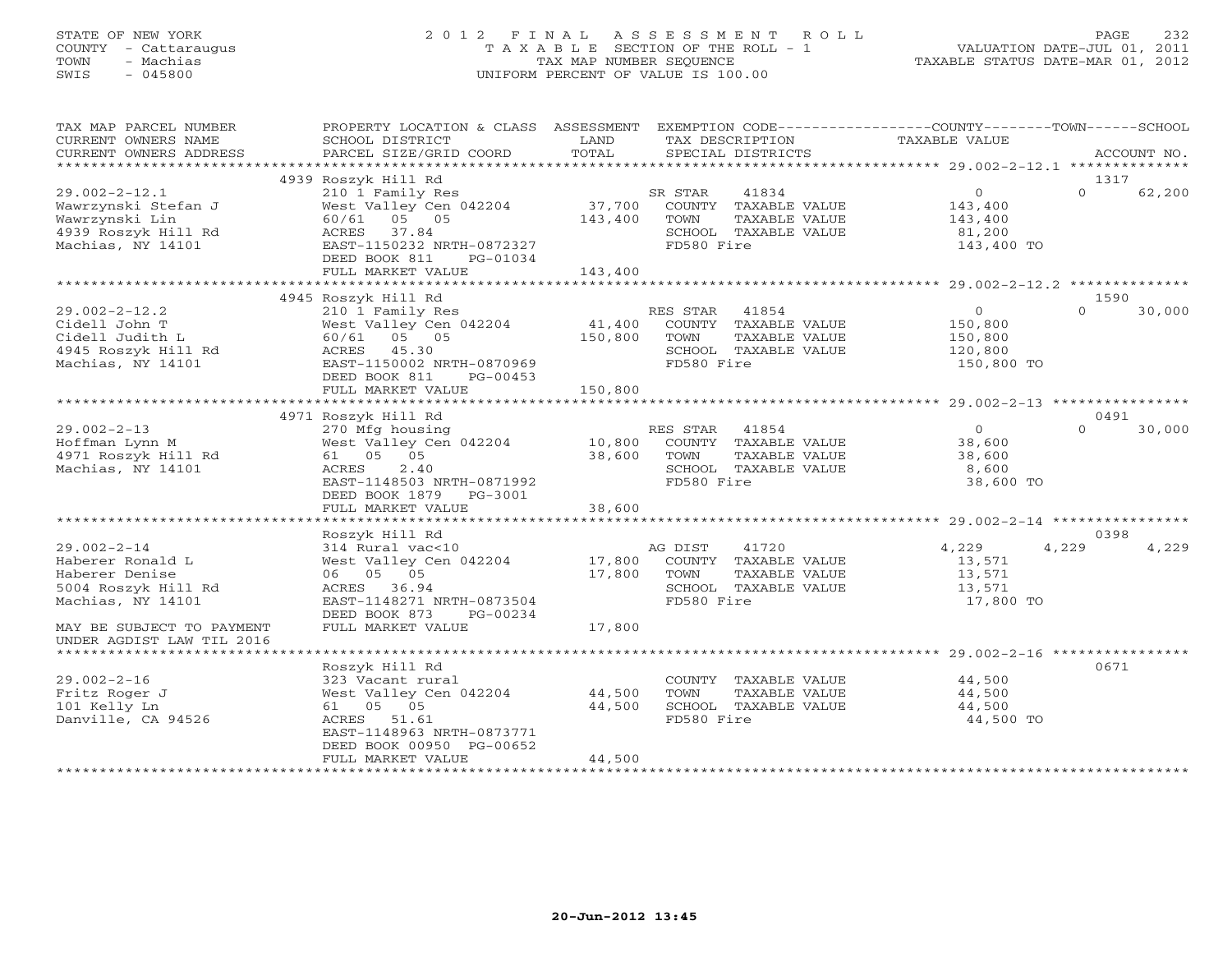# STATE OF NEW YORK 2 0 1 2 F I N A L A S S E S S M E N T R O L L PAGE 232 COUNTY - Cattaraugus T A X A B L E SECTION OF THE ROLL - 1 VALUATION DATE-JUL 01, 2011 TOWN - Machias TAX MAP NUMBER SEQUENCE TAXABLE STATUS DATE-MAR 01, 2012 SWIS - 045800 UNIFORM PERCENT OF VALUE IS 100.00UNIFORM PERCENT OF VALUE IS 100.00

| TAX MAP PARCEL NUMBER<br>CURRENT OWNERS NAME                                                             | PROPERTY LOCATION & CLASS ASSESSMENT<br>SCHOOL DISTRICT                                                                                                 | LAND                       | EXEMPTION CODE-----------------COUNTY-------TOWN------SCHOOL<br>TAX DESCRIPTION                                | TAXABLE VALUE                                                 |                    |
|----------------------------------------------------------------------------------------------------------|---------------------------------------------------------------------------------------------------------------------------------------------------------|----------------------------|----------------------------------------------------------------------------------------------------------------|---------------------------------------------------------------|--------------------|
| CURRENT OWNERS ADDRESS                                                                                   | PARCEL SIZE/GRID COORD                                                                                                                                  | TOTAL                      | SPECIAL DISTRICTS                                                                                              |                                                               | ACCOUNT NO.        |
|                                                                                                          | 4939 Roszyk Hill Rd                                                                                                                                     |                            |                                                                                                                |                                                               | 1317               |
| $29.002 - 2 - 12.1$<br>Wawrzynski Stefan J<br>Wawrzynski Lin<br>4939 Roszyk Hill Rd<br>Machias, NY 14101 | 210 1 Family Res<br>West Valley Cen 042204<br>60/61 05 05<br>ACRES 37.84<br>EAST-1150232 NRTH-0872327<br>DEED BOOK 811<br>PG-01034<br>FULL MARKET VALUE | 143,400<br>143,400         | SR STAR<br>41834<br>37,700 COUNTY TAXABLE VALUE<br>TOWN<br>TAXABLE VALUE<br>SCHOOL TAXABLE VALUE<br>FD580 Fire | $\overline{0}$<br>143,400<br>143,400<br>81,200<br>143,400 TO  | $\Omega$<br>62,200 |
|                                                                                                          |                                                                                                                                                         |                            |                                                                                                                |                                                               |                    |
|                                                                                                          | 4945 Roszyk Hill Rd                                                                                                                                     |                            |                                                                                                                |                                                               | 1590               |
| $29.002 - 2 - 12.2$<br>Cidell John T<br>Cidell Judith L<br>4945 Roszyk Hill Rd<br>Machias, NY 14101      | 210 1 Family Res<br>West Valley Cen 042204<br>60/61 05 05<br>ACRES 45.30<br>EAST-1150002 NRTH-0870969<br>DEED BOOK 811<br>PG-00453                      | 41,400<br>150,800          | RES STAR<br>41854<br>COUNTY TAXABLE VALUE<br>TOWN<br>TAXABLE VALUE<br>SCHOOL TAXABLE VALUE<br>FD580 Fire       | $\overline{0}$<br>150,800<br>150,800<br>120,800<br>150,800 TO | $\Omega$<br>30,000 |
|                                                                                                          | FULL MARKET VALUE                                                                                                                                       | 150,800                    |                                                                                                                |                                                               |                    |
|                                                                                                          |                                                                                                                                                         |                            |                                                                                                                |                                                               |                    |
|                                                                                                          | 4971 Roszyk Hill Rd                                                                                                                                     |                            |                                                                                                                |                                                               | 0491               |
| $29.002 - 2 - 13$<br>Hoffman Lynn M<br>4971 Roszyk Hill Rd<br>Machias, NY 14101                          | 270 Mfg housing<br>West Valley Cen 042204<br>61 05 05<br>2.40<br>ACRES<br>EAST-1148503 NRTH-0871992<br>DEED BOOK 1879 PG-3001<br>FULL MARKET VALUE      | 10,800<br>38,600<br>38,600 | RES STAR 41854<br>COUNTY TAXABLE VALUE<br>TOWN<br>TAXABLE VALUE<br>SCHOOL TAXABLE VALUE<br>FD580 Fire          | $\overline{0}$<br>38,600<br>38,600<br>8,600<br>38,600 TO      | $\Omega$<br>30,000 |
|                                                                                                          |                                                                                                                                                         |                            |                                                                                                                |                                                               |                    |
|                                                                                                          | Roszyk Hill Rd                                                                                                                                          |                            |                                                                                                                |                                                               | 0398               |
| $29.002 - 2 - 14$<br>Haberer Ronald L<br>Haberer Denise<br>5004 Roszyk Hill Rd<br>Machias, NY 14101      | 314 Rural vac<10<br>West Valley Cen 042204<br>06 05 05<br>ACRES 36.94<br>EAST-1148271 NRTH-0873504<br>DEED BOOK 873<br>PG-00234                         | 17,800<br>17,800           | 41720<br>AG DIST<br>COUNTY TAXABLE VALUE<br>TOWN<br>TAXABLE VALUE<br>SCHOOL TAXABLE VALUE<br>FD580 Fire        | 4,229<br>13,571<br>13,571<br>13,571<br>17,800 TO              | 4,229<br>4,229     |
| MAY BE SUBJECT TO PAYMENT<br>UNDER AGDIST LAW TIL 2016                                                   | FULL MARKET VALUE                                                                                                                                       | 17,800                     |                                                                                                                |                                                               |                    |
| ******************************                                                                           |                                                                                                                                                         |                            |                                                                                                                |                                                               |                    |
| $29.002 - 2 - 16$<br>Fritz Roger J<br>101 Kelly Ln<br>Danville, CA 94526                                 | Roszyk Hill Rd<br>323 Vacant rural<br>West Valley Cen 042204 44,500<br>61 05 05<br>ACRES 51.61<br>EAST-1148963 NRTH-0873771<br>DEED BOOK 00950 PG-00652 | 44,500                     | COUNTY TAXABLE VALUE<br>TOWN<br>TAXABLE VALUE<br>SCHOOL TAXABLE VALUE<br>FD580 Fire                            | 44,500<br>44,500<br>44,500<br>44,500 TO                       | 0671               |
|                                                                                                          | FULL MARKET VALUE                                                                                                                                       | 44,500                     |                                                                                                                |                                                               |                    |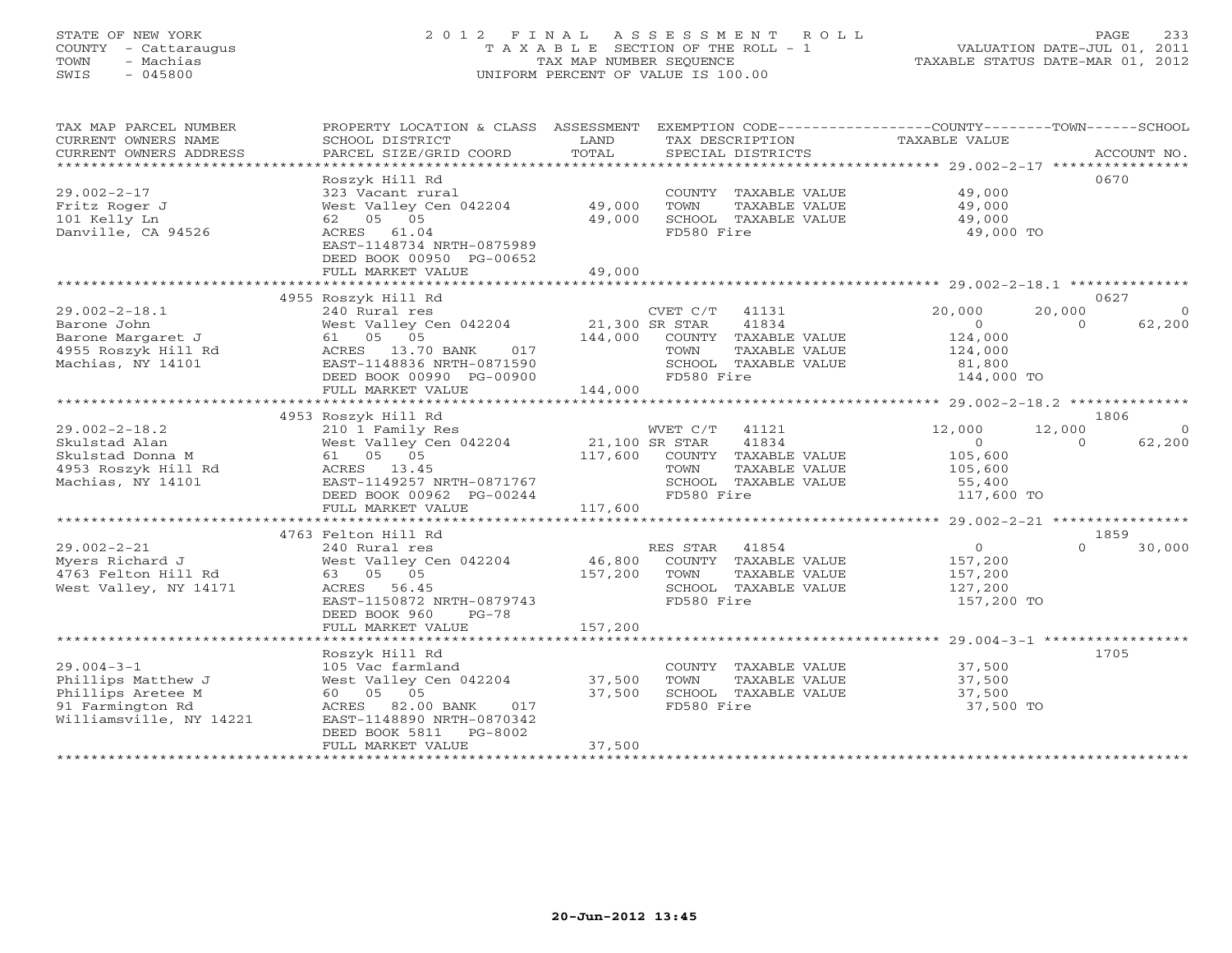# STATE OF NEW YORK 2 0 1 2 F I N A L A S S E S S M E N T R O L L PAGE 233 COUNTY - Cattaraugus T A X A B L E SECTION OF THE ROLL - 1 VALUATION DATE-JUL 01, 2011 TOWN - Machias TAX MAP NUMBER SEQUENCE TAXABLE STATUS DATE-MAR 01, 2012 SWIS - 045800 UNIFORM PERCENT OF VALUE IS 100.00UNIFORM PERCENT OF VALUE IS 100.00

| TAX MAP PARCEL NUMBER<br>CURRENT OWNERS NAME<br>CURRENT OWNERS ADDRESS | PROPERTY LOCATION & CLASS ASSESSMENT<br>SCHOOL DISTRICT<br>PARCEL SIZE/GRID COORD | LAND<br>TOTAL  | EXEMPTION CODE-----------------COUNTY-------TOWN------SCHOOL<br>TAX DESCRIPTION<br>SPECIAL DISTRICTS | TAXABLE VALUE  |          | ACCOUNT NO. |
|------------------------------------------------------------------------|-----------------------------------------------------------------------------------|----------------|------------------------------------------------------------------------------------------------------|----------------|----------|-------------|
|                                                                        |                                                                                   |                |                                                                                                      |                |          |             |
|                                                                        | Roszyk Hill Rd                                                                    |                |                                                                                                      |                | 0670     |             |
| $29.002 - 2 - 17$                                                      | 323 Vacant rural                                                                  |                | COUNTY TAXABLE VALUE                                                                                 | 49,000         |          |             |
| Fritz Roger J                                                          | West Valley Cen 042204                                                            | 49,000         | TOWN<br>TAXABLE VALUE                                                                                | 49,000         |          |             |
| 101 Kelly Ln                                                           | 62 05 05                                                                          | 49,000         | SCHOOL TAXABLE VALUE                                                                                 | 49,000         |          |             |
| Danville, CA 94526                                                     | ACRES 61.04                                                                       |                | FD580 Fire                                                                                           | 49,000 TO      |          |             |
|                                                                        | EAST-1148734 NRTH-0875989                                                         |                |                                                                                                      |                |          |             |
|                                                                        | DEED BOOK 00950 PG-00652                                                          |                |                                                                                                      |                |          |             |
|                                                                        | FULL MARKET VALUE                                                                 | 49,000         |                                                                                                      |                |          |             |
|                                                                        |                                                                                   |                |                                                                                                      |                |          |             |
|                                                                        | 4955 Roszyk Hill Rd                                                               |                |                                                                                                      |                | 0627     |             |
| $29.002 - 2 - 18.1$                                                    | 240 Rural res                                                                     |                | CVET C/T<br>41131                                                                                    | 20,000         | 20,000   | $\bigcirc$  |
| Barone John                                                            | West Valley Cen 042204                                                            | 21,300 SR STAR | 41834                                                                                                | $\overline{O}$ | $\Omega$ | 62,200      |
| Barone Margaret J                                                      | 61 05 05                                                                          | 144,000        | COUNTY TAXABLE VALUE                                                                                 | 124,000        |          |             |
| 4955 Roszyk Hill Rd                                                    | 017<br>ACRES 13.70 BANK                                                           |                | TAXABLE VALUE<br>TOWN                                                                                | 124,000        |          |             |
| Machias, NY 14101                                                      | EAST-1148836 NRTH-0871590                                                         |                | SCHOOL TAXABLE VALUE                                                                                 | 81,800         |          |             |
|                                                                        | DEED BOOK 00990 PG-00900                                                          |                | FD580 Fire                                                                                           | 144,000 TO     |          |             |
|                                                                        | FULL MARKET VALUE                                                                 | 144,000        |                                                                                                      |                |          |             |
|                                                                        |                                                                                   |                |                                                                                                      |                |          |             |
|                                                                        | 4953 Roszyk Hill Rd                                                               |                |                                                                                                      |                | 1806     |             |
| $29.002 - 2 - 18.2$                                                    | 210 1 Family Res                                                                  |                | WVET C/T<br>41121                                                                                    | 12,000         | 12,000   | $\bigcirc$  |
| Skulstad Alan                                                          | West Valley Cen 042204                                                            | 21,100 SR STAR | 41834                                                                                                | $\circ$        | $\Omega$ | 62,200      |
| Skulstad Donna M                                                       | 61 05 05                                                                          | 117,600        | COUNTY TAXABLE VALUE                                                                                 | 105,600        |          |             |
| 4953 Roszyk Hill Rd                                                    | ACRES 13.45                                                                       |                | TOWN<br>TAXABLE VALUE                                                                                | 105,600        |          |             |
| Machias, NY 14101                                                      | EAST-1149257 NRTH-0871767                                                         |                | SCHOOL TAXABLE VALUE                                                                                 | 55,400         |          |             |
|                                                                        | DEED BOOK 00962 PG-00244                                                          |                | FD580 Fire                                                                                           | 117,600 TO     |          |             |
|                                                                        | FULL MARKET VALUE                                                                 | 117,600        |                                                                                                      |                |          |             |
|                                                                        |                                                                                   |                |                                                                                                      |                |          |             |
|                                                                        | 4763 Felton Hill Rd                                                               |                |                                                                                                      |                | 1859     |             |
| $29.002 - 2 - 21$                                                      | 240 Rural res                                                                     |                | RES STAR<br>41854                                                                                    | $\circ$        |          | 30,000      |
| Myers Richard J                                                        | West Valley Cen 042204                                                            | 46,800         | COUNTY TAXABLE VALUE                                                                                 | 157,200        |          |             |
| 4763 Felton Hill Rd                                                    | 63 05 05                                                                          | 157,200        | TOWN<br>TAXABLE VALUE                                                                                | 157,200        |          |             |
| West Valley, NY 14171                                                  | ACRES 56.45                                                                       |                | SCHOOL TAXABLE VALUE                                                                                 | 127,200        |          |             |
|                                                                        | EAST-1150872 NRTH-0879743                                                         |                | FD580 Fire                                                                                           | 157,200 TO     |          |             |
|                                                                        | DEED BOOK 960<br>$PG-78$                                                          |                |                                                                                                      |                |          |             |
|                                                                        | FULL MARKET VALUE                                                                 | 157,200        |                                                                                                      |                |          |             |
|                                                                        |                                                                                   |                |                                                                                                      |                | 1705     |             |
| $29.004 - 3 - 1$                                                       | Roszyk Hill Rd<br>105 Vac farmland                                                |                |                                                                                                      | 37,500         |          |             |
|                                                                        |                                                                                   |                | COUNTY TAXABLE VALUE                                                                                 |                |          |             |
| Phillips Matthew J                                                     | West Valley Cen 042204<br>60  05  05                                              | 37,500         | TOWN<br>TAXABLE VALUE                                                                                | 37,500         |          |             |
| Phillips Aretee M                                                      |                                                                                   | 37,500         | SCHOOL TAXABLE VALUE                                                                                 | 37,500         |          |             |
| 91 Farmington Rd                                                       | ACRES 82.00 BANK<br>017                                                           |                | FD580 Fire                                                                                           | 37,500 TO      |          |             |
| Williamsville, NY 14221                                                | EAST-1148890 NRTH-0870342<br>$PG-8002$                                            |                |                                                                                                      |                |          |             |
|                                                                        | DEED BOOK 5811<br>FULL MARKET VALUE                                               | 37,500         |                                                                                                      |                |          |             |
| ********************                                                   |                                                                                   |                |                                                                                                      |                |          |             |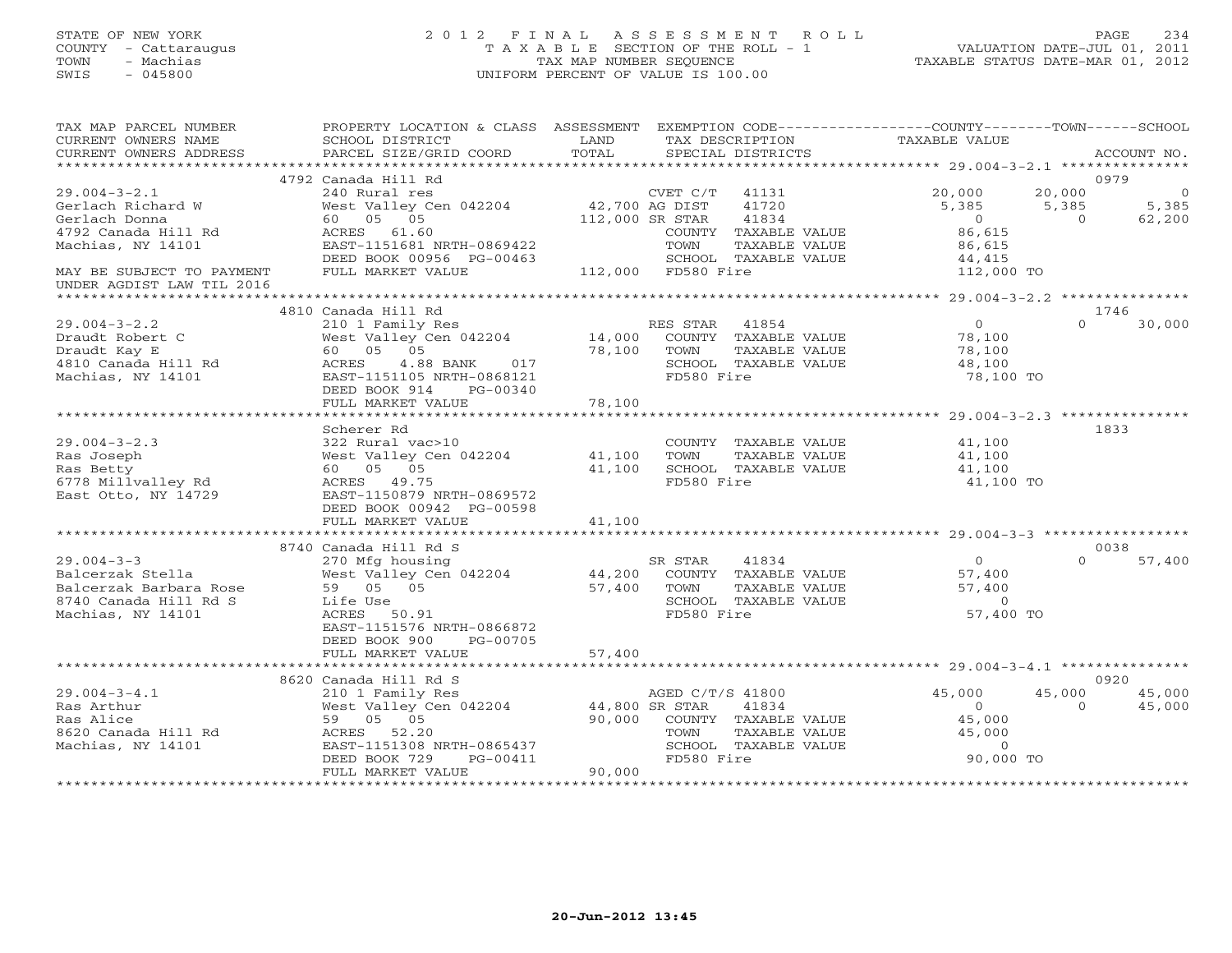# STATE OF NEW YORK 2 0 1 2 F I N A L A S S E S S M E N T R O L L PAGE 234 COUNTY - Cattaraugus T A X A B L E SECTION OF THE ROLL - 1 VALUATION DATE-JUL 01, 2011 TOWN - Machias TAX MAP NUMBER SEQUENCE TAXABLE STATUS DATE-MAR 01, 2012 SWIS - 045800 UNIFORM PERCENT OF VALUE IS 100.00UNIFORM PERCENT OF VALUE IS 100.00

| TAX MAP PARCEL NUMBER<br>CURRENT OWNERS NAME<br>CURRENT OWNERS ADDRESS                            | PROPERTY LOCATION & CLASS ASSESSMENT<br>SCHOOL DISTRICT<br>PARCEL SIZE/GRID COORD                                                             | LAND<br>TOTAL    |                                | TAX DESCRIPTION<br>SPECIAL DISTRICTS                                          | EXEMPTION CODE-----------------COUNTY-------TOWN------SCHOOL<br>TAXABLE VALUE |                         | ACCOUNT NO.            |
|---------------------------------------------------------------------------------------------------|-----------------------------------------------------------------------------------------------------------------------------------------------|------------------|--------------------------------|-------------------------------------------------------------------------------|-------------------------------------------------------------------------------|-------------------------|------------------------|
|                                                                                                   |                                                                                                                                               |                  |                                |                                                                               |                                                                               |                         |                        |
| $29.004 - 3 - 2.1$                                                                                | 4792 Canada Hill Rd<br>240 Rural res                                                                                                          |                  | CVET C/T                       | 41131                                                                         | 20,000                                                                        | 20,000                  | 0979<br>$\overline{0}$ |
| Gerlach Richard W<br>Gerlach Donna                                                                | West Valley Cen 042204<br>60 05 05                                                                                                            | 42,700 AG DIST   | 112,000 SR STAR                | 41720<br>41834                                                                | 5,385<br>$\overline{0}$                                                       | 5,385<br>$\overline{0}$ | 5,385<br>62,200        |
| 4792 Canada Hill Rd<br>Machias, NY 14101                                                          | ACRES 61.60<br>EAST-1151681 NRTH-0869422                                                                                                      |                  | TOWN                           | COUNTY TAXABLE VALUE<br>TAXABLE VALUE                                         | 86,615<br>86,615                                                              |                         |                        |
| MAY BE SUBJECT TO PAYMENT                                                                         | DEED BOOK 00956 PG-00463<br>FULL MARKET VALUE                                                                                                 |                  | 112,000 FD580 Fire             | SCHOOL TAXABLE VALUE                                                          | 44,415<br>112,000 TO                                                          |                         |                        |
| UNDER AGDIST LAW TIL 2016                                                                         |                                                                                                                                               |                  |                                |                                                                               |                                                                               |                         |                        |
|                                                                                                   | 4810 Canada Hill Rd                                                                                                                           |                  |                                |                                                                               |                                                                               | 1746                    |                        |
| $29.004 - 3 - 2.2$<br>Draudt Robert C<br>Draudt Kay E<br>4810 Canada Hill Rd<br>Machias, NY 14101 | 210 1 Family Res<br>West Valley Cen 042204<br>60 05 05<br>ACRES<br>4.88 BANK<br>017<br>EAST-1151105 NRTH-0868121<br>DEED BOOK 914<br>PG-00340 | 14,000<br>78,100 | RES STAR<br>TOWN<br>FD580 Fire | 41854<br>COUNTY TAXABLE VALUE<br>TAXABLE VALUE<br>SCHOOL TAXABLE VALUE        | $\Omega$<br>78,100<br>78,100<br>48,100<br>78,100 TO                           | $\Omega$                | 30,000                 |
|                                                                                                   | FULL MARKET VALUE                                                                                                                             | 78,100           |                                |                                                                               |                                                                               |                         |                        |
|                                                                                                   | Scherer Rd                                                                                                                                    |                  |                                |                                                                               |                                                                               | 1833                    |                        |
| $29.004 - 3 - 2.3$                                                                                | 322 Rural vac>10                                                                                                                              |                  |                                | COUNTY TAXABLE VALUE                                                          | 41,100                                                                        |                         |                        |
| Ras Joseph                                                                                        | West Valley Cen 042204                                                                                                                        | 41,100           | TOWN                           | TAXABLE VALUE                                                                 | 41,100                                                                        |                         |                        |
| Ras Betty                                                                                         | 60 05 05                                                                                                                                      | 41,100           |                                | SCHOOL TAXABLE VALUE                                                          | 41,100                                                                        |                         |                        |
| 6778 Millvalley Rd<br>East Otto, NY 14729                                                         | ACRES 49.75<br>EAST-1150879 NRTH-0869572<br>DEED BOOK 00942 PG-00598                                                                          |                  | FD580 Fire                     |                                                                               | 41,100 TO                                                                     |                         |                        |
|                                                                                                   | FULL MARKET VALUE                                                                                                                             | 41,100           |                                |                                                                               |                                                                               |                         |                        |
|                                                                                                   |                                                                                                                                               |                  |                                |                                                                               |                                                                               |                         |                        |
| $29.004 - 3 - 3$                                                                                  | 8740 Canada Hill Rd S<br>270 Mfg housing                                                                                                      |                  | SR STAR                        | 41834                                                                         | $\Omega$                                                                      | 0038<br>$\cap$          | 57,400                 |
| Balcerzak Stella<br>Balcerzak Barbara Rose<br>8740 Canada Hill Rd S<br>Machias, NY 14101          | West Valley Cen 042204<br>59 05 05<br>Life Use<br>50.91<br>ACRES<br>EAST-1151576 NRTH-0866872                                                 | 44,200<br>57,400 | TOWN<br>FD580 Fire             | COUNTY TAXABLE VALUE<br>TAXABLE VALUE<br>SCHOOL TAXABLE VALUE                 | 57,400<br>57,400<br>$\overline{O}$<br>57,400 TO                               |                         |                        |
|                                                                                                   | DEED BOOK 900<br>PG-00705<br>FULL MARKET VALUE                                                                                                | 57,400           |                                |                                                                               |                                                                               |                         |                        |
|                                                                                                   |                                                                                                                                               |                  |                                |                                                                               |                                                                               |                         |                        |
|                                                                                                   | 8620 Canada Hill Rd S                                                                                                                         |                  |                                |                                                                               |                                                                               |                         | 0920                   |
| $29.004 - 3 - 4.1$                                                                                |                                                                                                                                               |                  | AGED C/T/S 41800               |                                                                               | 45,000                                                                        | 45,000                  | 45,000                 |
| Ras Arthur<br>Ras Alice<br>8620 Canada Hill Rd<br>Machias, NY 14101                               | 59 05 05<br>ACRES 52.20<br>EAST-1151308 NRTH-0865437                                                                                          |                  | TOWN                           | 41834<br>90,000 COUNTY TAXABLE VALUE<br>TAXABLE VALUE<br>SCHOOL TAXABLE VALUE | $\Omega$<br>45,000<br>45,000<br>$\overline{0}$                                | $\Omega$                | 45,000                 |
|                                                                                                   | DEED BOOK 729<br>PG-00411                                                                                                                     |                  | FD580 Fire                     |                                                                               | 90,000 TO                                                                     |                         |                        |
|                                                                                                   | FULL MARKET VALUE                                                                                                                             | 90,000           |                                |                                                                               |                                                                               |                         |                        |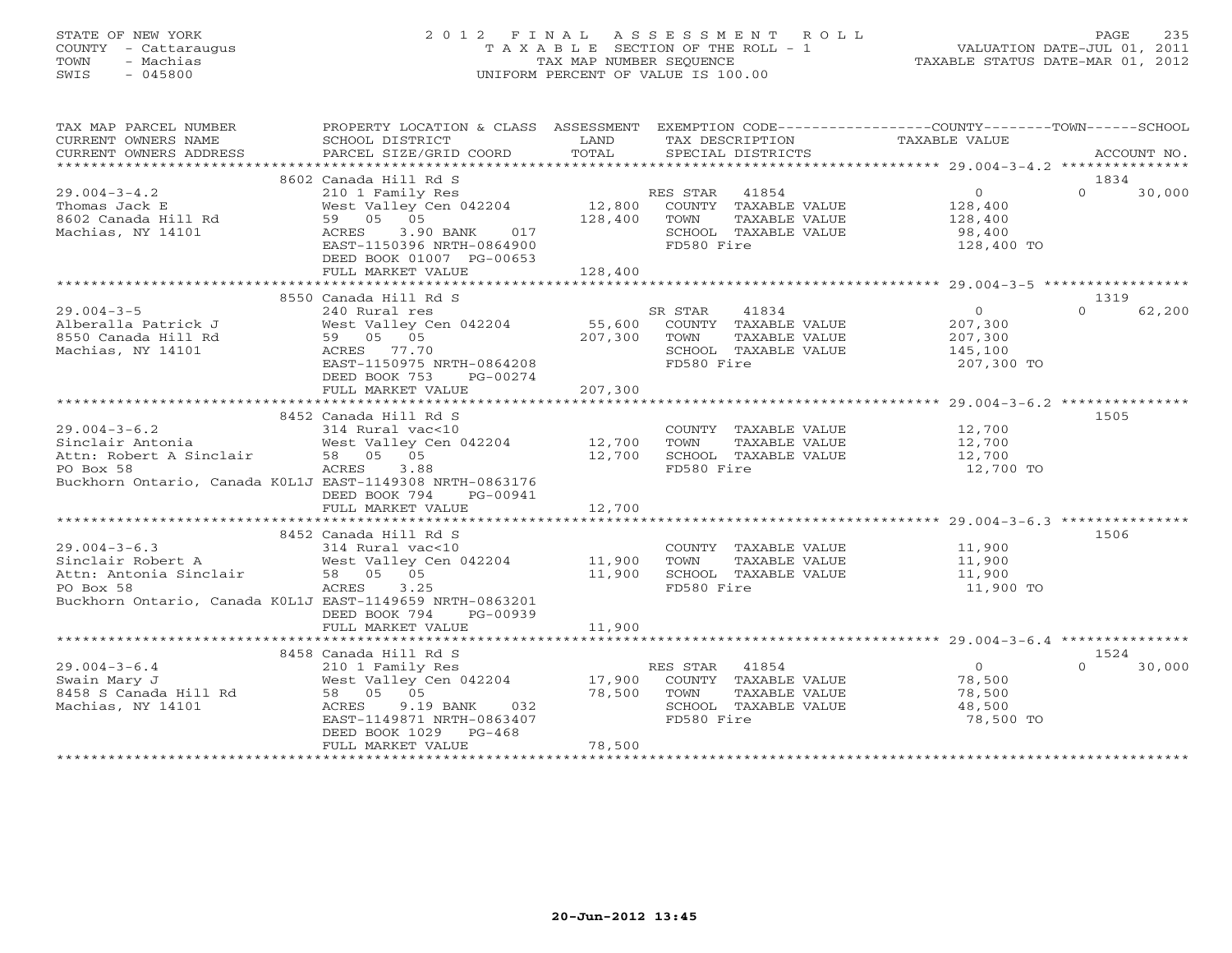# STATE OF NEW YORK 2 0 1 2 F I N A L A S S E S S M E N T R O L L PAGE 235 COUNTY - Cattaraugus T A X A B L E SECTION OF THE ROLL - 1 VALUATION DATE-JUL 01, 2011 TOWN - Machias TAX MAP NUMBER SEQUENCE TAXABLE STATUS DATE-MAR 01, 2012 SWIS - 045800 UNIFORM PERCENT OF VALUE IS 100.00UNIFORM PERCENT OF VALUE IS 100.00

| TAX MAP PARCEL NUMBER<br>CURRENT OWNERS NAME                                                                                                                                                                 | PROPERTY LOCATION & CLASS ASSESSMENT EXEMPTION CODE---------------COUNTY-------TOWN------SCHOOL<br>SCHOOL DISTRICT                                             | <b>LAND</b>        | TAX DESCRIPTION                                                                                                                              | TAXABLE VALUE                                                                  |                            |
|--------------------------------------------------------------------------------------------------------------------------------------------------------------------------------------------------------------|----------------------------------------------------------------------------------------------------------------------------------------------------------------|--------------------|----------------------------------------------------------------------------------------------------------------------------------------------|--------------------------------------------------------------------------------|----------------------------|
|                                                                                                                                                                                                              |                                                                                                                                                                |                    |                                                                                                                                              |                                                                                |                            |
| $29.004 - 3 - 4.2$<br>ل West Valley<br>159 05 05 59<br>19 2 29<br>Thomas Jack E<br>8602 Canada Hill Rd<br>Machias, NY 14101                                                                                  | 8602 Canada Hill Rd S<br>3.90 BANK<br>017<br>ACRES<br>EAST-1150396 NRTH-0864900<br>DEED BOOK 01007 PG-00653<br>FULL MARKET VALUE                               | 128,400            | SCHOOL TAXABLE VALUE<br>FD580 Fire                                                                                                           | 98,400<br>128,400 TO                                                           | 1834<br>$\Omega$<br>30,000 |
|                                                                                                                                                                                                              |                                                                                                                                                                |                    |                                                                                                                                              |                                                                                | 1319                       |
| $29.004 - 3 - 5$<br>Machias, NY 14101                                                                                                                                                                        | 8550 Canada Hill Rd S<br>240 Rural res<br>West Valley Cen 042204<br>ACRES 77.70<br>EAST-1150975 NRTH-0864208<br>DEED BOOK 753<br>PG-00274<br>FULL MARKET VALUE | 207,300<br>207,300 | SR STAR<br>41834<br>55,600 COUNTY TAXABLE VALUE<br>207,300 TOWN TAXABLE VALUE<br>TOWN<br>TAXABLE VALUE<br>SCHOOL TAXABLE VALUE<br>FD580 Fire | $\overline{0}$<br>207,300<br>207,300<br>145,100<br>207,300 TO                  | 62,200<br>$\Omega$         |
|                                                                                                                                                                                                              |                                                                                                                                                                |                    |                                                                                                                                              |                                                                                |                            |
| 29.004-3-6.2<br>Sinclair Antonia<br>Attn: Robert A Sinclair<br>Sancton Strategy Cen 042204<br>Sancton: 58 05 05<br>12,700<br>12,700<br>PO Box 58<br>Buckhorn Ontario, Canada K0L1J EAST-1149308 NRTH-0863176 | 8452 Canada Hill Rd S<br>ACRES<br>3.88<br>DEED BOOK 794<br>PG-00941                                                                                            |                    | TOWN<br>TAXABLE VALUE<br>SCHOOL TAXABLE VALUE<br>FD580 Fire                                                                                  | COUNTY TAXABLE VALUE 12,700<br>12,700<br>12,700<br>12,700 TO                   | 1505                       |
|                                                                                                                                                                                                              | FULL MARKET VALUE                                                                                                                                              | 12,700             |                                                                                                                                              |                                                                                |                            |
| Attn: Antonia Sinclair 58 05 05<br>PO Box 58<br>Buckhorn Ontario, Canada K0L1J EAST-1149659 NRTH-0863201                                                                                                     | 8452 Canada Hill Rd S<br>ACRES 3.25<br>DEED BOOK 794<br>PG-00939                                                                                               | 11,900             | COUNTY TAXABLE VALUE<br>TAXABLE VALUE<br>SCHOOL TAXABLE VALUE<br>FD580 Fire                                                                  | 11,900<br>11,900<br>11,900<br>11,900 TO                                        | 1506                       |
|                                                                                                                                                                                                              | FULL MARKET VALUE                                                                                                                                              | 11,900             |                                                                                                                                              |                                                                                |                            |
| $29.004 - 3 - 6.4$                                                                                                                                                                                           | 8458 Canada Hill Rd S<br>210 1 Family Res<br>EAST-1149871 NRTH-0863407<br>DEED BOOK 1029<br>$PG-468$                                                           | 78,500 TOWN        | RES STAR 41854<br>TAXABLE VALUE<br>SCHOOL TAXABLE VALUE<br>FD580 Fire                                                                        | $\overline{0}$<br>COUNTY TAXABLE VALUE 78,500<br>78,500<br>48,500<br>78,500 TO | 1524<br>$\Omega$<br>30,000 |
|                                                                                                                                                                                                              | FULL MARKET VALUE                                                                                                                                              | 78,500             |                                                                                                                                              |                                                                                |                            |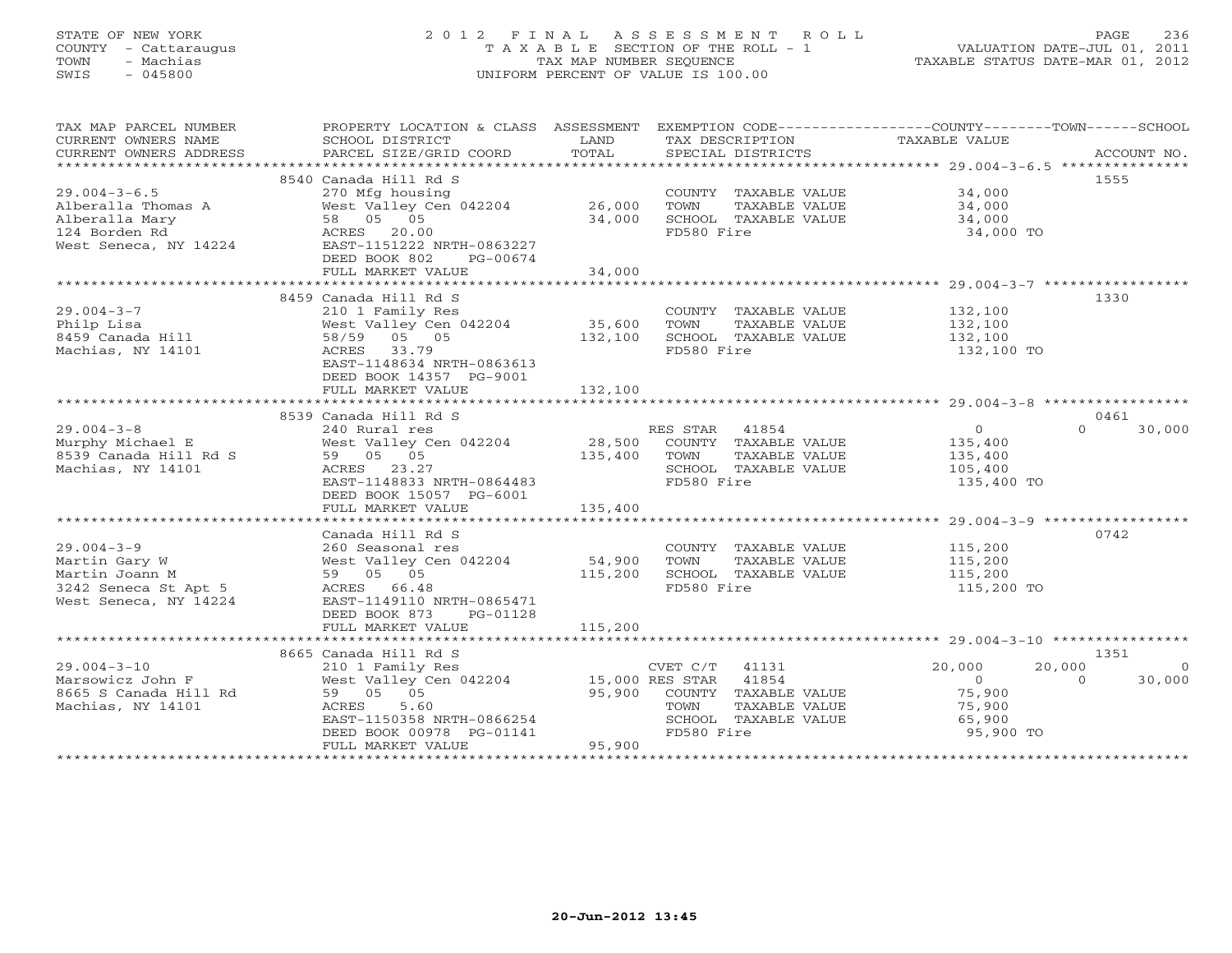# STATE OF NEW YORK 2 0 1 2 F I N A L A S S E S S M E N T R O L L PAGE 236 COUNTY - Cattaraugus T A X A B L E SECTION OF THE ROLL - 1 VALUATION DATE-JUL 01, 2011 TOWN - Machias TAX MAP NUMBER SEQUENCE TAXABLE STATUS DATE-MAR 01, 2012 SWIS - 045800 UNIFORM PERCENT OF VALUE IS 100.00UNIFORM PERCENT OF VALUE IS 100.00

| TAX MAP PARCEL NUMBER                                                           | PROPERTY LOCATION & CLASS ASSESSMENT      |         |                       | EXEMPTION CODE-----------------COUNTY-------TOWN------SCHOOL |
|---------------------------------------------------------------------------------|-------------------------------------------|---------|-----------------------|--------------------------------------------------------------|
| CURRENT OWNERS NAME                                                             | SCHOOL DISTRICT                           | LAND    | TAX DESCRIPTION       | TAXABLE VALUE                                                |
|                                                                                 |                                           |         |                       |                                                              |
|                                                                                 |                                           |         |                       |                                                              |
|                                                                                 | 8540 Canada Hill Rd S                     |         |                       | 1555                                                         |
| $29.004 - 3 - 6.5$                                                              | 270 Mfg housing                           |         | COUNTY TAXABLE VALUE  | 34,000                                                       |
| Alberalla Thomas A                                                              | West Valley Cen 042204 26,000             |         | TOWN<br>TAXABLE VALUE | 34,000                                                       |
| Alberalla Mary                                                                  |                                           | 34,000  | SCHOOL TAXABLE VALUE  | 34,000                                                       |
|                                                                                 | West Valley Co<br>58 05 05<br>ACRES 20.00 |         | FD580 Fire            | 34,000 TO                                                    |
| 124 Borden Rd<br>West Seneca, NY 14224                EAST-1151222 NRTH-0863227 |                                           |         |                       |                                                              |
|                                                                                 | DEED BOOK 802<br>PG-00674                 |         |                       |                                                              |
|                                                                                 | FULL MARKET VALUE                         | 34,000  |                       |                                                              |
|                                                                                 |                                           |         |                       |                                                              |
|                                                                                 | 8459 Canada Hill Rd S                     |         |                       | 1330                                                         |
| $29.004 - 3 - 7$                                                                | 210 1 Family Res                          |         | COUNTY TAXABLE VALUE  | 132,100                                                      |
| Philp Lisa                                                                      | West Valley Cen 042204 35,600             |         | TAXABLE VALUE<br>TOWN | 132,100                                                      |
| FILLLY LIBU<br>8459 Canada Hill                                                 | 58/59 05 05                               | 132,100 | SCHOOL TAXABLE VALUE  | 132,100                                                      |
| Machias, NY 14101                                                               | ACRES 33.79                               |         | FD580 Fire            | 132,100 TO                                                   |
|                                                                                 | EAST-1148634 NRTH-0863613                 |         |                       |                                                              |
|                                                                                 | DEED BOOK 14357 PG-9001                   |         |                       |                                                              |
|                                                                                 | FULL MARKET VALUE                         | 132,100 |                       |                                                              |
|                                                                                 |                                           |         |                       |                                                              |
|                                                                                 | 8539 Canada Hill Rd S                     |         |                       | 0461                                                         |
| $29.004 - 3 - 8$                                                                | 240 Rural res                             |         | RES STAR 41854        | $\overline{O}$<br>$\Omega$<br>30,000                         |
| Murphy Michael E                                                                | West Valley Cen 042204                    | 28,500  | COUNTY TAXABLE VALUE  | 135,400                                                      |
| $8539$ Canada Hill Rd S                                                         | 59 05 05                                  | 135,400 | TAXABLE VALUE<br>TOWN | 135,400                                                      |
| Machias, NY 14101                                                               | ACRES 23.27                               |         | SCHOOL TAXABLE VALUE  | 105,400                                                      |
|                                                                                 | EAST-1148833 NRTH-0864483                 |         | FD580 Fire            | 135,400 TO                                                   |
|                                                                                 | DEED BOOK 15057 PG-6001                   |         |                       |                                                              |
|                                                                                 | FULL MARKET VALUE                         | 135,400 |                       |                                                              |
|                                                                                 |                                           |         |                       |                                                              |
|                                                                                 | Canada Hill Rd S                          |         |                       | 0742                                                         |
| $29.004 - 3 - 9$                                                                | 260 Seasonal res                          |         | COUNTY TAXABLE VALUE  | 115,200                                                      |
| Martin Gary W                                                                   | West Valley Cen 042204                    | 54,900  | TOWN<br>TAXABLE VALUE | 115,200                                                      |
| Martin Joann M                                                                  | 59 05 05                                  | 115,200 | SCHOOL TAXABLE VALUE  | 115,200                                                      |
| 3242 Seneca St Apt 5 ACRES 66.48                                                |                                           |         | FD580 Fire            | 115,200 TO                                                   |
| West Seneca, NY 14224                                                           | EAST-1149110 NRTH-0865471                 |         |                       |                                                              |
|                                                                                 | DEED BOOK 873<br>PG-01128                 |         |                       |                                                              |
|                                                                                 | FULL MARKET VALUE                         | 115,200 |                       |                                                              |
|                                                                                 |                                           |         |                       |                                                              |
|                                                                                 | 8665 Canada Hill Rd S                     |         |                       | 1351                                                         |
| $29.004 - 3 - 10$                                                               | 210 1 Family Res                          |         | $CVET C/T$ 41131      | 20,000<br>20,000<br>$\overline{0}$                           |
| Marsowicz John F                                                                | West Valley Cen 042204 15,000 RES STAR    |         | 41854                 | $\overline{0}$<br>30,000<br>$\overline{0}$                   |
| 8665 S Canada Hill Rd                                                           | 59 05 05                                  | 95,900  | COUNTY TAXABLE VALUE  | 75,900                                                       |
| Machias, NY 14101                                                               | ACRES<br>5.60                             |         | TOWN<br>TAXABLE VALUE | 75,900                                                       |
|                                                                                 | EAST-1150358 NRTH-0866254                 |         | SCHOOL TAXABLE VALUE  | 65,900                                                       |
|                                                                                 | DEED BOOK 00978 PG-01141                  |         | FD580 Fire            | 95,900 TO                                                    |
|                                                                                 | FULL MARKET VALUE                         | 95,900  |                       |                                                              |
|                                                                                 |                                           |         |                       |                                                              |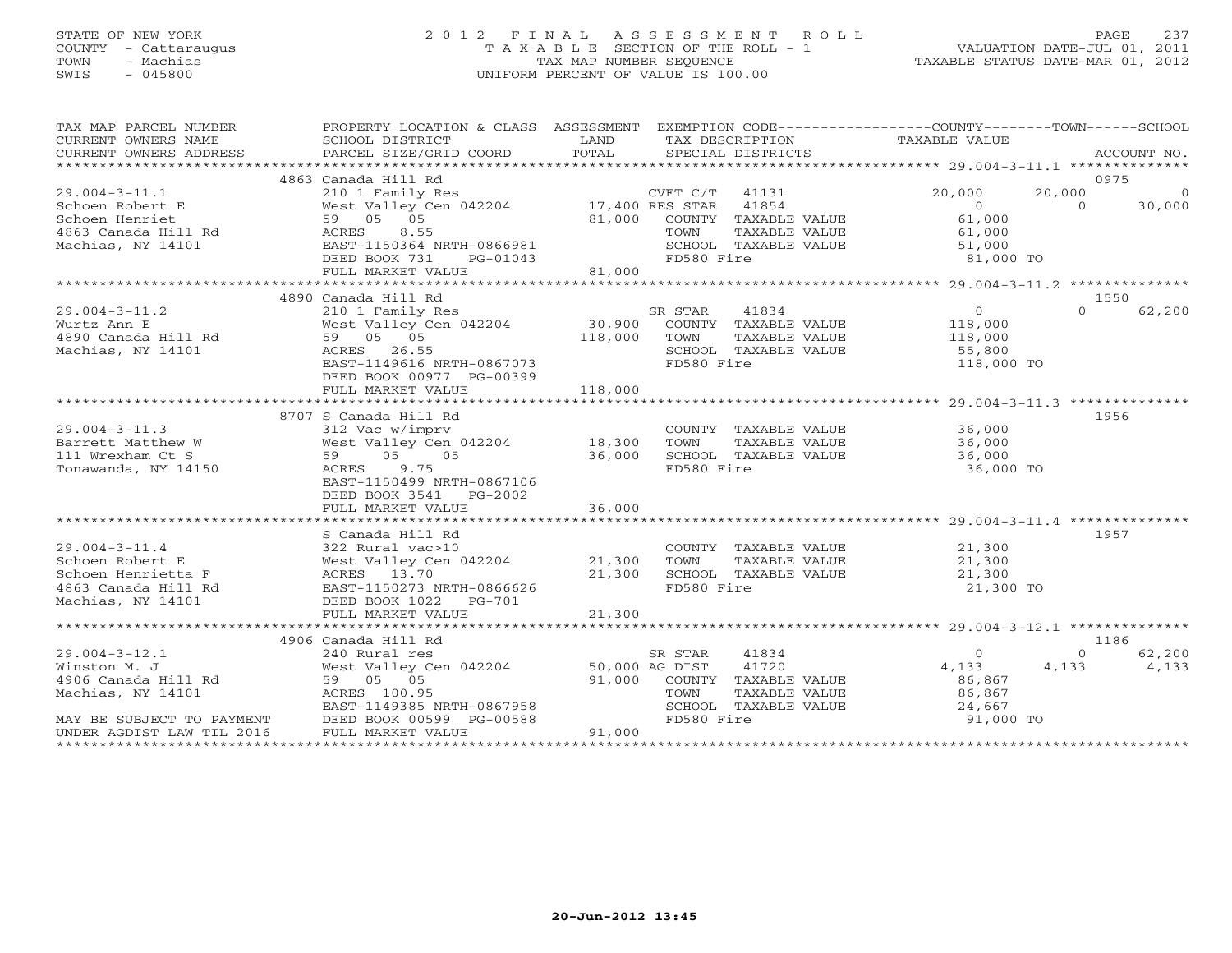## STATE OF NEW YORK 2 0 1 2 F I N A L A S S E S S M E N T R O L L PAGE 237 COUNTY - Cattaraugus T A X A B L E SECTION OF THE ROLL - 1 VALUATION DATE-JUL 01, 2011 TOWN - Machias TAX MAP NUMBER SEQUENCE TAXABLE STATUS DATE-MAR 01, 2012 SWIS - 045800 UNIFORM PERCENT OF VALUE IS 100.00UNIFORM PERCENT OF VALUE IS 100.00

| TAX MAP PARCEL NUMBER<br>CURRENT OWNERS NAME | PROPERTY LOCATION & CLASS ASSESSMENT EXEMPTION CODE---------------COUNTY-------TOWN------SCHOOL<br>SCHOOL DISTRICT | LAND           |                   |                      | TAX DESCRIPTION TAXABLE VALUE |          |             |
|----------------------------------------------|--------------------------------------------------------------------------------------------------------------------|----------------|-------------------|----------------------|-------------------------------|----------|-------------|
| CURRENT OWNERS ADDRESS                       | PARCEL SIZE/GRID COORD                                                                                             | TOTAL          | SPECIAL DISTRICTS |                      |                               |          | ACCOUNT NO. |
|                                              | 4863 Canada Hill Rd                                                                                                |                |                   |                      |                               |          | 0975        |
| $29.004 - 3 - 11.1$                          | 210 1 Family Res                                                                                                   |                | CVET C/T          | 41131                | 20,000                        | 20,000   | - 0         |
| Schoen Robert E                              | West Valley Cen 042204 17,400 RES STAR 41854                                                                       |                |                   |                      | $\overline{0}$                | $\Omega$ | 30,000      |
| Schoen Henriet                               | 59 05 05                                                                                                           | 81,000         |                   | COUNTY TAXABLE VALUE | 61,000                        |          |             |
|                                              |                                                                                                                    |                | TOWN              |                      |                               |          |             |
| 4863 Canada Hill Rd                          | ACRES<br>8.55                                                                                                      |                |                   | TAXABLE VALUE        | 61,000                        |          |             |
| Machias, NY 14101                            | EAST-1150364 NRTH-0866981                                                                                          |                |                   | SCHOOL TAXABLE VALUE | 51,000                        |          |             |
|                                              | DEED BOOK 731<br>PG-01043                                                                                          |                | FD580 Fire        |                      | 81,000 TO                     |          |             |
|                                              | FULL MARKET VALUE                                                                                                  | 81,000         |                   |                      |                               |          |             |
|                                              | 4890 Canada Hill Rd                                                                                                |                |                   |                      |                               |          | 1550        |
|                                              |                                                                                                                    |                |                   |                      | 0                             | $\Omega$ | 62,200      |
| $29.004 - 3 - 11.2$                          | 210 1 Family Res                                                                                                   |                | SR STAR           | 41834                |                               |          |             |
| Wurtz Ann E                                  | West Valley Cen 042204                                                                                             | 30,900         |                   | COUNTY TAXABLE VALUE | 118,000                       |          |             |
| 4890 Canada Hill Rd                          | 59 05 05                                                                                                           | 118,000        | TOWN              | TAXABLE VALUE        | 118,000                       |          |             |
| Machias, NY 14101                            | ACRES 26.55                                                                                                        |                |                   | SCHOOL TAXABLE VALUE | 55,800                        |          |             |
|                                              | EAST-1149616 NRTH-0867073                                                                                          |                | FD580 Fire        |                      | 118,000 TO                    |          |             |
|                                              | DEED BOOK 00977 PG-00399                                                                                           |                |                   |                      |                               |          |             |
|                                              | FULL MARKET VALUE                                                                                                  | 118,000        |                   |                      |                               |          |             |
|                                              |                                                                                                                    |                |                   |                      |                               |          |             |
|                                              | 8707 S Canada Hill Rd                                                                                              |                |                   |                      |                               | 1956     |             |
| $29.004 - 3 - 11.3$                          | 312 Vac w/imprv                                                                                                    |                |                   | COUNTY TAXABLE VALUE | 36,000                        |          |             |
| Barrett Matthew W                            | West Valley Cen 042204                                                                                             | 18,300         | TOWN              | TAXABLE VALUE        | 36,000                        |          |             |
| 111 Wrexham Ct S                             | 59 05<br>05                                                                                                        | 36,000         |                   | SCHOOL TAXABLE VALUE | 36,000                        |          |             |
| Tonawanda, NY 14150                          | ACRES 9.75                                                                                                         |                | FD580 Fire        |                      | 36,000 TO                     |          |             |
|                                              | EAST-1150499 NRTH-0867106                                                                                          |                |                   |                      |                               |          |             |
|                                              | DEED BOOK 3541 PG-2002                                                                                             |                |                   |                      |                               |          |             |
|                                              | FULL MARKET VALUE                                                                                                  | 36,000         |                   |                      |                               |          |             |
|                                              |                                                                                                                    |                |                   |                      |                               |          |             |
|                                              | S Canada Hill Rd                                                                                                   |                |                   |                      |                               | 1957     |             |
| $29.004 - 3 - 11.4$                          | 322 Rural vac>10                                                                                                   |                |                   | COUNTY TAXABLE VALUE | 21,300                        |          |             |
| Schoen Robert E                              | West Valley Cen 042204                                                                                             | 21,300         | TOWN              | TAXABLE VALUE        | 21,300                        |          |             |
| Schoen Henrietta F                           | ACRES 13.70                                                                                                        | 21,300         |                   | SCHOOL TAXABLE VALUE | 21,300                        |          |             |
| 4863 Canada Hill Rd                          | EAST-1150273 NRTH-0866626                                                                                          |                | FD580 Fire        |                      | 21,300 TO                     |          |             |
| Machias, NY 14101                            | DEED BOOK 1022    PG-701                                                                                           |                |                   |                      |                               |          |             |
|                                              | FULL MARKET VALUE                                                                                                  | 21,300         |                   |                      |                               |          |             |
|                                              |                                                                                                                    |                |                   |                      |                               |          |             |
|                                              | 4906 Canada Hill Rd                                                                                                |                |                   |                      |                               |          | 1186        |
| $29.004 - 3 - 12.1$                          | 240 Rural res                                                                                                      |                | SR STAR           | 41834                | $\Omega$                      | $\Omega$ | 62,200      |
| Winston M. J                                 | West Valley Cen 042204                                                                                             | 50,000 AG DIST |                   | 41720                | 4,133                         | 4,133    | 4,133       |
| 4906 Canada Hill Rd                          | 59 05 05                                                                                                           | 91,000         |                   | COUNTY TAXABLE VALUE | 86,867                        |          |             |
| Machias, NY 14101                            | ACRES 100.95                                                                                                       |                | TOWN              | TAXABLE VALUE        | 86,867                        |          |             |
|                                              |                                                                                                                    |                |                   | SCHOOL TAXABLE VALUE |                               |          |             |
|                                              | EAST-1149385 NRTH-0867958                                                                                          |                | FD580 Fire        |                      | 24,667<br>91,000 TO           |          |             |
| MAY BE SUBJECT TO PAYMENT                    | DEED BOOK 00599 PG-00588                                                                                           |                |                   |                      |                               |          |             |
| UNDER AGDIST LAW TIL 2016                    | FULL MARKET VALUE                                                                                                  | 91,000         |                   |                      |                               |          |             |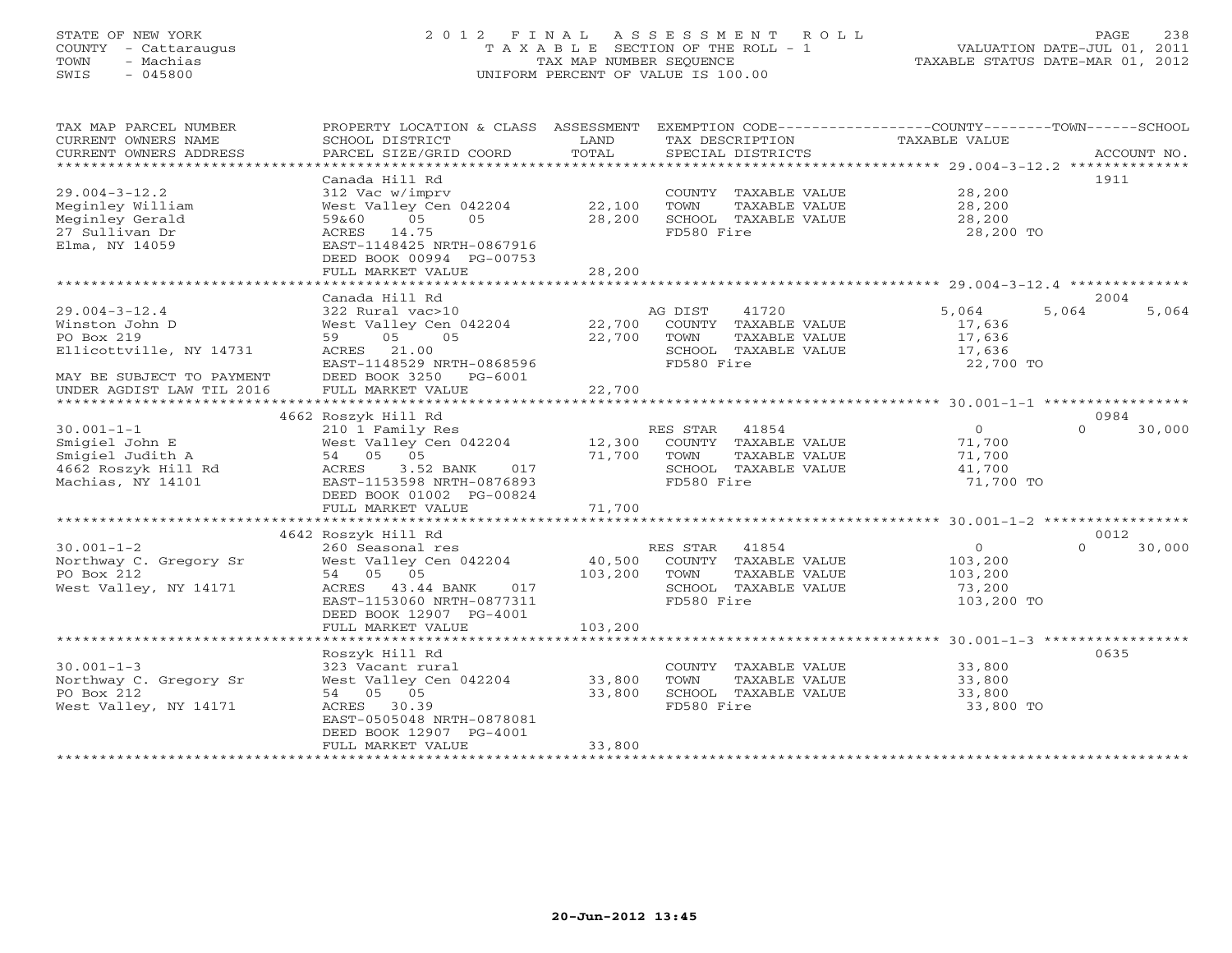# STATE OF NEW YORK 2 0 1 2 F I N A L A S S E S S M E N T R O L L PAGE 238 COUNTY - Cattaraugus T A X A B L E SECTION OF THE ROLL - 1 VALUATION DATE-JUL 01, 2011 TOWN - Machias TAX MAP NUMBER SEQUENCE TAXABLE STATUS DATE-MAR 01, 2012 SWIS - 045800 UNIFORM PERCENT OF VALUE IS 100.00UNIFORM PERCENT OF VALUE IS 100.00

| TAX MAP PARCEL NUMBER     | PROPERTY LOCATION & CLASS ASSESSMENT          |         | EXEMPTION CODE----------------COUNTY-------TOWN------SCHOOL |               |                    |
|---------------------------|-----------------------------------------------|---------|-------------------------------------------------------------|---------------|--------------------|
| CURRENT OWNERS NAME       | SCHOOL DISTRICT                               | LAND    | TAX DESCRIPTION                                             | TAXABLE VALUE |                    |
| CURRENT OWNERS ADDRESS    | PARCEL SIZE/GRID COORD                        | TOTAL   | SPECIAL DISTRICTS                                           |               | ACCOUNT NO.        |
| *********************     |                                               |         |                                                             |               |                    |
|                           | Canada Hill Rd                                |         |                                                             |               | 1911               |
| $29.004 - 3 - 12.2$       | 312 Vac w/imprv                               |         | COUNTY TAXABLE VALUE                                        | 28,200        |                    |
| Meginley William          | West Valley Cen 042204                        | 22,100  | TOWN<br>TAXABLE VALUE                                       | 28,200        |                    |
| Meginley Gerald           | 05<br>05<br>59&60                             | 28,200  | SCHOOL TAXABLE VALUE                                        | 28,200        |                    |
| 27 Sullivan Dr            | 14.75<br>ACRES                                |         | FD580 Fire                                                  | 28,200 TO     |                    |
| Elma, NY 14059            | EAST-1148425 NRTH-0867916                     |         |                                                             |               |                    |
|                           | DEED BOOK 00994 PG-00753                      |         |                                                             |               |                    |
|                           | FULL MARKET VALUE                             | 28,200  |                                                             |               |                    |
|                           | ************************************          |         |                                                             |               |                    |
|                           | Canada Hill Rd                                |         |                                                             |               | 2004               |
| $29.004 - 3 - 12.4$       | 322 Rural vac>10                              |         | AG DIST<br>41720                                            | 5,064         | 5,064<br>5,064     |
| Winston John D            | West Valley Cen 042204                        | 22,700  | COUNTY TAXABLE VALUE                                        | 17,636        |                    |
| PO Box 219                | 59<br>05<br>05                                | 22,700  | TOWN<br>TAXABLE VALUE                                       | 17,636        |                    |
| Ellicottville, NY 14731   | 21.00<br>ACRES                                |         | SCHOOL TAXABLE VALUE                                        | 17,636        |                    |
|                           | EAST-1148529 NRTH-0868596                     |         | FD580 Fire                                                  | 22,700 TO     |                    |
| MAY BE SUBJECT TO PAYMENT | DEED BOOK 3250<br>PG-6001                     |         |                                                             |               |                    |
| UNDER AGDIST LAW TIL 2016 | FULL MARKET VALUE                             | 22,700  |                                                             |               |                    |
|                           |                                               |         |                                                             |               |                    |
|                           | 4662 Roszyk Hill Rd                           |         |                                                             |               | 0984               |
| $30.001 - 1 - 1$          | 210 1 Family Res                              |         | 41854<br>RES STAR                                           | $\circ$       | $\Omega$<br>30,000 |
| Smigiel John E            | West Valley Cen 042204                        | 12,300  | COUNTY TAXABLE VALUE                                        | 71,700        |                    |
| Smigiel Judith A          | 54 05 05                                      | 71,700  | TOWN<br>TAXABLE VALUE                                       | 71,700        |                    |
| 4662 Roszyk Hill Rd       | ACRES<br>3.52 BANK<br>017                     |         | SCHOOL TAXABLE VALUE                                        | 41,700        |                    |
| Machias, NY 14101         | EAST-1153598 NRTH-0876893                     |         | FD580 Fire                                                  | 71,700 TO     |                    |
|                           | DEED BOOK 01002 PG-00824<br>FULL MARKET VALUE | 71,700  |                                                             |               |                    |
|                           |                                               |         |                                                             |               |                    |
|                           | 4642 Roszyk Hill Rd                           |         |                                                             |               | 0012               |
| $30.001 - 1 - 2$          | 260 Seasonal res                              |         | 41854<br>RES STAR                                           | $\mathsf{O}$  | $\Omega$<br>30,000 |
| Northway C. Gregory Sr    |                                               | 40,500  |                                                             | 103,200       |                    |
| PO Box 212                | West Valley Cen 042204<br>05<br>54 05         | 103,200 | COUNTY TAXABLE VALUE<br>TOWN<br>TAXABLE VALUE               | 103,200       |                    |
| West Valley, NY 14171     | ACRES<br>43.44 BANK<br>017                    |         | SCHOOL TAXABLE VALUE                                        | 73,200        |                    |
|                           | EAST-1153060 NRTH-0877311                     |         | FD580 Fire                                                  | 103,200 TO    |                    |
|                           | DEED BOOK 12907 PG-4001                       |         |                                                             |               |                    |
|                           | FULL MARKET VALUE                             | 103,200 |                                                             |               |                    |
|                           |                                               |         |                                                             |               |                    |
|                           | Roszyk Hill Rd                                |         |                                                             |               | 0635               |
| $30.001 - 1 - 3$          | 323 Vacant rural                              |         | COUNTY TAXABLE VALUE                                        | 33,800        |                    |
| Northway C. Gregory Sr    | West Valley Cen 042204                        | 33,800  | TOWN<br>TAXABLE VALUE                                       | 33,800        |                    |
| PO Box 212                | 54 05 05                                      | 33,800  | SCHOOL TAXABLE VALUE                                        | 33,800        |                    |
| West Valley, NY 14171     | ACRES 30.39                                   |         | FD580 Fire                                                  | 33,800 TO     |                    |
|                           | EAST-0505048 NRTH-0878081                     |         |                                                             |               |                    |
|                           | DEED BOOK 12907 PG-4001                       |         |                                                             |               |                    |
|                           | FULL MARKET VALUE                             | 33,800  |                                                             |               |                    |
|                           |                                               |         |                                                             |               |                    |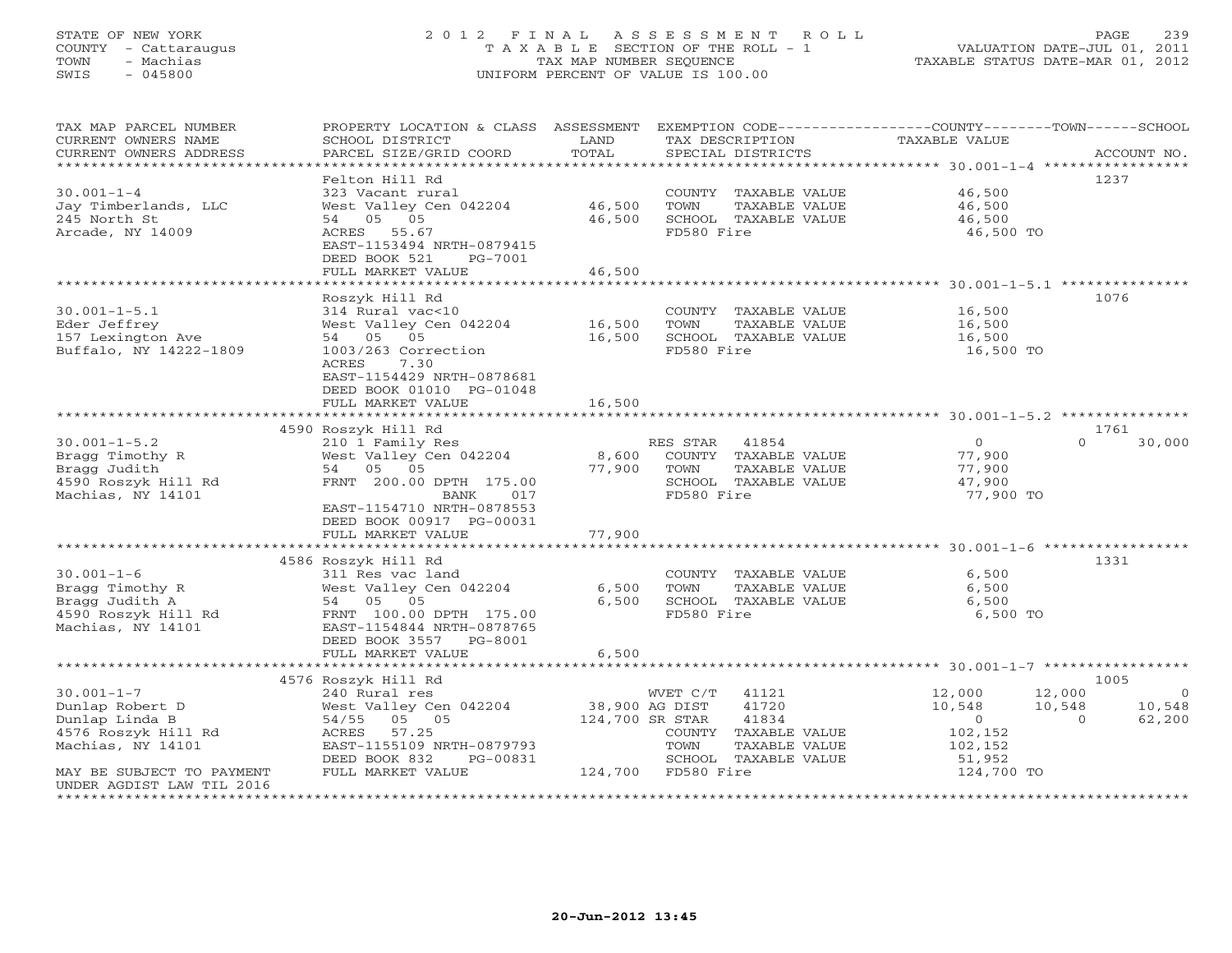# STATE OF NEW YORK 2 0 1 2 F I N A L A S S E S S M E N T R O L L PAGE 239 COUNTY - Cattaraugus T A X A B L E SECTION OF THE ROLL - 1 VALUATION DATE-JUL 01, 2011 TOWN - Machias TAX MAP NUMBER SEQUENCE TAXABLE STATUS DATE-MAR 01, 2012 SWIS - 045800 UNIFORM PERCENT OF VALUE IS 100.00UNIFORM PERCENT OF VALUE IS 100.00

| TAX MAP PARCEL NUMBER<br>CURRENT OWNERS NAME<br>CURRENT OWNERS ADDRESS                            | PROPERTY LOCATION & CLASS ASSESSMENT<br>SCHOOL DISTRICT<br>PARCEL SIZE/GRID COORD                                                                               | LAND<br>TOTAL                     | EXEMPTION CODE-----------------COUNTY-------TOWN------SCHOOL<br>TAX DESCRIPTION<br>SPECIAL DISTRICTS  | <b>TAXABLE VALUE</b>                                      | ACCOUNT NO.                            |
|---------------------------------------------------------------------------------------------------|-----------------------------------------------------------------------------------------------------------------------------------------------------------------|-----------------------------------|-------------------------------------------------------------------------------------------------------|-----------------------------------------------------------|----------------------------------------|
|                                                                                                   | Felton Hill Rd                                                                                                                                                  |                                   |                                                                                                       |                                                           | 1237                                   |
| $30.001 - 1 - 4$<br>Jay Timberlands, LLC<br>245 North St<br>Arcade, NY 14009                      | 323 Vacant rural<br>West Valley Cen 042204<br>54 05 05<br>ACRES 55.67                                                                                           | 46,500<br>46,500                  | COUNTY TAXABLE VALUE<br>TOWN<br>TAXABLE VALUE<br>SCHOOL TAXABLE VALUE<br>FD580 Fire                   | 46,500<br>46,500<br>46,500<br>46,500 TO                   |                                        |
|                                                                                                   | EAST-1153494 NRTH-0879415<br>DEED BOOK 521<br>PG-7001                                                                                                           | 46,500                            |                                                                                                       |                                                           |                                        |
|                                                                                                   | FULL MARKET VALUE                                                                                                                                               |                                   |                                                                                                       |                                                           |                                        |
|                                                                                                   | Roszyk Hill Rd                                                                                                                                                  |                                   |                                                                                                       |                                                           | 1076                                   |
| $30.001 - 1 - 5.1$<br>Eder Jeffrey<br>157 Lexington Ave<br>Buffalo, NY 14222-1809                 | 314 Rural vac<10<br>West Valley Cen 042204<br>05<br>54 05<br>1003/263 Correction<br>ACRES<br>7.30<br>EAST-1154429 NRTH-0878681<br>DEED BOOK 01010 PG-01048      | 16,500<br>16,500                  | COUNTY TAXABLE VALUE<br>TOWN<br>TAXABLE VALUE<br>SCHOOL TAXABLE VALUE<br>FD580 Fire                   | 16,500<br>16,500<br>16,500<br>16,500 TO                   |                                        |
|                                                                                                   | FULL MARKET VALUE                                                                                                                                               | 16,500                            |                                                                                                       |                                                           |                                        |
|                                                                                                   |                                                                                                                                                                 |                                   |                                                                                                       |                                                           |                                        |
|                                                                                                   | 4590 Roszyk Hill Rd                                                                                                                                             |                                   |                                                                                                       |                                                           | 1761                                   |
| $30.001 - 1 - 5.2$<br>Bragg Timothy R<br>Bragg Judith<br>4590 Roszyk Hill Rd<br>Machias, NY 14101 | 210 1 Family Res<br>West Valley Cen 042204<br>54 05 05<br>FRNT 200.00 DPTH 175.00<br>017<br>BANK<br>EAST-1154710 NRTH-0878553<br>DEED BOOK 00917 PG-00031       | 8,600<br>77,900                   | RES STAR 41854<br>COUNTY TAXABLE VALUE<br>TOWN<br>TAXABLE VALUE<br>SCHOOL TAXABLE VALUE<br>FD580 Fire | $\overline{O}$<br>77,900<br>77,900<br>47,900<br>77,900 TO | $\cap$<br>30,000                       |
|                                                                                                   | FULL MARKET VALUE                                                                                                                                               | 77,900                            |                                                                                                       |                                                           |                                        |
|                                                                                                   | **************************                                                                                                                                      | ************                      |                                                                                                       |                                                           |                                        |
| $30.001 - 1 - 6$<br>Bragg Timothy R<br>Bragg Judith A<br>4590 Roszyk Hill Rd<br>Machias, NY 14101 | 4586 Roszyk Hill Rd<br>311 Res vac land<br>West Valley Cen 042204<br>54 05 05<br>FRNT 100.00 DPTH 175.00<br>EAST-1154844 NRTH-0878765<br>DEED BOOK 3557 PG-8001 | 6,500<br>6,500                    | COUNTY TAXABLE VALUE<br>TOWN<br>TAXABLE VALUE<br>SCHOOL TAXABLE VALUE<br>FD580 Fire                   | 6,500<br>6,500<br>6,500<br>6,500 TO                       | 1331                                   |
|                                                                                                   | FULL MARKET VALUE                                                                                                                                               | 6,500                             |                                                                                                       |                                                           |                                        |
|                                                                                                   | *********************                                                                                                                                           |                                   | ********************************** 30.001-1-7 ******************                                      |                                                           |                                        |
|                                                                                                   | 4576 Roszyk Hill Rd                                                                                                                                             |                                   |                                                                                                       |                                                           | 1005                                   |
| $30.001 - 1 - 7$                                                                                  | 240 Rural res                                                                                                                                                   |                                   | 41121<br>WVET C/T                                                                                     | 12,000                                                    | 12,000<br>$\Omega$                     |
| Dunlap Robert D<br>Dunlap Linda B                                                                 | West Valley Cen 042204<br>54/55 05 05                                                                                                                           | 38,900 AG DIST<br>124,700 SR STAR | 41720<br>41834                                                                                        | 10,548<br>$\circ$                                         | 10,548<br>10,548<br>$\Omega$<br>62,200 |
| 4576 Roszyk Hill Rd                                                                               | 57.25<br>ACRES                                                                                                                                                  |                                   | COUNTY TAXABLE VALUE                                                                                  | 102,152                                                   |                                        |
| Machias, NY 14101                                                                                 | EAST-1155109 NRTH-0879793                                                                                                                                       |                                   | TOWN<br>TAXABLE VALUE                                                                                 | 102,152                                                   |                                        |
|                                                                                                   | DEED BOOK 832<br>PG-00831                                                                                                                                       |                                   | SCHOOL TAXABLE VALUE                                                                                  | 51,952                                                    |                                        |
| MAY BE SUBJECT TO PAYMENT<br>UNDER AGDIST LAW TIL 2016                                            | FULL MARKET VALUE                                                                                                                                               |                                   | 124,700 FD580 Fire                                                                                    | 124,700 TO                                                |                                        |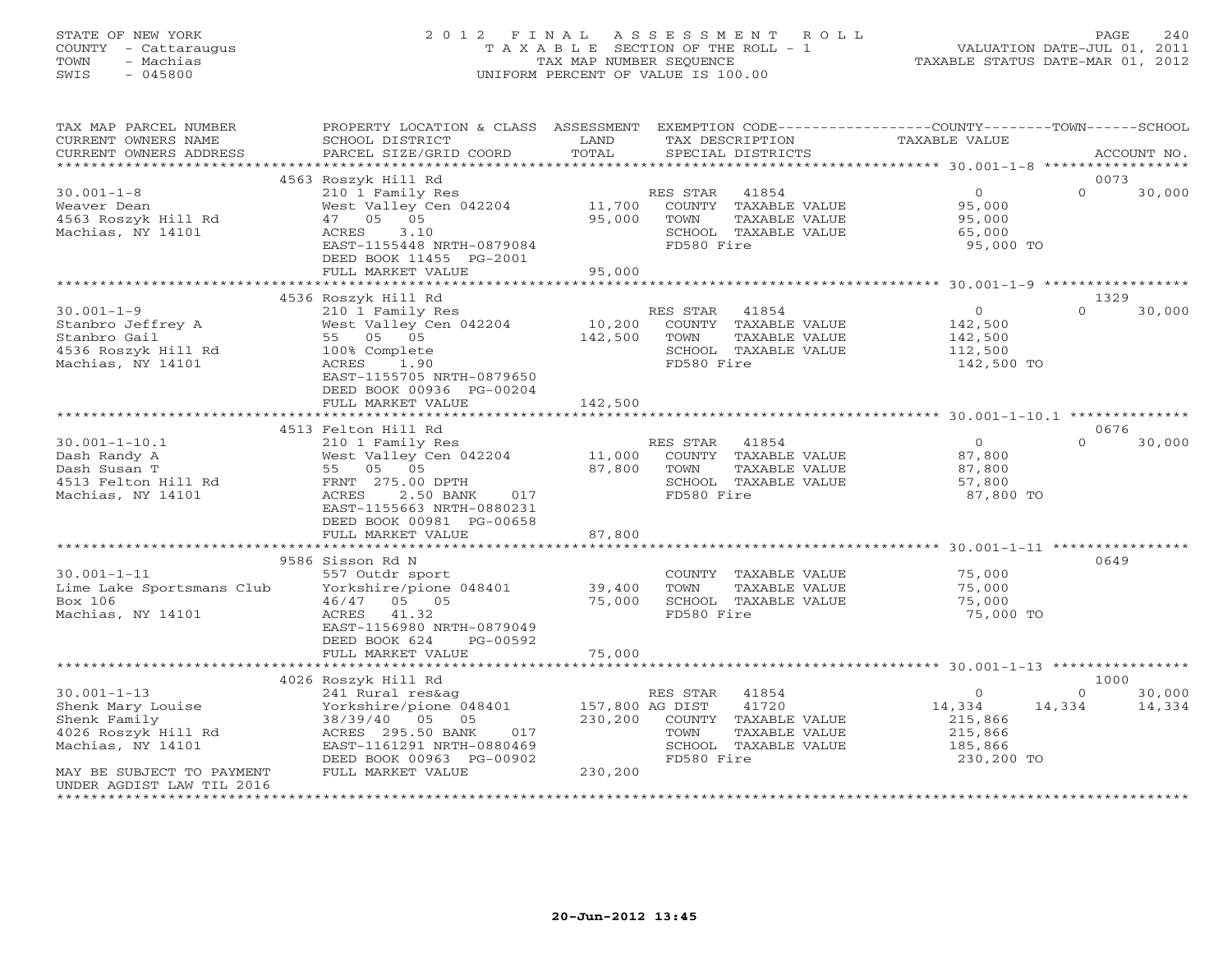# STATE OF NEW YORK 2 0 1 2 F I N A L A S S E S S M E N T R O L L PAGE 240 COUNTY - Cattaraugus T A X A B L E SECTION OF THE ROLL - 1 VALUATION DATE-JUL 01, 2011 TOWN - Machias TAX MAP NUMBER SEQUENCE TAXABLE STATUS DATE-MAR 01, 2012 SWIS - 045800 UNIFORM PERCENT OF VALUE IS 100.00UNIFORM PERCENT OF VALUE IS 100.00

| TAX MAP PARCEL NUMBER<br>CURRENT OWNERS NAME<br>CURRENT OWNERS ADDRESS                                                          | PROPERTY LOCATION & CLASS ASSESSMENT<br>SCHOOL DISTRICT<br>PARCEL SIZE/GRID COORD                                                                                                       | LAND<br>TOTAL                         | EXEMPTION CODE-----------------COUNTY-------TOWN------SCHOOL<br>TAX DESCRIPTION<br>SPECIAL DISTRICTS              | <b>TAXABLE VALUE</b>                                              | ACCOUNT NO.                            |
|---------------------------------------------------------------------------------------------------------------------------------|-----------------------------------------------------------------------------------------------------------------------------------------------------------------------------------------|---------------------------------------|-------------------------------------------------------------------------------------------------------------------|-------------------------------------------------------------------|----------------------------------------|
| *************************                                                                                                       |                                                                                                                                                                                         |                                       |                                                                                                                   |                                                                   |                                        |
| $30.001 - 1 - 8$<br>Weaver Dean<br>4563 Roszyk Hill Rd<br>Machias, NY 14101                                                     | 4563 Roszyk Hill Rd<br>210 1 Family Res<br>West Valley Cen 042204<br>47 05 05<br>ACRES<br>3.10<br>EAST-1155448 NRTH-0879084<br>DEED BOOK 11455 PG-2001<br>FULL MARKET VALUE             | 11,700<br>95,000<br>95,000            | RES STAR<br>41854<br>COUNTY TAXABLE VALUE<br>TOWN<br>TAXABLE VALUE<br>SCHOOL TAXABLE VALUE<br>FD580 Fire          | $\circ$<br>95,000<br>95,000<br>65,000<br>95,000 TO                | 0073<br>$\Omega$<br>30,000             |
|                                                                                                                                 |                                                                                                                                                                                         |                                       |                                                                                                                   |                                                                   |                                        |
|                                                                                                                                 | 4536 Roszyk Hill Rd                                                                                                                                                                     |                                       |                                                                                                                   |                                                                   | 1329                                   |
| $30.001 - 1 - 9$<br>Stanbro Jeffrey A<br>Stanbro Gail<br>4536 Roszyk Hill Rd<br>Machias, NY 14101                               | 210 1 Family Res<br>West Valley Cen 042204<br>55 05 05<br>100% Complete<br>ACRES<br>1.90<br>EAST-1155705 NRTH-0879650<br>DEED BOOK 00936 PG-00204                                       | 10,200<br>142,500                     | RES STAR<br>41854<br>COUNTY TAXABLE VALUE<br>TOWN<br>TAXABLE VALUE<br>SCHOOL TAXABLE VALUE<br>FD580 Fire          | $\circ$<br>142,500<br>142,500<br>112,500<br>142,500 TO            | 30,000<br>$\Omega$                     |
|                                                                                                                                 | FULL MARKET VALUE<br>****************************                                                                                                                                       | 142,500                               |                                                                                                                   |                                                                   |                                        |
|                                                                                                                                 |                                                                                                                                                                                         |                                       |                                                                                                                   |                                                                   |                                        |
| $30.001 - 1 - 10.1$<br>Dash Randy A<br>Dash Susan T<br>4513 Felton Hill Rd<br>Machias, NY 14101                                 | 4513 Felton Hill Rd<br>210 1 Family Res<br>West Valley Cen 042204<br>55 05 05<br>FRNT 275.00 DPTH<br>2.50 BANK<br>ACRES<br>017<br>EAST-1155663 NRTH-0880231<br>DEED BOOK 00981 PG-00658 | 11,000<br>87,800                      | RES STAR<br>41854<br>COUNTY TAXABLE VALUE<br>TOWN<br>TAXABLE VALUE<br>SCHOOL TAXABLE VALUE<br>FD580 Fire          | $\overline{0}$<br>87,800<br>87,800<br>57,800<br>87,800 TO         | 0676<br>$\cap$<br>30,000               |
|                                                                                                                                 | FULL MARKET VALUE                                                                                                                                                                       | 87,800                                |                                                                                                                   |                                                                   |                                        |
|                                                                                                                                 |                                                                                                                                                                                         | ********                              |                                                                                                                   | ************************ 30.001-1-11 ***********                  |                                        |
| $30.001 - 1 - 11$<br>Lime Lake Sportsmans Club<br>Box 106<br>Machias, NY 14101                                                  | 9586 Sisson Rd N<br>557 Outdr sport<br>Yorkshire/pione 048401<br>05 05<br>46/47<br>ACRES<br>41.32<br>EAST-1156980 NRTH-0879049<br>DEED BOOK 624<br>PG-00592                             | 39,400<br>75,000                      | COUNTY TAXABLE VALUE<br>TOWN<br>TAXABLE VALUE<br>SCHOOL TAXABLE VALUE<br>FD580 Fire                               | 75,000<br>75,000<br>75,000<br>75,000 TO                           | 0649                                   |
|                                                                                                                                 | FULL MARKET VALUE                                                                                                                                                                       | 75,000                                |                                                                                                                   |                                                                   |                                        |
|                                                                                                                                 |                                                                                                                                                                                         |                                       | ********************************* 30.001-1-13 ****************                                                    |                                                                   |                                        |
|                                                                                                                                 | 4026 Roszyk Hill Rd                                                                                                                                                                     |                                       |                                                                                                                   |                                                                   | 1000                                   |
| $30.001 - 1 - 13$<br>Shenk Mary Louise<br>Shenk Family<br>4026 Roszyk Hill Rd<br>Machias, NY 14101<br>MAY BE SUBJECT TO PAYMENT | 241 Rural res&ag<br>Yorkshire/pione 048401<br>38/39/40<br>05 05<br>ACRES 295.50 BANK<br>017<br>EAST-1161291 NRTH-0880469<br>DEED BOOK 00963 PG-00902<br>FULL MARKET VALUE               | 157,800 AG DIST<br>230,200<br>230,200 | 41854<br>RES STAR<br>41720<br>COUNTY TAXABLE VALUE<br>TOWN<br>TAXABLE VALUE<br>SCHOOL TAXABLE VALUE<br>FD580 Fire | $\Omega$<br>14,334<br>215,866<br>215,866<br>185,866<br>230,200 TO | $\Omega$<br>30,000<br>14,334<br>14,334 |
| UNDER AGDIST LAW TIL 2016                                                                                                       |                                                                                                                                                                                         |                                       |                                                                                                                   |                                                                   |                                        |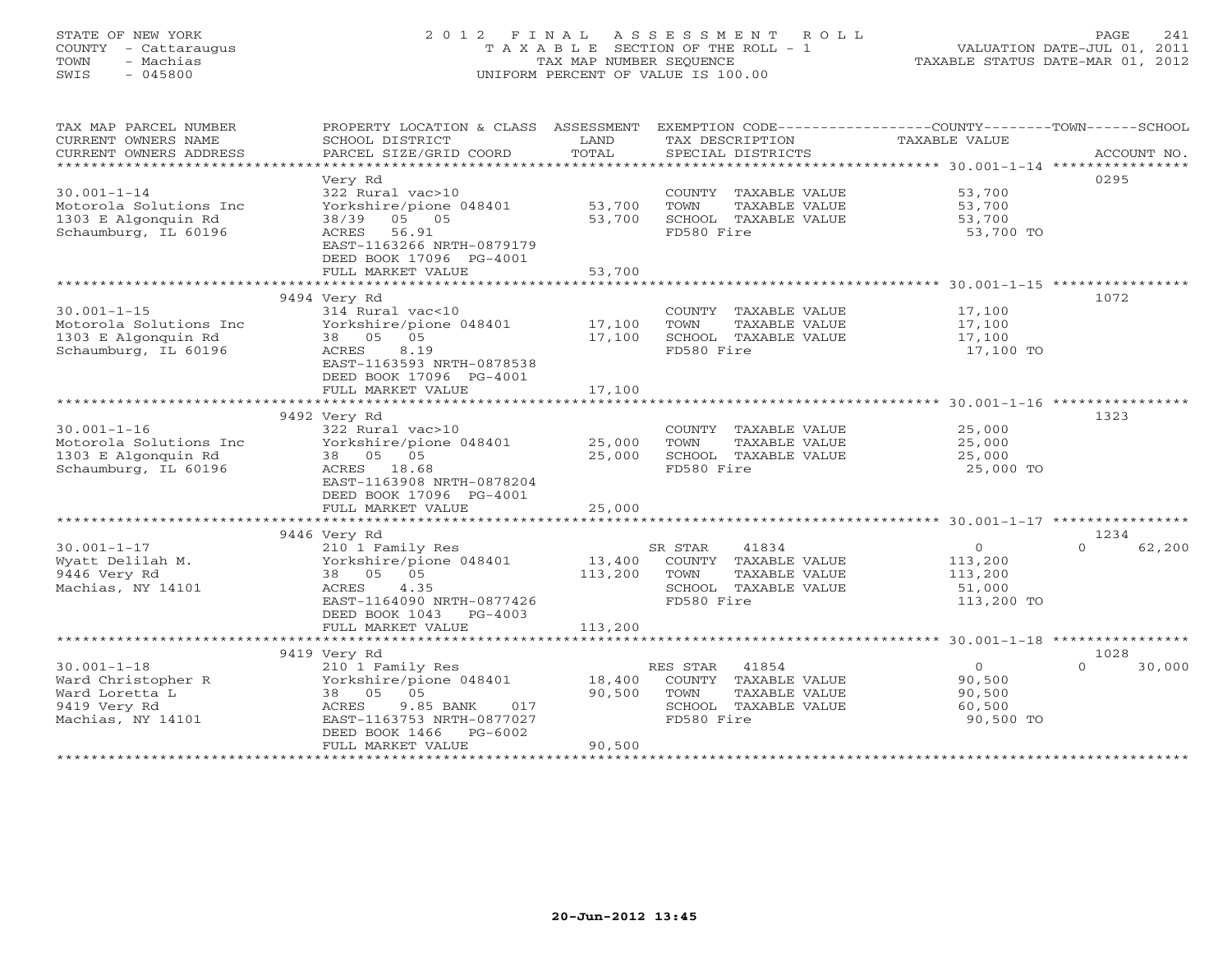# STATE OF NEW YORK 2 0 1 2 F I N A L A S S E S S M E N T R O L L PAGE 241 COUNTY - Cattaraugus T A X A B L E SECTION OF THE ROLL - 1 VALUATION DATE-JUL 01, 2011 TOWN - Machias TAX MAP NUMBER SEQUENCE TAXABLE STATUS DATE-MAR 01, 2012 SWIS - 045800 UNIFORM PERCENT OF VALUE IS 100.00UNIFORM PERCENT OF VALUE IS 100.00

| TAX MAP PARCEL NUMBER<br>CURRENT OWNERS NAME<br>CURRENT OWNERS ADDRESS<br>****************************** | PROPERTY LOCATION & CLASS ASSESSMENT<br>SCHOOL DISTRICT<br>PARCEL SIZE/GRID COORD                                                | LAND<br>TOTAL    | EXEMPTION CODE-----------------COUNTY-------TOWN------SCHOOL<br>TAX DESCRIPTION<br>SPECIAL DISTRICTS | TAXABLE VALUE                           | ACCOUNT NO.        |
|----------------------------------------------------------------------------------------------------------|----------------------------------------------------------------------------------------------------------------------------------|------------------|------------------------------------------------------------------------------------------------------|-----------------------------------------|--------------------|
|                                                                                                          | Very Rd                                                                                                                          |                  |                                                                                                      |                                         | 0295               |
| $30.001 - 1 - 14$<br>Motorola Solutions Inc<br>1303 E Algonquin Rd<br>Schaumburg, IL 60196               | 322 Rural vac>10<br>Yorkshire/pione 048401<br>38/39 05 05<br>ACRES 56.91<br>EAST-1163266 NRTH-0879179<br>DEED BOOK 17096 PG-4001 | 53,700<br>53,700 | COUNTY TAXABLE VALUE<br>TOWN<br>TAXABLE VALUE<br>SCHOOL TAXABLE VALUE<br>FD580 Fire                  | 53,700<br>53,700<br>53,700<br>53,700 TO |                    |
|                                                                                                          | FULL MARKET VALUE                                                                                                                | 53,700           |                                                                                                      |                                         |                    |
|                                                                                                          |                                                                                                                                  |                  |                                                                                                      |                                         |                    |
|                                                                                                          | 9494 Very Rd                                                                                                                     |                  |                                                                                                      |                                         | 1072               |
| $30.001 - 1 - 15$                                                                                        | 314 Rural vac<10                                                                                                                 |                  | COUNTY TAXABLE VALUE                                                                                 | 17,100                                  |                    |
| Motorola Solutions Inc                                                                                   | Yorkshire/pione 048401                                                                                                           | 17,100           | TAXABLE VALUE<br>TOWN                                                                                | 17,100                                  |                    |
| 1303 E Algonquin Rd                                                                                      | 38 05 05                                                                                                                         | 17,100           | SCHOOL TAXABLE VALUE                                                                                 | 17,100                                  |                    |
| Schaumburg, IL 60196                                                                                     | 8.19<br>ACRES<br>EAST-1163593 NRTH-0878538<br>DEED BOOK 17096 PG-4001                                                            |                  | FD580 Fire                                                                                           | 17,100 TO                               |                    |
|                                                                                                          | FULL MARKET VALUE                                                                                                                | 17,100           |                                                                                                      |                                         |                    |
|                                                                                                          |                                                                                                                                  |                  |                                                                                                      |                                         | 1323               |
| $30.001 - 1 - 16$                                                                                        | 9492 Very Rd<br>322 Rural vac>10                                                                                                 |                  | COUNTY TAXABLE VALUE                                                                                 | 25,000                                  |                    |
| Motorola Solutions Inc                                                                                   | Yorkshire/pione 048401                                                                                                           | 25,000           | TOWN<br>TAXABLE VALUE                                                                                | 25,000                                  |                    |
| 1303 E Algonquin Rd                                                                                      | 38 05 05                                                                                                                         | 25,000           | SCHOOL TAXABLE VALUE                                                                                 | 25,000                                  |                    |
| Schaumburg, IL 60196                                                                                     | ACRES 18.68                                                                                                                      |                  | FD580 Fire                                                                                           | 25,000 TO                               |                    |
|                                                                                                          | EAST-1163908 NRTH-0878204                                                                                                        |                  |                                                                                                      |                                         |                    |
|                                                                                                          | DEED BOOK 17096 PG-4001                                                                                                          |                  |                                                                                                      |                                         |                    |
|                                                                                                          | FULL MARKET VALUE                                                                                                                | 25,000           |                                                                                                      |                                         |                    |
|                                                                                                          |                                                                                                                                  |                  |                                                                                                      |                                         |                    |
|                                                                                                          | 9446 Very Rd                                                                                                                     |                  |                                                                                                      |                                         | 1234               |
| $30.001 - 1 - 17$                                                                                        | 210 1 Family Res                                                                                                                 |                  | SR STAR<br>41834                                                                                     | $\circ$                                 | 62,200<br>$\cap$   |
| Wyatt Delilah M.                                                                                         | Yorkshire/pione 048401                                                                                                           | 13,400           | COUNTY TAXABLE VALUE                                                                                 | 113,200                                 |                    |
| 9446 Very Rd                                                                                             | 38 05 05                                                                                                                         | 113,200          | TOWN<br>TAXABLE VALUE                                                                                | 113,200                                 |                    |
| Machias, NY 14101                                                                                        | ACRES<br>4.35                                                                                                                    |                  | SCHOOL TAXABLE VALUE                                                                                 | 51,000                                  |                    |
|                                                                                                          | EAST-1164090 NRTH-0877426                                                                                                        |                  | FD580 Fire                                                                                           | 113,200 TO                              |                    |
|                                                                                                          | DEED BOOK 1043 PG-4003                                                                                                           |                  |                                                                                                      |                                         |                    |
|                                                                                                          | FULL MARKET VALUE                                                                                                                | 113,200          |                                                                                                      |                                         |                    |
|                                                                                                          |                                                                                                                                  |                  |                                                                                                      |                                         |                    |
|                                                                                                          | 9419 Very Rd                                                                                                                     |                  |                                                                                                      |                                         | 1028               |
| $30.001 - 1 - 18$                                                                                        | 210 1 Family Res                                                                                                                 |                  | RES STAR 41854                                                                                       | $\circ$                                 | $\Omega$<br>30,000 |
| Ward Christopher R                                                                                       | Yorkshire/pione 048401                                                                                                           | 18,400           | COUNTY TAXABLE VALUE                                                                                 | 90,500                                  |                    |
| Ward Loretta L<br>9419 Very Rd                                                                           | 38 05 05                                                                                                                         | 90,500           | TAXABLE VALUE<br>TOWN                                                                                | 90,500                                  |                    |
| Machias, NY 14101                                                                                        | 9.85 BANK<br>ACRES<br>017<br>EAST-1163753 NRTH-0877027                                                                           |                  | SCHOOL TAXABLE VALUE<br>FD580 Fire                                                                   | 60,500<br>90,500 TO                     |                    |
|                                                                                                          | DEED BOOK 1466 PG-6002                                                                                                           |                  |                                                                                                      |                                         |                    |
|                                                                                                          | FULL MARKET VALUE                                                                                                                | 90,500           |                                                                                                      |                                         |                    |
|                                                                                                          |                                                                                                                                  |                  |                                                                                                      |                                         |                    |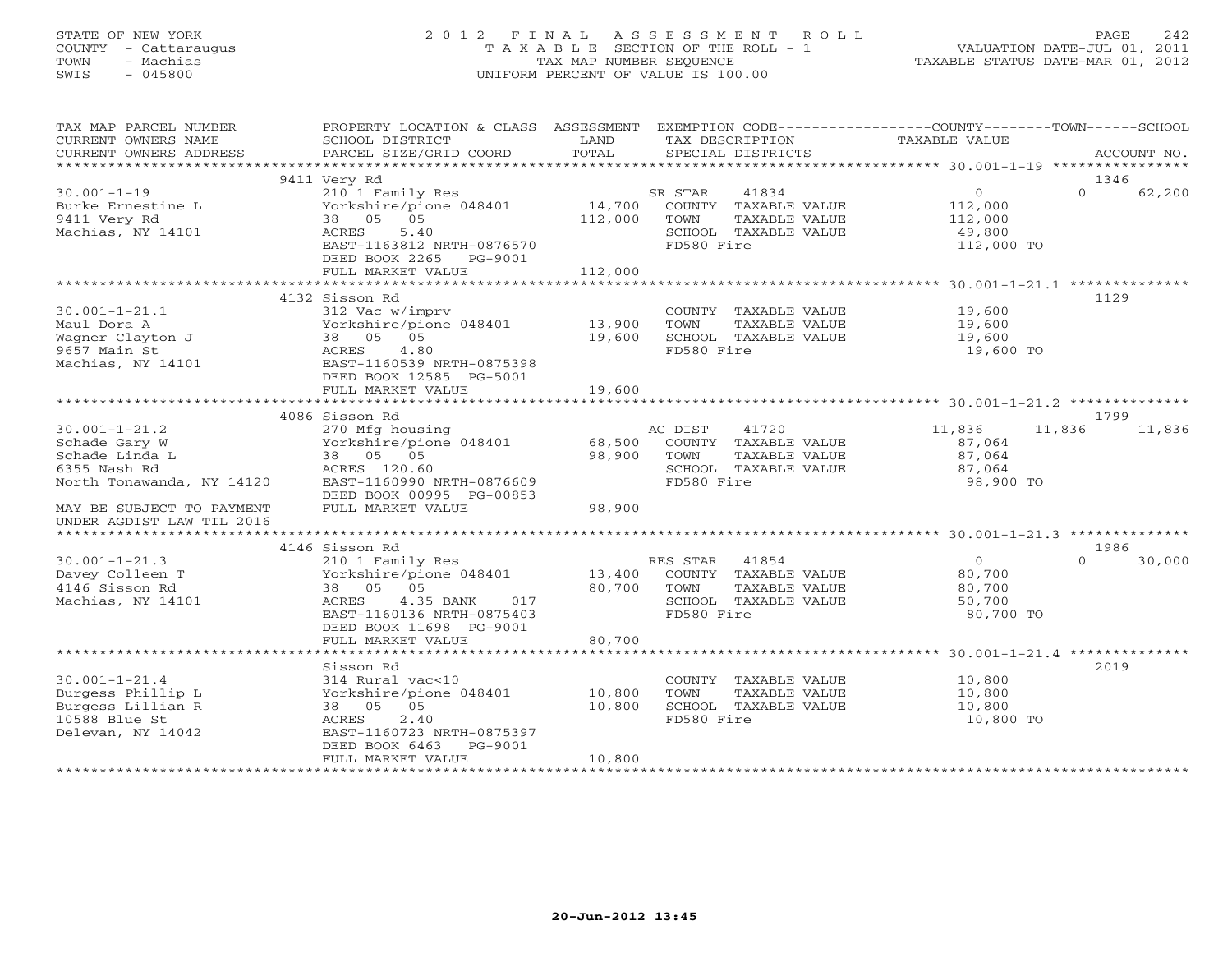# STATE OF NEW YORK 2 0 1 2 F I N A L A S S E S S M E N T R O L L PAGE 242 COUNTY - Cattaraugus T A X A B L E SECTION OF THE ROLL - 1 VALUATION DATE-JUL 01, 2011 TOWN - Machias TAX MAP NUMBER SEQUENCE TAXABLE STATUS DATE-MAR 01, 2012 SWIS - 045800 UNIFORM PERCENT OF VALUE IS 100.00UNIFORM PERCENT OF VALUE IS 100.00

| TAX MAP PARCEL NUMBER<br>CURRENT OWNERS NAME<br>CURRENT OWNERS ADDRESS                                                           | PROPERTY LOCATION & CLASS ASSESSMENT<br>SCHOOL DISTRICT<br>PARCEL SIZE/GRID COORD                                                                                    | LAND<br>TOTAL              | TAX DESCRIPTION<br>SPECIAL DISTRICTS                                                                           | EXEMPTION CODE-----------------COUNTY-------TOWN------SCHOOL<br>TAXABLE VALUE<br>ACCOUNT NO. |
|----------------------------------------------------------------------------------------------------------------------------------|----------------------------------------------------------------------------------------------------------------------------------------------------------------------|----------------------------|----------------------------------------------------------------------------------------------------------------|----------------------------------------------------------------------------------------------|
|                                                                                                                                  |                                                                                                                                                                      |                            |                                                                                                                |                                                                                              |
|                                                                                                                                  | 9411 Very Rd                                                                                                                                                         |                            |                                                                                                                | 1346                                                                                         |
| $30.001 - 1 - 19$<br>Burke Ernestine L<br>9411 Very Rd<br>Machias, NY 14101                                                      | 210 1 Family Res<br>Yorkshire/pione 048401<br>38 05 05<br>ACRES<br>5.40<br>EAST-1163812 NRTH-0876570<br>DEED BOOK 2265 PG-9001                                       | 112,000                    | SR STAR<br>41834<br>14,700 COUNTY TAXABLE VALUE<br>TOWN<br>TAXABLE VALUE<br>SCHOOL TAXABLE VALUE<br>FD580 Fire | $\overline{0}$<br>$\Omega$<br>62,200<br>112,000<br>112,000<br>49,800<br>112,000 TO           |
|                                                                                                                                  | FULL MARKET VALUE                                                                                                                                                    | 112,000                    |                                                                                                                |                                                                                              |
|                                                                                                                                  |                                                                                                                                                                      |                            |                                                                                                                |                                                                                              |
| $30.001 - 1 - 21.1$<br>Maul Dora A<br>Wagner Clayton J<br>9657 Main St<br>Machias, NY 14101                                      | 4132 Sisson Rd<br>312 Vac w/imprv<br>Yorkshire/pione 048401 13,900<br>38 05 05<br>4.80<br>ACRES<br>EAST-1160539 NRTH-0875398<br>DEED BOOK 12585 PG-5001              | 19,600                     | COUNTY TAXABLE VALUE<br>TOWN<br>TAXABLE VALUE<br>SCHOOL TAXABLE VALUE<br>FD580 Fire                            | 1129<br>19,600<br>19,600<br>19,600<br>19,600 TO                                              |
|                                                                                                                                  | FULL MARKET VALUE                                                                                                                                                    | 19,600                     |                                                                                                                |                                                                                              |
|                                                                                                                                  | 4086 Sisson Rd                                                                                                                                                       |                            |                                                                                                                | 1799                                                                                         |
| $30.001 - 1 - 21.2$<br>Schade Gary W<br>Schade Linda L<br>6355 Nash Rd<br>North Tonawanda, NY 14120<br>MAY BE SUBJECT TO PAYMENT | 270 Mfg housing<br>Yorkshire/pione 048401<br>38 05 05<br>ACRES 120.00<br>NY 14120 EAST-1160990 NRTH-0876609<br>TIP POOK 00995 PG-00853<br>FULL MARKET VALUE          | 68,500<br>98,900<br>98,900 | AG DIST<br>41720<br>COUNTY TAXABLE VALUE<br>TOWN<br>TAXABLE VALUE<br>SCHOOL TAXABLE VALUE<br>FD580 Fire        | 11,836<br>11,836<br>11,836<br>87,064<br>87,064<br>87,064<br>98,900 TO                        |
| UNDER AGDIST LAW TIL 2016                                                                                                        |                                                                                                                                                                      |                            |                                                                                                                |                                                                                              |
|                                                                                                                                  | 4146 Sisson Rd                                                                                                                                                       |                            |                                                                                                                | 1986                                                                                         |
| $30.001 - 1 - 21.3$<br>Davey Colleen T<br>4146 Sisson Rd<br>Machias, NY 14101                                                    | 210 1 Family Res<br>Yorkshire/pione 048401 13,400 COUNTY TAXABLE VALUE<br>38 05 05<br>4.35 BANK 017<br>ACRES<br>EAST-1160136 NRTH-0875403<br>DEED BOOK 11698 PG-9001 | 80,700 TOWN                | RES STAR 41854<br>TAXABLE VALUE<br>SCHOOL TAXABLE VALUE<br>FD580 Fire                                          | $\overline{0}$<br>$\Omega$<br>30,000<br>80,700<br>80,700<br>50,700<br>80,700 TO              |
|                                                                                                                                  | FULL MARKET VALUE                                                                                                                                                    | 80,700                     |                                                                                                                |                                                                                              |
| $30.001 - 1 - 21.4$<br>Burgess Phillip L<br>Burgess Lillian R<br>10588 Blue St<br>Delevan, NY 14042                              | Sisson Rd<br>314 Rural vac<10<br>Yorkshire/pione 048401 10,800<br>38 05 05<br>2.40<br>ACRES<br>EAST-1160723 NRTH-0875397<br>DEED BOOK 6463<br>PG-9001                | 10,800                     | COUNTY TAXABLE VALUE<br>TAXABLE VALUE<br>TOWN<br>SCHOOL TAXABLE VALUE<br>FD580 Fire                            | 2019<br>10,800<br>10,800<br>10,800<br>10,800 TO                                              |
|                                                                                                                                  | FULL MARKET VALUE                                                                                                                                                    | 10,800                     |                                                                                                                |                                                                                              |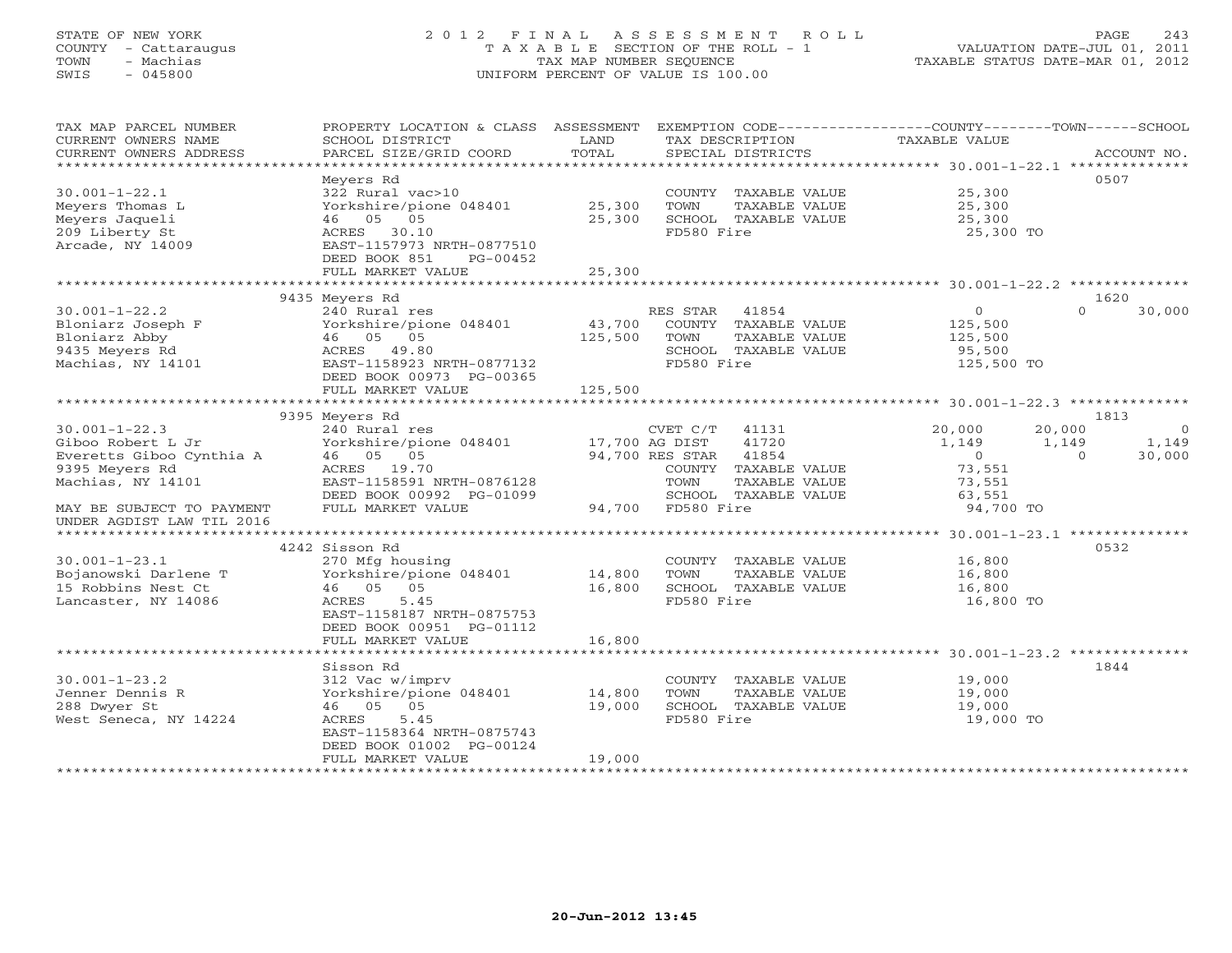# STATE OF NEW YORK 2 0 1 2 F I N A L A S S E S S M E N T R O L L PAGE 243 COUNTY - Cattaraugus T A X A B L E SECTION OF THE ROLL - 1 VALUATION DATE-JUL 01, 2011 TOWN - Machias TAX MAP NUMBER SEQUENCE TAXABLE STATUS DATE-MAR 01, 2012 SWIS - 045800 UNIFORM PERCENT OF VALUE IS 100.00UNIFORM PERCENT OF VALUE IS 100.00

| TAX MAP PARCEL NUMBER<br>CURRENT OWNERS NAME<br>CURRENT OWNERS ADDRESS                           | PROPERTY LOCATION & CLASS ASSESSMENT<br>SCHOOL DISTRICT<br>PARCEL SIZE/GRID COORD                                           | LAND<br>TOTAL     | TAX DESCRIPTION<br>SPECIAL DISTRICTS                                                                     | EXEMPTION CODE-----------------COUNTY-------TOWN-----SCHOOL<br>TAXABLE VALUE | ACCOUNT NO.                          |
|--------------------------------------------------------------------------------------------------|-----------------------------------------------------------------------------------------------------------------------------|-------------------|----------------------------------------------------------------------------------------------------------|------------------------------------------------------------------------------|--------------------------------------|
| $30.001 - 1 - 22.1$<br>Meyers Thomas L<br>Meyers Jaqueli<br>209 Liberty St                       | Meyers Rd<br>322 Rural vac>10<br>Yorkshire/pione 048401<br>46 05 05<br>ACRES 30.10                                          | 25,300<br>25,300  | COUNTY TAXABLE VALUE<br>TOWN<br>TAXABLE VALUE<br>SCHOOL TAXABLE VALUE<br>FD580 Fire                      | 25,300<br>25,300<br>25,300<br>25,300 TO                                      | 0507                                 |
| Arcade, NY 14009                                                                                 | EAST-1157973 NRTH-0877510<br>DEED BOOK 851<br>PG-00452<br>FULL MARKET VALUE                                                 | 25,300            |                                                                                                          |                                                                              |                                      |
|                                                                                                  | 9435 Meyers Rd                                                                                                              |                   |                                                                                                          |                                                                              | 1620                                 |
| $30.001 - 1 - 22.2$<br>Bloniarz Joseph F<br>Bloniarz Abby<br>9435 Meyers Rd<br>Machias, NY 14101 | 240 Rural res<br>Yorkshire/pione 048401<br>46 05 05<br>ACRES 49.80<br>EAST-1158923 NRTH-0877132<br>DEED BOOK 00973 PG-00365 | 43,700<br>125,500 | RES STAR<br>41854<br>COUNTY TAXABLE VALUE<br>TOWN<br>TAXABLE VALUE<br>SCHOOL TAXABLE VALUE<br>FD580 Fire | $\circ$<br>125,500<br>125,500<br>95,500<br>125,500 TO                        | $\Omega$<br>30,000                   |
|                                                                                                  | FULL MARKET VALUE                                                                                                           | 125,500           |                                                                                                          |                                                                              |                                      |
|                                                                                                  |                                                                                                                             |                   |                                                                                                          |                                                                              |                                      |
|                                                                                                  | 9395 Meyers Rd                                                                                                              |                   |                                                                                                          |                                                                              | 1813                                 |
| $30.001 - 1 - 22.3$                                                                              | 240 Rural res                                                                                                               |                   | CVET C/T<br>41131                                                                                        | 20,000<br>20,000                                                             | $\Omega$                             |
| Giboo Robert L Jr<br>Everetts Giboo Cynthia A                                                    | Yorkshire/pione 048401<br>46 05 05                                                                                          | 17,700 AG DIST    | 41720<br>94,700 RES STAR<br>41854                                                                        | 1,149<br>$\overline{0}$                                                      | 1,149<br>1,149<br>$\Omega$<br>30,000 |
| 9395 Meyers Rd                                                                                   | ACRES 19.70                                                                                                                 |                   | COUNTY TAXABLE VALUE                                                                                     | 73,551                                                                       |                                      |
| Machias, NY 14101                                                                                | EAST-1158591 NRTH-0876128                                                                                                   |                   | TOWN<br>TAXABLE VALUE                                                                                    | 73,551                                                                       |                                      |
|                                                                                                  | DEED BOOK 00992 PG-01099                                                                                                    |                   | SCHOOL TAXABLE VALUE                                                                                     | 63,551                                                                       |                                      |
| MAY BE SUBJECT TO PAYMENT<br>UNDER AGDIST LAW TIL 2016                                           | FULL MARKET VALUE                                                                                                           |                   | 94,700 FD580 Fire                                                                                        | 94,700 TO                                                                    |                                      |
|                                                                                                  |                                                                                                                             |                   |                                                                                                          |                                                                              |                                      |
|                                                                                                  | 4242 Sisson Rd                                                                                                              |                   |                                                                                                          |                                                                              | 0532                                 |
| $30.001 - 1 - 23.1$                                                                              | 270 Mfg housing                                                                                                             |                   | COUNTY TAXABLE VALUE                                                                                     | 16,800                                                                       |                                      |
| Bojanowski Darlene T<br>15 Robbins Nest Ct                                                       | Yorkshire/pione 048401<br>05<br>46 05                                                                                       | 14,800<br>16,800  | TOWN<br>TAXABLE VALUE<br>SCHOOL TAXABLE VALUE                                                            | 16,800<br>16,800                                                             |                                      |
| Lancaster, NY 14086                                                                              | ACRES<br>5.45                                                                                                               |                   | FD580 Fire                                                                                               | 16,800 TO                                                                    |                                      |
|                                                                                                  | EAST-1158187 NRTH-0875753<br>DEED BOOK 00951 PG-01112                                                                       |                   |                                                                                                          |                                                                              |                                      |
|                                                                                                  | FULL MARKET VALUE                                                                                                           | 16,800            |                                                                                                          |                                                                              |                                      |
|                                                                                                  | Sisson Rd                                                                                                                   |                   |                                                                                                          |                                                                              | 1844                                 |
| $30.001 - 1 - 23.2$                                                                              | 312 Vac w/imprv                                                                                                             |                   | COUNTY TAXABLE VALUE                                                                                     | 19,000                                                                       |                                      |
| Jenner Dennis R                                                                                  | Yorkshire/pione 048401                                                                                                      | 14,800            | TOWN<br>TAXABLE VALUE                                                                                    | 19,000                                                                       |                                      |
| 288 Dwyer St                                                                                     | 46 05 05                                                                                                                    | 19,000            | SCHOOL TAXABLE VALUE                                                                                     | 19,000                                                                       |                                      |
| West Seneca, NY 14224                                                                            | ACRES<br>5.45<br>EAST-1158364 NRTH-0875743<br>DEED BOOK 01002 PG-00124                                                      |                   | FD580 Fire                                                                                               | 19,000 TO                                                                    |                                      |
|                                                                                                  | FULL MARKET VALUE                                                                                                           | 19,000            |                                                                                                          |                                                                              |                                      |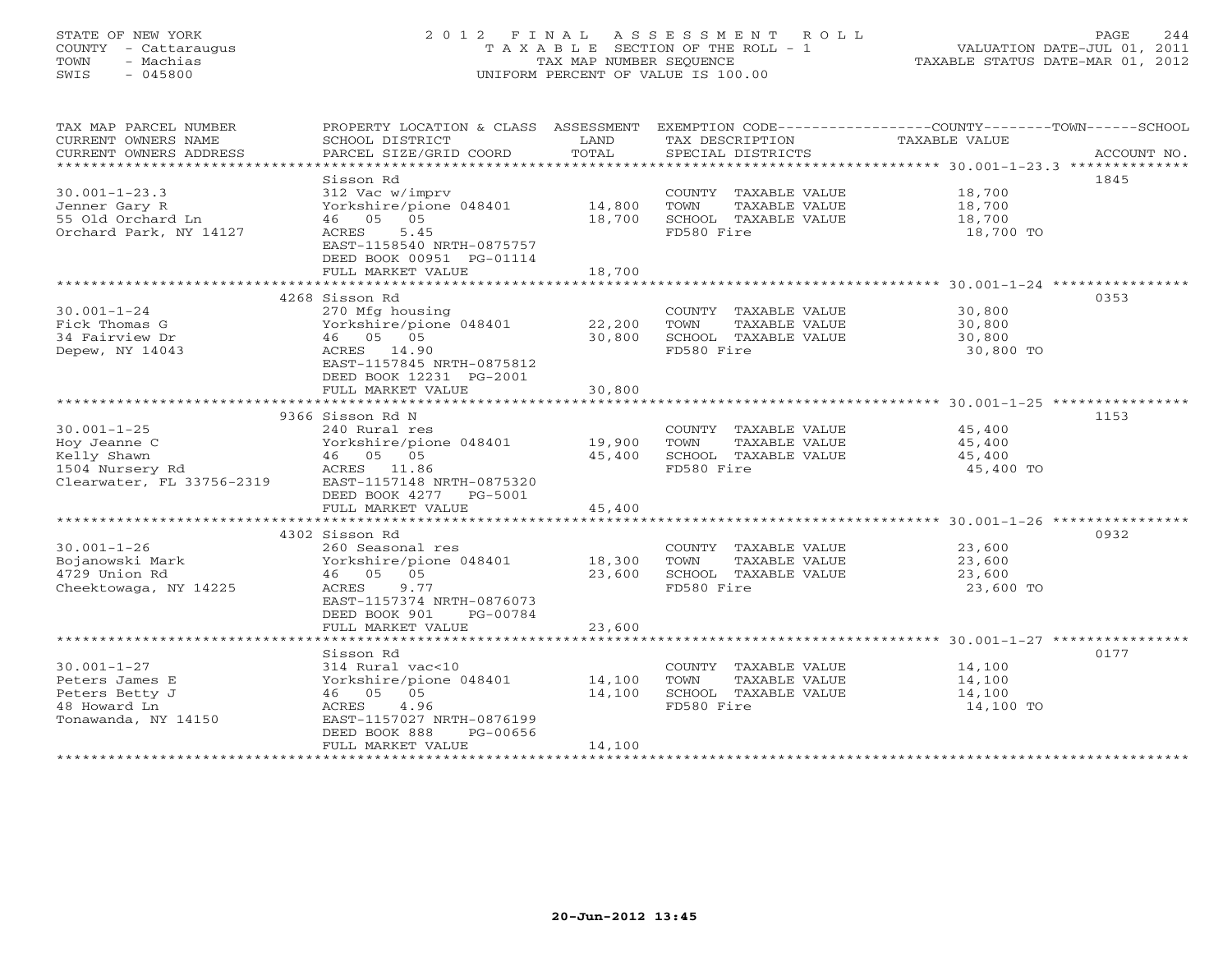# STATE OF NEW YORK 2 0 1 2 F I N A L A S S E S S M E N T R O L L PAGE 244 COUNTY - Cattaraugus T A X A B L E SECTION OF THE ROLL - 1 VALUATION DATE-JUL 01, 2011 TOWN - Machias TAX MAP NUMBER SEQUENCE TAXABLE STATUS DATE-MAR 01, 2012 SWIS - 045800 UNIFORM PERCENT OF VALUE IS 100.00UNIFORM PERCENT OF VALUE IS 100.00

| TAX MAP PARCEL NUMBER<br>CURRENT OWNERS NAME<br>CURRENT OWNERS ADDRESS                           | SCHOOL DISTRICT<br>PARCEL SIZE/GRID COORD                                                                                                                                | LAND<br>TOTAL              | TAX DESCRIPTION<br>SPECIAL DISTRICTS                                                | PROPERTY LOCATION & CLASS ASSESSMENT EXEMPTION CODE----------------COUNTY-------TOWN------SCHOOL<br>TAXABLE VALUE<br>ACCOUNT NO. |
|--------------------------------------------------------------------------------------------------|--------------------------------------------------------------------------------------------------------------------------------------------------------------------------|----------------------------|-------------------------------------------------------------------------------------|----------------------------------------------------------------------------------------------------------------------------------|
| $30.001 - 1 - 23.3$<br>Jenner Gary R<br>55 Old Orchard Ln<br>Orchard Park, NY 14127              | Sisson Rd<br>312 Vac w/imprv<br>Yorkshire/pione 048401<br>46 05 05<br>5.45<br>ACRES<br>EAST-1158540 NRTH-0875757<br>DEED BOOK 00951 PG-01114<br>FULL MARKET VALUE        | 14,800<br>18,700<br>18,700 | COUNTY TAXABLE VALUE<br>TOWN<br>TAXABLE VALUE<br>SCHOOL TAXABLE VALUE<br>FD580 Fire | 1845<br>18,700<br>18,700<br>18,700<br>18,700 TO                                                                                  |
|                                                                                                  |                                                                                                                                                                          |                            |                                                                                     |                                                                                                                                  |
| $30.001 - 1 - 24$<br>Fick Thomas G<br>34 Fairview Dr<br>Depew, NY 14043                          | 4268 Sisson Rd<br>270 Mfg housing<br>Yorkshire/pione 048401<br>46 05 05<br>ACRES 14.90<br>EAST-1157845 NRTH-0875812<br>DEED BOOK 12231 PG-2001                           | 22,200<br>30,800           | COUNTY TAXABLE VALUE<br>TOWN<br>TAXABLE VALUE<br>SCHOOL TAXABLE VALUE<br>FD580 Fire | 0353<br>30,800<br>30,800<br>30,800<br>30,800 TO                                                                                  |
|                                                                                                  | FULL MARKET VALUE                                                                                                                                                        | 30,800                     |                                                                                     |                                                                                                                                  |
|                                                                                                  |                                                                                                                                                                          |                            |                                                                                     |                                                                                                                                  |
| $30.001 - 1 - 25$<br>Hoy Jeanne C<br>Kelly Shawn<br>1504 Nursery Rd<br>Clearwater, FL 33756-2319 | 9366 Sisson Rd N<br>240 Rural res<br>Yorkshire/pione 048401<br>46 05 05<br>ACRES 11.86<br>EAST-1157148 NRTH-0875320                                                      | 19,900<br>45,400           | COUNTY TAXABLE VALUE<br>TOWN<br>TAXABLE VALUE<br>SCHOOL TAXABLE VALUE<br>FD580 Fire | 1153<br>45,400<br>45,400<br>45,400<br>45,400 TO                                                                                  |
|                                                                                                  | DEED BOOK 4277 PG-5001<br>FULL MARKET VALUE                                                                                                                              | 45,400                     |                                                                                     |                                                                                                                                  |
|                                                                                                  |                                                                                                                                                                          |                            |                                                                                     |                                                                                                                                  |
| $30.001 - 1 - 26$<br>Bojanowski Mark<br>4729 Union Rd<br>Cheektowaga, NY 14225                   | 4302 Sisson Rd<br>260 Seasonal res<br>Yorkshire/pione 048401<br>46 05 05<br>ACRES<br>9.77<br>EAST-1157374 NRTH-0876073<br>DEED BOOK 901<br>PG-00784<br>FULL MARKET VALUE | 18,300<br>23,600<br>23,600 | COUNTY TAXABLE VALUE<br>TOWN<br>TAXABLE VALUE<br>SCHOOL TAXABLE VALUE<br>FD580 Fire | 0932<br>23,600<br>23,600<br>23,600<br>23,600 TO                                                                                  |
|                                                                                                  |                                                                                                                                                                          |                            |                                                                                     |                                                                                                                                  |
| $30.001 - 1 - 27$<br>Peters James E<br>Peters Betty J<br>48 Howard Ln<br>Tonawanda, NY 14150     | Sisson Rd<br>314 Rural vac<10<br>Yorkshire/pione 048401<br>46 05 05<br>4.96<br>ACRES<br>EAST-1157027 NRTH-0876199<br>DEED BOOK 888<br>PG-00656<br>FULL MARKET VALUE      | 14,100<br>14,100<br>14,100 | COUNTY TAXABLE VALUE<br>TOWN<br>TAXABLE VALUE<br>SCHOOL TAXABLE VALUE<br>FD580 Fire | 0177<br>14,100<br>14,100<br>14,100<br>14,100 TO                                                                                  |
|                                                                                                  | ************************                                                                                                                                                 |                            |                                                                                     |                                                                                                                                  |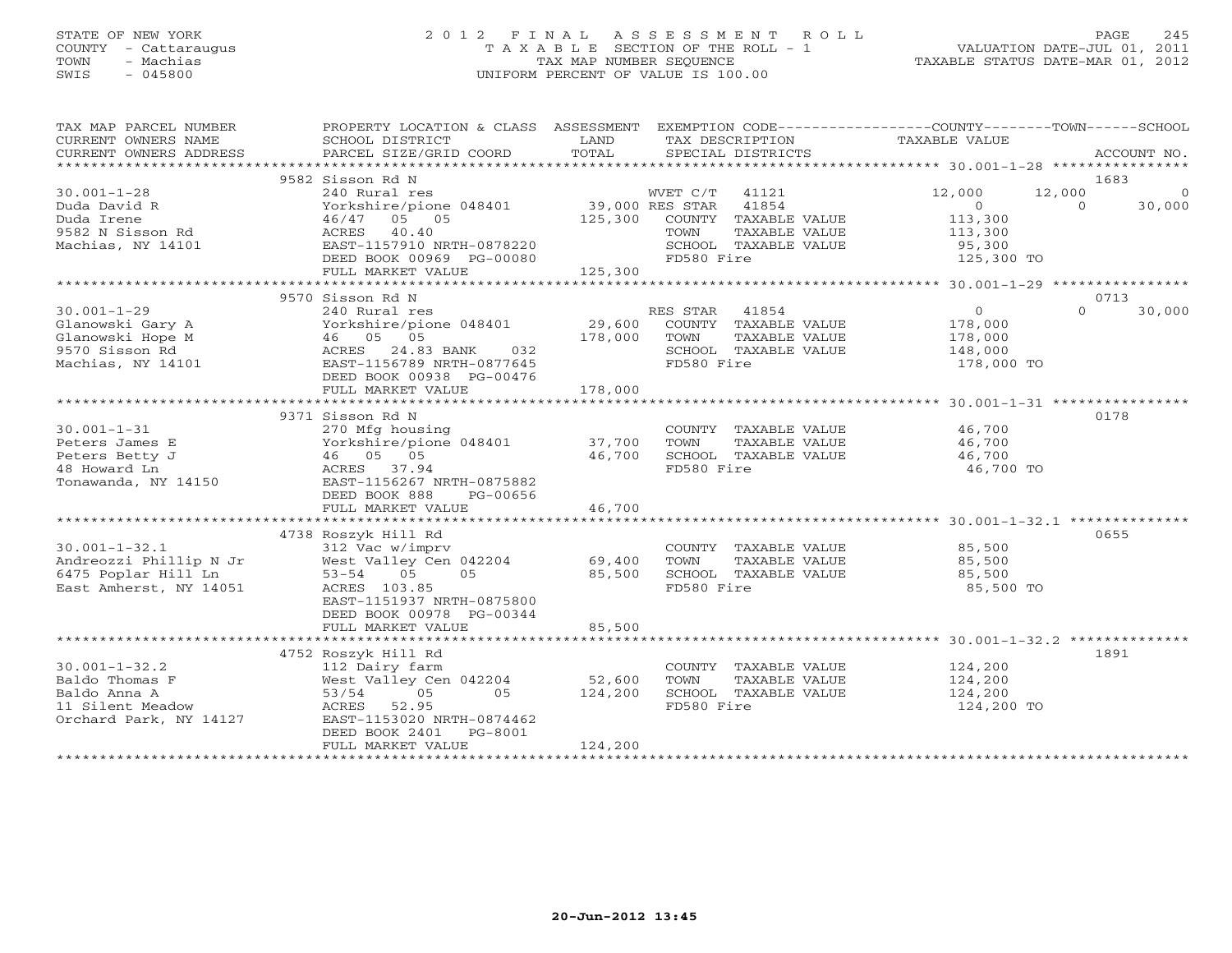# STATE OF NEW YORK 2 0 1 2 F I N A L A S S E S S M E N T R O L L PAGE 245 COUNTY - Cattaraugus T A X A B L E SECTION OF THE ROLL - 1 VALUATION DATE-JUL 01, 2011 TOWN - Machias TAX MAP NUMBER SEQUENCE TAXABLE STATUS DATE-MAR 01, 2012 SWIS - 045800 UNIFORM PERCENT OF VALUE IS 100.00UNIFORM PERCENT OF VALUE IS 100.00

| TAX MAP PARCEL NUMBER<br>CURRENT OWNERS NAME<br>CURRENT OWNERS ADDRESS | PROPERTY LOCATION & CLASS ASSESSMENT EXEMPTION CODE---------------COUNTY-------TOWN-----SCHOOL<br>SCHOOL DISTRICT<br>PARCEL SIZE/GRID COORD | LAND<br>TOTAL | TAX DESCRIPTION<br>SPECIAL DISTRICTS | TAXABLE VALUE  | ACCOUNT NO.              |
|------------------------------------------------------------------------|---------------------------------------------------------------------------------------------------------------------------------------------|---------------|--------------------------------------|----------------|--------------------------|
|                                                                        |                                                                                                                                             |               |                                      |                |                          |
|                                                                        | 9582 Sisson Rd N                                                                                                                            |               |                                      |                | 1683                     |
| $30.001 - 1 - 28$                                                      | 240 Rural res                                                                                                                               |               | WVET C/T 41121                       | 12,000         | 12,000<br>$\overline{0}$ |
| Duda David R                                                           | Yorkshire/pione 048401 39,000 RES STAR 41854                                                                                                |               |                                      | $\overline{0}$ | $\Omega$<br>30,000       |
|                                                                        | 46/47 05 05                                                                                                                                 |               | 125,300 COUNTY TAXABLE VALUE         | 113,300        |                          |
| buud Irene<br>9582 N Sisson Rd<br>Marl'                                | ACRES 40.40                                                                                                                                 |               | TOWN<br>TAXABLE VALUE                | 113,300        |                          |
| Machias, NY 14101                                                      | EAST-1157910 NRTH-0878220                                                                                                                   |               | SCHOOL TAXABLE VALUE                 | 95,300         |                          |
|                                                                        | DEED BOOK 00969 PG-00080                                                                                                                    |               | FD580 Fire                           | 125,300 TO     |                          |
|                                                                        | FULL MARKET VALUE                                                                                                                           | 125,300       |                                      |                |                          |
|                                                                        |                                                                                                                                             |               |                                      |                |                          |
|                                                                        | 9570 Sisson Rd N                                                                                                                            |               |                                      |                | 0713                     |
| $30.001 - 1 - 29$                                                      | 240 Rural res                                                                                                                               |               | RES STAR 41854                       | $\overline{0}$ | $\Omega$<br>30,000       |
| Glanowski Gary A                                                       |                                                                                                                                             | 29,600        | COUNTY TAXABLE VALUE                 | 178,000        |                          |
| Glanowski Hope M                                                       |                                                                                                                                             | 178,000       | TAXABLE VALUE<br>TOWN                | 178,000        |                          |
| 9570 Sisson Rd                                                         |                                                                                                                                             |               | SCHOOL TAXABLE VALUE                 | 148,000        |                          |
| Machias, NY 14101                                                      | Yorkshire/pione 048401<br>46 05 05<br>ACRES 24.83 BANK 032<br>EAST-1156789 NRTH-0877645                                                     |               | FD580 Fire                           | 178,000 TO     |                          |
|                                                                        | DEED BOOK 00938 PG-00476                                                                                                                    |               |                                      |                |                          |
|                                                                        | FULL MARKET VALUE                                                                                                                           | 178,000       |                                      |                |                          |
|                                                                        |                                                                                                                                             |               |                                      |                |                          |
|                                                                        | 9371 Sisson Rd N                                                                                                                            |               |                                      |                | 0178                     |
| $30.001 - 1 - 31$                                                      | 270 Mfg housing                                                                                                                             |               | COUNTY TAXABLE VALUE                 | 46,700         |                          |
| Peters James E                                                         | Yorkshire/pione 048401 37,700                                                                                                               |               | TOWN<br>TAXABLE VALUE                | 46,700         |                          |
| Peters Betty J                                                         | 46 05 05                                                                                                                                    | 46,700        | SCHOOL TAXABLE VALUE                 | 46,700         |                          |
| 48 Howard Ln                                                           | ACRES 37.94                                                                                                                                 |               | FD580 Fire                           | 46,700 TO      |                          |
| Tonawanda, NY 14150                                                    | EAST-1156267 NRTH-0875882                                                                                                                   |               |                                      |                |                          |
|                                                                        | DEED BOOK 888<br>PG-00656                                                                                                                   |               |                                      |                |                          |
|                                                                        | FULL MARKET VALUE                                                                                                                           | 46,700        |                                      |                |                          |
|                                                                        |                                                                                                                                             |               |                                      |                |                          |
|                                                                        |                                                                                                                                             |               |                                      |                | 0655                     |
|                                                                        | 4738 Roszyk Hill Rd                                                                                                                         |               |                                      |                |                          |
| $30.001 - 1 - 32.1$                                                    |                                                                                                                                             |               | COUNTY TAXABLE VALUE                 | 85,500         |                          |
| Andreozzi Phillip N Jr                                                 |                                                                                                                                             |               | TOWN<br>TAXABLE VALUE                | 85,500         |                          |
| 6475 Poplar Hill Ln                                                    | 312 Vac w/imprv<br>West Valley Cen 042204 69,400<br>53-54 05 05 85 85 600                                                                   |               | SCHOOL TAXABLE VALUE                 | 85,500         |                          |
| East Amherst, NY 14051                                                 | ACRES 103.85                                                                                                                                |               | FD580 Fire                           | 85,500 TO      |                          |
|                                                                        | EAST-1151937 NRTH-0875800                                                                                                                   |               |                                      |                |                          |
|                                                                        | DEED BOOK 00978 PG-00344                                                                                                                    |               |                                      |                |                          |
|                                                                        | FULL MARKET VALUE                                                                                                                           | 85,500        |                                      |                |                          |
|                                                                        |                                                                                                                                             |               |                                      |                |                          |
|                                                                        | 4752 Roszyk Hill Rd                                                                                                                         |               |                                      |                | 1891                     |
| $30.001 - 1 - 32.2$                                                    | 112 Dairy farm                                                                                                                              |               | COUNTY TAXABLE VALUE                 | 124,200        |                          |
| Baldo Thomas F                                                         | West Valley Cen 042204 52,600                                                                                                               |               | TAXABLE VALUE<br>TOWN                | 124,200        |                          |
| Baldo Anna A                                                           | 05<br>05<br>53/54                                                                                                                           | 124,200       | SCHOOL TAXABLE VALUE                 | 124,200        |                          |
| 11 Silent Meadow                                                       | ACRES 52.95                                                                                                                                 |               | FD580 Fire                           | 124,200 TO     |                          |
| Orchard Park, NY 14127                                                 | EAST-1153020 NRTH-0874462                                                                                                                   |               |                                      |                |                          |
|                                                                        | DEED BOOK 2401 PG-8001                                                                                                                      |               |                                      |                |                          |
|                                                                        | FULL MARKET VALUE                                                                                                                           | 124,200       |                                      |                |                          |
|                                                                        |                                                                                                                                             |               |                                      |                |                          |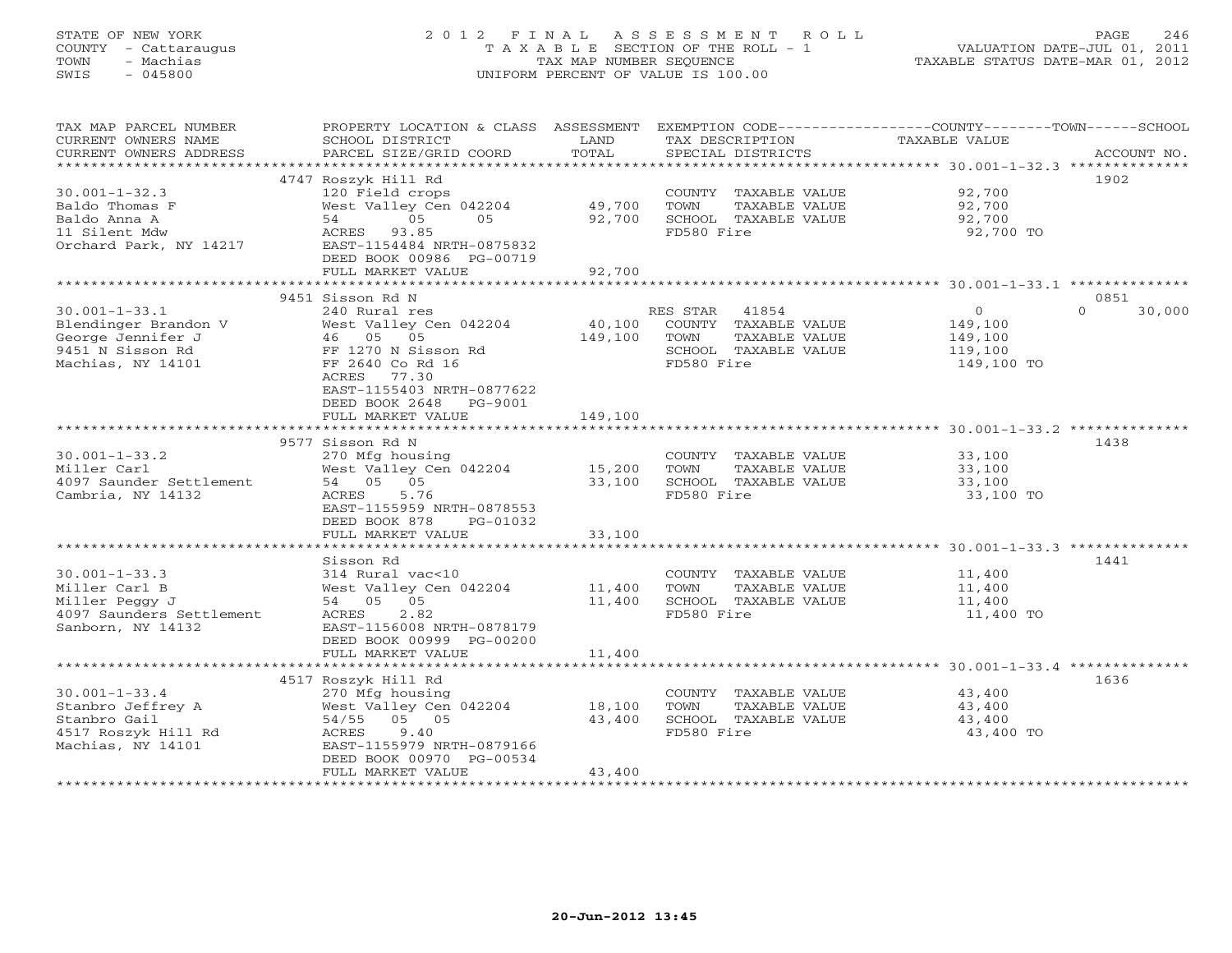# STATE OF NEW YORK 2 0 1 2 F I N A L A S S E S S M E N T R O L L PAGE 246 COUNTY - Cattaraugus T A X A B L E SECTION OF THE ROLL - 1 VALUATION DATE-JUL 01, 2011 TOWN - Machias TAX MAP NUMBER SEQUENCE TAXABLE STATUS DATE-MAR 01, 2012 SWIS - 045800 UNIFORM PERCENT OF VALUE IS 100.00UNIFORM PERCENT OF VALUE IS 100.00

| TAX MAP PARCEL NUMBER    | PROPERTY LOCATION & CLASS ASSESSMENT EXEMPTION CODE----------------COUNTY-------TOWN------SCHOOL |              |                                               |                  |                    |
|--------------------------|--------------------------------------------------------------------------------------------------|--------------|-----------------------------------------------|------------------|--------------------|
| CURRENT OWNERS NAME      | SCHOOL DISTRICT                                                                                  | LAND         | TAX DESCRIPTION                               | TAXABLE VALUE    |                    |
| CURRENT OWNERS ADDRESS   | PARCEL SIZE/GRID COORD                                                                           | TOTAL        | SPECIAL DISTRICTS                             |                  | ACCOUNT NO.        |
| ******************       | *************************                                                                        |              |                                               |                  |                    |
|                          | 4747 Roszyk Hill Rd                                                                              |              |                                               |                  | 1902               |
| $30.001 - 1 - 32.3$      | 120 Field crops                                                                                  |              | COUNTY TAXABLE VALUE                          | 92,700           |                    |
| Baldo Thomas F           | West Valley Cen 042204                                                                           | 49,700       | TOWN<br>TAXABLE VALUE                         | 92,700           |                    |
| Baldo Anna A             | 05<br>05<br>54                                                                                   | 92,700       | SCHOOL TAXABLE VALUE                          | 92,700           |                    |
| 11 Silent Mdw            | ACRES 93.85                                                                                      |              | FD580 Fire                                    | 92,700 TO        |                    |
| Orchard Park, NY 14217   | EAST-1154484 NRTH-0875832                                                                        |              |                                               |                  |                    |
|                          | DEED BOOK 00986 PG-00719                                                                         |              |                                               |                  |                    |
|                          | FULL MARKET VALUE                                                                                | 92,700       |                                               |                  |                    |
|                          |                                                                                                  |              |                                               |                  |                    |
|                          | 9451 Sisson Rd N                                                                                 |              |                                               |                  | 0851               |
| $30.001 - 1 - 33.1$      | 240 Rural res                                                                                    |              | RES STAR<br>41854                             | $\overline{0}$   | 30,000<br>$\Omega$ |
| Blendinger Brandon V     | West Valley Cen 042204                                                                           | 40,100       | COUNTY TAXABLE VALUE                          | 149,100          |                    |
| George Jennifer J        | 46 05 05                                                                                         | 149,100      | TOWN<br>TAXABLE VALUE                         | 149,100          |                    |
| 9451 N Sisson Rd         | FF 1270 N Sisson Rd                                                                              |              | SCHOOL TAXABLE VALUE                          | 119,100          |                    |
| Machias, NY 14101        | FF 2640 Co Rd 16                                                                                 |              | FD580 Fire                                    | 149,100 TO       |                    |
|                          | ACRES<br>77.30                                                                                   |              |                                               |                  |                    |
|                          | EAST-1155403 NRTH-0877622                                                                        |              |                                               |                  |                    |
|                          | DEED BOOK 2648<br>PG-9001                                                                        |              |                                               |                  |                    |
|                          | FULL MARKET VALUE                                                                                | 149,100      |                                               |                  |                    |
|                          |                                                                                                  |              |                                               |                  |                    |
| $30.001 - 1 - 33.2$      | 9577 Sisson Rd N                                                                                 |              |                                               |                  | 1438               |
| Miller Carl              | 270 Mfg housing                                                                                  | 15,200       | COUNTY TAXABLE VALUE<br>TAXABLE VALUE<br>TOWN | 33,100<br>33,100 |                    |
| 4097 Saunder Settlement  | West Valley Cen 042204<br>54 05 05                                                               | 33,100       | SCHOOL TAXABLE VALUE                          | 33,100           |                    |
| Cambria, NY 14132        | 5.76<br>ACRES                                                                                    |              | FD580 Fire                                    | 33,100 TO        |                    |
|                          | EAST-1155959 NRTH-0878553                                                                        |              |                                               |                  |                    |
|                          | DEED BOOK 878<br>PG-01032                                                                        |              |                                               |                  |                    |
|                          | FULL MARKET VALUE                                                                                | 33,100       |                                               |                  |                    |
|                          |                                                                                                  |              |                                               |                  |                    |
|                          | Sisson Rd                                                                                        |              |                                               |                  | 1441               |
| $30.001 - 1 - 33.3$      | 314 Rural vac<10                                                                                 |              | COUNTY TAXABLE VALUE                          | 11,400           |                    |
| Miller Carl B            | West Valley Cen 042204                                                                           | 11,400       | TOWN<br>TAXABLE VALUE                         | 11,400           |                    |
| Miller Peggy J           | 54 05 05                                                                                         | 11,400       | SCHOOL TAXABLE VALUE                          | 11,400           |                    |
| 4097 Saunders Settlement | ACRES<br>2.82                                                                                    |              | FD580 Fire                                    | 11,400 TO        |                    |
| Sanborn, NY 14132        | EAST-1156008 NRTH-0878179                                                                        |              |                                               |                  |                    |
|                          | DEED BOOK 00999 PG-00200                                                                         |              |                                               |                  |                    |
|                          | FULL MARKET VALUE                                                                                | 11,400       |                                               |                  |                    |
|                          | **************************                                                                       | ************ |                                               |                  |                    |
|                          | 4517 Roszyk Hill Rd                                                                              |              |                                               |                  | 1636               |
| $30.001 - 1 - 33.4$      | 270 Mfg housing                                                                                  |              | COUNTY TAXABLE VALUE                          | 43,400           |                    |
| Stanbro Jeffrey A        | West Valley Cen 042204                                                                           | 18,100       | TOWN<br>TAXABLE VALUE                         | 43,400           |                    |
| Stanbro Gail             | 54/55 05 05                                                                                      | 43,400       | SCHOOL TAXABLE VALUE                          | 43,400           |                    |
| 4517 Roszyk Hill Rd      | 9.40<br>ACRES                                                                                    |              | FD580 Fire                                    | 43,400 TO        |                    |
| Machias, NY 14101        | EAST-1155979 NRTH-0879166                                                                        |              |                                               |                  |                    |
|                          | DEED BOOK 00970 PG-00534                                                                         |              |                                               |                  |                    |
|                          | FULL MARKET VALUE                                                                                | 43,400       |                                               |                  |                    |
|                          |                                                                                                  |              |                                               |                  |                    |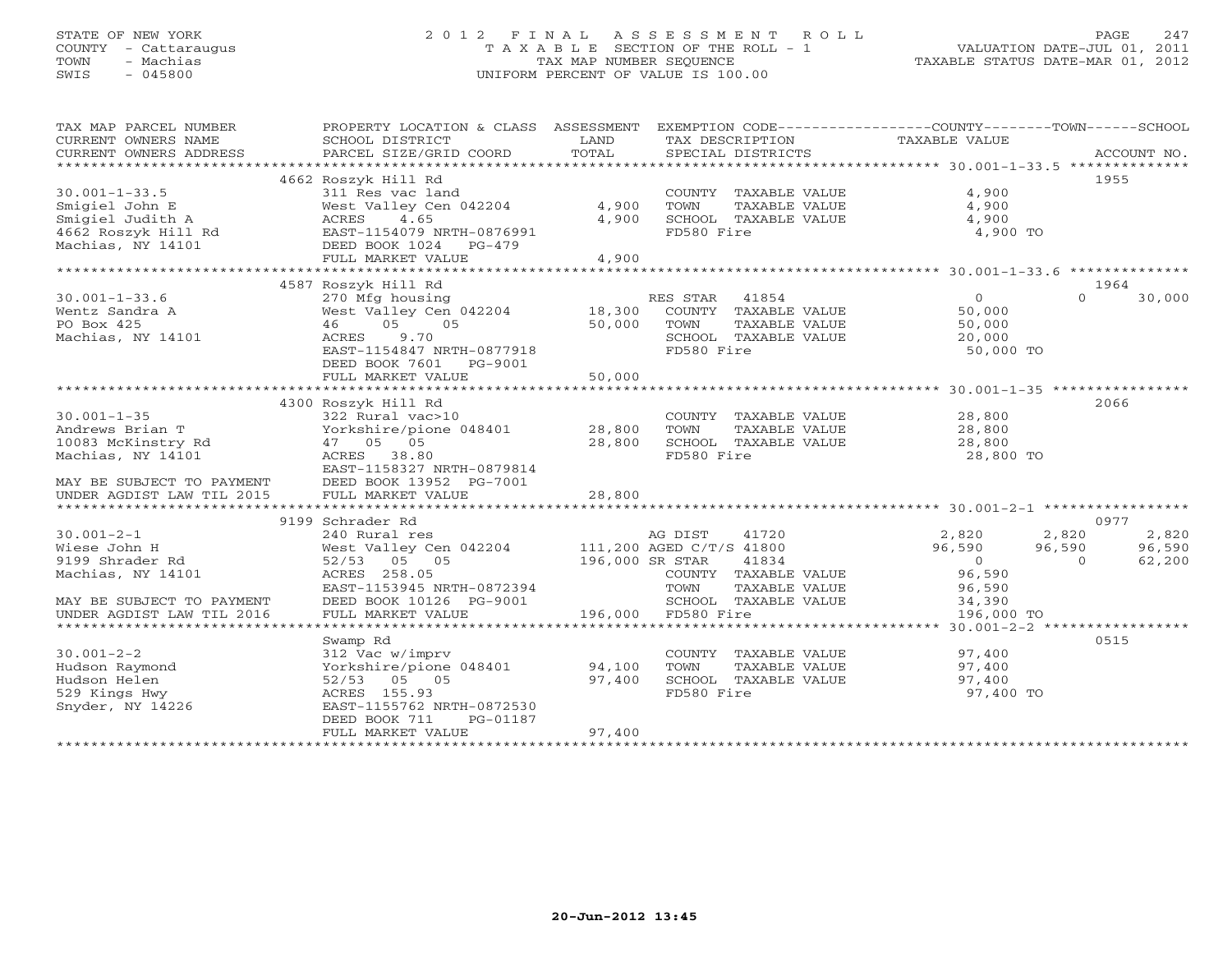# STATE OF NEW YORK 2 0 1 2 F I N A L A S S E S S M E N T R O L L PAGE 247 COUNTY - Cattaraugus T A X A B L E SECTION OF THE ROLL - 1 VALUATION DATE-JUL 01, 2011 TOWN - Machias TAX MAP NUMBER SEQUENCE TAXABLE STATUS DATE-MAR 01, 2012 SWIS - 045800 UNIFORM PERCENT OF VALUE IS 100.00UNIFORM PERCENT OF VALUE IS 100.00

| TAX MAP PARCEL NUMBER<br>CURRENT OWNERS NAME<br>CURRENT OWNERS ADDRESS | PROPERTY LOCATION & CLASS ASSESSMENT EXEMPTION CODE----------------COUNTY-------TOWN------SCHOOL<br>SCHOOL DISTRICT<br>PARCEL SIZE/GRID COORD | LAND<br>TOTAL   | TAX DESCRIPTION<br>SPECIAL DISTRICTS | TAXABLE VALUE | ACCOUNT NO.        |
|------------------------------------------------------------------------|-----------------------------------------------------------------------------------------------------------------------------------------------|-----------------|--------------------------------------|---------------|--------------------|
| *************************                                              |                                                                                                                                               |                 |                                      |               |                    |
|                                                                        | 4662 Roszyk Hill Rd                                                                                                                           |                 |                                      |               | 1955               |
| $30.001 - 1 - 33.5$                                                    | 311 Res vac land                                                                                                                              |                 | COUNTY TAXABLE VALUE                 | 4,900         |                    |
| Smigiel John E                                                         | West Valley Cen 042204                                                                                                                        | 4,900           | TOWN<br>TAXABLE VALUE                | 4,900         |                    |
| Smigiel Judith A                                                       | ACRES 4.65                                                                                                                                    | 4,900           | SCHOOL TAXABLE VALUE                 | 4,900         |                    |
| 4662 Roszyk Hill Rd                                                    | EAST-1154079 NRTH-0876991                                                                                                                     |                 | FD580 Fire                           | 4,900 TO      |                    |
| Machias, NY 14101                                                      | DEED BOOK 1024<br>PG-479                                                                                                                      |                 |                                      |               |                    |
|                                                                        | FULL MARKET VALUE                                                                                                                             | 4,900           |                                      |               |                    |
|                                                                        |                                                                                                                                               |                 |                                      |               |                    |
|                                                                        | 4587 Roszyk Hill Rd                                                                                                                           |                 |                                      |               | 1964               |
| $30.001 - 1 - 33.6$                                                    | 270 Mfg housing                                                                                                                               |                 | RES STAR 41854                       | $\Omega$      | $\Omega$<br>30,000 |
| Wentz Sandra A                                                         | West Valley Cen 042204                                                                                                                        | 18,300          | COUNTY TAXABLE VALUE                 | 50,000        |                    |
| PO Box 425                                                             | 05<br>05<br>46                                                                                                                                | 50,000          | TOWN<br>TAXABLE VALUE                | 50,000        |                    |
| Machias, NY 14101                                                      | ACRES<br>9.70                                                                                                                                 |                 | SCHOOL TAXABLE VALUE                 | 20,000        |                    |
|                                                                        | EAST-1154847 NRTH-0877918                                                                                                                     |                 | FD580 Fire                           |               |                    |
|                                                                        |                                                                                                                                               |                 |                                      | 50,000 TO     |                    |
|                                                                        | DEED BOOK 7601 PG-9001                                                                                                                        |                 |                                      |               |                    |
|                                                                        | FULL MARKET VALUE                                                                                                                             | 50,000          |                                      |               |                    |
|                                                                        |                                                                                                                                               |                 |                                      |               |                    |
|                                                                        | 4300 Roszyk Hill Rd                                                                                                                           |                 |                                      |               | 2066               |
| $30.001 - 1 - 35$                                                      | 322 Rural vac>10                                                                                                                              |                 | COUNTY TAXABLE VALUE                 | 28,800        |                    |
| Andrews Brian T                                                        | Yorkshire/pione 048401                                                                                                                        | 28,800          | TOWN<br>TAXABLE VALUE                | 28,800        |                    |
| 10083 McKinstry Rd                                                     | 47 05 05                                                                                                                                      | 28,800          | SCHOOL TAXABLE VALUE                 | 28,800        |                    |
| Machias, NY 14101                                                      | ACRES 38.80                                                                                                                                   |                 | FD580 Fire                           | 28,800 TO     |                    |
|                                                                        | EAST-1158327 NRTH-0879814                                                                                                                     |                 |                                      |               |                    |
| MAY BE SUBJECT TO PAYMENT                                              | DEED BOOK 13952 PG-7001                                                                                                                       |                 |                                      |               |                    |
| UNDER AGDIST LAW TIL 2015                                              | FULL MARKET VALUE                                                                                                                             | 28,800          |                                      |               |                    |
|                                                                        |                                                                                                                                               |                 |                                      |               |                    |
|                                                                        | 9199 Schrader Rd                                                                                                                              |                 |                                      |               | 0977               |
| $30.001 - 2 - 1$                                                       | 240 Rural res                                                                                                                                 |                 | AG DIST<br>41720                     | 2,820         | 2,820<br>2,820     |
| Wiese John H                                                           | West Valley Cen 042204                                                                                                                        |                 | 111,200 AGED C/T/S 41800             | 96,590        | 96,590<br>96,590   |
| 9199 Shrader Rd                                                        | 52/53 05 05                                                                                                                                   | 196,000 SR STAR | 41834                                | $\circ$       | 62,200<br>$\Omega$ |
| Machias, NY 14101                                                      | ACRES 258.05                                                                                                                                  |                 | COUNTY TAXABLE VALUE                 | 96,590        |                    |
|                                                                        | EAST-1153945 NRTH-0872394                                                                                                                     |                 | TOWN<br>TAXABLE VALUE                | 96,590        |                    |
| MAY BE SUBJECT TO PAYMENT                                              | DEED BOOK 10126 PG-9001                                                                                                                       |                 | SCHOOL TAXABLE VALUE                 | 34,390        |                    |
| UNDER AGDIST LAW TIL 2016                                              | FULL MARKET VALUE                                                                                                                             |                 | 196,000 FD580 Fire                   | 196,000 TO    |                    |
|                                                                        |                                                                                                                                               |                 |                                      |               |                    |
|                                                                        | Swamp Rd                                                                                                                                      |                 |                                      |               | 0515               |
| $30.001 - 2 - 2$                                                       | 312 Vac w/imprv                                                                                                                               |                 | COUNTY TAXABLE VALUE                 | 97,400        |                    |
| Hudson Raymond                                                         | Yorkshire/pione 048401                                                                                                                        | 94,100          | TOWN<br>TAXABLE VALUE                | 97,400        |                    |
| Hudson Helen                                                           | 52/53 05 05                                                                                                                                   | 97,400          | SCHOOL TAXABLE VALUE                 | 97,400        |                    |
| 529 Kings Hwy                                                          | ACRES 155.93                                                                                                                                  |                 | FD580 Fire                           | 97,400 TO     |                    |
| Snyder, NY 14226                                                       | EAST-1155762 NRTH-0872530                                                                                                                     |                 |                                      |               |                    |
|                                                                        | DEED BOOK 711<br>PG-01187                                                                                                                     |                 |                                      |               |                    |
|                                                                        | FULL MARKET VALUE                                                                                                                             | 97,400          |                                      |               |                    |
|                                                                        |                                                                                                                                               |                 |                                      |               |                    |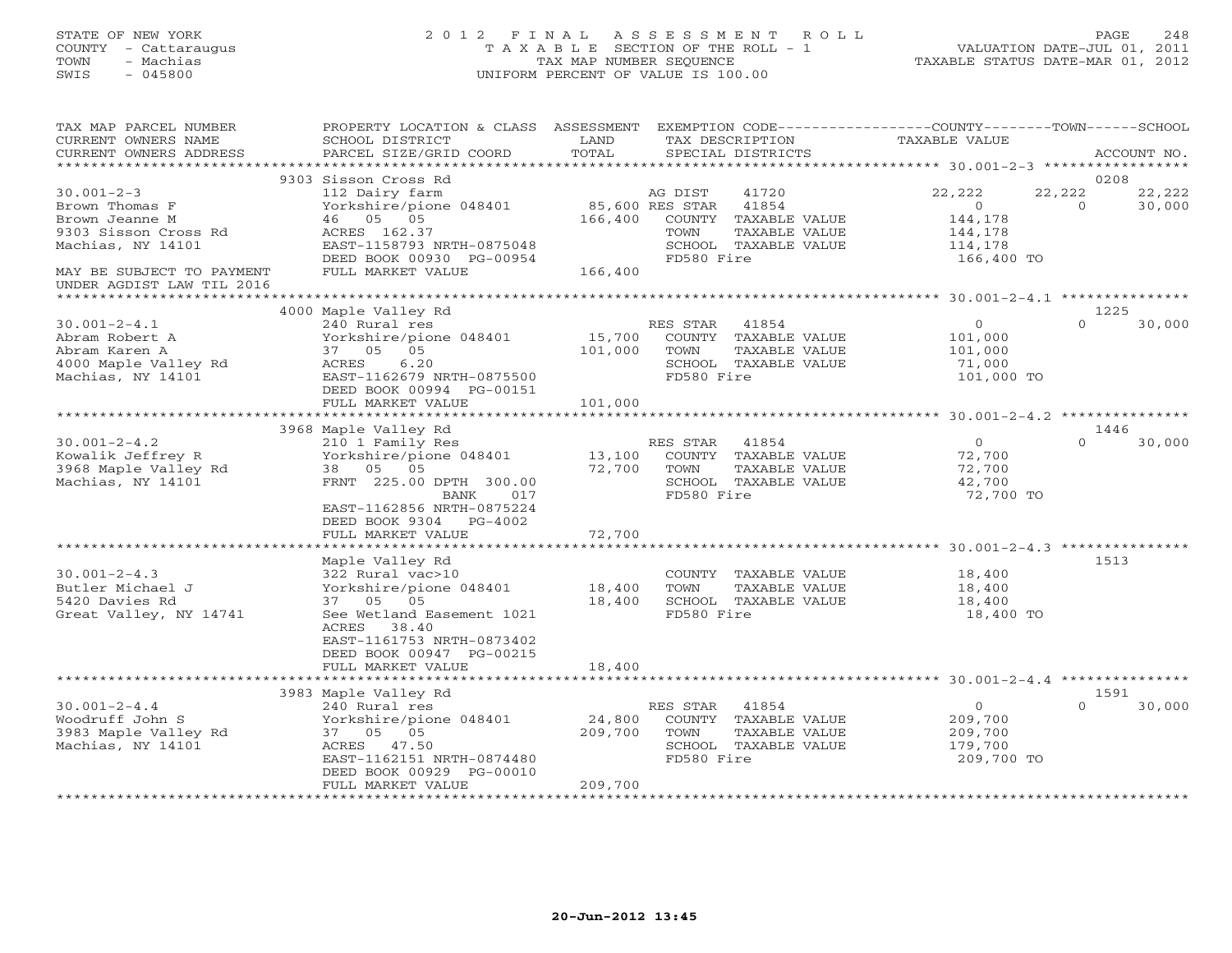# STATE OF NEW YORK 2 0 1 2 F I N A L A S S E S S M E N T R O L L PAGE 248 COUNTY - Cattaraugus T A X A B L E SECTION OF THE ROLL - 1 VALUATION DATE-JUL 01, 2011 TOWN - Machias TAX MAP NUMBER SEQUENCE TAXABLE STATUS DATE-MAR 01, 2012 SWIS - 045800 UNIFORM PERCENT OF VALUE IS 100.00UNIFORM PERCENT OF VALUE IS 100.00

| TAX MAP PARCEL NUMBER<br>CURRENT OWNERS NAME<br>CURRENT OWNERS ADDRESS                                                         | PROPERTY LOCATION & CLASS ASSESSMENT<br>SCHOOL DISTRICT<br>PARCEL SIZE/GRID COORD                                                                                                | LAND<br>TOTAL                         | TAX DESCRIPTION                | SPECIAL DISTRICTS                                                               | EXEMPTION CODE-----------------COUNTY-------TOWN------SCHOOL<br>TAXABLE VALUE |                    | ACCOUNT NO.              |
|--------------------------------------------------------------------------------------------------------------------------------|----------------------------------------------------------------------------------------------------------------------------------------------------------------------------------|---------------------------------------|--------------------------------|---------------------------------------------------------------------------------|-------------------------------------------------------------------------------|--------------------|--------------------------|
| ***********************                                                                                                        |                                                                                                                                                                                  |                                       |                                |                                                                                 |                                                                               |                    |                          |
| $30.001 - 2 - 3$<br>Brown Thomas F<br>Brown Jeanne M<br>9303 Sisson Cross Rd<br>Machias, NY 14101<br>MAY BE SUBJECT TO PAYMENT | 9303 Sisson Cross Rd<br>112 Dairy farm<br>Yorkshire/pione 048401<br>46 05 05<br>ACRES 162.37<br>EAST-1158793 NRTH-0875048<br>DEED BOOK 00930 PG-00954<br>FULL MARKET VALUE       | 85,600 RES STAR<br>166,400<br>166,400 | AG DIST<br>TOWN<br>FD580 Fire  | 41720<br>41854<br>COUNTY TAXABLE VALUE<br>TAXABLE VALUE<br>SCHOOL TAXABLE VALUE | 22,222<br>$\overline{0}$<br>144,178<br>144,178<br>114,178<br>166,400 TO       | 22,222<br>$\Omega$ | 0208<br>22,222<br>30,000 |
| UNDER AGDIST LAW TIL 2016                                                                                                      |                                                                                                                                                                                  |                                       |                                |                                                                                 |                                                                               |                    |                          |
|                                                                                                                                |                                                                                                                                                                                  |                                       |                                |                                                                                 |                                                                               |                    |                          |
| $30.001 - 2 - 4.1$<br>Abram Robert A<br>Abram Karen A<br>4000 Maple Valley Rd<br>Machias, NY 14101                             | 4000 Maple Valley Rd<br>240 Rural res<br>Yorkshire/pione 048401<br>37 05 05<br>6.20<br>ACRES<br>EAST-1162679 NRTH-0875500<br>DEED BOOK 00994 PG-00151                            | 15,700<br>101,000                     | RES STAR<br>TOWN<br>FD580 Fire | 41854<br>COUNTY TAXABLE VALUE<br>TAXABLE VALUE<br>SCHOOL TAXABLE VALUE          | $\Omega$<br>101,000<br>101,000<br>71,000<br>101,000 TO                        | $\Omega$           | 1225<br>30,000           |
|                                                                                                                                | FULL MARKET VALUE                                                                                                                                                                | 101,000                               |                                |                                                                                 |                                                                               |                    |                          |
|                                                                                                                                | 3968 Maple Valley Rd                                                                                                                                                             |                                       |                                |                                                                                 |                                                                               |                    | 1446                     |
| $30.001 - 2 - 4.2$<br>Kowalik Jeffrey R<br>3968 Maple Valley Rd<br>Machias, NY 14101                                           | 210 1 Family Res<br>Yorkshire/pione 048401<br>38 05 05<br>FRNT 225.00 DPTH 300.00<br>BANK<br>017<br>EAST-1162856 NRTH-0875224<br>DEED BOOK 9304<br>$PG-4002$                     | 13,100<br>72,700                      | RES STAR<br>TOWN<br>FD580 Fire | 41854<br>COUNTY TAXABLE VALUE<br>TAXABLE VALUE<br>SCHOOL TAXABLE VALUE          | $\circ$<br>72,700<br>72,700<br>42,700<br>72,700 TO                            | $\Omega$           | 30,000                   |
|                                                                                                                                | FULL MARKET VALUE                                                                                                                                                                | 72,700                                |                                |                                                                                 |                                                                               |                    |                          |
|                                                                                                                                | *********************<br>Maple Valley Rd                                                                                                                                         | ************                          |                                |                                                                                 | ****************************** 30.001-2-4.3 ***************                   |                    | 1513                     |
| $30.001 - 2 - 4.3$<br>Butler Michael J<br>5420 Davies Rd<br>Great Valley, NY 14741                                             | 322 Rural vac>10<br>Yorkshire/pione 048401<br>37 05 05<br>See Wetland Easement 1021<br>ACRES 38.40<br>EAST-1161753 NRTH-0873402<br>DEED BOOK 00947 PG-00215<br>FULL MARKET VALUE | 18,400<br>18,400<br>18,400            | TOWN<br>FD580 Fire             | COUNTY TAXABLE VALUE<br>TAXABLE VALUE<br>SCHOOL TAXABLE VALUE                   | 18,400<br>18,400<br>18,400<br>18,400 TO                                       |                    |                          |
|                                                                                                                                |                                                                                                                                                                                  |                                       |                                | **********************************                                              | **** 30.001-2-4.4 ***********                                                 |                    |                          |
|                                                                                                                                | 3983 Maple Valley Rd                                                                                                                                                             |                                       |                                |                                                                                 |                                                                               |                    | 1591                     |
| $30.001 - 2 - 4.4$<br>Woodruff John S<br>3983 Maple Valley Rd<br>Machias, NY 14101                                             | 240 Rural res<br>Yorkshire/pione 048401<br>37 05 05<br>ACRES 47.50<br>EAST-1162151 NRTH-0874480<br>DEED BOOK 00929 PG-00010<br>FULL MARKET VALUE                                 | 24,800<br>209,700<br>209,700          | RES STAR<br>TOWN<br>FD580 Fire | 41854<br>COUNTY TAXABLE VALUE<br>TAXABLE VALUE<br>SCHOOL TAXABLE VALUE          | $\circ$<br>209,700<br>209,700<br>179,700<br>209,700 TO                        | $\Omega$           | 30,000                   |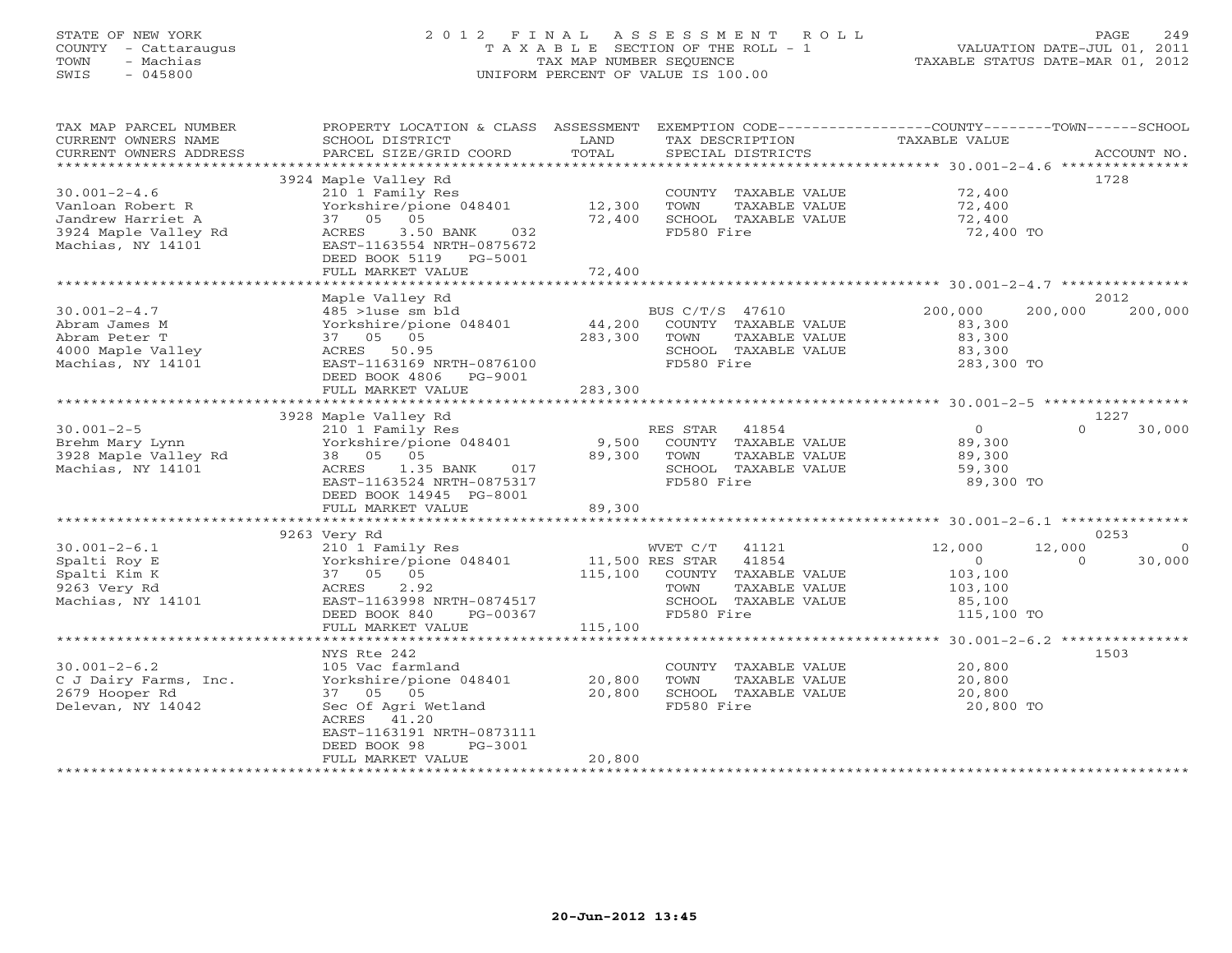# STATE OF NEW YORK 2 0 1 2 F I N A L A S S E S S M E N T R O L L PAGE 249 COUNTY - Cattaraugus T A X A B L E SECTION OF THE ROLL - 1 VALUATION DATE-JUL 01, 2011 TOWN - Machias TAX MAP NUMBER SEQUENCE TAXABLE STATUS DATE-MAR 01, 2012 SWIS - 045800 UNIFORM PERCENT OF VALUE IS 100.00UNIFORM PERCENT OF VALUE IS 100.00

| TAX MAP PARCEL NUMBER  | PROPERTY LOCATION & CLASS     | ASSESSMENT      |                       |                                                          |                    |
|------------------------|-------------------------------|-----------------|-----------------------|----------------------------------------------------------|--------------------|
| CURRENT OWNERS NAME    | SCHOOL DISTRICT               | LAND            | TAX DESCRIPTION       | TAXABLE VALUE                                            |                    |
| CURRENT OWNERS ADDRESS | PARCEL SIZE/GRID COORD        | TOTAL           | SPECIAL DISTRICTS     |                                                          | ACCOUNT NO.        |
| **************         | ***************************** |                 |                       | **************** 30.001-2-4.6 *********                  |                    |
|                        |                               |                 |                       |                                                          |                    |
|                        | 3924 Maple Valley Rd          |                 |                       |                                                          | 1728               |
| $30.001 - 2 - 4.6$     | 210 1 Family Res              |                 | COUNTY TAXABLE VALUE  | 72,400                                                   |                    |
| Vanloan Robert R       | Yorkshire/pione 048401        | 12,300          | TOWN<br>TAXABLE VALUE | 72,400                                                   |                    |
| Jandrew Harriet A      | 37 05<br>05                   | 72,400          | SCHOOL TAXABLE VALUE  | 72,400                                                   |                    |
| 3924 Maple Valley Rd   | 3.50 BANK<br>ACRES<br>032     |                 | FD580 Fire            | 72,400 TO                                                |                    |
| Machias, NY 14101      | EAST-1163554 NRTH-0875672     |                 |                       |                                                          |                    |
|                        |                               |                 |                       |                                                          |                    |
|                        | DEED BOOK 5119 PG-5001        |                 |                       |                                                          |                    |
|                        | FULL MARKET VALUE             | 72,400          |                       |                                                          |                    |
|                        |                               |                 |                       |                                                          |                    |
|                        | Maple Valley Rd               |                 |                       |                                                          | 2012               |
| $30.001 - 2 - 4.7$     | 485 >1use sm bld              |                 | BUS C/T/S 47610       | 200,000<br>200,000                                       | 200,000            |
| Abram James M          | Yorkshire/pione 048401        | 44,200          | COUNTY TAXABLE VALUE  | 83,300                                                   |                    |
|                        |                               |                 |                       |                                                          |                    |
| Abram Peter T          | 37 05 05                      | 283,300         | TOWN<br>TAXABLE VALUE | 83,300                                                   |                    |
| 4000 Maple Valley      | ACRES 50.95                   |                 | SCHOOL TAXABLE VALUE  | 83,300                                                   |                    |
| Machias, NY 14101      | EAST-1163169 NRTH-0876100     |                 | FD580 Fire            | 283,300 TO                                               |                    |
|                        | DEED BOOK 4806 PG-9001        |                 |                       |                                                          |                    |
|                        | FULL MARKET VALUE             | 283,300         |                       |                                                          |                    |
|                        |                               |                 |                       |                                                          |                    |
|                        |                               |                 |                       |                                                          |                    |
|                        | 3928 Maple Valley Rd          |                 |                       |                                                          | 1227               |
| $30.001 - 2 - 5$       | 210 1 Family Res              |                 | RES STAR<br>41854     | $\overline{0}$                                           | $\Omega$<br>30,000 |
| Brehm Mary Lynn        | Yorkshire/pione 048401        | 9,500           | COUNTY TAXABLE VALUE  | 89,300                                                   |                    |
| 3928 Maple Valley Rd   | 38 05 05                      | 89,300          | TOWN<br>TAXABLE VALUE | 89,300                                                   |                    |
| Machias, NY 14101      | 1.35 BANK<br>ACRES<br>017     |                 | SCHOOL TAXABLE VALUE  | 59,300                                                   |                    |
|                        | EAST-1163524 NRTH-0875317     |                 | FD580 Fire            | 89,300 TO                                                |                    |
|                        |                               |                 |                       |                                                          |                    |
|                        | DEED BOOK 14945 PG-8001       |                 |                       |                                                          |                    |
|                        | FULL MARKET VALUE             | 89,300          |                       |                                                          |                    |
|                        |                               | **********      |                       | ************************** 30.001-2-6.1 **************** |                    |
|                        | 9263 Very Rd                  |                 |                       |                                                          | 0253               |
| $30.001 - 2 - 6.1$     | 210 1 Family Res              |                 | WVET C/T<br>41121     | 12,000<br>12,000                                         | $\circ$            |
|                        |                               | 11,500 RES STAR | 41854                 | $\circ$                                                  | 30,000<br>$\Omega$ |
| Spalti Roy E           | Yorkshire/pione 048401        |                 |                       |                                                          |                    |
| Spalti Kim K           | 37 05 05                      | 115,100         | COUNTY TAXABLE VALUE  | 103,100                                                  |                    |
| 9263 Very Rd           | 2.92<br>ACRES                 |                 | TOWN<br>TAXABLE VALUE | 103,100                                                  |                    |
| Machias, NY 14101      | EAST-1163998 NRTH-0874517     |                 | SCHOOL TAXABLE VALUE  | 85,100                                                   |                    |
|                        | DEED BOOK 840<br>PG-00367     |                 | FD580 Fire            | 115,100 TO                                               |                    |
|                        | FULL MARKET VALUE             | 115,100         |                       |                                                          |                    |
|                        |                               |                 |                       |                                                          |                    |
|                        |                               |                 |                       |                                                          |                    |
|                        | NYS Rte 242                   |                 |                       |                                                          | 1503               |
| $30.001 - 2 - 6.2$     | 105 Vac farmland              |                 | COUNTY TAXABLE VALUE  | 20,800                                                   |                    |
| C J Dairy Farms, Inc.  | Yorkshire/pione 048401        | 20,800          | TOWN<br>TAXABLE VALUE | 20,800                                                   |                    |
| 2679 Hooper Rd         | 37 05 05                      | 20,800          | SCHOOL TAXABLE VALUE  | 20,800                                                   |                    |
| Delevan, NY 14042      | Sec Of Agri Wetland           |                 | FD580 Fire            | 20,800 TO                                                |                    |
|                        | ACRES 41.20                   |                 |                       |                                                          |                    |
|                        |                               |                 |                       |                                                          |                    |
|                        | EAST-1163191 NRTH-0873111     |                 |                       |                                                          |                    |
|                        | DEED BOOK 98<br>PG-3001       |                 |                       |                                                          |                    |
|                        | FULL MARKET VALUE             | 20,800          |                       |                                                          |                    |
|                        |                               |                 |                       |                                                          |                    |
|                        |                               |                 |                       |                                                          |                    |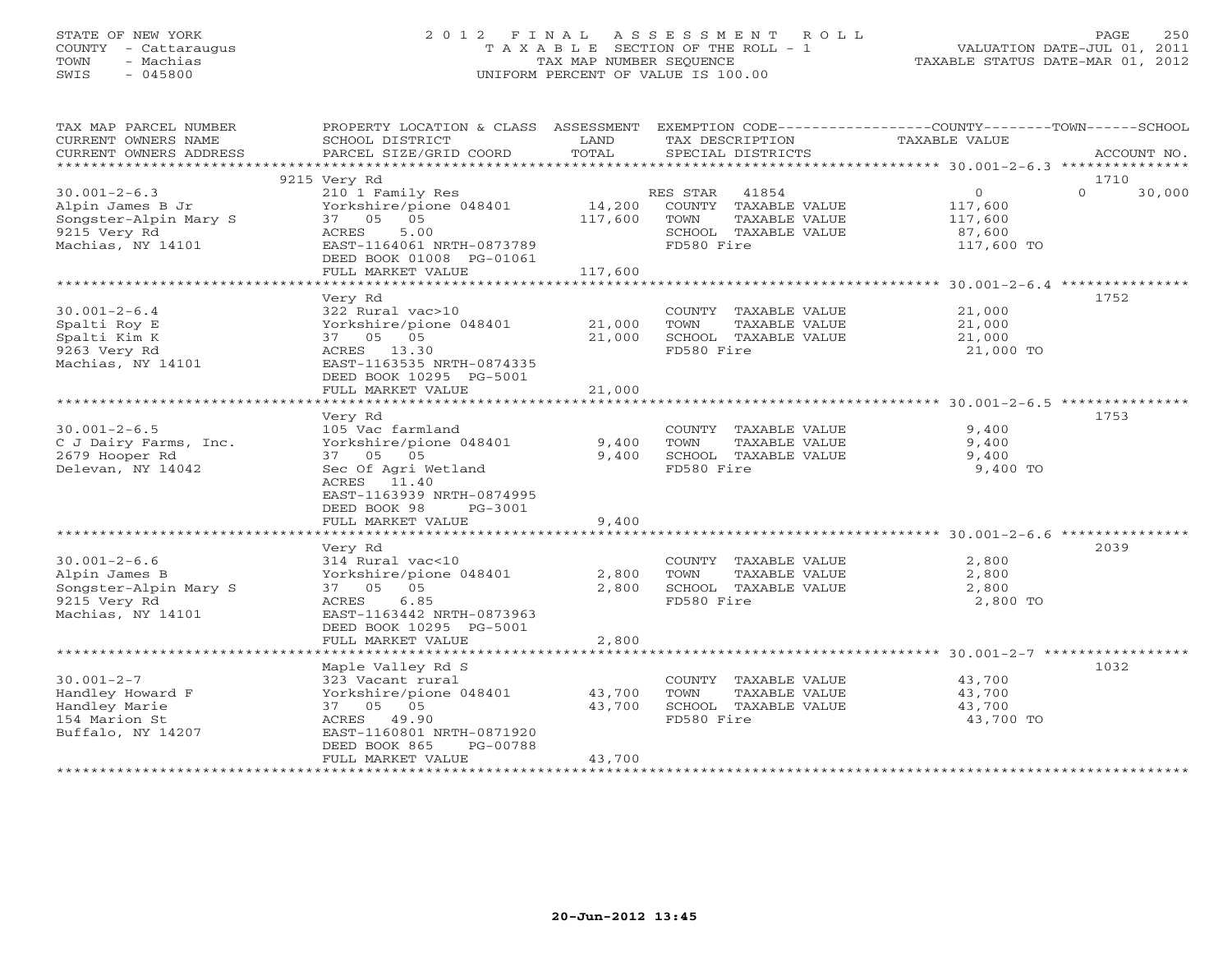# STATE OF NEW YORK 2 0 1 2 F I N A L A S S E S S M E N T R O L L PAGE 250 COUNTY - Cattaraugus T A X A B L E SECTION OF THE ROLL - 1 VALUATION DATE-JUL 01, 2011 TOWN - Machias TAX MAP NUMBER SEQUENCE TAXABLE STATUS DATE-MAR 01, 2012 SWIS - 045800 UNIFORM PERCENT OF VALUE IS 100.00UNIFORM PERCENT OF VALUE IS 100.00

| TAX MAP PARCEL NUMBER<br>CURRENT OWNERS NAME<br>CURRENT OWNERS ADDRESS                                                                                                                  | PROPERTY LOCATION & CLASS ASSESSMENT<br>SCHOOL DISTRICT<br>PARCEL SIZE/GRID COORD                                                                                                                                                                                                                            | LAND<br>TOTAL                             | EXEMPTION CODE-----------------COUNTY-------TOWN-----SCHOOL<br>TAX DESCRIPTION<br>SPECIAL DISTRICTS                                                                        | <b>TAXABLE VALUE</b>                                                       | ACCOUNT NO.        |
|-----------------------------------------------------------------------------------------------------------------------------------------------------------------------------------------|--------------------------------------------------------------------------------------------------------------------------------------------------------------------------------------------------------------------------------------------------------------------------------------------------------------|-------------------------------------------|----------------------------------------------------------------------------------------------------------------------------------------------------------------------------|----------------------------------------------------------------------------|--------------------|
|                                                                                                                                                                                         |                                                                                                                                                                                                                                                                                                              |                                           |                                                                                                                                                                            |                                                                            |                    |
|                                                                                                                                                                                         | 9215 Very Rd                                                                                                                                                                                                                                                                                                 |                                           |                                                                                                                                                                            |                                                                            | 1710               |
| $30.001 - 2 - 6.3$<br>Alpin James B Jr<br>Songster-Alpin Mary S<br>9215 Very Rd<br>Machias, NY 14101                                                                                    | 210 1 Family Res<br>Yorkshire/pione 048401<br>37 05<br>05<br>ACRES<br>5.00<br>EAST-1164061 NRTH-0873789<br>DEED BOOK 01008 PG-01061                                                                                                                                                                          | 14,200<br>117,600                         | RES STAR<br>41854<br>COUNTY TAXABLE VALUE<br>TOWN<br>TAXABLE VALUE<br>SCHOOL TAXABLE VALUE<br>FD580 Fire                                                                   | $\circ$<br>117,600<br>117,600<br>87,600<br>117,600 TO                      | $\Omega$<br>30,000 |
|                                                                                                                                                                                         | FULL MARKET VALUE                                                                                                                                                                                                                                                                                            | 117,600                                   |                                                                                                                                                                            |                                                                            |                    |
|                                                                                                                                                                                         |                                                                                                                                                                                                                                                                                                              |                                           |                                                                                                                                                                            |                                                                            |                    |
| $30.001 - 2 - 6.4$<br>Spalti Roy E<br>Spalti Kim K<br>9263 Very Rd<br>Machias, NY 14101                                                                                                 | Very Rd<br>322 Rural vac>10<br>Yorkshire/pione 048401<br>37 05 05<br>ACRES 13.30<br>EAST-1163535 NRTH-0874335<br>DEED BOOK 10295 PG-5001                                                                                                                                                                     | 21,000<br>21,000                          | COUNTY TAXABLE VALUE<br>TOWN<br>TAXABLE VALUE<br>SCHOOL TAXABLE VALUE<br>FD580 Fire                                                                                        | 21,000<br>21,000<br>21,000<br>21,000 TO                                    | 1752               |
|                                                                                                                                                                                         | FULL MARKET VALUE                                                                                                                                                                                                                                                                                            | 21,000                                    |                                                                                                                                                                            |                                                                            |                    |
| $30.001 - 2 - 6.5$<br>C J Dairy Farms, Inc.<br>2679 Hooper Rd<br>Delevan, NY 14042<br>$30.001 - 2 - 6.6$<br>Alpin James B<br>Songster-Alpin Mary S<br>9215 Very Rd<br>Machias, NY 14101 | Very Rd<br>105 Vac farmland<br>Yorkshire/pione 048401<br>37 05 05<br>Sec Of Agri Wetland<br>ACRES 11.40<br>EAST-1163939 NRTH-0874995<br>DEED BOOK 98<br>$PG-3001$<br>FULL MARKET VALUE<br>Very Rd<br>314 Rural vac<10<br>Yorkshire/pione 048401<br>37 05<br>05<br>6.85<br>ACRES<br>EAST-1163442 NRTH-0873963 | 9,400<br>9,400<br>9,400<br>2,800<br>2,800 | COUNTY TAXABLE VALUE<br>TOWN<br>TAXABLE VALUE<br>SCHOOL TAXABLE VALUE<br>FD580 Fire<br>COUNTY TAXABLE VALUE<br>TOWN<br>TAXABLE VALUE<br>SCHOOL TAXABLE VALUE<br>FD580 Fire | 9,400<br>9,400<br>9,400<br>9,400 TO<br>2,800<br>2,800<br>2,800<br>2,800 TO | 1753<br>2039       |
|                                                                                                                                                                                         | DEED BOOK 10295 PG-5001<br>FULL MARKET VALUE                                                                                                                                                                                                                                                                 | 2,800                                     |                                                                                                                                                                            |                                                                            |                    |
|                                                                                                                                                                                         | Maple Valley Rd S                                                                                                                                                                                                                                                                                            |                                           |                                                                                                                                                                            |                                                                            | 1032               |
| $30.001 - 2 - 7$<br>Handley Howard F<br>Handley Marie<br>154 Marion St<br>Buffalo, NY 14207                                                                                             | 323 Vacant rural<br>Yorkshire/pione 048401<br>37 05 05<br>49.90<br>ACRES<br>EAST-1160801 NRTH-0871920<br>DEED BOOK 865<br>PG-00788                                                                                                                                                                           | 43,700<br>43,700                          | COUNTY TAXABLE VALUE<br>TOWN<br>TAXABLE VALUE<br>SCHOOL TAXABLE VALUE<br>FD580 Fire                                                                                        | 43,700<br>43,700<br>43,700<br>43,700 TO                                    |                    |
|                                                                                                                                                                                         | FULL MARKET VALUE                                                                                                                                                                                                                                                                                            | 43,700                                    | *******************************                                                                                                                                            |                                                                            |                    |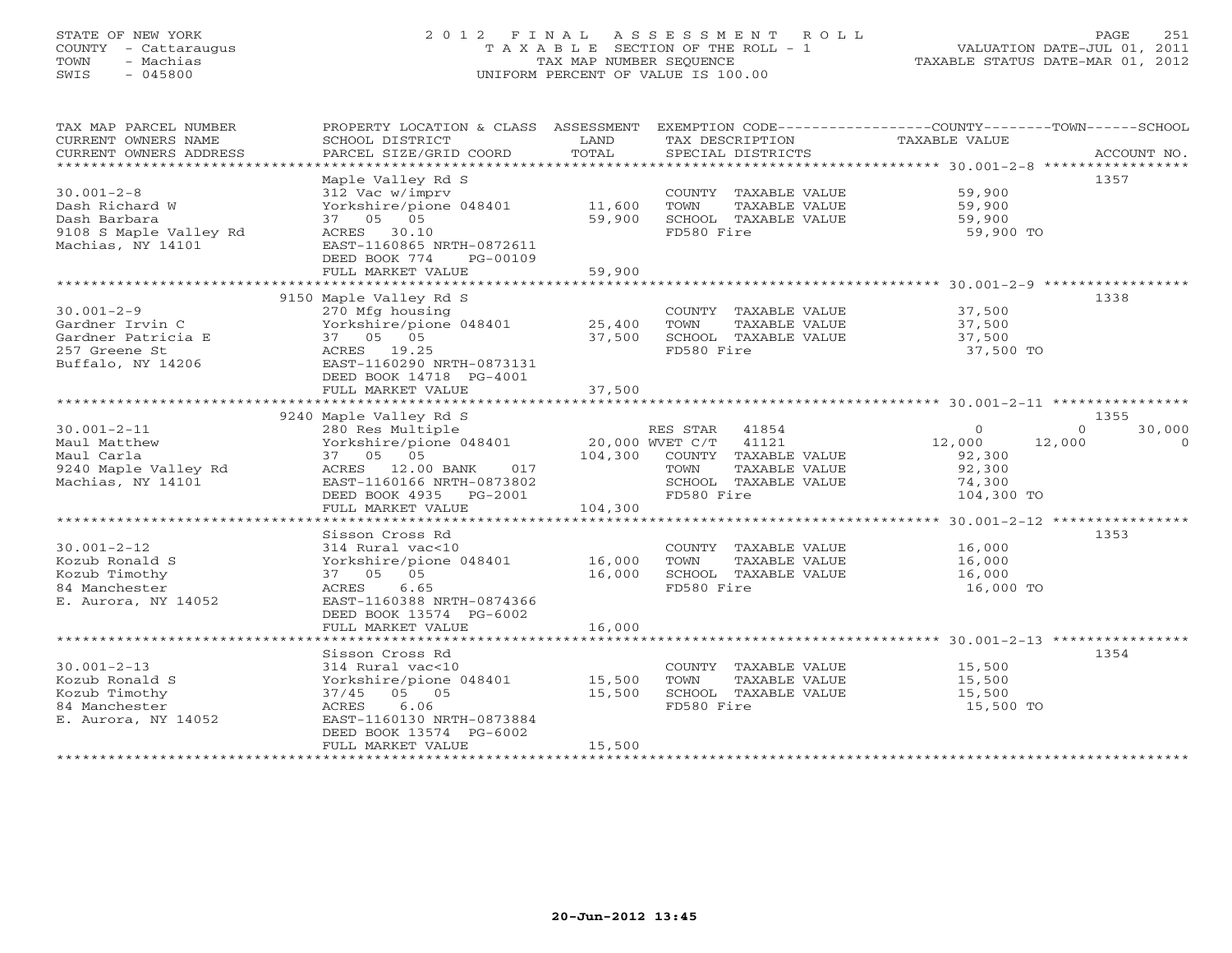# STATE OF NEW YORK 2 0 1 2 F I N A L A S S E S S M E N T R O L L PAGE 251 COUNTY - Cattaraugus T A X A B L E SECTION OF THE ROLL - 1 VALUATION DATE-JUL 01, 2011 TOWN - Machias TAX MAP NUMBER SEQUENCE TAXABLE STATUS DATE-MAR 01, 2012 SWIS - 045800 UNIFORM PERCENT OF VALUE IS 100.00UNIFORM PERCENT OF VALUE IS 100.00

| TAX MAP PARCEL NUMBER<br>CURRENT OWNERS NAME<br>CURRENT OWNERS ADDRESS                            | PROPERTY LOCATION & CLASS ASSESSMENT EXEMPTION CODE----------------COUNTY-------TOWN------SCHOOL<br>SCHOOL DISTRICT<br>PARCEL SIZE/GRID COORD                            | LAND<br>TOTAL              | TAX DESCRIPTION TAXABLE VALUE<br>SPECIAL DISTRICTS                                         |                                                    | ACCOUNT NO.              |
|---------------------------------------------------------------------------------------------------|--------------------------------------------------------------------------------------------------------------------------------------------------------------------------|----------------------------|--------------------------------------------------------------------------------------------|----------------------------------------------------|--------------------------|
| $30.001 - 2 - 8$<br>Dash Richard W<br>Dash Barbara<br>9108 S Maple Valley Rd<br>Machias, NY 14101 | Maple Valley Rd S<br>312 Vac w/imprv<br>Yorkshire/pione 048401<br>37 05 05<br>ACRES 30.10<br>EAST-1160865 NRTH-0872611<br>DEED BOOK 774<br>PG-00109<br>FULL MARKET VALUE | 11,600<br>59,900<br>59,900 | COUNTY TAXABLE VALUE<br>TOWN<br>TAXABLE VALUE<br>SCHOOL TAXABLE VALUE<br>FD580 Fire        | 59,900<br>59,900<br>59,900<br>59,900 TO            | 1357                     |
|                                                                                                   | 9150 Maple Valley Rd S                                                                                                                                                   |                            |                                                                                            |                                                    | 1338                     |
| $30.001 - 2 - 9$<br>Gardner Irvin C<br>Gardner Patricia E<br>257 Greene St<br>Buffalo, NY 14206   | 270 Mfg housing<br>Yorkshire/pione 048401 25,400<br>37 05 05<br>ACRES 19.25<br>EAST-1160290 NRTH-0873131<br>DEED BOOK 14718 PG-4001                                      | 37,500                     | COUNTY TAXABLE VALUE 37,500<br>TOWN<br>TAXABLE VALUE<br>SCHOOL TAXABLE VALUE<br>FD580 Fire | 37,500<br>37,500<br>37,500 TO                      |                          |
|                                                                                                   | FULL MARKET VALUE                                                                                                                                                        | 37,500                     |                                                                                            |                                                    |                          |
|                                                                                                   | 9240 Maple Valley Rd S                                                                                                                                                   |                            |                                                                                            |                                                    | 1355                     |
| $30.001 - 2 - 11$                                                                                 | 280 Res Multiple                                                                                                                                                         |                            | RES STAR 41854                                                                             | $\circ$                                            | 30,000<br>$\Omega$       |
| Maul Matthew<br>Maul Carla<br>9240 Maple Valley Rd<br>Machias, NY 14101                           | Yorkshire/pione 048401 20,000 WVET C/T 41121<br>37 05 05 104,300 COUNTY TAXABLE VALUE<br>ACRES 12.00 BANK<br>017<br>EAST-1160166 NRTH-0873802<br>DEED BOOK 4935 PG-2001  |                            | TOWN<br>TAXABLE VALUE<br>SCHOOL TAXABLE VALUE<br>FD580 Fire                                | 12,000<br>92,300<br>92,300<br>74,300<br>104,300 TO | $\overline{0}$<br>12,000 |
|                                                                                                   | FULL MARKET VALUE                                                                                                                                                        | 104,300                    |                                                                                            |                                                    |                          |
|                                                                                                   |                                                                                                                                                                          |                            |                                                                                            |                                                    |                          |
| $30.001 - 2 - 12$<br>Kozub Ronald S<br>Kozub Timothy<br>84 Manchester<br>E. Aurora, NY 14052      | Sisson Cross Rd<br>314 Rural vac<10<br>Yorkshire/pione 048401 16,000<br>37 05 05<br>ACRES<br>6.65<br>EAST-1160388 NRTH-0874366<br>DEED BOOK 13574 PG-6002                | 16,000                     | COUNTY TAXABLE VALUE<br>TOWN<br>TAXABLE VALUE<br>SCHOOL TAXABLE VALUE<br>FD580 Fire        | 16,000<br>16,000<br>16,000<br>16,000 TO            | 1353                     |
|                                                                                                   | FULL MARKET VALUE                                                                                                                                                        | 16,000                     |                                                                                            |                                                    |                          |
|                                                                                                   |                                                                                                                                                                          |                            |                                                                                            |                                                    |                          |
| $30.001 - 2 - 13$<br>Kozub Ronald S<br>Kozub Timothy<br>84 Manchester<br>E. Aurora, NY 14052      | Sisson Cross Rd<br>314 Rural vac<10<br>Yorkshire/pione 048401 15,500<br>37/45 05 05<br>6.06<br>ACRES<br>EAST-1160130 NRTH-0873884<br>DEED BOOK 13574 PG-6002             | 15,500                     | COUNTY TAXABLE VALUE<br>TOWN<br>TAXABLE VALUE<br>SCHOOL TAXABLE VALUE<br>FD580 Fire        | 15,500<br>15,500<br>15,500<br>15,500 TO            | 1354                     |
|                                                                                                   | FULL MARKET VALUE                                                                                                                                                        | 15,500                     |                                                                                            |                                                    |                          |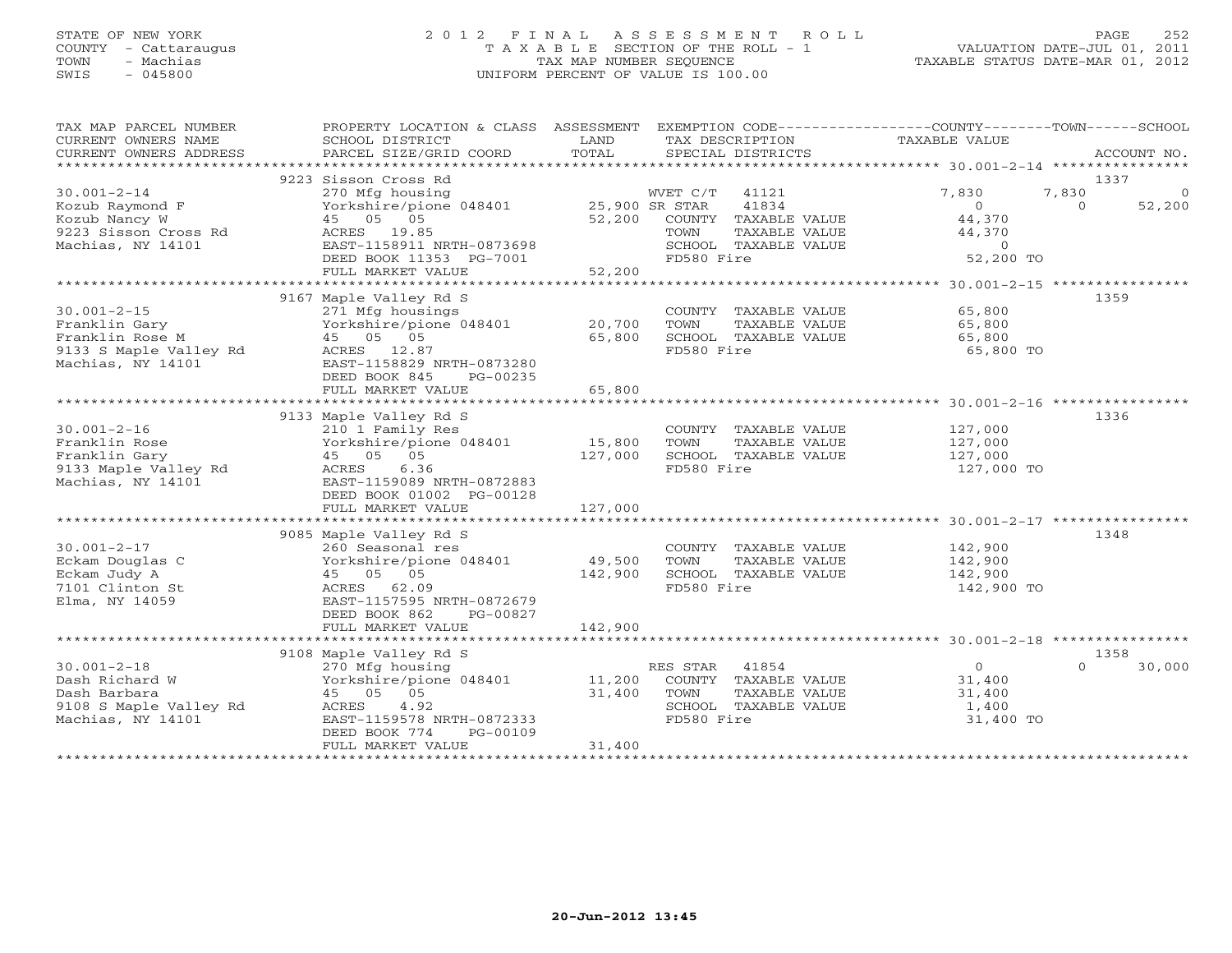# STATE OF NEW YORK 2 0 1 2 F I N A L A S S E S S M E N T R O L L PAGE 252 COUNTY - Cattaraugus T A X A B L E SECTION OF THE ROLL - 1 VALUATION DATE-JUL 01, 2011 TOWN - Machias TAX MAP NUMBER SEQUENCE TAXABLE STATUS DATE-MAR 01, 2012 SWIS - 045800 UNIFORM PERCENT OF VALUE IS 100.00

| TAX MAP PARCEL NUMBER<br>CURRENT OWNERS NAME<br>CURRENT OWNERS ADDRESS                               | PROPERTY LOCATION & CLASS ASSESSMENT<br>SCHOOL DISTRICT<br>PARCEL SIZE/GRID COORD                                                                                   | LAND<br>TOTAL     | EXEMPTION CODE-----------------COUNTY-------TOWN------SCHOOL<br>TAX DESCRIPTION<br>SPECIAL DISTRICTS              | <b>TAXABLE VALUE</b>                                                 | ACCOUNT NO.                                     |
|------------------------------------------------------------------------------------------------------|---------------------------------------------------------------------------------------------------------------------------------------------------------------------|-------------------|-------------------------------------------------------------------------------------------------------------------|----------------------------------------------------------------------|-------------------------------------------------|
|                                                                                                      |                                                                                                                                                                     |                   |                                                                                                                   |                                                                      |                                                 |
| $30.001 - 2 - 14$<br>Kozub Raymond F<br>Kozub Nancy W<br>9223 Sisson Cross Rd<br>Machias, NY 14101   | 9223 Sisson Cross Rd<br>270 Mfg housing<br>Yorkshire/pione 048401 25,900 SR STAR<br>45 05 05<br>ACRES 19.85<br>EAST-1158911 NRTH-0873698<br>DEED BOOK 11353 PG-7001 | 52,200            | WVET C/T<br>41121<br>41834<br>COUNTY TAXABLE VALUE<br>TOWN<br>TAXABLE VALUE<br>SCHOOL TAXABLE VALUE<br>FD580 Fire | 7,830<br>$\Omega$<br>44,370<br>44,370<br>$\overline{0}$<br>52,200 TO | 1337<br>7,830<br>$\Omega$<br>52,200<br>$\Omega$ |
|                                                                                                      | FULL MARKET VALUE                                                                                                                                                   | 52,200            |                                                                                                                   |                                                                      |                                                 |
| $30.001 - 2 - 15$<br>Franklin Gary<br>Franklin Rose M<br>9133 S Maple Valley Rd<br>Machias, NY 14101 | 9167 Maple Valley Rd S<br>271 Mfg housings<br>Yorkshire/pione 048401<br>45 05 05<br>ACRES 12.87<br>EAST-1158829 NRTH-0873280                                        | 20,700<br>65,800  | COUNTY TAXABLE VALUE<br>TOWN<br>TAXABLE VALUE<br>SCHOOL TAXABLE VALUE<br>FD580 Fire                               | 65,800<br>65,800<br>65,800<br>65,800 TO                              | 1359                                            |
|                                                                                                      | DEED BOOK 845<br>PG-00235<br>FULL MARKET VALUE                                                                                                                      | 65,800            |                                                                                                                   |                                                                      |                                                 |
|                                                                                                      |                                                                                                                                                                     |                   |                                                                                                                   |                                                                      |                                                 |
| $30.001 - 2 - 16$<br>Franklin Rose<br>Franklin Gary<br>9133 Maple Valley Rd<br>Machias, NY 14101     | 9133 Maple Valley Rd S<br>210 1 Family Res<br>Yorkshire/pione 048401<br>45 05 05<br>6.36<br>ACRES<br>EAST-1159089 NRTH-0872883<br>DEED BOOK 01002 PG-00128          | 15,800<br>127,000 | COUNTY TAXABLE VALUE<br>TOWN<br>TAXABLE VALUE<br>SCHOOL TAXABLE VALUE<br>FD580 Fire                               | 127,000<br>127,000<br>127,000<br>127,000 TO                          | 1336                                            |
|                                                                                                      | FULL MARKET VALUE                                                                                                                                                   | 127,000           |                                                                                                                   |                                                                      |                                                 |
|                                                                                                      | 9085 Maple Valley Rd S                                                                                                                                              |                   |                                                                                                                   |                                                                      | 1348                                            |
| $30.001 - 2 - 17$<br>Eckam Douglas C<br>Eckam Judy A<br>7101 Clinton St<br>Elma, NY 14059            | 260 Seasonal res<br>Yorkshire/pione 048401<br>45 05 05<br>ACRES 62.09<br>EAST-1157595 NRTH-0872679<br>DEED BOOK 862<br>PG-00827                                     | 49,500<br>142,900 | COUNTY TAXABLE VALUE<br>TOWN<br>TAXABLE VALUE<br>SCHOOL TAXABLE VALUE<br>FD580 Fire                               | 142,900<br>142,900<br>142,900<br>142,900 TO                          |                                                 |
|                                                                                                      | FULL MARKET VALUE                                                                                                                                                   | 142,900           |                                                                                                                   |                                                                      |                                                 |
|                                                                                                      |                                                                                                                                                                     |                   |                                                                                                                   |                                                                      |                                                 |
| $30.001 - 2 - 18$<br>Dash Richard W<br>Dash Barbara<br>9108 S Maple Valley Rd<br>Machias, NY 14101   | 9108 Maple Valley Rd S<br>270 Mfg housing<br>Yorkshire/pione 048401<br>45 05 05<br>ACRES<br>4.92<br>EAST-1159578 NRTH-0872333<br>DEED BOOK 774<br>PG-00109          | 11,200<br>31,400  | 41854<br>RES STAR<br>COUNTY TAXABLE VALUE<br>TOWN<br>TAXABLE VALUE<br>SCHOOL TAXABLE VALUE<br>FD580 Fire          | $\circ$<br>31,400<br>31,400<br>1,400<br>31,400 TO                    | 1358<br>30,000<br>$\Omega$                      |
|                                                                                                      | FULL MARKET VALUE                                                                                                                                                   | 31,400            |                                                                                                                   |                                                                      |                                                 |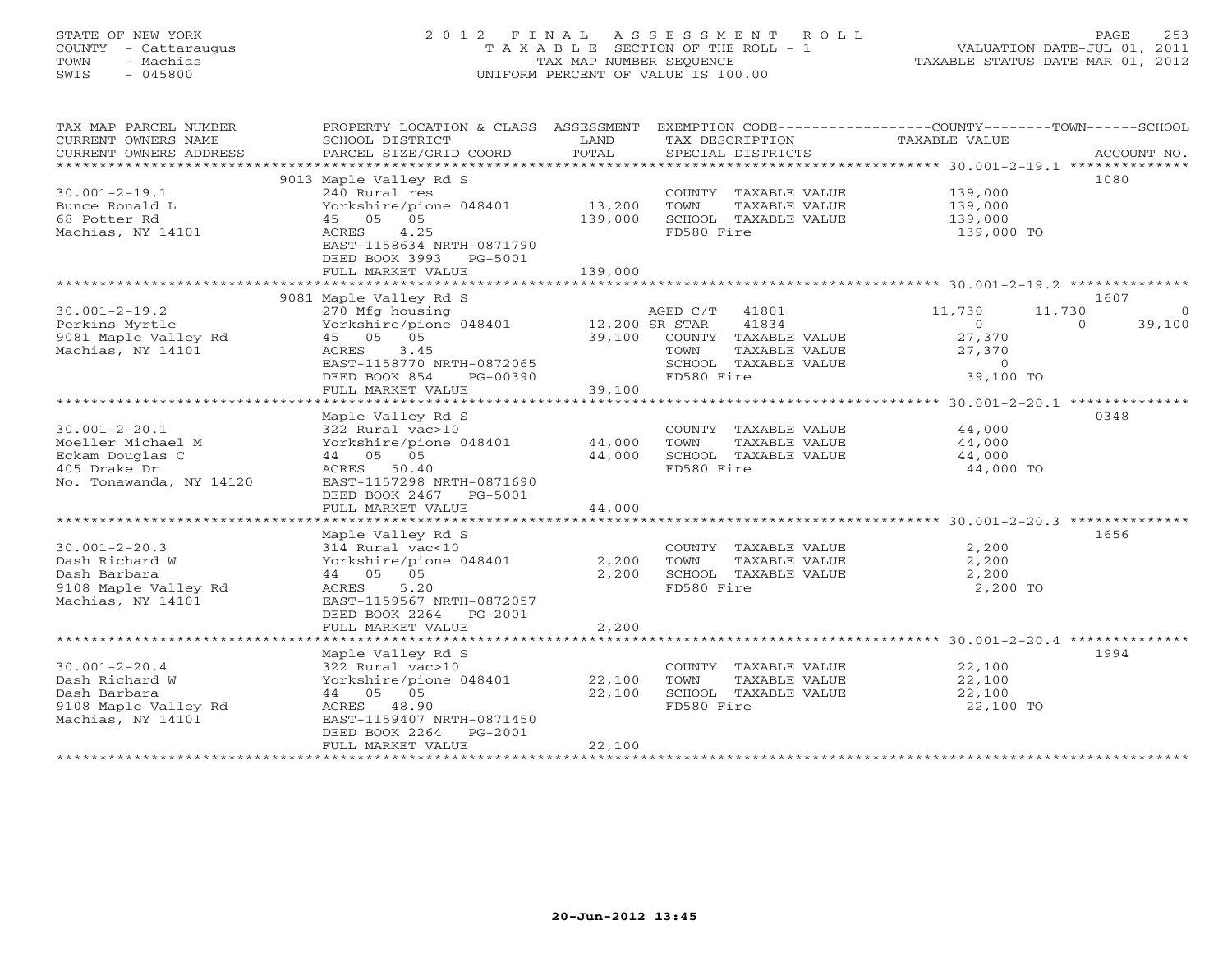### STATE OF NEW YORK 2 0 1 2 F I N A L A S S E S S M E N T R O L L PAGE 253 COUNTY - Cattaraugus T A X A B L E SECTION OF THE ROLL - 1 VALUATION DATE-JUL 01, 2011 TOWN - Machias TAX MAP NUMBER SEQUENCE TAXABLE STATUS DATE-MAR 01, 2012 SWIS - 045800 UNIFORM PERCENT OF VALUE IS 100.00UNIFORM PERCENT OF VALUE IS 100.00

| TAX MAP PARCEL NUMBER   | PROPERTY LOCATION & CLASS ASSESSMENT |                |                       | EXEMPTION CODE-----------------COUNTY-------TOWN------SCHOOL |
|-------------------------|--------------------------------------|----------------|-----------------------|--------------------------------------------------------------|
| CURRENT OWNERS NAME     | SCHOOL DISTRICT                      | LAND           | TAX DESCRIPTION       | TAXABLE VALUE                                                |
| CURRENT OWNERS ADDRESS  | PARCEL SIZE/GRID COORD               | TOTAL          | SPECIAL DISTRICTS     | ACCOUNT NO.                                                  |
| ******************      |                                      |                |                       |                                                              |
|                         | 9013 Maple Valley Rd S               |                |                       | 1080                                                         |
| $30.001 - 2 - 19.1$     | 240 Rural res                        |                | COUNTY TAXABLE VALUE  | 139,000                                                      |
| Bunce Ronald L          | Yorkshire/pione 048401               | 13,200         | TOWN<br>TAXABLE VALUE | 139,000                                                      |
| 68 Potter Rd            | 45 05 05                             | 139,000        | SCHOOL TAXABLE VALUE  | 139,000                                                      |
| Machias, NY 14101       | 4.25<br>ACRES                        |                | FD580 Fire            | 139,000 TO                                                   |
|                         | EAST-1158634 NRTH-0871790            |                |                       |                                                              |
|                         | DEED BOOK 3993<br>PG-5001            |                |                       |                                                              |
|                         | FULL MARKET VALUE                    | 139,000        |                       |                                                              |
|                         |                                      |                |                       |                                                              |
|                         | 9081 Maple Valley Rd S               |                |                       | 1607                                                         |
| $30.001 - 2 - 19.2$     | 270 Mfg housing                      |                | AGED C/T 41801        | 11,730<br>11,730<br>$\Omega$                                 |
| Perkins Myrtle          | Yorkshire/pione 048401               | 12,200 SR STAR | 41834                 | 39,100<br>$\circ$<br>$\Omega$                                |
| 9081 Maple Valley Rd    | 45 05 05                             | 39,100         | COUNTY TAXABLE VALUE  | 27,370                                                       |
| Machias, NY 14101       | 3.45<br>ACRES                        |                | TOWN<br>TAXABLE VALUE | 27,370                                                       |
|                         | EAST-1158770 NRTH-0872065            |                | SCHOOL TAXABLE VALUE  | $\circ$                                                      |
|                         | DEED BOOK 854<br>PG-00390            |                | FD580 Fire            | 39,100 TO                                                    |
|                         | FULL MARKET VALUE                    | 39,100         |                       |                                                              |
|                         |                                      |                |                       |                                                              |
|                         | Maple Valley Rd S                    |                |                       | 0348                                                         |
| $30.001 - 2 - 20.1$     | 322 Rural vac>10                     |                | COUNTY TAXABLE VALUE  | 44,000                                                       |
| Moeller Michael M       | Yorkshire/pione 048401               | 44,000         | TOWN<br>TAXABLE VALUE | 44,000                                                       |
| Eckam Douglas C         | 44 05 05                             | 44,000         | SCHOOL TAXABLE VALUE  | 44,000                                                       |
| 405 Drake Dr            | ACRES 50.40                          |                | FD580 Fire            | 44,000 TO                                                    |
| No. Tonawanda, NY 14120 | EAST-1157298 NRTH-0871690            |                |                       |                                                              |
|                         | DEED BOOK 2467 PG-5001               |                |                       |                                                              |
|                         | FULL MARKET VALUE                    | 44,000         |                       |                                                              |
|                         |                                      |                |                       |                                                              |
|                         | Maple Valley Rd S                    |                |                       | 1656                                                         |
|                         |                                      |                |                       |                                                              |
| $30.001 - 2 - 20.3$     | 314 Rural vac<10                     |                | COUNTY TAXABLE VALUE  | 2,200                                                        |
| Dash Richard W          | Yorkshire/pione 048401               | 2,200          | TOWN<br>TAXABLE VALUE | 2,200                                                        |
| Dash Barbara            | 44 05 05                             | 2,200          | SCHOOL TAXABLE VALUE  | 2,200                                                        |
| 9108 Maple Valley Rd    | ACRES<br>5.20                        |                | FD580 Fire            | 2,200 TO                                                     |
| Machias, NY 14101       | EAST-1159567 NRTH-0872057            |                |                       |                                                              |
|                         | DEED BOOK 2264<br>PG-2001            |                |                       |                                                              |
|                         | FULL MARKET VALUE                    | 2,200          |                       |                                                              |
|                         |                                      |                |                       |                                                              |
|                         | Maple Valley Rd S                    |                |                       | 1994                                                         |
| $30.001 - 2 - 20.4$     | 322 Rural vac>10                     |                | COUNTY TAXABLE VALUE  | 22,100                                                       |
| Dash Richard W          | Yorkshire/pione 048401               | 22,100         | TOWN<br>TAXABLE VALUE | 22,100                                                       |
| Dash Barbara            | 44 05 05                             | 22,100         | SCHOOL TAXABLE VALUE  | 22,100                                                       |
| 9108 Maple Valley Rd    | ACRES 48.90                          |                | FD580 Fire            | 22,100 TO                                                    |
| Machias, NY 14101       | EAST-1159407 NRTH-0871450            |                |                       |                                                              |
|                         | DEED BOOK 2264<br>PG-2001            |                |                       |                                                              |
|                         | FULL MARKET VALUE                    | 22,100         |                       |                                                              |
|                         |                                      |                |                       |                                                              |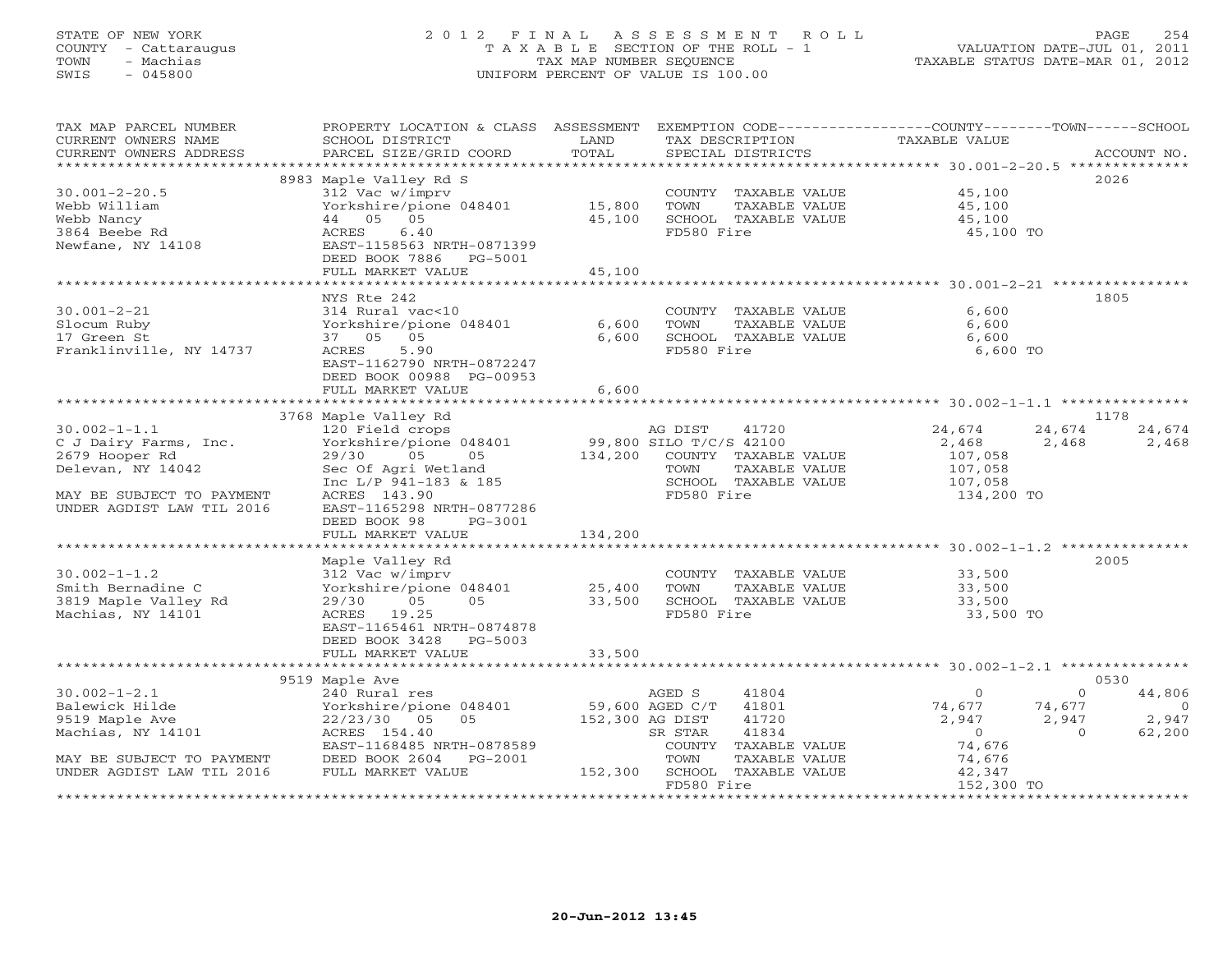### STATE OF NEW YORK 2 0 1 2 F I N A L A S S E S S M E N T R O L L PAGE 254 COUNTY - Cattaraugus T A X A B L E SECTION OF THE ROLL - 1 VALUATION DATE-JUL 01, 2011 TOWN - Machias TAX MAP NUMBER SEQUENCE TAXABLE STATUS DATE-MAR 01, 2012 SWIS - 045800 UNIFORM PERCENT OF VALUE IS 100.00UNIFORM PERCENT OF VALUE IS 100.00

| TAX MAP PARCEL NUMBER                                                                                                                                                                                                                        | PROPERTY LOCATION & CLASS ASSESSMENT EXEMPTION CODE----------------COUNTY-------TOWN------SCHOOL |         |                                                                 |                             |                             |
|----------------------------------------------------------------------------------------------------------------------------------------------------------------------------------------------------------------------------------------------|--------------------------------------------------------------------------------------------------|---------|-----------------------------------------------------------------|-----------------------------|-----------------------------|
| CURRENT OWNERS NAME                                                                                                                                                                                                                          | SCHOOL DISTRICT                                                                                  | LAND    | TAX DESCRIPTION                                                 | TAXABLE VALUE               |                             |
| CURRENT OWNERS ADDRESS                                                                                                                                                                                                                       | PARCEL SIZE/GRID COORD                                                                           | TOTAL   | SPECIAL DISTRICTS                                               |                             | ACCOUNT NO.                 |
|                                                                                                                                                                                                                                              |                                                                                                  |         |                                                                 |                             |                             |
|                                                                                                                                                                                                                                              | 8983 Maple Valley Rd S                                                                           |         |                                                                 |                             | 2026                        |
| $30.001 - 2 - 20.5$                                                                                                                                                                                                                          | $312$ Vac w/imprv<br>Yorkshire/pione 048401 15,800                                               |         | COUNTY TAXABLE VALUE                                            | 45,100                      |                             |
| Webb William                                                                                                                                                                                                                                 |                                                                                                  |         | TOWN                                                            | TAXABLE VALUE 45,100        |                             |
| Webb Nancy                                                                                                                                                                                                                                   | 44 05 05                                                                                         | 45,100  | SCHOOL TAXABLE VALUE                                            | 45,100                      |                             |
| 3864 Beebe Rd<br>Newfane, NY 14108                                                                                                                                                                                                           | 6.40<br>ACRES                                                                                    |         | FD580 Fire                                                      | 45,100 TO                   |                             |
|                                                                                                                                                                                                                                              | EAST-1158563 NRTH-0871399                                                                        |         |                                                                 |                             |                             |
|                                                                                                                                                                                                                                              | DEED BOOK 7886 PG-5001                                                                           |         |                                                                 |                             |                             |
|                                                                                                                                                                                                                                              | FULL MARKET VALUE                                                                                | 45,100  |                                                                 |                             |                             |
|                                                                                                                                                                                                                                              |                                                                                                  |         |                                                                 |                             |                             |
|                                                                                                                                                                                                                                              | NYS Rte 242                                                                                      |         |                                                                 |                             | 1805                        |
| $30.001 - 2 - 21$                                                                                                                                                                                                                            | 314 Rural vac<10                                                                                 |         | COUNTY TAXABLE VALUE                                            | 6,600                       |                             |
| Slocum Ruby                                                                                                                                                                                                                                  | Yorkshire/pione 048401 6,600                                                                     |         | TOWN<br>TAXABLE VALUE                                           | 6,600                       |                             |
| 17 Green St                                                                                                                                                                                                                                  | 37 05 05                                                                                         | 6,600   | TOWN TAXABLE VALUE                                              | 6,600                       |                             |
| Franklinville, NY 14737                                                                                                                                                                                                                      | ACRES<br>5.90                                                                                    |         | FD580 Fire                                                      | 6,600 TO                    |                             |
|                                                                                                                                                                                                                                              | EAST-1162790 NRTH-0872247                                                                        |         |                                                                 |                             |                             |
|                                                                                                                                                                                                                                              | DEED BOOK 00988 PG-00953                                                                         |         |                                                                 |                             |                             |
|                                                                                                                                                                                                                                              | FULL MARKET VALUE                                                                                | 6,600   |                                                                 |                             |                             |
|                                                                                                                                                                                                                                              |                                                                                                  |         |                                                                 |                             |                             |
| 30.002-1-1.1<br>C J Dairy Farms, Inc.<br>2679 Hooper Rd<br>29/30 05 05 05 134,200 COUNTY TAXABLE VALUE<br>29/30 05 05 134,200 COUNTY TAXABLE VALUE<br>29/800 SILO T/C/S 42100<br>29,800 SILO T/C/S 42100<br>29/90 05 05 134,200 COUNTY TAXAB |                                                                                                  |         |                                                                 |                             | 1178                        |
|                                                                                                                                                                                                                                              |                                                                                                  |         |                                                                 | 24,674                      | 24,674<br>24,674            |
|                                                                                                                                                                                                                                              |                                                                                                  |         |                                                                 | 2,468 2,468 2,468           |                             |
|                                                                                                                                                                                                                                              |                                                                                                  |         |                                                                 | 107,058                     |                             |
|                                                                                                                                                                                                                                              |                                                                                                  |         |                                                                 | 107,058<br>107,058          |                             |
|                                                                                                                                                                                                                                              | Inc L/P 941-183 & 185                                                                            |         | SCHOOL TAXABLE VALUE                                            |                             |                             |
| MAY BE SUBJECT TO PAYMENT                                                                                                                                                                                                                    | ACRES 143.90                                                                                     |         | FD580 Fire                                                      | 134,200 TO                  |                             |
| UNDER AGDIST LAW TIL 2016                                                                                                                                                                                                                    | EAST-1165298 NRTH-0877286                                                                        |         |                                                                 |                             |                             |
|                                                                                                                                                                                                                                              | DEED BOOK 98<br>PG-3001                                                                          |         |                                                                 |                             |                             |
|                                                                                                                                                                                                                                              | FULL MARKET VALUE                                                                                | 134,200 |                                                                 |                             |                             |
|                                                                                                                                                                                                                                              |                                                                                                  |         |                                                                 |                             |                             |
|                                                                                                                                                                                                                                              | Maple Valley Rd                                                                                  |         |                                                                 |                             | 2005                        |
| $30.002 - 1 - 1.2$                                                                                                                                                                                                                           | 312 Vac w/imprv                                                                                  |         | COUNTY TAXABLE VALUE 33,500                                     |                             |                             |
| Smith Bernadine C                                                                                                                                                                                                                            | $Yorkshire/pione 048401$ 25,400                                                                  |         | TOWN                                                            | TAXABLE VALUE 33,500        |                             |
| 3819 Maple Valley Rd                                                                                                                                                                                                                         | 29/30<br>$05$ 05<br>19 25                                                                        |         | 33,500 SCHOOL TAXABLE VALUE                                     | 33,500                      |                             |
| Machias, NY 14101                                                                                                                                                                                                                            | ACRES 19.25                                                                                      |         | FD580 Fire                                                      | 33,500 TO                   |                             |
|                                                                                                                                                                                                                                              | EAST-1165461 NRTH-0874878                                                                        |         |                                                                 |                             |                             |
|                                                                                                                                                                                                                                              | DEED BOOK 3428 PG-5003                                                                           |         |                                                                 |                             |                             |
|                                                                                                                                                                                                                                              | FULL MARKET VALUE                                                                                | 33,500  |                                                                 |                             |                             |
|                                                                                                                                                                                                                                              |                                                                                                  |         |                                                                 |                             |                             |
|                                                                                                                                                                                                                                              | 9519 Maple Ave                                                                                   |         |                                                                 |                             | 0530<br>$\Omega$            |
| $30.002 - 1 - 2.1$                                                                                                                                                                                                                           | 240 Rural res                                                                                    |         | 41804<br>AGED S                                                 | $\Omega$                    | 44,806                      |
| Balewick Hilde                                                                                                                                                                                                                               | Porkshire/pione 048401 59,600 AGED C/T 41801<br>22/23/30 05 05 152,300 AG DIST 41720             |         |                                                                 | $74,677$<br>2,947<br>74,676 | 74,677<br>$\overline{0}$    |
| 9519 Maple Ave                                                                                                                                                                                                                               | 22/23/30 05 05<br>ACRES 154 40                                                                   |         |                                                                 |                             | $2,947$ $2,947$<br>0 62,200 |
| Machias, NY 14101                                                                                                                                                                                                                            | ACRES 154.40                                                                                     |         | 41834<br>SR STAR                                                |                             | 62,200                      |
|                                                                                                                                                                                                                                              | EAST-1168485 NRTH-0878589                                                                        |         | COUNTY TAXABLE VALUE                                            |                             |                             |
| MAY BE SUBJECT TO PAYMENT                                                                                                                                                                                                                    | DEED BOOK 2604 PG-2001                                                                           |         | $G-2001$ TOWN TAXABLE VALUE TOWN TAXABLE VALUE<br>TAXABLE VALUE | 74,676<br>42,347            |                             |
| UNDER AGDIST LAW TIL 2016                                                                                                                                                                                                                    | FULL MARKET VALUE                                                                                |         | FD580 Fire                                                      | 152,300 TO                  |                             |
|                                                                                                                                                                                                                                              |                                                                                                  |         |                                                                 |                             |                             |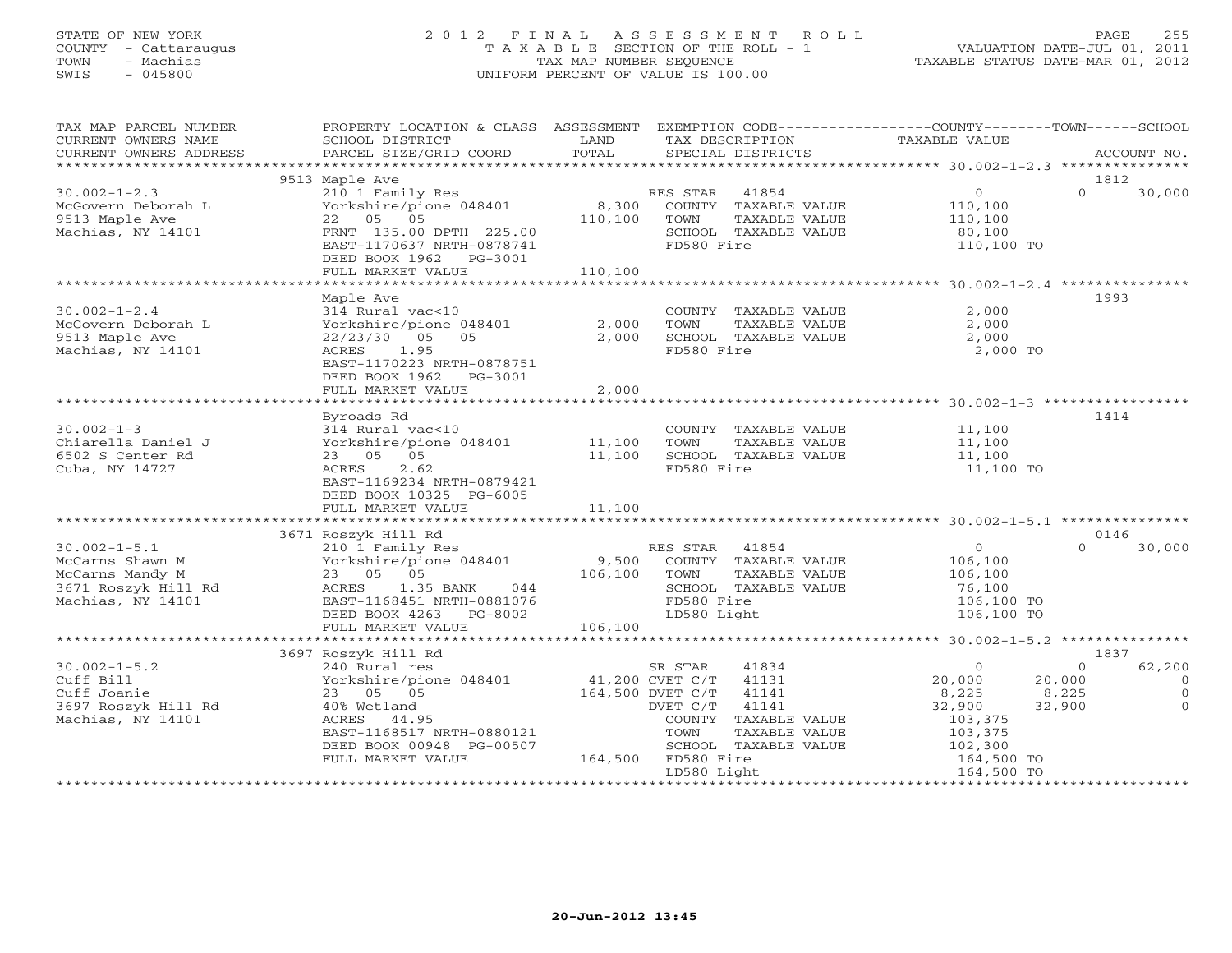#### STATE OF NEW YORK 2 0 1 2 F I N A L A S S E S S M E N T R O L L PAGE 255 COUNTY - Cattaraugus T A X A B L E SECTION OF THE ROLL - 1 VALUATION DATE-JUL 01, 2011 TOWN - Machias TAX MAP NUMBER SEQUENCE TAXABLE STATUS DATE-MAR 01, 2012 SWIS - 045800 UNIFORM PERCENT OF VALUE IS 100.00UNIFORM PERCENT OF VALUE IS 100.00

| TAX MAP PARCEL NUMBER<br>CURRENT OWNERS NAME<br>CURRENT OWNERS ADDRESS                                                                                                                                                                | PROPERTY LOCATION & CLASS ASSESSMENT EXEMPTION CODE---------------COUNTY-------TOWN------SCHOOL<br>SCHOOL DISTRICT<br>PARCEL SIZE/GRID COORD                                                                                                                                    | LAND<br>TOTAL | TAX DESCRIPTION<br>SPECIAL DISTRICTS                                         |                                                                        | TAXABLE VALUE                                                                                            |                                              | ACCOUNT NO.                                            |
|---------------------------------------------------------------------------------------------------------------------------------------------------------------------------------------------------------------------------------------|---------------------------------------------------------------------------------------------------------------------------------------------------------------------------------------------------------------------------------------------------------------------------------|---------------|------------------------------------------------------------------------------|------------------------------------------------------------------------|----------------------------------------------------------------------------------------------------------|----------------------------------------------|--------------------------------------------------------|
|                                                                                                                                                                                                                                       |                                                                                                                                                                                                                                                                                 |               |                                                                              |                                                                        |                                                                                                          |                                              |                                                        |
|                                                                                                                                                                                                                                       | 9513 Maple Ave                                                                                                                                                                                                                                                                  |               |                                                                              |                                                                        |                                                                                                          | 1812                                         |                                                        |
| $30.002 - 1 - 2.3$<br>McGovern Deborah L<br>9513 Maple Ave<br>Machias, NY 14101                                                                                                                                                       | 210 1 Family Res<br>Yorkshire/pione 048401 8,300 COUNTY TAXABLE VALUE<br>22 05 05 110,100 TOWN TAXABLE VALUE<br>FRNT 135.00 DPTH 225.00 SCHOOL TAXABLE VALUE<br>EAST-1170637 NRTH-0878741                                                                                       |               | FD580 Fire                                                                   |                                                                        | 0<br>VALUE 110,100<br>VALUE 110,100<br>80,100<br>110,100 TO                                              | $\Omega$                                     | 30,000                                                 |
|                                                                                                                                                                                                                                       | DEED BOOK 1962    PG-3001                                                                                                                                                                                                                                                       |               |                                                                              |                                                                        |                                                                                                          |                                              |                                                        |
|                                                                                                                                                                                                                                       |                                                                                                                                                                                                                                                                                 |               |                                                                              |                                                                        |                                                                                                          |                                              |                                                        |
|                                                                                                                                                                                                                                       | Maple Ave                                                                                                                                                                                                                                                                       |               |                                                                              |                                                                        |                                                                                                          | 1993                                         |                                                        |
| $30.002 - 1 - 2.4$<br>McGovern Deborah L<br>9513 Maple Ave<br>Machias, NY 14101                                                                                                                                                       | 314 Rural vac<10<br>22/23/30 05<br>05<br>ACRES 1.95<br>EAST-1170223 NRTH-0878751<br>DEED BOOK 1962 PG-3001                                                                                                                                                                      | 2,000         | FD580 Fire                                                                   | COUNTY TAXABLE VALUE                                                   | 2,000<br>TOWN TAXABLE VALUE $2,000$<br>SCHOOL TAXABLE VALUE $2,000$<br>2,000 TO                          |                                              |                                                        |
|                                                                                                                                                                                                                                       | FULL MARKET VALUE                                                                                                                                                                                                                                                               | 2,000         |                                                                              |                                                                        |                                                                                                          |                                              |                                                        |
|                                                                                                                                                                                                                                       | Byroads Rd                                                                                                                                                                                                                                                                      |               |                                                                              |                                                                        |                                                                                                          | 1414                                         |                                                        |
| $30.002 - 1 - 3$<br>Chiarella Daniel J<br>6502 S Center Rd<br>Cuba, NY 14727                                                                                                                                                          | $314$ Rural vac<10<br>314 Kurai vacsio<br>Yorkshire/pione 048401 11,100 TOWN TAXABLE VALUE<br>23 05 05 11,100 SCHOOL TAXABLE VALUE<br>ACRES<br>2.62<br>EAST-1169234 NRTH-0879421<br>DEED BOOK 10325 PG-6005<br>FULL MARKET VALUE                                                | 11,100        | FD580 Fire                                                                   |                                                                        | COUNTY TAXABLE VALUE 11,100<br>$11,100$<br>$11,100$<br>$11,100$ TO                                       |                                              |                                                        |
|                                                                                                                                                                                                                                       |                                                                                                                                                                                                                                                                                 |               |                                                                              |                                                                        |                                                                                                          |                                              |                                                        |
|                                                                                                                                                                                                                                       | 3671 Roszyk Hill Rd                                                                                                                                                                                                                                                             |               |                                                                              |                                                                        |                                                                                                          | 0146                                         |                                                        |
| 30.002-1-5.1<br>McCarns Shawn M 210 1 Family Res<br>McCarns Mandy M 23 05 05 106,100 TOWN TAXABLE VALUE 106,100<br>3671 Roszyk Hill Rd ACRES 1.35 BANK 044 SCHOOL TAXABLE VALUE 106,100<br>Machias, NY 14101 EAST-11684101 CONTRES 10 |                                                                                                                                                                                                                                                                                 |               |                                                                              | FD580 Fire<br>LD580 Light                                              | 106,100 TO                                                                                               | $\Omega$                                     | 30,000                                                 |
|                                                                                                                                                                                                                                       |                                                                                                                                                                                                                                                                                 |               |                                                                              |                                                                        |                                                                                                          |                                              |                                                        |
| $30.002 - 1 - 5.2$<br>Cuff Bill<br>Cuff Joanie<br>3697 Roszyk Hill Rd<br>Machias, NY 14101<br>Machias, NY 14101                                                                                                                       | 3697 Roszyk Hill Rd<br>240 Rural res<br>Norkshire/pione 048401 33<br>23 05 05 05 05 164,500 DVET C/T 41131<br>40% Wetland DVET C/T 41141<br>ACRES 44.95 COUNTY TAXARLE<br>25 05 05<br>40% Wetland<br>EAST-1168517 NRTH-0880121<br>DEED BOOK 00948 PG-00507<br>FULL MARKET VALUE |               | SR STAR<br>TOWN<br>=00507<br>164,500 FD580 Fire 164,500 FD580<br>LD580 Light | 41834<br>COUNTY TAXABLE VALUE<br>TAXABLE VALUE<br>SCHOOL TAXABLE VALUE | $\overline{0}$<br>20,000<br>8,225<br>32,900<br>103,375<br>103,375<br>102,300<br>164,500 TO<br>164,500 TO | 1837<br>$\circ$<br>20,000<br>8,225<br>32,900 | 62,200<br>$\overline{0}$<br>$\overline{O}$<br>$\Omega$ |
|                                                                                                                                                                                                                                       |                                                                                                                                                                                                                                                                                 |               |                                                                              |                                                                        |                                                                                                          |                                              |                                                        |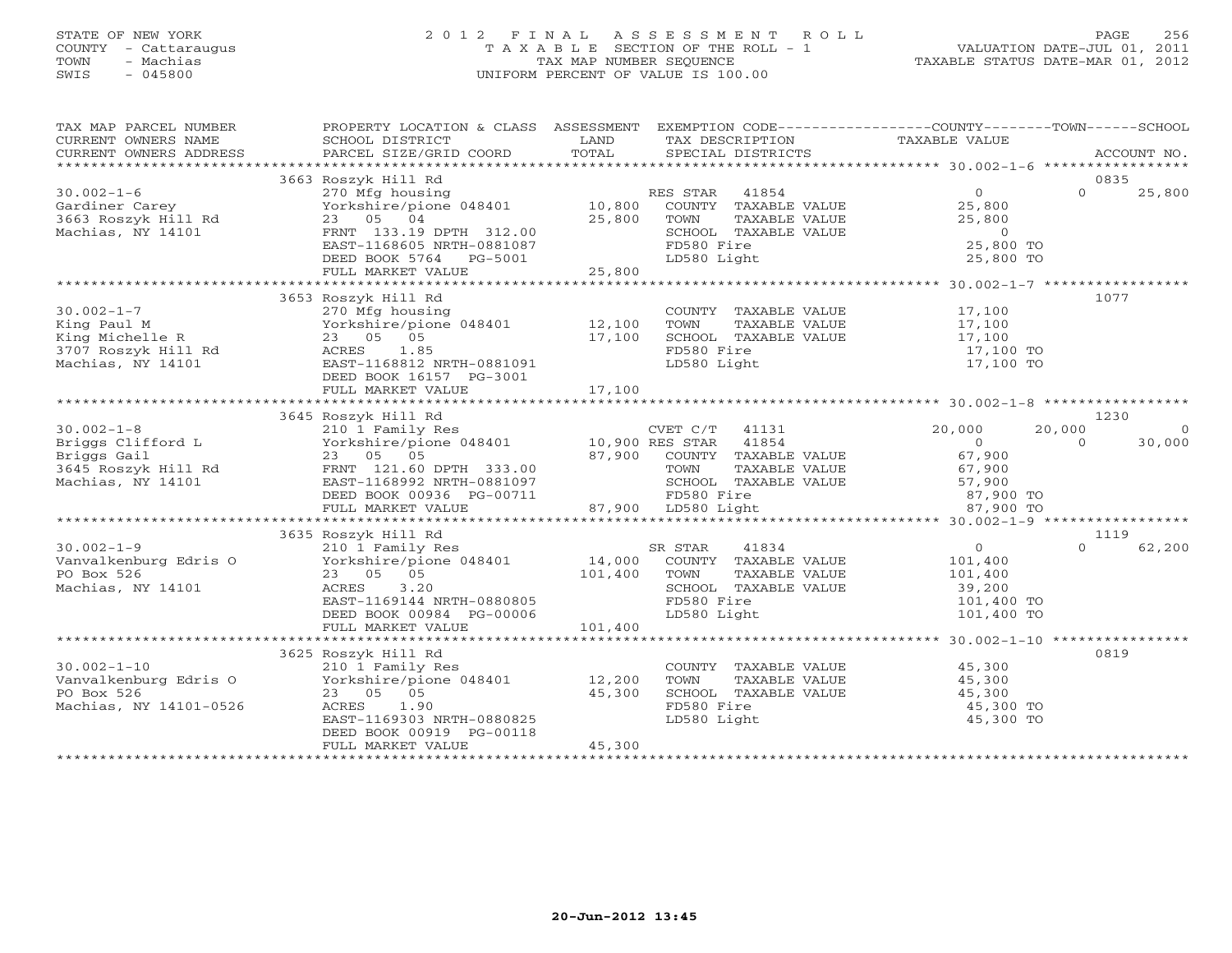#### STATE OF NEW YORK 2 0 1 2 F I N A L A S S E S S M E N T R O L L PAGE 256 COUNTY - Cattaraugus T A X A B L E SECTION OF THE ROLL - 1 VALUATION DATE-JUL 01, 2011 TOWN - Machias TAX MAP NUMBER SEQUENCE TAXABLE STATUS DATE-MAR 01, 2012 SWIS - 045800 UNIFORM PERCENT OF VALUE IS 100.00UNIFORM PERCENT OF VALUE IS 100.00

| TAX MAP PARCEL NUMBER<br>CURRENT OWNERS NAME                                                                        | PROPERTY LOCATION & CLASS ASSESSMENT EXEMPTION CODE---------------COUNTY-------TOWN-----SCHOOL<br>SCHOOL DISTRICT                                                                                  | LAND               | TAX DESCRIPTION                                                                                                        | TAXABLE VALUE                                                              |                              |
|---------------------------------------------------------------------------------------------------------------------|----------------------------------------------------------------------------------------------------------------------------------------------------------------------------------------------------|--------------------|------------------------------------------------------------------------------------------------------------------------|----------------------------------------------------------------------------|------------------------------|
|                                                                                                                     |                                                                                                                                                                                                    |                    |                                                                                                                        |                                                                            |                              |
|                                                                                                                     | 3663 Roszyk Hill Rd                                                                                                                                                                                |                    |                                                                                                                        | $\overline{0}$                                                             | 0835<br>$\Omega$             |
| $30.002 - 1 - 6$<br>Gardiner Carey<br>3663 Roszyk Hill Rd<br>Machias, NY 14101                                      | 270 Mfg housing<br>Yorkshire/pione 048401 10,800<br>23 05 04<br>FRNT 133.19 DPTH 312.00<br>EAST-1168605 NRTH-0881087<br>DEED BOOK 5764 PG-5001                                                     | 25,800             | RES STAR 41854<br>COUNTY TAXABLE VALUE<br>TOWN<br>TAXABLE VALUE<br>SCHOOL TAXABLE VALUE<br>FD580 Fire<br>LD580 Light   | 25,800<br>25,800<br>$\overline{0}$<br>25,800 TO<br>25,800 TO               | 25,800                       |
|                                                                                                                     | FULL MARKET VALUE                                                                                                                                                                                  | 25,800             |                                                                                                                        |                                                                            |                              |
|                                                                                                                     |                                                                                                                                                                                                    |                    |                                                                                                                        |                                                                            |                              |
| $30.002 - 1 - 7$<br>King Paul M<br>King Michelle R<br>3707 Roszyk Hill Rd<br>Machias, NY 14101<br>Machias, NY 14101 | 3653 Roszyk Hill Rd<br>270 Mfg housing<br>Yorkshire/pione $048401$ 12,100<br>23 05 05<br>ACRES 1.85<br>EAST-1168812 NRTH-0881091<br>DEED BOOK 16157 PG-3001<br>FULL MARKET VALUE                   | 17,100<br>17,100   | COUNTY TAXABLE VALUE 17,100<br>TOWN<br>TAXABLE VALUE<br>SCHOOL TAXABLE VALUE<br>FD580 Fire<br>LD580 Light              | 17,100<br>17,100<br>17,100 TO<br>17,100 TO                                 | 1077                         |
|                                                                                                                     |                                                                                                                                                                                                    |                    |                                                                                                                        |                                                                            |                              |
| $30.002 - 1 - 8$                                                                                                    | 3645 Roszyk Hill Rd                                                                                                                                                                                |                    | CVET C/T 41131                                                                                                         | 20,000                                                                     | 1230<br>20,000<br>$\bigcirc$ |
| 30.002-1-0<br>Briggs Clifford L<br>--<br>3645 Roszyk Hill Rd<br>Machias, NY 14101                                   | 210 1 Family Res<br>Yorkshire/pione 048401 10,900 RES STAR 41854<br>23 05 05<br>25 05 05<br>FRNT 121.60 DPTH 333.00<br>EAST-1168992 NRTH-0881097<br>DEED BOOK 00936 PG-00711                       |                    | 87,900 COUNTY TAXABLE VALUE<br>TAXABLE VALUE<br>TOWN<br>SCHOOL TAXABLE VALUE<br>FD580 Fire                             | $\overline{0}$<br>67,900<br>67,900<br>57,900<br>87,900 TO                  | 30,000<br>$\Omega$           |
|                                                                                                                     | FULL MARKET VALUE                                                                                                                                                                                  |                    | $87,900$ LD580 Light                                                                                                   | 87,900 TO                                                                  |                              |
|                                                                                                                     |                                                                                                                                                                                                    |                    |                                                                                                                        |                                                                            |                              |
| $30.002 - 1 - 9$<br>Vanvalkenburg Edris O<br>PO Box 526<br>Machias, NY 14101                                        | 3635 Roszyk Hill Rd<br>210 1 Family Res<br>Yorkshire/pione 048401 14,000<br>23 05 05 05<br>23 05 05<br>3.20<br>ACRES<br>EAST-1169144 NRTH-0880805<br>DEED BOOK 00984 PG-00006<br>FULL MARKET VALUE | 101,400<br>101,400 | SR STAR<br>41834<br>COUNTY TAXABLE VALUE<br>TAXABLE VALUE<br>TOWN<br>SCHOOL TAXABLE VALUE<br>FD580 Fire<br>LD580 Light | $\overline{O}$<br>101,400<br>101,400<br>39,200<br>101,400 TO<br>101,400 TO | 1119<br>$\Omega$<br>62,200   |
|                                                                                                                     |                                                                                                                                                                                                    |                    |                                                                                                                        |                                                                            |                              |
| $30.002 - 1 - 10$<br>Vanvalkenburg Edris O<br>PO Box 526<br>Machias, NY 14101-0526                                  | 3625 Roszyk Hill Rd<br>210 1 Family Res<br>Yorkshire/pione 048401 12,200<br>23 05 05<br>ACRES 1.90<br>EAST-1169303 NRTH-0880825<br>DEED BOOK 00919 PG-00118<br>FULL MARKET VALUE                   | 45,300<br>45,300   | COUNTY TAXABLE VALUE 45,300<br>TOWN<br>TAXABLE VALUE<br>SCHOOL TAXABLE VALUE<br>FD580 Fire<br>LD580 Light              | 45,300<br>45,300<br>45,300 TO<br>45,300 TO                                 | 0819                         |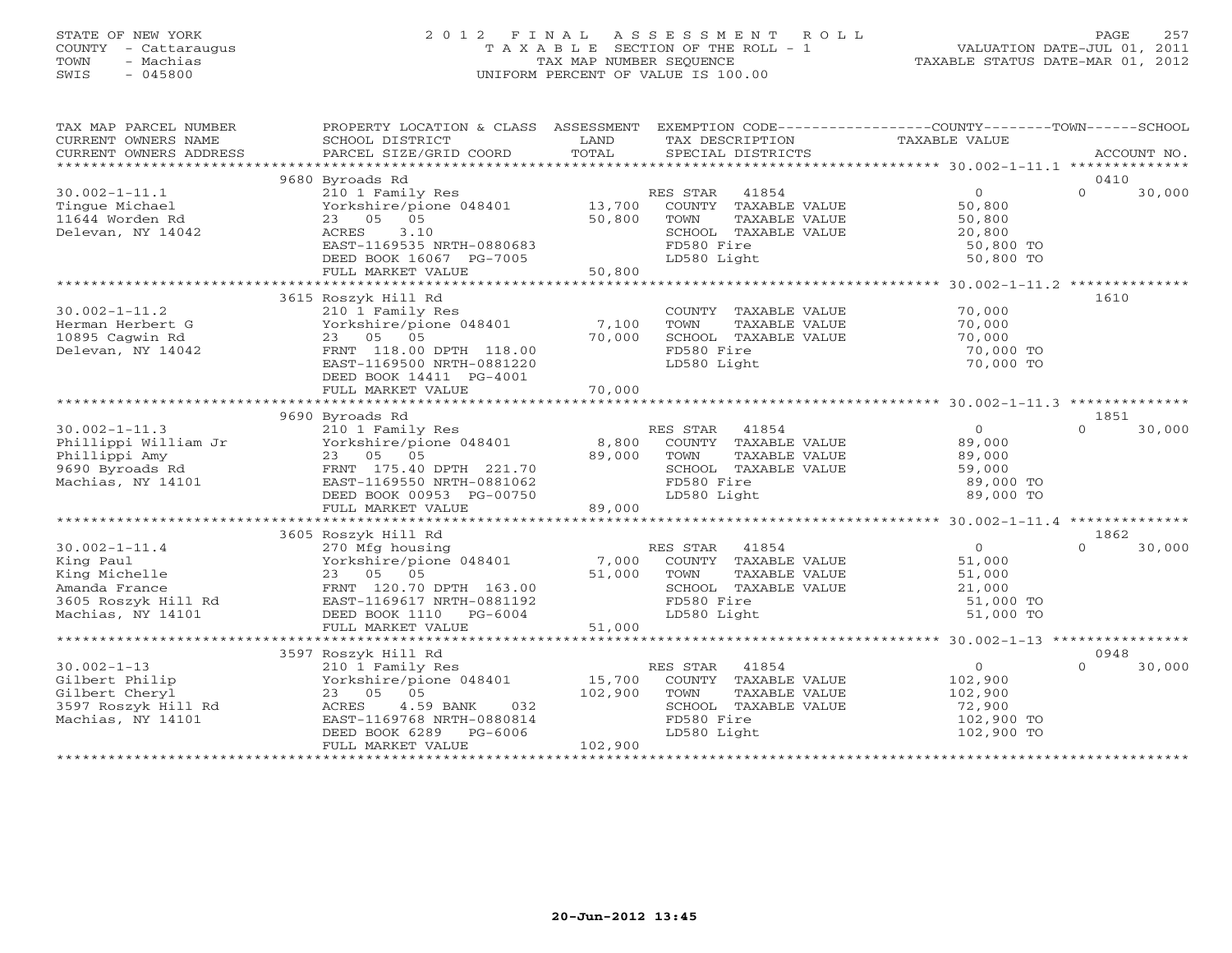#### STATE OF NEW YORK 2 0 1 2 F I N A L A S S E S S M E N T R O L L PAGE 257 COUNTY - Cattaraugus T A X A B L E SECTION OF THE ROLL - 1 VALUATION DATE-JUL 01, 2011 TOWN - Machias TAX MAP NUMBER SEQUENCE TAXABLE STATUS DATE-MAR 01, 2012 SWIS - 045800 UNIFORM PERCENT OF VALUE IS 100.00

| TAX MAP PARCEL NUMBER<br>CURRENT OWNERS NAME<br>CURRENT OWNERS ADDRESS | PROPERTY LOCATION & CLASS ASSESSMENT<br>SCHOOL DISTRICT<br>PARCEL SIZE/GRID COORD | LAND<br>TOTAL | EXEMPTION CODE-----------------COUNTY-------TOWN------SCHOOL<br>TAX DESCRIPTION<br>SPECIAL DISTRICTS | TAXABLE VALUE          | ACCOUNT NO.        |
|------------------------------------------------------------------------|-----------------------------------------------------------------------------------|---------------|------------------------------------------------------------------------------------------------------|------------------------|--------------------|
|                                                                        |                                                                                   |               |                                                                                                      |                        |                    |
|                                                                        | 9680 Byroads Rd                                                                   |               |                                                                                                      |                        | 0410               |
| $30.002 - 1 - 11.1$                                                    | 210 1 Family Res                                                                  |               | RES STAR<br>41854                                                                                    | $\Omega$               | $\Omega$<br>30,000 |
| Tinque Michael                                                         | Yorkshire/pione 048401<br>23 05 05                                                | 13,700        | COUNTY TAXABLE VALUE                                                                                 | 50,800                 |                    |
| 11644 Worden Rd                                                        |                                                                                   | 50,800        | TOWN<br>TAXABLE VALUE                                                                                | 50,800                 |                    |
| Delevan, NY 14042                                                      | 3.10<br>ACRES                                                                     |               | SCHOOL TAXABLE VALUE                                                                                 | 20,800                 |                    |
|                                                                        | EAST-1169535 NRTH-0880683<br>DEED BOOK 16067 PG-7005                              |               | FD580 Fire<br>LD580 Light                                                                            | 50,800 TO<br>50,800 TO |                    |
|                                                                        | FULL MARKET VALUE                                                                 | 50,800        |                                                                                                      |                        |                    |
|                                                                        |                                                                                   |               |                                                                                                      |                        |                    |
|                                                                        | 3615 Roszyk Hill Rd                                                               |               |                                                                                                      |                        | 1610               |
| $30.002 - 1 - 11.2$                                                    | 210 1 Family Res                                                                  |               | COUNTY TAXABLE VALUE                                                                                 | 70,000                 |                    |
| Herman Herbert G                                                       | Yorkshire/pione 048401                                                            | 7,100         | TOWN<br>TAXABLE VALUE                                                                                | 70,000                 |                    |
| 10895 Cagwin Rd                                                        | 23 05 05                                                                          | 70,000        | SCHOOL TAXABLE VALUE                                                                                 | 70,000                 |                    |
| Delevan, NY 14042                                                      | FRNT 118.00 DPTH 118.00                                                           |               | FD580 Fire                                                                                           | 70,000 TO              |                    |
|                                                                        | EAST-1169500 NRTH-0881220                                                         |               | LD580 Light                                                                                          | 70,000 TO              |                    |
|                                                                        | DEED BOOK 14411 PG-4001                                                           |               |                                                                                                      |                        |                    |
|                                                                        | FULL MARKET VALUE                                                                 | 70,000        |                                                                                                      |                        |                    |
|                                                                        |                                                                                   |               |                                                                                                      |                        |                    |
|                                                                        | 9690 Byroads Rd                                                                   |               |                                                                                                      |                        | 1851               |
| $30.002 - 1 - 11.3$                                                    | 210 1 Family Res                                                                  |               | RES STAR<br>41854                                                                                    | $\overline{0}$         | $\Omega$<br>30,000 |
| Phillippi William Jr                                                   | Yorkshire/pione 048401                                                            | 8,800         | COUNTY TAXABLE VALUE                                                                                 | 89,000                 |                    |
| Phillippi Amy                                                          | 23 05 05                                                                          | 89,000        | TOWN<br>TAXABLE VALUE                                                                                | 89,000                 |                    |
| 9690 Byroads Rd                                                        | FRNT 175.40 DPTH 221.70                                                           |               | SCHOOL TAXABLE VALUE                                                                                 | 59,000                 |                    |
| Machias, NY 14101                                                      | EAST-1169550 NRTH-0881062                                                         |               | FD580 Fire                                                                                           | 89,000 TO              |                    |
|                                                                        | DEED BOOK 00953 PG-00750                                                          |               | LD580 Light                                                                                          | 89,000 TO              |                    |
|                                                                        | FULL MARKET VALUE                                                                 | 89,000        |                                                                                                      |                        |                    |
|                                                                        |                                                                                   |               |                                                                                                      |                        |                    |
|                                                                        | 3605 Roszyk Hill Rd                                                               |               |                                                                                                      |                        | 1862               |
| $30.002 - 1 - 11.4$                                                    | 270 Mfg housing                                                                   |               | 41854<br>RES STAR                                                                                    | $\Omega$               | $\Omega$<br>30,000 |
| King Paul                                                              | Yorkshire/pione 048401                                                            | 7,000         | COUNTY TAXABLE VALUE                                                                                 | 51,000                 |                    |
| King Michelle                                                          | 23 05 05                                                                          | 51,000        | TAXABLE VALUE<br>TOWN                                                                                | 51,000                 |                    |
| Amanda France                                                          | FRNT 120.70 DPTH 163.00<br>EAST-1169617 NRTH-0881192                              |               | SCHOOL TAXABLE VALUE                                                                                 | 21,000<br>51,000 TO    |                    |
| 3605 Roszyk Hill Rd<br>Machias, NY 14101                               | DEED BOOK 1110 PG-6004                                                            |               | FD580 Fire<br>LD580 Light                                                                            | 51,000 TO              |                    |
|                                                                        | FULL MARKET VALUE                                                                 | 51,000        |                                                                                                      |                        |                    |
|                                                                        |                                                                                   |               |                                                                                                      |                        |                    |
|                                                                        | 3597 Roszyk Hill Rd                                                               |               |                                                                                                      |                        | 0948               |
| $30.002 - 1 - 13$                                                      | 210 1 Family Res                                                                  |               | 41854<br>RES STAR                                                                                    | $\circ$                | $\Omega$<br>30,000 |
| Gilbert Philip                                                         | Yorkshire/pione 048401                                                            | 15,700        | COUNTY TAXABLE VALUE                                                                                 | 102,900                |                    |
| Gilbert Cheryl                                                         | 23 05 05                                                                          | 102,900       | TAXABLE VALUE<br>TOWN                                                                                | 102,900                |                    |
| 3597 Roszyk Hill Rd                                                    | 4.59 BANK<br>032<br>ACRES                                                         |               | SCHOOL TAXABLE VALUE                                                                                 | 72,900                 |                    |
| Machias, NY 14101                                                      | EAST-1169768 NRTH-0880814                                                         |               | FD580 Fire                                                                                           | 102,900 TO             |                    |
|                                                                        | DEED BOOK 6289<br>PG-6006                                                         |               | LD580 Light                                                                                          | 102,900 TO             |                    |
|                                                                        | FULL MARKET VALUE                                                                 | 102,900       |                                                                                                      |                        |                    |
|                                                                        |                                                                                   |               |                                                                                                      |                        |                    |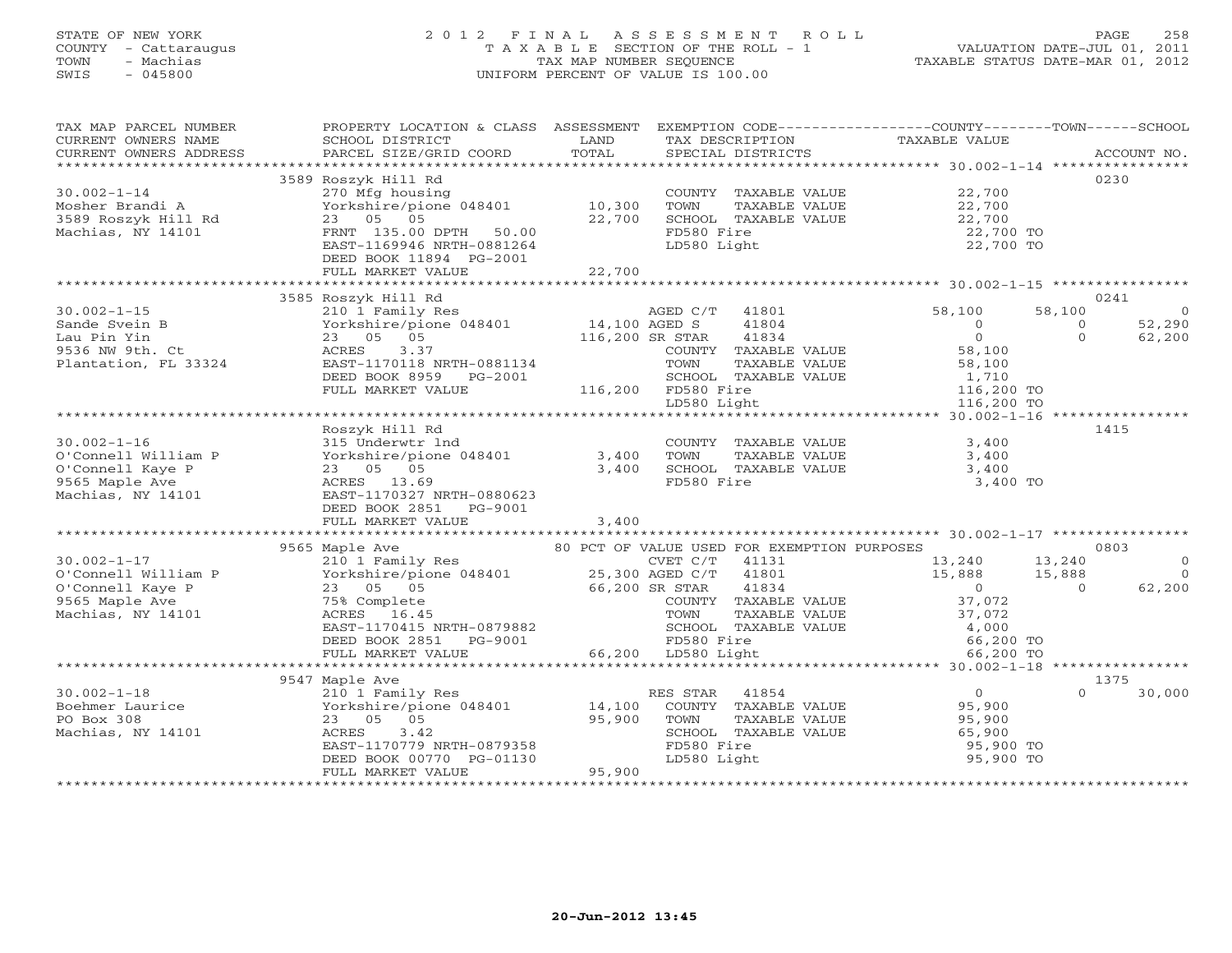#### STATE OF NEW YORK 2 0 1 2 F I N A L A S S E S S M E N T R O L L PAGE 258 COUNTY - Cattaraugus T A X A B L E SECTION OF THE ROLL - 1 VALUATION DATE-JUL 01, 2011 TOWN - Machias (a) 12012<br>TAX MAP NUMBER SEQUENCE TAXABLE STATUS DATE-MAR 01, 2012<br>SWIS - 045800 SWIS - 045800 UNIFORM PERCENT OF VALUE IS 100.00

| TAX MAP PARCEL NUMBER      | PROPERTY LOCATION & CLASS ASSESSMENT EXEMPTION CODE----------------COUNTY-------TOWN-----SCHOOL                                                                                                                                              |        |                                                                                                   |                                            |                    |
|----------------------------|----------------------------------------------------------------------------------------------------------------------------------------------------------------------------------------------------------------------------------------------|--------|---------------------------------------------------------------------------------------------------|--------------------------------------------|--------------------|
| CURRENT OWNERS NAME        | SCHOOL DISTRICT                                                                                                                                                                                                                              | LAND   | TAX DESCRIPTION                                                                                   | TAXABLE VALUE                              |                    |
| CURRENT OWNERS ADDRESS     | PARCEL SIZE/GRID COORD                                                                                                                                                                                                                       | TOTAL  | SPECIAL DISTRICTS                                                                                 |                                            | ACCOUNT NO.        |
|                            |                                                                                                                                                                                                                                              |        |                                                                                                   |                                            |                    |
|                            | 3589 Roszyk Hill Rd                                                                                                                                                                                                                          |        |                                                                                                   |                                            | 0230               |
| $30.002 - 1 - 14$          | 270 Mfg housing                                                                                                                                                                                                                              |        | COUNTY TAXABLE VALUE                                                                              | 22,700                                     |                    |
|                            | Yorkshire/pione 048401 10,300                                                                                                                                                                                                                |        | TOWN<br>TAXABLE VALUE                                                                             | 22,700                                     |                    |
|                            |                                                                                                                                                                                                                                              | 22,700 | SCHOOL TAXABLE VALUE                                                                              | 22,700                                     |                    |
|                            |                                                                                                                                                                                                                                              |        | FD580 Fire                                                                                        | 22,700 TO                                  |                    |
|                            | EAST-1169946 NRTH-0881264                                                                                                                                                                                                                    |        | LD580 Light                                                                                       | 22,700 TO                                  |                    |
|                            |                                                                                                                                                                                                                                              |        |                                                                                                   |                                            |                    |
|                            | DEED BOOK 11894 PG-2001                                                                                                                                                                                                                      |        |                                                                                                   |                                            |                    |
|                            | FULL MARKET VALUE                                                                                                                                                                                                                            | 22,700 |                                                                                                   |                                            |                    |
|                            |                                                                                                                                                                                                                                              |        |                                                                                                   |                                            |                    |
|                            | 3585 Roszyk Hill Rd                                                                                                                                                                                                                          |        |                                                                                                   |                                            | 0241               |
|                            |                                                                                                                                                                                                                                              |        | AGED C/T 41801 58,100                                                                             |                                            | 58,100             |
|                            | 30.002-1-15<br>30.002-1-15<br>Sande Svein B<br>Lau Pin Yin 23 05 05 116,200 SR STAR<br>9536 NW 9th. Ct ACRES 3.37 COUNTY T                                                                                                                   |        | $41804$<br>$41804$                                                                                | $\overline{0}$                             | 52,290<br>$\Omega$ |
|                            |                                                                                                                                                                                                                                              |        |                                                                                                   | $\overline{0}$                             | $\Omega$<br>62,200 |
|                            |                                                                                                                                                                                                                                              |        | COUNTY TAXABLE VALUE                                                                              |                                            |                    |
|                            | Plantation, FL 33324 EAST-1170118 NRTH-0881134                                                                                                                                                                                               |        | TOWN<br>TAXABLE VALUE                                                                             |                                            |                    |
|                            | DEED BOOK 8959 PG-2001                                                                                                                                                                                                                       |        | SCHOOL TAXABLE VALUE                                                                              |                                            |                    |
|                            | FULL MARKET VALUE                                                                                                                                                                                                                            |        | 116,200 FD580 Fire                                                                                | 116,200 TO                                 |                    |
|                            |                                                                                                                                                                                                                                              |        | LD580 Light                                                                                       | 116,200 TO                                 |                    |
|                            |                                                                                                                                                                                                                                              |        |                                                                                                   |                                            |                    |
|                            | AU.002-1-16<br>0'Connell William P<br>0'Connell Kaye P<br>0'Connell Kaye P<br>9565 Maple Ave P<br>Machias, NY 14101<br>23 05 05<br>23 05 05<br>ACRES 13.69<br>23 05 05<br>ACRES 13.69<br>EAST-1170327 NRTH-0880623<br>DEED BOOK 2851 PG-9001 |        |                                                                                                   |                                            | 1415               |
|                            |                                                                                                                                                                                                                                              |        | COUNTY TAXABLE VALUE                                                                              | 3,400                                      |                    |
|                            |                                                                                                                                                                                                                                              |        | TOWN<br>TAXABLE VALUE                                                                             | 3,400                                      |                    |
|                            |                                                                                                                                                                                                                                              |        |                                                                                                   | 3,400                                      |                    |
|                            |                                                                                                                                                                                                                                              |        | SCHOOL TAXABLE VALUE<br>FD580 Fire                                                                | 3,400 TO                                   |                    |
|                            |                                                                                                                                                                                                                                              |        |                                                                                                   |                                            |                    |
|                            |                                                                                                                                                                                                                                              |        |                                                                                                   |                                            |                    |
|                            |                                                                                                                                                                                                                                              |        |                                                                                                   |                                            |                    |
|                            | FULL MARKET VALUE                                                                                                                                                                                                                            | 3,400  |                                                                                                   |                                            |                    |
|                            |                                                                                                                                                                                                                                              |        |                                                                                                   |                                            |                    |
|                            | 9565 Maple Ave                                                                                                                                                                                                                               |        | 80 PCT OF VALUE USED FOR EXEMPTION PURPOSES<br>Ly Res 60 PCT OF VALUE USED FOR EXEMPTION PURPOSES |                                            | 0803               |
|                            |                                                                                                                                                                                                                                              |        |                                                                                                   |                                            | $\circ$            |
|                            |                                                                                                                                                                                                                                              |        |                                                                                                   | 41801 15,888 15,888<br>41834 16,888 15,888 | $\Omega$           |
|                            |                                                                                                                                                                                                                                              |        |                                                                                                   |                                            | 62,200             |
|                            |                                                                                                                                                                                                                                              |        | COUNTY TAXABLE VALUE                                                                              | 37,072                                     |                    |
|                            | 30.002-1-17<br>0'Connell William P 310 1 Family Res CVET C/T 41131<br>0'Connell Kaye P 23 05 05 66,200 SR STAR 41834<br>9565 Maple Ave 75% Complete COUNTY TAXABLE V<br>Machias, NY 14101 ACRES 16.45 TOWN TAXABLE V                         |        | TAXABLE VALUE                                                                                     | 37,072                                     |                    |
|                            | EAST-1170415 NRTH-0879882                                                                                                                                                                                                                    |        |                                                                                                   | 4,000                                      |                    |
|                            | DEED BOOK 2851 PG-9001                                                                                                                                                                                                                       |        |                                                                                                   | 66,200 TO                                  |                    |
|                            | FULL MARKET VALUE                                                                                                                                                                                                                            |        | -composition of the school that<br>FD580 Fire<br>LD580 Light<br>66,200 LD580 Light                | 66,200 TO                                  |                    |
|                            |                                                                                                                                                                                                                                              |        |                                                                                                   |                                            |                    |
|                            | 9547 Maple Ave                                                                                                                                                                                                                               |        |                                                                                                   |                                            | 1375               |
| $30.002 - 1 - 18$          | 210 1 Family Res                                                                                                                                                                                                                             |        | 41854<br>RES STAR                                                                                 | $\overline{0}$                             | 30,000<br>$\Omega$ |
|                            |                                                                                                                                                                                                                                              |        | COUNTY TAXABLE VALUE 95,900                                                                       |                                            |                    |
|                            |                                                                                                                                                                                                                                              |        |                                                                                                   |                                            |                    |
|                            |                                                                                                                                                                                                                                              | 95,900 | TOWN<br>TAXABLE VALUE<br>SCHOOL TAXABLE VALUE                                                     | 95,900                                     |                    |
| Machias, NY 14101 Machias, | 3.42                                                                                                                                                                                                                                         |        |                                                                                                   | 65,900                                     |                    |
|                            | EAST-1170779 NRTH-0879358                                                                                                                                                                                                                    |        | FD580 Fire                                                                                        | 95,900 TO<br>95,900 TO                     |                    |
|                            | DEED BOOK 00770   PG-01130<br>FULL MARKET VALUE   95,900                                                                                                                                                                                     |        | LD580 Light                                                                                       |                                            |                    |
|                            |                                                                                                                                                                                                                                              |        |                                                                                                   |                                            |                    |
|                            | ***************************                                                                                                                                                                                                                  |        |                                                                                                   |                                            |                    |
|                            |                                                                                                                                                                                                                                              |        |                                                                                                   |                                            |                    |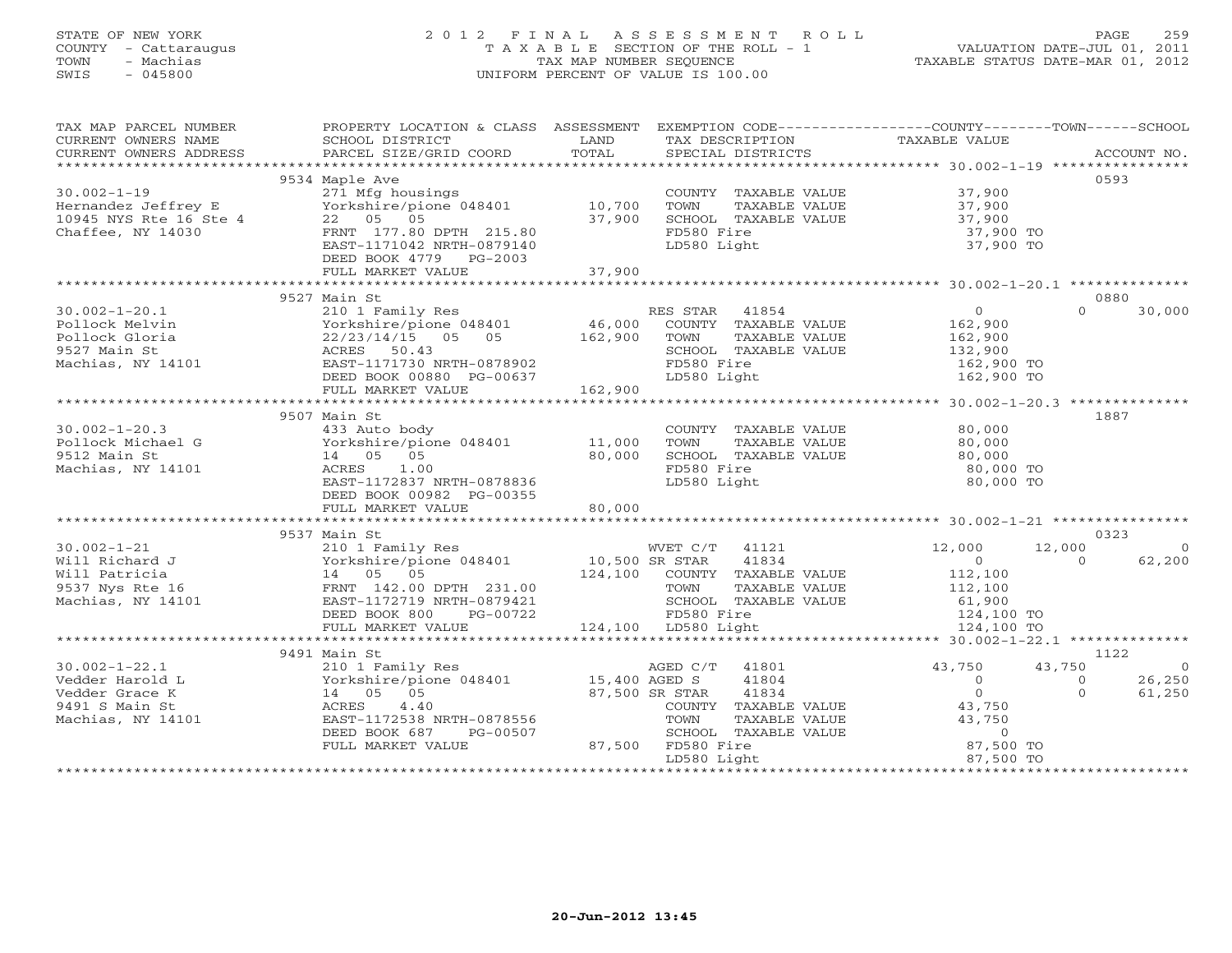### STATE OF NEW YORK 2 0 1 2 F I N A L A S S E S S M E N T R O L L PAGE 259 COUNTY - Cattaraugus T A X A B L E SECTION OF THE ROLL - 1 VALUATION DATE-JUL 01, 2011 TOWN - Machias TAX MAP NUMBER SEQUENCE TAXABLE STATUS DATE-MAR 01, 2012 SWIS - 045800 UNIFORM PERCENT OF VALUE IS 100.00UNIFORM PERCENT OF VALUE IS 100.00

| TAX MAP PARCEL NUMBER                         | PROPERTY LOCATION & CLASS ASSESSMENT EXEMPTION CODE---------------COUNTY-------TOWN------SCHOOL |                |                              | TAXABLE VALUE                    |                |
|-----------------------------------------------|-------------------------------------------------------------------------------------------------|----------------|------------------------------|----------------------------------|----------------|
| CURRENT OWNERS NAME<br>CURRENT OWNERS ADDRESS | SCHOOL DISTRICT                                                                                 | LAND<br>TOTAL  | TAX DESCRIPTION              |                                  |                |
|                                               |                                                                                                 |                |                              |                                  |                |
|                                               | 9534 Maple Ave                                                                                  |                |                              |                                  | 0593           |
| $30.002 - 1 - 19$                             | 271 Mfg housings                                                                                |                | COUNTY TAXABLE VALUE 37,900  |                                  |                |
| Hernandez Jeffrey E<br>10945 NYS Rte 16 Ste 4 | Yorkshire/pione 048401 10,700                                                                   |                | TOWN<br>TAXABLE VALUE        | 37,900<br>37,900                 |                |
|                                               | 22 05 05                                                                                        | 37,900         | SCHOOL TAXABLE VALUE         |                                  |                |
| Chaffee, NY 14030                             | FRNT 177.80 DPTH 215.80                                                                         |                | FD580 Fire                   | 37,900 TO                        |                |
|                                               | EAST-1171042 NRTH-0879140                                                                       |                | LD580 Light                  | 37,900 TO                        |                |
|                                               | DEED BOOK 4779 PG-2003<br>FULL MARKET VALUE                                                     | 37,900         |                              |                                  |                |
|                                               |                                                                                                 |                |                              |                                  |                |
|                                               | 9527 Main St                                                                                    |                |                              |                                  | 0880           |
| $30.002 - 1 - 20.1$                           | 210 1 Family Res                                                                                |                | RES STAR 41854               | $\overline{0}$<br>$\Omega$       | 30,000         |
| Pollock Melvin                                | Yorkshire/pione 048401                                                                          | 46,000         | COUNTY TAXABLE VALUE         | 162,900                          |                |
| Pollock Gloria                                | 22/23/14/15 05 05 162,900                                                                       |                | TAXABLE VALUE<br>TOWN        | 162,900                          |                |
| 9527 Main St                                  | ACRES 50.43                                                                                     |                | SCHOOL TAXABLE VALUE         | 132,900                          |                |
| Machias, NY 14101                             | EAST-1171730 NRTH-0878902                                                                       |                | FD580 Fire                   | 162,900 TO                       |                |
|                                               | DEED BOOK 00880 PG-00637                                                                        |                | LD580 Light                  | 162,900 TO                       |                |
|                                               | FULL MARKET VALUE                                                                               | 162,900        |                              |                                  |                |
|                                               |                                                                                                 |                |                              |                                  |                |
|                                               | 9507 Main St                                                                                    |                |                              |                                  | 1887           |
| $30.002 - 1 - 20.3$                           | 433 Auto body                                                                                   |                | COUNTY TAXABLE VALUE         | 80,000                           |                |
| Pollock Michael G                             | Yorkshire/pione 048401                                                                          | 11,000         | TAXABLE VALUE<br>TOWN        | 80,000                           |                |
| 9512 Main St                                  | 14 05 05                                                                                        | 80,000         | SCHOOL TAXABLE VALUE         | 80,000                           |                |
| Machias, NY 14101                             | 1.00<br>ACRES                                                                                   |                | FD580 Fire                   | 80,000 TO                        |                |
|                                               | EAST-1172837 NRTH-0878836                                                                       |                | LD580 Light                  | 80,000 TO                        |                |
|                                               | DEED BOOK 00982 PG-00355                                                                        |                |                              |                                  |                |
|                                               | FULL MARKET VALUE                                                                               | 80,000         |                              |                                  |                |
|                                               | 9537 Main St                                                                                    |                |                              |                                  | 0323           |
| $30.002 - 1 - 21$                             | 210 1 Family Res                                                                                |                | WVET C/T 41121               | 12,000<br>12,000                 | $\Omega$       |
| Will Richard J                                | Yorkshire/pione 048401 10,500 SR STAR                                                           |                | 41834                        | $\overline{0}$<br>$\Omega$       | 62,200         |
| Will Patricia                                 |                                                                                                 |                | 124,100 COUNTY TAXABLE VALUE | 112,100                          |                |
| 9537 Nys Rte 16                               |                                                                                                 |                | TOWN<br>TAXABLE VALUE        | 112,100                          |                |
| Machias, NY 14101                             | EAST-1172719 NRTH-0879421                                                                       |                | SCHOOL TAXABLE VALUE         |                                  |                |
|                                               | DEED BOOK 800<br>PG-00722                                                                       |                | FD580 Fire                   | 61,900<br>124,100 TO             |                |
|                                               | FULL MARKET VALUE                                                                               |                | 124,100 LD580 Light          | 124,100 TO                       |                |
|                                               |                                                                                                 |                |                              |                                  |                |
|                                               | 9491 Main St                                                                                    |                |                              |                                  | 1122           |
| $30.002 - 1 - 22.1$                           | 210 1 Family Res                                                                                |                | AGED C/T 41801               | 43,750<br>43,750                 | $\overline{0}$ |
| Vedder Harold L                               | Yorkshire/pione 048401 15,400 AGED S                                                            |                | 41804                        | $\overline{0}$<br>$\overline{0}$ | 26,250         |
| Vedder Grace K                                | 14 05 05                                                                                        | 87,500 SR STAR | 41834                        | $0 \qquad \qquad$<br>$\Omega$    | 61,250         |
| 9491 S Main St                                | 4.40<br>ACRES                                                                                   |                | COUNTY TAXABLE VALUE         | 43,750                           |                |
| Machias, NY 14101                             | EAST-1172538 NRTH-0878556                                                                       |                | TOWN<br>TAXABLE VALUE        | 43,750                           |                |
|                                               | DEED BOOK 687<br>PG-00507                                                                       |                | SCHOOL TAXABLE VALUE         | $\circ$                          |                |
|                                               | FULL MARKET VALUE                                                                               |                | 87,500 FD580 Fire            | 87,500 TO                        |                |
|                                               |                                                                                                 |                | LD580 Light                  | 87,500 TO                        |                |
|                                               |                                                                                                 |                |                              |                                  |                |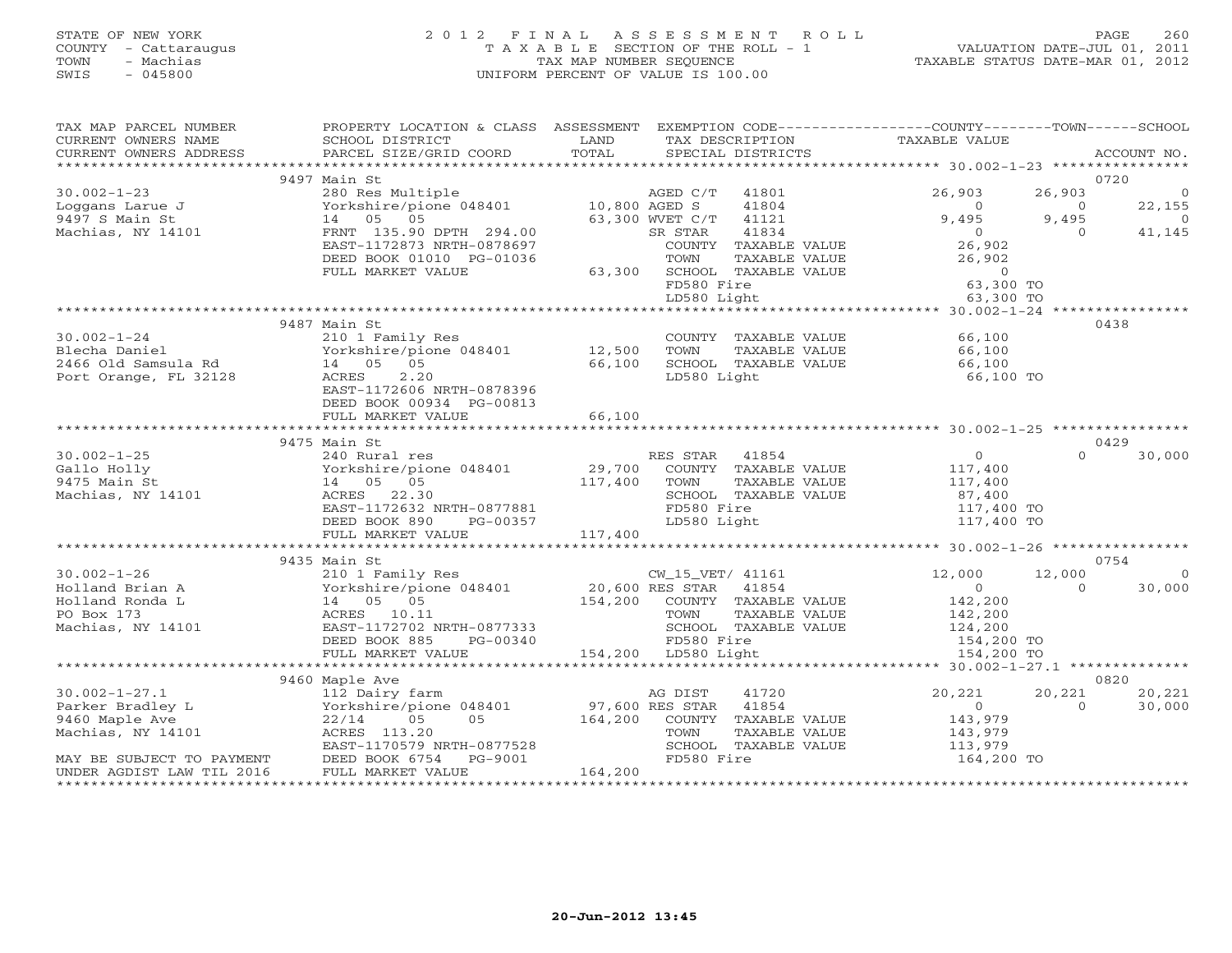#### STATE OF NEW YORK 2 0 1 2 F I N A L A S S E S S M E N T R O L L PAGE 260 COUNTY - Cattaraugus T A X A B L E SECTION OF THE ROLL - 1 VALUATION DATE-JUL 01, 2011 TOWN - Machias TAX MAP NUMBER SEQUENCE TAXABLE STATUS DATE-MAR 01, 2012 SWIS - 045800 UNIFORM PERCENT OF VALUE IS 100.00UNIFORM PERCENT OF VALUE IS 100.00

| TAX MAP PARCEL NUMBER<br>CURRENT OWNERS NAME                  | PROPERTY LOCATION & CLASS ASSESSMENT EXEMPTION CODE----------------COUNTY-------TOWN------SCHOOL<br>SCHOOL DISTRICT                                                                                          | LAND    | TAX DESCRIPTION                                                                                          |               | TAXABLE VALUE                                         |                    |                  |
|---------------------------------------------------------------|--------------------------------------------------------------------------------------------------------------------------------------------------------------------------------------------------------------|---------|----------------------------------------------------------------------------------------------------------|---------------|-------------------------------------------------------|--------------------|------------------|
| CURRENT OWNERS ADDRESS                                        | PARCEL SIZE/GRID COORD                                                                                                                                                                                       | TOTAL   | SPECIAL DISTRICTS                                                                                        |               |                                                       |                    | ACCOUNT NO.      |
|                                                               |                                                                                                                                                                                                              |         |                                                                                                          |               |                                                       |                    |                  |
|                                                               | 9497 Main St                                                                                                                                                                                                 |         |                                                                                                          |               |                                                       |                    | 0720             |
| $30.002 - 1 - 23$                                             |                                                                                                                                                                                                              |         |                                                                                                          |               | 26,903                                                | 26,903             | $\circ$          |
|                                                               | $\begin{tabular}{lllllllllll} 280\;\; {\rm Res\;\;Multiple} & \; & \; \; \text{AGED\;\;C/T} & 41801 \\ \text{Yorkshire/pione\;\;048401} & \; & \; 10,800\;\; \text{AGED\;\;S} & \; & 41804 \\ \end{tabular}$ |         | 41804                                                                                                    |               | $\overline{0}$                                        | $\overline{0}$     | 22,155           |
| Loggans Larue J<br>9497 S Main St<br>Machias, NY 14101        | 14 05 05                                                                                                                                                                                                     |         | 63,300 WVET C/T<br>41121                                                                                 |               | 9,495                                                 | 9,495              | $\overline{0}$   |
|                                                               | FRNT 135.90 DPTH 294.00                                                                                                                                                                                      |         |                                                                                                          |               | $\begin{array}{c} 0 \\ 26,902 \end{array}$            | $\overline{0}$     | 41,145           |
|                                                               | EAST-1172873 NRTH-0878697                                                                                                                                                                                    |         | COUNTY TAXABLE VALUE                                                                                     |               |                                                       |                    |                  |
|                                                               | DEED BOOK 01010 PG-01036                                                                                                                                                                                     |         |                                                                                                          | TAXABLE VALUE | 26,902                                                |                    |                  |
|                                                               | FULL MARKET VALUE                                                                                                                                                                                            |         | SR STAR 41834<br>COUNTY TAXABLE VALUE<br>TOWN TAXABLE VALUE<br>63,300 SCHOOL TAXABLE VALUE<br>FD580 Fire |               | $\begin{array}{c} 0 \\ 63,300 \text{ TO} \end{array}$ |                    |                  |
|                                                               |                                                                                                                                                                                                              |         |                                                                                                          |               |                                                       |                    |                  |
|                                                               |                                                                                                                                                                                                              |         | LD580 Light                                                                                              |               | 63,300 TO                                             |                    |                  |
|                                                               | 9487 Main St                                                                                                                                                                                                 |         |                                                                                                          |               |                                                       |                    | 0438             |
| $30.002 - 1 - 24$                                             | 210 1 Family Res                                                                                                                                                                                             |         |                                                                                                          |               | COUNTY TAXABLE VALUE 66,100                           |                    |                  |
|                                                               |                                                                                                                                                                                                              |         |                                                                                                          | TAXABLE VALUE | 66,100                                                |                    |                  |
| Blecha Daniel<br>2466 Old Samsula Rd<br>Port Orange, FL 32128 | Yorkshire/pione 048401 12,500 TOWN<br>14 05 05 66,100 SCHOOL<br>ACRES 2.20 1.D580                                                                                                                            |         | SCHOOL TAXABLE VALUE                                                                                     |               | 66,100                                                |                    |                  |
|                                                               | 2.20<br>ACRES                                                                                                                                                                                                |         | LD580 Light                                                                                              |               | 66,100 TO                                             |                    |                  |
|                                                               | EAST-1172606 NRTH-0878396                                                                                                                                                                                    |         |                                                                                                          |               |                                                       |                    |                  |
|                                                               | DEED BOOK 00934 PG-00813                                                                                                                                                                                     |         |                                                                                                          |               |                                                       |                    |                  |
|                                                               | FULL MARKET VALUE                                                                                                                                                                                            | 66,100  |                                                                                                          |               |                                                       |                    |                  |
|                                                               |                                                                                                                                                                                                              |         |                                                                                                          |               |                                                       |                    |                  |
|                                                               | 9475 Main St                                                                                                                                                                                                 |         |                                                                                                          |               |                                                       |                    | 0429             |
| $30.002 - 1 - 25$                                             | 240 Rural res<br>240 Nuru-<br>Yorkshire/pio<br>14 05 05<br>ACRES 22.30                                                                                                                                       |         | RES STAR 41854                                                                                           |               | $\overline{0}$                                        | $\Omega$           | 30,000           |
| Gallo Holly                                                   | Vorkshire/pione 048401 29,700 COUNTY TAXABLE VALUE 117,400<br>14 05 05 117,400 TOWN TAXABLE VALUE 117,400                                                                                                    |         |                                                                                                          |               |                                                       |                    |                  |
| 9475 Main St                                                  |                                                                                                                                                                                                              |         |                                                                                                          |               |                                                       |                    |                  |
| Machias, NY 14101                                             | ACRES 22.30<br>EAST-1172632 NRTH-0877881                                                                                                                                                                     |         | SCHOOL TAXABLE VALUE<br>FD580 Fire                                                                       |               | 87,400<br>117,400 TO                                  |                    |                  |
|                                                               | DEED BOOK 890<br>PG-00357                                                                                                                                                                                    |         | LD580 Light                                                                                              |               | 117,400 TO<br>117,400 TO                              |                    |                  |
|                                                               |                                                                                                                                                                                                              |         |                                                                                                          |               |                                                       |                    |                  |
|                                                               |                                                                                                                                                                                                              |         |                                                                                                          |               |                                                       |                    |                  |
|                                                               | 9435 Main St                                                                                                                                                                                                 |         |                                                                                                          |               |                                                       |                    | 0754             |
| $30.002 - 1 - 26$                                             | 210 1 Family Res                                                                                                                                                                                             |         | CW_15_VET/ 41161                                                                                         |               | 12,000                                                | 12,000             | $\overline{0}$   |
|                                                               |                                                                                                                                                                                                              |         |                                                                                                          |               | $\begin{array}{c} 0 \\ 142,200 \end{array}$           | $\Omega$           | 30,000           |
|                                                               |                                                                                                                                                                                                              |         |                                                                                                          |               |                                                       |                    |                  |
|                                                               |                                                                                                                                                                                                              |         |                                                                                                          |               |                                                       |                    |                  |
|                                                               |                                                                                                                                                                                                              |         |                                                                                                          |               |                                                       |                    |                  |
|                                                               |                                                                                                                                                                                                              |         | ECROCE TIME<br>FD580 Fire<br>154,200 LD580 Light                                                         |               |                                                       |                    |                  |
|                                                               | FULL MARKET VALUE<br>********************************                                                                                                                                                        |         |                                                                                                          |               | 154,200 TO                                            |                    |                  |
|                                                               |                                                                                                                                                                                                              |         |                                                                                                          |               |                                                       |                    |                  |
|                                                               |                                                                                                                                                                                                              |         |                                                                                                          |               |                                                       |                    | 0820             |
| $30.002 - 1 - 27.1$<br>Parker Bradley L                       |                                                                                                                                                                                                              |         |                                                                                                          |               | 20,221<br>$\overline{0}$                              | 20,221<br>$\Omega$ | 20,221<br>30,000 |
| 9460 Maple Ave                                                |                                                                                                                                                                                                              |         |                                                                                                          |               |                                                       |                    |                  |
| Machias, NY 14101                                             |                                                                                                                                                                                                              |         |                                                                                                          |               | 143,979<br>143,979                                    |                    |                  |
|                                                               | 112 Dairy farm<br>Yorkshire/pione 048401 and 97,600 RES STAR 41854<br>22/14 05 05 164,200 COUNTY TAXABLE VALUE<br>ACRES 113.20 TOWN TAYART WILLE                                                             |         |                                                                                                          |               | 113,979                                               |                    |                  |
|                                                               | MAY BE SUBJECT TO PAYMENT DEED BOOK 6754 PG-9001                                                                                                                                                             |         | FD580 Fire                                                                                               |               | 164,200 TO                                            |                    |                  |
| UNDER AGDIST LAW TIL 2016                                     | FULL MARKET VALUE                                                                                                                                                                                            | 164,200 |                                                                                                          |               |                                                       |                    |                  |
|                                                               |                                                                                                                                                                                                              |         |                                                                                                          |               |                                                       |                    |                  |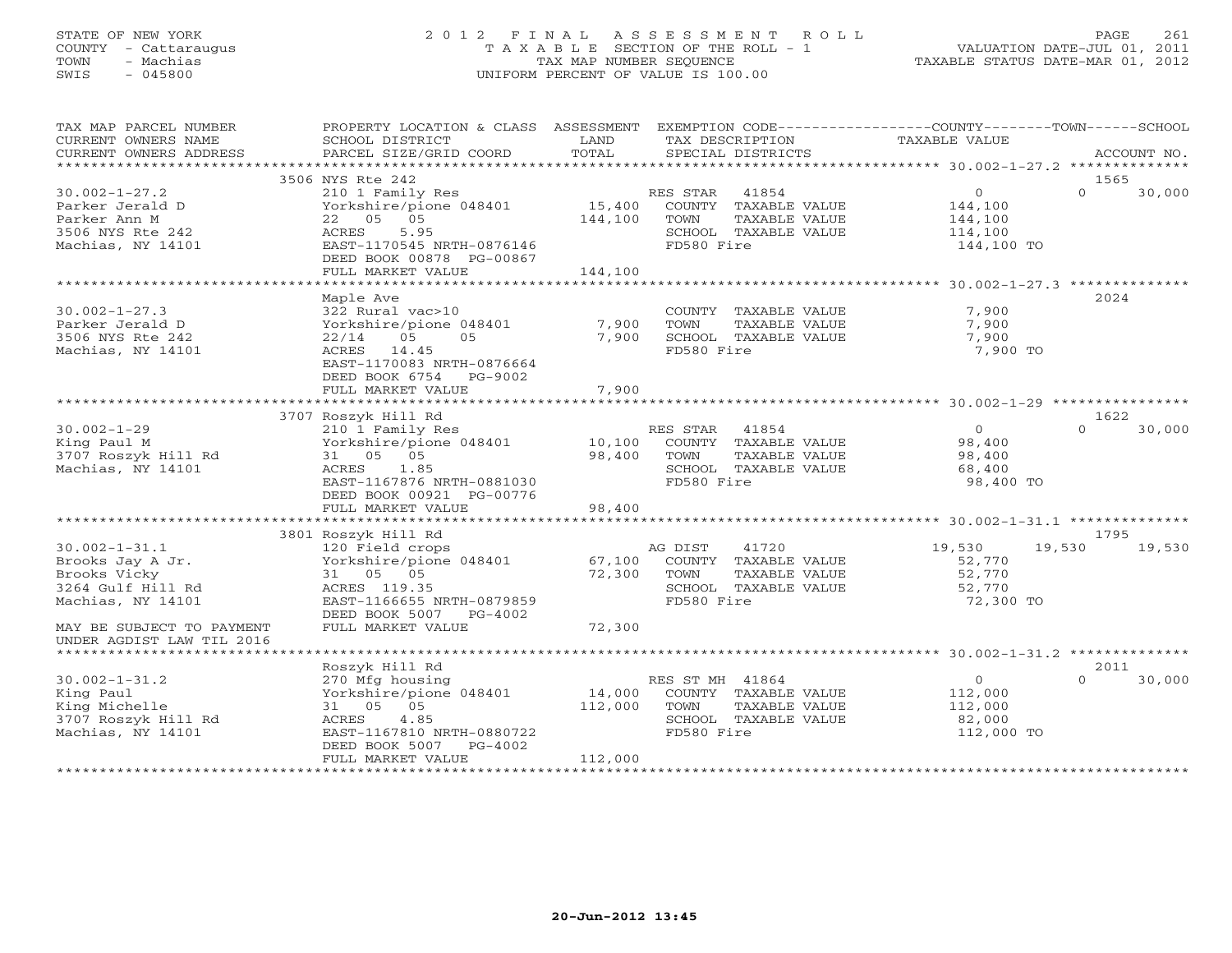#### STATE OF NEW YORK 2 0 1 2 F I N A L A S S E S S M E N T R O L L PAGE 261 COUNTY - Cattaraugus T A X A B L E SECTION OF THE ROLL - 1 VALUATION DATE-JUL 01, 2011 TOWN - Machias TAX MAP NUMBER SEQUENCE TAXABLE STATUS DATE-MAR 01, 2012 SWIS - 045800 UNIFORM PERCENT OF VALUE IS 100.00UNIFORM PERCENT OF VALUE IS 100.00

| SCHOOL DISTRICT<br>LAND<br>TAX DESCRIPTION<br>TAXABLE VALUE<br>TOTAL<br>PARCEL SIZE/GRID COORD<br>SPECIAL DISTRICTS<br>ACCOUNT NO.<br>***********************<br>3506 NYS Rte 242<br>1565<br>0<br>$\Omega$<br>210 1 Family Res<br>RES STAR<br>41854<br>30,000<br>15,400<br>Yorkshire/pione 048401<br>COUNTY TAXABLE VALUE<br>144,100<br>22 05 05<br>144,100<br>TOWN<br>TAXABLE VALUE<br>144,100<br>5.95<br>SCHOOL TAXABLE VALUE<br>ACRES<br>114,100<br>FD580 Fire<br>EAST-1170545 NRTH-0876146<br>144,100 TO<br>DEED BOOK 00878 PG-00867<br>144,100<br>FULL MARKET VALUE<br>Maple Ave<br>2024<br>$30.002 - 1 - 27.3$<br>7,900<br>322 Rural vac>10<br>COUNTY TAXABLE VALUE<br>Parker Jerald D<br>Yorkshire/pione 048401<br>7,900<br>TOWN<br>TAXABLE VALUE<br>7,900<br>7,900<br>7,900<br>3506 NYS Rte 242<br>22/14<br>05<br>05<br>SCHOOL TAXABLE VALUE<br>FD580 Fire<br>Machias, NY 14101<br>ACRES 14.45<br>7,900 TO<br>EAST-1170083 NRTH-0876664<br>DEED BOOK 6754 PG-9002<br>7,900<br>FULL MARKET VALUE<br>3707 Roszyk Hill Rd<br>1622<br>$30.002 - 1 - 29$<br>RES STAR<br>41854<br>$\Omega$<br>$\Omega$<br>30,000<br>210 1 Family Res<br>King Paul M<br>Yorkshire/pione 048401<br>10,100<br>COUNTY TAXABLE VALUE<br>98,400<br>3707 Roszyk Hill Rd<br>98,400<br>31 05 05<br>TOWN<br>TAXABLE VALUE<br>98,400<br>Machias, NY 14101<br>ACRES 1.85<br>SCHOOL TAXABLE VALUE<br>68,400<br>EAST-1167876 NRTH-0881030<br>FD580 Fire<br>98,400 TO<br>DEED BOOK 00921 PG-00776<br>98,400<br>FULL MARKET VALUE<br>3801 Roszyk Hill Rd<br>1795<br>$30.002 - 1 - 31.1$<br>AG DIST<br>41720<br>19,530<br>19,530<br>19,530<br>120 Field crops<br>Yorkshire/pione 048401<br>Brooks Jay A Jr.<br>COUNTY TAXABLE VALUE<br>67,100<br>52,770<br>31 05 05<br>72,300<br>52,770<br>TOWN<br>TAXABLE VALUE<br>ACRES 119.35<br>SCHOOL TAXABLE VALUE<br>52,770<br>Machias, NY 14101<br>EAST-1166655 NRTH-0879859<br>FD580 Fire<br>72,300 TO<br>DEED BOOK 5007 PG-4002<br>72,300<br>FULL MARKET VALUE<br>Roszyk Hill Rd<br>2011<br>$30.002 - 1 - 31.2$<br>270 Mfg housing<br>RES ST MH 41864<br>$\overline{0}$<br>$\cap$<br>30,000<br>14,000<br>King Paul<br>Yorkshire/pione 048401<br>COUNTY TAXABLE VALUE<br>112,000<br>King Michelle<br>31 05 05<br>112,000<br>TOWN<br>TAXABLE VALUE<br>112,000<br>3707 Roszyk Hill Rd<br>ACRES<br>4.85<br>SCHOOL TAXABLE VALUE<br>82,000<br>Machias, NY 14101<br>EAST-1167810 NRTH-0880722<br>FD580 Fire<br>112,000 TO<br>DEED BOOK 5007<br>PG-4002<br>112,000<br>FULL MARKET VALUE | TAX MAP PARCEL NUMBER     | PROPERTY LOCATION & CLASS ASSESSMENT EXEMPTION CODE---------------COUNTY-------TOWN-----SCHOOL |  |  |  |
|---------------------------------------------------------------------------------------------------------------------------------------------------------------------------------------------------------------------------------------------------------------------------------------------------------------------------------------------------------------------------------------------------------------------------------------------------------------------------------------------------------------------------------------------------------------------------------------------------------------------------------------------------------------------------------------------------------------------------------------------------------------------------------------------------------------------------------------------------------------------------------------------------------------------------------------------------------------------------------------------------------------------------------------------------------------------------------------------------------------------------------------------------------------------------------------------------------------------------------------------------------------------------------------------------------------------------------------------------------------------------------------------------------------------------------------------------------------------------------------------------------------------------------------------------------------------------------------------------------------------------------------------------------------------------------------------------------------------------------------------------------------------------------------------------------------------------------------------------------------------------------------------------------------------------------------------------------------------------------------------------------------------------------------------------------------------------------------------------------------------------------------------------------------------------------------------------------------------------------------------------------------------------------------------------------------------------------------------------------------------------------------------------------------------------------------------------------------------------------------------|---------------------------|------------------------------------------------------------------------------------------------|--|--|--|
|                                                                                                                                                                                                                                                                                                                                                                                                                                                                                                                                                                                                                                                                                                                                                                                                                                                                                                                                                                                                                                                                                                                                                                                                                                                                                                                                                                                                                                                                                                                                                                                                                                                                                                                                                                                                                                                                                                                                                                                                                                                                                                                                                                                                                                                                                                                                                                                                                                                                                             | CURRENT OWNERS NAME       |                                                                                                |  |  |  |
|                                                                                                                                                                                                                                                                                                                                                                                                                                                                                                                                                                                                                                                                                                                                                                                                                                                                                                                                                                                                                                                                                                                                                                                                                                                                                                                                                                                                                                                                                                                                                                                                                                                                                                                                                                                                                                                                                                                                                                                                                                                                                                                                                                                                                                                                                                                                                                                                                                                                                             | CURRENT OWNERS ADDRESS    |                                                                                                |  |  |  |
|                                                                                                                                                                                                                                                                                                                                                                                                                                                                                                                                                                                                                                                                                                                                                                                                                                                                                                                                                                                                                                                                                                                                                                                                                                                                                                                                                                                                                                                                                                                                                                                                                                                                                                                                                                                                                                                                                                                                                                                                                                                                                                                                                                                                                                                                                                                                                                                                                                                                                             |                           |                                                                                                |  |  |  |
|                                                                                                                                                                                                                                                                                                                                                                                                                                                                                                                                                                                                                                                                                                                                                                                                                                                                                                                                                                                                                                                                                                                                                                                                                                                                                                                                                                                                                                                                                                                                                                                                                                                                                                                                                                                                                                                                                                                                                                                                                                                                                                                                                                                                                                                                                                                                                                                                                                                                                             |                           |                                                                                                |  |  |  |
|                                                                                                                                                                                                                                                                                                                                                                                                                                                                                                                                                                                                                                                                                                                                                                                                                                                                                                                                                                                                                                                                                                                                                                                                                                                                                                                                                                                                                                                                                                                                                                                                                                                                                                                                                                                                                                                                                                                                                                                                                                                                                                                                                                                                                                                                                                                                                                                                                                                                                             | $30.002 - 1 - 27.2$       |                                                                                                |  |  |  |
|                                                                                                                                                                                                                                                                                                                                                                                                                                                                                                                                                                                                                                                                                                                                                                                                                                                                                                                                                                                                                                                                                                                                                                                                                                                                                                                                                                                                                                                                                                                                                                                                                                                                                                                                                                                                                                                                                                                                                                                                                                                                                                                                                                                                                                                                                                                                                                                                                                                                                             | Parker Jerald D           |                                                                                                |  |  |  |
|                                                                                                                                                                                                                                                                                                                                                                                                                                                                                                                                                                                                                                                                                                                                                                                                                                                                                                                                                                                                                                                                                                                                                                                                                                                                                                                                                                                                                                                                                                                                                                                                                                                                                                                                                                                                                                                                                                                                                                                                                                                                                                                                                                                                                                                                                                                                                                                                                                                                                             | Parker Ann M              |                                                                                                |  |  |  |
|                                                                                                                                                                                                                                                                                                                                                                                                                                                                                                                                                                                                                                                                                                                                                                                                                                                                                                                                                                                                                                                                                                                                                                                                                                                                                                                                                                                                                                                                                                                                                                                                                                                                                                                                                                                                                                                                                                                                                                                                                                                                                                                                                                                                                                                                                                                                                                                                                                                                                             | 3506 NYS Rte 242          |                                                                                                |  |  |  |
|                                                                                                                                                                                                                                                                                                                                                                                                                                                                                                                                                                                                                                                                                                                                                                                                                                                                                                                                                                                                                                                                                                                                                                                                                                                                                                                                                                                                                                                                                                                                                                                                                                                                                                                                                                                                                                                                                                                                                                                                                                                                                                                                                                                                                                                                                                                                                                                                                                                                                             | Machias, NY 14101         |                                                                                                |  |  |  |
|                                                                                                                                                                                                                                                                                                                                                                                                                                                                                                                                                                                                                                                                                                                                                                                                                                                                                                                                                                                                                                                                                                                                                                                                                                                                                                                                                                                                                                                                                                                                                                                                                                                                                                                                                                                                                                                                                                                                                                                                                                                                                                                                                                                                                                                                                                                                                                                                                                                                                             |                           |                                                                                                |  |  |  |
|                                                                                                                                                                                                                                                                                                                                                                                                                                                                                                                                                                                                                                                                                                                                                                                                                                                                                                                                                                                                                                                                                                                                                                                                                                                                                                                                                                                                                                                                                                                                                                                                                                                                                                                                                                                                                                                                                                                                                                                                                                                                                                                                                                                                                                                                                                                                                                                                                                                                                             |                           |                                                                                                |  |  |  |
|                                                                                                                                                                                                                                                                                                                                                                                                                                                                                                                                                                                                                                                                                                                                                                                                                                                                                                                                                                                                                                                                                                                                                                                                                                                                                                                                                                                                                                                                                                                                                                                                                                                                                                                                                                                                                                                                                                                                                                                                                                                                                                                                                                                                                                                                                                                                                                                                                                                                                             |                           |                                                                                                |  |  |  |
|                                                                                                                                                                                                                                                                                                                                                                                                                                                                                                                                                                                                                                                                                                                                                                                                                                                                                                                                                                                                                                                                                                                                                                                                                                                                                                                                                                                                                                                                                                                                                                                                                                                                                                                                                                                                                                                                                                                                                                                                                                                                                                                                                                                                                                                                                                                                                                                                                                                                                             |                           |                                                                                                |  |  |  |
|                                                                                                                                                                                                                                                                                                                                                                                                                                                                                                                                                                                                                                                                                                                                                                                                                                                                                                                                                                                                                                                                                                                                                                                                                                                                                                                                                                                                                                                                                                                                                                                                                                                                                                                                                                                                                                                                                                                                                                                                                                                                                                                                                                                                                                                                                                                                                                                                                                                                                             |                           |                                                                                                |  |  |  |
|                                                                                                                                                                                                                                                                                                                                                                                                                                                                                                                                                                                                                                                                                                                                                                                                                                                                                                                                                                                                                                                                                                                                                                                                                                                                                                                                                                                                                                                                                                                                                                                                                                                                                                                                                                                                                                                                                                                                                                                                                                                                                                                                                                                                                                                                                                                                                                                                                                                                                             |                           |                                                                                                |  |  |  |
|                                                                                                                                                                                                                                                                                                                                                                                                                                                                                                                                                                                                                                                                                                                                                                                                                                                                                                                                                                                                                                                                                                                                                                                                                                                                                                                                                                                                                                                                                                                                                                                                                                                                                                                                                                                                                                                                                                                                                                                                                                                                                                                                                                                                                                                                                                                                                                                                                                                                                             |                           |                                                                                                |  |  |  |
|                                                                                                                                                                                                                                                                                                                                                                                                                                                                                                                                                                                                                                                                                                                                                                                                                                                                                                                                                                                                                                                                                                                                                                                                                                                                                                                                                                                                                                                                                                                                                                                                                                                                                                                                                                                                                                                                                                                                                                                                                                                                                                                                                                                                                                                                                                                                                                                                                                                                                             |                           |                                                                                                |  |  |  |
|                                                                                                                                                                                                                                                                                                                                                                                                                                                                                                                                                                                                                                                                                                                                                                                                                                                                                                                                                                                                                                                                                                                                                                                                                                                                                                                                                                                                                                                                                                                                                                                                                                                                                                                                                                                                                                                                                                                                                                                                                                                                                                                                                                                                                                                                                                                                                                                                                                                                                             |                           |                                                                                                |  |  |  |
|                                                                                                                                                                                                                                                                                                                                                                                                                                                                                                                                                                                                                                                                                                                                                                                                                                                                                                                                                                                                                                                                                                                                                                                                                                                                                                                                                                                                                                                                                                                                                                                                                                                                                                                                                                                                                                                                                                                                                                                                                                                                                                                                                                                                                                                                                                                                                                                                                                                                                             |                           |                                                                                                |  |  |  |
|                                                                                                                                                                                                                                                                                                                                                                                                                                                                                                                                                                                                                                                                                                                                                                                                                                                                                                                                                                                                                                                                                                                                                                                                                                                                                                                                                                                                                                                                                                                                                                                                                                                                                                                                                                                                                                                                                                                                                                                                                                                                                                                                                                                                                                                                                                                                                                                                                                                                                             |                           |                                                                                                |  |  |  |
|                                                                                                                                                                                                                                                                                                                                                                                                                                                                                                                                                                                                                                                                                                                                                                                                                                                                                                                                                                                                                                                                                                                                                                                                                                                                                                                                                                                                                                                                                                                                                                                                                                                                                                                                                                                                                                                                                                                                                                                                                                                                                                                                                                                                                                                                                                                                                                                                                                                                                             |                           |                                                                                                |  |  |  |
|                                                                                                                                                                                                                                                                                                                                                                                                                                                                                                                                                                                                                                                                                                                                                                                                                                                                                                                                                                                                                                                                                                                                                                                                                                                                                                                                                                                                                                                                                                                                                                                                                                                                                                                                                                                                                                                                                                                                                                                                                                                                                                                                                                                                                                                                                                                                                                                                                                                                                             |                           |                                                                                                |  |  |  |
|                                                                                                                                                                                                                                                                                                                                                                                                                                                                                                                                                                                                                                                                                                                                                                                                                                                                                                                                                                                                                                                                                                                                                                                                                                                                                                                                                                                                                                                                                                                                                                                                                                                                                                                                                                                                                                                                                                                                                                                                                                                                                                                                                                                                                                                                                                                                                                                                                                                                                             |                           |                                                                                                |  |  |  |
|                                                                                                                                                                                                                                                                                                                                                                                                                                                                                                                                                                                                                                                                                                                                                                                                                                                                                                                                                                                                                                                                                                                                                                                                                                                                                                                                                                                                                                                                                                                                                                                                                                                                                                                                                                                                                                                                                                                                                                                                                                                                                                                                                                                                                                                                                                                                                                                                                                                                                             |                           |                                                                                                |  |  |  |
|                                                                                                                                                                                                                                                                                                                                                                                                                                                                                                                                                                                                                                                                                                                                                                                                                                                                                                                                                                                                                                                                                                                                                                                                                                                                                                                                                                                                                                                                                                                                                                                                                                                                                                                                                                                                                                                                                                                                                                                                                                                                                                                                                                                                                                                                                                                                                                                                                                                                                             |                           |                                                                                                |  |  |  |
|                                                                                                                                                                                                                                                                                                                                                                                                                                                                                                                                                                                                                                                                                                                                                                                                                                                                                                                                                                                                                                                                                                                                                                                                                                                                                                                                                                                                                                                                                                                                                                                                                                                                                                                                                                                                                                                                                                                                                                                                                                                                                                                                                                                                                                                                                                                                                                                                                                                                                             |                           |                                                                                                |  |  |  |
|                                                                                                                                                                                                                                                                                                                                                                                                                                                                                                                                                                                                                                                                                                                                                                                                                                                                                                                                                                                                                                                                                                                                                                                                                                                                                                                                                                                                                                                                                                                                                                                                                                                                                                                                                                                                                                                                                                                                                                                                                                                                                                                                                                                                                                                                                                                                                                                                                                                                                             |                           |                                                                                                |  |  |  |
|                                                                                                                                                                                                                                                                                                                                                                                                                                                                                                                                                                                                                                                                                                                                                                                                                                                                                                                                                                                                                                                                                                                                                                                                                                                                                                                                                                                                                                                                                                                                                                                                                                                                                                                                                                                                                                                                                                                                                                                                                                                                                                                                                                                                                                                                                                                                                                                                                                                                                             |                           |                                                                                                |  |  |  |
|                                                                                                                                                                                                                                                                                                                                                                                                                                                                                                                                                                                                                                                                                                                                                                                                                                                                                                                                                                                                                                                                                                                                                                                                                                                                                                                                                                                                                                                                                                                                                                                                                                                                                                                                                                                                                                                                                                                                                                                                                                                                                                                                                                                                                                                                                                                                                                                                                                                                                             |                           |                                                                                                |  |  |  |
|                                                                                                                                                                                                                                                                                                                                                                                                                                                                                                                                                                                                                                                                                                                                                                                                                                                                                                                                                                                                                                                                                                                                                                                                                                                                                                                                                                                                                                                                                                                                                                                                                                                                                                                                                                                                                                                                                                                                                                                                                                                                                                                                                                                                                                                                                                                                                                                                                                                                                             |                           |                                                                                                |  |  |  |
|                                                                                                                                                                                                                                                                                                                                                                                                                                                                                                                                                                                                                                                                                                                                                                                                                                                                                                                                                                                                                                                                                                                                                                                                                                                                                                                                                                                                                                                                                                                                                                                                                                                                                                                                                                                                                                                                                                                                                                                                                                                                                                                                                                                                                                                                                                                                                                                                                                                                                             |                           |                                                                                                |  |  |  |
|                                                                                                                                                                                                                                                                                                                                                                                                                                                                                                                                                                                                                                                                                                                                                                                                                                                                                                                                                                                                                                                                                                                                                                                                                                                                                                                                                                                                                                                                                                                                                                                                                                                                                                                                                                                                                                                                                                                                                                                                                                                                                                                                                                                                                                                                                                                                                                                                                                                                                             |                           |                                                                                                |  |  |  |
|                                                                                                                                                                                                                                                                                                                                                                                                                                                                                                                                                                                                                                                                                                                                                                                                                                                                                                                                                                                                                                                                                                                                                                                                                                                                                                                                                                                                                                                                                                                                                                                                                                                                                                                                                                                                                                                                                                                                                                                                                                                                                                                                                                                                                                                                                                                                                                                                                                                                                             |                           |                                                                                                |  |  |  |
|                                                                                                                                                                                                                                                                                                                                                                                                                                                                                                                                                                                                                                                                                                                                                                                                                                                                                                                                                                                                                                                                                                                                                                                                                                                                                                                                                                                                                                                                                                                                                                                                                                                                                                                                                                                                                                                                                                                                                                                                                                                                                                                                                                                                                                                                                                                                                                                                                                                                                             |                           |                                                                                                |  |  |  |
|                                                                                                                                                                                                                                                                                                                                                                                                                                                                                                                                                                                                                                                                                                                                                                                                                                                                                                                                                                                                                                                                                                                                                                                                                                                                                                                                                                                                                                                                                                                                                                                                                                                                                                                                                                                                                                                                                                                                                                                                                                                                                                                                                                                                                                                                                                                                                                                                                                                                                             | Brooks Vicky              |                                                                                                |  |  |  |
|                                                                                                                                                                                                                                                                                                                                                                                                                                                                                                                                                                                                                                                                                                                                                                                                                                                                                                                                                                                                                                                                                                                                                                                                                                                                                                                                                                                                                                                                                                                                                                                                                                                                                                                                                                                                                                                                                                                                                                                                                                                                                                                                                                                                                                                                                                                                                                                                                                                                                             | 3264 Gulf Hill Rd         |                                                                                                |  |  |  |
|                                                                                                                                                                                                                                                                                                                                                                                                                                                                                                                                                                                                                                                                                                                                                                                                                                                                                                                                                                                                                                                                                                                                                                                                                                                                                                                                                                                                                                                                                                                                                                                                                                                                                                                                                                                                                                                                                                                                                                                                                                                                                                                                                                                                                                                                                                                                                                                                                                                                                             |                           |                                                                                                |  |  |  |
|                                                                                                                                                                                                                                                                                                                                                                                                                                                                                                                                                                                                                                                                                                                                                                                                                                                                                                                                                                                                                                                                                                                                                                                                                                                                                                                                                                                                                                                                                                                                                                                                                                                                                                                                                                                                                                                                                                                                                                                                                                                                                                                                                                                                                                                                                                                                                                                                                                                                                             |                           |                                                                                                |  |  |  |
|                                                                                                                                                                                                                                                                                                                                                                                                                                                                                                                                                                                                                                                                                                                                                                                                                                                                                                                                                                                                                                                                                                                                                                                                                                                                                                                                                                                                                                                                                                                                                                                                                                                                                                                                                                                                                                                                                                                                                                                                                                                                                                                                                                                                                                                                                                                                                                                                                                                                                             | MAY BE SUBJECT TO PAYMENT |                                                                                                |  |  |  |
|                                                                                                                                                                                                                                                                                                                                                                                                                                                                                                                                                                                                                                                                                                                                                                                                                                                                                                                                                                                                                                                                                                                                                                                                                                                                                                                                                                                                                                                                                                                                                                                                                                                                                                                                                                                                                                                                                                                                                                                                                                                                                                                                                                                                                                                                                                                                                                                                                                                                                             | UNDER AGDIST LAW TIL 2016 |                                                                                                |  |  |  |
|                                                                                                                                                                                                                                                                                                                                                                                                                                                                                                                                                                                                                                                                                                                                                                                                                                                                                                                                                                                                                                                                                                                                                                                                                                                                                                                                                                                                                                                                                                                                                                                                                                                                                                                                                                                                                                                                                                                                                                                                                                                                                                                                                                                                                                                                                                                                                                                                                                                                                             |                           |                                                                                                |  |  |  |
|                                                                                                                                                                                                                                                                                                                                                                                                                                                                                                                                                                                                                                                                                                                                                                                                                                                                                                                                                                                                                                                                                                                                                                                                                                                                                                                                                                                                                                                                                                                                                                                                                                                                                                                                                                                                                                                                                                                                                                                                                                                                                                                                                                                                                                                                                                                                                                                                                                                                                             |                           |                                                                                                |  |  |  |
|                                                                                                                                                                                                                                                                                                                                                                                                                                                                                                                                                                                                                                                                                                                                                                                                                                                                                                                                                                                                                                                                                                                                                                                                                                                                                                                                                                                                                                                                                                                                                                                                                                                                                                                                                                                                                                                                                                                                                                                                                                                                                                                                                                                                                                                                                                                                                                                                                                                                                             |                           |                                                                                                |  |  |  |
|                                                                                                                                                                                                                                                                                                                                                                                                                                                                                                                                                                                                                                                                                                                                                                                                                                                                                                                                                                                                                                                                                                                                                                                                                                                                                                                                                                                                                                                                                                                                                                                                                                                                                                                                                                                                                                                                                                                                                                                                                                                                                                                                                                                                                                                                                                                                                                                                                                                                                             |                           |                                                                                                |  |  |  |
|                                                                                                                                                                                                                                                                                                                                                                                                                                                                                                                                                                                                                                                                                                                                                                                                                                                                                                                                                                                                                                                                                                                                                                                                                                                                                                                                                                                                                                                                                                                                                                                                                                                                                                                                                                                                                                                                                                                                                                                                                                                                                                                                                                                                                                                                                                                                                                                                                                                                                             |                           |                                                                                                |  |  |  |
|                                                                                                                                                                                                                                                                                                                                                                                                                                                                                                                                                                                                                                                                                                                                                                                                                                                                                                                                                                                                                                                                                                                                                                                                                                                                                                                                                                                                                                                                                                                                                                                                                                                                                                                                                                                                                                                                                                                                                                                                                                                                                                                                                                                                                                                                                                                                                                                                                                                                                             |                           |                                                                                                |  |  |  |
|                                                                                                                                                                                                                                                                                                                                                                                                                                                                                                                                                                                                                                                                                                                                                                                                                                                                                                                                                                                                                                                                                                                                                                                                                                                                                                                                                                                                                                                                                                                                                                                                                                                                                                                                                                                                                                                                                                                                                                                                                                                                                                                                                                                                                                                                                                                                                                                                                                                                                             |                           |                                                                                                |  |  |  |
|                                                                                                                                                                                                                                                                                                                                                                                                                                                                                                                                                                                                                                                                                                                                                                                                                                                                                                                                                                                                                                                                                                                                                                                                                                                                                                                                                                                                                                                                                                                                                                                                                                                                                                                                                                                                                                                                                                                                                                                                                                                                                                                                                                                                                                                                                                                                                                                                                                                                                             |                           |                                                                                                |  |  |  |
|                                                                                                                                                                                                                                                                                                                                                                                                                                                                                                                                                                                                                                                                                                                                                                                                                                                                                                                                                                                                                                                                                                                                                                                                                                                                                                                                                                                                                                                                                                                                                                                                                                                                                                                                                                                                                                                                                                                                                                                                                                                                                                                                                                                                                                                                                                                                                                                                                                                                                             |                           |                                                                                                |  |  |  |
|                                                                                                                                                                                                                                                                                                                                                                                                                                                                                                                                                                                                                                                                                                                                                                                                                                                                                                                                                                                                                                                                                                                                                                                                                                                                                                                                                                                                                                                                                                                                                                                                                                                                                                                                                                                                                                                                                                                                                                                                                                                                                                                                                                                                                                                                                                                                                                                                                                                                                             |                           |                                                                                                |  |  |  |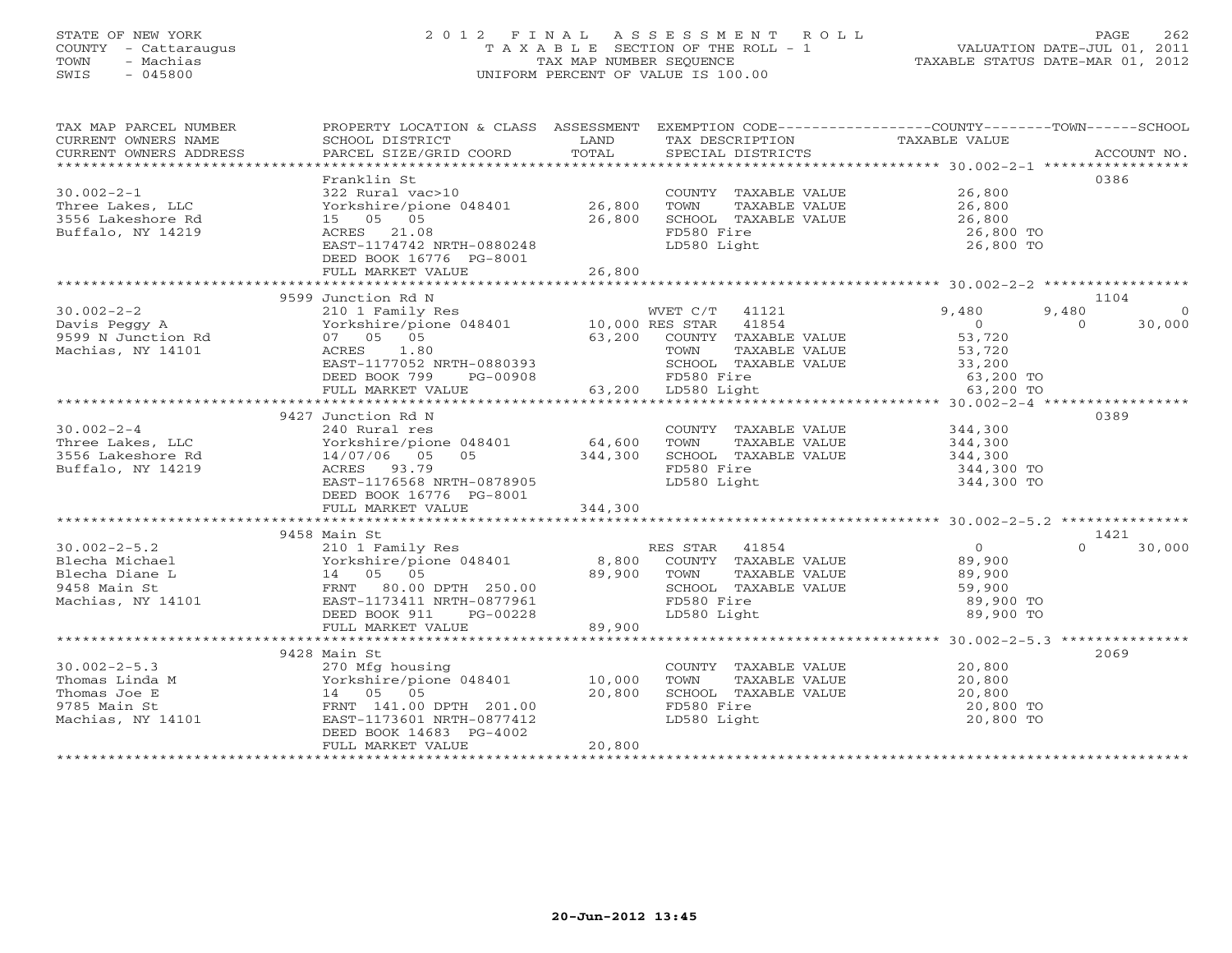#### STATE OF NEW YORK 2 0 1 2 F I N A L A S S E S S M E N T R O L L PAGE 262 COUNTY - Cattaraugus T A X A B L E SECTION OF THE ROLL - 1 VALUATION DATE-JUL 01, 2011 TOWN - Machias TAX MAP NUMBER SEQUENCE TAXABLE STATUS DATE-MAR 01, 2012 SWIS - 045800 UNIFORM PERCENT OF VALUE IS 100.00UNIFORM PERCENT OF VALUE IS 100.00

| TAX MAP PARCEL NUMBER<br>CURRENT OWNERS NAME<br>CURRENT OWNERS ADDRESS                                                                | PROPERTY LOCATION & CLASS ASSESSMENT<br>SCHOOL DISTRICT<br>PARCEL SIZE/GRID COORD            | LAND<br>TOTAL | TAX DESCRIPTION<br>SPECIAL DISTRICTS  | EXEMPTION CODE----------------COUNTY-------TOWN------SCHOOL<br>TAXABLE VALUE | ACCOUNT NO.        |
|---------------------------------------------------------------------------------------------------------------------------------------|----------------------------------------------------------------------------------------------|---------------|---------------------------------------|------------------------------------------------------------------------------|--------------------|
|                                                                                                                                       |                                                                                              |               |                                       |                                                                              |                    |
|                                                                                                                                       | Franklin St                                                                                  |               |                                       |                                                                              | 0386               |
| $30.002 - 2 - 1$                                                                                                                      | 322 Rural vac>10                                                                             |               | COUNTY TAXABLE VALUE 26,800           |                                                                              |                    |
| Three Lakes, LLC                                                                                                                      | Yorkshire/pione 048401 26,800                                                                |               | TOWN<br>TAXABLE VALUE                 | 26,800                                                                       |                    |
| 3556 Lakeshore Rd                                                                                                                     | 15 05 05                                                                                     | 26,800        | SCHOOL TAXABLE VALUE                  | 26,800                                                                       |                    |
| Buffalo, NY 14219                                                                                                                     | ACRES 21.08                                                                                  |               | FD580 Fire                            | 26,800 TO                                                                    |                    |
|                                                                                                                                       | EAST-1174742 NRTH-0880248                                                                    |               | LD580 Light                           | 26,800 TO                                                                    |                    |
|                                                                                                                                       | DEED BOOK 16776 PG-8001                                                                      |               |                                       |                                                                              |                    |
|                                                                                                                                       | FULL MARKET VALUE                                                                            | 26,800        |                                       |                                                                              |                    |
|                                                                                                                                       |                                                                                              |               |                                       |                                                                              |                    |
|                                                                                                                                       | 9599 Junction Rd N                                                                           |               |                                       |                                                                              | 1104               |
| $30.002 - 2 - 2$                                                                                                                      | 210 1 Family Res                                                                             |               | WVET C/T 41121                        | 9,480<br>9,480                                                               | $\bigcirc$         |
| Davis Peggy A                                                                                                                         |                                                                                              |               |                                       | $\overline{0}$                                                               | 30,000<br>$\Omega$ |
| 9599 N Junction Rd                                                                                                                    | Vorkshire/pione 048401 10,000 RES STAR 41854<br>07 05 05 63,200 COUNTY TAXABLE<br>07 07 1.00 |               | COUNTY TAXABLE VALUE                  | 53,720                                                                       |                    |
| Machias, NY 14101                                                                                                                     | ACRES 1.80                                                                                   |               | TAXABLE VALUE<br>TOWN                 | 53,720                                                                       |                    |
|                                                                                                                                       | EAST-1177052 NRTH-0880393                                                                    |               | SCHOOL TAXABLE VALUE                  | ن سال 201, 20<br>200 E VALUE 33, 200<br>63, 200 TO 63, 200 TO                |                    |
|                                                                                                                                       | DEED BOOK 799<br>PG-00908                                                                    |               | 0908 FD580 Fire<br>63,200 LD580 Light |                                                                              |                    |
|                                                                                                                                       | FULL MARKET VALUE                                                                            |               |                                       |                                                                              |                    |
|                                                                                                                                       |                                                                                              |               |                                       |                                                                              |                    |
|                                                                                                                                       | 9427 Junction Rd N                                                                           |               |                                       |                                                                              | 0389               |
| $30.002 - 2 - 4$                                                                                                                      | 240 Rural res<br>Yorkshire/pione 048401 64,600                                               |               | COUNTY TAXABLE VALUE                  | 344,300                                                                      |                    |
| Three Lakes, LLC                                                                                                                      |                                                                                              |               | TOWN<br>TAXABLE VALUE                 | 344,300                                                                      |                    |
| 3556 Lakeshore Rd                                                                                                                     | 05 344,300<br>14/07/06 05                                                                    |               | SCHOOL TAXABLE VALUE                  | 344,300                                                                      |                    |
| Buffalo, NY 14219                                                                                                                     | ACRES 93.79                                                                                  |               | FD580 Fire                            | 344,300 TO                                                                   |                    |
|                                                                                                                                       | EAST-1176568 NRTH-0878905                                                                    |               | LD580 Light                           | 344,300 TO                                                                   |                    |
|                                                                                                                                       | DEED BOOK 16776 PG-8001                                                                      |               |                                       |                                                                              |                    |
|                                                                                                                                       | FULL MARKET VALUE                                                                            | 344,300       |                                       |                                                                              |                    |
|                                                                                                                                       |                                                                                              |               |                                       |                                                                              |                    |
|                                                                                                                                       | 9458 Main St                                                                                 |               |                                       |                                                                              | 1421<br>$\cap$     |
| $30.002 - 2 - 5.2$                                                                                                                    | 210 1 Family Res                                                                             |               | RES STAR 41854                        | $\overline{0}$                                                               | 30,000             |
|                                                                                                                                       |                                                                                              |               | COUNTY TAXABLE VALUE                  | 89,900                                                                       |                    |
|                                                                                                                                       |                                                                                              |               | TAXABLE VALUE<br>TOWN                 | 89,900                                                                       |                    |
|                                                                                                                                       |                                                                                              |               | SCHOOL TAXABLE VALUE                  | 59,900                                                                       |                    |
|                                                                                                                                       |                                                                                              |               | FD580 Fire<br>LD580 Light             | 89,900 TO                                                                    |                    |
|                                                                                                                                       | PG-00228<br>DEED BOOK 911<br>FULL MARKET VALUE                                               | 89,900        |                                       | 89,900 TO                                                                    |                    |
|                                                                                                                                       |                                                                                              |               |                                       |                                                                              |                    |
|                                                                                                                                       | 9428 Main St                                                                                 |               |                                       |                                                                              | 2069               |
| $30.002 - 2 - 5.3$                                                                                                                    | 270 Mfg housing                                                                              |               | COUNTY TAXABLE VALUE                  | 20,800                                                                       |                    |
|                                                                                                                                       |                                                                                              |               | TOWN<br>TAXABLE VALUE                 | 20,800                                                                       |                    |
|                                                                                                                                       |                                                                                              |               | SCHOOL TAXABLE VALUE                  | 20,800                                                                       |                    |
|                                                                                                                                       |                                                                                              |               | FD580 Fire                            | 20,800 TO                                                                    |                    |
| Thomas Linda M<br>Thomas Joe E 14 05 05 20,800<br>9785 Main St FRNT 141.00 DPTH 201.00<br>Machias, NY 14101 EAST-1173601 NRTH-0877412 |                                                                                              |               | LD580 Light                           | 20,800 TO                                                                    |                    |
|                                                                                                                                       | DEED BOOK 14683 PG-4002                                                                      |               |                                       |                                                                              |                    |
|                                                                                                                                       | FULL MARKET VALUE                                                                            | 20,800        |                                       |                                                                              |                    |
|                                                                                                                                       |                                                                                              |               |                                       |                                                                              |                    |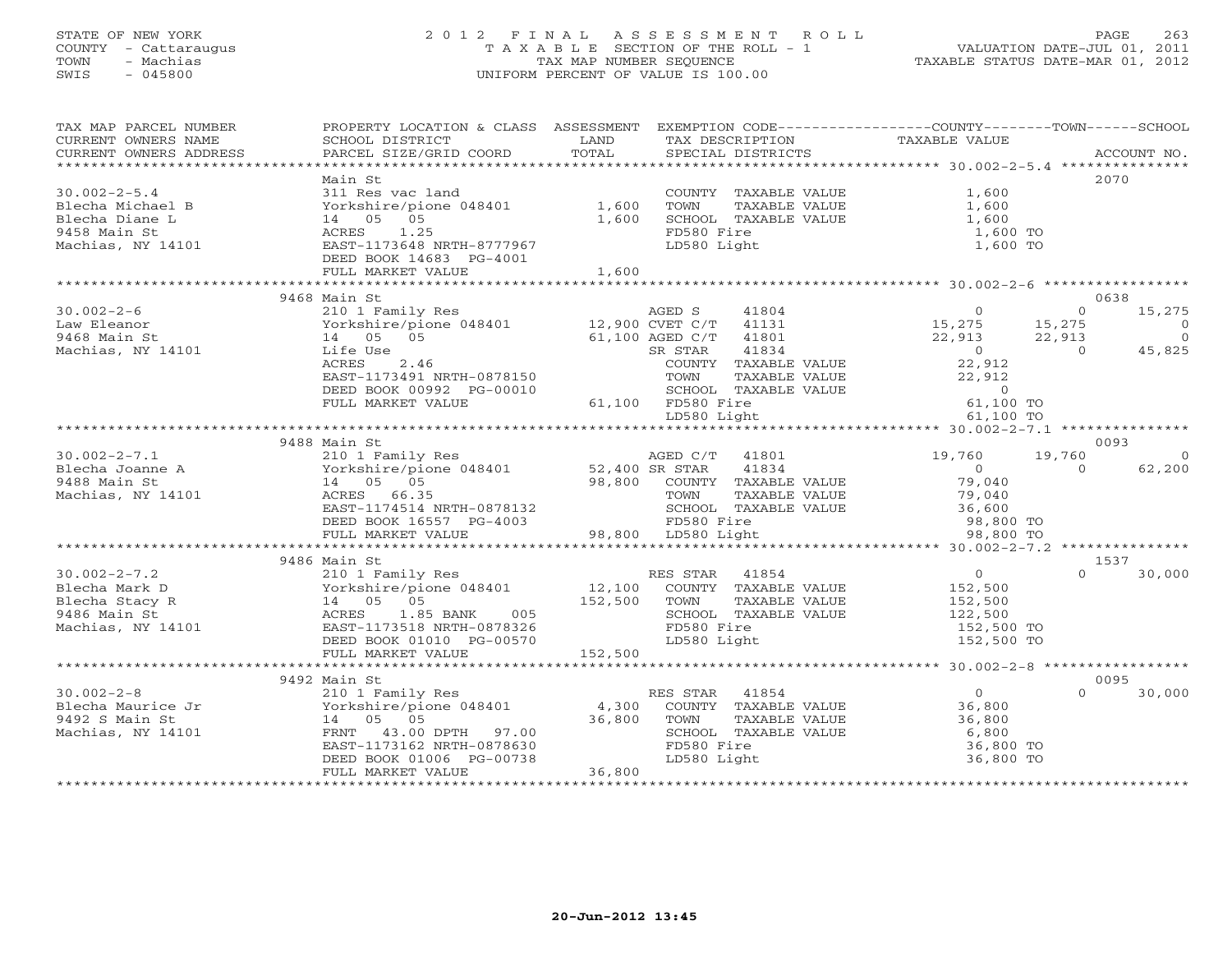#### STATE OF NEW YORK 2 0 1 2 F I N A L A S S E S S M E N T R O L L PAGE 263 COUNTY - Cattaraugus T A X A B L E SECTION OF THE ROLL - 1 VALUATION DATE-JUL 01, 2011 TOWN - Machias TAX MAP NUMBER SEQUENCE TAXABLE STATUS DATE-MAR 01, 2012 SWIS - 045800 UNIFORM PERCENT OF VALUE IS 100.00UNIFORM PERCENT OF VALUE IS 100.00

| TAX MAP PARCEL NUMBER<br>CURRENT OWNERS NAME<br>CURRENT OWNERS ADDRESS | PROPERTY LOCATION & CLASS ASSESSMENT<br>SCHOOL DISTRICT<br>PARCEL SIZE/GRID COORD        | LAND<br>TOTAL | TAX DESCRIPTION<br>SPECIAL DISTRICTS | EXEMPTION CODE----------------COUNTY-------TOWN------SCHOOL<br>TAXABLE VALUE | ACCOUNT NO.                 |
|------------------------------------------------------------------------|------------------------------------------------------------------------------------------|---------------|--------------------------------------|------------------------------------------------------------------------------|-----------------------------|
|                                                                        |                                                                                          |               |                                      |                                                                              |                             |
|                                                                        | Main St                                                                                  |               |                                      |                                                                              | 2070                        |
| $30.002 - 2 - 5.4$                                                     | 311 Res vac land                                                                         |               | COUNTY TAXABLE VALUE                 | 1,600                                                                        |                             |
| Blecha Michael B                                                       | Yorkshire/pione 048401                                                                   | 1,600         | TOWN<br>TAXABLE VALUE                | 1,600                                                                        |                             |
| Blecha Diane L                                                         | 14 05 05                                                                                 | 1,600         | SCHOOL TAXABLE VALUE                 | 1,600                                                                        |                             |
| 9458 Main St                                                           | ACRES 1.25                                                                               |               | FD580 Fire                           | 1,600 TO                                                                     |                             |
| Machias, NY 14101                                                      | EAST-1173648 NRTH-8777967                                                                |               | LD580 Light                          | 1,600 TO                                                                     |                             |
|                                                                        | DEED BOOK 14683 PG-4001                                                                  |               |                                      |                                                                              |                             |
|                                                                        | FULL MARKET VALUE                                                                        | 1,600         |                                      |                                                                              |                             |
|                                                                        |                                                                                          |               |                                      |                                                                              |                             |
|                                                                        | 9468 Main St                                                                             |               |                                      |                                                                              | 0638                        |
| $30.002 - 2 - 6$                                                       | 210 1 Family Res                                                                         |               | AGED S<br>41804                      | $\Omega$                                                                     | 15,275<br>$\Omega$          |
| Law Eleanor<br>9468 Main St                                            | Yorkshire/pione 048401 12,900 CVET C/T<br>14 05 05                                       |               | 41131<br>61,100 AGED C/T<br>41801    | 15, 275<br>22, 913<br>0 0 0                                                  | $\bigcap$<br>$\overline{0}$ |
| Machias, NY 14101                                                      | Life Use                                                                                 |               | 41834<br>SR STAR                     |                                                                              | 45,825                      |
|                                                                        | ACRES<br>2.46                                                                            |               | COUNTY TAXABLE VALUE                 | 22,912                                                                       |                             |
|                                                                        | EAST-1173491 NRTH-0878150                                                                |               | TOWN<br>TAXABLE VALUE                | 22,912                                                                       |                             |
|                                                                        | DEED BOOK 00992 PG-00010                                                                 |               | SCHOOL TAXABLE VALUE                 | $\overline{0}$                                                               |                             |
|                                                                        | FULL MARKET VALUE                                                                        |               | 61,100 FD580 Fire                    | 61,100 TO                                                                    |                             |
|                                                                        |                                                                                          |               | LD580 Light                          | 61,100 TO                                                                    |                             |
|                                                                        |                                                                                          |               |                                      |                                                                              |                             |
|                                                                        | 9488 Main St                                                                             |               |                                      |                                                                              | 0093                        |
| $30.002 - 2 - 7.1$                                                     | 210 1 Family Res                                                                         |               | AGED C/T 41801                       | 19,760<br>19,760                                                             | $\bigcirc$                  |
| Blecha Joanne A Morkshire/pic<br>9488 Main St. 14 05 05                | Yorkshire/pione 048401 52,400 SR STAR                                                    |               | 41834                                | $\overline{0}$                                                               | 62,200<br>$\Omega$          |
|                                                                        |                                                                                          |               | 98,800 COUNTY TAXABLE VALUE          | 79,040                                                                       |                             |
| Machias, NY 14101                                                      | ACRES 66.35                                                                              |               | TAXABLE VALUE<br>TOWN                | 79,040<br>36,600                                                             |                             |
|                                                                        | EAST-1174514 NRTH-0878132                                                                |               | SCHOOL TAXABLE VALUE                 |                                                                              |                             |
|                                                                        | DEED BOOK 16557 PG-4003                                                                  |               | FD580 Fire                           | 98,800 TO<br>98,800 TO                                                       |                             |
|                                                                        | FULL MARKET VALUE                                                                        |               | 98,800 LD580 Light                   |                                                                              |                             |
|                                                                        |                                                                                          |               |                                      |                                                                              |                             |
| $30.002 - 2 - 7.2$                                                     | 9486 Main St                                                                             |               | RES STAR 41854                       | $\Omega$                                                                     | 1537<br>$\Omega$            |
| Blecha Mark D                                                          | 210 1 Family Res                                                                         |               | 12,100 COUNTY TAXABLE VALUE          | 152,500                                                                      | 30,000                      |
| Blecha Stacy R                                                         |                                                                                          | 152,500 TOWN  | TAXABLE VALUE                        | 152,500                                                                      |                             |
| 9486 Main St                                                           |                                                                                          |               | SCHOOL TAXABLE VALUE                 | 122,500                                                                      |                             |
| Machias, NY 14101                                                      | Forkshire/pione 048401<br>14 05 05<br>ACRES 1.85 BANK 005<br>1 EAST-1173518 NRTH-0878326 |               | FD580 Fire                           | 152,500 TO                                                                   |                             |
|                                                                        | DEED BOOK 01010 PG-00570                                                                 |               | LD580 Light                          | 152,500 TO                                                                   |                             |
|                                                                        | FULL MARKET VALUE                                                                        | 152,500       |                                      |                                                                              |                             |
|                                                                        |                                                                                          |               |                                      |                                                                              |                             |
|                                                                        | 9492 Main St                                                                             |               |                                      |                                                                              | 0095                        |
| $30.002 - 2 - 8$                                                       | 210 1 Family Res                                                                         |               | RES STAR<br>41854                    | 0                                                                            | 30,000<br>$\Omega$          |
| 30.002-2-0<br>Blecha Maurice Jr<br>- Youngt                            | Yorkshire/pione 048401                                                                   | 4,300         | COUNTY TAXABLE VALUE                 | 36,800                                                                       |                             |
|                                                                        | 14 05 05                                                                                 | 36,800        | TAXABLE VALUE<br>TOWN                | 36,800                                                                       |                             |
| Machias, NY 14101                                                      | FRNT 43.00 DPTH 97.00                                                                    |               | SCHOOL TAXABLE VALUE                 | 6,800                                                                        |                             |
|                                                                        | EAST-1173162 NRTH-0878630                                                                |               | FD580 Fire                           | 36,800 TO                                                                    |                             |
|                                                                        | DEED BOOK 01006 PG-00738                                                                 |               | LD580 Light                          | 36,800 TO                                                                    |                             |
|                                                                        | FULL MARKET VALUE                                                                        | 36,800        |                                      |                                                                              |                             |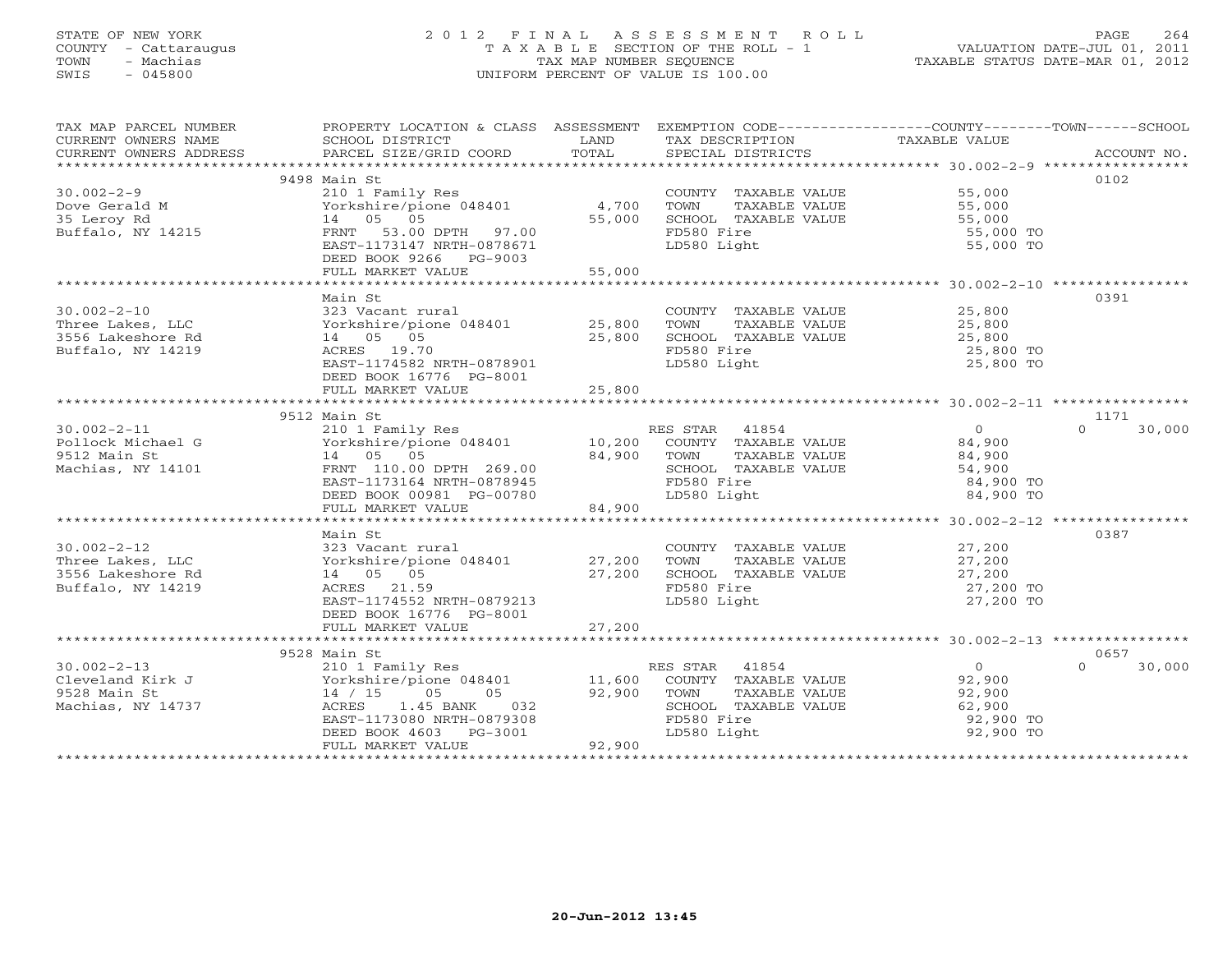### STATE OF NEW YORK 2 0 1 2 F I N A L A S S E S S M E N T R O L L PAGE 264 COUNTY - Cattaraugus T A X A B L E SECTION OF THE ROLL - 1 VALUATION DATE-JUL 01, 2011 TOWN - Machias TAX MAP NUMBER SEQUENCE TAXABLE STATUS DATE-MAR 01, 2012 SWIS - 045800 UNIFORM PERCENT OF VALUE IS 100.00UNIFORM PERCENT OF VALUE IS 100.00

| TAX MAP PARCEL NUMBER                                                                                                                                                    | PROPERTY LOCATION & CLASS ASSESSMENT EXEMPTION CODE----------------COUNTY-------TOWN------SCHOOL      |        |                             |                  |                    |
|--------------------------------------------------------------------------------------------------------------------------------------------------------------------------|-------------------------------------------------------------------------------------------------------|--------|-----------------------------|------------------|--------------------|
| CURRENT OWNERS NAME                                                                                                                                                      | SCHOOL DISTRICT                                                                                       | LAND   | TAX DESCRIPTION             | TAXABLE VALUE    |                    |
|                                                                                                                                                                          |                                                                                                       |        |                             |                  |                    |
|                                                                                                                                                                          |                                                                                                       |        |                             |                  |                    |
|                                                                                                                                                                          | 9498 Main St                                                                                          |        |                             |                  | 0102               |
| $30.002 - 2 - 9$                                                                                                                                                         | 210 1 Family Res                                                                                      |        | COUNTY TAXABLE VALUE 55,000 |                  |                    |
| Dove Gerald M                                                                                                                                                            | Yorkshire/pione 048401                                                                                | 4,700  | TOWN<br>TAXABLE VALUE       |                  |                    |
| 35 Leroy Rd                                                                                                                                                              | 14 05 05                                                                                              | 55,000 | SCHOOL TAXABLE VALUE        | 55,000<br>55,000 |                    |
| Buffalo, NY 14215                                                                                                                                                        | FRNT 53.00 DPTH 97.00                                                                                 |        | FD580 Fire                  | 55,000 TO        |                    |
|                                                                                                                                                                          | EAST-1173147 NRTH-0878671                                                                             |        | LD580 Light                 | 55,000 TO        |                    |
|                                                                                                                                                                          | DEED BOOK 9266 PG-9003                                                                                |        |                             |                  |                    |
|                                                                                                                                                                          | FULL MARKET VALUE                                                                                     | 55,000 |                             |                  |                    |
|                                                                                                                                                                          |                                                                                                       |        |                             |                  |                    |
|                                                                                                                                                                          | Main St                                                                                               |        |                             |                  | 0391               |
| $30.002 - 2 - 10$                                                                                                                                                        | 323 Vacant rural                                                                                      |        | COUNTY TAXABLE VALUE        | 25,800           |                    |
| Three Lakes, LLC                                                                                                                                                         | Yorkshire/pione 048401 25,800                                                                         |        | TOWN TAXABLE VALUE          | 25,800           |                    |
| 3556 Lakeshore Rd                                                                                                                                                        | 14 05 05                                                                                              | 25,800 | SCHOOL TAXABLE VALUE        | 25,800           |                    |
| Buffalo, NY 14219                                                                                                                                                        | ACRES 19.70                                                                                           |        | FD580 Fire                  | 25,800 TO        |                    |
|                                                                                                                                                                          | EAST-1174582 NRTH-0878901                                                                             |        | LD580 Light                 | 25,800 TO        |                    |
|                                                                                                                                                                          | DEED BOOK 16776 PG-8001                                                                               |        |                             |                  |                    |
|                                                                                                                                                                          | FULL MARKET VALUE                                                                                     | 25,800 |                             |                  |                    |
|                                                                                                                                                                          |                                                                                                       |        |                             |                  |                    |
|                                                                                                                                                                          | 9512 Main St                                                                                          |        |                             |                  | 1171               |
| $30.002 - 2 - 11$                                                                                                                                                        | 210 1 Family Res                                                                                      |        | RES STAR 41854              | $\overline{0}$   | $\Omega$<br>30,000 |
| Pollock Michael G                                                                                                                                                        | $Yorkshire/pione$ 048401 10,200                                                                       |        | COUNTY TAXABLE VALUE        | 84,900           |                    |
| 9512 Main St                                                                                                                                                             | 14 05 05                                                                                              | 84,900 | TOWN<br>TAXABLE VALUE       | 84,900           |                    |
| Machias, NY 14101                                                                                                                                                        |                                                                                                       |        | SCHOOL TAXABLE VALUE        | 54,900           |                    |
|                                                                                                                                                                          |                                                                                                       |        | FD580 Fire                  | 84,900 TO        |                    |
|                                                                                                                                                                          | FANYI 110.00 DFTH 269.00<br>EAST-1173164 NRTH-0878945<br>DEED BOOK 00981 PG-00780<br>PHIJ MARKET ---- |        | LD580 Light                 | 84,900 TO        |                    |
|                                                                                                                                                                          | FULL MARKET VALUE                                                                                     | 84,900 |                             |                  |                    |
|                                                                                                                                                                          |                                                                                                       |        |                             |                  |                    |
|                                                                                                                                                                          | Main St                                                                                               |        |                             |                  | 0387               |
| $30.002 - 2 - 12$                                                                                                                                                        | 323 Vacant rural                                                                                      |        | COUNTY TAXABLE VALUE        | 27,200           |                    |
| Three Lakes, LLC                                                                                                                                                         | Yorkshire/pione 048401 27,200                                                                         |        | TOWN<br>TAXABLE VALUE       | 27,200           |                    |
| 3556 Lakeshore Rd                                                                                                                                                        | 14 05 05                                                                                              | 27,200 | SCHOOL TAXABLE VALUE        | 27,200           |                    |
| Buffalo, NY 14219                                                                                                                                                        | ACRES 21.59                                                                                           |        | FD580 Fire                  | 27,200 TO        |                    |
|                                                                                                                                                                          | EAST-1174552 NRTH-0879213                                                                             |        | LD580 Light                 | 27,200 TO        |                    |
|                                                                                                                                                                          | DEED BOOK 16776 PG-8001                                                                               |        |                             |                  |                    |
|                                                                                                                                                                          | FULL MARKET VALUE                                                                                     | 27,200 |                             |                  |                    |
|                                                                                                                                                                          |                                                                                                       |        |                             |                  |                    |
|                                                                                                                                                                          | 9528 Main St                                                                                          |        |                             |                  | 0657               |
| $30.002 - 2 - 13$                                                                                                                                                        |                                                                                                       |        | RES STAR 41854              | $\bigcirc$       | 30,000<br>$\Omega$ |
| 30.002-2-13<br>Cleveland Kirk J<br>$\begin{array}{ccc}\n & \text{Yorkshire/p_{\text{101E}}} & \cdots \\  & \ddots & \ddots \\  & \ddots & \ddots \\  & & 14 \end{array}$ | Yorkshire/pione 048401 11,600                                                                         |        | COUNTY TAXABLE VALUE        | 92,900           |                    |
|                                                                                                                                                                          |                                                                                                       | 92,900 | TOWN<br>TAXABLE VALUE       | 92,900           |                    |
| Machias, NY 14737                                                                                                                                                        | ACRES<br>1.45 BANK<br>032                                                                             |        | SCHOOL TAXABLE VALUE        | 62,900           |                    |
|                                                                                                                                                                          | EAST-1173080 NRTH-0879308                                                                             |        | FD580 Fire                  | 92,900 TO        |                    |
|                                                                                                                                                                          | DEED BOOK 4603 PG-3001                                                                                |        | LD580 Light                 | 92,900 TO        |                    |
|                                                                                                                                                                          | FULL MARKET VALUE                                                                                     | 92,900 |                             |                  |                    |
|                                                                                                                                                                          |                                                                                                       |        |                             |                  |                    |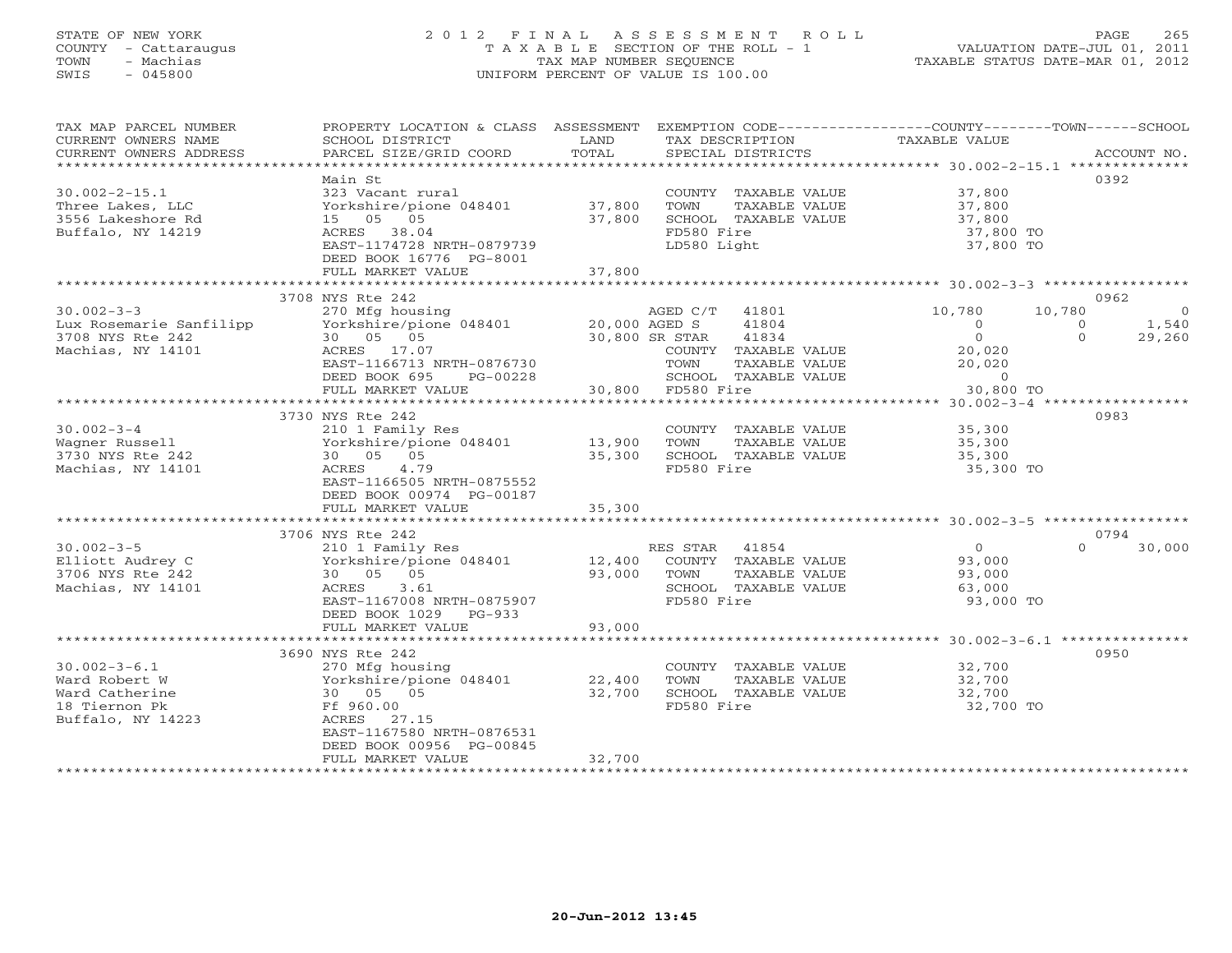### STATE OF NEW YORK 2 0 1 2 F I N A L A S S E S S M E N T R O L L PAGE 265 COUNTY - Cattaraugus T A X A B L E SECTION OF THE ROLL - 1 VALUATION DATE-JUL 01, 2011 TOWN - Machias TAX MAP NUMBER SEQUENCE TAXABLE STATUS DATE-MAR 01, 2012 SWIS - 045800 UNIFORM PERCENT OF VALUE IS 100.00UNIFORM PERCENT OF VALUE IS 100.00

| TAX MAP PARCEL NUMBER<br>CURRENT OWNERS NAME<br>CURRENT OWNERS ADDRESS | PROPERTY LOCATION & CLASS ASSESSMENT EXEMPTION CODE----------------COUNTY-------TOWN------SCHOOL<br>SCHOOL DISTRICT<br>PARCEL SIZE/GRID COORD | LAND<br>TOTAL    | TAX DESCRIPTION TAXABLE VALUE SPECIAL DISTRICTS |                                  | ACCOUNT NO.                  |
|------------------------------------------------------------------------|-----------------------------------------------------------------------------------------------------------------------------------------------|------------------|-------------------------------------------------|----------------------------------|------------------------------|
|                                                                        |                                                                                                                                               |                  |                                                 |                                  |                              |
|                                                                        | Main St                                                                                                                                       |                  |                                                 |                                  | 0392                         |
| $30.002 - 2 - 15.1$                                                    | 323 Vacant rural                                                                                                                              |                  | COUNTY TAXABLE VALUE 37,800                     |                                  |                              |
| Three Lakes, LLC                                                       | Yorkshire/pione 048401 37,800                                                                                                                 |                  | TOWN<br>TAXABLE VALUE                           | 37,800<br>37,800                 |                              |
| 3556 Lakeshore Rd                                                      | 15 05 05                                                                                                                                      | 37,800           | SCHOOL TAXABLE VALUE                            |                                  |                              |
| Buffalo, NY 14219                                                      | ACRES 38.04                                                                                                                                   |                  | FD580 Fire                                      | 37,800 TO                        |                              |
|                                                                        | EAST-1174728 NRTH-0879739                                                                                                                     |                  | LD580 Light                                     | 37,800 TO                        |                              |
|                                                                        | DEED BOOK 16776 PG-8001                                                                                                                       |                  |                                                 |                                  |                              |
|                                                                        | FULL MARKET VALUE<br>*****************************                                                                                            | 37,800           |                                                 |                                  |                              |
|                                                                        | 3708 NYS Rte 242                                                                                                                              |                  |                                                 |                                  | 0962                         |
|                                                                        |                                                                                                                                               |                  |                                                 |                                  |                              |
| $30.002 - 3 - 3$                                                       |                                                                                                                                               |                  | AGED C/T 41801                                  | 10,780                           | 10,780<br>$\overline{0}$     |
| Lux Rosemarie Sanfilipp                                                |                                                                                                                                               |                  | 41804                                           | $\overline{0}$<br>$\overline{0}$ | $\circ$<br>1,540<br>$\Omega$ |
| 3708 NYS Rte 242                                                       | 30  05  05                                                                                                                                    | $30,800$ SR STAR | 41834                                           |                                  | 29,260                       |
| Machias, NY 14101                                                      | ACRES 17.07                                                                                                                                   |                  | COUNTY TAXABLE VALUE                            | 20,020                           |                              |
|                                                                        | EAST-1166713 NRTH-0876730                                                                                                                     |                  | TOWN<br>TAXABLE VALUE                           | 20,020                           |                              |
|                                                                        | DEED BOOK 695<br>PG-00228                                                                                                                     |                  | SCHOOL TAXABLE VALUE<br>30,800 FD580 Fire       | $\overline{0}$                   |                              |
|                                                                        | FULL MARKET VALUE                                                                                                                             |                  |                                                 | 30,800 TO                        |                              |
|                                                                        |                                                                                                                                               |                  |                                                 |                                  |                              |
|                                                                        | 3730 NYS Rte 242                                                                                                                              |                  |                                                 | 35,300                           | 0983                         |
| $30.002 - 3 - 4$                                                       | 210 1 Family Res                                                                                                                              |                  | COUNTY TAXABLE VALUE                            |                                  |                              |
| Wagner Russell                                                         |                                                                                                                                               |                  | TAXABLE VALUE<br>TOWN                           | 35,300<br>35,300                 |                              |
| 3730 NYS Rte 242                                                       |                                                                                                                                               |                  | SCHOOL TAXABLE VALUE                            |                                  |                              |
| Machias, NY 14101                                                      | 4.79<br>ACRES<br>EAST-1166505 NRTH-0875552                                                                                                    |                  | FD580 Fire                                      | 35,300 TO                        |                              |
|                                                                        |                                                                                                                                               |                  |                                                 |                                  |                              |
|                                                                        | DEED BOOK 00974 PG-00187                                                                                                                      | 35,300           |                                                 |                                  |                              |
|                                                                        | FULL MARKET VALUE                                                                                                                             |                  |                                                 |                                  |                              |
|                                                                        | 3706 NYS Rte 242                                                                                                                              |                  |                                                 |                                  | 0794                         |
| $30.002 - 3 - 5$                                                       | 210 1 Family Res                                                                                                                              |                  | RES STAR 41854                                  | $\Omega$                         | $\Omega$<br>30,000           |
| Elliott Audrey C                                                       | Yorkshire/pione 048401 12,400 COUNTY TAXABLE VALUE                                                                                            |                  |                                                 | 93,000                           |                              |
| 3706 NYS Rte 242                                                       | 30  05  05                                                                                                                                    | 93,000 TOWN      | TAXABLE VALUE                                   | 93,000                           |                              |
| Machias, NY 14101                                                      | 3.61<br>ACRES                                                                                                                                 |                  | SCHOOL TAXABLE VALUE                            | 63,000                           |                              |
|                                                                        | EAST-1167008 NRTH-0875907                                                                                                                     |                  | FD580 Fire                                      | 93,000 TO                        |                              |
|                                                                        | DEED BOOK 1029 PG-933                                                                                                                         |                  |                                                 |                                  |                              |
|                                                                        | FULL MARKET VALUE                                                                                                                             | 93,000           |                                                 |                                  |                              |
|                                                                        |                                                                                                                                               |                  |                                                 |                                  |                              |
|                                                                        | 3690 NYS Rte 242                                                                                                                              |                  |                                                 |                                  | 0950                         |
| $30.002 - 3 - 6.1$                                                     | 270 Mfg housing                                                                                                                               |                  | COUNTY TAXABLE VALUE                            | 32,700                           |                              |
| Ward Robert W                                                          | Yorkshire/pione 048401                                                                                                                        | 22,400           | TOWN<br>TAXABLE VALUE                           | 32,700                           |                              |
| Ward Catherine                                                         | 30 05 05                                                                                                                                      | 32,700           | SCHOOL TAXABLE VALUE                            | 32,700                           |                              |
| 18 Tiernon Pk                                                          | Ff 960.00                                                                                                                                     |                  | FD580 Fire                                      | 32,700 TO                        |                              |
| Buffalo, NY 14223                                                      | ACRES 27.15                                                                                                                                   |                  |                                                 |                                  |                              |
|                                                                        | EAST-1167580 NRTH-0876531                                                                                                                     |                  |                                                 |                                  |                              |
|                                                                        | DEED BOOK 00956 PG-00845                                                                                                                      |                  |                                                 |                                  |                              |
|                                                                        | FULL MARKET VALUE                                                                                                                             | 32,700           |                                                 |                                  |                              |
|                                                                        |                                                                                                                                               |                  |                                                 |                                  |                              |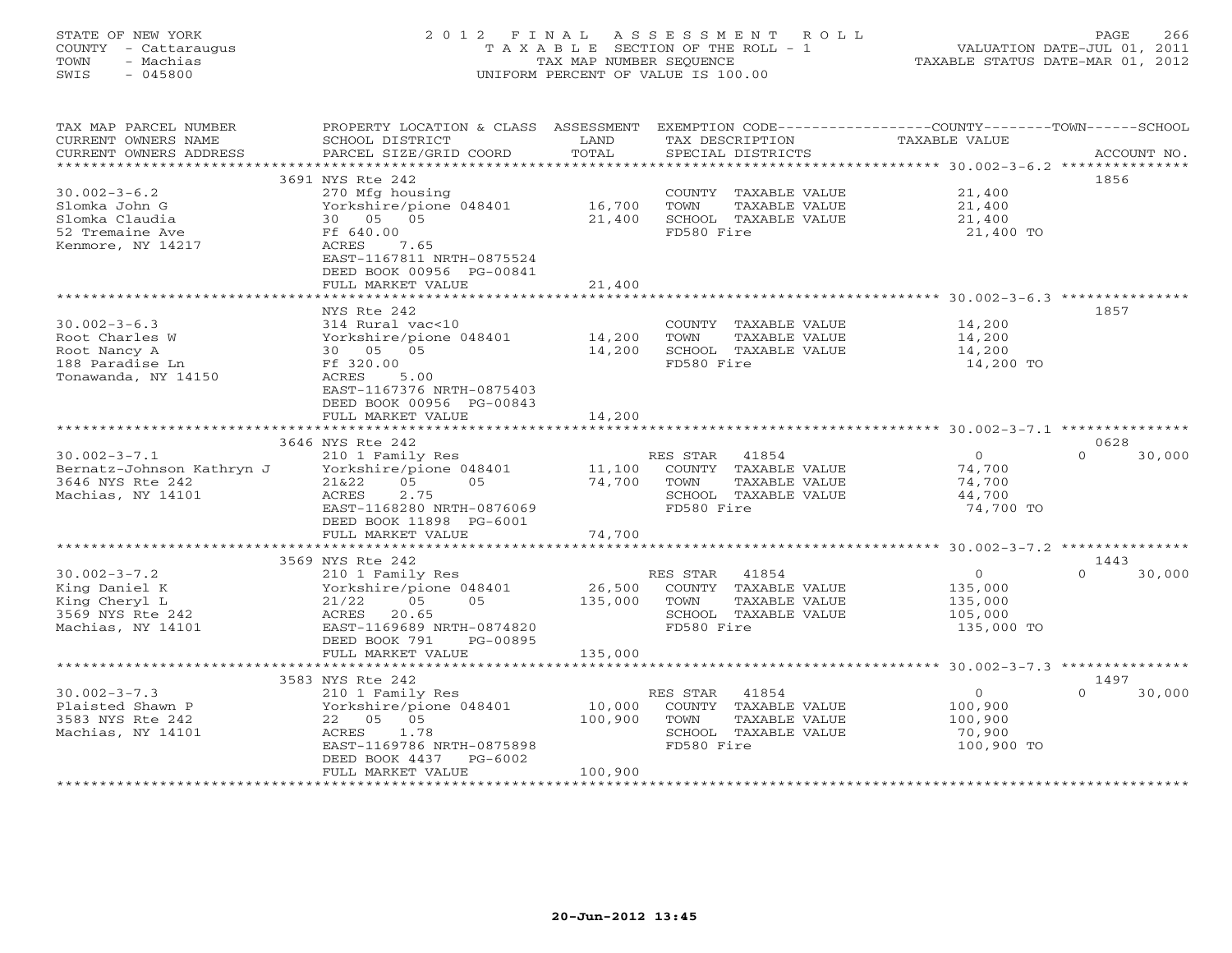# STATE OF NEW YORK 2 0 1 2 F I N A L A S S E S S M E N T R O L L PAGE 266 COUNTY - Cattaraugus T A X A B L E SECTION OF THE ROLL - 1 VALUATION DATE-JUL 01, 2011 TOWN - Machias TAX MAP NUMBER SEQUENCE TAXABLE STATUS DATE-MAR 01, 2012 SWIS - 045800 UNIFORM PERCENT OF VALUE IS 100.00

TAX MAP PARCEL NUMBER PROPERTY LOCATION & CLASS ASSESSMENT EXEMPTION CODE------------------COUNTY--------TOWN------SCHOOL CURRENT OWNERS NAME SCHOOL DISTRICT LAND TAX DESCRIPTION TAXABLE VALUE CURRENT OWNERS ADDRESS BARCEL SIZE/GRID COORD TOTAL SPECIAL DISTRICTS SACCOUNT NO. \*\*\*\*\*\*\*\*\*\*\*\*\*\*\*\*\*\*\*\*\*\*\*\*\*\*\*\*\*\*\*\*\*\*\*\*\*\*\*\*\*\*\*\*\*\*\*\*\*\*\*\*\*\*\*\*\*\*\*\*\*\*\*\*\*\*\*\*\*\*\*\*\*\*\*\*\*\*\*\*\*\*\*\*\*\*\*\*\*\*\*\*\*\*\*\*\*\*\*\*\*\*\* 30.002-3-6.2 \*\*\*\*\*\*\*\*\*\*\*\*\*\*\* 3691 NYS Rte 242 185630.002-3-6.2 270 Mfg housing COUNTY TAXABLE VALUE 21,400 Slomka John G Yorkshire/pione 048401 16,700 TOWN TAXABLE VALUE 21,400 Slomka Claudia 30 05 05 21,400 SCHOOL TAXABLE VALUE 21,400 52 Tremaine Ave Ff 640.00 FD580 Fire 21,400 TO Kenmore, NY 14217 ACRES 7.65 EAST-1167811 NRTH-0875524 DEED BOOK 00956 PG-00841 FULL MARKET VALUE 21,400 \*\*\*\*\*\*\*\*\*\*\*\*\*\*\*\*\*\*\*\*\*\*\*\*\*\*\*\*\*\*\*\*\*\*\*\*\*\*\*\*\*\*\*\*\*\*\*\*\*\*\*\*\*\*\*\*\*\*\*\*\*\*\*\*\*\*\*\*\*\*\*\*\*\*\*\*\*\*\*\*\*\*\*\*\*\*\*\*\*\*\*\*\*\*\*\*\*\*\*\*\*\*\* 30.002-3-6.3 \*\*\*\*\*\*\*\*\*\*\*\*\*\*\* NYS Rte 242 185730.002-3-6.3 314 Rural vac<10 COUNTY TAXABLE VALUE 14,200 Root Charles W Yorkshire/pione 048401 14,200 TOWN TAXABLE VALUE 14,200 Root Nancy A 30 05 05 14,200 SCHOOL TAXABLE VALUE 14,200 188 Paradise Ln Ff 320.00 FD580 Fire 14,200 TO Tonawanda, NY 14150 ACRES 5.00 EAST-1167376 NRTH-0875403 DEED BOOK 00956 PG-00843 FULL MARKET VALUE 14,200 \*\*\*\*\*\*\*\*\*\*\*\*\*\*\*\*\*\*\*\*\*\*\*\*\*\*\*\*\*\*\*\*\*\*\*\*\*\*\*\*\*\*\*\*\*\*\*\*\*\*\*\*\*\*\*\*\*\*\*\*\*\*\*\*\*\*\*\*\*\*\*\*\*\*\*\*\*\*\*\*\*\*\*\*\*\*\*\*\*\*\*\*\*\*\*\*\*\*\*\*\*\*\* 30.002-3-7.1 \*\*\*\*\*\*\*\*\*\*\*\*\*\*\* 3646 NYS Rte 242 062830.002-3-7.1 210 1 Family Res RES STAR 41854 0 0 30,000 Bernatz-Johnson Kathryn J Yorkshire/pione 048401 11,100 COUNTY TAXABLE VALUE 74,700 3646 NYS Rte 242 21&22 05 05 74,700 TOWN TAXABLE VALUE 74,700 Machias, NY 14101 ACRES 2.75 SCHOOL TAXABLE VALUE 44,700 EAST-1168280 NRTH-0876069 FD580 Fire 74,700 TO DEED BOOK 11898 PG-6001 FULL MARKET VALUE 74,700 \*\*\*\*\*\*\*\*\*\*\*\*\*\*\*\*\*\*\*\*\*\*\*\*\*\*\*\*\*\*\*\*\*\*\*\*\*\*\*\*\*\*\*\*\*\*\*\*\*\*\*\*\*\*\*\*\*\*\*\*\*\*\*\*\*\*\*\*\*\*\*\*\*\*\*\*\*\*\*\*\*\*\*\*\*\*\*\*\*\*\*\*\*\*\*\*\*\*\*\*\*\*\* 30.002-3-7.2 \*\*\*\*\*\*\*\*\*\*\*\*\*\*\* 3569 NYS Rte 242 1443 $1443$ 30.002-3-7.2 210 1 Family Res RES STAR 41854 0 0 30,000 King Daniel K Yorkshire/pione 048401 26,500 COUNTY TAXABLE VALUE 135,000 King Cheryl L 21/22 05 05 135,000 TOWN TAXABLE VALUE 135,000 3569 NYS Rte 242 ACRES 20.65 SCHOOL TAXABLE VALUE 105,000 Machias, NY 14101 EAST-1169689 NRTH-0874820 FD580 Fire 135,000 TO DEED BOOK 791 PG-00895 FULL MARKET VALUE 135,000 \*\*\*\*\*\*\*\*\*\*\*\*\*\*\*\*\*\*\*\*\*\*\*\*\*\*\*\*\*\*\*\*\*\*\*\*\*\*\*\*\*\*\*\*\*\*\*\*\*\*\*\*\*\*\*\*\*\*\*\*\*\*\*\*\*\*\*\*\*\*\*\*\*\*\*\*\*\*\*\*\*\*\*\*\*\*\*\*\*\*\*\*\*\*\*\*\*\*\*\*\*\*\* 30.002-3-7.3 \*\*\*\*\*\*\*\*\*\*\*\*\*\*\* 3583 NYS Rte 242 1497 30.002-3-7.3 210 1 Family Res RES STAR 41854 0 0 30,000 Plaisted Shawn P Yorkshire/pione 048401 10,000 COUNTY TAXABLE VALUE 100,900 3583 NYS Rte 242 22 05 05 100,900 TOWN TAXABLE VALUE 100,900 Machias, NY 14101 ACRES 1.78 SCHOOL TAXABLE VALUE 70,900 EAST-1169786 NRTH-0875898 FD580 Fire 100,900 TO DEED BOOK 4437 PG-6002 FULL MARKET VALUE 100,900 \*\*\*\*\*\*\*\*\*\*\*\*\*\*\*\*\*\*\*\*\*\*\*\*\*\*\*\*\*\*\*\*\*\*\*\*\*\*\*\*\*\*\*\*\*\*\*\*\*\*\*\*\*\*\*\*\*\*\*\*\*\*\*\*\*\*\*\*\*\*\*\*\*\*\*\*\*\*\*\*\*\*\*\*\*\*\*\*\*\*\*\*\*\*\*\*\*\*\*\*\*\*\*\*\*\*\*\*\*\*\*\*\*\*\*\*\*\*\*\*\*\*\*\*\*\*\*\*\*\*\*\*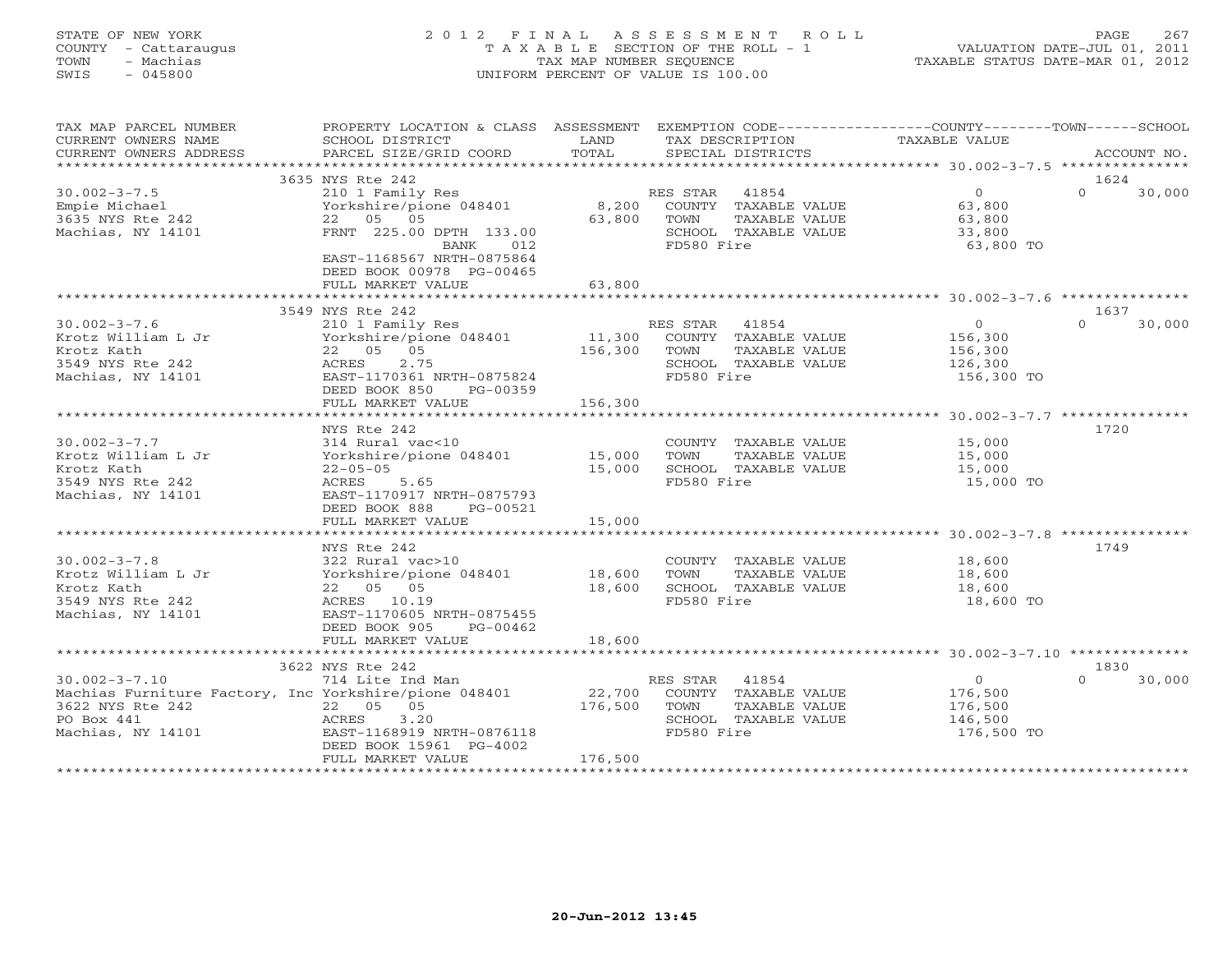### STATE OF NEW YORK 2 0 1 2 F I N A L A S S E S S M E N T R O L L PAGE 267 COUNTY - Cattaraugus T A X A B L E SECTION OF THE ROLL - 1 VALUATION DATE-JUL 01, 2011 TOWN - Machias TAX MAP NUMBER SEQUENCE TAXABLE STATUS DATE-MAR 01, 2012 SWIS - 045800 UNIFORM PERCENT OF VALUE IS 100.00UNIFORM PERCENT OF VALUE IS 100.00

| TAX MAP PARCEL NUMBER<br>CURRENT OWNERS NAME<br>CURRENT OWNERS ADDRESS | PROPERTY LOCATION & CLASS ASSESSMENT<br>SCHOOL DISTRICT<br>PARCEL SIZE/GRID COORD                                    | LAND<br>TOTAL   | EXEMPTION CODE-----------------COUNTY-------TOWN------SCHOOL<br>TAX DESCRIPTION<br>SPECIAL DISTRICTS | TAXABLE VALUE                      | ACCOUNT NO.        |
|------------------------------------------------------------------------|----------------------------------------------------------------------------------------------------------------------|-----------------|------------------------------------------------------------------------------------------------------|------------------------------------|--------------------|
|                                                                        |                                                                                                                      |                 |                                                                                                      |                                    |                    |
|                                                                        | 3635 NYS Rte 242                                                                                                     |                 |                                                                                                      |                                    | 1624<br>$\Omega$   |
| $30.002 - 3 - 7.5$<br>Empie Michael<br>3635 NYS Rte 242                | 210 1 Family Res<br>Yorkshire/pione 048401<br>22 05 05                                                               | 8,200<br>63,800 | RES STAR 41854<br>COUNTY TAXABLE VALUE<br>TOWN<br>TAXABLE VALUE                                      | $\overline{0}$<br>63,800<br>63,800 | 30,000             |
| Machias, NY 14101                                                      | FRNT 225.00 DPTH 133.00<br>BANK<br>012<br>EAST-1168567 NRTH-0875864<br>DEED BOOK 00978 PG-00465<br>FULL MARKET VALUE | 63,800          | SCHOOL TAXABLE VALUE<br>FD580 Fire                                                                   | 33,800<br>63,800 TO                |                    |
|                                                                        |                                                                                                                      |                 |                                                                                                      |                                    |                    |
|                                                                        | 3549 NYS Rte 242                                                                                                     |                 |                                                                                                      |                                    | 1637               |
| $30.002 - 3 - 7.6$                                                     | 210 1 Family Res                                                                                                     |                 | RES STAR 41854                                                                                       | $\Omega$                           | $\Omega$<br>30,000 |
| Krotz William L Jr                                                     | Yorkshire/pione 048401                                                                                               | 11,300          | COUNTY TAXABLE VALUE                                                                                 | 156,300                            |                    |
| Krotz Kath                                                             | 22 05 05                                                                                                             | 156,300         | TAXABLE VALUE<br>TOWN                                                                                | 156,300                            |                    |
| 3549 NYS Rte 242                                                       | 2.75<br>ACRES                                                                                                        |                 | SCHOOL TAXABLE VALUE                                                                                 | 126,300                            |                    |
| Machias, NY 14101                                                      | EAST-1170361 NRTH-0875824<br>DEED BOOK 850<br>PG-00359<br>FULL MARKET VALUE                                          | 156,300         | FD580 Fire                                                                                           | 156,300 TO                         |                    |
|                                                                        |                                                                                                                      |                 |                                                                                                      |                                    |                    |
|                                                                        | NYS Rte 242                                                                                                          |                 |                                                                                                      |                                    | 1720               |
| $30.002 - 3 - 7.7$                                                     | 314 Rural vac<10                                                                                                     |                 | COUNTY TAXABLE VALUE                                                                                 | 15,000                             |                    |
| Krotz William L Jr                                                     | Yorkshire/pione 048401                                                                                               | 15,000          | TOWN<br>TAXABLE VALUE                                                                                | 15,000                             |                    |
| Krotz Kath                                                             | $22 - 05 - 05$                                                                                                       | 15,000          | SCHOOL TAXABLE VALUE                                                                                 | 15,000                             |                    |
| 3549 NYS Rte 242                                                       | 5.65<br>ACRES                                                                                                        |                 | FD580 Fire                                                                                           | 15,000 TO                          |                    |
| Machias, NY 14101                                                      | EAST-1170917 NRTH-0875793                                                                                            |                 |                                                                                                      |                                    |                    |
|                                                                        | DEED BOOK 888<br>PG-00521                                                                                            |                 |                                                                                                      |                                    |                    |
|                                                                        | FULL MARKET VALUE                                                                                                    | 15,000          |                                                                                                      |                                    |                    |
|                                                                        |                                                                                                                      |                 |                                                                                                      |                                    |                    |
| $30.002 - 3 - 7.8$                                                     | NYS Rte 242<br>322 Rural vac>10                                                                                      |                 | COUNTY TAXABLE VALUE                                                                                 | 18,600                             | 1749               |
| Krotz William L Jr                                                     | Yorkshire/pione 048401                                                                                               | 18,600          | TOWN<br>TAXABLE VALUE                                                                                | 18,600                             |                    |
| Krotz Kath                                                             | 22 05 05                                                                                                             | 18,600          | SCHOOL TAXABLE VALUE                                                                                 | 18,600                             |                    |
| 3549 NYS Rte 242                                                       | ACRES 10.19                                                                                                          |                 | FD580 Fire                                                                                           | 18,600 TO                          |                    |
| Machias, NY 14101                                                      | EAST-1170605 NRTH-0875455                                                                                            |                 |                                                                                                      |                                    |                    |
|                                                                        | DEED BOOK 905<br>PG-00462                                                                                            |                 |                                                                                                      |                                    |                    |
|                                                                        | FULL MARKET VALUE                                                                                                    | 18,600          |                                                                                                      |                                    |                    |
|                                                                        |                                                                                                                      |                 |                                                                                                      |                                    |                    |
|                                                                        | 3622 NYS Rte 242                                                                                                     |                 |                                                                                                      |                                    | 1830               |
| $30.002 - 3 - 7.10$                                                    | 714 Lite Ind Man                                                                                                     |                 | RES STAR<br>41854                                                                                    | $\overline{O}$                     | 30,000<br>$\Omega$ |
| Machias Furniture Factory, Inc Yorkshire/pione 048401                  |                                                                                                                      | 22,700          | COUNTY TAXABLE VALUE                                                                                 | 176,500                            |                    |
| 3622 NYS Rte 242                                                       | 22  05  05                                                                                                           | 176,500         | TAXABLE VALUE<br>TOWN                                                                                | 176,500                            |                    |
| PO Box 441                                                             | 3.20<br>ACRES                                                                                                        |                 | SCHOOL TAXABLE VALUE                                                                                 | 146,500                            |                    |
| Machias, NY 14101                                                      | EAST-1168919 NRTH-0876118<br>DEED BOOK 15961 PG-4002                                                                 |                 | FD580 Fire                                                                                           | 176,500 TO                         |                    |
|                                                                        | FULL MARKET VALUE                                                                                                    | 176,500         |                                                                                                      |                                    |                    |
|                                                                        |                                                                                                                      |                 |                                                                                                      |                                    |                    |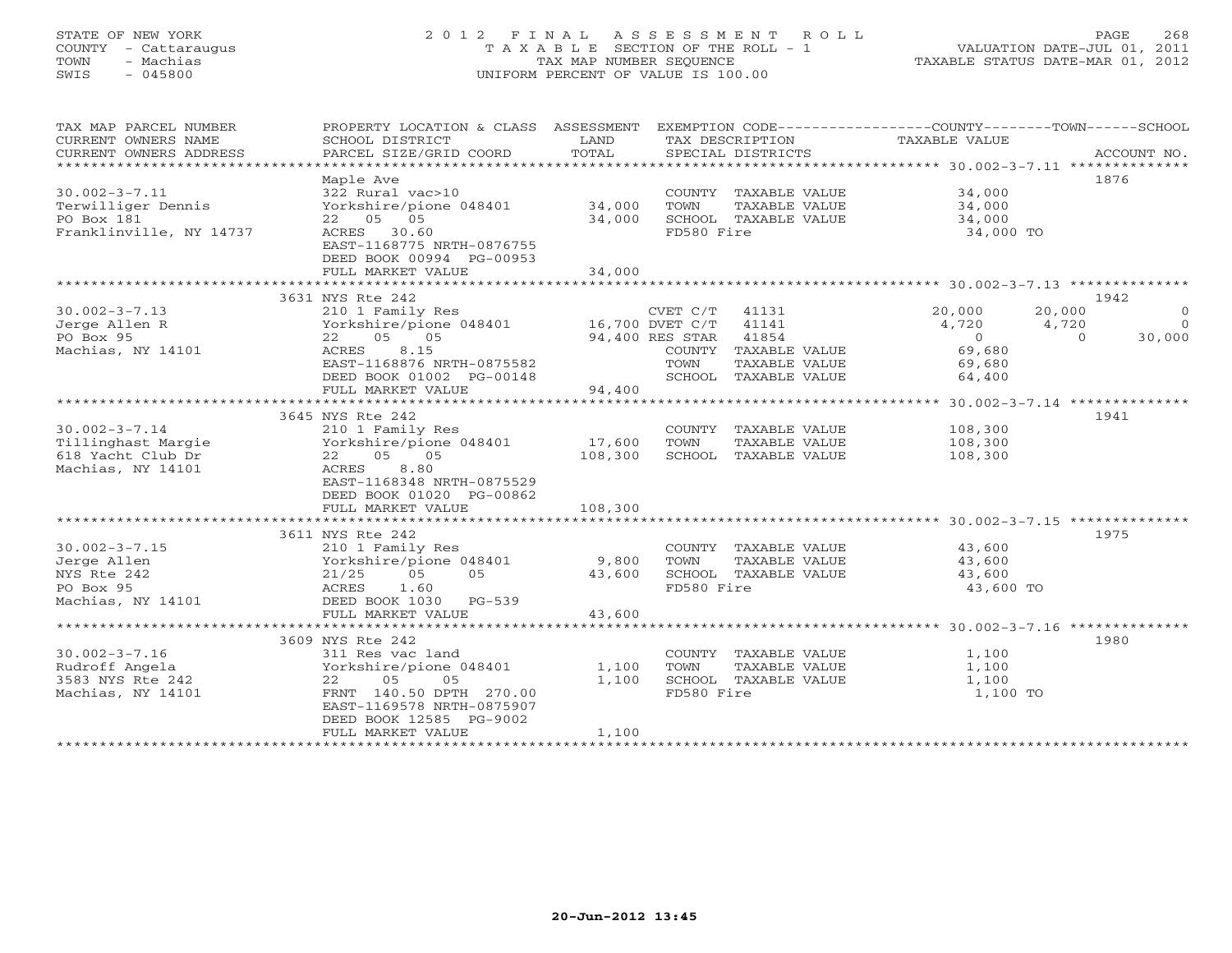### STATE OF NEW YORK 2 0 1 2 F I N A L A S S E S S M E N T R O L L PAGE 268 COUNTY - Cattaraugus T A X A B L E SECTION OF THE ROLL - 1 VALUATION DATE-JUL 01, 2011 TOWN - Machias TAX MAP NUMBER SEQUENCE TAXABLE STATUS DATE-MAR 01, 2012 SWIS - 045800 UNIFORM PERCENT OF VALUE IS 100.00UNIFORM PERCENT OF VALUE IS 100.00

| TAX MAP PARCEL NUMBER<br>CURRENT OWNERS NAME<br>CURRENT OWNERS ADDRESS | PROPERTY LOCATION & CLASS ASSESSMENT<br>SCHOOL DISTRICT<br>PARCEL SIZE/GRID COORD          | LAND<br>TOTAL        |            | TAX DESCRIPTION<br>SPECIAL DISTRICTS                          | EXEMPTION CODE-----------------COUNTY-------TOWN------SCHOOL<br>TAXABLE VALUE |                             | ACCOUNT NO.                    |
|------------------------------------------------------------------------|--------------------------------------------------------------------------------------------|----------------------|------------|---------------------------------------------------------------|-------------------------------------------------------------------------------|-----------------------------|--------------------------------|
| **************************                                             |                                                                                            |                      |            |                                                               |                                                                               |                             |                                |
|                                                                        | Maple Ave                                                                                  |                      |            |                                                               |                                                                               | 1876                        |                                |
| $30.002 - 3 - 7.11$<br>Terwilliger Dennis<br>PO Box 181                | 322 Rural vac>10<br>Yorkshire/pione 048401<br>22  05  05                                   | 34,000<br>34,000     | TOWN       | COUNTY TAXABLE VALUE<br>TAXABLE VALUE<br>SCHOOL TAXABLE VALUE | 34,000<br>34,000<br>34,000                                                    |                             |                                |
| Franklinville, NY 14737                                                | ACRES 30.60<br>EAST-1168775 NRTH-0876755<br>DEED BOOK 00994 PG-00953<br>FULL MARKET VALUE  | 34,000               | FD580 Fire |                                                               | 34,000 TO                                                                     |                             |                                |
|                                                                        |                                                                                            |                      |            |                                                               |                                                                               |                             |                                |
|                                                                        | 3631 NYS Rte 242                                                                           |                      |            |                                                               |                                                                               | 1942                        |                                |
| $30.002 - 3 - 7.13$<br>Jerge Allen R<br>PO Box 95<br>Machias, NY 14101 | 210 1 Family Res<br>Yorkshire/pione 048401 16,700 DVET C/T<br>22<br>05 05<br>8.15<br>ACRES | 94,400 RES STAR      | CVET C/T   | 41131<br>41141<br>41854<br>COUNTY TAXABLE VALUE               | 20,000<br>4,720<br>$\overline{0}$<br>69,680                                   | 20,000<br>4,720<br>$\Omega$ | $\Omega$<br>$\Omega$<br>30,000 |
|                                                                        | EAST-1168876 NRTH-0875582<br>DEED BOOK 01002 PG-00148                                      |                      | TOWN       | TAXABLE VALUE<br>SCHOOL TAXABLE VALUE                         | 69,680<br>64,400                                                              |                             |                                |
|                                                                        | FULL MARKET VALUE                                                                          | 94,400               |            |                                                               |                                                                               |                             |                                |
|                                                                        | *************************                                                                  | ******************** |            |                                                               | ************************ 30.002-3-7.14 ***************                        |                             |                                |
|                                                                        | 3645 NYS Rte 242                                                                           |                      |            |                                                               |                                                                               | 1941                        |                                |
| $30.002 - 3 - 7.14$                                                    | 210 1 Family Res                                                                           |                      | COUNTY     | TAXABLE VALUE                                                 | 108,300                                                                       |                             |                                |
| Tillinghast Margie                                                     | Yorkshire/pione 048401                                                                     | 17,600               | TOWN       | TAXABLE VALUE                                                 | 108,300                                                                       |                             |                                |
| 618 Yacht Club Dr                                                      | 22<br>05 05                                                                                | 108,300              |            | SCHOOL TAXABLE VALUE                                          | 108,300                                                                       |                             |                                |
| Machias, NY 14101                                                      | 8.80<br>ACRES                                                                              |                      |            |                                                               |                                                                               |                             |                                |
|                                                                        | EAST-1168348 NRTH-0875529                                                                  |                      |            |                                                               |                                                                               |                             |                                |
|                                                                        | DEED BOOK 01020 PG-00862                                                                   |                      |            |                                                               |                                                                               |                             |                                |
|                                                                        | FULL MARKET VALUE                                                                          | 108,300              |            |                                                               |                                                                               |                             |                                |
|                                                                        | ***********************                                                                    |                      |            |                                                               |                                                                               |                             |                                |
|                                                                        | 3611 NYS Rte 242                                                                           |                      |            |                                                               |                                                                               | 1975                        |                                |
| $30.002 - 3 - 7.15$                                                    | 210 1 Family Res                                                                           |                      |            | COUNTY TAXABLE VALUE                                          | 43,600                                                                        |                             |                                |
| Jerge Allen                                                            | Yorkshire/pione 048401                                                                     | 9,800                | TOWN       | TAXABLE VALUE                                                 | 43,600                                                                        |                             |                                |
| NYS Rte 242                                                            | 21/25<br>05<br>05                                                                          | 43,600               |            | SCHOOL TAXABLE VALUE                                          | 43,600                                                                        |                             |                                |
| PO Box 95                                                              | ACRES<br>1.60                                                                              |                      | FD580 Fire |                                                               | 43,600 TO                                                                     |                             |                                |
| Machias, NY 14101                                                      | DEED BOOK 1030 PG-539                                                                      |                      |            |                                                               |                                                                               |                             |                                |
|                                                                        | FULL MARKET VALUE                                                                          | 43,600               |            |                                                               |                                                                               |                             |                                |
|                                                                        |                                                                                            |                      |            |                                                               |                                                                               |                             |                                |
| $30.002 - 3 - 7.16$                                                    | 3609 NYS Rte 242                                                                           |                      |            |                                                               |                                                                               | 1980                        |                                |
| Rudroff Angela                                                         | 311 Res vac land<br>Yorkshire/pione 048401                                                 | 1,100                | TOWN       | COUNTY TAXABLE VALUE<br>TAXABLE VALUE                         | 1,100<br>1,100                                                                |                             |                                |
| 3583 NYS Rte 242                                                       | 22<br>05<br>05                                                                             | 1,100                |            | SCHOOL TAXABLE VALUE                                          | 1,100                                                                         |                             |                                |
| Machias, NY 14101                                                      | FRNT 140.50 DPTH 270.00                                                                    |                      | FD580 Fire |                                                               | 1,100 TO                                                                      |                             |                                |
|                                                                        | EAST-1169578 NRTH-0875907                                                                  |                      |            |                                                               |                                                                               |                             |                                |
|                                                                        | DEED BOOK 12585 PG-9002                                                                    |                      |            |                                                               |                                                                               |                             |                                |
|                                                                        | FULL MARKET VALUE                                                                          | 1,100                |            |                                                               |                                                                               |                             |                                |
|                                                                        |                                                                                            |                      |            |                                                               |                                                                               |                             |                                |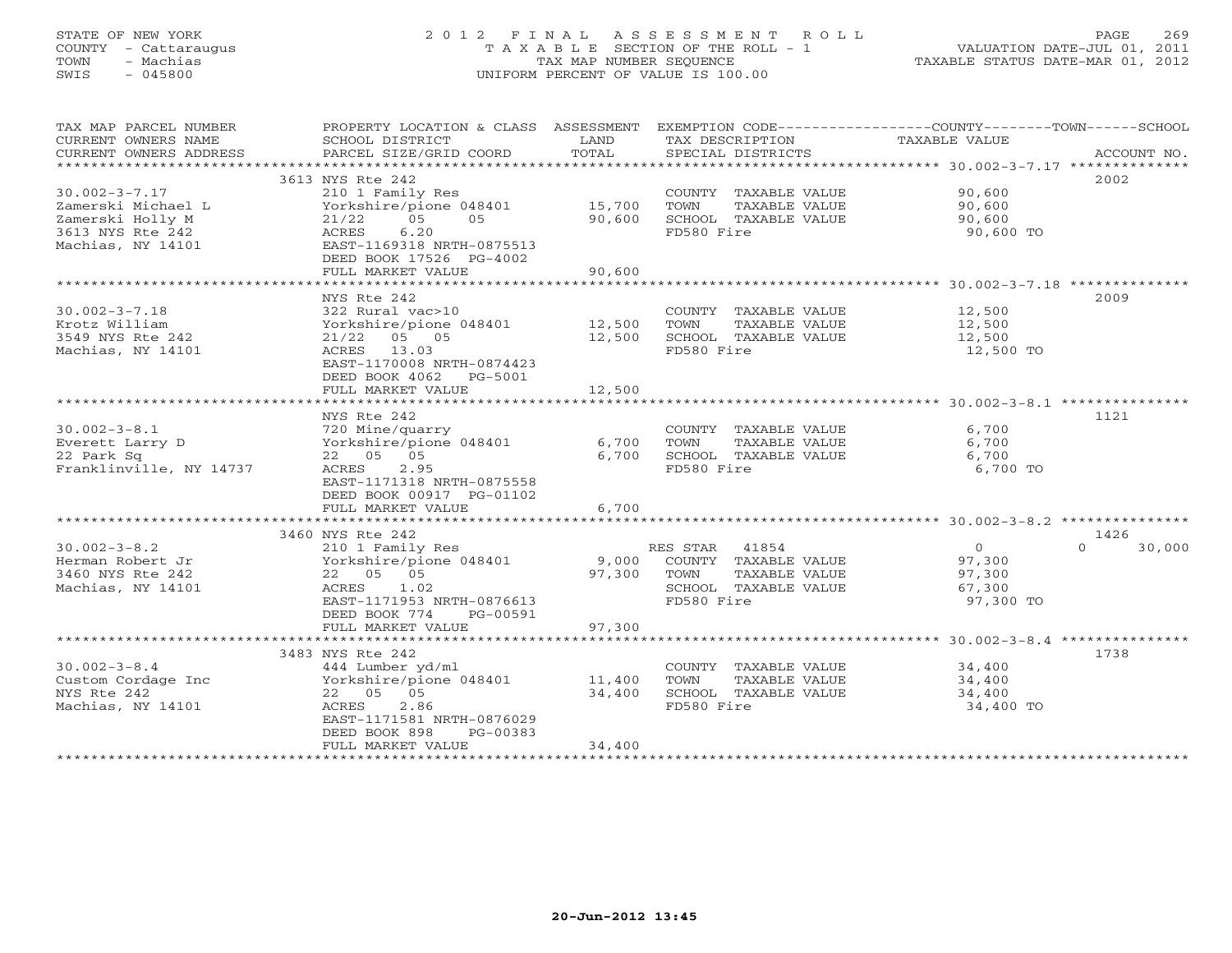### STATE OF NEW YORK 2 0 1 2 F I N A L A S S E S S M E N T R O L L PAGE 269 COUNTY - Cattaraugus T A X A B L E SECTION OF THE ROLL - 1 VALUATION DATE-JUL 01, 2011 TOWN - Machias TAX MAP NUMBER SEQUENCE TAXABLE STATUS DATE-MAR 01, 2012 SWIS - 045800 UNIFORM PERCENT OF VALUE IS 100.00UNIFORM PERCENT OF VALUE IS 100.00

| TAX MAP PARCEL NUMBER<br>CURRENT OWNERS NAME<br>CURRENT OWNERS ADDRESS | PROPERTY LOCATION & CLASS ASSESSMENT<br>SCHOOL DISTRICT<br>PARCEL SIZE/GRID COORD | LAND<br>TOTAL | TAX DESCRIPTION<br>SPECIAL DISTRICTS | EXEMPTION CODE-----------------COUNTY-------TOWN------SCHOOL<br>TAXABLE VALUE<br>ACCOUNT NO. |
|------------------------------------------------------------------------|-----------------------------------------------------------------------------------|---------------|--------------------------------------|----------------------------------------------------------------------------------------------|
| ***********************                                                |                                                                                   |               |                                      |                                                                                              |
|                                                                        | 3613 NYS Rte 242                                                                  |               |                                      | 2002                                                                                         |
| $30.002 - 3 - 7.17$                                                    | 210 1 Family Res                                                                  |               | COUNTY TAXABLE VALUE                 | 90,600                                                                                       |
| Zamerski Michael L                                                     | Yorkshire/pione 048401                                                            | 15,700        | TOWN<br>TAXABLE VALUE                | 90,600                                                                                       |
| Zamerski Holly M                                                       | 0.5<br>0.5<br>21/22                                                               | 90,600        | SCHOOL TAXABLE VALUE                 | 90,600                                                                                       |
| 3613 NYS Rte 242                                                       | ACRES<br>6.20                                                                     |               | FD580 Fire                           | 90,600 TO                                                                                    |
| Machias, NY 14101                                                      | EAST-1169318 NRTH-0875513                                                         |               |                                      |                                                                                              |
|                                                                        | DEED BOOK 17526 PG-4002                                                           |               |                                      |                                                                                              |
|                                                                        | FULL MARKET VALUE                                                                 | 90,600        |                                      |                                                                                              |
|                                                                        |                                                                                   |               |                                      | 2009                                                                                         |
| $30.002 - 3 - 7.18$                                                    | NYS Rte 242<br>322 Rural vac>10                                                   |               | COUNTY TAXABLE VALUE                 | 12,500                                                                                       |
| Krotz William                                                          | Yorkshire/pione 048401                                                            | 12,500        | TOWN<br>TAXABLE VALUE                | 12,500                                                                                       |
| 3549 NYS Rte 242                                                       | $21/22$ 05 05                                                                     | 12,500        | SCHOOL TAXABLE VALUE                 | 12,500                                                                                       |
| Machias, NY 14101                                                      | ACRES<br>13.03                                                                    |               | FD580 Fire                           | 12,500 TO                                                                                    |
|                                                                        | EAST-1170008 NRTH-0874423                                                         |               |                                      |                                                                                              |
|                                                                        | DEED BOOK 4062 PG-5001                                                            |               |                                      |                                                                                              |
|                                                                        | FULL MARKET VALUE                                                                 | 12,500        |                                      |                                                                                              |
|                                                                        |                                                                                   |               |                                      |                                                                                              |
|                                                                        | NYS Rte 242                                                                       |               |                                      | 1121                                                                                         |
| $30.002 - 3 - 8.1$                                                     | 720 Mine/quarry                                                                   |               | COUNTY TAXABLE VALUE                 | 6,700                                                                                        |
| Everett Larry D                                                        | Yorkshire/pione 048401                                                            | 6,700         | TOWN<br>TAXABLE VALUE                | 6,700                                                                                        |
| 22 Park Sq                                                             | 22 05 05                                                                          | 6,700         | SCHOOL TAXABLE VALUE                 | 6,700                                                                                        |
| Franklinville, NY 14737                                                | 2.95<br>ACRES                                                                     |               | FD580 Fire                           | 6,700 TO                                                                                     |
|                                                                        | EAST-1171318 NRTH-0875558                                                         |               |                                      |                                                                                              |
|                                                                        | DEED BOOK 00917 PG-01102                                                          |               |                                      |                                                                                              |
|                                                                        | FULL MARKET VALUE                                                                 | 6,700         |                                      |                                                                                              |
|                                                                        | 3460 NYS Rte 242                                                                  |               |                                      | 1426                                                                                         |
| $30.002 - 3 - 8.2$                                                     | 210 1 Family Res                                                                  |               | RES STAR 41854                       | $\cap$<br>30,000<br>$\overline{0}$                                                           |
| Herman Robert Jr                                                       | Yorkshire/pione 048401                                                            | 9,000         | COUNTY TAXABLE VALUE                 | 97,300                                                                                       |
| 3460 NYS Rte 242                                                       | 22  05  05                                                                        | 97,300        | TOWN<br>TAXABLE VALUE                | 97,300                                                                                       |
| Machias, NY 14101                                                      | ACRES<br>1.02                                                                     |               | SCHOOL TAXABLE VALUE                 | 67,300                                                                                       |
|                                                                        | EAST-1171953 NRTH-0876613                                                         |               | FD580 Fire                           | 97,300 TO                                                                                    |
|                                                                        | DEED BOOK 774<br>PG-00591                                                         |               |                                      |                                                                                              |
|                                                                        | FULL MARKET VALUE                                                                 | 97,300        |                                      |                                                                                              |
|                                                                        |                                                                                   |               |                                      |                                                                                              |
|                                                                        | 3483 NYS Rte 242                                                                  |               |                                      | 1738                                                                                         |
| $30.002 - 3 - 8.4$                                                     | 444 Lumber yd/ml                                                                  |               | COUNTY TAXABLE VALUE                 | 34,400                                                                                       |
| Custom Cordage Inc                                                     | Yorkshire/pione 048401                                                            | 11,400        | TAXABLE VALUE<br>TOWN                | 34,400                                                                                       |
| NYS Rte 242                                                            | 22  05  05                                                                        | 34,400        | SCHOOL TAXABLE VALUE                 | 34,400                                                                                       |
| Machias, NY 14101                                                      | 2.86<br>ACRES<br>EAST-1171581 NRTH-0876029                                        |               | FD580 Fire                           | 34,400 TO                                                                                    |
|                                                                        | DEED BOOK 898<br>$PG-00383$                                                       |               |                                      |                                                                                              |
|                                                                        | FULL MARKET VALUE                                                                 | 34,400        |                                      |                                                                                              |
|                                                                        |                                                                                   |               |                                      |                                                                                              |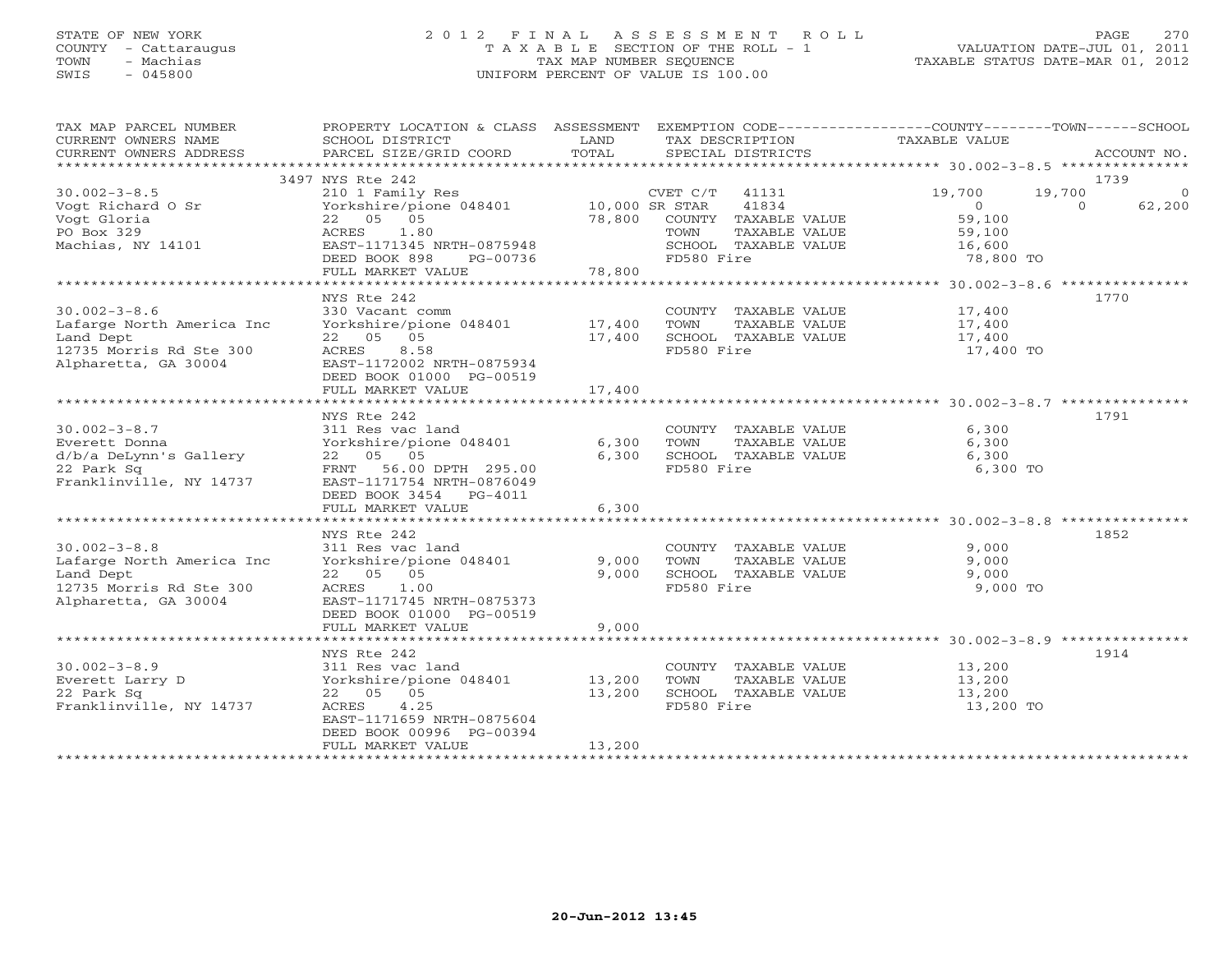### STATE OF NEW YORK 2 0 1 2 F I N A L A S S E S S M E N T R O L L PAGE 270 COUNTY - Cattaraugus T A X A B L E SECTION OF THE ROLL - 1 VALUATION DATE-JUL 01, 2011 TOWN - Machias TAX MAP NUMBER SEQUENCE TAXABLE STATUS DATE-MAR 01, 2012 SWIS - 045800 UNIFORM PERCENT OF VALUE IS 100.00UNIFORM PERCENT OF VALUE IS 100.00

| TAX MAP PARCEL NUMBER<br>CURRENT OWNERS NAME<br>CURRENT OWNERS ADDRESS | SCHOOL DISTRICT<br>PARCEL SIZE/GRID COORD | LAND<br>TOTAL | TAX DESCRIPTION<br>SPECIAL DISTRICTS | PROPERTY LOCATION & CLASS ASSESSMENT EXEMPTION CODE---------------COUNTY-------TOWN------SCHOOL<br>TAXABLE VALUE | ACCOUNT NO.    |
|------------------------------------------------------------------------|-------------------------------------------|---------------|--------------------------------------|------------------------------------------------------------------------------------------------------------------|----------------|
|                                                                        |                                           |               |                                      |                                                                                                                  |                |
|                                                                        | 3497 NYS Rte 242                          |               |                                      |                                                                                                                  | 1739           |
| $30.002 - 3 - 8.5$                                                     | 210 1 Family Res                          |               | $CVET C/T$ 41131                     | 19,700<br>19,700                                                                                                 | $\overline{0}$ |
| Voqt Richard O Sr                                                      | Yorkshire/pione 048401 10,000 SR STAR     |               | 41834                                | $\Omega$<br>$\Omega$                                                                                             | 62,200         |
| Vogt Gloria                                                            | 22  05  05                                |               | 78,800 COUNTY TAXABLE VALUE          | 59,100                                                                                                           |                |
| PO Box 329                                                             | 1.80<br>ACRES                             |               | TAXABLE VALUE<br>TOWN                | 59,100                                                                                                           |                |
| Machias, NY 14101                                                      | EAST-1171345 NRTH-0875948                 |               | SCHOOL TAXABLE VALUE                 | 16,600                                                                                                           |                |
|                                                                        | DEED BOOK 898<br>PG-00736                 |               | FD580 Fire                           | 78,800 TO                                                                                                        |                |
|                                                                        | FULL MARKET VALUE                         | 78,800        |                                      |                                                                                                                  |                |
|                                                                        |                                           |               |                                      |                                                                                                                  |                |
|                                                                        | NYS Rte 242                               |               |                                      |                                                                                                                  | 1770           |
| $30.002 - 3 - 8.6$                                                     | 330 Vacant comm                           |               | COUNTY TAXABLE VALUE 17,400          |                                                                                                                  |                |
| Lafarge North America Inc                                              | Yorkshire/pione 048401 17,400             |               | TOWN<br>TAXABLE VALUE                | 17,400                                                                                                           |                |
| Land Dept                                                              | 22 05 05                                  | 17,400        | SCHOOL TAXABLE VALUE                 | 17,400                                                                                                           |                |
| 12735 Morris Rd Ste 300                                                | ACRES<br>8.58                             |               | FD580 Fire                           | 17,400 TO                                                                                                        |                |
| Alpharetta, GA 30004                                                   | EAST-1172002 NRTH-0875934                 |               |                                      |                                                                                                                  |                |
|                                                                        | DEED BOOK 01000 PG-00519                  |               |                                      |                                                                                                                  |                |
|                                                                        | FULL MARKET VALUE                         | 17,400        |                                      |                                                                                                                  |                |
|                                                                        |                                           |               |                                      |                                                                                                                  |                |
|                                                                        | NYS Rte 242                               |               |                                      |                                                                                                                  | 1791           |
| $30.002 - 3 - 8.7$                                                     | 311 Res vac land                          |               | COUNTY TAXABLE VALUE                 | 6,300                                                                                                            |                |
| Everett Donna                                                          | Yorkshire/pione 048401                    | 6,300         | TOWN<br>TAXABLE VALUE                | 6,300                                                                                                            |                |
| d/b/a DeLynn's Gallery                                                 | 22 05 05                                  | 6,300         | SCHOOL TAXABLE VALUE                 | 6,300                                                                                                            |                |
| 22 Park Sq                                                             | FRNT 56.00 DPTH 295.00                    |               | FD580 Fire                           | 6,300 TO                                                                                                         |                |
| Franklinville, NY 14737                                                | EAST-1171754 NRTH-0876049                 |               |                                      |                                                                                                                  |                |
|                                                                        | DEED BOOK 3454 PG-4011                    |               |                                      |                                                                                                                  |                |
|                                                                        | FULL MARKET VALUE                         | 6,300         |                                      |                                                                                                                  |                |
|                                                                        |                                           |               |                                      |                                                                                                                  |                |
|                                                                        | NYS Rte 242                               |               |                                      |                                                                                                                  | 1852           |
| $30.002 - 3 - 8.8$                                                     | 311 Res vac land                          |               | COUNTY TAXABLE VALUE                 | 9,000                                                                                                            |                |
| Lafarge North America Inc                                              | Yorkshire/pione 048401                    | 9,000         | TOWN<br>TAXABLE VALUE                | 9,000                                                                                                            |                |
| Land Dept                                                              | 22  05  05                                | 9,000         | SCHOOL TAXABLE VALUE                 | 9,000                                                                                                            |                |
| 12735 Morris Rd Ste 300                                                | ACRES 1.00                                |               | FD580 Fire                           | 9,000 TO                                                                                                         |                |
| Alpharetta, GA 30004                                                   | EAST-1171745 NRTH-0875373                 |               |                                      |                                                                                                                  |                |
|                                                                        | DEED BOOK 01000 PG-00519                  |               |                                      |                                                                                                                  |                |
|                                                                        | FULL MARKET VALUE                         | 9,000         |                                      |                                                                                                                  |                |
|                                                                        |                                           |               |                                      |                                                                                                                  |                |
|                                                                        | NYS Rte 242                               |               |                                      |                                                                                                                  | 1914           |
| $30.002 - 3 - 8.9$                                                     | 311 Res vac land                          |               | COUNTY TAXABLE VALUE                 | 13,200                                                                                                           |                |
| Everett Larry D                                                        | Yorkshire/pione 048401                    | 13,200        | TOWN<br>TAXABLE VALUE                | 13,200                                                                                                           |                |
| 22 Park Sq                                                             | 22  05  05                                | 13,200        | SCHOOL TAXABLE VALUE                 | 13,200                                                                                                           |                |
| Franklinville, NY 14737                                                | 4.25<br>ACRES                             |               | FD580 Fire                           | 13,200 TO                                                                                                        |                |
|                                                                        | EAST-1171659 NRTH-0875604                 |               |                                      |                                                                                                                  |                |
|                                                                        | DEED BOOK 00996 PG-00394                  |               |                                      |                                                                                                                  |                |
|                                                                        | FULL MARKET VALUE                         | 13,200        |                                      |                                                                                                                  |                |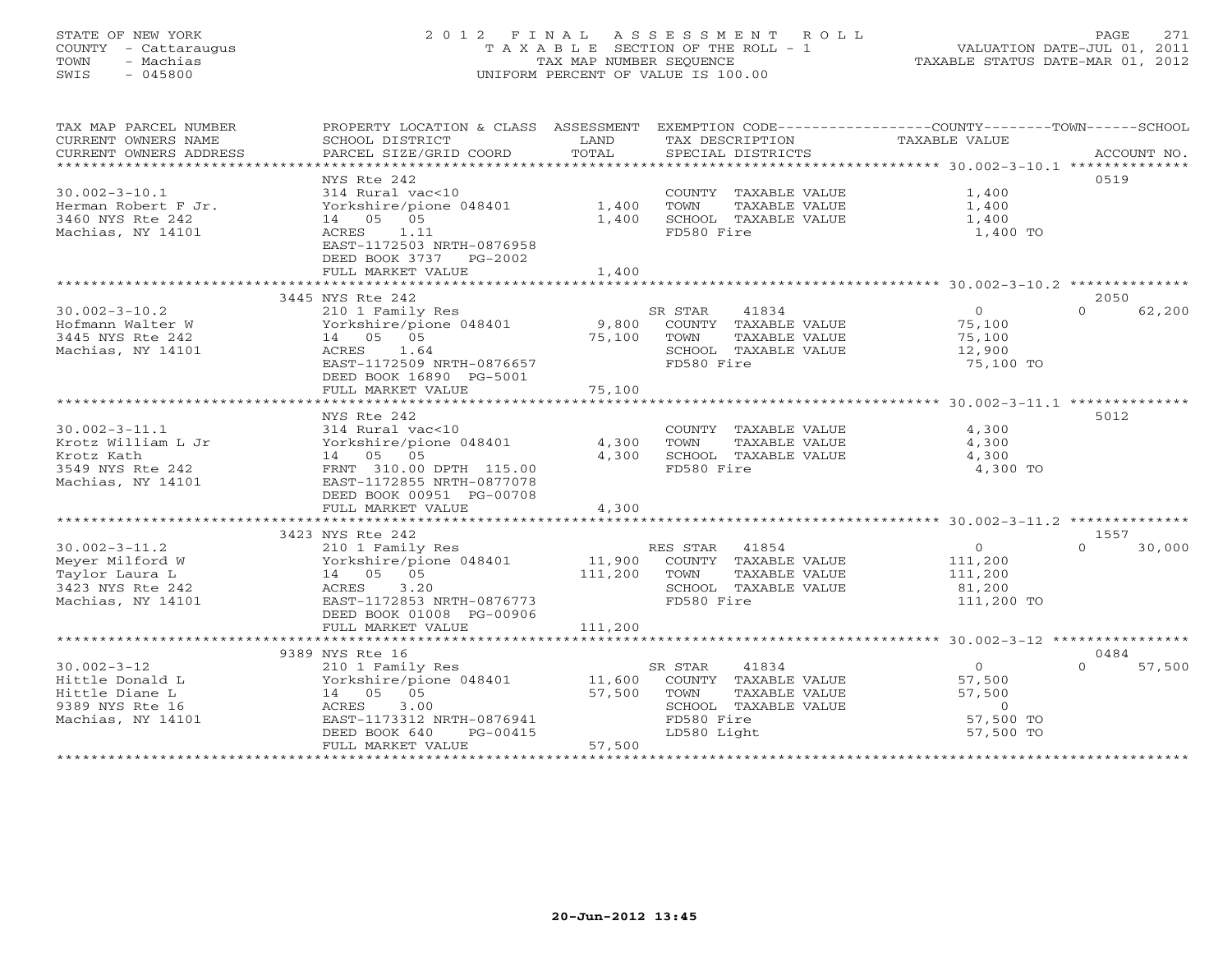### STATE OF NEW YORK 2 0 1 2 F I N A L A S S E S S M E N T R O L L PAGE 271 COUNTY - Cattaraugus T A X A B L E SECTION OF THE ROLL - 1 VALUATION DATE-JUL 01, 2011 TOWN - Machias TAX MAP NUMBER SEQUENCE TAXABLE STATUS DATE-MAR 01, 2012 SWIS - 045800 UNIFORM PERCENT OF VALUE IS 100.00

| TAX MAP PARCEL NUMBER<br>CURRENT OWNERS NAME<br>CURRENT OWNERS ADDRESS                            | PROPERTY LOCATION & CLASS ASSESSMENT<br>SCHOOL DISTRICT<br>PARCEL SIZE/GRID COORD                                                                                              | LAND<br>TOTAL              | EXEMPTION CODE-----------------COUNTY-------TOWN------SCHOOL<br>TAX DESCRIPTION<br>SPECIAL DISTRICTS                   | TAXABLE VALUE                                                    | ACCOUNT NO.                |
|---------------------------------------------------------------------------------------------------|--------------------------------------------------------------------------------------------------------------------------------------------------------------------------------|----------------------------|------------------------------------------------------------------------------------------------------------------------|------------------------------------------------------------------|----------------------------|
| $30.002 - 3 - 10.1$<br>Herman Robert F Jr.<br>3460 NYS Rte 242<br>Machias, NY 14101               | NYS Rte 242<br>314 Rural vac<10<br>Yorkshire/pione 048401<br>14 05 05<br>1.11<br>ACRES<br>EAST-1172503 NRTH-0876958<br>DEED BOOK 3737 PG-2002<br>FULL MARKET VALUE             | 1,400<br>1,400<br>1,400    | COUNTY TAXABLE VALUE<br>TOWN<br>TAXABLE VALUE<br>SCHOOL TAXABLE VALUE<br>FD580 Fire                                    | 1,400<br>1,400<br>1,400<br>1,400 TO                              | 0519                       |
|                                                                                                   | 3445 NYS Rte 242                                                                                                                                                               |                            |                                                                                                                        |                                                                  | 2050                       |
| $30.002 - 3 - 10.2$<br>Hofmann Walter W<br>3445 NYS Rte 242<br>Machias, NY 14101                  | 210 1 Family Res<br>Yorkshire/pione 048401<br>14  05  05<br>ACRES<br>1.64<br>EAST-1172509 NRTH-0876657<br>DEED BOOK 16890 PG-5001<br>FULL MARKET VALUE                         | 9,800<br>75,100<br>75,100  | SR STAR<br>41834<br>COUNTY TAXABLE VALUE<br>TOWN<br>TAXABLE VALUE<br>SCHOOL TAXABLE VALUE<br>FD580 Fire                | $\overline{0}$<br>75,100<br>75,100<br>12,900<br>75,100 TO        | $\Omega$<br>62,200         |
|                                                                                                   |                                                                                                                                                                                |                            |                                                                                                                        |                                                                  |                            |
| $30.002 - 3 - 11.1$<br>Krotz William L Jr<br>Krotz Kath<br>3549 NYS Rte 242<br>Machias, NY 14101  | NYS Rte 242<br>314 Rural vac<10<br>Yorkshire/pione 048401<br>14 05 05<br>FRNT 310.00 DPTH 115.00<br>EAST-1172855 NRTH-0877078<br>DEED BOOK 00951 PG-00708<br>FULL MARKET VALUE | 4,300<br>4,300<br>4,300    | COUNTY TAXABLE VALUE<br>TOWN<br>TAXABLE VALUE<br>SCHOOL TAXABLE VALUE<br>FD580 Fire                                    | 4,300<br>4,300<br>4,300<br>4,300 TO                              | 5012                       |
|                                                                                                   |                                                                                                                                                                                | ***********                |                                                                                                                        | ****************************** 30.002-3-11.2 **************      |                            |
| $30.002 - 3 - 11.2$<br>Meyer Milford W<br>Taylor Laura L<br>3423 NYS Rte 242<br>Machias, NY 14101 | 3423 NYS Rte 242<br>210 1 Family Res<br>Yorkshire/pione 048401<br>14 05 05<br>ACRES<br>3.20<br>EAST-1172853 NRTH-0876773<br>DEED BOOK 01008 PG-00906                           | 11,900<br>111,200          | RES STAR<br>41854<br>COUNTY TAXABLE VALUE<br>TAXABLE VALUE<br>TOWN<br>SCHOOL TAXABLE VALUE<br>FD580 Fire               | $\circ$<br>111,200<br>111,200<br>81,200<br>111,200 TO            | 1557<br>30,000<br>$\Omega$ |
|                                                                                                   | FULL MARKET VALUE                                                                                                                                                              | 111,200                    |                                                                                                                        |                                                                  |                            |
|                                                                                                   | ****************************<br>9389 NYS Rte 16                                                                                                                                |                            |                                                                                                                        |                                                                  | 0484                       |
| $30.002 - 3 - 12$<br>Hittle Donald L<br>Hittle Diane L<br>9389 NYS Rte 16<br>Machias, NY 14101    | 210 1 Family Res<br>Yorkshire/pione 048401<br>14 05 05<br>3.00<br>ACRES<br>EAST-1173312 NRTH-0876941<br>DEED BOOK 640<br>PG-00415<br>FULL MARKET VALUE                         | 11,600<br>57,500<br>57,500 | 41834<br>SR STAR<br>COUNTY TAXABLE VALUE<br>TOWN<br>TAXABLE VALUE<br>SCHOOL TAXABLE VALUE<br>FD580 Fire<br>LD580 Light | $\circ$<br>57,500<br>57,500<br>$\circ$<br>57,500 TO<br>57,500 TO | 57,500<br>$\Omega$         |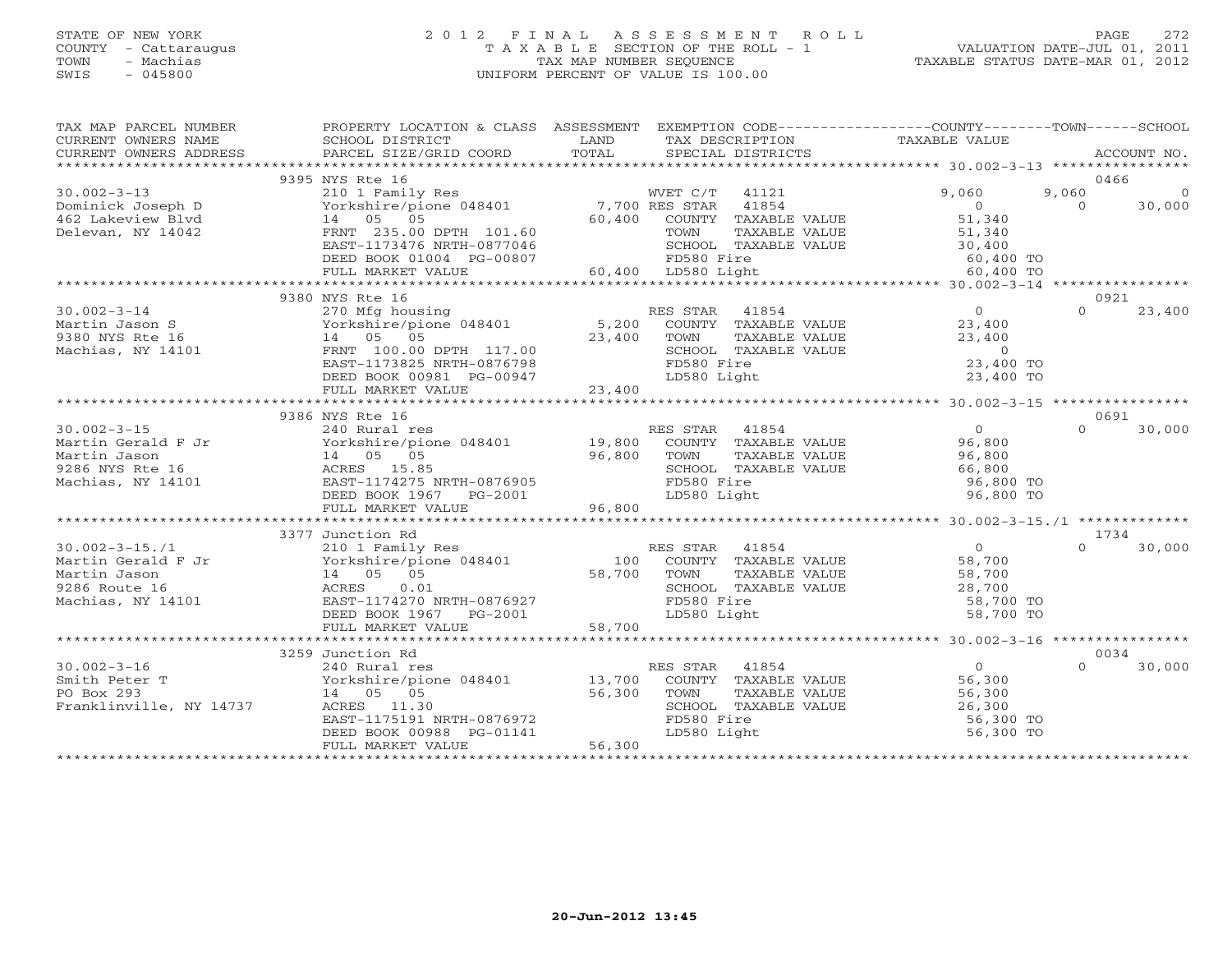#### STATE OF NEW YORK 2 0 1 2 F I N A L A S S E S S M E N T R O L L PAGE 272 COUNTY - Cattaraugus T A X A B L E SECTION OF THE ROLL - 1 VALUATION DATE-JUL 01, 2011 TOWN - Machias TAX MAP NUMBER SEQUENCE TAXABLE STATUS DATE-MAR 01, 2012 SWIS - 045800 UNIFORM PERCENT OF VALUE IS 100.00UNIFORM PERCENT OF VALUE IS 100.00

| TAX MAP PARCEL NUMBER<br>CURRENT OWNERS NAME<br>CURRENT OWNERS ADDRESS | PROPERTY LOCATION & CLASS ASSESSMENT<br>SCHOOL DISTRICT<br>PARCEL SIZE/GRID COORD | <b>LAND</b><br>TOTAL | EXEMPTION CODE-----------------COUNTY-------TOWN------SCHOOL<br>TAX DESCRIPTION<br>SPECIAL DISTRICTS | TAXABLE VALUE       | ACCOUNT NO.        |
|------------------------------------------------------------------------|-----------------------------------------------------------------------------------|----------------------|------------------------------------------------------------------------------------------------------|---------------------|--------------------|
|                                                                        |                                                                                   |                      |                                                                                                      |                     |                    |
|                                                                        | 9395 NYS Rte 16                                                                   |                      |                                                                                                      |                     | 0466               |
| $30.002 - 3 - 13$                                                      | 210 1 Family Res                                                                  |                      | WVET C/T<br>41121                                                                                    | 9,060               | 9,060<br>$\Omega$  |
| Dominick Joseph D                                                      | Yorkshire/pione 048401 7,700 RES STAR                                             |                      | 41854                                                                                                | $\overline{0}$      | $\Omega$<br>30,000 |
| 462 Lakeview Blvd                                                      | 14 05 05                                                                          |                      | 60,400 COUNTY TAXABLE VALUE                                                                          | 51,340              |                    |
| Delevan, NY 14042                                                      | FRNT 235.00 DPTH 101.60                                                           |                      | TAXABLE VALUE<br>TOWN                                                                                | 51,340              |                    |
|                                                                        | EAST-1173476 NRTH-0877046                                                         |                      | SCHOOL TAXABLE VALUE                                                                                 | 30,400<br>60,400 TO |                    |
|                                                                        | DEED BOOK 01004 PG-00807                                                          |                      | FD580 Fire                                                                                           |                     |                    |
|                                                                        | FULL MARKET VALUE                                                                 |                      | 60,400 LD580 Light                                                                                   | 60,400 TO           |                    |
|                                                                        |                                                                                   |                      |                                                                                                      |                     |                    |
|                                                                        | 9380 NYS Rte 16                                                                   |                      |                                                                                                      |                     | 0921               |
| $30.002 - 3 - 14$                                                      | 270 Mfg housing<br>Yorkshire/pione 048401 5,200 COUNTY TAXABLE                    |                      |                                                                                                      | $\sim$ 0            | 23,400<br>$\Omega$ |
| Martin Jason S                                                         |                                                                                   |                      | 5,200 COUNTY TAXABLE VALUE                                                                           | 23,400<br>23,400    |                    |
| 9380 NYS Rte 16                                                        | 14 05 05                                                                          | 23,400               | TOWN<br>TAXABLE VALUE                                                                                |                     |                    |
| Machias, NY 14101                                                      | FRNT 100.00 DPTH 117.00                                                           |                      | SCHOOL TAXABLE VALUE                                                                                 | $\overline{0}$      |                    |
|                                                                        | EAST-1173825 NRTH-0876798                                                         |                      | FD580 Fire                                                                                           | 23,400 TO           |                    |
|                                                                        | DEED BOOK 00981 PG-00947                                                          |                      | LD580 Light                                                                                          | 23,400 TO           |                    |
|                                                                        | FULL MARKET VALUE                                                                 | 23,400               |                                                                                                      |                     |                    |
|                                                                        |                                                                                   |                      |                                                                                                      |                     |                    |
|                                                                        | 9386 NYS Rte 16                                                                   |                      |                                                                                                      |                     | 0691               |
| $30.002 - 3 - 15$                                                      | 240 Rural res                                                                     |                      | RES STAR 41854                                                                                       | $\overline{0}$      | 30,000<br>$\cap$   |
|                                                                        | Yorkshire/pione 048401 19,800                                                     |                      | COUNTY TAXABLE VALUE                                                                                 | 96,800              |                    |
|                                                                        |                                                                                   | 96,800               | TOWN<br>TAXABLE VALUE                                                                                | 96,800              |                    |
|                                                                        |                                                                                   |                      | SCHOOL TAXABLE VALUE<br>FD580 Fire                                                                   | 66,800<br>96,800 TO |                    |
|                                                                        | DEED BOOK 1967 PG-2001                                                            |                      | LD580 Light                                                                                          | 96,800 TO           |                    |
|                                                                        | FULL MARKET VALUE                                                                 | 96,800               |                                                                                                      |                     |                    |
|                                                                        |                                                                                   |                      |                                                                                                      |                     |                    |
|                                                                        | 3377 Junction Rd                                                                  |                      |                                                                                                      |                     | 1734               |
| $30.002 - 3 - 15.71$                                                   |                                                                                   |                      | RES STAR<br>41854                                                                                    | 0                   | 30,000             |
| Martin Gerald F Jr                                                     | 210 1 Family Res<br>Yorkshire/pione 048401                                        | 100                  | COUNTY TAXABLE VALUE                                                                                 | 58,700              |                    |
| Martin Jason                                                           | 14 05 05                                                                          | 58,700               | TOWN<br>TAXABLE VALUE                                                                                | 58,700              |                    |
| 9286 Route 16                                                          | ACRES<br>0.01                                                                     |                      | SCHOOL TAXABLE VALUE                                                                                 | 28,700              |                    |
| Machias, NY 14101                                                      | EAST-1174270 NRTH-0876927                                                         |                      | FD580 Fire                                                                                           | 58,700 TO           |                    |
|                                                                        | DEED BOOK 1967 PG-2001                                                            |                      | LD580 Light                                                                                          | 58,700 TO           |                    |
|                                                                        | FULL MARKET VALUE                                                                 | 58,700               |                                                                                                      |                     |                    |
|                                                                        |                                                                                   |                      |                                                                                                      |                     |                    |
|                                                                        | 3259 Junction Rd                                                                  |                      |                                                                                                      |                     | 0034               |
| $30.002 - 3 - 16$                                                      | 240 Rural res                                                                     |                      | RES STAR 41854                                                                                       | $\overline{0}$      | $\Omega$<br>30,000 |
| Smith Peter T                                                          | Yorkshire/pione 048401 13,700                                                     |                      | COUNTY TAXABLE VALUE                                                                                 | 56,300              |                    |
| PO Box 293                                                             | 14 05 05                                                                          | 56,300               | TAXABLE VALUE<br>TOWN                                                                                | 56,300              |                    |
| Franklinville, NY 14737                                                | ACRES 11.30                                                                       |                      | SCHOOL TAXABLE VALUE                                                                                 | 26,300              |                    |
|                                                                        | EAST-1175191 NRTH-0876972                                                         |                      |                                                                                                      | 56,300 TO           |                    |
|                                                                        | DEED BOOK 00988 PG-01141                                                          |                      | FD580 Fire<br>LD580 Light                                                                            | 56,300 TO           |                    |
|                                                                        | FULL MARKET VALUE                                                                 | 56,300               |                                                                                                      |                     |                    |
|                                                                        |                                                                                   |                      |                                                                                                      |                     |                    |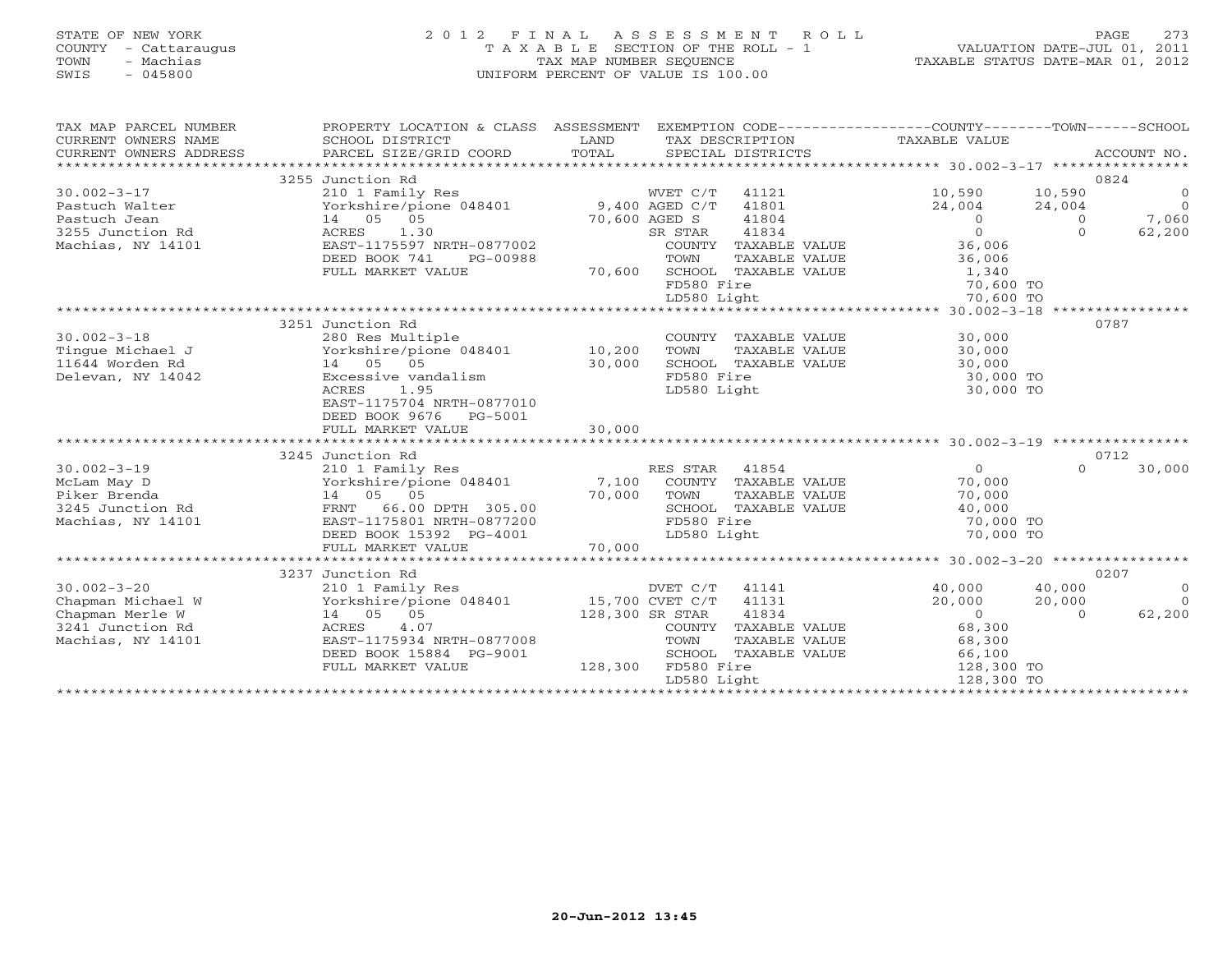### STATE OF NEW YORK 2 0 1 2 F I N A L A S S E S S M E N T R O L L PAGE 273 COUNTY - Cattaraugus T A X A B L E SECTION OF THE ROLL - 1 VALUATION DATE-JUL 01, 2011 TOWN - Machias TAX MAP NUMBER SEQUENCE TAXABLE STATUS DATE-MAR 01, 2012 SWIS - 045800 UNIFORM PERCENT OF VALUE IS 100.00UNIFORM PERCENT OF VALUE IS 100.00

| TAX MAP PARCEL NUMBER<br>CURRENT OWNERS NAME<br>CURRENT OWNERS ADDRESS | PROPERTY LOCATION & CLASS ASSESSMENT<br>SCHOOL DISTRICT<br>PARCEL SIZE/GRID COORD | LAND<br>TOTAL | EXEMPTION CODE----------------COUNTY-------TOWN-----SCHOOL<br>TAX DESCRIPTION<br>SPECIAL DISTRICTS | TAXABLE VALUE  |                | ACCOUNT NO.    |
|------------------------------------------------------------------------|-----------------------------------------------------------------------------------|---------------|----------------------------------------------------------------------------------------------------|----------------|----------------|----------------|
|                                                                        | 3255 Junction Rd                                                                  |               |                                                                                                    |                |                | 0824           |
| $30.002 - 3 - 17$                                                      | 210 1 Family Res                                                                  |               | WVET C/T<br>41121                                                                                  | 10,590         | 10,590         | $\overline{0}$ |
| Pastuch Walter                                                         | Yorkshire/pione 048401 9,400 AGED C/T                                             |               | 41801                                                                                              | 24,004         | 24,004         | $\overline{O}$ |
| Pastuch Jean                                                           | 14 05 05                                                                          | 70,600 AGED S | 41804                                                                                              | $\overline{0}$ | $\overline{0}$ | 7,060          |
| 3255 Junction Rd                                                       | 1.30<br>ACRES                                                                     |               | 41834<br>SR STAR                                                                                   | $\circ$        | $\Omega$       | 62,200         |
| Machias, NY 14101                                                      | EAST-1175597 NRTH-0877002                                                         |               | COUNTY TAXABLE VALUE                                                                               | 36,006         |                |                |
|                                                                        | DEED BOOK 741<br>PG-00988                                                         |               | TOWN<br>TAXABLE VALUE                                                                              | 36,006         |                |                |
|                                                                        | FULL MARKET VALUE                                                                 | 70,600        | SCHOOL TAXABLE VALUE                                                                               | 1,340          |                |                |
|                                                                        |                                                                                   |               | FD580 Fire                                                                                         | 70,600 TO      |                |                |
|                                                                        |                                                                                   |               | LD580 Light                                                                                        | 70,600 TO      |                |                |
|                                                                        |                                                                                   |               |                                                                                                    |                |                |                |
|                                                                        | 3251 Junction Rd                                                                  |               |                                                                                                    |                | 0787           |                |
| $30.002 - 3 - 18$                                                      | 280 Res Multiple                                                                  |               | COUNTY TAXABLE VALUE                                                                               | 30,000         |                |                |
| Tinque Michael J                                                       | Yorkshire/pione 048401 10,200                                                     |               | TOWN<br>TAXABLE VALUE                                                                              | 30,000         |                |                |
| 11644 Worden Rd                                                        | 14 05 05                                                                          | 30,000        | SCHOOL TAXABLE VALUE                                                                               | 30,000         |                |                |
| Delevan, NY 14042                                                      | Excessive vandalism                                                               |               | FD580 Fire                                                                                         | 30,000 TO      |                |                |
|                                                                        | 1.95<br>ACRES                                                                     |               | LD580 Light                                                                                        | 30,000 TO      |                |                |
|                                                                        | EAST-1175704 NRTH-0877010                                                         |               |                                                                                                    |                |                |                |
|                                                                        | DEED BOOK 9676 PG-5001                                                            |               |                                                                                                    |                |                |                |
|                                                                        | FULL MARKET VALUE                                                                 | 30,000        |                                                                                                    |                |                |                |
|                                                                        |                                                                                   |               |                                                                                                    |                |                |                |
|                                                                        | 3245 Junction Rd                                                                  |               |                                                                                                    |                | 0712           |                |
| $30.002 - 3 - 19$                                                      | 210 1 Family Res                                                                  |               | RES STAR<br>41854                                                                                  | $\Omega$       | $\Omega$       | 30,000         |
| McLam May D                                                            | Yorkshire/pione 048401 7,100                                                      |               | COUNTY TAXABLE VALUE                                                                               | 70,000         |                |                |
| Piker Brenda                                                           | 14  05  05                                                                        | 70,000        | TOWN<br>TAXABLE VALUE                                                                              | 70,000         |                |                |
| 3245 Junction Rd                                                       | 66.00 DPTH 305.00<br>FRNT                                                         |               | SCHOOL TAXABLE VALUE                                                                               | 40,000         |                |                |
| Machias, NY 14101                                                      | EAST-1175801 NRTH-0877200                                                         |               | FD580 Fire                                                                                         | 70,000 TO      |                |                |
|                                                                        | DEED BOOK 15392 PG-4001                                                           |               | LD580 Light                                                                                        | 70,000 TO      |                |                |
|                                                                        | FULL MARKET VALUE                                                                 | 70,000        |                                                                                                    |                |                |                |
|                                                                        | 3237 Junction Rd                                                                  |               |                                                                                                    |                | 0207           |                |
| $30.002 - 3 - 20$                                                      | 210 1 Family Res                                                                  |               | DVET C/T 41141                                                                                     | 40,000         | 40,000         | $\overline{0}$ |
| Chapman Michael W                                                      | Yorkshire/pione 048401                                                            |               | 41131<br>15,700 CVET C/T                                                                           | 20,000         | 20,000         | $\Omega$       |
| Chapman Merle W                                                        | 14 05 05                                                                          |               | 41834<br>128,300 SR STAR                                                                           | $\Omega$       | $\Omega$       | 62,200         |
| 3241 Junction Rd                                                       | 4.07<br>ACRES                                                                     |               | COUNTY TAXABLE VALUE                                                                               | 68,300         |                |                |
| Machias, NY 14101                                                      | EAST-1175934 NRTH-0877008                                                         |               | TOWN<br>TAXABLE VALUE                                                                              | 68,300         |                |                |
|                                                                        | DEED BOOK 15884 PG-9001                                                           |               | SCHOOL TAXABLE VALUE                                                                               | 66,100         |                |                |
|                                                                        | FULL MARKET VALUE                                                                 | 128,300       | FD580 Fire                                                                                         | 128,300 TO     |                |                |
|                                                                        |                                                                                   |               | LD580 Light                                                                                        | 128,300 TO     |                |                |
|                                                                        |                                                                                   |               |                                                                                                    |                |                |                |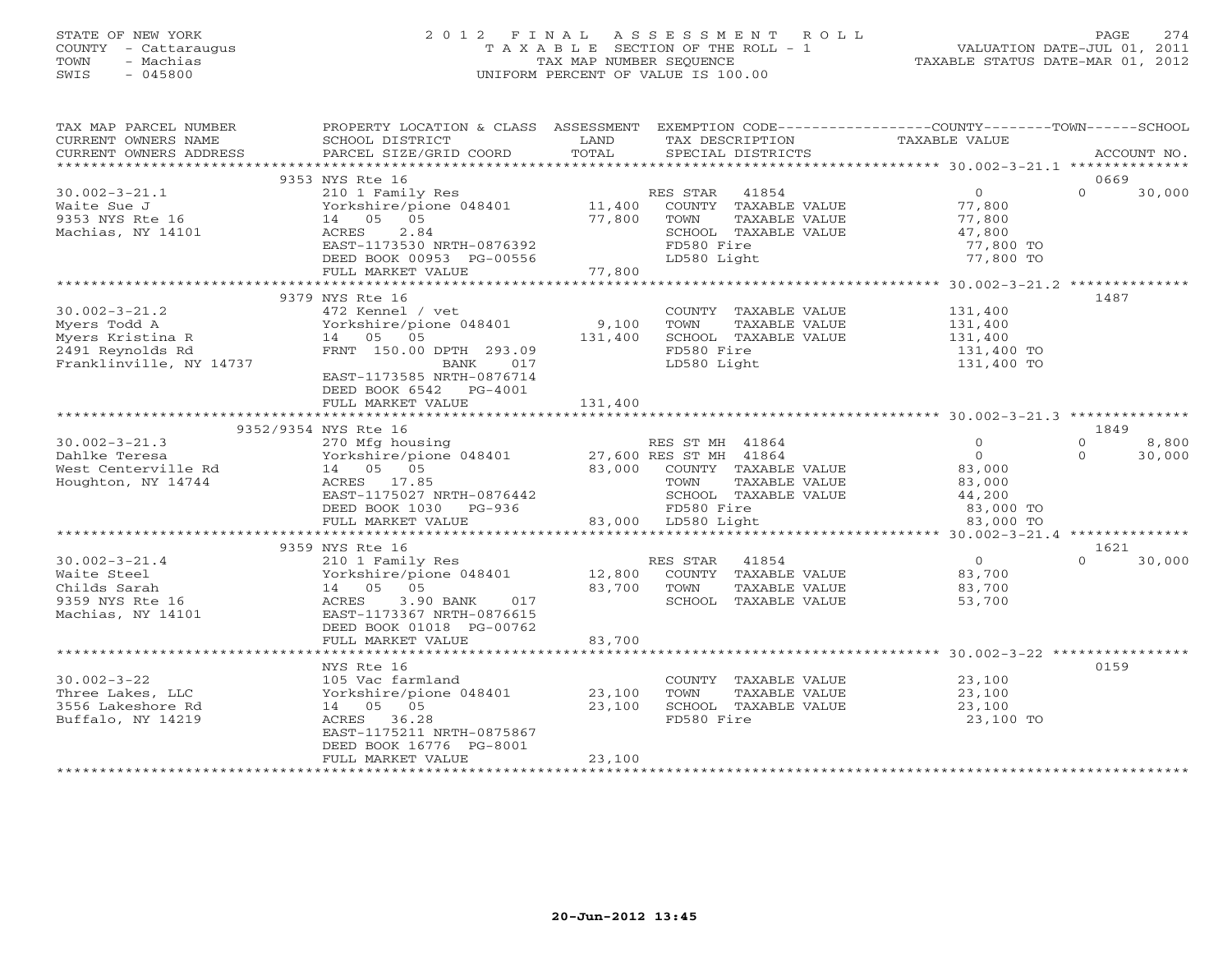### STATE OF NEW YORK 2 0 1 2 F I N A L A S S E S S M E N T R O L L PAGE 274 COUNTY - Cattaraugus T A X A B L E SECTION OF THE ROLL - 1 VALUATION DATE-JUL 01, 2011 TOWN - Machias TAX MAP NUMBER SEQUENCE TAXABLE STATUS DATE-MAR 01, 2012 SWIS - 045800 UNIFORM PERCENT OF VALUE IS 100.00UNIFORM PERCENT OF VALUE IS 100.00

| TAX MAP PARCEL NUMBER   | PROPERTY LOCATION & CLASS ASSESSMENT EXEMPTION CODE----------------COUNTY-------TOWN------SCHOOL |             |                             |                       |          |             |
|-------------------------|--------------------------------------------------------------------------------------------------|-------------|-----------------------------|-----------------------|----------|-------------|
| CURRENT OWNERS NAME     | SCHOOL DISTRICT                                                                                  | LAND        | TAX DESCRIPTION             | TAXABLE VALUE         |          |             |
| CURRENT OWNERS ADDRESS  | PARCEL SIZE/GRID COORD                                                                           | TOTAL       | SPECIAL DISTRICTS           |                       |          | ACCOUNT NO. |
|                         |                                                                                                  |             |                             |                       |          |             |
|                         | 9353 NYS Rte 16                                                                                  |             |                             |                       | 0669     |             |
| $30.002 - 3 - 21.1$     | 210 1 Family Res                                                                                 |             | 41854<br>RES STAR           | $\overline{0}$        | $\Omega$ | 30,000      |
| Waite Sue J             | Yorkshire/pione 048401 11,400                                                                    |             | COUNTY TAXABLE VALUE        | 77,800                |          |             |
| 9353 NYS Rte 16         | 14 05 05                                                                                         | 77,800      | TAXABLE VALUE<br>TOWN       | 77,800                |          |             |
| Machias, NY 14101       | 2.84<br>ACRES                                                                                    |             | SCHOOL TAXABLE VALUE        | 47,800                |          |             |
|                         | EAST-1173530 NRTH-0876392                                                                        |             | FD580 Fire                  | 77,800 TO             |          |             |
|                         | DEED BOOK 00953 PG-00556                                                                         |             | LD580 Light                 | 77,800 TO             |          |             |
|                         | FULL MARKET VALUE                                                                                | 77,800      |                             |                       |          |             |
|                         |                                                                                                  |             |                             |                       |          |             |
|                         | 9379 NYS Rte 16                                                                                  |             |                             |                       | 1487     |             |
| $30.002 - 3 - 21.2$     | 472 Kennel / vet                                                                                 |             | COUNTY TAXABLE VALUE        | 131,400               |          |             |
| Myers Todd A            | Yorkshire/pione 048401 9,100                                                                     |             | TOWN<br>TAXABLE VALUE       | 131,400               |          |             |
| Myers Kristina R        | 14 05 05                                                                                         | 131,400     | SCHOOL TAXABLE VALUE        |                       |          |             |
| 2491 Reynolds Rd        | FRNT 150.00 DPTH 293.09                                                                          |             | FD580 Fire                  | 131,400<br>131,400 TO |          |             |
| Franklinville, NY 14737 | BANK 017                                                                                         |             | LD580 Light                 | 131,400 TO            |          |             |
|                         | EAST-1173585 NRTH-0876714                                                                        |             |                             |                       |          |             |
|                         | DEED BOOK 6542 PG-4001                                                                           |             |                             |                       |          |             |
|                         | FULL MARKET VALUE                                                                                | 131,400     |                             |                       |          |             |
|                         |                                                                                                  |             |                             |                       |          |             |
|                         | 9352/9354 NYS Rte 16                                                                             |             |                             |                       | 1849     |             |
| $30.002 - 3 - 21.3$     | 270 Mfg housing                                                                                  |             | RES ST MH 41864             | $\Omega$              | $\Omega$ | 8,800       |
| Dahlke Teresa           | Yorkshire/pione 048401 27,600 RES ST MH 41864                                                    |             |                             | $\overline{0}$        | $\Omega$ | 30,000      |
| West Centerville Rd     | 14 05 05                                                                                         |             | 83,000 COUNTY TAXABLE VALUE | 83,000                |          |             |
| Houghton, NY 14744      | ACRES 17.85                                                                                      |             | TOWN<br>TAXABLE VALUE       | 83,000                |          |             |
|                         | EAST-1175027 NRTH-0876442                                                                        |             | SCHOOL TAXABLE VALUE        | 44,200                |          |             |
|                         | DEED BOOK 1030 PG-936                                                                            |             | FD580 Fire                  | 83,000 TO             |          |             |
|                         | FULL MARKET VALUE                                                                                |             | 83,000 LD580 Light          | 83,000 TO             |          |             |
|                         |                                                                                                  |             |                             |                       |          |             |
|                         | 9359 NYS Rte 16                                                                                  |             |                             |                       | 1621     |             |
| $30.002 - 3 - 21.4$     | 210 1 Family Res                                                                                 |             | 41854<br>RES STAR           | $\overline{0}$        | $\Omega$ | 30,000      |
| Waite Steel             | Yorkshire/pione 048401 12,800 COUNTY TAXABLE VALUE                                               |             |                             | 83,700                |          |             |
| Childs Sarah            | 14 05 05                                                                                         | 83,700 TOWN | TAXABLE VALUE               | 83,700                |          |             |
| 9359 NYS Rte 16         | 3.90 BANK<br>017<br>ACRES                                                                        |             | SCHOOL TAXABLE VALUE        | 53,700                |          |             |
| Machias, NY 14101       | EAST-1173367 NRTH-0876615                                                                        |             |                             |                       |          |             |
|                         | DEED BOOK 01018 PG-00762                                                                         |             |                             |                       |          |             |
|                         | FULL MARKET VALUE                                                                                | 83,700      |                             |                       |          |             |
|                         |                                                                                                  |             |                             |                       |          |             |
|                         | NYS Rte 16                                                                                       |             |                             |                       | 0159     |             |
| $30.002 - 3 - 22$       | 105 Vac farmland                                                                                 |             | COUNTY TAXABLE VALUE        | 23,100                |          |             |
| Three Lakes, LLC        | Yorkshire/pione 048401 23,100                                                                    |             | TOWN<br>TAXABLE VALUE       | 23,100                |          |             |
| 3556 Lakeshore Rd       | 14 05 05                                                                                         | 23,100      | SCHOOL TAXABLE VALUE        | 23,100                |          |             |
| Buffalo, NY 14219       | ACRES 36.28                                                                                      |             | FD580 Fire                  | 23,100 TO             |          |             |
|                         | EAST-1175211 NRTH-0875867                                                                        |             |                             |                       |          |             |
|                         | DEED BOOK 16776 PG-8001                                                                          |             |                             |                       |          |             |
|                         | FULL MARKET VALUE                                                                                | 23,100      |                             |                       |          |             |
|                         |                                                                                                  |             |                             |                       |          |             |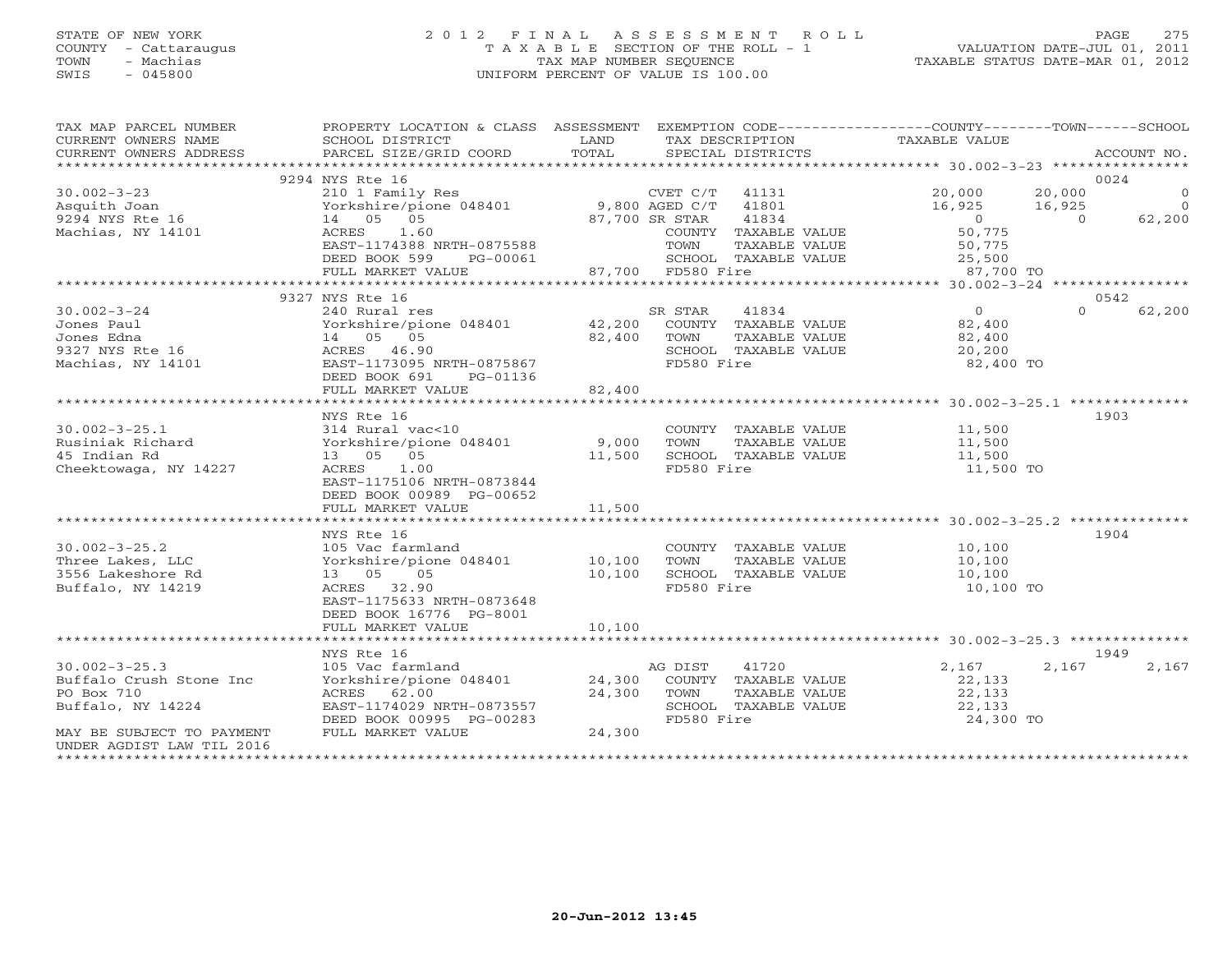# STATE OF NEW YORK 2 0 1 2 F I N A L A S S E S S M E N T R O L L PAGE 275COUNTY - Cattaraugus T A X A B L E SECTION OF THE ROLL - 1<br>
TOWN - Machias TAX MAP NUMBER SEQUENCE<br>
SWIS - 045800 SWIS - 045800 UNIFORM PERCENT OF VALUE IS 100.00

TAXABLE STATUS DATE-MAR 01, 2012

| TAX MAP PARCEL NUMBER<br>CURRENT OWNERS NAME<br>CURRENT OWNERS ADDRESS | PROPERTY LOCATION & CLASS ASSESSMENT<br>SCHOOL DISTRICT<br>PARCEL SIZE/GRID COORD | LAND<br>TOTAL |                   | TAX DESCRIPTION<br>SPECIAL DISTRICTS  | EXEMPTION CODE-----------------COUNTY-------TOWN------SCHOOL<br>TAXABLE VALUE |          | ACCOUNT NO.    |
|------------------------------------------------------------------------|-----------------------------------------------------------------------------------|---------------|-------------------|---------------------------------------|-------------------------------------------------------------------------------|----------|----------------|
|                                                                        |                                                                                   |               |                   |                                       |                                                                               |          |                |
|                                                                        | 9294 NYS Rte 16                                                                   |               |                   |                                       |                                                                               |          | 0024           |
| $30.002 - 3 - 23$                                                      | 210 1 Family Res                                                                  |               | $CVET C/T$ 41131  |                                       | 20,000                                                                        | 20,000   | $\overline{0}$ |
| Asquith Joan                                                           | Yorkshire/pione 048401 9,800 AGED C/T 41801                                       |               |                   |                                       | 16,925                                                                        | 16,925   | $\overline{0}$ |
| 9294 NYS Rte 16                                                        | 14 05 05                                                                          |               | 87,700 SR STAR    | 41834                                 | $\sim$ 0                                                                      | $\Omega$ | 62,200         |
| Machias, NY 14101                                                      | 1.60<br>ACRES                                                                     |               |                   | COUNTY TAXABLE VALUE                  | 50,775                                                                        |          |                |
|                                                                        | EAST-1174388 NRTH-0875588                                                         |               | TOWN              | TAXABLE VALUE                         | 50,775                                                                        |          |                |
|                                                                        | DEED BOOK 599<br>PG-00061                                                         |               |                   | SCHOOL TAXABLE VALUE                  | 25,500                                                                        |          |                |
|                                                                        | FULL MARKET VALUE                                                                 |               | 87,700 FD580 Fire |                                       | 87,700 TO                                                                     |          |                |
|                                                                        |                                                                                   |               |                   |                                       |                                                                               |          |                |
|                                                                        | 9327 NYS Rte 16                                                                   |               |                   |                                       |                                                                               |          | 0542           |
| $30.002 - 3 - 24$                                                      | 240 Rural res                                                                     |               | SR STAR           | 41834                                 | $\overline{0}$                                                                | $\Omega$ | 62,200         |
| Jones Paul                                                             | Yorkshire/pione 048401                                                            | 42,200        |                   | COUNTY TAXABLE VALUE                  | 82,400                                                                        |          |                |
| Jones Edna                                                             | 14 05 05                                                                          | 82,400        | TOWN              | TAXABLE VALUE                         | 82,400                                                                        |          |                |
| 9327 NYS Rte 16                                                        | ACRES 46.90                                                                       |               |                   | SCHOOL TAXABLE VALUE                  | 20,200                                                                        |          |                |
| Machias, NY 14101                                                      | EAST-1173095 NRTH-0875867                                                         |               | FD580 Fire        |                                       | 82,400 TO                                                                     |          |                |
|                                                                        | DEED BOOK 691<br>PG-01136                                                         |               |                   |                                       |                                                                               |          |                |
|                                                                        | FULL MARKET VALUE                                                                 | 82,400        |                   |                                       |                                                                               |          |                |
|                                                                        | *********************                                                             | **********    |                   |                                       | ******************** 30.002-3-25.1 ***************                            |          |                |
|                                                                        | NYS Rte 16                                                                        |               |                   |                                       |                                                                               |          | 1903           |
| $30.002 - 3 - 25.1$                                                    | 314 Rural vac<10                                                                  |               |                   | COUNTY TAXABLE VALUE                  | 11,500                                                                        |          |                |
|                                                                        | Yorkshire/pione 048401                                                            | 9,000         | TOWN              |                                       | 11,500                                                                        |          |                |
| Rusiniak Richard<br>45 Indian Rd                                       | 13 05 05                                                                          |               |                   | TAXABLE VALUE<br>SCHOOL TAXABLE VALUE | 11,500                                                                        |          |                |
|                                                                        |                                                                                   | 11,500        |                   |                                       |                                                                               |          |                |
| Cheektowaga, NY 14227                                                  | 1.00<br>ACRES                                                                     |               | FD580 Fire        |                                       | 11,500 TO                                                                     |          |                |
|                                                                        | EAST-1175106 NRTH-0873844                                                         |               |                   |                                       |                                                                               |          |                |
|                                                                        | DEED BOOK 00989 PG-00652                                                          |               |                   |                                       |                                                                               |          |                |
|                                                                        | FULL MARKET VALUE                                                                 | 11,500        |                   |                                       |                                                                               |          |                |
|                                                                        |                                                                                   |               |                   |                                       |                                                                               |          |                |
|                                                                        | NYS Rte 16                                                                        |               |                   |                                       |                                                                               |          | 1904           |
| $30.002 - 3 - 25.2$                                                    | 105 Vac farmland                                                                  |               |                   | COUNTY TAXABLE VALUE                  | 10,100                                                                        |          |                |
| Three Lakes, LLC                                                       | Yorkshire/pione 048401                                                            | 10,100        | TOWN              | TAXABLE VALUE                         | 10,100                                                                        |          |                |
| 3556 Lakeshore Rd                                                      | 13 05<br>05                                                                       | 10,100        |                   | SCHOOL TAXABLE VALUE                  | 10,100                                                                        |          |                |
| Buffalo, NY 14219                                                      | ACRES 32.90                                                                       |               | FD580 Fire        |                                       | 10,100 TO                                                                     |          |                |
|                                                                        | EAST-1175633 NRTH-0873648                                                         |               |                   |                                       |                                                                               |          |                |
|                                                                        | DEED BOOK 16776 PG-8001                                                           |               |                   |                                       |                                                                               |          |                |
|                                                                        | FULL MARKET VALUE                                                                 | 10,100        |                   |                                       |                                                                               |          |                |
|                                                                        |                                                                                   |               |                   |                                       |                                                                               |          |                |
|                                                                        | NYS Rte 16                                                                        |               |                   |                                       |                                                                               |          | 1949           |
| $30.002 - 3 - 25.3$                                                    | 105 Vac farmland                                                                  |               | AG DIST           | 41720                                 | 2,167                                                                         | 2,167    | 2,167          |
| Buffalo Crush Stone Inc                                                | Yorkshire/pione 048401                                                            | 24,300        |                   | COUNTY TAXABLE VALUE                  | 22,133                                                                        |          |                |
| PO Box 710                                                             | ACRES 62.00                                                                       | 24,300        | TOWN              | TAXABLE VALUE                         | 22,133                                                                        |          |                |
| Buffalo, NY 14224                                                      | EAST-1174029 NRTH-0873557                                                         |               |                   | SCHOOL TAXABLE VALUE                  | 22,133                                                                        |          |                |
|                                                                        | DEED BOOK 00995 PG-00283                                                          |               | FD580 Fire        |                                       | 24,300 TO                                                                     |          |                |
| MAY BE SUBJECT TO PAYMENT                                              | FULL MARKET VALUE                                                                 | 24,300        |                   |                                       |                                                                               |          |                |
| UNDER AGDIST LAW TIL 2016                                              |                                                                                   |               |                   |                                       |                                                                               |          |                |
| **********************                                                 |                                                                                   |               |                   |                                       |                                                                               |          |                |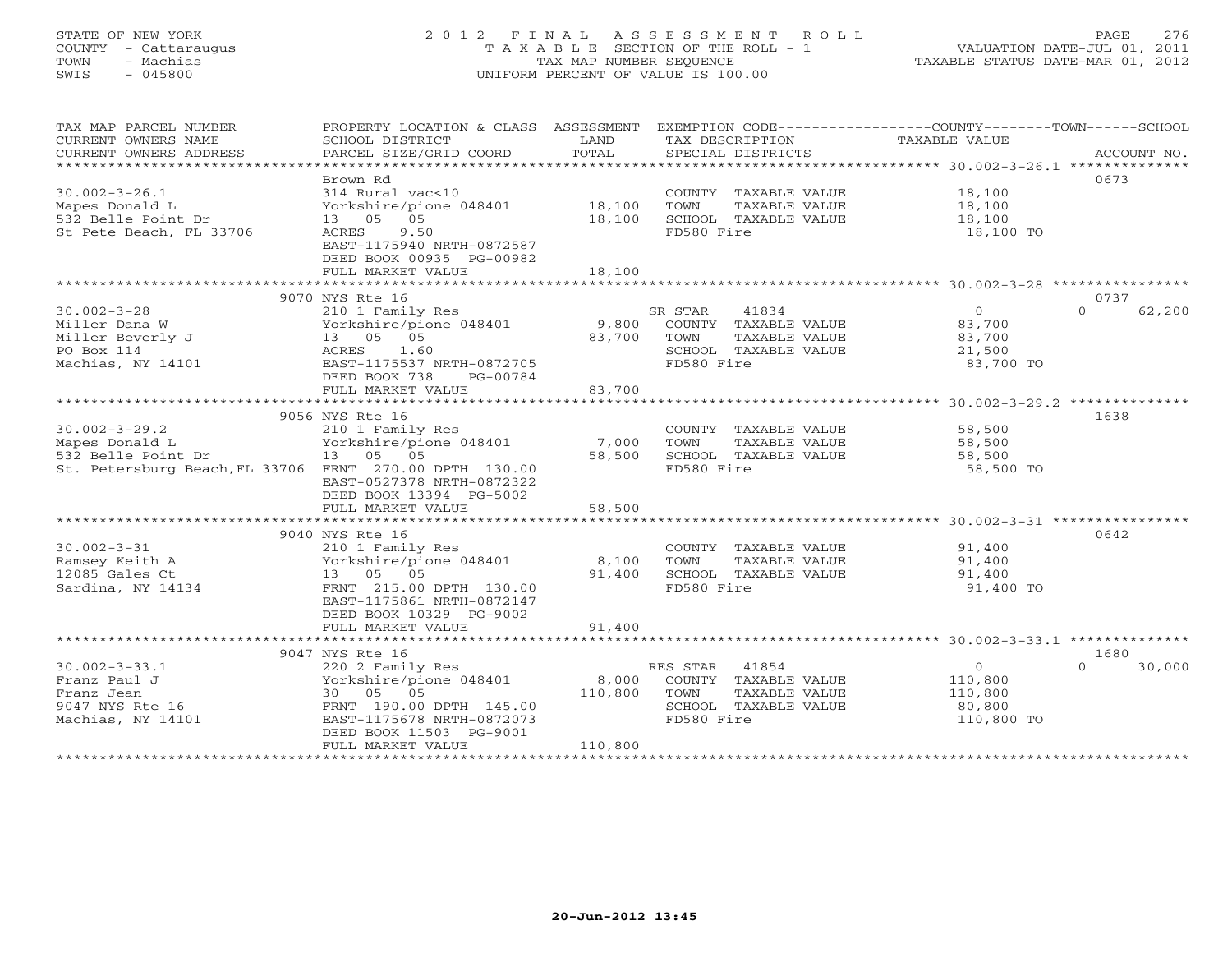### STATE OF NEW YORK 2 0 1 2 F I N A L A S S E S S M E N T R O L L PAGE 276 COUNTY - Cattaraugus T A X A B L E SECTION OF THE ROLL - 1 VALUATION DATE-JUL 01, 2011 TOWN - Machias TAX MAP NUMBER SEQUENCE TAXABLE STATUS DATE-MAR 01, 2012 SWIS - 045800 UNIFORM PERCENT OF VALUE IS 100.00UNIFORM PERCENT OF VALUE IS 100.00

| TAX MAP PARCEL NUMBER<br>CURRENT OWNERS NAME<br>CURRENT OWNERS ADDRESS                                                | PROPERTY LOCATION & CLASS ASSESSMENT EXEMPTION CODE----------------COUNTY-------TOWN------SCHOOL<br>SCHOOL DISTRICT<br>PARCEL SIZE/GRID COORD                              | LAND<br>TOTAL               | TAX DESCRIPTION<br>SPECIAL DISTRICTS                                                                    | TAXABLE VALUE                                             | ACCOUNT NO.                |
|-----------------------------------------------------------------------------------------------------------------------|----------------------------------------------------------------------------------------------------------------------------------------------------------------------------|-----------------------------|---------------------------------------------------------------------------------------------------------|-----------------------------------------------------------|----------------------------|
| $30.002 - 3 - 26.1$<br>Mapes Donald L<br>532 Belle Point Dr<br>St Pete Beach, FL 33706                                | Brown Rd<br>314 Rural vac<10<br>Yorkshire/pione 048401 18,100<br>13 05 05<br>9.50<br>ACRES<br>EAST-1175940 NRTH-0872587<br>DEED BOOK 00935 PG-00982<br>FULL MARKET VALUE   | 18,100<br>18,100            | COUNTY TAXABLE VALUE<br>TOWN<br>TAXABLE VALUE<br>SCHOOL TAXABLE VALUE<br>FD580 Fire                     | 18,100<br>18,100<br>18,100<br>18,100 TO                   | 0673                       |
|                                                                                                                       |                                                                                                                                                                            |                             |                                                                                                         |                                                           |                            |
| $30.002 - 3 - 28$<br>Miller Dana W<br>Miller Beverly J<br>PO Box 114<br>Machias, NY 14101                             | 9070 NYS Rte 16<br>210 1 Family Res<br>Yorkshire/pione 048401<br>Yorkshire/pio<br>13     05     05<br>ACRES 1.60<br>EAST-1175537 NRTH-0872705<br>DEED BOOK 738<br>PG-00784 | 9,800<br>83,700             | SR STAR<br>41834<br>COUNTY TAXABLE VALUE<br>TOWN<br>TAXABLE VALUE<br>SCHOOL TAXABLE VALUE<br>FD580 Fire | $\overline{0}$<br>83,700<br>83,700<br>21,500<br>83,700 TO | 0737<br>$\Omega$<br>62,200 |
|                                                                                                                       | FULL MARKET VALUE                                                                                                                                                          | 83,700                      |                                                                                                         |                                                           |                            |
|                                                                                                                       | 9056 NYS Rte 16                                                                                                                                                            |                             |                                                                                                         |                                                           | 1638                       |
| $30.002 - 3 - 29.2$<br>Mapes Donald L<br>532 Belle Point Dr<br>St. Petersburg Beach, FL 33706 FRNT 270.00 DPTH 130.00 | 210 1 Family Res<br>Yorkshire/pione 048401<br>13  05  05<br>EAST-0527378 NRTH-0872322<br>DEED BOOK 13394 PG-5002                                                           | 7,000<br>58,500             | COUNTY TAXABLE VALUE<br>TOWN<br>TAXABLE VALUE<br>SCHOOL TAXABLE VALUE<br>FD580 Fire                     | 58,500<br>58,500<br>58,500<br>58,500 TO                   |                            |
|                                                                                                                       | FULL MARKET VALUE                                                                                                                                                          | 58,500                      |                                                                                                         |                                                           |                            |
|                                                                                                                       |                                                                                                                                                                            |                             |                                                                                                         |                                                           |                            |
| $30.002 - 3 - 31$<br>Ramsey Keith A<br>12085 Gales Ct<br>Sardina, NY 14134                                            | 9040 NYS Rte 16<br>210 1 Family Res<br>Yorkshire/pione 048401<br>13 05 05<br>FRNT 215.00 DPTH 130.00<br>EAST-1175861 NRTH-0872147<br>DEED BOOK 10329 PG-9002               | 8,100<br>91,400             | COUNTY TAXABLE VALUE<br>TOWN<br>TAXABLE VALUE<br>SCHOOL TAXABLE VALUE<br>FD580 Fire                     | 91,400<br>91,400<br>91,400<br>91,400 TO                   | 0642                       |
|                                                                                                                       | FULL MARKET VALUE                                                                                                                                                          | 91,400                      |                                                                                                         |                                                           |                            |
|                                                                                                                       | 9047 NYS Rte 16                                                                                                                                                            |                             |                                                                                                         |                                                           | 1680                       |
| $30.002 - 3 - 33.1$<br>Franz Paul J<br>Franz Jean<br>9047 NYS Rte 16<br>Machias, NY 14101                             | 220 2 Family Res<br>Yorkshire/pione 048401<br>30 05 05<br>FRNT 190.00 DPTH 145.00<br>EAST-1175678 NRTH-0872073<br>DEED BOOK 11503 PG-9001<br>FULL MARKET VALUE             | 8,000<br>110,800<br>110,800 | RES STAR 41854<br>COUNTY TAXABLE VALUE<br>TOWN<br>TAXABLE VALUE<br>SCHOOL TAXABLE VALUE<br>FD580 Fire   | $\circ$<br>110,800<br>110,800<br>80,800<br>110,800 TO     | $\cap$<br>30,000           |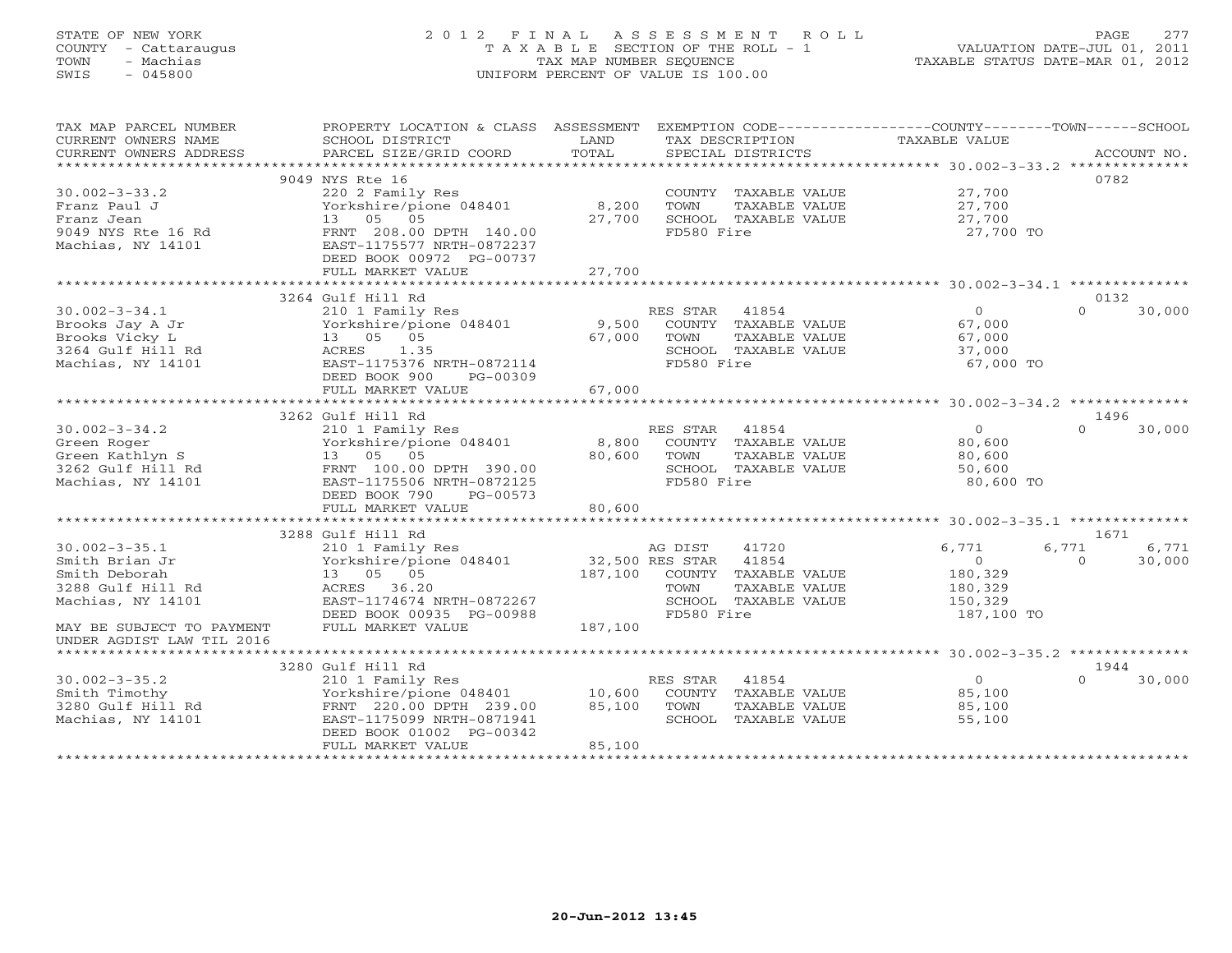# STATE OF NEW YORK 2 0 1 2 F I N A L A S S E S S M E N T R O L L PAGE 277COUNTY - Cattaraugus T A X A B L E SECTION OF THE ROLL - 1<br>
TOWN - Machias TAX MAP NUMBER SEQUENCE<br>
SWIS - 045800 SWIS - 045800 UNIFORM PERCENT OF VALUE IS 100.00

| TAX MAP PARCEL NUMBER<br>CURRENT OWNERS NAME<br>CURRENT OWNERS ADDRESS | PROPERTY LOCATION & CLASS ASSESSMENT EXEMPTION CODE---------------COUNTY-------TOWN-----SCHOOL<br>SCHOOL DISTRICT<br>PARCEL SIZE/GRID COORD | LAND<br>TOTAL | TAX DESCRIPTION<br>SPECIAL DISTRICTS | TAXABLE VALUE  | ACCOUNT NO.        |
|------------------------------------------------------------------------|---------------------------------------------------------------------------------------------------------------------------------------------|---------------|--------------------------------------|----------------|--------------------|
|                                                                        |                                                                                                                                             |               |                                      |                |                    |
|                                                                        | 9049 NYS Rte 16                                                                                                                             |               |                                      |                | 0782               |
| $30.002 - 3 - 33.2$                                                    | 220 2 Family Res                                                                                                                            |               | COUNTY TAXABLE VALUE                 | 27,700         |                    |
| Franz Paul J                                                           | Yorkshire/pione 048401                                                                                                                      | 8,200         | TOWN<br>TAXABLE VALUE                | 27,700         |                    |
| Franz Jean                                                             | 13 05 05                                                                                                                                    | 27,700        | SCHOOL TAXABLE VALUE                 | 27,700         |                    |
| 9049 NYS Rte 16 Rd                                                     | FRNT 208.00 DPTH 140.00                                                                                                                     |               | FD580 Fire                           | 27,700 TO      |                    |
| Machias, NY 14101                                                      | EAST-1175577 NRTH-0872237                                                                                                                   |               |                                      |                |                    |
|                                                                        | DEED BOOK 00972 PG-00737                                                                                                                    |               |                                      |                |                    |
|                                                                        | FULL MARKET VALUE                                                                                                                           | 27,700        |                                      |                |                    |
|                                                                        |                                                                                                                                             |               |                                      |                |                    |
|                                                                        | 3264 Gulf Hill Rd                                                                                                                           |               |                                      |                | 0132               |
| $30.002 - 3 - 34.1$                                                    | 210 1 Family Res                                                                                                                            |               | RES STAR 41854                       | $\Omega$       | $\Omega$<br>30,000 |
| Brooks Jay A Jr                                                        | Yorkshire/pione 048401                                                                                                                      | 9,500         | COUNTY TAXABLE VALUE                 | 67,000         |                    |
| Brooks Vicky L                                                         | 13  05  05                                                                                                                                  | 67,000        | TOWN<br>TAXABLE VALUE                | 67,000         |                    |
| 3264 Gulf Hill Rd                                                      | ACRES<br>1.35                                                                                                                               |               | SCHOOL TAXABLE VALUE                 | 37,000         |                    |
| Machias, NY 14101                                                      | EAST-1175376 NRTH-0872114                                                                                                                   |               | FD580 Fire                           | 67,000 TO      |                    |
|                                                                        | DEED BOOK 900<br>PG-00309                                                                                                                   |               |                                      |                |                    |
|                                                                        | FULL MARKET VALUE                                                                                                                           | 67,000        |                                      |                |                    |
|                                                                        |                                                                                                                                             |               |                                      |                |                    |
|                                                                        | 3262 Gulf Hill Rd                                                                                                                           |               |                                      |                | 1496               |
| $30.002 - 3 - 34.2$                                                    | 210 1 Family Res                                                                                                                            |               | RES STAR<br>41854                    | $\overline{0}$ | $\Omega$<br>30,000 |
| Green Roger                                                            | Yorkshire/pione 048401                                                                                                                      | 8,800         | COUNTY TAXABLE VALUE                 | 80,600         |                    |
| Green Kathlyn S                                                        | 13 05 05                                                                                                                                    | 80,600        | TOWN<br>TAXABLE VALUE                | 80,600         |                    |
| 3262 Gulf Hill Rd                                                      | FRNT 100.00 DPTH 390.00                                                                                                                     |               | SCHOOL TAXABLE VALUE                 | 50,600         |                    |
| Machias, NY 14101                                                      | EAST-1175506 NRTH-0872125                                                                                                                   |               | FD580 Fire                           | 80,600 TO      |                    |
|                                                                        | DEED BOOK 790<br>PG-00573                                                                                                                   |               |                                      |                |                    |
|                                                                        | FULL MARKET VALUE                                                                                                                           | 80,600        |                                      |                |                    |
|                                                                        |                                                                                                                                             |               |                                      |                |                    |
|                                                                        | 3288 Gulf Hill Rd                                                                                                                           |               |                                      |                | 1671               |
| $30.002 - 3 - 35.1$                                                    | 210 1 Family Res                                                                                                                            |               | AG DIST<br>41720                     | 6,771          | 6,771<br>6,771     |
| Smith Brian Jr                                                         | Yorkshire/pione 048401                                                                                                                      |               | 32,500 RES STAR 41854                | $\circ$        | $\Omega$<br>30,000 |
| Smith Deborah                                                          | 13 05 05                                                                                                                                    | 187,100       | COUNTY TAXABLE VALUE                 | 180,329        |                    |
| 3288 Gulf Hill Rd                                                      | ACRES 36.20                                                                                                                                 |               | TOWN<br>TAXABLE VALUE                | 180,329        |                    |
| Machias, NY 14101                                                      | EAST-1174674 NRTH-0872267                                                                                                                   |               | SCHOOL TAXABLE VALUE                 | 150,329        |                    |
|                                                                        | DEED BOOK 00935 PG-00988                                                                                                                    |               | FD580 Fire                           | 187,100 TO     |                    |
| MAY BE SUBJECT TO PAYMENT                                              | FULL MARKET VALUE                                                                                                                           | 187,100       |                                      |                |                    |
| UNDER AGDIST LAW TIL 2016                                              |                                                                                                                                             |               |                                      |                |                    |
|                                                                        |                                                                                                                                             |               |                                      |                |                    |
|                                                                        | 3280 Gulf Hill Rd                                                                                                                           |               |                                      |                | 1944               |
| $30.002 - 3 - 35.2$                                                    | 210 1 Family Res                                                                                                                            |               | RES STAR<br>41854                    | $\overline{0}$ | 30,000<br>$\Omega$ |
| Smith Timothy                                                          | Yorkshire/pione 048401 10,600                                                                                                               |               | COUNTY TAXABLE VALUE                 | 85,100         |                    |
| 3280 Gulf Hill Rd                                                      | FRNT 220.00 DPTH 239.00                                                                                                                     | 85,100        | TOWN<br>TAXABLE VALUE                | 85,100         |                    |
| Machias, NY 14101                                                      | EAST-1175099 NRTH-0871941                                                                                                                   |               | SCHOOL TAXABLE VALUE                 | 55,100         |                    |
|                                                                        | DEED BOOK 01002 PG-00342                                                                                                                    |               |                                      |                |                    |
|                                                                        | FULL MARKET VALUE                                                                                                                           | 85,100        |                                      |                |                    |
|                                                                        |                                                                                                                                             |               |                                      |                |                    |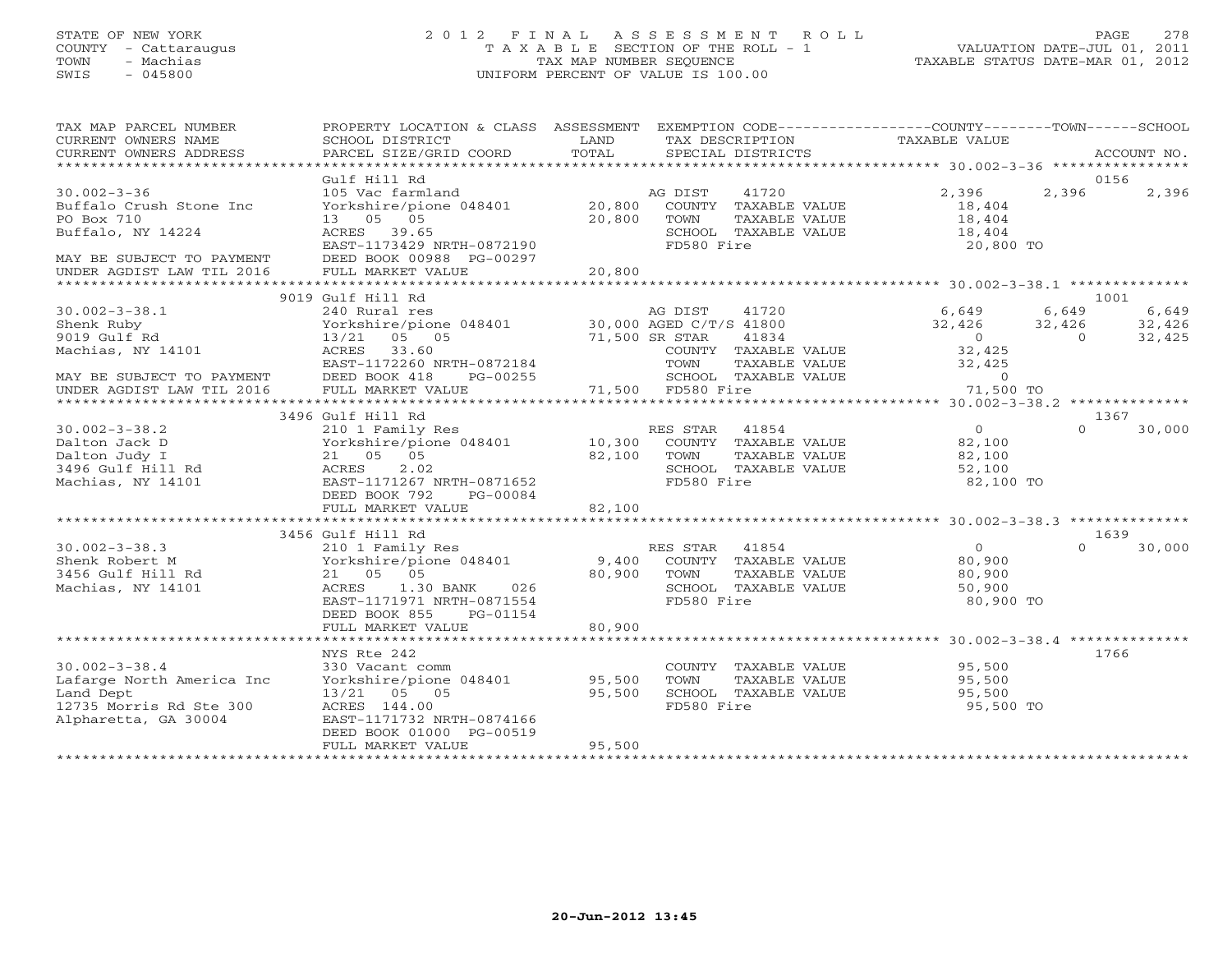#### STATE OF NEW YORK 2 0 1 2 F I N A L A S S E S S M E N T R O L L PAGE 278 COUNTY - Cattaraugus T A X A B L E SECTION OF THE ROLL - 1 VALUATION DATE-JUL 01, 2011 TOWN - Machias TAX MAP NUMBER SEQUENCE TAXABLE STATUS DATE-MAR 01, 2012 SWIS - 045800 UNIFORM PERCENT OF VALUE IS 100.00UNIFORM PERCENT OF VALUE IS 100.00

| TAX MAP PARCEL NUMBER<br>CURRENT OWNERS NAME<br>CURRENT OWNERS ADDRESS                                                                     | PROPERTY LOCATION & CLASS ASSESSMENT<br>SCHOOL DISTRICT<br>PARCEL SIZE/GRID COORD                                                                                                                    | LAND<br>TOTAL            | EXEMPTION CODE-----------------COUNTY-------TOWN------SCHOOL<br>TAX DESCRIPTION TAXABLE VALUE<br>SPECIAL DISTRICTS<br>SPECIAL DISTRICTS |                        |                | ACCOUNT NO. |
|--------------------------------------------------------------------------------------------------------------------------------------------|------------------------------------------------------------------------------------------------------------------------------------------------------------------------------------------------------|--------------------------|-----------------------------------------------------------------------------------------------------------------------------------------|------------------------|----------------|-------------|
|                                                                                                                                            |                                                                                                                                                                                                      |                          |                                                                                                                                         |                        |                |             |
|                                                                                                                                            | Gulf Hill Rd                                                                                                                                                                                         |                          |                                                                                                                                         |                        |                | 0156        |
| $30.002 - 3 - 36$                                                                                                                          | 105 Vac farmland<br>105 Vac farmland<br>105 Vac farmland<br>105 Vac farmland<br>105 Vac farmland<br>105 Vac farmland<br>105 Vac farmland<br>105 Vac farmland<br>105 Vac farmland<br>105 Vac farmland |                          |                                                                                                                                         | 2,396                  | 2,396          | 2,396       |
| Buffalo Crush Stone Inc                                                                                                                    |                                                                                                                                                                                                      |                          |                                                                                                                                         | 18,404                 |                |             |
| PO Box 710                                                                                                                                 | 13 05 05                                                                                                                                                                                             | 20,800 TOWN              | TAXABLE VALUE                                                                                                                           | 18,404<br>18,404       |                |             |
| Buffalo, NY 14224                                                                                                                          | ACRES 39.65<br>EAST-1173429 NRTH-0872190                                                                                                                                                             |                          | SCHOOL TAXABLE VALUE<br>FD580 Fire                                                                                                      | 20,800 TO              |                |             |
| MAY BE SUBJECT TO PAYMENT                                                                                                                  | DEED BOOK 00988 PG-00297                                                                                                                                                                             |                          |                                                                                                                                         |                        |                |             |
|                                                                                                                                            |                                                                                                                                                                                                      |                          |                                                                                                                                         |                        |                |             |
|                                                                                                                                            |                                                                                                                                                                                                      |                          |                                                                                                                                         |                        |                |             |
|                                                                                                                                            | 9019 Gulf Hill Rd                                                                                                                                                                                    |                          |                                                                                                                                         |                        |                | 1001        |
| $30.002 - 3 - 38.1$                                                                                                                        | Gulf Hill Rd<br>240 Rural res<br>Yorkshire/pione 048401 30,000 AGED C/T/S 41800<br>30,000 AGED C/T/S 41834                                                                                           |                          | AG DIST 41720 6,649                                                                                                                     |                        | 6,649          | 6,649       |
| Shenk Ruby                                                                                                                                 |                                                                                                                                                                                                      |                          |                                                                                                                                         | 32,426 32,426          |                | 32,426      |
| 9019 Gulf Rd                                                                                                                               | 13/21 05 05                                                                                                                                                                                          | 71,500 SR STAR<br>COUNTY | 41834                                                                                                                                   | $\overline{0}$         | $\overline{0}$ | 32,425      |
| Machias, $NY$ 14101                                                                                                                        | ACRES 33.60                                                                                                                                                                                          |                          | COUNTY TAXABLE VALUE                                                                                                                    | 32,425                 |                |             |
|                                                                                                                                            | EAST-1172260 NRTH-0872184                                                                                                                                                                            |                          | TOWN                                                                                                                                    | 32,425                 |                |             |
|                                                                                                                                            | PG-00255                                                                                                                                                                                             |                          | SCHOOL TAXABLE VALUE                                                                                                                    | $\overline{0}$         |                |             |
| MAY BE SUBJECT TO PAYMENT DEED BOOK 418<br>UNDER AGDIST LAW TIL 2016 FULL MARKET V                                                         | FULL MARKET VALUE                                                                                                                                                                                    |                          | TAXABLE VALUE<br>TAXABLE VALUE<br>ire<br>71,500 FD580 Fire                                                                              | 71,500 TO              |                |             |
|                                                                                                                                            |                                                                                                                                                                                                      |                          |                                                                                                                                         |                        |                |             |
|                                                                                                                                            | 3496 Gulf Hill Rd<br>Gulf Hill Rd<br>210 1 Family Res<br>Yorkshire/pione 048401 10,300 COUNTY TAXABLE VALUE<br>32,100 TOWN TAXABLE VALUE<br>27 AFRICAL COUNTY TAXABLE VALUE                          |                          |                                                                                                                                         |                        |                | 1367        |
| $30.002 - 3 - 38.2$                                                                                                                        |                                                                                                                                                                                                      |                          |                                                                                                                                         | $\overline{0}$         | $\cap$         | 30,000      |
|                                                                                                                                            |                                                                                                                                                                                                      |                          |                                                                                                                                         | $82, 100$<br>$82, 100$ |                |             |
|                                                                                                                                            |                                                                                                                                                                                                      |                          |                                                                                                                                         |                        |                |             |
|                                                                                                                                            |                                                                                                                                                                                                      |                          | SCHOOL TAXABLE VALUE                                                                                                                    | 52,100                 |                |             |
| Dalton Jack D<br>Dalton Judy I (21 05 05<br>21 05 05<br>21 05 05<br>202 Machias, NY 14101 (2681-1171267)<br>202 EAST-11712670 NRTH-0871652 |                                                                                                                                                                                                      |                          | FD580 Fire                                                                                                                              | 82,100 TO              |                |             |
|                                                                                                                                            | DEED BOOK 792<br>PG-00084                                                                                                                                                                            |                          |                                                                                                                                         |                        |                |             |
|                                                                                                                                            | FULL MARKET VALUE                                                                                                                                                                                    | 82,100                   |                                                                                                                                         |                        |                |             |
|                                                                                                                                            | 3456 Gulf Hill Rd                                                                                                                                                                                    |                          |                                                                                                                                         |                        |                | 1639        |
| $30.002 - 3 - 38.3$                                                                                                                        |                                                                                                                                                                                                      |                          |                                                                                                                                         | $\overline{0}$         | $\Omega$       | 30,000      |
| Shenk Robert M                                                                                                                             |                                                                                                                                                                                                      |                          |                                                                                                                                         | 80,900                 |                |             |
| 3456 Gulf Hill Rd                                                                                                                          | 210 1 Family Res<br>Yorkshire/pione 048401       9,400  COUNTY TAXABLE VALUE<br>21  05  05             80,900  TOWN   TAXABLE VALUE<br>21 05 05                                                      | 80,900 TOWN              | TAXABLE VALUE                                                                                                                           | 80,900                 |                |             |
| Machias, NY 14101                                                                                                                          | 1.30 BANK 026<br>ACRES                                                                                                                                                                               |                          | SCHOOL TAXABLE VALUE                                                                                                                    | 50,900                 |                |             |
|                                                                                                                                            | EAST-1171971 NRTH-0871554                                                                                                                                                                            |                          | FD580 Fire                                                                                                                              | 80,900 TO              |                |             |
|                                                                                                                                            | DEED BOOK 855<br>PG-01154                                                                                                                                                                            |                          |                                                                                                                                         |                        |                |             |
|                                                                                                                                            | FULL MARKET VALUE                                                                                                                                                                                    | 80,900                   |                                                                                                                                         |                        |                |             |
|                                                                                                                                            |                                                                                                                                                                                                      |                          |                                                                                                                                         |                        |                |             |
|                                                                                                                                            | NYS Rte 242                                                                                                                                                                                          |                          |                                                                                                                                         |                        |                | 1766        |
| $30.002 - 3 - 38.4$                                                                                                                        | 330 Vacant comm<br>Yorkshire/pione 048401 95,500                                                                                                                                                     |                          | COUNTY TAXABLE VALUE<br>TOWN     TAXABLE VALUE                                                                                          | 95,500<br>95,500       |                |             |
| Lafarge North America Inc                                                                                                                  |                                                                                                                                                                                                      |                          |                                                                                                                                         |                        |                |             |
| Land Dept                                                                                                                                  | 13/21 05 05                                                                                                                                                                                          | 95,500                   | SCHOOL TAXABLE VALUE                                                                                                                    | 95,500                 |                |             |
| 12735 Morris Rd Ste 300                                                                                                                    | ACRES 144.00                                                                                                                                                                                         |                          | FD580 Fire                                                                                                                              | 95,500 TO              |                |             |
| Alpharetta, GA 30004                                                                                                                       | EAST-1171732 NRTH-0874166                                                                                                                                                                            |                          |                                                                                                                                         |                        |                |             |
|                                                                                                                                            | DEED BOOK 01000 PG-00519                                                                                                                                                                             |                          |                                                                                                                                         |                        |                |             |
|                                                                                                                                            | FULL MARKET VALUE                                                                                                                                                                                    | 95,500                   |                                                                                                                                         |                        |                |             |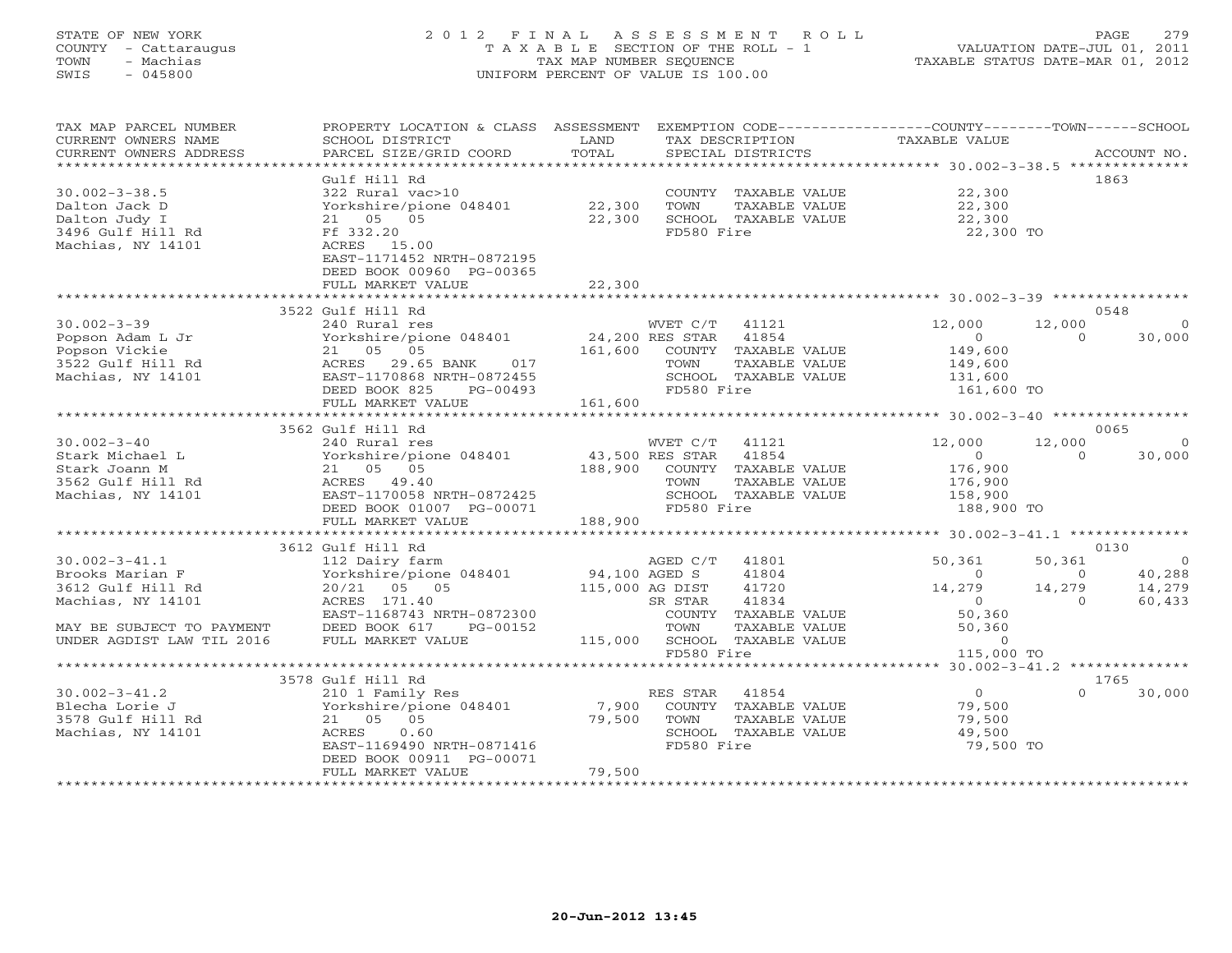#### STATE OF NEW YORK 2 0 1 2 F I N A L A S S E S S M E N T R O L L PAGE 279 COUNTY - Cattaraugus T A X A B L E SECTION OF THE ROLL - 1 VALUATION DATE-JUL 01, 2011 TOWN - Machias TAX MAP NUMBER SEQUENCE TAXABLE STATUS DATE-MAR 01, 2012 SWIS - 045800 UNIFORM PERCENT OF VALUE IS 100.00UNIFORM PERCENT OF VALUE IS 100.00

| TAX MAP PARCEL NUMBER     | PROPERTY LOCATION & CLASS ASSESSMENT EXEMPTION CODE----------------COUNTY-------TOWN------SCHOOL |                 |                              |                                        |          |                |
|---------------------------|--------------------------------------------------------------------------------------------------|-----------------|------------------------------|----------------------------------------|----------|----------------|
| CURRENT OWNERS NAME       | SCHOOL DISTRICT                                                                                  | LAND            | TAX DESCRIPTION              | TAXABLE VALUE                          |          |                |
| CURRENT OWNERS ADDRESS    | PARCEL SIZE/GRID COORD                                                                           | TOTAL           | SPECIAL DISTRICTS            |                                        |          | ACCOUNT NO.    |
|                           |                                                                                                  |                 |                              |                                        |          |                |
|                           | Gulf Hill Rd                                                                                     |                 |                              |                                        |          | 1863           |
| $30.002 - 3 - 38.5$       | 322 Rural vac>10                                                                                 |                 | COUNTY TAXABLE VALUE         | 22,300                                 |          |                |
| Dalton Jack D             | Yorkshire/pione 048401                                                                           | 22,300          | TOWN<br>TAXABLE VALUE        | 22,300<br>22,300                       |          |                |
| Dalton Judy I             | 21 05 05                                                                                         | 22,300          | SCHOOL TAXABLE VALUE         |                                        |          |                |
| 3496 Gulf Hill Rd         | Ff 332.20                                                                                        |                 | FD580 Fire                   | 22,300 TO                              |          |                |
| Machias, NY 14101         | ACRES 15.00                                                                                      |                 |                              |                                        |          |                |
|                           | EAST-1171452 NRTH-0872195                                                                        |                 |                              |                                        |          |                |
|                           | DEED BOOK 00960 PG-00365                                                                         |                 |                              |                                        |          |                |
|                           | FULL MARKET VALUE                                                                                | 22,300          |                              |                                        |          |                |
|                           |                                                                                                  |                 |                              |                                        |          |                |
|                           | 3522 Gulf Hill Rd                                                                                |                 |                              |                                        |          | 0548           |
| $30.002 - 3 - 39$         | 240 Rural res                                                                                    |                 | WVET C/T<br>41121            | 12,000                                 | 12,000   |                |
| Popson Adam L Jr          | Yorkshire/pione 048401                                                                           | 24,200 RES STAR | 41854                        | $\circ$                                | $\Omega$ | 30,000         |
| Popson Vickie             | 21 05 05                                                                                         | 161,600         | COUNTY TAXABLE VALUE         | 149,600                                |          |                |
| 3522 Gulf Hill Rd         | 017<br>ACRES 29.65 BANK                                                                          |                 | TOWN<br>TAXABLE VALUE        | 149,600                                |          |                |
| Machias, NY 14101         | EAST-1170868 NRTH-0872455                                                                        |                 | SCHOOL TAXABLE VALUE         | 131,600                                |          |                |
|                           | DEED BOOK 825<br>$PG-00493$                                                                      |                 | FD580 Fire                   | 161,600 TO                             |          |                |
|                           | FULL MARKET VALUE                                                                                | 161,600         |                              |                                        |          |                |
|                           |                                                                                                  |                 |                              |                                        |          |                |
|                           | 3562 Gulf Hill Rd                                                                                |                 |                              |                                        |          | 0065           |
| $30.002 - 3 - 40$         | 240 Rural res                                                                                    |                 | WVET C/T<br>41121            | 12,000                                 | 12,000   |                |
| Stark Michael L           | Yorkshire/pione 048401 43,500 RES STAR                                                           |                 | 41854                        | $\overline{0}$                         | $\Omega$ | 30,000         |
| Stark Joann M             | 21 05 05                                                                                         | 188,900         | COUNTY TAXABLE VALUE         | 176,900                                |          |                |
| 3562 Gulf Hill Rd         | ACRES 49.40                                                                                      |                 | TOWN<br>TAXABLE VALUE        | 176,900                                |          |                |
| Machias, NY 14101         | EAST-1170058 NRTH-0872425                                                                        |                 | SCHOOL TAXABLE VALUE         | 158,900                                |          |                |
|                           | DEED BOOK 01007 PG-00071                                                                         |                 | FD580 Fire                   | 188,900 TO                             |          |                |
|                           | FULL MARKET VALUE                                                                                | 188,900         |                              |                                        |          |                |
|                           |                                                                                                  |                 |                              |                                        |          |                |
|                           | 3612 Gulf Hill Rd                                                                                |                 |                              |                                        |          | 0130           |
| $30.002 - 3 - 41.1$       | 112 Dairy farm                                                                                   |                 | AGED C/T 41801               | 50,361                                 | 50,361   | $\overline{0}$ |
| Brooks Marian F           | Yorkshire/pione 048401                                                                           | 94,100 AGED S   | 41804                        | $\Omega$                               | $\Omega$ | 40,288         |
| 3612 Gulf Hill Rd         | 20/21 05 05                                                                                      |                 | 115,000 AG DIST<br>41720     | 14,279                                 | 14,279   | 14,279         |
| Machias, NY 14101         | ACRES 171.40                                                                                     |                 | 41834<br>SR STAR             | $\overline{0}$                         | $\Omega$ | 60,433         |
|                           | EAST-1168743 NRTH-0872300                                                                        |                 | COUNTY TAXABLE VALUE         | 50,360                                 |          |                |
| MAY BE SUBJECT TO PAYMENT | DEED BOOK 617<br>PG-00152                                                                        |                 | TOWN<br>TAXABLE VALUE        | 50,360                                 |          |                |
| UNDER AGDIST LAW TIL 2016 | FULL MARKET VALUE                                                                                |                 | 115,000 SCHOOL TAXABLE VALUE | $\Omega$                               |          |                |
|                           |                                                                                                  |                 | FD580 Fire                   | 115,000 TO                             |          |                |
|                           | **********************************                                                               |                 | *****************            | ******** 30.002-3-41.2 *************** |          |                |
|                           | 3578 Gulf Hill Rd                                                                                |                 |                              |                                        |          | 1765           |
| $30.002 - 3 - 41.2$       | 210 1 Family Res                                                                                 |                 | RES STAR<br>41854            | $\overline{0}$                         |          | 30,000         |
| Blecha Lorie J            | Yorkshire/pione 048401                                                                           | 7,900           | COUNTY TAXABLE VALUE         | 79,500                                 |          |                |
| 3578 Gulf Hill Rd         | 21 05 05                                                                                         | 79,500          | TOWN<br>TAXABLE VALUE        | 79,500                                 |          |                |
| Machias, NY 14101         | ACRES<br>0.60                                                                                    |                 | SCHOOL TAXABLE VALUE         | 49,500                                 |          |                |
|                           | EAST-1169490 NRTH-0871416                                                                        |                 | FD580 Fire                   | 79,500 TO                              |          |                |
|                           | DEED BOOK 00911 PG-00071                                                                         |                 |                              |                                        |          |                |
|                           | FULL MARKET VALUE                                                                                | 79,500          |                              |                                        |          |                |
|                           |                                                                                                  |                 |                              |                                        |          |                |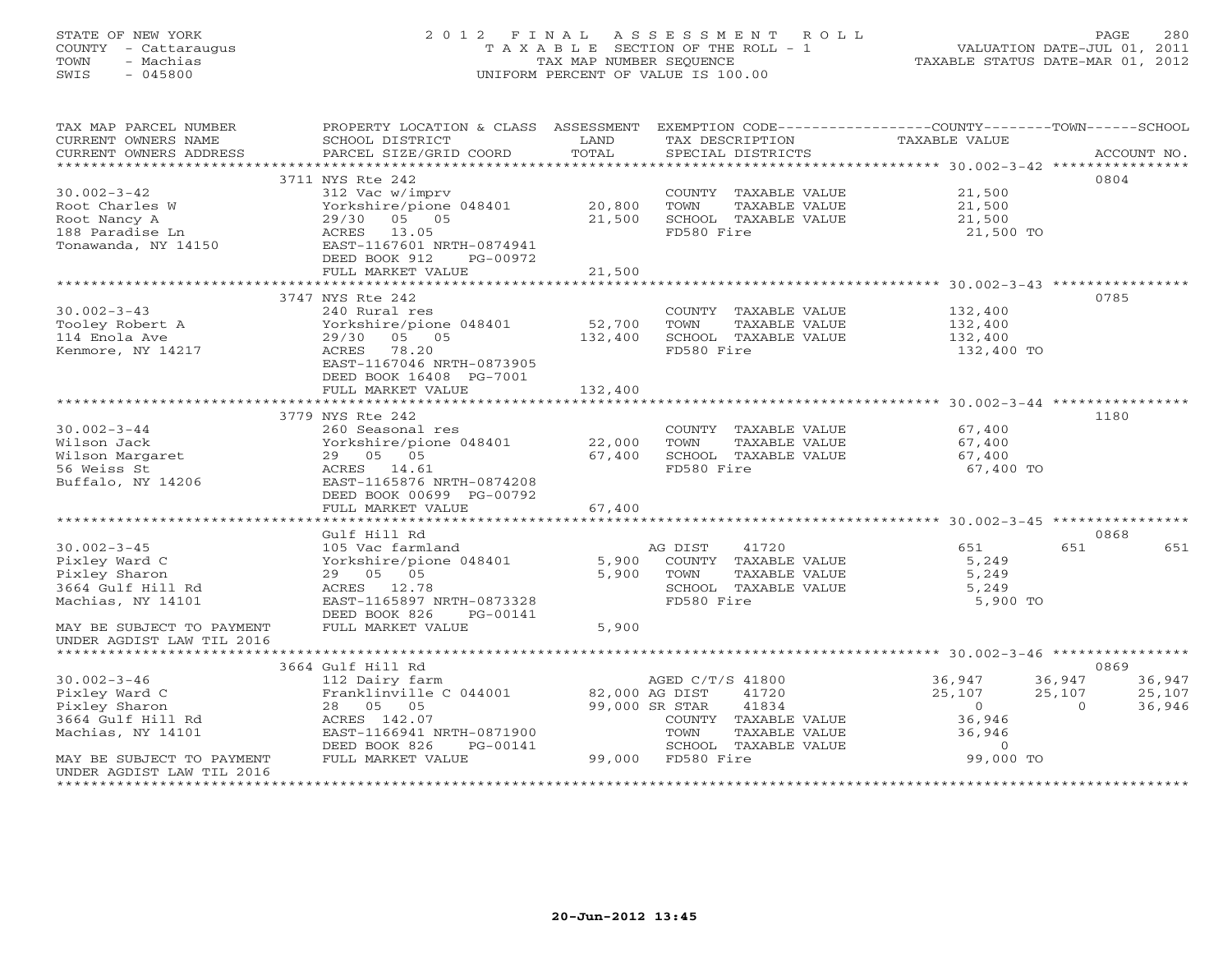### STATE OF NEW YORK 2 0 1 2 F I N A L A S S E S S M E N T R O L L PAGE 280 COUNTY - Cattaraugus T A X A B L E SECTION OF THE ROLL - 1 VALUATION DATE-JUL 01, 2011 TOWN - Machias TAX MAP NUMBER SEQUENCE TAXABLE STATUS DATE-MAR 01, 2012 SWIS - 045800 UNIFORM PERCENT OF VALUE IS 100.00

| TAX MAP PARCEL NUMBER<br>CURRENT OWNERS NAME<br>CURRENT OWNERS ADDRESS | PROPERTY LOCATION & CLASS ASSESSMENT<br>SCHOOL DISTRICT<br>PARCEL SIZE/GRID COORD | LAND<br>TOTAL | EXEMPTION CODE-----------------COUNTY-------TOWN------SCHOOL<br>TAX DESCRIPTION<br>SPECIAL DISTRICTS | TAXABLE VALUE | ACCOUNT NO.        |
|------------------------------------------------------------------------|-----------------------------------------------------------------------------------|---------------|------------------------------------------------------------------------------------------------------|---------------|--------------------|
|                                                                        |                                                                                   |               |                                                                                                      |               |                    |
|                                                                        | 3711 NYS Rte 242                                                                  |               |                                                                                                      |               | 0804               |
| $30.002 - 3 - 42$                                                      | 312 Vac w/imprv                                                                   |               | COUNTY TAXABLE VALUE                                                                                 | 21,500        |                    |
| Root Charles W                                                         | Yorkshire/pione 048401                                                            | 20,800        | TAXABLE VALUE<br>TOWN                                                                                | 21,500        |                    |
| Root Nancy A                                                           | 29/30 05 05                                                                       | 21,500        | SCHOOL TAXABLE VALUE                                                                                 | 21,500        |                    |
| 188 Paradise Ln                                                        | ACRES 13.05                                                                       |               | FD580 Fire                                                                                           | 21,500 TO     |                    |
| Tonawanda, NY 14150                                                    | EAST-1167601 NRTH-0874941                                                         |               |                                                                                                      |               |                    |
|                                                                        | DEED BOOK 912<br>PG-00972                                                         |               |                                                                                                      |               |                    |
|                                                                        | FULL MARKET VALUE                                                                 | 21,500        |                                                                                                      |               |                    |
|                                                                        |                                                                                   |               |                                                                                                      |               |                    |
|                                                                        | 3747 NYS Rte 242                                                                  |               |                                                                                                      |               | 0785               |
| $30.002 - 3 - 43$                                                      | 240 Rural res                                                                     |               | COUNTY TAXABLE VALUE                                                                                 | 132,400       |                    |
| Tooley Robert A                                                        | Yorkshire/pione 048401<br>29/30 05 05                                             | 52,700        | TOWN<br>TAXABLE VALUE                                                                                | 132,400       |                    |
| 114 Enola Ave                                                          | ACRES 78.20                                                                       | 132,400       | SCHOOL TAXABLE VALUE<br>FD580 Fire                                                                   | 132,400       |                    |
| Kenmore, NY 14217                                                      | EAST-1167046 NRTH-0873905                                                         |               |                                                                                                      | 132,400 TO    |                    |
|                                                                        | DEED BOOK 16408 PG-7001                                                           |               |                                                                                                      |               |                    |
|                                                                        | FULL MARKET VALUE                                                                 | 132,400       |                                                                                                      |               |                    |
|                                                                        |                                                                                   |               |                                                                                                      |               |                    |
|                                                                        | 3779 NYS Rte 242                                                                  |               |                                                                                                      |               | 1180               |
| $30.002 - 3 - 44$                                                      | 260 Seasonal res                                                                  |               | COUNTY TAXABLE VALUE                                                                                 | 67,400        |                    |
| Wilson Jack                                                            | Yorkshire/pione 048401 22,000                                                     |               | TOWN<br>TAXABLE VALUE                                                                                | 67,400        |                    |
| Wilson Margaret                                                        | 29 05 05                                                                          | 67,400        | SCHOOL TAXABLE VALUE                                                                                 | 67,400        |                    |
| 56 Weiss St                                                            | ACRES 14.61                                                                       |               | FD580 Fire                                                                                           | 67,400 TO     |                    |
| Buffalo, NY 14206                                                      | EAST-1165876 NRTH-0874208                                                         |               |                                                                                                      |               |                    |
|                                                                        | DEED BOOK 00699 PG-00792                                                          |               |                                                                                                      |               |                    |
|                                                                        | FULL MARKET VALUE                                                                 | 67,400        |                                                                                                      |               |                    |
|                                                                        |                                                                                   |               |                                                                                                      |               |                    |
|                                                                        | Gulf Hill Rd                                                                      |               |                                                                                                      |               | 0868               |
| $30.002 - 3 - 45$                                                      | 105 Vac farmland                                                                  |               | AG DIST<br>41720                                                                                     | 651           | 651<br>651         |
| Pixley Ward C                                                          | Yorkshire/pione 048401                                                            | 5,900         | COUNTY TAXABLE VALUE                                                                                 | 5,249         |                    |
| Pixley Sharon                                                          | 29 05 05                                                                          | 5,900         | TOWN<br>TAXABLE VALUE                                                                                | 5,249         |                    |
| 3664 Gulf Hill Rd                                                      | ACRES 12.78                                                                       |               | SCHOOL TAXABLE VALUE                                                                                 | 5,249         |                    |
| Machias, NY 14101                                                      | EAST-1165897 NRTH-0873328                                                         |               | FD580 Fire                                                                                           | 5,900 TO      |                    |
|                                                                        | DEED BOOK 826<br>PG-00141                                                         |               |                                                                                                      |               |                    |
| MAY BE SUBJECT TO PAYMENT                                              | FULL MARKET VALUE                                                                 | 5,900         |                                                                                                      |               |                    |
| UNDER AGDIST LAW TIL 2016                                              |                                                                                   |               |                                                                                                      |               |                    |
|                                                                        | 3664 Gulf Hill Rd                                                                 |               |                                                                                                      |               | 0869               |
| $30.002 - 3 - 46$                                                      | 112 Dairy farm                                                                    |               | AGED C/T/S 41800                                                                                     | 36,947        | 36,947<br>36,947   |
| Pixley Ward C                                                          | Franklinville C 044001 82,000 AG DIST                                             |               | 41720                                                                                                | 25,107        | 25,107<br>25,107   |
| Pixley Sharon                                                          | 28 05 05                                                                          |               | 99,000 SR STAR<br>41834                                                                              | $\Omega$      | 36,946<br>$\Omega$ |
| 3664 Gulf Hill Rd                                                      | ACRES 142.07                                                                      |               | COUNTY TAXABLE VALUE                                                                                 | 36,946        |                    |
| Machias, NY 14101                                                      | EAST-1166941 NRTH-0871900                                                         |               | TAXABLE VALUE<br>TOWN                                                                                | 36,946        |                    |
|                                                                        | DEED BOOK 826<br>PG-00141                                                         |               | SCHOOL TAXABLE VALUE                                                                                 | $\Omega$      |                    |
| MAY BE SUBJECT TO PAYMENT                                              | FULL MARKET VALUE                                                                 |               | 99,000 FD580 Fire                                                                                    | 99,000 TO     |                    |
| UNDER AGDIST LAW TIL 2016                                              |                                                                                   |               |                                                                                                      |               |                    |
|                                                                        |                                                                                   |               |                                                                                                      |               |                    |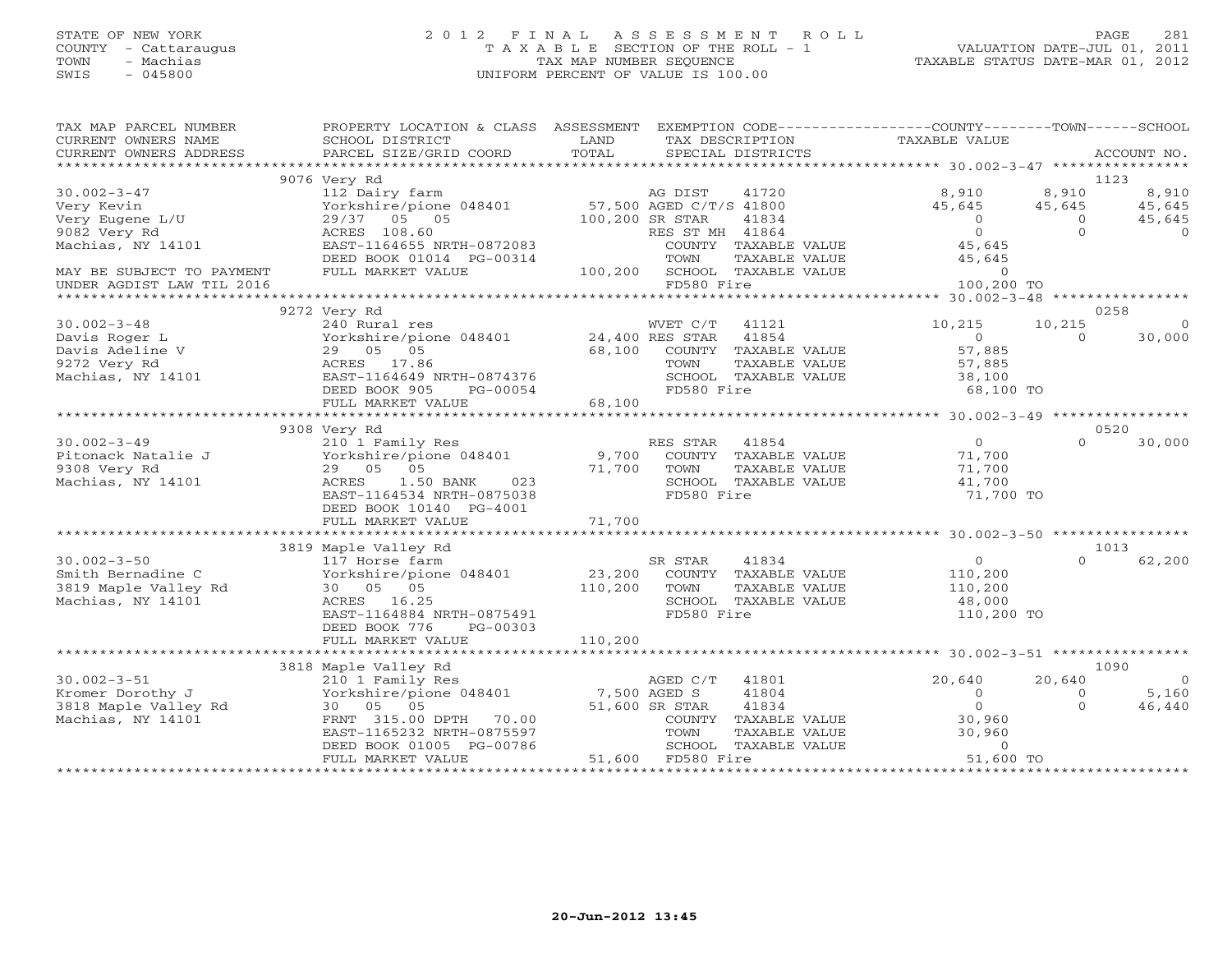### STATE OF NEW YORK 2 0 1 2 F I N A L A S S E S S M E N T R O L L PAGE 281 COUNTY - Cattaraugus T A X A B L E SECTION OF THE ROLL - 1 VALUATION DATE-JUL 01, 2011 TOWN - Machias TAX MAP NUMBER SEQUENCE TAXABLE STATUS DATE-MAR 01, 2012 SWIS - 045800 UNIFORM PERCENT OF VALUE IS 100.00UNIFORM PERCENT OF VALUE IS 100.00

| TAX MAP PARCEL NUMBER<br>CURRENT OWNERS NAME<br>CURRENT OWNERS ADDRESS | PROPERTY LOCATION & CLASS ASSESSMENT EXEMPTION CODE----------------COUNTY-------TOWN------SCHOOL<br>SCHOOL DISTRICT<br>PARCEL SIZE/GRID COORD | LAND<br>TOTAL   | TAX DESCRIPTION<br>SPECIAL DISTRICTS          | TAXABLE VALUE        | ACCOUNT NO.          |                    |
|------------------------------------------------------------------------|-----------------------------------------------------------------------------------------------------------------------------------------------|-----------------|-----------------------------------------------|----------------------|----------------------|--------------------|
|                                                                        |                                                                                                                                               |                 |                                               |                      |                      |                    |
|                                                                        | 9076 Very Rd                                                                                                                                  |                 |                                               |                      | 1123                 |                    |
| $30.002 - 3 - 47$                                                      | 112 Dairy farm                                                                                                                                |                 | AG DIST<br>41720                              | 8,910                | 8,910                | 8,910              |
| Very Kevin                                                             | Yorkshire/pione 048401 57,500 AGED C/T/S 41800                                                                                                |                 |                                               | 45,645               | 45,645               | 45,645             |
| Very Eugene L/U                                                        | 29/37 05 05                                                                                                                                   | 100,200 SR STAR | 41834                                         | $\Omega$<br>$\Omega$ | $\Omega$<br>$\Omega$ | 45,645<br>$\Omega$ |
| 9082 Very Rd<br>Machias, NY 14101                                      | ACRES 108.60<br>EAST-1164655 NRTH-0872083                                                                                                     |                 | RES ST MH 41864<br>COUNTY TAXABLE VALUE       | 45,645               |                      |                    |
|                                                                        |                                                                                                                                               |                 | TOWN                                          | 45,645               |                      |                    |
| MAY BE SUBJECT TO PAYMENT                                              | DEED BOOK 01014 PG-00314<br>FULL MARKET VALUE                                                                                                 |                 | TAXABLE VALUE<br>100,200 SCHOOL TAXABLE VALUE | $\circ$              |                      |                    |
| UNDER AGDIST LAW TIL 2016                                              |                                                                                                                                               |                 | FD580 Fire                                    | 100,200 TO           |                      |                    |
|                                                                        |                                                                                                                                               |                 |                                               |                      |                      |                    |
|                                                                        | 9272 Very Rd                                                                                                                                  |                 |                                               |                      | 0258                 |                    |
| $30.002 - 3 - 48$                                                      | 240 Rural res                                                                                                                                 |                 | WVET C/T<br>41121                             | 10,215               | 10,215               | $\overline{0}$     |
| Davis Roger L                                                          | Yorkshire/pione 048401 24,400 RES STAR                                                                                                        |                 | 41854                                         | $\overline{0}$       | $\Omega$             | 30,000             |
| Davis Adeline V                                                        | 29 05 05                                                                                                                                      | 68,100          | COUNTY TAXABLE VALUE                          | 57,885               |                      |                    |
| 9272 Very Rd                                                           | ACRES 17.86                                                                                                                                   |                 | TOWN<br>TAXABLE VALUE                         | 57,885               |                      |                    |
| Machias, NY 14101                                                      | EAST-1164649 NRTH-0874376                                                                                                                     |                 | SCHOOL TAXABLE VALUE                          | 38,100               |                      |                    |
|                                                                        | DEED BOOK 905<br>PG-00054                                                                                                                     |                 | FD580 Fire                                    | 68,100 TO            |                      |                    |
|                                                                        | FULL MARKET VALUE                                                                                                                             | 68,100          |                                               |                      |                      |                    |
|                                                                        |                                                                                                                                               |                 |                                               |                      |                      |                    |
|                                                                        | 9308 Very Rd                                                                                                                                  |                 |                                               |                      | 0520                 |                    |
| $30.002 - 3 - 49$                                                      | 210 1 Family Res                                                                                                                              |                 | RES STAR<br>41854                             | $\Omega$             | $\Omega$             | 30,000             |
| Pitonack Natalie J                                                     | Yorkshire/pione 048401                                                                                                                        | 9,700           | COUNTY TAXABLE VALUE                          | 71,700               |                      |                    |
| 9308 Very Rd                                                           | 29 05 05                                                                                                                                      | 71,700          | TOWN<br>TAXABLE VALUE                         | 71,700               |                      |                    |
| Machias, NY 14101                                                      | ACRES 1.50 BANK<br>023                                                                                                                        |                 | SCHOOL TAXABLE VALUE                          | 41,700               |                      |                    |
|                                                                        | EAST-1164534 NRTH-0875038                                                                                                                     |                 | FD580 Fire                                    | 71,700 TO            |                      |                    |
|                                                                        | DEED BOOK 10140 PG-4001                                                                                                                       |                 |                                               |                      |                      |                    |
|                                                                        | FULL MARKET VALUE                                                                                                                             | 71,700          |                                               |                      |                      |                    |
|                                                                        |                                                                                                                                               |                 |                                               |                      |                      |                    |
|                                                                        | 3819 Maple Valley Rd                                                                                                                          |                 |                                               |                      | 1013                 |                    |
| $30.002 - 3 - 50$                                                      | 117 Horse farm                                                                                                                                |                 | SR STAR<br>41834                              | $\overline{0}$       | $\Omega$             | 62,200             |
| Smith Bernadine C                                                      | Yorkshire/pione 048401                                                                                                                        |                 | 23,200 COUNTY TAXABLE VALUE                   | 110,200              |                      |                    |
| 3819 Maple Valley Rd                                                   | 30 05 05                                                                                                                                      | 110,200         | TOWN<br>TAXABLE VALUE                         | 110,200              |                      |                    |
| Machias, NY 14101                                                      | ACRES 16.25                                                                                                                                   |                 | SCHOOL TAXABLE VALUE                          | 48,000               |                      |                    |
|                                                                        | EAST-1164884 NRTH-0875491                                                                                                                     |                 | FD580 Fire                                    | 110,200 TO           |                      |                    |
|                                                                        | DEED BOOK 776<br>PG-00303                                                                                                                     |                 |                                               |                      |                      |                    |
|                                                                        | FULL MARKET VALUE                                                                                                                             | 110,200         |                                               |                      |                      |                    |
|                                                                        |                                                                                                                                               |                 |                                               |                      |                      |                    |
|                                                                        | 3818 Maple Valley Rd                                                                                                                          |                 |                                               |                      | 1090                 |                    |
| $30.002 - 3 - 51$                                                      | 210 1 Family Res                                                                                                                              |                 | AGED C/T<br>41801                             | 20,640               | 20,640               | $\overline{0}$     |
| Kromer Dorothy J                                                       | Yorkshire/pione 048401                                                                                                                        | 7,500 AGED S    | 41804                                         | $\circ$              | $\circ$              | 5,160              |
| 3818 Maple Valley Rd                                                   | 30 05 05                                                                                                                                      |                 | 51,600 SR STAR<br>41834                       | $\Omega$             | $\Omega$             | 46,440             |
| Machias, NY 14101                                                      | FRNT 315.00 DPTH 70.00                                                                                                                        |                 | COUNTY TAXABLE VALUE                          | 30,960               |                      |                    |
|                                                                        | EAST-1165232 NRTH-0875597                                                                                                                     |                 | TOWN<br>TAXABLE VALUE                         | 30,960               |                      |                    |
|                                                                        | DEED BOOK 01005 PG-00786                                                                                                                      |                 | SCHOOL TAXABLE VALUE                          | $\Omega$             |                      |                    |
|                                                                        | FULL MARKET VALUE                                                                                                                             |                 | 51,600 FD580 Fire                             | 51,600 TO            |                      |                    |
|                                                                        |                                                                                                                                               |                 |                                               |                      |                      |                    |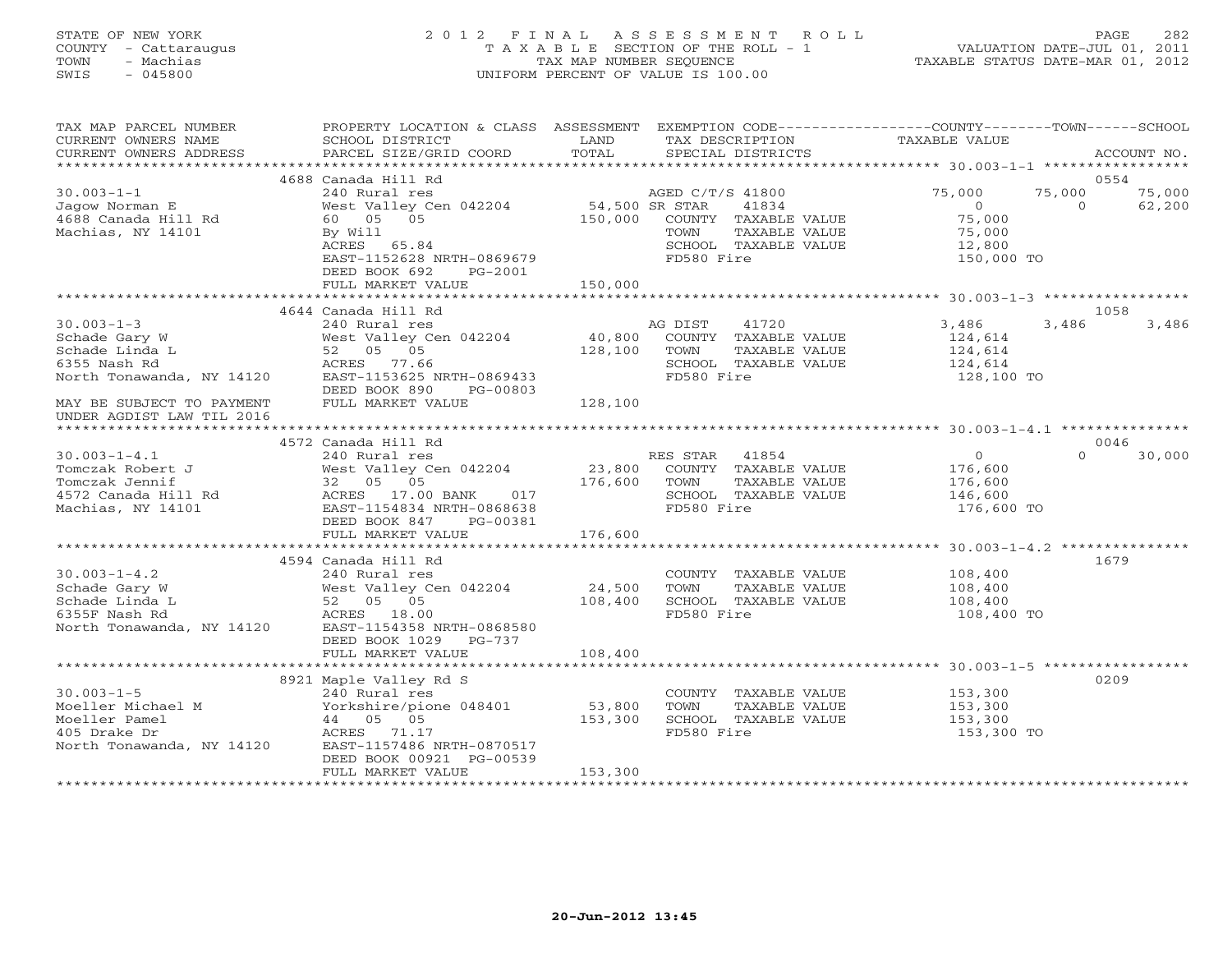### STATE OF NEW YORK 2 0 1 2 F I N A L A S S E S S M E N T R O L L PAGE 282 COUNTY - Cattaraugus T A X A B L E SECTION OF THE ROLL - 1 VALUATION DATE-JUL 01, 2011 TOWN - Machias TAX MAP NUMBER SEQUENCE TAXABLE STATUS DATE-MAR 01, 2012 SWIS - 045800 UNIFORM PERCENT OF VALUE IS 100.00UNIFORM PERCENT OF VALUE IS 100.00

| TAX MAP PARCEL NUMBER<br>CURRENT OWNERS NAME                                                         | PROPERTY LOCATION & CLASS ASSESSMENT EXEMPTION CODE----------------COUNTY-------TOWN------SCHOOL<br>SCHOOL DISTRICT                      | LAND                          | TAX DESCRIPTION                                                                                         | TAXABLE VALUE                                                 |                              |
|------------------------------------------------------------------------------------------------------|------------------------------------------------------------------------------------------------------------------------------------------|-------------------------------|---------------------------------------------------------------------------------------------------------|---------------------------------------------------------------|------------------------------|
| CURRENT OWNERS ADDRESS<br>***********************                                                    | PARCEL SIZE/GRID COORD                                                                                                                   | TOTAL                         | SPECIAL DISTRICTS                                                                                       |                                                               | ACCOUNT NO.                  |
|                                                                                                      | 4688 Canada Hill Rd                                                                                                                      |                               |                                                                                                         |                                                               | 0554                         |
| $30.003 - 1 - 1$<br>Jagow Norman E                                                                   | 240 Rural res<br>West Valley Cen 042204                                                                                                  | 54,500 SR STAR                | AGED C/T/S 41800<br>41834                                                                               | 75,000<br>75,000<br>$\Omega$                                  | 75,000<br>62,200<br>$\Omega$ |
| 4688 Canada Hill Rd<br>Machias, NY 14101                                                             | 60 05 05<br>By Will<br>ACRES 65.84<br>EAST-1152628 NRTH-0869679<br>DEED BOOK 692<br>PG-2001                                              | 150,000                       | COUNTY TAXABLE VALUE<br>TAXABLE VALUE<br>TOWN<br>SCHOOL TAXABLE VALUE<br>FD580 Fire                     | 75,000<br>75,000<br>12,800<br>150,000 TO                      |                              |
|                                                                                                      | FULL MARKET VALUE                                                                                                                        | 150,000                       |                                                                                                         |                                                               |                              |
|                                                                                                      | 4644 Canada Hill Rd                                                                                                                      |                               |                                                                                                         |                                                               | 1058                         |
| $30.003 - 1 - 3$<br>Schade Gary W<br>Schade Linda L<br>6355 Nash Rd<br>North Tonawanda, NY 14120     | 240 Rural res<br>West Valley Cen 042204<br>52 05 05<br>ACRES 77.66<br>EAST-1153625 NRTH-0869433<br>DEED BOOK 890<br>PG-00803             | 40,800<br>128,100             | 41720<br>AG DIST<br>COUNTY TAXABLE VALUE<br>TOWN<br>TAXABLE VALUE<br>SCHOOL TAXABLE VALUE<br>FD580 Fire | 3,486<br>124,614<br>124,614<br>124,614<br>128,100 TO          | 3,486<br>3,486               |
| MAY BE SUBJECT TO PAYMENT<br>UNDER AGDIST LAW TIL 2016                                               | FULL MARKET VALUE                                                                                                                        | 128,100                       |                                                                                                         |                                                               |                              |
|                                                                                                      | 4572 Canada Hill Rd                                                                                                                      |                               |                                                                                                         |                                                               | 0046                         |
| $30.003 - 1 - 4.1$<br>Tomczak Robert J<br>Tomczak Jennif<br>4572 Canada Hill Rd<br>Machias, NY 14101 | 240 Rural res<br>West Valley Cen 042204<br>32 05 05<br>ACRES 17.00 BANK<br>017<br>EAST-1154834 NRTH-0868638<br>DEED BOOK 847<br>PG-00381 | 23,800<br>176,600             | RES STAR 41854<br>COUNTY TAXABLE VALUE<br>TAXABLE VALUE<br>TOWN<br>SCHOOL TAXABLE VALUE<br>FD580 Fire   | $\overline{O}$<br>176,600<br>176,600<br>146,600<br>176,600 TO | $\Omega$<br>30,000           |
|                                                                                                      | FULL MARKET VALUE<br>***************************                                                                                         | 176,600<br>****************** |                                                                                                         |                                                               |                              |
|                                                                                                      | 4594 Canada Hill Rd                                                                                                                      |                               |                                                                                                         |                                                               | 1679                         |
| $30.003 - 1 - 4.2$<br>Schade Gary W<br>Schade Linda L<br>6355F Nash Rd<br>North Tonawanda, NY 14120  | 240 Rural res<br>West Valley Cen 042204<br>52 05 05<br>ACRES 18.00<br>EAST-1154358 NRTH-0868580<br>DEED BOOK 1029<br>$PG-737$            | 24,500<br>108,400             | COUNTY TAXABLE VALUE<br>TAXABLE VALUE<br>TOWN<br>SCHOOL TAXABLE VALUE<br>FD580 Fire                     | 108,400<br>108,400<br>108,400<br>108,400 TO                   |                              |
|                                                                                                      | FULL MARKET VALUE                                                                                                                        | 108,400                       |                                                                                                         |                                                               |                              |
|                                                                                                      |                                                                                                                                          |                               |                                                                                                         |                                                               |                              |
| $30.003 - 1 - 5$<br>Moeller Michael M                                                                | 8921 Maple Valley Rd S<br>240 Rural res<br>Yorkshire/pione 048401                                                                        | 53,800                        | COUNTY TAXABLE VALUE<br>TOWN<br>TAXABLE VALUE                                                           | 153,300<br>153,300                                            | 0209                         |
| Moeller Pamel<br>405 Drake Dr<br>North Tonawanda, NY 14120                                           | 44 05 05<br>ACRES 71.17<br>EAST-1157486 NRTH-0870517<br>DEED BOOK 00921 PG-00539<br>FULL MARKET VALUE                                    | 153,300<br>153,300            | SCHOOL TAXABLE VALUE<br>FD580 Fire                                                                      | 153,300<br>153,300 TO                                         |                              |
|                                                                                                      |                                                                                                                                          |                               |                                                                                                         |                                                               |                              |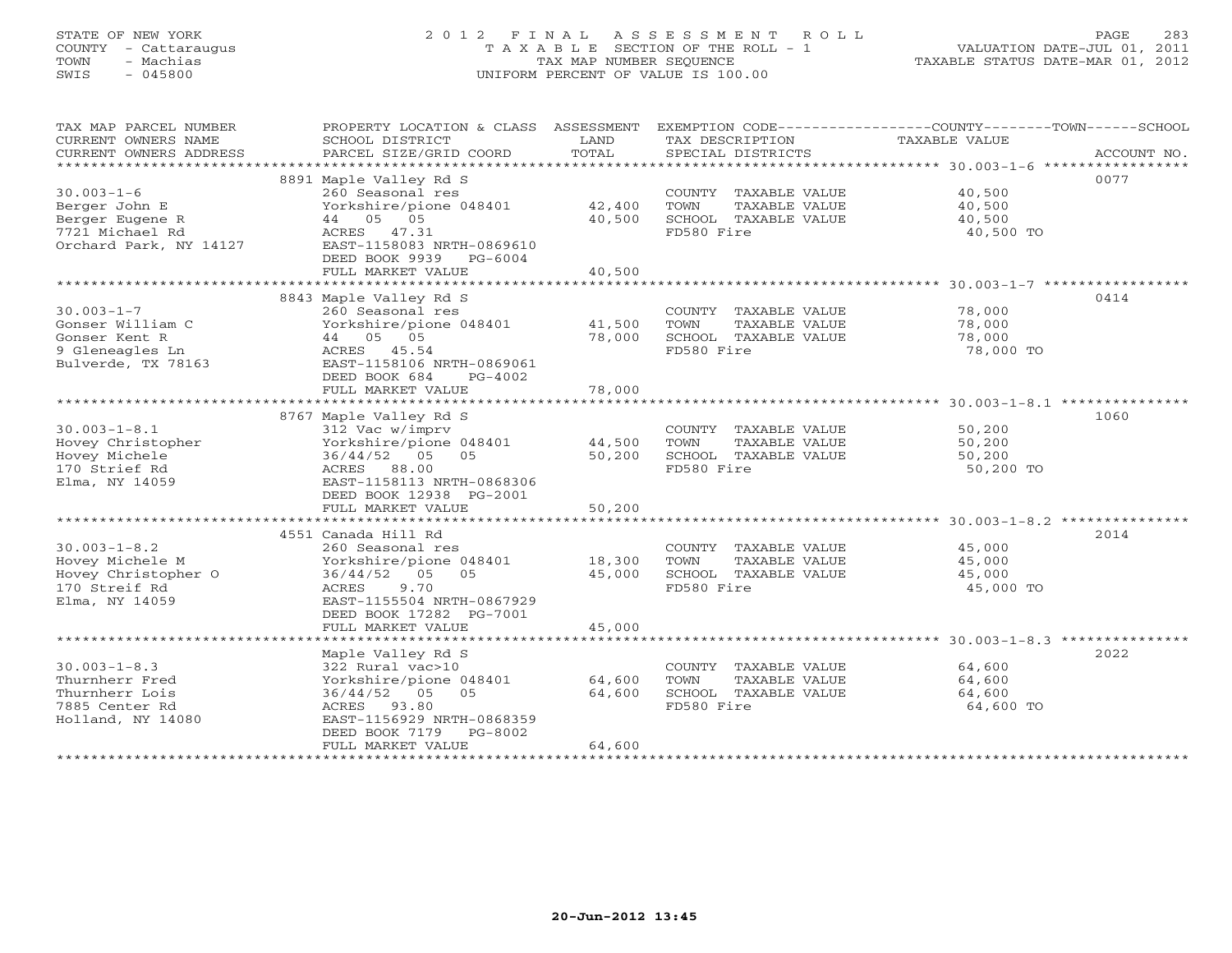### STATE OF NEW YORK 2 0 1 2 F I N A L A S S E S S M E N T R O L L PAGE 283 COUNTY - Cattaraugus T A X A B L E SECTION OF THE ROLL - 1 VALUATION DATE-JUL 01, 2011 TOWN - Machias TAX MAP NUMBER SEQUENCE TAXABLE STATUS DATE-MAR 01, 2012 SWIS - 045800 UNIFORM PERCENT OF VALUE IS 100.00UNIFORM PERCENT OF VALUE IS 100.00

| TAX MAP PARCEL NUMBER  |                           |        |                       | PROPERTY LOCATION & CLASS ASSESSMENT EXEMPTION CODE---------------COUNTY-------TOWN-----SCHOOL |
|------------------------|---------------------------|--------|-----------------------|------------------------------------------------------------------------------------------------|
| CURRENT OWNERS NAME    | SCHOOL DISTRICT           | LAND   | TAX DESCRIPTION       | TAXABLE VALUE                                                                                  |
| CURRENT OWNERS ADDRESS | PARCEL SIZE/GRID COORD    | TOTAL  | SPECIAL DISTRICTS     | ACCOUNT NO.                                                                                    |
|                        |                           |        |                       |                                                                                                |
|                        | 8891 Maple Valley Rd S    |        |                       | 0077                                                                                           |
| $30.003 - 1 - 6$       | 260 Seasonal res          |        | COUNTY TAXABLE VALUE  | 40,500                                                                                         |
| Berger John E          | Yorkshire/pione 048401    | 42,400 | TOWN<br>TAXABLE VALUE | 40,500                                                                                         |
| Berger Eugene R        | 44 05 05                  | 40,500 | SCHOOL TAXABLE VALUE  | 40,500                                                                                         |
| 7721 Michael Rd        | ACRES 47.31               |        | FD580 Fire            | 40,500 TO                                                                                      |
| Orchard Park, NY 14127 | EAST-1158083 NRTH-0869610 |        |                       |                                                                                                |
|                        | DEED BOOK 9939 PG-6004    |        |                       |                                                                                                |
|                        | FULL MARKET VALUE         | 40,500 |                       |                                                                                                |
|                        |                           |        |                       |                                                                                                |
|                        | 8843 Maple Valley Rd S    |        |                       | 0414                                                                                           |
| $30.003 - 1 - 7$       | 260 Seasonal res          |        |                       | 78,000                                                                                         |
|                        |                           |        | COUNTY TAXABLE VALUE  |                                                                                                |
| Gonser William C       | Yorkshire/pione 048401    | 41,500 | TOWN<br>TAXABLE VALUE | 78,000                                                                                         |
| Gonser Kent R          | 44 05 05                  | 78,000 | SCHOOL TAXABLE VALUE  | 78,000                                                                                         |
| 9 Gleneagles Ln        | ACRES 45.54               |        | FD580 Fire            | 78,000 TO                                                                                      |
| Bulverde, TX 78163     | EAST-1158106 NRTH-0869061 |        |                       |                                                                                                |
|                        | DEED BOOK 684<br>PG-4002  |        |                       |                                                                                                |
|                        | FULL MARKET VALUE         | 78,000 |                       |                                                                                                |
|                        |                           |        |                       |                                                                                                |
|                        | 8767 Maple Valley Rd S    |        |                       | 1060                                                                                           |
| $30.003 - 1 - 8.1$     | 312 Vac w/imprv           |        | COUNTY TAXABLE VALUE  | 50,200                                                                                         |
| Hovey Christopher      | Yorkshire/pione 048401    | 44,500 | TOWN<br>TAXABLE VALUE | 50,200                                                                                         |
| Hovey Michele          | 36/44/52 05 05            | 50,200 | SCHOOL TAXABLE VALUE  | 50,200                                                                                         |
| 170 Strief Rd          | ACRES 88.00               |        | FD580 Fire            | 50,200 TO                                                                                      |
| Elma, NY 14059         | EAST-1158113 NRTH-0868306 |        |                       |                                                                                                |
|                        | DEED BOOK 12938 PG-2001   |        |                       |                                                                                                |
|                        | FULL MARKET VALUE         | 50,200 |                       |                                                                                                |
|                        |                           |        |                       |                                                                                                |
|                        | 4551 Canada Hill Rd       |        |                       | 2014                                                                                           |
| $30.003 - 1 - 8.2$     | 260 Seasonal res          |        | COUNTY TAXABLE VALUE  | 45,000                                                                                         |
| Hovey Michele M        | Yorkshire/pione 048401    | 18,300 | TOWN<br>TAXABLE VALUE | 45,000                                                                                         |
| Hovey Christopher O    | 36/44/52 05<br>05         | 45,000 | SCHOOL TAXABLE VALUE  | 45,000                                                                                         |
| 170 Streif Rd          | 9.70<br>ACRES             |        | FD580 Fire            | 45,000 TO                                                                                      |
| Elma, NY 14059         | EAST-1155504 NRTH-0867929 |        |                       |                                                                                                |
|                        | DEED BOOK 17282 PG-7001   |        |                       |                                                                                                |
|                        | FULL MARKET VALUE         | 45,000 |                       |                                                                                                |
|                        |                           |        |                       |                                                                                                |
|                        |                           |        |                       | 2022                                                                                           |
| $30.003 - 1 - 8.3$     | Maple Valley Rd S         |        | COUNTY TAXABLE VALUE  | 64,600                                                                                         |
|                        | 322 Rural vac>10          |        |                       |                                                                                                |
| Thurnherr Fred         | Yorkshire/pione 048401    | 64,600 | TOWN<br>TAXABLE VALUE | 64,600                                                                                         |
| Thurnherr Lois         | 36/44/52 05 05            | 64,600 | SCHOOL TAXABLE VALUE  | 64,600                                                                                         |
| 7885 Center Rd         | ACRES 93.80               |        | FD580 Fire            | 64,600 TO                                                                                      |
| Holland, NY 14080      | EAST-1156929 NRTH-0868359 |        |                       |                                                                                                |
|                        | DEED BOOK 7179 PG-8002    |        |                       |                                                                                                |
|                        | FULL MARKET VALUE         | 64,600 |                       |                                                                                                |
|                        |                           |        |                       |                                                                                                |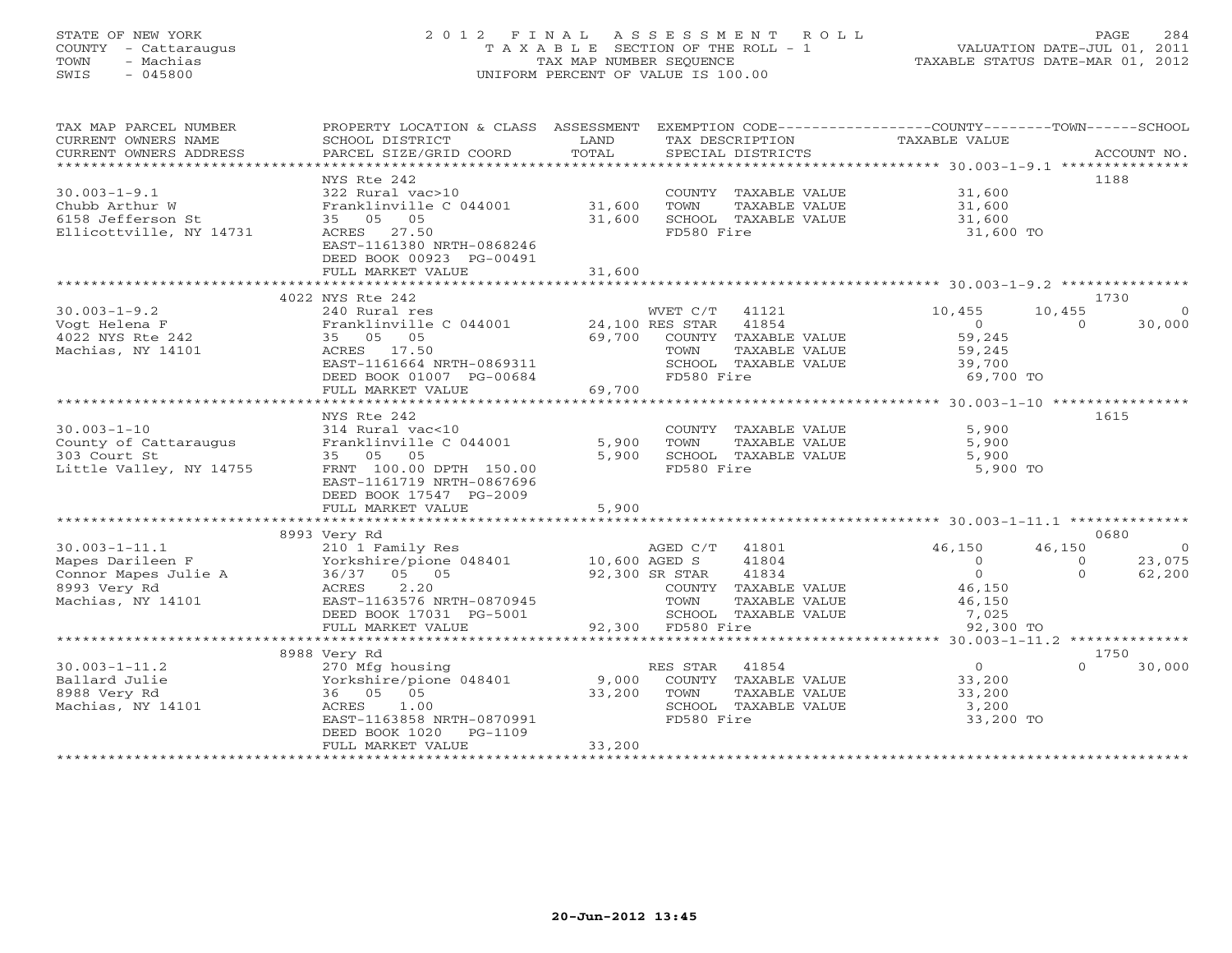### STATE OF NEW YORK 2 0 1 2 F I N A L A S S E S S M E N T R O L L PAGE 284 COUNTY - Cattaraugus T A X A B L E SECTION OF THE ROLL - 1 VALUATION DATE-JUL 01, 2011 TOWN - Machias TAX MAP NUMBER SEQUENCE TAXABLE STATUS DATE-MAR 01, 2012 SWIS - 045800 UNIFORM PERCENT OF VALUE IS 100.00UNIFORM PERCENT OF VALUE IS 100.00

| TAX MAP PARCEL NUMBER<br>CURRENT OWNERS NAME<br>CURRENT OWNERS ADDRESS | PROPERTY LOCATION & CLASS ASSESSMENT EXEMPTION CODE---------------COUNTY-------TOWN------SCHOOL<br>SCHOOL DISTRICT<br>PARCEL SIZE/GRID COORD | LAND<br>TOTAL  |                   | SPECIAL DISTRICTS    | TAX DESCRIPTION TAXABLE VALUE |             | ACCOUNT NO.    |
|------------------------------------------------------------------------|----------------------------------------------------------------------------------------------------------------------------------------------|----------------|-------------------|----------------------|-------------------------------|-------------|----------------|
|                                                                        |                                                                                                                                              |                |                   |                      |                               |             |                |
|                                                                        | NYS Rte 242                                                                                                                                  |                |                   |                      |                               |             | 1188           |
| $30.003 - 1 - 9.1$                                                     | 322 Rural vac>10                                                                                                                             |                |                   | COUNTY TAXABLE VALUE | 31,600                        |             |                |
| Chubb Arthur W                                                         | Franklinville C 044001 31,600                                                                                                                |                | TOWN              | TAXABLE VALUE        | 31,600                        |             |                |
| 6158 Jefferson St                                                      | 35 05 05                                                                                                                                     | 31,600         |                   | SCHOOL TAXABLE VALUE | 31,600                        |             |                |
| Ellicottville, NY 14731                                                | ACRES 27.50                                                                                                                                  |                | FD580 Fire        |                      | 31,600 TO                     |             |                |
|                                                                        | EAST-1161380 NRTH-0868246                                                                                                                    |                |                   |                      |                               |             |                |
|                                                                        | DEED BOOK 00923 PG-00491                                                                                                                     |                |                   |                      |                               |             |                |
|                                                                        | FULL MARKET VALUE                                                                                                                            | 31,600         |                   |                      |                               |             |                |
|                                                                        |                                                                                                                                              |                |                   |                      |                               |             |                |
|                                                                        | 4022 NYS Rte 242                                                                                                                             |                |                   |                      |                               |             | 1730           |
| $30.003 - 1 - 9.2$                                                     | 240 Rural res                                                                                                                                |                | WVET C/T 41121    |                      | 10,455                        | 10,455      |                |
| Vogt Helena F                                                          | Franklinville C 044001 24,100 RES STAR                                                                                                       |                |                   | 41854                | $\overline{0}$                | $\Omega$    | 30,000         |
| 4022 NYS Rte 242                                                       | 35 05 05                                                                                                                                     | 69,700         |                   | COUNTY TAXABLE VALUE | 59,245                        |             |                |
| Machias, NY 14101                                                      | ACRES 17.50                                                                                                                                  |                | TOWN              | TAXABLE VALUE        | 59,245                        |             |                |
|                                                                        | EAST-1161664 NRTH-0869311                                                                                                                    |                |                   | SCHOOL TAXABLE VALUE | 39,700                        |             |                |
|                                                                        | DEED BOOK 01007 PG-00684                                                                                                                     |                | FD580 Fire        |                      | 69,700 TO                     |             |                |
|                                                                        | FULL MARKET VALUE                                                                                                                            | 69,700         |                   |                      |                               |             |                |
|                                                                        |                                                                                                                                              |                |                   |                      |                               |             |                |
|                                                                        | NYS Rte 242                                                                                                                                  |                |                   |                      |                               | 1615        |                |
|                                                                        |                                                                                                                                              |                |                   |                      |                               |             |                |
| $30.003 - 1 - 10$                                                      | 314 Rural vac<10                                                                                                                             |                |                   | COUNTY TAXABLE VALUE | 5,900                         |             |                |
| County of Cattaraugus                                                  | Franklinville C 044001                                                                                                                       | 5,900          | TOWN              | TAXABLE VALUE        | 5,900                         |             |                |
| 303 Court St                                                           | 35 05 05                                                                                                                                     | 5,900          |                   | SCHOOL TAXABLE VALUE | 5,900                         |             |                |
| Little Valley, NY 14755                                                | FRNT 100.00 DPTH 150.00                                                                                                                      |                | FD580 Fire        |                      | 5,900 TO                      |             |                |
|                                                                        | EAST-1161719 NRTH-0867696                                                                                                                    |                |                   |                      |                               |             |                |
|                                                                        | DEED BOOK 17547 PG-2009                                                                                                                      |                |                   |                      |                               |             |                |
|                                                                        | FULL MARKET VALUE                                                                                                                            | 5,900          |                   |                      |                               |             |                |
|                                                                        | *************************                                                                                                                    |                |                   |                      |                               |             |                |
|                                                                        | 8993 Very Rd                                                                                                                                 |                |                   |                      |                               |             | 0680           |
| $30.003 - 1 - 11.1$                                                    | 210 1 Family Res                                                                                                                             |                | AGED C/T          | 41801                | 46,150                        | 46,150      | $\overline{0}$ |
| Mapes Darileen F                                                       | Yorkshire/pione 048401                                                                                                                       | 10,600 AGED S  |                   | 41804                | $\circ$                       | $\mathbf 0$ | 23,075         |
| Connor Mapes Julie A                                                   | 36/37 05 05                                                                                                                                  | 92,300 SR STAR |                   | 41834                | $\overline{0}$                | $\Omega$    | 62,200         |
| 8993 Very Rd                                                           | ACRES<br>2.20                                                                                                                                |                |                   | COUNTY TAXABLE VALUE | 46,150                        |             |                |
| Machias, NY 14101                                                      | EAST-1163576 NRTH-0870945                                                                                                                    |                | TOWN              | TAXABLE VALUE        | 46,150                        |             |                |
|                                                                        | DEED BOOK 17031 PG-5001                                                                                                                      |                |                   | SCHOOL TAXABLE VALUE | 7,025                         |             |                |
|                                                                        | FULL MARKET VALUE                                                                                                                            |                | 92,300 FD580 Fire |                      | 92,300 TO                     |             |                |
|                                                                        |                                                                                                                                              |                |                   |                      |                               |             |                |
|                                                                        | 8988 Very Rd                                                                                                                                 |                |                   |                      |                               |             | 1750           |
| $30.003 - 1 - 11.2$                                                    | 270 Mfg housing                                                                                                                              |                | RES STAR 41854    |                      | $\overline{0}$                |             | 30,000         |
| Ballard Julie                                                          | Yorkshire/pione 048401                                                                                                                       | 9,000          |                   | COUNTY TAXABLE VALUE | 33,200                        |             |                |
| 8988 Very Rd                                                           | 36 05 05                                                                                                                                     | 33,200         | TOWN              | TAXABLE VALUE        | 33,200                        |             |                |
| Machias, NY 14101                                                      | ACRES<br>1.00                                                                                                                                |                |                   | SCHOOL TAXABLE VALUE | 3,200                         |             |                |
|                                                                        | EAST-1163858 NRTH-0870991                                                                                                                    |                | FD580 Fire        |                      | 33,200 TO                     |             |                |
|                                                                        | DEED BOOK 1020<br>PG-1109                                                                                                                    |                |                   |                      |                               |             |                |
|                                                                        | FULL MARKET VALUE                                                                                                                            | 33,200         |                   |                      |                               |             |                |
|                                                                        |                                                                                                                                              |                |                   |                      |                               |             |                |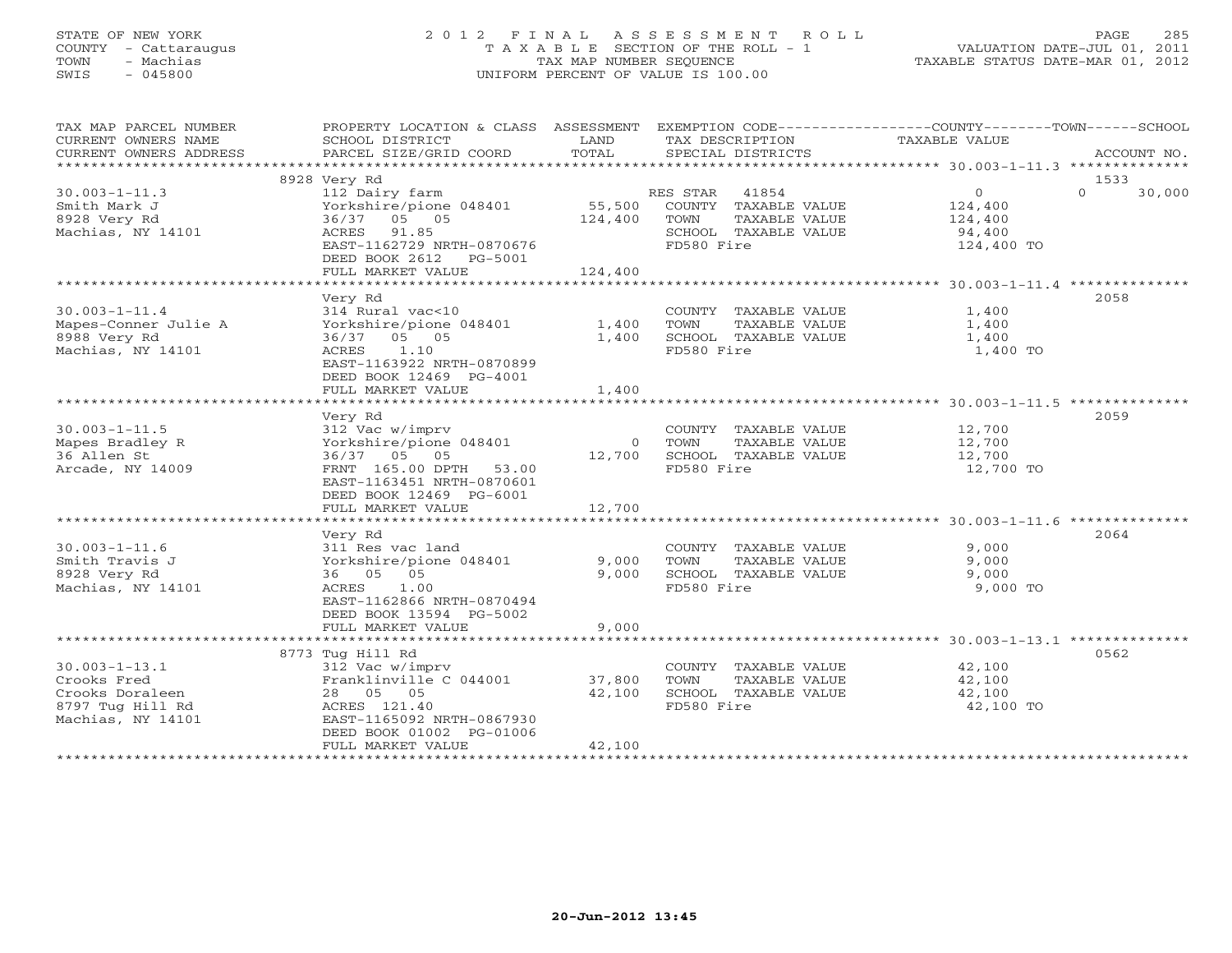#### STATE OF NEW YORK 2 0 1 2 F I N A L A S S E S S M E N T R O L L PAGE 285COUNTY - Cattaraugus T A X A B L E SECTION OF THE ROLL - 1 VALUATION DATE-JUL 01, 2011 TOWN - Machias TAX MAP NUMBER SEQUENCE TAX AND TAXABLE STATUS DATE-MAR 01, 2012<br>TRIS - 045800 SWIS - 045800 UNIFORM PERCENT OF VALUE IS 100.00

| TAX MAP PARCEL NUMBER                         | PROPERTY LOCATION & CLASS ASSESSMENT        |               | EXEMPTION CODE-----------------COUNTY-------TOWN------SCHOOL |                                                    |                    |
|-----------------------------------------------|---------------------------------------------|---------------|--------------------------------------------------------------|----------------------------------------------------|--------------------|
| CURRENT OWNERS NAME<br>CURRENT OWNERS ADDRESS | SCHOOL DISTRICT<br>PARCEL SIZE/GRID COORD   | LAND<br>TOTAL | TAX DESCRIPTION<br>SPECIAL DISTRICTS                         | TAXABLE VALUE                                      | ACCOUNT NO.        |
| *****************                             |                                             |               |                                                              |                                                    |                    |
|                                               | 8928 Very Rd                                |               |                                                              |                                                    | 1533               |
| $30.003 - 1 - 11.3$                           | 112 Dairy farm                              |               | 41854<br>RES STAR                                            | $\overline{0}$                                     | $\Omega$<br>30,000 |
| Smith Mark J                                  | Yorkshire/pione 048401                      | 55,500        | COUNTY TAXABLE VALUE                                         | 124,400                                            |                    |
| 8928 Very Rd                                  | 36/37 05 05                                 | 124,400       | TOWN<br>TAXABLE VALUE                                        | 124,400                                            |                    |
| Machias, NY 14101                             | ACRES<br>91.85                              |               | SCHOOL TAXABLE VALUE                                         | 94,400                                             |                    |
|                                               | EAST-1162729 NRTH-0870676                   |               | FD580 Fire                                                   | 124,400 TO                                         |                    |
|                                               | DEED BOOK 2612<br>PG-5001                   |               |                                                              |                                                    |                    |
|                                               | FULL MARKET VALUE                           | 124,400       |                                                              |                                                    |                    |
|                                               | ******************                          | ************  |                                                              | ********************* 30.003-1-11.4 ************** |                    |
|                                               | Very Rd                                     |               |                                                              |                                                    | 2058               |
| $30.003 - 1 - 11.4$                           | 314 Rural vac<10                            |               | COUNTY TAXABLE VALUE                                         | 1,400                                              |                    |
| Mapes-Conner Julie A                          | Yorkshire/pione 048401                      | 1,400         | TOWN<br>TAXABLE VALUE                                        | 1,400                                              |                    |
| 8988 Very Rd                                  | 36/37<br>05 05                              | 1,400         | SCHOOL TAXABLE VALUE                                         | 1,400                                              |                    |
| Machias, NY 14101                             | 1.10<br>ACRES                               |               | FD580 Fire                                                   | 1,400 TO                                           |                    |
|                                               | EAST-1163922 NRTH-0870899                   |               |                                                              |                                                    |                    |
|                                               | DEED BOOK 12469 PG-4001                     |               |                                                              |                                                    |                    |
|                                               | FULL MARKET VALUE<br>********************** | 1,400         |                                                              |                                                    |                    |
|                                               | Very Rd                                     |               |                                                              |                                                    | 2059               |
| $30.003 - 1 - 11.5$                           | 312 Vac w/imprv                             |               | COUNTY TAXABLE VALUE                                         | 12,700                                             |                    |
| Mapes Bradley R                               | Yorkshire/pione 048401                      | $\Omega$      | TOWN<br>TAXABLE VALUE                                        | 12,700                                             |                    |
| 36 Allen St                                   | 36/37 05 05                                 | 12,700        | SCHOOL TAXABLE VALUE                                         | 12,700                                             |                    |
| Arcade, NY 14009                              | FRNT 165.00 DPTH 53.00                      |               | FD580 Fire                                                   | 12,700 TO                                          |                    |
|                                               | EAST-1163451 NRTH-0870601                   |               |                                                              |                                                    |                    |
|                                               | DEED BOOK 12469 PG-6001                     |               |                                                              |                                                    |                    |
|                                               | FULL MARKET VALUE                           | 12,700        |                                                              |                                                    |                    |
|                                               |                                             |               |                                                              |                                                    |                    |
|                                               | Very Rd                                     |               |                                                              |                                                    | 2064               |
| $30.003 - 1 - 11.6$                           | 311 Res vac land                            |               | COUNTY TAXABLE VALUE                                         | 9,000                                              |                    |
| Smith Travis J                                | Yorkshire/pione 048401                      | 9,000         | <b>TOWN</b><br>TAXABLE VALUE                                 | 9,000                                              |                    |
| 8928 Very Rd                                  | 36 05 05                                    | 9,000         | SCHOOL TAXABLE VALUE                                         | 9,000                                              |                    |
| Machias, NY 14101                             | ACRES<br>1.00                               |               | FD580 Fire                                                   | 9,000 TO                                           |                    |
|                                               | EAST-1162866 NRTH-0870494                   |               |                                                              |                                                    |                    |
|                                               | DEED BOOK 13594 PG-5002                     |               |                                                              |                                                    |                    |
|                                               | FULL MARKET VALUE                           | 9,000         |                                                              |                                                    |                    |
|                                               |                                             |               |                                                              |                                                    | 0562               |
| $30.003 - 1 - 13.1$                           | 8773 Tug Hill Rd<br>312 Vac w/imprv         |               | COUNTY TAXABLE VALUE                                         | 42,100                                             |                    |
| Crooks Fred                                   | Franklinville C 044001                      | 37,800        | TOWN<br>TAXABLE VALUE                                        | 42,100                                             |                    |
| Crooks Doraleen                               | 28 05 05                                    | 42,100        | SCHOOL TAXABLE VALUE                                         | 42,100                                             |                    |
| 8797 Tug Hill Rd                              | ACRES 121.40                                |               | FD580 Fire                                                   | 42,100 TO                                          |                    |
| Machias, NY 14101                             | EAST-1165092 NRTH-0867930                   |               |                                                              |                                                    |                    |
|                                               | DEED BOOK 01002 PG-01006                    |               |                                                              |                                                    |                    |
|                                               | FULL MARKET VALUE                           | 42,100        |                                                              |                                                    |                    |
|                                               |                                             |               |                                                              |                                                    |                    |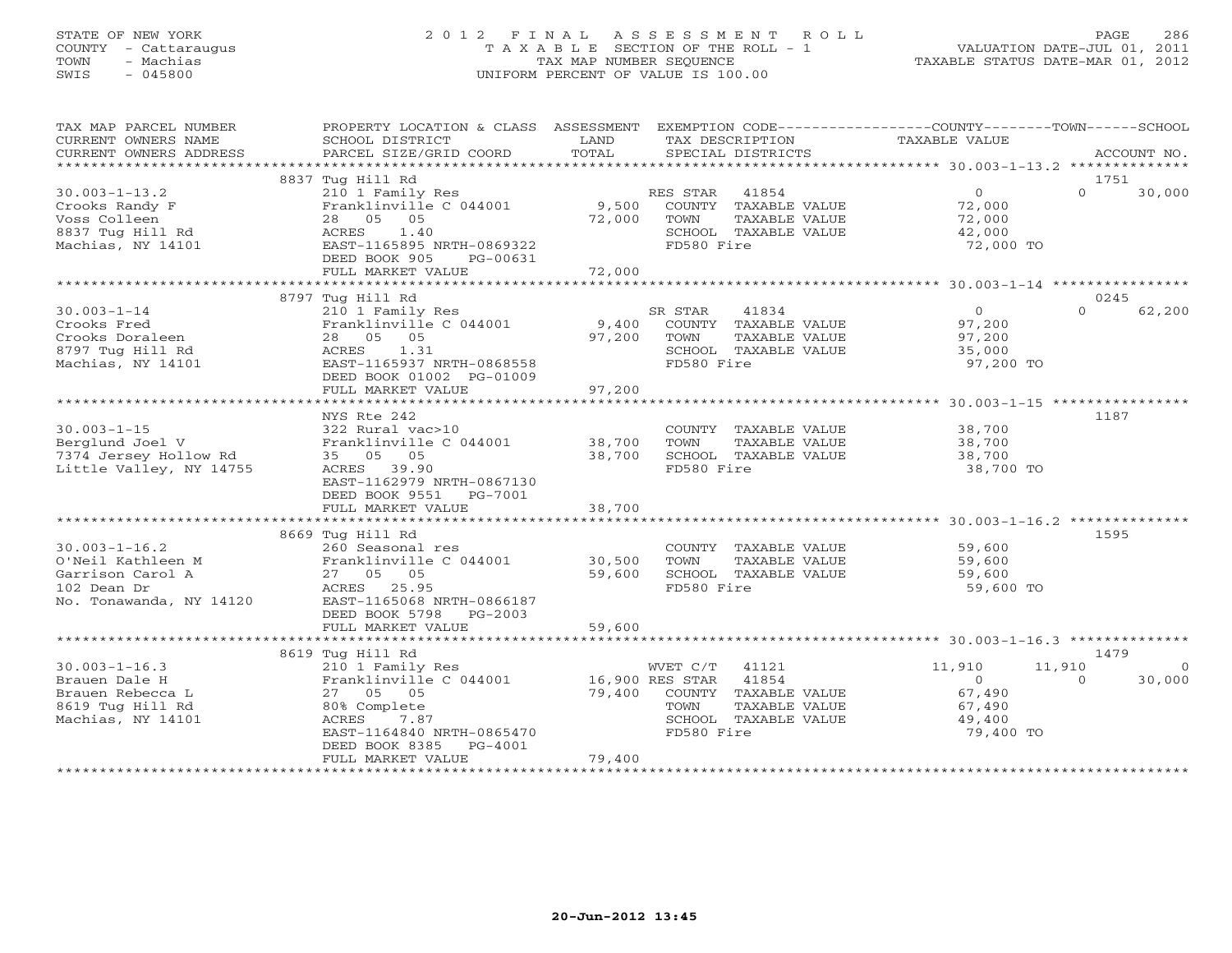### STATE OF NEW YORK 2 0 1 2 F I N A L A S S E S S M E N T R O L L PAGE 286 COUNTY - Cattaraugus T A X A B L E SECTION OF THE ROLL - 1 VALUATION DATE-JUL 01, 2011 TOWN - Machias TAX MAP NUMBER SEQUENCE TAXABLE STATUS DATE-MAR 01, 2012 SWIS - 045800 UNIFORM PERCENT OF VALUE IS 100.00UNIFORM PERCENT OF VALUE IS 100.00

| TAX MAP PARCEL NUMBER                         | PROPERTY LOCATION & CLASS ASSESSMENT EXEMPTION CODE----------------COUNTY-------TOWN------SCHOOL |               |                                      |                      |                    |
|-----------------------------------------------|--------------------------------------------------------------------------------------------------|---------------|--------------------------------------|----------------------|--------------------|
| CURRENT OWNERS NAME<br>CURRENT OWNERS ADDRESS | SCHOOL DISTRICT<br>PARCEL SIZE/GRID COORD                                                        | LAND<br>TOTAL | TAX DESCRIPTION<br>SPECIAL DISTRICTS | <b>TAXABLE VALUE</b> | ACCOUNT NO.        |
| *************************                     |                                                                                                  |               |                                      |                      |                    |
|                                               | 8837 Tug Hill Rd                                                                                 |               |                                      |                      | 1751               |
| $30.003 - 1 - 13.2$                           | 210 1 Family Res                                                                                 |               | RES STAR 41854                       | $\overline{0}$       | $\Omega$<br>30,000 |
| Crooks Randy F                                | Franklinville C 044001                                                                           |               | 9,500 COUNTY TAXABLE VALUE           | 72,000               |                    |
| Voss Colleen                                  | 28 05 05                                                                                         | 72,000        | TOWN<br>TAXABLE VALUE                | 72,000               |                    |
| 8837 Tug Hill Rd                              | 1.40<br>ACRES                                                                                    |               | SCHOOL TAXABLE VALUE                 | 42,000               |                    |
| Machias, NY 14101                             | EAST-1165895 NRTH-0869322                                                                        |               | FD580 Fire                           | 72,000 TO            |                    |
|                                               | DEED BOOK 905<br>PG-00631                                                                        |               |                                      |                      |                    |
|                                               | FULL MARKET VALUE                                                                                | 72,000        |                                      |                      |                    |
|                                               |                                                                                                  |               |                                      |                      |                    |
|                                               | 8797 Tug Hill Rd                                                                                 |               |                                      |                      | 0245               |
| $30.003 - 1 - 14$                             | 210 1 Family Res                                                                                 |               | SR STAR<br>41834                     | $\overline{0}$       | $\Omega$<br>62,200 |
| Crooks Fred                                   | Franklinville C 044001                                                                           | 9,400         | COUNTY TAXABLE VALUE                 | 97,200               |                    |
| Crooks Doraleen                               | 28 05 05                                                                                         | 97,200        | TOWN<br>TAXABLE VALUE                | 97,200               |                    |
| 8797 Tug Hill Rd                              | ACRES 1.31                                                                                       |               | SCHOOL TAXABLE VALUE                 | 35,000               |                    |
| Machias, NY 14101                             | EAST-1165937 NRTH-0868558                                                                        |               | FD580 Fire                           | 97,200 TO            |                    |
|                                               | DEED BOOK 01002 PG-01009                                                                         |               |                                      |                      |                    |
|                                               | FULL MARKET VALUE                                                                                | 97,200        |                                      |                      |                    |
|                                               |                                                                                                  |               |                                      |                      |                    |
|                                               | NYS Rte 242                                                                                      |               |                                      |                      | 1187               |
| $30.003 - 1 - 15$                             | 322 Rural vac>10                                                                                 |               | COUNTY TAXABLE VALUE                 | 38,700               |                    |
| Berglund Joel V                               | Franklinville C 044001 38,700                                                                    | 38,700        | TOWN<br>TAXABLE VALUE                | 38,700               |                    |
| 7374 Jersey Hollow Rd                         | 35 05 05                                                                                         |               | SCHOOL TAXABLE VALUE                 | 38,700               |                    |
| Little Valley, NY 14755                       | ACRES 39.90<br>EAST-1162979 NRTH-0867130                                                         |               | FD580 Fire                           | 38,700 TO            |                    |
|                                               | DEED BOOK 9551 PG-7001                                                                           |               |                                      |                      |                    |
|                                               | FULL MARKET VALUE                                                                                | 38,700        |                                      |                      |                    |
|                                               |                                                                                                  |               |                                      |                      |                    |
|                                               | 8669 Tug Hill Rd                                                                                 |               |                                      |                      | 1595               |
| $30.003 - 1 - 16.2$                           | 260 Seasonal res                                                                                 |               | COUNTY TAXABLE VALUE                 | 59,600               |                    |
| O'Neil Kathleen M                             | Franklinville C 044001 30,500                                                                    |               | TOWN<br>TAXABLE VALUE                | 59,600               |                    |
| Garrison Carol A                              | 27 05 05                                                                                         | 59,600        | SCHOOL TAXABLE VALUE                 | 59,600               |                    |
| 102 Dean Dr                                   | ACRES 25.95                                                                                      |               | FD580 Fire                           | 59,600 TO            |                    |
| No. Tonawanda, NY 14120                       | EAST-1165068 NRTH-0866187                                                                        |               |                                      |                      |                    |
|                                               | DEED BOOK 5798<br>$PG-2003$                                                                      |               |                                      |                      |                    |
|                                               | FULL MARKET VALUE                                                                                | 59,600        |                                      |                      |                    |
|                                               |                                                                                                  |               |                                      |                      |                    |
|                                               | 8619 Tug Hill Rd                                                                                 |               |                                      |                      | 1479               |
| $30.003 - 1 - 16.3$                           | 210 1 Family Res                                                                                 |               | WVET C/T 41121                       | 11,910               | 11,910<br>- 0      |
| Brauen Dale H                                 | Franklinville C 044001 16,900 RES STAR 41854                                                     |               |                                      | $\overline{0}$       | $\Omega$<br>30,000 |
| Brauen Rebecca L                              | 27 05 05                                                                                         | 79,400        | COUNTY TAXABLE VALUE                 | 67,490               |                    |
| 8619 Tug Hill Rd                              | 80% Complete                                                                                     |               | TAXABLE VALUE<br>TOWN                | 67,490               |                    |
| Machias, NY 14101                             | ACRES<br>7.87                                                                                    |               | SCHOOL TAXABLE VALUE                 | 49,400               |                    |
|                                               | EAST-1164840 NRTH-0865470                                                                        |               | FD580 Fire                           | 79,400 TO            |                    |
|                                               | DEED BOOK 8385<br>PG-4001                                                                        |               |                                      |                      |                    |
|                                               | FULL MARKET VALUE                                                                                | 79,400        |                                      |                      |                    |
|                                               |                                                                                                  |               |                                      |                      |                    |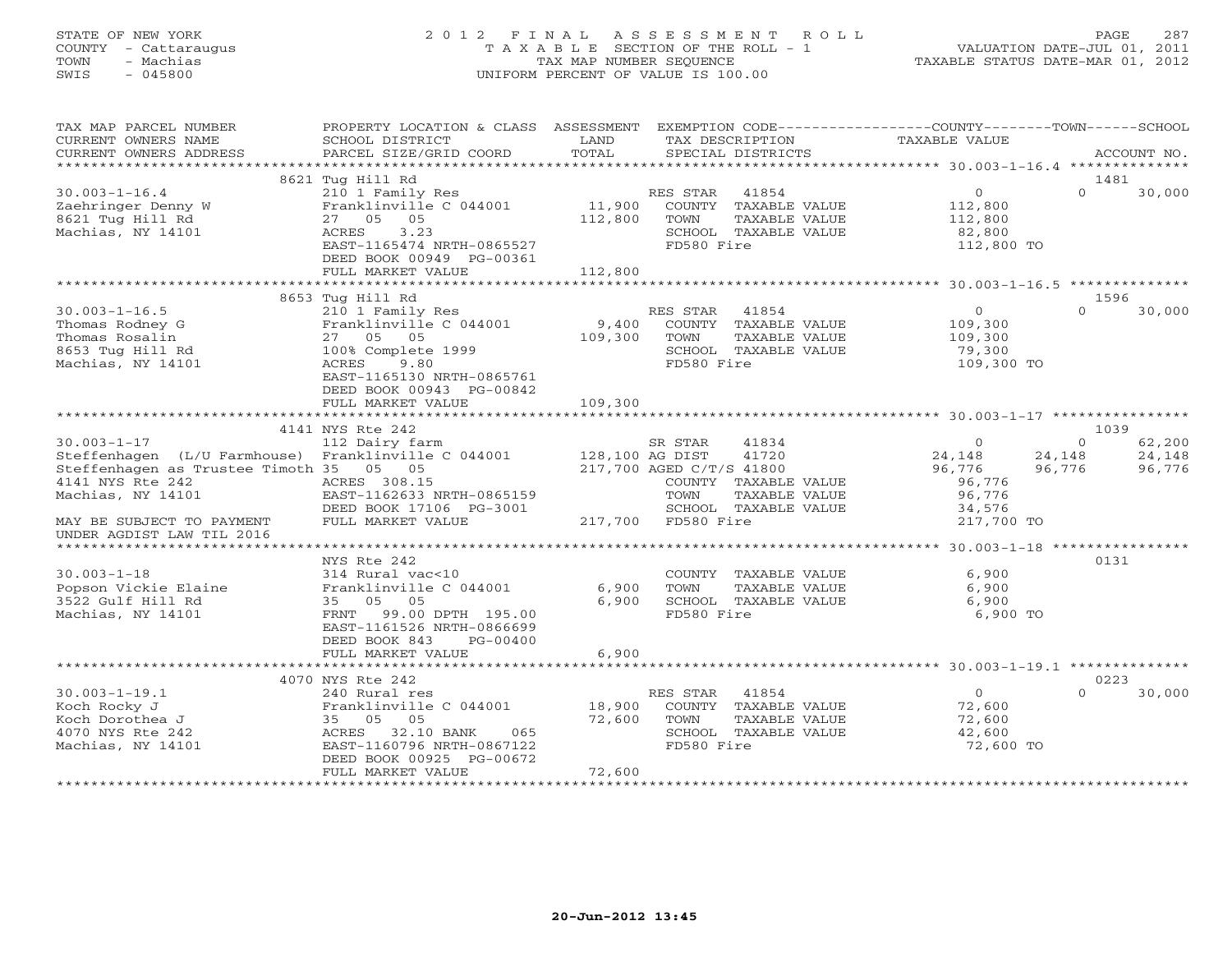#### STATE OF NEW YORK 2 0 1 2 F I N A L A S S E S S M E N T R O L L PAGE 287 COUNTY - Cattaraugus T A X A B L E SECTION OF THE ROLL - 1 VALUATION DATE-JUL 01, 2011 TOWN - Machias TAX MAP NUMBER SEQUENCE TAXABLE STATUS DATE-MAR 01, 2012 SWIS - 045800 UNIFORM PERCENT OF VALUE IS 100.00UNIFORM PERCENT OF VALUE IS 100.00

| TAX MAP PARCEL NUMBER<br>CURRENT OWNERS NAME                             | PROPERTY LOCATION & CLASS ASSESSMENT<br>SCHOOL DISTRICT | LAND            | EXEMPTION CODE----------------COUNTY-------TOWN------SCHOOL<br>TAX DESCRIPTION | TAXABLE VALUE     |                  |                  |
|--------------------------------------------------------------------------|---------------------------------------------------------|-----------------|--------------------------------------------------------------------------------|-------------------|------------------|------------------|
| CURRENT OWNERS ADDRESS                                                   | PARCEL SIZE/GRID COORD                                  | TOTAL           | SPECIAL DISTRICTS                                                              |                   |                  | ACCOUNT NO.      |
|                                                                          | 8621 Tug Hill Rd                                        |                 |                                                                                |                   |                  | 1481             |
| $30.003 - 1 - 16.4$                                                      | 210 1 Family Res                                        |                 | 41854<br>RES STAR                                                              | 0                 | $\Omega$         | 30,000           |
| Zaehringer Denny W                                                       | Franklinville C 044001                                  | 11,900          | COUNTY TAXABLE VALUE                                                           | 112,800           |                  |                  |
| 8621 Tug Hill Rd                                                         | 27 05 05                                                | 112,800         | TOWN<br>TAXABLE VALUE                                                          | 112,800           |                  |                  |
| Machias, NY 14101                                                        | ACRES<br>3.23                                           |                 | SCHOOL TAXABLE VALUE                                                           | 82,800            |                  |                  |
|                                                                          | EAST-1165474 NRTH-0865527                               |                 | FD580 Fire                                                                     | 112,800 TO        |                  |                  |
|                                                                          | DEED BOOK 00949 PG-00361                                |                 |                                                                                |                   |                  |                  |
|                                                                          | FULL MARKET VALUE                                       | 112,800         |                                                                                |                   |                  |                  |
|                                                                          | 8653 Tug Hill Rd                                        |                 |                                                                                |                   |                  | 1596             |
| $30.003 - 1 - 16.5$                                                      | 210 1 Family Res                                        |                 | 41854<br>RES STAR                                                              | $\circ$           | $\cap$           | 30,000           |
| Thomas Rodney G                                                          | Franklinville C 044001                                  | 9,400           | COUNTY TAXABLE VALUE                                                           | 109,300           |                  |                  |
| Thomas Rosalin                                                           | 27 05 05                                                | 109,300         | TOWN<br>TAXABLE VALUE                                                          | 109,300           |                  |                  |
| 8653 Tug Hill Rd                                                         | 100% Complete 1999                                      |                 | SCHOOL TAXABLE VALUE                                                           | 79,300            |                  |                  |
| Machias, NY 14101                                                        | 9.80<br>ACRES                                           |                 | FD580 Fire                                                                     | 109,300 TO        |                  |                  |
|                                                                          | EAST-1165130 NRTH-0865761                               |                 |                                                                                |                   |                  |                  |
|                                                                          | DEED BOOK 00943 PG-00842                                |                 |                                                                                |                   |                  |                  |
|                                                                          | FULL MARKET VALUE                                       | 109,300         |                                                                                |                   |                  |                  |
|                                                                          |                                                         |                 |                                                                                |                   |                  |                  |
|                                                                          | 4141 NYS Rte 242                                        |                 |                                                                                |                   | 1039             |                  |
| $30.003 - 1 - 17$<br>Steffenhagen (L/U Farmhouse) Franklinville C 044001 | 112 Dairy farm                                          | 128,100 AG DIST | 41834<br>SR STAR<br>41720                                                      | $\Omega$          | $\Omega$         | 62,200           |
| Steffenhagen as Trustee Timoth 35 05 05                                  |                                                         |                 | 217,700 AGED C/T/S 41800                                                       | 24,148<br>96,776  | 24,148<br>96,776 | 24,148<br>96,776 |
| 4141 NYS Rte 242                                                         | ACRES 308.15                                            |                 | COUNTY TAXABLE VALUE                                                           | 96,776            |                  |                  |
| Machias, NY 14101                                                        | EAST-1162633 NRTH-0865159                               |                 | TOWN<br>TAXABLE VALUE                                                          | 96,776            |                  |                  |
|                                                                          | DEED BOOK 17106 PG-3001                                 |                 | SCHOOL TAXABLE VALUE                                                           | 34,576            |                  |                  |
| MAY BE SUBJECT TO PAYMENT                                                | FULL MARKET VALUE                                       |                 | 217,700 FD580 Fire                                                             | 217,700 TO        |                  |                  |
| UNDER AGDIST LAW TIL 2016                                                |                                                         |                 |                                                                                |                   |                  |                  |
|                                                                          |                                                         |                 |                                                                                |                   |                  |                  |
|                                                                          | NYS Rte 242                                             |                 |                                                                                |                   |                  | 0131             |
| $30.003 - 1 - 18$                                                        | 314 Rural vac<10                                        |                 | COUNTY TAXABLE VALUE                                                           | 6,900             |                  |                  |
| Popson Vickie Elaine                                                     | Franklinville C 044001                                  | 6,900           | TOWN<br>TAXABLE VALUE                                                          | 6,900             |                  |                  |
| 3522 Gulf Hill Rd<br>Machias, NY 14101                                   | 35 05 05<br>FRNT 99.00 DPTH 195.00                      | 6,900           | SCHOOL TAXABLE VALUE<br>FD580 Fire                                             | 6,900<br>6,900 TO |                  |                  |
|                                                                          | EAST-1161526 NRTH-0866699                               |                 |                                                                                |                   |                  |                  |
|                                                                          | DEED BOOK 843<br>PG-00400                               |                 |                                                                                |                   |                  |                  |
|                                                                          | FULL MARKET VALUE                                       | 6,900           |                                                                                |                   |                  |                  |
|                                                                          |                                                         |                 |                                                                                |                   |                  |                  |
|                                                                          | 4070 NYS Rte 242                                        |                 |                                                                                |                   |                  | 0223             |
| $30.003 - 1 - 19.1$                                                      | 240 Rural res                                           |                 | RES STAR<br>41854                                                              | $\overline{0}$    |                  | 30,000           |
| Koch Rocky J                                                             | Franklinville C 044001                                  | 18,900          | COUNTY TAXABLE VALUE                                                           | 72,600            |                  |                  |
| Koch Dorothea J                                                          | 35 05 05                                                | 72,600          | TOWN<br>TAXABLE VALUE                                                          | 72,600            |                  |                  |
| 4070 NYS Rte 242                                                         | ACRES 32.10 BANK<br>065                                 |                 | SCHOOL TAXABLE VALUE                                                           | 42,600            |                  |                  |
| Machias, NY 14101                                                        | EAST-1160796 NRTH-0867122<br>DEED BOOK 00925 PG-00672   |                 | FD580 Fire                                                                     | 72,600 TO         |                  |                  |
|                                                                          | FULL MARKET VALUE                                       | 72,600          |                                                                                |                   |                  |                  |
|                                                                          |                                                         |                 |                                                                                |                   |                  |                  |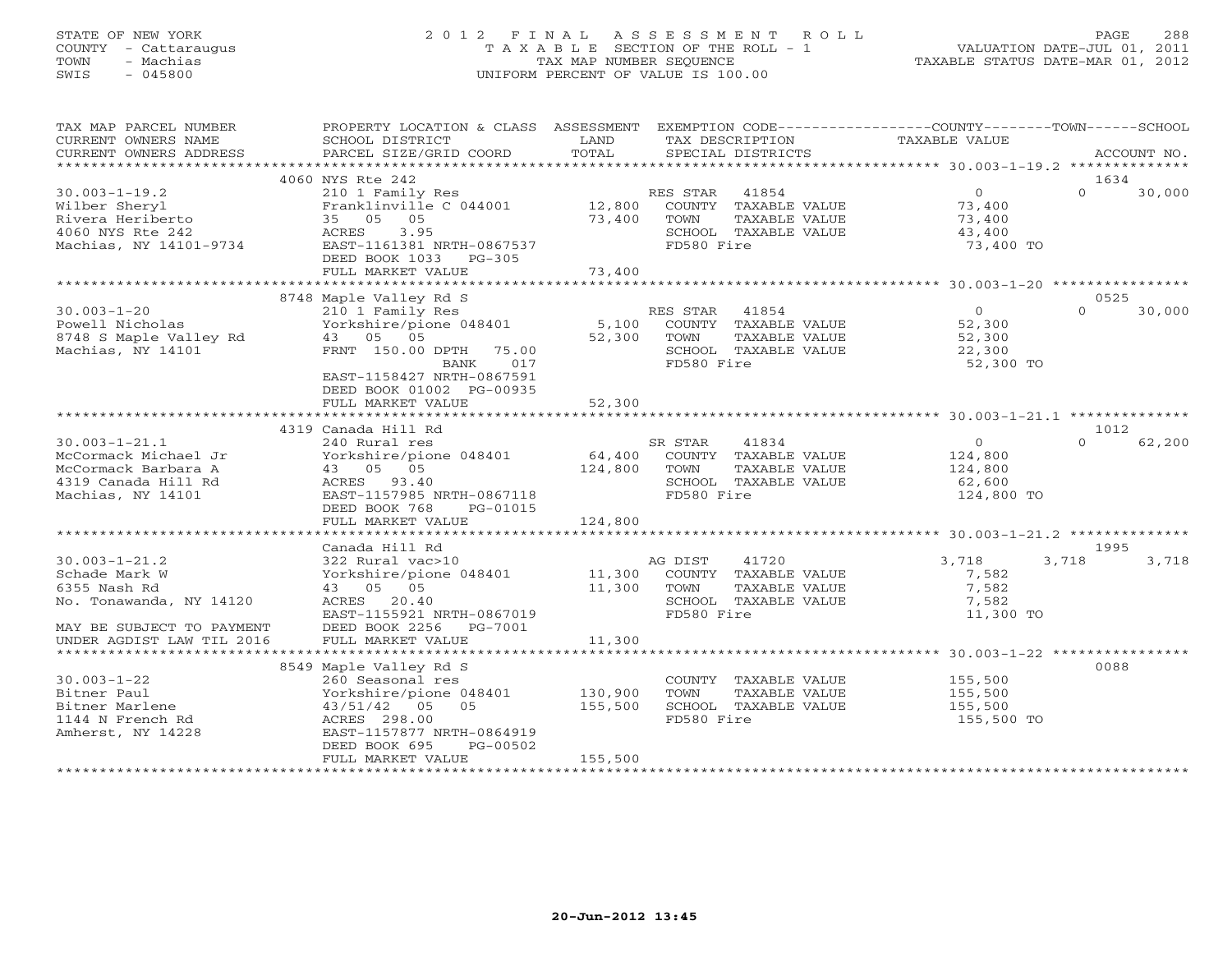#### STATE OF NEW YORK 2 0 1 2 F I N A L A S S E S S M E N T R O L L PAGE 288 COUNTY - Cattaraugus T A X A B L E SECTION OF THE ROLL - 1 VALUATION DATE-JUL 01, 2011 TOWN - Machias TAX MAP NUMBER SEQUENCE TAXABLE STATUS DATE-MAR 01, 2012 SWIS - 045800 UNIFORM PERCENT OF VALUE IS 100.00UNIFORM PERCENT OF VALUE IS 100.00

| TAX MAP PARCEL NUMBER     | PROPERTY LOCATION & CLASS ASSESSMENT EXEMPTION CODE----------------COUNTY-------TOWN------SCHOOL |         |                 |                      |               |          |             |
|---------------------------|--------------------------------------------------------------------------------------------------|---------|-----------------|----------------------|---------------|----------|-------------|
| CURRENT OWNERS NAME       | SCHOOL DISTRICT                                                                                  | LAND    | TAX DESCRIPTION |                      | TAXABLE VALUE |          |             |
| CURRENT OWNERS ADDRESS    | PARCEL SIZE/GRID COORD                                                                           | TOTAL   |                 | SPECIAL DISTRICTS    |               |          | ACCOUNT NO. |
| **********************    |                                                                                                  |         |                 |                      |               |          |             |
|                           | 4060 NYS Rte 242                                                                                 |         |                 |                      |               | 1634     |             |
| $30.003 - 1 - 19.2$       | 210 1 Family Res                                                                                 |         | RES STAR        | 41854                | 0             | $\Omega$ | 30,000      |
| Wilber Sheryl             | Franklinville C 044001                                                                           | 12,800  |                 | COUNTY TAXABLE VALUE | 73,400        |          |             |
| Rivera Heriberto          | 35 05 05                                                                                         | 73,400  | TOWN            | TAXABLE VALUE        | 73,400        |          |             |
| 4060 NYS Rte 242          | ACRES<br>3.95                                                                                    |         |                 | SCHOOL TAXABLE VALUE | 43,400        |          |             |
| Machias, NY 14101-9734    | EAST-1161381 NRTH-0867537                                                                        |         | FD580 Fire      |                      | 73,400 TO     |          |             |
|                           | DEED BOOK 1033<br>$PG-305$                                                                       |         |                 |                      |               |          |             |
|                           | FULL MARKET VALUE                                                                                | 73,400  |                 |                      |               |          |             |
|                           |                                                                                                  |         |                 |                      |               |          |             |
|                           | 8748 Maple Valley Rd S                                                                           |         |                 |                      |               | 0525     |             |
| $30.003 - 1 - 20$         | 210 1 Family Res                                                                                 |         | RES STAR 41854  |                      | $\Omega$      | $\cap$   | 30,000      |
| Powell Nicholas           | Yorkshire/pione 048401                                                                           | 5,100   |                 | COUNTY TAXABLE VALUE | 52,300        |          |             |
| 8748 S Maple Valley Rd    | 43 05 05                                                                                         | 52,300  | TOWN            | TAXABLE VALUE        | 52,300        |          |             |
| Machias, NY 14101         | FRNT 150.00 DPTH<br>75.00                                                                        |         |                 | SCHOOL TAXABLE VALUE | 22,300        |          |             |
|                           | 017<br>BANK                                                                                      |         | FD580 Fire      |                      | 52,300 TO     |          |             |
|                           | EAST-1158427 NRTH-0867591                                                                        |         |                 |                      |               |          |             |
|                           | DEED BOOK 01002 PG-00935                                                                         |         |                 |                      |               |          |             |
|                           | FULL MARKET VALUE                                                                                | 52,300  |                 |                      |               |          |             |
|                           |                                                                                                  |         |                 |                      |               |          |             |
|                           | 4319 Canada Hill Rd                                                                              |         |                 |                      |               | 1012     |             |
| $30.003 - 1 - 21.1$       | 240 Rural res                                                                                    |         | SR STAR         | 41834                | $\Omega$      | $\Omega$ | 62,200      |
| McCormack Michael Jr      | Yorkshire/pione 048401                                                                           | 64,400  |                 | COUNTY TAXABLE VALUE | 124,800       |          |             |
| McCormack Barbara A       | 43 05 05                                                                                         | 124,800 | TOWN            | TAXABLE VALUE        | 124,800       |          |             |
| 4319 Canada Hill Rd       | ACRES 93.40                                                                                      |         |                 | SCHOOL TAXABLE VALUE | 62,600        |          |             |
| Machias, NY 14101         | EAST-1157985 NRTH-0867118                                                                        |         | FD580 Fire      |                      | 124,800 TO    |          |             |
|                           | DEED BOOK 768<br>PG-01015                                                                        |         |                 |                      |               |          |             |
|                           | FULL MARKET VALUE                                                                                | 124,800 |                 |                      |               |          |             |
|                           |                                                                                                  |         |                 |                      |               |          |             |
|                           | Canada Hill Rd                                                                                   |         |                 |                      |               | 1995     |             |
| $30.003 - 1 - 21.2$       | 322 Rural vac>10                                                                                 |         | AG DIST         | 41720                | 3,718         | 3,718    | 3,718       |
| Schade Mark W             | Yorkshire/pione 048401 11,300 COUNTY TAXABLE VALUE                                               |         |                 |                      | 7,582         |          |             |
| 6355 Nash Rd              | 43 05 05                                                                                         | 11,300  | TOWN            | TAXABLE VALUE        | 7,582         |          |             |
| No. Tonawanda, NY 14120   | ACRES 20.40                                                                                      |         |                 | SCHOOL TAXABLE VALUE | 7,582         |          |             |
|                           | EAST-1155921 NRTH-0867019                                                                        |         | FD580 Fire      |                      | 11,300 TO     |          |             |
| MAY BE SUBJECT TO PAYMENT | DEED BOOK 2256 PG-7001                                                                           |         |                 |                      |               |          |             |
| UNDER AGDIST LAW TIL 2016 | FULL MARKET VALUE                                                                                | 11,300  |                 |                      |               |          |             |
|                           |                                                                                                  |         |                 |                      |               |          |             |
|                           | 8549 Maple Valley Rd S                                                                           |         |                 |                      |               | 0088     |             |
| $30.003 - 1 - 22$         | 260 Seasonal res                                                                                 |         |                 | COUNTY TAXABLE VALUE | 155,500       |          |             |
| Bitner Paul               | Yorkshire/pione 048401                                                                           | 130,900 | TOWN            | TAXABLE VALUE        | 155,500       |          |             |
| Bitner Marlene            | 43/51/42 05 05                                                                                   | 155,500 |                 | SCHOOL TAXABLE VALUE | 155,500       |          |             |
| 1144 N French Rd          | ACRES 298.00                                                                                     |         | FD580 Fire      |                      | 155,500 TO    |          |             |
| Amherst, NY 14228         | EAST-1157877 NRTH-0864919                                                                        |         |                 |                      |               |          |             |
|                           | DEED BOOK 695<br>PG-00502                                                                        |         |                 |                      |               |          |             |
|                           | FULL MARKET VALUE                                                                                | 155,500 |                 |                      |               |          |             |
|                           |                                                                                                  |         |                 |                      |               |          |             |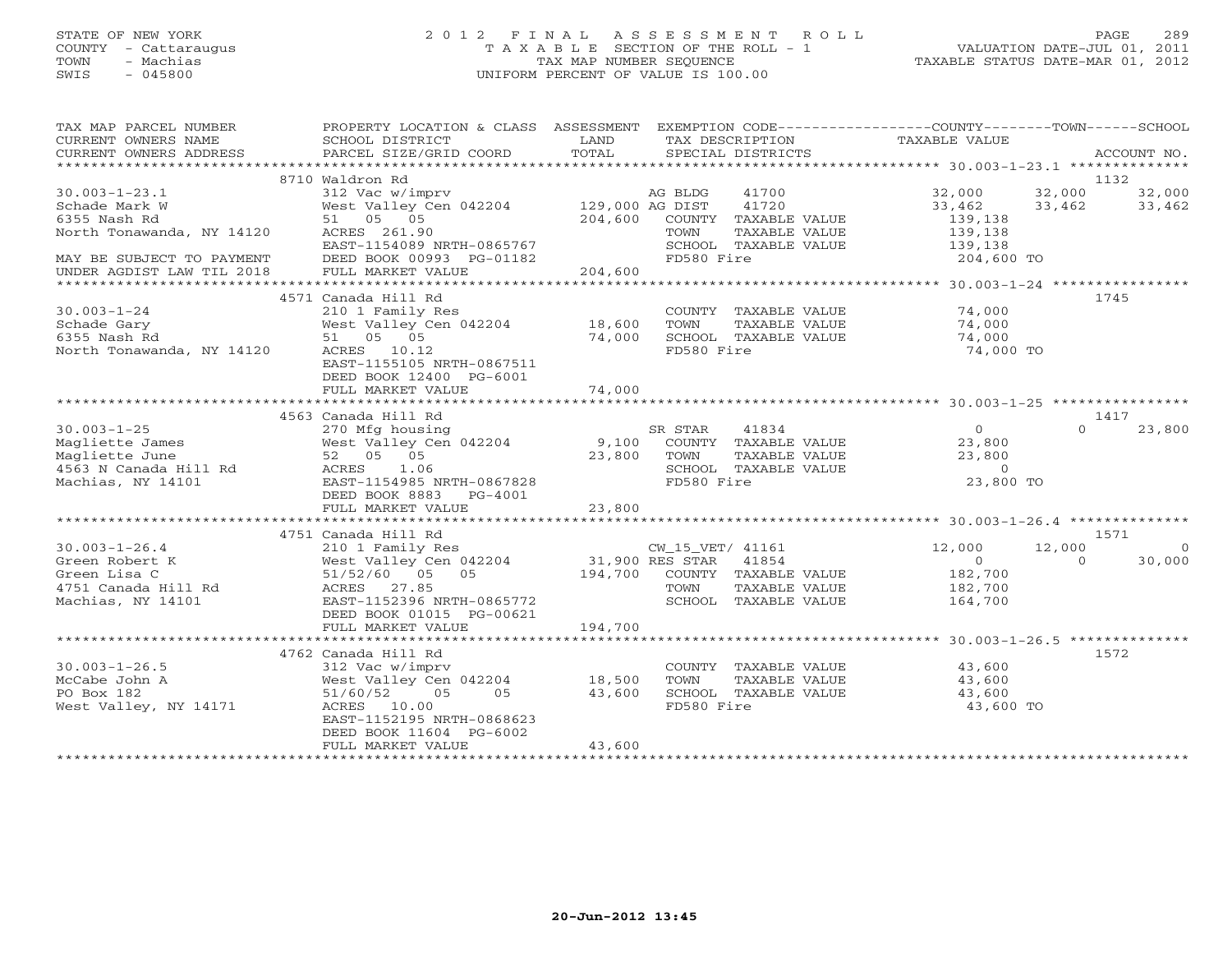# STATE OF NEW YORK 2 0 1 2 F I N A L A S S E S S M E N T R O L L PAGE 289 COUNTY - Cattaraugus T A X A B L E SECTION OF THE ROLL - 1 VALUATION DATE-JUL 01, 2011 TOWN - Machias TAX MAP NUMBER SEQUENCE TAXABLE STATUS DATE-MAR 01, 2012 SWIS - 045800 UNIFORM PERCENT OF VALUE IS 100.00

| TAX MAP PARCEL NUMBER                      | PROPERTY LOCATION & CLASS ASSESSMENT             |                                                 |                  |                                       | EXEMPTION CODE-----------------COUNTY-------TOWN------SCHOOL |          |             |
|--------------------------------------------|--------------------------------------------------|-------------------------------------------------|------------------|---------------------------------------|--------------------------------------------------------------|----------|-------------|
| CURRENT OWNERS NAME                        | SCHOOL DISTRICT                                  | LAND<br>TOTAL                                   | TAX DESCRIPTION  |                                       | TAXABLE VALUE                                                |          |             |
| CURRENT OWNERS ADDRESS                     | PARCEL SIZE/GRID COORD                           |                                                 |                  | SPECIAL DISTRICTS                     |                                                              |          | ACCOUNT NO. |
|                                            | 8710 Waldron Rd                                  |                                                 |                  |                                       |                                                              | 1132     |             |
| $30.003 - 1 - 23.1$                        | 312 Vac w/imprv                                  |                                                 | AG BLDG          | 41700                                 | 32,000                                                       | 32,000   | 32,000      |
| Schade Mark W                              | West Valley Cen 042204 129,000 AG DIST           |                                                 |                  | 41720                                 | 33,462                                                       | 33,462   | 33,462      |
| 6355 Nash Rd                               | 51 05 05                                         |                                                 |                  | 204,600 COUNTY TAXABLE VALUE          | 139,138                                                      |          |             |
| North Tonawanda, NY 14120                  | ACRES 261.90                                     |                                                 | TOWN             | TAXABLE VALUE                         | 139,138                                                      |          |             |
|                                            | EAST-1154089 NRTH-0865767                        |                                                 |                  | SCHOOL TAXABLE VALUE                  | 139,138                                                      |          |             |
| MAY BE SUBJECT TO PAYMENT                  | DEED BOOK 00993 PG-01182                         |                                                 | FD580 Fire       |                                       | 204,600 TO                                                   |          |             |
| UNDER AGDIST LAW TIL 2018                  | FULL MARKET VALUE                                | 204,600                                         |                  |                                       |                                                              |          |             |
|                                            |                                                  |                                                 |                  |                                       |                                                              | 1745     |             |
| $30.003 - 1 - 24$                          | 4571 Canada Hill Rd<br>210 1 Family Res          |                                                 |                  |                                       | COUNTY TAXABLE VALUE 74,000                                  |          |             |
| Schade Gary                                | West Valley Cen 042204 18,600                    |                                                 | TOWN             | TAXABLE VALUE                         | 74,000                                                       |          |             |
| 6355 Nash Rd                               | 51 05 05                                         | 74,000                                          |                  | SCHOOL TAXABLE VALUE                  | 74,000                                                       |          |             |
| North Tonawanda, NY 14120                  | ACRES 10.12                                      |                                                 | FD580 Fire       |                                       | 74,000 TO                                                    |          |             |
|                                            | EAST-1155105 NRTH-0867511                        |                                                 |                  |                                       |                                                              |          |             |
|                                            | DEED BOOK 12400 PG-6001                          |                                                 |                  |                                       |                                                              |          |             |
|                                            | FULL MARKET VALUE                                | 74,000                                          |                  |                                       |                                                              |          |             |
|                                            |                                                  |                                                 |                  |                                       |                                                              |          |             |
|                                            | 4563 Canada Hill Rd                              |                                                 |                  |                                       |                                                              | 1417     |             |
| $30.003 - 1 - 25$                          | 270 Mfg housing                                  |                                                 | SR STAR          | 41834                                 | $\overline{0}$                                               | $\Omega$ | 23,800      |
| Magliette James                            | West Valley Cen 042204                           |                                                 |                  | 9,100 COUNTY TAXABLE VALUE            | 23,800                                                       |          |             |
| Magliette June                             | 52 05 05                                         | 23,800                                          | TOWN             | TAXABLE VALUE                         | 23,800                                                       |          |             |
| 4563 N Canada Hill Rd<br>Machias, NY 14101 | ACRES 1.06                                       |                                                 |                  | SCHOOL TAXABLE VALUE                  | $\overline{0}$                                               |          |             |
|                                            | EAST-1154985 NRTH-0867828                        |                                                 | FD580 Fire       |                                       | 23,800 TO                                                    |          |             |
|                                            | DEED BOOK 8883 PG-4001<br>FULL MARKET VALUE      | 23,800                                          |                  |                                       |                                                              |          |             |
|                                            |                                                  |                                                 |                  |                                       |                                                              |          |             |
|                                            | 4751 Canada Hill Rd                              |                                                 |                  |                                       |                                                              | 1571     |             |
| $30.003 - 1 - 26.4$                        | 210 1 Family Res                                 |                                                 | CW 15 VET/ 41161 |                                       | 12,000                                                       | 12,000   | $\circ$     |
| Green Robert K                             | West Valley Cen 042204                           | CW_15_VET/ 41161<br>42204 31,900 RES STAR 41854 |                  |                                       | $\Omega$                                                     | $\Omega$ | 30,000      |
| Green Lisa C                               | 51/52/60 05 05                                   |                                                 |                  | 194,700 COUNTY TAXABLE VALUE          | 182,700                                                      |          |             |
| 4751 Canada Hill Rd                        | ACRES 27.85                                      |                                                 | TOWN             | TAXABLE VALUE                         | 182,700                                                      |          |             |
| Machias, NY 14101                          | EAST-1152396 NRTH-0865772                        |                                                 |                  | SCHOOL TAXABLE VALUE                  | 164,700                                                      |          |             |
|                                            | DEED BOOK 01015 PG-00621                         |                                                 |                  |                                       |                                                              |          |             |
|                                            | FULL MARKET VALUE                                | 194,700                                         |                  |                                       |                                                              |          |             |
|                                            |                                                  |                                                 |                  |                                       |                                                              |          |             |
| $30.003 - 1 - 26.5$                        | 4762 Canada Hill Rd                              |                                                 |                  |                                       |                                                              | 1572     |             |
| McCabe John A                              | 312 Vac w/imprv<br>West Valley Cen 042204 18,500 |                                                 | TOWN             | COUNTY TAXABLE VALUE<br>TAXABLE VALUE | 43,600<br>43,600                                             |          |             |
| PO Box 182                                 | 51/60/52<br>05<br>0.5                            | 43,600                                          |                  | SCHOOL TAXABLE VALUE                  | 43,600                                                       |          |             |
| West Valley, NY 14171                      | ACRES 10.00                                      |                                                 | FD580 Fire       |                                       | 43,600 TO                                                    |          |             |
|                                            | EAST-1152195 NRTH-0868623                        |                                                 |                  |                                       |                                                              |          |             |
|                                            | DEED BOOK 11604 PG-6002                          |                                                 |                  |                                       |                                                              |          |             |
|                                            | FULL MARKET VALUE                                | 43,600                                          |                  |                                       |                                                              |          |             |
|                                            |                                                  |                                                 |                  |                                       |                                                              |          |             |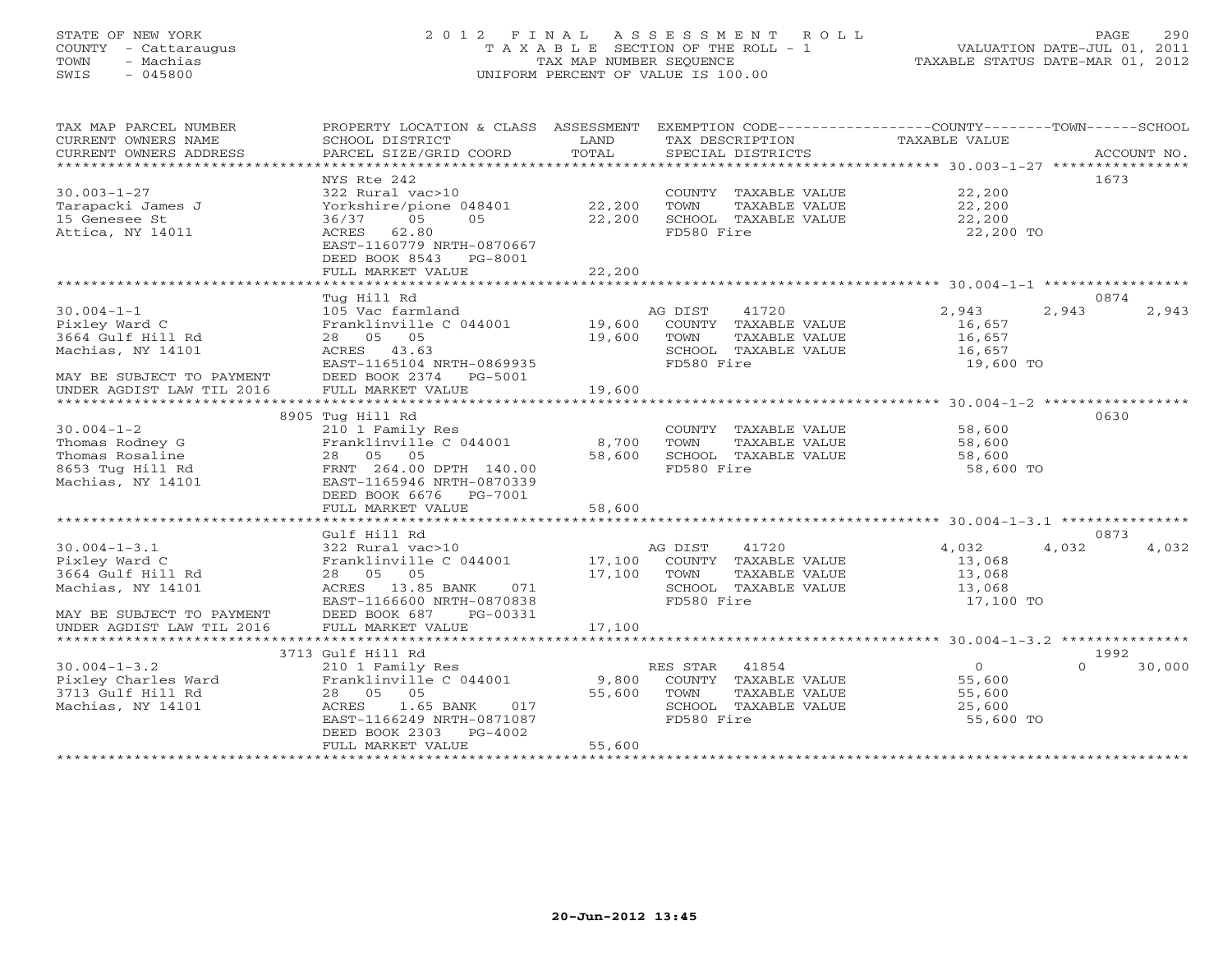# STATE OF NEW YORK 2 0 1 2 F I N A L A S S E S S M E N T R O L L PAGE 290 COUNTY - Cattaraugus T A X A B L E SECTION OF THE ROLL - 1 VALUATION DATE-JUL 01, 2011 TOWN - Machias TAX MAP NUMBER SEQUENCE TAXABLE STATUS DATE-MAR 01, 2012 SWIS - 045800 UNIFORM PERCENT OF VALUE IS 100.00UNIFORM PERCENT OF VALUE IS 100.00

| TAX MAP PARCEL NUMBER<br>CURRENT OWNERS NAME<br>CURRENT OWNERS ADDRESS | PROPERTY LOCATION & CLASS ASSESSMENT<br>SCHOOL DISTRICT<br>PARCEL SIZE/GRID COORD | LAND<br>TOTAL | EXEMPTION CODE----------------COUNTY-------TOWN------SCHOOL<br>TAX DESCRIPTION<br>SPECIAL DISTRICTS | TAXABLE VALUE  | ACCOUNT NO.        |
|------------------------------------------------------------------------|-----------------------------------------------------------------------------------|---------------|-----------------------------------------------------------------------------------------------------|----------------|--------------------|
|                                                                        |                                                                                   |               |                                                                                                     |                |                    |
|                                                                        | NYS Rte 242                                                                       |               |                                                                                                     |                | 1673               |
| $30.003 - 1 - 27$                                                      | 322 Rural vac>10                                                                  |               | COUNTY TAXABLE VALUE 22,200                                                                         |                |                    |
| Tarapacki James J                                                      | Yorkshire/pione 048401 22,200                                                     |               | TOWN<br>TAXABLE VALUE                                                                               | 22,200         |                    |
| 15 Genesee St                                                          | 05<br>05<br>36/37                                                                 | 22,200        | SCHOOL TAXABLE VALUE                                                                                | 22,200         |                    |
| Attica, NY 14011                                                       | ACRES 62.80                                                                       |               | FD580 Fire                                                                                          | 22,200 TO      |                    |
|                                                                        | EAST-1160779 NRTH-0870667                                                         |               |                                                                                                     |                |                    |
|                                                                        | DEED BOOK 8543 PG-8001                                                            |               |                                                                                                     |                |                    |
|                                                                        | FULL MARKET VALUE                                                                 | 22,200        |                                                                                                     |                |                    |
|                                                                        |                                                                                   |               |                                                                                                     |                |                    |
|                                                                        | Tug Hill Rd                                                                       |               |                                                                                                     |                | 0874               |
| $30.004 - 1 - 1$                                                       | 105 Vac farmland                                                                  |               | AG DIST<br>41720                                                                                    | 2,943          | 2,943<br>2,943     |
| Pixley Ward C                                                          | Franklinville C 044001 19,600                                                     |               | COUNTY TAXABLE VALUE                                                                                | 16,657         |                    |
| 3664 Gulf Hill Rd                                                      | 28 05 05                                                                          | 19,600        | TOWN<br>TAXABLE VALUE                                                                               | 16,657         |                    |
| Machias, NY 14101                                                      | ACRES 43.63                                                                       |               | SCHOOL TAXABLE VALUE                                                                                | 16,657         |                    |
|                                                                        | EAST-1165104 NRTH-0869935                                                         |               | FD580 Fire                                                                                          | 19,600 TO      |                    |
| MAY BE SUBJECT TO PAYMENT                                              | DEED BOOK 2374 PG-5001                                                            |               |                                                                                                     |                |                    |
| UNDER AGDIST LAW TIL 2016                                              | FULL MARKET VALUE                                                                 | 19,600        |                                                                                                     |                |                    |
|                                                                        |                                                                                   |               |                                                                                                     |                |                    |
|                                                                        | 8905 Tug Hill Rd                                                                  |               |                                                                                                     |                | 0630               |
| $30.004 - 1 - 2$                                                       | 210 1 Family Res                                                                  |               | COUNTY TAXABLE VALUE                                                                                | 58,600         |                    |
| Thomas Rodney G                                                        | Franklinville C 044001                                                            | 8,700         | TOWN<br>TAXABLE VALUE                                                                               | 58,600         |                    |
| Thomas Rosaline                                                        | 28 05 05                                                                          | 58,600        | SCHOOL TAXABLE VALUE                                                                                | 58,600         |                    |
| 8653 Tug Hill Rd                                                       | FRNT 264.00 DPTH 140.00                                                           |               | FD580 Fire                                                                                          | 58,600 TO      |                    |
| Machias, NY 14101                                                      | EAST-1165946 NRTH-0870339                                                         |               |                                                                                                     |                |                    |
|                                                                        | DEED BOOK 6676 PG-7001                                                            |               |                                                                                                     |                |                    |
|                                                                        | FULL MARKET VALUE                                                                 | 58,600        |                                                                                                     |                |                    |
|                                                                        |                                                                                   |               |                                                                                                     |                |                    |
|                                                                        | Gulf Hill Rd                                                                      |               |                                                                                                     |                | 0873               |
| $30.004 - 1 - 3.1$                                                     | 322 Rural vac>10                                                                  |               | AG DIST<br>41720                                                                                    | 4,032          | 4,032<br>4,032     |
| Pixley Ward C                                                          | Franklinville C 044001                                                            | 17,100        | COUNTY TAXABLE VALUE                                                                                | 13,068         |                    |
| 3664 Gulf Hill Rd                                                      | 28 05 05                                                                          |               | TOWN<br>TAXABLE VALUE                                                                               | 13,068         |                    |
| Machias, NY 14101                                                      | ACRES 13.85 BANK<br>071                                                           | 17,100        | SCHOOL TAXABLE VALUE                                                                                | 13,068         |                    |
|                                                                        | EAST-1166600 NRTH-0870838                                                         |               | FD580 Fire                                                                                          | 17,100 TO      |                    |
| MAY BE SUBJECT TO PAYMENT                                              | PG-00331<br>DEED BOOK 687                                                         |               |                                                                                                     |                |                    |
| UNDER AGDIST LAW TIL 2016                                              |                                                                                   |               |                                                                                                     |                |                    |
|                                                                        |                                                                                   |               |                                                                                                     |                |                    |
|                                                                        | 3713 Gulf Hill Rd                                                                 |               |                                                                                                     |                | 1992               |
| $30.004 - 1 - 3.2$                                                     | 210 1 Family Res                                                                  |               | RES STAR 41854                                                                                      | $\overline{0}$ | $\Omega$<br>30,000 |
|                                                                        | Franklinville C 044001 9,800                                                      |               | COUNTY TAXABLE VALUE                                                                                | 55,600         |                    |
| Pixley Charles Ward<br>3713 Gulf Hill Rd                               | 28 05 05                                                                          | 55,600        | TOWN<br>TAXABLE VALUE                                                                               | 55,600         |                    |
| Machias, NY 14101                                                      | 1.65 BANK<br>017<br>ACRES                                                         |               | SCHOOL TAXABLE VALUE                                                                                | 25,600         |                    |
|                                                                        | EAST-1166249 NRTH-0871087                                                         |               | FD580 Fire                                                                                          | 55,600 TO      |                    |
|                                                                        | DEED BOOK 2303 PG-4002                                                            |               |                                                                                                     |                |                    |
|                                                                        | FULL MARKET VALUE                                                                 | 55,600        |                                                                                                     |                |                    |
|                                                                        |                                                                                   |               |                                                                                                     |                |                    |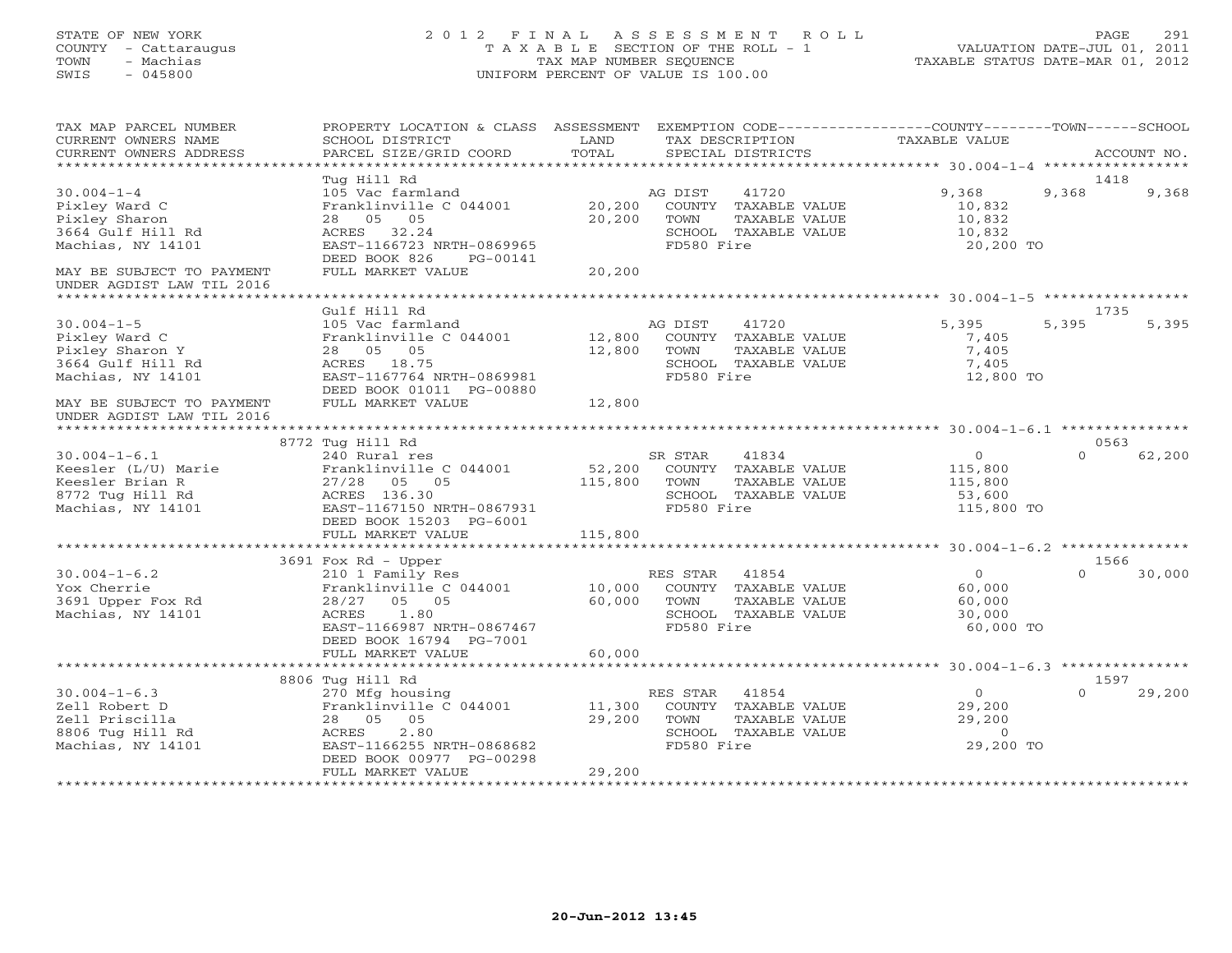#### STATE OF NEW YORK 2 0 1 2 F I N A L A S S E S S M E N T R O L L PAGE 291 COUNTY - Cattaraugus T A X A B L E SECTION OF THE ROLL - 1 VALUATION DATE-JUL 01, 2011 TOWN - Machias TAX MAP NUMBER SEQUENCE TAXABLE STATUS DATE-MAR 01, 2012 SWIS - 045800 UNIFORM PERCENT OF VALUE IS 100.00UNIFORM PERCENT OF VALUE IS 100.00

| TAX MAP PARCEL NUMBER<br>CURRENT OWNERS NAME<br>CURRENT OWNERS ADDRESS                                | PROPERTY LOCATION & CLASS ASSESSMENT<br>SCHOOL DISTRICT<br>PARCEL SIZE/GRID COORD                                                                            | LAND<br>TOTAL         |                                | TAX DESCRIPTION<br>SPECIAL DISTRICTS                                   | EXEMPTION CODE-----------------COUNTY-------TOWN------SCHOOL<br>TAXABLE VALUE |          | ACCOUNT NO.       |
|-------------------------------------------------------------------------------------------------------|--------------------------------------------------------------------------------------------------------------------------------------------------------------|-----------------------|--------------------------------|------------------------------------------------------------------------|-------------------------------------------------------------------------------|----------|-------------------|
| ************************                                                                              |                                                                                                                                                              |                       |                                |                                                                        |                                                                               |          | ***************** |
| $30.004 - 1 - 4$<br>Pixley Ward C<br>Pixley Sharon<br>3664 Gulf Hill Rd<br>Machias, NY 14101          | Tug Hill Rd<br>105 Vac farmland<br>Franklinville C 044001<br>28  05  05<br>ACRES 32.24<br>EAST-1166723 NRTH-0869965<br>DEED BOOK 826<br>PG-00141             | 20,200<br>20,200      | AG DIST<br>TOWN<br>FD580 Fire  | 41720<br>COUNTY TAXABLE VALUE<br>TAXABLE VALUE<br>SCHOOL TAXABLE VALUE | 9,368<br>10,832<br>10,832<br>10,832<br>20,200 TO                              | 9,368    | 1418<br>9,368     |
| MAY BE SUBJECT TO PAYMENT<br>UNDER AGDIST LAW TIL 2016                                                | FULL MARKET VALUE                                                                                                                                            | 20,200                |                                |                                                                        |                                                                               |          |                   |
|                                                                                                       | Gulf Hill Rd                                                                                                                                                 |                       |                                |                                                                        |                                                                               |          | 1735              |
| $30.004 - 1 - 5$<br>Pixley Ward C<br>Pixley Sharon Y<br>3664 Gulf Hill Rd<br>Machias, NY 14101        | 105 Vac farmland<br>Franklinville C 044001<br>28 05 05<br>ACRES 18.75<br>EAST-1167764 NRTH-0869981<br>DEED BOOK 01011 PG-00880                               | 12,800<br>12,800      | AG DIST<br>TOWN<br>FD580 Fire  | 41720<br>COUNTY TAXABLE VALUE<br>TAXABLE VALUE<br>SCHOOL TAXABLE VALUE | 5,395<br>7,405<br>7,405<br>7,405<br>12,800 TO                                 | 5,395    | 5,395             |
| MAY BE SUBJECT TO PAYMENT<br>UNDER AGDIST LAW TIL 2016                                                | FULL MARKET VALUE                                                                                                                                            | 12,800                |                                |                                                                        |                                                                               |          |                   |
|                                                                                                       | 8772 Tug Hill Rd                                                                                                                                             |                       |                                |                                                                        |                                                                               |          | 0563              |
| $30.004 - 1 - 6.1$<br>Keesler (L/U) Marie<br>Keesler Brian R<br>8772 Tug Hill Rd<br>Machias, NY 14101 | 240 Rural res<br>Franklinville C 044001<br>27/28 05 05<br>ACRES 136.30<br>EAST-1167150 NRTH-0867931<br>DEED BOOK 15203 PG-6001                               | 52,200<br>115,800     | SR STAR<br>TOWN<br>FD580 Fire  | 41834<br>COUNTY TAXABLE VALUE<br>TAXABLE VALUE<br>SCHOOL TAXABLE VALUE | $\circ$<br>115,800<br>115,800<br>53,600<br>115,800 TO                         | $\cap$   | 62,200            |
|                                                                                                       | FULL MARKET VALUE                                                                                                                                            | 115,800               |                                |                                                                        |                                                                               |          |                   |
|                                                                                                       | ************************                                                                                                                                     |                       |                                |                                                                        |                                                                               |          |                   |
| $30.004 - 1 - 6.2$<br>Yox Cherrie<br>3691 Upper Fox Rd<br>Machias, NY 14101                           | 3691 Fox Rd - Upper<br>210 1 Family Res<br>Franklinville C 044001<br>05 05<br>28/27<br>ACRES<br>1.80<br>EAST-1166987 NRTH-0867467<br>DEED BOOK 16794 PG-7001 | 10,000<br>60,000      | RES STAR<br>TOWN<br>FD580 Fire | 41854<br>COUNTY TAXABLE VALUE<br>TAXABLE VALUE<br>SCHOOL TAXABLE VALUE | $\Omega$<br>60,000<br>60,000<br>30,000<br>60,000 TO                           | $\cap$   | 1566<br>30,000    |
|                                                                                                       | FULL MARKET VALUE                                                                                                                                            | 60,000<br>*********** |                                |                                                                        | ********************* 30.004-1-6.3 ****************                           |          |                   |
|                                                                                                       | 8806 Tug Hill Rd                                                                                                                                             |                       |                                |                                                                        |                                                                               |          | 1597              |
| $30.004 - 1 - 6.3$<br>Zell Robert D<br>Zell Priscilla<br>8806 Tug Hill Rd<br>Machias, NY 14101        | 270 Mfg housing<br>Franklinville C 044001<br>28 05 05<br>ACRES<br>2.80<br>EAST-1166255 NRTH-0868682<br>DEED BOOK 00977 PG-00298                              | 11,300<br>29,200      | RES STAR<br>TOWN<br>FD580 Fire | 41854<br>COUNTY TAXABLE VALUE<br>TAXABLE VALUE<br>SCHOOL TAXABLE VALUE | $\circ$<br>29,200<br>29,200<br>$\circ$<br>29,200 TO                           | $\Omega$ | 29,200            |
|                                                                                                       | FULL MARKET VALUE                                                                                                                                            | 29,200                |                                |                                                                        |                                                                               |          |                   |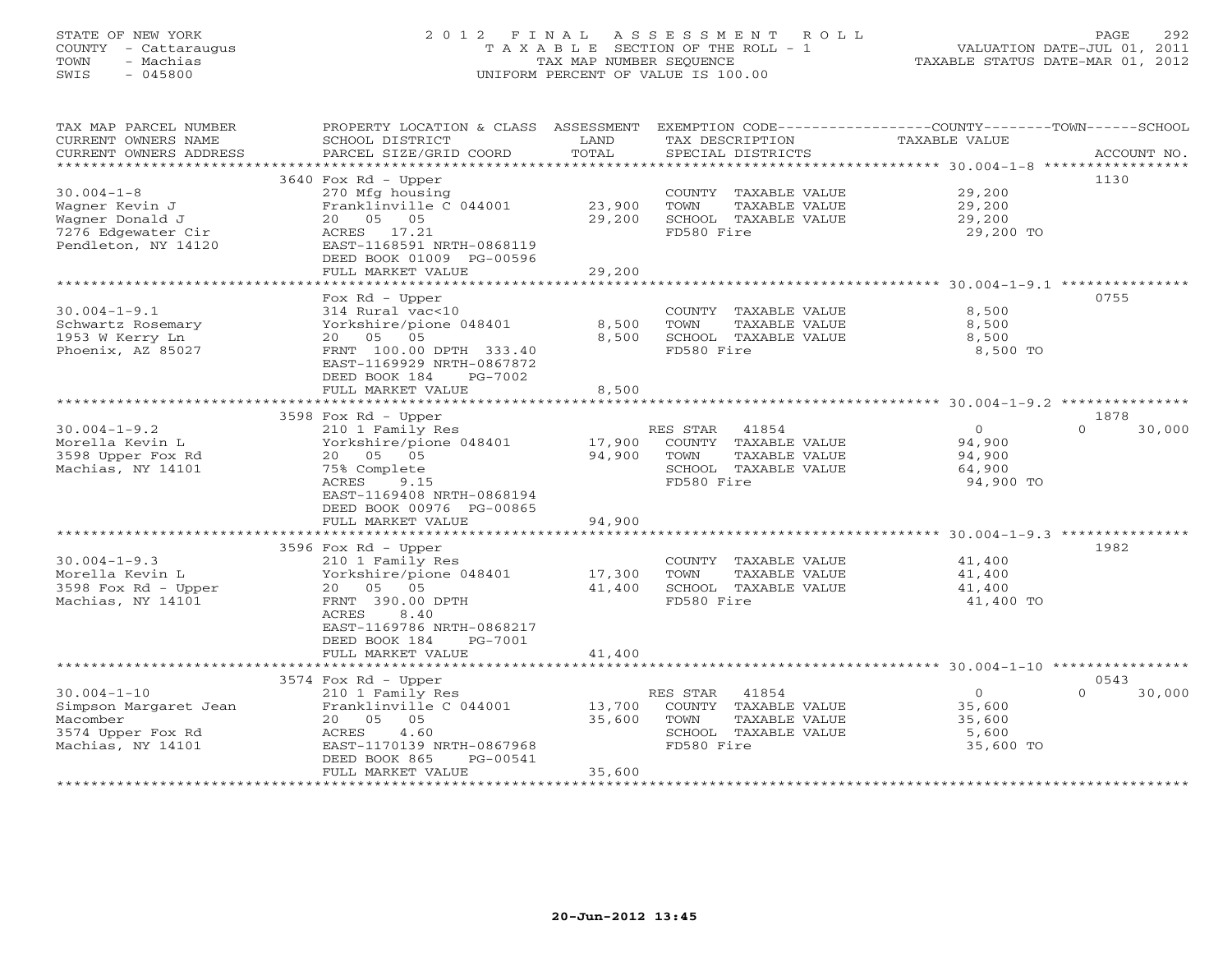# STATE OF NEW YORK 2 0 1 2 F I N A L A S S E S S M E N T R O L L PAGE 292 COUNTY - Cattaraugus T A X A B L E SECTION OF THE ROLL - 1 VALUATION DATE-JUL 01, 2011 TOWN - Machias TAX MAP NUMBER SEQUENCE TAXABLE STATUS DATE-MAR 01, 2012 SWIS - 045800 UNIFORM PERCENT OF VALUE IS 100.00UNIFORM PERCENT OF VALUE IS 100.00

| TAX MAP PARCEL NUMBER<br>CURRENT OWNERS NAME | PROPERTY LOCATION & CLASS ASSESSMENT<br>SCHOOL DISTRICT | LAND                | EXEMPTION CODE-----------------COUNTY-------TOWN------SCHOOL<br>TAX DESCRIPTION | TAXABLE VALUE                                                |                    |
|----------------------------------------------|---------------------------------------------------------|---------------------|---------------------------------------------------------------------------------|--------------------------------------------------------------|--------------------|
| CURRENT OWNERS ADDRESS                       | PARCEL SIZE/GRID COORD                                  | TOTAL               | SPECIAL DISTRICTS                                                               |                                                              | ACCOUNT NO.        |
|                                              |                                                         |                     |                                                                                 |                                                              |                    |
|                                              | 3640 Fox Rd - Upper                                     |                     |                                                                                 |                                                              | 1130               |
| $30.004 - 1 - 8$                             | 270 Mfg housing                                         |                     | COUNTY TAXABLE VALUE                                                            | 29,200                                                       |                    |
| Wagner Kevin J                               | Franklinville C 044001                                  | 23,900              | TOWN<br>TAXABLE VALUE                                                           | 29,200                                                       |                    |
| Wagner Donald J                              | 20  05  05                                              | 29,200              | SCHOOL TAXABLE VALUE                                                            | 29,200                                                       |                    |
| 7276 Edgewater Cir                           | ACRES 17.21<br>EAST-1168591 NRTH-0868119                |                     | FD580 Fire                                                                      | 29,200 TO                                                    |                    |
| Pendleton, NY 14120                          | DEED BOOK 01009 PG-00596                                |                     |                                                                                 |                                                              |                    |
|                                              | FULL MARKET VALUE                                       | 29,200              |                                                                                 |                                                              |                    |
|                                              | *******************************                         | ******************* |                                                                                 |                                                              |                    |
|                                              | Fox Rd - Upper                                          |                     |                                                                                 |                                                              | 0755               |
| $30.004 - 1 - 9.1$                           | 314 Rural vac<10                                        |                     | COUNTY TAXABLE VALUE                                                            | 8,500                                                        |                    |
| Schwartz Rosemary                            | Yorkshire/pione 048401                                  | 8,500               | TOWN<br>TAXABLE VALUE                                                           | 8,500                                                        |                    |
| 1953 W Kerry Ln                              | 20 05 05                                                | 8,500               | SCHOOL TAXABLE VALUE                                                            | 8,500                                                        |                    |
| Phoenix, AZ 85027                            | FRNT 100.00 DPTH 333.40                                 |                     | FD580 Fire                                                                      | 8,500 TO                                                     |                    |
|                                              | EAST-1169929 NRTH-0867872                               |                     |                                                                                 |                                                              |                    |
|                                              | DEED BOOK 184<br>PG-7002                                |                     |                                                                                 |                                                              |                    |
|                                              | FULL MARKET VALUE                                       | 8,500               |                                                                                 |                                                              |                    |
|                                              |                                                         |                     |                                                                                 |                                                              |                    |
|                                              | 3598 Fox Rd - Upper                                     |                     |                                                                                 |                                                              | 1878               |
| $30.004 - 1 - 9.2$                           | 210 1 Family Res                                        |                     | RES STAR<br>41854                                                               | $\overline{0}$                                               | $\Omega$<br>30,000 |
| Morella Kevin L                              | Yorkshire/pione 048401                                  | 17,900              | COUNTY TAXABLE VALUE                                                            | 94,900                                                       |                    |
| 3598 Upper Fox Rd                            | 20  05  05                                              | 94,900              | TAXABLE VALUE<br>TOWN                                                           | 94,900                                                       |                    |
| Machias, NY 14101                            | 75% Complete                                            |                     | SCHOOL TAXABLE VALUE                                                            | 64,900                                                       |                    |
|                                              | ACRES<br>9.15                                           |                     | FD580 Fire                                                                      | 94,900 TO                                                    |                    |
|                                              | EAST-1169408 NRTH-0868194                               |                     |                                                                                 |                                                              |                    |
|                                              | DEED BOOK 00976 PG-00865                                |                     |                                                                                 |                                                              |                    |
|                                              | FULL MARKET VALUE                                       | 94,900              |                                                                                 |                                                              |                    |
|                                              | 3596 Fox Rd - Upper                                     |                     |                                                                                 |                                                              | 1982               |
| $30.004 - 1 - 9.3$                           | 210 1 Family Res                                        |                     | COUNTY TAXABLE VALUE                                                            | 41,400                                                       |                    |
| Morella Kevin L                              | Yorkshire/pione 048401                                  | 17,300              | TOWN<br>TAXABLE VALUE                                                           | 41,400                                                       |                    |
| 3598 Fox Rd - Upper                          | 20 05 05                                                | 41,400              | SCHOOL TAXABLE VALUE                                                            | 41,400                                                       |                    |
| Machias, NY 14101                            | FRNT 390.00 DPTH                                        |                     | FD580 Fire                                                                      | 41,400 TO                                                    |                    |
|                                              | ACRES<br>8.40                                           |                     |                                                                                 |                                                              |                    |
|                                              | EAST-1169786 NRTH-0868217                               |                     |                                                                                 |                                                              |                    |
|                                              | DEED BOOK 184<br>PG-7001                                |                     |                                                                                 |                                                              |                    |
|                                              | FULL MARKET VALUE                                       | 41,400              |                                                                                 |                                                              |                    |
|                                              | * * * * * * * * * * * * * * * * * * * *                 | ***********         |                                                                                 | ******************************* 30.004-1-10 **************** |                    |
|                                              | 3574 Fox Rd - Upper                                     |                     |                                                                                 |                                                              | 0543               |
| $30.004 - 1 - 10$                            | 210 1 Family Res                                        |                     | RES STAR<br>41854                                                               | $\overline{0}$                                               | 30,000<br>$\Omega$ |
| Simpson Margaret Jean                        | Franklinville C 044001                                  | 13,700              | COUNTY TAXABLE VALUE                                                            | 35,600                                                       |                    |
| Macomber                                     | 20 05<br>05                                             | 35,600              | TOWN<br>TAXABLE VALUE                                                           | 35,600                                                       |                    |
| 3574 Upper Fox Rd                            | ACRES<br>4.60                                           |                     | SCHOOL TAXABLE VALUE                                                            | 5,600                                                        |                    |
| Machias, NY 14101                            | EAST-1170139 NRTH-0867968                               |                     | FD580 Fire                                                                      | 35,600 TO                                                    |                    |
|                                              | DEED BOOK 865<br>PG-00541<br>FULL MARKET VALUE          | 35,600              |                                                                                 |                                                              |                    |
|                                              |                                                         |                     |                                                                                 |                                                              |                    |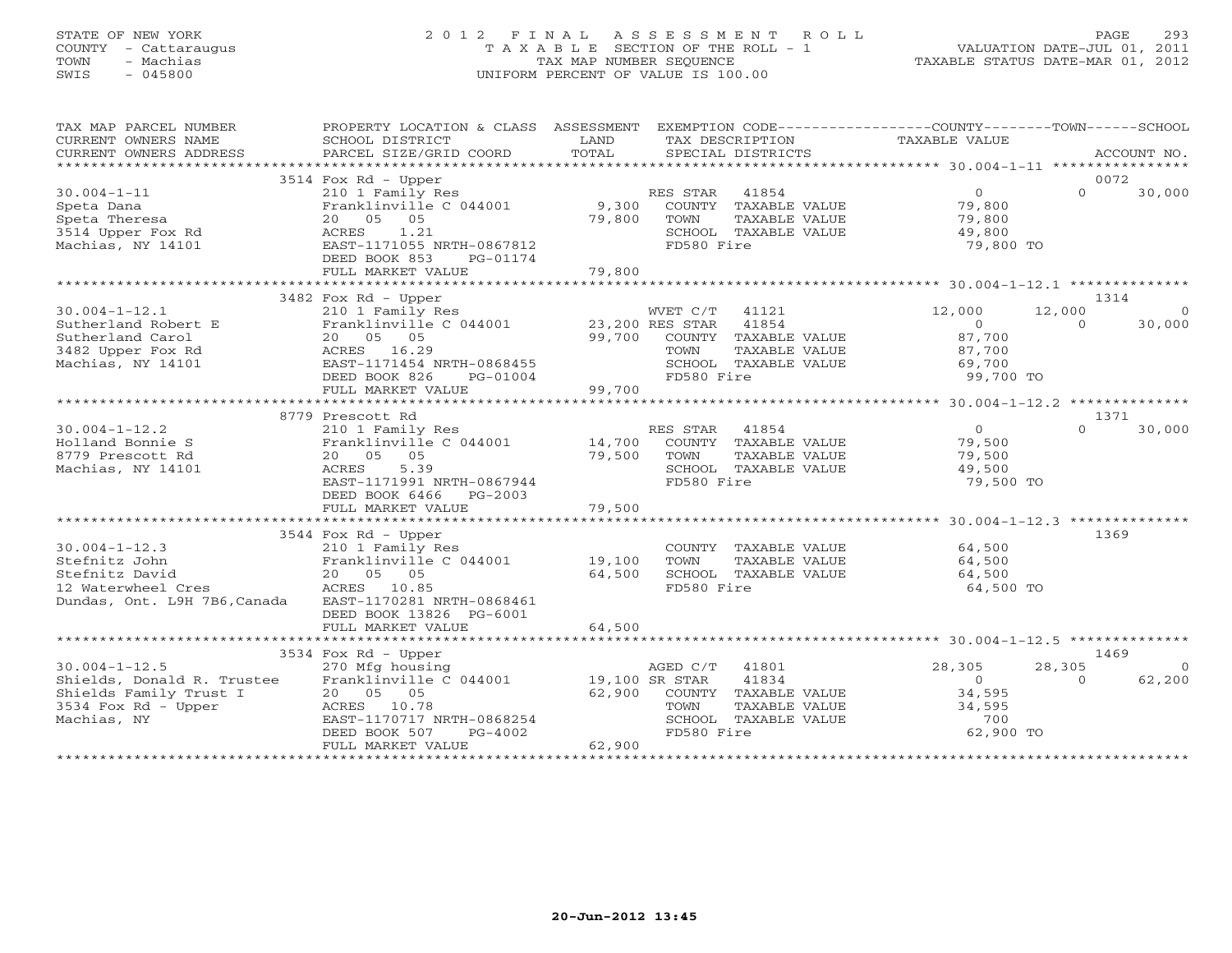# STATE OF NEW YORK 2 0 1 2 F I N A L A S S E S S M E N T R O L L PAGE 293 COUNTY - Cattaraugus T A X A B L E SECTION OF THE ROLL - 1 VALUATION DATE-JUL 01, 2011 TOWN - Machias TAX MAP NUMBER SEQUENCE TAXABLE STATUS DATE-MAR 01, 2012 SWIS - 045800 UNIFORM PERCENT OF VALUE IS 100.00UNIFORM PERCENT OF VALUE IS 100.00

| TAX MAP PARCEL NUMBER                                                | PROPERTY LOCATION & CLASS ASSESSMENT EXEMPTION CODE----------------COUNTY-------TOWN------SCHOOL |        |                                               |                  |          |                |
|----------------------------------------------------------------------|--------------------------------------------------------------------------------------------------|--------|-----------------------------------------------|------------------|----------|----------------|
| CURRENT OWNERS NAME<br>CURRENT OWNERS ADDRESS                        | SCHOOL DISTRICT                                                                                  | LAND   | TAX DESCRIPTION                               | TAXABLE VALUE    |          |                |
|                                                                      |                                                                                                  |        |                                               |                  |          |                |
|                                                                      | $3514$ Fox Rd - Upper                                                                            |        |                                               |                  | 0072     |                |
| $30.004 - 1 - 11$                                                    | 210 1 Family Res                                                                                 |        | RES STAR 41854                                | $\overline{0}$   | $\Omega$ | 30,000         |
| Speta Dana                                                           | Franklinville C 044001                                                                           |        | 9,300 COUNTY TAXABLE VALUE                    | 79,800<br>79,800 |          |                |
| Speta Theresa                                                        | 20  05  05                                                                                       | 79,800 | TOWN<br>TAXABLE VALUE                         |                  |          |                |
| 3514 Upper Fox Rd                                                    | 1.21<br>ACRES                                                                                    |        | SCHOOL TAXABLE VALUE                          | 49,800           |          |                |
| Machias, NY 14101                                                    | EAST-1171055 NRTH-0867812                                                                        |        | FD580 Fire                                    | 79,800 TO        |          |                |
|                                                                      | DEED BOOK 853<br>PG-01174                                                                        |        |                                               |                  |          |                |
|                                                                      | FULL MARKET VALUE                                                                                | 79,800 |                                               |                  |          |                |
|                                                                      | 3482 Fox Rd - Upper                                                                              |        |                                               |                  | 1314     |                |
| $30.004 - 1 - 12.1$                                                  | 210 1 Family Res                                                                                 |        | WVET C/T 41121                                | 12,000           | 12,000   |                |
| Sutherland Robert E                                                  |                                                                                                  |        |                                               | $\overline{0}$   | $\Omega$ | 30,000         |
| Sutherland Carol                                                     | Franklinville C 044001 23,200 RES STAR 41854<br>20 05 05 05 99,700 COUNTY TAXABLE VALUE          |        |                                               | 87,700           |          |                |
| 3482 Upper Fox Rd                                                    | ACRES 16.29<br>EAST-1171454                                                                      |        | TAXABLE VALUE<br>TOWN                         | 87,700           |          |                |
| Machias, NY 14101                                                    | EAST-1171454 NRTH-0868455                                                                        |        | SCHOOL TAXABLE VALUE                          | 69,700           |          |                |
|                                                                      | DEED BOOK 826<br>PG-01004                                                                        | 99,700 | FD580 Fire                                    | 99,700 TO        |          |                |
|                                                                      | FULL MARKET VALUE                                                                                |        |                                               |                  |          |                |
|                                                                      |                                                                                                  |        |                                               |                  |          |                |
|                                                                      | 8779 Prescott Rd                                                                                 |        |                                               |                  | 1371     |                |
| $30.004 - 1 - 12.2$                                                  | 210 1 Family Res<br>Franklinville C 044001 14,700                                                |        | RES STAR 41854                                | 0<br>79,500      | $\Omega$ | 30,000         |
| Holland Bonnie S<br>8779 Prescott Rd                                 | 20  05  05                                                                                       | 79,500 | COUNTY TAXABLE VALUE<br>TAXABLE VALUE<br>TOWN | 79,500           |          |                |
| Machias, NY 14101                                                    | ACRES<br>5.39                                                                                    |        | SCHOOL TAXABLE VALUE                          | 49,500           |          |                |
|                                                                      | EAST-1171991 NRTH-0867944                                                                        |        | FD580 Fire                                    | 79,500 TO        |          |                |
|                                                                      | DEED BOOK 6466<br>PG-2003                                                                        |        |                                               |                  |          |                |
|                                                                      | FULL MARKET VALUE                                                                                | 79,500 |                                               |                  |          |                |
|                                                                      |                                                                                                  |        |                                               |                  |          |                |
|                                                                      | 3544 Fox Rd - Upper                                                                              |        |                                               |                  | 1369     |                |
| $30.004 - 1 - 12.3$                                                  | 210 1 Family Res                                                                                 |        | COUNTY TAXABLE VALUE                          | 64,500           |          |                |
|                                                                      |                                                                                                  |        | TOWN<br>TAXABLE VALUE                         | 64,500           |          |                |
|                                                                      |                                                                                                  |        | SCHOOL TAXABLE VALUE                          | 64,500           |          |                |
| Dundas, Ont. L9H 7B6, Canada EAST-1170281 NRTH-0868461               |                                                                                                  |        | FD580 Fire                                    | 64,500 TO        |          |                |
|                                                                      | DEED BOOK 13826 PG-6001                                                                          |        |                                               |                  |          |                |
|                                                                      | FULL MARKET VALUE                                                                                | 64,500 |                                               |                  |          |                |
|                                                                      |                                                                                                  |        |                                               |                  |          |                |
|                                                                      | $3534$ Fox Rd - Upper                                                                            |        |                                               |                  | 1469     |                |
| $30.004 - 1 - 12.5$                                                  | 270 Mfg housing                                                                                  |        | AGED C/T 41801                                | 28,305           | 28,305   | $\overline{0}$ |
| Shields, Donald R. Trustee Franklinville C 044001 19,100 SR STAR     |                                                                                                  |        | 41834                                         | $\overline{0}$   | $\Omega$ | 62,200         |
| Shields Family Trust I $20$ 05 05<br>3534 Fox Rd - Upper ACRES 10.78 |                                                                                                  |        | 62,900 COUNTY TAXABLE VALUE                   | 34,595           |          |                |
|                                                                      |                                                                                                  |        | TOWN<br>TAXABLE VALUE                         | 34,595           |          |                |
| Machias, NY                                                          | EAST-1170717 NRTH-0868254                                                                        |        | SCHOOL TAXABLE VALUE                          | 700              |          |                |
|                                                                      | -voo8254<br>PG-4002<br>P<br>DEED BOOK 507                                                        | 62,900 | FD580 Fire                                    | 62,900 TO        |          |                |
|                                                                      | FULL MARKET VALUE                                                                                |        |                                               |                  |          |                |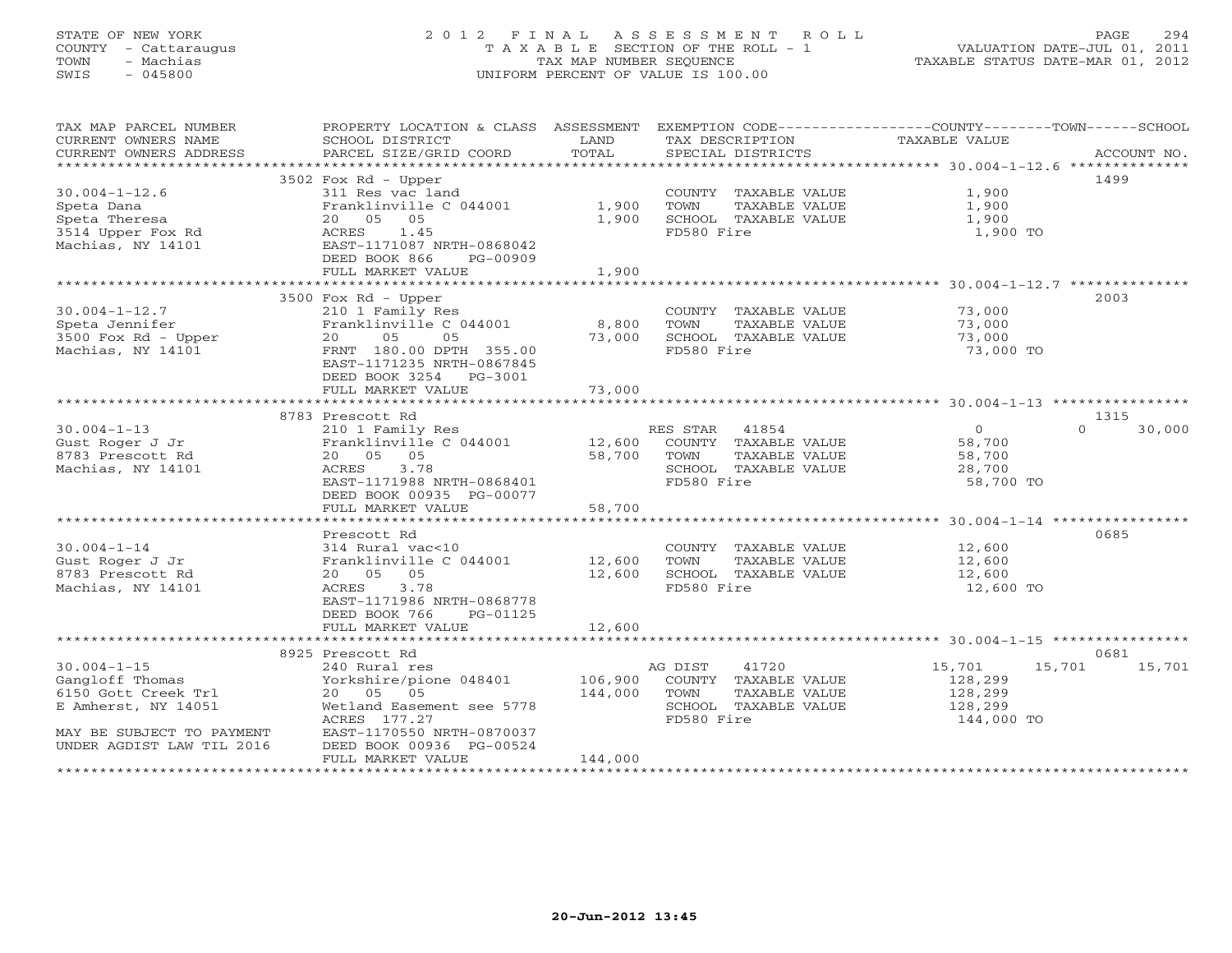# STATE OF NEW YORK 2 0 1 2 F I N A L A S S E S S M E N T R O L L PAGE 294 COUNTY - Cattaraugus T A X A B L E SECTION OF THE ROLL - 1 VALUATION DATE-JUL 01, 2011 TOWN - Machias TAX MAP NUMBER SEQUENCE TAXABLE STATUS DATE-MAR 01, 2012 SWIS - 045800 UNIFORM PERCENT OF VALUE IS 100.00UNIFORM PERCENT OF VALUE IS 100.00

| TAX MAP PARCEL NUMBER     | PROPERTY LOCATION & CLASS ASSESSMENT            |             | EXEMPTION CODE-----------------COUNTY-------TOWN------SCHOOL |                  |                    |
|---------------------------|-------------------------------------------------|-------------|--------------------------------------------------------------|------------------|--------------------|
| CURRENT OWNERS NAME       | SCHOOL DISTRICT                                 | LAND        | TAX DESCRIPTION                                              | TAXABLE VALUE    |                    |
|                           |                                                 |             |                                                              |                  |                    |
|                           |                                                 |             |                                                              |                  |                    |
|                           | 3502 Fox Rd - Upper                             |             |                                                              |                  | 1499               |
| $30.004 - 1 - 12.6$       | 311 Res vac land                                |             | COUNTY TAXABLE VALUE                                         | 1,900            |                    |
| Speta Dana                | Franklinville C 044001                          | 1,900       | TOWN<br>TAXABLE VALUE                                        | 1,900            |                    |
| Speta Theresa             | 20  05  05                                      | 1,900       | SCHOOL TAXABLE VALUE                                         | 1,900            |                    |
| 3514 Upper Fox Rd         | ACRES 1.45                                      |             | FD580 Fire                                                   | 1,900 TO         |                    |
| Machias, NY 14101         | EAST-1171087 NRTH-0868042                       |             |                                                              |                  |                    |
|                           | DEED BOOK 866 PG-00909                          |             |                                                              |                  |                    |
|                           | FULL MARKET VALUE                               | 1,900       |                                                              |                  |                    |
|                           |                                                 |             |                                                              |                  |                    |
|                           | 3500 Fox Rd - Upper                             |             |                                                              |                  | 2003               |
| $30.004 - 1 - 12.7$       | 210 1 Family Res                                |             | COUNTY TAXABLE VALUE                                         | 73,000           |                    |
| Speta Jennifer            | Franklinville C 044001                          | 8,800       | TOWN<br>TAXABLE VALUE                                        | 73,000           |                    |
| 3500 Fox Rd - Upper       | 20 05<br>05                                     | 73,000      | SCHOOL TAXABLE VALUE                                         | 73,000           |                    |
| Machias, NY 14101         | FRNT 180.00 DPTH 355.00                         |             | FD580 Fire                                                   | 73,000 TO        |                    |
|                           | EAST-1171235 NRTH-0867845                       |             |                                                              |                  |                    |
|                           | DEED BOOK 3254 PG-3001                          |             |                                                              |                  |                    |
|                           | FULL MARKET VALUE                               | 73,000      |                                                              |                  |                    |
|                           |                                                 |             |                                                              |                  |                    |
|                           | 8783 Prescott Rd                                |             |                                                              |                  | 1315               |
| $30.004 - 1 - 13$         | 210 1 Family Res                                |             | RES STAR 41854                                               | $\overline{O}$   | $\Omega$<br>30,000 |
| Gust Roger J Jr           | Franklinville C 044001                          |             | 12,600 COUNTY TAXABLE VALUE                                  | 58,700           |                    |
| 8783 Prescott Rd          | 20  05  05                                      | 58,700 TOWN | TAXABLE VALUE                                                | 58,700           |                    |
| Machias, NY 14101         | ACRES 3.78                                      |             | SCHOOL TAXABLE VALUE                                         | 28,700           |                    |
|                           | EAST-1171988 NRTH-0868401                       |             | FD580 Fire                                                   | 58,700 TO        |                    |
|                           | DEED BOOK 00935 PG-00077                        |             |                                                              |                  |                    |
|                           | FULL MARKET VALUE                               | 58,700      |                                                              |                  |                    |
|                           |                                                 |             |                                                              |                  |                    |
|                           | Prescott Rd                                     |             |                                                              |                  | 0685               |
| $30.004 - 1 - 14$         | 314 Rural vac<10                                |             | COUNTY TAXABLE VALUE 12,600                                  |                  |                    |
|                           |                                                 |             | TOWN                                                         |                  |                    |
| Gust Roger J Jr           | Franklinville C 044001 12,600                   |             | TAXABLE VALUE                                                | 12,600<br>12,600 |                    |
| 8783 Prescott Rd          | 20  05  05                                      | 12,600      | SCHOOL TAXABLE VALUE<br>FD580 Fire                           |                  |                    |
| Machias, NY 14101         | ACRES<br>3.78                                   |             |                                                              | 12,600 TO        |                    |
|                           | EAST-1171986 NRTH-0868778                       |             |                                                              |                  |                    |
|                           | DEED BOOK 766<br>PG-01125                       |             |                                                              |                  |                    |
|                           | FULL MARKET VALUE                               | 12,600      |                                                              |                  |                    |
|                           |                                                 |             |                                                              |                  |                    |
|                           | 8925 Prescott Rd                                |             |                                                              |                  | 0681               |
| $30.004 - 1 - 15$         | 240 Rural res<br>Yorkshire/pione 048401 106,900 |             | AG DIST<br>41720                                             | 15,701<br>15,701 | 15,701             |
| Gangloff Thomas           |                                                 |             | COUNTY TAXABLE VALUE                                         | 128,299          |                    |
| 6150 Gott Creek Trl       | 20  05  05                                      | 144,000     | TOWN<br>TAXABLE VALUE                                        | 128,299          |                    |
| E Amherst, NY 14051       | Wetland Easement see 5778                       |             | SCHOOL TAXABLE VALUE                                         | 128,299          |                    |
|                           | ACRES 177.27                                    |             | FD580 Fire                                                   | 144,000 TO       |                    |
| MAY BE SUBJECT TO PAYMENT | EAST-1170550 NRTH-0870037                       |             |                                                              |                  |                    |
| UNDER AGDIST LAW TIL 2016 | DEED BOOK 00936 PG-00524<br>FULL MARKET VALUE   | 144,000     |                                                              |                  |                    |
|                           |                                                 |             |                                                              |                  |                    |
|                           |                                                 |             |                                                              |                  |                    |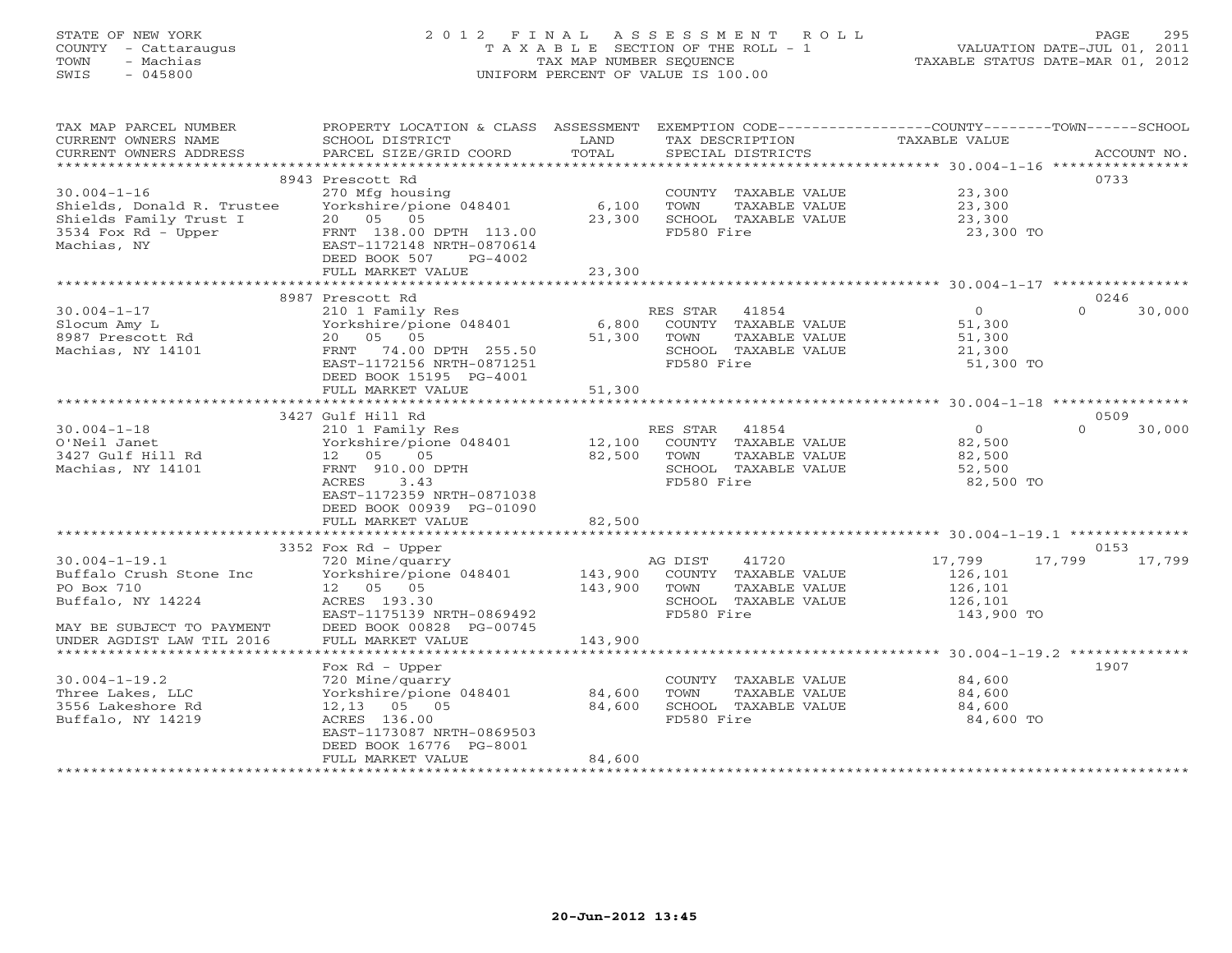# STATE OF NEW YORK 2 0 1 2 F I N A L A S S E S S M E N T R O L L PAGE 295 COUNTY - Cattaraugus T A X A B L E SECTION OF THE ROLL - 1 VALUATION DATE-JUL 01, 2011 TOWN - Machias TAX MAP NUMBER SEQUENCE TAXABLE STATUS DATE-MAR 01, 2012 SWIS - 045800 UNIFORM PERCENT OF VALUE IS 100.00UNIFORM PERCENT OF VALUE IS 100.00

| TAX MAP PARCEL NUMBER<br>CURRENT OWNERS NAME<br>CURRENT OWNERS ADDRESS | PROPERTY LOCATION & CLASS ASSESSMENT<br>SCHOOL DISTRICT<br>PARCEL SIZE/GRID COORD | LAND<br>TOTAL | EXEMPTION CODE-----------------COUNTY-------TOWN------SCHOOL<br>TAX DESCRIPTION<br>SPECIAL DISTRICTS | TAXABLE VALUE | ACCOUNT NO.        |
|------------------------------------------------------------------------|-----------------------------------------------------------------------------------|---------------|------------------------------------------------------------------------------------------------------|---------------|--------------------|
|                                                                        |                                                                                   |               |                                                                                                      |               |                    |
|                                                                        | 8943 Prescott Rd                                                                  |               |                                                                                                      |               | 0733               |
| $30.004 - 1 - 16$                                                      | 270 Mfg housing                                                                   |               | COUNTY TAXABLE VALUE                                                                                 | 23,300        |                    |
| Shields, Donald R. Trustee                                             | Yorkshire/pione 048401                                                            | 6,100         | TOWN<br>TAXABLE VALUE                                                                                | 23,300        |                    |
| Shields Family Trust I                                                 | 20  05  05                                                                        | 23,300        | SCHOOL TAXABLE VALUE                                                                                 | 23,300        |                    |
| 3534 Fox Rd - Upper                                                    | FRNT 138.00 DPTH 113.00                                                           |               | FD580 Fire                                                                                           | 23,300 TO     |                    |
| Machias, NY                                                            | EAST-1172148 NRTH-0870614<br>DEED BOOK 507<br>PG-4002                             |               |                                                                                                      |               |                    |
|                                                                        | FULL MARKET VALUE                                                                 | 23,300        |                                                                                                      |               |                    |
|                                                                        |                                                                                   |               |                                                                                                      |               |                    |
|                                                                        | 8987 Prescott Rd                                                                  |               |                                                                                                      |               | 0246               |
| $30.004 - 1 - 17$                                                      | 210 1 Family Res                                                                  |               | RES STAR<br>41854                                                                                    | $\Omega$      | $\Omega$<br>30,000 |
| Slocum Amy L                                                           | Yorkshire/pione 048401                                                            | 6,800         | COUNTY TAXABLE VALUE                                                                                 | 51,300        |                    |
| 8987 Prescott Rd                                                       | 20  05  05                                                                        | 51,300        | TOWN<br>TAXABLE VALUE                                                                                | 51,300        |                    |
| Machias, NY 14101                                                      | FRNT 74.00 DPTH 255.50                                                            |               | SCHOOL TAXABLE VALUE                                                                                 | 21,300        |                    |
|                                                                        | EAST-1172156 NRTH-0871251                                                         |               | FD580 Fire                                                                                           | 51,300 TO     |                    |
|                                                                        | DEED BOOK 15195 PG-4001                                                           |               |                                                                                                      |               |                    |
|                                                                        | FULL MARKET VALUE                                                                 | 51,300        |                                                                                                      |               |                    |
|                                                                        |                                                                                   |               |                                                                                                      |               |                    |
|                                                                        | 3427 Gulf Hill Rd                                                                 |               |                                                                                                      |               | 0509               |
| $30.004 - 1 - 18$                                                      | 210 1 Family Res                                                                  |               | RES STAR 41854                                                                                       | $\Omega$      | $\Omega$<br>30,000 |
| O'Neil Janet                                                           | Yorkshire/pione 048401                                                            | 12,100        | COUNTY TAXABLE VALUE                                                                                 | 82,500        |                    |
| 3427 Gulf Hill Rd                                                      | 12 05<br>05                                                                       | 82,500        | TOWN<br>TAXABLE VALUE                                                                                | 82,500        |                    |
| Machias, NY 14101                                                      | FRNT 910.00 DPTH                                                                  |               | SCHOOL TAXABLE VALUE                                                                                 | 52,500        |                    |
|                                                                        | ACRES<br>3.43                                                                     |               | FD580 Fire                                                                                           | 82,500 TO     |                    |
|                                                                        | EAST-1172359 NRTH-0871038                                                         |               |                                                                                                      |               |                    |
|                                                                        | DEED BOOK 00939 PG-01090                                                          |               |                                                                                                      |               |                    |
|                                                                        | FULL MARKET VALUE                                                                 | 82,500        |                                                                                                      |               |                    |
|                                                                        | 3352 Fox Rd - Upper                                                               |               |                                                                                                      |               | 0153               |
| $30.004 - 1 - 19.1$                                                    | 720 Mine/quarry                                                                   |               | 41720<br>AG DIST                                                                                     | 17,799        | 17,799<br>17,799   |
| Buffalo Crush Stone Inc                                                | Yorkshire/pione 048401                                                            | 143,900       | COUNTY TAXABLE VALUE                                                                                 | 126,101       |                    |
| PO Box 710                                                             | 12 05 05                                                                          | 143,900       | TOWN<br>TAXABLE VALUE                                                                                | 126,101       |                    |
| Buffalo, NY 14224                                                      | ACRES 193.30                                                                      |               | SCHOOL TAXABLE VALUE                                                                                 | 126,101       |                    |
|                                                                        | EAST-1175139 NRTH-0869492                                                         |               | FD580 Fire                                                                                           | 143,900 TO    |                    |
| MAY BE SUBJECT TO PAYMENT                                              | DEED BOOK 00828 PG-00745                                                          |               |                                                                                                      |               |                    |
| UNDER AGDIST LAW TIL 2016                                              | FULL MARKET VALUE                                                                 | 143,900       |                                                                                                      |               |                    |
|                                                                        |                                                                                   |               |                                                                                                      |               |                    |
|                                                                        | Fox Rd - Upper                                                                    |               |                                                                                                      |               | 1907               |
| $30.004 - 1 - 19.2$                                                    | 720 Mine/quarry                                                                   |               | COUNTY TAXABLE VALUE                                                                                 | 84,600        |                    |
| Three Lakes, LLC                                                       | Yorkshire/pione 048401                                                            | 84,600        | TOWN<br>TAXABLE VALUE                                                                                | 84,600        |                    |
| 3556 Lakeshore Rd                                                      | 12,13 05 05                                                                       | 84,600        | SCHOOL TAXABLE VALUE                                                                                 | 84,600        |                    |
| Buffalo, NY 14219                                                      | ACRES 136.00                                                                      |               | FD580 Fire                                                                                           | 84,600 TO     |                    |
|                                                                        | EAST-1173087 NRTH-0869503                                                         |               |                                                                                                      |               |                    |
|                                                                        | DEED BOOK 16776 PG-8001                                                           |               |                                                                                                      |               |                    |
| *************************                                              | FULL MARKET VALUE                                                                 | 84,600        |                                                                                                      |               |                    |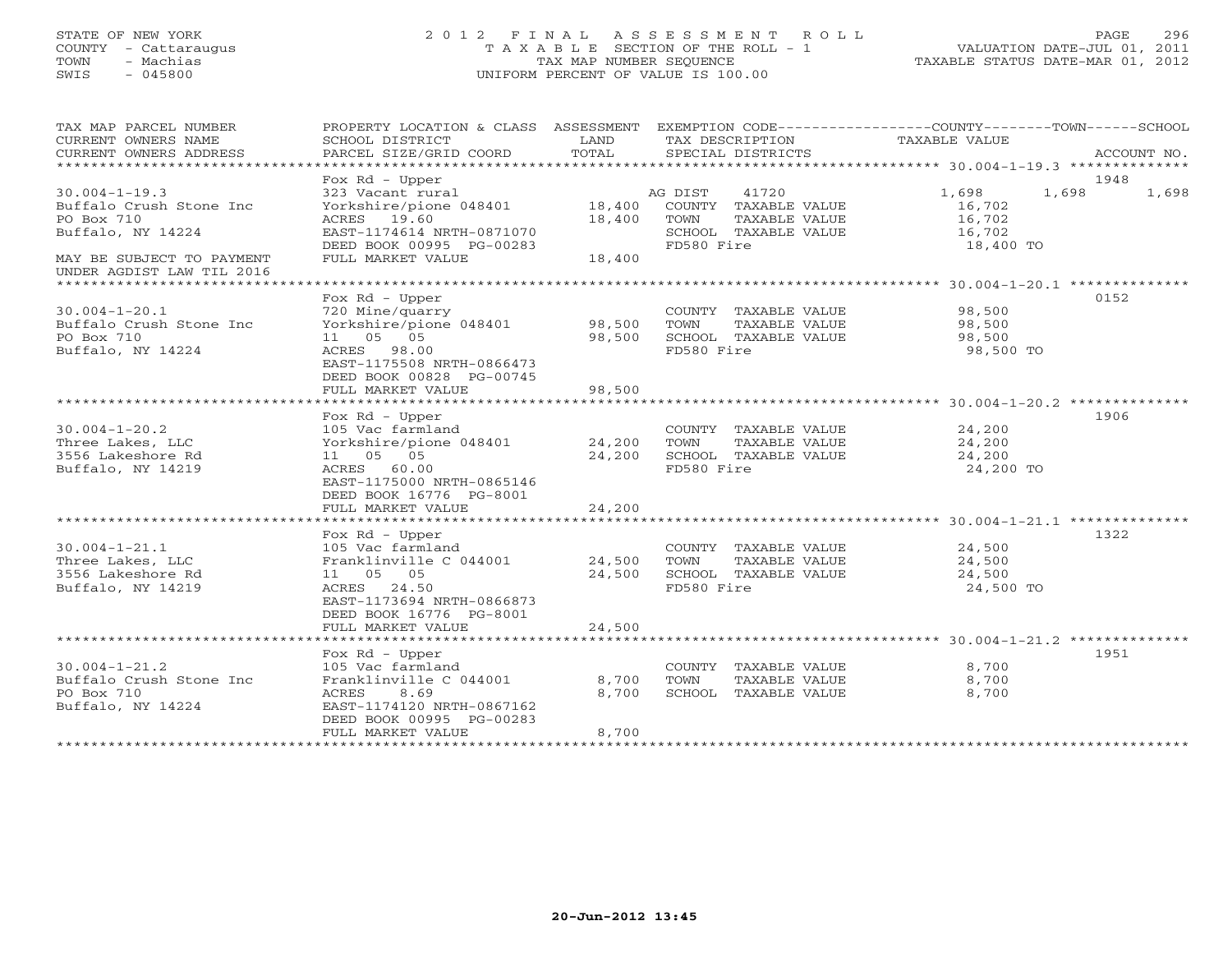## STATE OF NEW YORK 2 0 1 2 F I N A L A S S E S S M E N T R O L L PAGE 296 COUNTY - Cattaraugus T A X A B L E SECTION OF THE ROLL - 1 VALUATION DATE-JUL 01, 2011 TOWN - Machias TAX MAP NUMBER SEQUENCE TAXABLE STATUS DATE-MAR 01, 2012 SWIS - 045800 UNIFORM PERCENT OF VALUE IS 100.00UNIFORM PERCENT OF VALUE IS 100.00

| TAX MAP PARCEL NUMBER<br>CURRENT OWNERS NAME           | PROPERTY LOCATION & CLASS ASSESSMENT<br>SCHOOL DISTRICT |               | EXEMPTION CODE-----------------COUNTY-------TOWN------SCHOOL | TAXABLE VALUE |                |
|--------------------------------------------------------|---------------------------------------------------------|---------------|--------------------------------------------------------------|---------------|----------------|
| CURRENT OWNERS ADDRESS                                 | PARCEL SIZE/GRID COORD                                  | LAND<br>TOTAL | TAX DESCRIPTION<br>SPECIAL DISTRICTS                         |               | ACCOUNT NO.    |
| ******************************                         |                                                         |               |                                                              |               |                |
|                                                        | Fox $Rd$ - Upper                                        |               |                                                              |               | 1948           |
| $30.004 - 1 - 19.3$                                    | 323 Vacant rural                                        |               | AG DIST<br>41720                                             | 1,698         | 1,698<br>1,698 |
| Buffalo Crush Stone Inc                                | Yorkshire/pione 048401                                  | 18,400        | COUNTY TAXABLE VALUE                                         | 16,702        |                |
| PO Box 710                                             | ACRES 19.60                                             | 18,400        | TOWN<br>TAXABLE VALUE                                        | 16,702        |                |
| Buffalo, NY 14224                                      | EAST-1174614 NRTH-0871070                               |               | SCHOOL TAXABLE VALUE                                         | 16,702        |                |
|                                                        | DEED BOOK 00995 PG-00283                                |               | FD580 Fire                                                   | 18,400 TO     |                |
| MAY BE SUBJECT TO PAYMENT<br>UNDER AGDIST LAW TIL 2016 | FULL MARKET VALUE                                       | 18,400        |                                                              |               |                |
| ******************************                         |                                                         |               |                                                              |               |                |
|                                                        | Fox $Rd$ - Upper                                        |               |                                                              |               | 0152           |
| $30.004 - 1 - 20.1$                                    | 720 Mine/quarry                                         |               | COUNTY TAXABLE VALUE                                         | 98,500        |                |
| Buffalo Crush Stone Inc                                | Yorkshire/pione 048401                                  | 98,500        | TOWN<br>TAXABLE VALUE                                        | 98,500        |                |
| PO Box 710                                             | 11  05  05                                              | 98,500        | SCHOOL TAXABLE VALUE                                         | 98,500        |                |
| Buffalo, NY 14224                                      | ACRES 98.00                                             |               | FD580 Fire                                                   | 98,500 TO     |                |
|                                                        | EAST-1175508 NRTH-0866473                               |               |                                                              |               |                |
|                                                        | DEED BOOK 00828 PG-00745                                |               |                                                              |               |                |
|                                                        | FULL MARKET VALUE                                       | 98,500        |                                                              |               |                |
|                                                        |                                                         |               |                                                              |               |                |
|                                                        | Fox $Rd$ - Upper                                        |               |                                                              |               | 1906           |
| $30.004 - 1 - 20.2$                                    | 105 Vac farmland                                        |               | COUNTY TAXABLE VALUE                                         | 24,200        |                |
| Three Lakes, LLC                                       | Yorkshire/pione 048401                                  | 24,200        | TAXABLE VALUE<br>TOWN                                        | 24,200        |                |
| 3556 Lakeshore Rd                                      | 11 05 05                                                | 24,200        | SCHOOL TAXABLE VALUE                                         | 24,200        |                |
| Buffalo, NY 14219                                      | ACRES<br>60.00                                          |               | FD580 Fire                                                   | 24,200 TO     |                |
|                                                        | EAST-1175000 NRTH-0865146                               |               |                                                              |               |                |
|                                                        | DEED BOOK 16776 PG-8001<br>FULL MARKET VALUE            | 24,200        |                                                              |               |                |
|                                                        |                                                         |               |                                                              |               |                |
|                                                        | Fox $Rd$ - Upper                                        |               |                                                              |               | 1322           |
| $30.004 - 1 - 21.1$                                    | 105 Vac farmland                                        |               | COUNTY TAXABLE VALUE                                         | 24,500        |                |
| Three Lakes, LLC                                       | Franklinville C 044001                                  | 24,500        | TAXABLE VALUE<br>TOWN                                        | 24,500        |                |
| 3556 Lakeshore Rd                                      | 11 05 05                                                | 24,500        | SCHOOL TAXABLE VALUE                                         | 24,500        |                |
| Buffalo, NY 14219                                      | ACRES<br>24.50                                          |               | FD580 Fire                                                   | 24,500 TO     |                |
|                                                        | EAST-1173694 NRTH-0866873                               |               |                                                              |               |                |
|                                                        | DEED BOOK 16776 PG-8001                                 |               |                                                              |               |                |
|                                                        | FULL MARKET VALUE                                       | 24,500        |                                                              |               |                |
|                                                        |                                                         |               |                                                              |               |                |
|                                                        | Fox Rd - Upper                                          |               |                                                              |               | 1951           |
| $30.004 - 1 - 21.2$                                    | 105 Vac farmland                                        |               | COUNTY TAXABLE VALUE                                         | 8,700         |                |
| Buffalo Crush Stone Inc                                | Franklinville C 044001                                  | 8,700         | TOWN<br>TAXABLE VALUE                                        | 8,700         |                |
| PO Box 710                                             | ACRES<br>8.69                                           | 8,700         | SCHOOL TAXABLE VALUE                                         | 8,700         |                |
| Buffalo, NY 14224                                      | EAST-1174120 NRTH-0867162                               |               |                                                              |               |                |
|                                                        | DEED BOOK 00995 PG-00283                                |               |                                                              |               |                |
|                                                        | FULL MARKET VALUE                                       | 8,700         |                                                              |               |                |
|                                                        |                                                         |               |                                                              |               |                |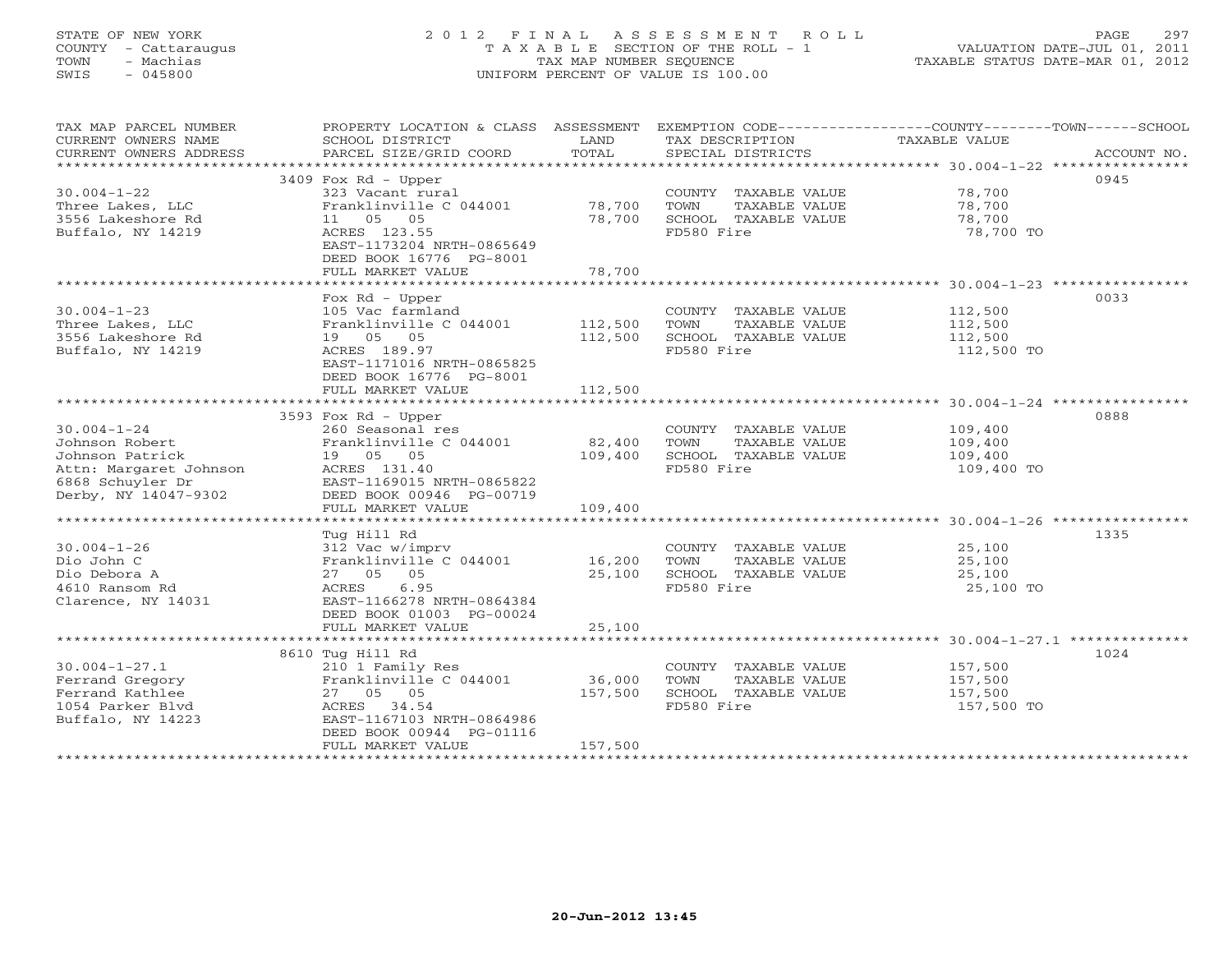# STATE OF NEW YORK 2 0 1 2 F I N A L A S S E S S M E N T R O L L PAGE 297 COUNTY - Cattaraugus T A X A B L E SECTION OF THE ROLL - 1 VALUATION DATE-JUL 01, 2011 TOWN - Machias TAX MAP NUMBER SEQUENCE TAXABLE STATUS DATE-MAR 01, 2012 SWIS - 045800 UNIFORM PERCENT OF VALUE IS 100.00UNIFORM PERCENT OF VALUE IS 100.00

| TAX MAP PARCEL NUMBER<br>CURRENT OWNERS NAME<br>CURRENT OWNERS ADDRESS          | PROPERTY LOCATION & CLASS ASSESSMENT<br>SCHOOL DISTRICT<br>PARCEL SIZE/GRID COORD               | LAND<br>TOTAL    | EXEMPTION CODE-----------------COUNTY-------TOWN-----SCHOOL<br>TAX DESCRIPTION<br>SPECIAL DISTRICTS | TAXABLE VALUE                           | ACCOUNT NO. |
|---------------------------------------------------------------------------------|-------------------------------------------------------------------------------------------------|------------------|-----------------------------------------------------------------------------------------------------|-----------------------------------------|-------------|
|                                                                                 |                                                                                                 |                  |                                                                                                     |                                         |             |
| $30.004 - 1 - 22$<br>Three Lakes, LLC<br>3556 Lakeshore Rd<br>Buffalo, NY 14219 | 3409 Fox Rd - Upper<br>323 Vacant rural<br>Franklinville C 044001<br>11  05  05<br>ACRES 123.55 | 78,700<br>78,700 | COUNTY TAXABLE VALUE<br>TOWN<br>TAXABLE VALUE<br>SCHOOL TAXABLE VALUE<br>FD580 Fire                 | 78,700<br>78,700<br>78,700<br>78,700 TO | 0945        |
|                                                                                 | EAST-1173204 NRTH-0865649<br>DEED BOOK 16776 PG-8001<br>FULL MARKET VALUE                       | 78,700           |                                                                                                     |                                         |             |
|                                                                                 |                                                                                                 |                  |                                                                                                     |                                         |             |
|                                                                                 | Fox $Rd$ - Upper                                                                                |                  |                                                                                                     |                                         | 0033        |
| $30.004 - 1 - 23$<br>Three Lakes, LLC                                           | 105 Vac farmland<br>Franklinville C 044001                                                      | 112,500          | COUNTY TAXABLE VALUE<br>TOWN<br>TAXABLE VALUE                                                       | 112,500<br>112,500                      |             |
| 3556 Lakeshore Rd                                                               | 19 05 05                                                                                        | 112,500          | SCHOOL TAXABLE VALUE                                                                                | 112,500                                 |             |
| Buffalo, NY 14219                                                               | ACRES 189.97                                                                                    |                  | FD580 Fire                                                                                          | 112,500 TO                              |             |
|                                                                                 | EAST-1171016 NRTH-0865825<br>DEED BOOK 16776 PG-8001<br>FULL MARKET VALUE                       | 112,500          |                                                                                                     |                                         |             |
|                                                                                 |                                                                                                 |                  |                                                                                                     |                                         |             |
|                                                                                 | 3593 Fox Rd - Upper                                                                             |                  |                                                                                                     |                                         | 0888        |
| $30.004 - 1 - 24$                                                               | 260 Seasonal res                                                                                |                  | COUNTY TAXABLE VALUE                                                                                | 109,400                                 |             |
| Johnson Robert                                                                  | Franklinville C 044001                                                                          | 82,400           | TOWN<br>TAXABLE VALUE                                                                               | 109,400                                 |             |
| Johnson Patrick                                                                 | 19  05  05                                                                                      | 109,400          | SCHOOL TAXABLE VALUE                                                                                | 109,400                                 |             |
| Attn: Margaret Johnson                                                          | ACRES 131.40                                                                                    |                  | FD580 Fire                                                                                          | 109,400 TO                              |             |
| 6868 Schuyler Dr                                                                | EAST-1169015 NRTH-0865822                                                                       |                  |                                                                                                     |                                         |             |
| Derby, NY 14047-9302                                                            | DEED BOOK 00946 PG-00719                                                                        |                  |                                                                                                     |                                         |             |
|                                                                                 | FULL MARKET VALUE                                                                               | 109,400          |                                                                                                     |                                         |             |
|                                                                                 | Tug Hill Rd                                                                                     |                  |                                                                                                     |                                         | 1335        |
| $30.004 - 1 - 26$                                                               | 312 Vac w/imprv                                                                                 |                  | COUNTY TAXABLE VALUE                                                                                | 25,100                                  |             |
| Dio John C                                                                      | Franklinville C 044001 16,200                                                                   |                  | TOWN<br>TAXABLE VALUE                                                                               | 25,100                                  |             |
| Dio Debora A                                                                    | 27 05 05                                                                                        | 25,100           | SCHOOL TAXABLE VALUE                                                                                | 25,100                                  |             |
| 4610 Ransom Rd                                                                  | ACRES 6.95                                                                                      |                  | FD580 Fire                                                                                          | 25,100 TO                               |             |
| Clarence, NY 14031                                                              | EAST-1166278 NRTH-0864384<br>DEED BOOK 01003 PG-00024                                           |                  |                                                                                                     |                                         |             |
|                                                                                 | FULL MARKET VALUE                                                                               | 25,100           |                                                                                                     |                                         |             |
|                                                                                 | 8610 Tug Hill Rd                                                                                |                  |                                                                                                     |                                         | 1024        |
| $30.004 - 1 - 27.1$                                                             | 210 1 Family Res                                                                                |                  | COUNTY TAXABLE VALUE                                                                                | 157,500                                 |             |
| Ferrand Gregory                                                                 | Franklinville C 044001                                                                          | 36,000           | TOWN<br>TAXABLE VALUE                                                                               | 157,500                                 |             |
| Ferrand Kathlee                                                                 | 27 05 05                                                                                        | 157,500          | SCHOOL TAXABLE VALUE                                                                                | 157,500                                 |             |
| 1054 Parker Blvd                                                                | ACRES 34.54                                                                                     |                  | FD580 Fire                                                                                          | 157,500 TO                              |             |
| Buffalo, NY 14223                                                               | EAST-1167103 NRTH-0864986                                                                       |                  |                                                                                                     |                                         |             |
|                                                                                 | DEED BOOK 00944 PG-01116                                                                        |                  |                                                                                                     |                                         |             |
|                                                                                 | FULL MARKET VALUE                                                                               | 157,500          |                                                                                                     |                                         |             |
|                                                                                 |                                                                                                 |                  |                                                                                                     |                                         |             |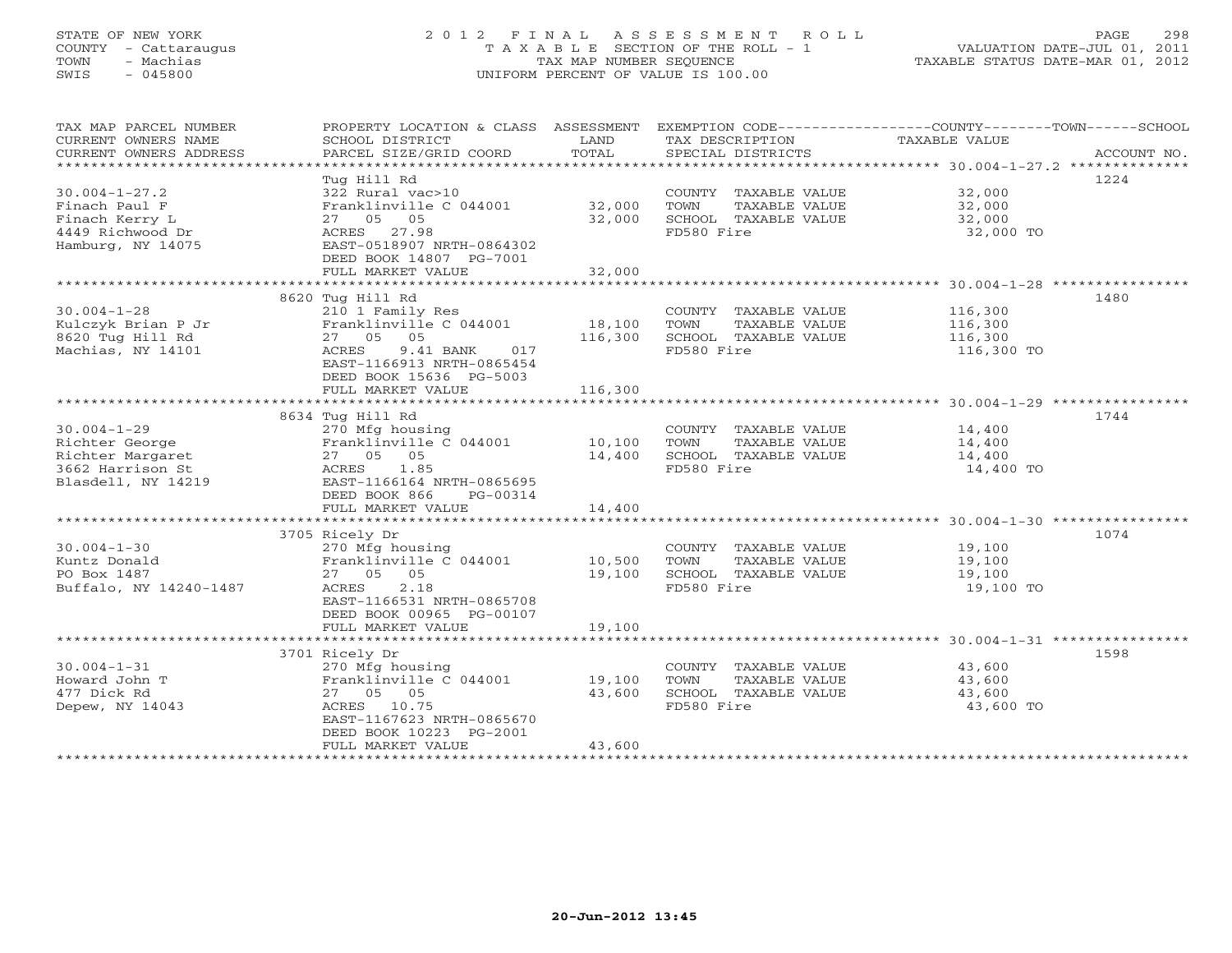# STATE OF NEW YORK 2 0 1 2 F I N A L A S S E S S M E N T R O L L PAGE 298 COUNTY - Cattaraugus T A X A B L E SECTION OF THE ROLL - 1 VALUATION DATE-JUL 01, 2011 TOWN - Machias TAX MAP NUMBER SEQUENCE TAXABLE STATUS DATE-MAR 01, 2012 SWIS - 045800 UNIFORM PERCENT OF VALUE IS 100.00UNIFORM PERCENT OF VALUE IS 100.00

| TAX MAP PARCEL NUMBER<br>CURRENT OWNERS NAME<br>CURRENT OWNERS ADDRESS | SCHOOL DISTRICT<br>PARCEL SIZE/GRID COORD | LAND<br>TOTAL | TAX DESCRIPTION TAXABLE VALUE<br>SPECIAL DISTRICTS | PROPERTY LOCATION & CLASS ASSESSMENT EXEMPTION CODE---------------COUNTY-------TOWN------SCHOOL<br>ACCOUNT NO. |
|------------------------------------------------------------------------|-------------------------------------------|---------------|----------------------------------------------------|----------------------------------------------------------------------------------------------------------------|
|                                                                        |                                           |               |                                                    |                                                                                                                |
|                                                                        | Tug Hill Rd                               |               |                                                    | 1224                                                                                                           |
| $30.004 - 1 - 27.2$                                                    | 322 Rural vac>10                          |               | COUNTY TAXABLE VALUE                               | 32,000                                                                                                         |
| Finach Paul F                                                          | Franklinville C 044001                    | 32,000        | TOWN<br>TAXABLE VALUE                              | 32,000                                                                                                         |
| Finach Kerry L                                                         | 27 05 05                                  | 32,000        | SCHOOL TAXABLE VALUE                               | 32,000                                                                                                         |
| 4449 Richwood Dr                                                       | ACRES 27.98                               |               | FD580 Fire                                         | 32,000 TO                                                                                                      |
| Hamburg, NY 14075                                                      | EAST-0518907 NRTH-0864302                 |               |                                                    |                                                                                                                |
|                                                                        | DEED BOOK 14807 PG-7001                   |               |                                                    |                                                                                                                |
|                                                                        | FULL MARKET VALUE                         | 32,000        |                                                    |                                                                                                                |
|                                                                        |                                           |               |                                                    |                                                                                                                |
|                                                                        | 8620 Tug Hill Rd                          |               |                                                    | 1480                                                                                                           |
| $30.004 - 1 - 28$                                                      | 210 1 Family Res                          |               | COUNTY TAXABLE VALUE                               | 116,300                                                                                                        |
| Kulczyk Brian P Jr                                                     | Franklinville C 044001                    | 18,100        | TAXABLE VALUE<br>TOWN                              | 116,300                                                                                                        |
| 8620 Tug Hill Rd                                                       | 27 05 05                                  | 116,300       | SCHOOL TAXABLE VALUE                               | 116,300                                                                                                        |
| Machias, NY 14101                                                      | 9.41 BANK<br>ACRES<br>017                 |               | FD580 Fire                                         | 116,300 TO                                                                                                     |
|                                                                        | EAST-1166913 NRTH-0865454                 |               |                                                    |                                                                                                                |
|                                                                        | DEED BOOK 15636 PG-5003                   |               |                                                    |                                                                                                                |
|                                                                        | FULL MARKET VALUE                         | 116,300       |                                                    |                                                                                                                |
|                                                                        |                                           |               |                                                    |                                                                                                                |
|                                                                        | 8634 Tug Hill Rd                          |               |                                                    | 1744                                                                                                           |
| $30.004 - 1 - 29$                                                      | 270 Mfg housing                           |               | COUNTY TAXABLE VALUE                               | 14,400                                                                                                         |
| Richter George                                                         | Franklinville C 044001                    | 10,100        | TOWN<br>TAXABLE VALUE                              | 14,400                                                                                                         |
| Richter Margaret                                                       | 27 05 05                                  | 14,400        | SCHOOL TAXABLE VALUE                               | 14,400                                                                                                         |
| 3662 Harrison St                                                       | 1.85<br>ACRES                             |               | FD580 Fire                                         | 14,400 TO                                                                                                      |
| Blasdell, NY 14219                                                     | EAST-1166164 NRTH-0865695                 |               |                                                    |                                                                                                                |
|                                                                        | DEED BOOK 866<br>PG-00314                 |               |                                                    |                                                                                                                |
|                                                                        | FULL MARKET VALUE                         | 14,400        |                                                    |                                                                                                                |
|                                                                        |                                           |               |                                                    |                                                                                                                |
|                                                                        | 3705 Ricely Dr                            |               |                                                    | 1074                                                                                                           |
| $30.004 - 1 - 30$                                                      | 270 Mfg housing                           |               | COUNTY TAXABLE VALUE                               | 19,100                                                                                                         |
| Kuntz Donald                                                           | Franklinville C 044001 10,500             |               | TOWN<br>TAXABLE VALUE                              | 19,100                                                                                                         |
| PO Box 1487                                                            | 27 05 05                                  | 19,100        | SCHOOL TAXABLE VALUE                               | 19,100                                                                                                         |
| Buffalo, NY 14240-1487                                                 | 2.18<br>ACRES                             |               | FD580 Fire                                         | 19,100 TO                                                                                                      |
|                                                                        | EAST-1166531 NRTH-0865708                 |               |                                                    |                                                                                                                |
|                                                                        | DEED BOOK 00965 PG-00107                  |               |                                                    |                                                                                                                |
|                                                                        | FULL MARKET VALUE                         | 19,100        |                                                    |                                                                                                                |
|                                                                        |                                           |               |                                                    |                                                                                                                |
|                                                                        | 3701 Ricely Dr                            |               |                                                    | 1598                                                                                                           |
| $30.004 - 1 - 31$                                                      | 270 Mfg housing                           |               | COUNTY TAXABLE VALUE                               | 43,600                                                                                                         |
| Howard John T                                                          | Franklinville C 044001                    | 19,100        | TAXABLE VALUE<br>TOWN                              | 43,600                                                                                                         |
| 477 Dick Rd                                                            | 27 05 05                                  | 43,600        | SCHOOL TAXABLE VALUE                               | 43,600                                                                                                         |
| Depew, NY 14043                                                        | ACRES 10.75                               |               | FD580 Fire                                         | 43,600 TO                                                                                                      |
|                                                                        | EAST-1167623 NRTH-0865670                 |               |                                                    |                                                                                                                |
|                                                                        | DEED BOOK 10223 PG-2001                   |               |                                                    |                                                                                                                |
|                                                                        | FULL MARKET VALUE                         | 43,600        |                                                    |                                                                                                                |
|                                                                        |                                           |               |                                                    |                                                                                                                |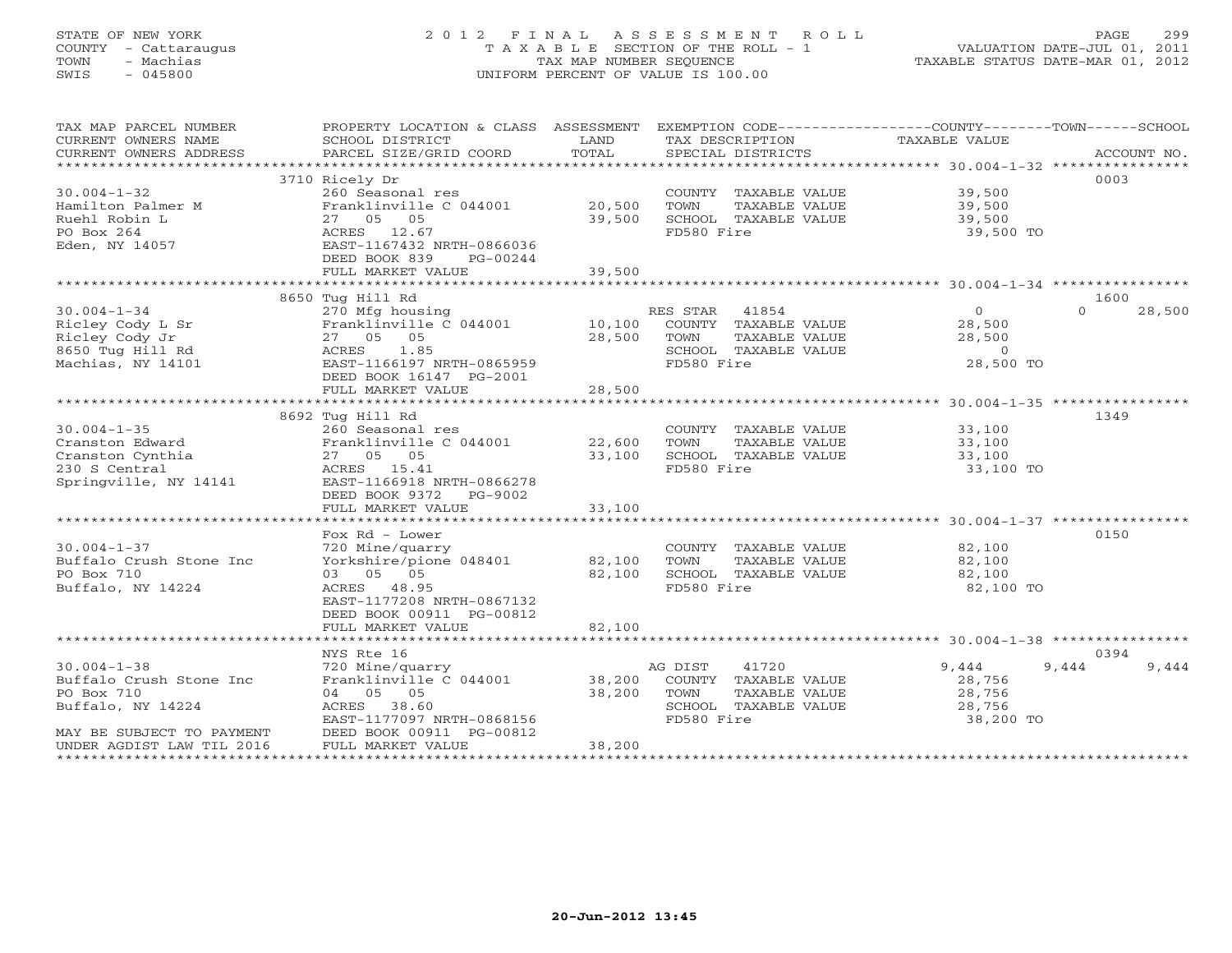# STATE OF NEW YORK 2 0 1 2 F I N A L A S S E S S M E N T R O L L PAGE 299 COUNTY - Cattaraugus T A X A B L E SECTION OF THE ROLL - 1 VALUATION DATE-JUL 01, 2011 TOWN - Machias TAX MAP NUMBER SEQUENCE TAXABLE STATUS DATE-MAR 01, 2012 SWIS - 045800 UNIFORM PERCENT OF VALUE IS 100.00

| TAX MAP PARCEL NUMBER<br>CURRENT OWNERS NAME                                  | PROPERTY LOCATION & CLASS ASSESSMENT EXEMPTION CODE---------------COUNTY-------TOWN------SCHOOL<br>SCHOOL DISTRICT<br><b>Example 19</b> LAND |        | TAX DESCRIPTION TAXABLE VALUE |                |                    |
|-------------------------------------------------------------------------------|----------------------------------------------------------------------------------------------------------------------------------------------|--------|-------------------------------|----------------|--------------------|
|                                                                               |                                                                                                                                              |        |                               |                |                    |
|                                                                               | 3710 Ricely Dr                                                                                                                               |        |                               |                | 0003               |
| $30.004 - 1 - 32$                                                             | 260 Seasonal res                                                                                                                             |        | COUNTY TAXABLE VALUE 39,500   |                |                    |
| Hamilton Palmer M                                                             | Franklinville C 044001 20,500                                                                                                                |        | TOWN<br>TAXABLE VALUE         | 39,500         |                    |
| Ruehl Robin L                                                                 | 27 05 05                                                                                                                                     | 39,500 | SCHOOL TAXABLE VALUE          | 39,500         |                    |
| PO Box 264                                                                    | ACRES 12.67                                                                                                                                  |        | FD580 Fire                    | 39,500 TO      |                    |
| Eden, NY 14057                                                                | EAST-1167432 NRTH-0866036                                                                                                                    |        |                               |                |                    |
|                                                                               | DEED BOOK 839<br>PG-00244                                                                                                                    |        |                               |                |                    |
|                                                                               | FULL MARKET VALUE                                                                                                                            | 39,500 |                               |                |                    |
|                                                                               |                                                                                                                                              |        |                               |                |                    |
|                                                                               | 8650 Tug Hill Rd                                                                                                                             |        |                               |                | 1600               |
| $30.004 - 1 - 34$                                                             | 270 Mfg housing                                                                                                                              |        | RES STAR 41854                | $\overline{0}$ | 28,500<br>$\Omega$ |
|                                                                               | Franklinville C 044001 10,100 COUNTY TAXABLE VALUE                                                                                           |        |                               | 28,500         |                    |
|                                                                               | 27 05 05                                                                                                                                     | 28,500 | TOWN<br>TAXABLE VALUE         | 28,500         |                    |
| Ricley Cody L Sr<br>Ricley Cody Jr<br>8650 Tug Hill Rd<br>Machias, NY 14101   | ACRES 1.85                                                                                                                                   |        | SCHOOL TAXABLE VALUE          | $\overline{0}$ |                    |
| Machias, NY 14101                                                             | EAST-1166197 NRTH-0865959                                                                                                                    |        | FD580 Fire                    | 28,500 TO      |                    |
|                                                                               | DEED BOOK 16147 PG-2001                                                                                                                      |        |                               |                |                    |
|                                                                               | FULL MARKET VALUE                                                                                                                            | 28,500 |                               |                |                    |
|                                                                               |                                                                                                                                              |        |                               |                |                    |
|                                                                               | 8692 Tug Hill Rd                                                                                                                             |        |                               |                | 1349               |
| $30.004 - 1 - 35$                                                             | 260 Seasonal res                                                                                                                             |        | COUNTY TAXABLE VALUE 33,100   |                |                    |
|                                                                               | Franklinville C 044001 22,600                                                                                                                |        | TOWN<br>TAXABLE VALUE         | 33,100         |                    |
| cranston Edward<br>Cranston Cynthia<br>230 S Central<br>Springville, NY 14141 | 27 05 05                                                                                                                                     | 33,100 | SCHOOL TAXABLE VALUE          | 33,100         |                    |
|                                                                               | ACRES 15.41                                                                                                                                  |        | FD580 Fire                    | 33,100 TO      |                    |
|                                                                               | EAST-1166918 NRTH-0866278                                                                                                                    |        |                               |                |                    |
|                                                                               | DEED BOOK 9372 PG-9002                                                                                                                       |        |                               |                |                    |
|                                                                               | FULL MARKET VALUE                                                                                                                            | 33,100 |                               |                |                    |
|                                                                               |                                                                                                                                              |        |                               |                |                    |
|                                                                               | Fox Rd - Lower                                                                                                                               |        |                               |                | 0150               |
| $30.004 - 1 - 37$                                                             |                                                                                                                                              |        | COUNTY TAXABLE VALUE          | 82,100         |                    |
| Buffalo Crush Stone Inc                                                       | 720 Mine/quarry<br>Yorkshire/pione 048401 82,100                                                                                             |        | TOWN<br>TAXABLE VALUE         | 82,100         |                    |
| PO Box 710                                                                    | 03 05 05                                                                                                                                     | 82,100 | SCHOOL TAXABLE VALUE          | 82,100         |                    |
| Buffalo, NY 14224                                                             | ACRES 48.95                                                                                                                                  |        | FD580 Fire                    | 82,100 TO      |                    |
|                                                                               | EAST-1177208 NRTH-0867132                                                                                                                    |        |                               |                |                    |
|                                                                               | DEED BOOK 00911 PG-00812                                                                                                                     |        |                               |                |                    |
|                                                                               | FULL MARKET VALUE                                                                                                                            | 82,100 |                               |                |                    |
|                                                                               |                                                                                                                                              |        |                               |                |                    |
|                                                                               | NYS Rte 16                                                                                                                                   |        |                               |                | 0394               |
| $30.004 - 1 - 38$                                                             | 720 Mine/quarry                                                                                                                              |        | AG DIST<br>41720              | 9,444          | 9,444<br>9,444     |
| Buffalo Crush Stone Inc                                                       | Franklinville $C$ 044001 38,200                                                                                                              |        | COUNTY TAXABLE VALUE          | 28,756         |                    |
| PO Box 710                                                                    | 04 05 05                                                                                                                                     | 38,200 | TOWN<br>TAXABLE VALUE         | 28,756         |                    |
| Buffalo, NY 14224                                                             | ACRES 38.60                                                                                                                                  |        | SCHOOL TAXABLE VALUE          | 28,756         |                    |
|                                                                               | EAST-1177097 NRTH-0868156                                                                                                                    |        | FD580 Fire                    | 38,200 TO      |                    |
| MAY BE SUBJECT TO PAYMENT                                                     | DEED BOOK 00911 PG-00812                                                                                                                     |        |                               |                |                    |
| UNDER AGDIST LAW TIL 2016                                                     | FULL MARKET VALUE                                                                                                                            | 38,200 |                               |                |                    |
|                                                                               |                                                                                                                                              |        |                               |                |                    |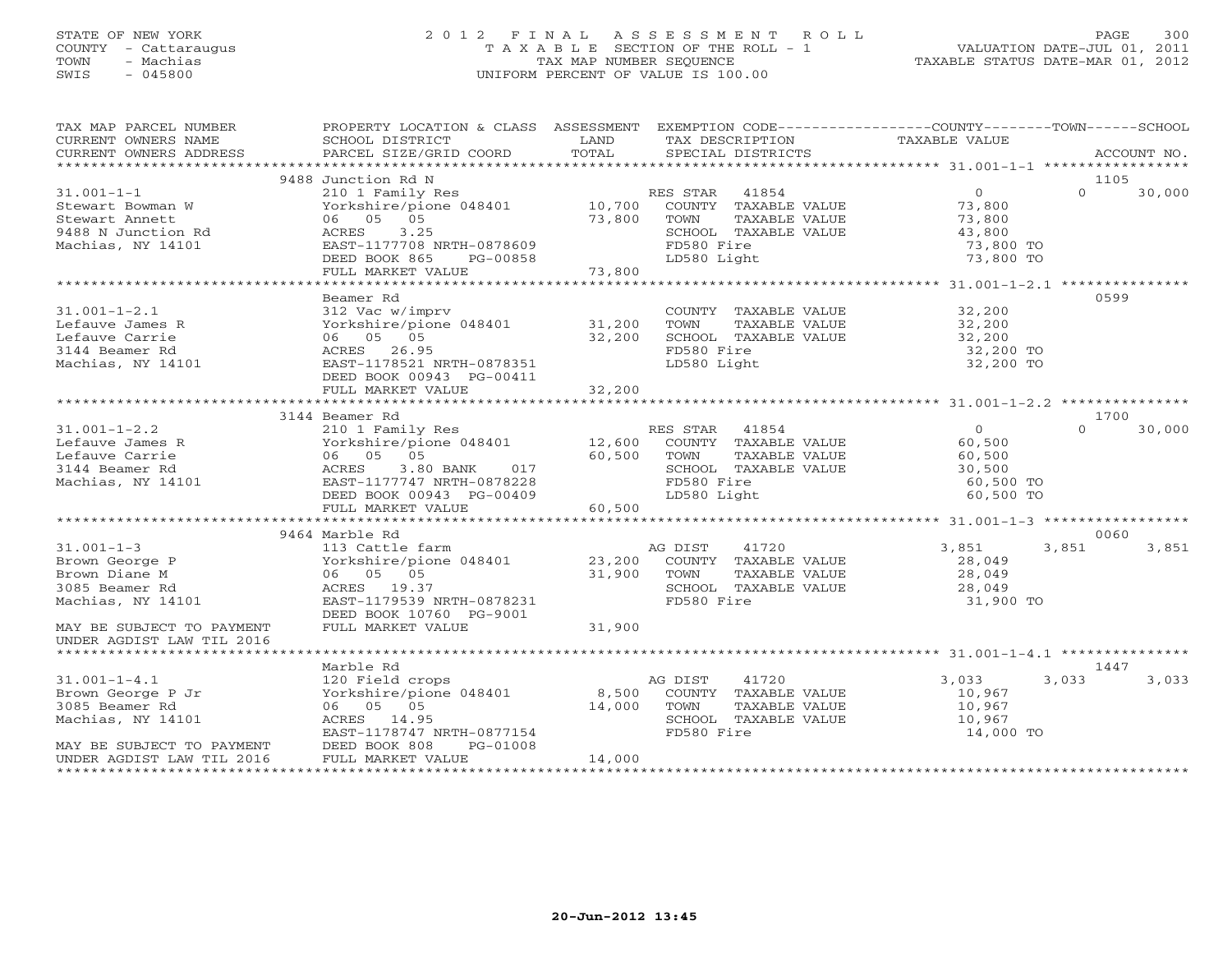## STATE OF NEW YORK 2 0 1 2 F I N A L A S S E S S M E N T R O L L PAGE 300 COUNTY - Cattaraugus T A X A B L E SECTION OF THE ROLL - 1 VALUATION DATE-JUL 01, 2011 TOWN - Machias TAX MAP NUMBER SEQUENCE TAXABLE STATUS DATE-MAR 01, 2012 SWIS - 045800 UNIFORM PERCENT OF VALUE IS 100.00UNIFORM PERCENT OF VALUE IS 100.00

| EXEMPTION CODE-----------------COUNTY-------TOWN------SCHOOL<br>PROPERTY LOCATION & CLASS ASSESSMENT<br>TAX MAP PARCEL NUMBER<br>CURRENT OWNERS NAME<br>LAND<br>TAXABLE VALUE<br>SCHOOL DISTRICT<br>TAX DESCRIPTION<br>TOTAL<br>CURRENT OWNERS ADDRESS<br>PARCEL SIZE/GRID COORD<br>SPECIAL DISTRICTS | ACCOUNT NO. |
|-------------------------------------------------------------------------------------------------------------------------------------------------------------------------------------------------------------------------------------------------------------------------------------------------------|-------------|
|                                                                                                                                                                                                                                                                                                       |             |
| 9488 Junction Rd N<br>1105                                                                                                                                                                                                                                                                            |             |
| $\overline{0}$<br>$31.001 - 1 - 1$<br>210 1 Family Res<br>RES STAR 41854<br>$\Omega$                                                                                                                                                                                                                  | 30,000      |
| Yorkshire/pione 048401<br>10,700<br>COUNTY TAXABLE VALUE<br>73,800<br>Stewart Bowman W<br>06 05 05<br>TOWN                                                                                                                                                                                            |             |
| 73,800<br>73,800<br>Stewart Annett<br>TAXABLE VALUE                                                                                                                                                                                                                                                   |             |
| 9488 N Junction Rd<br>3.25<br>ACRES<br>SCHOOL TAXABLE VALUE<br>43,800<br>FD580 Fire<br>Machias, NY 14101<br>EAST-1177708 NRTH-0878609<br>73,800 TO                                                                                                                                                    |             |
| DEED BOOK 865<br>LD580 Light<br>73,800 TO<br>PG-00858                                                                                                                                                                                                                                                 |             |
| FULL MARKET VALUE<br>73,800                                                                                                                                                                                                                                                                           |             |
|                                                                                                                                                                                                                                                                                                       |             |
| 0599<br>Beamer Rd                                                                                                                                                                                                                                                                                     |             |
| $31.001 - 1 - 2.1$<br>312 Vac w/imprv<br>32,200<br>COUNTY TAXABLE VALUE                                                                                                                                                                                                                               |             |
| Lefauve James R<br>TOWN<br>TAXABLE VALUE<br>32,200                                                                                                                                                                                                                                                    |             |
| Lefauve Carrie<br>06 05 05<br>32,200<br>SCHOOL TAXABLE VALUE<br>32,200                                                                                                                                                                                                                                |             |
| FD580 Fire<br>3144 Beamer Rd<br>ACRES 26.95<br>32,200 TO                                                                                                                                                                                                                                              |             |
| Machias, NY 14101<br>EAST-1178521 NRTH-0878351<br>LD580 Light<br>32,200 TO                                                                                                                                                                                                                            |             |
| DEED BOOK 00943 PG-00411                                                                                                                                                                                                                                                                              |             |
| FULL MARKET VALUE<br>32,200                                                                                                                                                                                                                                                                           |             |
|                                                                                                                                                                                                                                                                                                       |             |
| 3144 Beamer Rd<br>1700                                                                                                                                                                                                                                                                                |             |
| $\overline{0}$<br>$\Omega$<br>$31.001 - 1 - 2.2$<br>210 1 Family Res<br>RES STAR 41854                                                                                                                                                                                                                | 30,000      |
| Lefauve James R<br>Yorkshire/pione 048401<br>12,600<br>COUNTY TAXABLE VALUE<br>60,500                                                                                                                                                                                                                 |             |
| Lefauve Carrie<br>06 05 05<br>60,500<br>TOWN<br>TAXABLE VALUE<br>60,500                                                                                                                                                                                                                               |             |
| 3144 Beamer Rd<br>ACRES<br>3.80 BANK<br>017<br>SCHOOL TAXABLE VALUE<br>30,500                                                                                                                                                                                                                         |             |
| Machias, NY 14101<br>EAST-1177747 NRTH-0878228<br>FD580 Fire<br>60,500 TO                                                                                                                                                                                                                             |             |
| DEED BOOK 00943 PG-00409<br>LD580 Light<br>60,500 TO                                                                                                                                                                                                                                                  |             |
| FULL MARKET VALUE<br>60,500                                                                                                                                                                                                                                                                           |             |
|                                                                                                                                                                                                                                                                                                       |             |
| 9464 Marble Rd<br>0060<br>$31.001 - 1 - 3$<br>113 Cattle farm<br>AG DIST<br>41720<br>3,851<br>3,851                                                                                                                                                                                                   | 3,851       |
| Brown George P<br>Yorkshire/pione 048401<br>23,200<br>28,049<br>COUNTY TAXABLE VALUE                                                                                                                                                                                                                  |             |
| 31,900<br>Brown Diane M<br>06 05 05<br>TOWN<br>TAXABLE VALUE<br>28,049                                                                                                                                                                                                                                |             |
| 3085 Beamer Rd<br>ACRES 19.37<br>SCHOOL TAXABLE VALUE<br>28,049                                                                                                                                                                                                                                       |             |
| EAST-1179539 NRTH-0878231<br>FD580 Fire<br>Machias, NY 14101<br>31,900 TO                                                                                                                                                                                                                             |             |
| DEED BOOK 10760 PG-9001                                                                                                                                                                                                                                                                               |             |
| FULL MARKET VALUE<br>31,900<br>MAY BE SUBJECT TO PAYMENT                                                                                                                                                                                                                                              |             |
| UNDER AGDIST LAW TIL 2016                                                                                                                                                                                                                                                                             |             |
| ******************************                                                                                                                                                                                                                                                                        |             |
| Marble Rd<br>1447                                                                                                                                                                                                                                                                                     |             |
| 3,033<br>$31.001 - 1 - 4.1$<br>120 Field crops<br>AG DIST<br>41720<br>3,033                                                                                                                                                                                                                           | 3,033       |
| Yorkshire/pione 048401 8,500<br>Brown George P Jr<br>COUNTY TAXABLE VALUE<br>10,967                                                                                                                                                                                                                   |             |
| 3085 Beamer Rd<br>06 05 05<br>14,000<br>TAXABLE VALUE<br>TOWN<br>10,967                                                                                                                                                                                                                               |             |
| Machias, NY 14101<br>ACRES 14.95<br>SCHOOL TAXABLE VALUE<br>10,967                                                                                                                                                                                                                                    |             |
| EAST-1178747 NRTH-0877154<br>FD580 Fire<br>14,000 TO                                                                                                                                                                                                                                                  |             |
| DEED BOOK 808<br>PG-01008<br>MAY BE SUBJECT TO PAYMENT                                                                                                                                                                                                                                                |             |
| FULL MARKET VALUE<br>UNDER AGDIST LAW TIL 2016<br>14,000                                                                                                                                                                                                                                              |             |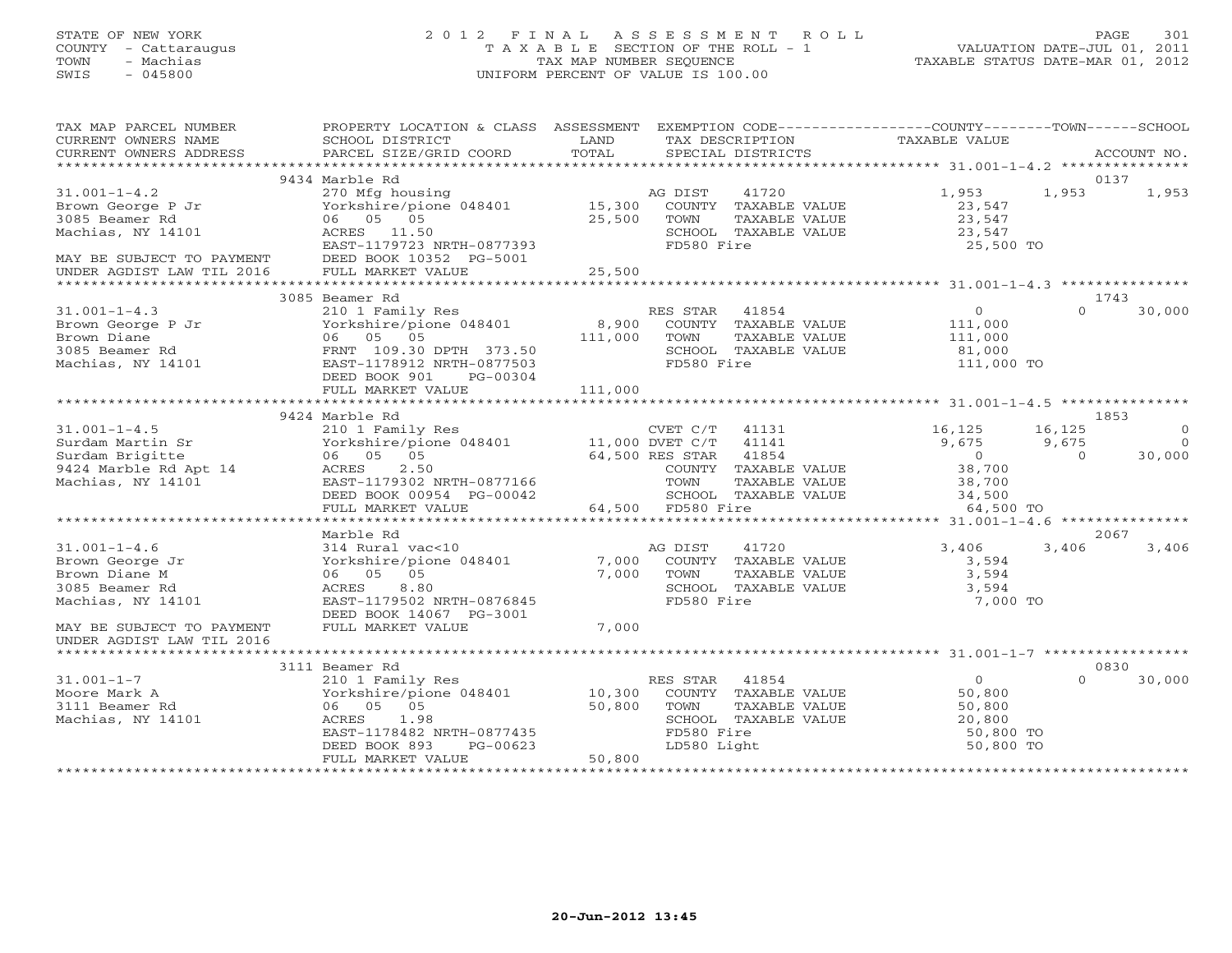# STATE OF NEW YORK 2 0 1 2 F I N A L A S S E S S M E N T R O L L PAGE 301 COUNTY - Cattaraugus T A X A B L E SECTION OF THE ROLL - 1 VALUATION DATE-JUL 01, 2011 TOWN - Machias TAX MAP NUMBER SEQUENCE TAXABLE STATUS DATE-MAR 01, 2012 SWIS - 045800 UNIFORM PERCENT OF VALUE IS 100.00UNIFORM PERCENT OF VALUE IS 100.00

| TAX MAP PARCEL NUMBER<br>CURRENT OWNERS NAME<br>CURRENT OWNERS ADDRESS                        | PROPERTY LOCATION & CLASS ASSESSMENT<br>SCHOOL DISTRICT<br>PARCEL SIZE/GRID COORD                                                           | LAND<br>TOTAL    | TAX DESCRIPTION<br>SPECIAL DISTRICTS                                                                    | EXEMPTION CODE-----------------COUNTY-------TOWN------SCHOOL<br>TAXABLE VALUE | ACCOUNT NO.                                                    |
|-----------------------------------------------------------------------------------------------|---------------------------------------------------------------------------------------------------------------------------------------------|------------------|---------------------------------------------------------------------------------------------------------|-------------------------------------------------------------------------------|----------------------------------------------------------------|
|                                                                                               |                                                                                                                                             |                  |                                                                                                         |                                                                               |                                                                |
|                                                                                               | 9434 Marble Rd                                                                                                                              |                  | AG DIST                                                                                                 |                                                                               | 0137<br>1,953                                                  |
| $31.001 - 1 - 4.2$<br>Brown George P Jr<br>3085 Beamer Rd<br>Machias, NY 14101                | 270 Mfg housing<br>Yorkshire/pione 048401 15,300<br>06 05 05<br>ACRES 11.50<br>EAST-1179723 NRTH-0877393                                    | 25,500           | 41720<br>COUNTY TAXABLE VALUE<br>TOWN<br>TAXABLE VALUE<br>SCHOOL TAXABLE VALUE<br>FD580 Fire            | 1,953<br>23,547<br>23,547<br>23,547<br>25,500 TO                              | 1,953                                                          |
| MAY BE SUBJECT TO PAYMENT<br>UNDER AGDIST LAW TIL 2016                                        | DEED BOOK 10352 PG-5001<br>FULL MARKET VALUE                                                                                                | 25,500           |                                                                                                         |                                                                               |                                                                |
|                                                                                               | 3085 Beamer Rd                                                                                                                              |                  |                                                                                                         | ************************************31.001-1-4.3 ****************             | 1743                                                           |
| $31.001 - 1 - 4.3$                                                                            | 210 1 Family Res                                                                                                                            |                  | RES STAR<br>41854                                                                                       | $\overline{0}$                                                                | $\Omega$<br>30,000                                             |
| Brown George P Jr<br>Brown Diane<br>3085 Beamer Rd<br>Machias, NY 14101                       | 210 1 Family Res<br>Yorkshire/pione 048401<br>06 05 05<br>FRNT 109.30 DPTH 373.50<br>EAST-1178912 NRTH-0877503<br>DEED BOOK 901<br>PG-00304 | 8,900<br>111,000 | COUNTY TAXABLE VALUE<br>TOWN<br>TAXABLE VALUE<br>SCHOOL TAXABLE VALUE<br>FD580 Fire                     | 111,000<br>111,000<br>81,000<br>111,000 TO                                    |                                                                |
|                                                                                               |                                                                                                                                             |                  |                                                                                                         |                                                                               |                                                                |
|                                                                                               |                                                                                                                                             |                  |                                                                                                         |                                                                               |                                                                |
|                                                                                               | 9424 Marble Rd                                                                                                                              |                  |                                                                                                         |                                                                               | 1853                                                           |
| $31.001 - 1 - 4.5$<br>Surdam Martin Sr<br>Surdam Brigitte                                     | 210 1 Family Res<br>Yorkshire/pione 048401 11,000 DVET C/T 41141<br>06 05 05                                                                |                  | CVET C/T 41131<br>64,500 RES STAR 41854                                                                 | 16,125<br>9,675<br>$\overline{0}$                                             | 16,125<br>$\Omega$<br>9,675<br>$\Omega$<br>$\bigcap$<br>30,000 |
| 9424 Marble Rd Apt 14<br>Machias, NY 14101                                                    | 2.50<br>ACRES<br>EAST-1179302 NRTH-0877166<br>DEED BOOK 00954 PG-00042                                                                      |                  | COUNTY TAXABLE VALUE<br>TOWN<br>TAXABLE VALUE<br>SCHOOL TAXABLE VALUE                                   | 38,700<br>38,700<br>34,500<br>64,500 TO                                       |                                                                |
|                                                                                               | FULL MARKET VALUE                                                                                                                           |                  | 64,500 FD580 Fire                                                                                       |                                                                               |                                                                |
|                                                                                               | Marble Rd                                                                                                                                   |                  |                                                                                                         |                                                                               | 2067                                                           |
| $31.001 - 1 - 4.6$<br>Brown George Jr<br>Brown Diane M<br>3085 Beamer Rd<br>Machias, NY 14101 | 314 Rural vac<10<br>Yorkshire/pione 048401<br>06 05 05<br>ACRES 8.80<br>EAST-1179502 NRTH-0876845<br>DEED BOOK 14067 PG-3001                | 7,000<br>7,000   | 41720<br>AG DIST<br>COUNTY TAXABLE VALUE<br>TOWN<br>TAXABLE VALUE<br>SCHOOL TAXABLE VALUE<br>FD580 Fire | 3,406<br>3,594<br>3,594<br>3,594<br>7,000 TO                                  | 3,406<br>3,406                                                 |
| MAY BE SUBJECT TO PAYMENT<br>UNDER AGDIST LAW TIL 2016                                        | FULL MARKET VALUE                                                                                                                           | 7,000            |                                                                                                         |                                                                               |                                                                |
|                                                                                               | 3111 Beamer Rd                                                                                                                              |                  |                                                                                                         |                                                                               | 0830                                                           |
| $31.001 - 1 - 7$                                                                              |                                                                                                                                             |                  | RES STAR<br>41854                                                                                       | $\Omega$                                                                      | $\Omega$<br>30,000                                             |
| Moore Mark A<br>3111 Beamer Rd<br>Machias, NY 14101                                           | 210 1 Family Res<br>Yorkshire/pione 048401 10,300<br>06 05 05<br>ACRES<br>1.98<br>EAST-1178482 NRTH-0877435                                 | 50,800           | COUNTY TAXABLE VALUE<br>TAXABLE VALUE<br>TOWN<br>SCHOOL TAXABLE VALUE<br>FD580 Fire                     | 50,800<br>50,800<br>20,800<br>50,800 TO                                       |                                                                |
|                                                                                               | DEED BOOK 893<br>PG-00623                                                                                                                   |                  | LD580 Light                                                                                             | 50,800 TO                                                                     |                                                                |
|                                                                                               | FULL MARKET VALUE                                                                                                                           | 50,800           |                                                                                                         |                                                                               |                                                                |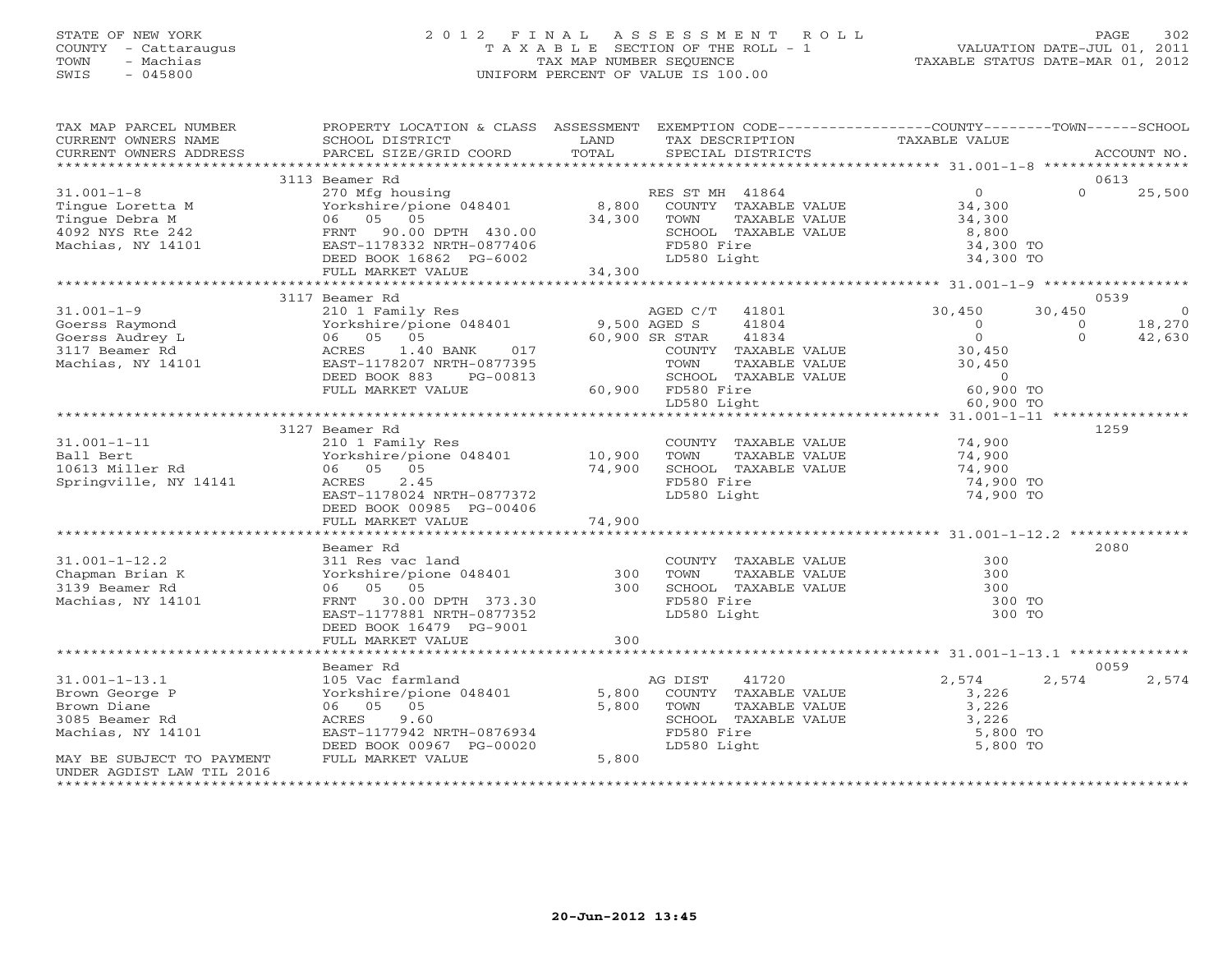# STATE OF NEW YORK 2 0 1 2 F I N A L A S S E S S M E N T R O L L PAGE 302 COUNTY - Cattaraugus T A X A B L E SECTION OF THE ROLL - 1 VALUATION DATE-JUL 01, 2011 TOWN - Machias TAX MAP NUMBER SEQUENCE TAXABLE STATUS DATE-MAR 01, 2012 SWIS - 045800 UNIFORM PERCENT OF VALUE IS 100.00UNIFORM PERCENT OF VALUE IS 100.00

| TAX MAP PARCEL NUMBER<br>CURRENT OWNERS NAME<br>CURRENT OWNERS ADDRESS                                                   | PROPERTY LOCATION & CLASS ASSESSMENT EXEMPTION CODE---------------COUNTY-------TOWN------SCHOOL<br><b>EXAMPLE DESCRIPTION OF A LAND</b><br>SCHOOL DISTRICT<br>PARCEL SIZE/GRID COORD                                                                         | TOTAL          | TAX DESCRIPTION<br>SPECIAL DISTRICTS                                                                                                          | TAXABLE VALUE                                                                                                                | ACCOUNT NO.                                                                |
|--------------------------------------------------------------------------------------------------------------------------|--------------------------------------------------------------------------------------------------------------------------------------------------------------------------------------------------------------------------------------------------------------|----------------|-----------------------------------------------------------------------------------------------------------------------------------------------|------------------------------------------------------------------------------------------------------------------------------|----------------------------------------------------------------------------|
|                                                                                                                          |                                                                                                                                                                                                                                                              |                |                                                                                                                                               |                                                                                                                              |                                                                            |
|                                                                                                                          | 3113 Beamer Rd                                                                                                                                                                                                                                               |                |                                                                                                                                               |                                                                                                                              | 0613                                                                       |
| $31.001 - 1 - 8$<br>Tingue Loretta M<br>Tingue Debra M<br>4092 NYS Rte 242<br>Machias, NY 14101                          | 270 Mfg housing<br>Yorkshire/pione 048401 (270 Mfg housing 1990)<br>270 Mfg housing (28401 (28,800 COUNTY TAXABLE VALUE 1990)<br>FRNT 90.00 DPTH 430.00<br>EAST-1178332 NRTH-0877406                                                                         | $34,300$ TOWN  | SCHOOL TAXABLE VALUE<br>FD580 Fire                                                                                                            | $0$<br>34,300<br>34,300<br>8,800<br>34,300 TO                                                                                | $\Omega$<br>25,500                                                         |
|                                                                                                                          | DEED BOOK 16862 PG-6002                                                                                                                                                                                                                                      | 34,300         | LD580 Light                                                                                                                                   | 34,300 TO                                                                                                                    |                                                                            |
|                                                                                                                          | FULL MARKET VALUE                                                                                                                                                                                                                                            |                |                                                                                                                                               |                                                                                                                              |                                                                            |
|                                                                                                                          | 3117 Beamer Rd                                                                                                                                                                                                                                               |                |                                                                                                                                               |                                                                                                                              | 0539                                                                       |
| $31.001 - 1 - 9$<br>Goerss Raymond<br>Goerss Audrey L<br>3117 Beamer Rd<br>Machias, NY 14101                             | Beamer ka<br>210 1 Family Res<br>Yorkshire/pione 048401 9,500 AGED S<br>06 05 05 60,900 SR STAR<br>ACRES 1.40 BANK 017 COUNTY T<br>COUNTY TOWN TOWN<br>DEED BOOK 883<br>PG-00813<br>DEED BOOK 883 PG-00813 SCHOOL TA2<br>FULL MARKET VALUE 60,900 FD580 Fire |                | AGED C/T 41801<br>41804<br>41834<br>COUNTY TAXABLE VALUE<br>TAXABLE VALUE<br>SCHOOL TAXABLE VALUE                                             | 30,450<br>$\overline{0}$<br>$\overline{0}$<br>0<br>30,450<br>30,450<br>$\begin{array}{c} 0 \\ 60,900 \text{ TO} \end{array}$ | 30,450<br>$\overline{0}$<br>18,270<br>$\overline{O}$<br>$\Omega$<br>42,630 |
|                                                                                                                          |                                                                                                                                                                                                                                                              |                | LD580 Light                                                                                                                                   | 60,900 TO                                                                                                                    |                                                                            |
|                                                                                                                          |                                                                                                                                                                                                                                                              |                |                                                                                                                                               |                                                                                                                              |                                                                            |
| $31.001 - 1 - 11$<br>Ball Bert<br>10613 Miller Rd<br>Springville, NY 14141                                               | 3127 Beamer Rd<br>210 1 Family Res<br>Yorkshire/pione 048401 10,900 TOWN<br>06 05 05<br>2000 TOWN 74,900 SCHOOL<br>ACRES<br>2.45<br>EAST-1178024 NRTH-0877372<br>DEED BOOK 00985 PG-00406                                                                    |                | COUNTY TAXABLE VALUE 74,900<br>TAXABLE VALUE<br>FORD TAXABLE VALUE 74,900<br>SCHOOL TAXABLE VALUE 74,900<br>FD580 Fire<br>LD580 Light         | 74,900<br>74,900 TO<br>74,900 TO                                                                                             | 1259                                                                       |
|                                                                                                                          |                                                                                                                                                                                                                                                              |                |                                                                                                                                               |                                                                                                                              |                                                                            |
|                                                                                                                          |                                                                                                                                                                                                                                                              |                |                                                                                                                                               |                                                                                                                              |                                                                            |
| $31.001 - 1 - 12.2$<br>Chapman Brian K<br>3139 Beamer Rd<br>Machias, NY 14101                                            | Beamer Rd<br>311 Res vac land<br>Yorkshire/pione 048401 300<br>300<br>FRNT 30.00 DPTH 373.30<br>EAST-1177881 NRTH-0877352<br>DEED BOOK 16479 PG-9001<br>FULL MARKET VALUE                                                                                    | 300            | COUNTY TAXABLE VALUE<br>TOWN<br>TAXABLE VALUE<br>SCHOOL TAXABLE VALUE<br>FD580 Fire<br>LD580 Light<br>LD580 Light                             | 300<br>300<br>300<br>300 TO<br>300 TO                                                                                        | 2080                                                                       |
|                                                                                                                          |                                                                                                                                                                                                                                                              |                |                                                                                                                                               |                                                                                                                              |                                                                            |
|                                                                                                                          | Beamer Rd                                                                                                                                                                                                                                                    |                |                                                                                                                                               |                                                                                                                              | 0059                                                                       |
| $31.001 - 1 - 13.1$<br>Brown George P<br>Brown Diane<br>3085 Beamer Rd<br>Machias, NY 14101<br>MAY BE SUBJECT TO PAYMENT | 105 Vac farmland<br>Yorkshire/pione 048401<br>06 05 05<br>ACRES<br>9.60<br>EAST-1177942 NRTH-0876934<br>DEED BOOK 00967 PG-00020<br>FULL MARKET VALUE                                                                                                        | 5,800<br>5,800 | 41720<br>AG DIST<br>COUNTY TAXABLE VALUE<br>5,800 TOWN<br>TOWN TAXABLE VALUE 3,226<br>SCHOOL TAXABLE VALUE 3,226<br>FD580 Fire<br>LD580 Light | 2,574<br>3,226<br>5,800 TO<br>5,800 TO                                                                                       | 2,574<br>2,574                                                             |
| UNDER AGDIST LAW TIL 2016                                                                                                |                                                                                                                                                                                                                                                              |                |                                                                                                                                               |                                                                                                                              |                                                                            |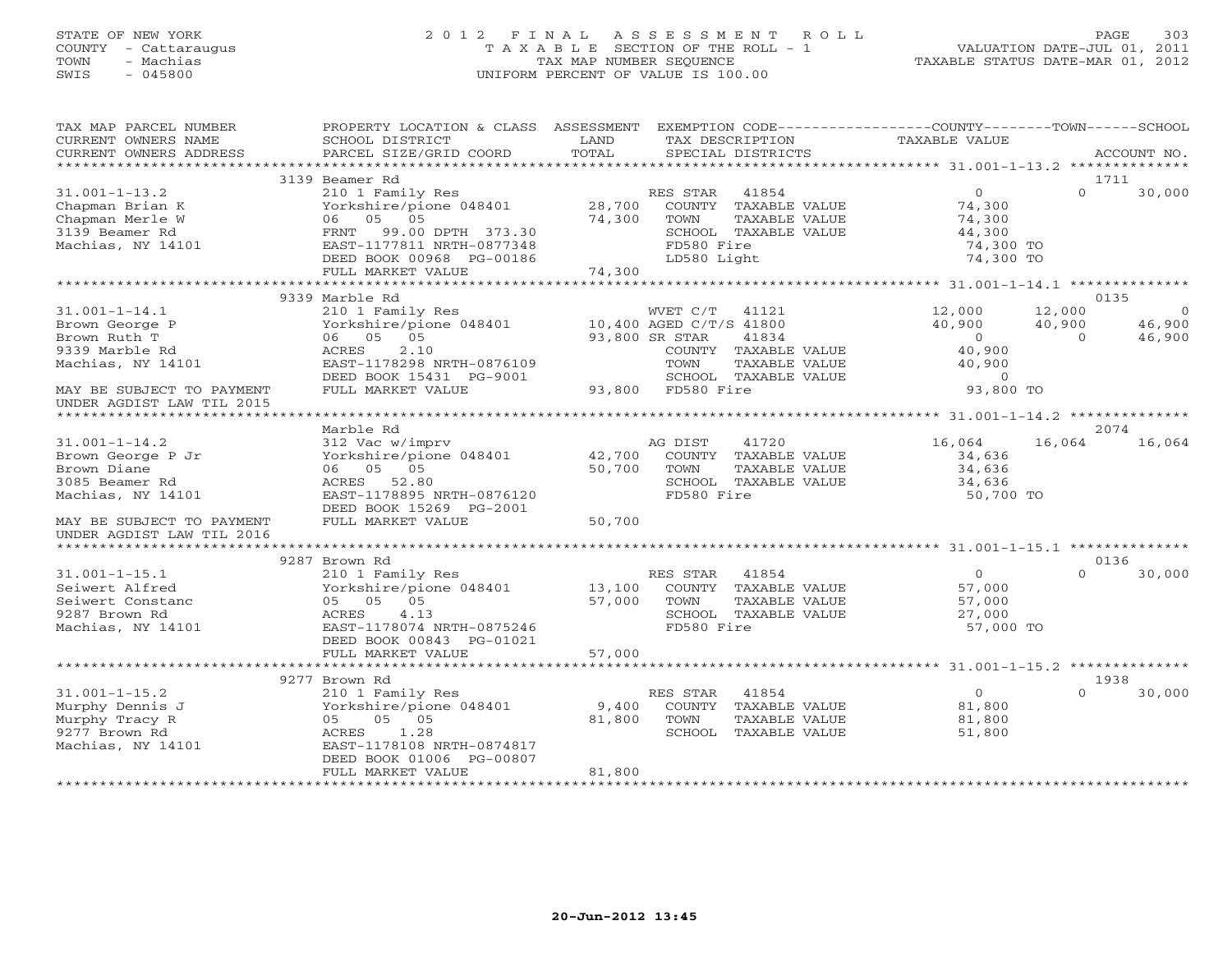## STATE OF NEW YORK 2 0 1 2 F I N A L A S S E S S M E N T R O L L PAGE 303 COUNTY - Cattaraugus T A X A B L E SECTION OF THE ROLL - 1 VALUATION DATE-JUL 01, 2011 TOWN - Machias TAX MAP NUMBER SEQUENCE TAXABLE STATUS DATE-MAR 01, 2012 SWIS - 045800 UNIFORM PERCENT OF VALUE IS 100.00UNIFORM PERCENT OF VALUE IS 100.00

| TAX MAP PARCEL NUMBER                               | PROPERTY LOCATION & CLASS ASSESSMENT                   |        | EXEMPTION CODE-----------------COUNTY-------TOWN------SCHOOL |                     |          |             |
|-----------------------------------------------------|--------------------------------------------------------|--------|--------------------------------------------------------------|---------------------|----------|-------------|
| CURRENT OWNERS NAME                                 | SCHOOL DISTRICT                                        | LAND   | TAX DESCRIPTION                                              | TAXABLE VALUE       |          |             |
| CURRENT OWNERS ADDRESS<br>************************* | PARCEL SIZE/GRID COORD                                 | TOTAL  | SPECIAL DISTRICTS                                            |                     |          | ACCOUNT NO. |
|                                                     | 3139 Beamer Rd                                         |        |                                                              |                     | 1711     |             |
|                                                     |                                                        |        |                                                              | $\circ$             | $\Omega$ |             |
| $31.001 - 1 - 13.2$                                 | 210 1 Family Res<br>Yorkshire/pione 048401             | 28,700 | RES STAR<br>41854<br>COUNTY TAXABLE VALUE                    | 74,300              |          | 30,000      |
| Chapman Brian K<br>Chapman Merle W                  | 05 05<br>06                                            | 74,300 | TOWN                                                         | 74,300              |          |             |
| 3139 Beamer Rd                                      |                                                        |        | TAXABLE VALUE                                                |                     |          |             |
| Machias, NY 14101                                   | FRNT<br>99.00 DPTH 373.30<br>EAST-1177811 NRTH-0877348 |        | SCHOOL TAXABLE VALUE<br>FD580 Fire                           | 44,300<br>74,300 TO |          |             |
|                                                     | DEED BOOK 00968 PG-00186                               |        | LD580 Light                                                  | 74,300 TO           |          |             |
|                                                     | FULL MARKET VALUE                                      | 74,300 |                                                              |                     |          |             |
|                                                     |                                                        |        |                                                              |                     |          |             |
|                                                     | 9339 Marble Rd                                         |        |                                                              |                     |          | 0135        |
| $31.001 - 1 - 14.1$                                 | 210 1 Family Res                                       |        | WVET C/T<br>41121                                            | 12,000              | 12,000   | $\Omega$    |
| Brown George P                                      | Yorkshire/pione 048401                                 |        | 10,400 AGED C/T/S 41800                                      | 40,900              | 40,900   | 46,900      |
| Brown Ruth T                                        | 05<br>06 05                                            |        | 93,800 SR STAR<br>41834                                      | $\Omega$            | $\Omega$ | 46,900      |
| 9339 Marble Rd                                      | 2.10<br>ACRES                                          |        | COUNTY TAXABLE VALUE                                         | 40,900              |          |             |
| Machias, NY 14101                                   | EAST-1178298 NRTH-0876109                              |        | TOWN<br>TAXABLE VALUE                                        | 40,900              |          |             |
|                                                     | DEED BOOK 15431 PG-9001                                |        | SCHOOL TAXABLE VALUE                                         | $\Omega$            |          |             |
| MAY BE SUBJECT TO PAYMENT                           | FULL MARKET VALUE                                      | 93,800 | FD580 Fire                                                   | 93,800 TO           |          |             |
| UNDER AGDIST LAW TIL 2015                           |                                                        |        |                                                              |                     |          |             |
|                                                     |                                                        |        |                                                              |                     |          |             |
|                                                     | Marble Rd                                              |        |                                                              |                     |          | 2074        |
| $31.001 - 1 - 14.2$                                 | 312 Vac w/imprv                                        |        | 41720<br>AG DIST                                             | 16,064              | 16,064   | 16,064      |
| Brown George P Jr                                   | Yorkshire/pione 048401                                 | 42,700 | COUNTY TAXABLE VALUE                                         | 34,636              |          |             |
| Brown Diane                                         | 06 05 05                                               | 50,700 | TOWN<br>TAXABLE VALUE                                        | 34,636              |          |             |
| 3085 Beamer Rd                                      | ACRES 52.80                                            |        | SCHOOL TAXABLE VALUE                                         | 34,636              |          |             |
| Machias, NY 14101                                   | EAST-1178895 NRTH-0876120                              |        | FD580 Fire                                                   | 50,700 TO           |          |             |
|                                                     | DEED BOOK 15269 PG-2001                                |        |                                                              |                     |          |             |
| MAY BE SUBJECT TO PAYMENT                           | FULL MARKET VALUE                                      | 50,700 |                                                              |                     |          |             |
| UNDER AGDIST LAW TIL 2016                           |                                                        |        |                                                              |                     |          |             |
|                                                     |                                                        |        |                                                              |                     |          |             |
|                                                     | 9287 Brown Rd                                          |        |                                                              |                     |          | 0136        |
| $31.001 - 1 - 15.1$                                 | 210 1 Family Res                                       |        | RES STAR<br>41854                                            | $\Omega$            | $\cap$   | 30,000      |
| Seiwert Alfred                                      | Yorkshire/pione 048401                                 | 13,100 | COUNTY TAXABLE VALUE                                         | 57,000              |          |             |
| Seiwert Constanc                                    | 05 05<br>05                                            | 57,000 | TOWN<br>TAXABLE VALUE                                        | 57,000              |          |             |
| 9287 Brown Rd                                       | ACRES<br>4.13                                          |        | SCHOOL TAXABLE VALUE                                         | 27,000              |          |             |
| Machias, NY 14101                                   | EAST-1178074 NRTH-0875246                              |        | FD580 Fire                                                   | 57,000 TO           |          |             |
|                                                     | DEED BOOK 00843 PG-01021                               |        |                                                              |                     |          |             |
|                                                     | FULL MARKET VALUE                                      | 57,000 |                                                              |                     |          |             |
|                                                     |                                                        |        |                                                              |                     |          |             |
|                                                     | 9277 Brown Rd                                          |        |                                                              |                     | 1938     |             |
| $31.001 - 1 - 15.2$                                 | 210 1 Family Res                                       |        | RES STAR<br>41854                                            | $\circ$             | $\cap$   | 30,000      |
| Murphy Dennis J                                     | Yorkshire/pione 048401                                 | 9,400  | COUNTY TAXABLE VALUE                                         | 81,800              |          |             |
| Murphy Tracy R                                      | 05 05<br>05                                            | 81,800 | TOWN<br>TAXABLE VALUE                                        | 81,800              |          |             |
| 9277 Brown Rd                                       | 1.28<br>ACRES                                          |        | SCHOOL TAXABLE VALUE                                         | 51,800              |          |             |
| Machias, NY 14101                                   | EAST-1178108 NRTH-0874817                              |        |                                                              |                     |          |             |
|                                                     | DEED BOOK 01006 PG-00807                               |        |                                                              |                     |          |             |
|                                                     | FULL MARKET VALUE                                      | 81,800 |                                                              |                     |          |             |
|                                                     |                                                        |        |                                                              |                     |          |             |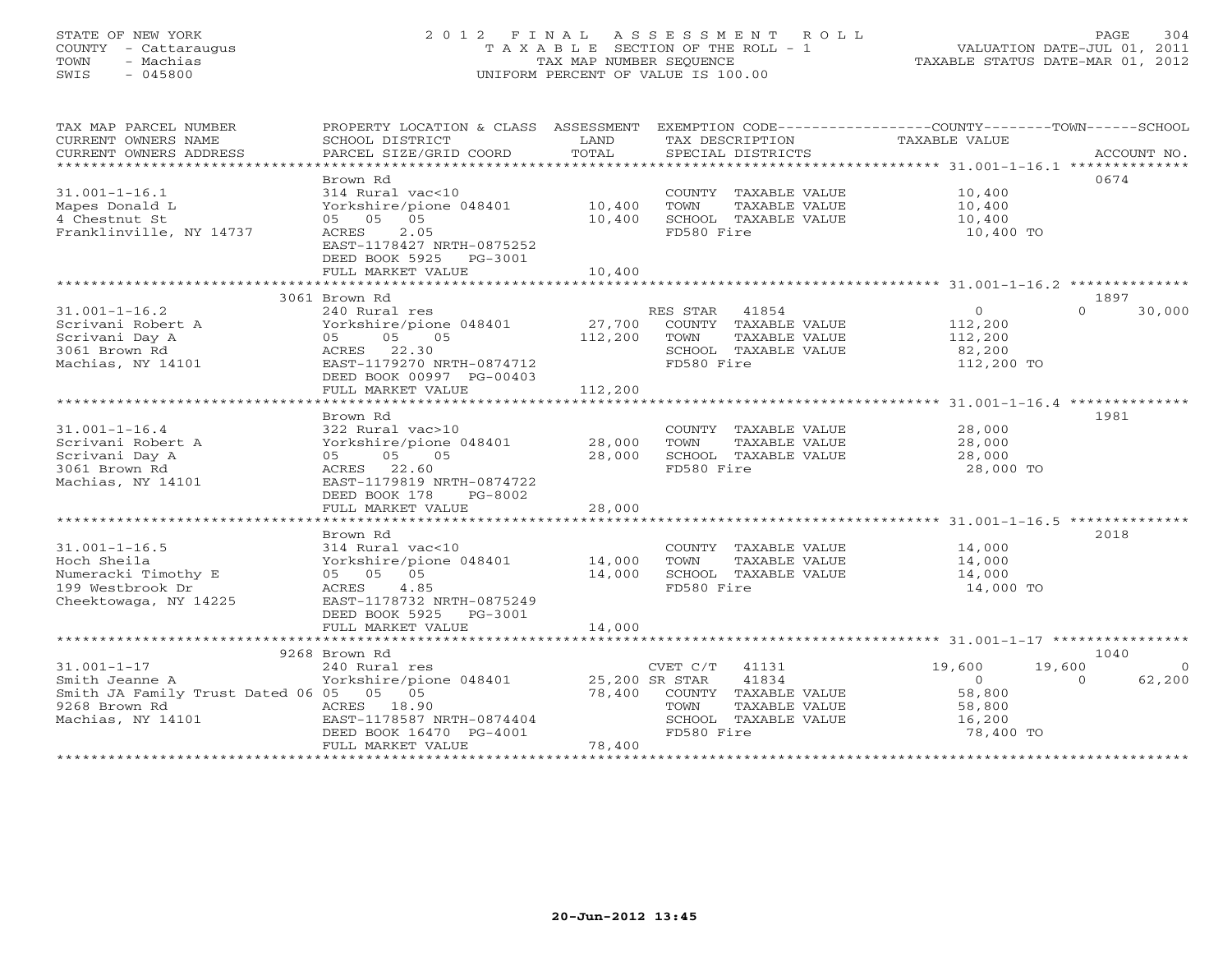# STATE OF NEW YORK 2 0 1 2 F I N A L A S S E S S M E N T R O L L PAGE 304 COUNTY - Cattaraugus T A X A B L E SECTION OF THE ROLL - 1 VALUATION DATE-JUL 01, 2011 TOWN - Machias TAX MAP NUMBER SEQUENCE TAXABLE STATUS DATE-MAR 01, 2012 SWIS - 045800 UNIFORM PERCENT OF VALUE IS 100.00UNIFORM PERCENT OF VALUE IS 100.00

| SCHOOL DISTRICT<br>PARCEL SIZE/GRID COORD                                                                                                                                      | LAND<br>TOTAL                                                                             | TAX DESCRIPTION<br>SPECIAL DISTRICTS                                                         | TAXABLE VALUE                                                                                                   | ACCOUNT NO.                                                                                                                     |
|--------------------------------------------------------------------------------------------------------------------------------------------------------------------------------|-------------------------------------------------------------------------------------------|----------------------------------------------------------------------------------------------|-----------------------------------------------------------------------------------------------------------------|---------------------------------------------------------------------------------------------------------------------------------|
| Brown Rd<br>314 Rural vac<10<br>Yorkshire/pione 048401<br>05 05 05<br>2.05<br>ACRES<br>EAST-1178427 NRTH-0875252<br>DEED BOOK 5925 PG-3001<br>FULL MARKET VALUE                | 10,400<br>10,400<br>10,400                                                                | COUNTY TAXABLE VALUE<br>TOWN<br>TAXABLE VALUE<br>SCHOOL TAXABLE VALUE<br>FD580 Fire          | 10,400<br>10,400<br>10,400<br>10,400 TO                                                                         | 0674                                                                                                                            |
|                                                                                                                                                                                |                                                                                           |                                                                                              |                                                                                                                 |                                                                                                                                 |
| 240 Rural res<br>Yorkshire/pione 048401<br>05 05<br>05<br>ACRES 22.30<br>EAST-1179270 NRTH-0874712<br>DEED BOOK 00997 PG-00403                                                 | 27,700<br>112,200                                                                         | COUNTY TAXABLE VALUE<br>TOWN<br>TAXABLE VALUE<br>SCHOOL TAXABLE VALUE<br>FD580 Fire          | $\circ$<br>112,200<br>112,200<br>82,200<br>112,200 TO                                                           | 1897<br>$\cap$<br>30,000                                                                                                        |
| *************************                                                                                                                                                      |                                                                                           |                                                                                              |                                                                                                                 |                                                                                                                                 |
| Brown Rd<br>322 Rural vac>10<br>Yorkshire/pione 048401<br>05<br>05<br>05<br>ACRES 22.60<br>EAST-1179819 NRTH-0874722<br>DEED BOOK 178<br>PG-8002<br>FULL MARKET VALUE          | 28,000<br>28,000<br>28,000                                                                | COUNTY TAXABLE VALUE<br>TOWN<br>TAXABLE VALUE<br>SCHOOL TAXABLE VALUE<br>FD580 Fire          | 28,000<br>28,000<br>28,000<br>28,000 TO                                                                         | 1981                                                                                                                            |
| ***********************                                                                                                                                                        | **********                                                                                |                                                                                              |                                                                                                                 |                                                                                                                                 |
| 314 Rural vac<10<br>Yorkshire/pione 048401<br>05 05 05<br>4.85<br>ACRES<br>EAST-1178732 NRTH-0875249                                                                           | 14,000<br>14,000                                                                          | COUNTY TAXABLE VALUE<br>TOWN<br>TAXABLE VALUE<br>SCHOOL TAXABLE VALUE<br>FD580 Fire          | 14,000<br>14,000<br>14,000<br>14,000 TO                                                                         | 2018                                                                                                                            |
| FULL MARKET VALUE                                                                                                                                                              | 14,000                                                                                    |                                                                                              |                                                                                                                 |                                                                                                                                 |
| **************************                                                                                                                                                     |                                                                                           |                                                                                              |                                                                                                                 |                                                                                                                                 |
| 240 Rural res<br>Yorkshire/pione 048401<br>Smith JA Family Trust Dated 06 05 05 05<br>ACRES 18.90<br>EAST-1178587 NRTH-0874404<br>DEED BOOK 16470 PG-4001<br>FULL MARKET VALUE | 78,400<br>78,400                                                                          | 41834<br>COUNTY TAXABLE VALUE<br>TAXABLE VALUE<br>TOWN<br>SCHOOL TAXABLE VALUE<br>FD580 Fire | 19,600<br>$\overline{0}$<br>58,800<br>58,800<br>16,200<br>78,400 TO                                             | 1040<br>$\Omega$<br>62,200<br>$\Omega$                                                                                          |
|                                                                                                                                                                                | 3061 Brown Rd<br>FULL MARKET VALUE<br>Brown Rd<br>DEED BOOK 5925 PG-3001<br>9268 Brown Rd | 112,200                                                                                      | PROPERTY LOCATION & CLASS ASSESSMENT<br>RES STAR 41854<br>***************<br>$CVET C/T$ 41131<br>25,200 SR STAR | EXEMPTION CODE-----------------COUNTY-------TOWN------SCHOOL<br>************************ 31.001-1-16.4 **************<br>19,600 |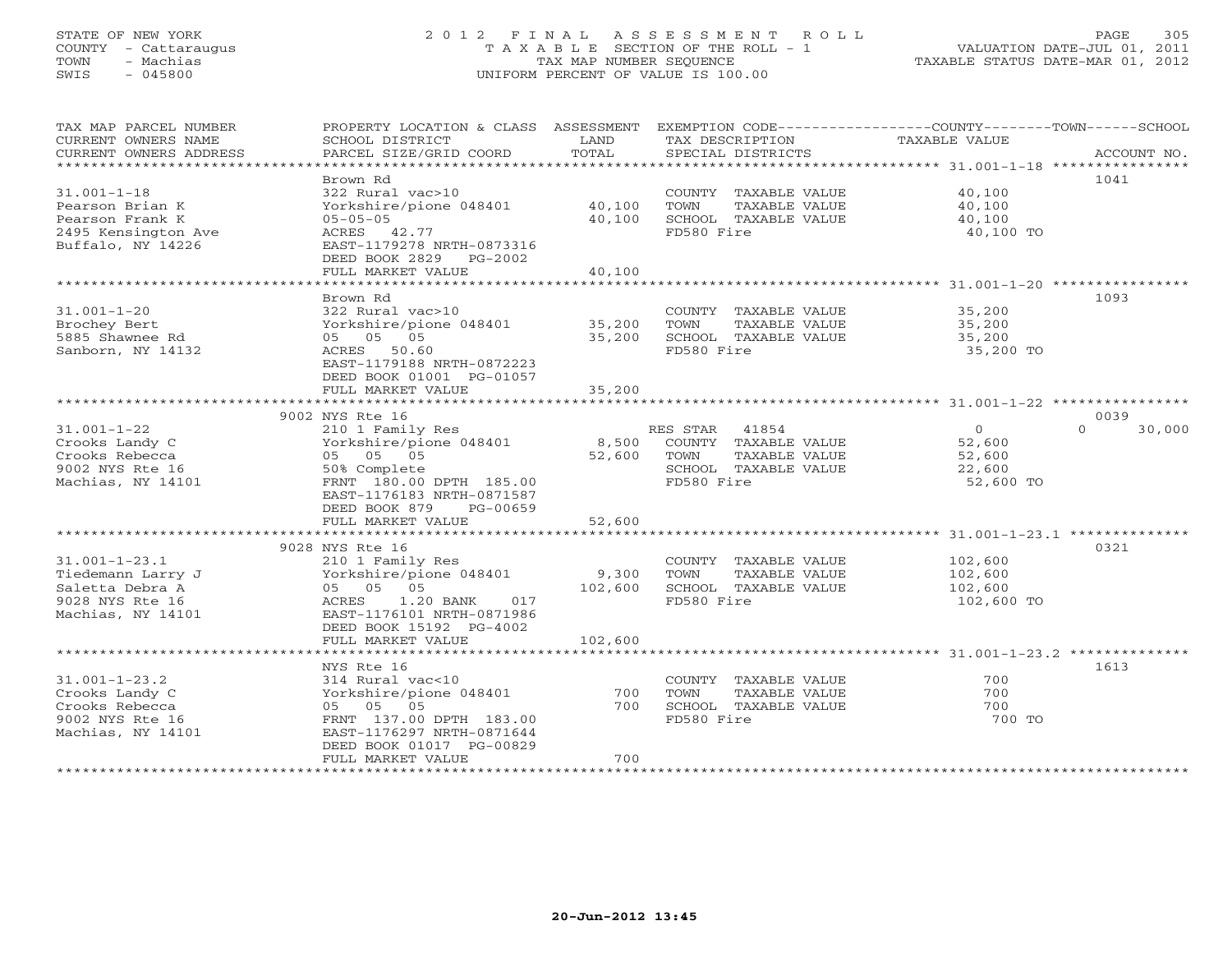## STATE OF NEW YORK 2 0 1 2 F I N A L A S S E S S M E N T R O L L PAGE 305 COUNTY - Cattaraugus T A X A B L E SECTION OF THE ROLL - 1 VALUATION DATE-JUL 01, 2011 TOWN - Machias TAX MAP NUMBER SEQUENCE TAXABLE STATUS DATE-MAR 01, 2012 SWIS - 045800 UNIFORM PERCENT OF VALUE IS 100.00UNIFORM PERCENT OF VALUE IS 100.00

| TAX MAP PARCEL NUMBER  | PROPERTY LOCATION & CLASS ASSESSMENT |             | EXEMPTION CODE-----------------COUNTY-------TOWN------SCHOOL |                |                    |
|------------------------|--------------------------------------|-------------|--------------------------------------------------------------|----------------|--------------------|
| CURRENT OWNERS NAME    | SCHOOL DISTRICT                      | LAND        | TAX DESCRIPTION                                              | TAXABLE VALUE  |                    |
| CURRENT OWNERS ADDRESS | PARCEL SIZE/GRID COORD               | TOTAL       | SPECIAL DISTRICTS                                            |                | ACCOUNT NO.        |
| ********************   |                                      |             |                                                              |                |                    |
|                        | Brown Rd                             |             |                                                              |                | 1041               |
| $31.001 - 1 - 18$      | 322 Rural vac>10                     |             | COUNTY TAXABLE VALUE                                         | 40,100         |                    |
| Pearson Brian K        | Yorkshire/pione 048401               | 40,100      | TOWN<br>TAXABLE VALUE                                        | 40,100         |                    |
| Pearson Frank K        | $05 - 05 - 05$                       | 40,100      | SCHOOL TAXABLE VALUE                                         | 40,100         |                    |
| 2495 Kensington Ave    | ACRES 42.77                          |             | FD580 Fire                                                   | 40,100 TO      |                    |
| Buffalo, NY 14226      | EAST-1179278 NRTH-0873316            |             |                                                              |                |                    |
|                        | DEED BOOK 2829 PG-2002               |             |                                                              |                |                    |
|                        | FULL MARKET VALUE                    | 40,100      |                                                              |                |                    |
|                        |                                      |             |                                                              |                |                    |
|                        | Brown Rd                             |             |                                                              |                | 1093               |
| $31.001 - 1 - 20$      | 322 Rural vac>10                     |             | COUNTY TAXABLE VALUE                                         | 35,200         |                    |
| Brochey Bert           | Yorkshire/pione 048401               | 35,200      | TOWN<br>TAXABLE VALUE                                        | 35,200         |                    |
| 5885 Shawnee Rd        | 05 05 05                             | 35,200      | SCHOOL TAXABLE VALUE                                         | 35,200         |                    |
| Sanborn, NY 14132      | ACRES 50.60                          |             | FD580 Fire                                                   | 35,200 TO      |                    |
|                        |                                      |             |                                                              |                |                    |
|                        | EAST-1179188 NRTH-0872223            |             |                                                              |                |                    |
|                        | DEED BOOK 01001 PG-01057             |             |                                                              |                |                    |
|                        | FULL MARKET VALUE                    | 35,200      |                                                              |                |                    |
|                        |                                      |             |                                                              |                |                    |
|                        | 9002 NYS Rte 16                      |             |                                                              |                | 0039               |
| $31.001 - 1 - 22$      | 210 1 Family Res                     |             | RES STAR<br>41854                                            | $\overline{0}$ | $\Omega$<br>30,000 |
| Crooks Landy C         | Yorkshire/pione 048401               | 8,500       | COUNTY TAXABLE VALUE                                         | 52,600         |                    |
| Crooks Rebecca         | 05 05 05                             | 52,600 TOWN | TAXABLE VALUE                                                | 52,600         |                    |
| 9002 NYS Rte 16        | 50% Complete                         |             | SCHOOL TAXABLE VALUE                                         | 22,600         |                    |
| Machias, NY 14101      | FRNT 180.00 DPTH 185.00              |             | FD580 Fire                                                   | 52,600 TO      |                    |
|                        | EAST-1176183 NRTH-0871587            |             |                                                              |                |                    |
|                        | DEED BOOK 879<br>PG-00659            |             |                                                              |                |                    |
|                        | FULL MARKET VALUE                    | 52,600      |                                                              |                |                    |
|                        | *************************            | *********** |                                                              |                |                    |
|                        | 9028 NYS Rte 16                      |             |                                                              |                | 0321               |
| $31.001 - 1 - 23.1$    | 210 1 Family Res                     |             | COUNTY TAXABLE VALUE                                         | 102,600        |                    |
| Tiedemann Larry J      | Yorkshire/pione 048401               | 9,300       | TOWN<br>TAXABLE VALUE                                        | 102,600        |                    |
| Saletta Debra A        | 05 05 05                             | 102,600     | SCHOOL TAXABLE VALUE                                         | 102,600        |                    |
| 9028 NYS Rte 16        | ACRES<br>1.20 BANK 017               |             | FD580 Fire                                                   | 102,600 TO     |                    |
| Machias, NY 14101      | EAST-1176101 NRTH-0871986            |             |                                                              |                |                    |
|                        | DEED BOOK 15192 PG-4002              |             |                                                              |                |                    |
|                        | FULL MARKET VALUE                    | 102,600     |                                                              |                |                    |
|                        |                                      |             |                                                              |                |                    |
|                        | NYS Rte 16                           |             |                                                              |                | 1613               |
| $31.001 - 1 - 23.2$    | 314 Rural vac<10                     |             | COUNTY TAXABLE VALUE                                         | 700            |                    |
| Crooks Landy C         | Yorkshire/pione 048401               | 700         | TOWN<br>TAXABLE VALUE                                        | 700            |                    |
| Crooks Rebecca         | 05 05 05                             | 700         | SCHOOL TAXABLE VALUE                                         | 700            |                    |
| 9002 NYS Rte 16        | FRNT 137.00 DPTH 183.00              |             | FD580 Fire                                                   | 700 TO         |                    |
| Machias, NY 14101      | EAST-1176297 NRTH-0871644            |             |                                                              |                |                    |
|                        | DEED BOOK 01017 PG-00829             |             |                                                              |                |                    |
|                        | FULL MARKET VALUE                    | 700         |                                                              |                |                    |
|                        |                                      |             |                                                              |                |                    |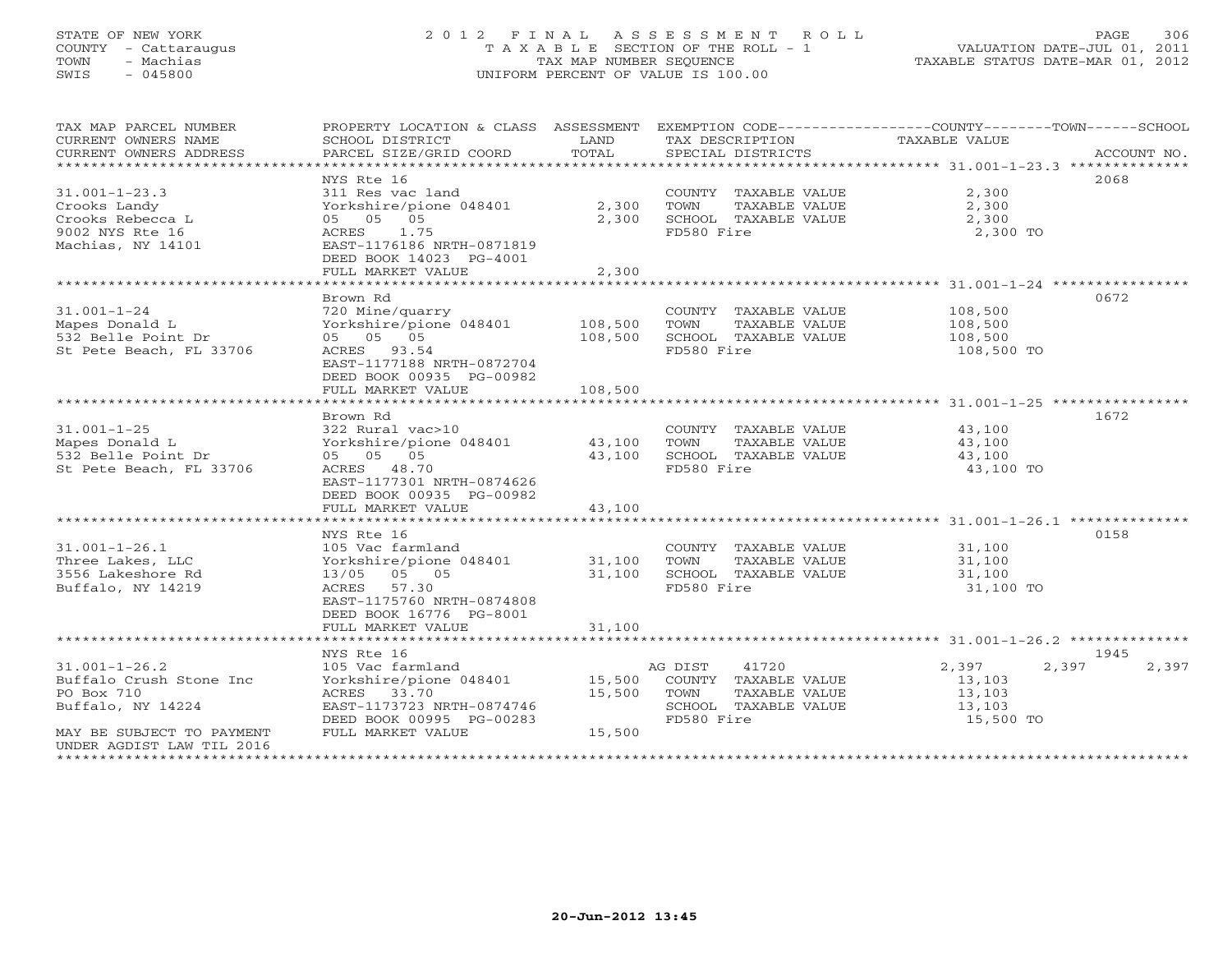# STATE OF NEW YORK 2 0 1 2 F I N A L A S S E S S M E N T R O L L PAGE 306 COUNTY - Cattaraugus T A X A B L E SECTION OF THE ROLL - 1 VALUATION DATE-JUL 01, 2011 TOWN - Machias TAX MAP NUMBER SEQUENCE TAXABLE STATUS DATE-MAR 01, 2012 SWIS - 045800 UNIFORM PERCENT OF VALUE IS 100.00UNIFORM PERCENT OF VALUE IS 100.00

| TAX MAP PARCEL NUMBER<br>CURRENT OWNERS NAME<br>CURRENT OWNERS ADDRESS | PROPERTY LOCATION & CLASS ASSESSMENT<br>SCHOOL DISTRICT<br>PARCEL SIZE/GRID COORD | LAND<br>TOTAL    | TAX DESCRIPTION<br>SPECIAL DISTRICTS          | EXEMPTION CODE-----------------COUNTY-------TOWN-----SCHOOL<br>TAXABLE VALUE | ACCOUNT NO. |
|------------------------------------------------------------------------|-----------------------------------------------------------------------------------|------------------|-----------------------------------------------|------------------------------------------------------------------------------|-------------|
|                                                                        |                                                                                   |                  |                                               |                                                                              |             |
|                                                                        | NYS Rte 16                                                                        |                  |                                               |                                                                              | 2068        |
| $31.001 - 1 - 23.3$<br>Crooks Landy                                    | 311 Res vac land<br>Yorkshire/pione 048401                                        | 2,300            | COUNTY TAXABLE VALUE<br>TOWN<br>TAXABLE VALUE | 2,300<br>2,300                                                               |             |
| Crooks Rebecca L                                                       | 05 05 05                                                                          | 2,300            | SCHOOL TAXABLE VALUE                          | 2,300                                                                        |             |
| 9002 NYS Rte 16<br>Machias, NY 14101                                   | 1.75<br>ACRES<br>EAST-1176186 NRTH-0871819<br>DEED BOOK 14023 PG-4001             |                  | FD580 Fire                                    | 2,300 TO                                                                     |             |
|                                                                        | FULL MARKET VALUE                                                                 | 2,300            |                                               |                                                                              |             |
|                                                                        |                                                                                   |                  |                                               |                                                                              |             |
|                                                                        | Brown Rd                                                                          |                  |                                               |                                                                              | 0672        |
| $31.001 - 1 - 24$                                                      | 720 Mine/quarry                                                                   |                  | COUNTY TAXABLE VALUE                          | 108,500                                                                      |             |
| Mapes Donald L                                                         | Yorkshire/pione 048401                                                            | 108,500          | TOWN<br>TAXABLE VALUE                         | 108,500                                                                      |             |
| 532 Belle Point Dr                                                     | 05 05 05                                                                          | 108,500          | SCHOOL TAXABLE VALUE                          | 108,500                                                                      |             |
| St Pete Beach, FL 33706                                                | ACRES 93.54<br>EAST-1177188 NRTH-0872704<br>DEED BOOK 00935 PG-00982              |                  | FD580 Fire                                    | 108,500 TO                                                                   |             |
|                                                                        | FULL MARKET VALUE                                                                 | 108,500          |                                               |                                                                              |             |
|                                                                        |                                                                                   |                  |                                               |                                                                              |             |
|                                                                        | Brown Rd                                                                          |                  |                                               |                                                                              | 1672        |
| $31.001 - 1 - 25$                                                      | 322 Rural vac>10                                                                  |                  | COUNTY TAXABLE VALUE                          | 43,100                                                                       |             |
| Mapes Donald L<br>532 Belle Point Dr                                   | Yorkshire/pione 048401<br>05 05 05                                                | 43,100<br>43,100 | TOWN<br>TAXABLE VALUE<br>SCHOOL TAXABLE VALUE | 43,100<br>43,100                                                             |             |
| St Pete Beach, FL 33706                                                | ACRES 48.70                                                                       |                  | FD580 Fire                                    | 43,100 TO                                                                    |             |
|                                                                        | EAST-1177301 NRTH-0874626                                                         |                  |                                               |                                                                              |             |
|                                                                        | DEED BOOK 00935 PG-00982                                                          |                  |                                               |                                                                              |             |
|                                                                        | FULL MARKET VALUE                                                                 | 43,100           |                                               |                                                                              |             |
|                                                                        |                                                                                   |                  |                                               |                                                                              |             |
|                                                                        | NYS Rte 16                                                                        |                  |                                               |                                                                              | 0158        |
| $31.001 - 1 - 26.1$                                                    | 105 Vac farmland                                                                  |                  | COUNTY TAXABLE VALUE                          | 31,100                                                                       |             |
| Three Lakes, LLC                                                       | Yorkshire/pione 048401                                                            | 31,100           | TOWN<br>TAXABLE VALUE                         | 31,100                                                                       |             |
| 3556 Lakeshore Rd                                                      | 05 05<br>13/05                                                                    | 31,100           | SCHOOL TAXABLE VALUE                          | 31,100                                                                       |             |
| Buffalo, NY 14219                                                      | 57.30<br>ACRES<br>EAST-1175760 NRTH-0874808<br>DEED BOOK 16776 PG-8001            |                  | FD580 Fire                                    | 31,100 TO                                                                    |             |
|                                                                        | FULL MARKET VALUE                                                                 | 31,100           |                                               |                                                                              |             |
|                                                                        |                                                                                   |                  |                                               |                                                                              |             |
|                                                                        | NYS Rte 16                                                                        |                  |                                               |                                                                              | 1945        |
| $31.001 - 1 - 26.2$                                                    | 105 Vac farmland                                                                  |                  | AG DIST<br>41720                              | 2,397<br>2,397                                                               | 2,397       |
| Buffalo Crush Stone Inc                                                | Yorkshire/pione 048401                                                            | 15,500           | COUNTY TAXABLE VALUE                          | 13,103                                                                       |             |
| PO Box 710                                                             | ACRES 33.70                                                                       | 15,500           | TOWN<br>TAXABLE VALUE                         | 13,103                                                                       |             |
| Buffalo, NY 14224                                                      | EAST-1173723 NRTH-0874746                                                         |                  | SCHOOL TAXABLE VALUE                          | 13,103                                                                       |             |
|                                                                        | DEED BOOK 00995 PG-00283<br>FULL MARKET VALUE                                     | 15,500           | FD580 Fire                                    | 15,500 TO                                                                    |             |
| MAY BE SUBJECT TO PAYMENT<br>UNDER AGDIST LAW TIL 2016                 |                                                                                   |                  |                                               |                                                                              |             |
| *************************                                              |                                                                                   |                  |                                               |                                                                              |             |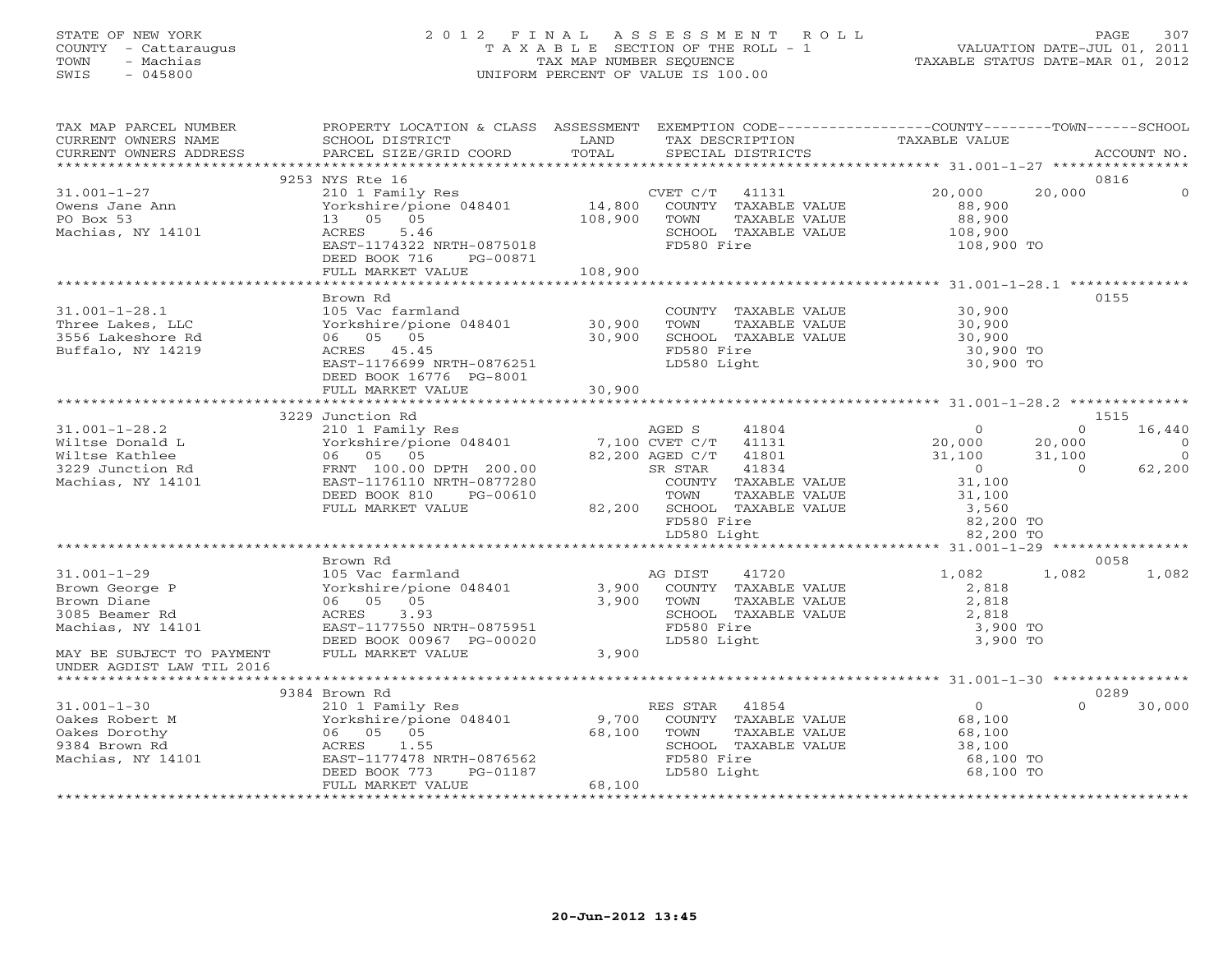#### STATE OF NEW YORK 2 0 1 2 F I N A L A S S E S S M E N T R O L L PAGE 307 COUNTY - Cattaraugus T A X A B L E SECTION OF THE ROLL - 1 VALUATION DATE-JUL 01, 2011 TOWN - Machias TAX MAP NUMBER SEQUENCE TAXABLE STATUS DATE-MAR 01, 2012 SWIS - 045800 UNIFORM PERCENT OF VALUE IS 100.00

| TAX MAP PARCEL NUMBER<br>CURRENT OWNERS NAME | PROPERTY LOCATION & CLASS ASSESSMENT EXEMPTION CODE---------------COUNTY-------TOWN------SCHOOL<br>SCHOOL DISTRICT | LAND    | TAX DESCRIPTION             | TAXABLE VALUE                        |                          |
|----------------------------------------------|--------------------------------------------------------------------------------------------------------------------|---------|-----------------------------|--------------------------------------|--------------------------|
|                                              |                                                                                                                    |         |                             |                                      |                          |
|                                              | 9253 NYS Rte 16                                                                                                    |         |                             |                                      | 0816                     |
| $31.001 - 1 - 27$                            | 210 1 Family Res<br>Yorkshire/pione 048401 14,800 COUNTY TAXABLE VALUE                                             |         |                             | 20,000<br>20,000                     | $\Omega$                 |
| Owens Jane Ann                               |                                                                                                                    |         |                             | 88,900                               |                          |
| PO Box 53                                    | 13  05  05                                                                                                         | 108,900 | TOWN<br>TAXABLE VALUE       | 88,900                               |                          |
| Machias, NY 14101                            | 5.46<br>ACRES                                                                                                      |         | SCHOOL TAXABLE VALUE        | 108,900                              |                          |
|                                              | EAST-1174322 NRTH-0875018                                                                                          |         | FD580 Fire                  | 108,900 TO                           |                          |
|                                              | DEED BOOK 716<br>PG-00871                                                                                          |         |                             |                                      |                          |
|                                              |                                                                                                                    |         |                             |                                      |                          |
|                                              |                                                                                                                    |         |                             |                                      |                          |
|                                              | Brown Rd                                                                                                           |         |                             |                                      | 0155                     |
| $31.001 - 1 - 28.1$                          | 105 Vac farmland                                                                                                   |         | COUNTY TAXABLE VALUE        | 30,900                               |                          |
| Three Lakes, LLC                             | Yorkshire/pione 048401 30,900                                                                                      |         | TOWN<br>TAXABLE VALUE       | 30,900                               |                          |
| 3556 Lakeshore Rd                            | 06 05 05                                                                                                           | 30,900  | SCHOOL TAXABLE VALUE        | 30,900                               |                          |
| Buffalo, NY 14219                            | ACRES 45.45                                                                                                        |         | FD580 Fire                  | 30,900 TO                            |                          |
|                                              | EAST-1176699 NRTH-0876251                                                                                          |         | LD580 Light                 | 30,900 TO                            |                          |
|                                              | DEED BOOK 16776 PG-8001                                                                                            |         |                             |                                      |                          |
|                                              | FULL MARKET VALUE                                                                                                  | 30,900  |                             |                                      |                          |
|                                              |                                                                                                                    |         |                             |                                      |                          |
|                                              | 3229 Junction Rd                                                                                                   |         |                             |                                      | 1515<br>$\Omega$         |
| $31.001 - 1 - 28.2$                          |                                                                                                                    |         |                             | $\Omega$                             | 16,440<br>$\overline{0}$ |
| Wiltse Donald L<br>Wiltse Kathlee            | 210 1 Family Res<br>Yorkshire/pione 048401 7,100 CVET C/T 41131<br>06 05 05 05 82,200 AGED C/T 41801<br>06 05 05   |         | 82,200 AGED C/T 41801       | 20,000<br>20,000<br>31,100<br>31,100 | $\bigcap$                |
| 3229 Junction Rd                             | FRNT 100.00 DPTH 200.00                                                                                            |         | SR STAR<br>41834            | $\overline{0}$<br>$\overline{a}$     | 62,200                   |
| Machias, NY 14101                            | EAST-1176110 NRTH-0877280                                                                                          |         | COUNTY TAXABLE VALUE        | 31,100                               |                          |
|                                              | DEED BOOK 810<br>PG-00610                                                                                          |         | TOWN<br>TAXABLE VALUE       | 31,100                               |                          |
|                                              | FULL MARKET VALUE                                                                                                  |         | 82,200 SCHOOL TAXABLE VALUE | 3,560                                |                          |
|                                              |                                                                                                                    |         | FD580 Fire                  | $3,300$ TO<br>$82,200$ TO            |                          |
|                                              |                                                                                                                    |         | LD580 Light                 | 82,200 TO                            |                          |
|                                              |                                                                                                                    |         |                             |                                      |                          |
|                                              | Brown Rd                                                                                                           |         |                             |                                      | 0058                     |
| $31.001 - 1 - 29$                            | 105 Vac farmland<br>Yorkshire/pione 048401 3,900 COUNTY TAXABLE VALUE                                              |         |                             | 1,082<br>1,082                       | 1,082                    |
| Brown George P                               |                                                                                                                    |         |                             | 2,818                                |                          |
| Brown Diane                                  | 06 05 05                                                                                                           | 3,900   | TOWN<br>TAXABLE VALUE       |                                      |                          |
| 3085 Beamer Rd                               | ACRES<br>3.93                                                                                                      |         | SCHOOL TAXABLE VALUE        | 2,818<br>2,818                       |                          |
| Machias, NY 14101                            | EAST-1177550 NRTH-0875951                                                                                          |         | FD580 Fire                  | 3,900 TO                             |                          |
|                                              | DEED BOOK 00967 PG-00020                                                                                           |         | LD580 Light                 | 3,900 TO                             |                          |
| MAY BE SUBJECT TO PAYMENT                    | FULL MARKET VALUE                                                                                                  | 3,900   |                             |                                      |                          |
| UNDER AGDIST LAW TIL 2016                    |                                                                                                                    |         |                             |                                      |                          |
|                                              |                                                                                                                    |         |                             |                                      |                          |
|                                              | 9384 Brown Rd                                                                                                      |         |                             |                                      | 0289                     |
| $31.001 - 1 - 30$                            | 210 1 Family Res                                                                                                   |         | RES STAR 41854              | $\overline{0}$                       | $\Omega$<br>30,000       |
| Oakes Robert M                               | Yorkshire/pione 048401                                                                                             |         | 9,700 COUNTY TAXABLE VALUE  | 68,100                               |                          |
| Oakes Dorothy                                | 06 05 05                                                                                                           | 68,100  | TAXABLE VALUE<br>TOWN       | 68,100                               |                          |
| 9384 Brown Rd                                | 1.55<br>ACRES                                                                                                      |         | SCHOOL TAXABLE VALUE        | 38,100                               |                          |
| Machias, NY 14101                            | EAST-1177478 NRTH-0876562                                                                                          |         | FD580 Fire                  | 68,100 TO                            |                          |
|                                              | DEED BOOK 773<br>PG-01187                                                                                          |         | LD580 Light                 | 68,100 TO                            |                          |
|                                              | FULL MARKET VALUE                                                                                                  | 68,100  |                             |                                      |                          |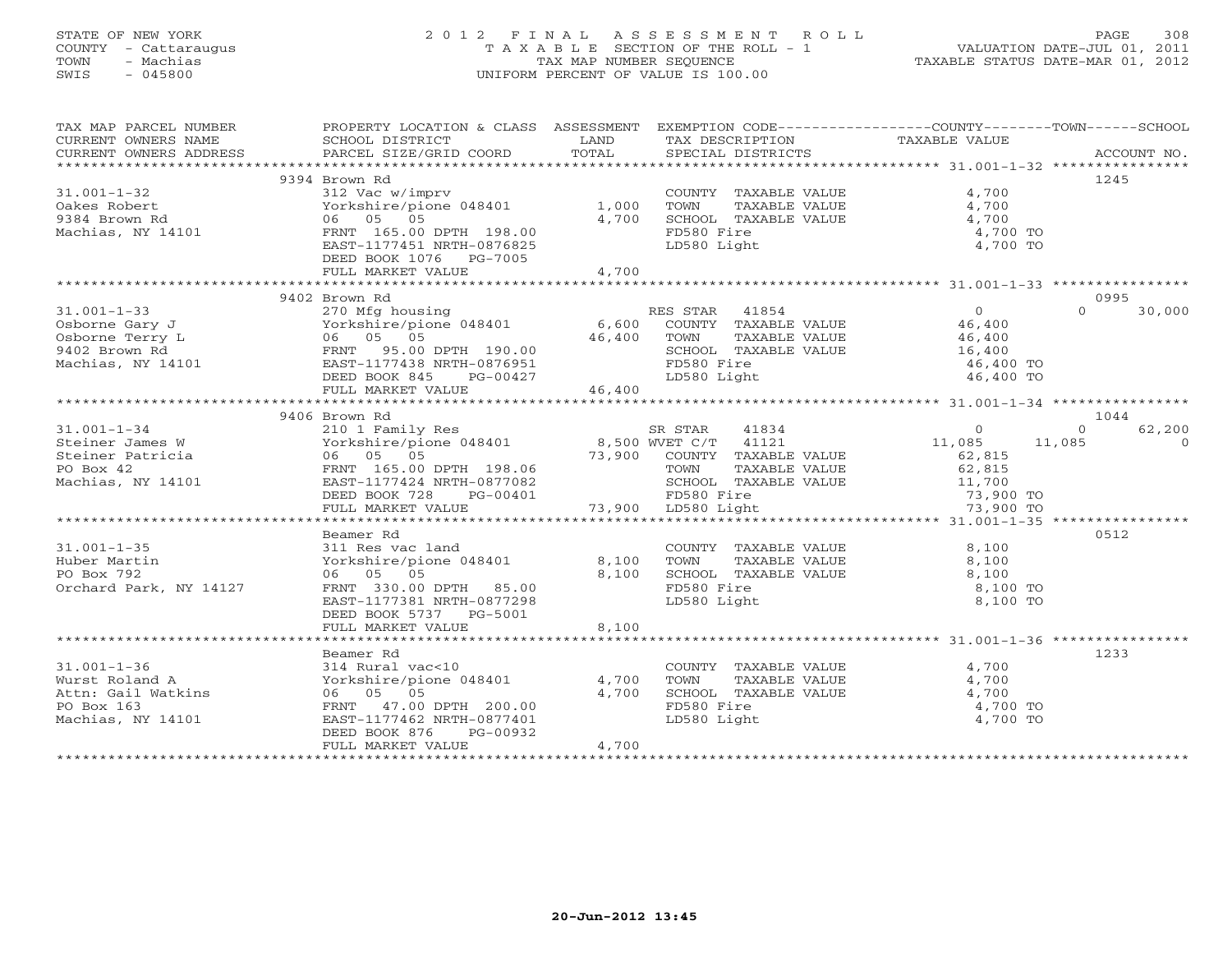# STATE OF NEW YORK 2 0 1 2 F I N A L A S S E S S M E N T R O L L PAGE 308 COUNTY - Cattaraugus T A X A B L E SECTION OF THE ROLL - 1 VALUATION DATE-JUL 01, 2011 TOWN - Machias TAX MAP NUMBER SEQUENCE TAXABLE STATUS DATE-MAR 01, 2012 SWIS - 045800 UNIFORM PERCENT OF VALUE IS 100.00

| TAX MAP PARCEL NUMBER                               | PROPERTY LOCATION & CLASS ASSESSMENT EXEMPTION CODE---------------COUNTY-------TOWN------SCHOOL                                                                                                                                                        |             |                                                                                                           |                                            |                            |
|-----------------------------------------------------|--------------------------------------------------------------------------------------------------------------------------------------------------------------------------------------------------------------------------------------------------------|-------------|-----------------------------------------------------------------------------------------------------------|--------------------------------------------|----------------------------|
| CURRENT OWNERS NAME SCHOOL DISTRICT                 |                                                                                                                                                                                                                                                        | LAND        | TAX DESCRIPTION                                                                                           | TAXABLE VALUE                              |                            |
| CURRENT OWNERS ADDRESS                              |                                                                                                                                                                                                                                                        |             |                                                                                                           |                                            |                            |
|                                                     |                                                                                                                                                                                                                                                        |             |                                                                                                           |                                            |                            |
|                                                     | 9394 Brown Rd                                                                                                                                                                                                                                          |             |                                                                                                           |                                            | 1245                       |
| $31.001 - 1 - 32$                                   | 312 Vac w/imprv                                                                                                                                                                                                                                        |             | COUNTY TAXABLE VALUE                                                                                      | 4,700                                      |                            |
| Oakes Robert                                        | Yorkshire/pione 048401 1,000                                                                                                                                                                                                                           |             | TOWN<br>TAXABLE VALUE<br>TAXABLE VALUE                                                                    | 4,700                                      |                            |
| 9384 Brown Rd                                       | 06 05 05                                                                                                                                                                                                                                               | 4,700       | SCHOOL TAXABLE VALUE                                                                                      | 4,700                                      |                            |
|                                                     | Machias, NY 14101 FRNT 165.00 DPTH 198.00                                                                                                                                                                                                              |             | FD580 Fire                                                                                                | 4,700 TO                                   |                            |
|                                                     | EAST-1177451 NRTH-0876825                                                                                                                                                                                                                              |             | LD580 Light                                                                                               | 4,700 TO                                   |                            |
|                                                     | DEED BOOK 1076 PG-7005                                                                                                                                                                                                                                 |             |                                                                                                           |                                            |                            |
|                                                     | FULL MARKET VALUE                                                                                                                                                                                                                                      | 4,700       |                                                                                                           |                                            |                            |
|                                                     |                                                                                                                                                                                                                                                        |             |                                                                                                           |                                            |                            |
|                                                     | 9402 Brown Rd                                                                                                                                                                                                                                          |             |                                                                                                           |                                            | 0995<br>30,000<br>$\Omega$ |
| $31.001 - 1 - 33$                                   |                                                                                                                                                                                                                                                        |             |                                                                                                           | $\overline{0}$                             |                            |
|                                                     | 270 Mfg housing<br>Yorkshire/pione 048401 6,600 COUNTY TAXABLE VALUE<br>16.400 TOWN TAXABLE VALUE                                                                                                                                                      |             | TAXABLE VALUE                                                                                             | 46,400<br>46,400                           |                            |
|                                                     |                                                                                                                                                                                                                                                        | 46,400 TOWN |                                                                                                           |                                            |                            |
|                                                     |                                                                                                                                                                                                                                                        |             | SCHOOL TAXABLE VALUE 16,400<br>FD580 Fire                                                                 | 46,400 TO                                  |                            |
|                                                     | DEED BOOK 845                                                                                                                                                                                                                                          |             |                                                                                                           | 46,400 TO                                  |                            |
|                                                     | FULL MARKET VALUE                                                                                                                                                                                                                                      |             | PG-00427 LD580 Light<br>46,400 LD580 Light                                                                |                                            |                            |
|                                                     |                                                                                                                                                                                                                                                        |             |                                                                                                           |                                            |                            |
|                                                     | 9406 Brown Rd                                                                                                                                                                                                                                          |             |                                                                                                           |                                            | 1044                       |
|                                                     |                                                                                                                                                                                                                                                        |             |                                                                                                           |                                            | 62,200<br>$\Omega$         |
|                                                     |                                                                                                                                                                                                                                                        |             |                                                                                                           | $\begin{array}{c} 0 \\ 11,085 \end{array}$ | 11,085<br>$\overline{0}$   |
|                                                     |                                                                                                                                                                                                                                                        |             |                                                                                                           | 62,815                                     |                            |
|                                                     |                                                                                                                                                                                                                                                        |             |                                                                                                           |                                            |                            |
|                                                     |                                                                                                                                                                                                                                                        |             |                                                                                                           |                                            |                            |
|                                                     |                                                                                                                                                                                                                                                        |             |                                                                                                           |                                            |                            |
|                                                     | 31.001-1-34<br>Steiner James W<br>Steiner Patricia<br>Machias, NY 14101<br>Machias, NY 14101<br>Machias, NY 14101<br>SEED BOOK 728<br>FULL MARKET VALUE<br>MAKET VALUE<br>MAKET VALUE<br>TO BOOK 728<br>PG-00401<br>TOWN TAXABLE VALUE<br>TOWN TAXABLE |             | TOWN TAXABLE VALUE 62,815<br>SCHOOL TAXABLE VALUE 11,700<br>FD580 Fire 73,900 TO<br>LD580 Light 73,900 TO |                                            |                            |
|                                                     |                                                                                                                                                                                                                                                        |             |                                                                                                           |                                            |                            |
|                                                     | Beamer Rd                                                                                                                                                                                                                                              |             |                                                                                                           |                                            | 0512                       |
| $31.001 - 1 - 35$                                   | 311 Res vac land COUNT<br>Yorkshire/pione 048401 8,100 TOWN<br>06 05 05 8.100 SCHOO                                                                                                                                                                    |             |                                                                                                           | 8,100                                      |                            |
| Huber Martin                                        |                                                                                                                                                                                                                                                        |             | COUNTY TAXABLE VALUE<br>TOWN      TAXABLE VALUE                                                           | 8,100                                      |                            |
| PO Box 792                                          |                                                                                                                                                                                                                                                        |             | SCHOOL TAXABLE VALUE                                                                                      | 8,100                                      |                            |
| Orchard Park, NY 14127                              | FRNT 330.00 DPTH 85.00                                                                                                                                                                                                                                 |             | FD580 Fire                                                                                                | 8,100 TO                                   |                            |
|                                                     | EAST-1177381 NRTH-0877298                                                                                                                                                                                                                              |             | LD580 Light                                                                                               | 8,100 TO                                   |                            |
|                                                     | DEED BOOK 5737 PG-5001                                                                                                                                                                                                                                 |             |                                                                                                           |                                            |                            |
|                                                     | FULL MARKET VALUE                                                                                                                                                                                                                                      | 8,100       |                                                                                                           |                                            |                            |
|                                                     |                                                                                                                                                                                                                                                        |             |                                                                                                           |                                            |                            |
|                                                     | Beamer Rd                                                                                                                                                                                                                                              |             |                                                                                                           |                                            | 1233                       |
| $31.001 - 1 - 36$                                   | 314 Rural vac<10 $\overline{3}$ COUNT<br>Yorkshire/pione 048401 $\overline{4}$ ,700 TOWN                                                                                                                                                               |             | COUNTY TAXABLE VALUE<br>TOWN      TAXABLE VALUE                                                           | 4,700                                      |                            |
| 31.001-1-50<br>Wurst Roland A<br>Attn: Gail Watkins |                                                                                                                                                                                                                                                        |             |                                                                                                           | 4,700                                      |                            |
|                                                     | 06 05 05                                                                                                                                                                                                                                               | 4,700       | SCHOOL TAXABLE VALUE                                                                                      | $4,700$<br>$4,700$ TO                      |                            |
|                                                     | FRNT 47.00 DPTH 200.00                                                                                                                                                                                                                                 |             | FD580 Fire                                                                                                |                                            |                            |
| Machias, NY 14101                                   | EAST-1177462 NRTH-0877401                                                                                                                                                                                                                              |             | LD580 Light                                                                                               | 4,700 TO                                   |                            |
|                                                     | DEED BOOK 876<br>PG-00932                                                                                                                                                                                                                              |             |                                                                                                           |                                            |                            |
|                                                     | FULL MARKET VALUE                                                                                                                                                                                                                                      | 4,700       |                                                                                                           |                                            |                            |
|                                                     |                                                                                                                                                                                                                                                        |             |                                                                                                           |                                            |                            |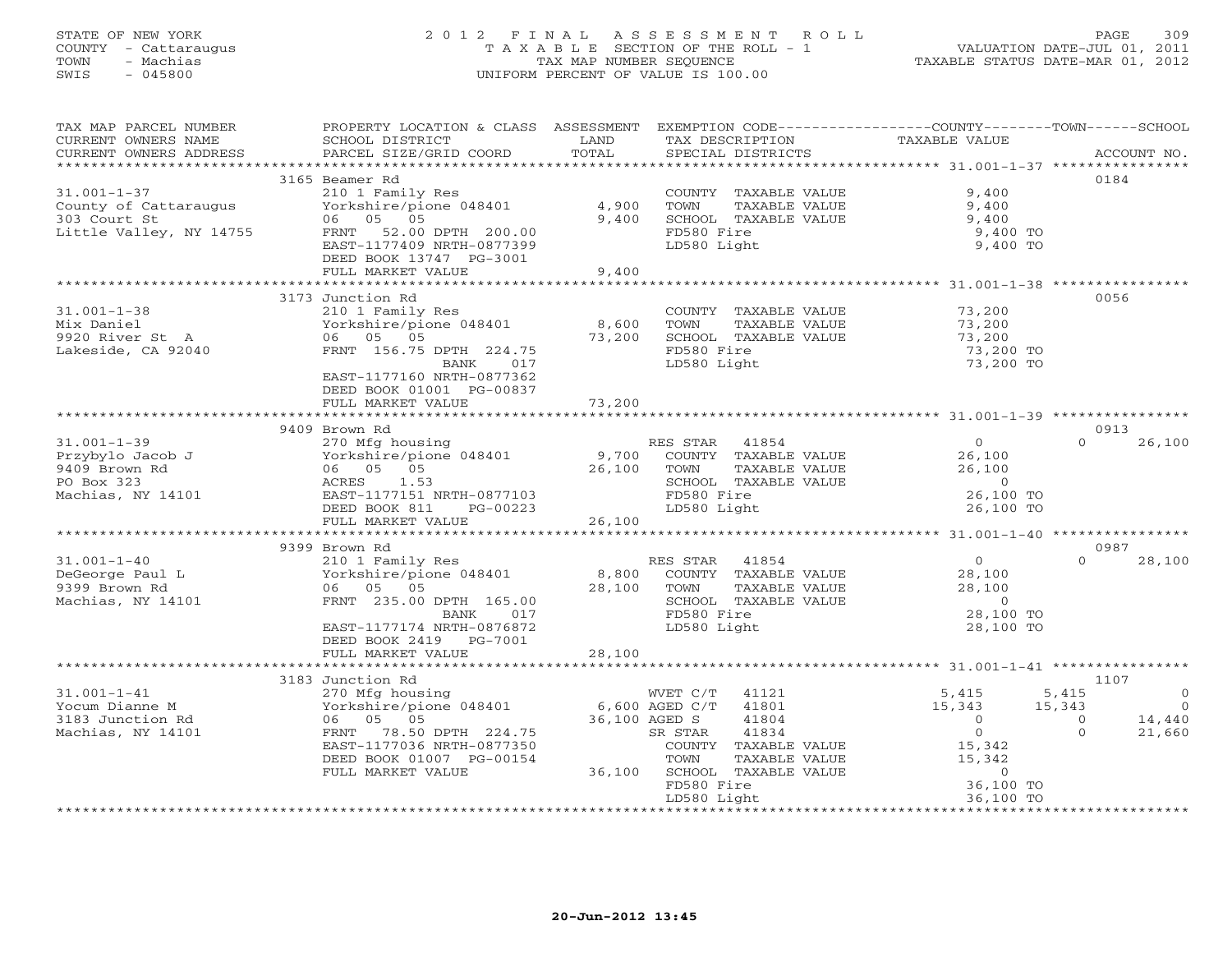# STATE OF NEW YORK 2 0 1 2 F I N A L A S S E S S M E N T R O L L PAGE 309 COUNTY - Cattaraugus T A X A B L E SECTION OF THE ROLL - 1 VALUATION DATE-JUL 01, 2011 TOWN - Machias TAX MAP NUMBER SEQUENCE TAXABLE STATUS DATE-MAR 01, 2012 SWIS - 045800 UNIFORM PERCENT OF VALUE IS 100.00UNIFORM PERCENT OF VALUE IS 100.00

| TAX MAP PARCEL NUMBER<br>CURRENT OWNERS NAME<br>CURRENT OWNERS ADDRESS                                                                                                                | PROPERTY LOCATION & CLASS ASSESSMENT EXEMPTION CODE----------------COUNTY-------TOWN------SCHOOL<br>SCHOOL DISTRICT<br>PARCEL SIZE/GRID COORD                                                                                                                                                                                                                                                 | LAND<br>TOTAL | TAX DESCRIPTION<br>SPECIAL DISTRICTS                                                                                                                                    | TAXABLE VALUE                                                                                                                                        |                                                       | ACCOUNT NO.                                    |
|---------------------------------------------------------------------------------------------------------------------------------------------------------------------------------------|-----------------------------------------------------------------------------------------------------------------------------------------------------------------------------------------------------------------------------------------------------------------------------------------------------------------------------------------------------------------------------------------------|---------------|-------------------------------------------------------------------------------------------------------------------------------------------------------------------------|------------------------------------------------------------------------------------------------------------------------------------------------------|-------------------------------------------------------|------------------------------------------------|
|                                                                                                                                                                                       |                                                                                                                                                                                                                                                                                                                                                                                               |               |                                                                                                                                                                         |                                                                                                                                                      |                                                       |                                                |
| $31.001 - 1 - 37$<br>County of Cattaraugus<br>303 Court St<br>Little Valley, NY 14755                                                                                                 | 3165 Beamer Rd<br>$\begin{array}{ccc}\n & \dots & \dots & \dots \\  & \text{Vorkshire/pione} & 048401 & 4,900 & \text{TOWN} \\  & 05 & 05 & 0 \\  & \dots & \dots & \dots & \dots \\  & \dots & \dots & \dots & \dots \\  & \dots & \dots & \dots & \dots \\  & \dots & \dots & \dots & \dots\n\end{array}$<br>FRNT 52.00 DPTH 200.00<br>EAST-1177409 NRTH-0877399<br>DEED BOOK 13747 PG-3001 |               | COUNTY TAXABLE VALUE<br>TAXABLE VALUE<br>SCHOOL TAXABLE VALUE<br>FD580 Fire<br>LD580 Light                                                                              | 9,400<br>9,400<br>9,400<br>9,400 TO<br>9,400 TO                                                                                                      | 0184                                                  |                                                |
|                                                                                                                                                                                       | FULL MARKET VALUE                                                                                                                                                                                                                                                                                                                                                                             | 9,400         |                                                                                                                                                                         |                                                                                                                                                      |                                                       |                                                |
|                                                                                                                                                                                       |                                                                                                                                                                                                                                                                                                                                                                                               |               |                                                                                                                                                                         |                                                                                                                                                      |                                                       |                                                |
| $31.001 - 1 - 38$<br>Mix Daniel<br>9920 River St A do 15 05<br>9920 River St A 16 15 16 17<br>Lakeside, CA 92040                                                                      | 3173 Junction Rd<br>210 1 Family Res<br>210 1 Family Res<br>Yorkshire/pione 048401 123 200<br>FRNT 156.75 DPTH 224.75<br>BANK 017<br>EAST-1177160 NRTH-0877362<br>DEED BOOK 01001 PG-00837                                                                                                                                                                                                    | 73,200        | COUNTY TAXABLE VALUE<br>TOWN<br>TAXABLE VALUE<br>SCHOOL TAXABLE VALUE<br>FD580 Fire<br>LD580 Light                                                                      | 73,200<br>73,200<br>73,200<br>73,200 TO<br>73,200 TO                                                                                                 | 0056                                                  |                                                |
|                                                                                                                                                                                       | FULL MARKET VALUE 73,200                                                                                                                                                                                                                                                                                                                                                                      |               |                                                                                                                                                                         |                                                                                                                                                      |                                                       |                                                |
|                                                                                                                                                                                       |                                                                                                                                                                                                                                                                                                                                                                                               |               |                                                                                                                                                                         |                                                                                                                                                      |                                                       |                                                |
|                                                                                                                                                                                       | 9409 Brown Rd                                                                                                                                                                                                                                                                                                                                                                                 |               |                                                                                                                                                                         |                                                                                                                                                      | 0913                                                  |                                                |
|                                                                                                                                                                                       | DEED BOOK 811 PG-00223                                                                                                                                                                                                                                                                                                                                                                        |               | LD580 Light                                                                                                                                                             | $\overline{O}$<br>26,100<br>26,100<br>$\overline{0}$<br>26,100 TO<br>26,100 TO                                                                       | $\Omega$                                              | 26,100                                         |
|                                                                                                                                                                                       | FULL MARKET VALUE 26,100                                                                                                                                                                                                                                                                                                                                                                      |               |                                                                                                                                                                         |                                                                                                                                                      |                                                       |                                                |
|                                                                                                                                                                                       | 9399 Brown Rd                                                                                                                                                                                                                                                                                                                                                                                 |               |                                                                                                                                                                         |                                                                                                                                                      | 0987                                                  |                                                |
| Notice to the main of the CHO of the Media of the Media of the Media of the Media of the Media of the Media of<br>Machias, NY 14101 (1957)<br>Machias, NY 14101 (1958)<br>FRNT 235.00 | Brown Rd<br>210 1 Family Res<br>Yorkshire/pione 048401 8,800 COUNTY TAXABLE VALUE<br>06 05 05 28,100 TOWN TAXABLE VALUE<br>FRNT 235.00 DPTH 165.00 28,100 SCHOOL TAXABLE VALUE<br>BANK 017 FD580 Fire<br>FRNT 235.00 BANK 017<br>DEED BOOK 2419 PG-7001                                                                                                                                       |               | SCHOOL TAXABLE VALUE                                                                                                                                                    | $\overline{0}$<br>28,100<br>28,100<br>$\sim$ 0<br>28,100 TO<br>28,100 TO                                                                             | $\Omega$                                              | 28,100                                         |
|                                                                                                                                                                                       | FULL MARKET VALUE                                                                                                                                                                                                                                                                                                                                                                             | 28,100        |                                                                                                                                                                         |                                                                                                                                                      |                                                       |                                                |
|                                                                                                                                                                                       |                                                                                                                                                                                                                                                                                                                                                                                               |               |                                                                                                                                                                         |                                                                                                                                                      |                                                       |                                                |
| $31.001 - 1 - 41$<br>Yocum Dianne M<br>3183 Junction Rd<br>Machias, NY 14101                                                                                                          | 3183 Junction Rd<br>270 Mfg housing<br>Yorkshire/pione 048401 6,600 AGED C/T 41801<br>06 05 05 05 36,100 AGED S 41804<br>270 Mtg nousi<br>Yorkshire/pic<br>06 05 05<br>FRNT 78.50 DPTH 224.75<br>EAST-1177036 NRTH-0877350<br>DEED BOOK 01007 PG-00154<br>FULL MARKET VALUE                                                                                                                   |               | SR STAR<br>41834<br>COUNTY TAXABLE VALUE<br>TOWN<br>41834<br>TAXABLE VALUE<br>TAXABLE VALUE<br>TVABLE VALUE<br>36,100 SCHOOL TAXABLE VALUE<br>FD580 Fire<br>LD580 Light | 5,415<br>15,343<br>$\overline{0}$<br>$\overline{0}$<br>15,342<br>15,342<br>$\begin{smallmatrix}&&0\0&36,100&\text{TO}\end{smallmatrix}$<br>36,100 TO | 1107<br>5,415<br>15,343<br>$\overline{0}$<br>$\Omega$ | $\overline{0}$<br>$\Omega$<br>14,440<br>21,660 |
|                                                                                                                                                                                       |                                                                                                                                                                                                                                                                                                                                                                                               |               |                                                                                                                                                                         |                                                                                                                                                      |                                                       |                                                |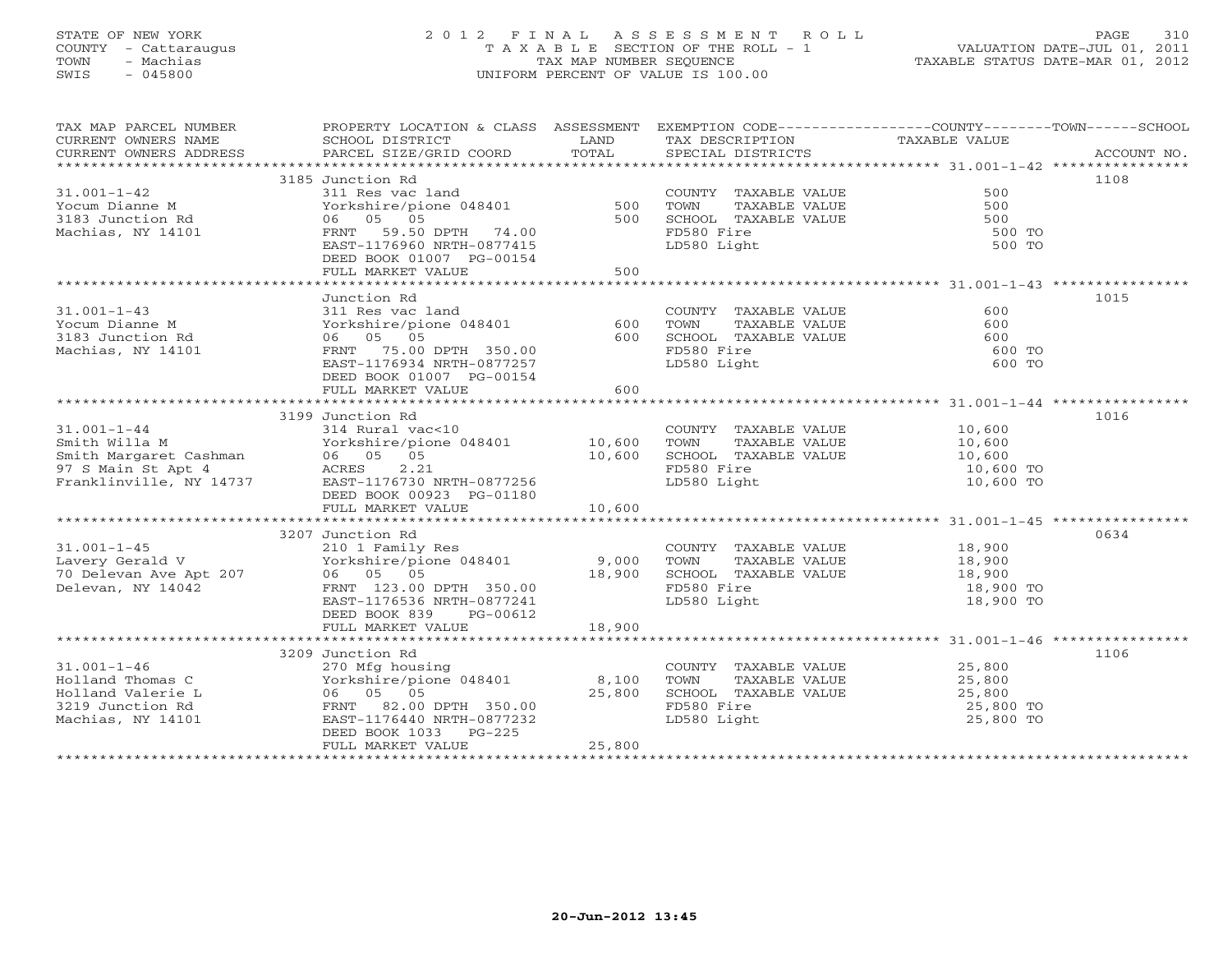# STATE OF NEW YORK 2 0 1 2 F I N A L A S S E S S M E N T R O L L PAGE 310 COUNTY - Cattaraugus T A X A B L E SECTION OF THE ROLL - 1 VALUATION DATE-JUL 01, 2011 TOWN - Machias TAX MAP NUMBER SEQUENCE TAXABLE STATUS DATE-MAR 01, 2012 SWIS - 045800 UNIFORM PERCENT OF VALUE IS 100.00UNIFORM PERCENT OF VALUE IS 100.00

| TAX MAP PARCEL NUMBER                                                                                                                                                                           | PROPERTY LOCATION & CLASS ASSESSMENT EXEMPTION CODE----------------COUNTY-------TOWN------SCHOOL |            |                                                   |                                |             |
|-------------------------------------------------------------------------------------------------------------------------------------------------------------------------------------------------|--------------------------------------------------------------------------------------------------|------------|---------------------------------------------------|--------------------------------|-------------|
| CURRENT OWNERS NAME<br>CURRENT OWNERS ADDRESS                                                                                                                                                   | SCHOOL DISTRICT<br><b>Example 12 Distribution of the UAND</b><br>PARCEL SIZE/GRID COORD          | TOTAL      | TAX DESCRIPTION<br>SPECIAL DISTRICTS              | TAXABLE VALUE                  | ACCOUNT NO. |
|                                                                                                                                                                                                 |                                                                                                  |            |                                                   |                                |             |
|                                                                                                                                                                                                 | 3185 Junction Rd                                                                                 |            |                                                   |                                | 1108        |
| $31.001 - 1 - 42$                                                                                                                                                                               | 311 Res vac land                                                                                 |            | COUNTY TAXABLE VALUE                              | 500                            |             |
| Yocum Dianne M                                                                                                                                                                                  | Yorkshire/pione 048401 500                                                                       |            | TOWN<br>TAXABLE VALUE                             | 500                            |             |
| 3183 Junction Rd                                                                                                                                                                                | 06 05 05                                                                                         | 500        | SCHOOL TAXABLE VALUE                              | 500                            |             |
| Machias, NY 14101                                                                                                                                                                               | FRNT 59.50 DPTH 74.00                                                                            |            | FD580 Fire                                        | 500 TO                         |             |
|                                                                                                                                                                                                 | EAST-1176960 NRTH-0877415                                                                        |            | LD580 Light                                       | 500 TO                         |             |
|                                                                                                                                                                                                 | DEED BOOK 01007 PG-00154                                                                         |            |                                                   |                                |             |
|                                                                                                                                                                                                 | FULL MARKET VALUE                                                                                | 500        |                                                   |                                |             |
|                                                                                                                                                                                                 |                                                                                                  |            |                                                   |                                |             |
| $31.001 - 1 - 43$                                                                                                                                                                               | Junction Rd<br>311 Res vac land                                                                  |            |                                                   | 600                            | 1015        |
| Yocum Dianne M                                                                                                                                                                                  |                                                                                                  |            | COUNTY TAXABLE VALUE<br>TOWN<br>TAXABLE VALUE     | 600                            |             |
| 3183 Junction Rd                                                                                                                                                                                | Yorkshire/pione 048401<br>06 05 05                                                               | 600<br>600 | TOWN      TAXABLE VALUE<br>SCHOOL   TAXABLE VALUE | 600                            |             |
| Machias, NY 14101                                                                                                                                                                               | FRNT 75.00 DPTH 350.00                                                                           |            | FD580 Fire                                        | 600 TO                         |             |
|                                                                                                                                                                                                 | EAST-1176934 NRTH-0877257                                                                        |            | LD580 Light                                       | 600 TO                         |             |
|                                                                                                                                                                                                 | DEED BOOK 01007 PG-00154                                                                         |            |                                                   |                                |             |
|                                                                                                                                                                                                 | FULL MARKET VALUE                                                                                | 600        |                                                   |                                |             |
|                                                                                                                                                                                                 |                                                                                                  |            |                                                   |                                |             |
|                                                                                                                                                                                                 | 3199 Junction Rd                                                                                 |            |                                                   |                                | 1016        |
|                                                                                                                                                                                                 |                                                                                                  |            | COUNTY TAXABLE VALUE 10,600                       |                                |             |
|                                                                                                                                                                                                 |                                                                                                  |            | TOWN<br>TAXABLE VALUE                             | 10,600                         |             |
|                                                                                                                                                                                                 |                                                                                                  |            | SCHOOL TAXABLE VALUE 10,600                       |                                |             |
| 31.001-1-44<br>Smith Willa M<br>Smith Margaret Cashman<br>97 S Main St Apt 4<br>Franklinville, NY 14737<br>SMAIN 14737<br>EAST-1176730 NRTH-0877256<br>SMAIN 14737<br>EAST-1176730 NRTH-0877256 |                                                                                                  |            | FD580 Fire                                        | 10,600 TO                      |             |
|                                                                                                                                                                                                 |                                                                                                  |            | LD580 Light                                       | 10,600 TO                      |             |
|                                                                                                                                                                                                 | DEED BOOK 00923 PG-01180<br>FULL MARKET VALUE                                                    | 10,600     |                                                   |                                |             |
|                                                                                                                                                                                                 |                                                                                                  |            |                                                   |                                |             |
|                                                                                                                                                                                                 | 3207 Junction Rd                                                                                 |            |                                                   |                                | 0634        |
|                                                                                                                                                                                                 |                                                                                                  |            |                                                   |                                |             |
|                                                                                                                                                                                                 |                                                                                                  |            |                                                   |                                |             |
|                                                                                                                                                                                                 |                                                                                                  |            |                                                   |                                |             |
|                                                                                                                                                                                                 |                                                                                                  |            |                                                   |                                |             |
|                                                                                                                                                                                                 | EAST-1176536 NRTH-0877241                                                                        |            | LD580 Light                                       | 18,900 TO                      |             |
|                                                                                                                                                                                                 | DEED BOOK 839 PG-00612                                                                           |            |                                                   |                                |             |
|                                                                                                                                                                                                 | FULL MARKET VALUE                                                                                | 18,900     |                                                   |                                |             |
|                                                                                                                                                                                                 |                                                                                                  |            |                                                   |                                |             |
|                                                                                                                                                                                                 | 3209 Junction Rd                                                                                 |            |                                                   |                                | 1106        |
| $31.001 - 1 - 46$                                                                                                                                                                               | 270 Mfg housing<br>Yorkshire/pione 048401 8,100                                                  |            | COUNTY TAXABLE VALUE                              | 25,800<br>TAXABLE VALUE 25,800 |             |
| Holland Thomas C<br>Holland Valerie L                                                                                                                                                           | 06 05 05                                                                                         | 25,800     | TOWN                                              |                                |             |
| 3219 Junction Rd                                                                                                                                                                                | FRNT 82.00 DPTH 350.00                                                                           |            | SCHOOL TAXABLE VALUE<br>FD580 Fire                | 25,800<br>25,800 TO            |             |
| Machias, NY 14101                                                                                                                                                                               | EAST-1176440 NRTH-0877232                                                                        |            | LD580 Light                                       | 25,800 TO                      |             |
|                                                                                                                                                                                                 | DEED BOOK 1033 PG-225                                                                            |            |                                                   |                                |             |
|                                                                                                                                                                                                 | FULL MARKET VALUE                                                                                | 25,800     |                                                   |                                |             |
|                                                                                                                                                                                                 |                                                                                                  |            |                                                   |                                |             |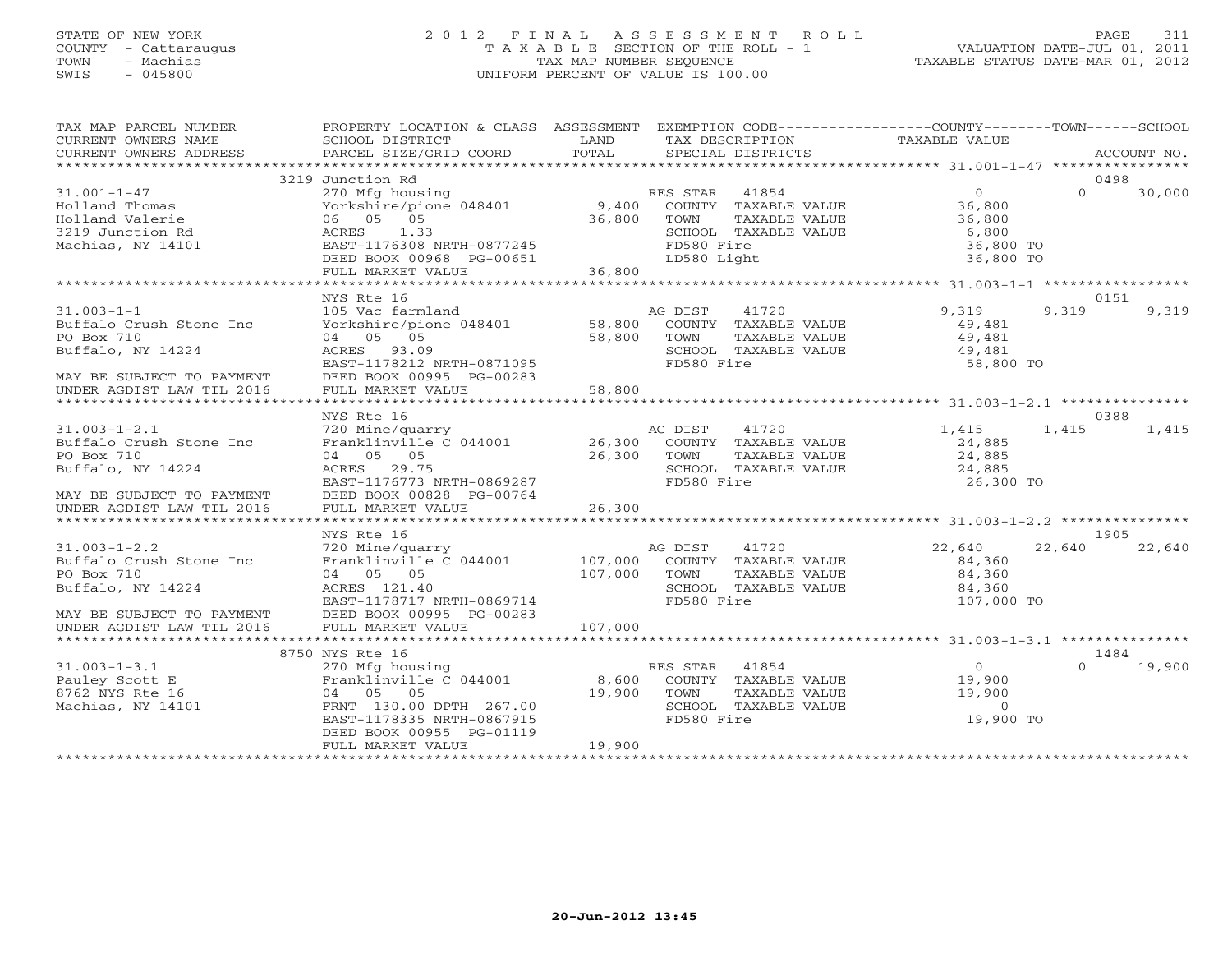# STATE OF NEW YORK 2 0 1 2 F I N A L A S S E S S M E N T R O L L PAGE 311 COUNTY - Cattaraugus T A X A B L E SECTION OF THE ROLL - 1 VALUATION DATE-JUL 01, 2011 TOWN - Machias TAX MAP NUMBER SEQUENCE TAXABLE STATUS DATE-MAR 01, 2012 SWIS - 045800 UNIFORM PERCENT OF VALUE IS 100.00

| TAX MAP PARCEL NUMBER<br>CURRENT OWNERS NAME<br>CURRENT OWNERS ADDRESS                                        | PROPERTY LOCATION & CLASS ASSESSMENT<br>SCHOOL DISTRICT<br>PARCEL SIZE/GRID COORD                                                                                        | LAND<br>TOTAL             | TAX DESCRIPTION<br>SPECIAL DISTRICTS          |                                                                        | EXEMPTION CODE-----------------COUNTY-------TOWN------SCHOOL<br>TAXABLE VALUE |          | ACCOUNT NO.    |
|---------------------------------------------------------------------------------------------------------------|--------------------------------------------------------------------------------------------------------------------------------------------------------------------------|---------------------------|-----------------------------------------------|------------------------------------------------------------------------|-------------------------------------------------------------------------------|----------|----------------|
|                                                                                                               |                                                                                                                                                                          |                           |                                               |                                                                        |                                                                               |          |                |
| $31.001 - 1 - 47$<br>Holland Thomas<br>Holland Valerie<br>3219 Junction Rd<br>Machias, NY 14101               | 3219 Junction Rd<br>270 Mfg housing<br>Yorkshire/pione 048401<br>06 05 05<br>ACRES<br>1.33<br>EAST-1176308 NRTH-0877245<br>DEED BOOK 00968 PG-00651<br>FULL MARKET VALUE | 9,400<br>36,800<br>36,800 | RES STAR<br>TOWN<br>FD580 Fire<br>LD580 Light | 41854<br>COUNTY TAXABLE VALUE<br>TAXABLE VALUE<br>SCHOOL TAXABLE VALUE | $\Omega$<br>36,800<br>36,800<br>6,800<br>36,800 TO<br>36,800 TO               | $\Omega$ | 0498<br>30,000 |
|                                                                                                               |                                                                                                                                                                          |                           |                                               |                                                                        |                                                                               |          |                |
|                                                                                                               | NYS Rte 16                                                                                                                                                               |                           |                                               |                                                                        |                                                                               |          | 0151           |
| $31.003 - 1 - 1$<br>Buffalo Crush Stone Inc<br>PO Box 710<br>Buffalo, NY 14224<br>MAY BE SUBJECT TO PAYMENT   | 105 Vac farmland<br>Yorkshire/pione 048401<br>04 05 05<br>ACRES 93.09<br>EAST-1178212 NRTH-0871095<br>DEED BOOK 00995 PG-00283                                           | 58,800<br>58,800          | AG DIST<br>TOWN<br>FD580 Fire                 | 41720<br>COUNTY TAXABLE VALUE<br>TAXABLE VALUE<br>SCHOOL TAXABLE VALUE | 9,319<br>49,481<br>49,481<br>49,481<br>58,800 TO                              | 9,319    | 9,319          |
| UNDER AGDIST LAW TIL 2016                                                                                     | FULL MARKET VALUE                                                                                                                                                        | 58,800                    |                                               |                                                                        |                                                                               |          |                |
|                                                                                                               |                                                                                                                                                                          |                           |                                               |                                                                        |                                                                               |          |                |
|                                                                                                               | NYS Rte 16                                                                                                                                                               |                           |                                               |                                                                        |                                                                               |          | 0388           |
| $31.003 - 1 - 2.1$<br>Buffalo Crush Stone Inc<br>PO Box 710<br>Buffalo, NY 14224<br>MAY BE SUBJECT TO PAYMENT | 720 Mine/quarry<br>Franklinville C 044001<br>04 05 05<br>ACRES 29.75<br>EAST-1176773 NRTH-0869287<br>DEED BOOK 00828 PG-00764                                            | 26,300<br>26,300          | AG DIST<br>TOWN<br>FD580 Fire                 | 41720<br>COUNTY TAXABLE VALUE<br>TAXABLE VALUE<br>SCHOOL TAXABLE VALUE | 1,415<br>24,885<br>24,885<br>24,885<br>26,300 TO                              | 1,415    | 1,415          |
| UNDER AGDIST LAW TIL 2016                                                                                     | FULL MARKET VALUE                                                                                                                                                        | 26,300                    |                                               |                                                                        |                                                                               |          |                |
|                                                                                                               |                                                                                                                                                                          |                           |                                               |                                                                        |                                                                               |          |                |
|                                                                                                               | NYS Rte 16                                                                                                                                                               |                           |                                               |                                                                        |                                                                               |          | 1905           |
| $31.003 - 1 - 2.2$<br>Buffalo Crush Stone Inc<br>PO Box 710<br>Buffalo, NY 14224<br>MAY BE SUBJECT TO PAYMENT | 720 Mine/quarry<br>Franklinville C 044001<br>04 05 05<br>ACRES 121.40<br>EAST-1178717 NRTH-0869714<br>DEED BOOK 00995 PG-00283                                           | 107,000<br>107,000        | AG DIST<br>TOWN<br>FD580 Fire                 | 41720<br>COUNTY TAXABLE VALUE<br>TAXABLE VALUE<br>SCHOOL TAXABLE VALUE | 22,640<br>84,360<br>84,360<br>84,360<br>107,000 TO                            | 22,640   | 22,640         |
| UNDER AGDIST LAW TIL 2016                                                                                     | FULL MARKET VALUE                                                                                                                                                        | 107,000                   |                                               |                                                                        |                                                                               |          |                |
|                                                                                                               |                                                                                                                                                                          |                           |                                               |                                                                        |                                                                               |          |                |
|                                                                                                               | 8750 NYS Rte 16                                                                                                                                                          |                           |                                               |                                                                        |                                                                               |          | 1484           |
| $31.003 - 1 - 3.1$<br>Pauley Scott E<br>8762 NYS Rte 16<br>Machias, NY 14101                                  | 270 Mfg housing<br>Franklinville C 044001<br>04 05 05<br>FRNT 130.00 DPTH 267.00<br>EAST-1178335 NRTH-0867915<br>DEED BOOK 00955 PG-01119                                | 8,600<br>19,900           | RES STAR<br>TOWN<br>FD580 Fire                | 41854<br>COUNTY TAXABLE VALUE<br>TAXABLE VALUE<br>SCHOOL TAXABLE VALUE | $\circ$<br>19,900<br>19,900<br>$\Omega$<br>19,900 TO                          | $\Omega$ | 19,900         |
|                                                                                                               | FULL MARKET VALUE                                                                                                                                                        | 19,900                    |                                               |                                                                        |                                                                               |          |                |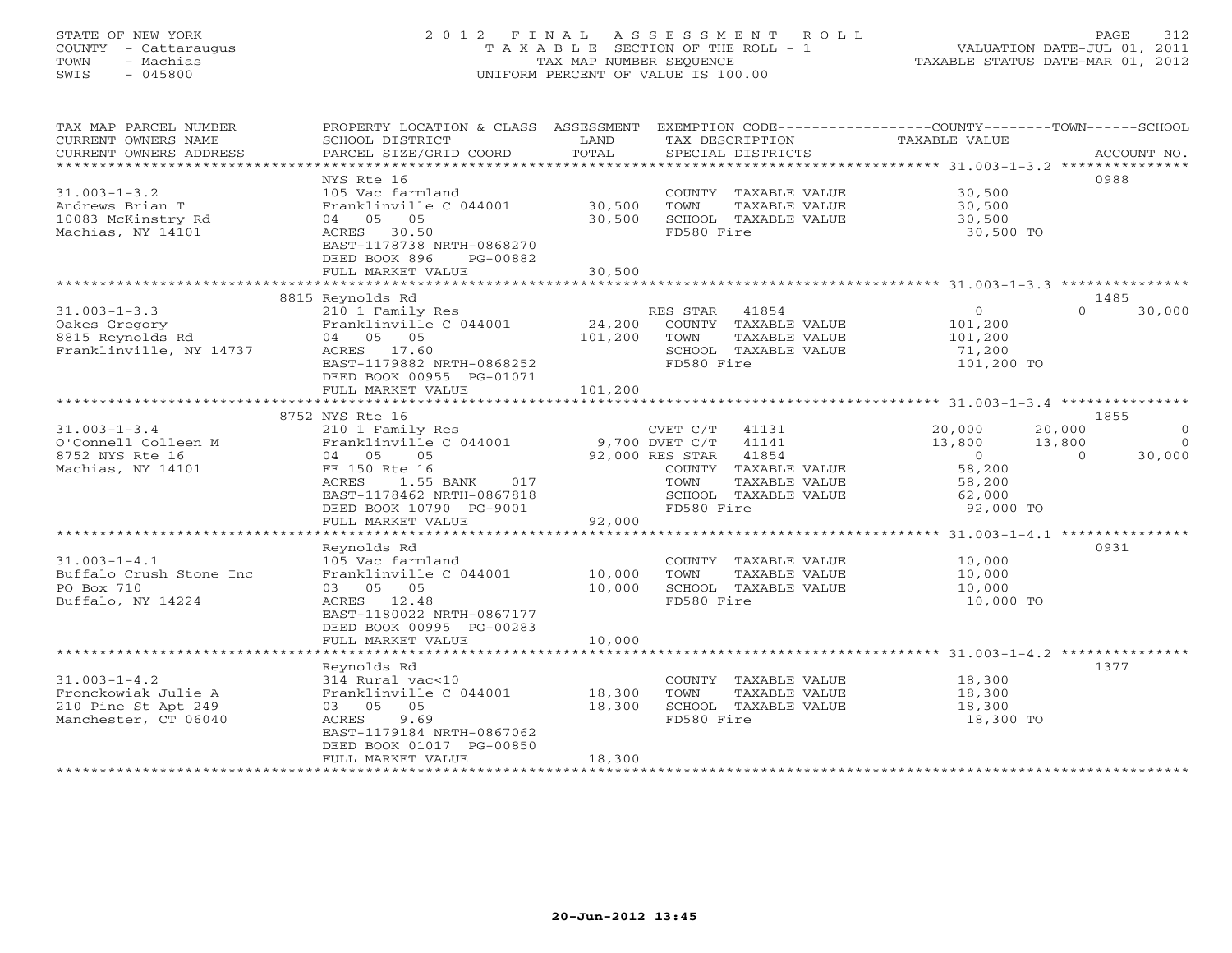# STATE OF NEW YORK 2 0 1 2 F I N A L A S S E S S M E N T R O L L PAGE 312 COUNTY - Cattaraugus T A X A B L E SECTION OF THE ROLL - 1 VALUATION DATE-JUL 01, 2011 TOWN - Machias TAX MAP NUMBER SEQUENCE TAXABLE STATUS DATE-MAR 01, 2012 SWIS - 045800 UNIFORM PERCENT OF VALUE IS 100.00UNIFORM PERCENT OF VALUE IS 100.00

| TAX MAP PARCEL NUMBER<br>CURRENT OWNERS NAME<br>CURRENT OWNERS ADDRESS                   | PROPERTY LOCATION & CLASS ASSESSMENT<br>SCHOOL DISTRICT<br>PARCEL SIZE/GRID COORD                                                                                                  | LAND<br>TOTAL              | TAX DESCRIPTION<br>SPECIAL DISTRICTS                                                                                                                            | EXEMPTION CODE----------------COUNTY-------TOWN------SCHOOL<br>TAXABLE VALUE<br>ACCOUNT NO.                                                    |
|------------------------------------------------------------------------------------------|------------------------------------------------------------------------------------------------------------------------------------------------------------------------------------|----------------------------|-----------------------------------------------------------------------------------------------------------------------------------------------------------------|------------------------------------------------------------------------------------------------------------------------------------------------|
| $31.003 - 1 - 3.2$                                                                       | NYS Rte 16<br>105 Vac farmland                                                                                                                                                     |                            | COUNTY TAXABLE VALUE                                                                                                                                            | 0988<br>30,500                                                                                                                                 |
| Andrews Brian T<br>10083 McKinstry Rd<br>Machias, NY 14101                               | Franklinville C 044001<br>04 05 05<br>ACRES 30.50<br>EAST-1178738 NRTH-0868270<br>DEED BOOK 896<br>PG-00882                                                                        | 30,500<br>30,500           | TOWN<br>TAXABLE VALUE<br>SCHOOL TAXABLE VALUE<br>FD580 Fire                                                                                                     | 30,500<br>30,500<br>30,500 TO                                                                                                                  |
|                                                                                          | FULL MARKET VALUE                                                                                                                                                                  | 30,500                     |                                                                                                                                                                 |                                                                                                                                                |
| $31.003 - 1 - 3.3$<br>Oakes Gregory<br>8815 Reynolds Rd<br>Franklinville, NY 14737       | 8815 Reynolds Rd<br>210 1 Family Res<br>Franklinville C 044001<br>04 05 05<br>ACRES 17.60<br>EAST-1179882 NRTH-0868252<br>DEED BOOK 00955 PG-01071                                 | 24,200<br>101,200          | RES STAR<br>41854<br>COUNTY TAXABLE VALUE<br>TAXABLE VALUE<br>TOWN<br>SCHOOL TAXABLE VALUE<br>FD580 Fire                                                        | 1485<br>$\circ$<br>$\Omega$<br>30,000<br>101,200<br>101,200<br>71,200<br>101,200 TO                                                            |
|                                                                                          | FULL MARKET VALUE                                                                                                                                                                  | 101,200                    |                                                                                                                                                                 |                                                                                                                                                |
| $31.003 - 1 - 3.4$<br>O'Connell Colleen M<br>8752 NYS Rte 16<br>Machias, NY 14101        | 8752 NYS Rte 16<br>210 1 Family Res<br>Franklinville C 044001<br>04 05<br>05<br>FF 150 Rte 16<br>ACRES<br>1.55 BANK<br>017<br>EAST-1178462 NRTH-0867818<br>DEED BOOK 10790 PG-9001 |                            | CVET C/T<br>41131<br>9,700 DVET C/T<br>41141<br>92,000 RES STAR<br>41854<br>COUNTY TAXABLE VALUE<br>TOWN<br>TAXABLE VALUE<br>SCHOOL TAXABLE VALUE<br>FD580 Fire | 1855<br>20,000<br>20,000<br>$\circ$<br>13,800<br>13,800<br>$\Omega$<br>30,000<br>$\sim$ 0<br>$\cap$<br>58,200<br>58,200<br>62,000<br>92,000 TO |
|                                                                                          | FULL MARKET VALUE                                                                                                                                                                  | 92,000                     |                                                                                                                                                                 |                                                                                                                                                |
| $31.003 - 1 - 4.1$<br>Buffalo Crush Stone Inc<br>PO Box 710<br>Buffalo, NY 14224         | Reynolds Rd<br>105 Vac farmland<br>Franklinville C 044001<br>03 05 05<br>ACRES 12.48<br>EAST-1180022 NRTH-0867177<br>DEED BOOK 00995 PG-00283<br>FULL MARKET VALUE                 | 10,000<br>10,000<br>10,000 | COUNTY TAXABLE VALUE<br>TOWN<br>TAXABLE VALUE<br>SCHOOL TAXABLE VALUE<br>FD580 Fire                                                                             | 0931<br>10,000<br>10,000<br>10,000<br>10,000 TO                                                                                                |
|                                                                                          |                                                                                                                                                                                    |                            |                                                                                                                                                                 |                                                                                                                                                |
| $31.003 - 1 - 4.2$<br>Fronckowiak Julie A<br>210 Pine St Apt 249<br>Manchester, CT 06040 | Reynolds Rd<br>314 Rural vac<10<br>Franklinville C 044001<br>03 05 05<br>ACRES<br>9.69<br>EAST-1179184 NRTH-0867062<br>DEED BOOK 01017 PG-00850<br>FULL MARKET VALUE               | 18,300<br>18,300<br>18,300 | COUNTY TAXABLE VALUE<br>TOWN<br>TAXABLE VALUE<br>SCHOOL TAXABLE VALUE<br>FD580 Fire                                                                             | 1377<br>18,300<br>18,300<br>18,300<br>18,300 TO                                                                                                |
|                                                                                          |                                                                                                                                                                                    |                            |                                                                                                                                                                 |                                                                                                                                                |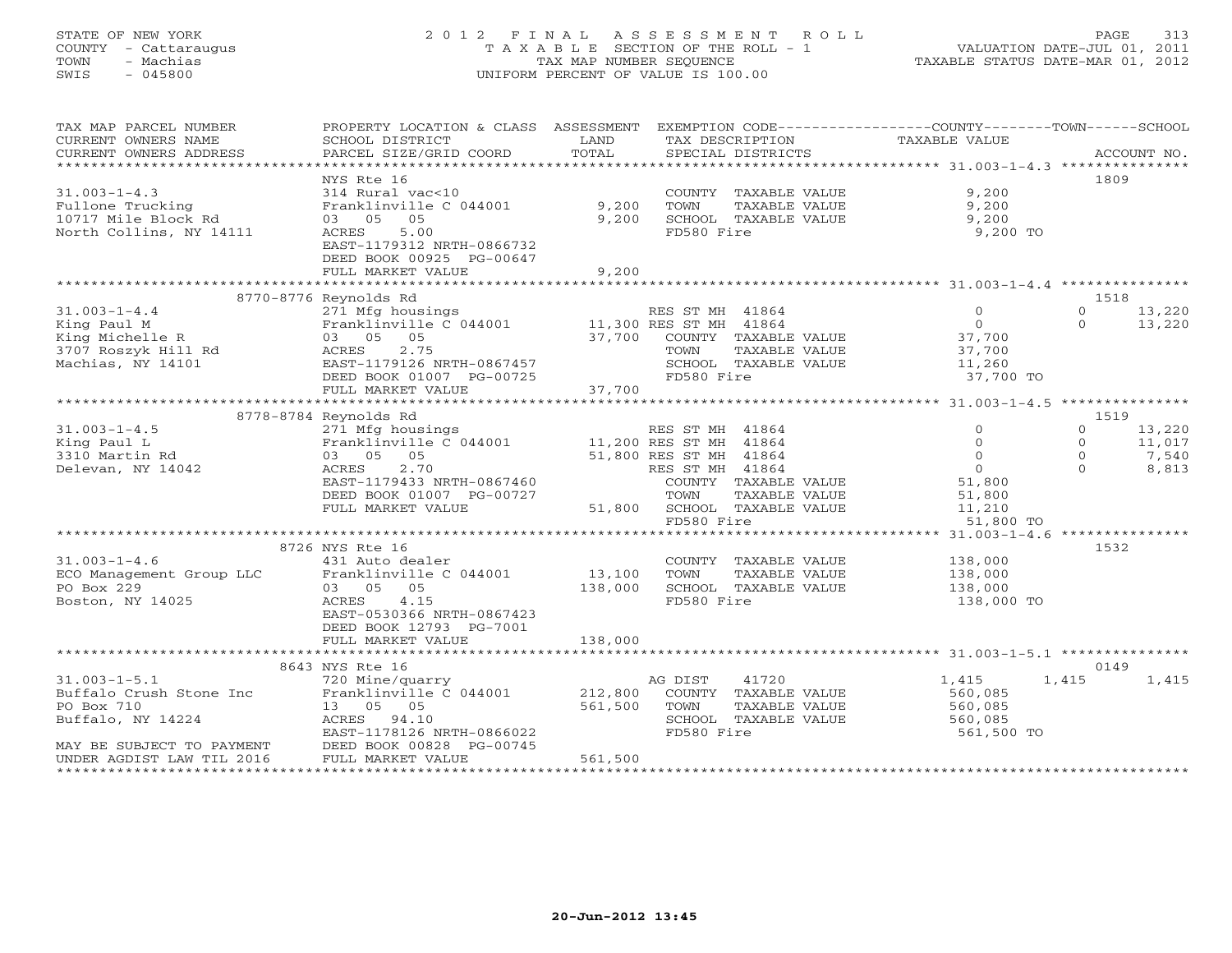# STATE OF NEW YORK 2 0 1 2 F I N A L A S S E S S M E N T R O L L PAGE 313 COUNTY - Cattaraugus T A X A B L E SECTION OF THE ROLL - 1 VALUATION DATE-JUL 01, 2011 TOWN - Machias TAX MAP NUMBER SEQUENCE TAXABLE STATUS DATE-MAR 01, 2012 SWIS - 045800 UNIFORM PERCENT OF VALUE IS 100.00UNIFORM PERCENT OF VALUE IS 100.00

| TAX MAP PARCEL NUMBER<br>CURRENT OWNERS NAME<br>CURRENT OWNERS ADDRESS | PROPERTY LOCATION & CLASS ASSESSMENT<br>SCHOOL DISTRICT<br>PARCEL SIZE/GRID COORD | LAND<br>TOTAL      | EXEMPTION CODE-----------------COUNTY-------TOWN------SCHOOL<br>TAX DESCRIPTION<br>SPECIAL DISTRICTS | TAXABLE VALUE       | ACCOUNT NO.        |
|------------------------------------------------------------------------|-----------------------------------------------------------------------------------|--------------------|------------------------------------------------------------------------------------------------------|---------------------|--------------------|
|                                                                        |                                                                                   |                    |                                                                                                      |                     |                    |
|                                                                        | NYS Rte 16                                                                        |                    |                                                                                                      |                     | 1809               |
| $31.003 - 1 - 4.3$                                                     | 314 Rural vac<10                                                                  |                    | COUNTY TAXABLE VALUE                                                                                 | 9,200               |                    |
| Fullone Trucking                                                       | Franklinville C 044001                                                            | 9,200              | TOWN<br>TAXABLE VALUE                                                                                | 9,200               |                    |
| 10717 Mile Block Rd                                                    | 03 05<br>05                                                                       | 9,200              | SCHOOL TAXABLE VALUE                                                                                 | 9,200               |                    |
| North Collins, NY 14111                                                | 5.00<br>ACRES                                                                     |                    | FD580 Fire                                                                                           | 9,200 TO            |                    |
|                                                                        | EAST-1179312 NRTH-0866732                                                         |                    |                                                                                                      |                     |                    |
|                                                                        | DEED BOOK 00925 PG-00647                                                          |                    |                                                                                                      |                     |                    |
|                                                                        | FULL MARKET VALUE                                                                 | 9,200              |                                                                                                      |                     |                    |
|                                                                        | 8770-8776 Reynolds Rd                                                             |                    |                                                                                                      |                     | 1518               |
| $31.003 - 1 - 4.4$                                                     | 271 Mfg housings                                                                  |                    | RES ST MH 41864                                                                                      | $\circ$             | $\circ$<br>13,220  |
| King Paul M                                                            | Franklinville C 044001 11,300 RES ST MH 41864                                     |                    |                                                                                                      | $\circ$             | $\Omega$<br>13,220 |
| King Michelle R                                                        | 03 05 05                                                                          | 37,700             | COUNTY TAXABLE VALUE                                                                                 | 37,700              |                    |
| 3707 Roszyk Hill Rd                                                    | 2.75<br>ACRES                                                                     |                    | TAXABLE VALUE<br>TOWN                                                                                | 37,700              |                    |
| Machias, NY 14101                                                      | EAST-1179126 NRTH-0867457                                                         |                    | SCHOOL TAXABLE VALUE                                                                                 | 11,260              |                    |
|                                                                        | DEED BOOK 01007 PG-00725                                                          |                    | FD580 Fire                                                                                           | 37,700 TO           |                    |
|                                                                        | FULL MARKET VALUE                                                                 | 37,700             |                                                                                                      |                     |                    |
|                                                                        |                                                                                   |                    |                                                                                                      |                     |                    |
|                                                                        | 8778-8784 Reynolds Rd                                                             |                    |                                                                                                      |                     | 1519               |
| $31.003 - 1 - 4.5$                                                     | 271 Mfg housings                                                                  |                    | RES ST MH 41864                                                                                      | $\Omega$            | $\circ$<br>13,220  |
| King Paul L                                                            | Franklinville C 044001                                                            |                    | 11,200 RES ST MH 41864                                                                               | $\Omega$            | $\circ$<br>11,017  |
| 3310 Martin Rd                                                         | 03 05 05                                                                          |                    | 51,800 RES ST MH 41864                                                                               | $\Omega$            | $\Omega$<br>7,540  |
| Delevan, NY 14042                                                      | 2.70<br>ACRES                                                                     |                    | RES ST MH 41864                                                                                      | $\Omega$            | $\cap$<br>8,813    |
|                                                                        | EAST-1179433 NRTH-0867460                                                         |                    | COUNTY TAXABLE VALUE                                                                                 | 51,800              |                    |
|                                                                        | DEED BOOK 01007 PG-00727                                                          |                    | TOWN<br>TAXABLE VALUE                                                                                | 51,800              |                    |
|                                                                        | FULL MARKET VALUE                                                                 |                    | 51,800 SCHOOL TAXABLE VALUE<br>FD580 Fire                                                            | 11,210<br>51,800 TO |                    |
|                                                                        |                                                                                   |                    |                                                                                                      |                     |                    |
|                                                                        | 8726 NYS Rte 16                                                                   |                    |                                                                                                      |                     | 1532               |
| $31.003 - 1 - 4.6$                                                     | 431 Auto dealer                                                                   |                    | COUNTY TAXABLE VALUE                                                                                 | 138,000             |                    |
| ECO Management Group LLC                                               | Franklinville C 044001                                                            | 13,100             | TOWN<br>TAXABLE VALUE                                                                                | 138,000             |                    |
| PO Box 229                                                             | 03 05 05                                                                          | 138,000            | SCHOOL TAXABLE VALUE                                                                                 | 138,000             |                    |
| Boston, NY 14025                                                       | ACRES<br>4.15                                                                     |                    | FD580 Fire                                                                                           | 138,000 TO          |                    |
|                                                                        | EAST-0530366 NRTH-0867423                                                         |                    |                                                                                                      |                     |                    |
|                                                                        | DEED BOOK 12793 PG-7001                                                           |                    |                                                                                                      |                     |                    |
|                                                                        | FULL MARKET VALUE                                                                 | 138,000            |                                                                                                      |                     |                    |
|                                                                        |                                                                                   |                    |                                                                                                      |                     |                    |
|                                                                        | 8643 NYS Rte 16                                                                   |                    |                                                                                                      |                     | 0149               |
| $31.003 - 1 - 5.1$                                                     | 720 Mine/quarry                                                                   |                    | 41720<br>AG DIST                                                                                     | 1,415               | 1,415<br>1,415     |
| Buffalo Crush Stone Inc<br>PO Box 710                                  | Franklinville C 044001<br>13  05  05                                              | 212,800<br>561,500 | COUNTY TAXABLE VALUE<br>TAXABLE VALUE                                                                | 560,085<br>560,085  |                    |
| Buffalo, NY 14224                                                      | ACRES 94.10                                                                       |                    | TOWN<br>SCHOOL TAXABLE VALUE                                                                         | 560,085             |                    |
|                                                                        | EAST-1178126 NRTH-0866022                                                         |                    | FD580 Fire                                                                                           | 561,500 TO          |                    |
| MAY BE SUBJECT TO PAYMENT                                              | DEED BOOK 00828 PG-00745                                                          |                    |                                                                                                      |                     |                    |
| UNDER AGDIST LAW TIL 2016                                              | FULL MARKET VALUE                                                                 | 561,500            |                                                                                                      |                     |                    |
|                                                                        |                                                                                   |                    |                                                                                                      |                     |                    |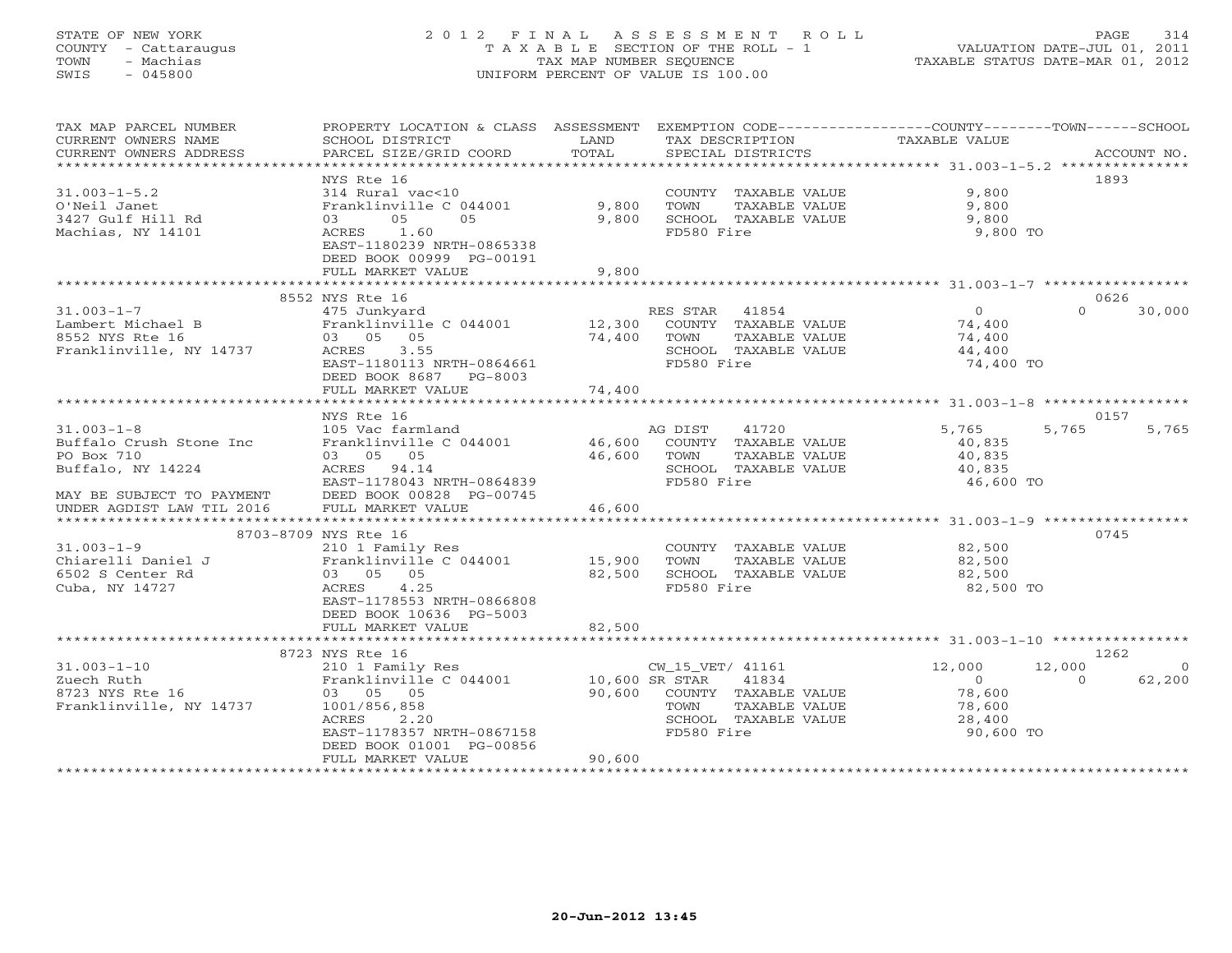# STATE OF NEW YORK 2 0 1 2 F I N A L A S S E S S M E N T R O L L PAGE 314 COUNTY - Cattaraugus T A X A B L E SECTION OF THE ROLL - 1 VALUATION DATE-JUL 01, 2011 TOWN - Machias TAX MAP NUMBER SEQUENCE TAXABLE STATUS DATE-MAR 01, 2012 SWIS - 045800 UNIFORM PERCENT OF VALUE IS 100.00UNIFORM PERCENT OF VALUE IS 100.00

| TAX MAP PARCEL NUMBER<br>CURRENT OWNERS NAME<br>CURRENT OWNERS ADDRESS | PROPERTY LOCATION & CLASS ASSESSMENT<br>SCHOOL DISTRICT<br>PARCEL SIZE/GRID COORD | LAND<br>TOTAL  | TAX DESCRIPTION<br>SPECIAL DISTRICTS | EXEMPTION CODE-----------------COUNTY-------TOWN------SCHOOL<br><b>TAXABLE VALUE</b> | ACCOUNT NO. |
|------------------------------------------------------------------------|-----------------------------------------------------------------------------------|----------------|--------------------------------------|--------------------------------------------------------------------------------------|-------------|
|                                                                        |                                                                                   |                |                                      |                                                                                      |             |
|                                                                        | NYS Rte 16                                                                        |                |                                      |                                                                                      | 1893        |
| $31.003 - 1 - 5.2$                                                     | 314 Rural vac<10                                                                  |                | COUNTY TAXABLE VALUE                 | 9,800                                                                                |             |
| O'Neil Janet                                                           | Franklinville C 044001                                                            | 9,800          | TOWN<br>TAXABLE VALUE                | 9,800                                                                                |             |
| 3427 Gulf Hill Rd                                                      | 05<br>05<br>03                                                                    | 9,800          | SCHOOL TAXABLE VALUE                 | 9,800                                                                                |             |
| Machias, NY 14101                                                      | 1.60<br>ACRES<br>EAST-1180239 NRTH-0865338<br>DEED BOOK 00999 PG-00191            |                | FD580 Fire                           | 9,800 TO                                                                             |             |
|                                                                        | FULL MARKET VALUE                                                                 | 9,800          |                                      |                                                                                      |             |
|                                                                        |                                                                                   |                |                                      |                                                                                      |             |
|                                                                        | 8552 NYS Rte 16                                                                   |                |                                      |                                                                                      | 0626        |
| $31.003 - 1 - 7$                                                       | 475 Junkyard                                                                      |                | RES STAR 41854                       | $\Omega$<br>$\cap$                                                                   | 30,000      |
| Lambert Michael B                                                      | Franklinville C 044001                                                            | 12,300         | COUNTY TAXABLE VALUE                 | 74,400                                                                               |             |
| 8552 NYS Rte 16                                                        | 03 05 05                                                                          | 74,400         | TAXABLE VALUE<br>TOWN                | 74,400                                                                               |             |
| Franklinville, NY 14737                                                | 3.55<br>ACRES                                                                     |                | SCHOOL TAXABLE VALUE                 | 44,400                                                                               |             |
|                                                                        | EAST-1180113 NRTH-0864661                                                         |                | FD580 Fire                           | 74,400 TO                                                                            |             |
|                                                                        | DEED BOOK 8687 PG-8003                                                            |                |                                      |                                                                                      |             |
|                                                                        | FULL MARKET VALUE                                                                 | 74,400         |                                      |                                                                                      |             |
|                                                                        |                                                                                   |                |                                      |                                                                                      |             |
|                                                                        | NYS Rte 16                                                                        |                |                                      |                                                                                      | 0157        |
| $31.003 - 1 - 8$                                                       | 105 Vac farmland                                                                  |                | AG DIST<br>41720                     | 5,765<br>5,765                                                                       | 5,765       |
| Buffalo Crush Stone Inc                                                | Franklinville C 044001                                                            | 46,600         | COUNTY TAXABLE VALUE                 | 40,835                                                                               |             |
| PO Box 710                                                             | 03 05 05                                                                          | 46,600         | TOWN<br>TAXABLE VALUE                | 40,835                                                                               |             |
| Buffalo, NY 14224                                                      | ACRES 94.14                                                                       |                | SCHOOL TAXABLE VALUE                 | 40,835                                                                               |             |
|                                                                        | EAST-1178043 NRTH-0864839                                                         |                | FD580 Fire                           | 46,600 TO                                                                            |             |
| MAY BE SUBJECT TO PAYMENT                                              | DEED BOOK 00828 PG-00745                                                          |                |                                      |                                                                                      |             |
| UNDER AGDIST LAW TIL 2016                                              | FULL MARKET VALUE                                                                 | 46,600         |                                      |                                                                                      |             |
|                                                                        |                                                                                   |                |                                      |                                                                                      |             |
|                                                                        | 8703-8709 NYS Rte 16                                                              |                |                                      |                                                                                      | 0745        |
| $31.003 - 1 - 9$                                                       | 210 1 Family Res                                                                  |                | COUNTY TAXABLE VALUE                 | 82,500                                                                               |             |
| Chiarelli Daniel J                                                     | Franklinville C 044001                                                            | 15,900         | TAXABLE VALUE<br>TOWN                | 82,500                                                                               |             |
| 6502 S Center Rd                                                       | 03 05 05                                                                          | 82,500         | SCHOOL TAXABLE VALUE                 | 82,500                                                                               |             |
| Cuba, NY 14727                                                         | 4.25<br>ACRES                                                                     |                | FD580 Fire                           | 82,500 TO                                                                            |             |
|                                                                        | EAST-1178553 NRTH-0866808                                                         |                |                                      |                                                                                      |             |
|                                                                        | DEED BOOK 10636 PG-5003                                                           |                |                                      |                                                                                      |             |
|                                                                        | FULL MARKET VALUE                                                                 | 82,500         |                                      |                                                                                      |             |
|                                                                        |                                                                                   |                |                                      |                                                                                      |             |
|                                                                        | 8723 NYS Rte 16                                                                   |                |                                      |                                                                                      | 1262        |
| $31.003 - 1 - 10$                                                      | 210 1 Family Res                                                                  |                | CW 15 VET/ 41161                     | 12,000<br>12,000                                                                     | $\Omega$    |
| Zuech Ruth                                                             | Franklinville C 044001                                                            | 10,600 SR STAR | 41834                                | $\Omega$<br>$\Omega$                                                                 | 62,200      |
| 8723 NYS Rte 16                                                        | 03 05 05                                                                          | 90,600         | COUNTY TAXABLE VALUE                 | 78,600                                                                               |             |
| Franklinville, NY 14737                                                | 1001/856,858                                                                      |                | TAXABLE VALUE<br>TOWN                | 78,600                                                                               |             |
|                                                                        | ACRES<br>2.20                                                                     |                | SCHOOL TAXABLE VALUE                 | 28,400                                                                               |             |
|                                                                        | EAST-1178357 NRTH-0867158                                                         |                | FD580 Fire                           | 90,600 TO                                                                            |             |
|                                                                        | DEED BOOK 01001 PG-00856                                                          |                |                                      |                                                                                      |             |
|                                                                        | FULL MARKET VALUE                                                                 | 90,600         |                                      |                                                                                      |             |
|                                                                        |                                                                                   |                |                                      |                                                                                      |             |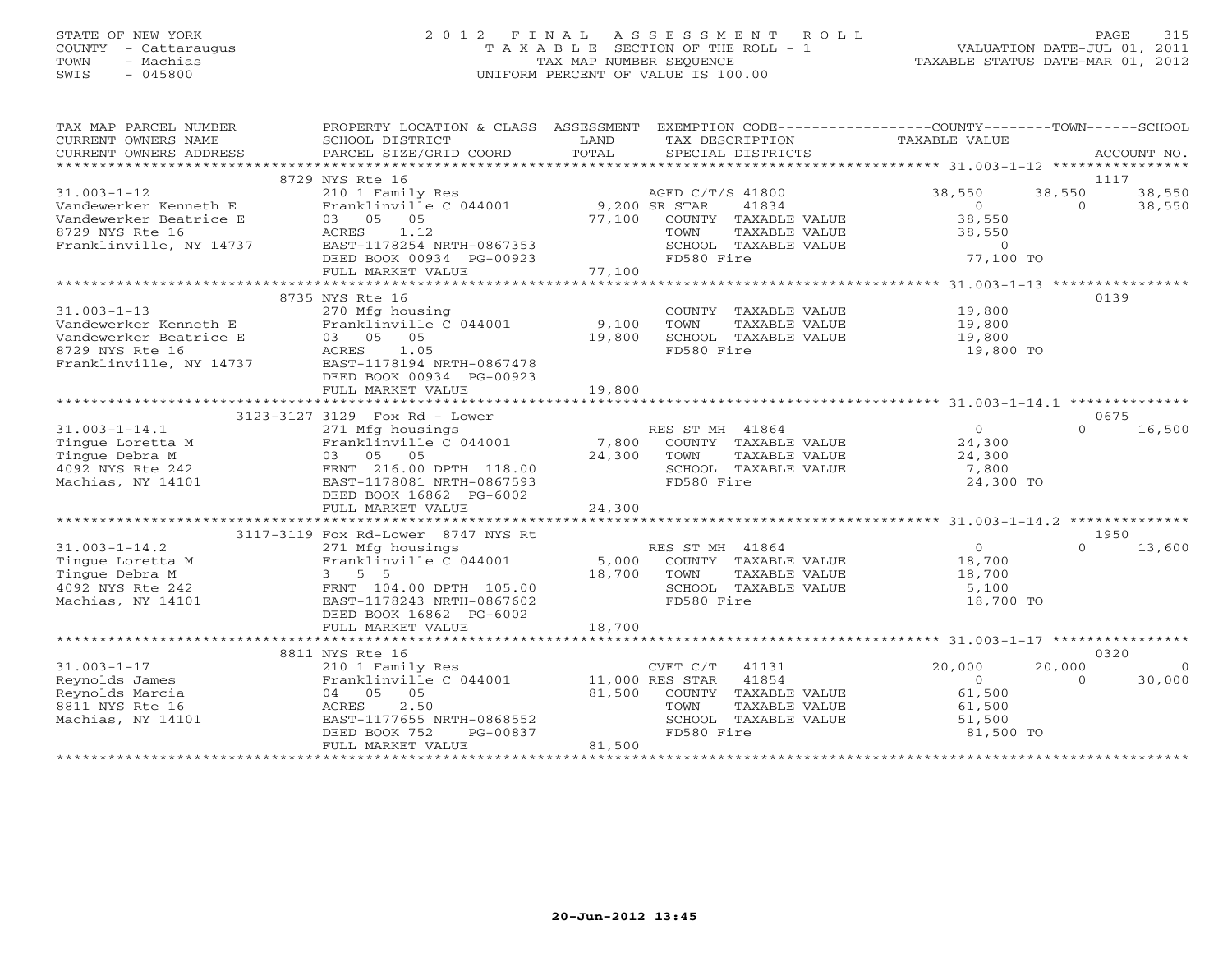# STATE OF NEW YORK 2 0 1 2 F I N A L A S S E S S M E N T R O L L PAGE 315COUNTY - Cattaraugus T A X A B L E SECTION OF THE ROLL - 1<br>
TOWN - Machias TAX MAP NUMBER SEQUENCE<br>
SWIS - 045800 SWIS - 045800 UNIFORM PERCENT OF VALUE IS 100.00

| TAX MAP PARCEL NUMBER<br>CURRENT OWNERS NAME<br>CURRENT OWNERS ADDRESS                                                                                                                                                                                   | PROPERTY LOCATION & CLASS ASSESSMENT EXEMPTION CODE----------------COUNTY-------TOWN------SCHOOL<br>SCHOOL DISTRICT<br>PARCEL SIZE/GRID COORD                                       | LAND<br>TOTAL | TAX DESCRIPTION<br>SPECIAL DISTRICTS                                                                              | TAXABLE VALUE                                                                                                        | ACCOUNT NO.                                              |
|----------------------------------------------------------------------------------------------------------------------------------------------------------------------------------------------------------------------------------------------------------|-------------------------------------------------------------------------------------------------------------------------------------------------------------------------------------|---------------|-------------------------------------------------------------------------------------------------------------------|----------------------------------------------------------------------------------------------------------------------|----------------------------------------------------------|
|                                                                                                                                                                                                                                                          |                                                                                                                                                                                     |               |                                                                                                                   |                                                                                                                      |                                                          |
| $31.003 - 1 - 12$<br>Vandewerker Kenneth E Vandewerker Beatrice E 1210 1121 Pranklinville, NY 14737 EAST-1178254 N<br>Franklinville, NY 14737 EAST-1178254 N<br>Franklinville, NY 14737 EAST-1178254 N<br>DEED BOOK 0093                                 | 8729 NYS Rte 16<br>210 1 Family Res AGED C/T/S 41800<br>Franklinville C 044001 9,200 SR STAR<br>EAST-1178254 NRTH-0867353<br>DEED BOOK 00934 PG-00923                               |               | 41834<br>77,100 COUNTY TAXABLE VALUE<br>TOWN TAXABLE VALUE<br>TAXABLE VALUE<br>SCHOOL TAXABLE VALUE<br>FD580 Fire | $\begin{array}{c}\n0 \\ 0\n\end{array}$<br>38,550<br>38,550<br>$\begin{array}{c} 0 \\ 77,100 \text{ TO} \end{array}$ | 1117<br>38,550 38,550 38,550<br>$\overline{0}$<br>38,550 |
|                                                                                                                                                                                                                                                          |                                                                                                                                                                                     |               |                                                                                                                   |                                                                                                                      |                                                          |
| $31.003 - 1 - 13$<br>Vandewerker Kenneth E<br>Vandewerker Beatrice E<br>8729 NYS Rte 16 (1973) ACRES 1.05<br>Franklinville, NY 14737 (EAST-1178194 NRTH-0867478                                                                                          | 8735 NYS Rte 16<br>270 Mfg housing<br>DEED BOOK 00934 PG-00923                                                                                                                      |               | COUNTY TAXABLE VALUE 19,800<br>TOWN<br>TAXABLE VALUE<br>SCHOOL TAXABLE VALUE<br>FD580 Fire                        | 19,800<br>19,800<br>19,800 TO                                                                                        | 0139                                                     |
|                                                                                                                                                                                                                                                          | FULL MARKET VALUE                                                                                                                                                                   | 19,800        |                                                                                                                   |                                                                                                                      |                                                          |
|                                                                                                                                                                                                                                                          |                                                                                                                                                                                     |               |                                                                                                                   |                                                                                                                      |                                                          |
| 31.003-1-14.1<br>Tingue Loretta M<br>Tingue Debra M<br>Tingue Debra M<br>2371 Mfg housings and the C 044001<br>Franklinville C 044001<br>7,800 COUNTY TAXABLE VALUE<br>7,800 COUNTY TAXABLE VALUE<br>7,800 COUNTY TAXABLE VALUE<br>24,300 TOWN T         | 3123-3127 3129 Fox Rd - Lower<br>DEED BOOK 16862 PG-6002                                                                                                                            |               | TAXABLE VALUE                                                                                                     | $\begin{array}{c} 0 \\ 24,300 \end{array}$<br>24,300<br>7,800<br>24,300 TO                                           | 0675<br>16,500<br>$\cap$                                 |
|                                                                                                                                                                                                                                                          | FULL MARKET VALUE                                                                                                                                                                   | 24,300        |                                                                                                                   |                                                                                                                      |                                                          |
|                                                                                                                                                                                                                                                          | 3117-3119 Fox Rd-Lower 8747 NYS Rt                                                                                                                                                  |               |                                                                                                                   |                                                                                                                      | 1950                                                     |
| 31.003-1-14.2<br>Tingue Loretta M<br>Tingue Debra M<br>4092 NYS Rte 242<br>Machias, NY 14101<br>The C 044001<br>S,000 COUNT<br>Tingue Debra M<br>3 5 5<br>FRNT 104.00 DPTH 105.00<br>EAST-1178243 NRTH-0867602<br>FRNT 104.00 DPTH 105.00<br>SCHOO<br>FD | DEED BOOK 16862 PG-6002                                                                                                                                                             |               | RES ST MH 41864<br>5,000 COUNTY TAXABLE VALUE<br>TAXABLE VALUE<br>SCHOOL TAXABLE VALUE<br>FD580 Fire              | $\overline{O}$<br>18,700<br>18,700<br>5,100<br>18,700 TO                                                             | 13,600<br>$\Omega$                                       |
|                                                                                                                                                                                                                                                          | FULL MARKET VALUE                                                                                                                                                                   | 18,700        |                                                                                                                   |                                                                                                                      |                                                          |
|                                                                                                                                                                                                                                                          |                                                                                                                                                                                     |               |                                                                                                                   |                                                                                                                      |                                                          |
| $31.003 - 1 - 17$<br>Reynolds James<br>Reynolds Marcia<br>8811 NYS Rte 16<br>Machias, NY 14101                                                                                                                                                           | 210 1 Family Res<br>Pranklinville C 044001 11,000 RES STAR 41854<br>04 05 05 81,500 COUNTY TAVAPLE 1<br>EAST-1177655 NRTH-0868552<br>PG-00837<br>DEED BOOK 752<br>FULL MARKET VALUE | 81,500        | CVET C/T 41131<br>81,500 COUNTY TAXABLE VALUE<br>TAXABLE VALUE<br>SCHOOL TAXABLE VALUE<br>FD580 Fire              | 20,000<br>$\overline{0}$<br>61,500<br>61,500<br>51,500<br>81,500 TO                                                  | 0320<br>20,000<br>$\overline{0}$<br>$\Omega$<br>30,000   |
|                                                                                                                                                                                                                                                          |                                                                                                                                                                                     |               |                                                                                                                   |                                                                                                                      |                                                          |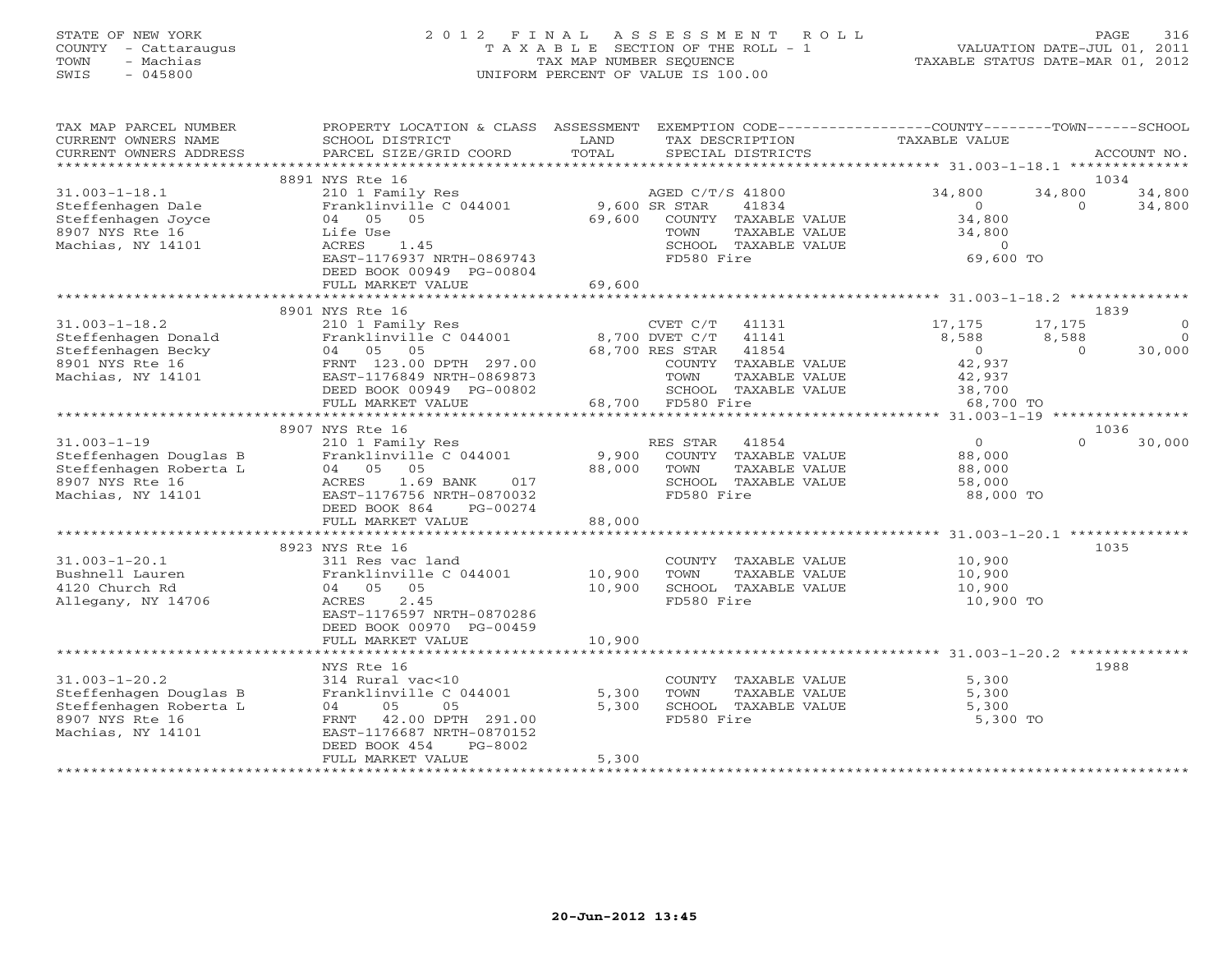# STATE OF NEW YORK 2 0 1 2 F I N A L A S S E S S M E N T R O L L PAGE 316 COUNTY - Cattaraugus T A X A B L E SECTION OF THE ROLL - 1 VALUATION DATE-JUL 01, 2011 TOWN - Machias TAX MAP NUMBER SEQUENCE TAXABLE STATUS DATE-MAR 01, 2012 SWIS - 045800 UNIFORM PERCENT OF VALUE IS 100.00UNIFORM PERCENT OF VALUE IS 100.00

| TAX MAP PARCEL NUMBER<br>CURRENT OWNERS NAME<br>CURRENT OWNERS ADDRESS                                          | PROPERTY LOCATION & CLASS ASSESSMENT<br>SCHOOL DISTRICT<br>PARCEL SIZE/GRID COORD                                                                                                     | LAND<br>TOTAL           | EXEMPTION CODE-----------------COUNTY-------TOWN-----SCHOOL<br>TAX DESCRIPTION<br>SPECIAL DISTRICTS      | TAXABLE VALUE                                                  |                             | ACCOUNT NO.                           |
|-----------------------------------------------------------------------------------------------------------------|---------------------------------------------------------------------------------------------------------------------------------------------------------------------------------------|-------------------------|----------------------------------------------------------------------------------------------------------|----------------------------------------------------------------|-----------------------------|---------------------------------------|
| *******************                                                                                             |                                                                                                                                                                                       |                         |                                                                                                          |                                                                |                             |                                       |
|                                                                                                                 | 8891 NYS Rte 16                                                                                                                                                                       |                         |                                                                                                          |                                                                |                             | 1034                                  |
| $31.003 - 1 - 18.1$<br>Steffenhagen Dale<br>Steffenhagen Joyce<br>8907 NYS Rte 16<br>Machias, NY 14101          | 210 1 Family Res<br>Franklinville C 044001<br>04 05 05<br>Life Use<br>ACRES<br>1.45                                                                                                   | 9,600 SR STAR<br>69,600 | AGED C/T/S 41800<br>41834<br>COUNTY TAXABLE VALUE<br>TAXABLE VALUE<br>TOWN<br>SCHOOL TAXABLE VALUE       | 34,800<br>$\overline{0}$<br>34,800<br>34,800<br>$\overline{0}$ | 34,800<br>$\Omega$          | 34,800<br>34,800                      |
|                                                                                                                 | EAST-1176937 NRTH-0869743<br>DEED BOOK 00949 PG-00804<br>FULL MARKET VALUE                                                                                                            | 69,600                  | FD580 Fire                                                                                               | 69,600 TO                                                      |                             |                                       |
|                                                                                                                 |                                                                                                                                                                                       |                         |                                                                                                          |                                                                |                             |                                       |
| $31.003 - 1 - 18.2$<br>Steffenhagen Donald<br>Steffenhagen Becky<br>8901 NYS Rte 16                             | 8901 NYS Rte 16<br>210 1 Family Res<br>Franklinville C 044001<br>04 05 05<br>FRNT 123.00 DPTH 297.00                                                                                  |                         | CVET C/T<br>41131<br>8,700 DVET C/T<br>41141<br>68,700 RES STAR<br>41854<br>COUNTY TAXABLE VALUE         | 17,175<br>8,588<br>$\overline{0}$<br>42,937                    | 17,175<br>8,588<br>$\Omega$ | 1839<br>$\circ$<br>$\Omega$<br>30,000 |
| Machias, NY 14101                                                                                               | EAST-1176849 NRTH-0869873<br>DEED BOOK 00949 PG-00802<br>FULL MARKET VALUE                                                                                                            |                         | TOWN<br>TAXABLE VALUE<br>SCHOOL TAXABLE VALUE<br>68,700 FD580 Fire                                       | 42,937<br>38,700<br>68,700 TO                                  |                             |                                       |
|                                                                                                                 |                                                                                                                                                                                       |                         |                                                                                                          |                                                                |                             |                                       |
| $31.003 - 1 - 19$<br>Steffenhagen Douglas B<br>Steffenhagen Roberta L<br>8907 NYS Rte 16<br>Machias, NY 14101   | 8907 NYS Rte 16<br>210 1 Family Res<br>Franklinville C 044001<br>04 05 05<br>1.69 BANK<br>017<br>ACRES<br>EAST-1176756 NRTH-0870032<br>DEED BOOK 864<br>PG-00274                      | 9,900<br>88,000         | RES STAR<br>41854<br>COUNTY TAXABLE VALUE<br>TOWN<br>TAXABLE VALUE<br>SCHOOL TAXABLE VALUE<br>FD580 Fire | $\overline{0}$<br>88,000<br>88,000<br>58,000<br>88,000 TO      | $\Omega$                    | 1036<br>30,000                        |
|                                                                                                                 | FULL MARKET VALUE                                                                                                                                                                     | 88,000                  |                                                                                                          |                                                                |                             |                                       |
|                                                                                                                 | ****************************                                                                                                                                                          | **************          |                                                                                                          |                                                                |                             |                                       |
| $31.003 - 1 - 20.1$<br>Bushnell Lauren<br>4120 Church Rd<br>Allegany, NY 14706                                  | 8923 NYS Rte 16<br>311 Res vac land<br>Franklinville C 044001<br>04 05 05<br>2.45<br>ACRES<br>EAST-1176597 NRTH-0870286<br>DEED BOOK 00970 PG-00459                                   | 10,900<br>10,900        | COUNTY TAXABLE VALUE<br>TOWN<br>TAXABLE VALUE<br>SCHOOL TAXABLE VALUE<br>FD580 Fire                      | 10,900<br>10,900<br>10,900<br>10,900 TO                        |                             | 1035                                  |
|                                                                                                                 | FULL MARKET VALUE<br>*********************                                                                                                                                            | 10,900                  |                                                                                                          |                                                                |                             |                                       |
| $31.003 - 1 - 20.2$<br>Steffenhagen Douglas B<br>Steffenhagen Roberta L<br>8907 NYS Rte 16<br>Machias, NY 14101 | NYS Rte 16<br>314 Rural vac<10<br>Franklinville C 044001<br>05<br>04<br>05<br>42.00 DPTH 291.00<br>FRNT<br>EAST-1176687 NRTH-0870152<br>DEED BOOK 454<br>PG-8002<br>FULL MARKET VALUE | 5,300<br>5,300<br>5,300 | COUNTY TAXABLE VALUE<br>TOWN<br>TAXABLE VALUE<br>SCHOOL TAXABLE VALUE<br>FD580 Fire                      | 5,300<br>5,300<br>5,300<br>5,300 TO                            |                             | 1988                                  |
|                                                                                                                 |                                                                                                                                                                                       |                         |                                                                                                          |                                                                |                             |                                       |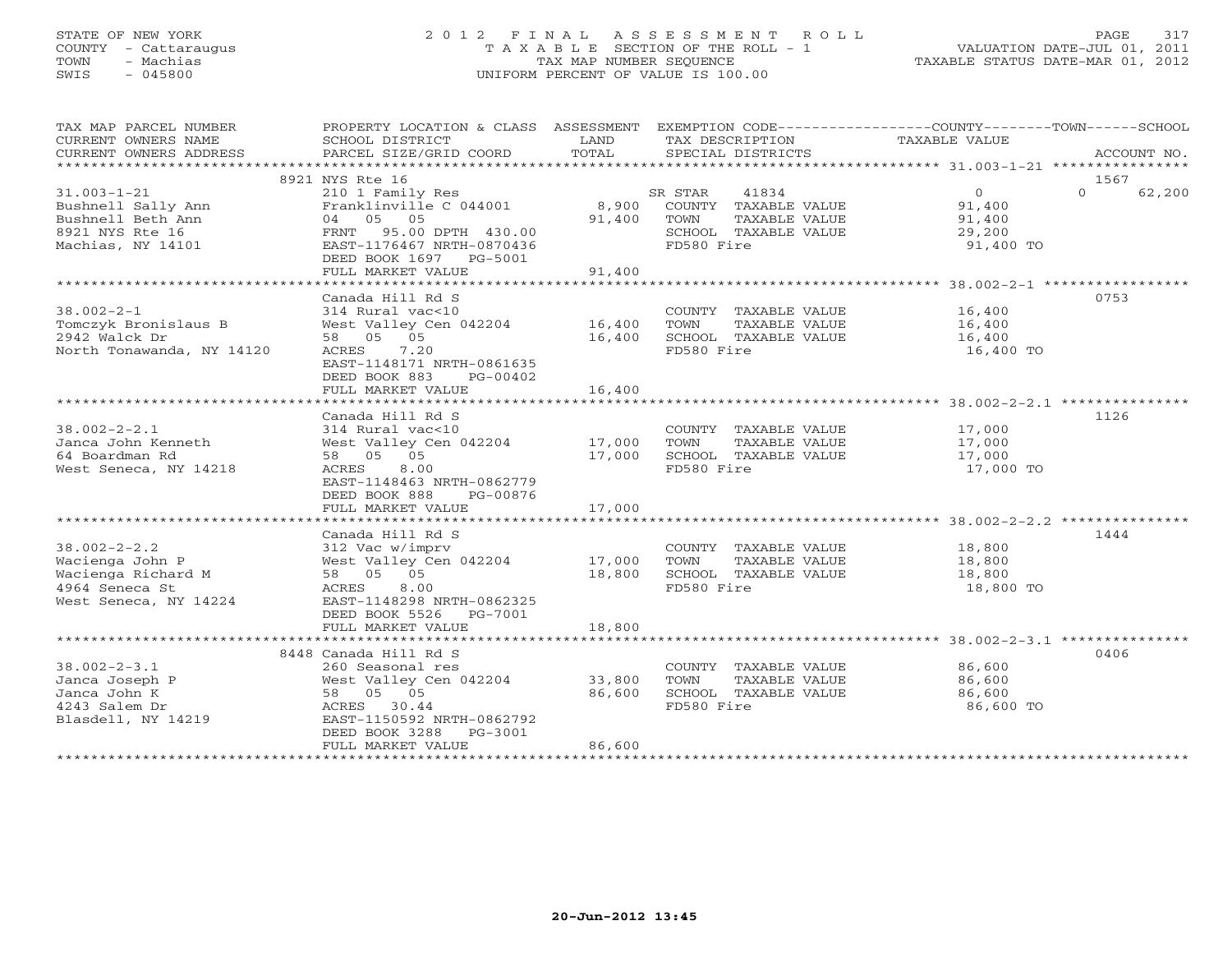# STATE OF NEW YORK 2 0 1 2 F I N A L A S S E S S M E N T R O L L PAGE 317 COUNTY - Cattaraugus T A X A B L E SECTION OF THE ROLL - 1 VALUATION DATE-JUL 01, 2011 TOWN - Machias TAX MAP NUMBER SEQUENCE TAXABLE STATUS DATE-MAR 01, 2012 SWIS - 045800 UNIFORM PERCENT OF VALUE IS 100.00

| TAX MAP PARCEL NUMBER<br>CURRENT OWNERS NAME<br>CURRENT OWNERS ADDRESS                               | PROPERTY LOCATION & CLASS ASSESSMENT<br>SCHOOL DISTRICT<br>PARCEL SIZE/GRID COORD                                                                                               | LAND<br>TOTAL              | TAX DESCRIPTION<br>SPECIAL DISTRICTS                                                                    | EXEMPTION CODE-----------------COUNTY-------TOWN------SCHOOL<br>TAXABLE VALUE          | ACCOUNT NO.                |
|------------------------------------------------------------------------------------------------------|---------------------------------------------------------------------------------------------------------------------------------------------------------------------------------|----------------------------|---------------------------------------------------------------------------------------------------------|----------------------------------------------------------------------------------------|----------------------------|
|                                                                                                      |                                                                                                                                                                                 |                            |                                                                                                         |                                                                                        |                            |
| $31.003 - 1 - 21$<br>Bushnell Sally Ann<br>Bushnell Beth Ann<br>8921 NYS Rte 16<br>Machias, NY 14101 | 8921 NYS Rte 16<br>210 1 Family Res<br>Franklinville C 044001<br>04 05 05<br>FRNT 95.00 DPTH 430.00<br>EAST-1176467 NRTH-0870436<br>DEED BOOK 1697 PG-5001<br>FULL MARKET VALUE | 8,900<br>91,400<br>91,400  | SR STAR<br>41834<br>COUNTY TAXABLE VALUE<br>TOWN<br>TAXABLE VALUE<br>SCHOOL TAXABLE VALUE<br>FD580 Fire | $\Omega$<br>91,400<br>91,400<br>29,200<br>91,400 TO                                    | 1567<br>$\Omega$<br>62,200 |
|                                                                                                      |                                                                                                                                                                                 |                            |                                                                                                         |                                                                                        |                            |
| $38.002 - 2 - 1$<br>Tomczyk Bronislaus B<br>2942 Walck Dr<br>North Tonawanda, NY 14120               | Canada Hill Rd S<br>314 Rural vac<10<br>West Valley Cen 042204 16,400<br>58 05 05<br>7.20<br>ACRES<br>EAST-1148171 NRTH-0861635<br>DEED BOOK 883<br>PG-00402                    | 16,400                     | COUNTY TAXABLE VALUE<br>TOWN<br>TAXABLE VALUE<br>SCHOOL TAXABLE VALUE<br>FD580 Fire                     | 16,400<br>16,400<br>16,400<br>16,400 TO                                                | 0753                       |
|                                                                                                      | FULL MARKET VALUE                                                                                                                                                               | 16,400                     |                                                                                                         |                                                                                        |                            |
|                                                                                                      |                                                                                                                                                                                 |                            |                                                                                                         |                                                                                        |                            |
| $38.002 - 2 - 2.1$<br>Janca John Kenneth<br>64 Boardman Rd<br>West Seneca, NY 14218                  | Canada Hill Rd S<br>314 Rural vac<10<br>West Valley Cen 042204<br>58 05 05<br>ACRES<br>8.00<br>EAST-1148463 NRTH-0862779<br>DEED BOOK 888<br>PG-00876                           | 17,000<br>17,000           | COUNTY TAXABLE VALUE<br>TOWN<br>TAXABLE VALUE<br>SCHOOL TAXABLE VALUE<br>FD580 Fire                     | 17,000<br>17,000<br>17,000<br>17,000 TO                                                | 1126                       |
|                                                                                                      | FULL MARKET VALUE                                                                                                                                                               | 17,000                     |                                                                                                         |                                                                                        |                            |
| $38.002 - 2 - 2.2$<br>Wacienga John P                                                                | Canada Hill Rd S<br>312 Vac w/imprv<br>West Valley Cen 042204                                                                                                                   | 17,000                     | COUNTY TAXABLE VALUE<br>TOWN<br>TAXABLE VALUE                                                           | ************************************ 38.002-2-2.2 ****************<br>18,800<br>18,800 | 1444                       |
| Wacienga Richard M<br>4964 Seneca St<br>West Seneca, NY 14224                                        | 58 05 05<br>ACRES<br>8.00<br>EAST-1148298 NRTH-0862325<br>DEED BOOK 5526 PG-7001                                                                                                | 18,800                     | SCHOOL TAXABLE VALUE<br>FD580 Fire                                                                      | 18,800<br>18,800 TO                                                                    |                            |
|                                                                                                      | FULL MARKET VALUE                                                                                                                                                               | 18,800                     |                                                                                                         |                                                                                        |                            |
|                                                                                                      | 8448 Canada Hill Rd S                                                                                                                                                           |                            |                                                                                                         |                                                                                        | 0406                       |
| $38.002 - 2 - 3.1$<br>Janca Joseph P<br>Janca John K<br>4243 Salem Dr<br>Blasdell, NY 14219          | 260 Seasonal res<br>West Valley Cen 042204<br>58 05 05<br>ACRES 30.44<br>EAST-1150592 NRTH-0862792<br>DEED BOOK 3288<br>PG-3001<br>FULL MARKET VALUE                            | 33,800<br>86,600<br>86,600 | COUNTY TAXABLE VALUE<br>TOWN<br>TAXABLE VALUE<br>SCHOOL TAXABLE VALUE<br>FD580 Fire                     | 86,600<br>86,600<br>86,600<br>86,600 TO                                                |                            |
|                                                                                                      |                                                                                                                                                                                 |                            |                                                                                                         |                                                                                        |                            |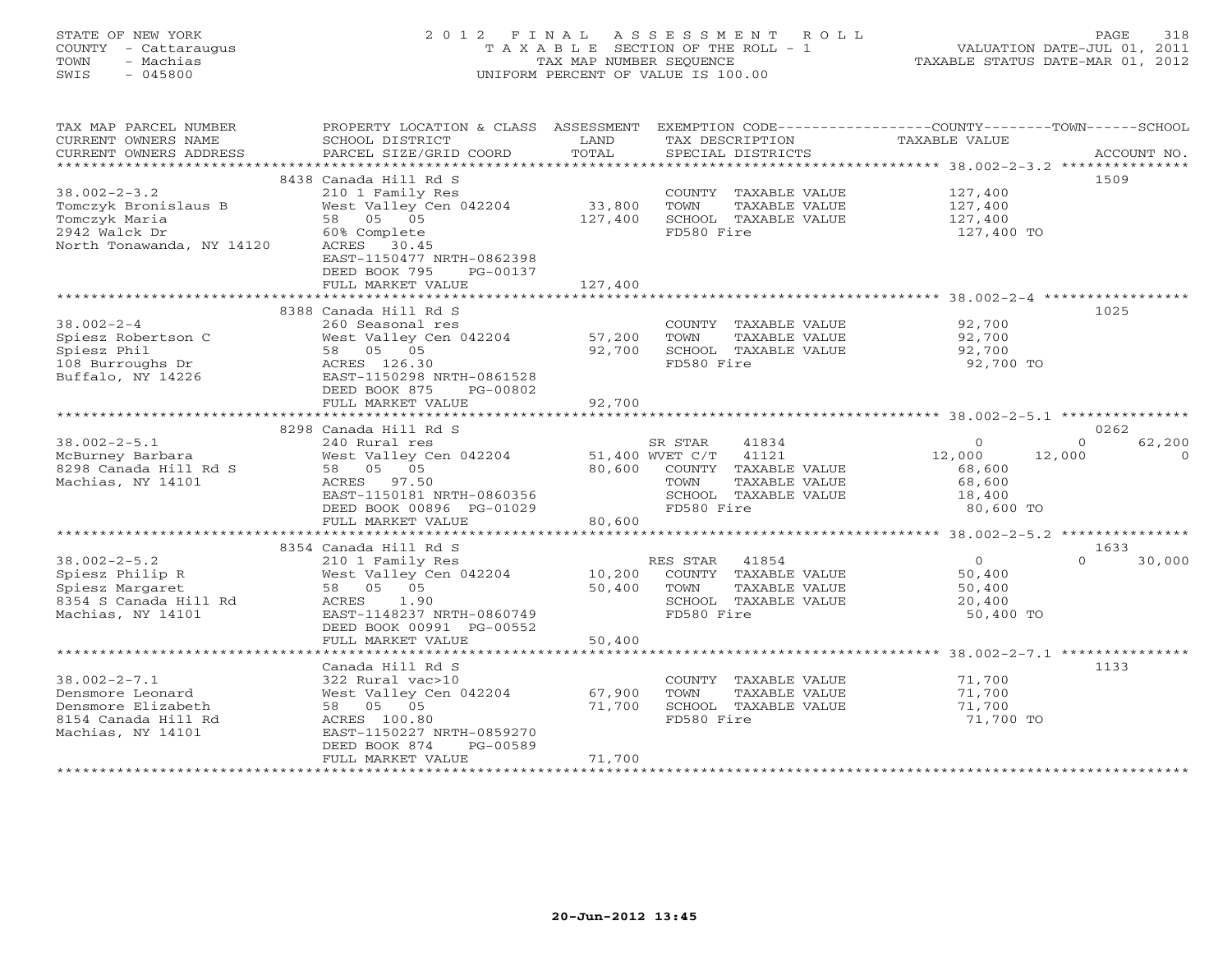# STATE OF NEW YORK 2 0 1 2 F I N A L A S S E S S M E N T R O L L PAGE 318 COUNTY - Cattaraugus T A X A B L E SECTION OF THE ROLL - 1 VALUATION DATE-JUL 01, 2011 TOWN - Machias TAX MAP NUMBER SEQUENCE TAXABLE STATUS DATE-MAR 01, 2012 SWIS - 045800 UNIFORM PERCENT OF VALUE IS 100.00UNIFORM PERCENT OF VALUE IS 100.00

| TAX MAP PARCEL NUMBER<br>CURRENT OWNERS NAME<br>CURRENT OWNERS ADDRESS | PROPERTY LOCATION & CLASS ASSESSMENT<br>SCHOOL DISTRICT<br>PARCEL SIZE/GRID COORD | LAND<br>TOTAL    | TAX DESCRIPTION<br>SPECIAL DISTRICTS          | EXEMPTION CODE-----------------COUNTY-------TOWN------SCHOOL<br>TAXABLE VALUE<br>ACCOUNT NO. |          |
|------------------------------------------------------------------------|-----------------------------------------------------------------------------------|------------------|-----------------------------------------------|----------------------------------------------------------------------------------------------|----------|
|                                                                        |                                                                                   |                  |                                               |                                                                                              |          |
|                                                                        | 8438 Canada Hill Rd S                                                             |                  |                                               | 1509                                                                                         |          |
| $38.002 - 2 - 3.2$<br>Tomczyk Bronislaus B                             | 210 1 Family Res<br>West Valley Cen 042204                                        | 33,800           | COUNTY TAXABLE VALUE<br>TOWN<br>TAXABLE VALUE | 127,400<br>127,400                                                                           |          |
| Tomczyk Maria                                                          | 58 05 05                                                                          | 127,400          | SCHOOL TAXABLE VALUE                          | 127,400                                                                                      |          |
| 2942 Walck Dr<br>North Tonawanda, NY 14120                             | 60% Complete<br>ACRES 30.45<br>EAST-1150477 NRTH-0862398                          |                  | FD580 Fire                                    | 127,400 TO                                                                                   |          |
|                                                                        | DEED BOOK 795<br>PG-00137                                                         |                  |                                               |                                                                                              |          |
|                                                                        | FULL MARKET VALUE                                                                 | 127,400          |                                               |                                                                                              |          |
|                                                                        | 8388 Canada Hill Rd S                                                             |                  |                                               | 1025                                                                                         |          |
| $38.002 - 2 - 4$                                                       | 260 Seasonal res                                                                  |                  | COUNTY TAXABLE VALUE                          | 92,700                                                                                       |          |
| Spiesz Robertson C                                                     | West Valley Cen 042204                                                            | 57,200           | TAXABLE VALUE<br>TOWN                         | 92,700                                                                                       |          |
| Spiesz Phil                                                            | 58 05 05                                                                          | 92,700           | SCHOOL TAXABLE VALUE                          | 92,700                                                                                       |          |
| 108 Burroughs Dr                                                       | ACRES 126.30                                                                      |                  | FD580 Fire                                    | 92,700 TO                                                                                    |          |
| Buffalo, NY 14226                                                      | EAST-1150298 NRTH-0861528                                                         |                  |                                               |                                                                                              |          |
|                                                                        | DEED BOOK 875<br>PG-00802                                                         |                  |                                               |                                                                                              |          |
|                                                                        | FULL MARKET VALUE                                                                 | 92,700           |                                               |                                                                                              |          |
|                                                                        | 8298 Canada Hill Rd S                                                             |                  |                                               | 0262                                                                                         |          |
| $38.002 - 2 - 5.1$                                                     | 240 Rural res                                                                     |                  | SR STAR<br>41834                              | $\Omega$<br>$\Omega$                                                                         | 62,200   |
| McBurney Barbara                                                       | West Valley Cen 042204                                                            |                  | 51,400 WVET C/T<br>41121                      | 12,000<br>12,000                                                                             | $\Omega$ |
| 8298 Canada Hill Rd S                                                  | 58 05 05                                                                          | 80,600           | COUNTY TAXABLE VALUE                          | 68,600                                                                                       |          |
| Machias, NY 14101                                                      | ACRES 97.50                                                                       |                  | TOWN<br>TAXABLE VALUE                         | 68,600                                                                                       |          |
|                                                                        | EAST-1150181 NRTH-0860356                                                         |                  | SCHOOL TAXABLE VALUE                          | 18,400                                                                                       |          |
|                                                                        | DEED BOOK 00896 PG-01029                                                          |                  | FD580 Fire                                    | 80,600 TO                                                                                    |          |
|                                                                        | FULL MARKET VALUE                                                                 | 80,600           |                                               |                                                                                              |          |
|                                                                        |                                                                                   |                  |                                               |                                                                                              |          |
|                                                                        | 8354 Canada Hill Rd S                                                             |                  |                                               | 1633<br>$\Omega$                                                                             |          |
| $38.002 - 2 - 5.2$<br>Spiesz Philip R                                  | 210 1 Family Res<br>West Valley Cen 042204                                        | 10,200           | 41854<br>RES STAR<br>COUNTY TAXABLE VALUE     | $\circ$<br>50,400                                                                            | 30,000   |
| Spiesz Margaret                                                        | 58 05 05                                                                          | 50,400           | TOWN<br>TAXABLE VALUE                         | 50,400                                                                                       |          |
| 8354 S Canada Hill Rd                                                  | 1.90<br>ACRES                                                                     |                  | SCHOOL TAXABLE VALUE                          | 20,400                                                                                       |          |
| Machias, NY 14101                                                      | EAST-1148237 NRTH-0860749                                                         |                  | FD580 Fire                                    | 50,400 TO                                                                                    |          |
|                                                                        | DEED BOOK 00991 PG-00552                                                          |                  |                                               |                                                                                              |          |
|                                                                        | FULL MARKET VALUE                                                                 | 50,400           |                                               |                                                                                              |          |
|                                                                        |                                                                                   |                  |                                               |                                                                                              |          |
|                                                                        | Canada Hill Rd S                                                                  |                  |                                               | 1133                                                                                         |          |
| $38.002 - 2 - 7.1$                                                     | 322 Rural vac>10                                                                  |                  | COUNTY TAXABLE VALUE                          | 71,700                                                                                       |          |
| Densmore Leonard<br>Densmore Elizabeth                                 | West Valley Cen 042204<br>58 05 05                                                | 67,900<br>71,700 | TOWN<br>TAXABLE VALUE<br>SCHOOL TAXABLE VALUE | 71,700<br>71,700                                                                             |          |
| 8154 Canada Hill Rd                                                    | ACRES 100.80                                                                      |                  | FD580 Fire                                    | 71,700 TO                                                                                    |          |
| Machias, NY 14101                                                      | EAST-1150227 NRTH-0859270                                                         |                  |                                               |                                                                                              |          |
|                                                                        | DEED BOOK 874<br>PG-00589                                                         |                  |                                               |                                                                                              |          |
|                                                                        | FULL MARKET VALUE                                                                 | 71,700           |                                               |                                                                                              |          |
|                                                                        |                                                                                   |                  |                                               |                                                                                              |          |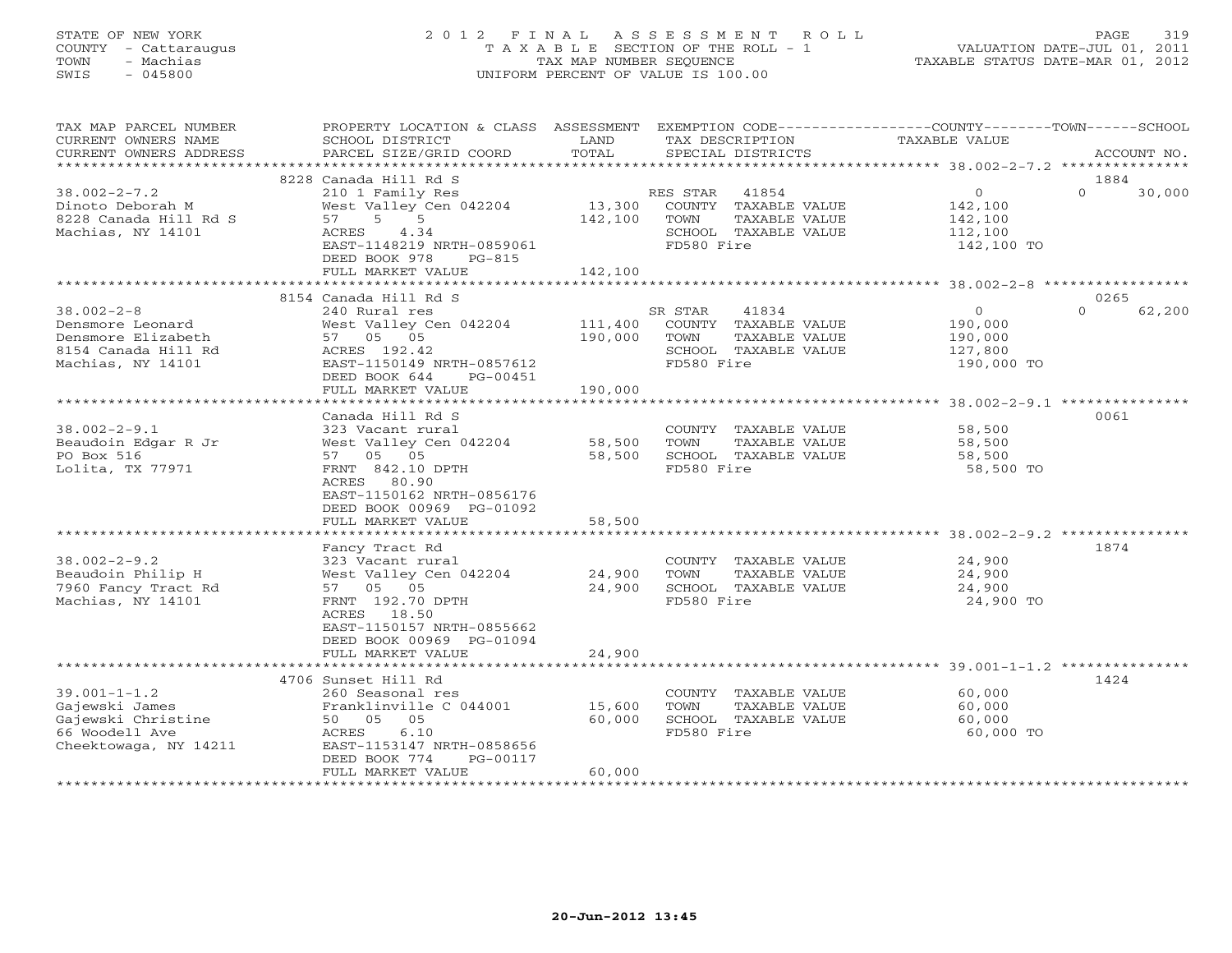## STATE OF NEW YORK 2 0 1 2 F I N A L A S S E S S M E N T R O L L PAGE 319 COUNTY - Cattaraugus T A X A B L E SECTION OF THE ROLL - 1 VALUATION DATE-JUL 01, 2011 TOWN - Machias TAX MAP NUMBER SEQUENCE TAXABLE STATUS DATE-MAR 01, 2012 SWIS - 045800 UNIFORM PERCENT OF VALUE IS 100.00UNIFORM PERCENT OF VALUE IS 100.00

| <b>TAXABLE VALUE</b><br>TAX DESCRIPTION<br>SPECIAL DISTRICTS<br>ACCOUNT NO.                                                                                                           |
|---------------------------------------------------------------------------------------------------------------------------------------------------------------------------------------|
|                                                                                                                                                                                       |
| 1884<br>$\overline{0}$<br>$\Omega$<br>30,000<br>RES STAR 41854<br>13,300 COUNTY TAXABLE VALUE<br>142,100<br>TAXABLE VALUE<br>142,100<br>SCHOOL TAXABLE VALUE<br>112,100<br>142,100 TO |
|                                                                                                                                                                                       |
| 0265                                                                                                                                                                                  |
| $\circ$<br>$\Omega$<br>62,200<br>41834<br>COUNTY TAXABLE VALUE<br>190,000<br>TAXABLE VALUE<br>190,000<br>SCHOOL TAXABLE VALUE<br>127,800<br>190,000 TO                                |
|                                                                                                                                                                                       |
| 0061<br>58,500<br>COUNTY TAXABLE VALUE<br>TAXABLE VALUE<br>58,500<br>SCHOOL TAXABLE VALUE<br>58,500<br>58,500 TO                                                                      |
| 1874                                                                                                                                                                                  |
| COUNTY TAXABLE VALUE<br>24,900<br>TAXABLE VALUE<br>24,900<br>SCHOOL TAXABLE VALUE<br>24,900<br>24,900 TO                                                                              |
| ********************************** 39.001-1-1.2 ***************                                                                                                                       |
| 1424<br>60,000<br>COUNTY TAXABLE VALUE<br>60,000<br>TAXABLE VALUE<br>SCHOOL TAXABLE VALUE<br>60,000<br>60,000 TO                                                                      |
|                                                                                                                                                                                       |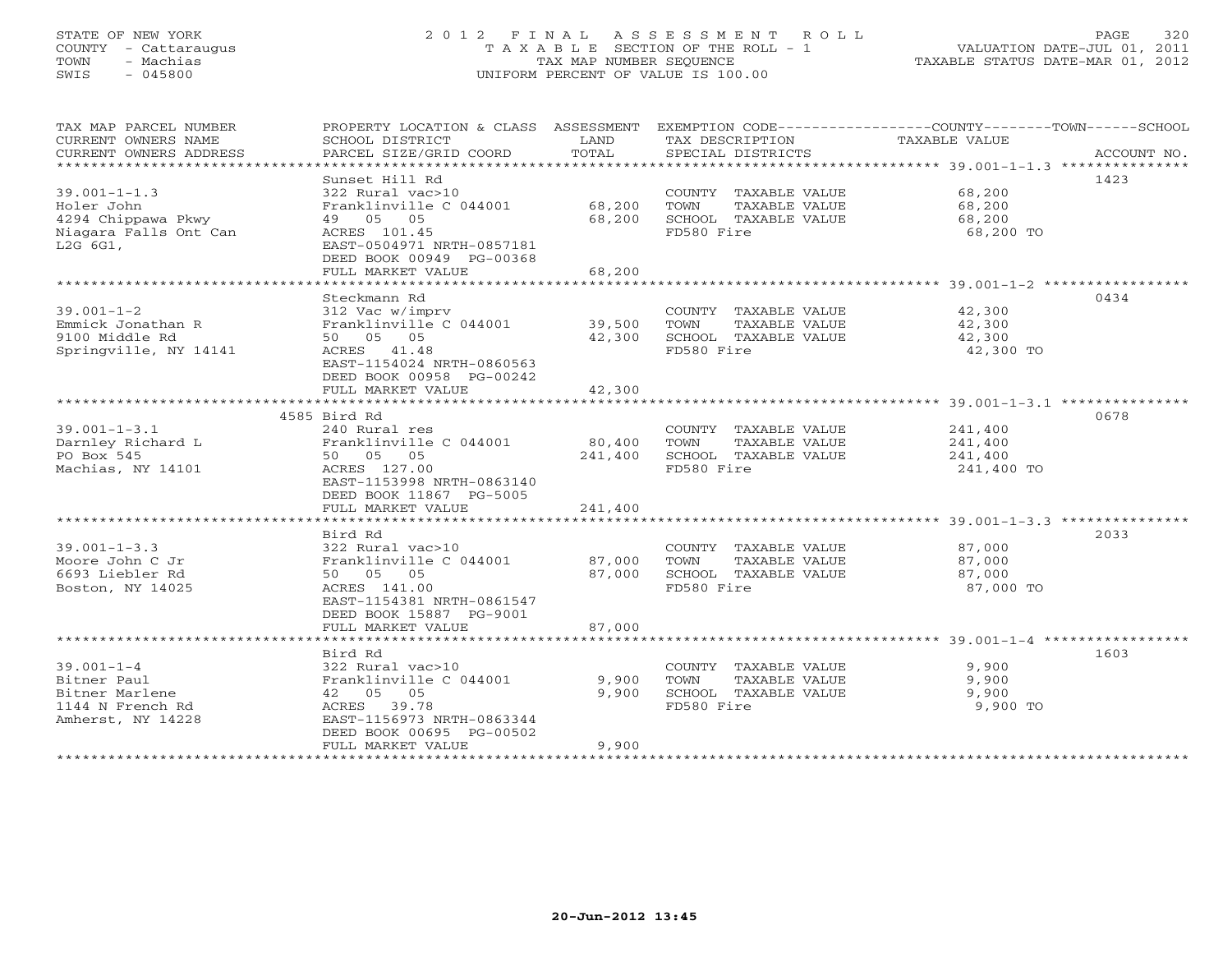# STATE OF NEW YORK 2 0 1 2 F I N A L A S S E S S M E N T R O L L PAGE 320 COUNTY - Cattaraugus T A X A B L E SECTION OF THE ROLL - 1 VALUATION DATE-JUL 01, 2011 TOWN - Machias TAX MAP NUMBER SEQUENCE TAXABLE STATUS DATE-MAR 01, 2012 SWIS - 045800 UNIFORM PERCENT OF VALUE IS 100.00UNIFORM PERCENT OF VALUE IS 100.00

| TAX MAP PARCEL NUMBER  | PROPERTY LOCATION & CLASS ASSESSMENT EXEMPTION CODE----------------COUNTY-------TOWN------SCHOOL |                                     |                                               |               |             |
|------------------------|--------------------------------------------------------------------------------------------------|-------------------------------------|-----------------------------------------------|---------------|-------------|
| CURRENT OWNERS NAME    | SCHOOL DISTRICT                                                                                  | LAND                                | TAX DESCRIPTION                               | TAXABLE VALUE |             |
| CURRENT OWNERS ADDRESS | PARCEL SIZE/GRID COORD                                                                           | TOTAL                               | SPECIAL DISTRICTS                             |               | ACCOUNT NO. |
|                        |                                                                                                  |                                     |                                               |               |             |
|                        | Sunset Hill Rd                                                                                   |                                     |                                               |               | 1423        |
| $39.001 - 1 - 1.3$     | 322 Rural vac>10                                                                                 |                                     | COUNTY TAXABLE VALUE                          | 68,200        |             |
| Holer John             | Franklinville C 044001                                                                           | 68,200                              | TOWN<br>TAXABLE VALUE                         | 68,200        |             |
| 4294 Chippawa Pkwy     | 49 05 05                                                                                         | 68,200                              | SCHOOL TAXABLE VALUE                          | 68,200        |             |
| Niagara Falls Ont Can  | ACRES 101.45                                                                                     |                                     | FD580 Fire                                    | 68,200 TO     |             |
| L2G 6G1,               | EAST-0504971 NRTH-0857181                                                                        |                                     |                                               |               |             |
|                        | DEED BOOK 00949 PG-00368                                                                         |                                     |                                               |               |             |
|                        | FULL MARKET VALUE                                                                                | 68,200<br>* * * * * * * * * * * * * |                                               |               |             |
|                        |                                                                                                  |                                     |                                               |               | 0434        |
| $39.001 - 1 - 2$       | Steckmann Rd                                                                                     |                                     |                                               | 42,300        |             |
| Emmick Jonathan R      | 312 Vac w/imprv<br>Franklinville C 044001                                                        | 39,500                              | COUNTY TAXABLE VALUE<br>TOWN<br>TAXABLE VALUE | 42,300        |             |
| 9100 Middle Rd         | 50 05 05                                                                                         | 42,300                              | SCHOOL TAXABLE VALUE                          | 42,300        |             |
| Springville, NY 14141  | ACRES 41.48                                                                                      |                                     | FD580 Fire                                    | 42,300 TO     |             |
|                        | EAST-1154024 NRTH-0860563                                                                        |                                     |                                               |               |             |
|                        | DEED BOOK 00958 PG-00242                                                                         |                                     |                                               |               |             |
|                        | FULL MARKET VALUE                                                                                | 42,300                              |                                               |               |             |
|                        |                                                                                                  |                                     |                                               |               |             |
|                        | 4585 Bird Rd                                                                                     |                                     |                                               |               | 0678        |
| $39.001 - 1 - 3.1$     | 240 Rural res                                                                                    |                                     | COUNTY TAXABLE VALUE                          | 241,400       |             |
| Darnley Richard L      | Franklinville C 044001                                                                           | 80,400                              | TOWN<br>TAXABLE VALUE                         | 241,400       |             |
| PO Box 545             | 50 05 05                                                                                         | 241,400                             | SCHOOL TAXABLE VALUE                          | 241,400       |             |
| Machias, NY 14101      | ACRES 127.00                                                                                     |                                     | FD580 Fire                                    | 241,400 TO    |             |
|                        | EAST-1153998 NRTH-0863140                                                                        |                                     |                                               |               |             |
|                        | DEED BOOK 11867 PG-5005                                                                          |                                     |                                               |               |             |
|                        | FULL MARKET VALUE                                                                                | 241,400                             |                                               |               |             |
|                        |                                                                                                  |                                     |                                               |               |             |
|                        | Bird Rd                                                                                          |                                     |                                               |               | 2033        |
| $39.001 - 1 - 3.3$     | 322 Rural vac>10                                                                                 |                                     | COUNTY TAXABLE VALUE                          | 87,000        |             |
| Moore John C Jr        | Franklinville C 044001                                                                           | 87,000                              | TOWN<br>TAXABLE VALUE                         | 87,000        |             |
| 6693 Liebler Rd        | 50 05 05                                                                                         | 87,000                              | SCHOOL TAXABLE VALUE                          | 87,000        |             |
| Boston, NY 14025       | ACRES 141.00                                                                                     |                                     | FD580 Fire                                    | 87,000 TO     |             |
|                        | EAST-1154381 NRTH-0861547                                                                        |                                     |                                               |               |             |
|                        | DEED BOOK 15887 PG-9001                                                                          |                                     |                                               |               |             |
|                        | FULL MARKET VALUE                                                                                | 87,000                              |                                               |               |             |
|                        |                                                                                                  |                                     |                                               |               |             |
|                        | Bird Rd                                                                                          |                                     |                                               |               | 1603        |
| $39.001 - 1 - 4$       | 322 Rural vac>10                                                                                 |                                     | COUNTY TAXABLE VALUE                          | 9,900         |             |
| Bitner Paul            | Franklinville C 044001                                                                           | 9,900                               | TOWN<br>TAXABLE VALUE                         | 9,900         |             |
| Bitner Marlene         | 42 05 05                                                                                         | 9,900                               | SCHOOL TAXABLE VALUE                          | 9,900         |             |
| 1144 N French Rd       | ACRES 39.78                                                                                      |                                     | FD580 Fire                                    | 9,900 TO      |             |
| Amherst, NY 14228      | EAST-1156973 NRTH-0863344                                                                        |                                     |                                               |               |             |
|                        | DEED BOOK 00695 PG-00502                                                                         |                                     |                                               |               |             |
|                        | FULL MARKET VALUE<br>*************************                                                   | 9,900                               |                                               |               |             |
|                        |                                                                                                  |                                     |                                               |               |             |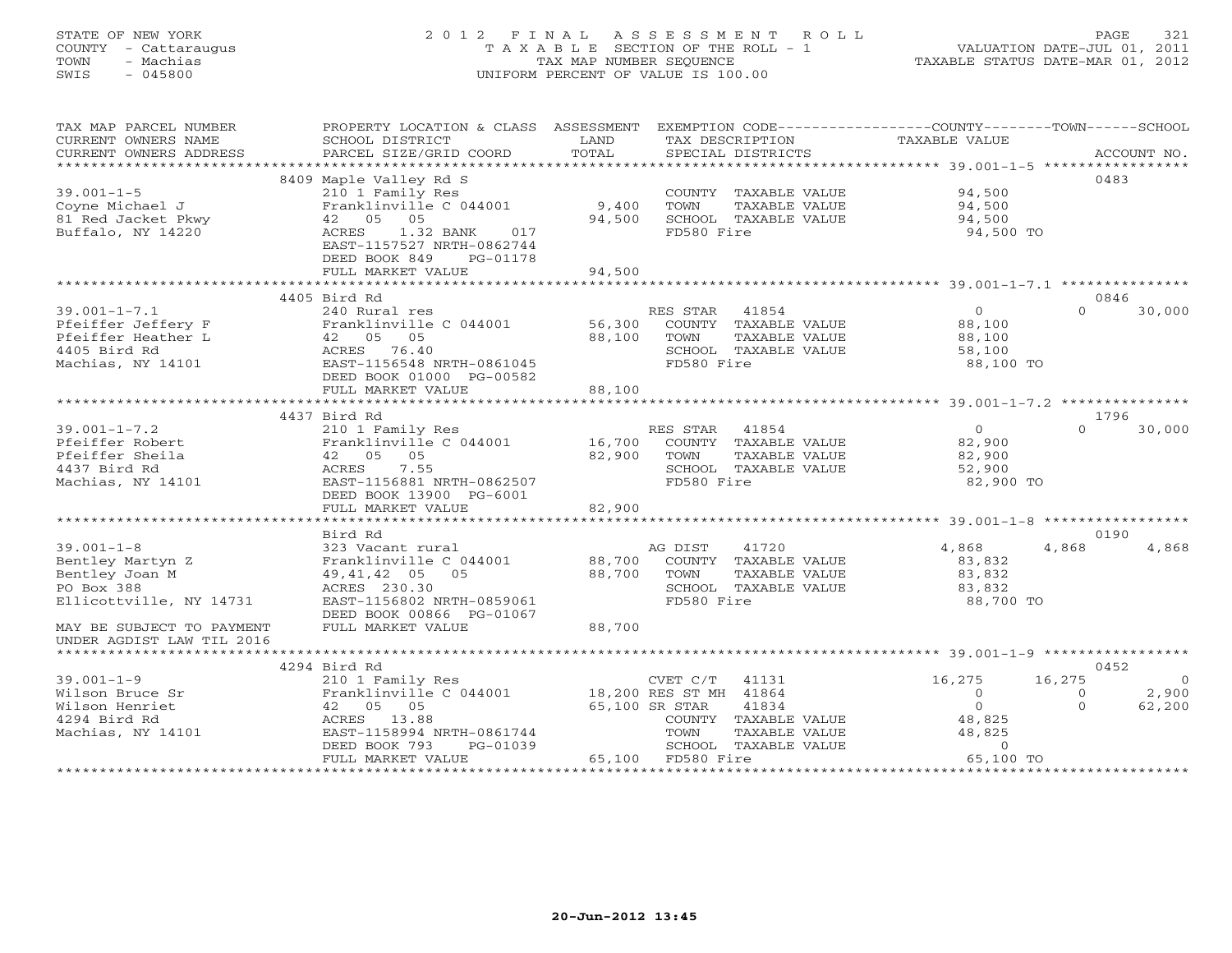# STATE OF NEW YORK 2 0 1 2 F I N A L A S S E S S M E N T R O L L PAGE 321 COUNTY - Cattaraugus T A X A B L E SECTION OF THE ROLL - 1 VALUATION DATE-JUL 01, 2011 TOWN - Machias TAX MAP NUMBER SEQUENCE TAXABLE STATUS DATE-MAR 01, 2012 SWIS - 045800 UNIFORM PERCENT OF VALUE IS 100.00

| TAX MAP PARCEL NUMBER<br>CURRENT OWNERS NAME | PROPERTY LOCATION & CLASS ASSESSMENT<br>SCHOOL DISTRICT                             | LAND   | EXEMPTION CODE-----------------COUNTY-------TOWN------SCHOOL<br>TAX DESCRIPTION | TAXABLE VALUE  |                          |
|----------------------------------------------|-------------------------------------------------------------------------------------|--------|---------------------------------------------------------------------------------|----------------|--------------------------|
| CURRENT OWNERS ADDRESS                       | PARCEL SIZE/GRID COORD                                                              | TOTAL  | SPECIAL DISTRICTS                                                               |                | ACCOUNT NO.              |
|                                              | 8409 Maple Valley Rd S                                                              |        |                                                                                 |                | 0483                     |
| $39.001 - 1 - 5$                             | 210 1 Family Res                                                                    |        | COUNTY TAXABLE VALUE                                                            | 94,500         |                          |
| Coyne Michael J                              | Franklinville C 044001                                                              | 9,400  | TOWN<br>TAXABLE VALUE                                                           | 94,500         |                          |
| 81 Red Jacket Pkwy                           | 42 05<br>05                                                                         | 94,500 | SCHOOL TAXABLE VALUE                                                            | 94,500         |                          |
| Buffalo, NY 14220                            | 1.32 BANK<br>ACRES<br>017<br>EAST-1157527 NRTH-0862744<br>DEED BOOK 849<br>PG-01178 |        | FD580 Fire                                                                      | 94,500 TO      |                          |
|                                              | FULL MARKET VALUE                                                                   | 94,500 |                                                                                 |                |                          |
|                                              |                                                                                     |        |                                                                                 |                |                          |
|                                              | 4405 Bird Rd                                                                        |        |                                                                                 |                | 0846                     |
| $39.001 - 1 - 7.1$                           | 240 Rural res                                                                       |        | RES STAR 41854                                                                  | $\overline{0}$ | $\Omega$<br>30,000       |
| Pfeiffer Jeffery F                           | Franklinville C 044001                                                              | 56,300 | COUNTY TAXABLE VALUE                                                            | 88,100         |                          |
| Pfeiffer Heather L                           | 42 05 05                                                                            | 88,100 | TAXABLE VALUE<br>TOWN                                                           | 88,100         |                          |
| 4405 Bird Rd                                 | ACRES 76.40                                                                         |        | SCHOOL TAXABLE VALUE                                                            | 58,100         |                          |
| Machias, NY 14101                            | EAST-1156548 NRTH-0861045                                                           |        | FD580 Fire                                                                      | 88,100 TO      |                          |
|                                              | DEED BOOK 01000 PG-00582                                                            |        |                                                                                 |                |                          |
|                                              | FULL MARKET VALUE                                                                   | 88,100 |                                                                                 |                |                          |
|                                              |                                                                                     |        |                                                                                 |                |                          |
|                                              | 4437 Bird Rd                                                                        |        |                                                                                 |                | 1796                     |
| $39.001 - 1 - 7.2$                           | 210 1 Family Res                                                                    |        | RES STAR<br>41854                                                               | $\overline{0}$ | $\Omega$<br>30,000       |
| Pfeiffer Robert                              | Franklinville C 044001                                                              | 16,700 | COUNTY TAXABLE VALUE                                                            | 82,900         |                          |
| Pfeiffer Sheila                              | 42 05<br>05                                                                         | 82,900 | TOWN<br>TAXABLE VALUE                                                           | 82,900         |                          |
| 4437 Bird Rd                                 | ACRES<br>7.55                                                                       |        | SCHOOL TAXABLE VALUE                                                            | 52,900         |                          |
| Machias, NY 14101                            | EAST-1156881 NRTH-0862507                                                           |        | FD580 Fire                                                                      | 82,900 TO      |                          |
|                                              | DEED BOOK 13900 PG-6001                                                             |        |                                                                                 |                |                          |
|                                              | FULL MARKET VALUE                                                                   | 82,900 |                                                                                 |                |                          |
|                                              |                                                                                     |        |                                                                                 |                |                          |
|                                              | Bird Rd                                                                             |        |                                                                                 |                | 0190                     |
| $39.001 - 1 - 8$                             | 323 Vacant rural                                                                    |        | AG DIST<br>41720                                                                | 4,868          | 4,868<br>4,868           |
| Bentley Martyn Z                             | Franklinville C 044001                                                              | 88,700 | COUNTY TAXABLE VALUE                                                            | 83,832         |                          |
| Bentley Joan M                               | 49,41,42 05 05                                                                      | 88,700 | TOWN<br>TAXABLE VALUE                                                           | 83,832         |                          |
| PO Box 388                                   | ACRES 230.30                                                                        |        | SCHOOL TAXABLE VALUE                                                            | 83,832         |                          |
| Ellicottville, NY 14731                      | EAST-1156802 NRTH-0859061                                                           |        | FD580 Fire                                                                      | 88,700 TO      |                          |
|                                              | DEED BOOK 00866 PG-01067                                                            |        |                                                                                 |                |                          |
| MAY BE SUBJECT TO PAYMENT                    | FULL MARKET VALUE                                                                   | 88,700 |                                                                                 |                |                          |
| UNDER AGDIST LAW TIL 2016                    |                                                                                     |        |                                                                                 |                |                          |
|                                              |                                                                                     |        |                                                                                 |                |                          |
|                                              | 4294 Bird Rd                                                                        |        |                                                                                 |                | 0452                     |
| $39.001 - 1 - 9$                             | 210 1 Family Res                                                                    |        | CVET C/T<br>41131                                                               | 16,275         | 16,275<br>$\overline{0}$ |
| Wilson Bruce Sr                              | Franklinville C 044001                                                              |        | 18,200 RES ST MH 41864                                                          | $\circ$        | 2,900<br>$\Omega$        |
| Wilson Henriet                               | 42 05 05                                                                            |        | 65,100 SR STAR<br>41834                                                         | $\overline{O}$ | 62,200<br>$\Omega$       |
| 4294 Bird Rd                                 | ACRES 13.88                                                                         |        | COUNTY TAXABLE VALUE                                                            | 48,825         |                          |
| Machias, NY 14101                            | EAST-1158994 NRTH-0861744                                                           |        | TOWN<br>TAXABLE VALUE                                                           | 48,825         |                          |
|                                              | DEED BOOK 793<br>PG-01039                                                           |        | SCHOOL TAXABLE VALUE                                                            | $\Omega$       |                          |
|                                              | FULL MARKET VALUE                                                                   |        | 65,100 FD580 Fire                                                               | 65,100 TO      |                          |
|                                              |                                                                                     |        |                                                                                 |                |                          |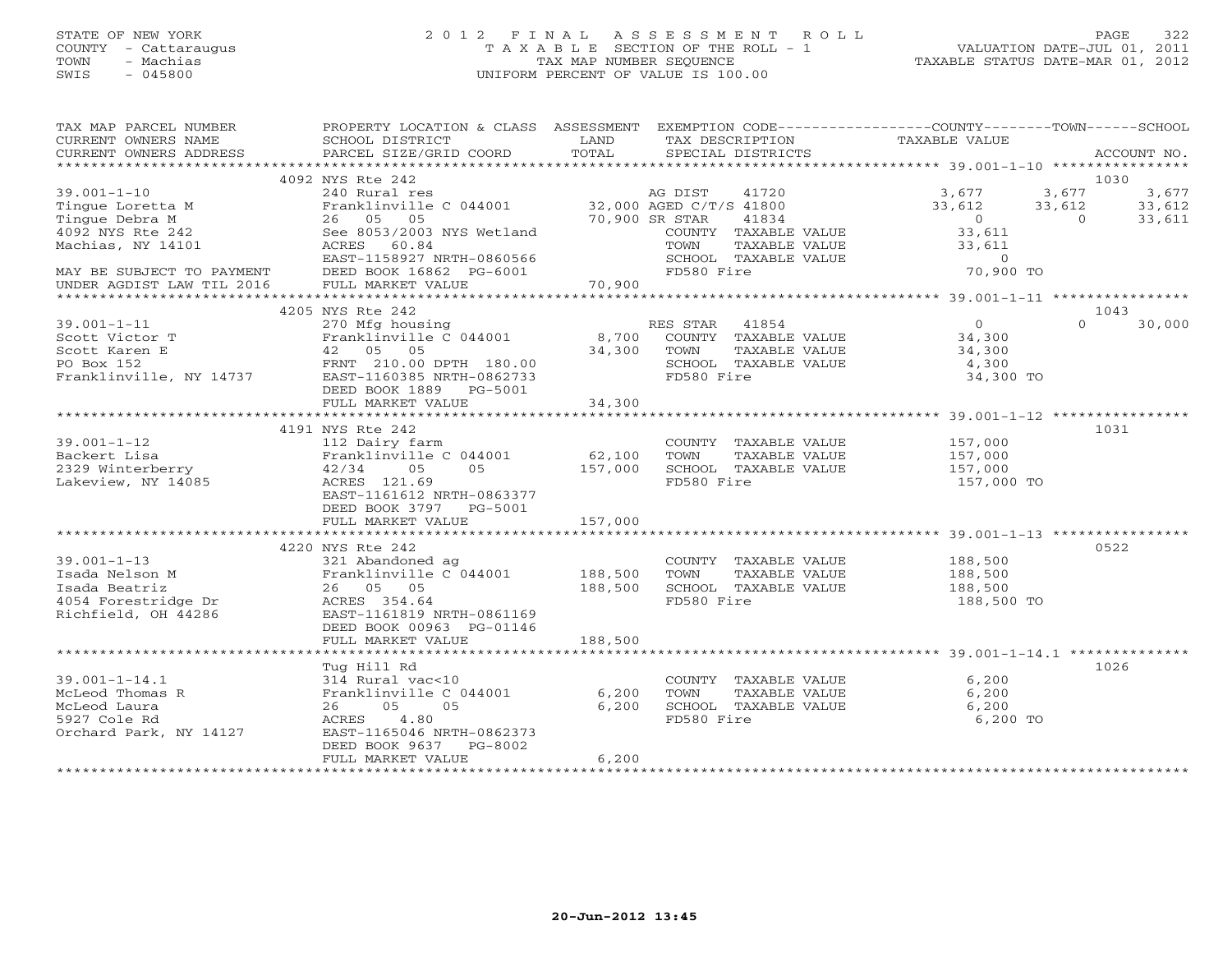# STATE OF NEW YORK 2 0 1 2 F I N A L A S S E S S M E N T R O L L PAGE 322 COUNTY - Cattaraugus T A X A B L E SECTION OF THE ROLL - 1 VALUATION DATE-JUL 01, 2011 TOWN - Machias TAX MAP NUMBER SEQUENCE TAXABLE STATUS DATE-MAR 01, 2012 SWIS - 045800 UNIFORM PERCENT OF VALUE IS 100.00UNIFORM PERCENT OF VALUE IS 100.00

| TAX MAP PARCEL NUMBER<br>CURRENT OWNERS NAME<br>CURRENT OWNERS ADDRESS | PROPERTY LOCATION & CLASS ASSESSMENT<br>SCHOOL DISTRICT<br>PARCEL SIZE/GRID COORD | LAND<br>TOTAL     | EXEMPTION CODE-----------------COUNTY-------TOWN------SCHOOL<br>TAX DESCRIPTION<br>SPECIAL DISTRICTS | TAXABLE VALUE      |                | ACCOUNT NO. |
|------------------------------------------------------------------------|-----------------------------------------------------------------------------------|-------------------|------------------------------------------------------------------------------------------------------|--------------------|----------------|-------------|
| ***********************                                                |                                                                                   |                   |                                                                                                      |                    |                |             |
|                                                                        | 4092 NYS Rte 242                                                                  |                   |                                                                                                      |                    | 1030           |             |
| $39.001 - 1 - 10$                                                      | 240 Rural res                                                                     |                   | 41720<br>AG DIST                                                                                     | 3,677              | 3,677          | 3,677       |
| Tinque Loretta M                                                       | Franklinville C 044001 32,000 AGED C/T/S 41800                                    |                   |                                                                                                      | 33,612             | 33,612         | 33,612      |
| Tingue Debra M                                                         | 26 05 05                                                                          | 70,900 SR STAR    | 41834                                                                                                | $\bigcirc$         | $\overline{0}$ | 33,611      |
| 4092 NYS Rte 242<br>Machias, NY 14101                                  | See 8053/2003 NYS Wetland<br>ACRES 60.84                                          |                   | COUNTY TAXABLE VALUE<br>TOWN<br>TAXABLE VALUE                                                        | 33,611<br>33,611   |                |             |
|                                                                        | EAST-1158927 NRTH-0860566                                                         |                   | SCHOOL TAXABLE VALUE                                                                                 | $\overline{0}$     |                |             |
| MAY BE SUBJECT TO PAYMENT                                              | DEED BOOK 16862 PG-6001                                                           |                   | FD580 Fire                                                                                           | 70,900 TO          |                |             |
| UNDER AGDIST LAW TIL 2016                                              | FULL MARKET VALUE                                                                 | 70,900            |                                                                                                      |                    |                |             |
|                                                                        |                                                                                   |                   |                                                                                                      |                    |                |             |
|                                                                        | 4205 NYS Rte 242                                                                  |                   |                                                                                                      |                    | 1043           |             |
| $39.001 - 1 - 11$                                                      | 270 Mfg housing                                                                   |                   | RES STAR 41854                                                                                       | $\Omega$           | $\cap$         | 30,000      |
| Scott Victor T                                                         | Franklinville C 044001                                                            | 8,700             | COUNTY TAXABLE VALUE                                                                                 | 34,300             |                |             |
| Scott Karen E                                                          | 42 05 05                                                                          | 34,300            | TOWN<br>TAXABLE VALUE                                                                                | 34,300             |                |             |
| PO Box 152                                                             | FRNT 210.00 DPTH 180.00                                                           |                   | SCHOOL TAXABLE VALUE                                                                                 | 4,300              |                |             |
| Franklinville, NY 14737                                                | EAST-1160385 NRTH-0862733                                                         |                   | FD580 Fire                                                                                           | 34,300 TO          |                |             |
|                                                                        | DEED BOOK 1889    PG-5001                                                         |                   |                                                                                                      |                    |                |             |
|                                                                        | FULL MARKET VALUE                                                                 | 34,300            |                                                                                                      |                    |                |             |
|                                                                        |                                                                                   |                   |                                                                                                      |                    |                |             |
|                                                                        | 4191 NYS Rte 242                                                                  |                   |                                                                                                      |                    | 1031           |             |
| $39.001 - 1 - 12$                                                      | 112 Dairy farm<br>Franklinville C 044001                                          |                   | COUNTY TAXABLE VALUE<br>TOWN                                                                         | 157,000            |                |             |
| Backert Lisa<br>2329 Winterberry                                       | 05<br>42/34 05                                                                    | 62,100<br>157,000 | TAXABLE VALUE<br>SCHOOL TAXABLE VALUE                                                                | 157,000<br>157,000 |                |             |
| Lakeview, NY 14085                                                     | ACRES 121.69                                                                      |                   | FD580 Fire                                                                                           | 157,000 TO         |                |             |
|                                                                        | EAST-1161612 NRTH-0863377                                                         |                   |                                                                                                      |                    |                |             |
|                                                                        | DEED BOOK 3797 PG-5001                                                            |                   |                                                                                                      |                    |                |             |
|                                                                        | FULL MARKET VALUE                                                                 | 157,000           |                                                                                                      |                    |                |             |
|                                                                        |                                                                                   |                   |                                                                                                      |                    |                |             |
|                                                                        | 4220 NYS Rte 242                                                                  |                   |                                                                                                      |                    | 0522           |             |
| $39.001 - 1 - 13$                                                      | 321 Abandoned ag                                                                  |                   | COUNTY TAXABLE VALUE                                                                                 | 188,500            |                |             |
| Isada Nelson M                                                         | Franklinville C 044001                                                            | 188,500           | TOWN<br>TAXABLE VALUE                                                                                | 188,500            |                |             |
| Isada Beatriz                                                          | 26 05 05                                                                          | 188,500           | SCHOOL TAXABLE VALUE                                                                                 | 188,500            |                |             |
| 4054 Forestridge Dr                                                    | ACRES 354.64                                                                      |                   | FD580 Fire                                                                                           | 188,500 TO         |                |             |
| Richfield, OH 44286                                                    | EAST-1161819 NRTH-0861169                                                         |                   |                                                                                                      |                    |                |             |
|                                                                        | DEED BOOK 00963 PG-01146                                                          |                   |                                                                                                      |                    |                |             |
|                                                                        | FULL MARKET VALUE                                                                 | 188,500           |                                                                                                      |                    |                |             |
|                                                                        |                                                                                   |                   |                                                                                                      |                    | 1026           |             |
| $39.001 - 1 - 14.1$                                                    | Tug Hill Rd<br>314 Rural vac<10                                                   |                   | COUNTY TAXABLE VALUE                                                                                 | 6,200              |                |             |
| McLeod Thomas R                                                        | Franklinville C 044001                                                            | 6,200             | TOWN<br>TAXABLE VALUE                                                                                | 6,200              |                |             |
| McLeod Laura                                                           | 05<br>0.5<br>26                                                                   | 6,200             | SCHOOL TAXABLE VALUE                                                                                 | 6,200              |                |             |
| 5927 Cole Rd                                                           | ACRES 4.80                                                                        |                   | FD580 Fire                                                                                           | 6,200 TO           |                |             |
| Orchard Park, NY 14127                                                 | EAST-1165046 NRTH-0862373                                                         |                   |                                                                                                      |                    |                |             |
|                                                                        | DEED BOOK 9637 PG-8002                                                            |                   |                                                                                                      |                    |                |             |
|                                                                        | FULL MARKET VALUE                                                                 | 6,200             |                                                                                                      |                    |                |             |
|                                                                        |                                                                                   |                   |                                                                                                      |                    |                |             |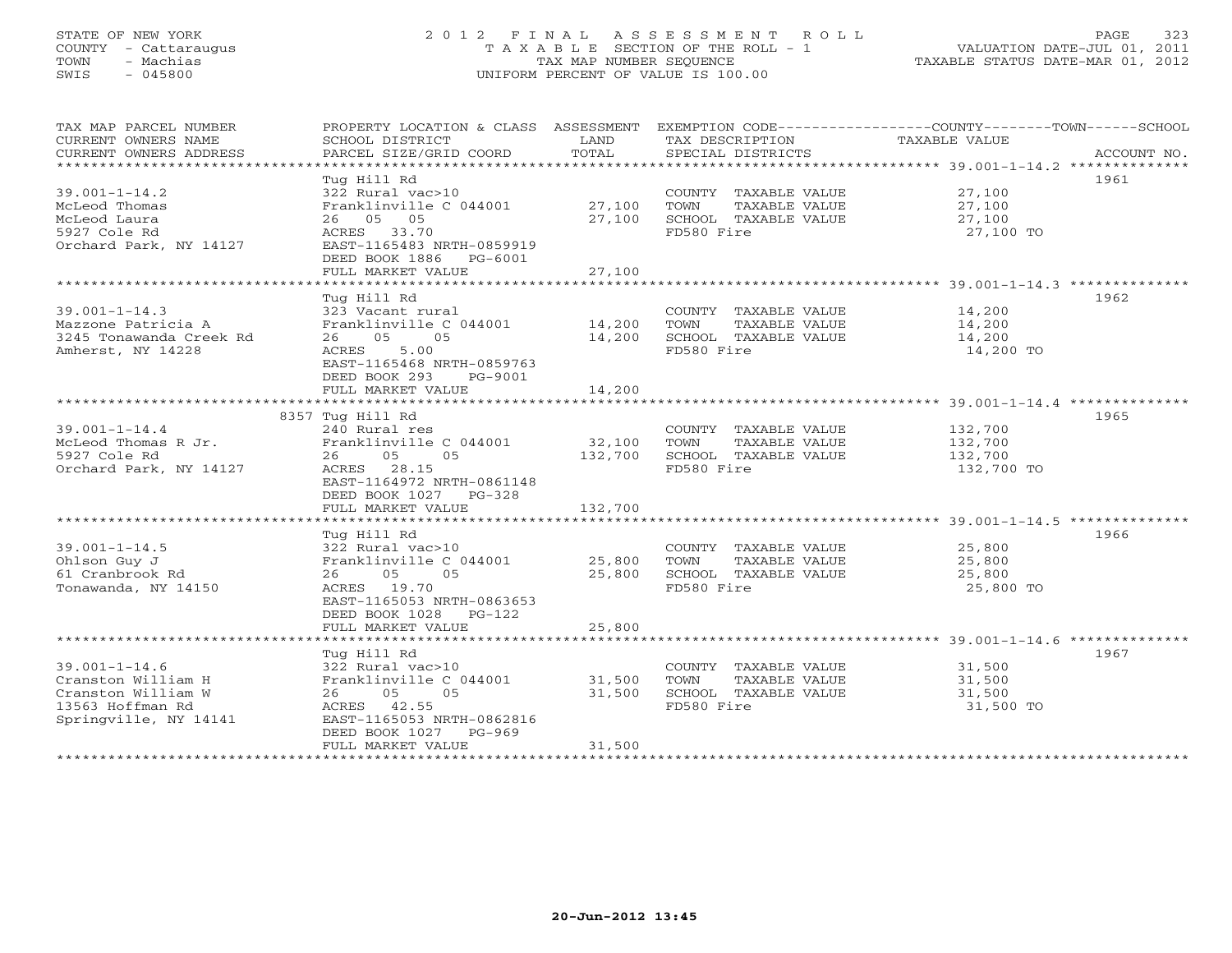# STATE OF NEW YORK 2 0 1 2 F I N A L A S S E S S M E N T R O L L PAGE 323 COUNTY - Cattaraugus T A X A B L E SECTION OF THE ROLL - 1 VALUATION DATE-JUL 01, 2011 TOWN - Machias TAX MAP NUMBER SEQUENCE TAXABLE STATUS DATE-MAR 01, 2012 SWIS - 045800 UNIFORM PERCENT OF VALUE IS 100.00UNIFORM PERCENT OF VALUE IS 100.00

| TAX MAP PARCEL NUMBER<br>CURRENT OWNERS NAME<br>CURRENT OWNERS ADDRESS                                       | PROPERTY LOCATION & CLASS ASSESSMENT<br>SCHOOL DISTRICT<br>PARCEL SIZE/GRID COORD                                                                                                                    | LAND<br>TOTAL              | TAX DESCRIPTION<br>SPECIAL DISTRICTS                                                | EXEMPTION CODE-----------------COUNTY-------TOWN------SCHOOL<br>TAXABLE VALUE<br>ACCOUNT NO. |
|--------------------------------------------------------------------------------------------------------------|------------------------------------------------------------------------------------------------------------------------------------------------------------------------------------------------------|----------------------------|-------------------------------------------------------------------------------------|----------------------------------------------------------------------------------------------|
| $39.001 - 1 - 14.2$<br>McLeod Thomas<br>McLeod Laura<br>5927 Cole Rd<br>Orchard Park, NY 14127               | Tug Hill Rd<br>322 Rural vac>10<br>Franklinville C 044001<br>26 05 05<br>ACRES 33.70<br>EAST-1165483 NRTH-0859919<br>DEED BOOK 1886<br>PG-6001<br>FULL MARKET VALUE                                  | 27,100<br>27,100<br>27,100 | COUNTY TAXABLE VALUE<br>TOWN<br>TAXABLE VALUE<br>SCHOOL TAXABLE VALUE<br>FD580 Fire | 1961<br>27,100<br>27,100<br>27,100<br>27,100 TO                                              |
|                                                                                                              | Tua Hill Rd                                                                                                                                                                                          |                            |                                                                                     | 1962                                                                                         |
| $39.001 - 1 - 14.3$<br>Mazzone Patricia A<br>3245 Tonawanda Creek Rd<br>Amherst, NY 14228                    | 323 Vacant rural<br>Franklinville C 044001<br>05<br>05<br>26<br>5.00<br>ACRES<br>EAST-1165468 NRTH-0859763<br>DEED BOOK 293<br>PG-9001                                                               | 14,200<br>14,200           | COUNTY TAXABLE VALUE<br>TOWN<br>TAXABLE VALUE<br>SCHOOL TAXABLE VALUE<br>FD580 Fire | 14,200<br>14,200<br>14,200<br>14,200 TO                                                      |
|                                                                                                              | FULL MARKET VALUE                                                                                                                                                                                    | 14,200                     |                                                                                     |                                                                                              |
|                                                                                                              | ***********************<br>8357 Tug Hill Rd                                                                                                                                                          | ***********                |                                                                                     | ******************************* 39.001-1-14.4 **************<br>1965                         |
| $39.001 - 1 - 14.4$<br>McLeod Thomas R Jr.<br>5927 Cole Rd<br>Orchard Park, NY 14127                         | 240 Rural res<br>Franklinville C 044001<br>26<br>05<br>05<br>ACRES 28.15<br>EAST-1164972 NRTH-0861148<br>DEED BOOK 1027 PG-328                                                                       | 32,100<br>132,700          | COUNTY TAXABLE VALUE<br>TOWN<br>TAXABLE VALUE<br>SCHOOL TAXABLE VALUE<br>FD580 Fire | 132,700<br>132,700<br>132,700<br>132,700 TO                                                  |
|                                                                                                              | FULL MARKET VALUE                                                                                                                                                                                    | 132,700                    |                                                                                     |                                                                                              |
| $39.001 - 1 - 14.5$<br>Ohlson Guy J<br>61 Cranbrook Rd<br>Tonawanda, NY 14150                                | Tua Hill Rd<br>322 Rural vac>10<br>Franklinville C 044001<br>05<br>05<br>26<br>ACRES 19.70<br>EAST-1165053 NRTH-0863653<br>DEED BOOK 1028 PG-122                                                     | 25,800<br>25,800           | COUNTY TAXABLE VALUE<br>TOWN<br>TAXABLE VALUE<br>SCHOOL TAXABLE VALUE<br>FD580 Fire | 1966<br>25,800<br>25,800<br>25,800<br>25,800 TO                                              |
|                                                                                                              | FULL MARKET VALUE                                                                                                                                                                                    | 25,800                     |                                                                                     |                                                                                              |
| $39.001 - 1 - 14.6$<br>Cranston William H<br>Cranston William W<br>13563 Hoffman Rd<br>Springville, NY 14141 | Tug Hill Rd<br>322 Rural vac>10<br>Franklinville C 044001<br>26<br>05<br>05<br>ACRES 42.55<br>EAST-1165053 NRTH-0862816<br>DEED BOOK 1027<br>$PG-969$<br>FULL MARKET VALUE<br>********************** | 31,500<br>31,500<br>31,500 | COUNTY TAXABLE VALUE<br>TOWN<br>TAXABLE VALUE<br>SCHOOL TAXABLE VALUE<br>FD580 Fire | 1967<br>31,500<br>31,500<br>31,500<br>31,500 TO                                              |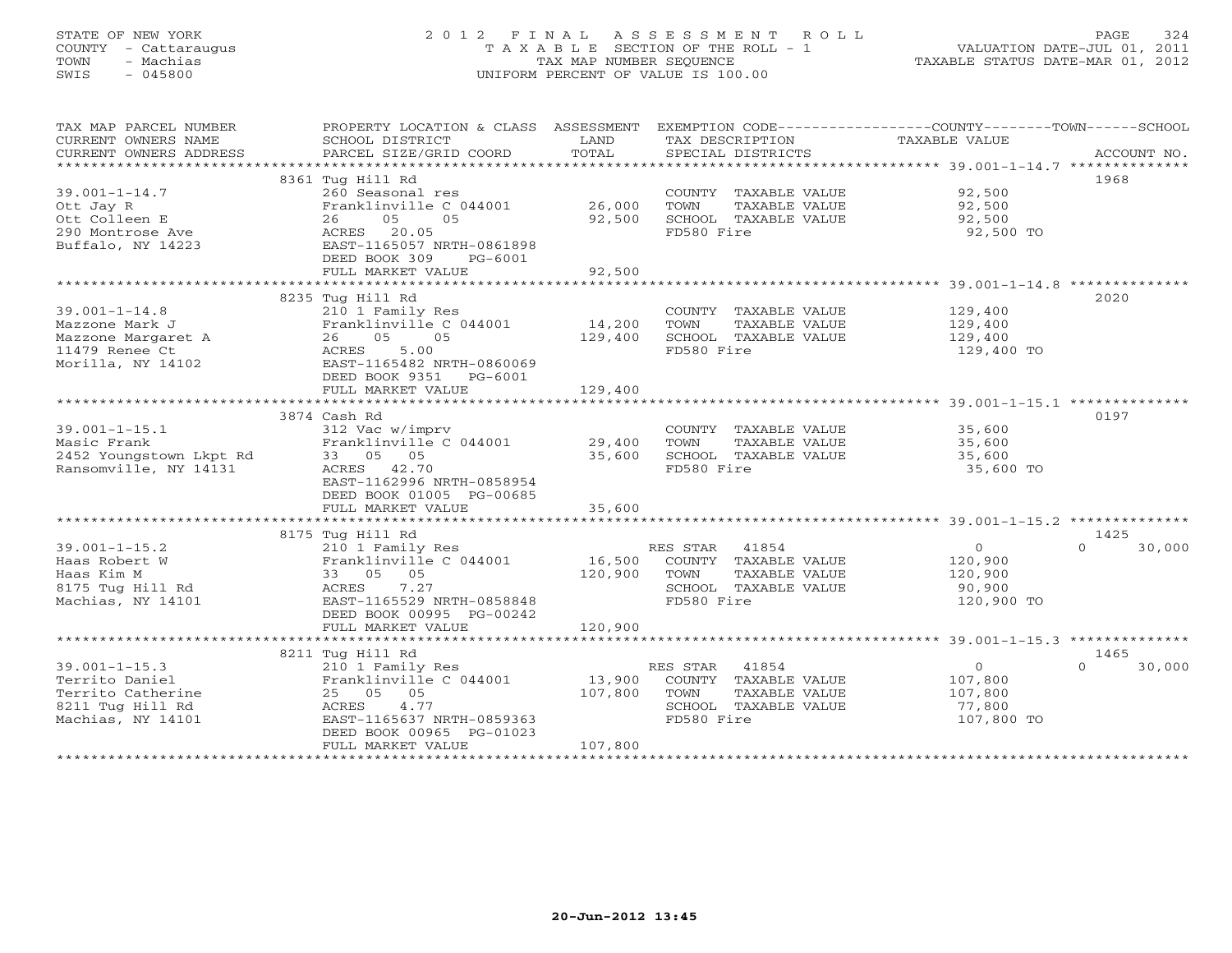# STATE OF NEW YORK 2 0 1 2 F I N A L A S S E S S M E N T R O L L PAGE 324 COUNTY - Cattaraugus T A X A B L E SECTION OF THE ROLL - 1 VALUATION DATE-JUL 01, 2011 TOWN - Machias TAX MAP NUMBER SEQUENCE TAXABLE STATUS DATE-MAR 01, 2012 SWIS - 045800 UNIFORM PERCENT OF VALUE IS 100.00UNIFORM PERCENT OF VALUE IS 100.00

| TAX MAP PARCEL NUMBER<br>CURRENT OWNERS NAME | PROPERTY LOCATION & CLASS ASSESSMENT<br>SCHOOL DISTRICT | LAND              | TAX DESCRIPTION                               | EXEMPTION CODE-----------------COUNTY-------TOWN------SCHOOL<br>TAXABLE VALUE |                  |
|----------------------------------------------|---------------------------------------------------------|-------------------|-----------------------------------------------|-------------------------------------------------------------------------------|------------------|
| CURRENT OWNERS ADDRESS                       | PARCEL SIZE/GRID COORD                                  | TOTAL             | SPECIAL DISTRICTS                             |                                                                               | ACCOUNT NO.      |
|                                              | 8361 Tug Hill Rd                                        |                   |                                               |                                                                               | 1968             |
| $39.001 - 1 - 14.7$                          | 260 Seasonal res                                        |                   | COUNTY TAXABLE VALUE                          | 92,500                                                                        |                  |
| Ott Jay R                                    | Franklinville C 044001                                  | 26,000            | TOWN<br>TAXABLE VALUE                         | 92,500                                                                        |                  |
| Ott Colleen E                                | 26<br>05<br>05                                          | 92,500            | SCHOOL TAXABLE VALUE                          | 92,500                                                                        |                  |
| 290 Montrose Ave                             | ACRES 20.05                                             |                   | FD580 Fire                                    | 92,500 TO                                                                     |                  |
| Buffalo, NY 14223                            | EAST-1165057 NRTH-0861898                               |                   |                                               |                                                                               |                  |
|                                              | DEED BOOK 309<br>PG-6001                                |                   |                                               |                                                                               |                  |
|                                              | FULL MARKET VALUE                                       | 92,500            |                                               |                                                                               |                  |
|                                              |                                                         |                   |                                               |                                                                               |                  |
|                                              | 8235 Tug Hill Rd                                        |                   |                                               |                                                                               | 2020             |
| $39.001 - 1 - 14.8$                          | 210 1 Family Res                                        |                   | COUNTY TAXABLE VALUE                          | 129,400                                                                       |                  |
| Mazzone Mark J                               | Franklinville C 044001                                  | 14,200            | TOWN<br>TAXABLE VALUE                         | 129,400                                                                       |                  |
| Mazzone Margaret A                           | 05<br>05<br>26                                          | 129,400           | SCHOOL TAXABLE VALUE                          | 129,400                                                                       |                  |
| 11479 Renee Ct                               | 5.00<br>ACRES                                           |                   | FD580 Fire                                    | 129,400 TO                                                                    |                  |
| Morilla, NY 14102                            | EAST-1165482 NRTH-0860069<br>DEED BOOK 9351 PG-6001     |                   |                                               |                                                                               |                  |
|                                              | FULL MARKET VALUE                                       | 129,400           |                                               |                                                                               |                  |
|                                              |                                                         |                   |                                               |                                                                               |                  |
|                                              | 3874 Cash Rd                                            |                   |                                               |                                                                               | 0197             |
| $39.001 - 1 - 15.1$                          | 312 Vac w/imprv                                         |                   | COUNTY TAXABLE VALUE                          | 35,600                                                                        |                  |
| Masic Frank                                  | Franklinville C 044001 29,400                           |                   | TOWN<br>TAXABLE VALUE                         | 35,600                                                                        |                  |
| 2452 Youngstown Lkpt Rd                      | 33 05 05                                                | 35,600            | SCHOOL TAXABLE VALUE                          | 35,600                                                                        |                  |
| Ransomville, NY 14131                        | ACRES 42.70                                             |                   | FD580 Fire                                    | 35,600 TO                                                                     |                  |
|                                              | EAST-1162996 NRTH-0858954                               |                   |                                               |                                                                               |                  |
|                                              | DEED BOOK 01005 PG-00685                                |                   |                                               |                                                                               |                  |
|                                              | FULL MARKET VALUE                                       | 35,600            |                                               |                                                                               |                  |
|                                              |                                                         |                   |                                               |                                                                               |                  |
|                                              | 8175 Tug Hill Rd                                        |                   |                                               |                                                                               | 1425<br>$\cap$   |
| $39.001 - 1 - 15.2$                          | 210 1 Family Res                                        |                   | RES STAR 41854                                | $\overline{0}$                                                                | 30,000           |
| Haas Robert W                                | Franklinville C 044001                                  | 16,500<br>120,900 | COUNTY TAXABLE VALUE                          | 120,900                                                                       |                  |
| Haas Kim M<br>8175 Tug Hill Rd               | 33 05 05<br>ACRES<br>7.27                               |                   | TOWN<br>TAXABLE VALUE<br>SCHOOL TAXABLE VALUE | 120,900<br>90,900                                                             |                  |
| Machias, NY 14101                            | EAST-1165529 NRTH-0858848                               |                   | FD580 Fire                                    | 120,900 TO                                                                    |                  |
|                                              | DEED BOOK 00995 PG-00242                                |                   |                                               |                                                                               |                  |
|                                              | FULL MARKET VALUE                                       | 120,900           |                                               |                                                                               |                  |
|                                              |                                                         |                   |                                               |                                                                               |                  |
|                                              | 8211 Tug Hill Rd                                        |                   |                                               |                                                                               | 1465             |
| $39.001 - 1 - 15.3$                          | 210 1 Family Res                                        |                   | RES STAR<br>41854                             | $\overline{0}$                                                                | $\cap$<br>30,000 |
| Territo Daniel                               | Franklinville C 044001                                  | 13,900            | COUNTY TAXABLE VALUE                          | 107,800                                                                       |                  |
| Territo Catherine                            | 25 05 05                                                | 107,800           | TOWN<br>TAXABLE VALUE                         | 107,800                                                                       |                  |
| 8211 Tug Hill Rd                             | ACRES<br>4.77                                           |                   | SCHOOL TAXABLE VALUE                          | 77,800                                                                        |                  |
| Machias, NY 14101                            | EAST-1165637 NRTH-0859363                               |                   | FD580 Fire                                    | 107,800 TO                                                                    |                  |
|                                              | DEED BOOK 00965 PG-01023                                |                   |                                               |                                                                               |                  |
|                                              | FULL MARKET VALUE                                       | 107,800           |                                               |                                                                               |                  |
|                                              |                                                         |                   |                                               |                                                                               |                  |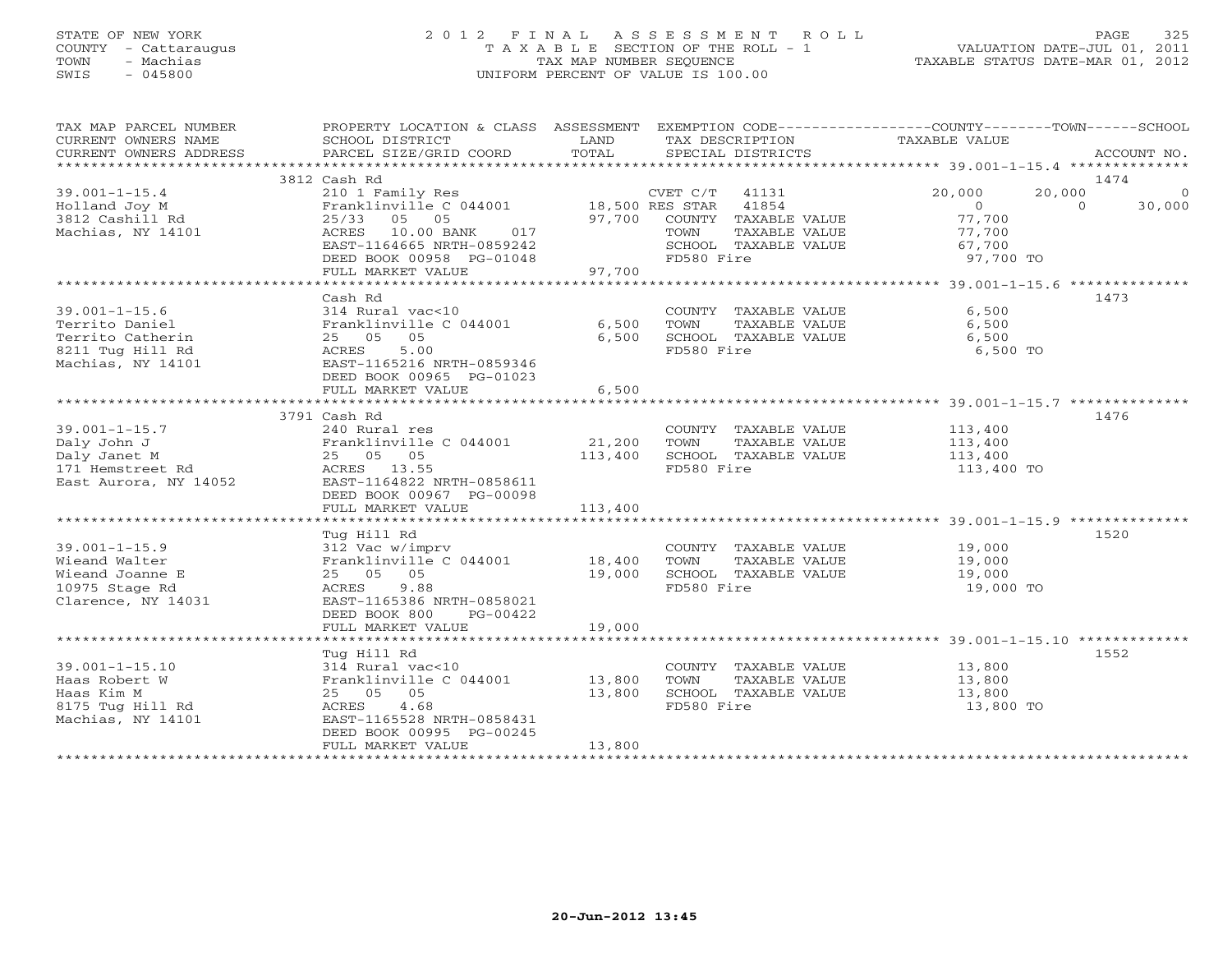# STATE OF NEW YORK 2 0 1 2 F I N A L A S S E S S M E N T R O L L PAGE 325 COUNTY - Cattaraugus T A X A B L E SECTION OF THE ROLL - 1 VALUATION DATE-JUL 01, 2011 TOWN - Machias TAX MAP NUMBER SEQUENCE TAXABLE STATUS DATE-MAR 01, 2012 SWIS - 045800 UNIFORM PERCENT OF VALUE IS 100.00UNIFORM PERCENT OF VALUE IS 100.00

| TAX MAP PARCEL NUMBER<br>CURRENT OWNERS NAME<br>CURRENT OWNERS ADDRESS       | PROPERTY LOCATION & CLASS ASSESSMENT EXEMPTION CODE---------------COUNTY-------TOWN------SCHOOL<br>SCHOOL DISTRICT<br>PARCEL SIZE/GRID COORD                     | LAND<br>TOTAL | TAX DESCRIPTION<br>SPECIAL DISTRICTS                                                                                  | TAXABLE VALUE                                                 | ACCOUNT NO.                                  |
|------------------------------------------------------------------------------|------------------------------------------------------------------------------------------------------------------------------------------------------------------|---------------|-----------------------------------------------------------------------------------------------------------------------|---------------------------------------------------------------|----------------------------------------------|
|                                                                              |                                                                                                                                                                  |               |                                                                                                                       |                                                               |                                              |
|                                                                              | 3812 Cash Rd                                                                                                                                                     |               |                                                                                                                       |                                                               | 1474                                         |
| $39.001 - 1 - 15.4$<br>Holland Joy M<br>3812 Cashill Rd<br>Machias, NY 14101 | 210 1 Family Res<br>Franklinville C 044001 18,500 RES STAR<br>25/33 05 05<br>ACRES<br>10.00 BANK<br>017<br>EAST-1164665 NRTH-0859242<br>DEED BOOK 00958 PG-01048 |               | CVET C/T 41131<br>41854<br>97,700 COUNTY TAXABLE VALUE<br>TAXABLE VALUE<br>TOWN<br>SCHOOL TAXABLE VALUE<br>FD580 Fire | 20,000<br>$\Omega$<br>77,700<br>77,700<br>67,700<br>97,700 TO | 20,000<br>$\overline{0}$<br>$\cap$<br>30,000 |
|                                                                              | FULL MARKET VALUE                                                                                                                                                | 97,700        |                                                                                                                       |                                                               |                                              |
|                                                                              |                                                                                                                                                                  |               |                                                                                                                       |                                                               |                                              |
|                                                                              | Cash Rd                                                                                                                                                          |               |                                                                                                                       |                                                               | 1473                                         |
| $39.001 - 1 - 15.6$                                                          | 314 Rural vac<10                                                                                                                                                 |               |                                                                                                                       | 6,500<br>COUNTY TAXABLE VALUE                                 |                                              |
| Territo Daniel                                                               | Franklinville C 044001                                                                                                                                           | 6,500         | TOWN<br>TAXABLE VALUE                                                                                                 | 6,500                                                         |                                              |
| Territo Catherin                                                             | 25 05 05                                                                                                                                                         | 6,500         | SCHOOL TAXABLE VALUE                                                                                                  | 6,500                                                         |                                              |
| 8211 Tug Hill Rd<br>Machias, NY 14101                                        | 5.00<br>ACRES<br>EAST-1165216 NRTH-0859346<br>DEED BOOK 00965 PG-01023                                                                                           | 6,500         | FD580 Fire                                                                                                            | 6,500 TO                                                      |                                              |
|                                                                              | FULL MARKET VALUE                                                                                                                                                |               |                                                                                                                       |                                                               |                                              |
|                                                                              | 3791 Cash Rd                                                                                                                                                     |               |                                                                                                                       |                                                               | 1476                                         |
| $39.001 - 1 - 15.7$                                                          | 240 Rural res                                                                                                                                                    |               |                                                                                                                       | COUNTY TAXABLE VALUE 113,400                                  |                                              |
| Daly John J                                                                  | Franklinville C 044001                                                                                                                                           | 21,200        | TOWN<br>TAXABLE VALUE                                                                                                 |                                                               |                                              |
| Daly Janet M                                                                 | 25 05 05                                                                                                                                                         | 113,400       | SCHOOL TAXABLE VALUE                                                                                                  | 113,400<br>113,400                                            |                                              |
| 171 Hemstreet Rd<br>East Aurora, NY 14052                                    | ACRES 13.55<br>EAST-1164822 NRTH-0858611<br>DEED BOOK 00967 PG-00098                                                                                             |               | FD580 Fire                                                                                                            | 113,400 TO                                                    |                                              |
|                                                                              | FULL MARKET VALUE                                                                                                                                                | 113,400       |                                                                                                                       |                                                               |                                              |
|                                                                              |                                                                                                                                                                  |               |                                                                                                                       |                                                               |                                              |
|                                                                              | Tug Hill Rd                                                                                                                                                      |               |                                                                                                                       |                                                               | 1520                                         |
| $39.001 - 1 - 15.9$                                                          | 312 Vac w/imprv                                                                                                                                                  |               | COUNTY TAXABLE VALUE                                                                                                  | 19,000                                                        |                                              |
| Wieand Walter                                                                | Franklinville C 044001 18,400                                                                                                                                    |               | TOWN<br>TAXABLE VALUE                                                                                                 | 19,000                                                        |                                              |
| Wieand Joanne E<br>10975 Stage Rd                                            | 25 05 05<br>ACRES 9.88                                                                                                                                           | 19,000        | SCHOOL TAXABLE VALUE<br>FD580 Fire                                                                                    | 19,000<br>19,000 TO                                           |                                              |
| Clarence, NY 14031                                                           | EAST-1165386 NRTH-0858021<br>DEED BOOK 800<br>PG-00422                                                                                                           |               |                                                                                                                       |                                                               |                                              |
|                                                                              | FULL MARKET VALUE                                                                                                                                                | 19,000        |                                                                                                                       |                                                               |                                              |
|                                                                              | Tug Hill Rd                                                                                                                                                      |               |                                                                                                                       |                                                               | 1552                                         |
| $39.001 - 1 - 15.10$                                                         | 314 Rural vac<10                                                                                                                                                 |               | COUNTY TAXABLE VALUE                                                                                                  | 13,800                                                        |                                              |
| Haas Robert W                                                                | Franklinville C 044001 13,800                                                                                                                                    |               | TOWN<br>TAXABLE VALUE                                                                                                 | 13,800                                                        |                                              |
| Haas Kim M                                                                   | 25 05 05                                                                                                                                                         | 13,800        | SCHOOL TAXABLE VALUE                                                                                                  | 13,800                                                        |                                              |
| 8175 Tug Hill Rd<br>Machias, NY 14101                                        | 4.68<br>ACRES<br>EAST-1165528 NRTH-0858431<br>DEED BOOK 00995 PG-00245                                                                                           |               | FD580 Fire                                                                                                            | 13,800 TO                                                     |                                              |
|                                                                              | FULL MARKET VALUE                                                                                                                                                | 13,800        |                                                                                                                       |                                                               |                                              |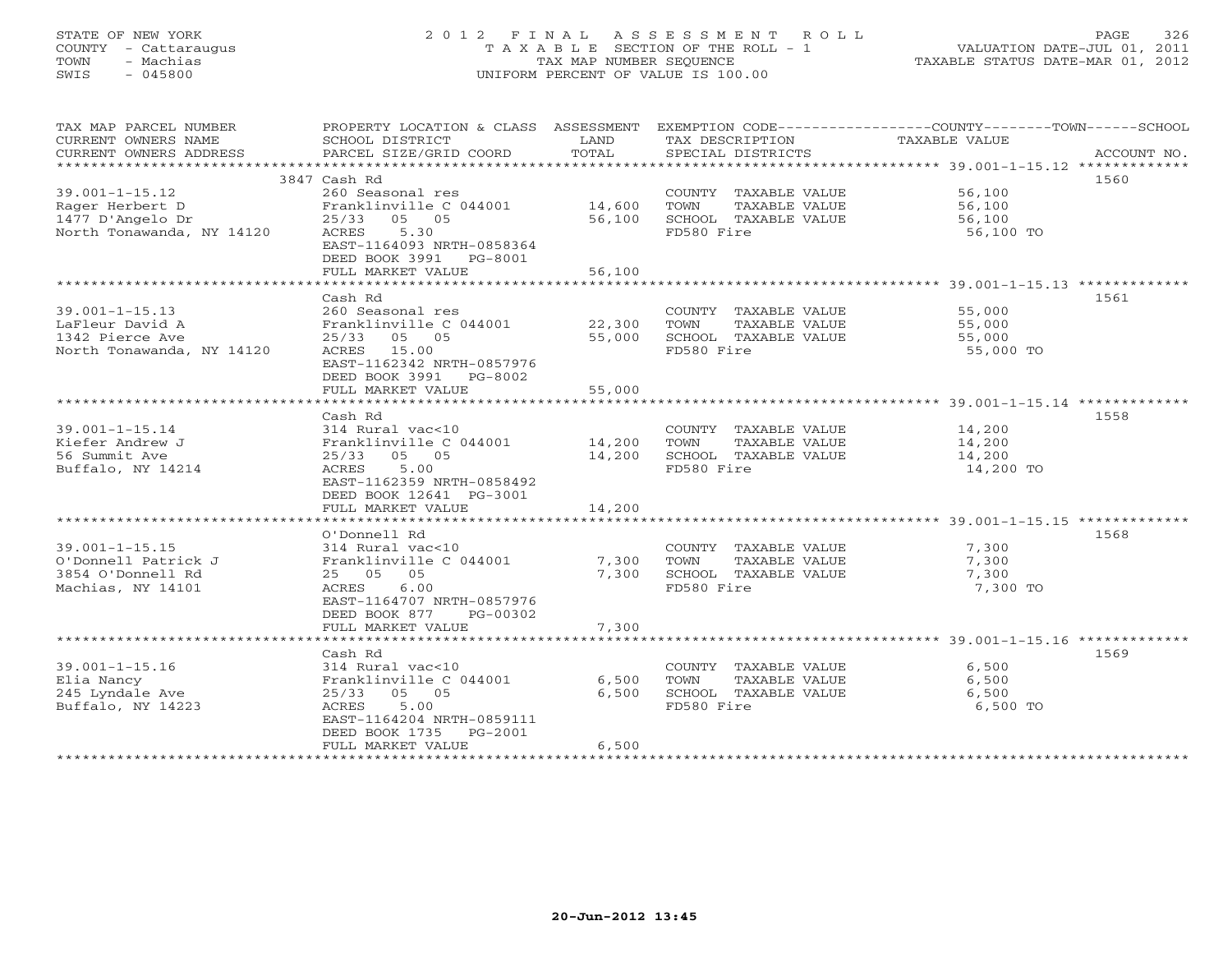# STATE OF NEW YORK 2 0 1 2 F I N A L A S S E S S M E N T R O L L PAGE 326 COUNTY - Cattaraugus T A X A B L E SECTION OF THE ROLL - 1 VALUATION DATE-JUL 01, 2011 TOWN - Machias TAX MAP NUMBER SEQUENCE TAXABLE STATUS DATE-MAR 01, 2012 SWIS - 045800 UNIFORM PERCENT OF VALUE IS 100.00UNIFORM PERCENT OF VALUE IS 100.00

| TAX MAP PARCEL NUMBER<br>CURRENT OWNERS NAME<br>CURRENT OWNERS ADDRESS | SCHOOL DISTRICT<br>PARCEL SIZE/GRID COORD | LAND<br>TOTAL    | TAX DESCRIPTION<br>SPECIAL DISTRICTS          | PROPERTY LOCATION & CLASS ASSESSMENT EXEMPTION CODE----------------COUNTY-------TOWN------SCHOOL<br>TAXABLE VALUE<br>ACCOUNT NO. |
|------------------------------------------------------------------------|-------------------------------------------|------------------|-----------------------------------------------|----------------------------------------------------------------------------------------------------------------------------------|
|                                                                        |                                           |                  |                                               |                                                                                                                                  |
|                                                                        | 3847 Cash Rd                              |                  |                                               | 1560                                                                                                                             |
| $39.001 - 1 - 15.12$                                                   | 260 Seasonal res                          |                  | COUNTY TAXABLE VALUE 56,100                   |                                                                                                                                  |
| Rager Herbert D                                                        | Franklinville C 044001                    | 14,600           | TOWN<br>TAXABLE VALUE                         | 56,100                                                                                                                           |
| 1477 D'Angelo Dr                                                       | 25/33 05 05                               | 56,100           | SCHOOL TAXABLE VALUE                          | 56,100                                                                                                                           |
| North Tonawanda, NY 14120                                              | ACRES<br>5.30                             |                  | FD580 Fire                                    | 56,100 TO                                                                                                                        |
|                                                                        | EAST-1164093 NRTH-0858364                 |                  |                                               |                                                                                                                                  |
|                                                                        | DEED BOOK 3991 PG-8001                    |                  |                                               |                                                                                                                                  |
|                                                                        | FULL MARKET VALUE                         | 56,100           |                                               | *********************************** 39.001-1-15.13 *************                                                                 |
|                                                                        |                                           |                  |                                               |                                                                                                                                  |
|                                                                        | Cash Rd                                   |                  |                                               | 1561                                                                                                                             |
| $39.001 - 1 - 15.13$                                                   | 260 Seasonal res                          |                  | COUNTY TAXABLE VALUE                          | 55,000                                                                                                                           |
| LaFleur David A<br>1342 Pierce Ave                                     | Franklinville C 044001<br>25/33 05 05     | 22,300<br>55,000 | TOWN<br>TAXABLE VALUE<br>SCHOOL TAXABLE VALUE | 55,000                                                                                                                           |
| North Tonawanda, NY 14120                                              | ACRES 15.00                               |                  | FD580 Fire                                    | 55,000<br>55,000 TO                                                                                                              |
|                                                                        | EAST-1162342 NRTH-0857976                 |                  |                                               |                                                                                                                                  |
|                                                                        | DEED BOOK 3991 PG-8002                    |                  |                                               |                                                                                                                                  |
|                                                                        | FULL MARKET VALUE                         | 55,000           |                                               |                                                                                                                                  |
|                                                                        | *********************                     | ***********      |                                               |                                                                                                                                  |
|                                                                        | Cash Rd                                   |                  |                                               | 1558                                                                                                                             |
| $39.001 - 1 - 15.14$                                                   | 314 Rural vac<10                          |                  | COUNTY TAXABLE VALUE                          | 14,200                                                                                                                           |
| Kiefer Andrew J                                                        | Franklinville C 044001                    | 14,200           | TOWN<br>TAXABLE VALUE                         | 14,200                                                                                                                           |
| 56 Summit Ave                                                          | 25/33<br>05 05                            | 14,200           | SCHOOL TAXABLE VALUE                          | 14,200                                                                                                                           |
| Buffalo, NY 14214                                                      | 5.00<br>ACRES                             |                  | FD580 Fire                                    | 14,200 TO                                                                                                                        |
|                                                                        | EAST-1162359 NRTH-0858492                 |                  |                                               |                                                                                                                                  |
|                                                                        | DEED BOOK 12641 PG-3001                   |                  |                                               |                                                                                                                                  |
|                                                                        | FULL MARKET VALUE                         | 14,200           |                                               |                                                                                                                                  |
|                                                                        |                                           |                  |                                               |                                                                                                                                  |
|                                                                        | O'Donnell Rd                              |                  |                                               | 1568                                                                                                                             |
| $39.001 - 1 - 15.15$                                                   | 314 Rural vac<10                          |                  | COUNTY TAXABLE VALUE                          | 7,300                                                                                                                            |
| O'Donnell Patrick J                                                    | Franklinville C 044001                    | 7,300            | TOWN<br>TAXABLE VALUE                         | 7,300                                                                                                                            |
| 3854 O'Donnell Rd                                                      | 25 05 05                                  | 7,300            | SCHOOL TAXABLE VALUE                          | 7,300                                                                                                                            |
| Machias, NY 14101                                                      | ACRES 6.00                                |                  | FD580 Fire                                    | 7,300 TO                                                                                                                         |
|                                                                        | EAST-1164707 NRTH-0857976                 |                  |                                               |                                                                                                                                  |
|                                                                        | DEED BOOK 877<br>PG-00302                 |                  |                                               |                                                                                                                                  |
|                                                                        | FULL MARKET VALUE                         | 7,300            |                                               |                                                                                                                                  |
|                                                                        |                                           |                  |                                               |                                                                                                                                  |
|                                                                        | Cash Rd                                   |                  |                                               | 1569                                                                                                                             |
| $39.001 - 1 - 15.16$                                                   | 314 Rural vac<10                          |                  | COUNTY TAXABLE VALUE                          | 6,500                                                                                                                            |
| Elia Nancy                                                             | Franklinville C 044001                    | 6,500            | TAXABLE VALUE<br>TOWN                         | 6,500                                                                                                                            |
| 245 Lyndale Ave                                                        | 05 05<br>25/33                            | 6,500            | SCHOOL TAXABLE VALUE                          | 6,500                                                                                                                            |
| Buffalo, NY 14223                                                      | 5.00<br>ACRES                             |                  | FD580 Fire                                    | 6,500 TO                                                                                                                         |
|                                                                        | EAST-1164204 NRTH-0859111                 |                  |                                               |                                                                                                                                  |
|                                                                        | DEED BOOK 1735 PG-2001                    |                  |                                               |                                                                                                                                  |
|                                                                        | FULL MARKET VALUE                         | 6,500            |                                               |                                                                                                                                  |
|                                                                        |                                           |                  |                                               |                                                                                                                                  |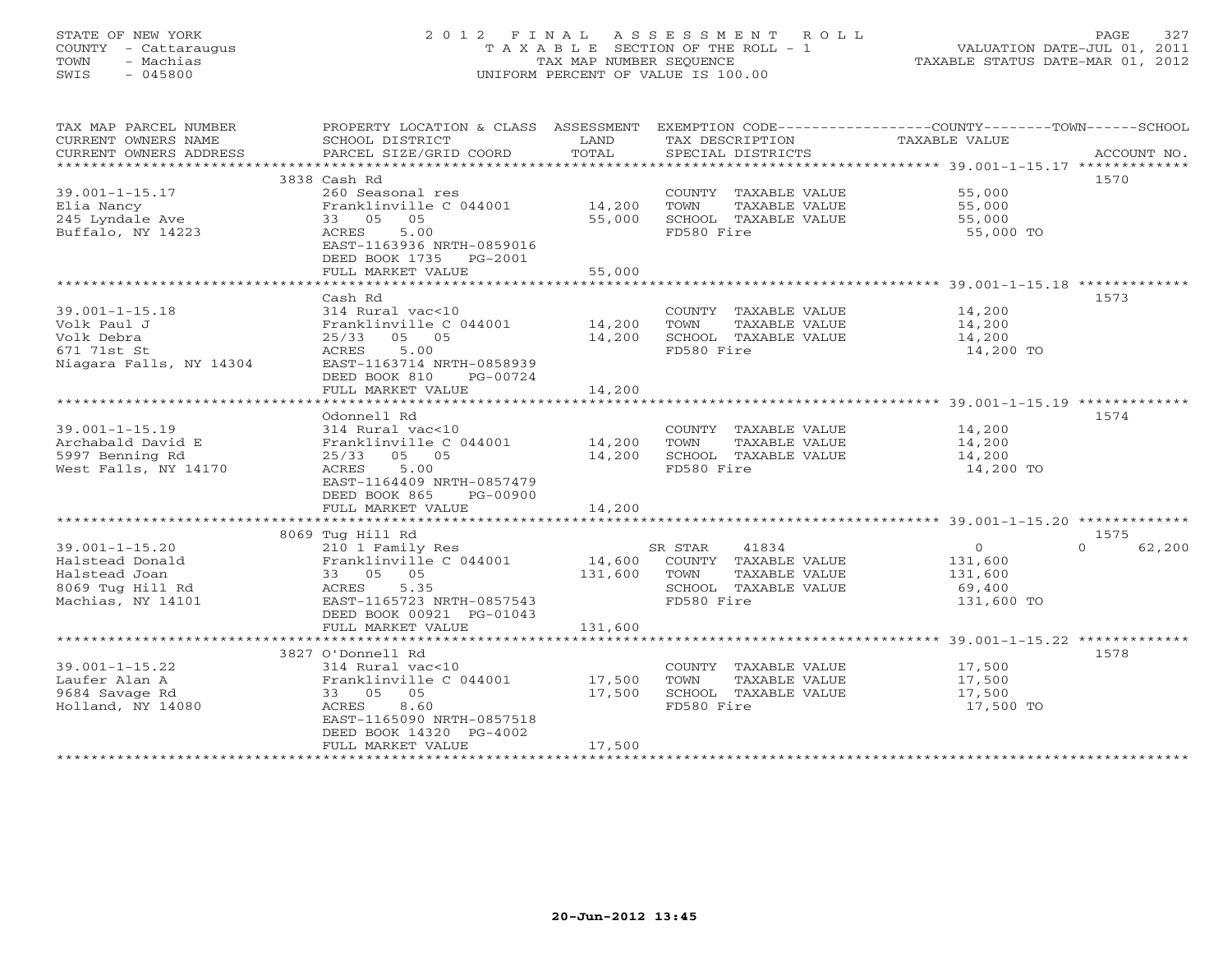# STATE OF NEW YORK 2 0 1 2 F I N A L A S S E S S M E N T R O L L PAGE 327 COUNTY - Cattaraugus T A X A B L E SECTION OF THE ROLL - 1 VALUATION DATE-JUL 01, 2011 TOWN - Machias TAX MAP NUMBER SEQUENCE TAXABLE STATUS DATE-MAR 01, 2012 SWIS - 045800 UNIFORM PERCENT OF VALUE IS 100.00UNIFORM PERCENT OF VALUE IS 100.00

| TAX MAP PARCEL NUMBER<br>CURRENT OWNERS NAME<br>CURRENT OWNERS ADDRESS | PROPERTY LOCATION & CLASS ASSESSMENT EXEMPTION CODE---------------COUNTY-------TOWN------SCHOOL<br>SCHOOL DISTRICT<br>PARCEL SIZE/GRID COORD | LAND<br>TOTAL | TAX DESCRIPTION<br>SPECIAL DISTRICTS<br>SPECIAL DISTRICTS |                | ACCOUNT NO.        |
|------------------------------------------------------------------------|----------------------------------------------------------------------------------------------------------------------------------------------|---------------|-----------------------------------------------------------|----------------|--------------------|
|                                                                        |                                                                                                                                              |               |                                                           |                |                    |
|                                                                        | 3838 Cash Rd                                                                                                                                 |               |                                                           |                | 1570               |
| $39.001 - 1 - 15.17$                                                   | 260 Seasonal res                                                                                                                             |               | COUNTY TAXABLE VALUE                                      | 55,000         |                    |
| Elia Nancy                                                             | Franklinville C 044001 14,200                                                                                                                |               | TOWN<br>TAXABLE VALUE                                     | 55,000         |                    |
| 245 Lyndale Ave                                                        | 33 05 05                                                                                                                                     | 55,000        | SCHOOL TAXABLE VALUE                                      | 55,000         |                    |
| Buffalo, NY 14223                                                      | ACRES<br>5.00                                                                                                                                |               | FD580 Fire                                                | 55,000 TO      |                    |
|                                                                        | EAST-1163936 NRTH-0859016                                                                                                                    |               |                                                           |                |                    |
|                                                                        | DEED BOOK 1735 PG-2001                                                                                                                       |               |                                                           |                |                    |
|                                                                        | FULL MARKET VALUE                                                                                                                            | 55,000        |                                                           |                |                    |
|                                                                        |                                                                                                                                              |               |                                                           |                |                    |
|                                                                        | Cash Rd                                                                                                                                      |               |                                                           |                | 1573               |
| $39.001 - 1 - 15.18$                                                   | 314 Rural vac<10                                                                                                                             |               | COUNTY TAXABLE VALUE 14,200                               |                |                    |
| Volk Paul J                                                            | Franklinville C 044001 14,200                                                                                                                |               | TOWN<br>TAXABLE VALUE                                     |                |                    |
|                                                                        |                                                                                                                                              |               |                                                           | 14,200         |                    |
| Volk Debra                                                             | 25/33 05 05                                                                                                                                  | 14,200        | SCHOOL TAXABLE VALUE                                      | 14,200         |                    |
| 671 71st St                                                            | 5.00<br>ACRES                                                                                                                                |               | FD580 Fire                                                | 14,200 TO      |                    |
| Niagara Falls, NY 14304                                                | EAST-1163714 NRTH-0858939                                                                                                                    |               |                                                           |                |                    |
|                                                                        | DEED BOOK 810<br>PG-00724                                                                                                                    |               |                                                           |                |                    |
|                                                                        | FULL MARKET VALUE                                                                                                                            | 14,200        |                                                           |                |                    |
|                                                                        |                                                                                                                                              |               |                                                           |                |                    |
|                                                                        | Odonnell Rd                                                                                                                                  |               |                                                           |                | 1574               |
| $39.001 - 1 - 15.19$                                                   | 314 Rural vac<10                                                                                                                             |               | COUNTY TAXABLE VALUE 14,200                               |                |                    |
| Archabald David E                                                      |                                                                                                                                              |               | TOWN<br>TAXABLE VALUE                                     | 14,200         |                    |
| 5997 Benning Rd                                                        | -<br>Franklinville C 044001 14,200<br>25/33 05 05 14,200                                                                                     |               | SCHOOL TAXABLE VALUE                                      | 14,200         |                    |
| West Falls, NY 14170                                                   | ACRES<br>5.00                                                                                                                                |               | FD580 Fire                                                | 14,200 TO      |                    |
|                                                                        | EAST-1164409 NRTH-0857479                                                                                                                    |               |                                                           |                |                    |
|                                                                        | DEED BOOK 865<br>PG-00900                                                                                                                    |               |                                                           |                |                    |
|                                                                        | FULL MARKET VALUE                                                                                                                            | 14,200        |                                                           |                |                    |
|                                                                        |                                                                                                                                              |               |                                                           |                |                    |
|                                                                        | 8069 Tug Hill Rd                                                                                                                             |               |                                                           |                | 1575               |
| $39.001 - 1 - 15.20$                                                   |                                                                                                                                              |               |                                                           | $\overline{0}$ | 62,200<br>$\Omega$ |
| Halstead Donald                                                        |                                                                                                                                              |               |                                                           | 131,600        |                    |
| Halstead Joan                                                          | 33 05 05                                                                                                                                     | 131,600       | TOWN<br>TAXABLE VALUE                                     | 131,600        |                    |
| 8069 Tug Hill Rd                                                       | ACRES 5.35                                                                                                                                   |               | SCHOOL TAXABLE VALUE                                      | 69,400         |                    |
| Machias, NY 14101                                                      | EAST-1165723 NRTH-0857543                                                                                                                    |               | FD580 Fire                                                | 131,600 TO     |                    |
|                                                                        | DEED BOOK 00921 PG-01043                                                                                                                     |               |                                                           |                |                    |
|                                                                        | FULL MARKET VALUE                                                                                                                            | 131,600       |                                                           |                |                    |
|                                                                        |                                                                                                                                              |               |                                                           |                |                    |
|                                                                        |                                                                                                                                              |               |                                                           |                |                    |
|                                                                        | 3827 O'Donnell Rd                                                                                                                            |               |                                                           |                | 1578               |
| $39.001 - 1 - 15.22$                                                   | 314 Rural vac<10                                                                                                                             |               | COUNTY TAXABLE VALUE                                      | 17,500         |                    |
| Laufer Alan A                                                          | Franklinville C 044001 17,500                                                                                                                |               | TOWN<br>TAXABLE VALUE                                     | 17,500         |                    |
| 9684 Savage Rd                                                         | 33 05 05                                                                                                                                     | 17,500        | SCHOOL TAXABLE VALUE                                      | 17,500         |                    |
| Holland, NY 14080                                                      | 8.60<br>ACRES                                                                                                                                |               | FD580 Fire                                                | 17,500 TO      |                    |
|                                                                        | EAST-1165090 NRTH-0857518                                                                                                                    |               |                                                           |                |                    |
|                                                                        | DEED BOOK 14320 PG-4002                                                                                                                      |               |                                                           |                |                    |
|                                                                        | FULL MARKET VALUE                                                                                                                            | 17,500        |                                                           |                |                    |
|                                                                        |                                                                                                                                              |               |                                                           |                |                    |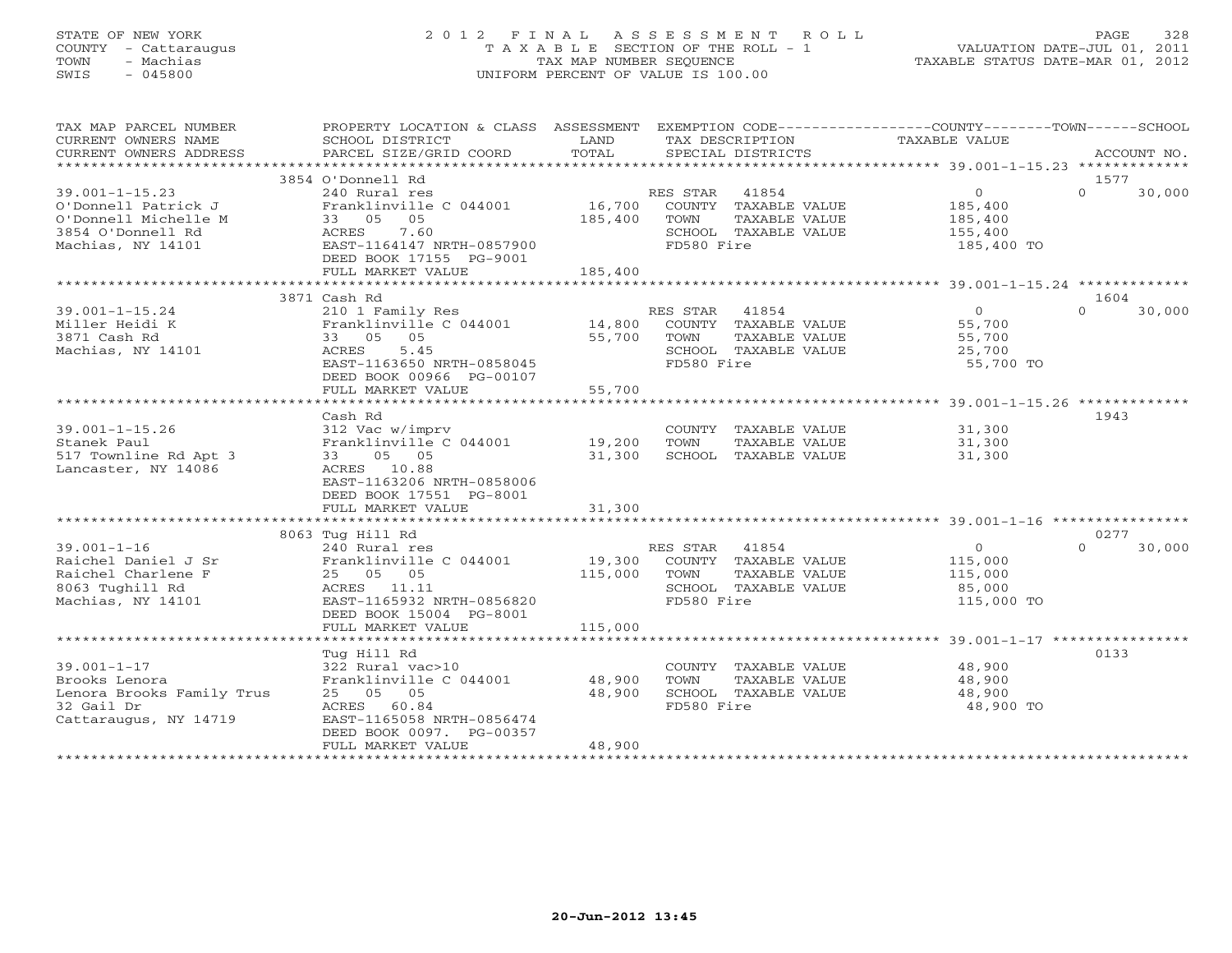# STATE OF NEW YORK 2 0 1 2 F I N A L A S S E S S M E N T R O L L PAGE 328 COUNTY - Cattaraugus T A X A B L E SECTION OF THE ROLL - 1 VALUATION DATE-JUL 01, 2011 TOWN - Machias TAX MAP NUMBER SEQUENCE TAXABLE STATUS DATE-MAR 01, 2012 SWIS - 045800 UNIFORM PERCENT OF VALUE IS 100.00UNIFORM PERCENT OF VALUE IS 100.00

| TAX MAP PARCEL NUMBER<br>CURRENT OWNERS NAME<br>CURRENT OWNERS ADDRESS                                        | PROPERTY LOCATION & CLASS ASSESSMENT EXEMPTION CODE---------------COUNTY-------TOWN-----SCHOOL<br>SCHOOL DISTRICT<br>PARCEL SIZE/GRID COORD                               | LAND<br>TOTAL                | TAX DESCRIPTION<br>SPECIAL DISTRICTS                                                                     | TAXABLE VALUE                                                 | ACCOUNT NO.                |
|---------------------------------------------------------------------------------------------------------------|---------------------------------------------------------------------------------------------------------------------------------------------------------------------------|------------------------------|----------------------------------------------------------------------------------------------------------|---------------------------------------------------------------|----------------------------|
|                                                                                                               |                                                                                                                                                                           |                              |                                                                                                          |                                                               |                            |
| $39.001 - 1 - 15.23$<br>O'Donnell Patrick J<br>O'Donnell Michelle M<br>3854 O'Donnell Rd<br>Machias, NY 14101 | 3854 O'Donnell Rd<br>240 Rural res<br>Franklinville C 044001<br>33 05<br>05<br>7.60<br>ACRES<br>EAST-1164147 NRTH-0857900<br>DEED BOOK 17155 PG-9001<br>FULL MARKET VALUE | 16,700<br>185,400<br>185,400 | RES STAR<br>41854<br>COUNTY TAXABLE VALUE<br>TAXABLE VALUE<br>TOWN<br>SCHOOL TAXABLE VALUE<br>FD580 Fire | $\overline{0}$<br>185,400<br>185,400<br>155,400<br>185,400 TO | 1577<br>$\Omega$<br>30,000 |
|                                                                                                               |                                                                                                                                                                           |                              |                                                                                                          |                                                               |                            |
|                                                                                                               | 3871 Cash Rd                                                                                                                                                              |                              |                                                                                                          |                                                               | 1604                       |
| $39.001 - 1 - 15.24$<br>Miller Heidi K<br>3871 Cash Rd<br>Machias, NY 14101                                   | 210 1 Family Res<br>Franklinville C 044001 14,800<br>33 05<br>05<br>5.45<br>ACRES<br>EAST-1163650 NRTH-0858045<br>DEED BOOK 00966 PG-00107                                | 55,700                       | RES STAR 41854<br>COUNTY TAXABLE VALUE<br>TOWN<br>TAXABLE VALUE<br>SCHOOL TAXABLE VALUE<br>FD580 Fire    | $\overline{0}$<br>55,700<br>55,700<br>25,700<br>55,700 TO     | $\Omega$<br>30,000         |
|                                                                                                               | FULL MARKET VALUE                                                                                                                                                         | 55,700                       |                                                                                                          |                                                               |                            |
|                                                                                                               |                                                                                                                                                                           |                              |                                                                                                          |                                                               |                            |
| $39.001 - 1 - 15.26$<br>Stanek Paul<br>517 Townline Rd Apt 3<br>Lancaster, NY 14086                           | Cash Rd<br>312 Vac w/imprv<br>Franklinville C 044001<br>05 05<br>33<br>ACRES 10.88<br>EAST-1163206 NRTH-0858006<br>DEED BOOK 17551 PG-8001                                | 19,200<br>31,300             | COUNTY TAXABLE VALUE<br>TOWN<br>TAXABLE VALUE<br>SCHOOL TAXABLE VALUE                                    | 31,300<br>31,300<br>31,300                                    | 1943                       |
|                                                                                                               | FULL MARKET VALUE                                                                                                                                                         | 31,300                       |                                                                                                          |                                                               |                            |
|                                                                                                               |                                                                                                                                                                           |                              |                                                                                                          |                                                               |                            |
|                                                                                                               | 8063 Tug Hill Rd                                                                                                                                                          |                              |                                                                                                          |                                                               | 0277                       |
| $39.001 - 1 - 16$<br>Raichel Daniel J Sr<br>Raichel Charlene F<br>8063 Tughill Rd<br>Machias, NY 14101        | 240 Rural res<br>Franklinville C 044001<br>25 05 05<br>ACRES 11.11<br>EAST-1165932 NRTH-0856820<br>DEED BOOK 15004 PG-8001                                                | 19,300<br>115,000            | RES STAR<br>41854<br>COUNTY TAXABLE VALUE<br>TOWN<br>TAXABLE VALUE<br>SCHOOL TAXABLE VALUE<br>FD580 Fire | $\overline{0}$<br>115,000<br>115,000<br>85,000<br>115,000 TO  | 30,000<br>$\Omega$         |
|                                                                                                               | FULL MARKET VALUE                                                                                                                                                         | 115,000                      |                                                                                                          |                                                               |                            |
|                                                                                                               |                                                                                                                                                                           |                              |                                                                                                          |                                                               |                            |
| $39.001 - 1 - 17$<br>Brooks Lenora<br>Lenora Brooks Family Trus<br>32 Gail Dr<br>Cattaraugus, NY 14719        | Tug Hill Rd<br>322 Rural vac>10<br>Franklinville C 044001<br>25 05 05<br>ACRES 60.84<br>EAST-1165058 NRTH-0856474<br>DEED BOOK 0097. PG-00357<br>FULL MARKET VALUE        | 48,900<br>48,900<br>48,900   | COUNTY TAXABLE VALUE<br>TOWN<br>TAXABLE VALUE<br>SCHOOL TAXABLE VALUE<br>FD580 Fire                      | 48,900<br>48,900<br>48,900<br>48,900 TO                       | 0133                       |
|                                                                                                               |                                                                                                                                                                           |                              |                                                                                                          |                                                               |                            |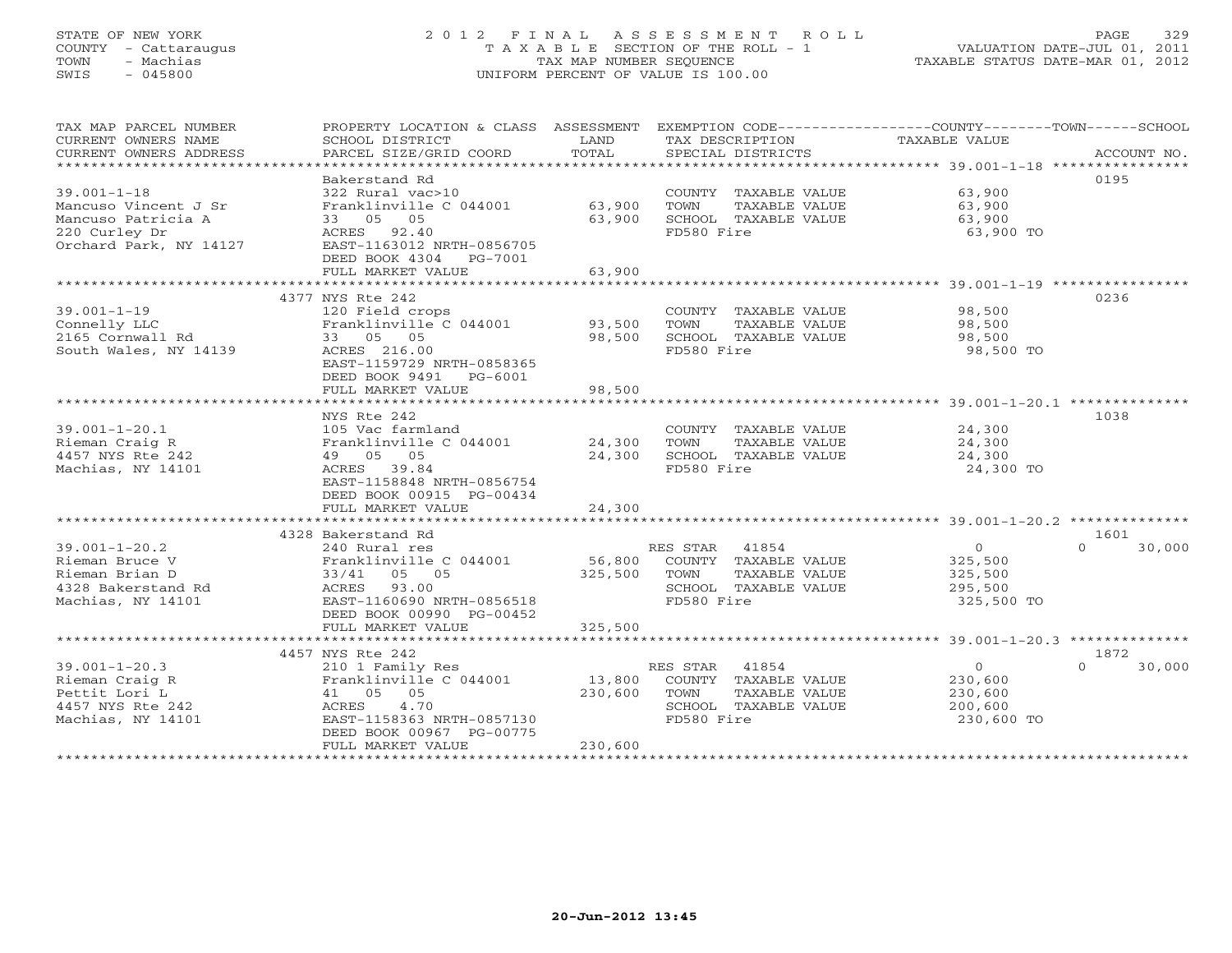# STATE OF NEW YORK 2 0 1 2 F I N A L A S S E S S M E N T R O L L PAGE 329 COUNTY - Cattaraugus T A X A B L E SECTION OF THE ROLL - 1 VALUATION DATE-JUL 01, 2011 TOWN - Machias TAX MAP NUMBER SEQUENCE TAXABLE STATUS DATE-MAR 01, 2012 SWIS - 045800 UNIFORM PERCENT OF VALUE IS 100.00UNIFORM PERCENT OF VALUE IS 100.00

| TAX MAP PARCEL NUMBER<br>CURRENT OWNERS NAME<br>CURRENT OWNERS ADDRESS                                     | PROPERTY LOCATION & CLASS ASSESSMENT<br>SCHOOL DISTRICT<br>PARCEL SIZE/GRID COORD                                                                                         | LAND<br>TOTAL                | EXEMPTION CODE-----------------COUNTY-------TOWN------SCHOOL<br>TAX DESCRIPTION<br>SPECIAL DISTRICTS  | TAXABLE VALUE                                                 | ACCOUNT NO.                |
|------------------------------------------------------------------------------------------------------------|---------------------------------------------------------------------------------------------------------------------------------------------------------------------------|------------------------------|-------------------------------------------------------------------------------------------------------|---------------------------------------------------------------|----------------------------|
| $39.001 - 1 - 18$<br>Mancuso Vincent J Sr<br>Mancuso Patricia A<br>220 Curley Dr<br>Orchard Park, NY 14127 | Bakerstand Rd<br>322 Rural vac>10<br>Franklinville C 044001<br>33 05 05<br>ACRES 92.40<br>EAST-1163012 NRTH-0856705<br>DEED BOOK 4304<br>PG-7001<br>FULL MARKET VALUE     | 63,900<br>63,900<br>63,900   | COUNTY TAXABLE VALUE<br>TOWN<br>TAXABLE VALUE<br>SCHOOL TAXABLE VALUE<br>FD580 Fire                   | 63,900<br>63,900<br>63,900<br>63,900 TO                       | 0195                       |
|                                                                                                            |                                                                                                                                                                           |                              |                                                                                                       |                                                               |                            |
| $39.001 - 1 - 19$<br>Connelly LLC<br>2165 Cornwall Rd<br>South Wales, NY 14139                             | 4377 NYS Rte 242<br>120 Field crops<br>Franklinville C 044001<br>33 05 05<br>ACRES 216.00<br>EAST-1159729 NRTH-0858365<br>DEED BOOK 9491 PG-6001                          | 93,500<br>98,500             | COUNTY TAXABLE VALUE<br>TOWN<br>TAXABLE VALUE<br>SCHOOL TAXABLE VALUE<br>FD580 Fire                   | 98,500<br>98,500<br>98,500<br>98,500 TO                       | 0236                       |
|                                                                                                            | FULL MARKET VALUE                                                                                                                                                         | 98,500                       |                                                                                                       |                                                               |                            |
|                                                                                                            | NYS Rte 242                                                                                                                                                               |                              |                                                                                                       |                                                               | 1038                       |
| $39.001 - 1 - 20.1$<br>Rieman Craig R<br>4457 NYS Rte 242<br>Machias, NY 14101                             | 105 Vac farmland<br>Franklinville C 044001<br>49 05 05<br>ACRES 39.84<br>EAST-1158848 NRTH-0856754<br>DEED BOOK 00915 PG-00434                                            | 24,300<br>24,300             | COUNTY TAXABLE VALUE<br>TAXABLE VALUE<br>TOWN<br>SCHOOL TAXABLE VALUE<br>FD580 Fire                   | 24,300<br>24,300<br>24,300<br>24,300 TO                       |                            |
|                                                                                                            | FULL MARKET VALUE                                                                                                                                                         | 24,300                       |                                                                                                       |                                                               |                            |
|                                                                                                            |                                                                                                                                                                           |                              |                                                                                                       |                                                               |                            |
| $39.001 - 1 - 20.2$<br>Rieman Bruce V<br>Rieman Brian D<br>4328 Bakerstand Rd<br>Machias, NY 14101         | 4328 Bakerstand Rd<br>240 Rural res<br>Franklinville C 044001<br>33/41 05 05<br>ACRES 93.00<br>EAST-1160690 NRTH-0856518<br>DEED BOOK 00990 PG-00452                      | 56,800<br>325,500            | RES STAR 41854<br>COUNTY TAXABLE VALUE<br>TOWN<br>TAXABLE VALUE<br>SCHOOL TAXABLE VALUE<br>FD580 Fire | $\overline{0}$<br>325,500<br>325,500<br>295,500<br>325,500 TO | 1601<br>30,000<br>$\Omega$ |
|                                                                                                            | FULL MARKET VALUE                                                                                                                                                         | 325,500                      |                                                                                                       |                                                               |                            |
|                                                                                                            |                                                                                                                                                                           |                              |                                                                                                       |                                                               |                            |
| $39.001 - 1 - 20.3$<br>Rieman Craig R<br>Pettit Lori L<br>4457 NYS Rte 242<br>Machias, NY 14101            | 4457 NYS Rte 242<br>210 1 Family Res<br>Franklinville C 044001<br>41 05 05<br>4.70<br>ACRES<br>EAST-1158363 NRTH-0857130<br>DEED BOOK 00967 PG-00775<br>FULL MARKET VALUE | 13,800<br>230,600<br>230,600 | RES STAR 41854<br>COUNTY TAXABLE VALUE<br>TOWN<br>TAXABLE VALUE<br>SCHOOL TAXABLE VALUE<br>FD580 Fire | $\overline{0}$<br>230,600<br>230,600<br>200,600<br>230,600 TO | 1872<br>$\cap$<br>30,000   |
|                                                                                                            |                                                                                                                                                                           |                              |                                                                                                       |                                                               |                            |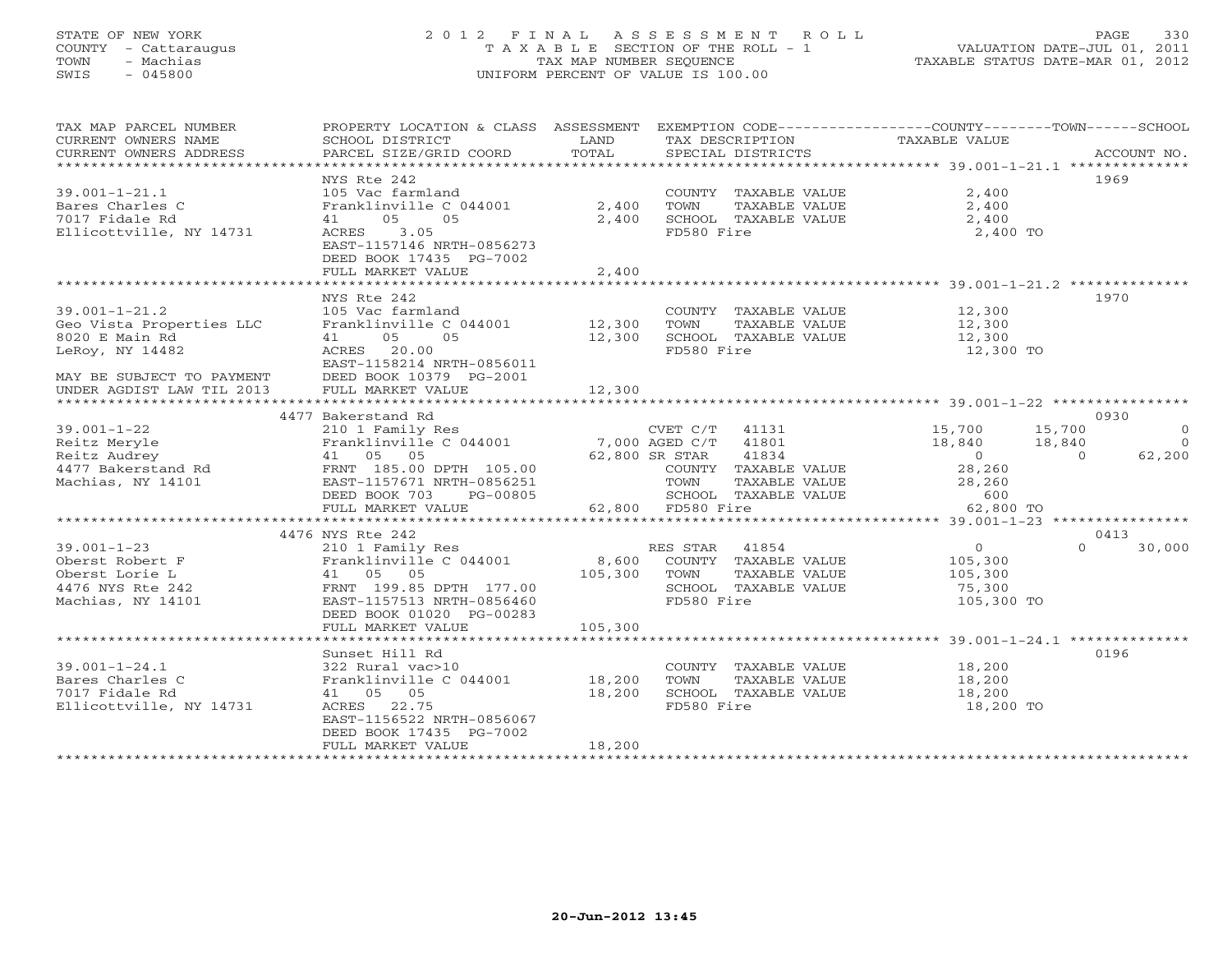# STATE OF NEW YORK 2 0 1 2 F I N A L A S S E S S M E N T R O L L PAGE 330 COUNTY - Cattaraugus T A X A B L E SECTION OF THE ROLL - 1 VALUATION DATE-JUL 01, 2011 TOWN - Machias TAX MAP NUMBER SEQUENCE TAXABLE STATUS DATE-MAR 01, 2012 SWIS - 045800 UNIFORM PERCENT OF VALUE IS 100.00UNIFORM PERCENT OF VALUE IS 100.00

| TAX MAP PARCEL NUMBER<br>CURRENT OWNERS NAME<br>CURRENT OWNERS ADDRESS                                                                         | PROPERTY LOCATION & CLASS ASSESSMENT<br>SCHOOL DISTRICT<br>PARCEL SIZE/GRID COORD                                                                                         | LAND<br>TOTAL                              | TAX DESCRIPTION<br>SPECIAL DISTRICTS                                                                                    | EXEMPTION CODE----------------COUNTY-------TOWN------SCHOOL<br>TAXABLE VALUE                               | ACCOUNT NO.                    |
|------------------------------------------------------------------------------------------------------------------------------------------------|---------------------------------------------------------------------------------------------------------------------------------------------------------------------------|--------------------------------------------|-------------------------------------------------------------------------------------------------------------------------|------------------------------------------------------------------------------------------------------------|--------------------------------|
| $39.001 - 1 - 21.1$<br>Bares Charles C<br>7017 Fidale Rd<br>Ellicottville, NY 14731                                                            | NYS Rte 242<br>105 Vac farmland<br>Franklinville C 044001<br>05<br>05<br>41<br>3.05<br>ACRES<br>EAST-1157146 NRTH-0856273<br>DEED BOOK 17435 PG-7002<br>FULL MARKET VALUE | 2,400<br>2,400<br>2,400                    | COUNTY TAXABLE VALUE<br>TAXABLE VALUE<br>TOWN<br>SCHOOL TAXABLE VALUE<br>FD580 Fire                                     | 2,400<br>2,400<br>2,400<br>2,400 TO                                                                        | 1969                           |
| $39.001 - 1 - 21.2$<br>Geo Vista Properties LLC<br>8020 E Main Rd<br>LeRoy, NY 14482<br>MAY BE SUBJECT TO PAYMENT<br>UNDER AGDIST LAW TIL 2013 | NYS Rte 242<br>105 Vac farmland<br>Franklinville C 044001<br>05<br>05<br>41<br>ACRES 20.00<br>EAST-1158214 NRTH-0856011<br>DEED BOOK 10379 PG-2001<br>FULL MARKET VALUE   | 12,300<br>12,300<br>12,300<br>************ | COUNTY TAXABLE VALUE<br>TOWN<br>TAXABLE VALUE<br>SCHOOL TAXABLE VALUE<br>FD580 Fire                                     | 12,300<br>12,300<br>12,300<br>12,300 TO<br>********************************** 39.001-1-22 **************** | 1970                           |
|                                                                                                                                                | 4477 Bakerstand Rd                                                                                                                                                        |                                            |                                                                                                                         |                                                                                                            | 0930                           |
| $39.001 - 1 - 22$<br>Reitz Meryle<br>Reitz Audrey<br>4477 Bakerstand Rd<br>Machias, NY 14101                                                   | 210 1 Family Res<br>Franklinville C 044001<br>41 05 05<br>FRNT 185.00 DPTH 105.00<br>EAST-1157671 NRTH-0856251                                                            |                                            | $CVET C/T$ 41131<br>7,000 AGED C/T<br>41801<br>62,800 SR STAR<br>41834<br>COUNTY TAXABLE VALUE<br>TAXABLE VALUE<br>TOWN | 15,700<br>15,700<br>18,840<br>18,840<br>$\overline{O}$<br>$\Omega$<br>28,260<br>28,260                     | $\Omega$<br>$\Omega$<br>62,200 |
|                                                                                                                                                | DEED BOOK 703<br>PG-00805<br>FULL MARKET VALUE                                                                                                                            |                                            | SCHOOL TAXABLE VALUE<br>62,800 FD580 Fire                                                                               | 600<br>62,800 TO                                                                                           |                                |
|                                                                                                                                                | 4476 NYS Rte 242                                                                                                                                                          |                                            |                                                                                                                         |                                                                                                            | 0413                           |
| $39.001 - 1 - 23$<br>Oberst Robert F<br>Oberst Lorie L<br>4476 NYS Rte 242<br>Machias, NY 14101                                                | 210 1 Family Res<br>Franklinville C 044001<br>41 05 05<br>FRNT 199.85 DPTH 177.00<br>EAST-1157513 NRTH-0856460<br>DEED BOOK 01020 PG-00283                                | 8,600<br>105,300                           | RES STAR 41854<br>COUNTY TAXABLE VALUE<br>TOWN<br>TAXABLE VALUE<br>SCHOOL TAXABLE VALUE<br>FD580 Fire                   | $\circ$<br>$\Omega$<br>105,300<br>105,300<br>75,300<br>105,300 TO                                          | 30,000                         |
|                                                                                                                                                | FULL MARKET VALUE                                                                                                                                                         | 105,300                                    |                                                                                                                         |                                                                                                            |                                |
| $39.001 - 1 - 24.1$<br>Bares Charles C<br>7017 Fidale Rd<br>Ellicottville, NY 14731                                                            | Sunset Hill Rd<br>322 Rural vac>10<br>Franklinville C 044001<br>41 05 05<br>ACRES 22.75<br>EAST-1156522 NRTH-0856067<br>DEED BOOK 17435 PG-7002<br>FULL MARKET VALUE      | 18,200<br>18,200<br>18,200                 | COUNTY TAXABLE VALUE<br>TOWN<br>TAXABLE VALUE<br>SCHOOL TAXABLE VALUE<br>FD580 Fire                                     | 18,200<br>18,200<br>18,200<br>18,200 TO                                                                    | 0196                           |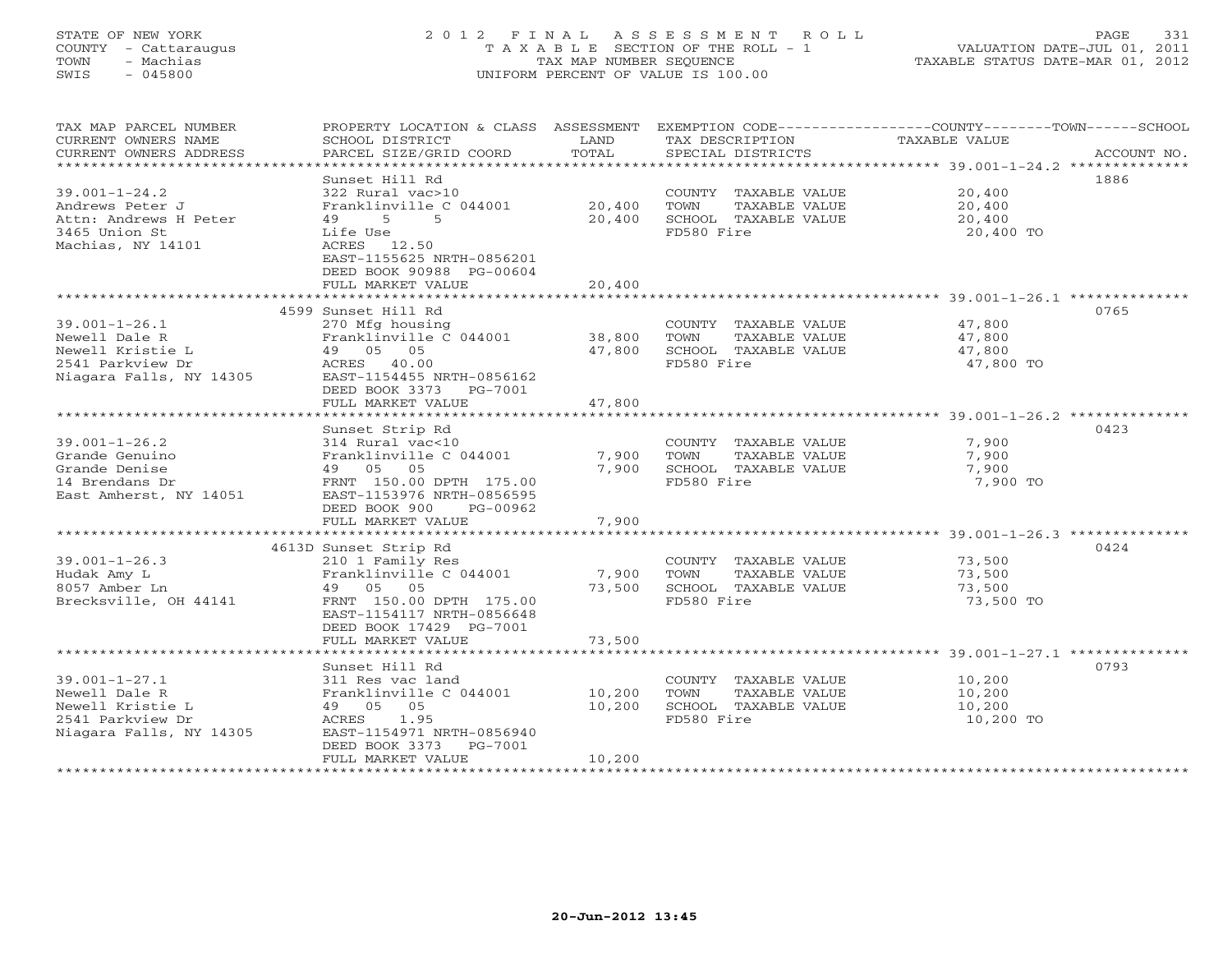# STATE OF NEW YORK 2 0 1 2 F I N A L A S S E S S M E N T R O L L PAGE 331 COUNTY - Cattaraugus T A X A B L E SECTION OF THE ROLL - 1 VALUATION DATE-JUL 01, 2011 TOWN - Machias TAX MAP NUMBER SEQUENCE TAXABLE STATUS DATE-MAR 01, 2012 SWIS - 045800 UNIFORM PERCENT OF VALUE IS 100.00UNIFORM PERCENT OF VALUE IS 100.00

| TAX MAP PARCEL NUMBER<br>CURRENT OWNERS NAME<br>CURRENT OWNERS ADDRESS                                  | SCHOOL DISTRICT<br>PARCEL SIZE/GRID COORD                                                                                                                                  | LAND<br>TOTAL              | TAX DESCRIPTION<br>SPECIAL DISTRICTS                                                | PROPERTY LOCATION & CLASS ASSESSMENT EXEMPTION CODE----------------COUNTY-------TOWN------SCHOOL<br><b>TAXABLE VALUE</b><br>ACCOUNT NO. |
|---------------------------------------------------------------------------------------------------------|----------------------------------------------------------------------------------------------------------------------------------------------------------------------------|----------------------------|-------------------------------------------------------------------------------------|-----------------------------------------------------------------------------------------------------------------------------------------|
| $39.001 - 1 - 24.2$<br>Andrews Peter J<br>Attn: Andrews H Peter<br>3465 Union St<br>Machias, NY 14101   | Sunset Hill Rd<br>322 Rural vac>10<br>Franklinville C 044001<br>49<br>$5^{\circ}$<br>5<br>Life Use<br>ACRES 12.50<br>EAST-1155625 NRTH-0856201<br>DEED BOOK 90988 PG-00604 | 20,400<br>20,400           | COUNTY TAXABLE VALUE<br>TOWN<br>TAXABLE VALUE<br>SCHOOL TAXABLE VALUE<br>FD580 Fire | 1886<br>20,400<br>20,400<br>20,400<br>20,400 TO                                                                                         |
|                                                                                                         | FULL MARKET VALUE                                                                                                                                                          | 20,400                     |                                                                                     |                                                                                                                                         |
|                                                                                                         | 4599 Sunset Hill Rd                                                                                                                                                        |                            |                                                                                     | 0765                                                                                                                                    |
| $39.001 - 1 - 26.1$<br>Newell Dale R<br>Newell Kristie L<br>2541 Parkview Dr<br>Niagara Falls, NY 14305 | 270 Mfg housing<br>Franklinville C 044001<br>49 05 05<br>ACRES 40.00<br>EAST-1154455 NRTH-0856162<br>DEED BOOK 3373<br>PG-7001                                             | 38,800<br>47,800           | COUNTY TAXABLE VALUE<br>TOWN<br>TAXABLE VALUE<br>SCHOOL TAXABLE VALUE<br>FD580 Fire | 47,800<br>47,800<br>47,800<br>47,800 TO                                                                                                 |
|                                                                                                         | FULL MARKET VALUE                                                                                                                                                          | 47,800                     |                                                                                     |                                                                                                                                         |
|                                                                                                         | Sunset Strip Rd                                                                                                                                                            |                            |                                                                                     | 0423                                                                                                                                    |
| $39.001 - 1 - 26.2$<br>Grande Genuino<br>Grande Denise<br>14 Brendans Dr<br>East Amherst, NY 14051      | 314 Rural vac<10<br>Franklinville C 044001<br>49 05 05<br>FRNT 150.00 DPTH 175.00<br>EAST-1153976 NRTH-0856595<br>DEED BOOK 900<br>PG-00962                                | 7,900<br>7,900             | COUNTY TAXABLE VALUE<br>TOWN<br>TAXABLE VALUE<br>SCHOOL TAXABLE VALUE<br>FD580 Fire | 7,900<br>7,900<br>7,900<br>7,900 TO                                                                                                     |
|                                                                                                         | FULL MARKET VALUE                                                                                                                                                          | 7,900                      |                                                                                     |                                                                                                                                         |
|                                                                                                         |                                                                                                                                                                            |                            |                                                                                     |                                                                                                                                         |
| $39.001 - 1 - 26.3$<br>Hudak Amy L<br>8057 Amber Ln<br>Brecksville, OH 44141                            | 4613D Sunset Strip Rd<br>210 1 Family Res<br>Franklinville C 044001<br>49 05 05<br>FRNT 150.00 DPTH 175.00<br>EAST-1154117 NRTH-0856648<br>DEED BOOK 17429 PG-7001         | 7,900<br>73,500            | COUNTY TAXABLE VALUE<br>TOWN<br>TAXABLE VALUE<br>SCHOOL TAXABLE VALUE<br>FD580 Fire | 0424<br>73,500<br>73,500<br>73,500<br>73,500 TO                                                                                         |
|                                                                                                         | FULL MARKET VALUE                                                                                                                                                          | 73,500                     |                                                                                     |                                                                                                                                         |
|                                                                                                         |                                                                                                                                                                            |                            |                                                                                     |                                                                                                                                         |
| $39.001 - 1 - 27.1$<br>Newell Dale R<br>Newell Kristie L<br>2541 Parkview Dr<br>Niagara Falls, NY 14305 | Sunset Hill Rd<br>311 Res vac land<br>Franklinville C 044001<br>49 05 05<br>1.95<br>ACRES<br>EAST-1154971 NRTH-0856940<br>DEED BOOK 3373<br>PG-7001<br>FULL MARKET VALUE   | 10,200<br>10,200<br>10,200 | COUNTY TAXABLE VALUE<br>TOWN<br>TAXABLE VALUE<br>SCHOOL TAXABLE VALUE<br>FD580 Fire | 0793<br>10,200<br>10,200<br>10,200<br>10,200 TO                                                                                         |
|                                                                                                         |                                                                                                                                                                            |                            |                                                                                     |                                                                                                                                         |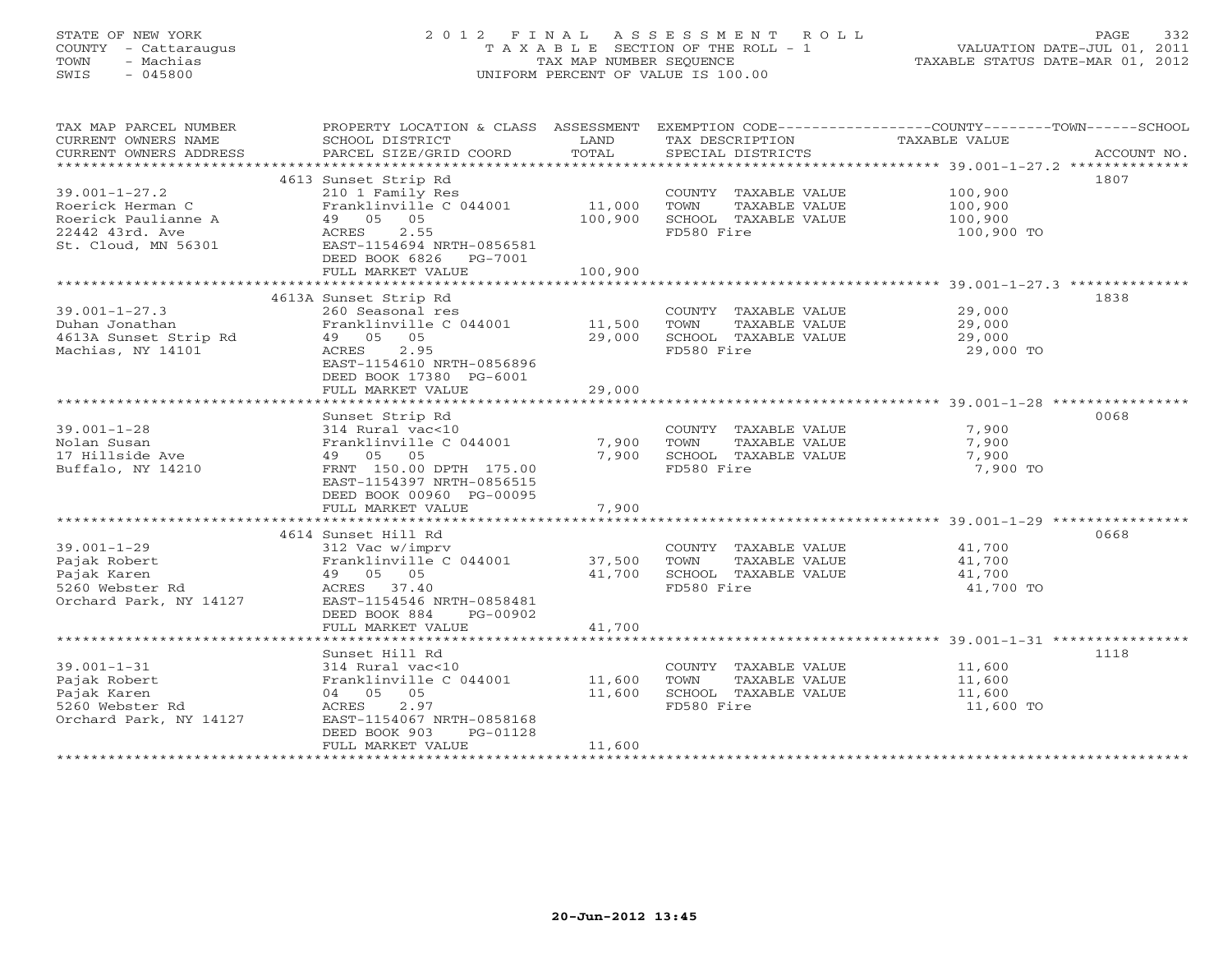# STATE OF NEW YORK 2 0 1 2 F I N A L A S S E S S M E N T R O L L PAGE 332 COUNTY - Cattaraugus T A X A B L E SECTION OF THE ROLL - 1 VALUATION DATE-JUL 01, 2011 TOWN - Machias TAX MAP NUMBER SEQUENCE TAXABLE STATUS DATE-MAR 01, 2012 SWIS - 045800 UNIFORM PERCENT OF VALUE IS 100.00UNIFORM PERCENT OF VALUE IS 100.00

| TAX MAP PARCEL NUMBER  | PROPERTY LOCATION & CLASS ASSESSMENT          |         |                       | EXEMPTION CODE-----------------COUNTY-------TOWN------SCHOOL |
|------------------------|-----------------------------------------------|---------|-----------------------|--------------------------------------------------------------|
| CURRENT OWNERS NAME    | SCHOOL DISTRICT                               | LAND    | TAX DESCRIPTION       | TAXABLE VALUE                                                |
| CURRENT OWNERS ADDRESS | PARCEL SIZE/GRID COORD                        | TOTAL   | SPECIAL DISTRICTS     | ACCOUNT NO.                                                  |
| *********************  |                                               |         |                       |                                                              |
|                        | 4613 Sunset Strip Rd                          |         |                       | 1807                                                         |
| $39.001 - 1 - 27.2$    | 210 1 Family Res                              |         | COUNTY TAXABLE VALUE  | 100,900                                                      |
| Roerick Herman C       | Franklinville C 044001                        | 11,000  | TOWN<br>TAXABLE VALUE | 100,900                                                      |
| Roerick Paulianne A    | 49 05 05                                      | 100,900 | SCHOOL TAXABLE VALUE  | 100,900                                                      |
| 22442 43rd. Ave        | ACRES<br>2.55                                 |         | FD580 Fire            | 100,900 TO                                                   |
|                        | St. Cloud, MN 56301 EAST-1154694 NRTH-0856581 |         |                       |                                                              |
|                        | DEED BOOK 6826 PG-7001                        |         |                       |                                                              |
|                        |                                               |         |                       |                                                              |
|                        | FULL MARKET VALUE                             | 100,900 |                       |                                                              |
|                        |                                               |         |                       |                                                              |
|                        | 4613A Sunset Strip Rd                         |         |                       | 1838                                                         |
| $39.001 - 1 - 27.3$    | 260 Seasonal res                              |         | COUNTY TAXABLE VALUE  | 29,000                                                       |
| Duhan Jonathan         | Franklinville C 044001                        | 11,500  | TOWN<br>TAXABLE VALUE | 29,000                                                       |
| 4613A Sunset Strip Rd  | 49 05 05                                      | 29,000  | SCHOOL TAXABLE VALUE  | 29,000                                                       |
| Machias, NY 14101      | ACRES 2.95                                    |         | FD580 Fire            | 29,000 TO                                                    |
|                        | EAST-1154610 NRTH-0856896                     |         |                       |                                                              |
|                        | DEED BOOK 17380 PG-6001                       |         |                       |                                                              |
|                        | FULL MARKET VALUE                             | 29,000  |                       |                                                              |
|                        |                                               |         |                       |                                                              |
|                        | Sunset Strip Rd                               |         |                       | 0068                                                         |
| $39.001 - 1 - 28$      | 314 Rural vac<10                              |         | COUNTY TAXABLE VALUE  | 7,900                                                        |
| Nolan Susan            | Franklinville C 044001                        | 7,900   | TOWN<br>TAXABLE VALUE | 7,900                                                        |
| 17 Hillside Ave        | 49 05 05                                      | 7,900   | SCHOOL TAXABLE VALUE  | 7,900                                                        |
| Buffalo, NY 14210      | FRNT 150.00 DPTH 175.00                       |         | FD580 Fire            | 7,900 TO                                                     |
|                        | EAST-1154397 NRTH-0856515                     |         |                       |                                                              |
|                        | DEED BOOK 00960 PG-00095                      |         |                       |                                                              |
|                        | FULL MARKET VALUE                             | 7,900   |                       |                                                              |
|                        |                                               |         |                       |                                                              |
|                        | 4614 Sunset Hill Rd                           |         |                       | 0668                                                         |
| $39.001 - 1 - 29$      | 312 Vac w/imprv                               |         | COUNTY TAXABLE VALUE  | 41,700                                                       |
| Pajak Robert           | Franklinville C 044001                        | 37,500  | TOWN<br>TAXABLE VALUE | 41,700                                                       |
| Pajak Karen            | 49 05 05                                      | 41,700  | SCHOOL TAXABLE VALUE  | 41,700                                                       |
| 5260 Webster Rd        | ACRES 37.40                                   |         | FD580 Fire            | 41,700 TO                                                    |
| Orchard Park, NY 14127 | EAST-1154546 NRTH-0858481                     |         |                       |                                                              |
|                        | PG-00902                                      |         |                       |                                                              |
|                        | DEED BOOK 884                                 | 41,700  |                       |                                                              |
|                        | FULL MARKET VALUE                             |         |                       |                                                              |
|                        |                                               |         |                       |                                                              |
|                        | Sunset Hill Rd                                |         |                       | 1118                                                         |
| $39.001 - 1 - 31$      | 314 Rural vac<10                              |         | COUNTY TAXABLE VALUE  | 11,600                                                       |
| Pajak Robert           | Franklinville C 044001                        | 11,600  | TOWN<br>TAXABLE VALUE | 11,600                                                       |
| Pajak Karen            | 04 05 05                                      | 11,600  | SCHOOL TAXABLE VALUE  | 11,600                                                       |
| 5260 Webster Rd        | ACRES<br>2.97                                 |         | FD580 Fire            | 11,600 TO                                                    |
| Orchard Park, NY 14127 | EAST-1154067 NRTH-0858168                     |         |                       |                                                              |
|                        | DEED BOOK 903<br>PG-01128                     |         |                       |                                                              |
|                        | FULL MARKET VALUE                             | 11,600  |                       |                                                              |
|                        |                                               |         |                       |                                                              |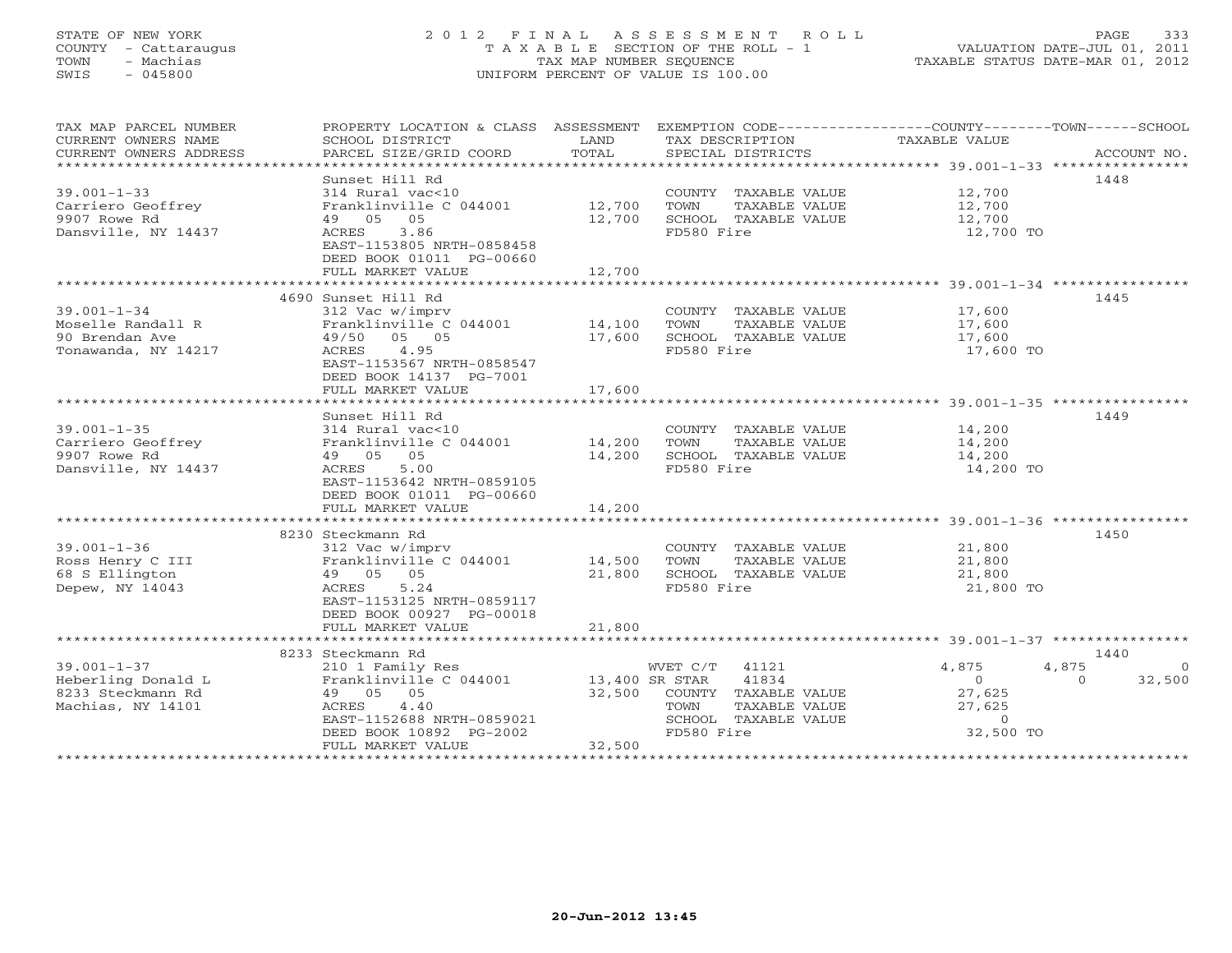# STATE OF NEW YORK 2 0 1 2 F I N A L A S S E S S M E N T R O L L PAGE 333 COUNTY - Cattaraugus T A X A B L E SECTION OF THE ROLL - 1 VALUATION DATE-JUL 01, 2011 TOWN - Machias TAX MAP NUMBER SEQUENCE TAXABLE STATUS DATE-MAR 01, 2012 SWIS - 045800 UNIFORM PERCENT OF VALUE IS 100.00UNIFORM PERCENT OF VALUE IS 100.00

| SCHOOL DISTRICT<br>TAX DESCRIPTION<br>TAXABLE VALUE<br>CURRENT OWNERS NAME<br>LAND<br>TOTAL<br>CURRENT OWNERS ADDRESS<br>PARCEL SIZE/GRID COORD<br>SPECIAL DISTRICTS<br>ACCOUNT NO.<br>******************************<br>1448<br>Sunset Hill Rd<br>$39.001 - 1 - 33$<br>12,700<br>314 Rural vac<10<br>COUNTY TAXABLE VALUE |
|----------------------------------------------------------------------------------------------------------------------------------------------------------------------------------------------------------------------------------------------------------------------------------------------------------------------------|
|                                                                                                                                                                                                                                                                                                                            |
|                                                                                                                                                                                                                                                                                                                            |
|                                                                                                                                                                                                                                                                                                                            |
|                                                                                                                                                                                                                                                                                                                            |
|                                                                                                                                                                                                                                                                                                                            |
| Carriero Geoffrey<br>Franklinville C 044001<br>12,700<br>TAXABLE VALUE<br>12,700<br>TOWN                                                                                                                                                                                                                                   |
| 12,700<br>9907 Rowe Rd<br>05<br>SCHOOL TAXABLE VALUE<br>49 05<br>12,700                                                                                                                                                                                                                                                    |
| Dansville, NY 14437<br>ACRES<br>3.86<br>FD580 Fire<br>12,700 TO                                                                                                                                                                                                                                                            |
| EAST-1153805 NRTH-0858458                                                                                                                                                                                                                                                                                                  |
| DEED BOOK 01011 PG-00660                                                                                                                                                                                                                                                                                                   |
| 12,700<br>FULL MARKET VALUE                                                                                                                                                                                                                                                                                                |
|                                                                                                                                                                                                                                                                                                                            |
| 4690 Sunset Hill Rd<br>1445                                                                                                                                                                                                                                                                                                |
| $39.001 - 1 - 34$<br>17,600<br>312 Vac w/imprv<br>COUNTY TAXABLE VALUE<br>312 Vac w/imprv<br>Franklinville C 044001             14,100                                                                                                                                                                                     |
| Moselle Randall R<br>TOWN<br>TAXABLE VALUE<br>17,600                                                                                                                                                                                                                                                                       |
| 90 Brendan Ave<br>05 05<br>17,600<br>SCHOOL TAXABLE VALUE<br>49/50<br>17,600                                                                                                                                                                                                                                               |
| FD580 Fire<br>Tonawanda, NY 14217<br>ACRES 4.95<br>17,600 TO                                                                                                                                                                                                                                                               |
| EAST-1153567 NRTH-0858547                                                                                                                                                                                                                                                                                                  |
| DEED BOOK 14137 PG-7001                                                                                                                                                                                                                                                                                                    |
| FULL MARKET VALUE<br>17,600                                                                                                                                                                                                                                                                                                |
|                                                                                                                                                                                                                                                                                                                            |
| 1449<br>Sunset Hill Rd                                                                                                                                                                                                                                                                                                     |
| $39.001 - 1 - 35$<br>14,200<br>14,200<br>314 Rural vac<10<br>COUNTY TAXABLE VALUE                                                                                                                                                                                                                                          |
| Franklinville C 044001 14,200<br>Carriero Geoffrey<br>TOWN<br>TAXABLE VALUE                                                                                                                                                                                                                                                |
| 9907 Rowe Rd<br>49 05 05<br>14,200<br>SCHOOL TAXABLE VALUE<br>14,200                                                                                                                                                                                                                                                       |
| FD580 Fire<br>14,200 TO<br>Dansville, NY 14437<br>ACRES<br>5.00                                                                                                                                                                                                                                                            |
| EAST-1153642 NRTH-0859105                                                                                                                                                                                                                                                                                                  |
| DEED BOOK 01011 PG-00660                                                                                                                                                                                                                                                                                                   |
| 14,200<br>FULL MARKET VALUE                                                                                                                                                                                                                                                                                                |
|                                                                                                                                                                                                                                                                                                                            |
| 8230 Steckmann Rd<br>1450                                                                                                                                                                                                                                                                                                  |
| $39.001 - 1 - 36$<br>21,800<br>312 Vac w/imprv<br>COUNTY TAXABLE VALUE                                                                                                                                                                                                                                                     |
| Ross Henry C III<br>Franklinville C 044001 14,500<br>21,800<br>TOWN<br>TAXABLE VALUE                                                                                                                                                                                                                                       |
| 49 05 05<br>68 S Ellington<br>21,800<br>SCHOOL TAXABLE VALUE<br>21,800                                                                                                                                                                                                                                                     |
| Depew, NY 14043<br>FD580 Fire<br>21,800 TO<br>ACRES<br>5.24                                                                                                                                                                                                                                                                |
| EAST-1153125 NRTH-0859117                                                                                                                                                                                                                                                                                                  |
| DEED BOOK 00927 PG-00018                                                                                                                                                                                                                                                                                                   |
| FULL MARKET VALUE<br>21,800                                                                                                                                                                                                                                                                                                |
|                                                                                                                                                                                                                                                                                                                            |
| 1440<br>8233 Steckmann Rd                                                                                                                                                                                                                                                                                                  |
| $39.001 - 1 - 37$<br>WVET C/T 41121<br>4,875<br>4,875<br>210 1 Family Res<br>$\overline{0}$                                                                                                                                                                                                                                |
| Franklinville C 044001 13,400 SR STAR<br>Heberling Donald L<br>41834<br>32,500<br>$\overline{0}$<br>$\Omega$                                                                                                                                                                                                               |
| 32,500 COUNTY TAXABLE VALUE<br>8233 Steckmann Rd<br>49 05 05<br>27,625                                                                                                                                                                                                                                                     |
| ACRES 4.40<br>27,625<br>Machias, NY 14101<br>TOWN<br>TAXABLE VALUE                                                                                                                                                                                                                                                         |
| EAST-1152688 NRTH-0859021<br>SCHOOL TAXABLE VALUE<br>$\overline{0}$<br>FD580 Fire                                                                                                                                                                                                                                          |
| 32,500 TO<br>DEED BOOK 10892 PG-2002<br>32,500<br>FULL MARKET VALUE                                                                                                                                                                                                                                                        |
|                                                                                                                                                                                                                                                                                                                            |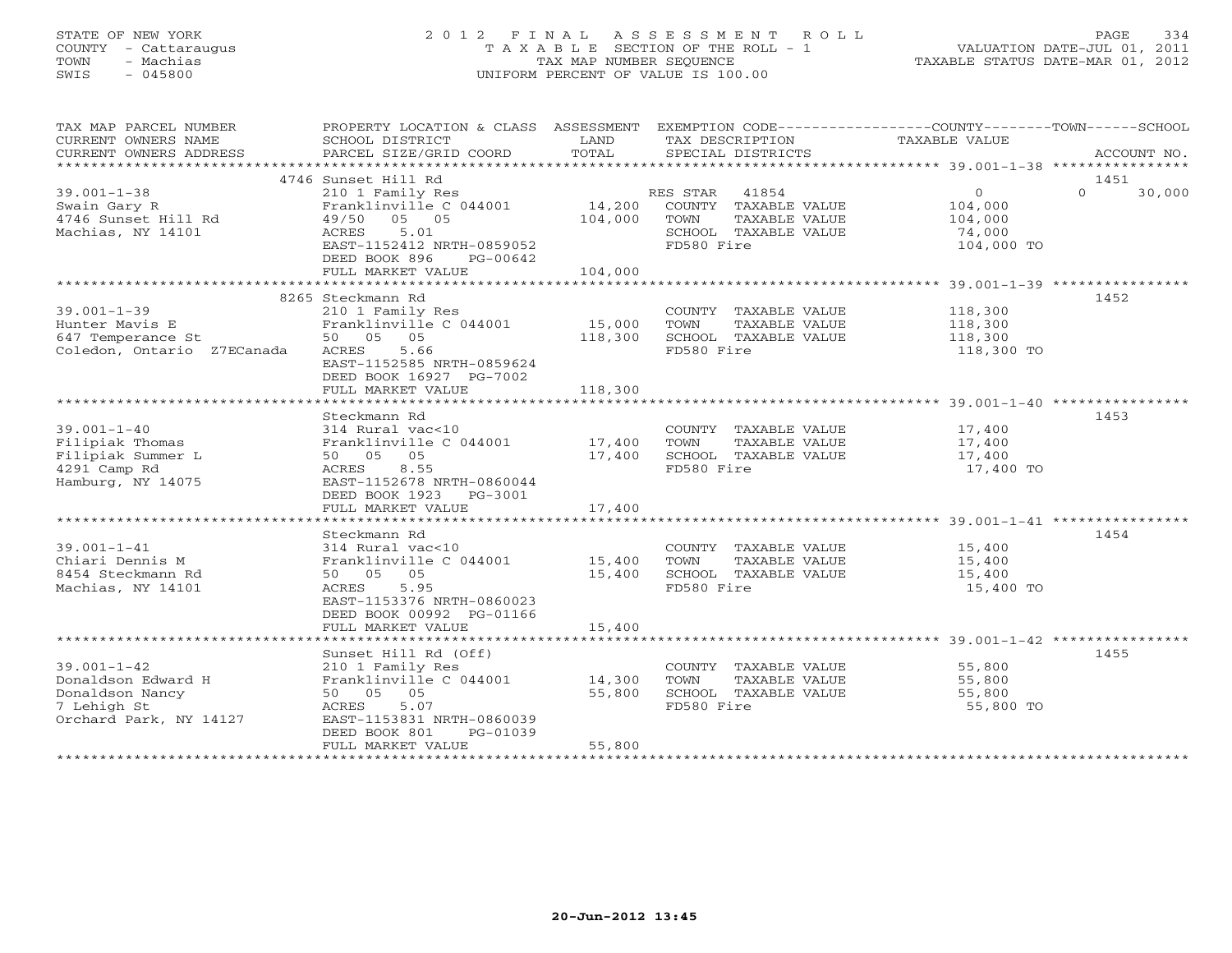# STATE OF NEW YORK 2 0 1 2 F I N A L A S S E S S M E N T R O L L PAGE 334 COUNTY - Cattaraugus T A X A B L E SECTION OF THE ROLL - 1 VALUATION DATE-JUL 01, 2011 TOWN - Machias TAX MAP NUMBER SEQUENCE TAXABLE STATUS DATE-MAR 01, 2012 SWIS - 045800 UNIFORM PERCENT OF VALUE IS 100.00UNIFORM PERCENT OF VALUE IS 100.00

| TAX MAP PARCEL NUMBER<br>CURRENT OWNERS NAME<br>CURRENT OWNERS ADDRESS<br>***********************   | PROPERTY LOCATION & CLASS ASSESSMENT<br>SCHOOL DISTRICT<br>PARCEL SIZE/GRID COORD                                                                                     | LAND<br>TOTAL                | EXEMPTION CODE-----------------COUNTY-------TOWN------SCHOOL<br>TAX DESCRIPTION<br>SPECIAL DISTRICTS     | TAXABLE VALUE                                          | ACCOUNT NO.        |
|-----------------------------------------------------------------------------------------------------|-----------------------------------------------------------------------------------------------------------------------------------------------------------------------|------------------------------|----------------------------------------------------------------------------------------------------------|--------------------------------------------------------|--------------------|
|                                                                                                     | 4746 Sunset Hill Rd                                                                                                                                                   |                              |                                                                                                          |                                                        | 1451               |
| $39.001 - 1 - 38$<br>Swain Gary R<br>4746 Sunset Hill Rd<br>Machias, NY 14101                       | 210 1 Family Res<br>Franklinville C 044001<br>49/50 05 05<br>5.01<br>ACRES<br>EAST-1152412 NRTH-0859052<br>DEED BOOK 896<br>PG-00642<br>FULL MARKET VALUE             | 14,200<br>104,000<br>104,000 | 41854<br>RES STAR<br>COUNTY TAXABLE VALUE<br>TOWN<br>TAXABLE VALUE<br>SCHOOL TAXABLE VALUE<br>FD580 Fire | $\Omega$<br>104,000<br>104,000<br>74,000<br>104,000 TO | $\Omega$<br>30,000 |
|                                                                                                     |                                                                                                                                                                       |                              |                                                                                                          |                                                        |                    |
| $39.001 - 1 - 39$<br>Hunter Mavis E<br>647 Temperance St<br>Coledon, Ontario Z7ECanada              | 8265 Steckmann Rd<br>210 1 Family Res<br>Franklinville C 044001<br>50 05 05<br>ACRES<br>5.66<br>EAST-1152585 NRTH-0859624                                             | 15,000<br>118,300            | COUNTY TAXABLE VALUE<br>TOWN<br>TAXABLE VALUE<br>SCHOOL TAXABLE VALUE<br>FD580 Fire                      | 118,300<br>118,300<br>118,300<br>118,300 TO            | 1452               |
|                                                                                                     | DEED BOOK 16927 PG-7002<br>FULL MARKET VALUE                                                                                                                          | 118,300                      |                                                                                                          |                                                        |                    |
|                                                                                                     |                                                                                                                                                                       |                              |                                                                                                          |                                                        | 1453               |
| $39.001 - 1 - 40$<br>Filipiak Thomas<br>Filipiak Summer L<br>4291 Camp Rd<br>Hamburg, NY 14075      | Steckmann Rd<br>314 Rural vac<10<br>Franklinville C 044001<br>05<br>50 05<br>8.55<br>ACRES<br>EAST-1152678 NRTH-0860044<br>DEED BOOK 1923<br>PG-3001                  | 17,400<br>17,400             | COUNTY TAXABLE VALUE<br>TAXABLE VALUE<br>TOWN<br>SCHOOL TAXABLE VALUE<br>FD580 Fire                      | 17,400<br>17,400<br>17,400<br>17,400 TO                |                    |
|                                                                                                     | FULL MARKET VALUE                                                                                                                                                     | 17,400                       |                                                                                                          |                                                        |                    |
|                                                                                                     |                                                                                                                                                                       |                              |                                                                                                          |                                                        | 1454               |
| $39.001 - 1 - 41$<br>Chiari Dennis M<br>8454 Steckmann Rd<br>Machias, NY 14101                      | Steckmann Rd<br>314 Rural vac<10<br>Franklinville C 044001<br>50 05 05<br>ACRES<br>5.95<br>EAST-1153376 NRTH-0860023<br>DEED BOOK 00992 PG-01166<br>FULL MARKET VALUE | 15,400<br>15,400<br>15,400   | COUNTY TAXABLE VALUE<br>TOWN<br>TAXABLE VALUE<br>SCHOOL TAXABLE VALUE<br>FD580 Fire                      | 15,400<br>15,400<br>15,400<br>15,400 TO                |                    |
|                                                                                                     |                                                                                                                                                                       |                              |                                                                                                          |                                                        |                    |
| $39.001 - 1 - 42$<br>Donaldson Edward H<br>Donaldson Nancy<br>7 Lehigh St<br>Orchard Park, NY 14127 | Sunset Hill Rd (Off)<br>210 1 Family Res<br>Franklinville C 044001<br>50 05 05<br>5.07<br>ACRES<br>EAST-1153831 NRTH-0860039<br>DEED BOOK 801<br>PG-01039             | 14,300<br>55,800             | COUNTY TAXABLE VALUE<br>TOWN<br>TAXABLE VALUE<br>SCHOOL TAXABLE VALUE<br>FD580 Fire                      | 55,800<br>55,800<br>55,800<br>55,800 TO                | 1455               |
|                                                                                                     | FULL MARKET VALUE                                                                                                                                                     | 55,800                       |                                                                                                          |                                                        |                    |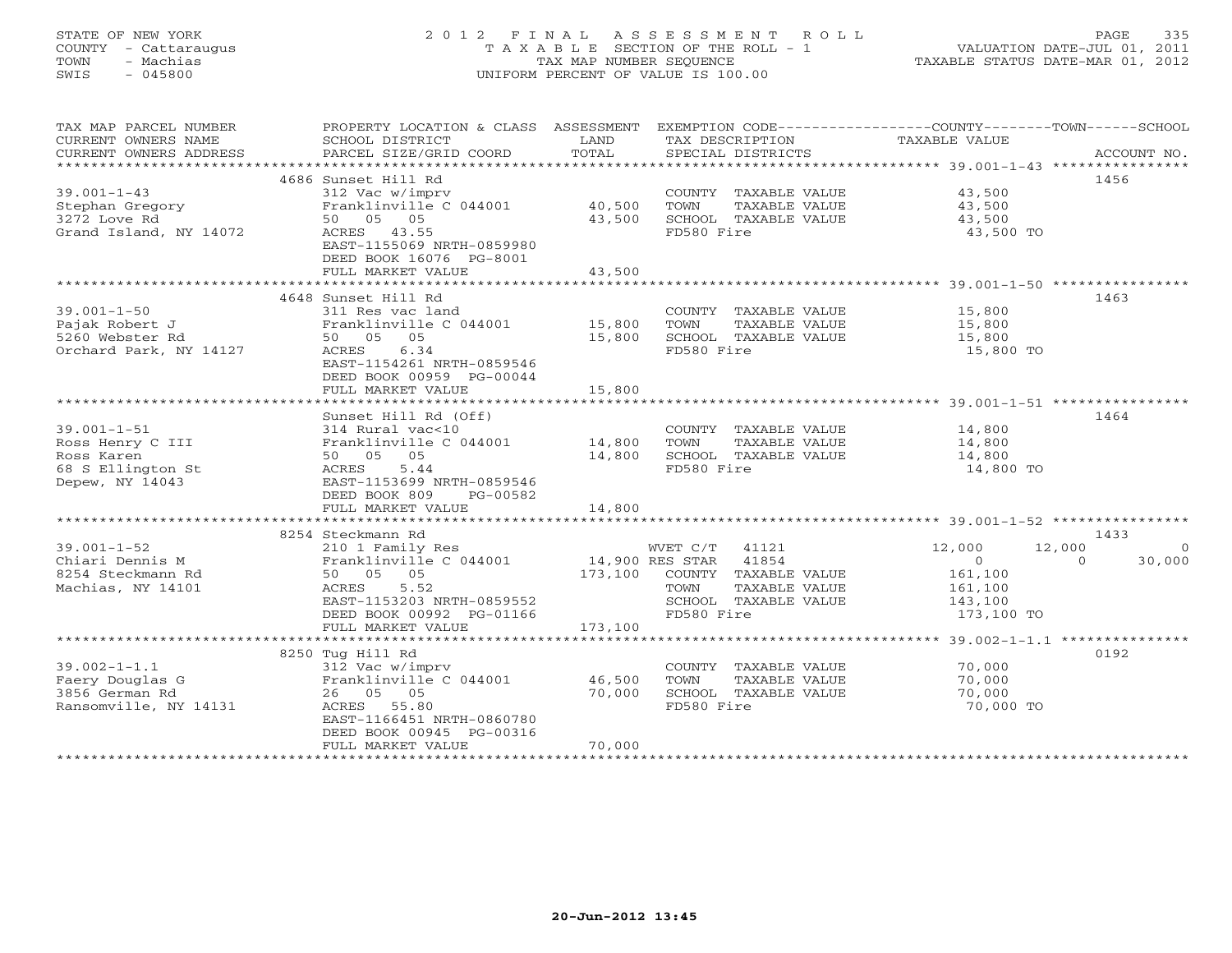# STATE OF NEW YORK 2 0 1 2 F I N A L A S S E S S M E N T R O L L PAGE 335 COUNTY - Cattaraugus T A X A B L E SECTION OF THE ROLL - 1 VALUATION DATE-JUL 01, 2011 TOWN - Machias TAX MAP NUMBER SEQUENCE TAXABLE STATUS DATE-MAR 01, 2012 SWIS - 045800 UNIFORM PERCENT OF VALUE IS 100.00UNIFORM PERCENT OF VALUE IS 100.00

| TAX MAP PARCEL NUMBER<br>CURRENT OWNERS NAME<br>CURRENT OWNERS ADDRESS | PROPERTY LOCATION & CLASS ASSESSMENT<br>SCHOOL DISTRICT<br>PARCEL SIZE/GRID COORD | LAND<br>TOTAL    | TAX DESCRIPTION<br>SPECIAL DISTRICTS          | EXEMPTION CODE-----------------COUNTY-------TOWN-----SCHOOL<br>TAXABLE VALUE | ACCOUNT NO.        |
|------------------------------------------------------------------------|-----------------------------------------------------------------------------------|------------------|-----------------------------------------------|------------------------------------------------------------------------------|--------------------|
|                                                                        |                                                                                   |                  |                                               |                                                                              |                    |
| $39.001 - 1 - 43$                                                      | 4686 Sunset Hill Rd<br>312 Vac w/imprv                                            |                  | COUNTY TAXABLE VALUE                          | 43,500                                                                       | 1456               |
| Stephan Gregory<br>3272 Love Rd                                        | Franklinville C 044001<br>50 05 05                                                | 40,500<br>43,500 | TOWN<br>TAXABLE VALUE<br>SCHOOL TAXABLE VALUE | 43,500<br>43,500                                                             |                    |
| Grand Island, NY 14072                                                 | ACRES 43.55<br>EAST-1155069 NRTH-0859980<br>DEED BOOK 16076 PG-8001               |                  | FD580 Fire                                    | 43,500 TO                                                                    |                    |
|                                                                        | FULL MARKET VALUE                                                                 | 43,500           |                                               |                                                                              |                    |
|                                                                        |                                                                                   |                  |                                               |                                                                              |                    |
| $39.001 - 1 - 50$                                                      | 4648 Sunset Hill Rd                                                               |                  |                                               |                                                                              | 1463               |
| Pajak Robert J                                                         | 311 Res vac land<br>Franklinville C 044001                                        | 15,800           | COUNTY TAXABLE VALUE<br>TOWN<br>TAXABLE VALUE | 15,800<br>15,800                                                             |                    |
| 5260 Webster Rd                                                        | 50 05 05                                                                          | 15,800           | SCHOOL TAXABLE VALUE                          | 15,800                                                                       |                    |
| Orchard Park, NY 14127                                                 | ACRES<br>6.34                                                                     |                  | FD580 Fire                                    | 15,800 TO                                                                    |                    |
|                                                                        | EAST-1154261 NRTH-0859546<br>DEED BOOK 00959 PG-00044                             |                  |                                               |                                                                              |                    |
|                                                                        | FULL MARKET VALUE                                                                 | 15,800           |                                               |                                                                              |                    |
|                                                                        | Sunset Hill Rd (Off)                                                              |                  |                                               |                                                                              | 1464               |
| $39.001 - 1 - 51$                                                      | 314 Rural vac<10                                                                  |                  | COUNTY TAXABLE VALUE                          | 14,800                                                                       |                    |
| Ross Henry C III                                                       | Franklinville C 044001                                                            | 14,800           | TOWN<br>TAXABLE VALUE                         | 14,800                                                                       |                    |
| Ross Karen                                                             | 50 05 05                                                                          | 14,800           | SCHOOL TAXABLE VALUE                          | 14,800                                                                       |                    |
| 68 S Ellington St                                                      | ACRES<br>5.44                                                                     |                  | FD580 Fire                                    | 14,800 TO                                                                    |                    |
| Depew, NY 14043                                                        | EAST-1153699 NRTH-0859546                                                         |                  |                                               |                                                                              |                    |
|                                                                        | DEED BOOK 809<br>PG-00582                                                         |                  |                                               |                                                                              |                    |
|                                                                        | FULL MARKET VALUE                                                                 | 14,800           |                                               |                                                                              |                    |
|                                                                        |                                                                                   |                  |                                               |                                                                              |                    |
|                                                                        | 8254 Steckmann Rd                                                                 |                  |                                               |                                                                              | 1433               |
| $39.001 - 1 - 52$                                                      | 210 1 Family Res                                                                  |                  | WVET C/T 41121                                | 12,000<br>12,000                                                             | $\circ$            |
| Chiari Dennis M                                                        | Franklinville C 044001                                                            |                  | 14,900 RES STAR 41854                         | $\overline{0}$                                                               | 30,000<br>$\Omega$ |
| 8254 Steckmann Rd                                                      | 50 05 05                                                                          | 173,100          | COUNTY TAXABLE VALUE                          | 161,100                                                                      |                    |
| Machias, NY 14101                                                      | ACRES<br>5.52                                                                     |                  | TOWN<br>TAXABLE VALUE                         | 161,100                                                                      |                    |
|                                                                        | EAST-1153203 NRTH-0859552                                                         |                  | SCHOOL TAXABLE VALUE<br>FD580 Fire            | 143,100                                                                      |                    |
|                                                                        | DEED BOOK 00992 PG-01166<br>FULL MARKET VALUE                                     | 173,100          |                                               | 173,100 TO                                                                   |                    |
|                                                                        |                                                                                   |                  |                                               |                                                                              |                    |
|                                                                        | 8250 Tug Hill Rd                                                                  |                  |                                               |                                                                              | 0192               |
| $39.002 - 1 - 1.1$                                                     | 312 Vac w/imprv                                                                   |                  | COUNTY TAXABLE VALUE                          | 70,000                                                                       |                    |
| Faery Douglas G                                                        | Franklinville C 044001                                                            | 46,500           | TOWN<br>TAXABLE VALUE                         | 70,000                                                                       |                    |
| 3856 German Rd                                                         | 26 05 05                                                                          | 70,000           | SCHOOL TAXABLE VALUE                          | 70,000                                                                       |                    |
| Ransomville, NY 14131                                                  | ACRES 55.80                                                                       |                  | FD580 Fire                                    | 70,000 TO                                                                    |                    |
|                                                                        | EAST-1166451 NRTH-0860780                                                         |                  |                                               |                                                                              |                    |
|                                                                        | DEED BOOK 00945 PG-00316                                                          |                  |                                               |                                                                              |                    |
|                                                                        | FULL MARKET VALUE                                                                 | 70,000           |                                               |                                                                              |                    |
|                                                                        |                                                                                   |                  |                                               |                                                                              |                    |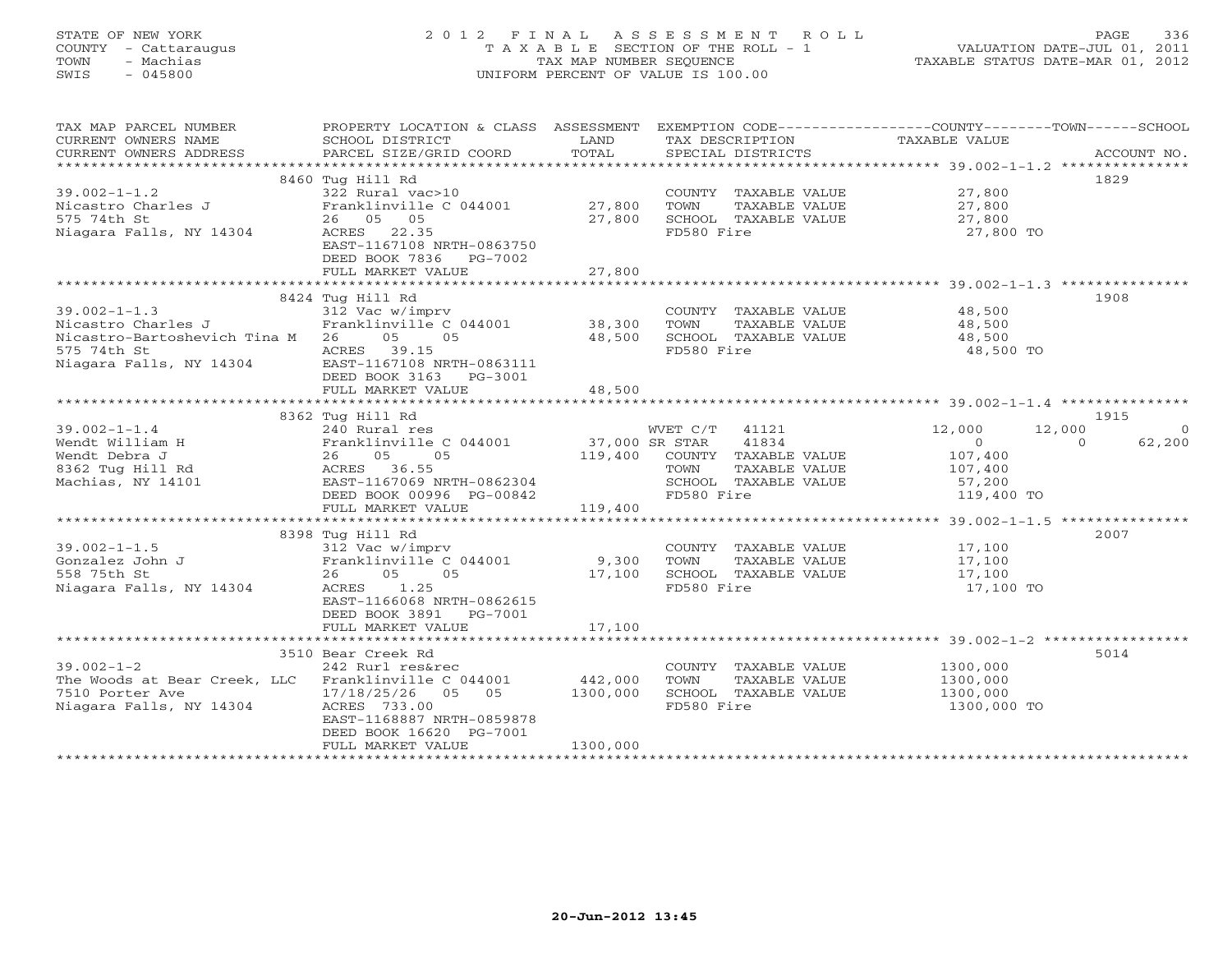# STATE OF NEW YORK 2 0 1 2 F I N A L A S S E S S M E N T R O L L PAGE 336 COUNTY - Cattaraugus T A X A B L E SECTION OF THE ROLL - 1 VALUATION DATE-JUL 01, 2011 TOWN - Machias TAX MAP NUMBER SEQUENCE TAXABLE STATUS DATE-MAR 01, 2012 SWIS - 045800 UNIFORM PERCENT OF VALUE IS 100.00UNIFORM PERCENT OF VALUE IS 100.00

| TAX MAP PARCEL NUMBER<br>CURRENT OWNERS NAME<br>CURRENT OWNERS ADDRESS | PROPERTY LOCATION & CLASS ASSESSMENT EXEMPTION CODE---------------COUNTY-------TOWN-----SCHOOL<br>SCHOOL DISTRICT<br>PARCEL SIZE/GRID COORD | LAND<br>TOTAL | TAX DESCRIPTION TAXABLE VALUE SPECIAL DISTRICTS                              |                    | ACCOUNT NO.        |
|------------------------------------------------------------------------|---------------------------------------------------------------------------------------------------------------------------------------------|---------------|------------------------------------------------------------------------------|--------------------|--------------------|
|                                                                        |                                                                                                                                             |               |                                                                              |                    |                    |
| $39.002 - 1 - 1.2$<br>Nicastro Charles J<br>575 74th St                | 8460 Tug Hill Rd<br>322 Rural vac>10<br>Franklinville C 044001 27,800<br>26 05 05                                                           | 27,800        | COUNTY TAXABLE VALUE 27,800<br>TOWN<br>TAXABLE VALUE<br>SCHOOL TAXABLE VALUE | 27,800<br>27,800   | 1829               |
| Niagara Falls, NY 14304                                                | ACRES 22.35<br>EAST-1167108 NRTH-0863750<br>DEED BOOK 7836 PG-7002                                                                          |               | FD580 Fire                                                                   | 27,800 TO          |                    |
|                                                                        | FULL MARKET VALUE                                                                                                                           | 27,800        |                                                                              |                    |                    |
|                                                                        |                                                                                                                                             |               |                                                                              |                    |                    |
|                                                                        | 8424 Tug Hill Rd                                                                                                                            |               |                                                                              |                    | 1908               |
| $39.002 - 1 - 1.3$                                                     | 312 Vac w/imprv<br>$312$ Vac w/impiv<br>Franklinville C 044001 38,300<br>26 15 18 18,500                                                    |               | COUNTY TAXABLE VALUE 48,500                                                  |                    |                    |
| Nicastro Charles J                                                     |                                                                                                                                             |               | TOWN<br>TAXABLE VALUE<br>SCHOOL TAXABLE VALUE                                | 48,500<br>48,500   |                    |
| Nicastro-Bartoshevich Tina M 26 05 05<br>575 74th St                   | ACRES 39.15                                                                                                                                 |               | FD580 Fire                                                                   | 48,500 TO          |                    |
| Niagara Falls, NY 14304 EAST-1167108 NRTH-0863111                      | DEED BOOK 3163 PG-3001                                                                                                                      |               |                                                                              |                    |                    |
|                                                                        | FULL MARKET VALUE                                                                                                                           | 48,500        |                                                                              |                    |                    |
|                                                                        |                                                                                                                                             |               |                                                                              |                    |                    |
|                                                                        | 8362 Tug Hill Rd                                                                                                                            |               |                                                                              |                    | 1915               |
| $39.002 - 1 - 1.4$                                                     | 240 Rural res<br>$240$ Aurai 185<br>Franklinville C 044001 37,000 SR STAR                                                                   |               | WVET C/T 41121                                                               | 12,000<br>12,000   | $\overline{0}$     |
|                                                                        | 26 05<br>05                                                                                                                                 |               | 41834                                                                        | $\overline{0}$     | $\Omega$<br>62,200 |
|                                                                        | ACRES 36.55                                                                                                                                 |               | 119,400 COUNTY TAXABLE VALUE<br>TAXABLE VALUE<br>TOWN                        | 107,400<br>107,400 |                    |
|                                                                        | EAST-1167069 NRTH-0862304                                                                                                                   |               | SCHOOL TAXABLE VALUE                                                         | 57,200             |                    |
|                                                                        | DEED BOOK 00996 PG-00842                                                                                                                    |               | FD580 Fire                                                                   | 119,400 TO         |                    |
| u. Debra J<br>8362 Tug Hill Rd<br>Machias, NY 14101 F                  | FULL MARKET VALUE                                                                                                                           | 119,400       |                                                                              |                    |                    |
|                                                                        |                                                                                                                                             |               |                                                                              |                    |                    |
|                                                                        | 8398 Tug Hill Rd                                                                                                                            |               |                                                                              |                    | 2007               |
| $39.002 - 1 - 1.5$                                                     | 312 Vac w/imprv                                                                                                                             |               | COUNTY TAXABLE VALUE 17,100                                                  |                    |                    |
| Gonzalez John J                                                        | Franklinville C 044001 9,300                                                                                                                |               | TOWN<br>TAXABLE VALUE                                                        | 17,100             |                    |
| 558 75th St                                                            | 26 05 05                                                                                                                                    | 17,100        | SCHOOL TAXABLE VALUE                                                         | 17,100             |                    |
| Niagara Falls, NY 14304                                                | ACRES 1.25<br>EAST-1166068 NRTH-0862615<br>DEED BOOK 3891 PG-7001                                                                           |               | FD580 Fire                                                                   | 17,100 TO          |                    |
|                                                                        | FULL MARKET VALUE                                                                                                                           | 17,100        |                                                                              |                    |                    |
|                                                                        |                                                                                                                                             |               |                                                                              |                    |                    |
|                                                                        | 3510 Bear Creek Rd                                                                                                                          |               |                                                                              |                    | 5014               |
| $39.002 - 1 - 2$                                                       | 242 Rurl res&rec                                                                                                                            |               | COUNTY TAXABLE VALUE                                                         | 1300,000           |                    |
| The Woods at Bear Creek, LLC Franklinville C 044001                    |                                                                                                                                             | 442,000       | TOWN<br>TAXABLE VALUE                                                        | 1300,000           |                    |
| 7510 Porter Ave                                                        | 17/18/25/26 05 05                                                                                                                           | 1300,000      | SCHOOL TAXABLE VALUE                                                         | 1300,000           |                    |
| Niagara Falls, NY 14304                                                | ACRES 733.00<br>EAST-1168887 NRTH-0859878<br>DEED BOOK 16620 PG-7001                                                                        |               | FD580 Fire                                                                   | 1300,000 TO        |                    |
|                                                                        | FULL MARKET VALUE                                                                                                                           | 1300,000      |                                                                              |                    |                    |
|                                                                        |                                                                                                                                             |               |                                                                              |                    |                    |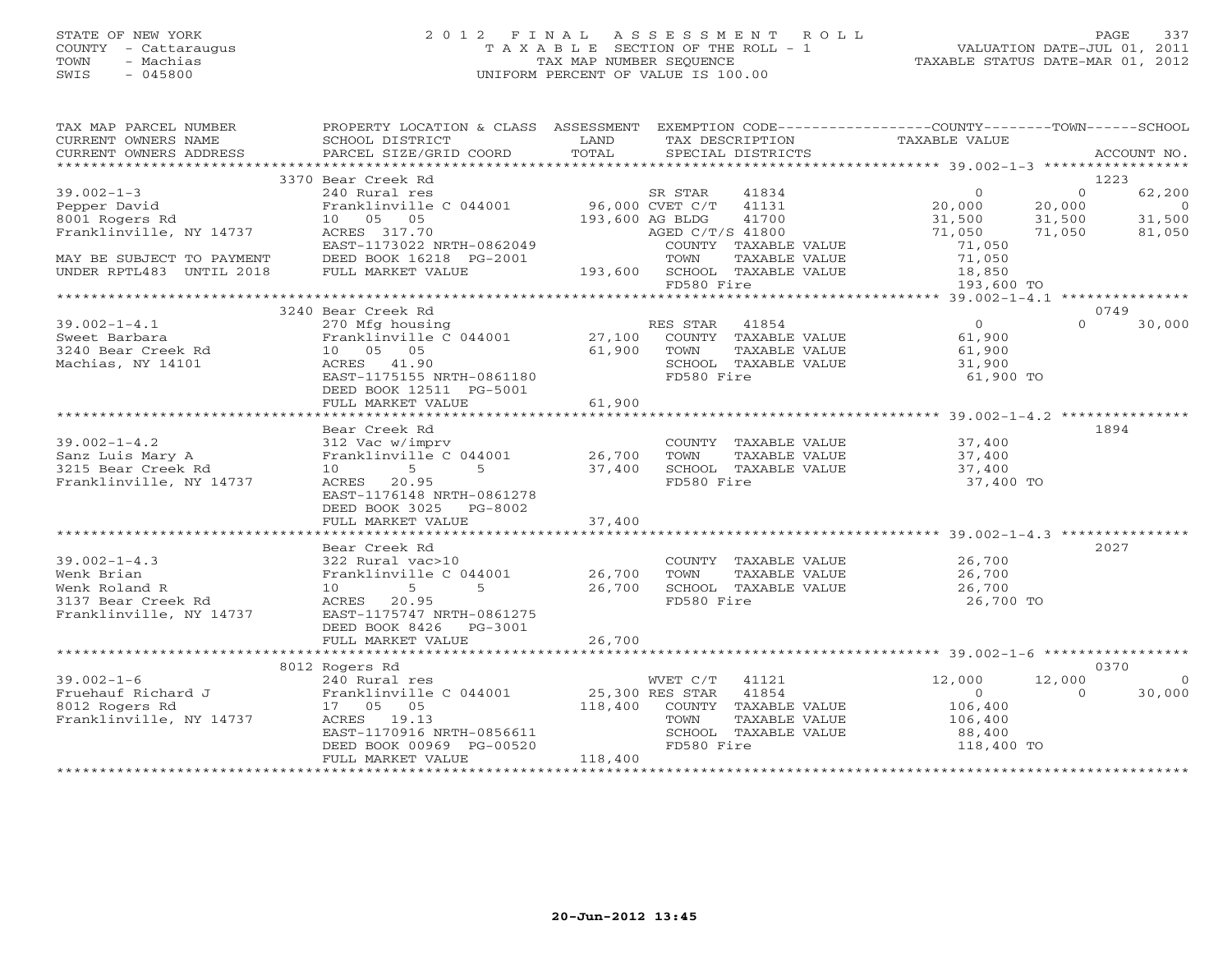# STATE OF NEW YORK 2 0 1 2 F I N A L A S S E S S M E N T R O L L PAGE 337 COUNTY - Cattaraugus T A X A B L E SECTION OF THE ROLL - 1 VALUATION DATE-JUL 01, 2011 TOWN - Machias TAX MAP NUMBER SEQUENCE TAXABLE STATUS DATE-MAR 01, 2012 SWIS - 045800 UNIFORM PERCENT OF VALUE IS 100.00UNIFORM PERCENT OF VALUE IS 100.00

| TAX MAP PARCEL NUMBER<br>CURRENT OWNERS NAME<br>CURRENT OWNERS ADDRESS | PROPERTY LOCATION & CLASS ASSESSMENT EXEMPTION CODE---------------COUNTY-------TOWN------SCHOOL<br>SCHOOL DISTRICT<br>PARCEL SIZE/GRID COORD | LAND<br>TOTAL | TAX DESCRIPTION<br>SPECIAL DISTRICTS  | TAXABLE VALUE                        |          | ACCOUNT NO. |
|------------------------------------------------------------------------|----------------------------------------------------------------------------------------------------------------------------------------------|---------------|---------------------------------------|--------------------------------------|----------|-------------|
|                                                                        |                                                                                                                                              |               |                                       |                                      |          |             |
|                                                                        | 3370 Bear Creek Rd                                                                                                                           |               |                                       |                                      | 1223     |             |
| $39.002 - 1 - 3$                                                       | 240 Rural res                                                                                                                                |               | SR STAR<br>41834                      | $\Omega$                             | $\Omega$ | 62,200      |
| Pepper David                                                           | Franklinville C 044001 96,000 CVET C/T 41131                                                                                                 |               |                                       | 20,000                               | 20,000   | $\sim$ 0    |
| 8001 Rogers Rd                                                         | 10  05  05                                                                                                                                   |               | 193,600 AG BLDG<br>41700              | 31,500                               | 31,500   | 31,500      |
| Franklinville, NY 14737                                                | ACRES 317.70                                                                                                                                 |               | AGED C/T/S 41800                      | 71,050                               | 71,050   | 81,050      |
|                                                                        | EAST-1173022 NRTH-0862049                                                                                                                    |               | COUNTY TAXABLE VALUE                  | 71,050                               |          |             |
| MAY BE SUBJECT TO PAYMENT                                              | DEED BOOK 16218 PG-2001                                                                                                                      |               | TOWN<br>TAXABLE VALUE                 | 71,050                               |          |             |
| UNDER RPTL483 UNTIL 2018                                               | FULL MARKET VALUE                                                                                                                            |               | 193,600 SCHOOL TAXABLE VALUE          | 18,850                               |          |             |
|                                                                        |                                                                                                                                              |               | FD580 Fire                            | 193,600 TO                           |          |             |
|                                                                        | 3240 Bear Creek Rd                                                                                                                           |               |                                       |                                      | 0749     |             |
| $39.002 - 1 - 4.1$                                                     | 270 Mfg housing                                                                                                                              |               |                                       | $\overline{0}$                       | $\Omega$ | 30,000      |
|                                                                        | Franklinville $C$ 044001 27,100                                                                                                              |               | RES STAR 41854                        |                                      |          |             |
| Sweet Barbara<br>3240 Bear Creek Rd                                    | 10 05 05                                                                                                                                     | 61,900        | COUNTY TAXABLE VALUE<br>TOWN          | 61,900                               |          |             |
| Machias, NY 14101                                                      |                                                                                                                                              |               | TAXABLE VALUE<br>SCHOOL TAXABLE VALUE | 61,900                               |          |             |
|                                                                        | ACRES 41.90                                                                                                                                  |               |                                       | 31,900                               |          |             |
|                                                                        | EAST-1175155 NRTH-0861180                                                                                                                    |               | FD580 Fire                            | 61,900 TO                            |          |             |
|                                                                        | DEED BOOK 12511 PG-5001                                                                                                                      | 61,900        |                                       |                                      |          |             |
|                                                                        | FULL MARKET VALUE                                                                                                                            |               |                                       |                                      |          |             |
|                                                                        | Bear Creek Rd                                                                                                                                |               |                                       |                                      | 1894     |             |
| $39.002 - 1 - 4.2$                                                     | 312 Vac w/imprv                                                                                                                              |               | COUNTY TAXABLE VALUE                  |                                      |          |             |
| Sanz Luis Mary A                                                       | Franklinville C 044001                                                                                                                       | 26,700        | TOWN<br>TAXABLE VALUE                 | 37,400<br>37,400                     |          |             |
| 3215 Bear Creek Rd                                                     | $10 \qquad \qquad 5$<br>$5^{\circ}$                                                                                                          | 37,400        | SCHOOL TAXABLE VALUE                  | 37,400                               |          |             |
| Franklinville, NY 14737                                                | ACRES 20.95                                                                                                                                  |               | FD580 Fire                            | 37,400 TO                            |          |             |
|                                                                        | EAST-1176148 NRTH-0861278                                                                                                                    |               |                                       |                                      |          |             |
|                                                                        | DEED BOOK 3025 PG-8002                                                                                                                       |               |                                       |                                      |          |             |
|                                                                        | FULL MARKET VALUE                                                                                                                            | 37,400        |                                       |                                      |          |             |
|                                                                        |                                                                                                                                              |               |                                       |                                      |          |             |
|                                                                        | Bear Creek Rd                                                                                                                                |               |                                       |                                      |          | 2027        |
| $39.002 - 1 - 4.3$                                                     | 322 Rural vac>10                                                                                                                             |               | COUNTY TAXABLE VALUE 26,700           |                                      |          |             |
| Wenk Brian                                                             | Franklinville C 044001 26,700                                                                                                                |               | TOWN<br>TAXABLE VALUE                 |                                      |          |             |
| Wenk Roland R                                                          | 5<br>$5 -$<br>10                                                                                                                             | 26,700        | SCHOOL TAXABLE VALUE                  | 26,700<br>26,700                     |          |             |
| 3137 Bear Creek Rd                                                     | ACRES 20.95                                                                                                                                  |               | FD580 Fire                            | 26,700 TO                            |          |             |
| Franklinville, NY 14737                                                | EAST-1175747 NRTH-0861275                                                                                                                    |               |                                       |                                      |          |             |
|                                                                        | DEED BOOK 8426    PG-3001                                                                                                                    |               |                                       |                                      |          |             |
|                                                                        | FULL MARKET VALUE                                                                                                                            | 26,700        |                                       |                                      |          |             |
|                                                                        |                                                                                                                                              |               |                                       |                                      |          |             |
|                                                                        | 8012 Rogers Rd                                                                                                                               |               |                                       |                                      |          | 0370        |
| $39.002 - 1 - 6$                                                       |                                                                                                                                              |               | 41121                                 | 12,000                               | 12,000   | $\Omega$    |
| Fruehauf Richard J<br>8012 Rogers Rd                                   |                                                                                                                                              |               |                                       | $\overline{0}$                       | $\Omega$ | 30,000      |
|                                                                        | 17  05  05                                                                                                                                   |               | 118,400 COUNTY TAXABLE VALUE          | 106,400                              |          |             |
| Franklinville, NY 14737                                                | ACRES 19.13                                                                                                                                  |               | TOWN<br>TAXABLE VALUE                 | 106,400                              |          |             |
|                                                                        | EAST-1170916 NRTH-0856611                                                                                                                    |               | SCHOOL TAXABLE VALUE                  | 88,400                               |          |             |
|                                                                        | DEED BOOK 00969 PG-00520                                                                                                                     |               | FD580 Fire                            | 118,400 TO                           |          |             |
|                                                                        | FULL MARKET VALUE                                                                                                                            | 118,400       |                                       |                                      |          |             |
|                                                                        |                                                                                                                                              |               |                                       | ************************************ |          |             |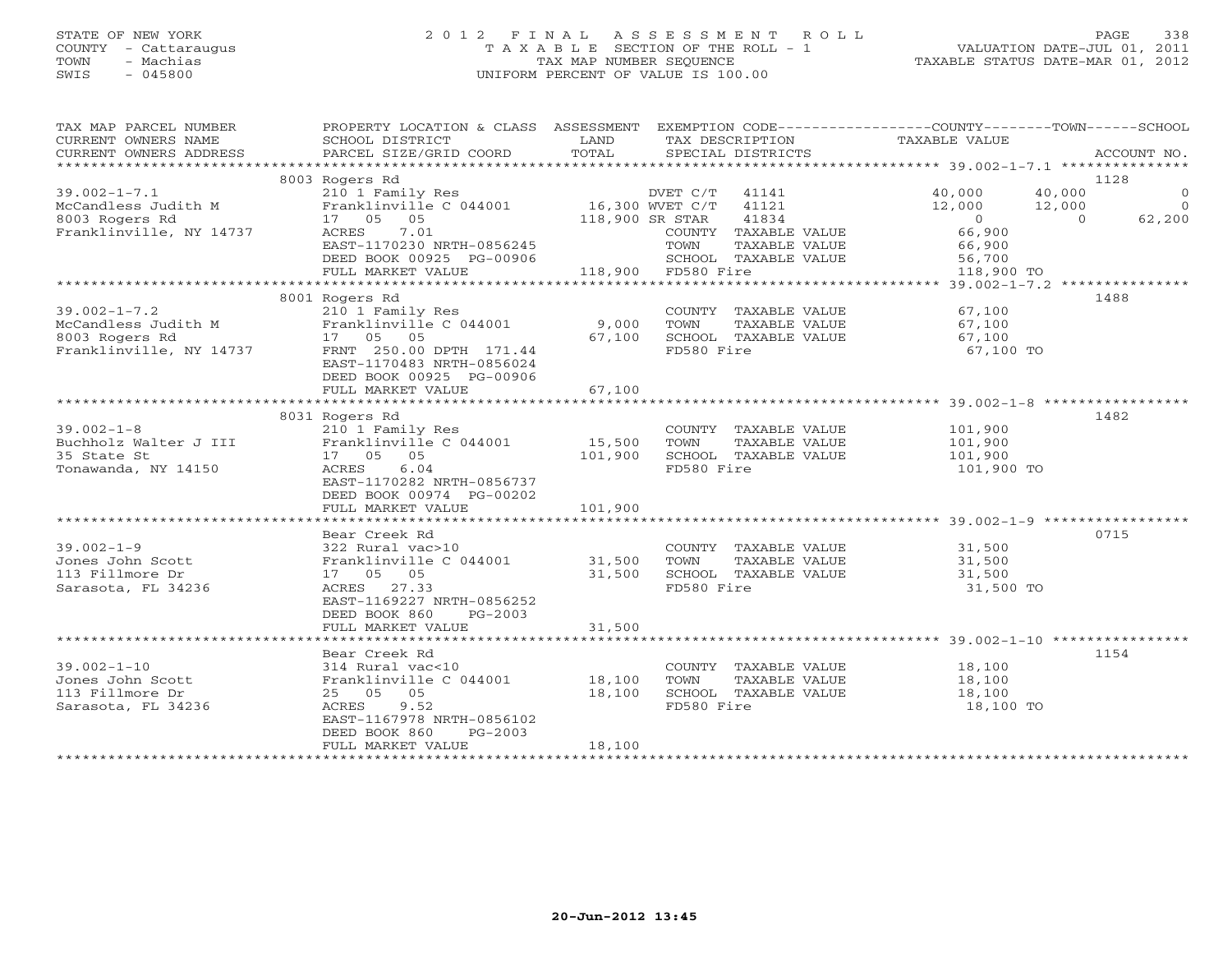# STATE OF NEW YORK 2 0 1 2 F I N A L A S S E S S M E N T R O L L PAGE 338 COUNTY - Cattaraugus T A X A B L E SECTION OF THE ROLL - 1 VALUATION DATE-JUL 01, 2011 TOWN - Machias TAX MAP NUMBER SEQUENCE TAXABLE STATUS DATE-MAR 01, 2012 SWIS - 045800 UNIFORM PERCENT OF VALUE IS 100.00UNIFORM PERCENT OF VALUE IS 100.00

| TAX MAP PARCEL NUMBER<br>CURRENT OWNERS NAME | PROPERTY LOCATION & CLASS ASSESSMENT EXEMPTION CODE----------------COUNTY-------TOWN------SCHOOL<br>SCHOOL DISTRICT                                         | LAND            | TAX DESCRIPTION       | TAXABLE VALUE            |                                            |
|----------------------------------------------|-------------------------------------------------------------------------------------------------------------------------------------------------------------|-----------------|-----------------------|--------------------------|--------------------------------------------|
| CURRENT OWNERS ADDRESS                       | PARCEL SIZE/GRID COORD                                                                                                                                      | TOTAL           | SPECIAL DISTRICTS     |                          | ACCOUNT NO.                                |
|                                              |                                                                                                                                                             |                 |                       |                          |                                            |
| $39.002 - 1 - 7.1$                           | 8003 Rogers Rd                                                                                                                                              |                 |                       | 40,000                   | 1128<br>40,000                             |
|                                              | 210 1 Family Res<br>Franklinville C 044001 16,300 WVET C/T 41121                                                                                            |                 | DVET C/T 41141        |                          | $\overline{0}$<br>$\overline{0}$<br>12,000 |
| McCandless Judith M<br>8003 Rogers Rd        |                                                                                                                                                             | 118,900 SR STAR | 41834                 | 12,000<br>$\overline{0}$ | 62,200<br>$\sim$ 0                         |
| Franklinville, NY 14737                      | ACRES<br>7.01                                                                                                                                               |                 | COUNTY TAXABLE VALUE  | 66,900                   |                                            |
|                                              | EAST-1170230 NRTH-0856245                                                                                                                                   |                 | TOWN<br>TAXABLE VALUE | 66,900                   |                                            |
|                                              | DEED BOOK 00925 PG-00906                                                                                                                                    |                 | SCHOOL TAXABLE VALUE  | 56,700                   |                                            |
|                                              | FULL MARKET VALUE                                                                                                                                           |                 | 118,900 FD580 Fire    | 118,900 TO               |                                            |
|                                              |                                                                                                                                                             |                 |                       |                          |                                            |
|                                              | 8001 Rogers Rd                                                                                                                                              |                 |                       |                          | 1488                                       |
|                                              |                                                                                                                                                             |                 | COUNTY TAXABLE VALUE  | 67,100                   |                                            |
|                                              |                                                                                                                                                             | 9,000           | TOWN<br>TAXABLE VALUE | 67,100                   |                                            |
|                                              |                                                                                                                                                             | 67,100          | SCHOOL TAXABLE VALUE  | 67,100                   |                                            |
|                                              | McCandless Judith M<br>Example 210 1 Family Res<br>Franklinville C 044001<br>Franklinville Mars 17 05 05<br>Franklinville, NY 14737 FRNT 250.00 DPTH 171.44 |                 | FD580 Fire            | 67,100 TO                |                                            |
|                                              | EAST-1170483 NRTH-0856024                                                                                                                                   |                 |                       |                          |                                            |
|                                              | DEED BOOK 00925 PG-00906                                                                                                                                    |                 |                       |                          |                                            |
|                                              | FULL MARKET VALUE                                                                                                                                           | 67,100          |                       |                          |                                            |
|                                              |                                                                                                                                                             |                 |                       |                          |                                            |
|                                              | 8031 Rogers Rd                                                                                                                                              |                 |                       |                          | 1482                                       |
| $39.002 - 1 - 8$                             |                                                                                                                                                             |                 | COUNTY TAXABLE VALUE  | 101,900                  |                                            |
| Buchholz Walter J III                        | 210 1 Family Res<br>Franklinville C 044001                                                                                                                  | 15,500          | TOWN<br>TAXABLE VALUE | 101,900                  |                                            |
| 35 State St                                  | 17  05  05                                                                                                                                                  | 101,900         | SCHOOL TAXABLE VALUE  | 101,900                  |                                            |
| Tonawanda, NY 14150                          | 6.04<br>ACRES                                                                                                                                               |                 | FD580 Fire            | 101,900 TO               |                                            |
|                                              | EAST-1170282 NRTH-0856737                                                                                                                                   |                 |                       |                          |                                            |
|                                              | DEED BOOK 00974 PG-00202                                                                                                                                    |                 |                       |                          |                                            |
|                                              | FULL MARKET VALUE                                                                                                                                           | 101,900         |                       |                          |                                            |
|                                              |                                                                                                                                                             |                 |                       |                          |                                            |
|                                              | Bear Creek Rd                                                                                                                                               |                 |                       |                          | 0715                                       |
| $39.002 - 1 - 9$                             | 322 Rural vac>10                                                                                                                                            |                 | COUNTY TAXABLE VALUE  | 31,500                   |                                            |
| Jones John Scott                             | Franklinville C 044001                                                                                                                                      | 31,500          | TOWN<br>TAXABLE VALUE | 31,500                   |                                            |
| 113 Fillmore Dr                              | 17  05  05                                                                                                                                                  | 31,500          | SCHOOL TAXABLE VALUE  | 31,500                   |                                            |
| Sarasota, FL 34236                           | ACRES 27.33                                                                                                                                                 |                 | FD580 Fire            | 31,500 TO                |                                            |
|                                              | EAST-1169227 NRTH-0856252                                                                                                                                   |                 |                       |                          |                                            |
|                                              | DEED BOOK 860<br>PG-2003                                                                                                                                    |                 |                       |                          |                                            |
|                                              | FULL MARKET VALUE                                                                                                                                           | 31,500          |                       |                          |                                            |
|                                              |                                                                                                                                                             |                 |                       |                          |                                            |
|                                              | Bear Creek Rd                                                                                                                                               |                 |                       |                          | 1154                                       |
| $39.002 - 1 - 10$                            | 314 Rural vac<10                                                                                                                                            |                 | COUNTY TAXABLE VALUE  | 18,100                   |                                            |
| Jones John Scott                             | Franklinville C 044001                                                                                                                                      | 18,100          | TOWN<br>TAXABLE VALUE | 18,100                   |                                            |
| 113 Fillmore Dr                              | 25 05 05                                                                                                                                                    | 18,100          | SCHOOL TAXABLE VALUE  | 18,100                   |                                            |
| Sarasota, FL 34236                           | ACRES<br>9.52                                                                                                                                               |                 | FD580 Fire            | 18,100 TO                |                                            |
|                                              | EAST-1167978 NRTH-0856102<br>PG-2003                                                                                                                        |                 |                       |                          |                                            |
|                                              | DEED BOOK 860<br>FULL MARKET VALUE                                                                                                                          | 18,100          |                       |                          |                                            |
| *************************                    |                                                                                                                                                             |                 |                       |                          |                                            |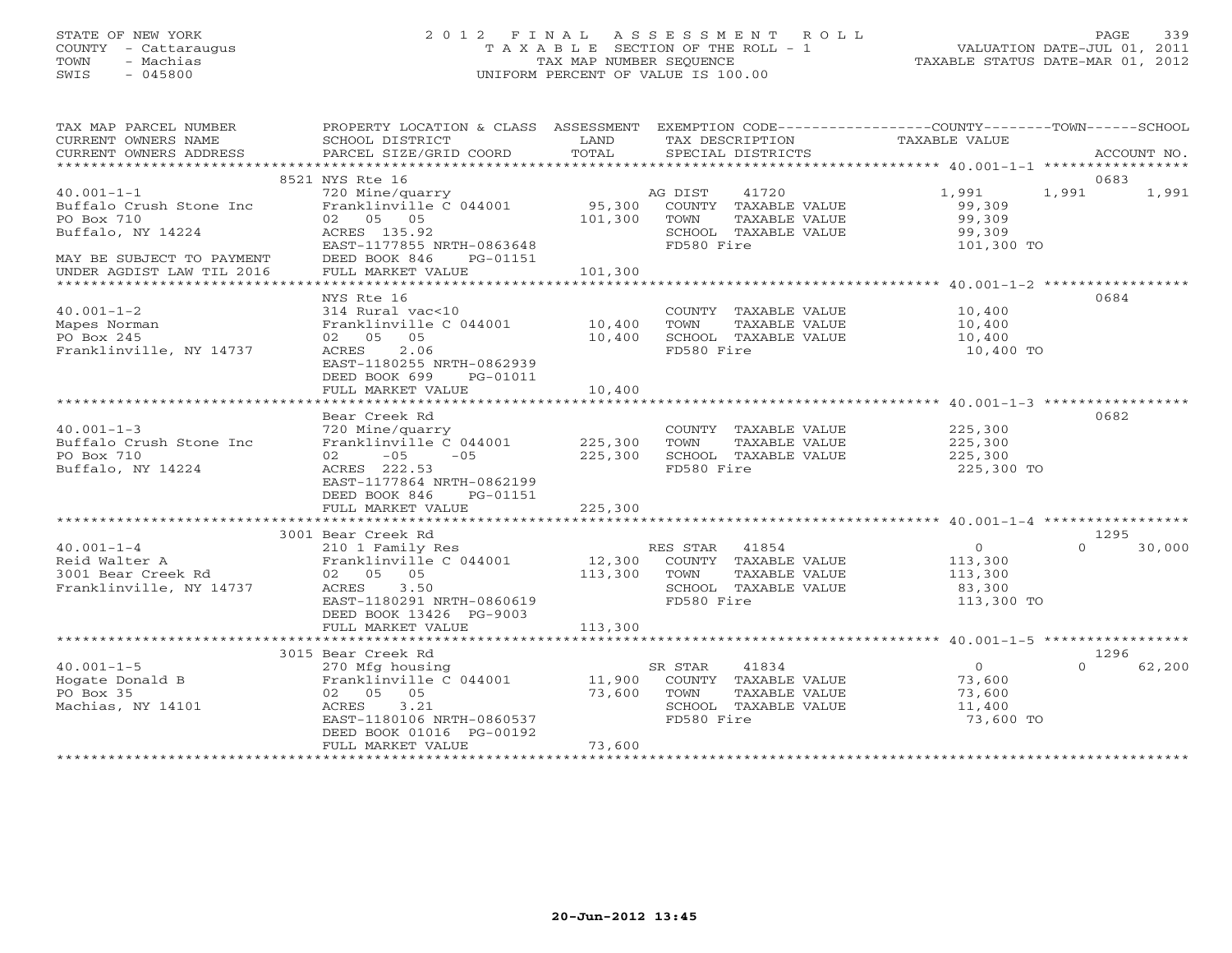# STATE OF NEW YORK 2 0 1 2 F I N A L A S S E S S M E N T R O L L PAGE 339 COUNTY - Cattaraugus T A X A B L E SECTION OF THE ROLL - 1 VALUATION DATE-JUL 01, 2011 TOWN - Machias TAX MAP NUMBER SEQUENCE TAXABLE STATUS DATE-MAR 01, 2012 SWIS - 045800 UNIFORM PERCENT OF VALUE IS 100.00UNIFORM PERCENT OF VALUE IS 100.00

| TAX MAP PARCEL NUMBER                                                              | PROPERTY LOCATION & CLASS ASSESSMENT EXEMPTION CODE---------------COUNTY-------TOWN------SCHOOL |         |                              |                           |          |        |
|------------------------------------------------------------------------------------|-------------------------------------------------------------------------------------------------|---------|------------------------------|---------------------------|----------|--------|
| CURRENT OWNERS NAME                                                                | SCHOOL DISTRICT                                                                                 | LAND    | TAX DESCRIPTION              | TAXABLE VALUE             |          |        |
|                                                                                    |                                                                                                 |         |                              |                           |          |        |
|                                                                                    | 8521 NYS Rte 16                                                                                 |         |                              |                           | 0683     |        |
| $40.001 - 1 - 1$                                                                   | 720 Mine/quarry                                                                                 |         | 41720<br>AG DIST             | 1,991                     | 1,991    | 1,991  |
| Buffalo Crush Stone Inc                                                            |                                                                                                 |         |                              | 99,309                    |          |        |
| PO Box 710                                                                         |                                                                                                 |         |                              | 99,309                    |          |        |
| Buffalo, NY 14224                                                                  | ACRES 135.92                                                                                    |         | SCHOOL TAXABLE VALUE         | 99,309                    |          |        |
|                                                                                    | EAST-1177855 NRTH-0863648                                                                       |         | FD580 Fire                   | 101,300 TO                |          |        |
| MAY BE SUBJECT TO PAYMENT DEED BOOK 846<br>UNDER AGDIST LAW TIL 2016 FULL MARKET V | PG-01151                                                                                        |         |                              |                           |          |        |
|                                                                                    | FULL MARKET VALUE                                                                               | 101,300 |                              |                           |          |        |
|                                                                                    |                                                                                                 |         |                              |                           |          |        |
|                                                                                    | NYS Rte 16                                                                                      |         |                              |                           | 0684     |        |
| $40.001 - 1 - 2$                                                                   | 314 Rural vac<10                                                                                |         | COUNTY TAXABLE VALUE 10,400  |                           |          |        |
| Mapes Norman                                                                       | Franklinville C 044001 10,400<br>02 05 05 10,400                                                |         | TAXABLE VALUE<br>TOWN        | 10,400                    |          |        |
| PO Box 245                                                                         |                                                                                                 |         | SCHOOL TAXABLE VALUE         | 10,400                    |          |        |
| Franklinville, NY 14737                                                            | 2.06<br>ACRES<br>EAST-1180255 NRTH-0862939                                                      |         | FD580 Fire                   | 10,400 TO                 |          |        |
|                                                                                    | DEED BOOK 699<br>PG-01011                                                                       |         |                              |                           |          |        |
|                                                                                    | FULL MARKET VALUE                                                                               | 10,400  |                              |                           |          |        |
|                                                                                    |                                                                                                 |         |                              |                           |          |        |
|                                                                                    | Bear Creek Rd                                                                                   |         |                              |                           | 0682     |        |
| $40.001 - 1 - 3$                                                                   |                                                                                                 |         | COUNTY TAXABLE VALUE 225,300 |                           |          |        |
| Buffalo Crush Stone Inc                                                            | 720 Mine/quarry<br>Franklinville C 044001 225,300                                               |         | TOWN<br>TAXABLE VALUE        | 225,300                   |          |        |
| PO Box 710                                                                         | $02 -05 -05$ $-05$ 225,300                                                                      |         | SCHOOL TAXABLE VALUE 225,300 |                           |          |        |
| Buffalo, NY 14224                                                                  | ACRES 222.53                                                                                    |         | FD580 Fire                   | 225,300 TO                |          |        |
|                                                                                    | EAST-1177864 NRTH-0862199                                                                       |         |                              |                           |          |        |
|                                                                                    | DEED BOOK 846<br>PG-01151                                                                       |         |                              |                           |          |        |
|                                                                                    | FULL MARKET VALUE                                                                               | 225,300 |                              |                           |          |        |
|                                                                                    |                                                                                                 |         |                              |                           |          |        |
|                                                                                    | 3001 Bear Creek Rd                                                                              |         |                              |                           | 1295     |        |
|                                                                                    |                                                                                                 |         |                              | $\overline{0}$<br>113,300 | $\Omega$ | 30,000 |
|                                                                                    |                                                                                                 |         |                              | 113,300                   |          |        |
|                                                                                    |                                                                                                 |         |                              | 83,300                    |          |        |
|                                                                                    | EAST-1180291 NRTH-0860619                                                                       |         | FD580 Fire                   | 113,300 TO                |          |        |
|                                                                                    | DEED BOOK 13426 PG-9003                                                                         |         |                              |                           |          |        |
|                                                                                    | FULL MARKET VALUE                                                                               | 113,300 |                              |                           |          |        |
|                                                                                    |                                                                                                 |         |                              |                           |          |        |
|                                                                                    | 3015 Bear Creek Rd                                                                              |         |                              |                           | 1296     |        |
| $40.001 - 1 - 5$                                                                   | 270 Mfg housing                                                                                 |         | SR STAR<br>41834             | $\overline{O}$            | $\Omega$ | 62,200 |
|                                                                                    |                                                                                                 |         | COUNTY TAXABLE VALUE 73,600  |                           |          |        |
| PO Box 35                                                                          | 02 05 05                                                                                        | 73,600  | TOWN<br>TAXABLE VALUE        | 73,600                    |          |        |
| Machias, NY 14101                                                                  | ACRES 3.21                                                                                      |         | SCHOOL TAXABLE VALUE         | 11,400                    |          |        |
|                                                                                    | EAST-1180106 NRTH-0860537                                                                       |         | FD580 Fire                   | 73,600 TO                 |          |        |
|                                                                                    | DEED BOOK 01016 PG-00192                                                                        | 73,600  |                              |                           |          |        |
|                                                                                    | FULL MARKET VALUE                                                                               |         |                              |                           |          |        |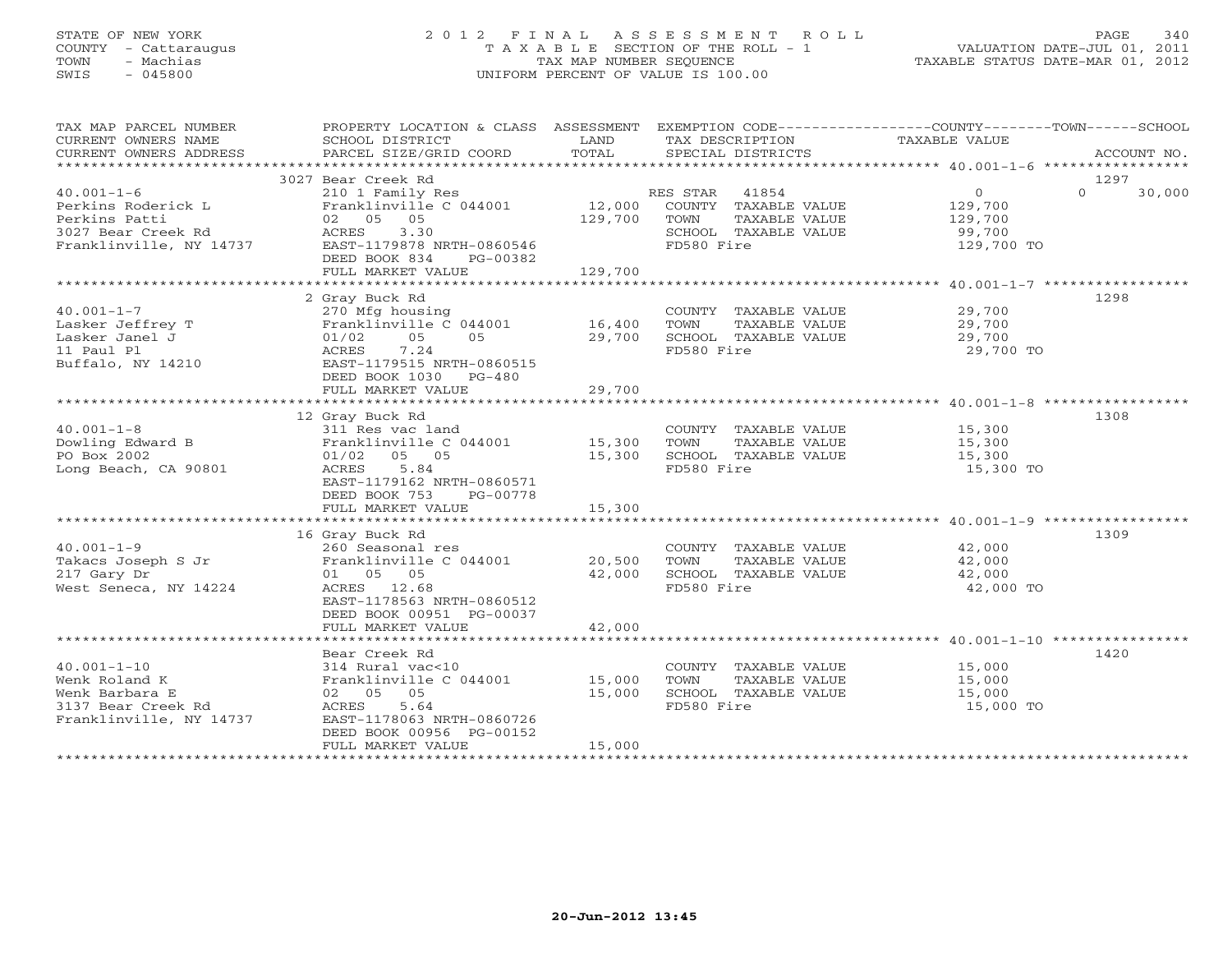# STATE OF NEW YORK 2 0 1 2 F I N A L A S S E S S M E N T R O L L PAGE 340 COUNTY - Cattaraugus T A X A B L E SECTION OF THE ROLL - 1 VALUATION DATE-JUL 01, 2011 TOWN - Machias TAX MAP NUMBER SEQUENCE TAXABLE STATUS DATE-MAR 01, 2012 SWIS - 045800 UNIFORM PERCENT OF VALUE IS 100.00UNIFORM PERCENT OF VALUE IS 100.00

| TAX MAP PARCEL NUMBER<br>CURRENT OWNERS NAME                                                                                                 | PROPERTY LOCATION & CLASS ASSESSMENT EXEMPTION CODE---------------COUNTY-------TOWN------SCHOOL<br>SCHOOL DISTRICT                                                     | LAND                         | TAX DESCRIPTION                                                                                       | TAXABLE VALUE                                                |          |             |
|----------------------------------------------------------------------------------------------------------------------------------------------|------------------------------------------------------------------------------------------------------------------------------------------------------------------------|------------------------------|-------------------------------------------------------------------------------------------------------|--------------------------------------------------------------|----------|-------------|
| CURRENT OWNERS ADDRESS                                                                                                                       | PARCEL SIZE/GRID COORD                                                                                                                                                 | TOTAL                        | SPECIAL DISTRICTS                                                                                     |                                                              |          | ACCOUNT NO. |
|                                                                                                                                              | 3027 Bear Creek Rd                                                                                                                                                     |                              |                                                                                                       |                                                              | 1297     |             |
| $40.001 - 1 - 6$<br>Perkins Roderick L<br>Perkins Patti<br>Persius racer<br>3027 Bear Creek Rd<br>1111 - NV 14737<br>Franklinville, NY 14737 | 210 1 Family Res<br>Franklinville C 044001<br>02 05 05<br>3.30<br>ACRES<br>EAST-1179878 NRTH-0860546<br>DEED BOOK 834<br>PG-00382<br>FULL MARKET VALUE                 | 12,000<br>129,700<br>129,700 | RES STAR 41854<br>COUNTY TAXABLE VALUE<br>TOWN<br>TAXABLE VALUE<br>SCHOOL TAXABLE VALUE<br>FD580 Fire | $\overline{0}$<br>129,700<br>129,700<br>99,700<br>129,700 TO | $\Omega$ | 30,000      |
|                                                                                                                                              | 2 Gray Buck Rd                                                                                                                                                         |                              |                                                                                                       |                                                              | 1298     |             |
| $40.001 - 1 - 7$<br>Lasker Jeffrey T<br>Lasker Janel J<br>11 Paul Pl<br>Buffalo, NY 14210                                                    | 270 Mfg housing<br>Franklinville C 044001 16,400<br>05 05<br>01/02<br>05<br>7.24<br>ACRES<br>EAST-1179515 NRTH-0860515<br>DEED BOOK 1030 PG-480                        | 29,700                       | COUNTY TAXABLE VALUE 29,700<br>TOWN<br>TAXABLE VALUE<br>SCHOOL TAXABLE VALUE<br>FD580 Fire            | 29,700<br>29,700<br>29,700 TO                                |          |             |
|                                                                                                                                              | FULL MARKET VALUE                                                                                                                                                      | 29,700                       |                                                                                                       |                                                              |          |             |
| $40.001 - 1 - 8$                                                                                                                             | 12 Gray Buck Rd<br>311 Res vac land                                                                                                                                    |                              | COUNTY TAXABLE VALUE                                                                                  | 15,300                                                       | 1308     |             |
| Dowling Edward B<br>PO Box 2002<br>Long Beach, CA 90801                                                                                      | Franklinville C 044001 15,300<br>$01/02$ 05 05<br>5.84<br>ACRES<br>EAST-1179162 NRTH-0860571<br>DEED BOOK 753<br>PG-00778                                              | 15,300                       | TOWN<br>TAXABLE VALUE<br>SCHOOL TAXABLE VALUE<br>FD580 Fire                                           | 15,300<br>15,300<br>15,300 TO                                |          |             |
|                                                                                                                                              | FULL MARKET VALUE                                                                                                                                                      | 15,300                       |                                                                                                       |                                                              |          |             |
| $40.001 - 1 - 9$<br>Takacs Joseph S Jr<br>217 Gary Dr<br>West Seneca, NY 14224                                                               | 16 Gray Buck Rd<br>260 Seasonal res<br>Franklinville C 044001<br>01 05 05<br>ACRES 12.68<br>EAST-1178563 NRTH-0860512                                                  | 20,500<br>42,000             | COUNTY TAXABLE VALUE<br>TOWN<br>TAXABLE VALUE<br>SCHOOL TAXABLE VALUE<br>FD580 Fire                   | 42,000<br>42,000<br>42,000<br>42,000 TO                      | 1309     |             |
|                                                                                                                                              | DEED BOOK 00951 PG-00037<br>FULL MARKET VALUE                                                                                                                          | 42,000                       |                                                                                                       |                                                              |          |             |
| $40.001 - 1 - 10$<br>Wenk Roland K<br>Wenk Barbara E<br>3137 Bear Creek Rd<br>Franklinville, NY 14737                                        | Bear Creek Rd<br>314 Rural vac<10<br>Franklinville C 044001<br>02 05 05<br>ACRES<br>5.64<br>EAST-1178063 NRTH-0860726<br>DEED BOOK 00956 PG-00152<br>FULL MARKET VALUE | 15,000<br>15,000<br>15,000   | COUNTY TAXABLE VALUE 15,000<br>TOWN<br>TAXABLE VALUE<br>SCHOOL TAXABLE VALUE<br>FD580 Fire            | 15,000<br>15,000<br>15,000 TO                                | 1420     |             |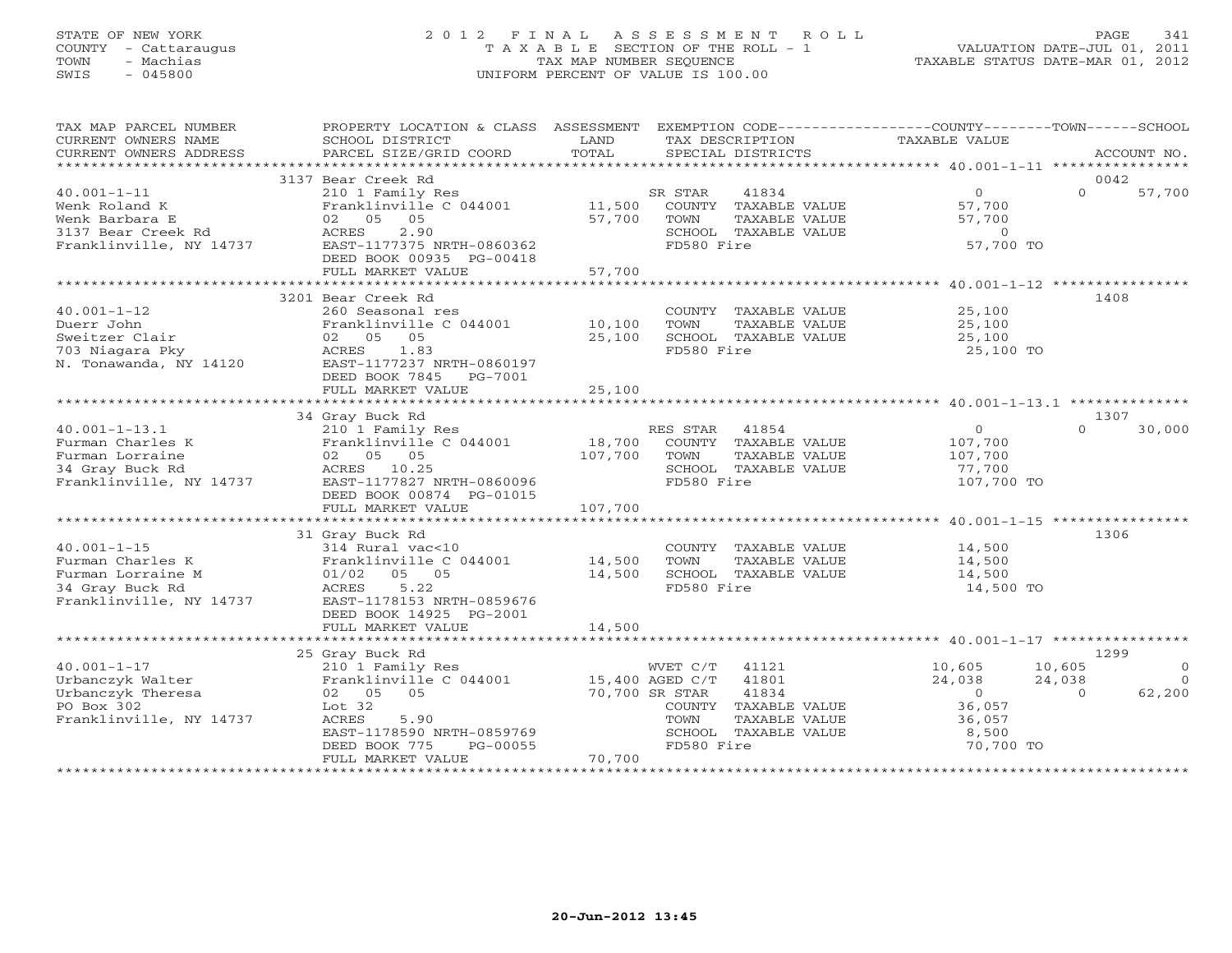# STATE OF NEW YORK 2 0 1 2 F I N A L A S S E S S M E N T R O L L PAGE 341 COUNTY - Cattaraugus T A X A B L E SECTION OF THE ROLL - 1 VALUATION DATE-JUL 01, 2011 TOWN - Machias TAX MAP NUMBER SEQUENCE TAXABLE STATUS DATE-MAR 01, 2012 SWIS - 045800 UNIFORM PERCENT OF VALUE IS 100.00UNIFORM PERCENT OF VALUE IS 100.00

| TAX MAP PARCEL NUMBER<br>CURRENT OWNERS NAME                                                             | PROPERTY LOCATION & CLASS ASSESSMENT<br>SCHOOL DISTRICT                                                                                                                                | LAND<br>TAX DESCRIPTION                                                                                                                                                   | EXEMPTION CODE-----------------COUNTY-------TOWN------SCHOOL<br>TAXABLE VALUE                                                                  |
|----------------------------------------------------------------------------------------------------------|----------------------------------------------------------------------------------------------------------------------------------------------------------------------------------------|---------------------------------------------------------------------------------------------------------------------------------------------------------------------------|------------------------------------------------------------------------------------------------------------------------------------------------|
| CURRENT OWNERS ADDRESS<br>*************************                                                      | PARCEL SIZE/GRID COORD                                                                                                                                                                 | TOTAL<br>SPECIAL DISTRICTS                                                                                                                                                | ACCOUNT NO.                                                                                                                                    |
|                                                                                                          | 3137 Bear Creek Rd                                                                                                                                                                     |                                                                                                                                                                           | 0042                                                                                                                                           |
| $40.001 - 1 - 11$<br>Wenk Roland K<br>Wenk Barbara E<br>3137 Bear Creek Rd<br>Franklinville, NY 14737    | 210 1 Family Res<br>Franklinville C 044001<br>05<br>02 05<br>2.90<br>ACRES<br>EAST-1177375 NRTH-0860362<br>DEED BOOK 00935 PG-00418                                                    | SR STAR<br>41834<br>11,500<br>COUNTY TAXABLE VALUE<br>57,700<br>TOWN<br>TAXABLE VALUE<br>SCHOOL TAXABLE VALUE<br>FD580 Fire                                               | $\circ$<br>$\Omega$<br>57,700<br>57,700<br>57,700<br>$\circ$<br>57,700 TO                                                                      |
|                                                                                                          | FULL MARKET VALUE<br>**************************                                                                                                                                        | 57,700                                                                                                                                                                    |                                                                                                                                                |
| $40.001 - 1 - 12$<br>Duerr John<br>Sweitzer Clair<br>703 Niagara Pky<br>N. Tonawanda, NY 14120           | 3201 Bear Creek Rd<br>260 Seasonal res<br>Franklinville C 044001<br>02 05 05<br>1.83<br>ACRES<br>EAST-1177237 NRTH-0860197<br>DEED BOOK 7845<br>PG-7001<br>FULL MARKET VALUE           | COUNTY TAXABLE VALUE<br>10,100<br>TOWN<br>TAXABLE VALUE<br>25,100<br>SCHOOL TAXABLE VALUE<br>FD580 Fire<br>25,100                                                         | 1408<br>25,100<br>25,100<br>25,100<br>25,100 TO                                                                                                |
|                                                                                                          | 34 Gray Buck Rd                                                                                                                                                                        |                                                                                                                                                                           | 1307                                                                                                                                           |
| $40.001 - 1 - 13.1$<br>Furman Charles K<br>Furman Lorraine<br>34 Gray Buck Rd<br>Franklinville, NY 14737 | 210 1 Family Res<br>Franklinville C 044001<br>02 05 05<br>ACRES 10.25<br>EAST-1177827 NRTH-0860096<br>DEED BOOK 00874 PG-01015<br>FULL MARKET VALUE                                    | RES STAR<br>41854<br>18,700<br>COUNTY TAXABLE VALUE<br>107,700<br>TOWN<br>TAXABLE VALUE<br>SCHOOL TAXABLE VALUE<br>FD580 Fire<br>107,700                                  | $\circ$<br>$\Omega$<br>30,000<br>107,700<br>107,700<br>77,700<br>107,700 TO                                                                    |
|                                                                                                          | 31 Gray Buck Rd                                                                                                                                                                        |                                                                                                                                                                           | 1306                                                                                                                                           |
| $40.001 - 1 - 15$<br>Furman Charles K<br>Furman Lorraine M<br>34 Gray Buck Rd<br>Franklinville, NY 14737 | 314 Rural vac<10<br>Franklinville C 044001<br>01/02 05 05<br>5.22<br>ACRES<br>EAST-1178153 NRTH-0859676<br>DEED BOOK 14925 PG-2001                                                     | COUNTY TAXABLE VALUE<br>14,500<br>TOWN<br>TAXABLE VALUE<br>14,500<br>SCHOOL TAXABLE VALUE<br>FD580 Fire                                                                   | 14,500<br>14,500<br>14,500<br>14,500 TO                                                                                                        |
|                                                                                                          | FULL MARKET VALUE                                                                                                                                                                      | 14,500                                                                                                                                                                    |                                                                                                                                                |
|                                                                                                          |                                                                                                                                                                                        |                                                                                                                                                                           |                                                                                                                                                |
| $40.001 - 1 - 17$<br>Urbanczyk Walter<br>Urbanczyk Theresa<br>PO Box 302<br>Franklinville, NY 14737      | 25 Gray Buck Rd<br>210 1 Family Res<br>Franklinville C 044001<br>05<br>02 05<br>Lot 32<br>5.90<br>ACRES<br>EAST-1178590 NRTH-0859769<br>DEED BOOK 775<br>PG-00055<br>FULL MARKET VALUE | 41121<br>WVET C/T<br>41801<br>15,400 AGED C/T<br>70,700 SR STAR<br>41834<br>COUNTY TAXABLE VALUE<br>TOWN<br>TAXABLE VALUE<br>SCHOOL TAXABLE VALUE<br>FD580 Fire<br>70,700 | 1299<br>10,605<br>10,605<br>$\circ$<br>24,038<br>24,038<br>$\Omega$<br>62,200<br>$\circ$<br>$\Omega$<br>36,057<br>36,057<br>8,500<br>70,700 TO |
|                                                                                                          |                                                                                                                                                                                        |                                                                                                                                                                           |                                                                                                                                                |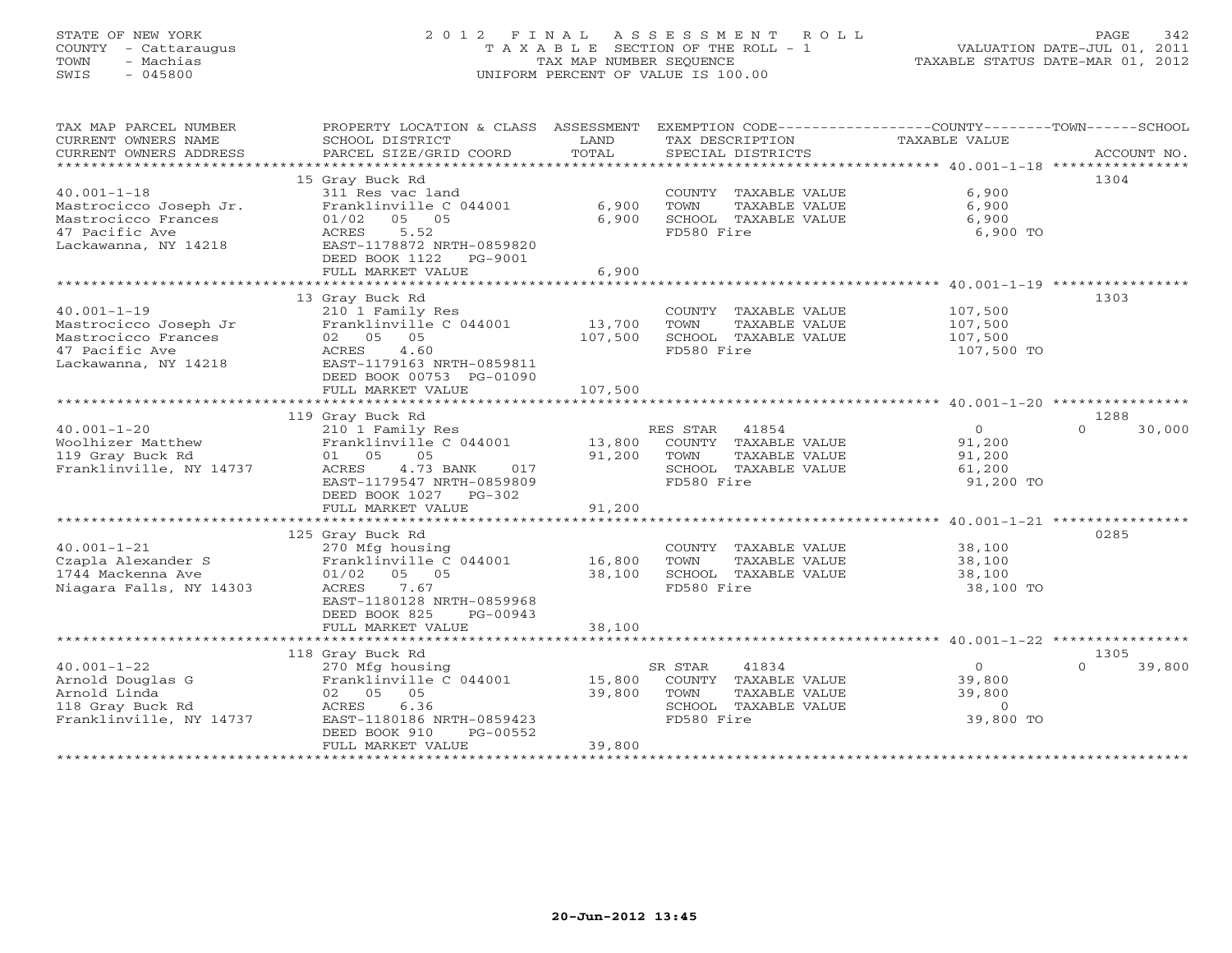# STATE OF NEW YORK 2 0 1 2 F I N A L A S S E S S M E N T R O L L PAGE 342 COUNTY - Cattaraugus T A X A B L E SECTION OF THE ROLL - 1 VALUATION DATE-JUL 01, 2011 TOWN - Machias TAX MAP NUMBER SEQUENCE TAXABLE STATUS DATE-MAR 01, 2012 SWIS - 045800 UNIFORM PERCENT OF VALUE IS 100.00UNIFORM PERCENT OF VALUE IS 100.00

| TAX MAP PARCEL NUMBER      | PROPERTY LOCATION & CLASS ASSESSMENT |               | EXEMPTION CODE-----------------COUNTY-------TOWN------SCHOOL |                                                     |                    |
|----------------------------|--------------------------------------|---------------|--------------------------------------------------------------|-----------------------------------------------------|--------------------|
| CURRENT OWNERS NAME        | SCHOOL DISTRICT                      | LAND          | TAX DESCRIPTION                                              | <b>TAXABLE VALUE</b>                                |                    |
| CURRENT OWNERS ADDRESS     | PARCEL SIZE/GRID COORD               | TOTAL         | SPECIAL DISTRICTS                                            |                                                     | ACCOUNT NO.        |
| ************************** |                                      |               |                                                              |                                                     |                    |
|                            | 15 Gray Buck Rd                      |               |                                                              |                                                     | 1304               |
| $40.001 - 1 - 18$          | 311 Res vac land                     |               | COUNTY TAXABLE VALUE                                         | 6,900                                               |                    |
| Mastrocicco Joseph Jr.     | Franklinville C 044001               | 6,900         | TOWN<br>TAXABLE VALUE                                        | 6,900                                               |                    |
| Mastrocicco Frances        | 01/02<br>05 05                       | 6,900         | SCHOOL TAXABLE VALUE                                         | 6,900                                               |                    |
| 47 Pacific Ave             | 5.52<br>ACRES                        |               | FD580 Fire                                                   | 6,900 TO                                            |                    |
| Lackawanna, NY 14218       | EAST-1178872 NRTH-0859820            |               |                                                              |                                                     |                    |
|                            | DEED BOOK 1122<br>PG-9001            |               |                                                              |                                                     |                    |
|                            | FULL MARKET VALUE                    | 6,900         |                                                              |                                                     |                    |
|                            | ***********************              | ************* |                                                              | ********************* 40.001-1-19 ***************** |                    |
|                            | 13 Gray Buck Rd                      |               |                                                              |                                                     | 1303               |
| $40.001 - 1 - 19$          | 210 1 Family Res                     |               | COUNTY TAXABLE VALUE                                         | 107,500                                             |                    |
| Mastrocicco Joseph Jr      | Franklinville C 044001               | 13,700        | TOWN<br>TAXABLE VALUE                                        | 107,500                                             |                    |
| Mastrocicco Frances        | 02 05 05                             | 107,500       | SCHOOL TAXABLE VALUE                                         | 107,500                                             |                    |
| 47 Pacific Ave             | ACRES<br>4.60                        |               | FD580 Fire                                                   | 107,500 TO                                          |                    |
| Lackawanna, NY 14218       | EAST-1179163 NRTH-0859811            |               |                                                              |                                                     |                    |
|                            | DEED BOOK 00753 PG-01090             |               |                                                              |                                                     |                    |
|                            | FULL MARKET VALUE                    | 107,500       |                                                              |                                                     |                    |
|                            |                                      |               |                                                              |                                                     |                    |
|                            | 119 Gray Buck Rd                     |               |                                                              |                                                     | 1288               |
| $40.001 - 1 - 20$          | 210 1 Family Res                     |               | 41854                                                        | $\circ$                                             | $\Omega$<br>30,000 |
|                            |                                      |               | RES STAR                                                     |                                                     |                    |
| Woolhizer Matthew          | Franklinville C 044001               | 13,800        | COUNTY TAXABLE VALUE                                         | 91,200                                              |                    |
| 119 Gray Buck Rd           | 01 05<br>05                          | 91,200        | TOWN<br>TAXABLE VALUE                                        | 91,200                                              |                    |
| Franklinville, NY 14737    | ACRES<br>4.73 BANK<br>017            |               | SCHOOL TAXABLE VALUE                                         | 61,200                                              |                    |
|                            | EAST-1179547 NRTH-0859809            |               | FD580 Fire                                                   | 91,200 TO                                           |                    |
|                            | DEED BOOK 1027 PG-302                |               |                                                              |                                                     |                    |
|                            | FULL MARKET VALUE                    | 91,200        |                                                              |                                                     |                    |
|                            |                                      |               |                                                              |                                                     |                    |
|                            | 125 Gray Buck Rd                     |               |                                                              |                                                     | 0285               |
| $40.001 - 1 - 21$          | 270 Mfg housing                      |               | COUNTY TAXABLE VALUE                                         | 38,100                                              |                    |
| Czapla Alexander S         | Franklinville C 044001               | 16,800        | TOWN<br>TAXABLE VALUE                                        | 38,100                                              |                    |
| 1744 Mackenna Ave          | 01/02 05 05                          | 38,100        | SCHOOL TAXABLE VALUE                                         | 38,100                                              |                    |
| Niagara Falls, NY 14303    | 7.67<br>ACRES                        |               | FD580 Fire                                                   | 38,100 TO                                           |                    |
|                            | EAST-1180128 NRTH-0859968            |               |                                                              |                                                     |                    |
|                            | DEED BOOK 825<br>$PG-00943$          |               |                                                              |                                                     |                    |
|                            | FULL MARKET VALUE                    | 38,100        |                                                              |                                                     |                    |
|                            |                                      |               |                                                              |                                                     |                    |
|                            | 118 Gray Buck Rd                     |               |                                                              |                                                     | 1305               |
| $40.001 - 1 - 22$          | 270 Mfg housing                      |               | 41834<br>SR STAR                                             | $\circ$                                             | $\Omega$<br>39,800 |
| Arnold Douglas G           | Franklinville C 044001               | 15,800        | COUNTY TAXABLE VALUE                                         | 39,800                                              |                    |
| Arnold Linda               | 02 05 05                             | 39,800        | TOWN<br>TAXABLE VALUE                                        | 39,800                                              |                    |
| 118 Gray Buck Rd           | 6.36<br>ACRES                        |               | SCHOOL TAXABLE VALUE                                         | $\circ$                                             |                    |
| Franklinville, NY 14737    | EAST-1180186 NRTH-0859423            |               | FD580 Fire                                                   | 39,800 TO                                           |                    |
|                            | DEED BOOK 910<br>PG-00552            |               |                                                              |                                                     |                    |
|                            | FULL MARKET VALUE                    | 39,800        |                                                              |                                                     |                    |
|                            |                                      |               |                                                              |                                                     |                    |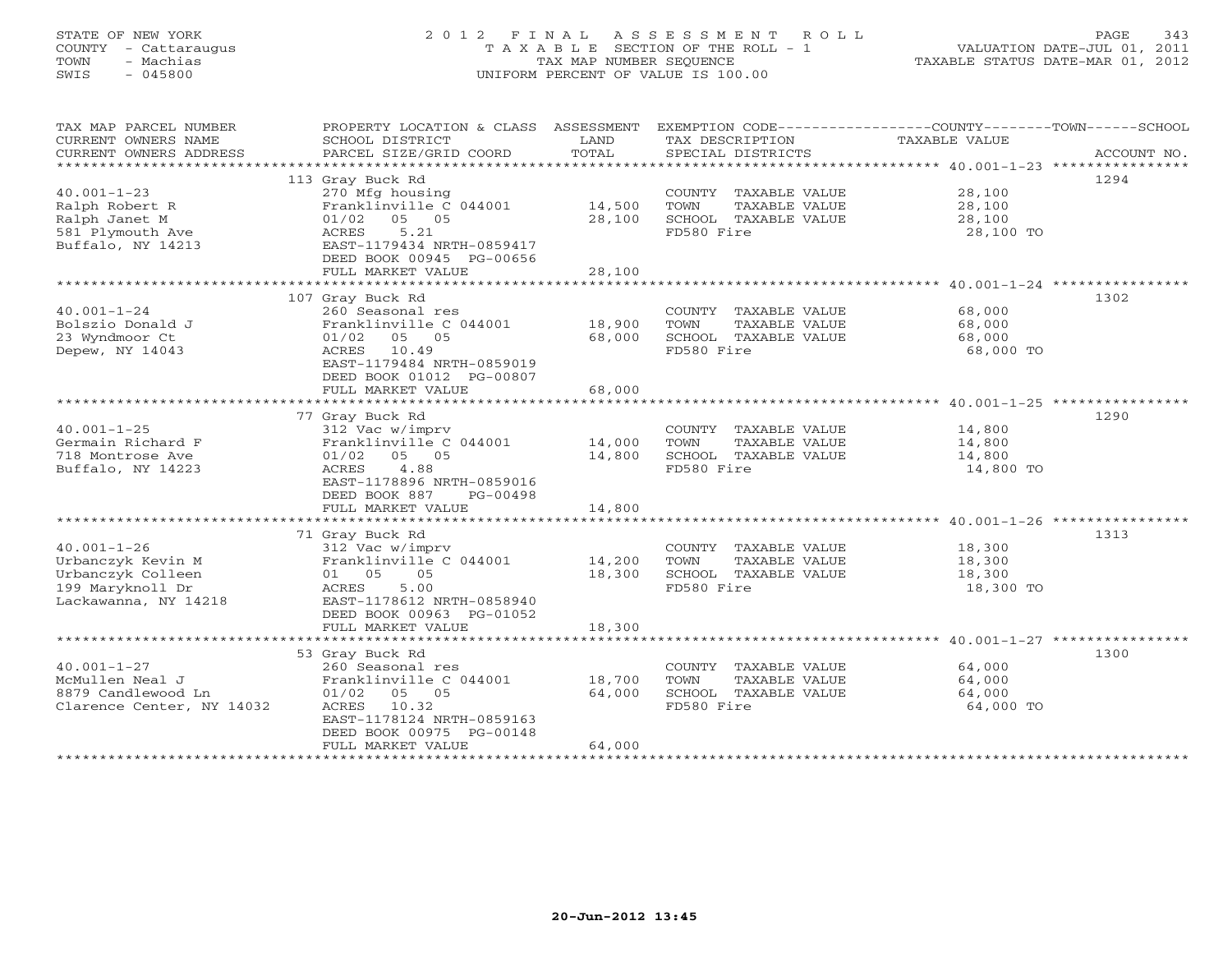# STATE OF NEW YORK 2 0 1 2 F I N A L A S S E S S M E N T R O L L PAGE 343 COUNTY - Cattaraugus T A X A B L E SECTION OF THE ROLL - 1 VALUATION DATE-JUL 01, 2011 TOWN - Machias TAX MAP NUMBER SEQUENCE TAXABLE STATUS DATE-MAR 01, 2012 SWIS - 045800 UNIFORM PERCENT OF VALUE IS 100.00UNIFORM PERCENT OF VALUE IS 100.00

| TAX MAP PARCEL NUMBER<br>CURRENT OWNERS NAME<br>CURRENT OWNERS ADDRESS                                  | PROPERTY LOCATION & CLASS ASSESSMENT<br>SCHOOL DISTRICT<br>PARCEL SIZE/GRID COORD                                                                                                                           | LAND<br>TOTAL                               | TAX DESCRIPTION<br>SPECIAL DISTRICTS                                                | EXEMPTION CODE-----------------COUNTY-------TOWN-----SCHOOL<br>TAXABLE VALUE<br>ACCOUNT NO. |
|---------------------------------------------------------------------------------------------------------|-------------------------------------------------------------------------------------------------------------------------------------------------------------------------------------------------------------|---------------------------------------------|-------------------------------------------------------------------------------------|---------------------------------------------------------------------------------------------|
| $40.001 - 1 - 23$<br>Ralph Robert R<br>Ralph Janet M<br>581 Plymouth Ave<br>Buffalo, NY 14213           | 113 Gray Buck Rd<br>270 Mfg housing<br>Franklinville C 044001<br>$01/02$ 05 05<br>5.21<br>ACRES<br>EAST-1179434 NRTH-0859417<br>DEED BOOK 00945 PG-00656<br>FULL MARKET VALUE                               | 14,500<br>28,100<br>28,100                  | COUNTY TAXABLE VALUE<br>TOWN<br>TAXABLE VALUE<br>SCHOOL TAXABLE VALUE<br>FD580 Fire | 1294<br>28,100<br>28,100<br>28,100<br>28,100 TO                                             |
| $40.001 - 1 - 24$<br>Bolszio Donald J<br>23 Wyndmoor Ct<br>Depew, NY 14043                              | 107 Gray Buck Rd<br>260 Seasonal res<br>Franklinville C 044001<br>$01/02$ 05 05<br>ACRES 10.49<br>EAST-1179484 NRTH-0859019<br>DEED BOOK 01012 PG-00807<br>FULL MARKET VALUE<br>*************************** | 18,900<br>68,000<br>68,000<br>************* | COUNTY TAXABLE VALUE<br>TOWN<br>TAXABLE VALUE<br>SCHOOL TAXABLE VALUE<br>FD580 Fire | 1302<br>68,000<br>68,000<br>68,000<br>68,000 TO                                             |
| $40.001 - 1 - 25$                                                                                       | 77 Gray Buck Rd<br>312 Vac w/imprv                                                                                                                                                                          |                                             | COUNTY TAXABLE VALUE                                                                | ************************************ 40.001-1-25 *****************<br>1290<br>14,800        |
| Germain Richard F<br>718 Montrose Ave<br>Buffalo, NY 14223                                              | Franklinville C 044001<br>01/02 05 05<br>4.88<br>ACRES<br>EAST-1178896 NRTH-0859016<br>DEED BOOK 887<br>PG-00498                                                                                            | 14,000<br>14,800                            | TOWN<br>TAXABLE VALUE<br>SCHOOL TAXABLE VALUE<br>FD580 Fire                         | 14,800<br>14,800<br>14,800 TO                                                               |
|                                                                                                         | FULL MARKET VALUE                                                                                                                                                                                           | 14,800                                      |                                                                                     |                                                                                             |
| $40.001 - 1 - 26$<br>Urbanczyk Kevin M<br>Urbanczyk Colleen<br>199 Maryknoll Dr<br>Lackawanna, NY 14218 | 71 Gray Buck Rd<br>312 Vac w/imprv<br>Franklinville C 044001<br>01 05<br>05<br>5.00<br>ACRES<br>EAST-1178612 NRTH-0858940<br>DEED BOOK 00963 PG-01052                                                       | 14,200<br>18,300                            | COUNTY TAXABLE VALUE<br>TOWN<br>TAXABLE VALUE<br>SCHOOL TAXABLE VALUE<br>FD580 Fire | 1313<br>18,300<br>18,300<br>18,300<br>18,300 TO                                             |
|                                                                                                         | FULL MARKET VALUE                                                                                                                                                                                           | 18,300                                      |                                                                                     |                                                                                             |
| $40.001 - 1 - 27$<br>McMullen Neal J<br>8879 Candlewood Ln<br>Clarence Center, NY 14032                 | 53 Gray Buck Rd<br>260 Seasonal res<br>Franklinville C 044001<br>$01/02$ 05 05<br>10.32<br>ACRES<br>EAST-1178124 NRTH-0859163<br>DEED BOOK 00975 PG-00148<br>FULL MARKET VALUE                              | 18,700<br>64,000<br>64,000                  | COUNTY TAXABLE VALUE<br>TOWN<br>TAXABLE VALUE<br>SCHOOL TAXABLE VALUE<br>FD580 Fire | 1300<br>64,000<br>64,000<br>64,000<br>64,000 TO                                             |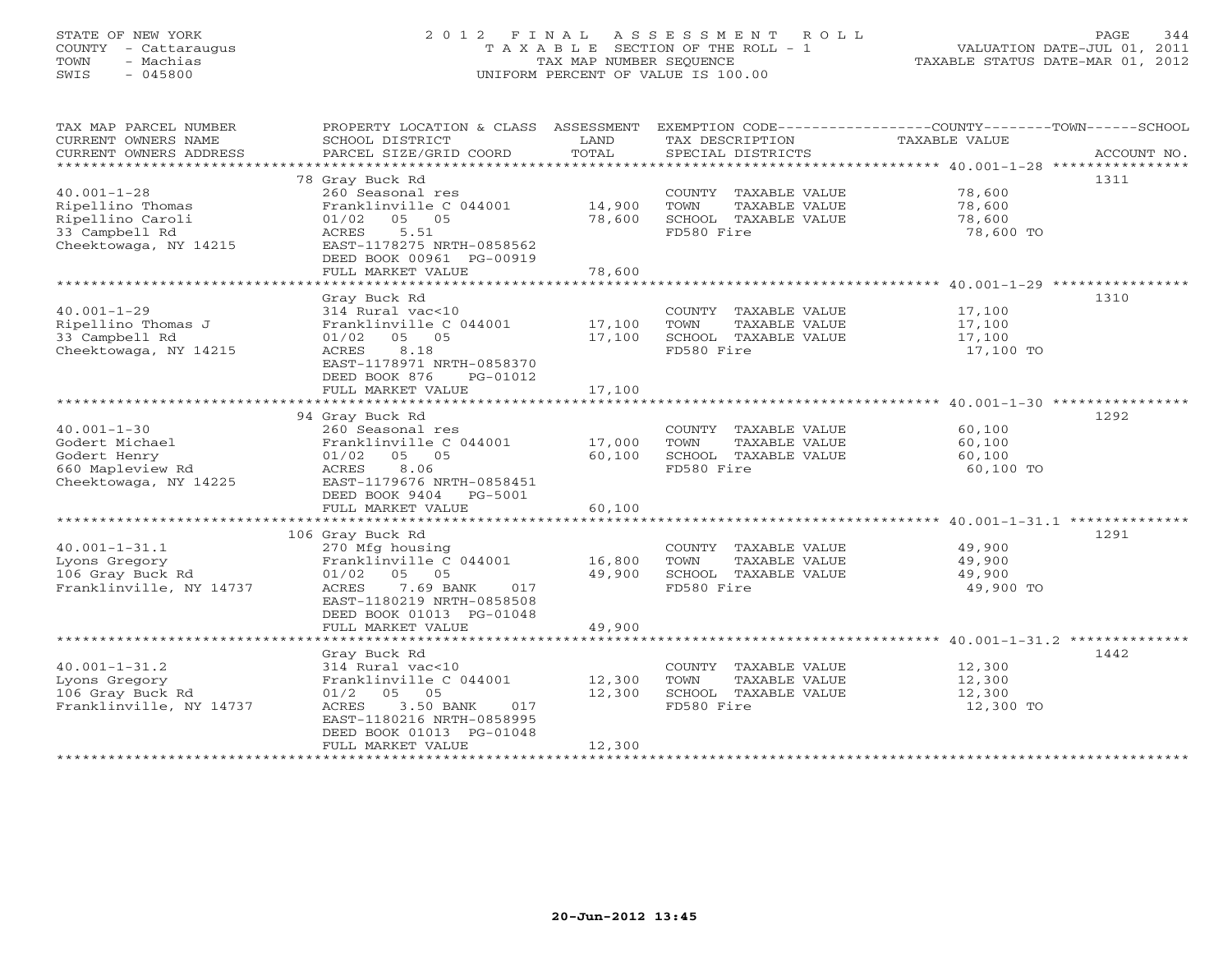# STATE OF NEW YORK 2 0 1 2 F I N A L A S S E S S M E N T R O L L PAGE 344 COUNTY - Cattaraugus T A X A B L E SECTION OF THE ROLL - 1 VALUATION DATE-JUL 01, 2011 TOWN - Machias TAX MAP NUMBER SEQUENCE TAXABLE STATUS DATE-MAR 01, 2012 SWIS - 045800 UNIFORM PERCENT OF VALUE IS 100.00UNIFORM PERCENT OF VALUE IS 100.00

| TAX MAP PARCEL NUMBER<br>CURRENT OWNERS NAME<br>CURRENT OWNERS ADDRESS                                                         | PROPERTY LOCATION & CLASS ASSESSMENT<br>SCHOOL DISTRICT<br>PARCEL SIZE/GRID COORD                                                                                                                                | LAND<br>TOTAL                              | TAX DESCRIPTION<br>SPECIAL DISTRICTS                                                | EXEMPTION CODE-----------------COUNTY-------TOWN------SCHOOL<br><b>TAXABLE VALUE</b><br>ACCOUNT NO. |
|--------------------------------------------------------------------------------------------------------------------------------|------------------------------------------------------------------------------------------------------------------------------------------------------------------------------------------------------------------|--------------------------------------------|-------------------------------------------------------------------------------------|-----------------------------------------------------------------------------------------------------|
| $40.001 - 1 - 28$<br>Ripellino Thomas<br>Ripellino Caroli<br>33 Campbell Rd<br>Cheektowaga, NY 14215<br>********************** | 78 Gray Buck Rd<br>260 Seasonal res<br>Franklinville C 044001<br>05 05<br>01/02<br>ACRES<br>5.51<br>EAST-1178275 NRTH-0858562<br>DEED BOOK 00961 PG-00919<br>FULL MARKET VALUE                                   | 14,900<br>78,600<br>78,600                 | COUNTY TAXABLE VALUE<br>TAXABLE VALUE<br>TOWN<br>SCHOOL TAXABLE VALUE<br>FD580 Fire | 1311<br>78,600<br>78,600<br>78,600<br>78,600 TO                                                     |
| $40.001 - 1 - 29$<br>Ripellino Thomas J<br>33 Campbell Rd<br>Cheektowaga, NY 14215                                             | Gray Buck Rd<br>314 Rural vac<10<br>Franklinville C 044001<br>01/02<br>05 05<br>ACRES<br>8.18<br>EAST-1178971 NRTH-0858370<br>DEED BOOK 876<br>PG-01012<br>FULL MARKET VALUE<br>***********************          | 17,100<br>17,100<br>17,100<br>************ | COUNTY TAXABLE VALUE<br>TOWN<br>TAXABLE VALUE<br>SCHOOL TAXABLE VALUE<br>FD580 Fire | 1310<br>17,100<br>17,100<br>17,100<br>17,100 TO                                                     |
| $40.001 - 1 - 30$<br>Godert Michael<br>Godert Henry<br>660 Mapleview Rd<br>Cheektowaga, NY 14225                               | 94 Gray Buck Rd<br>260 Seasonal res<br>Franklinville C 044001<br>05 05<br>01/02<br>8.06<br>ACRES<br>EAST-1179676 NRTH-0858451<br>DEED BOOK 9404<br>PG-5001<br>FULL MARKET VALUE                                  | 17,000<br>60,100<br>60,100                 | COUNTY TAXABLE VALUE<br>TOWN<br>TAXABLE VALUE<br>SCHOOL TAXABLE VALUE<br>FD580 Fire | 1292<br>60,100<br>60,100<br>60,100<br>60,100 TO                                                     |
| $40.001 - 1 - 31.1$<br>Lyons Gregory<br>106 Gray Buck Rd<br>Franklinville, NY 14737                                            | 106 Gray Buck Rd<br>270 Mfg housing<br>Franklinville C 044001<br>01/02<br>05 05<br>ACRES<br>7.69 BANK<br>017<br>EAST-1180219 NRTH-0858508<br>DEED BOOK 01013 PG-01048<br>FULL MARKET VALUE                       | 16,800<br>49,900<br>49,900                 | COUNTY TAXABLE VALUE<br>TAXABLE VALUE<br>TOWN<br>SCHOOL TAXABLE VALUE<br>FD580 Fire | 1291<br>49,900<br>49,900<br>49,900<br>49,900 TO                                                     |
| $40.001 - 1 - 31.2$<br>Lyons Gregory<br>106 Gray Buck Rd<br>Franklinville, NY 14737                                            | Gray Buck Rd<br>314 Rural vac<10<br>Franklinville C 044001<br>$01/2$ 05<br>05<br>ACRES<br>3.50 BANK<br>017<br>EAST-1180216 NRTH-0858995<br>DEED BOOK 01013 PG-01048<br>FULL MARKET VALUE<br>******************** | 12,300<br>12,300<br>12,300                 | COUNTY TAXABLE VALUE<br>TOWN<br>TAXABLE VALUE<br>SCHOOL TAXABLE VALUE<br>FD580 Fire | 1442<br>12,300<br>12,300<br>12,300<br>12,300 TO                                                     |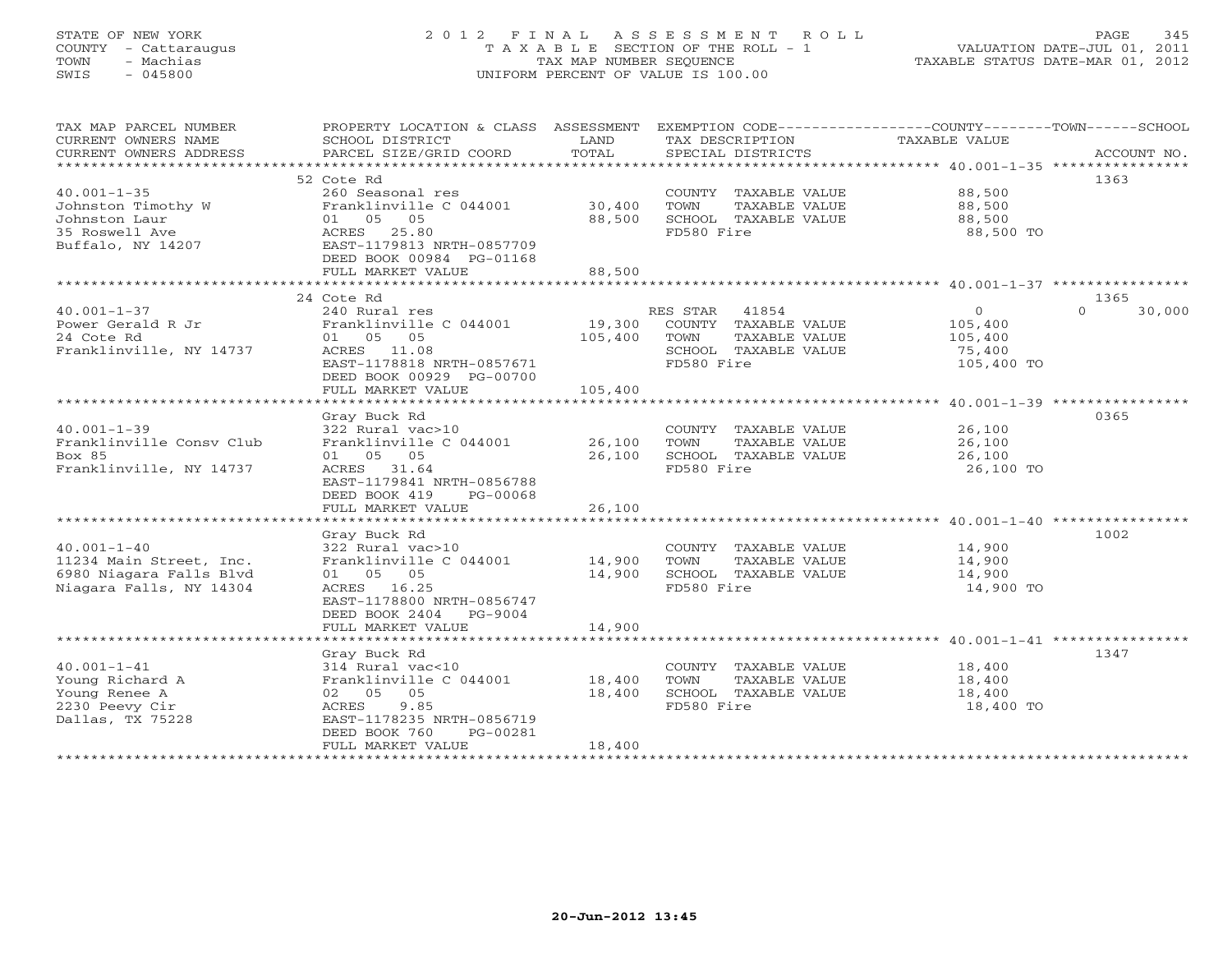# STATE OF NEW YORK 2 0 1 2 F I N A L A S S E S S M E N T R O L L PAGE 345 COUNTY - Cattaraugus T A X A B L E SECTION OF THE ROLL - 1 VALUATION DATE-JUL 01, 2011 TOWN - Machias TAX MAP NUMBER SEQUENCE TAXABLE STATUS DATE-MAR 01, 2012 SWIS - 045800 UNIFORM PERCENT OF VALUE IS 100.00UNIFORM PERCENT OF VALUE IS 100.00

| TAX MAP PARCEL NUMBER           | PROPERTY LOCATION & CLASS ASSESSMENT EXEMPTION CODE---------------COUNTY-------TOWN------SCHOOL |         |                |                                       |                    |             |
|---------------------------------|-------------------------------------------------------------------------------------------------|---------|----------------|---------------------------------------|--------------------|-------------|
| CURRENT OWNERS NAME             | SCHOOL DISTRICT                                                                                 | LAND    |                | TAX DESCRIPTION                       | TAXABLE VALUE      |             |
| CURRENT OWNERS ADDRESS          | PARCEL SIZE/GRID COORD                                                                          | TOTAL   |                | SPECIAL DISTRICTS                     |                    | ACCOUNT NO. |
|                                 |                                                                                                 |         |                |                                       |                    |             |
|                                 | 52 Cote Rd                                                                                      |         |                |                                       |                    | 1363        |
| $40.001 - 1 - 35$               | 260 Seasonal res                                                                                |         |                | COUNTY TAXABLE VALUE                  | 88,500             |             |
| Johnston Timothy W              | Franklinville C 044001                                                                          | 30,400  | TOWN           | TAXABLE VALUE                         | 88,500             |             |
| Johnston Laur                   | 01 05 05                                                                                        | 88,500  |                | SCHOOL TAXABLE VALUE                  | 88,500             |             |
| 35 Roswell Ave                  | ACRES 25.80                                                                                     |         | FD580 Fire     |                                       | 88,500 TO          |             |
| Buffalo, NY 14207               | EAST-1179813 NRTH-0857709                                                                       |         |                |                                       |                    |             |
|                                 | DEED BOOK 00984 PG-01168                                                                        |         |                |                                       |                    |             |
|                                 | FULL MARKET VALUE                                                                               | 88,500  |                |                                       |                    |             |
|                                 | 24 Cote Rd                                                                                      |         |                |                                       |                    | 1365        |
| $40.001 - 1 - 37$               |                                                                                                 |         |                |                                       | $\circ$            | $\cap$      |
|                                 | 240 Rural res                                                                                   | 19,300  | RES STAR 41854 |                                       |                    | 30,000      |
| Power Gerald R Jr<br>24 Cote Rd | Franklinville C 044001<br>01 05 05                                                              | 105,400 | TOWN           | COUNTY TAXABLE VALUE<br>TAXABLE VALUE | 105,400<br>105,400 |             |
| Franklinville, NY 14737         | ACRES 11.08                                                                                     |         |                | SCHOOL TAXABLE VALUE                  | 75,400             |             |
|                                 | EAST-1178818 NRTH-0857671                                                                       |         | FD580 Fire     |                                       | 105,400 TO         |             |
|                                 | DEED BOOK 00929 PG-00700                                                                        |         |                |                                       |                    |             |
|                                 | FULL MARKET VALUE                                                                               | 105,400 |                |                                       |                    |             |
|                                 |                                                                                                 |         |                |                                       |                    |             |
|                                 | Gray Buck Rd                                                                                    |         |                |                                       |                    | 0365        |
| $40.001 - 1 - 39$               | 322 Rural vac>10                                                                                |         |                | COUNTY TAXABLE VALUE                  | 26,100             |             |
| Franklinville Consv Club        | Franklinville C 044001                                                                          | 26,100  | TOWN           | TAXABLE VALUE                         | 26,100             |             |
| Box 85                          | 01 05 05                                                                                        | 26,100  |                | SCHOOL TAXABLE VALUE                  | 26,100             |             |
| Franklinville, NY 14737         | ACRES 31.64                                                                                     |         | FD580 Fire     |                                       | 26,100 TO          |             |
|                                 | EAST-1179841 NRTH-0856788                                                                       |         |                |                                       |                    |             |
|                                 | DEED BOOK 419<br>PG-00068                                                                       |         |                |                                       |                    |             |
|                                 | FULL MARKET VALUE                                                                               | 26,100  |                |                                       |                    |             |
|                                 |                                                                                                 |         |                |                                       |                    |             |
|                                 | Gray Buck Rd                                                                                    |         |                |                                       |                    | 1002        |
| $40.001 - 1 - 40$               | 322 Rural vac>10                                                                                |         |                | COUNTY TAXABLE VALUE                  | 14,900             |             |
| 11234 Main Street, Inc.         | Franklinville C 044001                                                                          | 14,900  | TOWN           | TAXABLE VALUE                         | 14,900             |             |
| 6980 Niagara Falls Blyd         | 01 05 05                                                                                        | 14,900  |                | SCHOOL TAXABLE VALUE                  | 14,900             |             |
| Niagara Falls, NY 14304         | ACRES 16.25                                                                                     |         | FD580 Fire     |                                       | 14,900 TO          |             |
|                                 | EAST-1178800 NRTH-0856747                                                                       |         |                |                                       |                    |             |
|                                 | DEED BOOK 2404 PG-9004                                                                          |         |                |                                       |                    |             |
|                                 | FULL MARKET VALUE                                                                               | 14,900  |                |                                       |                    |             |
|                                 |                                                                                                 |         |                |                                       |                    |             |
|                                 | Gray Buck Rd                                                                                    |         |                |                                       |                    | 1347        |
| $40.001 - 1 - 41$               | 314 Rural vac<10                                                                                |         |                | COUNTY TAXABLE VALUE                  | 18,400             |             |
| Young Richard A                 | Franklinville C 044001                                                                          | 18,400  | TOWN           | TAXABLE VALUE                         | 18,400             |             |
| Young Renee A                   | 02 05 05                                                                                        | 18,400  |                | SCHOOL TAXABLE VALUE                  | 18,400             |             |
| 2230 Peevy Cir                  | 9.85<br>ACRES                                                                                   |         | FD580 Fire     |                                       | 18,400 TO          |             |
| Dallas, TX 75228                | EAST-1178235 NRTH-0856719                                                                       |         |                |                                       |                    |             |
|                                 | DEED BOOK 760<br>PG-00281                                                                       |         |                |                                       |                    |             |
|                                 | FULL MARKET VALUE                                                                               | 18,400  |                |                                       |                    |             |
|                                 |                                                                                                 |         |                |                                       |                    |             |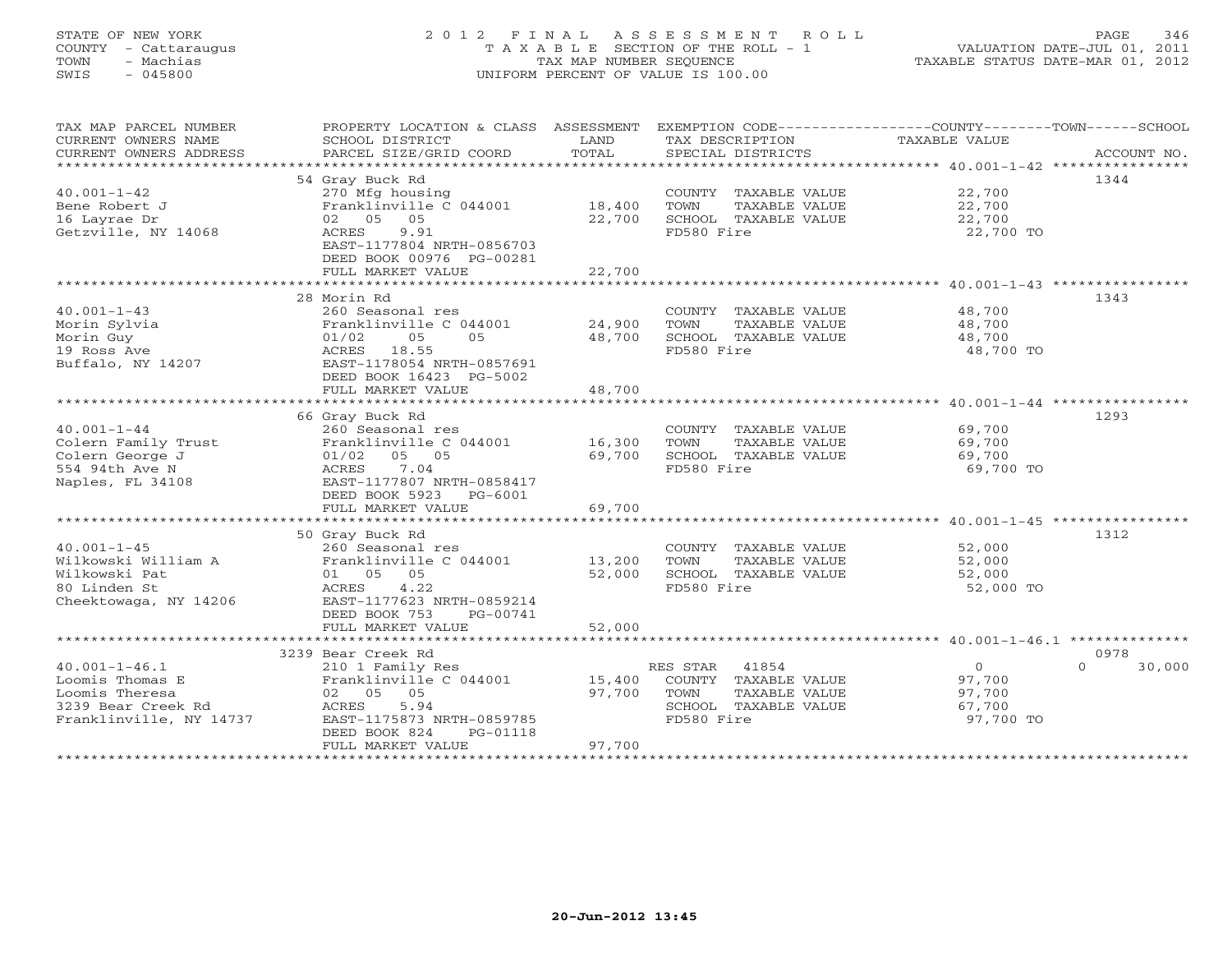# STATE OF NEW YORK 2 0 1 2 F I N A L A S S E S S M E N T R O L L PAGE 346 COUNTY - Cattaraugus T A X A B L E SECTION OF THE ROLL - 1 VALUATION DATE-JUL 01, 2011 TOWN - Machias TAX MAP NUMBER SEQUENCE TAXABLE STATUS DATE-MAR 01, 2012 SWIS - 045800 UNIFORM PERCENT OF VALUE IS 100.00UNIFORM PERCENT OF VALUE IS 100.00

| TAX MAP PARCEL NUMBER<br>CURRENT OWNERS NAME<br>CURRENT OWNERS ADDRESS<br>**************************      | PROPERTY LOCATION & CLASS ASSESSMENT<br>SCHOOL DISTRICT<br>PARCEL SIZE/GRID COORD                                                                                               | LAND<br>TOTAL              | EXEMPTION CODE----------------COUNTY-------TOWN------SCHOOL<br>TAX DESCRIPTION<br>SPECIAL DISTRICTS      | TAXABLE VALUE                                       | ACCOUNT NO.              |
|-----------------------------------------------------------------------------------------------------------|---------------------------------------------------------------------------------------------------------------------------------------------------------------------------------|----------------------------|----------------------------------------------------------------------------------------------------------|-----------------------------------------------------|--------------------------|
|                                                                                                           | 54 Gray Buck Rd                                                                                                                                                                 |                            |                                                                                                          |                                                     | 1344                     |
| $40.001 - 1 - 42$<br>Bene Robert J<br>16 Layrae Dr<br>Getzville, NY 14068                                 | 270 Mfg housing<br>Franklinville C 044001<br>02 05 05<br>9.91<br>ACRES<br>EAST-1177804 NRTH-0856703<br>DEED BOOK 00976 PG-00281<br>FULL MARKET VALUE                            | 18,400<br>22,700<br>22,700 | COUNTY TAXABLE VALUE<br>TOWN<br>TAXABLE VALUE<br>SCHOOL TAXABLE VALUE<br>FD580 Fire                      | 22,700<br>22,700<br>22,700<br>22,700 TO             |                          |
|                                                                                                           | ****************************                                                                                                                                                    | **************             |                                                                                                          | ********************* 40.001-1-43 ***************** |                          |
|                                                                                                           | 28 Morin Rd                                                                                                                                                                     |                            |                                                                                                          |                                                     | 1343                     |
| $40.001 - 1 - 43$<br>Morin Sylvia<br>Morin Guy<br>19 Ross Ave<br>Buffalo, NY 14207                        | 260 Seasonal res<br>Franklinville C 044001<br>01/02<br>05<br>0.5<br>ACRES<br>18.55<br>EAST-1178054 NRTH-0857691<br>DEED BOOK 16423 PG-5002<br>FULL MARKET VALUE                 | 24,900<br>48,700<br>48,700 | COUNTY TAXABLE VALUE<br>TOWN<br>TAXABLE VALUE<br>SCHOOL TAXABLE VALUE<br>FD580 Fire                      | 48,700<br>48,700<br>48,700<br>48,700 TO             |                          |
|                                                                                                           | ***********************                                                                                                                                                         | *************              |                                                                                                          | ************************ 40.001-1-44 ************   |                          |
|                                                                                                           | 66 Gray Buck Rd                                                                                                                                                                 |                            |                                                                                                          |                                                     | 1293                     |
| $40.001 - 1 - 44$<br>Colern Family Trust<br>Colern George J<br>554 94th Ave N<br>Naples, FL 34108         | 260 Seasonal res<br>Franklinville C 044001<br>05 05<br>01/02<br>7.04<br>ACRES<br>EAST-1177807 NRTH-0858417<br>DEED BOOK 5923<br>PG-6001<br>FULL MARKET VALUE                    | 16,300<br>69,700<br>69,700 | COUNTY TAXABLE VALUE<br>TOWN<br>TAXABLE VALUE<br>SCHOOL TAXABLE VALUE<br>FD580 Fire                      | 69,700<br>69,700<br>69,700<br>69,700 TO             |                          |
|                                                                                                           |                                                                                                                                                                                 |                            |                                                                                                          |                                                     |                          |
| $40.001 - 1 - 45$<br>Wilkowski William A<br>Wilkowski Pat<br>80 Linden St<br>Cheektowaga, NY 14206        | 50 Gray Buck Rd<br>260 Seasonal res<br>Franklinville C 044001<br>01 05 05<br>4.22<br>ACRES<br>EAST-1177623 NRTH-0859214<br>DEED BOOK 753<br>PG-00741<br>FULL MARKET VALUE       | 13,200<br>52,000<br>52,000 | COUNTY TAXABLE VALUE<br>TOWN<br>TAXABLE VALUE<br>SCHOOL TAXABLE VALUE<br>FD580 Fire                      | 52,000<br>52,000<br>52,000<br>52,000 TO             | 1312                     |
|                                                                                                           |                                                                                                                                                                                 |                            |                                                                                                          |                                                     |                          |
| $40.001 - 1 - 46.1$<br>Loomis Thomas E<br>Loomis Theresa<br>3239 Bear Creek Rd<br>Franklinville, NY 14737 | 3239 Bear Creek Rd<br>210 1 Family Res<br>Franklinville C 044001<br>02 05<br>05<br>5.94<br>ACRES<br>EAST-1175873 NRTH-0859785<br>DEED BOOK 824<br>PG-01118<br>FULL MARKET VALUE | 15,400<br>97,700<br>97,700 | 41854<br>RES STAR<br>COUNTY TAXABLE VALUE<br>TOWN<br>TAXABLE VALUE<br>SCHOOL TAXABLE VALUE<br>FD580 Fire | $\circ$<br>97,700<br>97,700<br>67,700<br>97,700 TO  | 0978<br>30,000<br>$\cap$ |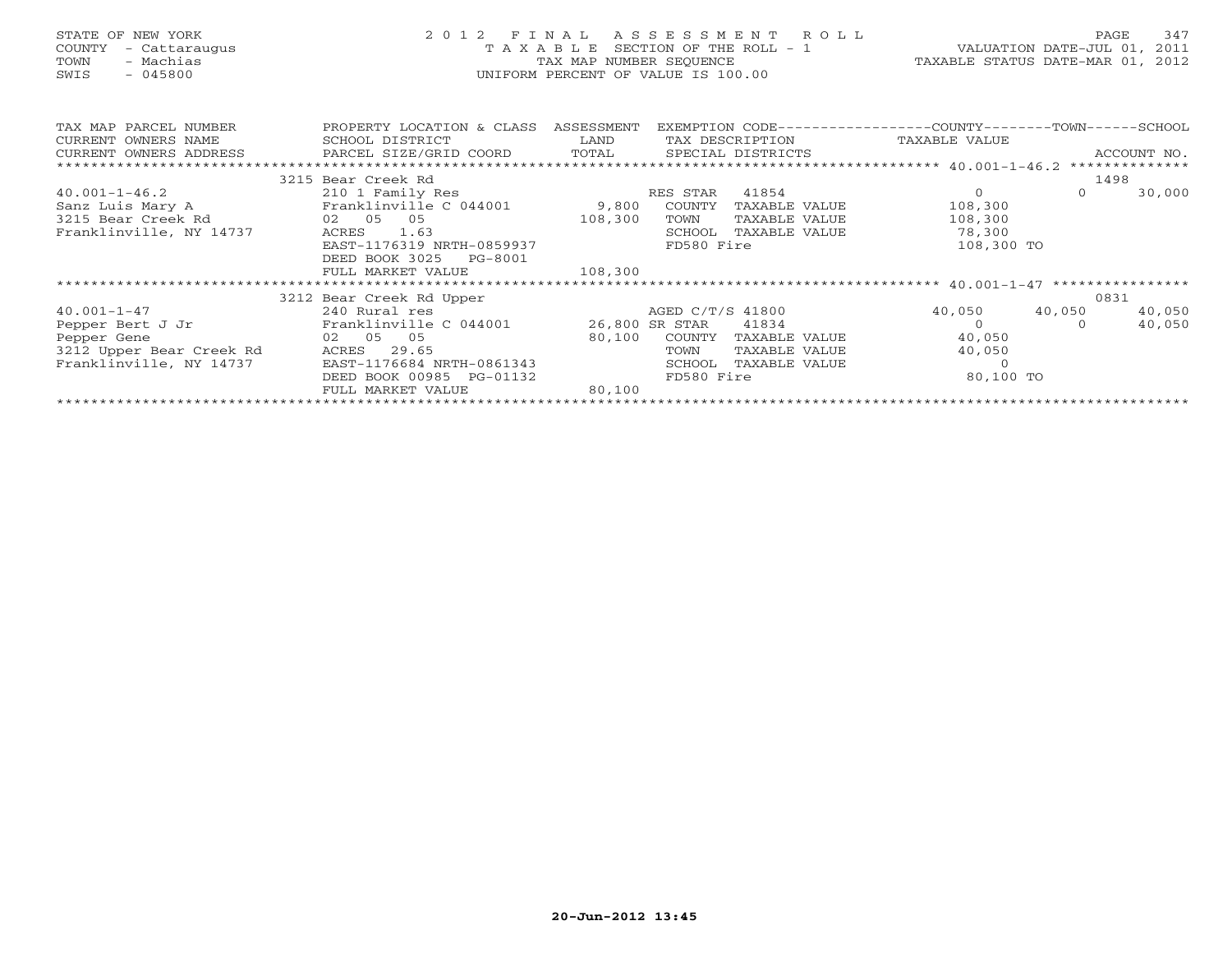| STATE OF NEW YORK<br>COUNTY<br>- Cattaraugus<br>- Machias<br>TOWN<br>$-045800$<br>SWIS                      |                                                                                                                                                                                | TAX MAP NUMBER SEQUENCE<br>UNIFORM PERCENT OF VALUE IS 100.00 | 2012 FINAL ASSESSMENT ROLL<br>T A X A B L E SECTION OF THE ROLL - 1 $VALUATION$ DATE-JUL 01, 2011 | TAXABLE STATUS DATE-MAR 01, 2012                                                                                                                                                                                                                                                                                                                                                                 |          | 347<br>PAGE      |
|-------------------------------------------------------------------------------------------------------------|--------------------------------------------------------------------------------------------------------------------------------------------------------------------------------|---------------------------------------------------------------|---------------------------------------------------------------------------------------------------|--------------------------------------------------------------------------------------------------------------------------------------------------------------------------------------------------------------------------------------------------------------------------------------------------------------------------------------------------------------------------------------------------|----------|------------------|
| TAX MAP PARCEL NUMBER<br>CURRENT OWNERS NAME<br>CURRENT OWNERS ADDRESS                                      | PROPERTY LOCATION & CLASS ASSESSMENT<br>SCHOOL DISTRICT<br>PARCEL SIZE/GRID COORD                                                                                              | LAND<br>TOTAL SPECIAL DISTRICTS                               | EXEMPTION CODE-----------------COUNTY-------TOWN-----SCHOOL<br>TAX DESCRIPTION                    | TAXABLE VALUE                                                                                                                                                                                                                                                                                                                                                                                    |          | ACCOUNT NO.      |
|                                                                                                             | 3215 Bear Creek Rd                                                                                                                                                             |                                                               |                                                                                                   |                                                                                                                                                                                                                                                                                                                                                                                                  | 1498     |                  |
| $40.001 - 1 - 46.2$<br>Sanz Luis Mary A<br>3215 Bear Creek Rd<br>Franklinville, NY 14737                    | 210 1 Family Res<br>Franklinville C 044001 9,800 COUNTY TAXABLE VALUE<br>02 05 05<br>ACRES<br>1.63<br>EAST-1176319 NRTH-0859937<br>DEED BOOK 3025 PG-8001<br>FULL MARKET VALUE | RES STAR<br>108,300<br>TOWN<br>108,300                        | 41854<br>TAXABLE VALUE<br>SCHOOL TAXABLE VALUE<br>FD580 Fire                                      | $\overline{O}$<br>108,300<br>108,300<br>78,300<br>108,300 TO                                                                                                                                                                                                                                                                                                                                     | $\Omega$ | 30,000           |
|                                                                                                             |                                                                                                                                                                                |                                                               |                                                                                                   |                                                                                                                                                                                                                                                                                                                                                                                                  |          |                  |
|                                                                                                             | 3212 Bear Creek Rd Upper                                                                                                                                                       |                                                               |                                                                                                   |                                                                                                                                                                                                                                                                                                                                                                                                  |          | 0831             |
| $40.001 - 1 - 47$<br>Pepper Bert J Jr<br>Pepper Gene<br>3212 Upper Bear Creek Rd<br>Franklinville, NY 14737 | 240 Rural res<br>Franklinville C 044001 26,800 SR STAR<br>02 05 05<br>ACRES 29.65<br>EAST-1176684 NRTH-0861343<br>DEED BOOK 00985 PG-01132<br>FULL MARKET VALUE                | AGED C/T/S 41800<br>TOWN<br>SCHOOL<br>80,100                  | 41834<br>80,100 COUNTY TAXABLE VALUE<br>TAXABLE VALUE<br>TAXABLE VALUE<br>FD580 Fire              | 40,050 40,050<br>$\overline{0}$ and $\overline{0}$ and $\overline{0}$ and $\overline{0}$ and $\overline{0}$ and $\overline{0}$ and $\overline{0}$ and $\overline{0}$ and $\overline{0}$ and $\overline{0}$ and $\overline{0}$ and $\overline{0}$ and $\overline{0}$ and $\overline{0}$ and $\overline{0}$ and $\overline{0}$ and $\overline{0}$ and<br>40,050<br>40,050<br>$\Omega$<br>80,100 TO | $\cap$   | 40,050<br>40,050 |
|                                                                                                             |                                                                                                                                                                                |                                                               |                                                                                                   |                                                                                                                                                                                                                                                                                                                                                                                                  |          |                  |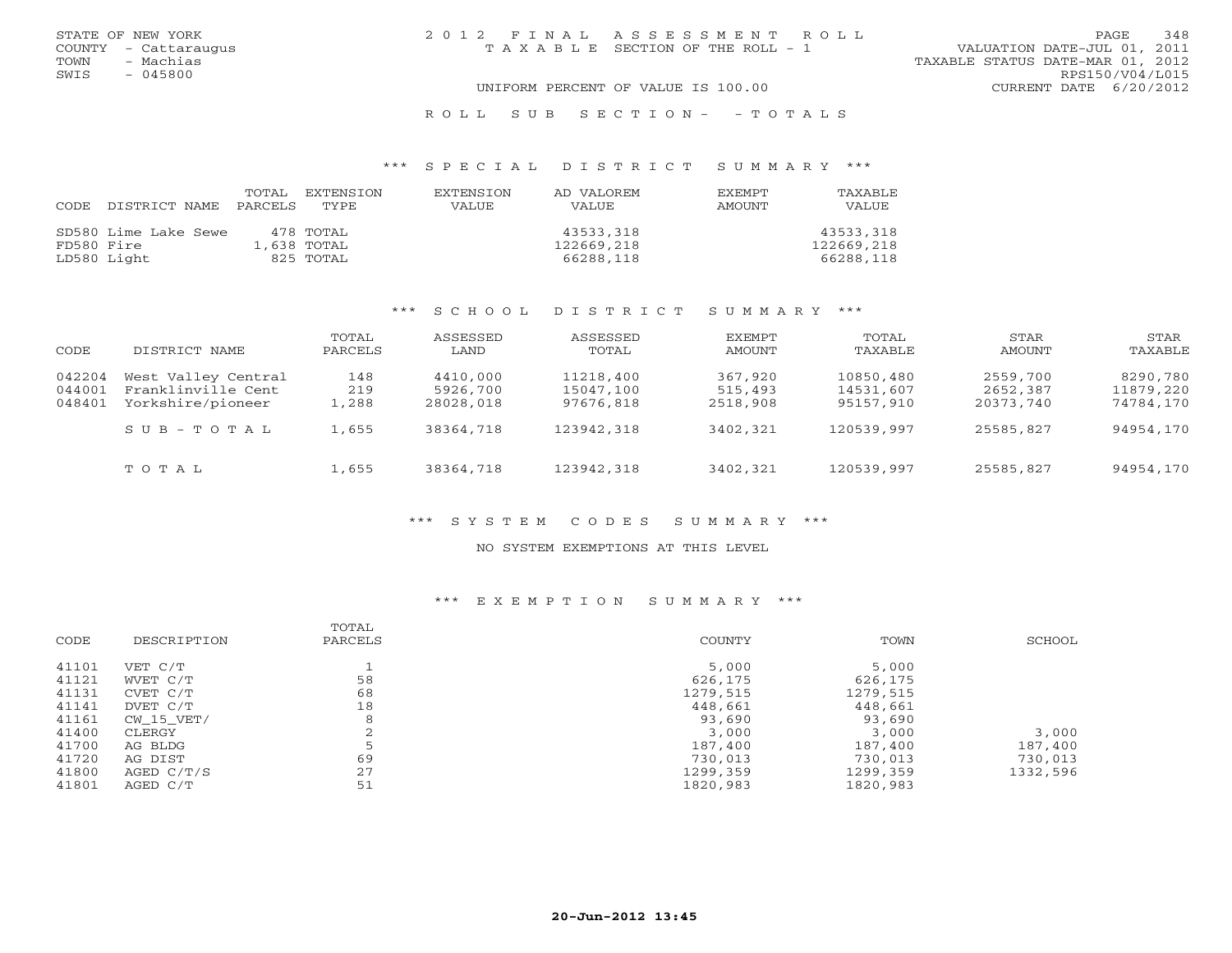| STATE OF NEW YORK<br>COUNTY - Cattaraugus | 2012 FINAL ASSESSMENT ROLL<br>T A X A B L E SECTION OF THE ROLL - 1 | VALUATION DATE-JUL 01, 2011      | 348<br><b>PAGE</b> |
|-------------------------------------------|---------------------------------------------------------------------|----------------------------------|--------------------|
| - Machias<br>TOWN<br>$-045800$<br>SWIS    |                                                                     | TAXABLE STATUS DATE-MAR 01, 2012 | RPS150/V04/L015    |
|                                           | UNIFORM PERCENT OF VALUE IS 100.00                                  | CURRENT DATE 6/20/2012           |                    |

R O L L S U B S E C T I O N - - T O T A L S

### \*\*\* S P E C I A L D I S T R I C T S U M M A R Y \*\*\*

|            |                      | TOTAL   | EXTENSTON   | <b>EXTENSION</b> | AD VALOREM   | <b>EXEMPT</b> | TAXABLE      |
|------------|----------------------|---------|-------------|------------------|--------------|---------------|--------------|
| CODE       | DISTRICT NAME        | PARCELS | TYPE        | VALUE            | <b>VALUE</b> | AMOUNT        | <b>VALUE</b> |
|            |                      |         |             |                  |              |               |              |
|            | SD580 Lime Lake Sewe |         | 478 TOTAL   |                  | 43533,318    |               | 43533,318    |
| FD580 Fire |                      |         | 1,638 TOTAL |                  | 122669,218   |               | 122669,218   |
|            | LD580 Light          |         | 825 TOTAL   |                  | 66288,118    |               | 66288,118    |

### \*\*\* S C H O O L D I S T R I C T S U M M A R Y \*\*\*

| CODE                       | DISTRICT NAME                                                  | TOTAL<br>PARCELS    | ASSESSED<br>LAND                  | ASSESSED<br>TOTAL                   | EXEMPT<br>AMOUNT               | TOTAL<br>TAXABLE                    | STAR<br>AMOUNT                    | <b>STAR</b><br>TAXABLE             |
|----------------------------|----------------------------------------------------------------|---------------------|-----------------------------------|-------------------------------------|--------------------------------|-------------------------------------|-----------------------------------|------------------------------------|
| 042204<br>044001<br>048401 | West Valley Central<br>Franklinville Cent<br>Yorkshire/pioneer | 148<br>219<br>1,288 | 4410,000<br>5926,700<br>28028,018 | 11218,400<br>15047,100<br>97676,818 | 367,920<br>515,493<br>2518,908 | 10850,480<br>14531,607<br>95157,910 | 2559,700<br>2652,387<br>20373,740 | 8290,780<br>11879,220<br>74784,170 |
|                            | $S \cup B - T \cup T A L$                                      | 1,655               | 38364,718                         | 123942,318                          | 3402,321                       | 120539,997                          | 25585,827                         | 94954,170                          |
|                            | TOTAL                                                          | 1,655               | 38364,718                         | 123942,318                          | 3402,321                       | 120539,997                          | 25585,827                         | 94954,170                          |

### \*\*\* S Y S T E M C O D E S S U M M A R Y \*\*\*

#### NO SYSTEM EXEMPTIONS AT THIS LEVEL

## \*\*\* E X E M P T I O N S U M M A R Y \*\*\*

|            | TOTAL       |          |          | SCHOOL   |
|------------|-------------|----------|----------|----------|
|            |             |          |          |          |
| VET C/T    |             | 5,000    | 5,000    |          |
| WVET C/T   | 58          | 626,175  | 626,175  |          |
| CVET C/T   | 68          | 1279,515 | 1279,515 |          |
| DVET C/T   | 18          | 448,661  | 448,661  |          |
| CW 15 VET/ | 8           | 93,690   | 93,690   |          |
| CLERGY     |             | 3,000    | 3,000    | 3,000    |
| AG BLDG    |             | 187,400  | 187,400  | 187,400  |
| AG DIST    | 69          | 730,013  | 730,013  | 730,013  |
| AGED C/T/S | 27          | 1299,359 | 1299,359 | 1332,596 |
| AGED C/T   | 51          | 1820,983 | 1820,983 |          |
|            | DESCRIPTION | PARCELS  | COUNTY   | TOWN     |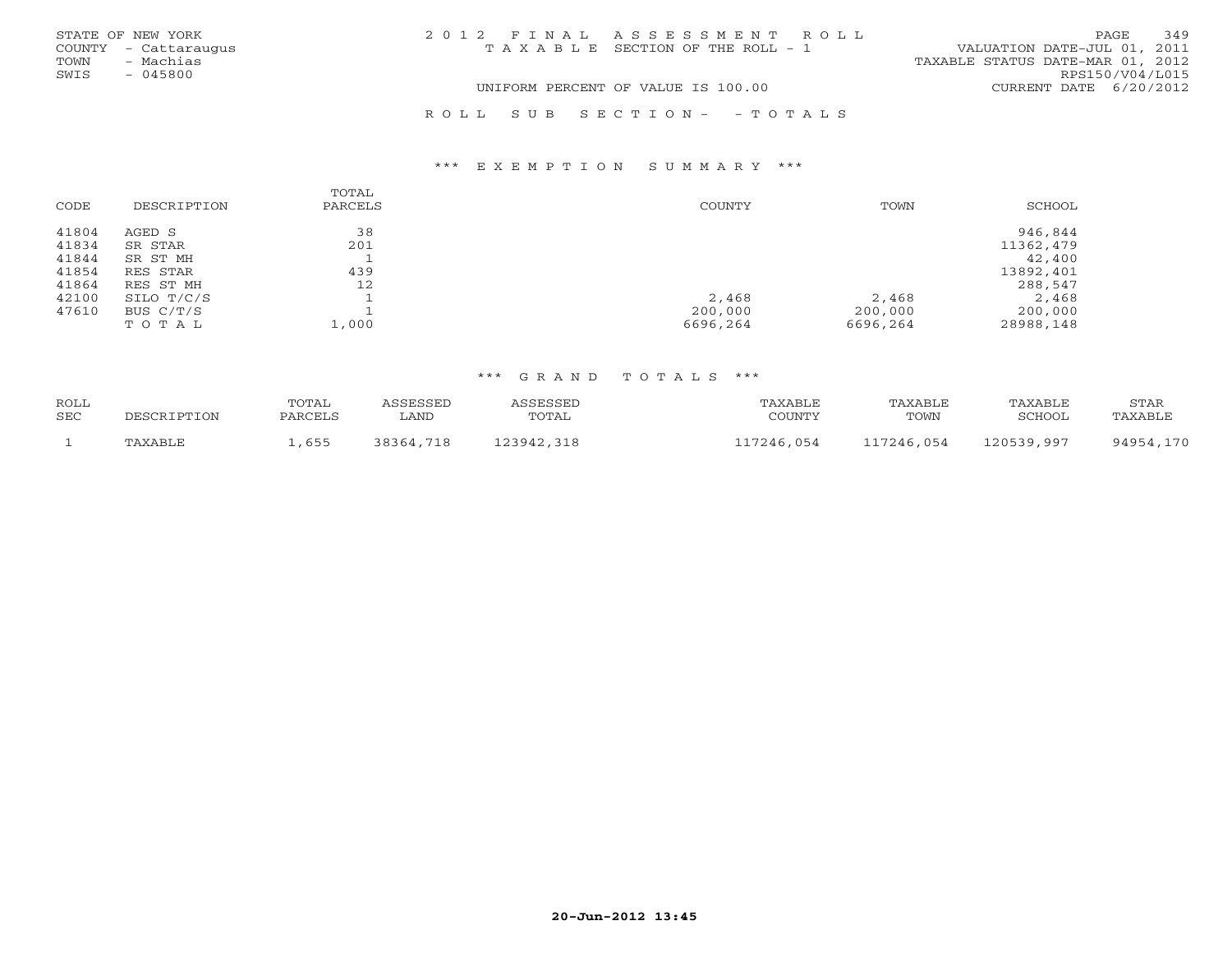|      | STATE OF NEW YORK    | 2012 FINAL ASSESSMENT ROLL            | 349<br>PAGE                      |
|------|----------------------|---------------------------------------|----------------------------------|
|      | COUNTY - Cattaraugus | T A X A B L E SECTION OF THE ROLL - 1 | VALUATION DATE-JUL 01, 2011      |
| TOWN | - Machias            |                                       | TAXABLE STATUS DATE-MAR 01, 2012 |
| SWIS | $-045800$            |                                       | RPS150/V04/L015                  |
|      |                      | UNIFORM PERCENT OF VALUE IS 100.00    | CURRENT DATE 6/20/2012           |
|      |                      | ROLL SUB SECTION- - TOTALS            |                                  |

### \*\*\* E X E M P T I O N S U M M A R Y \*\*\*

|       |             | TOTAL   |               |          |           |
|-------|-------------|---------|---------------|----------|-----------|
| CODE  | DESCRIPTION | PARCELS | <b>COUNTY</b> | TOWN     | SCHOOL    |
|       |             |         |               |          |           |
| 41804 | AGED S      | 38      |               |          | 946,844   |
| 41834 | SR STAR     | 201     |               |          | 11362,479 |
| 41844 | SR ST MH    |         |               |          | 42,400    |
| 41854 | RES STAR    | 439     |               |          | 13892,401 |
| 41864 | RES ST MH   | 12      |               |          | 288,547   |
| 42100 | SILO T/C/S  |         | 2,468         | 2,468    | 2,468     |
| 47610 | BUS $C/T/S$ |         | 200,000       | 200,000  | 200,000   |
|       | TOTAL       | 1,000   | 6696,264      | 6696,264 | 28988,148 |

## \*\*\* G R A N D T O T A L S \*\*\*

| <b>ROLL</b><br>SEC | DESCRIPTION    | <b>TOTAL</b><br>PARCELS | SSESSED<br>LAND | <b>ASSESSED</b><br>TOTAL | TAXABI E<br>COUNTY | TAXABLE<br>TOWN | TAXABLE<br>SCHOOL | STAR<br>'AXABLF |
|--------------------|----------------|-------------------------|-----------------|--------------------------|--------------------|-----------------|-------------------|-----------------|
|                    | <b>TAXABLE</b> | ,655                    | 38364,718       | ,318<br>123942           | 17246,054          | 117246,054      | 120539,997        | 94954.170       |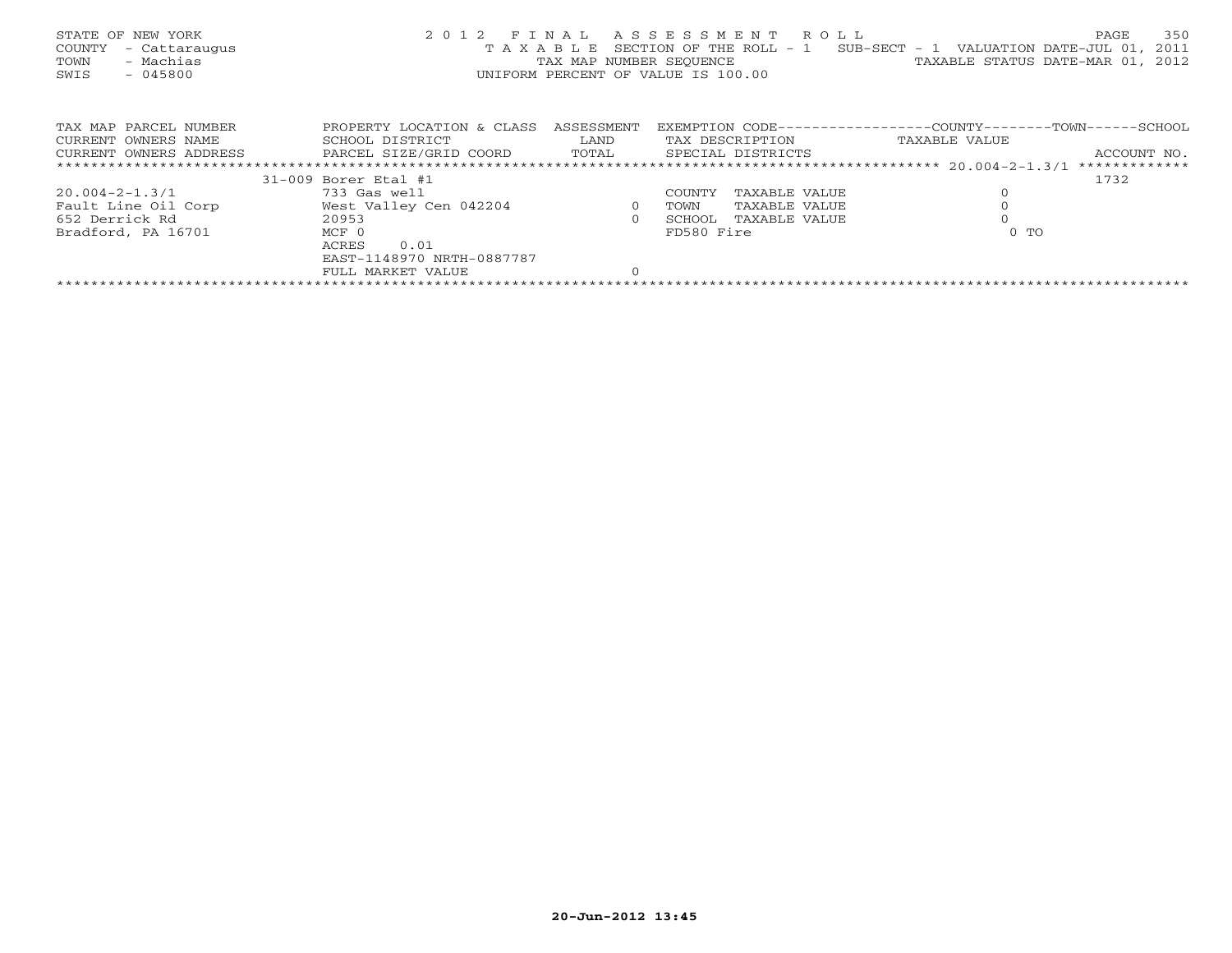| STATE OF NEW YORK<br>COUNTY<br>- Cattaraugus<br>- Machias<br>TOWN<br>$-045800$<br>SWIS | 2 0 1 2                                        |                | FINAL ASSESSMENT ROLL<br>UNIFORM PERCENT OF VALUE IS 100.00 | 350<br>PAGE<br>T A X A B L E SECTION OF THE ROLL - 1 SUB-SECT - 1 VALUATION DATE-JUL 01, 2011<br>TAX MAP NUMBER SEQUENCE TAXABLE STATUS DATE-MAR 01, 2012 |
|----------------------------------------------------------------------------------------|------------------------------------------------|----------------|-------------------------------------------------------------|-----------------------------------------------------------------------------------------------------------------------------------------------------------|
| TAX MAP PARCEL NUMBER                                                                  | PROPERTY LOCATION & CLASS ASSESSMENT           |                |                                                             | EXEMPTION CODE-----------------COUNTY-------TOWN------SCHOOL                                                                                              |
| CURRENT OWNERS NAME                                                                    | SCHOOL DISTRICT                                | LAND           | TAX DESCRIPTION                                             | TAXABLE VALUE                                                                                                                                             |
| CURRENT OWNERS ADDRESS                                                                 | PARCEL SIZE/GRID COORD TOTAL SPECIAL DISTRICTS |                |                                                             | ACCOUNT NO.                                                                                                                                               |
|                                                                                        |                                                |                |                                                             |                                                                                                                                                           |
|                                                                                        | 31-009 Borer Etal #1                           |                |                                                             | 1732                                                                                                                                                      |
| 20.004-2-1.3/1                                                                         | 733 Gas well                                   |                | TAXABLE VALUE<br>COUNTY                                     | $\circ$                                                                                                                                                   |
| Fault Line Oil Corp                                                                    | West Valley Cen 042204                         | $\overline{0}$ | TOWN<br>TAXABLE VALUE                                       |                                                                                                                                                           |
| 652 Derrick Rd                                                                         | 20953                                          | $\circ$        | SCHOOL<br>TAXABLE VALUE                                     |                                                                                                                                                           |
| $MCF$ 0<br>Bradford, PA 16701                                                          |                                                |                | FD580 Fire                                                  | $0$ TO                                                                                                                                                    |
|                                                                                        | ACRES<br>0.01                                  |                |                                                             |                                                                                                                                                           |
|                                                                                        | EAST-1148970 NRTH-0887787                      |                |                                                             |                                                                                                                                                           |
|                                                                                        | FULL MARKET VALUE                              | $\Omega$       |                                                             |                                                                                                                                                           |
|                                                                                        |                                                |                |                                                             |                                                                                                                                                           |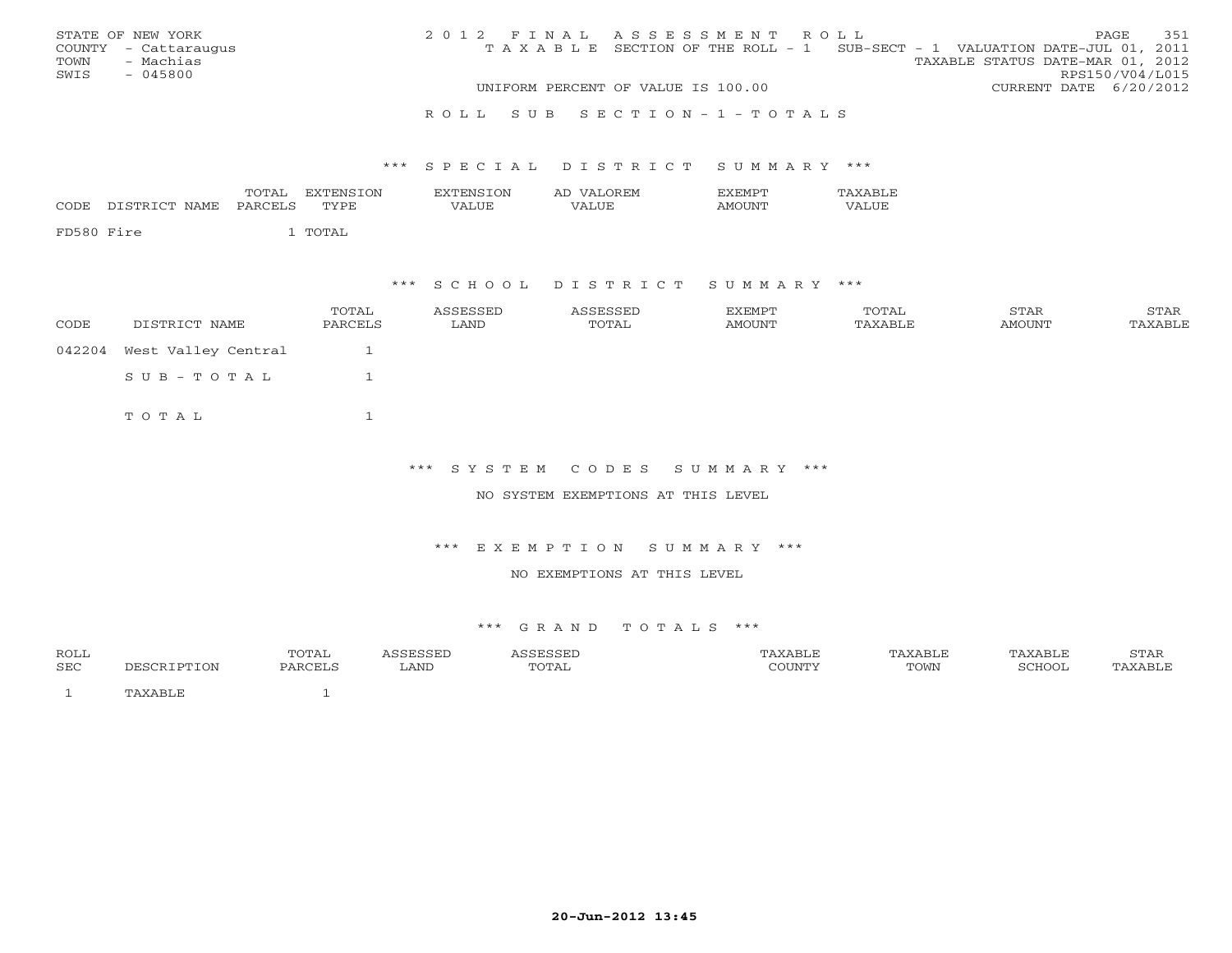|      | STATE OF NEW YORK    | 2012 FINAL ASSESSMENT ROLL |                                                                                |                                  |                        | PAGE | 351 |
|------|----------------------|----------------------------|--------------------------------------------------------------------------------|----------------------------------|------------------------|------|-----|
|      | COUNTY - Cattaraugus |                            | T A X A B L E SECTION OF THE ROLL - 1 SUB-SECT - 1 VALUATION DATE-JUL 01, 2011 |                                  |                        |      |     |
| TOWN | - Machias            |                            |                                                                                | TAXABLE STATUS DATE-MAR 01, 2012 |                        |      |     |
| SWIS | - 045800             |                            |                                                                                |                                  | RPS150/V04/L015        |      |     |
|      |                      |                            | UNIFORM PERCENT OF VALUE IS 100.00                                             |                                  | CURRENT DATE 6/20/2012 |      |     |
|      |                      |                            |                                                                                |                                  |                        |      |     |

#### R O L L S U B S E C T I O N - 1 - T O T A L S

#### \*\*\* S P E C I A L D I S T R I C T S U M M A R Y \*\*\*

| DISTRICT NAME<br>CODE | TOTAL<br>PARCELS | EXTENSION<br><b>EXTENSION</b><br>VALUE<br>TYPE | AD VALOREM<br>VALUE | <b>EXEMPT</b><br>AMOUNT | TAXABLE<br>VALUE |  |
|-----------------------|------------------|------------------------------------------------|---------------------|-------------------------|------------------|--|
| FD580 Fire            | 1 TOTAL          |                                                |                     |                         |                  |  |

### \*\*\* S C H O O L D I S T R I C T S U M M A R Y \*\*\*

| CODE | DISTRICT NAME              | TOTAL<br>PARCELS | ASSESSED<br>LAND | ASSESSED<br>TOTAL | EXEMPT<br>AMOUNT | TOTAL<br>TAXABLE | STAR<br>AMOUNT | STAR<br>TAXABLE |
|------|----------------------------|------------------|------------------|-------------------|------------------|------------------|----------------|-----------------|
|      | 042204 West Valley Central |                  |                  |                   |                  |                  |                |                 |
|      | SUB-TOTAL                  |                  |                  |                   |                  |                  |                |                 |
|      | TOTAL                      |                  |                  |                   |                  |                  |                |                 |

### \*\*\* S Y S T E M C O D E S S U M M A R Y \*\*\*

NO SYSTEM EXEMPTIONS AT THIS LEVEL

#### \*\*\* E X E M P T I O N S U M M A R Y \*\*\*

#### NO EXEMPTIONS AT THIS LEVEL

#### \*\*\* G R A N D T O T A L S \*\*\*

| <b>ROLL</b><br>SEC | <b>TON</b> | TOTAL<br>DADCET C | LAND | TOTAL | COUNTY | TOWN | SCHOOL | $G$ m $\bar{D}$ m<br>) TAR<br>`XABLE |
|--------------------|------------|-------------------|------|-------|--------|------|--------|--------------------------------------|
|                    |            |                   |      |       |        |      |        |                                      |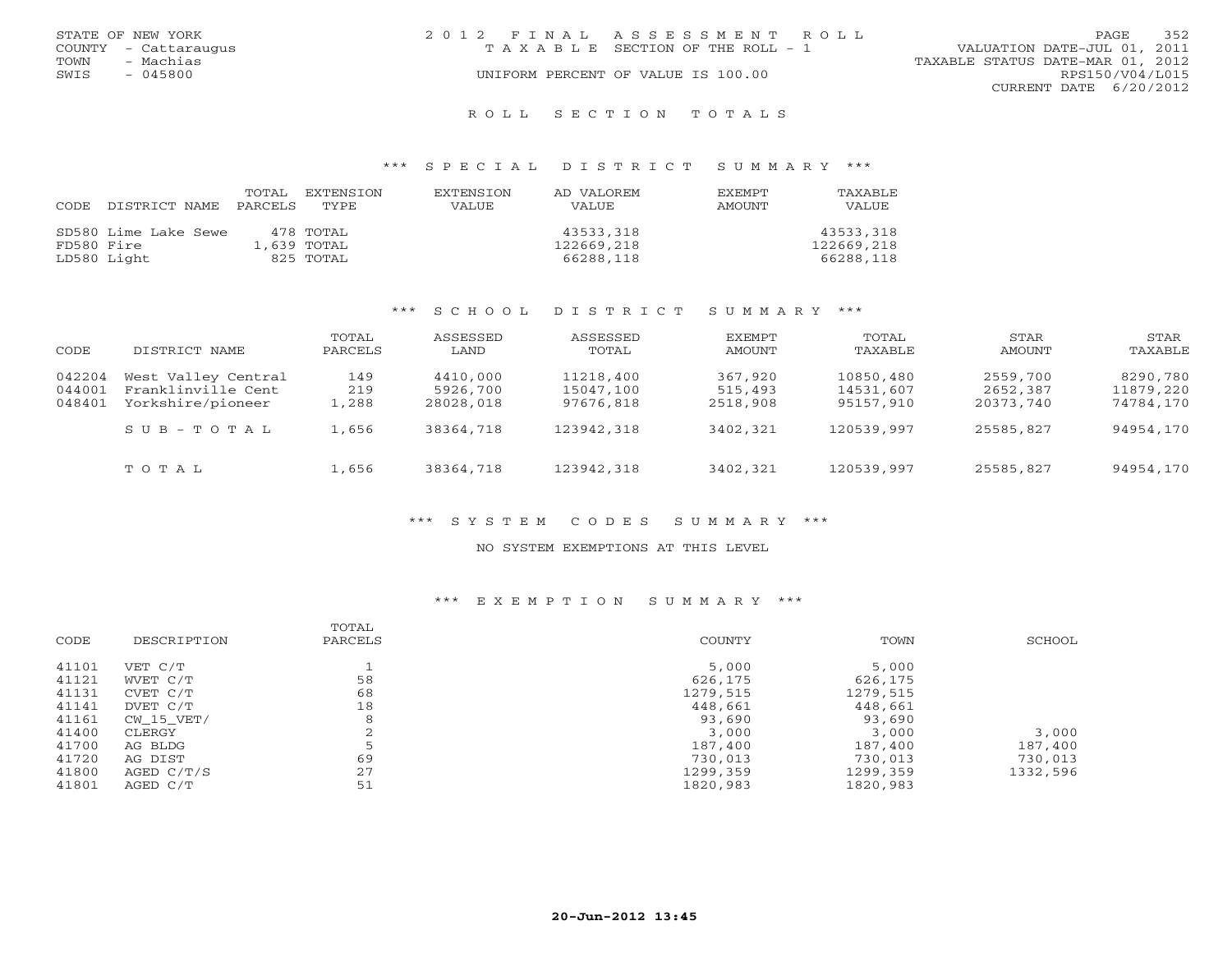| STATE OF NEW YORK    | 2012 FINAL ASSESSMENT ROLL         | 352<br><b>PAGE</b>               |
|----------------------|------------------------------------|----------------------------------|
| COUNTY - Cattaraugus | TAXABLE SECTION OF THE ROLL - 1    | VALUATION DATE-JUL 01, 2011      |
| - Machias<br>TOWN    |                                    | TAXABLE STATUS DATE-MAR 01, 2012 |
| SWIS<br>$-045800$    | UNIFORM PERCENT OF VALUE IS 100.00 | RPS150/V04/L015                  |
|                      |                                    | CURRENT DATE 6/20/2012           |
|                      |                                    |                                  |

#### R O L L S E C T I O N T O T A L S

### \*\*\* S P E C I A L D I S T R I C T S U M M A R Y \*\*\*

| CODE       | DISTRICT NAME        | TOTAL<br>PARCELS | EXTENSTON<br>TYPE | <b>EXTENSION</b><br><b>VALUE</b> | AD VALOREM<br>VALUE | <b>EXEMPT</b><br>AMOUNT | TAXABLE<br><b>VALUE</b> |
|------------|----------------------|------------------|-------------------|----------------------------------|---------------------|-------------------------|-------------------------|
|            |                      |                  |                   |                                  |                     |                         |                         |
|            | SD580 Lime Lake Sewe |                  | 478 TOTAL         |                                  | 43533,318           |                         | 43533,318               |
| FD580 Fire |                      |                  | 1,639 TOTAL       |                                  | 122669,218          |                         | 122669,218              |
|            | LD580 Light          |                  | 825 TOTAL         |                                  | 66288,118           |                         | 66288,118               |

### \*\*\* S C H O O L D I S T R I C T S U M M A R Y \*\*\*

| CODE             | DISTRICT NAME                             | TOTAL<br>PARCELS | ASSESSED<br>LAND     | ASSESSED<br>TOTAL      | EXEMPT<br>AMOUNT   | TOTAL<br>TAXABLE       | STAR<br>AMOUNT       | STAR<br>TAXABLE       |
|------------------|-------------------------------------------|------------------|----------------------|------------------------|--------------------|------------------------|----------------------|-----------------------|
| 042204           | West Valley Central<br>Franklinville Cent | 149<br>219       | 4410,000<br>5926,700 | 11218,400<br>15047,100 | 367,920<br>515,493 | 10850,480<br>14531,607 | 2559,700<br>2652,387 | 8290,780<br>11879,220 |
| 044001<br>048401 | Yorkshire/pioneer                         | 1,288            | 28028,018            | 97676,818              | 2518,908           | 95157,910              | 20373,740            | 74784,170             |
|                  | $S \cup B - T \cup T A$                   | 1,656            | 38364,718            | 123942,318             | 3402,321           | 120539,997             | 25585,827            | 94954,170             |
|                  | TOTAL                                     | 1,656            | 38364,718            | 123942,318             | 3402,321           | 120539,997             | 25585,827            | 94954,170             |

### \*\*\* S Y S T E M C O D E S S U M M A R Y \*\*\*

#### NO SYSTEM EXEMPTIONS AT THIS LEVEL

### \*\*\* E X E M P T I O N S U M M A R Y \*\*\*

|            | TOTAL       |          |          | SCHOOL   |
|------------|-------------|----------|----------|----------|
|            |             |          |          |          |
| VET C/T    |             | 5,000    | 5,000    |          |
| WVET C/T   | 58          | 626,175  | 626,175  |          |
| CVET C/T   | 68          | 1279,515 | 1279,515 |          |
| DVET C/T   | 18          | 448,661  | 448,661  |          |
| CW 15 VET/ | 8           | 93,690   | 93,690   |          |
| CLERGY     |             | 3,000    | 3,000    | 3,000    |
| AG BLDG    |             | 187,400  | 187,400  | 187,400  |
| AG DIST    | 69          | 730,013  | 730,013  | 730,013  |
| AGED C/T/S | 27          | 1299,359 | 1299,359 | 1332,596 |
| AGED C/T   | 51          | 1820,983 | 1820,983 |          |
|            | DESCRIPTION | PARCELS  | COUNTY   | TOWN     |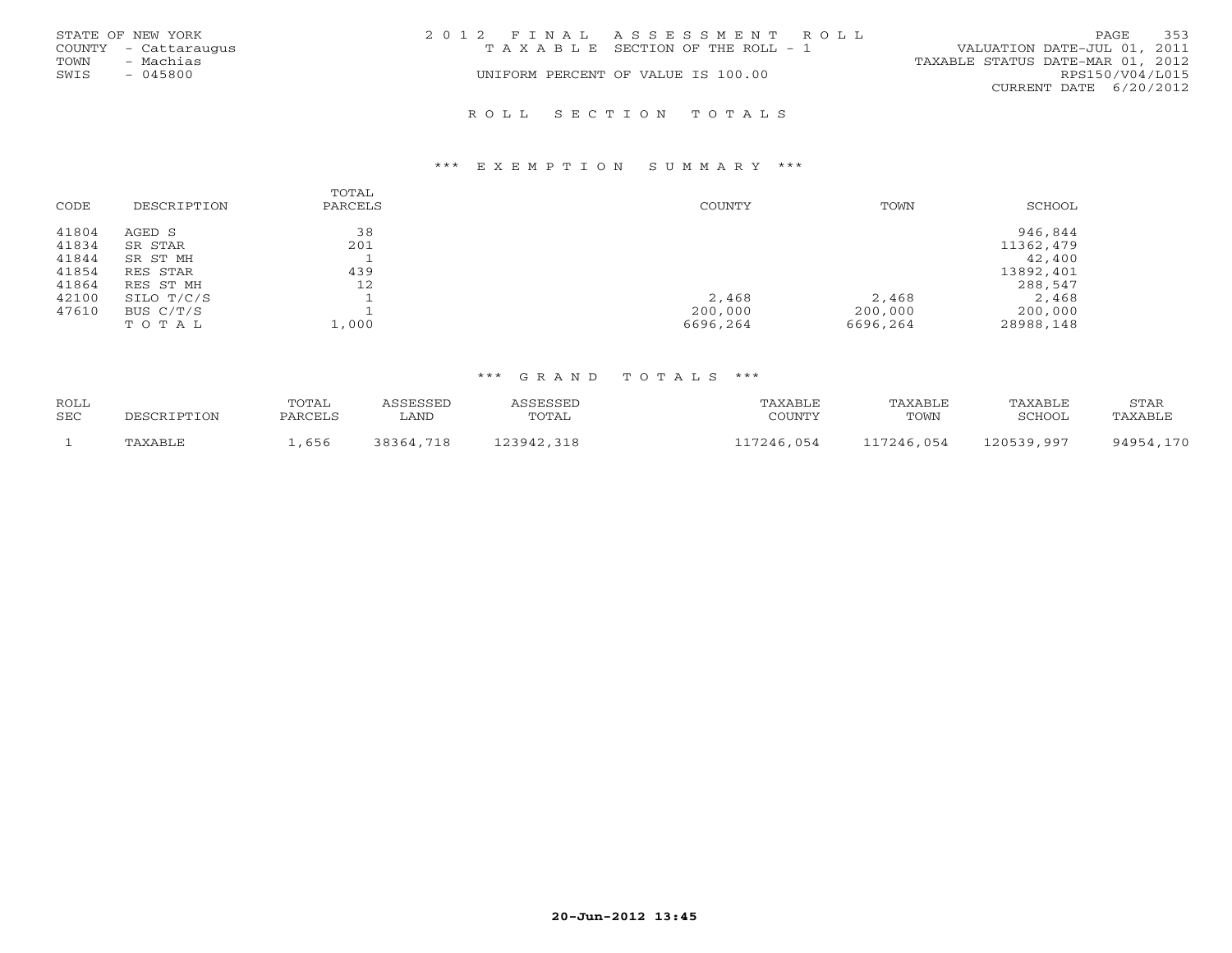|      | STATE OF NEW YORK    | 2012 FINAL ASSESSMENT ROLL |                                    |                                  | PAGE            | 353 |
|------|----------------------|----------------------------|------------------------------------|----------------------------------|-----------------|-----|
|      | COUNTY - Cattaraugus |                            | TAXABLE SECTION OF THE ROLL - 1    | VALUATION DATE-JUL 01, 2011      |                 |     |
| TOWN | - Machias            |                            |                                    | TAXABLE STATUS DATE-MAR 01, 2012 |                 |     |
| SWIS | $-045800$            |                            | UNIFORM PERCENT OF VALUE IS 100.00 |                                  | RPS150/V04/L015 |     |
|      |                      |                            |                                    | CURRENT DATE 6/20/2012           |                 |     |
|      |                      |                            |                                    |                                  |                 |     |

### R O L L S E C T I O N T O T A L S

#### \*\*\* E X E M P T I O N S U M M A R Y \*\*\*

| CODE  | DESCRIPTION | TOTAL<br>PARCELS | COUNTY   | TOWN     | SCHOOL    |
|-------|-------------|------------------|----------|----------|-----------|
| 41804 | AGED S      | 38               |          |          | 946,844   |
| 41834 | SR STAR     | 201              |          |          | 11362,479 |
| 41844 | SR ST MH    |                  |          |          | 42,400    |
| 41854 | RES STAR    | 439              |          |          | 13892,401 |
| 41864 | RES ST MH   | 12               |          |          | 288,547   |
| 42100 | SILO T/C/S  |                  | 2,468    | 2,468    | 2,468     |
| 47610 | BUS $C/T/S$ |                  | 200,000  | 200,000  | 200,000   |
|       | TOTAL       | $\perp$ , 000    | 6696,264 | 6696,264 | 28988,148 |

## \*\*\* G R A N D T O T A L S \*\*\*

| ROLL |             | TOTAL   | ASSESSED  | ASSESSED   | TAXABLE    | TAXABLE    | TAXABLE    | STAR      |
|------|-------------|---------|-----------|------------|------------|------------|------------|-----------|
| SEC  | DESCRIPTION | PARCELS | LAND      | TOTAL      | COUNTY     | TOWN       | SCHOOL     | TAXABLE   |
|      | TAXABLE     | , 656   | 38364,718 | 123942,318 | 117246,054 | 117246,054 | 120539,997 | 94954,170 |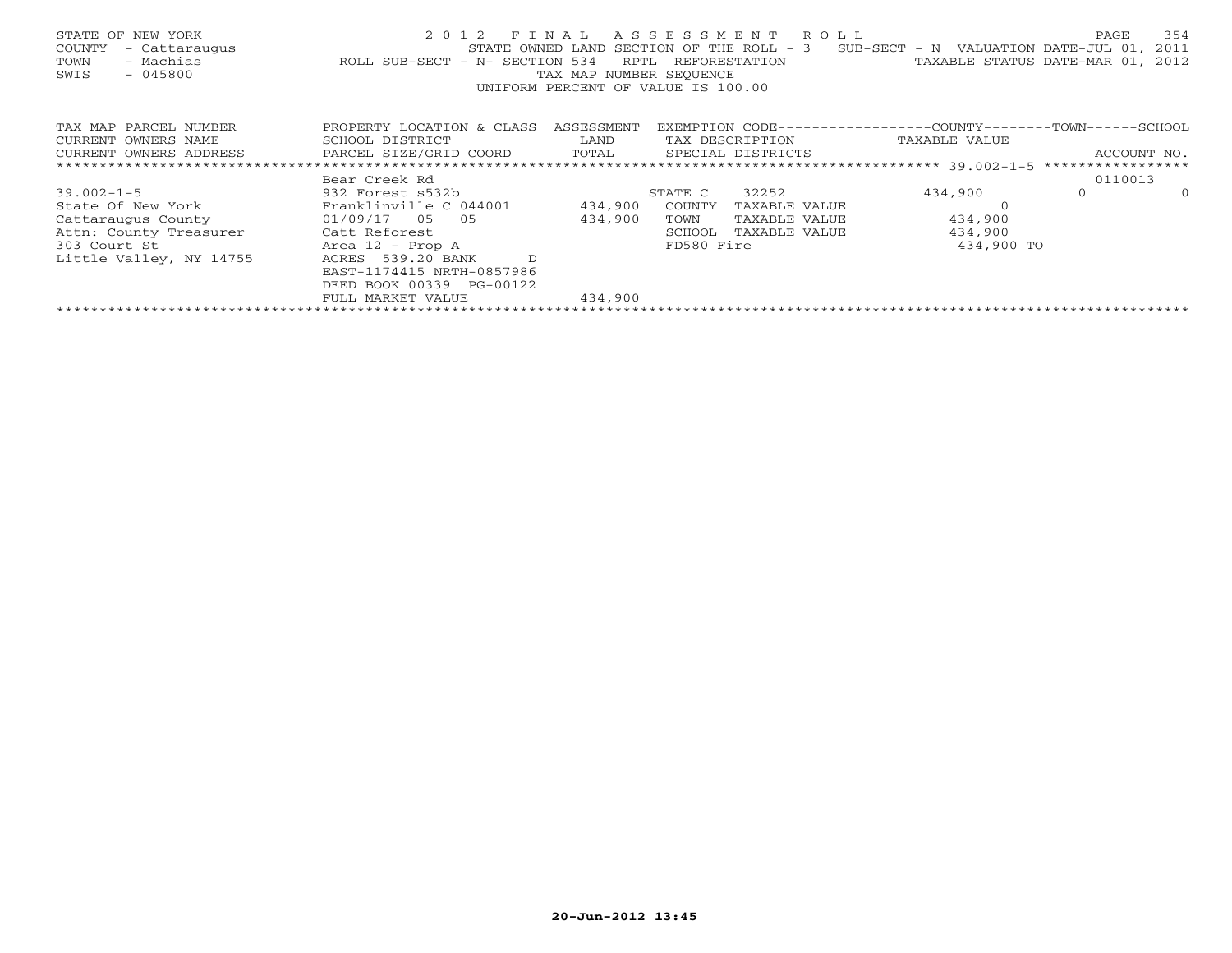| STATE OF NEW YORK<br>- Cattaraugus<br>COUNTY<br>- Machias<br>TOWN<br>SWIS<br>$-045800$ | 2 0 1 2<br>STATE OWNED LAND<br>ROLL SUB-SECT - N- SECTION 534 | FINAL<br>RPTL<br>TAX MAP NUMBER SEOUENCE<br>UNIFORM PERCENT OF VALUE IS 100.00 | ASSESSMENT | R O L L<br>SECTION OF THE ROLL - 3<br>REFORESTATION | $SUB-SECTION - N$ VALUATION DATE-JUL 01,<br>TAXABLE STATUS DATE-MAR 01, 2012 | PAGE        | 354<br>2011 |
|----------------------------------------------------------------------------------------|---------------------------------------------------------------|--------------------------------------------------------------------------------|------------|-----------------------------------------------------|------------------------------------------------------------------------------|-------------|-------------|
| TAX MAP PARCEL NUMBER                                                                  | PROPERTY LOCATION & CLASS                                     | ASSESSMENT                                                                     |            |                                                     | EXEMPTION CODE-----------------COUNTY-------TOWN------SCHOOL                 |             |             |
| CURRENT OWNERS NAME                                                                    | SCHOOL DISTRICT                                               | LAND                                                                           |            | TAX DESCRIPTION                                     | TAXABLE VALUE                                                                |             |             |
| CURRENT OWNERS ADDRESS                                                                 | PARCEL SIZE/GRID COORD                                        | TOTAL                                                                          |            | SPECIAL DISTRICTS                                   |                                                                              | ACCOUNT NO. |             |
|                                                                                        |                                                               |                                                                                |            |                                                     |                                                                              |             |             |
|                                                                                        | Bear Creek Rd                                                 |                                                                                |            |                                                     |                                                                              | 0110013     |             |
| $39.002 - 1 - 5$                                                                       | 932 Forest s532b                                              |                                                                                | STATE C    | 32252                                               | 434,900                                                                      | $\circ$     | $\circ$     |
| State Of New York                                                                      | Franklinville C 044001                                        | 434,900                                                                        | COUNTY     | TAXABLE VALUE                                       |                                                                              |             |             |
| Cattaraugus County                                                                     | $01/09/17$ 05 05                                              | 434,900                                                                        | TOWN       | TAXABLE VALUE                                       | 434,900                                                                      |             |             |
| Attn: County Treasurer                                                                 | Catt Reforest                                                 |                                                                                | SCHOOL     | TAXABLE VALUE                                       | 434,900                                                                      |             |             |
| 303 Court St                                                                           | Area 12 - Prop A                                              |                                                                                | FD580 Fire |                                                     | 434,900 TO                                                                   |             |             |
| Little Valley, NY 14755                                                                | ACRES 539.20 BANK                                             |                                                                                |            |                                                     |                                                                              |             |             |
|                                                                                        | EAST-1174415 NRTH-0857986                                     |                                                                                |            |                                                     |                                                                              |             |             |
|                                                                                        | DEED BOOK 00339 PG-00122                                      |                                                                                |            |                                                     |                                                                              |             |             |
|                                                                                        | FULL MARKET VALUE                                             | 434,900                                                                        |            |                                                     |                                                                              |             |             |
|                                                                                        |                                                               |                                                                                |            |                                                     |                                                                              |             |             |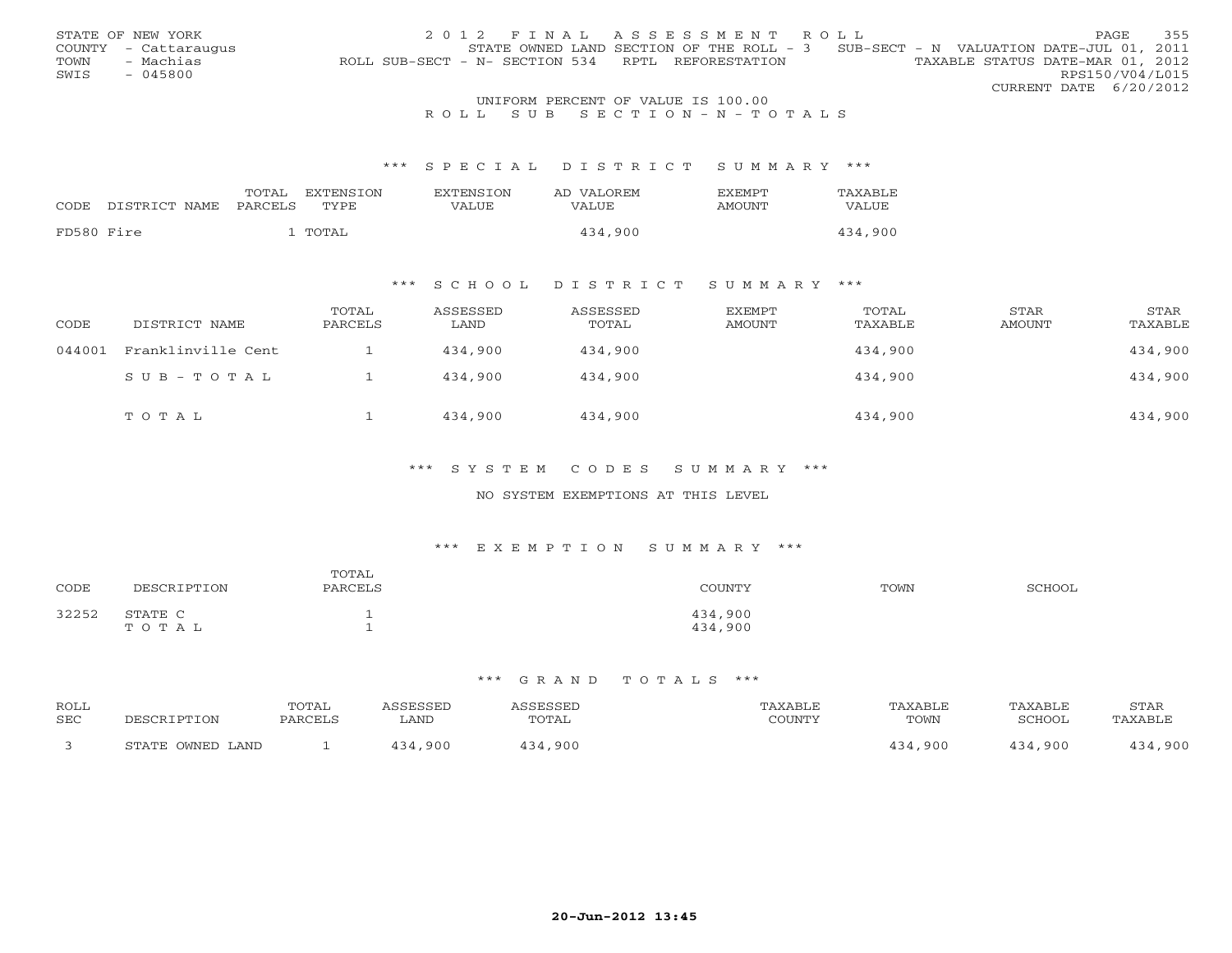|      | STATE OF NEW YORK    | 2012 FINAL ASSESSMENT ROLL                                                            | PAGE.           | 355 |
|------|----------------------|---------------------------------------------------------------------------------------|-----------------|-----|
|      | COUNTY - Cattaraugus | STATE OWNED LAND SECTION OF THE ROLL - 3 SUB-SECT - N VALUATION DATE-JUL 01, 2011     |                 |     |
| TOWN | - Machias            | TAXABLE STATUS DATE-MAR 01, 2012<br>ROLL SUB-SECT - N- SECTION 534 RPTL REFORESTATION |                 |     |
| SWIS | $-045800$            |                                                                                       | RPS150/V04/L015 |     |
|      |                      | CURRENT DATE 6/20/2012                                                                |                 |     |
|      |                      | UNIFORM PERCENT OF VALUE IS 100.00                                                    |                 |     |

## R O L L S U B S E C T I O N - N - T O T A L S

### \*\*\* S P E C I A L D I S T R I C T S U M M A R Y \*\*\*

|            |               | TOTAL   | <b>EXTENSION</b> | <b>EXTENSION</b> | AD VALOREM | <b>F.XFMPT</b> | TAXABLE |
|------------|---------------|---------|------------------|------------------|------------|----------------|---------|
| CODE       | DISTRICT NAME | PARCELS | TYPE             | VALUE            | VALUE      | AMOUNT         | VALUE   |
|            |               |         |                  |                  |            |                |         |
| FD580 Fire |               |         | TOTAL            |                  | 434,900    |                | 434,900 |

### \*\*\* S C H O O L D I S T R I C T S U M M A R Y \*\*\*

| CODE   | DISTRICT NAME      | TOTAL<br>PARCELS | ASSESSED<br>LAND | ASSESSED<br>TOTAL | EXEMPT<br>AMOUNT | TOTAL<br>TAXABLE | STAR<br><b>AMOUNT</b> | STAR<br>TAXABLE |
|--------|--------------------|------------------|------------------|-------------------|------------------|------------------|-----------------------|-----------------|
| 044001 | Franklinville Cent |                  | 434,900          | 434,900           |                  | 434,900          |                       | 434,900         |
|        | SUB-TOTAL          |                  | 434,900          | 434,900           |                  | 434,900          |                       | 434,900         |
|        | TOTAL              |                  | 434,900          | 434,900           |                  | 434,900          |                       | 434,900         |

### \*\*\* S Y S T E M C O D E S S U M M A R Y \*\*\*

### NO SYSTEM EXEMPTIONS AT THIS LEVEL

### \*\*\* E X E M P T I O N S U M M A R Y \*\*\*

| CODE  | DESCRIPTION      | TOTAL<br>PARCELS | COUNTY             | TOWN | SCHOOL |
|-------|------------------|------------------|--------------------|------|--------|
| 32252 | STATE C<br>TOTAL |                  | 434,900<br>434,900 |      |        |

#### \*\*\* G R A N D T O T A L S \*\*\*

| ROLL<br><b>SEC</b> | DECOD.               | <b>TOTAL</b><br>PARCEI | SSESSED<br>LAND | $H = G$<br>ミド ご ご ビー<br>TOTAL | "AXABLE<br>COUNTY | <b>TAXABLE</b><br>TOWN | TAXABLE<br>SCHOOL | <b>STAR</b><br>'AXABLE |
|--------------------|----------------------|------------------------|-----------------|-------------------------------|-------------------|------------------------|-------------------|------------------------|
|                    | OWNED LAND<br>STATE. |                        | ,900            | .900                          |                   | 134.900                | .900              | .900                   |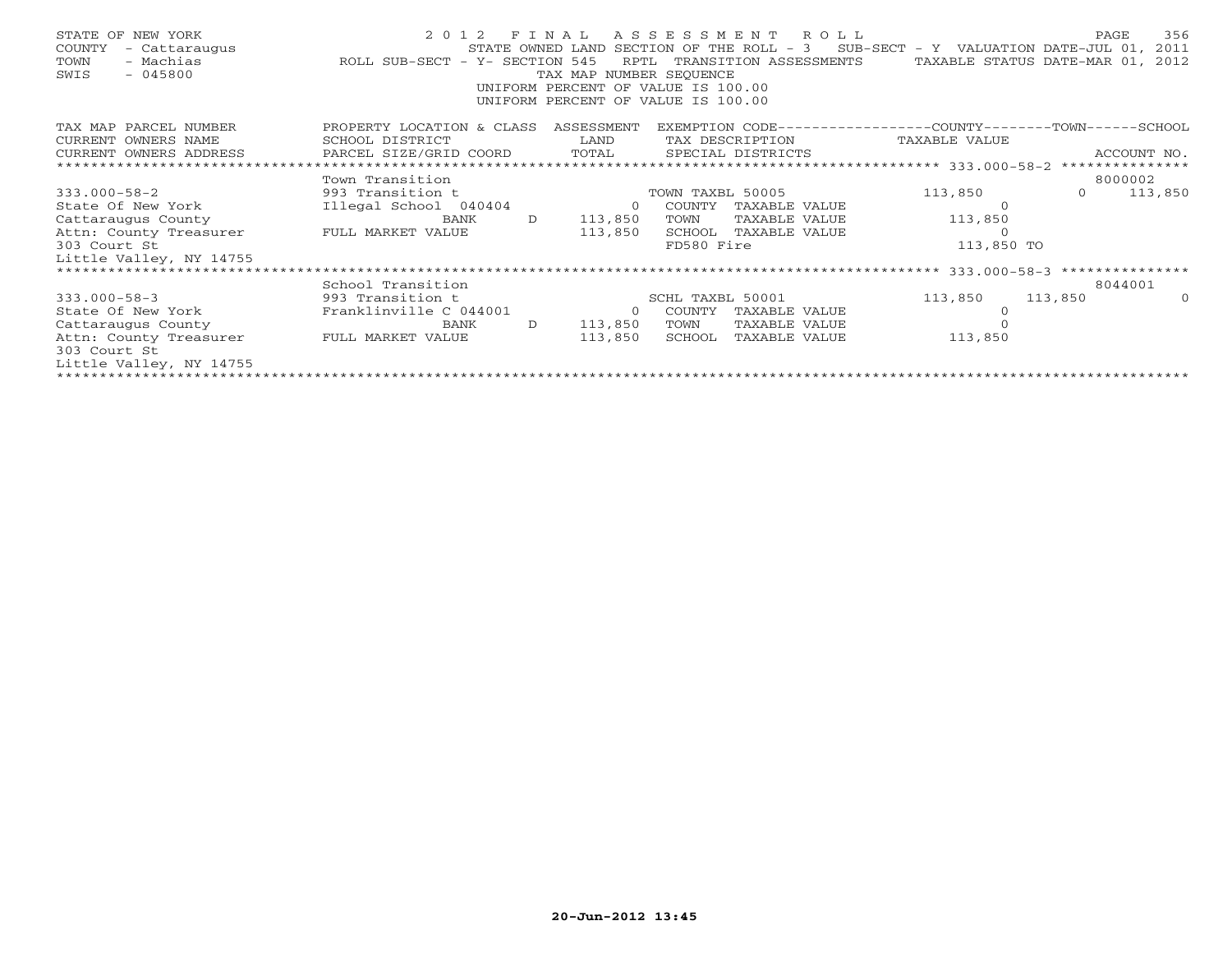| STATE OF NEW YORK<br>COUNTY<br>- Cattaraugus<br>- Machias<br>TOWN<br>SWIS<br>$-045800$ | STATE OWNED LAND STATE OWNED LAND ROLL SUB-SECT - Y- SECTION 545 |              | RPTL<br>TAX MAP NUMBER SEQUENCE<br>UNIFORM PERCENT OF VALUE IS 100.00<br>UNIFORM PERCENT OF VALUE IS 100.00 |            | 2012 FINAL ASSESSMENT ROLL | STATE OWNED LAND SECTION OF THE ROLL - $3$ SUB-SECT - Y VALUATION DATE-JUL 01,<br>TRANSITION ASSESSMENTS TAXABLE STATUS DATE-MAR 01, |                | PAGE<br>356<br>2011<br>2012 |
|----------------------------------------------------------------------------------------|------------------------------------------------------------------|--------------|-------------------------------------------------------------------------------------------------------------|------------|----------------------------|--------------------------------------------------------------------------------------------------------------------------------------|----------------|-----------------------------|
| TAX MAP PARCEL NUMBER                                                                  | PROPERTY LOCATION & CLASS ASSESSMENT                             |              |                                                                                                             |            |                            | EXEMPTION CODE-----------------COUNTY-------TOWN------SCHOOL                                                                         |                |                             |
| CURRENT OWNERS NAME                                                                    | SCHOOL DISTRICT                                                  |              | LAND                                                                                                        |            |                            | TAX DESCRIPTION TAXABLE VALUE                                                                                                        |                |                             |
| CURRENT OWNERS ADDRESS PARCEL SIZE/GRID COORD                                          |                                                                  |              |                                                                                                             |            |                            |                                                                                                                                      |                |                             |
|                                                                                        | Town Transition                                                  |              |                                                                                                             |            |                            |                                                                                                                                      |                | 8000002                     |
| $333.000 - 58 - 2$                                                                     | 993 Transition t                                                 |              | TOWN TAXBL 50005                                                                                            |            |                            | 113,850                                                                                                                              | $\overline{0}$ | 113,850                     |
|                                                                                        |                                                                  |              |                                                                                                             |            |                            |                                                                                                                                      |                |                             |
| State Of New York                                                                      | Illegal School 040404 0 COUNTY                                   |              |                                                                                                             |            | TAXABLE VALUE              |                                                                                                                                      |                |                             |
| Cattaraugus County                                                                     | BANK                                                             | $\Box$       | 113,850                                                                                                     | TOWN       | TAXABLE VALUE              | 113,850                                                                                                                              |                |                             |
| Attn: County Treasurer FULL MARKET VALUE                                               |                                                                  |              | 113,850                                                                                                     |            | SCHOOL TAXABLE VALUE       | $\circ$                                                                                                                              |                |                             |
| 303 Court St                                                                           |                                                                  |              |                                                                                                             | FD580 Fire |                            | 113,850 TO                                                                                                                           |                |                             |
| Little Valley, NY 14755                                                                |                                                                  |              |                                                                                                             |            |                            |                                                                                                                                      |                |                             |
|                                                                                        |                                                                  |              |                                                                                                             |            |                            |                                                                                                                                      |                |                             |
|                                                                                        | School Transition                                                |              |                                                                                                             |            |                            |                                                                                                                                      |                | 8044001                     |
| $333.000 - 58 - 3$                                                                     | 993 Transition t                                                 |              | SCHL TAXBL 50001                                                                                            |            |                            | 113,850                                                                                                                              | 113,850        | $\Omega$                    |
| State Of New York                                                                      | Franklinville C 044001                                           |              | 0 COUNTY                                                                                                    |            | TAXABLE VALUE              |                                                                                                                                      |                |                             |
| Cattaraugus County                                                                     | BANK                                                             | $\mathbf{D}$ | 113,850                                                                                                     | TOWN       | TAXABLE VALUE              |                                                                                                                                      |                |                             |
| Attn: County Treasurer FULL MARKET VALUE                                               |                                                                  |              | 113,850                                                                                                     | SCHOOL     | TAXABLE VALUE              | 113,850                                                                                                                              |                |                             |
| 303 Court St                                                                           |                                                                  |              |                                                                                                             |            |                            |                                                                                                                                      |                |                             |
| Little Valley, NY 14755                                                                |                                                                  |              |                                                                                                             |            |                            |                                                                                                                                      |                |                             |
|                                                                                        |                                                                  |              |                                                                                                             |            |                            |                                                                                                                                      |                |                             |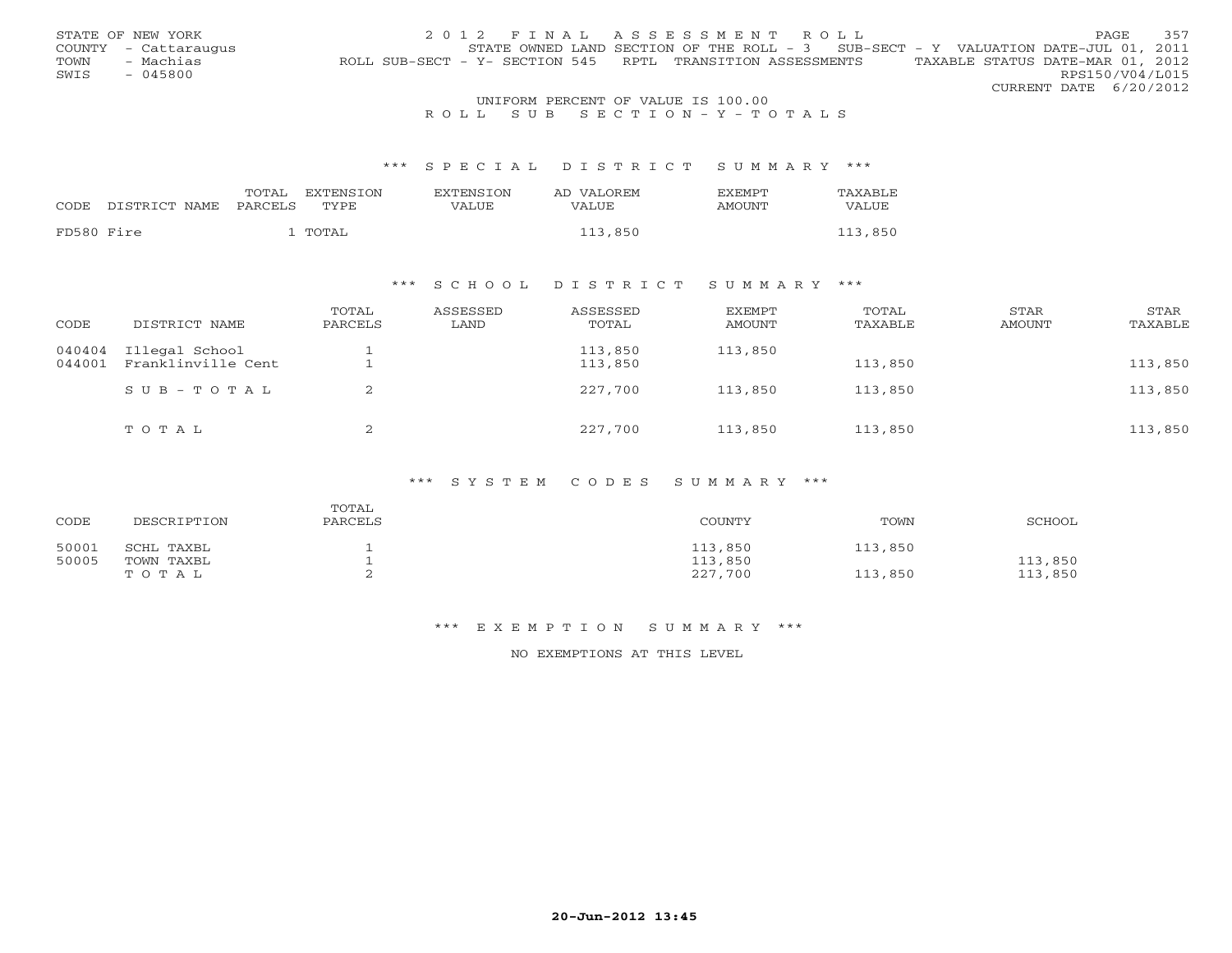|      | STATE OF NEW YORK                  | 2012 FINAL ASSESSMENT ROLL                                                                     | <b>PAGE</b>     | 357 |  |  |
|------|------------------------------------|------------------------------------------------------------------------------------------------|-----------------|-----|--|--|
|      | COUNTY - Cattaraugus               | STATE OWNED LAND SECTION OF THE ROLL - 3 SUB-SECT - Y VALUATION DATE-JUL 01, 2011              |                 |     |  |  |
| TOWN | - Machias                          | TAXABLE STATUS DATE-MAR 01, 2012<br>ROLL SUB-SECT - Y- SECTION 545 RPTL TRANSITION ASSESSMENTS |                 |     |  |  |
| SWIS | - 045800                           |                                                                                                | RPS150/V04/L015 |     |  |  |
|      |                                    | CURRENT DATE 6/20/2012                                                                         |                 |     |  |  |
|      | UNIFORM PERCENT OF VALUE IS 100.00 |                                                                                                |                 |     |  |  |

## R O L L S U B S E C T I O N - Y - T O T A L S

### \*\*\* S P E C I A L D I S T R I C T S U M M A R Y \*\*\*

|            |               | TOTAL   | EXTENSION | <b>EXTENSION</b> | AD VALOREM | <b>EXEMPT</b> | TAXABLE |
|------------|---------------|---------|-----------|------------------|------------|---------------|---------|
| CODE       | DISTRICT NAME | PARCELS | TYPE      | VALUE            | VALUE      | AMOUNT        | VALUE   |
| FD580 Fire |               |         | TOTAL     |                  | 113,850    |               | 113,850 |

### \*\*\* S C H O O L D I S T R I C T S U M M A R Y \*\*\*

| CODE             | DISTRICT NAME                        | TOTAL<br>PARCELS | ASSESSED<br>LAND | ASSESSED<br>TOTAL  | <b>EXEMPT</b><br>AMOUNT | TOTAL<br>TAXABLE | STAR<br>AMOUNT | STAR<br>TAXABLE |
|------------------|--------------------------------------|------------------|------------------|--------------------|-------------------------|------------------|----------------|-----------------|
| 040404<br>044001 | Illegal School<br>Franklinville Cent |                  |                  | 113,850<br>113,850 | 113,850                 | 113,850          |                | 113,850         |
|                  | $SUB - TO T AL$                      |                  |                  | 227,700            | 113,850                 | 113,850          |                | 113,850         |
|                  | TOTAL                                | ▵                |                  | 227,700            | 113,850                 | 113,850          |                | 113,850         |

### \*\*\* S Y S T E M C O D E S S U M M A R Y \*\*\*

| CODE  | DESCRIPTION | TOTAL<br>PARCELS | COUNTY  | TOWN    | <b>SCHOOL</b> |
|-------|-------------|------------------|---------|---------|---------------|
| 50001 | SCHL TAXBL  | л.               | 113,850 | 113,850 |               |
| 50005 | TOWN TAXBL  |                  | 113,850 |         | 113,850       |
|       | TOTAL       | ∼                | 227,700 | 113,850 | 113,850       |

#### \*\*\* E X E M P T I O N S U M M A R Y \*\*\*

NO EXEMPTIONS AT THIS LEVEL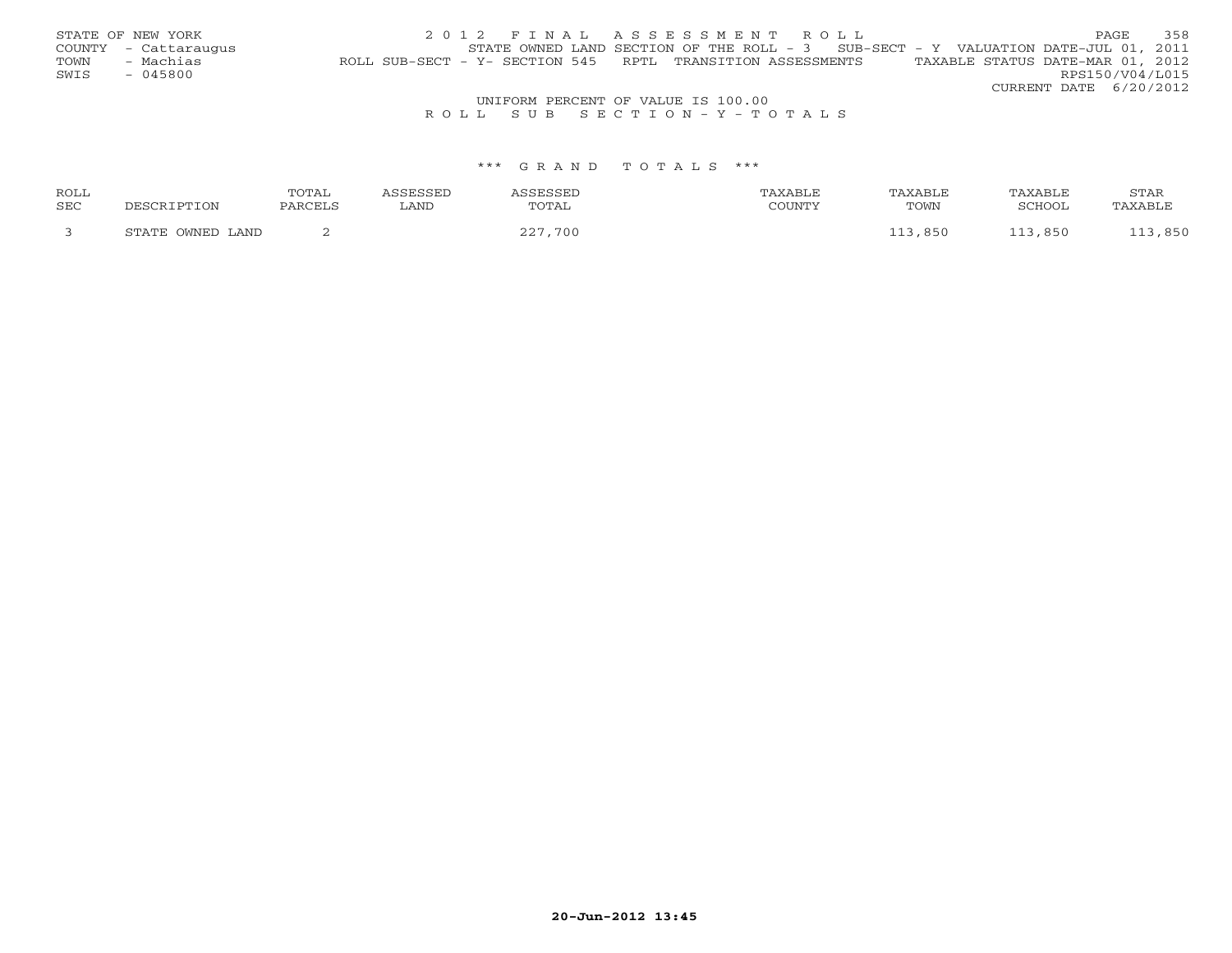|      | STATE OF NEW YORK    | 2012 FINAL ASSESSMENT ROLL                                                                     | PAGE                   | 358 |
|------|----------------------|------------------------------------------------------------------------------------------------|------------------------|-----|
|      | COUNTY - Cattaraugus | STATE OWNED LAND SECTION OF THE ROLL - $3$ SUB-SECT - Y VALUATION DATE-JUL 01, 2011            |                        |     |
| TOWN | - Machias            | TAXABLE STATUS DATE-MAR 01, 2012<br>ROLL SUB-SECT - Y- SECTION 545 RPTL TRANSITION ASSESSMENTS |                        |     |
| SWIS | $-045800$            |                                                                                                | RPS150/V04/L015        |     |
|      |                      |                                                                                                | CURRENT DATE 6/20/2012 |     |
|      |                      | UNIFORM PERCENT OF VALUE IS 100.00                                                             |                        |     |
|      |                      |                                                                                                |                        |     |

## R O L L S U B S E C T I O N - Y - T O T A L S

### \*\*\* G R A N D T O T A L S \*\*\*

| ROLL |                  | TOTAL   | ASSESSED | ASSESSED | TAXABLE | TAXABLE | TAXABLE | STAR    |
|------|------------------|---------|----------|----------|---------|---------|---------|---------|
| SEC  | DESCRIPTION      | PARCELS | LAND     | TOTAL    | COUNTY  | TOWN    | SCHOOL  | TAXABLE |
|      | STATE OWNED LAND |         |          | 227,700  |         | 113,850 | 113,850 | 113,850 |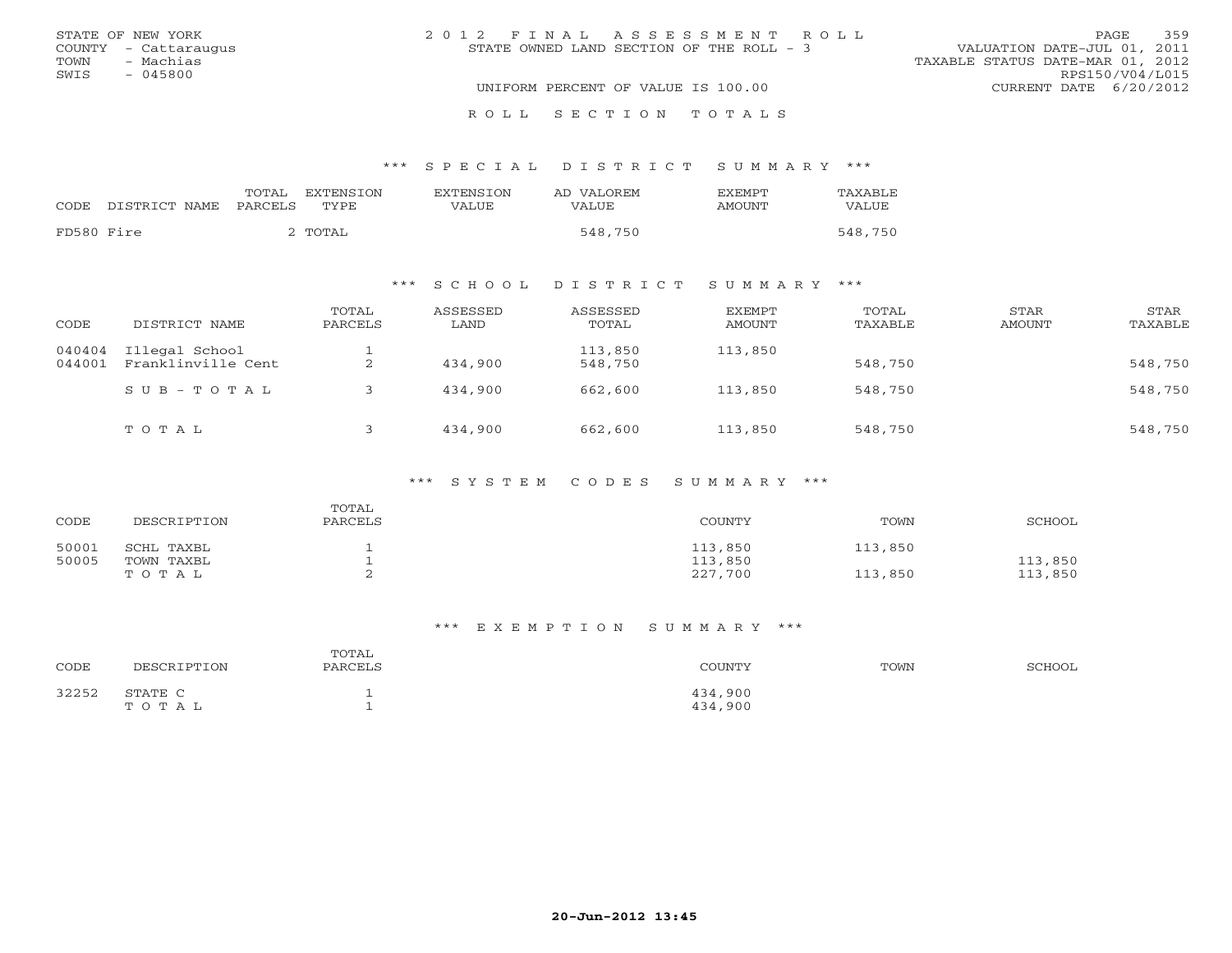|      | STATE OF NEW YORK    | 2012 FINAL ASSESSMENT ROLL               | PAGE.                            | 359 |
|------|----------------------|------------------------------------------|----------------------------------|-----|
|      | COUNTY - Cattaraugus | STATE OWNED LAND SECTION OF THE ROLL - 3 | VALUATION DATE-JUL 01, 2011      |     |
| TOWN | - Machias            |                                          | TAXABLE STATUS DATE-MAR 01, 2012 |     |
| SWIS | - 045800             |                                          | RPS150/V04/L015                  |     |
|      |                      | UNIFORM PERCENT OF VALUE IS 100.00       | CURRENT DATE 6/20/2012           |     |
|      |                      |                                          |                                  |     |

# \*\*\* S P E C I A L D I S T R I C T S U M M A R Y \*\*\*

|            | CODE DISTRICT NAME PARCELS | TOTAL | EXTENSION<br>TYPE. | <b>EXTENSION</b><br>VALUE | AD VALOREM<br><b>VALUE</b> | <b>FXFMPT</b><br>AMOUNT | TAXABLE<br>VALUE |
|------------|----------------------------|-------|--------------------|---------------------------|----------------------------|-------------------------|------------------|
| FD580 Fire |                            |       | 2 TOTAL            |                           | 548,750                    |                         | 548,750          |

R O L L S E C T I O N T O T A L S

## \*\*\* S C H O O L D I S T R I C T S U M M A R Y \*\*\*

| CODE             | DISTRICT NAME                        | TOTAL<br>PARCELS | ASSESSED<br>LAND | ASSESSED<br>TOTAL  | EXEMPT<br>AMOUNT | TOTAL<br>TAXABLE | STAR<br>AMOUNT | STAR<br>TAXABLE |
|------------------|--------------------------------------|------------------|------------------|--------------------|------------------|------------------|----------------|-----------------|
| 040404<br>044001 | Illegal School<br>Franklinville Cent | ∠                | 434,900          | 113,850<br>548,750 | 113,850          | 548,750          |                | 548,750         |
|                  | $SUB - TO T AL$                      |                  | 434,900          | 662,600            | 113,850          | 548,750          |                | 548,750         |
|                  | TOTAL                                |                  | 434,900          | 662,600            | 113,850          | 548,750          |                | 548,750         |

### \*\*\* S Y S T E M C O D E S S U M M A R Y \*\*\*

| CODE  | DESCRIPTION | TOTAL<br>PARCELS | COUNTY  | TOWN    | SCHOOL  |
|-------|-------------|------------------|---------|---------|---------|
| 50001 | SCHL TAXBL  |                  | 113,850 | 113,850 |         |
| 50005 | TOWN TAXBL  |                  | 113,850 |         | 113,850 |
|       | TOTAL       |                  | 227,700 | 113,850 | 113,850 |

### \*\*\* E X E M P T I O N S U M M A R Y \*\*\*

| CODE  | DESCRIPTION      | TOTAL<br>PARCELS | COUNTY             | TOWN | SCHOOL |
|-------|------------------|------------------|--------------------|------|--------|
| 32252 | STATE C<br>TOTAL |                  | 434,900<br>434,900 |      |        |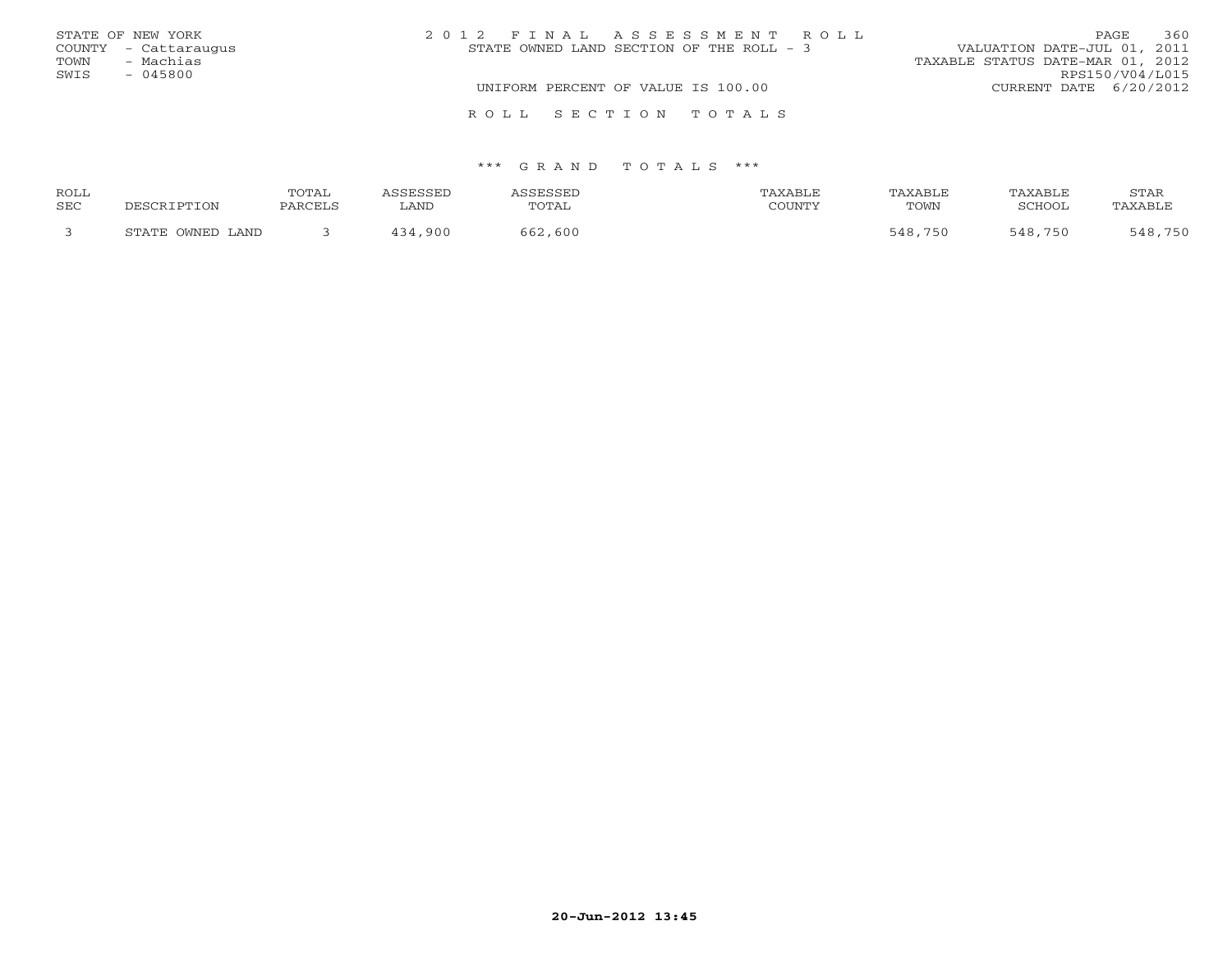|      | STATE OF NEW YORK    | 2012 FINAL ASSESSMENT ROLL               | 360<br>PAGE.                     |  |  |  |
|------|----------------------|------------------------------------------|----------------------------------|--|--|--|
|      | COUNTY - Cattaraugus | STATE OWNED LAND SECTION OF THE ROLL - 3 | VALUATION DATE-JUL 01, 2011      |  |  |  |
| TOWN | - Machias            |                                          | TAXABLE STATUS DATE-MAR 01, 2012 |  |  |  |
| SWIS | - 045800             |                                          | RPS150/V04/L015                  |  |  |  |
|      |                      | UNIFORM PERCENT OF VALUE IS 100.00       | CURRENT DATE 6/20/2012           |  |  |  |
|      |                      | ROLL SECTION TOTALS                      |                                  |  |  |  |

### \*\*\* G R A N D T O T A L S \*\*\*

| ROLL |                  | TOTAL   | <i><b>\SSESSED</b></i> | ASSESSED | TAXABLE | <b>TAXABLE</b> | TAXABLE | STAR    |
|------|------------------|---------|------------------------|----------|---------|----------------|---------|---------|
| SEC  | DESCRIPTION      | PARCELS | LAND                   | TOTAL    | COUNTY  | TOWN           | SCHOOL  | TAXABLE |
|      | STATE OWNED LAND |         | 434,900                | 662,600  |         | 548,750        | 548,750 | 548,750 |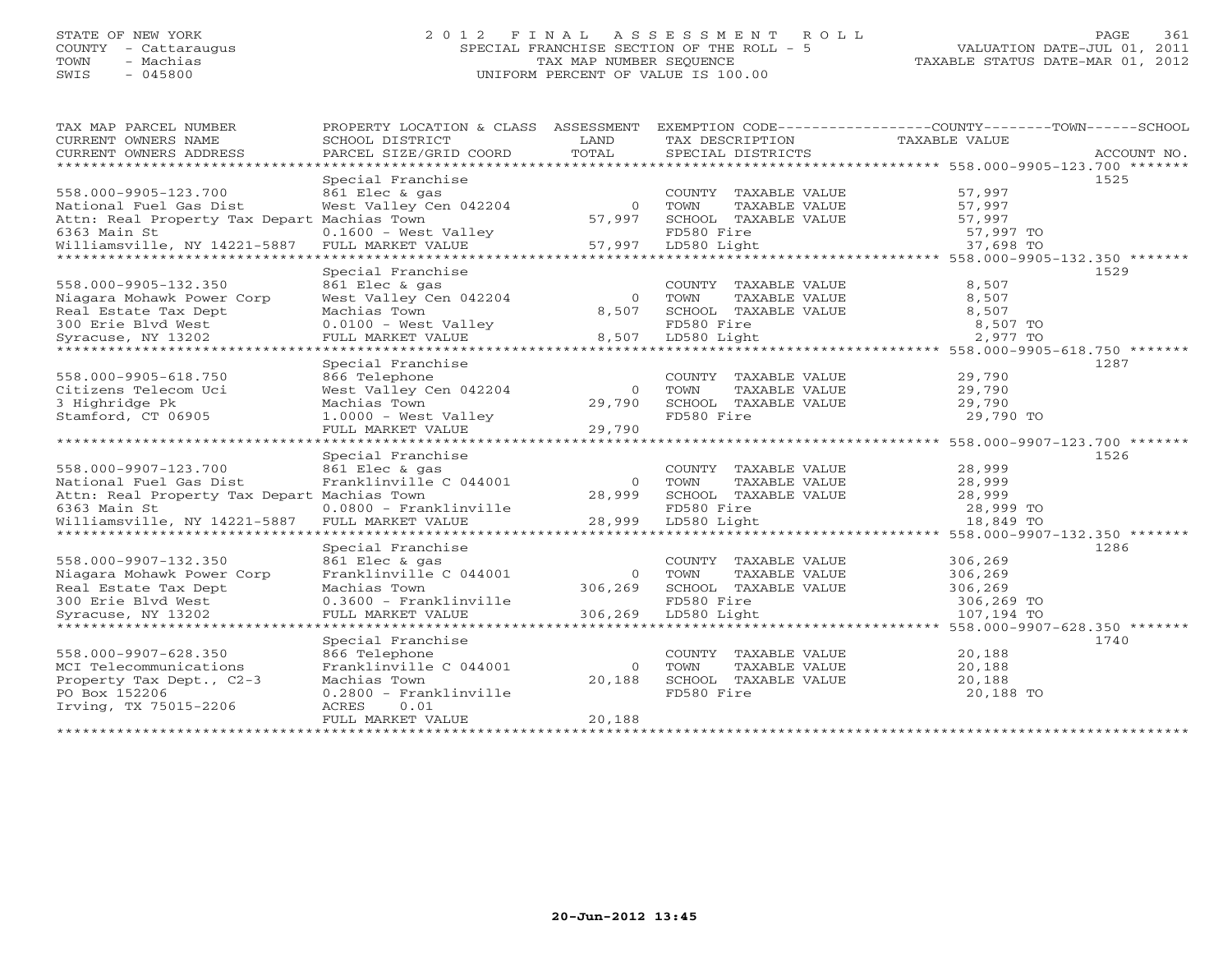## STATE OF NEW YORK 2 0 1 2 F I N A L A S S E S S M E N T R O L L PAGE 361 COUNTY - Cattaraugus SPECIAL FRANCHISE SECTION OF THE ROLL - 5 VALUATION DATE-JUL 01, 2011 TOWN - Machias TAX MAP NUMBER SEQUENCE TAXABLE STATUS DATE-MAR 01, 2012 SWIS - 045800 UNIFORM PERCENT OF VALUE IS 100.00UNIFORM PERCENT OF VALUE IS 100.00

| TAX MAP PARCEL NUMBER                       |                          |          |                       | PROPERTY LOCATION & CLASS ASSESSMENT EXEMPTION CODE----------------COUNTY-------TOWN------SCHOOL |             |
|---------------------------------------------|--------------------------|----------|-----------------------|--------------------------------------------------------------------------------------------------|-------------|
| CURRENT OWNERS NAME                         | SCHOOL DISTRICT          | LAND     | TAX DESCRIPTION       | TAXABLE VALUE                                                                                    |             |
| CURRENT OWNERS ADDRESS                      | PARCEL SIZE/GRID COORD   | TOTAL    | SPECIAL DISTRICTS     |                                                                                                  | ACCOUNT NO. |
| ***********************                     |                          |          |                       |                                                                                                  |             |
|                                             | Special Franchise        |          |                       |                                                                                                  | 1525        |
| 558.000-9905-123.700                        | 861 Elec & gas           |          | COUNTY TAXABLE VALUE  | 57,997                                                                                           |             |
| National Fuel Gas Dist                      | West Valley Cen 042204   | $\Omega$ | TAXABLE VALUE<br>TOWN | 57,997                                                                                           |             |
| Attn: Real Property Tax Depart Machias Town |                          | 57,997   | SCHOOL TAXABLE VALUE  | 57,997                                                                                           |             |
| 6363 Main St                                | $0.1600$ - West Valley   |          | FD580 Fire            | 57,997 TO                                                                                        |             |
| Williamsville, NY 14221-5887                | FULL MARKET VALUE        | 57,997   | LD580 Light           | 37,698 TO                                                                                        |             |
|                                             |                          |          |                       |                                                                                                  |             |
|                                             | Special Franchise        |          |                       |                                                                                                  | 1529        |
| 558.000-9905-132.350                        | 861 Elec & gas           |          | COUNTY TAXABLE VALUE  | 8,507                                                                                            |             |
| Niagara Mohawk Power Corp                   | West Valley Cen 042204   | $\Omega$ | TAXABLE VALUE<br>TOWN | 8,507                                                                                            |             |
| Real Estate Tax Dept                        | Machias Town             | 8,507    | SCHOOL TAXABLE VALUE  | 8,507                                                                                            |             |
| 300 Erie Blvd West                          | $0.0100 - West Valley$   |          | FD580 Fire            | 8,507 TO                                                                                         |             |
| Syracuse, NY 13202                          | FULL MARKET VALUE        | 8,507    | LD580 Light           | 2,977 TO                                                                                         |             |
|                                             |                          |          |                       |                                                                                                  |             |
|                                             | Special Franchise        |          |                       |                                                                                                  | 1287        |
| 558.000-9905-618.750                        | 866 Telephone            |          | COUNTY TAXABLE VALUE  | 29,790                                                                                           |             |
| Citizens Telecom Uci                        | West Valley Cen 042204   | $\circ$  | TOWN<br>TAXABLE VALUE | 29,790                                                                                           |             |
| 3 Highridge Pk                              | Machias Town             | 29,790   | SCHOOL TAXABLE VALUE  | 29,790                                                                                           |             |
| Stamford, CT 06905                          | $1.0000 - West ValueV$   |          | FD580 Fire            | 29,790 TO                                                                                        |             |
|                                             | FULL MARKET VALUE        | 29,790   |                       |                                                                                                  |             |
|                                             |                          |          |                       |                                                                                                  |             |
|                                             | Special Franchise        |          |                       |                                                                                                  | 1526        |
| 558.000-9907-123.700                        | 861 Elec & gas           |          | COUNTY TAXABLE VALUE  | 28,999                                                                                           |             |
| National Fuel Gas Dist                      | Franklinville C 044001   | $\Omega$ | TOWN<br>TAXABLE VALUE | 28,999                                                                                           |             |
| Attn: Real Property Tax Depart Machias Town |                          | 28,999   | SCHOOL TAXABLE VALUE  | 28,999                                                                                           |             |
| 6363 Main St                                | 0.0800 - Franklinville   |          | FD580 Fire            | 28,999 TO                                                                                        |             |
| Williamsville, NY 14221-5887                | FULL MARKET VALUE        | 28,999   | LD580 Light           | 18,849 TO                                                                                        |             |
|                                             |                          |          |                       |                                                                                                  |             |
|                                             | Special Franchise        |          |                       |                                                                                                  | 1286        |
| 558.000-9907-132.350                        | 861 Elec & gas           |          | COUNTY TAXABLE VALUE  | 306,269                                                                                          |             |
| Niagara Mohawk Power Corp                   | Franklinville C 044001   | $\circ$  | TOWN<br>TAXABLE VALUE | 306,269                                                                                          |             |
| Real Estate Tax Dept                        | Machias Town             | 306,269  | SCHOOL TAXABLE VALUE  | 306,269                                                                                          |             |
| 300 Erie Blvd West                          | $0.3600 - Franklinville$ |          | FD580 Fire            | 306,269 TO                                                                                       |             |
| Syracuse, NY 13202                          | FULL MARKET VALUE        | 306,269  | LD580 Light           | 107,194 TO                                                                                       |             |
| **********************                      | **********************   |          |                       | 558.000-9907-628.350 *******                                                                     |             |
|                                             | Special Franchise        |          |                       |                                                                                                  | 1740        |
| 558.000-9907-628.350                        | 866 Telephone            |          | COUNTY TAXABLE VALUE  | 20,188                                                                                           |             |
| MCI Telecommunications                      | Franklinville C 044001   | $\Omega$ | TOWN<br>TAXABLE VALUE | 20,188                                                                                           |             |
| Property Tax Dept., C2-3                    | Machias Town             | 20,188   | SCHOOL TAXABLE VALUE  | 20,188                                                                                           |             |
| PO Box 152206                               | 0.2800 - Franklinville   |          | FD580 Fire            | 20,188 TO                                                                                        |             |
| Irving, TX 75015-2206                       | 0.01<br>ACRES            |          |                       |                                                                                                  |             |
|                                             | FULL MARKET VALUE        | 20,188   |                       |                                                                                                  |             |
|                                             |                          |          |                       |                                                                                                  |             |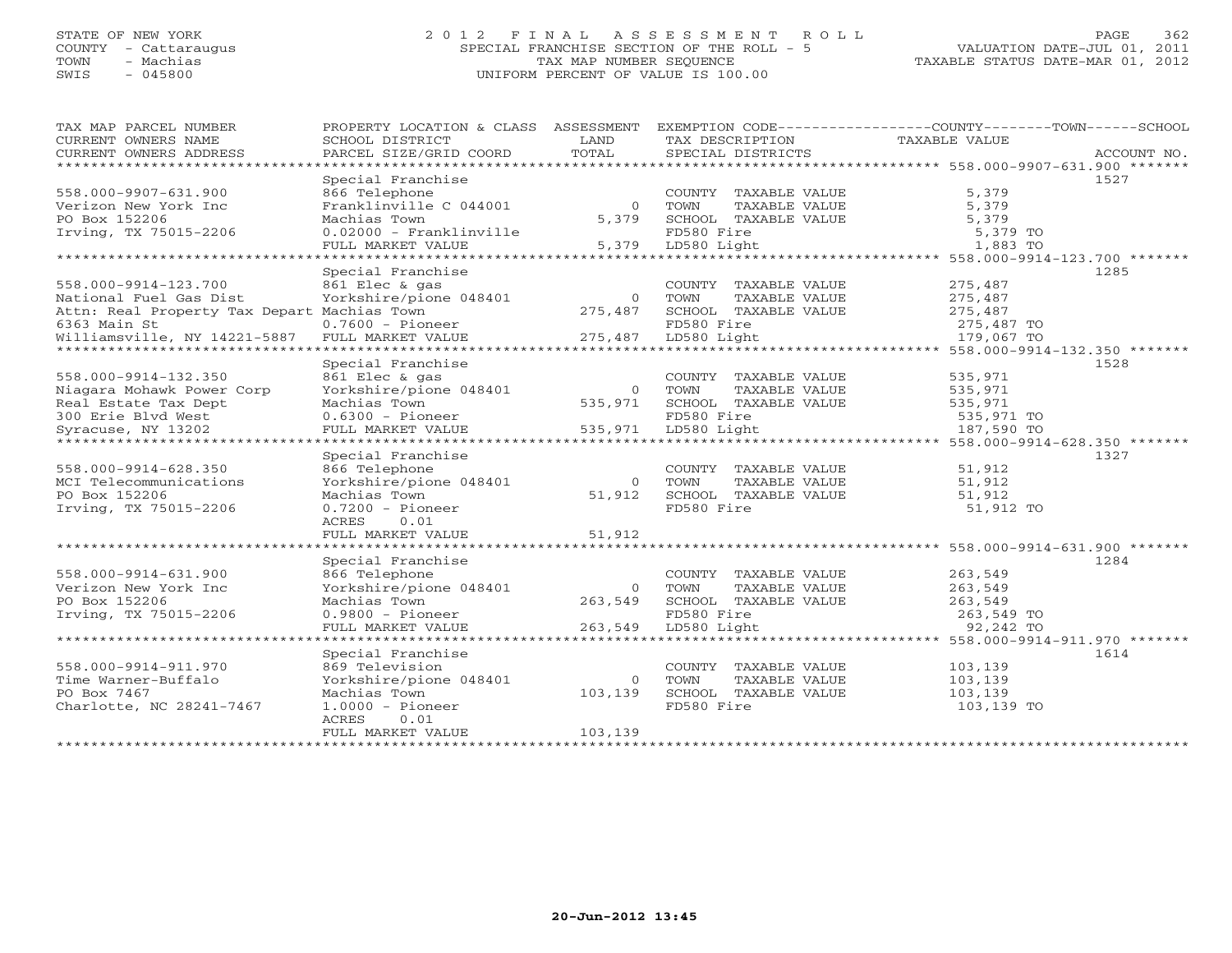## STATE OF NEW YORK 2 0 1 2 F I N A L A S S E S S M E N T R O L L PAGE 362 COUNTY - Cattaraugus SPECIAL FRANCHISE SECTION OF THE ROLL - 5 VALUATION DATE-JUL 01, 2011 TOWN - Machias TAX MAP NUMBER SEQUENCE TAXABLE STATUS DATE-MAR 01, 2012 SWIS - 045800 UNIFORM PERCENT OF VALUE IS 100.00UNIFORM PERCENT OF VALUE IS 100.00

| TAX MAP PARCEL NUMBER<br>CURRENT OWNERS NAME   | PROPERTY LOCATION & CLASS ASSESSMENT<br>SCHOOL DISTRICT | LAND           | TAX DESCRIPTION       | EXEMPTION CODE----------------COUNTY-------TOWN------SCHOOL<br>TAXABLE VALUE |
|------------------------------------------------|---------------------------------------------------------|----------------|-----------------------|------------------------------------------------------------------------------|
| CURRENT OWNERS ADDRESS                         | PARCEL SIZE/GRID COORD                                  | TOTAL          | SPECIAL DISTRICTS     | ACCOUNT NO.                                                                  |
|                                                |                                                         |                |                       |                                                                              |
|                                                | Special Franchise                                       |                |                       | 1527                                                                         |
| 558.000-9907-631.900                           | 866 Telephone                                           |                | COUNTY TAXABLE VALUE  | 5,379                                                                        |
| Verizon New York Inc                           | Franklinville C 044001                                  | $\Omega$       | TOWN<br>TAXABLE VALUE | 5,379                                                                        |
| PO Box 152206                                  | Machias Town                                            | 5,379          | SCHOOL TAXABLE VALUE  | 5,379                                                                        |
| Irving, TX 75015-2206                          | $0.02000 - Franklinville$                               |                | FD580 Fire            | 5,379 TO                                                                     |
|                                                | FULL MARKET VALUE                                       |                | 5,379 LD580 Light     | 1,883 TO                                                                     |
|                                                |                                                         |                |                       |                                                                              |
|                                                | Special Franchise                                       |                |                       | 1285                                                                         |
| 558.000-9914-123.700                           | 861 Elec & gas                                          |                | COUNTY TAXABLE VALUE  | 275,487                                                                      |
| National Fuel Gas Dist                         | Yorkshire/pione 048401                                  | $\overline{0}$ | TAXABLE VALUE<br>TOWN | 275,487                                                                      |
| Attn: Real Property Tax Depart Machias Town    |                                                         | 275,487        | SCHOOL TAXABLE VALUE  | 275,487                                                                      |
| 6363 Main St                                   | $0.7600$ - Pioneer                                      |                | FD580 Fire            | 275,487 TO                                                                   |
| Williamsville, NY 14221-5887 FULL MARKET VALUE |                                                         | 275,487        | LD580 Light           | 179,067 TO                                                                   |
|                                                |                                                         |                |                       |                                                                              |
|                                                | Special Franchise                                       |                |                       | 1528                                                                         |
| 558.000-9914-132.350                           | 861 Elec & gas                                          |                | COUNTY TAXABLE VALUE  | 535,971                                                                      |
| Niagara Mohawk Power Corp                      | Yorkshire/pione 048401                                  | $\bigcirc$     | TOWN<br>TAXABLE VALUE | 535,971                                                                      |
| Real Estate Tax Dept                           | Machias Town                                            | 535,971        | SCHOOL TAXABLE VALUE  | 535,971                                                                      |
| 300 Erie Blvd West                             | $0.6300$ - Pioneer                                      |                | FD580 Fire            | 535,971 TO                                                                   |
| Syracuse, NY 13202                             | FULL MARKET VALUE                                       | 535,971        | LD580 Light           | 187,590 TO                                                                   |
|                                                |                                                         |                |                       |                                                                              |
|                                                | Special Franchise                                       |                |                       | 1327                                                                         |
| 558.000-9914-628.350                           | 866 Telephone                                           |                | COUNTY TAXABLE VALUE  | 51,912                                                                       |
| MCI Telecommunications                         | Yorkshire/pione 048401                                  | $\overline{0}$ | TAXABLE VALUE<br>TOWN | 51,912                                                                       |
| PO Box 152206                                  | Machias Town                                            | 51,912         | SCHOOL TAXABLE VALUE  | 51,912                                                                       |
| Irving, TX 75015-2206                          | $0.7200 - \text{Pioneer}$                               |                | FD580 Fire            | 51,912 TO                                                                    |
|                                                | ACRES<br>0.01                                           |                |                       |                                                                              |
|                                                | FULL MARKET VALUE                                       | 51,912         |                       |                                                                              |
|                                                |                                                         |                |                       | ********************************* 558.000-9914-631.900 *******               |
|                                                | Special Franchise                                       |                |                       | 1284                                                                         |
| 558.000-9914-631.900                           | 866 Telephone                                           |                | COUNTY TAXABLE VALUE  | 263,549                                                                      |
| Verizon New York Inc                           | Yorkshire/pione 048401                                  | $\Omega$       | TOWN<br>TAXABLE VALUE | 263,549                                                                      |
| PO Box 152206                                  | Machias Town                                            | 263,549        | SCHOOL TAXABLE VALUE  | 263,549                                                                      |
| Irving, TX 75015-2206                          | $0.9800$ - Pioneer                                      |                | FD580 Fire            | 263,549 TO                                                                   |
|                                                | FULL MARKET VALUE                                       | 263,549        | LD580 Light           | 92,242 TO                                                                    |
|                                                |                                                         |                |                       |                                                                              |
|                                                | Special Franchise                                       |                |                       | 1614                                                                         |
| 558.000-9914-911.970                           | 869 Television                                          |                | COUNTY TAXABLE VALUE  | 103,139                                                                      |
| Time Warner-Buffalo                            | Yorkshire/pione 048401                                  | $\Omega$       | TOWN<br>TAXABLE VALUE | 103,139                                                                      |
| PO Box 7467                                    | Machias Town                                            | 103,139        | SCHOOL TAXABLE VALUE  | 103,139                                                                      |
| Charlotte, NC 28241-7467                       | $1.0000 - \text{Pioneer}$                               |                | FD580 Fire            | 103,139 TO                                                                   |
|                                                | ACRES<br>0.01                                           |                |                       |                                                                              |
|                                                | FULL MARKET VALUE                                       | 103, 139       |                       |                                                                              |
|                                                |                                                         |                |                       |                                                                              |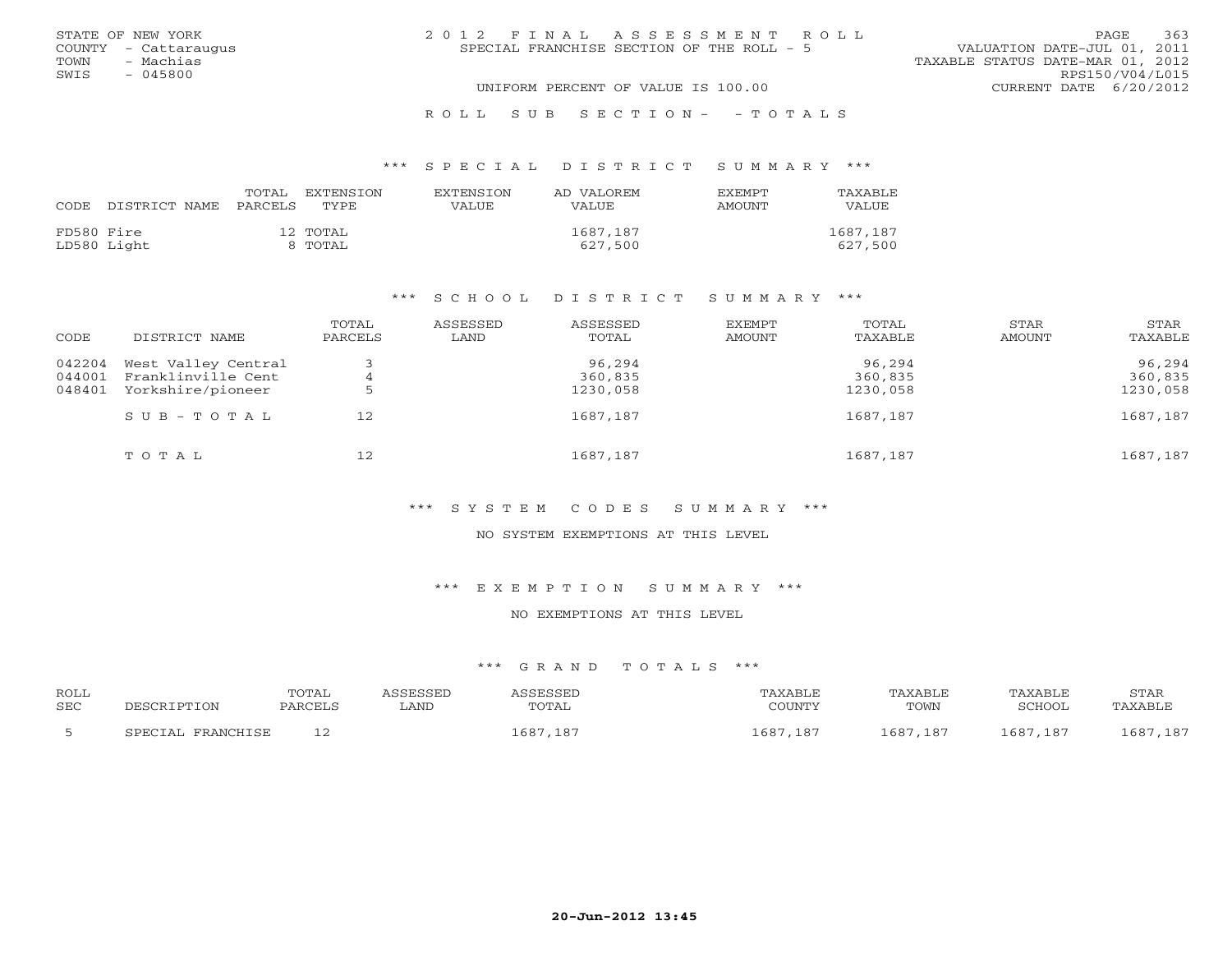|      | STATE OF NEW YORK    | 2012 FINAL ASSESSMENT ROLL                | 363<br>PAGE.                     |
|------|----------------------|-------------------------------------------|----------------------------------|
|      | COUNTY - Cattaraugus | SPECIAL FRANCHISE SECTION OF THE ROLL - 5 | VALUATION DATE-JUL 01, 2011      |
| TOWN | - Machias            |                                           | TAXABLE STATUS DATE-MAR 01, 2012 |
| SWIS | $-045800$            |                                           | RPS150/V04/L015                  |
|      |                      | UNIFORM PERCENT OF VALUE IS 100.00        | CURRENT DATE 6/20/2012           |
|      |                      |                                           |                                  |

#### R O L L S U B S E C T I O N - - T O T A L S

#### \*\*\* S P E C I A L D I S T R I C T S U M M A R Y \*\*\*

| CODE       | DISTRICT NAME | TOTAL<br>PARCELS | EXTENSTON<br>TYPE.  | <b>EXTENSION</b><br>VALUE | AD VALOREM<br><b>VALUE</b> | <b>EXEMPT</b><br>AMOUNT | TAXABLE<br><b>VALUE</b> |
|------------|---------------|------------------|---------------------|---------------------------|----------------------------|-------------------------|-------------------------|
| FD580 Fire | LD580 Light   |                  | 12 TOTAL<br>8 TOTAL |                           | 1687,187<br>627,500        |                         | 1687,187<br>627,500     |

#### \*\*\* S C H O O L D I S T R I C T S U M M A R Y \*\*\*

| CODE                       | DISTRICT NAME                                                  | TOTAL<br>PARCELS | ASSESSED<br>LAND | ASSESSED<br>TOTAL             | EXEMPT<br>AMOUNT | TOTAL<br>TAXABLE              | STAR<br>AMOUNT | STAR<br>TAXABLE               |
|----------------------------|----------------------------------------------------------------|------------------|------------------|-------------------------------|------------------|-------------------------------|----------------|-------------------------------|
| 042204<br>044001<br>048401 | West Valley Central<br>Franklinville Cent<br>Yorkshire/pioneer |                  |                  | 96,294<br>360,835<br>1230,058 |                  | 96,294<br>360,835<br>1230,058 |                | 96,294<br>360,835<br>1230,058 |
|                            | $S \cup B - T \cup T A L$                                      | 12               |                  | 1687,187                      |                  | 1687,187                      |                | 1687,187                      |
|                            | TOTAL                                                          | 12               |                  | 1687,187                      |                  | 1687,187                      |                | 1687,187                      |

## \*\*\* S Y S T E M C O D E S S U M M A R Y \*\*\*

#### NO SYSTEM EXEMPTIONS AT THIS LEVEL

#### \*\*\* E X E M P T I O N S U M M A R Y \*\*\*

#### NO EXEMPTIONS AT THIS LEVEL

| <b>ROLL</b> | DESCRIPTION       | TOTAL   | ASSESSED    | ASSESSED | TAXABLE  | <b>TAXABLE</b> | TAXABLE  | STAR     |
|-------------|-------------------|---------|-------------|----------|----------|----------------|----------|----------|
| <b>SEC</b>  |                   | PARCELS | <b>LAND</b> | TOTAL    | COUNTY   | TOWN           | SCHOOL   | TAXABLE  |
|             | SPECIAL FRANCHISE |         |             | 1687,187 | 1687,187 | 1687, 187      | 1687,187 | 1687,187 |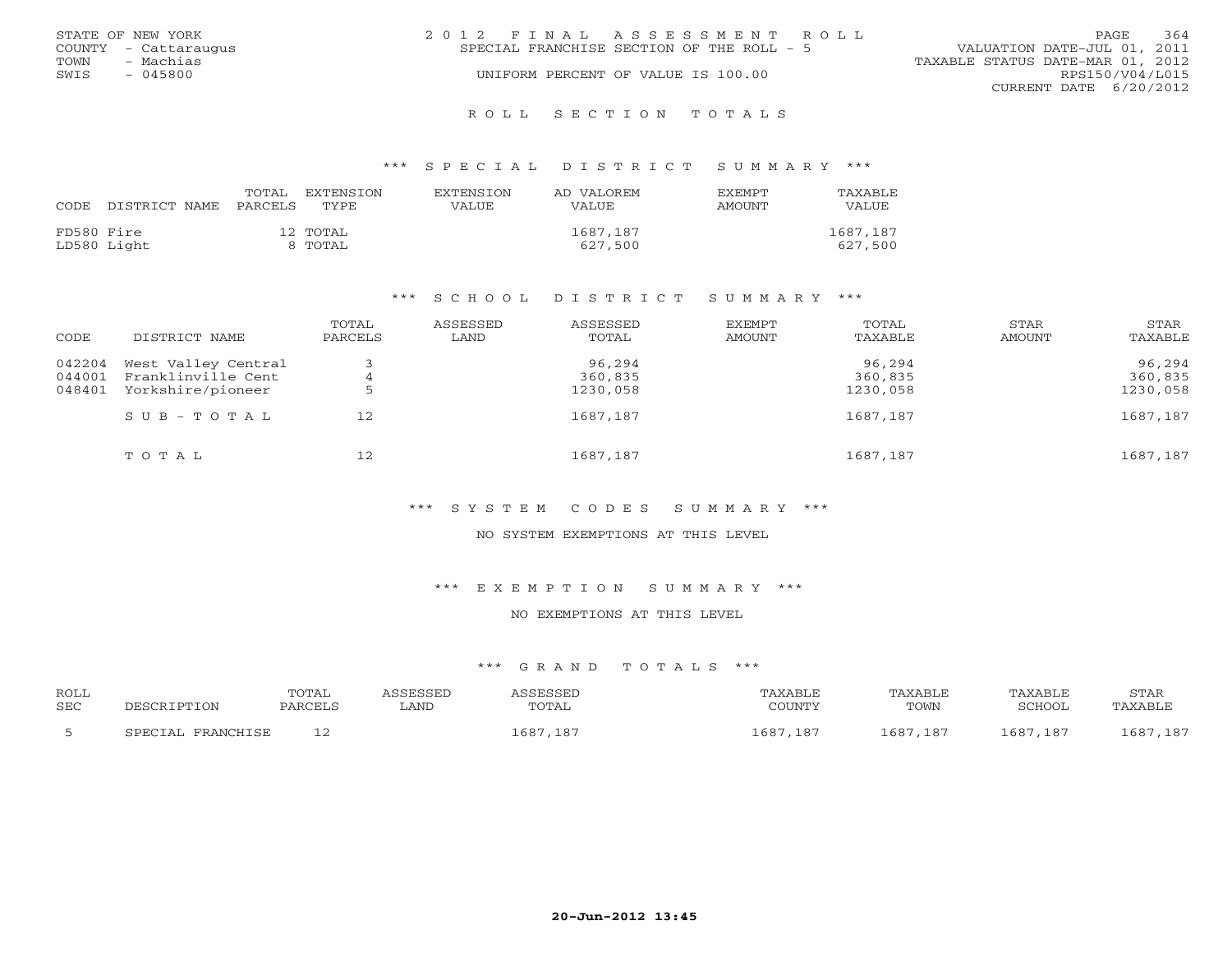|      | STATE OF NEW YORK    | 2012 FINAL ASSESSMENT ROLL |                                           |                                  | PAGE                   | 364 |
|------|----------------------|----------------------------|-------------------------------------------|----------------------------------|------------------------|-----|
|      | COUNTY - Cattaraugus |                            | SPECIAL FRANCHISE SECTION OF THE ROLL - 5 | VALUATION DATE-JUL 01, 2011      |                        |     |
| TOWN | - Machias            |                            |                                           | TAXABLE STATUS DATE-MAR 01, 2012 |                        |     |
| SWIS | $-045800$            |                            | UNIFORM PERCENT OF VALUE IS 100.00        |                                  | RPS150/V04/L015        |     |
|      |                      |                            |                                           |                                  | CURRENT DATE 6/20/2012 |     |
|      |                      |                            |                                           |                                  |                        |     |

R O L L S E C T I O N T O T A L S

#### \*\*\* S P E C I A L D I S T R I C T S U M M A R Y \*\*\*

| CODE       | DISTRICT NAME | TOTAL<br>PARCELS | EXTENSION<br>TYPE   | <b>EXTENSION</b><br>VALUE | AD VALOREM<br>VALUE. | <b>EXEMPT</b><br>AMOUNT | TAXABLE<br>VALUE    |
|------------|---------------|------------------|---------------------|---------------------------|----------------------|-------------------------|---------------------|
| FD580 Fire | LD580 Light   |                  | 12 TOTAL<br>8 TOTAL |                           | 1687,187<br>627,500  |                         | 1687,187<br>627,500 |

#### \*\*\* S C H O O L D I S T R I C T S U M M A R Y \*\*\*

| CODE             | DISTRICT NAME                             | TOTAL<br>PARCELS | ASSESSED<br>LAND | ASSESSED<br>TOTAL | EXEMPT<br>AMOUNT | TOTAL<br>TAXABLE  | STAR<br>AMOUNT | STAR<br>TAXABLE   |
|------------------|-------------------------------------------|------------------|------------------|-------------------|------------------|-------------------|----------------|-------------------|
| 042204<br>044001 | West Valley Central<br>Franklinville Cent | 4                |                  | 96,294<br>360,835 |                  | 96,294<br>360,835 |                | 96,294<br>360,835 |
| 048401           | Yorkshire/pioneer                         |                  |                  | 1230,058          |                  | 1230,058          |                | 1230,058          |
|                  | SUB-TOTAL                                 | 12               |                  | 1687,187          |                  | 1687,187          |                | 1687,187          |
|                  | TOTAL                                     | 12               |                  | 1687,187          |                  | 1687,187          |                | 1687,187          |

## \*\*\* S Y S T E M C O D E S S U M M A R Y \*\*\*

#### NO SYSTEM EXEMPTIONS AT THIS LEVEL

#### \*\*\* E X E M P T I O N S U M M A R Y \*\*\*

### NO EXEMPTIONS AT THIS LEVEL

| <b>ROLI</b><br><b>SEC</b> |                  | TOTAL      | LAND | TOTAL | $\cap$ $\cap$ then the $\cap$ | TAXABI F<br>TOWN | A YARLA'<br>SURVO- | STAF<br>$\sqrt{2}$ $\sqrt{2}$ $\sqrt{2}$ $\sqrt{2}$ $\sqrt{2}$ |
|---------------------------|------------------|------------|------|-------|-------------------------------|------------------|--------------------|----------------------------------------------------------------|
|                           | <b>PDAMCUTCP</b> | — <u>—</u> |      | . 685 | $18-$                         | ,687<br>187      | 187                | $10-$<br>CO7                                                   |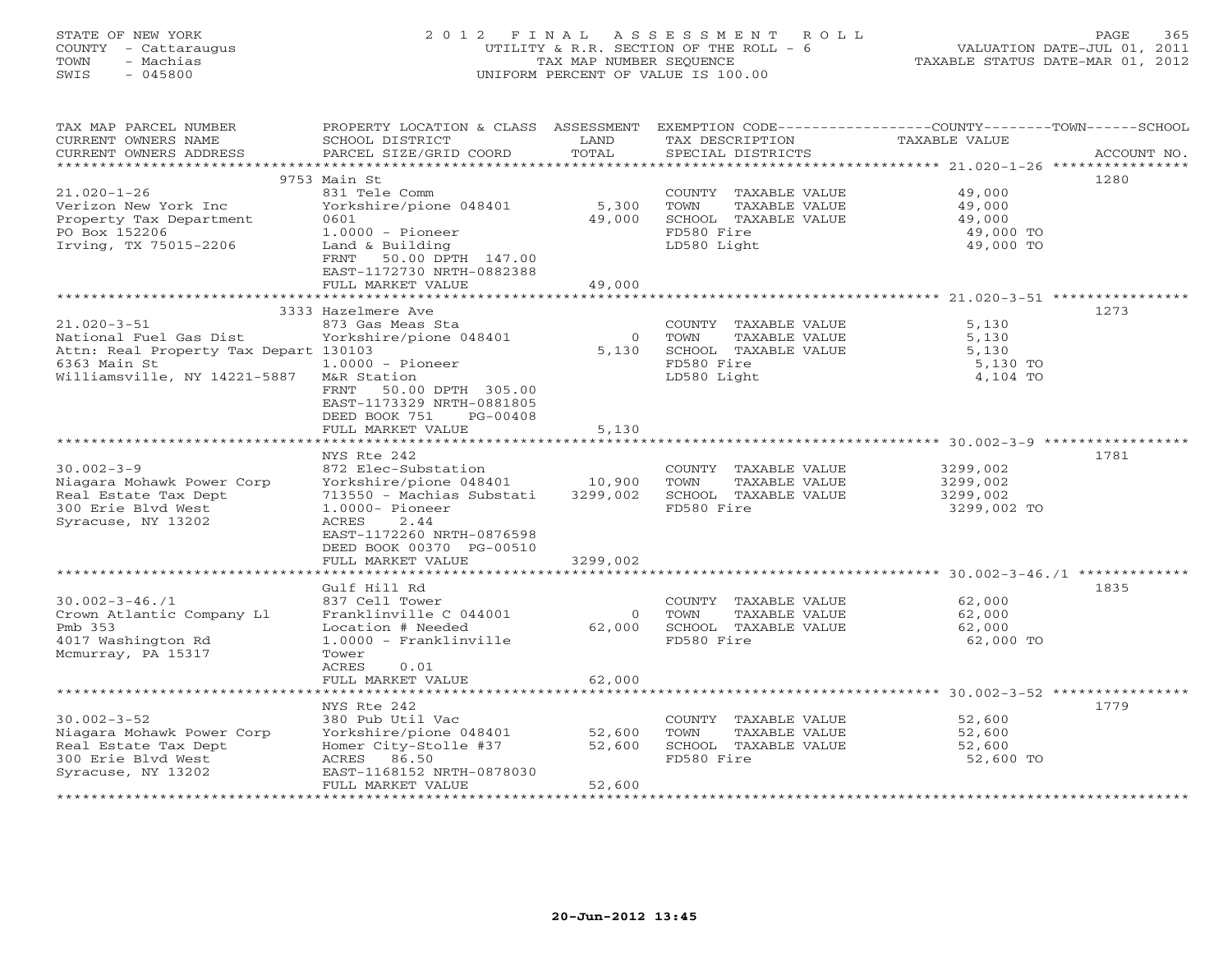## STATE OF NEW YORK 2 0 1 2 F I N A L A S S E S S M E N T R O L L PAGE 365 COUNTY - Cattaraugus UTILITY & R.R. SECTION OF THE ROLL - 6 VALUATION DATE-JUL 01, 2011 TOWN - Machias TAX MAP NUMBER SEQUENCE TAXABLE STATUS DATE-MAR 01, 2012 SWIS - 045800 UNIFORM PERCENT OF VALUE IS 100.00UNIFORM PERCENT OF VALUE IS 100.00

| TAX MAP PARCEL NUMBER<br>CURRENT OWNERS NAME<br>CURRENT OWNERS ADDRESS                                                               | PROPERTY LOCATION & CLASS ASSESSMENT<br>SCHOOL DISTRICT<br>PARCEL SIZE/GRID COORD                                                                                                                              | LAND<br>TOTAL                  | TAX DESCRIPTION<br>SPECIAL DISTRICTS                                                               | EXEMPTION CODE-----------------COUNTY-------TOWN-----SCHOOL<br>TAXABLE VALUE<br>ACCOUNT NO. |
|--------------------------------------------------------------------------------------------------------------------------------------|----------------------------------------------------------------------------------------------------------------------------------------------------------------------------------------------------------------|--------------------------------|----------------------------------------------------------------------------------------------------|---------------------------------------------------------------------------------------------|
| $21.020 - 1 - 26$<br>Verizon New York Inc<br>Property Tax Department<br>PO Box 152206<br>Irving, TX 75015-2206                       | 9753 Main St<br>831 Tele Comm<br>Yorkshire/pione 048401<br>0601<br>$1.0000 - \text{Pioneer}$<br>Land & Building<br>50.00 DPTH 147.00<br>FRNT<br>EAST-1172730 NRTH-0882388<br>FULL MARKET VALUE                 | 5,300<br>49,000<br>49,000      | COUNTY TAXABLE VALUE<br>TOWN<br>TAXABLE VALUE<br>SCHOOL TAXABLE VALUE<br>FD580 Fire<br>LD580 Light | 1280<br>49,000<br>49,000<br>49,000<br>49,000 TO<br>49,000 TO                                |
|                                                                                                                                      | 3333 Hazelmere Ave                                                                                                                                                                                             |                                |                                                                                                    | 1273                                                                                        |
| $21.020 - 3 - 51$<br>National Fuel Gas Dist<br>Attn: Real Property Tax Depart 130103<br>6363 Main St<br>Williamsville, NY 14221-5887 | 873 Gas Meas Sta<br>Yorkshire/pione 048401<br>$1.0000 - \text{Pioneer}$<br>M&R Station<br>50.00 DPTH 305.00<br>FRNT<br>EAST-1173329 NRTH-0881805<br>DEED BOOK 751<br>PG-00408                                  | $\circ$<br>5,130               | COUNTY TAXABLE VALUE<br>TOWN<br>TAXABLE VALUE<br>SCHOOL TAXABLE VALUE<br>FD580 Fire<br>LD580 Light | 5,130<br>5,130<br>5,130<br>5,130 TO<br>4,104 TO                                             |
|                                                                                                                                      | FULL MARKET VALUE                                                                                                                                                                                              | 5,130                          |                                                                                                    |                                                                                             |
| $30.002 - 3 - 9$<br>Niagara Mohawk Power Corp<br>Real Estate Tax Dept<br>300 Erie Blvd West<br>Syracuse, NY 13202                    | NYS Rte 242<br>872 Elec-Substation<br>Yorkshire/pione 048401<br>713550 - Machias Substati<br>$1.0000 -$ Pioneer<br>ACRES<br>2.44<br>EAST-1172260 NRTH-0876598<br>DEED BOOK 00370 PG-00510<br>FULL MARKET VALUE | 10,900<br>3299,002<br>3299,002 | COUNTY TAXABLE VALUE<br>TOWN<br>TAXABLE VALUE<br>SCHOOL TAXABLE VALUE<br>FD580 Fire                | 1781<br>3299,002<br>3299,002<br>3299,002<br>3299,002 TO                                     |
|                                                                                                                                      |                                                                                                                                                                                                                |                                |                                                                                                    |                                                                                             |
| $30.002 - 3 - 46.71$<br>Crown Atlantic Company Ll<br>Pmb 353<br>4017 Washington Rd<br>Mcmurray, PA 15317                             | Gulf Hill Rd<br>837 Cell Tower<br>Franklinville C 044001<br>Location # Needed<br>$1.0000 - Franklinville$<br>Tower<br>ACRES                                                                                    | $\circ$<br>62,000              | COUNTY TAXABLE VALUE<br>TAXABLE VALUE<br>TOWN<br>SCHOOL TAXABLE VALUE<br>FD580 Fire                | 1835<br>62,000<br>62,000<br>62,000<br>62,000 TO                                             |
|                                                                                                                                      | 0.01<br>FULL MARKET VALUE                                                                                                                                                                                      | 62,000                         |                                                                                                    |                                                                                             |
|                                                                                                                                      | * * * * * * * * * * * * * * * * * * *                                                                                                                                                                          | **********                     |                                                                                                    |                                                                                             |
| $30.002 - 3 - 52$<br>Niagara Mohawk Power Corp<br>Real Estate Tax Dept<br>300 Erie Blvd West<br>Syracuse, NY 13202                   | NYS Rte 242<br>380 Pub Util Vac<br>Yorkshire/pione 048401<br>Homer City-Stolle #37<br>ACRES 86.50<br>EAST-1168152 NRTH-0878030<br>FULL MARKET VALUE                                                            | 52,600<br>52,600<br>52,600     | COUNTY TAXABLE VALUE<br>TOWN<br>TAXABLE VALUE<br>SCHOOL TAXABLE VALUE<br>FD580 Fire                | 1779<br>52,600<br>52,600<br>52,600<br>52,600 TO                                             |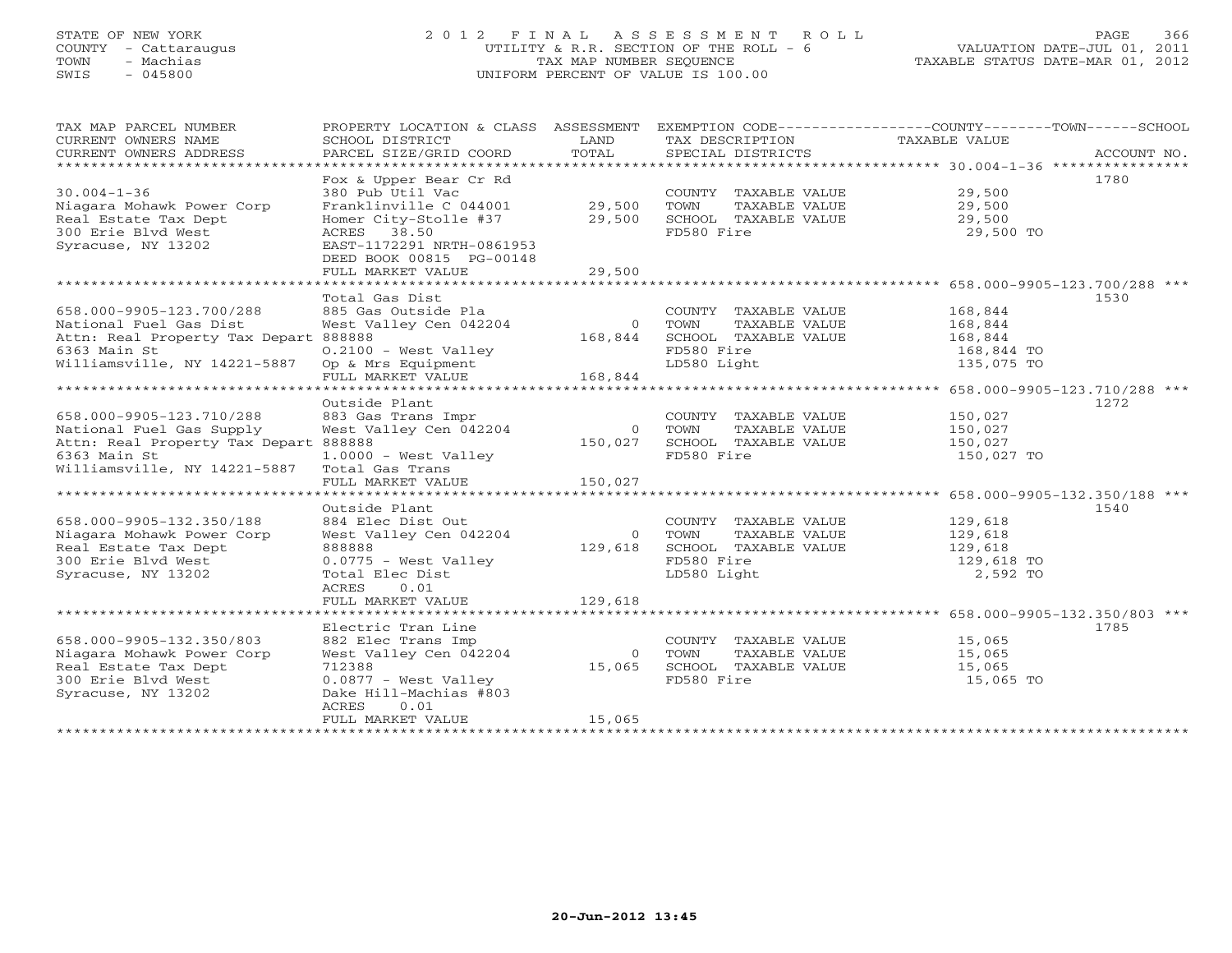## STATE OF NEW YORK 2 0 1 2 F I N A L A S S E S S M E N T R O L L PAGE 366 COUNTY - Cattaraugus UTILITY & R.R. SECTION OF THE ROLL - 6 VALUATION DATE-JUL 01, 2011 TOWN - Machias TAX MAP NUMBER SEQUENCE TAXABLE STATUS DATE-MAR 01, 2012 SWIS - 045800 UNIFORM PERCENT OF VALUE IS 100.00UNIFORM PERCENT OF VALUE IS 100.00

| TOTAL<br>CURRENT OWNERS ADDRESS<br>PARCEL SIZE/GRID COORD<br>SPECIAL DISTRICTS<br>ACCOUNT NO.<br>1780<br>Fox & Upper Bear Cr Rd<br>$30.004 - 1 - 36$<br>380 Pub Util Vac<br>29,500<br>29,500<br>COUNTY TAXABLE VALUE |  |
|----------------------------------------------------------------------------------------------------------------------------------------------------------------------------------------------------------------------|--|
|                                                                                                                                                                                                                      |  |
|                                                                                                                                                                                                                      |  |
|                                                                                                                                                                                                                      |  |
| 29,500<br>Niagara Mohawk Power Corp<br>Franklinville C 044001<br>TOWN<br>TAXABLE VALUE                                                                                                                               |  |
| SCHOOL TAXABLE VALUE<br>Homer City-Stolle #37 29,500<br>29,500<br>Real Estate Tax Dept                                                                                                                               |  |
| FD580 Fire<br>300 Erie Blvd West<br>ACRES 38.50<br>29,500 TO                                                                                                                                                         |  |
| EAST-1172291 NRTH-0861953<br>Syracuse, NY 13202                                                                                                                                                                      |  |
| DEED BOOK 00815 PG-00148                                                                                                                                                                                             |  |
| 29,500<br>FULL MARKET VALUE                                                                                                                                                                                          |  |
|                                                                                                                                                                                                                      |  |
| Total Gas Dist<br>1530                                                                                                                                                                                               |  |
| 658.000-9905-123.700/288<br>885 Gas Outside Pla<br>COUNTY TAXABLE VALUE<br>168,844                                                                                                                                   |  |
| West Valley Cen 042204<br>National Fuel Gas Dist<br>$\overline{0}$<br>TOWN<br>TAXABLE VALUE<br>168,844                                                                                                               |  |
| Attn: Real Property Tax Depart 888888<br>168,844<br>SCHOOL TAXABLE VALUE<br>168,844                                                                                                                                  |  |
| 6363 Main St<br>$0.2100$ - West Valley<br>FD580 Fire<br>168,844 TO                                                                                                                                                   |  |
| Williamsville, NY 14221-5887<br>LD580 Light<br>Op & Mrs Equipment<br>FULL MARKET VALUE 168,844<br>135,075 TO                                                                                                         |  |
|                                                                                                                                                                                                                      |  |
|                                                                                                                                                                                                                      |  |
| Outside Plant<br>1272                                                                                                                                                                                                |  |
| 658.000-9905-123.710/288<br>150,027<br>883 Gas Trans Impr<br>COUNTY TAXABLE VALUE                                                                                                                                    |  |
| West Valley Cen 042204<br>National Fuel Gas Supply<br>0 TOWN<br>TAXABLE VALUE<br>150,027                                                                                                                             |  |
| Attn: Real Property Tax Depart 888888<br>150,027<br>SCHOOL TAXABLE VALUE<br>150,027                                                                                                                                  |  |
| 6363 Main St<br>FD580 Fire<br>$1.0000 - West Valley$<br>150,027 TO                                                                                                                                                   |  |
| Williamsville, NY 14221-5887<br>Total Gas Trans<br>150,027<br>FULL MARKET VALUE                                                                                                                                      |  |
| ************************                                                                                                                                                                                             |  |
| Outside Plant<br>1540                                                                                                                                                                                                |  |
| 658.000-9905-132.350/188<br>884 Elec Dist Out<br>129,618<br>COUNTY TAXABLE VALUE                                                                                                                                     |  |
| West Valley Cen 042204<br>Niagara Mohawk Power Corp<br>0 TOWN<br>TAXABLE VALUE<br>129,618                                                                                                                            |  |
| 129,618<br>SCHOOL TAXABLE VALUE<br>888888<br>Real Estate Tax Dept<br>129,618                                                                                                                                         |  |
| FD580 Fire<br>300 Erie Blvd West<br>0.0775 - West Valley<br>129,618 TO                                                                                                                                               |  |
| LD580 Light<br>2,592 TO<br>Syracuse, NY 13202<br>Total Elec Dist                                                                                                                                                     |  |
| ACRES<br>0.01                                                                                                                                                                                                        |  |
| 129,618<br>FULL MARKET VALUE                                                                                                                                                                                         |  |
|                                                                                                                                                                                                                      |  |
| Electric Tran Line<br>1785                                                                                                                                                                                           |  |
| 658.000-9905-132.350/803<br>882 Elec Trans Imp<br>COUNTY TAXABLE VALUE<br>15,065                                                                                                                                     |  |
| West Valley Cen 042204<br>Niagara Mohawk Power Corp<br>$\overline{0}$<br>TOWN<br>TAXABLE VALUE<br>15,065                                                                                                             |  |
| 712388<br>SCHOOL TAXABLE VALUE<br>Real Estate Tax Dept<br>15,065<br>15,065                                                                                                                                           |  |
| 300 Erie Blvd West<br>0.0877 - West Valley<br>FD580 Fire<br>15,065 TO                                                                                                                                                |  |
| Syracuse, NY 13202<br>Dake Hill-Machias #803                                                                                                                                                                         |  |
| ACRES<br>0.01                                                                                                                                                                                                        |  |
| 15,065<br>FULL MARKET VALUE                                                                                                                                                                                          |  |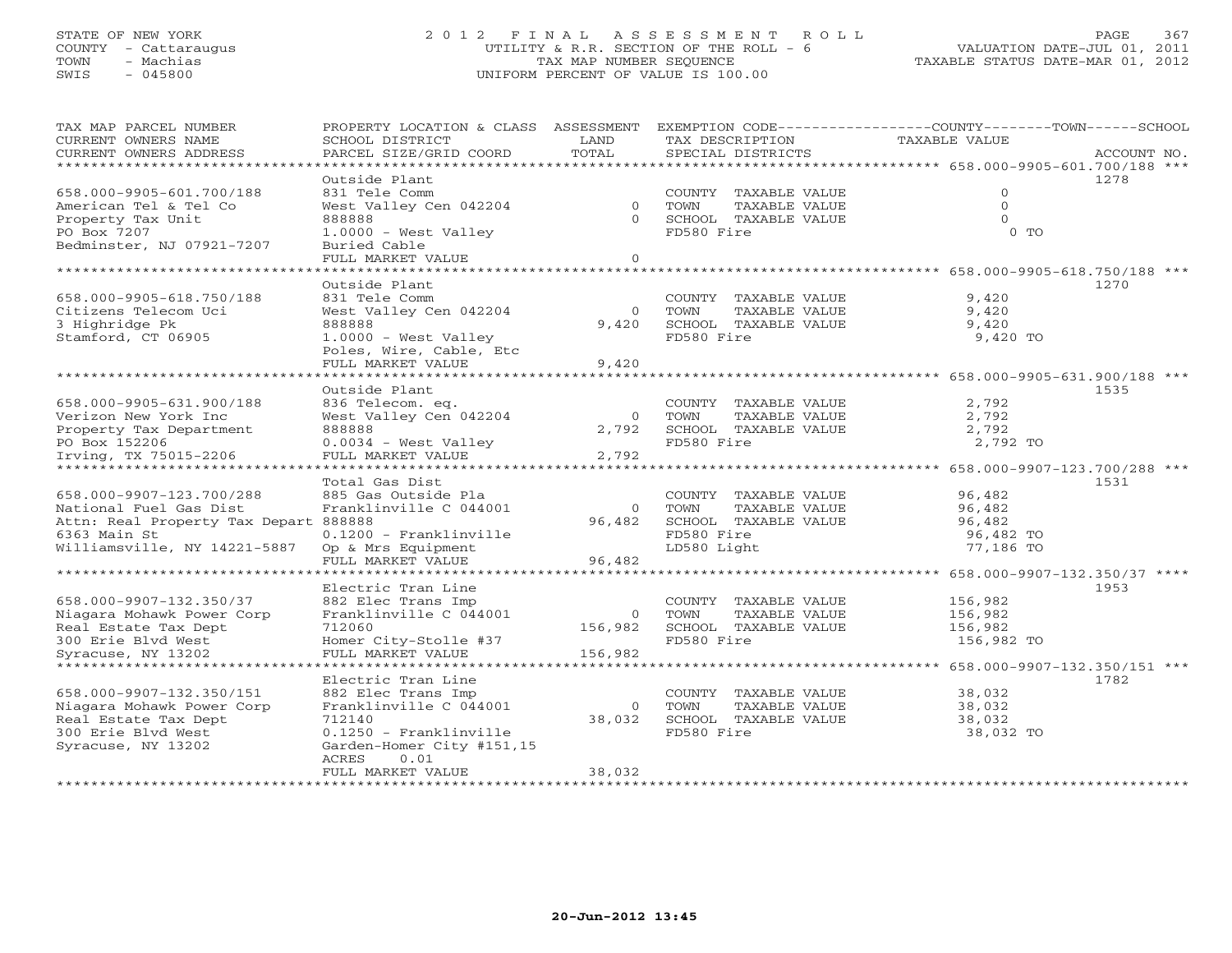## STATE OF NEW YORK 2 0 1 2 F I N A L A S S E S S M E N T R O L L PAGE 367 COUNTY - Cattaraugus UTILITY & R.R. SECTION OF THE ROLL - 6 VALUATION DATE-JUL 01, 2011 TOWN - Machias TAX MAP NUMBER SEQUENCE TAXABLE STATUS DATE-MAR 01, 2012 SWIS - 045800 UNIFORM PERCENT OF VALUE IS 100.00UNIFORM PERCENT OF VALUE IS 100.00

| TAX MAP PARCEL NUMBER<br>CURRENT OWNERS NAME     | PROPERTY LOCATION & CLASS<br>SCHOOL DISTRICT       | ASSESSMENT<br>LAND | TAX DESCRIPTION                               | EXEMPTION CODE-----------------COUNTY-------TOWN-----SCHOOL<br>TAXABLE VALUE |
|--------------------------------------------------|----------------------------------------------------|--------------------|-----------------------------------------------|------------------------------------------------------------------------------|
| CURRENT OWNERS ADDRESS<br>********************** | PARCEL SIZE/GRID COORD                             | TOTAL              | SPECIAL DISTRICTS                             | ACCOUNT NO.                                                                  |
|                                                  | Outside Plant                                      |                    |                                               | 1278                                                                         |
| 658.000-9905-601.700/188                         | 831 Tele Comm                                      |                    | COUNTY TAXABLE VALUE                          | $\mathbf{0}$                                                                 |
| American Tel & Tel Co                            | West Valley Cen 042204                             | $\Omega$           | TOWN<br>TAXABLE VALUE                         | $\mathbf{0}$                                                                 |
| Property Tax Unit                                | 888888                                             | $\Omega$           | SCHOOL TAXABLE VALUE                          | $\Omega$                                                                     |
| PO Box 7207                                      | $1.0000 - West ValueV$                             |                    | FD580 Fire                                    | $0$ TO                                                                       |
| Bedminster, NJ 07921-7207                        | Buried Cable                                       |                    |                                               |                                                                              |
|                                                  | FULL MARKET VALUE                                  | $\Omega$           |                                               |                                                                              |
| *****************                                |                                                    | ****               |                                               | ************** 658.000-9905-618.750/188 ***                                  |
|                                                  | Outside Plant                                      |                    |                                               | 1270                                                                         |
| 658.000-9905-618.750/188                         | 831 Tele Comm                                      |                    | COUNTY TAXABLE VALUE                          | 9,420                                                                        |
| Citizens Telecom Uci                             | West Valley Cen 042204                             | $\Omega$           | TOWN<br>TAXABLE VALUE                         | 9,420                                                                        |
| 3 Highridge Pk                                   | 888888                                             | 9,420              | SCHOOL TAXABLE VALUE                          | 9,420                                                                        |
| Stamford, CT 06905                               | $1.0000 - West Valley$                             |                    | FD580 Fire                                    | 9,420 TO                                                                     |
|                                                  | Poles, Wire, Cable, Etc                            |                    |                                               |                                                                              |
|                                                  | FULL MARKET VALUE<br>.                             | 9,420              |                                               | ************* 658.000-9905-631.900/188 ***                                   |
|                                                  | Outside Plant                                      |                    |                                               | 1535                                                                         |
| 658.000-9905-631.900/188                         | 836 Telecom. eq.                                   |                    | COUNTY TAXABLE VALUE                          | 2,792                                                                        |
| Verizon New York Inc                             | West Valley Cen 042204                             | $\Omega$           | TAXABLE VALUE<br>TOWN                         | 2,792                                                                        |
| Property Tax Department                          | 888888                                             | 2,792              | SCHOOL TAXABLE VALUE                          | 2,792                                                                        |
| PO Box 152206                                    | $0.0034$ - West Valley                             |                    | FD580 Fire                                    | 2,792 TO                                                                     |
| Irving, TX 75015-2206                            | FULL MARKET VALUE                                  | 2,792              |                                               |                                                                              |
| *********************                            | ******************                                 |                    |                                               | 658.000-9907-123.700/288 ***                                                 |
|                                                  | Total Gas Dist                                     |                    |                                               | 1531                                                                         |
| 658.000-9907-123.700/288                         | 885 Gas Outside Pla                                |                    | COUNTY TAXABLE VALUE                          | 96,482                                                                       |
| National Fuel Gas Dist                           | Franklinville C 044001                             | $\circ$            | TOWN<br>TAXABLE VALUE                         | 96,482                                                                       |
| Attn: Real Property Tax Depart 888888            |                                                    | 96,482             | SCHOOL TAXABLE VALUE                          | 96,482                                                                       |
| 6363 Main St                                     | $0.1200$ - Franklinville                           |                    | FD580 Fire                                    | 96,482 TO                                                                    |
| Williamsville, NY 14221-5887                     | Op & Mrs Equipment                                 |                    | LD580 Light                                   | 77,186 TO                                                                    |
|                                                  | FULL MARKET VALUE<br>* * * * * * * * * * * * * * * | 96,482             |                                               | ******* 658.000-9907-132.350/37 ****                                         |
|                                                  | Electric Tran Line                                 |                    |                                               | 1953                                                                         |
| 658.000-9907-132.350/37                          | 882 Elec Trans Imp                                 |                    | COUNTY TAXABLE VALUE                          | 156,982                                                                      |
| Niagara Mohawk Power Corp                        | Franklinville C 044001                             | $\Omega$           | TAXABLE VALUE<br>TOWN                         | 156,982                                                                      |
| Real Estate Tax Dept                             | 712060                                             | 156,982            | SCHOOL TAXABLE VALUE                          | 156,982                                                                      |
| 300 Erie Blvd West                               | Homer City-Stolle #37                              |                    | FD580 Fire                                    | 156,982 TO                                                                   |
| Syracuse, NY 13202                               | FULL MARKET VALUE                                  | 156,982            |                                               |                                                                              |
|                                                  |                                                    |                    |                                               | 658.000-9907-132.350/151 ***                                                 |
| 658.000-9907-132.350/151                         | Electric Tran Line                                 |                    |                                               | 1782                                                                         |
| Niagara Mohawk Power Corp                        | 882 Elec Trans Imp<br>Franklinville C 044001       | $\circ$            | COUNTY TAXABLE VALUE<br>TOWN<br>TAXABLE VALUE | 38,032<br>38,032                                                             |
| Real Estate Tax Dept                             | 712140                                             | 38,032             | SCHOOL TAXABLE VALUE                          | 38,032                                                                       |
| 300 Erie Blyd West                               | $0.1250$ - Franklinville                           |                    | FD580 Fire                                    | 38,032 TO                                                                    |
| Syracuse, NY 13202                               | Garden-Homer City #151,15                          |                    |                                               |                                                                              |
|                                                  | 0.01<br>ACRES                                      |                    |                                               |                                                                              |
|                                                  | FULL MARKET VALUE                                  | 38,032             |                                               |                                                                              |
|                                                  |                                                    |                    |                                               |                                                                              |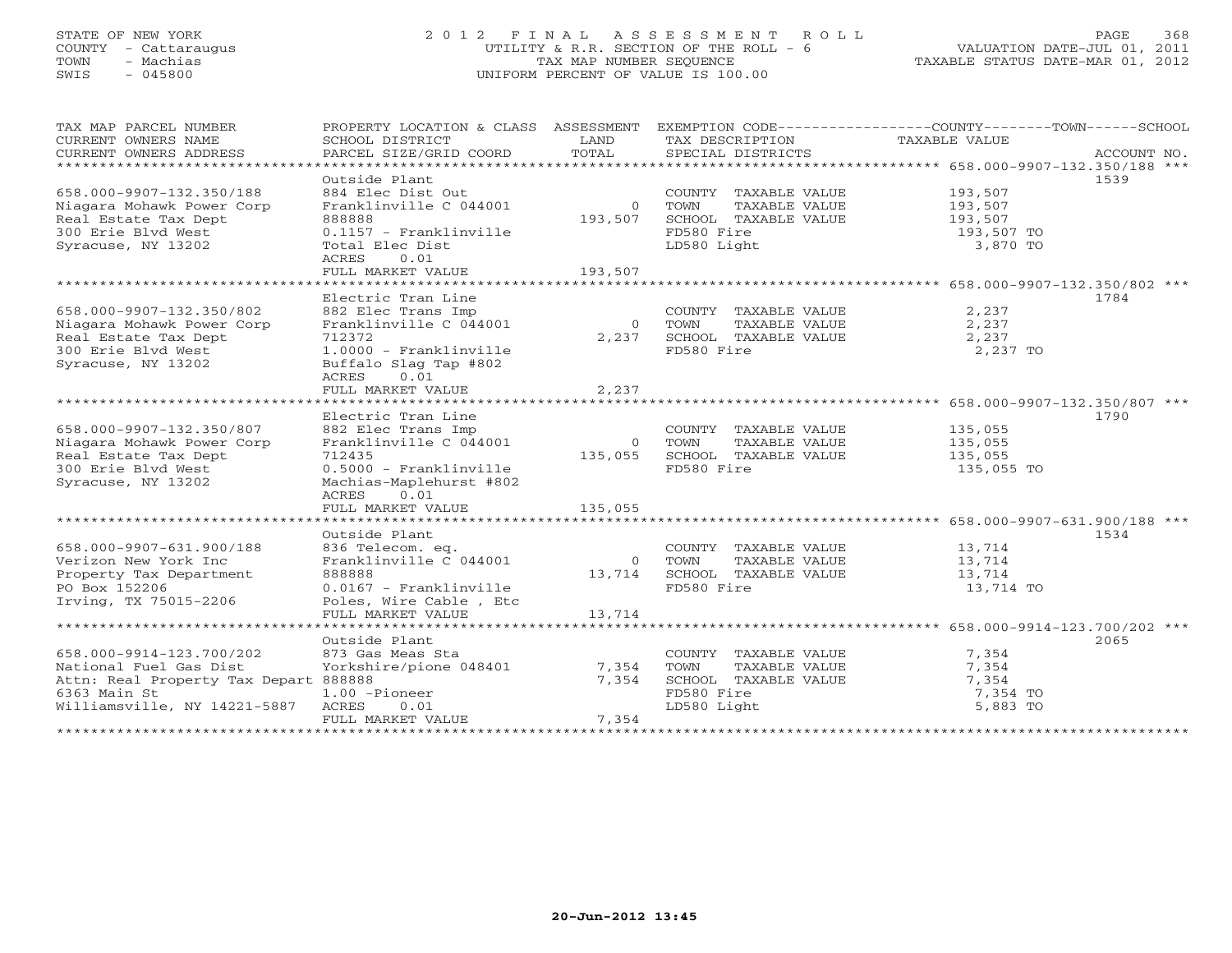## STATE OF NEW YORK 2 0 1 2 F I N A L A S S E S S M E N T R O L L PAGE 368 COUNTY - Cattaraugus UTILITY & R.R. SECTION OF THE ROLL - 6 VALUATION DATE-JUL 01, 2011 TOWN - Machias TAX MAP NUMBER SEQUENCE TAXABLE STATUS DATE-MAR 01, 2012 SWIS - 045800 UNIFORM PERCENT OF VALUE IS 100.00UNIFORM PERCENT OF VALUE IS 100.00

| TAX MAP PARCEL NUMBER                                    | PROPERTY LOCATION & CLASS ASSESSMENT EXEMPTION CODE----------------COUNTY-------TOWN------SCHOOL |                |                                                       |                    |             |
|----------------------------------------------------------|--------------------------------------------------------------------------------------------------|----------------|-------------------------------------------------------|--------------------|-------------|
| CURRENT OWNERS NAME                                      | SCHOOL DISTRICT                                                                                  | LAND           | TAX DESCRIPTION                                       | TAXABLE VALUE      |             |
| CURRENT OWNERS ADDRESS<br>****************************** | PARCEL SIZE/GRID COORD                                                                           | TOTAL          | SPECIAL DISTRICTS                                     |                    | ACCOUNT NO. |
|                                                          | Outside Plant                                                                                    |                |                                                       |                    | 1539        |
| 658.000-9907-132.350/188                                 | 884 Elec Dist Out                                                                                |                | COUNTY TAXABLE VALUE 193,507                          |                    |             |
| Niagara Mohawk Power Corp                                | Franklinville C 044001                                                                           |                | 0 TOWN<br>TAXABLE VALUE                               | 193,507            |             |
| Real Estate Tax Dept                                     | 888888                                                                                           | 193,507        | SCHOOL TAXABLE VALUE                                  | 193,507            |             |
| 300 Erie Blvd West                                       | $0.1157$ - Franklinville                                                                         |                | FD580 Fire                                            | 193,507 TO         |             |
| Syracuse, NY 13202                                       | Total Elec Dist                                                                                  |                | LD580 Light                                           | 3,870 TO           |             |
|                                                          | ACRES 0.01                                                                                       |                |                                                       |                    |             |
|                                                          | FULL MARKET VALUE                                                                                | 193,507        |                                                       |                    |             |
|                                                          |                                                                                                  |                |                                                       |                    |             |
|                                                          | Electric Tran Line                                                                               |                |                                                       |                    | 1784        |
| 658.000-9907-132.350/802                                 | 882 Elec Trans Imp                                                                               |                | COUNTY TAXABLE VALUE                                  | 2,237              |             |
| Niagara Mohawk Power Corp                                | Franklinville C 044001                                                                           | $\overline{0}$ | TAXABLE VALUE<br>TOWN                                 | 2,237              |             |
| Real Estate Tax Dept                                     | 712372                                                                                           |                | 2,237 SCHOOL TAXABLE VALUE                            | 2,237              |             |
| 300 Erie Blyd West                                       | 1.0000 - Franklinville                                                                           |                | FD580 Fire                                            | 2,237 TO           |             |
| Syracuse, NY 13202                                       | Buffalo Slag Tap #802                                                                            |                |                                                       |                    |             |
|                                                          | ACRES<br>0.01                                                                                    |                |                                                       |                    |             |
|                                                          | FULL MARKET VALUE                                                                                | 2,237          |                                                       |                    |             |
|                                                          |                                                                                                  |                |                                                       |                    |             |
|                                                          | Electric Tran Line                                                                               |                | COUNTY TAXABLE VALUE 135,055                          |                    | 1790        |
| 658.000-9907-132.350/807                                 | 882 Elec Trans Imp                                                                               |                |                                                       |                    |             |
| Niagara Mohawk Power Corp<br>Real Estate Tax Dept        | Franklinville C 044001<br>712435                                                                 | $\overline{0}$ | TOWN<br>TAXABLE VALUE<br>135,055 SCHOOL TAXABLE VALUE | 135,055<br>135,055 |             |
| 300 Erie Blvd West                                       | 0.5000 - Franklinville                                                                           |                | FD580 Fire                                            | 135,055 TO         |             |
| Syracuse, NY 13202                                       | Machias-Maplehurst #802                                                                          |                |                                                       |                    |             |
|                                                          | 0.01<br>ACRES                                                                                    |                |                                                       |                    |             |
|                                                          | FULL MARKET VALUE                                                                                | 135,055        |                                                       |                    |             |
|                                                          |                                                                                                  |                |                                                       |                    |             |
|                                                          | Outside Plant                                                                                    |                |                                                       |                    | 1534        |
| 658.000-9907-631.900/188                                 | 836 Telecom. eq.                                                                                 |                | COUNTY TAXABLE VALUE                                  | 13,714             |             |
| Verizon New York Inc                                     | Franklinville C 044001                                                                           |                | 0 TOWN<br>TAXABLE VALUE                               | 13,714             |             |
| Property Tax Department                                  | 888888                                                                                           |                | 13,714 SCHOOL TAXABLE VALUE                           | 13,714             |             |
| PO Box 152206                                            | 0.0167 - Franklinville                                                                           |                | FD580 Fire                                            | 13,714 TO          |             |
| Irving, TX 75015-2206                                    | Poles, Wire Cable, Etc                                                                           |                |                                                       |                    |             |
|                                                          | FULL MARKET VALUE                                                                                | 13,714         |                                                       |                    |             |
|                                                          |                                                                                                  |                |                                                       |                    |             |
|                                                          | Outside Plant                                                                                    |                |                                                       |                    | 2065        |
| 658.000-9914-123.700/202                                 | 873 Gas Meas Sta                                                                                 |                | COUNTY TAXABLE VALUE                                  | 7,354              |             |
| National Fuel Gas Dist                                   | Yorkshire/pione 048401                                                                           | 7,354          | TOWN<br>TAXABLE VALUE                                 | 7,354              |             |
| Attn: Real Property Tax Depart 888888                    |                                                                                                  | 7,354          | SCHOOL TAXABLE VALUE                                  | 7,354              |             |
| 6363 Main St                                             | 1.00 -Pioneer                                                                                    |                | FD580 Fire                                            | 7,354 TO           |             |
| Williamsville, NY 14221-5887                             | ACRES<br>0.01<br>FULL MARKET VALUE                                                               | 7,354          | LD580 Light                                           | 5,883 TO           |             |
|                                                          |                                                                                                  |                |                                                       |                    |             |
|                                                          |                                                                                                  |                |                                                       |                    |             |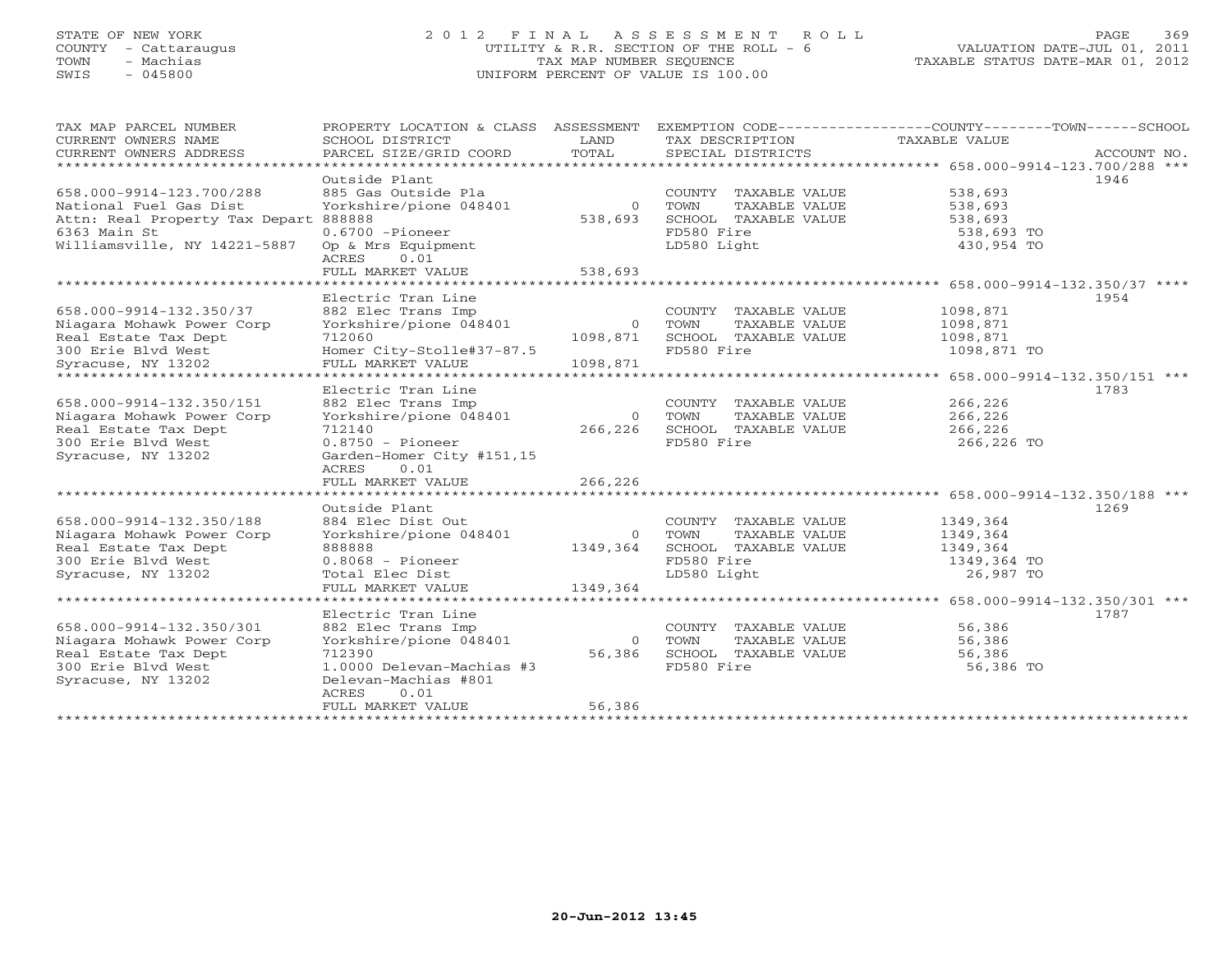## STATE OF NEW YORK 2 0 1 2 F I N A L A S S E S S M E N T R O L L PAGE 369 COUNTY - Cattaraugus UTILITY & R.R. SECTION OF THE ROLL - 6 VALUATION DATE-JUL 01, 2011 TOWN - Machias TAX MAP NUMBER SEQUENCE TAXABLE STATUS DATE-MAR 01, 2012 SWIS - 045800 UNIFORM PERCENT OF VALUE IS 100.00UNIFORM PERCENT OF VALUE IS 100.00

| TAX MAP PARCEL NUMBER<br>CURRENT OWNERS NAME<br>CURRENT OWNERS ADDRESS<br>***********************                                                                             | PROPERTY LOCATION & CLASS<br>SCHOOL DISTRICT<br>PARCEL SIZE/GRID COORD                                                                                                       | ASSESSMENT<br>LAND<br>TOTAL            | TAX DESCRIPTION<br>SPECIAL DISTRICTS                                                               | EXEMPTION CODE-----------------COUNTY-------TOWN------SCHOOL<br>TAXABLE VALUE<br>ACCOUNT NO. |
|-------------------------------------------------------------------------------------------------------------------------------------------------------------------------------|------------------------------------------------------------------------------------------------------------------------------------------------------------------------------|----------------------------------------|----------------------------------------------------------------------------------------------------|----------------------------------------------------------------------------------------------|
| 658.000-9914-123.700/288<br>National Fuel Gas Dist<br>Attn: Real Property Tax Depart 888888<br>6363 Main St<br>Williamsville, NY 14221-5887<br>****************************** | Outside Plant<br>885 Gas Outside Pla<br>Yorkshire/pione 048401<br>$0.6700$ -Pioneer<br>Op & Mrs Equipment<br>0.01<br>ACRES<br>FULL MARKET VALUE                              | $\circ$<br>538,693<br>538,693          | COUNTY TAXABLE VALUE<br>TOWN<br>TAXABLE VALUE<br>SCHOOL TAXABLE VALUE<br>FD580 Fire<br>LD580 Light | 1946<br>538,693<br>538,693<br>538,693<br>538,693 TO<br>430,954 TO                            |
| 658.000-9914-132.350/37<br>Niagara Mohawk Power Corp<br>Real Estate Tax Dept<br>300 Erie Blvd West<br>Syracuse, NY 13202<br>******************************                    | Electric Tran Line<br>882 Elec Trans Imp<br>Yorkshire/pione 048401<br>712060<br>Homer City-Stolle#37-87.5<br>FULL MARKET VALUE                                               | $\overline{0}$<br>1098,871<br>1098,871 | COUNTY TAXABLE VALUE<br>TOWN<br>TAXABLE VALUE<br>SCHOOL TAXABLE VALUE<br>FD580 Fire                | 1954<br>1098,871<br>1098,871<br>1098,871<br>1098,871 TO                                      |
| 658.000-9914-132.350/151<br>Niagara Mohawk Power Corp<br>Real Estate Tax Dept<br>300 Erie Blvd West<br>Syracuse, NY 13202                                                     | Electric Tran Line<br>882 Elec Trans Imp<br>Yorkshire/pione 048401<br>712140<br>$0.8750 - \text{Pioneer}$<br>Garden-Homer City #151,15<br>0.01<br>ACRES<br>FULL MARKET VALUE | $\overline{O}$<br>266,226<br>266,226   | COUNTY TAXABLE VALUE<br>TOWN<br>TAXABLE VALUE<br>SCHOOL TAXABLE VALUE<br>FD580 Fire                | 1783<br>266,226<br>266,226<br>266,226<br>266,226 TO                                          |
| 658.000-9914-132.350/188<br>Niagara Mohawk Power Corp<br>Real Estate Tax Dept<br>300 Erie Blvd West<br>Syracuse, NY 13202<br>*********************                            | Outside Plant<br>884 Elec Dist Out<br>Yorkshire/pione 048401<br>888888<br>$0.8068$ - Pioneer<br>Total Elec Dist<br>FULL MARKET VALUE                                         | 0<br>1349,364<br>1349,364              | COUNTY TAXABLE VALUE<br>TOWN<br>TAXABLE VALUE<br>SCHOOL TAXABLE VALUE<br>FD580 Fire<br>LD580 Light | 1269<br>1349,364<br>1349,364<br>1349,364<br>1349,364 TO<br>26,987 TO                         |
| 658.000-9914-132.350/301<br>Niagara Mohawk Power Corp<br>Real Estate Tax Dept<br>300 Erie Blyd West<br>Syracuse, NY 13202                                                     | Electric Tran Line<br>882 Elec Trans Imp<br>Yorkshire/pione 048401<br>712390<br>1.0000 Delevan-Machias #3<br>Delevan-Machias #801<br>ACRES<br>0.01<br>FULL MARKET VALUE      | $\overline{0}$<br>56,386<br>56,386     | COUNTY TAXABLE VALUE<br>TOWN<br>TAXABLE VALUE<br>SCHOOL TAXABLE VALUE<br>FD580 Fire                | 1787<br>56,386<br>56,386<br>56,386<br>56,386 TO                                              |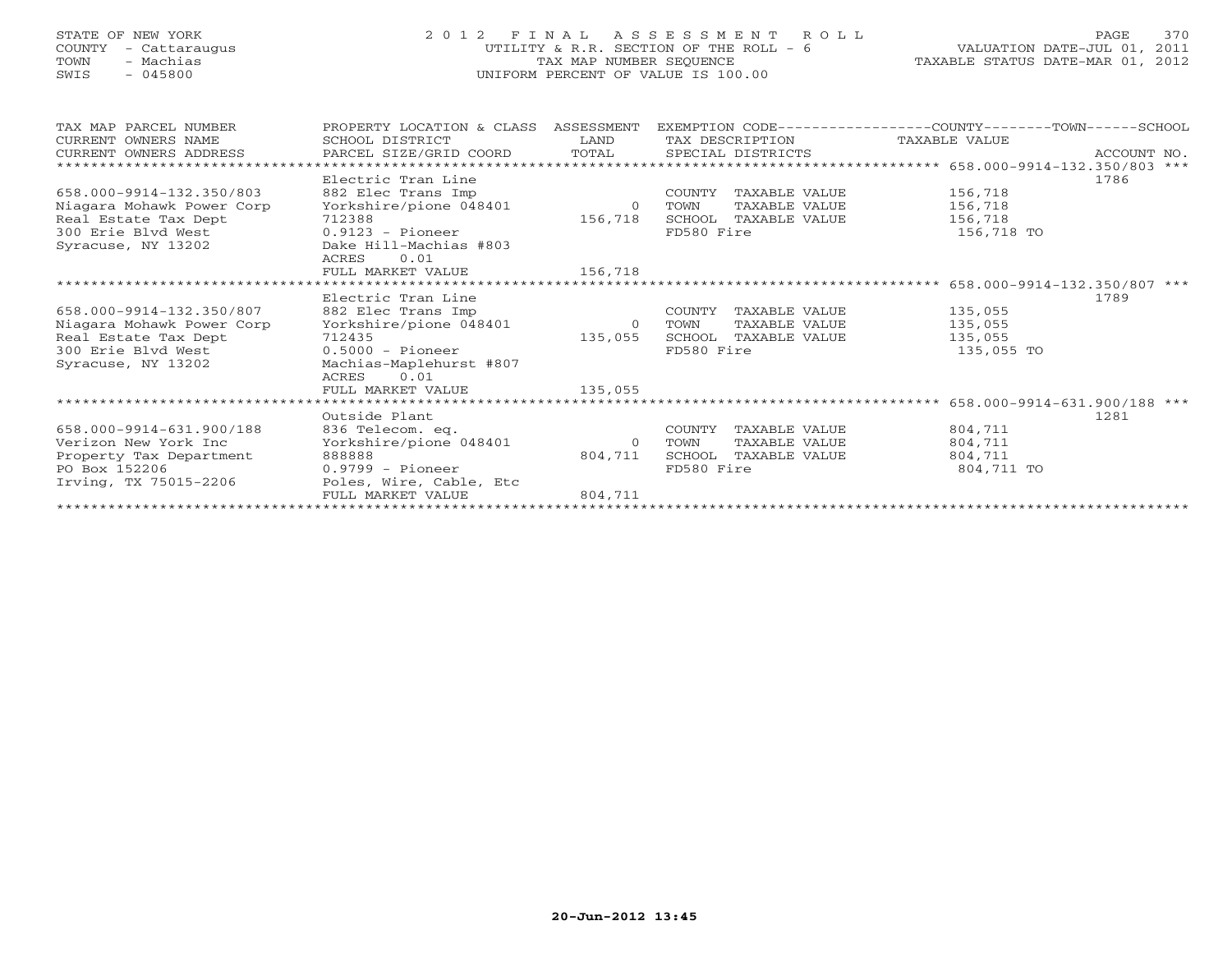## STATE OF NEW YORK 2 0 1 2 F I N A L A S S E S S M E N T R O L L PAGE 370 COUNTY - Cattaraugus UTILITY & R.R. SECTION OF THE ROLL - 6 VALUATION DATE-JUL 01, 2011 TOWN - Machias TAX MAP NUMBER SEQUENCE TAXABLE STATUS DATE-MAR 01, 2012 SWIS - 045800 UNIFORM PERCENT OF VALUE IS 100.00UNIFORM PERCENT OF VALUE IS 100.00

| TAX MAP PARCEL NUMBER<br>CURRENT OWNERS NAME | PROPERTY LOCATION & CLASS<br>SCHOOL DISTRICT | ASSESSMENT<br>LAND | TAX DESCRIPTION         | EXEMPTION CODE-----------------COUNTY-------TOWN------SCHOOL<br>TAXABLE VALUE |             |
|----------------------------------------------|----------------------------------------------|--------------------|-------------------------|-------------------------------------------------------------------------------|-------------|
| CURRENT OWNERS ADDRESS                       | PARCEL SIZE/GRID COORD                       | TOTAL              | SPECIAL DISTRICTS       |                                                                               | ACCOUNT NO. |
|                                              |                                              |                    |                         |                                                                               |             |
|                                              | Electric Tran Line                           |                    |                         |                                                                               | 1786        |
| 658.000-9914-132.350/803                     | 882 Elec Trans Imp                           |                    | COUNTY<br>TAXABLE VALUE | 156,718                                                                       |             |
| Niagara Mohawk Power Corp                    | Yorkshire/pione 048401                       | $\overline{0}$     | TAXABLE VALUE<br>TOWN   | 156,718                                                                       |             |
| Real Estate Tax Dept                         | 712388                                       | 156,718            | SCHOOL TAXABLE VALUE    | 156,718                                                                       |             |
| 300 Erie Blyd West                           | $0.9123$ - Pioneer                           |                    | FD580 Fire              | 156,718 TO                                                                    |             |
| Syracuse, NY 13202                           | Dake Hill-Machias #803                       |                    |                         |                                                                               |             |
|                                              | 0.01<br>ACRES                                |                    |                         |                                                                               |             |
|                                              | FULL MARKET VALUE                            | 156,718            |                         |                                                                               |             |
|                                              |                                              |                    |                         | 658.000-9914-132.350/807 ***                                                  |             |
|                                              | Electric Tran Line                           |                    |                         |                                                                               | 1789        |
| 658.000-9914-132.350/807                     | 882 Elec Trans Imp                           |                    | COUNTY<br>TAXABLE VALUE | 135,055                                                                       |             |
| Niagara Mohawk Power Corp                    | Yorkshire/pione 048401                       | $\overline{0}$     | TAXABLE VALUE<br>TOWN   | 135,055                                                                       |             |
| Real Estate Tax Dept                         | 712435                                       | 135,055            | SCHOOL<br>TAXABLE VALUE | 135,055                                                                       |             |
| 300 Erie Blyd West                           | $0.5000 - \text{Pioneer}$                    |                    | FD580 Fire              | 135,055 TO                                                                    |             |
| Syracuse, NY 13202                           | Machias-Maplehurst #807                      |                    |                         |                                                                               |             |
|                                              | 0.01<br>ACRES                                |                    |                         |                                                                               |             |
|                                              | FULL MARKET VALUE                            | 135,055            |                         |                                                                               |             |
| ******************************               |                                              |                    |                         |                                                                               |             |
|                                              | Outside Plant                                |                    |                         |                                                                               | 1281        |
| 658.000-9914-631.900/188                     | 836 Telecom. eq.                             |                    | COUNTY<br>TAXABLE VALUE | 804,711                                                                       |             |
| Verizon New York Inc                         | Yorkshire/pione 048401                       | $\Omega$           | TAXABLE VALUE<br>TOWN   | 804,711                                                                       |             |
| Property Tax Department                      | 888888                                       | 804,711            | SCHOOL<br>TAXABLE VALUE | 804,711                                                                       |             |
| PO Box 152206                                | $0.9799 - \text{Pioneer}$                    |                    | FD580 Fire              | 804,711 TO                                                                    |             |
| Irving, TX 75015-2206                        | Poles, Wire, Cable, Etc                      |                    |                         |                                                                               |             |
|                                              | FULL MARKET VALUE                            | 804,711            |                         |                                                                               |             |
|                                              |                                              |                    |                         |                                                                               |             |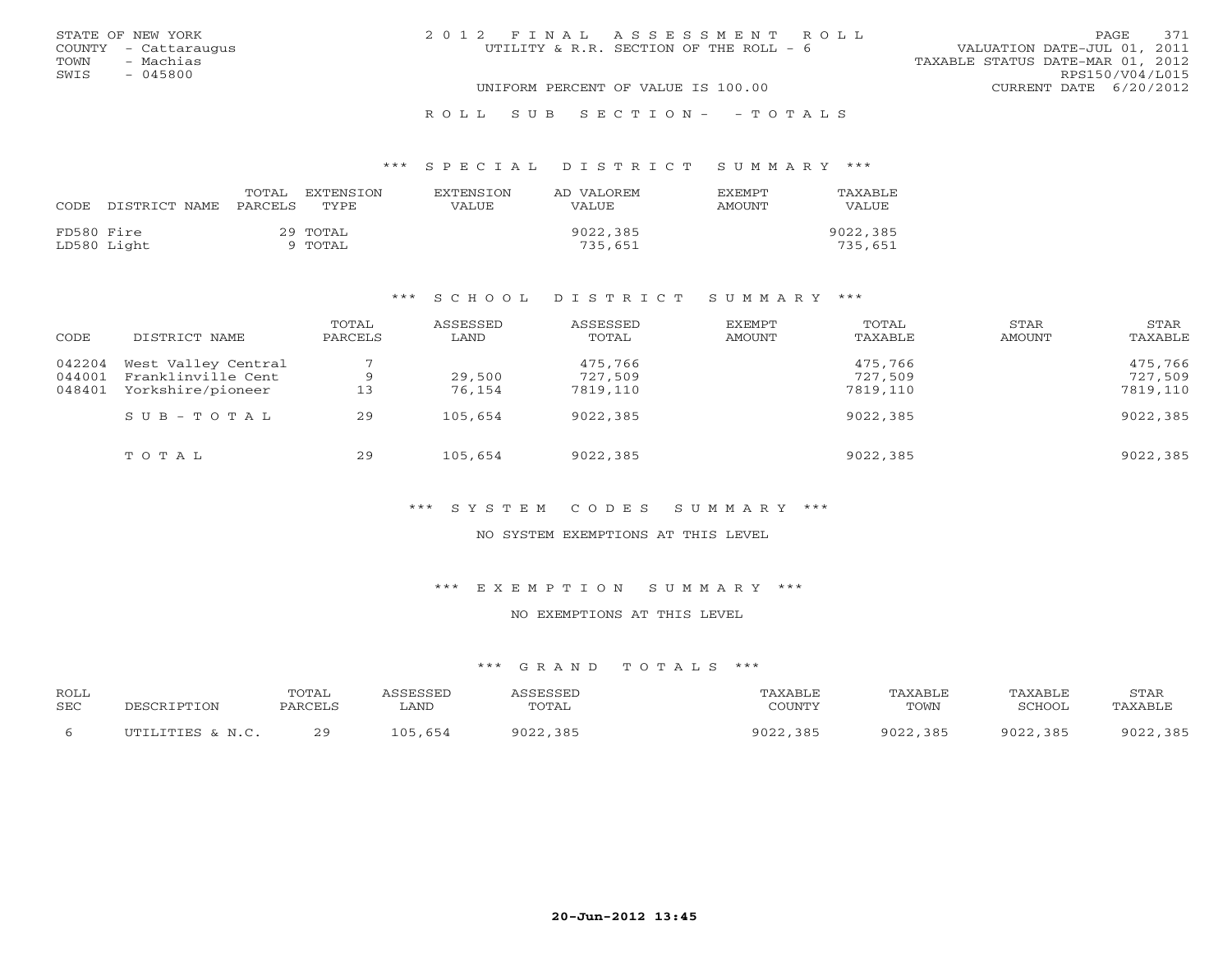|      | STATE OF NEW YORK    | 2012 FINAL ASSESSMENT ROLL             | PAGE.                            | 371 |
|------|----------------------|----------------------------------------|----------------------------------|-----|
|      | COUNTY - Cattaraugus | UTILITY & R.R. SECTION OF THE ROLL - 6 | VALUATION DATE-JUL 01, 2011      |     |
| TOWN | - Machias            |                                        | TAXABLE STATUS DATE-MAR 01, 2012 |     |
| SWIS | $-045800$            |                                        | RPS150/V04/L015                  |     |
|      |                      | UNIFORM PERCENT OF VALUE IS 100.00     | CURRENT DATE 6/20/2012           |     |
|      |                      |                                        |                                  |     |

#### R O L L S U B S E C T I O N - - T O T A L S

#### \*\*\* S P E C I A L D I S T R I C T S U M M A R Y \*\*\*

| CODE       | DISTRICT NAME | TOTAL<br>PARCELS | EXTENSTON<br>TYPE. | <b>EXTENSION</b><br>VALUE | AD VALOREM<br><b>VALUE</b> | <b>FXFMPT</b><br>AMOUNT | TAXABLE<br>VALUE |
|------------|---------------|------------------|--------------------|---------------------------|----------------------------|-------------------------|------------------|
|            |               |                  |                    |                           |                            |                         |                  |
| FD580 Fire |               |                  | 29 ТОТАL           |                           | 9022,385                   |                         | 9022,385         |
|            | LD580 Light   |                  | 9 TOTAL            |                           | 735,651                    |                         | 735,651          |

#### \*\*\* S C H O O L D I S T R I C T S U M M A R Y \*\*\*

| CODE             | DISTRICT NAME                             | TOTAL<br>PARCELS | ASSESSED<br>LAND | ASSESSED<br>TOTAL  | EXEMPT<br>AMOUNT | TOTAL<br>TAXABLE   | STAR<br>AMOUNT | STAR<br>TAXABLE    |
|------------------|-------------------------------------------|------------------|------------------|--------------------|------------------|--------------------|----------------|--------------------|
| 042204<br>044001 | West Valley Central<br>Franklinville Cent |                  | 29,500           | 475,766<br>727,509 |                  | 475,766<br>727,509 |                | 475,766<br>727,509 |
| 048401           | Yorkshire/pioneer                         | 13               | 76,154           | 7819,110           |                  | 7819,110           |                | 7819,110           |
|                  | $S \cup B - T \cup T A L$                 | 29               | 105,654          | 9022,385           |                  | 9022,385           |                | 9022,385           |
|                  | TOTAL                                     | 29               | 105,654          | 9022,385           |                  | 9022,385           |                | 9022,385           |

## \*\*\* S Y S T E M C O D E S S U M M A R Y \*\*\*

#### NO SYSTEM EXEMPTIONS AT THIS LEVEL

#### \*\*\* E X E M P T I O N S U M M A R Y \*\*\*

### NO EXEMPTIONS AT THIS LEVEL

| ROLL<br><b>SEC</b> | DESCRIPTION      | <b>TOTAL</b><br>PARCELS | ASSESSED<br>. AND | ASSESSED<br>TOTAL | TAXABLE<br>COUNTY | TAXABLE<br>TOWN | TAXABLE<br>SCHOOL. | STAR<br>TAXABLE |
|--------------------|------------------|-------------------------|-------------------|-------------------|-------------------|-----------------|--------------------|-----------------|
|                    | UTILITIES & N.C. | 29                      | 105,654           | 9022,385          | 9022,385          | 9022,385        | 9022,385           | 9022,385        |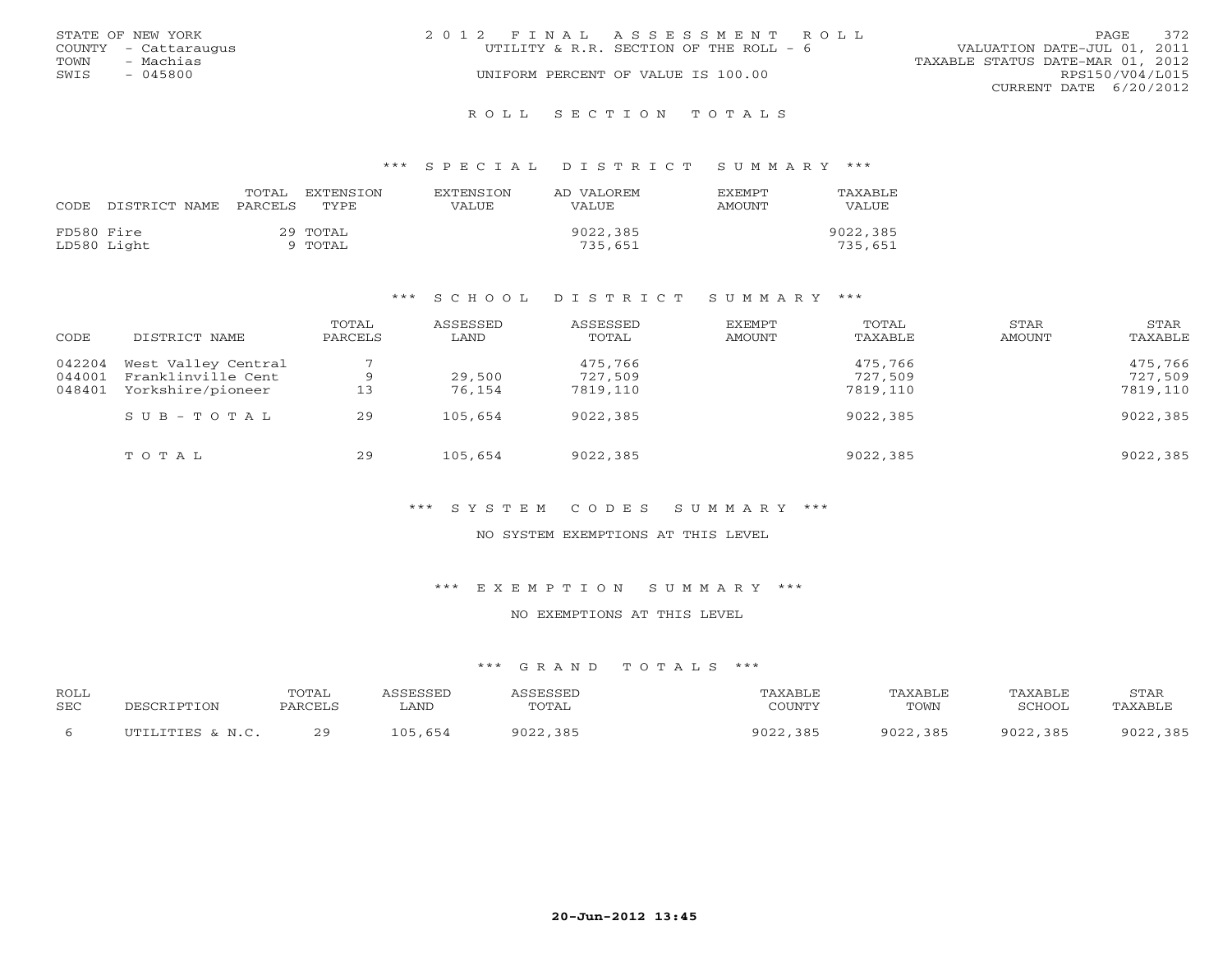|      | STATE OF NEW YORK    | 2012 FINAL ASSESSMENT ROLL              | 372<br>PAGE.                     |
|------|----------------------|-----------------------------------------|----------------------------------|
|      | COUNTY - Cattaraugus | UTILITY & R.R. SECTION OF THE ROLL $-6$ | VALUATION DATE-JUL 01, 2011      |
| TOWN | - Machias            |                                         | TAXABLE STATUS DATE-MAR 01, 2012 |
| SWIS | - 045800             | UNIFORM PERCENT OF VALUE IS 100.00      | RPS150/V04/L015                  |
|      |                      |                                         | CURRENT DATE 6/20/2012           |
|      |                      |                                         |                                  |

#### R O L L S E C T I O N T O T A L S

#### \*\*\* S P E C I A L D I S T R I C T S U M M A R Y \*\*\*

| CODE.      | DISTRICT NAME | TOTAL<br>PARCELS | EXTENSTON<br>TYPE   | <b>EXTENSION</b><br>VALUE | AD VALOREM<br>VALUE. | <b>FXFMPT</b><br>AMOUNT | TAXABLE<br>VALUE    |
|------------|---------------|------------------|---------------------|---------------------------|----------------------|-------------------------|---------------------|
| FD580 Fire | LD580 Light   |                  | 29 ТОТАL<br>TOTAL T |                           | 9022,385<br>735,651  |                         | 9022,385<br>735,651 |

#### \*\*\* S C H O O L D I S T R I C T S U M M A R Y \*\*\*

| CODE             | DISTRICT NAME                             | TOTAL<br>PARCELS | ASSESSED<br>LAND | ASSESSED<br>TOTAL  | EXEMPT<br>AMOUNT | TOTAL<br>TAXABLE   | STAR<br>AMOUNT | STAR<br>TAXABLE    |
|------------------|-------------------------------------------|------------------|------------------|--------------------|------------------|--------------------|----------------|--------------------|
| 042204<br>044001 | West Valley Central<br>Franklinville Cent |                  | 29,500           | 475,766<br>727,509 |                  | 475,766<br>727,509 |                | 475,766<br>727,509 |
| 048401           | Yorkshire/pioneer                         | 13               | 76,154           | 7819,110           |                  | 7819,110           |                | 7819,110           |
|                  | $S \cup B - T \cup T A L$                 | 29               | 105,654          | 9022,385           |                  | 9022,385           |                | 9022,385           |
|                  | TOTAL                                     | 29               | 105,654          | 9022,385           |                  | 9022,385           |                | 9022,385           |

## \*\*\* S Y S T E M C O D E S S U M M A R Y \*\*\*

#### NO SYSTEM EXEMPTIONS AT THIS LEVEL

#### \*\*\* E X E M P T I O N S U M M A R Y \*\*\*

### NO EXEMPTIONS AT THIS LEVEL

| ROLL       | DESCRIPTION      | <b>TOTAL</b> | ASSESSED | ASSESSED | TAXABLE  | TAXABLE  | TAXABLE  | STAR     |
|------------|------------------|--------------|----------|----------|----------|----------|----------|----------|
| <b>SEC</b> |                  | PARCELS      | ∟AND     | TOTAL    | COUNTY   | TOWN     | SCHOOL   | TAXABLE  |
|            | UTILITIES & N.C. | 29           | 105,654  | 9022,385 | 9022,385 | 9022,385 | 9022,385 | 9022,385 |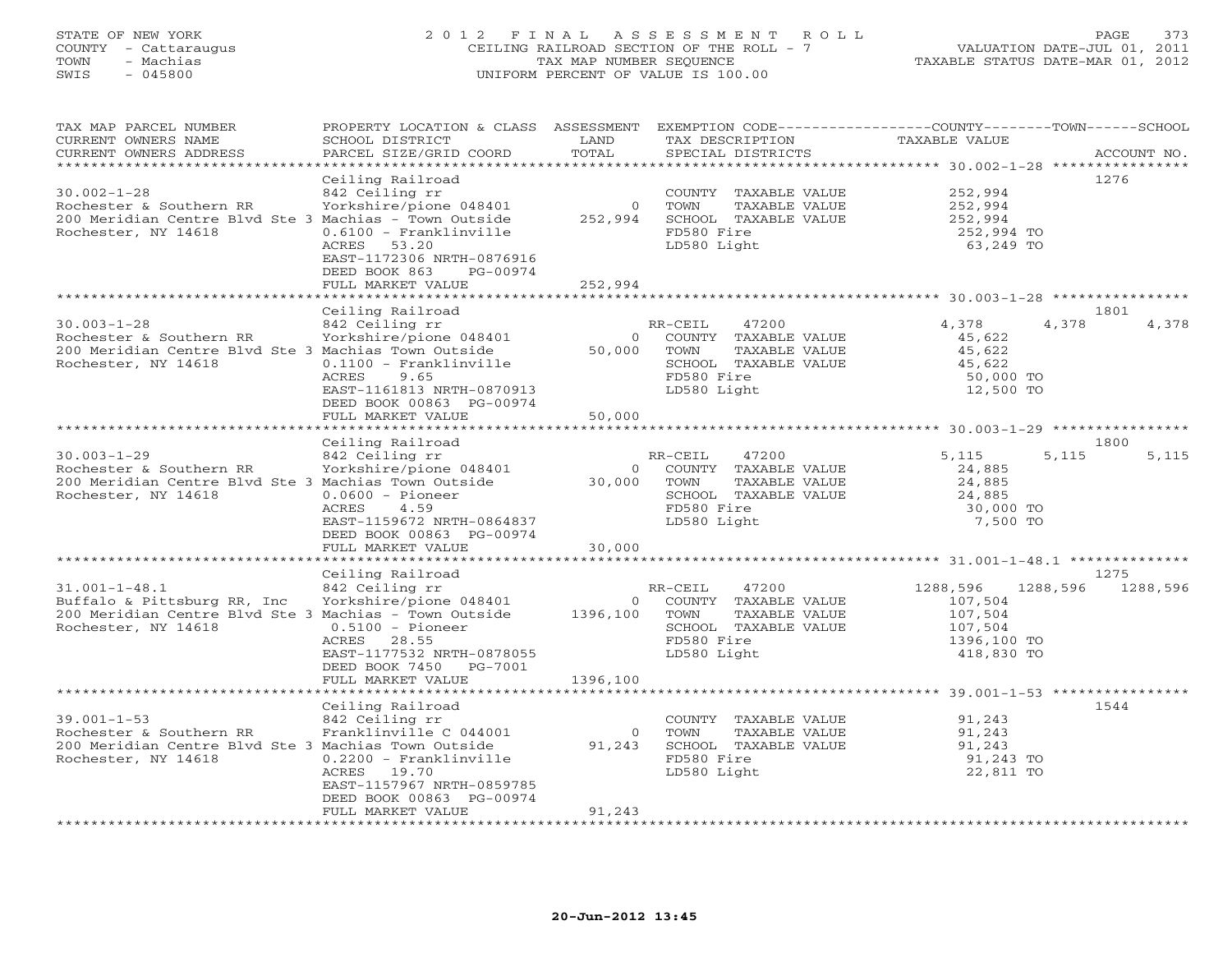## STATE OF NEW YORK 2 0 1 2 F I N A L A S S E S S M E N T R O L L PAGE 373 COUNTY - Cattaraugus CEILING RAILROAD SECTION OF THE ROLL - 7 VALUATION DATE-JUL 01, 2011 TOWN - Machias TAX MAP NUMBER SEQUENCE TAXABLE STATUS DATE-MAR 01, 2012 SWIS - 045800 UNIFORM PERCENT OF VALUE IS 100.00UNIFORM PERCENT OF VALUE IS 100.00

| TAX MAP PARCEL NUMBER                                 | PROPERTY LOCATION & CLASS ASSESSMENT |                |                       | EXEMPTION CODE-----------------COUNTY-------TOWN------SCHOOL |             |
|-------------------------------------------------------|--------------------------------------|----------------|-----------------------|--------------------------------------------------------------|-------------|
| CURRENT OWNERS NAME                                   | SCHOOL DISTRICT                      | LAND           | TAX DESCRIPTION       | TAXABLE VALUE                                                |             |
| CURRENT OWNERS ADDRESS                                | PARCEL SIZE/GRID COORD               | TOTAL          | SPECIAL DISTRICTS     |                                                              | ACCOUNT NO. |
|                                                       |                                      |                |                       |                                                              |             |
|                                                       | Ceiling Railroad                     |                |                       |                                                              | 1276        |
| $30.002 - 1 - 28$                                     | 842 Ceiling rr                       |                | COUNTY TAXABLE VALUE  | 252,994                                                      |             |
| Rochester & Southern RR                               | Yorkshire/pione 048401               | $\circ$        | TOWN<br>TAXABLE VALUE | 252,994                                                      |             |
| 200 Meridian Centre Blvd Ste 3 Machias - Town Outside |                                      | 252,994        | SCHOOL TAXABLE VALUE  | 252,994                                                      |             |
| Rochester, NY 14618                                   | $0.6100 - Franklinville$             |                | FD580 Fire            | 252,994 TO                                                   |             |
|                                                       | ACRES<br>53.20                       |                | LD580 Light           | 63,249 TO                                                    |             |
|                                                       | EAST-1172306 NRTH-0876916            |                |                       |                                                              |             |
|                                                       | DEED BOOK 863<br>PG-00974            |                |                       |                                                              |             |
|                                                       | FULL MARKET VALUE                    | 252,994        |                       |                                                              |             |
|                                                       |                                      |                |                       |                                                              |             |
|                                                       | Ceiling Railroad                     |                |                       |                                                              | 1801        |
|                                                       |                                      |                |                       |                                                              |             |
| $30.003 - 1 - 28$                                     | 842 Ceiling rr                       |                | 47200<br>RR-CEIL      | 4,378<br>4,378                                               | 4,378       |
| Rochester & Southern RR                               | Yorkshire/pione 048401               | $\Omega$       | COUNTY TAXABLE VALUE  | 45,622                                                       |             |
| 200 Meridian Centre Blvd Ste 3 Machias Town Outside   |                                      | 50,000         | TAXABLE VALUE<br>TOWN | 45,622                                                       |             |
| Rochester, NY 14618                                   | $0.1100$ - Franklinville             |                | SCHOOL TAXABLE VALUE  | 45,622                                                       |             |
|                                                       | 9.65<br>ACRES                        |                | FD580 Fire            | 50,000 TO                                                    |             |
|                                                       | EAST-1161813 NRTH-0870913            |                | LD580 Light           | 12,500 TO                                                    |             |
|                                                       | DEED BOOK 00863 PG-00974             |                |                       |                                                              |             |
|                                                       | FULL MARKET VALUE                    | 50,000         |                       |                                                              |             |
|                                                       |                                      |                |                       |                                                              |             |
|                                                       | Ceiling Railroad                     |                |                       |                                                              | 1800        |
| $30.003 - 1 - 29$                                     | 842 Ceiling rr                       |                | RR-CEIL<br>47200      | 5,115<br>5,115                                               | 5,115       |
| Rochester & Southern RR                               | Yorkshire/pione 048401               | $\circ$        | COUNTY TAXABLE VALUE  | 24,885                                                       |             |
| 200 Meridian Centre Blvd Ste 3 Machias Town Outside   |                                      | 30,000         | TOWN<br>TAXABLE VALUE | 24,885                                                       |             |
| Rochester, NY 14618                                   | $0.0600 - \text{Pioneer}$            |                | SCHOOL TAXABLE VALUE  | 24,885                                                       |             |
|                                                       | ACRES<br>4.59                        |                | FD580 Fire            | 30,000 TO                                                    |             |
|                                                       | EAST-1159672 NRTH-0864837            |                | LD580 Light           | 7,500 TO                                                     |             |
|                                                       | DEED BOOK 00863 PG-00974             |                |                       |                                                              |             |
|                                                       | FULL MARKET VALUE                    | 30,000         |                       |                                                              |             |
|                                                       |                                      |                |                       |                                                              |             |
|                                                       | Ceiling Railroad                     |                |                       |                                                              | 1275        |
| $31.001 - 1 - 48.1$                                   | 842 Ceiling rr                       |                | 47200<br>RR-CEIL      | 1288,596<br>1288,596                                         | 1288,596    |
| Buffalo & Pittsburg RR, Inc                           | Yorkshire/pione 048401               | $\circ$        | COUNTY TAXABLE VALUE  | 107,504                                                      |             |
| 200 Meridian Centre Blvd Ste 3 Machias - Town Outside |                                      | 1396,100       | TAXABLE VALUE<br>TOWN | 107,504                                                      |             |
| Rochester, NY 14618                                   | $0.5100 - \text{Pioneer}$            |                | SCHOOL TAXABLE VALUE  | 107,504                                                      |             |
|                                                       | ACRES<br>28.55                       |                | FD580 Fire            | 1396,100 TO                                                  |             |
|                                                       | EAST-1177532 NRTH-0878055            |                | LD580 Light           | 418,830 TO                                                   |             |
|                                                       | DEED BOOK 7450<br>PG-7001            |                |                       |                                                              |             |
|                                                       | FULL MARKET VALUE                    | 1396,100       |                       |                                                              |             |
|                                                       | **********************               |                |                       |                                                              |             |
|                                                       | Ceiling Railroad                     |                |                       |                                                              | 1544        |
| $39.001 - 1 - 53$                                     | 842 Ceiling rr                       |                | COUNTY TAXABLE VALUE  | 91,243                                                       |             |
|                                                       |                                      |                | TOWN                  |                                                              |             |
| Rochester & Southern RR                               | Franklinville C 044001               | $\overline{0}$ | TAXABLE VALUE         | 91,243                                                       |             |
| 200 Meridian Centre Blvd Ste 3 Machias Town Outside   |                                      | 91,243         | SCHOOL TAXABLE VALUE  | 91,243                                                       |             |
| Rochester, NY 14618                                   | $0.2200$ - Franklinville             |                | FD580 Fire            | 91,243 TO                                                    |             |
|                                                       | ACRES<br>19.70                       |                | LD580 Light           | 22,811 TO                                                    |             |
|                                                       | EAST-1157967 NRTH-0859785            |                |                       |                                                              |             |
|                                                       | DEED BOOK 00863 PG-00974             |                |                       |                                                              |             |
|                                                       | FULL MARKET VALUE                    | 91,243         |                       |                                                              |             |
|                                                       |                                      |                |                       |                                                              |             |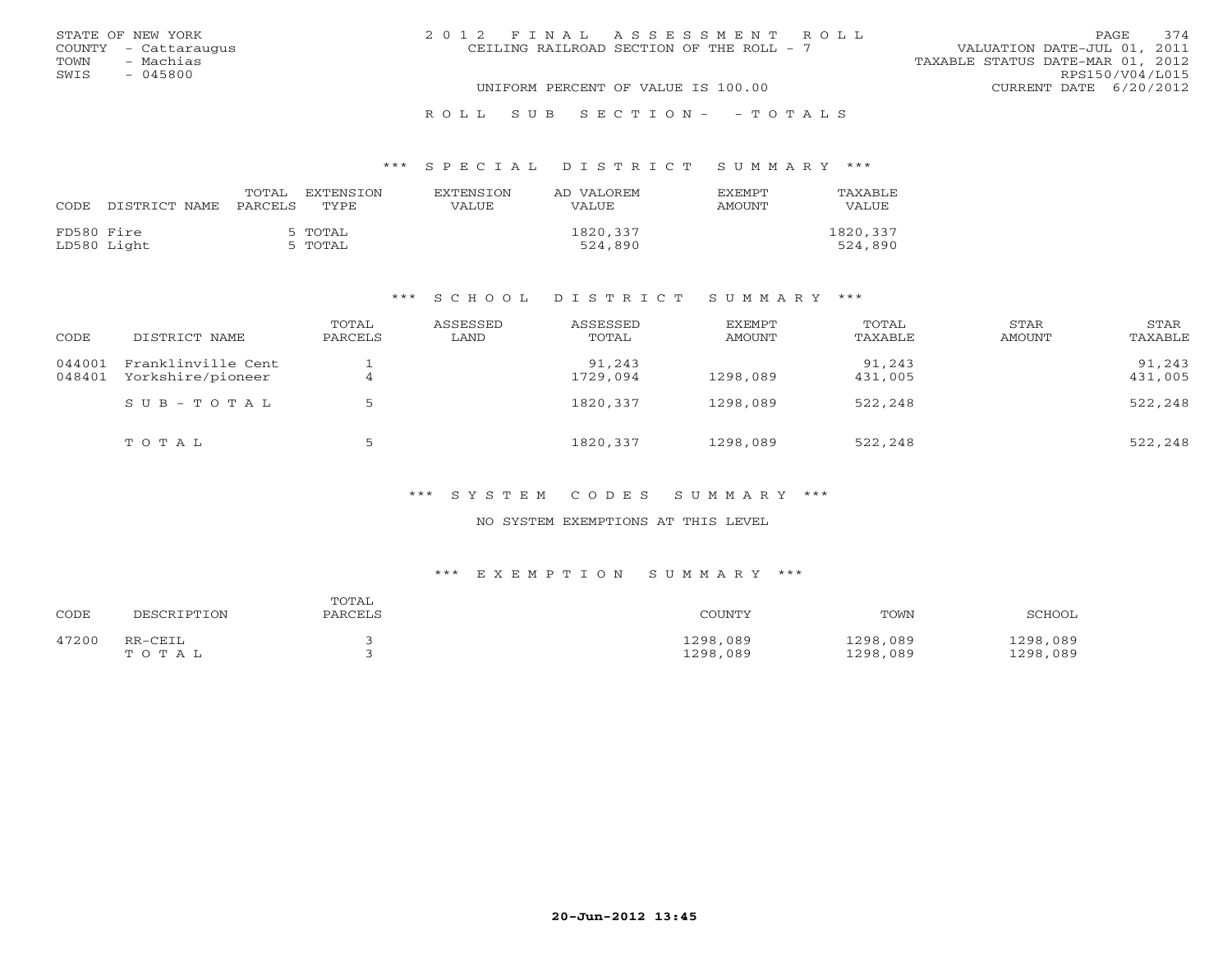| STATE OF NEW YORK    | 2012 FINAL ASSESSMENT ROLL               | 374<br>PAGE.                     |
|----------------------|------------------------------------------|----------------------------------|
| COUNTY - Cattaraugus | CEILING RAILROAD SECTION OF THE ROLL - 7 | VALUATION DATE-JUL 01, 2011      |
| - Machias<br>TOWN    |                                          | TAXABLE STATUS DATE-MAR 01, 2012 |
| SWIS<br>- 045800     |                                          | RPS150/V04/L015                  |
|                      | UNIFORM PERCENT OF VALUE IS 100.00       | CURRENT DATE 6/20/2012           |
|                      | ROLL SUB SECTION- - TOTALS               |                                  |

#### \*\*\* S P E C I A L D I S T R I C T S U M M A R Y \*\*\*

|            |               | TOTAL   | EXTENSTON | <b>EXTENSION</b> | AD VALOREM   | <b>EXEMPT</b> | TAXABLE      |
|------------|---------------|---------|-----------|------------------|--------------|---------------|--------------|
| CODE       | DISTRICT NAME | PARCELS | TYPE      | VALUE            | <b>VALUE</b> | <b>AMOUNT</b> | <b>VALUE</b> |
| FD580 Fire |               |         | 5 TOTAL   |                  | 1820,337     |               | 1820, 337    |
|            | LD580 Light   |         | 5 TOTAL   |                  | 524,890      |               | 524,890      |

#### \*\*\* S C H O O L D I S T R I C T S U M M A R Y \*\*\*

| CODE             | DISTRICT NAME                           | TOTAL<br>PARCELS | ASSESSED<br>LAND | ASSESSED<br>TOTAL  | EXEMPT<br>AMOUNT | TOTAL<br>TAXABLE  | STAR<br>AMOUNT | STAR<br>TAXABLE   |
|------------------|-----------------------------------------|------------------|------------------|--------------------|------------------|-------------------|----------------|-------------------|
| 044001<br>048401 | Franklinville Cent<br>Yorkshire/pioneer | 4                |                  | 91,243<br>1729,094 | 1298,089         | 91,243<br>431,005 |                | 91,243<br>431,005 |
|                  | SUB-TOTAL                               |                  |                  | 1820, 337          | 1298,089         | 522,248           |                | 522,248           |
|                  | TOTAL                                   | ь                |                  | 1820,337           | 1298,089         | 522,248           |                | 522,248           |

#### \*\*\* S Y S T E M C O D E S S U M M A R Y \*\*\*

### NO SYSTEM EXEMPTIONS AT THIS LEVEL

| CODE  | DESCRIPTION | TOTAL<br>PARCELS | COUNTY   | TOWN     | SCHOOL   |
|-------|-------------|------------------|----------|----------|----------|
| 47200 | RR-CEIL     |                  | 1298,089 | 1298,089 | 1298,089 |
|       | TOTAL       |                  | 1298,089 | 1298,089 | 1298,089 |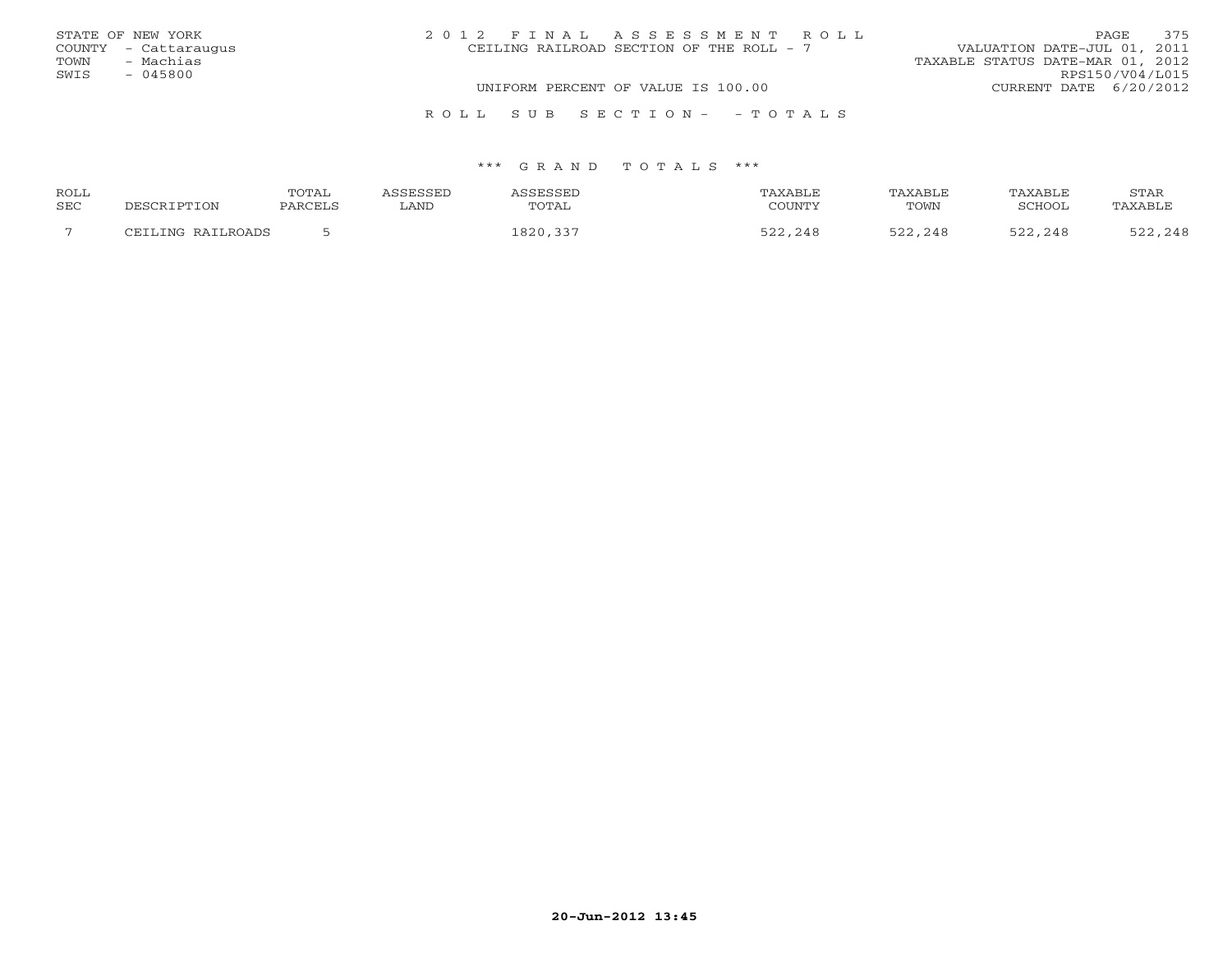| STATE OF NEW YORK    | 2012 FINAL ASSESSMENT ROLL               | 375<br>PAGE.                     |
|----------------------|------------------------------------------|----------------------------------|
| COUNTY - Cattaraugus | CEILING RAILROAD SECTION OF THE ROLL - 7 | VALUATION DATE-JUL 01, 2011      |
| - Machias<br>TOWN    |                                          | TAXABLE STATUS DATE-MAR 01, 2012 |
| $-045800$<br>SWIS    |                                          | RPS150/V04/L015                  |
|                      | UNIFORM PERCENT OF VALUE IS 100.00       | CURRENT DATE 6/20/2012           |
|                      |                                          |                                  |

#### \*\*\* G R A N D T O T A L S \*\*\*

R O L L S U B S E C T I O N - - T O T A L S

| ROLL |                   | TOTAL   | ASSESSED | ASSESSED | TAXABLE | TAXABLE | TAXABLE | STAR    |
|------|-------------------|---------|----------|----------|---------|---------|---------|---------|
| SEC  | DESCRIPTION       | PARCELS | ∟AND     | TOTAL    | COUNTY  | TOWN    | SCHOOL  | TAXABLE |
|      | CEILING RAILROADS |         |          | 1820,337 | 522,248 | 522,248 | 522,248 | 522,248 |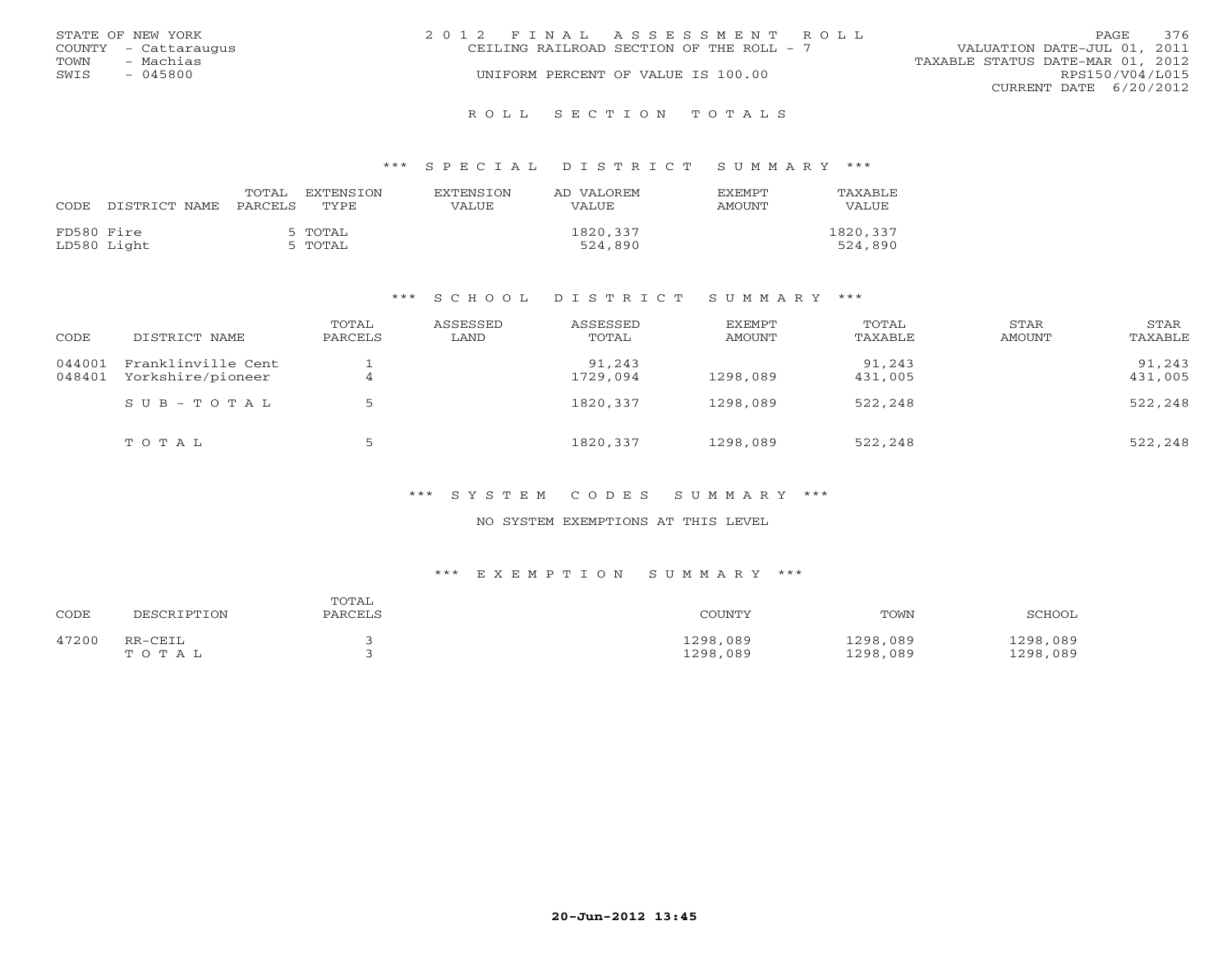|      | STATE OF NEW YORK    | 2012 FINAL ASSESSMENT ROLL               |                                  | <b>PAGE</b>            | 376 |
|------|----------------------|------------------------------------------|----------------------------------|------------------------|-----|
|      | COUNTY - Cattaraugus | CEILING RAILROAD SECTION OF THE ROLL - 7 | VALUATION DATE-JUL 01, 2011      |                        |     |
| TOWN | - Machias            |                                          | TAXABLE STATUS DATE-MAR 01, 2012 |                        |     |
| SWIS | - 045800             | UNIFORM PERCENT OF VALUE IS 100.00       |                                  | RPS150/V04/L015        |     |
|      |                      |                                          |                                  | CURRENT DATE 6/20/2012 |     |
|      |                      |                                          |                                  |                        |     |

#### R O L L S E C T I O N T O T A L S

#### \*\*\* S P E C I A L D I S T R I C T S U M M A R Y \*\*\*

| CODE.      | DISTRICT NAME PARCELS | TOTAL | EXTENSION<br>TYPE  | <b>EXTENSION</b><br>VALUE | AD VALOREM<br>VALUE | <b>EXEMPT</b><br>AMOUNT | TAXABLE<br>VALUE    |
|------------|-----------------------|-------|--------------------|---------------------------|---------------------|-------------------------|---------------------|
| FD580 Fire | LD580 Light           |       | 5 TOTAL<br>5 TOTAL |                           | 1820,337<br>524,890 |                         | 1820,337<br>524,890 |

#### \*\*\* S C H O O L D I S T R I C T S U M M A R Y \*\*\*

| CODE             | DISTRICT NAME                           | TOTAL<br>PARCELS | ASSESSED<br>LAND | ASSESSED<br>TOTAL  | EXEMPT<br>AMOUNT | TOTAL<br>TAXABLE  | STAR<br>AMOUNT | STAR<br>TAXABLE   |
|------------------|-----------------------------------------|------------------|------------------|--------------------|------------------|-------------------|----------------|-------------------|
| 044001<br>048401 | Franklinville Cent<br>Yorkshire/pioneer | 4                |                  | 91,243<br>1729,094 | 1298,089         | 91,243<br>431,005 |                | 91,243<br>431,005 |
|                  | SUB-TOTAL                               |                  |                  | 1820, 337          | 1298,089         | 522,248           |                | 522,248           |
|                  | TOTAL                                   | ь                |                  | 1820,337           | 1298,089         | 522,248           |                | 522,248           |

#### \*\*\* S Y S T E M C O D E S S U M M A R Y \*\*\*

### NO SYSTEM EXEMPTIONS AT THIS LEVEL

| CODE  | DESCRIPTION | TOTAL<br>PARCELS | COUNTY   | TOWN     | SCHOOL   |
|-------|-------------|------------------|----------|----------|----------|
| 47200 | RR-CEIL     |                  | 1298,089 | 1298,089 | 1298,089 |
|       | TOTAL       |                  | 1298,089 | 1298,089 | 1298,089 |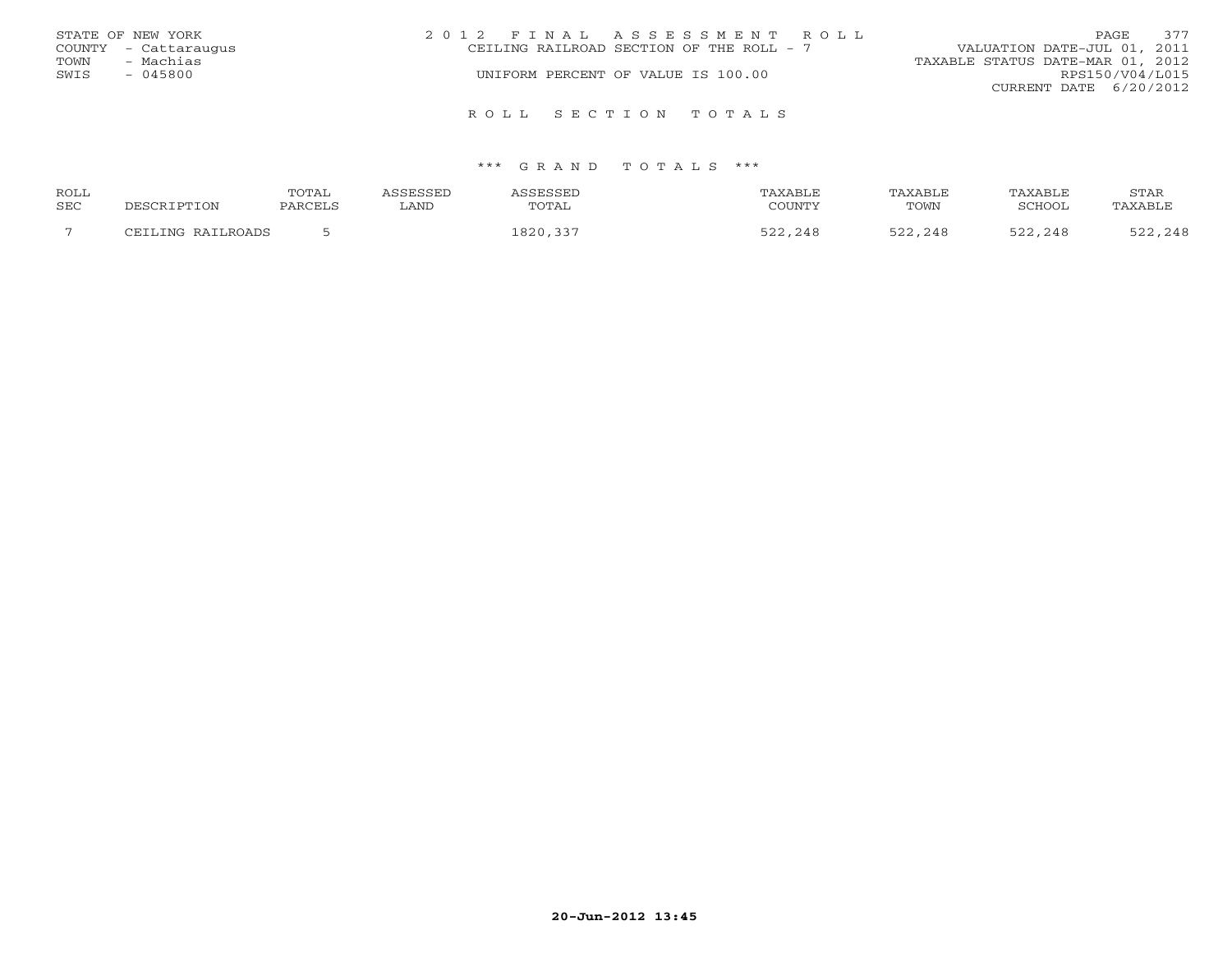|      | STATE OF NEW YORK    | 2012 FINAL ASSESSMENT ROLL                                              | PAGE.                  | 377 |
|------|----------------------|-------------------------------------------------------------------------|------------------------|-----|
|      | COUNTY - Cattaraugus | VALUATION DATE-JUL 01, 2011<br>CEILING RAILROAD SECTION OF THE ROLL - 7 |                        |     |
| TOWN | - Machias            | TAXABLE STATUS DATE-MAR 01, 2012                                        |                        |     |
| SWIS | $-045800$            | UNIFORM PERCENT OF VALUE IS 100.00                                      | RPS150/V04/L015        |     |
|      |                      |                                                                         | CURRENT DATE 6/20/2012 |     |
|      |                      | ROLL SECTION TOTALS                                                     |                        |     |

| <b>ROLL</b> |                       | $10m \pi$<br>$\overline{a}$ |     |       |                      | <b><i>NXABL</i></b> | STAR |
|-------------|-----------------------|-----------------------------|-----|-------|----------------------|---------------------|------|
| SEC         |                       |                             | 777 | TOTAL | TOWN                 | וממדימי             |      |
|             | ⊃חו∧ס דדוס :<br>TNIC. |                             |     |       | $\sim$ $\sim$<br>248 | $\prime$ $\prime$   |      |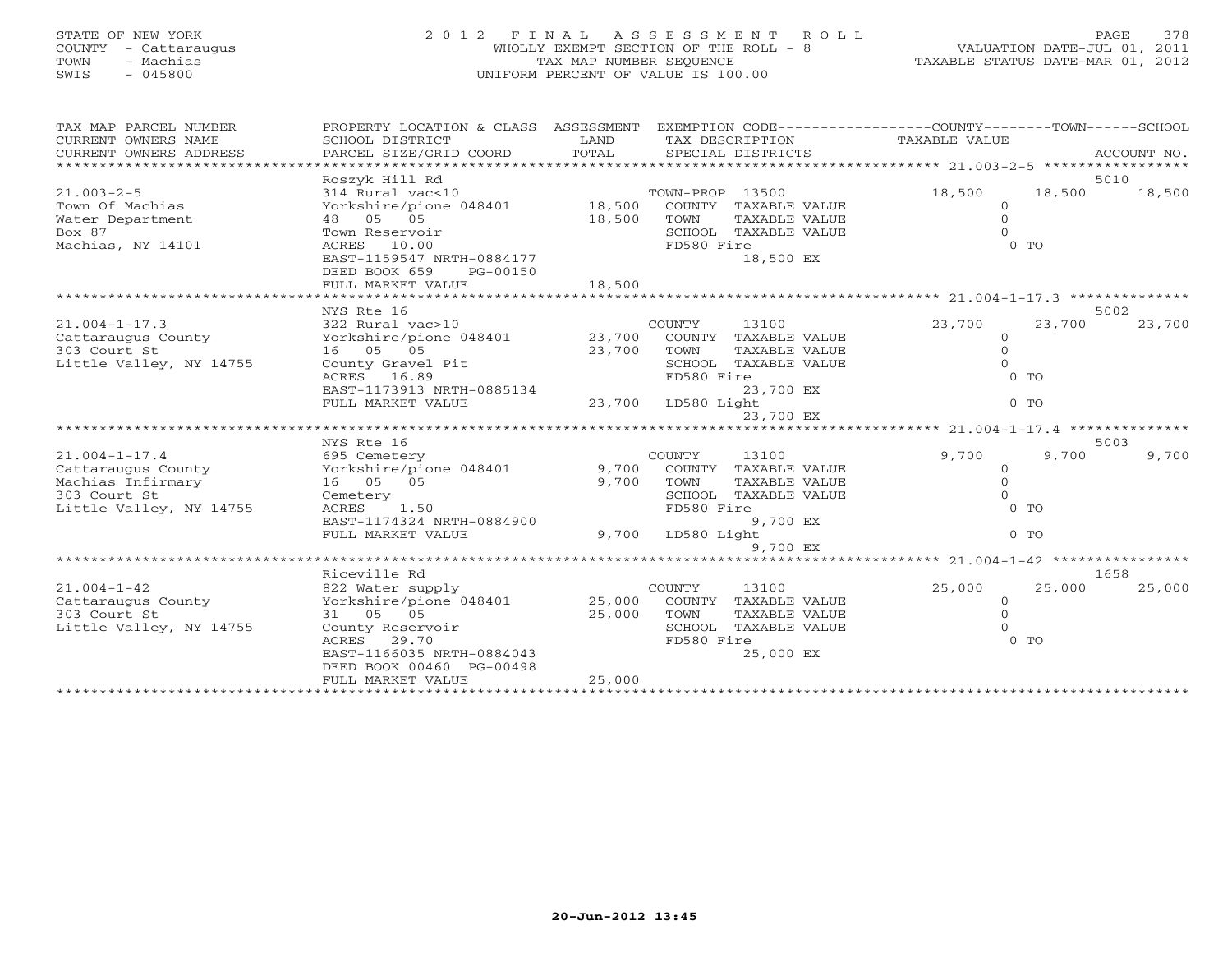## STATE OF NEW YORK 2 0 1 2 F I N A L A S S E S S M E N T R O L L PAGE 378 COUNTY - Cattaraugus WHOLLY EXEMPT SECTION OF THE ROLL - 8 VALUATION DATE-JUL 01, 2011 TOWN - Machias TAX MAP NUMBER SEQUENCE TAXABLE STATUS DATE-MAR 01, 2012 SWIS - 045800 UNIFORM PERCENT OF VALUE IS 100.00

| TAX MAP PARCEL NUMBER<br>CURRENT OWNERS NAME | PROPERTY LOCATION & CLASS ASSESSMENT<br>SCHOOL DISTRICT | LAND<br>TOTAL           |                 | TAX DESCRIPTION      | EXEMPTION CODE-----------------COUNTY-------TOWN------SCHOOL<br>TAXABLE VALUE |                |             |
|----------------------------------------------|---------------------------------------------------------|-------------------------|-----------------|----------------------|-------------------------------------------------------------------------------|----------------|-------------|
| CURRENT OWNERS ADDRESS                       | PARCEL SIZE/GRID COORD                                  |                         |                 | SPECIAL DISTRICTS    |                                                                               |                | ACCOUNT NO. |
|                                              | Roszyk Hill Rd                                          |                         |                 |                      |                                                                               |                | 5010        |
| $21.003 - 2 - 5$                             | 314 Rural vac<10                                        |                         | TOWN-PROP 13500 |                      | 18,500                                                                        | 18,500         | 18,500      |
| Town Of Machias                              | Yorkshire/pione 048401                                  | 18,500                  |                 | COUNTY TAXABLE VALUE | $\mathbf{0}$                                                                  |                |             |
| Water Department                             | 48 05 05                                                | 18,500                  | TOWN            | <b>TAXABLE VALUE</b> | $\Omega$                                                                      |                |             |
| Box 87                                       | Town Reservoir                                          |                         |                 | SCHOOL TAXABLE VALUE | $\Omega$                                                                      |                |             |
| Machias, NY 14101                            | 10.00<br>ACRES                                          |                         | FD580 Fire      |                      |                                                                               | $0$ TO         |             |
|                                              | EAST-1159547 NRTH-0884177                               |                         |                 | 18,500 EX            |                                                                               |                |             |
|                                              | DEED BOOK 659<br>PG-00150                               |                         |                 |                      |                                                                               |                |             |
|                                              | FULL MARKET VALUE                                       | 18,500                  |                 |                      |                                                                               |                |             |
|                                              |                                                         | *********************** |                 |                      | ************* 21.004-1-17.3 ***************                                   |                |             |
|                                              | NYS Rte 16                                              |                         |                 |                      |                                                                               |                | 5002        |
| $21.004 - 1 - 17.3$                          | 322 Rural vac>10                                        |                         | COUNTY          | 13100                | 23,700                                                                        | 23,700         | 23,700      |
| Cattaraugus County                           | Yorkshire/pione 048401                                  | 23,700                  |                 | COUNTY TAXABLE VALUE | $\Omega$                                                                      |                |             |
| 303 Court St                                 | 16 05 05                                                | 23,700                  | TOWN            | TAXABLE VALUE        | $\Omega$<br>$\Omega$                                                          |                |             |
| Little Valley, NY 14755                      | County Gravel Pit<br>ACRES 16.89                        |                         | FD580 Fire      | SCHOOL TAXABLE VALUE |                                                                               | 0 <sub>T</sub> |             |
|                                              | EAST-1173913 NRTH-0885134                               |                         |                 | 23,700 EX            |                                                                               |                |             |
|                                              | FULL MARKET VALUE                                       | 23,700                  | LD580 Light     |                      |                                                                               | $0$ TO         |             |
|                                              |                                                         |                         |                 | 23,700 EX            |                                                                               |                |             |
|                                              | ****************************                            |                         |                 |                      | ******************** 21.004-1-17.4 *********                                  |                |             |
|                                              | NYS Rte 16                                              |                         |                 |                      |                                                                               |                | 5003        |
| $21.004 - 1 - 17.4$                          | 695 Cemetery                                            |                         | COUNTY          | 13100                | 9,700                                                                         | 9,700          | 9,700       |
| Cattaraugus County                           | Yorkshire/pione 048401                                  | 9,700                   |                 | COUNTY TAXABLE VALUE | $\mathbf{0}$                                                                  |                |             |
| Machias Infirmary                            | 16 05 05                                                | 9,700                   | TOWN            | <b>TAXABLE VALUE</b> | $\Omega$                                                                      |                |             |
| 303 Court St                                 | Cemetery                                                |                         | SCHOOL          | TAXABLE VALUE        | $\Omega$                                                                      |                |             |
| Little Valley, NY 14755                      | 1.50<br>ACRES                                           |                         | FD580 Fire      |                      |                                                                               | $0$ TO         |             |
|                                              | EAST-1174324 NRTH-0884900                               |                         |                 | 9,700 EX             |                                                                               |                |             |
|                                              | FULL MARKET VALUE                                       | 9,700                   | LD580 Light     |                      |                                                                               | $0$ TO         |             |
|                                              |                                                         |                         |                 | 9,700 EX             |                                                                               |                |             |
|                                              |                                                         |                         |                 |                      | ******** 21.004-1-42 *****                                                    |                |             |
|                                              | Riceville Rd                                            |                         |                 |                      |                                                                               |                | 1658        |
| $21.004 - 1 - 42$                            | 822 Water supply                                        |                         | COUNTY          | 13100                | 25,000                                                                        | 25,000         | 25,000      |
| Cattaraugus County                           | Yorkshire/pione 048401                                  | 25,000                  |                 | COUNTY TAXABLE VALUE | $\circ$                                                                       |                |             |
| 303 Court St                                 | 31 05 05                                                | 25,000                  | TOWN            | TAXABLE VALUE        | $\Omega$                                                                      |                |             |
| Little Valley, NY 14755                      | County Reservoir                                        |                         | SCHOOL          | TAXABLE VALUE        | $\Omega$                                                                      |                |             |
|                                              | ACRES 29.70<br>EAST-1166035 NRTH-0884043                |                         | FD580 Fire      | 25,000 EX            |                                                                               | $0$ TO         |             |
|                                              | DEED BOOK 00460 PG-00498                                |                         |                 |                      |                                                                               |                |             |
|                                              | FULL MARKET VALUE                                       | 25,000                  |                 |                      |                                                                               |                |             |
|                                              |                                                         |                         |                 |                      |                                                                               |                |             |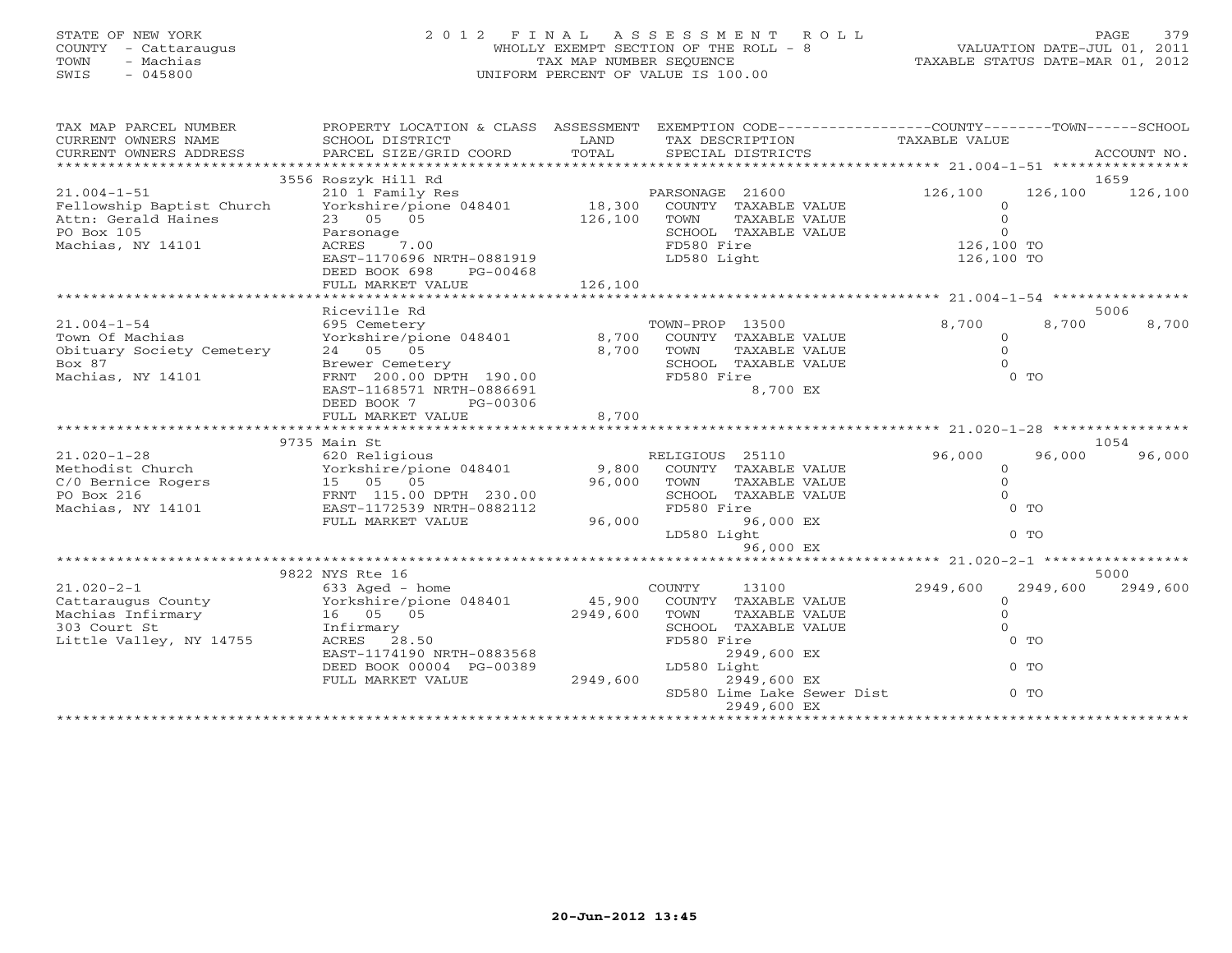## STATE OF NEW YORK 2 0 1 2 F I N A L A S S E S S M E N T R O L L PAGE 379 COUNTY - Cattaraugus WHOLLY EXEMPT SECTION OF THE ROLL - 8 VALUATION DATE-JUL 01, 2011 TOWN - Machias TAX MAP NUMBER SEQUENCE TAXABLE STATUS DATE-MAR 01, 2012 SWIS - 045800 UNIFORM PERCENT OF VALUE IS 100.00

| TAX MAP PARCEL NUMBER<br>CURRENT OWNERS NAME<br>CURRENT OWNERS ADDRESS           | PROPERTY LOCATION & CLASS ASSESSMENT<br>SCHOOL DISTRICT<br>PARCEL SIZE/GRID COORD | LAND<br>TOTAL | TAX DESCRIPTION<br>SPECIAL DISTRICTS | EXEMPTION CODE-----------------COUNTY-------TOWN------SCHOOL<br>TAXABLE VALUE | ACCOUNT NO. |
|----------------------------------------------------------------------------------|-----------------------------------------------------------------------------------|---------------|--------------------------------------|-------------------------------------------------------------------------------|-------------|
|                                                                                  | 3556 Roszyk Hill Rd                                                               |               |                                      |                                                                               | 1659        |
|                                                                                  |                                                                                   |               |                                      |                                                                               |             |
| $21.004 - 1 - 51$                                                                | 210 1 Family Res                                                                  |               | PARSONAGE 21600                      | 126,100<br>126,100                                                            | 126,100     |
| Fellowship Baptist Church Yorkshire/pione 048401<br>Attn: Gerald Haines 23 05 05 |                                                                                   |               | 18,300 COUNTY TAXABLE VALUE          | $\circ$                                                                       |             |
|                                                                                  |                                                                                   | 126,100       | TOWN<br>TAXABLE VALUE                | $\circ$                                                                       |             |
| PO Box 105                                                                       | Parsonage                                                                         |               | SCHOOL TAXABLE VALUE                 | $\mathbf{0}$                                                                  |             |
| Machias, NY 14101                                                                | ACRES 7.00                                                                        |               | FD580 Fire                           | $126,100$ TO                                                                  |             |
|                                                                                  | EAST-1170696 NRTH-0881919                                                         |               | LD580 Light                          | 126,100 TO                                                                    |             |
|                                                                                  | DEED BOOK 698<br>PG-00468                                                         |               |                                      |                                                                               |             |
|                                                                                  | FULL MARKET VALUE                                                                 | 126,100       |                                      |                                                                               |             |
|                                                                                  | Riceville Rd                                                                      |               |                                      |                                                                               |             |
|                                                                                  |                                                                                   |               |                                      |                                                                               | 5006        |
| $21.004 - 1 - 54$                                                                | 695 Cemetery                                                                      |               | TOWN-PROP 13500                      | 8,700<br>8,700                                                                | 8,700       |
| Town Of Machias                                                                  | Yorkshire/pione 048401 8,700                                                      |               | COUNTY TAXABLE VALUE                 | $\circ$                                                                       |             |
| Obituary Society Cemetery<br>Box 87                                              | 24 05 05                                                                          | 8,700         | TOWN<br>TAXABLE VALUE                | $\circ$                                                                       |             |
|                                                                                  | Brewer Cemetery                                                                   |               | SCHOOL TAXABLE VALUE                 |                                                                               |             |
| Machias, NY 14101                                                                | FRNT 200.00 DPTH 190.00                                                           |               | FD580 Fire                           | $0$ TO                                                                        |             |
|                                                                                  | EAST-1168571 NRTH-0886691                                                         |               | 8,700 EX                             |                                                                               |             |
|                                                                                  | DEED BOOK 7<br>PG-00306                                                           |               |                                      |                                                                               |             |
|                                                                                  | FULL MARKET VALUE                                                                 | 8,700         |                                      |                                                                               |             |
|                                                                                  |                                                                                   |               |                                      |                                                                               |             |
|                                                                                  | 9735 Main St                                                                      |               |                                      |                                                                               | 1054        |
| $21.020 - 1 - 28$                                                                | 620 Religious                                                                     |               | RELIGIOUS 25110                      | 96,000<br>96,000                                                              | 96,000      |
| Methodist Church                                                                 | Yorkshire/pione 048401 9,800                                                      |               | COUNTY TAXABLE VALUE                 | $\circ$                                                                       |             |
|                                                                                  |                                                                                   | 96,000        | TOWN<br>TAXABLE VALUE                | $\overline{0}$                                                                |             |
|                                                                                  |                                                                                   |               | SCHOOL TAXABLE VALUE                 | $\Omega$                                                                      |             |
| Machias, NY 14101                                                                | EAST-1172539 NRTH-0882112                                                         |               | FD580 Fire                           | $0$ TO                                                                        |             |
|                                                                                  | FULL MARKET VALUE                                                                 | 96,000        | 96,000 EX                            |                                                                               |             |
|                                                                                  |                                                                                   |               | LD580 Light                          | $0$ TO                                                                        |             |
|                                                                                  |                                                                                   |               | 96,000 EX                            |                                                                               |             |
|                                                                                  |                                                                                   |               |                                      |                                                                               |             |
|                                                                                  | 9822 NYS Rte 16                                                                   |               |                                      |                                                                               | 5000        |
| $21.020 - 2 - 1$                                                                 | 633 Aged - home                                                                   |               | COUNTY<br>13100                      | 2949,600<br>2949,600                                                          | 2949,600    |
|                                                                                  |                                                                                   |               | 45,900 COUNTY TAXABLE VALUE          | $\circ$                                                                       |             |
|                                                                                  |                                                                                   | 2949,600      | TOWN<br>TAXABLE VALUE                | $\Omega$                                                                      |             |
| 303 Court St                                                                     | Infirmary                                                                         |               | SCHOOL TAXABLE VALUE                 | $\circ$                                                                       |             |
| Little Valley, NY 14755                                                          | ACRES 28.50                                                                       |               | FD580 Fire                           | $0$ TO                                                                        |             |
|                                                                                  | EAST-1174190 NRTH-0883568                                                         |               | 2949,600 EX                          |                                                                               |             |
|                                                                                  | DEED BOOK 00004 PG-00389                                                          |               | LD580 Light                          | $0$ TO                                                                        |             |
|                                                                                  | FULL MARKET VALUE                                                                 | 2949,600      | 2949,600 EX                          |                                                                               |             |
|                                                                                  |                                                                                   |               | SD580 Lime Lake Sewer Dist           | $0$ TO                                                                        |             |
|                                                                                  |                                                                                   |               | 2949,600 EX                          | *******************************                                               |             |
|                                                                                  |                                                                                   |               |                                      |                                                                               |             |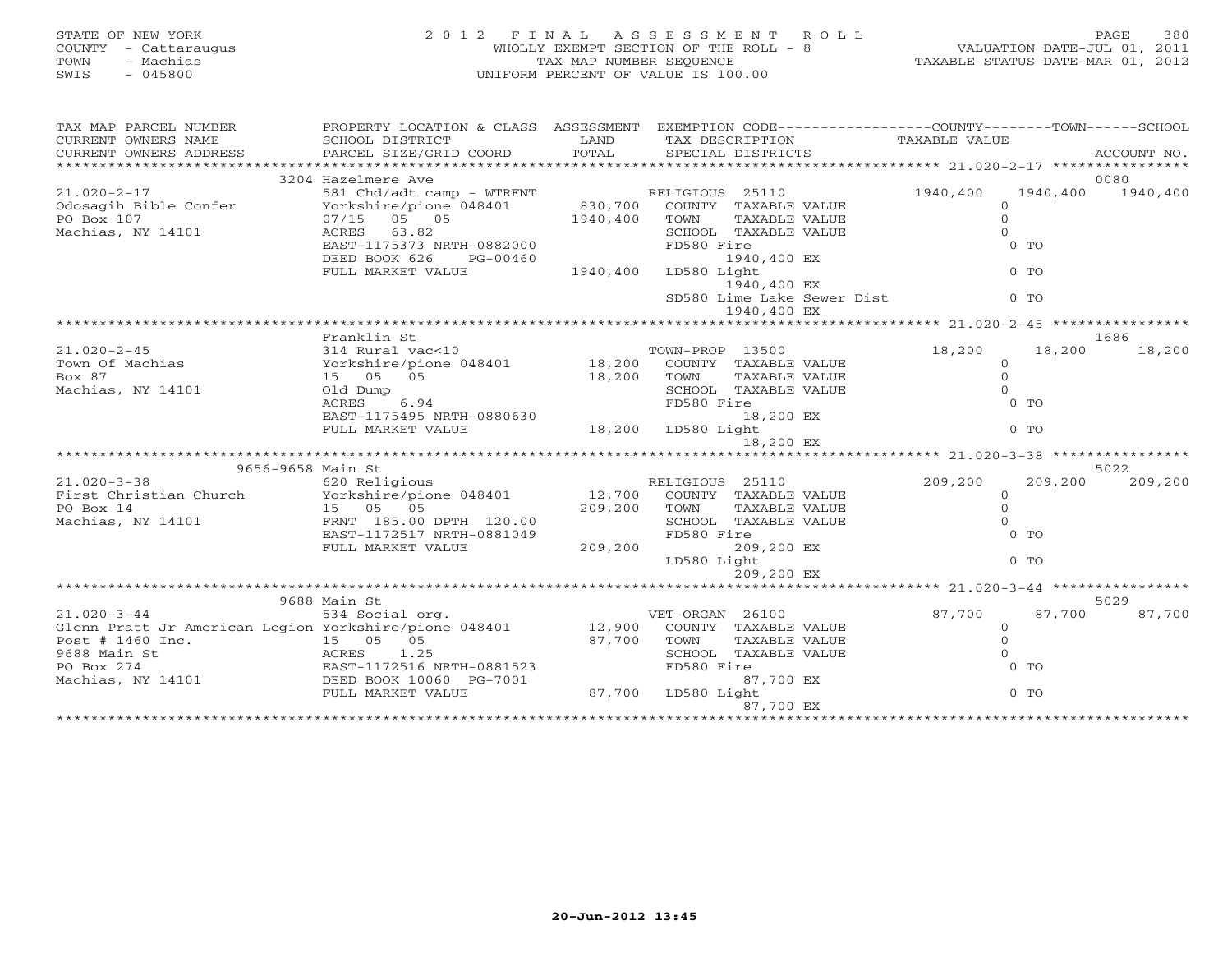|      | STATE OF NEW YORK    | 2012 FINAL ASSESSMENT ROLL            | PAGE                             | 380 |
|------|----------------------|---------------------------------------|----------------------------------|-----|
|      | COUNTY - Cattaraugus | WHOLLY EXEMPT SECTION OF THE ROLL - 8 | VALUATION DATE-JUL 01, 2011      |     |
| TOWN | - Machias            | TAX MAP NUMBER SEOUENCE               | TAXABLE STATUS DATE-MAR 01, 2012 |     |
| SWIS | $-045800$            | UNIFORM PERCENT OF VALUE IS 100.00    |                                  |     |
|      |                      |                                       |                                  |     |

| TAXABLE VALUE<br>CURRENT OWNERS NAME<br>SCHOOL DISTRICT<br><b>LAND</b><br>TAX DESCRIPTION<br>TOTAL<br>PARCEL SIZE/GRID COORD<br>SPECIAL DISTRICTS<br>CURRENT OWNERS ADDRESS<br>ACCOUNT NO.<br>3204 Hazelmere Ave<br>0080<br>$21.020 - 2 - 17$<br>581 Chd/adt camp - WTRFNT<br>RELIGIOUS 25110<br>1940,400<br>1940,400<br>1940,400<br>830,700 COUNTY TAXABLE VALUE<br>Odosagih Bible Confer<br>Yorkshire/pione 048401<br>$\Omega$<br>1940,400 TOWN<br>$\Omega$<br>PO Box 107<br>07/15 05 05<br>TAXABLE VALUE<br>Machias, NY 14101<br>ACRES 63.82<br>SCHOOL TAXABLE VALUE<br>$\Omega$<br>EAST-1175373 NRTH-0882000<br>$0$ TO<br>FD580 Fire<br>DEED BOOK 626<br>1940,400 EX<br>PG-00460<br>FULL MARKET VALUE<br>1940,400<br>LD580 Light<br>$0$ TO<br>1940,400 EX<br>SD580 Lime Lake Sewer Dist<br>$0$ TO<br>1940,400 EX<br>Franklin St<br>1686<br>$21.020 - 2 - 45$<br>314 Rural vac<10<br>TOWN-PROP 13500<br>18,200<br>18,200<br>18,200<br>Yorkshire/pione 048401 18,200 COUNTY TAXABLE VALUE<br>Town Of Machias<br>$\circ$<br>Box 87<br>15 05 05<br>$\circ$<br>18,200 TOWN<br>TAXABLE VALUE<br>$\Omega$<br>Machias, NY 14101<br>Old Dump<br>SCHOOL TAXABLE VALUE<br>$0$ TO<br>ACRES<br>6.94<br>FD580 Fire<br>EAST-1175495 NRTH-0880630<br>18,200 EX<br>18,200 LD580 Light<br>$0$ TO<br>FULL MARKET VALUE<br>18,200 EX<br>9656-9658 Main St<br>5022<br>RELIGIOUS 25110<br>$21.020 - 3 - 38$<br>620 Religious<br>209,200<br>209,200<br>209,200<br>First Christian Church Yorkshire/pione 048401<br>12,700 COUNTY TAXABLE VALUE<br>$\Omega$<br>$\Omega$<br>PO Box 14<br>15 05 05<br>209,200 TOWN<br>TAXABLE VALUE<br>$\Omega$<br>Machias, NY 14101<br>FRNT 185.00 DPTH 120.00<br>SCHOOL TAXABLE VALUE<br>EAST-1172517 NRTH-0881049<br>FD580 Fire<br>$0$ TO<br>209, 200<br>209,200 EX<br>FULL MARKET VALUE<br>LD580 Light<br>$0$ TO<br>209,200 EX<br>9688 Main St<br>5029<br>$21.020 - 3 - 44$<br>87,700<br>87,700<br>534 Social org.<br>VET-ORGAN 26100<br>87,700<br>Glenn Pratt Jr American Legion Yorkshire/pione 048401 12,900 COUNTY TAXABLE VALUE<br>$\circ$<br>$\circ$<br>Post # 1460 Inc.<br>9688 Main St 274<br>PO Box 274<br>Machias, NY 14101<br>Machias, NY 14101<br>PO BOOK 10060 PG-7001<br>87,700<br>TOWN<br>TAXABLE VALUE<br>$\Omega$<br>SCHOOL TAXABLE VALUE<br>FD580 Fire<br>$0$ TO<br>87,700 EX<br>$87,700$ LD580 Light<br>FULL MARKET VALUE<br>$0$ TO<br>87,700 EX | TAX MAP PARCEL NUMBER | PROPERTY LOCATION & CLASS ASSESSMENT EXEMPTION CODE---------------COUNTY-------TOWN------SCHOOL |  |  |  |
|-----------------------------------------------------------------------------------------------------------------------------------------------------------------------------------------------------------------------------------------------------------------------------------------------------------------------------------------------------------------------------------------------------------------------------------------------------------------------------------------------------------------------------------------------------------------------------------------------------------------------------------------------------------------------------------------------------------------------------------------------------------------------------------------------------------------------------------------------------------------------------------------------------------------------------------------------------------------------------------------------------------------------------------------------------------------------------------------------------------------------------------------------------------------------------------------------------------------------------------------------------------------------------------------------------------------------------------------------------------------------------------------------------------------------------------------------------------------------------------------------------------------------------------------------------------------------------------------------------------------------------------------------------------------------------------------------------------------------------------------------------------------------------------------------------------------------------------------------------------------------------------------------------------------------------------------------------------------------------------------------------------------------------------------------------------------------------------------------------------------------------------------------------------------------------------------------------------------------------------------------------------------------------------------------------------------------------------------------------------------------------------|-----------------------|-------------------------------------------------------------------------------------------------|--|--|--|
|                                                                                                                                                                                                                                                                                                                                                                                                                                                                                                                                                                                                                                                                                                                                                                                                                                                                                                                                                                                                                                                                                                                                                                                                                                                                                                                                                                                                                                                                                                                                                                                                                                                                                                                                                                                                                                                                                                                                                                                                                                                                                                                                                                                                                                                                                                                                                                                   |                       |                                                                                                 |  |  |  |
|                                                                                                                                                                                                                                                                                                                                                                                                                                                                                                                                                                                                                                                                                                                                                                                                                                                                                                                                                                                                                                                                                                                                                                                                                                                                                                                                                                                                                                                                                                                                                                                                                                                                                                                                                                                                                                                                                                                                                                                                                                                                                                                                                                                                                                                                                                                                                                                   |                       |                                                                                                 |  |  |  |
|                                                                                                                                                                                                                                                                                                                                                                                                                                                                                                                                                                                                                                                                                                                                                                                                                                                                                                                                                                                                                                                                                                                                                                                                                                                                                                                                                                                                                                                                                                                                                                                                                                                                                                                                                                                                                                                                                                                                                                                                                                                                                                                                                                                                                                                                                                                                                                                   |                       |                                                                                                 |  |  |  |
|                                                                                                                                                                                                                                                                                                                                                                                                                                                                                                                                                                                                                                                                                                                                                                                                                                                                                                                                                                                                                                                                                                                                                                                                                                                                                                                                                                                                                                                                                                                                                                                                                                                                                                                                                                                                                                                                                                                                                                                                                                                                                                                                                                                                                                                                                                                                                                                   |                       |                                                                                                 |  |  |  |
|                                                                                                                                                                                                                                                                                                                                                                                                                                                                                                                                                                                                                                                                                                                                                                                                                                                                                                                                                                                                                                                                                                                                                                                                                                                                                                                                                                                                                                                                                                                                                                                                                                                                                                                                                                                                                                                                                                                                                                                                                                                                                                                                                                                                                                                                                                                                                                                   |                       |                                                                                                 |  |  |  |
|                                                                                                                                                                                                                                                                                                                                                                                                                                                                                                                                                                                                                                                                                                                                                                                                                                                                                                                                                                                                                                                                                                                                                                                                                                                                                                                                                                                                                                                                                                                                                                                                                                                                                                                                                                                                                                                                                                                                                                                                                                                                                                                                                                                                                                                                                                                                                                                   |                       |                                                                                                 |  |  |  |
|                                                                                                                                                                                                                                                                                                                                                                                                                                                                                                                                                                                                                                                                                                                                                                                                                                                                                                                                                                                                                                                                                                                                                                                                                                                                                                                                                                                                                                                                                                                                                                                                                                                                                                                                                                                                                                                                                                                                                                                                                                                                                                                                                                                                                                                                                                                                                                                   |                       |                                                                                                 |  |  |  |
|                                                                                                                                                                                                                                                                                                                                                                                                                                                                                                                                                                                                                                                                                                                                                                                                                                                                                                                                                                                                                                                                                                                                                                                                                                                                                                                                                                                                                                                                                                                                                                                                                                                                                                                                                                                                                                                                                                                                                                                                                                                                                                                                                                                                                                                                                                                                                                                   |                       |                                                                                                 |  |  |  |
|                                                                                                                                                                                                                                                                                                                                                                                                                                                                                                                                                                                                                                                                                                                                                                                                                                                                                                                                                                                                                                                                                                                                                                                                                                                                                                                                                                                                                                                                                                                                                                                                                                                                                                                                                                                                                                                                                                                                                                                                                                                                                                                                                                                                                                                                                                                                                                                   |                       |                                                                                                 |  |  |  |
|                                                                                                                                                                                                                                                                                                                                                                                                                                                                                                                                                                                                                                                                                                                                                                                                                                                                                                                                                                                                                                                                                                                                                                                                                                                                                                                                                                                                                                                                                                                                                                                                                                                                                                                                                                                                                                                                                                                                                                                                                                                                                                                                                                                                                                                                                                                                                                                   |                       |                                                                                                 |  |  |  |
|                                                                                                                                                                                                                                                                                                                                                                                                                                                                                                                                                                                                                                                                                                                                                                                                                                                                                                                                                                                                                                                                                                                                                                                                                                                                                                                                                                                                                                                                                                                                                                                                                                                                                                                                                                                                                                                                                                                                                                                                                                                                                                                                                                                                                                                                                                                                                                                   |                       |                                                                                                 |  |  |  |
|                                                                                                                                                                                                                                                                                                                                                                                                                                                                                                                                                                                                                                                                                                                                                                                                                                                                                                                                                                                                                                                                                                                                                                                                                                                                                                                                                                                                                                                                                                                                                                                                                                                                                                                                                                                                                                                                                                                                                                                                                                                                                                                                                                                                                                                                                                                                                                                   |                       |                                                                                                 |  |  |  |
|                                                                                                                                                                                                                                                                                                                                                                                                                                                                                                                                                                                                                                                                                                                                                                                                                                                                                                                                                                                                                                                                                                                                                                                                                                                                                                                                                                                                                                                                                                                                                                                                                                                                                                                                                                                                                                                                                                                                                                                                                                                                                                                                                                                                                                                                                                                                                                                   |                       |                                                                                                 |  |  |  |
|                                                                                                                                                                                                                                                                                                                                                                                                                                                                                                                                                                                                                                                                                                                                                                                                                                                                                                                                                                                                                                                                                                                                                                                                                                                                                                                                                                                                                                                                                                                                                                                                                                                                                                                                                                                                                                                                                                                                                                                                                                                                                                                                                                                                                                                                                                                                                                                   |                       |                                                                                                 |  |  |  |
|                                                                                                                                                                                                                                                                                                                                                                                                                                                                                                                                                                                                                                                                                                                                                                                                                                                                                                                                                                                                                                                                                                                                                                                                                                                                                                                                                                                                                                                                                                                                                                                                                                                                                                                                                                                                                                                                                                                                                                                                                                                                                                                                                                                                                                                                                                                                                                                   |                       |                                                                                                 |  |  |  |
|                                                                                                                                                                                                                                                                                                                                                                                                                                                                                                                                                                                                                                                                                                                                                                                                                                                                                                                                                                                                                                                                                                                                                                                                                                                                                                                                                                                                                                                                                                                                                                                                                                                                                                                                                                                                                                                                                                                                                                                                                                                                                                                                                                                                                                                                                                                                                                                   |                       |                                                                                                 |  |  |  |
|                                                                                                                                                                                                                                                                                                                                                                                                                                                                                                                                                                                                                                                                                                                                                                                                                                                                                                                                                                                                                                                                                                                                                                                                                                                                                                                                                                                                                                                                                                                                                                                                                                                                                                                                                                                                                                                                                                                                                                                                                                                                                                                                                                                                                                                                                                                                                                                   |                       |                                                                                                 |  |  |  |
|                                                                                                                                                                                                                                                                                                                                                                                                                                                                                                                                                                                                                                                                                                                                                                                                                                                                                                                                                                                                                                                                                                                                                                                                                                                                                                                                                                                                                                                                                                                                                                                                                                                                                                                                                                                                                                                                                                                                                                                                                                                                                                                                                                                                                                                                                                                                                                                   |                       |                                                                                                 |  |  |  |
|                                                                                                                                                                                                                                                                                                                                                                                                                                                                                                                                                                                                                                                                                                                                                                                                                                                                                                                                                                                                                                                                                                                                                                                                                                                                                                                                                                                                                                                                                                                                                                                                                                                                                                                                                                                                                                                                                                                                                                                                                                                                                                                                                                                                                                                                                                                                                                                   |                       |                                                                                                 |  |  |  |
|                                                                                                                                                                                                                                                                                                                                                                                                                                                                                                                                                                                                                                                                                                                                                                                                                                                                                                                                                                                                                                                                                                                                                                                                                                                                                                                                                                                                                                                                                                                                                                                                                                                                                                                                                                                                                                                                                                                                                                                                                                                                                                                                                                                                                                                                                                                                                                                   |                       |                                                                                                 |  |  |  |
|                                                                                                                                                                                                                                                                                                                                                                                                                                                                                                                                                                                                                                                                                                                                                                                                                                                                                                                                                                                                                                                                                                                                                                                                                                                                                                                                                                                                                                                                                                                                                                                                                                                                                                                                                                                                                                                                                                                                                                                                                                                                                                                                                                                                                                                                                                                                                                                   |                       |                                                                                                 |  |  |  |
|                                                                                                                                                                                                                                                                                                                                                                                                                                                                                                                                                                                                                                                                                                                                                                                                                                                                                                                                                                                                                                                                                                                                                                                                                                                                                                                                                                                                                                                                                                                                                                                                                                                                                                                                                                                                                                                                                                                                                                                                                                                                                                                                                                                                                                                                                                                                                                                   |                       |                                                                                                 |  |  |  |
|                                                                                                                                                                                                                                                                                                                                                                                                                                                                                                                                                                                                                                                                                                                                                                                                                                                                                                                                                                                                                                                                                                                                                                                                                                                                                                                                                                                                                                                                                                                                                                                                                                                                                                                                                                                                                                                                                                                                                                                                                                                                                                                                                                                                                                                                                                                                                                                   |                       |                                                                                                 |  |  |  |
|                                                                                                                                                                                                                                                                                                                                                                                                                                                                                                                                                                                                                                                                                                                                                                                                                                                                                                                                                                                                                                                                                                                                                                                                                                                                                                                                                                                                                                                                                                                                                                                                                                                                                                                                                                                                                                                                                                                                                                                                                                                                                                                                                                                                                                                                                                                                                                                   |                       |                                                                                                 |  |  |  |
|                                                                                                                                                                                                                                                                                                                                                                                                                                                                                                                                                                                                                                                                                                                                                                                                                                                                                                                                                                                                                                                                                                                                                                                                                                                                                                                                                                                                                                                                                                                                                                                                                                                                                                                                                                                                                                                                                                                                                                                                                                                                                                                                                                                                                                                                                                                                                                                   |                       |                                                                                                 |  |  |  |
|                                                                                                                                                                                                                                                                                                                                                                                                                                                                                                                                                                                                                                                                                                                                                                                                                                                                                                                                                                                                                                                                                                                                                                                                                                                                                                                                                                                                                                                                                                                                                                                                                                                                                                                                                                                                                                                                                                                                                                                                                                                                                                                                                                                                                                                                                                                                                                                   |                       |                                                                                                 |  |  |  |
|                                                                                                                                                                                                                                                                                                                                                                                                                                                                                                                                                                                                                                                                                                                                                                                                                                                                                                                                                                                                                                                                                                                                                                                                                                                                                                                                                                                                                                                                                                                                                                                                                                                                                                                                                                                                                                                                                                                                                                                                                                                                                                                                                                                                                                                                                                                                                                                   |                       |                                                                                                 |  |  |  |
|                                                                                                                                                                                                                                                                                                                                                                                                                                                                                                                                                                                                                                                                                                                                                                                                                                                                                                                                                                                                                                                                                                                                                                                                                                                                                                                                                                                                                                                                                                                                                                                                                                                                                                                                                                                                                                                                                                                                                                                                                                                                                                                                                                                                                                                                                                                                                                                   |                       |                                                                                                 |  |  |  |
|                                                                                                                                                                                                                                                                                                                                                                                                                                                                                                                                                                                                                                                                                                                                                                                                                                                                                                                                                                                                                                                                                                                                                                                                                                                                                                                                                                                                                                                                                                                                                                                                                                                                                                                                                                                                                                                                                                                                                                                                                                                                                                                                                                                                                                                                                                                                                                                   |                       |                                                                                                 |  |  |  |
|                                                                                                                                                                                                                                                                                                                                                                                                                                                                                                                                                                                                                                                                                                                                                                                                                                                                                                                                                                                                                                                                                                                                                                                                                                                                                                                                                                                                                                                                                                                                                                                                                                                                                                                                                                                                                                                                                                                                                                                                                                                                                                                                                                                                                                                                                                                                                                                   |                       |                                                                                                 |  |  |  |
|                                                                                                                                                                                                                                                                                                                                                                                                                                                                                                                                                                                                                                                                                                                                                                                                                                                                                                                                                                                                                                                                                                                                                                                                                                                                                                                                                                                                                                                                                                                                                                                                                                                                                                                                                                                                                                                                                                                                                                                                                                                                                                                                                                                                                                                                                                                                                                                   |                       |                                                                                                 |  |  |  |
|                                                                                                                                                                                                                                                                                                                                                                                                                                                                                                                                                                                                                                                                                                                                                                                                                                                                                                                                                                                                                                                                                                                                                                                                                                                                                                                                                                                                                                                                                                                                                                                                                                                                                                                                                                                                                                                                                                                                                                                                                                                                                                                                                                                                                                                                                                                                                                                   |                       |                                                                                                 |  |  |  |
|                                                                                                                                                                                                                                                                                                                                                                                                                                                                                                                                                                                                                                                                                                                                                                                                                                                                                                                                                                                                                                                                                                                                                                                                                                                                                                                                                                                                                                                                                                                                                                                                                                                                                                                                                                                                                                                                                                                                                                                                                                                                                                                                                                                                                                                                                                                                                                                   |                       |                                                                                                 |  |  |  |
|                                                                                                                                                                                                                                                                                                                                                                                                                                                                                                                                                                                                                                                                                                                                                                                                                                                                                                                                                                                                                                                                                                                                                                                                                                                                                                                                                                                                                                                                                                                                                                                                                                                                                                                                                                                                                                                                                                                                                                                                                                                                                                                                                                                                                                                                                                                                                                                   |                       |                                                                                                 |  |  |  |
|                                                                                                                                                                                                                                                                                                                                                                                                                                                                                                                                                                                                                                                                                                                                                                                                                                                                                                                                                                                                                                                                                                                                                                                                                                                                                                                                                                                                                                                                                                                                                                                                                                                                                                                                                                                                                                                                                                                                                                                                                                                                                                                                                                                                                                                                                                                                                                                   |                       |                                                                                                 |  |  |  |
|                                                                                                                                                                                                                                                                                                                                                                                                                                                                                                                                                                                                                                                                                                                                                                                                                                                                                                                                                                                                                                                                                                                                                                                                                                                                                                                                                                                                                                                                                                                                                                                                                                                                                                                                                                                                                                                                                                                                                                                                                                                                                                                                                                                                                                                                                                                                                                                   |                       |                                                                                                 |  |  |  |
|                                                                                                                                                                                                                                                                                                                                                                                                                                                                                                                                                                                                                                                                                                                                                                                                                                                                                                                                                                                                                                                                                                                                                                                                                                                                                                                                                                                                                                                                                                                                                                                                                                                                                                                                                                                                                                                                                                                                                                                                                                                                                                                                                                                                                                                                                                                                                                                   |                       |                                                                                                 |  |  |  |
|                                                                                                                                                                                                                                                                                                                                                                                                                                                                                                                                                                                                                                                                                                                                                                                                                                                                                                                                                                                                                                                                                                                                                                                                                                                                                                                                                                                                                                                                                                                                                                                                                                                                                                                                                                                                                                                                                                                                                                                                                                                                                                                                                                                                                                                                                                                                                                                   |                       |                                                                                                 |  |  |  |
|                                                                                                                                                                                                                                                                                                                                                                                                                                                                                                                                                                                                                                                                                                                                                                                                                                                                                                                                                                                                                                                                                                                                                                                                                                                                                                                                                                                                                                                                                                                                                                                                                                                                                                                                                                                                                                                                                                                                                                                                                                                                                                                                                                                                                                                                                                                                                                                   |                       |                                                                                                 |  |  |  |
|                                                                                                                                                                                                                                                                                                                                                                                                                                                                                                                                                                                                                                                                                                                                                                                                                                                                                                                                                                                                                                                                                                                                                                                                                                                                                                                                                                                                                                                                                                                                                                                                                                                                                                                                                                                                                                                                                                                                                                                                                                                                                                                                                                                                                                                                                                                                                                                   |                       |                                                                                                 |  |  |  |
|                                                                                                                                                                                                                                                                                                                                                                                                                                                                                                                                                                                                                                                                                                                                                                                                                                                                                                                                                                                                                                                                                                                                                                                                                                                                                                                                                                                                                                                                                                                                                                                                                                                                                                                                                                                                                                                                                                                                                                                                                                                                                                                                                                                                                                                                                                                                                                                   |                       |                                                                                                 |  |  |  |
|                                                                                                                                                                                                                                                                                                                                                                                                                                                                                                                                                                                                                                                                                                                                                                                                                                                                                                                                                                                                                                                                                                                                                                                                                                                                                                                                                                                                                                                                                                                                                                                                                                                                                                                                                                                                                                                                                                                                                                                                                                                                                                                                                                                                                                                                                                                                                                                   |                       |                                                                                                 |  |  |  |
|                                                                                                                                                                                                                                                                                                                                                                                                                                                                                                                                                                                                                                                                                                                                                                                                                                                                                                                                                                                                                                                                                                                                                                                                                                                                                                                                                                                                                                                                                                                                                                                                                                                                                                                                                                                                                                                                                                                                                                                                                                                                                                                                                                                                                                                                                                                                                                                   |                       |                                                                                                 |  |  |  |
|                                                                                                                                                                                                                                                                                                                                                                                                                                                                                                                                                                                                                                                                                                                                                                                                                                                                                                                                                                                                                                                                                                                                                                                                                                                                                                                                                                                                                                                                                                                                                                                                                                                                                                                                                                                                                                                                                                                                                                                                                                                                                                                                                                                                                                                                                                                                                                                   |                       |                                                                                                 |  |  |  |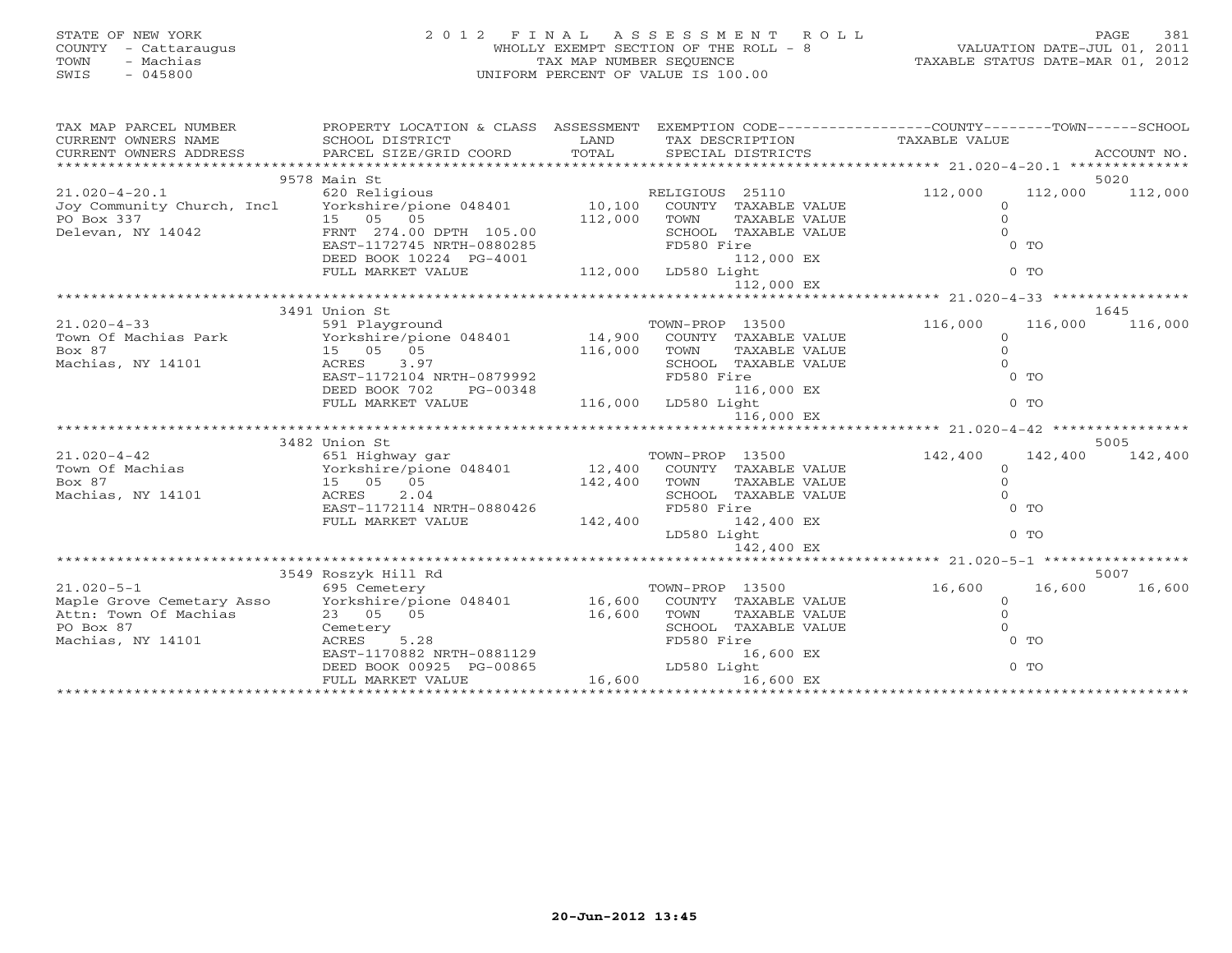# STATE OF NEW YORK 2 0 1 2 F I N A L A S S E S S M E N T R O L L PAGE 381 COUNTY - Cattaraugus WHOLLY EXEMPT SECTION OF THE ROLL - 8 VALUATION DATE-JUL 01, 2011 TOWN - Machias TAX MAP NUMBER SEQUENCE TAXABLE STATUS DATE-MAR 01, 2012 SWIS - 045800 UNIFORM PERCENT OF VALUE IS 100.00

| TAX MAP PARCEL NUMBER                                                                                                                                                                                                                                                                                                                                                                                                                                                                                                               | PROPERTY LOCATION & CLASS ASSESSMENT EXEMPTION CODE---------------COUNTY-------TOWN------SCHOOL<br>PROPERTY LOCATION<br>SCHOOL DISTRICT              |              |                              |                     |                    |
|-------------------------------------------------------------------------------------------------------------------------------------------------------------------------------------------------------------------------------------------------------------------------------------------------------------------------------------------------------------------------------------------------------------------------------------------------------------------------------------------------------------------------------------|------------------------------------------------------------------------------------------------------------------------------------------------------|--------------|------------------------------|---------------------|--------------------|
|                                                                                                                                                                                                                                                                                                                                                                                                                                                                                                                                     |                                                                                                                                                      |              |                              |                     |                    |
|                                                                                                                                                                                                                                                                                                                                                                                                                                                                                                                                     | 9578 Main St                                                                                                                                         |              |                              |                     | 5020               |
| $21.020 - 4 - 20.1$                                                                                                                                                                                                                                                                                                                                                                                                                                                                                                                 | 620 Religious                                                                                                                                        |              | RELIGIOUS 25110              | 112,000             | 112,000 112,000    |
| Joy Community Church, Incl Yorkshire/pione 048401 10,100                                                                                                                                                                                                                                                                                                                                                                                                                                                                            |                                                                                                                                                      |              | COUNTY TAXABLE VALUE         | $\Omega$            |                    |
|                                                                                                                                                                                                                                                                                                                                                                                                                                                                                                                                     |                                                                                                                                                      | 112,000      | TOWN<br>TAXABLE VALUE        | $\Omega$            |                    |
|                                                                                                                                                                                                                                                                                                                                                                                                                                                                                                                                     |                                                                                                                                                      |              | SCHOOL TAXABLE VALUE         |                     |                    |
|                                                                                                                                                                                                                                                                                                                                                                                                                                                                                                                                     | EAST-1172745 NRTH-0880285                                                                                                                            |              | FD580 Fire                   | $0$ TO              |                    |
|                                                                                                                                                                                                                                                                                                                                                                                                                                                                                                                                     | DEED BOOK 10224 PG-4001                                                                                                                              |              | 112,000 EX                   |                     |                    |
|                                                                                                                                                                                                                                                                                                                                                                                                                                                                                                                                     | FULL MARKET VALUE                                                                                                                                    |              | $3-4001$ 112,000 LD580 Light | $0$ TO              |                    |
|                                                                                                                                                                                                                                                                                                                                                                                                                                                                                                                                     |                                                                                                                                                      |              | 112,000 EX                   |                     |                    |
|                                                                                                                                                                                                                                                                                                                                                                                                                                                                                                                                     |                                                                                                                                                      |              |                              |                     |                    |
|                                                                                                                                                                                                                                                                                                                                                                                                                                                                                                                                     | 3491 Union St                                                                                                                                        |              | TOWN-PROP 13500              |                     | 1645               |
| $21.020 - 4 - 33$<br>Town Of Machias Park Yorkshire/pione 048401 14,900 COUNTY TAXABLE VALUE                                                                                                                                                                                                                                                                                                                                                                                                                                        | 591 Playground                                                                                                                                       |              |                              | 116,000<br>$\Omega$ | 116,000<br>116,000 |
| Box 87                                                                                                                                                                                                                                                                                                                                                                                                                                                                                                                              |                                                                                                                                                      |              | TAXABLE VALUE                | $\Omega$            |                    |
| Machias, NY 14101                                                                                                                                                                                                                                                                                                                                                                                                                                                                                                                   | 15  05  05<br>ACRES  3.97                                                                                                                            | 116,000 TOWN | SCHOOL TAXABLE VALUE         |                     |                    |
|                                                                                                                                                                                                                                                                                                                                                                                                                                                                                                                                     | EAST-1172104 NRTH-0879992                                                                                                                            |              | FD580 Fire                   | $0$ TO              |                    |
|                                                                                                                                                                                                                                                                                                                                                                                                                                                                                                                                     | DEED BOOK 702<br>PG-00348                                                                                                                            |              | 116,000 EX                   |                     |                    |
|                                                                                                                                                                                                                                                                                                                                                                                                                                                                                                                                     | FULL MARKET VALUE                                                                                                                                    |              | 116,000 LD580 Light          | $0$ TO              |                    |
|                                                                                                                                                                                                                                                                                                                                                                                                                                                                                                                                     |                                                                                                                                                      |              | 116,000 EX                   |                     |                    |
|                                                                                                                                                                                                                                                                                                                                                                                                                                                                                                                                     |                                                                                                                                                      |              |                              |                     |                    |
| $\begin{tabular}{lllllll} $\textsc{min} & $\textsc{min}$ & $\textsc{min}$ & $\textsc{min}$\\ $\textsc{min}$ & $\textsc{min}$ & $\textsc{min}$\\ $ \textsc{min}$ & $\textsc{min}$ & $\textsc{min}$\\ $ \textsc{min}$ & $\textsc{min}$ & $\textsc{min}$ & $\textsc{min}$\\ $ \textsc{min}$ & $\textsc{min}$ & $\textsc{min}$ & $ \textsc{min}$ & $ \textsc{min}$ & $ \textsc{min}$\\ $ \textsc{min}$ & $\textsc{min}$ & $\textsc{min}$ & $ \textsc{min}$ & $ \textsc{min}$ & $ \textsc{min}$ & $ \textsc{min}$ & $ \textsc{min}$\\ $$ |                                                                                                                                                      |              |                              |                     | 5005               |
|                                                                                                                                                                                                                                                                                                                                                                                                                                                                                                                                     |                                                                                                                                                      |              |                              | 142,400             | 142,400 142,400    |
|                                                                                                                                                                                                                                                                                                                                                                                                                                                                                                                                     |                                                                                                                                                      |              |                              | $\Omega$            |                    |
|                                                                                                                                                                                                                                                                                                                                                                                                                                                                                                                                     |                                                                                                                                                      |              |                              | $\Omega$            |                    |
|                                                                                                                                                                                                                                                                                                                                                                                                                                                                                                                                     |                                                                                                                                                      |              |                              |                     |                    |
|                                                                                                                                                                                                                                                                                                                                                                                                                                                                                                                                     |                                                                                                                                                      |              |                              | $0$ TO              |                    |
|                                                                                                                                                                                                                                                                                                                                                                                                                                                                                                                                     | FULL MARKET VALUE                                                                                                                                    | 142,400      | 142,400 EX                   |                     |                    |
|                                                                                                                                                                                                                                                                                                                                                                                                                                                                                                                                     |                                                                                                                                                      |              | LD580 Light                  | $0$ TO              |                    |
|                                                                                                                                                                                                                                                                                                                                                                                                                                                                                                                                     |                                                                                                                                                      |              | 142,400 EX                   |                     |                    |
|                                                                                                                                                                                                                                                                                                                                                                                                                                                                                                                                     | 3549 Roszyk Hill Rd                                                                                                                                  |              |                              |                     | 5007               |
| $21.020 - 5 - 1$                                                                                                                                                                                                                                                                                                                                                                                                                                                                                                                    | 695 Cemetery                                                                                                                                         |              | TOWN-PROP 13500              | 16,600              | 16,600<br>16,600   |
|                                                                                                                                                                                                                                                                                                                                                                                                                                                                                                                                     |                                                                                                                                                      |              |                              | $\Omega$            |                    |
|                                                                                                                                                                                                                                                                                                                                                                                                                                                                                                                                     |                                                                                                                                                      |              |                              | $\Omega$            |                    |
|                                                                                                                                                                                                                                                                                                                                                                                                                                                                                                                                     |                                                                                                                                                      |              |                              | $\Omega$            |                    |
| 21.020-5-1<br>Maple Grove Cemetary Asso<br>Maple Grove Cemetary Asso<br>23 05 05 05 16,600 COUNTY TAXABLE VALUE<br>PO Box 87 Cemetery<br>Machias, NY 14101 ACRES 5.28 FD580 Fire<br>Machias, NY 14101 ACRES 5.28<br>Machias, NY 14101                                                                                                                                                                                                                                                                                               |                                                                                                                                                      |              | FD580 Fire                   | $0$ TO              |                    |
|                                                                                                                                                                                                                                                                                                                                                                                                                                                                                                                                     |                                                                                                                                                      |              | 16,600 EX                    |                     |                    |
|                                                                                                                                                                                                                                                                                                                                                                                                                                                                                                                                     |                                                                                                                                                      |              | LD580 Light                  | $0$ TO              |                    |
|                                                                                                                                                                                                                                                                                                                                                                                                                                                                                                                                     | 23 05 05<br>Cemetery<br>ACRES 5.28 FD580 Fi:<br>EAST-1170882 NRTH-0881129<br>DEED BOOK 00925 PG-00865 LD580 Lj<br>TITT MADVET VALUE 16,600<br>16,600 |              | 16,600 EX                    |                     |                    |
|                                                                                                                                                                                                                                                                                                                                                                                                                                                                                                                                     |                                                                                                                                                      |              |                              |                     |                    |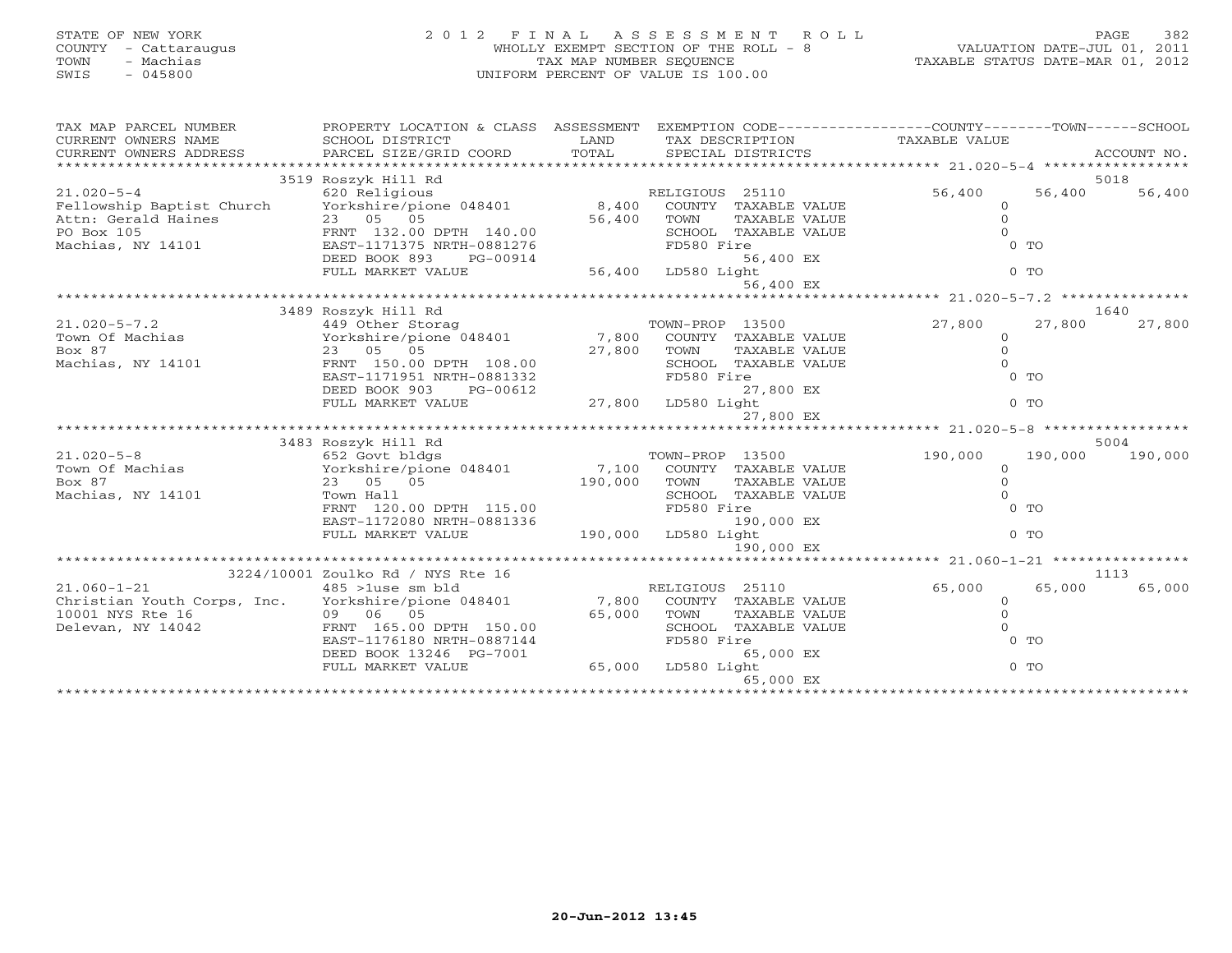# STATE OF NEW YORK 2 0 1 2 F I N A L A S S E S S M E N T R O L L PAGE 382 COUNTY - Cattaraugus WHOLLY EXEMPT SECTION OF THE ROLL - 8 VALUATION DATE-JUL 01, 2011 TOWN - Machias TAX MAP NUMBER SEQUENCE TAXABLE STATUS DATE-MAR 01, 2012 SWIS - 045800 UNIFORM PERCENT OF VALUE IS 100.00

| TAX MAP PARCEL NUMBER<br>CORRENT OWNERS NOME THAT CONTROLL DISTRICT TO THE TRANSFERIT OWNERS NOT BESCHIPTION TRANSFERIT OWNERS ADDRESS<br>CORRENT OWNERS ADDRESS PARCEL SIZE/GRID COORD TOTAL SPECIAL DISTRICTS ACCOUNT NO.<br>****************************** | PROPERTY LOCATION & CLASS ASSESSMENT              |                          |                 |                      | EXEMPTION CODE-----------------COUNTY-------TOWN------SCHOOL |         |         |
|---------------------------------------------------------------------------------------------------------------------------------------------------------------------------------------------------------------------------------------------------------------|---------------------------------------------------|--------------------------|-----------------|----------------------|--------------------------------------------------------------|---------|---------|
|                                                                                                                                                                                                                                                               | 3519 Roszyk Hill Rd                               |                          |                 |                      |                                                              |         | 5018    |
| $21.020 - 5 - 4$                                                                                                                                                                                                                                              | 620 Religious                                     |                          | RELIGIOUS 25110 |                      | 56,400                                                       | 56,400  | 56,400  |
| Fellowship Baptist Church Yorkshire/pione 048401 8,400                                                                                                                                                                                                        |                                                   |                          |                 | COUNTY TAXABLE VALUE | $\circ$                                                      |         |         |
|                                                                                                                                                                                                                                                               |                                                   | 56,400                   | TOWN            | TAXABLE VALUE        | $\overline{O}$                                               |         |         |
|                                                                                                                                                                                                                                                               |                                                   |                          |                 | SCHOOL TAXABLE VALUE | $\Omega$                                                     |         |         |
| Attn: Gerald Haines<br>PO Box 105<br>Machias, NY 14101<br>Machias, NY 14101<br>EAST-1171375 NRTH-0881276                                                                                                                                                      |                                                   |                          | FD580 Fire      |                      |                                                              | $0$ TO  |         |
|                                                                                                                                                                                                                                                               | DEED BOOK 893<br>PG-00914                         |                          |                 | 56,400 EX            |                                                              |         |         |
|                                                                                                                                                                                                                                                               | FULL MARKET VALUE                                 | 56<br>56,400 LD580 Light |                 |                      |                                                              | $0$ TO  |         |
|                                                                                                                                                                                                                                                               |                                                   |                          |                 | 56,400 EX            |                                                              |         |         |
|                                                                                                                                                                                                                                                               |                                                   |                          |                 |                      |                                                              |         |         |
|                                                                                                                                                                                                                                                               | 3489 Roszyk Hill Rd                               |                          |                 |                      |                                                              |         | 1640    |
| $21.020 - 5 - 7.2$                                                                                                                                                                                                                                            | 449 Other Storag                                  |                          | TOWN-PROP 13500 |                      | 27,800                                                       | 27,800  | 27,800  |
| Town Of Machias                                                                                                                                                                                                                                               | Yorkshire/pione 048401 7,800 COUNTY TAXABLE VALUE |                          |                 |                      | $\circ$                                                      |         |         |
| Box 87                                                                                                                                                                                                                                                        | 23 05 05                                          | 27,800                   | TOWN            | TAXABLE VALUE        | $\overline{0}$                                               |         |         |
| Machias, NY 14101                                                                                                                                                                                                                                             | FRNT 150.00 DPTH 108.00                           |                          |                 | SCHOOL TAXABLE VALUE | $\Omega$                                                     |         |         |
|                                                                                                                                                                                                                                                               | EAST-1171951 NRTH-0881332                         |                          | FD580 Fire      |                      |                                                              | $0$ TO  |         |
|                                                                                                                                                                                                                                                               | DEED BOOK 903<br>PG-00612                         |                          |                 | 27,800 EX            |                                                              |         |         |
|                                                                                                                                                                                                                                                               | FULL MARKET VALUE                                 | 27,800 LD580 Light       |                 |                      |                                                              | $0$ TO  |         |
|                                                                                                                                                                                                                                                               |                                                   |                          |                 | 27,800 EX            |                                                              |         |         |
|                                                                                                                                                                                                                                                               |                                                   |                          |                 |                      |                                                              |         |         |
|                                                                                                                                                                                                                                                               | 3483 Roszyk Hill Rd                               |                          |                 |                      |                                                              |         | 5004    |
| $21.020 - 5 - 8$                                                                                                                                                                                                                                              | 652 Govt bldgs                                    |                          | TOWN-PROP 13500 |                      | 190,000                                                      | 190,000 | 190,000 |
| 21.020-5-8<br>Town Of Machias                                    Yorkshire/pione 048401                7,100                                                                                                                                                  |                                                   |                          |                 | COUNTY TAXABLE VALUE | $\circ$                                                      |         |         |
| Box 87                                                                                                                                                                                                                                                        | 23 05 05                                          | 190,000                  | TOWN            | TAXABLE VALUE        | $\circ$                                                      |         |         |
| Machias, NY 14101                                                                                                                                                                                                                                             | Town Hall                                         |                          |                 | SCHOOL TAXABLE VALUE | $\Omega$                                                     |         |         |
|                                                                                                                                                                                                                                                               | FRNT 120.00 DPTH 115.00                           |                          | FD580 Fire      |                      |                                                              | $0$ TO  |         |
|                                                                                                                                                                                                                                                               | EAST-1172080 NRTH-0881336                         |                          |                 | 190,000 EX           |                                                              |         |         |
|                                                                                                                                                                                                                                                               | FULL MARKET VALUE                                 | 190,000 LD580 Light      |                 |                      |                                                              | $0$ TO  |         |
|                                                                                                                                                                                                                                                               |                                                   |                          |                 | 190,000 EX           |                                                              |         |         |
|                                                                                                                                                                                                                                                               | 3224/10001 Zoulko Rd / NYS Rte 16                 |                          |                 |                      |                                                              |         | 1113    |
| $21.060 - 1 - 21$                                                                                                                                                                                                                                             | 485 >1use sm bld                                  |                          | RELIGIOUS 25110 |                      | 65,000                                                       | 65,000  | 65,000  |
| Christian Youth Corps, Inc. Yorkshire/pione 048401 7,800 COUNTY TAXABLE VALUE                                                                                                                                                                                 |                                                   |                          |                 |                      | $\Omega$                                                     |         |         |
| 10001 NYS Rte 16                                                                                                                                                                                                                                              | 09 06 05                                          | 65,000                   | TOWN            | TAXABLE VALUE        | $\overline{0}$                                               |         |         |
| e i Tarihin (1991)<br>Antonio II (1991)<br>Delevan, NY 14042                                                                                                                                                                                                  | FRNT 165.00 DPTH 150.00                           |                          |                 | SCHOOL TAXABLE VALUE | $\Omega$                                                     |         |         |
|                                                                                                                                                                                                                                                               | EAST-1176180 NRTH-0887144                         |                          | FD580 Fire      |                      |                                                              | $0$ TO  |         |
|                                                                                                                                                                                                                                                               | DEED BOOK 13246 PG-7001                           |                          |                 | 65,000 EX            |                                                              |         |         |
|                                                                                                                                                                                                                                                               | FULL MARKET VALUE                                 | 65,000 LD580 Light       |                 |                      |                                                              | $0$ TO  |         |
|                                                                                                                                                                                                                                                               |                                                   |                          |                 | 65,000 EX            |                                                              |         |         |
|                                                                                                                                                                                                                                                               |                                                   |                          |                 |                      |                                                              |         |         |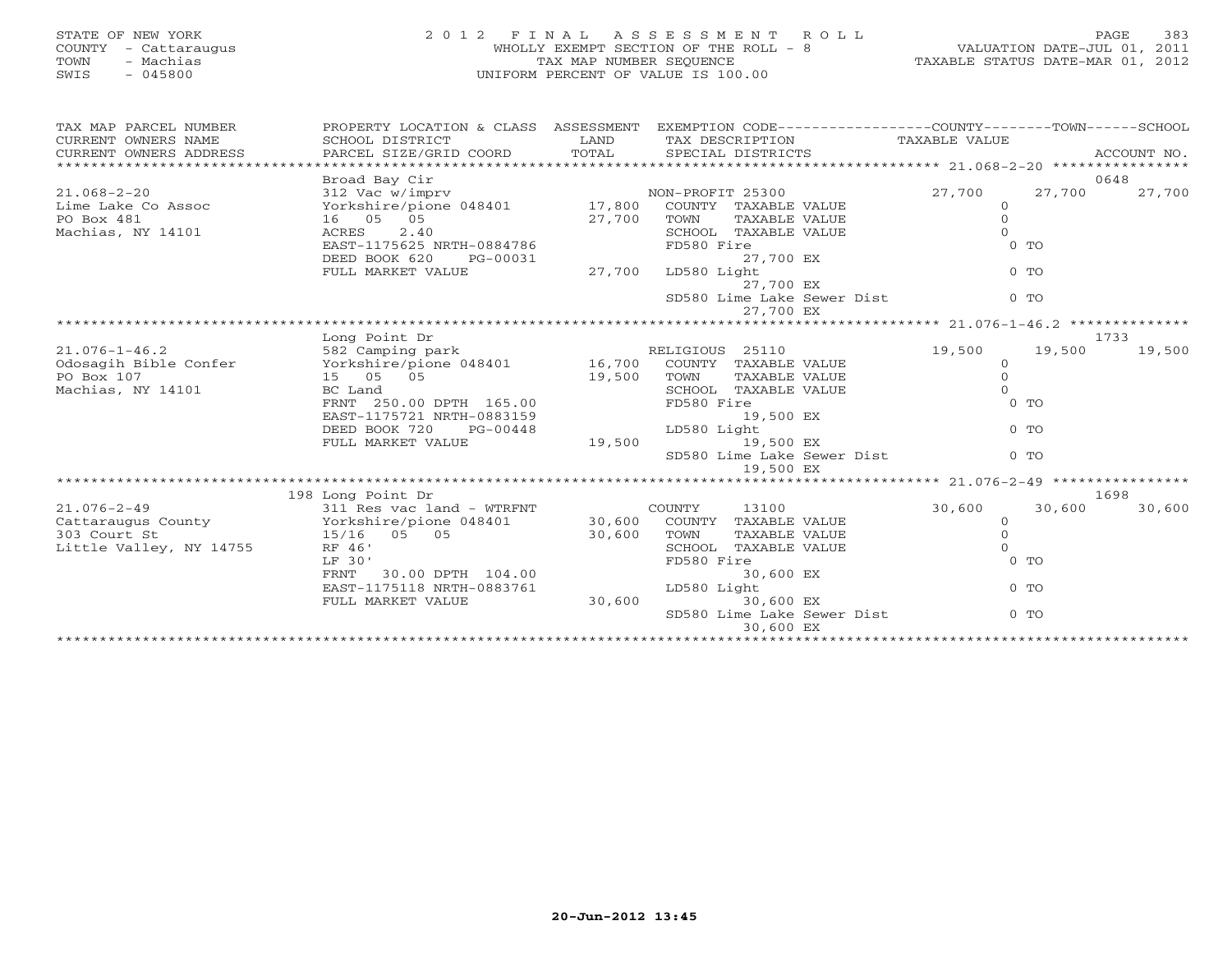# STATE OF NEW YORK 2 0 1 2 F I N A L A S S E S S M E N T R O L L PAGE 383 COUNTY - Cattaraugus WHOLLY EXEMPT SECTION OF THE ROLL - 8 VALUATION DATE-JUL 01, 2011 TOWN - Machias TAX MAP NUMBER SEQUENCE TAXABLE STATUS DATE-MAR 01, 2012 SWIS - 045800 UNIFORM PERCENT OF VALUE IS 100.00

| TAX MAP PARCEL NUMBER              |                                                                                                                                                                                                                                         | PROPERTY LOCATION & CLASS ASSESSMENT EXEMPTION CODE---------------COUNTY-------TOWN------SCHOOL<br>$\begin{tabular}{lllllll} \multicolumn{2}{c}{\textbf{CURRENT}} & \multicolumn{2}{c}{\textbf{WNERS}} & \multicolumn{2}{c}{\textbf{NAME}} & \multicolumn{2}{c}{\textbf{SCHODL}} & \multicolumn{2}{c}{\textbf{TAX} BESCRIPTION} & \multicolumn{2}{c}{\textbf{TAX} BESCRIPTION} & \multicolumn{2}{c}{\textbf{TAX} BLE} & \multicolumn{2}{c}{\textbf{NALUE}} & \multicolumn{2}{c}{\textbf{CURRENT}} & \multicolumn{2}{c}{\textbf{NACCOUNT NO}} \\ & & & & & & & & \\ \$ |                                                                     |                      | ACCOUNT NO. |
|------------------------------------|-----------------------------------------------------------------------------------------------------------------------------------------------------------------------------------------------------------------------------------------|-----------------------------------------------------------------------------------------------------------------------------------------------------------------------------------------------------------------------------------------------------------------------------------------------------------------------------------------------------------------------------------------------------------------------------------------------------------------------------------------------------------------------------------------------------------------------|---------------------------------------------------------------------|----------------------|-------------|
|                                    | Broad Bay Cir                                                                                                                                                                                                                           |                                                                                                                                                                                                                                                                                                                                                                                                                                                                                                                                                                       |                                                                     |                      | 0648        |
|                                    |                                                                                                                                                                                                                                         |                                                                                                                                                                                                                                                                                                                                                                                                                                                                                                                                                                       |                                                                     | 27,700<br>27,700     | 27,700      |
|                                    |                                                                                                                                                                                                                                         |                                                                                                                                                                                                                                                                                                                                                                                                                                                                                                                                                                       |                                                                     | $\circ$              |             |
| PO Box 481                         |                                                                                                                                                                                                                                         |                                                                                                                                                                                                                                                                                                                                                                                                                                                                                                                                                                       |                                                                     | $\Omega$             |             |
| Machias, NY 14101                  |                                                                                                                                                                                                                                         |                                                                                                                                                                                                                                                                                                                                                                                                                                                                                                                                                                       |                                                                     | $\Omega$             |             |
|                                    |                                                                                                                                                                                                                                         |                                                                                                                                                                                                                                                                                                                                                                                                                                                                                                                                                                       |                                                                     | $0$ TO               |             |
|                                    |                                                                                                                                                                                                                                         |                                                                                                                                                                                                                                                                                                                                                                                                                                                                                                                                                                       |                                                                     |                      |             |
|                                    |                                                                                                                                                                                                                                         |                                                                                                                                                                                                                                                                                                                                                                                                                                                                                                                                                                       |                                                                     | $0$ TO               |             |
|                                    |                                                                                                                                                                                                                                         |                                                                                                                                                                                                                                                                                                                                                                                                                                                                                                                                                                       |                                                                     |                      |             |
|                                    |                                                                                                                                                                                                                                         |                                                                                                                                                                                                                                                                                                                                                                                                                                                                                                                                                                       | SD580 Lime Lake Sewer Dist                                          | $0$ TO               |             |
|                                    |                                                                                                                                                                                                                                         | 27,700 EX                                                                                                                                                                                                                                                                                                                                                                                                                                                                                                                                                             |                                                                     |                      |             |
|                                    |                                                                                                                                                                                                                                         |                                                                                                                                                                                                                                                                                                                                                                                                                                                                                                                                                                       |                                                                     |                      |             |
|                                    |                                                                                                                                                                                                                                         |                                                                                                                                                                                                                                                                                                                                                                                                                                                                                                                                                                       |                                                                     |                      | 1733        |
|                                    |                                                                                                                                                                                                                                         |                                                                                                                                                                                                                                                                                                                                                                                                                                                                                                                                                                       | 19,500                                                              | 19,500               | 19,500      |
|                                    | 15 05 05<br>BC Land<br>BC Land<br>FRNT 250.00 DPTH 165.00<br>EAST-1175721 NRTH-0883159<br>DEED BOOK 720<br>PD580 Fire<br>250.00 DPTH 165.00<br>PD580 Fire<br>29,500 RX<br>29,500 RX<br>29,500 RX<br>29,500 RX<br>29,500 RX<br>29,500 RX |                                                                                                                                                                                                                                                                                                                                                                                                                                                                                                                                                                       |                                                                     | $\Omega$<br>$\Omega$ |             |
|                                    |                                                                                                                                                                                                                                         |                                                                                                                                                                                                                                                                                                                                                                                                                                                                                                                                                                       |                                                                     | $\Omega$             |             |
|                                    |                                                                                                                                                                                                                                         |                                                                                                                                                                                                                                                                                                                                                                                                                                                                                                                                                                       |                                                                     | $0$ TO               |             |
|                                    |                                                                                                                                                                                                                                         |                                                                                                                                                                                                                                                                                                                                                                                                                                                                                                                                                                       |                                                                     |                      |             |
|                                    | EAST-1175721 NRTH-0883159<br>DEED BOOK 720 PG-00448 LD580 Light<br>FULL MARKET VALUE 19,500 19,500 EX                                                                                                                                   |                                                                                                                                                                                                                                                                                                                                                                                                                                                                                                                                                                       |                                                                     | $0$ TO               |             |
|                                    |                                                                                                                                                                                                                                         |                                                                                                                                                                                                                                                                                                                                                                                                                                                                                                                                                                       |                                                                     |                      |             |
|                                    |                                                                                                                                                                                                                                         |                                                                                                                                                                                                                                                                                                                                                                                                                                                                                                                                                                       | 19,500 EX<br>LD580 Light<br>19,500 EX<br>SD580 Lime Lake Sewer Dist | $0$ To               |             |
|                                    |                                                                                                                                                                                                                                         | 19,500 EX                                                                                                                                                                                                                                                                                                                                                                                                                                                                                                                                                             |                                                                     |                      |             |
|                                    |                                                                                                                                                                                                                                         |                                                                                                                                                                                                                                                                                                                                                                                                                                                                                                                                                                       |                                                                     |                      |             |
|                                    | COUNTY 13100<br>311 Res vac land - WTRFNT<br>Yorkshire/pione 048401 30,600 COUNTY TAXABLE VALUE<br>15/16 05 05<br>RF 46'                                                                                                                |                                                                                                                                                                                                                                                                                                                                                                                                                                                                                                                                                                       |                                                                     |                      | 1698        |
| $21.076 - 2 - 49$                  |                                                                                                                                                                                                                                         |                                                                                                                                                                                                                                                                                                                                                                                                                                                                                                                                                                       | 30,600                                                              | 30,600               | 30,600      |
| Cattaraugus County<br>303 Court St |                                                                                                                                                                                                                                         |                                                                                                                                                                                                                                                                                                                                                                                                                                                                                                                                                                       |                                                                     | $\circ$              |             |
| 303 Court St                       |                                                                                                                                                                                                                                         |                                                                                                                                                                                                                                                                                                                                                                                                                                                                                                                                                                       |                                                                     | $\circ$              |             |
| Little Valley, NY 14755            |                                                                                                                                                                                                                                         |                                                                                                                                                                                                                                                                                                                                                                                                                                                                                                                                                                       |                                                                     | $\Omega$             |             |
|                                    | RF 46'<br>LF 30'<br>FRNT 30.00 DPTH 104.00 FD580                                                                                                                                                                                        | FD580 Fire                                                                                                                                                                                                                                                                                                                                                                                                                                                                                                                                                            |                                                                     | $0$ TO               |             |
|                                    |                                                                                                                                                                                                                                         | 30,600 EX                                                                                                                                                                                                                                                                                                                                                                                                                                                                                                                                                             |                                                                     |                      |             |
|                                    | EAST-1175118 NRTH-0883761 LD580 Light                                                                                                                                                                                                   |                                                                                                                                                                                                                                                                                                                                                                                                                                                                                                                                                                       |                                                                     | $0$ TO               |             |
|                                    | FULL MARKET VALUE                                                                                                                                                                                                                       | 30,600 30,600 EX                                                                                                                                                                                                                                                                                                                                                                                                                                                                                                                                                      |                                                                     |                      |             |
|                                    |                                                                                                                                                                                                                                         |                                                                                                                                                                                                                                                                                                                                                                                                                                                                                                                                                                       | SD580 Lime Lake Sewer Dist                                          | $0$ TO               |             |
|                                    |                                                                                                                                                                                                                                         | 30,600 EX                                                                                                                                                                                                                                                                                                                                                                                                                                                                                                                                                             |                                                                     |                      |             |
|                                    |                                                                                                                                                                                                                                         |                                                                                                                                                                                                                                                                                                                                                                                                                                                                                                                                                                       |                                                                     |                      |             |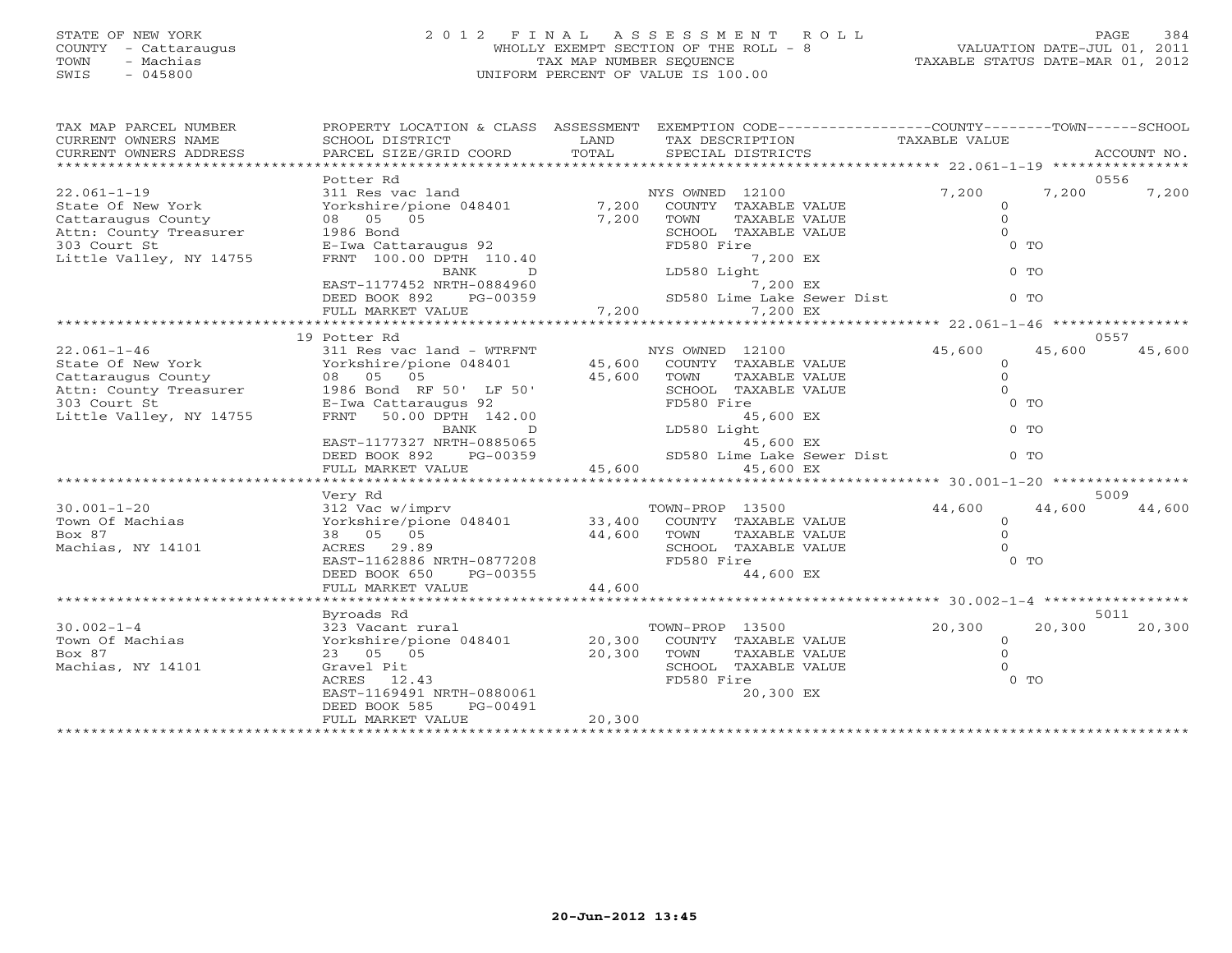# STATE OF NEW YORK 2 0 1 2 F I N A L A S S E S S M E N T R O L L PAGE 384 COUNTY - Cattaraugus WHOLLY EXEMPT SECTION OF THE ROLL - 8 VALUATION DATE-JUL 01, 2011 TOWN - Machias TAX MAP NUMBER SEQUENCE TAXABLE STATUS DATE-MAR 01, 2012 SWIS - 045800 UNIFORM PERCENT OF VALUE IS 100.00

| TAX MAP PARCEL NUMBER<br>TAX MAP PARCEL NUMBER TROPINI DUCATION & CHASS ASSESSMENT DATA TEAM ON TAXABLE VALUE<br>CURRENT OWNERS NAME SOMEN COND DISTRICT TO TAXABLE ON TAXABLE VALUE<br>CURRENT OWNERS ADDRESS PARCEL SIZE/GRID COORD TOTAL SPECIAL DISTRICTS<br>CURRENT OWNERS ADDRESS | PROPERTY LOCATION & CLASS ASSESSMENT EXEMPTION CODE---------------COUNTY-------TOWN------SCHOOL                                                                                                                                            |        |                                                                   |                     |                  |
|-----------------------------------------------------------------------------------------------------------------------------------------------------------------------------------------------------------------------------------------------------------------------------------------|--------------------------------------------------------------------------------------------------------------------------------------------------------------------------------------------------------------------------------------------|--------|-------------------------------------------------------------------|---------------------|------------------|
|                                                                                                                                                                                                                                                                                         |                                                                                                                                                                                                                                            |        |                                                                   |                     |                  |
|                                                                                                                                                                                                                                                                                         | Potter Rd                                                                                                                                                                                                                                  |        |                                                                   |                     | 0556             |
| $22.061 - 1 - 19$                                                                                                                                                                                                                                                                       |                                                                                                                                                                                                                                            |        |                                                                   | $7,200$ 0           | 7,200<br>7,200   |
| State Of New York                                                                                                                                                                                                                                                                       |                                                                                                                                                                                                                                            |        |                                                                   | $\circ$             |                  |
|                                                                                                                                                                                                                                                                                         |                                                                                                                                                                                                                                            |        |                                                                   | $\circ$<br>$\Omega$ |                  |
|                                                                                                                                                                                                                                                                                         |                                                                                                                                                                                                                                            |        | FD580 Fire                                                        | $0$ TO              |                  |
|                                                                                                                                                                                                                                                                                         |                                                                                                                                                                                                                                            |        | 7,200 EX                                                          |                     |                  |
| State Of New York<br>Cattaraugus County 08 05 05 7,200 TOWN<br>Attn: County Treasurer 1986 Bond<br>303 Court St<br>Little Valley, NY 14755 FRNT 100.00 DPTH 110.40<br>EAST-1177452 NRTH-0884960<br>EAST-1177452 NRTH-0884960<br>EAST-1177452                                            |                                                                                                                                                                                                                                            |        | 7,200 EX<br>LD580 Light<br>7,200 EX<br>SD580 Lime Lake Sewer Dist | $0$ TO              |                  |
|                                                                                                                                                                                                                                                                                         |                                                                                                                                                                                                                                            |        |                                                                   |                     |                  |
|                                                                                                                                                                                                                                                                                         |                                                                                                                                                                                                                                            |        |                                                                   | $0$ TO              |                  |
|                                                                                                                                                                                                                                                                                         | FULL MARKET VALUE                                                                                                                                                                                                                          |        | 7,200<br>7,200 EX                                                 |                     |                  |
|                                                                                                                                                                                                                                                                                         |                                                                                                                                                                                                                                            |        |                                                                   |                     |                  |
|                                                                                                                                                                                                                                                                                         |                                                                                                                                                                                                                                            |        |                                                                   |                     | 0557             |
|                                                                                                                                                                                                                                                                                         |                                                                                                                                                                                                                                            |        |                                                                   | 45,600              | 45,600<br>45,600 |
|                                                                                                                                                                                                                                                                                         |                                                                                                                                                                                                                                            |        |                                                                   | $\overline{O}$      |                  |
|                                                                                                                                                                                                                                                                                         |                                                                                                                                                                                                                                            |        |                                                                   | $\circ$             |                  |
|                                                                                                                                                                                                                                                                                         |                                                                                                                                                                                                                                            |        |                                                                   |                     |                  |
|                                                                                                                                                                                                                                                                                         |                                                                                                                                                                                                                                            |        |                                                                   |                     |                  |
|                                                                                                                                                                                                                                                                                         |                                                                                                                                                                                                                                            |        |                                                                   |                     |                  |
|                                                                                                                                                                                                                                                                                         |                                                                                                                                                                                                                                            |        |                                                                   |                     |                  |
|                                                                                                                                                                                                                                                                                         |                                                                                                                                                                                                                                            |        |                                                                   |                     |                  |
|                                                                                                                                                                                                                                                                                         |                                                                                                                                                                                                                                            |        |                                                                   |                     |                  |
|                                                                                                                                                                                                                                                                                         |                                                                                                                                                                                                                                            |        |                                                                   |                     |                  |
|                                                                                                                                                                                                                                                                                         |                                                                                                                                                                                                                                            |        |                                                                   |                     |                  |
|                                                                                                                                                                                                                                                                                         | Very Rd                                                                                                                                                                                                                                    |        |                                                                   |                     | 5009             |
| $30.001 - 1 - 20$                                                                                                                                                                                                                                                                       |                                                                                                                                                                                                                                            |        |                                                                   |                     |                  |
| Town Of Machias                                                                                                                                                                                                                                                                         |                                                                                                                                                                                                                                            |        |                                                                   |                     |                  |
| Box 87                                                                                                                                                                                                                                                                                  |                                                                                                                                                                                                                                            |        |                                                                   |                     |                  |
| Machias, NY 14101                                                                                                                                                                                                                                                                       |                                                                                                                                                                                                                                            |        |                                                                   |                     |                  |
|                                                                                                                                                                                                                                                                                         |                                                                                                                                                                                                                                            |        |                                                                   |                     |                  |
|                                                                                                                                                                                                                                                                                         |                                                                                                                                                                                                                                            |        |                                                                   |                     |                  |
|                                                                                                                                                                                                                                                                                         |                                                                                                                                                                                                                                            |        |                                                                   |                     |                  |
|                                                                                                                                                                                                                                                                                         | Very Kd<br>Youx-Brown-PROP 13500 44,600 44,600 32 Very Hampry<br>Yorkshire/pione 048401 33,400 COUNTY TAXABLE VALUE 0<br>38 05 05 9<br>ACRES 29.89 SCHOOL TAXABLE VALUE 0<br>EAST-1162886 NRTH-0877208 FD580 Fire 44,600 EX<br>DEED BOOK 6 |        |                                                                   |                     |                  |
|                                                                                                                                                                                                                                                                                         | Byroads Rd                                                                                                                                                                                                                                 |        |                                                                   |                     | 5011             |
| $30.002 - 1 - 4$                                                                                                                                                                                                                                                                        | 323 Vacant rural                                                                                                                                                                                                                           |        | TOWN-PROP 13500                                                   | 20,300              | 20,300<br>20,300 |
| 30.002-1-4<br>Town Of Machias                                                                                                                                                                                                                                                           | Yorkshire/pione 048401 20,300                                                                                                                                                                                                              |        | COUNTY TAXABLE VALUE                                              | $\overline{0}$      |                  |
| Box 87                                                                                                                                                                                                                                                                                  |                                                                                                                                                                                                                                            |        | TOWN<br>TAXABLE VALUE                                             | $\Omega$            |                  |
| Machias, NY 14101                                                                                                                                                                                                                                                                       |                                                                                                                                                                                                                                            |        | SCHOOL TAXABLE VALUE                                              |                     |                  |
|                                                                                                                                                                                                                                                                                         | 23 05 05<br>Gravel Pit<br>ACRES 12.43<br>EAST-1169491 NRTH-0880061                                                                                                                                                                         |        | FD580 Fire                                                        | $0$ TO              |                  |
|                                                                                                                                                                                                                                                                                         |                                                                                                                                                                                                                                            |        | 20,300 EX                                                         |                     |                  |
|                                                                                                                                                                                                                                                                                         | DEED BOOK 585<br>PG-00491                                                                                                                                                                                                                  | 20,300 |                                                                   |                     |                  |
|                                                                                                                                                                                                                                                                                         | FULL MARKET VALUE                                                                                                                                                                                                                          |        |                                                                   |                     |                  |
|                                                                                                                                                                                                                                                                                         |                                                                                                                                                                                                                                            |        |                                                                   |                     |                  |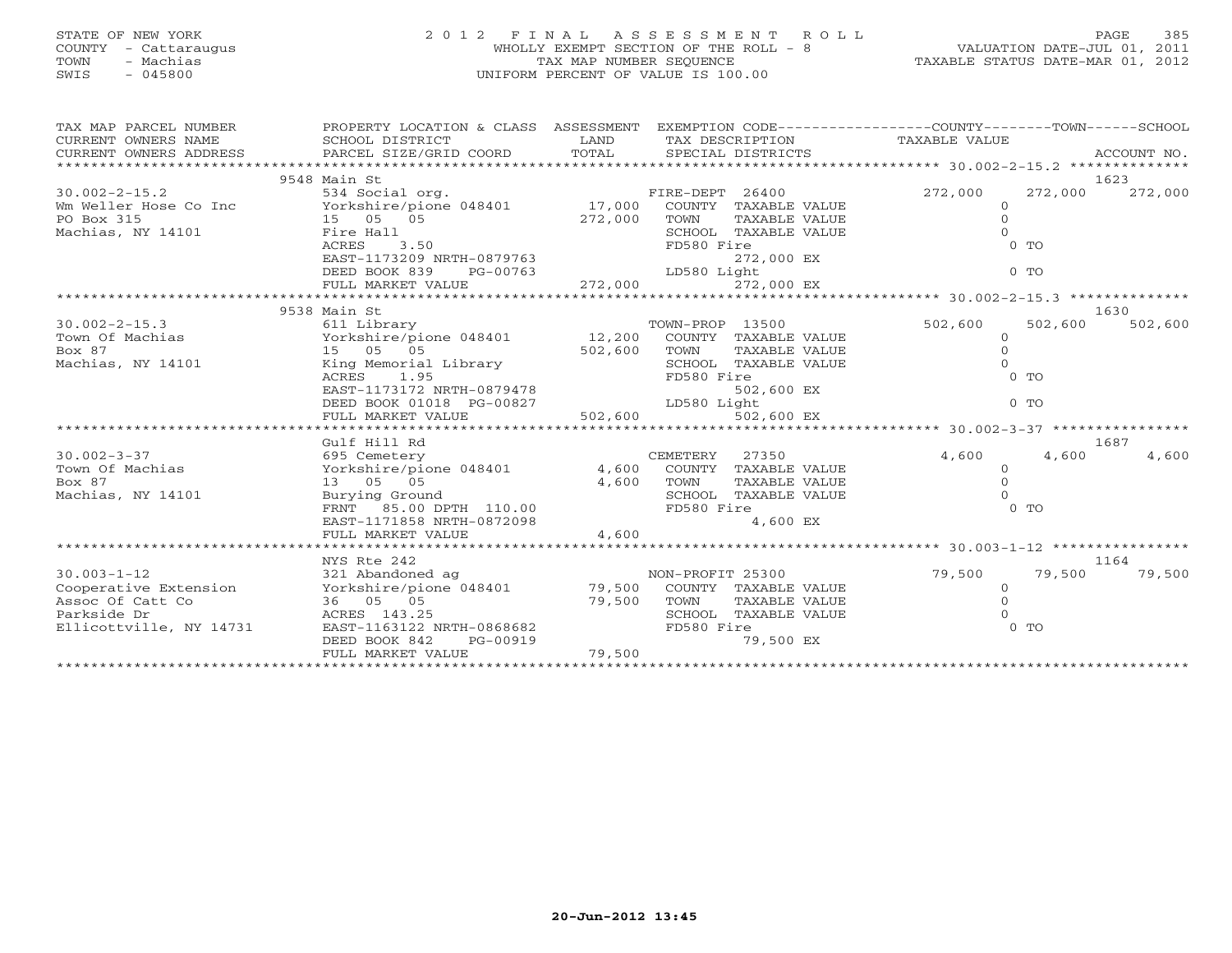# STATE OF NEW YORK 2 0 1 2 F I N A L A S S E S S M E N T R O L L PAGE 385 COUNTY - Cattaraugus WHOLLY EXEMPT SECTION OF THE ROLL - 8 VALUATION DATE-JUL 01, 2011 TOWN - Machias TAX MAP NUMBER SEQUENCE TAXABLE STATUS DATE-MAR 01, 2012 SWIS - 045800 UNIFORM PERCENT OF VALUE IS 100.00

| TAX MAP PARCEL NUMBER                                                    | PROPERTY LOCATION & CLASS ASSESSMENT                                                                                                                                                                                                    |         |                  |                      | EXEMPTION CODE-----------------COUNTY-------TOWN------SCHOOL |                |             |
|--------------------------------------------------------------------------|-----------------------------------------------------------------------------------------------------------------------------------------------------------------------------------------------------------------------------------------|---------|------------------|----------------------|--------------------------------------------------------------|----------------|-------------|
| CURRENT OWNERS NAME                                                      | SCHOOL DISTRICT                                                                                                                                                                                                                         | LAND    |                  | TAX DESCRIPTION      | TAXABLE VALUE                                                |                |             |
| CURRENT OWNERS ADDRESS                                                   | PARCEL SIZE/GRID COORD                                                                                                                                                                                                                  | TOTAL   |                  | SPECIAL DISTRICTS    |                                                              |                | ACCOUNT NO. |
|                                                                          |                                                                                                                                                                                                                                         |         |                  |                      |                                                              |                |             |
|                                                                          | 9548 Main St                                                                                                                                                                                                                            |         |                  |                      |                                                              |                | 1623        |
| $30.002 - 2 - 15.2$                                                      | 534 Social org.                                                                                                                                                                                                                         |         | FIRE-DEPT 26400  |                      | 272,000                                                      | 272,000        | 272,000     |
| Wm Weller Hose Co Inc Yorkshire/pione 048401 17,000 COUNTY TAXABLE VALUE |                                                                                                                                                                                                                                         |         |                  |                      | $\Omega$                                                     |                |             |
| PO Box 315                                                               | 15 05 05                                                                                                                                                                                                                                | 272,000 | TOWN             | TAXABLE VALUE        |                                                              |                |             |
| Machias, NY 14101                                                        | Fire Hall                                                                                                                                                                                                                               |         |                  | SCHOOL TAXABLE VALUE |                                                              |                |             |
|                                                                          | ACRES<br>3.50                                                                                                                                                                                                                           |         | FD580 Fire       |                      |                                                              | $0$ TO         |             |
|                                                                          | EAST-1173209 NRTH-0879763<br>DEED BOOK 839 PG-00763                                                                                                                                                                                     |         |                  | 272,000 EX           |                                                              |                |             |
|                                                                          |                                                                                                                                                                                                                                         |         | LD580 Light      |                      |                                                              | 0 <sub>T</sub> |             |
|                                                                          |                                                                                                                                                                                                                                         |         |                  |                      |                                                              |                |             |
|                                                                          |                                                                                                                                                                                                                                         |         |                  |                      |                                                              |                |             |
|                                                                          | 9538 Main St                                                                                                                                                                                                                            |         |                  |                      |                                                              |                | 1630        |
| $30.002 - 2 - 15.3$                                                      | 611 Library                                                                                                                                                                                                                             |         | TOWN-PROP 13500  |                      | 502,600                                                      | 502,600        | 502,600     |
| Town Of Machias                                                          | Yorkshire/pione 048401 12,200 COUNTY TAXABLE VALUE                                                                                                                                                                                      |         |                  |                      | $\Omega$                                                     |                |             |
| Box 87                                                                   | 15 05 05                                                                                                                                                                                                                                | 502,600 | TOWN             | TAXABLE VALUE        |                                                              |                |             |
| Machias, NY 14101                                                        | King Memorial Library                                                                                                                                                                                                                   |         |                  | SCHOOL TAXABLE VALUE |                                                              |                |             |
|                                                                          | 1.95<br>ACRES                                                                                                                                                                                                                           |         | FD580 Fire       |                      |                                                              | $0$ TO         |             |
|                                                                          |                                                                                                                                                                                                                                         |         |                  |                      |                                                              |                |             |
|                                                                          |                                                                                                                                                                                                                                         |         |                  |                      |                                                              |                |             |
|                                                                          |                                                                                                                                                                                                                                         |         |                  |                      |                                                              |                |             |
|                                                                          | 0 1173172 NRTH-0879478<br>DEED BOOK 01018 PG-00827 been and the set of the set of the set of the set of the set of the set of the set of<br>FULL MARKET VALUE 502,600 502,600 EX<br>FILL MARKET VALUE 502,600 502,600 502,600 502,600 5 |         |                  |                      |                                                              |                |             |
|                                                                          | Gulf Hill Rd                                                                                                                                                                                                                            |         |                  |                      |                                                              |                | 1687        |
| $30.002 - 3 - 37$                                                        | 695 Cemetery                                                                                                                                                                                                                            |         | CEMETERY         | 27350                | 4,600                                                        | 4,600          | 4,600       |
| Town Of Machias                                                          | Yorkshire/pione 048401 4,600 COUNTY TAXABLE VALUE                                                                                                                                                                                       |         |                  |                      | $\Omega$                                                     |                |             |
| Box 87                                                                   | 13 05 05                                                                                                                                                                                                                                | 4,600   | TOWN             | TAXABLE VALUE        |                                                              |                |             |
| Machias, NY 14101                                                        | Burying Ground                                                                                                                                                                                                                          |         |                  | SCHOOL TAXABLE VALUE |                                                              |                |             |
|                                                                          | FRNT 85.00 DPTH 110.00                                                                                                                                                                                                                  |         | FD580 Fire       |                      |                                                              | 0 <sub>T</sub> |             |
|                                                                          | EAST-1171858 NRTH-0872098                                                                                                                                                                                                               |         |                  | 4,600 EX             |                                                              |                |             |
|                                                                          |                                                                                                                                                                                                                                         |         |                  |                      |                                                              |                |             |
|                                                                          |                                                                                                                                                                                                                                         |         |                  |                      |                                                              |                |             |
|                                                                          | NYS Rte 242                                                                                                                                                                                                                             |         |                  |                      |                                                              |                | 1164        |
| $30.003 - 1 - 12$                                                        | 321 Abandoned ag                                                                                                                                                                                                                        |         | NON-PROFIT 25300 |                      | 79,500                                                       | 79,500         | 79,500      |
| Cooperative Extension                                                    | Yorkshire/pione 048401 79,500 COUNTY TAXABLE VALUE                                                                                                                                                                                      |         |                  |                      | $\Omega$                                                     |                |             |
| Assoc Of Catt Co                                                         | 36 05 05                                                                                                                                                                                                                                | 79,500  | TOWN             | TAXABLE VALUE        |                                                              |                |             |
| Parkside Dr                                                              | ACRES 143.25                                                                                                                                                                                                                            |         |                  | SCHOOL TAXABLE VALUE |                                                              |                |             |
| Ellicottville, NY 14731                                                  | EAST-1163122 NRTH-0868682                                                                                                                                                                                                               |         | FD580 Fire       |                      |                                                              | $0$ TO         |             |
|                                                                          | DEED BOOK 842<br>PG-00919                                                                                                                                                                                                               |         |                  | 79,500 EX            |                                                              |                |             |
|                                                                          | FULL MARKET VALUE                                                                                                                                                                                                                       | 79,500  |                  |                      |                                                              |                |             |
|                                                                          |                                                                                                                                                                                                                                         |         |                  |                      |                                                              |                |             |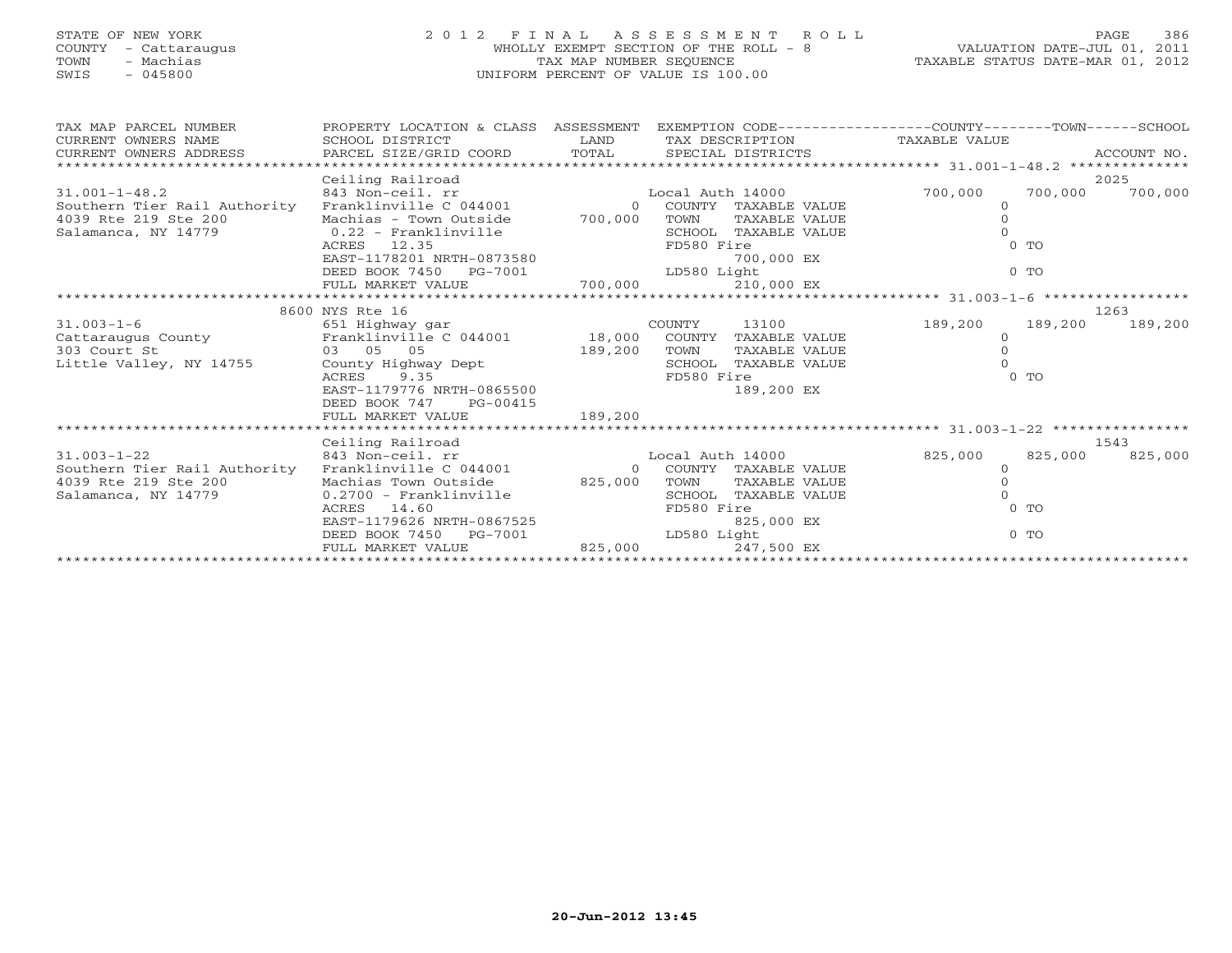## STATE OF NEW YORK 2 0 1 2 F I N A L A S S E S S M E N T R O L L PAGE 386 COUNTY - Cattaraugus WHOLLY EXEMPT SECTION OF THE ROLL - 8 VALUATION DATE-JUL 01, 2011 TOWN - Machias TAX MAP NUMBER SEQUENCE TAXABLE STATUS DATE-MAR 01, 2012 SWIS - 045800 UNIFORM PERCENT OF VALUE IS 100.00

|  | TAXABLE STATUS DATE-MAR 01, 2012 |  |
|--|----------------------------------|--|

| TAX MAP PARCEL NUMBER<br>CURRENT OWNERS NAME<br>$\begin{minipage}{.45\textwidth} \begin{minipage}{.45\textwidth} \begin{minipage}{.45\textwidth} \begin{minipage}{.45\textwidth} \begin{minipage}{.45\textwidth} \begin{minipage}{.45\textwidth} \begin{minipage}{.45\textwidth} \begin{minipage}{.45\textwidth} \begin{minipage}{.45\textwidth} \begin{minipage}{.45\textwidth} \begin{minipage}{.45\textwidth} \begin{minipage}{.45\textwidth} \begin{minipage}{.45\textwidth} \begin{minipage}{.45\textwidth} \begin{minipage}{.45\textwidth} \begin{minipage}{.45$ | PROPERTY LOCATION & CLASS ASSESSMENT EXEMPTION CODE----------------COUNTY-------TOWN------SCHOOL<br>SCHOOL DISTRICT      | LAND    |      |                        | TAX DESCRIPTION TAXABLE VALUE |                |                 |  |
|------------------------------------------------------------------------------------------------------------------------------------------------------------------------------------------------------------------------------------------------------------------------------------------------------------------------------------------------------------------------------------------------------------------------------------------------------------------------------------------------------------------------------------------------------------------------|--------------------------------------------------------------------------------------------------------------------------|---------|------|------------------------|-------------------------------|----------------|-----------------|--|
|                                                                                                                                                                                                                                                                                                                                                                                                                                                                                                                                                                        |                                                                                                                          |         |      |                        |                               |                |                 |  |
|                                                                                                                                                                                                                                                                                                                                                                                                                                                                                                                                                                        | Ceiling Railroad                                                                                                         |         |      |                        |                               |                | 2025            |  |
| $31.001 - 1 - 48.2$                                                                                                                                                                                                                                                                                                                                                                                                                                                                                                                                                    | 0 Corner - Local Auth 14000<br>843 Non-ceil. rr<br>Franklinville C 044001                        0 COUNTY TAXABLE VALUE  |         |      |                        | 700,000                       | 700,000        | 700,000         |  |
| Southern Tier Rail Authority                                                                                                                                                                                                                                                                                                                                                                                                                                                                                                                                           |                                                                                                                          |         |      |                        |                               |                |                 |  |
| 4039 Rte 219 Ste 200                                                                                                                                                                                                                                                                                                                                                                                                                                                                                                                                                   | Machias - Town Outside 700,000                                                                                           |         | TOWN | TAXABLE VALUE          |                               |                |                 |  |
| Salamanca, NY 14779 (0.22 - Franklinville                                                                                                                                                                                                                                                                                                                                                                                                                                                                                                                              |                                                                                                                          |         |      | SCHOOL TAXABLE VALUE   |                               |                |                 |  |
|                                                                                                                                                                                                                                                                                                                                                                                                                                                                                                                                                                        |                                                                                                                          |         |      |                        |                               | $0$ TO         |                 |  |
|                                                                                                                                                                                                                                                                                                                                                                                                                                                                                                                                                                        |                                                                                                                          |         |      | 700,000 EX             |                               |                |                 |  |
|                                                                                                                                                                                                                                                                                                                                                                                                                                                                                                                                                                        |                                                                                                                          |         |      |                        |                               | $0$ TO         |                 |  |
|                                                                                                                                                                                                                                                                                                                                                                                                                                                                                                                                                                        |                                                                                                                          |         |      |                        |                               |                |                 |  |
|                                                                                                                                                                                                                                                                                                                                                                                                                                                                                                                                                                        |                                                                                                                          |         |      |                        |                               |                |                 |  |
|                                                                                                                                                                                                                                                                                                                                                                                                                                                                                                                                                                        | 8600 NYS Rte 16                                                                                                          |         |      |                        | 1263                          |                |                 |  |
| 31.003-1-6<br>Cattaraugus County<br>Cattaraugus County<br>Franklinville C 044001<br>Franklinville C 044001<br>Franklinville C 044001<br>18,000 COUNTY TAXABLE VALUE<br>189,200 TOWN TAXABLE VALUE<br>SCHOOL TAXABLE VALUE<br>SCHOOL TAXABLE VAL                                                                                                                                                                                                                                                                                                                        |                                                                                                                          |         |      | 13100                  | 189,200                       | 189,200        | 189,200         |  |
|                                                                                                                                                                                                                                                                                                                                                                                                                                                                                                                                                                        |                                                                                                                          |         |      |                        |                               |                |                 |  |
|                                                                                                                                                                                                                                                                                                                                                                                                                                                                                                                                                                        |                                                                                                                          |         |      |                        |                               |                |                 |  |
|                                                                                                                                                                                                                                                                                                                                                                                                                                                                                                                                                                        |                                                                                                                          |         |      |                        |                               |                |                 |  |
|                                                                                                                                                                                                                                                                                                                                                                                                                                                                                                                                                                        |                                                                                                                          |         |      |                        |                               | 0 <sub>T</sub> |                 |  |
|                                                                                                                                                                                                                                                                                                                                                                                                                                                                                                                                                                        |                                                                                                                          |         |      |                        |                               |                |                 |  |
|                                                                                                                                                                                                                                                                                                                                                                                                                                                                                                                                                                        | DEED BOOK 747 PG-00415                                                                                                   |         |      |                        |                               |                |                 |  |
|                                                                                                                                                                                                                                                                                                                                                                                                                                                                                                                                                                        | FULL MARKET VALUE                                                                                                        | 189,200 |      |                        |                               |                |                 |  |
|                                                                                                                                                                                                                                                                                                                                                                                                                                                                                                                                                                        |                                                                                                                          |         |      |                        |                               |                |                 |  |
|                                                                                                                                                                                                                                                                                                                                                                                                                                                                                                                                                                        | Ceiling Railroad                                                                                                         |         |      |                        |                               |                | 1543            |  |
| $31.003 - 1 - 22$                                                                                                                                                                                                                                                                                                                                                                                                                                                                                                                                                      | 843 Non-ceil. rr                                                                                                         |         |      |                        | Local Auth 14000 825,000      |                | 825,000 825,000 |  |
| Southern Tier Rail Authority                                                                                                                                                                                                                                                                                                                                                                                                                                                                                                                                           | Franklinville C 044001                                                                                                   |         |      | 0 COUNTY TAXABLE VALUE | $\Omega$                      |                |                 |  |
| 4039 Rte 219 Ste 200                                                                                                                                                                                                                                                                                                                                                                                                                                                                                                                                                   | Machias Town Outside 825,000                                                                                             |         | TOWN | TAXABLE VALUE          |                               |                |                 |  |
| Salamanca, NY 14779                                                                                                                                                                                                                                                                                                                                                                                                                                                                                                                                                    |                                                                                                                          |         |      | SCHOOL TAXABLE VALUE   |                               |                |                 |  |
|                                                                                                                                                                                                                                                                                                                                                                                                                                                                                                                                                                        | 0.2700 - Franklinville<br>ACRES 14.60 FD580 Fire<br>EAST-1179626 NRTH-0867525 825,<br>DEED BOOK 7450 PG-7001 LO580 Light |         |      |                        |                               | $0$ TO         |                 |  |
|                                                                                                                                                                                                                                                                                                                                                                                                                                                                                                                                                                        |                                                                                                                          |         |      | 825,000 EX             |                               |                |                 |  |
|                                                                                                                                                                                                                                                                                                                                                                                                                                                                                                                                                                        |                                                                                                                          |         |      |                        |                               | $0$ TO         |                 |  |
|                                                                                                                                                                                                                                                                                                                                                                                                                                                                                                                                                                        | FULL MARKET VALUE                                                                                                        | 825,000 |      | 247,500 EX             |                               |                |                 |  |
|                                                                                                                                                                                                                                                                                                                                                                                                                                                                                                                                                                        |                                                                                                                          |         |      |                        |                               |                |                 |  |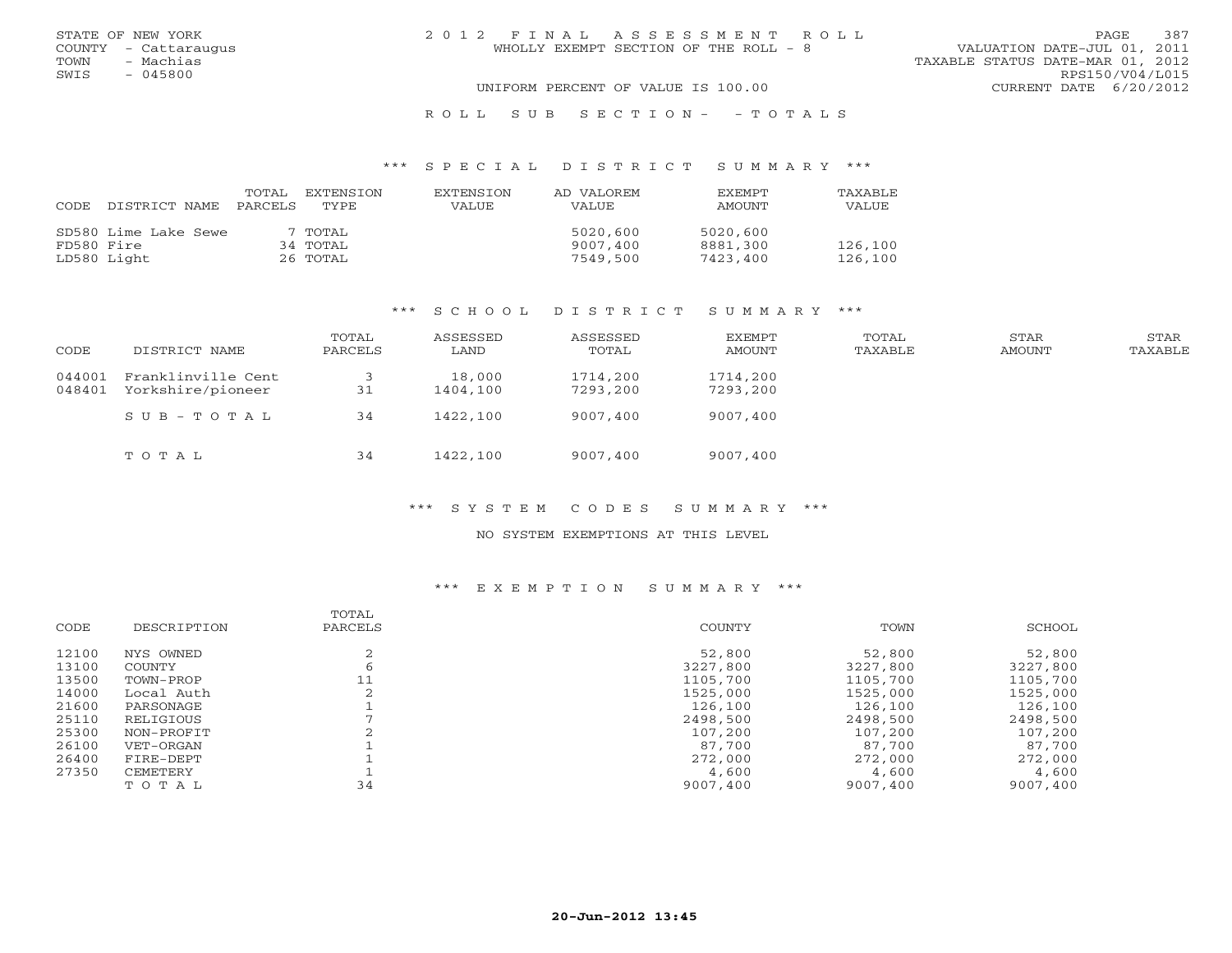| STATE OF NEW YORK    | 2012 FINAL ASSESSMENT ROLL            | 387<br><b>PAGE</b>               |
|----------------------|---------------------------------------|----------------------------------|
| COUNTY - Cattaraugus | WHOLLY EXEMPT SECTION OF THE ROLL - 8 | VALUATION DATE-JUL 01, 2011      |
| - Machias<br>TOWN    |                                       | TAXABLE STATUS DATE-MAR 01, 2012 |
| - 045800<br>SWIS     |                                       | RPS150/V04/L015                  |
|                      | UNIFORM PERCENT OF VALUE IS 100.00    | CURRENT DATE 6/20/2012           |
|                      |                                       |                                  |

## R O L L S U B S E C T I O N - - T O T A L S

#### \*\*\* S P E C I A L D I S T R I C T S U M M A R Y \*\*\*

| CODE       | DISTRICT NAME        | TOTAL<br>PARCELS | <b>EXTENSION</b><br>TYPE. | <b>EXTENSION</b><br><b>VALUE</b> | AD VALOREM<br><b>VALUE</b> | <b>EXEMPT</b><br>AMOUNT | TAXABLE<br>VALUE |
|------------|----------------------|------------------|---------------------------|----------------------------------|----------------------------|-------------------------|------------------|
|            | SD580 Lime Lake Sewe |                  | 7 TOTAL                   |                                  | 5020,600                   | 5020,600                |                  |
| FD580 Fire |                      |                  | 34 TOTAL                  |                                  | 9007,400                   | 8881,300                | 126,100          |
|            | LD580 Light          |                  | 26 TOTAL                  |                                  | 7549,500                   | 7423,400                | 126,100          |

#### \*\*\* S C H O O L D I S T R I C T S U M M A R Y \*\*\*

| CODE             | DISTRICT NAME                           | TOTAL<br>PARCELS | ASSESSED<br>LAND   | ASSESSED<br>TOTAL    | EXEMPT<br>AMOUNT     | TOTAL<br>TAXABLE | STAR<br>AMOUNT | STAR<br>TAXABLE |
|------------------|-----------------------------------------|------------------|--------------------|----------------------|----------------------|------------------|----------------|-----------------|
| 044001<br>048401 | Franklinville Cent<br>Yorkshire/pioneer | 31               | 18,000<br>1404,100 | 1714,200<br>7293,200 | 1714,200<br>7293,200 |                  |                |                 |
|                  | SUB-TOTAL                               | 34               | 1422,100           | 9007,400             | 9007,400             |                  |                |                 |
|                  | TOTAL                                   | 34               | 1422,100           | 9007,400             | 9007,400             |                  |                |                 |

## \*\*\* S Y S T E M C O D E S S U M M A R Y \*\*\*

#### NO SYSTEM EXEMPTIONS AT THIS LEVEL

| CODE  | DESCRIPTION | TOTAL<br>PARCELS | COUNTY   | TOWN     | SCHOOL   |
|-------|-------------|------------------|----------|----------|----------|
| 12100 | NYS OWNED   |                  | 52,800   | 52,800   | 52,800   |
| 13100 | COUNTY      |                  | 3227,800 | 3227,800 | 3227,800 |
| 13500 | TOWN-PROP   | 11               | 1105,700 | 1105,700 | 1105,700 |
| 14000 | Local Auth  |                  | 1525,000 | 1525,000 | 1525,000 |
| 21600 | PARSONAGE   |                  | 126,100  | 126,100  | 126,100  |
| 25110 | RELIGIOUS   |                  | 2498,500 | 2498,500 | 2498,500 |
| 25300 | NON-PROFIT  |                  | 107,200  | 107,200  | 107,200  |
| 26100 | VET-ORGAN   |                  | 87,700   | 87,700   | 87,700   |
| 26400 | FIRE-DEPT   |                  | 272,000  | 272,000  | 272,000  |
| 27350 | CEMETERY    |                  | 4,600    | 4,600    | 4,600    |
|       | TOTAL       | 34               | 9007,400 | 9007,400 | 9007,400 |
|       |             |                  |          |          |          |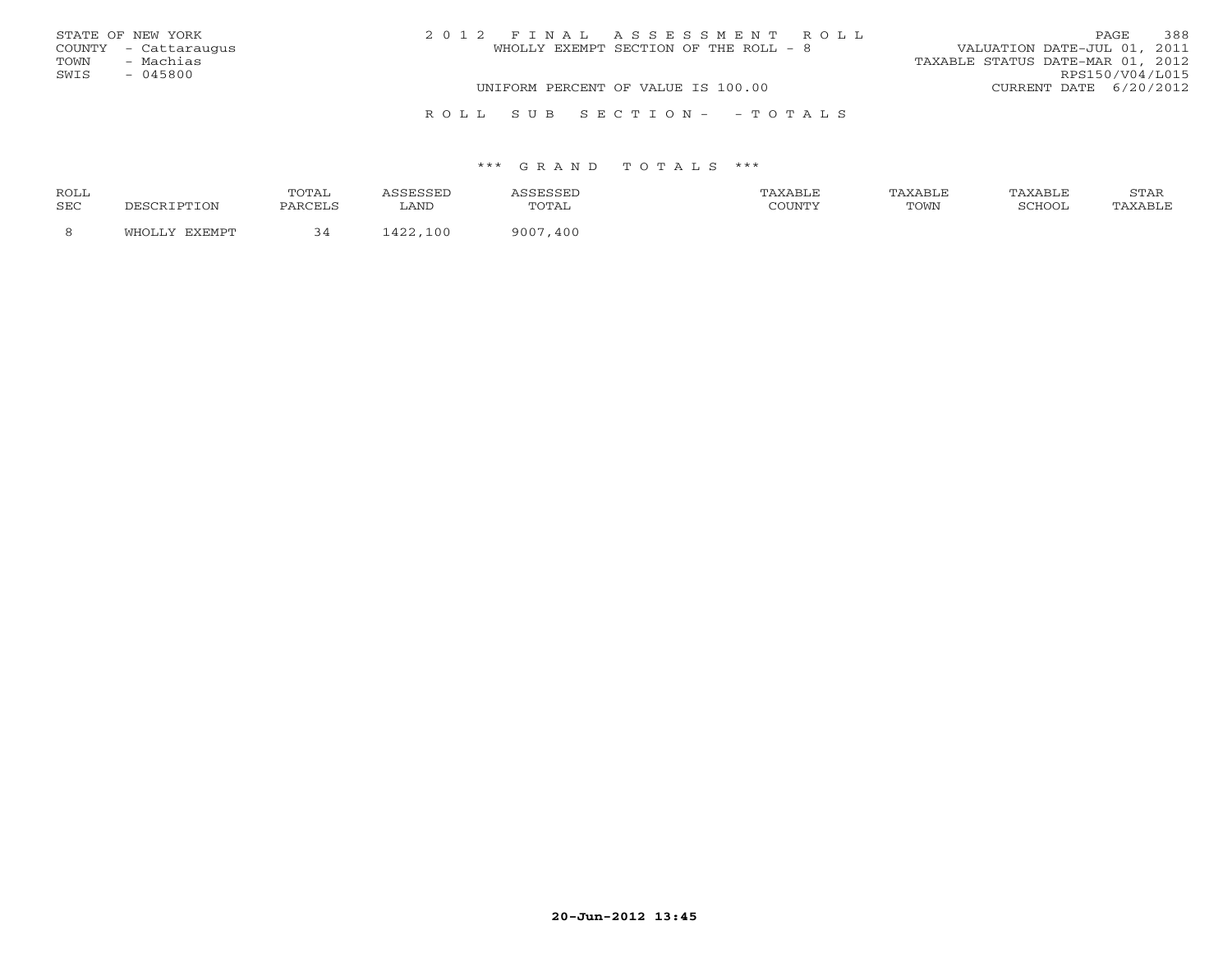|      | STATE OF NEW YORK    | 2012 FINAL ASSESSMENT ROLL         |                                       |                                  | <b>PAGE</b>     | 388 |
|------|----------------------|------------------------------------|---------------------------------------|----------------------------------|-----------------|-----|
|      | COUNTY - Cattaraugus |                                    | WHOLLY EXEMPT SECTION OF THE ROLL - 8 | VALUATION DATE-JUL 01, 2011      |                 |     |
| TOWN | - Machias            |                                    |                                       | TAXABLE STATUS DATE-MAR 01, 2012 |                 |     |
| SWIS | $-045800$            |                                    |                                       |                                  | RPS150/V04/L015 |     |
|      |                      | UNIFORM PERCENT OF VALUE IS 100.00 |                                       | CURRENT DATE 6/20/2012           |                 |     |
|      |                      |                                    |                                       |                                  |                 |     |

#### \*\*\* G R A N D T O T A L S \*\*\*

R O L L S U B S E C T I O N - - T O T A L S

| ROLL       | 'OTAL    |                     |              | AXABLF  |      | AXABLF | 7 <sub>m</sub><br><b>UILLL</b> |
|------------|----------|---------------------|--------------|---------|------|--------|--------------------------------|
| <b>SEC</b> | DADCET C | LAND                | ் அட<br>---- | CCTINTM | TOWN | SURVUL |                                |
|            |          | $\sqrt{2}$<br>1 O O | 900'<br>400  |         |      |        |                                |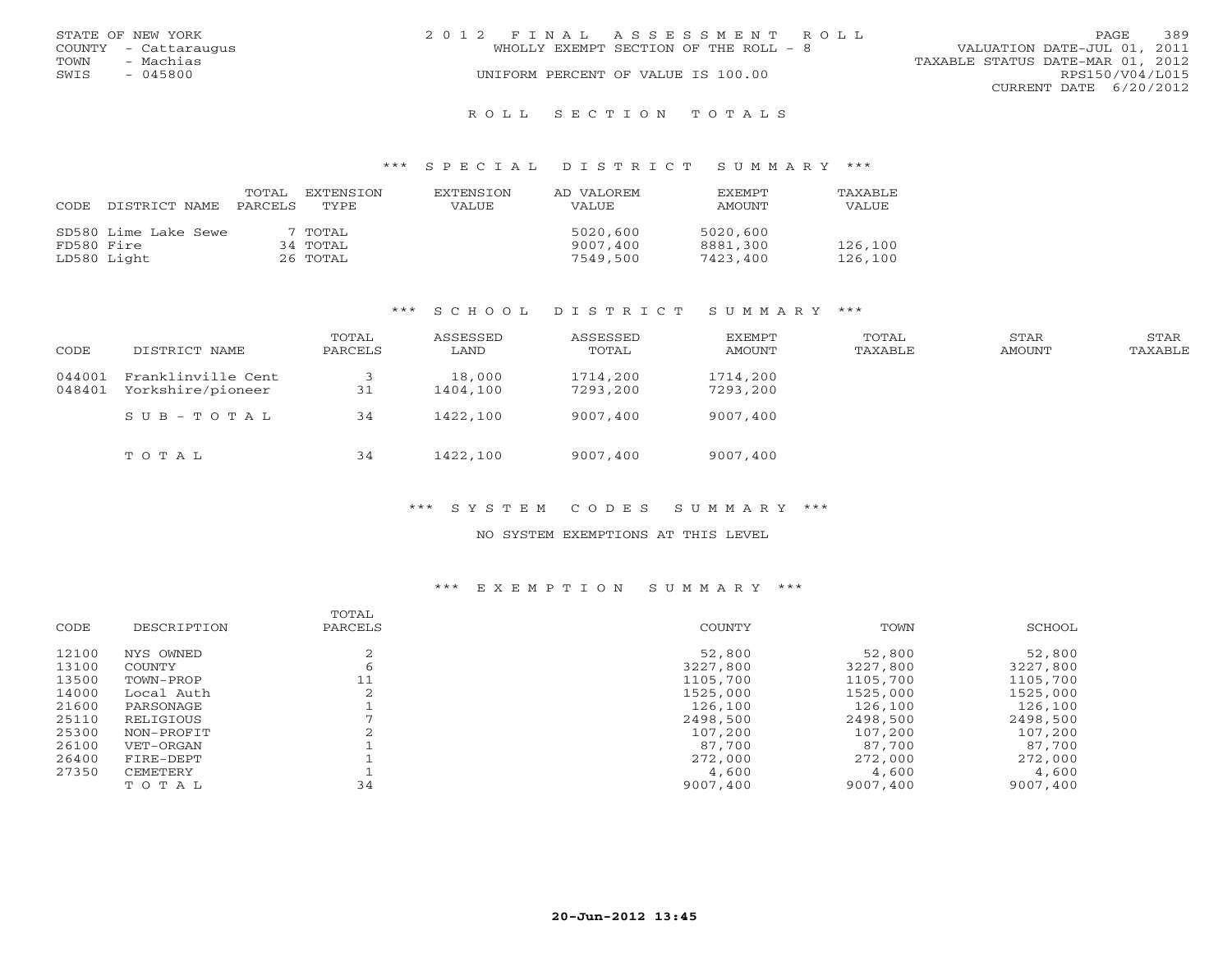|      | STATE OF NEW YORK    | 2012 FINAL ASSESSMENT ROLL                                           | PAGE            | 389 |
|------|----------------------|----------------------------------------------------------------------|-----------------|-----|
|      | COUNTY - Cattaraugus | VALUATION DATE-JUL 01, 2011<br>WHOLLY EXEMPT SECTION OF THE ROLL - 8 |                 |     |
| TOWN | - Machias            | TAXABLE STATUS DATE-MAR 01, 2012                                     |                 |     |
| SWIS | $-045800$            | UNIFORM PERCENT OF VALUE IS 100.00                                   | RPS150/V04/L015 |     |
|      |                      | CURRENT DATE 6/20/2012                                               |                 |     |
|      |                      |                                                                      |                 |     |

#### R O L L S E C T I O N T O T A L S

#### \*\*\* S P E C I A L D I S T R I C T S U M M A R Y \*\*\*

| CODE       | DISTRICT NAME        | TOTAL<br>PARCELS | EXTENSTON<br>TYPE. | <b>EXTENSION</b><br><b>VALUE</b> | AD VALOREM<br>VALUE | <b>EXEMPT</b><br>AMOUNT | <b>TAXABLE</b><br>VALUE |
|------------|----------------------|------------------|--------------------|----------------------------------|---------------------|-------------------------|-------------------------|
|            | SD580 Lime Lake Sewe |                  | 7 TOTAL            |                                  | 5020,600            | 5020,600                |                         |
| FD580 Fire |                      |                  | 34 TOTAL           |                                  | 9007,400            | 8881,300                | 126,100                 |
|            | LD580 Light          |                  | 26 TOTAL           |                                  | 7549,500            | 7423,400                | 126,100                 |

#### \*\*\* S C H O O L D I S T R I C T S U M M A R Y \*\*\*

| CODE             | DISTRICT NAME                           | TOTAL<br>PARCELS | ASSESSED<br>LAND   | ASSESSED<br>TOTAL    | <b>EXEMPT</b><br><b>AMOUNT</b> | TOTAL<br>TAXABLE | STAR<br><b>AMOUNT</b> | STAR<br>TAXABLE |
|------------------|-----------------------------------------|------------------|--------------------|----------------------|--------------------------------|------------------|-----------------------|-----------------|
| 044001<br>048401 | Franklinville Cent<br>Yorkshire/pioneer | 31               | 18,000<br>1404,100 | 1714,200<br>7293,200 | 1714,200<br>7293,200           |                  |                       |                 |
|                  | SUB-TOTAL                               | 34               | 1422,100           | 9007,400             | 9007,400                       |                  |                       |                 |
|                  | TOTAL                                   | 34               | 1422,100           | 9007,400             | 9007,400                       |                  |                       |                 |

## \*\*\* S Y S T E M C O D E S S U M M A R Y \*\*\*

#### NO SYSTEM EXEMPTIONS AT THIS LEVEL

| CODE  | DESCRIPTION | TOTAL<br>PARCELS | COUNTY   | TOWN     | SCHOOL   |
|-------|-------------|------------------|----------|----------|----------|
| 12100 | NYS OWNED   |                  | 52,800   | 52,800   | 52,800   |
| 13100 | COUNTY      |                  | 3227,800 | 3227,800 | 3227,800 |
| 13500 | TOWN-PROP   |                  | 1105,700 | 1105,700 | 1105,700 |
| 14000 | Local Auth  |                  | 1525,000 | 1525,000 | 1525,000 |
| 21600 | PARSONAGE   |                  | 126,100  | 126,100  | 126,100  |
| 25110 | RELIGIOUS   |                  | 2498,500 | 2498,500 | 2498,500 |
| 25300 | NON-PROFIT  |                  | 107,200  | 107,200  | 107,200  |
| 26100 | VET-ORGAN   |                  | 87,700   | 87,700   | 87,700   |
| 26400 | FIRE-DEPT   |                  | 272,000  | 272,000  | 272,000  |
| 27350 | CEMETERY    |                  | 4,600    | 4,600    | 4,600    |
|       | TOTAL       | 34               | 9007,400 | 9007,400 | 9007,400 |
|       |             |                  |          |          |          |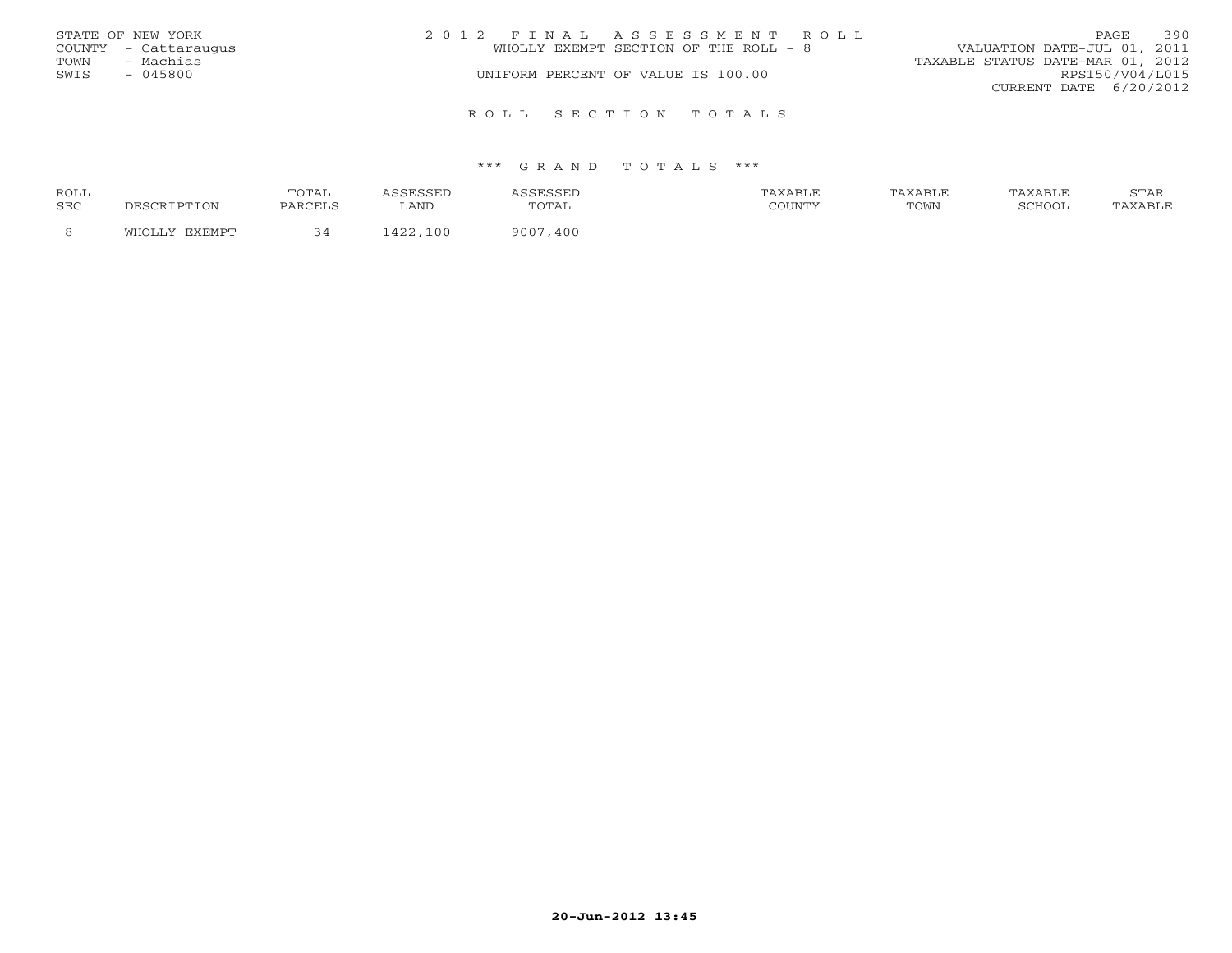|      | STATE OF NEW YORK    | 2012 FINAL ASSESSMENT ROLL            | 390<br><b>PAGE</b>               |  |  |
|------|----------------------|---------------------------------------|----------------------------------|--|--|
|      | COUNTY - Cattaraugus | WHOLLY EXEMPT SECTION OF THE ROLL - 8 | VALUATION DATE-JUL 01, 2011      |  |  |
| TOWN | - Machias            |                                       | TAXABLE STATUS DATE-MAR 01, 2012 |  |  |
| SWIS | $-045800$            | UNIFORM PERCENT OF VALUE IS 100.00    | RPS150/V04/L015                  |  |  |
|      |                      |                                       | CURRENT DATE 6/20/2012           |  |  |
|      |                      |                                       |                                  |  |  |
|      |                      | ROLL SECTION TOTALS                   |                                  |  |  |

| ROLL |        | TOTAL   |                                  |                                | TAXABLF | ^ ХАВL. | TAXABLE | $cm\pi$<br>ת בתוכ |
|------|--------|---------|----------------------------------|--------------------------------|---------|---------|---------|-------------------|
| SEC  |        | PARCELS | LAND                             | $\cdot$ $\cdot$<br><u>UIII</u> | CCTINTM | TOWN    | SURVO.  |                   |
|      | $\sim$ |         | $\Lambda$ $\cap$ $\Omega$<br>100 | 400<br>ann                     |         |         |         |                   |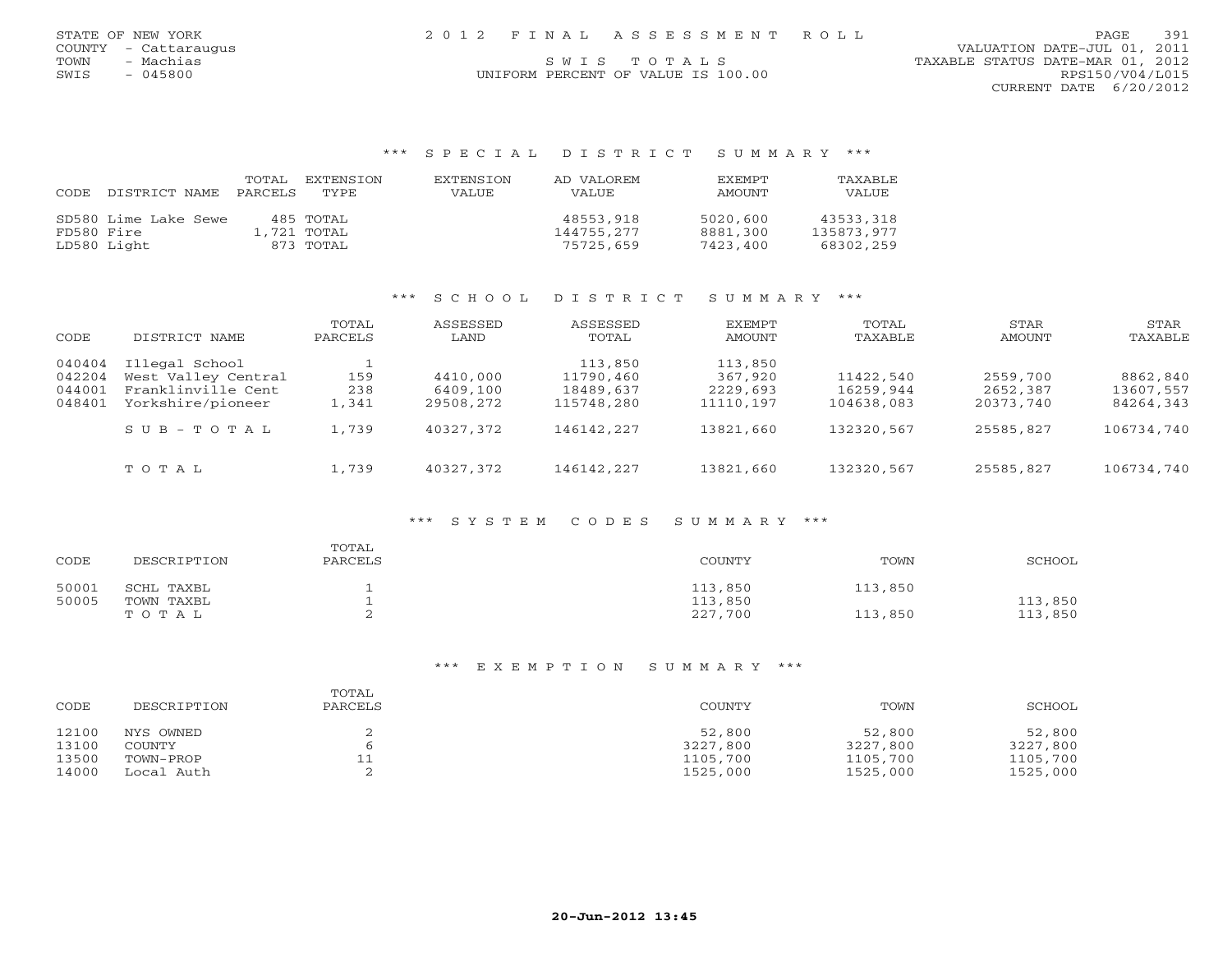## COUNTY - Cattaraugus VALUATION DATE-JUL 01, 2011 TOWN - Machias SWISTOTALS SERVICES STATUS DATE-MAR 01, 2012 SWIS - 045800 CONTRORM PERCENT OF VALUE IS 100.00 CONTRORM PERCENT OF VALUE IS 100.00 CURRENT DATE 6/20/2012

#### \*\*\* S P E C I A L D I S T R I C T S U M M A R Y \*\*\*

| CODE       | DISTRICT NAME        | TOTAL<br>PARCELS | <b>EXTENSION</b><br>TYPE | <b>EXTENSION</b><br><b>VALUE</b> | AD VALOREM<br><b>VALUE</b> | <b>EXEMPT</b><br>AMOUNT | <b>TAXABLE</b><br>VALUE |
|------------|----------------------|------------------|--------------------------|----------------------------------|----------------------------|-------------------------|-------------------------|
|            | SD580 Lime Lake Sewe |                  | 485 TOTAL                |                                  | 48553,918                  | 5020,600                | 43533,318               |
| FD580 Fire |                      |                  | 1,721 TOTAL              |                                  | 144755,277                 | 8881,300                | 135873,977              |
|            | LD580 Light          |                  | 873 TOTAL                |                                  | 75725,659                  | 7423,400                | 68302,259               |

#### \*\*\* S C H O O L D I S T R I C T S U M M A R Y \*\*\*

| CODE                                 | DISTRICT NAME                                                                    | TOTAL<br>PARCELS    | ASSESSED<br>LAND                  | ASSESSED<br>TOTAL                               | EXEMPT<br>AMOUNT                            | TOTAL<br>TAXABLE                     | STAR<br>AMOUNT                    | STAR<br>TAXABLE                    |
|--------------------------------------|----------------------------------------------------------------------------------|---------------------|-----------------------------------|-------------------------------------------------|---------------------------------------------|--------------------------------------|-----------------------------------|------------------------------------|
| 040404<br>042204<br>044001<br>048401 | Illegal School<br>West Valley Central<br>Franklinville Cent<br>Yorkshire/pioneer | 159<br>238<br>1,341 | 4410,000<br>6409,100<br>29508,272 | 113,850<br>11790,460<br>18489,637<br>115748,280 | 113,850<br>367,920<br>2229,693<br>11110,197 | 11422,540<br>16259,944<br>104638,083 | 2559,700<br>2652,387<br>20373,740 | 8862,840<br>13607,557<br>84264,343 |
|                                      | $SUB - TO T AL$                                                                  | 1,739               | 40327,372                         | 146142,227                                      | 13821,660                                   | 132320,567                           | 25585,827                         | 106734,740                         |
|                                      | TOTAL                                                                            | 1,739               | 40327,372                         | 146142,227                                      | 13821,660                                   | 132320,567                           | 25585,827                         | 106734,740                         |

### \*\*\* S Y S T E M C O D E S S U M M A R Y \*\*\*

| CODE  | DESCRIPTION | TOTAL<br>PARCELS | COUNTY  | TOWN    | SCHOOL  |
|-------|-------------|------------------|---------|---------|---------|
| 50001 | SCHL TAXBL  |                  | 113,850 | 113,850 |         |
| 50005 | TOWN TAXBL  |                  | 113,850 |         | 113,850 |
|       | TOTAL       |                  | 227,700 | 113,850 | 113,850 |

| CODE  | DESCRIPTION | TOTAL<br>PARCELS | COUNTY   | TOWN     | SCHOOL   |
|-------|-------------|------------------|----------|----------|----------|
| 12100 | NYS OWNED   |                  | 52,800   | 52,800   | 52,800   |
| 13100 | COUNTY      |                  | 3227,800 | 3227,800 | 3227,800 |
| 13500 | TOWN-PROP   | ᆂᆂ               | 1105,700 | 1105,700 | 1105,700 |
| 14000 | Local Auth  |                  | 1525,000 | 1525,000 | 1525,000 |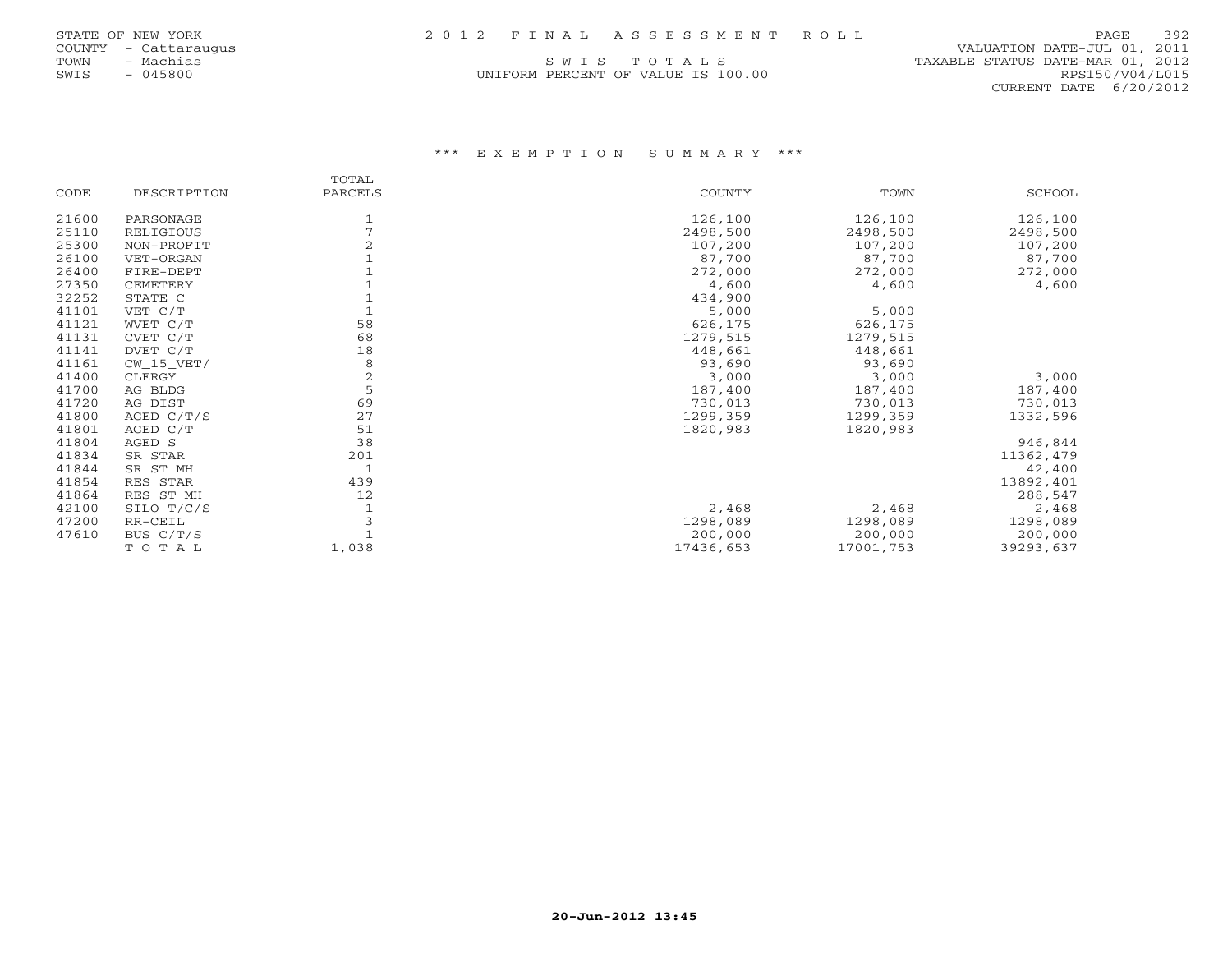UNIFORM PERCENT OF VALUE IS 100.00 RPS150/V04/L015

 COUNTY - Cattaraugus VALUATION DATE-JUL 01, 2011 TOWN - Machias - Machias S W I S T O T A L S<br>
S W I S T O T A L S TOWN - TAXABLE STATUS DATE-MAR 01, 2012<br>
SWIS - 045800 RPS150/V04/L015 CURRENT DATE 6/20/2012

|       |              | TOTAL          |               |           |           |
|-------|--------------|----------------|---------------|-----------|-----------|
| CODE  | DESCRIPTION  | PARCELS        | <b>COUNTY</b> | TOWN      | SCHOOL    |
| 21600 | PARSONAGE    |                | 126,100       | 126,100   | 126,100   |
| 25110 | RELIGIOUS    |                | 2498,500      | 2498,500  | 2498,500  |
| 25300 | NON-PROFIT   |                | 107,200       | 107,200   | 107,200   |
| 26100 | VET-ORGAN    |                | 87,700        | 87,700    | 87,700    |
| 26400 | FIRE-DEPT    |                | 272,000       | 272,000   | 272,000   |
| 27350 | CEMETERY     |                | 4,600         | 4,600     | 4,600     |
| 32252 | STATE C      |                | 434,900       |           |           |
| 41101 | VET C/T      |                | 5,000         | 5,000     |           |
| 41121 | WVET C/T     | 58             | 626,175       | 626,175   |           |
| 41131 | CVET C/T     | 68             | 1279,515      | 1279,515  |           |
| 41141 | DVET C/T     | 18             | 448,661       | 448,661   |           |
| 41161 | $CW_15_VET/$ | 8              | 93,690        | 93,690    |           |
| 41400 | CLERGY       | $\overline{2}$ | 3,000         | 3,000     | 3,000     |
| 41700 | AG BLDG      | 5              | 187,400       | 187,400   | 187,400   |
| 41720 | AG DIST      | 69             | 730,013       | 730,013   | 730,013   |
| 41800 | AGED $C/T/S$ | 27             | 1299,359      | 1299,359  | 1332,596  |
| 41801 | AGED C/T     | 51             | 1820,983      | 1820,983  |           |
| 41804 | AGED S       | 38             |               |           | 946,844   |
| 41834 | SR STAR      | 201            |               |           | 11362,479 |
| 41844 | SR ST MH     |                |               |           | 42,400    |
| 41854 | RES STAR     | 439            |               |           | 13892,401 |
| 41864 | RES ST MH    | 12             |               |           | 288,547   |
| 42100 | SILO T/C/S   |                | 2,468         | 2,468     | 2,468     |
| 47200 | RR-CEIL      |                | 1298,089      | 1298,089  | 1298,089  |
| 47610 | BUS C/T/S    |                | 200,000       | 200,000   | 200,000   |
|       | TOTAL        | 1,038          | 17436,653     | 17001,753 | 39293,637 |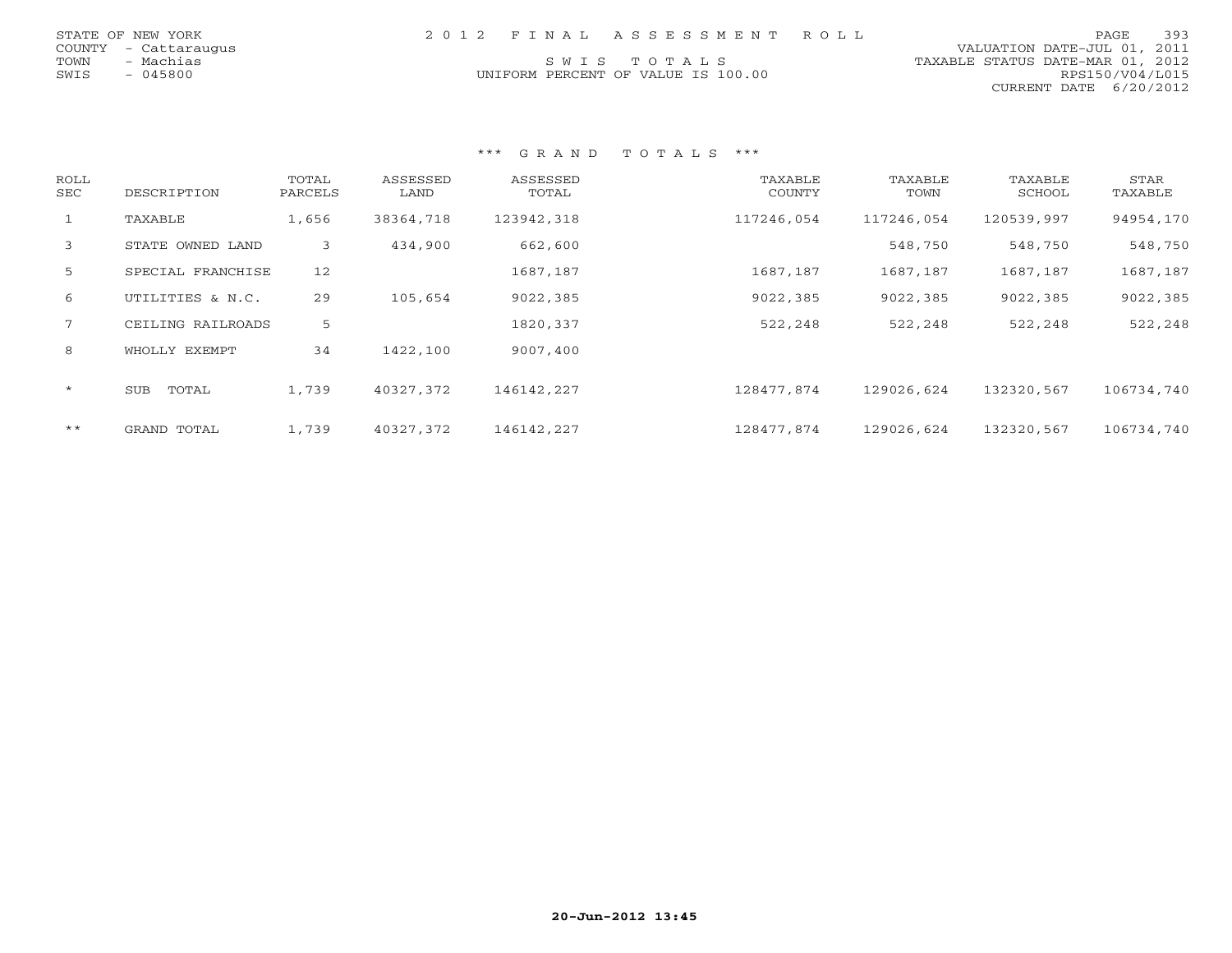|      | STATE OF NEW YORK    | 2012 FINAL ASSESSMENT ROLL         | <b>PAGE</b>                      | 393 |
|------|----------------------|------------------------------------|----------------------------------|-----|
|      | COUNTY - Cattaraugus |                                    | VALUATION DATE-JUL 01, 2011      |     |
| TOWN | - Machias            | SWIS TOTALS                        | TAXABLE STATUS DATE-MAR 01, 2012 |     |
| SWIS | - 045800             | UNIFORM PERCENT OF VALUE IS 100.00 | RPS150/V04/L015                  |     |
|      |                      |                                    | CURRENT DATE 6/20/2012           |     |

| <b>ROLL</b><br>SEC | DESCRIPTION       | TOTAL<br>PARCELS | ASSESSED<br>LAND | ASSESSED<br>TOTAL | TAXABLE<br>COUNTY | TAXABLE<br>TOWN | TAXABLE<br>SCHOOL | STAR<br>TAXABLE |
|--------------------|-------------------|------------------|------------------|-------------------|-------------------|-----------------|-------------------|-----------------|
| $\mathbf{1}$       | TAXABLE           | 1,656            | 38364,718        | 123942,318        | 117246,054        | 117246,054      | 120539,997        | 94954,170       |
| 3                  | STATE OWNED LAND  | 3                | 434,900          | 662,600           |                   | 548,750         | 548,750           | 548,750         |
| 5                  | SPECIAL FRANCHISE | 12               |                  | 1687,187          | 1687,187          | 1687,187        | 1687,187          | 1687,187        |
| 6                  | UTILITIES & N.C.  | 29               | 105,654          | 9022,385          | 9022,385          | 9022,385        | 9022,385          | 9022,385        |
| $7^{\circ}$        | CEILING RAILROADS | 5                |                  | 1820,337          | 522,248           | 522,248         | 522,248           | 522,248         |
| 8                  | WHOLLY EXEMPT     | 34               | 1422,100         | 9007,400          |                   |                 |                   |                 |
| $\star$            | TOTAL<br>SUB      | 1,739            | 40327,372        | 146142,227        | 128477,874        | 129026,624      | 132320,567        | 106734,740      |
| $\star\star$       | GRAND TOTAL       | 1,739            | 40327,372        | 146142,227        | 128477,874        | 129026,624      | 132320,567        | 106734,740      |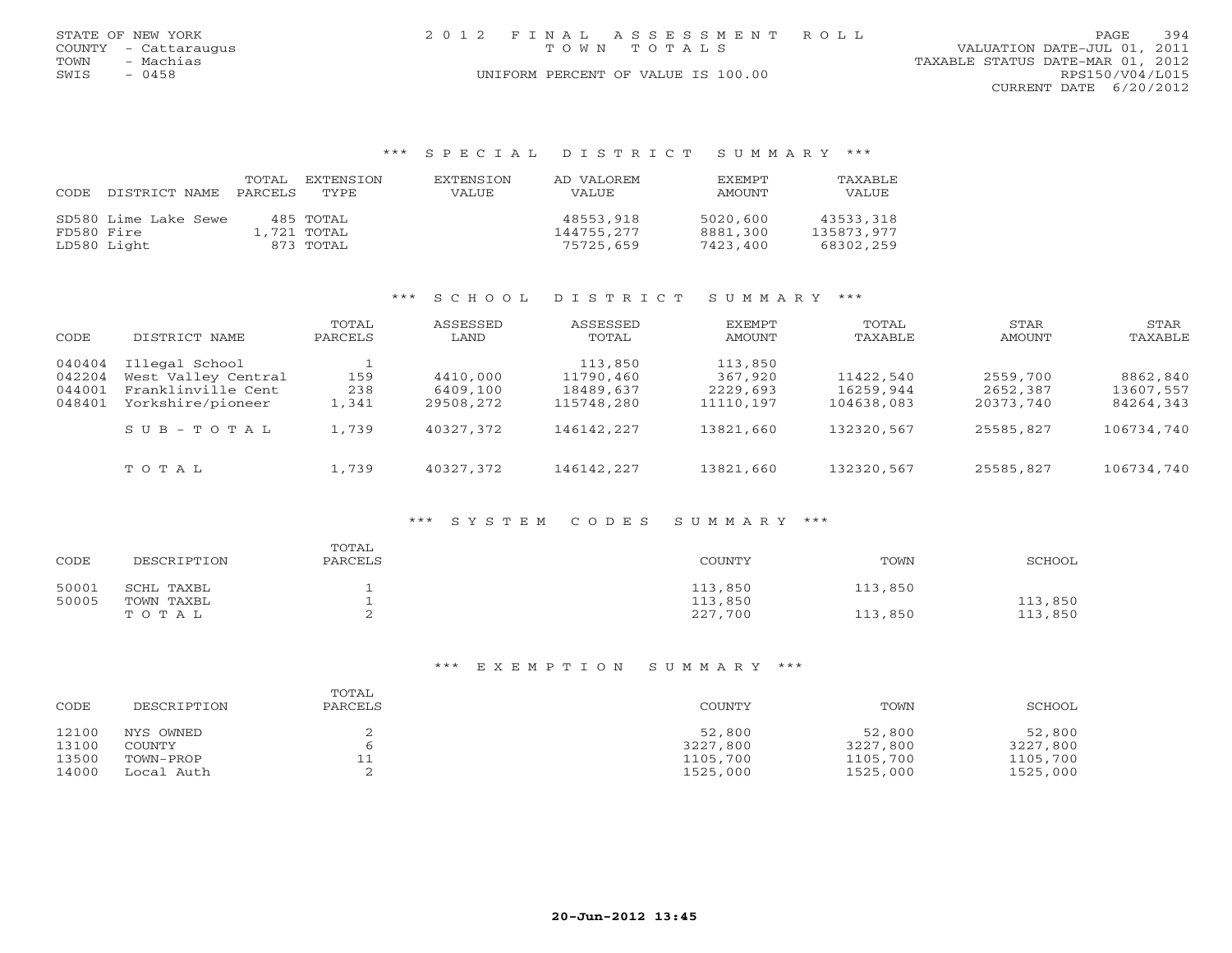|      | STATE OF NEW YORK    | 2012 FINAL ASSESSMENT ROLL         |                                  | PAGE. | 394 |
|------|----------------------|------------------------------------|----------------------------------|-------|-----|
|      | COUNTY - Cattaraugus | TOWN TOTALS                        | VALUATION DATE-JUL 01, 2011      |       |     |
| TOWN | - Machias            |                                    | TAXABLE STATUS DATE-MAR 01, 2012 |       |     |
| SWIS | $-0458$              | UNIFORM PERCENT OF VALUE IS 100.00 | RPS150/V04/L015                  |       |     |
|      |                      |                                    | CURRENT DATE 6/20/2012           |       |     |

#### \*\*\* S P E C I A L D I S T R I C T S U M M A R Y \*\*\*

| CODE       | DISTRICT NAME        | TOTAL<br>PARCELS | EXTENSTON<br>TYPE | <b>EXTENSION</b><br>VALUE | AD VALOREM<br><b>VALUE</b> | <b>FXFMPT</b><br>AMOUNT | <b>TAXABLE</b><br>VALUE |
|------------|----------------------|------------------|-------------------|---------------------------|----------------------------|-------------------------|-------------------------|
|            | SD580 Lime Lake Sewe |                  | 485 TOTAL         |                           | 48553,918                  | 5020,600                | 43533,318               |
| FD580 Fire |                      |                  | 1,721 TOTAL       |                           | 144755,277                 | 8881,300                | 135873,977              |
|            | LD580 Light          |                  | 873 TOTAL         |                           | 75725,659                  | 7423,400                | 68302,259               |

#### \*\*\* S C H O O L D I S T R I C T S U M M A R Y \*\*\*

| CODE                                 | DISTRICT NAME                                                                    | TOTAL<br>PARCELS    | ASSESSED<br>LAND                  | ASSESSED<br>TOTAL                               | EXEMPT<br>AMOUNT                            | TOTAL<br>TAXABLE                     | STAR<br>AMOUNT                    | STAR<br>TAXABLE                    |
|--------------------------------------|----------------------------------------------------------------------------------|---------------------|-----------------------------------|-------------------------------------------------|---------------------------------------------|--------------------------------------|-----------------------------------|------------------------------------|
| 040404<br>042204<br>044001<br>048401 | Illegal School<br>West Valley Central<br>Franklinville Cent<br>Yorkshire/pioneer | 159<br>238<br>.,341 | 4410,000<br>6409,100<br>29508,272 | 113,850<br>11790,460<br>18489,637<br>115748,280 | 113,850<br>367,920<br>2229,693<br>11110,197 | 11422,540<br>16259,944<br>104638,083 | 2559,700<br>2652,387<br>20373,740 | 8862,840<br>13607,557<br>84264,343 |
|                                      | SUB-TOTAL                                                                        | 1,739               | 40327,372                         | 146142,227                                      | 13821,660                                   | 132320,567                           | 25585,827                         | 106734,740                         |
|                                      | TOTAL                                                                            | 1,739               | 40327,372                         | 146142,227                                      | 13821,660                                   | 132320,567                           | 25585,827                         | 106734,740                         |

#### \*\*\* S Y S T E M C O D E S S U M M A R Y \*\*\*

| CODE  | DESCRIPTION | TOTAL<br>PARCELS | COUNTY  | TOWN    | SCHOOL  |
|-------|-------------|------------------|---------|---------|---------|
| 50001 | SCHL TAXBL  |                  | 113,850 | 113,850 |         |
| 50005 | TOWN TAXBL  |                  | 113,850 |         | 113,850 |
|       | TOTAL       |                  | 227,700 | 113,850 | 113,850 |

| CODE  | DESCRIPTION   | TOTAL<br>PARCELS | COUNTY   | TOWN     | SCHOOL   |
|-------|---------------|------------------|----------|----------|----------|
| 12100 | NYS OWNED     |                  | 52,800   | 52,800   | 52,800   |
| 13100 | <b>COUNTY</b> |                  | 3227,800 | 3227,800 | 3227,800 |
| 13500 | TOWN-PROP     | ᆂᆂ               | 1105,700 | 1105,700 | 1105,700 |
| 14000 | Local Auth    |                  | 1525,000 | 1525,000 | 1525,000 |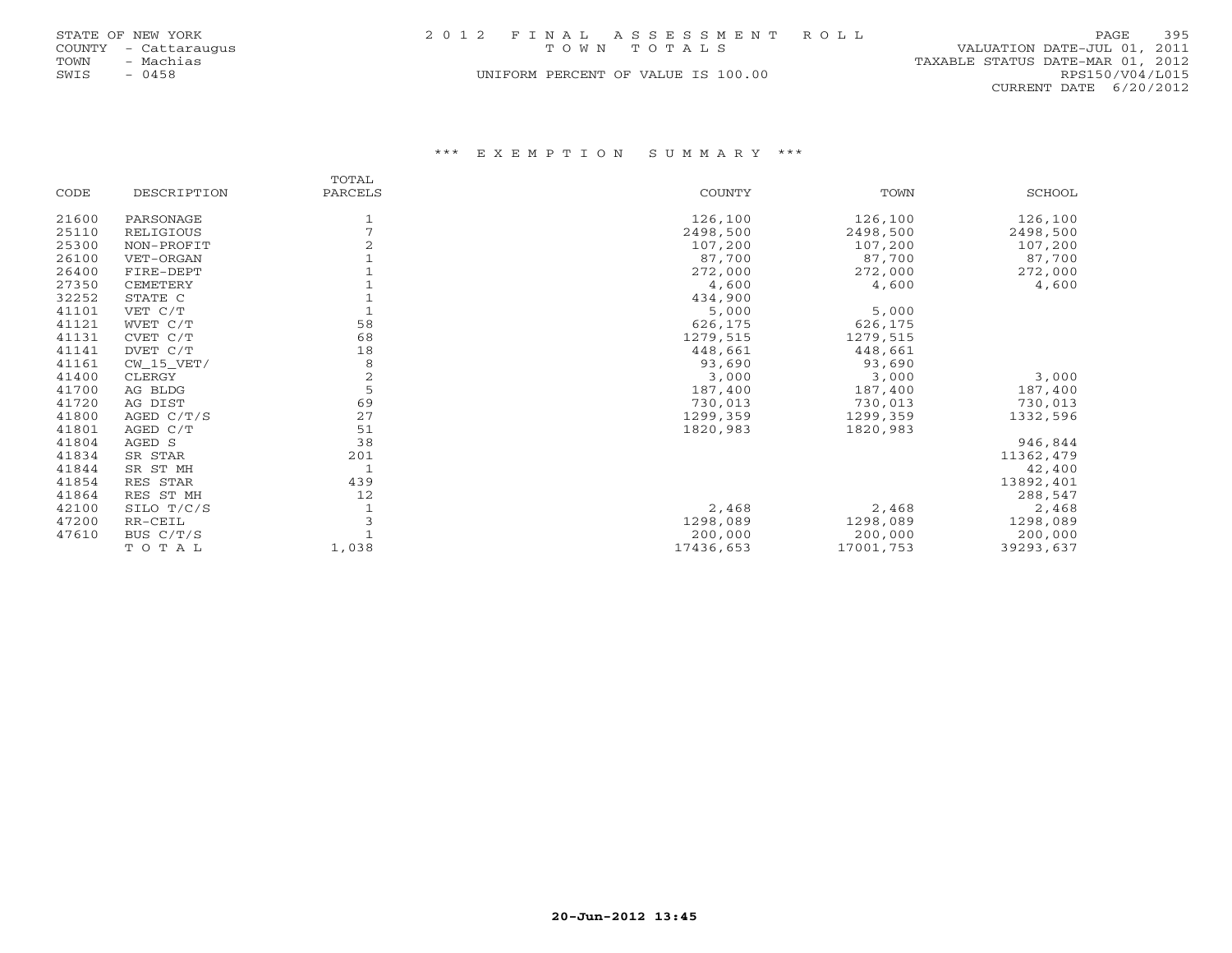|      | STATE OF NEW YORK    |  | 2012 FINAL ASSESSMENT ROLL         |                                  | PAGE                   | 395 |
|------|----------------------|--|------------------------------------|----------------------------------|------------------------|-----|
|      | COUNTY - Cattaraugus |  | TOWN TOTALS                        | VALUATION DATE-JUL 01, 2011      |                        |     |
| TOWN | – Machias            |  |                                    | TAXABLE STATUS DATE-MAR 01, 2012 |                        |     |
| SWIS | $-0458$              |  | UNIFORM PERCENT OF VALUE IS 100.00 |                                  | RPS150/V04/L015        |     |
|      |                      |  |                                    |                                  | CURRENT DATE 6/20/2012 |     |

|       |              | TOTAL          |           |           |           |
|-------|--------------|----------------|-----------|-----------|-----------|
| CODE  | DESCRIPTION  | PARCELS        | COUNTY    | TOWN      | SCHOOL    |
| 21600 | PARSONAGE    |                | 126,100   | 126,100   | 126,100   |
| 25110 | RELIGIOUS    |                | 2498,500  | 2498,500  | 2498,500  |
| 25300 | NON-PROFIT   |                | 107,200   | 107,200   | 107,200   |
| 26100 | VET-ORGAN    |                | 87,700    | 87,700    | 87,700    |
| 26400 | FIRE-DEPT    |                | 272,000   | 272,000   | 272,000   |
| 27350 | CEMETERY     |                | 4,600     | 4,600     | 4,600     |
| 32252 | STATE C      |                | 434,900   |           |           |
| 41101 | VET C/T      |                | 5,000     | 5,000     |           |
| 41121 | WVET C/T     | 58             | 626,175   | 626,175   |           |
| 41131 | CVET C/T     | 68             | 1279,515  | 1279,515  |           |
| 41141 | DVET C/T     | 18             | 448,661   | 448,661   |           |
| 41161 | $CW_15_VET/$ | 8              | 93,690    | 93,690    |           |
| 41400 | CLERGY       | $\overline{2}$ | 3,000     | 3,000     | 3,000     |
| 41700 | AG BLDG      | 5              | 187,400   | 187,400   | 187,400   |
| 41720 | AG DIST      | 69             | 730,013   | 730,013   | 730,013   |
| 41800 | AGED $C/T/S$ | 27             | 1299,359  | 1299,359  | 1332,596  |
| 41801 | AGED C/T     | 51             | 1820,983  | 1820,983  |           |
| 41804 | AGED S       | 38             |           |           | 946,844   |
| 41834 | SR STAR      | 201            |           |           | 11362,479 |
| 41844 | SR ST MH     |                |           |           | 42,400    |
| 41854 | RES STAR     | 439            |           |           | 13892,401 |
| 41864 | RES ST MH    | 12             |           |           | 288,547   |
| 42100 | SILO T/C/S   |                | 2,468     | 2,468     | 2,468     |
| 47200 | RR-CEIL      |                | 1298,089  | 1298,089  | 1298,089  |
| 47610 | BUS C/T/S    |                | 200,000   | 200,000   | 200,000   |
|       | TOTAL        | 1,038          | 17436,653 | 17001,753 | 39293,637 |